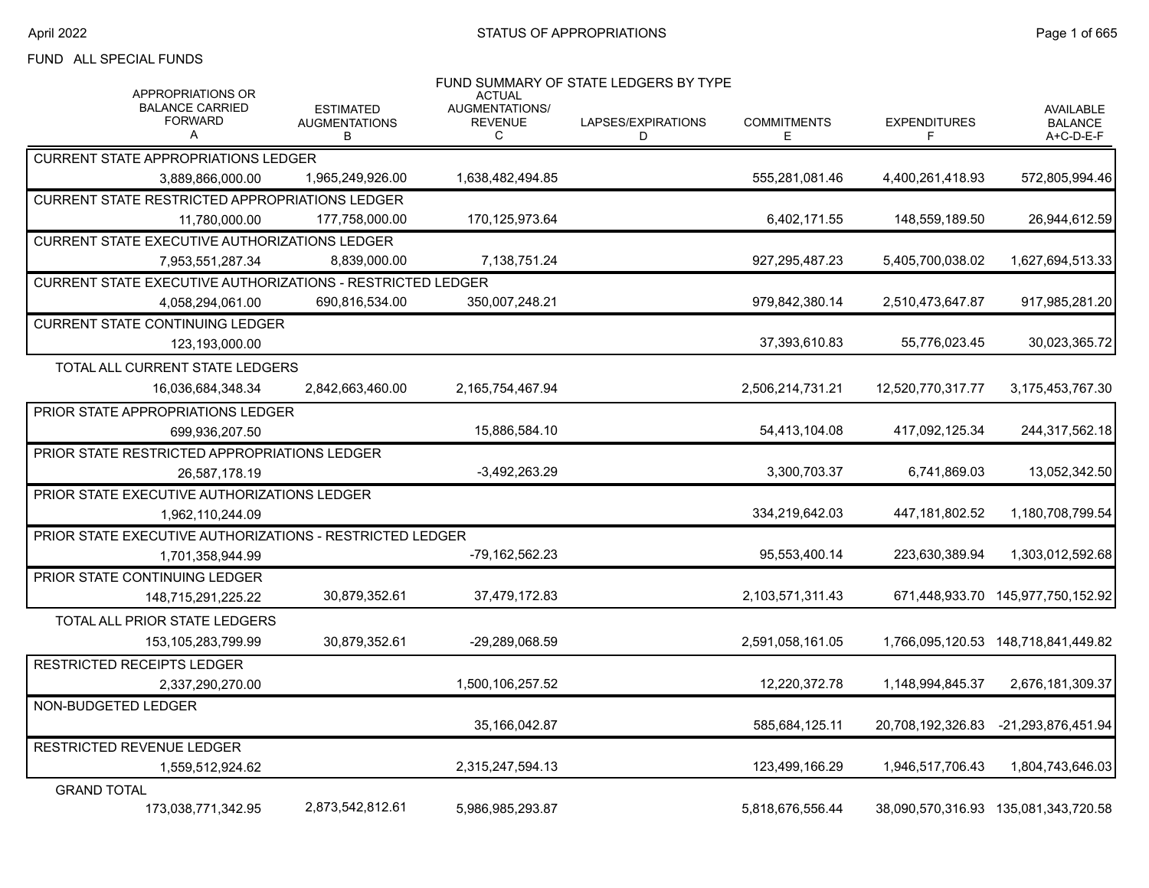### FUND ALL SPECIAL FUNDS

| APPROPRIATIONS OR                                          |                                               | <b>ACTUAL</b>                         | FUND SUMMARY OF STATE LEDGERS BY TYPE |                          |                          |                                                 |
|------------------------------------------------------------|-----------------------------------------------|---------------------------------------|---------------------------------------|--------------------------|--------------------------|-------------------------------------------------|
| <b>BALANCE CARRIED</b><br><b>FORWARD</b><br>A              | <b>ESTIMATED</b><br><b>AUGMENTATIONS</b><br>В | AUGMENTATIONS/<br><b>REVENUE</b><br>C | LAPSES/EXPIRATIONS<br>D               | <b>COMMITMENTS</b><br>E. | <b>EXPENDITURES</b><br>F | <b>AVAILABLE</b><br><b>BALANCE</b><br>A+C-D-E-F |
| <b>CURRENT STATE APPROPRIATIONS LEDGER</b>                 |                                               |                                       |                                       |                          |                          |                                                 |
| 3,889,866,000.00                                           | 1,965,249,926.00                              | 1,638,482,494.85                      |                                       | 555.281.081.46           | 4,400,261,418.93         | 572,805,994.46                                  |
| <b>CURRENT STATE RESTRICTED APPROPRIATIONS LEDGER</b>      |                                               |                                       |                                       |                          |                          |                                                 |
| 11,780,000.00                                              | 177.758.000.00                                | 170.125.973.64                        |                                       | 6,402,171.55             | 148,559,189.50           | 26,944,612.59                                   |
| CURRENT STATE EXECUTIVE AUTHORIZATIONS LEDGER              |                                               |                                       |                                       |                          |                          |                                                 |
| 7,953,551,287.34                                           | 8.839.000.00                                  | 7,138,751.24                          |                                       | 927.295.487.23           | 5,405,700,038.02         | 1,627,694,513.33                                |
| CURRENT STATE EXECUTIVE AUTHORIZATIONS - RESTRICTED LEDGER |                                               |                                       |                                       |                          |                          |                                                 |
| 4,058,294,061.00                                           | 690,816,534.00                                | 350,007,248.21                        |                                       | 979,842,380.14           | 2,510,473,647.87         | 917,985,281.20                                  |
| <b>CURRENT STATE CONTINUING LEDGER</b>                     |                                               |                                       |                                       |                          |                          |                                                 |
| 123,193,000.00                                             |                                               |                                       |                                       | 37,393,610.83            | 55,776,023.45            | 30,023,365.72                                   |
| TOTAL ALL CURRENT STATE LEDGERS                            |                                               |                                       |                                       |                          |                          |                                                 |
| 16,036,684,348.34                                          | 2,842,663,460.00                              | 2,165,754,467.94                      |                                       | 2,506,214,731.21         | 12,520,770,317.77        | 3,175,453,767.30                                |
| <b>PRIOR STATE APPROPRIATIONS LEDGER</b>                   |                                               |                                       |                                       |                          |                          |                                                 |
| 699.936.207.50                                             |                                               | 15,886,584.10                         |                                       | 54,413,104.08            | 417,092,125.34           | 244,317,562.18                                  |
| PRIOR STATE RESTRICTED APPROPRIATIONS LEDGER               |                                               |                                       |                                       |                          |                          |                                                 |
| 26,587,178.19                                              |                                               | -3,492,263.29                         |                                       | 3,300,703.37             | 6,741,869.03             | 13,052,342.50                                   |
| <b>PRIOR STATE EXECUTIVE AUTHORIZATIONS LEDGER</b>         |                                               |                                       |                                       |                          |                          |                                                 |
| 1,962,110,244.09                                           |                                               |                                       |                                       | 334,219,642.03           | 447,181,802.52           | 1,180,708,799.54                                |
| PRIOR STATE EXECUTIVE AUTHORIZATIONS - RESTRICTED LEDGER   |                                               |                                       |                                       |                          |                          |                                                 |
| 1,701,358,944.99                                           |                                               | -79.162.562.23                        |                                       | 95,553,400.14            | 223,630,389.94           | 1,303,012,592.68                                |
| PRIOR STATE CONTINUING LEDGER                              |                                               |                                       |                                       |                          |                          |                                                 |
| 148,715,291,225.22                                         | 30,879,352.61                                 | 37,479,172.83                         |                                       | 2,103,571,311.43         |                          | 671,448,933.70 145,977,750,152.92               |
| TOTAL ALL PRIOR STATE LEDGERS                              |                                               |                                       |                                       |                          |                          |                                                 |
| 153, 105, 283, 799. 99                                     | 30,879,352.61                                 | -29.289.068.59                        |                                       | 2,591,058,161.05         |                          | 1,766,095,120.53 148,718,841,449.82             |
| RESTRICTED RECEIPTS LEDGER                                 |                                               |                                       |                                       |                          |                          |                                                 |
| 2,337,290,270.00                                           |                                               | 1,500,106,257.52                      |                                       | 12,220,372.78            | 1,148,994,845.37         | 2,676,181,309.37                                |
| NON-BUDGETED LEDGER                                        |                                               |                                       |                                       |                          |                          |                                                 |
|                                                            |                                               | 35,166,042.87                         |                                       | 585,684,125.11           | 20,708,192,326.83        | -21,293,876,451.94                              |
| RESTRICTED REVENUE LEDGER                                  |                                               |                                       |                                       |                          |                          |                                                 |
| 1,559,512,924.62                                           |                                               | 2,315,247,594.13                      |                                       | 123,499,166.29           | 1,946,517,706.43         | 1,804,743,646.03                                |
| <b>GRAND TOTAL</b>                                         |                                               |                                       |                                       |                          |                          |                                                 |
| 173,038,771,342.95                                         | 2,873,542,812.61                              | 5,986,985,293.87                      |                                       | 5,818,676,556.44         |                          | 38,090,570,316.93 135,081,343,720.58            |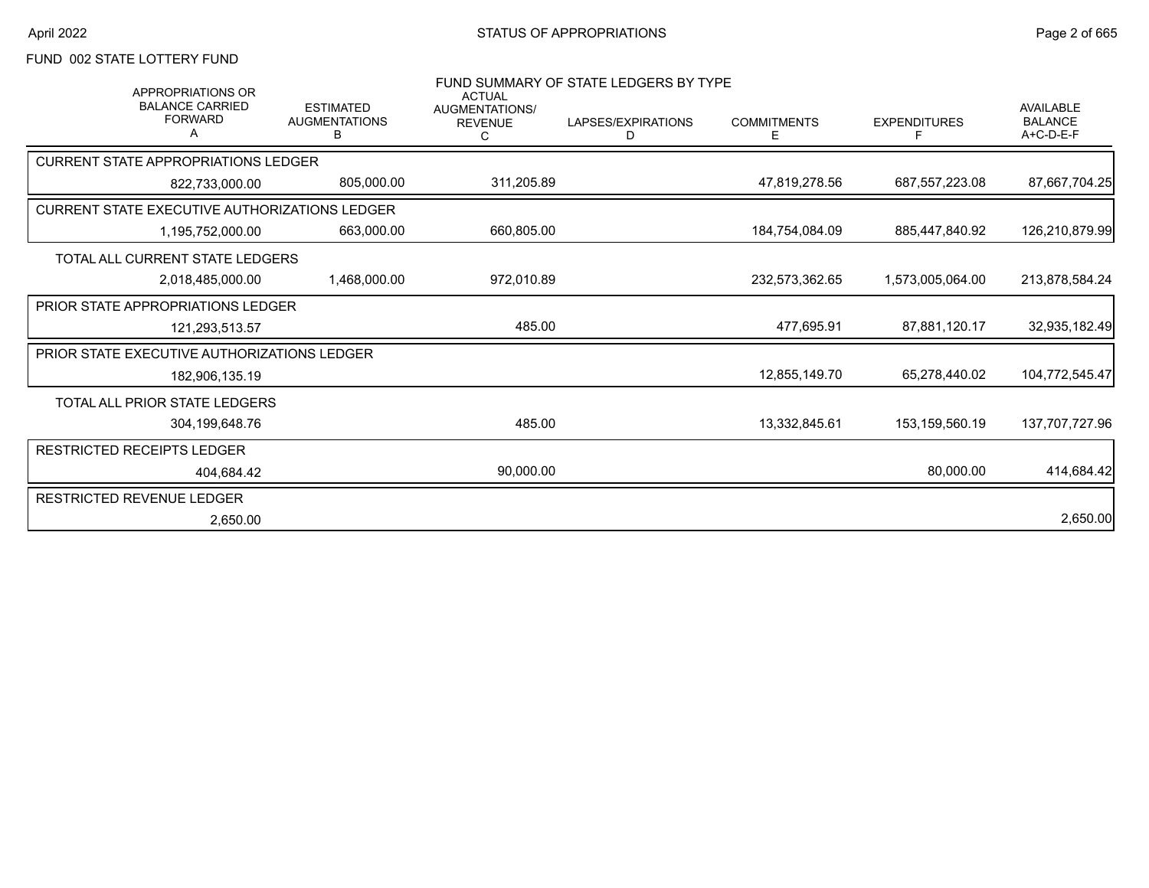# FUND 002 STATE LOTTERY FUND

| <b>APPROPRIATIONS OR</b><br><b>BALANCE CARRIED</b><br><b>FORWARD</b> | <b>ESTIMATED</b><br><b>AUGMENTATIONS</b><br>B | <b>ACTUAL</b><br><b>AUGMENTATIONS/</b><br><b>REVENUE</b> | FUND SUMMARY OF STATE LEDGERS BY TYPE<br>LAPSES/EXPIRATIONS<br>D | <b>COMMITMENTS</b><br>E | <b>EXPENDITURES</b> | <b>AVAILABLE</b><br><b>BALANCE</b><br>$A+C-D-E-F$ |
|----------------------------------------------------------------------|-----------------------------------------------|----------------------------------------------------------|------------------------------------------------------------------|-------------------------|---------------------|---------------------------------------------------|
| <b>CURRENT STATE APPROPRIATIONS LEDGER</b>                           |                                               |                                                          |                                                                  |                         |                     |                                                   |
| 822,733,000.00                                                       | 805,000.00                                    | 311,205.89                                               |                                                                  | 47.819.278.56           | 687.557.223.08      | 87,667,704.25                                     |
| CURRENT STATE EXECUTIVE AUTHORIZATIONS LEDGER                        |                                               |                                                          |                                                                  |                         |                     |                                                   |
| 1,195,752,000.00                                                     | 663.000.00                                    | 660,805.00                                               |                                                                  | 184.754.084.09          | 885.447.840.92      | 126,210,879.99                                    |
| TOTAL ALL CURRENT STATE LEDGERS                                      |                                               |                                                          |                                                                  |                         |                     |                                                   |
| 2,018,485,000.00                                                     | 1,468,000.00                                  | 972,010.89                                               |                                                                  | 232,573,362.65          | 1,573,005,064.00    | 213,878,584.24                                    |
| <b>PRIOR STATE APPROPRIATIONS LEDGER</b>                             |                                               |                                                          |                                                                  |                         |                     |                                                   |
| 121,293,513.57                                                       |                                               | 485.00                                                   |                                                                  | 477,695.91              | 87.881.120.17       | 32,935,182.49                                     |
| PRIOR STATE EXECUTIVE AUTHORIZATIONS LEDGER                          |                                               |                                                          |                                                                  |                         |                     |                                                   |
| 182,906,135.19                                                       |                                               |                                                          |                                                                  | 12.855.149.70           | 65.278.440.02       | 104,772,545.47                                    |
| <b>TOTAL ALL PRIOR STATE LEDGERS</b>                                 |                                               |                                                          |                                                                  |                         |                     |                                                   |
| 304,199,648.76                                                       |                                               | 485.00                                                   |                                                                  | 13,332,845.61           | 153,159,560.19      | 137,707,727.96                                    |
| <b>RESTRICTED RECEIPTS LEDGER</b>                                    |                                               |                                                          |                                                                  |                         |                     |                                                   |
| 404.684.42                                                           |                                               | 90,000.00                                                |                                                                  |                         | 80,000.00           | 414,684.42                                        |
| <b>RESTRICTED REVENUE LEDGER</b>                                     |                                               |                                                          |                                                                  |                         |                     |                                                   |
| 2,650.00                                                             |                                               |                                                          |                                                                  |                         |                     | 2,650.00                                          |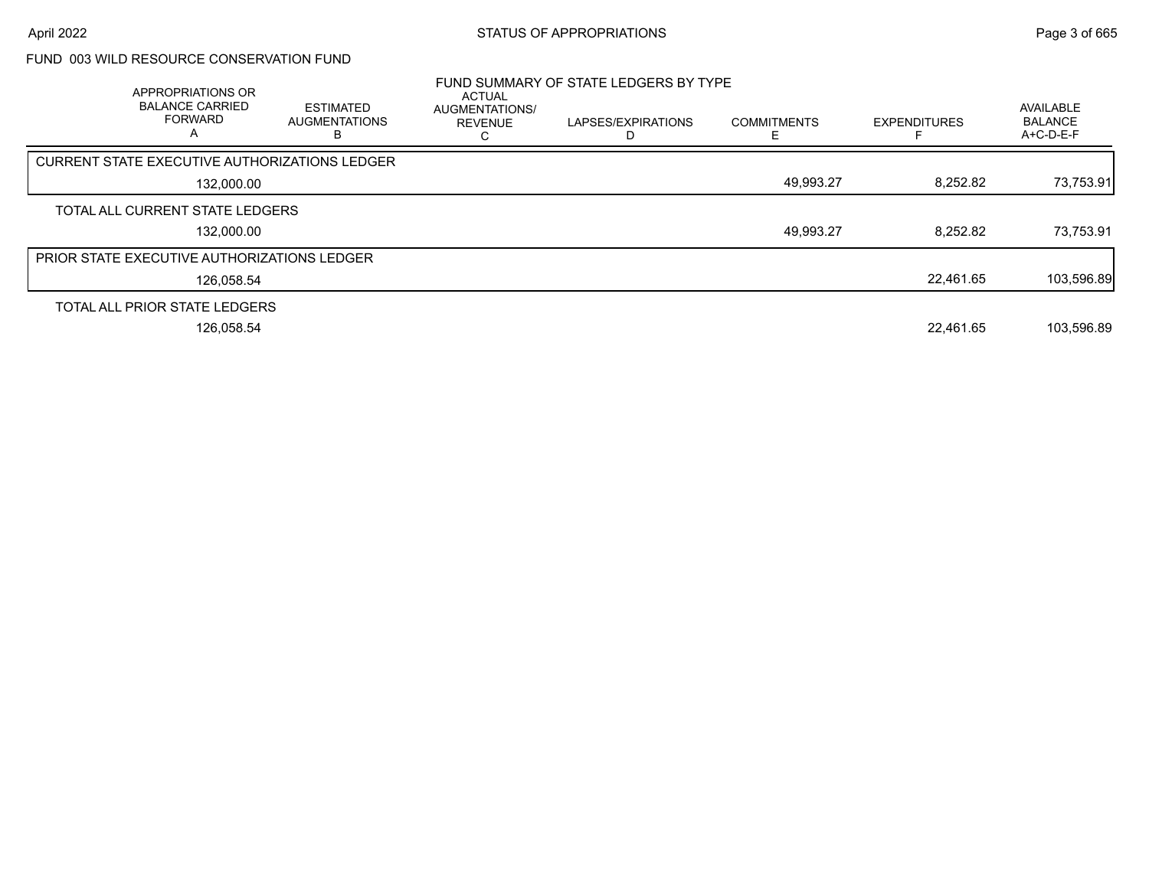### FUND 003 WILD RESOURCE CONSERVATION FUND

| APPROPRIATIONS OR<br><b>BALANCE CARRIED</b><br><b>FORWARD</b><br>A | <b>ESTIMATED</b><br><b>AUGMENTATIONS</b> | <b>ACTUAL</b><br><b>AUGMENTATIONS/</b><br><b>REVENUE</b> | FUND SUMMARY OF STATE LEDGERS BY TYPE<br>LAPSES/EXPIRATIONS | <b>COMMITMENTS</b> | <b>EXPENDITURES</b> | AVAILABLE<br><b>BALANCE</b><br>A+C-D-E-F |
|--------------------------------------------------------------------|------------------------------------------|----------------------------------------------------------|-------------------------------------------------------------|--------------------|---------------------|------------------------------------------|
| CURRENT STATE EXECUTIVE AUTHORIZATIONS LEDGER                      |                                          |                                                          |                                                             |                    |                     |                                          |
| 132.000.00                                                         |                                          |                                                          |                                                             | 49,993.27          | 8,252.82            | 73,753.91                                |
| TOTAL ALL CURRENT STATE LEDGERS                                    |                                          |                                                          |                                                             |                    |                     |                                          |
| 132,000.00                                                         |                                          |                                                          |                                                             | 49,993.27          | 8,252.82            | 73,753.91                                |
| PRIOR STATE EXECUTIVE AUTHORIZATIONS LEDGER                        |                                          |                                                          |                                                             |                    |                     |                                          |
| 126,058.54                                                         |                                          |                                                          |                                                             |                    | 22.461.65           | 103,596.89                               |
| TOTAL ALL PRIOR STATE LEDGERS                                      |                                          |                                                          |                                                             |                    |                     |                                          |
| 126,058.54                                                         |                                          |                                                          |                                                             |                    | 22.461.65           | 103,596.89                               |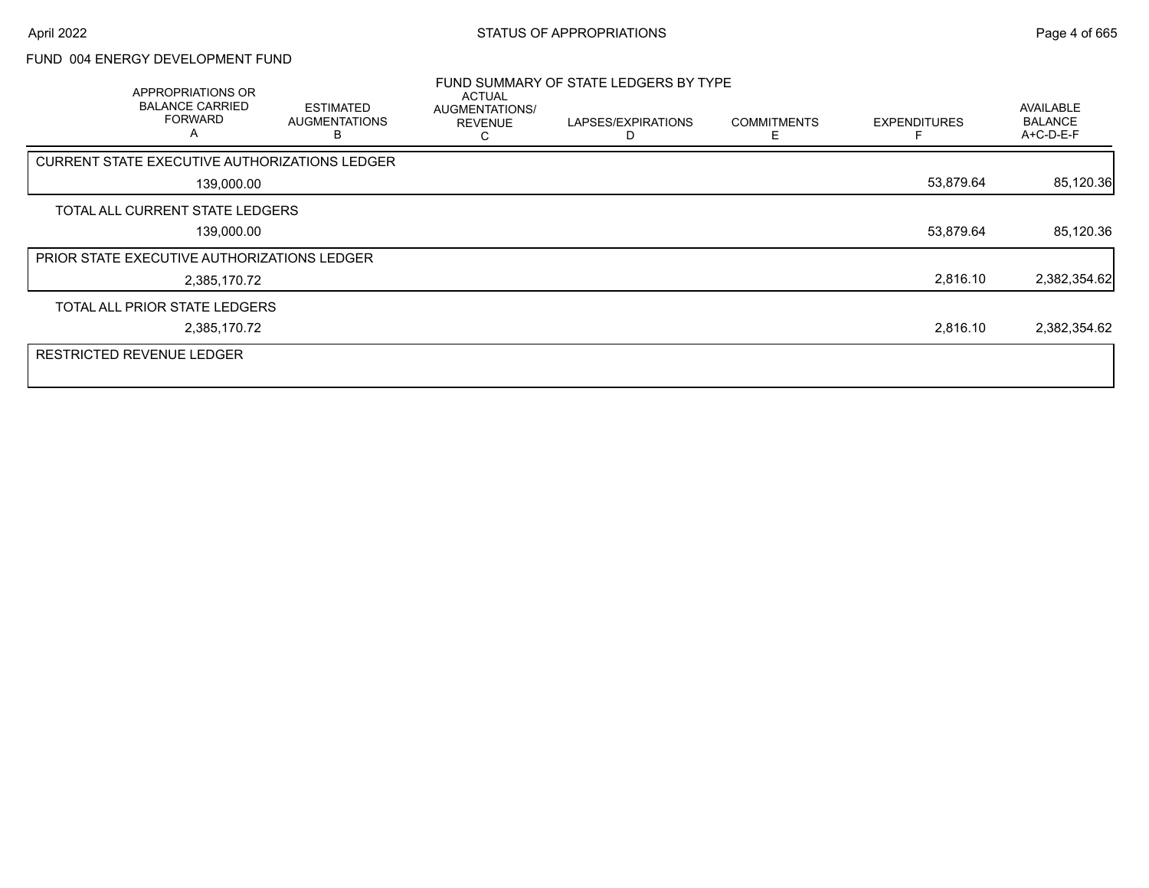# FUND 004 ENERGY DEVELOPMENT FUND

| APPROPRIATIONS OR<br><b>BALANCE CARRIED</b><br><b>FORWARD</b><br>A | <b>ESTIMATED</b><br><b>AUGMENTATIONS</b> | <b>ACTUAL</b><br>AUGMENTATIONS/<br><b>REVENUE</b> | FUND SUMMARY OF STATE LEDGERS BY TYPE<br>LAPSES/EXPIRATIONS | <b>COMMITMENTS</b><br>F | <b>EXPENDITURES</b> | <b>AVAILABLE</b><br><b>BALANCE</b><br>A+C-D-E-F |
|--------------------------------------------------------------------|------------------------------------------|---------------------------------------------------|-------------------------------------------------------------|-------------------------|---------------------|-------------------------------------------------|
| CURRENT STATE EXECUTIVE AUTHORIZATIONS LEDGER                      |                                          |                                                   |                                                             |                         |                     |                                                 |
| 139,000.00                                                         |                                          |                                                   |                                                             |                         | 53,879.64           | 85,120.36                                       |
| TOTAL ALL CURRENT STATE LEDGERS                                    |                                          |                                                   |                                                             |                         |                     |                                                 |
| 139,000.00                                                         |                                          |                                                   |                                                             |                         | 53,879.64           | 85,120.36                                       |
| PRIOR STATE EXECUTIVE AUTHORIZATIONS LEDGER                        |                                          |                                                   |                                                             |                         |                     |                                                 |
| 2,385,170.72                                                       |                                          |                                                   |                                                             |                         | 2,816.10            | 2,382,354.62                                    |
| TOTAL ALL PRIOR STATE LEDGERS                                      |                                          |                                                   |                                                             |                         |                     |                                                 |
| 2,385,170.72                                                       |                                          |                                                   |                                                             |                         | 2,816.10            | 2,382,354.62                                    |
| <b>RESTRICTED REVENUE LEDGER</b>                                   |                                          |                                                   |                                                             |                         |                     |                                                 |
|                                                                    |                                          |                                                   |                                                             |                         |                     |                                                 |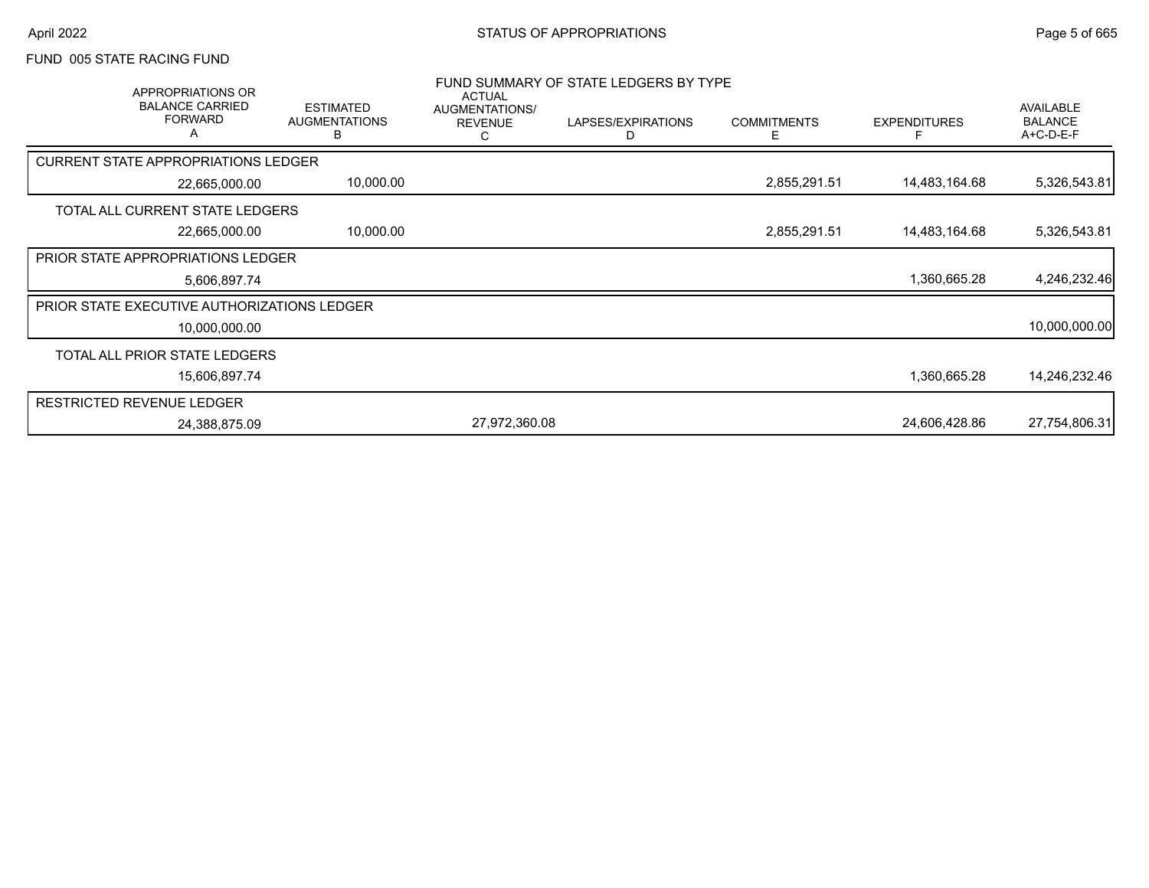#### FUND 005 STATE RACING FUND

| APPROPRIATIONS OR<br><b>BALANCE CARRIED</b><br><b>FORWARD</b><br>$\overline{A}$ | <b>ESTIMATED</b><br><b>AUGMENTATIONS</b><br>в | <b>ACTUAL</b><br>AUGMENTATIONS/<br><b>REVENUE</b><br>С | FUND SUMMARY OF STATE LEDGERS BY TYPE<br>LAPSES/EXPIRATIONS<br>D | <b>COMMITMENTS</b><br>E. | <b>EXPENDITURES</b> | AVAILABLE<br><b>BALANCE</b><br>A+C-D-E-F |
|---------------------------------------------------------------------------------|-----------------------------------------------|--------------------------------------------------------|------------------------------------------------------------------|--------------------------|---------------------|------------------------------------------|
| <b>CURRENT STATE APPROPRIATIONS LEDGER</b>                                      |                                               |                                                        |                                                                  |                          |                     |                                          |
| 22,665,000.00                                                                   | 10,000.00                                     |                                                        |                                                                  | 2,855,291.51             | 14,483,164.68       | 5,326,543.81                             |
| TOTAL ALL CURRENT STATE LEDGERS                                                 |                                               |                                                        |                                                                  |                          |                     |                                          |
| 22,665,000.00                                                                   | 10,000.00                                     |                                                        |                                                                  | 2,855,291.51             | 14,483,164.68       | 5,326,543.81                             |
| PRIOR STATE APPROPRIATIONS LEDGER                                               |                                               |                                                        |                                                                  |                          |                     |                                          |
| 5,606,897.74                                                                    |                                               |                                                        |                                                                  |                          | 1,360,665.28        | 4,246,232.46                             |
| <b>PRIOR STATE EXECUTIVE AUTHORIZATIONS LEDGER</b>                              |                                               |                                                        |                                                                  |                          |                     |                                          |
| 10,000,000.00                                                                   |                                               |                                                        |                                                                  |                          |                     | 10,000,000.00                            |
| TOTAL ALL PRIOR STATE LEDGERS                                                   |                                               |                                                        |                                                                  |                          |                     |                                          |
| 15,606,897.74                                                                   |                                               |                                                        |                                                                  |                          | 1,360,665.28        | 14,246,232.46                            |
| <b>RESTRICTED REVENUE LEDGER</b>                                                |                                               |                                                        |                                                                  |                          |                     |                                          |
| 24,388,875.09                                                                   |                                               | 27,972,360.08                                          |                                                                  |                          | 24,606,428.86       | 27,754,806.31                            |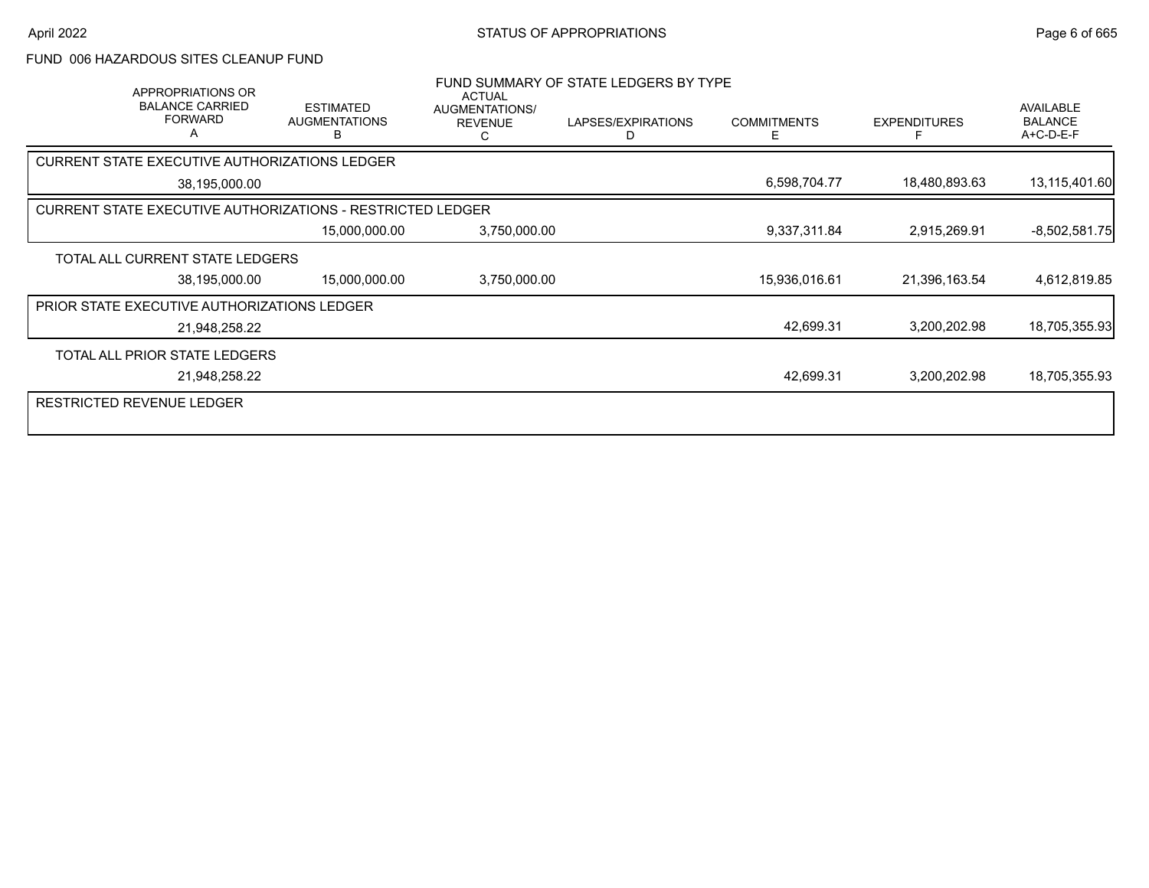### FUND 006 HAZARDOUS SITES CLEANUP FUND

| APPROPRIATIONS OR<br><b>BALANCE CARRIED</b><br><b>FORWARD</b>     | <b>ESTIMATED</b><br><b>AUGMENTATIONS</b><br>B | <b>ACTUAL</b><br>AUGMENTATIONS/<br><b>REVENUE</b> | FUND SUMMARY OF STATE LEDGERS BY TYPE<br>LAPSES/EXPIRATIONS<br>D | <b>COMMITMENTS</b><br>E | <b>EXPENDITURES</b> | AVAILABLE<br><b>BALANCE</b><br>A+C-D-E-F |
|-------------------------------------------------------------------|-----------------------------------------------|---------------------------------------------------|------------------------------------------------------------------|-------------------------|---------------------|------------------------------------------|
| CURRENT STATE EXECUTIVE AUTHORIZATIONS LEDGER                     |                                               |                                                   |                                                                  |                         |                     |                                          |
| 38,195,000.00                                                     |                                               |                                                   |                                                                  | 6,598,704.77            | 18,480,893.63       | 13,115,401.60                            |
| <b>CURRENT STATE EXECUTIVE AUTHORIZATIONS - RESTRICTED LEDGER</b> |                                               |                                                   |                                                                  |                         |                     |                                          |
|                                                                   | 15,000,000.00                                 | 3,750,000.00                                      |                                                                  | 9,337,311.84            | 2,915,269.91        | $-8,502,581.75$                          |
| TOTAL ALL CURRENT STATE LEDGERS                                   |                                               |                                                   |                                                                  |                         |                     |                                          |
| 38,195,000.00                                                     | 15,000,000.00                                 | 3,750,000.00                                      |                                                                  | 15,936,016.61           | 21,396,163.54       | 4,612,819.85                             |
| <b>PRIOR STATE EXECUTIVE AUTHORIZATIONS LEDGER</b>                |                                               |                                                   |                                                                  |                         |                     |                                          |
| 21,948,258.22                                                     |                                               |                                                   |                                                                  | 42,699.31               | 3,200,202.98        | 18,705,355.93                            |
| TOTAL ALL PRIOR STATE LEDGERS                                     |                                               |                                                   |                                                                  |                         |                     |                                          |
| 21,948,258.22                                                     |                                               |                                                   |                                                                  | 42,699.31               | 3,200,202.98        | 18,705,355.93                            |
| <b>RESTRICTED REVENUE LEDGER</b>                                  |                                               |                                                   |                                                                  |                         |                     |                                          |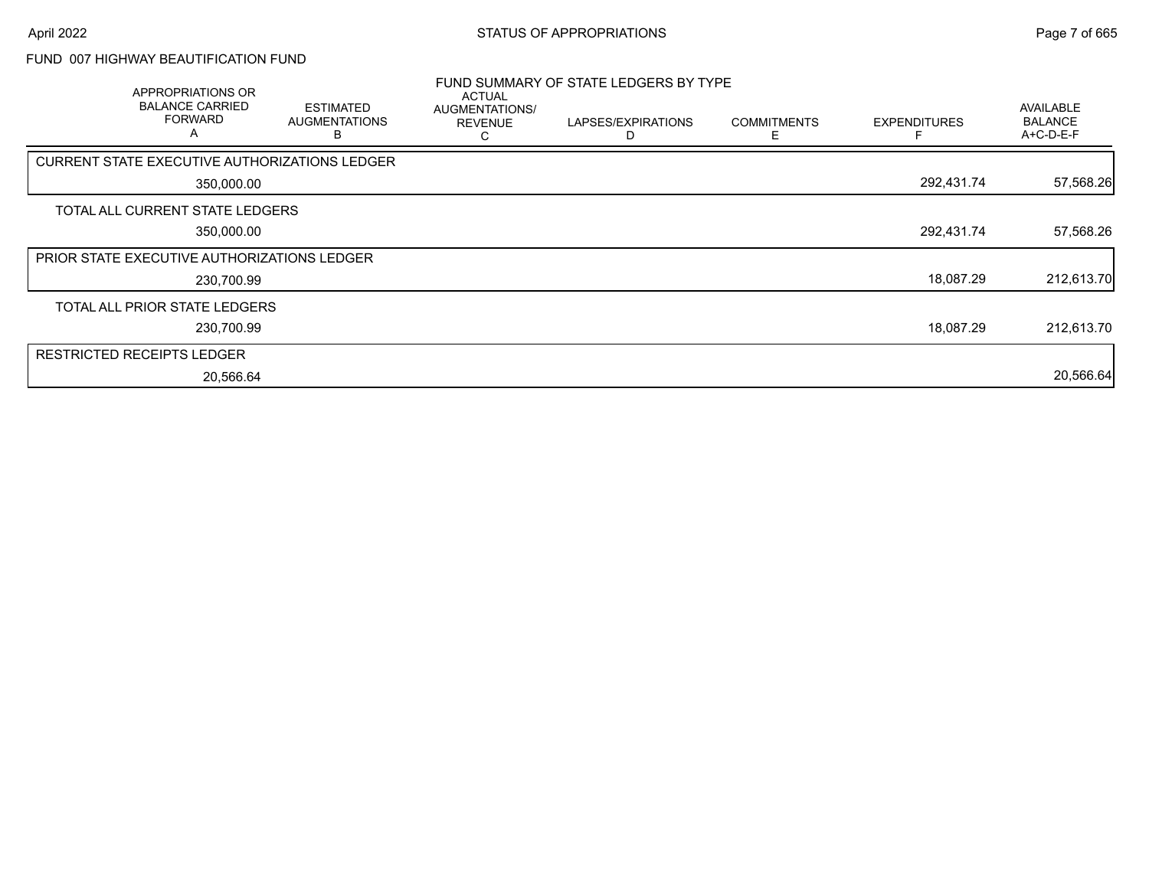### FUND 007 HIGHWAY BEAUTIFICATION FUND

| APPROPRIATIONS OR<br><b>BALANCE CARRIED</b><br><b>FORWARD</b><br>A | <b>ESTIMATED</b><br><b>AUGMENTATIONS</b> | <b>ACTUAL</b><br>AUGMENTATIONS/<br><b>REVENUE</b> | FUND SUMMARY OF STATE LEDGERS BY TYPE<br>LAPSES/EXPIRATIONS | <b>COMMITMENTS</b> | <b>EXPENDITURES</b> | AVAILABLE<br><b>BALANCE</b><br>A+C-D-E-F |
|--------------------------------------------------------------------|------------------------------------------|---------------------------------------------------|-------------------------------------------------------------|--------------------|---------------------|------------------------------------------|
| CURRENT STATE EXECUTIVE AUTHORIZATIONS LEDGER                      |                                          |                                                   |                                                             |                    |                     |                                          |
| 350,000.00                                                         |                                          |                                                   |                                                             |                    | 292,431.74          | 57,568.26                                |
| TOTAL ALL CURRENT STATE LEDGERS                                    |                                          |                                                   |                                                             |                    |                     |                                          |
| 350,000.00                                                         |                                          |                                                   |                                                             |                    | 292,431.74          | 57,568.26                                |
| <b>PRIOR STATE EXECUTIVE AUTHORIZATIONS LEDGER</b>                 |                                          |                                                   |                                                             |                    |                     |                                          |
| 230,700.99                                                         |                                          |                                                   |                                                             |                    | 18,087.29           | 212,613.70                               |
| TOTAL ALL PRIOR STATE LEDGERS                                      |                                          |                                                   |                                                             |                    |                     |                                          |
| 230,700.99                                                         |                                          |                                                   |                                                             |                    | 18.087.29           | 212,613.70                               |
| RESTRICTED RECEIPTS LEDGER                                         |                                          |                                                   |                                                             |                    |                     |                                          |
| 20,566.64                                                          |                                          |                                                   |                                                             |                    |                     | 20,566.64                                |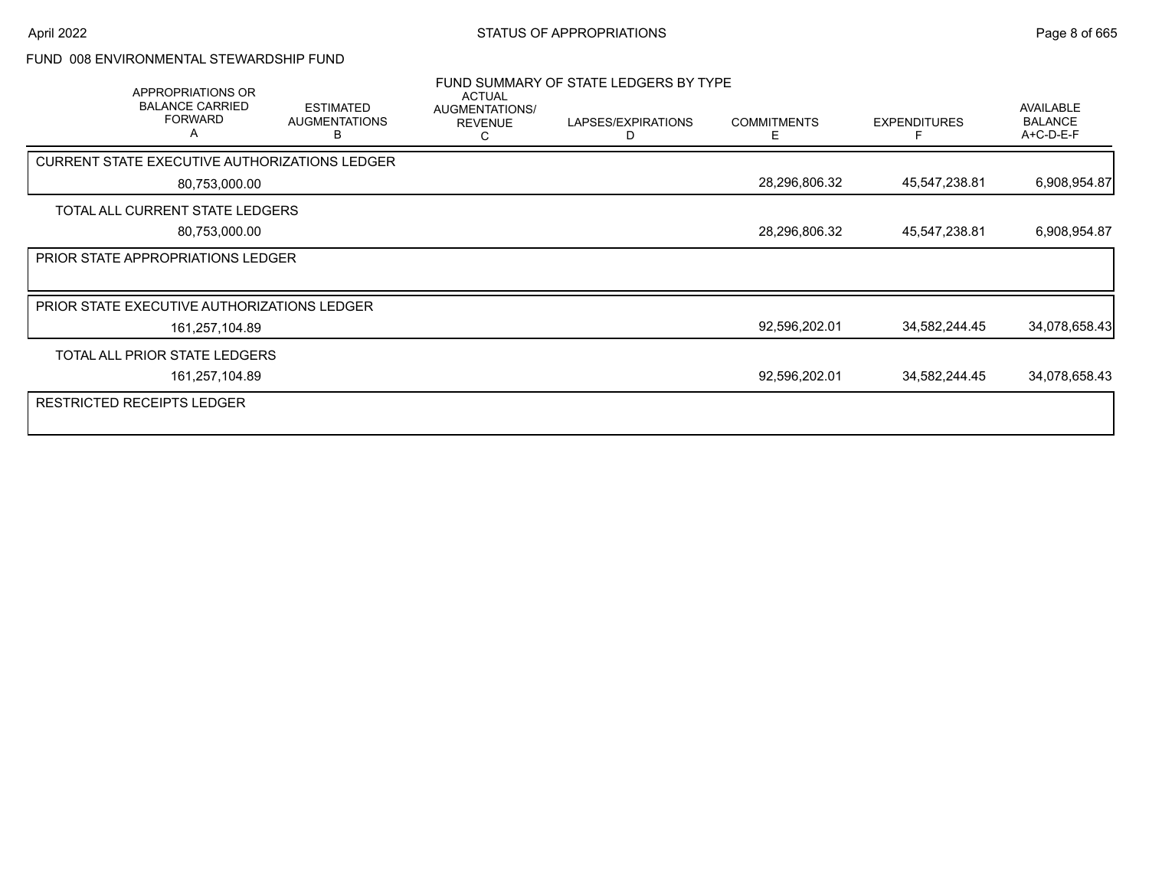#### FUND 008 ENVIRONMENTAL STEWARDSHIP FUND

| APPROPRIATIONS OR<br><b>BALANCE CARRIED</b><br><b>ESTIMATED</b><br><b>AUGMENTATIONS</b> | <b>ACTUAL</b><br>AUGMENTATIONS/<br><b>REVENUE</b> | FUND SUMMARY OF STATE LEDGERS BY TYPE<br>LAPSES/EXPIRATIONS<br>D | <b>COMMITMENTS</b><br>Е | <b>EXPENDITURES</b> | AVAILABLE<br><b>BALANCE</b><br>A+C-D-E-F |
|-----------------------------------------------------------------------------------------|---------------------------------------------------|------------------------------------------------------------------|-------------------------|---------------------|------------------------------------------|
| CURRENT STATE EXECUTIVE AUTHORIZATIONS LEDGER                                           |                                                   |                                                                  |                         |                     |                                          |
| 80,753,000.00                                                                           |                                                   |                                                                  | 28,296,806.32           | 45,547,238.81       | 6,908,954.87                             |
| TOTAL ALL CURRENT STATE LEDGERS                                                         |                                                   |                                                                  |                         |                     |                                          |
| 80,753,000.00                                                                           |                                                   |                                                                  | 28,296,806.32           | 45,547,238.81       | 6,908,954.87                             |
| <b>PRIOR STATE APPROPRIATIONS LEDGER</b>                                                |                                                   |                                                                  |                         |                     |                                          |
|                                                                                         |                                                   |                                                                  |                         |                     |                                          |
| <b>PRIOR STATE EXECUTIVE AUTHORIZATIONS LEDGER</b>                                      |                                                   |                                                                  |                         |                     |                                          |
| 161,257,104.89                                                                          |                                                   |                                                                  | 92,596,202.01           | 34,582,244.45       | 34,078,658.43                            |
| TOTAL ALL PRIOR STATE LEDGERS                                                           |                                                   |                                                                  |                         |                     |                                          |
| 161,257,104.89                                                                          |                                                   |                                                                  | 92,596,202.01           | 34,582,244.45       | 34,078,658.43                            |
| RESTRICTED RECEIPTS LEDGER                                                              |                                                   |                                                                  |                         |                     |                                          |
|                                                                                         |                                                   |                                                                  |                         |                     |                                          |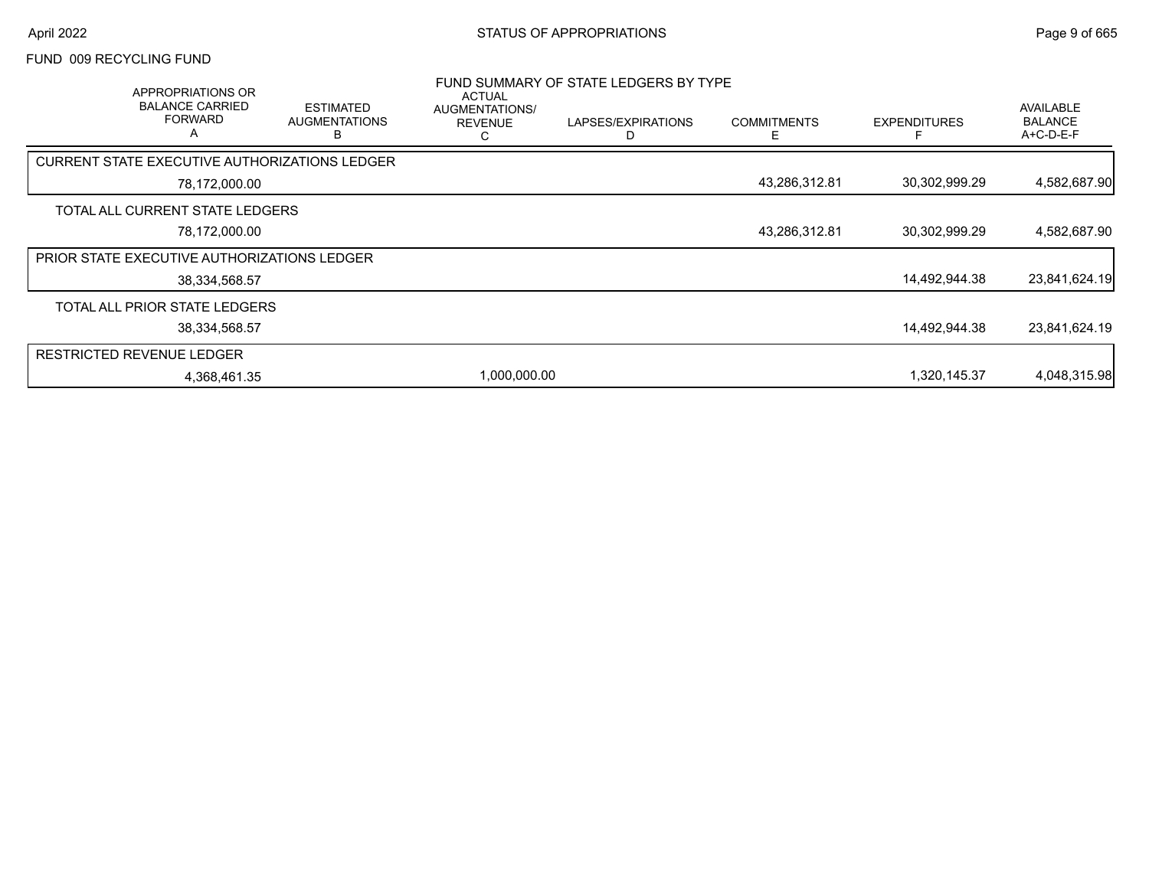#### FUND 009 RECYCLING FUND

| APPROPRIATIONS OR<br><b>BALANCE CARRIED</b><br><b>FORWARD</b><br>$\overline{a}$ | <b>ESTIMATED</b><br><b>AUGMENTATIONS</b><br>В | <b>ACTUAL</b><br>AUGMENTATIONS/<br><b>REVENUE</b> | FUND SUMMARY OF STATE LEDGERS BY TYPE<br>LAPSES/EXPIRATIONS | <b>COMMITMENTS</b> | <b>EXPENDITURES</b> | AVAILABLE<br><b>BALANCE</b><br>$A+C-D-E-F$ |
|---------------------------------------------------------------------------------|-----------------------------------------------|---------------------------------------------------|-------------------------------------------------------------|--------------------|---------------------|--------------------------------------------|
| CURRENT STATE EXECUTIVE AUTHORIZATIONS LEDGER                                   |                                               |                                                   |                                                             |                    |                     |                                            |
| 78,172,000.00                                                                   |                                               |                                                   |                                                             | 43,286,312.81      | 30,302,999.29       | 4,582,687.90                               |
| TOTAL ALL CURRENT STATE LEDGERS                                                 |                                               |                                                   |                                                             |                    |                     |                                            |
| 78,172,000.00                                                                   |                                               |                                                   |                                                             | 43,286,312.81      | 30,302,999.29       | 4,582,687.90                               |
| <b>PRIOR STATE EXECUTIVE AUTHORIZATIONS LEDGER</b>                              |                                               |                                                   |                                                             |                    |                     |                                            |
| 38,334,568.57                                                                   |                                               |                                                   |                                                             |                    | 14,492,944.38       | 23,841,624.19                              |
| TOTAL ALL PRIOR STATE LEDGERS                                                   |                                               |                                                   |                                                             |                    |                     |                                            |
| 38,334,568.57                                                                   |                                               |                                                   |                                                             |                    | 14,492,944.38       | 23,841,624.19                              |
| <b>RESTRICTED REVENUE LEDGER</b>                                                |                                               |                                                   |                                                             |                    |                     |                                            |
| 4,368,461.35                                                                    |                                               | 1,000,000.00                                      |                                                             |                    | 1,320,145.37        | 4,048,315.98                               |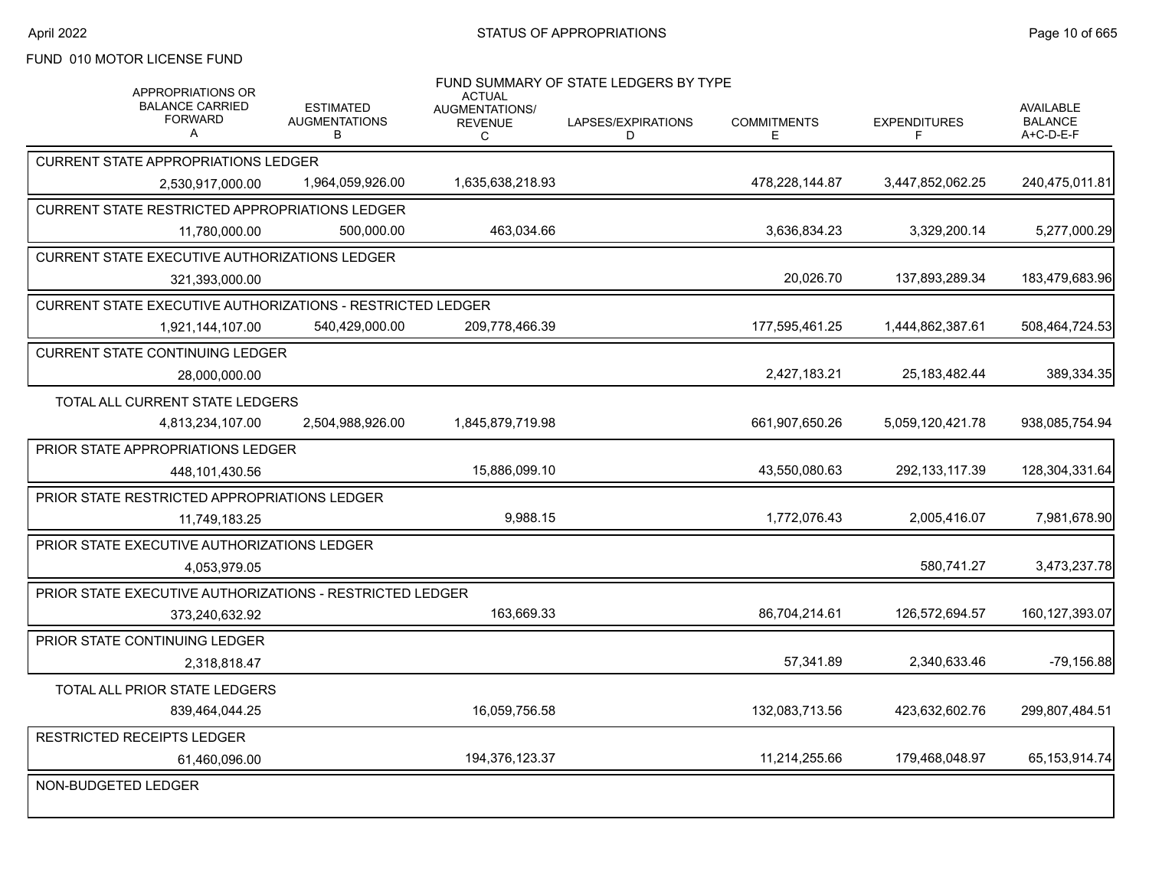# FUND 010 MOTOR LICENSE FUND

| <b>APPROPRIATIONS OR</b><br><b>BALANCE CARRIED</b><br><b>FORWARD</b><br>A | <b>ESTIMATED</b><br><b>AUGMENTATIONS</b><br>B                     | <b>ACTUAL</b><br>AUGMENTATIONS/<br><b>REVENUE</b><br>С | FUND SUMMARY OF STATE LEDGERS BY TYPE<br>LAPSES/EXPIRATIONS<br>D | <b>COMMITMENTS</b><br>Е | <b>EXPENDITURES</b><br>F. | <b>AVAILABLE</b><br><b>BALANCE</b><br>A+C-D-E-F |  |
|---------------------------------------------------------------------------|-------------------------------------------------------------------|--------------------------------------------------------|------------------------------------------------------------------|-------------------------|---------------------------|-------------------------------------------------|--|
| <b>CURRENT STATE APPROPRIATIONS LEDGER</b>                                |                                                                   |                                                        |                                                                  |                         |                           |                                                 |  |
| 2,530,917,000.00                                                          | 1,964,059,926.00                                                  | 1.635.638.218.93                                       |                                                                  | 478.228.144.87          | 3,447,852,062.25          | 240.475.011.81                                  |  |
| <b>CURRENT STATE RESTRICTED APPROPRIATIONS LEDGER</b>                     |                                                                   |                                                        |                                                                  |                         |                           |                                                 |  |
| 11,780,000.00                                                             | 500,000.00                                                        | 463,034.66                                             |                                                                  | 3,636,834.23            | 3,329,200.14              | 5,277,000.29                                    |  |
| <b>CURRENT STATE EXECUTIVE AUTHORIZATIONS LEDGER</b>                      |                                                                   |                                                        |                                                                  |                         |                           |                                                 |  |
| 321,393,000.00                                                            |                                                                   |                                                        |                                                                  | 20,026.70               | 137,893,289.34            | 183,479,683.96                                  |  |
|                                                                           | <b>CURRENT STATE EXECUTIVE AUTHORIZATIONS - RESTRICTED LEDGER</b> |                                                        |                                                                  |                         |                           |                                                 |  |
| 1,921,144,107.00                                                          | 540,429,000.00                                                    | 209,778,466.39                                         |                                                                  | 177,595,461.25          | 1,444,862,387.61          | 508,464,724.53                                  |  |
| <b>CURRENT STATE CONTINUING LEDGER</b>                                    |                                                                   |                                                        |                                                                  |                         |                           |                                                 |  |
| 28,000,000.00                                                             |                                                                   |                                                        |                                                                  | 2,427,183.21            | 25,183,482.44             | 389,334.35                                      |  |
| TOTAL ALL CURRENT STATE LEDGERS                                           |                                                                   |                                                        |                                                                  |                         |                           |                                                 |  |
| 4,813,234,107.00                                                          | 2,504,988,926.00                                                  | 1,845,879,719.98                                       |                                                                  | 661,907,650.26          | 5,059,120,421.78          | 938,085,754.94                                  |  |
| <b>PRIOR STATE APPROPRIATIONS LEDGER</b>                                  |                                                                   |                                                        |                                                                  |                         |                           |                                                 |  |
| 448,101,430.56                                                            |                                                                   | 15,886,099.10                                          |                                                                  | 43,550,080.63           | 292, 133, 117.39          | 128,304,331.64                                  |  |
| PRIOR STATE RESTRICTED APPROPRIATIONS LEDGER                              |                                                                   |                                                        |                                                                  |                         |                           |                                                 |  |
| 11,749,183.25                                                             |                                                                   | 9,988.15                                               |                                                                  | 1,772,076.43            | 2,005,416.07              | 7,981,678.90                                    |  |
| PRIOR STATE EXECUTIVE AUTHORIZATIONS LEDGER                               |                                                                   |                                                        |                                                                  |                         |                           |                                                 |  |
| 4,053,979.05                                                              |                                                                   |                                                        |                                                                  |                         | 580,741.27                | 3,473,237.78                                    |  |
| PRIOR STATE EXECUTIVE AUTHORIZATIONS - RESTRICTED LEDGER                  |                                                                   |                                                        |                                                                  |                         |                           |                                                 |  |
| 373,240,632.92                                                            |                                                                   | 163,669.33                                             |                                                                  | 86,704,214.61           | 126,572,694.57            | 160, 127, 393.07                                |  |
| <b>PRIOR STATE CONTINUING LEDGER</b>                                      |                                                                   |                                                        |                                                                  |                         |                           |                                                 |  |
| 2,318,818.47                                                              |                                                                   |                                                        |                                                                  | 57,341.89               | 2.340.633.46              | $-79,156.88$                                    |  |
| TOTAL ALL PRIOR STATE LEDGERS                                             |                                                                   |                                                        |                                                                  |                         |                           |                                                 |  |
| 839,464,044.25                                                            |                                                                   | 16,059,756.58                                          |                                                                  | 132,083,713.56          | 423,632,602.76            | 299,807,484.51                                  |  |
| <b>RESTRICTED RECEIPTS LEDGER</b>                                         |                                                                   |                                                        |                                                                  |                         |                           |                                                 |  |
| 61,460,096.00                                                             |                                                                   | 194,376,123.37                                         |                                                                  | 11,214,255.66           | 179,468,048.97            | 65,153,914.74                                   |  |
| NON-BUDGETED LEDGER                                                       |                                                                   |                                                        |                                                                  |                         |                           |                                                 |  |
|                                                                           |                                                                   |                                                        |                                                                  |                         |                           |                                                 |  |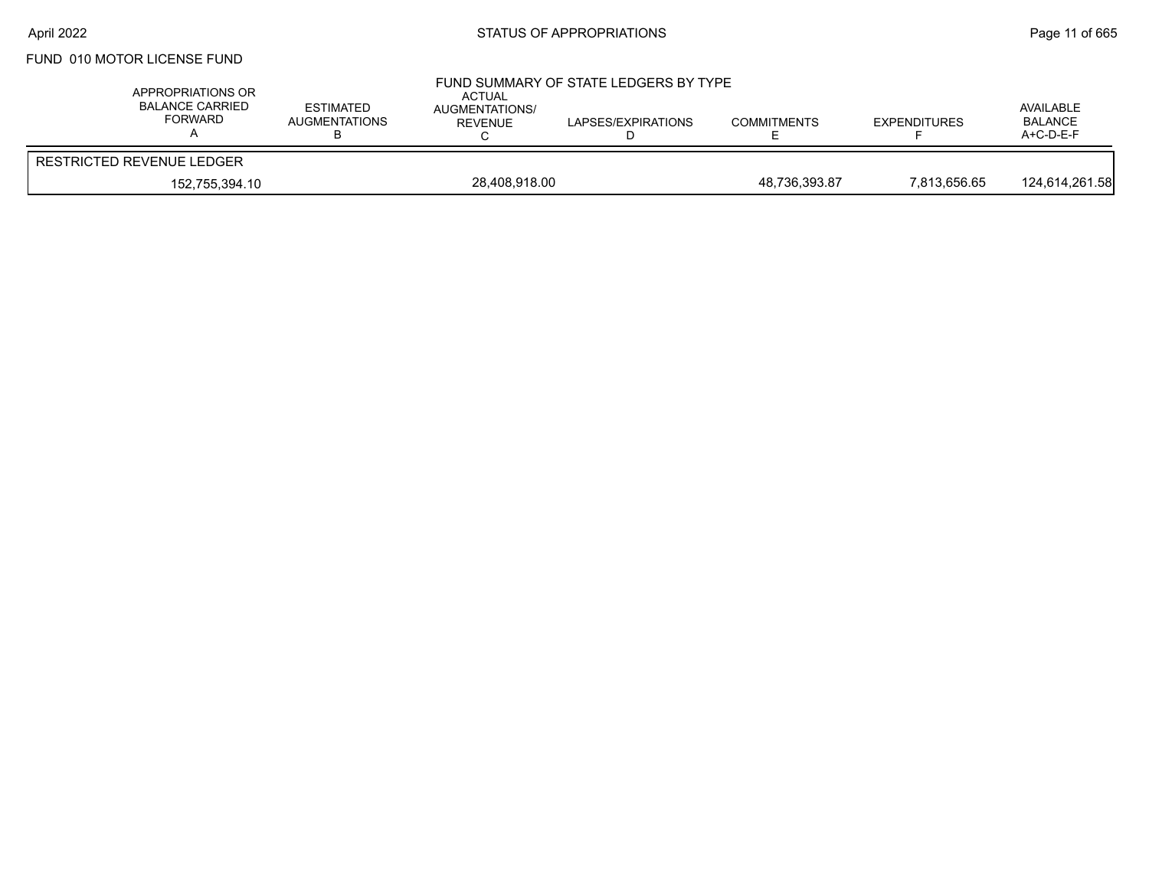# FUND 010 MOTOR LICENSE FUND

| APPROPRIATIONS OR<br><b>BALANCE CARRIED</b><br><b>FORWARD</b> | ESTIMATED<br><b>AUGMENTATIONS</b> | ACTUAL<br>AUGMENTATIONS/<br>REVENUE | FUND SUMMARY OF STATE LEDGERS BY TYPE<br>LAPSES/EXPIRATIONS | <b>COMMITMENTS</b> | <b>EXPENDITURES</b> | AVAILABLE<br><b>BALANCE</b><br>$A+C-D-E-F$ |
|---------------------------------------------------------------|-----------------------------------|-------------------------------------|-------------------------------------------------------------|--------------------|---------------------|--------------------------------------------|
| RESTRICTED REVENUE LEDGER                                     |                                   |                                     |                                                             |                    |                     |                                            |
| 152,755,394.10                                                |                                   | 28,408,918.00                       |                                                             | 48,736,393.87      | 7,813,656.65        | 124,614,261.58                             |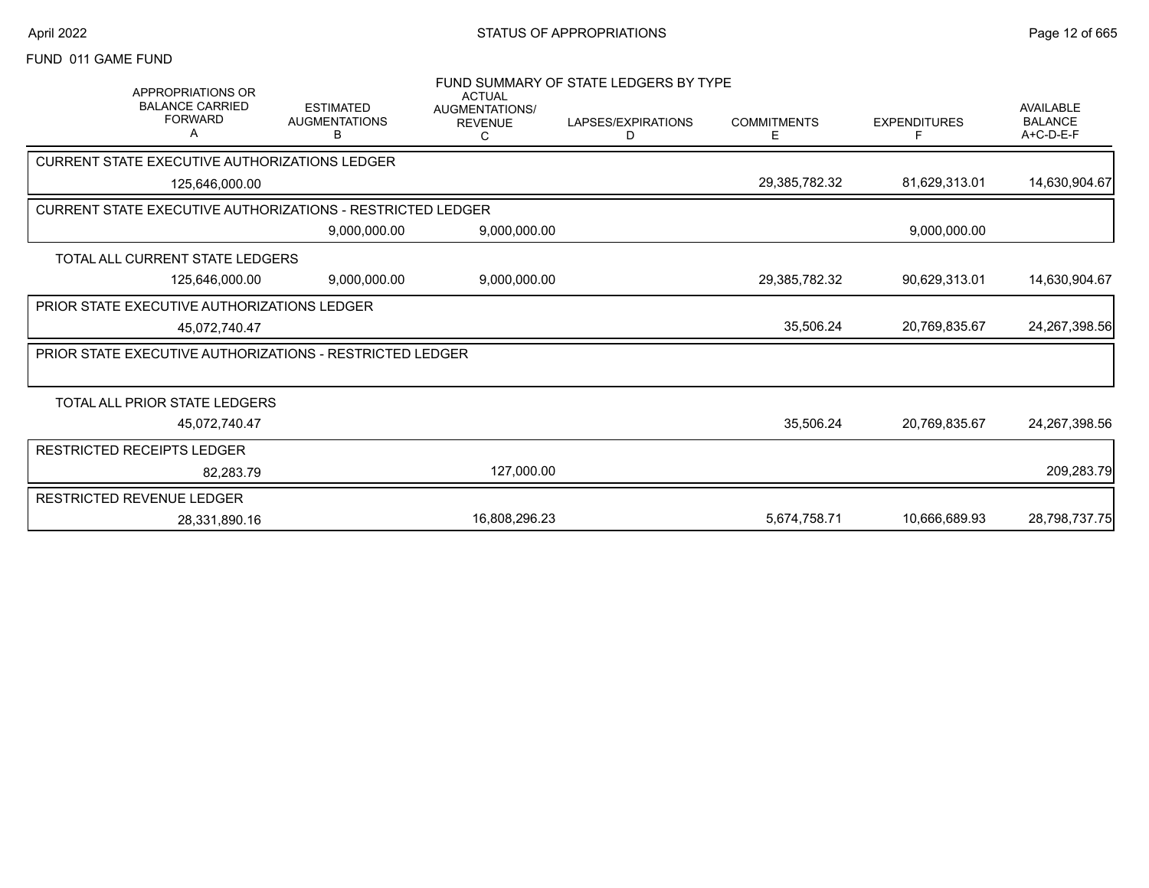# FUND 011 GAME FUND

| <b>APPROPRIATIONS OR</b><br><b>BALANCE CARRIED</b><br><b>FORWARD</b><br>А | <b>ESTIMATED</b><br><b>AUGMENTATIONS</b> | <b>ACTUAL</b><br>AUGMENTATIONS/<br><b>REVENUE</b> | FUND SUMMARY OF STATE LEDGERS BY TYPE<br>LAPSES/EXPIRATIONS | <b>COMMITMENTS</b> | <b>EXPENDITURES</b> | <b>AVAILABLE</b><br><b>BALANCE</b> |
|---------------------------------------------------------------------------|------------------------------------------|---------------------------------------------------|-------------------------------------------------------------|--------------------|---------------------|------------------------------------|
|                                                                           | В                                        | С                                                 | D                                                           | E.                 |                     | A+C-D-E-F                          |
| CURRENT STATE EXECUTIVE AUTHORIZATIONS LEDGER                             |                                          |                                                   |                                                             |                    |                     |                                    |
| 125,646,000.00                                                            |                                          |                                                   |                                                             | 29,385,782.32      | 81,629,313.01       | 14,630,904.67                      |
| CURRENT STATE EXECUTIVE AUTHORIZATIONS - RESTRICTED LEDGER                |                                          |                                                   |                                                             |                    |                     |                                    |
|                                                                           | 9,000,000.00                             | 9,000,000.00                                      |                                                             |                    | 9,000,000.00        |                                    |
| TOTAL ALL CURRENT STATE LEDGERS                                           |                                          |                                                   |                                                             |                    |                     |                                    |
| 125,646,000.00                                                            | 9,000,000.00                             | 9,000,000.00                                      |                                                             | 29,385,782.32      | 90,629,313.01       | 14,630,904.67                      |
| <b>PRIOR STATE EXECUTIVE AUTHORIZATIONS LEDGER</b>                        |                                          |                                                   |                                                             |                    |                     |                                    |
| 45.072.740.47                                                             |                                          |                                                   |                                                             | 35,506.24          | 20,769,835.67       | 24, 267, 398.56                    |
| <b>PRIOR STATE EXECUTIVE AUTHORIZATIONS - RESTRICTED LEDGER</b>           |                                          |                                                   |                                                             |                    |                     |                                    |
|                                                                           |                                          |                                                   |                                                             |                    |                     |                                    |
| TOTAL ALL PRIOR STATE LEDGERS                                             |                                          |                                                   |                                                             |                    |                     |                                    |
| 45.072.740.47                                                             |                                          |                                                   |                                                             | 35,506.24          | 20.769.835.67       | 24,267,398.56                      |
| <b>RESTRICTED RECEIPTS LEDGER</b>                                         |                                          |                                                   |                                                             |                    |                     |                                    |
| 82,283.79                                                                 |                                          | 127,000.00                                        |                                                             |                    |                     | 209,283.79                         |
| RESTRICTED REVENUE LEDGER                                                 |                                          |                                                   |                                                             |                    |                     |                                    |
| 28,331,890.16                                                             |                                          | 16,808,296.23                                     |                                                             | 5,674,758.71       | 10,666,689.93       | 28,798,737.75                      |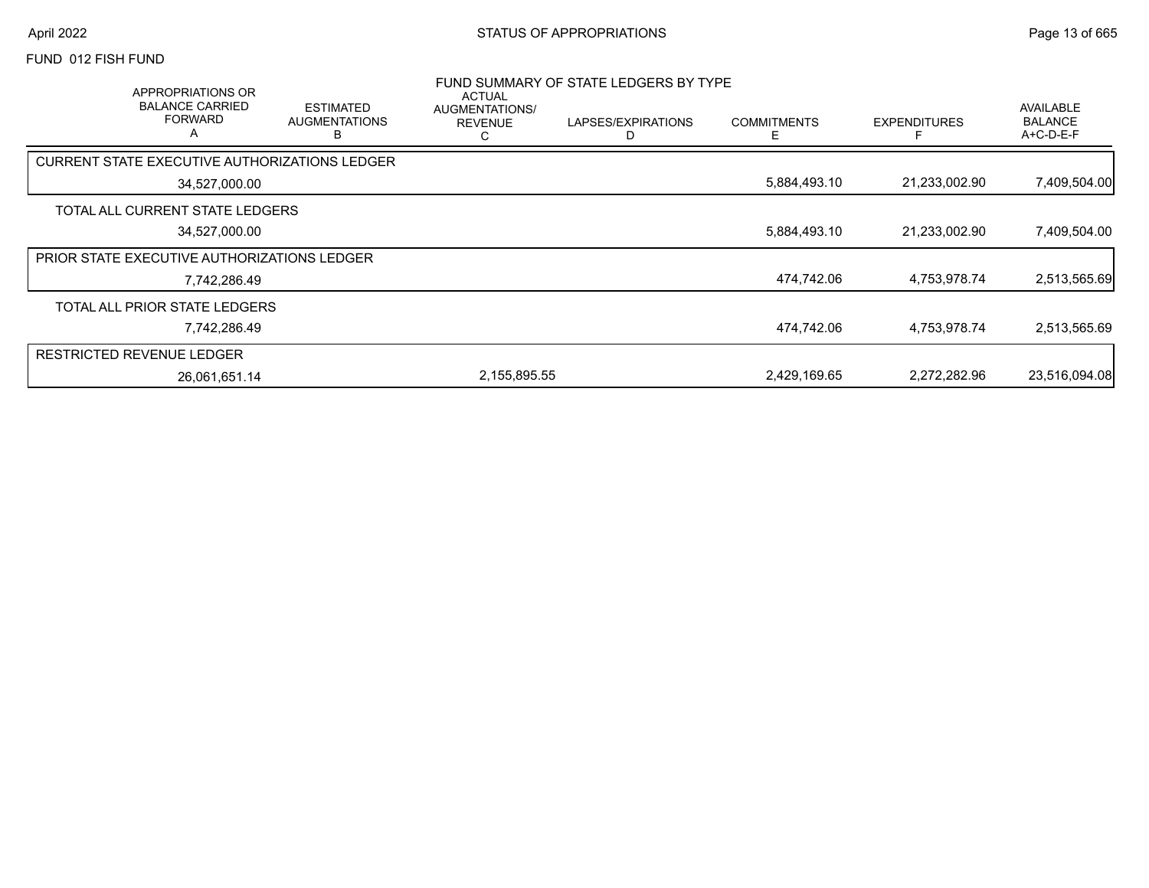#### FUND 012 FISH FUND

| APPROPRIATIONS OR<br><b>BALANCE CARRIED</b><br><b>FORWARD</b><br>A | <b>ESTIMATED</b><br><b>AUGMENTATIONS</b><br>в | ACTUAL<br>AUGMENTATIONS/<br><b>REVENUE</b><br>С | FUND SUMMARY OF STATE LEDGERS BY TYPE<br>LAPSES/EXPIRATIONS | <b>COMMITMENTS</b> | <b>EXPENDITURES</b> | AVAILABLE<br><b>BALANCE</b><br>$A+C-D-E-F$ |
|--------------------------------------------------------------------|-----------------------------------------------|-------------------------------------------------|-------------------------------------------------------------|--------------------|---------------------|--------------------------------------------|
| CURRENT STATE EXECUTIVE AUTHORIZATIONS LEDGER                      |                                               |                                                 |                                                             |                    |                     |                                            |
| 34,527,000.00                                                      |                                               |                                                 |                                                             | 5,884,493.10       | 21,233,002.90       | 7,409,504.00                               |
| TOTAL ALL CURRENT STATE LEDGERS                                    |                                               |                                                 |                                                             |                    |                     |                                            |
| 34,527,000.00                                                      |                                               |                                                 |                                                             | 5,884,493.10       | 21,233,002.90       | 7,409,504.00                               |
| PRIOR STATE EXECUTIVE AUTHORIZATIONS LEDGER                        |                                               |                                                 |                                                             |                    |                     |                                            |
|                                                                    | 7,742,286.49                                  |                                                 |                                                             | 474,742.06         | 4,753,978.74        | 2,513,565.69                               |
| TOTAL ALL PRIOR STATE LEDGERS                                      |                                               |                                                 |                                                             |                    |                     |                                            |
|                                                                    | 7,742,286.49                                  |                                                 |                                                             | 474,742.06         | 4,753,978.74        | 2,513,565.69                               |
| <b>RESTRICTED REVENUE LEDGER</b>                                   |                                               |                                                 |                                                             |                    |                     |                                            |
| 26,061,651.14                                                      |                                               | 2,155,895.55                                    |                                                             | 2,429,169.65       | 2,272,282.96        | 23,516,094.08                              |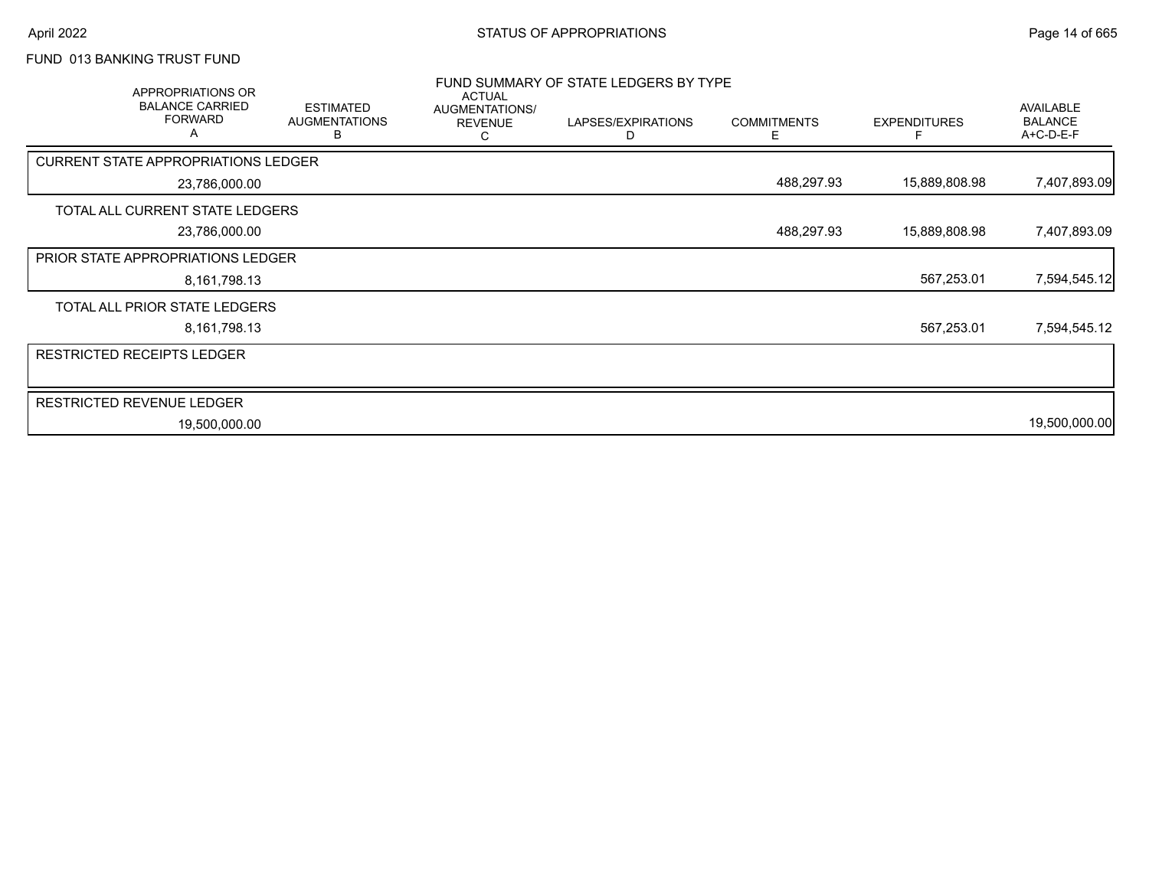# FUND 013 BANKING TRUST FUND

| APPROPRIATIONS OR<br><b>BALANCE CARRIED</b><br><b>FORWARD</b><br>A | <b>ESTIMATED</b><br><b>AUGMENTATIONS</b><br>в | <b>ACTUAL</b><br>AUGMENTATIONS/<br><b>REVENUE</b><br>С | FUND SUMMARY OF STATE LEDGERS BY TYPE<br>LAPSES/EXPIRATIONS<br>D | <b>COMMITMENTS</b><br>E. | <b>EXPENDITURES</b> | AVAILABLE<br><b>BALANCE</b><br>A+C-D-E-F |
|--------------------------------------------------------------------|-----------------------------------------------|--------------------------------------------------------|------------------------------------------------------------------|--------------------------|---------------------|------------------------------------------|
| <b>CURRENT STATE APPROPRIATIONS LEDGER</b>                         |                                               |                                                        |                                                                  |                          |                     |                                          |
| 23,786,000.00                                                      |                                               |                                                        |                                                                  | 488,297.93               | 15,889,808.98       | 7,407,893.09                             |
| TOTAL ALL CURRENT STATE LEDGERS                                    |                                               |                                                        |                                                                  |                          |                     |                                          |
| 23,786,000.00                                                      |                                               |                                                        |                                                                  | 488,297.93               | 15,889,808.98       | 7,407,893.09                             |
| <b>PRIOR STATE APPROPRIATIONS LEDGER</b>                           |                                               |                                                        |                                                                  |                          |                     |                                          |
| 8,161,798.13                                                       |                                               |                                                        |                                                                  |                          | 567,253.01          | 7,594,545.12                             |
| TOTAL ALL PRIOR STATE LEDGERS                                      |                                               |                                                        |                                                                  |                          |                     |                                          |
| 8,161,798.13                                                       |                                               |                                                        |                                                                  |                          | 567,253.01          | 7,594,545.12                             |
| <b>RESTRICTED RECEIPTS LEDGER</b>                                  |                                               |                                                        |                                                                  |                          |                     |                                          |
|                                                                    |                                               |                                                        |                                                                  |                          |                     |                                          |
| <b>RESTRICTED REVENUE LEDGER</b>                                   |                                               |                                                        |                                                                  |                          |                     |                                          |
| 19,500,000.00                                                      |                                               |                                                        |                                                                  |                          |                     | 19,500,000.00                            |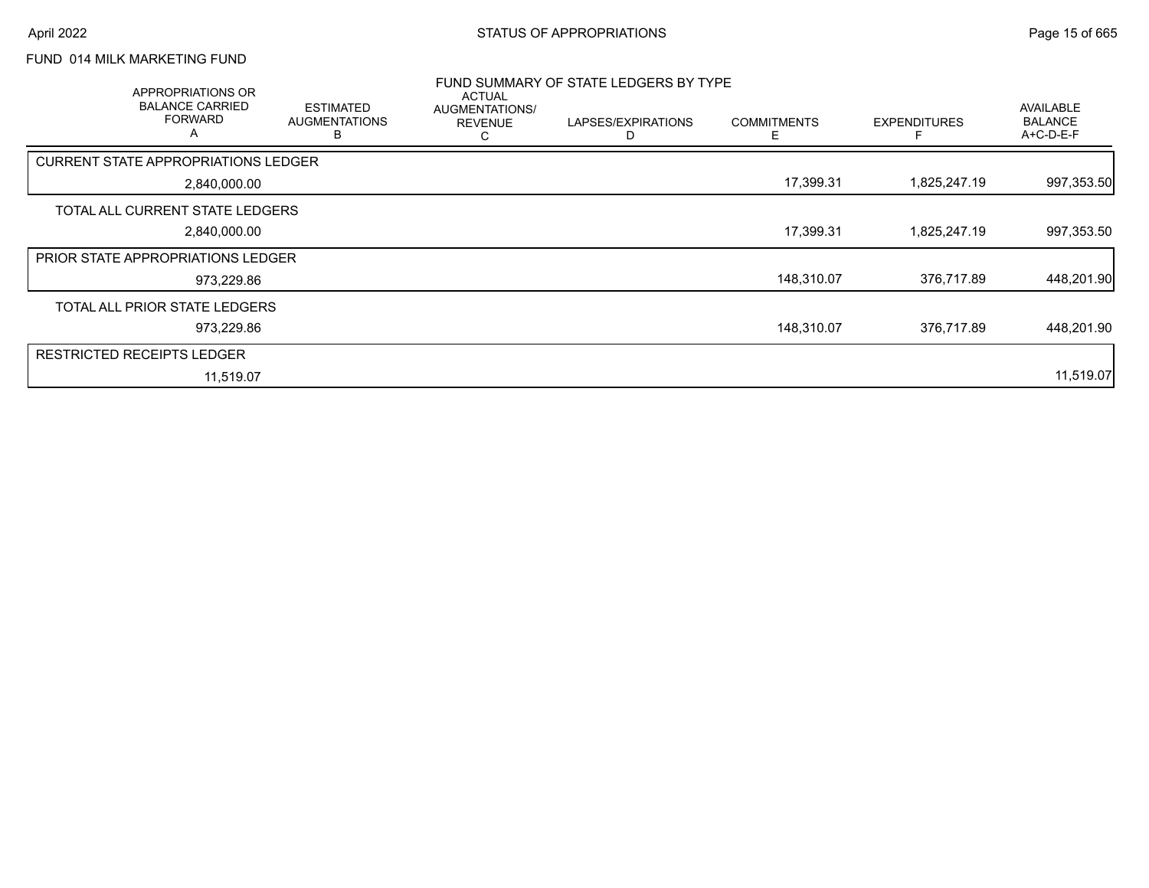# FUND 014 MILK MARKETING FUND

| APPROPRIATIONS OR<br><b>BALANCE CARRIED</b><br><b>FORWARD</b> | <b>ESTIMATED</b><br><b>AUGMENTATIONS</b><br>В | ACTUAL<br>AUGMENTATIONS/<br><b>REVENUE</b><br>C | FUND SUMMARY OF STATE LEDGERS BY TYPE<br>LAPSES/EXPIRATIONS<br>D | <b>COMMITMENTS</b><br>Е | <b>EXPENDITURES</b> | AVAILABLE<br><b>BALANCE</b><br>A+C-D-E-F |
|---------------------------------------------------------------|-----------------------------------------------|-------------------------------------------------|------------------------------------------------------------------|-------------------------|---------------------|------------------------------------------|
| CURRENT STATE APPROPRIATIONS LEDGER                           |                                               |                                                 |                                                                  |                         |                     |                                          |
| 2,840,000.00                                                  |                                               |                                                 |                                                                  | 17,399.31               | 1,825,247.19        | 997,353.50                               |
| TOTAL ALL CURRENT STATE LEDGERS                               |                                               |                                                 |                                                                  |                         |                     |                                          |
| 2,840,000.00                                                  |                                               |                                                 |                                                                  | 17,399.31               | 1,825,247.19        | 997,353.50                               |
| <b>PRIOR STATE APPROPRIATIONS LEDGER</b>                      |                                               |                                                 |                                                                  |                         |                     |                                          |
| 973,229.86                                                    |                                               |                                                 |                                                                  | 148,310.07              | 376,717.89          | 448,201.90                               |
| TOTAL ALL PRIOR STATE LEDGERS                                 |                                               |                                                 |                                                                  |                         |                     |                                          |
| 973,229.86                                                    |                                               |                                                 |                                                                  | 148,310.07              | 376,717.89          | 448,201.90                               |
| <b>RESTRICTED RECEIPTS LEDGER</b>                             |                                               |                                                 |                                                                  |                         |                     |                                          |
| 11,519.07                                                     |                                               |                                                 |                                                                  |                         |                     | 11,519.07                                |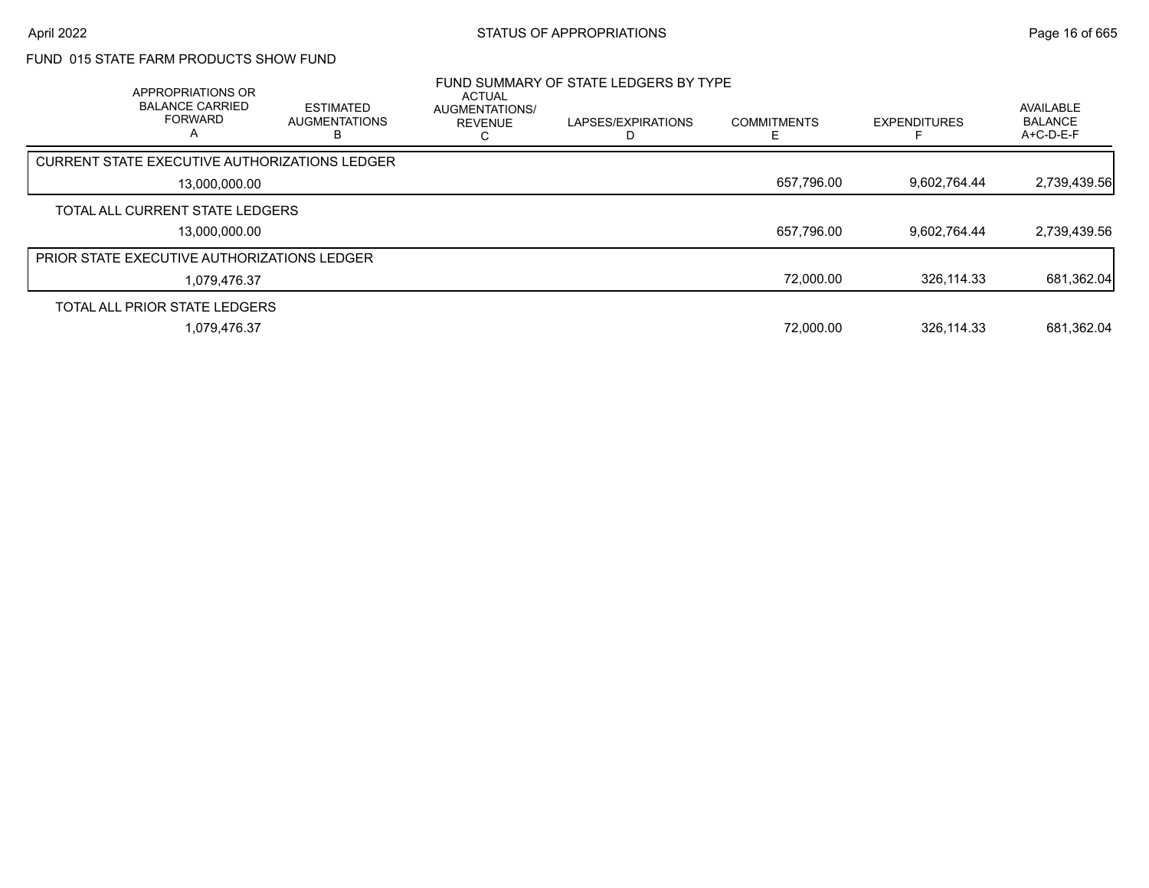# FUND 015 STATE FARM PRODUCTS SHOW FUND

| APPROPRIATIONS OR<br><b>BALANCE CARRIED</b><br><b>FORWARD</b><br>А | <b>ESTIMATED</b><br><b>AUGMENTATIONS</b> | <b>ACTUAL</b><br><b>AUGMENTATIONS/</b><br><b>REVENUE</b> | FUND SUMMARY OF STATE LEDGERS BY TYPE<br>LAPSES/EXPIRATIONS | <b>COMMITMENTS</b> | <b>EXPENDITURES</b> | <b>AVAILABLE</b><br><b>BALANCE</b><br>$A+C-D-E-F$ |
|--------------------------------------------------------------------|------------------------------------------|----------------------------------------------------------|-------------------------------------------------------------|--------------------|---------------------|---------------------------------------------------|
| CURRENT STATE EXECUTIVE AUTHORIZATIONS LEDGER                      |                                          |                                                          |                                                             |                    |                     |                                                   |
| 13,000,000.00                                                      |                                          |                                                          |                                                             | 657,796.00         | 9.602.764.44        | 2,739,439.56                                      |
| TOTAL ALL CURRENT STATE LEDGERS                                    |                                          |                                                          |                                                             |                    |                     |                                                   |
| 13.000.000.00                                                      |                                          |                                                          |                                                             | 657,796.00         | 9.602.764.44        | 2,739,439.56                                      |
| <b>PRIOR STATE EXECUTIVE AUTHORIZATIONS LEDGER</b>                 |                                          |                                                          |                                                             |                    |                     |                                                   |
| 1,079,476.37                                                       |                                          |                                                          |                                                             | 72,000.00          | 326.114.33          | 681,362.04                                        |
| TOTAL ALL PRIOR STATE LEDGERS                                      |                                          |                                                          |                                                             |                    |                     |                                                   |
| 1,079,476.37                                                       |                                          |                                                          |                                                             | 72,000.00          | 326,114.33          | 681,362.04                                        |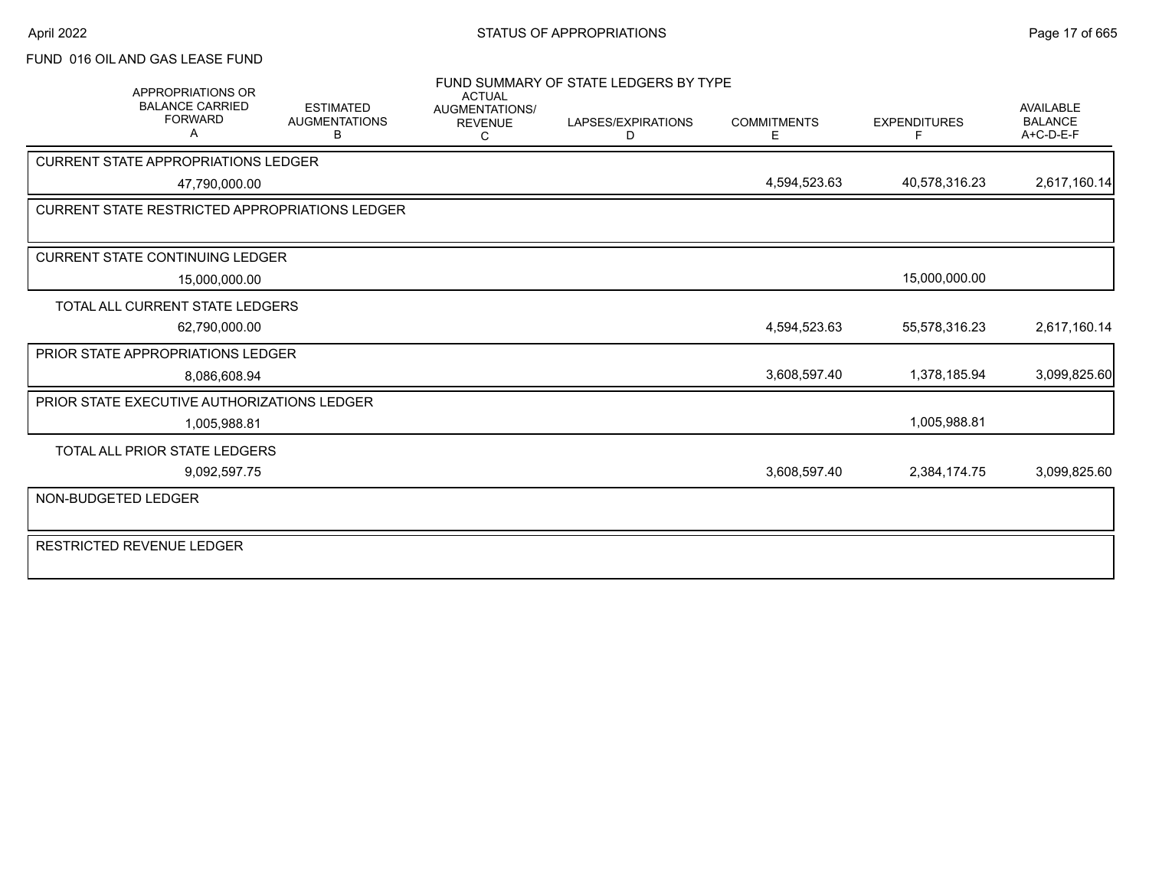### FUND 016 OIL AND GAS LEASE FUND

|                     | <b>APPROPRIATIONS OR</b>                              |                                               | <b>ACTUAL</b>                                | FUND SUMMARY OF STATE LEDGERS BY TYPE |                         |                          |                                                   |
|---------------------|-------------------------------------------------------|-----------------------------------------------|----------------------------------------------|---------------------------------------|-------------------------|--------------------------|---------------------------------------------------|
|                     | <b>BALANCE CARRIED</b><br><b>FORWARD</b><br>А         | <b>ESTIMATED</b><br><b>AUGMENTATIONS</b><br>В | <b>AUGMENTATIONS/</b><br><b>REVENUE</b><br>C | LAPSES/EXPIRATIONS<br>D               | <b>COMMITMENTS</b><br>E | <b>EXPENDITURES</b><br>F | <b>AVAILABLE</b><br><b>BALANCE</b><br>$A+C-D-E-F$ |
|                     | <b>CURRENT STATE APPROPRIATIONS LEDGER</b>            |                                               |                                              |                                       |                         |                          |                                                   |
|                     | 47,790,000.00                                         |                                               |                                              |                                       | 4,594,523.63            | 40,578,316.23            | 2,617,160.14                                      |
|                     | <b>CURRENT STATE RESTRICTED APPROPRIATIONS LEDGER</b> |                                               |                                              |                                       |                         |                          |                                                   |
|                     |                                                       |                                               |                                              |                                       |                         |                          |                                                   |
|                     | <b>CURRENT STATE CONTINUING LEDGER</b>                |                                               |                                              |                                       |                         |                          |                                                   |
|                     | 15,000,000.00                                         |                                               |                                              |                                       |                         | 15,000,000.00            |                                                   |
|                     | TOTAL ALL CURRENT STATE LEDGERS                       |                                               |                                              |                                       |                         |                          |                                                   |
|                     | 62,790,000.00                                         |                                               |                                              |                                       | 4,594,523.63            | 55,578,316.23            | 2,617,160.14                                      |
|                     | PRIOR STATE APPROPRIATIONS LEDGER                     |                                               |                                              |                                       |                         |                          |                                                   |
|                     | 8,086,608.94                                          |                                               |                                              |                                       | 3,608,597.40            | 1,378,185.94             | 3,099,825.60                                      |
|                     | PRIOR STATE EXECUTIVE AUTHORIZATIONS LEDGER           |                                               |                                              |                                       |                         |                          |                                                   |
|                     | 1.005.988.81                                          |                                               |                                              |                                       |                         | 1,005,988.81             |                                                   |
|                     | TOTAL ALL PRIOR STATE LEDGERS                         |                                               |                                              |                                       |                         |                          |                                                   |
|                     | 9,092,597.75                                          |                                               |                                              |                                       | 3,608,597.40            | 2,384,174.75             | 3,099,825.60                                      |
| NON-BUDGETED LEDGER |                                                       |                                               |                                              |                                       |                         |                          |                                                   |
|                     | <b>RESTRICTED REVENUE LEDGER</b>                      |                                               |                                              |                                       |                         |                          |                                                   |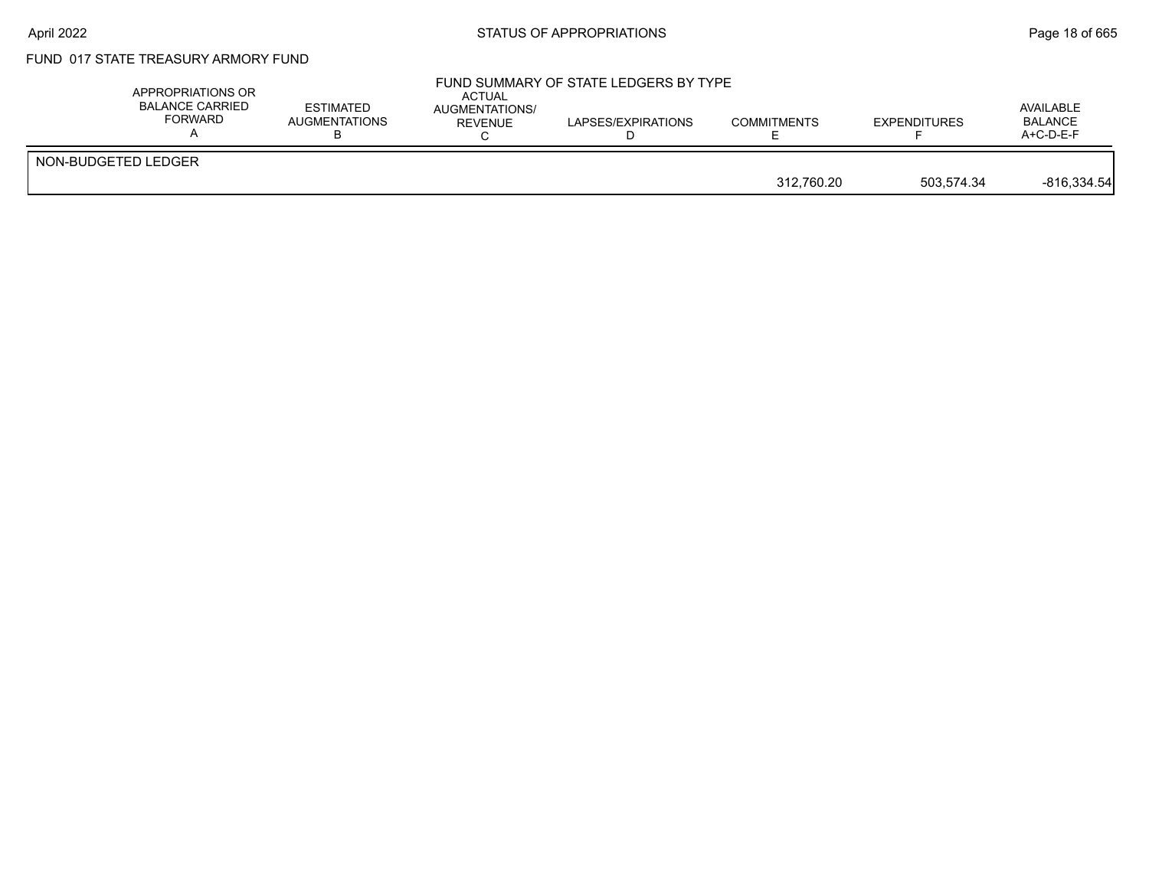### FUND 017 STATE TREASURY ARMORY FUND

| APPROPRIATIONS OR<br><b>BALANCE CARRIED</b><br>FORWARD | <b>ESTIMATED</b><br>AUGMENTATIONS | ACTUAL<br><b>AUGMENTATIONS/</b><br><b>REVENUE</b> | FUND SUMMARY OF STATE LEDGERS BY TYPE<br>LAPSES/EXPIRATIONS | <b>COMMITMENTS</b> | <b>EXPENDITURES</b> | AVAILABLE<br><b>BALANCE</b><br>$A+C-D-E-F$ |
|--------------------------------------------------------|-----------------------------------|---------------------------------------------------|-------------------------------------------------------------|--------------------|---------------------|--------------------------------------------|
| NON-BUDGETED LEDGER                                    |                                   |                                                   |                                                             | 312.760.20         | 503.574.34          | $-816,334.54$                              |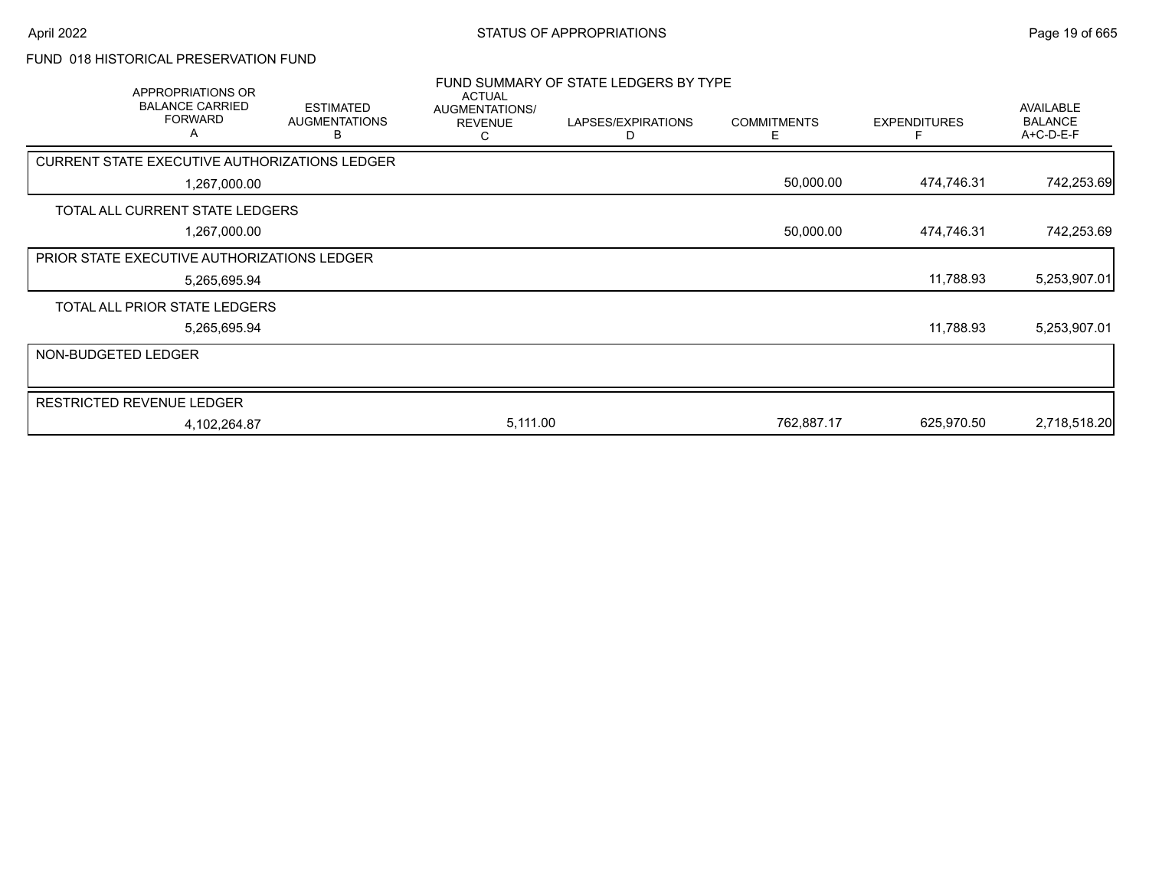# FUND 018 HISTORICAL PRESERVATION FUND

|                     | APPROPRIATIONS OR<br><b>BALANCE CARRIED</b><br><b>FORWARD</b><br>A | <b>ESTIMATED</b><br><b>AUGMENTATIONS</b><br>в | <b>ACTUAL</b><br>AUGMENTATIONS/<br><b>REVENUE</b><br>С | FUND SUMMARY OF STATE LEDGERS BY TYPE<br>LAPSES/EXPIRATIONS<br>D | <b>COMMITMENTS</b><br>E | <b>EXPENDITURES</b> | <b>AVAILABLE</b><br><b>BALANCE</b><br>A+C-D-E-F |
|---------------------|--------------------------------------------------------------------|-----------------------------------------------|--------------------------------------------------------|------------------------------------------------------------------|-------------------------|---------------------|-------------------------------------------------|
|                     | CURRENT STATE EXECUTIVE AUTHORIZATIONS LEDGER                      |                                               |                                                        |                                                                  |                         |                     |                                                 |
|                     | 1,267,000.00                                                       |                                               |                                                        |                                                                  | 50,000.00               | 474,746.31          | 742,253.69                                      |
|                     | TOTAL ALL CURRENT STATE LEDGERS                                    |                                               |                                                        |                                                                  |                         |                     |                                                 |
|                     | 1,267,000.00                                                       |                                               |                                                        |                                                                  | 50,000.00               | 474,746.31          | 742,253.69                                      |
|                     | PRIOR STATE EXECUTIVE AUTHORIZATIONS LEDGER                        |                                               |                                                        |                                                                  |                         |                     |                                                 |
|                     | 5,265,695.94                                                       |                                               |                                                        |                                                                  |                         | 11,788.93           | 5,253,907.01                                    |
|                     | TOTAL ALL PRIOR STATE LEDGERS                                      |                                               |                                                        |                                                                  |                         |                     |                                                 |
|                     | 5,265,695.94                                                       |                                               |                                                        |                                                                  |                         | 11,788.93           | 5,253,907.01                                    |
| NON-BUDGETED LEDGER |                                                                    |                                               |                                                        |                                                                  |                         |                     |                                                 |
|                     | <b>RESTRICTED REVENUE LEDGER</b>                                   |                                               |                                                        |                                                                  |                         |                     |                                                 |
|                     | 4,102,264.87                                                       |                                               | 5,111.00                                               |                                                                  | 762,887.17              | 625,970.50          | 2,718,518.20                                    |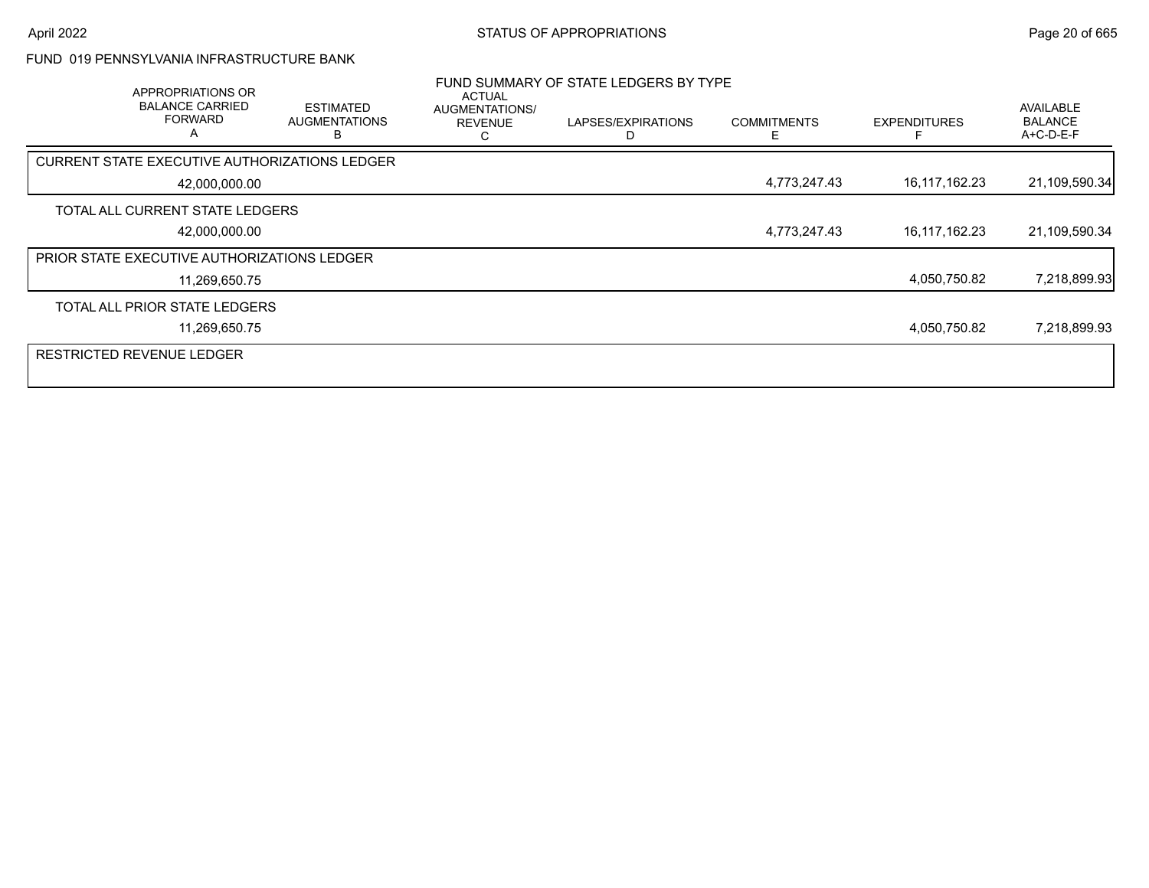### FUND 019 PENNSYLVANIA INFRASTRUCTURE BANK

|                                             | <b>APPROPRIATIONS OR</b><br><b>BALANCE CARRIED</b><br><b>FORWARD</b><br>$\overline{A}$ | <b>ESTIMATED</b><br><b>AUGMENTATIONS</b>      | ACTUAL<br>AUGMENTATIONS/<br><b>REVENUE</b> | FUND SUMMARY OF STATE LEDGERS BY TYPE<br>LAPSES/EXPIRATIONS | <b>COMMITMENTS</b><br>F | <b>EXPENDITURES</b> | AVAILABLE<br><b>BALANCE</b><br>A+C-D-E-F |
|---------------------------------------------|----------------------------------------------------------------------------------------|-----------------------------------------------|--------------------------------------------|-------------------------------------------------------------|-------------------------|---------------------|------------------------------------------|
|                                             |                                                                                        | CURRENT STATE EXECUTIVE AUTHORIZATIONS LEDGER |                                            |                                                             |                         |                     |                                          |
|                                             | 42,000,000.00                                                                          |                                               |                                            |                                                             | 4,773,247.43            | 16,117,162.23       | 21,109,590.34                            |
|                                             | TOTAL ALL CURRENT STATE LEDGERS                                                        |                                               |                                            |                                                             |                         |                     |                                          |
|                                             | 42,000,000.00                                                                          |                                               |                                            |                                                             | 4,773,247.43            | 16,117,162.23       | 21,109,590.34                            |
| PRIOR STATE EXECUTIVE AUTHORIZATIONS LEDGER |                                                                                        |                                               |                                            |                                                             |                         |                     |                                          |
|                                             | 11,269,650.75                                                                          |                                               |                                            |                                                             |                         | 4,050,750.82        | 7,218,899.93                             |
|                                             | TOTAL ALL PRIOR STATE LEDGERS                                                          |                                               |                                            |                                                             |                         |                     |                                          |
|                                             | 11,269,650.75                                                                          |                                               |                                            |                                                             |                         | 4,050,750.82        | 7,218,899.93                             |
| <b>RESTRICTED REVENUE LEDGER</b>            |                                                                                        |                                               |                                            |                                                             |                         |                     |                                          |
|                                             |                                                                                        |                                               |                                            |                                                             |                         |                     |                                          |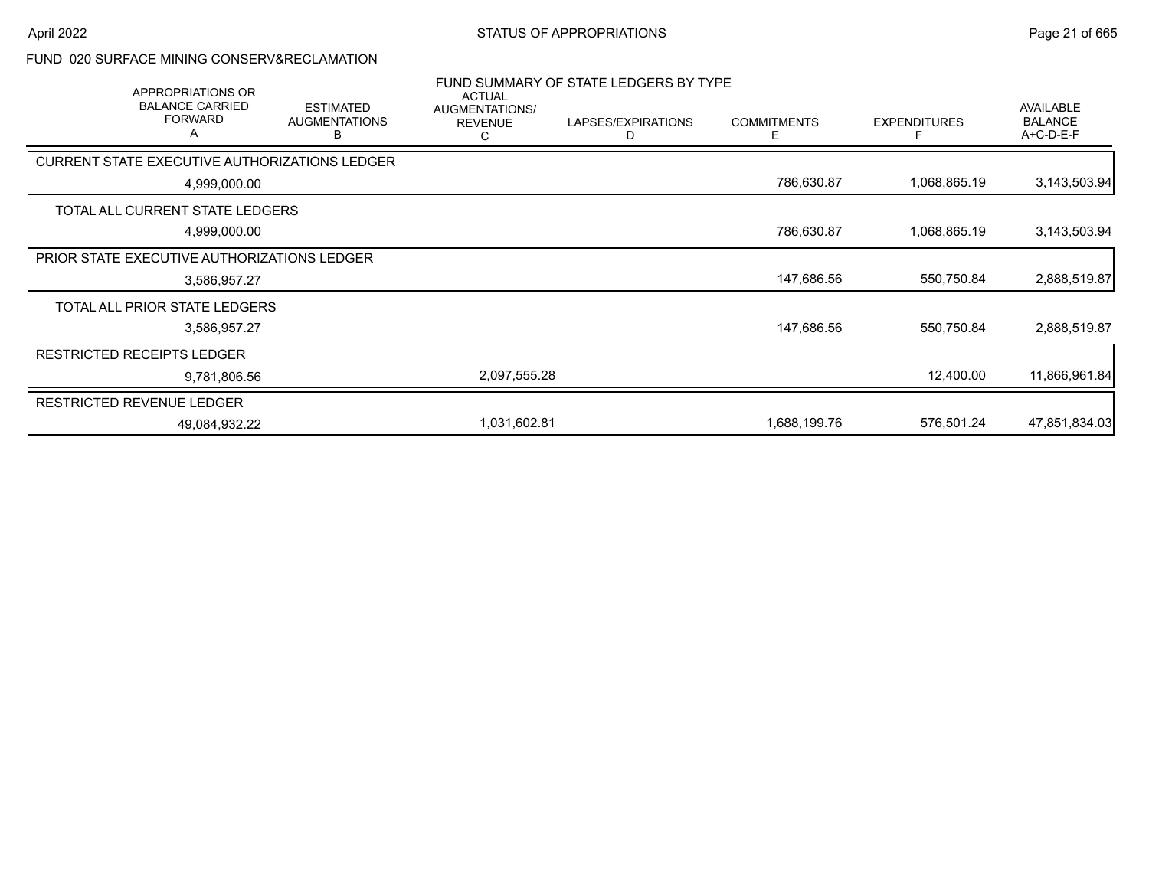#### FUND 020 SURFACE MINING CONSERV&RECLAMATION

| APPROPRIATIONS OR<br><b>BALANCE CARRIED</b><br><b>FORWARD</b><br>Α |               | <b>ESTIMATED</b><br><b>AUGMENTATIONS</b><br>в | <b>ACTUAL</b><br>AUGMENTATIONS/<br><b>REVENUE</b><br>С | FUND SUMMARY OF STATE LEDGERS BY TYPE<br>LAPSES/EXPIRATIONS<br>D | <b>COMMITMENTS</b><br>Е | <b>EXPENDITURES</b> | <b>AVAILABLE</b><br><b>BALANCE</b><br>A+C-D-E-F |
|--------------------------------------------------------------------|---------------|-----------------------------------------------|--------------------------------------------------------|------------------------------------------------------------------|-------------------------|---------------------|-------------------------------------------------|
| <b>CURRENT STATE EXECUTIVE AUTHORIZATIONS LEDGER</b>               |               |                                               |                                                        |                                                                  |                         |                     |                                                 |
|                                                                    | 4,999,000.00  |                                               |                                                        |                                                                  | 786,630.87              | 1,068,865.19        | 3,143,503.94                                    |
| TOTAL ALL CURRENT STATE LEDGERS                                    |               |                                               |                                                        |                                                                  |                         |                     |                                                 |
|                                                                    | 4,999,000.00  |                                               |                                                        |                                                                  | 786,630.87              | 1,068,865.19        | 3,143,503.94                                    |
| PRIOR STATE EXECUTIVE AUTHORIZATIONS LEDGER                        |               |                                               |                                                        |                                                                  |                         |                     |                                                 |
|                                                                    | 3,586,957.27  |                                               |                                                        |                                                                  | 147,686.56              | 550,750.84          | 2,888,519.87                                    |
| TOTAL ALL PRIOR STATE LEDGERS                                      |               |                                               |                                                        |                                                                  |                         |                     |                                                 |
|                                                                    | 3,586,957.27  |                                               |                                                        |                                                                  | 147,686.56              | 550,750.84          | 2,888,519.87                                    |
| <b>RESTRICTED RECEIPTS LEDGER</b>                                  |               |                                               |                                                        |                                                                  |                         |                     |                                                 |
|                                                                    | 9,781,806.56  |                                               | 2,097,555.28                                           |                                                                  |                         | 12,400.00           | 11,866,961.84                                   |
| <b>RESTRICTED REVENUE LEDGER</b>                                   |               |                                               |                                                        |                                                                  |                         |                     |                                                 |
|                                                                    | 49,084,932.22 |                                               | 1,031,602.81                                           |                                                                  | 1,688,199.76            | 576,501.24          | 47,851,834.03                                   |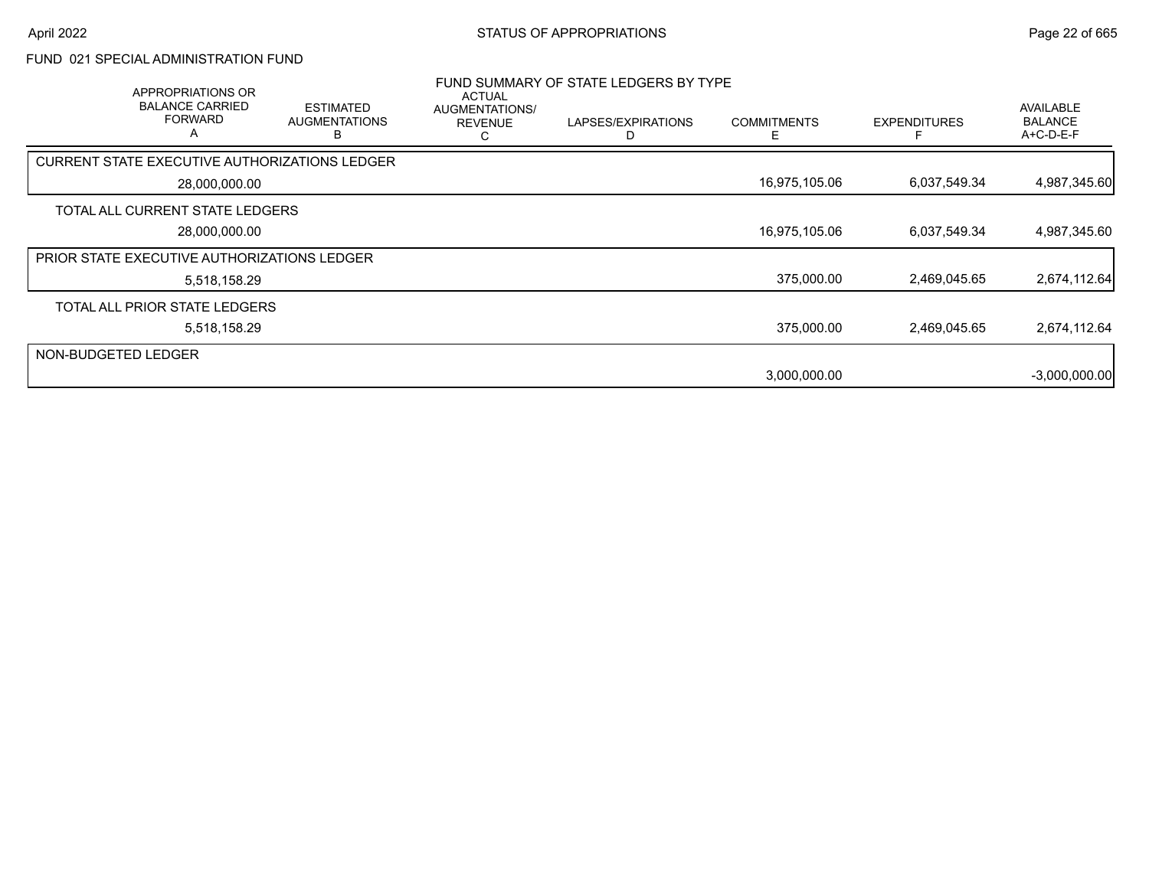### FUND 021 SPECIAL ADMINISTRATION FUND

|                     | APPROPRIATIONS OR<br><b>BALANCE CARRIED</b><br><b>FORWARD</b><br>A | <b>ESTIMATED</b><br><b>AUGMENTATIONS</b><br>в | ACTUAL<br>AUGMENTATIONS/<br><b>REVENUE</b><br>ι. | FUND SUMMARY OF STATE LEDGERS BY TYPE<br>LAPSES/EXPIRATIONS | <b>COMMITMENTS</b><br>F | <b>EXPENDITURES</b> | <b>AVAILABLE</b><br><b>BALANCE</b><br>A+C-D-E-F |
|---------------------|--------------------------------------------------------------------|-----------------------------------------------|--------------------------------------------------|-------------------------------------------------------------|-------------------------|---------------------|-------------------------------------------------|
|                     | <b>CURRENT STATE EXECUTIVE AUTHORIZATIONS LEDGER</b>               |                                               |                                                  |                                                             |                         |                     |                                                 |
|                     | 28,000,000.00                                                      |                                               |                                                  |                                                             | 16,975,105.06           | 6,037,549.34        | 4,987,345.60                                    |
|                     | TOTAL ALL CURRENT STATE LEDGERS                                    |                                               |                                                  |                                                             |                         |                     |                                                 |
|                     | 28,000,000.00                                                      |                                               |                                                  |                                                             | 16,975,105.06           | 6,037,549.34        | 4,987,345.60                                    |
|                     | PRIOR STATE EXECUTIVE AUTHORIZATIONS LEDGER                        |                                               |                                                  |                                                             |                         |                     |                                                 |
|                     | 5,518,158.29                                                       |                                               |                                                  |                                                             | 375,000.00              | 2,469,045.65        | 2,674,112.64                                    |
|                     | TOTAL ALL PRIOR STATE LEDGERS                                      |                                               |                                                  |                                                             |                         |                     |                                                 |
|                     | 5,518,158.29                                                       |                                               |                                                  |                                                             | 375,000.00              | 2,469,045.65        | 2,674,112.64                                    |
| NON-BUDGETED LEDGER |                                                                    |                                               |                                                  |                                                             |                         |                     |                                                 |
|                     |                                                                    |                                               |                                                  |                                                             | 3,000,000.00            |                     | $-3,000,000.00$                                 |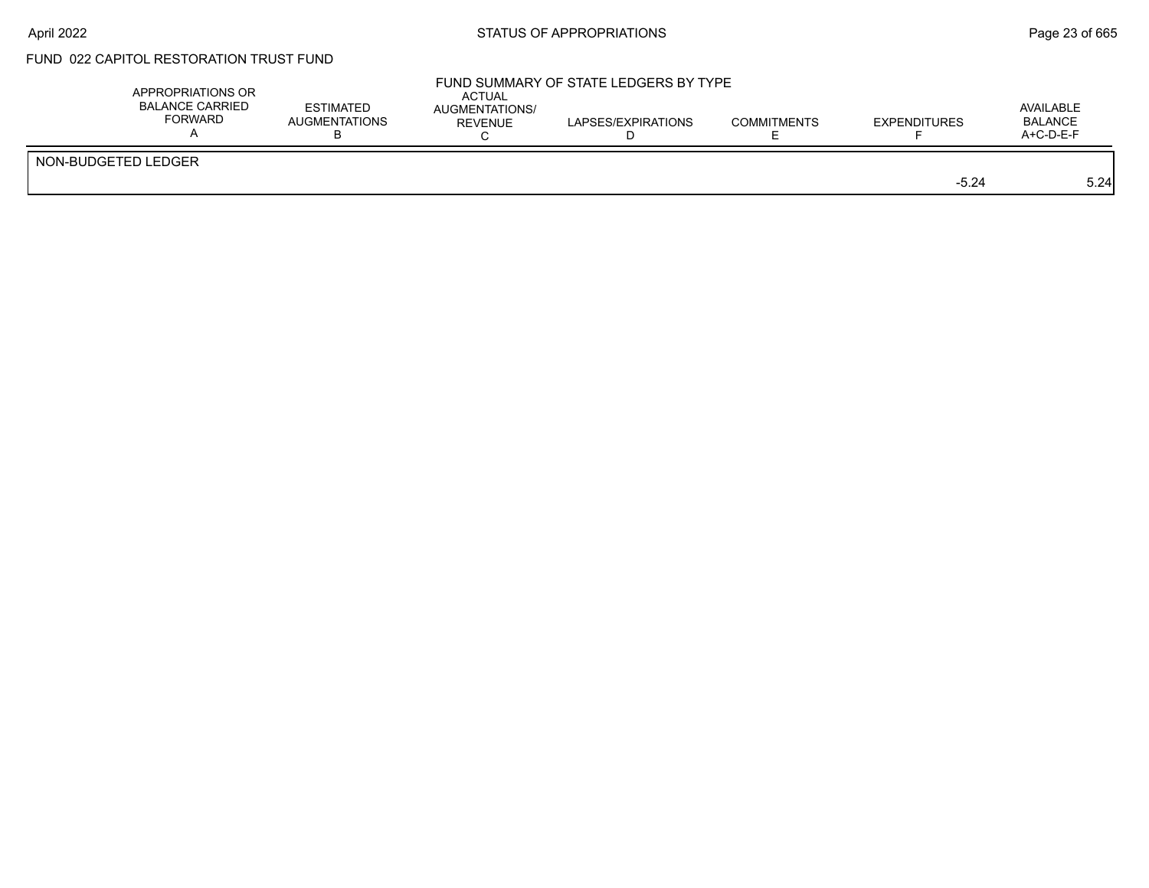# FUND 022 CAPITOL RESTORATION TRUST FUND

| APPROPRIATIONS OR<br><b>BALANCE CARRIED</b><br>FORWARD | <b>ESTIMATED</b><br><b>AUGMENTATIONS</b> | ACTUAL<br>AUGMENTATIONS/<br><b>REVENUE</b> | FUND SUMMARY OF STATE LEDGERS BY TYPE<br>LAPSES/EXPIRATIONS | <b>COMMITMENTS</b> | <b>EXPENDITURES</b> | AVAILABLE<br><b>BALANCE</b><br>$A+C-D-E-F$ |
|--------------------------------------------------------|------------------------------------------|--------------------------------------------|-------------------------------------------------------------|--------------------|---------------------|--------------------------------------------|
| NON-BUDGETED LEDGER                                    |                                          |                                            |                                                             |                    | $-5.24$             | 5.24                                       |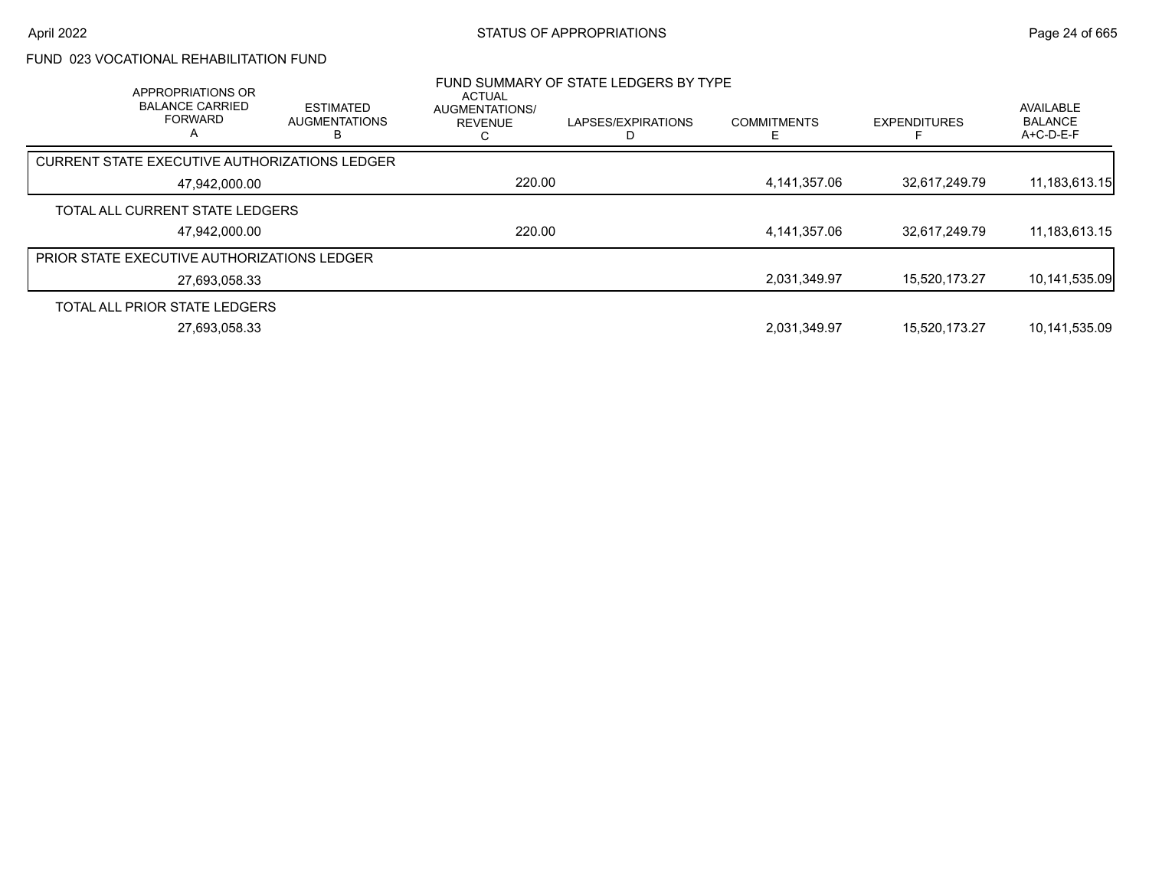# FUND 023 VOCATIONAL REHABILITATION FUND

|               | APPROPRIATIONS OR<br><b>BALANCE CARRIED</b><br><b>FORWARD</b><br>A | <b>ESTIMATED</b><br><b>AUGMENTATIONS</b> | ACTUAL<br>AUGMENTATIONS/<br><b>REVENUE</b><br>ι. | FUND SUMMARY OF STATE LEDGERS BY TYPE<br>LAPSES/EXPIRATIONS | <b>COMMITMENTS</b> | <b>EXPENDITURES</b> | <b>AVAILABLE</b><br><b>BALANCE</b><br>$A+C-D-E-F$ |
|---------------|--------------------------------------------------------------------|------------------------------------------|--------------------------------------------------|-------------------------------------------------------------|--------------------|---------------------|---------------------------------------------------|
|               | <b>CURRENT STATE EXECUTIVE AUTHORIZATIONS LEDGER</b>               |                                          |                                                  |                                                             |                    |                     |                                                   |
| 47.942.000.00 |                                                                    | 220.00                                   |                                                  | 4,141,357.06                                                | 32,617,249.79      | 11,183,613.15       |                                                   |
|               | TOTAL ALL CURRENT STATE LEDGERS                                    |                                          |                                                  |                                                             |                    |                     |                                                   |
|               | 47.942.000.00                                                      |                                          | 220.00                                           |                                                             | 4,141,357.06       | 32,617,249.79       | 11,183,613.15                                     |
|               | PRIOR STATE EXECUTIVE AUTHORIZATIONS LEDGER                        |                                          |                                                  |                                                             |                    |                     |                                                   |
|               | 27,693,058.33                                                      |                                          |                                                  |                                                             | 2,031,349.97       | 15,520,173.27       | 10,141,535.09                                     |
|               | TOTAL ALL PRIOR STATE LEDGERS                                      |                                          |                                                  |                                                             |                    |                     |                                                   |
|               | 27,693,058.33                                                      |                                          |                                                  |                                                             | 2,031,349.97       | 15.520.173.27       | 10,141,535.09                                     |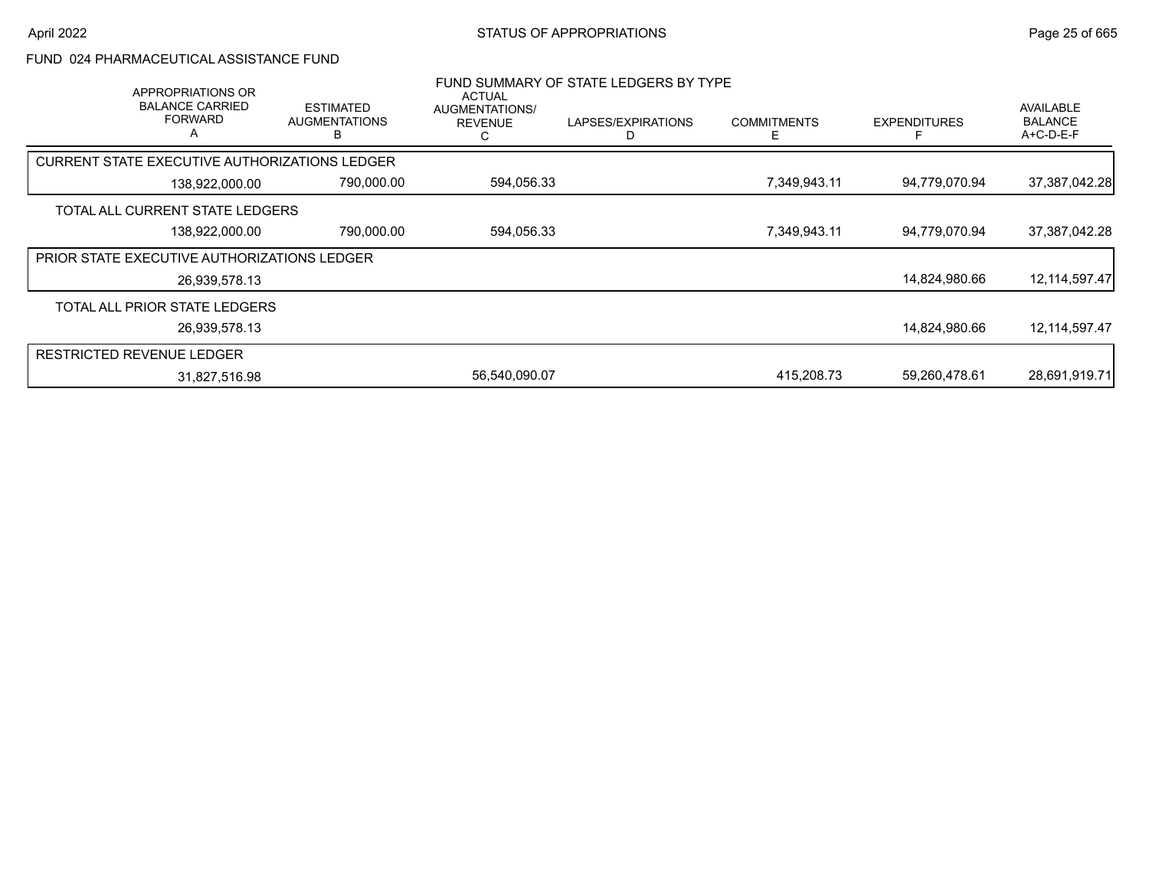### FUND 024 PHARMACEUTICAL ASSISTANCE FUND

| APPROPRIATIONS OR<br><b>BALANCE CARRIED</b><br><b>FORWARD</b><br>Α | <b>ESTIMATED</b><br><b>AUGMENTATIONS</b> | <b>ACTUAL</b><br>AUGMENTATIONS/<br><b>REVENUE</b> | FUND SUMMARY OF STATE LEDGERS BY TYPE<br>LAPSES/EXPIRATIONS | <b>COMMITMENTS</b> | <b>EXPENDITURES</b> | AVAILABLE<br><b>BALANCE</b><br>$A+C-D-E-F$ |
|--------------------------------------------------------------------|------------------------------------------|---------------------------------------------------|-------------------------------------------------------------|--------------------|---------------------|--------------------------------------------|
| CURRENT STATE EXECUTIVE AUTHORIZATIONS LEDGER                      |                                          |                                                   |                                                             |                    |                     |                                            |
| 138,922,000.00                                                     | 790,000.00                               | 594,056.33                                        |                                                             | 7,349,943.11       | 94.779.070.94       | 37,387,042.28                              |
| TOTAL ALL CURRENT STATE LEDGERS                                    |                                          |                                                   |                                                             |                    |                     |                                            |
| 138,922,000.00                                                     | 790,000.00                               | 594,056.33                                        |                                                             | 7,349,943.11       | 94,779,070.94       | 37,387,042.28                              |
| <b>PRIOR STATE EXECUTIVE AUTHORIZATIONS LEDGER</b>                 |                                          |                                                   |                                                             |                    |                     |                                            |
| 26,939,578.13                                                      |                                          |                                                   |                                                             |                    | 14,824,980.66       | 12, 114, 597. 47                           |
| TOTAL ALL PRIOR STATE LEDGERS                                      |                                          |                                                   |                                                             |                    |                     |                                            |
| 26,939,578.13                                                      |                                          |                                                   |                                                             |                    | 14,824,980.66       | 12,114,597.47                              |
| RESTRICTED REVENUE LEDGER                                          |                                          |                                                   |                                                             |                    |                     |                                            |
| 31,827,516.98                                                      |                                          | 56,540,090.07                                     |                                                             | 415.208.73         | 59,260,478.61       | 28,691,919.71                              |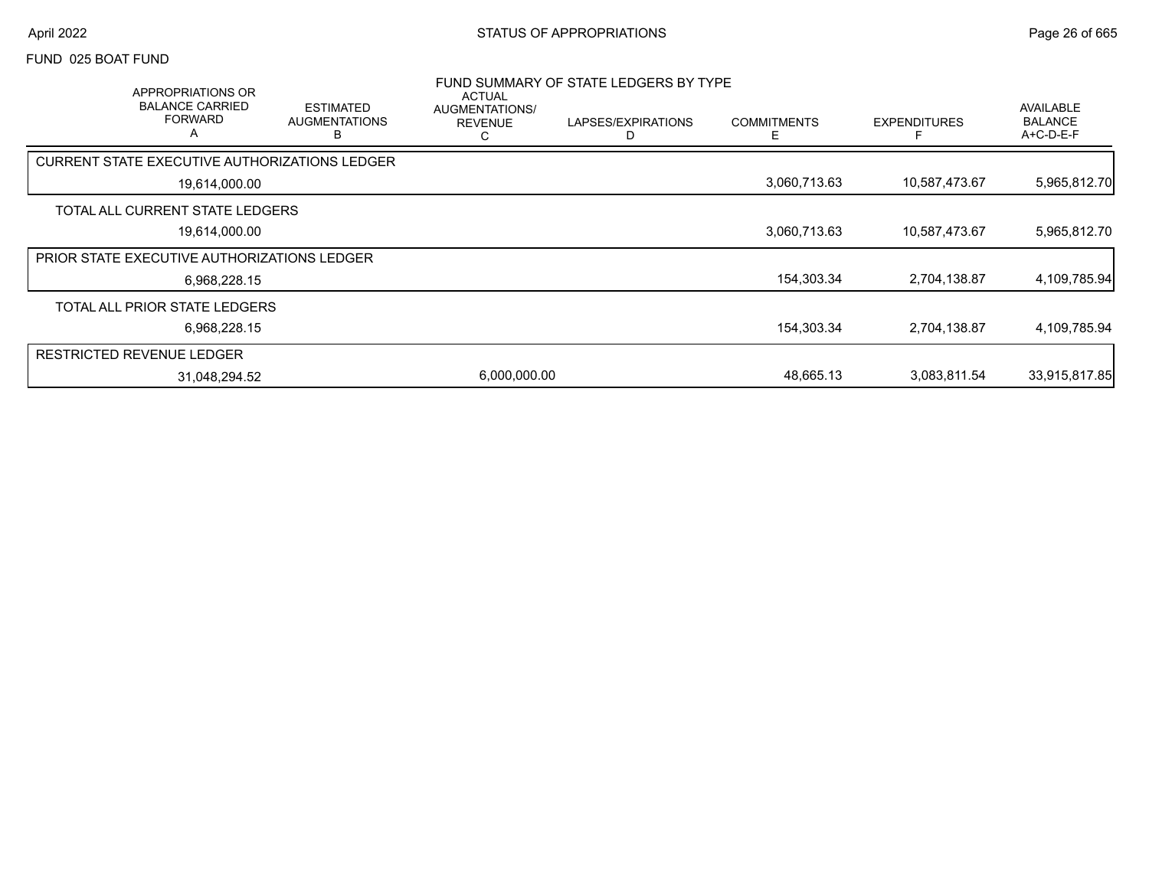### FUND 025 BOAT FUND

|                                  | APPROPRIATIONS OR<br><b>BALANCE CARRIED</b><br><b>FORWARD</b><br>A | <b>ESTIMATED</b><br><b>AUGMENTATIONS</b><br>R        | ACTUAL<br>AUGMENTATIONS/<br><b>REVENUE</b><br>С | FUND SUMMARY OF STATE LEDGERS BY TYPE<br>LAPSES/EXPIRATIONS | <b>COMMITMENTS</b> | <b>EXPENDITURES</b> | AVAILABLE<br><b>BALANCE</b><br>A+C-D-E-F |
|----------------------------------|--------------------------------------------------------------------|------------------------------------------------------|-------------------------------------------------|-------------------------------------------------------------|--------------------|---------------------|------------------------------------------|
|                                  |                                                                    | <b>CURRENT STATE EXECUTIVE AUTHORIZATIONS LEDGER</b> |                                                 |                                                             |                    |                     |                                          |
|                                  | 19,614,000.00                                                      |                                                      |                                                 |                                                             | 3,060,713.63       | 10,587,473.67       | 5,965,812.70                             |
|                                  | TOTAL ALL CURRENT STATE LEDGERS                                    |                                                      |                                                 |                                                             |                    |                     |                                          |
|                                  | 19,614,000.00                                                      |                                                      |                                                 |                                                             | 3,060,713.63       | 10,587,473.67       | 5,965,812.70                             |
|                                  | <b>PRIOR STATE EXECUTIVE AUTHORIZATIONS LEDGER</b>                 |                                                      |                                                 |                                                             |                    |                     |                                          |
|                                  | 6,968,228.15                                                       |                                                      |                                                 |                                                             | 154,303.34         | 2,704,138.87        | 4,109,785.94                             |
|                                  | TOTAL ALL PRIOR STATE LEDGERS                                      |                                                      |                                                 |                                                             |                    |                     |                                          |
|                                  | 6,968,228.15                                                       |                                                      |                                                 |                                                             | 154,303.34         | 2,704,138.87        | 4,109,785.94                             |
| <b>RESTRICTED REVENUE LEDGER</b> |                                                                    |                                                      |                                                 |                                                             |                    |                     |                                          |
|                                  | 31,048,294.52                                                      |                                                      | 6,000,000.00                                    |                                                             | 48.665.13          | 3,083,811.54        | 33,915,817.85                            |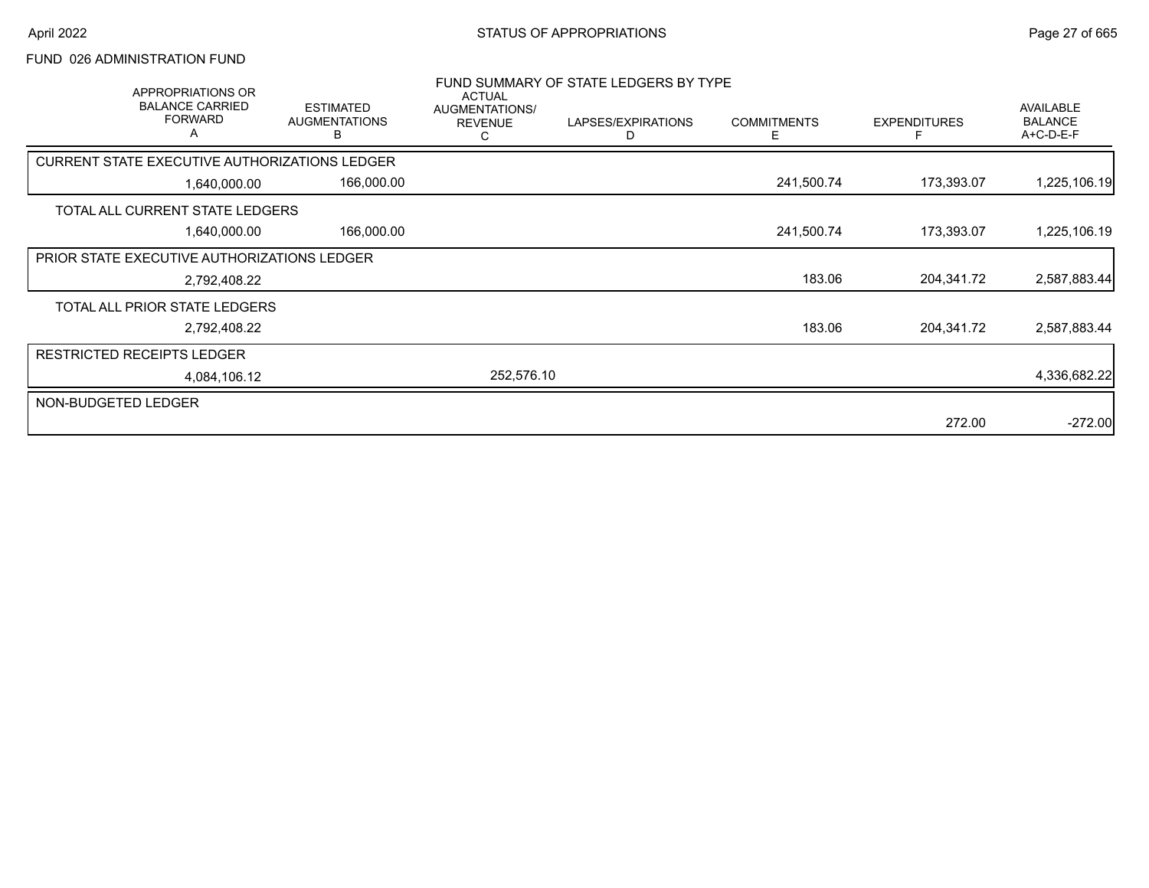### FUND 026 ADMINISTRATION FUND

| APPROPRIATIONS OR<br><b>BALANCE CARRIED</b><br><b>FORWARD</b><br>A | <b>ESTIMATED</b><br><b>AUGMENTATIONS</b><br>в | <b>ACTUAL</b><br>AUGMENTATIONS/<br><b>REVENUE</b><br>С | FUND SUMMARY OF STATE LEDGERS BY TYPE<br>LAPSES/EXPIRATIONS<br>D | <b>COMMITMENTS</b><br>Е | <b>EXPENDITURES</b> | AVAILABLE<br><b>BALANCE</b><br>A+C-D-E-F |
|--------------------------------------------------------------------|-----------------------------------------------|--------------------------------------------------------|------------------------------------------------------------------|-------------------------|---------------------|------------------------------------------|
| <b>CURRENT STATE EXECUTIVE AUTHORIZATIONS LEDGER</b>               |                                               |                                                        |                                                                  |                         |                     |                                          |
| 1,640,000.00                                                       | 166,000.00                                    |                                                        |                                                                  | 241,500.74              | 173,393.07          | 1,225,106.19                             |
| TOTAL ALL CURRENT STATE LEDGERS                                    |                                               |                                                        |                                                                  |                         |                     |                                          |
| 1,640,000.00                                                       | 166,000.00                                    |                                                        |                                                                  | 241,500.74              | 173,393.07          | 1,225,106.19                             |
| PRIOR STATE EXECUTIVE AUTHORIZATIONS LEDGER                        |                                               |                                                        |                                                                  |                         |                     |                                          |
| 2,792,408.22                                                       |                                               |                                                        |                                                                  | 183.06                  | 204,341.72          | 2,587,883.44                             |
| TOTAL ALL PRIOR STATE LEDGERS                                      |                                               |                                                        |                                                                  |                         |                     |                                          |
| 2,792,408.22                                                       |                                               |                                                        |                                                                  | 183.06                  | 204,341.72          | 2,587,883.44                             |
| <b>RESTRICTED RECEIPTS LEDGER</b>                                  |                                               |                                                        |                                                                  |                         |                     |                                          |
| 4,084,106.12                                                       |                                               | 252,576.10                                             |                                                                  |                         |                     | 4,336,682.22                             |
| NON-BUDGETED LEDGER                                                |                                               |                                                        |                                                                  |                         |                     |                                          |
|                                                                    |                                               |                                                        |                                                                  |                         | 272.00              | $-272.00$                                |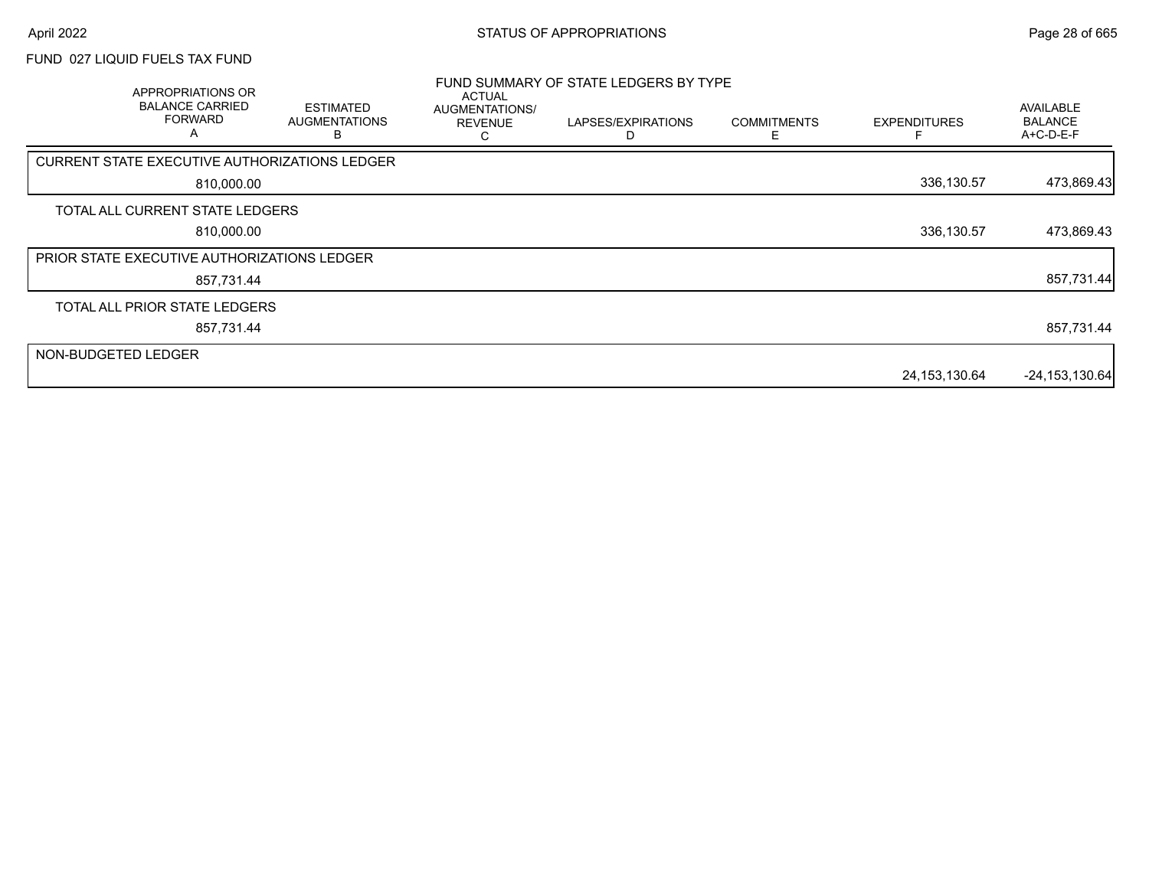### FUND 027 LIQUID FUELS TAX FUND

|                     | APPROPRIATIONS OR<br><b>BALANCE CARRIED</b><br><b>FORWARD</b><br>A | <b>ESTIMATED</b><br><b>AUGMENTATIONS</b> | <b>ACTUAL</b><br>AUGMENTATIONS/<br><b>REVENUE</b> | FUND SUMMARY OF STATE LEDGERS BY TYPE<br>LAPSES/EXPIRATIONS | <b>COMMITMENTS</b><br>F | <b>EXPENDITURES</b> | <b>AVAILABLE</b><br><b>BALANCE</b><br>A+C-D-E-F |
|---------------------|--------------------------------------------------------------------|------------------------------------------|---------------------------------------------------|-------------------------------------------------------------|-------------------------|---------------------|-------------------------------------------------|
|                     | CURRENT STATE EXECUTIVE AUTHORIZATIONS LEDGER                      |                                          |                                                   |                                                             |                         |                     |                                                 |
|                     | 810,000.00                                                         |                                          |                                                   |                                                             |                         | 336,130.57          | 473,869.43                                      |
|                     | TOTAL ALL CURRENT STATE LEDGERS                                    |                                          |                                                   |                                                             |                         |                     |                                                 |
|                     | 810,000.00                                                         |                                          |                                                   |                                                             |                         | 336,130.57          | 473,869.43                                      |
|                     | <b>PRIOR STATE EXECUTIVE AUTHORIZATIONS LEDGER</b>                 |                                          |                                                   |                                                             |                         |                     |                                                 |
|                     | 857,731.44                                                         |                                          |                                                   |                                                             |                         |                     | 857,731.44                                      |
|                     | TOTAL ALL PRIOR STATE LEDGERS                                      |                                          |                                                   |                                                             |                         |                     |                                                 |
|                     | 857,731.44                                                         |                                          |                                                   |                                                             |                         |                     | 857,731.44                                      |
| NON-BUDGETED LEDGER |                                                                    |                                          |                                                   |                                                             |                         |                     |                                                 |
|                     |                                                                    |                                          |                                                   |                                                             |                         | 24,153,130.64       | $-24, 153, 130.64$                              |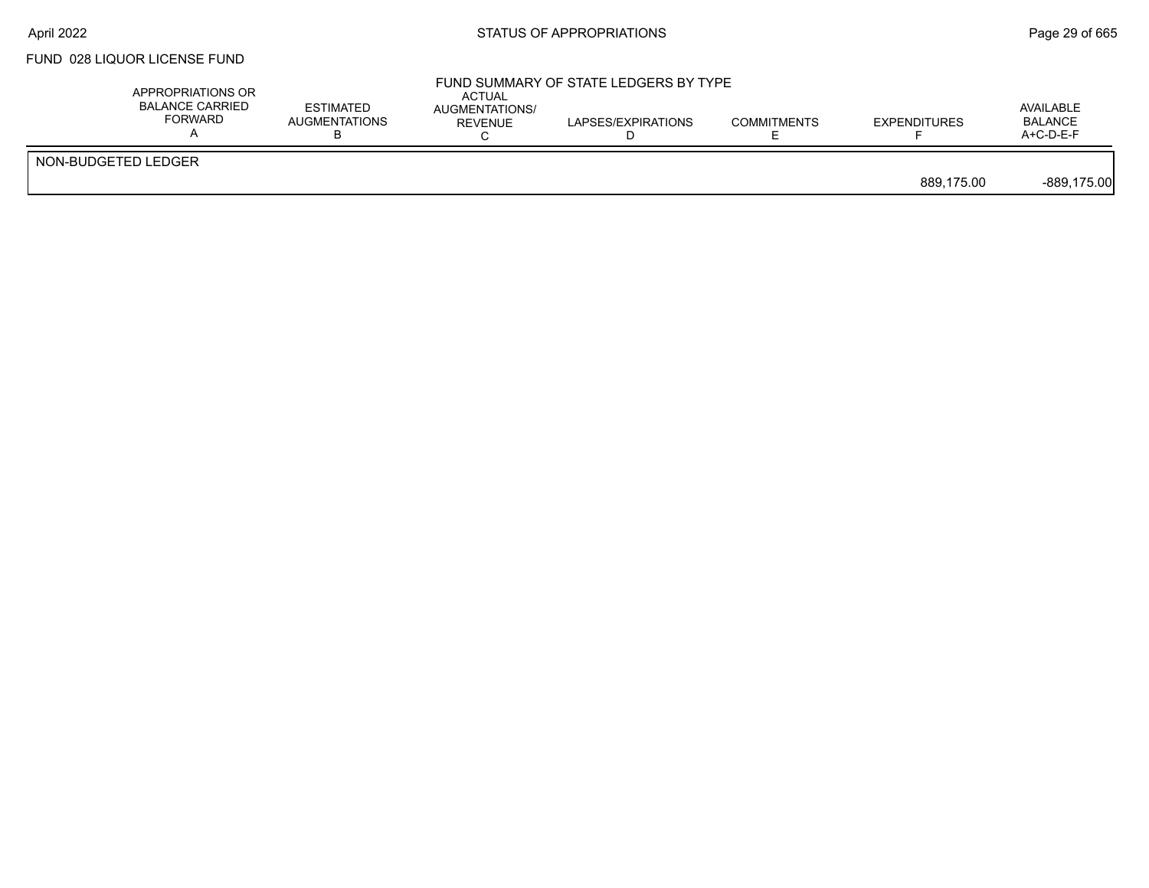# FUND 028 LIQUOR LICENSE FUND

| APPROPRIATIONS OR<br><b>BALANCE CARRIED</b><br>FORWARD | <b>ESTIMATED</b><br><b>AUGMENTATIONS</b> | <b>ACTUAL</b><br>AUGMENTATIONS/<br><b>REVENUE</b> | FUND SUMMARY OF STATE LEDGERS BY TYPE<br>LAPSES/EXPIRATIONS | <b>COMMITMENTS</b> | <b>EXPENDITURES</b> | AVAILABLE<br><b>BALANCE</b><br>$A+C-D-E-F$ |
|--------------------------------------------------------|------------------------------------------|---------------------------------------------------|-------------------------------------------------------------|--------------------|---------------------|--------------------------------------------|
| NON-BUDGETED LEDGER                                    |                                          |                                                   |                                                             |                    | 889.175.00          | $-889,175.00$                              |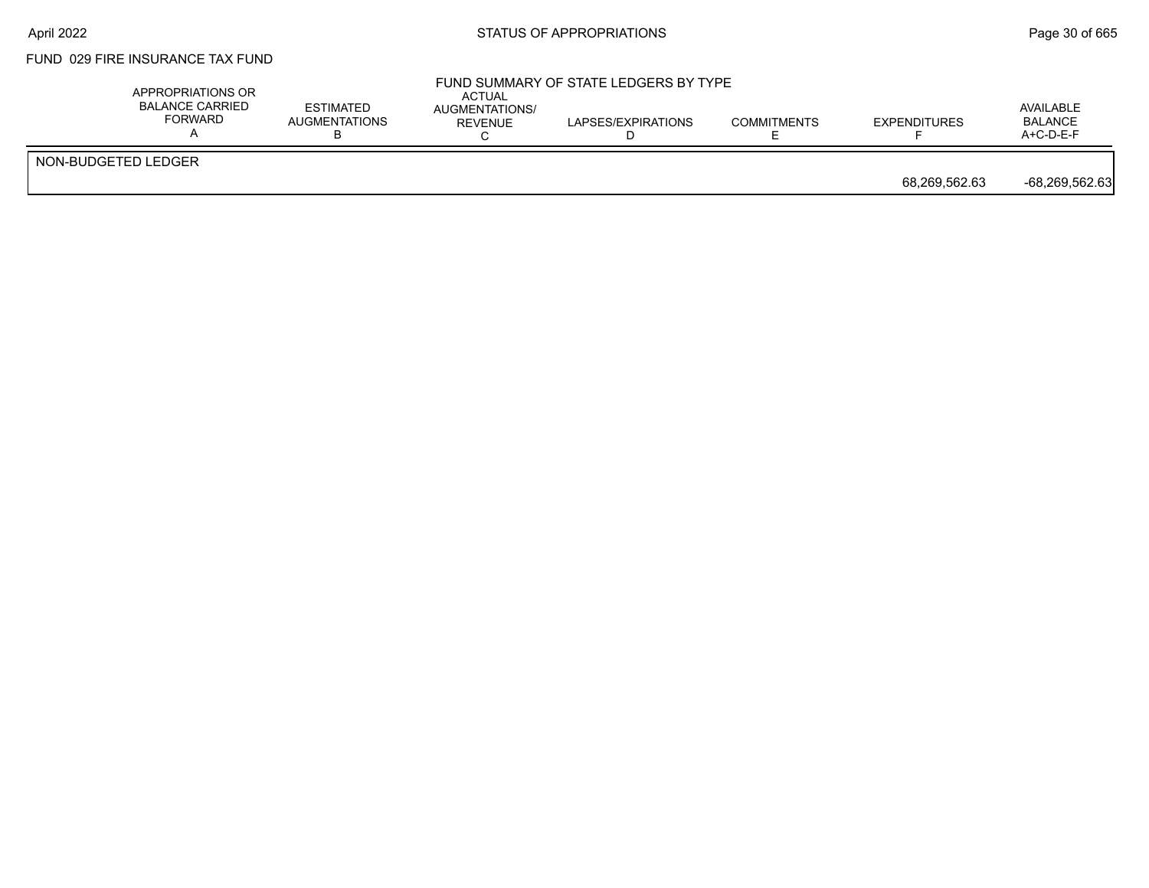### FUND 029 FIRE INSURANCE TAX FUND

|                     | APPROPRIATIONS OR<br><b>BALANCE CARRIED</b><br><b>FORWARD</b> | <b>ESTIMATED</b><br>AUGMENTATIONS | <b>ACTUAL</b><br>AUGMENTATIONS/<br><b>REVENUE</b> | FUND SUMMARY OF STATE LEDGERS BY TYPE<br>LAPSES/EXPIRATIONS | <b>COMMITMENTS</b> | <b>EXPENDITURES</b> | AVAILABLE<br><b>BALANCE</b><br>$A+C-D-E-F$ |
|---------------------|---------------------------------------------------------------|-----------------------------------|---------------------------------------------------|-------------------------------------------------------------|--------------------|---------------------|--------------------------------------------|
| NON-BUDGETED LEDGER |                                                               |                                   |                                                   |                                                             |                    | 68,269,562.63       | -68,269,562.63                             |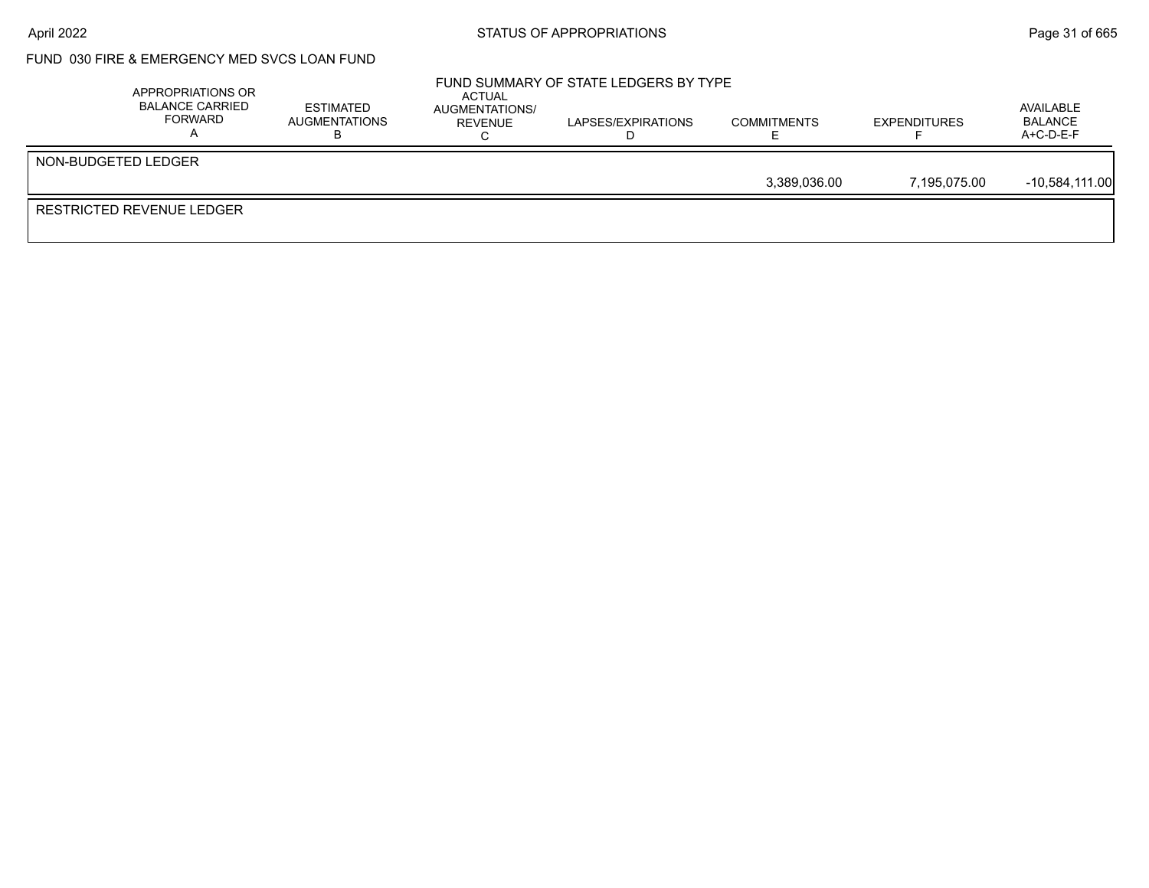# April 2022 **Example 2018** STATUS OF APPROPRIATIONS **Page 31** of 665

# FUND 030 FIRE & EMERGENCY MED SVCS LOAN FUND

|                     | APPROPRIATIONS OR<br><b>BALANCE CARRIED</b><br>FORWARD | <b>ESTIMATED</b><br>AUGMENTATIONS | ACTUAL<br>AUGMENTATIONS/<br>REVENUE | FUND SUMMARY OF STATE LEDGERS BY TYPE<br>LAPSES/EXPIRATIONS | <b>COMMITMENTS</b> | <b>EXPENDITURES</b> | AVAILABLE<br>BALANCE<br>$A+C-D-E-F$ |
|---------------------|--------------------------------------------------------|-----------------------------------|-------------------------------------|-------------------------------------------------------------|--------------------|---------------------|-------------------------------------|
| NON-BUDGETED LEDGER |                                                        |                                   |                                     |                                                             |                    |                     |                                     |
|                     |                                                        |                                   |                                     |                                                             | 3.389.036.00       | 7.195.075.00        | -10.584.111.00                      |
|                     | RESTRICTED REVENUE LEDGER                              |                                   |                                     |                                                             |                    |                     |                                     |
|                     |                                                        |                                   |                                     |                                                             |                    |                     |                                     |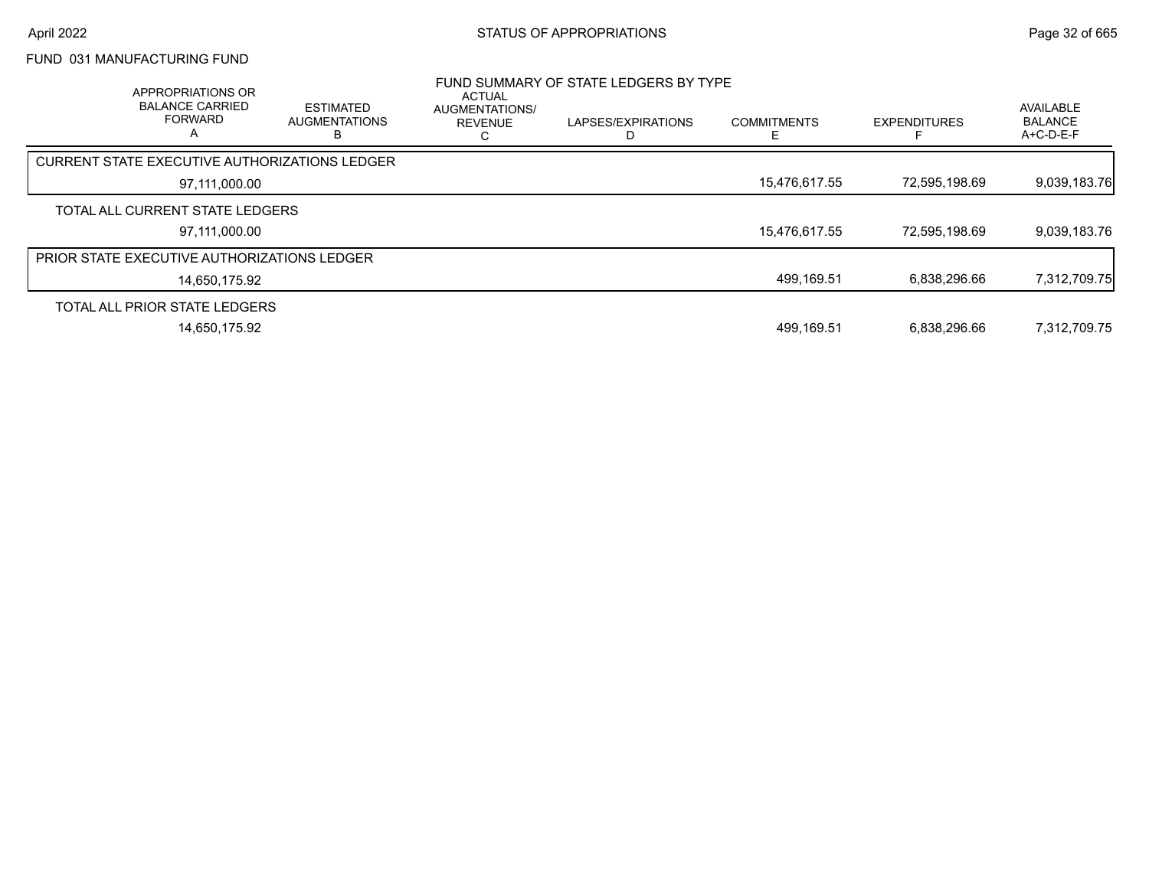# FUND 031 MANUFACTURING FUND

| APPROPRIATIONS OR<br><b>BALANCE CARRIED</b><br><b>FORWARD</b><br>A | <b>ESTIMATED</b><br><b>AUGMENTATIONS</b> | ACTUAL<br>AUGMENTATIONS/<br><b>REVENUE</b><br>ι. | FUND SUMMARY OF STATE LEDGERS BY TYPE<br>LAPSES/EXPIRATIONS | <b>COMMITMENTS</b> | <b>EXPENDITURES</b> | AVAILABLE<br><b>BALANCE</b><br>A+C-D-E-F |
|--------------------------------------------------------------------|------------------------------------------|--------------------------------------------------|-------------------------------------------------------------|--------------------|---------------------|------------------------------------------|
| <b>CURRENT STATE EXECUTIVE AUTHORIZATIONS LEDGER</b>               |                                          |                                                  |                                                             |                    |                     |                                          |
| 97,111,000.00                                                      |                                          |                                                  |                                                             | 15,476,617.55      | 72,595,198.69       | 9,039,183.76                             |
| TOTAL ALL CURRENT STATE LEDGERS                                    |                                          |                                                  |                                                             |                    |                     |                                          |
| 97.111.000.00                                                      |                                          |                                                  |                                                             | 15,476,617.55      | 72,595,198.69       | 9,039,183.76                             |
| PRIOR STATE EXECUTIVE AUTHORIZATIONS LEDGER                        |                                          |                                                  |                                                             |                    |                     |                                          |
| 14,650,175.92                                                      |                                          |                                                  |                                                             | 499,169.51         | 6.838.296.66        | 7,312,709.75                             |
| TOTAL ALL PRIOR STATE LEDGERS                                      |                                          |                                                  |                                                             |                    |                     |                                          |
| 14,650,175.92                                                      |                                          |                                                  |                                                             | 499,169.51         | 6,838,296.66        | 7,312,709.75                             |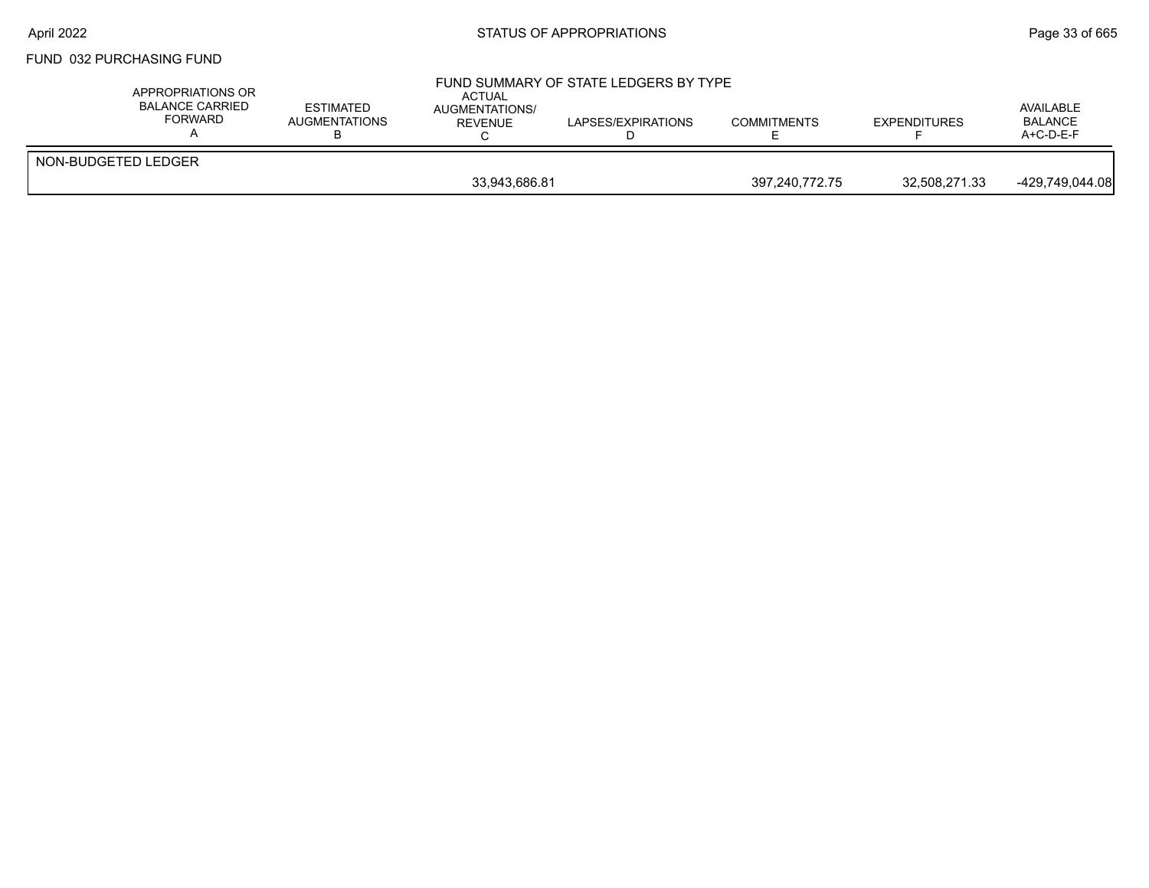#### FUND 032 PURCHASING FUND

| APPROPRIATIONS OR<br><b>BALANCE CARRIED</b><br>FORWARD | ESTIMATED<br>AUGMENTATIONS | ACTUAL<br>AUGMENTATIONS/<br>REVENUE | FUND SUMMARY OF STATE LEDGERS BY TYPE<br>LAPSES/EXPIRATIONS | <b>COMMITMENTS</b> | <b>EXPENDITURES</b> | AVAILABLE<br><b>BALANCE</b><br>$A+C-D-E-F$ |
|--------------------------------------------------------|----------------------------|-------------------------------------|-------------------------------------------------------------|--------------------|---------------------|--------------------------------------------|
| NON-BUDGETED LEDGER                                    |                            |                                     |                                                             |                    |                     |                                            |
|                                                        |                            | 33,943,686.81                       |                                                             | 397,240,772.75     | 32,508,271.33       | -429,749,044.08                            |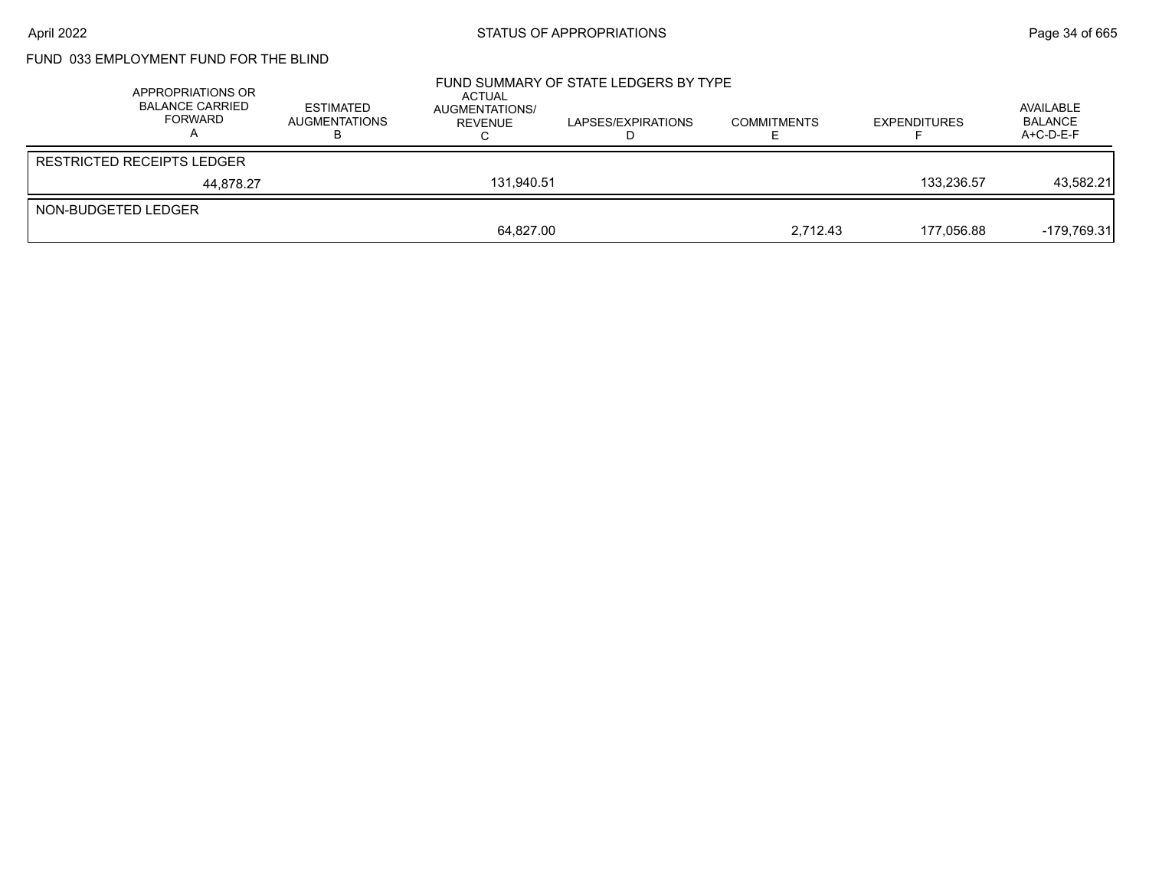# FUND 033 EMPLOYMENT FUND FOR THE BLIND

|                     | APPROPRIATIONS OR<br>BALANCE CARRIED<br>FORWARD | <b>ESTIMATED</b><br><b>AUGMENTATIONS</b> | ACTUAL<br>AUGMENTATIONS/<br>REVENUE | FUND SUMMARY OF STATE LEDGERS BY TYPE<br>LAPSES/EXPIRATIONS | <b>COMMITMENTS</b> | <b>EXPENDITURES</b> | AVAILABLE<br><b>BALANCE</b><br>$A+C-D-E-F$ |
|---------------------|-------------------------------------------------|------------------------------------------|-------------------------------------|-------------------------------------------------------------|--------------------|---------------------|--------------------------------------------|
|                     | <b>RESTRICTED RECEIPTS LEDGER</b>               |                                          |                                     |                                                             |                    |                     |                                            |
|                     | 44.878.27                                       |                                          | 131.940.51                          |                                                             |                    | 133.236.57          | 43,582.21                                  |
| NON-BUDGETED LEDGER |                                                 |                                          |                                     |                                                             |                    |                     |                                            |
|                     |                                                 |                                          | 64.827.00                           |                                                             | 2.712.43           | 177.056.88          | -179.769.31                                |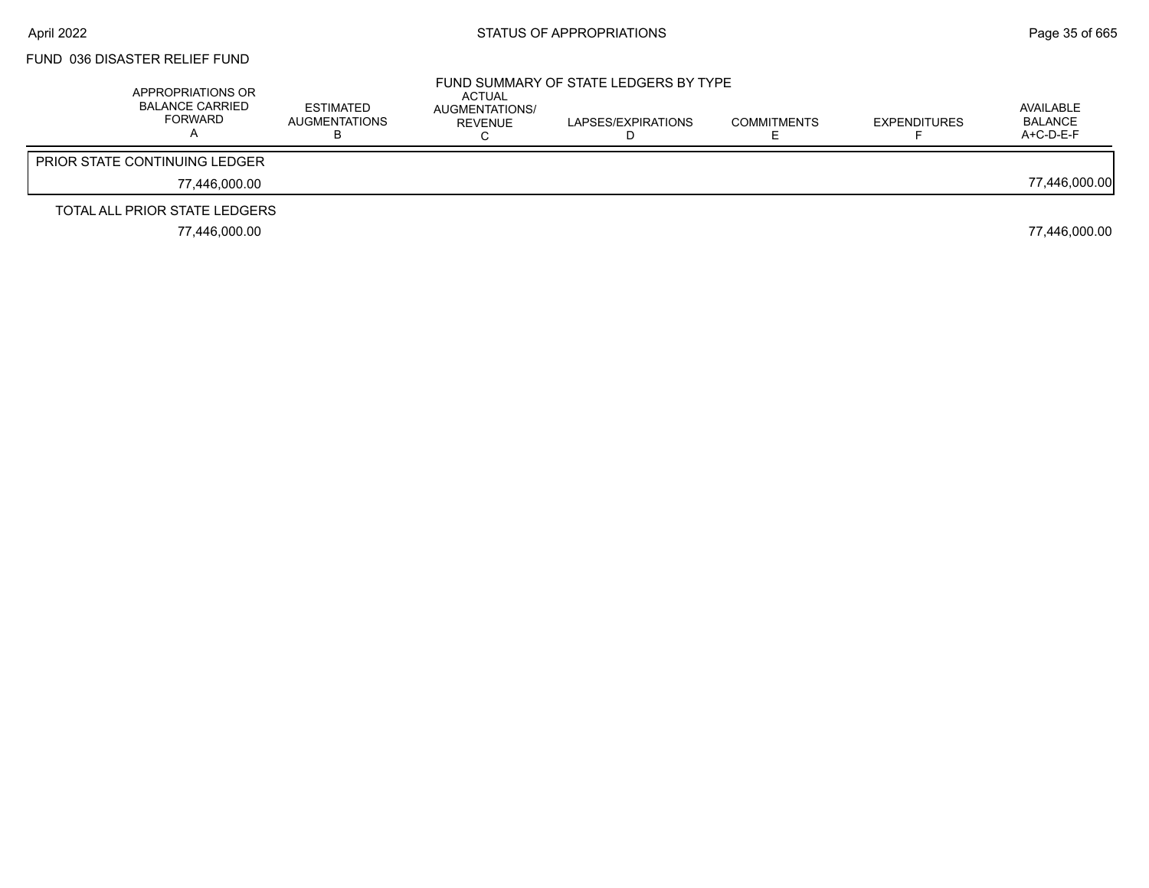# FUND 036 DISASTER RELIEF FUND

| APPROPRIATIONS OR<br><b>BALANCE CARRIED</b><br><b>FORWARD</b> | ESTIMATED<br>AUGMENTATIONS | ACTUAL<br>AUGMENTATIONS/<br><b>REVENUE</b> | FUND SUMMARY OF STATE LEDGERS BY TYPE<br>LAPSES/EXPIRATIONS | <b>COMMITMENTS</b> | <b>EXPENDITURES</b> | AVAILABLE<br>BALANCE<br>$A+C-D-E-F$ |
|---------------------------------------------------------------|----------------------------|--------------------------------------------|-------------------------------------------------------------|--------------------|---------------------|-------------------------------------|
| <b>PRIOR STATE CONTINUING LEDGER</b>                          |                            |                                            |                                                             |                    |                     |                                     |
| 77.446.000.00                                                 |                            |                                            |                                                             |                    |                     | 77,446,000.00                       |
| TOTAL ALL PRIOR STATE LEDGERS                                 |                            |                                            |                                                             |                    |                     |                                     |
| 77.446.000.00                                                 |                            |                                            |                                                             |                    |                     | 77,446,000.00                       |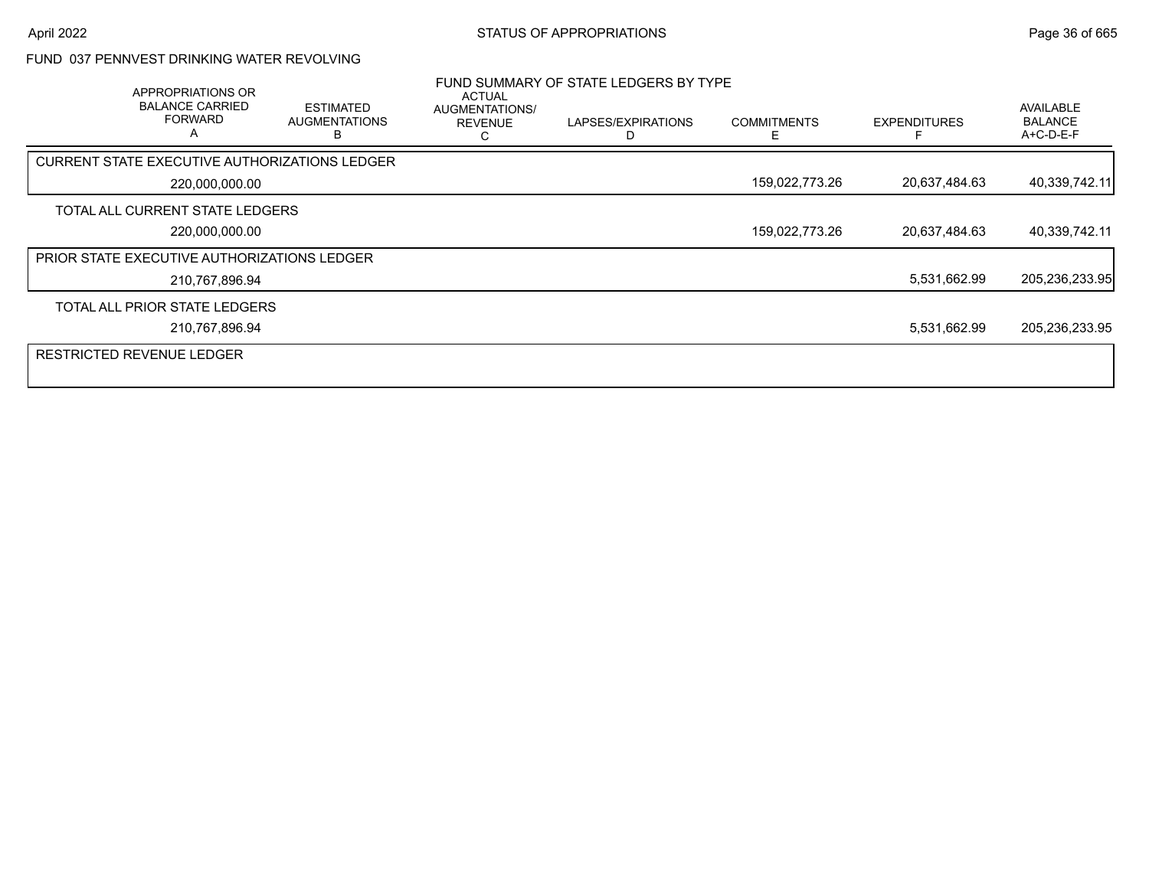### FUND 037 PENNVEST DRINKING WATER REVOLVING

| <b>APPROPRIATIONS OR</b><br><b>BALANCE CARRIED</b><br><b>FORWARD</b><br>A | <b>ESTIMATED</b><br><b>AUGMENTATIONS</b> | ACTUAL<br>AUGMENTATIONS/<br><b>REVENUE</b><br>r. | FUND SUMMARY OF STATE LEDGERS BY TYPE<br>LAPSES/EXPIRATIONS | <b>COMMITMENTS</b><br>F | <b>EXPENDITURES</b> | AVAILABLE<br><b>BALANCE</b><br>A+C-D-E-F |
|---------------------------------------------------------------------------|------------------------------------------|--------------------------------------------------|-------------------------------------------------------------|-------------------------|---------------------|------------------------------------------|
| <b>CURRENT STATE EXECUTIVE AUTHORIZATIONS LEDGER</b>                      |                                          |                                                  |                                                             |                         |                     |                                          |
| 220,000,000.00                                                            |                                          |                                                  |                                                             | 159,022,773.26          | 20,637,484.63       | 40,339,742.11                            |
| TOTAL ALL CURRENT STATE LEDGERS                                           |                                          |                                                  |                                                             |                         |                     |                                          |
| 220,000,000.00                                                            |                                          |                                                  |                                                             | 159,022,773.26          | 20,637,484.63       | 40,339,742.11                            |
| PRIOR STATE EXECUTIVE AUTHORIZATIONS LEDGER                               |                                          |                                                  |                                                             |                         |                     |                                          |
| 210,767,896.94                                                            |                                          |                                                  |                                                             |                         | 5,531,662.99        | 205,236,233.95                           |
| TOTAL ALL PRIOR STATE LEDGERS                                             |                                          |                                                  |                                                             |                         |                     |                                          |
| 210,767,896.94                                                            |                                          |                                                  |                                                             |                         | 5,531,662.99        | 205,236,233.95                           |
| <b>RESTRICTED REVENUE LEDGER</b>                                          |                                          |                                                  |                                                             |                         |                     |                                          |
|                                                                           |                                          |                                                  |                                                             |                         |                     |                                          |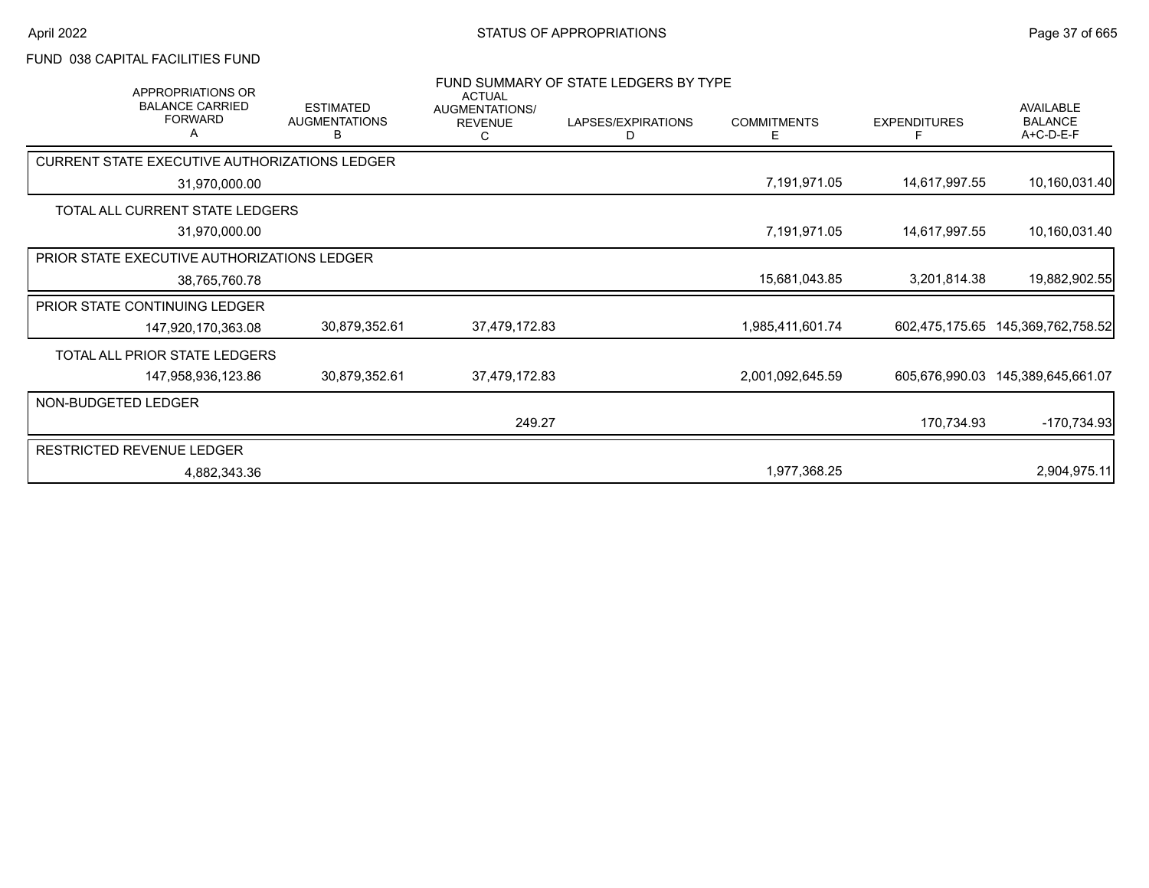# FUND 038 CAPITAL FACILITIES FUND

| <b>APPROPRIATIONS OR</b><br><b>BALANCE CARRIED</b><br><b>FORWARD</b> | <b>ESTIMATED</b><br><b>AUGMENTATIONS</b><br>в | <b>ACTUAL</b><br>AUGMENTATIONS/<br><b>REVENUE</b> | FUND SUMMARY OF STATE LEDGERS BY TYPE<br>LAPSES/EXPIRATIONS<br>D | <b>COMMITMENTS</b><br>Е | <b>EXPENDITURES</b><br>Е | <b>AVAILABLE</b><br><b>BALANCE</b><br>A+C-D-E-F |
|----------------------------------------------------------------------|-----------------------------------------------|---------------------------------------------------|------------------------------------------------------------------|-------------------------|--------------------------|-------------------------------------------------|
| CURRENT STATE EXECUTIVE AUTHORIZATIONS LEDGER                        |                                               |                                                   |                                                                  |                         |                          |                                                 |
| 31,970,000.00                                                        |                                               |                                                   |                                                                  | 7,191,971.05            | 14,617,997.55            | 10,160,031.40                                   |
| TOTAL ALL CURRENT STATE LEDGERS                                      |                                               |                                                   |                                                                  |                         |                          |                                                 |
| 31,970,000.00                                                        |                                               |                                                   |                                                                  | 7,191,971.05            | 14,617,997.55            | 10,160,031.40                                   |
| PRIOR STATE EXECUTIVE AUTHORIZATIONS LEDGER                          |                                               |                                                   |                                                                  |                         |                          |                                                 |
| 38,765,760.78                                                        |                                               |                                                   |                                                                  | 15,681,043.85           | 3,201,814.38             | 19,882,902.55                                   |
| <b>PRIOR STATE CONTINUING LEDGER</b>                                 |                                               |                                                   |                                                                  |                         |                          |                                                 |
| 147,920,170,363.08                                                   | 30,879,352.61                                 | 37,479,172.83                                     |                                                                  | 1,985,411,601.74        | 602,475,175.65           | 145,369,762,758.52                              |
| TOTAL ALL PRIOR STATE LEDGERS                                        |                                               |                                                   |                                                                  |                         |                          |                                                 |
| 147,958,936,123.86                                                   | 30,879,352.61                                 | 37,479,172.83                                     |                                                                  | 2,001,092,645.59        |                          | 605,676,990.03 145,389,645,661.07               |
| NON-BUDGETED LEDGER                                                  |                                               |                                                   |                                                                  |                         |                          |                                                 |
|                                                                      |                                               | 249.27                                            |                                                                  |                         | 170,734.93               | $-170,734.93$                                   |
| RESTRICTED REVENUE LEDGER                                            |                                               |                                                   |                                                                  |                         |                          |                                                 |
| 4,882,343.36                                                         |                                               |                                                   |                                                                  | 1,977,368.25            |                          | 2,904,975.11                                    |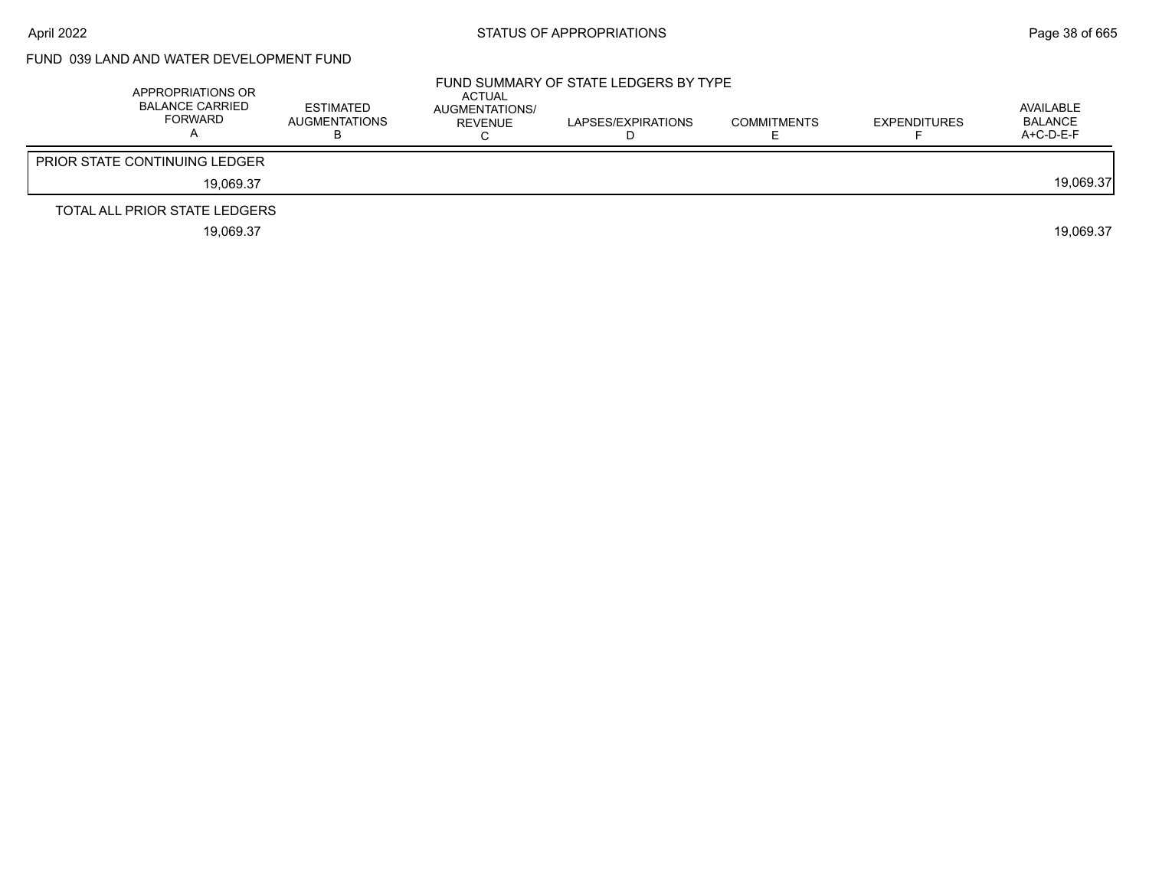# FUND 039 LAND AND WATER DEVELOPMENT FUND

| APPROPRIATIONS OR<br><b>BALANCE CARRIED</b><br><b>FORWARD</b> | ESTIMATED<br>AUGMENTATIONS | ACTUAL<br>AUGMENTATIONS/<br>REVENUE | FUND SUMMARY OF STATE LEDGERS BY TYPE<br>LAPSES/EXPIRATIONS | <b>COMMITMENTS</b> | <b>EXPENDITURES</b> | AVAILABLE<br><b>BALANCE</b><br>$A+C-D-E-F$ |
|---------------------------------------------------------------|----------------------------|-------------------------------------|-------------------------------------------------------------|--------------------|---------------------|--------------------------------------------|
| <b>PRIOR STATE CONTINUING LEDGER</b>                          |                            |                                     |                                                             |                    |                     |                                            |
| 19.069.37                                                     |                            |                                     |                                                             |                    |                     | 19.069.37                                  |
| TOTAL ALL PRIOR STATE LEDGERS                                 |                            |                                     |                                                             |                    |                     |                                            |
| 19,069.37                                                     |                            |                                     |                                                             |                    |                     | 19.069.37                                  |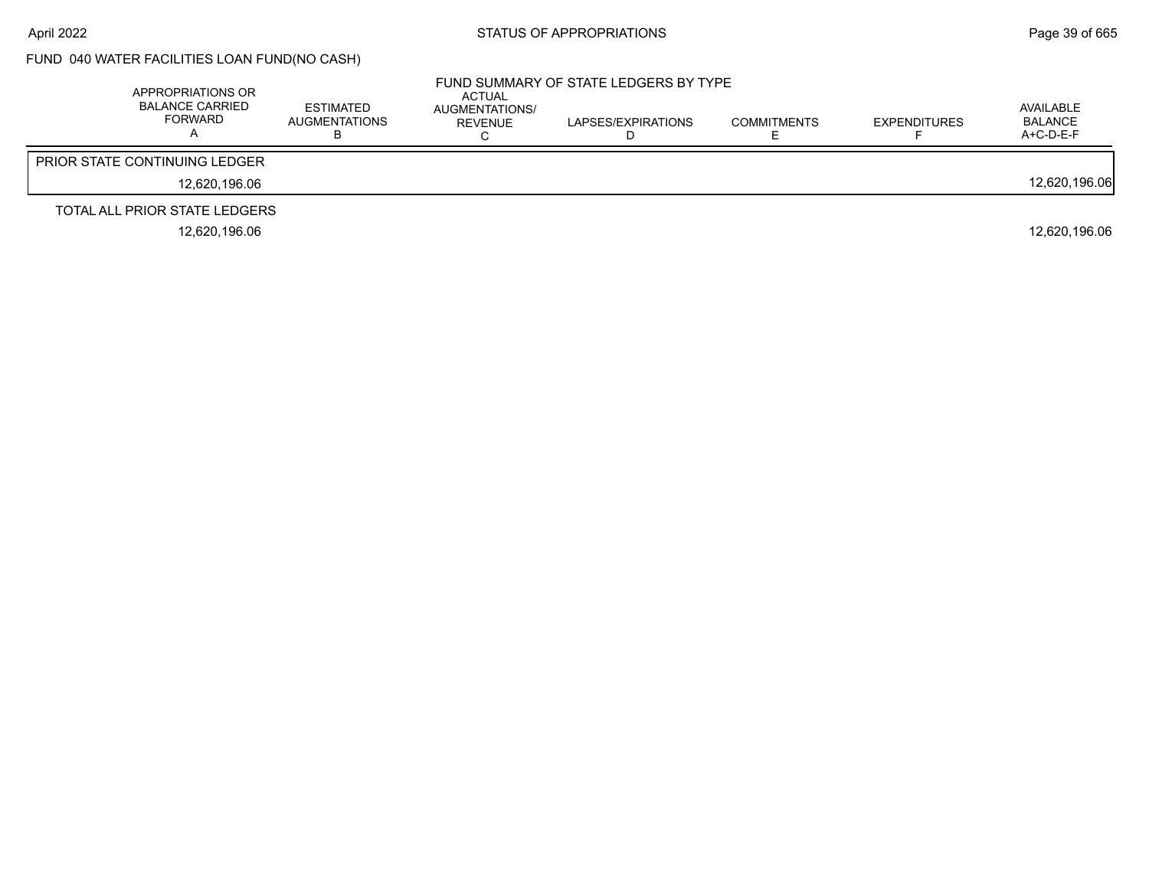# FUND 040 WATER FACILITIES LOAN FUND(NO CASH)

| APPROPRIATIONS OR<br>BALANCE CARRIED<br><b>FORWARD</b> | <b>ESTIMATED</b><br><b>AUGMENTATIONS</b> | ACTUAL<br>AUGMENTATIONS/<br>REVENUE | FUND SUMMARY OF STATE LEDGERS BY TYPE<br>LAPSES/EXPIRATIONS | <b>COMMITMENTS</b> | <b>EXPENDITURES</b> | AVAILABLE<br><b>BALANCE</b><br>$A+C-D-E-F$ |
|--------------------------------------------------------|------------------------------------------|-------------------------------------|-------------------------------------------------------------|--------------------|---------------------|--------------------------------------------|
| <b>PRIOR STATE CONTINUING LEDGER</b>                   |                                          |                                     |                                                             |                    |                     |                                            |
| 12.620.196.06                                          |                                          |                                     |                                                             |                    |                     | 12,620,196.06                              |
| TOTAL ALL PRIOR STATE LEDGERS                          |                                          |                                     |                                                             |                    |                     |                                            |
| 12.620.196.06                                          |                                          |                                     |                                                             |                    |                     | 12.620.196.06                              |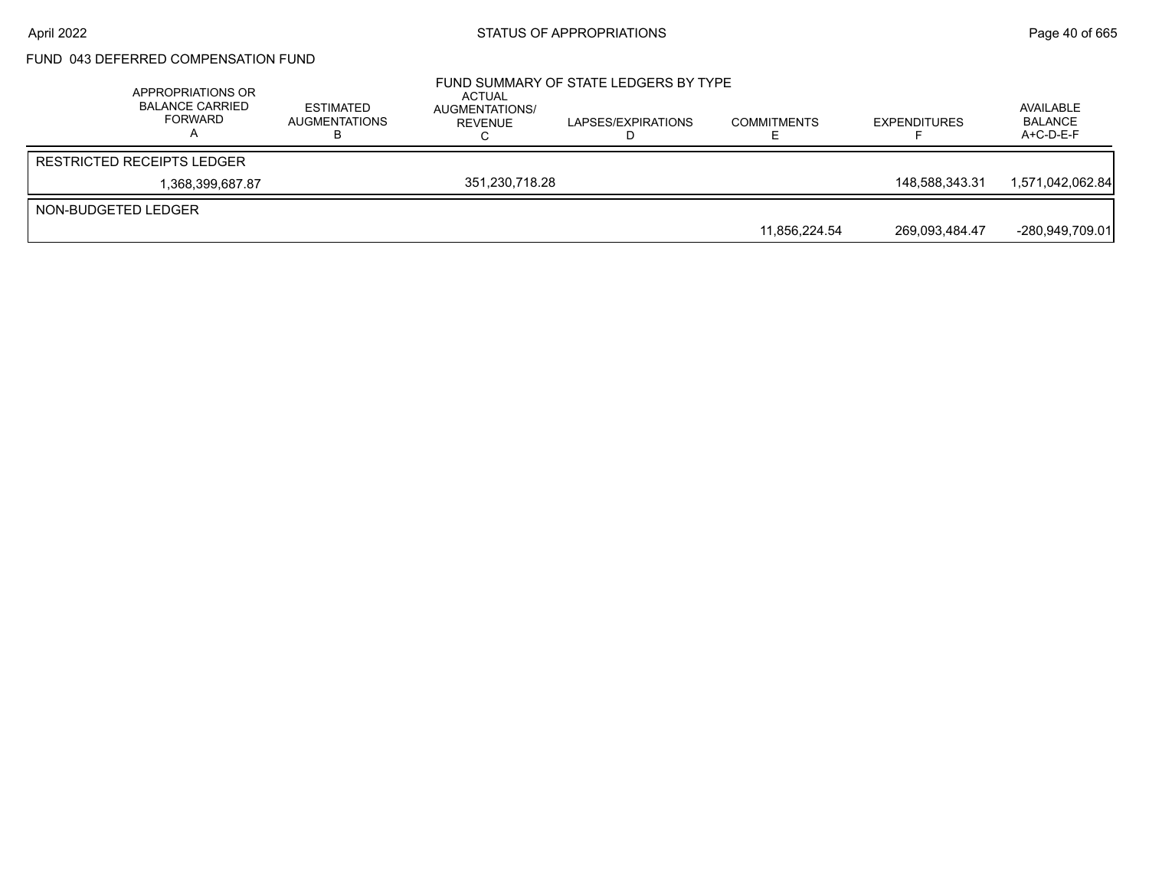## FUND 043 DEFERRED COMPENSATION FUND

|                     | APPROPRIATIONS OR<br>BALANCE CARRIED<br>FORWARD | ESTIMATED<br>AUGMENTATIONS | <b>ACTUAL</b><br>AUGMENTATIONS/<br>REVENUE | FUND SUMMARY OF STATE LEDGERS BY TYPE<br>LAPSES/EXPIRATIONS | <b>COMMITMENTS</b> | <b>EXPENDITURES</b> | AVAILABLE<br><b>BALANCE</b><br>$A+C-D-E-F$ |
|---------------------|-------------------------------------------------|----------------------------|--------------------------------------------|-------------------------------------------------------------|--------------------|---------------------|--------------------------------------------|
|                     | <b>RESTRICTED RECEIPTS LEDGER</b>               |                            |                                            |                                                             |                    |                     |                                            |
|                     | 1,368,399,687.87                                |                            | 351.230.718.28                             |                                                             |                    | 148.588.343.31      | 1,571,042,062.84                           |
| NON-BUDGETED LEDGER |                                                 |                            |                                            |                                                             |                    |                     |                                            |
|                     |                                                 |                            |                                            |                                                             | 11.856.224.54      | 269.093.484.47      | -280.949.709.01                            |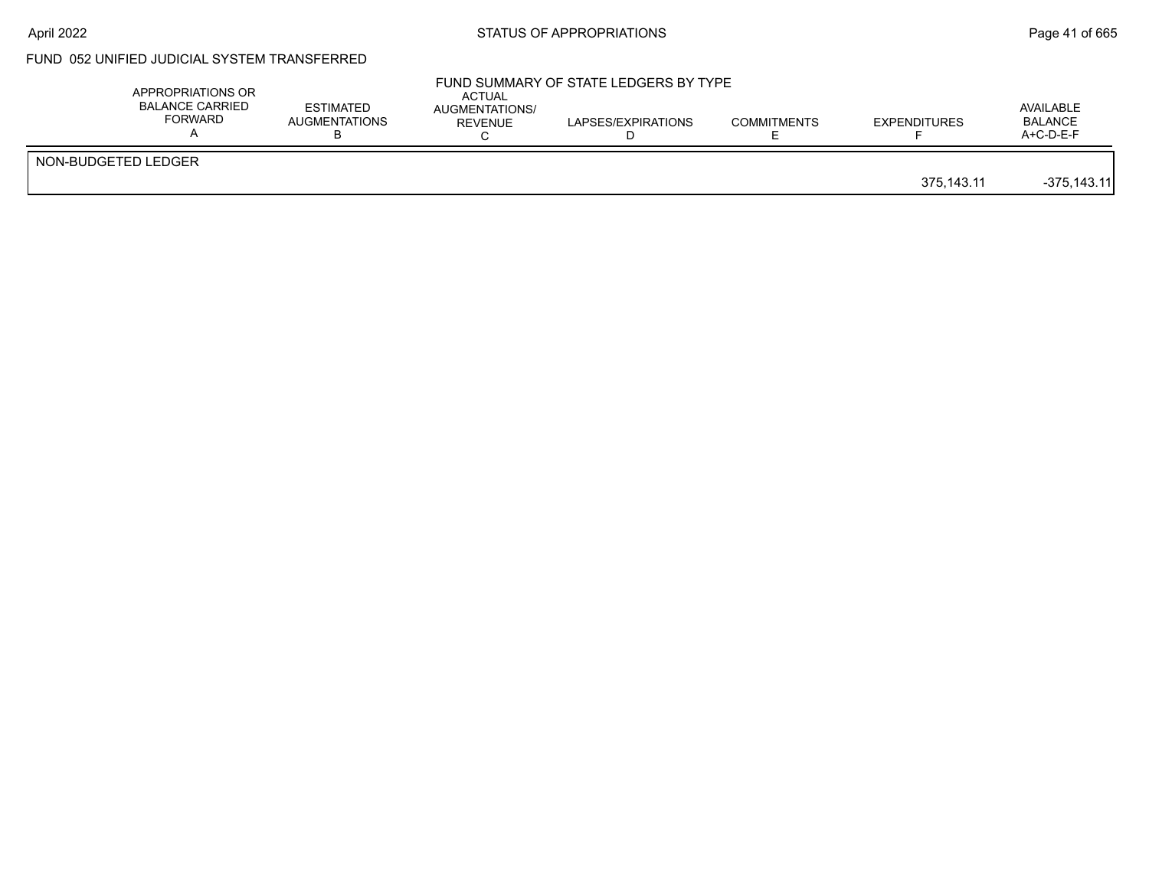## April 2022 **STATUS OF APPROPRIATIONS** STATUS OF APPROPRIATIONS

# FUND 052 UNIFIED JUDICIAL SYSTEM TRANSFERRED

|                     | APPROPRIATIONS OR<br><b>BALANCE CARRIED</b><br>FORWARD | <b>ESTIMATED</b><br>AUGMENTATIONS | ACTUAL<br>AUGMENTATIONS/<br>REVENUE | LAPSES/EXPIRATIONS | <b>COMMITMENTS</b> | <b>EXPENDITURES</b> | AVAILABLE<br><b>BALANCE</b><br>$A+C-D-E-F$ |
|---------------------|--------------------------------------------------------|-----------------------------------|-------------------------------------|--------------------|--------------------|---------------------|--------------------------------------------|
| NON-BUDGETED LEDGER |                                                        |                                   |                                     |                    |                    | 375,143.11          | $-375,143.11$                              |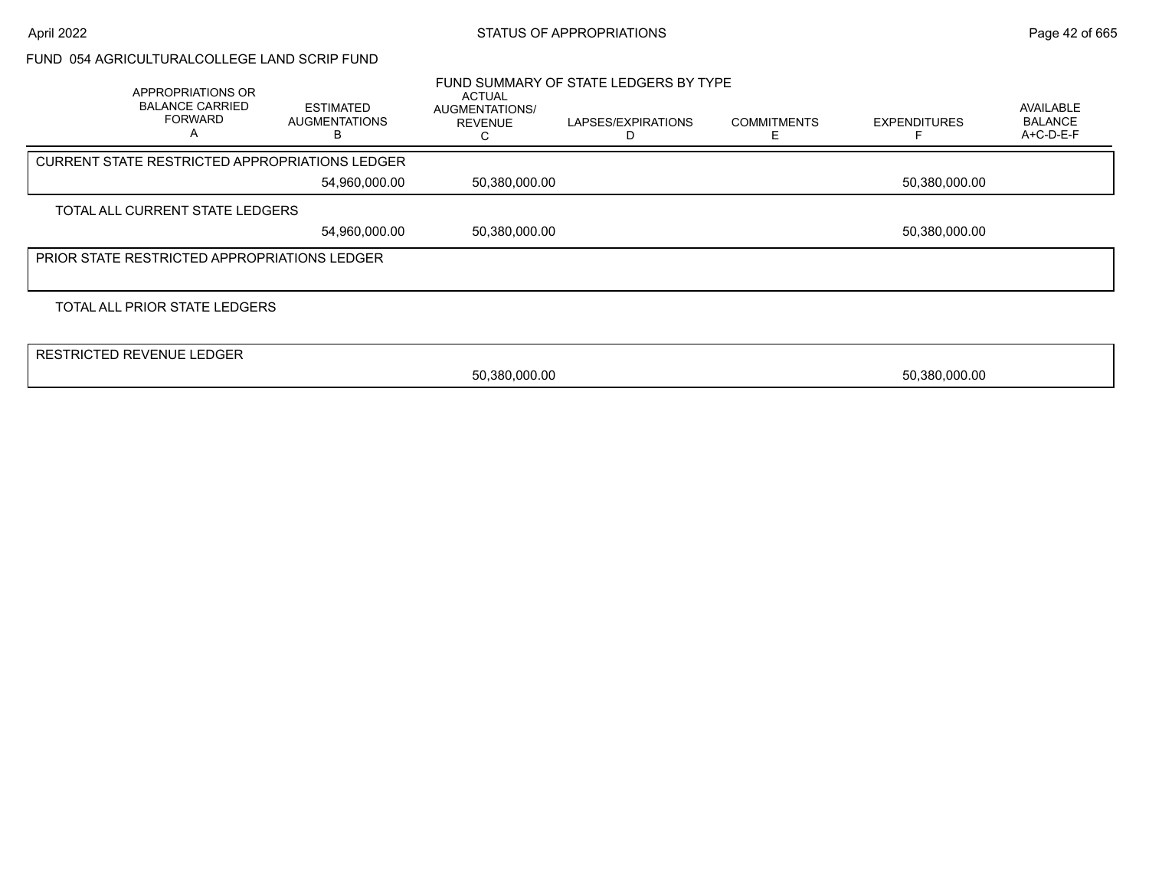### FUND 054 AGRICULTURALCOLLEGE LAND SCRIP FUND

| APPROPRIATIONS OR<br><b>BALANCE CARRIED</b><br><b>FORWARD</b> | <b>ESTIMATED</b><br><b>AUGMENTATIONS</b><br>в | ACTUAL<br>AUGMENTATIONS/<br><b>REVENUE</b> | FUND SUMMARY OF STATE LEDGERS BY TYPE<br>LAPSES/EXPIRATIONS<br>D | <b>COMMITMENTS</b> | <b>EXPENDITURES</b> | <b>AVAILABLE</b><br><b>BALANCE</b><br>A+C-D-E-F |
|---------------------------------------------------------------|-----------------------------------------------|--------------------------------------------|------------------------------------------------------------------|--------------------|---------------------|-------------------------------------------------|
| <b>CURRENT STATE RESTRICTED APPROPRIATIONS LEDGER</b>         |                                               |                                            |                                                                  |                    |                     |                                                 |
|                                                               | 54,960,000.00                                 | 50,380,000.00                              |                                                                  |                    | 50,380,000.00       |                                                 |
| TOTAL ALL CURRENT STATE LEDGERS                               |                                               |                                            |                                                                  |                    |                     |                                                 |
|                                                               | 54,960,000.00                                 | 50,380,000.00                              |                                                                  |                    | 50,380,000.00       |                                                 |
| <b>PRIOR STATE RESTRICTED APPROPRIATIONS LEDGER</b>           |                                               |                                            |                                                                  |                    |                     |                                                 |
|                                                               |                                               |                                            |                                                                  |                    |                     |                                                 |
| TOTAL ALL PRIOR STATE LEDGERS                                 |                                               |                                            |                                                                  |                    |                     |                                                 |
|                                                               |                                               |                                            |                                                                  |                    |                     |                                                 |
| <b>RESTRICTED REVENUE LEDGER</b>                              |                                               |                                            |                                                                  |                    |                     |                                                 |
|                                                               |                                               | 50,380,000.00                              |                                                                  |                    | 50,380,000.00       |                                                 |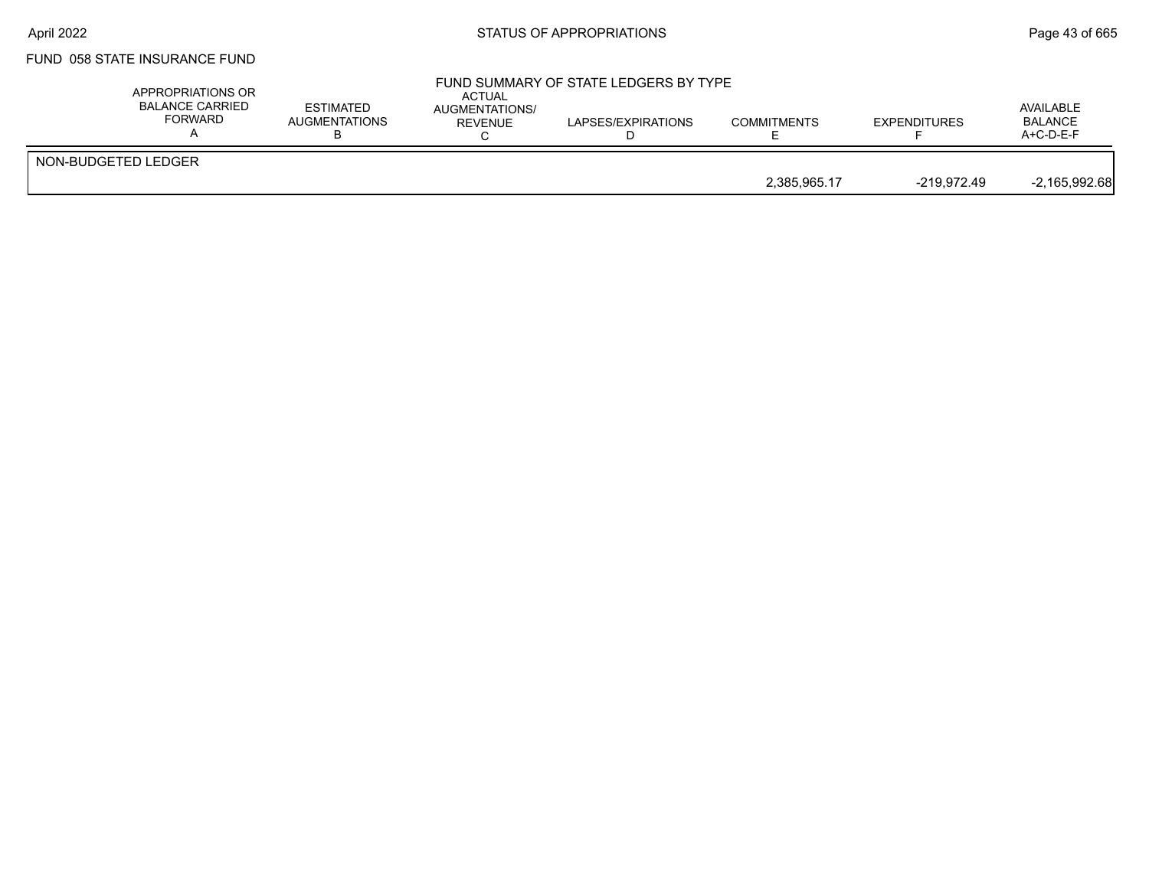## FUND 058 STATE INSURANCE FUND

|                     | APPROPRIATIONS OR<br>BALANCE CARRIED<br>FORWARD | <b>ESTIMATED</b><br><b>AUGMENTATIONS</b> | ACTUAL<br>AUGMENTATIONS/<br><b>REVENUE</b> | FUND SUMMARY OF STATE LEDGERS BY TYPE<br>LAPSES/EXPIRATIONS | <b>COMMITMENTS</b> | <b>EXPENDITURES</b> | AVAILABLE<br><b>BALANCE</b><br>$A+C-D-E-F$ |
|---------------------|-------------------------------------------------|------------------------------------------|--------------------------------------------|-------------------------------------------------------------|--------------------|---------------------|--------------------------------------------|
| NON-BUDGETED LEDGER |                                                 |                                          |                                            |                                                             |                    |                     |                                            |
|                     |                                                 |                                          |                                            |                                                             | 2.385.965.17       | -219.972.49         | $-2,165,992.68$                            |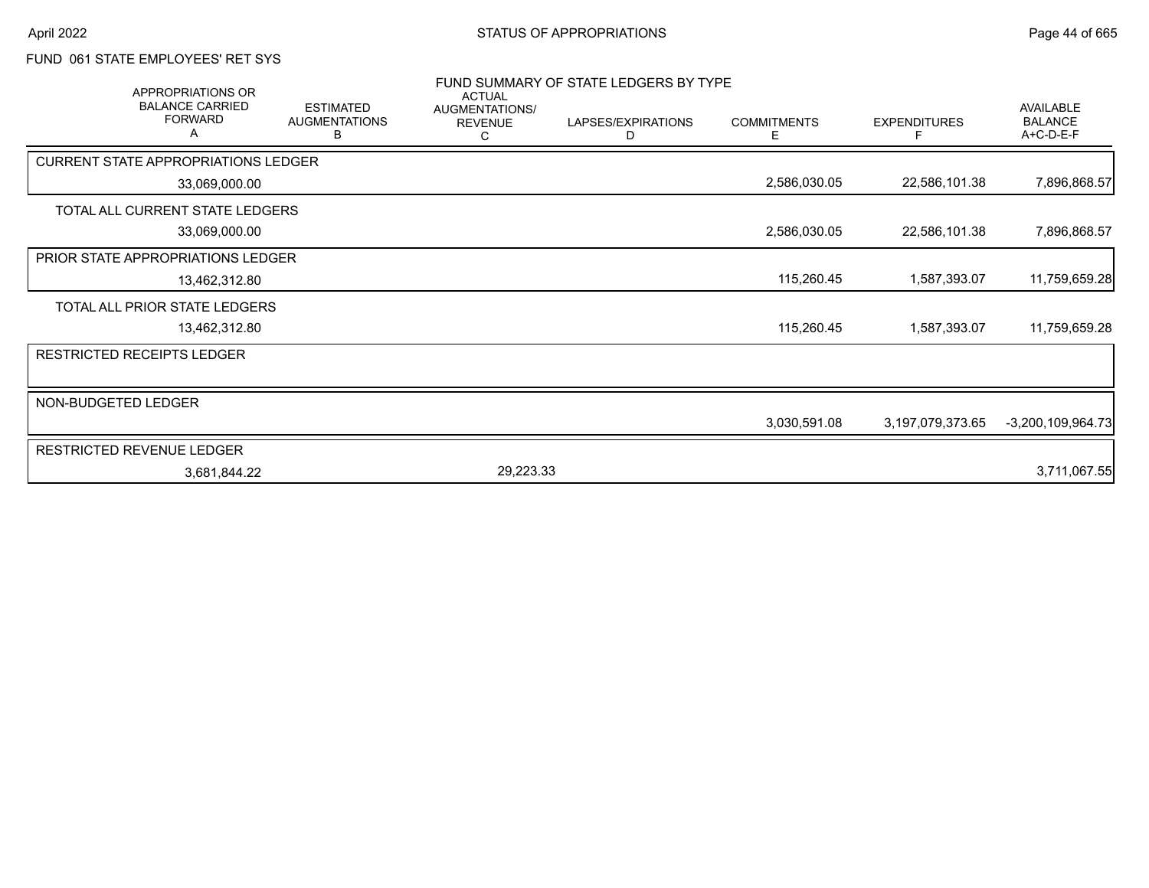## FUND 061 STATE EMPLOYEES' RET SYS

|                                            | <b>APPROPRIATIONS OR</b><br><b>BALANCE CARRIED</b> | <b>ESTIMATED</b>          | <b>ACTUAL</b>  | FUND SUMMARY OF STATE LEDGERS BY TYPE<br>AUGMENTATIONS/ |                         |                          | <b>AVAILABLE</b>            |
|--------------------------------------------|----------------------------------------------------|---------------------------|----------------|---------------------------------------------------------|-------------------------|--------------------------|-----------------------------|
|                                            | <b>FORWARD</b>                                     | <b>AUGMENTATIONS</b><br>в | <b>REVENUE</b> | LAPSES/EXPIRATIONS<br>D                                 | <b>COMMITMENTS</b><br>Ε | <b>EXPENDITURES</b><br>F | <b>BALANCE</b><br>A+C-D-E-F |
| <b>CURRENT STATE APPROPRIATIONS LEDGER</b> |                                                    |                           |                |                                                         |                         |                          |                             |
|                                            | 33,069,000.00                                      |                           |                |                                                         | 2,586,030.05            | 22,586,101.38            | 7,896,868.57                |
| TOTAL ALL CURRENT STATE LEDGERS            |                                                    |                           |                |                                                         |                         |                          |                             |
|                                            | 33,069,000.00                                      |                           |                |                                                         | 2,586,030.05            | 22,586,101.38            | 7,896,868.57                |
| <b>PRIOR STATE APPROPRIATIONS LEDGER</b>   |                                                    |                           |                |                                                         |                         |                          |                             |
|                                            | 13,462,312.80                                      |                           |                |                                                         | 115,260.45              | 1,587,393.07             | 11,759,659.28               |
| TOTAL ALL PRIOR STATE LEDGERS              |                                                    |                           |                |                                                         |                         |                          |                             |
|                                            | 13,462,312.80                                      |                           |                |                                                         | 115,260.45              | 1,587,393.07             | 11,759,659.28               |
| <b>RESTRICTED RECEIPTS LEDGER</b>          |                                                    |                           |                |                                                         |                         |                          |                             |
|                                            |                                                    |                           |                |                                                         |                         |                          |                             |
| NON-BUDGETED LEDGER                        |                                                    |                           |                |                                                         |                         |                          |                             |
|                                            |                                                    |                           |                |                                                         | 3,030,591.08            | 3,197,079,373.65         | $-3,200,109,964.73$         |
| <b>RESTRICTED REVENUE LEDGER</b>           |                                                    |                           |                |                                                         |                         |                          |                             |
|                                            | 3,681,844.22                                       |                           | 29,223.33      |                                                         |                         |                          | 3,711,067.55                |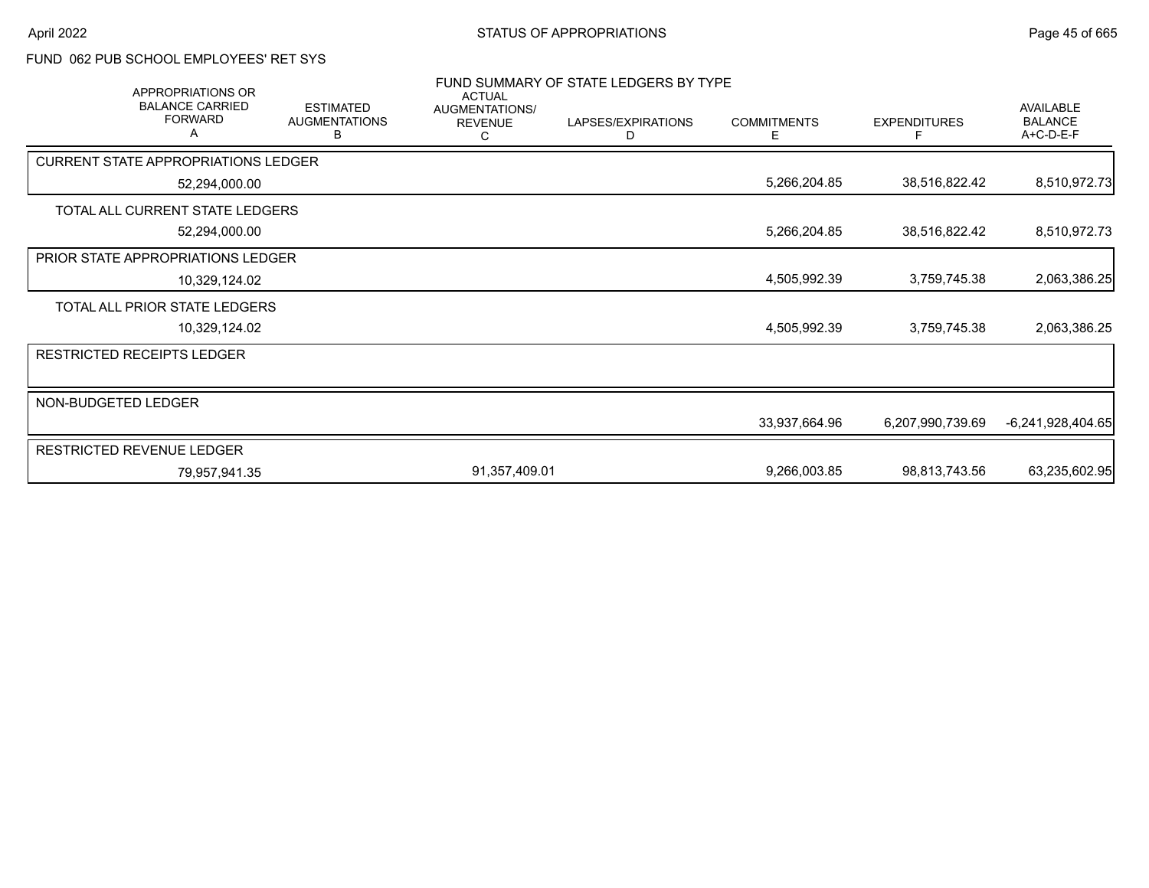# FUND 062 PUB SCHOOL EMPLOYEES' RET SYS

|                     | <b>APPROPRIATIONS OR</b>                      |                                               | <b>ACTUAL</b>                         | FUND SUMMARY OF STATE LEDGERS BY TYPE |                         |                     |                                          |
|---------------------|-----------------------------------------------|-----------------------------------------------|---------------------------------------|---------------------------------------|-------------------------|---------------------|------------------------------------------|
|                     | <b>BALANCE CARRIED</b><br><b>FORWARD</b><br>А | <b>ESTIMATED</b><br><b>AUGMENTATIONS</b><br>в | AUGMENTATIONS/<br><b>REVENUE</b><br>С | LAPSES/EXPIRATIONS<br>D               | <b>COMMITMENTS</b><br>E | <b>EXPENDITURES</b> | AVAILABLE<br><b>BALANCE</b><br>A+C-D-E-F |
|                     | <b>CURRENT STATE APPROPRIATIONS LEDGER</b>    |                                               |                                       |                                       |                         |                     |                                          |
|                     | 52,294,000.00                                 |                                               |                                       |                                       | 5,266,204.85            | 38,516,822.42       | 8,510,972.73                             |
|                     | TOTAL ALL CURRENT STATE LEDGERS               |                                               |                                       |                                       |                         |                     |                                          |
|                     | 52,294,000.00                                 |                                               |                                       |                                       | 5,266,204.85            | 38,516,822.42       | 8,510,972.73                             |
|                     | PRIOR STATE APPROPRIATIONS LEDGER             |                                               |                                       |                                       |                         |                     |                                          |
|                     | 10,329,124.02                                 |                                               |                                       |                                       | 4,505,992.39            | 3,759,745.38        | 2,063,386.25                             |
|                     | TOTAL ALL PRIOR STATE LEDGERS                 |                                               |                                       |                                       |                         |                     |                                          |
|                     | 10,329,124.02                                 |                                               |                                       |                                       | 4,505,992.39            | 3,759,745.38        | 2,063,386.25                             |
|                     | <b>RESTRICTED RECEIPTS LEDGER</b>             |                                               |                                       |                                       |                         |                     |                                          |
|                     |                                               |                                               |                                       |                                       |                         |                     |                                          |
| NON-BUDGETED LEDGER |                                               |                                               |                                       |                                       |                         |                     |                                          |
|                     |                                               |                                               |                                       |                                       | 33,937,664.96           | 6,207,990,739.69    | $-6,241,928,404.65$                      |
|                     | <b>RESTRICTED REVENUE LEDGER</b>              |                                               |                                       |                                       |                         |                     |                                          |
|                     | 79,957,941.35                                 |                                               | 91,357,409.01                         |                                       | 9,266,003.85            | 98,813,743.56       | 63,235,602.95                            |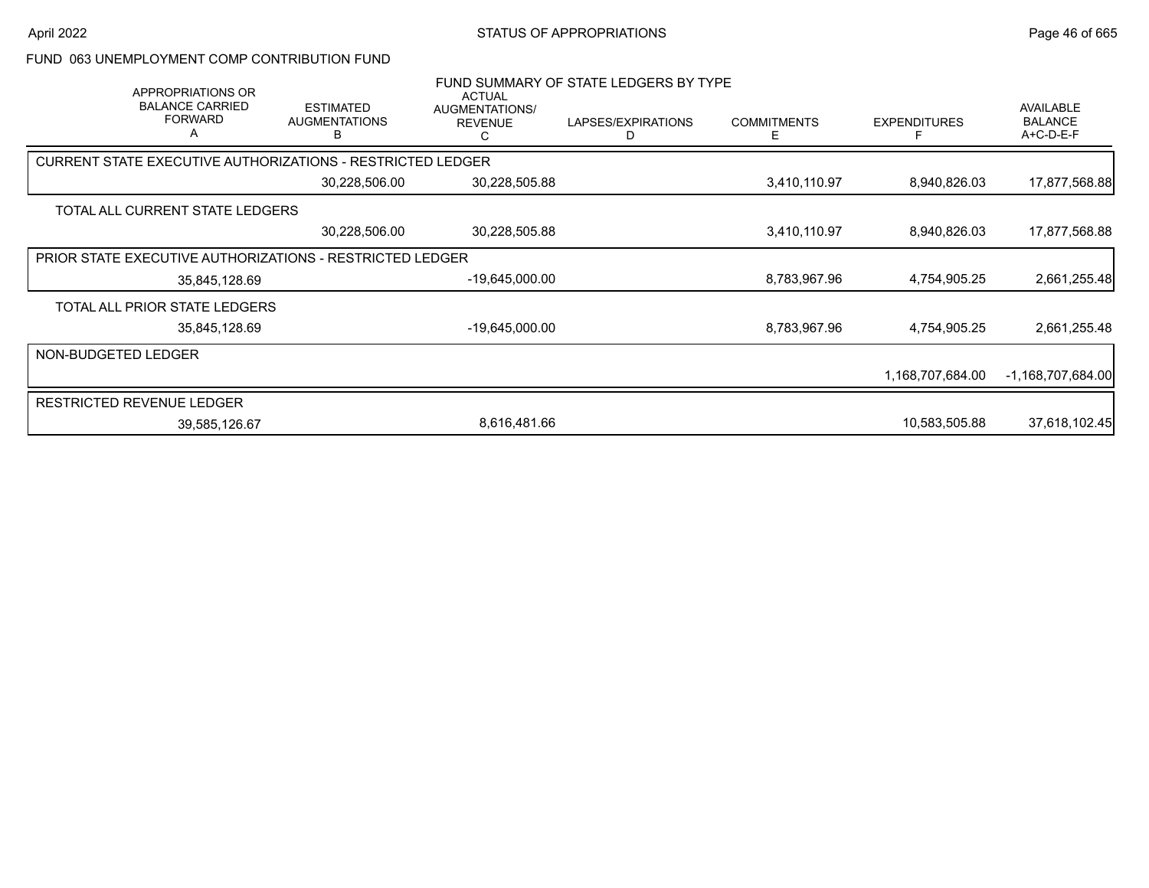### FUND 063 UNEMPLOYMENT COMP CONTRIBUTION FUND

| APPROPRIATIONS OR<br><b>BALANCE CARRIED</b><br><b>FORWARD</b><br>A | <b>ESTIMATED</b><br><b>AUGMENTATIONS</b><br>B | ACTUAL<br>AUGMENTATIONS/<br><b>REVENUE</b><br>С | FUND SUMMARY OF STATE LEDGERS BY TYPE<br>LAPSES/EXPIRATIONS<br>D | <b>COMMITMENTS</b><br>Е | <b>EXPENDITURES</b> | AVAILABLE<br><b>BALANCE</b><br>A+C-D-E-F |
|--------------------------------------------------------------------|-----------------------------------------------|-------------------------------------------------|------------------------------------------------------------------|-------------------------|---------------------|------------------------------------------|
| <b>CURRENT STATE EXECUTIVE AUTHORIZATIONS - RESTRICTED LEDGER</b>  |                                               |                                                 |                                                                  |                         |                     |                                          |
|                                                                    | 30,228,506.00                                 | 30,228,505.88                                   |                                                                  | 3,410,110.97            | 8,940,826.03        | 17,877,568.88                            |
| TOTAL ALL CURRENT STATE LEDGERS                                    |                                               |                                                 |                                                                  |                         |                     |                                          |
|                                                                    | 30,228,506.00                                 | 30,228,505.88                                   |                                                                  | 3,410,110.97            | 8,940,826.03        | 17,877,568.88                            |
| <b>PRIOR STATE EXECUTIVE AUTHORIZATIONS - RESTRICTED LEDGER</b>    |                                               |                                                 |                                                                  |                         |                     |                                          |
| 35,845,128.69                                                      |                                               | -19,645,000.00                                  |                                                                  | 8,783,967.96            | 4,754,905.25        | 2,661,255.48                             |
| TOTAL ALL PRIOR STATE LEDGERS                                      |                                               |                                                 |                                                                  |                         |                     |                                          |
| 35,845,128.69                                                      |                                               | -19,645,000.00                                  |                                                                  | 8,783,967.96            | 4,754,905.25        | 2,661,255.48                             |
| NON-BUDGETED LEDGER                                                |                                               |                                                 |                                                                  |                         |                     |                                          |
|                                                                    |                                               |                                                 |                                                                  |                         | 1,168,707,684.00    | $-1,168,707,684.00$                      |
| <b>RESTRICTED REVENUE LEDGER</b>                                   |                                               |                                                 |                                                                  |                         |                     |                                          |
| 39,585,126.67                                                      |                                               | 8,616,481.66                                    |                                                                  |                         | 10,583,505.88       | 37,618,102.45                            |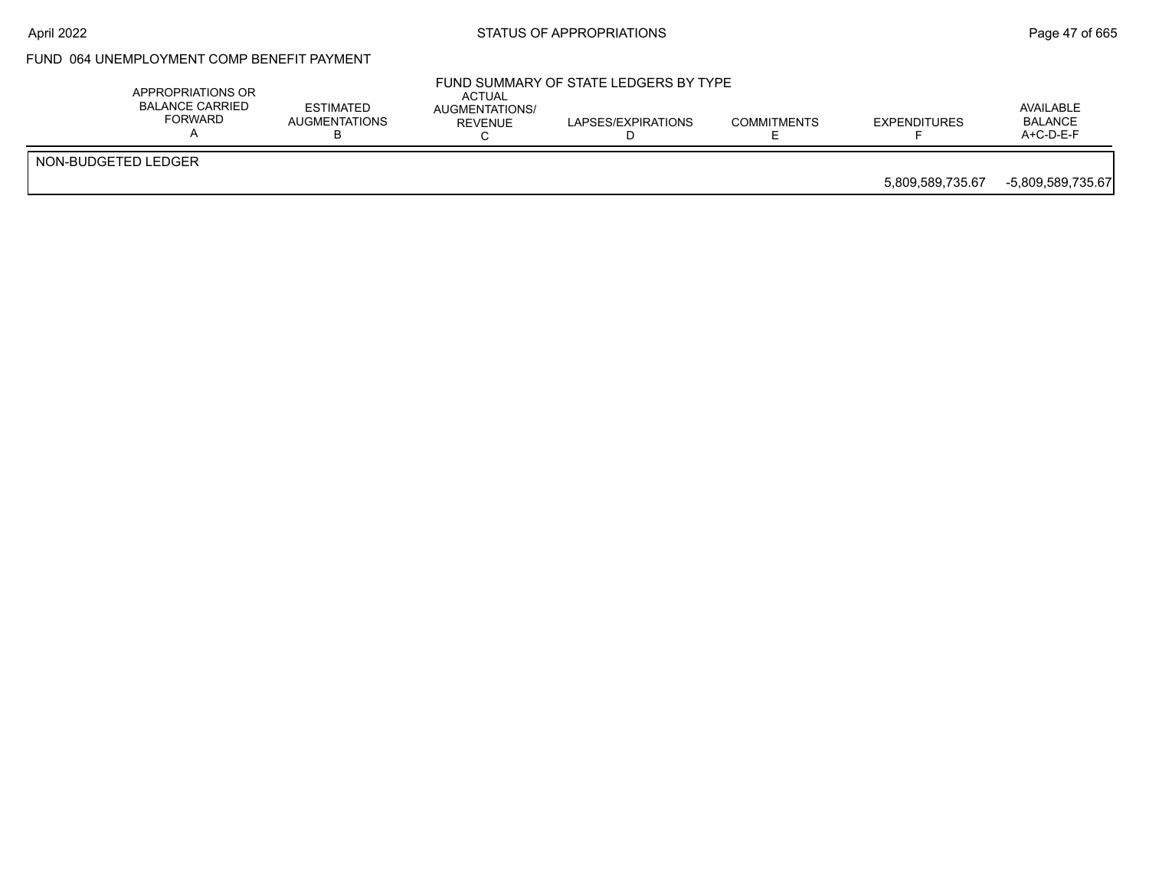## April 2022 **STATUS OF APPROPRIATIONS** STATUS OF APPROPRIATIONS

## FUND 064 UNEMPLOYMENT COMP BENEFIT PAYMENT

| APPROPRIATIONS OR<br>BALANCE CARRIED<br>FORWARD | <b>ESTIMATED</b><br>AUGMENTATIONS | ACTUAL<br>AUGMENTATIONS/<br><b>REVENUE</b> | FUND SUMMARY OF STATE LEDGERS BY TYPE<br>LAPSES/EXPIRATIONS | <b>COMMITMENTS</b> | <b>EXPENDITURES</b> | AVAILABLE<br><b>BALANCE</b><br>$A+C-D-E-F$ |
|-------------------------------------------------|-----------------------------------|--------------------------------------------|-------------------------------------------------------------|--------------------|---------------------|--------------------------------------------|
| NON-BUDGETED LEDGER                             |                                   |                                            |                                                             |                    | 5.809.589.735.67    | -5,809,589,735.67                          |
|                                                 |                                   |                                            |                                                             |                    |                     |                                            |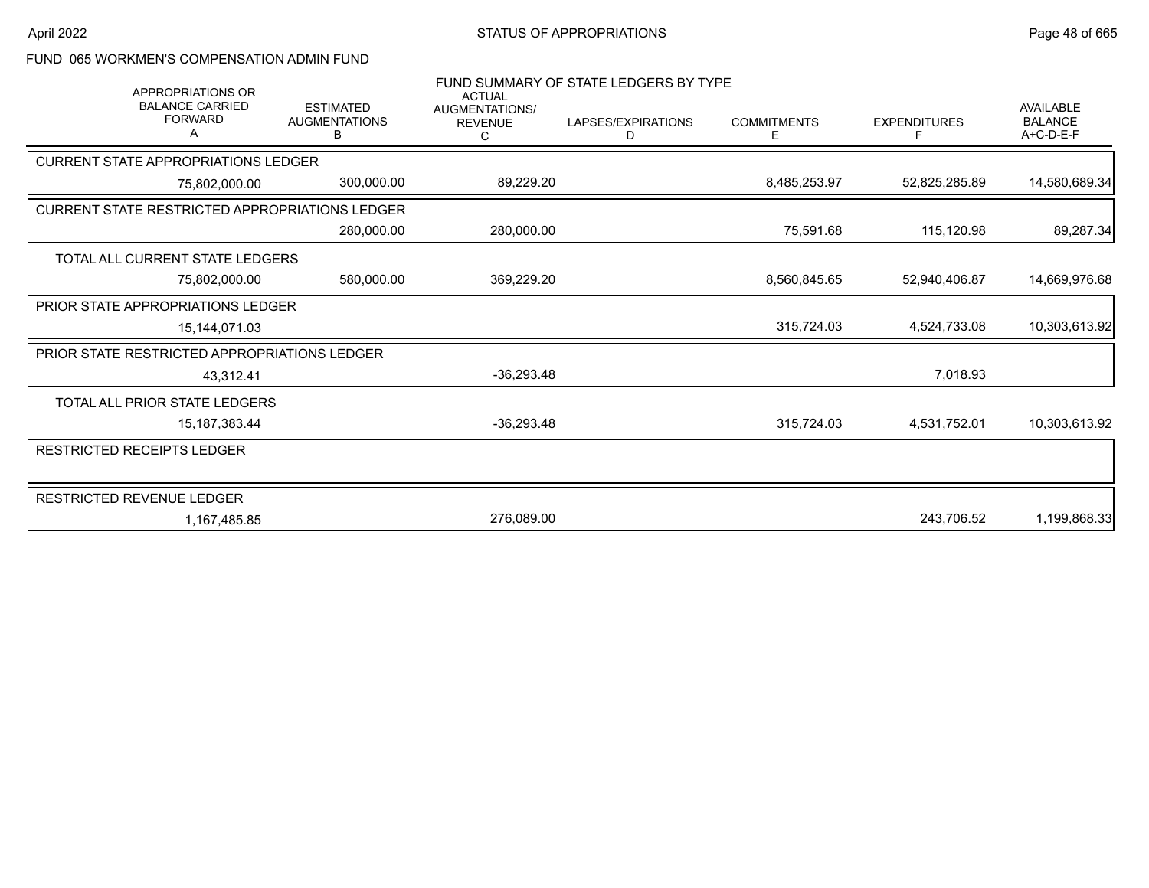## FUND 065 WORKMEN'S COMPENSATION ADMIN FUND

| <b>APPROPRIATIONS OR</b>                              |                                               | <b>ACTUAL</b>                           | FUND SUMMARY OF STATE LEDGERS BY TYPE |                         |                     |                                                   |
|-------------------------------------------------------|-----------------------------------------------|-----------------------------------------|---------------------------------------|-------------------------|---------------------|---------------------------------------------------|
| <b>BALANCE CARRIED</b><br><b>FORWARD</b>              | <b>ESTIMATED</b><br><b>AUGMENTATIONS</b><br>B | <b>AUGMENTATIONS/</b><br><b>REVENUE</b> | LAPSES/EXPIRATIONS<br>D               | <b>COMMITMENTS</b><br>E | <b>EXPENDITURES</b> | <b>AVAILABLE</b><br><b>BALANCE</b><br>$A+C-D-E-F$ |
| <b>CURRENT STATE APPROPRIATIONS LEDGER</b>            |                                               |                                         |                                       |                         |                     |                                                   |
| 75,802,000.00                                         | 300,000.00                                    | 89,229.20                               |                                       | 8,485,253.97            | 52,825,285.89       | 14,580,689.34                                     |
| <b>CURRENT STATE RESTRICTED APPROPRIATIONS LEDGER</b> |                                               |                                         |                                       |                         |                     |                                                   |
|                                                       | 280,000.00                                    | 280,000.00                              |                                       | 75,591.68               | 115,120.98          | 89,287.34                                         |
| TOTAL ALL CURRENT STATE LEDGERS                       |                                               |                                         |                                       |                         |                     |                                                   |
| 75,802,000.00                                         | 580,000.00                                    | 369,229.20                              |                                       | 8,560,845.65            | 52,940,406.87       | 14,669,976.68                                     |
| PRIOR STATE APPROPRIATIONS LEDGER                     |                                               |                                         |                                       |                         |                     |                                                   |
| 15,144,071.03                                         |                                               |                                         |                                       | 315,724.03              | 4,524,733.08        | 10,303,613.92                                     |
| PRIOR STATE RESTRICTED APPROPRIATIONS LEDGER          |                                               |                                         |                                       |                         |                     |                                                   |
| 43,312.41                                             |                                               | $-36,293.48$                            |                                       |                         | 7,018.93            |                                                   |
| TOTAL ALL PRIOR STATE LEDGERS                         |                                               |                                         |                                       |                         |                     |                                                   |
| 15, 187, 383. 44                                      |                                               | $-36,293.48$                            |                                       | 315,724.03              | 4,531,752.01        | 10,303,613.92                                     |
| RESTRICTED RECEIPTS LEDGER                            |                                               |                                         |                                       |                         |                     |                                                   |
|                                                       |                                               |                                         |                                       |                         |                     |                                                   |
| RESTRICTED REVENUE LEDGER                             |                                               |                                         |                                       |                         |                     |                                                   |
| 1,167,485.85                                          |                                               | 276,089.00                              |                                       |                         | 243,706.52          | 1,199,868.33                                      |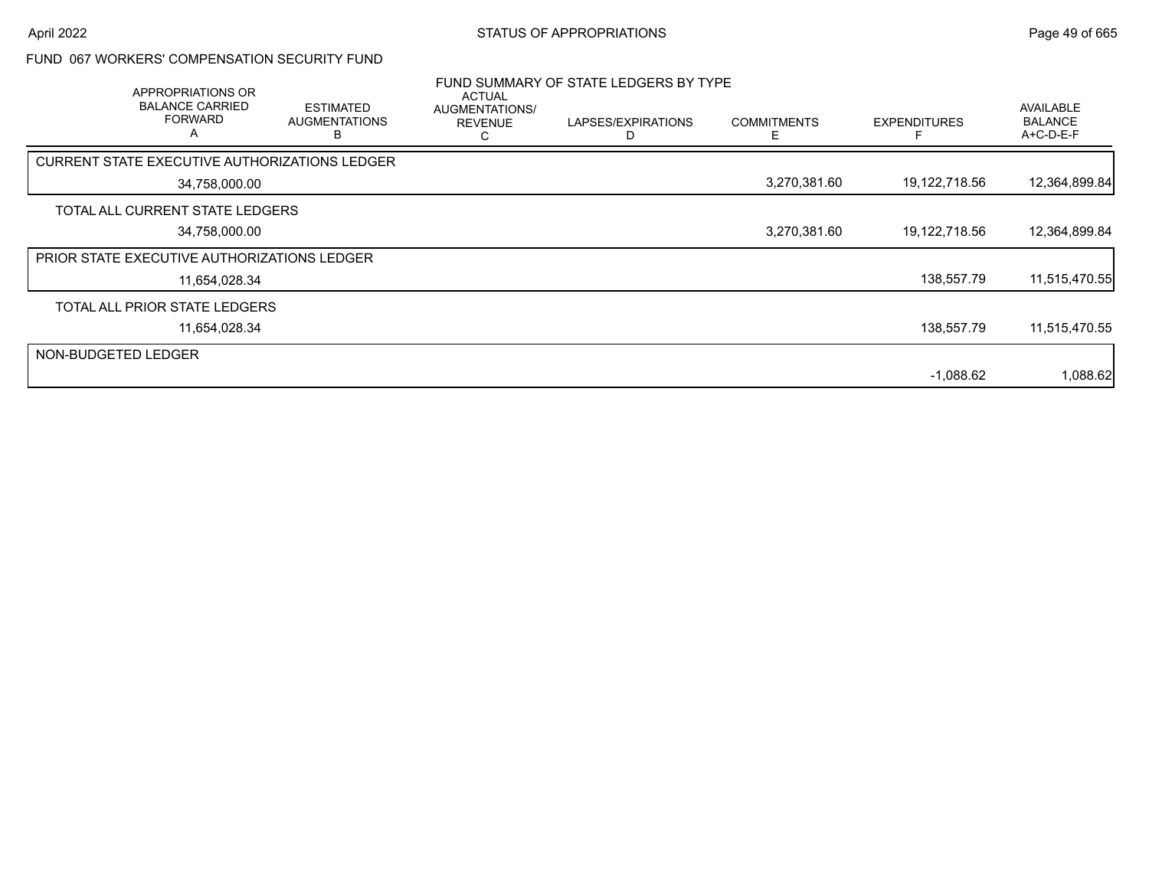### FUND 067 WORKERS' COMPENSATION SECURITY FUND

|                     | APPROPRIATIONS OR<br><b>BALANCE CARRIED</b><br><b>FORWARD</b><br>Α | <b>ESTIMATED</b><br><b>AUGMENTATIONS</b><br>ь        | <b>ACTUAL</b><br>AUGMENTATIONS/<br><b>REVENUE</b> | FUND SUMMARY OF STATE LEDGERS BY TYPE<br>LAPSES/EXPIRATIONS | <b>COMMITMENTS</b> | <b>EXPENDITURES</b> | AVAILABLE<br><b>BALANCE</b><br>A+C-D-E-F |
|---------------------|--------------------------------------------------------------------|------------------------------------------------------|---------------------------------------------------|-------------------------------------------------------------|--------------------|---------------------|------------------------------------------|
|                     |                                                                    | <b>CURRENT STATE EXECUTIVE AUTHORIZATIONS LEDGER</b> |                                                   |                                                             |                    |                     |                                          |
|                     | 34,758,000.00                                                      |                                                      |                                                   |                                                             | 3,270,381.60       | 19,122,718.56       | 12,364,899.84                            |
|                     | TOTAL ALL CURRENT STATE LEDGERS                                    |                                                      |                                                   |                                                             |                    |                     |                                          |
|                     | 34,758,000.00                                                      |                                                      |                                                   |                                                             | 3,270,381.60       | 19,122,718.56       | 12,364,899.84                            |
|                     | <b>PRIOR STATE EXECUTIVE AUTHORIZATIONS LEDGER</b>                 |                                                      |                                                   |                                                             |                    |                     |                                          |
|                     | 11,654,028.34                                                      |                                                      |                                                   |                                                             |                    | 138,557.79          | 11,515,470.55                            |
|                     | TOTAL ALL PRIOR STATE LEDGERS                                      |                                                      |                                                   |                                                             |                    |                     |                                          |
|                     | 11,654,028.34                                                      |                                                      |                                                   |                                                             |                    | 138,557.79          | 11,515,470.55                            |
| NON-BUDGETED LEDGER |                                                                    |                                                      |                                                   |                                                             |                    |                     |                                          |
|                     |                                                                    |                                                      |                                                   |                                                             |                    | $-1.088.62$         | 1,088.62                                 |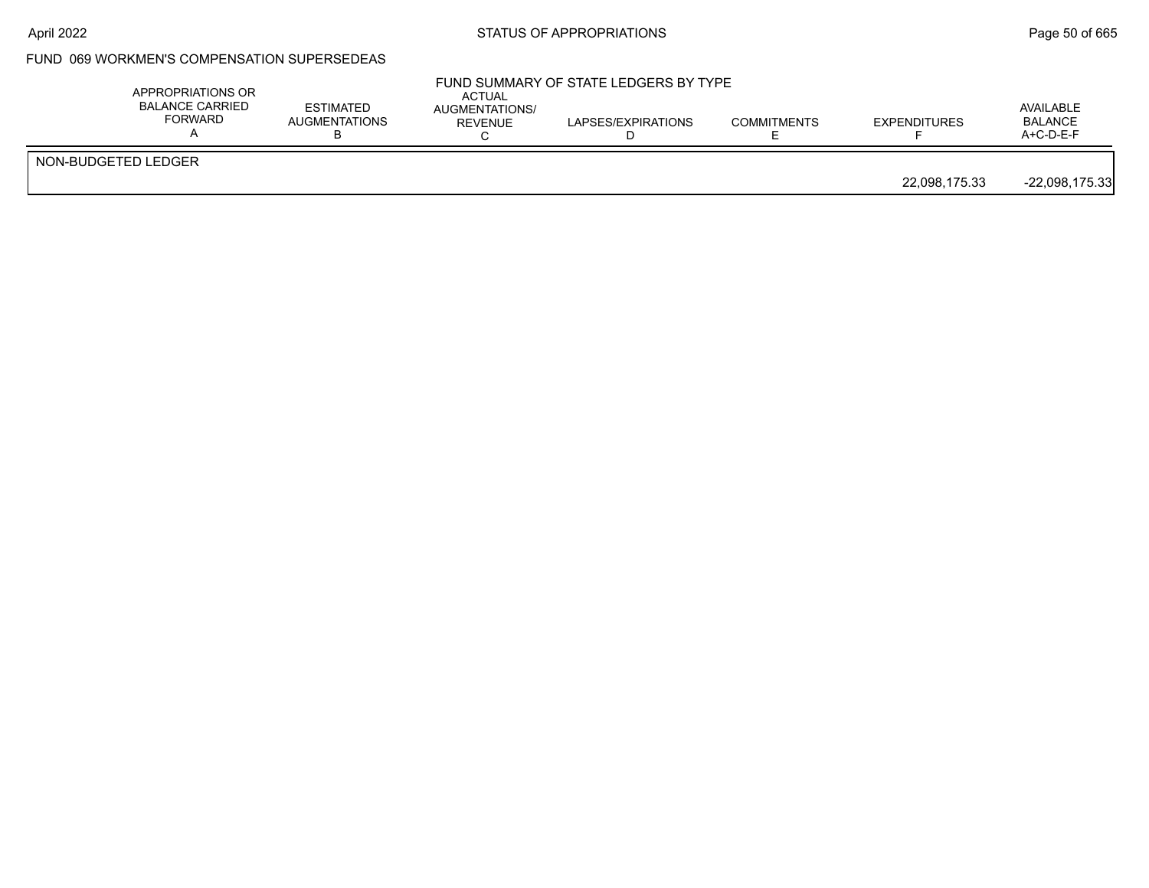### FUND 069 WORKMEN'S COMPENSATION SUPERSEDEAS

|                     | APPROPRIATIONS OR<br><b>BALANCE CARRIED</b><br><b>FORWARD</b> | <b>ESTIMATED</b><br><b>AUGMENTATIONS</b> | <b>ACTUAL</b><br>AUGMENTATIONS/<br>REVENUE | FUND SUMMARY OF STATE LEDGERS BY TYPE<br>LAPSES/EXPIRATIONS | <b>COMMITMENTS</b> | <b>EXPENDITURES</b> | AVAILABLE<br><b>BALANCE</b><br>$A+C-D-E-F$ |
|---------------------|---------------------------------------------------------------|------------------------------------------|--------------------------------------------|-------------------------------------------------------------|--------------------|---------------------|--------------------------------------------|
| NON-BUDGETED LEDGER |                                                               |                                          |                                            |                                                             |                    | 22,098,175.33       | $-22,098,175.33$                           |
|                     |                                                               |                                          |                                            |                                                             |                    |                     |                                            |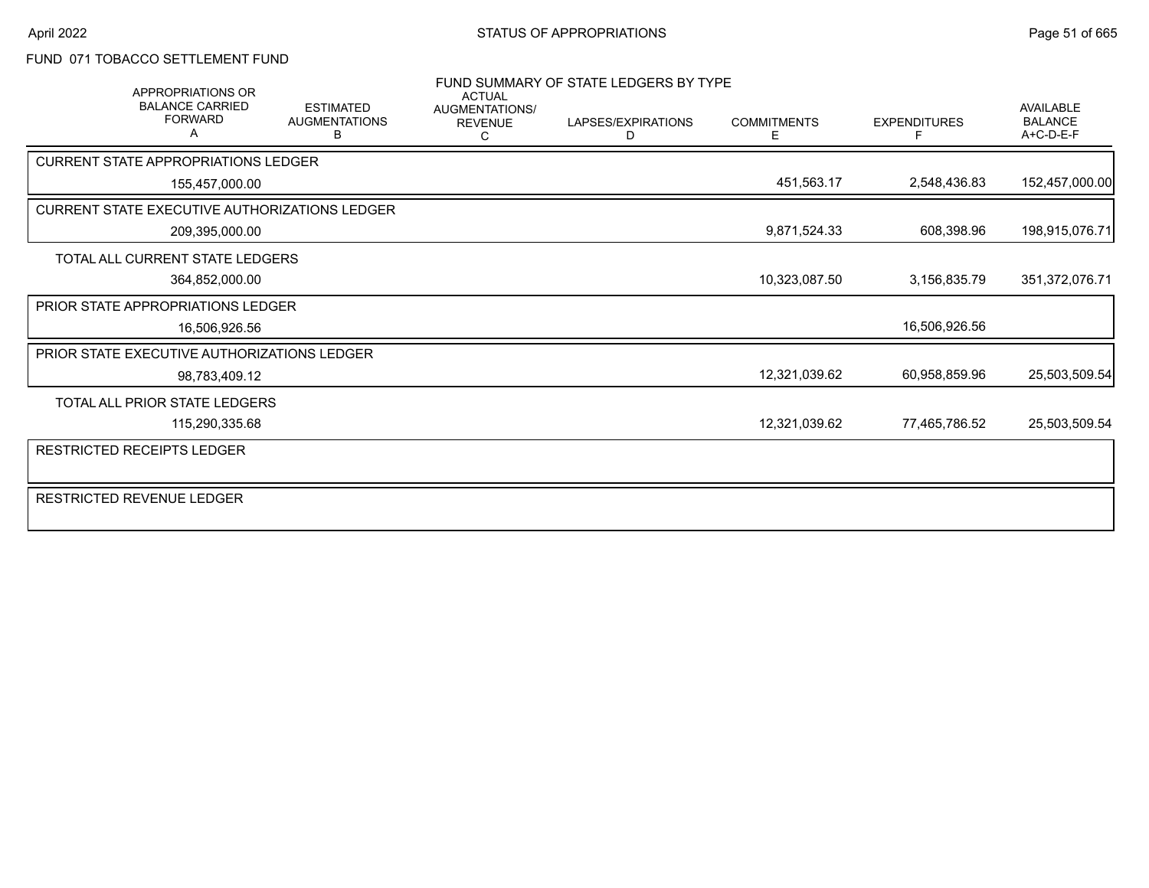### FUND 071 TOBACCO SETTLEMENT FUND

|                                             | <b>APPROPRIATIONS OR</b><br><b>BALANCE CARRIED</b><br><b>FORWARD</b> | <b>ESTIMATED</b><br><b>AUGMENTATIONS</b><br>в        | <b>ACTUAL</b><br><b>AUGMENTATIONS/</b><br><b>REVENUE</b> | FUND SUMMARY OF STATE LEDGERS BY TYPE<br>LAPSES/EXPIRATIONS<br>D | <b>COMMITMENTS</b><br>F | <b>EXPENDITURES</b> | <b>AVAILABLE</b><br><b>BALANCE</b><br>A+C-D-E-F |
|---------------------------------------------|----------------------------------------------------------------------|------------------------------------------------------|----------------------------------------------------------|------------------------------------------------------------------|-------------------------|---------------------|-------------------------------------------------|
| <b>CURRENT STATE APPROPRIATIONS LEDGER</b>  |                                                                      |                                                      |                                                          |                                                                  |                         |                     |                                                 |
|                                             | 155,457,000.00                                                       |                                                      |                                                          |                                                                  | 451,563.17              | 2,548,436.83        | 152,457,000.00                                  |
|                                             |                                                                      | <b>CURRENT STATE EXECUTIVE AUTHORIZATIONS LEDGER</b> |                                                          |                                                                  |                         |                     |                                                 |
|                                             | 209,395,000.00                                                       |                                                      |                                                          |                                                                  | 9,871,524.33            | 608,398.96          | 198,915,076.71                                  |
|                                             | TOTAL ALL CURRENT STATE LEDGERS                                      |                                                      |                                                          |                                                                  |                         |                     |                                                 |
|                                             | 364,852,000.00                                                       |                                                      |                                                          |                                                                  | 10,323,087.50           | 3.156.835.79        | 351,372,076.71                                  |
| <b>PRIOR STATE APPROPRIATIONS LEDGER</b>    |                                                                      |                                                      |                                                          |                                                                  |                         |                     |                                                 |
|                                             | 16,506,926.56                                                        |                                                      |                                                          |                                                                  |                         | 16,506,926.56       |                                                 |
| PRIOR STATE EXECUTIVE AUTHORIZATIONS LEDGER |                                                                      |                                                      |                                                          |                                                                  |                         |                     |                                                 |
|                                             | 98,783,409.12                                                        |                                                      |                                                          |                                                                  | 12,321,039.62           | 60,958,859.96       | 25,503,509.54                                   |
|                                             | <b>TOTAL ALL PRIOR STATE LEDGERS</b>                                 |                                                      |                                                          |                                                                  |                         |                     |                                                 |
|                                             | 115,290,335.68                                                       |                                                      |                                                          |                                                                  | 12,321,039.62           | 77,465,786.52       | 25,503,509.54                                   |
| <b>RESTRICTED RECEIPTS LEDGER</b>           |                                                                      |                                                      |                                                          |                                                                  |                         |                     |                                                 |
| RESTRICTED REVENUE LEDGER                   |                                                                      |                                                      |                                                          |                                                                  |                         |                     |                                                 |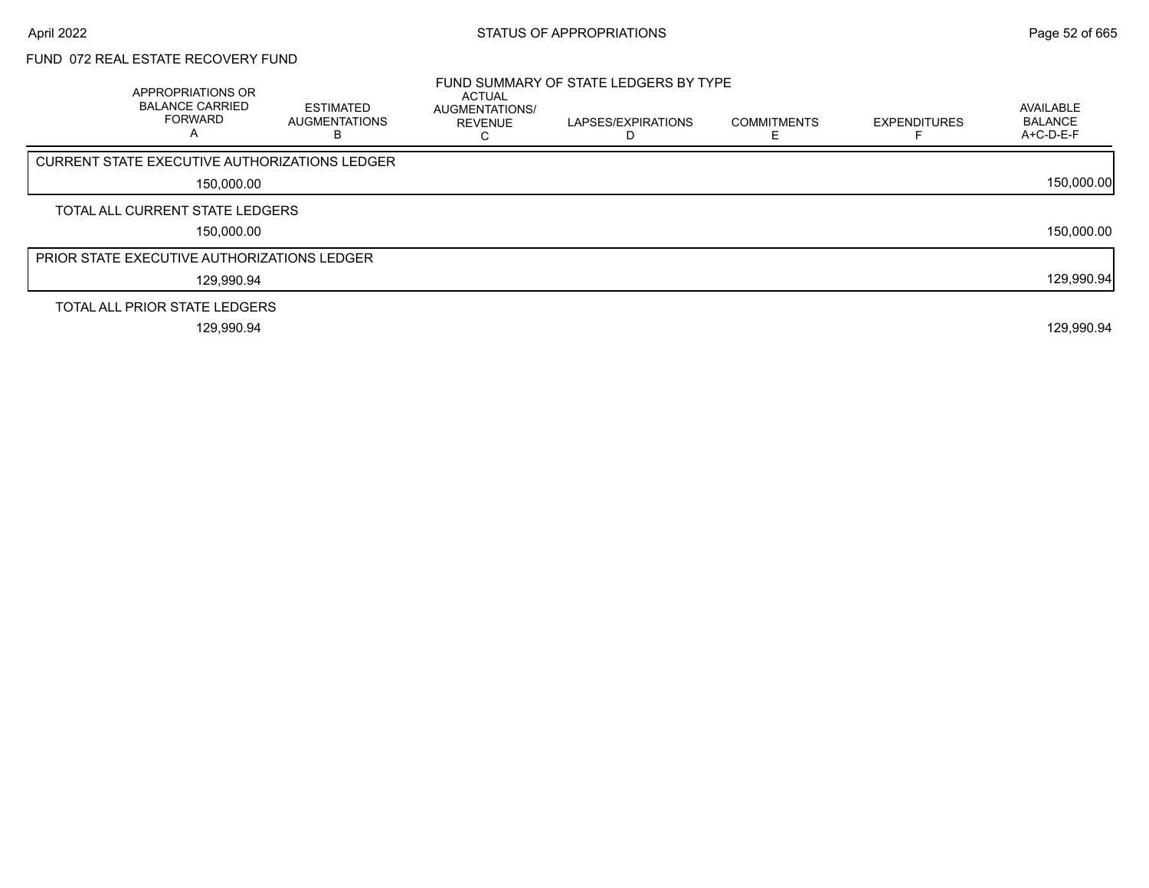# FUND 072 REAL ESTATE RECOVERY FUND

| APPROPRIATIONS OR<br><b>BALANCE CARRIED</b><br><b>FORWARD</b><br>A | <b>ESTIMATED</b><br>AUGMENTATIONS | <b>ACTUAL</b><br><b>AUGMENTATIONS/</b><br><b>REVENUE</b> | FUND SUMMARY OF STATE LEDGERS BY TYPE<br>LAPSES/EXPIRATIONS<br>D | <b>COMMITMENTS</b> | <b>EXPENDITURES</b> | AVAILABLE<br><b>BALANCE</b><br>A+C-D-E-F |
|--------------------------------------------------------------------|-----------------------------------|----------------------------------------------------------|------------------------------------------------------------------|--------------------|---------------------|------------------------------------------|
| <b>CURRENT STATE EXECUTIVE AUTHORIZATIONS LEDGER</b>               |                                   |                                                          |                                                                  |                    |                     |                                          |
| 150,000.00                                                         |                                   |                                                          |                                                                  |                    |                     | 150,000.00                               |
| TOTAL ALL CURRENT STATE LEDGERS                                    |                                   |                                                          |                                                                  |                    |                     |                                          |
| 150,000.00                                                         |                                   |                                                          |                                                                  |                    |                     | 150,000.00                               |
| <b>PRIOR STATE EXECUTIVE AUTHORIZATIONS LEDGER</b>                 |                                   |                                                          |                                                                  |                    |                     |                                          |
| 129,990.94                                                         |                                   |                                                          |                                                                  |                    |                     | 129,990.94                               |
| TOTAL ALL PRIOR STATE LEDGERS                                      |                                   |                                                          |                                                                  |                    |                     |                                          |
| 129,990.94                                                         |                                   |                                                          |                                                                  |                    |                     | 129,990.94                               |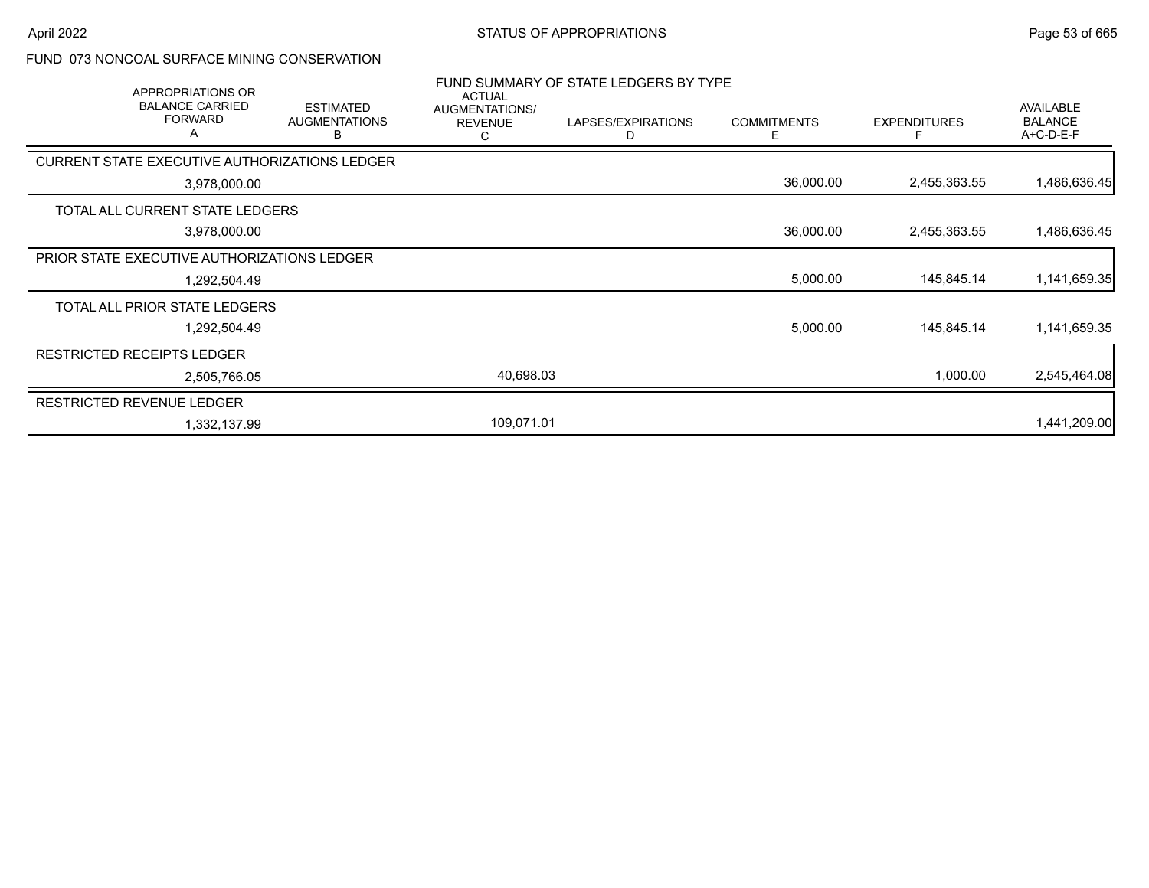### FUND 073 NONCOAL SURFACE MINING CONSERVATION

| APPROPRIATIONS OR                             |                                               | <b>ACTUAL</b>                         | FUND SUMMARY OF STATE LEDGERS BY TYPE |                         |                     |                                          |
|-----------------------------------------------|-----------------------------------------------|---------------------------------------|---------------------------------------|-------------------------|---------------------|------------------------------------------|
| <b>BALANCE CARRIED</b><br><b>FORWARD</b><br>A | <b>ESTIMATED</b><br><b>AUGMENTATIONS</b><br>В | AUGMENTATIONS/<br><b>REVENUE</b><br>С | LAPSES/EXPIRATIONS<br>D               | <b>COMMITMENTS</b><br>Е | <b>EXPENDITURES</b> | AVAILABLE<br><b>BALANCE</b><br>A+C-D-E-F |
| CURRENT STATE EXECUTIVE AUTHORIZATIONS LEDGER |                                               |                                       |                                       |                         |                     |                                          |
| 3,978,000.00                                  |                                               |                                       |                                       | 36,000.00               | 2,455,363.55        | 1,486,636.45                             |
| TOTAL ALL CURRENT STATE LEDGERS               |                                               |                                       |                                       |                         |                     |                                          |
| 3,978,000.00                                  |                                               |                                       |                                       | 36,000.00               | 2,455,363.55        | 1,486,636.45                             |
| PRIOR STATE EXECUTIVE AUTHORIZATIONS LEDGER   |                                               |                                       |                                       |                         |                     |                                          |
| 1,292,504.49                                  |                                               |                                       |                                       | 5,000.00                | 145,845.14          | 1,141,659.35                             |
| TOTAL ALL PRIOR STATE LEDGERS                 |                                               |                                       |                                       |                         |                     |                                          |
| 1,292,504.49                                  |                                               |                                       |                                       | 5,000.00                | 145,845.14          | 1,141,659.35                             |
| <b>RESTRICTED RECEIPTS LEDGER</b>             |                                               |                                       |                                       |                         |                     |                                          |
| 2,505,766.05                                  |                                               | 40,698.03                             |                                       |                         | 1,000.00            | 2,545,464.08                             |
| <b>RESTRICTED REVENUE LEDGER</b>              |                                               |                                       |                                       |                         |                     |                                          |
| 1,332,137.99                                  |                                               | 109,071.01                            |                                       |                         |                     | 1,441,209.00                             |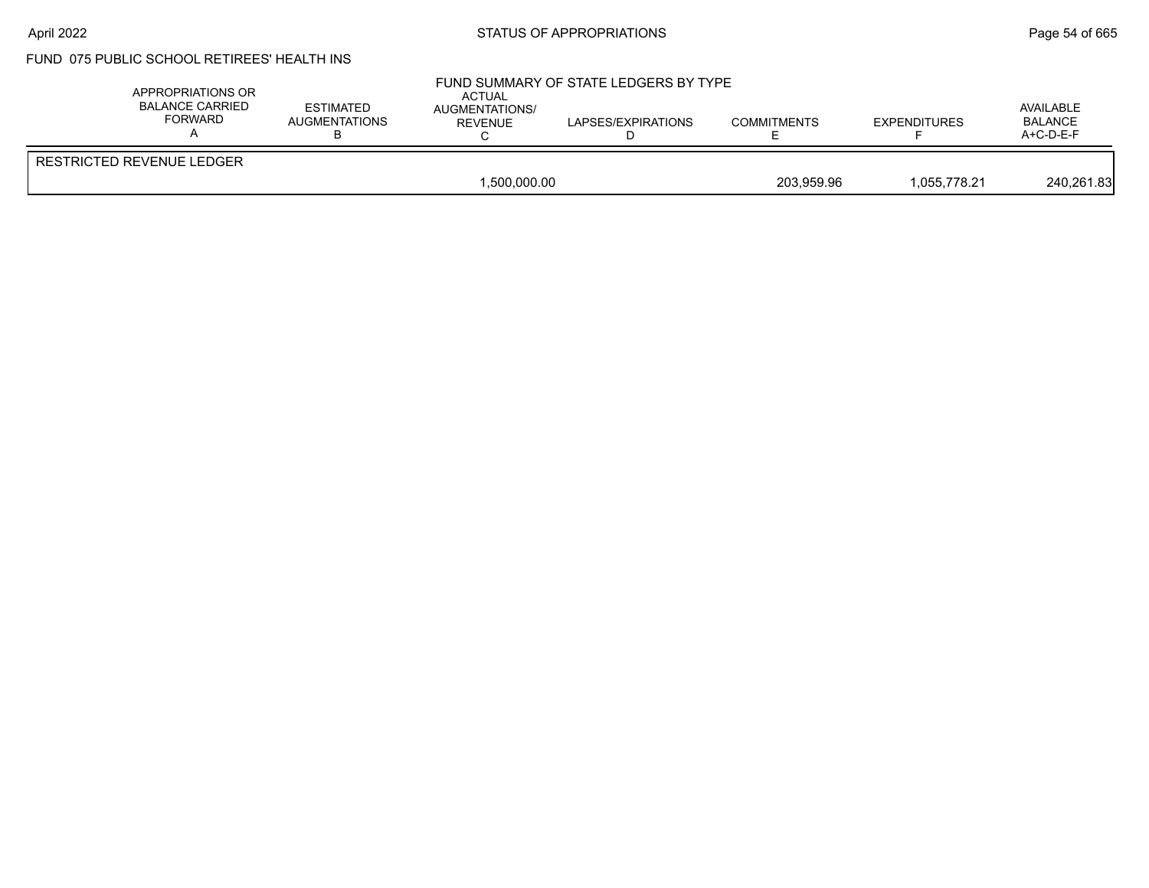#### April 2022 **Example 2022** Page 54 of 665

# FUND 075 PUBLIC SCHOOL RETIREES' HEALTH INS

| APPROPRIATIONS OR<br>BALANCE CARRIED<br>FORWARD | <b>ESTIMATED</b><br>AUGMENTATIONS | ACTUAL<br><b>AUGMENTATIONS/</b><br>REVENUE | FUND SUMMARY OF STATE LEDGERS BY TYPE<br>LAPSES/EXPIRATIONS | <b>COMMITMENTS</b> | <b>EXPENDITURES</b> | AVAILABLE<br><b>BALANCE</b><br>$A+C-D-E-F$ |
|-------------------------------------------------|-----------------------------------|--------------------------------------------|-------------------------------------------------------------|--------------------|---------------------|--------------------------------------------|
| RESTRICTED REVENUE LEDGER                       |                                   | 1,500,000.00                               |                                                             | 203.959.96         | 1.055.778.21        | 240,261.83                                 |
|                                                 |                                   |                                            |                                                             |                    |                     |                                            |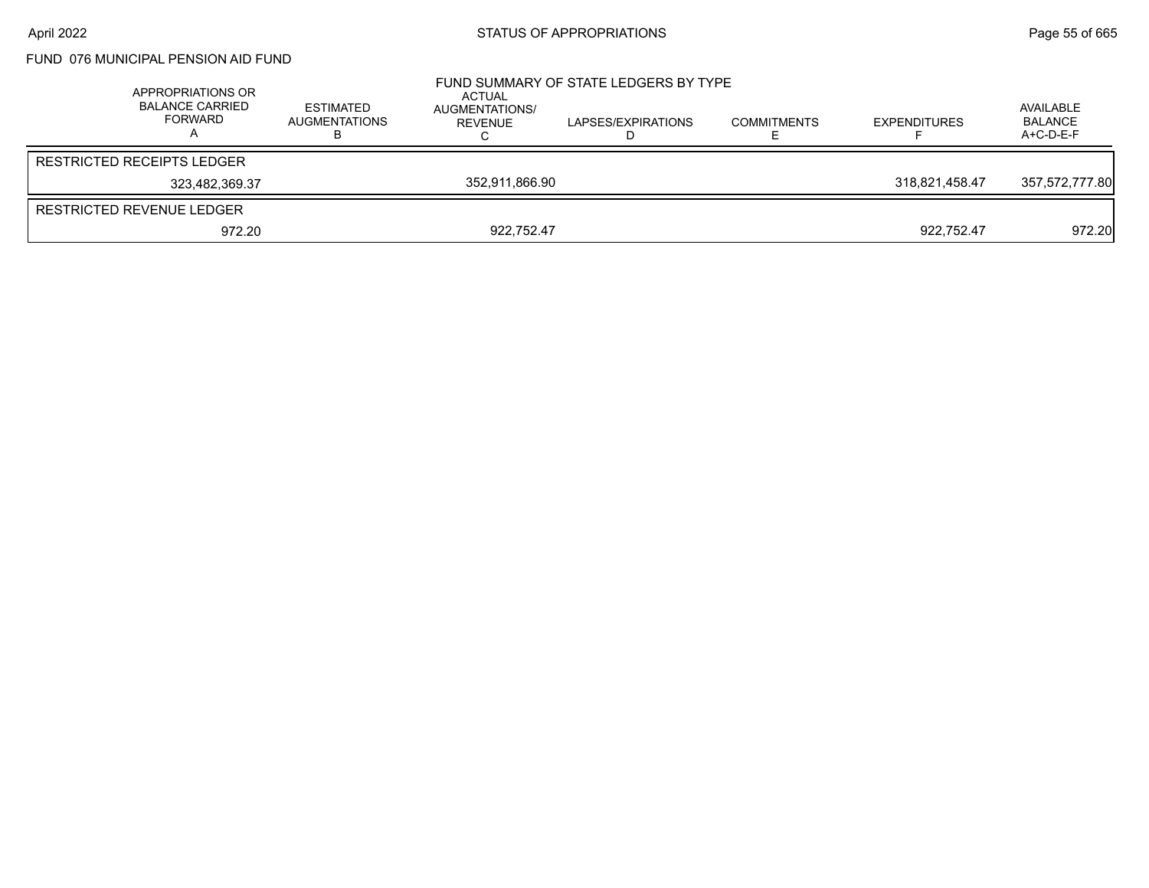FUND 076 MUNICIPAL PENSION AID FUND

|                                   | APPROPRIATIONS OR<br><b>BALANCE CARRIED</b><br>FORWARD | <b>ESTIMATED</b><br><b>AUGMENTATIONS</b> | ACTUAL<br>AUGMENTATIONS/<br>REVENUE | FUND SUMMARY OF STATE LEDGERS BY TYPE<br>LAPSES/EXPIRATIONS | <b>COMMITMENTS</b> | <b>EXPENDITURES</b> | AVAILABLE<br>BALANCE<br>$A+C-D-E-F$ |
|-----------------------------------|--------------------------------------------------------|------------------------------------------|-------------------------------------|-------------------------------------------------------------|--------------------|---------------------|-------------------------------------|
| <b>RESTRICTED RECEIPTS LEDGER</b> |                                                        |                                          |                                     |                                                             |                    |                     |                                     |
|                                   | 323,482,369.37                                         |                                          | 352.911.866.90                      |                                                             |                    | 318.821.458.47      | 357,572,777.80                      |
| RESTRICTED REVENUE LEDGER         |                                                        |                                          |                                     |                                                             |                    |                     |                                     |
|                                   | 972.20                                                 |                                          | 922.752.47                          |                                                             |                    | 922,752.47          | 972.20                              |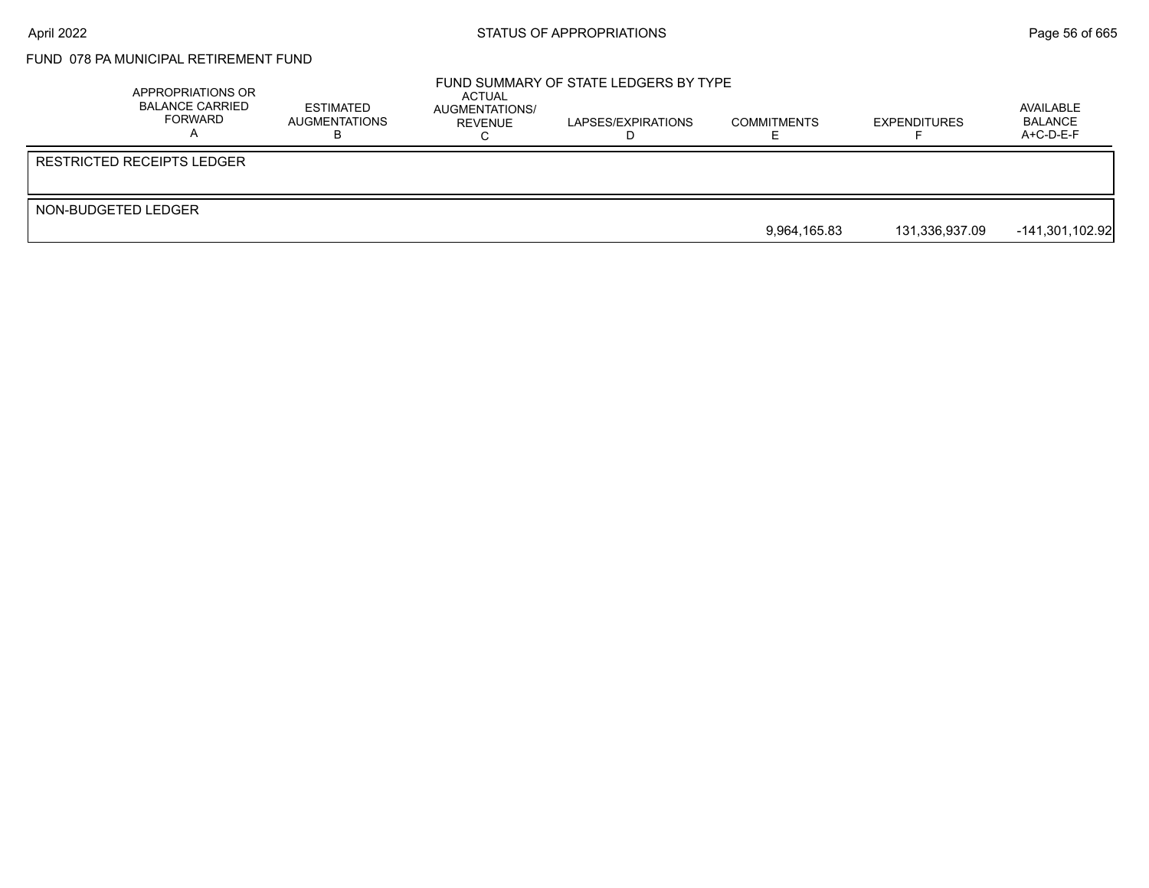# FUND 078 PA MUNICIPAL RETIREMENT FUND

|                              | APPROPRIATIONS OR<br><b>BALANCE CARRIED</b><br>FORWARD | ESTIMATED<br>AUGMENTATIONS | ACTUAL<br>AUGMENTATIONS/<br>REVENUE | FUND SUMMARY OF STATE LEDGERS BY TYPE<br>LAPSES/EXPIRATIONS | <b>COMMITMENTS</b> | <b>EXPENDITURES</b> | AVAILABLE<br>BALANCE<br>$A+C-D-E-F$ |
|------------------------------|--------------------------------------------------------|----------------------------|-------------------------------------|-------------------------------------------------------------|--------------------|---------------------|-------------------------------------|
| l RESTRICTED RECEIPTS LEDGER |                                                        |                            |                                     |                                                             |                    |                     |                                     |
| NON-BUDGETED LEDGER          |                                                        |                            |                                     |                                                             | 9,964,165.83       | 131.336.937.09      | $-141,301,102.92$                   |
|                              |                                                        |                            |                                     |                                                             |                    |                     |                                     |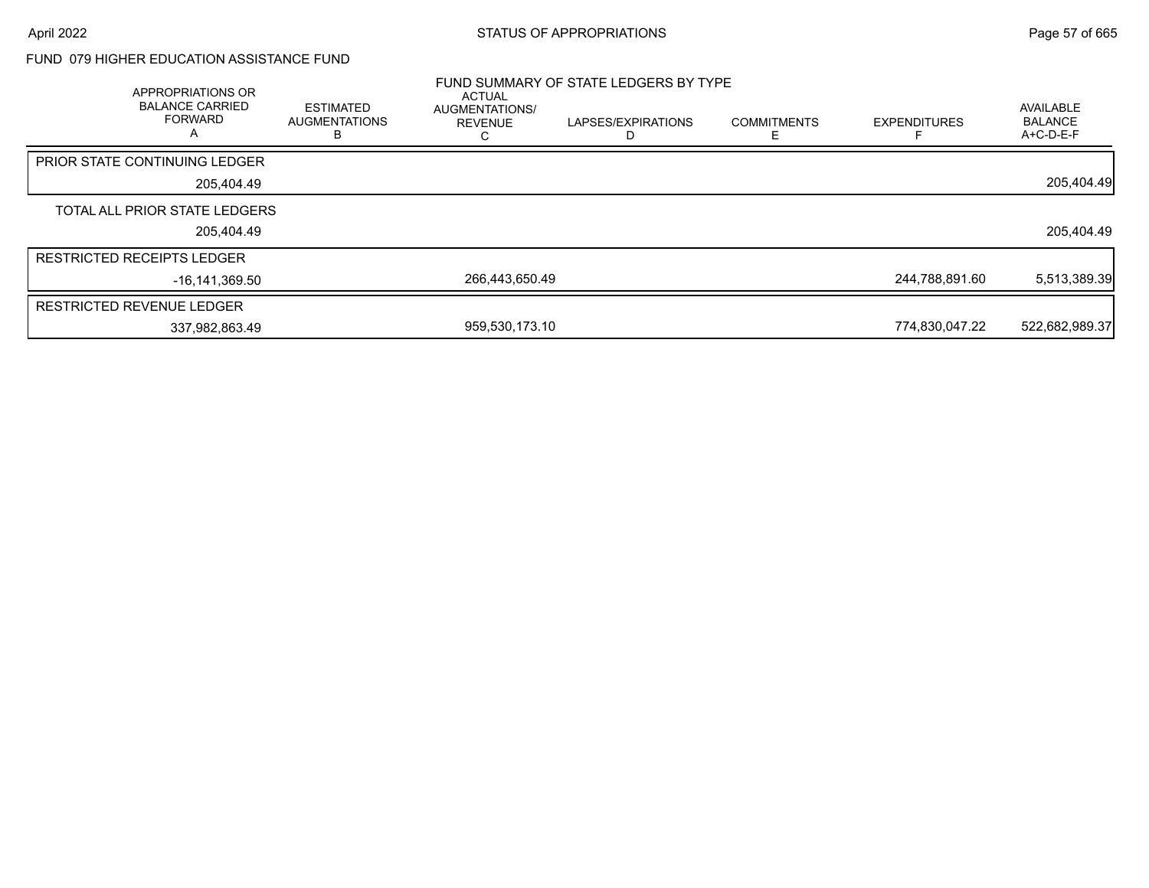### FUND 079 HIGHER EDUCATION ASSISTANCE FUND

| <b>APPROPRIATIONS OR</b><br><b>BALANCE CARRIED</b><br><b>FORWARD</b><br>A | <b>ESTIMATED</b><br><b>AUGMENTATIONS</b><br>в | ACTUAL<br>AUGMENTATIONS/<br><b>REVENUE</b><br>ι. | FUND SUMMARY OF STATE LEDGERS BY TYPE<br>LAPSES/EXPIRATIONS | <b>COMMITMENTS</b> | <b>EXPENDITURES</b> | <b>AVAILABLE</b><br><b>BALANCE</b><br>$A+C-D-E-F$ |
|---------------------------------------------------------------------------|-----------------------------------------------|--------------------------------------------------|-------------------------------------------------------------|--------------------|---------------------|---------------------------------------------------|
| <b>PRIOR STATE CONTINUING LEDGER</b>                                      |                                               |                                                  |                                                             |                    |                     |                                                   |
| 205.404.49                                                                |                                               |                                                  |                                                             |                    |                     | 205,404.49                                        |
| TOTAL ALL PRIOR STATE LEDGERS                                             |                                               |                                                  |                                                             |                    |                     |                                                   |
| 205,404.49                                                                |                                               |                                                  |                                                             |                    |                     | 205,404.49                                        |
| <b>RESTRICTED RECEIPTS LEDGER</b>                                         |                                               |                                                  |                                                             |                    |                     |                                                   |
| -16.141.369.50                                                            |                                               | 266,443,650.49                                   |                                                             |                    | 244,788,891.60      | 5,513,389.39                                      |
| <b>RESTRICTED REVENUE LEDGER</b>                                          |                                               |                                                  |                                                             |                    |                     |                                                   |
| 337,982,863.49                                                            |                                               | 959,530,173.10                                   |                                                             |                    | 774,830,047.22      | 522,682,989.37                                    |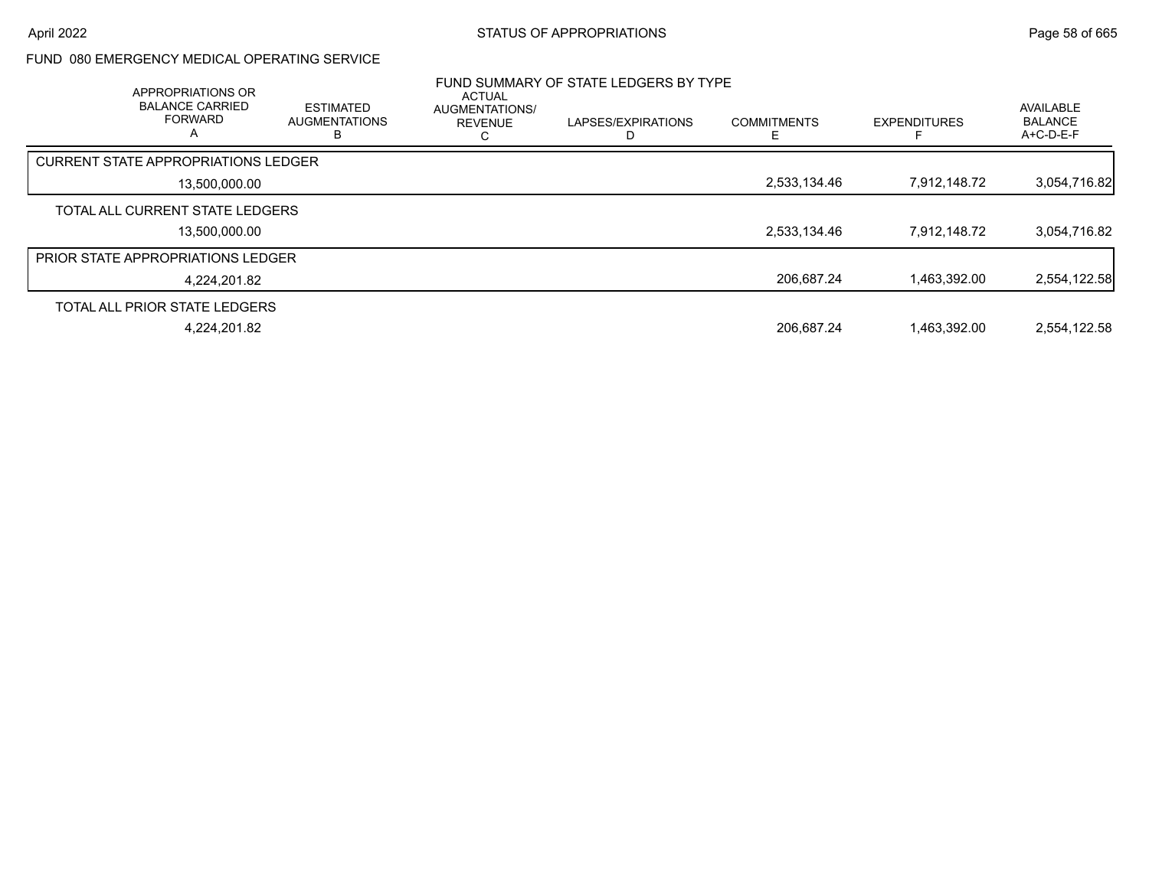### FUND 080 EMERGENCY MEDICAL OPERATING SERVICE

| APPROPRIATIONS OR<br><b>BALANCE CARRIED</b><br><b>FORWARD</b><br>А | <b>ESTIMATED</b><br><b>AUGMENTATIONS</b> | <b>ACTUAL</b><br><b>AUGMENTATIONS/</b><br><b>REVENUE</b> | FUND SUMMARY OF STATE LEDGERS BY TYPE<br>LAPSES/EXPIRATIONS | <b>COMMITMENTS</b> | <b>EXPENDITURES</b> | <b>AVAILABLE</b><br><b>BALANCE</b><br>$A+C-D-E-F$ |
|--------------------------------------------------------------------|------------------------------------------|----------------------------------------------------------|-------------------------------------------------------------|--------------------|---------------------|---------------------------------------------------|
| <b>CURRENT STATE APPROPRIATIONS LEDGER</b>                         |                                          |                                                          |                                                             |                    |                     |                                                   |
| 13,500,000.00                                                      |                                          |                                                          |                                                             | 2,533,134.46       | 7.912.148.72        | 3,054,716.82                                      |
| TOTAL ALL CURRENT STATE LEDGERS                                    |                                          |                                                          |                                                             |                    |                     |                                                   |
| 13.500.000.00                                                      |                                          |                                                          |                                                             | 2,533,134.46       | 7.912.148.72        | 3,054,716.82                                      |
| <b>PRIOR STATE APPROPRIATIONS LEDGER</b>                           |                                          |                                                          |                                                             |                    |                     |                                                   |
| 4.224.201.82                                                       |                                          |                                                          |                                                             | 206.687.24         | 1.463.392.00        | 2,554,122.58                                      |
| TOTAL ALL PRIOR STATE LEDGERS                                      |                                          |                                                          |                                                             |                    |                     |                                                   |
| 4.224.201.82                                                       |                                          |                                                          |                                                             | 206.687.24         | 1.463.392.00        | 2.554.122.58                                      |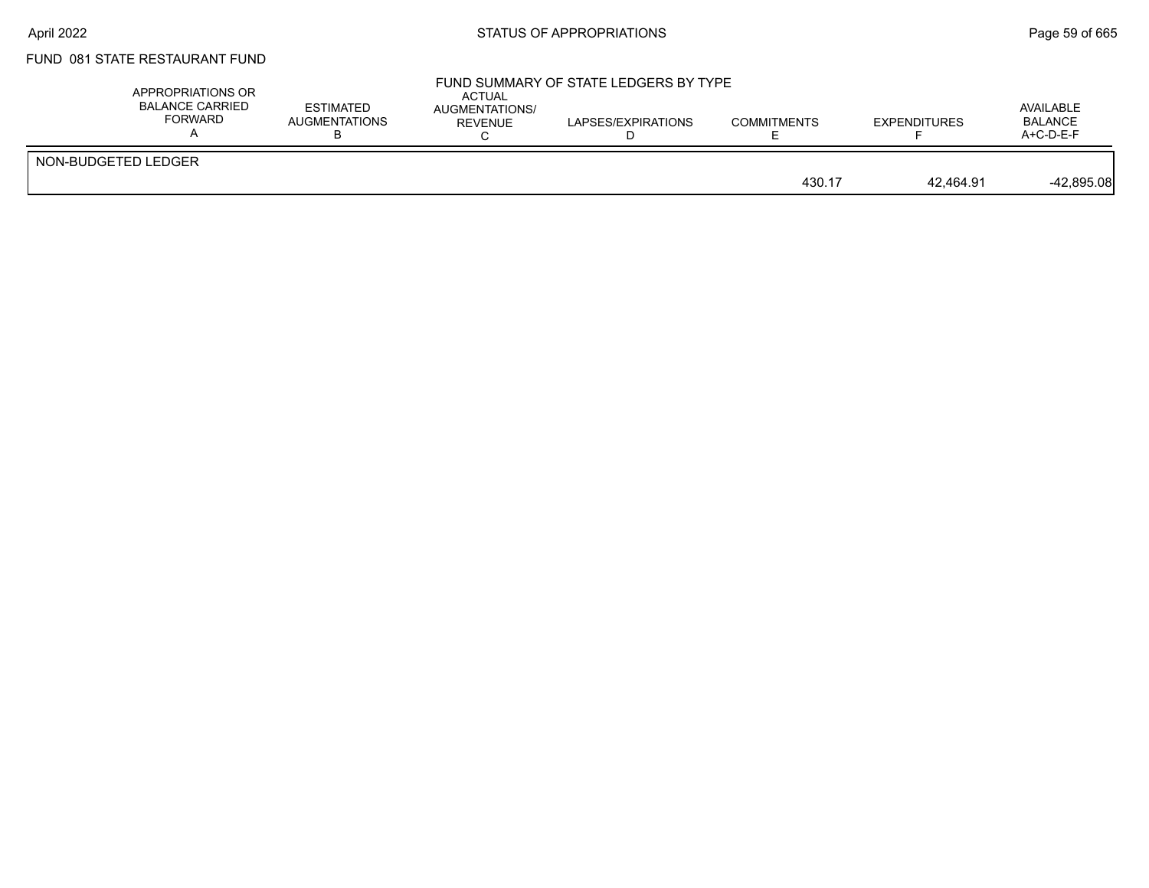# FUND 081 STATE RESTAURANT FUND

|                     | APPROPRIATIONS OR<br>BALANCE CARRIED<br>FORWARD | <b>ESTIMATED</b><br>AUGMENTATIONS | ACTUAL<br><b>AUGMENTATIONS/</b><br>REVENUE | FUND SUMMARY OF STATE LEDGERS BY TYPE<br>LAPSES/EXPIRATIONS | <b>COMMITMENTS</b> | <b>EXPENDITURES</b> | AVAILABLE<br><b>BALANCE</b><br>$A+C-D-E-F$ |
|---------------------|-------------------------------------------------|-----------------------------------|--------------------------------------------|-------------------------------------------------------------|--------------------|---------------------|--------------------------------------------|
| NON-BUDGETED LEDGER |                                                 |                                   |                                            |                                                             | 430.17             | 42.464.91           | $-42,895.08$                               |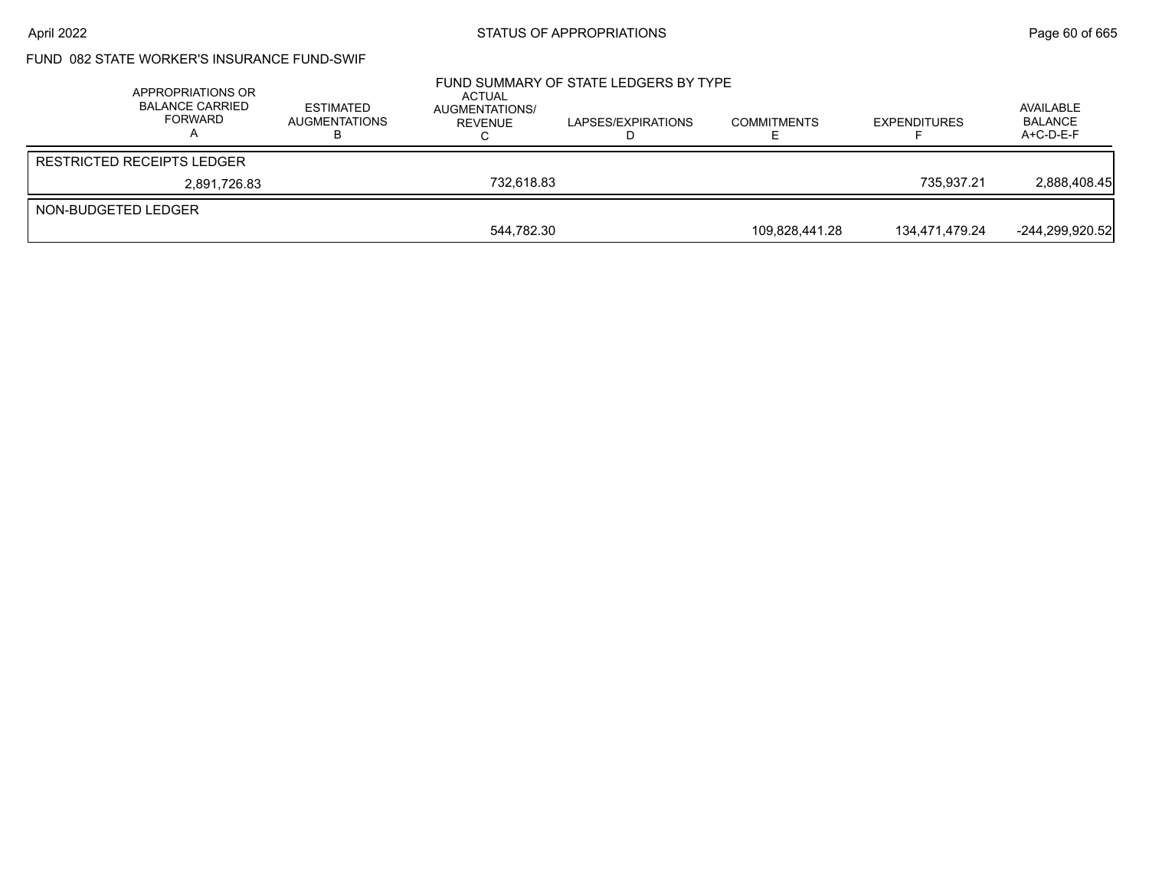## FUND 082 STATE WORKER'S INSURANCE FUND-SWIF

|                     | APPROPRIATIONS OR<br><b>BALANCE CARRIED</b><br>FORWARD | <b>ESTIMATED</b><br><b>AUGMENTATIONS</b> | ACTUAL<br>AUGMENTATIONS/<br>REVENUE | FUND SUMMARY OF STATE LEDGERS BY TYPE<br>LAPSES/EXPIRATIONS | <b>COMMITMENTS</b> | <b>EXPENDITURES</b> | AVAILABLE<br><b>BALANCE</b><br>$A+C-D-E-F$ |
|---------------------|--------------------------------------------------------|------------------------------------------|-------------------------------------|-------------------------------------------------------------|--------------------|---------------------|--------------------------------------------|
|                     | <b>RESTRICTED RECEIPTS LEDGER</b>                      |                                          |                                     |                                                             |                    |                     |                                            |
|                     | 2,891,726.83                                           |                                          | 732.618.83                          |                                                             |                    | 735.937.21          | 2,888,408.45                               |
| NON-BUDGETED LEDGER |                                                        |                                          |                                     |                                                             |                    |                     |                                            |
|                     |                                                        |                                          | 544.782.30                          |                                                             | 109,828,441.28     | 134.471.479.24      | $-244,299,920.52$                          |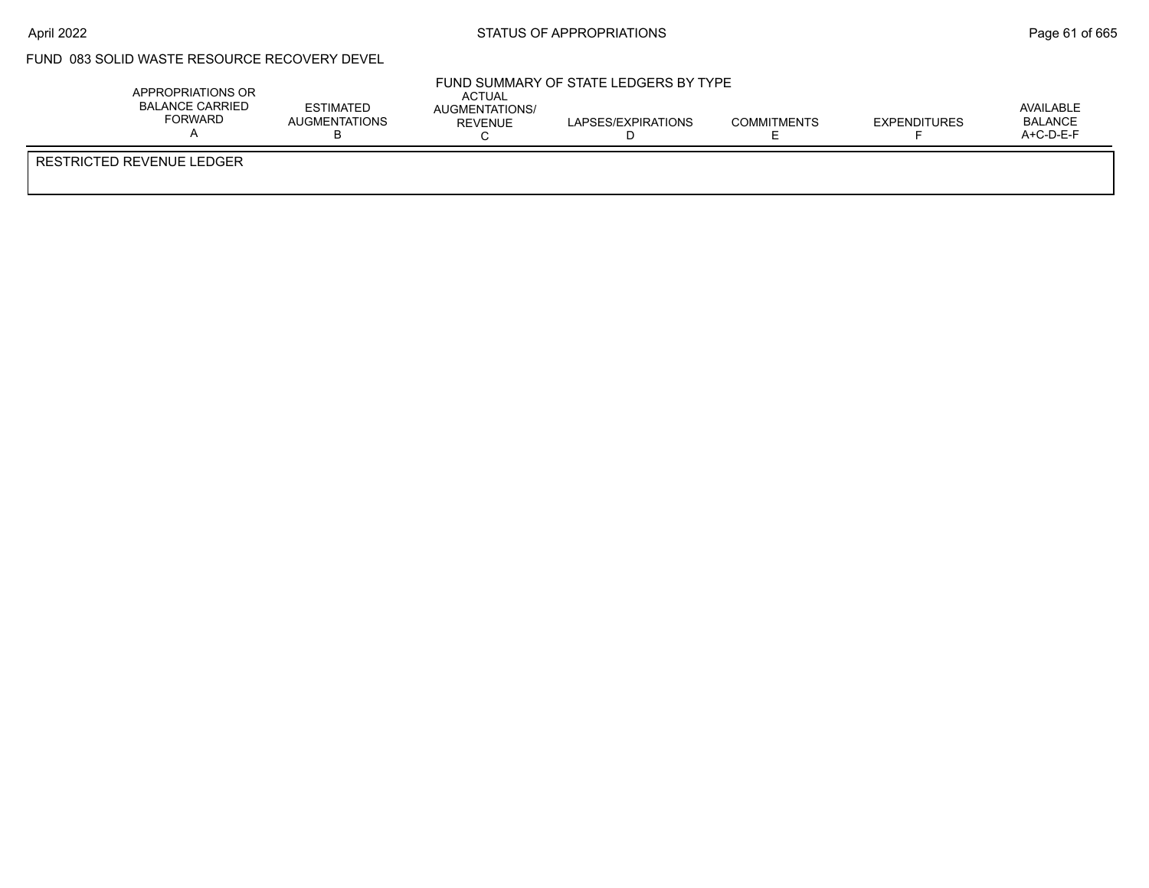### FUND 083 SOLID WASTE RESOURCE RECOVERY DEVEL

| APPROPRIATIONS OR<br><b>BALANCE CARRIED</b><br><b>FORWARD</b> | <b>ESTIMATED</b><br>AUGMENTATIONS<br>נ ו | ACTUAL<br>AUGMENTATIONS/<br>REVENUE | FUND SUMMARY OF STATE LEDGERS BY TYPE<br>LAPSES/EXPIRATIONS | <b>COMMITMENTS</b> | <b>EXPENDITURES</b> | AVAILABLE<br><b>BALANCE</b><br>A+C-D-E-F |
|---------------------------------------------------------------|------------------------------------------|-------------------------------------|-------------------------------------------------------------|--------------------|---------------------|------------------------------------------|
| RESTRICTED REVENUE LEDGER                                     |                                          |                                     |                                                             |                    |                     |                                          |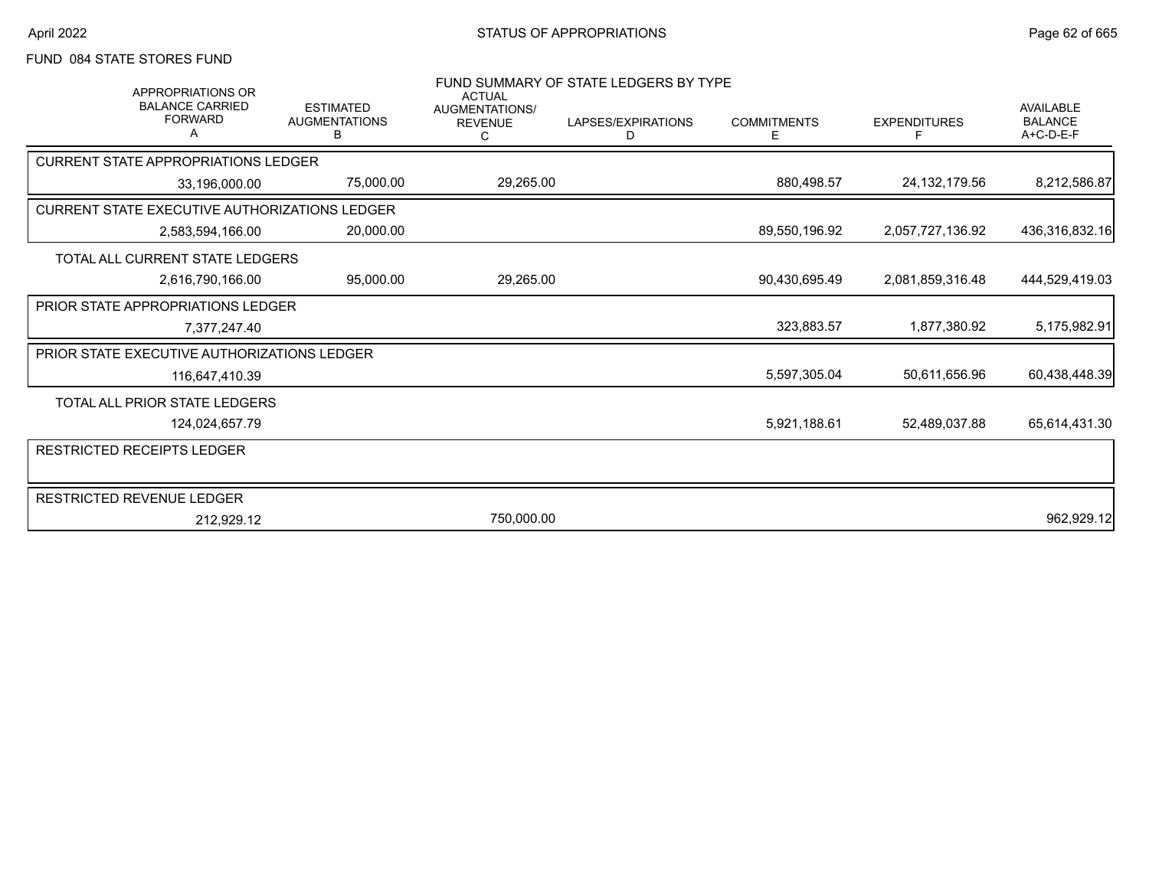# FUND 084 STATE STORES FUND

| APPROPRIATIONS OR                             |                                               | <b>ACTUAL</b>                         | FUND SUMMARY OF STATE LEDGERS BY TYPE |                         |                     |                                                   |
|-----------------------------------------------|-----------------------------------------------|---------------------------------------|---------------------------------------|-------------------------|---------------------|---------------------------------------------------|
| <b>BALANCE CARRIED</b><br><b>FORWARD</b>      | <b>ESTIMATED</b><br><b>AUGMENTATIONS</b><br>B | AUGMENTATIONS/<br><b>REVENUE</b><br>С | LAPSES/EXPIRATIONS<br>D               | <b>COMMITMENTS</b><br>E | <b>EXPENDITURES</b> | <b>AVAILABLE</b><br><b>BALANCE</b><br>$A+C-D-E-F$ |
| <b>CURRENT STATE APPROPRIATIONS LEDGER</b>    |                                               |                                       |                                       |                         |                     |                                                   |
| 33,196,000.00                                 | 75,000.00                                     | 29,265.00                             |                                       | 880,498.57              | 24, 132, 179.56     | 8,212,586.87                                      |
| CURRENT STATE EXECUTIVE AUTHORIZATIONS LEDGER |                                               |                                       |                                       |                         |                     |                                                   |
| 2,583,594,166.00                              | 20,000.00                                     |                                       |                                       | 89,550,196.92           | 2,057,727,136.92    | 436,316,832.16                                    |
| TOTAL ALL CURRENT STATE LEDGERS               |                                               |                                       |                                       |                         |                     |                                                   |
| 2,616,790,166.00                              | 95,000.00                                     | 29,265.00                             |                                       | 90,430,695.49           | 2,081,859,316.48    | 444,529,419.03                                    |
| <b>PRIOR STATE APPROPRIATIONS LEDGER</b>      |                                               |                                       |                                       |                         |                     |                                                   |
| 7,377,247.40                                  |                                               |                                       |                                       | 323,883.57              | 1,877,380.92        | 5,175,982.91                                      |
| PRIOR STATE EXECUTIVE AUTHORIZATIONS LEDGER   |                                               |                                       |                                       |                         |                     |                                                   |
| 116,647,410.39                                |                                               |                                       |                                       | 5,597,305.04            | 50,611,656.96       | 60,438,448.39                                     |
| TOTAL ALL PRIOR STATE LEDGERS                 |                                               |                                       |                                       |                         |                     |                                                   |
| 124,024,657.79                                |                                               |                                       |                                       | 5,921,188.61            | 52,489,037.88       | 65,614,431.30                                     |
| <b>RESTRICTED RECEIPTS LEDGER</b>             |                                               |                                       |                                       |                         |                     |                                                   |
|                                               |                                               |                                       |                                       |                         |                     |                                                   |
| RESTRICTED REVENUE LEDGER                     |                                               |                                       |                                       |                         |                     |                                                   |
| 212,929.12                                    |                                               | 750,000.00                            |                                       |                         |                     | 962,929.12                                        |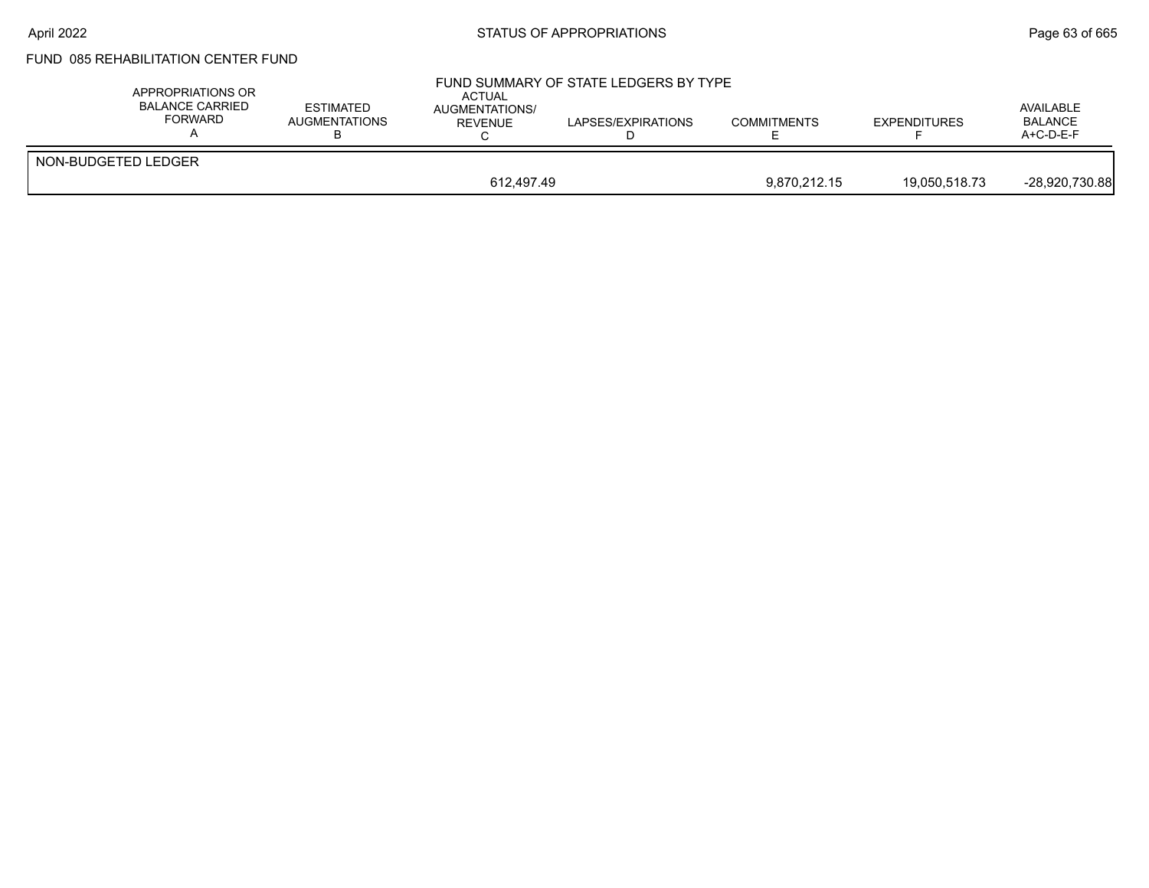# FUND 085 REHABILITATION CENTER FUND

| APPROPRIATIONS OR<br>BALANCE CARRIED<br>FORWARD | <b>ESTIMATED</b><br><b>AUGMENTATIONS</b> | <b>ACTUAL</b><br><b>AUGMENTATIONS/</b><br><b>REVENUE</b> | FUND SUMMARY OF STATE LEDGERS BY TYPE<br>LAPSES/EXPIRATIONS | <b>COMMITMENTS</b> | <b>EXPENDITURES</b> | AVAILABLE<br><b>BALANCE</b><br>$A+C-D-E-F$ |
|-------------------------------------------------|------------------------------------------|----------------------------------------------------------|-------------------------------------------------------------|--------------------|---------------------|--------------------------------------------|
| NON-BUDGETED LEDGER                             |                                          |                                                          |                                                             |                    |                     |                                            |
|                                                 |                                          | 612.497.49                                               |                                                             | 9.870.212.15       | 19.050.518.73       | -28,920,730.88                             |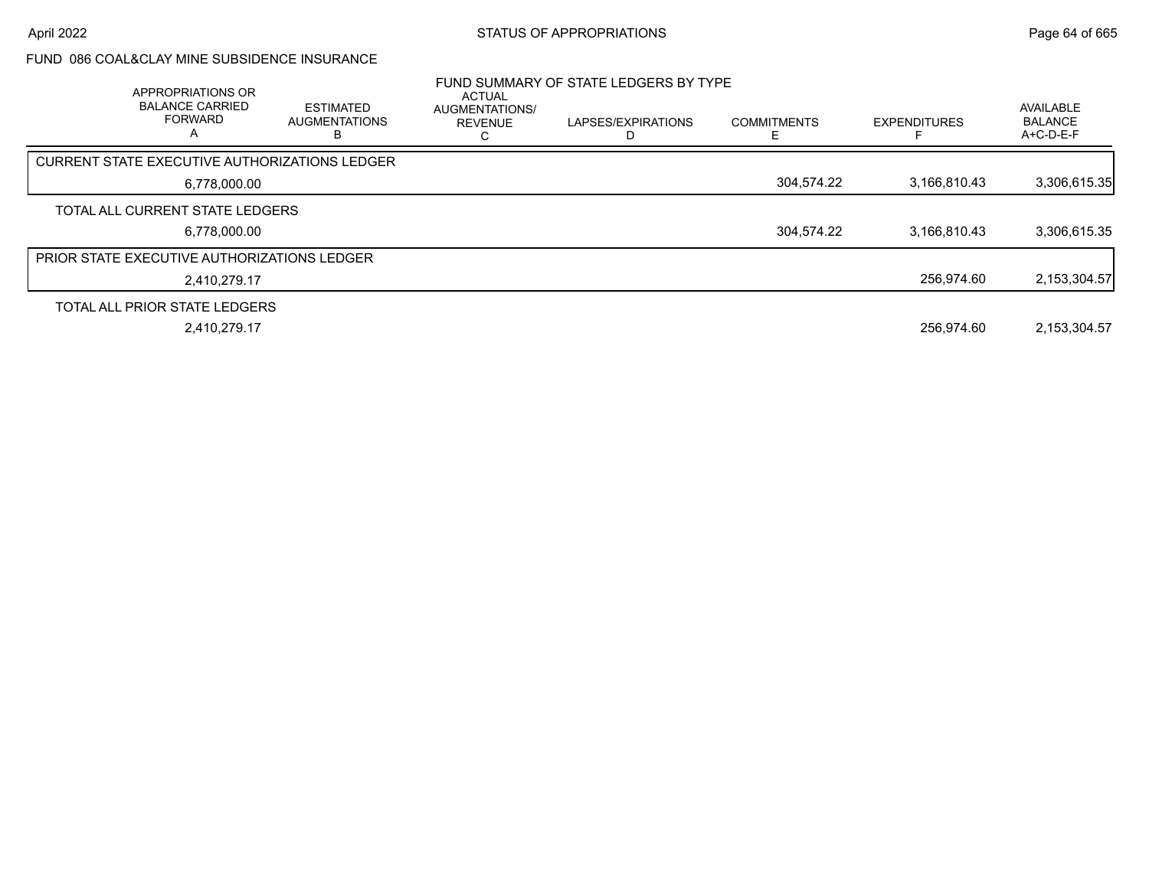### FUND 086 COAL&CLAY MINE SUBSIDENCE INSURANCE

| APPROPRIATIONS OR<br><b>BALANCE CARRIED</b><br><b>FORWARD</b><br>A | <b>ESTIMATED</b><br><b>AUGMENTATIONS</b> | <b>ACTUAL</b><br><b>AUGMENTATIONS/</b><br><b>REVENUE</b> | FUND SUMMARY OF STATE LEDGERS BY TYPE<br>LAPSES/EXPIRATIONS | <b>COMMITMENTS</b> | <b>EXPENDITURES</b> | AVAILABLE<br><b>BALANCE</b><br>A+C-D-E-F |
|--------------------------------------------------------------------|------------------------------------------|----------------------------------------------------------|-------------------------------------------------------------|--------------------|---------------------|------------------------------------------|
| CURRENT STATE EXECUTIVE AUTHORIZATIONS LEDGER                      |                                          |                                                          |                                                             |                    |                     |                                          |
| 6,778,000.00                                                       |                                          |                                                          |                                                             | 304,574.22         | 3.166.810.43        | 3,306,615.35                             |
| TOTAL ALL CURRENT STATE LEDGERS                                    |                                          |                                                          |                                                             |                    |                     |                                          |
| 6,778,000.00                                                       |                                          |                                                          |                                                             | 304,574.22         | 3,166,810.43        | 3,306,615.35                             |
| <b>PRIOR STATE EXECUTIVE AUTHORIZATIONS LEDGER</b>                 |                                          |                                                          |                                                             |                    |                     |                                          |
| 2.410.279.17                                                       |                                          |                                                          |                                                             |                    | 256.974.60          | 2, 153, 304.57                           |
| TOTAL ALL PRIOR STATE LEDGERS                                      |                                          |                                                          |                                                             |                    |                     |                                          |
| 2,410,279.17                                                       |                                          |                                                          |                                                             |                    | 256.974.60          | 2,153,304.57                             |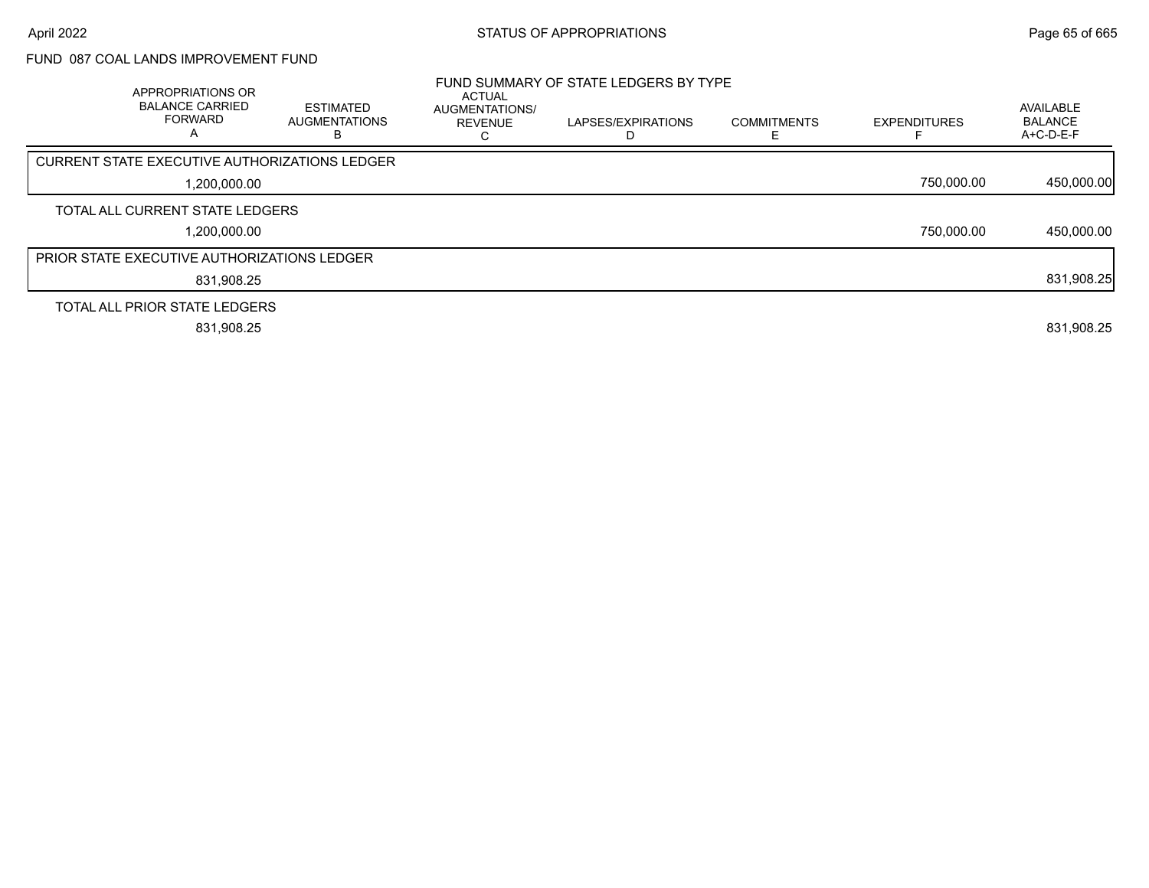## FUND 087 COAL LANDS IMPROVEMENT FUND

| APPROPRIATIONS OR<br><b>BALANCE CARRIED</b><br><b>FORWARD</b><br>Α | <b>ESTIMATED</b><br><b>AUGMENTATIONS</b><br>ы | <b>ACTUAL</b><br>AUGMENTATIONS/<br><b>REVENUE</b> | FUND SUMMARY OF STATE LEDGERS BY TYPE<br>LAPSES/EXPIRATIONS | <b>COMMITMENTS</b> | <b>EXPENDITURES</b> | AVAILABLE<br><b>BALANCE</b><br>$A+C-D-E-F$ |
|--------------------------------------------------------------------|-----------------------------------------------|---------------------------------------------------|-------------------------------------------------------------|--------------------|---------------------|--------------------------------------------|
| <b>CURRENT STATE EXECUTIVE AUTHORIZATIONS LEDGER</b>               |                                               |                                                   |                                                             |                    |                     |                                            |
| 1,200,000.00                                                       |                                               |                                                   |                                                             |                    | 750,000.00          | 450,000.00                                 |
| TOTAL ALL CURRENT STATE LEDGERS                                    |                                               |                                                   |                                                             |                    |                     |                                            |
| 1,200,000.00                                                       |                                               |                                                   |                                                             |                    | 750,000.00          | 450,000.00                                 |
| <b>PRIOR STATE EXECUTIVE AUTHORIZATIONS LEDGER</b>                 |                                               |                                                   |                                                             |                    |                     |                                            |
| 831,908.25                                                         |                                               |                                                   |                                                             |                    |                     | 831,908.25                                 |
| TOTAL ALL PRIOR STATE LEDGERS                                      |                                               |                                                   |                                                             |                    |                     |                                            |
| 831,908.25                                                         |                                               |                                                   |                                                             |                    |                     | 831,908.25                                 |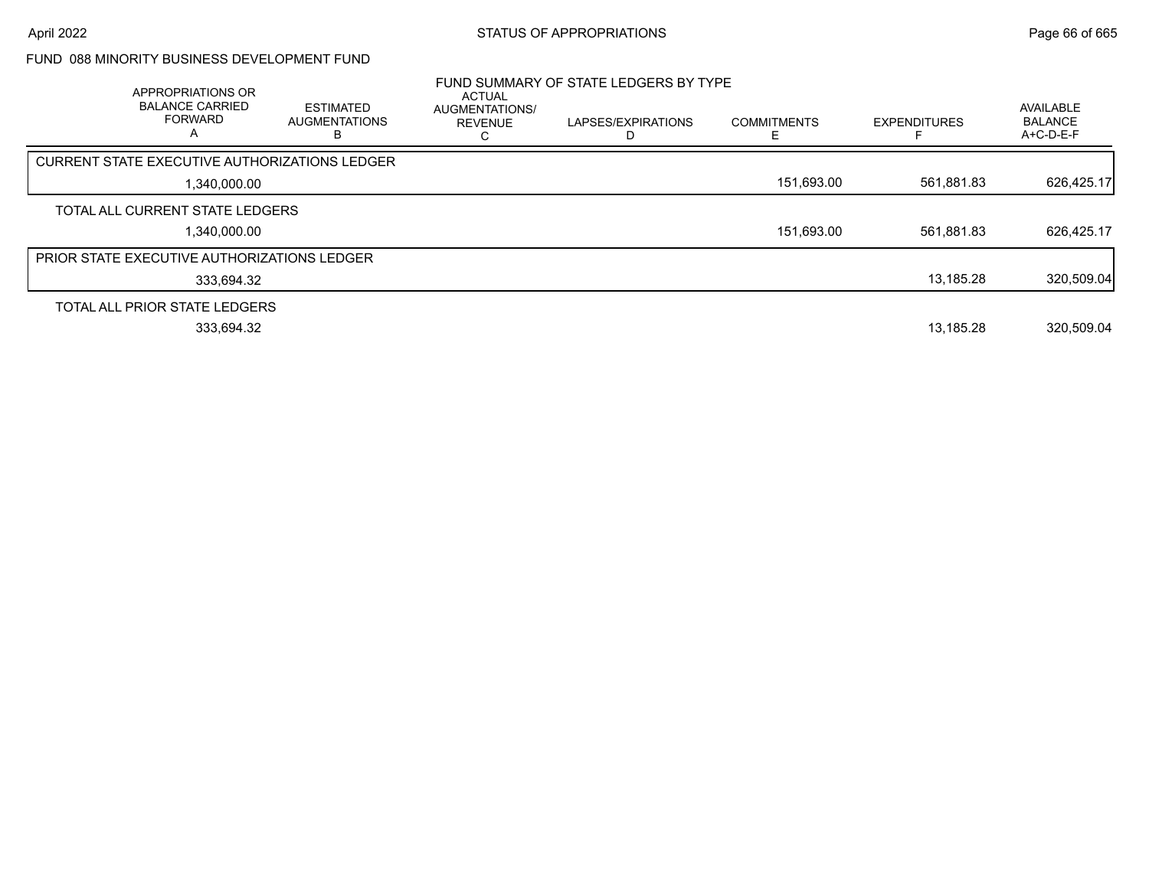## FUND 088 MINORITY BUSINESS DEVELOPMENT FUND

| APPROPRIATIONS OR<br><b>BALANCE CARRIED</b><br><b>FORWARD</b><br>A | <b>ESTIMATED</b><br><b>AUGMENTATIONS</b> | <b>ACTUAL</b><br>AUGMENTATIONS/<br><b>REVENUE</b> | FUND SUMMARY OF STATE LEDGERS BY TYPE<br>LAPSES/EXPIRATIONS | <b>COMMITMENTS</b> | <b>EXPENDITURES</b> | <b>AVAILABLE</b><br><b>BALANCE</b><br>$A+C-D-E-F$ |
|--------------------------------------------------------------------|------------------------------------------|---------------------------------------------------|-------------------------------------------------------------|--------------------|---------------------|---------------------------------------------------|
| CURRENT STATE EXECUTIVE AUTHORIZATIONS LEDGER                      |                                          |                                                   |                                                             |                    |                     |                                                   |
| 1,340,000.00                                                       |                                          |                                                   |                                                             | 151,693.00         | 561,881.83          | 626,425.17                                        |
| TOTAL ALL CURRENT STATE LEDGERS                                    |                                          |                                                   |                                                             |                    |                     |                                                   |
| 1.340.000.00                                                       |                                          |                                                   |                                                             | 151,693.00         | 561.881.83          | 626,425.17                                        |
| <b>PRIOR STATE EXECUTIVE AUTHORIZATIONS LEDGER</b>                 |                                          |                                                   |                                                             |                    |                     |                                                   |
| 333,694.32                                                         |                                          |                                                   |                                                             |                    | 13,185.28           | 320,509.04                                        |
| TOTAL ALL PRIOR STATE LEDGERS                                      |                                          |                                                   |                                                             |                    |                     |                                                   |
| 333.694.32                                                         |                                          |                                                   |                                                             |                    | 13.185.28           | 320.509.04                                        |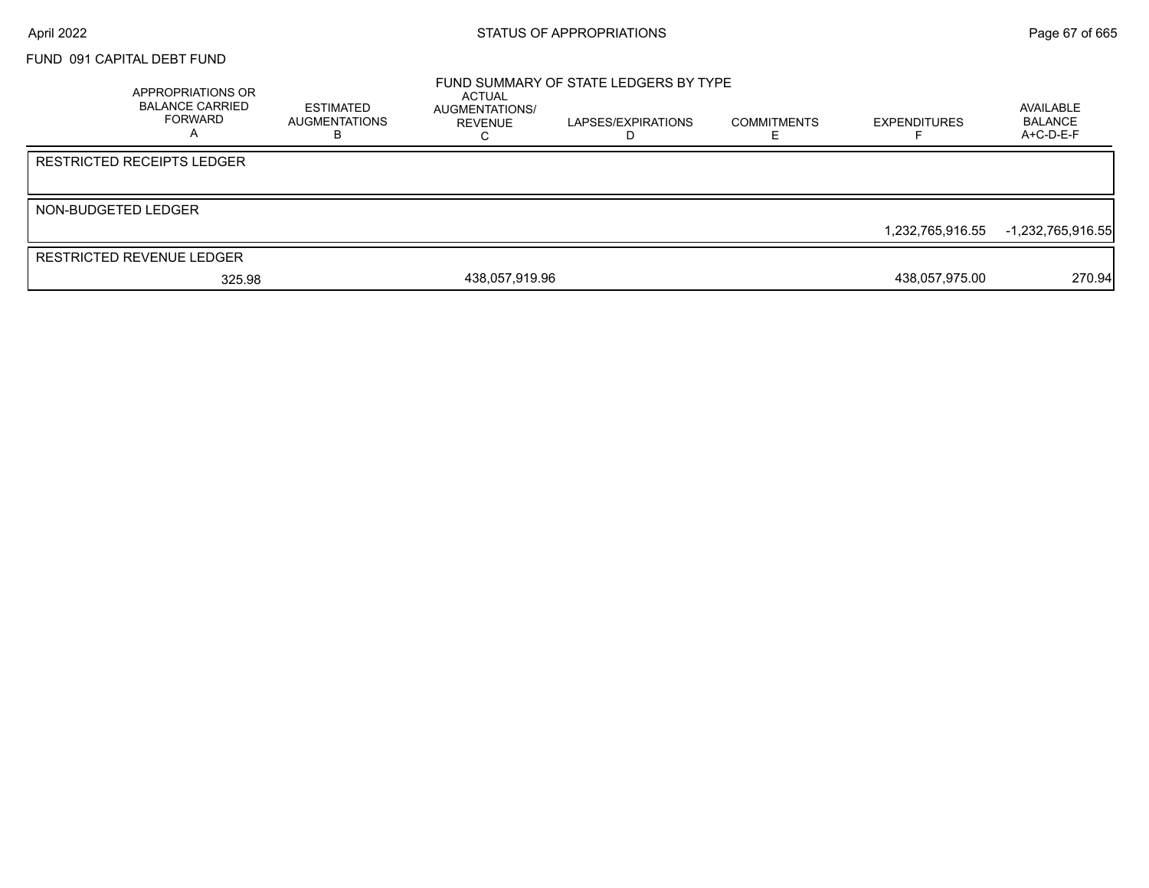### FUND 091 CAPITAL DEBT FUND

| APPROPRIATIONS OR<br><b>BALANCE CARRIED</b><br><b>FORWARD</b> | ESTIMATED<br>AUGMENTATIONS | <b>ACTUAL</b><br>AUGMENTATIONS/<br>REVENUE | FUND SUMMARY OF STATE LEDGERS BY TYPE<br>LAPSES/EXPIRATIONS | <b>COMMITMENTS</b> | <b>EXPENDITURES</b> | AVAILABLE<br><b>BALANCE</b><br>$A+C-D-E-F$ |
|---------------------------------------------------------------|----------------------------|--------------------------------------------|-------------------------------------------------------------|--------------------|---------------------|--------------------------------------------|
| <b>RESTRICTED RECEIPTS LEDGER</b>                             |                            |                                            |                                                             |                    |                     |                                            |
| NON-BUDGETED LEDGER                                           |                            |                                            |                                                             |                    | 1,232,765,916.55    | -1,232,765,916.55                          |
| <b>RESTRICTED REVENUE LEDGER</b>                              |                            |                                            |                                                             |                    |                     |                                            |
| 325.98                                                        |                            | 438,057,919.96                             |                                                             |                    | 438,057,975.00      | 270.94                                     |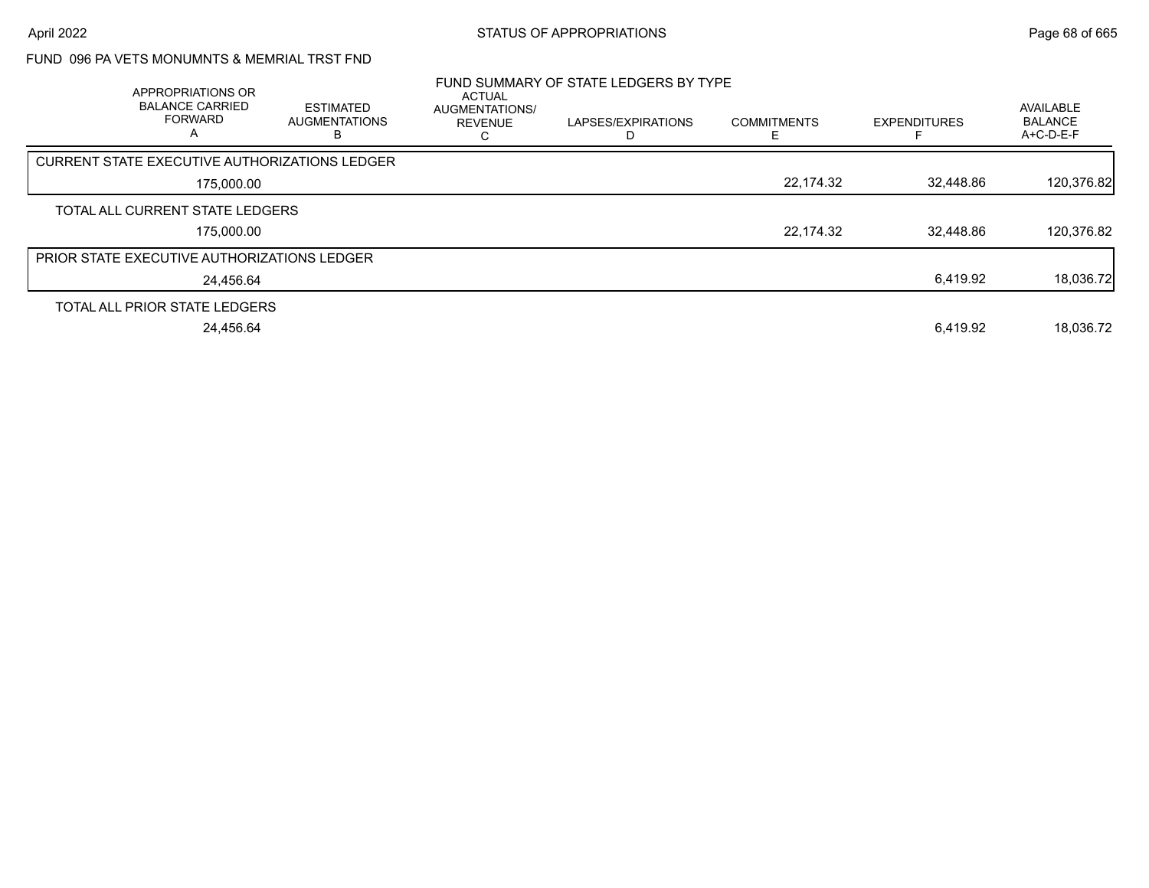## FUND 096 PA VETS MONUMNTS & MEMRIAL TRST FND

| APPROPRIATIONS OR<br><b>BALANCE CARRIED</b><br><b>FORWARD</b><br>A | <b>ESTIMATED</b><br><b>AUGMENTATIONS</b> | ACTUAL<br>AUGMENTATIONS/<br><b>REVENUE</b> | FUND SUMMARY OF STATE LEDGERS BY TYPE<br>LAPSES/EXPIRATIONS | <b>COMMITMENTS</b> | <b>EXPENDITURES</b> | AVAILABLE<br><b>BALANCE</b><br>A+C-D-E-F |
|--------------------------------------------------------------------|------------------------------------------|--------------------------------------------|-------------------------------------------------------------|--------------------|---------------------|------------------------------------------|
| <b>CURRENT STATE EXECUTIVE AUTHORIZATIONS LEDGER</b>               |                                          |                                            |                                                             |                    |                     |                                          |
| 175,000.00                                                         |                                          |                                            |                                                             | 22,174.32          | 32,448.86           | 120,376.82                               |
| TOTAL ALL CURRENT STATE LEDGERS                                    |                                          |                                            |                                                             |                    |                     |                                          |
| 175,000.00                                                         |                                          |                                            |                                                             | 22,174.32          | 32.448.86           | 120,376.82                               |
| <b>PRIOR STATE EXECUTIVE AUTHORIZATIONS LEDGER</b>                 |                                          |                                            |                                                             |                    |                     |                                          |
| 24.456.64                                                          |                                          |                                            |                                                             |                    | 6,419.92            | 18,036.72                                |
| TOTAL ALL PRIOR STATE LEDGERS                                      |                                          |                                            |                                                             |                    |                     |                                          |
| 24.456.64                                                          |                                          |                                            |                                                             |                    | 6.419.92            | 18.036.72                                |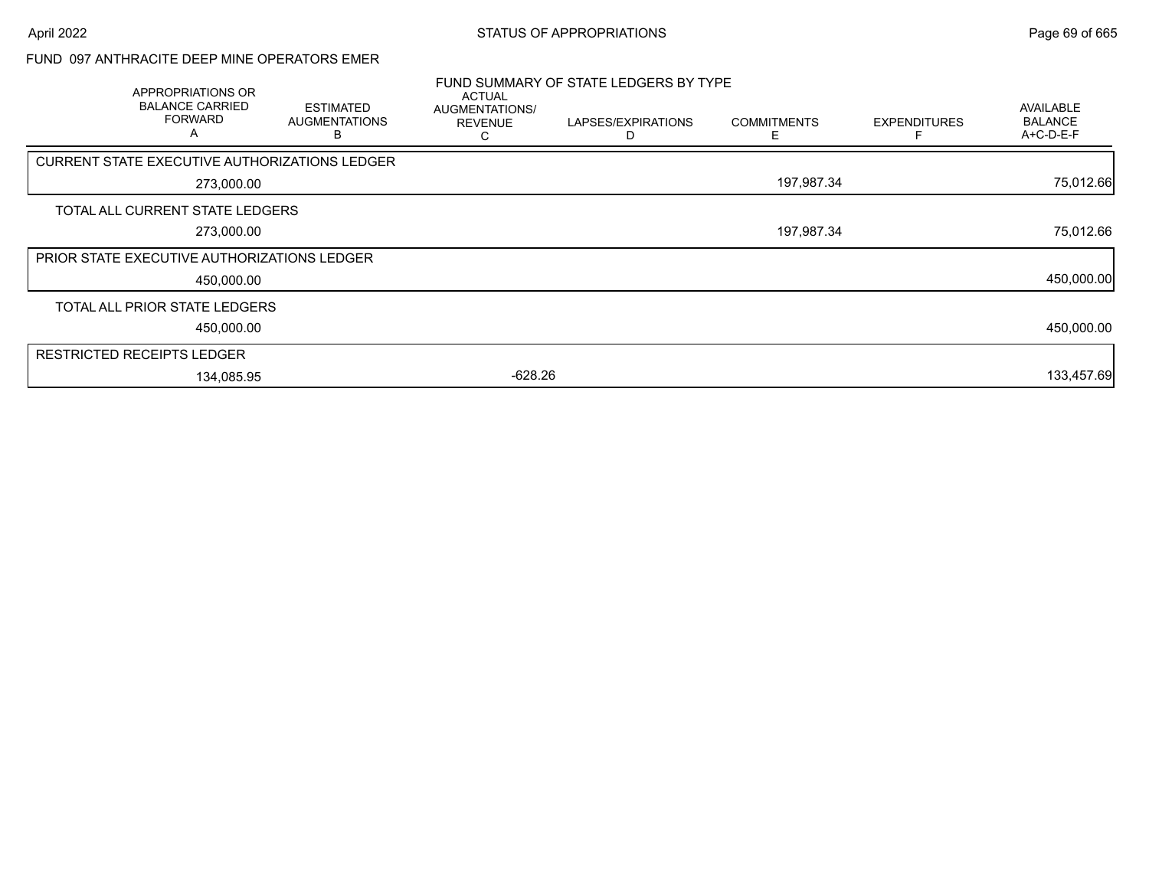## FUND 097 ANTHRACITE DEEP MINE OPERATORS EMER

| APPROPRIATIONS OR<br><b>BALANCE CARRIED</b><br><b>FORWARD</b><br>A | <b>ESTIMATED</b><br><b>AUGMENTATIONS</b> | <b>ACTUAL</b><br>AUGMENTATIONS/<br><b>REVENUE</b> | FUND SUMMARY OF STATE LEDGERS BY TYPE<br>LAPSES/EXPIRATIONS | <b>COMMITMENTS</b> | <b>EXPENDITURES</b> | AVAILABLE<br><b>BALANCE</b><br>A+C-D-E-F |
|--------------------------------------------------------------------|------------------------------------------|---------------------------------------------------|-------------------------------------------------------------|--------------------|---------------------|------------------------------------------|
| CURRENT STATE EXECUTIVE AUTHORIZATIONS LEDGER                      |                                          |                                                   |                                                             |                    |                     |                                          |
| 273,000.00                                                         |                                          |                                                   |                                                             | 197,987.34         |                     | 75,012.66                                |
| TOTAL ALL CURRENT STATE LEDGERS                                    |                                          |                                                   |                                                             |                    |                     |                                          |
| 273,000.00                                                         |                                          |                                                   |                                                             | 197,987.34         |                     | 75,012.66                                |
| PRIOR STATE EXECUTIVE AUTHORIZATIONS LEDGER                        |                                          |                                                   |                                                             |                    |                     |                                          |
| 450,000.00                                                         |                                          |                                                   |                                                             |                    |                     | 450,000.00                               |
| TOTAL ALL PRIOR STATE LEDGERS                                      |                                          |                                                   |                                                             |                    |                     |                                          |
| 450,000.00                                                         |                                          |                                                   |                                                             |                    |                     | 450,000.00                               |
| <b>RESTRICTED RECEIPTS LEDGER</b>                                  |                                          |                                                   |                                                             |                    |                     |                                          |
| 134,085.95                                                         |                                          | $-628.26$                                         |                                                             |                    |                     | 133,457.69                               |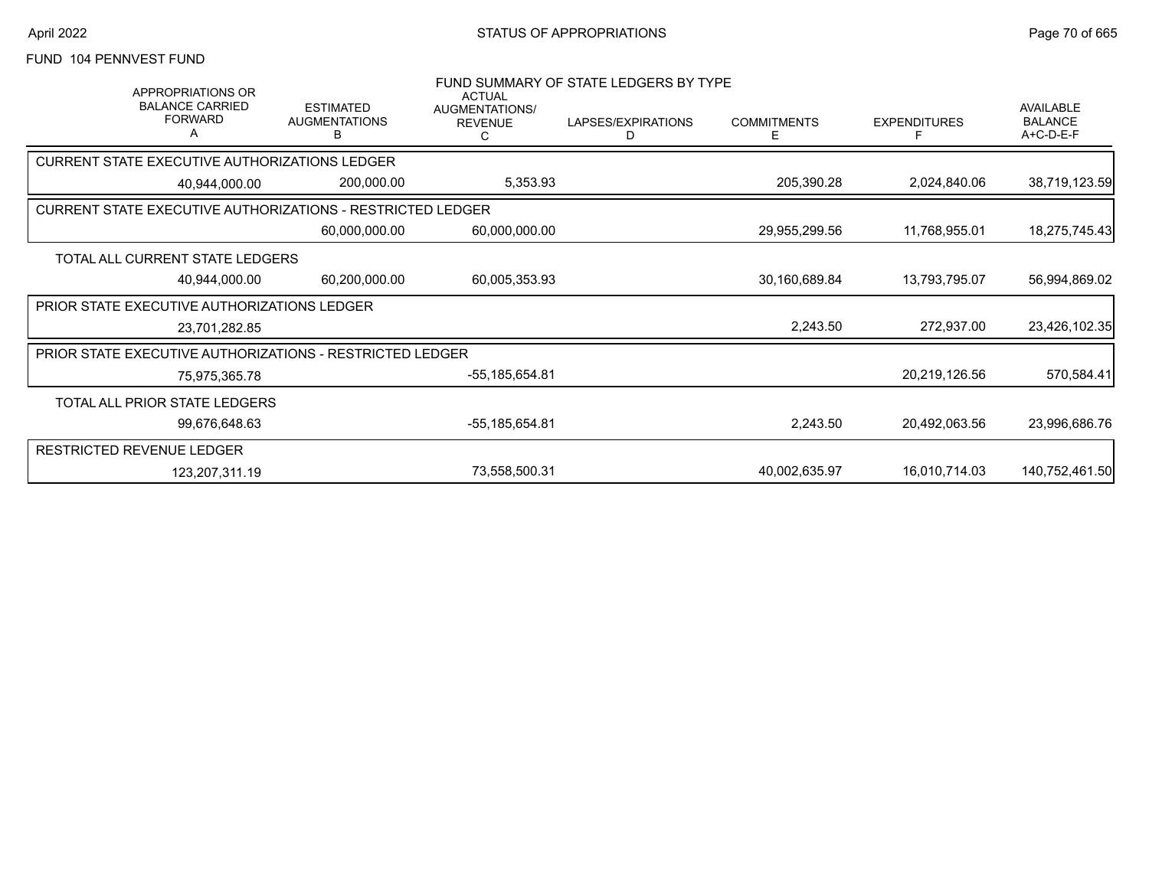# FUND 104 PENNVEST FUND

| <b>APPROPRIATIONS OR</b><br><b>BALANCE CARRIED</b><br><b>FORWARD</b> | <b>ESTIMATED</b><br><b>AUGMENTATIONS</b><br>B | <b>ACTUAL</b><br>AUGMENTATIONS/<br><b>REVENUE</b> | FUND SUMMARY OF STATE LEDGERS BY TYPE<br>LAPSES/EXPIRATIONS<br>D | <b>COMMITMENTS</b><br>E | <b>EXPENDITURES</b> | <b>AVAILABLE</b><br><b>BALANCE</b><br>A+C-D-E-F |
|----------------------------------------------------------------------|-----------------------------------------------|---------------------------------------------------|------------------------------------------------------------------|-------------------------|---------------------|-------------------------------------------------|
| <b>CURRENT STATE EXECUTIVE AUTHORIZATIONS LEDGER</b>                 |                                               |                                                   |                                                                  |                         |                     |                                                 |
| 40.944.000.00                                                        | 200,000.00                                    | 5,353.93                                          |                                                                  | 205,390.28              | 2,024,840.06        | 38,719,123.59                                   |
| CURRENT STATE EXECUTIVE AUTHORIZATIONS - RESTRICTED LEDGER           |                                               |                                                   |                                                                  |                         |                     |                                                 |
|                                                                      | 60,000,000.00                                 | 60,000,000.00                                     |                                                                  | 29,955,299.56           | 11,768,955.01       | 18,275,745.43                                   |
| TOTAL ALL CURRENT STATE LEDGERS                                      |                                               |                                                   |                                                                  |                         |                     |                                                 |
| 40,944,000.00                                                        | 60,200,000.00                                 | 60,005,353.93                                     |                                                                  | 30,160,689.84           | 13,793,795.07       | 56,994,869.02                                   |
| PRIOR STATE EXECUTIVE AUTHORIZATIONS LEDGER                          |                                               |                                                   |                                                                  |                         |                     |                                                 |
| 23,701,282.85                                                        |                                               |                                                   |                                                                  | 2,243.50                | 272,937.00          | 23,426,102.35                                   |
| <b>PRIOR STATE EXECUTIVE AUTHORIZATIONS - RESTRICTED LEDGER</b>      |                                               |                                                   |                                                                  |                         |                     |                                                 |
| 75,975,365.78                                                        |                                               | -55,185,654.81                                    |                                                                  |                         | 20,219,126.56       | 570,584.41                                      |
| TOTAL ALL PRIOR STATE LEDGERS                                        |                                               |                                                   |                                                                  |                         |                     |                                                 |
| 99,676,648.63                                                        |                                               | -55,185,654.81                                    |                                                                  | 2,243.50                | 20,492,063.56       | 23,996,686.76                                   |
| RESTRICTED REVENUE LEDGER                                            |                                               |                                                   |                                                                  |                         |                     |                                                 |
| 123,207,311.19                                                       |                                               | 73,558,500.31                                     |                                                                  | 40,002,635.97           | 16,010,714.03       | 140,752,461.50                                  |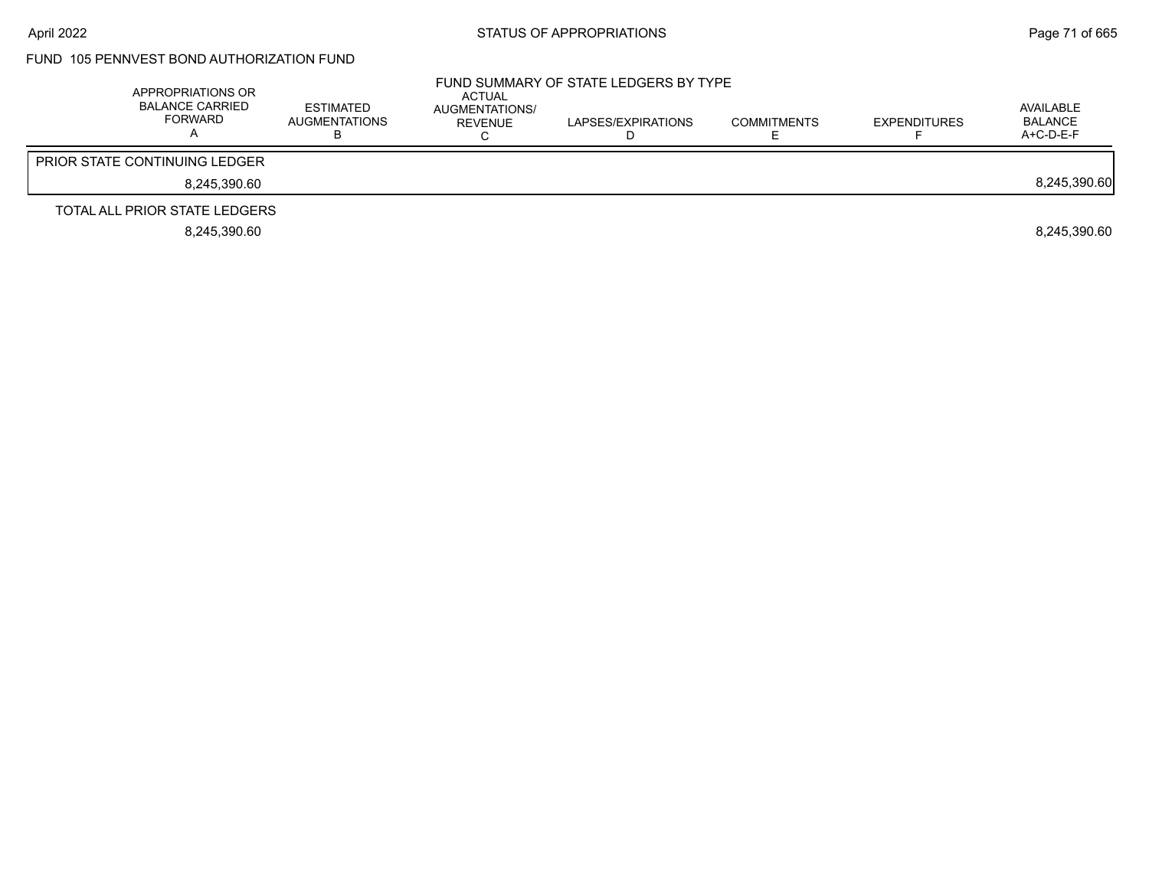## FUND 105 PENNVEST BOND AUTHORIZATION FUND

| APPROPRIATIONS OR<br><b>BALANCE CARRIED</b><br>FORWARD | ESTIMATED<br>AUGMENTATIONS<br>ר | ACTUAL<br>AUGMENTATIONS/<br>REVENUE | FUND SUMMARY OF STATE LEDGERS BY TYPE<br>LAPSES/EXPIRATIONS | <b>COMMITMENTS</b> | <b>EXPENDITURES</b> | AVAILABLE<br>BALANCE<br>$A+C-D-E-F$ |
|--------------------------------------------------------|---------------------------------|-------------------------------------|-------------------------------------------------------------|--------------------|---------------------|-------------------------------------|
| <b>PRIOR STATE CONTINUING LEDGER</b>                   |                                 |                                     |                                                             |                    |                     |                                     |
| 8,245,390.60                                           |                                 |                                     |                                                             |                    |                     | 8,245,390.60                        |
| TOTAL ALL PRIOR STATE LEDGERS                          |                                 |                                     |                                                             |                    |                     |                                     |
| 8.245.390.60                                           |                                 |                                     |                                                             |                    |                     | 8.245.390.60                        |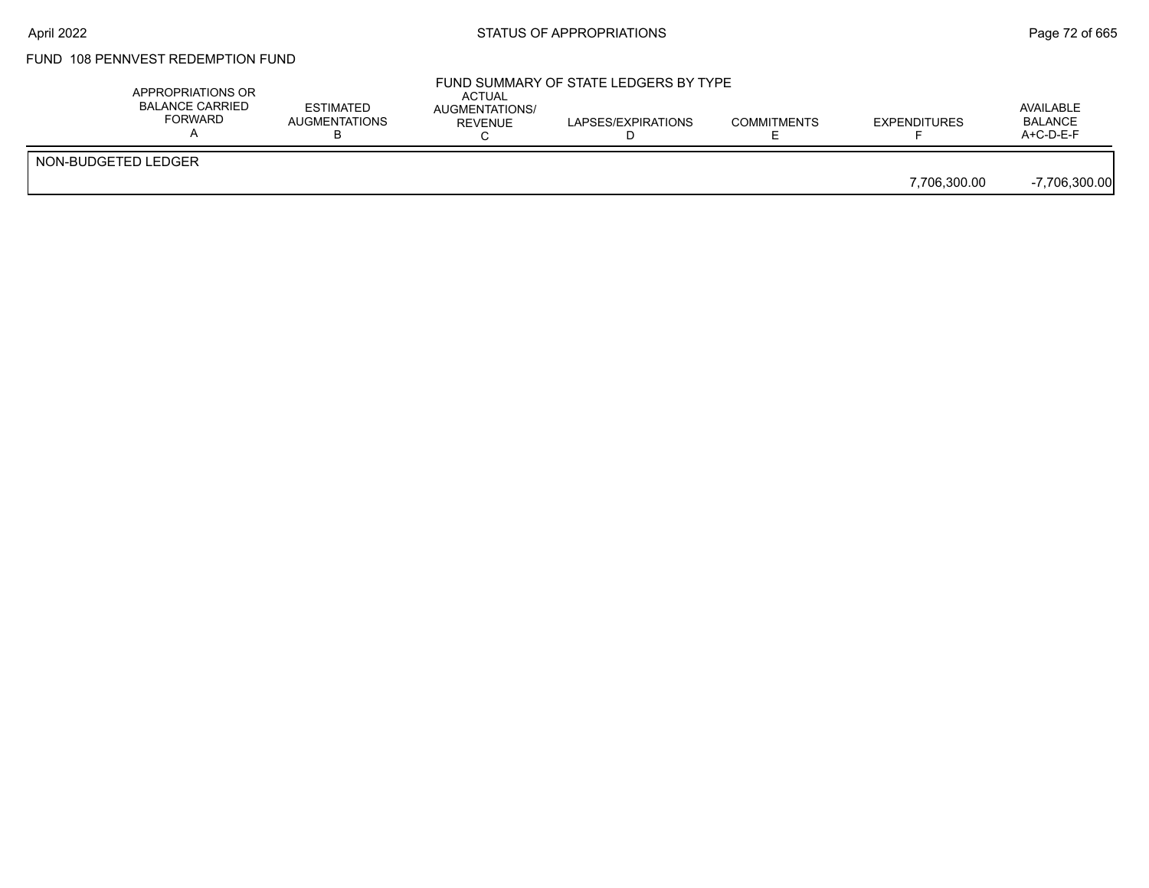### FUND 108 PENNVEST REDEMPTION FUND

|                     | APPROPRIATIONS OR<br><b>BALANCE CARRIED</b><br><b>FORWARD</b> | <b>ESTIMATED</b><br><b>AUGMENTATIONS</b> | <b>ACTUAL</b><br><b>AUGMENTATIONS/</b><br>REVENUE | FUND SUMMARY OF STATE LEDGERS BY TYPE<br>LAPSES/EXPIRATIONS | <b>COMMITMENTS</b> | <b>EXPENDITURES</b> | AVAILABLE<br><b>BALANCE</b><br>$A+C-D-E-F$ |
|---------------------|---------------------------------------------------------------|------------------------------------------|---------------------------------------------------|-------------------------------------------------------------|--------------------|---------------------|--------------------------------------------|
| NON-BUDGETED LEDGER |                                                               |                                          |                                                   |                                                             |                    | 7.706.300.00        | $-7,706,300.00$                            |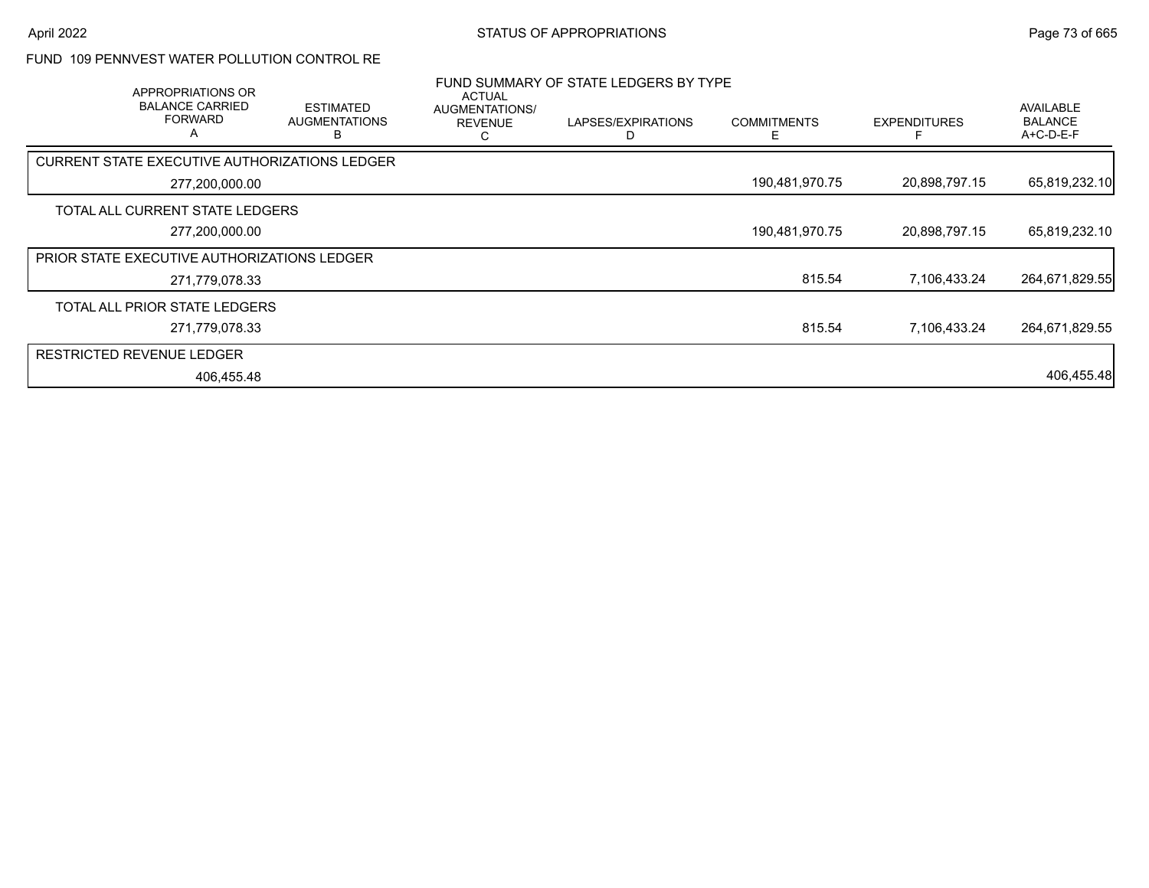# FUND 109 PENNVEST WATER POLLUTION CONTROL RE

| APPROPRIATIONS OR<br><b>BALANCE CARRIED</b><br><b>FORWARD</b><br>A | <b>ESTIMATED</b><br><b>AUGMENTATIONS</b><br>В | ACTUAL<br>AUGMENTATIONS/<br><b>REVENUE</b> | FUND SUMMARY OF STATE LEDGERS BY TYPE<br>LAPSES/EXPIRATIONS | <b>COMMITMENTS</b> | <b>EXPENDITURES</b> | <b>AVAILABLE</b><br><b>BALANCE</b><br>A+C-D-E-F |
|--------------------------------------------------------------------|-----------------------------------------------|--------------------------------------------|-------------------------------------------------------------|--------------------|---------------------|-------------------------------------------------|
| CURRENT STATE EXECUTIVE AUTHORIZATIONS LEDGER                      |                                               |                                            |                                                             |                    |                     |                                                 |
| 277,200,000.00                                                     |                                               |                                            |                                                             | 190,481,970.75     | 20,898,797.15       | 65,819,232.10                                   |
| TOTAL ALL CURRENT STATE LEDGERS                                    |                                               |                                            |                                                             |                    |                     |                                                 |
| 277,200,000.00                                                     |                                               |                                            |                                                             | 190,481,970.75     | 20,898,797.15       | 65,819,232.10                                   |
| PRIOR STATE EXECUTIVE AUTHORIZATIONS LEDGER                        |                                               |                                            |                                                             |                    |                     |                                                 |
| 271,779,078.33                                                     |                                               |                                            |                                                             | 815.54             | 7,106,433.24        | 264,671,829.55                                  |
| TOTAL ALL PRIOR STATE LEDGERS                                      |                                               |                                            |                                                             |                    |                     |                                                 |
| 271,779,078.33                                                     |                                               |                                            |                                                             | 815.54             | 7,106,433.24        | 264,671,829.55                                  |
| <b>RESTRICTED REVENUE LEDGER</b>                                   |                                               |                                            |                                                             |                    |                     |                                                 |
| 406,455.48                                                         |                                               |                                            |                                                             |                    |                     | 406,455.48                                      |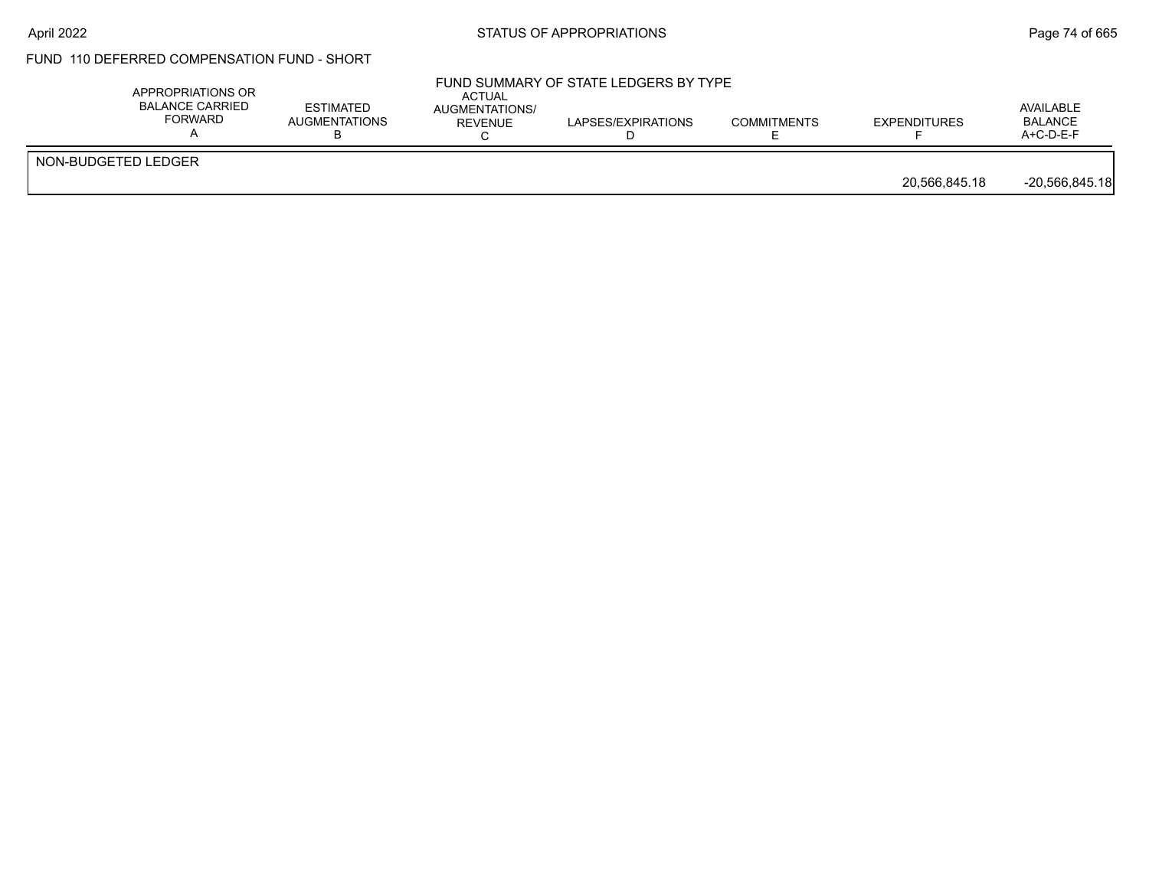### FUND 110 DEFERRED COMPENSATION FUND - SHORT

|                     | APPROPRIATIONS OR<br><b>BALANCE CARRIED</b><br><b>FORWARD</b> | <b>ESTIMATED</b><br><b>AUGMENTATIONS</b> | <b>ACTUAL</b><br>AUGMENTATIONS/<br>REVENUE | FUND SUMMARY OF STATE LEDGERS BY TYPE<br>LAPSES/EXPIRATIONS | <b>COMMITMENTS</b> | <b>EXPENDITURES</b> | AVAILABLE<br><b>BALANCE</b><br>$A+C-D-E-F$ |
|---------------------|---------------------------------------------------------------|------------------------------------------|--------------------------------------------|-------------------------------------------------------------|--------------------|---------------------|--------------------------------------------|
| NON-BUDGETED LEDGER |                                                               |                                          |                                            |                                                             |                    | 20,566,845.18       | $-20,566,845.18$                           |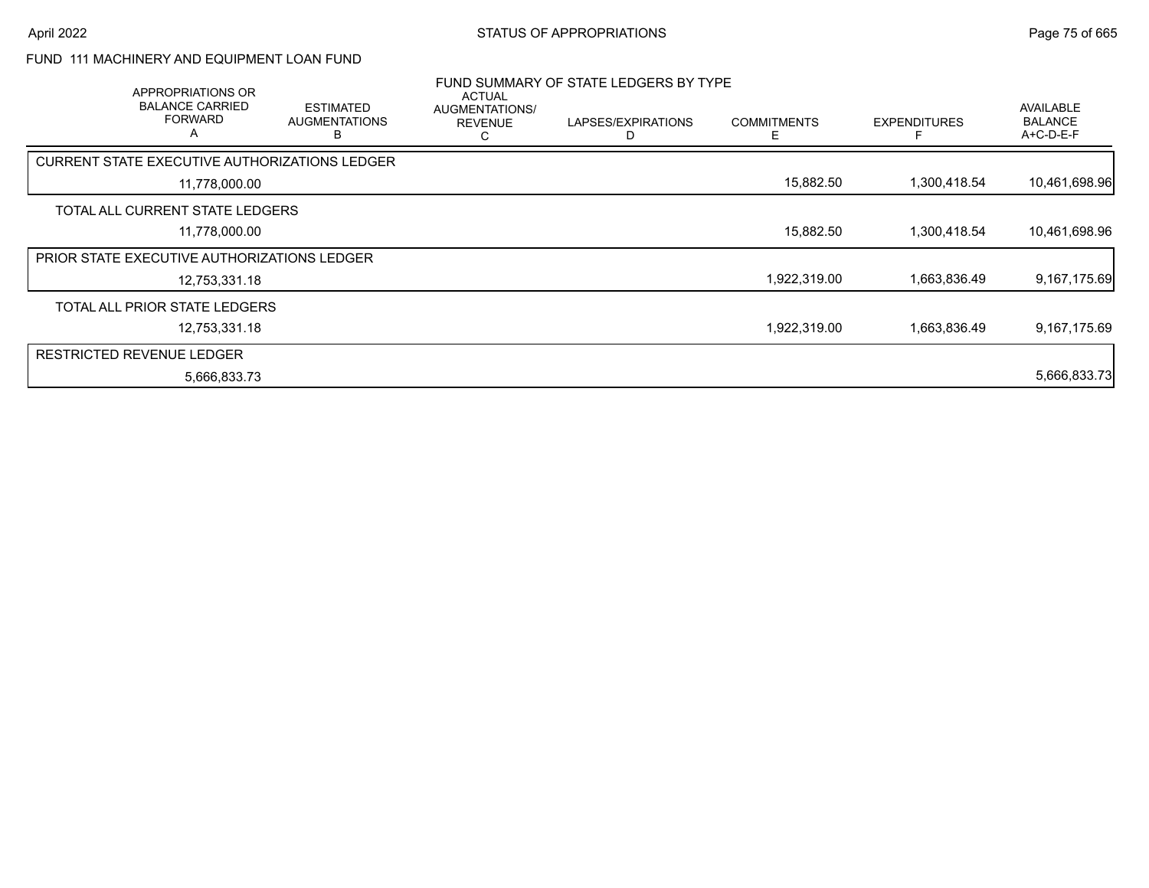### FUND 111 MACHINERY AND EQUIPMENT LOAN FUND

| APPROPRIATIONS OR<br><b>BALANCE CARRIED</b><br><b>FORWARD</b><br>A | <b>ESTIMATED</b><br><b>AUGMENTATIONS</b><br>в | <b>ACTUAL</b><br>AUGMENTATIONS/<br><b>REVENUE</b><br>С | FUND SUMMARY OF STATE LEDGERS BY TYPE<br>LAPSES/EXPIRATIONS<br>D | <b>COMMITMENTS</b><br>Е | <b>EXPENDITURES</b> | AVAILABLE<br><b>BALANCE</b><br>A+C-D-E-F |
|--------------------------------------------------------------------|-----------------------------------------------|--------------------------------------------------------|------------------------------------------------------------------|-------------------------|---------------------|------------------------------------------|
| <b>CURRENT STATE EXECUTIVE AUTHORIZATIONS LEDGER</b>               |                                               |                                                        |                                                                  |                         |                     |                                          |
| 11,778,000.00                                                      |                                               |                                                        |                                                                  | 15,882.50               | 1,300,418.54        | 10,461,698.96                            |
| TOTAL ALL CURRENT STATE LEDGERS                                    |                                               |                                                        |                                                                  |                         |                     |                                          |
| 11,778,000.00                                                      |                                               |                                                        |                                                                  | 15,882.50               | 1,300,418.54        | 10,461,698.96                            |
| <b>PRIOR STATE EXECUTIVE AUTHORIZATIONS LEDGER</b>                 |                                               |                                                        |                                                                  |                         |                     |                                          |
| 12,753,331.18                                                      |                                               |                                                        |                                                                  | 1,922,319.00            | 1,663,836.49        | 9,167,175.69                             |
| TOTAL ALL PRIOR STATE LEDGERS                                      |                                               |                                                        |                                                                  |                         |                     |                                          |
| 12,753,331.18                                                      |                                               |                                                        |                                                                  | 1,922,319.00            | 1,663,836.49        | 9,167,175.69                             |
| <b>RESTRICTED REVENUE LEDGER</b>                                   |                                               |                                                        |                                                                  |                         |                     |                                          |
| 5,666,833.73                                                       |                                               |                                                        |                                                                  |                         |                     | 5,666,833.73                             |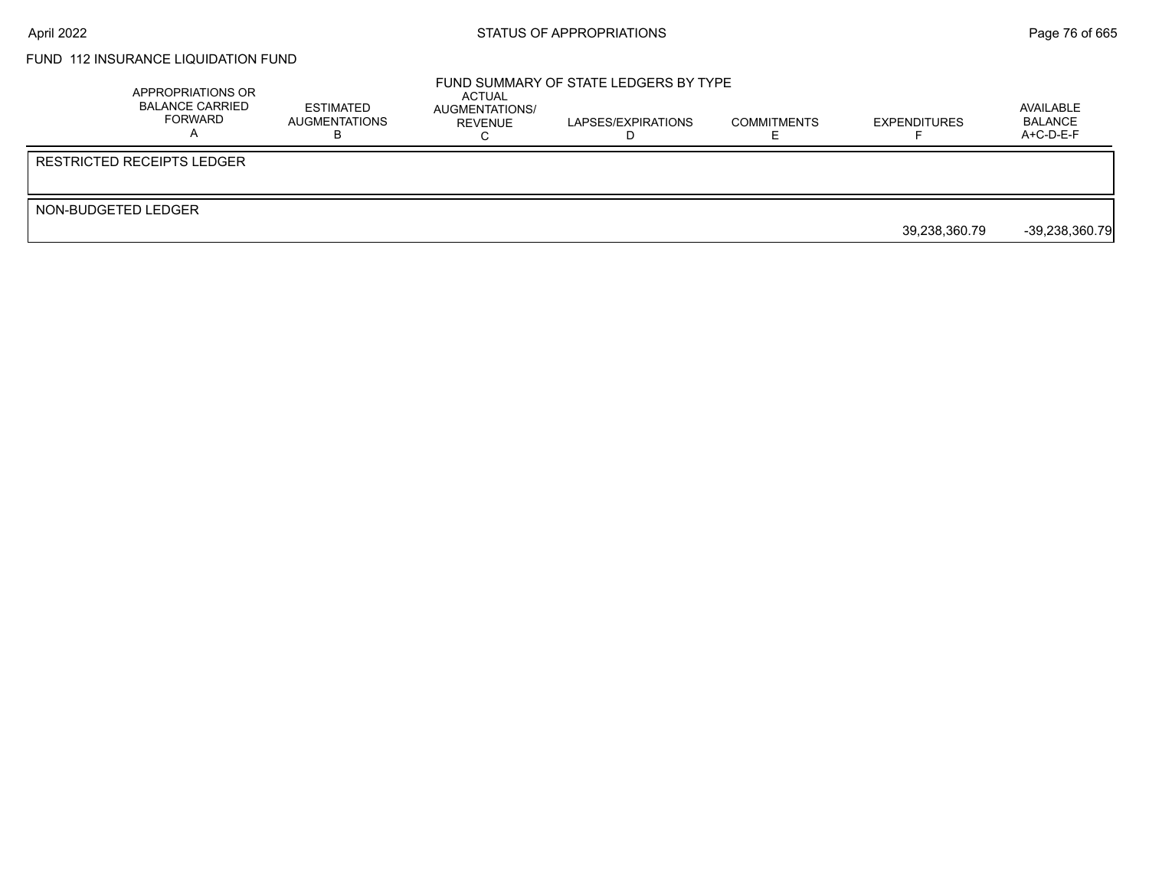# FUND 112 INSURANCE LIQUIDATION FUND

|                     | APPROPRIATIONS OR<br><b>BALANCE CARRIED</b><br>FORWARD | ESTIMATED<br>AUGMENTATIONS | ACTUAL<br>AUGMENTATIONS/<br>REVENUE | FUND SUMMARY OF STATE LEDGERS BY TYPE<br>LAPSES/EXPIRATIONS | <b>COMMITMENTS</b> | <b>EXPENDITURES</b> | AVAILABLE<br>BALANCE<br>A+C-D-E-F |
|---------------------|--------------------------------------------------------|----------------------------|-------------------------------------|-------------------------------------------------------------|--------------------|---------------------|-----------------------------------|
|                     | RESTRICTED RECEIPTS LEDGER                             |                            |                                     |                                                             |                    |                     |                                   |
| NON-BUDGETED LEDGER |                                                        |                            |                                     |                                                             |                    | 39,238,360.79       | $-39,238,360.79$                  |
|                     |                                                        |                            |                                     |                                                             |                    |                     |                                   |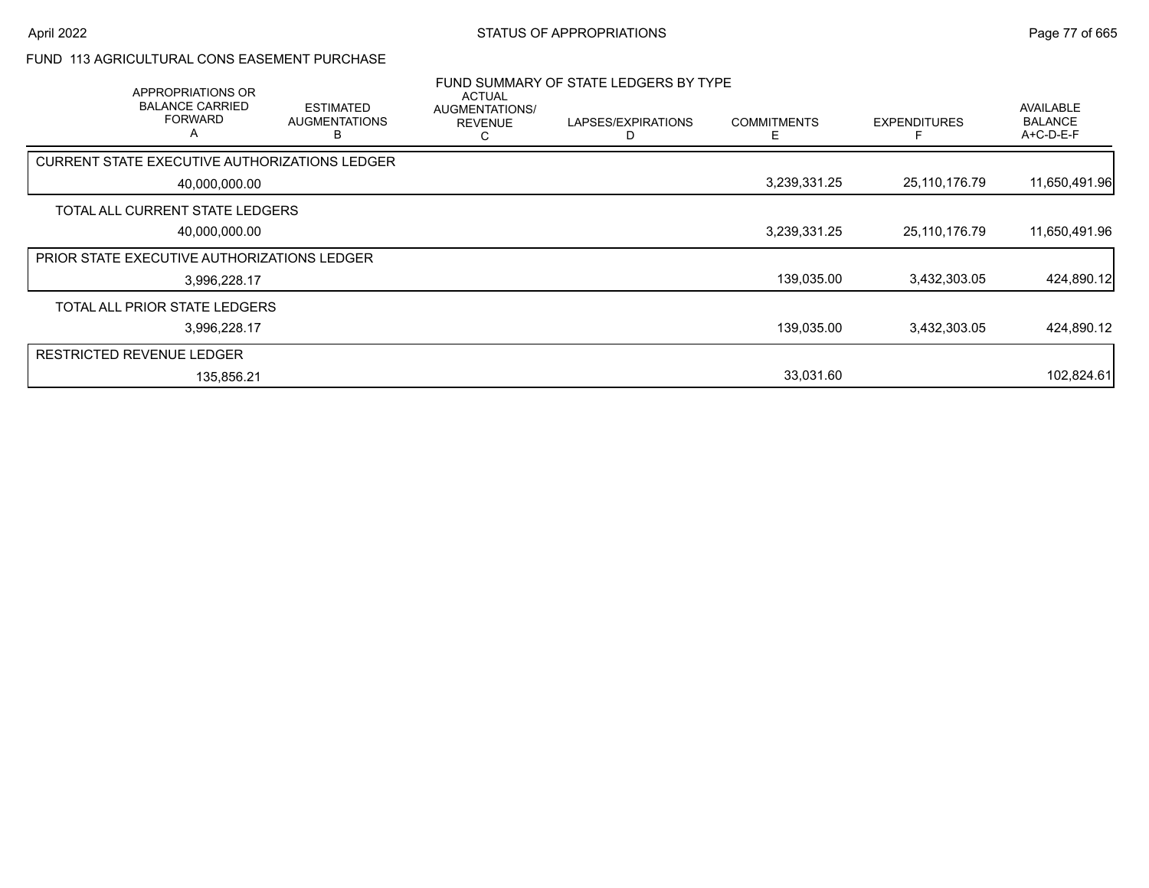#### FUND 113 AGRICULTURAL CONS EASEMENT PURCHASE

| APPROPRIATIONS OR<br><b>BALANCE CARRIED</b><br><b>FORWARD</b><br>A | <b>ESTIMATED</b><br><b>AUGMENTATIONS</b> | <b>ACTUAL</b><br>AUGMENTATIONS/<br><b>REVENUE</b><br>Ü | FUND SUMMARY OF STATE LEDGERS BY TYPE<br>LAPSES/EXPIRATIONS | <b>COMMITMENTS</b><br>F | <b>EXPENDITURES</b> | AVAILABLE<br><b>BALANCE</b><br>A+C-D-E-F |
|--------------------------------------------------------------------|------------------------------------------|--------------------------------------------------------|-------------------------------------------------------------|-------------------------|---------------------|------------------------------------------|
| CURRENT STATE EXECUTIVE AUTHORIZATIONS LEDGER                      |                                          |                                                        |                                                             |                         |                     |                                          |
| 40,000,000.00                                                      |                                          |                                                        |                                                             | 3,239,331.25            | 25,110,176.79       | 11,650,491.96                            |
| TOTAL ALL CURRENT STATE LEDGERS                                    |                                          |                                                        |                                                             |                         |                     |                                          |
| 40,000,000.00                                                      |                                          |                                                        |                                                             | 3,239,331.25            | 25,110,176.79       | 11,650,491.96                            |
| <b>PRIOR STATE EXECUTIVE AUTHORIZATIONS LEDGER</b>                 |                                          |                                                        |                                                             |                         |                     |                                          |
| 3,996,228.17                                                       |                                          |                                                        |                                                             | 139,035.00              | 3,432,303.05        | 424,890.12                               |
| TOTAL ALL PRIOR STATE LEDGERS                                      |                                          |                                                        |                                                             |                         |                     |                                          |
| 3,996,228.17                                                       |                                          |                                                        |                                                             | 139,035.00              | 3,432,303.05        | 424,890.12                               |
| <b>RESTRICTED REVENUE LEDGER</b>                                   |                                          |                                                        |                                                             |                         |                     |                                          |
| 135,856.21                                                         |                                          |                                                        |                                                             | 33,031.60               |                     | 102,824.61                               |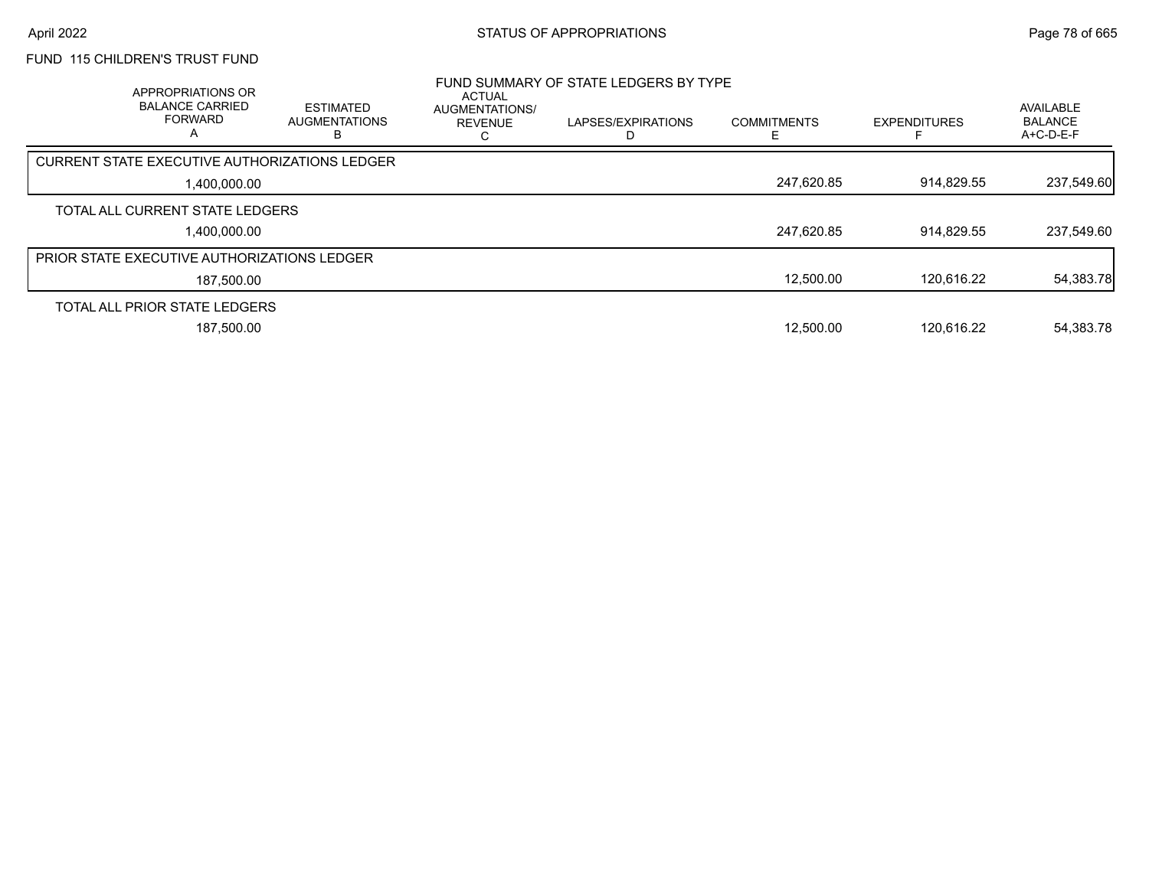# FUND 115 CHILDREN'S TRUST FUND

| APPROPRIATIONS OR<br><b>BALANCE CARRIED</b><br><b>FORWARD</b> | <b>ESTIMATED</b><br><b>AUGMENTATIONS</b><br>ь | <b>ACTUAL</b><br>AUGMENTATIONS/<br><b>REVENUE</b> | FUND SUMMARY OF STATE LEDGERS BY TYPE<br>LAPSES/EXPIRATIONS | <b>COMMITMENTS</b> | <b>EXPENDITURES</b> | AVAILABLE<br><b>BALANCE</b><br>A+C-D-E-F |
|---------------------------------------------------------------|-----------------------------------------------|---------------------------------------------------|-------------------------------------------------------------|--------------------|---------------------|------------------------------------------|
| CURRENT STATE EXECUTIVE AUTHORIZATIONS LEDGER                 |                                               |                                                   |                                                             |                    |                     |                                          |
| 1,400,000.00                                                  |                                               |                                                   |                                                             | 247,620.85         | 914,829.55          | 237,549.60                               |
| TOTAL ALL CURRENT STATE LEDGERS                               |                                               |                                                   |                                                             |                    |                     |                                          |
| 1.400.000.00                                                  |                                               |                                                   |                                                             | 247,620.85         | 914.829.55          | 237,549.60                               |
| <b>PRIOR STATE EXECUTIVE AUTHORIZATIONS LEDGER</b>            |                                               |                                                   |                                                             |                    |                     |                                          |
| 187,500.00                                                    |                                               |                                                   |                                                             | 12,500.00          | 120.616.22          | 54,383.78                                |
| TOTAL ALL PRIOR STATE LEDGERS                                 |                                               |                                                   |                                                             |                    |                     |                                          |
| 187.500.00                                                    |                                               |                                                   |                                                             | 12.500.00          | 120.616.22          | 54,383.78                                |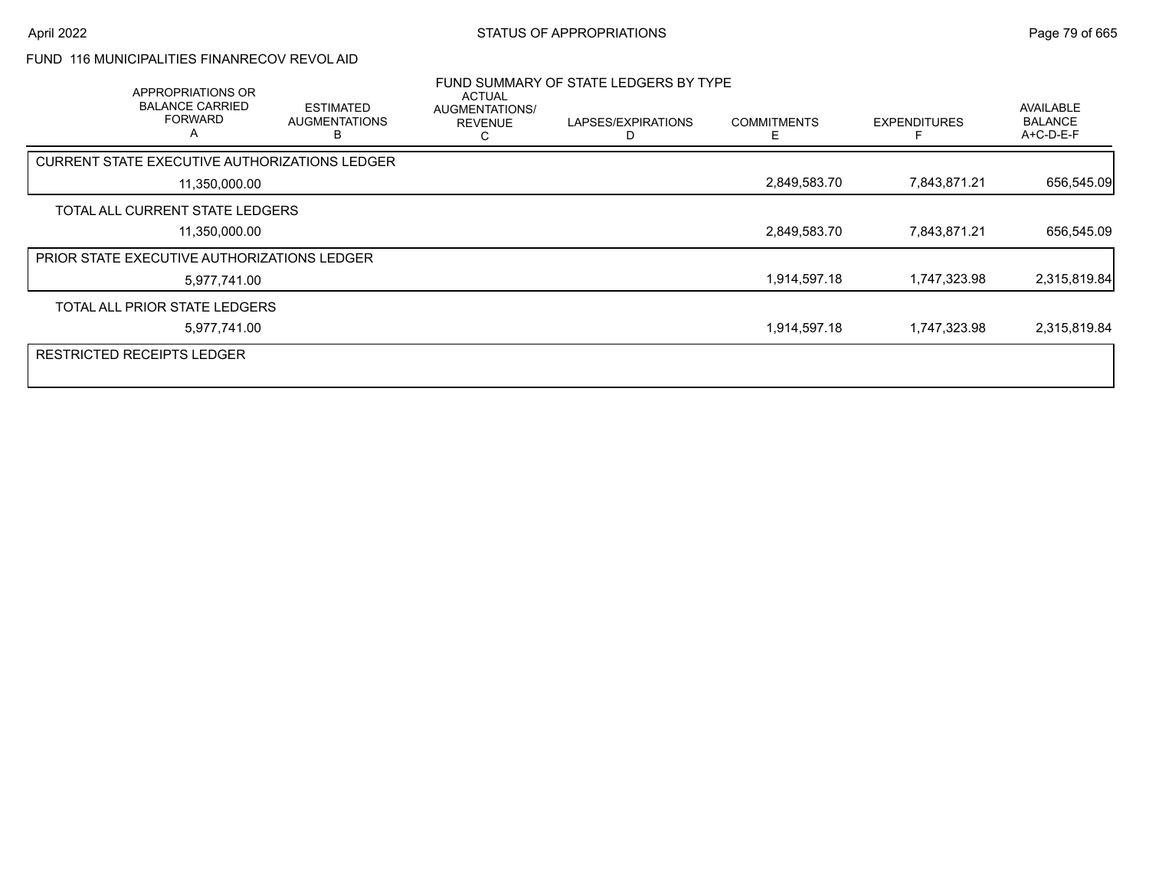## FUND 116 MUNICIPALITIES FINANRECOV REVOL AID

| APPROPRIATIONS OR<br><b>BALANCE CARRIED</b><br><b>FORWARD</b><br>A | <b>ESTIMATED</b><br><b>AUGMENTATIONS</b> | <b>ACTUAL</b><br>AUGMENTATIONS/<br><b>REVENUE</b> | FUND SUMMARY OF STATE LEDGERS BY TYPE<br>LAPSES/EXPIRATIONS | <b>COMMITMENTS</b> | <b>EXPENDITURES</b> | <b>AVAILABLE</b><br><b>BALANCE</b><br>$A+C-D-E-F$ |
|--------------------------------------------------------------------|------------------------------------------|---------------------------------------------------|-------------------------------------------------------------|--------------------|---------------------|---------------------------------------------------|
| CURRENT STATE EXECUTIVE AUTHORIZATIONS LEDGER                      |                                          |                                                   |                                                             |                    |                     |                                                   |
| 11,350,000.00                                                      |                                          |                                                   |                                                             | 2,849,583.70       | 7,843,871.21        | 656,545.09                                        |
| TOTAL ALL CURRENT STATE LEDGERS                                    |                                          |                                                   |                                                             |                    |                     |                                                   |
| 11,350,000.00                                                      |                                          |                                                   |                                                             | 2,849,583.70       | 7,843,871.21        | 656,545.09                                        |
| <b>PRIOR STATE EXECUTIVE AUTHORIZATIONS LEDGER</b>                 |                                          |                                                   |                                                             |                    |                     |                                                   |
| 5,977,741.00                                                       |                                          |                                                   |                                                             | 1,914,597.18       | 1,747,323.98        | 2,315,819.84                                      |
| TOTAL ALL PRIOR STATE LEDGERS                                      |                                          |                                                   |                                                             |                    |                     |                                                   |
| 5,977,741.00                                                       |                                          |                                                   |                                                             | 1,914,597.18       | 1,747,323.98        | 2,315,819.84                                      |
| <b>RESTRICTED RECEIPTS LEDGER</b>                                  |                                          |                                                   |                                                             |                    |                     |                                                   |
|                                                                    |                                          |                                                   |                                                             |                    |                     |                                                   |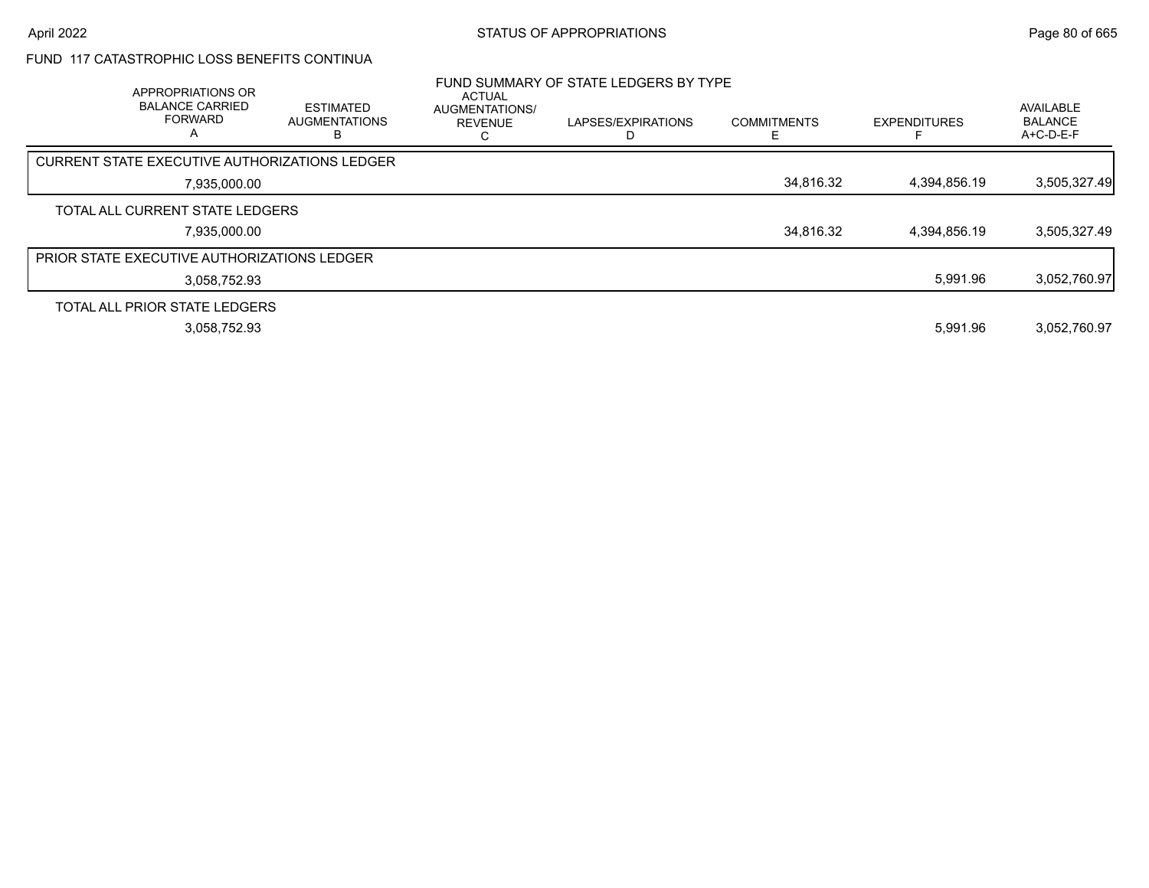### FUND 117 CATASTROPHIC LOSS BENEFITS CONTINUA

| APPROPRIATIONS OR<br><b>BALANCE CARRIED</b><br><b>FORWARD</b><br>A | <b>ESTIMATED</b><br><b>AUGMENTATIONS</b><br>D | <b>ACTUAL</b><br><b>AUGMENTATIONS/</b><br><b>REVENUE</b> | FUND SUMMARY OF STATE LEDGERS BY TYPE<br>LAPSES/EXPIRATIONS | <b>COMMITMENTS</b> | <b>EXPENDITURES</b> | <b>AVAILABLE</b><br><b>BALANCE</b><br>$A+C-D-E-F$ |
|--------------------------------------------------------------------|-----------------------------------------------|----------------------------------------------------------|-------------------------------------------------------------|--------------------|---------------------|---------------------------------------------------|
| CURRENT STATE EXECUTIVE AUTHORIZATIONS LEDGER                      |                                               |                                                          |                                                             |                    |                     |                                                   |
| 7,935,000.00                                                       |                                               |                                                          |                                                             | 34,816.32          | 4,394,856.19        | 3,505,327.49                                      |
| TOTAL ALL CURRENT STATE LEDGERS                                    |                                               |                                                          |                                                             |                    |                     |                                                   |
| 7,935,000.00                                                       |                                               |                                                          |                                                             | 34,816.32          | 4,394,856.19        | 3,505,327.49                                      |
| <b>PRIOR STATE EXECUTIVE AUTHORIZATIONS LEDGER</b>                 |                                               |                                                          |                                                             |                    |                     |                                                   |
| 3.058.752.93                                                       |                                               |                                                          |                                                             |                    | 5,991.96            | 3,052,760.97                                      |
| TOTAL ALL PRIOR STATE LEDGERS                                      |                                               |                                                          |                                                             |                    |                     |                                                   |
| 3,058,752.93                                                       |                                               |                                                          |                                                             |                    | 5.991.96            | 3.052.760.97                                      |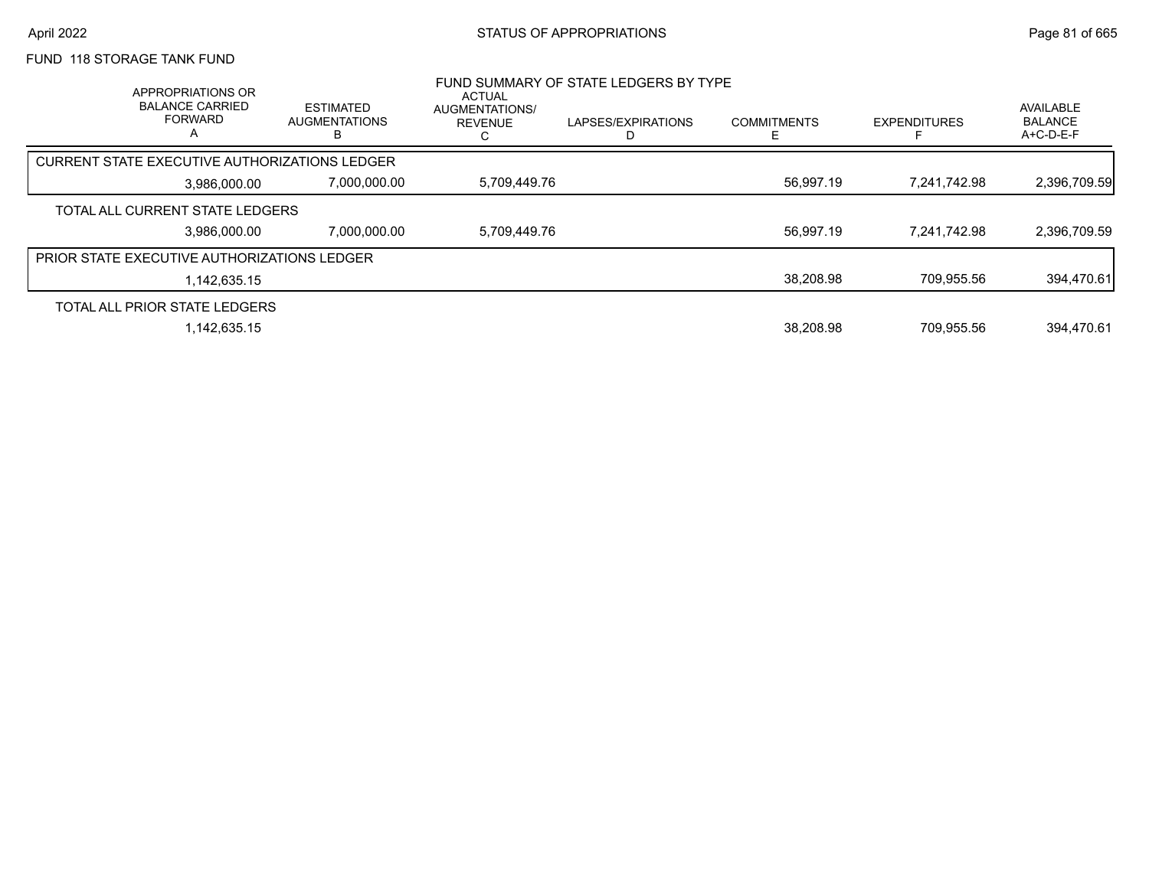# FUND 118 STORAGE TANK FUND

|                                                    | APPROPRIATIONS OR<br><b>BALANCE CARRIED</b><br><b>FORWARD</b><br>А | <b>ESTIMATED</b><br><b>AUGMENTATIONS</b><br>В | <b>ACTUAL</b><br><b>AUGMENTATIONS/</b><br><b>REVENUE</b> | FUND SUMMARY OF STATE LEDGERS BY TYPE<br>LAPSES/EXPIRATIONS<br>D | <b>COMMITMENTS</b> | <b>EXPENDITURES</b> | <b>AVAILABLE</b><br><b>BALANCE</b><br>$A+C-D-E-F$ |
|----------------------------------------------------|--------------------------------------------------------------------|-----------------------------------------------|----------------------------------------------------------|------------------------------------------------------------------|--------------------|---------------------|---------------------------------------------------|
| CURRENT STATE EXECUTIVE AUTHORIZATIONS LEDGER      |                                                                    |                                               |                                                          |                                                                  |                    |                     |                                                   |
|                                                    | 3.986.000.00                                                       | 7,000,000.00                                  | 5,709,449.76                                             |                                                                  | 56,997.19          | 7,241,742.98        | 2,396,709.59                                      |
| TOTAL ALL CURRENT STATE LEDGERS                    |                                                                    |                                               |                                                          |                                                                  |                    |                     |                                                   |
|                                                    | 3.986.000.00                                                       | 7.000.000.00                                  | 5,709,449.76                                             |                                                                  | 56,997.19          | 7.241.742.98        | 2,396,709.59                                      |
| <b>PRIOR STATE EXECUTIVE AUTHORIZATIONS LEDGER</b> |                                                                    |                                               |                                                          |                                                                  |                    |                     |                                                   |
|                                                    | 1.142.635.15                                                       |                                               |                                                          |                                                                  | 38,208.98          | 709.955.56          | 394,470.61                                        |
| TOTAL ALL PRIOR STATE LEDGERS                      |                                                                    |                                               |                                                          |                                                                  |                    |                     |                                                   |
|                                                    | 1.142.635.15                                                       |                                               |                                                          |                                                                  | 38.208.98          | 709.955.56          | 394.470.61                                        |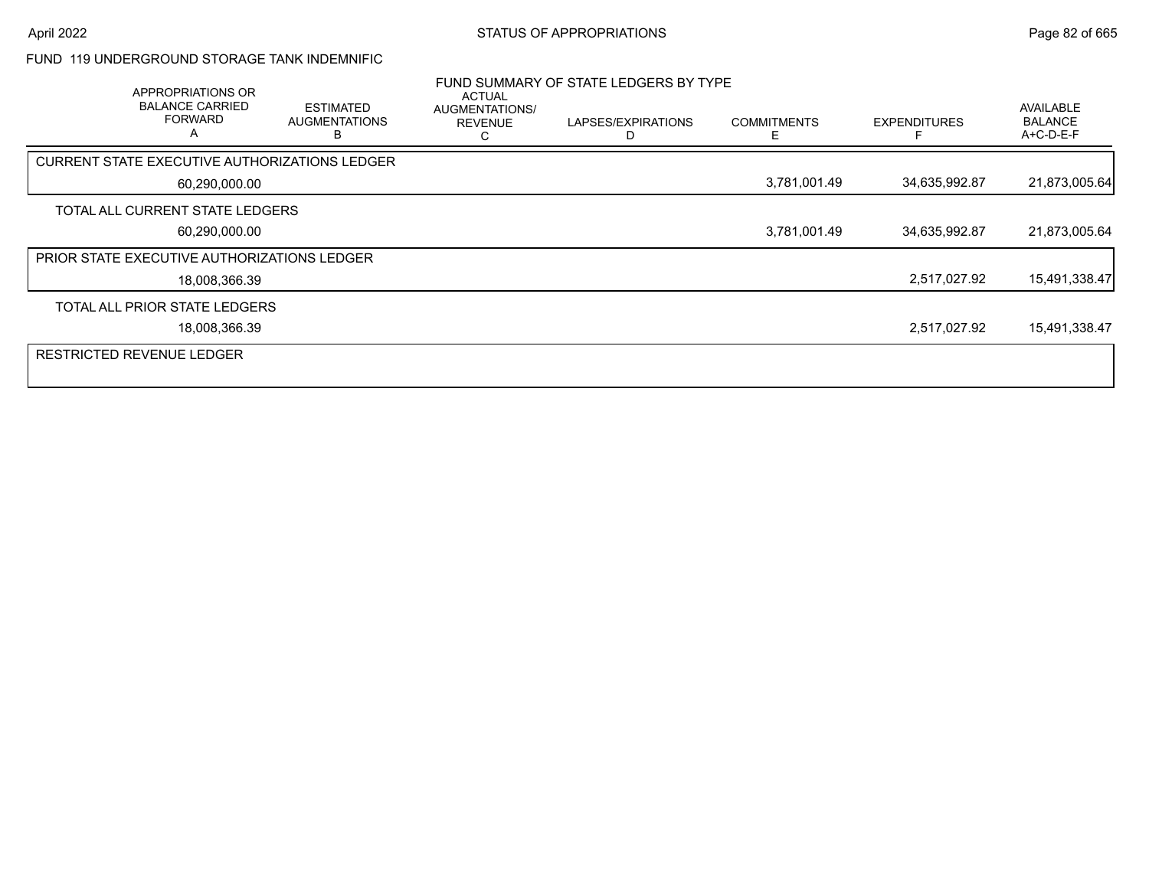### FUND 119 UNDERGROUND STORAGE TANK INDEMNIFIC

| APPROPRIATIONS OR<br><b>BALANCE CARRIED</b><br><b>FORWARD</b><br>A | <b>ESTIMATED</b><br><b>AUGMENTATIONS</b><br>в | <b>ACTUAL</b><br>AUGMENTATIONS/<br><b>REVENUE</b> | FUND SUMMARY OF STATE LEDGERS BY TYPE<br>LAPSES/EXPIRATIONS<br>D | <b>COMMITMENTS</b><br>E. | <b>EXPENDITURES</b> | AVAILABLE<br><b>BALANCE</b><br>$A+C-D-E-F$ |
|--------------------------------------------------------------------|-----------------------------------------------|---------------------------------------------------|------------------------------------------------------------------|--------------------------|---------------------|--------------------------------------------|
| CURRENT STATE EXECUTIVE AUTHORIZATIONS LEDGER                      |                                               |                                                   |                                                                  |                          |                     |                                            |
| 60,290,000.00                                                      |                                               |                                                   |                                                                  | 3,781,001.49             | 34,635,992.87       | 21,873,005.64                              |
| TOTAL ALL CURRENT STATE LEDGERS                                    |                                               |                                                   |                                                                  |                          |                     |                                            |
| 60,290,000.00                                                      |                                               |                                                   |                                                                  | 3,781,001.49             | 34,635,992.87       | 21,873,005.64                              |
| <b>PRIOR STATE EXECUTIVE AUTHORIZATIONS LEDGER</b>                 |                                               |                                                   |                                                                  |                          |                     |                                            |
| 18,008,366.39                                                      |                                               |                                                   |                                                                  |                          | 2,517,027.92        | 15,491,338.47                              |
| TOTAL ALL PRIOR STATE LEDGERS                                      |                                               |                                                   |                                                                  |                          |                     |                                            |
| 18,008,366.39                                                      |                                               |                                                   |                                                                  |                          | 2,517,027.92        | 15,491,338.47                              |
| <b>RESTRICTED REVENUE LEDGER</b>                                   |                                               |                                                   |                                                                  |                          |                     |                                            |
|                                                                    |                                               |                                                   |                                                                  |                          |                     |                                            |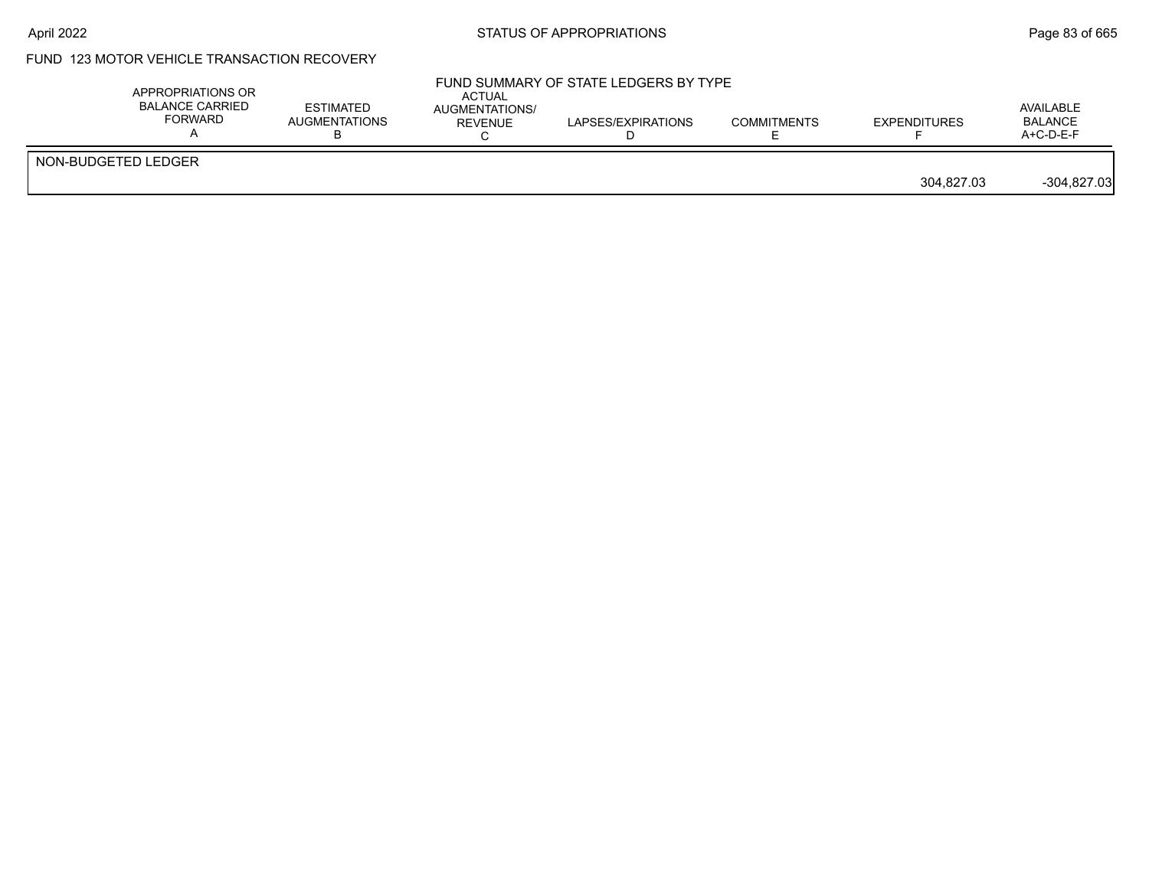# FUND 123 MOTOR VEHICLE TRANSACTION RECOVERY

|                     | APPROPRIATIONS OR<br><b>BALANCE CARRIED</b><br>FORWARD | <b>ESTIMATED</b><br><b>AUGMENTATIONS</b> | <b>ACTUAL</b><br>AUGMENTATIONS/<br><b>REVENUE</b> | FUND SUMMARY OF STATE LEDGERS BY TYPE<br>LAPSES/EXPIRATIONS | <b>COMMITMENTS</b> | EXPENDITURES | AVAILABLE<br><b>BALANCE</b><br>$A+C-D-E-F$ |
|---------------------|--------------------------------------------------------|------------------------------------------|---------------------------------------------------|-------------------------------------------------------------|--------------------|--------------|--------------------------------------------|
| NON-BUDGETED LEDGER |                                                        |                                          |                                                   |                                                             |                    | 304.827.03   | $-304,827.03$                              |
|                     |                                                        |                                          |                                                   |                                                             |                    |              |                                            |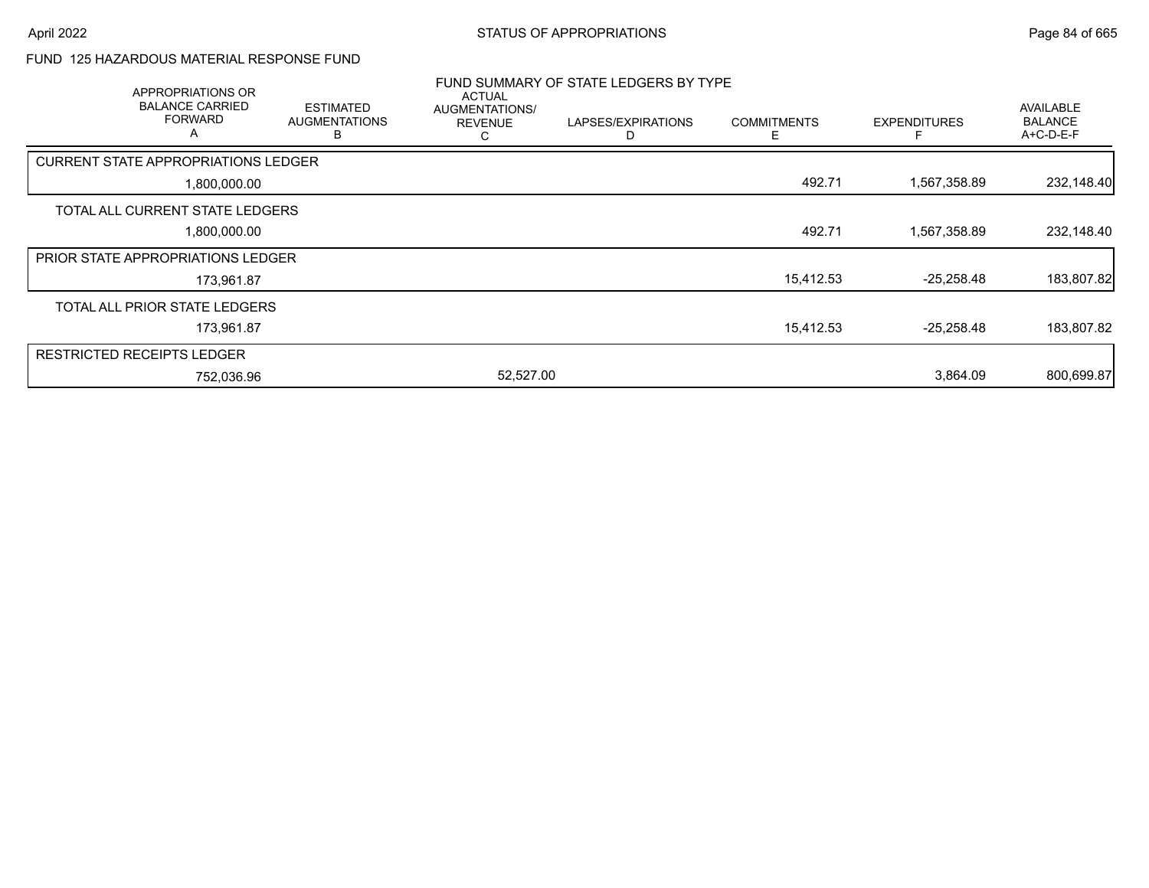### FUND 125 HAZARDOUS MATERIAL RESPONSE FUND

| APPROPRIATIONS OR<br><b>BALANCE CARRIED</b><br><b>FORWARD</b><br>Α | <b>ESTIMATED</b><br><b>AUGMENTATIONS</b><br>в | <b>ACTUAL</b><br>AUGMENTATIONS/<br><b>REVENUE</b><br>С | FUND SUMMARY OF STATE LEDGERS BY TYPE<br>LAPSES/EXPIRATIONS<br>D | <b>COMMITMENTS</b><br>E | <b>EXPENDITURES</b> | <b>AVAILABLE</b><br><b>BALANCE</b><br>A+C-D-E-F |
|--------------------------------------------------------------------|-----------------------------------------------|--------------------------------------------------------|------------------------------------------------------------------|-------------------------|---------------------|-------------------------------------------------|
| <b>CURRENT STATE APPROPRIATIONS LEDGER</b>                         |                                               |                                                        |                                                                  |                         |                     |                                                 |
| 1,800,000.00                                                       |                                               |                                                        |                                                                  | 492.71                  | 1,567,358.89        | 232,148.40                                      |
| TOTAL ALL CURRENT STATE LEDGERS                                    |                                               |                                                        |                                                                  |                         |                     |                                                 |
| 1,800,000.00                                                       |                                               |                                                        |                                                                  | 492.71                  | 1,567,358.89        | 232,148.40                                      |
| <b>PRIOR STATE APPROPRIATIONS LEDGER</b>                           |                                               |                                                        |                                                                  |                         |                     |                                                 |
| 173,961.87                                                         |                                               |                                                        |                                                                  | 15,412.53               | $-25,258.48$        | 183,807.82                                      |
| TOTAL ALL PRIOR STATE LEDGERS                                      |                                               |                                                        |                                                                  |                         |                     |                                                 |
| 173,961.87                                                         |                                               |                                                        |                                                                  | 15,412.53               | $-25,258.48$        | 183,807.82                                      |
| <b>RESTRICTED RECEIPTS LEDGER</b>                                  |                                               |                                                        |                                                                  |                         |                     |                                                 |
| 752,036.96                                                         |                                               | 52,527.00                                              |                                                                  |                         | 3,864.09            | 800,699.87                                      |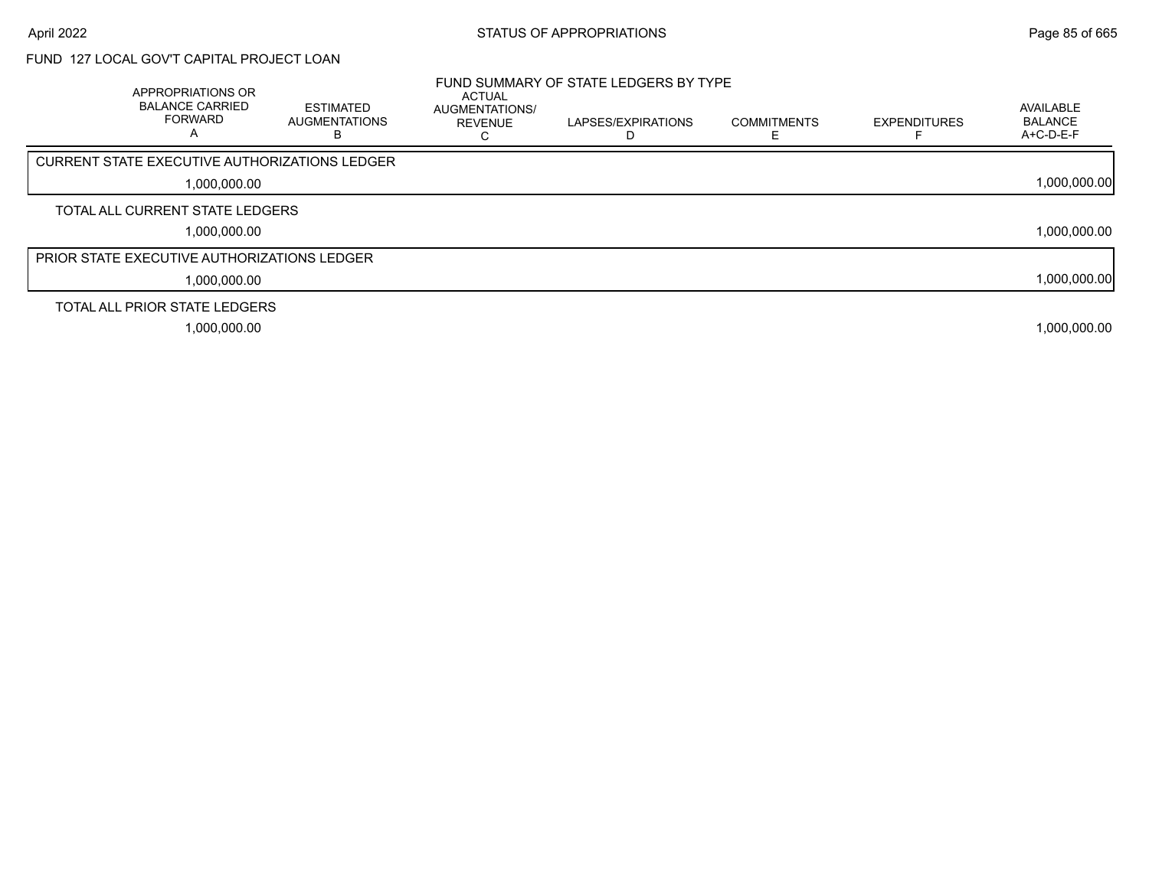# FUND 127 LOCAL GOV'T CAPITAL PROJECT LOAN

| APPROPRIATIONS OR<br><b>BALANCE CARRIED</b><br><b>FORWARD</b><br>А | <b>ESTIMATED</b><br>AUGMENTATIONS | <b>ACTUAL</b><br>AUGMENTATIONS/<br><b>REVENUE</b> | FUND SUMMARY OF STATE LEDGERS BY TYPE<br>LAPSES/EXPIRATIONS | <b>COMMITMENTS</b> | <b>EXPENDITURES</b> | AVAILABLE<br><b>BALANCE</b><br>$A+C-D-E-F$ |
|--------------------------------------------------------------------|-----------------------------------|---------------------------------------------------|-------------------------------------------------------------|--------------------|---------------------|--------------------------------------------|
| CURRENT STATE EXECUTIVE AUTHORIZATIONS LEDGER                      |                                   |                                                   |                                                             |                    |                     |                                            |
| 1,000,000.00                                                       |                                   |                                                   |                                                             |                    |                     | 1,000,000.00                               |
| TOTAL ALL CURRENT STATE LEDGERS                                    |                                   |                                                   |                                                             |                    |                     |                                            |
| 1,000,000.00                                                       |                                   |                                                   |                                                             |                    |                     | 1,000,000.00                               |
| <b>PRIOR STATE EXECUTIVE AUTHORIZATIONS LEDGER</b>                 |                                   |                                                   |                                                             |                    |                     |                                            |
| 1,000,000.00                                                       |                                   |                                                   |                                                             |                    |                     | 1,000,000.00                               |
| TOTAL ALL PRIOR STATE LEDGERS                                      |                                   |                                                   |                                                             |                    |                     |                                            |
| 1,000,000.00                                                       |                                   |                                                   |                                                             |                    |                     | 1,000,000.00                               |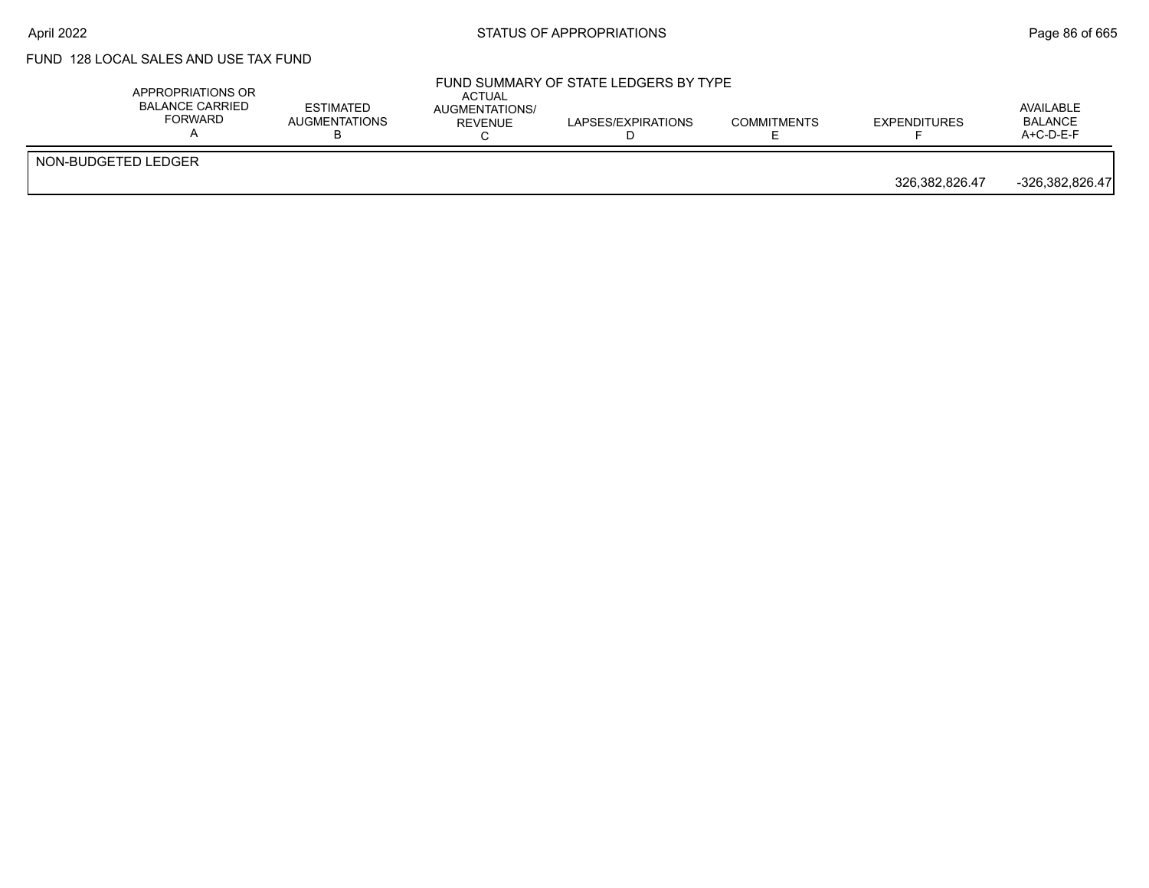# FUND 128 LOCAL SALES AND USE TAX FUND

|                     | APPROPRIATIONS OR<br><b>BALANCE CARRIED</b><br><b>FORWARD</b> | <b>ESTIMATED</b><br>AUGMENTATIONS | <b>ACTUAL</b><br>AUGMENTATIONS/<br>REVENUE | FUND SUMMARY OF STATE LEDGERS BY TYPE<br>LAPSES/EXPIRATIONS | <b>COMMITMENTS</b> | <b>EXPENDITURES</b> | AVAILABLE<br><b>BALANCE</b><br>$A+C-D-E-F$ |
|---------------------|---------------------------------------------------------------|-----------------------------------|--------------------------------------------|-------------------------------------------------------------|--------------------|---------------------|--------------------------------------------|
| NON-BUDGETED LEDGER |                                                               |                                   |                                            |                                                             |                    | 326,382,826.47      | $-326.382.826.47$                          |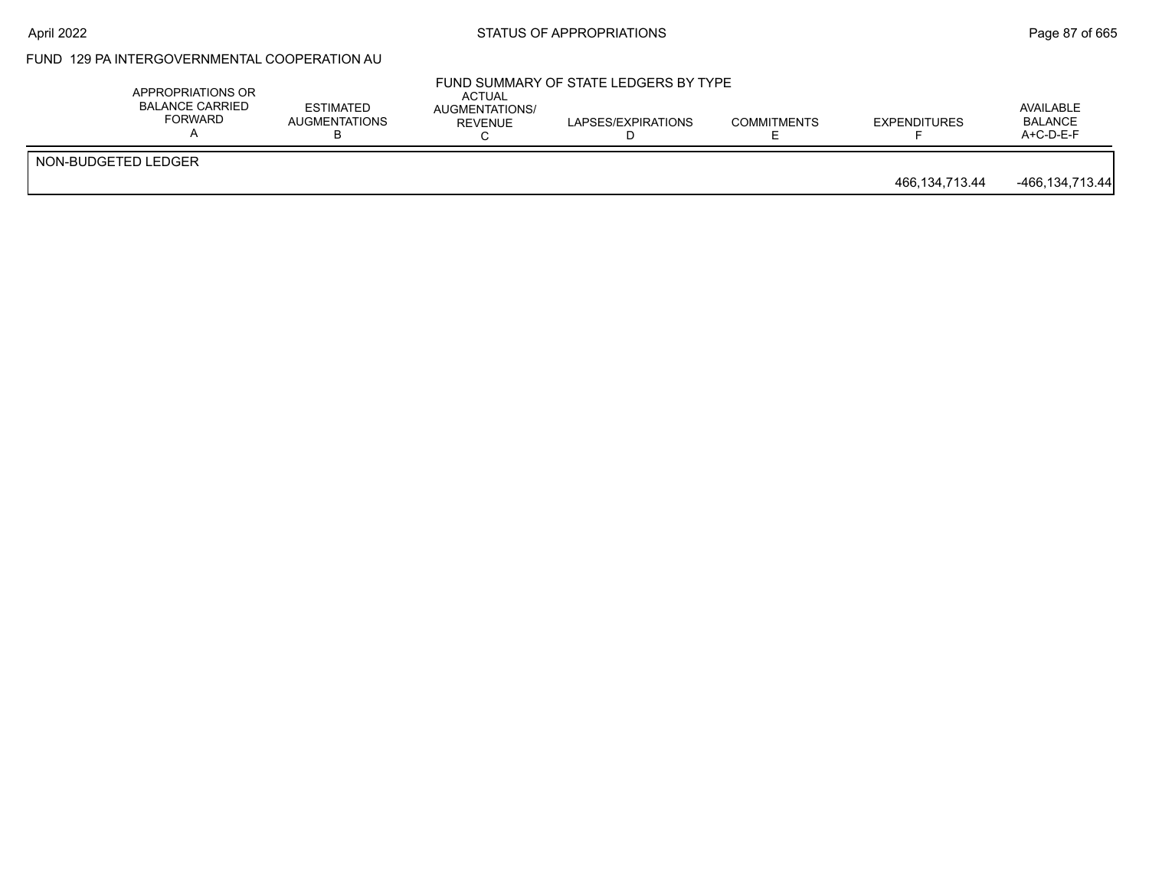#### April 2022 **Example 2022** Page 87 of 665

# FUND 129 PA INTERGOVERNMENTAL COOPERATION AU

|                     | APPROPRIATIONS OR<br><b>BALANCE CARRIED</b><br>FORWARD | <b>ESTIMATED</b><br><b>AUGMENTATIONS</b> | ACTUAL<br>AUGMENTATIONS/<br><b>REVENUE</b> | FUND SUMMARY OF STATE LEDGERS BY TYPE<br>LAPSES/EXPIRATIONS | <b>COMMITMENTS</b> | EXPENDITURES   | AVAILABLE<br><b>BALANCE</b><br>$A+C-D-E-F$ |
|---------------------|--------------------------------------------------------|------------------------------------------|--------------------------------------------|-------------------------------------------------------------|--------------------|----------------|--------------------------------------------|
| NON-BUDGETED LEDGER |                                                        |                                          |                                            |                                                             |                    | 466,134,713.44 | -466,134,713.44                            |
|                     |                                                        |                                          |                                            |                                                             |                    |                |                                            |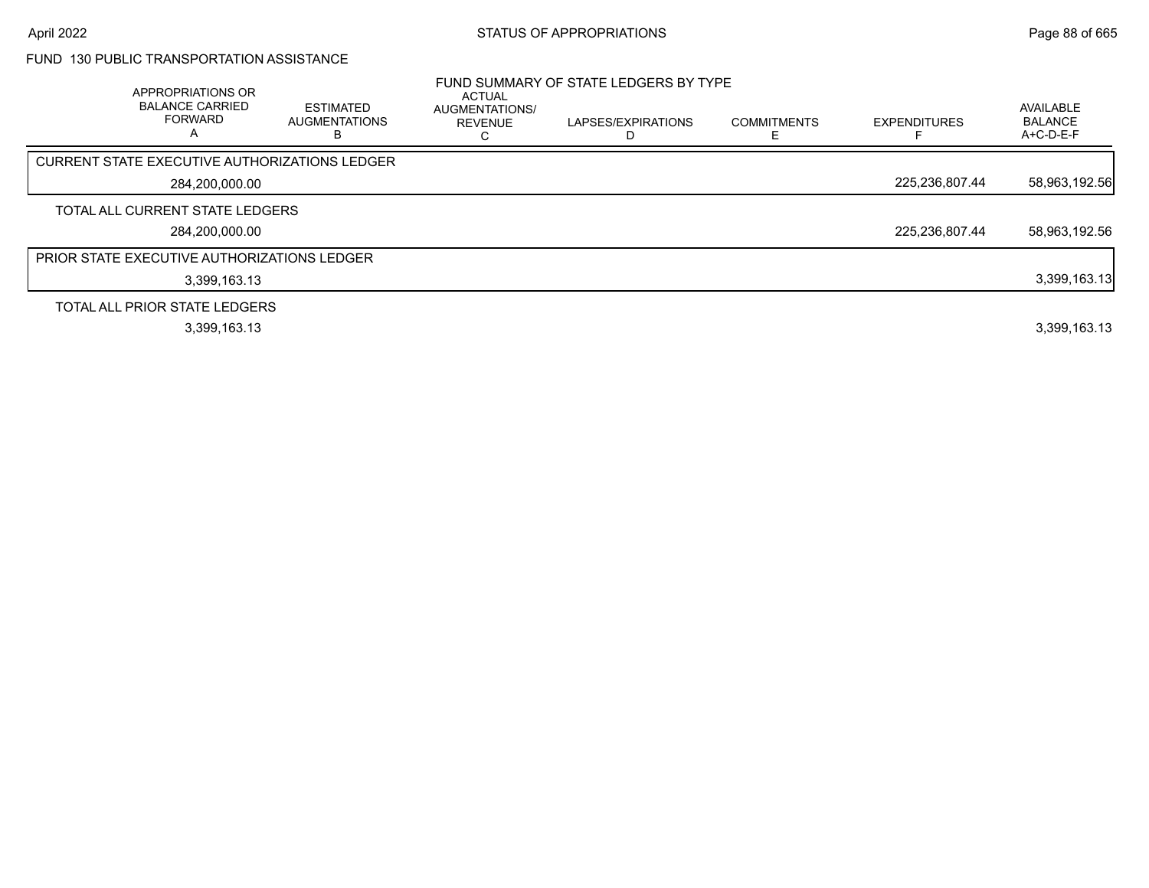# FUND 130 PUBLIC TRANSPORTATION ASSISTANCE

| APPROPRIATIONS OR<br><b>BALANCE CARRIED</b><br><b>FORWARD</b><br>A | <b>ESTIMATED</b><br><b>AUGMENTATIONS</b><br>в | ACTUAL<br>AUGMENTATIONS/<br><b>REVENUE</b> | FUND SUMMARY OF STATE LEDGERS BY TYPE<br>LAPSES/EXPIRATIONS | <b>COMMITMENTS</b><br>E. | <b>EXPENDITURES</b> | AVAILABLE<br><b>BALANCE</b><br>A+C-D-E-F |
|--------------------------------------------------------------------|-----------------------------------------------|--------------------------------------------|-------------------------------------------------------------|--------------------------|---------------------|------------------------------------------|
| CURRENT STATE EXECUTIVE AUTHORIZATIONS LEDGER                      |                                               |                                            |                                                             |                          |                     |                                          |
| 284,200,000.00                                                     |                                               |                                            |                                                             |                          | 225,236,807.44      | 58,963,192.56                            |
| TOTAL ALL CURRENT STATE LEDGERS                                    |                                               |                                            |                                                             |                          |                     |                                          |
| 284,200,000.00                                                     |                                               |                                            |                                                             |                          | 225,236,807.44      | 58,963,192.56                            |
| <b>PRIOR STATE EXECUTIVE AUTHORIZATIONS LEDGER</b>                 |                                               |                                            |                                                             |                          |                     |                                          |
| 3,399,163.13                                                       |                                               |                                            |                                                             |                          |                     | 3,399,163.13                             |
| TOTAL ALL PRIOR STATE LEDGERS                                      |                                               |                                            |                                                             |                          |                     |                                          |
| 3,399,163.13                                                       |                                               |                                            |                                                             |                          |                     | 3,399,163.13                             |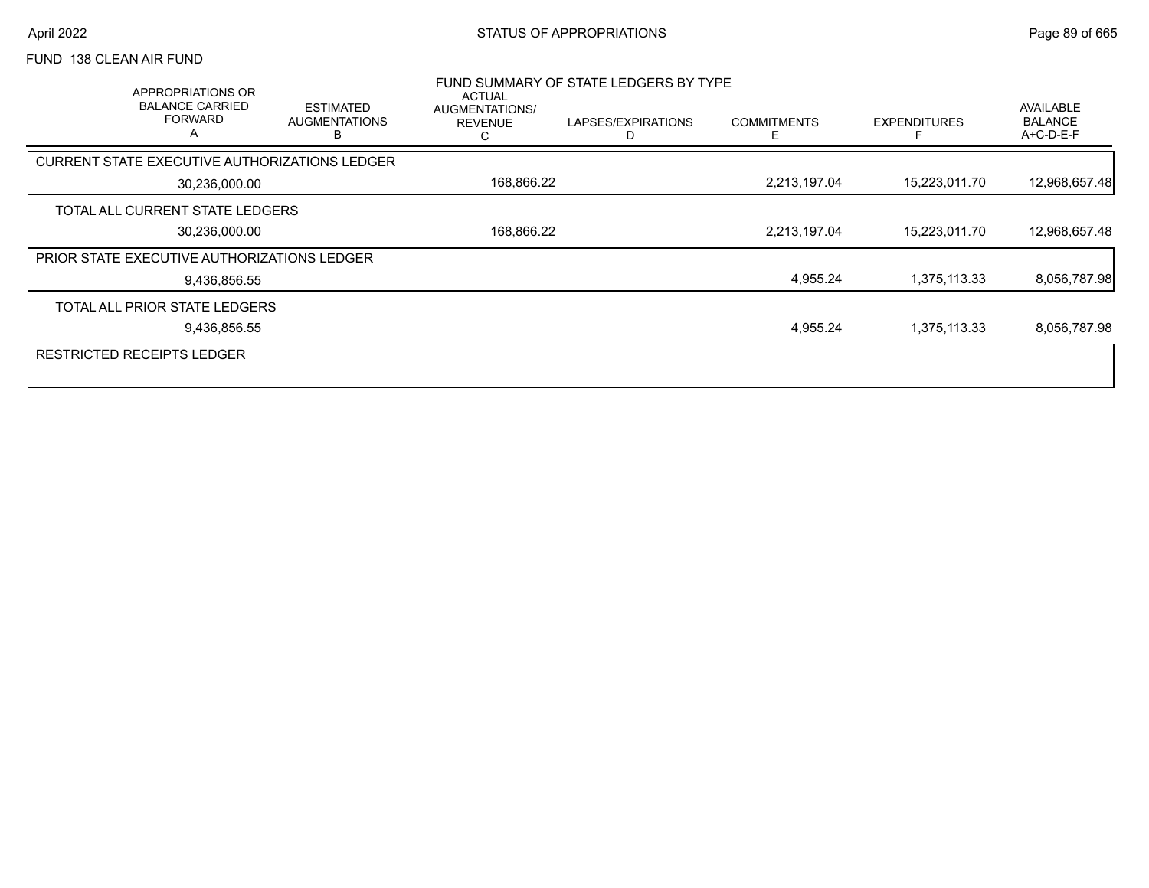### FUND 138 CLEAN AIR FUND

| APPROPRIATIONS OR<br><b>BALANCE CARRIED</b><br><b>FORWARD</b><br>A | <b>ESTIMATED</b><br><b>AUGMENTATIONS</b><br>в | ACTUAL<br>AUGMENTATIONS/<br><b>REVENUE</b><br>C | FUND SUMMARY OF STATE LEDGERS BY TYPE<br>LAPSES/EXPIRATIONS | <b>COMMITMENTS</b><br>F | <b>EXPENDITURES</b> | AVAILABLE<br><b>BALANCE</b><br>$A+C-D-E-F$ |
|--------------------------------------------------------------------|-----------------------------------------------|-------------------------------------------------|-------------------------------------------------------------|-------------------------|---------------------|--------------------------------------------|
| CURRENT STATE EXECUTIVE AUTHORIZATIONS LEDGER                      |                                               |                                                 |                                                             |                         |                     |                                            |
| 30,236,000.00                                                      |                                               | 168,866.22                                      |                                                             | 2,213,197.04            | 15,223,011.70       | 12,968,657.48                              |
| TOTAL ALL CURRENT STATE LEDGERS                                    |                                               |                                                 |                                                             |                         |                     |                                            |
| 30,236,000.00                                                      |                                               | 168,866.22                                      |                                                             | 2,213,197.04            | 15,223,011.70       | 12,968,657.48                              |
| PRIOR STATE EXECUTIVE AUTHORIZATIONS LEDGER                        |                                               |                                                 |                                                             |                         |                     |                                            |
| 9,436,856.55                                                       |                                               |                                                 |                                                             | 4,955.24                | 1,375,113.33        | 8,056,787.98                               |
| TOTAL ALL PRIOR STATE LEDGERS                                      |                                               |                                                 |                                                             |                         |                     |                                            |
| 9,436,856.55                                                       |                                               |                                                 |                                                             | 4,955.24                | 1,375,113.33        | 8,056,787.98                               |
| <b>RESTRICTED RECEIPTS LEDGER</b>                                  |                                               |                                                 |                                                             |                         |                     |                                            |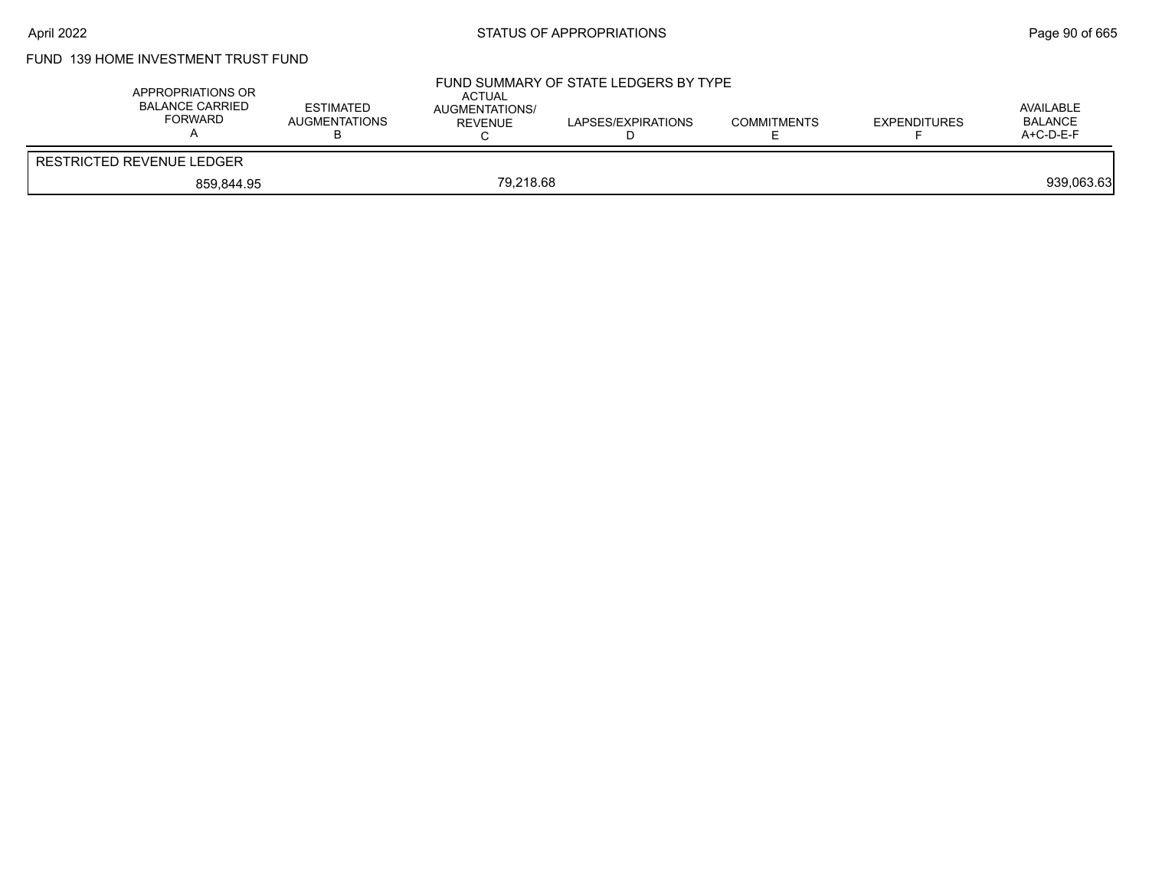# FUND 139 HOME INVESTMENT TRUST FUND

| APPROPRIATIONS OR<br><b>BALANCE CARRIED</b><br>FORWARD | <b>ESTIMATED</b><br>AUGMENTATIONS | <b>ACTUAL</b><br>AUGMENTATIONS/<br>REVENUE | FUND SUMMARY OF STATE LEDGERS BY TYPE<br>LAPSES/EXPIRATIONS<br>◡ | <b>COMMITMENTS</b> | <b>EXPENDITURES</b> | AVAILABLE<br><b>BALANCE</b><br>$A+C-D-E-F$ |
|--------------------------------------------------------|-----------------------------------|--------------------------------------------|------------------------------------------------------------------|--------------------|---------------------|--------------------------------------------|
| <b>RESTRICTED REVENUE LEDGER</b>                       |                                   |                                            |                                                                  |                    |                     |                                            |
| 859.844.95                                             |                                   | 79.218.68                                  |                                                                  |                    |                     | 939,063.63                                 |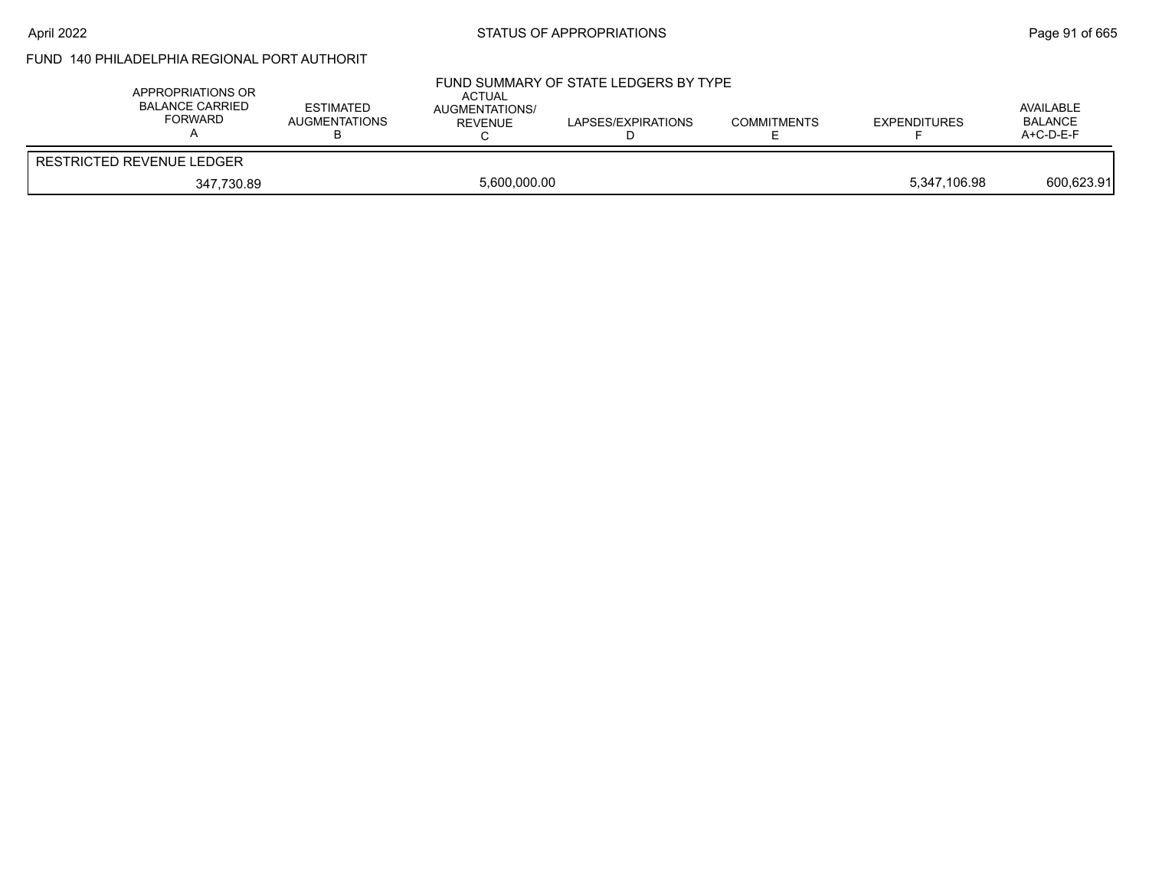# April 2022 **STATUS OF APPROPRIATIONS** STATUS OF APPROPRIATIONS

# FUND 140 PHILADELPHIA REGIONAL PORT AUTHORIT

| APPROPRIATIONS OR<br><b>BALANCE CARRIED</b><br><b>FORWARD</b> | <b>ESTIMATED</b><br><b>AUGMENTATIONS</b> | <b>ACTUAL</b><br>AUGMENTATIONS/<br>REVENUE | FUND SUMMARY OF STATE LEDGERS BY TYPE<br>LAPSES/EXPIRATIONS | <b>COMMITMENTS</b> | <b>EXPENDITURES</b> | AVAILABLE<br>BALANCE<br>$A+C-D-E-F$ |
|---------------------------------------------------------------|------------------------------------------|--------------------------------------------|-------------------------------------------------------------|--------------------|---------------------|-------------------------------------|
| <b>RESTRICTED REVENUE LEDGER</b>                              |                                          |                                            |                                                             |                    |                     |                                     |
| 347,730.89                                                    |                                          | 5,600,000.00                               |                                                             |                    | 5,347,106.98        | 600,623.91                          |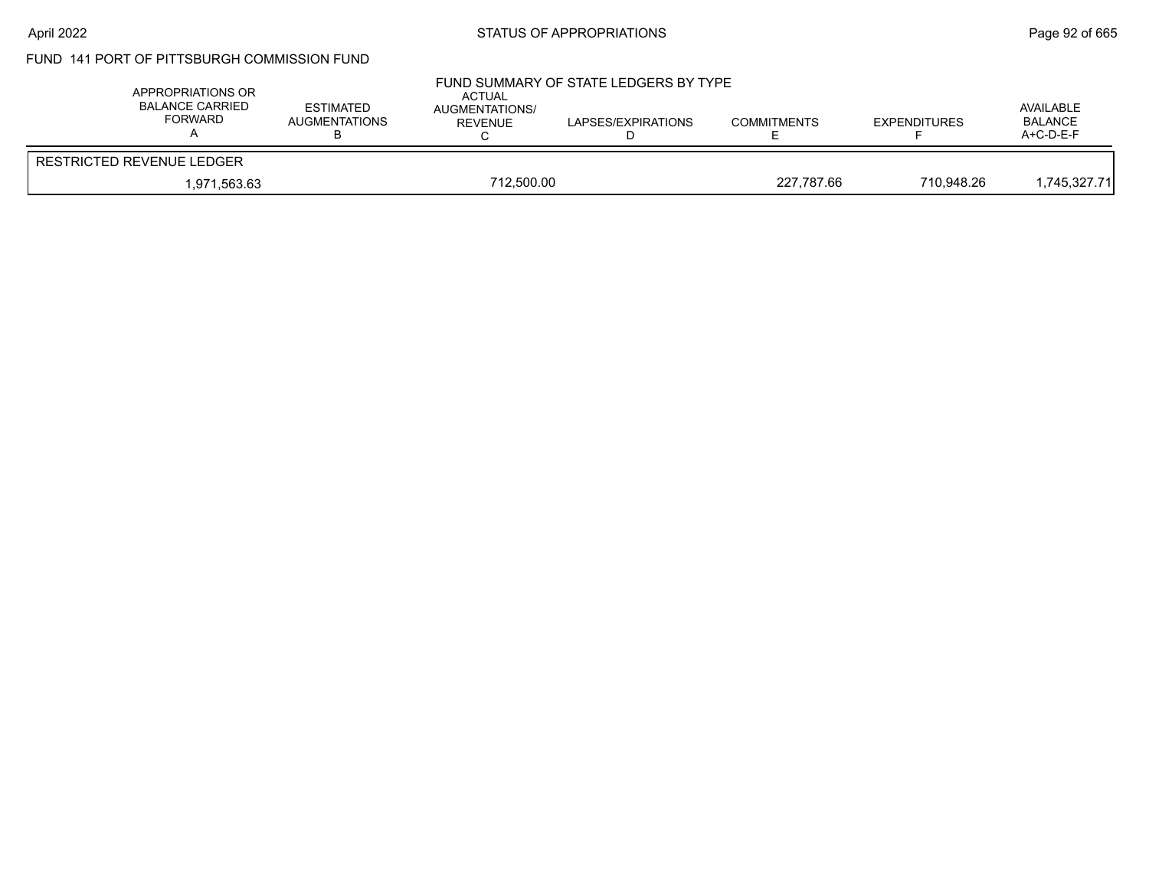# FUND 141 PORT OF PITTSBURGH COMMISSION FUND

| APPROPRIATIONS OR<br><b>BALANCE CARRIED</b><br>FORWARD | <b>ESTIMATED</b><br>AUGMENTATIONS | ACTUAL<br><b>AUGMENTATIONS/</b><br>REVENUE | FUND SUMMARY OF STATE LEDGERS BY TYPE<br>LAPSES/EXPIRATIONS | <b>COMMITMENTS</b> | <b>EXPENDITURES</b> | AVAILABLE<br><b>BALANCE</b><br>$A+C-D-E-F$ |
|--------------------------------------------------------|-----------------------------------|--------------------------------------------|-------------------------------------------------------------|--------------------|---------------------|--------------------------------------------|
| RESTRICTED REVENUE LEDGER                              |                                   |                                            |                                                             |                    |                     |                                            |
| 1,971,563.63                                           |                                   | 712,500.00                                 |                                                             | 227,787.66         | 710.948.26          | 745,327.71,                                |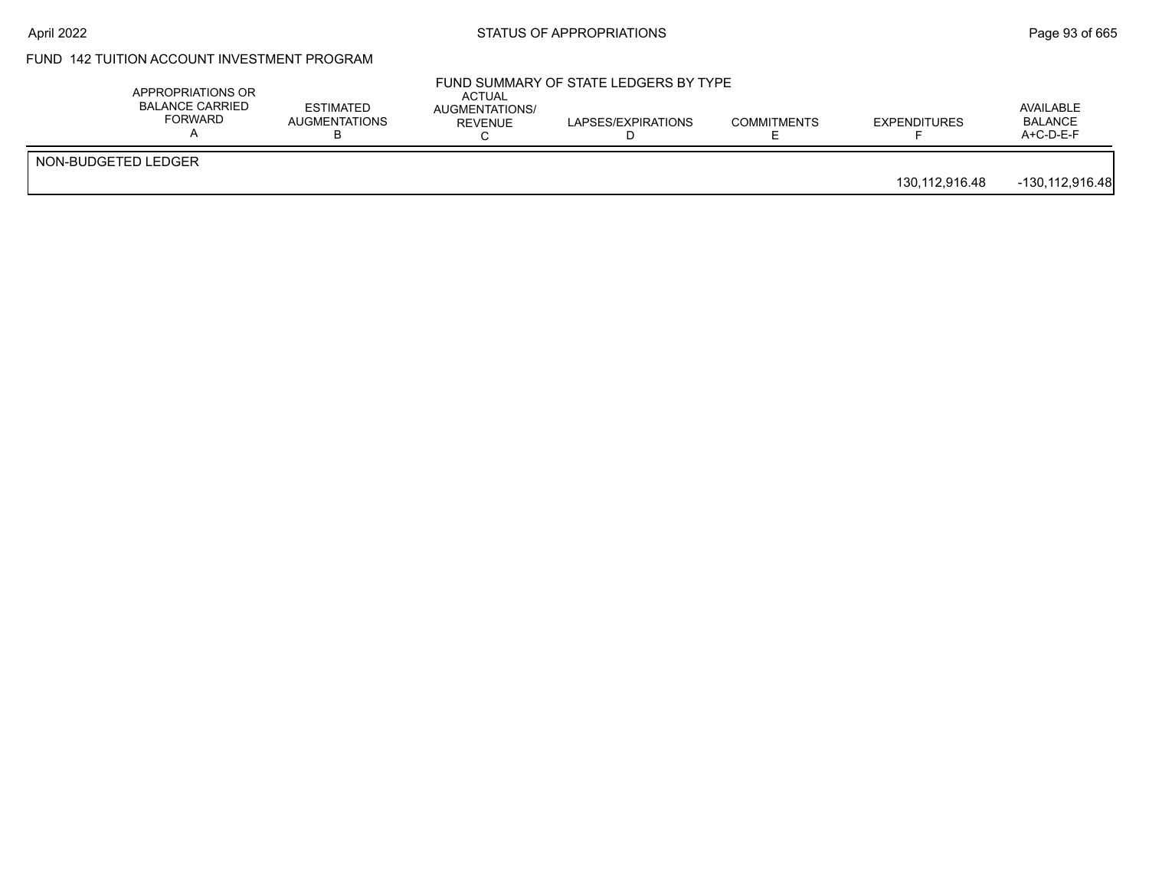# FUND 142 TUITION ACCOUNT INVESTMENT PROGRAM

|                     | APPROPRIATIONS OR<br><b>BALANCE CARRIED</b><br>FORWARD | <b>ESTIMATED</b><br><b>AUGMENTATIONS</b> | ACTUAL<br>AUGMENTATIONS/<br>REVENUE | FUND SUMMARY OF STATE LEDGERS BY TYPE<br>LAPSES/EXPIRATIONS | <b>COMMITMENTS</b> | <b>EXPENDITURES</b> | AVAILABLE<br><b>BALANCE</b><br>$A+C-D-E-F$ |
|---------------------|--------------------------------------------------------|------------------------------------------|-------------------------------------|-------------------------------------------------------------|--------------------|---------------------|--------------------------------------------|
| NON-BUDGETED LEDGER |                                                        |                                          |                                     |                                                             |                    | 130,112,916.48      | -130,112,916.48                            |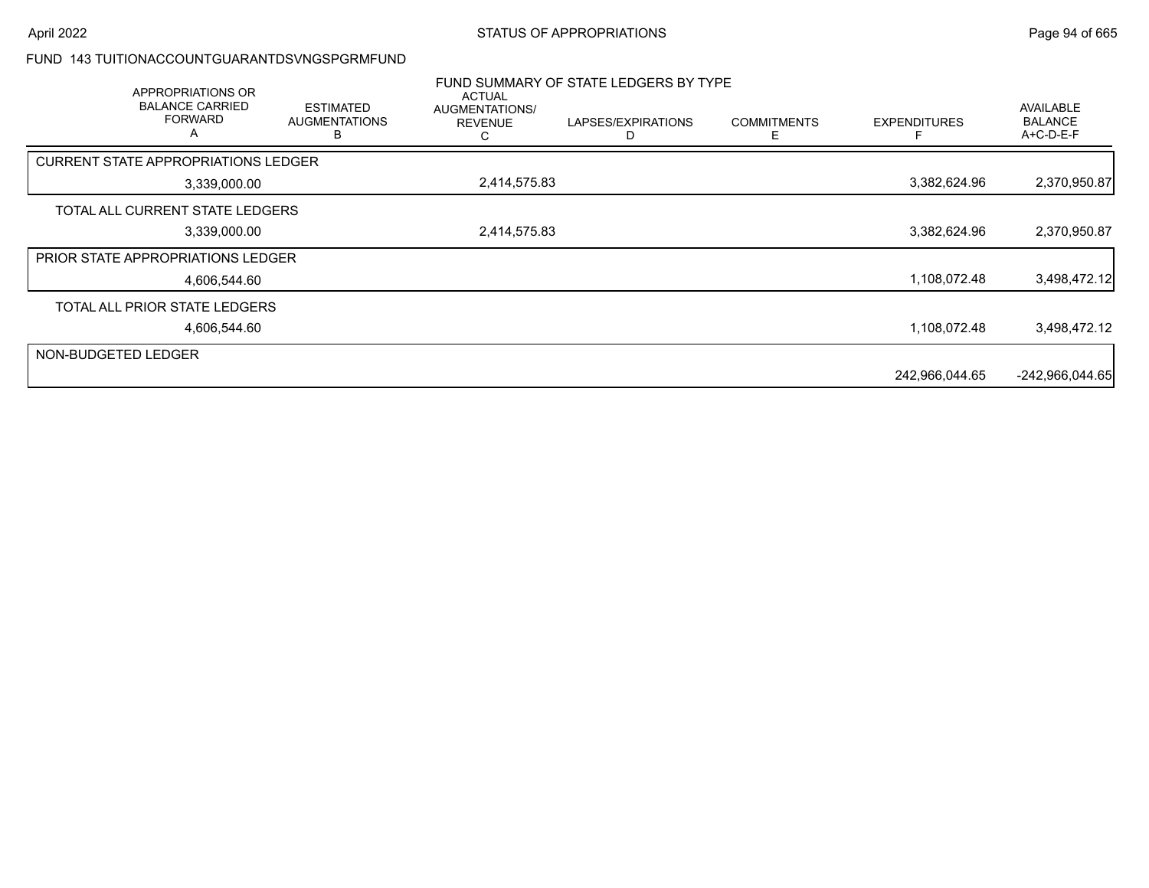#### FUND 143 TUITIONACCOUNTGUARANTDSVNGSPGRMFUND

|                     | APPROPRIATIONS OR<br><b>BALANCE CARRIED</b><br><b>FORWARD</b><br>A | <b>ESTIMATED</b><br><b>AUGMENTATIONS</b> | <b>ACTUAL</b><br>AUGMENTATIONS/<br><b>REVENUE</b> | FUND SUMMARY OF STATE LEDGERS BY TYPE<br>LAPSES/EXPIRATIONS | <b>COMMITMENTS</b><br>F | <b>EXPENDITURES</b> | <b>AVAILABLE</b><br><b>BALANCE</b><br>A+C-D-E-F |
|---------------------|--------------------------------------------------------------------|------------------------------------------|---------------------------------------------------|-------------------------------------------------------------|-------------------------|---------------------|-------------------------------------------------|
|                     | <b>CURRENT STATE APPROPRIATIONS LEDGER</b>                         |                                          |                                                   |                                                             |                         |                     |                                                 |
|                     | 3,339,000.00                                                       |                                          | 2,414,575.83                                      |                                                             |                         | 3,382,624.96        | 2,370,950.87                                    |
|                     | TOTAL ALL CURRENT STATE LEDGERS                                    |                                          |                                                   |                                                             |                         |                     |                                                 |
|                     | 3,339,000.00                                                       |                                          | 2,414,575.83                                      |                                                             |                         | 3,382,624.96        | 2,370,950.87                                    |
|                     | PRIOR STATE APPROPRIATIONS LEDGER                                  |                                          |                                                   |                                                             |                         |                     |                                                 |
|                     | 4.606.544.60                                                       |                                          |                                                   |                                                             |                         | 1,108,072.48        | 3,498,472.12                                    |
|                     | TOTAL ALL PRIOR STATE LEDGERS                                      |                                          |                                                   |                                                             |                         |                     |                                                 |
|                     | 4,606,544.60                                                       |                                          |                                                   |                                                             |                         | 1,108,072.48        | 3,498,472.12                                    |
| NON-BUDGETED LEDGER |                                                                    |                                          |                                                   |                                                             |                         |                     |                                                 |
|                     |                                                                    |                                          |                                                   |                                                             |                         | 242,966,044.65      | $-242,966,044.65$                               |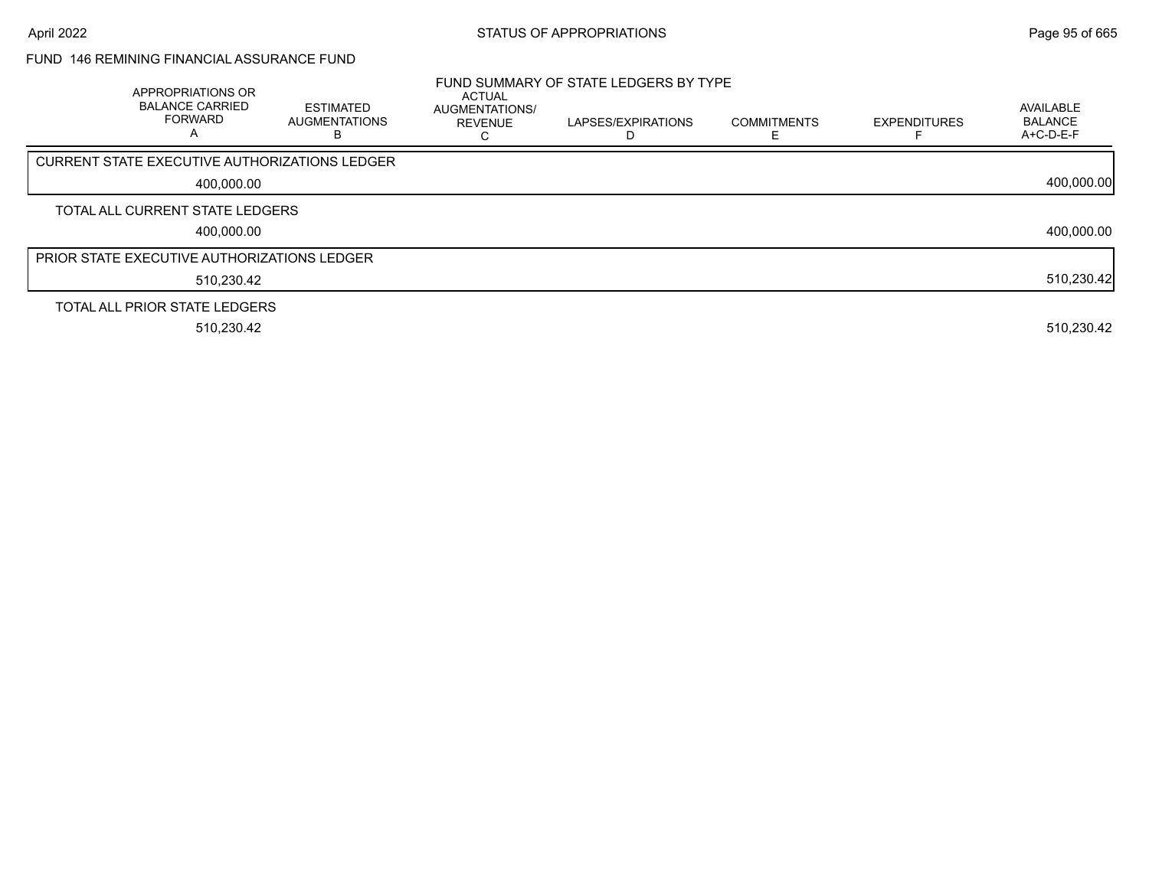# FUND 146 REMINING FINANCIAL ASSURANCE FUND

| APPROPRIATIONS OR<br><b>BALANCE CARRIED</b><br><b>FORWARD</b><br>A | <b>ESTIMATED</b><br><b>AUGMENTATIONS</b><br>В | <b>ACTUAL</b><br><b>AUGMENTATIONS/</b><br><b>REVENUE</b> | FUND SUMMARY OF STATE LEDGERS BY TYPE<br>LAPSES/EXPIRATIONS | <b>COMMITMENTS</b> | <b>EXPENDITURES</b> | <b>AVAILABLE</b><br><b>BALANCE</b><br>A+C-D-E-F |
|--------------------------------------------------------------------|-----------------------------------------------|----------------------------------------------------------|-------------------------------------------------------------|--------------------|---------------------|-------------------------------------------------|
| CURRENT STATE EXECUTIVE AUTHORIZATIONS LEDGER                      |                                               |                                                          |                                                             |                    |                     |                                                 |
| 400,000.00                                                         |                                               |                                                          |                                                             |                    |                     | 400,000.00                                      |
| TOTAL ALL CURRENT STATE LEDGERS                                    |                                               |                                                          |                                                             |                    |                     |                                                 |
| 400,000.00                                                         |                                               |                                                          |                                                             |                    |                     | 400,000.00                                      |
| <b>PRIOR STATE EXECUTIVE AUTHORIZATIONS LEDGER</b>                 |                                               |                                                          |                                                             |                    |                     |                                                 |
| 510,230.42                                                         |                                               |                                                          |                                                             |                    |                     | 510,230.42                                      |
| TOTAL ALL PRIOR STATE LEDGERS                                      |                                               |                                                          |                                                             |                    |                     |                                                 |
| 510,230.42                                                         |                                               |                                                          |                                                             |                    |                     | 510,230.42                                      |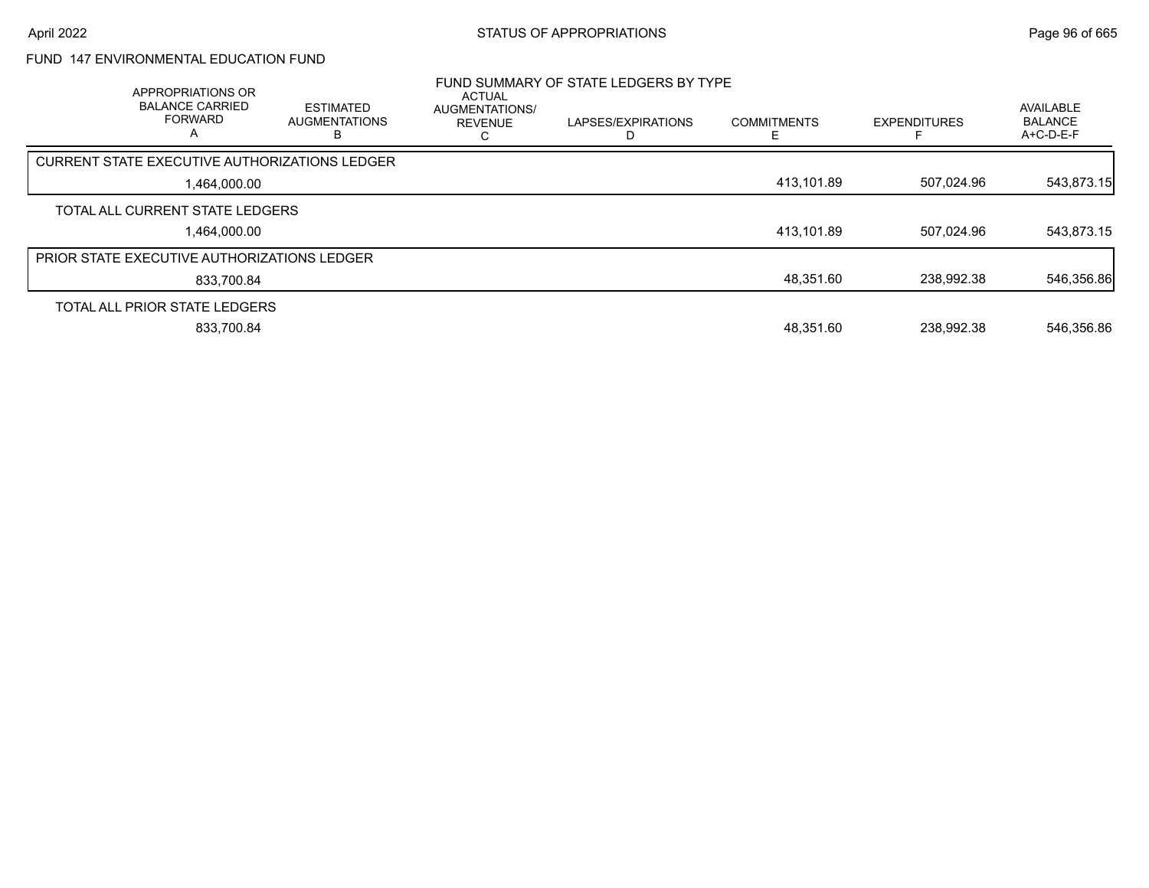# FUND 147 ENVIRONMENTAL EDUCATION FUND

| APPROPRIATIONS OR<br><b>BALANCE CARRIED</b><br><b>FORWARD</b><br>$\overline{A}$ | <b>ESTIMATED</b><br><b>AUGMENTATIONS</b> | <b>ACTUAL</b><br><b>AUGMENTATIONS/</b><br><b>REVENUE</b> | FUND SUMMARY OF STATE LEDGERS BY TYPE<br>LAPSES/EXPIRATIONS | <b>COMMITMENTS</b> | <b>EXPENDITURES</b> | <b>AVAILABLE</b><br><b>BALANCE</b><br>$A+C-D-E-F$ |
|---------------------------------------------------------------------------------|------------------------------------------|----------------------------------------------------------|-------------------------------------------------------------|--------------------|---------------------|---------------------------------------------------|
| <b>CURRENT STATE EXECUTIVE AUTHORIZATIONS LEDGER</b>                            |                                          |                                                          |                                                             |                    |                     |                                                   |
| 1.464.000.00                                                                    |                                          |                                                          |                                                             | 413,101.89         | 507.024.96          | 543,873.15                                        |
| TOTAL ALL CURRENT STATE LEDGERS                                                 |                                          |                                                          |                                                             |                    |                     |                                                   |
| 1.464.000.00                                                                    |                                          |                                                          |                                                             | 413.101.89         | 507.024.96          | 543,873.15                                        |
| PRIOR STATE EXECUTIVE AUTHORIZATIONS LEDGER                                     |                                          |                                                          |                                                             |                    |                     |                                                   |
| 833.700.84                                                                      |                                          |                                                          |                                                             | 48,351.60          | 238.992.38          | 546,356.86                                        |
| TOTAL ALL PRIOR STATE LEDGERS                                                   |                                          |                                                          |                                                             |                    |                     |                                                   |
| 833.700.84                                                                      |                                          |                                                          |                                                             | 48.351.60          | 238.992.38          | 546,356.86                                        |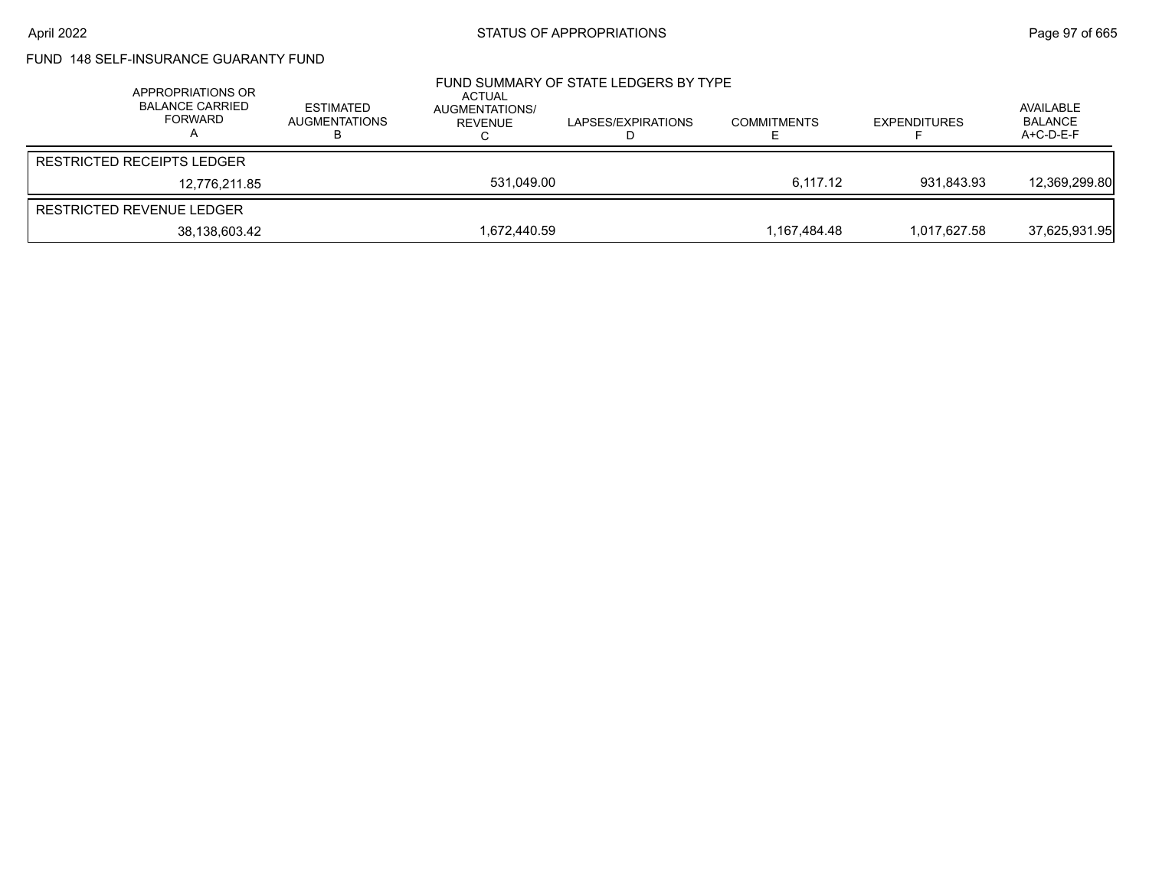# FUND 148 SELF-INSURANCE GUARANTY FUND

| APPROPRIATIONS OR<br><b>BALANCE CARRIED</b><br><b>FORWARD</b> | ESTIMATED<br>AUGMENTATIONS | ACTUAL<br>AUGMENTATIONS/<br>REVENUE | FUND SUMMARY OF STATE LEDGERS BY TYPE<br>LAPSES/EXPIRATIONS | <b>COMMITMENTS</b> | <b>EXPENDITURES</b> | AVAILABLE<br><b>BALANCE</b><br>A+C-D-E-F |
|---------------------------------------------------------------|----------------------------|-------------------------------------|-------------------------------------------------------------|--------------------|---------------------|------------------------------------------|
| <b>RESTRICTED RECEIPTS LEDGER</b>                             |                            |                                     |                                                             |                    |                     |                                          |
| 12.776.211.85                                                 |                            | 531.049.00                          |                                                             | 6.117.12           | 931.843.93          | 12,369,299.80                            |
| RESTRICTED REVENUE LEDGER                                     |                            |                                     |                                                             |                    |                     |                                          |
| 38,138,603.42                                                 |                            | 1.672.440.59                        |                                                             | 1.167.484.48       | 1.017.627.58        | 37,625,931.95                            |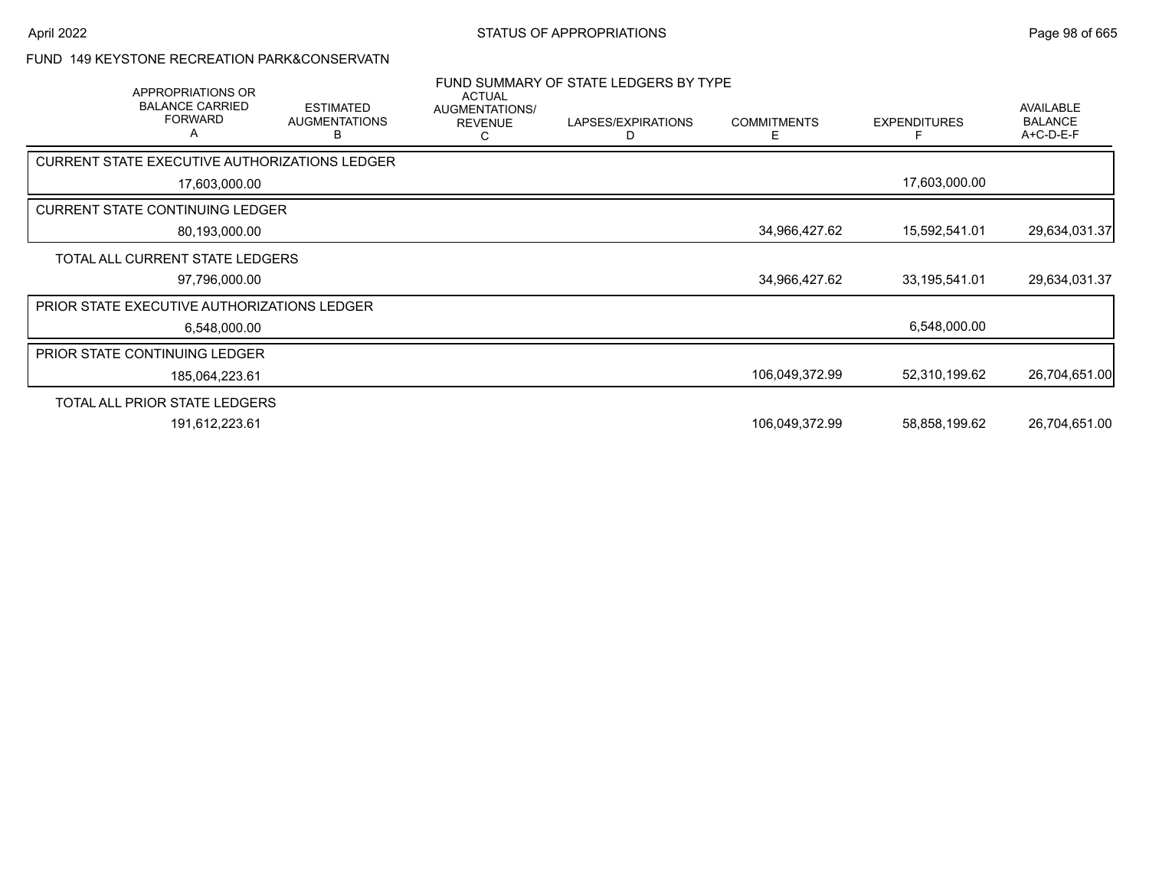### FUND 149 KEYSTONE RECREATION PARK&CONSERVATN

|                                                      | APPROPRIATIONS OR<br><b>BALANCE CARRIED</b><br><b>FORWARD</b><br>A | <b>ESTIMATED</b><br><b>AUGMENTATIONS</b><br>в | <b>ACTUAL</b><br>AUGMENTATIONS/<br><b>REVENUE</b> | FUND SUMMARY OF STATE LEDGERS BY TYPE<br>LAPSES/EXPIRATIONS<br>D | <b>COMMITMENTS</b><br>E. | <b>EXPENDITURES</b> | AVAILABLE<br><b>BALANCE</b><br>A+C-D-E-F |
|------------------------------------------------------|--------------------------------------------------------------------|-----------------------------------------------|---------------------------------------------------|------------------------------------------------------------------|--------------------------|---------------------|------------------------------------------|
| <b>CURRENT STATE EXECUTIVE AUTHORIZATIONS LEDGER</b> |                                                                    |                                               |                                                   |                                                                  |                          |                     |                                          |
|                                                      | 17,603,000.00                                                      |                                               |                                                   |                                                                  |                          | 17,603,000.00       |                                          |
| <b>CURRENT STATE CONTINUING LEDGER</b>               |                                                                    |                                               |                                                   |                                                                  |                          |                     |                                          |
|                                                      | 80,193,000.00                                                      |                                               |                                                   |                                                                  | 34,966,427.62            | 15,592,541.01       | 29,634,031.37                            |
| TOTAL ALL CURRENT STATE LEDGERS                      |                                                                    |                                               |                                                   |                                                                  |                          |                     |                                          |
|                                                      | 97,796,000.00                                                      |                                               |                                                   |                                                                  | 34,966,427.62            | 33, 195, 541.01     | 29,634,031.37                            |
| PRIOR STATE EXECUTIVE AUTHORIZATIONS LEDGER          |                                                                    |                                               |                                                   |                                                                  |                          |                     |                                          |
|                                                      | 6,548,000.00                                                       |                                               |                                                   |                                                                  |                          | 6,548,000.00        |                                          |
| <b>PRIOR STATE CONTINUING LEDGER</b>                 |                                                                    |                                               |                                                   |                                                                  |                          |                     |                                          |
|                                                      | 185,064,223.61                                                     |                                               |                                                   |                                                                  | 106,049,372.99           | 52,310,199.62       | 26,704,651.00                            |
| TOTAL ALL PRIOR STATE LEDGERS                        |                                                                    |                                               |                                                   |                                                                  |                          |                     |                                          |
|                                                      | 191,612,223.61                                                     |                                               |                                                   |                                                                  | 106,049,372.99           | 58,858,199.62       | 26,704,651.00                            |
|                                                      |                                                                    |                                               |                                                   |                                                                  |                          |                     |                                          |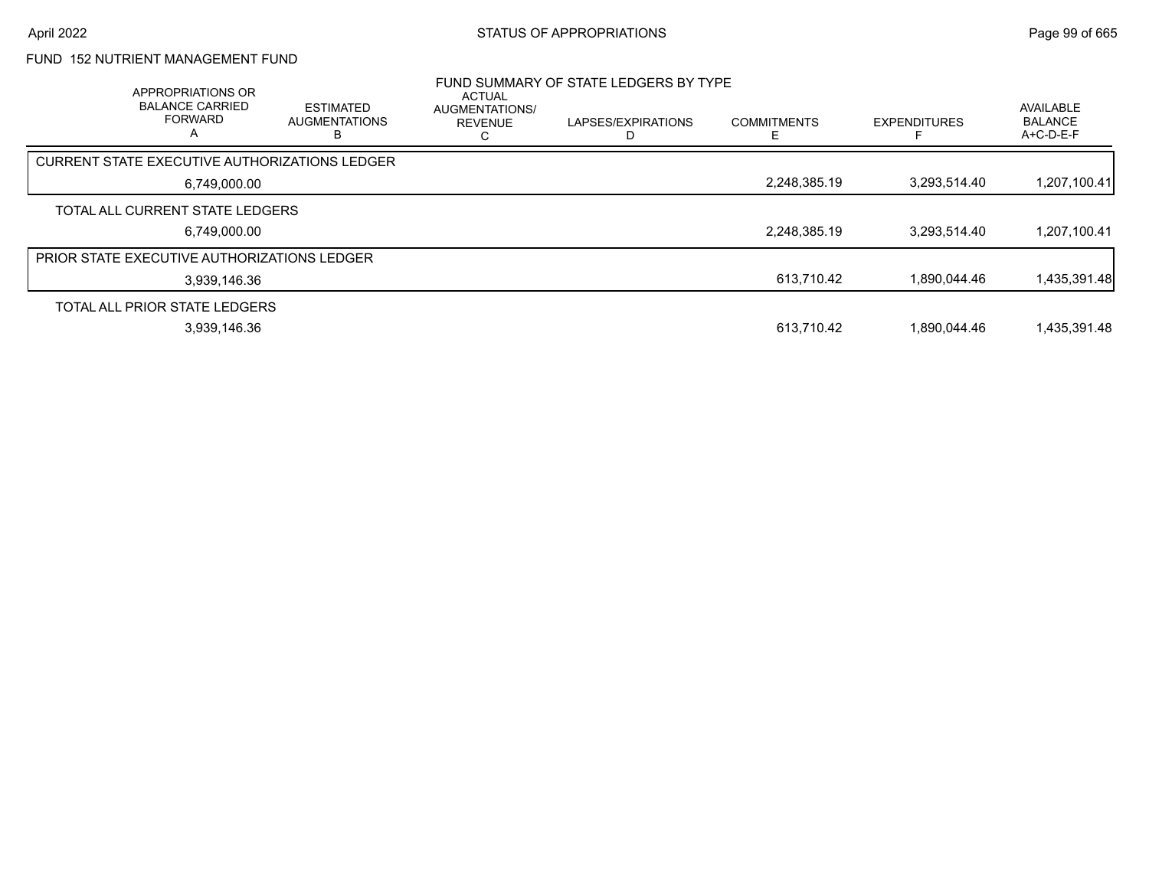# FUND 152 NUTRIENT MANAGEMENT FUND

| <b>APPROPRIATIONS OR</b><br><b>BALANCE CARRIED</b><br><b>FORWARD</b><br>A | <b>ESTIMATED</b><br><b>AUGMENTATIONS</b> | ACTUAL<br>AUGMENTATIONS/<br><b>REVENUE</b><br>ι. | FUND SUMMARY OF STATE LEDGERS BY TYPE<br>LAPSES/EXPIRATIONS | <b>COMMITMENTS</b> | <b>EXPENDITURES</b> | AVAILABLE<br><b>BALANCE</b><br>$A+C-D-E-F$ |
|---------------------------------------------------------------------------|------------------------------------------|--------------------------------------------------|-------------------------------------------------------------|--------------------|---------------------|--------------------------------------------|
| <b>CURRENT STATE EXECUTIVE AUTHORIZATIONS LEDGER</b>                      |                                          |                                                  |                                                             |                    |                     |                                            |
| 6,749,000.00                                                              |                                          |                                                  |                                                             | 2,248,385.19       | 3.293.514.40        | 1,207,100.41                               |
| TOTAL ALL CURRENT STATE LEDGERS                                           |                                          |                                                  |                                                             |                    |                     |                                            |
| 6.749.000.00                                                              |                                          |                                                  |                                                             | 2,248,385.19       | 3.293.514.40        | 1,207,100.41                               |
| <b>PRIOR STATE EXECUTIVE AUTHORIZATIONS LEDGER</b>                        |                                          |                                                  |                                                             |                    |                     |                                            |
| 3,939,146.36                                                              |                                          |                                                  |                                                             | 613,710.42         | 1.890.044.46        | 1,435,391.48                               |
| TOTAL ALL PRIOR STATE LEDGERS                                             |                                          |                                                  |                                                             |                    |                     |                                            |
| 3,939,146.36                                                              |                                          |                                                  |                                                             | 613,710.42         | 1.890.044.46        | 1,435,391.48                               |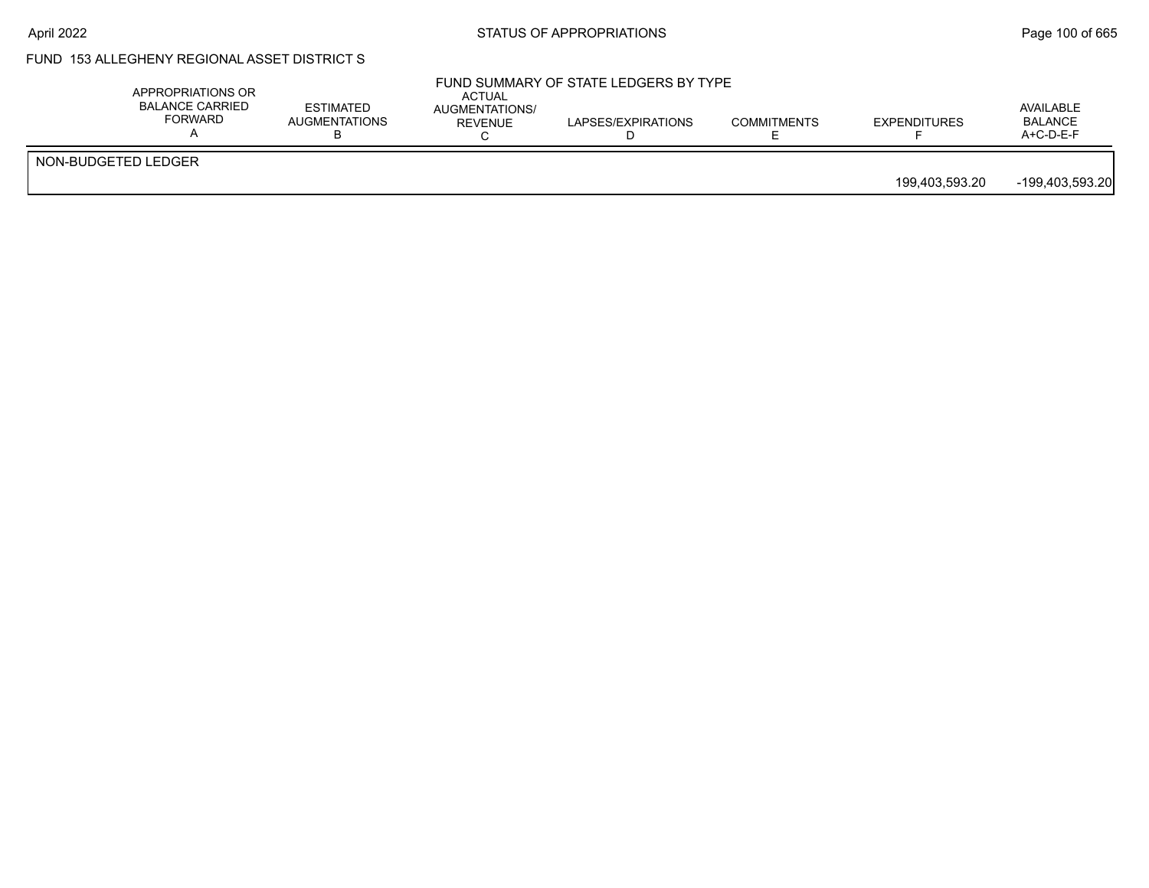# FUND 153 ALLEGHENY REGIONAL ASSET DISTRICT S

| NON-BUDGETED LEDGER | APPROPRIATIONS OR<br><b>BALANCE CARRIED</b><br>FORWARD | <b>ESTIMATED</b><br><b>AUGMENTATIONS</b> | ACTUAL<br>AUGMENTATIONS/<br>REVENUE | FUND SUMMARY OF STATE LEDGERS BY TYPE<br>LAPSES/EXPIRATIONS | <b>COMMITMENTS</b> | <b>EXPENDITURES</b> | AVAILABLE<br><b>BALANCE</b><br>$A+C-D-E-F$ |
|---------------------|--------------------------------------------------------|------------------------------------------|-------------------------------------|-------------------------------------------------------------|--------------------|---------------------|--------------------------------------------|
| 199,403,593.20      |                                                        |                                          |                                     |                                                             |                    |                     | -199.403.593.20                            |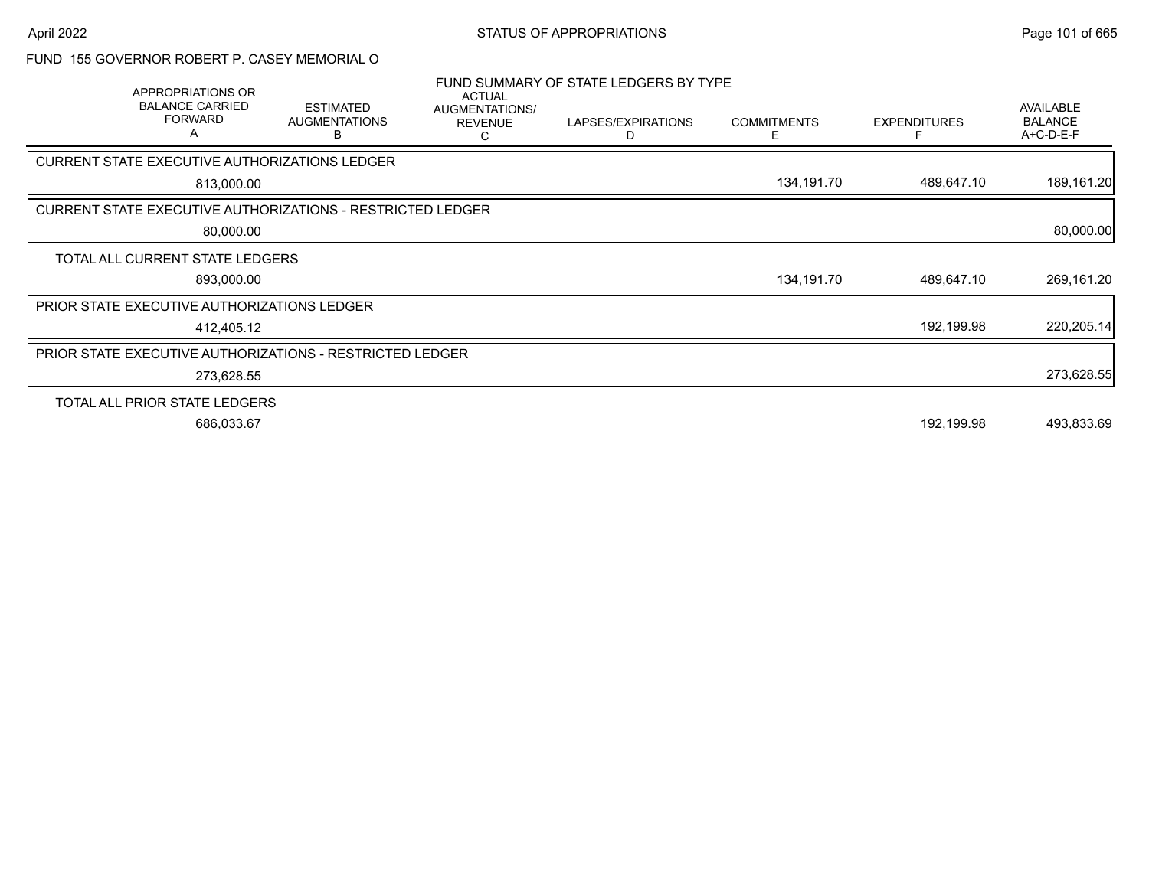#### FUND 155 GOVERNOR ROBERT P. CASEY MEMORIAL O

|                                                                   | APPROPRIATIONS OR<br><b>BALANCE CARRIED</b><br><b>FORWARD</b><br>Α | <b>ESTIMATED</b><br><b>AUGMENTATIONS</b><br>B | <b>ACTUAL</b><br>AUGMENTATIONS/<br><b>REVENUE</b><br>C | FUND SUMMARY OF STATE LEDGERS BY TYPE<br>LAPSES/EXPIRATIONS<br>D | <b>COMMITMENTS</b><br>ь. | <b>EXPENDITURES</b> | <b>AVAILABLE</b><br><b>BALANCE</b><br>A+C-D-E-F |
|-------------------------------------------------------------------|--------------------------------------------------------------------|-----------------------------------------------|--------------------------------------------------------|------------------------------------------------------------------|--------------------------|---------------------|-------------------------------------------------|
| CURRENT STATE EXECUTIVE AUTHORIZATIONS LEDGER                     |                                                                    |                                               |                                                        |                                                                  |                          |                     |                                                 |
|                                                                   | 813,000.00                                                         |                                               |                                                        |                                                                  | 134,191.70               | 489,647.10          | 189,161.20                                      |
| <b>CURRENT STATE EXECUTIVE AUTHORIZATIONS - RESTRICTED LEDGER</b> |                                                                    |                                               |                                                        |                                                                  |                          |                     |                                                 |
|                                                                   | 80,000.00                                                          |                                               |                                                        |                                                                  |                          |                     | 80,000.00                                       |
| TOTAL ALL CURRENT STATE LEDGERS                                   |                                                                    |                                               |                                                        |                                                                  |                          |                     |                                                 |
|                                                                   | 893,000.00                                                         |                                               |                                                        |                                                                  | 134,191.70               | 489,647.10          | 269,161.20                                      |
| PRIOR STATE EXECUTIVE AUTHORIZATIONS LEDGER                       |                                                                    |                                               |                                                        |                                                                  |                          |                     |                                                 |
|                                                                   | 412,405.12                                                         |                                               |                                                        |                                                                  |                          | 192,199.98          | 220,205.14                                      |
| PRIOR STATE EXECUTIVE AUTHORIZATIONS - RESTRICTED LEDGER          |                                                                    |                                               |                                                        |                                                                  |                          |                     |                                                 |
|                                                                   | 273,628.55                                                         |                                               |                                                        |                                                                  |                          |                     | 273,628.55                                      |
| TOTAL ALL PRIOR STATE LEDGERS                                     |                                                                    |                                               |                                                        |                                                                  |                          |                     |                                                 |
|                                                                   | 686,033.67                                                         |                                               |                                                        |                                                                  |                          | 192,199.98          | 493,833.69                                      |
|                                                                   |                                                                    |                                               |                                                        |                                                                  |                          |                     |                                                 |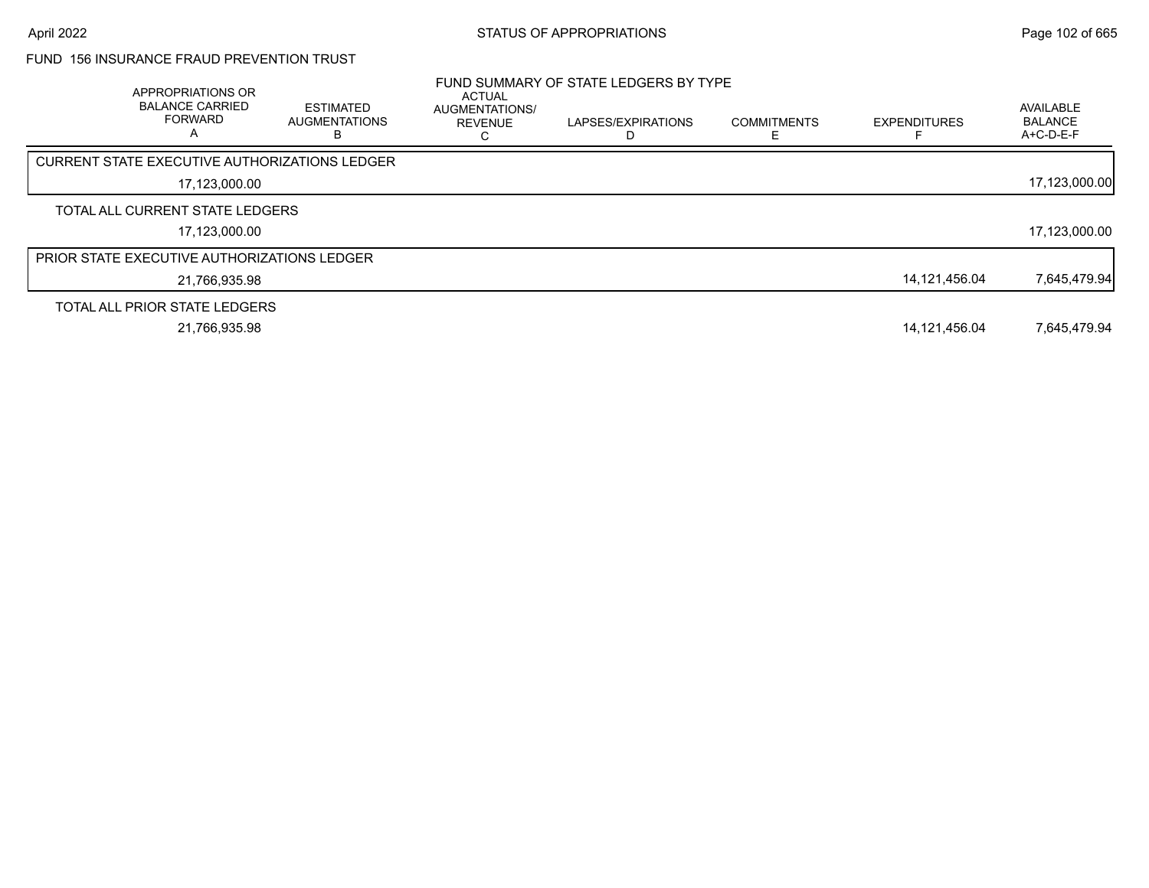# FUND 156 INSURANCE FRAUD PREVENTION TRUST

| APPROPRIATIONS OR<br><b>BALANCE CARRIED</b><br><b>FORWARD</b> | <b>ESTIMATED</b><br><b>AUGMENTATIONS</b><br>в | <b>ACTUAL</b><br>AUGMENTATIONS/<br><b>REVENUE</b> | FUND SUMMARY OF STATE LEDGERS BY TYPE<br>LAPSES/EXPIRATIONS | <b>COMMITMENTS</b> | <b>EXPENDITURES</b> | AVAILABLE<br><b>BALANCE</b><br>A+C-D-E-F |
|---------------------------------------------------------------|-----------------------------------------------|---------------------------------------------------|-------------------------------------------------------------|--------------------|---------------------|------------------------------------------|
| CURRENT STATE EXECUTIVE AUTHORIZATIONS LEDGER                 |                                               |                                                   |                                                             |                    |                     |                                          |
| 17,123,000.00                                                 |                                               |                                                   |                                                             |                    |                     | 17,123,000.00                            |
| TOTAL ALL CURRENT STATE LEDGERS                               |                                               |                                                   |                                                             |                    |                     |                                          |
| 17.123.000.00                                                 |                                               |                                                   |                                                             |                    |                     | 17,123,000.00                            |
| <b>PRIOR STATE EXECUTIVE AUTHORIZATIONS LEDGER</b>            |                                               |                                                   |                                                             |                    |                     |                                          |
| 21,766,935.98                                                 |                                               |                                                   |                                                             |                    | 14,121,456.04       | 7,645,479.94                             |
| TOTAL ALL PRIOR STATE LEDGERS                                 |                                               |                                                   |                                                             |                    |                     |                                          |
| 21,766,935.98                                                 |                                               |                                                   |                                                             |                    | 14.121.456.04       | 7.645.479.94                             |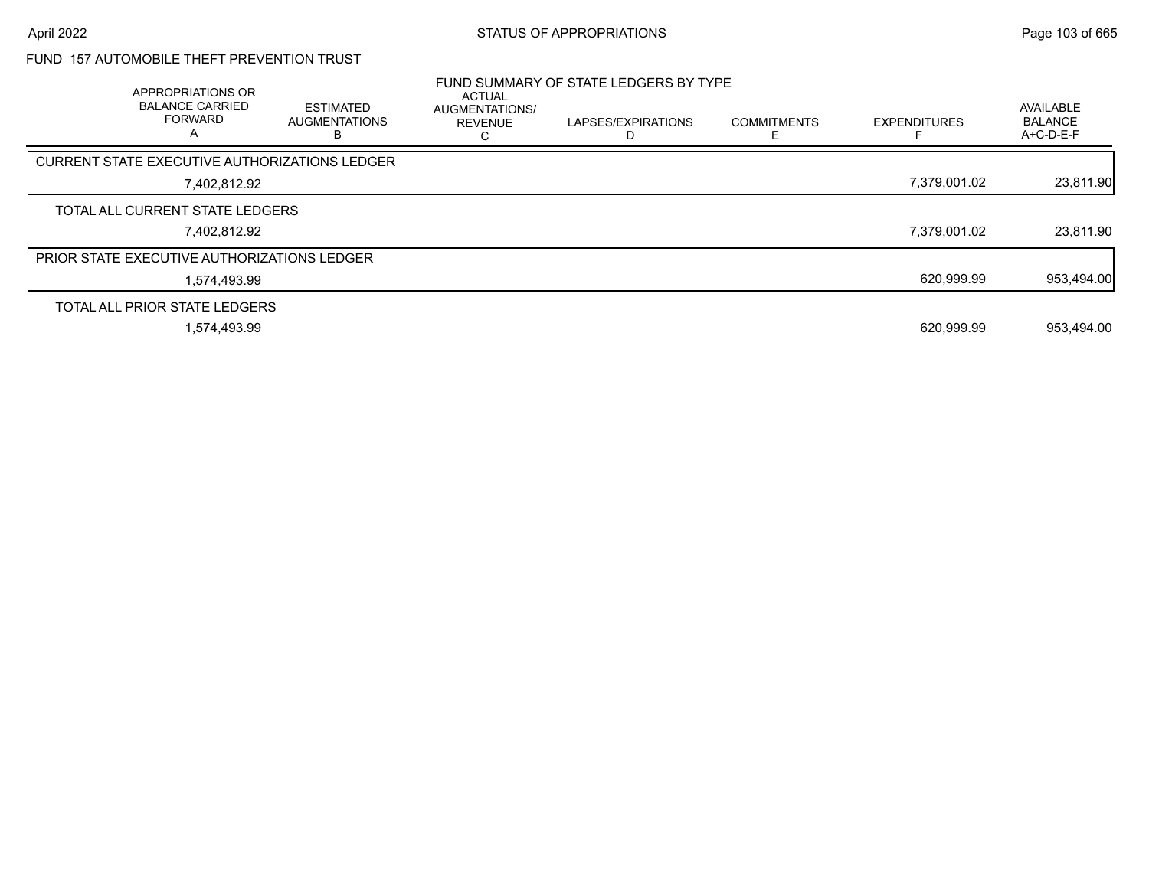# FUND 157 AUTOMOBILE THEFT PREVENTION TRUST

| APPROPRIATIONS OR<br><b>BALANCE CARRIED</b><br><b>FORWARD</b><br>A | <b>ESTIMATED</b><br><b>AUGMENTATIONS</b> | <b>ACTUAL</b><br><b>AUGMENTATIONS/</b><br><b>REVENUE</b> | FUND SUMMARY OF STATE LEDGERS BY TYPE<br>LAPSES/EXPIRATIONS | <b>COMMITMENTS</b> | <b>EXPENDITURES</b> | AVAILABLE<br><b>BALANCE</b><br>A+C-D-E-F |
|--------------------------------------------------------------------|------------------------------------------|----------------------------------------------------------|-------------------------------------------------------------|--------------------|---------------------|------------------------------------------|
| CURRENT STATE EXECUTIVE AUTHORIZATIONS LEDGER                      |                                          |                                                          |                                                             |                    |                     |                                          |
| 7,402,812.92                                                       |                                          |                                                          |                                                             |                    | 7,379,001.02        | 23,811.90                                |
| TOTAL ALL CURRENT STATE LEDGERS                                    |                                          |                                                          |                                                             |                    |                     |                                          |
| 7.402.812.92                                                       |                                          |                                                          |                                                             |                    | 7,379,001.02        | 23,811.90                                |
| <b>PRIOR STATE EXECUTIVE AUTHORIZATIONS LEDGER</b>                 |                                          |                                                          |                                                             |                    |                     |                                          |
| 1.574.493.99                                                       |                                          |                                                          |                                                             |                    | 620,999.99          | 953,494.00                               |
| TOTAL ALL PRIOR STATE LEDGERS                                      |                                          |                                                          |                                                             |                    |                     |                                          |
| 1.574.493.99                                                       |                                          |                                                          |                                                             |                    | 620.999.99          | 953.494.00                               |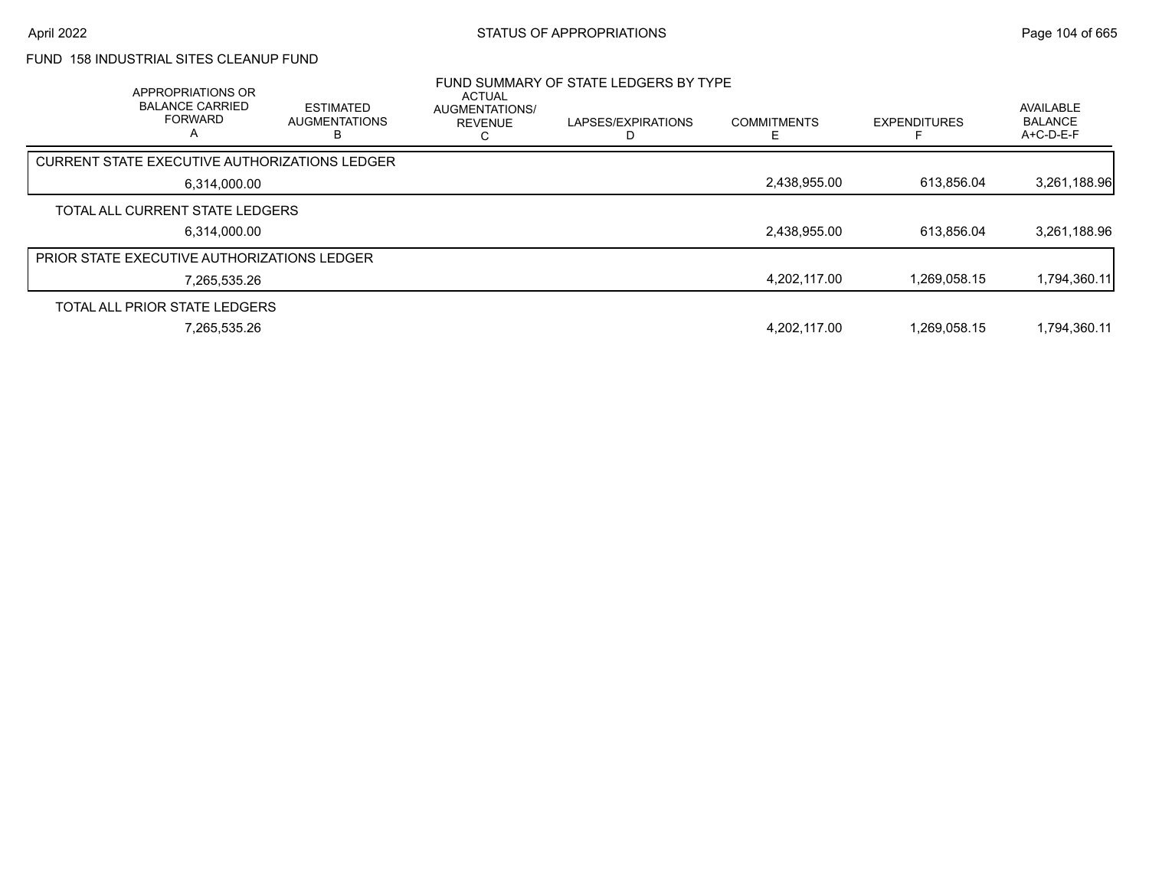# FUND 158 INDUSTRIAL SITES CLEANUP FUND

| <b>APPROPRIATIONS OR</b><br><b>BALANCE CARRIED</b><br><b>FORWARD</b><br>A | <b>ESTIMATED</b><br><b>AUGMENTATIONS</b> | ACTUAL<br>AUGMENTATIONS/<br><b>REVENUE</b> | FUND SUMMARY OF STATE LEDGERS BY TYPE<br>LAPSES/EXPIRATIONS | <b>COMMITMENTS</b> | <b>EXPENDITURES</b> | AVAILABLE<br><b>BALANCE</b><br>$A+C-D-E-F$ |
|---------------------------------------------------------------------------|------------------------------------------|--------------------------------------------|-------------------------------------------------------------|--------------------|---------------------|--------------------------------------------|
| <b>CURRENT STATE EXECUTIVE AUTHORIZATIONS LEDGER</b>                      |                                          |                                            |                                                             |                    |                     |                                            |
| 6,314,000.00                                                              |                                          |                                            |                                                             | 2,438,955.00       | 613,856.04          | 3,261,188.96                               |
| TOTAL ALL CURRENT STATE LEDGERS                                           |                                          |                                            |                                                             |                    |                     |                                            |
| 6.314.000.00                                                              |                                          |                                            |                                                             | 2,438,955.00       | 613.856.04          | 3,261,188.96                               |
| PRIOR STATE EXECUTIVE AUTHORIZATIONS LEDGER                               |                                          |                                            |                                                             |                    |                     |                                            |
| 7,265,535.26                                                              |                                          |                                            |                                                             | 4,202,117.00       | 1,269,058.15        | 1,794,360.11                               |
| TOTAL ALL PRIOR STATE LEDGERS                                             |                                          |                                            |                                                             |                    |                     |                                            |
| 7,265,535.26                                                              |                                          |                                            |                                                             | 4,202,117.00       | 1.269.058.15        | 1,794,360.11                               |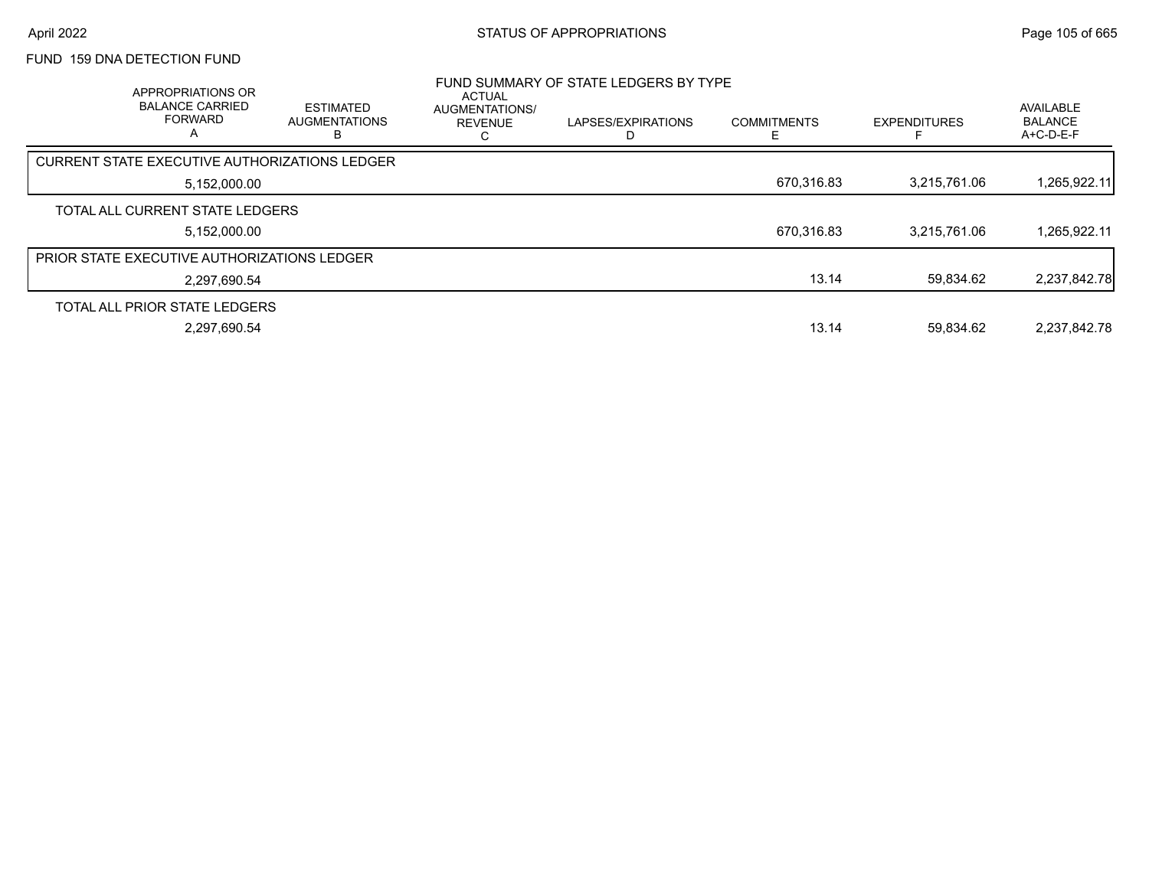# FUND 159 DNA DETECTION FUND

| APPROPRIATIONS OR<br><b>BALANCE CARRIED</b><br><b>FORWARD</b><br>A | <b>ESTIMATED</b><br><b>AUGMENTATIONS</b><br>в | <b>ACTUAL</b><br>AUGMENTATIONS/<br><b>REVENUE</b> | FUND SUMMARY OF STATE LEDGERS BY TYPE<br>LAPSES/EXPIRATIONS | <b>COMMITMENTS</b> | <b>EXPENDITURES</b> | AVAILABLE<br><b>BALANCE</b><br>$A+C-D-E-F$ |
|--------------------------------------------------------------------|-----------------------------------------------|---------------------------------------------------|-------------------------------------------------------------|--------------------|---------------------|--------------------------------------------|
| CURRENT STATE EXECUTIVE AUTHORIZATIONS LEDGER                      |                                               |                                                   |                                                             |                    |                     |                                            |
| 5,152,000.00                                                       |                                               |                                                   |                                                             | 670,316.83         | 3,215,761.06        | 1,265,922.11                               |
| TOTAL ALL CURRENT STATE LEDGERS                                    |                                               |                                                   |                                                             |                    |                     |                                            |
| 5,152,000.00                                                       |                                               |                                                   |                                                             | 670.316.83         | 3,215,761.06        | 1,265,922.11                               |
| <b>PRIOR STATE EXECUTIVE AUTHORIZATIONS LEDGER</b>                 |                                               |                                                   |                                                             |                    |                     |                                            |
| 2.297.690.54                                                       |                                               |                                                   |                                                             | 13.14              | 59.834.62           | 2,237,842.78                               |
| TOTAL ALL PRIOR STATE LEDGERS                                      |                                               |                                                   |                                                             |                    |                     |                                            |
| 2.297.690.54                                                       |                                               |                                                   |                                                             | 13.14              | 59.834.62           | 2.237.842.78                               |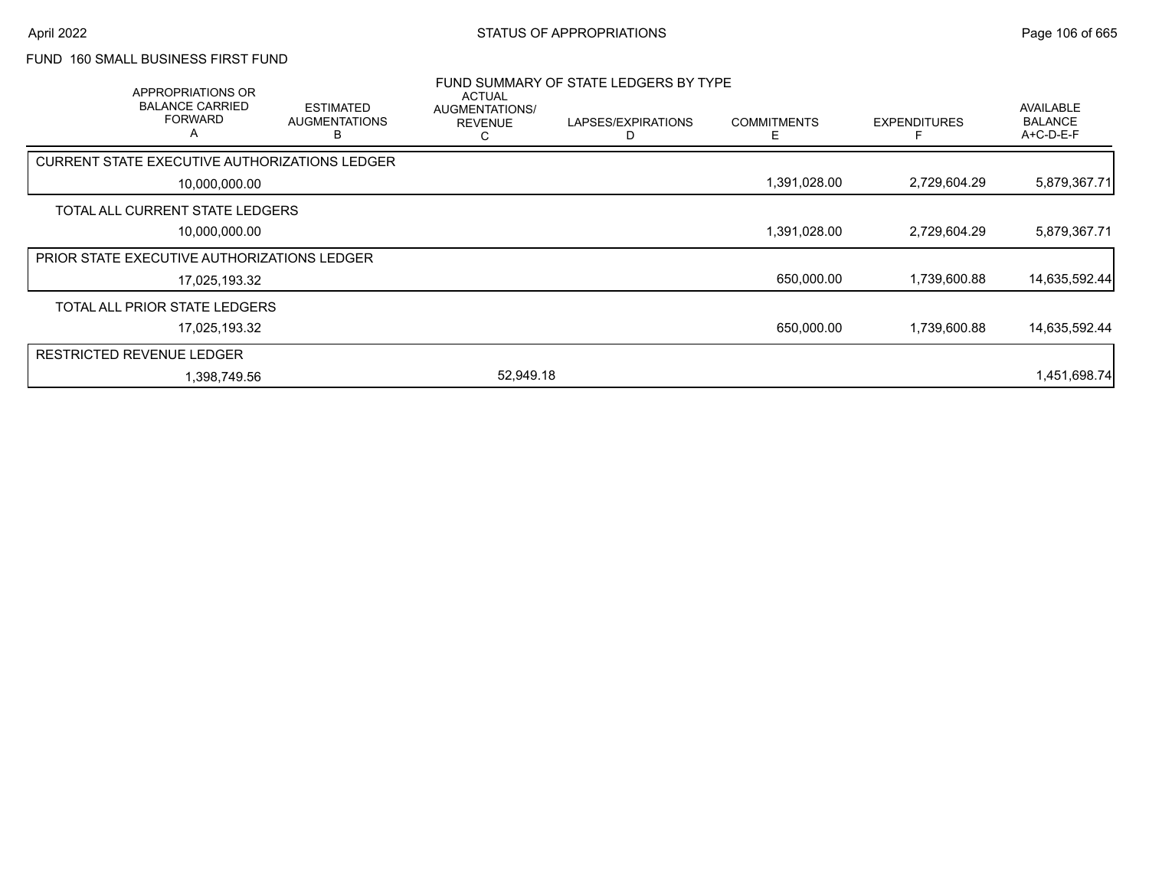### FUND 160 SMALL BUSINESS FIRST FUND

|                                  | APPROPRIATIONS OR<br><b>BALANCE CARRIED</b><br><b>FORWARD</b><br>A | <b>ESTIMATED</b><br><b>AUGMENTATIONS</b><br>R | <b>ACTUAL</b><br>AUGMENTATIONS/<br><b>REVENUE</b><br>С | FUND SUMMARY OF STATE LEDGERS BY TYPE<br>LAPSES/EXPIRATIONS<br>D | <b>COMMITMENTS</b><br>Е | <b>EXPENDITURES</b> | AVAILABLE<br><b>BALANCE</b><br>A+C-D-E-F |
|----------------------------------|--------------------------------------------------------------------|-----------------------------------------------|--------------------------------------------------------|------------------------------------------------------------------|-------------------------|---------------------|------------------------------------------|
|                                  |                                                                    | CURRENT STATE EXECUTIVE AUTHORIZATIONS LEDGER |                                                        |                                                                  |                         |                     |                                          |
|                                  | 10,000,000.00                                                      |                                               |                                                        |                                                                  | 1,391,028.00            | 2,729,604.29        | 5,879,367.71                             |
|                                  | TOTAL ALL CURRENT STATE LEDGERS                                    |                                               |                                                        |                                                                  |                         |                     |                                          |
|                                  | 10,000,000.00                                                      |                                               |                                                        |                                                                  | 1,391,028.00            | 2,729,604.29        | 5,879,367.71                             |
|                                  | PRIOR STATE EXECUTIVE AUTHORIZATIONS LEDGER                        |                                               |                                                        |                                                                  |                         |                     |                                          |
|                                  | 17,025,193.32                                                      |                                               |                                                        |                                                                  | 650,000.00              | 1,739,600.88        | 14,635,592.44                            |
|                                  | TOTAL ALL PRIOR STATE LEDGERS                                      |                                               |                                                        |                                                                  |                         |                     |                                          |
|                                  | 17,025,193.32                                                      |                                               |                                                        |                                                                  | 650,000.00              | 1,739,600.88        | 14,635,592.44                            |
| <b>RESTRICTED REVENUE LEDGER</b> |                                                                    |                                               |                                                        |                                                                  |                         |                     |                                          |
|                                  | 1,398,749.56                                                       |                                               | 52.949.18                                              |                                                                  |                         |                     | 1,451,698.74                             |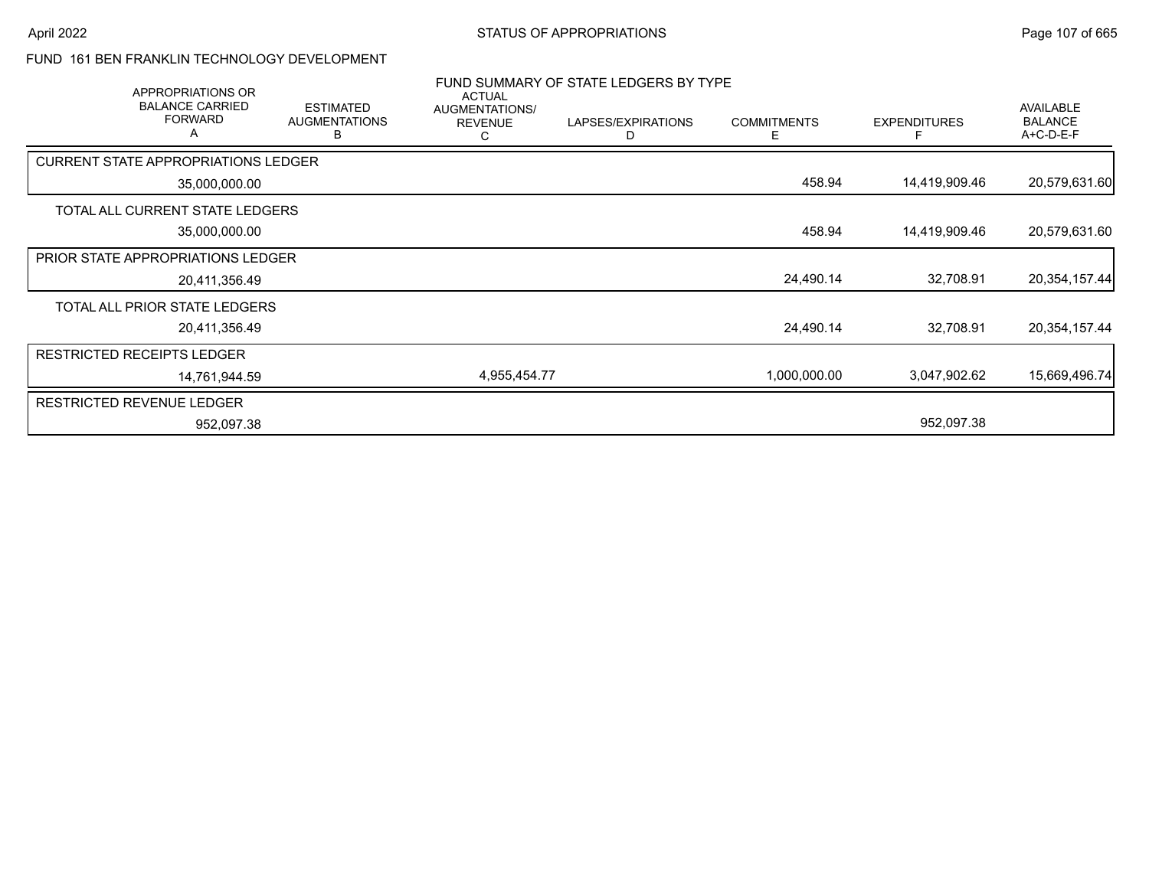### FUND 161 BEN FRANKLIN TECHNOLOGY DEVELOPMENT

| APPROPRIATIONS OR                             |                                               | <b>ACTUAL</b>                         | FUND SUMMARY OF STATE LEDGERS BY TYPE |                         |                     |                                          |
|-----------------------------------------------|-----------------------------------------------|---------------------------------------|---------------------------------------|-------------------------|---------------------|------------------------------------------|
| <b>BALANCE CARRIED</b><br><b>FORWARD</b><br>A | <b>ESTIMATED</b><br><b>AUGMENTATIONS</b><br>В | AUGMENTATIONS/<br><b>REVENUE</b><br>С | LAPSES/EXPIRATIONS<br>D               | <b>COMMITMENTS</b><br>Е | <b>EXPENDITURES</b> | AVAILABLE<br><b>BALANCE</b><br>A+C-D-E-F |
| <b>CURRENT STATE APPROPRIATIONS LEDGER</b>    |                                               |                                       |                                       |                         |                     |                                          |
| 35,000,000.00                                 |                                               |                                       |                                       | 458.94                  | 14,419,909.46       | 20,579,631.60                            |
| TOTAL ALL CURRENT STATE LEDGERS               |                                               |                                       |                                       |                         |                     |                                          |
| 35,000,000.00                                 |                                               |                                       |                                       | 458.94                  | 14,419,909.46       | 20,579,631.60                            |
| <b>PRIOR STATE APPROPRIATIONS LEDGER</b>      |                                               |                                       |                                       |                         |                     |                                          |
| 20,411,356.49                                 |                                               |                                       |                                       | 24,490.14               | 32,708.91           | 20,354,157.44                            |
| TOTAL ALL PRIOR STATE LEDGERS                 |                                               |                                       |                                       |                         |                     |                                          |
| 20,411,356.49                                 |                                               |                                       |                                       | 24,490.14               | 32,708.91           | 20,354,157.44                            |
| <b>RESTRICTED RECEIPTS LEDGER</b>             |                                               |                                       |                                       |                         |                     |                                          |
| 14,761,944.59                                 |                                               | 4,955,454.77                          |                                       | 1,000,000.00            | 3,047,902.62        | 15,669,496.74                            |
| <b>RESTRICTED REVENUE LEDGER</b>              |                                               |                                       |                                       |                         |                     |                                          |
| 952,097.38                                    |                                               |                                       |                                       |                         | 952,097.38          |                                          |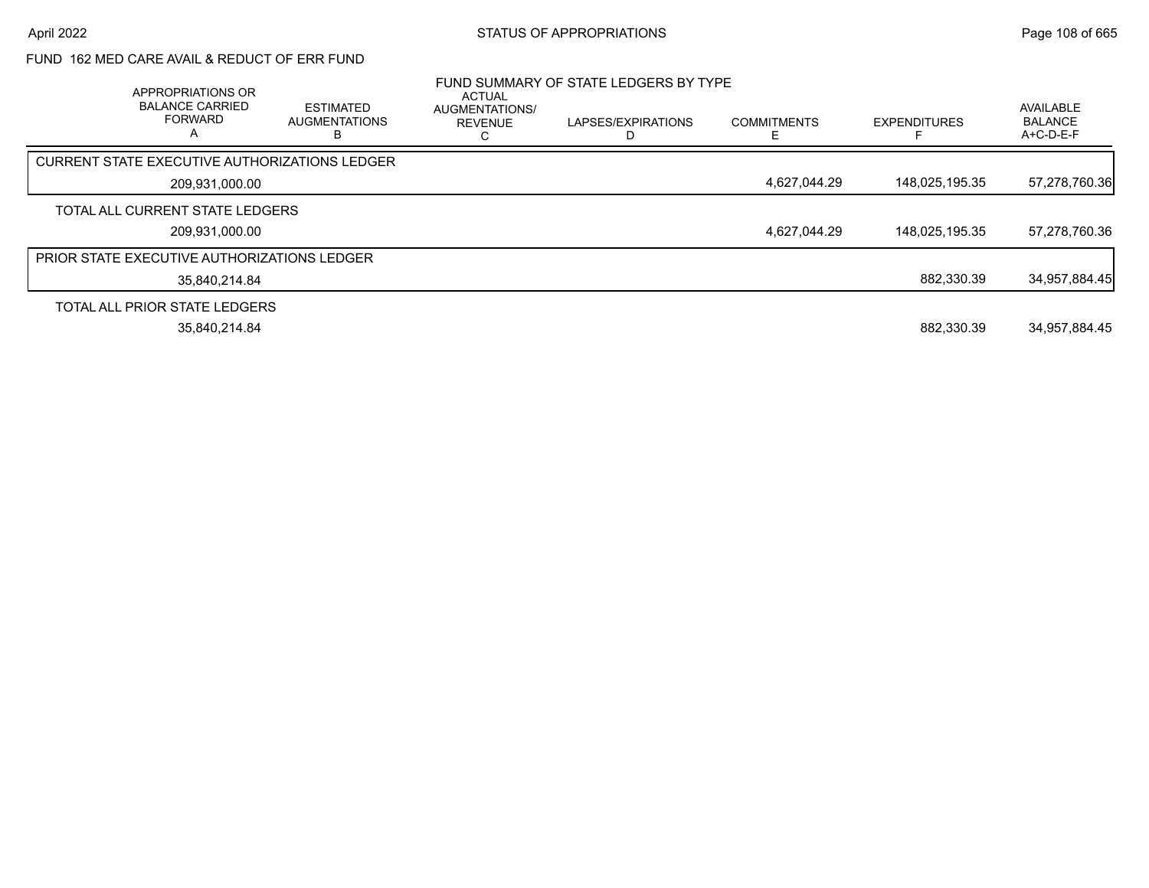# FUND 162 MED CARE AVAIL & REDUCT OF ERR FUND

| APPROPRIATIONS OR<br><b>BALANCE CARRIED</b><br><b>FORWARD</b><br>А | <b>ESTIMATED</b><br><b>AUGMENTATIONS</b> | ACTUAL<br>AUGMENTATIONS/<br><b>REVENUE</b> | FUND SUMMARY OF STATE LEDGERS BY TYPE<br>LAPSES/EXPIRATIONS | <b>COMMITMENTS</b> | <b>EXPENDITURES</b> | AVAILABLE<br><b>BALANCE</b><br>A+C-D-E-F |
|--------------------------------------------------------------------|------------------------------------------|--------------------------------------------|-------------------------------------------------------------|--------------------|---------------------|------------------------------------------|
| CURRENT STATE EXECUTIVE AUTHORIZATIONS LEDGER                      |                                          |                                            |                                                             |                    |                     |                                          |
| 209,931,000.00                                                     |                                          |                                            |                                                             | 4,627,044.29       | 148,025,195.35      | 57,278,760.36                            |
| TOTAL ALL CURRENT STATE LEDGERS                                    |                                          |                                            |                                                             |                    |                     |                                          |
| 209,931,000.00                                                     |                                          |                                            |                                                             | 4,627,044.29       | 148,025,195.35      | 57,278,760.36                            |
| <b>PRIOR STATE EXECUTIVE AUTHORIZATIONS LEDGER</b>                 |                                          |                                            |                                                             |                    |                     |                                          |
| 35.840.214.84                                                      |                                          |                                            |                                                             |                    | 882.330.39          | 34,957,884.45                            |
| TOTAL ALL PRIOR STATE LEDGERS                                      |                                          |                                            |                                                             |                    |                     |                                          |
| 35,840,214.84                                                      |                                          |                                            |                                                             |                    | 882.330.39          | 34,957,884.45                            |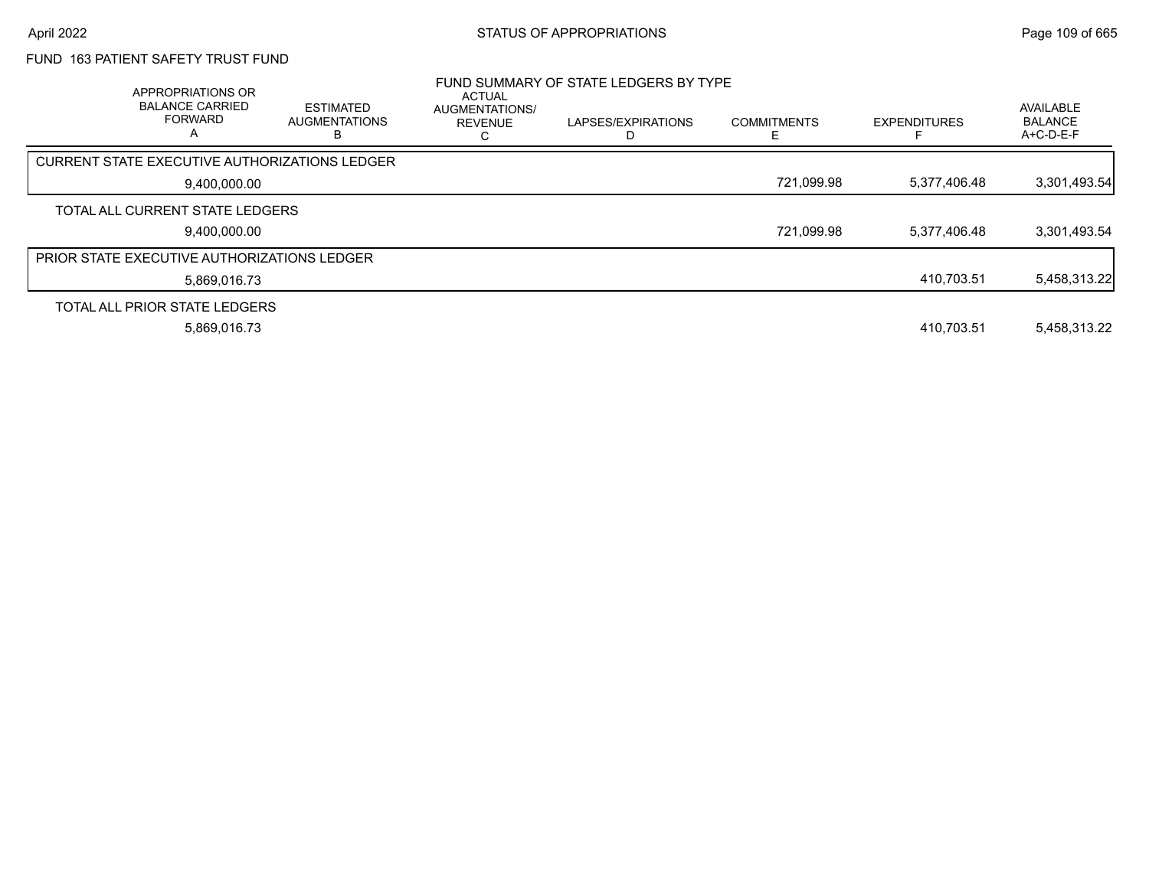### FUND 163 PATIENT SAFETY TRUST FUND

| APPROPRIATIONS OR<br><b>BALANCE CARRIED</b><br><b>FORWARD</b><br>А | <b>ESTIMATED</b><br><b>AUGMENTATIONS</b> | <b>ACTUAL</b><br><b>AUGMENTATIONS/</b><br><b>REVENUE</b> | FUND SUMMARY OF STATE LEDGERS BY TYPE<br>LAPSES/EXPIRATIONS | <b>COMMITMENTS</b> | <b>EXPENDITURES</b> | <b>AVAILABLE</b><br><b>BALANCE</b><br>A+C-D-E-F |
|--------------------------------------------------------------------|------------------------------------------|----------------------------------------------------------|-------------------------------------------------------------|--------------------|---------------------|-------------------------------------------------|
| <b>CURRENT STATE EXECUTIVE AUTHORIZATIONS LEDGER</b>               |                                          |                                                          |                                                             |                    |                     |                                                 |
| 9,400,000.00                                                       |                                          |                                                          |                                                             | 721,099.98         | 5,377,406.48        | 3,301,493.54                                    |
| TOTAL ALL CURRENT STATE LEDGERS                                    |                                          |                                                          |                                                             |                    |                     |                                                 |
| 9.400.000.00                                                       |                                          |                                                          |                                                             | 721,099.98         | 5,377,406.48        | 3,301,493.54                                    |
| <b>PRIOR STATE EXECUTIVE AUTHORIZATIONS LEDGER</b>                 |                                          |                                                          |                                                             |                    |                     |                                                 |
| 5.869.016.73                                                       |                                          |                                                          |                                                             |                    | 410,703.51          | 5,458,313.22                                    |
| TOTAL ALL PRIOR STATE LEDGERS                                      |                                          |                                                          |                                                             |                    |                     |                                                 |
| 5.869.016.73                                                       |                                          |                                                          |                                                             |                    | 410.703.51          | 5,458,313.22                                    |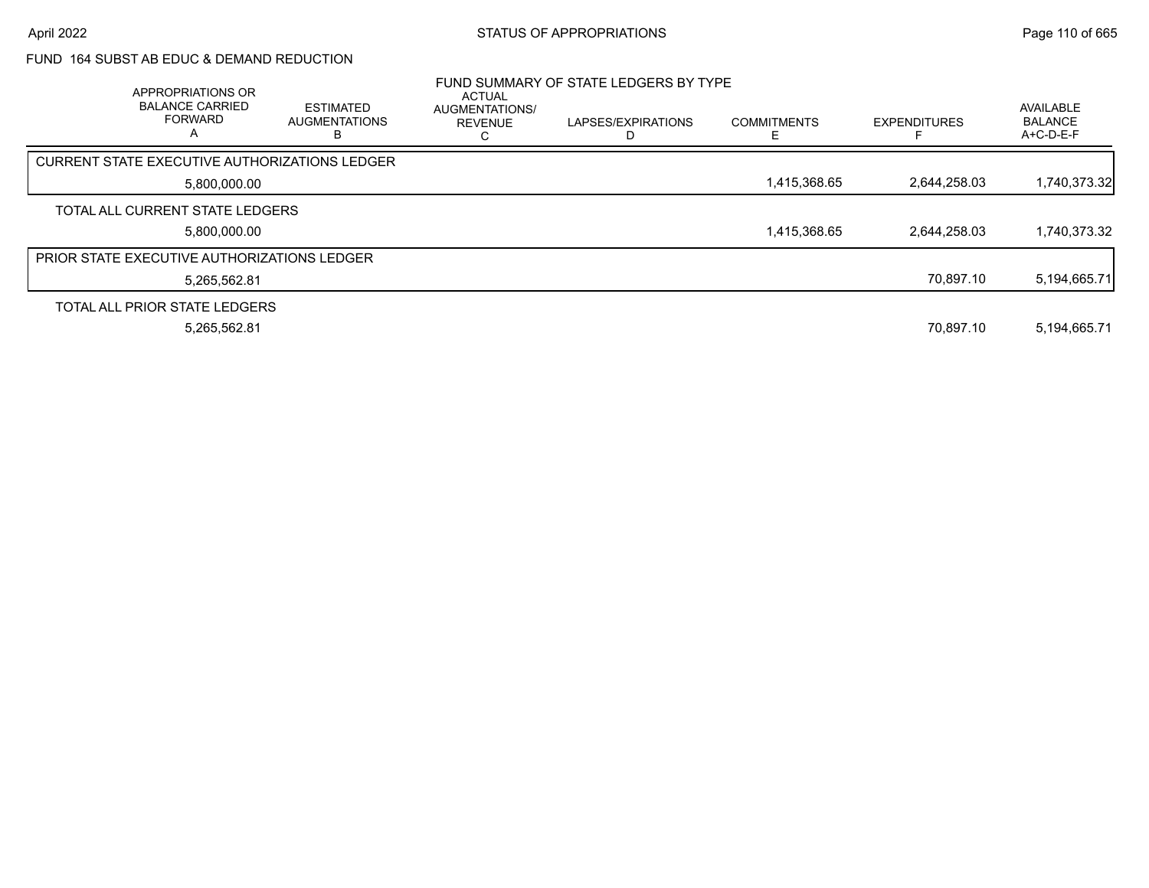### FUND 164 SUBST AB EDUC & DEMAND REDUCTION

| APPROPRIATIONS OR<br><b>BALANCE CARRIED</b><br><b>FORWARD</b><br>A | <b>ESTIMATED</b><br><b>AUGMENTATIONS</b> | <b>ACTUAL</b><br>AUGMENTATIONS/<br><b>REVENUE</b> | FUND SUMMARY OF STATE LEDGERS BY TYPE<br>LAPSES/EXPIRATIONS | <b>COMMITMENTS</b> | <b>EXPENDITURES</b> | AVAILABLE<br><b>BALANCE</b><br>A+C-D-E-F |
|--------------------------------------------------------------------|------------------------------------------|---------------------------------------------------|-------------------------------------------------------------|--------------------|---------------------|------------------------------------------|
| CURRENT STATE EXECUTIVE AUTHORIZATIONS LEDGER                      |                                          |                                                   |                                                             |                    |                     |                                          |
| 5,800,000.00                                                       |                                          |                                                   |                                                             | 1,415,368.65       | 2.644.258.03        | 1,740,373.32                             |
| TOTAL ALL CURRENT STATE LEDGERS                                    |                                          |                                                   |                                                             |                    |                     |                                          |
| 5.800.000.00                                                       |                                          |                                                   |                                                             | 1,415,368.65       | 2.644.258.03        | 1,740,373.32                             |
| <b>PRIOR STATE EXECUTIVE AUTHORIZATIONS LEDGER</b>                 |                                          |                                                   |                                                             |                    |                     |                                          |
| 5,265,562.81                                                       |                                          |                                                   |                                                             |                    | 70.897.10           | 5,194,665.71                             |
| TOTAL ALL PRIOR STATE LEDGERS                                      |                                          |                                                   |                                                             |                    |                     |                                          |
| 5,265,562.81                                                       |                                          |                                                   |                                                             |                    | 70.897.10           | 5,194,665.71                             |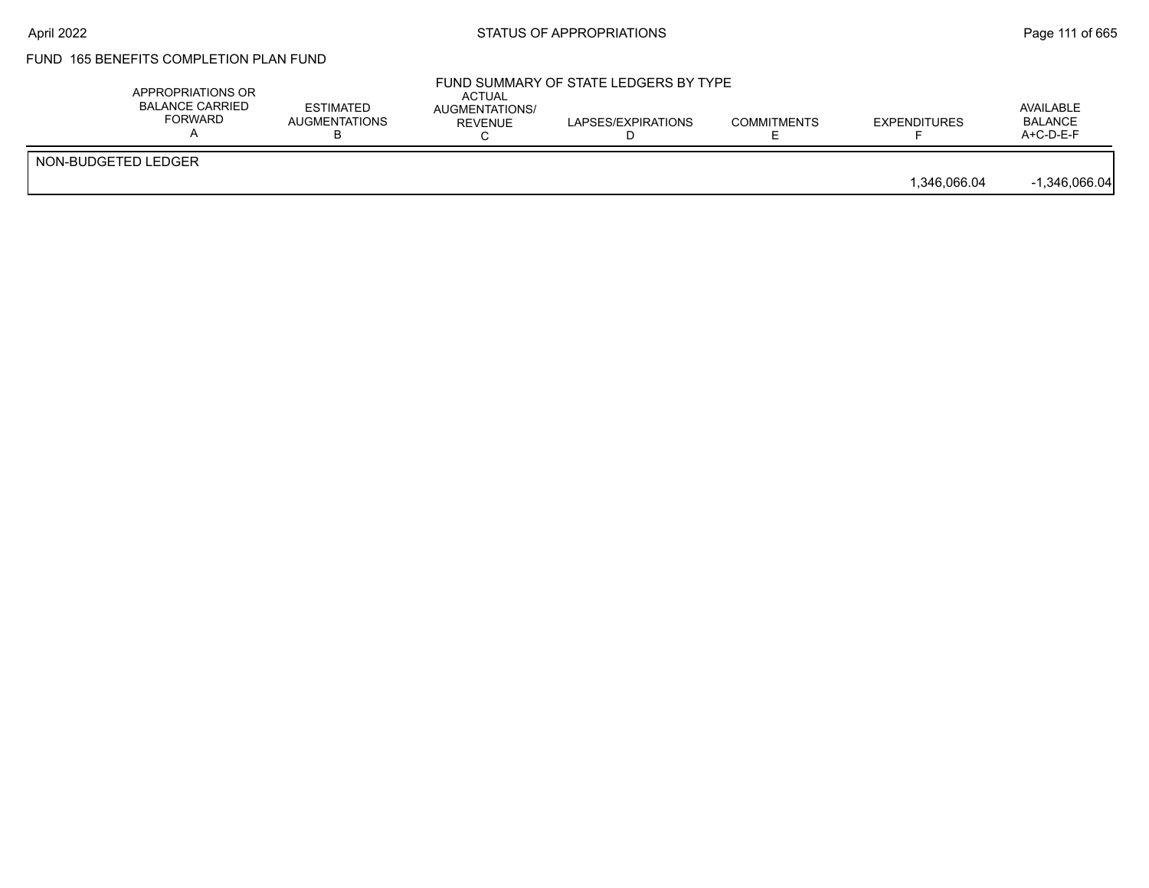# FUND 165 BENEFITS COMPLETION PLAN FUND

|                     | APPROPRIATIONS OR<br><b>BALANCE CARRIED</b><br><b>FORWARD</b> | <b>ESTIMATED</b><br><b>AUGMENTATIONS</b> | <b>ACTUAL</b><br><b>AUGMENTATIONS/</b><br><b>REVENUE</b> | FUND SUMMARY OF STATE LEDGERS BY TYPE<br>LAPSES/EXPIRATIONS | <b>COMMITMENTS</b> | <b>EXPENDITURES</b> | AVAILABLE<br><b>BALANCE</b><br>$A+C-D-E-F$ |
|---------------------|---------------------------------------------------------------|------------------------------------------|----------------------------------------------------------|-------------------------------------------------------------|--------------------|---------------------|--------------------------------------------|
| NON-BUDGETED LEDGER |                                                               |                                          |                                                          |                                                             |                    | 1.346.066.04        | $-1,346,066.04$                            |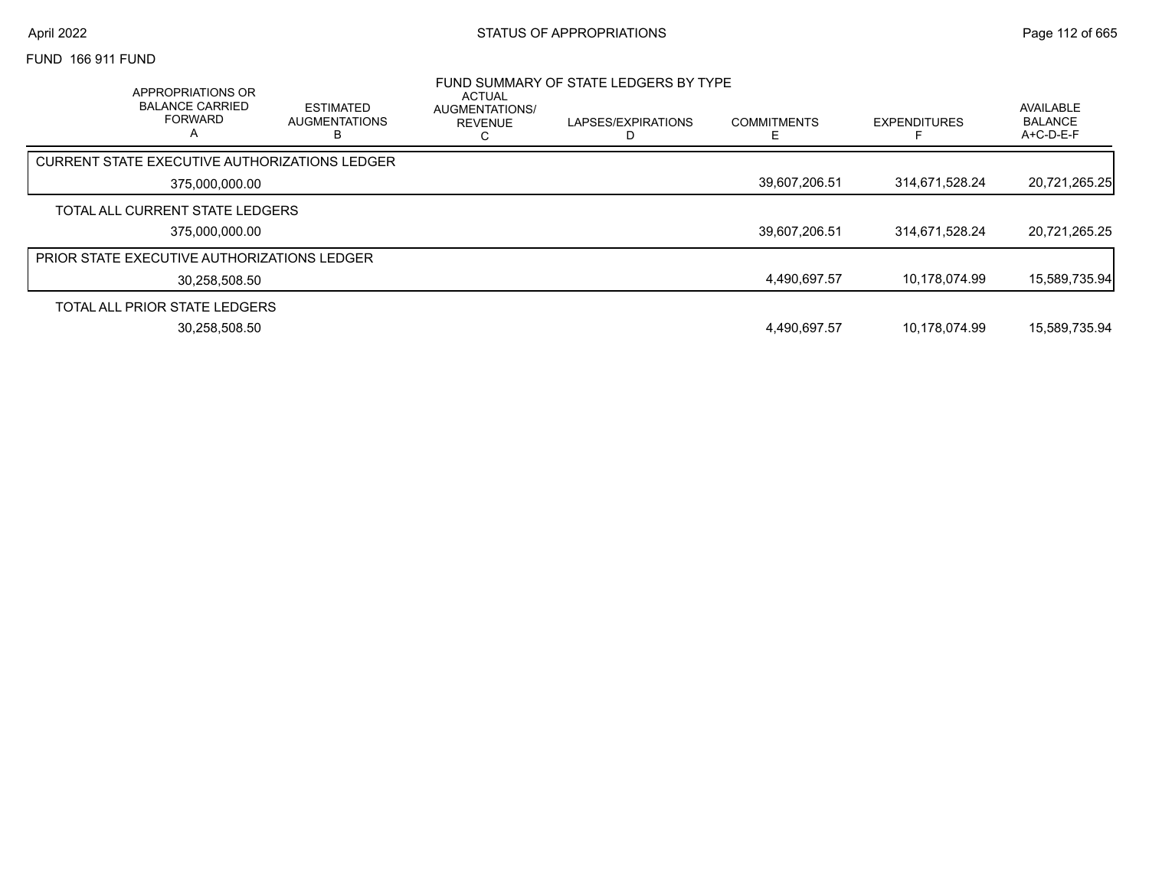FUND 166 911 FUND

| APPROPRIATIONS OR<br><b>BALANCE CARRIED</b><br><b>FORWARD</b> | <b>ESTIMATED</b><br><b>AUGMENTATIONS</b> | <b>ACTUAL</b><br>AUGMENTATIONS/<br>REVENUE | FUND SUMMARY OF STATE LEDGERS BY TYPE<br>LAPSES/EXPIRATIONS | <b>COMMITMENTS</b> | <b>EXPENDITURES</b> | AVAILABLE<br><b>BALANCE</b><br>$A+C-D-E-F$ |
|---------------------------------------------------------------|------------------------------------------|--------------------------------------------|-------------------------------------------------------------|--------------------|---------------------|--------------------------------------------|
| CURRENT STATE EXECUTIVE AUTHORIZATIONS LEDGER                 |                                          |                                            |                                                             |                    |                     |                                            |
| 375.000.000.00                                                |                                          |                                            |                                                             | 39,607,206.51      | 314,671,528.24      | 20,721,265.25                              |
| TOTAL ALL CURRENT STATE LEDGERS                               |                                          |                                            |                                                             |                    |                     |                                            |
| 375,000,000.00                                                |                                          |                                            |                                                             | 39,607,206.51      | 314,671,528.24      | 20,721,265.25                              |
| <b>PRIOR STATE EXECUTIVE AUTHORIZATIONS LEDGER</b>            |                                          |                                            |                                                             |                    |                     |                                            |
| 30,258,508.50                                                 |                                          |                                            |                                                             | 4.490.697.57       | 10.178.074.99       | 15,589,735.94                              |
| TOTAL ALL PRIOR STATE LEDGERS                                 |                                          |                                            |                                                             |                    |                     |                                            |
| 30.258.508.50                                                 |                                          |                                            |                                                             | 4,490,697.57       | 10.178.074.99       | 15.589.735.94                              |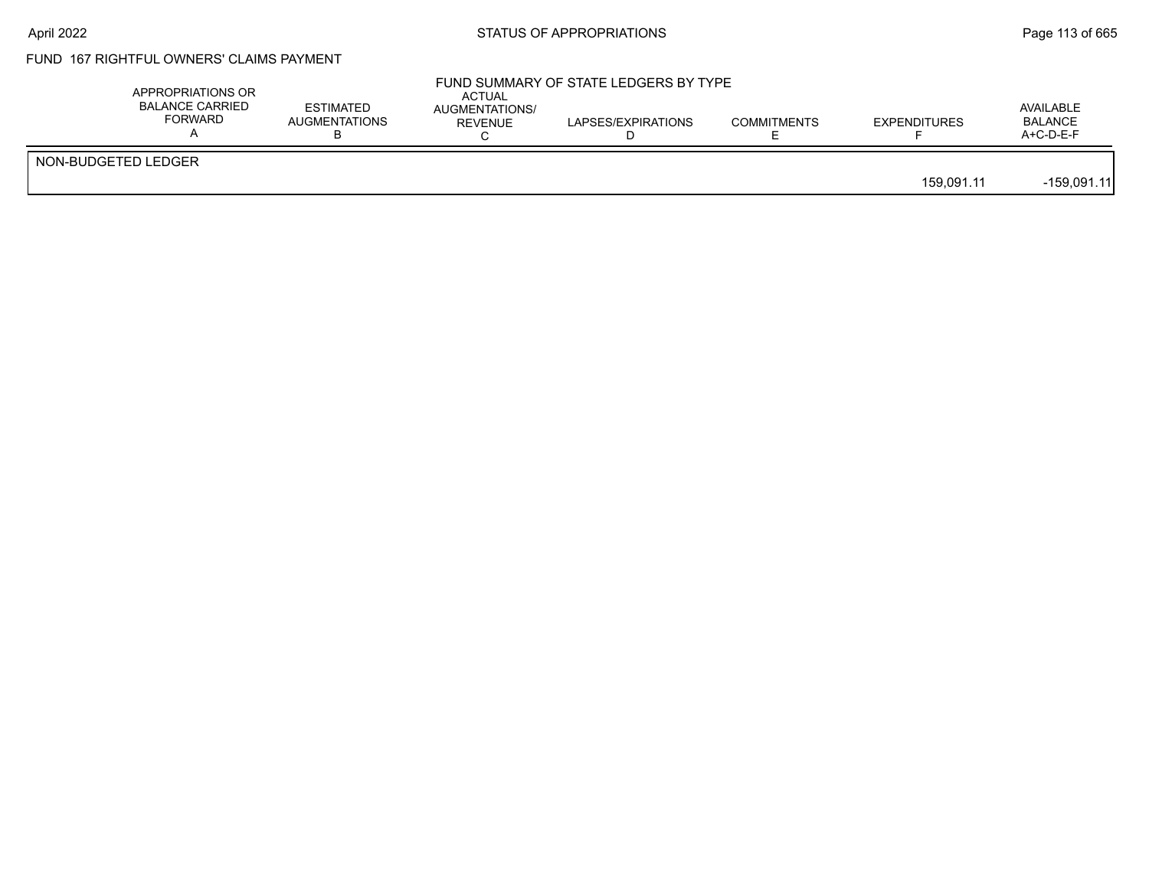#### FUND 167 RIGHTFUL OWNERS' CLAIMS PAYMENT

|                     | APPROPRIATIONS OR<br><b>BALANCE CARRIED</b><br>FORWARD | <b>ESTIMATED</b><br>AUGMENTATIONS | <b>ACTUAL</b><br>AUGMENTATIONS/<br>REVENUE | FUND SUMMARY OF STATE LEDGERS BY TYPE<br>LAPSES/EXPIRATIONS | <b>COMMITMENTS</b> | <b>EXPENDITURES</b> | AVAILABLE<br><b>BALANCE</b><br>$A+C-D-E-F$ |
|---------------------|--------------------------------------------------------|-----------------------------------|--------------------------------------------|-------------------------------------------------------------|--------------------|---------------------|--------------------------------------------|
| NON-BUDGETED LEDGER |                                                        |                                   |                                            |                                                             |                    | 159.091.11          | $-159,091.11$                              |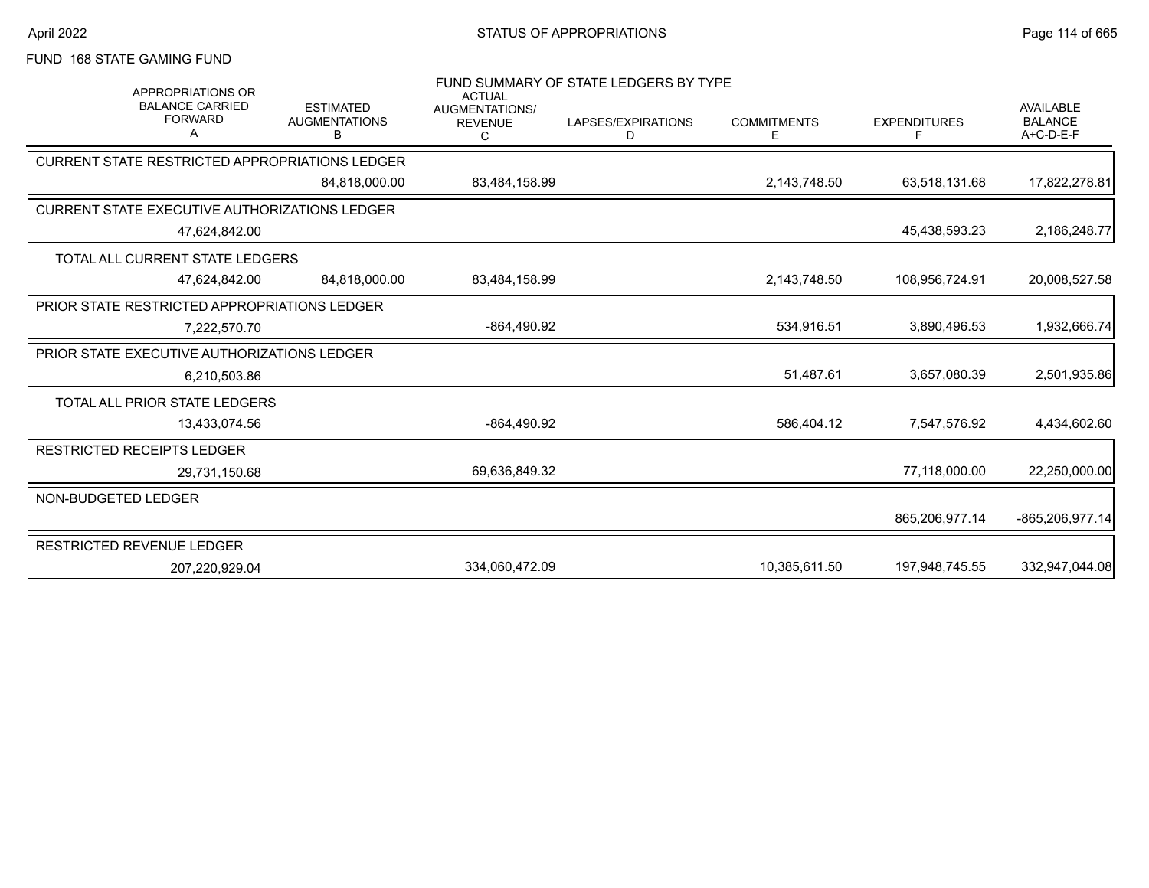FUND 168 STATE GAMING FUND

| <b>APPROPRIATIONS OR</b><br><b>BALANCE CARRIED</b><br><b>FORWARD</b><br>A | <b>ESTIMATED</b><br><b>AUGMENTATIONS</b><br>B | <b>ACTUAL</b><br><b>AUGMENTATIONS/</b><br><b>REVENUE</b><br>C | FUND SUMMARY OF STATE LEDGERS BY TYPE<br>LAPSES/EXPIRATIONS<br>D | <b>COMMITMENTS</b><br>Е | <b>EXPENDITURES</b><br>F | <b>AVAILABLE</b><br><b>BALANCE</b><br>A+C-D-E-F |
|---------------------------------------------------------------------------|-----------------------------------------------|---------------------------------------------------------------|------------------------------------------------------------------|-------------------------|--------------------------|-------------------------------------------------|
| <b>CURRENT STATE RESTRICTED APPROPRIATIONS LEDGER</b>                     |                                               |                                                               |                                                                  |                         |                          |                                                 |
|                                                                           | 84.818.000.00                                 | 83,484,158.99                                                 |                                                                  | 2,143,748.50            | 63,518,131.68            | 17,822,278.81                                   |
| <b>CURRENT STATE EXECUTIVE AUTHORIZATIONS LEDGER</b>                      |                                               |                                                               |                                                                  |                         |                          |                                                 |
| 47,624,842.00                                                             |                                               |                                                               |                                                                  |                         | 45,438,593.23            | 2,186,248.77                                    |
| TOTAL ALL CURRENT STATE LEDGERS                                           |                                               |                                                               |                                                                  |                         |                          |                                                 |
| 47.624.842.00                                                             | 84.818.000.00                                 | 83,484,158.99                                                 |                                                                  | 2,143,748.50            | 108,956,724.91           | 20,008,527.58                                   |
| <b>PRIOR STATE RESTRICTED APPROPRIATIONS LEDGER</b>                       |                                               |                                                               |                                                                  |                         |                          |                                                 |
| 7.222.570.70                                                              |                                               | -864,490.92                                                   |                                                                  | 534,916.51              | 3,890,496.53             | 1,932,666.74                                    |
| PRIOR STATE EXECUTIVE AUTHORIZATIONS LEDGER                               |                                               |                                                               |                                                                  |                         |                          |                                                 |
| 6,210,503.86                                                              |                                               |                                                               |                                                                  | 51,487.61               | 3,657,080.39             | 2,501,935.86                                    |
| TOTAL ALL PRIOR STATE LEDGERS                                             |                                               |                                                               |                                                                  |                         |                          |                                                 |
| 13,433,074.56                                                             |                                               | $-864,490.92$                                                 |                                                                  | 586,404.12              | 7,547,576.92             | 4,434,602.60                                    |
| <b>RESTRICTED RECEIPTS LEDGER</b>                                         |                                               |                                                               |                                                                  |                         |                          |                                                 |
| 29,731,150.68                                                             |                                               | 69,636,849.32                                                 |                                                                  |                         | 77,118,000.00            | 22,250,000.00                                   |
| NON-BUDGETED LEDGER                                                       |                                               |                                                               |                                                                  |                         |                          |                                                 |
|                                                                           |                                               |                                                               |                                                                  |                         | 865,206,977.14           | -865,206,977.14                                 |
| RESTRICTED REVENUE LEDGER                                                 |                                               |                                                               |                                                                  |                         |                          |                                                 |
| 207,220,929.04                                                            |                                               | 334,060,472.09                                                |                                                                  | 10,385,611.50           | 197,948,745.55           | 332,947,044.08                                  |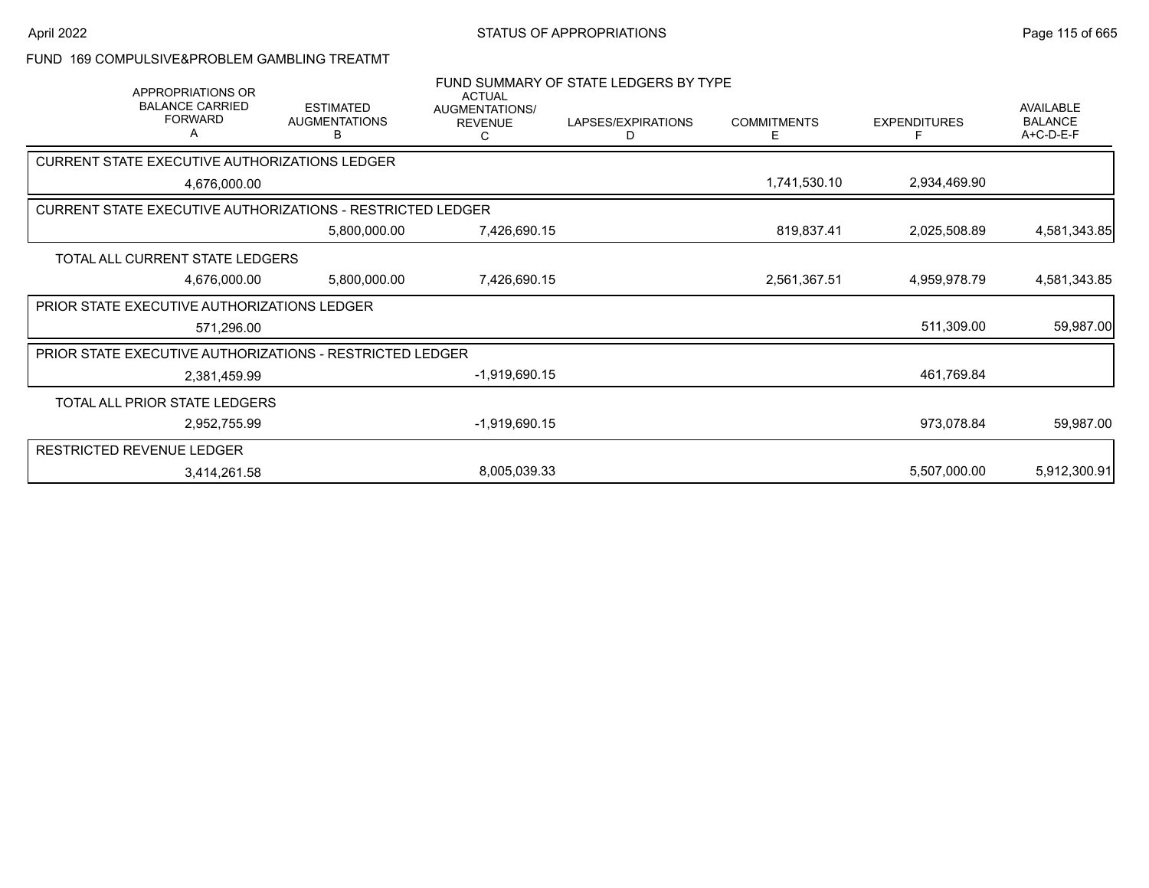#### FUND 169 COMPULSIVE&PROBLEM GAMBLING TREATMT

| <b>APPROPRIATIONS OR</b>                                          |                                               | <b>ACTUAL</b>                                | FUND SUMMARY OF STATE LEDGERS BY TYPE |                          |                     |                                                 |
|-------------------------------------------------------------------|-----------------------------------------------|----------------------------------------------|---------------------------------------|--------------------------|---------------------|-------------------------------------------------|
| <b>BALANCE CARRIED</b><br><b>FORWARD</b><br>А                     | <b>ESTIMATED</b><br><b>AUGMENTATIONS</b><br>в | <b>AUGMENTATIONS/</b><br><b>REVENUE</b><br>С | LAPSES/EXPIRATIONS<br>D               | <b>COMMITMENTS</b><br>E. | <b>EXPENDITURES</b> | <b>AVAILABLE</b><br><b>BALANCE</b><br>A+C-D-E-F |
| <b>CURRENT STATE EXECUTIVE AUTHORIZATIONS LEDGER</b>              |                                               |                                              |                                       |                          |                     |                                                 |
| 4,676,000.00                                                      |                                               |                                              |                                       | 1,741,530.10             | 2,934,469.90        |                                                 |
| <b>CURRENT STATE EXECUTIVE AUTHORIZATIONS - RESTRICTED LEDGER</b> |                                               |                                              |                                       |                          |                     |                                                 |
|                                                                   | 5,800,000.00                                  | 7,426,690.15                                 |                                       | 819,837.41               | 2,025,508.89        | 4,581,343.85                                    |
| TOTAL ALL CURRENT STATE LEDGERS                                   |                                               |                                              |                                       |                          |                     |                                                 |
| 4,676,000.00                                                      | 5,800,000.00                                  | 7,426,690.15                                 |                                       | 2,561,367.51             | 4,959,978.79        | 4,581,343.85                                    |
| PRIOR STATE EXECUTIVE AUTHORIZATIONS LEDGER                       |                                               |                                              |                                       |                          |                     |                                                 |
| 571,296.00                                                        |                                               |                                              |                                       |                          | 511,309.00          | 59,987.00                                       |
| <b>PRIOR STATE EXECUTIVE AUTHORIZATIONS - RESTRICTED LEDGER</b>   |                                               |                                              |                                       |                          |                     |                                                 |
| 2,381,459.99                                                      |                                               | $-1,919,690.15$                              |                                       |                          | 461,769.84          |                                                 |
| TOTAL ALL PRIOR STATE LEDGERS                                     |                                               |                                              |                                       |                          |                     |                                                 |
| 2,952,755.99                                                      |                                               | $-1,919,690.15$                              |                                       |                          | 973,078.84          | 59,987.00                                       |
| <b>RESTRICTED REVENUE LEDGER</b>                                  |                                               |                                              |                                       |                          |                     |                                                 |
| 3,414,261.58                                                      |                                               | 8,005,039.33                                 |                                       |                          | 5,507,000.00        | 5,912,300.91                                    |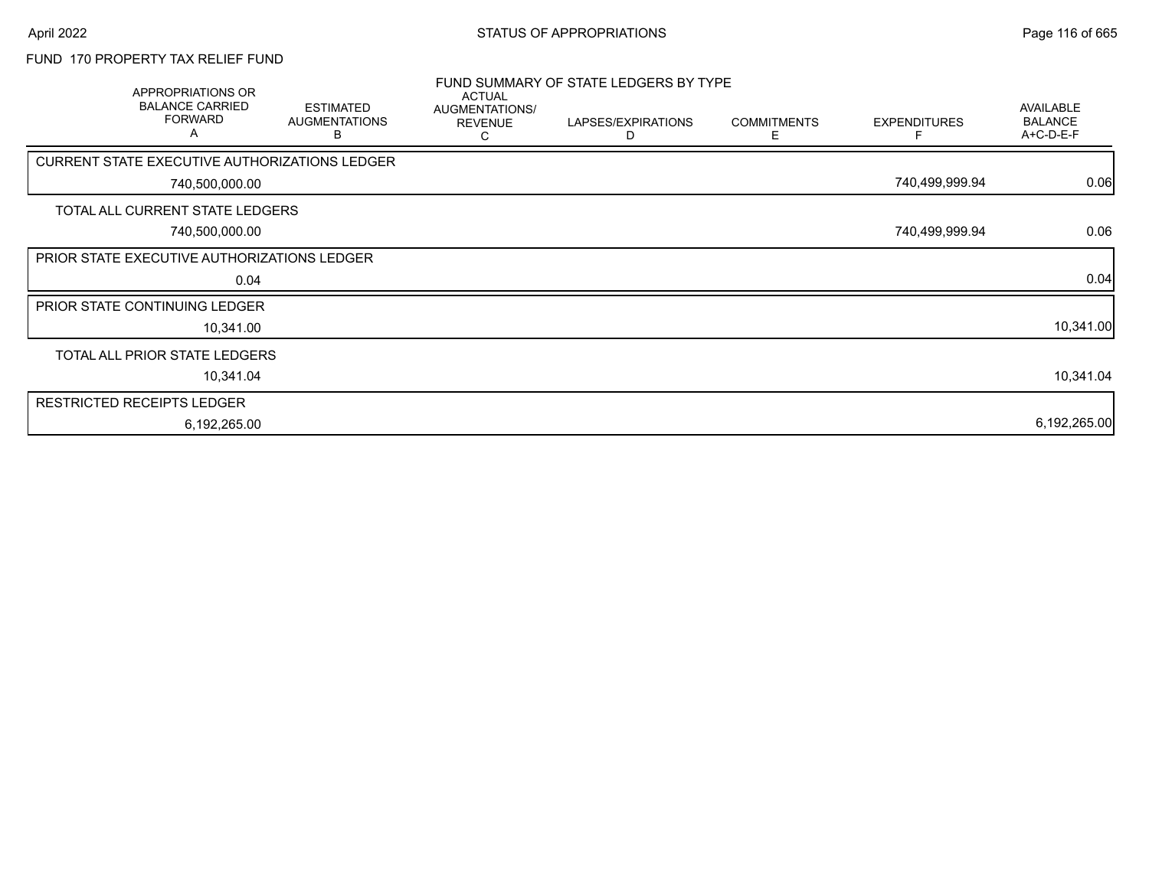### FUND 170 PROPERTY TAX RELIEF FUND

| APPROPRIATIONS OR<br><b>BALANCE CARRIED</b><br><b>FORWARD</b><br>Α | <b>ESTIMATED</b><br><b>AUGMENTATIONS</b><br>В | <b>ACTUAL</b><br>AUGMENTATIONS/<br><b>REVENUE</b><br>С | FUND SUMMARY OF STATE LEDGERS BY TYPE<br>LAPSES/EXPIRATIONS<br>D | <b>COMMITMENTS</b><br>E. | <b>EXPENDITURES</b> | AVAILABLE<br><b>BALANCE</b><br>A+C-D-E-F |
|--------------------------------------------------------------------|-----------------------------------------------|--------------------------------------------------------|------------------------------------------------------------------|--------------------------|---------------------|------------------------------------------|
| CURRENT STATE EXECUTIVE AUTHORIZATIONS LEDGER                      |                                               |                                                        |                                                                  |                          |                     |                                          |
| 740,500,000.00                                                     |                                               |                                                        |                                                                  |                          | 740,499,999.94      | 0.06                                     |
| TOTAL ALL CURRENT STATE LEDGERS                                    |                                               |                                                        |                                                                  |                          |                     |                                          |
| 740,500,000.00                                                     |                                               |                                                        |                                                                  |                          | 740,499,999.94      | 0.06                                     |
| PRIOR STATE EXECUTIVE AUTHORIZATIONS LEDGER                        |                                               |                                                        |                                                                  |                          |                     |                                          |
| 0.04                                                               |                                               |                                                        |                                                                  |                          |                     | 0.04                                     |
| PRIOR STATE CONTINUING LEDGER                                      |                                               |                                                        |                                                                  |                          |                     |                                          |
| 10,341.00                                                          |                                               |                                                        |                                                                  |                          |                     | 10,341.00                                |
| TOTAL ALL PRIOR STATE LEDGERS                                      |                                               |                                                        |                                                                  |                          |                     |                                          |
| 10,341.04                                                          |                                               |                                                        |                                                                  |                          |                     | 10,341.04                                |
| <b>RESTRICTED RECEIPTS LEDGER</b>                                  |                                               |                                                        |                                                                  |                          |                     |                                          |
| 6,192,265.00                                                       |                                               |                                                        |                                                                  |                          |                     | 6,192,265.00                             |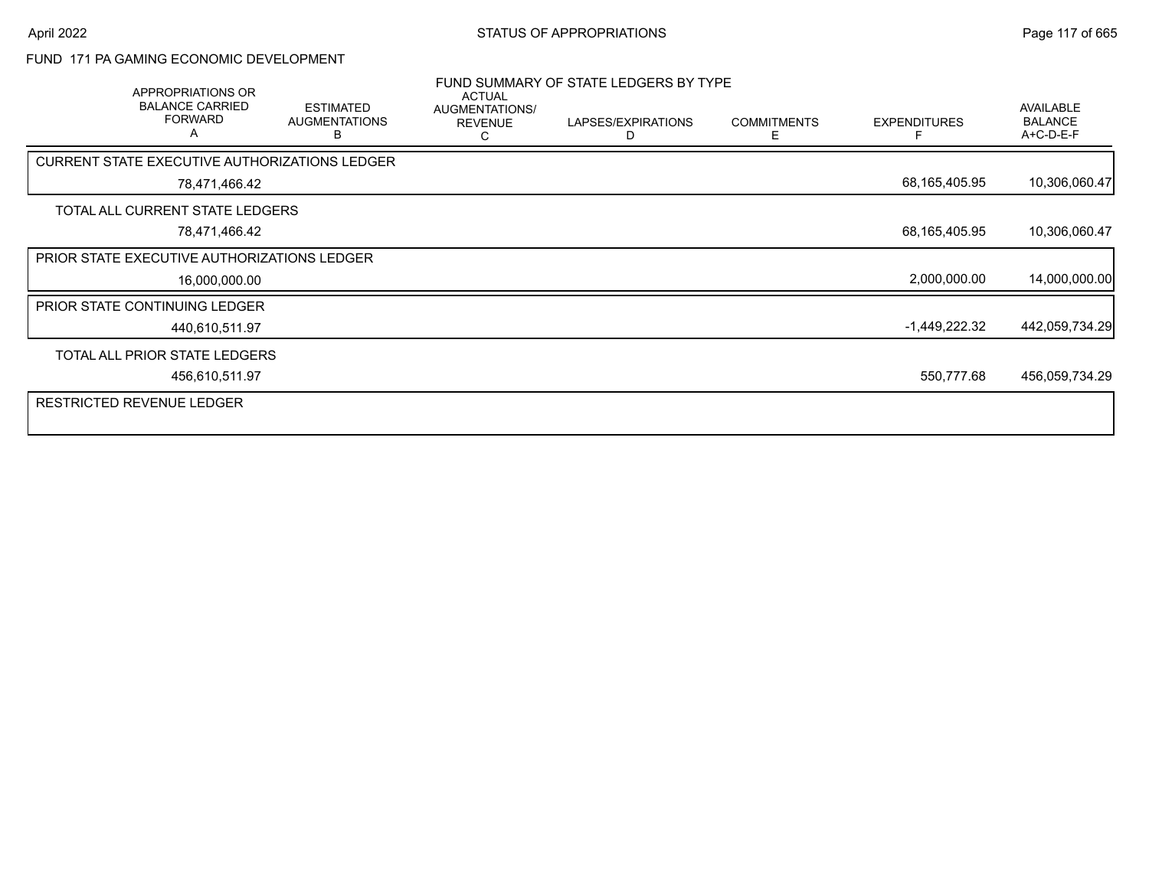#### FUND 171 PA GAMING ECONOMIC DEVELOPMENT

| APPROPRIATIONS OR<br><b>BALANCE CARRIED</b><br><b>FORWARD</b><br>A | <b>ESTIMATED</b><br><b>AUGMENTATIONS</b><br>в | <b>ACTUAL</b><br>AUGMENTATIONS/<br><b>REVENUE</b><br>С | FUND SUMMARY OF STATE LEDGERS BY TYPE<br>LAPSES/EXPIRATIONS<br>D | <b>COMMITMENTS</b><br>E. | <b>EXPENDITURES</b> | <b>AVAILABLE</b><br><b>BALANCE</b><br>A+C-D-E-F |
|--------------------------------------------------------------------|-----------------------------------------------|--------------------------------------------------------|------------------------------------------------------------------|--------------------------|---------------------|-------------------------------------------------|
| CURRENT STATE EXECUTIVE AUTHORIZATIONS LEDGER                      |                                               |                                                        |                                                                  |                          |                     |                                                 |
| 78,471,466.42                                                      |                                               |                                                        |                                                                  |                          | 68,165,405.95       | 10,306,060.47                                   |
| TOTAL ALL CURRENT STATE LEDGERS                                    |                                               |                                                        |                                                                  |                          |                     |                                                 |
| 78,471,466.42                                                      |                                               |                                                        |                                                                  |                          | 68,165,405.95       | 10,306,060.47                                   |
| <b>PRIOR STATE EXECUTIVE AUTHORIZATIONS LEDGER</b>                 |                                               |                                                        |                                                                  |                          |                     |                                                 |
| 16,000,000.00                                                      |                                               |                                                        |                                                                  |                          | 2,000,000.00        | 14,000,000.00                                   |
| <b>PRIOR STATE CONTINUING LEDGER</b>                               |                                               |                                                        |                                                                  |                          |                     |                                                 |
| 440,610,511.97                                                     |                                               |                                                        |                                                                  |                          | $-1,449,222.32$     | 442,059,734.29                                  |
| TOTAL ALL PRIOR STATE LEDGERS                                      |                                               |                                                        |                                                                  |                          |                     |                                                 |
| 456,610,511.97                                                     |                                               |                                                        |                                                                  |                          | 550,777.68          | 456,059,734.29                                  |
| <b>RESTRICTED REVENUE LEDGER</b>                                   |                                               |                                                        |                                                                  |                          |                     |                                                 |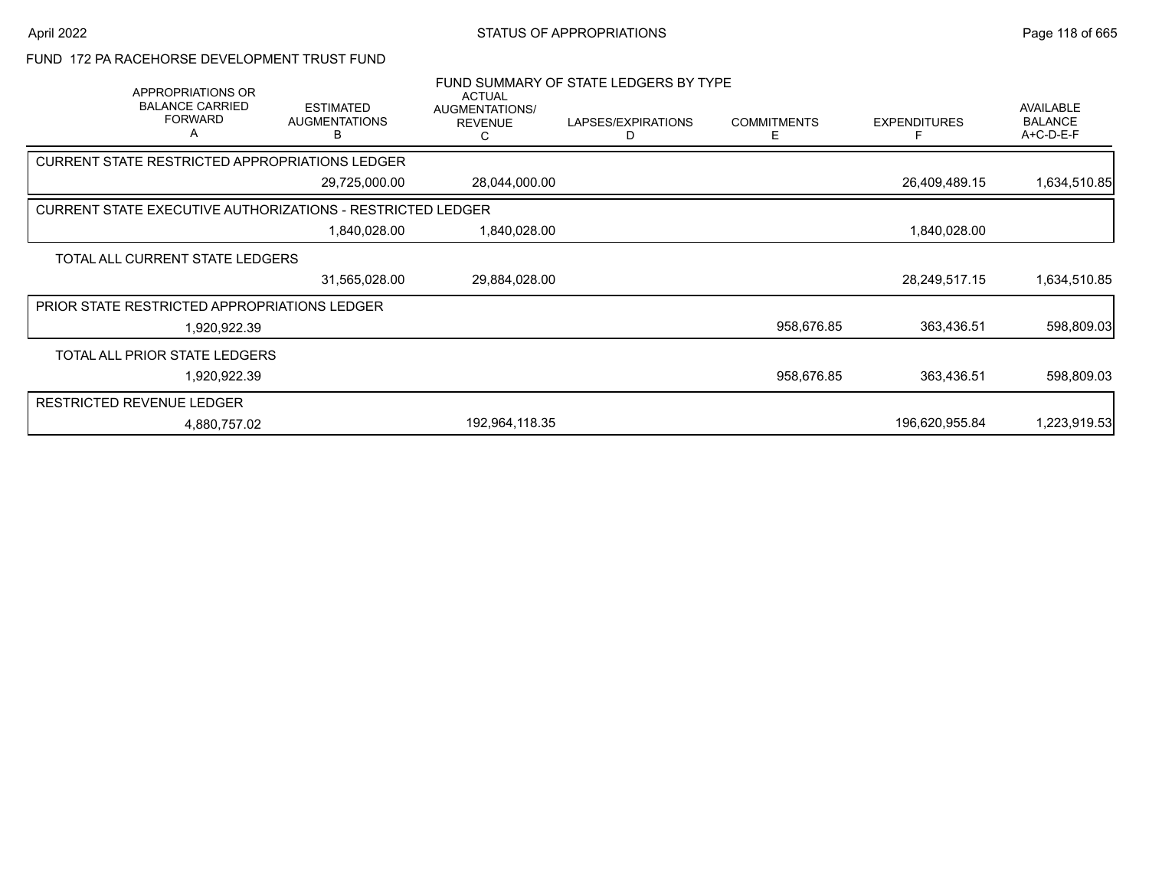FUND 172 PA RACEHORSE DEVELOPMENT TRUST FUND

| APPROPRIATIONS OR<br><b>BALANCE CARRIED</b><br><b>FORWARD</b><br>A | <b>ESTIMATED</b><br><b>AUGMENTATIONS</b><br>в              | ACTUAL<br>AUGMENTATIONS/<br><b>REVENUE</b><br>С | FUND SUMMARY OF STATE LEDGERS BY TYPE<br>LAPSES/EXPIRATIONS<br>D. | <b>COMMITMENTS</b><br>Е | <b>EXPENDITURES</b> | <b>AVAILABLE</b><br><b>BALANCE</b><br>$A+C-D-E-F$ |
|--------------------------------------------------------------------|------------------------------------------------------------|-------------------------------------------------|-------------------------------------------------------------------|-------------------------|---------------------|---------------------------------------------------|
|                                                                    | <b>CURRENT STATE RESTRICTED APPROPRIATIONS LEDGER</b>      |                                                 |                                                                   |                         |                     |                                                   |
|                                                                    | 29,725,000.00                                              | 28,044,000.00                                   |                                                                   |                         | 26,409,489.15       | 1,634,510.85                                      |
|                                                                    | CURRENT STATE EXECUTIVE AUTHORIZATIONS - RESTRICTED LEDGER |                                                 |                                                                   |                         |                     |                                                   |
|                                                                    | 1,840,028.00                                               | 1,840,028.00                                    |                                                                   |                         | 1,840,028.00        |                                                   |
| TOTAL ALL CURRENT STATE LEDGERS                                    |                                                            |                                                 |                                                                   |                         |                     |                                                   |
|                                                                    | 31,565,028.00                                              | 29,884,028.00                                   |                                                                   |                         | 28,249,517.15       | 1,634,510.85                                      |
| <b>PRIOR STATE RESTRICTED APPROPRIATIONS LEDGER</b>                |                                                            |                                                 |                                                                   |                         |                     |                                                   |
| 1,920,922.39                                                       |                                                            |                                                 |                                                                   | 958,676.85              | 363,436.51          | 598,809.03                                        |
| TOTAL ALL PRIOR STATE LEDGERS                                      |                                                            |                                                 |                                                                   |                         |                     |                                                   |
| 1,920,922.39                                                       |                                                            |                                                 |                                                                   | 958,676.85              | 363,436.51          | 598,809.03                                        |
| RESTRICTED REVENUE LEDGER                                          |                                                            |                                                 |                                                                   |                         |                     |                                                   |
| 4,880,757.02                                                       |                                                            | 192,964,118.35                                  |                                                                   |                         | 196,620,955.84      | 1,223,919.53                                      |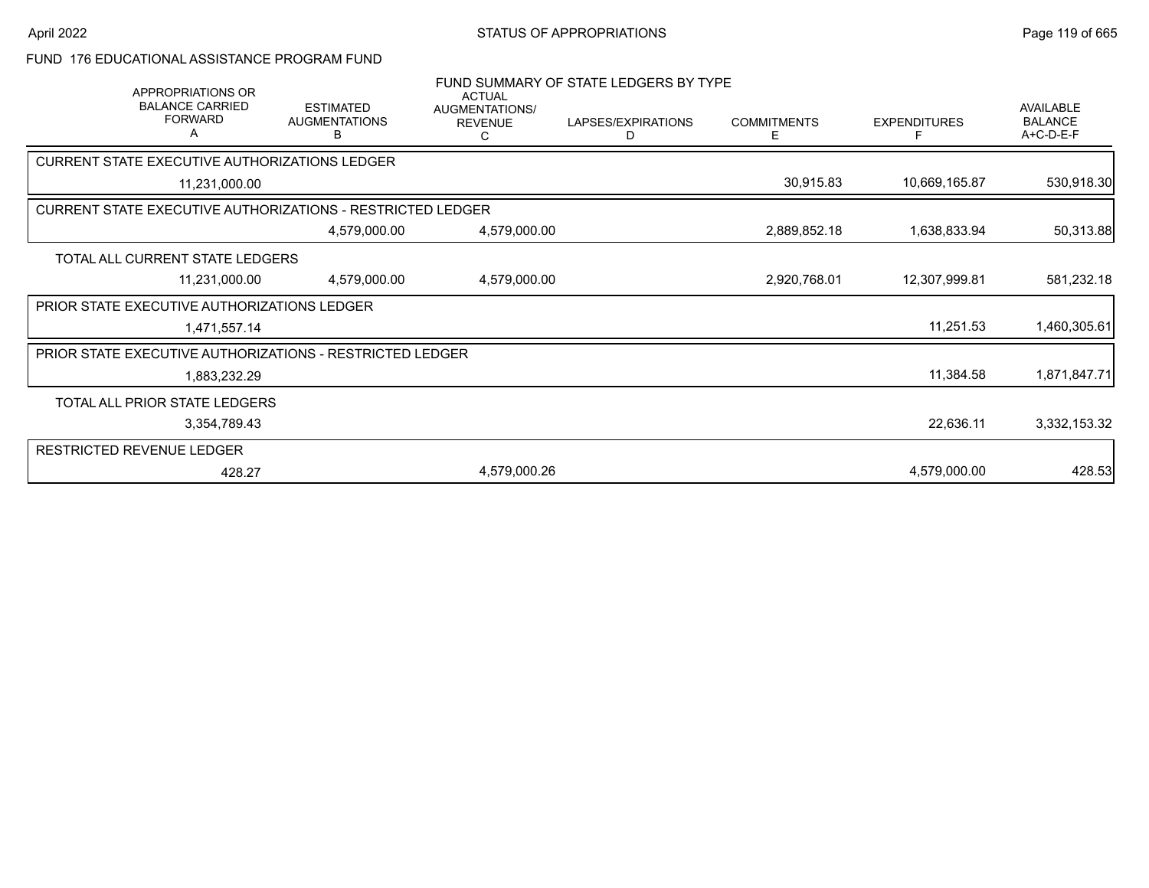#### FUND 176 EDUCATIONAL ASSISTANCE PROGRAM FUND

| APPROPRIATIONS OR<br><b>BALANCE CARRIED</b><br><b>FORWARD</b><br>A | <b>ESTIMATED</b><br><b>AUGMENTATIONS</b><br>В | <b>ACTUAL</b><br>AUGMENTATIONS/<br><b>REVENUE</b><br>C | FUND SUMMARY OF STATE LEDGERS BY TYPE<br>LAPSES/EXPIRATIONS<br>D | <b>COMMITMENTS</b><br>E | <b>EXPENDITURES</b><br>F | AVAILABLE<br><b>BALANCE</b><br>A+C-D-E-F |
|--------------------------------------------------------------------|-----------------------------------------------|--------------------------------------------------------|------------------------------------------------------------------|-------------------------|--------------------------|------------------------------------------|
| CURRENT STATE EXECUTIVE AUTHORIZATIONS LEDGER                      |                                               |                                                        |                                                                  |                         |                          |                                          |
| 11,231,000.00                                                      |                                               |                                                        |                                                                  | 30,915.83               | 10,669,165.87            | 530,918.30                               |
| <b>CURRENT STATE EXECUTIVE AUTHORIZATIONS - RESTRICTED LEDGER</b>  |                                               |                                                        |                                                                  |                         |                          |                                          |
|                                                                    | 4,579,000.00                                  | 4,579,000.00                                           |                                                                  | 2,889,852.18            | 1,638,833.94             | 50,313.88                                |
| TOTAL ALL CURRENT STATE LEDGERS                                    |                                               |                                                        |                                                                  |                         |                          |                                          |
| 11,231,000.00                                                      | 4,579,000.00                                  | 4,579,000.00                                           |                                                                  | 2,920,768.01            | 12,307,999.81            | 581,232.18                               |
| PRIOR STATE EXECUTIVE AUTHORIZATIONS LEDGER                        |                                               |                                                        |                                                                  |                         |                          |                                          |
| 1,471,557.14                                                       |                                               |                                                        |                                                                  |                         | 11,251.53                | 1,460,305.61                             |
| PRIOR STATE EXECUTIVE AUTHORIZATIONS - RESTRICTED LEDGER           |                                               |                                                        |                                                                  |                         |                          |                                          |
| 1,883,232.29                                                       |                                               |                                                        |                                                                  |                         | 11,384.58                | 1,871,847.71                             |
| TOTAL ALL PRIOR STATE LEDGERS                                      |                                               |                                                        |                                                                  |                         |                          |                                          |
| 3,354,789.43                                                       |                                               |                                                        |                                                                  |                         | 22,636.11                | 3,332,153.32                             |
| RESTRICTED REVENUE LEDGER                                          |                                               |                                                        |                                                                  |                         |                          |                                          |
| 428.27                                                             |                                               | 4,579,000.26                                           |                                                                  |                         | 4,579,000.00             | 428.53                                   |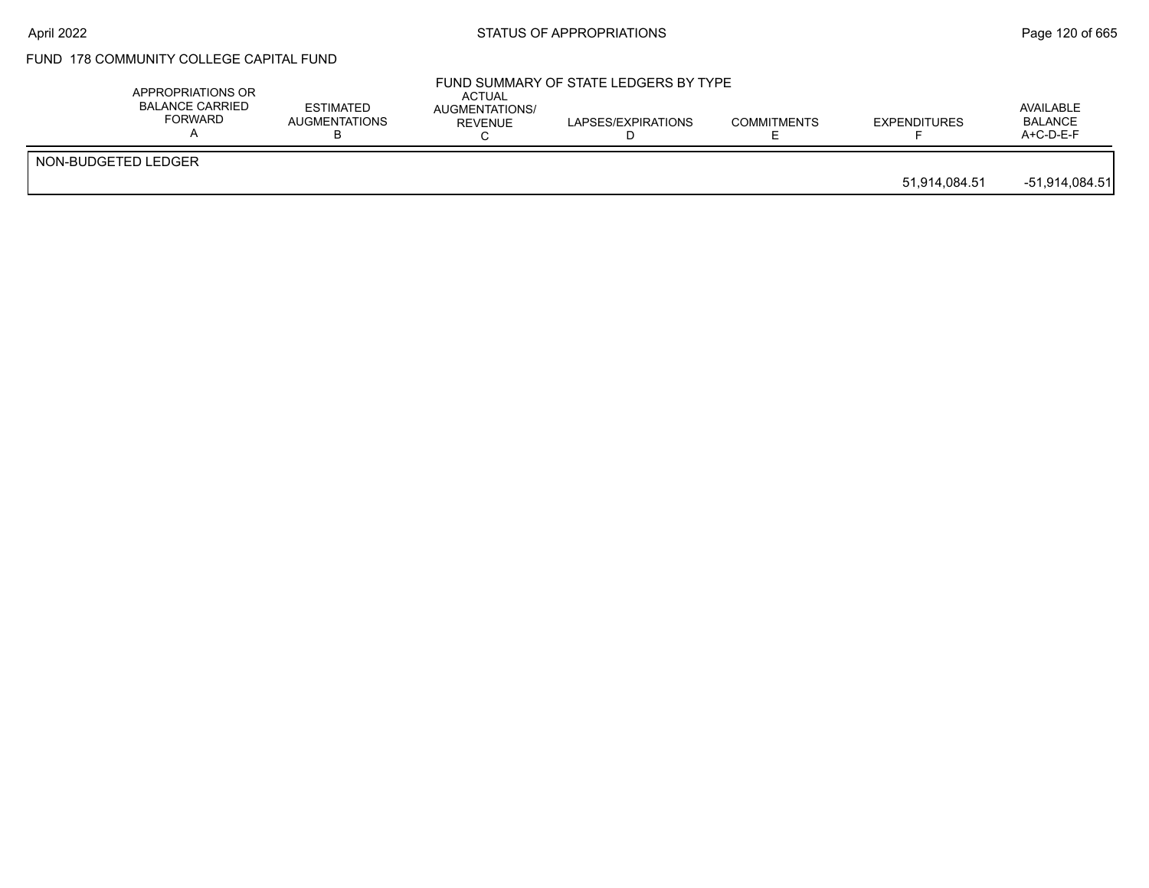# FUND 178 COMMUNITY COLLEGE CAPITAL FUND

|                     | APPROPRIATIONS OR<br><b>BALANCE CARRIED</b><br>FORWARD | <b>ESTIMATED</b><br>AUGMENTATIONS | <b>ACTUAL</b><br>AUGMENTATIONS/<br>REVENUE | FUND SUMMARY OF STATE LEDGERS BY TYPE<br>LAPSES/EXPIRATIONS | <b>COMMITMENTS</b> | <b>EXPENDITURES</b> | AVAILABLE<br><b>BALANCE</b><br>$A+C-D-E-F$ |
|---------------------|--------------------------------------------------------|-----------------------------------|--------------------------------------------|-------------------------------------------------------------|--------------------|---------------------|--------------------------------------------|
| NON-BUDGETED LEDGER |                                                        |                                   |                                            |                                                             |                    | 51,914,084.51       | -51,914,084.51                             |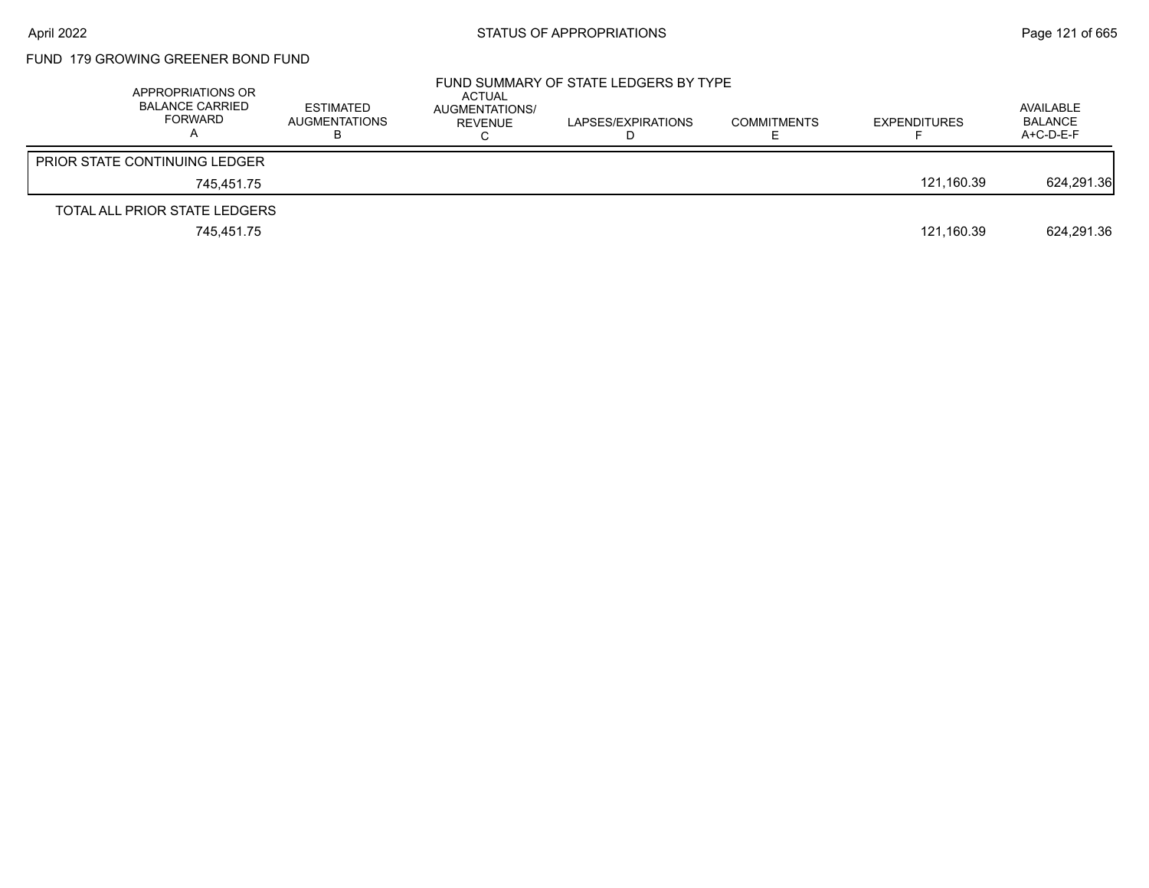# FUND 179 GROWING GREENER BOND FUND

| APPROPRIATIONS OR<br><b>BALANCE CARRIED</b><br>FORWARD | ESTIMATED<br><b>AUGMENTATIONS</b> | ACTUAL<br>AUGMENTATIONS/<br>REVENUE | FUND SUMMARY OF STATE LEDGERS BY TYPE<br>LAPSES/EXPIRATIONS | <b>COMMITMENTS</b> | <b>EXPENDITURES</b> | AVAILABLE<br><b>BALANCE</b><br>A+C-D-E-F |
|--------------------------------------------------------|-----------------------------------|-------------------------------------|-------------------------------------------------------------|--------------------|---------------------|------------------------------------------|
| <b>PRIOR STATE CONTINUING LEDGER</b>                   |                                   |                                     |                                                             |                    |                     |                                          |
| 745.451.75                                             |                                   |                                     |                                                             |                    | 121.160.39          | 624,291.36                               |
| TOTAL ALL PRIOR STATE LEDGERS                          |                                   |                                     |                                                             |                    |                     |                                          |
| 745.451.75                                             |                                   |                                     |                                                             |                    | 121,160.39          | 624,291.36                               |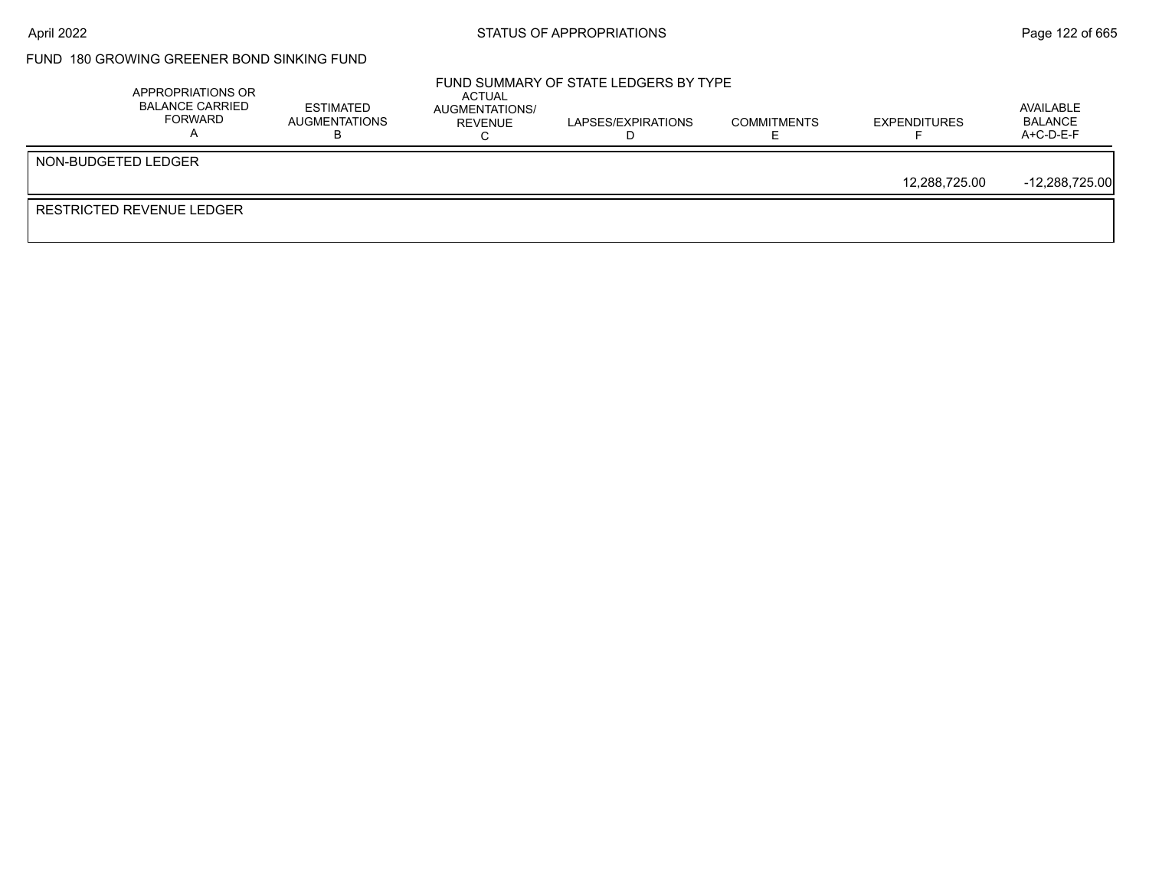# FUND 180 GROWING GREENER BOND SINKING FUND

| APPROPRIATIONS OR<br><b>BALANCE CARRIED</b><br>FORWARD | <b>ESTIMATED</b><br>AUGMENTATIONS | ACTUAL<br>AUGMENTATIONS/<br>REVENUE | FUND SUMMARY OF STATE LEDGERS BY TYPE<br>LAPSES/EXPIRATIONS | <b>COMMITMENTS</b> | <b>EXPENDITURES</b> | AVAILABLE<br>BALANCE<br>$A+C-D-E-F$ |
|--------------------------------------------------------|-----------------------------------|-------------------------------------|-------------------------------------------------------------|--------------------|---------------------|-------------------------------------|
| NON-BUDGETED LEDGER                                    |                                   |                                     |                                                             |                    |                     |                                     |
|                                                        |                                   |                                     |                                                             |                    | 12,288,725.00       | $-12,288,725.00$                    |
| <b>RESTRICTED REVENUE LEDGER</b>                       |                                   |                                     |                                                             |                    |                     |                                     |
|                                                        |                                   |                                     |                                                             |                    |                     |                                     |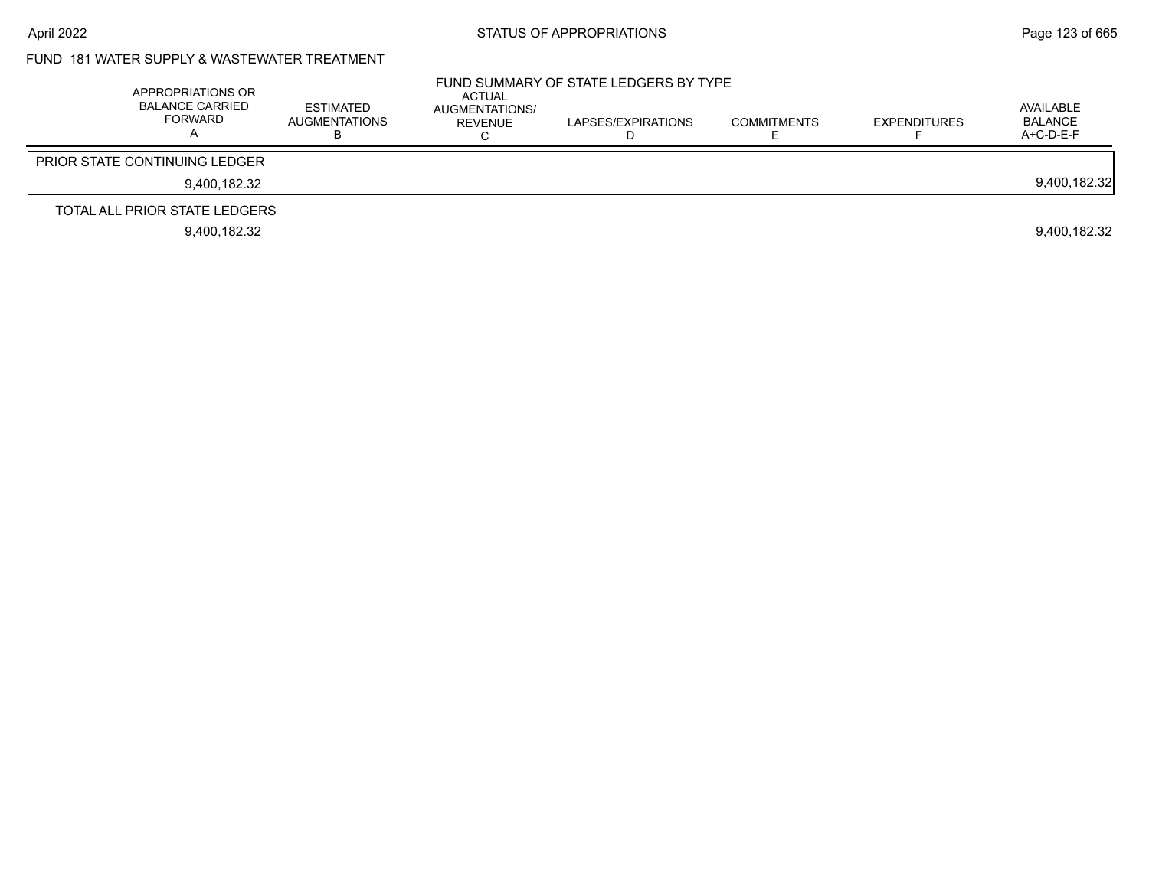# FUND 181 WATER SUPPLY & WASTEWATER TREATMENT

| APPROPRIATIONS OR<br>BALANCE CARRIED<br><b>FORWARD</b> | <b>ESTIMATED</b><br><b>AUGMENTATIONS</b> | ACTUAL<br>AUGMENTATIONS/<br>REVENUE | FUND SUMMARY OF STATE LEDGERS BY TYPE<br>LAPSES/EXPIRATIONS | <b>COMMITMENTS</b> | <b>EXPENDITURES</b> | AVAILABLE<br><b>BALANCE</b><br>$A+C-D-E-F$ |
|--------------------------------------------------------|------------------------------------------|-------------------------------------|-------------------------------------------------------------|--------------------|---------------------|--------------------------------------------|
| <b>PRIOR STATE CONTINUING LEDGER</b>                   |                                          |                                     |                                                             |                    |                     |                                            |
| 9.400.182.32                                           |                                          |                                     |                                                             |                    |                     | 9,400,182.32                               |
| TOTAL ALL PRIOR STATE LEDGERS                          |                                          |                                     |                                                             |                    |                     |                                            |
| 9.400.182.32                                           |                                          |                                     |                                                             |                    |                     | 9.400.182.32                               |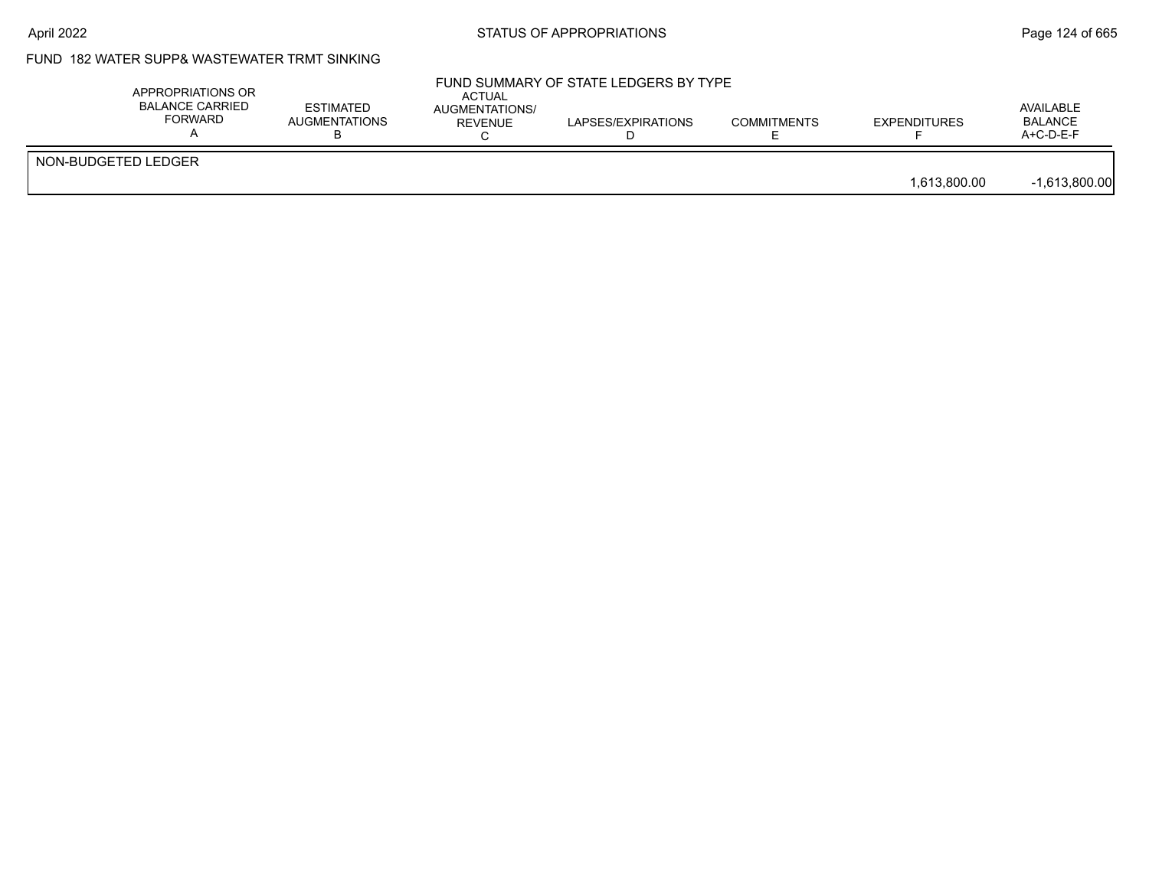## FUND 182 WATER SUPP& WASTEWATER TRMT SINKING

|                     | APPROPRIATIONS OR<br><b>BALANCE CARRIED</b><br>FORWARD | <b>ESTIMATED</b><br><b>AUGMENTATIONS</b> | ACTUAL<br>AUGMENTATIONS/<br>REVENUE | FUND SUMMARY OF STATE LEDGERS BY TYPE<br>LAPSES/EXPIRATIONS | <b>COMMITMENTS</b> | <b>EXPENDITURES</b> | AVAILABLE<br><b>BALANCE</b><br>$A+C-D-E-F$ |
|---------------------|--------------------------------------------------------|------------------------------------------|-------------------------------------|-------------------------------------------------------------|--------------------|---------------------|--------------------------------------------|
| NON-BUDGETED LEDGER |                                                        |                                          |                                     |                                                             |                    | 1,613,800.00        | $-1,613,800.00$                            |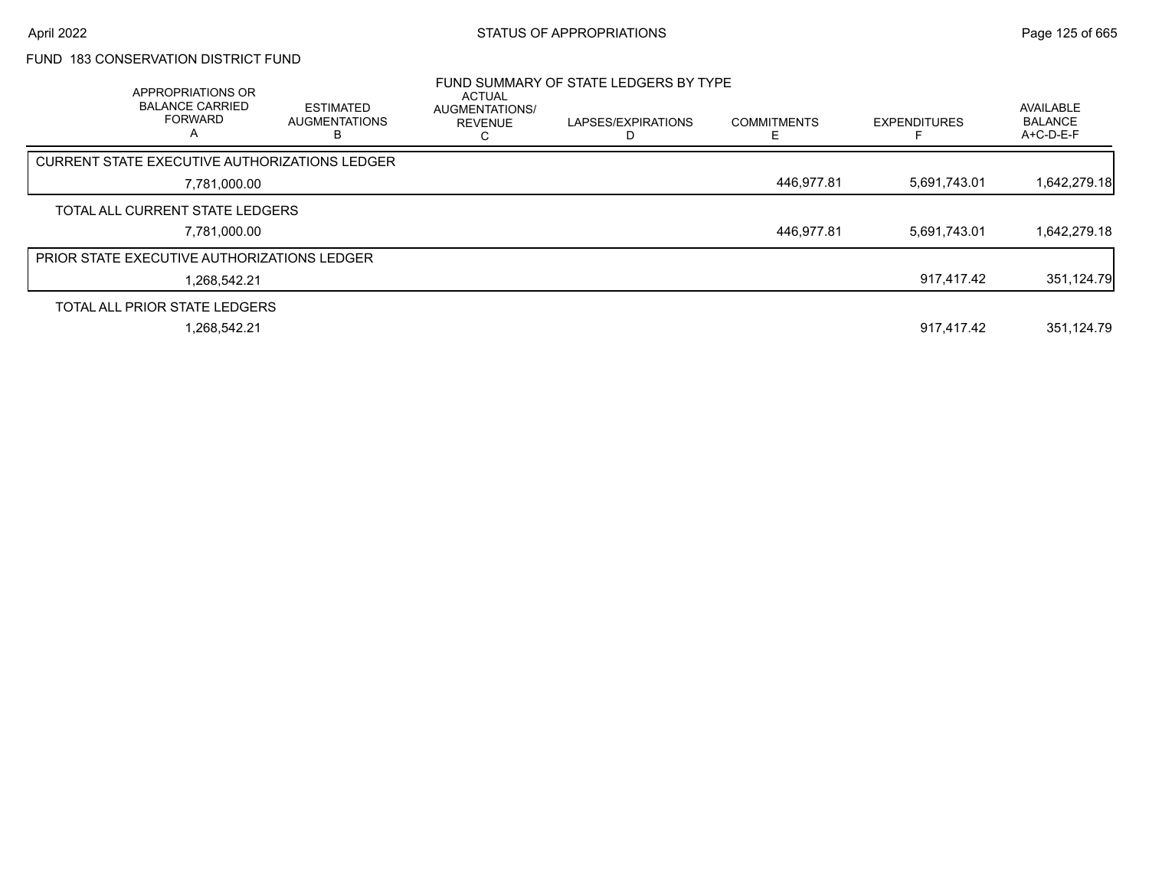### FUND 183 CONSERVATION DISTRICT FUND

| APPROPRIATIONS OR<br><b>BALANCE CARRIED</b><br><b>FORWARD</b><br>$\mathsf{A}$ | <b>ESTIMATED</b><br><b>AUGMENTATIONS</b> | <b>ACTUAL</b><br><b>AUGMENTATIONS/</b><br><b>REVENUE</b> | FUND SUMMARY OF STATE LEDGERS BY TYPE<br>LAPSES/EXPIRATIONS | <b>COMMITMENTS</b> | <b>EXPENDITURES</b> | <b>AVAILABLE</b><br><b>BALANCE</b><br>$A+C-D-E-F$ |
|-------------------------------------------------------------------------------|------------------------------------------|----------------------------------------------------------|-------------------------------------------------------------|--------------------|---------------------|---------------------------------------------------|
| CURRENT STATE EXECUTIVE AUTHORIZATIONS LEDGER                                 |                                          |                                                          |                                                             |                    |                     |                                                   |
| 7,781,000.00                                                                  |                                          |                                                          |                                                             | 446,977.81         | 5,691,743.01        | 1,642,279.18                                      |
| TOTAL ALL CURRENT STATE LEDGERS                                               |                                          |                                                          |                                                             |                    |                     |                                                   |
| 7,781,000.00                                                                  |                                          |                                                          |                                                             | 446,977.81         | 5,691,743.01        | 1,642,279.18                                      |
| <b>PRIOR STATE EXECUTIVE AUTHORIZATIONS LEDGER</b>                            |                                          |                                                          |                                                             |                    |                     |                                                   |
| 1.268.542.21                                                                  |                                          |                                                          |                                                             |                    | 917.417.42          | 351,124.79                                        |
| TOTAL ALL PRIOR STATE LEDGERS                                                 |                                          |                                                          |                                                             |                    |                     |                                                   |
| 1,268,542.21                                                                  |                                          |                                                          |                                                             |                    | 917.417.42          | 351,124.79                                        |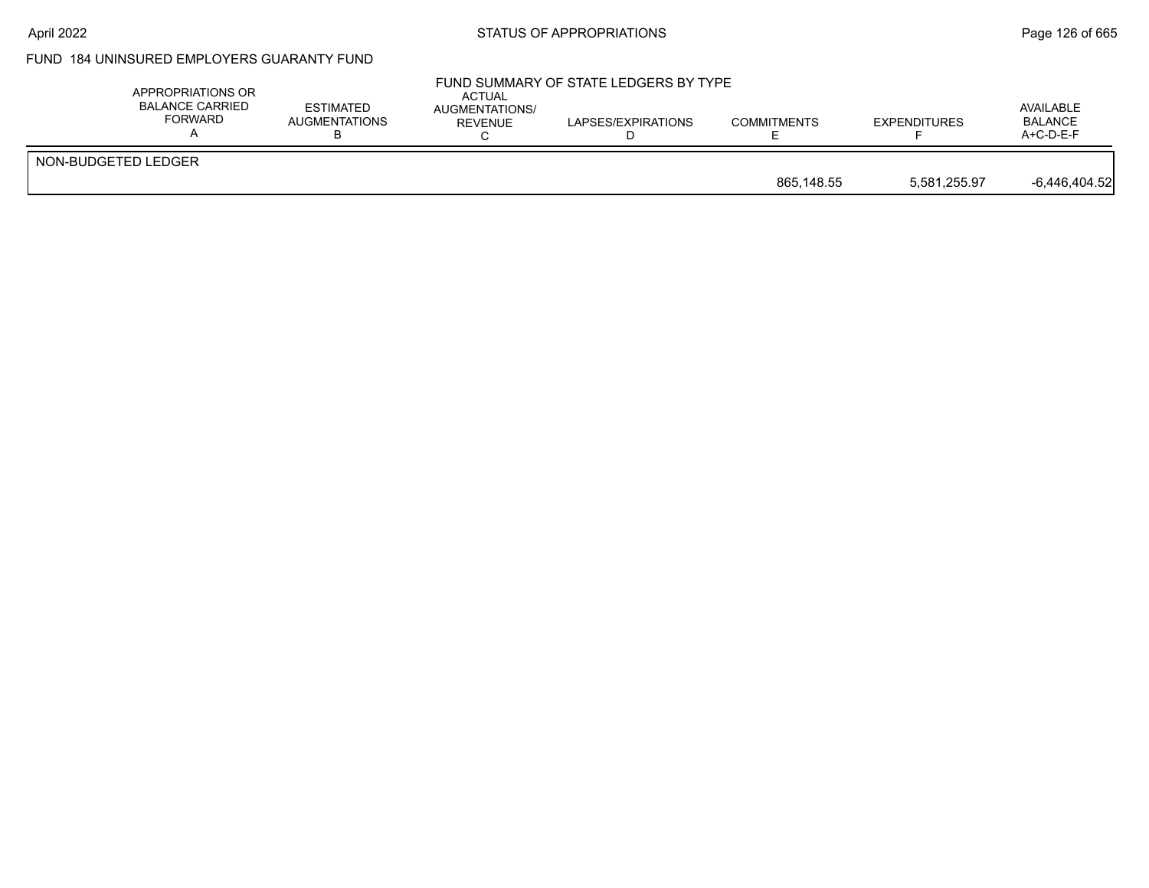#### April 2022 **Example 2018** STATUS OF APPROPRIATIONS **Page 126 of 665**

# FUND 184 UNINSURED EMPLOYERS GUARANTY FUND

| APPROPRIATIONS OR<br><b>BALANCE CARRIED</b><br>FORWARD | <b>ESTIMATED</b><br>AUGMENTATIONS | ACTUAL<br><b>AUGMENTATIONS/</b><br><b>REVENUE</b> | FUND SUMMARY OF STATE LEDGERS BY TYPE<br>LAPSES/EXPIRATIONS | <b>COMMITMENTS</b> | <b>EXPENDITURES</b> | AVAILABLE<br><b>BALANCE</b><br>$A+C-D-E-F$ |
|--------------------------------------------------------|-----------------------------------|---------------------------------------------------|-------------------------------------------------------------|--------------------|---------------------|--------------------------------------------|
| NON-BUDGETED LEDGER                                    |                                   |                                                   |                                                             | 865.148.55         | 5.581.255.97        | $-6,446,404.52$                            |
|                                                        |                                   |                                                   |                                                             |                    |                     |                                            |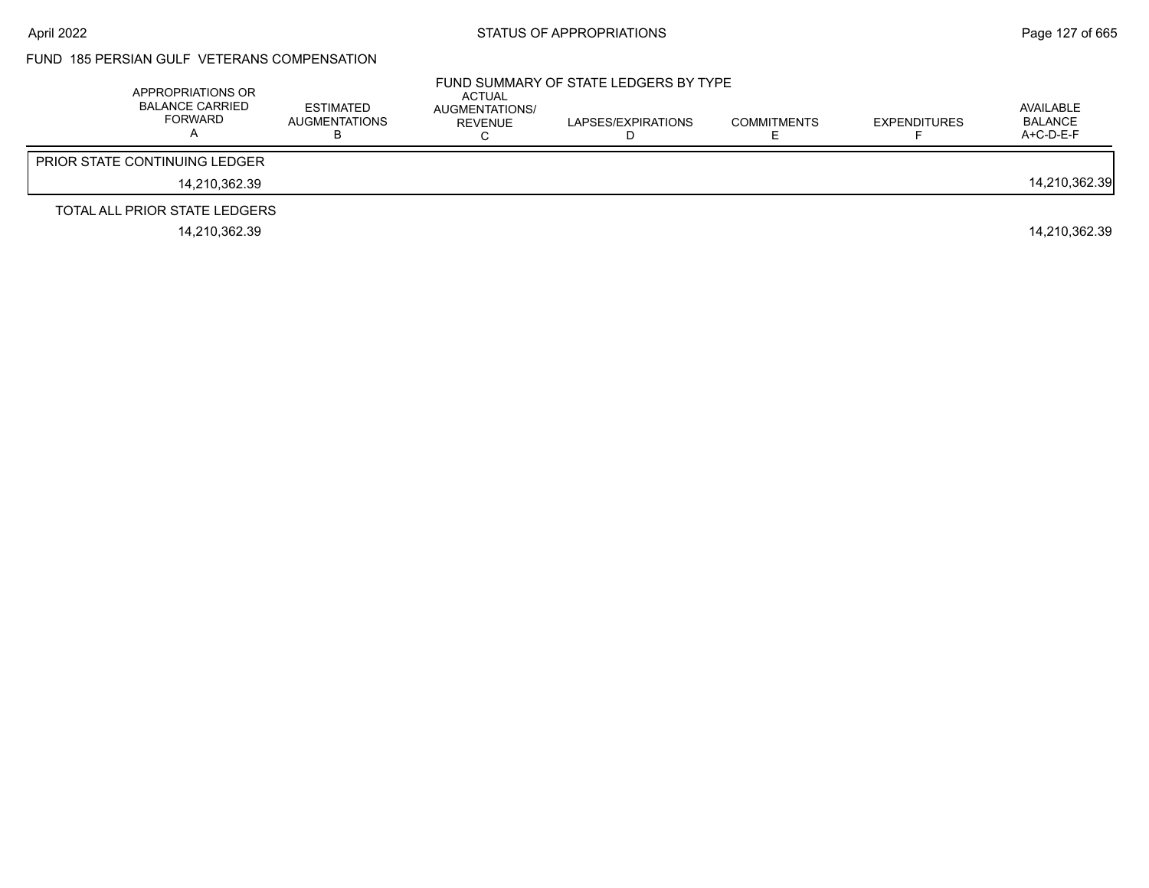### FUND 185 PERSIAN GULF VETERANS COMPENSATION

| APPROPRIATIONS OR<br><b>BALANCE CARRIED</b><br><b>FORWARD</b> | <b>ESTIMATED</b><br>AUGMENTATIONS | <b>ACTUAL</b><br>AUGMENTATIONS/<br>REVENUE | FUND SUMMARY OF STATE LEDGERS BY TYPE<br>LAPSES/EXPIRATIONS | <b>COMMITMENTS</b> | <b>EXPENDITURES</b> | AVAILABLE<br>BALANCE<br>$A+C-D-E-F$ |
|---------------------------------------------------------------|-----------------------------------|--------------------------------------------|-------------------------------------------------------------|--------------------|---------------------|-------------------------------------|
| <b>PRIOR STATE CONTINUING LEDGER</b>                          |                                   |                                            |                                                             |                    |                     |                                     |
| 14.210.362.39                                                 |                                   |                                            |                                                             |                    |                     | 14,210,362.39                       |
| TOTAL ALL PRIOR STATE LEDGERS                                 |                                   |                                            |                                                             |                    |                     |                                     |
| 14.210.362.39                                                 |                                   |                                            |                                                             |                    |                     | 14.210.362.39                       |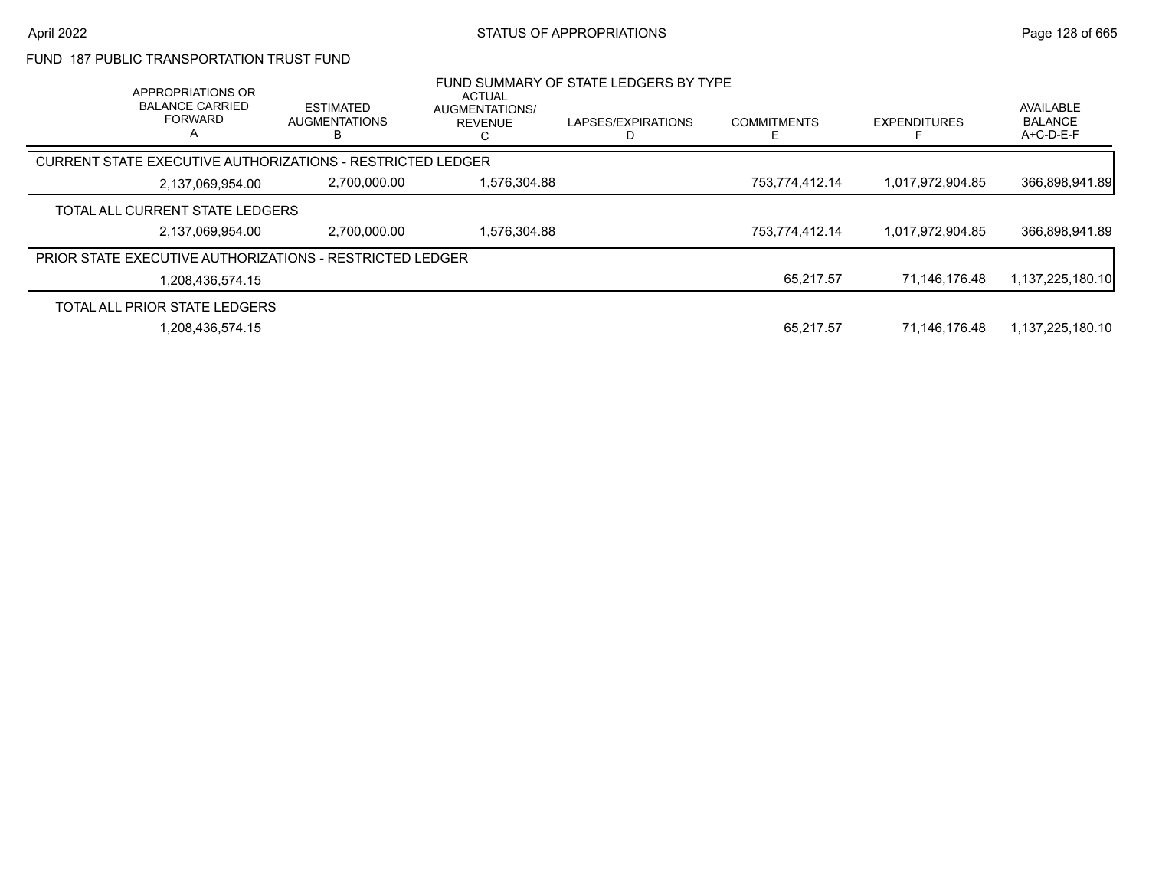#### FUND 187 PUBLIC TRANSPORTATION TRUST FUND

|                                                                 | APPROPRIATIONS OR<br><b>BALANCE CARRIED</b><br><b>FORWARD</b><br>A | <b>ESTIMATED</b><br><b>AUGMENTATIONS</b> | <b>ACTUAL</b><br>AUGMENTATIONS/<br><b>REVENUE</b> | FUND SUMMARY OF STATE LEDGERS BY TYPE<br>LAPSES/EXPIRATIONS | <b>COMMITMENTS</b> | <b>EXPENDITURES</b> | AVAILABLE<br><b>BALANCE</b><br>$A+C-D-E-F$ |
|-----------------------------------------------------------------|--------------------------------------------------------------------|------------------------------------------|---------------------------------------------------|-------------------------------------------------------------|--------------------|---------------------|--------------------------------------------|
| CURRENT STATE EXECUTIVE AUTHORIZATIONS - RESTRICTED LEDGER      |                                                                    |                                          |                                                   |                                                             |                    |                     |                                            |
|                                                                 | 2,137,069,954.00                                                   | 2,700,000.00                             | 1.576.304.88                                      |                                                             | 753,774,412.14     | 1.017.972.904.85    | 366.898.941.89                             |
| TOTAL ALL CURRENT STATE LEDGERS                                 |                                                                    |                                          |                                                   |                                                             |                    |                     |                                            |
|                                                                 | 2,137,069,954.00                                                   | 2.700.000.00                             | 1.576.304.88                                      |                                                             | 753,774,412.14     | 1,017,972,904.85    | 366,898,941.89                             |
| <b>PRIOR STATE EXECUTIVE AUTHORIZATIONS - RESTRICTED LEDGER</b> |                                                                    |                                          |                                                   |                                                             |                    |                     |                                            |
|                                                                 | 1,208,436,574.15                                                   |                                          |                                                   |                                                             | 65,217.57          | 71.146.176.48       | 1,137,225,180.10                           |
| TOTAL ALL PRIOR STATE LEDGERS                                   |                                                                    |                                          |                                                   |                                                             |                    |                     |                                            |
|                                                                 | 1,208,436,574.15                                                   |                                          |                                                   |                                                             | 65.217.57          | 71,146,176.48       | 1,137,225,180.10                           |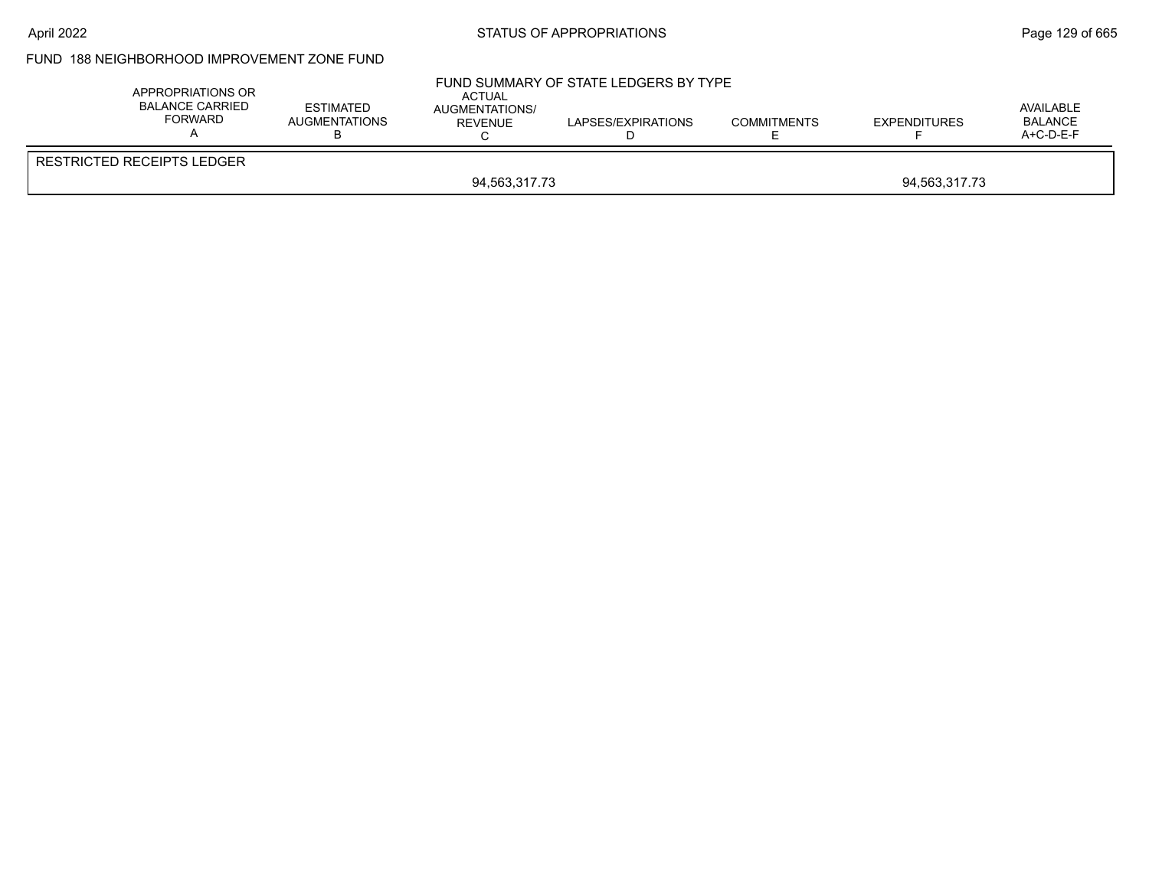### FUND 188 NEIGHBORHOOD IMPROVEMENT ZONE FUND

| <b>RESTRICTED RECEIPTS LEDGER</b> | APPROPRIATIONS OR<br><b>BALANCE CARRIED</b><br><b>FORWARD</b> | <b>ESTIMATED</b><br><b>AUGMENTATIONS</b> | FUND SUMMARY OF STATE LEDGERS BY TYPE<br><b>ACTUAL</b><br>AUGMENTATIONS/<br>REVENUE | <b>COMMITMENTS</b> | <b>EXPENDITURES</b> | AVAILABLE<br><b>BALANCE</b><br>A+C-D-E-F |
|-----------------------------------|---------------------------------------------------------------|------------------------------------------|-------------------------------------------------------------------------------------|--------------------|---------------------|------------------------------------------|
| 94,563,317.73<br>94,563,317.73    |                                                               |                                          |                                                                                     |                    |                     |                                          |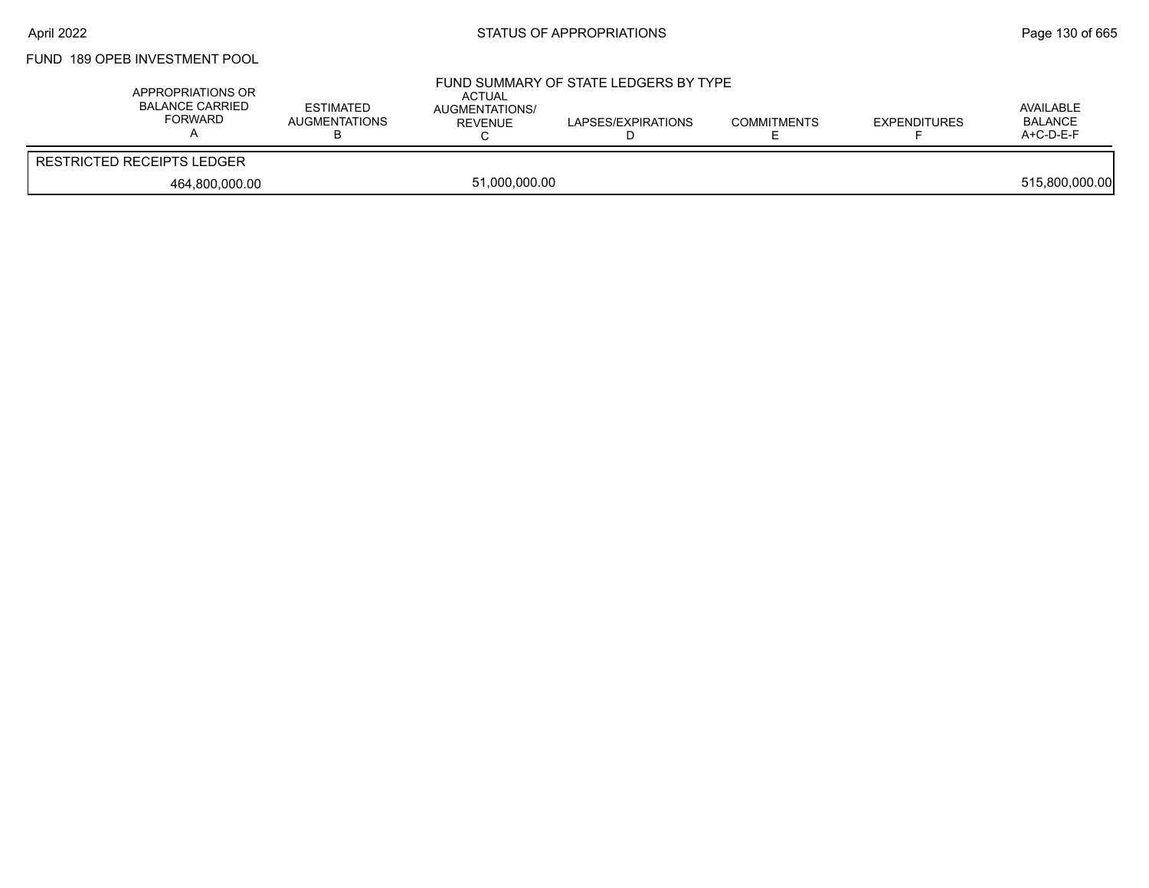# FUND 189 OPEB INVESTMENT POOL

| APPROPRIATIONS OR<br>BALANCE CARRIED<br>FORWARD | <b>ESTIMATED</b><br>AUGMENTATIONS | <b>ACTUAL</b><br>AUGMENTATIONS/<br>REVENUE | FUND SUMMARY OF STATE LEDGERS BY TYPE<br>LAPSES/EXPIRATIONS | <b>COMMITMENTS</b> | <b>EXPENDITURES</b> | AVAILABLE<br><b>BALANCE</b><br>$A+C-D-E-F$ |
|-------------------------------------------------|-----------------------------------|--------------------------------------------|-------------------------------------------------------------|--------------------|---------------------|--------------------------------------------|
| <b>RESTRICTED RECEIPTS LEDGER</b>               |                                   |                                            |                                                             |                    |                     |                                            |
| 464,800,000.00                                  |                                   | 51,000,000.00                              |                                                             |                    |                     | 515,800,000.00                             |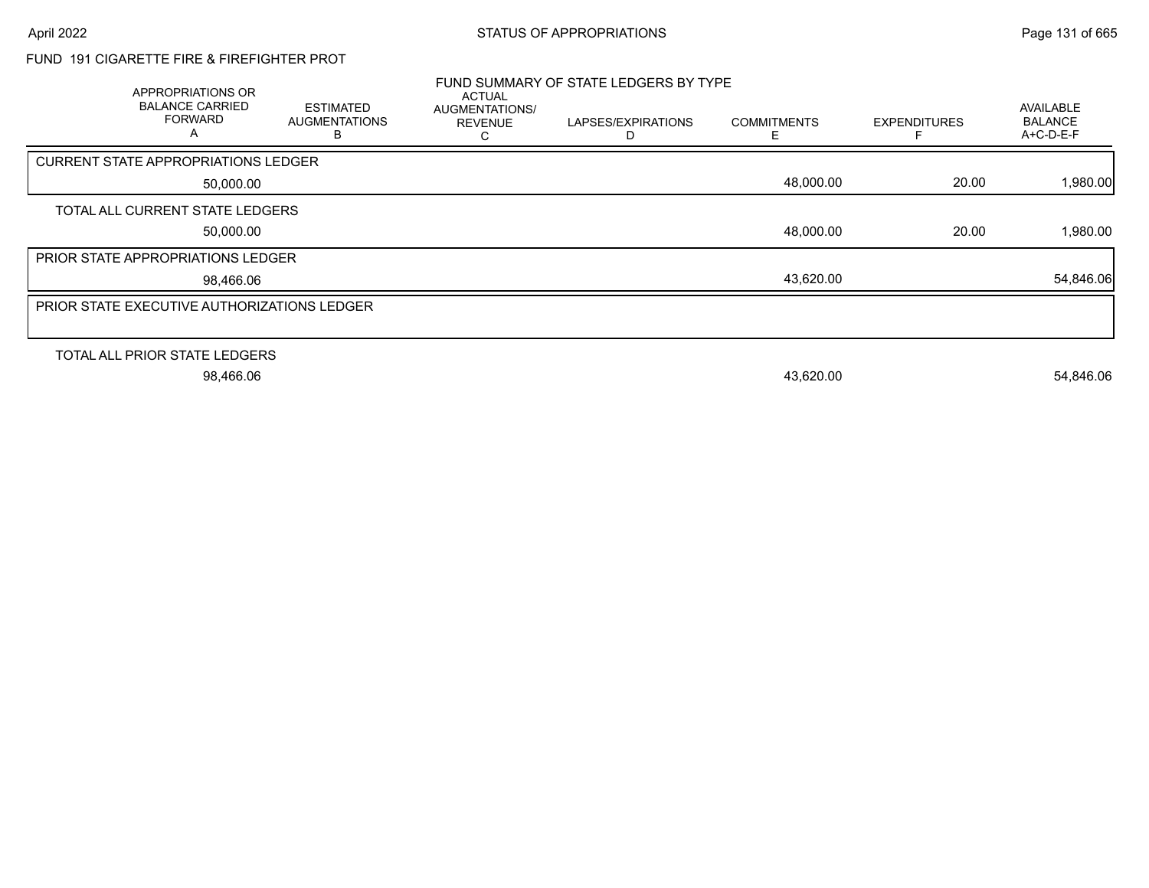# FUND 191 CIGARETTE FIRE & FIREFIGHTER PROT

| <b>APPROPRIATIONS OR</b><br><b>BALANCE CARRIED</b><br><b>FORWARD</b><br>A | <b>ESTIMATED</b><br><b>AUGMENTATIONS</b><br>ь | <b>ACTUAL</b><br><b>AUGMENTATIONS/</b><br><b>REVENUE</b> | FUND SUMMARY OF STATE LEDGERS BY TYPE<br>LAPSES/EXPIRATIONS<br>D | <b>COMMITMENTS</b><br>F. | <b>EXPENDITURES</b> | AVAILABLE<br><b>BALANCE</b><br>$A+C-D-E-F$ |
|---------------------------------------------------------------------------|-----------------------------------------------|----------------------------------------------------------|------------------------------------------------------------------|--------------------------|---------------------|--------------------------------------------|
| <b>CURRENT STATE APPROPRIATIONS LEDGER</b>                                |                                               |                                                          |                                                                  |                          |                     |                                            |
| 50,000.00                                                                 |                                               |                                                          |                                                                  | 48,000.00                | 20.00               | 1,980.00                                   |
| TOTAL ALL CURRENT STATE LEDGERS                                           |                                               |                                                          |                                                                  |                          |                     |                                            |
| 50,000.00                                                                 |                                               |                                                          |                                                                  | 48,000.00                | 20.00               | 1,980.00                                   |
| PRIOR STATE APPROPRIATIONS LEDGER                                         |                                               |                                                          |                                                                  |                          |                     |                                            |
| 98,466.06                                                                 |                                               |                                                          |                                                                  | 43,620.00                |                     | 54,846.06                                  |
| PRIOR STATE EXECUTIVE AUTHORIZATIONS LEDGER                               |                                               |                                                          |                                                                  |                          |                     |                                            |
|                                                                           |                                               |                                                          |                                                                  |                          |                     |                                            |
| TOTAL ALL PRIOR STATE LEDGERS                                             |                                               |                                                          |                                                                  |                          |                     |                                            |
| 98,466.06                                                                 |                                               |                                                          |                                                                  | 43,620.00                |                     | 54,846.06                                  |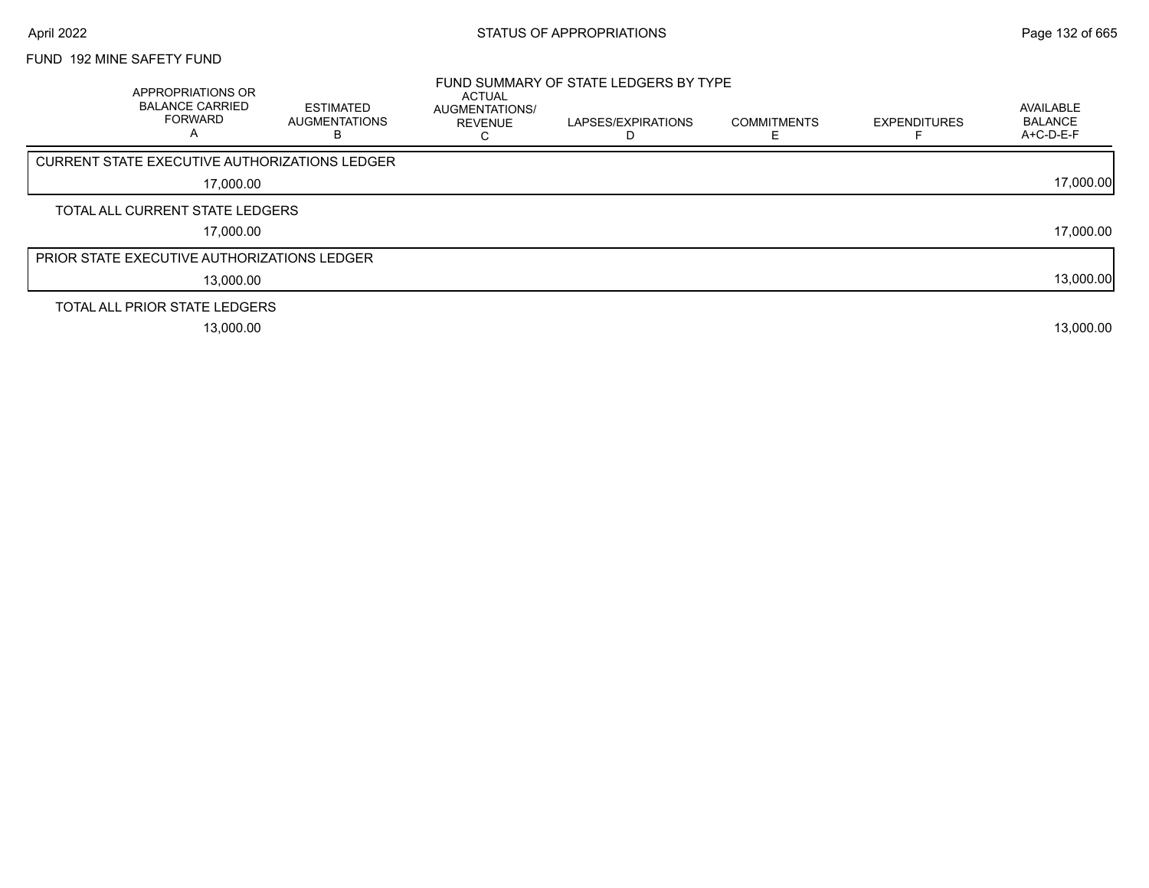### FUND 192 MINE SAFETY FUND

| APPROPRIATIONS OR<br><b>BALANCE CARRIED</b><br><b>FORWARD</b><br>A | <b>ESTIMATED</b><br>AUGMENTATIONS<br>в | ACTUAL<br>AUGMENTATIONS/<br><b>REVENUE</b> | FUND SUMMARY OF STATE LEDGERS BY TYPE<br>LAPSES/EXPIRATIONS | <b>COMMITMENTS</b> | <b>EXPENDITURES</b> | AVAILABLE<br><b>BALANCE</b><br>A+C-D-E-F |
|--------------------------------------------------------------------|----------------------------------------|--------------------------------------------|-------------------------------------------------------------|--------------------|---------------------|------------------------------------------|
| CURRENT STATE EXECUTIVE AUTHORIZATIONS LEDGER                      |                                        |                                            |                                                             |                    |                     |                                          |
| 17,000.00                                                          |                                        |                                            |                                                             |                    |                     | 17,000.00                                |
| TOTAL ALL CURRENT STATE LEDGERS                                    |                                        |                                            |                                                             |                    |                     |                                          |
| 17,000.00                                                          |                                        |                                            |                                                             |                    |                     | 17,000.00                                |
| <b>PRIOR STATE EXECUTIVE AUTHORIZATIONS LEDGER</b>                 |                                        |                                            |                                                             |                    |                     |                                          |
| 13.000.00                                                          |                                        |                                            |                                                             |                    |                     | 13,000.00                                |
| TOTAL ALL PRIOR STATE LEDGERS                                      |                                        |                                            |                                                             |                    |                     |                                          |
| 13,000.00                                                          |                                        |                                            |                                                             |                    |                     | 13,000.00                                |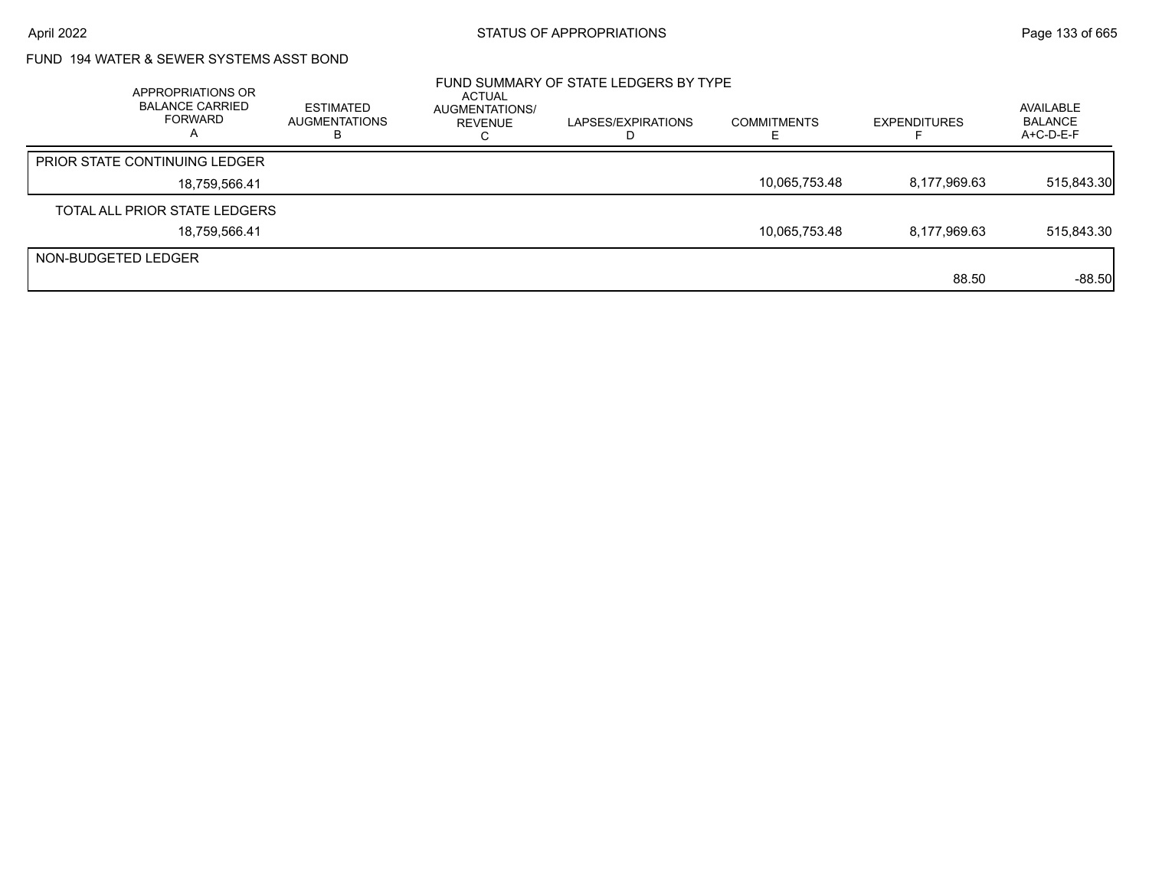# FUND 194 WATER & SEWER SYSTEMS ASST BOND

|                     | APPROPRIATIONS OR<br><b>BALANCE CARRIED</b><br>FORWARD<br>Α | <b>ESTIMATED</b><br><b>AUGMENTATIONS</b><br>ĸ | ACTUAL<br>AUGMENTATIONS/<br>REVENUE | FUND SUMMARY OF STATE LEDGERS BY TYPE<br>LAPSES/EXPIRATIONS<br>D | <b>COMMITMENTS</b> | <b>EXPENDITURES</b> | AVAILABLE<br><b>BALANCE</b><br>$A+C-D-E-F$ |
|---------------------|-------------------------------------------------------------|-----------------------------------------------|-------------------------------------|------------------------------------------------------------------|--------------------|---------------------|--------------------------------------------|
|                     | <b>PRIOR STATE CONTINUING LEDGER</b>                        |                                               |                                     |                                                                  |                    |                     |                                            |
|                     | 18,759,566.41                                               |                                               |                                     |                                                                  | 10,065,753.48      | 8,177,969.63        | 515,843.30                                 |
|                     | TOTAL ALL PRIOR STATE LEDGERS                               |                                               |                                     |                                                                  |                    |                     |                                            |
|                     | 18,759,566.41                                               |                                               |                                     |                                                                  | 10,065,753.48      | 8,177,969.63        | 515,843.30                                 |
| NON-BUDGETED LEDGER |                                                             |                                               |                                     |                                                                  |                    |                     |                                            |
|                     |                                                             |                                               |                                     |                                                                  |                    | 88.50               | $-88.50$                                   |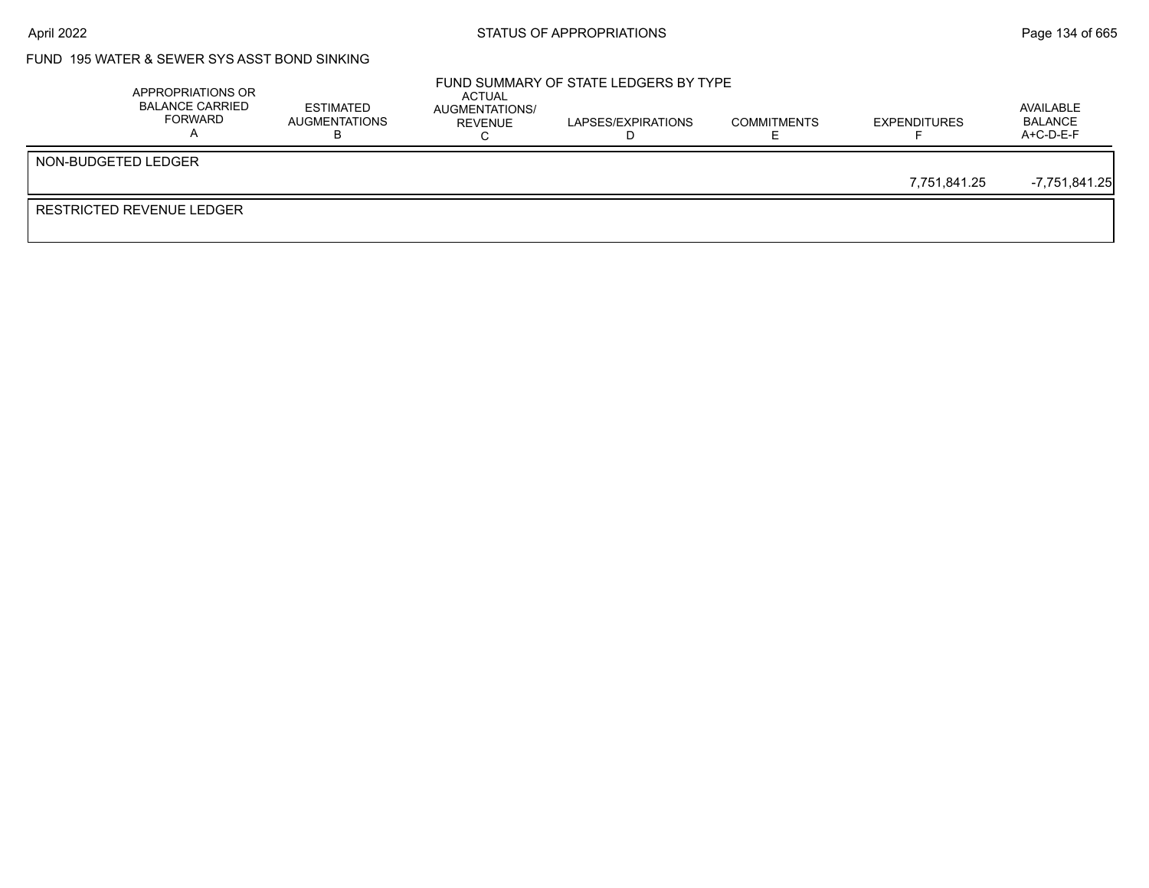## FUND 195 WATER & SEWER SYS ASST BOND SINKING

| APPROPRIATIONS OR<br><b>BALANCE CARRIED</b><br>FORWARD | <b>ESTIMATED</b><br>AUGMENTATIONS | ACTUAL<br>AUGMENTATIONS/<br>REVENUE | FUND SUMMARY OF STATE LEDGERS BY TYPE<br>LAPSES/EXPIRATIONS | <b>COMMITMENTS</b> | <b>EXPENDITURES</b> | AVAILABLE<br><b>BALANCE</b><br>$A+C-D-E-F$ |
|--------------------------------------------------------|-----------------------------------|-------------------------------------|-------------------------------------------------------------|--------------------|---------------------|--------------------------------------------|
| NON-BUDGETED LEDGER                                    |                                   |                                     |                                                             |                    |                     |                                            |
|                                                        |                                   |                                     |                                                             |                    | 7.751.841.25        | -7,751,841.25                              |
| RESTRICTED REVENUE LEDGER                              |                                   |                                     |                                                             |                    |                     |                                            |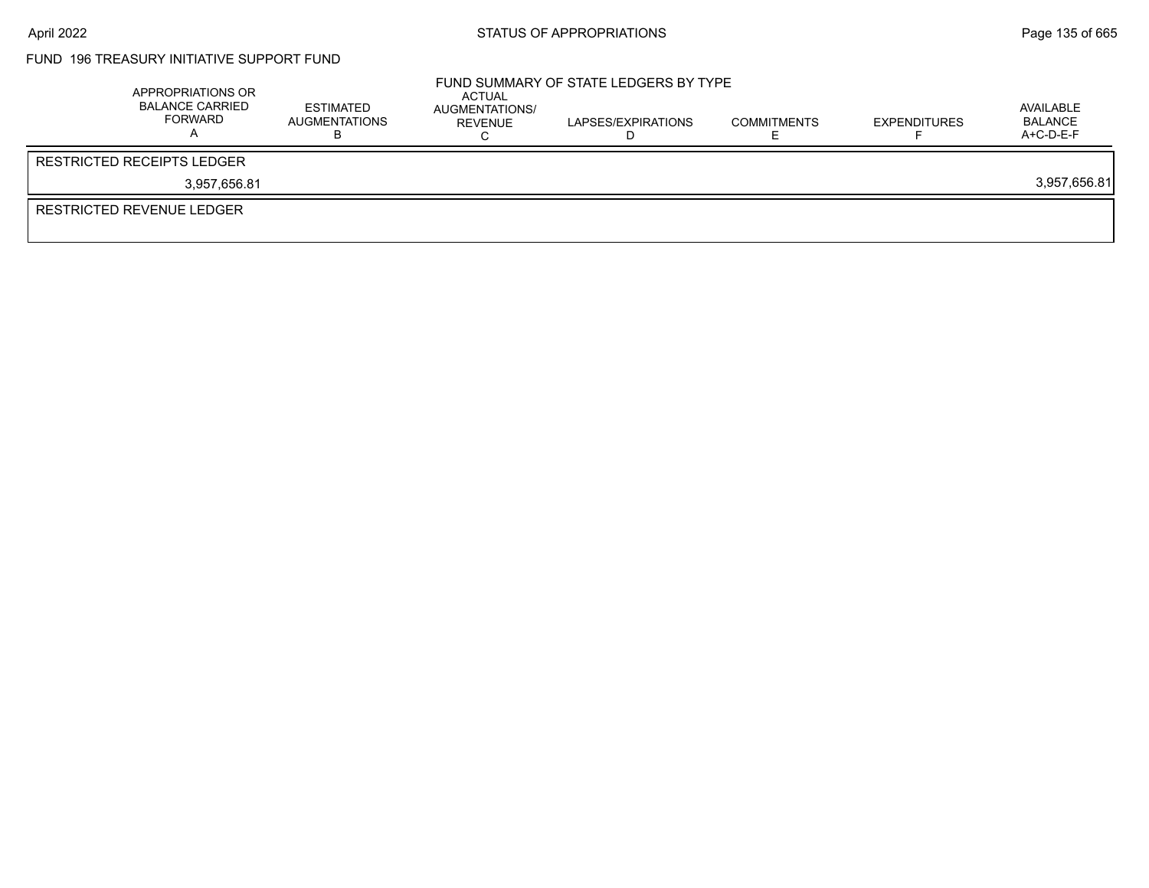# FUND 196 TREASURY INITIATIVE SUPPORT FUND

| APPROPRIATIONS OR<br><b>BALANCE CARRIED</b><br>FORWARD | ESTIMATED<br><b>AUGMENTATIONS</b> | ACTUAL<br>AUGMENTATIONS/<br>REVENUE | FUND SUMMARY OF STATE LEDGERS BY TYPE<br>LAPSES/EXPIRATIONS | <b>COMMITMENTS</b> | <b>EXPENDITURES</b> | AVAILABLE<br><b>BALANCE</b><br>$A+C-D-E-F$ |
|--------------------------------------------------------|-----------------------------------|-------------------------------------|-------------------------------------------------------------|--------------------|---------------------|--------------------------------------------|
| RESTRICTED RECEIPTS LEDGER                             |                                   |                                     |                                                             |                    |                     |                                            |
| 3.957.656.81                                           |                                   |                                     |                                                             |                    |                     | 3,957,656.81                               |
| RESTRICTED REVENUE LEDGER                              |                                   |                                     |                                                             |                    |                     |                                            |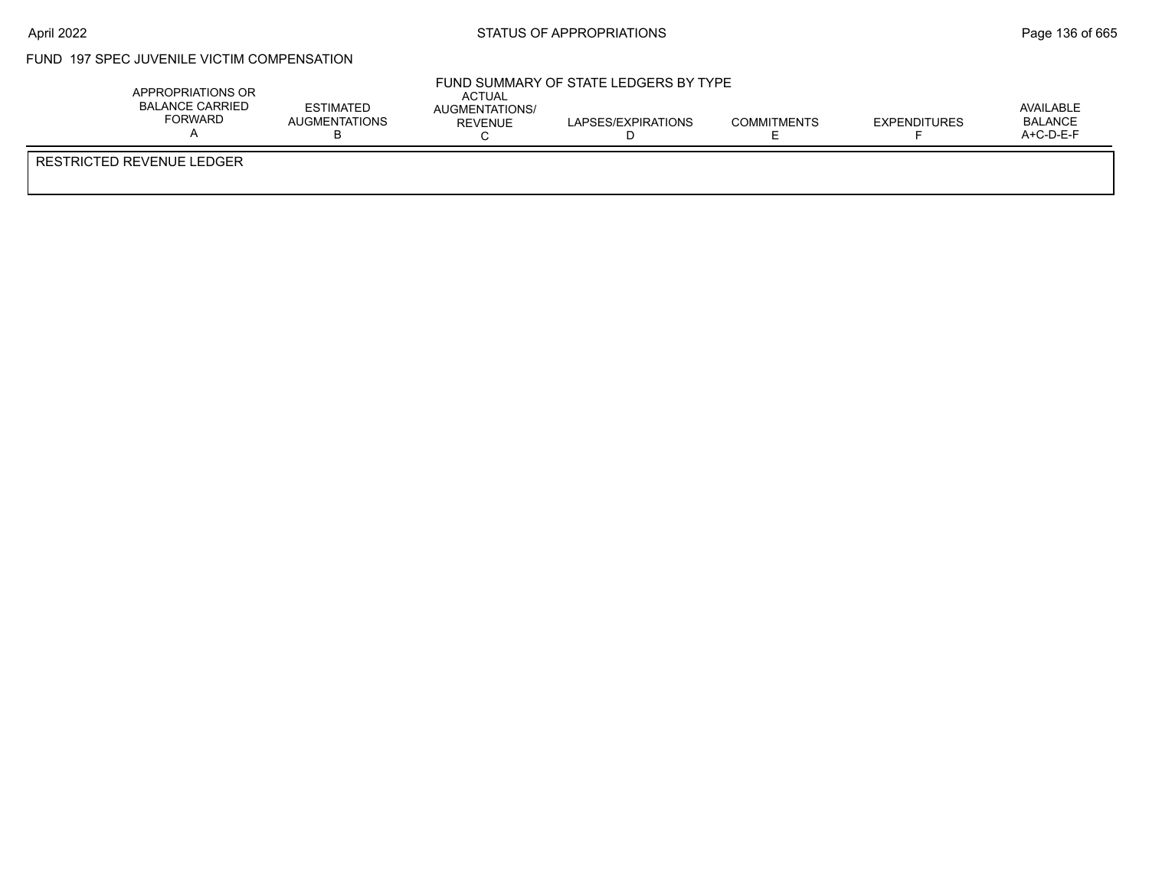### FUND 197 SPEC JUVENILE VICTIM COMPENSATION

| APPROPRIATIONS OR<br><b>BALANCE CARRIED</b><br><b>FORWARD</b> | <b>ESTIMATED</b><br><b>AUGMENTATIONS</b> | <b>ACTUAL</b><br>AUGMENTATIONS/<br>REVENUE | FUND SUMMARY OF STATE LEDGERS BY TYPE<br>LAPSES/EXPIRATIONS | <b>COMMITMENTS</b> | <b>EXPENDITURES</b> | AVAILABLE<br><b>BALANCE</b><br>$A+C-D-E-F$ |
|---------------------------------------------------------------|------------------------------------------|--------------------------------------------|-------------------------------------------------------------|--------------------|---------------------|--------------------------------------------|
| <b>RESTRICTED REVENUE LEDGER</b>                              |                                          |                                            |                                                             |                    |                     |                                            |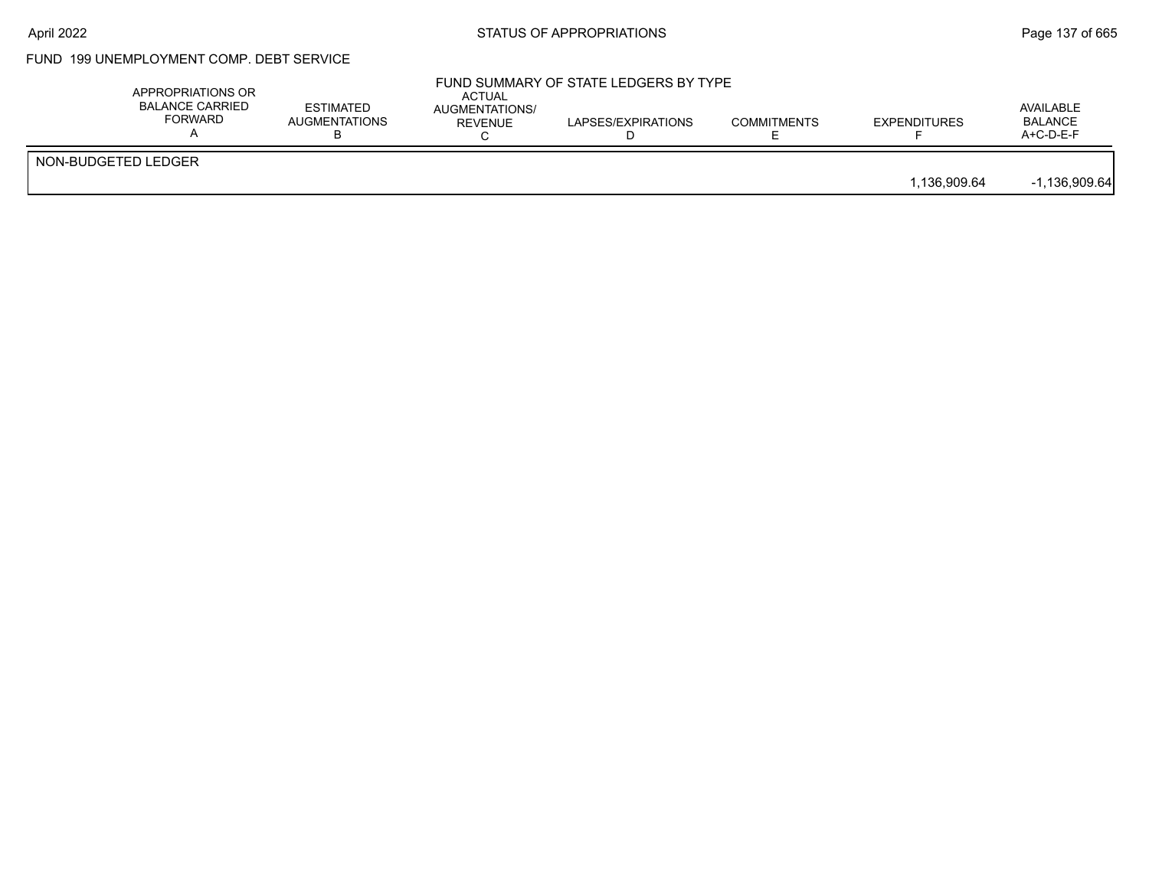# FUND 199 UNEMPLOYMENT COMP. DEBT SERVICE

|                     | APPROPRIATIONS OR<br><b>BALANCE CARRIED</b><br><b>FORWARD</b> | <b>ESTIMATED</b><br>AUGMENTATIONS | ACTUAL<br>AUGMENTATIONS/<br><b>REVENUE</b> | FUND SUMMARY OF STATE LEDGERS BY TYPE<br>LAPSES/EXPIRATIONS | <b>COMMITMENTS</b> | <b>EXPENDITURES</b> | AVAILABLE<br><b>BALANCE</b><br>A+C-D-E-F |
|---------------------|---------------------------------------------------------------|-----------------------------------|--------------------------------------------|-------------------------------------------------------------|--------------------|---------------------|------------------------------------------|
| NON-BUDGETED LEDGER |                                                               |                                   |                                            |                                                             |                    | 1.136.909.64        | $-1,136,909.64$                          |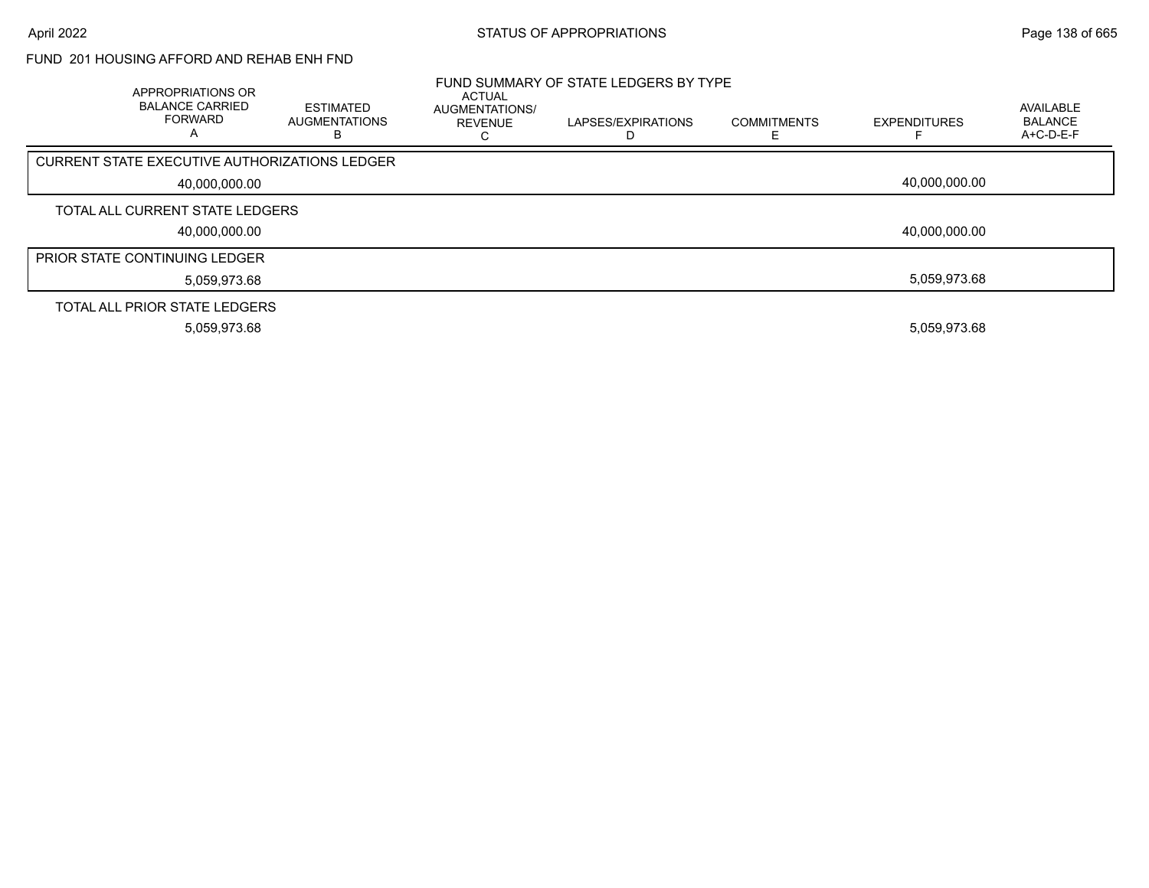#### FUND 201 HOUSING AFFORD AND REHAB ENH FND

| APPROPRIATIONS OR<br><b>BALANCE CARRIED</b><br><b>FORWARD</b> | <b>ESTIMATED</b><br>AUGMENTATIONS<br>в | <b>ACTUAL</b><br>AUGMENTATIONS/<br><b>REVENUE</b> | FUND SUMMARY OF STATE LEDGERS BY TYPE<br>LAPSES/EXPIRATIONS | <b>COMMITMENTS</b> | <b>EXPENDITURES</b> | <b>AVAILABLE</b><br><b>BALANCE</b><br>A+C-D-E-F |
|---------------------------------------------------------------|----------------------------------------|---------------------------------------------------|-------------------------------------------------------------|--------------------|---------------------|-------------------------------------------------|
| CURRENT STATE EXECUTIVE AUTHORIZATIONS LEDGER                 |                                        |                                                   |                                                             |                    |                     |                                                 |
| 40,000,000.00                                                 |                                        |                                                   |                                                             |                    | 40.000.000.00       |                                                 |
| TOTAL ALL CURRENT STATE LEDGERS                               |                                        |                                                   |                                                             |                    |                     |                                                 |
| 40,000,000.00                                                 |                                        |                                                   |                                                             |                    | 40,000,000.00       |                                                 |
| <b>PRIOR STATE CONTINUING LEDGER</b>                          |                                        |                                                   |                                                             |                    |                     |                                                 |
| 5,059,973.68                                                  |                                        |                                                   |                                                             |                    | 5.059.973.68        |                                                 |
| TOTAL ALL PRIOR STATE LEDGERS                                 |                                        |                                                   |                                                             |                    |                     |                                                 |
| 5,059,973.68                                                  |                                        |                                                   |                                                             |                    | 5,059,973.68        |                                                 |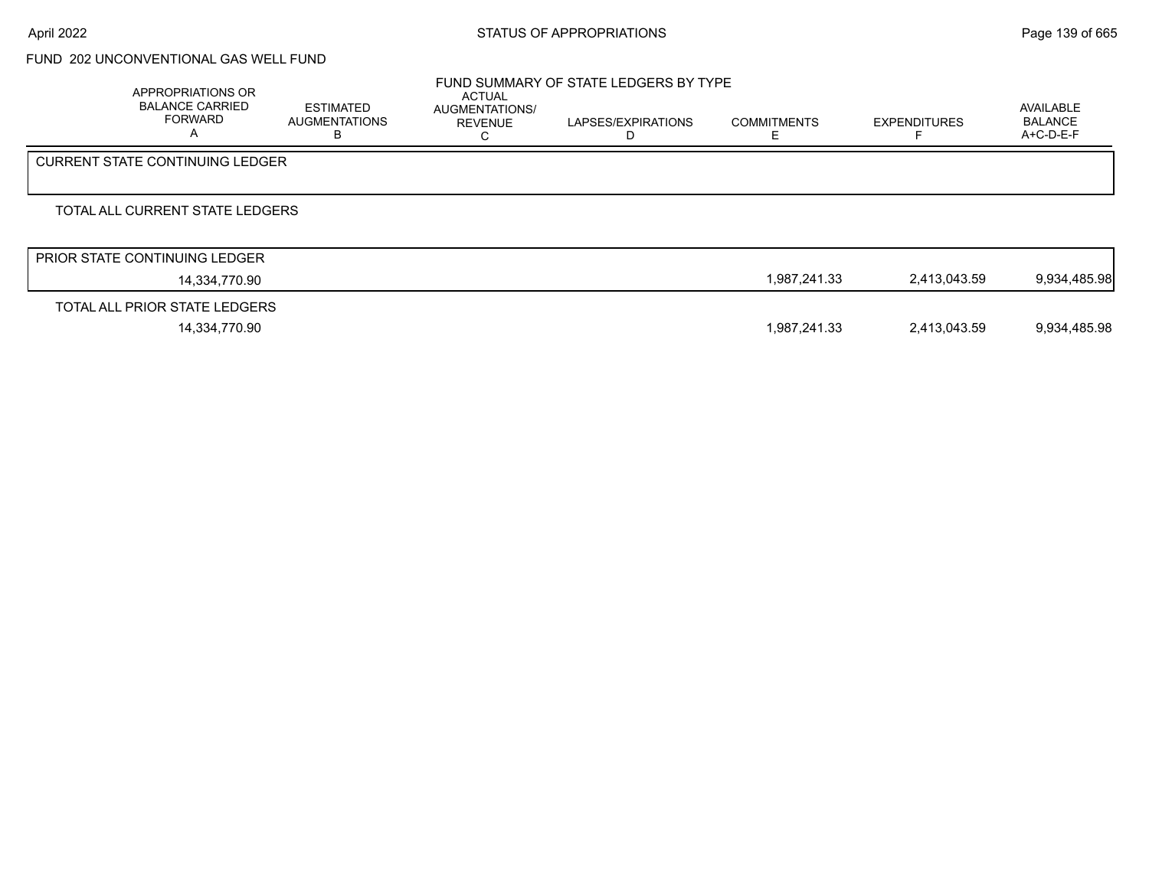## FUND 202 UNCONVENTIONAL GAS WELL FUND

| APPROPRIATIONS OR<br><b>BALANCE CARRIED</b><br><b>FORWARD</b> | ESTIMATED<br><b>AUGMENTATIONS</b><br>в | ACTUAL<br>AUGMENTATIONS/<br><b>REVENUE</b> | FUND SUMMARY OF STATE LEDGERS BY TYPE<br>LAPSES/EXPIRATIONS | <b>COMMITMENTS</b> | <b>EXPENDITURES</b> | AVAILABLE<br><b>BALANCE</b><br>A+C-D-E-F |
|---------------------------------------------------------------|----------------------------------------|--------------------------------------------|-------------------------------------------------------------|--------------------|---------------------|------------------------------------------|
| <b>CURRENT STATE CONTINUING LEDGER</b>                        |                                        |                                            |                                                             |                    |                     |                                          |
| TOTAL ALL CURRENT STATE LEDGERS                               |                                        |                                            |                                                             |                    |                     |                                          |
| <b>PRIOR STATE CONTINUING LEDGER</b>                          |                                        |                                            |                                                             |                    |                     |                                          |
| 14,334,770.90                                                 |                                        |                                            |                                                             | 1,987,241.33       | 2,413,043.59        | 9,934,485.98                             |
| TOTAL ALL PRIOR STATE LEDGERS                                 |                                        |                                            |                                                             |                    |                     |                                          |

14,334,770.90 1,987,241.33 2,413,043.59 9,934,485.98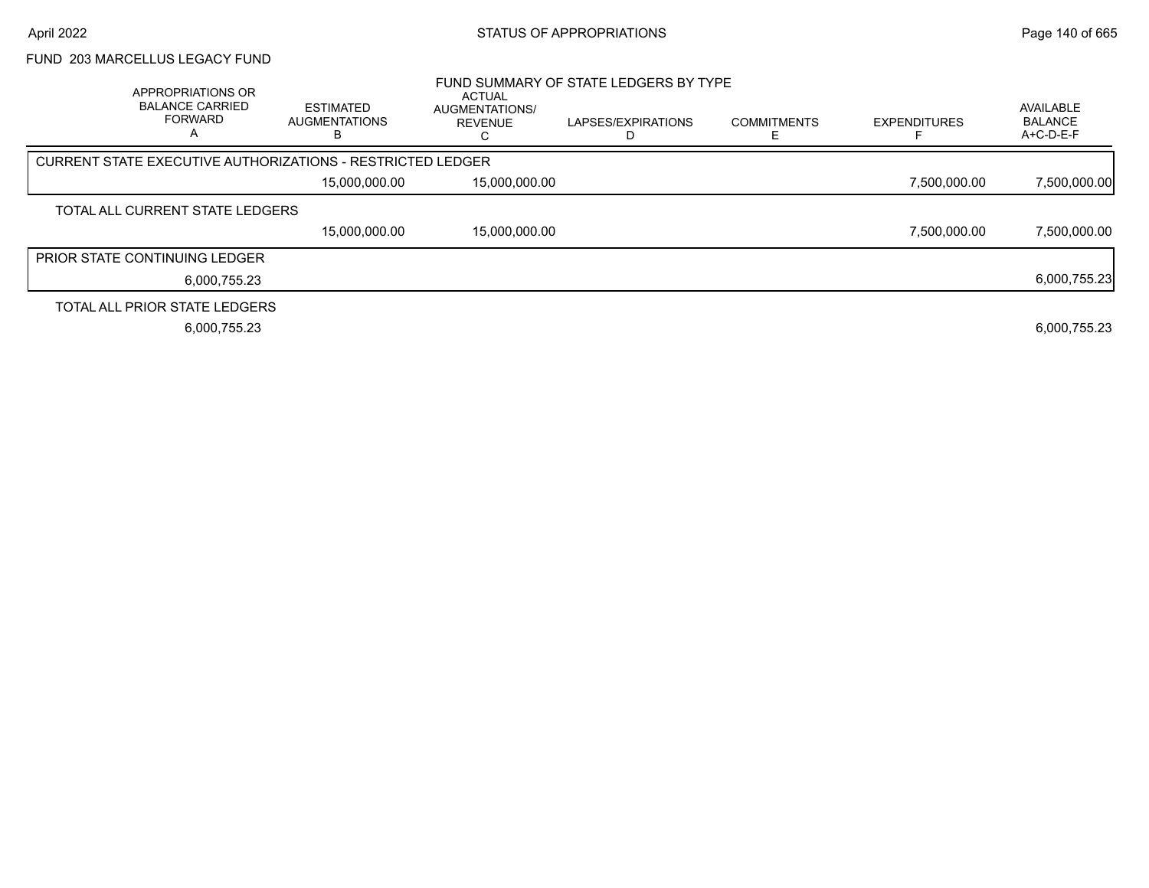#### FUND 203 MARCELLUS LEGACY FUND

|                                                            | APPROPRIATIONS OR<br><b>BALANCE CARRIED</b><br><b>FORWARD</b> | <b>ESTIMATED</b><br><b>AUGMENTATIONS</b> | <b>ACTUAL</b><br><b>AUGMENTATIONS/</b><br><b>REVENUE</b> | FUND SUMMARY OF STATE LEDGERS BY TYPE<br>LAPSES/EXPIRATIONS | <b>COMMITMENTS</b> | <b>EXPENDITURES</b> | AVAILABLE<br><b>BALANCE</b><br>A+C-D-E-F |
|------------------------------------------------------------|---------------------------------------------------------------|------------------------------------------|----------------------------------------------------------|-------------------------------------------------------------|--------------------|---------------------|------------------------------------------|
| CURRENT STATE EXECUTIVE AUTHORIZATIONS - RESTRICTED LEDGER |                                                               |                                          |                                                          |                                                             |                    |                     |                                          |
|                                                            |                                                               | 15,000,000.00                            | 15,000,000.00                                            |                                                             |                    | 7,500,000.00        | 7,500,000.00                             |
| TOTAL ALL CURRENT STATE LEDGERS                            |                                                               |                                          |                                                          |                                                             |                    |                     |                                          |
|                                                            |                                                               | 15,000,000.00                            | 15.000.000.00                                            |                                                             |                    | 7.500.000.00        | 7,500,000.00                             |
| <b>PRIOR STATE CONTINUING LEDGER</b>                       |                                                               |                                          |                                                          |                                                             |                    |                     |                                          |
|                                                            | 6.000.755.23                                                  |                                          |                                                          |                                                             |                    |                     | 6,000,755.23                             |
| TOTAL ALL PRIOR STATE LEDGERS                              |                                                               |                                          |                                                          |                                                             |                    |                     |                                          |
|                                                            | 6,000,755.23                                                  |                                          |                                                          |                                                             |                    |                     | 6,000,755.23                             |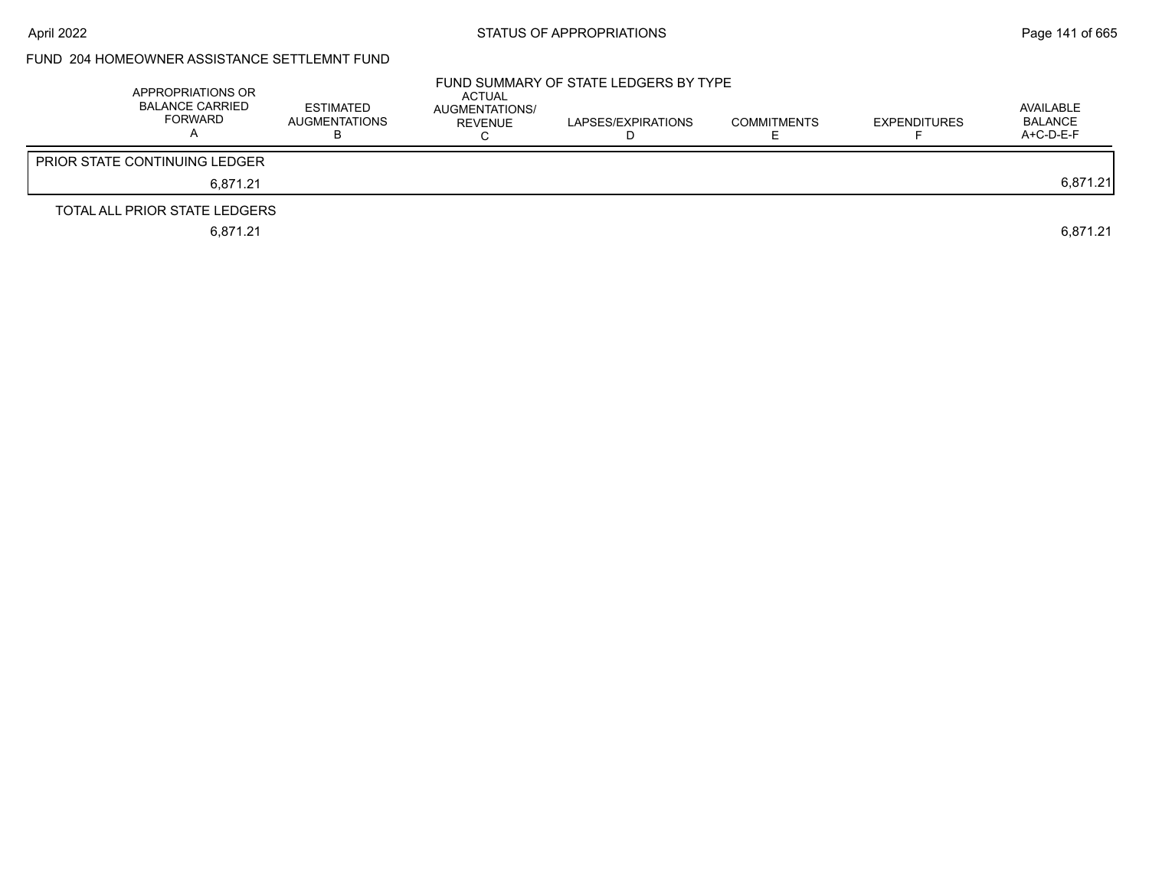# FUND 204 HOMEOWNER ASSISTANCE SETTLEMNT FUND

| APPROPRIATIONS OR<br>BALANCE CARRIED<br>FORWARD | <b>ESTIMATED</b><br><b>AUGMENTATIONS</b> | <b>ACTUAL</b><br>AUGMENTATIONS/<br>REVENUE | FUND SUMMARY OF STATE LEDGERS BY TYPE<br>LAPSES/EXPIRATIONS | <b>COMMITMENTS</b> | <b>EXPENDITURES</b> | AVAILABLE<br>BALANCE<br>A+C-D-E-F |
|-------------------------------------------------|------------------------------------------|--------------------------------------------|-------------------------------------------------------------|--------------------|---------------------|-----------------------------------|
| <b>PRIOR STATE CONTINUING LEDGER</b>            |                                          |                                            |                                                             |                    |                     |                                   |
| 6.871.21                                        |                                          |                                            |                                                             |                    |                     | 6,871.21                          |
| TOTAL ALL PRIOR STATE LEDGERS                   |                                          |                                            |                                                             |                    |                     |                                   |
| 6.871.21                                        |                                          |                                            |                                                             |                    |                     | 6.871.21                          |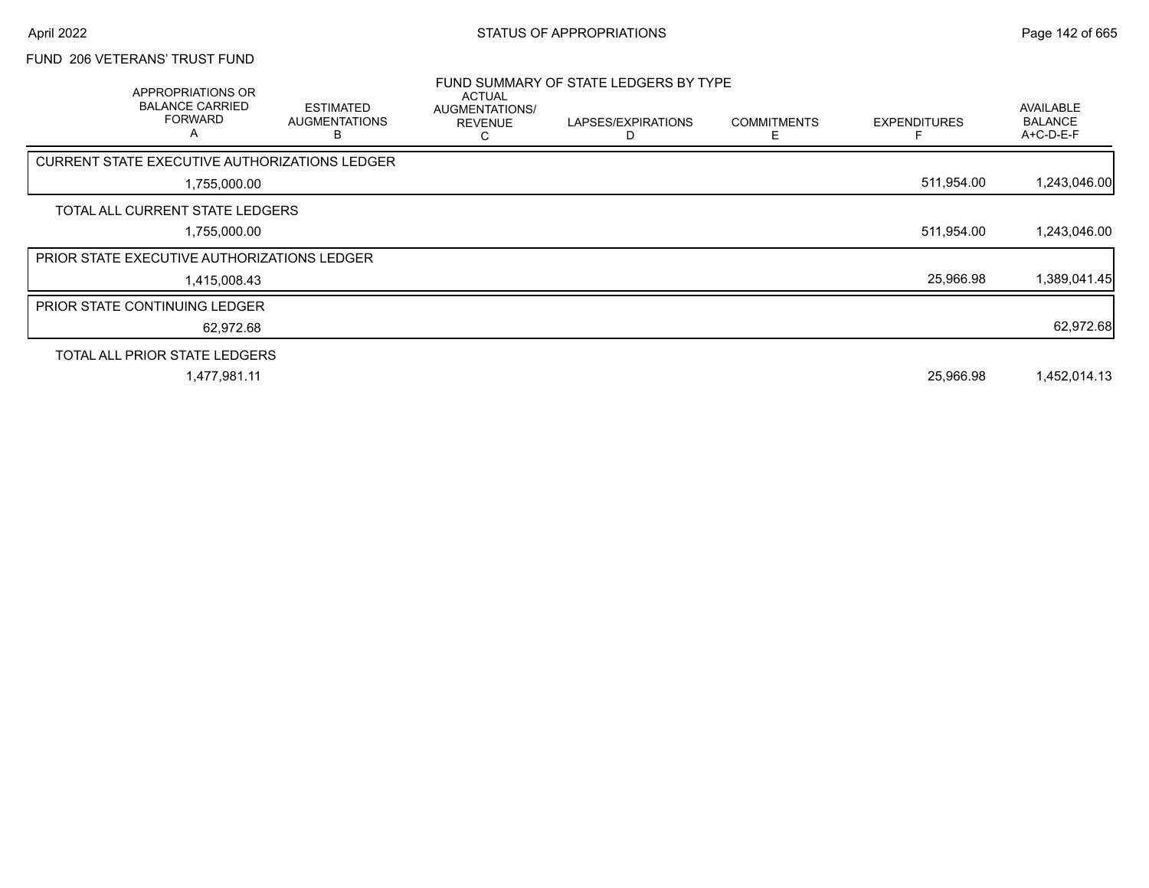### FUND 206 VETERANS' TRUST FUND

| APPROPRIATIONS OR<br><b>BALANCE CARRIED</b><br><b>FORWARD</b><br>$\mathsf{A}$ | <b>ESTIMATED</b><br><b>AUGMENTATIONS</b><br>В | ACTUAL<br>AUGMENTATIONS/<br><b>REVENUE</b><br>С | FUND SUMMARY OF STATE LEDGERS BY TYPE<br>LAPSES/EXPIRATIONS | <b>COMMITMENTS</b><br>E. | <b>EXPENDITURES</b> | AVAILABLE<br><b>BALANCE</b><br>$A+C-D-E-F$ |
|-------------------------------------------------------------------------------|-----------------------------------------------|-------------------------------------------------|-------------------------------------------------------------|--------------------------|---------------------|--------------------------------------------|
| CURRENT STATE EXECUTIVE AUTHORIZATIONS LEDGER                                 |                                               |                                                 |                                                             |                          |                     |                                            |
| 1,755,000.00                                                                  |                                               |                                                 |                                                             |                          | 511,954.00          | 1,243,046.00                               |
| TOTAL ALL CURRENT STATE LEDGERS                                               |                                               |                                                 |                                                             |                          |                     |                                            |
| 1,755,000.00                                                                  |                                               |                                                 |                                                             |                          | 511,954.00          | 1,243,046.00                               |
| <b>PRIOR STATE EXECUTIVE AUTHORIZATIONS LEDGER</b>                            |                                               |                                                 |                                                             |                          |                     |                                            |
| 1,415,008.43                                                                  |                                               |                                                 |                                                             |                          | 25,966.98           | 1,389,041.45                               |
| <b>PRIOR STATE CONTINUING LEDGER</b>                                          |                                               |                                                 |                                                             |                          |                     |                                            |
| 62,972.68                                                                     |                                               |                                                 |                                                             |                          |                     | 62,972.68                                  |
| TOTAL ALL PRIOR STATE LEDGERS                                                 |                                               |                                                 |                                                             |                          |                     |                                            |
| 1,477,981.11                                                                  |                                               |                                                 |                                                             |                          | 25,966.98           | 1,452,014.13                               |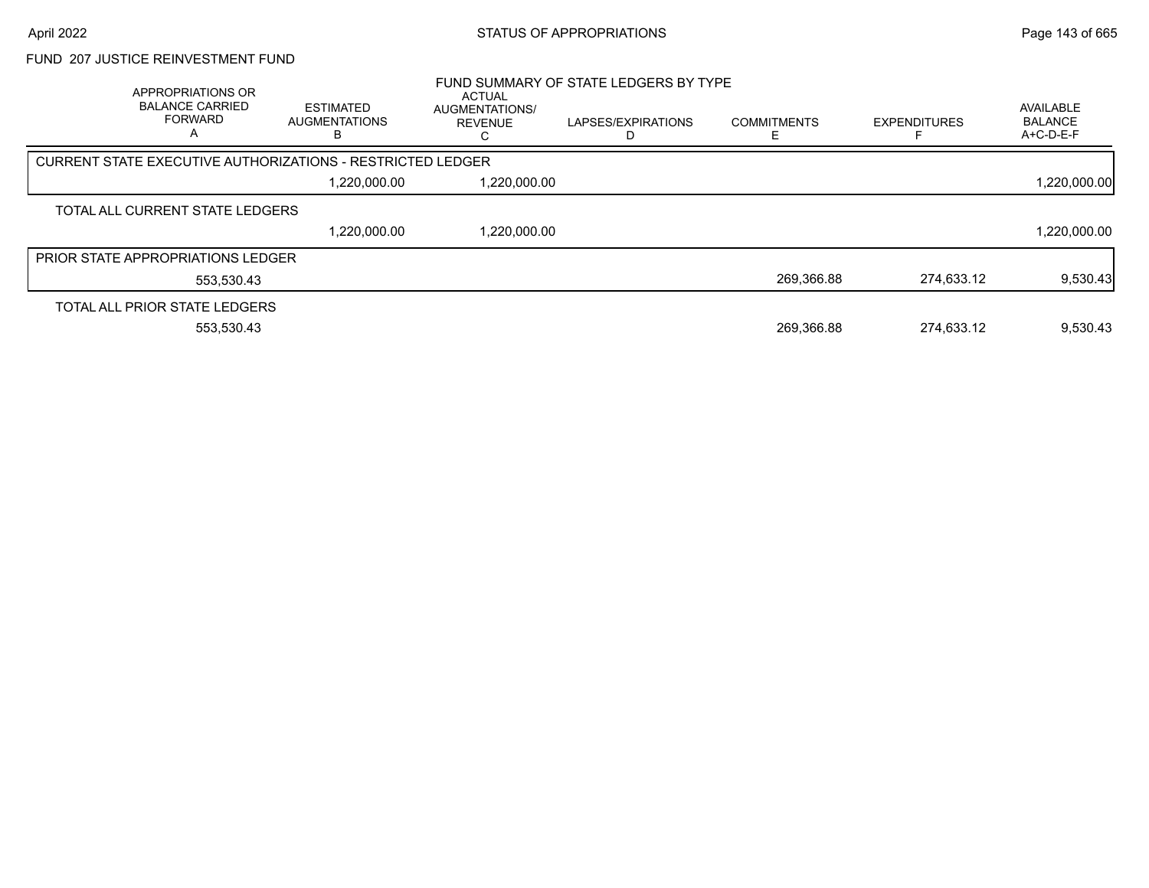#### FUND 207 JUSTICE REINVESTMENT FUND

| APPROPRIATIONS OR<br><b>BALANCE CARRIED</b><br><b>FORWARD</b><br>A | <b>ESTIMATED</b><br><b>AUGMENTATIONS</b><br>ь                     | <b>ACTUAL</b><br>AUGMENTATIONS/<br><b>REVENUE</b> | FUND SUMMARY OF STATE LEDGERS BY TYPE<br>LAPSES/EXPIRATIONS | <b>COMMITMENTS</b> | <b>EXPENDITURES</b> | AVAILABLE<br><b>BALANCE</b><br>$A+C-D-E-F$ |
|--------------------------------------------------------------------|-------------------------------------------------------------------|---------------------------------------------------|-------------------------------------------------------------|--------------------|---------------------|--------------------------------------------|
|                                                                    | <b>CURRENT STATE EXECUTIVE AUTHORIZATIONS - RESTRICTED LEDGER</b> |                                                   |                                                             |                    |                     |                                            |
|                                                                    | 1,220,000.00                                                      | 1,220,000.00                                      |                                                             |                    |                     | 1,220,000.00                               |
| TOTAL ALL CURRENT STATE LEDGERS                                    |                                                                   |                                                   |                                                             |                    |                     |                                            |
|                                                                    | 1,220,000.00                                                      | 1,220,000.00                                      |                                                             |                    |                     | 1,220,000.00                               |
| <b>PRIOR STATE APPROPRIATIONS LEDGER</b>                           |                                                                   |                                                   |                                                             |                    |                     |                                            |
| 553,530.43                                                         |                                                                   |                                                   |                                                             | 269.366.88         | 274.633.12          | 9,530.43                                   |
| TOTAL ALL PRIOR STATE LEDGERS                                      |                                                                   |                                                   |                                                             |                    |                     |                                            |
| 553.530.43                                                         |                                                                   |                                                   |                                                             | 269.366.88         | 274.633.12          | 9,530.43                                   |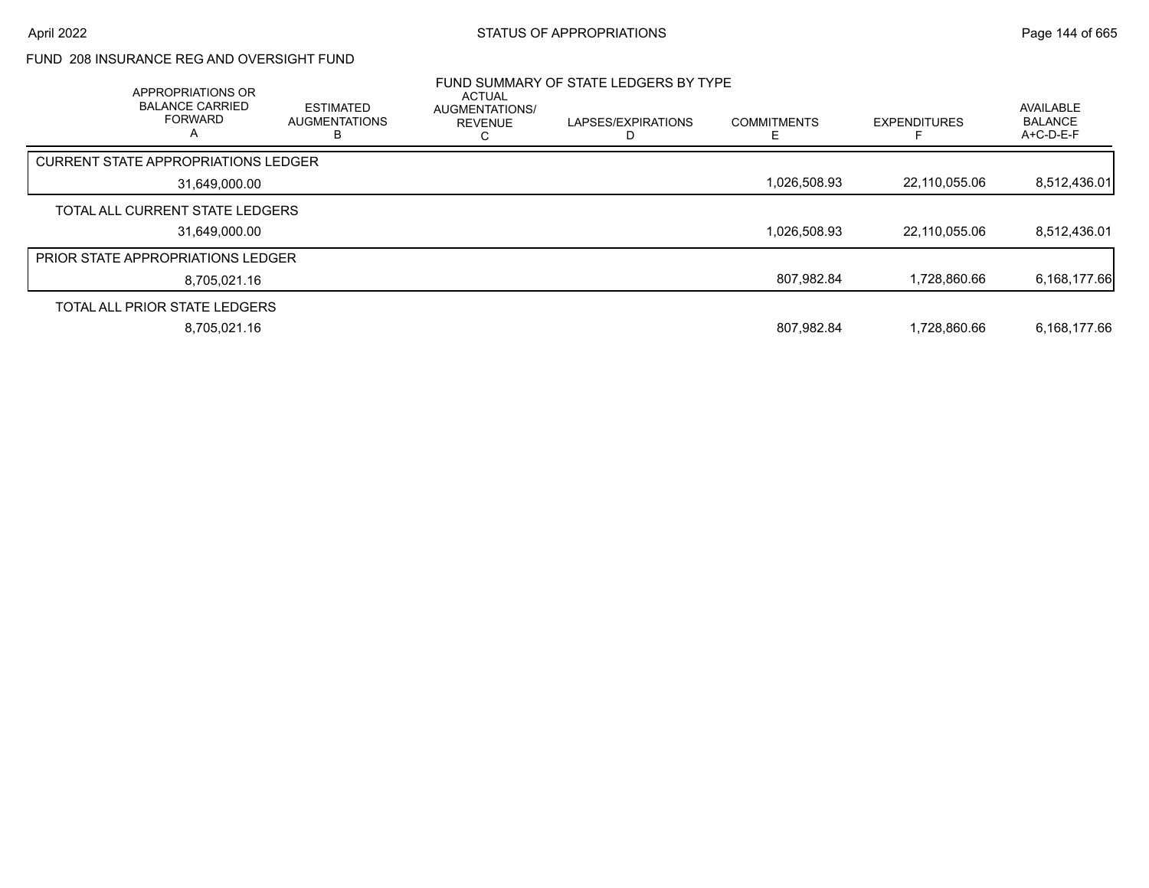## FUND 208 INSURANCE REG AND OVERSIGHT FUND

| APPROPRIATIONS OR<br><b>BALANCE CARRIED</b><br><b>FORWARD</b><br>A | <b>ESTIMATED</b><br><b>AUGMENTATIONS</b><br>ח | <b>ACTUAL</b><br><b>AUGMENTATIONS/</b><br><b>REVENUE</b> | FUND SUMMARY OF STATE LEDGERS BY TYPE<br>LAPSES/EXPIRATIONS<br>D | <b>COMMITMENTS</b><br>ь. | <b>EXPENDITURES</b> | AVAILABLE<br><b>BALANCE</b><br>$A+C-D-E-F$ |
|--------------------------------------------------------------------|-----------------------------------------------|----------------------------------------------------------|------------------------------------------------------------------|--------------------------|---------------------|--------------------------------------------|
| CURRENT STATE APPROPRIATIONS LEDGER                                |                                               |                                                          |                                                                  |                          |                     |                                            |
| 31,649,000.00                                                      |                                               |                                                          |                                                                  | 1,026,508.93             | 22,110,055.06       | 8,512,436.01                               |
| TOTAL ALL CURRENT STATE LEDGERS                                    |                                               |                                                          |                                                                  |                          |                     |                                            |
| 31,649,000.00                                                      |                                               |                                                          |                                                                  | 1,026,508.93             | 22,110,055.06       | 8,512,436.01                               |
| <b>PRIOR STATE APPROPRIATIONS LEDGER</b>                           |                                               |                                                          |                                                                  |                          |                     |                                            |
| 8,705,021.16                                                       |                                               |                                                          |                                                                  | 807,982.84               | 1.728.860.66        | 6,168,177.66                               |
| TOTAL ALL PRIOR STATE LEDGERS                                      |                                               |                                                          |                                                                  |                          |                     |                                            |
| 8.705.021.16                                                       |                                               |                                                          |                                                                  | 807.982.84               | 1.728.860.66        | 6,168,177.66                               |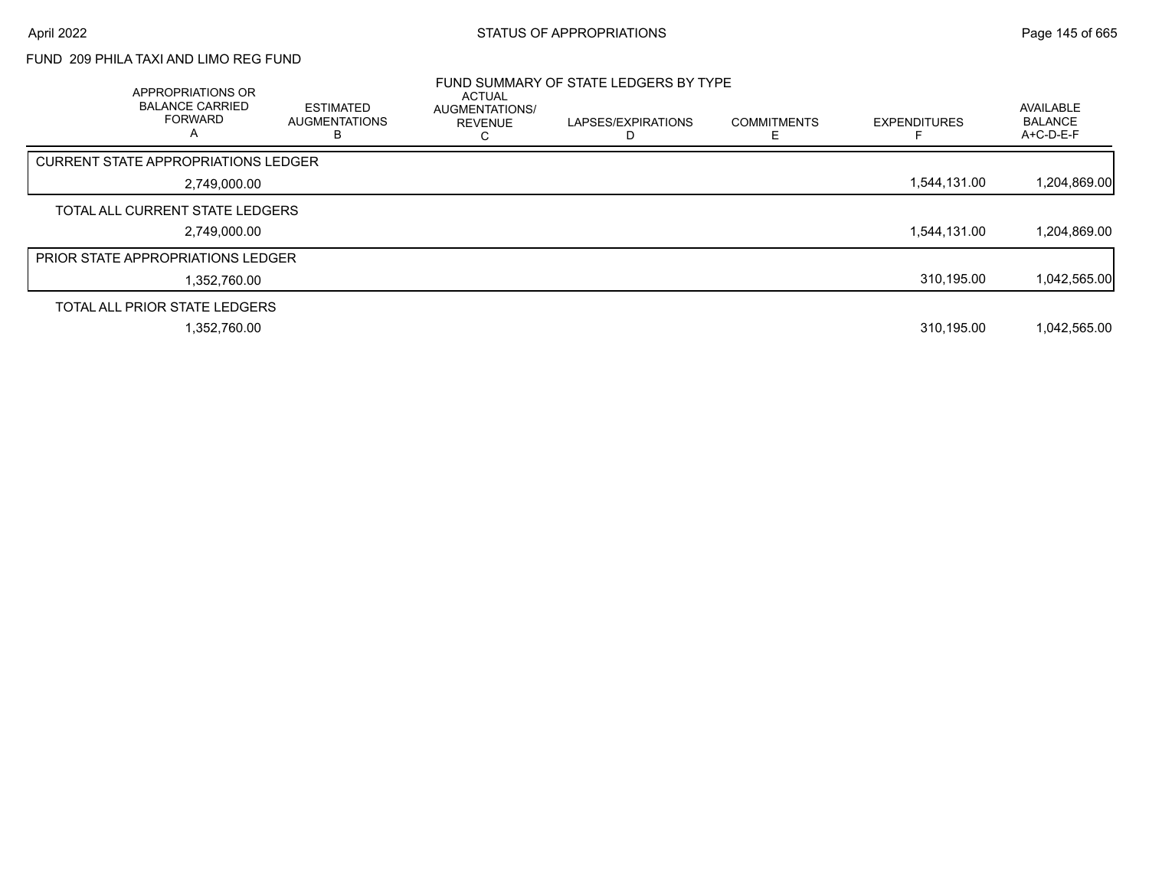# FUND 209 PHILA TAXI AND LIMO REG FUND

| APPROPRIATIONS OR<br><b>BALANCE CARRIED</b><br><b>FORWARD</b><br>А | <b>ESTIMATED</b><br><b>AUGMENTATIONS</b><br>ь | <b>ACTUAL</b><br>AUGMENTATIONS/<br><b>REVENUE</b> | FUND SUMMARY OF STATE LEDGERS BY TYPE<br>LAPSES/EXPIRATIONS<br>D | <b>COMMITMENTS</b> | <b>EXPENDITURES</b> | <b>AVAILABLE</b><br><b>BALANCE</b><br>A+C-D-E-F |
|--------------------------------------------------------------------|-----------------------------------------------|---------------------------------------------------|------------------------------------------------------------------|--------------------|---------------------|-------------------------------------------------|
| <b>CURRENT STATE APPROPRIATIONS LEDGER</b>                         |                                               |                                                   |                                                                  |                    |                     |                                                 |
| 2,749,000.00                                                       |                                               |                                                   |                                                                  |                    | 1.544.131.00        | 1,204,869.00                                    |
| TOTAL ALL CURRENT STATE LEDGERS                                    |                                               |                                                   |                                                                  |                    |                     |                                                 |
| 2,749,000.00                                                       |                                               |                                                   |                                                                  |                    | 1.544.131.00        | 1,204,869.00                                    |
| <b>PRIOR STATE APPROPRIATIONS LEDGER</b>                           |                                               |                                                   |                                                                  |                    |                     |                                                 |
| 1.352.760.00                                                       |                                               |                                                   |                                                                  |                    | 310.195.00          | 1,042,565.00                                    |
| TOTAL ALL PRIOR STATE LEDGERS                                      |                                               |                                                   |                                                                  |                    |                     |                                                 |
| 1,352,760.00                                                       |                                               |                                                   |                                                                  |                    | 310.195.00          | 1,042,565.00                                    |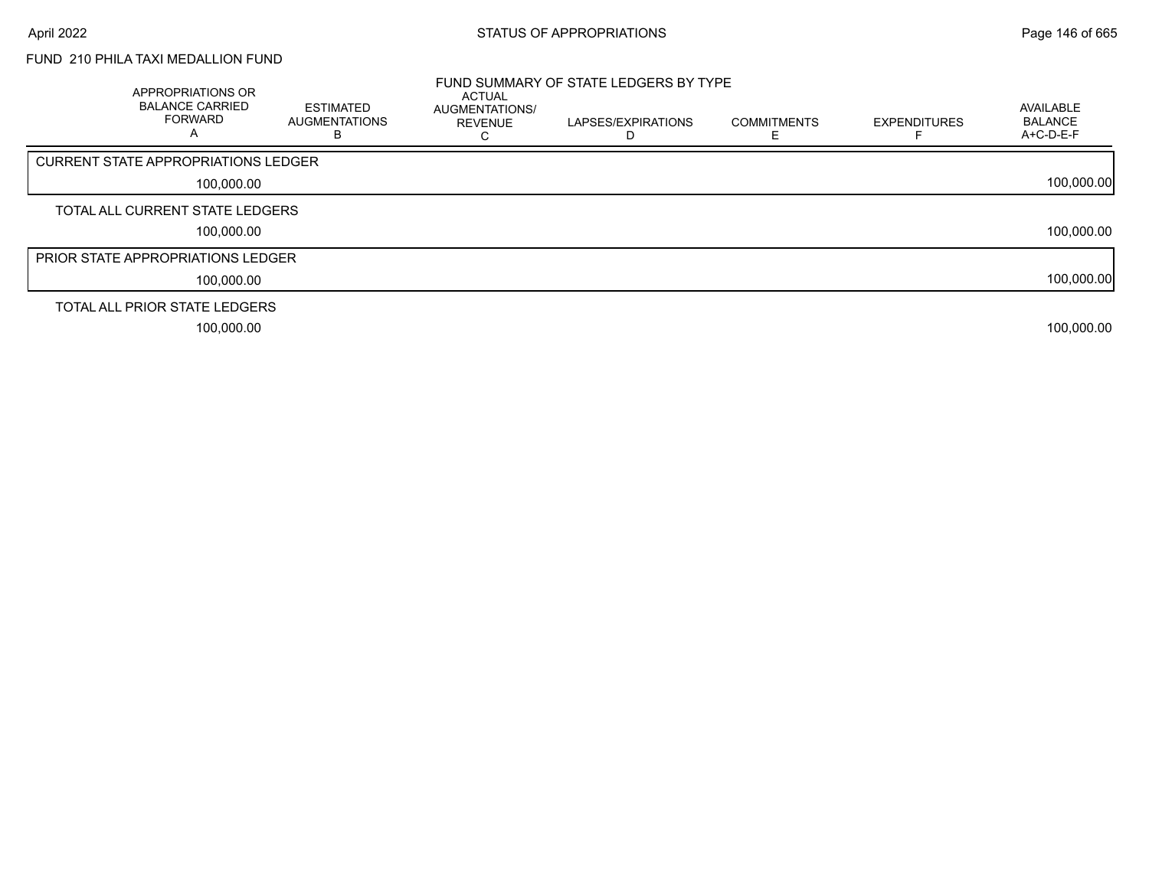# FUND 210 PHILA TAXI MEDALLION FUND

| APPROPRIATIONS OR<br><b>BALANCE CARRIED</b><br><b>FORWARD</b><br>A | <b>ESTIMATED</b><br><b>AUGMENTATIONS</b> | <b>ACTUAL</b><br>AUGMENTATIONS/<br><b>REVENUE</b> | FUND SUMMARY OF STATE LEDGERS BY TYPE<br>LAPSES/EXPIRATIONS | <b>COMMITMENTS</b> | <b>EXPENDITURES</b> | AVAILABLE<br><b>BALANCE</b><br>$A+C-D-E-F$ |
|--------------------------------------------------------------------|------------------------------------------|---------------------------------------------------|-------------------------------------------------------------|--------------------|---------------------|--------------------------------------------|
| CURRENT STATE APPROPRIATIONS LEDGER                                |                                          |                                                   |                                                             |                    |                     |                                            |
| 100,000.00                                                         |                                          |                                                   |                                                             |                    |                     | 100,000.00                                 |
| TOTAL ALL CURRENT STATE LEDGERS                                    |                                          |                                                   |                                                             |                    |                     |                                            |
| 100,000.00                                                         |                                          |                                                   |                                                             |                    |                     | 100,000.00                                 |
| <b>PRIOR STATE APPROPRIATIONS LEDGER</b>                           |                                          |                                                   |                                                             |                    |                     |                                            |
| 100,000.00                                                         |                                          |                                                   |                                                             |                    |                     | 100,000.00                                 |
| TOTAL ALL PRIOR STATE LEDGERS                                      |                                          |                                                   |                                                             |                    |                     |                                            |
| 100.000.00                                                         |                                          |                                                   |                                                             |                    |                     | 100,000.00                                 |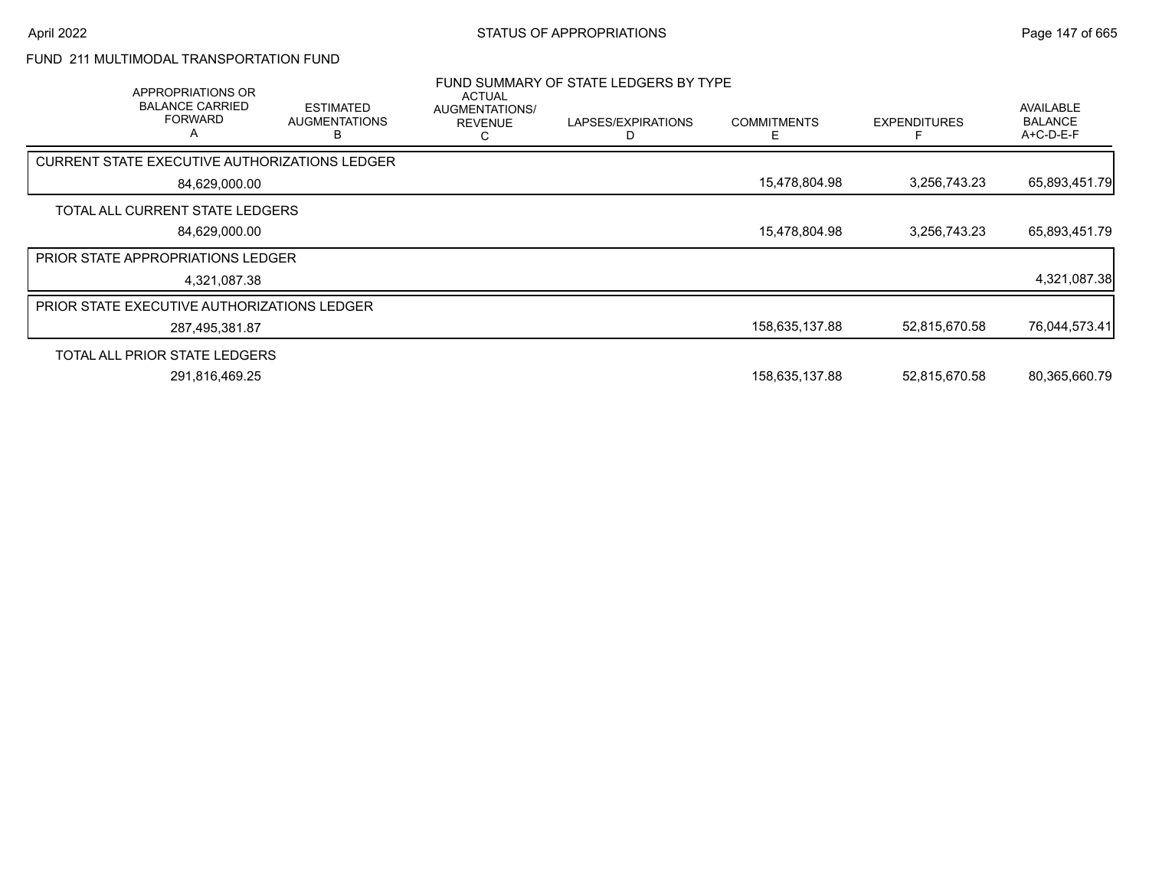# FUND 211 MULTIMODAL TRANSPORTATION FUND

| APPROPRIATIONS OR<br><b>BALANCE CARRIED</b><br><b>FORWARD</b><br>A | <b>ESTIMATED</b><br><b>AUGMENTATIONS</b><br>в | <b>ACTUAL</b><br>AUGMENTATIONS/<br><b>REVENUE</b> | FUND SUMMARY OF STATE LEDGERS BY TYPE<br>LAPSES/EXPIRATIONS<br>D | <b>COMMITMENTS</b><br>Е | <b>EXPENDITURES</b> | AVAILABLE<br><b>BALANCE</b><br>$A+C-D-E-F$ |
|--------------------------------------------------------------------|-----------------------------------------------|---------------------------------------------------|------------------------------------------------------------------|-------------------------|---------------------|--------------------------------------------|
| CURRENT STATE EXECUTIVE AUTHORIZATIONS LEDGER                      |                                               |                                                   |                                                                  |                         |                     |                                            |
| 84,629,000.00                                                      |                                               |                                                   |                                                                  | 15,478,804.98           | 3,256,743.23        | 65,893,451.79                              |
| TOTAL ALL CURRENT STATE LEDGERS                                    |                                               |                                                   |                                                                  |                         |                     |                                            |
| 84,629,000.00                                                      |                                               |                                                   |                                                                  | 15,478,804.98           | 3,256,743.23        | 65,893,451.79                              |
| <b>PRIOR STATE APPROPRIATIONS LEDGER</b>                           |                                               |                                                   |                                                                  |                         |                     |                                            |
| 4,321,087.38                                                       |                                               |                                                   |                                                                  |                         |                     | 4,321,087.38                               |
| PRIOR STATE EXECUTIVE AUTHORIZATIONS LEDGER                        |                                               |                                                   |                                                                  |                         |                     |                                            |
| 287,495,381.87                                                     |                                               |                                                   |                                                                  | 158,635,137.88          | 52.815.670.58       | 76,044,573.41                              |
| TOTAL ALL PRIOR STATE LEDGERS                                      |                                               |                                                   |                                                                  |                         |                     |                                            |
| 291,816,469.25                                                     |                                               |                                                   |                                                                  | 158,635,137.88          | 52,815,670.58       | 80,365,660.79                              |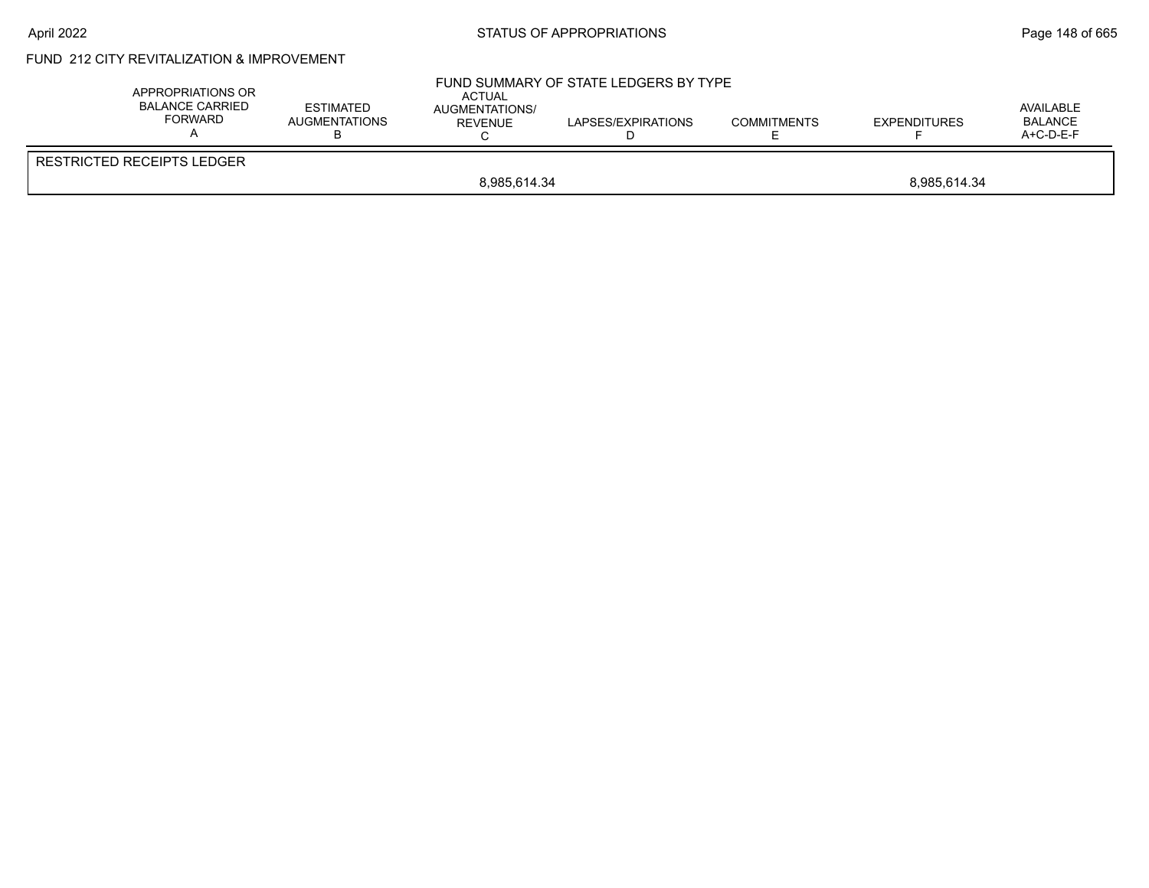# April 2022 **STATUS OF APPROPRIATIONS** STATUS OF APPROPRIATIONS

# FUND 212 CITY REVITALIZATION & IMPROVEMENT

| APPROPRIATIONS OR<br>BALANCE CARRIED<br><b>FORWARD</b> | <b>ESTIMATED</b><br>AUGMENTATIONS | <b>ACTUAL</b><br>AUGMENTATIONS/<br><b>REVENUE</b> | FUND SUMMARY OF STATE LEDGERS BY TYPE<br>LAPSES/EXPIRATIONS | <b>COMMITMENTS</b> | <b>EXPENDITURES</b> | AVAILABLE<br><b>BALANCE</b><br>$A+C-D-E-F$ |  |
|--------------------------------------------------------|-----------------------------------|---------------------------------------------------|-------------------------------------------------------------|--------------------|---------------------|--------------------------------------------|--|
| RESTRICTED RECEIPTS LEDGER                             |                                   |                                                   |                                                             |                    |                     |                                            |  |
|                                                        | 8.985.614.34<br>8.985.614.34      |                                                   |                                                             |                    |                     |                                            |  |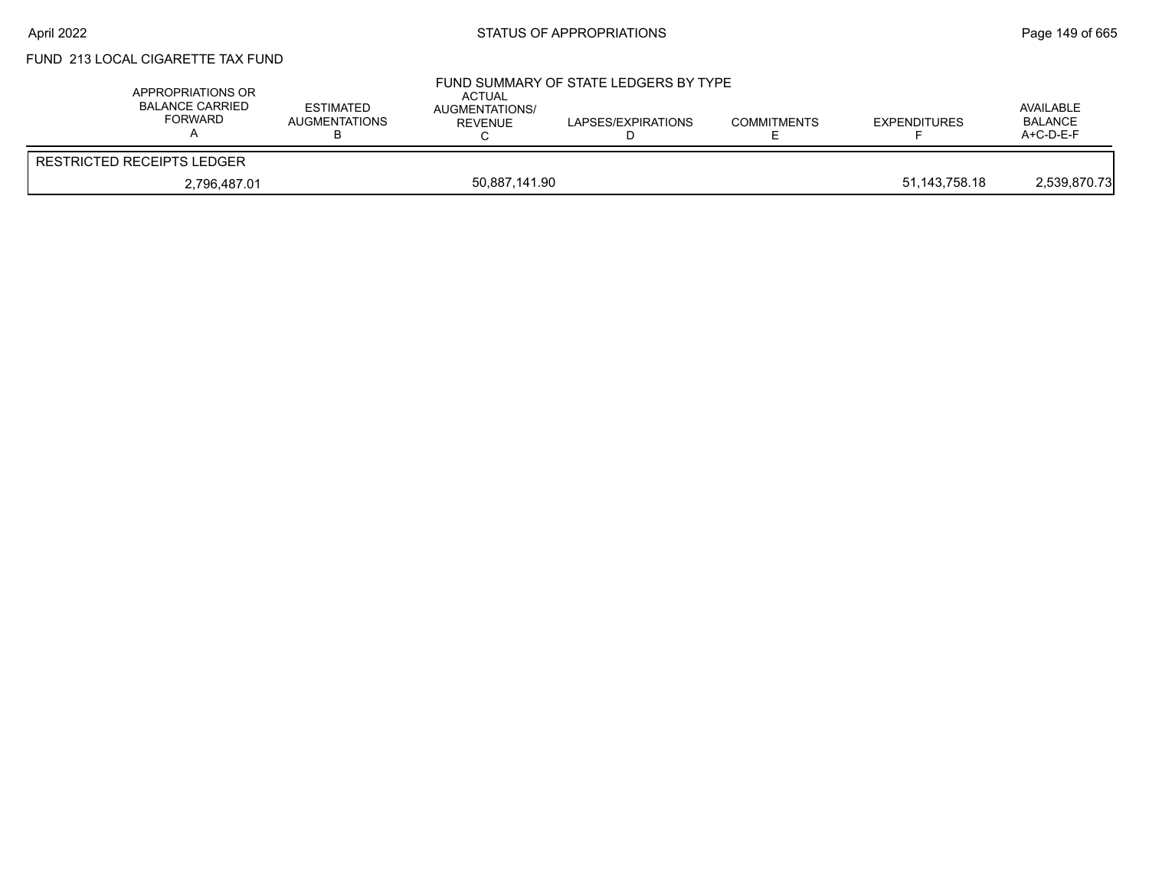# FUND 213 LOCAL CIGARETTE TAX FUND

| APPROPRIATIONS OR<br><b>BALANCE CARRIED</b><br><b>FORWARD</b> | <b>ESTIMATED</b><br><b>AUGMENTATIONS</b> | ACTUAL<br><b>AUGMENTATIONS/</b><br><b>REVENUE</b> | FUND SUMMARY OF STATE LEDGERS BY TYPE<br>LAPSES/EXPIRATIONS | <b>COMMITMENTS</b> | <b>EXPENDITURES</b> | AVAILABLE<br><b>BALANCE</b><br>$A+C-D-E-F$ |
|---------------------------------------------------------------|------------------------------------------|---------------------------------------------------|-------------------------------------------------------------|--------------------|---------------------|--------------------------------------------|
| <b>RESTRICTED RECEIPTS LEDGER</b>                             |                                          |                                                   |                                                             |                    |                     |                                            |
| 2,796,487.01                                                  |                                          | 50,887,141.90                                     |                                                             |                    | 51,143,758.18       | 2,539,870.73                               |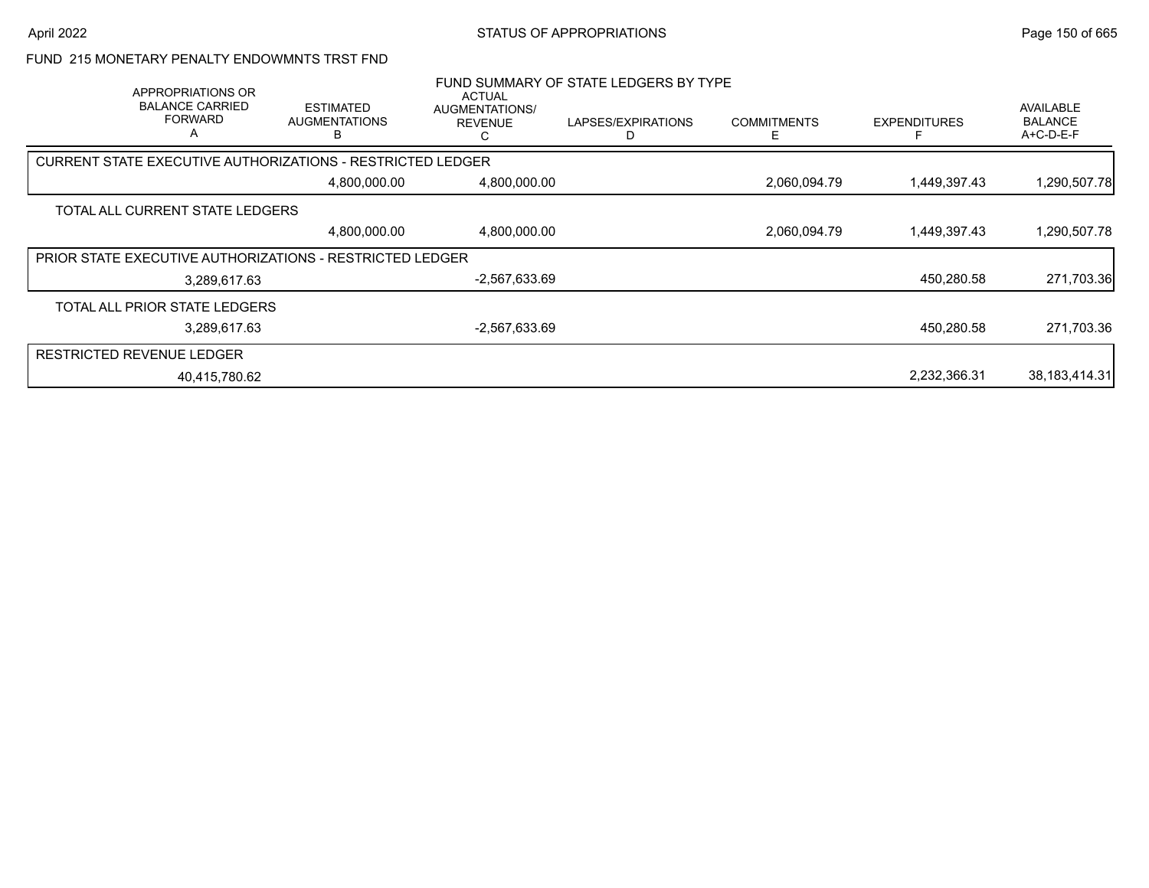#### FUND 215 MONETARY PENALTY ENDOWMNTS TRST FND

|                                  | APPROPRIATIONS OR<br><b>BALANCE CARRIED</b><br><b>FORWARD</b><br>A | <b>ESTIMATED</b><br><b>AUGMENTATIONS</b>                        | ACTUAL<br>AUGMENTATIONS/<br><b>REVENUE</b><br>C | FUND SUMMARY OF STATE LEDGERS BY TYPE<br>LAPSES/EXPIRATIONS | <b>COMMITMENTS</b><br>F | <b>EXPENDITURES</b> | AVAILABLE<br><b>BALANCE</b><br>A+C-D-E-F |
|----------------------------------|--------------------------------------------------------------------|-----------------------------------------------------------------|-------------------------------------------------|-------------------------------------------------------------|-------------------------|---------------------|------------------------------------------|
|                                  |                                                                    | CURRENT STATE EXECUTIVE AUTHORIZATIONS - RESTRICTED LEDGER      |                                                 |                                                             |                         |                     |                                          |
|                                  |                                                                    | 4,800,000.00                                                    | 4,800,000.00                                    |                                                             | 2,060,094.79            | 1,449,397.43        | 1,290,507.78                             |
|                                  | TOTAL ALL CURRENT STATE LEDGERS                                    |                                                                 |                                                 |                                                             |                         |                     |                                          |
|                                  |                                                                    | 4,800,000.00                                                    | 4,800,000.00                                    |                                                             | 2,060,094.79            | 1,449,397.43        | 1,290,507.78                             |
|                                  |                                                                    | <b>PRIOR STATE EXECUTIVE AUTHORIZATIONS - RESTRICTED LEDGER</b> |                                                 |                                                             |                         |                     |                                          |
|                                  | 3,289,617.63                                                       |                                                                 | -2,567,633.69                                   |                                                             |                         | 450,280.58          | 271,703.36                               |
|                                  | TOTAL ALL PRIOR STATE LEDGERS                                      |                                                                 |                                                 |                                                             |                         |                     |                                          |
|                                  | 3,289,617.63                                                       |                                                                 | $-2,567,633.69$                                 |                                                             |                         | 450.280.58          | 271,703.36                               |
| <b>RESTRICTED REVENUE LEDGER</b> |                                                                    |                                                                 |                                                 |                                                             |                         |                     |                                          |
|                                  | 40.415.780.62                                                      |                                                                 |                                                 |                                                             |                         | 2,232,366.31        | 38,183,414.31                            |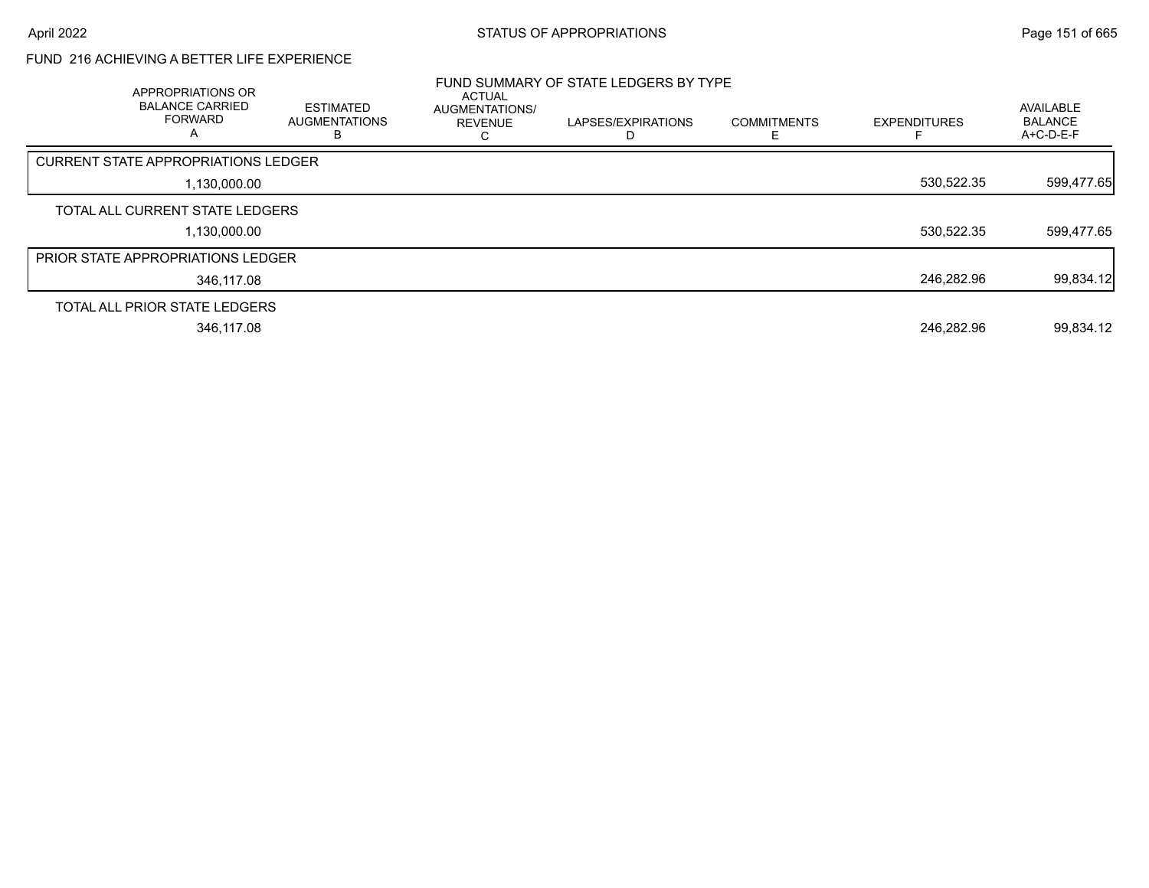# FUND 216 ACHIEVING A BETTER LIFE EXPERIENCE

|                                            | APPROPRIATIONS OR<br><b>BALANCE CARRIED</b><br><b>FORWARD</b><br>A | <b>ESTIMATED</b><br><b>AUGMENTATIONS</b><br>B. | <b>ACTUAL</b><br><b>AUGMENTATIONS/</b><br><b>REVENUE</b> | FUND SUMMARY OF STATE LEDGERS BY TYPE<br>LAPSES/EXPIRATIONS | <b>COMMITMENTS</b> | <b>EXPENDITURES</b> | AVAILABLE<br><b>BALANCE</b><br>A+C-D-E-F |
|--------------------------------------------|--------------------------------------------------------------------|------------------------------------------------|----------------------------------------------------------|-------------------------------------------------------------|--------------------|---------------------|------------------------------------------|
| <b>CURRENT STATE APPROPRIATIONS LEDGER</b> |                                                                    |                                                |                                                          |                                                             |                    |                     |                                          |
|                                            | 1,130,000.00                                                       |                                                |                                                          |                                                             |                    | 530,522.35          | 599,477.65                               |
| TOTAL ALL CURRENT STATE LEDGERS            |                                                                    |                                                |                                                          |                                                             |                    |                     |                                          |
|                                            | 1,130,000.00                                                       |                                                |                                                          |                                                             |                    | 530,522.35          | 599,477.65                               |
| PRIOR STATE APPROPRIATIONS LEDGER          |                                                                    |                                                |                                                          |                                                             |                    |                     |                                          |
|                                            | 346.117.08                                                         |                                                |                                                          |                                                             |                    | 246,282.96          | 99,834.12                                |
| TOTAL ALL PRIOR STATE LEDGERS              |                                                                    |                                                |                                                          |                                                             |                    |                     |                                          |
|                                            | 346,117.08                                                         |                                                |                                                          |                                                             |                    | 246,282.96          | 99,834.12                                |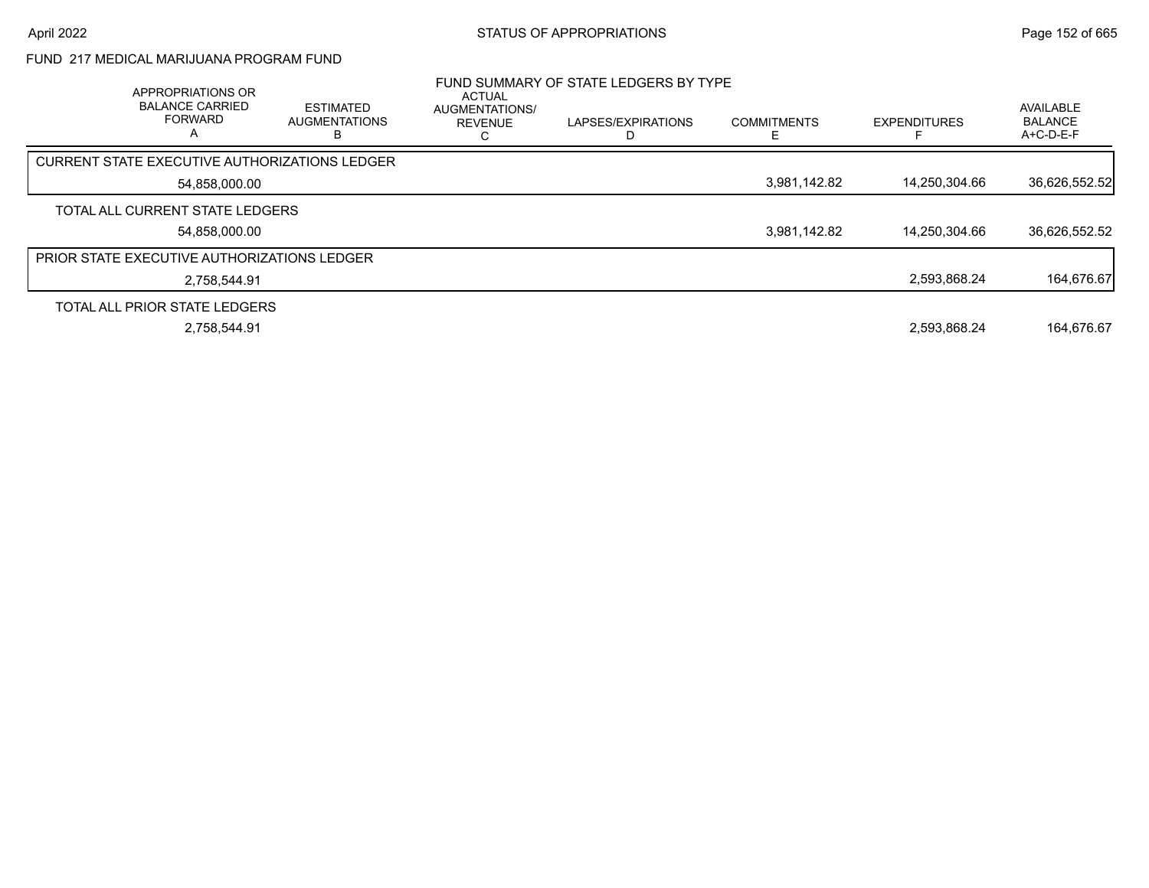# FUND 217 MEDICAL MARIJUANA PROGRAM FUND

| APPROPRIATIONS OR<br><b>BALANCE CARRIED</b><br><b>FORWARD</b><br>A | <b>ESTIMATED</b><br><b>AUGMENTATIONS</b> | <b>ACTUAL</b><br><b>AUGMENTATIONS/</b><br><b>REVENUE</b> | FUND SUMMARY OF STATE LEDGERS BY TYPE<br>LAPSES/EXPIRATIONS | <b>COMMITMENTS</b> | <b>EXPENDITURES</b> | AVAILABLE<br><b>BALANCE</b><br>A+C-D-E-F |
|--------------------------------------------------------------------|------------------------------------------|----------------------------------------------------------|-------------------------------------------------------------|--------------------|---------------------|------------------------------------------|
| CURRENT STATE EXECUTIVE AUTHORIZATIONS LEDGER                      |                                          |                                                          |                                                             |                    |                     |                                          |
| 54.858.000.00                                                      |                                          |                                                          |                                                             | 3,981,142.82       | 14.250.304.66       | 36,626,552.52                            |
| TOTAL ALL CURRENT STATE LEDGERS                                    |                                          |                                                          |                                                             |                    |                     |                                          |
| 54,858,000.00                                                      |                                          |                                                          |                                                             | 3,981,142.82       | 14.250.304.66       | 36,626,552.52                            |
| <b>PRIOR STATE EXECUTIVE AUTHORIZATIONS LEDGER</b>                 |                                          |                                                          |                                                             |                    |                     |                                          |
| 2.758.544.91                                                       |                                          |                                                          |                                                             |                    | 2,593,868.24        | 164,676.67                               |
| TOTAL ALL PRIOR STATE LEDGERS                                      |                                          |                                                          |                                                             |                    |                     |                                          |
| 2,758,544.91                                                       |                                          |                                                          |                                                             |                    | 2,593,868.24        | 164.676.67                               |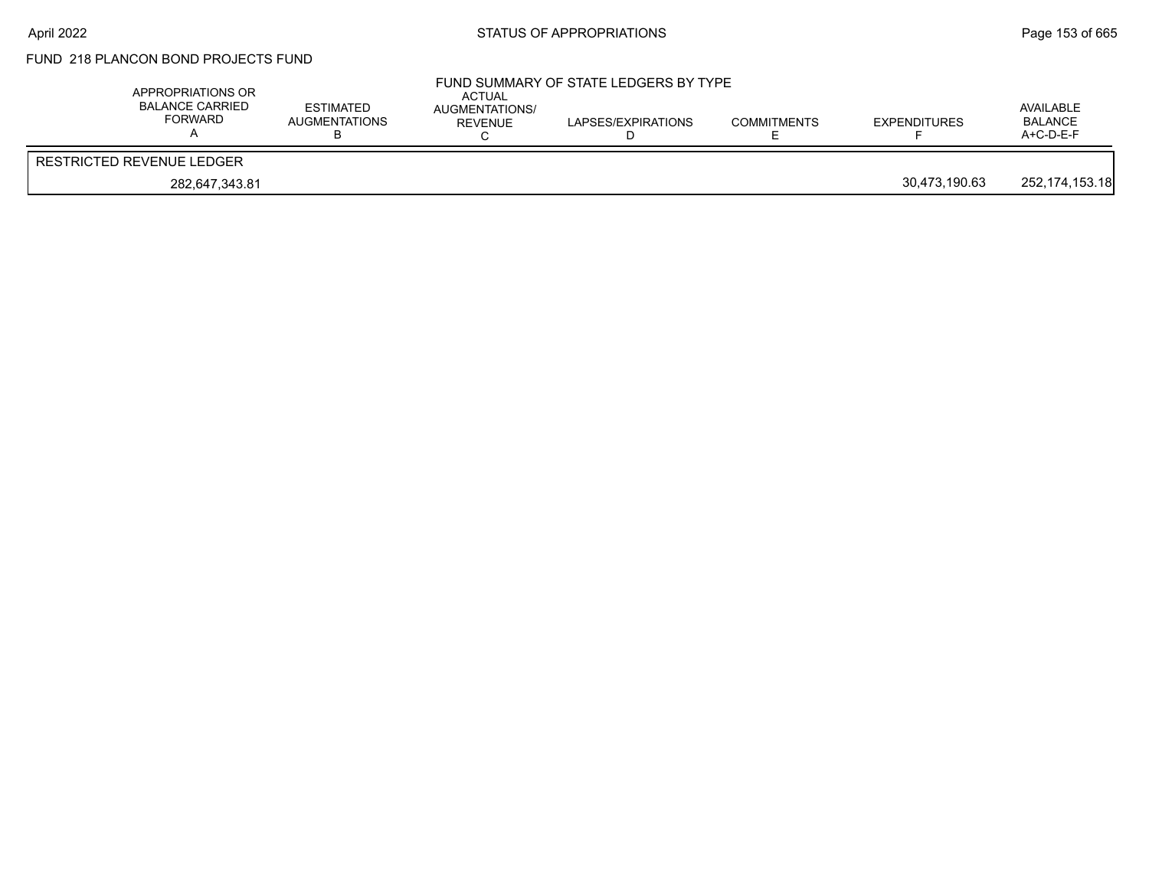# FUND 218 PLANCON BOND PROJECTS FUND

| APPROPRIATIONS OR<br>BALANCE CARRIED<br>FORWARD | <b>ESTIMATED</b><br><b>AUGMENTATIONS</b> | ACTUAL<br>AUGMENTATIONS/<br>REVENUE | FUND SUMMARY OF STATE LEDGERS BY TYPE<br>LAPSES/EXPIRATIONS | <b>COMMITMENTS</b> | <b>EXPENDITURES</b> | AVAILABLE<br><b>BALANCE</b><br>$A+C-D-E-F$ |
|-------------------------------------------------|------------------------------------------|-------------------------------------|-------------------------------------------------------------|--------------------|---------------------|--------------------------------------------|
| RESTRICTED REVENUE LEDGER                       |                                          |                                     |                                                             |                    |                     |                                            |
| 282.647.343.81                                  |                                          |                                     |                                                             |                    | 30,473,190.63       | 252,174,153.18                             |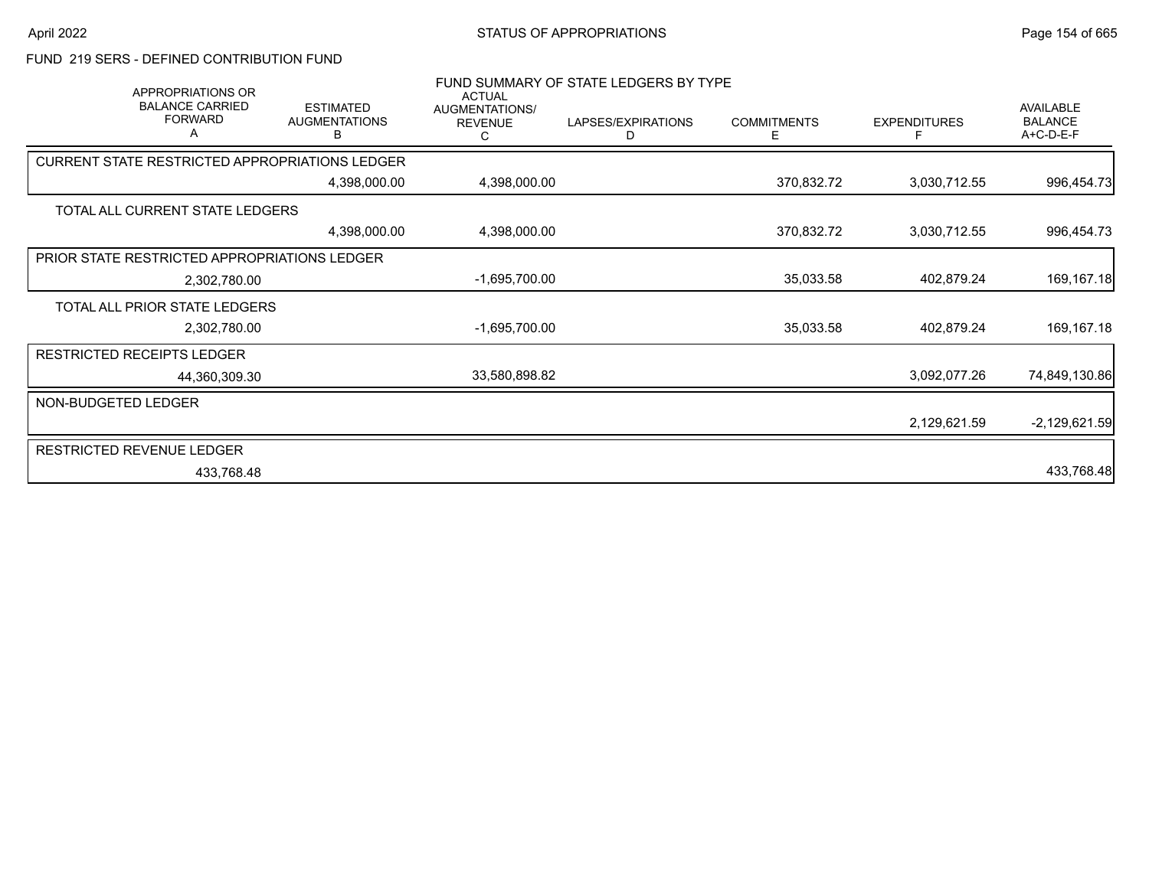# FUND 219 SERS - DEFINED CONTRIBUTION FUND

| APPROPRIATIONS OR<br><b>BALANCE CARRIED</b><br><b>FORWARD</b><br>Α | <b>ESTIMATED</b><br><b>AUGMENTATIONS</b><br>В | <b>ACTUAL</b><br>AUGMENTATIONS/<br><b>REVENUE</b><br>C. | FUND SUMMARY OF STATE LEDGERS BY TYPE<br>LAPSES/EXPIRATIONS<br>D | <b>COMMITMENTS</b><br>E. | <b>EXPENDITURES</b> | AVAILABLE<br><b>BALANCE</b><br>A+C-D-E-F |
|--------------------------------------------------------------------|-----------------------------------------------|---------------------------------------------------------|------------------------------------------------------------------|--------------------------|---------------------|------------------------------------------|
| CURRENT STATE RESTRICTED APPROPRIATIONS LEDGER                     |                                               |                                                         |                                                                  |                          |                     |                                          |
|                                                                    | 4,398,000.00                                  | 4,398,000.00                                            |                                                                  | 370,832.72               | 3,030,712.55        | 996,454.73                               |
| TOTAL ALL CURRENT STATE LEDGERS                                    |                                               |                                                         |                                                                  |                          |                     |                                          |
|                                                                    | 4,398,000.00                                  | 4,398,000.00                                            |                                                                  | 370,832.72               | 3,030,712.55        | 996,454.73                               |
| PRIOR STATE RESTRICTED APPROPRIATIONS LEDGER                       |                                               |                                                         |                                                                  |                          |                     |                                          |
| 2,302,780.00                                                       |                                               | $-1,695,700.00$                                         |                                                                  | 35,033.58                | 402,879.24          | 169,167.18                               |
| TOTAL ALL PRIOR STATE LEDGERS                                      |                                               |                                                         |                                                                  |                          |                     |                                          |
| 2,302,780.00                                                       |                                               | -1,695,700.00                                           |                                                                  | 35,033.58                | 402,879.24          | 169,167.18                               |
| <b>RESTRICTED RECEIPTS LEDGER</b>                                  |                                               |                                                         |                                                                  |                          |                     |                                          |
| 44,360,309.30                                                      |                                               | 33,580,898.82                                           |                                                                  |                          | 3,092,077.26        | 74,849,130.86                            |
| NON-BUDGETED LEDGER                                                |                                               |                                                         |                                                                  |                          |                     |                                          |
|                                                                    |                                               |                                                         |                                                                  |                          | 2,129,621.59        | $-2,129,621.59$                          |
| <b>RESTRICTED REVENUE LEDGER</b>                                   |                                               |                                                         |                                                                  |                          |                     |                                          |
| 433,768.48                                                         |                                               |                                                         |                                                                  |                          |                     | 433,768.48                               |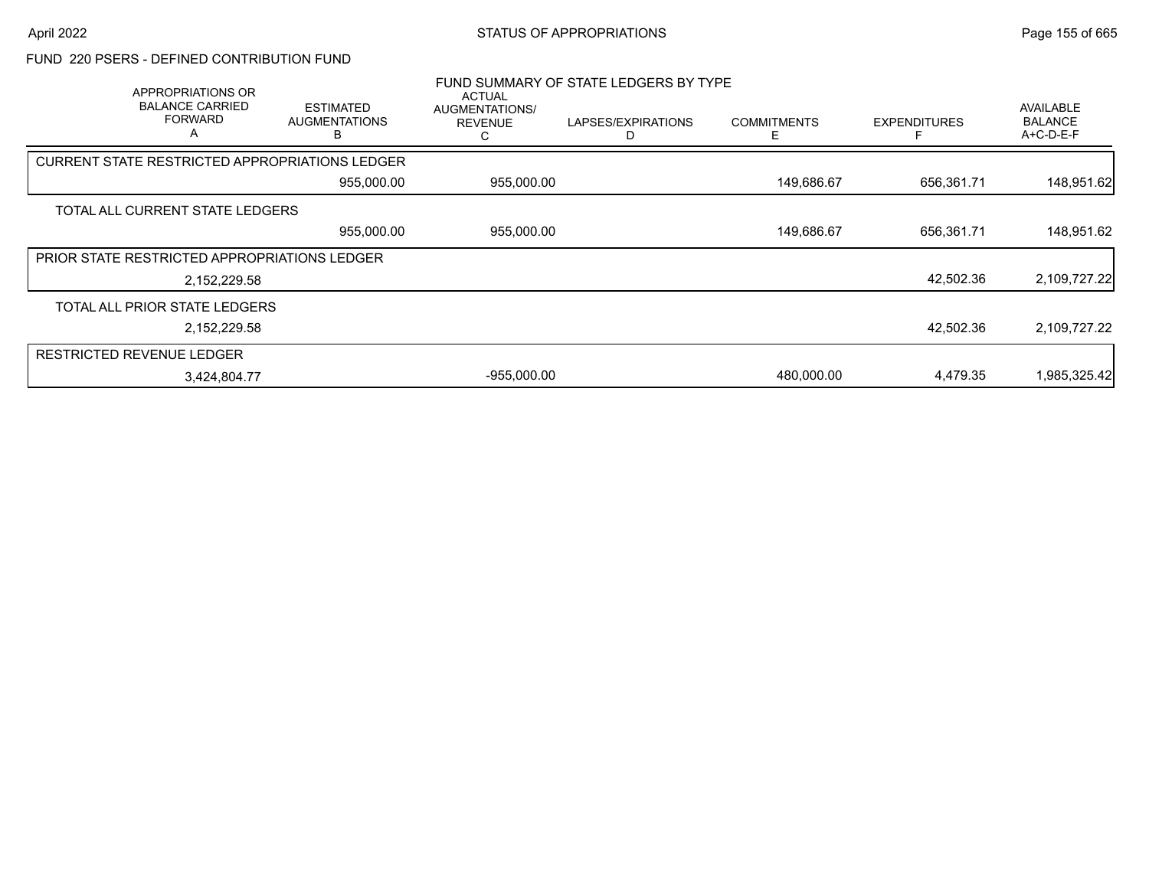#### FUND 220 PSERS - DEFINED CONTRIBUTION FUND

| APPROPRIATIONS OR<br><b>BALANCE CARRIED</b><br><b>FORWARD</b><br>A | <b>ESTIMATED</b><br><b>AUGMENTATIONS</b>              | <b>ACTUAL</b><br>AUGMENTATIONS/<br><b>REVENUE</b> | FUND SUMMARY OF STATE LEDGERS BY TYPE<br>LAPSES/EXPIRATIONS | <b>COMMITMENTS</b> | <b>EXPENDITURES</b> | <b>AVAILABLE</b><br><b>BALANCE</b><br>$A+C-D-E-F$ |
|--------------------------------------------------------------------|-------------------------------------------------------|---------------------------------------------------|-------------------------------------------------------------|--------------------|---------------------|---------------------------------------------------|
|                                                                    | <b>CURRENT STATE RESTRICTED APPROPRIATIONS LEDGER</b> |                                                   |                                                             |                    |                     |                                                   |
|                                                                    | 955,000.00                                            | 955,000.00                                        |                                                             | 149,686.67         | 656,361.71          | 148,951.62                                        |
| TOTAL ALL CURRENT STATE LEDGERS                                    |                                                       |                                                   |                                                             |                    |                     |                                                   |
|                                                                    | 955,000.00                                            | 955,000.00                                        |                                                             | 149,686.67         | 656,361.71          | 148,951.62                                        |
| PRIOR STATE RESTRICTED APPROPRIATIONS LEDGER                       |                                                       |                                                   |                                                             |                    |                     |                                                   |
|                                                                    | 2,152,229.58                                          |                                                   |                                                             |                    | 42,502.36           | 2,109,727.22                                      |
| TOTAL ALL PRIOR STATE LEDGERS                                      |                                                       |                                                   |                                                             |                    |                     |                                                   |
|                                                                    | 2,152,229.58                                          |                                                   |                                                             |                    | 42,502.36           | 2,109,727.22                                      |
| <b>RESTRICTED REVENUE LEDGER</b>                                   |                                                       |                                                   |                                                             |                    |                     |                                                   |
|                                                                    | 3,424,804.77                                          | $-955,000.00$                                     |                                                             | 480,000.00         | 4,479.35            | 1,985,325.42                                      |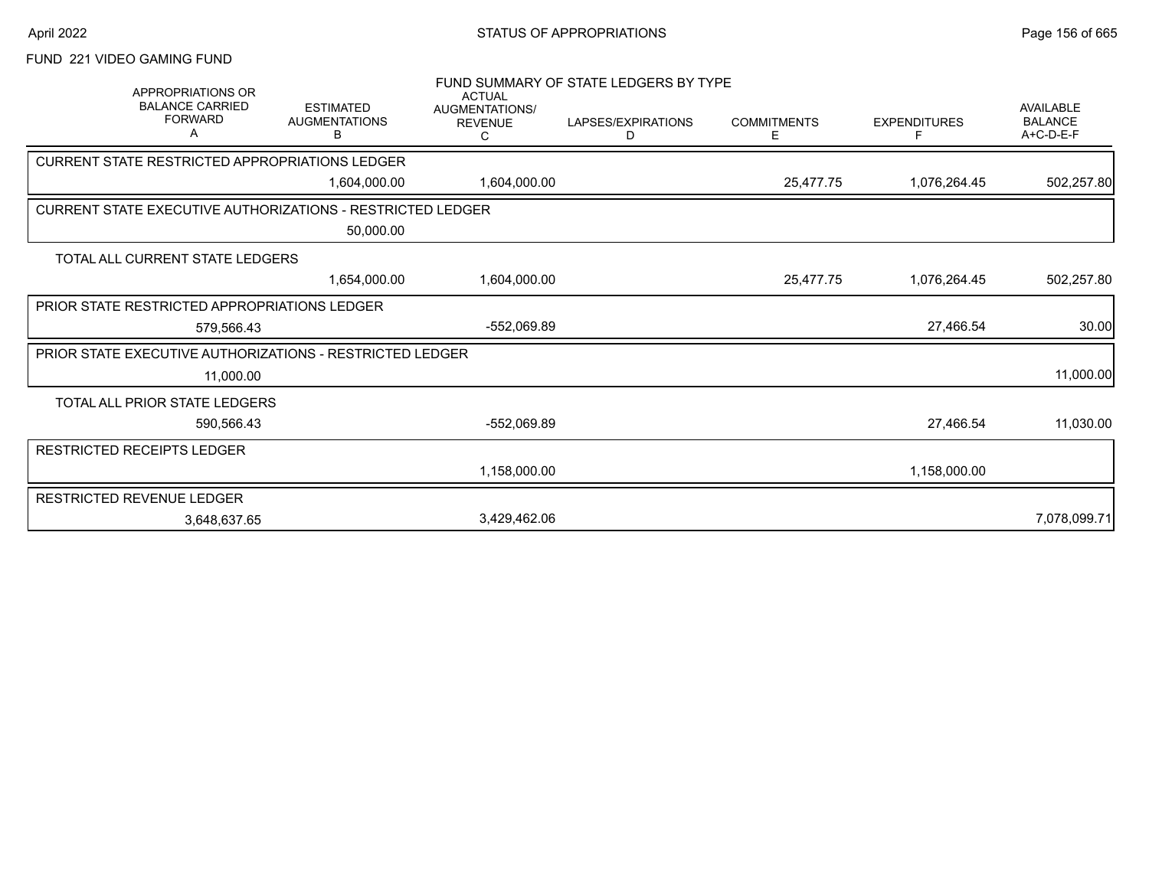# FUND 221 VIDEO GAMING FUND

| <b>APPROPRIATIONS OR</b><br><b>BALANCE CARRIED</b><br><b>FORWARD</b><br>A | <b>ESTIMATED</b><br><b>AUGMENTATIONS</b><br>В | <b>ACTUAL</b><br><b>AUGMENTATIONS/</b><br><b>REVENUE</b><br>С | FUND SUMMARY OF STATE LEDGERS BY TYPE<br>LAPSES/EXPIRATIONS<br>D | <b>COMMITMENTS</b><br>Е | <b>EXPENDITURES</b> | AVAILABLE<br><b>BALANCE</b><br>A+C-D-E-F |
|---------------------------------------------------------------------------|-----------------------------------------------|---------------------------------------------------------------|------------------------------------------------------------------|-------------------------|---------------------|------------------------------------------|
| CURRENT STATE RESTRICTED APPROPRIATIONS LEDGER                            |                                               |                                                               |                                                                  |                         |                     |                                          |
|                                                                           | 1,604,000.00                                  | 1,604,000.00                                                  |                                                                  | 25,477.75               | 1,076,264.45        | 502,257.80                               |
| <b>CURRENT STATE EXECUTIVE AUTHORIZATIONS - RESTRICTED LEDGER</b>         |                                               |                                                               |                                                                  |                         |                     |                                          |
|                                                                           | 50,000.00                                     |                                                               |                                                                  |                         |                     |                                          |
| TOTAL ALL CURRENT STATE LEDGERS                                           |                                               |                                                               |                                                                  |                         |                     |                                          |
|                                                                           | 1,654,000.00                                  | 1,604,000.00                                                  |                                                                  | 25,477.75               | 1,076,264.45        | 502,257.80                               |
| PRIOR STATE RESTRICTED APPROPRIATIONS LEDGER                              |                                               |                                                               |                                                                  |                         |                     |                                          |
| 579.566.43                                                                |                                               | -552,069.89                                                   |                                                                  |                         | 27,466.54           | 30.00                                    |
| <b>PRIOR STATE EXECUTIVE AUTHORIZATIONS - RESTRICTED LEDGER</b>           |                                               |                                                               |                                                                  |                         |                     |                                          |
| 11,000.00                                                                 |                                               |                                                               |                                                                  |                         |                     | 11,000.00                                |
| TOTAL ALL PRIOR STATE LEDGERS                                             |                                               |                                                               |                                                                  |                         |                     |                                          |
| 590,566.43                                                                |                                               | -552,069.89                                                   |                                                                  |                         | 27,466.54           | 11,030.00                                |
| <b>RESTRICTED RECEIPTS LEDGER</b>                                         |                                               |                                                               |                                                                  |                         |                     |                                          |
|                                                                           |                                               | 1,158,000.00                                                  |                                                                  |                         | 1,158,000.00        |                                          |
| <b>RESTRICTED REVENUE LEDGER</b>                                          |                                               |                                                               |                                                                  |                         |                     |                                          |
| 3,648,637.65                                                              |                                               | 3,429,462.06                                                  |                                                                  |                         |                     | 7,078,099.71                             |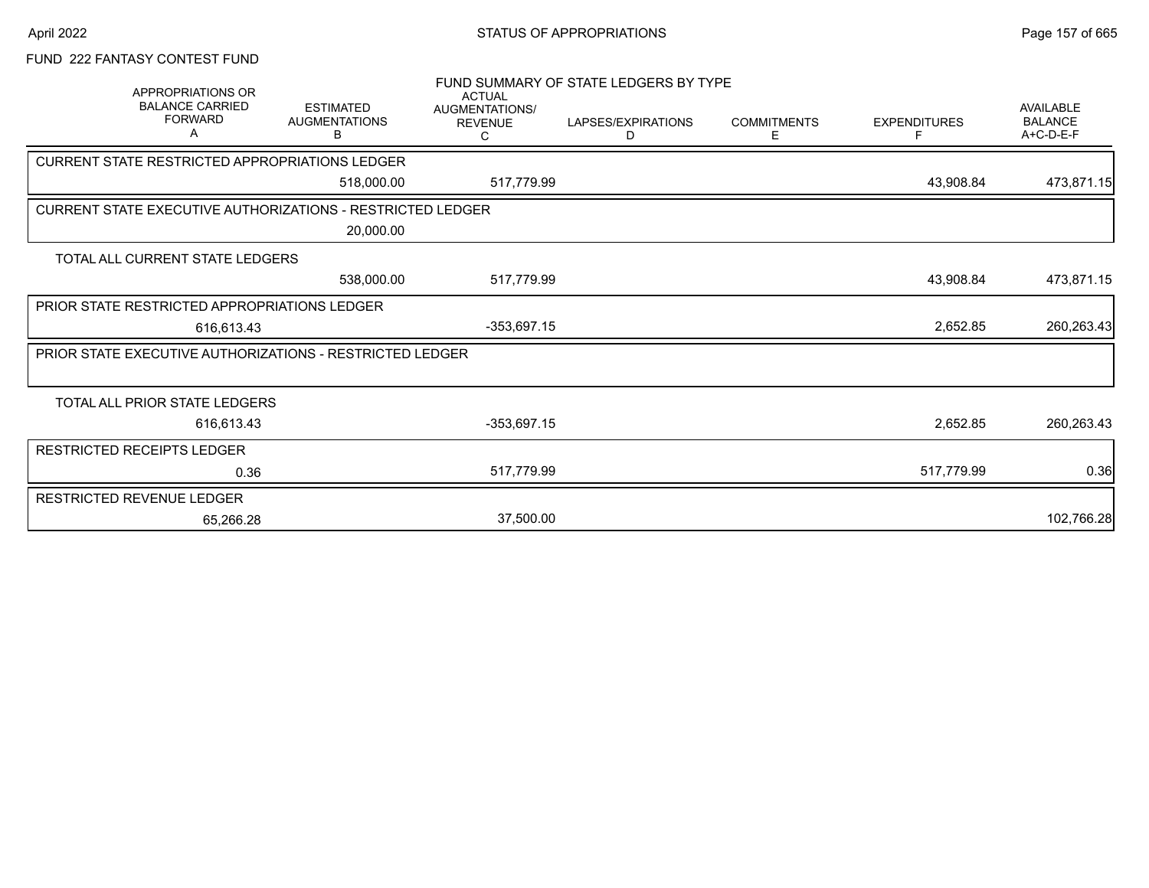# FUND 222 FANTASY CONTEST FUND

| APPROPRIATIONS OR<br><b>BALANCE CARRIED</b><br><b>FORWARD</b><br>Α | <b>ESTIMATED</b><br><b>AUGMENTATIONS</b><br>в | <b>ACTUAL</b><br>AUGMENTATIONS/<br><b>REVENUE</b><br>С | FUND SUMMARY OF STATE LEDGERS BY TYPE<br>LAPSES/EXPIRATIONS<br>D | <b>COMMITMENTS</b><br>E. | <b>EXPENDITURES</b> | <b>AVAILABLE</b><br><b>BALANCE</b><br>A+C-D-E-F |
|--------------------------------------------------------------------|-----------------------------------------------|--------------------------------------------------------|------------------------------------------------------------------|--------------------------|---------------------|-------------------------------------------------|
| CURRENT STATE RESTRICTED APPROPRIATIONS LEDGER                     |                                               |                                                        |                                                                  |                          |                     |                                                 |
|                                                                    | 518,000.00                                    | 517,779.99                                             |                                                                  |                          | 43,908.84           | 473,871.15                                      |
| <b>CURRENT STATE EXECUTIVE AUTHORIZATIONS - RESTRICTED LEDGER</b>  |                                               |                                                        |                                                                  |                          |                     |                                                 |
|                                                                    | 20,000.00                                     |                                                        |                                                                  |                          |                     |                                                 |
| TOTAL ALL CURRENT STATE LEDGERS                                    |                                               |                                                        |                                                                  |                          |                     |                                                 |
|                                                                    | 538,000.00                                    | 517,779.99                                             |                                                                  |                          | 43,908.84           | 473,871.15                                      |
| PRIOR STATE RESTRICTED APPROPRIATIONS LEDGER                       |                                               |                                                        |                                                                  |                          |                     |                                                 |
| 616.613.43                                                         |                                               | $-353,697.15$                                          |                                                                  |                          | 2,652.85            | 260,263.43                                      |
| <b>PRIOR STATE EXECUTIVE AUTHORIZATIONS - RESTRICTED LEDGER</b>    |                                               |                                                        |                                                                  |                          |                     |                                                 |
|                                                                    |                                               |                                                        |                                                                  |                          |                     |                                                 |
| TOTAL ALL PRIOR STATE LEDGERS                                      |                                               |                                                        |                                                                  |                          |                     |                                                 |
| 616,613.43                                                         |                                               | $-353,697.15$                                          |                                                                  |                          | 2,652.85            | 260,263.43                                      |
| RESTRICTED RECEIPTS LEDGER                                         |                                               |                                                        |                                                                  |                          |                     |                                                 |
| 0.36                                                               |                                               | 517,779.99                                             |                                                                  |                          | 517,779.99          | 0.36                                            |
| RESTRICTED REVENUE LEDGER                                          |                                               |                                                        |                                                                  |                          |                     |                                                 |
| 65.266.28                                                          |                                               | 37,500.00                                              |                                                                  |                          |                     | 102,766.28                                      |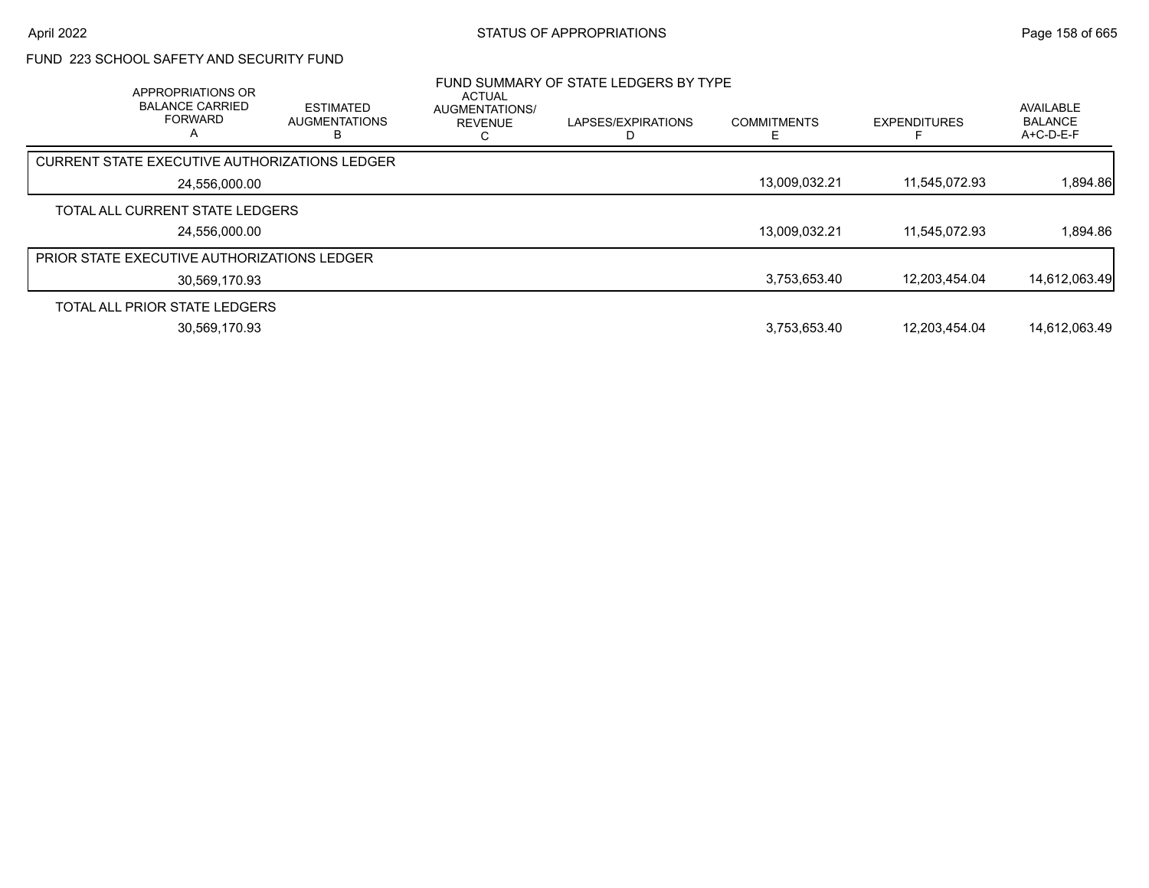# FUND 223 SCHOOL SAFETY AND SECURITY FUND

| APPROPRIATIONS OR<br><b>BALANCE CARRIED</b><br><b>FORWARD</b><br>Α | <b>ESTIMATED</b><br><b>AUGMENTATIONS</b> | <b>ACTUAL</b><br><b>AUGMENTATIONS/</b><br><b>REVENUE</b> | FUND SUMMARY OF STATE LEDGERS BY TYPE<br>LAPSES/EXPIRATIONS | <b>COMMITMENTS</b> | <b>EXPENDITURES</b> | AVAILABLE<br><b>BALANCE</b><br>A+C-D-E-F |
|--------------------------------------------------------------------|------------------------------------------|----------------------------------------------------------|-------------------------------------------------------------|--------------------|---------------------|------------------------------------------|
| CURRENT STATE EXECUTIVE AUTHORIZATIONS LEDGER                      |                                          |                                                          |                                                             |                    |                     |                                          |
| 24,556,000.00                                                      |                                          |                                                          |                                                             | 13,009,032.21      | 11,545,072.93       | 1,894.86                                 |
| TOTAL ALL CURRENT STATE LEDGERS                                    |                                          |                                                          |                                                             |                    |                     |                                          |
| 24,556,000.00                                                      |                                          |                                                          |                                                             | 13,009,032.21      | 11.545.072.93       | 1,894.86                                 |
| <b>PRIOR STATE EXECUTIVE AUTHORIZATIONS LEDGER</b>                 |                                          |                                                          |                                                             |                    |                     |                                          |
| 30,569,170.93                                                      |                                          |                                                          |                                                             | 3,753,653.40       | 12.203.454.04       | 14,612,063.49                            |
| TOTAL ALL PRIOR STATE LEDGERS                                      |                                          |                                                          |                                                             |                    |                     |                                          |
| 30,569,170.93                                                      |                                          |                                                          |                                                             | 3,753,653.40       | 12.203.454.04       | 14,612,063.49                            |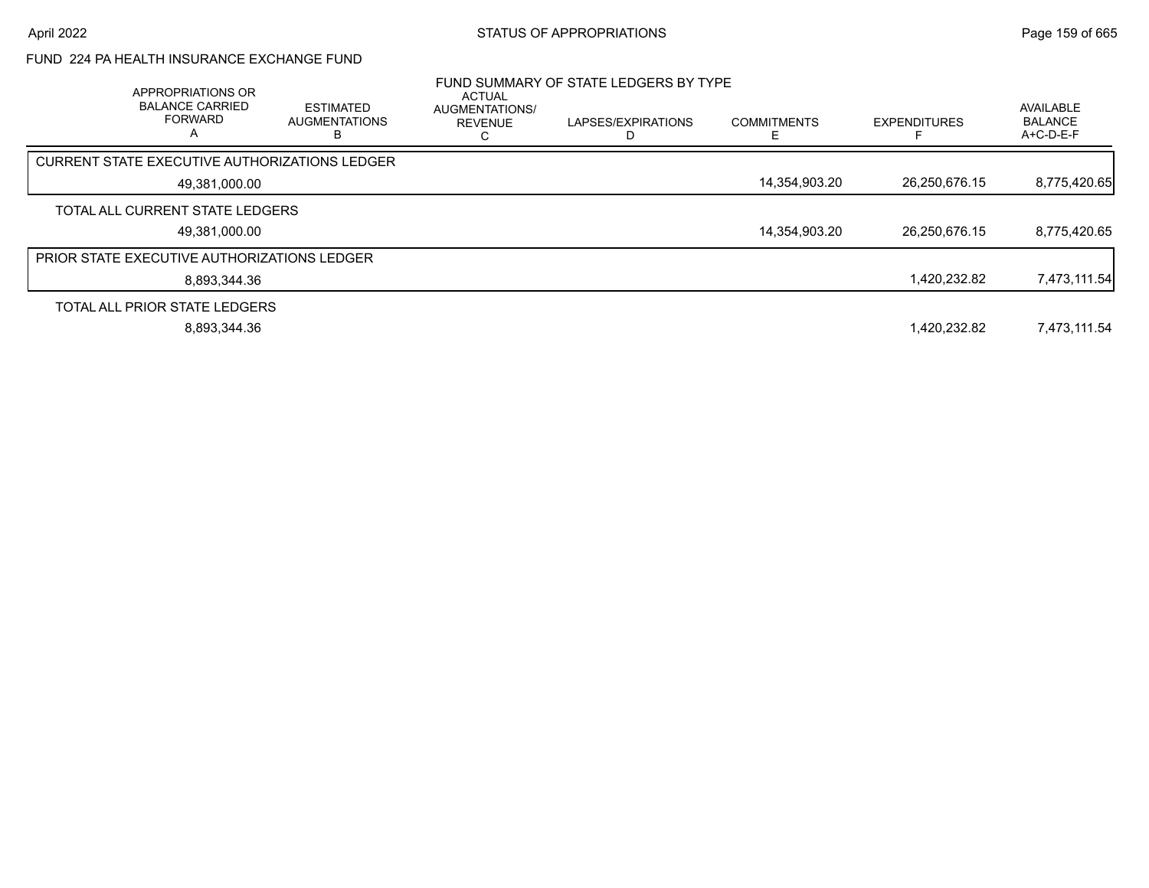# FUND 224 PA HEALTH INSURANCE EXCHANGE FUND

| APPROPRIATIONS OR<br><b>BALANCE CARRIED</b><br><b>FORWARD</b><br>А | <b>ESTIMATED</b><br><b>AUGMENTATIONS</b> | <b>ACTUAL</b><br>AUGMENTATIONS/<br><b>REVENUE</b> | FUND SUMMARY OF STATE LEDGERS BY TYPE<br>LAPSES/EXPIRATIONS | <b>COMMITMENTS</b> | <b>EXPENDITURES</b> | <b>AVAILABLE</b><br><b>BALANCE</b><br>$A+C-D-E-F$ |
|--------------------------------------------------------------------|------------------------------------------|---------------------------------------------------|-------------------------------------------------------------|--------------------|---------------------|---------------------------------------------------|
| CURRENT STATE EXECUTIVE AUTHORIZATIONS LEDGER                      |                                          |                                                   |                                                             |                    |                     |                                                   |
| 49,381,000.00                                                      |                                          |                                                   |                                                             | 14,354,903.20      | 26,250,676.15       | 8,775,420.65                                      |
| TOTAL ALL CURRENT STATE LEDGERS<br>49,381,000.00                   |                                          |                                                   |                                                             | 14,354,903.20      | 26,250,676.15       | 8,775,420.65                                      |
| <b>PRIOR STATE EXECUTIVE AUTHORIZATIONS LEDGER</b>                 |                                          |                                                   |                                                             |                    |                     |                                                   |
| 8.893.344.36                                                       |                                          |                                                   |                                                             |                    | 1,420,232.82        | 7,473,111.54                                      |
| TOTAL ALL PRIOR STATE LEDGERS                                      |                                          |                                                   |                                                             |                    |                     |                                                   |
| 8,893,344.36                                                       |                                          |                                                   |                                                             |                    | 1.420.232.82        | 7,473,111.54                                      |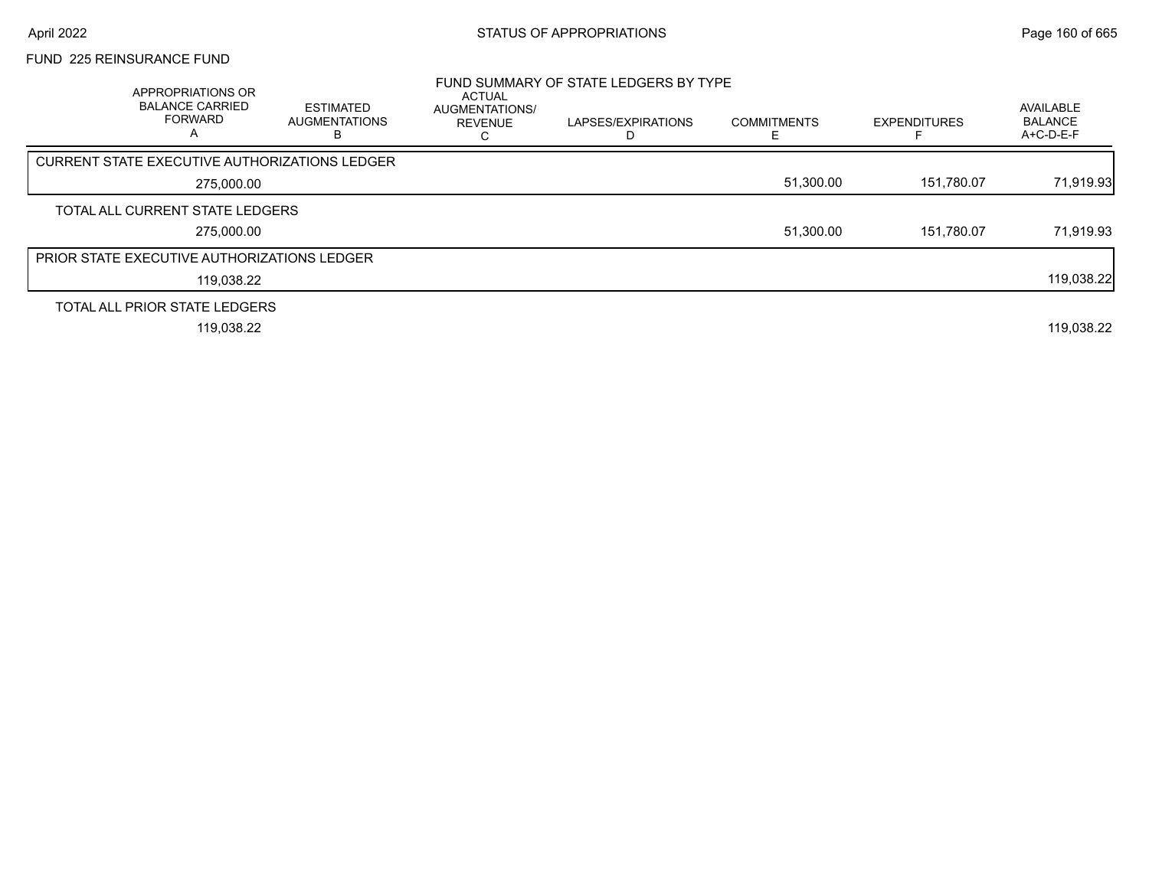### FUND 225 REINSURANCE FUND

| APPROPRIATIONS OR<br><b>BALANCE CARRIED</b><br><b>FORWARD</b><br>A | <b>ESTIMATED</b><br><b>AUGMENTATIONS</b> | ACTUAL<br>AUGMENTATIONS/<br><b>REVENUE</b> | FUND SUMMARY OF STATE LEDGERS BY TYPE<br>LAPSES/EXPIRATIONS | <b>COMMITMENTS</b> | <b>EXPENDITURES</b> | AVAILABLE<br><b>BALANCE</b><br>A+C-D-E-F |
|--------------------------------------------------------------------|------------------------------------------|--------------------------------------------|-------------------------------------------------------------|--------------------|---------------------|------------------------------------------|
| <b>CURRENT STATE EXECUTIVE AUTHORIZATIONS LEDGER</b>               |                                          |                                            |                                                             |                    |                     |                                          |
| 275,000.00                                                         |                                          |                                            |                                                             | 51,300.00          | 151,780.07          | 71,919.93                                |
| TOTAL ALL CURRENT STATE LEDGERS                                    |                                          |                                            |                                                             |                    |                     |                                          |
| 275,000.00                                                         |                                          |                                            |                                                             | 51,300.00          | 151.780.07          | 71,919.93                                |
| PRIOR STATE EXECUTIVE AUTHORIZATIONS LEDGER                        |                                          |                                            |                                                             |                    |                     |                                          |
| 119,038.22                                                         |                                          |                                            |                                                             |                    |                     | 119,038.22                               |
| TOTAL ALL PRIOR STATE LEDGERS                                      |                                          |                                            |                                                             |                    |                     |                                          |
| 119,038.22                                                         |                                          |                                            |                                                             |                    |                     | 119,038.22                               |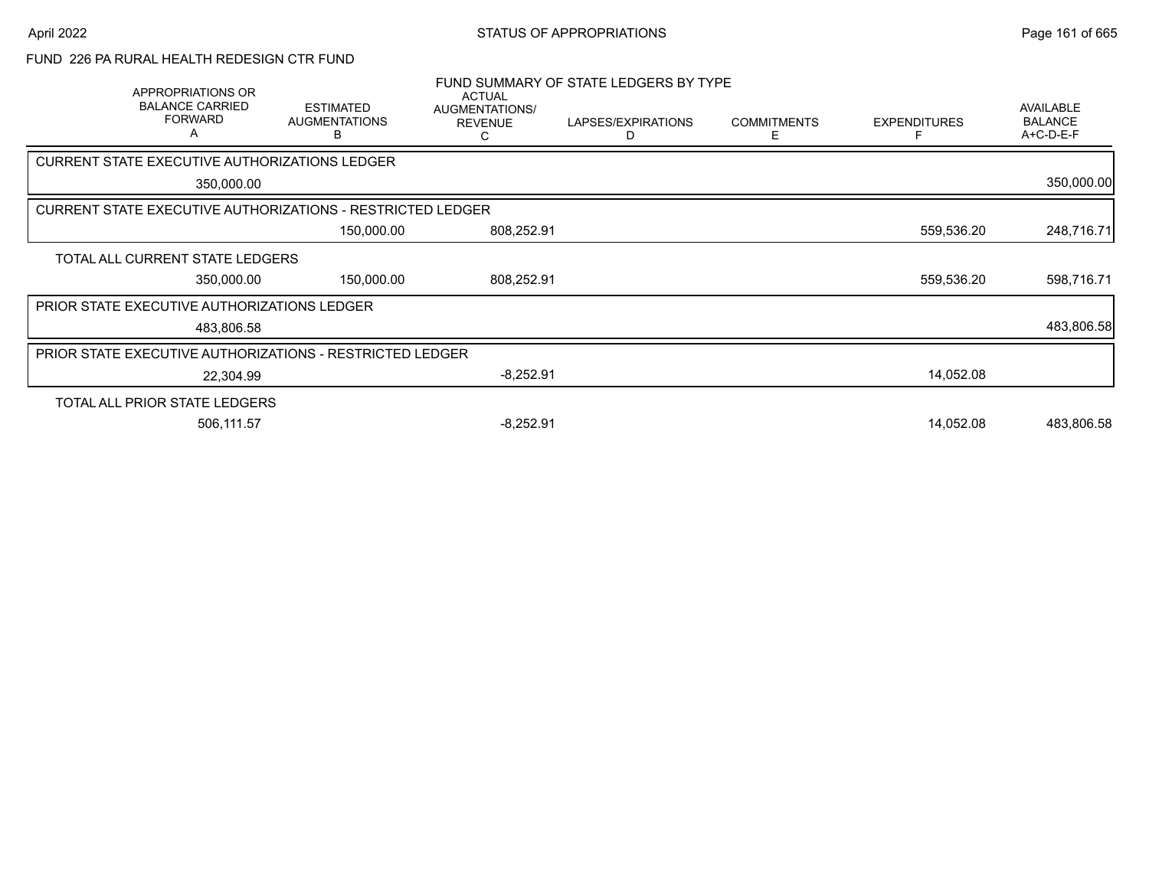### FUND 226 PA RURAL HEALTH REDESIGN CTR FUND

| APPROPRIATIONS OR<br><b>BALANCE CARRIED</b><br><b>FORWARD</b>     | <b>ESTIMATED</b><br><b>AUGMENTATIONS</b><br>в | <b>ACTUAL</b><br>AUGMENTATIONS/<br><b>REVENUE</b><br>C                                                                                                                  | LAPSES/EXPIRATIONS<br>D                                  | <b>COMMITMENTS</b><br>Е | <b>EXPENDITURES</b>                   | <b>AVAILABLE</b><br><b>BALANCE</b><br>A+C-D-E-F |
|-------------------------------------------------------------------|-----------------------------------------------|-------------------------------------------------------------------------------------------------------------------------------------------------------------------------|----------------------------------------------------------|-------------------------|---------------------------------------|-------------------------------------------------|
|                                                                   |                                               |                                                                                                                                                                         |                                                          |                         |                                       |                                                 |
| 350,000.00                                                        |                                               |                                                                                                                                                                         |                                                          |                         |                                       | 350,000.00                                      |
| <b>CURRENT STATE EXECUTIVE AUTHORIZATIONS - RESTRICTED LEDGER</b> |                                               |                                                                                                                                                                         |                                                          |                         |                                       |                                                 |
|                                                                   | 150,000.00                                    | 808,252.91                                                                                                                                                              |                                                          |                         | 559,536.20                            | 248,716.71                                      |
|                                                                   |                                               |                                                                                                                                                                         |                                                          |                         |                                       |                                                 |
| 350,000.00                                                        | 150,000.00                                    | 808,252.91                                                                                                                                                              |                                                          |                         | 559,536.20                            | 598,716.71                                      |
|                                                                   |                                               |                                                                                                                                                                         |                                                          |                         |                                       |                                                 |
| 483,806.58                                                        |                                               |                                                                                                                                                                         |                                                          |                         |                                       | 483,806.58                                      |
|                                                                   |                                               |                                                                                                                                                                         |                                                          |                         |                                       |                                                 |
| 22,304.99                                                         |                                               | $-8,252.91$                                                                                                                                                             |                                                          |                         | 14,052.08                             |                                                 |
|                                                                   |                                               |                                                                                                                                                                         |                                                          |                         |                                       |                                                 |
| 506,111.57                                                        |                                               | $-8,252.91$                                                                                                                                                             |                                                          |                         | 14,052.08                             | 483,806.58                                      |
|                                                                   |                                               | CURRENT STATE EXECUTIVE AUTHORIZATIONS LEDGER<br>TOTAL ALL CURRENT STATE LEDGERS<br><b>PRIOR STATE EXECUTIVE AUTHORIZATIONS LEDGER</b><br>TOTAL ALL PRIOR STATE LEDGERS | PRIOR STATE EXECUTIVE AUTHORIZATIONS - RESTRICTED LEDGER |                         | FUND SUMMARY OF STATE LEDGERS BY TYPE |                                                 |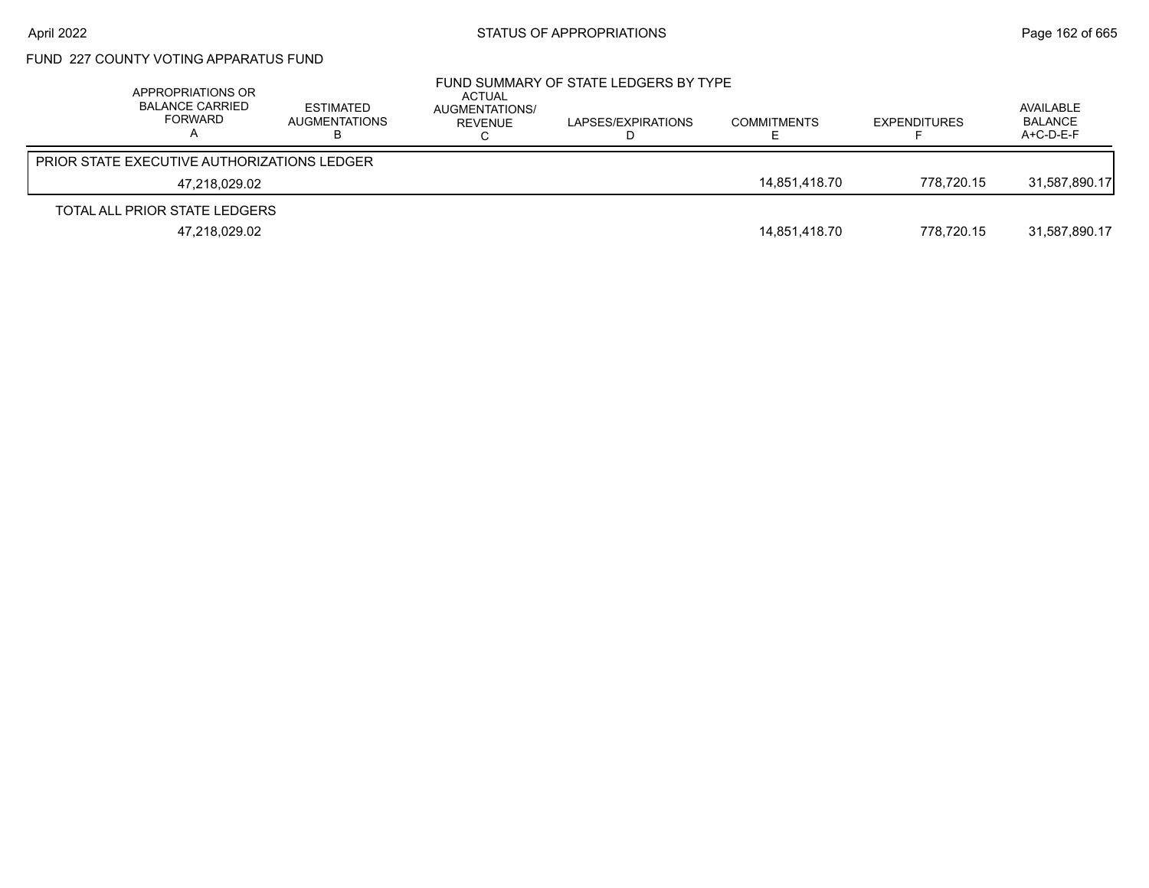# FUND 227 COUNTY VOTING APPARATUS FUND

| APPROPRIATIONS OR<br><b>BALANCE CARRIED</b><br>FORWARD | <b>ESTIMATED</b><br>AUGMENTATIONS | ACTUAL<br>AUGMENTATIONS/<br>REVENUE | FUND SUMMARY OF STATE LEDGERS BY TYPE<br>LAPSES/EXPIRATIONS | <b>COMMITMENTS</b> | <b>EXPENDITURES</b> | AVAILABLE<br><b>BALANCE</b><br>$A+C-D-E-F$ |
|--------------------------------------------------------|-----------------------------------|-------------------------------------|-------------------------------------------------------------|--------------------|---------------------|--------------------------------------------|
| <b>PRIOR STATE EXECUTIVE AUTHORIZATIONS LEDGER</b>     |                                   |                                     |                                                             |                    |                     |                                            |
| 47.218.029.02                                          |                                   |                                     |                                                             | 14.851.418.70      | 778.720.15          | 31.587.890.17                              |
| TOTAL ALL PRIOR STATE LEDGERS                          |                                   |                                     |                                                             |                    |                     |                                            |
| 47,218,029.02                                          |                                   |                                     |                                                             | 14,851,418.70      | 778.720.15          | 31,587,890.17                              |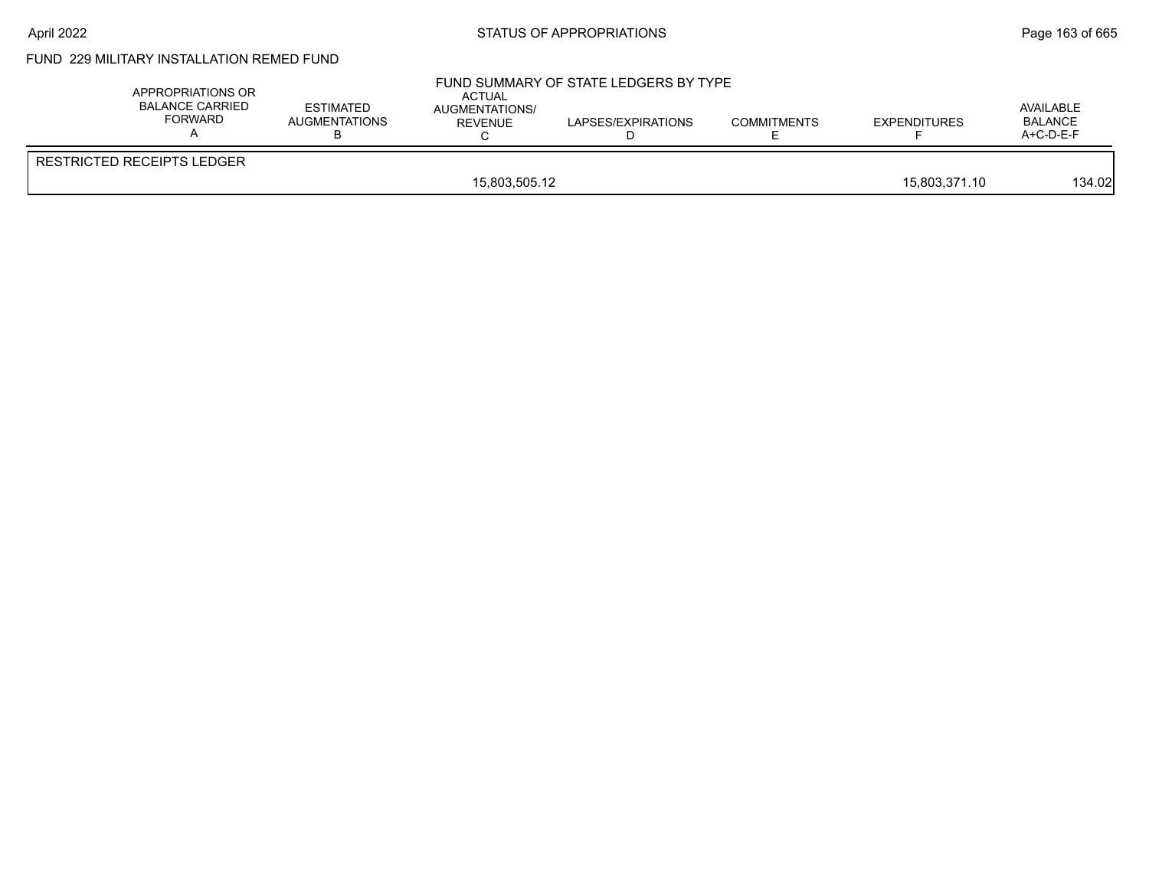# FUND 229 MILITARY INSTALLATION REMED FUND

| APPROPRIATIONS OR<br>BALANCE CARRIED<br>FORWARD | <b>ESTIMATED</b><br>AUGMENTATIONS | ACTUAL<br>AUGMENTATIONS/<br><b>REVENUE</b> | FUND SUMMARY OF STATE LEDGERS BY TYPE<br>LAPSES/EXPIRATIONS | <b>COMMITMENTS</b> | <b>EXPENDITURES</b> | AVAILABLE<br><b>BALANCE</b><br>A+C-D-E-F |
|-------------------------------------------------|-----------------------------------|--------------------------------------------|-------------------------------------------------------------|--------------------|---------------------|------------------------------------------|
| <b>RESTRICTED RECEIPTS LEDGER</b>               |                                   |                                            |                                                             |                    |                     |                                          |
|                                                 |                                   | 15,803,505.12                              |                                                             |                    | 15.803.371.10       | 134.02                                   |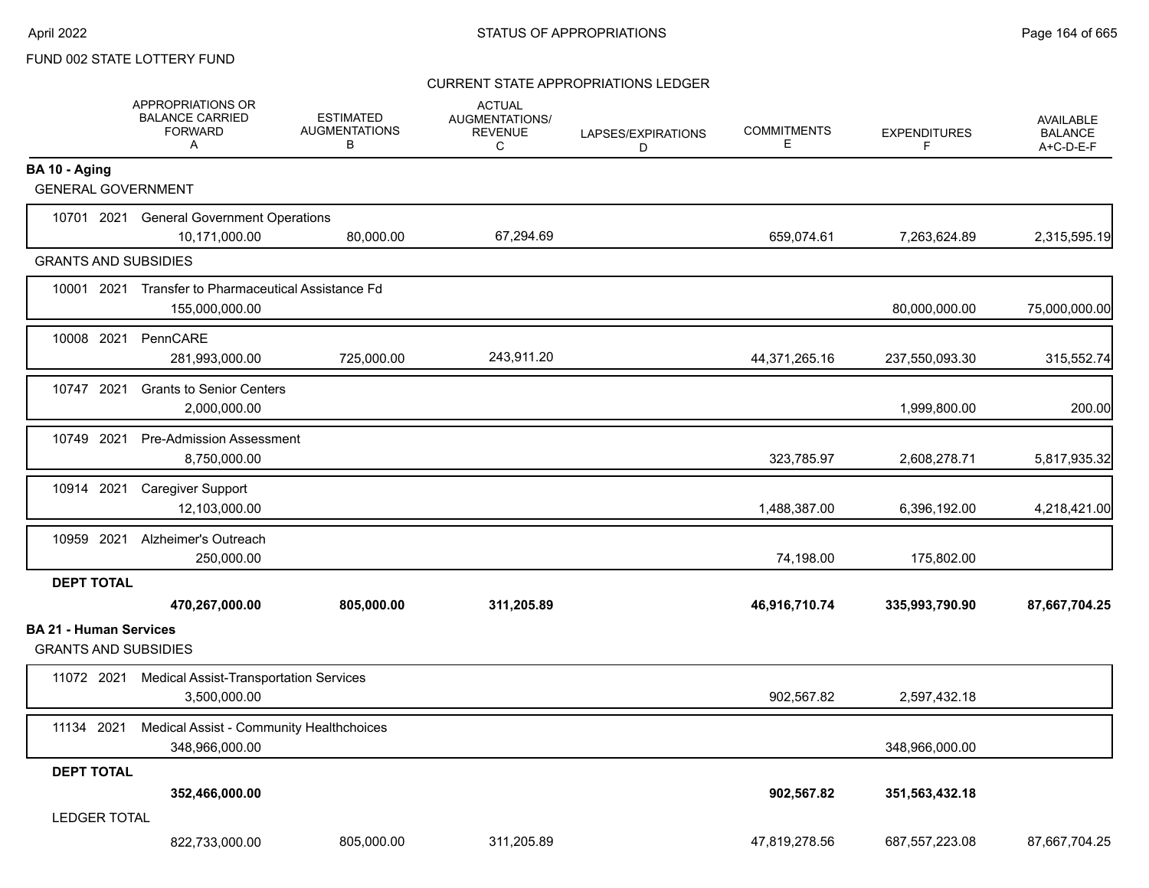#### CURRENT STATE APPROPRIATIONS LEDGER

|                               | APPROPRIATIONS OR<br><b>BALANCE CARRIED</b><br><b>FORWARD</b><br>A    | <b>ESTIMATED</b><br><b>AUGMENTATIONS</b><br>в | <b>ACTUAL</b><br>AUGMENTATIONS/<br><b>REVENUE</b><br>C | LAPSES/EXPIRATIONS<br>D | <b>COMMITMENTS</b><br>Е | <b>EXPENDITURES</b><br>F | <b>AVAILABLE</b><br><b>BALANCE</b><br>A+C-D-E-F |
|-------------------------------|-----------------------------------------------------------------------|-----------------------------------------------|--------------------------------------------------------|-------------------------|-------------------------|--------------------------|-------------------------------------------------|
| BA 10 - Aging                 |                                                                       |                                               |                                                        |                         |                         |                          |                                                 |
| <b>GENERAL GOVERNMENT</b>     |                                                                       |                                               |                                                        |                         |                         |                          |                                                 |
|                               | 10701 2021 General Government Operations<br>10,171,000.00             | 80,000.00                                     | 67,294.69                                              |                         | 659,074.61              | 7,263,624.89             | 2,315,595.19                                    |
| <b>GRANTS AND SUBSIDIES</b>   |                                                                       |                                               |                                                        |                         |                         |                          |                                                 |
|                               | 10001 2021 Transfer to Pharmaceutical Assistance Fd<br>155,000,000.00 |                                               |                                                        |                         |                         | 80,000,000.00            | 75,000,000.00                                   |
| 10008 2021                    | PennCARE<br>281,993,000.00                                            | 725,000.00                                    | 243,911.20                                             |                         | 44,371,265.16           | 237,550,093.30           | 315,552.74                                      |
| 10747 2021                    | <b>Grants to Senior Centers</b><br>2,000,000.00                       |                                               |                                                        |                         |                         | 1,999,800.00             | 200.00                                          |
| 10749 2021                    | <b>Pre-Admission Assessment</b><br>8,750,000.00                       |                                               |                                                        |                         | 323,785.97              | 2,608,278.71             | 5,817,935.32                                    |
| 10914 2021                    | <b>Caregiver Support</b><br>12,103,000.00                             |                                               |                                                        |                         | 1,488,387.00            | 6,396,192.00             | 4,218,421.00                                    |
|                               | 10959 2021 Alzheimer's Outreach<br>250,000.00                         |                                               |                                                        |                         | 74,198.00               | 175,802.00               |                                                 |
| <b>DEPT TOTAL</b>             | 470,267,000.00                                                        | 805,000.00                                    | 311,205.89                                             |                         | 46,916,710.74           | 335,993,790.90           | 87,667,704.25                                   |
| <b>BA 21 - Human Services</b> |                                                                       |                                               |                                                        |                         |                         |                          |                                                 |
| <b>GRANTS AND SUBSIDIES</b>   |                                                                       |                                               |                                                        |                         |                         |                          |                                                 |
| 11072 2021                    | <b>Medical Assist-Transportation Services</b><br>3,500,000.00         |                                               |                                                        |                         | 902,567.82              | 2,597,432.18             |                                                 |
| 11134 2021                    | Medical Assist - Community Healthchoices<br>348,966,000.00            |                                               |                                                        |                         |                         | 348,966,000.00           |                                                 |
| <b>DEPT TOTAL</b>             | 352,466,000.00                                                        |                                               |                                                        |                         | 902,567.82              | 351,563,432.18           |                                                 |
| <b>LEDGER TOTAL</b>           | 822,733,000.00                                                        | 805,000.00                                    | 311,205.89                                             |                         | 47,819,278.56           | 687,557,223.08           | 87,667,704.25                                   |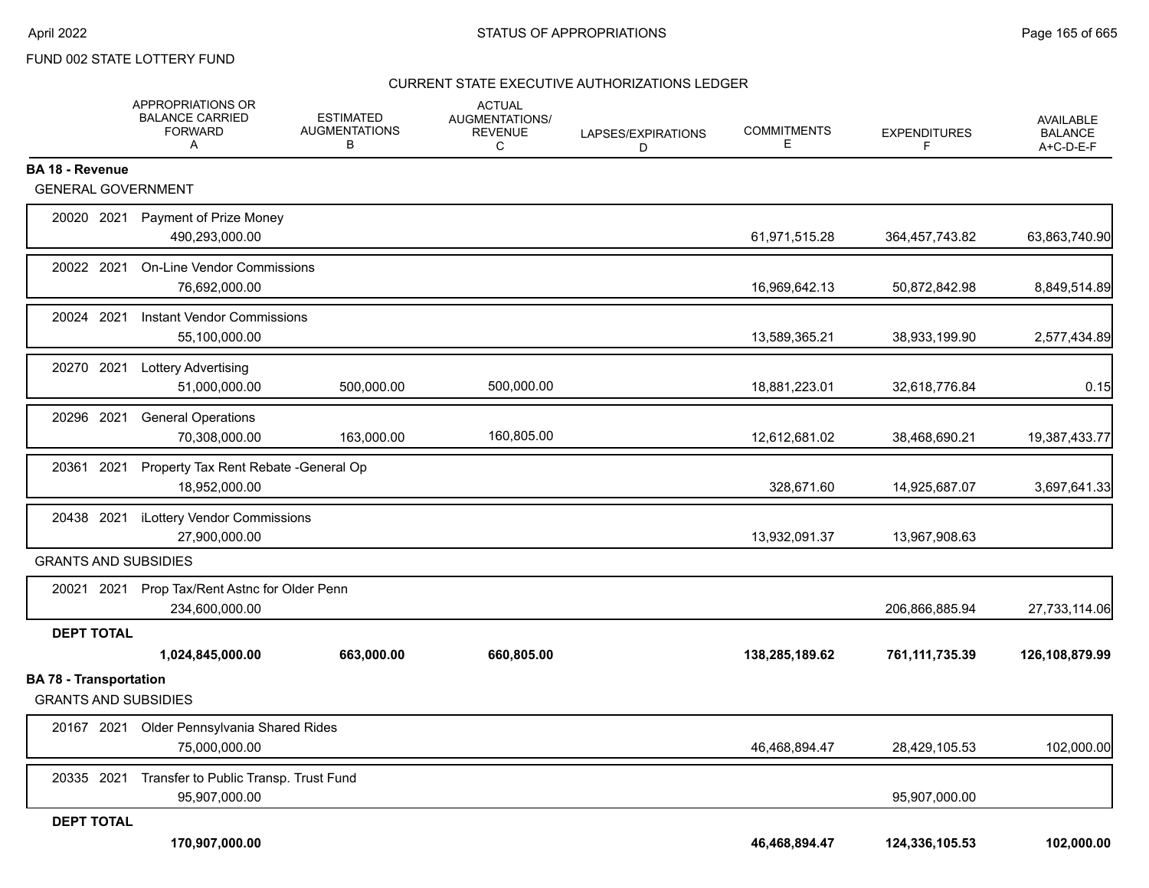#### CURRENT STATE EXECUTIVE AUTHORIZATIONS LEDGER

|                                                              | APPROPRIATIONS OR<br><b>BALANCE CARRIED</b><br><b>FORWARD</b><br>Α | <b>ESTIMATED</b><br><b>AUGMENTATIONS</b><br>В | <b>ACTUAL</b><br>AUGMENTATIONS/<br><b>REVENUE</b><br>C | LAPSES/EXPIRATIONS<br>D | <b>COMMITMENTS</b><br>Е | <b>EXPENDITURES</b> | AVAILABLE<br><b>BALANCE</b><br>A+C-D-E-F |
|--------------------------------------------------------------|--------------------------------------------------------------------|-----------------------------------------------|--------------------------------------------------------|-------------------------|-------------------------|---------------------|------------------------------------------|
| <b>BA 18 - Revenue</b>                                       |                                                                    |                                               |                                                        |                         |                         |                     |                                          |
| <b>GENERAL GOVERNMENT</b>                                    |                                                                    |                                               |                                                        |                         |                         |                     |                                          |
| 20020 2021                                                   | Payment of Prize Money<br>490,293,000.00                           |                                               |                                                        |                         | 61,971,515.28           | 364,457,743.82      | 63,863,740.90                            |
| 20022 2021                                                   | <b>On-Line Vendor Commissions</b><br>76,692,000.00                 |                                               |                                                        |                         | 16,969,642.13           | 50,872,842.98       | 8,849,514.89                             |
| 20024 2021                                                   | <b>Instant Vendor Commissions</b><br>55,100,000.00                 |                                               |                                                        |                         | 13,589,365.21           | 38,933,199.90       | 2,577,434.89                             |
| 20270 2021                                                   | <b>Lottery Advertising</b><br>51,000,000.00                        | 500,000.00                                    | 500,000.00                                             |                         | 18,881,223.01           | 32,618,776.84       | 0.15                                     |
| 20296 2021                                                   | <b>General Operations</b><br>70,308,000.00                         | 163,000.00                                    | 160,805.00                                             |                         | 12,612,681.02           | 38,468,690.21       | 19,387,433.77                            |
| 20361 2021                                                   | Property Tax Rent Rebate - General Op<br>18,952,000.00             |                                               |                                                        |                         | 328,671.60              | 14,925,687.07       | 3,697,641.33                             |
| 20438 2021                                                   | iLottery Vendor Commissions<br>27,900,000.00                       |                                               |                                                        |                         | 13,932,091.37           | 13,967,908.63       |                                          |
| <b>GRANTS AND SUBSIDIES</b>                                  |                                                                    |                                               |                                                        |                         |                         |                     |                                          |
| 20021 2021                                                   | Prop Tax/Rent Astnc for Older Penn<br>234,600,000.00               |                                               |                                                        |                         |                         | 206,866,885.94      | 27,733,114.06                            |
| <b>DEPT TOTAL</b>                                            |                                                                    |                                               |                                                        |                         |                         |                     |                                          |
|                                                              | 1,024,845,000.00                                                   | 663,000.00                                    | 660,805.00                                             |                         | 138,285,189.62          | 761,111,735.39      | 126,108,879.99                           |
| <b>BA 78 - Transportation</b><br><b>GRANTS AND SUBSIDIES</b> |                                                                    |                                               |                                                        |                         |                         |                     |                                          |
| 20167 2021                                                   | Older Pennsylvania Shared Rides<br>75.000.000.00                   |                                               |                                                        |                         | 46,468,894.47           | 28,429,105.53       | 102,000.00                               |
| 20335 2021                                                   | Transfer to Public Transp. Trust Fund<br>95,907,000.00             |                                               |                                                        |                         |                         | 95,907,000.00       |                                          |
| <b>DEPT TOTAL</b>                                            |                                                                    |                                               |                                                        |                         |                         |                     |                                          |
|                                                              | 170,907,000.00                                                     |                                               |                                                        |                         | 46,468,894.47           | 124,336,105.53      | 102,000.00                               |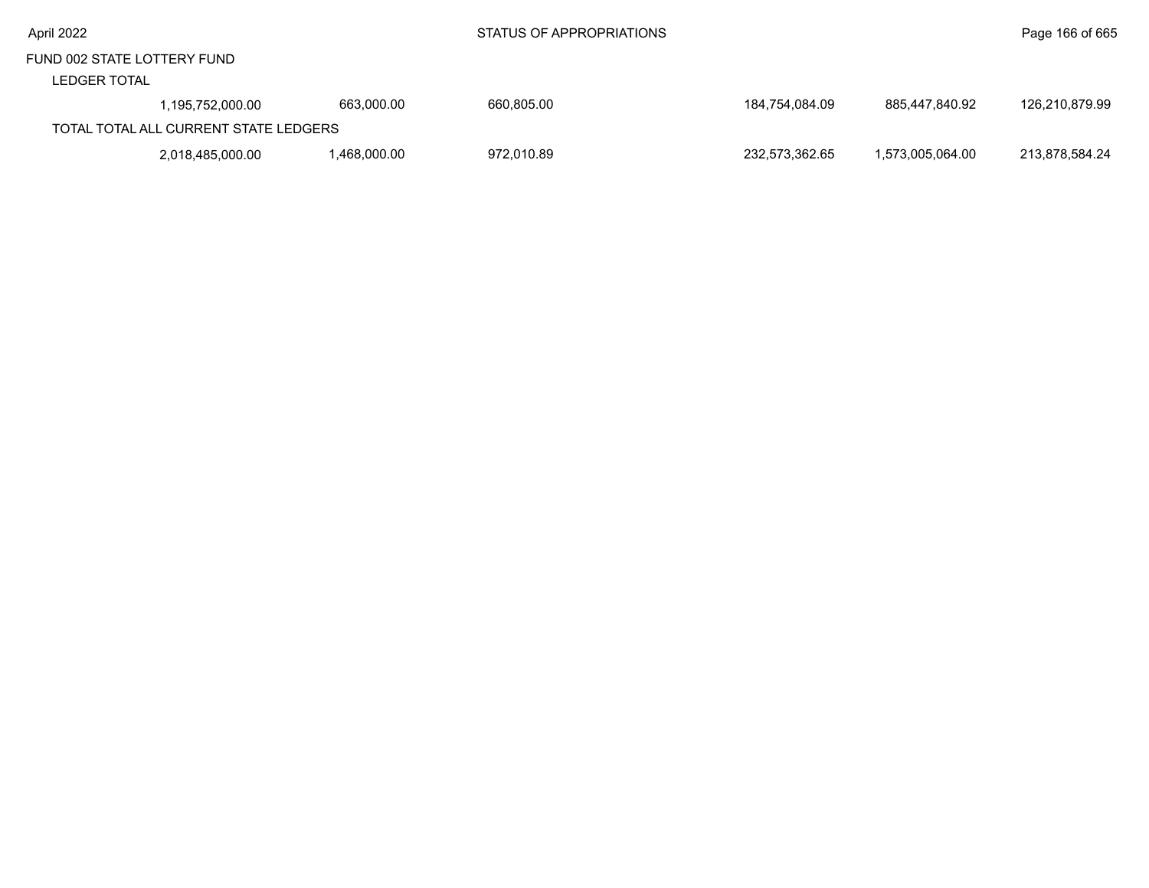|  | April 2022 |
|--|------------|
|  |            |

#### LEDGER TOTAL

| -----------                           |                  |             |            |                |                  |                |  |
|---------------------------------------|------------------|-------------|------------|----------------|------------------|----------------|--|
|                                       | 1.195.752.000.00 | 663.000.00  | 660.805.00 | 184.754.084.09 | 885.447.840.92   | 126,210,879.99 |  |
| TOTAL TOTAL ALL CURRENT STATE LEDGERS |                  |             |            |                |                  |                |  |
|                                       | 2,018,485,000.00 | .468,000.00 | 972,010.89 | 232,573,362.65 | 1.573.005.064.00 | 213,878,584.24 |  |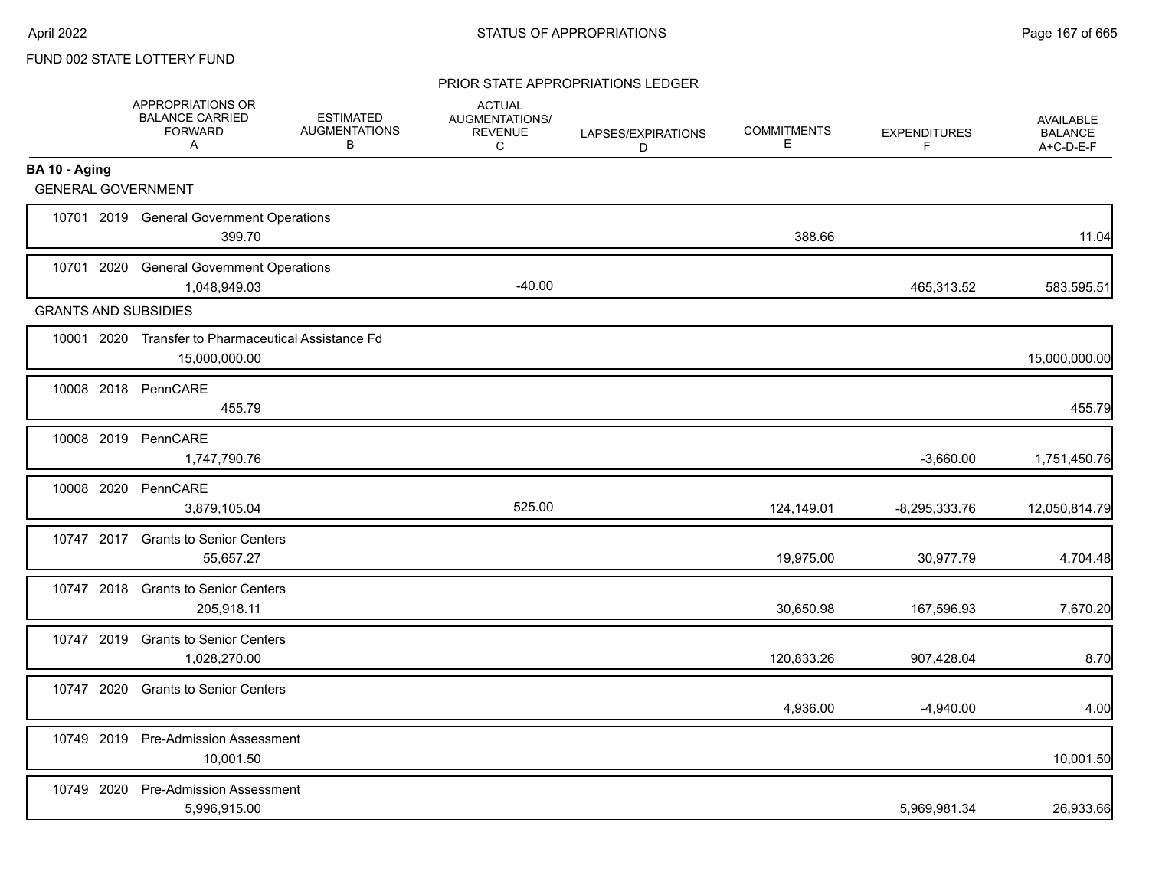#### PRIOR STATE APPROPRIATIONS LEDGER

|                             | APPROPRIATIONS OR<br><b>BALANCE CARRIED</b><br><b>FORWARD</b><br>A   | <b>ESTIMATED</b><br><b>AUGMENTATIONS</b><br>В | <b>ACTUAL</b><br>AUGMENTATIONS/<br><b>REVENUE</b><br>C | LAPSES/EXPIRATIONS<br>D | <b>COMMITMENTS</b><br>Е | <b>EXPENDITURES</b><br>F | <b>AVAILABLE</b><br><b>BALANCE</b><br>A+C-D-E-F |
|-----------------------------|----------------------------------------------------------------------|-----------------------------------------------|--------------------------------------------------------|-------------------------|-------------------------|--------------------------|-------------------------------------------------|
| BA 10 - Aging               |                                                                      |                                               |                                                        |                         |                         |                          |                                                 |
| <b>GENERAL GOVERNMENT</b>   |                                                                      |                                               |                                                        |                         |                         |                          |                                                 |
|                             | 10701 2019 General Government Operations<br>399.70                   |                                               |                                                        |                         | 388.66                  |                          | 11.04                                           |
|                             | 10701 2020 General Government Operations<br>1,048,949.03             |                                               | $-40.00$                                               |                         |                         | 465,313.52               | 583,595.51                                      |
| <b>GRANTS AND SUBSIDIES</b> |                                                                      |                                               |                                                        |                         |                         |                          |                                                 |
|                             | 10001 2020 Transfer to Pharmaceutical Assistance Fd<br>15,000,000.00 |                                               |                                                        |                         |                         |                          | 15,000,000.00                                   |
|                             | 10008 2018 PennCARE<br>455.79                                        |                                               |                                                        |                         |                         |                          | 455.79                                          |
|                             | 10008 2019 PennCARE<br>1,747,790.76                                  |                                               |                                                        |                         |                         | $-3,660.00$              | 1,751,450.76                                    |
|                             | 10008 2020 PennCARE<br>3,879,105.04                                  |                                               | 525.00                                                 |                         | 124,149.01              | $-8,295,333.76$          | 12,050,814.79                                   |
| 10747 2017                  | <b>Grants to Senior Centers</b><br>55,657.27                         |                                               |                                                        |                         | 19,975.00               | 30,977.79                | 4,704.48                                        |
|                             | 10747 2018 Grants to Senior Centers<br>205,918.11                    |                                               |                                                        |                         | 30,650.98               | 167,596.93               | 7,670.20                                        |
|                             | 10747 2019 Grants to Senior Centers<br>1,028,270.00                  |                                               |                                                        |                         | 120,833.26              | 907,428.04               | 8.70                                            |
|                             | 10747 2020 Grants to Senior Centers                                  |                                               |                                                        |                         | 4,936.00                | $-4,940.00$              | 4.00                                            |
|                             | 10749 2019 Pre-Admission Assessment<br>10,001.50                     |                                               |                                                        |                         |                         |                          | 10,001.50                                       |
|                             | 10749 2020 Pre-Admission Assessment<br>5,996,915.00                  |                                               |                                                        |                         |                         | 5,969,981.34             | 26,933.66                                       |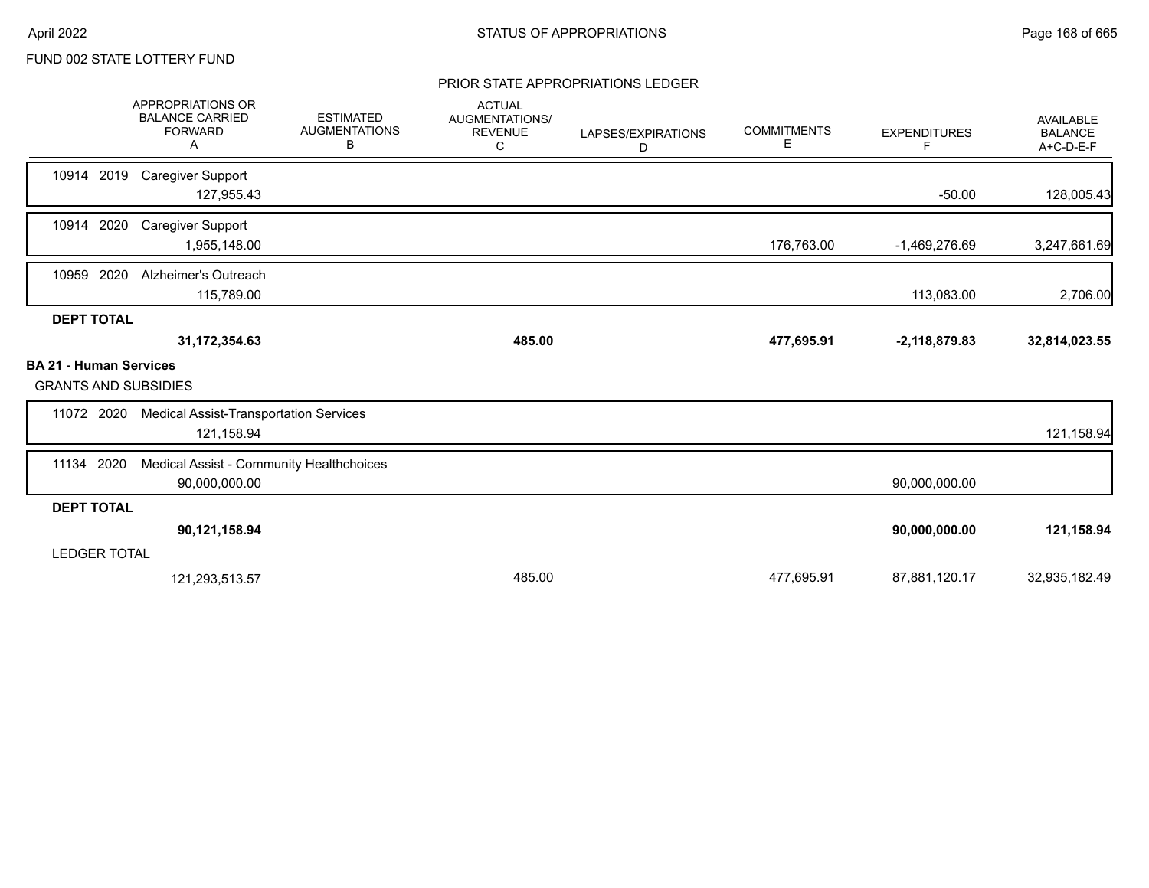#### PRIOR STATE APPROPRIATIONS LEDGER

|                                                              | <b>APPROPRIATIONS OR</b><br><b>BALANCE CARRIED</b><br><b>FORWARD</b><br>Α | <b>ESTIMATED</b><br><b>AUGMENTATIONS</b><br>В | <b>ACTUAL</b><br>AUGMENTATIONS/<br><b>REVENUE</b><br>C | LAPSES/EXPIRATIONS<br>D | <b>COMMITMENTS</b><br>Ε | <b>EXPENDITURES</b><br>F | <b>AVAILABLE</b><br><b>BALANCE</b><br>A+C-D-E-F |
|--------------------------------------------------------------|---------------------------------------------------------------------------|-----------------------------------------------|--------------------------------------------------------|-------------------------|-------------------------|--------------------------|-------------------------------------------------|
| 10914 2019                                                   | <b>Caregiver Support</b><br>127,955.43                                    |                                               |                                                        |                         |                         | $-50.00$                 | 128,005.43                                      |
| 10914 2020                                                   | <b>Caregiver Support</b><br>1,955,148.00                                  |                                               |                                                        |                         | 176,763.00              | $-1,469,276.69$          | 3,247,661.69                                    |
| 10959 2020                                                   | Alzheimer's Outreach<br>115,789.00                                        |                                               |                                                        |                         |                         | 113,083.00               | 2,706.00                                        |
| <b>DEPT TOTAL</b>                                            |                                                                           |                                               |                                                        |                         |                         |                          |                                                 |
|                                                              | 31,172,354.63                                                             |                                               | 485.00                                                 |                         | 477,695.91              | $-2,118,879.83$          | 32,814,023.55                                   |
| <b>BA 21 - Human Services</b><br><b>GRANTS AND SUBSIDIES</b> |                                                                           |                                               |                                                        |                         |                         |                          |                                                 |
| 11072 2020                                                   | <b>Medical Assist-Transportation Services</b><br>121,158.94               |                                               |                                                        |                         |                         |                          | 121,158.94                                      |
| 2020<br>11134                                                | Medical Assist - Community Healthchoices<br>90,000,000.00                 |                                               |                                                        |                         |                         | 90,000,000.00            |                                                 |
| <b>DEPT TOTAL</b>                                            |                                                                           |                                               |                                                        |                         |                         |                          |                                                 |
|                                                              | 90,121,158.94                                                             |                                               |                                                        |                         |                         | 90,000,000.00            | 121,158.94                                      |
| <b>LEDGER TOTAL</b>                                          |                                                                           |                                               |                                                        |                         |                         |                          |                                                 |
|                                                              | 121,293,513.57                                                            |                                               | 485.00                                                 |                         | 477,695.91              | 87,881,120.17            | 32,935,182.49                                   |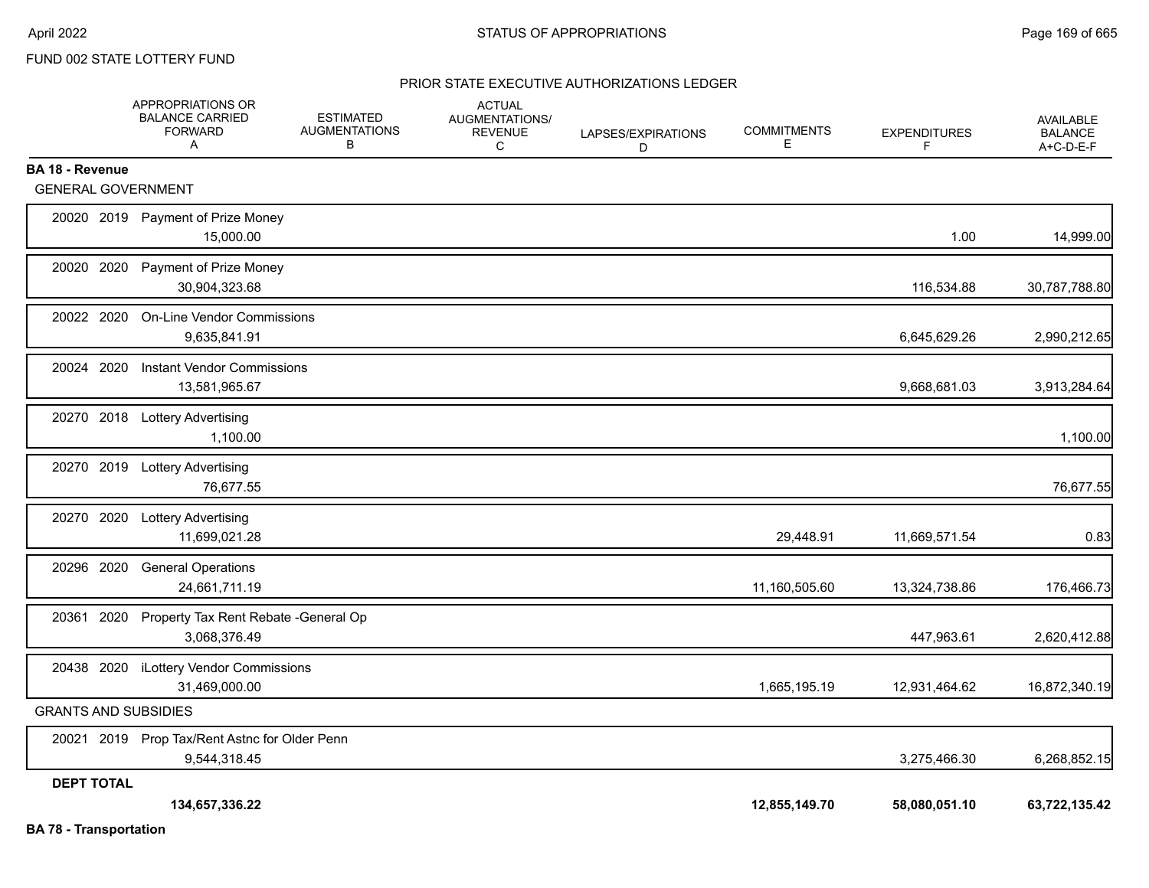#### PRIOR STATE EXECUTIVE AUTHORIZATIONS LEDGER

|                               | <b>APPROPRIATIONS OR</b><br><b>BALANCE CARRIED</b><br><b>FORWARD</b><br>Α | <b>ESTIMATED</b><br><b>AUGMENTATIONS</b><br>В | <b>ACTUAL</b><br><b>AUGMENTATIONS/</b><br><b>REVENUE</b><br>C | LAPSES/EXPIRATIONS<br>D | <b>COMMITMENTS</b><br>Е | <b>EXPENDITURES</b><br>F. | <b>AVAILABLE</b><br><b>BALANCE</b><br>A+C-D-E-F |
|-------------------------------|---------------------------------------------------------------------------|-----------------------------------------------|---------------------------------------------------------------|-------------------------|-------------------------|---------------------------|-------------------------------------------------|
| BA 18 - Revenue               |                                                                           |                                               |                                                               |                         |                         |                           |                                                 |
| <b>GENERAL GOVERNMENT</b>     |                                                                           |                                               |                                                               |                         |                         |                           |                                                 |
|                               | 20020 2019 Payment of Prize Money<br>15,000.00                            |                                               |                                                               |                         |                         | 1.00                      | 14,999.00                                       |
| 20020 2020                    | Payment of Prize Money<br>30,904,323.68                                   |                                               |                                                               |                         |                         | 116,534.88                | 30,787,788.80                                   |
| 20022 2020                    | <b>On-Line Vendor Commissions</b><br>9,635,841.91                         |                                               |                                                               |                         |                         | 6,645,629.26              | 2,990,212.65                                    |
| 20024 2020                    | <b>Instant Vendor Commissions</b><br>13,581,965.67                        |                                               |                                                               |                         |                         | 9,668,681.03              | 3,913,284.64                                    |
|                               | 20270 2018 Lottery Advertising<br>1,100.00                                |                                               |                                                               |                         |                         |                           | 1,100.00                                        |
|                               | 20270 2019 Lottery Advertising<br>76,677.55                               |                                               |                                                               |                         |                         |                           | 76,677.55                                       |
|                               | 20270 2020 Lottery Advertising<br>11,699,021.28                           |                                               |                                                               |                         | 29,448.91               | 11,669,571.54             | 0.83                                            |
| 20296 2020                    | <b>General Operations</b><br>24,661,711.19                                |                                               |                                                               |                         | 11,160,505.60           | 13,324,738.86             | 176,466.73                                      |
|                               | 20361 2020 Property Tax Rent Rebate - General Op<br>3,068,376.49          |                                               |                                                               |                         |                         | 447,963.61                | 2,620,412.88                                    |
|                               | 20438 2020 iLottery Vendor Commissions<br>31,469,000.00                   |                                               |                                                               |                         | 1,665,195.19            | 12,931,464.62             | 16,872,340.19                                   |
| <b>GRANTS AND SUBSIDIES</b>   |                                                                           |                                               |                                                               |                         |                         |                           |                                                 |
|                               | 20021 2019 Prop Tax/Rent Astnc for Older Penn<br>9,544,318.45             |                                               |                                                               |                         |                         | 3,275,466.30              | 6,268,852.15                                    |
| <b>DEPT TOTAL</b>             |                                                                           |                                               |                                                               |                         |                         |                           |                                                 |
| <b>BA 78 - Transportation</b> | 134,657,336.22                                                            |                                               |                                                               |                         | 12,855,149.70           | 58,080,051.10             | 63,722,135.42                                   |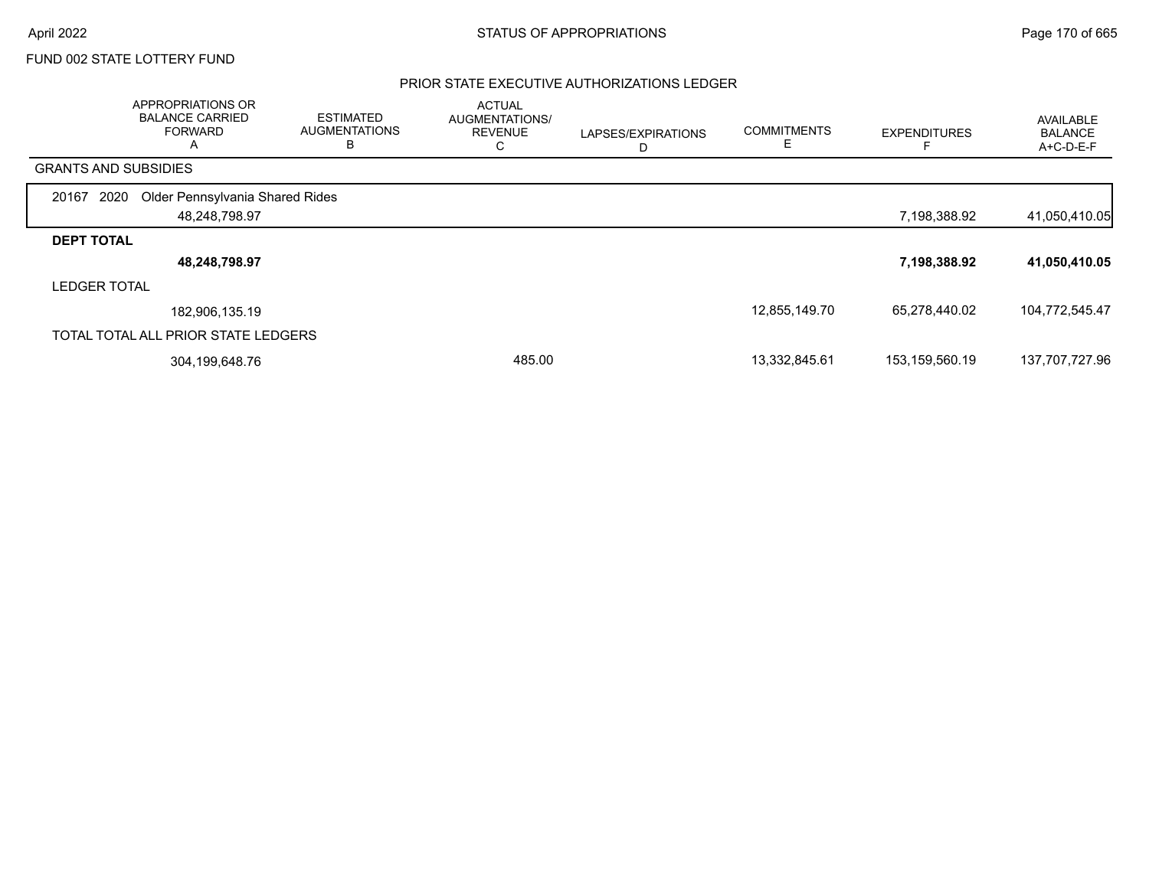#### PRIOR STATE EXECUTIVE AUTHORIZATIONS LEDGER

|                             | APPROPRIATIONS OR<br><b>BALANCE CARRIED</b><br><b>FORWARD</b><br>A | <b>ESTIMATED</b><br><b>AUGMENTATIONS</b><br>в | <b>ACTUAL</b><br>AUGMENTATIONS/<br><b>REVENUE</b><br>C | LAPSES/EXPIRATIONS<br>D | <b>COMMITMENTS</b> | <b>EXPENDITURES</b> | AVAILABLE<br><b>BALANCE</b><br>A+C-D-E-F |
|-----------------------------|--------------------------------------------------------------------|-----------------------------------------------|--------------------------------------------------------|-------------------------|--------------------|---------------------|------------------------------------------|
| <b>GRANTS AND SUBSIDIES</b> |                                                                    |                                               |                                                        |                         |                    |                     |                                          |
| 2020<br>20167               | Older Pennsylvania Shared Rides                                    |                                               |                                                        |                         |                    |                     |                                          |
|                             | 48,248,798.97                                                      |                                               |                                                        |                         |                    | 7,198,388.92        | 41,050,410.05                            |
| <b>DEPT TOTAL</b>           |                                                                    |                                               |                                                        |                         |                    |                     |                                          |
|                             | 48,248,798.97                                                      |                                               |                                                        |                         |                    | 7,198,388.92        | 41,050,410.05                            |
| <b>LEDGER TOTAL</b>         |                                                                    |                                               |                                                        |                         |                    |                     |                                          |
|                             | 182,906,135.19                                                     |                                               |                                                        |                         | 12,855,149.70      | 65,278,440.02       | 104,772,545.47                           |
|                             | TOTAL TOTAL ALL PRIOR STATE LEDGERS                                |                                               |                                                        |                         |                    |                     |                                          |
|                             | 304,199,648.76                                                     |                                               | 485.00                                                 |                         | 13,332,845.61      | 153,159,560.19      | 137,707,727.96                           |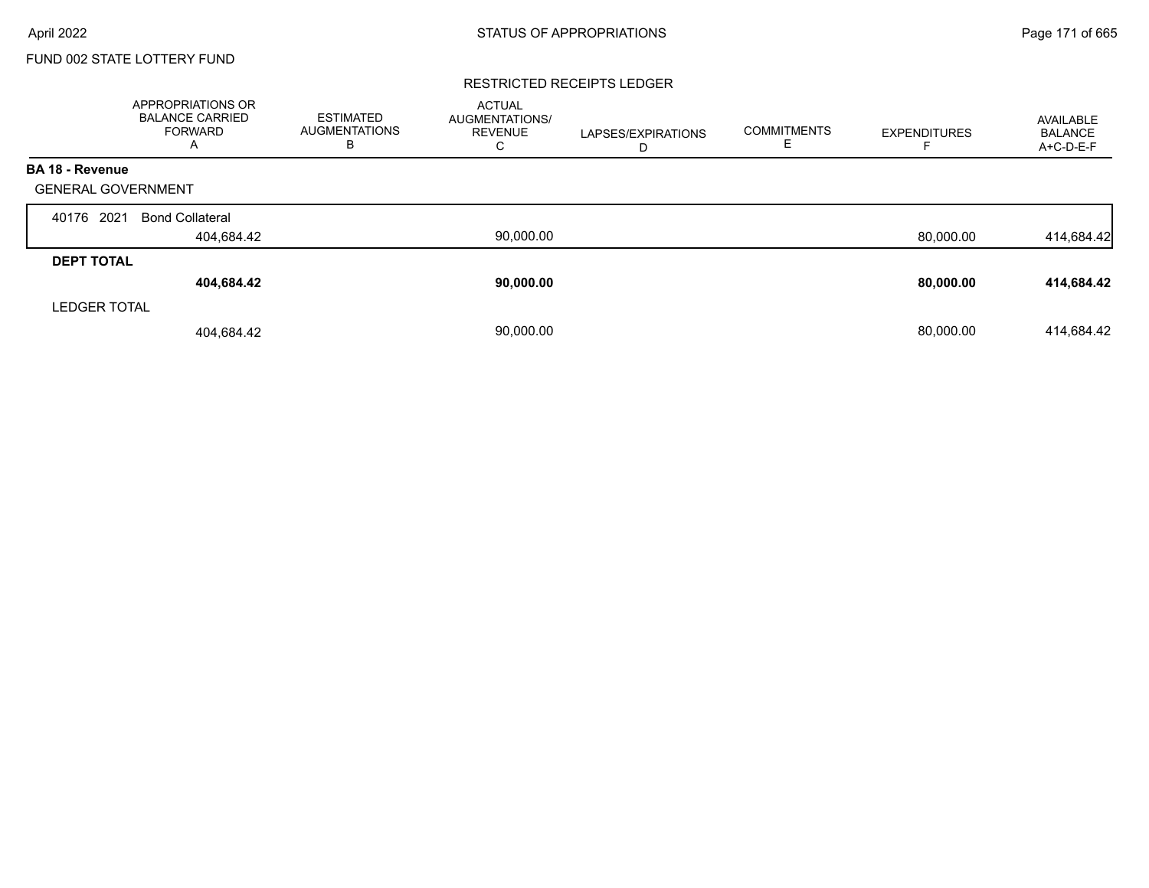#### RESTRICTED RECEIPTS LEDGER

|                           | <b>APPROPRIATIONS OR</b><br><b>BALANCE CARRIED</b><br><b>FORWARD</b><br>A | <b>ESTIMATED</b><br><b>AUGMENTATIONS</b><br>в | <b>ACTUAL</b><br><b>AUGMENTATIONS/</b><br><b>REVENUE</b><br>С | LAPSES/EXPIRATIONS<br>D | <b>COMMITMENTS</b><br>╘ | <b>EXPENDITURES</b> | AVAILABLE<br><b>BALANCE</b><br>A+C-D-E-F |
|---------------------------|---------------------------------------------------------------------------|-----------------------------------------------|---------------------------------------------------------------|-------------------------|-------------------------|---------------------|------------------------------------------|
| <b>BA 18 - Revenue</b>    |                                                                           |                                               |                                                               |                         |                         |                     |                                          |
| <b>GENERAL GOVERNMENT</b> |                                                                           |                                               |                                                               |                         |                         |                     |                                          |
| 2021<br>40176             | <b>Bond Collateral</b>                                                    |                                               |                                                               |                         |                         |                     |                                          |
|                           | 404,684.42                                                                |                                               | 90,000.00                                                     |                         |                         | 80,000.00           | 414,684.42                               |
| <b>DEPT TOTAL</b>         |                                                                           |                                               |                                                               |                         |                         |                     |                                          |
|                           | 404,684.42                                                                |                                               | 90,000.00                                                     |                         |                         | 80,000.00           | 414,684.42                               |
| <b>LEDGER TOTAL</b>       |                                                                           |                                               |                                                               |                         |                         |                     |                                          |
|                           | 404,684.42                                                                |                                               | 90.000.00                                                     |                         |                         | 80.000.00           | 414.684.42                               |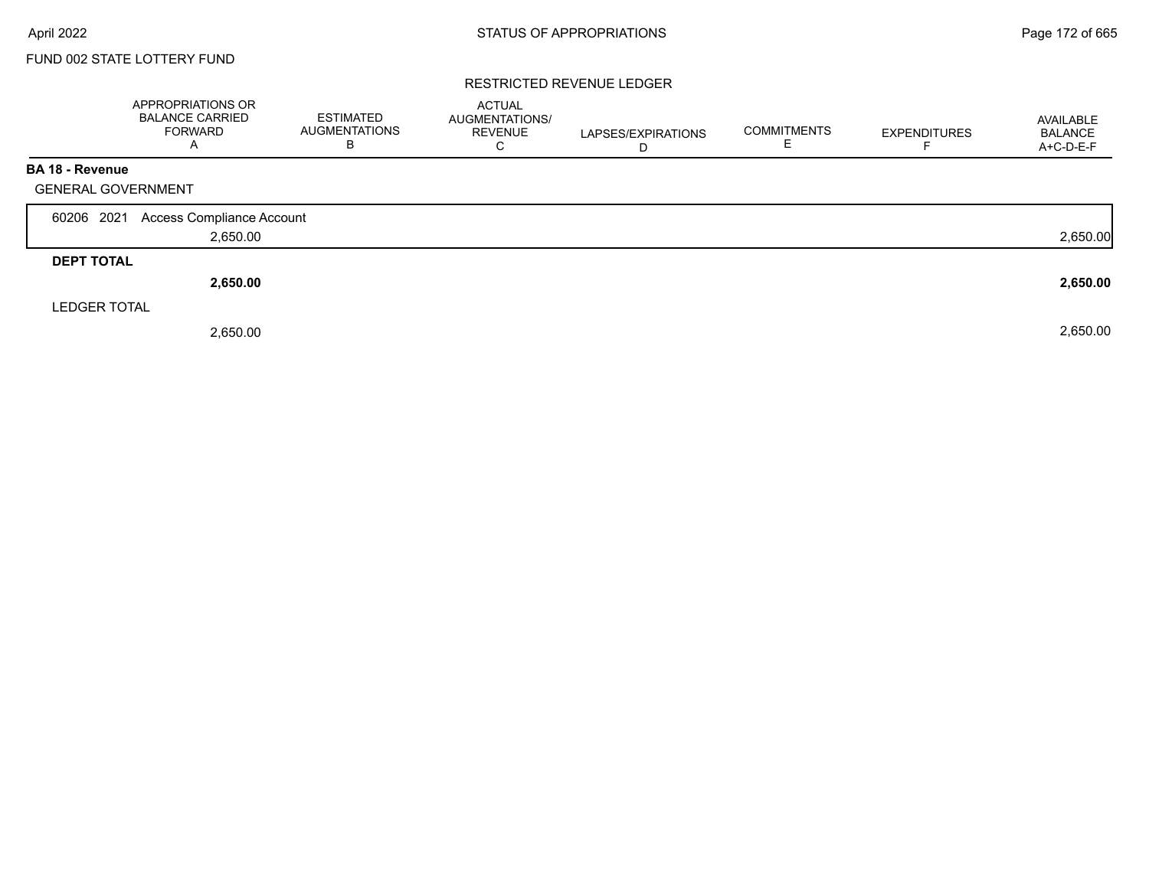#### RESTRICTED REVENUE LEDGER

|                           | APPROPRIATIONS OR<br><b>BALANCE CARRIED</b><br><b>FORWARD</b><br>$\mathsf{A}$ | <b>ESTIMATED</b><br><b>AUGMENTATIONS</b><br>В | <b>ACTUAL</b><br>AUGMENTATIONS/<br><b>REVENUE</b><br>C | LAPSES/EXPIRATIONS<br>D | <b>COMMITMENTS</b><br>Е | <b>EXPENDITURES</b> | AVAILABLE<br><b>BALANCE</b><br>A+C-D-E-F |
|---------------------------|-------------------------------------------------------------------------------|-----------------------------------------------|--------------------------------------------------------|-------------------------|-------------------------|---------------------|------------------------------------------|
| <b>BA 18 - Revenue</b>    |                                                                               |                                               |                                                        |                         |                         |                     |                                          |
| <b>GENERAL GOVERNMENT</b> |                                                                               |                                               |                                                        |                         |                         |                     |                                          |
| 60206 2021                | Access Compliance Account                                                     |                                               |                                                        |                         |                         |                     |                                          |
|                           | 2,650.00                                                                      |                                               |                                                        |                         |                         |                     | 2,650.00                                 |
| <b>DEPT TOTAL</b>         |                                                                               |                                               |                                                        |                         |                         |                     |                                          |
|                           | 2,650.00                                                                      |                                               |                                                        |                         |                         |                     | 2,650.00                                 |
| <b>LEDGER TOTAL</b>       |                                                                               |                                               |                                                        |                         |                         |                     |                                          |
|                           | 2,650.00                                                                      |                                               |                                                        |                         |                         |                     | 2,650.00                                 |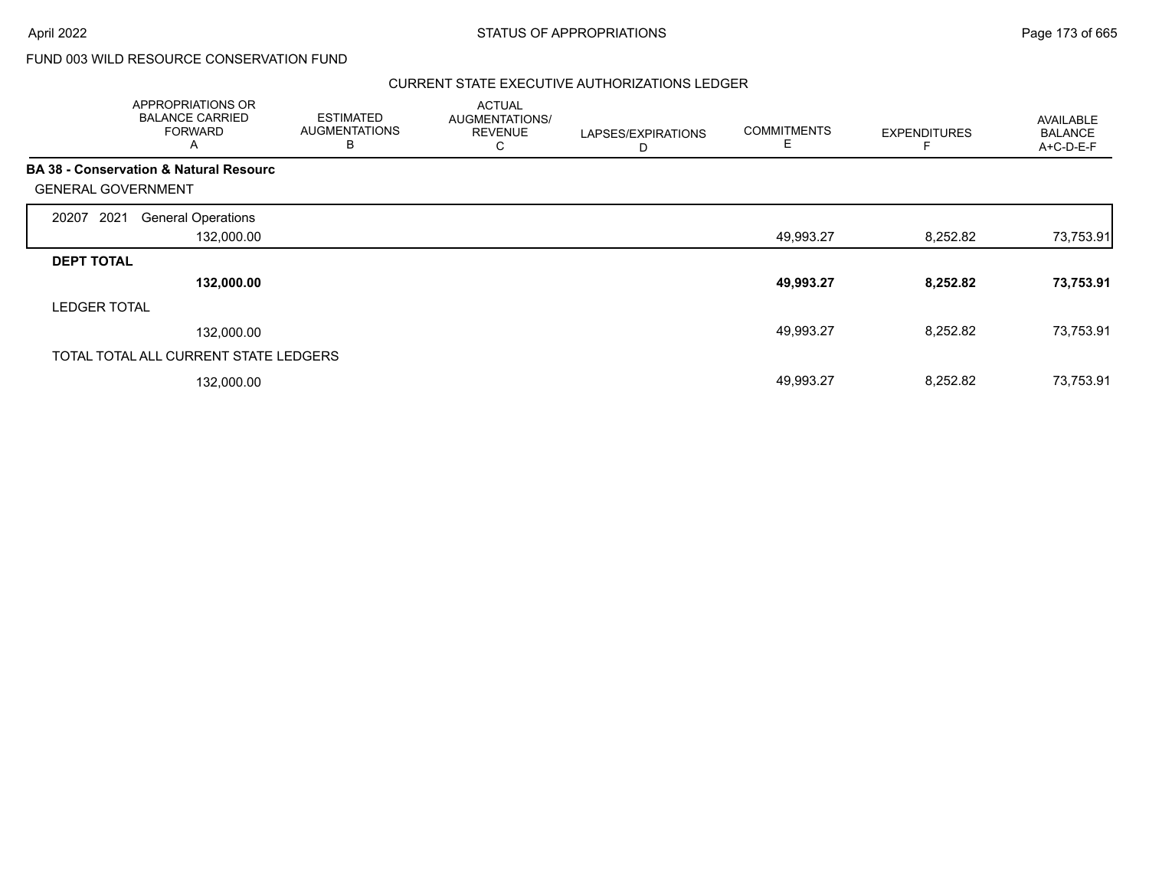# FUND 003 WILD RESOURCE CONSERVATION FUND

#### CURRENT STATE EXECUTIVE AUTHORIZATIONS LEDGER

|                           | APPROPRIATIONS OR<br><b>BALANCE CARRIED</b><br><b>FORWARD</b><br>A | <b>ESTIMATED</b><br><b>AUGMENTATIONS</b><br>B | <b>ACTUAL</b><br>AUGMENTATIONS/<br><b>REVENUE</b><br>С | LAPSES/EXPIRATIONS<br>D | <b>COMMITMENTS</b><br>E | <b>EXPENDITURES</b> | AVAILABLE<br><b>BALANCE</b><br>$A+C-D-E-F$ |
|---------------------------|--------------------------------------------------------------------|-----------------------------------------------|--------------------------------------------------------|-------------------------|-------------------------|---------------------|--------------------------------------------|
|                           | <b>BA 38 - Conservation &amp; Natural Resourc</b>                  |                                               |                                                        |                         |                         |                     |                                            |
| <b>GENERAL GOVERNMENT</b> |                                                                    |                                               |                                                        |                         |                         |                     |                                            |
| 2021<br>20207             | <b>General Operations</b>                                          |                                               |                                                        |                         |                         |                     |                                            |
|                           | 132,000.00                                                         |                                               |                                                        |                         | 49,993.27               | 8,252.82            | 73,753.91                                  |
| <b>DEPT TOTAL</b>         |                                                                    |                                               |                                                        |                         |                         |                     |                                            |
|                           | 132,000.00                                                         |                                               |                                                        |                         | 49,993.27               | 8,252.82            | 73,753.91                                  |
| <b>LEDGER TOTAL</b>       |                                                                    |                                               |                                                        |                         |                         |                     |                                            |
|                           | 132,000.00                                                         |                                               |                                                        |                         | 49,993.27               | 8,252.82            | 73,753.91                                  |
|                           | TOTAL TOTAL ALL CURRENT STATE LEDGERS                              |                                               |                                                        |                         |                         |                     |                                            |
|                           | 132,000.00                                                         |                                               |                                                        |                         | 49,993.27               | 8,252.82            | 73,753.91                                  |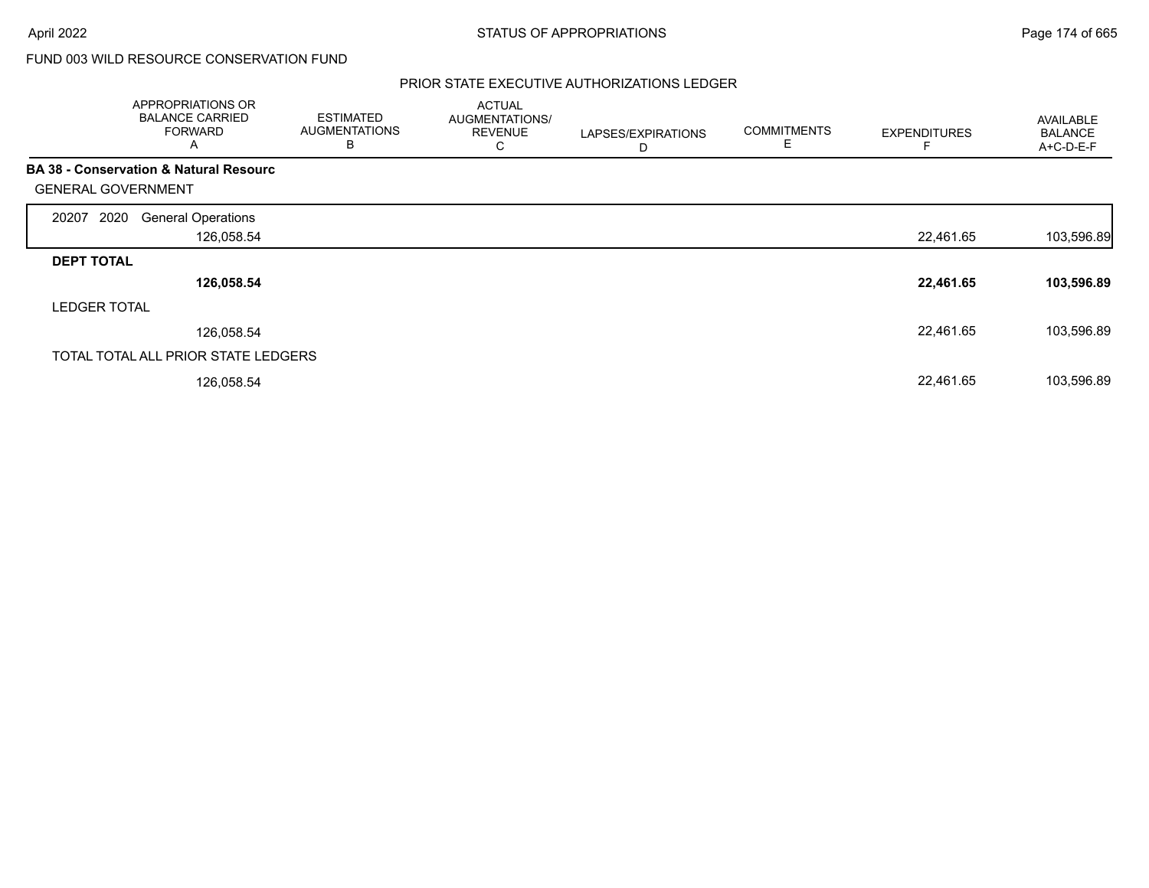# FUND 003 WILD RESOURCE CONSERVATION FUND

#### PRIOR STATE EXECUTIVE AUTHORIZATIONS LEDGER

|                           | APPROPRIATIONS OR<br><b>BALANCE CARRIED</b><br><b>FORWARD</b><br>A | <b>ESTIMATED</b><br><b>AUGMENTATIONS</b><br>в | <b>ACTUAL</b><br>AUGMENTATIONS/<br><b>REVENUE</b><br>С | LAPSES/EXPIRATIONS<br>D | <b>COMMITMENTS</b><br>E | <b>EXPENDITURES</b> | AVAILABLE<br><b>BALANCE</b><br>A+C-D-E-F |
|---------------------------|--------------------------------------------------------------------|-----------------------------------------------|--------------------------------------------------------|-------------------------|-------------------------|---------------------|------------------------------------------|
|                           | <b>BA 38 - Conservation &amp; Natural Resourc</b>                  |                                               |                                                        |                         |                         |                     |                                          |
| <b>GENERAL GOVERNMENT</b> |                                                                    |                                               |                                                        |                         |                         |                     |                                          |
| 2020<br>20207             | <b>General Operations</b>                                          |                                               |                                                        |                         |                         |                     |                                          |
|                           | 126,058.54                                                         |                                               |                                                        |                         |                         | 22,461.65           | 103,596.89                               |
| <b>DEPT TOTAL</b>         |                                                                    |                                               |                                                        |                         |                         |                     |                                          |
|                           | 126,058.54                                                         |                                               |                                                        |                         |                         | 22,461.65           | 103,596.89                               |
| <b>LEDGER TOTAL</b>       |                                                                    |                                               |                                                        |                         |                         |                     |                                          |
|                           | 126,058.54                                                         |                                               |                                                        |                         |                         | 22,461.65           | 103,596.89                               |
|                           | TOTAL TOTAL ALL PRIOR STATE LEDGERS                                |                                               |                                                        |                         |                         |                     |                                          |
|                           | 126,058.54                                                         |                                               |                                                        |                         |                         | 22,461.65           | 103,596.89                               |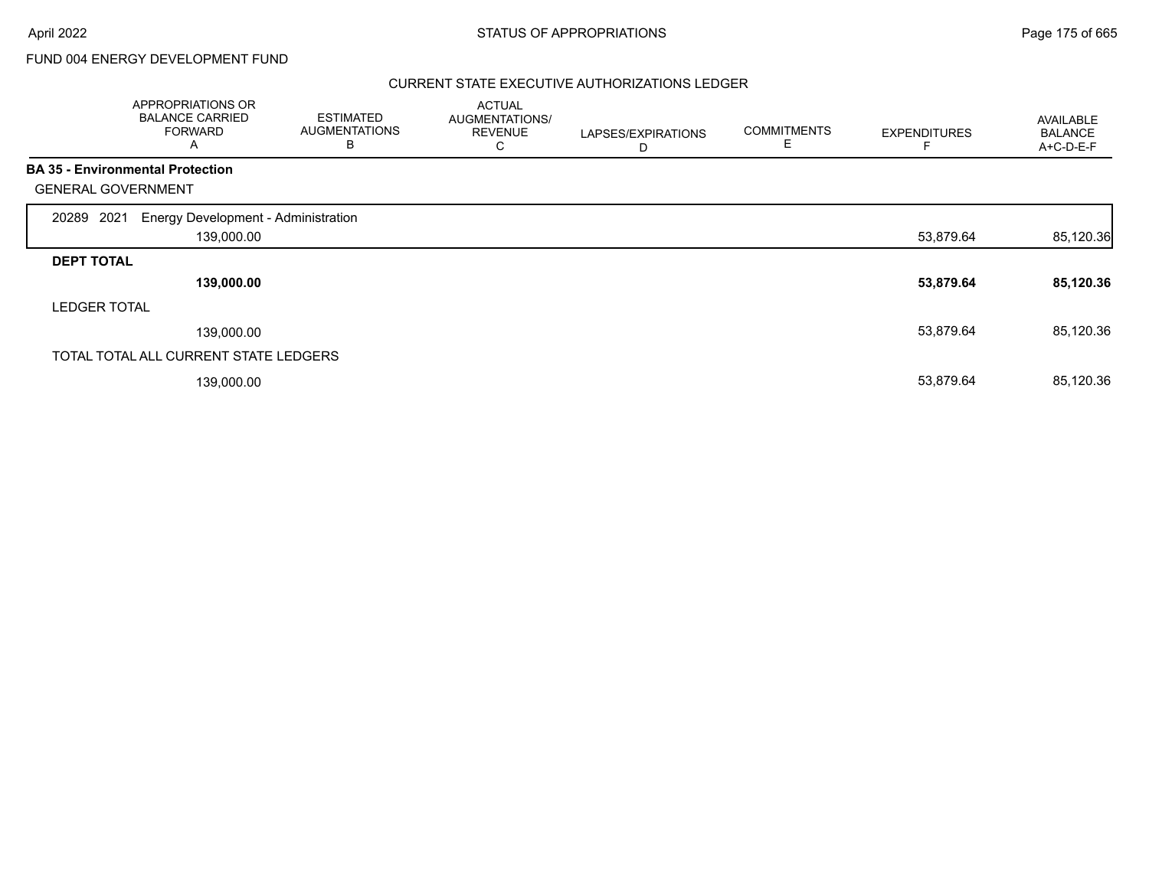# FUND 004 ENERGY DEVELOPMENT FUND

#### CURRENT STATE EXECUTIVE AUTHORIZATIONS LEDGER

|                           | APPROPRIATIONS OR<br><b>BALANCE CARRIED</b><br><b>FORWARD</b><br>A | <b>ESTIMATED</b><br><b>AUGMENTATIONS</b><br>в | <b>ACTUAL</b><br>AUGMENTATIONS/<br><b>REVENUE</b><br>С | LAPSES/EXPIRATIONS<br>D | <b>COMMITMENTS</b><br>Е | <b>EXPENDITURES</b> | AVAILABLE<br><b>BALANCE</b><br>A+C-D-E-F |
|---------------------------|--------------------------------------------------------------------|-----------------------------------------------|--------------------------------------------------------|-------------------------|-------------------------|---------------------|------------------------------------------|
|                           | <b>BA 35 - Environmental Protection</b>                            |                                               |                                                        |                         |                         |                     |                                          |
| <b>GENERAL GOVERNMENT</b> |                                                                    |                                               |                                                        |                         |                         |                     |                                          |
| 2021<br>20289             | Energy Development - Administration                                |                                               |                                                        |                         |                         |                     |                                          |
|                           | 139,000.00                                                         |                                               |                                                        |                         |                         | 53,879.64           | 85,120.36                                |
| <b>DEPT TOTAL</b>         |                                                                    |                                               |                                                        |                         |                         |                     |                                          |
|                           | 139,000.00                                                         |                                               |                                                        |                         |                         | 53,879.64           | 85,120.36                                |
| <b>LEDGER TOTAL</b>       |                                                                    |                                               |                                                        |                         |                         |                     |                                          |
|                           | 139,000.00                                                         |                                               |                                                        |                         |                         | 53,879.64           | 85,120.36                                |
|                           | TOTAL TOTAL ALL CURRENT STATE LEDGERS                              |                                               |                                                        |                         |                         |                     |                                          |
|                           | 139,000.00                                                         |                                               |                                                        |                         |                         | 53,879.64           | 85,120.36                                |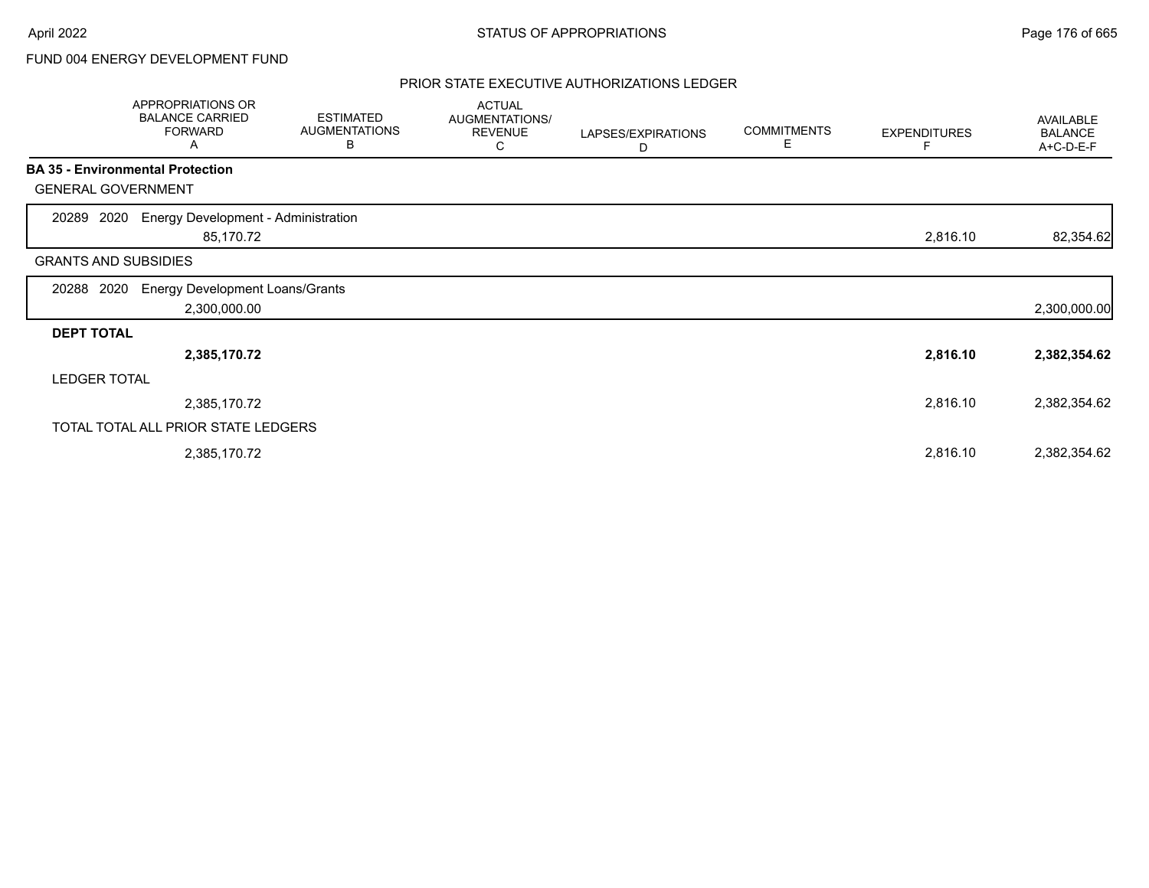# FUND 004 ENERGY DEVELOPMENT FUND

#### PRIOR STATE EXECUTIVE AUTHORIZATIONS LEDGER

|                             | <b>APPROPRIATIONS OR</b><br><b>BALANCE CARRIED</b><br><b>FORWARD</b><br>A | <b>ESTIMATED</b><br><b>AUGMENTATIONS</b><br>В | <b>ACTUAL</b><br>AUGMENTATIONS/<br><b>REVENUE</b><br>С | LAPSES/EXPIRATIONS<br>D | <b>COMMITMENTS</b><br>Е | <b>EXPENDITURES</b><br>F | AVAILABLE<br><b>BALANCE</b><br>A+C-D-E-F |
|-----------------------------|---------------------------------------------------------------------------|-----------------------------------------------|--------------------------------------------------------|-------------------------|-------------------------|--------------------------|------------------------------------------|
|                             | <b>BA 35 - Environmental Protection</b>                                   |                                               |                                                        |                         |                         |                          |                                          |
| <b>GENERAL GOVERNMENT</b>   |                                                                           |                                               |                                                        |                         |                         |                          |                                          |
| 2020<br>20289               | Energy Development - Administration<br>85,170.72                          |                                               |                                                        |                         |                         | 2,816.10                 | 82,354.62                                |
| <b>GRANTS AND SUBSIDIES</b> |                                                                           |                                               |                                                        |                         |                         |                          |                                          |
| 2020<br>20288               | <b>Energy Development Loans/Grants</b><br>2,300,000.00                    |                                               |                                                        |                         |                         |                          | 2,300,000.00                             |
| <b>DEPT TOTAL</b>           |                                                                           |                                               |                                                        |                         |                         |                          |                                          |
|                             | 2,385,170.72                                                              |                                               |                                                        |                         |                         | 2,816.10                 | 2,382,354.62                             |
| <b>LEDGER TOTAL</b>         |                                                                           |                                               |                                                        |                         |                         |                          |                                          |
|                             | 2,385,170.72                                                              |                                               |                                                        |                         |                         | 2,816.10                 | 2,382,354.62                             |
|                             | TOTAL TOTAL ALL PRIOR STATE LEDGERS                                       |                                               |                                                        |                         |                         |                          |                                          |
|                             | 2,385,170.72                                                              |                                               |                                                        |                         |                         | 2,816.10                 | 2,382,354.62                             |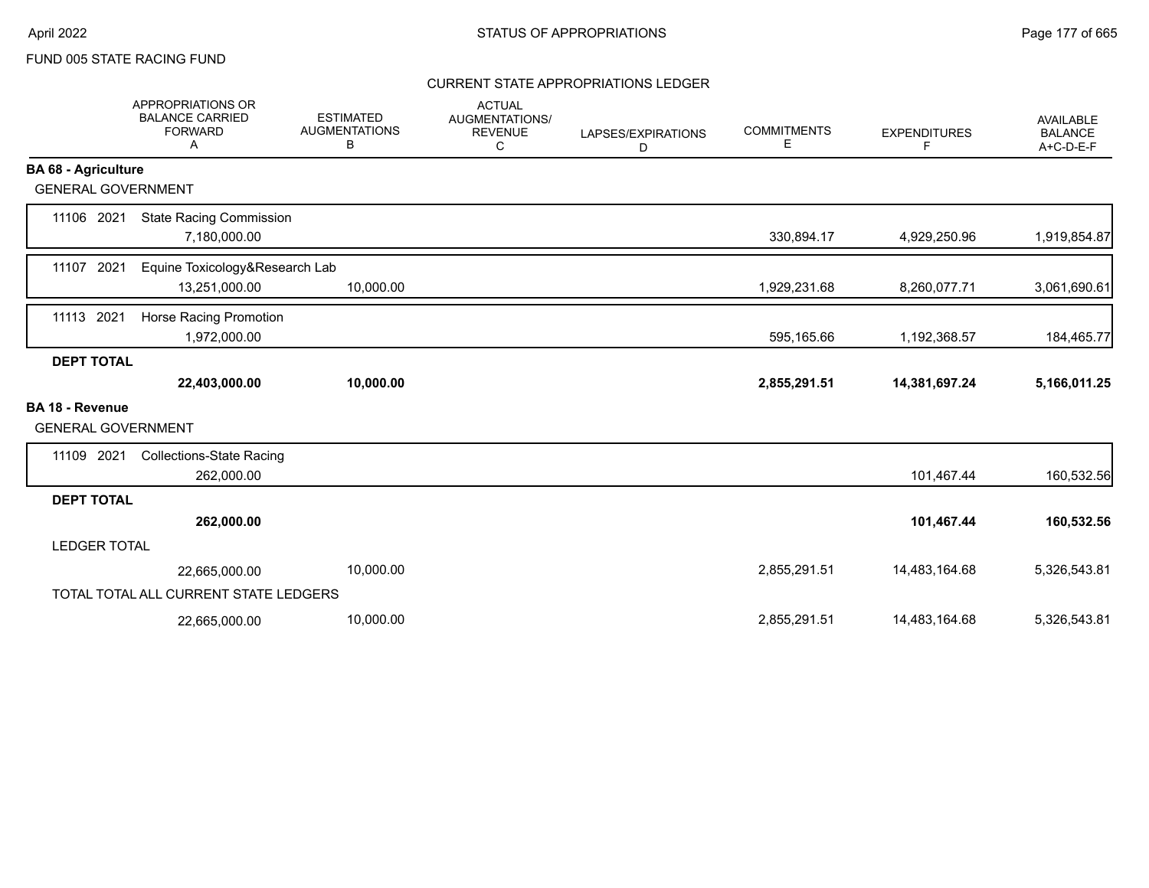#### CURRENT STATE APPROPRIATIONS LEDGER

|                                                     | <b>APPROPRIATIONS OR</b><br><b>BALANCE CARRIED</b><br><b>FORWARD</b><br>A | <b>ESTIMATED</b><br><b>AUGMENTATIONS</b><br>В | <b>ACTUAL</b><br>AUGMENTATIONS/<br><b>REVENUE</b><br>C | LAPSES/EXPIRATIONS<br>D | <b>COMMITMENTS</b><br>E | <b>EXPENDITURES</b><br>F | <b>AVAILABLE</b><br><b>BALANCE</b><br>A+C-D-E-F |
|-----------------------------------------------------|---------------------------------------------------------------------------|-----------------------------------------------|--------------------------------------------------------|-------------------------|-------------------------|--------------------------|-------------------------------------------------|
| <b>BA 68 - Agriculture</b>                          |                                                                           |                                               |                                                        |                         |                         |                          |                                                 |
| <b>GENERAL GOVERNMENT</b>                           |                                                                           |                                               |                                                        |                         |                         |                          |                                                 |
| 11106 2021                                          | <b>State Racing Commission</b><br>7,180,000.00                            |                                               |                                                        |                         | 330,894.17              | 4,929,250.96             | 1,919,854.87                                    |
| 11107 2021                                          | Equine Toxicology&Research Lab<br>13,251,000.00                           | 10,000.00                                     |                                                        |                         | 1,929,231.68            | 8,260,077.71             | 3,061,690.61                                    |
| 2021<br>11113                                       | Horse Racing Promotion<br>1,972,000.00                                    |                                               |                                                        |                         | 595,165.66              | 1,192,368.57             | 184,465.77                                      |
| <b>DEPT TOTAL</b>                                   |                                                                           |                                               |                                                        |                         |                         |                          |                                                 |
|                                                     | 22,403,000.00                                                             | 10,000.00                                     |                                                        |                         | 2,855,291.51            | 14,381,697.24            | 5,166,011.25                                    |
| <b>BA 18 - Revenue</b><br><b>GENERAL GOVERNMENT</b> |                                                                           |                                               |                                                        |                         |                         |                          |                                                 |
| 11109 2021                                          | <b>Collections-State Racing</b><br>262,000.00                             |                                               |                                                        |                         |                         | 101,467.44               | 160,532.56                                      |
| <b>DEPT TOTAL</b>                                   |                                                                           |                                               |                                                        |                         |                         |                          |                                                 |
|                                                     | 262,000.00                                                                |                                               |                                                        |                         |                         | 101,467.44               | 160,532.56                                      |
| <b>LEDGER TOTAL</b>                                 |                                                                           |                                               |                                                        |                         |                         |                          |                                                 |
|                                                     | 22,665,000.00                                                             | 10,000.00                                     |                                                        |                         | 2,855,291.51            | 14,483,164.68            | 5,326,543.81                                    |
|                                                     | TOTAL TOTAL ALL CURRENT STATE LEDGERS                                     |                                               |                                                        |                         |                         |                          |                                                 |
|                                                     | 22,665,000.00                                                             | 10,000.00                                     |                                                        |                         | 2,855,291.51            | 14,483,164.68            | 5,326,543.81                                    |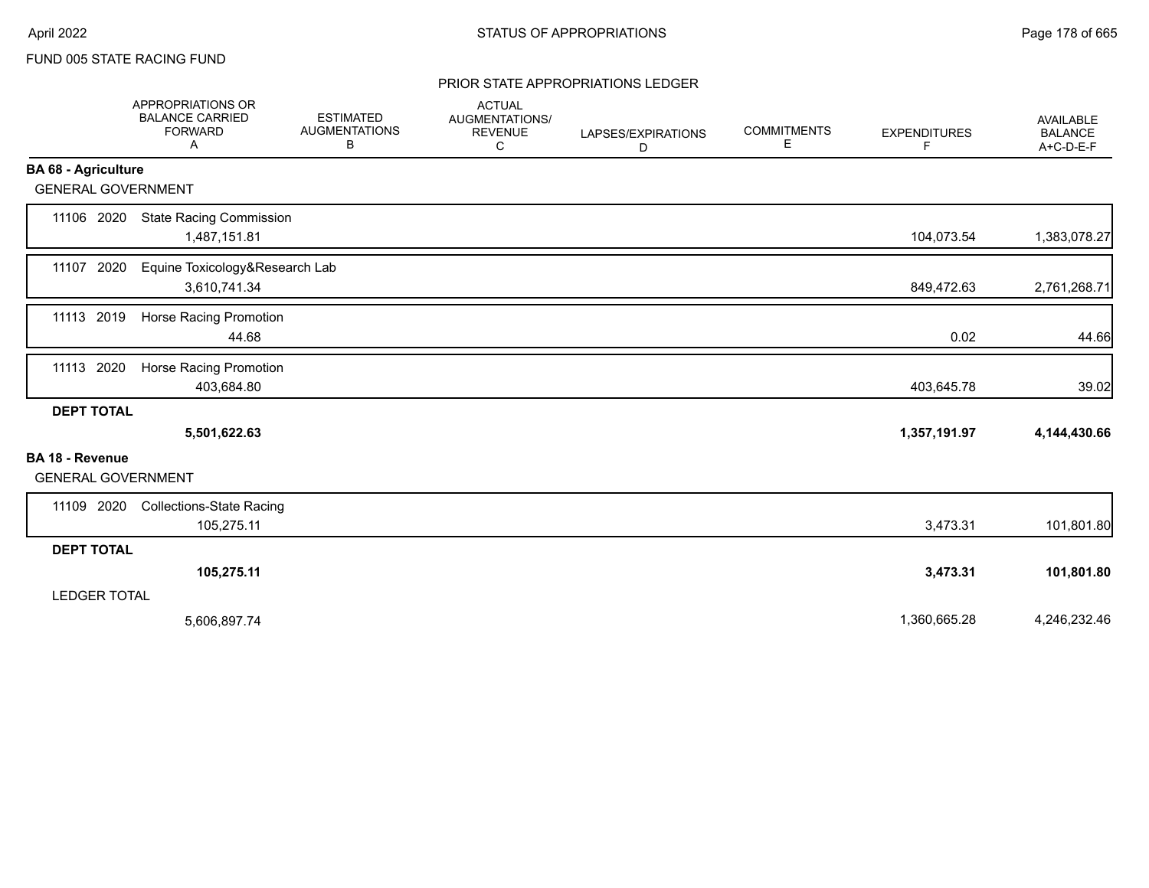#### PRIOR STATE APPROPRIATIONS LEDGER

|                                              | APPROPRIATIONS OR<br><b>BALANCE CARRIED</b><br><b>FORWARD</b><br>Α | <b>ESTIMATED</b><br><b>AUGMENTATIONS</b><br>В | <b>ACTUAL</b><br>AUGMENTATIONS/<br><b>REVENUE</b><br>C | LAPSES/EXPIRATIONS<br>D | <b>COMMITMENTS</b><br>Е | <b>EXPENDITURES</b><br>F | AVAILABLE<br><b>BALANCE</b><br>$A+C-D-E-F$ |
|----------------------------------------------|--------------------------------------------------------------------|-----------------------------------------------|--------------------------------------------------------|-------------------------|-------------------------|--------------------------|--------------------------------------------|
| <b>BA 68 - Agriculture</b>                   |                                                                    |                                               |                                                        |                         |                         |                          |                                            |
| <b>GENERAL GOVERNMENT</b>                    |                                                                    |                                               |                                                        |                         |                         |                          |                                            |
| 11106 2020                                   | <b>State Racing Commission</b><br>1,487,151.81                     |                                               |                                                        |                         |                         | 104,073.54               | 1,383,078.27                               |
| 11107 2020                                   | Equine Toxicology&Research Lab<br>3,610,741.34                     |                                               |                                                        |                         |                         | 849,472.63               | 2,761,268.71                               |
| 11113 2019                                   | <b>Horse Racing Promotion</b><br>44.68                             |                                               |                                                        |                         |                         | 0.02                     | 44.66                                      |
| 11113 2020                                   | Horse Racing Promotion<br>403,684.80                               |                                               |                                                        |                         |                         | 403,645.78               | 39.02                                      |
| <b>DEPT TOTAL</b>                            | 5,501,622.63                                                       |                                               |                                                        |                         |                         | 1,357,191.97             | 4,144,430.66                               |
| BA 18 - Revenue<br><b>GENERAL GOVERNMENT</b> |                                                                    |                                               |                                                        |                         |                         |                          |                                            |
| 11109 2020                                   | <b>Collections-State Racing</b><br>105,275.11                      |                                               |                                                        |                         |                         | 3,473.31                 | 101,801.80                                 |
| <b>DEPT TOTAL</b>                            |                                                                    |                                               |                                                        |                         |                         |                          |                                            |
|                                              | 105,275.11                                                         |                                               |                                                        |                         |                         | 3,473.31                 | 101,801.80                                 |
| <b>LEDGER TOTAL</b>                          |                                                                    |                                               |                                                        |                         |                         |                          |                                            |
|                                              | 5,606,897.74                                                       |                                               |                                                        |                         |                         | 1,360,665.28             | 4,246,232.46                               |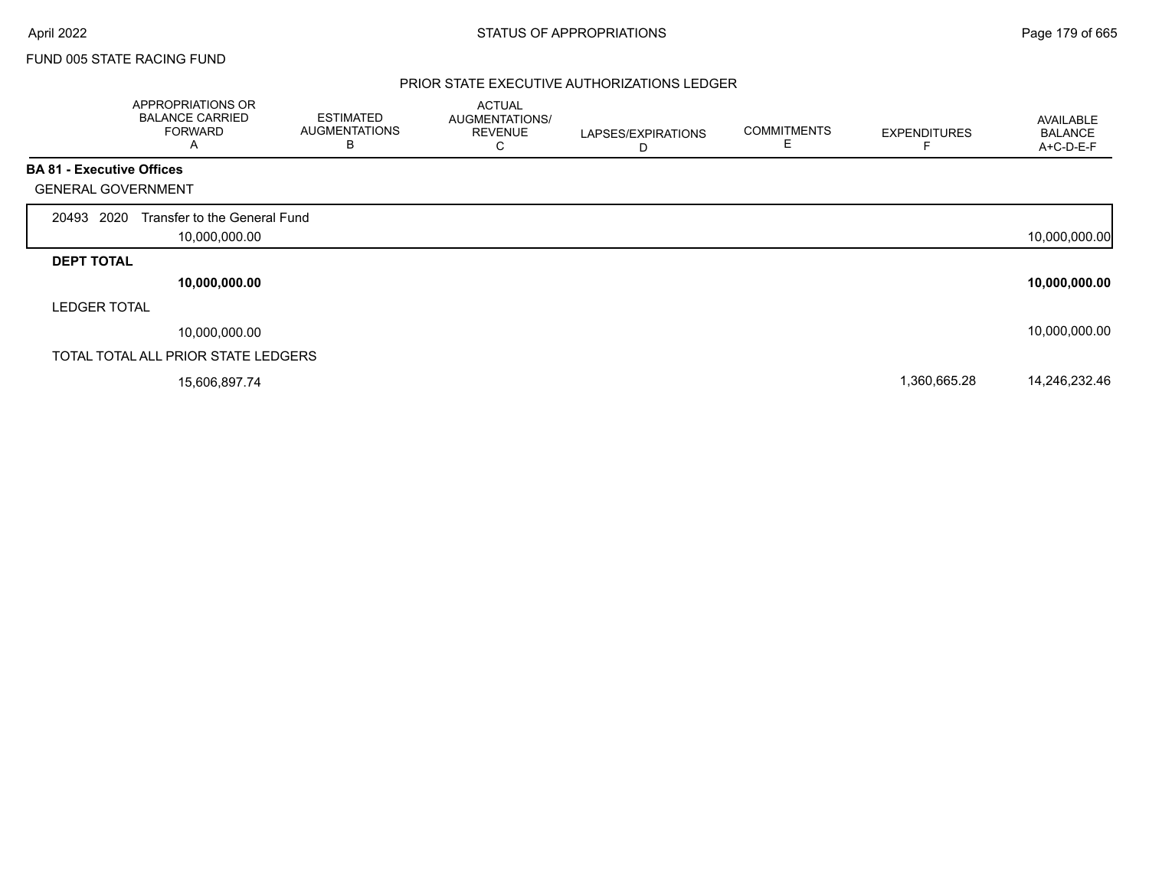#### PRIOR STATE EXECUTIVE AUTHORIZATIONS LEDGER

|                                  | APPROPRIATIONS OR<br><b>BALANCE CARRIED</b><br><b>FORWARD</b><br>A | <b>ESTIMATED</b><br><b>AUGMENTATIONS</b><br>B | <b>ACTUAL</b><br>AUGMENTATIONS/<br><b>REVENUE</b><br>◡ | LAPSES/EXPIRATIONS<br>D | <b>COMMITMENTS</b><br>Ε | <b>EXPENDITURES</b> | AVAILABLE<br><b>BALANCE</b><br>A+C-D-E-F |
|----------------------------------|--------------------------------------------------------------------|-----------------------------------------------|--------------------------------------------------------|-------------------------|-------------------------|---------------------|------------------------------------------|
| <b>BA 81 - Executive Offices</b> |                                                                    |                                               |                                                        |                         |                         |                     |                                          |
| <b>GENERAL GOVERNMENT</b>        |                                                                    |                                               |                                                        |                         |                         |                     |                                          |
| 20493 2020                       | Transfer to the General Fund<br>10,000,000.00                      |                                               |                                                        |                         |                         |                     | 10,000,000.00                            |
| <b>DEPT TOTAL</b>                |                                                                    |                                               |                                                        |                         |                         |                     |                                          |
|                                  | 10,000,000.00                                                      |                                               |                                                        |                         |                         |                     | 10,000,000.00                            |
| <b>LEDGER TOTAL</b>              |                                                                    |                                               |                                                        |                         |                         |                     |                                          |
|                                  | 10,000,000.00                                                      |                                               |                                                        |                         |                         |                     | 10,000,000.00                            |
|                                  | TOTAL TOTAL ALL PRIOR STATE LEDGERS                                |                                               |                                                        |                         |                         |                     |                                          |
|                                  | 15,606,897.74                                                      |                                               |                                                        |                         |                         | 1,360,665.28        | 14,246,232.46                            |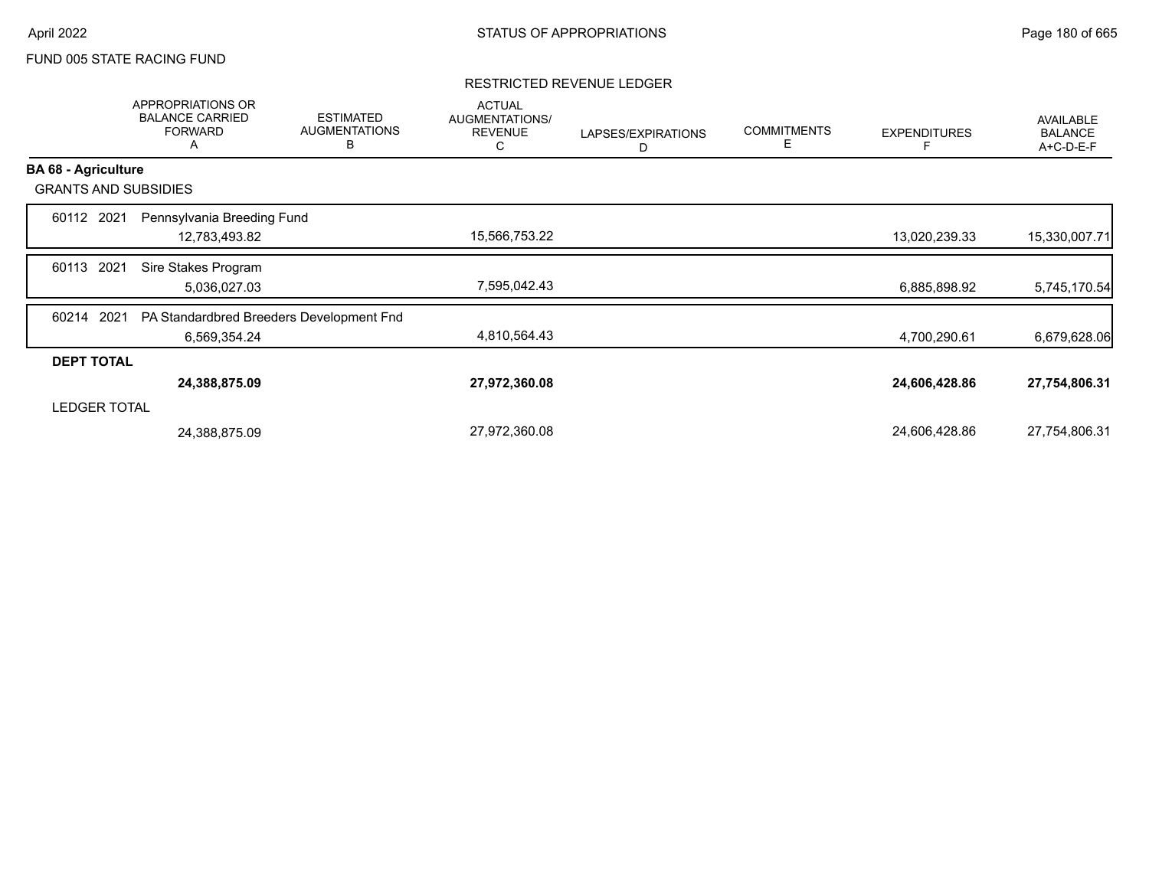#### RESTRICTED REVENUE LEDGER

|                             | APPROPRIATIONS OR<br><b>BALANCE CARRIED</b><br><b>FORWARD</b><br>A | <b>ESTIMATED</b><br><b>AUGMENTATIONS</b><br>B | <b>ACTUAL</b><br>AUGMENTATIONS/<br><b>REVENUE</b><br>С | LAPSES/EXPIRATIONS<br>D | <b>COMMITMENTS</b><br>Е | <b>EXPENDITURES</b> | <b>AVAILABLE</b><br><b>BALANCE</b><br>A+C-D-E-F |
|-----------------------------|--------------------------------------------------------------------|-----------------------------------------------|--------------------------------------------------------|-------------------------|-------------------------|---------------------|-------------------------------------------------|
| <b>BA 68 - Agriculture</b>  |                                                                    |                                               |                                                        |                         |                         |                     |                                                 |
| <b>GRANTS AND SUBSIDIES</b> |                                                                    |                                               |                                                        |                         |                         |                     |                                                 |
| 60112 2021                  | Pennsylvania Breeding Fund                                         |                                               |                                                        |                         |                         |                     |                                                 |
|                             | 12,783,493.82                                                      |                                               | 15,566,753.22                                          |                         |                         | 13,020,239.33       | 15,330,007.71                                   |
| 2021<br>60113               | Sire Stakes Program                                                |                                               |                                                        |                         |                         |                     |                                                 |
|                             | 5,036,027.03                                                       |                                               | 7,595,042.43                                           |                         |                         | 6,885,898.92        | 5,745,170.54                                    |
| 2021<br>60214               | PA Standardbred Breeders Development Fnd                           |                                               |                                                        |                         |                         |                     |                                                 |
|                             | 6,569,354.24                                                       |                                               | 4,810,564.43                                           |                         |                         | 4,700,290.61        | 6,679,628.06                                    |
| <b>DEPT TOTAL</b>           |                                                                    |                                               |                                                        |                         |                         |                     |                                                 |
|                             | 24,388,875.09                                                      |                                               | 27,972,360.08                                          |                         |                         | 24,606,428.86       | 27,754,806.31                                   |
| <b>LEDGER TOTAL</b>         |                                                                    |                                               |                                                        |                         |                         |                     |                                                 |
|                             | 24,388,875.09                                                      |                                               | 27,972,360.08                                          |                         |                         | 24,606,428.86       | 27,754,806.31                                   |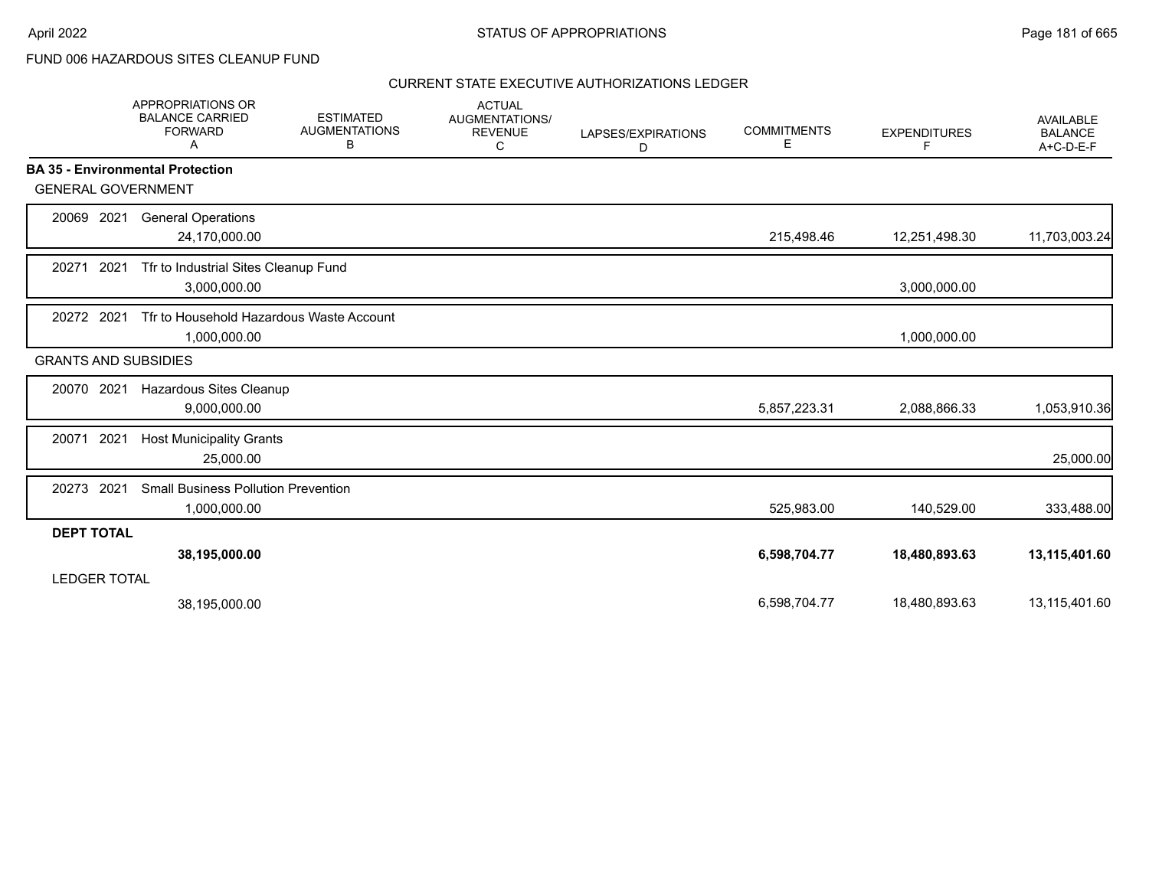FUND 006 HAZARDOUS SITES CLEANUP FUND

|                   | APPROPRIATIONS OR<br><b>BALANCE CARRIED</b><br><b>FORWARD</b><br>A | <b>ESTIMATED</b><br><b>AUGMENTATIONS</b><br>В | <b>ACTUAL</b><br>AUGMENTATIONS/<br><b>REVENUE</b><br>C | LAPSES/EXPIRATIONS<br>D | <b>COMMITMENTS</b><br>Е | <b>EXPENDITURES</b><br>F | <b>AVAILABLE</b><br><b>BALANCE</b><br>A+C-D-E-F |
|-------------------|--------------------------------------------------------------------|-----------------------------------------------|--------------------------------------------------------|-------------------------|-------------------------|--------------------------|-------------------------------------------------|
|                   | <b>BA 35 - Environmental Protection</b>                            |                                               |                                                        |                         |                         |                          |                                                 |
|                   | <b>GENERAL GOVERNMENT</b>                                          |                                               |                                                        |                         |                         |                          |                                                 |
| 20069             | 2021<br><b>General Operations</b><br>24,170,000.00                 |                                               |                                                        |                         | 215,498.46              | 12,251,498.30            | 11,703,003.24                                   |
| 20271             | 2021<br>Tfr to Industrial Sites Cleanup Fund<br>3,000,000.00       |                                               |                                                        |                         |                         | 3,000,000.00             |                                                 |
| 20272 2021        | 1,000,000.00                                                       | Tfr to Household Hazardous Waste Account      |                                                        |                         |                         | 1,000,000.00             |                                                 |
|                   | <b>GRANTS AND SUBSIDIES</b>                                        |                                               |                                                        |                         |                         |                          |                                                 |
| 20070 2021        | Hazardous Sites Cleanup<br>9,000,000.00                            |                                               |                                                        |                         | 5,857,223.31            | 2,088,866.33             | 1,053,910.36                                    |
| 20071             | 2021<br><b>Host Municipality Grants</b><br>25,000.00               |                                               |                                                        |                         |                         |                          | 25,000.00                                       |
| 20273             | 2021<br><b>Small Business Pollution Prevention</b><br>1,000,000.00 |                                               |                                                        |                         | 525,983.00              | 140,529.00               | 333,488.00                                      |
| <b>DEPT TOTAL</b> |                                                                    |                                               |                                                        |                         |                         |                          |                                                 |
|                   | 38,195,000.00<br><b>LEDGER TOTAL</b>                               |                                               |                                                        |                         | 6,598,704.77            | 18,480,893.63            | 13,115,401.60                                   |
|                   | 38,195,000.00                                                      |                                               |                                                        |                         | 6,598,704.77            | 18,480,893.63            | 13,115,401.60                                   |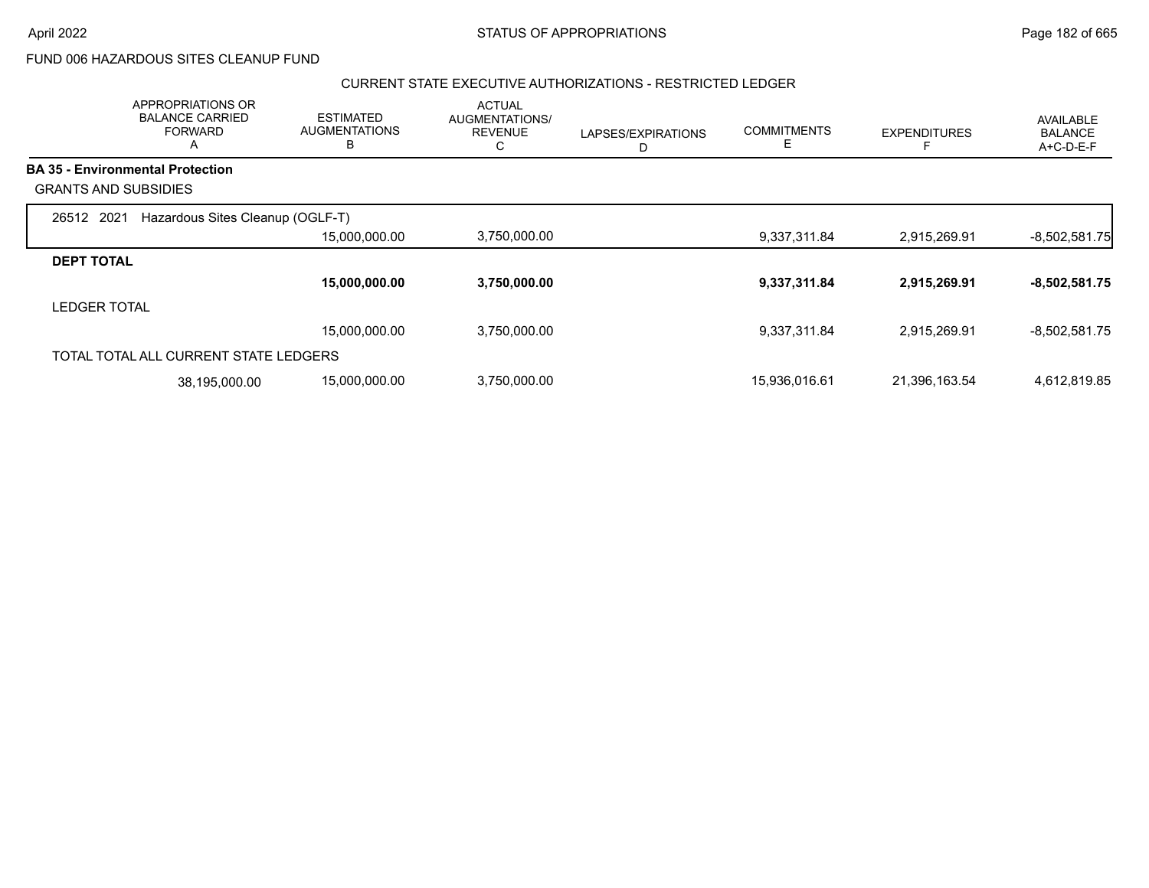FUND 006 HAZARDOUS SITES CLEANUP FUND

#### CURRENT STATE EXECUTIVE AUTHORIZATIONS - RESTRICTED LEDGER

|                             | <b>APPROPRIATIONS OR</b><br><b>BALANCE CARRIED</b><br><b>FORWARD</b><br>$\mathsf{\Lambda}{}$ | <b>ESTIMATED</b><br><b>AUGMENTATIONS</b><br>в | <b>ACTUAL</b><br>AUGMENTATIONS/<br><b>REVENUE</b><br>С | LAPSES/EXPIRATIONS | <b>COMMITMENTS</b><br>Е | <b>EXPENDITURES</b> | <b>AVAILABLE</b><br><b>BALANCE</b><br>A+C-D-E-F |
|-----------------------------|----------------------------------------------------------------------------------------------|-----------------------------------------------|--------------------------------------------------------|--------------------|-------------------------|---------------------|-------------------------------------------------|
|                             | <b>BA 35 - Environmental Protection</b>                                                      |                                               |                                                        |                    |                         |                     |                                                 |
| <b>GRANTS AND SUBSIDIES</b> |                                                                                              |                                               |                                                        |                    |                         |                     |                                                 |
| 26512 2021                  | Hazardous Sites Cleanup (OGLF-T)                                                             |                                               |                                                        |                    |                         |                     |                                                 |
|                             |                                                                                              | 15,000,000.00                                 | 3,750,000.00                                           |                    | 9,337,311.84            | 2,915,269.91        | $-8,502,581.75$                                 |
| <b>DEPT TOTAL</b>           |                                                                                              |                                               |                                                        |                    |                         |                     |                                                 |
|                             |                                                                                              | 15,000,000.00                                 | 3,750,000.00                                           |                    | 9,337,311.84            | 2,915,269.91        | $-8,502,581.75$                                 |
| <b>LEDGER TOTAL</b>         |                                                                                              |                                               |                                                        |                    |                         |                     |                                                 |
|                             |                                                                                              | 15,000,000.00                                 | 3,750,000.00                                           |                    | 9,337,311.84            | 2,915,269.91        | $-8,502,581.75$                                 |
|                             | TOTAL TOTAL ALL CURRENT STATE LEDGERS                                                        |                                               |                                                        |                    |                         |                     |                                                 |
|                             | 38,195,000.00                                                                                | 15,000,000.00                                 | 3,750,000.00                                           |                    | 15,936,016.61           | 21,396,163.54       | 4,612,819.85                                    |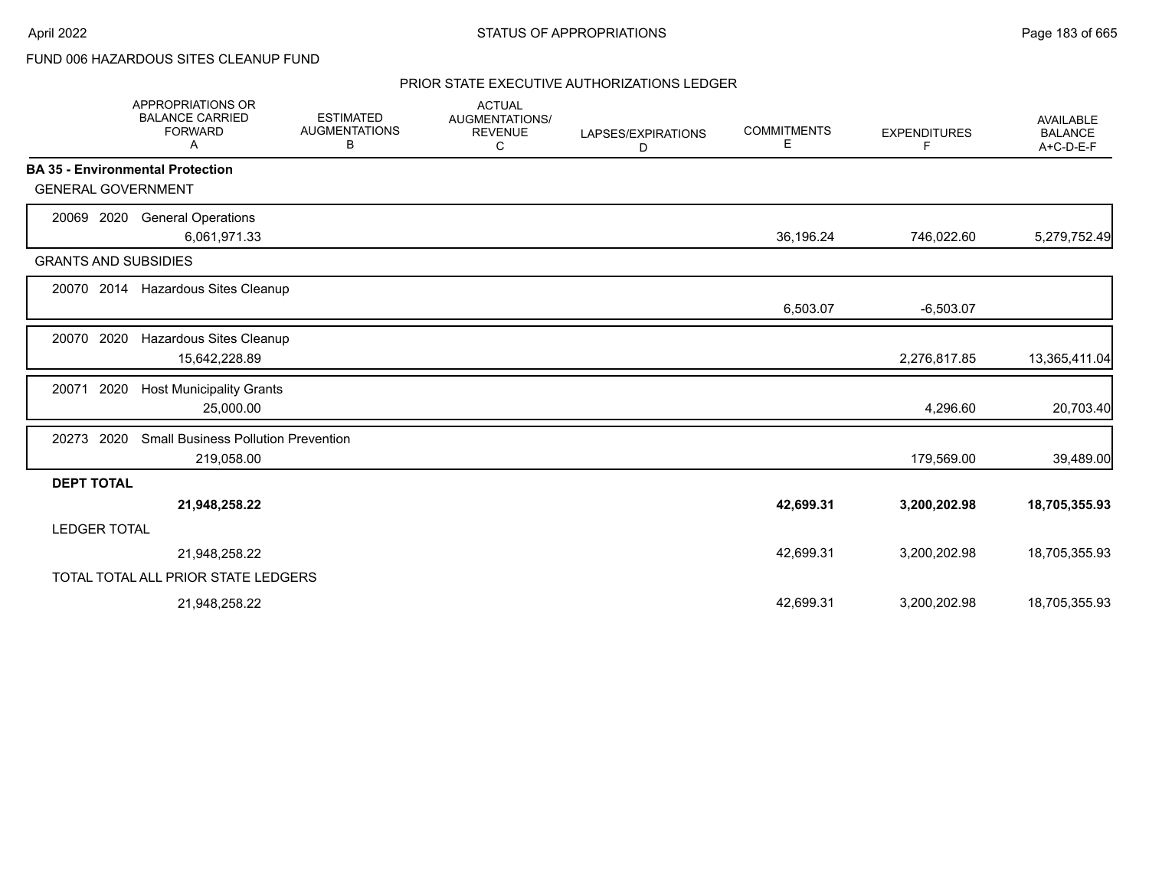# FUND 006 HAZARDOUS SITES CLEANUP FUND

|                             | <b>APPROPRIATIONS OR</b><br><b>BALANCE CARRIED</b><br><b>FORWARD</b><br>A | <b>ESTIMATED</b><br><b>AUGMENTATIONS</b><br>В | <b>ACTUAL</b><br>AUGMENTATIONS/<br><b>REVENUE</b><br>С | LAPSES/EXPIRATIONS<br>D | <b>COMMITMENTS</b><br>E | <b>EXPENDITURES</b><br>F | <b>AVAILABLE</b><br><b>BALANCE</b><br>$A+C-D-E-F$ |
|-----------------------------|---------------------------------------------------------------------------|-----------------------------------------------|--------------------------------------------------------|-------------------------|-------------------------|--------------------------|---------------------------------------------------|
|                             | <b>BA 35 - Environmental Protection</b>                                   |                                               |                                                        |                         |                         |                          |                                                   |
| <b>GENERAL GOVERNMENT</b>   |                                                                           |                                               |                                                        |                         |                         |                          |                                                   |
| 20069 2020                  | <b>General Operations</b>                                                 |                                               |                                                        |                         |                         |                          |                                                   |
|                             | 6,061,971.33                                                              |                                               |                                                        |                         | 36,196.24               | 746,022.60               | 5,279,752.49                                      |
| <b>GRANTS AND SUBSIDIES</b> |                                                                           |                                               |                                                        |                         |                         |                          |                                                   |
|                             | 20070 2014 Hazardous Sites Cleanup                                        |                                               |                                                        |                         |                         |                          |                                                   |
|                             |                                                                           |                                               |                                                        |                         | 6,503.07                | $-6,503.07$              |                                                   |
| 20070 2020                  | Hazardous Sites Cleanup                                                   |                                               |                                                        |                         |                         |                          |                                                   |
|                             | 15,642,228.89                                                             |                                               |                                                        |                         |                         | 2,276,817.85             | 13,365,411.04                                     |
| 2020<br>20071               | <b>Host Municipality Grants</b>                                           |                                               |                                                        |                         |                         |                          |                                                   |
|                             | 25,000.00                                                                 |                                               |                                                        |                         |                         | 4,296.60                 | 20,703.40                                         |
| 20273 2020                  | <b>Small Business Pollution Prevention</b>                                |                                               |                                                        |                         |                         |                          |                                                   |
|                             | 219,058.00                                                                |                                               |                                                        |                         |                         | 179,569.00               | 39,489.00                                         |
| <b>DEPT TOTAL</b>           |                                                                           |                                               |                                                        |                         |                         |                          |                                                   |
|                             | 21,948,258.22                                                             |                                               |                                                        |                         | 42,699.31               | 3,200,202.98             | 18,705,355.93                                     |
| <b>LEDGER TOTAL</b>         |                                                                           |                                               |                                                        |                         |                         |                          |                                                   |
|                             | 21,948,258.22                                                             |                                               |                                                        |                         | 42,699.31               | 3,200,202.98             | 18,705,355.93                                     |
|                             | TOTAL TOTAL ALL PRIOR STATE LEDGERS                                       |                                               |                                                        |                         |                         |                          |                                                   |
|                             | 21,948,258.22                                                             |                                               |                                                        |                         | 42,699.31               | 3,200,202.98             | 18,705,355.93                                     |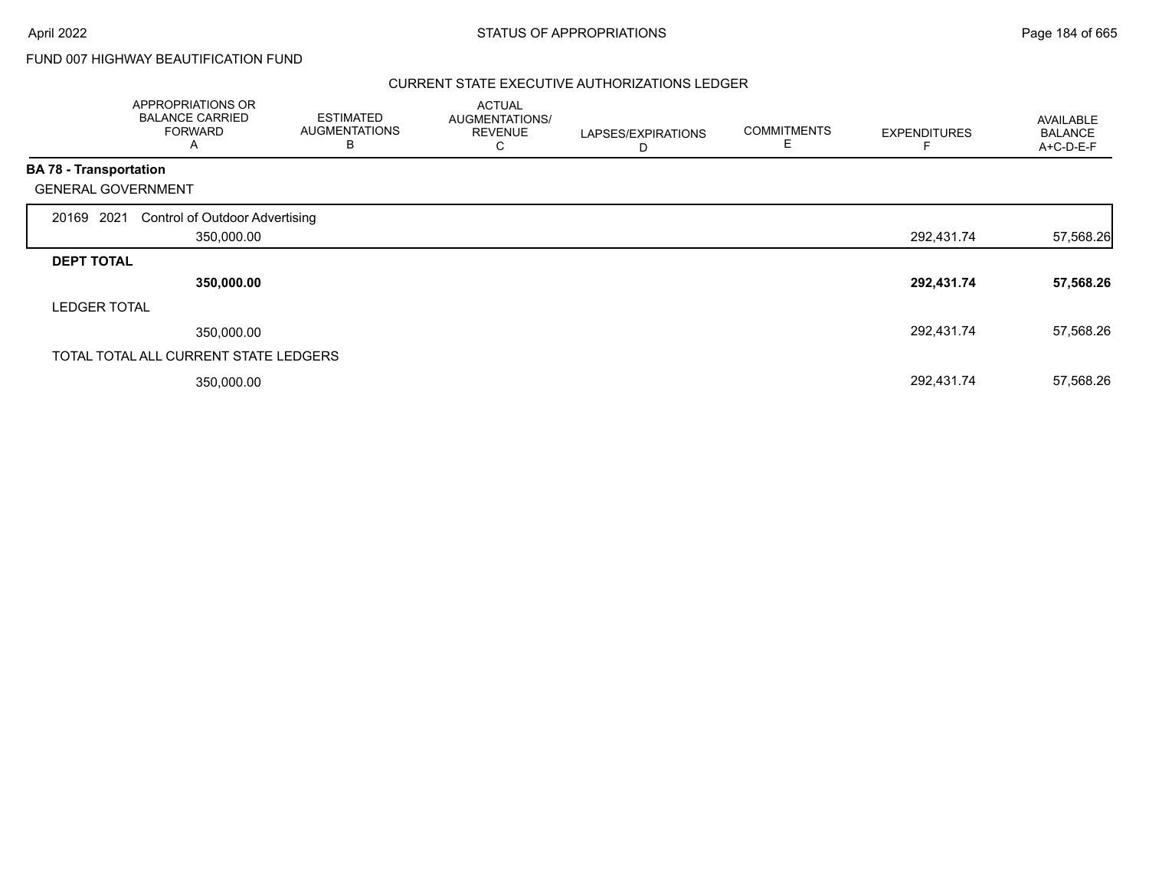# FUND 007 HIGHWAY BEAUTIFICATION FUND

|                               | APPROPRIATIONS OR<br><b>BALANCE CARRIED</b><br><b>FORWARD</b><br>A | <b>ESTIMATED</b><br><b>AUGMENTATIONS</b><br>B | <b>ACTUAL</b><br>AUGMENTATIONS/<br><b>REVENUE</b><br>С | LAPSES/EXPIRATIONS<br>D | <b>COMMITMENTS</b><br>E | <b>EXPENDITURES</b> | AVAILABLE<br><b>BALANCE</b><br>A+C-D-E-F |
|-------------------------------|--------------------------------------------------------------------|-----------------------------------------------|--------------------------------------------------------|-------------------------|-------------------------|---------------------|------------------------------------------|
| <b>BA 78 - Transportation</b> |                                                                    |                                               |                                                        |                         |                         |                     |                                          |
|                               | <b>GENERAL GOVERNMENT</b>                                          |                                               |                                                        |                         |                         |                     |                                          |
| 20169 2021                    | <b>Control of Outdoor Advertising</b>                              |                                               |                                                        |                         |                         |                     |                                          |
|                               | 350,000.00                                                         |                                               |                                                        |                         |                         | 292,431.74          | 57,568.26                                |
| <b>DEPT TOTAL</b>             |                                                                    |                                               |                                                        |                         |                         |                     |                                          |
|                               | 350,000.00                                                         |                                               |                                                        |                         |                         | 292,431.74          | 57,568.26                                |
| <b>LEDGER TOTAL</b>           |                                                                    |                                               |                                                        |                         |                         |                     |                                          |
|                               | 350,000.00                                                         |                                               |                                                        |                         |                         | 292,431.74          | 57,568.26                                |
|                               | TOTAL TOTAL ALL CURRENT STATE LEDGERS                              |                                               |                                                        |                         |                         |                     |                                          |
|                               | 350,000.00                                                         |                                               |                                                        |                         |                         | 292,431.74          | 57,568.26                                |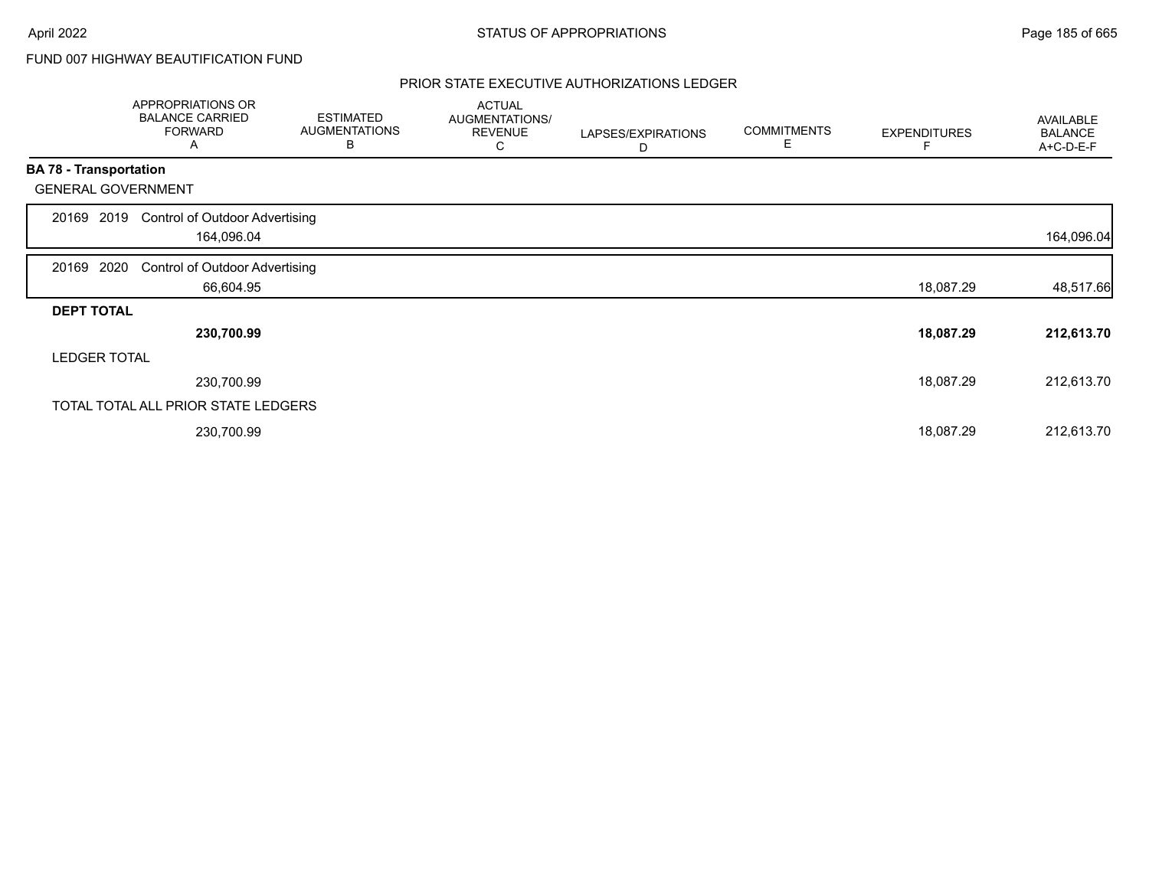# FUND 007 HIGHWAY BEAUTIFICATION FUND

|                               | APPROPRIATIONS OR<br><b>BALANCE CARRIED</b><br><b>FORWARD</b><br>Α | <b>ESTIMATED</b><br><b>AUGMENTATIONS</b><br>B | <b>ACTUAL</b><br>AUGMENTATIONS/<br><b>REVENUE</b><br>С | LAPSES/EXPIRATIONS<br>D | <b>COMMITMENTS</b><br>Е | <b>EXPENDITURES</b> | AVAILABLE<br><b>BALANCE</b><br>A+C-D-E-F |
|-------------------------------|--------------------------------------------------------------------|-----------------------------------------------|--------------------------------------------------------|-------------------------|-------------------------|---------------------|------------------------------------------|
| <b>BA 78 - Transportation</b> |                                                                    |                                               |                                                        |                         |                         |                     |                                          |
|                               | <b>GENERAL GOVERNMENT</b>                                          |                                               |                                                        |                         |                         |                     |                                          |
| 20169                         | <b>Control of Outdoor Advertising</b><br>2019                      |                                               |                                                        |                         |                         |                     |                                          |
|                               | 164,096.04                                                         |                                               |                                                        |                         |                         |                     | 164,096.04                               |
| 20169 2020                    | <b>Control of Outdoor Advertising</b>                              |                                               |                                                        |                         |                         |                     |                                          |
|                               | 66,604.95                                                          |                                               |                                                        |                         |                         | 18,087.29           | 48,517.66                                |
| <b>DEPT TOTAL</b>             |                                                                    |                                               |                                                        |                         |                         |                     |                                          |
|                               | 230,700.99                                                         |                                               |                                                        |                         |                         | 18,087.29           | 212,613.70                               |
| <b>LEDGER TOTAL</b>           |                                                                    |                                               |                                                        |                         |                         |                     |                                          |
|                               | 230,700.99                                                         |                                               |                                                        |                         |                         | 18,087.29           | 212,613.70                               |
|                               | TOTAL TOTAL ALL PRIOR STATE LEDGERS                                |                                               |                                                        |                         |                         |                     |                                          |
|                               | 230,700.99                                                         |                                               |                                                        |                         |                         | 18,087.29           | 212,613.70                               |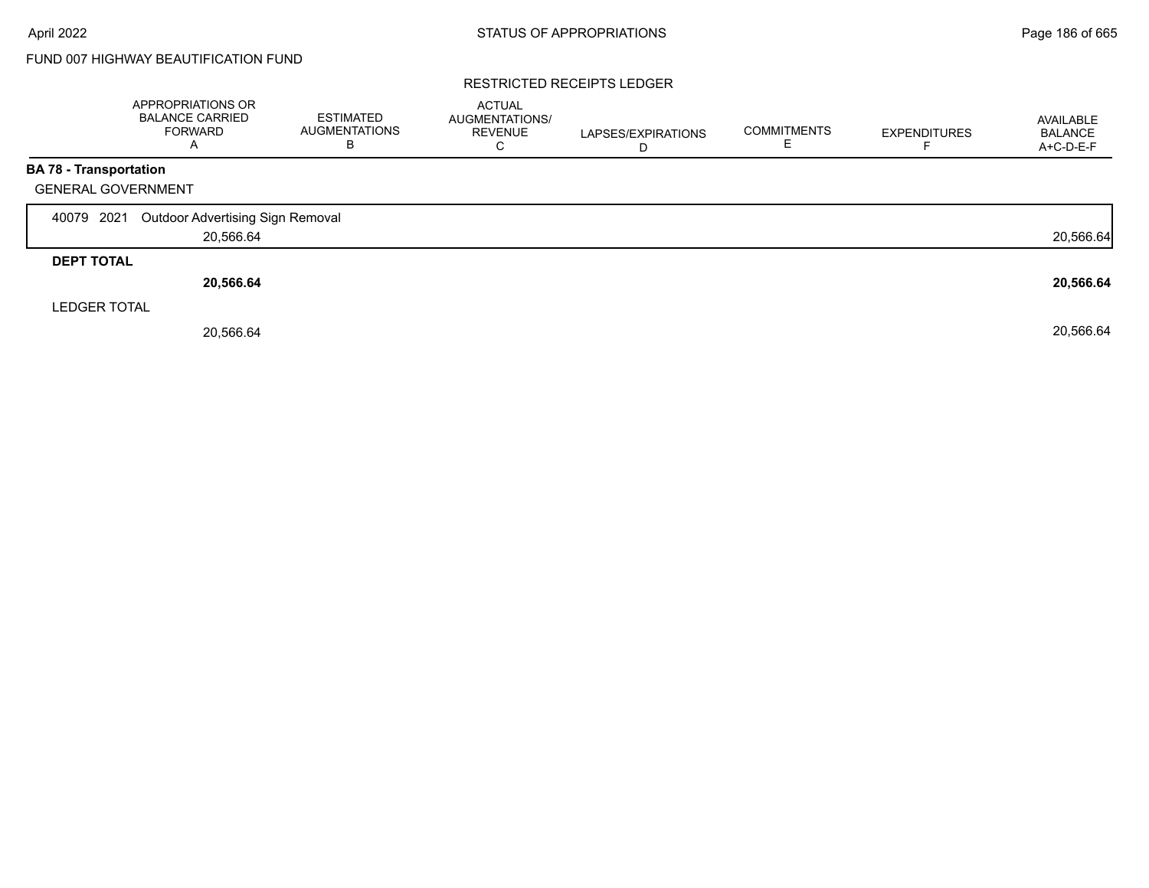# FUND 007 HIGHWAY BEAUTIFICATION FUND

#### RESTRICTED RECEIPTS LEDGER

|                               | APPROPRIATIONS OR<br><b>BALANCE CARRIED</b><br><b>FORWARD</b><br>$\mathsf{A}$ | <b>ESTIMATED</b><br><b>AUGMENTATIONS</b><br>B | <b>ACTUAL</b><br>AUGMENTATIONS/<br><b>REVENUE</b><br>С | LAPSES/EXPIRATIONS<br>D | <b>COMMITMENTS</b> | <b>EXPENDITURES</b> | AVAILABLE<br><b>BALANCE</b><br>A+C-D-E-F |
|-------------------------------|-------------------------------------------------------------------------------|-----------------------------------------------|--------------------------------------------------------|-------------------------|--------------------|---------------------|------------------------------------------|
| <b>BA 78 - Transportation</b> |                                                                               |                                               |                                                        |                         |                    |                     |                                          |
| <b>GENERAL GOVERNMENT</b>     |                                                                               |                                               |                                                        |                         |                    |                     |                                          |
| 40079 2021                    | Outdoor Advertising Sign Removal                                              |                                               |                                                        |                         |                    |                     |                                          |
|                               | 20,566.64                                                                     |                                               |                                                        |                         |                    |                     | 20,566.64                                |
| <b>DEPT TOTAL</b>             |                                                                               |                                               |                                                        |                         |                    |                     |                                          |
|                               | 20,566.64                                                                     |                                               |                                                        |                         |                    |                     | 20,566.64                                |
| <b>LEDGER TOTAL</b>           |                                                                               |                                               |                                                        |                         |                    |                     |                                          |
|                               | 20,566.64                                                                     |                                               |                                                        |                         |                    |                     | 20,566.64                                |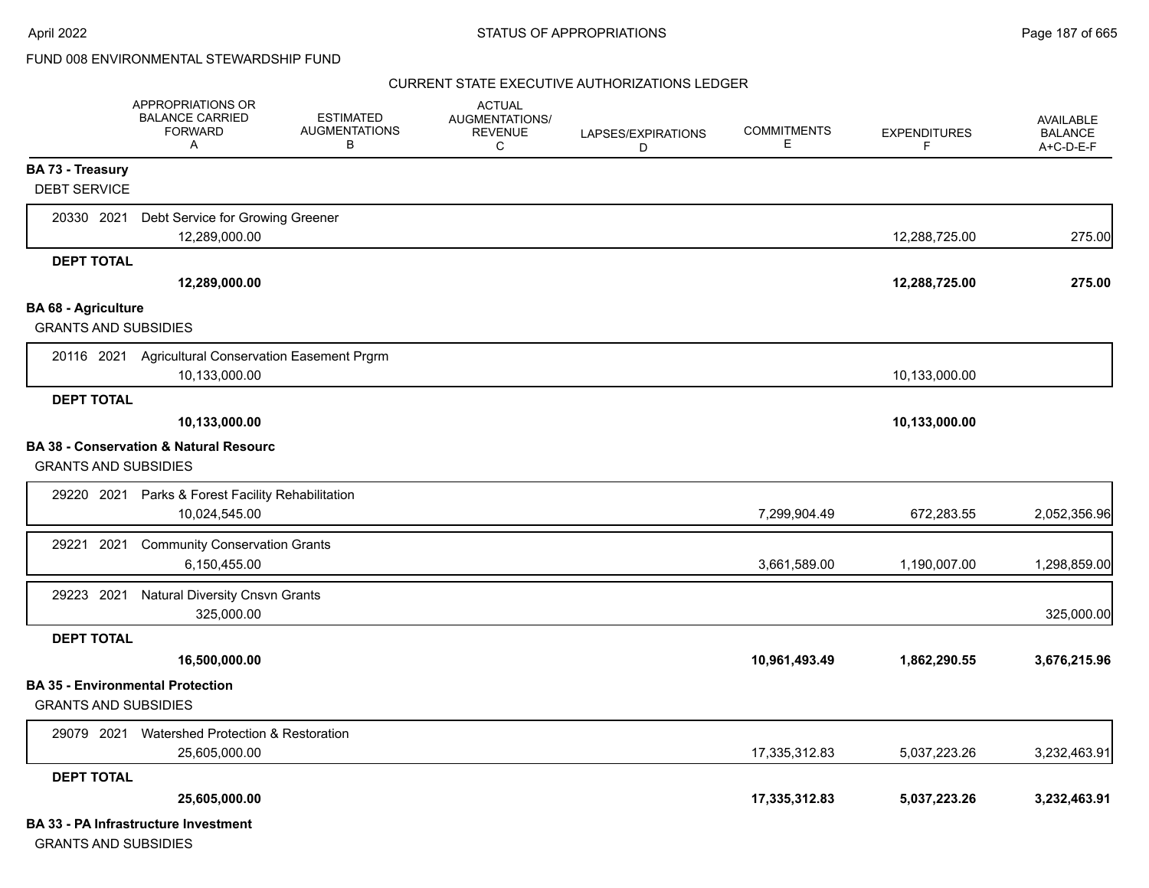|                                                           | <b>APPROPRIATIONS OR</b><br><b>BALANCE CARRIED</b><br>FORWARD<br>A   | <b>ESTIMATED</b><br><b>AUGMENTATIONS</b><br>в | <b>ACTUAL</b><br><b>AUGMENTATIONS/</b><br><b>REVENUE</b><br>С | LAPSES/EXPIRATIONS<br>D | <b>COMMITMENTS</b><br>Е | <b>EXPENDITURES</b><br>F | <b>AVAILABLE</b><br><b>BALANCE</b><br>A+C-D-E-F |
|-----------------------------------------------------------|----------------------------------------------------------------------|-----------------------------------------------|---------------------------------------------------------------|-------------------------|-------------------------|--------------------------|-------------------------------------------------|
| <b>BA 73 - Treasury</b><br><b>DEBT SERVICE</b>            |                                                                      |                                               |                                                               |                         |                         |                          |                                                 |
| 20330 2021                                                | Debt Service for Growing Greener<br>12,289,000.00                    |                                               |                                                               |                         |                         | 12,288,725.00            | 275.00                                          |
| <b>DEPT TOTAL</b>                                         | 12,289,000.00                                                        |                                               |                                                               |                         |                         | 12,288,725.00            | 275.00                                          |
| <b>BA 68 - Agriculture</b><br><b>GRANTS AND SUBSIDIES</b> |                                                                      |                                               |                                                               |                         |                         |                          |                                                 |
|                                                           | 20116 2021 Agricultural Conservation Easement Prgrm<br>10,133,000.00 |                                               |                                                               |                         |                         | 10,133,000.00            |                                                 |
| <b>DEPT TOTAL</b>                                         | 10,133,000.00                                                        |                                               |                                                               |                         |                         | 10,133,000.00            |                                                 |
| <b>GRANTS AND SUBSIDIES</b>                               | <b>BA 38 - Conservation &amp; Natural Resourc</b>                    |                                               |                                                               |                         |                         |                          |                                                 |
|                                                           | 29220 2021 Parks & Forest Facility Rehabilitation<br>10,024,545.00   |                                               |                                                               |                         | 7,299,904.49            | 672,283.55               | 2,052,356.96                                    |
| 29221<br>2021                                             | <b>Community Conservation Grants</b><br>6,150,455.00                 |                                               |                                                               |                         | 3,661,589.00            | 1,190,007.00             | 1,298,859.00                                    |
| 29223 2021                                                | <b>Natural Diversity Cnsvn Grants</b><br>325,000.00                  |                                               |                                                               |                         |                         |                          | 325,000.00                                      |
| <b>DEPT TOTAL</b>                                         | 16,500,000.00                                                        |                                               |                                                               |                         | 10,961,493.49           | 1,862,290.55             | 3,676,215.96                                    |
| <b>GRANTS AND SUBSIDIES</b>                               | <b>BA 35 - Environmental Protection</b>                              |                                               |                                                               |                         |                         |                          |                                                 |
| 29079 2021                                                | Watershed Protection & Restoration<br>25,605,000.00                  |                                               |                                                               |                         | 17,335,312.83           | 5,037,223.26             | 3,232,463.91                                    |
| <b>DEPT TOTAL</b>                                         | 25,605,000.00                                                        |                                               |                                                               |                         | 17,335,312.83           | 5,037,223.26             | 3,232,463.91                                    |
|                                                           | <b>BA 33 - PA Infrastructure Investment</b>                          |                                               |                                                               |                         |                         |                          |                                                 |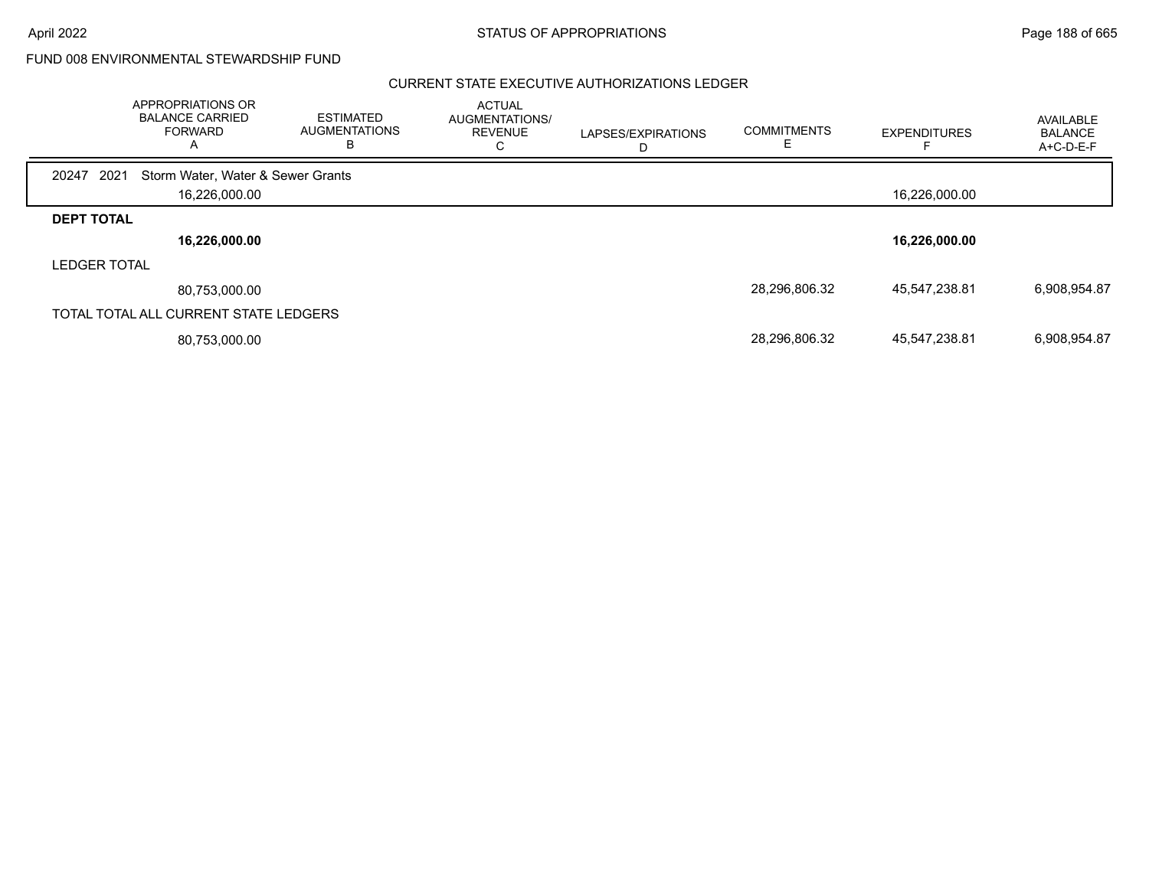April 2022 **Example 2022** Page 188 of 665

FUND 008 ENVIRONMENTAL STEWARDSHIP FUND

|                     | APPROPRIATIONS OR<br><b>BALANCE CARRIED</b><br><b>FORWARD</b><br>Α | <b>ESTIMATED</b><br><b>AUGMENTATIONS</b><br>в | <b>ACTUAL</b><br>AUGMENTATIONS/<br><b>REVENUE</b><br>U | LAPSES/EXPIRATIONS | <b>COMMITMENTS</b> | <b>EXPENDITURES</b> | AVAILABLE<br><b>BALANCE</b><br>A+C-D-E-F |
|---------------------|--------------------------------------------------------------------|-----------------------------------------------|--------------------------------------------------------|--------------------|--------------------|---------------------|------------------------------------------|
| 2021<br>20247       | Storm Water, Water & Sewer Grants                                  |                                               |                                                        |                    |                    |                     |                                          |
|                     | 16,226,000.00                                                      |                                               |                                                        |                    |                    | 16,226,000.00       |                                          |
| <b>DEPT TOTAL</b>   |                                                                    |                                               |                                                        |                    |                    |                     |                                          |
|                     | 16,226,000.00                                                      |                                               |                                                        |                    |                    | 16,226,000.00       |                                          |
| <b>LEDGER TOTAL</b> |                                                                    |                                               |                                                        |                    |                    |                     |                                          |
|                     | 80,753,000.00                                                      |                                               |                                                        |                    | 28,296,806.32      | 45,547,238.81       | 6,908,954.87                             |
|                     | TOTAL TOTAL ALL CURRENT STATE LEDGERS                              |                                               |                                                        |                    |                    |                     |                                          |
|                     | 80,753,000.00                                                      |                                               |                                                        |                    | 28,296,806.32      | 45,547,238.81       | 6,908,954.87                             |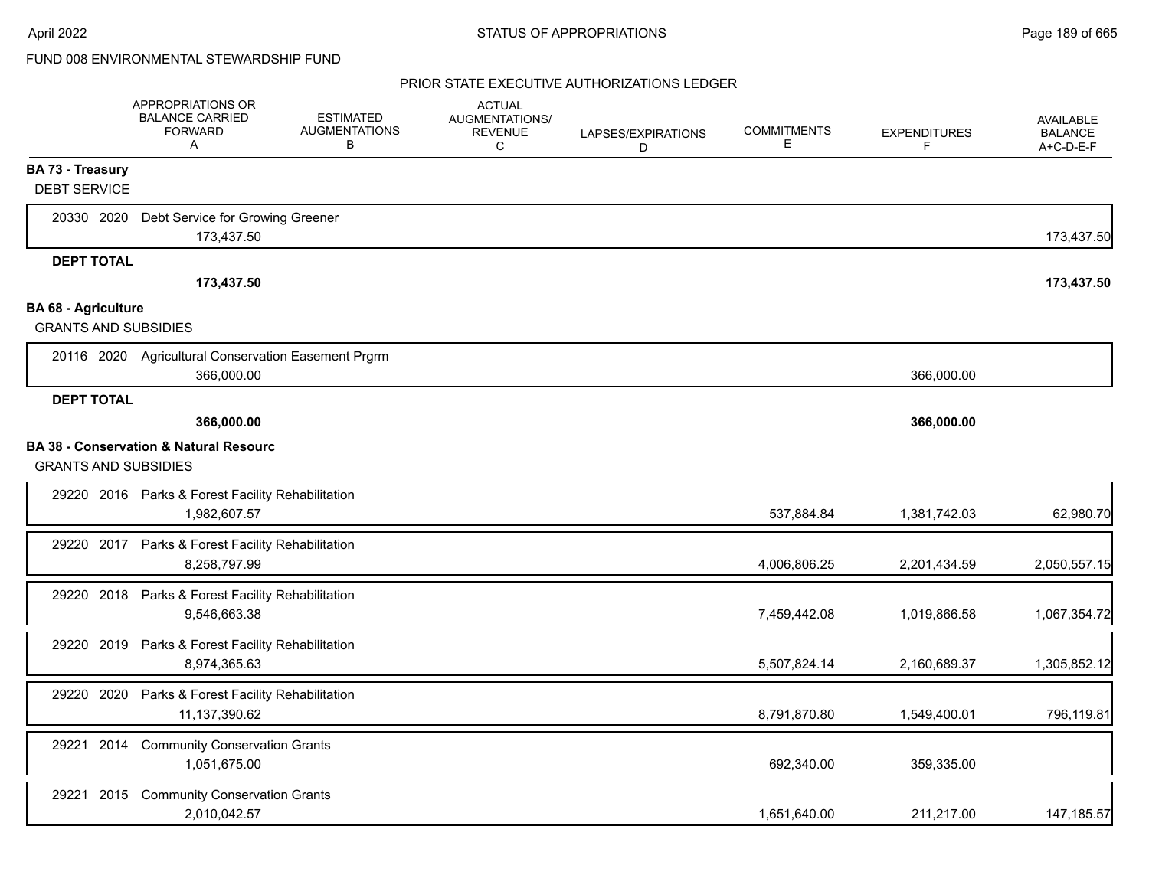|                             | <b>APPROPRIATIONS OR</b><br><b>BALANCE CARRIED</b><br><b>FORWARD</b><br>Α | <b>ESTIMATED</b><br><b>AUGMENTATIONS</b><br>В | <b>ACTUAL</b><br><b>AUGMENTATIONS/</b><br><b>REVENUE</b><br>C | LAPSES/EXPIRATIONS<br>D | <b>COMMITMENTS</b><br>Е | <b>EXPENDITURES</b><br>F | <b>AVAILABLE</b><br><b>BALANCE</b><br>$A+C-D-E-F$ |
|-----------------------------|---------------------------------------------------------------------------|-----------------------------------------------|---------------------------------------------------------------|-------------------------|-------------------------|--------------------------|---------------------------------------------------|
| <b>BA 73 - Treasury</b>     |                                                                           |                                               |                                                               |                         |                         |                          |                                                   |
| <b>DEBT SERVICE</b>         |                                                                           |                                               |                                                               |                         |                         |                          |                                                   |
| 20330 2020                  | Debt Service for Growing Greener<br>173,437.50                            |                                               |                                                               |                         |                         |                          | 173,437.50                                        |
| <b>DEPT TOTAL</b>           |                                                                           |                                               |                                                               |                         |                         |                          |                                                   |
|                             | 173,437.50                                                                |                                               |                                                               |                         |                         |                          | 173,437.50                                        |
| <b>BA 68 - Agriculture</b>  |                                                                           |                                               |                                                               |                         |                         |                          |                                                   |
| <b>GRANTS AND SUBSIDIES</b> |                                                                           |                                               |                                                               |                         |                         |                          |                                                   |
|                             | 20116 2020 Agricultural Conservation Easement Prgrm<br>366,000.00         |                                               |                                                               |                         |                         | 366,000.00               |                                                   |
| <b>DEPT TOTAL</b>           |                                                                           |                                               |                                                               |                         |                         |                          |                                                   |
|                             | 366,000.00                                                                |                                               |                                                               |                         |                         | 366,000.00               |                                                   |
|                             | <b>BA 38 - Conservation &amp; Natural Resourc</b>                         |                                               |                                                               |                         |                         |                          |                                                   |
| <b>GRANTS AND SUBSIDIES</b> |                                                                           |                                               |                                                               |                         |                         |                          |                                                   |
|                             | 29220 2016 Parks & Forest Facility Rehabilitation<br>1,982,607.57         |                                               |                                                               |                         | 537,884.84              | 1,381,742.03             | 62,980.70                                         |
|                             | 29220 2017 Parks & Forest Facility Rehabilitation<br>8,258,797.99         |                                               |                                                               |                         | 4,006,806.25            | 2,201,434.59             | 2,050,557.15                                      |
| 29220 2018                  | Parks & Forest Facility Rehabilitation                                    |                                               |                                                               |                         |                         |                          |                                                   |
|                             | 9,546,663.38                                                              |                                               |                                                               |                         | 7,459,442.08            | 1,019,866.58             | 1,067,354.72                                      |
| 29220 2019                  | Parks & Forest Facility Rehabilitation<br>8,974,365.63                    |                                               |                                                               |                         | 5,507,824.14            | 2,160,689.37             | 1,305,852.12                                      |
| 29220 2020                  | Parks & Forest Facility Rehabilitation<br>11,137,390.62                   |                                               |                                                               |                         | 8,791,870.80            | 1,549,400.01             | 796,119.81                                        |
| 29221 2014                  | <b>Community Conservation Grants</b><br>1,051,675.00                      |                                               |                                                               |                         | 692,340.00              | 359,335.00               |                                                   |
| 29221<br>2015               | <b>Community Conservation Grants</b><br>2,010,042.57                      |                                               |                                                               |                         | 1,651,640.00            | 211,217.00               | 147, 185.57                                       |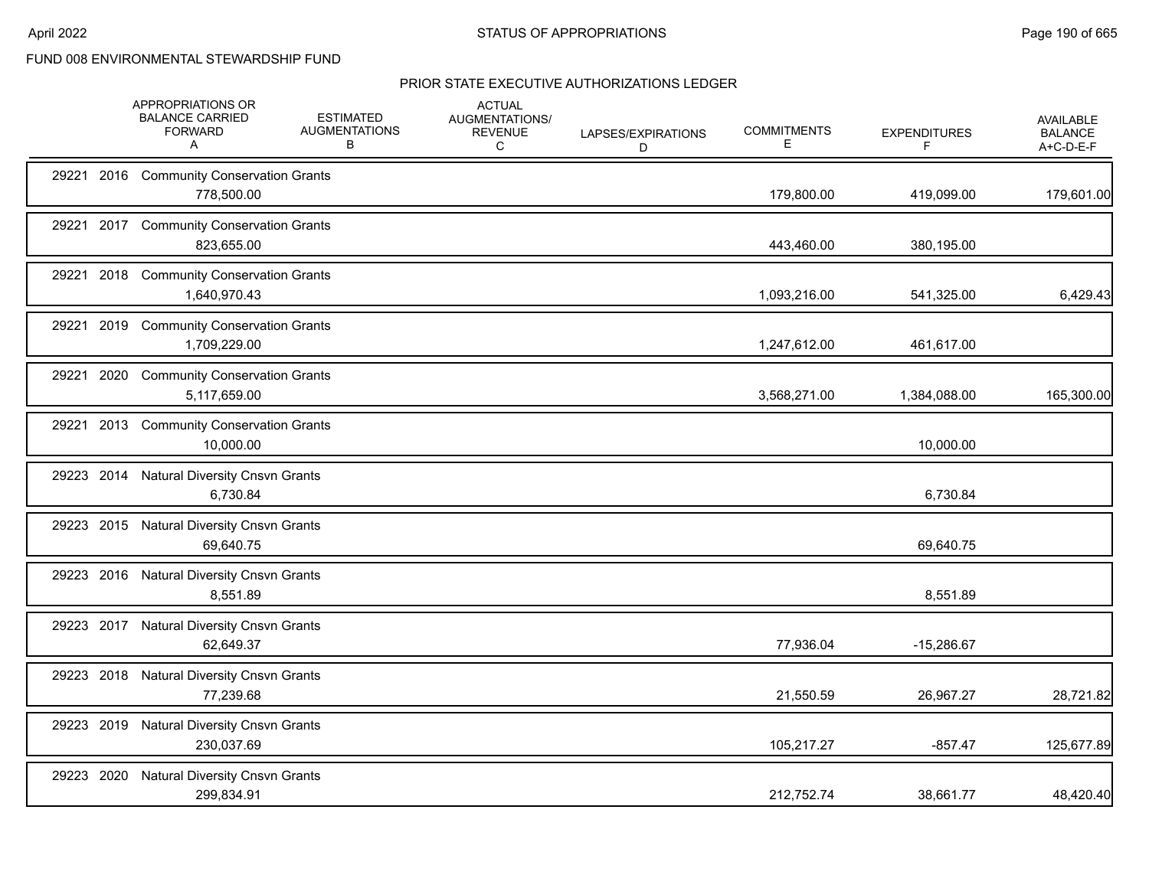|            | APPROPRIATIONS OR<br><b>BALANCE CARRIED</b><br><b>FORWARD</b><br>A | <b>ESTIMATED</b><br><b>AUGMENTATIONS</b><br>В | <b>ACTUAL</b><br>AUGMENTATIONS/<br><b>REVENUE</b><br>С | LAPSES/EXPIRATIONS<br>D | <b>COMMITMENTS</b><br>Е | <b>EXPENDITURES</b><br>F | <b>AVAILABLE</b><br><b>BALANCE</b><br>A+C-D-E-F |
|------------|--------------------------------------------------------------------|-----------------------------------------------|--------------------------------------------------------|-------------------------|-------------------------|--------------------------|-------------------------------------------------|
|            | 29221 2016 Community Conservation Grants<br>778,500.00             |                                               |                                                        |                         | 179,800.00              | 419,099.00               | 179,601.00                                      |
|            | 29221 2017 Community Conservation Grants<br>823,655.00             |                                               |                                                        |                         | 443,460.00              | 380,195.00               |                                                 |
|            | 29221 2018 Community Conservation Grants<br>1,640,970.43           |                                               |                                                        |                         | 1,093,216.00            | 541,325.00               | 6,429.43                                        |
|            | 29221 2019 Community Conservation Grants<br>1,709,229.00           |                                               |                                                        |                         | 1,247,612.00            | 461,617.00               |                                                 |
| 29221 2020 | <b>Community Conservation Grants</b><br>5,117,659.00               |                                               |                                                        |                         | 3,568,271.00            | 1,384,088.00             | 165,300.00                                      |
| 29221 2013 | <b>Community Conservation Grants</b><br>10,000.00                  |                                               |                                                        |                         |                         | 10,000.00                |                                                 |
|            | 29223 2014 Natural Diversity Cnsvn Grants<br>6,730.84              |                                               |                                                        |                         |                         | 6,730.84                 |                                                 |
|            | 29223 2015 Natural Diversity Cnsvn Grants<br>69,640.75             |                                               |                                                        |                         |                         | 69,640.75                |                                                 |
|            | 29223 2016 Natural Diversity Cnsvn Grants<br>8,551.89              |                                               |                                                        |                         |                         | 8,551.89                 |                                                 |
|            | 29223 2017 Natural Diversity Cnsvn Grants<br>62,649.37             |                                               |                                                        |                         | 77,936.04               | $-15,286.67$             |                                                 |
|            | 29223 2018 Natural Diversity Cnsvn Grants<br>77,239.68             |                                               |                                                        |                         | 21,550.59               | 26,967.27                | 28,721.82                                       |
| 29223 2019 | <b>Natural Diversity Cnsvn Grants</b><br>230,037.69                |                                               |                                                        |                         | 105,217.27              | $-857.47$                | 125,677.89                                      |
| 29223 2020 | <b>Natural Diversity Cnsvn Grants</b><br>299,834.91                |                                               |                                                        |                         | 212,752.74              | 38,661.77                | 48,420.40                                       |
|            |                                                                    |                                               |                                                        |                         |                         |                          |                                                 |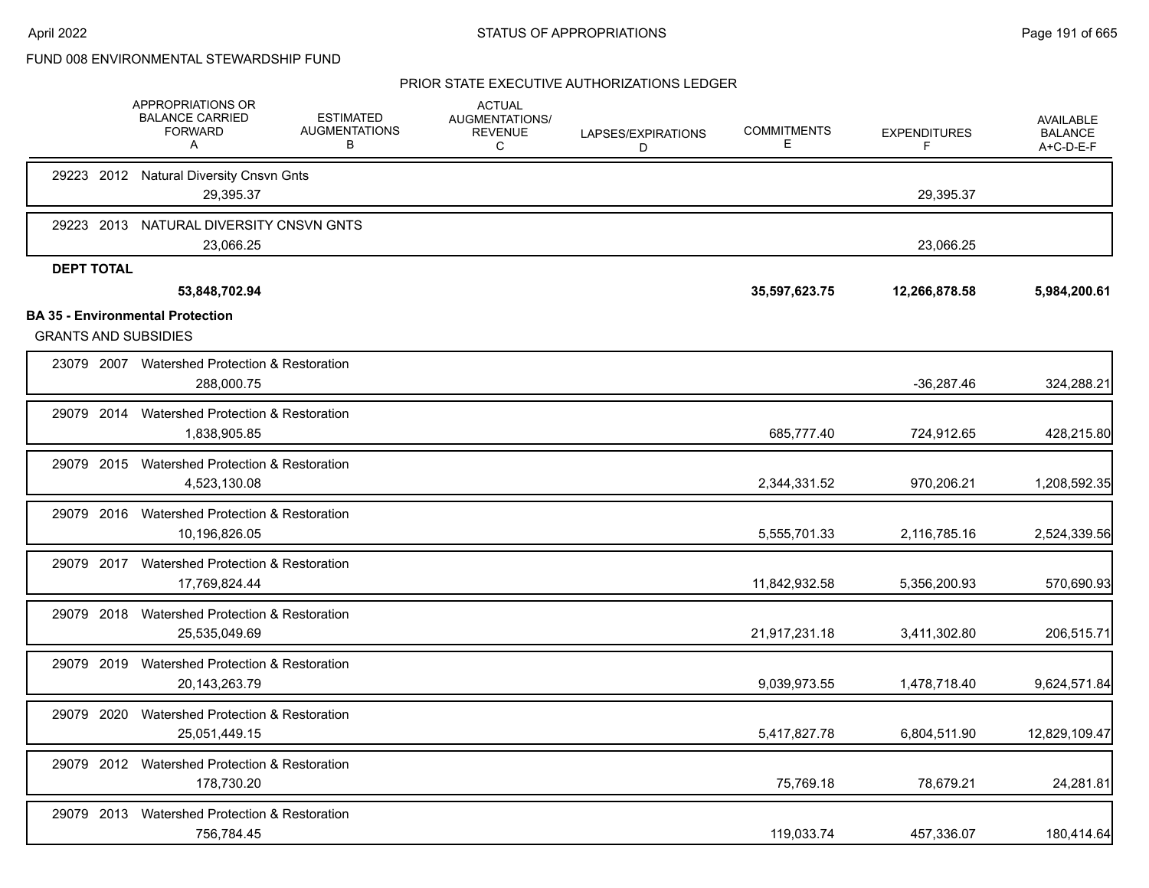|                             | APPROPRIATIONS OR<br><b>BALANCE CARRIED</b><br><b>FORWARD</b><br>A | <b>ESTIMATED</b><br><b>AUGMENTATIONS</b><br>В | <b>ACTUAL</b><br>AUGMENTATIONS/<br><b>REVENUE</b><br>C | LAPSES/EXPIRATIONS<br>D | <b>COMMITMENTS</b><br>Е | <b>EXPENDITURES</b><br>F | <b>AVAILABLE</b><br><b>BALANCE</b><br>A+C-D-E-F |
|-----------------------------|--------------------------------------------------------------------|-----------------------------------------------|--------------------------------------------------------|-------------------------|-------------------------|--------------------------|-------------------------------------------------|
|                             | 29223 2012 Natural Diversity Cnsvn Gnts<br>29,395.37               |                                               |                                                        |                         |                         | 29,395.37                |                                                 |
|                             | 29223 2013 NATURAL DIVERSITY CNSVN GNTS<br>23,066.25               |                                               |                                                        |                         |                         | 23,066.25                |                                                 |
| <b>DEPT TOTAL</b>           | 53,848,702.94                                                      |                                               |                                                        |                         | 35,597,623.75           | 12,266,878.58            | 5,984,200.61                                    |
|                             | <b>BA 35 - Environmental Protection</b>                            |                                               |                                                        |                         |                         |                          |                                                 |
| <b>GRANTS AND SUBSIDIES</b> |                                                                    |                                               |                                                        |                         |                         |                          |                                                 |
|                             | 23079 2007 Watershed Protection & Restoration<br>288.000.75        |                                               |                                                        |                         |                         | $-36,287.46$             | 324,288.21                                      |
|                             | 29079 2014 Watershed Protection & Restoration<br>1.838.905.85      |                                               |                                                        |                         | 685,777.40              | 724,912.65               | 428,215.80                                      |
|                             | 29079 2015 Watershed Protection & Restoration<br>4,523,130.08      |                                               |                                                        |                         | 2,344,331.52            | 970,206.21               | 1,208,592.35                                    |
| 29079 2016                  | Watershed Protection & Restoration<br>10,196,826.05                |                                               |                                                        |                         | 5,555,701.33            | 2,116,785.16             | 2,524,339.56                                    |
|                             | 29079 2017 Watershed Protection & Restoration<br>17,769,824.44     |                                               |                                                        |                         | 11,842,932.58           | 5,356,200.93             | 570,690.93                                      |
| 29079 2018                  | Watershed Protection & Restoration<br>25,535,049.69                |                                               |                                                        |                         | 21,917,231.18           | 3,411,302.80             | 206,515.71                                      |
| 29079 2019                  | <b>Watershed Protection &amp; Restoration</b><br>20, 143, 263. 79  |                                               |                                                        |                         | 9,039,973.55            | 1,478,718.40             | 9,624,571.84                                    |
| 29079 2020                  | Watershed Protection & Restoration<br>25,051,449.15                |                                               |                                                        |                         | 5,417,827.78            | 6,804,511.90             | 12,829,109.47                                   |
|                             | 29079 2012 Watershed Protection & Restoration<br>178.730.20        |                                               |                                                        |                         | 75,769.18               | 78,679.21                | 24,281.81                                       |
| 29079 2013                  | Watershed Protection & Restoration<br>756,784.45                   |                                               |                                                        |                         | 119,033.74              | 457,336.07               | 180,414.64                                      |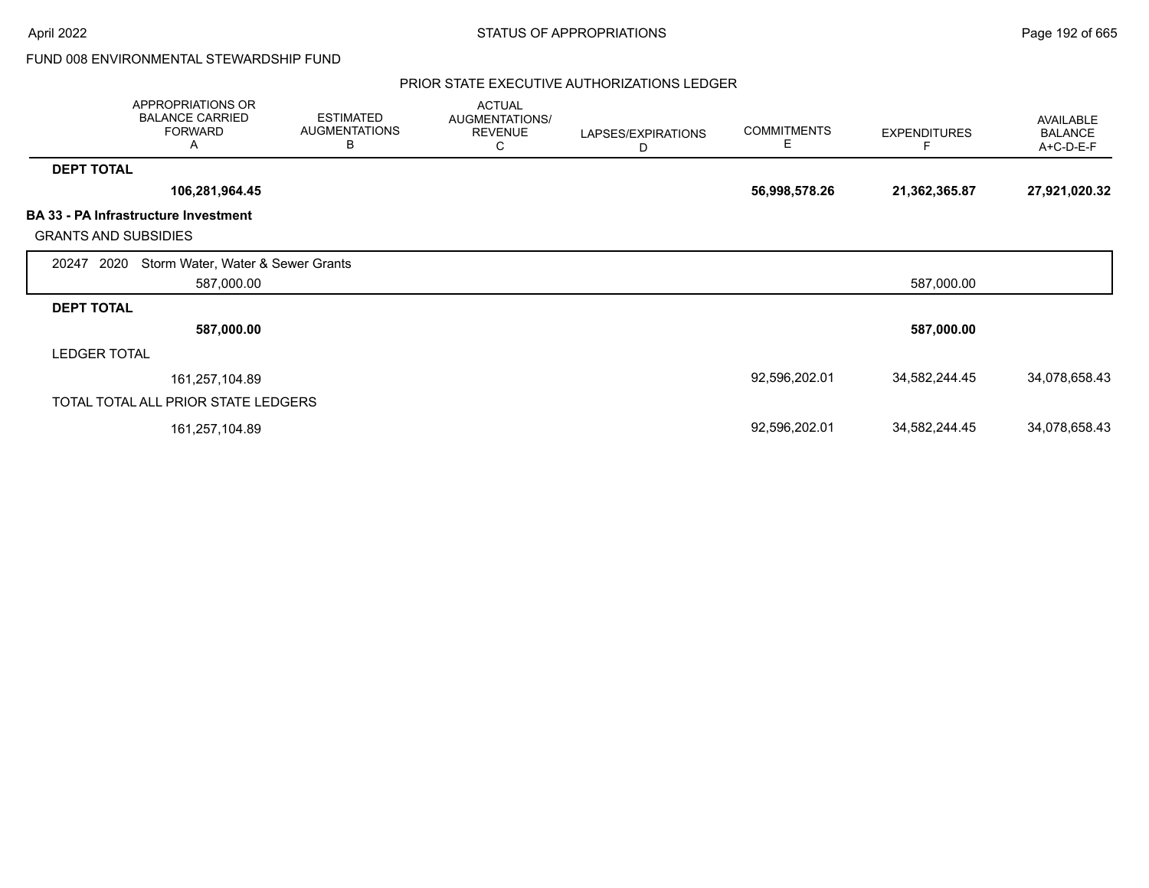|                             | APPROPRIATIONS OR<br><b>BALANCE CARRIED</b><br><b>FORWARD</b><br>A | <b>ESTIMATED</b><br><b>AUGMENTATIONS</b><br>B | <b>ACTUAL</b><br>AUGMENTATIONS/<br><b>REVENUE</b><br>C | LAPSES/EXPIRATIONS<br>D | <b>COMMITMENTS</b><br>Е | <b>EXPENDITURES</b> | AVAILABLE<br><b>BALANCE</b><br>A+C-D-E-F |
|-----------------------------|--------------------------------------------------------------------|-----------------------------------------------|--------------------------------------------------------|-------------------------|-------------------------|---------------------|------------------------------------------|
| <b>DEPT TOTAL</b>           |                                                                    |                                               |                                                        |                         |                         |                     |                                          |
|                             | 106,281,964.45                                                     |                                               |                                                        |                         | 56,998,578.26           | 21,362,365.87       | 27,921,020.32                            |
| <b>GRANTS AND SUBSIDIES</b> | <b>BA 33 - PA Infrastructure Investment</b>                        |                                               |                                                        |                         |                         |                     |                                          |
| 2020<br>20247               | Storm Water, Water & Sewer Grants                                  |                                               |                                                        |                         |                         |                     |                                          |
|                             | 587,000.00                                                         |                                               |                                                        |                         |                         | 587,000.00          |                                          |
| <b>DEPT TOTAL</b>           |                                                                    |                                               |                                                        |                         |                         |                     |                                          |
|                             | 587,000.00                                                         |                                               |                                                        |                         |                         | 587,000.00          |                                          |
| <b>LEDGER TOTAL</b>         |                                                                    |                                               |                                                        |                         |                         |                     |                                          |
|                             | 161,257,104.89                                                     |                                               |                                                        |                         | 92,596,202.01           | 34,582,244.45       | 34,078,658.43                            |
|                             | TOTAL TOTAL ALL PRIOR STATE LEDGERS                                |                                               |                                                        |                         |                         |                     |                                          |
|                             | 161,257,104.89                                                     |                                               |                                                        |                         | 92,596,202.01           | 34,582,244.45       | 34,078,658.43                            |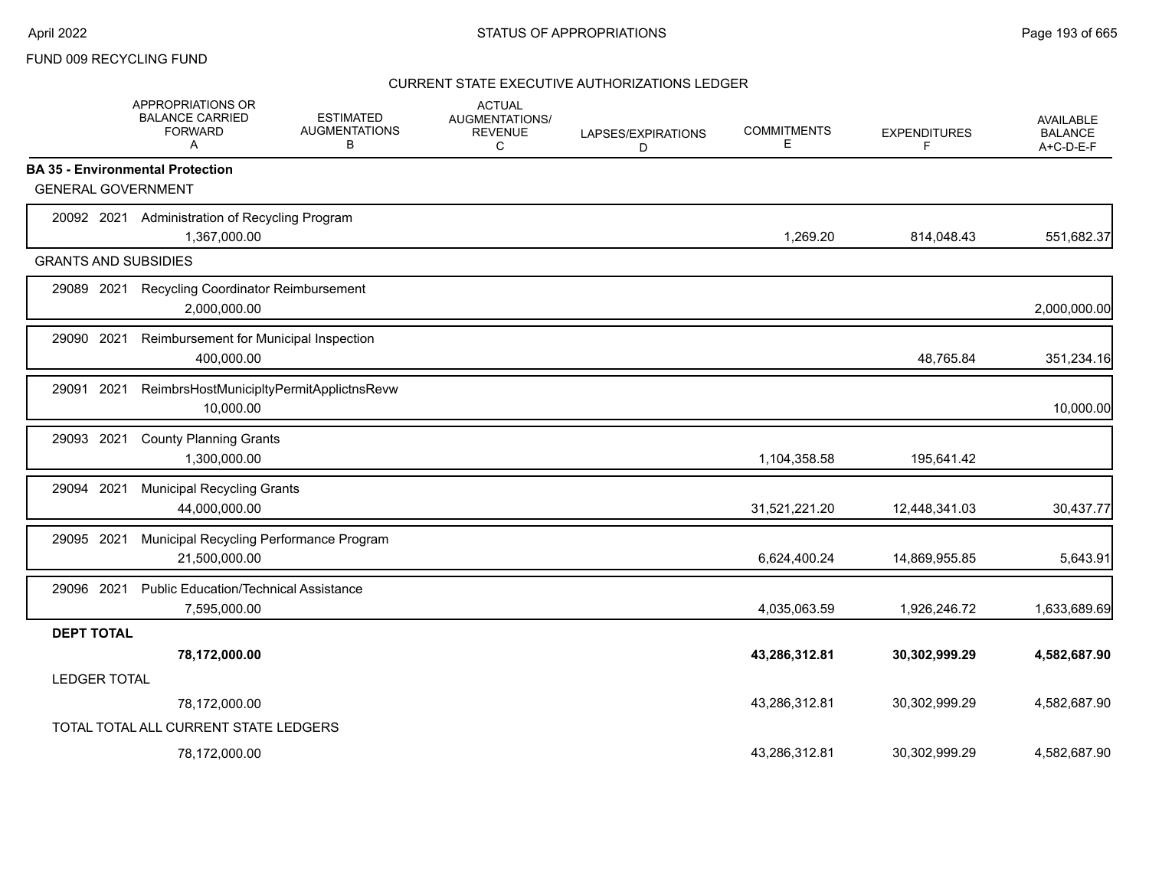### FUND 009 RECYCLING FUND

|                             | APPROPRIATIONS OR<br><b>BALANCE CARRIED</b><br><b>FORWARD</b><br>A | <b>ESTIMATED</b><br><b>AUGMENTATIONS</b><br>В | <b>ACTUAL</b><br>AUGMENTATIONS/<br><b>REVENUE</b><br>C | LAPSES/EXPIRATIONS<br>D | <b>COMMITMENTS</b><br>Е | <b>EXPENDITURES</b><br>F | <b>AVAILABLE</b><br><b>BALANCE</b><br>A+C-D-E-F |
|-----------------------------|--------------------------------------------------------------------|-----------------------------------------------|--------------------------------------------------------|-------------------------|-------------------------|--------------------------|-------------------------------------------------|
|                             | <b>BA 35 - Environmental Protection</b>                            |                                               |                                                        |                         |                         |                          |                                                 |
| <b>GENERAL GOVERNMENT</b>   |                                                                    |                                               |                                                        |                         |                         |                          |                                                 |
|                             | 20092 2021 Administration of Recycling Program<br>1,367,000.00     |                                               |                                                        |                         | 1,269.20                | 814,048.43               | 551,682.37                                      |
| <b>GRANTS AND SUBSIDIES</b> |                                                                    |                                               |                                                        |                         |                         |                          |                                                 |
| 29089 2021                  | Recycling Coordinator Reimbursement<br>2,000,000.00                |                                               |                                                        |                         |                         |                          | 2,000,000.00                                    |
| 29090 2021                  | Reimbursement for Municipal Inspection<br>400,000.00               |                                               |                                                        |                         |                         | 48,765.84                | 351,234.16                                      |
| 29091 2021                  | ReimbrsHostMunicipltyPermitApplictnsRevw<br>10,000.00              |                                               |                                                        |                         |                         |                          | 10,000.00                                       |
| 29093<br>2021               | <b>County Planning Grants</b><br>1,300,000.00                      |                                               |                                                        |                         | 1,104,358.58            | 195,641.42               |                                                 |
| 2021<br>29094               | <b>Municipal Recycling Grants</b><br>44,000,000.00                 |                                               |                                                        |                         | 31,521,221.20           | 12,448,341.03            | 30,437.77                                       |
| 29095 2021                  | Municipal Recycling Performance Program<br>21,500,000.00           |                                               |                                                        |                         | 6,624,400.24            | 14,869,955.85            | 5,643.91                                        |
| 29096 2021                  | <b>Public Education/Technical Assistance</b><br>7,595,000.00       |                                               |                                                        |                         | 4,035,063.59            | 1,926,246.72             | 1,633,689.69                                    |
| <b>DEPT TOTAL</b>           |                                                                    |                                               |                                                        |                         |                         |                          |                                                 |
|                             | 78,172,000.00                                                      |                                               |                                                        |                         | 43,286,312.81           | 30,302,999.29            | 4,582,687.90                                    |
| <b>LEDGER TOTAL</b>         |                                                                    |                                               |                                                        |                         |                         |                          |                                                 |
|                             | 78,172,000.00                                                      |                                               |                                                        |                         | 43,286,312.81           | 30,302,999.29            | 4,582,687.90                                    |
|                             | TOTAL TOTAL ALL CURRENT STATE LEDGERS                              |                                               |                                                        |                         |                         |                          |                                                 |
|                             | 78,172,000.00                                                      |                                               |                                                        |                         | 43.286.312.81           | 30.302.999.29            | 4.582.687.90                                    |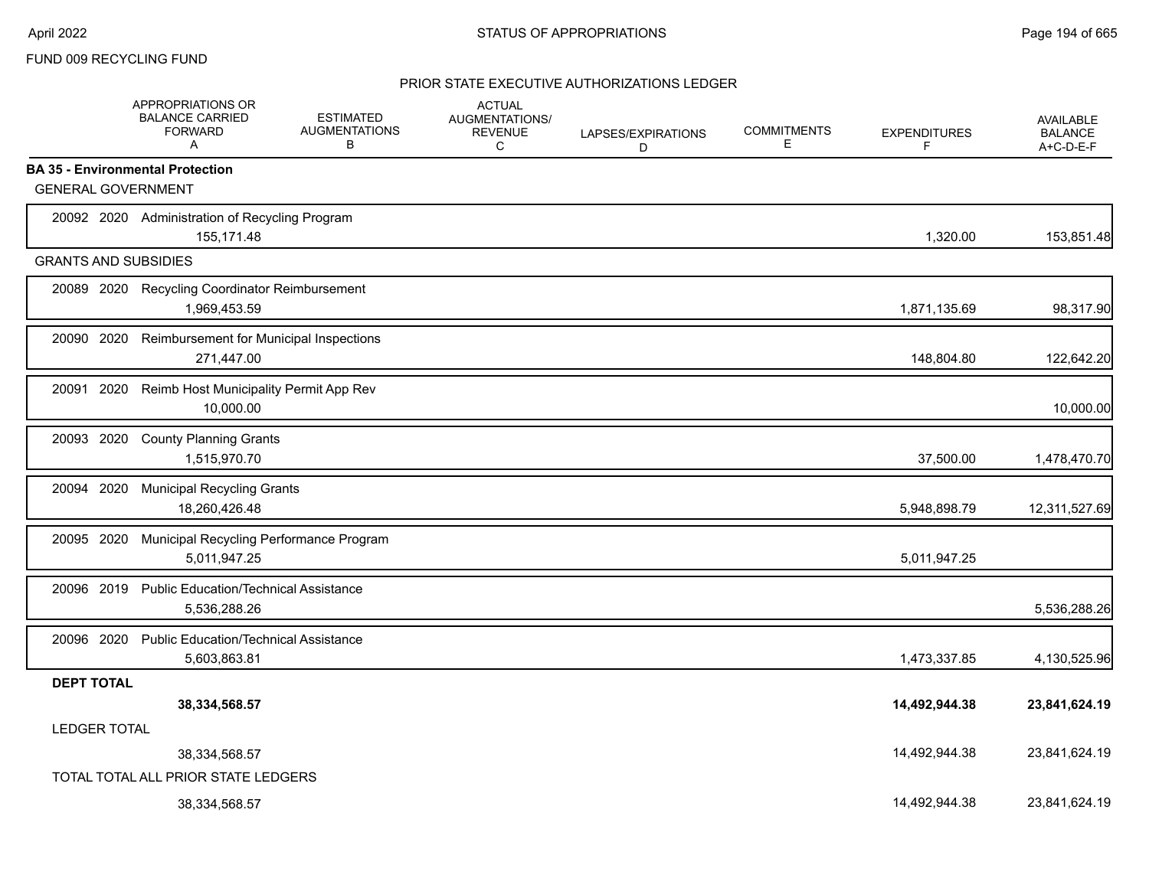### FUND 009 RECYCLING FUND

|                             | <b>APPROPRIATIONS OR</b><br><b>BALANCE CARRIED</b><br><b>FORWARD</b><br>Α | <b>ESTIMATED</b><br><b>AUGMENTATIONS</b><br>B | <b>ACTUAL</b><br><b>AUGMENTATIONS/</b><br><b>REVENUE</b><br>С | LAPSES/EXPIRATIONS<br>D | <b>COMMITMENTS</b><br>Ε | <b>EXPENDITURES</b><br>F | <b>AVAILABLE</b><br><b>BALANCE</b><br>A+C-D-E-F |
|-----------------------------|---------------------------------------------------------------------------|-----------------------------------------------|---------------------------------------------------------------|-------------------------|-------------------------|--------------------------|-------------------------------------------------|
|                             | <b>BA 35 - Environmental Protection</b>                                   |                                               |                                                               |                         |                         |                          |                                                 |
| <b>GENERAL GOVERNMENT</b>   |                                                                           |                                               |                                                               |                         |                         |                          |                                                 |
|                             | 20092 2020 Administration of Recycling Program<br>155,171.48              |                                               |                                                               |                         |                         | 1,320.00                 | 153,851.48                                      |
| <b>GRANTS AND SUBSIDIES</b> |                                                                           |                                               |                                                               |                         |                         |                          |                                                 |
| 20089 2020                  | <b>Recycling Coordinator Reimbursement</b><br>1,969,453.59                |                                               |                                                               |                         |                         | 1,871,135.69             | 98,317.90                                       |
| 20090 2020                  | Reimbursement for Municipal Inspections<br>271,447.00                     |                                               |                                                               |                         |                         | 148,804.80               | 122,642.20                                      |
| 20091 2020                  | Reimb Host Municipality Permit App Rev<br>10,000.00                       |                                               |                                                               |                         |                         |                          | 10,000.00                                       |
| 20093 2020                  | <b>County Planning Grants</b><br>1,515,970.70                             |                                               |                                                               |                         |                         | 37,500.00                | 1,478,470.70                                    |
| 20094 2020                  | <b>Municipal Recycling Grants</b><br>18,260,426.48                        |                                               |                                                               |                         |                         | 5,948,898.79             | 12,311,527.69                                   |
| 20095 2020                  | Municipal Recycling Performance Program<br>5,011,947.25                   |                                               |                                                               |                         |                         | 5,011,947.25             |                                                 |
| 20096 2019                  | <b>Public Education/Technical Assistance</b><br>5,536,288.26              |                                               |                                                               |                         |                         |                          | 5,536,288.26                                    |
| 20096 2020                  | <b>Public Education/Technical Assistance</b><br>5,603,863.81              |                                               |                                                               |                         |                         | 1,473,337.85             | 4,130,525.96                                    |
| <b>DEPT TOTAL</b>           |                                                                           |                                               |                                                               |                         |                         |                          |                                                 |
|                             | 38,334,568.57                                                             |                                               |                                                               |                         |                         | 14,492,944.38            | 23,841,624.19                                   |
| <b>LEDGER TOTAL</b>         |                                                                           |                                               |                                                               |                         |                         | 14,492,944.38            | 23,841,624.19                                   |
|                             | 38,334,568.57<br>TOTAL TOTAL ALL PRIOR STATE LEDGERS                      |                                               |                                                               |                         |                         |                          |                                                 |
|                             | 38,334,568.57                                                             |                                               |                                                               |                         |                         | 14.492.944.38            | 23.841.624.19                                   |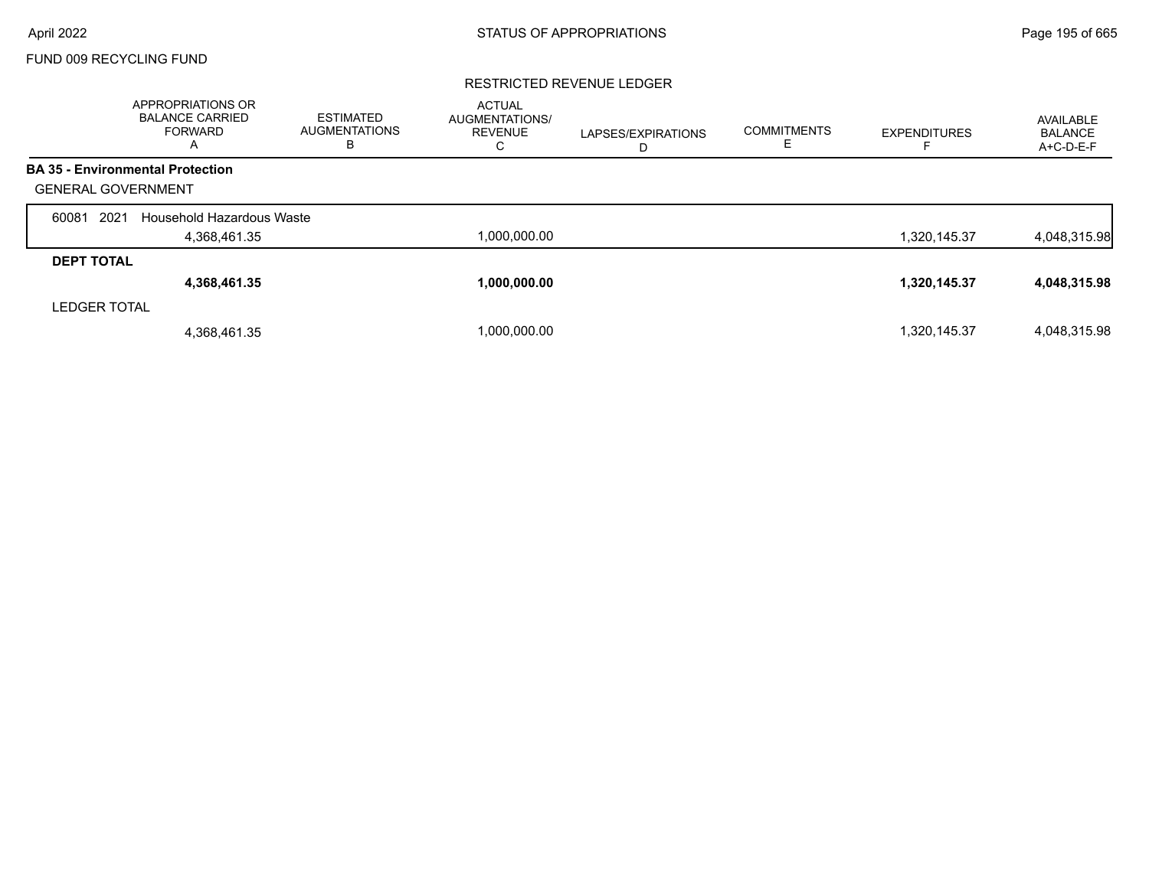# FUND 009 RECYCLING FUND

#### RESTRICTED REVENUE LEDGER

|                           | APPROPRIATIONS OR<br><b>BALANCE CARRIED</b><br><b>FORWARD</b><br>A | <b>ESTIMATED</b><br><b>AUGMENTATIONS</b><br>в | <b>ACTUAL</b><br>AUGMENTATIONS/<br>REVENUE<br>С | LAPSES/EXPIRATIONS<br>D | <b>COMMITMENTS</b><br>E | <b>EXPENDITURES</b> | AVAILABLE<br><b>BALANCE</b><br>A+C-D-E-F |
|---------------------------|--------------------------------------------------------------------|-----------------------------------------------|-------------------------------------------------|-------------------------|-------------------------|---------------------|------------------------------------------|
|                           | <b>BA 35 - Environmental Protection</b>                            |                                               |                                                 |                         |                         |                     |                                          |
| <b>GENERAL GOVERNMENT</b> |                                                                    |                                               |                                                 |                         |                         |                     |                                          |
| 2021<br>60081             | Household Hazardous Waste                                          |                                               |                                                 |                         |                         |                     |                                          |
|                           | 4,368,461.35                                                       |                                               | 1,000,000.00                                    |                         |                         | 1,320,145.37        | 4,048,315.98                             |
| <b>DEPT TOTAL</b>         |                                                                    |                                               |                                                 |                         |                         |                     |                                          |
|                           | 4,368,461.35                                                       |                                               | 1,000,000.00                                    |                         |                         | 1,320,145.37        | 4,048,315.98                             |
| <b>LEDGER TOTAL</b>       |                                                                    |                                               |                                                 |                         |                         |                     |                                          |
|                           | 4,368,461.35                                                       |                                               | 1.000.000.00                                    |                         |                         | 1,320,145.37        | 4,048,315.98                             |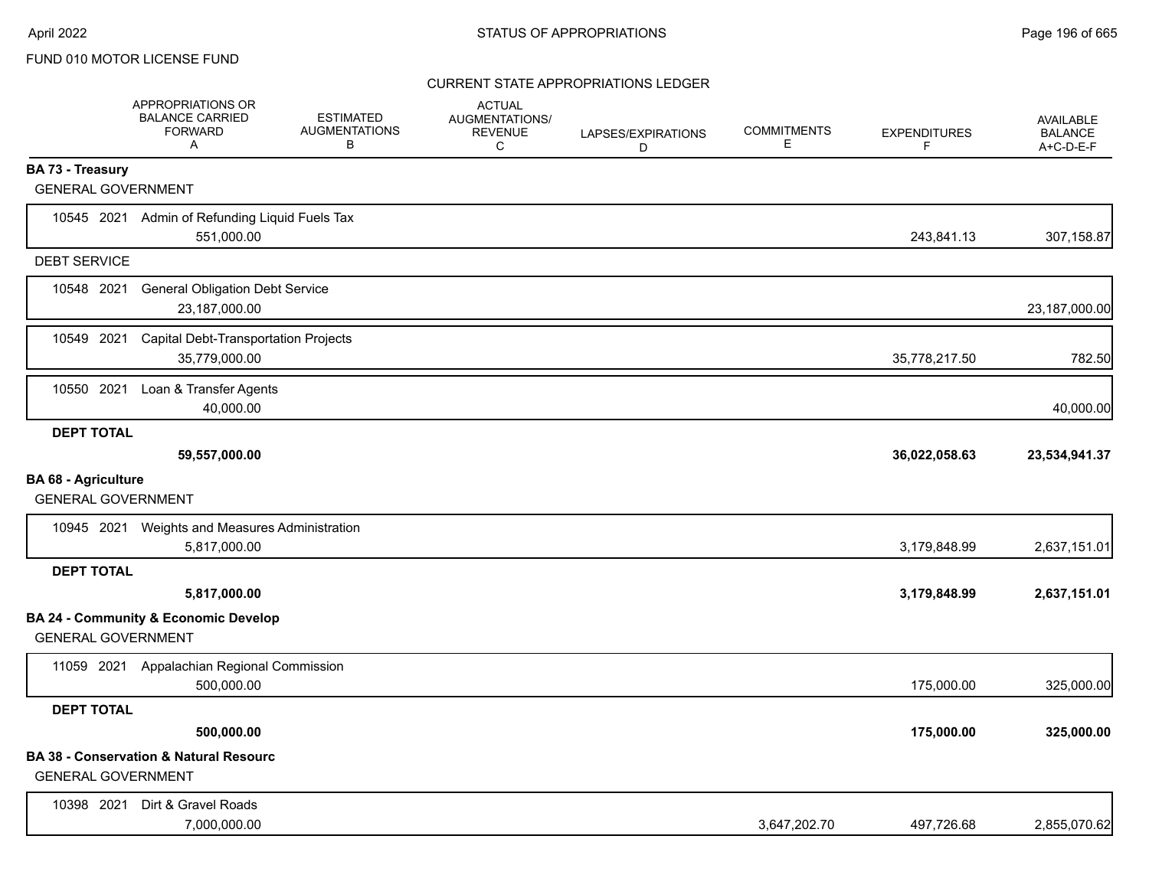|                                                         | APPROPRIATIONS OR<br><b>BALANCE CARRIED</b><br><b>FORWARD</b><br>Α | <b>ESTIMATED</b><br><b>AUGMENTATIONS</b><br>В | <b>ACTUAL</b><br><b>AUGMENTATIONS/</b><br><b>REVENUE</b><br>C | LAPSES/EXPIRATIONS<br>D | <b>COMMITMENTS</b><br>Е | <b>EXPENDITURES</b><br>F | <b>AVAILABLE</b><br><b>BALANCE</b><br>A+C-D-E-F |
|---------------------------------------------------------|--------------------------------------------------------------------|-----------------------------------------------|---------------------------------------------------------------|-------------------------|-------------------------|--------------------------|-------------------------------------------------|
| BA 73 - Treasury                                        |                                                                    |                                               |                                                               |                         |                         |                          |                                                 |
| <b>GENERAL GOVERNMENT</b>                               |                                                                    |                                               |                                                               |                         |                         |                          |                                                 |
| 10545 2021                                              | Admin of Refunding Liquid Fuels Tax<br>551,000.00                  |                                               |                                                               |                         |                         | 243,841.13               | 307,158.87                                      |
| <b>DEBT SERVICE</b>                                     |                                                                    |                                               |                                                               |                         |                         |                          |                                                 |
| 10548 2021                                              | <b>General Obligation Debt Service</b><br>23,187,000.00            |                                               |                                                               |                         |                         |                          | 23,187,000.00                                   |
| 10549 2021                                              | Capital Debt-Transportation Projects<br>35,779,000.00              |                                               |                                                               |                         |                         | 35,778,217.50            | 782.50                                          |
| 10550 2021                                              | Loan & Transfer Agents<br>40,000.00                                |                                               |                                                               |                         |                         |                          | 40,000.00                                       |
| <b>DEPT TOTAL</b>                                       | 59,557,000.00                                                      |                                               |                                                               |                         |                         | 36,022,058.63            | 23,534,941.37                                   |
| <b>BA 68 - Agriculture</b><br><b>GENERAL GOVERNMENT</b> |                                                                    |                                               |                                                               |                         |                         |                          |                                                 |
|                                                         | 10945 2021 Weights and Measures Administration<br>5,817,000.00     |                                               |                                                               |                         |                         | 3,179,848.99             | 2,637,151.01                                    |
| <b>DEPT TOTAL</b>                                       |                                                                    |                                               |                                                               |                         |                         |                          |                                                 |
|                                                         | 5,817,000.00                                                       |                                               |                                                               |                         |                         | 3,179,848.99             | 2,637,151.01                                    |
| <b>GENERAL GOVERNMENT</b>                               | <b>BA 24 - Community &amp; Economic Develop</b>                    |                                               |                                                               |                         |                         |                          |                                                 |
| 11059 2021                                              | Appalachian Regional Commission<br>500,000.00                      |                                               |                                                               |                         |                         | 175,000.00               | 325,000.00                                      |
| <b>DEPT TOTAL</b>                                       |                                                                    |                                               |                                                               |                         |                         |                          |                                                 |
|                                                         | 500,000.00                                                         |                                               |                                                               |                         |                         | 175,000.00               | 325,000.00                                      |
| <b>GENERAL GOVERNMENT</b>                               | <b>BA 38 - Conservation &amp; Natural Resourc</b>                  |                                               |                                                               |                         |                         |                          |                                                 |
| 10398 2021                                              | Dirt & Gravel Roads<br>7,000,000.00                                |                                               |                                                               |                         | 3,647,202.70            | 497,726.68               | 2,855,070.62                                    |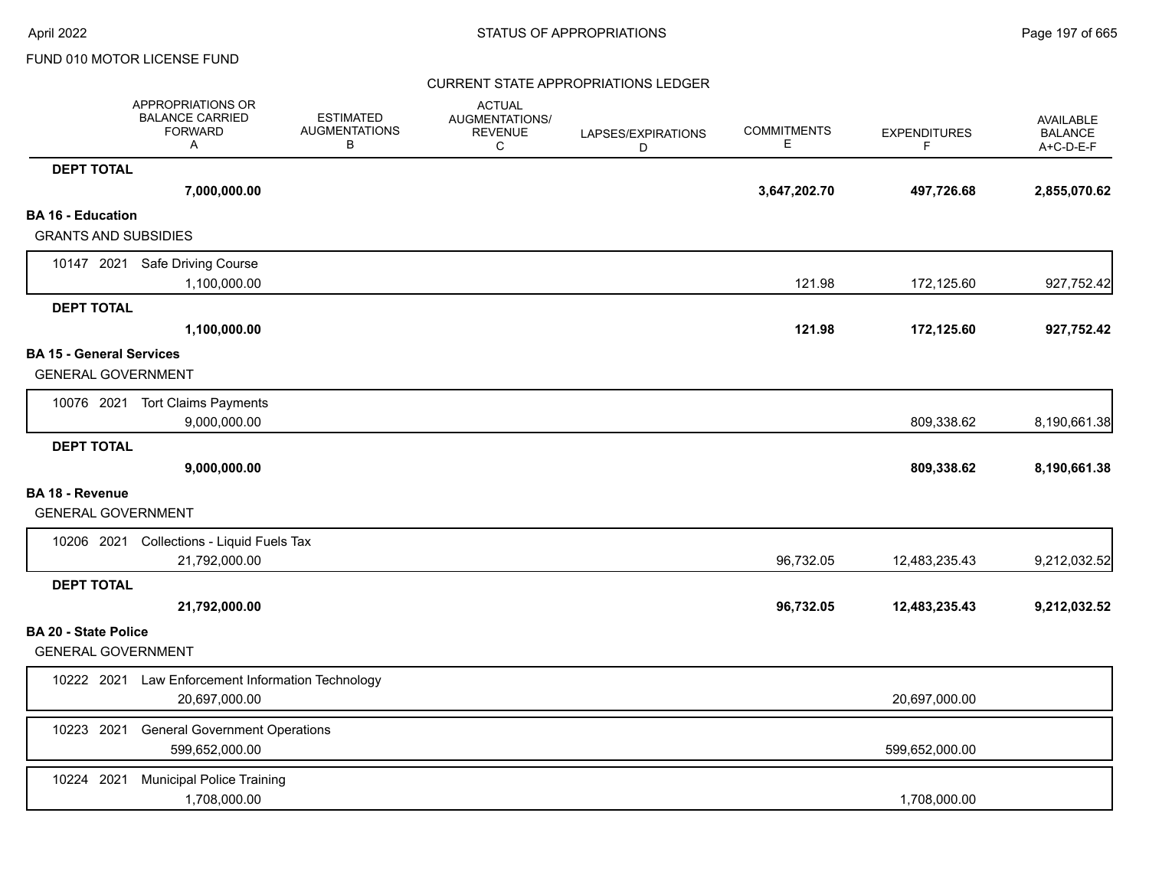|                                 | APPROPRIATIONS OR<br><b>BALANCE CARRIED</b><br><b>FORWARD</b><br>Α | <b>ESTIMATED</b><br><b>AUGMENTATIONS</b><br>В | <b>ACTUAL</b><br><b>AUGMENTATIONS/</b><br><b>REVENUE</b><br>C | LAPSES/EXPIRATIONS<br>D | <b>COMMITMENTS</b><br>Е | <b>EXPENDITURES</b><br>F. | AVAILABLE<br><b>BALANCE</b><br>A+C-D-E-F |
|---------------------------------|--------------------------------------------------------------------|-----------------------------------------------|---------------------------------------------------------------|-------------------------|-------------------------|---------------------------|------------------------------------------|
| <b>DEPT TOTAL</b>               |                                                                    |                                               |                                                               |                         |                         |                           |                                          |
|                                 | 7,000,000.00                                                       |                                               |                                                               |                         | 3,647,202.70            | 497,726.68                | 2,855,070.62                             |
| <b>BA 16 - Education</b>        |                                                                    |                                               |                                                               |                         |                         |                           |                                          |
| <b>GRANTS AND SUBSIDIES</b>     |                                                                    |                                               |                                                               |                         |                         |                           |                                          |
|                                 | 10147 2021 Safe Driving Course                                     |                                               |                                                               |                         |                         |                           |                                          |
|                                 | 1,100,000.00                                                       |                                               |                                                               |                         | 121.98                  | 172,125.60                | 927,752.42                               |
| <b>DEPT TOTAL</b>               |                                                                    |                                               |                                                               |                         |                         |                           |                                          |
|                                 | 1,100,000.00                                                       |                                               |                                                               |                         | 121.98                  | 172,125.60                | 927,752.42                               |
| <b>BA 15 - General Services</b> |                                                                    |                                               |                                                               |                         |                         |                           |                                          |
| <b>GENERAL GOVERNMENT</b>       |                                                                    |                                               |                                                               |                         |                         |                           |                                          |
|                                 | 10076 2021 Tort Claims Payments                                    |                                               |                                                               |                         |                         |                           |                                          |
|                                 | 9,000,000.00                                                       |                                               |                                                               |                         |                         | 809,338.62                | 8,190,661.38                             |
| <b>DEPT TOTAL</b>               |                                                                    |                                               |                                                               |                         |                         |                           |                                          |
|                                 | 9,000,000.00                                                       |                                               |                                                               |                         |                         | 809,338.62                | 8,190,661.38                             |
| <b>BA 18 - Revenue</b>          |                                                                    |                                               |                                                               |                         |                         |                           |                                          |
| <b>GENERAL GOVERNMENT</b>       |                                                                    |                                               |                                                               |                         |                         |                           |                                          |
|                                 | 10206 2021 Collections - Liquid Fuels Tax                          |                                               |                                                               |                         |                         |                           |                                          |
|                                 | 21,792,000.00                                                      |                                               |                                                               |                         | 96,732.05               | 12,483,235.43             | 9,212,032.52                             |
| <b>DEPT TOTAL</b>               |                                                                    |                                               |                                                               |                         |                         |                           |                                          |
|                                 | 21,792,000.00                                                      |                                               |                                                               |                         | 96,732.05               | 12,483,235.43             | 9,212,032.52                             |
| <b>BA 20 - State Police</b>     |                                                                    |                                               |                                                               |                         |                         |                           |                                          |
| <b>GENERAL GOVERNMENT</b>       |                                                                    |                                               |                                                               |                         |                         |                           |                                          |
| 10222 2021                      | Law Enforcement Information Technology                             |                                               |                                                               |                         |                         |                           |                                          |
|                                 | 20,697,000.00                                                      |                                               |                                                               |                         |                         | 20,697,000.00             |                                          |
| 10223 2021                      | <b>General Government Operations</b>                               |                                               |                                                               |                         |                         |                           |                                          |
|                                 | 599,652,000.00                                                     |                                               |                                                               |                         |                         | 599,652,000.00            |                                          |
| 10224 2021                      | <b>Municipal Police Training</b>                                   |                                               |                                                               |                         |                         |                           |                                          |
|                                 | 1,708,000.00                                                       |                                               |                                                               |                         |                         | 1,708,000.00              |                                          |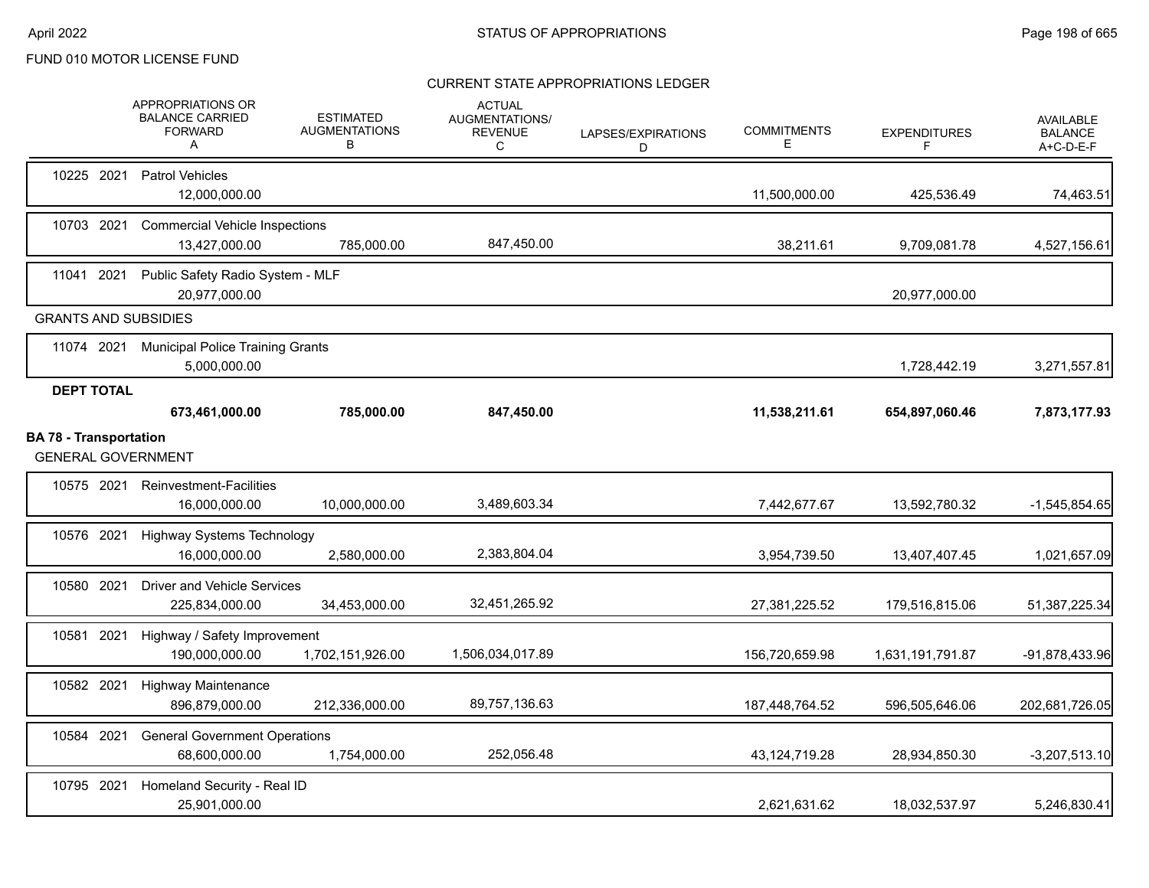|                               |                   | <b>APPROPRIATIONS OR</b><br><b>BALANCE CARRIED</b><br><b>FORWARD</b><br>Α | <b>ESTIMATED</b><br><b>AUGMENTATIONS</b><br>В | <b>ACTUAL</b><br>AUGMENTATIONS/<br><b>REVENUE</b><br>С | LAPSES/EXPIRATIONS<br>D | <b>COMMITMENTS</b><br>Е | <b>EXPENDITURES</b><br>F | <b>AVAILABLE</b><br><b>BALANCE</b><br>A+C-D-E-F |
|-------------------------------|-------------------|---------------------------------------------------------------------------|-----------------------------------------------|--------------------------------------------------------|-------------------------|-------------------------|--------------------------|-------------------------------------------------|
| 10225 2021                    |                   | Patrol Vehicles<br>12,000,000.00                                          |                                               |                                                        |                         | 11,500,000.00           | 425,536.49               | 74,463.51                                       |
|                               | 10703 2021        | <b>Commercial Vehicle Inspections</b><br>13,427,000.00                    | 785,000.00                                    | 847,450.00                                             |                         | 38,211.61               | 9,709,081.78             | 4,527,156.61                                    |
| 11041 2021                    |                   | Public Safety Radio System - MLF<br>20,977,000.00                         |                                               |                                                        |                         |                         | 20,977,000.00            |                                                 |
|                               |                   | <b>GRANTS AND SUBSIDIES</b>                                               |                                               |                                                        |                         |                         |                          |                                                 |
|                               |                   | 11074 2021 Municipal Police Training Grants<br>5,000,000.00               |                                               |                                                        |                         |                         | 1,728,442.19             | 3,271,557.81                                    |
|                               | <b>DEPT TOTAL</b> | 673,461,000.00                                                            | 785,000.00                                    | 847,450.00                                             |                         | 11,538,211.61           | 654,897,060.46           | 7,873,177.93                                    |
| <b>BA 78 - Transportation</b> |                   | <b>GENERAL GOVERNMENT</b>                                                 |                                               |                                                        |                         |                         |                          |                                                 |
|                               | 10575 2021        | <b>Reinvestment-Facilities</b><br>16,000,000.00                           | 10,000,000.00                                 | 3,489,603.34                                           |                         | 7,442,677.67            | 13,592,780.32            | $-1,545,854.65$                                 |
| 10576 2021                    |                   | <b>Highway Systems Technology</b><br>16.000.000.00                        | 2,580,000.00                                  | 2,383,804.04                                           |                         | 3,954,739.50            | 13,407,407.45            | 1,021,657.09                                    |
| 10580 2021                    |                   | <b>Driver and Vehicle Services</b><br>225,834,000.00                      | 34,453,000.00                                 | 32,451,265.92                                          |                         | 27,381,225.52           | 179,516,815.06           | 51,387,225.34                                   |
| 10581 2021                    |                   | Highway / Safety Improvement<br>190,000,000.00                            | 1,702,151,926.00                              | 1,506,034,017.89                                       |                         | 156,720,659.98          | 1,631,191,791.87         | -91,878,433.96                                  |
| 10582 2021                    |                   | <b>Highway Maintenance</b><br>896,879,000.00                              | 212,336,000.00                                | 89,757,136.63                                          |                         | 187,448,764.52          | 596,505,646.06           | 202,681,726.05                                  |
| 10584 2021                    |                   | <b>General Government Operations</b><br>68,600,000.00                     | 1,754,000.00                                  | 252,056.48                                             |                         | 43,124,719.28           | 28,934,850.30            | $-3,207,513.10$                                 |
| 10795 2021                    |                   | Homeland Security - Real ID<br>25,901,000.00                              |                                               |                                                        |                         | 2,621,631.62            | 18,032,537.97            | 5,246,830.41                                    |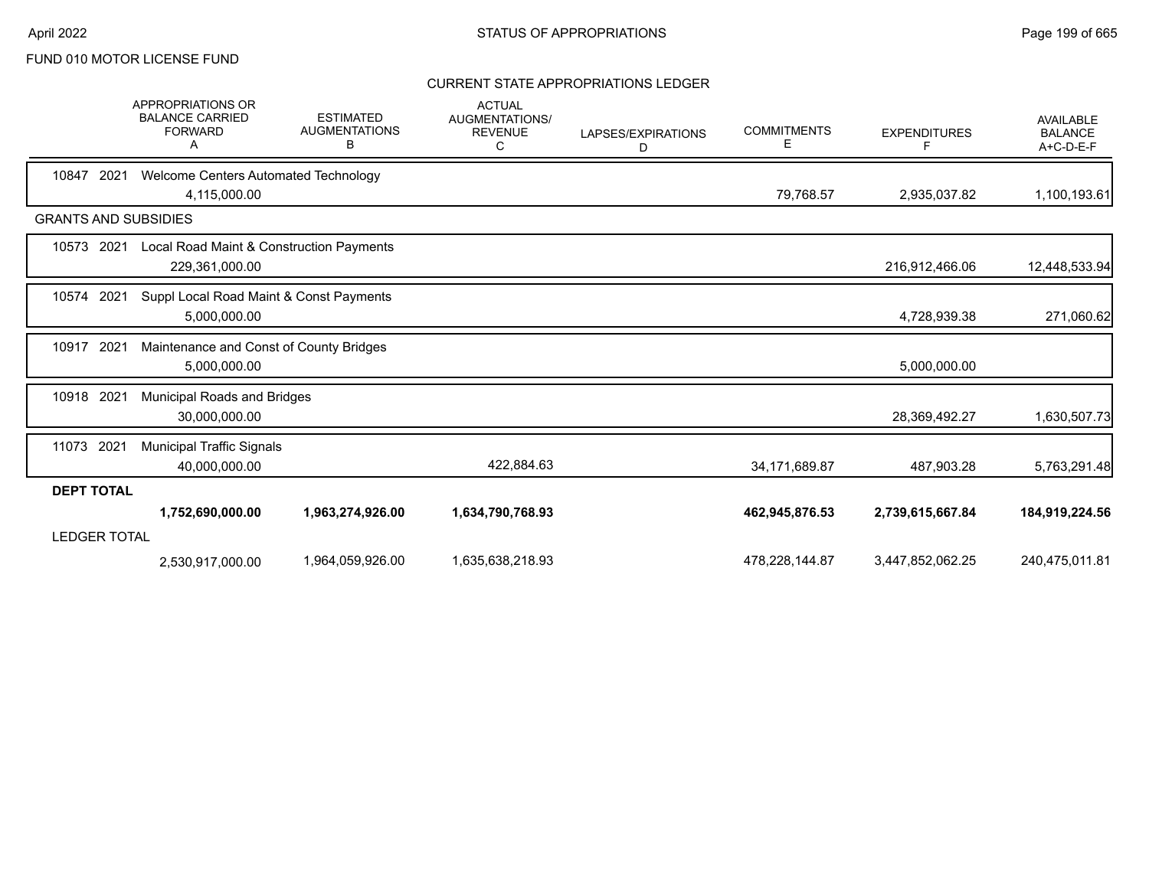|                             | APPROPRIATIONS OR<br><b>BALANCE CARRIED</b><br><b>FORWARD</b><br>A | <b>ESTIMATED</b><br><b>AUGMENTATIONS</b><br>в | <b>ACTUAL</b><br><b>AUGMENTATIONS/</b><br><b>REVENUE</b><br>C | LAPSES/EXPIRATIONS<br>D | <b>COMMITMENTS</b><br>Е | <b>EXPENDITURES</b><br>F | <b>AVAILABLE</b><br><b>BALANCE</b><br>A+C-D-E-F |
|-----------------------------|--------------------------------------------------------------------|-----------------------------------------------|---------------------------------------------------------------|-------------------------|-------------------------|--------------------------|-------------------------------------------------|
| 10847<br>2021               | Welcome Centers Automated Technology<br>4,115,000.00               |                                               |                                                               |                         | 79,768.57               | 2,935,037.82             | 1,100,193.61                                    |
| <b>GRANTS AND SUBSIDIES</b> |                                                                    |                                               |                                                               |                         |                         |                          |                                                 |
| 10573<br>2021               | Local Road Maint & Construction Payments<br>229,361,000.00         |                                               |                                                               |                         |                         | 216,912,466.06           | 12,448,533.94                                   |
| 10574<br>2021               | Suppl Local Road Maint & Const Payments<br>5,000,000.00            |                                               |                                                               |                         |                         | 4,728,939.38             | 271,060.62                                      |
| 10917<br>2021               | Maintenance and Const of County Bridges<br>5,000,000.00            |                                               |                                                               |                         |                         | 5,000,000.00             |                                                 |
| 10918 2021                  | Municipal Roads and Bridges<br>30,000,000.00                       |                                               |                                                               |                         |                         | 28,369,492.27            | 1,630,507.73                                    |
| 11073 2021                  | <b>Municipal Traffic Signals</b><br>40,000,000.00                  |                                               | 422,884.63                                                    |                         | 34,171,689.87           | 487,903.28               | 5,763,291.48                                    |
| <b>DEPT TOTAL</b>           |                                                                    |                                               |                                                               |                         |                         |                          |                                                 |
| <b>LEDGER TOTAL</b>         | 1,752,690,000.00                                                   | 1,963,274,926.00                              | 1,634,790,768.93                                              |                         | 462,945,876.53          | 2,739,615,667.84         | 184,919,224.56                                  |
|                             | 2,530,917,000.00                                                   | 1,964,059,926.00                              | 1,635,638,218.93                                              |                         | 478,228,144.87          | 3,447,852,062.25         | 240,475,011.81                                  |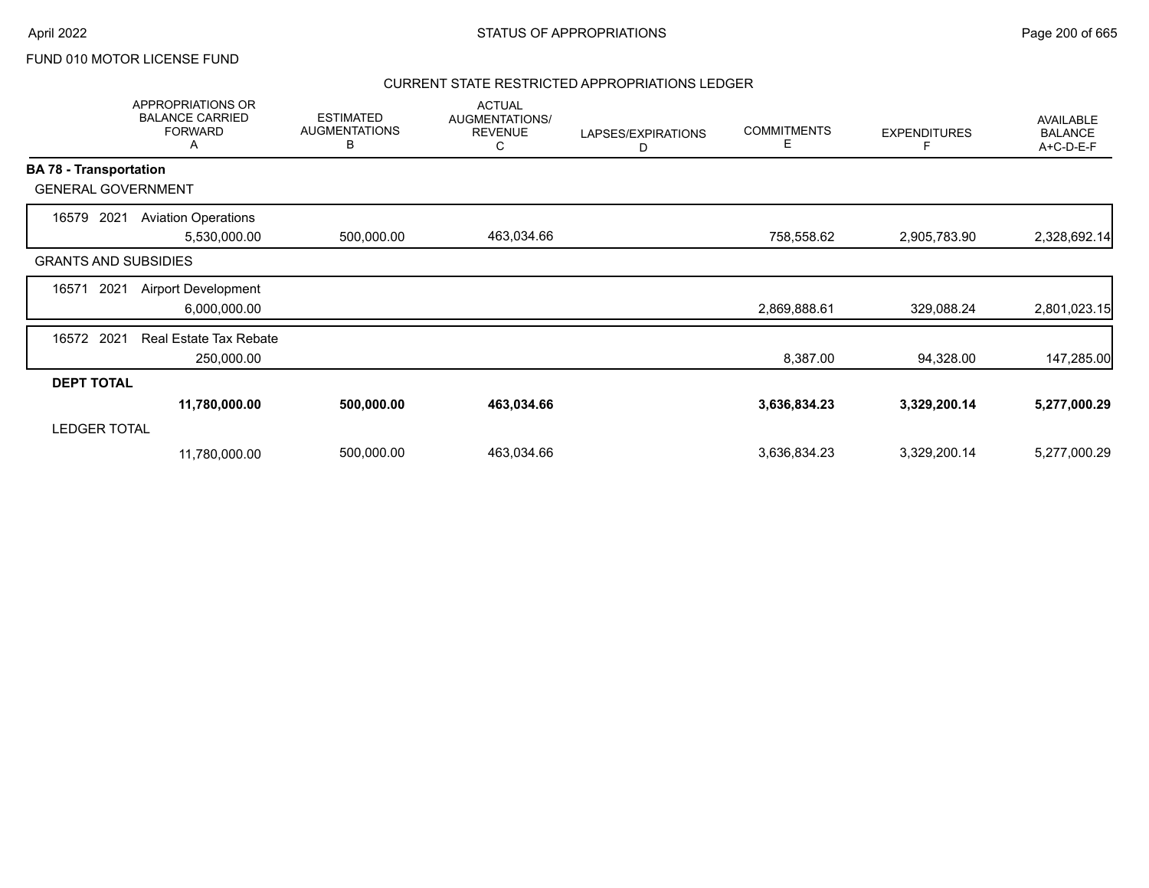### CURRENT STATE RESTRICTED APPROPRIATIONS LEDGER

|                               | APPROPRIATIONS OR<br><b>BALANCE CARRIED</b><br><b>FORWARD</b><br>A | <b>ESTIMATED</b><br><b>AUGMENTATIONS</b><br>B | <b>ACTUAL</b><br>AUGMENTATIONS/<br><b>REVENUE</b><br>С | LAPSES/EXPIRATIONS<br>D | <b>COMMITMENTS</b><br>Е | <b>EXPENDITURES</b> | <b>AVAILABLE</b><br><b>BALANCE</b><br>A+C-D-E-F |
|-------------------------------|--------------------------------------------------------------------|-----------------------------------------------|--------------------------------------------------------|-------------------------|-------------------------|---------------------|-------------------------------------------------|
| <b>BA 78 - Transportation</b> |                                                                    |                                               |                                                        |                         |                         |                     |                                                 |
| <b>GENERAL GOVERNMENT</b>     |                                                                    |                                               |                                                        |                         |                         |                     |                                                 |
| 2021<br>16579                 | <b>Aviation Operations</b><br>5,530,000.00                         | 500,000.00                                    | 463,034.66                                             |                         | 758,558.62              | 2,905,783.90        | 2,328,692.14                                    |
| <b>GRANTS AND SUBSIDIES</b>   |                                                                    |                                               |                                                        |                         |                         |                     |                                                 |
| 2021<br>16571                 | <b>Airport Development</b><br>6,000,000.00                         |                                               |                                                        |                         | 2,869,888.61            | 329,088.24          | 2,801,023.15                                    |
| 2021<br>16572                 | <b>Real Estate Tax Rebate</b><br>250,000.00                        |                                               |                                                        |                         | 8,387.00                | 94,328.00           | 147,285.00                                      |
| <b>DEPT TOTAL</b>             |                                                                    |                                               |                                                        |                         |                         |                     |                                                 |
|                               | 11,780,000.00                                                      | 500,000.00                                    | 463,034.66                                             |                         | 3,636,834.23            | 3,329,200.14        | 5,277,000.29                                    |
| <b>LEDGER TOTAL</b>           |                                                                    |                                               |                                                        |                         |                         |                     |                                                 |
|                               | 11,780,000.00                                                      | 500,000.00                                    | 463,034.66                                             |                         | 3,636,834.23            | 3,329,200.14        | 5,277,000.29                                    |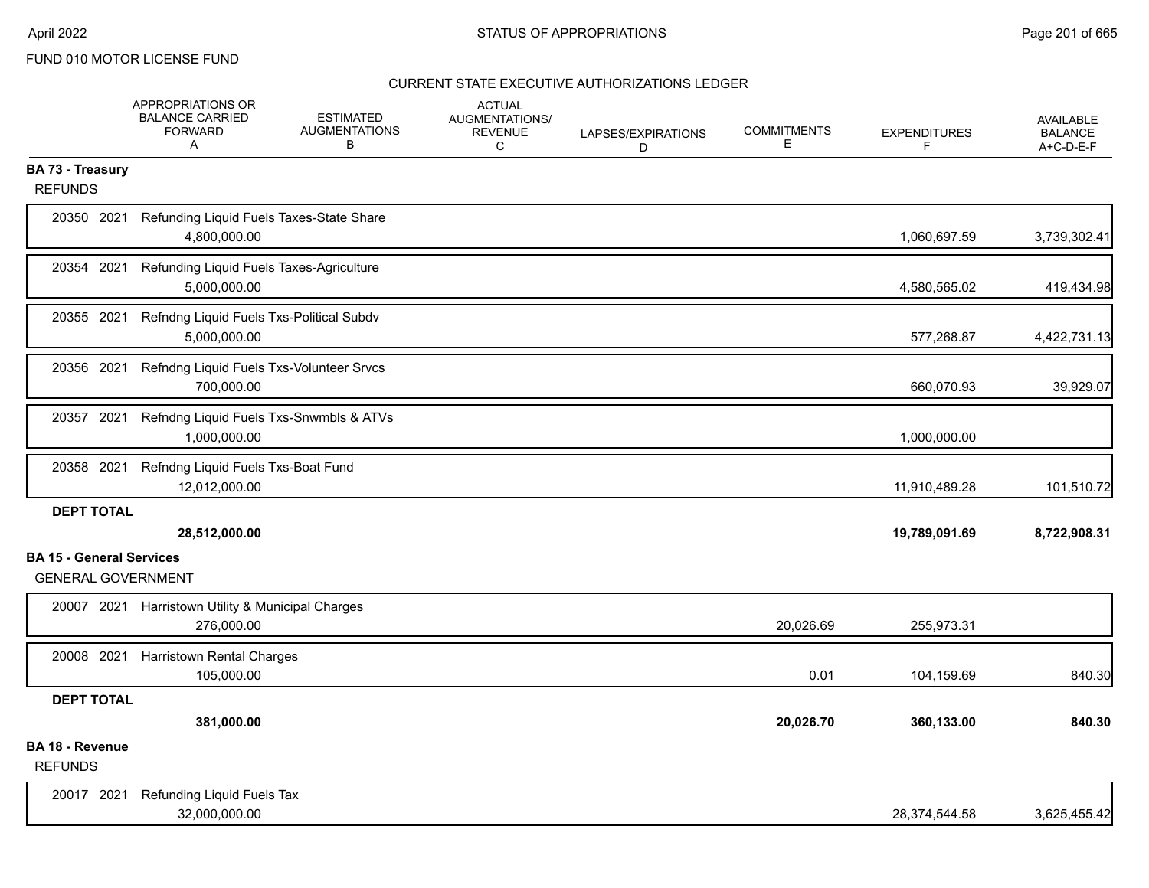|                                   | APPROPRIATIONS OR<br><b>BALANCE CARRIED</b><br><b>FORWARD</b><br>Α | <b>ESTIMATED</b><br><b>AUGMENTATIONS</b><br>в | <b>ACTUAL</b><br>AUGMENTATIONS/<br><b>REVENUE</b><br>C | LAPSES/EXPIRATIONS<br>D | <b>COMMITMENTS</b><br>E. | <b>EXPENDITURES</b><br>F | <b>AVAILABLE</b><br><b>BALANCE</b><br>$A+C-D-E-F$ |
|-----------------------------------|--------------------------------------------------------------------|-----------------------------------------------|--------------------------------------------------------|-------------------------|--------------------------|--------------------------|---------------------------------------------------|
| BA 73 - Treasury                  |                                                                    |                                               |                                                        |                         |                          |                          |                                                   |
| <b>REFUNDS</b>                    |                                                                    |                                               |                                                        |                         |                          |                          |                                                   |
| 20350 2021                        | Refunding Liquid Fuels Taxes-State Share<br>4,800,000.00           |                                               |                                                        |                         |                          | 1,060,697.59             | 3,739,302.41                                      |
| 20354 2021                        | Refunding Liquid Fuels Taxes-Agriculture<br>5,000,000.00           |                                               |                                                        |                         |                          | 4,580,565.02             | 419,434.98                                        |
| 20355 2021                        | Refndng Liquid Fuels Txs-Political Subdv<br>5,000,000.00           |                                               |                                                        |                         |                          | 577,268.87               | 4,422,731.13                                      |
| 20356 2021                        | Refndng Liquid Fuels Txs-Volunteer Srvcs<br>700,000.00             |                                               |                                                        |                         |                          | 660,070.93               | 39,929.07                                         |
| 20357 2021                        | Refndng Liquid Fuels Txs-Snwmbls & ATVs<br>1,000,000.00            |                                               |                                                        |                         |                          | 1,000,000.00             |                                                   |
| 20358 2021                        | Refndng Liquid Fuels Txs-Boat Fund<br>12,012,000.00                |                                               |                                                        |                         |                          | 11,910,489.28            | 101,510.72                                        |
| <b>DEPT TOTAL</b>                 |                                                                    |                                               |                                                        |                         |                          |                          |                                                   |
|                                   | 28,512,000.00                                                      |                                               |                                                        |                         |                          | 19,789,091.69            | 8,722,908.31                                      |
| <b>BA 15 - General Services</b>   |                                                                    |                                               |                                                        |                         |                          |                          |                                                   |
| <b>GENERAL GOVERNMENT</b>         |                                                                    |                                               |                                                        |                         |                          |                          |                                                   |
|                                   | 20007 2021 Harristown Utility & Municipal Charges<br>276,000.00    |                                               |                                                        |                         | 20,026.69                | 255,973.31               |                                                   |
| 20008 2021                        | <b>Harristown Rental Charges</b><br>105,000.00                     |                                               |                                                        |                         | 0.01                     | 104,159.69               | 840.30                                            |
| <b>DEPT TOTAL</b>                 |                                                                    |                                               |                                                        |                         |                          |                          |                                                   |
|                                   | 381,000.00                                                         |                                               |                                                        |                         | 20,026.70                | 360,133.00               | 840.30                                            |
| BA 18 - Revenue<br><b>REFUNDS</b> |                                                                    |                                               |                                                        |                         |                          |                          |                                                   |
| 20017 2021                        | Refunding Liquid Fuels Tax<br>32,000,000.00                        |                                               |                                                        |                         |                          | 28,374,544.58            | 3,625,455.42                                      |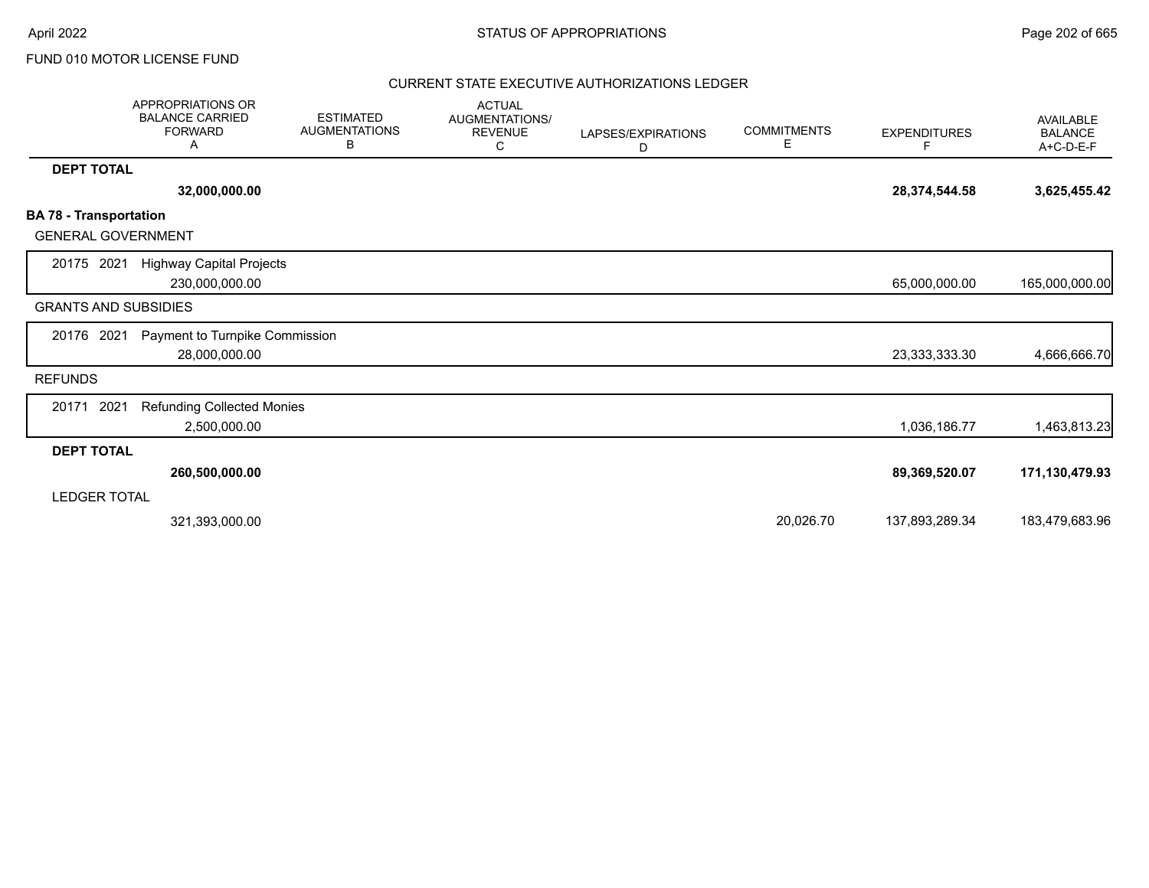|                                                            | <b>APPROPRIATIONS OR</b><br><b>BALANCE CARRIED</b><br><b>FORWARD</b><br>A | <b>ESTIMATED</b><br><b>AUGMENTATIONS</b><br>В | <b>ACTUAL</b><br><b>AUGMENTATIONS/</b><br><b>REVENUE</b><br>С | LAPSES/EXPIRATIONS<br>D | <b>COMMITMENTS</b><br>Е | <b>EXPENDITURES</b><br>F. | <b>AVAILABLE</b><br><b>BALANCE</b><br>$A+C-D-E-F$ |
|------------------------------------------------------------|---------------------------------------------------------------------------|-----------------------------------------------|---------------------------------------------------------------|-------------------------|-------------------------|---------------------------|---------------------------------------------------|
| <b>DEPT TOTAL</b>                                          |                                                                           |                                               |                                                               |                         |                         |                           |                                                   |
|                                                            | 32,000,000.00                                                             |                                               |                                                               |                         |                         | 28,374,544.58             | 3,625,455.42                                      |
| <b>BA 78 - Transportation</b><br><b>GENERAL GOVERNMENT</b> |                                                                           |                                               |                                                               |                         |                         |                           |                                                   |
| 20175 2021                                                 | <b>Highway Capital Projects</b><br>230,000,000.00                         |                                               |                                                               |                         |                         | 65,000,000.00             | 165,000,000.00                                    |
| <b>GRANTS AND SUBSIDIES</b>                                |                                                                           |                                               |                                                               |                         |                         |                           |                                                   |
| 20176 2021                                                 | Payment to Turnpike Commission<br>28,000,000.00                           |                                               |                                                               |                         |                         | 23,333,333.30             | 4,666,666.70                                      |
| <b>REFUNDS</b>                                             |                                                                           |                                               |                                                               |                         |                         |                           |                                                   |
| 2021<br>20171                                              | <b>Refunding Collected Monies</b><br>2,500,000.00                         |                                               |                                                               |                         |                         | 1,036,186.77              | 1,463,813.23                                      |
| <b>DEPT TOTAL</b>                                          |                                                                           |                                               |                                                               |                         |                         |                           |                                                   |
|                                                            | 260,500,000.00                                                            |                                               |                                                               |                         |                         | 89,369,520.07             | 171,130,479.93                                    |
| <b>LEDGER TOTAL</b>                                        |                                                                           |                                               |                                                               |                         |                         |                           |                                                   |
|                                                            | 321,393,000.00                                                            |                                               |                                                               |                         | 20,026.70               | 137,893,289.34            | 183,479,683.96                                    |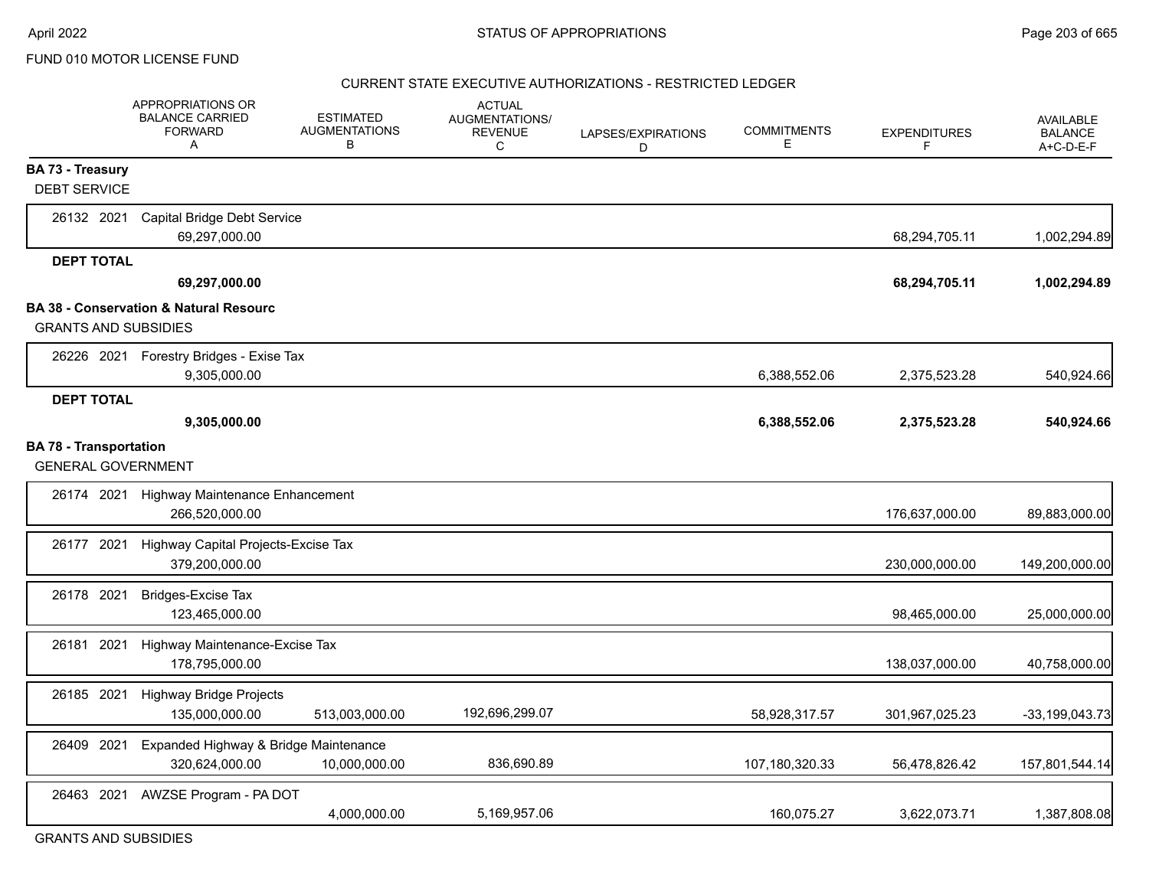#### CURRENT STATE EXECUTIVE AUTHORIZATIONS - RESTRICTED LEDGER

|                               | APPROPRIATIONS OR<br><b>BALANCE CARRIED</b><br><b>FORWARD</b><br>A | <b>ESTIMATED</b><br><b>AUGMENTATIONS</b><br>В | <b>ACTUAL</b><br>AUGMENTATIONS/<br><b>REVENUE</b><br>C | LAPSES/EXPIRATIONS<br>D | <b>COMMITMENTS</b><br>Е | <b>EXPENDITURES</b><br>F | <b>AVAILABLE</b><br><b>BALANCE</b><br>$A+C-D-E-F$ |
|-------------------------------|--------------------------------------------------------------------|-----------------------------------------------|--------------------------------------------------------|-------------------------|-------------------------|--------------------------|---------------------------------------------------|
| <b>BA 73 - Treasury</b>       |                                                                    |                                               |                                                        |                         |                         |                          |                                                   |
| <b>DEBT SERVICE</b>           |                                                                    |                                               |                                                        |                         |                         |                          |                                                   |
| 26132 2021                    | <b>Capital Bridge Debt Service</b><br>69,297,000.00                |                                               |                                                        |                         |                         | 68,294,705.11            | 1,002,294.89                                      |
| <b>DEPT TOTAL</b>             |                                                                    |                                               |                                                        |                         |                         |                          |                                                   |
|                               | 69,297,000.00                                                      |                                               |                                                        |                         |                         | 68,294,705.11            | 1,002,294.89                                      |
|                               | <b>BA 38 - Conservation &amp; Natural Resourc</b>                  |                                               |                                                        |                         |                         |                          |                                                   |
| <b>GRANTS AND SUBSIDIES</b>   |                                                                    |                                               |                                                        |                         |                         |                          |                                                   |
|                               | 26226 2021 Forestry Bridges - Exise Tax                            |                                               |                                                        |                         |                         |                          |                                                   |
|                               | 9,305,000.00                                                       |                                               |                                                        |                         | 6,388,552.06            | 2,375,523.28             | 540,924.66                                        |
| <b>DEPT TOTAL</b>             |                                                                    |                                               |                                                        |                         |                         |                          |                                                   |
|                               | 9,305,000.00                                                       |                                               |                                                        |                         | 6,388,552.06            | 2,375,523.28             | 540,924.66                                        |
| <b>BA 78 - Transportation</b> |                                                                    |                                               |                                                        |                         |                         |                          |                                                   |
| <b>GENERAL GOVERNMENT</b>     |                                                                    |                                               |                                                        |                         |                         |                          |                                                   |
| 26174 2021                    | Highway Maintenance Enhancement<br>266,520,000.00                  |                                               |                                                        |                         |                         | 176,637,000.00           | 89,883,000.00                                     |
| 26177 2021                    | Highway Capital Projects-Excise Tax<br>379,200,000.00              |                                               |                                                        |                         |                         | 230,000,000.00           | 149,200,000.00                                    |
| 26178 2021                    | <b>Bridges-Excise Tax</b><br>123,465,000.00                        |                                               |                                                        |                         |                         | 98,465,000.00            | 25,000,000.00                                     |
| 26181 2021                    | Highway Maintenance-Excise Tax<br>178,795,000.00                   |                                               |                                                        |                         |                         | 138,037,000.00           | 40,758,000.00                                     |
| 26185 2021                    | Highway Bridge Projects<br>135,000,000.00                          | 513,003,000.00                                | 192,696,299.07                                         |                         | 58,928,317.57           | 301,967,025.23           | $-33,199,043.73$                                  |
| 26409 2021                    | Expanded Highway & Bridge Maintenance<br>320,624,000.00            | 10,000,000.00                                 | 836,690.89                                             |                         | 107,180,320.33          | 56,478,826.42            | 157,801,544.14                                    |
| 26463 2021                    | AWZSE Program - PA DOT                                             | 4,000,000.00                                  | 5,169,957.06                                           |                         | 160,075.27              | 3,622,073.71             | 1,387,808.08                                      |

GRANTS AND SUBSIDIES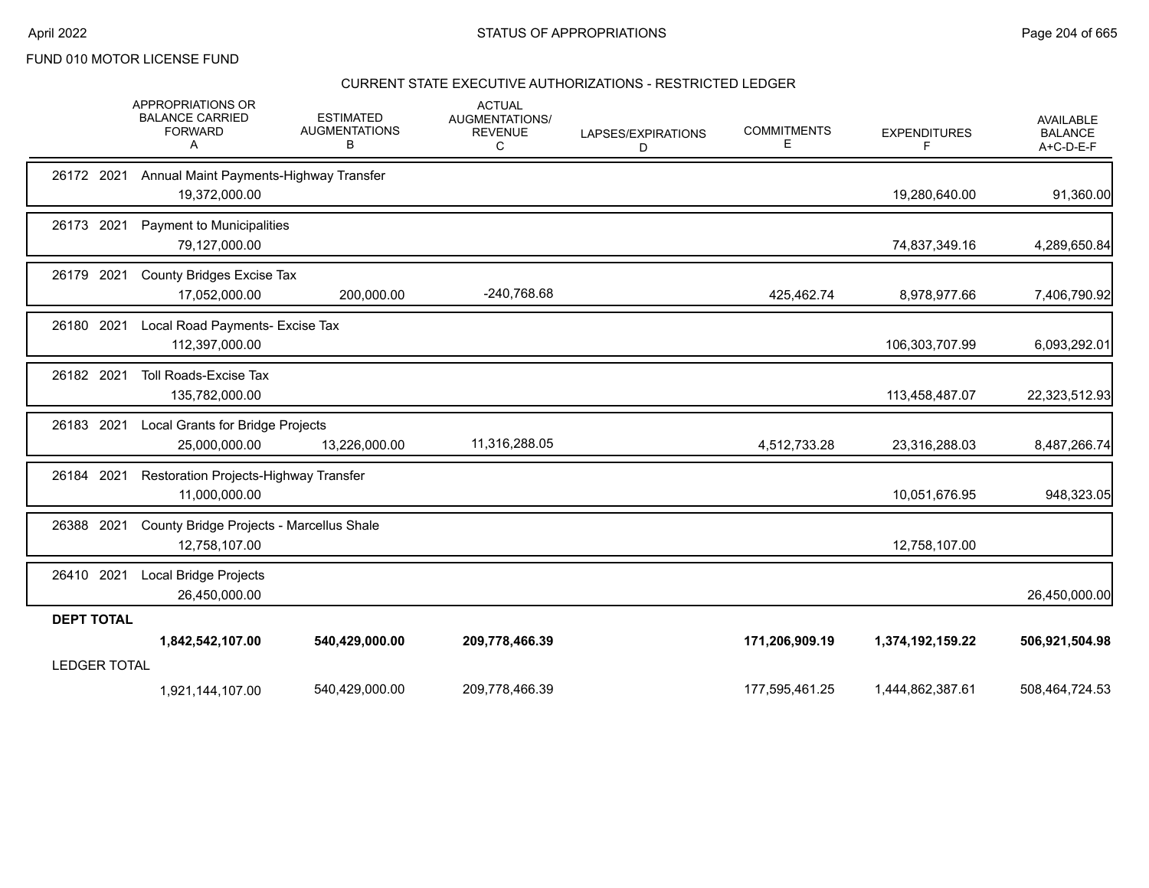### CURRENT STATE EXECUTIVE AUTHORIZATIONS - RESTRICTED LEDGER

|                     | APPROPRIATIONS OR<br><b>BALANCE CARRIED</b><br><b>FORWARD</b><br>Α | <b>ESTIMATED</b><br><b>AUGMENTATIONS</b><br>В | <b>ACTUAL</b><br>AUGMENTATIONS/<br><b>REVENUE</b><br>С | LAPSES/EXPIRATIONS<br>D | <b>COMMITMENTS</b><br>Ε | <b>EXPENDITURES</b><br>F | <b>AVAILABLE</b><br><b>BALANCE</b><br>A+C-D-E-F |
|---------------------|--------------------------------------------------------------------|-----------------------------------------------|--------------------------------------------------------|-------------------------|-------------------------|--------------------------|-------------------------------------------------|
| 26172 2021          | Annual Maint Payments-Highway Transfer<br>19,372,000.00            |                                               |                                                        |                         |                         | 19,280,640.00            | 91,360.00                                       |
| 26173 2021          | Payment to Municipalities<br>79,127,000.00                         |                                               |                                                        |                         |                         | 74,837,349.16            | 4,289,650.84                                    |
| 26179 2021          | <b>County Bridges Excise Tax</b><br>17,052,000.00                  | 200,000.00                                    | -240,768.68                                            |                         | 425,462.74              | 8,978,977.66             | 7,406,790.92                                    |
| 26180 2021          | Local Road Payments- Excise Tax<br>112,397,000.00                  |                                               |                                                        |                         |                         | 106,303,707.99           | 6,093,292.01                                    |
| 26182 2021          | <b>Toll Roads-Excise Tax</b><br>135,782,000.00                     |                                               |                                                        |                         |                         | 113,458,487.07           | 22,323,512.93                                   |
| 26183 2021          | Local Grants for Bridge Projects<br>25,000,000.00                  | 13,226,000.00                                 | 11,316,288.05                                          |                         | 4,512,733.28            | 23,316,288.03            | 8,487,266.74                                    |
| 26184 2021          | Restoration Projects-Highway Transfer<br>11,000,000.00             |                                               |                                                        |                         |                         | 10,051,676.95            | 948,323.05                                      |
| 26388 2021          | County Bridge Projects - Marcellus Shale<br>12,758,107.00          |                                               |                                                        |                         |                         | 12,758,107.00            |                                                 |
| 26410 2021          | <b>Local Bridge Projects</b><br>26,450,000.00                      |                                               |                                                        |                         |                         |                          | 26,450,000.00                                   |
| <b>DEPT TOTAL</b>   |                                                                    |                                               |                                                        |                         |                         |                          |                                                 |
|                     | 1,842,542,107.00                                                   | 540,429,000.00                                | 209,778,466.39                                         |                         | 171,206,909.19          | 1,374,192,159.22         | 506,921,504.98                                  |
| <b>LEDGER TOTAL</b> |                                                                    |                                               |                                                        |                         |                         |                          |                                                 |
|                     | 1,921,144,107.00                                                   | 540,429,000.00                                | 209,778,466.39                                         |                         | 177,595,461.25          | 1,444,862,387.61         | 508,464,724.53                                  |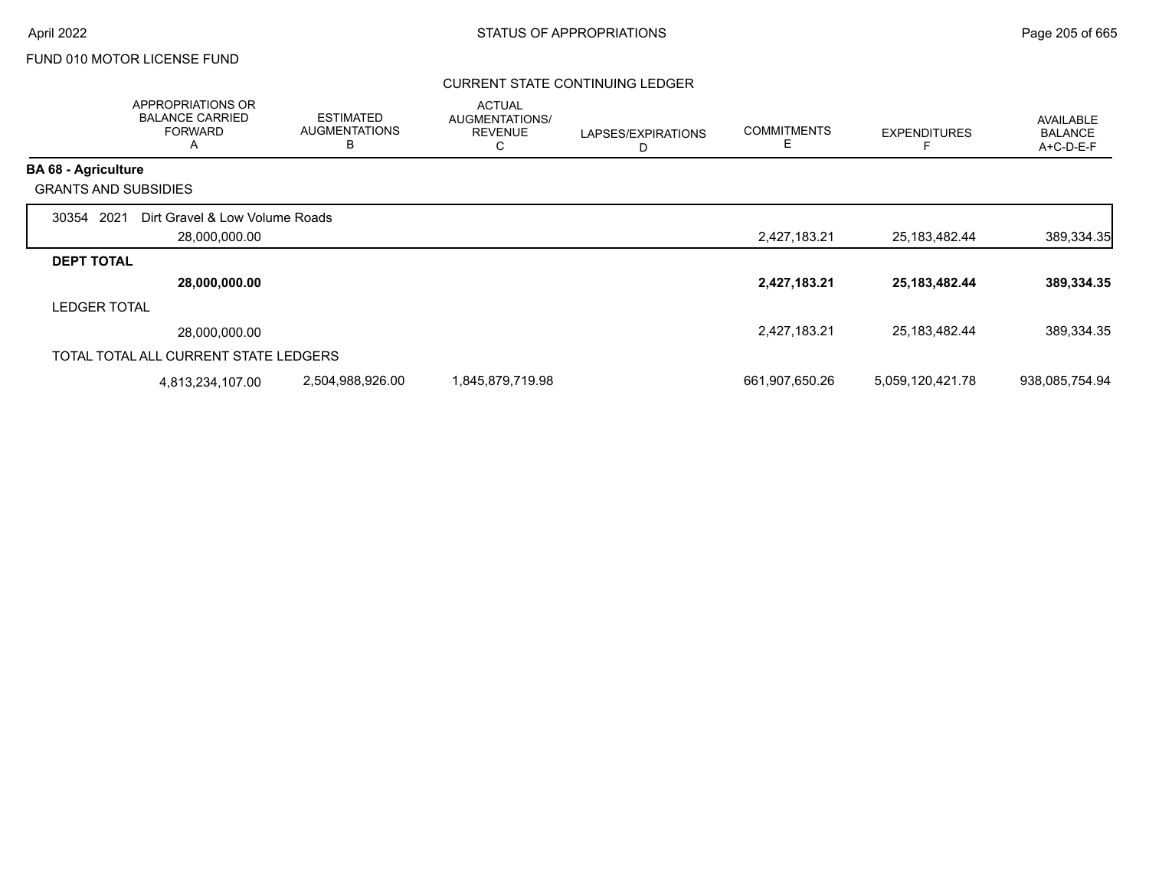### CURRENT STATE CONTINUING LEDGER

|                             | APPROPRIATIONS OR<br><b>BALANCE CARRIED</b><br><b>FORWARD</b><br>A | <b>ESTIMATED</b><br><b>AUGMENTATIONS</b><br>В | <b>ACTUAL</b><br>AUGMENTATIONS/<br><b>REVENUE</b><br>C | LAPSES/EXPIRATIONS | <b>COMMITMENTS</b><br>Е | <b>EXPENDITURES</b> | <b>AVAILABLE</b><br><b>BALANCE</b><br>A+C-D-E-F |
|-----------------------------|--------------------------------------------------------------------|-----------------------------------------------|--------------------------------------------------------|--------------------|-------------------------|---------------------|-------------------------------------------------|
| <b>BA 68 - Agriculture</b>  |                                                                    |                                               |                                                        |                    |                         |                     |                                                 |
| <b>GRANTS AND SUBSIDIES</b> |                                                                    |                                               |                                                        |                    |                         |                     |                                                 |
| 2021<br>30354               | Dirt Gravel & Low Volume Roads                                     |                                               |                                                        |                    |                         |                     |                                                 |
|                             | 28,000,000.00                                                      |                                               |                                                        |                    | 2,427,183.21            | 25,183,482.44       | 389,334.35                                      |
| <b>DEPT TOTAL</b>           |                                                                    |                                               |                                                        |                    |                         |                     |                                                 |
|                             | 28,000,000.00                                                      |                                               |                                                        |                    | 2,427,183.21            | 25, 183, 482. 44    | 389,334.35                                      |
| <b>LEDGER TOTAL</b>         |                                                                    |                                               |                                                        |                    |                         |                     |                                                 |
|                             | 28,000,000.00                                                      |                                               |                                                        |                    | 2,427,183.21            | 25,183,482.44       | 389,334.35                                      |
|                             | TOTAL TOTAL ALL CURRENT STATE LEDGERS                              |                                               |                                                        |                    |                         |                     |                                                 |
|                             | 4,813,234,107.00                                                   | 2,504,988,926.00                              | 1,845,879,719.98                                       |                    | 661,907,650.26          | 5,059,120,421.78    | 938,085,754.94                                  |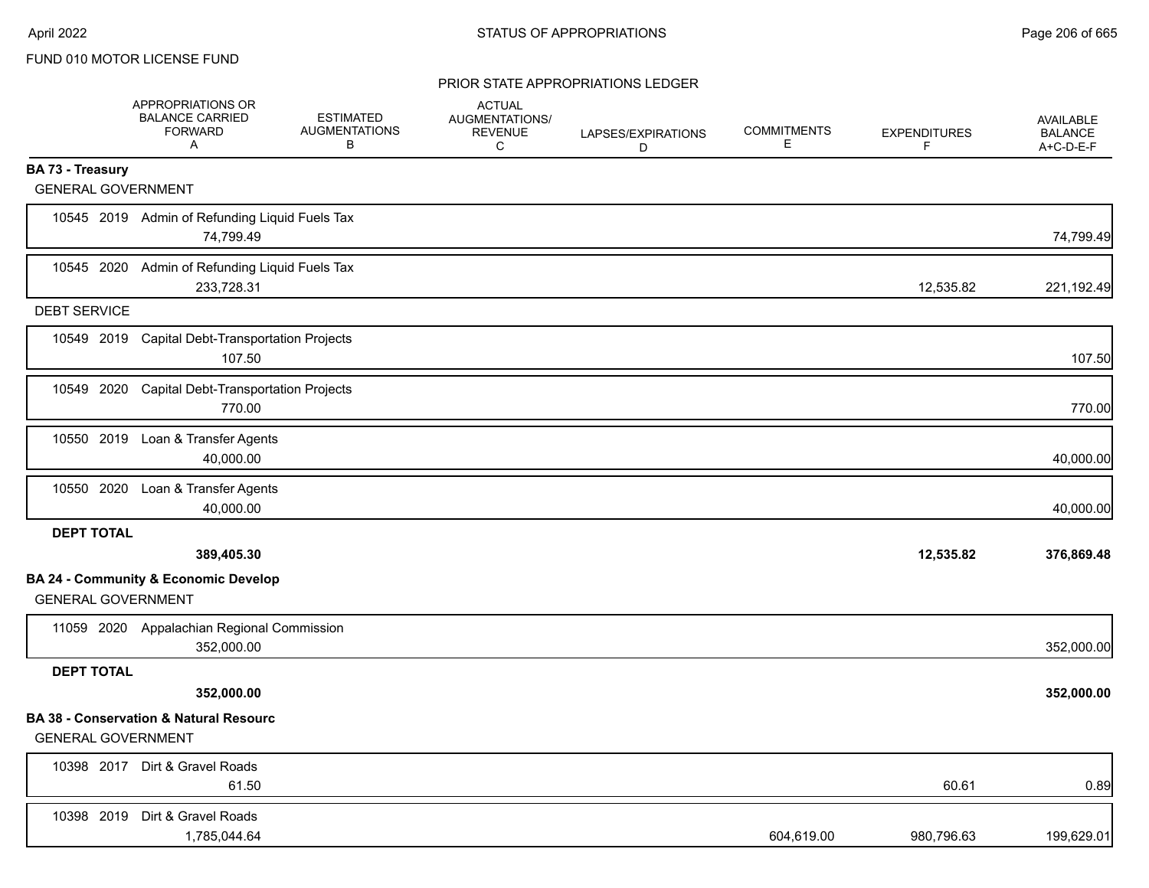|                           | APPROPRIATIONS OR<br><b>BALANCE CARRIED</b><br><b>FORWARD</b><br>A | <b>ESTIMATED</b><br><b>AUGMENTATIONS</b><br>В | <b>ACTUAL</b><br>AUGMENTATIONS/<br><b>REVENUE</b><br>C | LAPSES/EXPIRATIONS<br>D | <b>COMMITMENTS</b><br>Е | <b>EXPENDITURES</b><br>F | AVAILABLE<br><b>BALANCE</b><br>A+C-D-E-F |
|---------------------------|--------------------------------------------------------------------|-----------------------------------------------|--------------------------------------------------------|-------------------------|-------------------------|--------------------------|------------------------------------------|
| <b>BA 73 - Treasury</b>   |                                                                    |                                               |                                                        |                         |                         |                          |                                          |
| <b>GENERAL GOVERNMENT</b> |                                                                    |                                               |                                                        |                         |                         |                          |                                          |
|                           | 10545 2019 Admin of Refunding Liquid Fuels Tax<br>74,799.49        |                                               |                                                        |                         |                         |                          | 74,799.49                                |
|                           | 10545 2020 Admin of Refunding Liquid Fuels Tax<br>233,728.31       |                                               |                                                        |                         |                         | 12,535.82                | 221,192.49                               |
| <b>DEBT SERVICE</b>       |                                                                    |                                               |                                                        |                         |                         |                          |                                          |
|                           | 10549 2019 Capital Debt-Transportation Projects<br>107.50          |                                               |                                                        |                         |                         |                          | 107.50                                   |
|                           | 10549 2020 Capital Debt-Transportation Projects<br>770.00          |                                               |                                                        |                         |                         |                          | 770.00                                   |
|                           | 10550 2019 Loan & Transfer Agents<br>40,000.00                     |                                               |                                                        |                         |                         |                          | 40,000.00                                |
|                           | 10550 2020 Loan & Transfer Agents<br>40,000.00                     |                                               |                                                        |                         |                         |                          | 40,000.00                                |
| <b>DEPT TOTAL</b>         |                                                                    |                                               |                                                        |                         |                         |                          |                                          |
|                           | 389,405.30                                                         |                                               |                                                        |                         |                         | 12,535.82                | 376,869.48                               |
| <b>GENERAL GOVERNMENT</b> | <b>BA 24 - Community &amp; Economic Develop</b>                    |                                               |                                                        |                         |                         |                          |                                          |
|                           | 11059 2020 Appalachian Regional Commission<br>352,000.00           |                                               |                                                        |                         |                         |                          | 352,000.00                               |
| <b>DEPT TOTAL</b>         |                                                                    |                                               |                                                        |                         |                         |                          |                                          |
|                           | 352,000.00                                                         |                                               |                                                        |                         |                         |                          | 352,000.00                               |
| <b>GENERAL GOVERNMENT</b> | <b>BA 38 - Conservation &amp; Natural Resourc</b>                  |                                               |                                                        |                         |                         |                          |                                          |
|                           | 10398 2017 Dirt & Gravel Roads<br>61.50                            |                                               |                                                        |                         |                         | 60.61                    | 0.89                                     |
|                           | 10398 2019 Dirt & Gravel Roads<br>1,785,044.64                     |                                               |                                                        |                         | 604,619.00              | 980,796.63               | 199,629.01                               |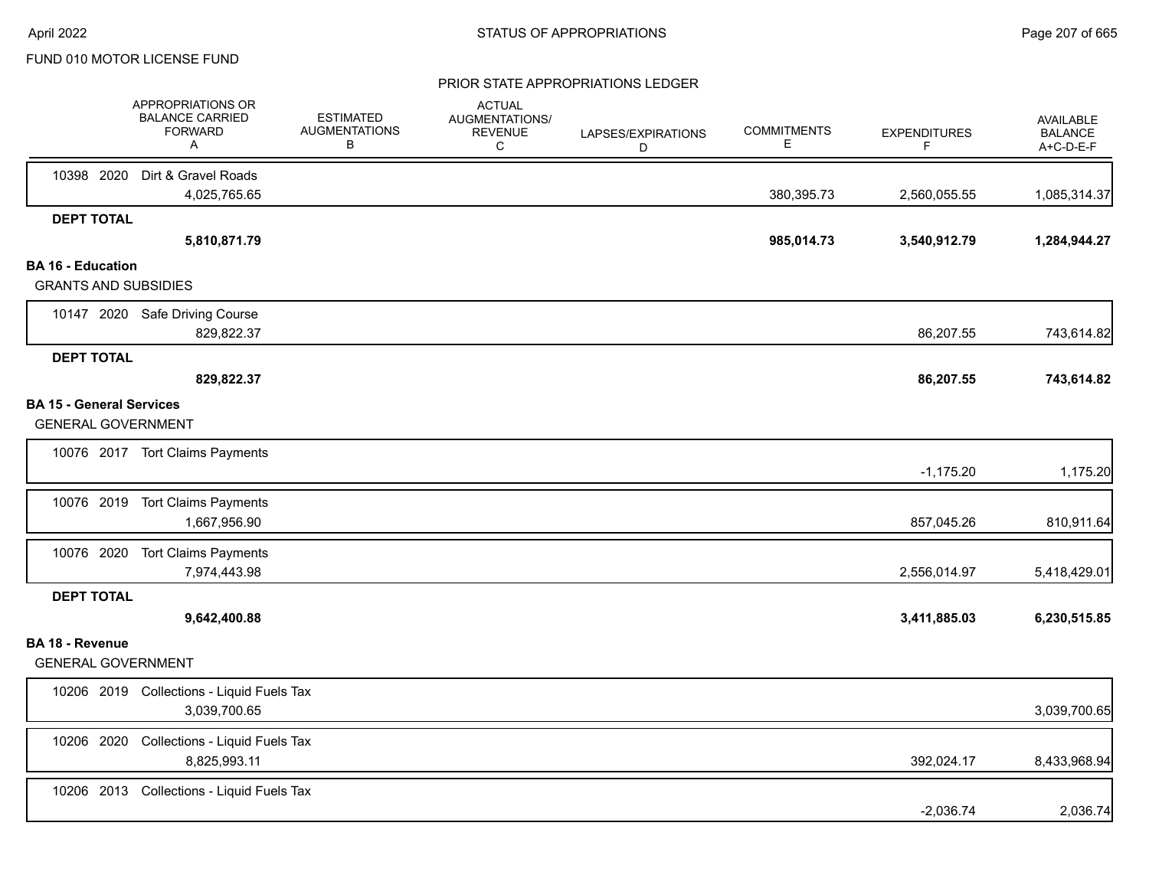|                                                              | APPROPRIATIONS OR<br><b>BALANCE CARRIED</b><br><b>FORWARD</b><br>A | <b>ESTIMATED</b><br><b>AUGMENTATIONS</b><br>В | <b>ACTUAL</b><br>AUGMENTATIONS/<br><b>REVENUE</b><br>C | LAPSES/EXPIRATIONS<br>D | <b>COMMITMENTS</b><br>E. | <b>EXPENDITURES</b><br>F | <b>AVAILABLE</b><br><b>BALANCE</b><br>A+C-D-E-F |
|--------------------------------------------------------------|--------------------------------------------------------------------|-----------------------------------------------|--------------------------------------------------------|-------------------------|--------------------------|--------------------------|-------------------------------------------------|
|                                                              | 10398 2020 Dirt & Gravel Roads<br>4,025,765.65                     |                                               |                                                        |                         | 380,395.73               | 2,560,055.55             | 1,085,314.37                                    |
| <b>DEPT TOTAL</b>                                            |                                                                    |                                               |                                                        |                         |                          |                          |                                                 |
|                                                              | 5,810,871.79                                                       |                                               |                                                        |                         | 985,014.73               | 3,540,912.79             | 1,284,944.27                                    |
| <b>BA 16 - Education</b><br><b>GRANTS AND SUBSIDIES</b>      |                                                                    |                                               |                                                        |                         |                          |                          |                                                 |
|                                                              | 10147 2020 Safe Driving Course<br>829,822.37                       |                                               |                                                        |                         |                          | 86,207.55                | 743,614.82                                      |
| <b>DEPT TOTAL</b>                                            | 829,822.37                                                         |                                               |                                                        |                         |                          | 86,207.55                | 743,614.82                                      |
| <b>BA 15 - General Services</b><br><b>GENERAL GOVERNMENT</b> |                                                                    |                                               |                                                        |                         |                          |                          |                                                 |
|                                                              | 10076 2017 Tort Claims Payments                                    |                                               |                                                        |                         |                          | $-1,175.20$              | 1,175.20                                        |
|                                                              | 10076 2019 Tort Claims Payments<br>1,667,956.90                    |                                               |                                                        |                         |                          | 857,045.26               | 810,911.64                                      |
|                                                              | 10076 2020 Tort Claims Payments<br>7,974,443.98                    |                                               |                                                        |                         |                          | 2,556,014.97             | 5,418,429.01                                    |
| <b>DEPT TOTAL</b>                                            |                                                                    |                                               |                                                        |                         |                          |                          |                                                 |
|                                                              | 9,642,400.88                                                       |                                               |                                                        |                         |                          | 3,411,885.03             | 6,230,515.85                                    |
| <b>BA 18 - Revenue</b><br><b>GENERAL GOVERNMENT</b>          |                                                                    |                                               |                                                        |                         |                          |                          |                                                 |
|                                                              | 10206 2019 Collections - Liquid Fuels Tax<br>3,039,700.65          |                                               |                                                        |                         |                          |                          | 3,039,700.65                                    |
|                                                              | 10206 2020 Collections - Liquid Fuels Tax<br>8,825,993.11          |                                               |                                                        |                         |                          | 392,024.17               | 8,433,968.94                                    |
|                                                              | 10206 2013 Collections - Liquid Fuels Tax                          |                                               |                                                        |                         |                          | $-2,036.74$              | 2,036.74                                        |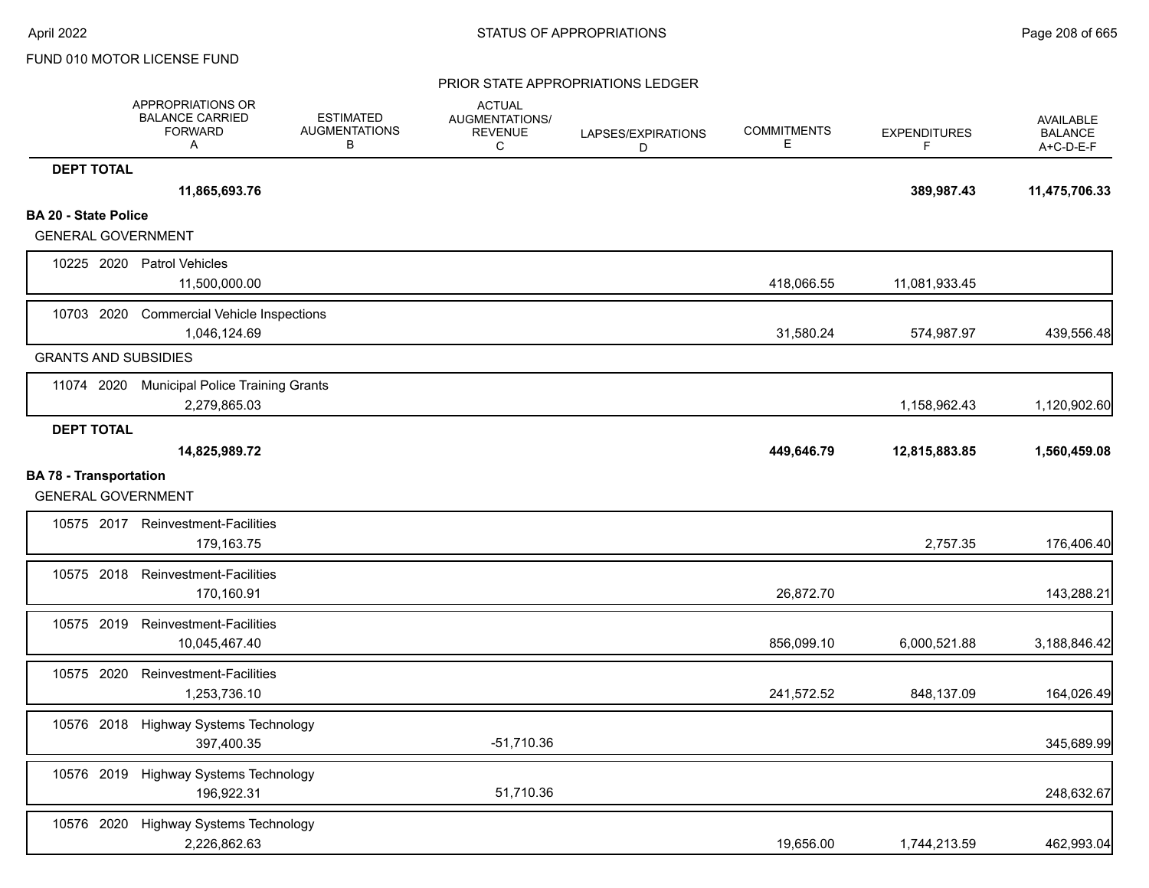|                                                            | APPROPRIATIONS OR<br><b>BALANCE CARRIED</b><br><b>FORWARD</b><br>Α | <b>ESTIMATED</b><br><b>AUGMENTATIONS</b><br>В | <b>ACTUAL</b><br>AUGMENTATIONS/<br><b>REVENUE</b><br>C | LAPSES/EXPIRATIONS<br>D | <b>COMMITMENTS</b><br>Е | <b>EXPENDITURES</b><br>F | <b>AVAILABLE</b><br><b>BALANCE</b><br>A+C-D-E-F |
|------------------------------------------------------------|--------------------------------------------------------------------|-----------------------------------------------|--------------------------------------------------------|-------------------------|-------------------------|--------------------------|-------------------------------------------------|
| <b>DEPT TOTAL</b>                                          |                                                                    |                                               |                                                        |                         |                         |                          |                                                 |
|                                                            | 11,865,693.76                                                      |                                               |                                                        |                         |                         | 389,987.43               | 11,475,706.33                                   |
| <b>BA 20 - State Police</b>                                |                                                                    |                                               |                                                        |                         |                         |                          |                                                 |
| <b>GENERAL GOVERNMENT</b>                                  |                                                                    |                                               |                                                        |                         |                         |                          |                                                 |
|                                                            | 10225 2020 Patrol Vehicles<br>11,500,000.00                        |                                               |                                                        |                         | 418,066.55              | 11,081,933.45            |                                                 |
| 10703 2020                                                 | <b>Commercial Vehicle Inspections</b><br>1,046,124.69              |                                               |                                                        |                         | 31,580.24               | 574,987.97               | 439,556.48                                      |
| <b>GRANTS AND SUBSIDIES</b>                                |                                                                    |                                               |                                                        |                         |                         |                          |                                                 |
|                                                            | 11074 2020 Municipal Police Training Grants<br>2,279,865.03        |                                               |                                                        |                         |                         | 1,158,962.43             | 1,120,902.60                                    |
| <b>DEPT TOTAL</b>                                          |                                                                    |                                               |                                                        |                         |                         |                          |                                                 |
|                                                            | 14,825,989.72                                                      |                                               |                                                        |                         | 449,646.79              | 12,815,883.85            | 1,560,459.08                                    |
| <b>BA 78 - Transportation</b><br><b>GENERAL GOVERNMENT</b> |                                                                    |                                               |                                                        |                         |                         |                          |                                                 |
|                                                            | 10575 2017 Reinvestment-Facilities<br>179,163.75                   |                                               |                                                        |                         |                         | 2,757.35                 | 176,406.40                                      |
|                                                            | 10575 2018 Reinvestment-Facilities<br>170,160.91                   |                                               |                                                        |                         | 26,872.70               |                          | 143,288.21                                      |
| 10575 2019                                                 | Reinvestment-Facilities<br>10,045,467.40                           |                                               |                                                        |                         | 856,099.10              | 6,000,521.88             | 3,188,846.42                                    |
| 10575 2020                                                 | Reinvestment-Facilities<br>1,253,736.10                            |                                               |                                                        |                         | 241,572.52              | 848,137.09               | 164,026.49                                      |
| 10576 2018                                                 | <b>Highway Systems Technology</b><br>397,400.35                    |                                               | $-51,710.36$                                           |                         |                         |                          | 345,689.99                                      |
|                                                            | 10576 2019 Highway Systems Technology<br>196,922.31                |                                               | 51,710.36                                              |                         |                         |                          | 248,632.67                                      |
|                                                            | 10576 2020 Highway Systems Technology<br>2,226,862.63              |                                               |                                                        |                         | 19,656.00               | 1,744,213.59             | 462,993.04                                      |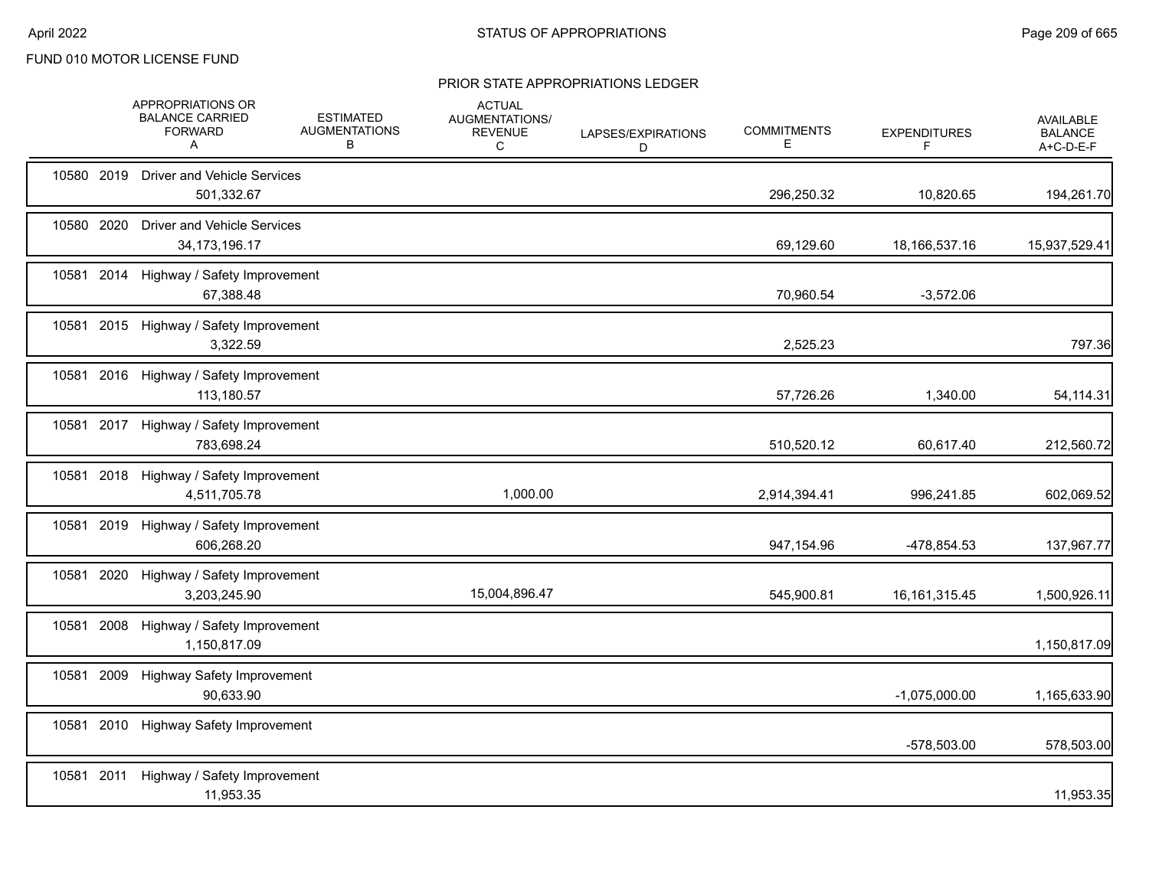| 10580 2019<br><b>Driver and Vehicle Services</b><br>501,332.67<br>296,250.32<br>10580 2020<br><b>Driver and Vehicle Services</b><br>34, 173, 196. 17<br>69,129.60<br>18, 166, 537. 16<br>10581 2014 Highway / Safety Improvement<br>67,388.48<br>70,960.54 | 10,820.65<br>194,261.70<br>15,937,529.41<br>$-3,572.06$ |
|------------------------------------------------------------------------------------------------------------------------------------------------------------------------------------------------------------------------------------------------------------|---------------------------------------------------------|
|                                                                                                                                                                                                                                                            |                                                         |
|                                                                                                                                                                                                                                                            |                                                         |
|                                                                                                                                                                                                                                                            |                                                         |
| 10581 2015 Highway / Safety Improvement<br>3,322.59<br>2,525.23                                                                                                                                                                                            | 797.36                                                  |
| 10581 2016 Highway / Safety Improvement<br>113,180.57<br>57,726.26                                                                                                                                                                                         | 1,340.00<br>54,114.31                                   |
| 10581 2017 Highway / Safety Improvement<br>783,698.24<br>510,520.12                                                                                                                                                                                        | 60,617.40<br>212,560.72                                 |
| 10581<br>2018 Highway / Safety Improvement<br>1,000.00<br>4,511,705.78<br>2,914,394.41                                                                                                                                                                     | 996,241.85<br>602,069.52                                |
| 10581 2019 Highway / Safety Improvement<br>606,268.20<br>947,154.96                                                                                                                                                                                        | -478,854.53<br>137,967.77                               |
| 10581 2020<br>Highway / Safety Improvement<br>15,004,896.47<br>3,203,245.90<br>545,900.81<br>16, 161, 315. 45                                                                                                                                              | 1,500,926.11                                            |
| 10581 2008<br>Highway / Safety Improvement<br>1,150,817.09                                                                                                                                                                                                 | 1,150,817.09                                            |
| 10581 2009<br><b>Highway Safety Improvement</b><br>90,633.90<br>$-1,075,000.00$                                                                                                                                                                            | 1,165,633.90                                            |
| 2010<br>10581<br><b>Highway Safety Improvement</b>                                                                                                                                                                                                         | -578,503.00<br>578,503.00                               |
| 10581 2011<br>Highway / Safety Improvement<br>11,953.35                                                                                                                                                                                                    | 11,953.35                                               |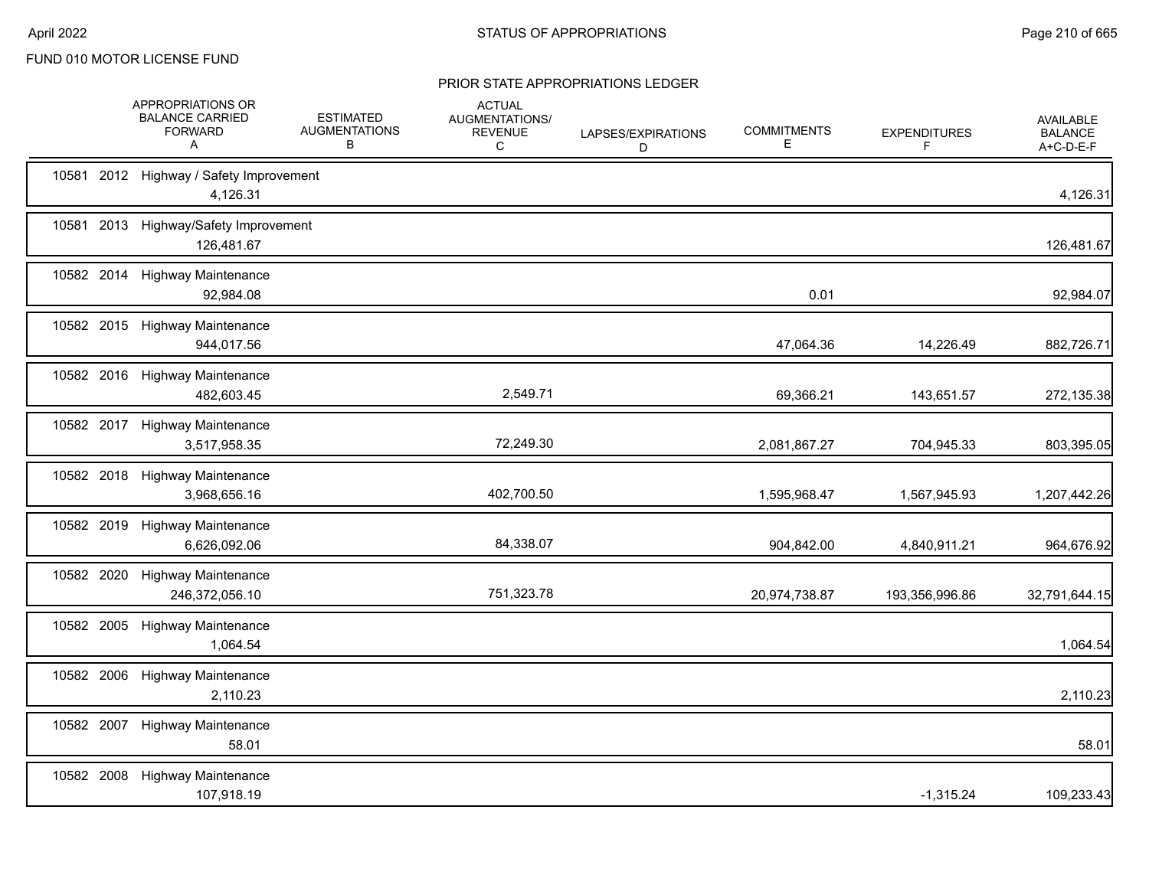|            | APPROPRIATIONS OR<br><b>BALANCE CARRIED</b><br><b>FORWARD</b><br>A | <b>ESTIMATED</b><br><b>AUGMENTATIONS</b><br>B | <b>ACTUAL</b><br>AUGMENTATIONS/<br><b>REVENUE</b><br>C | LAPSES/EXPIRATIONS<br>D | <b>COMMITMENTS</b><br>Е | <b>EXPENDITURES</b><br>F | AVAILABLE<br><b>BALANCE</b><br>A+C-D-E-F |
|------------|--------------------------------------------------------------------|-----------------------------------------------|--------------------------------------------------------|-------------------------|-------------------------|--------------------------|------------------------------------------|
|            | 10581 2012 Highway / Safety Improvement<br>4,126.31                |                                               |                                                        |                         |                         |                          | 4,126.31                                 |
|            | 10581 2013 Highway/Safety Improvement<br>126,481.67                |                                               |                                                        |                         |                         |                          | 126,481.67                               |
|            | 10582 2014 Highway Maintenance<br>92,984.08                        |                                               |                                                        |                         | 0.01                    |                          | 92,984.07                                |
|            | 10582 2015 Highway Maintenance<br>944,017.56                       |                                               |                                                        |                         | 47,064.36               | 14,226.49                | 882,726.71                               |
|            | 10582 2016 Highway Maintenance<br>482,603.45                       |                                               | 2,549.71                                               |                         | 69,366.21               | 143,651.57               | 272,135.38                               |
|            | 10582 2017 Highway Maintenance<br>3,517,958.35                     |                                               | 72,249.30                                              |                         | 2,081,867.27            | 704,945.33               | 803,395.05                               |
|            | 10582 2018 Highway Maintenance<br>3,968,656.16                     |                                               | 402,700.50                                             |                         | 1,595,968.47            | 1,567,945.93             | 1,207,442.26                             |
|            | 10582 2019 Highway Maintenance<br>6,626,092.06                     |                                               | 84,338.07                                              |                         | 904,842.00              | 4,840,911.21             | 964,676.92                               |
| 10582 2020 | <b>Highway Maintenance</b><br>246,372,056.10                       |                                               | 751,323.78                                             |                         | 20,974,738.87           | 193,356,996.86           | 32,791,644.15                            |
| 10582 2005 | <b>Highway Maintenance</b><br>1,064.54                             |                                               |                                                        |                         |                         |                          | 1,064.54                                 |
|            | 10582 2006 Highway Maintenance<br>2,110.23                         |                                               |                                                        |                         |                         |                          | 2,110.23                                 |
| 10582 2007 | <b>Highway Maintenance</b><br>58.01                                |                                               |                                                        |                         |                         |                          | 58.01                                    |
|            | 10582 2008 Highway Maintenance<br>107,918.19                       |                                               |                                                        |                         |                         | $-1,315.24$              | 109,233.43                               |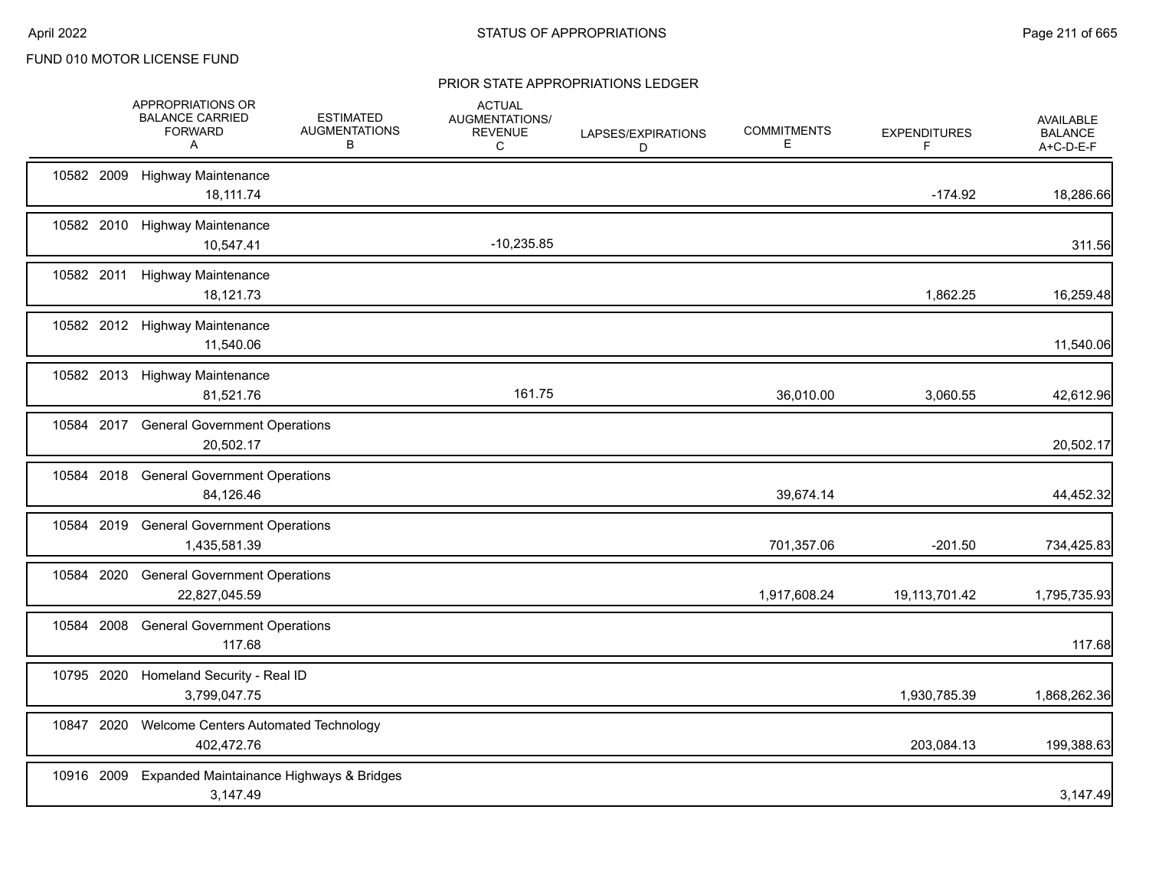|            | APPROPRIATIONS OR<br><b>BALANCE CARRIED</b><br><b>FORWARD</b><br>Α | <b>ESTIMATED</b><br><b>AUGMENTATIONS</b><br>В | <b>ACTUAL</b><br>AUGMENTATIONS/<br><b>REVENUE</b><br>C | LAPSES/EXPIRATIONS<br>D | <b>COMMITMENTS</b><br>E. | <b>EXPENDITURES</b><br>F | <b>AVAILABLE</b><br><b>BALANCE</b><br>A+C-D-E-F |
|------------|--------------------------------------------------------------------|-----------------------------------------------|--------------------------------------------------------|-------------------------|--------------------------|--------------------------|-------------------------------------------------|
| 10582 2009 | <b>Highway Maintenance</b><br>18,111.74                            |                                               |                                                        |                         |                          | $-174.92$                | 18,286.66                                       |
| 10582 2010 | <b>Highway Maintenance</b><br>10,547.41                            |                                               | $-10,235.85$                                           |                         |                          |                          | 311.56                                          |
|            | 10582 2011 Highway Maintenance<br>18,121.73                        |                                               |                                                        |                         |                          | 1,862.25                 | 16,259.48                                       |
|            | 10582 2012 Highway Maintenance<br>11,540.06                        |                                               |                                                        |                         |                          |                          | 11,540.06                                       |
|            | 10582 2013 Highway Maintenance<br>81,521.76                        |                                               | 161.75                                                 |                         | 36,010.00                | 3,060.55                 | 42,612.96                                       |
| 10584 2017 | <b>General Government Operations</b><br>20,502.17                  |                                               |                                                        |                         |                          |                          | 20,502.17                                       |
| 10584 2018 | <b>General Government Operations</b><br>84,126.46                  |                                               |                                                        |                         | 39,674.14                |                          | 44,452.32                                       |
| 10584 2019 | <b>General Government Operations</b><br>1,435,581.39               |                                               |                                                        |                         | 701,357.06               | $-201.50$                | 734,425.83                                      |
| 10584 2020 | <b>General Government Operations</b><br>22,827,045.59              |                                               |                                                        |                         | 1,917,608.24             | 19,113,701.42            | 1,795,735.93                                    |
| 10584 2008 | <b>General Government Operations</b><br>117.68                     |                                               |                                                        |                         |                          |                          | 117.68                                          |
| 10795 2020 | Homeland Security - Real ID<br>3,799,047.75                        |                                               |                                                        |                         |                          | 1,930,785.39             | 1,868,262.36                                    |
| 10847 2020 | Welcome Centers Automated Technology<br>402,472.76                 |                                               |                                                        |                         |                          | 203,084.13               | 199,388.63                                      |
| 10916 2009 | Expanded Maintainance Highways & Bridges<br>3,147.49               |                                               |                                                        |                         |                          |                          | 3,147.49                                        |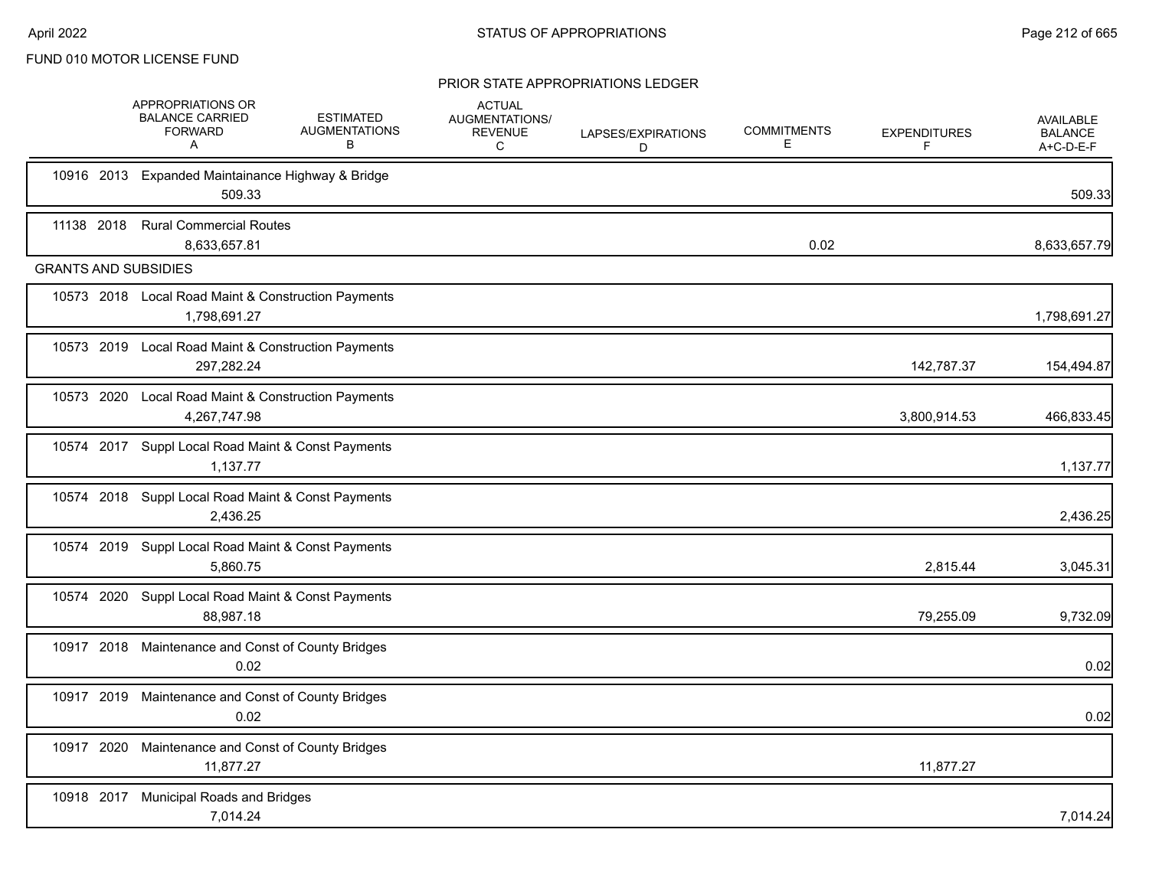|            | <b>APPROPRIATIONS OR</b><br><b>BALANCE CARRIED</b><br><b>FORWARD</b><br>A | <b>ESTIMATED</b><br><b>AUGMENTATIONS</b><br>В | <b>ACTUAL</b><br>AUGMENTATIONS/<br><b>REVENUE</b><br>C | LAPSES/EXPIRATIONS<br>D | <b>COMMITMENTS</b><br>E | <b>EXPENDITURES</b><br>F | <b>AVAILABLE</b><br><b>BALANCE</b><br>A+C-D-E-F |
|------------|---------------------------------------------------------------------------|-----------------------------------------------|--------------------------------------------------------|-------------------------|-------------------------|--------------------------|-------------------------------------------------|
| 10916 2013 | Expanded Maintainance Highway & Bridge<br>509.33                          |                                               |                                                        |                         |                         |                          | 509.33                                          |
| 11138 2018 | <b>Rural Commercial Routes</b><br>8,633,657.81                            |                                               |                                                        |                         | 0.02                    |                          | 8,633,657.79                                    |
|            | <b>GRANTS AND SUBSIDIES</b>                                               |                                               |                                                        |                         |                         |                          |                                                 |
|            | 10573 2018 Local Road Maint & Construction Payments<br>1,798,691.27       |                                               |                                                        |                         |                         |                          | 1,798,691.27                                    |
|            | 10573 2019 Local Road Maint & Construction Payments<br>297,282.24         |                                               |                                                        |                         |                         | 142,787.37               | 154,494.87                                      |
| 10573 2020 | Local Road Maint & Construction Payments<br>4,267,747.98                  |                                               |                                                        |                         |                         | 3,800,914.53             | 466,833.45                                      |
|            | 10574 2017 Suppl Local Road Maint & Const Payments<br>1,137.77            |                                               |                                                        |                         |                         |                          | 1,137.77                                        |
|            | 10574 2018 Suppl Local Road Maint & Const Payments<br>2,436.25            |                                               |                                                        |                         |                         |                          | 2,436.25                                        |
|            | 10574 2019 Suppl Local Road Maint & Const Payments<br>5,860.75            |                                               |                                                        |                         |                         | 2,815.44                 | 3,045.31                                        |
|            | 10574 2020 Suppl Local Road Maint & Const Payments<br>88,987.18           |                                               |                                                        |                         |                         | 79,255.09                | 9,732.09                                        |
|            | 10917 2018 Maintenance and Const of County Bridges<br>0.02                |                                               |                                                        |                         |                         |                          | 0.02                                            |
|            | 10917 2019 Maintenance and Const of County Bridges<br>0.02                |                                               |                                                        |                         |                         |                          | 0.02                                            |
| 10917 2020 | Maintenance and Const of County Bridges<br>11,877.27                      |                                               |                                                        |                         |                         | 11,877.27                |                                                 |
| 10918 2017 | <b>Municipal Roads and Bridges</b><br>7,014.24                            |                                               |                                                        |                         |                         |                          | 7,014.24                                        |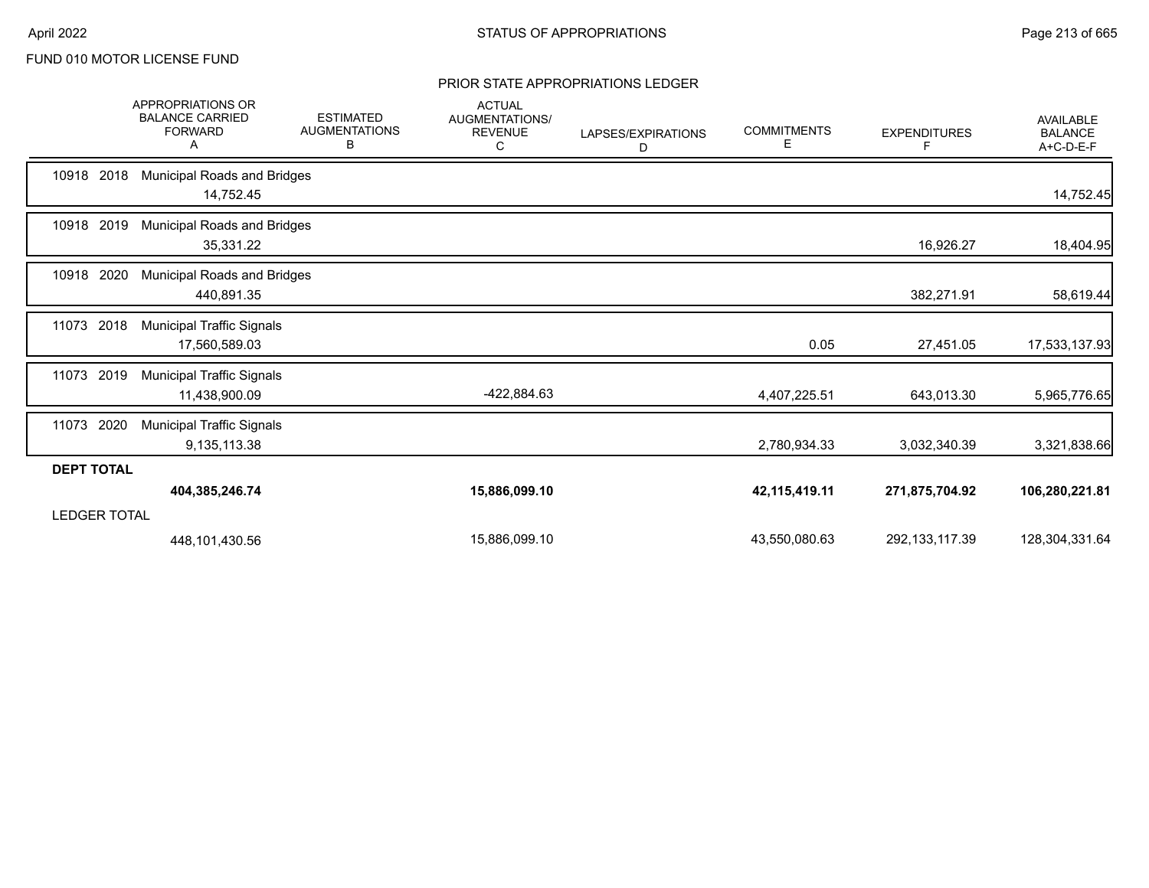|                     | <b>APPROPRIATIONS OR</b><br><b>BALANCE CARRIED</b><br><b>FORWARD</b><br>A | <b>ESTIMATED</b><br><b>AUGMENTATIONS</b><br>В | <b>ACTUAL</b><br>AUGMENTATIONS/<br><b>REVENUE</b><br>C | LAPSES/EXPIRATIONS<br>D | <b>COMMITMENTS</b><br>E. | <b>EXPENDITURES</b><br>F | <b>AVAILABLE</b><br><b>BALANCE</b><br>A+C-D-E-F |
|---------------------|---------------------------------------------------------------------------|-----------------------------------------------|--------------------------------------------------------|-------------------------|--------------------------|--------------------------|-------------------------------------------------|
| 10918 2018          | <b>Municipal Roads and Bridges</b><br>14,752.45                           |                                               |                                                        |                         |                          |                          | 14,752.45                                       |
| 10918 2019          | <b>Municipal Roads and Bridges</b><br>35,331.22                           |                                               |                                                        |                         |                          | 16,926.27                | 18,404.95                                       |
| 10918 2020          | <b>Municipal Roads and Bridges</b><br>440,891.35                          |                                               |                                                        |                         |                          | 382,271.91               | 58,619.44                                       |
| 11073<br>2018       | <b>Municipal Traffic Signals</b><br>17,560,589.03                         |                                               |                                                        |                         | 0.05                     | 27,451.05                | 17,533,137.93                                   |
| 2019<br>11073       | <b>Municipal Traffic Signals</b><br>11,438,900.09                         |                                               | -422,884.63                                            |                         | 4,407,225.51             | 643,013.30               | 5,965,776.65                                    |
| 2020<br>11073       | <b>Municipal Traffic Signals</b><br>9,135,113.38                          |                                               |                                                        |                         | 2,780,934.33             | 3,032,340.39             | 3,321,838.66                                    |
| <b>DEPT TOTAL</b>   |                                                                           |                                               |                                                        |                         |                          |                          |                                                 |
|                     | 404,385,246.74                                                            |                                               | 15,886,099.10                                          |                         | 42, 115, 419. 11         | 271,875,704.92           | 106,280,221.81                                  |
| <b>LEDGER TOTAL</b> |                                                                           |                                               |                                                        |                         |                          |                          |                                                 |
|                     | 448,101,430.56                                                            |                                               | 15,886,099.10                                          |                         | 43,550,080.63            | 292, 133, 117.39         | 128,304,331.64                                  |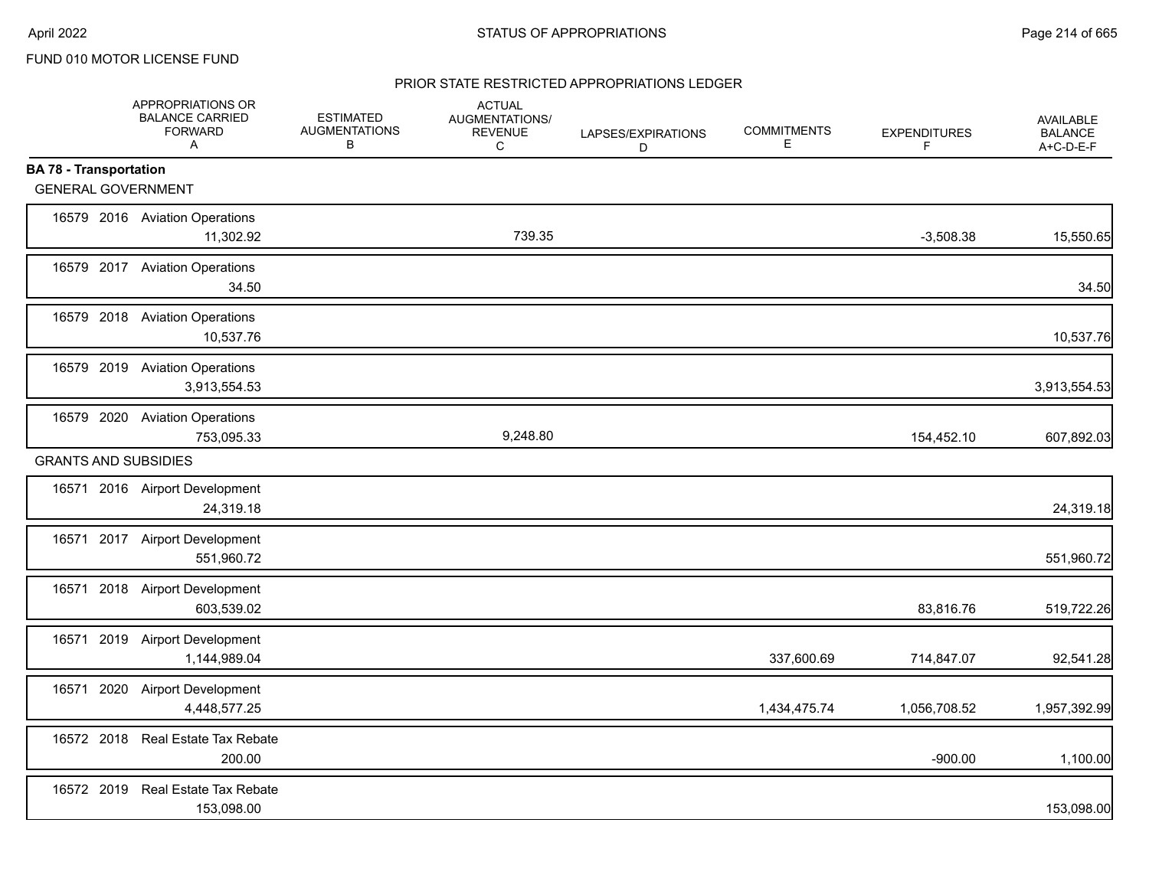### PRIOR STATE RESTRICTED APPROPRIATIONS LEDGER

|                               | APPROPRIATIONS OR<br><b>BALANCE CARRIED</b><br><b>FORWARD</b><br>$\mathsf{A}$ | <b>ESTIMATED</b><br><b>AUGMENTATIONS</b><br>В | <b>ACTUAL</b><br>AUGMENTATIONS/<br><b>REVENUE</b><br>C | LAPSES/EXPIRATIONS<br>D | <b>COMMITMENTS</b><br>Е | <b>EXPENDITURES</b><br>F | <b>AVAILABLE</b><br><b>BALANCE</b><br>A+C-D-E-F |
|-------------------------------|-------------------------------------------------------------------------------|-----------------------------------------------|--------------------------------------------------------|-------------------------|-------------------------|--------------------------|-------------------------------------------------|
| <b>BA 78 - Transportation</b> |                                                                               |                                               |                                                        |                         |                         |                          |                                                 |
| <b>GENERAL GOVERNMENT</b>     |                                                                               |                                               |                                                        |                         |                         |                          |                                                 |
|                               | 16579 2016 Aviation Operations<br>11,302.92                                   |                                               | 739.35                                                 |                         |                         | $-3,508.38$              | 15,550.65                                       |
|                               | 16579 2017 Aviation Operations<br>34.50                                       |                                               |                                                        |                         |                         |                          | 34.50                                           |
|                               | 16579 2018 Aviation Operations<br>10,537.76                                   |                                               |                                                        |                         |                         |                          | 10,537.76                                       |
|                               | 16579 2019 Aviation Operations<br>3,913,554.53                                |                                               |                                                        |                         |                         |                          | 3,913,554.53                                    |
|                               | 16579 2020 Aviation Operations<br>753,095.33                                  |                                               | 9,248.80                                               |                         |                         | 154,452.10               | 607,892.03                                      |
| <b>GRANTS AND SUBSIDIES</b>   |                                                                               |                                               |                                                        |                         |                         |                          |                                                 |
|                               | 16571 2016 Airport Development<br>24,319.18                                   |                                               |                                                        |                         |                         |                          | 24,319.18                                       |
|                               | 16571 2017 Airport Development<br>551,960.72                                  |                                               |                                                        |                         |                         |                          | 551,960.72                                      |
|                               | 16571 2018 Airport Development<br>603,539.02                                  |                                               |                                                        |                         |                         | 83,816.76                | 519,722.26                                      |
|                               | 16571 2019 Airport Development<br>1,144,989.04                                |                                               |                                                        |                         | 337,600.69              | 714,847.07               | 92,541.28                                       |
| 16571                         | 2020 Airport Development<br>4,448,577.25                                      |                                               |                                                        |                         | 1,434,475.74            | 1,056,708.52             | 1,957,392.99                                    |
|                               | 16572 2018 Real Estate Tax Rebate<br>200.00                                   |                                               |                                                        |                         |                         | $-900.00$                | 1,100.00                                        |
|                               | 16572 2019 Real Estate Tax Rebate<br>153,098.00                               |                                               |                                                        |                         |                         |                          | 153,098.00                                      |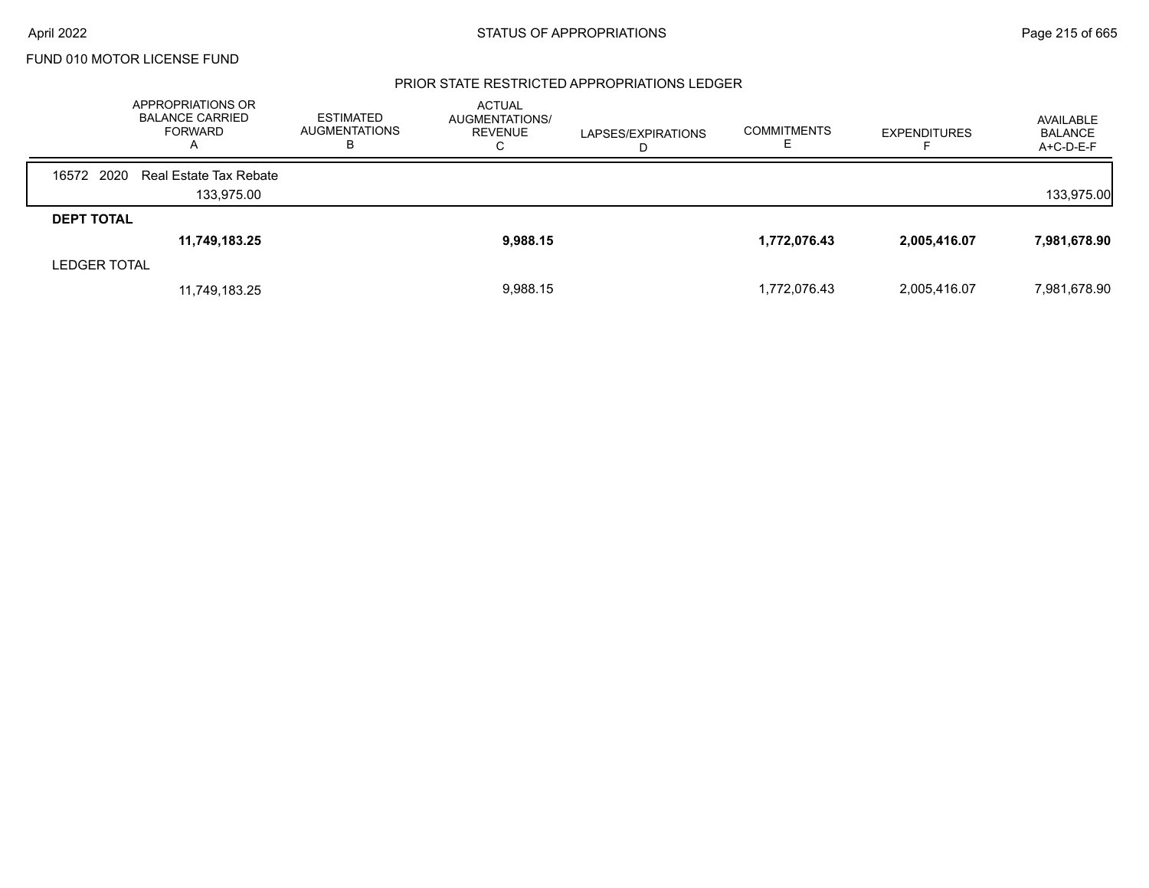#### PRIOR STATE RESTRICTED APPROPRIATIONS LEDGER

|                     | APPROPRIATIONS OR<br><b>BALANCE CARRIED</b><br><b>FORWARD</b><br>Α | <b>ESTIMATED</b><br><b>AUGMENTATIONS</b><br>в | <b>ACTUAL</b><br>AUGMENTATIONS/<br><b>REVENUE</b><br>Ō | LAPSES/EXPIRATIONS<br>D | <b>COMMITMENTS</b> | <b>EXPENDITURES</b> | AVAILABLE<br><b>BALANCE</b><br>$A+C-D-E-F$ |
|---------------------|--------------------------------------------------------------------|-----------------------------------------------|--------------------------------------------------------|-------------------------|--------------------|---------------------|--------------------------------------------|
| 16572 2020          | Real Estate Tax Rebate                                             |                                               |                                                        |                         |                    |                     |                                            |
|                     | 133,975.00                                                         |                                               |                                                        |                         |                    |                     | 133,975.00                                 |
| <b>DEPT TOTAL</b>   |                                                                    |                                               |                                                        |                         |                    |                     |                                            |
|                     | 11,749,183.25                                                      |                                               | 9,988.15                                               |                         | 1,772,076.43       | 2,005,416.07        | 7,981,678.90                               |
| <b>LEDGER TOTAL</b> |                                                                    |                                               |                                                        |                         |                    |                     |                                            |
|                     | 11,749,183.25                                                      |                                               | 9,988.15                                               |                         | 1,772,076.43       | 2,005,416.07        | 7,981,678.90                               |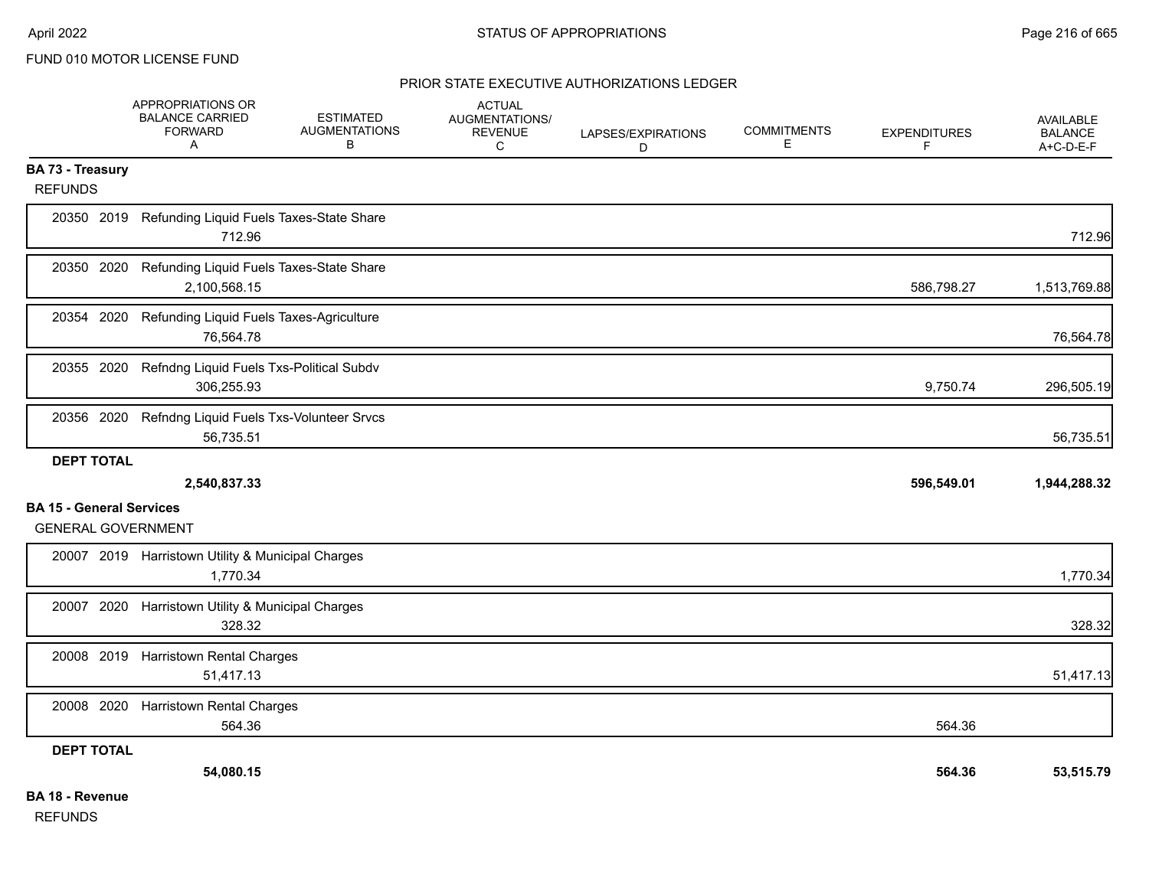#### PRIOR STATE EXECUTIVE AUTHORIZATIONS LEDGER

|                                                              | APPROPRIATIONS OR<br><b>BALANCE CARRIED</b><br><b>FORWARD</b><br>$\mathsf{A}$ | <b>ESTIMATED</b><br><b>AUGMENTATIONS</b><br>В | <b>ACTUAL</b><br>AUGMENTATIONS/<br><b>REVENUE</b><br>C | LAPSES/EXPIRATIONS<br>D | <b>COMMITMENTS</b><br>E | <b>EXPENDITURES</b><br>F. | <b>AVAILABLE</b><br><b>BALANCE</b><br>A+C-D-E-F |
|--------------------------------------------------------------|-------------------------------------------------------------------------------|-----------------------------------------------|--------------------------------------------------------|-------------------------|-------------------------|---------------------------|-------------------------------------------------|
| <b>BA 73 - Treasury</b><br><b>REFUNDS</b>                    |                                                                               |                                               |                                                        |                         |                         |                           |                                                 |
|                                                              | 20350 2019 Refunding Liquid Fuels Taxes-State Share<br>712.96                 |                                               |                                                        |                         |                         |                           | 712.96                                          |
| 20350 2020                                                   | Refunding Liquid Fuels Taxes-State Share<br>2,100,568.15                      |                                               |                                                        |                         |                         | 586,798.27                | 1,513,769.88                                    |
| 20354 2020                                                   | Refunding Liquid Fuels Taxes-Agriculture<br>76,564.78                         |                                               |                                                        |                         |                         |                           | 76,564.78                                       |
| 20355 2020                                                   | Refndng Liquid Fuels Txs-Political Subdv<br>306,255.93                        |                                               |                                                        |                         |                         | 9,750.74                  | 296,505.19                                      |
|                                                              | 20356 2020 Refndng Liquid Fuels Txs-Volunteer Srvcs<br>56,735.51              |                                               |                                                        |                         |                         |                           | 56,735.51                                       |
| <b>DEPT TOTAL</b>                                            |                                                                               |                                               |                                                        |                         |                         |                           |                                                 |
|                                                              | 2,540,837.33                                                                  |                                               |                                                        |                         |                         | 596,549.01                | 1,944,288.32                                    |
| <b>BA 15 - General Services</b><br><b>GENERAL GOVERNMENT</b> |                                                                               |                                               |                                                        |                         |                         |                           |                                                 |
|                                                              | 20007 2019 Harristown Utility & Municipal Charges<br>1,770.34                 |                                               |                                                        |                         |                         |                           | 1,770.34                                        |
|                                                              | 20007 2020 Harristown Utility & Municipal Charges<br>328.32                   |                                               |                                                        |                         |                         |                           | 328.32                                          |
|                                                              | 20008 2019 Harristown Rental Charges<br>51,417.13                             |                                               |                                                        |                         |                         |                           | 51,417.13                                       |
| 20008 2020                                                   | <b>Harristown Rental Charges</b><br>564.36                                    |                                               |                                                        |                         |                         | 564.36                    |                                                 |
| <b>DEPT TOTAL</b>                                            |                                                                               |                                               |                                                        |                         |                         |                           |                                                 |
|                                                              | 54,080.15                                                                     |                                               |                                                        |                         |                         | 564.36                    | 53,515.79                                       |
| <b>BA 18 - Revenue</b>                                       |                                                                               |                                               |                                                        |                         |                         |                           |                                                 |

REFUNDS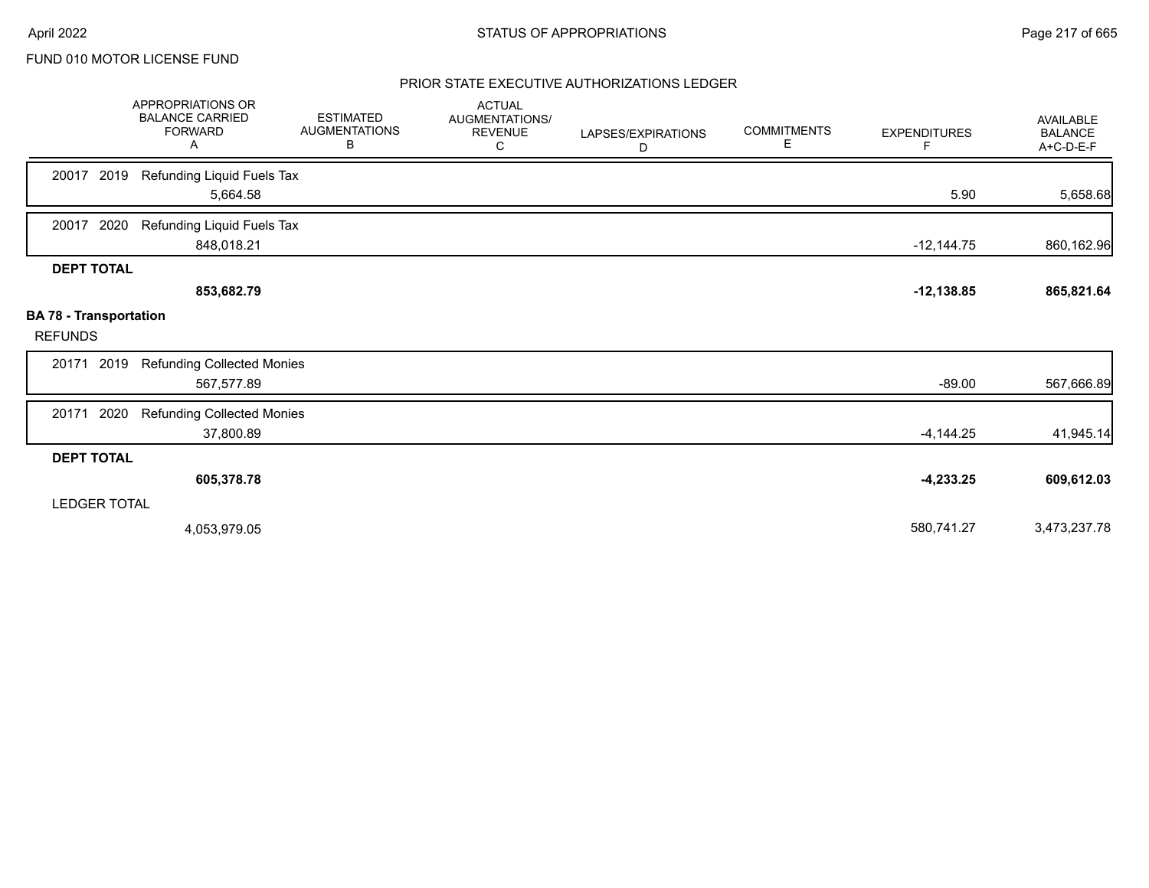# PRIOR STATE EXECUTIVE AUTHORIZATIONS LEDGER

|                                                 | <b>APPROPRIATIONS OR</b><br><b>BALANCE CARRIED</b><br><b>FORWARD</b><br>Α | <b>ESTIMATED</b><br><b>AUGMENTATIONS</b><br>В | <b>ACTUAL</b><br>AUGMENTATIONS/<br><b>REVENUE</b><br>С | LAPSES/EXPIRATIONS<br>D | <b>COMMITMENTS</b><br>Е | <b>EXPENDITURES</b><br>F. | <b>AVAILABLE</b><br><b>BALANCE</b><br>A+C-D-E-F |
|-------------------------------------------------|---------------------------------------------------------------------------|-----------------------------------------------|--------------------------------------------------------|-------------------------|-------------------------|---------------------------|-------------------------------------------------|
| 2019<br>20017                                   | Refunding Liquid Fuels Tax<br>5,664.58                                    |                                               |                                                        |                         |                         | 5.90                      | 5,658.68                                        |
| 2020<br>20017                                   | Refunding Liquid Fuels Tax<br>848,018.21                                  |                                               |                                                        |                         |                         | $-12,144.75$              | 860,162.96                                      |
| <b>DEPT TOTAL</b>                               | 853,682.79                                                                |                                               |                                                        |                         |                         | $-12, 138.85$             | 865,821.64                                      |
| <b>BA 78 - Transportation</b><br><b>REFUNDS</b> |                                                                           |                                               |                                                        |                         |                         |                           |                                                 |
| 2019<br>20171                                   | <b>Refunding Collected Monies</b><br>567,577.89                           |                                               |                                                        |                         |                         | $-89.00$                  | 567,666.89                                      |
| 2020<br>20171                                   | <b>Refunding Collected Monies</b><br>37,800.89                            |                                               |                                                        |                         |                         | $-4,144.25$               | 41,945.14                                       |
| <b>DEPT TOTAL</b>                               |                                                                           |                                               |                                                        |                         |                         |                           |                                                 |
|                                                 | 605,378.78                                                                |                                               |                                                        |                         |                         | $-4,233.25$               | 609,612.03                                      |
| <b>LEDGER TOTAL</b>                             |                                                                           |                                               |                                                        |                         |                         |                           |                                                 |
|                                                 | 4,053,979.05                                                              |                                               |                                                        |                         |                         | 580,741.27                | 3,473,237.78                                    |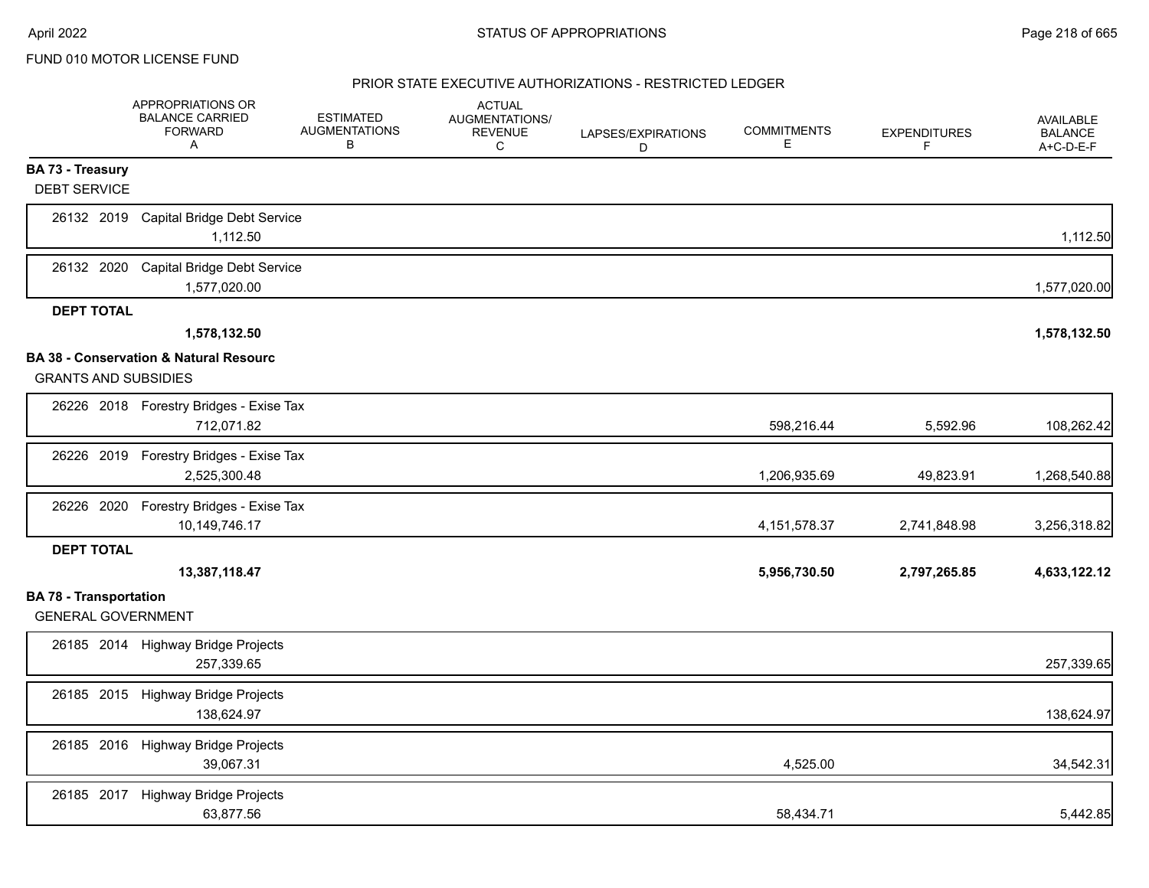|                                                            | APPROPRIATIONS OR<br><b>BALANCE CARRIED</b><br><b>FORWARD</b><br>A | <b>ESTIMATED</b><br><b>AUGMENTATIONS</b><br>В | <b>ACTUAL</b><br>AUGMENTATIONS/<br><b>REVENUE</b><br>C | LAPSES/EXPIRATIONS<br>D | <b>COMMITMENTS</b><br>Е | <b>EXPENDITURES</b><br>F. | <b>AVAILABLE</b><br><b>BALANCE</b><br>A+C-D-E-F |
|------------------------------------------------------------|--------------------------------------------------------------------|-----------------------------------------------|--------------------------------------------------------|-------------------------|-------------------------|---------------------------|-------------------------------------------------|
| BA 73 - Treasury<br><b>DEBT SERVICE</b>                    |                                                                    |                                               |                                                        |                         |                         |                           |                                                 |
| 26132 2019                                                 | Capital Bridge Debt Service<br>1,112.50                            |                                               |                                                        |                         |                         |                           | 1,112.50                                        |
| 26132 2020                                                 | <b>Capital Bridge Debt Service</b><br>1,577,020.00                 |                                               |                                                        |                         |                         |                           | 1,577,020.00                                    |
| <b>DEPT TOTAL</b>                                          |                                                                    |                                               |                                                        |                         |                         |                           |                                                 |
|                                                            | 1,578,132.50                                                       |                                               |                                                        |                         |                         |                           | 1,578,132.50                                    |
| <b>GRANTS AND SUBSIDIES</b>                                | BA 38 - Conservation & Natural Resourc                             |                                               |                                                        |                         |                         |                           |                                                 |
|                                                            | 26226 2018 Forestry Bridges - Exise Tax<br>712,071.82              |                                               |                                                        |                         | 598,216.44              | 5,592.96                  | 108,262.42                                      |
| 26226 2019                                                 | Forestry Bridges - Exise Tax<br>2,525,300.48                       |                                               |                                                        |                         | 1,206,935.69            | 49,823.91                 | 1,268,540.88                                    |
| 26226 2020                                                 | Forestry Bridges - Exise Tax<br>10,149,746.17                      |                                               |                                                        |                         | 4, 151, 578. 37         | 2,741,848.98              | 3,256,318.82                                    |
| <b>DEPT TOTAL</b>                                          |                                                                    |                                               |                                                        |                         |                         |                           |                                                 |
|                                                            | 13,387,118.47                                                      |                                               |                                                        |                         | 5,956,730.50            | 2,797,265.85              | 4,633,122.12                                    |
| <b>BA 78 - Transportation</b><br><b>GENERAL GOVERNMENT</b> |                                                                    |                                               |                                                        |                         |                         |                           |                                                 |
|                                                            | 26185 2014 Highway Bridge Projects<br>257,339.65                   |                                               |                                                        |                         |                         |                           | 257,339.65                                      |
|                                                            | 26185 2015 Highway Bridge Projects<br>138,624.97                   |                                               |                                                        |                         |                         |                           | 138,624.97                                      |
|                                                            | 26185 2016 Highway Bridge Projects<br>39,067.31                    |                                               |                                                        |                         | 4,525.00                |                           | 34,542.31                                       |
| 26185 2017                                                 | <b>Highway Bridge Projects</b><br>63,877.56                        |                                               |                                                        |                         | 58,434.71               |                           | 5,442.85                                        |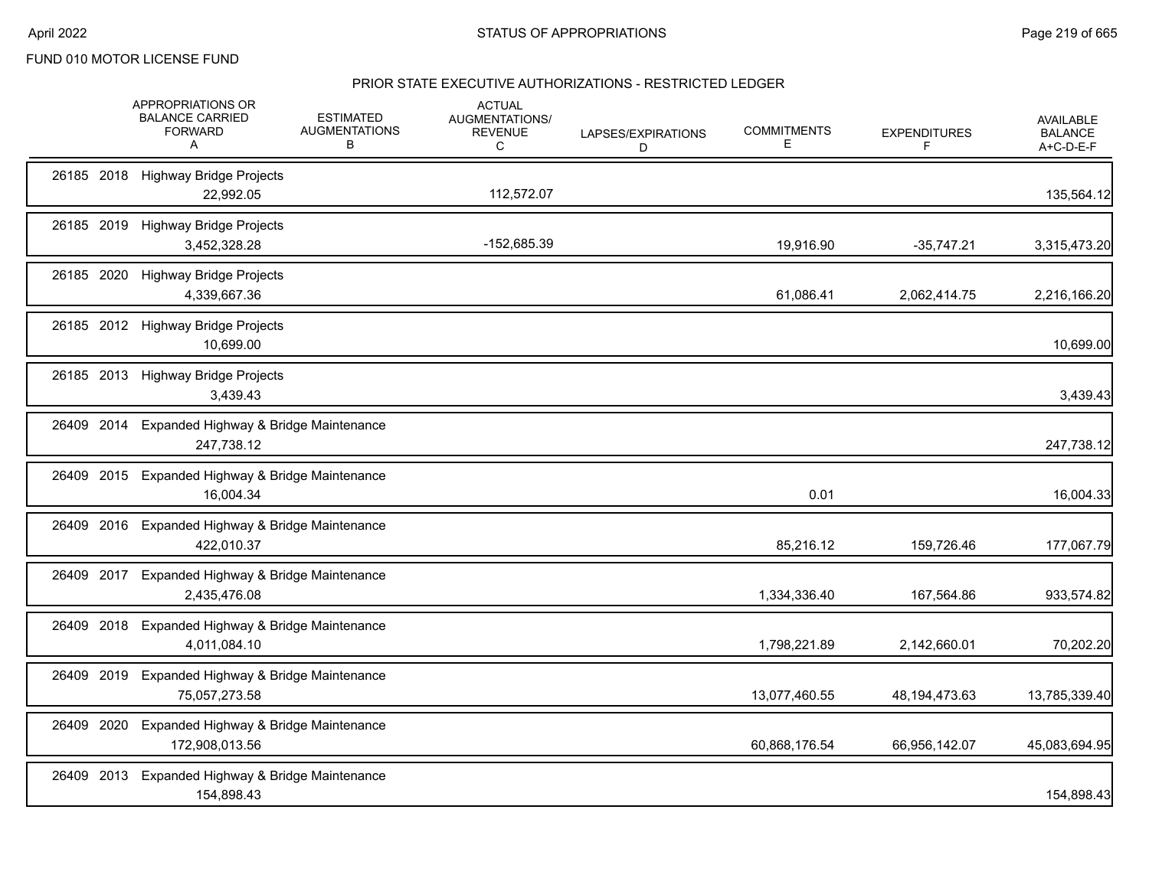|            |      | APPROPRIATIONS OR<br><b>BALANCE CARRIED</b><br><b>FORWARD</b><br>A | <b>ESTIMATED</b><br><b>AUGMENTATIONS</b><br>в | <b>ACTUAL</b><br><b>AUGMENTATIONS/</b><br><b>REVENUE</b><br>C | LAPSES/EXPIRATIONS<br>D | <b>COMMITMENTS</b><br>Е | <b>EXPENDITURES</b><br>F. | <b>AVAILABLE</b><br><b>BALANCE</b><br>A+C-D-E-F |
|------------|------|--------------------------------------------------------------------|-----------------------------------------------|---------------------------------------------------------------|-------------------------|-------------------------|---------------------------|-------------------------------------------------|
|            |      | 26185 2018 Highway Bridge Projects<br>22,992.05                    |                                               | 112,572.07                                                    |                         |                         |                           | 135,564.12                                      |
|            |      | 26185 2019 Highway Bridge Projects<br>3,452,328.28                 |                                               | -152,685.39                                                   |                         | 19,916.90               | $-35,747.21$              | 3,315,473.20                                    |
| 26185 2020 |      | <b>Highway Bridge Projects</b><br>4,339,667.36                     |                                               |                                                               |                         | 61,086.41               | 2,062,414.75              | 2,216,166.20                                    |
|            |      | 26185 2012 Highway Bridge Projects<br>10,699.00                    |                                               |                                                               |                         |                         |                           | 10,699.00                                       |
|            |      | 26185 2013 Highway Bridge Projects<br>3,439.43                     |                                               |                                                               |                         |                         |                           | 3,439.43                                        |
| 26409 2014 |      | Expanded Highway & Bridge Maintenance<br>247,738.12                |                                               |                                                               |                         |                         |                           | 247,738.12                                      |
| 26409      | 2015 | Expanded Highway & Bridge Maintenance<br>16,004.34                 |                                               |                                                               |                         | 0.01                    |                           | 16,004.33                                       |
|            |      | 26409 2016 Expanded Highway & Bridge Maintenance<br>422,010.37     |                                               |                                                               |                         | 85,216.12               | 159,726.46                | 177,067.79                                      |
| 26409 2017 |      | Expanded Highway & Bridge Maintenance<br>2,435,476.08              |                                               |                                                               |                         | 1,334,336.40            | 167,564.86                | 933,574.82                                      |
| 26409 2018 |      | Expanded Highway & Bridge Maintenance<br>4,011,084.10              |                                               |                                                               |                         | 1,798,221.89            | 2,142,660.01              | 70,202.20                                       |
| 26409 2019 |      | Expanded Highway & Bridge Maintenance<br>75,057,273.58             |                                               |                                                               |                         | 13,077,460.55           | 48, 194, 473. 63          | 13,785,339.40                                   |
| 26409 2020 |      | Expanded Highway & Bridge Maintenance<br>172,908,013.56            |                                               |                                                               |                         | 60,868,176.54           | 66,956,142.07             | 45,083,694.95                                   |
|            |      | 26409 2013 Expanded Highway & Bridge Maintenance<br>154,898.43     |                                               |                                                               |                         |                         |                           | 154,898.43                                      |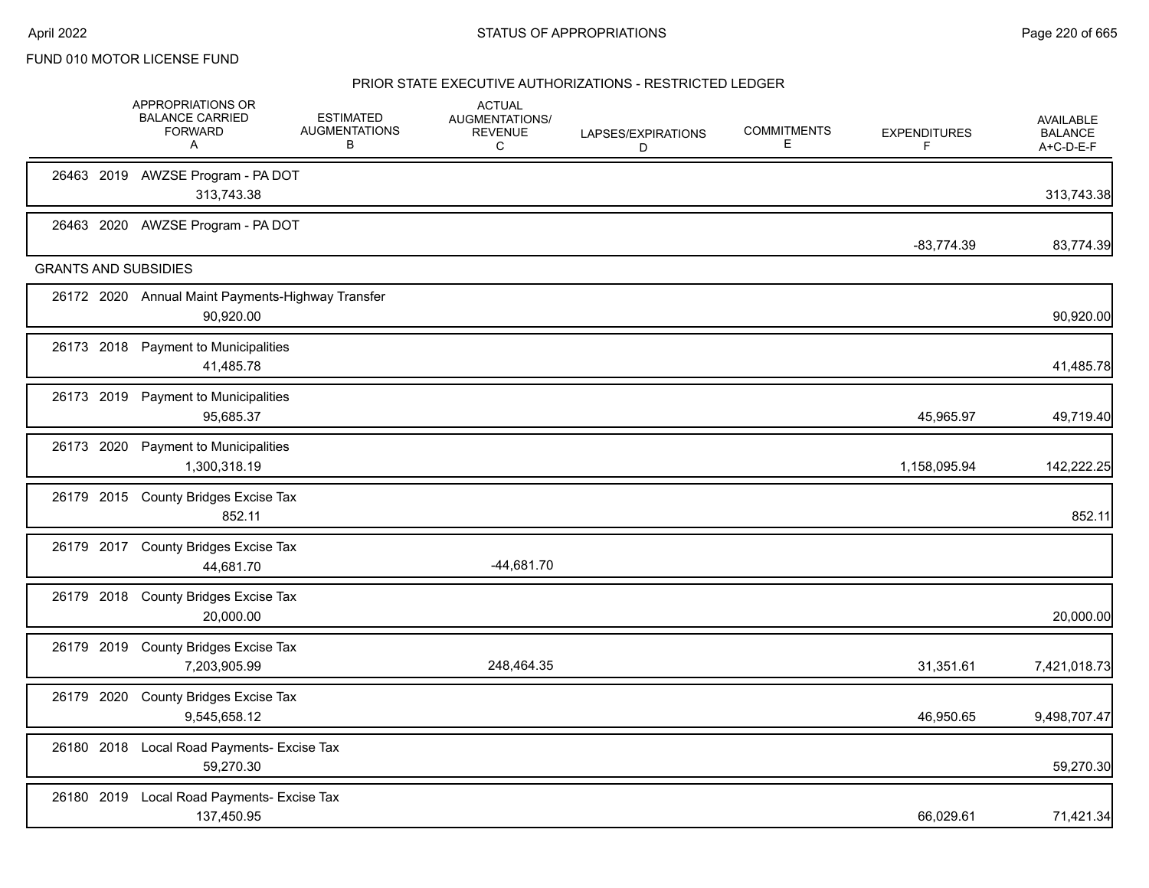|                             | APPROPRIATIONS OR<br><b>BALANCE CARRIED</b><br><b>FORWARD</b><br>Α | <b>ESTIMATED</b><br><b>AUGMENTATIONS</b><br>В | <b>ACTUAL</b><br>AUGMENTATIONS/<br><b>REVENUE</b><br>C | LAPSES/EXPIRATIONS<br>D | <b>COMMITMENTS</b><br>Е | <b>EXPENDITURES</b><br>F | <b>AVAILABLE</b><br><b>BALANCE</b><br>A+C-D-E-F |
|-----------------------------|--------------------------------------------------------------------|-----------------------------------------------|--------------------------------------------------------|-------------------------|-------------------------|--------------------------|-------------------------------------------------|
|                             | 26463 2019 AWZSE Program - PA DOT<br>313,743.38                    |                                               |                                                        |                         |                         |                          | 313,743.38                                      |
|                             | 26463 2020 AWZSE Program - PA DOT                                  |                                               |                                                        |                         |                         | $-83,774.39$             | 83,774.39                                       |
| <b>GRANTS AND SUBSIDIES</b> |                                                                    |                                               |                                                        |                         |                         |                          |                                                 |
|                             | 26172 2020 Annual Maint Payments-Highway Transfer<br>90,920.00     |                                               |                                                        |                         |                         |                          | 90,920.00                                       |
|                             | 26173 2018 Payment to Municipalities<br>41,485.78                  |                                               |                                                        |                         |                         |                          | 41,485.78                                       |
| 26173 2019                  | <b>Payment to Municipalities</b><br>95,685.37                      |                                               |                                                        |                         |                         | 45,965.97                | 49,719.40                                       |
| 26173 2020                  | <b>Payment to Municipalities</b><br>1,300,318.19                   |                                               |                                                        |                         |                         | 1,158,095.94             | 142,222.25                                      |
|                             | 26179 2015 County Bridges Excise Tax<br>852.11                     |                                               |                                                        |                         |                         |                          | 852.11                                          |
|                             | 26179 2017 County Bridges Excise Tax<br>44,681.70                  |                                               | $-44,681.70$                                           |                         |                         |                          |                                                 |
|                             | 26179 2018 County Bridges Excise Tax<br>20,000.00                  |                                               |                                                        |                         |                         |                          | 20,000.00                                       |
| 26179 2019                  | <b>County Bridges Excise Tax</b><br>7,203,905.99                   |                                               | 248,464.35                                             |                         |                         | 31,351.61                | 7,421,018.73                                    |
| 26179 2020                  | <b>County Bridges Excise Tax</b><br>9,545,658.12                   |                                               |                                                        |                         |                         | 46,950.65                | 9,498,707.47                                    |
|                             | 26180 2018 Local Road Payments- Excise Tax<br>59,270.30            |                                               |                                                        |                         |                         |                          | 59,270.30                                       |
|                             | 26180 2019 Local Road Payments- Excise Tax<br>137,450.95           |                                               |                                                        |                         |                         | 66,029.61                | 71,421.34                                       |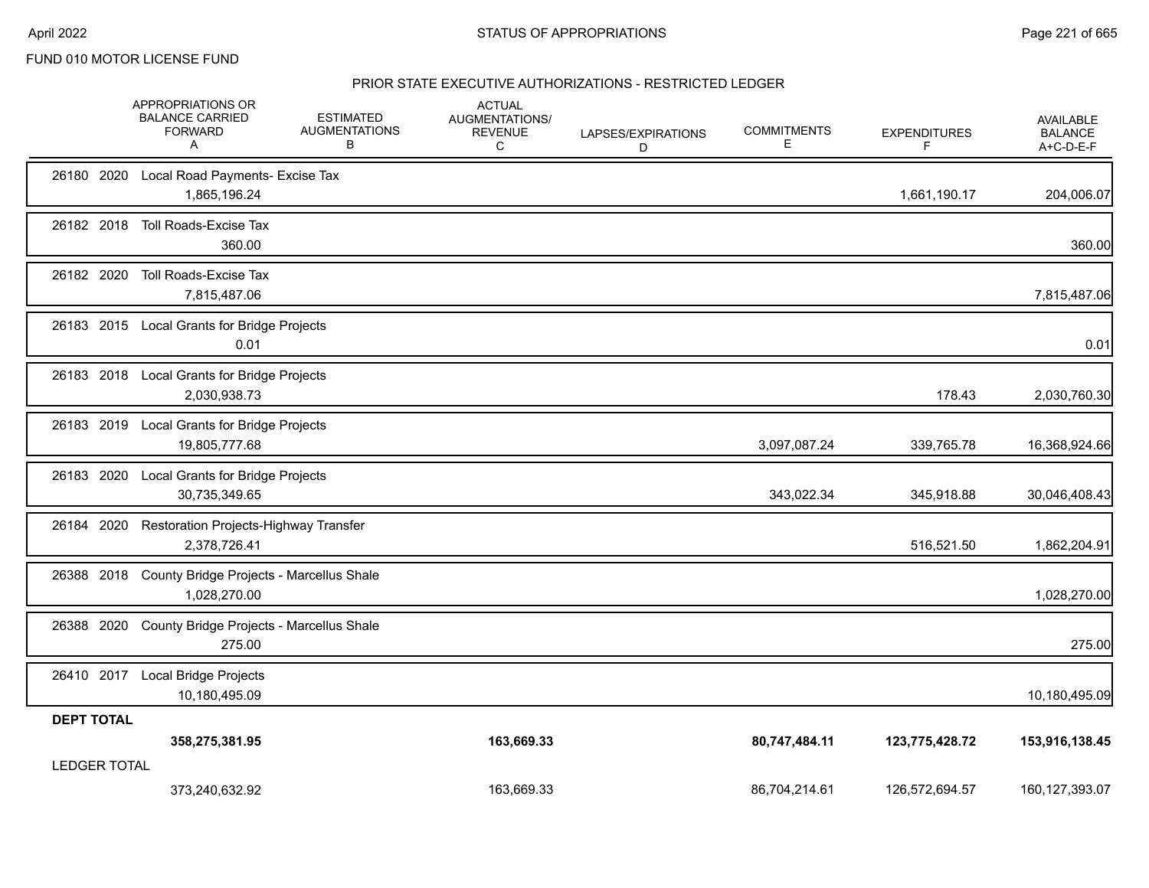|                     | APPROPRIATIONS OR<br><b>BALANCE CARRIED</b><br><b>FORWARD</b><br>A  | <b>ESTIMATED</b><br><b>AUGMENTATIONS</b><br>В | <b>ACTUAL</b><br>AUGMENTATIONS/<br><b>REVENUE</b><br>C | LAPSES/EXPIRATIONS<br>D | <b>COMMITMENTS</b><br>Ε | <b>EXPENDITURES</b><br>F | <b>AVAILABLE</b><br><b>BALANCE</b><br>A+C-D-E-F |
|---------------------|---------------------------------------------------------------------|-----------------------------------------------|--------------------------------------------------------|-------------------------|-------------------------|--------------------------|-------------------------------------------------|
|                     | 26180 2020 Local Road Payments- Excise Tax<br>1,865,196.24          |                                               |                                                        |                         |                         | 1,661,190.17             | 204,006.07                                      |
|                     | 26182 2018 Toll Roads-Excise Tax<br>360.00                          |                                               |                                                        |                         |                         |                          | 360.00                                          |
| 26182 2020          | Toll Roads-Excise Tax<br>7,815,487.06                               |                                               |                                                        |                         |                         |                          | 7,815,487.06                                    |
|                     | 26183 2015 Local Grants for Bridge Projects<br>0.01                 |                                               |                                                        |                         |                         |                          | 0.01                                            |
|                     | 26183 2018 Local Grants for Bridge Projects<br>2,030,938.73         |                                               |                                                        |                         |                         | 178.43                   | 2,030,760.30                                    |
|                     | 26183 2019 Local Grants for Bridge Projects<br>19,805,777.68        |                                               |                                                        |                         | 3,097,087.24            | 339,765.78               | 16,368,924.66                                   |
|                     | 26183 2020 Local Grants for Bridge Projects<br>30,735,349.65        |                                               |                                                        |                         | 343,022.34              | 345,918.88               | 30,046,408.43                                   |
| 26184 2020          | Restoration Projects-Highway Transfer<br>2,378,726.41               |                                               |                                                        |                         |                         | 516,521.50               | 1,862,204.91                                    |
|                     | 26388 2018 County Bridge Projects - Marcellus Shale<br>1,028,270.00 |                                               |                                                        |                         |                         |                          | 1,028,270.00                                    |
| 26388 2020          | County Bridge Projects - Marcellus Shale<br>275.00                  |                                               |                                                        |                         |                         |                          | 275.00                                          |
|                     | 26410 2017 Local Bridge Projects<br>10,180,495.09                   |                                               |                                                        |                         |                         |                          | 10,180,495.09                                   |
| <b>DEPT TOTAL</b>   | 358,275,381.95                                                      |                                               | 163,669.33                                             |                         | 80,747,484.11           | 123,775,428.72           | 153,916,138.45                                  |
| <b>LEDGER TOTAL</b> | 373,240,632.92                                                      |                                               | 163,669.33                                             |                         | 86,704,214.61           | 126.572.694.57           | 160, 127, 393.07                                |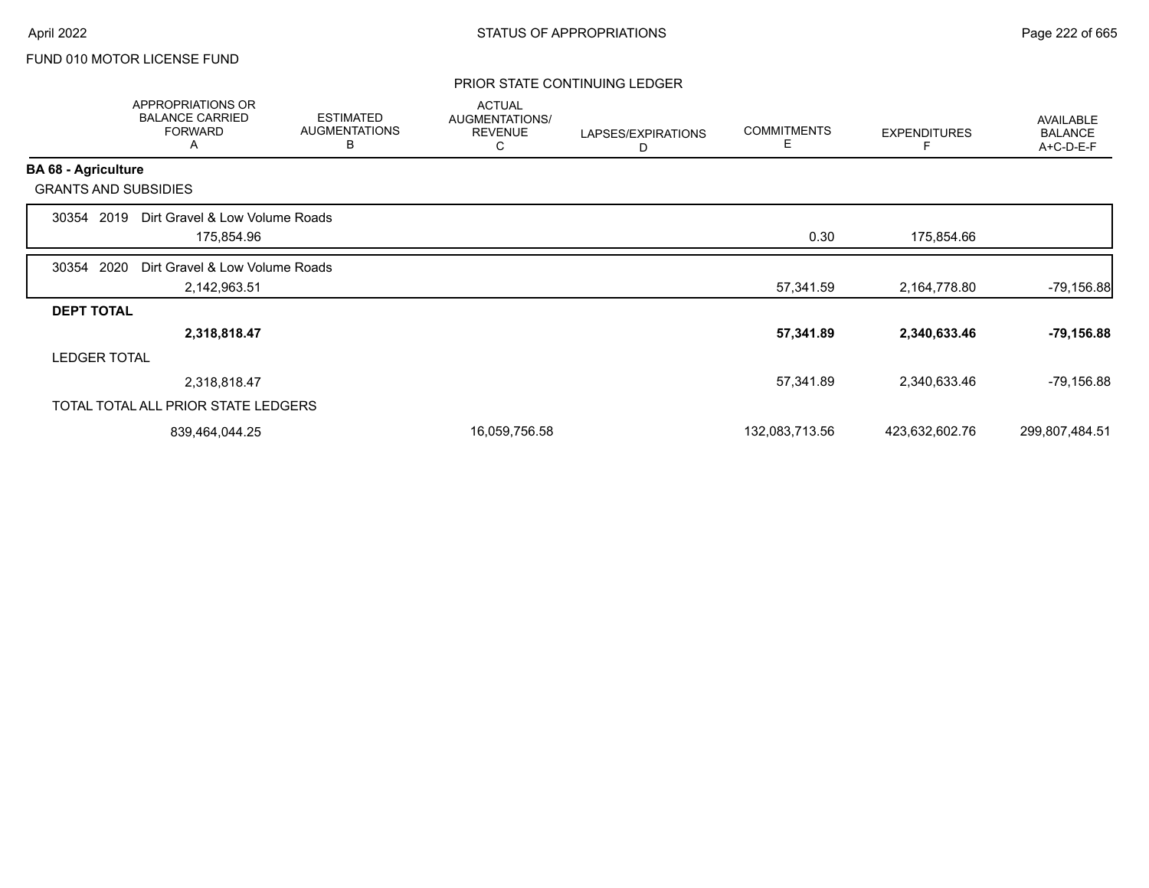## PRIOR STATE CONTINUING LEDGER

|                            | <b>APPROPRIATIONS OR</b><br><b>BALANCE CARRIED</b><br><b>FORWARD</b><br>A | <b>ESTIMATED</b><br><b>AUGMENTATIONS</b><br>B | <b>ACTUAL</b><br>AUGMENTATIONS/<br><b>REVENUE</b><br>С | LAPSES/EXPIRATIONS<br>D | <b>COMMITMENTS</b><br>Е | <b>EXPENDITURES</b><br>F | AVAILABLE<br><b>BALANCE</b><br>A+C-D-E-F |
|----------------------------|---------------------------------------------------------------------------|-----------------------------------------------|--------------------------------------------------------|-------------------------|-------------------------|--------------------------|------------------------------------------|
| <b>BA 68 - Agriculture</b> |                                                                           |                                               |                                                        |                         |                         |                          |                                          |
|                            | <b>GRANTS AND SUBSIDIES</b>                                               |                                               |                                                        |                         |                         |                          |                                          |
| 30354                      | Dirt Gravel & Low Volume Roads<br>2019                                    |                                               |                                                        |                         |                         |                          |                                          |
|                            | 175,854.96                                                                |                                               |                                                        |                         | 0.30                    | 175,854.66               |                                          |
| 30354                      | 2020<br>Dirt Gravel & Low Volume Roads                                    |                                               |                                                        |                         |                         |                          |                                          |
|                            | 2,142,963.51                                                              |                                               |                                                        |                         | 57,341.59               | 2,164,778.80             | $-79,156.88$                             |
| <b>DEPT TOTAL</b>          |                                                                           |                                               |                                                        |                         |                         |                          |                                          |
|                            | 2,318,818.47                                                              |                                               |                                                        |                         | 57,341.89               | 2,340,633.46             | $-79,156.88$                             |
|                            | <b>LEDGER TOTAL</b>                                                       |                                               |                                                        |                         |                         |                          |                                          |
|                            | 2,318,818.47                                                              |                                               |                                                        |                         | 57,341.89               | 2,340,633.46             | -79,156.88                               |
|                            | TOTAL TOTAL ALL PRIOR STATE LEDGERS                                       |                                               |                                                        |                         |                         |                          |                                          |
|                            | 839,464,044.25                                                            |                                               | 16,059,756.58                                          |                         | 132,083,713.56          | 423,632,602.76           | 299,807,484.51                           |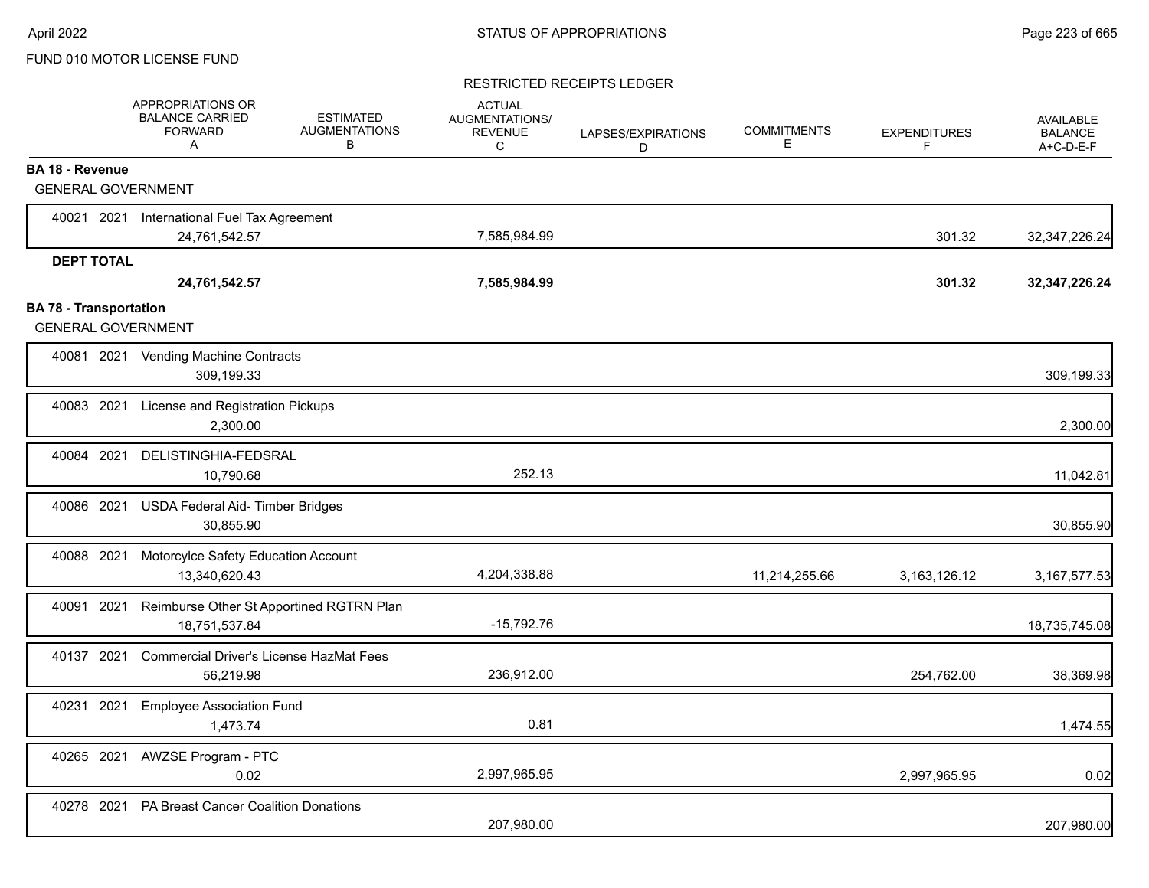## RESTRICTED RECEIPTS LEDGER

|                                                            | APPROPRIATIONS OR<br><b>BALANCE CARRIED</b><br><b>FORWARD</b><br>A | <b>ESTIMATED</b><br><b>AUGMENTATIONS</b><br>B | <b>ACTUAL</b><br><b>AUGMENTATIONS/</b><br><b>REVENUE</b><br>C | LAPSES/EXPIRATIONS<br>D | <b>COMMITMENTS</b><br>E | <b>EXPENDITURES</b><br>F | <b>AVAILABLE</b><br><b>BALANCE</b><br>A+C-D-E-F |
|------------------------------------------------------------|--------------------------------------------------------------------|-----------------------------------------------|---------------------------------------------------------------|-------------------------|-------------------------|--------------------------|-------------------------------------------------|
| <b>BA 18 - Revenue</b>                                     |                                                                    |                                               |                                                               |                         |                         |                          |                                                 |
| <b>GENERAL GOVERNMENT</b>                                  |                                                                    |                                               |                                                               |                         |                         |                          |                                                 |
| 40021 2021                                                 | International Fuel Tax Agreement                                   |                                               |                                                               |                         |                         |                          |                                                 |
|                                                            | 24,761,542.57                                                      |                                               | 7,585,984.99                                                  |                         |                         | 301.32                   | 32,347,226.24                                   |
| <b>DEPT TOTAL</b>                                          |                                                                    |                                               |                                                               |                         |                         |                          |                                                 |
|                                                            | 24,761,542.57                                                      |                                               | 7,585,984.99                                                  |                         |                         | 301.32                   | 32, 347, 226. 24                                |
| <b>BA 78 - Transportation</b><br><b>GENERAL GOVERNMENT</b> |                                                                    |                                               |                                                               |                         |                         |                          |                                                 |
|                                                            | 40081 2021 Vending Machine Contracts<br>309,199.33                 |                                               |                                                               |                         |                         |                          | 309,199.33                                      |
| 40083 2021                                                 | License and Registration Pickups<br>2,300.00                       |                                               |                                                               |                         |                         |                          | 2,300.00                                        |
| 40084 2021                                                 | DELISTINGHIA-FEDSRAL<br>10,790.68                                  |                                               | 252.13                                                        |                         |                         |                          | 11,042.81                                       |
| 40086 2021                                                 | USDA Federal Aid- Timber Bridges<br>30,855.90                      |                                               |                                                               |                         |                         |                          | 30,855.90                                       |
| 40088 2021                                                 | Motorcylce Safety Education Account<br>13,340,620.43               |                                               | 4,204,338.88                                                  |                         | 11,214,255.66           | 3, 163, 126. 12          | 3, 167, 577.53                                  |
| 2021<br>40091                                              | Reimburse Other St Apportined RGTRN Plan<br>18,751,537.84          |                                               | $-15,792.76$                                                  |                         |                         |                          | 18,735,745.08                                   |
| 40137 2021                                                 | <b>Commercial Driver's License HazMat Fees</b><br>56,219.98        |                                               | 236,912.00                                                    |                         |                         | 254,762.00               | 38,369.98                                       |
| 40231 2021                                                 | <b>Employee Association Fund</b><br>1,473.74                       |                                               | 0.81                                                          |                         |                         |                          | 1,474.55                                        |
| 40265 2021                                                 | <b>AWZSE Program - PTC</b><br>0.02                                 |                                               | 2,997,965.95                                                  |                         |                         | 2,997,965.95             | 0.02                                            |
| 40278 2021                                                 | <b>PA Breast Cancer Coalition Donations</b>                        |                                               | 207,980.00                                                    |                         |                         |                          | 207,980.00                                      |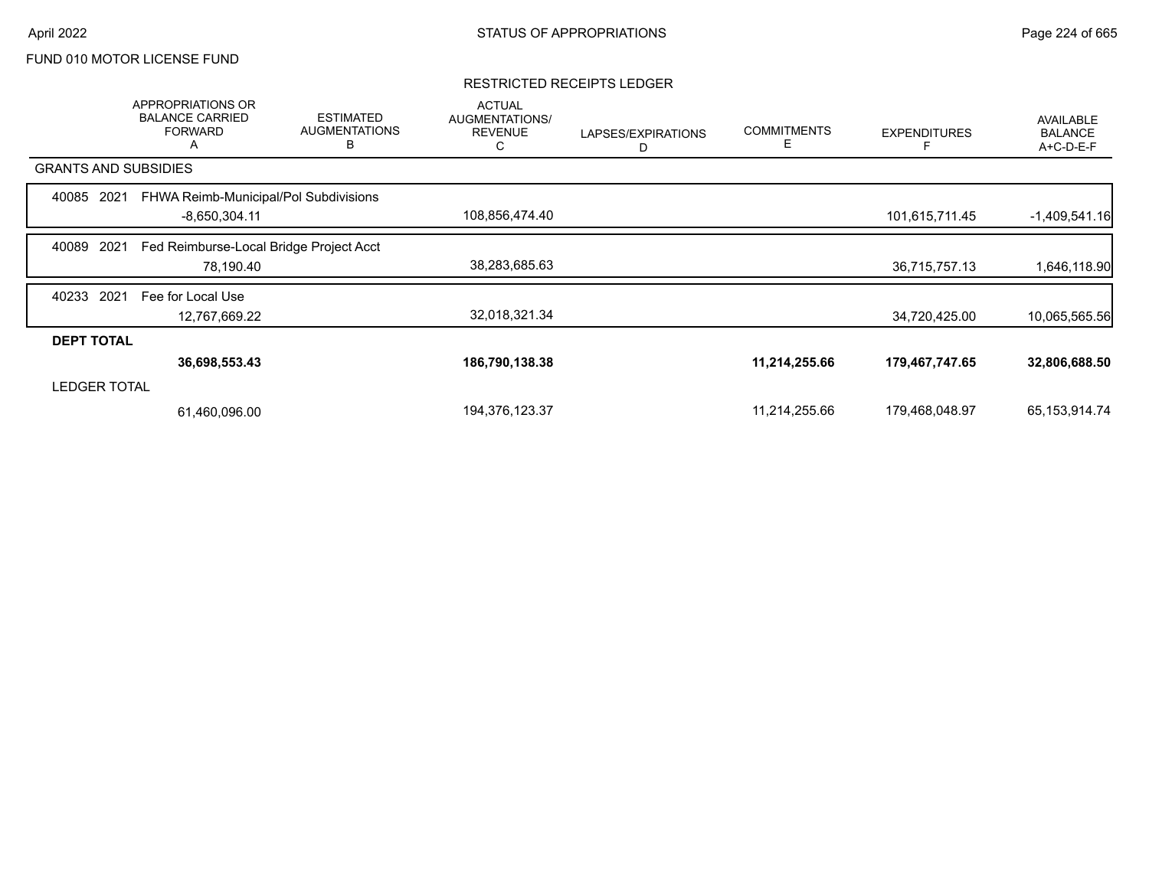## RESTRICTED RECEIPTS LEDGER

|                             | APPROPRIATIONS OR<br><b>BALANCE CARRIED</b><br><b>FORWARD</b><br>A | <b>ESTIMATED</b><br><b>AUGMENTATIONS</b><br>B | <b>ACTUAL</b><br>AUGMENTATIONS/<br><b>REVENUE</b><br>С | LAPSES/EXPIRATIONS<br>D | <b>COMMITMENTS</b> | <b>EXPENDITURES</b> | AVAILABLE<br><b>BALANCE</b><br>A+C-D-E-F |
|-----------------------------|--------------------------------------------------------------------|-----------------------------------------------|--------------------------------------------------------|-------------------------|--------------------|---------------------|------------------------------------------|
| <b>GRANTS AND SUBSIDIES</b> |                                                                    |                                               |                                                        |                         |                    |                     |                                          |
| 40085<br>2021               | FHWA Reimb-Municipal/Pol Subdivisions                              |                                               |                                                        |                         |                    |                     |                                          |
|                             | $-8,650,304.11$                                                    |                                               | 108,856,474.40                                         |                         |                    | 101,615,711.45      | $-1,409,541.16$                          |
| 40089<br>2021               | Fed Reimburse-Local Bridge Project Acct                            |                                               |                                                        |                         |                    |                     |                                          |
|                             | 78,190.40                                                          |                                               | 38,283,685.63                                          |                         |                    | 36,715,757.13       | 1,646,118.90                             |
| 2021<br>40233               | Fee for Local Use                                                  |                                               |                                                        |                         |                    |                     |                                          |
|                             | 12,767,669.22                                                      |                                               | 32,018,321.34                                          |                         |                    | 34,720,425.00       | 10,065,565.56                            |
| <b>DEPT TOTAL</b>           |                                                                    |                                               |                                                        |                         |                    |                     |                                          |
|                             | 36,698,553.43                                                      |                                               | 186,790,138.38                                         |                         | 11,214,255.66      | 179,467,747.65      | 32,806,688.50                            |
| <b>LEDGER TOTAL</b>         |                                                                    |                                               |                                                        |                         |                    |                     |                                          |
|                             | 61,460,096.00                                                      |                                               | 194,376,123.37                                         |                         | 11,214,255.66      | 179,468,048.97      | 65, 153, 914. 74                         |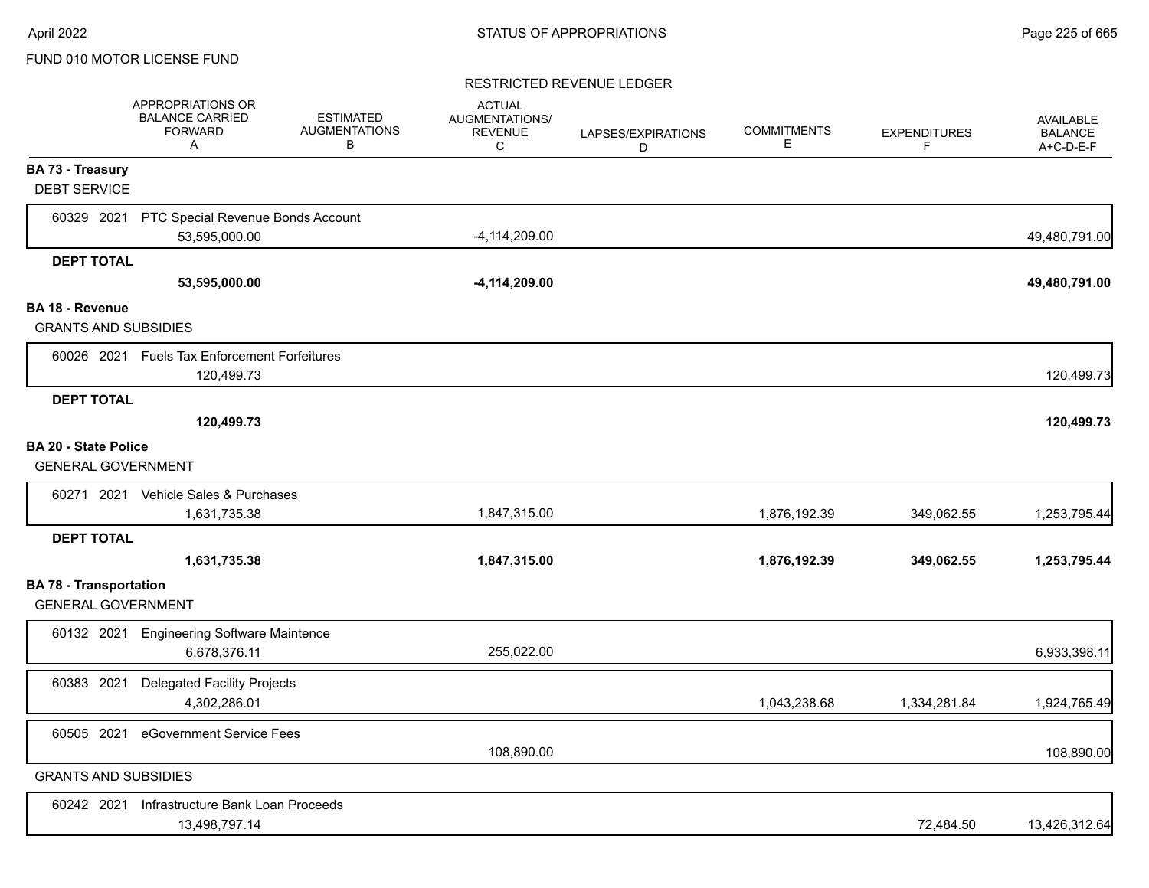## RESTRICTED REVENUE LEDGER

|                                                            | APPROPRIATIONS OR<br><b>BALANCE CARRIED</b><br><b>FORWARD</b><br>A | <b>ESTIMATED</b><br><b>AUGMENTATIONS</b><br>В | <b>ACTUAL</b><br>AUGMENTATIONS/<br><b>REVENUE</b><br>C | LAPSES/EXPIRATIONS<br>D | <b>COMMITMENTS</b><br>Е | <b>EXPENDITURES</b><br>F | <b>AVAILABLE</b><br><b>BALANCE</b><br>A+C-D-E-F |
|------------------------------------------------------------|--------------------------------------------------------------------|-----------------------------------------------|--------------------------------------------------------|-------------------------|-------------------------|--------------------------|-------------------------------------------------|
| <b>BA 73 - Treasury</b><br><b>DEBT SERVICE</b>             |                                                                    |                                               |                                                        |                         |                         |                          |                                                 |
| 60329 2021                                                 | PTC Special Revenue Bonds Account                                  |                                               | $-4, 114, 209.00$                                      |                         |                         |                          |                                                 |
|                                                            | 53,595,000.00                                                      |                                               |                                                        |                         |                         |                          | 49,480,791.00                                   |
| <b>DEPT TOTAL</b>                                          | 53,595,000.00                                                      |                                               | $-4,114,209.00$                                        |                         |                         |                          | 49,480,791.00                                   |
| <b>BA 18 - Revenue</b>                                     |                                                                    |                                               |                                                        |                         |                         |                          |                                                 |
| <b>GRANTS AND SUBSIDIES</b>                                |                                                                    |                                               |                                                        |                         |                         |                          |                                                 |
|                                                            | 60026 2021 Fuels Tax Enforcement Forfeitures<br>120,499.73         |                                               |                                                        |                         |                         |                          | 120,499.73                                      |
| <b>DEPT TOTAL</b>                                          | 120,499.73                                                         |                                               |                                                        |                         |                         |                          | 120,499.73                                      |
| <b>BA 20 - State Police</b><br><b>GENERAL GOVERNMENT</b>   |                                                                    |                                               |                                                        |                         |                         |                          |                                                 |
| 60271 2021                                                 | Vehicle Sales & Purchases                                          |                                               |                                                        |                         |                         |                          |                                                 |
|                                                            | 1,631,735.38                                                       |                                               | 1,847,315.00                                           |                         | 1,876,192.39            | 349,062.55               | 1,253,795.44                                    |
| <b>DEPT TOTAL</b>                                          |                                                                    |                                               |                                                        |                         |                         |                          |                                                 |
|                                                            | 1,631,735.38                                                       |                                               | 1,847,315.00                                           |                         | 1,876,192.39            | 349,062.55               | 1,253,795.44                                    |
| <b>BA 78 - Transportation</b><br><b>GENERAL GOVERNMENT</b> |                                                                    |                                               |                                                        |                         |                         |                          |                                                 |
|                                                            | 60132 2021 Engineering Software Maintence<br>6,678,376.11          |                                               | 255,022.00                                             |                         |                         |                          | 6,933,398.11                                    |
| 60383 2021                                                 | <b>Delegated Facility Projects</b><br>4,302,286.01                 |                                               |                                                        |                         | 1,043,238.68            | 1,334,281.84             | 1,924,765.49                                    |
| 60505 2021                                                 | eGovernment Service Fees                                           |                                               | 108,890.00                                             |                         |                         |                          | 108,890.00                                      |
| <b>GRANTS AND SUBSIDIES</b>                                |                                                                    |                                               |                                                        |                         |                         |                          |                                                 |
| 60242 2021                                                 | Infrastructure Bank Loan Proceeds<br>13,498,797.14                 |                                               |                                                        |                         |                         | 72,484.50                | 13,426,312.64                                   |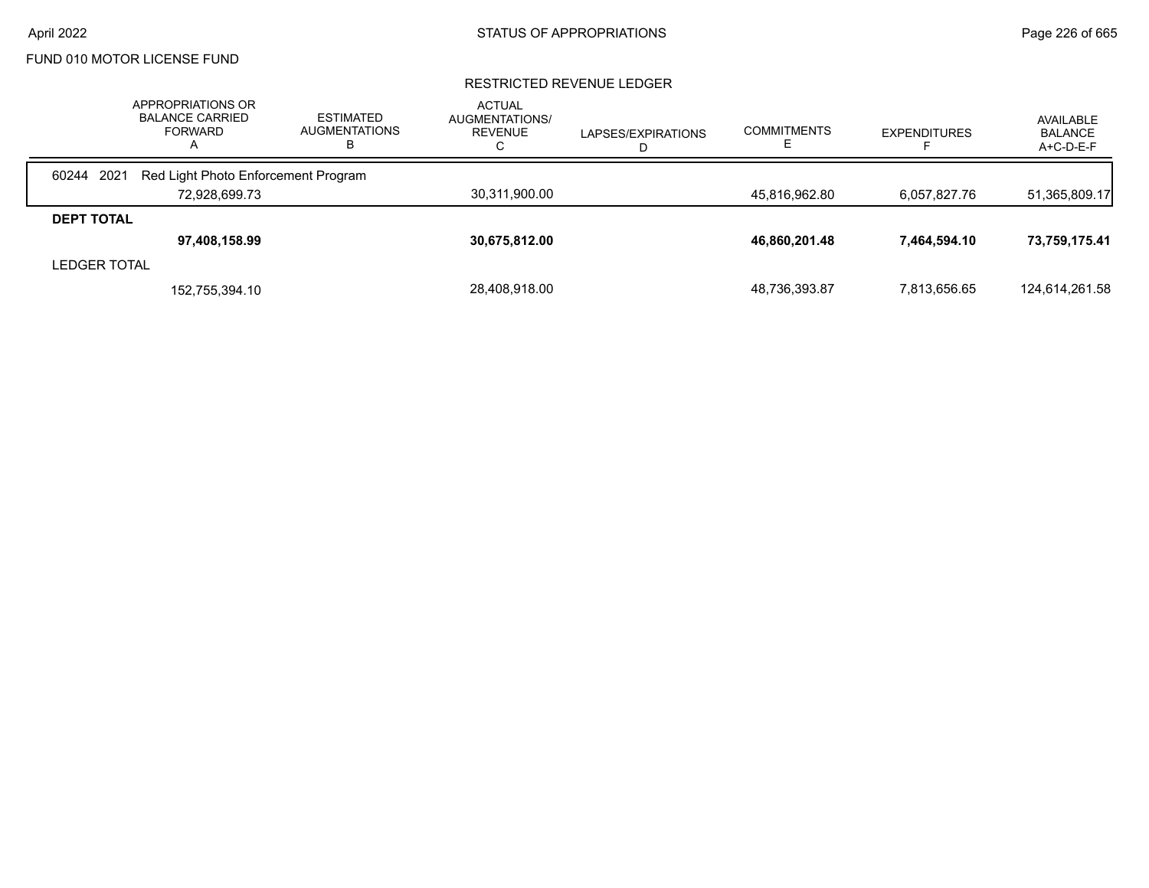### RESTRICTED REVENUE LEDGER

|                     | APPROPRIATIONS OR<br><b>BALANCE CARRIED</b><br><b>FORWARD</b><br>Α | <b>ESTIMATED</b><br><b>AUGMENTATIONS</b><br>в | <b>ACTUAL</b><br>AUGMENTATIONS/<br><b>REVENUE</b><br>С | LAPSES/EXPIRATIONS | <b>COMMITMENTS</b> | <b>EXPENDITURES</b> | AVAILABLE<br><b>BALANCE</b><br>$A+C-D-E-F$ |
|---------------------|--------------------------------------------------------------------|-----------------------------------------------|--------------------------------------------------------|--------------------|--------------------|---------------------|--------------------------------------------|
| 60244<br>2021       | Red Light Photo Enforcement Program                                |                                               |                                                        |                    |                    |                     |                                            |
|                     | 72.928.699.73                                                      |                                               | 30,311,900.00                                          |                    | 45.816.962.80      | 6,057,827.76        | 51,365,809.17                              |
| <b>DEPT TOTAL</b>   |                                                                    |                                               |                                                        |                    |                    |                     |                                            |
|                     | 97,408,158.99                                                      |                                               | 30,675,812.00                                          |                    | 46,860,201.48      | 7,464,594.10        | 73,759,175.41                              |
| <b>LEDGER TOTAL</b> |                                                                    |                                               |                                                        |                    |                    |                     |                                            |
|                     | 152,755,394.10                                                     |                                               | 28,408,918.00                                          |                    | 48,736,393.87      | 7,813,656.65        | 124,614,261.58                             |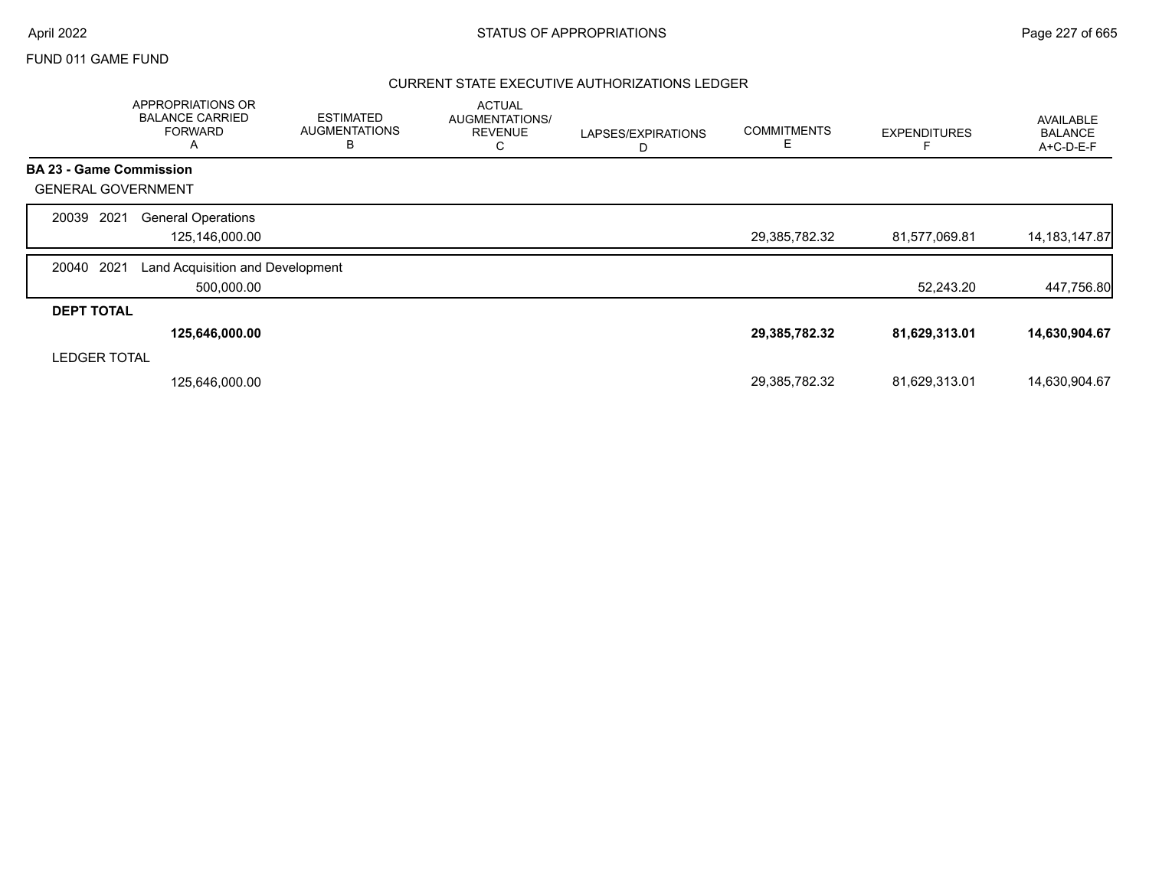# April 2022 **STATUS OF APPROPRIATIONS** STATUS OF APPROPRIATIONS

# FUND 011 GAME FUND

## CURRENT STATE EXECUTIVE AUTHORIZATIONS LEDGER

|                                | APPROPRIATIONS OR<br><b>BALANCE CARRIED</b><br><b>FORWARD</b><br>Α | <b>ESTIMATED</b><br><b>AUGMENTATIONS</b><br>B | <b>ACTUAL</b><br>AUGMENTATIONS/<br><b>REVENUE</b><br>С | LAPSES/EXPIRATIONS<br>D | <b>COMMITMENTS</b><br>Е | <b>EXPENDITURES</b> | <b>AVAILABLE</b><br><b>BALANCE</b><br>A+C-D-E-F |
|--------------------------------|--------------------------------------------------------------------|-----------------------------------------------|--------------------------------------------------------|-------------------------|-------------------------|---------------------|-------------------------------------------------|
| <b>BA 23 - Game Commission</b> |                                                                    |                                               |                                                        |                         |                         |                     |                                                 |
| <b>GENERAL GOVERNMENT</b>      |                                                                    |                                               |                                                        |                         |                         |                     |                                                 |
| 2021<br>20039                  | <b>General Operations</b><br>125,146,000.00                        |                                               |                                                        |                         | 29,385,782.32           | 81,577,069.81       | 14, 183, 147.87                                 |
| 2021<br>20040                  | Land Acquisition and Development<br>500,000.00                     |                                               |                                                        |                         |                         | 52,243.20           | 447,756.80                                      |
| <b>DEPT TOTAL</b>              |                                                                    |                                               |                                                        |                         |                         |                     |                                                 |
|                                | 125,646,000.00                                                     |                                               |                                                        |                         | 29,385,782.32           | 81,629,313.01       | 14,630,904.67                                   |
| <b>LEDGER TOTAL</b>            |                                                                    |                                               |                                                        |                         |                         |                     |                                                 |
|                                | 125,646,000.00                                                     |                                               |                                                        |                         | 29,385,782.32           | 81,629,313.01       | 14,630,904.67                                   |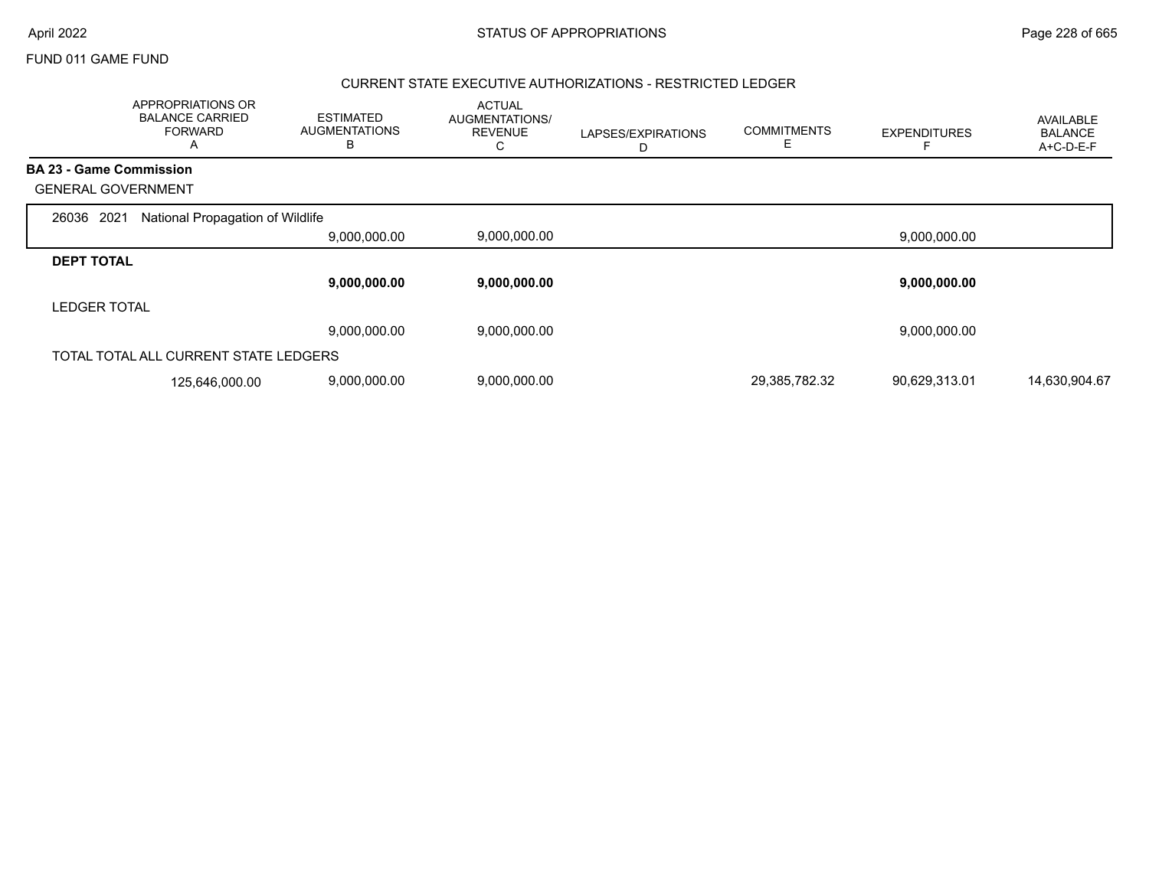|                                | APPROPRIATIONS OR<br><b>BALANCE CARRIED</b><br><b>FORWARD</b><br>A | <b>ESTIMATED</b><br><b>AUGMENTATIONS</b><br>в | <b>ACTUAL</b><br>AUGMENTATIONS/<br><b>REVENUE</b><br>С | LAPSES/EXPIRATIONS<br>D | <b>COMMITMENTS</b><br>E | <b>EXPENDITURES</b> | <b>AVAILABLE</b><br><b>BALANCE</b><br>A+C-D-E-F |
|--------------------------------|--------------------------------------------------------------------|-----------------------------------------------|--------------------------------------------------------|-------------------------|-------------------------|---------------------|-------------------------------------------------|
| <b>BA 23 - Game Commission</b> |                                                                    |                                               |                                                        |                         |                         |                     |                                                 |
|                                | <b>GENERAL GOVERNMENT</b>                                          |                                               |                                                        |                         |                         |                     |                                                 |
| 2021<br>26036                  | National Propagation of Wildlife                                   |                                               |                                                        |                         |                         |                     |                                                 |
|                                |                                                                    | 9,000,000.00                                  | 9,000,000.00                                           |                         |                         | 9,000,000.00        |                                                 |
| <b>DEPT TOTAL</b>              |                                                                    |                                               |                                                        |                         |                         |                     |                                                 |
|                                |                                                                    | 9,000,000.00                                  | 9,000,000.00                                           |                         |                         | 9,000,000.00        |                                                 |
| <b>LEDGER TOTAL</b>            |                                                                    |                                               |                                                        |                         |                         |                     |                                                 |
|                                |                                                                    | 9,000,000.00                                  | 9,000,000.00                                           |                         |                         | 9,000,000.00        |                                                 |
|                                | TOTAL TOTAL ALL CURRENT STATE LEDGERS                              |                                               |                                                        |                         |                         |                     |                                                 |
|                                | 125,646,000.00                                                     | 9,000,000.00                                  | 9,000,000.00                                           |                         | 29,385,782.32           | 90,629,313.01       | 14,630,904.67                                   |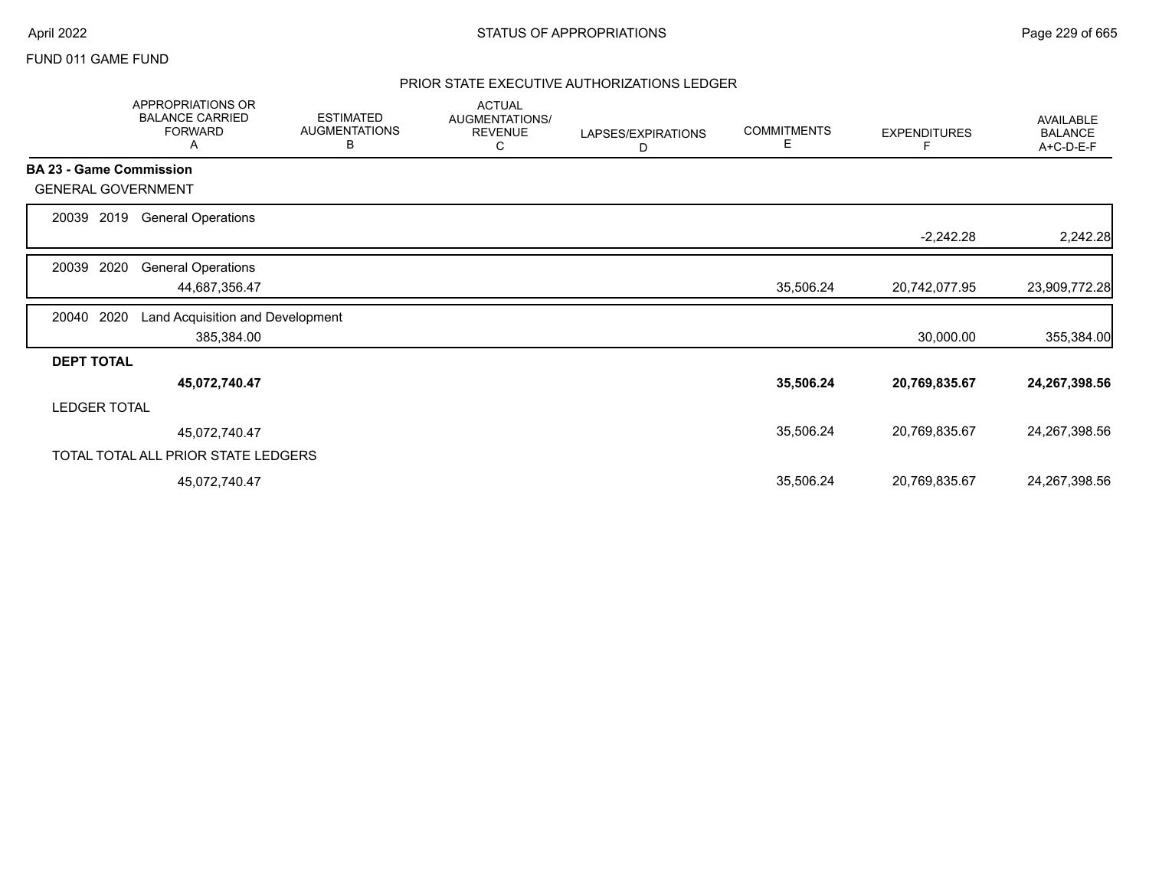# PRIOR STATE EXECUTIVE AUTHORIZATIONS LEDGER

|                                | <b>APPROPRIATIONS OR</b><br><b>BALANCE CARRIED</b><br><b>FORWARD</b><br>Α | <b>ESTIMATED</b><br><b>AUGMENTATIONS</b><br>в | <b>ACTUAL</b><br>AUGMENTATIONS/<br><b>REVENUE</b><br>С | LAPSES/EXPIRATIONS<br>D | <b>COMMITMENTS</b><br>Е | <b>EXPENDITURES</b> | AVAILABLE<br><b>BALANCE</b><br>A+C-D-E-F |
|--------------------------------|---------------------------------------------------------------------------|-----------------------------------------------|--------------------------------------------------------|-------------------------|-------------------------|---------------------|------------------------------------------|
| <b>BA 23 - Game Commission</b> |                                                                           |                                               |                                                        |                         |                         |                     |                                          |
| <b>GENERAL GOVERNMENT</b>      |                                                                           |                                               |                                                        |                         |                         |                     |                                          |
| 2019<br>20039                  | <b>General Operations</b>                                                 |                                               |                                                        |                         |                         |                     |                                          |
|                                |                                                                           |                                               |                                                        |                         |                         | $-2,242.28$         | 2,242.28                                 |
| 2020<br>20039                  | <b>General Operations</b>                                                 |                                               |                                                        |                         |                         |                     |                                          |
|                                | 44,687,356.47                                                             |                                               |                                                        |                         | 35,506.24               | 20,742,077.95       | 23,909,772.28                            |
| 2020<br>20040                  | Land Acquisition and Development                                          |                                               |                                                        |                         |                         |                     |                                          |
|                                | 385,384.00                                                                |                                               |                                                        |                         |                         | 30,000.00           | 355,384.00                               |
| <b>DEPT TOTAL</b>              |                                                                           |                                               |                                                        |                         |                         |                     |                                          |
|                                | 45,072,740.47                                                             |                                               |                                                        |                         | 35,506.24               | 20,769,835.67       | 24,267,398.56                            |
| <b>LEDGER TOTAL</b>            |                                                                           |                                               |                                                        |                         |                         |                     |                                          |
|                                | 45,072,740.47                                                             |                                               |                                                        |                         | 35,506.24               | 20,769,835.67       | 24,267,398.56                            |
|                                | TOTAL TOTAL ALL PRIOR STATE LEDGERS                                       |                                               |                                                        |                         |                         |                     |                                          |
|                                | 45,072,740.47                                                             |                                               |                                                        |                         | 35,506.24               | 20,769,835.67       | 24,267,398.56                            |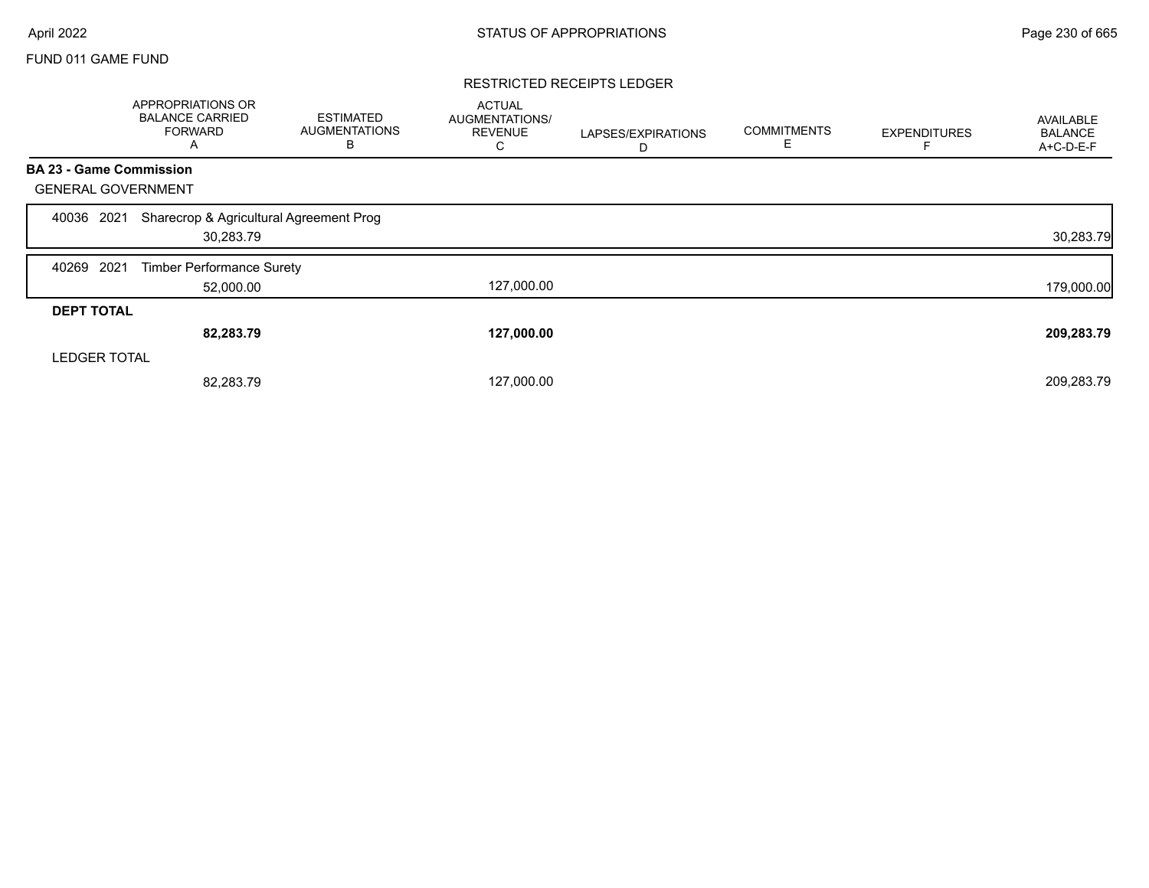### RESTRICTED RECEIPTS LEDGER

|                                | APPROPRIATIONS OR<br><b>BALANCE CARRIED</b><br><b>FORWARD</b><br>A | <b>ESTIMATED</b><br><b>AUGMENTATIONS</b><br>В | <b>ACTUAL</b><br><b>AUGMENTATIONS/</b><br><b>REVENUE</b><br>C | LAPSES/EXPIRATIONS<br>D | <b>COMMITMENTS</b><br>Е | <b>EXPENDITURES</b> | AVAILABLE<br><b>BALANCE</b><br>A+C-D-E-F |
|--------------------------------|--------------------------------------------------------------------|-----------------------------------------------|---------------------------------------------------------------|-------------------------|-------------------------|---------------------|------------------------------------------|
| <b>BA 23 - Game Commission</b> |                                                                    |                                               |                                                               |                         |                         |                     |                                          |
| <b>GENERAL GOVERNMENT</b>      |                                                                    |                                               |                                                               |                         |                         |                     |                                          |
| 2021<br>40036                  | Sharecrop & Agricultural Agreement Prog<br>30,283.79               |                                               |                                                               |                         |                         |                     | 30,283.79                                |
| 2021<br>40269                  | <b>Timber Performance Surety</b>                                   |                                               |                                                               |                         |                         |                     |                                          |
|                                | 52,000.00                                                          |                                               | 127,000.00                                                    |                         |                         |                     | 179,000.00                               |
| <b>DEPT TOTAL</b>              |                                                                    |                                               |                                                               |                         |                         |                     |                                          |
|                                | 82,283.79                                                          |                                               | 127,000.00                                                    |                         |                         |                     | 209,283.79                               |
| <b>LEDGER TOTAL</b>            |                                                                    |                                               |                                                               |                         |                         |                     |                                          |
|                                | 82,283.79                                                          |                                               | 127,000.00                                                    |                         |                         |                     | 209,283.79                               |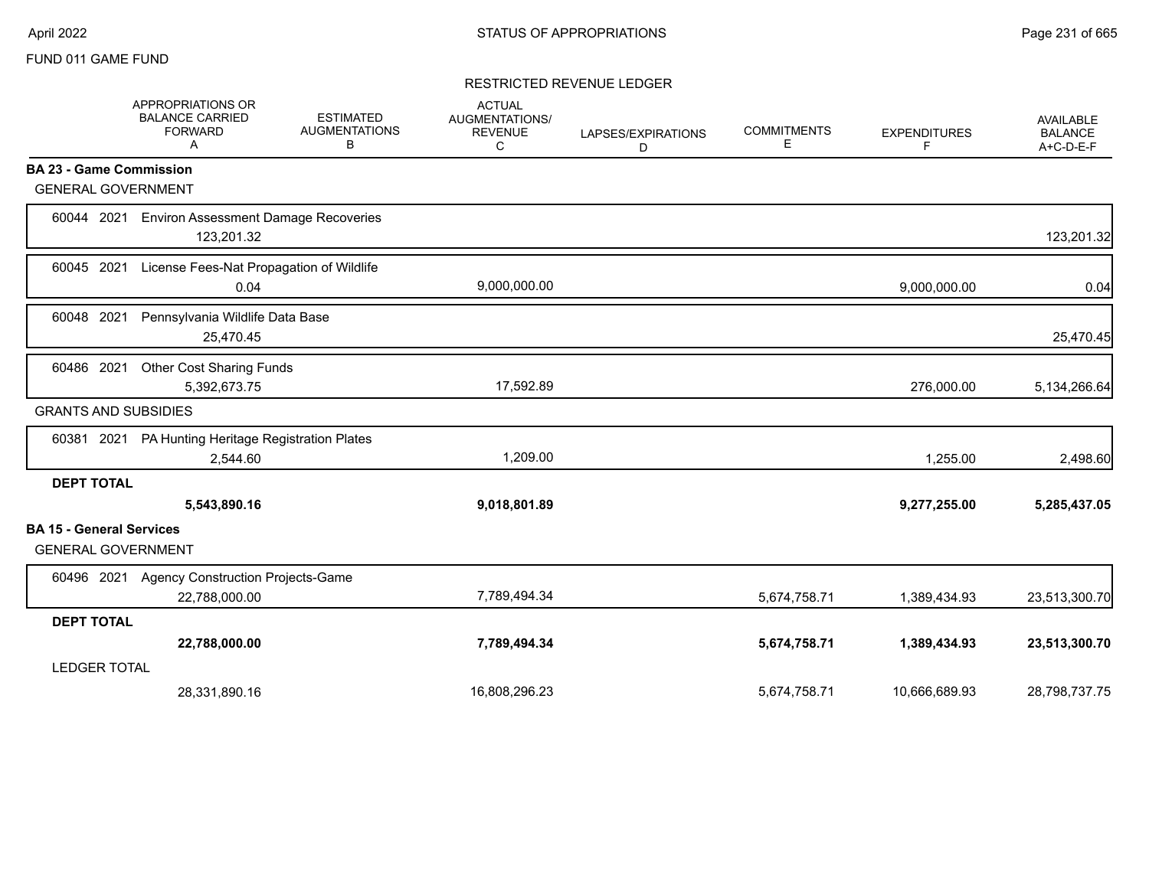## RESTRICTED REVENUE LEDGER

|                                                              | APPROPRIATIONS OR<br><b>BALANCE CARRIED</b><br><b>FORWARD</b><br>Α | <b>ESTIMATED</b><br><b>AUGMENTATIONS</b><br>В | <b>ACTUAL</b><br><b>AUGMENTATIONS/</b><br><b>REVENUE</b><br>C | LAPSES/EXPIRATIONS<br>D | <b>COMMITMENTS</b><br>Е | <b>EXPENDITURES</b><br>F | <b>AVAILABLE</b><br><b>BALANCE</b><br>A+C-D-E-F |
|--------------------------------------------------------------|--------------------------------------------------------------------|-----------------------------------------------|---------------------------------------------------------------|-------------------------|-------------------------|--------------------------|-------------------------------------------------|
| <b>BA 23 - Game Commission</b>                               |                                                                    |                                               |                                                               |                         |                         |                          |                                                 |
| <b>GENERAL GOVERNMENT</b>                                    |                                                                    |                                               |                                                               |                         |                         |                          |                                                 |
| 60044 2021                                                   | <b>Environ Assessment Damage Recoveries</b><br>123,201.32          |                                               |                                                               |                         |                         |                          | 123,201.32                                      |
| 60045 2021                                                   | License Fees-Nat Propagation of Wildlife<br>0.04                   |                                               | 9,000,000.00                                                  |                         |                         | 9,000,000.00             | 0.04                                            |
| 2021<br>60048                                                | Pennsylvania Wildlife Data Base<br>25,470.45                       |                                               |                                                               |                         |                         |                          | 25,470.45                                       |
| 60486 2021                                                   | <b>Other Cost Sharing Funds</b><br>5,392,673.75                    |                                               | 17,592.89                                                     |                         |                         | 276,000.00               | 5,134,266.64                                    |
| <b>GRANTS AND SUBSIDIES</b>                                  |                                                                    |                                               |                                                               |                         |                         |                          |                                                 |
|                                                              | 60381 2021 PA Hunting Heritage Registration Plates<br>2,544.60     |                                               | 1,209.00                                                      |                         |                         | 1,255.00                 | 2,498.60                                        |
| <b>DEPT TOTAL</b>                                            | 5,543,890.16                                                       |                                               | 9,018,801.89                                                  |                         |                         | 9,277,255.00             | 5,285,437.05                                    |
| <b>BA 15 - General Services</b><br><b>GENERAL GOVERNMENT</b> |                                                                    |                                               |                                                               |                         |                         |                          |                                                 |
| 60496 2021                                                   | <b>Agency Construction Projects-Game</b><br>22,788,000.00          |                                               | 7,789,494.34                                                  |                         | 5,674,758.71            | 1,389,434.93             | 23,513,300.70                                   |
| <b>DEPT TOTAL</b>                                            |                                                                    |                                               |                                                               |                         |                         |                          |                                                 |
|                                                              | 22,788,000.00                                                      |                                               | 7,789,494.34                                                  |                         | 5,674,758.71            | 1,389,434.93             | 23,513,300.70                                   |
| <b>LEDGER TOTAL</b>                                          |                                                                    |                                               |                                                               |                         |                         |                          |                                                 |
|                                                              | 28,331,890.16                                                      |                                               | 16,808,296.23                                                 |                         | 5,674,758.71            | 10,666,689.93            | 28,798,737.75                                   |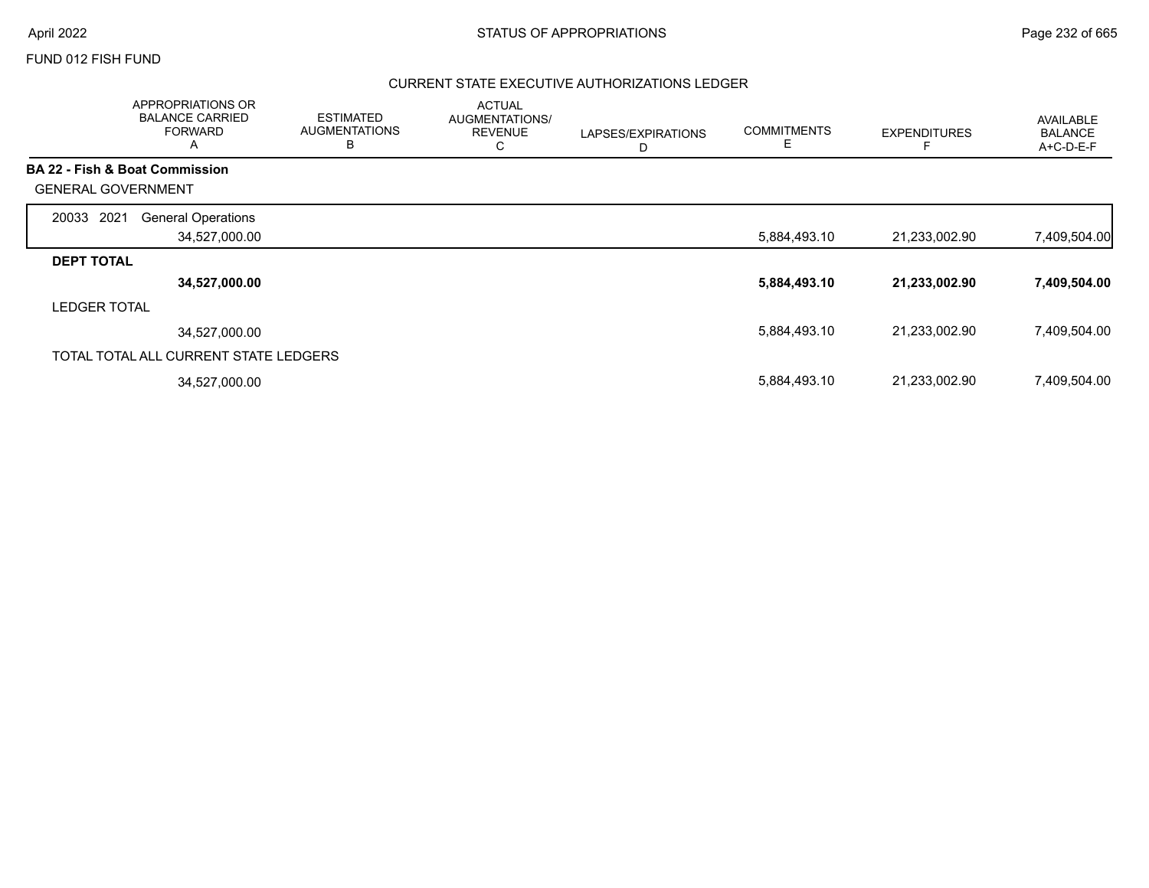# FUND 012 FISH FUND

# CURRENT STATE EXECUTIVE AUTHORIZATIONS LEDGER

|                           | APPROPRIATIONS OR<br><b>BALANCE CARRIED</b><br><b>FORWARD</b><br>$\mathsf{A}$ | <b>ESTIMATED</b><br><b>AUGMENTATIONS</b><br>B | <b>ACTUAL</b><br>AUGMENTATIONS/<br><b>REVENUE</b><br>C | LAPSES/EXPIRATIONS<br>D | <b>COMMITMENTS</b><br>Е | <b>EXPENDITURES</b> | <b>AVAILABLE</b><br><b>BALANCE</b><br>A+C-D-E-F |
|---------------------------|-------------------------------------------------------------------------------|-----------------------------------------------|--------------------------------------------------------|-------------------------|-------------------------|---------------------|-------------------------------------------------|
|                           | <b>BA 22 - Fish &amp; Boat Commission</b>                                     |                                               |                                                        |                         |                         |                     |                                                 |
| <b>GENERAL GOVERNMENT</b> |                                                                               |                                               |                                                        |                         |                         |                     |                                                 |
| 2021<br>20033             | <b>General Operations</b>                                                     |                                               |                                                        |                         |                         |                     |                                                 |
|                           | 34,527,000.00                                                                 |                                               |                                                        |                         | 5,884,493.10            | 21,233,002.90       | 7,409,504.00                                    |
| <b>DEPT TOTAL</b>         |                                                                               |                                               |                                                        |                         |                         |                     |                                                 |
|                           | 34,527,000.00                                                                 |                                               |                                                        |                         | 5,884,493.10            | 21,233,002.90       | 7,409,504.00                                    |
| <b>LEDGER TOTAL</b>       |                                                                               |                                               |                                                        |                         |                         |                     |                                                 |
|                           | 34,527,000.00                                                                 |                                               |                                                        |                         | 5,884,493.10            | 21,233,002.90       | 7,409,504.00                                    |
|                           | TOTAL TOTAL ALL CURRENT STATE LEDGERS                                         |                                               |                                                        |                         |                         |                     |                                                 |
|                           | 34,527,000.00                                                                 |                                               |                                                        |                         | 5,884,493.10            | 21,233,002.90       | 7,409,504.00                                    |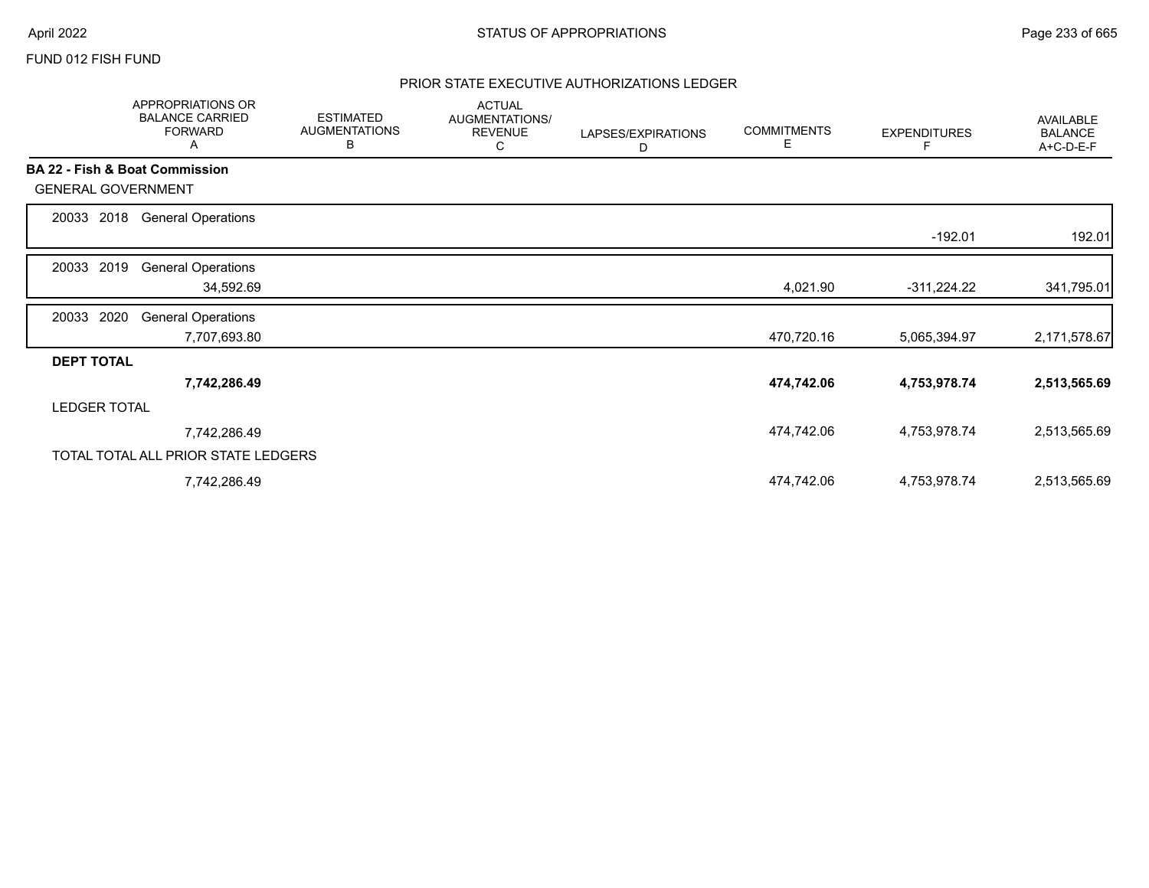# FUND 012 FISH FUND

# PRIOR STATE EXECUTIVE AUTHORIZATIONS LEDGER

|                                           | APPROPRIATIONS OR<br><b>BALANCE CARRIED</b><br><b>FORWARD</b><br>A | <b>ESTIMATED</b><br><b>AUGMENTATIONS</b><br>В | <b>ACTUAL</b><br>AUGMENTATIONS/<br><b>REVENUE</b><br>С | LAPSES/EXPIRATIONS<br>D | <b>COMMITMENTS</b><br>Е | <b>EXPENDITURES</b> | AVAILABLE<br><b>BALANCE</b><br>A+C-D-E-F |
|-------------------------------------------|--------------------------------------------------------------------|-----------------------------------------------|--------------------------------------------------------|-------------------------|-------------------------|---------------------|------------------------------------------|
| <b>BA 22 - Fish &amp; Boat Commission</b> |                                                                    |                                               |                                                        |                         |                         |                     |                                          |
| <b>GENERAL GOVERNMENT</b>                 |                                                                    |                                               |                                                        |                         |                         |                     |                                          |
| 2018<br>20033                             | <b>General Operations</b>                                          |                                               |                                                        |                         |                         |                     |                                          |
|                                           |                                                                    |                                               |                                                        |                         |                         | $-192.01$           | 192.01                                   |
| 2019<br>20033                             | <b>General Operations</b>                                          |                                               |                                                        |                         |                         |                     |                                          |
|                                           | 34,592.69                                                          |                                               |                                                        |                         | 4,021.90                | $-311,224.22$       | 341,795.01                               |
| 2020<br>20033                             | <b>General Operations</b>                                          |                                               |                                                        |                         |                         |                     |                                          |
|                                           | 7,707,693.80                                                       |                                               |                                                        |                         | 470,720.16              | 5,065,394.97        | 2,171,578.67                             |
| <b>DEPT TOTAL</b>                         |                                                                    |                                               |                                                        |                         |                         |                     |                                          |
|                                           | 7,742,286.49                                                       |                                               |                                                        |                         | 474,742.06              | 4,753,978.74        | 2,513,565.69                             |
| <b>LEDGER TOTAL</b>                       |                                                                    |                                               |                                                        |                         |                         |                     |                                          |
|                                           | 7,742,286.49                                                       |                                               |                                                        |                         | 474,742.06              | 4,753,978.74        | 2,513,565.69                             |
|                                           | TOTAL TOTAL ALL PRIOR STATE LEDGERS                                |                                               |                                                        |                         |                         |                     |                                          |
|                                           | 7,742,286.49                                                       |                                               |                                                        |                         | 474,742.06              | 4,753,978.74        | 2,513,565.69                             |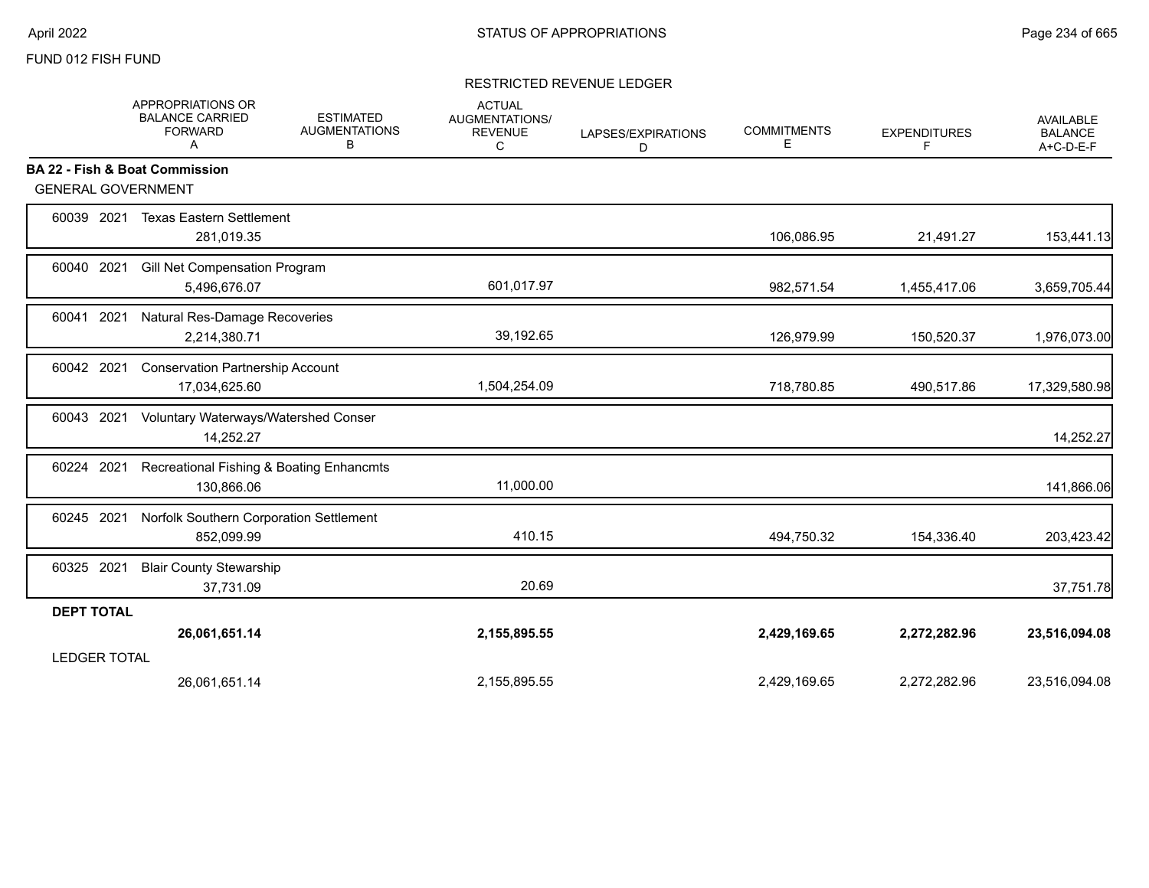# FUND 012 FISH FUND

## RESTRICTED REVENUE LEDGER

|                           | APPROPRIATIONS OR<br><b>BALANCE CARRIED</b><br><b>FORWARD</b><br>Α | <b>ESTIMATED</b><br><b>AUGMENTATIONS</b><br>в | <b>ACTUAL</b><br>AUGMENTATIONS/<br><b>REVENUE</b><br>C | LAPSES/EXPIRATIONS<br>D | <b>COMMITMENTS</b><br>Е | <b>EXPENDITURES</b><br>F | <b>AVAILABLE</b><br><b>BALANCE</b><br>A+C-D-E-F |
|---------------------------|--------------------------------------------------------------------|-----------------------------------------------|--------------------------------------------------------|-------------------------|-------------------------|--------------------------|-------------------------------------------------|
|                           | BA 22 - Fish & Boat Commission                                     |                                               |                                                        |                         |                         |                          |                                                 |
| <b>GENERAL GOVERNMENT</b> |                                                                    |                                               |                                                        |                         |                         |                          |                                                 |
| 60039 2021                | <b>Texas Eastern Settlement</b><br>281,019.35                      |                                               |                                                        |                         | 106,086.95              | 21,491.27                | 153,441.13                                      |
| 60040 2021                | Gill Net Compensation Program<br>5,496,676.07                      |                                               | 601,017.97                                             |                         | 982,571.54              | 1,455,417.06             | 3,659,705.44                                    |
| 60041 2021                | Natural Res-Damage Recoveries<br>2,214,380.71                      |                                               | 39,192.65                                              |                         | 126,979.99              | 150,520.37               | 1,976,073.00                                    |
| 60042 2021                | <b>Conservation Partnership Account</b><br>17,034,625.60           |                                               | 1,504,254.09                                           |                         | 718,780.85              | 490,517.86               | 17,329,580.98                                   |
| 60043 2021                | Voluntary Waterways/Watershed Conser<br>14,252.27                  |                                               |                                                        |                         |                         |                          | 14,252.27                                       |
| 60224 2021                | Recreational Fishing & Boating Enhancmts<br>130,866.06             |                                               | 11,000.00                                              |                         |                         |                          | 141,866.06                                      |
| 60245 2021                | Norfolk Southern Corporation Settlement<br>852,099.99              |                                               | 410.15                                                 |                         | 494,750.32              | 154,336.40               | 203,423.42                                      |
| 60325 2021                | <b>Blair County Stewarship</b><br>37,731.09                        |                                               | 20.69                                                  |                         |                         |                          | 37,751.78                                       |
| <b>DEPT TOTAL</b>         |                                                                    |                                               |                                                        |                         |                         |                          |                                                 |
|                           | 26,061,651.14                                                      |                                               | 2,155,895.55                                           |                         | 2,429,169.65            | 2,272,282.96             | 23,516,094.08                                   |
| <b>LEDGER TOTAL</b>       |                                                                    |                                               |                                                        |                         |                         |                          |                                                 |
|                           | 26,061,651.14                                                      |                                               | 2,155,895.55                                           |                         | 2,429,169.65            | 2,272,282.96             | 23,516,094.08                                   |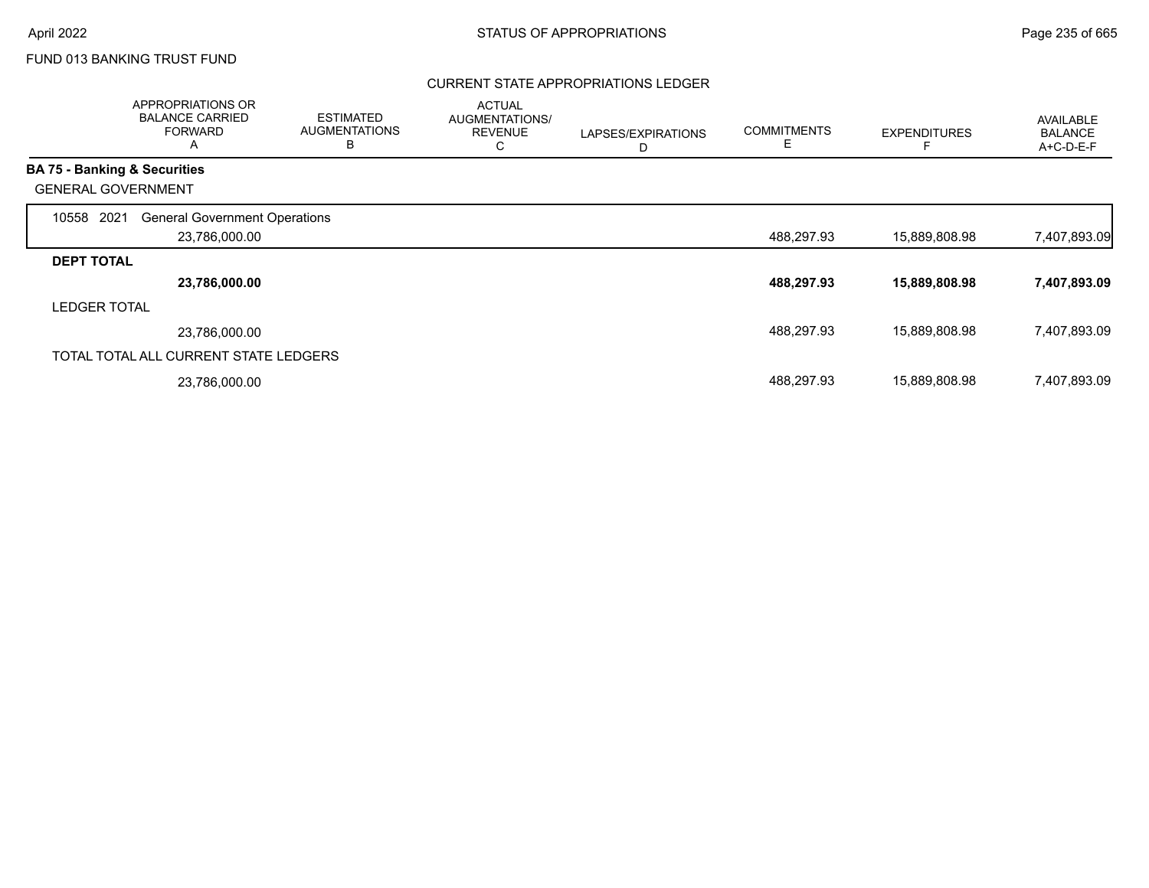# FUND 013 BANKING TRUST FUND

# CURRENT STATE APPROPRIATIONS LEDGER

|                     | APPROPRIATIONS OR<br><b>BALANCE CARRIED</b><br><b>FORWARD</b><br>Α | <b>ESTIMATED</b><br><b>AUGMENTATIONS</b><br>B | <b>ACTUAL</b><br><b>AUGMENTATIONS/</b><br><b>REVENUE</b><br>С | LAPSES/EXPIRATIONS<br>D | <b>COMMITMENTS</b><br>Е | <b>EXPENDITURES</b> | AVAILABLE<br><b>BALANCE</b><br>A+C-D-E-F |
|---------------------|--------------------------------------------------------------------|-----------------------------------------------|---------------------------------------------------------------|-------------------------|-------------------------|---------------------|------------------------------------------|
|                     | <b>BA 75 - Banking &amp; Securities</b>                            |                                               |                                                               |                         |                         |                     |                                          |
|                     | <b>GENERAL GOVERNMENT</b>                                          |                                               |                                                               |                         |                         |                     |                                          |
| 10558               | 2021<br><b>General Government Operations</b>                       |                                               |                                                               |                         |                         |                     |                                          |
|                     | 23,786,000.00                                                      |                                               |                                                               |                         | 488,297.93              | 15,889,808.98       | 7,407,893.09                             |
| <b>DEPT TOTAL</b>   |                                                                    |                                               |                                                               |                         |                         |                     |                                          |
|                     | 23,786,000.00                                                      |                                               |                                                               |                         | 488,297.93              | 15,889,808.98       | 7,407,893.09                             |
| <b>LEDGER TOTAL</b> |                                                                    |                                               |                                                               |                         |                         |                     |                                          |
|                     | 23,786,000.00                                                      |                                               |                                                               |                         | 488,297.93              | 15,889,808.98       | 7,407,893.09                             |
|                     | TOTAL TOTAL ALL CURRENT STATE LEDGERS                              |                                               |                                                               |                         |                         |                     |                                          |
|                     | 23,786,000.00                                                      |                                               |                                                               |                         | 488,297.93              | 15,889,808.98       | 7,407,893.09                             |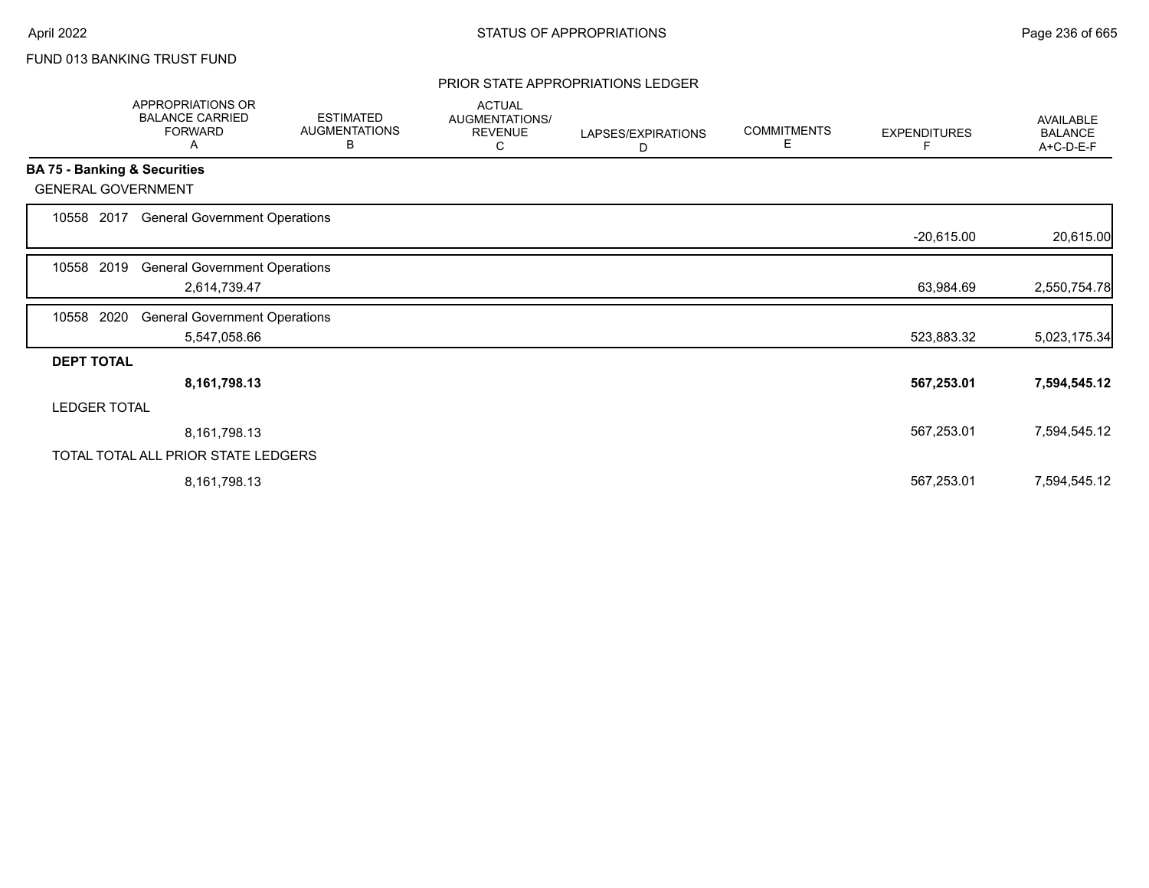# FUND 013 BANKING TRUST FUND

#### PRIOR STATE APPROPRIATIONS LEDGER

|                           | APPROPRIATIONS OR<br><b>BALANCE CARRIED</b><br><b>FORWARD</b><br>Α | <b>ESTIMATED</b><br><b>AUGMENTATIONS</b><br>В | <b>ACTUAL</b><br>AUGMENTATIONS/<br><b>REVENUE</b><br>С | LAPSES/EXPIRATIONS<br>D | <b>COMMITMENTS</b><br>Е | <b>EXPENDITURES</b><br>F | <b>AVAILABLE</b><br><b>BALANCE</b><br>A+C-D-E-F |
|---------------------------|--------------------------------------------------------------------|-----------------------------------------------|--------------------------------------------------------|-------------------------|-------------------------|--------------------------|-------------------------------------------------|
|                           | BA 75 - Banking & Securities                                       |                                               |                                                        |                         |                         |                          |                                                 |
| <b>GENERAL GOVERNMENT</b> |                                                                    |                                               |                                                        |                         |                         |                          |                                                 |
| 10558 2017                | <b>General Government Operations</b>                               |                                               |                                                        |                         |                         |                          |                                                 |
|                           |                                                                    |                                               |                                                        |                         |                         | $-20,615.00$             | 20,615.00                                       |
| 2019<br>10558             | <b>General Government Operations</b>                               |                                               |                                                        |                         |                         |                          |                                                 |
|                           | 2,614,739.47                                                       |                                               |                                                        |                         |                         | 63,984.69                | 2,550,754.78                                    |
|                           |                                                                    |                                               |                                                        |                         |                         |                          |                                                 |
| 2020<br>10558             | <b>General Government Operations</b>                               |                                               |                                                        |                         |                         |                          |                                                 |
|                           | 5,547,058.66                                                       |                                               |                                                        |                         |                         | 523,883.32               | 5,023,175.34                                    |
| <b>DEPT TOTAL</b>         |                                                                    |                                               |                                                        |                         |                         |                          |                                                 |
|                           | 8, 161, 798. 13                                                    |                                               |                                                        |                         |                         | 567,253.01               | 7,594,545.12                                    |
| <b>LEDGER TOTAL</b>       |                                                                    |                                               |                                                        |                         |                         |                          |                                                 |
|                           |                                                                    |                                               |                                                        |                         |                         |                          |                                                 |
|                           | 8,161,798.13                                                       |                                               |                                                        |                         |                         | 567,253.01               | 7,594,545.12                                    |
|                           | TOTAL TOTAL ALL PRIOR STATE LEDGERS                                |                                               |                                                        |                         |                         |                          |                                                 |
|                           | 8,161,798.13                                                       |                                               |                                                        |                         |                         | 567,253.01               | 7,594,545.12                                    |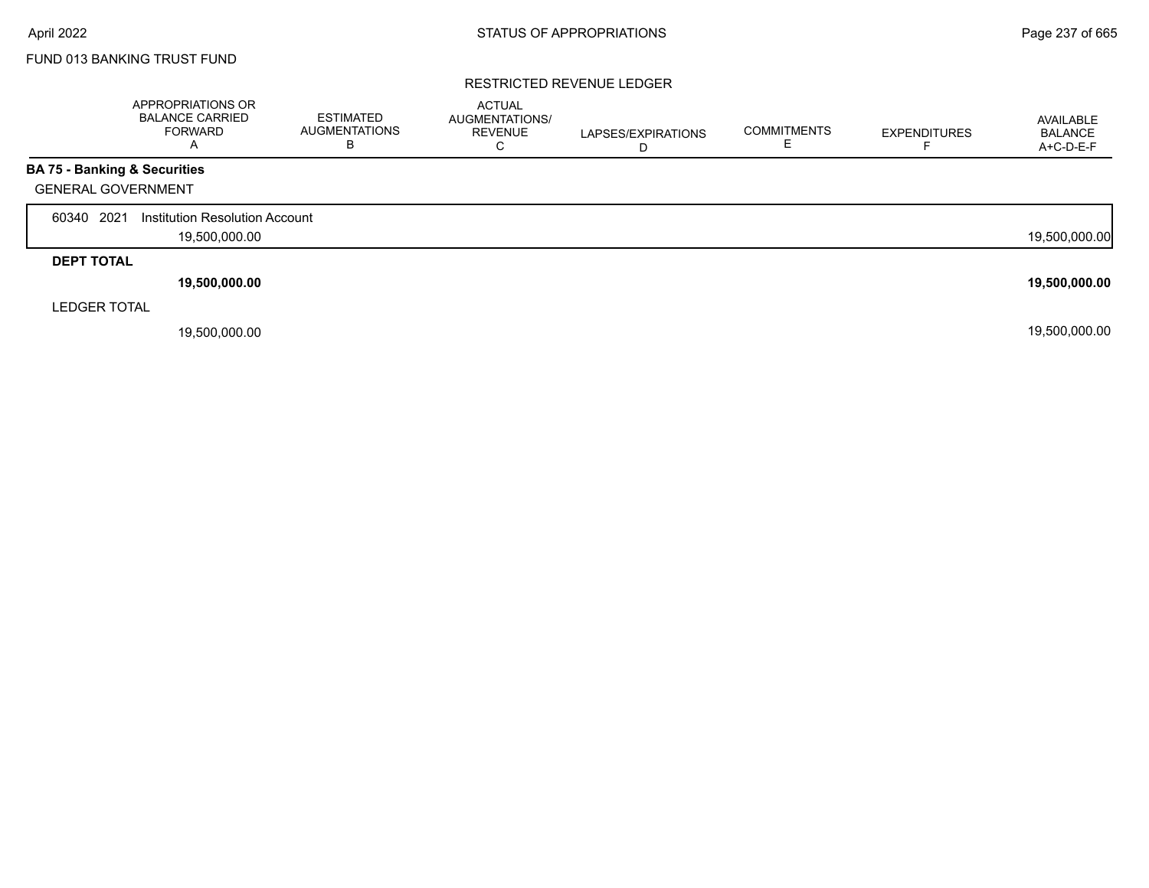Г

# FUND 013 BANKING TRUST FUND

## RESTRICTED REVENUE LEDGER

|                                         | APPROPRIATIONS OR<br><b>BALANCE CARRIED</b><br><b>FORWARD</b><br>$\overline{\mathsf{A}}$ | <b>ESTIMATED</b><br><b>AUGMENTATIONS</b><br>В | <b>ACTUAL</b><br>AUGMENTATIONS/<br><b>REVENUE</b><br>С | LAPSES/EXPIRATIONS<br>D | <b>COMMITMENTS</b><br>E. | <b>EXPENDITURES</b> | AVAILABLE<br><b>BALANCE</b><br>A+C-D-E-F |
|-----------------------------------------|------------------------------------------------------------------------------------------|-----------------------------------------------|--------------------------------------------------------|-------------------------|--------------------------|---------------------|------------------------------------------|
| <b>BA 75 - Banking &amp; Securities</b> |                                                                                          |                                               |                                                        |                         |                          |                     |                                          |
| <b>GENERAL GOVERNMENT</b>               |                                                                                          |                                               |                                                        |                         |                          |                     |                                          |
| 2021<br>60340                           | Institution Resolution Account                                                           |                                               |                                                        |                         |                          |                     |                                          |
|                                         | 19,500,000.00                                                                            |                                               |                                                        |                         |                          |                     | 19,500,000.00                            |
| <b>DEPT TOTAL</b>                       |                                                                                          |                                               |                                                        |                         |                          |                     |                                          |
|                                         | 19,500,000.00                                                                            |                                               |                                                        |                         |                          |                     | 19,500,000.00                            |
| <b>LEDGER TOTAL</b>                     |                                                                                          |                                               |                                                        |                         |                          |                     |                                          |
|                                         | 19,500,000.00                                                                            |                                               |                                                        |                         |                          |                     | 19,500,000.00                            |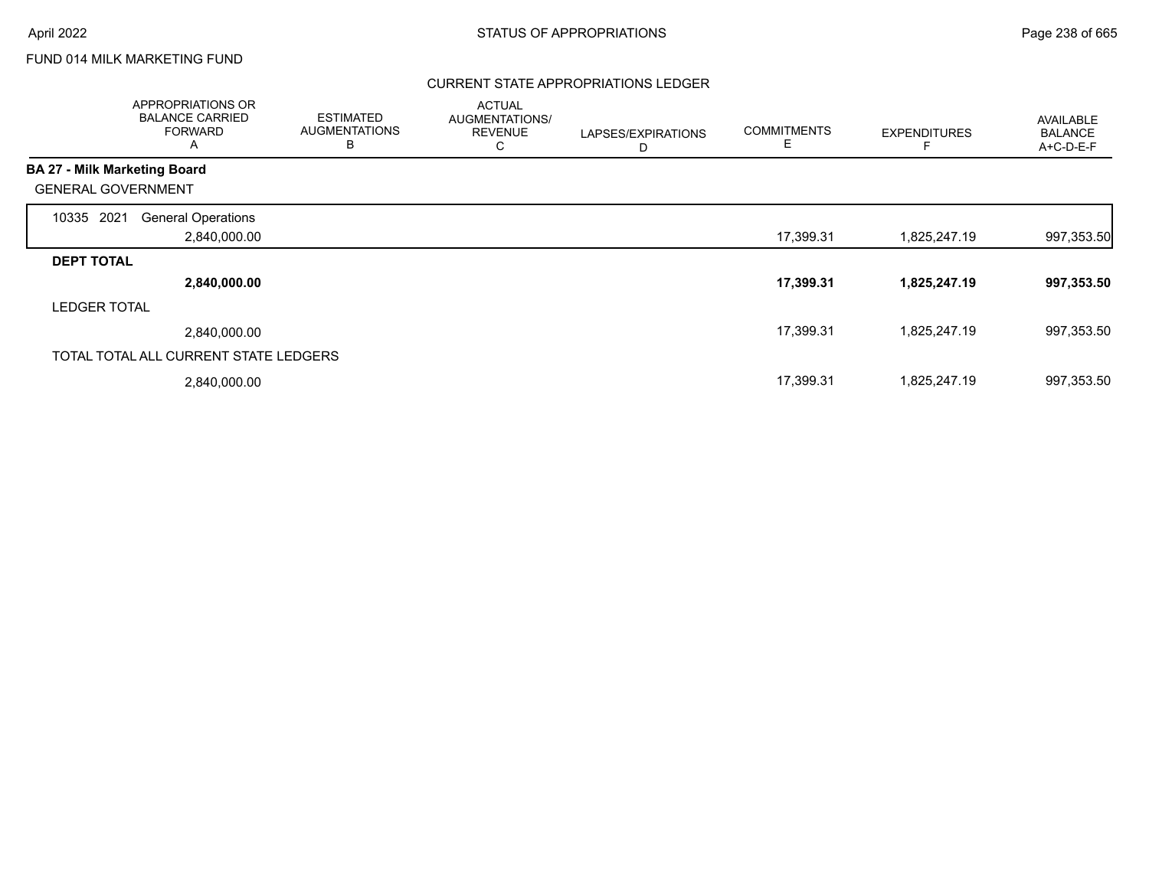# FUND 014 MILK MARKETING FUND

# CURRENT STATE APPROPRIATIONS LEDGER

|                                     | APPROPRIATIONS OR<br><b>BALANCE CARRIED</b><br><b>FORWARD</b><br>A | <b>ESTIMATED</b><br><b>AUGMENTATIONS</b><br>B | <b>ACTUAL</b><br>AUGMENTATIONS/<br><b>REVENUE</b><br>С | LAPSES/EXPIRATIONS<br>D | <b>COMMITMENTS</b><br>E | <b>EXPENDITURES</b> | <b>AVAILABLE</b><br><b>BALANCE</b><br>$A+C-D-E-F$ |
|-------------------------------------|--------------------------------------------------------------------|-----------------------------------------------|--------------------------------------------------------|-------------------------|-------------------------|---------------------|---------------------------------------------------|
| <b>BA 27 - Milk Marketing Board</b> |                                                                    |                                               |                                                        |                         |                         |                     |                                                   |
| <b>GENERAL GOVERNMENT</b>           |                                                                    |                                               |                                                        |                         |                         |                     |                                                   |
| 2021<br>10335                       | <b>General Operations</b>                                          |                                               |                                                        |                         |                         |                     |                                                   |
|                                     | 2,840,000.00                                                       |                                               |                                                        |                         | 17,399.31               | 1,825,247.19        | 997,353.50                                        |
| <b>DEPT TOTAL</b>                   |                                                                    |                                               |                                                        |                         |                         |                     |                                                   |
|                                     | 2,840,000.00                                                       |                                               |                                                        |                         | 17,399.31               | 1,825,247.19        | 997,353.50                                        |
| <b>LEDGER TOTAL</b>                 |                                                                    |                                               |                                                        |                         |                         |                     |                                                   |
|                                     | 2,840,000.00                                                       |                                               |                                                        |                         | 17,399.31               | 1,825,247.19        | 997,353.50                                        |
|                                     | TOTAL TOTAL ALL CURRENT STATE LEDGERS                              |                                               |                                                        |                         |                         |                     |                                                   |
|                                     | 2,840,000.00                                                       |                                               |                                                        |                         | 17,399.31               | 1,825,247.19        | 997,353.50                                        |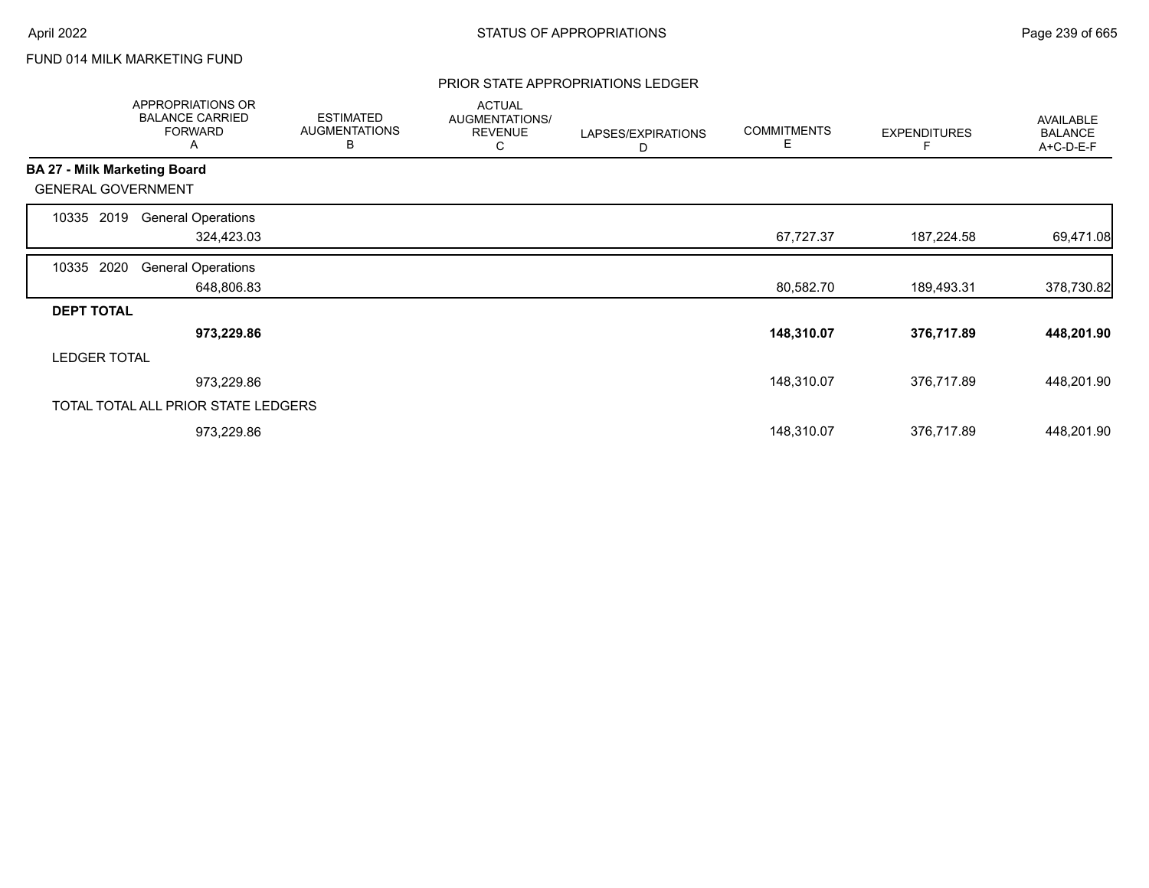# FUND 014 MILK MARKETING FUND

## PRIOR STATE APPROPRIATIONS LEDGER

|                     | APPROPRIATIONS OR<br><b>BALANCE CARRIED</b><br><b>FORWARD</b><br>A | <b>ESTIMATED</b><br><b>AUGMENTATIONS</b><br>В | <b>ACTUAL</b><br>AUGMENTATIONS/<br><b>REVENUE</b><br>С | LAPSES/EXPIRATIONS<br>D | <b>COMMITMENTS</b><br>Е | <b>EXPENDITURES</b> | AVAILABLE<br><b>BALANCE</b><br>A+C-D-E-F |
|---------------------|--------------------------------------------------------------------|-----------------------------------------------|--------------------------------------------------------|-------------------------|-------------------------|---------------------|------------------------------------------|
|                     | <b>BA 27 - Milk Marketing Board</b>                                |                                               |                                                        |                         |                         |                     |                                          |
|                     | <b>GENERAL GOVERNMENT</b>                                          |                                               |                                                        |                         |                         |                     |                                          |
| 10335               | <b>General Operations</b><br>2019                                  |                                               |                                                        |                         |                         |                     |                                          |
|                     | 324,423.03                                                         |                                               |                                                        |                         | 67,727.37               | 187,224.58          | 69,471.08                                |
| 10335               | 2020<br><b>General Operations</b>                                  |                                               |                                                        |                         |                         |                     |                                          |
|                     | 648,806.83                                                         |                                               |                                                        |                         | 80,582.70               | 189,493.31          | 378,730.82                               |
| <b>DEPT TOTAL</b>   |                                                                    |                                               |                                                        |                         |                         |                     |                                          |
|                     | 973,229.86                                                         |                                               |                                                        |                         | 148,310.07              | 376,717.89          | 448,201.90                               |
| <b>LEDGER TOTAL</b> |                                                                    |                                               |                                                        |                         |                         |                     |                                          |
|                     | 973,229.86                                                         |                                               |                                                        |                         | 148,310.07              | 376,717.89          | 448,201.90                               |
|                     | TOTAL TOTAL ALL PRIOR STATE LEDGERS                                |                                               |                                                        |                         |                         |                     |                                          |
|                     | 973,229.86                                                         |                                               |                                                        |                         | 148,310.07              | 376,717.89          | 448,201.90                               |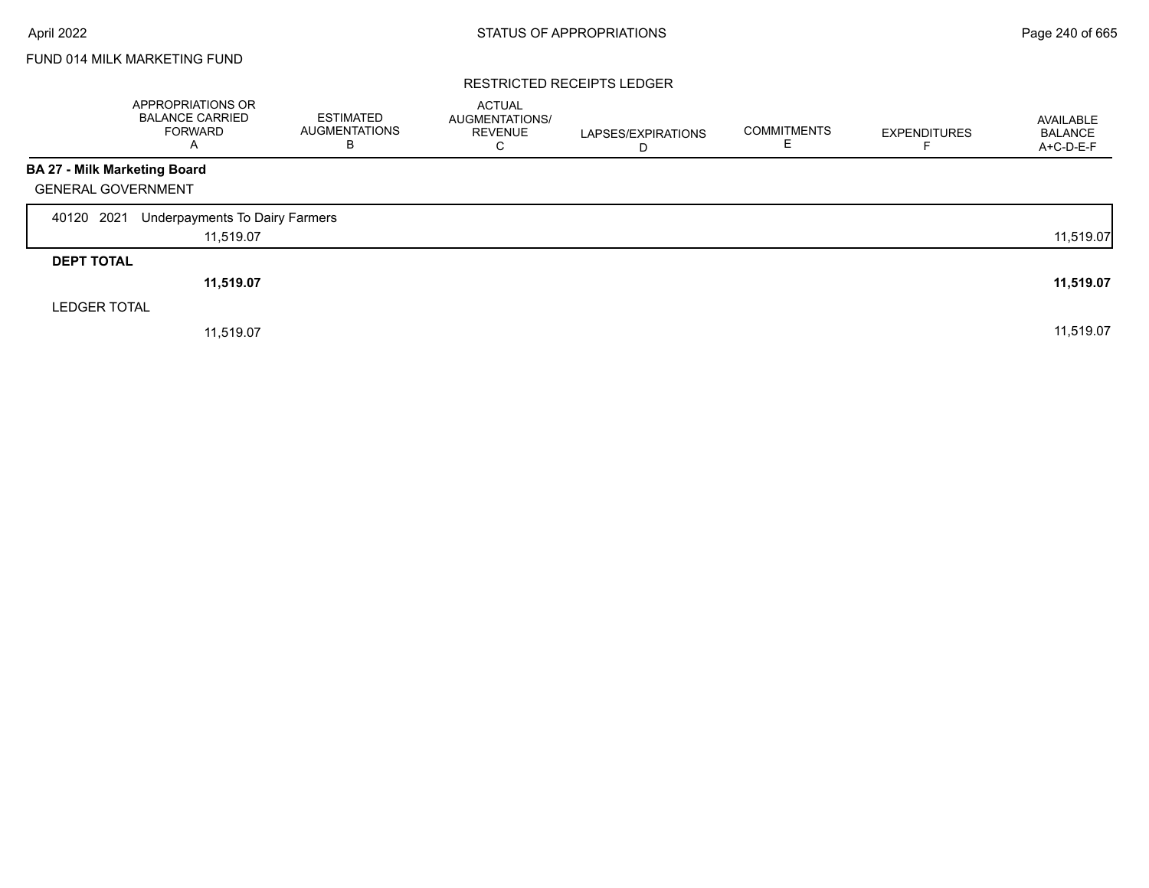# FUND 014 MILK MARKETING FUND

## RESTRICTED RECEIPTS LEDGER

|                              | <b>APPROPRIATIONS OR</b><br><b>BALANCE CARRIED</b><br><b>FORWARD</b><br>Α | <b>ESTIMATED</b><br><b>AUGMENTATIONS</b><br>В | <b>ACTUAL</b><br>AUGMENTATIONS/<br><b>REVENUE</b><br>С | LAPSES/EXPIRATIONS<br>D | <b>COMMITMENTS</b> | <b>EXPENDITURES</b> | AVAILABLE<br><b>BALANCE</b><br>A+C-D-E-F |
|------------------------------|---------------------------------------------------------------------------|-----------------------------------------------|--------------------------------------------------------|-------------------------|--------------------|---------------------|------------------------------------------|
| BA 27 - Milk Marketing Board |                                                                           |                                               |                                                        |                         |                    |                     |                                          |
| <b>GENERAL GOVERNMENT</b>    |                                                                           |                                               |                                                        |                         |                    |                     |                                          |
| 2021<br>40120                | Underpayments To Dairy Farmers                                            |                                               |                                                        |                         |                    |                     |                                          |
|                              | 11,519.07                                                                 |                                               |                                                        |                         |                    |                     | 11,519.07                                |
| <b>DEPT TOTAL</b>            |                                                                           |                                               |                                                        |                         |                    |                     |                                          |
|                              | 11,519.07                                                                 |                                               |                                                        |                         |                    |                     | 11,519.07                                |
| <b>LEDGER TOTAL</b>          |                                                                           |                                               |                                                        |                         |                    |                     |                                          |
|                              | 11,519.07                                                                 |                                               |                                                        |                         |                    |                     | 11,519.07                                |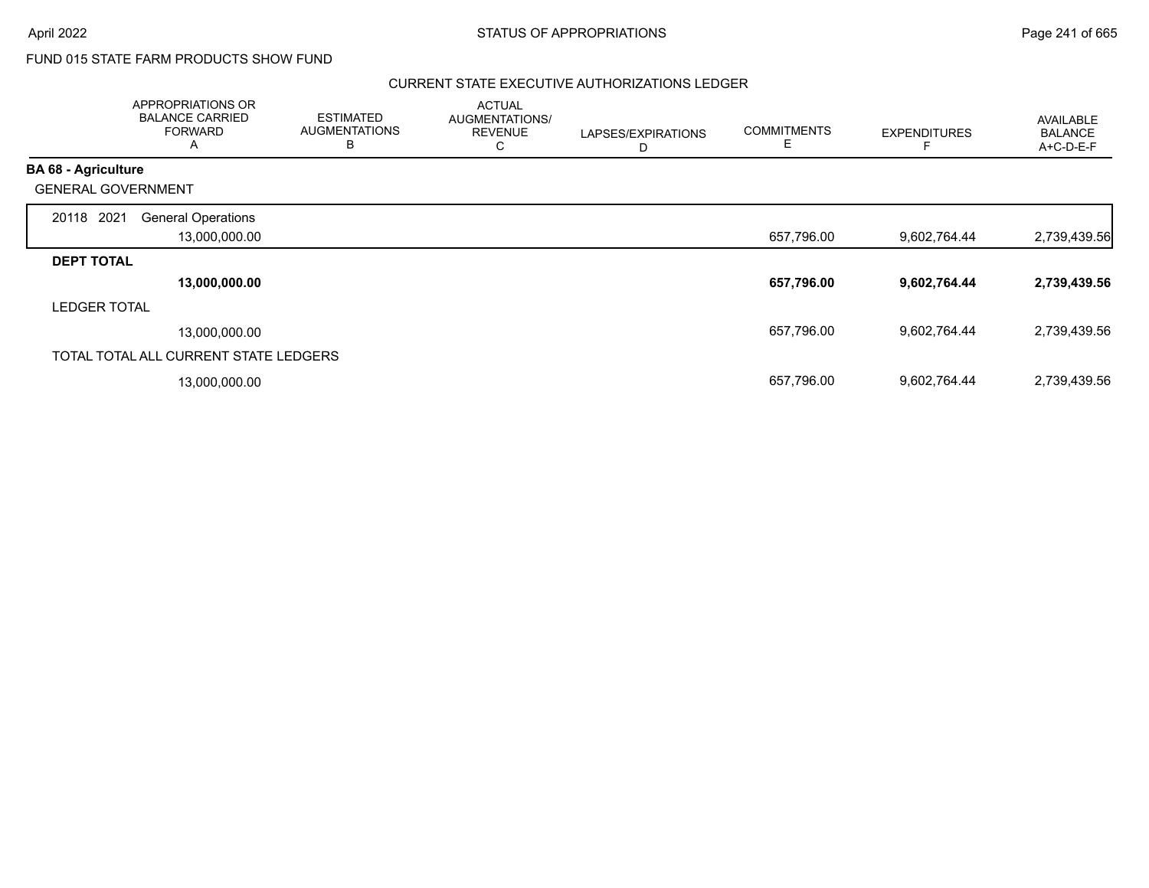# FUND 015 STATE FARM PRODUCTS SHOW FUND

# CURRENT STATE EXECUTIVE AUTHORIZATIONS LEDGER

|                            | APPROPRIATIONS OR<br><b>BALANCE CARRIED</b><br><b>FORWARD</b><br>A | <b>ESTIMATED</b><br><b>AUGMENTATIONS</b><br>B | <b>ACTUAL</b><br>AUGMENTATIONS/<br><b>REVENUE</b><br>С | LAPSES/EXPIRATIONS<br>D | <b>COMMITMENTS</b><br>Е | <b>EXPENDITURES</b> | <b>AVAILABLE</b><br><b>BALANCE</b><br>A+C-D-E-F |
|----------------------------|--------------------------------------------------------------------|-----------------------------------------------|--------------------------------------------------------|-------------------------|-------------------------|---------------------|-------------------------------------------------|
| <b>BA 68 - Agriculture</b> |                                                                    |                                               |                                                        |                         |                         |                     |                                                 |
| <b>GENERAL GOVERNMENT</b>  |                                                                    |                                               |                                                        |                         |                         |                     |                                                 |
| 2021<br>20118              | <b>General Operations</b>                                          |                                               |                                                        |                         |                         |                     |                                                 |
|                            | 13,000,000.00                                                      |                                               |                                                        |                         | 657,796.00              | 9,602,764.44        | 2,739,439.56                                    |
| <b>DEPT TOTAL</b>          |                                                                    |                                               |                                                        |                         |                         |                     |                                                 |
|                            | 13,000,000.00                                                      |                                               |                                                        |                         | 657,796.00              | 9,602,764.44        | 2,739,439.56                                    |
| <b>LEDGER TOTAL</b>        |                                                                    |                                               |                                                        |                         |                         |                     |                                                 |
|                            | 13,000,000.00                                                      |                                               |                                                        |                         | 657,796.00              | 9,602,764.44        | 2,739,439.56                                    |
|                            | TOTAL TOTAL ALL CURRENT STATE LEDGERS                              |                                               |                                                        |                         |                         |                     |                                                 |
|                            | 13,000,000.00                                                      |                                               |                                                        |                         | 657,796.00              | 9,602,764.44        | 2,739,439.56                                    |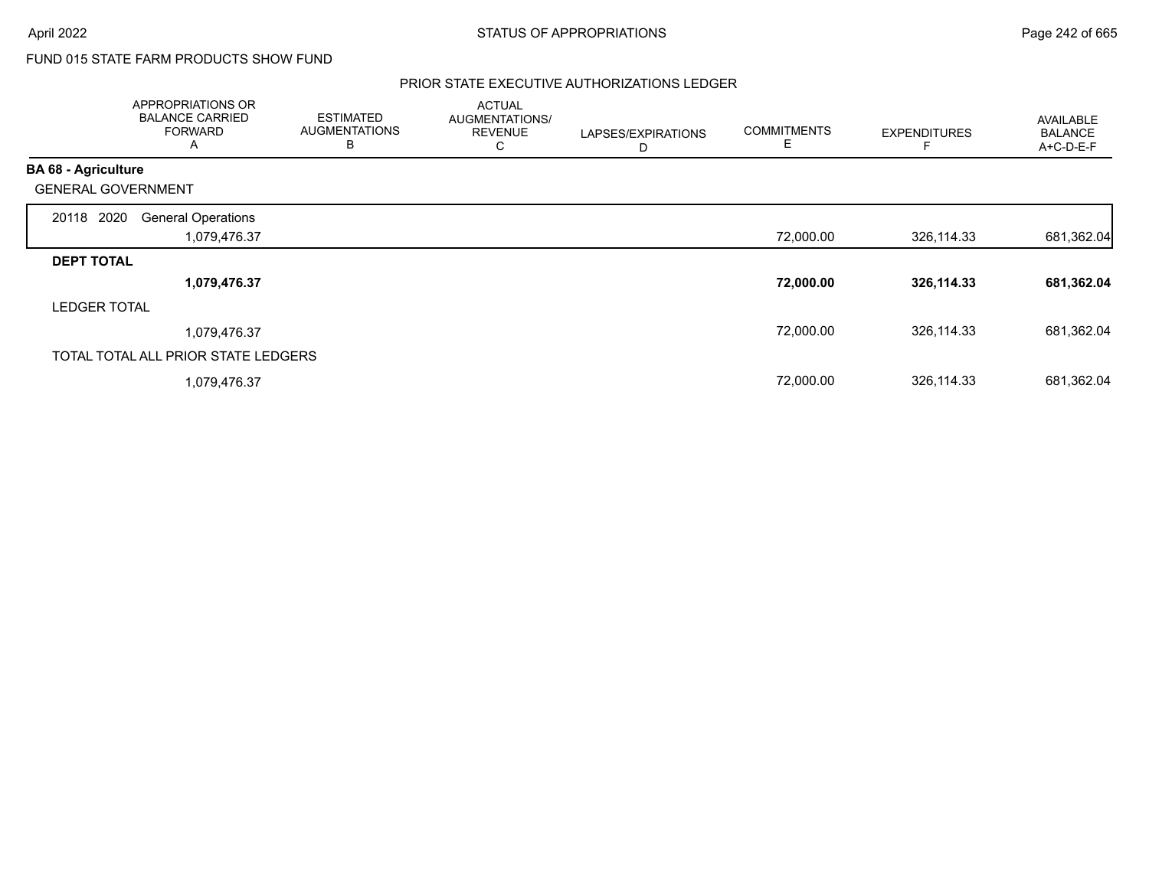# FUND 015 STATE FARM PRODUCTS SHOW FUND

# PRIOR STATE EXECUTIVE AUTHORIZATIONS LEDGER

|                            | APPROPRIATIONS OR<br><b>BALANCE CARRIED</b><br><b>FORWARD</b><br>A | <b>ESTIMATED</b><br><b>AUGMENTATIONS</b><br>B | <b>ACTUAL</b><br>AUGMENTATIONS/<br><b>REVENUE</b><br>С | LAPSES/EXPIRATIONS<br>D | <b>COMMITMENTS</b><br>E | <b>EXPENDITURES</b> | <b>AVAILABLE</b><br><b>BALANCE</b><br>A+C-D-E-F |
|----------------------------|--------------------------------------------------------------------|-----------------------------------------------|--------------------------------------------------------|-------------------------|-------------------------|---------------------|-------------------------------------------------|
| <b>BA 68 - Agriculture</b> |                                                                    |                                               |                                                        |                         |                         |                     |                                                 |
| <b>GENERAL GOVERNMENT</b>  |                                                                    |                                               |                                                        |                         |                         |                     |                                                 |
| 20118 2020                 | <b>General Operations</b>                                          |                                               |                                                        |                         |                         |                     |                                                 |
|                            | 1,079,476.37                                                       |                                               |                                                        |                         | 72,000.00               | 326,114.33          | 681,362.04                                      |
| <b>DEPT TOTAL</b>          |                                                                    |                                               |                                                        |                         |                         |                     |                                                 |
|                            | 1,079,476.37                                                       |                                               |                                                        |                         | 72,000.00               | 326,114.33          | 681,362.04                                      |
| <b>LEDGER TOTAL</b>        |                                                                    |                                               |                                                        |                         |                         |                     |                                                 |
|                            | 1,079,476.37                                                       |                                               |                                                        |                         | 72,000.00               | 326,114.33          | 681,362.04                                      |
|                            | TOTAL TOTAL ALL PRIOR STATE LEDGERS                                |                                               |                                                        |                         |                         |                     |                                                 |
|                            | 1,079,476.37                                                       |                                               |                                                        |                         | 72,000.00               | 326,114.33          | 681,362.04                                      |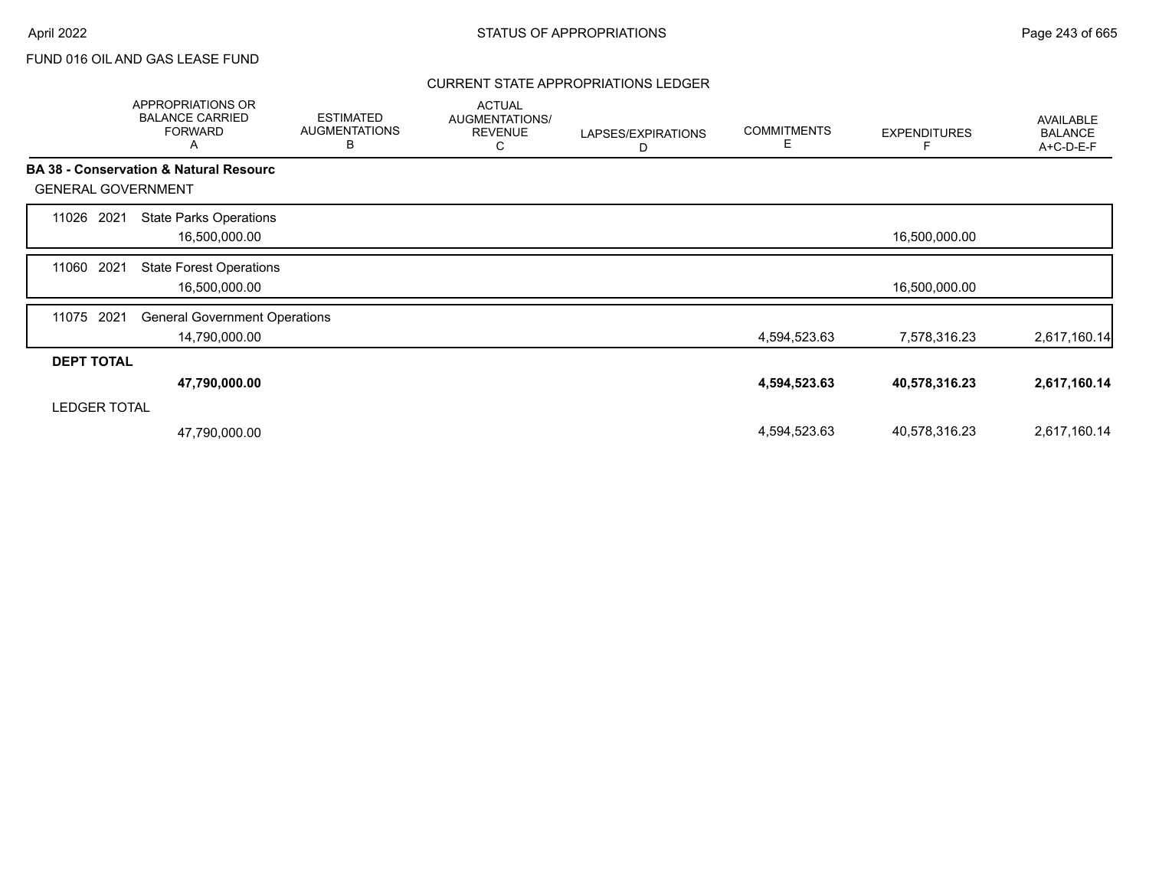# CURRENT STATE APPROPRIATIONS LEDGER

|                           | <b>APPROPRIATIONS OR</b><br><b>BALANCE CARRIED</b><br><b>FORWARD</b><br>Α | <b>ESTIMATED</b><br><b>AUGMENTATIONS</b><br>B | <b>ACTUAL</b><br>AUGMENTATIONS/<br><b>REVENUE</b><br>С | LAPSES/EXPIRATIONS<br>D | <b>COMMITMENTS</b><br>Е | <b>EXPENDITURES</b> | AVAILABLE<br><b>BALANCE</b><br>A+C-D-E-F |
|---------------------------|---------------------------------------------------------------------------|-----------------------------------------------|--------------------------------------------------------|-------------------------|-------------------------|---------------------|------------------------------------------|
|                           | BA 38 - Conservation & Natural Resourc                                    |                                               |                                                        |                         |                         |                     |                                          |
| <b>GENERAL GOVERNMENT</b> |                                                                           |                                               |                                                        |                         |                         |                     |                                          |
| 11026<br>2021             | <b>State Parks Operations</b><br>16,500,000.00                            |                                               |                                                        |                         |                         | 16,500,000.00       |                                          |
| 2021<br>11060             | <b>State Forest Operations</b><br>16,500,000.00                           |                                               |                                                        |                         |                         | 16,500,000.00       |                                          |
| 2021<br>11075             | <b>General Government Operations</b><br>14,790,000.00                     |                                               |                                                        |                         | 4,594,523.63            | 7,578,316.23        | 2,617,160.14                             |
| <b>DEPT TOTAL</b>         |                                                                           |                                               |                                                        |                         |                         |                     |                                          |
|                           | 47,790,000.00                                                             |                                               |                                                        |                         | 4,594,523.63            | 40,578,316.23       | 2,617,160.14                             |
| <b>LEDGER TOTAL</b>       |                                                                           |                                               |                                                        |                         |                         |                     |                                          |
|                           | 47,790,000.00                                                             |                                               |                                                        |                         | 4,594,523.63            | 40,578,316.23       | 2,617,160.14                             |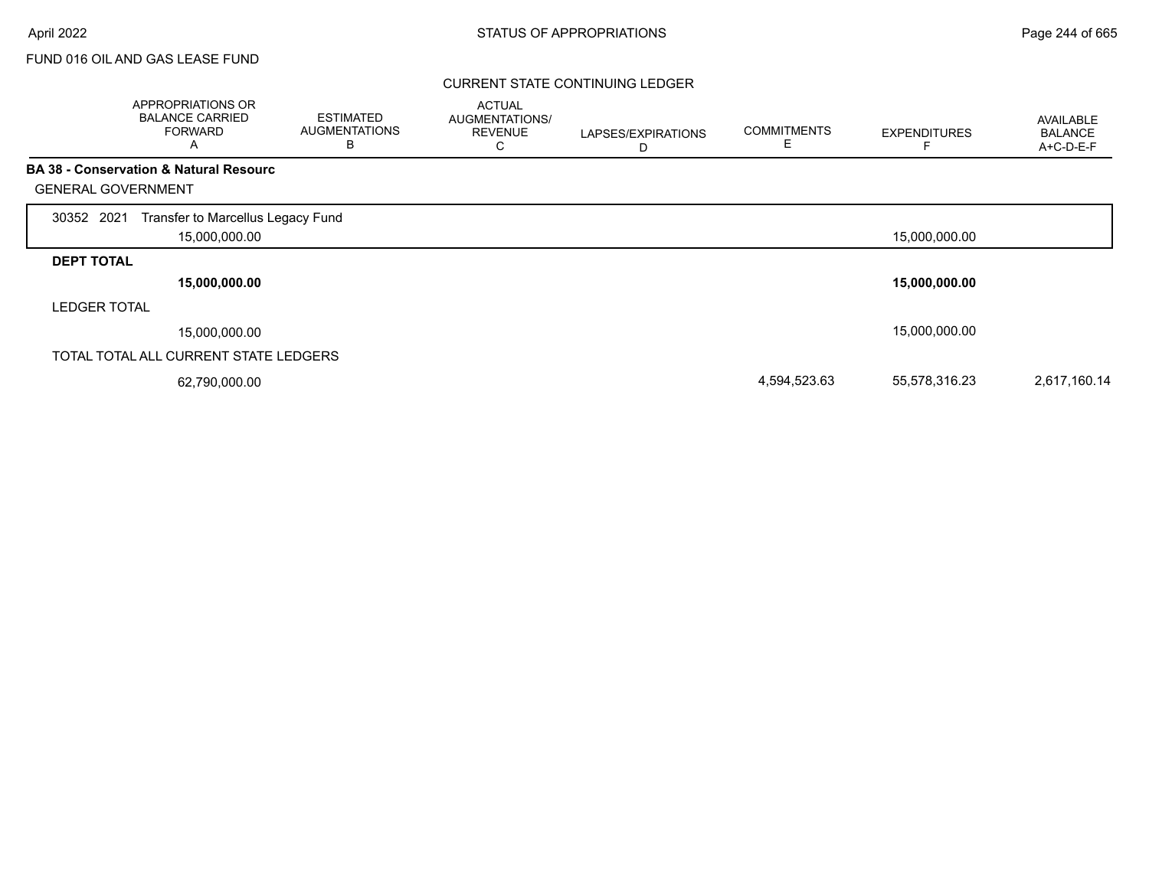# CURRENT STATE CONTINUING LEDGER

|                           | APPROPRIATIONS OR<br><b>BALANCE CARRIED</b><br><b>FORWARD</b><br>Α | <b>ESTIMATED</b><br><b>AUGMENTATIONS</b><br>В | <b>ACTUAL</b><br>AUGMENTATIONS/<br><b>REVENUE</b><br>U | LAPSES/EXPIRATIONS<br>D | <b>COMMITMENTS</b><br>Ε | <b>EXPENDITURES</b> | <b>AVAILABLE</b><br><b>BALANCE</b><br>A+C-D-E-F |
|---------------------------|--------------------------------------------------------------------|-----------------------------------------------|--------------------------------------------------------|-------------------------|-------------------------|---------------------|-------------------------------------------------|
|                           | <b>BA 38 - Conservation &amp; Natural Resourc</b>                  |                                               |                                                        |                         |                         |                     |                                                 |
| <b>GENERAL GOVERNMENT</b> |                                                                    |                                               |                                                        |                         |                         |                     |                                                 |
| 30352 2021                | Transfer to Marcellus Legacy Fund                                  |                                               |                                                        |                         |                         |                     |                                                 |
|                           | 15,000,000.00                                                      |                                               |                                                        |                         |                         | 15,000,000.00       |                                                 |
| <b>DEPT TOTAL</b>         |                                                                    |                                               |                                                        |                         |                         |                     |                                                 |
|                           | 15,000,000.00                                                      |                                               |                                                        |                         |                         | 15,000,000.00       |                                                 |
| <b>LEDGER TOTAL</b>       |                                                                    |                                               |                                                        |                         |                         |                     |                                                 |
|                           | 15,000,000.00                                                      |                                               |                                                        |                         |                         | 15,000,000.00       |                                                 |
|                           | TOTAL TOTAL ALL CURRENT STATE LEDGERS                              |                                               |                                                        |                         |                         |                     |                                                 |
|                           | 62,790,000.00                                                      |                                               |                                                        |                         | 4,594,523.63            | 55,578,316.23       | 2,617,160.14                                    |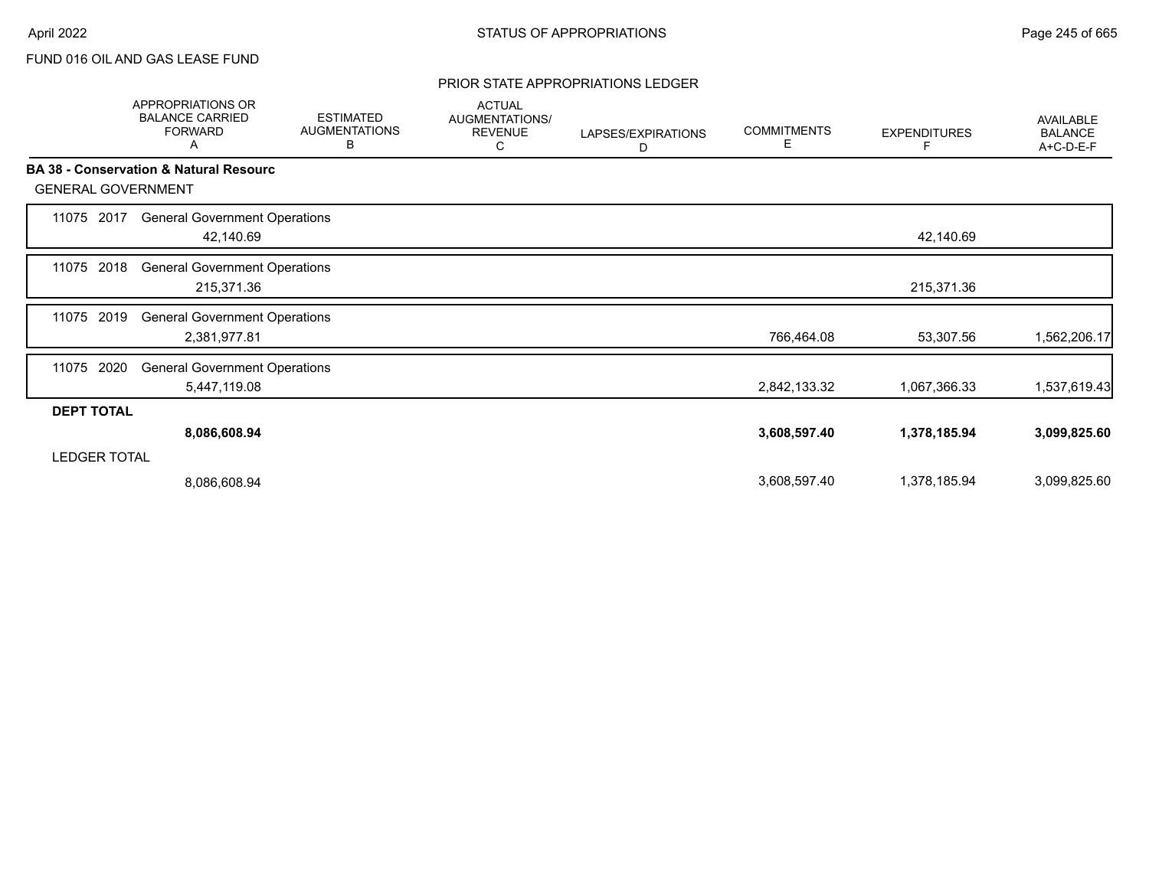# PRIOR STATE APPROPRIATIONS LEDGER

|                           | APPROPRIATIONS OR<br><b>BALANCE CARRIED</b><br><b>FORWARD</b><br>Α | <b>ESTIMATED</b><br><b>AUGMENTATIONS</b><br>В | <b>ACTUAL</b><br>AUGMENTATIONS/<br><b>REVENUE</b><br>С | LAPSES/EXPIRATIONS<br>D | <b>COMMITMENTS</b><br>Е | <b>EXPENDITURES</b><br>F | <b>AVAILABLE</b><br><b>BALANCE</b><br>A+C-D-E-F |
|---------------------------|--------------------------------------------------------------------|-----------------------------------------------|--------------------------------------------------------|-------------------------|-------------------------|--------------------------|-------------------------------------------------|
| <b>GENERAL GOVERNMENT</b> | <b>BA 38 - Conservation &amp; Natural Resourc</b>                  |                                               |                                                        |                         |                         |                          |                                                 |
| 11075<br>2017             | <b>General Government Operations</b><br>42,140.69                  |                                               |                                                        |                         |                         | 42,140.69                |                                                 |
| 2018<br>11075             | <b>General Government Operations</b><br>215,371.36                 |                                               |                                                        |                         |                         | 215,371.36               |                                                 |
| 2019<br>11075             | <b>General Government Operations</b><br>2,381,977.81               |                                               |                                                        |                         | 766,464.08              | 53,307.56                | 1,562,206.17                                    |
| 2020<br>11075             | <b>General Government Operations</b><br>5,447,119.08               |                                               |                                                        |                         | 2,842,133.32            | 1,067,366.33             | 1,537,619.43                                    |
| <b>DEPT TOTAL</b>         |                                                                    |                                               |                                                        |                         |                         |                          |                                                 |
|                           | 8,086,608.94                                                       |                                               |                                                        |                         | 3,608,597.40            | 1,378,185.94             | 3,099,825.60                                    |
| <b>LEDGER TOTAL</b>       |                                                                    |                                               |                                                        |                         |                         |                          |                                                 |
|                           | 8,086,608.94                                                       |                                               |                                                        |                         | 3,608,597.40            | 1,378,185.94             | 3,099,825.60                                    |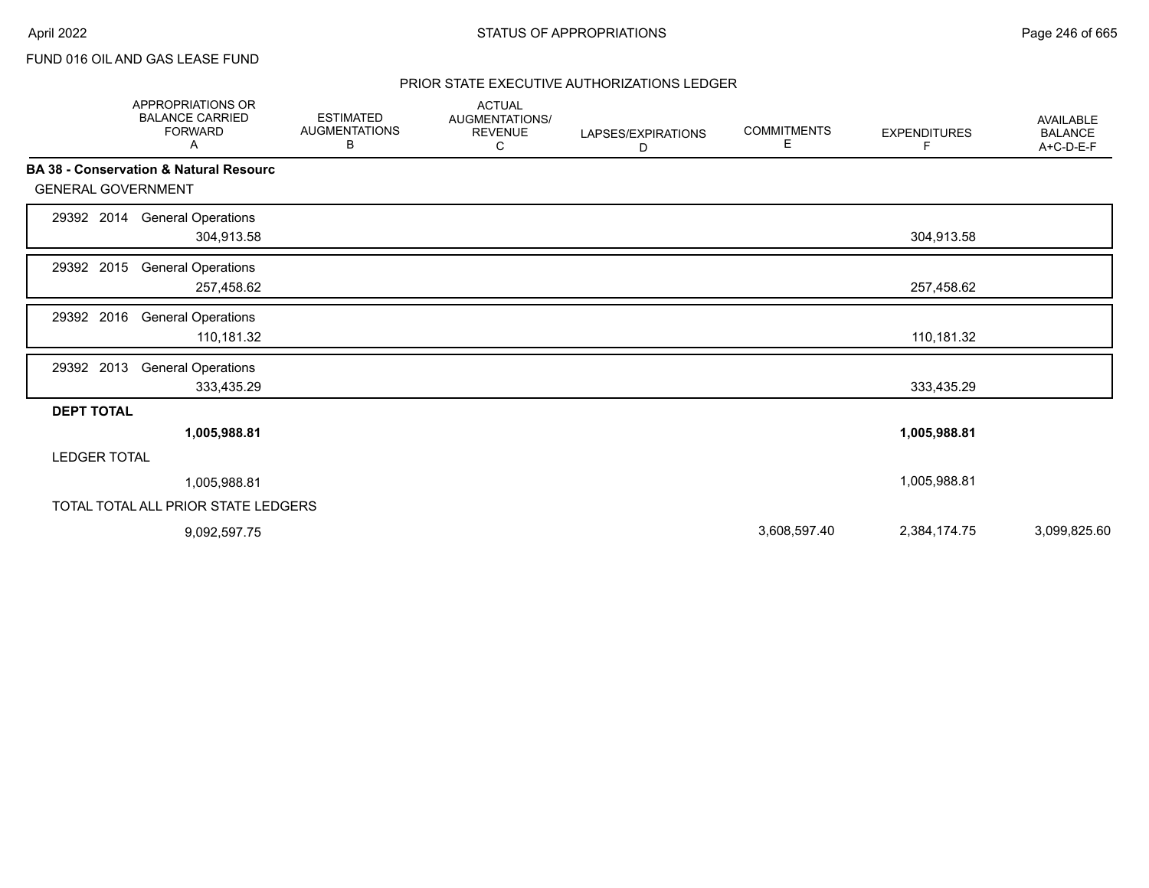# PRIOR STATE EXECUTIVE AUTHORIZATIONS LEDGER

|                           | APPROPRIATIONS OR<br><b>BALANCE CARRIED</b><br><b>FORWARD</b><br>Α | <b>ESTIMATED</b><br><b>AUGMENTATIONS</b><br>В | <b>ACTUAL</b><br><b>AUGMENTATIONS/</b><br><b>REVENUE</b><br>C | LAPSES/EXPIRATIONS<br>D | <b>COMMITMENTS</b><br>E. | <b>EXPENDITURES</b><br>F. | <b>AVAILABLE</b><br><b>BALANCE</b><br>A+C-D-E-F |
|---------------------------|--------------------------------------------------------------------|-----------------------------------------------|---------------------------------------------------------------|-------------------------|--------------------------|---------------------------|-------------------------------------------------|
|                           | <b>BA 38 - Conservation &amp; Natural Resourc</b>                  |                                               |                                                               |                         |                          |                           |                                                 |
| <b>GENERAL GOVERNMENT</b> |                                                                    |                                               |                                                               |                         |                          |                           |                                                 |
| 29392 2014                | <b>General Operations</b><br>304,913.58                            |                                               |                                                               |                         |                          | 304,913.58                |                                                 |
| 29392 2015                | <b>General Operations</b><br>257,458.62                            |                                               |                                                               |                         |                          | 257,458.62                |                                                 |
| 29392 2016                | <b>General Operations</b><br>110,181.32                            |                                               |                                                               |                         |                          | 110,181.32                |                                                 |
| 29392 2013                | <b>General Operations</b><br>333,435.29                            |                                               |                                                               |                         |                          | 333,435.29                |                                                 |
| <b>DEPT TOTAL</b>         |                                                                    |                                               |                                                               |                         |                          |                           |                                                 |
|                           | 1,005,988.81                                                       |                                               |                                                               |                         |                          | 1,005,988.81              |                                                 |
| <b>LEDGER TOTAL</b>       |                                                                    |                                               |                                                               |                         |                          |                           |                                                 |
|                           | 1,005,988.81                                                       |                                               |                                                               |                         |                          | 1,005,988.81              |                                                 |
|                           | TOTAL TOTAL ALL PRIOR STATE LEDGERS                                |                                               |                                                               |                         |                          |                           |                                                 |
|                           | 9,092,597.75                                                       |                                               |                                                               |                         | 3,608,597.40             | 2,384,174.75              | 3,099,825.60                                    |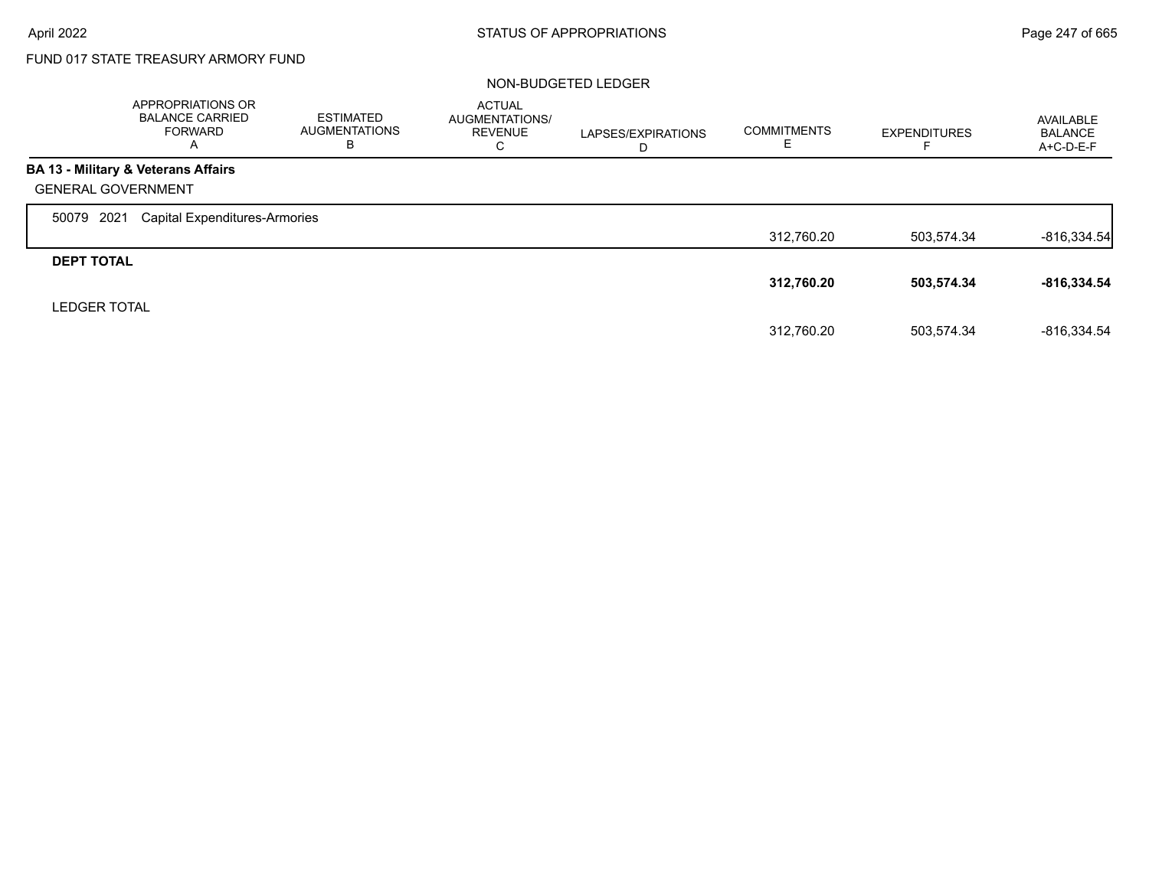# FUND 017 STATE TREASURY ARMORY FUND

## NON-BUDGETED LEDGER

|                     | APPROPRIATIONS OR<br><b>BALANCE CARRIED</b><br><b>FORWARD</b><br>A | <b>ESTIMATED</b><br><b>AUGMENTATIONS</b><br>В | <b>ACTUAL</b><br>AUGMENTATIONS/<br><b>REVENUE</b><br>С | LAPSES/EXPIRATIONS<br>D | <b>COMMITMENTS</b> | <b>EXPENDITURES</b> | AVAILABLE<br><b>BALANCE</b><br>A+C-D-E-F |
|---------------------|--------------------------------------------------------------------|-----------------------------------------------|--------------------------------------------------------|-------------------------|--------------------|---------------------|------------------------------------------|
|                     | <b>BA 13 - Military &amp; Veterans Affairs</b>                     |                                               |                                                        |                         |                    |                     |                                          |
|                     | <b>GENERAL GOVERNMENT</b>                                          |                                               |                                                        |                         |                    |                     |                                          |
| 2021<br>50079       | Capital Expenditures-Armories                                      |                                               |                                                        |                         |                    |                     |                                          |
|                     |                                                                    |                                               |                                                        |                         | 312,760.20         | 503.574.34          | $-816,334.54$                            |
| <b>DEPT TOTAL</b>   |                                                                    |                                               |                                                        |                         |                    |                     |                                          |
|                     |                                                                    |                                               |                                                        |                         | 312,760.20         | 503,574.34          | $-816,334.54$                            |
| <b>LEDGER TOTAL</b> |                                                                    |                                               |                                                        |                         |                    |                     |                                          |
|                     |                                                                    |                                               |                                                        |                         | 312.760.20         | 503.574.34          | -816.334.54                              |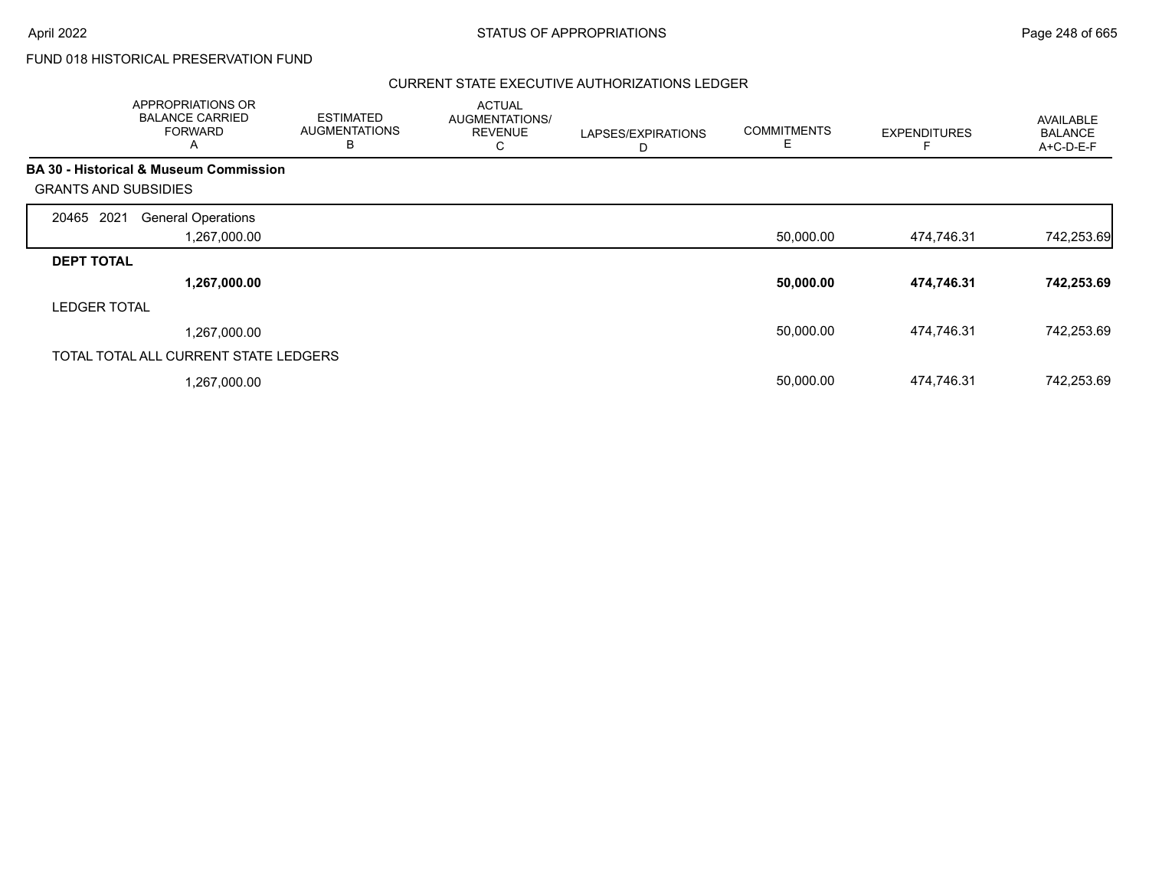# FUND 018 HISTORICAL PRESERVATION FUND

# CURRENT STATE EXECUTIVE AUTHORIZATIONS LEDGER

|                             | APPROPRIATIONS OR<br><b>BALANCE CARRIED</b><br><b>FORWARD</b><br>A | <b>ESTIMATED</b><br><b>AUGMENTATIONS</b><br>B | <b>ACTUAL</b><br>AUGMENTATIONS/<br><b>REVENUE</b><br>С | LAPSES/EXPIRATIONS<br>D | <b>COMMITMENTS</b><br>Ε | <b>EXPENDITURES</b> | <b>AVAILABLE</b><br><b>BALANCE</b><br>A+C-D-E-F |
|-----------------------------|--------------------------------------------------------------------|-----------------------------------------------|--------------------------------------------------------|-------------------------|-------------------------|---------------------|-------------------------------------------------|
|                             | <b>BA 30 - Historical &amp; Museum Commission</b>                  |                                               |                                                        |                         |                         |                     |                                                 |
| <b>GRANTS AND SUBSIDIES</b> |                                                                    |                                               |                                                        |                         |                         |                     |                                                 |
| 2021<br>20465               | <b>General Operations</b>                                          |                                               |                                                        |                         |                         |                     |                                                 |
|                             | 1,267,000.00                                                       |                                               |                                                        |                         | 50,000.00               | 474,746.31          | 742,253.69                                      |
| <b>DEPT TOTAL</b>           |                                                                    |                                               |                                                        |                         |                         |                     |                                                 |
|                             | 1,267,000.00                                                       |                                               |                                                        |                         | 50,000.00               | 474,746.31          | 742,253.69                                      |
| <b>LEDGER TOTAL</b>         |                                                                    |                                               |                                                        |                         |                         |                     |                                                 |
|                             | 1,267,000.00                                                       |                                               |                                                        |                         | 50,000.00               | 474.746.31          | 742,253.69                                      |
|                             | TOTAL TOTAL ALL CURRENT STATE LEDGERS                              |                                               |                                                        |                         |                         |                     |                                                 |
|                             | 1,267,000.00                                                       |                                               |                                                        |                         | 50,000.00               | 474,746.31          | 742,253.69                                      |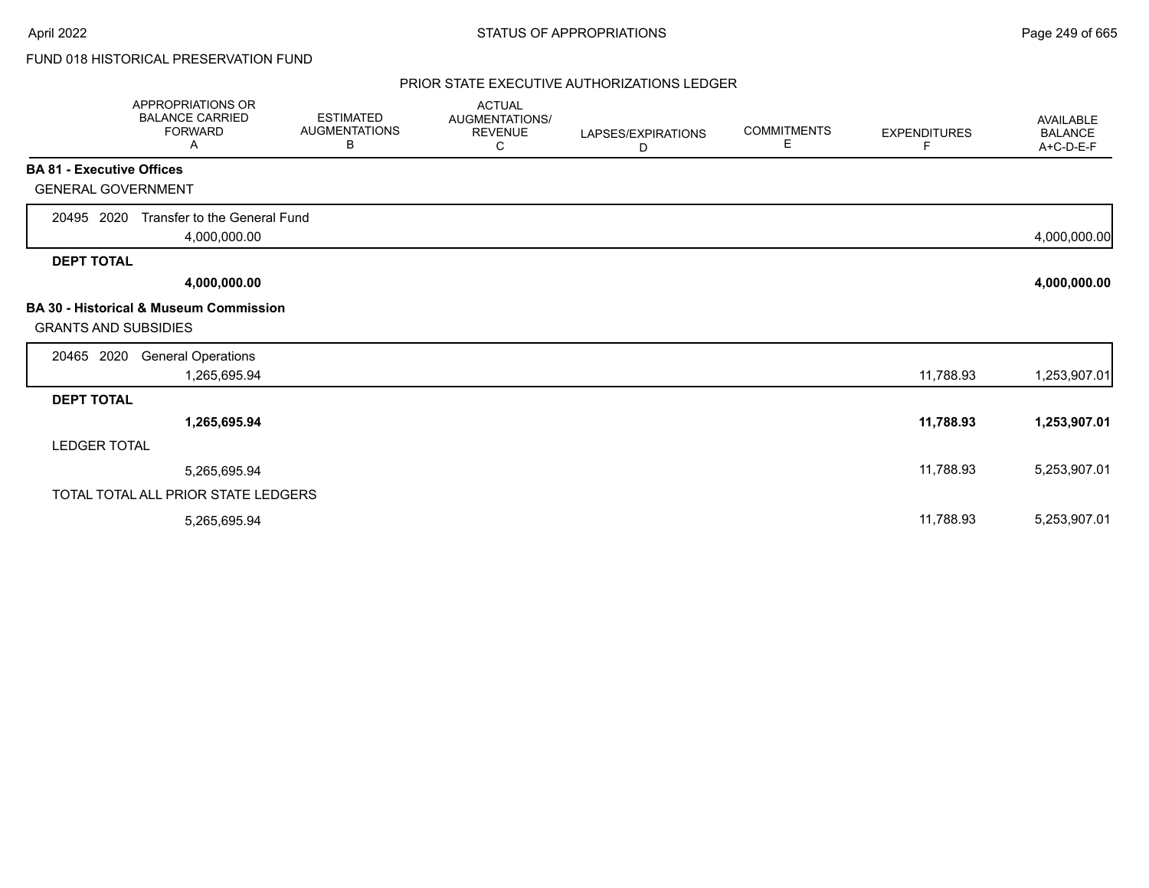# FUND 018 HISTORICAL PRESERVATION FUND

## PRIOR STATE EXECUTIVE AUTHORIZATIONS LEDGER

|                                  | APPROPRIATIONS OR<br><b>BALANCE CARRIED</b><br><b>FORWARD</b><br>A | <b>ESTIMATED</b><br><b>AUGMENTATIONS</b><br>В | <b>ACTUAL</b><br>AUGMENTATIONS/<br><b>REVENUE</b><br>C | LAPSES/EXPIRATIONS<br>D | <b>COMMITMENTS</b><br>Е | <b>EXPENDITURES</b><br>F | <b>AVAILABLE</b><br><b>BALANCE</b><br>A+C-D-E-F |
|----------------------------------|--------------------------------------------------------------------|-----------------------------------------------|--------------------------------------------------------|-------------------------|-------------------------|--------------------------|-------------------------------------------------|
| <b>BA 81 - Executive Offices</b> |                                                                    |                                               |                                                        |                         |                         |                          |                                                 |
| <b>GENERAL GOVERNMENT</b>        |                                                                    |                                               |                                                        |                         |                         |                          |                                                 |
| 20495 2020                       | Transfer to the General Fund<br>4,000,000.00                       |                                               |                                                        |                         |                         |                          | 4,000,000.00                                    |
| <b>DEPT TOTAL</b>                |                                                                    |                                               |                                                        |                         |                         |                          |                                                 |
|                                  | 4,000,000.00                                                       |                                               |                                                        |                         |                         |                          | 4,000,000.00                                    |
| <b>GRANTS AND SUBSIDIES</b>      | <b>BA 30 - Historical &amp; Museum Commission</b>                  |                                               |                                                        |                         |                         |                          |                                                 |
| 20465 2020                       | <b>General Operations</b><br>1,265,695.94                          |                                               |                                                        |                         |                         | 11,788.93                | 1,253,907.01                                    |
| <b>DEPT TOTAL</b>                |                                                                    |                                               |                                                        |                         |                         |                          |                                                 |
|                                  | 1,265,695.94                                                       |                                               |                                                        |                         |                         | 11,788.93                | 1,253,907.01                                    |
| <b>LEDGER TOTAL</b>              |                                                                    |                                               |                                                        |                         |                         |                          |                                                 |
|                                  | 5,265,695.94                                                       |                                               |                                                        |                         |                         | 11,788.93                | 5,253,907.01                                    |
|                                  | TOTAL TOTAL ALL PRIOR STATE LEDGERS                                |                                               |                                                        |                         |                         |                          |                                                 |
|                                  | 5,265,695.94                                                       |                                               |                                                        |                         |                         | 11,788.93                | 5,253,907.01                                    |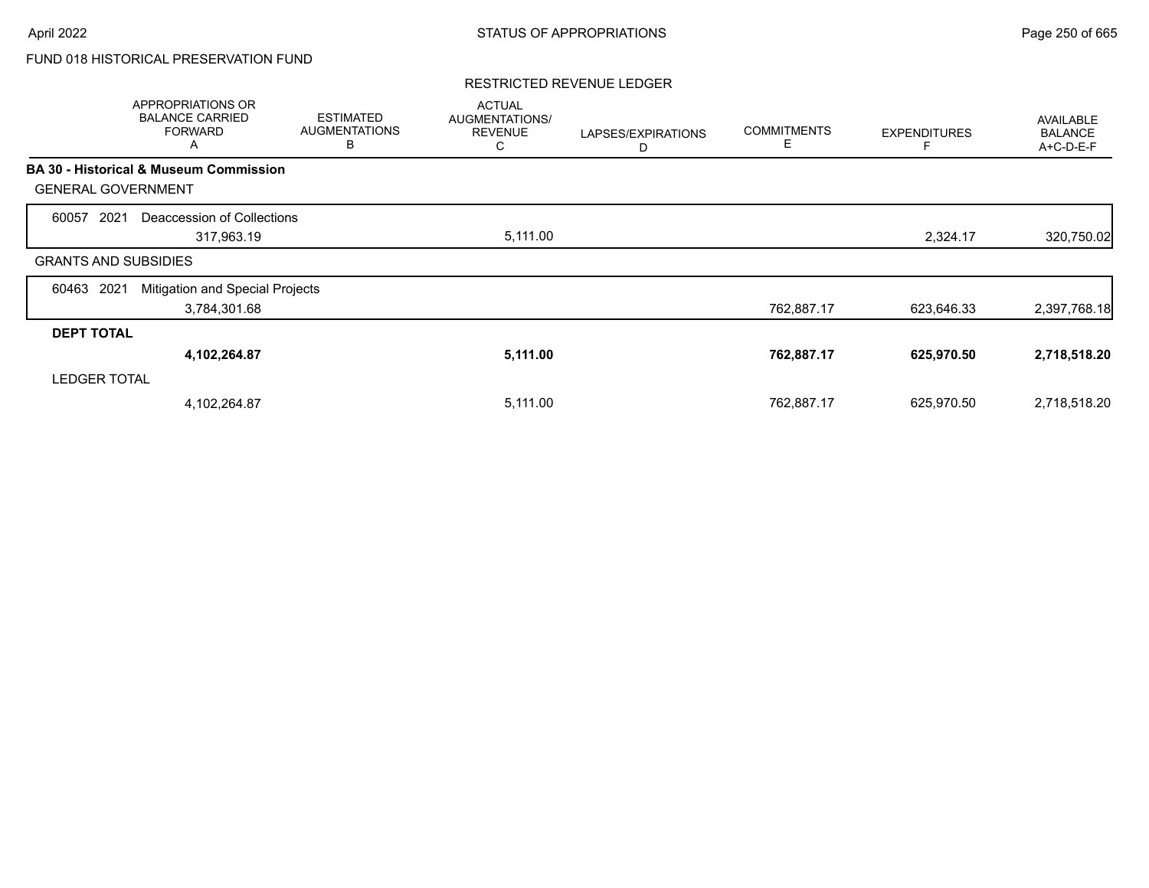# FUND 018 HISTORICAL PRESERVATION FUND

## RESTRICTED REVENUE LEDGER

|                             | APPROPRIATIONS OR<br><b>BALANCE CARRIED</b><br><b>FORWARD</b><br>Α | <b>ESTIMATED</b><br><b>AUGMENTATIONS</b><br>В | <b>ACTUAL</b><br>AUGMENTATIONS/<br><b>REVENUE</b><br>С | LAPSES/EXPIRATIONS<br>D | <b>COMMITMENTS</b><br>E | <b>EXPENDITURES</b> | <b>AVAILABLE</b><br><b>BALANCE</b><br>A+C-D-E-F |
|-----------------------------|--------------------------------------------------------------------|-----------------------------------------------|--------------------------------------------------------|-------------------------|-------------------------|---------------------|-------------------------------------------------|
|                             | <b>BA 30 - Historical &amp; Museum Commission</b>                  |                                               |                                                        |                         |                         |                     |                                                 |
| <b>GENERAL GOVERNMENT</b>   |                                                                    |                                               |                                                        |                         |                         |                     |                                                 |
| 60057<br>2021               | Deaccession of Collections                                         |                                               |                                                        |                         |                         |                     |                                                 |
|                             | 317,963.19                                                         |                                               | 5,111.00                                               |                         |                         | 2,324.17            | 320,750.02                                      |
| <b>GRANTS AND SUBSIDIES</b> |                                                                    |                                               |                                                        |                         |                         |                     |                                                 |
| 60463<br>2021               | Mitigation and Special Projects                                    |                                               |                                                        |                         |                         |                     |                                                 |
|                             | 3,784,301.68                                                       |                                               |                                                        |                         | 762,887.17              | 623,646.33          | 2,397,768.18                                    |
| <b>DEPT TOTAL</b>           |                                                                    |                                               |                                                        |                         |                         |                     |                                                 |
|                             | 4,102,264.87                                                       |                                               | 5,111.00                                               |                         | 762,887.17              | 625,970.50          | 2,718,518.20                                    |
| <b>LEDGER TOTAL</b>         |                                                                    |                                               |                                                        |                         |                         |                     |                                                 |
|                             | 4,102,264.87                                                       |                                               | 5,111.00                                               |                         | 762,887.17              | 625,970.50          | 2,718,518.20                                    |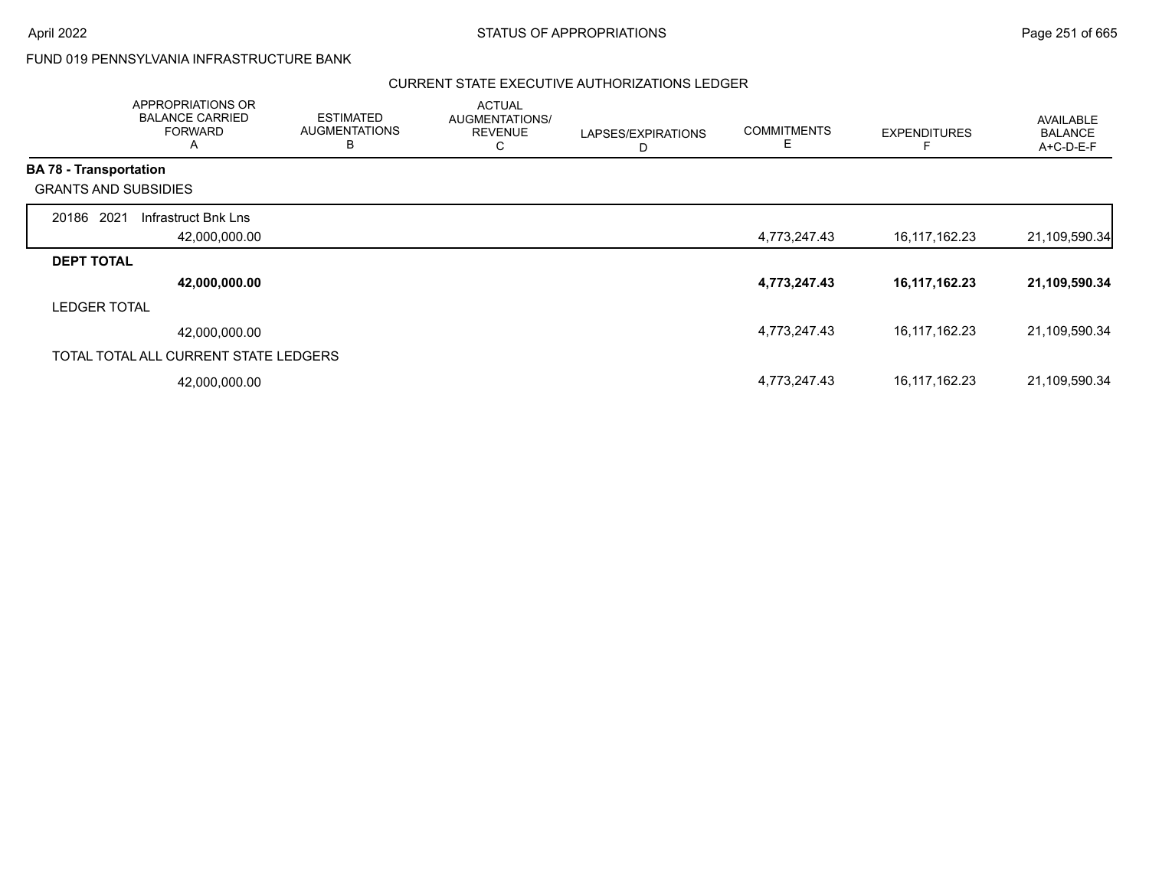# FUND 019 PENNSYLVANIA INFRASTRUCTURE BANK

## CURRENT STATE EXECUTIVE AUTHORIZATIONS LEDGER

|                               | APPROPRIATIONS OR<br><b>BALANCE CARRIED</b><br><b>FORWARD</b><br>$\mathsf{A}$ | <b>ESTIMATED</b><br><b>AUGMENTATIONS</b><br>B | <b>ACTUAL</b><br>AUGMENTATIONS/<br><b>REVENUE</b><br>С | LAPSES/EXPIRATIONS<br>D | <b>COMMITMENTS</b><br>Е | <b>EXPENDITURES</b> | <b>AVAILABLE</b><br><b>BALANCE</b><br>A+C-D-E-F |
|-------------------------------|-------------------------------------------------------------------------------|-----------------------------------------------|--------------------------------------------------------|-------------------------|-------------------------|---------------------|-------------------------------------------------|
| <b>BA 78 - Transportation</b> |                                                                               |                                               |                                                        |                         |                         |                     |                                                 |
| <b>GRANTS AND SUBSIDIES</b>   |                                                                               |                                               |                                                        |                         |                         |                     |                                                 |
| 20186 2021                    | Infrastruct Bnk Lns                                                           |                                               |                                                        |                         |                         |                     |                                                 |
|                               | 42,000,000.00                                                                 |                                               |                                                        |                         | 4,773,247.43            | 16,117,162.23       | 21,109,590.34                                   |
| <b>DEPT TOTAL</b>             |                                                                               |                                               |                                                        |                         |                         |                     |                                                 |
|                               | 42,000,000.00                                                                 |                                               |                                                        |                         | 4,773,247.43            | 16, 117, 162. 23    | 21,109,590.34                                   |
| <b>LEDGER TOTAL</b>           |                                                                               |                                               |                                                        |                         |                         |                     |                                                 |
|                               | 42,000,000.00                                                                 |                                               |                                                        |                         | 4,773,247.43            | 16,117,162.23       | 21,109,590.34                                   |
|                               | TOTAL TOTAL ALL CURRENT STATE LEDGERS                                         |                                               |                                                        |                         |                         |                     |                                                 |
|                               | 42,000,000.00                                                                 |                                               |                                                        |                         | 4,773,247.43            | 16,117,162.23       | 21,109,590.34                                   |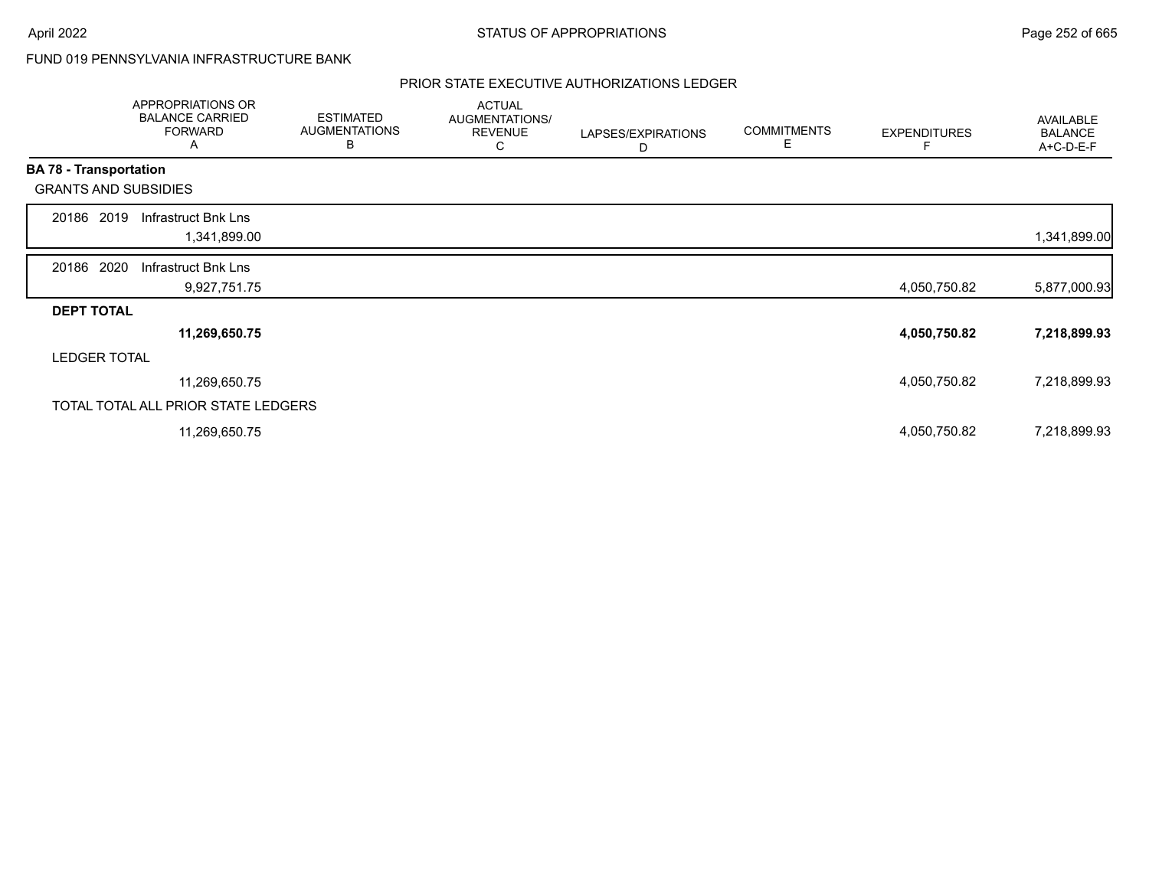# FUND 019 PENNSYLVANIA INFRASTRUCTURE BANK

# PRIOR STATE EXECUTIVE AUTHORIZATIONS LEDGER

|                   | APPROPRIATIONS OR<br><b>BALANCE CARRIED</b><br><b>FORWARD</b><br>A | <b>ESTIMATED</b><br><b>AUGMENTATIONS</b><br>B | <b>ACTUAL</b><br>AUGMENTATIONS/<br><b>REVENUE</b><br>С | LAPSES/EXPIRATIONS<br>D | <b>COMMITMENTS</b><br>Е | <b>EXPENDITURES</b> | AVAILABLE<br><b>BALANCE</b><br>A+C-D-E-F |
|-------------------|--------------------------------------------------------------------|-----------------------------------------------|--------------------------------------------------------|-------------------------|-------------------------|---------------------|------------------------------------------|
|                   | <b>BA 78 - Transportation</b>                                      |                                               |                                                        |                         |                         |                     |                                          |
|                   | <b>GRANTS AND SUBSIDIES</b>                                        |                                               |                                                        |                         |                         |                     |                                          |
| 20186             | 2019<br>Infrastruct Bnk Lns                                        |                                               |                                                        |                         |                         |                     |                                          |
|                   | 1,341,899.00                                                       |                                               |                                                        |                         |                         |                     | 1,341,899.00                             |
| 20186 2020        | Infrastruct Bnk Lns                                                |                                               |                                                        |                         |                         |                     |                                          |
|                   | 9,927,751.75                                                       |                                               |                                                        |                         |                         | 4,050,750.82        | 5,877,000.93                             |
| <b>DEPT TOTAL</b> |                                                                    |                                               |                                                        |                         |                         |                     |                                          |
|                   | 11,269,650.75                                                      |                                               |                                                        |                         |                         | 4,050,750.82        | 7,218,899.93                             |
|                   | <b>LEDGER TOTAL</b>                                                |                                               |                                                        |                         |                         |                     |                                          |
|                   | 11,269,650.75                                                      |                                               |                                                        |                         |                         | 4,050,750.82        | 7,218,899.93                             |
|                   | TOTAL TOTAL ALL PRIOR STATE LEDGERS                                |                                               |                                                        |                         |                         |                     |                                          |
|                   | 11,269,650.75                                                      |                                               |                                                        |                         |                         | 4,050,750.82        | 7,218,899.93                             |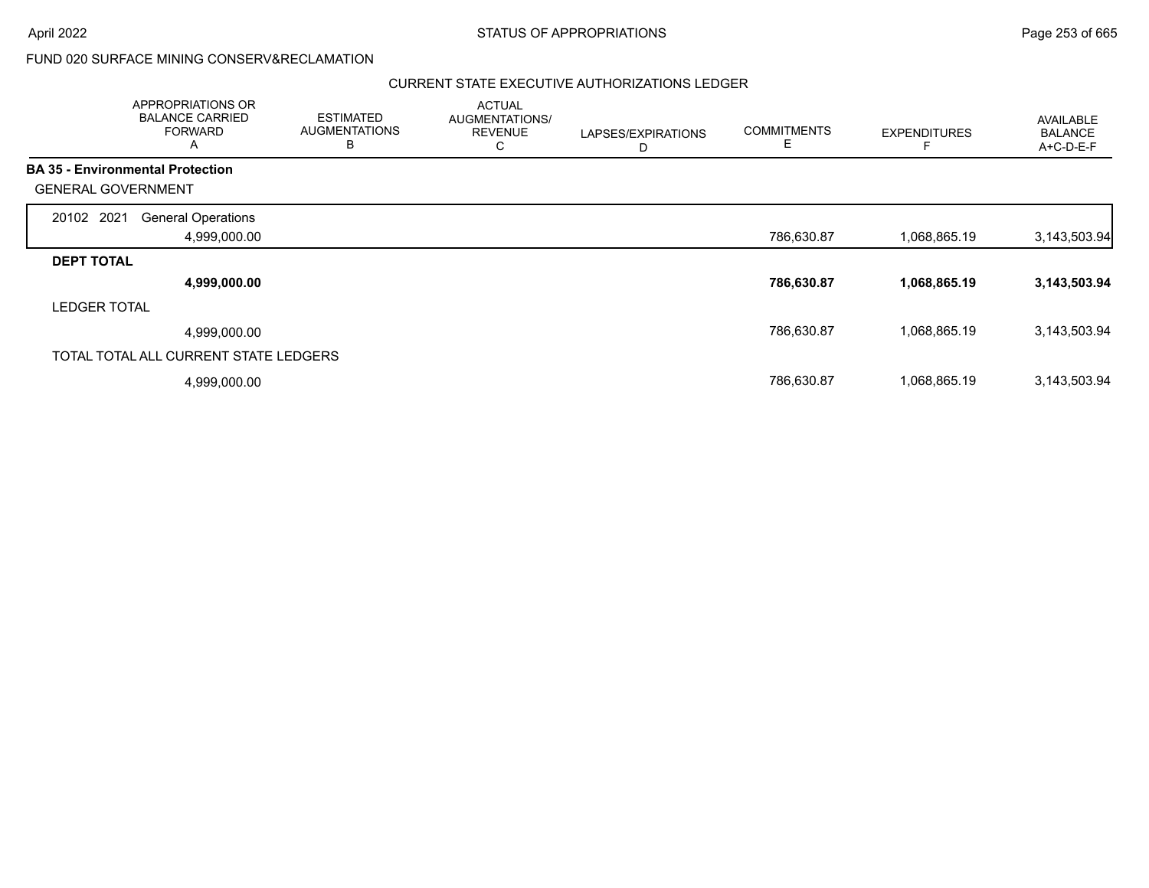| APPROPRIATIONS OR<br><b>BALANCE CARRIED</b><br><b>FORWARD</b><br>A | <b>ESTIMATED</b><br><b>AUGMENTATIONS</b><br>B | <b>ACTUAL</b><br>AUGMENTATIONS/<br><b>REVENUE</b><br>С | LAPSES/EXPIRATIONS<br>D | <b>COMMITMENTS</b><br>Е | <b>EXPENDITURES</b> | AVAILABLE<br><b>BALANCE</b><br>A+C-D-E-F |
|--------------------------------------------------------------------|-----------------------------------------------|--------------------------------------------------------|-------------------------|-------------------------|---------------------|------------------------------------------|
| <b>BA 35 - Environmental Protection</b>                            |                                               |                                                        |                         |                         |                     |                                          |
| <b>GENERAL GOVERNMENT</b>                                          |                                               |                                                        |                         |                         |                     |                                          |
| 20102 2021<br><b>General Operations</b>                            |                                               |                                                        |                         |                         |                     |                                          |
| 4,999,000.00                                                       |                                               |                                                        |                         | 786,630.87              | 1,068,865.19        | 3,143,503.94                             |
| <b>DEPT TOTAL</b>                                                  |                                               |                                                        |                         |                         |                     |                                          |
| 4,999,000.00                                                       |                                               |                                                        |                         | 786,630.87              | 1,068,865.19        | 3,143,503.94                             |
| <b>LEDGER TOTAL</b>                                                |                                               |                                                        |                         |                         |                     |                                          |
| 4,999,000.00                                                       |                                               |                                                        |                         | 786,630.87              | 1,068,865.19        | 3,143,503.94                             |
| TOTAL TOTAL ALL CURRENT STATE LEDGERS                              |                                               |                                                        |                         |                         |                     |                                          |
| 4,999,000.00                                                       |                                               |                                                        |                         | 786,630.87              | 1,068,865.19        | 3,143,503.94                             |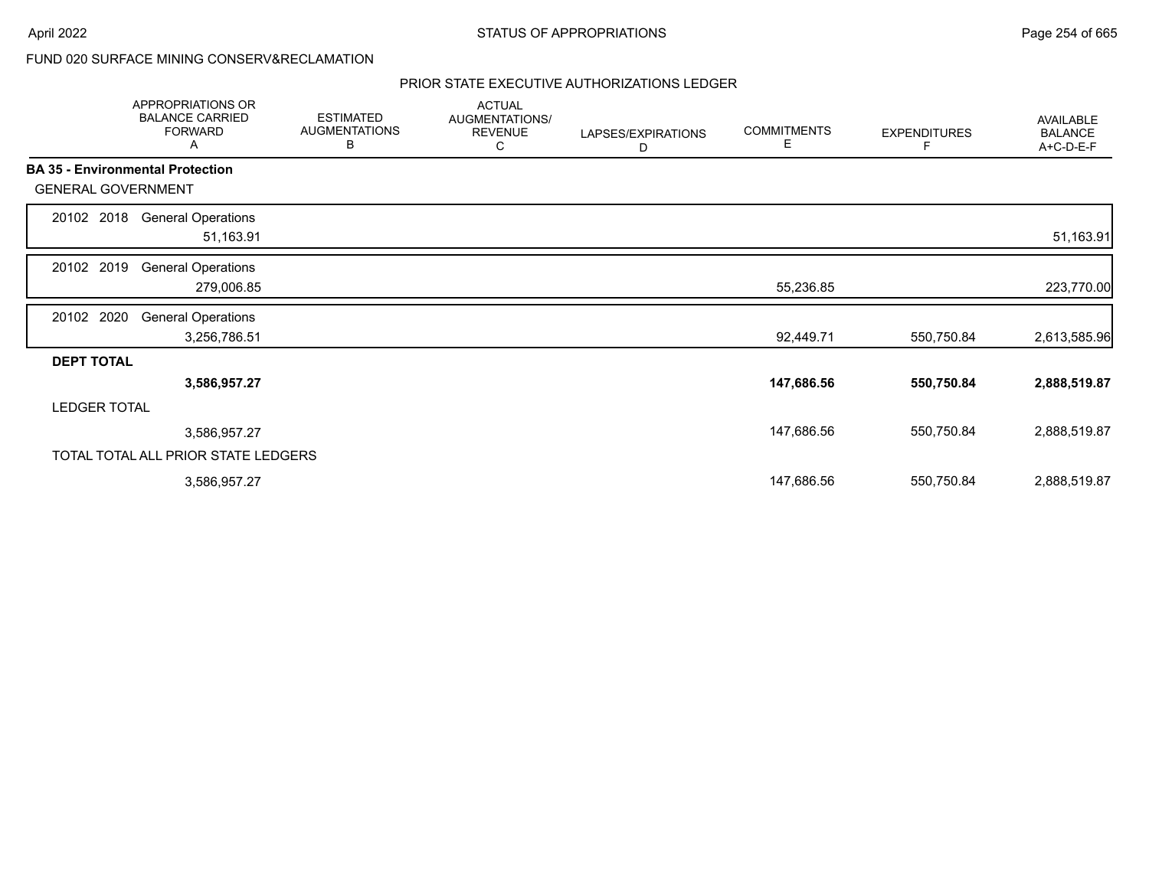|                           | <b>APPROPRIATIONS OR</b><br><b>BALANCE CARRIED</b><br><b>FORWARD</b><br>Α | <b>ESTIMATED</b><br><b>AUGMENTATIONS</b><br>В | <b>ACTUAL</b><br>AUGMENTATIONS/<br><b>REVENUE</b><br>C | LAPSES/EXPIRATIONS<br>D | <b>COMMITMENTS</b><br>Е | <b>EXPENDITURES</b><br>F | <b>AVAILABLE</b><br><b>BALANCE</b><br>A+C-D-E-F |
|---------------------------|---------------------------------------------------------------------------|-----------------------------------------------|--------------------------------------------------------|-------------------------|-------------------------|--------------------------|-------------------------------------------------|
|                           | <b>BA 35 - Environmental Protection</b>                                   |                                               |                                                        |                         |                         |                          |                                                 |
| <b>GENERAL GOVERNMENT</b> |                                                                           |                                               |                                                        |                         |                         |                          |                                                 |
| 20102 2018                | <b>General Operations</b><br>51,163.91                                    |                                               |                                                        |                         |                         |                          | 51,163.91                                       |
| 2019<br>20102             | <b>General Operations</b><br>279,006.85                                   |                                               |                                                        |                         | 55,236.85               |                          | 223,770.00                                      |
| 20102 2020                | <b>General Operations</b><br>3,256,786.51                                 |                                               |                                                        |                         | 92,449.71               | 550,750.84               | 2,613,585.96                                    |
| <b>DEPT TOTAL</b>         |                                                                           |                                               |                                                        |                         |                         |                          |                                                 |
|                           | 3,586,957.27                                                              |                                               |                                                        |                         | 147,686.56              | 550,750.84               | 2,888,519.87                                    |
| <b>LEDGER TOTAL</b>       |                                                                           |                                               |                                                        |                         |                         |                          |                                                 |
|                           | 3,586,957.27                                                              |                                               |                                                        |                         | 147,686.56              | 550,750.84               | 2,888,519.87                                    |
|                           | TOTAL TOTAL ALL PRIOR STATE LEDGERS                                       |                                               |                                                        |                         |                         |                          |                                                 |
|                           | 3,586,957.27                                                              |                                               |                                                        |                         | 147,686.56              | 550,750.84               | 2,888,519.87                                    |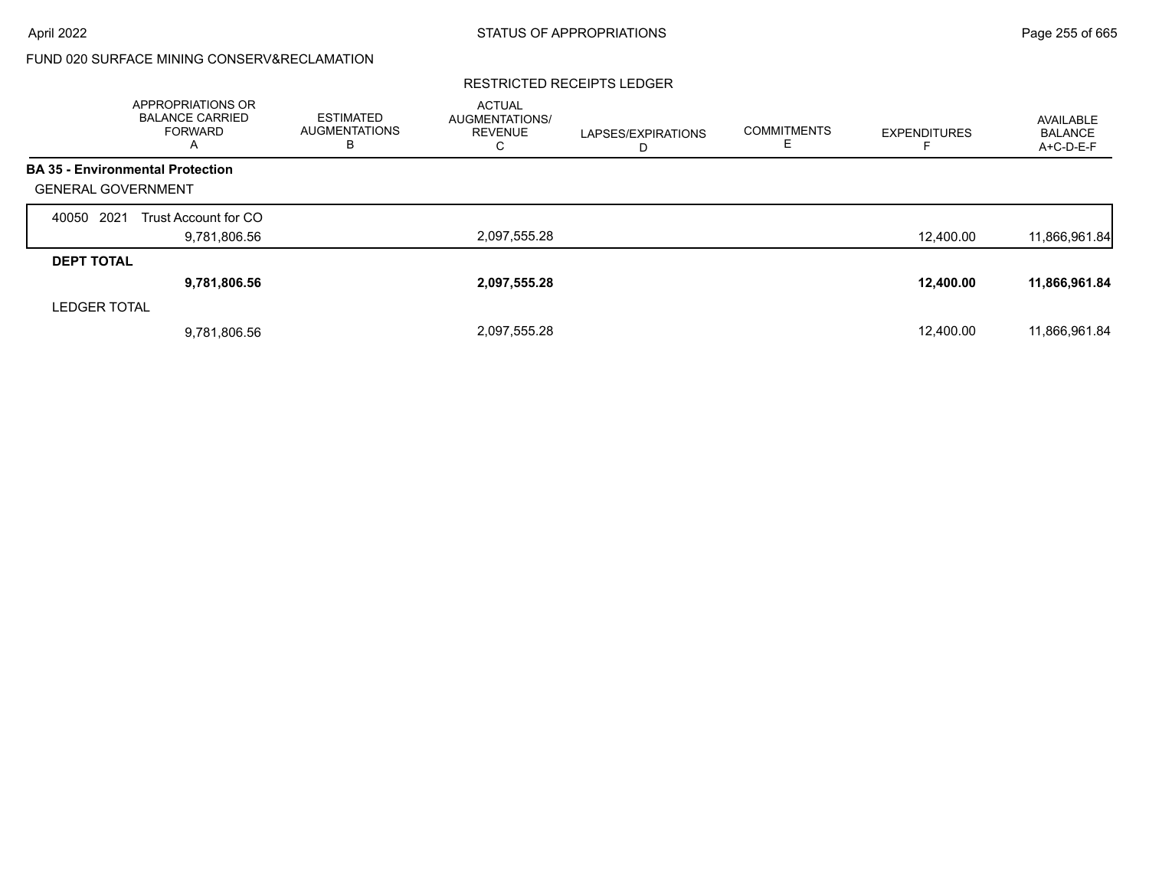### RESTRICTED RECEIPTS LEDGER

|                           | <b>APPROPRIATIONS OR</b><br><b>BALANCE CARRIED</b><br>FORWARD<br>A | <b>ESTIMATED</b><br><b>AUGMENTATIONS</b><br>В | <b>ACTUAL</b><br><b>AUGMENTATIONS/</b><br><b>REVENUE</b><br>С | LAPSES/EXPIRATIONS<br>D | <b>COMMITMENTS</b> | <b>EXPENDITURES</b><br>ᆮ | AVAILABLE<br><b>BALANCE</b><br>A+C-D-E-F |
|---------------------------|--------------------------------------------------------------------|-----------------------------------------------|---------------------------------------------------------------|-------------------------|--------------------|--------------------------|------------------------------------------|
|                           | <b>BA 35 - Environmental Protection</b>                            |                                               |                                                               |                         |                    |                          |                                          |
| <b>GENERAL GOVERNMENT</b> |                                                                    |                                               |                                                               |                         |                    |                          |                                          |
| 2021<br>40050             | Trust Account for CO                                               |                                               |                                                               |                         |                    |                          |                                          |
|                           | 9,781,806.56                                                       |                                               | 2,097,555.28                                                  |                         |                    | 12,400.00                | 11,866,961.84                            |
| <b>DEPT TOTAL</b>         |                                                                    |                                               |                                                               |                         |                    |                          |                                          |
|                           | 9,781,806.56                                                       |                                               | 2,097,555.28                                                  |                         |                    | 12,400.00                | 11,866,961.84                            |
| <b>LEDGER TOTAL</b>       |                                                                    |                                               |                                                               |                         |                    |                          |                                          |
|                           | 9,781,806.56                                                       |                                               | 2,097,555.28                                                  |                         |                    | 12.400.00                | 11,866,961.84                            |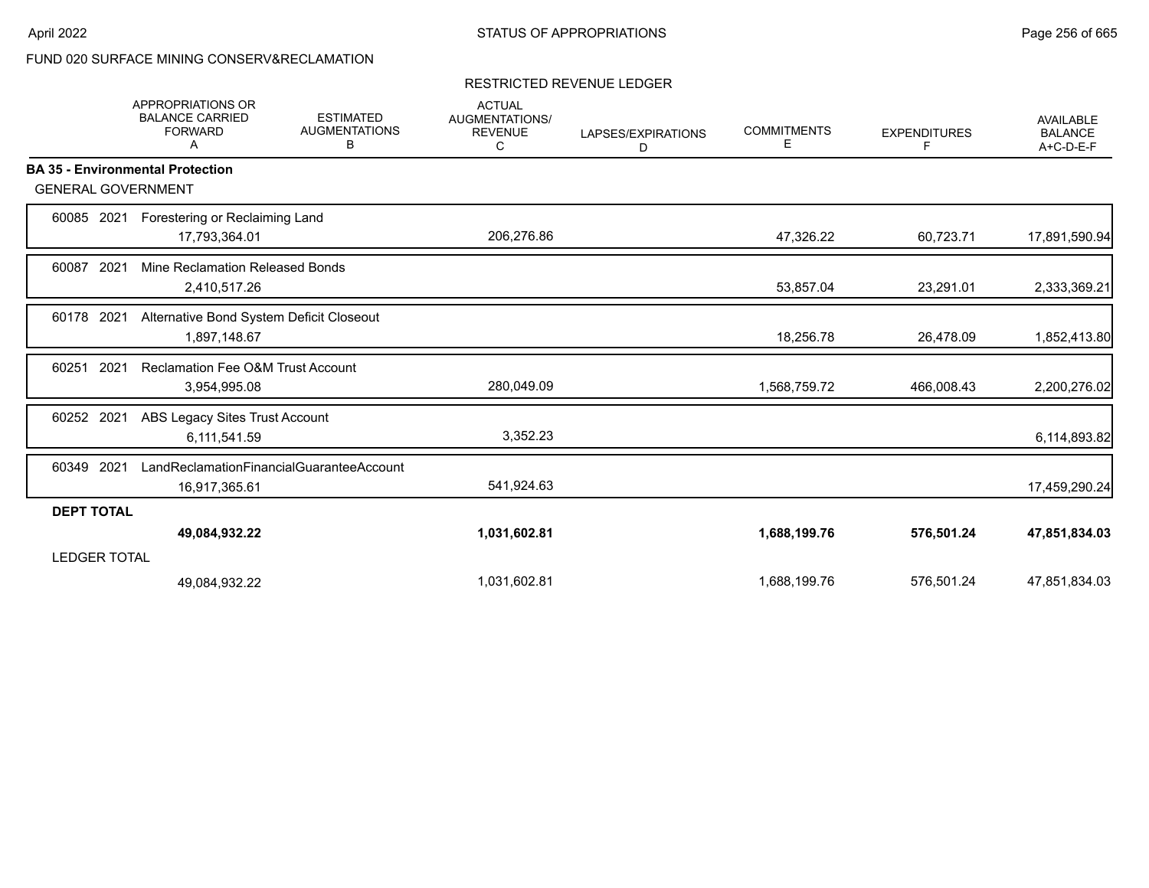# RESTRICTED REVENUE LEDGER

|                     | <b>APPROPRIATIONS OR</b><br><b>BALANCE CARRIED</b><br><b>FORWARD</b><br>A | <b>ESTIMATED</b><br><b>AUGMENTATIONS</b><br>В | <b>ACTUAL</b><br>AUGMENTATIONS/<br><b>REVENUE</b><br>С | LAPSES/EXPIRATIONS<br>D | <b>COMMITMENTS</b><br>Е | <b>EXPENDITURES</b><br>F. | <b>AVAILABLE</b><br><b>BALANCE</b><br>A+C-D-E-F |
|---------------------|---------------------------------------------------------------------------|-----------------------------------------------|--------------------------------------------------------|-------------------------|-------------------------|---------------------------|-------------------------------------------------|
|                     | <b>BA 35 - Environmental Protection</b>                                   |                                               |                                                        |                         |                         |                           |                                                 |
|                     | <b>GENERAL GOVERNMENT</b>                                                 |                                               |                                                        |                         |                         |                           |                                                 |
| 60085               | 2021<br>Forestering or Reclaiming Land                                    |                                               |                                                        |                         |                         |                           |                                                 |
|                     | 17,793,364.01                                                             |                                               | 206,276.86                                             |                         | 47,326.22               | 60,723.71                 | 17,891,590.94                                   |
| 60087               | 2021<br>Mine Reclamation Released Bonds                                   |                                               |                                                        |                         |                         |                           |                                                 |
|                     | 2,410,517.26                                                              |                                               |                                                        |                         | 53,857.04               | 23,291.01                 | 2,333,369.21                                    |
| 60178 2021          | Alternative Bond System Deficit Closeout                                  |                                               |                                                        |                         |                         |                           |                                                 |
|                     | 1,897,148.67                                                              |                                               |                                                        |                         | 18,256.78               | 26,478.09                 | 1,852,413.80                                    |
| 60251               | 2021<br><b>Reclamation Fee O&amp;M Trust Account</b>                      |                                               |                                                        |                         |                         |                           |                                                 |
|                     | 3,954,995.08                                                              |                                               | 280,049.09                                             |                         | 1,568,759.72            | 466,008.43                | 2,200,276.02                                    |
| 2021<br>60252       | ABS Legacy Sites Trust Account                                            |                                               |                                                        |                         |                         |                           |                                                 |
|                     | 6,111,541.59                                                              |                                               | 3,352.23                                               |                         |                         |                           | 6,114,893.82                                    |
| 60349               | 2021                                                                      | LandReclamationFinancialGuaranteeAccount      |                                                        |                         |                         |                           |                                                 |
|                     | 16,917,365.61                                                             |                                               | 541,924.63                                             |                         |                         |                           | 17,459,290.24                                   |
| <b>DEPT TOTAL</b>   |                                                                           |                                               |                                                        |                         |                         |                           |                                                 |
|                     | 49,084,932.22                                                             |                                               | 1,031,602.81                                           |                         | 1,688,199.76            | 576,501.24                | 47,851,834.03                                   |
| <b>LEDGER TOTAL</b> |                                                                           |                                               |                                                        |                         |                         |                           |                                                 |
|                     | 49,084,932.22                                                             |                                               | 1,031,602.81                                           |                         | 1,688,199.76            | 576,501.24                | 47,851,834.03                                   |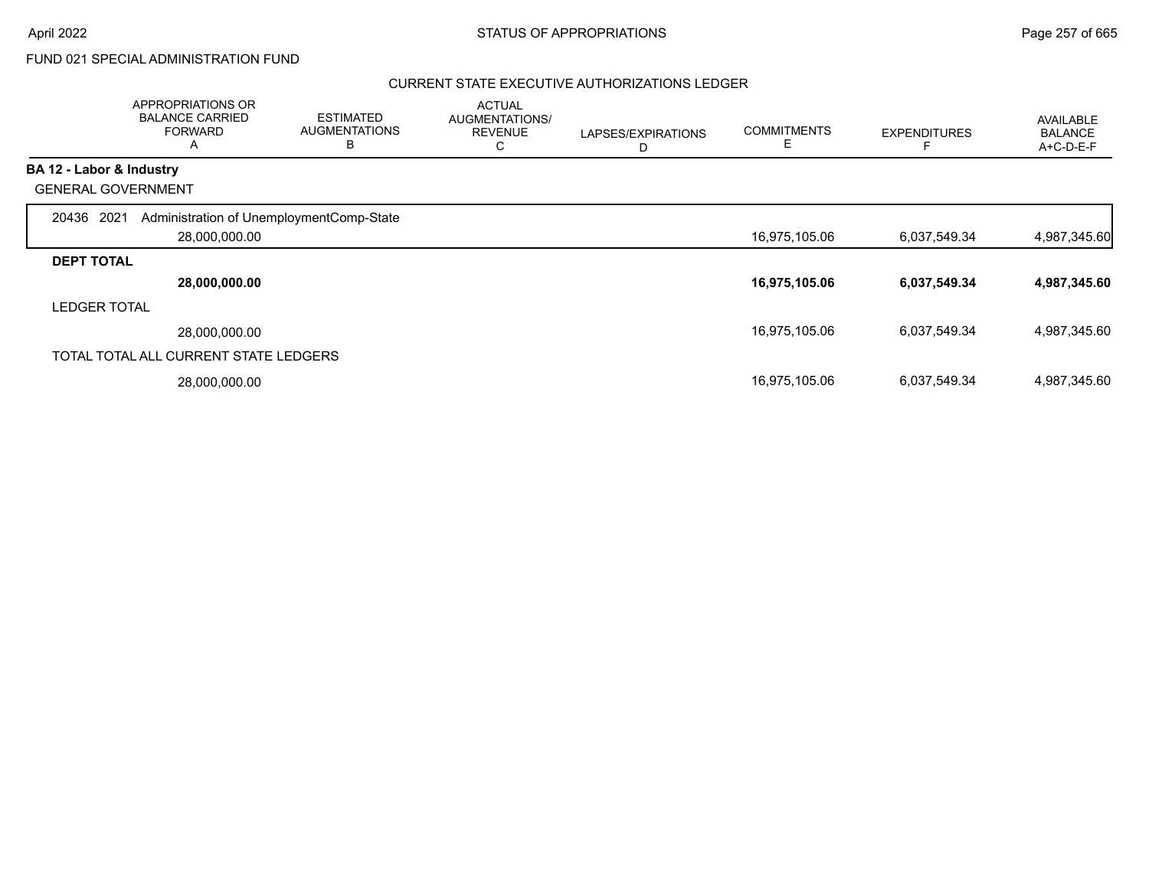# FUND 021 SPECIAL ADMINISTRATION FUND

|                     | APPROPRIATIONS OR<br><b>BALANCE CARRIED</b><br><b>FORWARD</b><br>A | <b>ESTIMATED</b><br><b>AUGMENTATIONS</b><br>B | <b>ACTUAL</b><br>AUGMENTATIONS/<br><b>REVENUE</b><br>С | LAPSES/EXPIRATIONS<br>D | <b>COMMITMENTS</b><br>Е | <b>EXPENDITURES</b> | <b>AVAILABLE</b><br><b>BALANCE</b><br>A+C-D-E-F |
|---------------------|--------------------------------------------------------------------|-----------------------------------------------|--------------------------------------------------------|-------------------------|-------------------------|---------------------|-------------------------------------------------|
|                     | BA 12 - Labor & Industry                                           |                                               |                                                        |                         |                         |                     |                                                 |
|                     | <b>GENERAL GOVERNMENT</b>                                          |                                               |                                                        |                         |                         |                     |                                                 |
| 20436 2021          | Administration of UnemploymentComp-State<br>28,000,000.00          |                                               |                                                        |                         | 16,975,105.06           | 6,037,549.34        | 4,987,345.60                                    |
| <b>DEPT TOTAL</b>   |                                                                    |                                               |                                                        |                         |                         |                     |                                                 |
|                     | 28,000,000.00                                                      |                                               |                                                        |                         | 16,975,105.06           | 6,037,549.34        | 4,987,345.60                                    |
| <b>LEDGER TOTAL</b> |                                                                    |                                               |                                                        |                         |                         |                     |                                                 |
|                     | 28,000,000.00                                                      |                                               |                                                        |                         | 16,975,105.06           | 6,037,549.34        | 4,987,345.60                                    |
|                     | TOTAL TOTAL ALL CURRENT STATE LEDGERS                              |                                               |                                                        |                         |                         |                     |                                                 |
|                     | 28,000,000.00                                                      |                                               |                                                        |                         | 16,975,105.06           | 6,037,549.34        | 4,987,345.60                                    |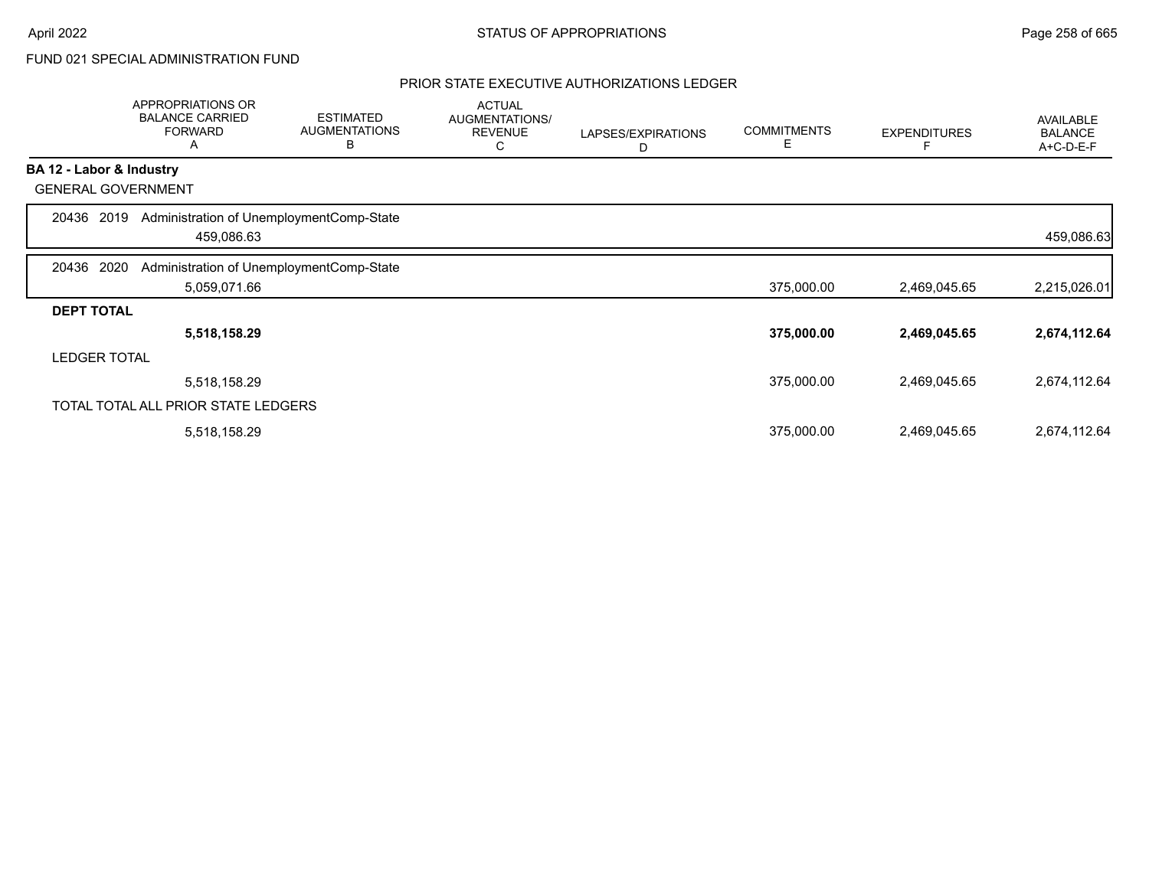# FUND 021 SPECIAL ADMINISTRATION FUND

|                   | APPROPRIATIONS OR<br><b>BALANCE CARRIED</b><br><b>FORWARD</b><br>Α | <b>ESTIMATED</b><br><b>AUGMENTATIONS</b><br>В | <b>ACTUAL</b><br>AUGMENTATIONS/<br><b>REVENUE</b><br>С | LAPSES/EXPIRATIONS<br>D | <b>COMMITMENTS</b><br>Е | <b>EXPENDITURES</b> | AVAILABLE<br><b>BALANCE</b><br>A+C-D-E-F |
|-------------------|--------------------------------------------------------------------|-----------------------------------------------|--------------------------------------------------------|-------------------------|-------------------------|---------------------|------------------------------------------|
|                   | BA 12 - Labor & Industry                                           |                                               |                                                        |                         |                         |                     |                                          |
|                   | <b>GENERAL GOVERNMENT</b>                                          |                                               |                                                        |                         |                         |                     |                                          |
| 20436 2019        | Administration of UnemploymentComp-State<br>459,086.63             |                                               |                                                        |                         |                         |                     | 459,086.63                               |
| 20436 2020        | Administration of UnemploymentComp-State                           |                                               |                                                        |                         |                         |                     |                                          |
|                   | 5,059,071.66                                                       |                                               |                                                        |                         | 375,000.00              | 2,469,045.65        | 2,215,026.01                             |
| <b>DEPT TOTAL</b> |                                                                    |                                               |                                                        |                         |                         |                     |                                          |
|                   | 5,518,158.29                                                       |                                               |                                                        |                         | 375,000.00              | 2,469,045.65        | 2,674,112.64                             |
|                   | <b>LEDGER TOTAL</b>                                                |                                               |                                                        |                         |                         |                     |                                          |
|                   | 5,518,158.29                                                       |                                               |                                                        |                         | 375,000.00              | 2,469,045.65        | 2,674,112.64                             |
|                   | TOTAL TOTAL ALL PRIOR STATE LEDGERS                                |                                               |                                                        |                         |                         |                     |                                          |
|                   | 5,518,158.29                                                       |                                               |                                                        |                         | 375,000.00              | 2,469,045.65        | 2,674,112.64                             |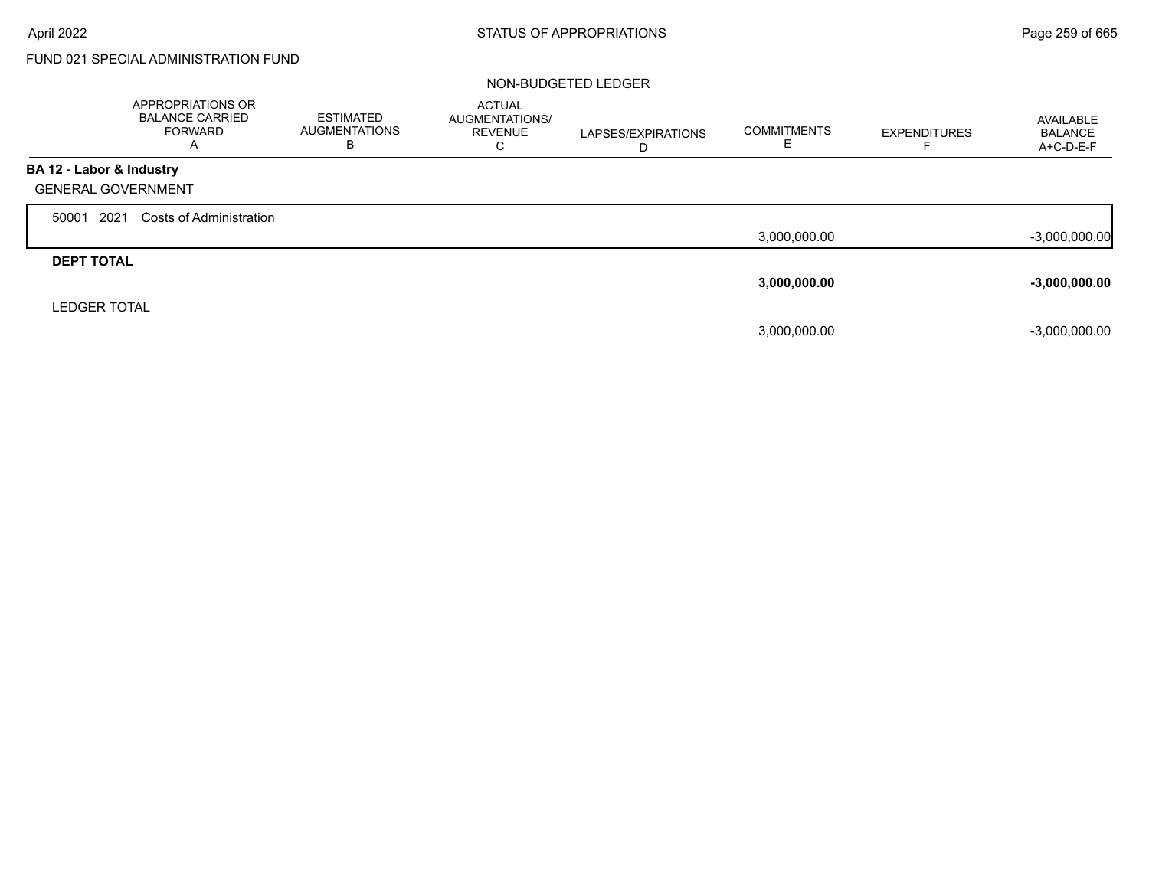Г

# FUND 021 SPECIAL ADMINISTRATION FUND

|                           | APPROPRIATIONS OR<br><b>BALANCE CARRIED</b><br><b>FORWARD</b><br>A | <b>ESTIMATED</b><br><b>AUGMENTATIONS</b><br>в | <b>ACTUAL</b><br><b>AUGMENTATIONS/</b><br><b>REVENUE</b><br>C | LAPSES/EXPIRATIONS<br>D | <b>COMMITMENTS</b><br>ᄂ | <b>EXPENDITURES</b> | AVAILABLE<br>BALANCE<br>A+C-D-E-F |
|---------------------------|--------------------------------------------------------------------|-----------------------------------------------|---------------------------------------------------------------|-------------------------|-------------------------|---------------------|-----------------------------------|
| BA 12 - Labor & Industry  |                                                                    |                                               |                                                               |                         |                         |                     |                                   |
| <b>GENERAL GOVERNMENT</b> |                                                                    |                                               |                                                               |                         |                         |                     |                                   |
| 2021<br>50001             | Costs of Administration                                            |                                               |                                                               |                         |                         |                     |                                   |
|                           |                                                                    |                                               |                                                               |                         | 3,000,000.00            |                     | $-3,000,000.00$                   |
| <b>DEPT TOTAL</b>         |                                                                    |                                               |                                                               |                         |                         |                     |                                   |
|                           |                                                                    |                                               |                                                               |                         | 3,000,000.00            |                     | $-3,000,000.00$                   |
| <b>LEDGER TOTAL</b>       |                                                                    |                                               |                                                               |                         |                         |                     |                                   |
|                           |                                                                    |                                               |                                                               |                         | 3,000,000.00            |                     | $-3,000,000.00$                   |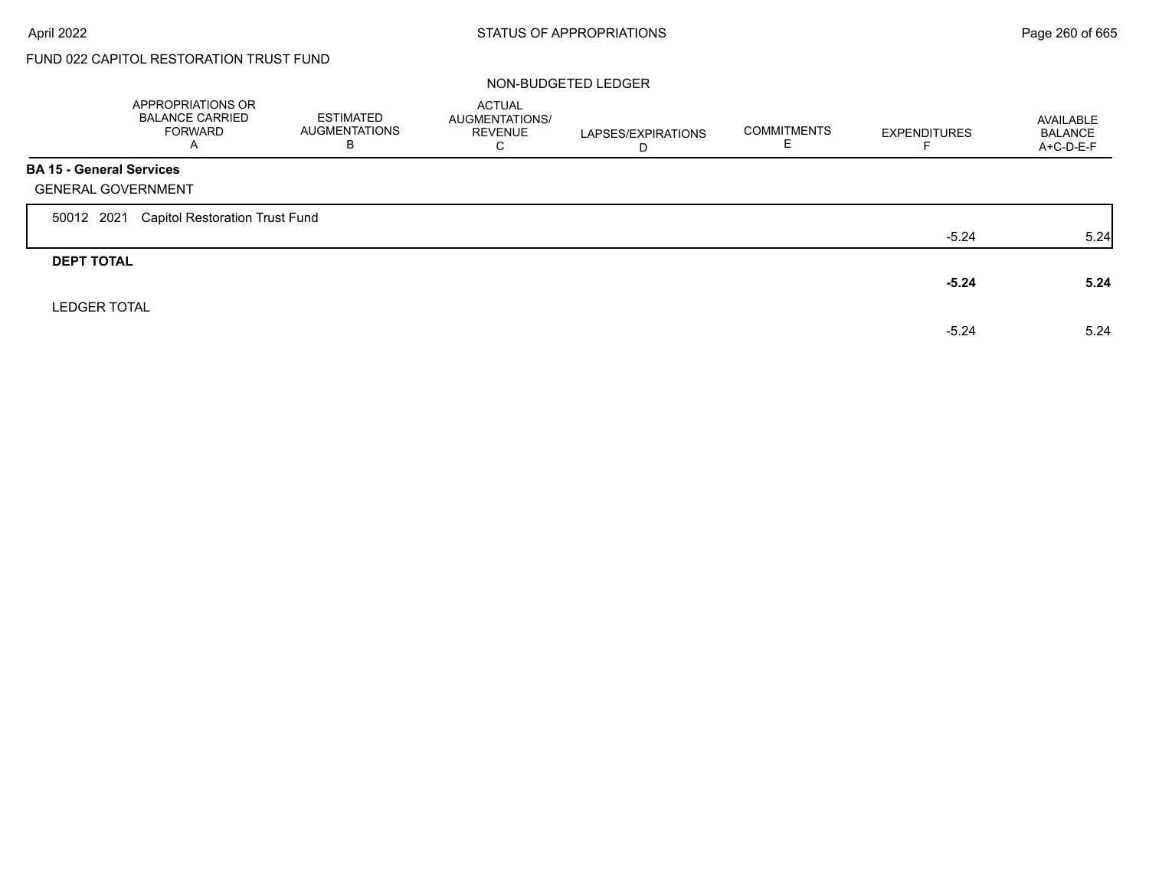$\Gamma$ 

# FUND 022 CAPITOL RESTORATION TRUST FUND

|                                 | APPROPRIATIONS OR<br><b>BALANCE CARRIED</b><br><b>FORWARD</b><br>A | ESTIMATED<br><b>AUGMENTATIONS</b><br>В | <b>ACTUAL</b><br>AUGMENTATIONS/<br><b>REVENUE</b><br>C | LAPSES/EXPIRATIONS<br>D | <b>COMMITMENTS</b> | <b>EXPENDITURES</b> | AVAILABLE<br><b>BALANCE</b><br>$A+C-D-E-F$ |
|---------------------------------|--------------------------------------------------------------------|----------------------------------------|--------------------------------------------------------|-------------------------|--------------------|---------------------|--------------------------------------------|
| <b>BA 15 - General Services</b> |                                                                    |                                        |                                                        |                         |                    |                     |                                            |
|                                 | <b>GENERAL GOVERNMENT</b>                                          |                                        |                                                        |                         |                    |                     |                                            |
| 50012 2021                      | <b>Capitol Restoration Trust Fund</b>                              |                                        |                                                        |                         |                    |                     |                                            |
|                                 |                                                                    |                                        |                                                        |                         |                    | $-5.24$             | 5.24                                       |
| <b>DEPT TOTAL</b>               |                                                                    |                                        |                                                        |                         |                    |                     |                                            |
|                                 |                                                                    |                                        |                                                        |                         |                    | $-5.24$             | 5.24                                       |
| <b>LEDGER TOTAL</b>             |                                                                    |                                        |                                                        |                         |                    |                     |                                            |
|                                 |                                                                    |                                        |                                                        |                         |                    | $-5.24$             | 5.24                                       |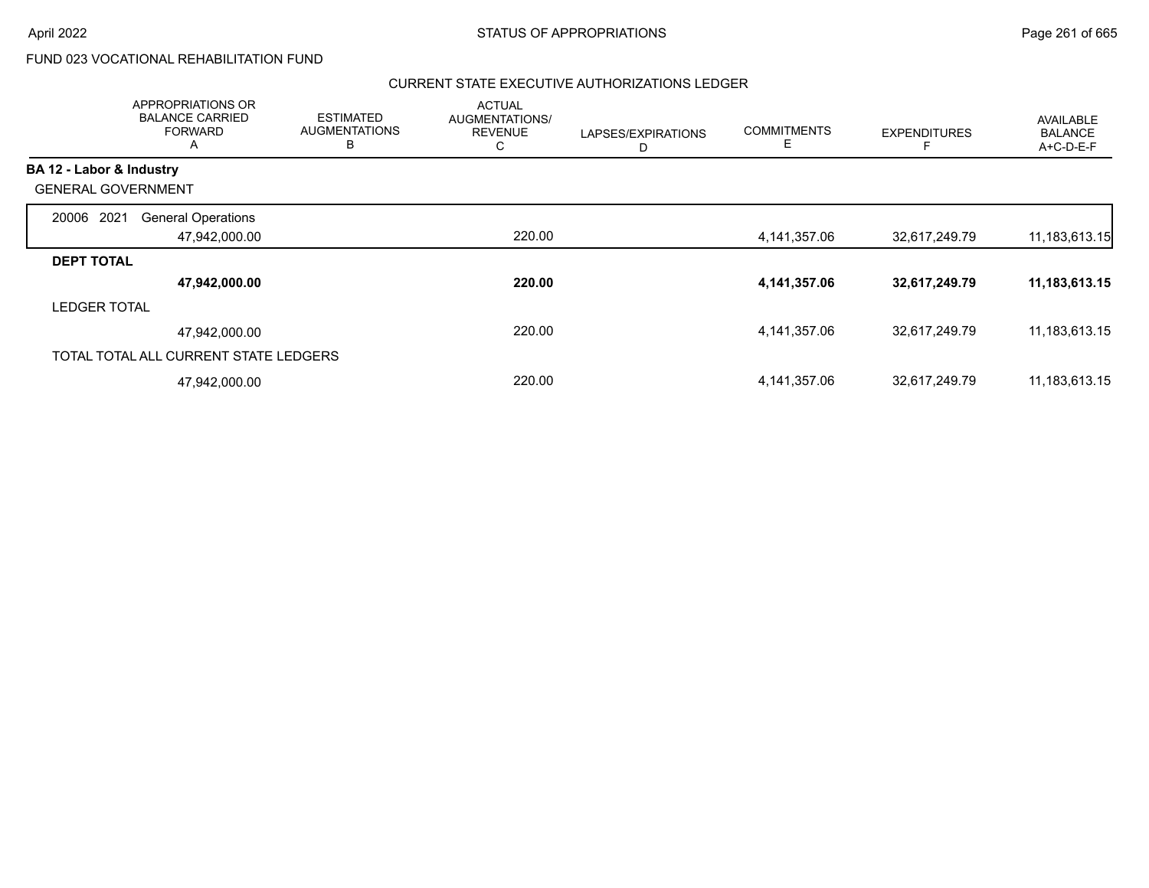# FUND 023 VOCATIONAL REHABILITATION FUND

|                           | <b>APPROPRIATIONS OR</b><br><b>BALANCE CARRIED</b><br><b>FORWARD</b><br>A | <b>ESTIMATED</b><br><b>AUGMENTATIONS</b><br>В | <b>ACTUAL</b><br>AUGMENTATIONS/<br><b>REVENUE</b><br>С | LAPSES/EXPIRATIONS<br>D | <b>COMMITMENTS</b><br>E | <b>EXPENDITURES</b> | AVAILABLE<br><b>BALANCE</b><br>A+C-D-E-F |
|---------------------------|---------------------------------------------------------------------------|-----------------------------------------------|--------------------------------------------------------|-------------------------|-------------------------|---------------------|------------------------------------------|
| BA 12 - Labor & Industry  |                                                                           |                                               |                                                        |                         |                         |                     |                                          |
| <b>GENERAL GOVERNMENT</b> |                                                                           |                                               |                                                        |                         |                         |                     |                                          |
| 2021<br>20006             | <b>General Operations</b>                                                 |                                               |                                                        |                         |                         |                     |                                          |
|                           | 47,942,000.00                                                             |                                               | 220.00                                                 |                         | 4,141,357.06            | 32,617,249.79       | 11, 183, 613. 15                         |
| <b>DEPT TOTAL</b>         |                                                                           |                                               |                                                        |                         |                         |                     |                                          |
|                           | 47,942,000.00                                                             |                                               | 220.00                                                 |                         | 4,141,357.06            | 32,617,249.79       | 11,183,613.15                            |
| <b>LEDGER TOTAL</b>       |                                                                           |                                               |                                                        |                         |                         |                     |                                          |
|                           | 47,942,000.00                                                             |                                               | 220.00                                                 |                         | 4,141,357.06            | 32,617,249.79       | 11,183,613.15                            |
|                           | TOTAL TOTAL ALL CURRENT STATE LEDGERS                                     |                                               |                                                        |                         |                         |                     |                                          |
|                           | 47,942,000.00                                                             |                                               | 220.00                                                 |                         | 4,141,357.06            | 32,617,249.79       | 11,183,613.15                            |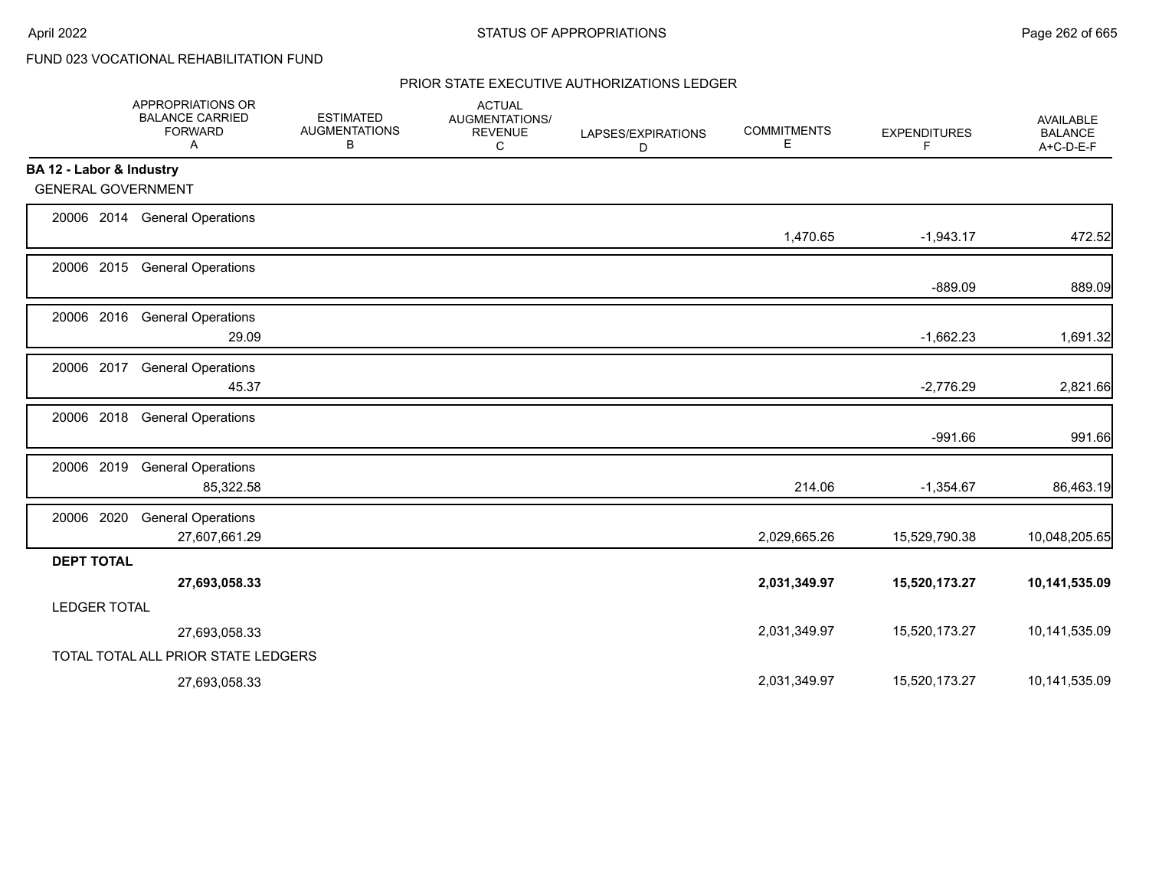# FUND 023 VOCATIONAL REHABILITATION FUND

|                           | APPROPRIATIONS OR<br><b>BALANCE CARRIED</b><br><b>FORWARD</b><br>Α | <b>ESTIMATED</b><br><b>AUGMENTATIONS</b><br>В | <b>ACTUAL</b><br>AUGMENTATIONS/<br><b>REVENUE</b><br>С | LAPSES/EXPIRATIONS<br>D | <b>COMMITMENTS</b><br>Е | <b>EXPENDITURES</b><br>F | <b>AVAILABLE</b><br><b>BALANCE</b><br>A+C-D-E-F |
|---------------------------|--------------------------------------------------------------------|-----------------------------------------------|--------------------------------------------------------|-------------------------|-------------------------|--------------------------|-------------------------------------------------|
| BA 12 - Labor & Industry  |                                                                    |                                               |                                                        |                         |                         |                          |                                                 |
| <b>GENERAL GOVERNMENT</b> |                                                                    |                                               |                                                        |                         |                         |                          |                                                 |
|                           | 20006 2014 General Operations                                      |                                               |                                                        |                         | 1,470.65                | $-1,943.17$              | 472.52                                          |
| 20006 2015                | <b>General Operations</b>                                          |                                               |                                                        |                         |                         | $-889.09$                | 889.09                                          |
| 20006 2016                | <b>General Operations</b><br>29.09                                 |                                               |                                                        |                         |                         | $-1,662.23$              | 1,691.32                                        |
| 20006 2017                | <b>General Operations</b><br>45.37                                 |                                               |                                                        |                         |                         | $-2,776.29$              | 2,821.66                                        |
| 20006 2018                | <b>General Operations</b>                                          |                                               |                                                        |                         |                         | $-991.66$                | 991.66                                          |
| 20006 2019                | <b>General Operations</b><br>85,322.58                             |                                               |                                                        |                         | 214.06                  | $-1,354.67$              | 86,463.19                                       |
| 20006 2020                | <b>General Operations</b><br>27,607,661.29                         |                                               |                                                        |                         | 2,029,665.26            | 15,529,790.38            | 10,048,205.65                                   |
| <b>DEPT TOTAL</b>         | 27,693,058.33                                                      |                                               |                                                        |                         | 2,031,349.97            | 15,520,173.27            | 10,141,535.09                                   |
| <b>LEDGER TOTAL</b>       |                                                                    |                                               |                                                        |                         |                         |                          |                                                 |
|                           | 27,693,058.33                                                      |                                               |                                                        |                         | 2,031,349.97            | 15,520,173.27            | 10,141,535.09                                   |
|                           | TOTAL TOTAL ALL PRIOR STATE LEDGERS                                |                                               |                                                        |                         |                         |                          |                                                 |
|                           | 27,693,058.33                                                      |                                               |                                                        |                         | 2,031,349.97            | 15,520,173.27            | 10,141,535.09                                   |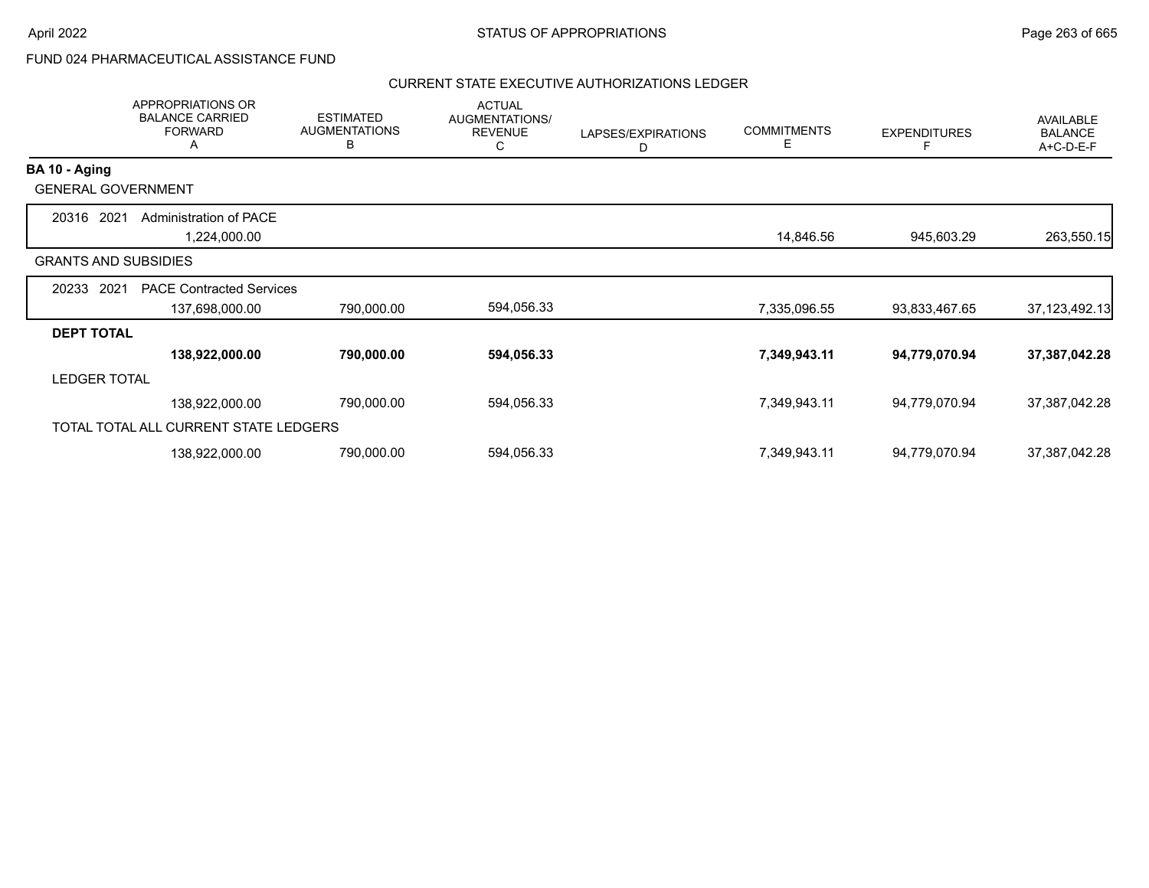# FUND 024 PHARMACEUTICAL ASSISTANCE FUND

|                             | <b>APPROPRIATIONS OR</b><br><b>BALANCE CARRIED</b><br><b>FORWARD</b><br>A | <b>ESTIMATED</b><br><b>AUGMENTATIONS</b><br>в | <b>ACTUAL</b><br>AUGMENTATIONS/<br><b>REVENUE</b><br>С | LAPSES/EXPIRATIONS<br>D | <b>COMMITMENTS</b><br>Е | <b>EXPENDITURES</b> | AVAILABLE<br><b>BALANCE</b><br>A+C-D-E-F |
|-----------------------------|---------------------------------------------------------------------------|-----------------------------------------------|--------------------------------------------------------|-------------------------|-------------------------|---------------------|------------------------------------------|
| BA 10 - Aging               |                                                                           |                                               |                                                        |                         |                         |                     |                                          |
| <b>GENERAL GOVERNMENT</b>   |                                                                           |                                               |                                                        |                         |                         |                     |                                          |
| 2021<br>20316               | Administration of PACE<br>1,224,000.00                                    |                                               |                                                        |                         | 14,846.56               | 945,603.29          | 263,550.15                               |
| <b>GRANTS AND SUBSIDIES</b> |                                                                           |                                               |                                                        |                         |                         |                     |                                          |
| 2021<br>20233               | <b>PACE Contracted Services</b><br>137,698,000.00                         | 790,000.00                                    | 594,056.33                                             |                         | 7,335,096.55            | 93,833,467.65       | 37, 123, 492. 13                         |
| <b>DEPT TOTAL</b>           |                                                                           |                                               |                                                        |                         |                         |                     |                                          |
|                             | 138,922,000.00                                                            | 790,000.00                                    | 594,056.33                                             |                         | 7,349,943.11            | 94,779,070.94       | 37,387,042.28                            |
| <b>LEDGER TOTAL</b>         |                                                                           |                                               |                                                        |                         |                         |                     |                                          |
|                             | 138,922,000.00                                                            | 790,000.00                                    | 594,056.33                                             |                         | 7,349,943.11            | 94,779,070.94       | 37,387,042.28                            |
|                             | TOTAL TOTAL ALL CURRENT STATE LEDGERS                                     |                                               |                                                        |                         |                         |                     |                                          |
|                             | 138,922,000.00                                                            | 790,000.00                                    | 594,056.33                                             |                         | 7,349,943.11            | 94,779,070.94       | 37,387,042.28                            |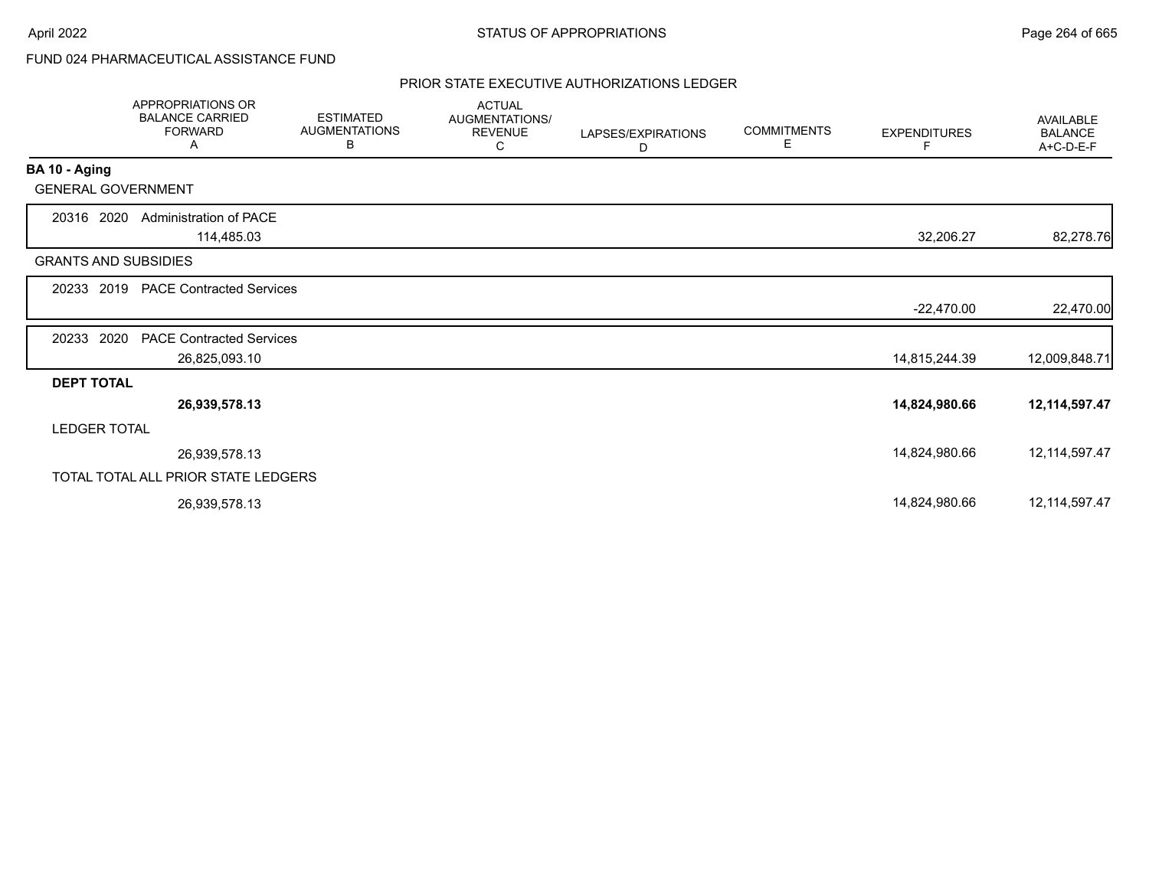# FUND 024 PHARMACEUTICAL ASSISTANCE FUND

|                             | <b>APPROPRIATIONS OR</b><br><b>BALANCE CARRIED</b><br><b>FORWARD</b><br>A | <b>ESTIMATED</b><br><b>AUGMENTATIONS</b><br>В | <b>ACTUAL</b><br>AUGMENTATIONS/<br><b>REVENUE</b><br>C | LAPSES/EXPIRATIONS<br>D | <b>COMMITMENTS</b><br>Е | <b>EXPENDITURES</b><br>F. | AVAILABLE<br><b>BALANCE</b><br>A+C-D-E-F |
|-----------------------------|---------------------------------------------------------------------------|-----------------------------------------------|--------------------------------------------------------|-------------------------|-------------------------|---------------------------|------------------------------------------|
| BA 10 - Aging               |                                                                           |                                               |                                                        |                         |                         |                           |                                          |
| <b>GENERAL GOVERNMENT</b>   |                                                                           |                                               |                                                        |                         |                         |                           |                                          |
| 20316 2020                  | Administration of PACE<br>114,485.03                                      |                                               |                                                        |                         |                         | 32,206.27                 | 82,278.76                                |
| <b>GRANTS AND SUBSIDIES</b> |                                                                           |                                               |                                                        |                         |                         |                           |                                          |
|                             | 20233 2019 PACE Contracted Services                                       |                                               |                                                        |                         |                         |                           |                                          |
|                             |                                                                           |                                               |                                                        |                         |                         | $-22,470.00$              | 22,470.00                                |
| 2020<br>20233               | <b>PACE Contracted Services</b>                                           |                                               |                                                        |                         |                         |                           |                                          |
|                             | 26,825,093.10                                                             |                                               |                                                        |                         |                         | 14,815,244.39             | 12,009,848.71                            |
| <b>DEPT TOTAL</b>           |                                                                           |                                               |                                                        |                         |                         |                           |                                          |
|                             | 26,939,578.13                                                             |                                               |                                                        |                         |                         | 14,824,980.66             | 12,114,597.47                            |
| <b>LEDGER TOTAL</b>         |                                                                           |                                               |                                                        |                         |                         |                           |                                          |
|                             | 26,939,578.13                                                             |                                               |                                                        |                         |                         | 14,824,980.66             | 12, 114, 597. 47                         |
|                             | TOTAL TOTAL ALL PRIOR STATE LEDGERS                                       |                                               |                                                        |                         |                         |                           |                                          |
|                             | 26,939,578.13                                                             |                                               |                                                        |                         |                         | 14,824,980.66             | 12, 114, 597. 47                         |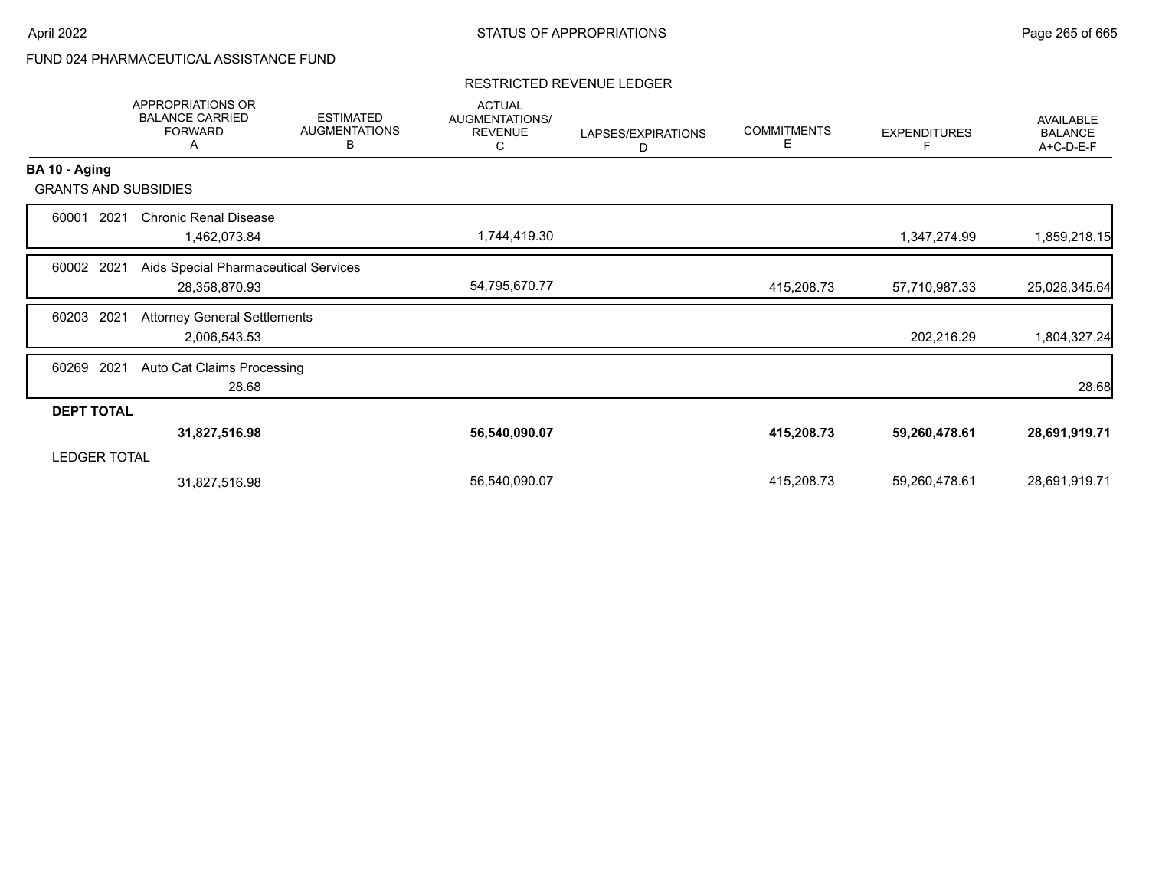# FUND 024 PHARMACEUTICAL ASSISTANCE FUND

### RESTRICTED REVENUE LEDGER

|                     | APPROPRIATIONS OR<br><b>BALANCE CARRIED</b><br><b>FORWARD</b><br>Α | <b>ESTIMATED</b><br><b>AUGMENTATIONS</b><br>В | <b>ACTUAL</b><br>AUGMENTATIONS/<br><b>REVENUE</b><br>С | LAPSES/EXPIRATIONS<br>D | <b>COMMITMENTS</b><br>E. | <b>EXPENDITURES</b> | AVAILABLE<br><b>BALANCE</b><br>A+C-D-E-F |
|---------------------|--------------------------------------------------------------------|-----------------------------------------------|--------------------------------------------------------|-------------------------|--------------------------|---------------------|------------------------------------------|
| BA 10 - Aging       |                                                                    |                                               |                                                        |                         |                          |                     |                                          |
|                     | <b>GRANTS AND SUBSIDIES</b>                                        |                                               |                                                        |                         |                          |                     |                                          |
| 60001               | <b>Chronic Renal Disease</b><br>2021<br>1,462,073.84               |                                               | 1,744,419.30                                           |                         |                          | 1,347,274.99        | 1,859,218.15                             |
| 60002 2021          | Aids Special Pharmaceutical Services<br>28,358,870.93              |                                               | 54,795,670.77                                          |                         | 415,208.73               | 57,710,987.33       | 25,028,345.64                            |
| 60203               | 2021<br><b>Attorney General Settlements</b><br>2,006,543.53        |                                               |                                                        |                         |                          | 202,216.29          | 1,804,327.24                             |
| 60269 2021          | Auto Cat Claims Processing<br>28.68                                |                                               |                                                        |                         |                          |                     | 28.68                                    |
| <b>DEPT TOTAL</b>   |                                                                    |                                               |                                                        |                         |                          |                     |                                          |
|                     | 31,827,516.98                                                      |                                               | 56,540,090.07                                          |                         | 415,208.73               | 59,260,478.61       | 28,691,919.71                            |
| <b>LEDGER TOTAL</b> |                                                                    |                                               |                                                        |                         |                          |                     |                                          |
|                     | 31,827,516.98                                                      |                                               | 56,540,090.07                                          |                         | 415,208.73               | 59,260,478.61       | 28,691,919.71                            |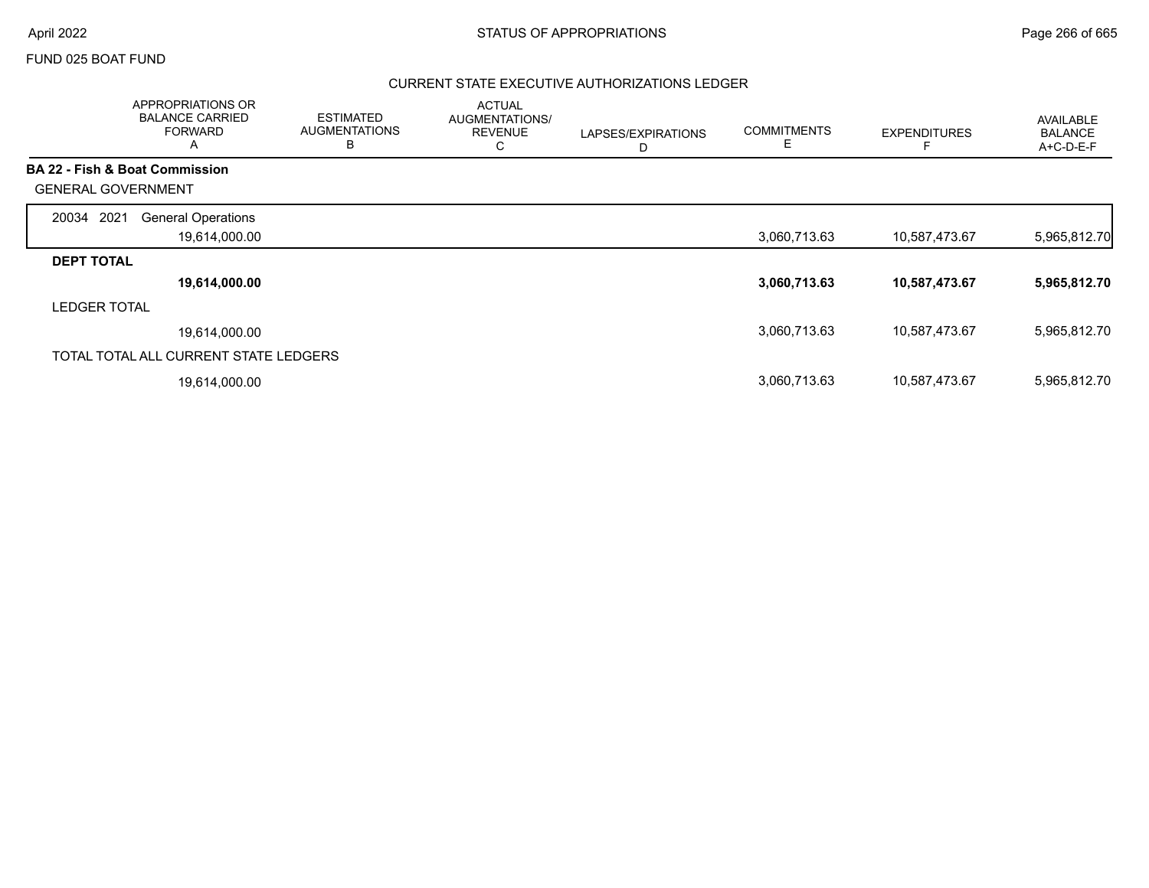### FUND 025 BOAT FUND

|                           | APPROPRIATIONS OR<br><b>BALANCE CARRIED</b><br><b>FORWARD</b><br>A | <b>ESTIMATED</b><br><b>AUGMENTATIONS</b><br>B | <b>ACTUAL</b><br>AUGMENTATIONS/<br><b>REVENUE</b><br>C | LAPSES/EXPIRATIONS<br>D | <b>COMMITMENTS</b><br>Е | <b>EXPENDITURES</b> | AVAILABLE<br><b>BALANCE</b><br>A+C-D-E-F |
|---------------------------|--------------------------------------------------------------------|-----------------------------------------------|--------------------------------------------------------|-------------------------|-------------------------|---------------------|------------------------------------------|
|                           | <b>BA 22 - Fish &amp; Boat Commission</b>                          |                                               |                                                        |                         |                         |                     |                                          |
| <b>GENERAL GOVERNMENT</b> |                                                                    |                                               |                                                        |                         |                         |                     |                                          |
| 2021<br>20034             | <b>General Operations</b>                                          |                                               |                                                        |                         |                         |                     |                                          |
|                           | 19,614,000.00                                                      |                                               |                                                        |                         | 3,060,713.63            | 10,587,473.67       | 5,965,812.70                             |
| <b>DEPT TOTAL</b>         |                                                                    |                                               |                                                        |                         |                         |                     |                                          |
|                           | 19,614,000.00                                                      |                                               |                                                        |                         | 3,060,713.63            | 10,587,473.67       | 5,965,812.70                             |
| <b>LEDGER TOTAL</b>       |                                                                    |                                               |                                                        |                         |                         |                     |                                          |
|                           | 19,614,000.00                                                      |                                               |                                                        |                         | 3,060,713.63            | 10,587,473.67       | 5,965,812.70                             |
|                           | TOTAL TOTAL ALL CURRENT STATE LEDGERS                              |                                               |                                                        |                         |                         |                     |                                          |
|                           | 19,614,000.00                                                      |                                               |                                                        |                         | 3,060,713.63            | 10,587,473.67       | 5,965,812.70                             |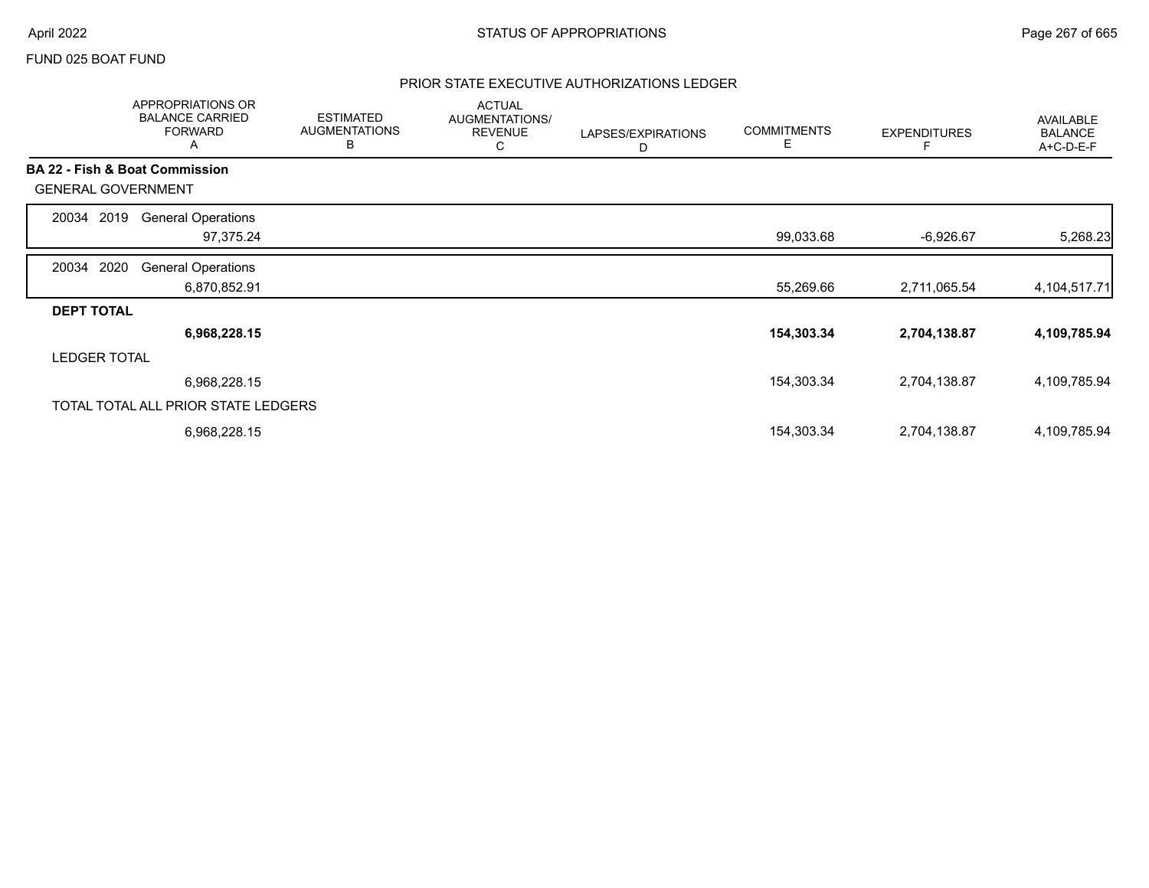### FUND 025 BOAT FUND

|                           | APPROPRIATIONS OR<br><b>BALANCE CARRIED</b><br><b>FORWARD</b><br>A | <b>ESTIMATED</b><br><b>AUGMENTATIONS</b><br>В | <b>ACTUAL</b><br>AUGMENTATIONS/<br><b>REVENUE</b><br>С | LAPSES/EXPIRATIONS<br>D | <b>COMMITMENTS</b><br>E | <b>EXPENDITURES</b> | AVAILABLE<br><b>BALANCE</b><br>A+C-D-E-F |
|---------------------------|--------------------------------------------------------------------|-----------------------------------------------|--------------------------------------------------------|-------------------------|-------------------------|---------------------|------------------------------------------|
|                           | BA 22 - Fish & Boat Commission                                     |                                               |                                                        |                         |                         |                     |                                          |
| <b>GENERAL GOVERNMENT</b> |                                                                    |                                               |                                                        |                         |                         |                     |                                          |
| 2019<br>20034             | <b>General Operations</b>                                          |                                               |                                                        |                         |                         |                     |                                          |
|                           | 97,375.24                                                          |                                               |                                                        |                         | 99,033.68               | $-6,926.67$         | 5,268.23                                 |
| 2020<br>20034             | <b>General Operations</b>                                          |                                               |                                                        |                         |                         |                     |                                          |
|                           | 6,870,852.91                                                       |                                               |                                                        |                         | 55,269.66               | 2,711,065.54        | 4, 104, 517. 71                          |
| <b>DEPT TOTAL</b>         |                                                                    |                                               |                                                        |                         |                         |                     |                                          |
|                           | 6,968,228.15                                                       |                                               |                                                        |                         | 154,303.34              | 2,704,138.87        | 4,109,785.94                             |
| <b>LEDGER TOTAL</b>       |                                                                    |                                               |                                                        |                         |                         |                     |                                          |
|                           | 6,968,228.15                                                       |                                               |                                                        |                         | 154,303.34              | 2,704,138.87        | 4,109,785.94                             |
|                           | TOTAL TOTAL ALL PRIOR STATE LEDGERS                                |                                               |                                                        |                         |                         |                     |                                          |
|                           | 6,968,228.15                                                       |                                               |                                                        |                         | 154,303.34              | 2,704,138.87        | 4,109,785.94                             |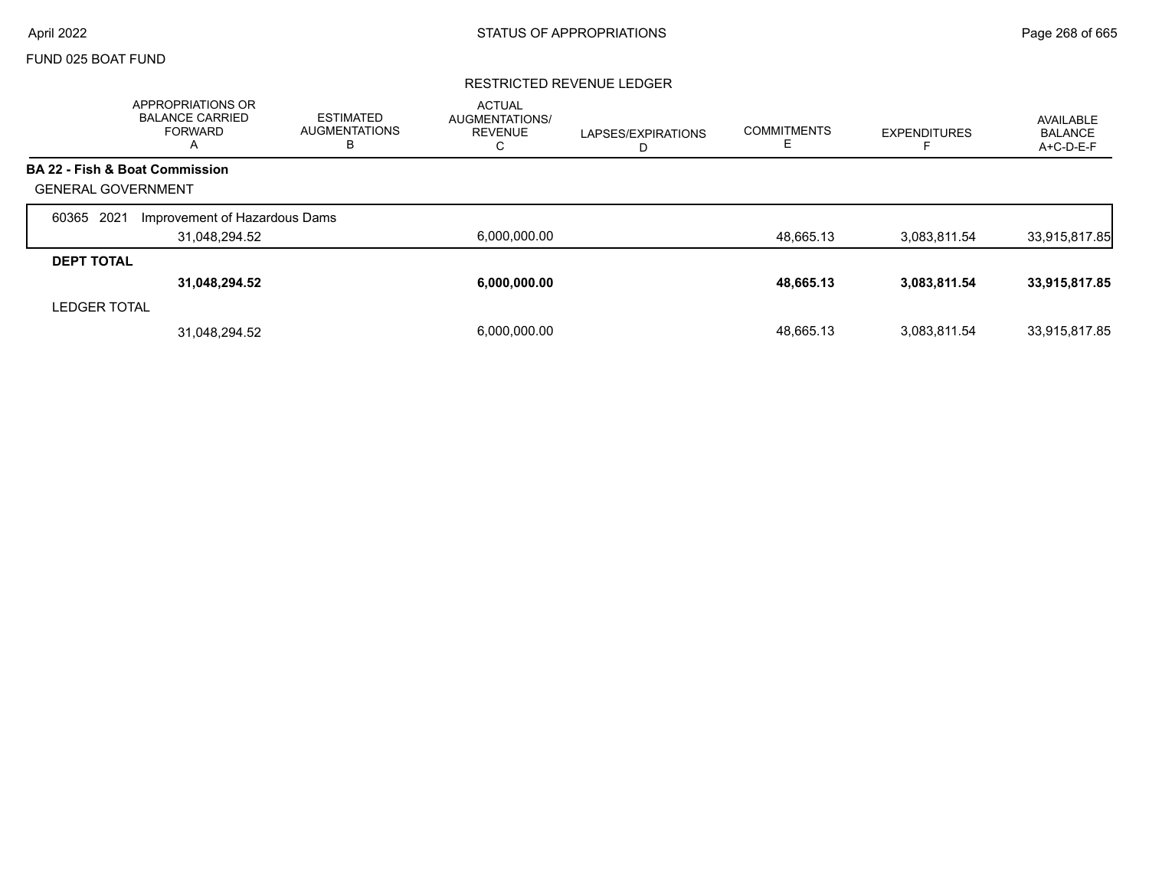# FUND 025 BOAT FUND

# RESTRICTED REVENUE LEDGER

|                           | <b>APPROPRIATIONS OR</b><br><b>BALANCE CARRIED</b><br><b>FORWARD</b><br>A | <b>ESTIMATED</b><br><b>AUGMENTATIONS</b><br>в | <b>ACTUAL</b><br><b>AUGMENTATIONS/</b><br><b>REVENUE</b><br>С | LAPSES/EXPIRATIONS<br>D | <b>COMMITMENTS</b><br>╘ | <b>EXPENDITURES</b> | AVAILABLE<br><b>BALANCE</b><br>A+C-D-E-F |
|---------------------------|---------------------------------------------------------------------------|-----------------------------------------------|---------------------------------------------------------------|-------------------------|-------------------------|---------------------|------------------------------------------|
|                           | <b>BA 22 - Fish &amp; Boat Commission</b>                                 |                                               |                                                               |                         |                         |                     |                                          |
| <b>GENERAL GOVERNMENT</b> |                                                                           |                                               |                                                               |                         |                         |                     |                                          |
| 2021<br>60365             | Improvement of Hazardous Dams                                             |                                               |                                                               |                         |                         |                     |                                          |
|                           | 31,048,294.52                                                             |                                               | 6,000,000.00                                                  |                         | 48,665.13               | 3,083,811.54        | 33,915,817.85                            |
| <b>DEPT TOTAL</b>         |                                                                           |                                               |                                                               |                         |                         |                     |                                          |
|                           | 31,048,294.52                                                             |                                               | 6.000.000.00                                                  |                         | 48,665.13               | 3,083,811.54        | 33,915,817.85                            |
| <b>LEDGER TOTAL</b>       |                                                                           |                                               |                                                               |                         |                         |                     |                                          |
|                           | 31,048,294.52                                                             |                                               | 6.000.000.00                                                  |                         | 48.665.13               | 3.083.811.54        | 33,915,817.85                            |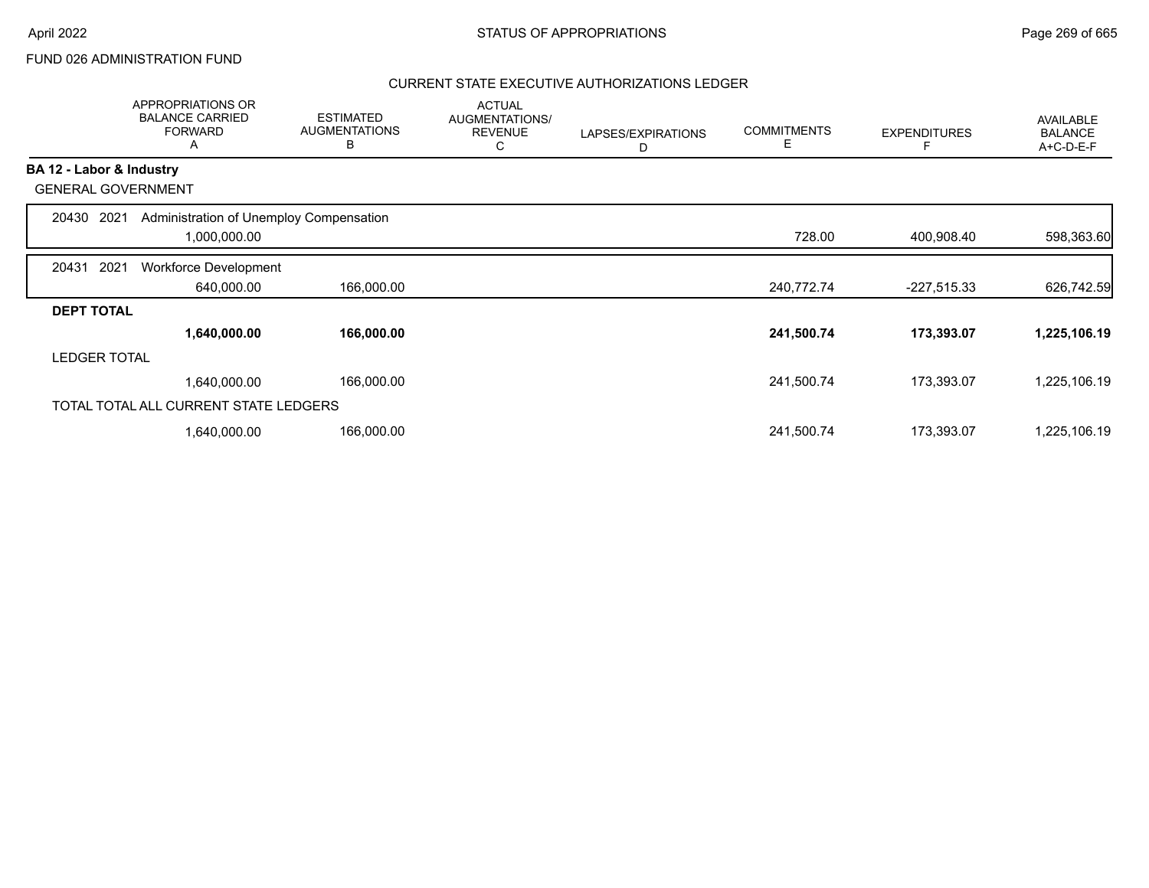# FUND 026 ADMINISTRATION FUND

|                          | APPROPRIATIONS OR<br><b>BALANCE CARRIED</b><br><b>FORWARD</b><br>Α | <b>ESTIMATED</b><br><b>AUGMENTATIONS</b><br>в | <b>ACTUAL</b><br>AUGMENTATIONS/<br><b>REVENUE</b><br>С | LAPSES/EXPIRATIONS<br>D | <b>COMMITMENTS</b><br>Е | <b>EXPENDITURES</b> | AVAILABLE<br><b>BALANCE</b><br>A+C-D-E-F |
|--------------------------|--------------------------------------------------------------------|-----------------------------------------------|--------------------------------------------------------|-------------------------|-------------------------|---------------------|------------------------------------------|
| BA 12 - Labor & Industry |                                                                    |                                               |                                                        |                         |                         |                     |                                          |
|                          | <b>GENERAL GOVERNMENT</b>                                          |                                               |                                                        |                         |                         |                     |                                          |
| 20430                    | Administration of Unemploy Compensation<br>2021                    |                                               |                                                        |                         |                         |                     |                                          |
|                          | 1,000,000.00                                                       |                                               |                                                        |                         | 728.00                  | 400,908.40          | 598,363.60                               |
| 20431                    | 2021<br><b>Workforce Development</b>                               |                                               |                                                        |                         |                         |                     |                                          |
|                          | 640,000.00                                                         | 166,000.00                                    |                                                        |                         | 240,772.74              | $-227,515.33$       | 626,742.59                               |
| <b>DEPT TOTAL</b>        |                                                                    |                                               |                                                        |                         |                         |                     |                                          |
|                          | 1,640,000.00                                                       | 166,000.00                                    |                                                        |                         | 241,500.74              | 173,393.07          | 1,225,106.19                             |
| <b>LEDGER TOTAL</b>      |                                                                    |                                               |                                                        |                         |                         |                     |                                          |
|                          | 1,640,000.00                                                       | 166,000.00                                    |                                                        |                         | 241,500.74              | 173,393.07          | 1,225,106.19                             |
|                          | TOTAL TOTAL ALL CURRENT STATE LEDGERS                              |                                               |                                                        |                         |                         |                     |                                          |
|                          | 1,640,000.00                                                       | 166,000.00                                    |                                                        |                         | 241,500.74              | 173,393.07          | 1,225,106.19                             |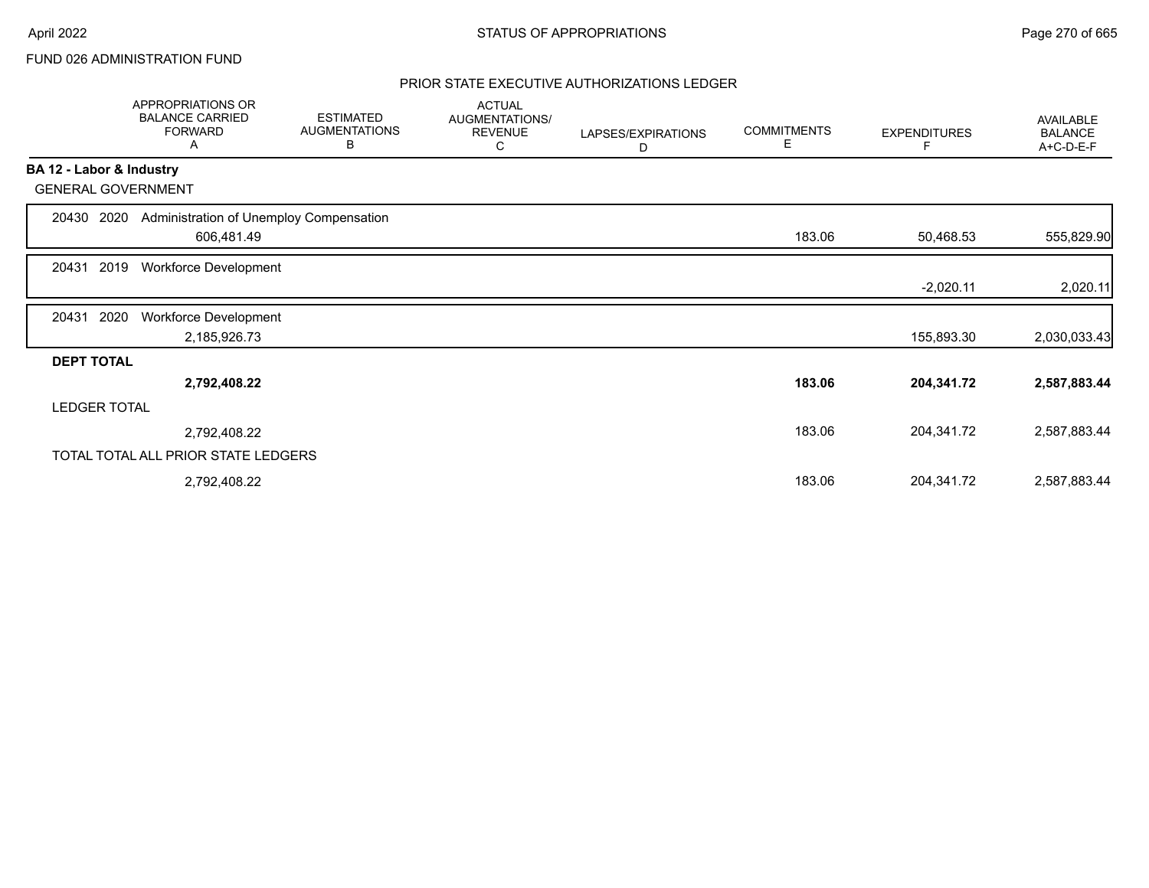# FUND 026 ADMINISTRATION FUND

|                          | APPROPRIATIONS OR<br><b>BALANCE CARRIED</b><br><b>FORWARD</b><br>Α | <b>ESTIMATED</b><br><b>AUGMENTATIONS</b><br>В | <b>ACTUAL</b><br>AUGMENTATIONS/<br><b>REVENUE</b><br>С | LAPSES/EXPIRATIONS<br>D | <b>COMMITMENTS</b><br>Е | <b>EXPENDITURES</b> | AVAILABLE<br><b>BALANCE</b><br>A+C-D-E-F |
|--------------------------|--------------------------------------------------------------------|-----------------------------------------------|--------------------------------------------------------|-------------------------|-------------------------|---------------------|------------------------------------------|
| BA 12 - Labor & Industry |                                                                    |                                               |                                                        |                         |                         |                     |                                          |
|                          | <b>GENERAL GOVERNMENT</b>                                          |                                               |                                                        |                         |                         |                     |                                          |
| 20430                    | 2020                                                               | Administration of Unemploy Compensation       |                                                        |                         |                         |                     |                                          |
|                          | 606,481.49                                                         |                                               |                                                        |                         | 183.06                  | 50,468.53           | 555,829.90                               |
| 20431                    | 2019<br><b>Workforce Development</b>                               |                                               |                                                        |                         |                         |                     |                                          |
|                          |                                                                    |                                               |                                                        |                         |                         | $-2,020.11$         | 2,020.11                                 |
| 20431                    | 2020<br>Workforce Development                                      |                                               |                                                        |                         |                         |                     |                                          |
|                          | 2,185,926.73                                                       |                                               |                                                        |                         |                         | 155,893.30          | 2,030,033.43                             |
| <b>DEPT TOTAL</b>        |                                                                    |                                               |                                                        |                         |                         |                     |                                          |
|                          | 2,792,408.22                                                       |                                               |                                                        |                         | 183.06                  | 204,341.72          | 2,587,883.44                             |
| <b>LEDGER TOTAL</b>      |                                                                    |                                               |                                                        |                         |                         |                     |                                          |
|                          | 2,792,408.22                                                       |                                               |                                                        |                         | 183.06                  | 204,341.72          | 2,587,883.44                             |
|                          | TOTAL TOTAL ALL PRIOR STATE LEDGERS                                |                                               |                                                        |                         |                         |                     |                                          |
|                          | 2,792,408.22                                                       |                                               |                                                        |                         | 183.06                  | 204,341.72          | 2,587,883.44                             |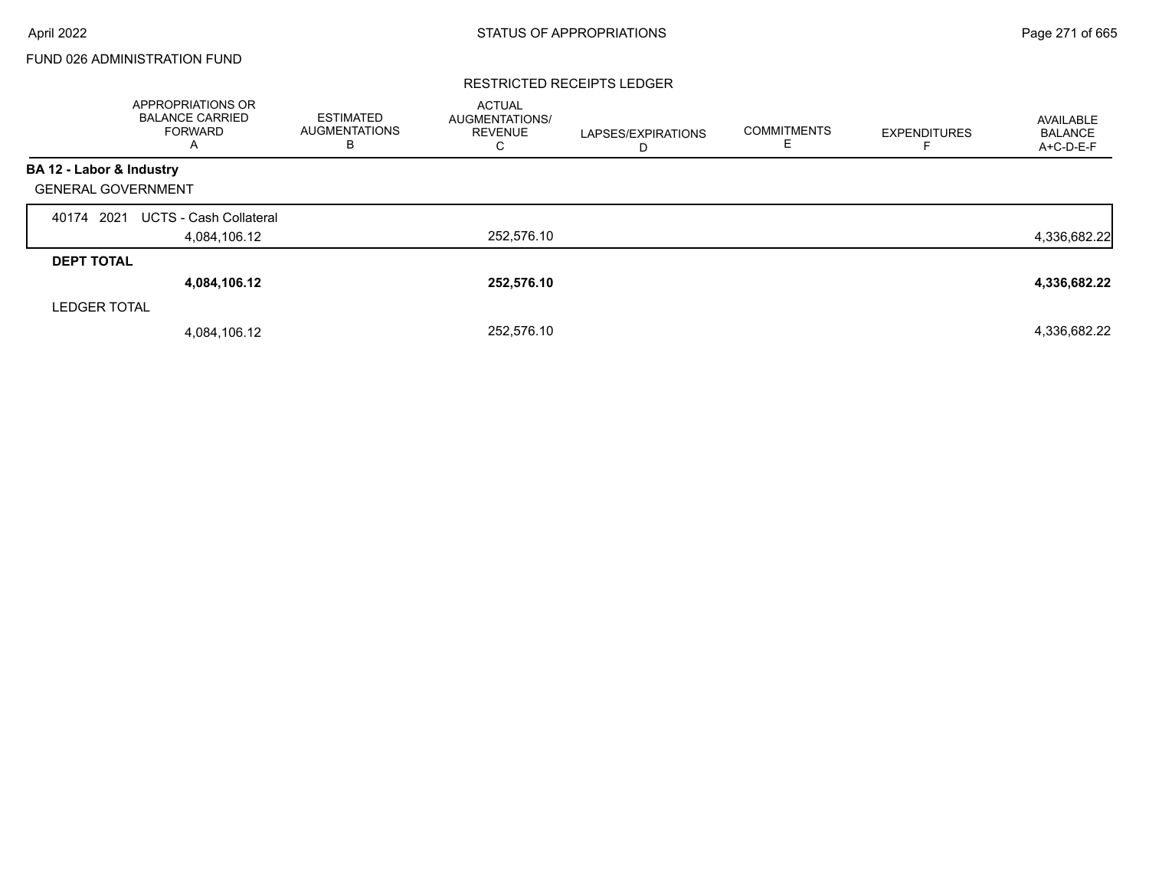# FUND 026 ADMINISTRATION FUND

#### RESTRICTED RECEIPTS LEDGER

|                           | APPROPRIATIONS OR<br><b>BALANCE CARRIED</b><br><b>FORWARD</b><br>A | <b>ESTIMATED</b><br><b>AUGMENTATIONS</b><br>в | <b>ACTUAL</b><br>AUGMENTATIONS/<br><b>REVENUE</b><br>С | LAPSES/EXPIRATIONS<br>D | <b>COMMITMENTS</b><br>E | <b>EXPENDITURES</b> | AVAILABLE<br><b>BALANCE</b><br>A+C-D-E-F |
|---------------------------|--------------------------------------------------------------------|-----------------------------------------------|--------------------------------------------------------|-------------------------|-------------------------|---------------------|------------------------------------------|
| BA 12 - Labor & Industry  |                                                                    |                                               |                                                        |                         |                         |                     |                                          |
| <b>GENERAL GOVERNMENT</b> |                                                                    |                                               |                                                        |                         |                         |                     |                                          |
| 2021<br>40174             | <b>UCTS - Cash Collateral</b>                                      |                                               |                                                        |                         |                         |                     |                                          |
|                           | 4,084,106.12                                                       |                                               | 252,576.10                                             |                         |                         |                     | 4,336,682.22                             |
| <b>DEPT TOTAL</b>         |                                                                    |                                               |                                                        |                         |                         |                     |                                          |
|                           | 4,084,106.12                                                       |                                               | 252,576.10                                             |                         |                         |                     | 4,336,682.22                             |
| <b>LEDGER TOTAL</b>       |                                                                    |                                               |                                                        |                         |                         |                     |                                          |
|                           | 4,084,106.12                                                       |                                               | 252,576.10                                             |                         |                         |                     | 4,336,682.22                             |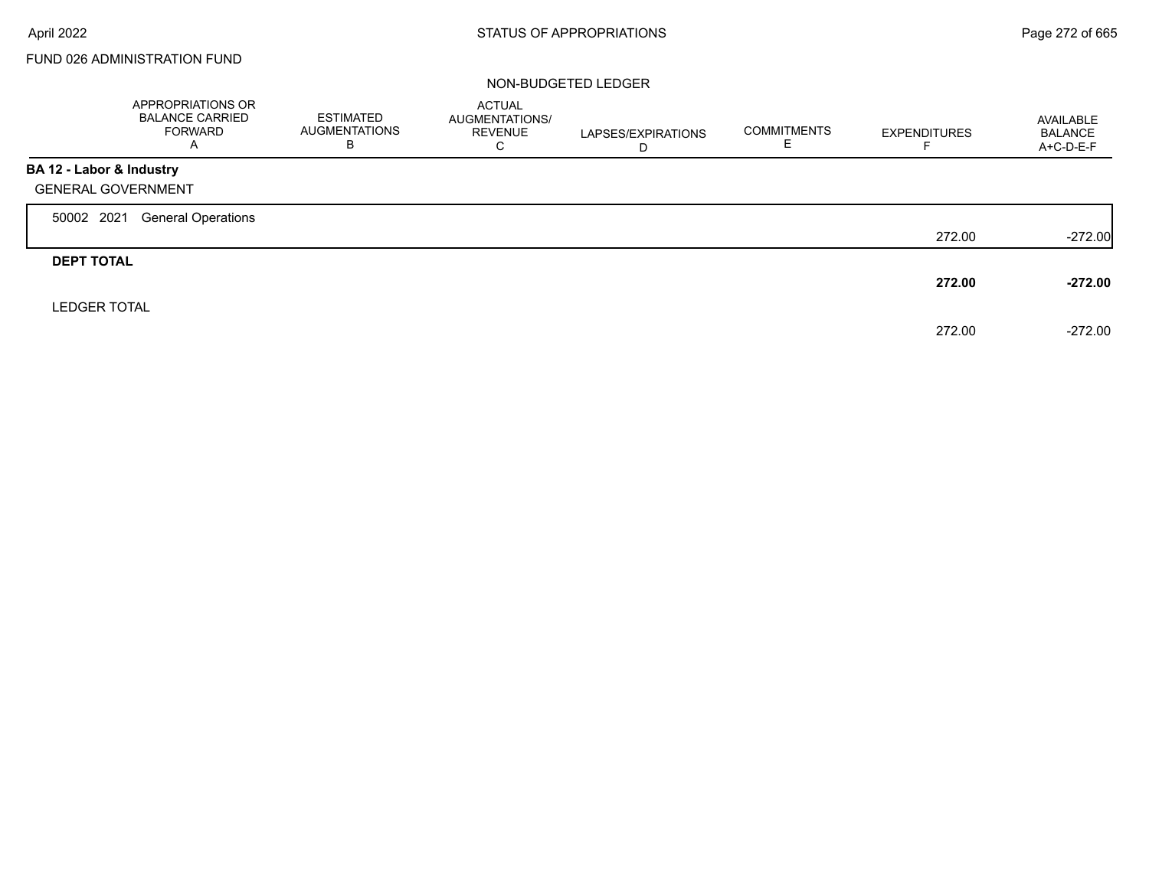$\Gamma$ 

# FUND 026 ADMINISTRATION FUND

|                           | APPROPRIATIONS OR<br><b>BALANCE CARRIED</b><br><b>FORWARD</b><br>A | ESTIMATED<br><b>AUGMENTATIONS</b><br>в | <b>ACTUAL</b><br>AUGMENTATIONS/<br><b>REVENUE</b><br>C | LAPSES/EXPIRATIONS<br>D | <b>COMMITMENTS</b> | <b>EXPENDITURES</b> | AVAILABLE<br><b>BALANCE</b><br>A+C-D-E-F |
|---------------------------|--------------------------------------------------------------------|----------------------------------------|--------------------------------------------------------|-------------------------|--------------------|---------------------|------------------------------------------|
| BA 12 - Labor & Industry  |                                                                    |                                        |                                                        |                         |                    |                     |                                          |
| <b>GENERAL GOVERNMENT</b> |                                                                    |                                        |                                                        |                         |                    |                     |                                          |
| 50002 2021                | <b>General Operations</b>                                          |                                        |                                                        |                         |                    |                     |                                          |
|                           |                                                                    |                                        |                                                        |                         |                    | 272.00              | $-272.00$                                |
| <b>DEPT TOTAL</b>         |                                                                    |                                        |                                                        |                         |                    |                     |                                          |
|                           |                                                                    |                                        |                                                        |                         |                    | 272.00              | $-272.00$                                |
| <b>LEDGER TOTAL</b>       |                                                                    |                                        |                                                        |                         |                    |                     |                                          |
|                           |                                                                    |                                        |                                                        |                         |                    | 272.00              | $-272.00$                                |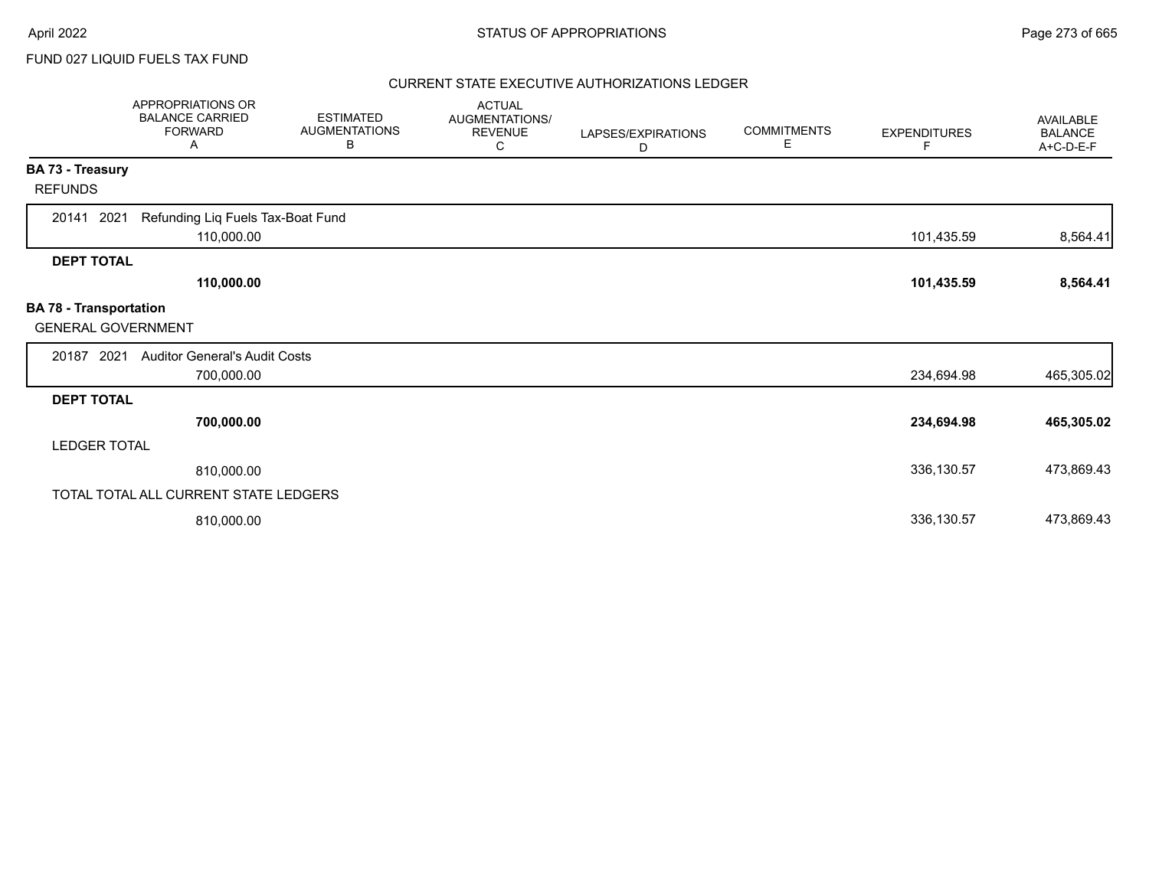FUND 027 LIQUID FUELS TAX FUND

|                                                            | APPROPRIATIONS OR<br><b>BALANCE CARRIED</b><br><b>FORWARD</b><br>A | <b>ESTIMATED</b><br><b>AUGMENTATIONS</b><br>В | <b>ACTUAL</b><br>AUGMENTATIONS/<br><b>REVENUE</b><br>C | LAPSES/EXPIRATIONS<br>D | <b>COMMITMENTS</b><br>E. | <b>EXPENDITURES</b><br>F | <b>AVAILABLE</b><br><b>BALANCE</b><br>A+C-D-E-F |
|------------------------------------------------------------|--------------------------------------------------------------------|-----------------------------------------------|--------------------------------------------------------|-------------------------|--------------------------|--------------------------|-------------------------------------------------|
| BA 73 - Treasury                                           |                                                                    |                                               |                                                        |                         |                          |                          |                                                 |
| <b>REFUNDS</b>                                             |                                                                    |                                               |                                                        |                         |                          |                          |                                                 |
| 2021<br>20141                                              | Refunding Liq Fuels Tax-Boat Fund<br>110,000.00                    |                                               |                                                        |                         |                          | 101,435.59               | 8,564.41                                        |
| <b>DEPT TOTAL</b>                                          |                                                                    |                                               |                                                        |                         |                          |                          |                                                 |
|                                                            | 110,000.00                                                         |                                               |                                                        |                         |                          | 101,435.59               | 8,564.41                                        |
| <b>BA 78 - Transportation</b><br><b>GENERAL GOVERNMENT</b> |                                                                    |                                               |                                                        |                         |                          |                          |                                                 |
| 20187 2021                                                 | <b>Auditor General's Audit Costs</b>                               |                                               |                                                        |                         |                          |                          |                                                 |
|                                                            | 700,000.00                                                         |                                               |                                                        |                         |                          | 234,694.98               | 465,305.02                                      |
| <b>DEPT TOTAL</b>                                          |                                                                    |                                               |                                                        |                         |                          |                          |                                                 |
|                                                            | 700,000.00                                                         |                                               |                                                        |                         |                          | 234,694.98               | 465,305.02                                      |
| <b>LEDGER TOTAL</b>                                        |                                                                    |                                               |                                                        |                         |                          |                          |                                                 |
|                                                            | 810,000.00                                                         |                                               |                                                        |                         |                          | 336,130.57               | 473,869.43                                      |
|                                                            | TOTAL TOTAL ALL CURRENT STATE LEDGERS                              |                                               |                                                        |                         |                          |                          |                                                 |
|                                                            | 810,000.00                                                         |                                               |                                                        |                         |                          | 336,130.57               | 473,869.43                                      |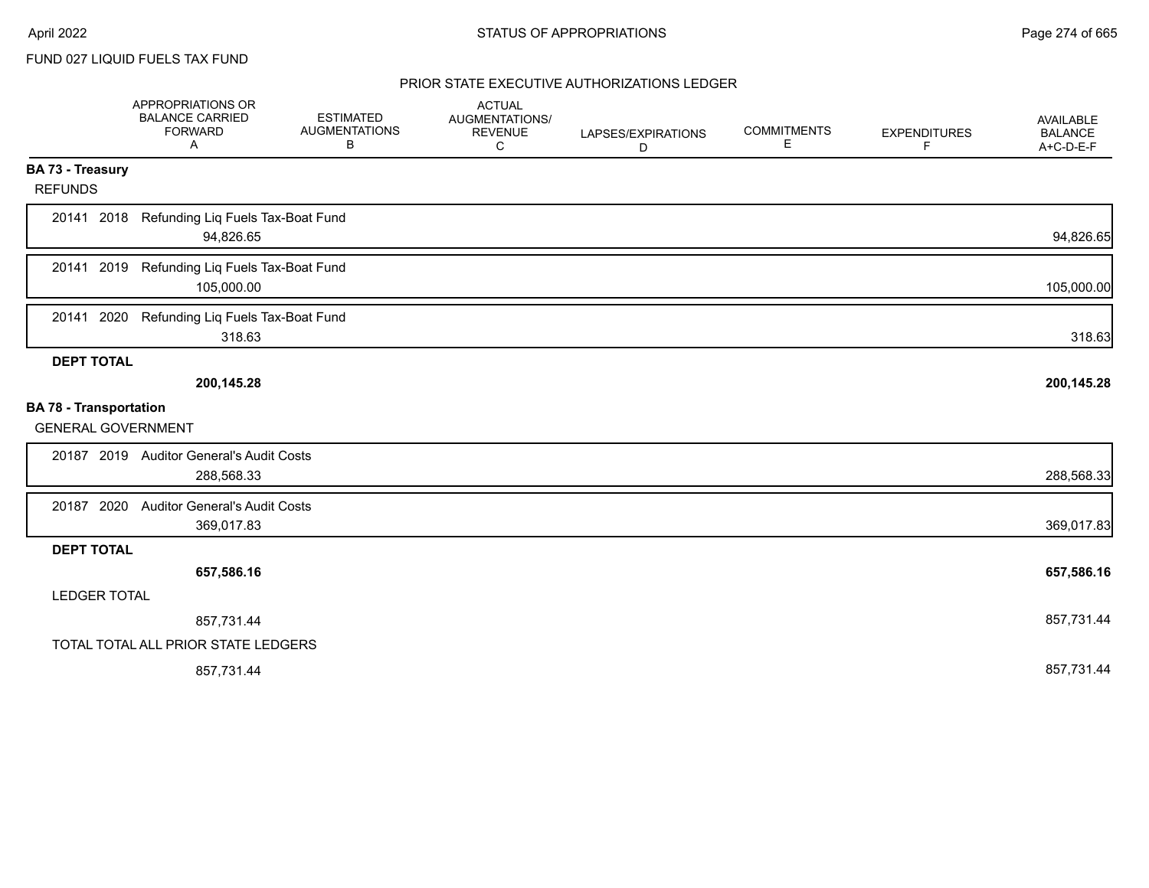FUND 027 LIQUID FUELS TAX FUND

|                               | APPROPRIATIONS OR<br><b>BALANCE CARRIED</b><br><b>FORWARD</b><br>Α | <b>ESTIMATED</b><br><b>AUGMENTATIONS</b><br>В | <b>ACTUAL</b><br>AUGMENTATIONS/<br><b>REVENUE</b><br>C | LAPSES/EXPIRATIONS<br>D | <b>COMMITMENTS</b><br>E | <b>EXPENDITURES</b><br>F | AVAILABLE<br><b>BALANCE</b><br>A+C-D-E-F |
|-------------------------------|--------------------------------------------------------------------|-----------------------------------------------|--------------------------------------------------------|-------------------------|-------------------------|--------------------------|------------------------------------------|
| <b>BA 73 - Treasury</b>       |                                                                    |                                               |                                                        |                         |                         |                          |                                          |
| <b>REFUNDS</b>                |                                                                    |                                               |                                                        |                         |                         |                          |                                          |
| 20141 2018                    | Refunding Liq Fuels Tax-Boat Fund<br>94,826.65                     |                                               |                                                        |                         |                         |                          | 94,826.65                                |
| 20141 2019                    | Refunding Liq Fuels Tax-Boat Fund<br>105,000.00                    |                                               |                                                        |                         |                         |                          | 105,000.00                               |
| 20141 2020                    | Refunding Liq Fuels Tax-Boat Fund<br>318.63                        |                                               |                                                        |                         |                         |                          | 318.63                                   |
| <b>DEPT TOTAL</b>             |                                                                    |                                               |                                                        |                         |                         |                          |                                          |
|                               | 200,145.28                                                         |                                               |                                                        |                         |                         |                          | 200,145.28                               |
| <b>BA 78 - Transportation</b> |                                                                    |                                               |                                                        |                         |                         |                          |                                          |
| <b>GENERAL GOVERNMENT</b>     |                                                                    |                                               |                                                        |                         |                         |                          |                                          |
|                               | 20187 2019 Auditor General's Audit Costs                           |                                               |                                                        |                         |                         |                          |                                          |
|                               | 288,568.33                                                         |                                               |                                                        |                         |                         |                          | 288,568.33                               |
| 20187 2020                    | <b>Auditor General's Audit Costs</b>                               |                                               |                                                        |                         |                         |                          |                                          |
|                               | 369,017.83                                                         |                                               |                                                        |                         |                         |                          | 369,017.83                               |
| <b>DEPT TOTAL</b>             |                                                                    |                                               |                                                        |                         |                         |                          |                                          |
|                               | 657,586.16                                                         |                                               |                                                        |                         |                         |                          | 657,586.16                               |
| <b>LEDGER TOTAL</b>           |                                                                    |                                               |                                                        |                         |                         |                          |                                          |
|                               | 857,731.44                                                         |                                               |                                                        |                         |                         |                          | 857,731.44                               |
|                               | TOTAL TOTAL ALL PRIOR STATE LEDGERS                                |                                               |                                                        |                         |                         |                          |                                          |
|                               | 857,731.44                                                         |                                               |                                                        |                         |                         |                          | 857,731.44                               |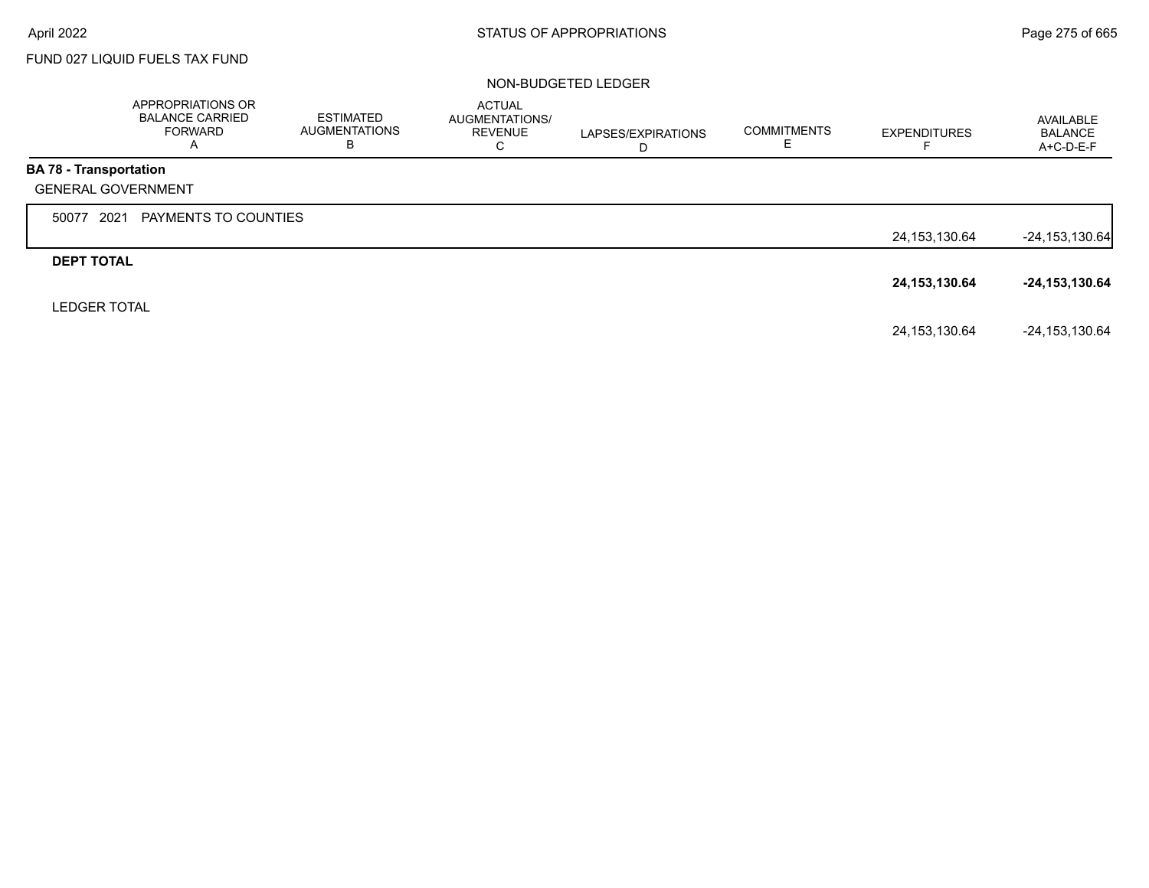Г

# FUND 027 LIQUID FUELS TAX FUND

|                               | <b>APPROPRIATIONS OR</b><br><b>BALANCE CARRIED</b><br><b>FORWARD</b><br>A | <b>ESTIMATED</b><br><b>AUGMENTATIONS</b><br>в | <b>ACTUAL</b><br>AUGMENTATIONS/<br><b>REVENUE</b><br>С | LAPSES/EXPIRATIONS<br>D | <b>COMMITMENTS</b><br>ᄂ | <b>EXPENDITURES</b> | AVAILABLE<br><b>BALANCE</b><br>A+C-D-E-F |
|-------------------------------|---------------------------------------------------------------------------|-----------------------------------------------|--------------------------------------------------------|-------------------------|-------------------------|---------------------|------------------------------------------|
| <b>BA 78 - Transportation</b> |                                                                           |                                               |                                                        |                         |                         |                     |                                          |
| <b>GENERAL GOVERNMENT</b>     |                                                                           |                                               |                                                        |                         |                         |                     |                                          |
| 2021<br>50077                 | PAYMENTS TO COUNTIES                                                      |                                               |                                                        |                         |                         |                     |                                          |
|                               |                                                                           |                                               |                                                        |                         |                         | 24, 153, 130.64     | $-24, 153, 130.64$                       |
| <b>DEPT TOTAL</b>             |                                                                           |                                               |                                                        |                         |                         |                     |                                          |
|                               |                                                                           |                                               |                                                        |                         |                         | 24, 153, 130. 64    | $-24, 153, 130.64$                       |
| <b>LEDGER TOTAL</b>           |                                                                           |                                               |                                                        |                         |                         |                     |                                          |
|                               |                                                                           |                                               |                                                        |                         |                         | 24, 153, 130.64     | $-24, 153, 130.64$                       |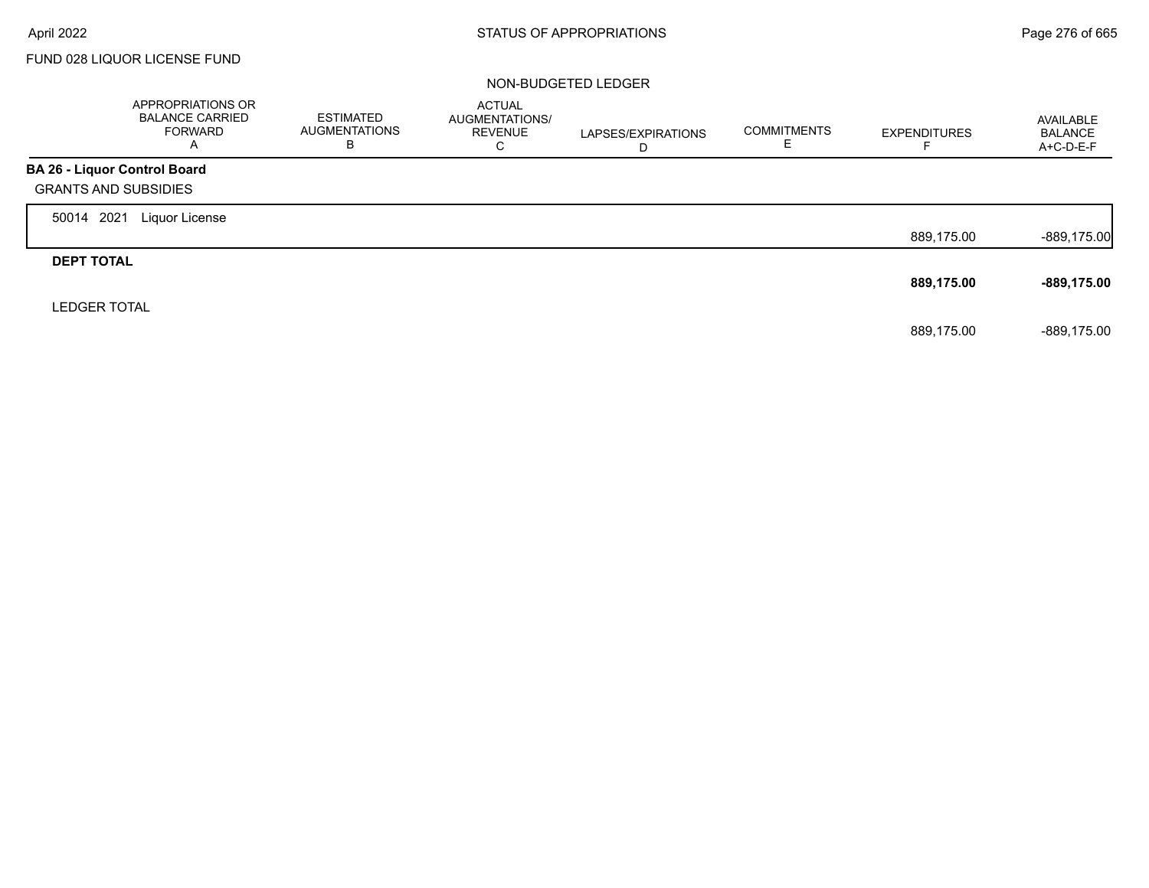$\Gamma$ 

# FUND 028 LIQUOR LICENSE FUND

|                                     | APPROPRIATIONS OR<br><b>BALANCE CARRIED</b><br>FORWARD<br>A | <b>ESTIMATED</b><br>AUGMENTATIONS<br>в | <b>ACTUAL</b><br>AUGMENTATIONS/<br><b>REVENUE</b><br>С | LAPSES/EXPIRATIONS<br>D | <b>COMMITMENTS</b><br>Е | <b>EXPENDITURES</b> | AVAILABLE<br><b>BALANCE</b><br>A+C-D-E-F |
|-------------------------------------|-------------------------------------------------------------|----------------------------------------|--------------------------------------------------------|-------------------------|-------------------------|---------------------|------------------------------------------|
| <b>BA 26 - Liquor Control Board</b> |                                                             |                                        |                                                        |                         |                         |                     |                                          |
| <b>GRANTS AND SUBSIDIES</b>         |                                                             |                                        |                                                        |                         |                         |                     |                                          |
| 2021<br>50014                       | Liquor License                                              |                                        |                                                        |                         |                         |                     |                                          |
|                                     |                                                             |                                        |                                                        |                         |                         | 889,175.00          | $-889,175.00$                            |
| <b>DEPT TOTAL</b>                   |                                                             |                                        |                                                        |                         |                         |                     |                                          |
|                                     |                                                             |                                        |                                                        |                         |                         | 889,175.00          | -889,175.00                              |
| <b>LEDGER TOTAL</b>                 |                                                             |                                        |                                                        |                         |                         |                     |                                          |
|                                     |                                                             |                                        |                                                        |                         |                         | 889,175.00          | -889.175.00                              |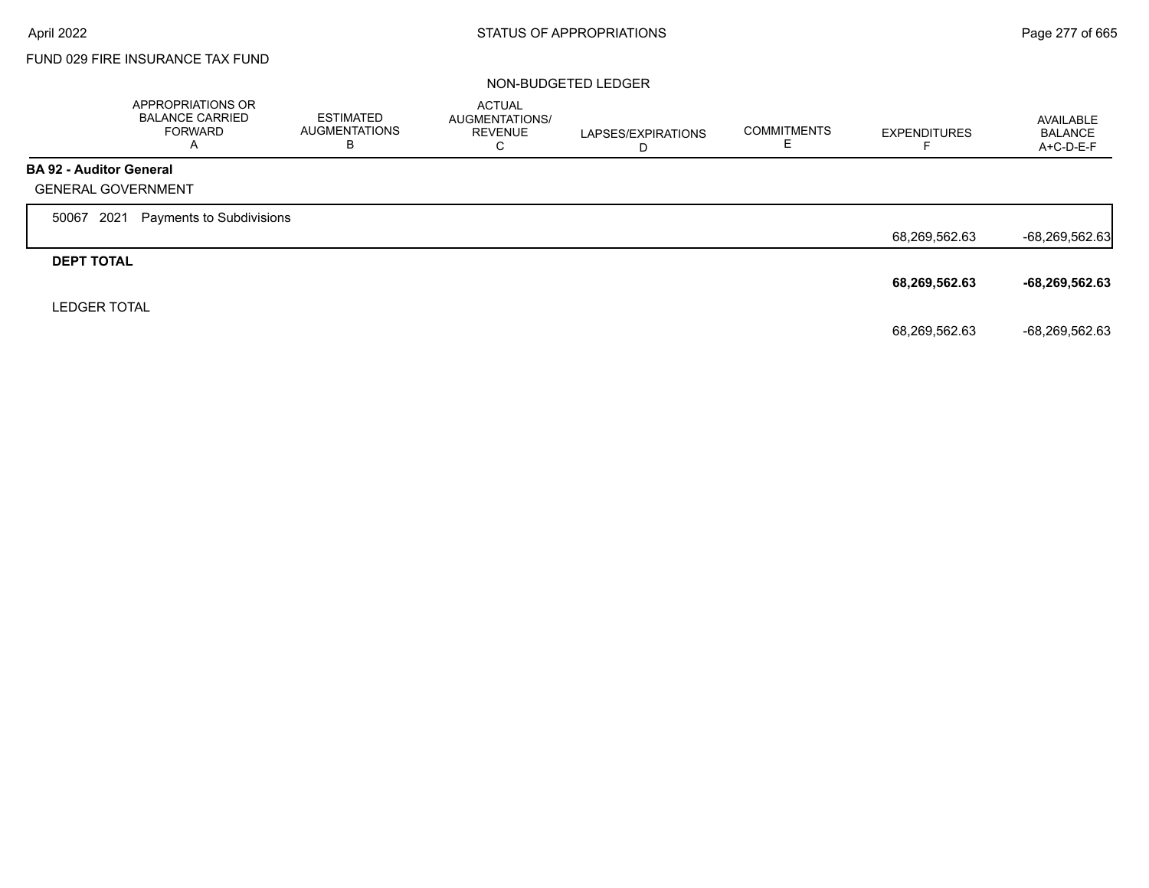г

# FUND 029 FIRE INSURANCE TAX FUND

|                                | APPROPRIATIONS OR<br><b>BALANCE CARRIED</b><br><b>FORWARD</b><br>A | <b>ESTIMATED</b><br><b>AUGMENTATIONS</b><br>в | <b>ACTUAL</b><br>AUGMENTATIONS/<br><b>REVENUE</b><br>С | LAPSES/EXPIRATIONS<br>D | <b>COMMITMENTS</b><br>ᄂ | <b>EXPENDITURES</b> | AVAILABLE<br><b>BALANCE</b><br>$A+C-D-E-F$ |
|--------------------------------|--------------------------------------------------------------------|-----------------------------------------------|--------------------------------------------------------|-------------------------|-------------------------|---------------------|--------------------------------------------|
| <b>BA 92 - Auditor General</b> |                                                                    |                                               |                                                        |                         |                         |                     |                                            |
| <b>GENERAL GOVERNMENT</b>      |                                                                    |                                               |                                                        |                         |                         |                     |                                            |
| 2021<br>50067                  | Payments to Subdivisions                                           |                                               |                                                        |                         |                         |                     |                                            |
|                                |                                                                    |                                               |                                                        |                         |                         | 68,269,562.63       | $-68,269,562.63$                           |
| <b>DEPT TOTAL</b>              |                                                                    |                                               |                                                        |                         |                         |                     |                                            |
|                                |                                                                    |                                               |                                                        |                         |                         | 68,269,562.63       | -68,269,562.63                             |
| <b>LEDGER TOTAL</b>            |                                                                    |                                               |                                                        |                         |                         |                     |                                            |
|                                |                                                                    |                                               |                                                        |                         |                         | 68,269,562.63       | -68,269,562.63                             |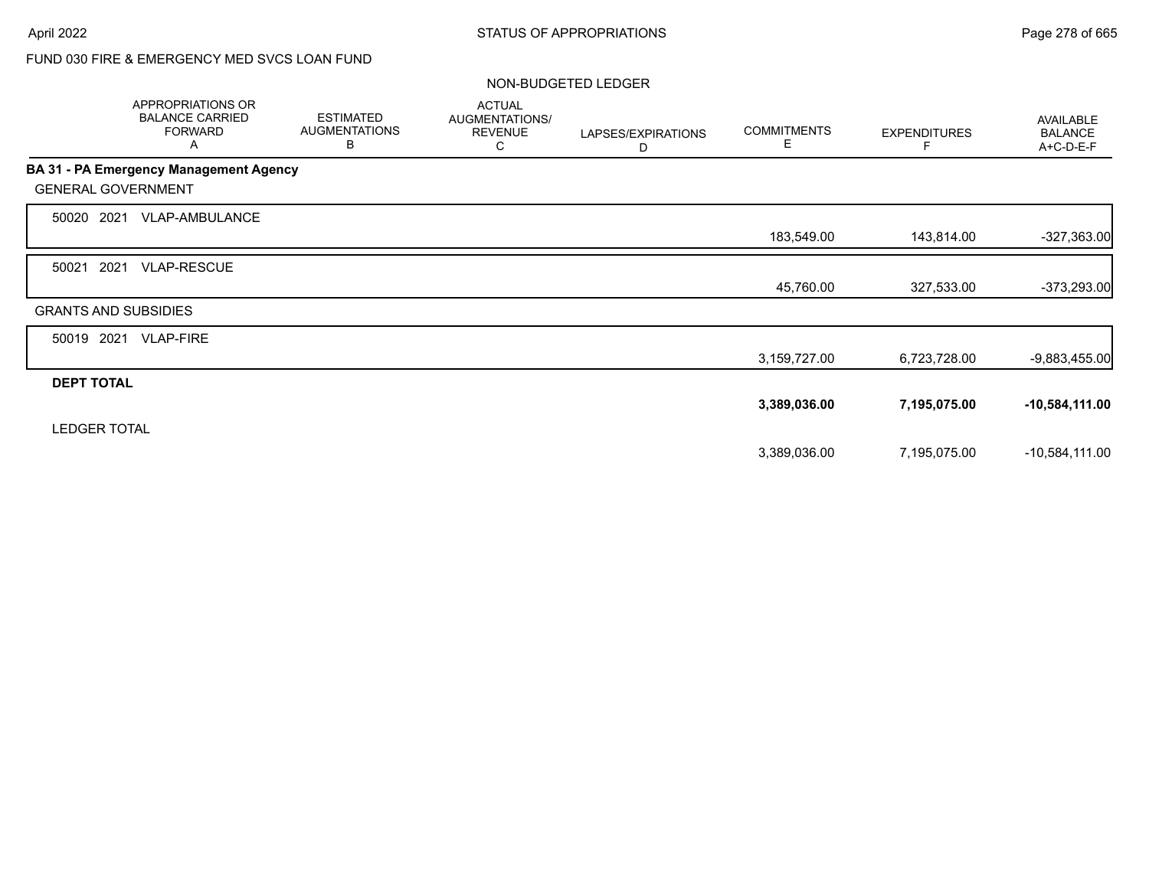# FUND 030 FIRE & EMERGENCY MED SVCS LOAN FUND

|                             | APPROPRIATIONS OR<br><b>BALANCE CARRIED</b><br><b>FORWARD</b><br>Α | <b>ESTIMATED</b><br><b>AUGMENTATIONS</b><br>В | <b>ACTUAL</b><br>AUGMENTATIONS/<br><b>REVENUE</b><br>C | LAPSES/EXPIRATIONS<br>D | <b>COMMITMENTS</b><br>E. | <b>EXPENDITURES</b> | AVAILABLE<br><b>BALANCE</b><br>A+C-D-E-F |
|-----------------------------|--------------------------------------------------------------------|-----------------------------------------------|--------------------------------------------------------|-------------------------|--------------------------|---------------------|------------------------------------------|
|                             | <b>BA 31 - PA Emergency Management Agency</b>                      |                                               |                                                        |                         |                          |                     |                                          |
| <b>GENERAL GOVERNMENT</b>   |                                                                    |                                               |                                                        |                         |                          |                     |                                          |
| 50020 2021                  | VLAP-AMBULANCE                                                     |                                               |                                                        |                         |                          |                     |                                          |
|                             |                                                                    |                                               |                                                        |                         | 183,549.00               | 143,814.00          | $-327,363.00$                            |
| 2021<br>50021               | <b>VLAP-RESCUE</b>                                                 |                                               |                                                        |                         |                          |                     |                                          |
|                             |                                                                    |                                               |                                                        |                         | 45,760.00                | 327,533.00          | $-373,293.00$                            |
| <b>GRANTS AND SUBSIDIES</b> |                                                                    |                                               |                                                        |                         |                          |                     |                                          |
| 50019 2021                  | <b>VLAP-FIRE</b>                                                   |                                               |                                                        |                         |                          |                     |                                          |
|                             |                                                                    |                                               |                                                        |                         | 3,159,727.00             | 6,723,728.00        | $-9,883,455.00$                          |
| <b>DEPT TOTAL</b>           |                                                                    |                                               |                                                        |                         |                          |                     |                                          |
|                             |                                                                    |                                               |                                                        |                         | 3,389,036.00             | 7,195,075.00        | $-10,584,111.00$                         |
| <b>LEDGER TOTAL</b>         |                                                                    |                                               |                                                        |                         |                          |                     |                                          |
|                             |                                                                    |                                               |                                                        |                         | 3,389,036.00             | 7,195,075.00        | $-10,584,111.00$                         |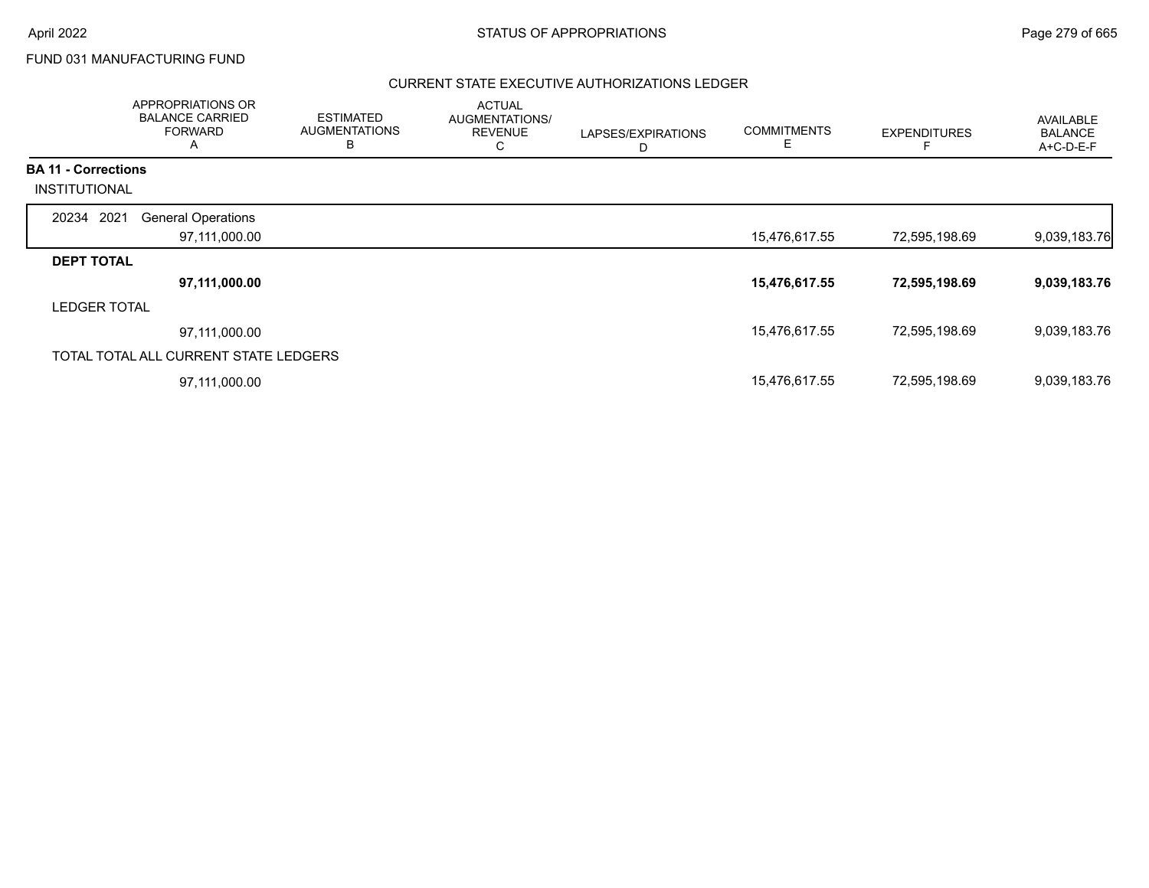# FUND 031 MANUFACTURING FUND

|                            | APPROPRIATIONS OR<br><b>BALANCE CARRIED</b><br><b>FORWARD</b><br>A | <b>ESTIMATED</b><br><b>AUGMENTATIONS</b><br>В | <b>ACTUAL</b><br>AUGMENTATIONS/<br><b>REVENUE</b><br>С | LAPSES/EXPIRATIONS<br>D | <b>COMMITMENTS</b><br>Ε | <b>EXPENDITURES</b> | AVAILABLE<br><b>BALANCE</b><br>A+C-D-E-F |
|----------------------------|--------------------------------------------------------------------|-----------------------------------------------|--------------------------------------------------------|-------------------------|-------------------------|---------------------|------------------------------------------|
| <b>BA 11 - Corrections</b> |                                                                    |                                               |                                                        |                         |                         |                     |                                          |
| INSTITUTIONAL              |                                                                    |                                               |                                                        |                         |                         |                     |                                          |
| 20234 2021                 | <b>General Operations</b>                                          |                                               |                                                        |                         |                         |                     |                                          |
|                            | 97,111,000.00                                                      |                                               |                                                        |                         | 15,476,617.55           | 72,595,198.69       | 9,039,183.76                             |
| <b>DEPT TOTAL</b>          |                                                                    |                                               |                                                        |                         |                         |                     |                                          |
|                            | 97,111,000.00                                                      |                                               |                                                        |                         | 15,476,617.55           | 72,595,198.69       | 9,039,183.76                             |
| <b>LEDGER TOTAL</b>        |                                                                    |                                               |                                                        |                         |                         |                     |                                          |
|                            | 97,111,000.00                                                      |                                               |                                                        |                         | 15,476,617.55           | 72,595,198.69       | 9,039,183.76                             |
|                            | TOTAL TOTAL ALL CURRENT STATE LEDGERS                              |                                               |                                                        |                         |                         |                     |                                          |
|                            | 97,111,000.00                                                      |                                               |                                                        |                         | 15,476,617.55           | 72,595,198.69       | 9,039,183.76                             |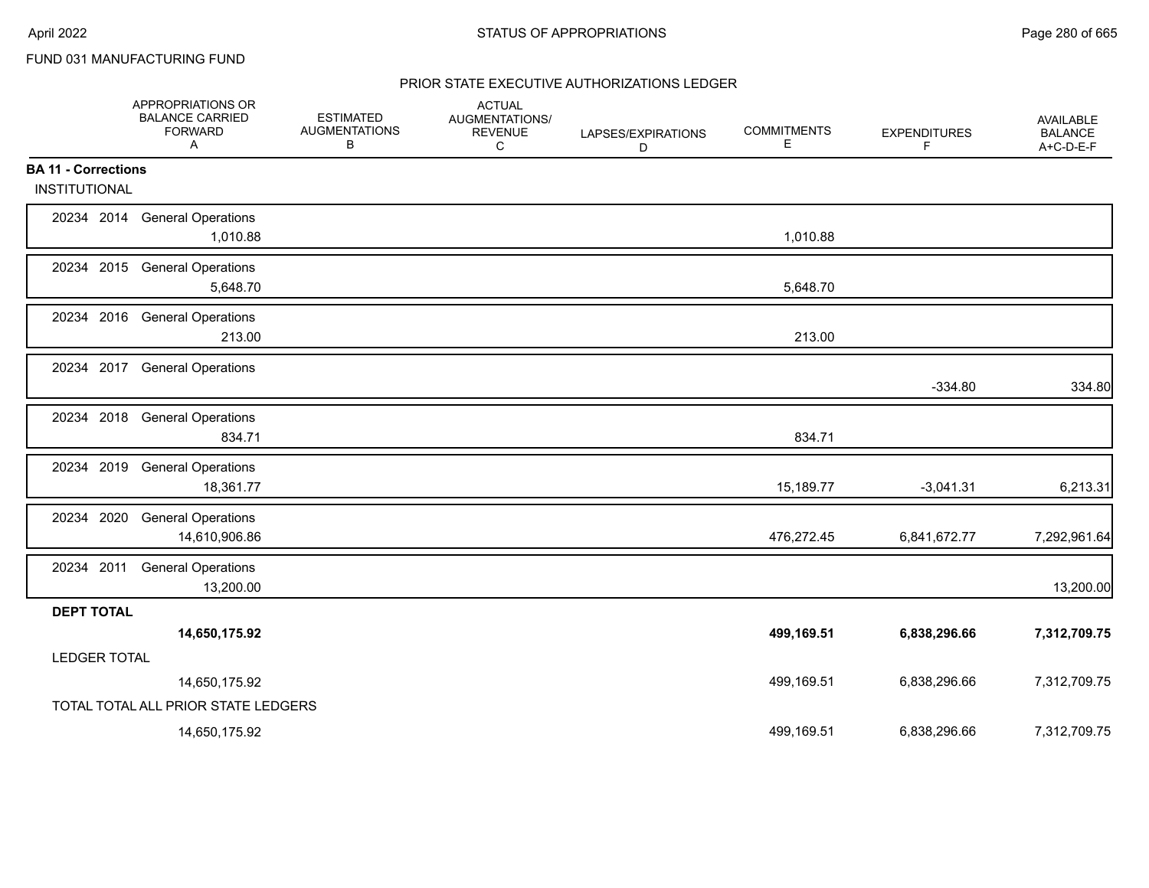# FUND 031 MANUFACTURING FUND

|                            | APPROPRIATIONS OR<br><b>BALANCE CARRIED</b><br><b>FORWARD</b><br>A | <b>ESTIMATED</b><br><b>AUGMENTATIONS</b><br>В | <b>ACTUAL</b><br>AUGMENTATIONS/<br><b>REVENUE</b><br>С | LAPSES/EXPIRATIONS<br>D | <b>COMMITMENTS</b><br>E. | <b>EXPENDITURES</b><br>F | AVAILABLE<br><b>BALANCE</b><br>A+C-D-E-F |
|----------------------------|--------------------------------------------------------------------|-----------------------------------------------|--------------------------------------------------------|-------------------------|--------------------------|--------------------------|------------------------------------------|
| <b>BA 11 - Corrections</b> |                                                                    |                                               |                                                        |                         |                          |                          |                                          |
| <b>INSTITUTIONAL</b>       |                                                                    |                                               |                                                        |                         |                          |                          |                                          |
|                            | 20234 2014 General Operations<br>1,010.88                          |                                               |                                                        |                         | 1,010.88                 |                          |                                          |
|                            | 20234 2015 General Operations<br>5,648.70                          |                                               |                                                        |                         | 5,648.70                 |                          |                                          |
|                            | 20234 2016 General Operations<br>213.00                            |                                               |                                                        |                         | 213.00                   |                          |                                          |
| 20234 2017                 | <b>General Operations</b>                                          |                                               |                                                        |                         |                          | $-334.80$                | 334.80                                   |
|                            | 20234 2018 General Operations<br>834.71                            |                                               |                                                        |                         | 834.71                   |                          |                                          |
| 20234 2019                 | <b>General Operations</b><br>18,361.77                             |                                               |                                                        |                         | 15,189.77                | $-3,041.31$              | 6,213.31                                 |
| 20234 2020                 | <b>General Operations</b><br>14,610,906.86                         |                                               |                                                        |                         | 476,272.45               | 6,841,672.77             | 7,292,961.64                             |
| 20234 2011                 | <b>General Operations</b><br>13,200.00                             |                                               |                                                        |                         |                          |                          | 13,200.00                                |
| <b>DEPT TOTAL</b>          |                                                                    |                                               |                                                        |                         |                          |                          |                                          |
|                            | 14,650,175.92                                                      |                                               |                                                        |                         | 499,169.51               | 6,838,296.66             | 7,312,709.75                             |
| <b>LEDGER TOTAL</b>        |                                                                    |                                               |                                                        |                         |                          |                          |                                          |
|                            | 14,650,175.92                                                      |                                               |                                                        |                         | 499,169.51               | 6,838,296.66             | 7,312,709.75                             |
|                            | TOTAL TOTAL ALL PRIOR STATE LEDGERS                                |                                               |                                                        |                         |                          |                          |                                          |
|                            | 14,650,175.92                                                      |                                               |                                                        |                         | 499,169.51               | 6,838,296.66             | 7,312,709.75                             |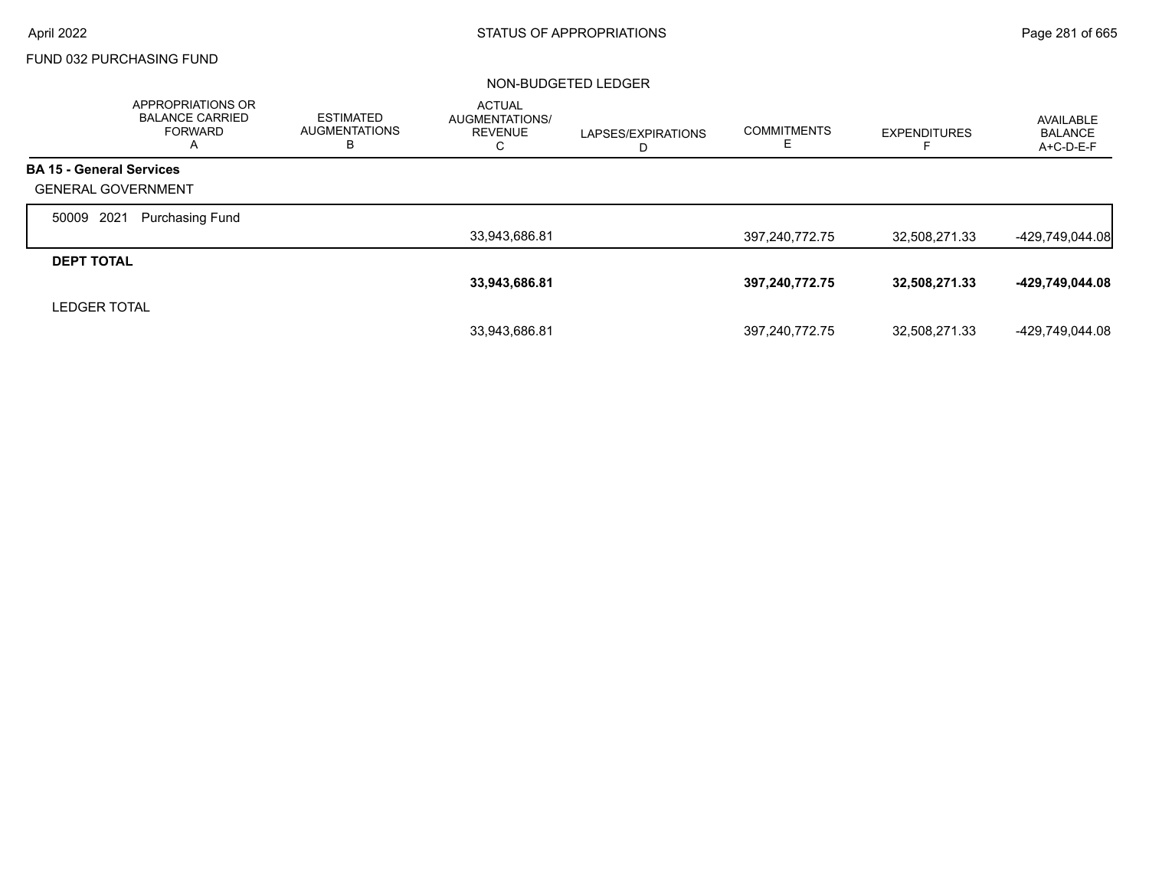# FUND 032 PURCHASING FUND

|                                 | <b>APPROPRIATIONS OR</b><br><b>BALANCE CARRIED</b><br><b>FORWARD</b><br>A | <b>ESTIMATED</b><br><b>AUGMENTATIONS</b><br>в | <b>ACTUAL</b><br><b>AUGMENTATIONS/</b><br><b>REVENUE</b><br>С | LAPSES/EXPIRATIONS<br>D | <b>COMMITMENTS</b><br>E. | <b>EXPENDITURES</b> | AVAILABLE<br><b>BALANCE</b><br>$A+C-D-E-F$ |
|---------------------------------|---------------------------------------------------------------------------|-----------------------------------------------|---------------------------------------------------------------|-------------------------|--------------------------|---------------------|--------------------------------------------|
| <b>BA 15 - General Services</b> |                                                                           |                                               |                                                               |                         |                          |                     |                                            |
| <b>GENERAL GOVERNMENT</b>       |                                                                           |                                               |                                                               |                         |                          |                     |                                            |
| 2021<br>50009                   | <b>Purchasing Fund</b>                                                    |                                               |                                                               |                         |                          |                     |                                            |
|                                 |                                                                           |                                               | 33,943,686.81                                                 |                         | 397,240,772.75           | 32,508,271.33       | -429,749,044.08                            |
| <b>DEPT TOTAL</b>               |                                                                           |                                               |                                                               |                         |                          |                     |                                            |
|                                 |                                                                           |                                               | 33,943,686.81                                                 |                         | 397,240,772.75           | 32,508,271.33       | -429,749,044.08                            |
| <b>LEDGER TOTAL</b>             |                                                                           |                                               |                                                               |                         |                          |                     |                                            |
|                                 |                                                                           |                                               | 33.943.686.81                                                 |                         | 397,240,772.75           | 32,508,271.33       | -429.749.044.08                            |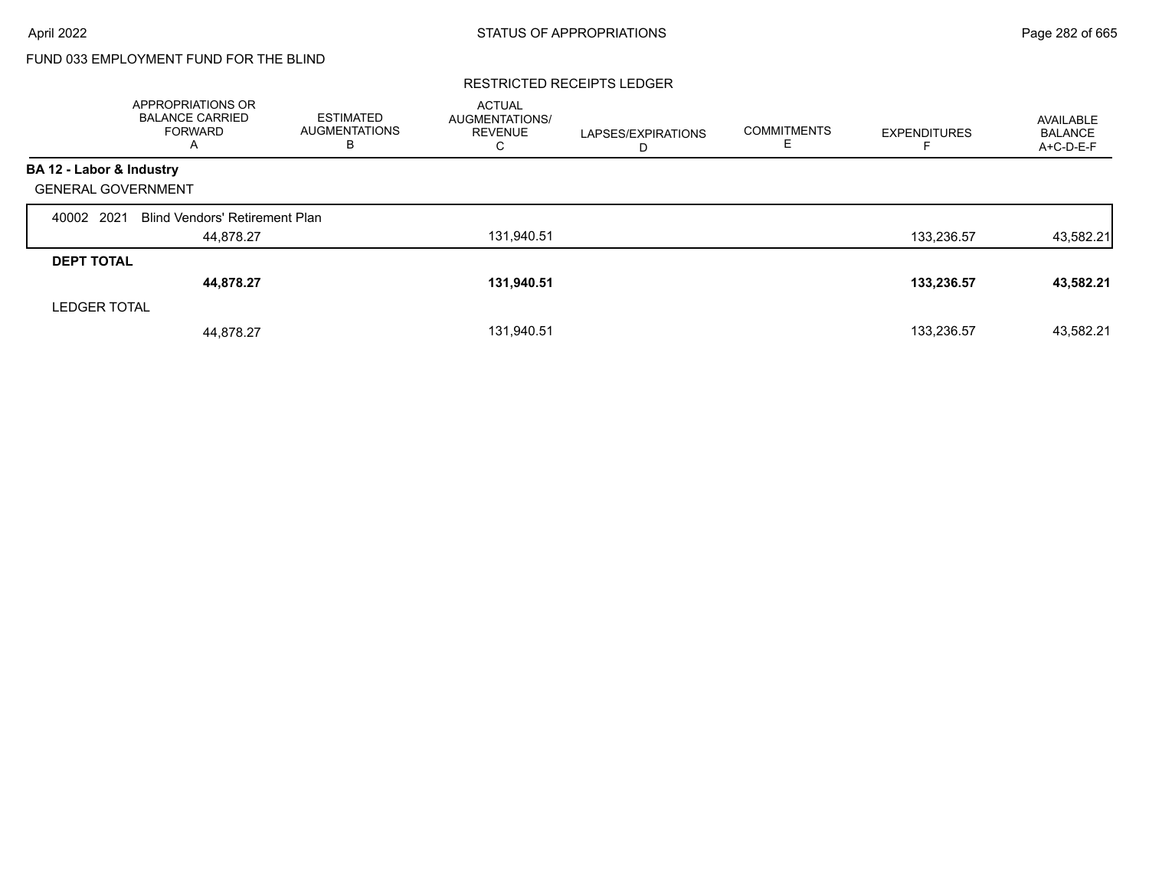# FUND 033 EMPLOYMENT FUND FOR THE BLIND

#### RESTRICTED RECEIPTS LEDGER

|                   | <b>APPROPRIATIONS OR</b><br><b>BALANCE CARRIED</b><br><b>FORWARD</b><br>A | <b>ESTIMATED</b><br><b>AUGMENTATIONS</b><br>в | <b>ACTUAL</b><br>AUGMENTATIONS/<br><b>REVENUE</b><br>С | LAPSES/EXPIRATIONS<br>D | <b>COMMITMENTS</b><br>Е. | <b>EXPENDITURES</b> | AVAILABLE<br><b>BALANCE</b><br>$A+C-D-E-F$ |
|-------------------|---------------------------------------------------------------------------|-----------------------------------------------|--------------------------------------------------------|-------------------------|--------------------------|---------------------|--------------------------------------------|
|                   | BA 12 - Labor & Industry                                                  |                                               |                                                        |                         |                          |                     |                                            |
|                   | <b>GENERAL GOVERNMENT</b>                                                 |                                               |                                                        |                         |                          |                     |                                            |
| 40002             | 2021<br><b>Blind Vendors' Retirement Plan</b>                             |                                               |                                                        |                         |                          |                     |                                            |
|                   | 44,878.27                                                                 |                                               | 131,940.51                                             |                         |                          | 133,236.57          | 43,582.21                                  |
| <b>DEPT TOTAL</b> |                                                                           |                                               |                                                        |                         |                          |                     |                                            |
|                   | 44,878.27                                                                 |                                               | 131,940.51                                             |                         |                          | 133,236.57          | 43,582.21                                  |
|                   | <b>LEDGER TOTAL</b>                                                       |                                               |                                                        |                         |                          |                     |                                            |
|                   | 44,878.27                                                                 |                                               | 131,940.51                                             |                         |                          | 133,236.57          | 43,582.21                                  |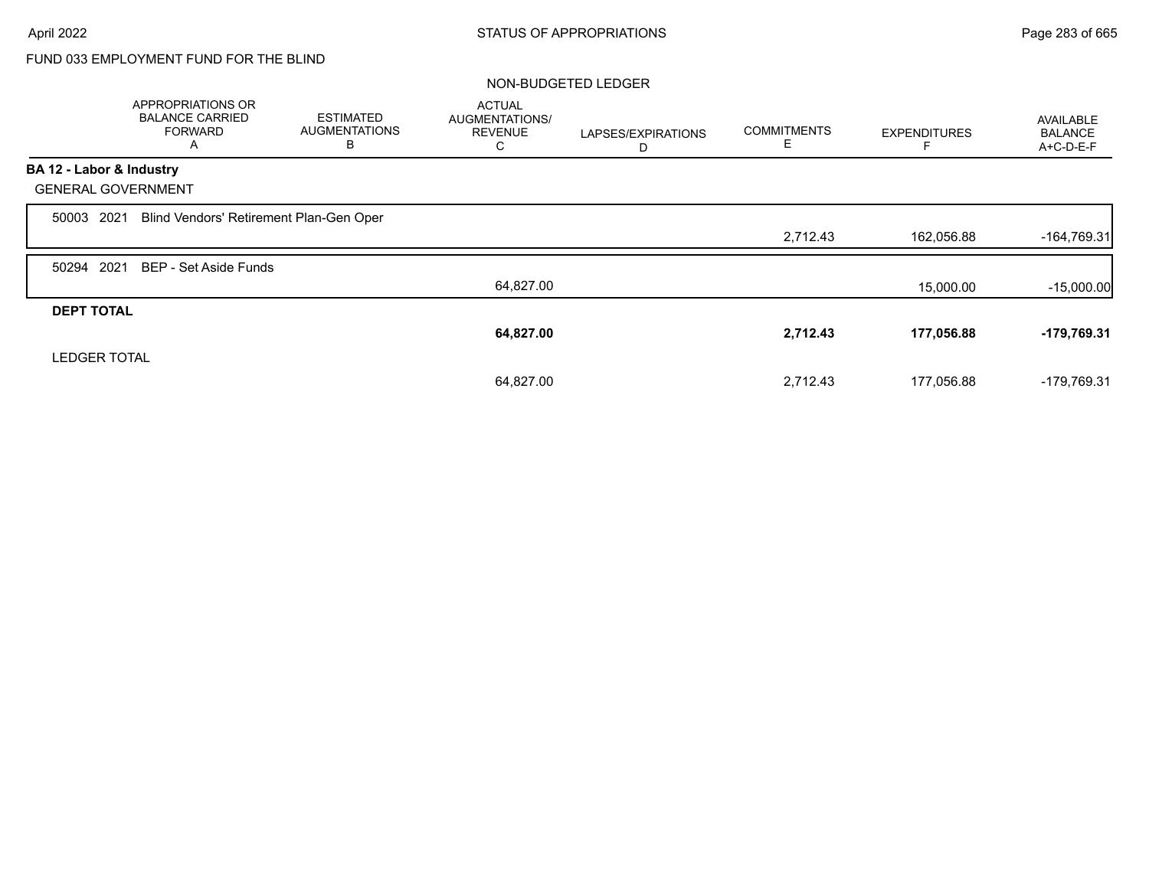# FUND 033 EMPLOYMENT FUND FOR THE BLIND

|                           | <b>APPROPRIATIONS OR</b><br><b>BALANCE CARRIED</b><br><b>FORWARD</b><br>A | <b>ESTIMATED</b><br><b>AUGMENTATIONS</b><br>в | <b>ACTUAL</b><br>AUGMENTATIONS/<br><b>REVENUE</b><br>C | LAPSES/EXPIRATIONS<br>D | <b>COMMITMENTS</b><br>Е | <b>EXPENDITURES</b> | <b>AVAILABLE</b><br><b>BALANCE</b><br>A+C-D-E-F |
|---------------------------|---------------------------------------------------------------------------|-----------------------------------------------|--------------------------------------------------------|-------------------------|-------------------------|---------------------|-------------------------------------------------|
| BA 12 - Labor & Industry  |                                                                           |                                               |                                                        |                         |                         |                     |                                                 |
| <b>GENERAL GOVERNMENT</b> |                                                                           |                                               |                                                        |                         |                         |                     |                                                 |
| 2021<br>50003             | Blind Vendors' Retirement Plan-Gen Oper                                   |                                               |                                                        |                         |                         |                     |                                                 |
|                           |                                                                           |                                               |                                                        |                         | 2,712.43                | 162,056.88          | $-164,769.31$                                   |
| 50294 2021                | BEP - Set Aside Funds                                                     |                                               |                                                        |                         |                         |                     |                                                 |
|                           |                                                                           |                                               | 64,827.00                                              |                         |                         | 15,000.00           | $-15,000.00$                                    |
| <b>DEPT TOTAL</b>         |                                                                           |                                               |                                                        |                         |                         |                     |                                                 |
|                           |                                                                           |                                               | 64,827.00                                              |                         | 2,712.43                | 177,056.88          | $-179,769.31$                                   |
| <b>LEDGER TOTAL</b>       |                                                                           |                                               |                                                        |                         |                         |                     |                                                 |
|                           |                                                                           |                                               | 64,827.00                                              |                         | 2,712.43                | 177,056.88          | -179,769.31                                     |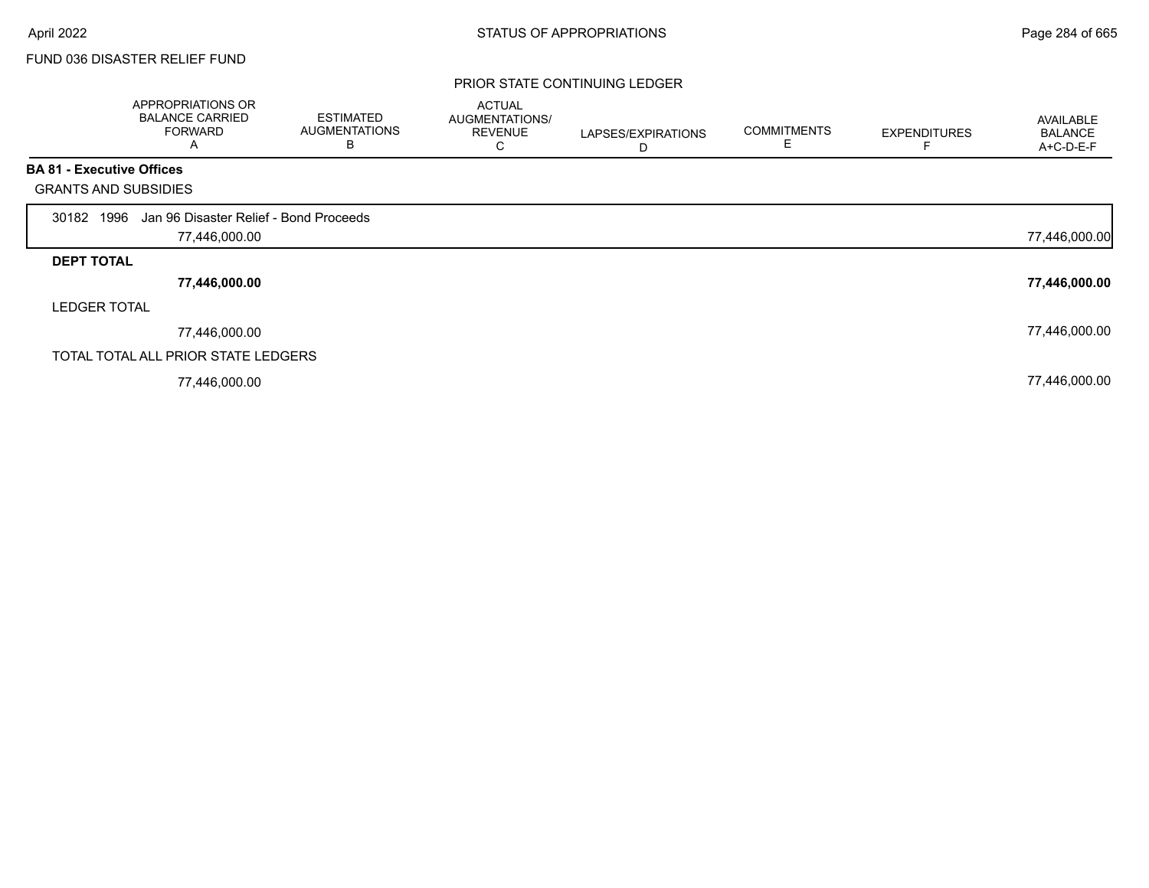# FUND 036 DISASTER RELIEF FUND

### PRIOR STATE CONTINUING LEDGER

|                                  | APPROPRIATIONS OR<br><b>BALANCE CARRIED</b><br><b>FORWARD</b><br>A | <b>ESTIMATED</b><br><b>AUGMENTATIONS</b><br>B | <b>ACTUAL</b><br>AUGMENTATIONS/<br><b>REVENUE</b><br>С | LAPSES/EXPIRATIONS<br>D | <b>COMMITMENTS</b><br>E | <b>EXPENDITURES</b> | <b>AVAILABLE</b><br><b>BALANCE</b><br>A+C-D-E-F |
|----------------------------------|--------------------------------------------------------------------|-----------------------------------------------|--------------------------------------------------------|-------------------------|-------------------------|---------------------|-------------------------------------------------|
| <b>BA 81 - Executive Offices</b> |                                                                    |                                               |                                                        |                         |                         |                     |                                                 |
| <b>GRANTS AND SUBSIDIES</b>      |                                                                    |                                               |                                                        |                         |                         |                     |                                                 |
| 30182 1996                       | Jan 96 Disaster Relief - Bond Proceeds                             |                                               |                                                        |                         |                         |                     |                                                 |
|                                  | 77,446,000.00                                                      |                                               |                                                        |                         |                         |                     | 77,446,000.00                                   |
| <b>DEPT TOTAL</b>                |                                                                    |                                               |                                                        |                         |                         |                     |                                                 |
|                                  | 77,446,000.00                                                      |                                               |                                                        |                         |                         |                     | 77,446,000.00                                   |
| <b>LEDGER TOTAL</b>              |                                                                    |                                               |                                                        |                         |                         |                     |                                                 |
|                                  | 77,446,000.00                                                      |                                               |                                                        |                         |                         |                     | 77,446,000.00                                   |
|                                  | TOTAL TOTAL ALL PRIOR STATE LEDGERS                                |                                               |                                                        |                         |                         |                     |                                                 |
|                                  | 77,446,000.00                                                      |                                               |                                                        |                         |                         |                     | 77,446,000.00                                   |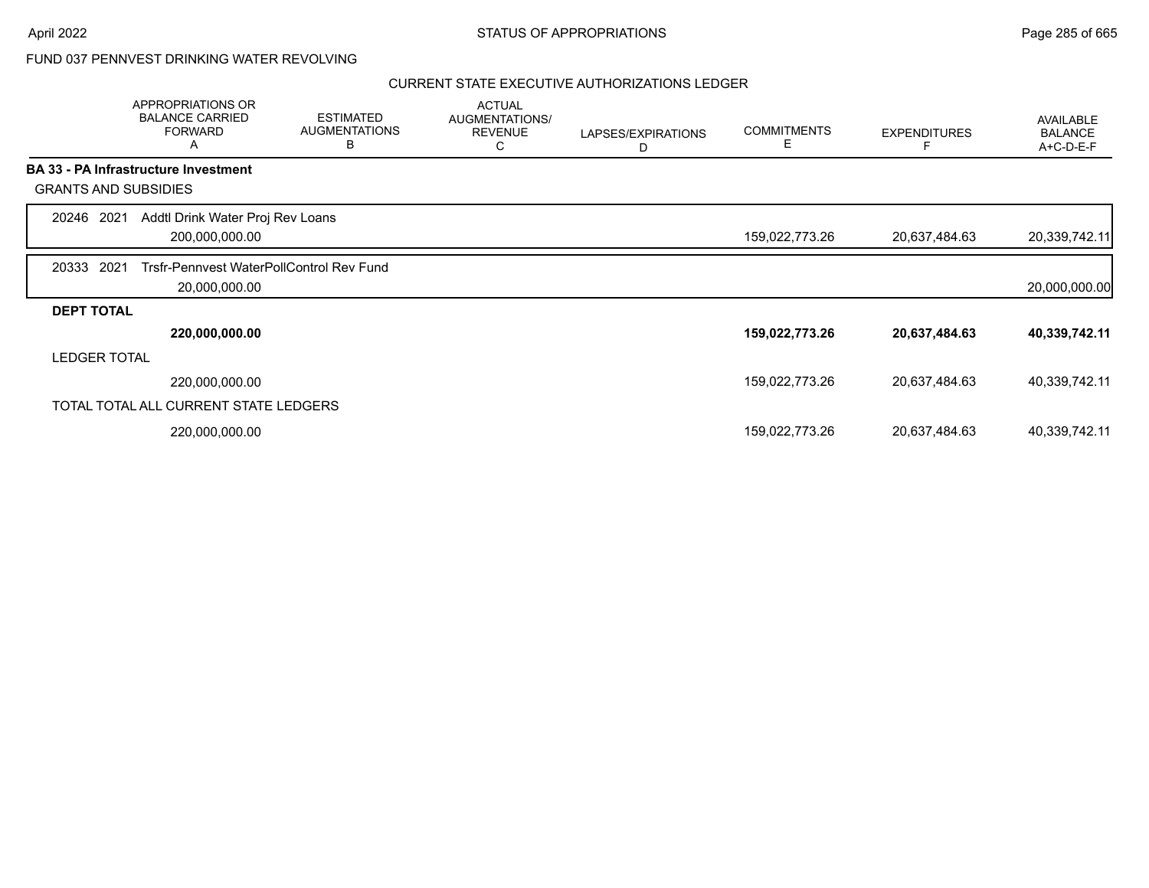# FUND 037 PENNVEST DRINKING WATER REVOLVING

|                             | APPROPRIATIONS OR<br><b>BALANCE CARRIED</b><br><b>FORWARD</b><br>Α | <b>ESTIMATED</b><br><b>AUGMENTATIONS</b><br>B | <b>ACTUAL</b><br>AUGMENTATIONS/<br><b>REVENUE</b><br>С | LAPSES/EXPIRATIONS<br>D | <b>COMMITMENTS</b><br>Е | <b>EXPENDITURES</b> | <b>AVAILABLE</b><br><b>BALANCE</b><br>A+C-D-E-F |
|-----------------------------|--------------------------------------------------------------------|-----------------------------------------------|--------------------------------------------------------|-------------------------|-------------------------|---------------------|-------------------------------------------------|
|                             | <b>BA 33 - PA Infrastructure Investment</b>                        |                                               |                                                        |                         |                         |                     |                                                 |
| <b>GRANTS AND SUBSIDIES</b> |                                                                    |                                               |                                                        |                         |                         |                     |                                                 |
| 20246 2021                  | Addtl Drink Water Proj Rev Loans<br>200,000,000.00                 |                                               |                                                        |                         | 159,022,773.26          | 20,637,484.63       | 20,339,742.11                                   |
| 2021<br>20333               | Trsfr-Pennvest WaterPollControl Rev Fund<br>20,000,000.00          |                                               |                                                        |                         |                         |                     | 20,000,000.00                                   |
| <b>DEPT TOTAL</b>           |                                                                    |                                               |                                                        |                         |                         |                     |                                                 |
|                             | 220,000,000.00                                                     |                                               |                                                        |                         | 159,022,773.26          | 20,637,484.63       | 40,339,742.11                                   |
| <b>LEDGER TOTAL</b>         |                                                                    |                                               |                                                        |                         |                         |                     |                                                 |
|                             | 220,000,000.00                                                     |                                               |                                                        |                         | 159,022,773.26          | 20,637,484.63       | 40,339,742.11                                   |
|                             | TOTAL TOTAL ALL CURRENT STATE LEDGERS                              |                                               |                                                        |                         |                         |                     |                                                 |
|                             | 220,000,000.00                                                     |                                               |                                                        |                         | 159,022,773.26          | 20,637,484.63       | 40,339,742.11                                   |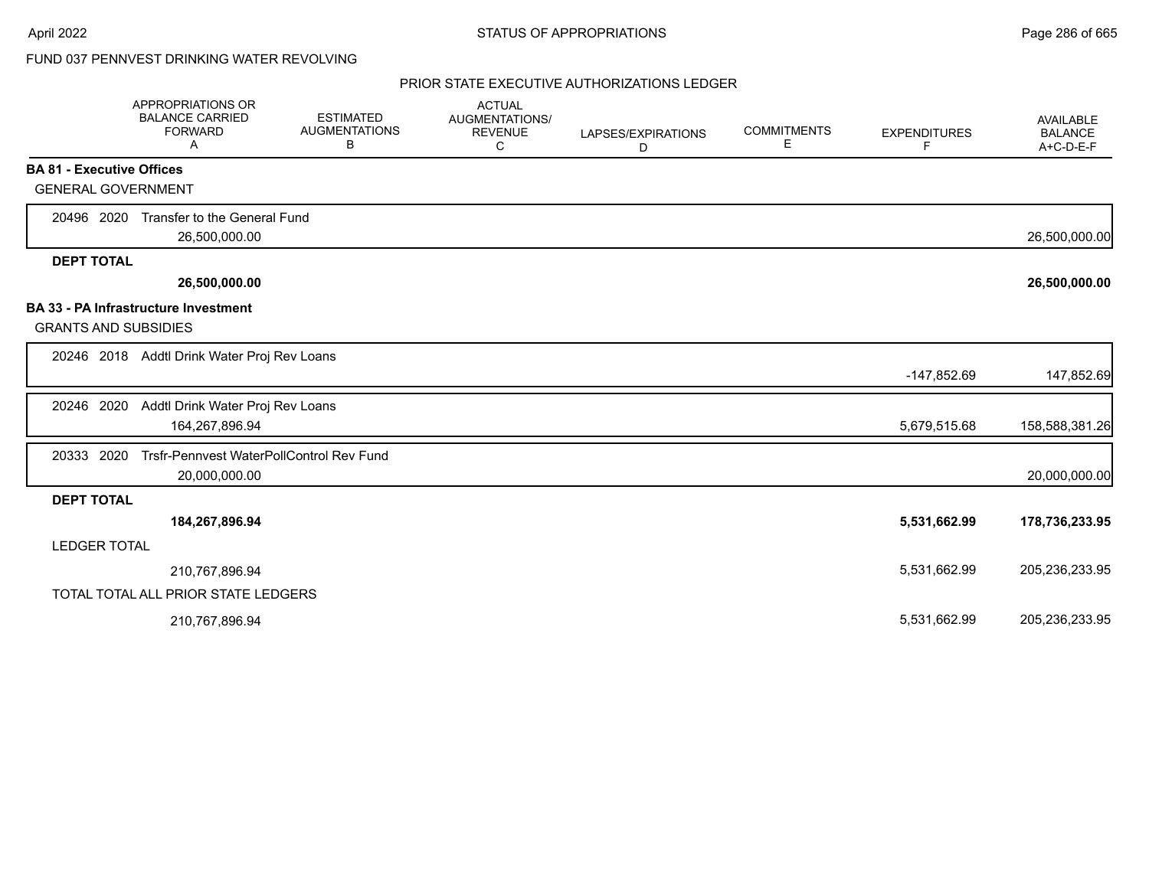# FUND 037 PENNVEST DRINKING WATER REVOLVING

|                                  | <b>APPROPRIATIONS OR</b><br><b>BALANCE CARRIED</b><br><b>FORWARD</b><br>A | <b>ESTIMATED</b><br><b>AUGMENTATIONS</b><br>В | <b>ACTUAL</b><br><b>AUGMENTATIONS/</b><br><b>REVENUE</b><br>С | LAPSES/EXPIRATIONS<br>D | <b>COMMITMENTS</b><br>E | <b>EXPENDITURES</b><br>F | <b>AVAILABLE</b><br><b>BALANCE</b><br>A+C-D-E-F |
|----------------------------------|---------------------------------------------------------------------------|-----------------------------------------------|---------------------------------------------------------------|-------------------------|-------------------------|--------------------------|-------------------------------------------------|
| <b>BA 81 - Executive Offices</b> |                                                                           |                                               |                                                               |                         |                         |                          |                                                 |
| <b>GENERAL GOVERNMENT</b>        |                                                                           |                                               |                                                               |                         |                         |                          |                                                 |
| 20496 2020                       | Transfer to the General Fund<br>26,500,000.00                             |                                               |                                                               |                         |                         |                          | 26,500,000.00                                   |
| <b>DEPT TOTAL</b>                |                                                                           |                                               |                                                               |                         |                         |                          |                                                 |
|                                  | 26,500,000.00                                                             |                                               |                                                               |                         |                         |                          | 26,500,000.00                                   |
|                                  | <b>BA 33 - PA Infrastructure Investment</b>                               |                                               |                                                               |                         |                         |                          |                                                 |
| <b>GRANTS AND SUBSIDIES</b>      |                                                                           |                                               |                                                               |                         |                         |                          |                                                 |
|                                  | 20246 2018 Addtl Drink Water Proj Rev Loans                               |                                               |                                                               |                         |                         |                          |                                                 |
|                                  |                                                                           |                                               |                                                               |                         |                         | -147,852.69              | 147,852.69                                      |
| 20246 2020                       | Addtl Drink Water Proj Rev Loans                                          |                                               |                                                               |                         |                         |                          |                                                 |
|                                  | 164,267,896.94                                                            |                                               |                                                               |                         |                         | 5,679,515.68             | 158,588,381.26                                  |
| 20333 2020                       | Trsfr-Pennvest WaterPollControl Rev Fund                                  |                                               |                                                               |                         |                         |                          |                                                 |
|                                  | 20,000,000.00                                                             |                                               |                                                               |                         |                         |                          | 20,000,000.00                                   |
| <b>DEPT TOTAL</b>                |                                                                           |                                               |                                                               |                         |                         |                          |                                                 |
|                                  | 184,267,896.94                                                            |                                               |                                                               |                         |                         | 5,531,662.99             | 178,736,233.95                                  |
| <b>LEDGER TOTAL</b>              |                                                                           |                                               |                                                               |                         |                         |                          |                                                 |
|                                  | 210,767,896.94                                                            |                                               |                                                               |                         |                         | 5,531,662.99             | 205,236,233.95                                  |
|                                  | TOTAL TOTAL ALL PRIOR STATE LEDGERS                                       |                                               |                                                               |                         |                         |                          |                                                 |
|                                  | 210,767,896.94                                                            |                                               |                                                               |                         |                         | 5,531,662.99             | 205,236,233.95                                  |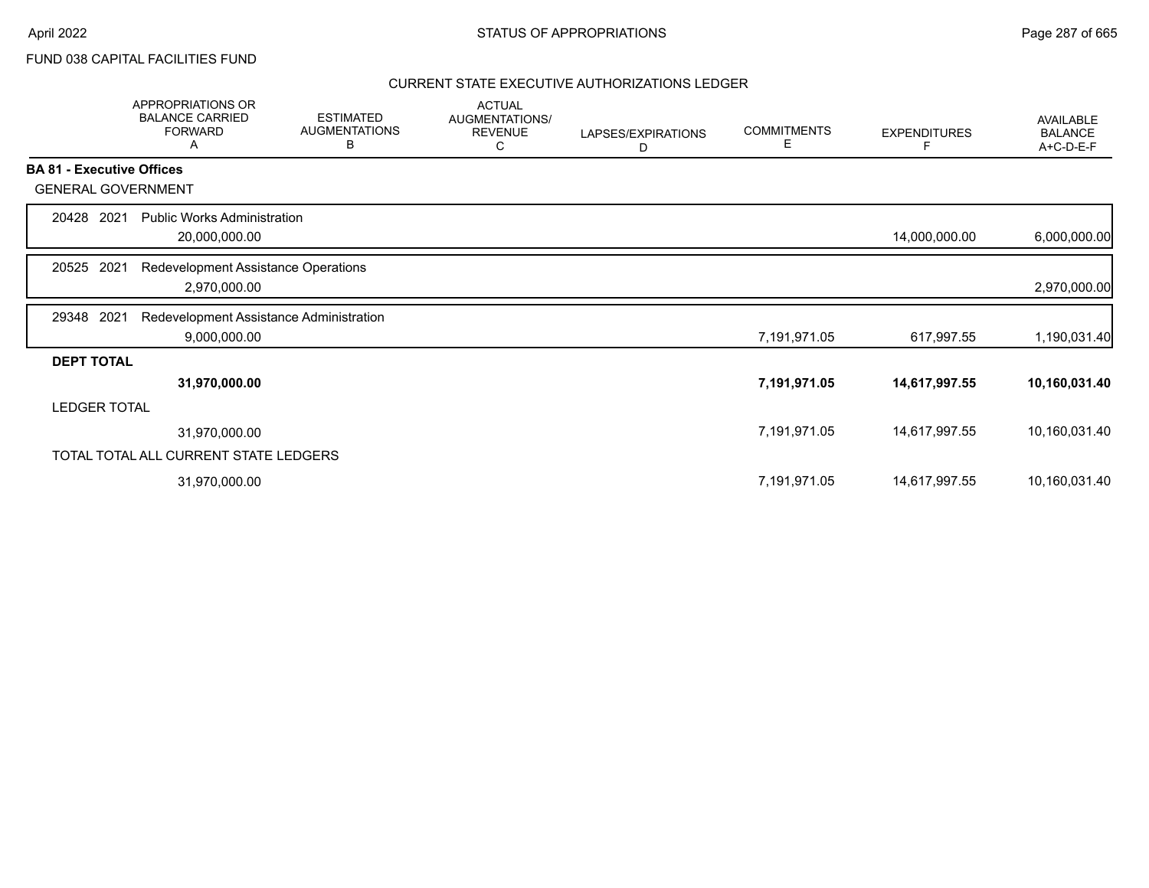FUND 038 CAPITAL FACILITIES FUND

|                     | <b>APPROPRIATIONS OR</b><br><b>BALANCE CARRIED</b><br><b>FORWARD</b><br>A | <b>ESTIMATED</b><br><b>AUGMENTATIONS</b><br>В | <b>ACTUAL</b><br>AUGMENTATIONS/<br><b>REVENUE</b><br>C | LAPSES/EXPIRATIONS<br>D | <b>COMMITMENTS</b><br>Е | <b>EXPENDITURES</b> | AVAILABLE<br><b>BALANCE</b><br>A+C-D-E-F |
|---------------------|---------------------------------------------------------------------------|-----------------------------------------------|--------------------------------------------------------|-------------------------|-------------------------|---------------------|------------------------------------------|
|                     | <b>BA 81 - Executive Offices</b>                                          |                                               |                                                        |                         |                         |                     |                                          |
|                     | <b>GENERAL GOVERNMENT</b>                                                 |                                               |                                                        |                         |                         |                     |                                          |
| 20428               | 2021<br><b>Public Works Administration</b><br>20,000,000.00               |                                               |                                                        |                         |                         | 14,000,000.00       | 6,000,000.00                             |
| 20525               | 2021<br>Redevelopment Assistance Operations<br>2,970,000.00               |                                               |                                                        |                         |                         |                     | 2,970,000.00                             |
| 29348               | 2021<br>Redevelopment Assistance Administration                           |                                               |                                                        |                         |                         |                     |                                          |
|                     | 9,000,000.00                                                              |                                               |                                                        |                         | 7,191,971.05            | 617,997.55          | 1,190,031.40                             |
| <b>DEPT TOTAL</b>   |                                                                           |                                               |                                                        |                         |                         |                     |                                          |
|                     | 31,970,000.00                                                             |                                               |                                                        |                         | 7,191,971.05            | 14,617,997.55       | 10,160,031.40                            |
| <b>LEDGER TOTAL</b> |                                                                           |                                               |                                                        |                         |                         |                     |                                          |
|                     | 31,970,000.00                                                             |                                               |                                                        |                         | 7,191,971.05            | 14,617,997.55       | 10,160,031.40                            |
|                     | TOTAL TOTAL ALL CURRENT STATE LEDGERS                                     |                                               |                                                        |                         |                         |                     |                                          |
|                     | 31,970,000.00                                                             |                                               |                                                        |                         | 7,191,971.05            | 14,617,997.55       | 10,160,031.40                            |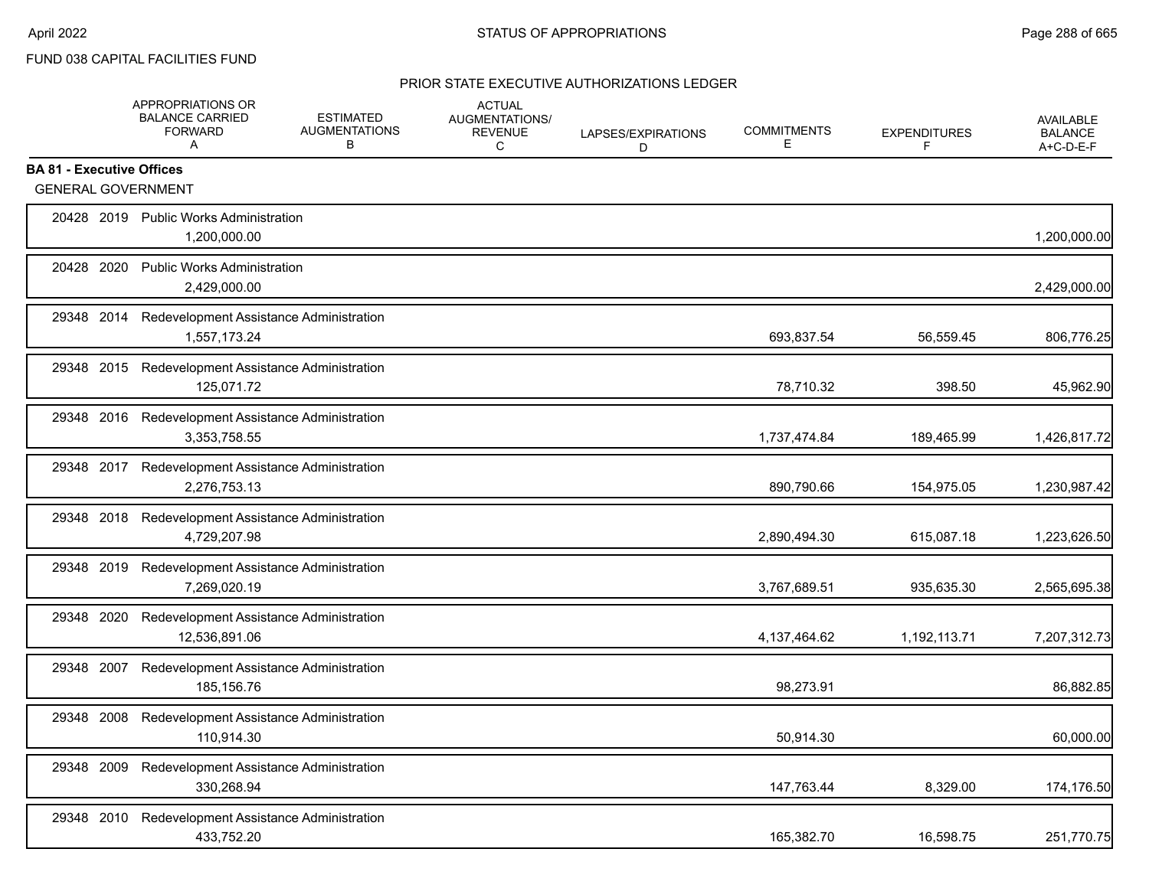# FUND 038 CAPITAL FACILITIES FUND

|                                  |      | APPROPRIATIONS OR<br><b>BALANCE CARRIED</b><br><b>FORWARD</b><br>A | <b>ESTIMATED</b><br><b>AUGMENTATIONS</b><br>В | <b>ACTUAL</b><br>AUGMENTATIONS/<br><b>REVENUE</b><br>C | LAPSES/EXPIRATIONS<br>D | <b>COMMITMENTS</b><br>Е | <b>EXPENDITURES</b><br>F | <b>AVAILABLE</b><br><b>BALANCE</b><br>A+C-D-E-F |
|----------------------------------|------|--------------------------------------------------------------------|-----------------------------------------------|--------------------------------------------------------|-------------------------|-------------------------|--------------------------|-------------------------------------------------|
| <b>BA 81 - Executive Offices</b> |      |                                                                    |                                               |                                                        |                         |                         |                          |                                                 |
|                                  |      | <b>GENERAL GOVERNMENT</b>                                          |                                               |                                                        |                         |                         |                          |                                                 |
|                                  |      | 20428 2019 Public Works Administration<br>1,200,000.00             |                                               |                                                        |                         |                         |                          | 1,200,000.00                                    |
| 20428 2020                       |      | <b>Public Works Administration</b><br>2,429,000.00                 |                                               |                                                        |                         |                         |                          | 2,429,000.00                                    |
|                                  |      | 29348 2014 Redevelopment Assistance Administration<br>1,557,173.24 |                                               |                                                        |                         | 693,837.54              | 56,559.45                | 806,776.25                                      |
|                                  |      | 29348 2015 Redevelopment Assistance Administration<br>125,071.72   |                                               |                                                        |                         | 78,710.32               | 398.50                   | 45,962.90                                       |
|                                  |      | 29348 2016 Redevelopment Assistance Administration<br>3,353,758.55 |                                               |                                                        |                         | 1,737,474.84            | 189,465.99               | 1,426,817.72                                    |
|                                  |      | 29348 2017 Redevelopment Assistance Administration<br>2,276,753.13 |                                               |                                                        |                         | 890,790.66              | 154,975.05               | 1,230,987.42                                    |
|                                  |      | 29348 2018 Redevelopment Assistance Administration<br>4,729,207.98 |                                               |                                                        |                         | 2,890,494.30            | 615,087.18               | 1,223,626.50                                    |
|                                  |      | 29348 2019 Redevelopment Assistance Administration<br>7,269,020.19 |                                               |                                                        |                         | 3,767,689.51            | 935,635.30               | 2,565,695.38                                    |
| 29348 2020                       |      | Redevelopment Assistance Administration<br>12,536,891.06           |                                               |                                                        |                         | 4,137,464.62            | 1,192,113.71             | 7,207,312.73                                    |
| 29348 2007                       |      | Redevelopment Assistance Administration<br>185,156.76              |                                               |                                                        |                         | 98,273.91               |                          | 86,882.85                                       |
| 29348 2008                       |      | Redevelopment Assistance Administration<br>110,914.30              |                                               |                                                        |                         | 50,914.30               |                          | 60,000.00                                       |
| 29348                            | 2009 | Redevelopment Assistance Administration<br>330,268.94              |                                               |                                                        |                         | 147,763.44              | 8,329.00                 | 174,176.50                                      |
| 29348 2010                       |      | Redevelopment Assistance Administration<br>433,752.20              |                                               |                                                        |                         | 165,382.70              | 16,598.75                | 251,770.75                                      |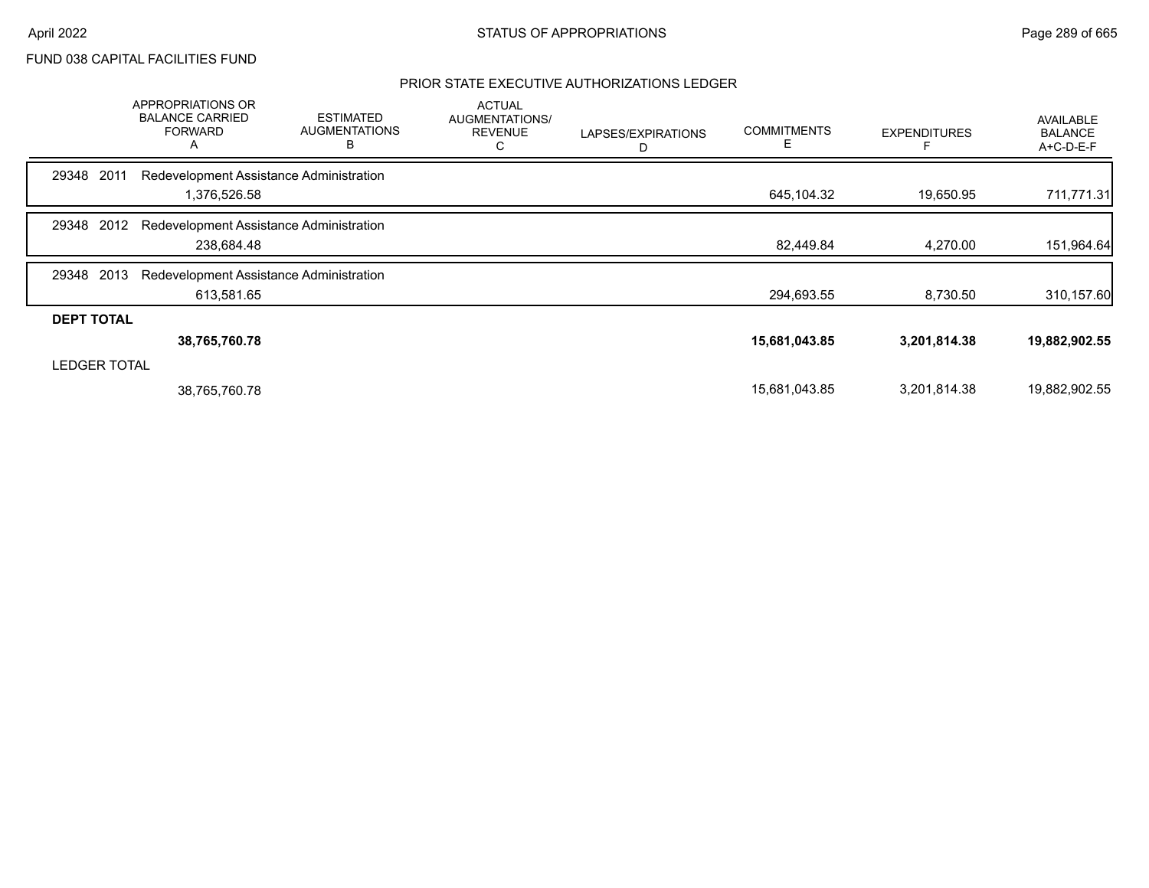## PRIOR STATE EXECUTIVE AUTHORIZATIONS LEDGER

|                     | <b>APPROPRIATIONS OR</b><br><b>BALANCE CARRIED</b><br><b>FORWARD</b><br>A | <b>ESTIMATED</b><br><b>AUGMENTATIONS</b><br>в | <b>ACTUAL</b><br>AUGMENTATIONS/<br><b>REVENUE</b><br>С | LAPSES/EXPIRATIONS<br>D | <b>COMMITMENTS</b><br>E | <b>EXPENDITURES</b> | <b>AVAILABLE</b><br><b>BALANCE</b><br>A+C-D-E-F |
|---------------------|---------------------------------------------------------------------------|-----------------------------------------------|--------------------------------------------------------|-------------------------|-------------------------|---------------------|-------------------------------------------------|
| 2011<br>29348       | Redevelopment Assistance Administration                                   |                                               |                                                        |                         |                         |                     |                                                 |
|                     | 1,376,526.58                                                              |                                               |                                                        |                         | 645,104.32              | 19,650.95           | 711,771.31                                      |
| 2012<br>29348       | Redevelopment Assistance Administration                                   |                                               |                                                        |                         |                         |                     |                                                 |
|                     | 238,684.48                                                                |                                               |                                                        |                         | 82,449.84               | 4,270.00            | 151,964.64                                      |
| 2013<br>29348       | Redevelopment Assistance Administration                                   |                                               |                                                        |                         |                         |                     |                                                 |
|                     | 613,581.65                                                                |                                               |                                                        |                         | 294,693.55              | 8,730.50            | 310,157.60                                      |
| <b>DEPT TOTAL</b>   |                                                                           |                                               |                                                        |                         |                         |                     |                                                 |
|                     | 38,765,760.78                                                             |                                               |                                                        |                         | 15,681,043.85           | 3,201,814.38        | 19,882,902.55                                   |
| <b>LEDGER TOTAL</b> |                                                                           |                                               |                                                        |                         |                         |                     |                                                 |
|                     | 38,765,760.78                                                             |                                               |                                                        |                         | 15,681,043.85           | 3,201,814.38        | 19,882,902.55                                   |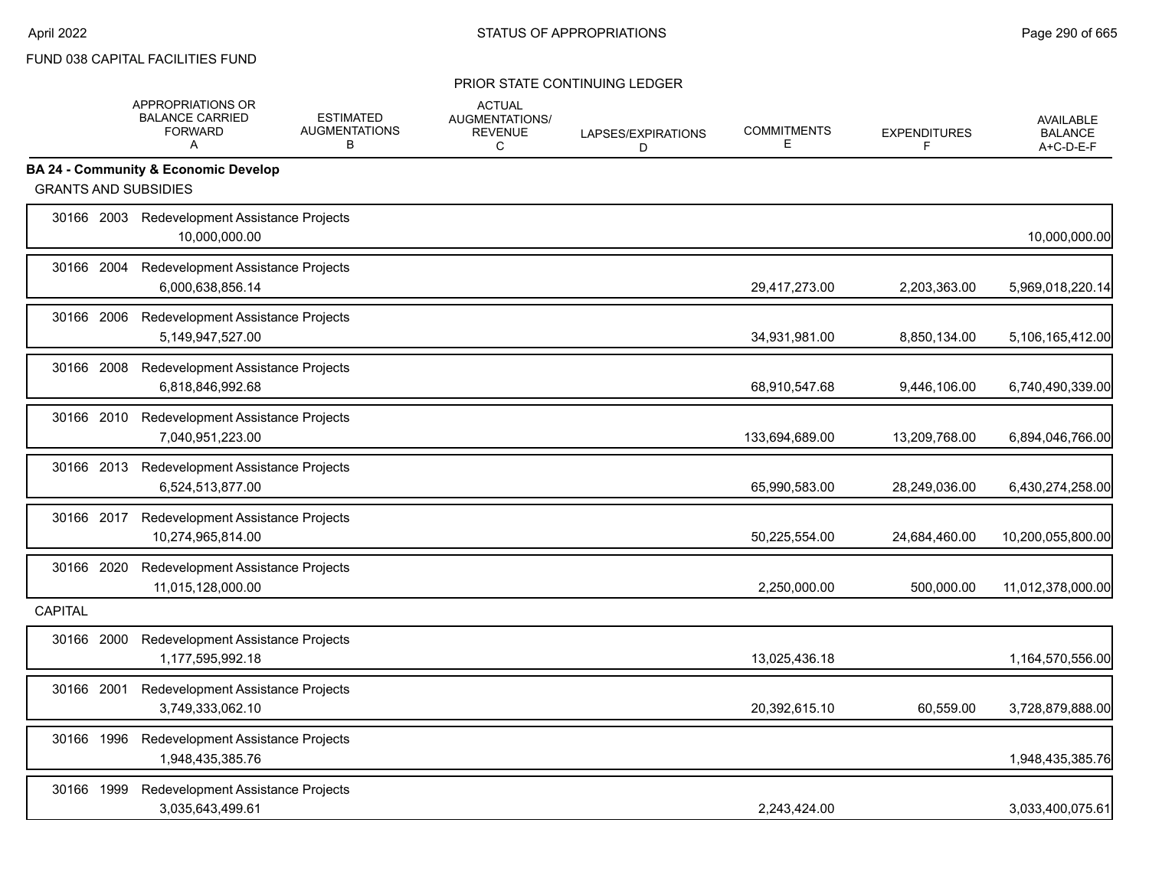|                             | APPROPRIATIONS OR<br><b>BALANCE CARRIED</b><br><b>FORWARD</b><br>A | <b>ESTIMATED</b><br><b>AUGMENTATIONS</b><br>B | <b>ACTUAL</b><br>AUGMENTATIONS/<br><b>REVENUE</b><br>C | LAPSES/EXPIRATIONS<br>D | <b>COMMITMENTS</b><br>E | <b>EXPENDITURES</b><br>F | <b>AVAILABLE</b><br><b>BALANCE</b><br>A+C-D-E-F |
|-----------------------------|--------------------------------------------------------------------|-----------------------------------------------|--------------------------------------------------------|-------------------------|-------------------------|--------------------------|-------------------------------------------------|
|                             | <b>BA 24 - Community &amp; Economic Develop</b>                    |                                               |                                                        |                         |                         |                          |                                                 |
| <b>GRANTS AND SUBSIDIES</b> |                                                                    |                                               |                                                        |                         |                         |                          |                                                 |
|                             | 30166 2003 Redevelopment Assistance Projects<br>10.000.000.00      |                                               |                                                        |                         |                         |                          | 10,000,000.00                                   |
| 30166 2004                  | Redevelopment Assistance Projects<br>6,000,638,856.14              |                                               |                                                        |                         | 29,417,273.00           | 2,203,363.00             | 5,969,018,220.14                                |
| 30166 2006                  | Redevelopment Assistance Projects<br>5,149,947,527.00              |                                               |                                                        |                         | 34,931,981.00           | 8,850,134.00             | 5,106,165,412.00                                |
| 30166 2008                  | Redevelopment Assistance Projects<br>6,818,846,992.68              |                                               |                                                        |                         | 68,910,547.68           | 9,446,106.00             | 6,740,490,339.00                                |
| 30166 2010                  | Redevelopment Assistance Projects<br>7,040,951,223.00              |                                               |                                                        |                         | 133,694,689.00          | 13,209,768.00            | 6,894,046,766.00                                |
| 30166 2013                  | Redevelopment Assistance Projects<br>6,524,513,877.00              |                                               |                                                        |                         | 65,990,583.00           | 28,249,036.00            | 6,430,274,258.00                                |
| 30166 2017                  | Redevelopment Assistance Projects<br>10.274.965.814.00             |                                               |                                                        |                         | 50,225,554.00           | 24,684,460.00            | 10,200,055,800.00                               |
| 30166 2020                  | Redevelopment Assistance Projects<br>11,015,128,000.00             |                                               |                                                        |                         | 2,250,000.00            | 500,000.00               | 11,012,378,000.00                               |
| <b>CAPITAL</b>              |                                                                    |                                               |                                                        |                         |                         |                          |                                                 |
| 30166 2000                  | Redevelopment Assistance Projects<br>1,177,595,992.18              |                                               |                                                        |                         | 13,025,436.18           |                          | 1,164,570,556.00                                |
| 30166 2001                  | Redevelopment Assistance Projects<br>3,749,333,062.10              |                                               |                                                        |                         | 20,392,615.10           | 60,559.00                | 3,728,879,888.00                                |
| 30166 1996                  | Redevelopment Assistance Projects<br>1,948,435,385.76              |                                               |                                                        |                         |                         |                          | 1,948,435,385.76                                |
| 30166 1999                  | Redevelopment Assistance Projects<br>3,035,643,499.61              |                                               |                                                        |                         | 2,243,424.00            |                          | 3,033,400,075.61                                |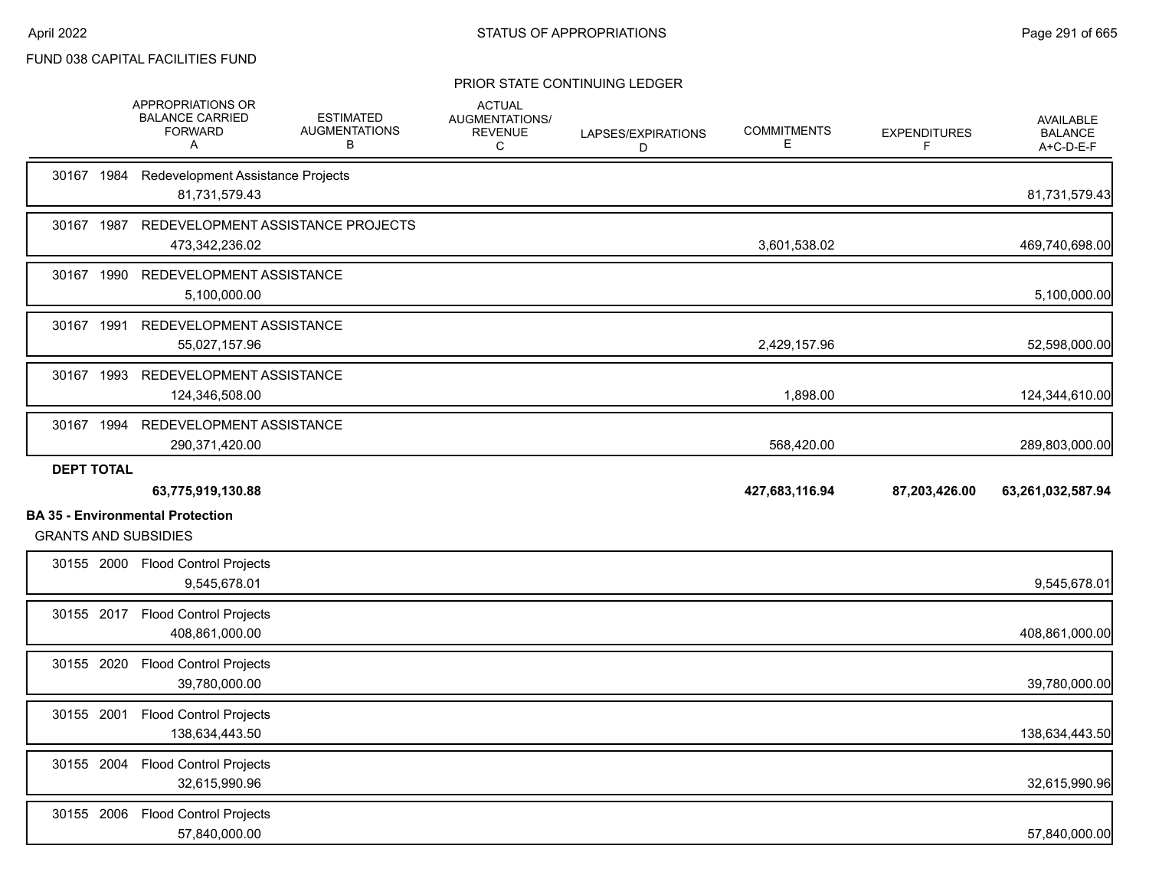|                   | APPROPRIATIONS OR<br><b>BALANCE CARRIED</b><br><b>FORWARD</b><br>A     | <b>ESTIMATED</b><br><b>AUGMENTATIONS</b><br>в | <b>ACTUAL</b><br>AUGMENTATIONS/<br><b>REVENUE</b><br>C | LAPSES/EXPIRATIONS<br>D | <b>COMMITMENTS</b><br>Е | <b>EXPENDITURES</b><br>F | <b>AVAILABLE</b><br><b>BALANCE</b><br>A+C-D-E-F |
|-------------------|------------------------------------------------------------------------|-----------------------------------------------|--------------------------------------------------------|-------------------------|-------------------------|--------------------------|-------------------------------------------------|
|                   | 30167 1984 Redevelopment Assistance Projects<br>81,731,579.43          |                                               |                                                        |                         |                         |                          | 81,731,579.43                                   |
|                   | 30167 1987 REDEVELOPMENT ASSISTANCE PROJECTS<br>473,342,236.02         |                                               |                                                        |                         | 3,601,538.02            |                          | 469,740,698.00                                  |
|                   | 30167 1990 REDEVELOPMENT ASSISTANCE<br>5,100,000.00                    |                                               |                                                        |                         |                         |                          | 5,100,000.00                                    |
|                   | 30167 1991 REDEVELOPMENT ASSISTANCE<br>55,027,157.96                   |                                               |                                                        |                         | 2,429,157.96            |                          | 52,598,000.00                                   |
|                   | 30167 1993 REDEVELOPMENT ASSISTANCE<br>124,346,508.00                  |                                               |                                                        |                         | 1,898.00                |                          | 124,344,610.00                                  |
|                   | 30167 1994 REDEVELOPMENT ASSISTANCE<br>290,371,420.00                  |                                               |                                                        |                         | 568,420.00              |                          | 289,803,000.00                                  |
| <b>DEPT TOTAL</b> |                                                                        |                                               |                                                        |                         |                         |                          |                                                 |
|                   | 63,775,919,130.88                                                      |                                               |                                                        |                         | 427,683,116.94          | 87,203,426.00            | 63,261,032,587.94                               |
|                   | <b>BA 35 - Environmental Protection</b><br><b>GRANTS AND SUBSIDIES</b> |                                               |                                                        |                         |                         |                          |                                                 |
|                   | 30155 2000 Flood Control Projects<br>9,545,678.01                      |                                               |                                                        |                         |                         |                          | 9,545,678.01                                    |
|                   | 30155 2017 Flood Control Projects<br>408,861,000.00                    |                                               |                                                        |                         |                         |                          | 408,861,000.00                                  |
|                   | 30155 2020 Flood Control Projects<br>39,780,000.00                     |                                               |                                                        |                         |                         |                          | 39,780,000.00                                   |
| 30155 2001        | <b>Flood Control Projects</b><br>138,634,443.50                        |                                               |                                                        |                         |                         |                          | 138,634,443.50                                  |
|                   | 30155 2004 Flood Control Projects<br>32,615,990.96                     |                                               |                                                        |                         |                         |                          | 32,615,990.96                                   |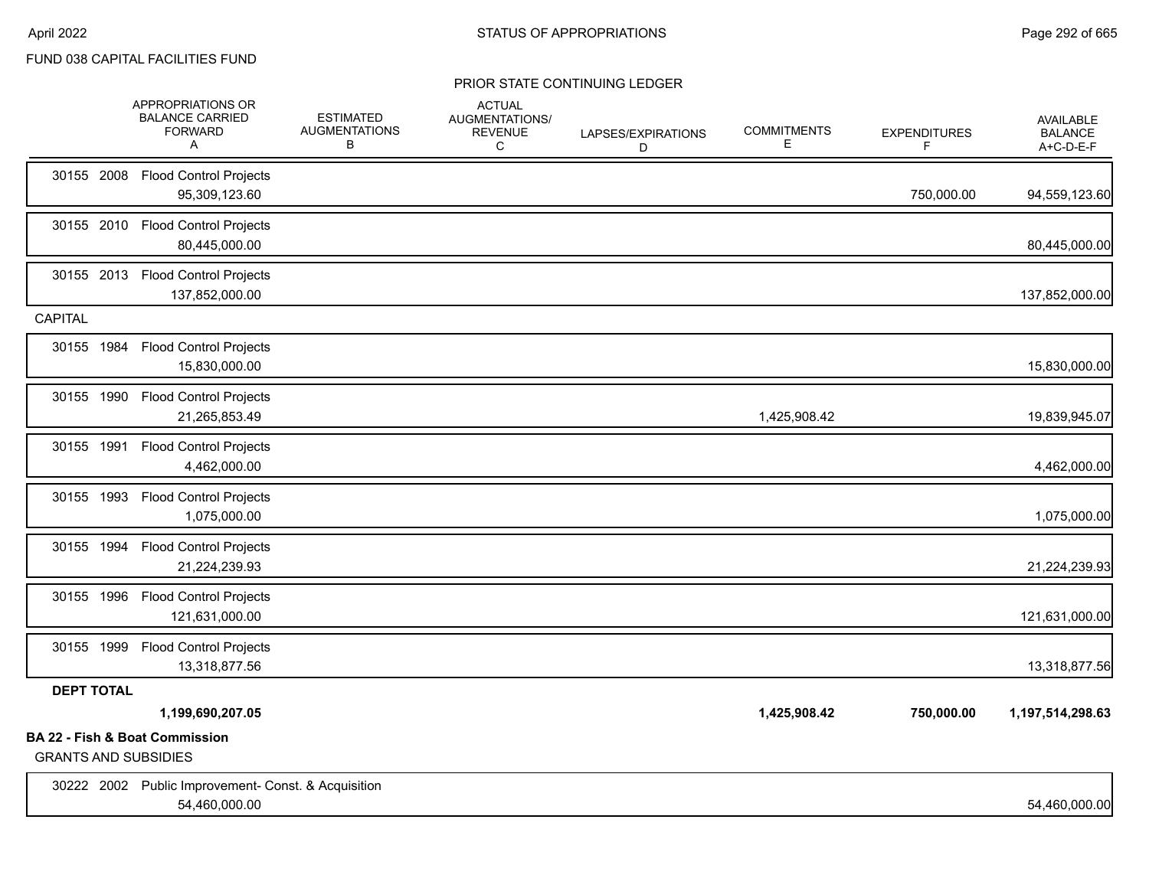|                             | APPROPRIATIONS OR<br><b>BALANCE CARRIED</b><br><b>FORWARD</b><br>A   | <b>ESTIMATED</b><br><b>AUGMENTATIONS</b><br>в | <b>ACTUAL</b><br><b>AUGMENTATIONS/</b><br><b>REVENUE</b><br>C | LAPSES/EXPIRATIONS<br>D | <b>COMMITMENTS</b><br>E. | <b>EXPENDITURES</b><br>F | <b>AVAILABLE</b><br><b>BALANCE</b><br>A+C-D-E-F |
|-----------------------------|----------------------------------------------------------------------|-----------------------------------------------|---------------------------------------------------------------|-------------------------|--------------------------|--------------------------|-------------------------------------------------|
|                             | 30155 2008 Flood Control Projects<br>95,309,123.60                   |                                               |                                                               |                         |                          | 750,000.00               | 94,559,123.60                                   |
|                             | 30155 2010 Flood Control Projects<br>80,445,000.00                   |                                               |                                                               |                         |                          |                          | 80,445,000.00                                   |
|                             | 30155 2013 Flood Control Projects<br>137,852,000.00                  |                                               |                                                               |                         |                          |                          | 137,852,000.00                                  |
| <b>CAPITAL</b>              |                                                                      |                                               |                                                               |                         |                          |                          |                                                 |
|                             | 30155 1984 Flood Control Projects<br>15,830,000.00                   |                                               |                                                               |                         |                          |                          | 15,830,000.00                                   |
| 30155 1990                  | <b>Flood Control Projects</b><br>21,265,853.49                       |                                               |                                                               |                         | 1,425,908.42             |                          | 19,839,945.07                                   |
|                             | 30155 1991 Flood Control Projects<br>4,462,000.00                    |                                               |                                                               |                         |                          |                          | 4,462,000.00                                    |
| 30155 1993                  | <b>Flood Control Projects</b><br>1,075,000.00                        |                                               |                                                               |                         |                          |                          | 1,075,000.00                                    |
|                             | 30155 1994 Flood Control Projects<br>21,224,239.93                   |                                               |                                                               |                         |                          |                          | 21,224,239.93                                   |
|                             | 30155 1996 Flood Control Projects<br>121,631,000.00                  |                                               |                                                               |                         |                          |                          | 121,631,000.00                                  |
|                             | 30155 1999 Flood Control Projects<br>13,318,877.56                   |                                               |                                                               |                         |                          |                          | 13,318,877.56                                   |
| <b>DEPT TOTAL</b>           |                                                                      |                                               |                                                               |                         |                          |                          |                                                 |
|                             | 1,199,690,207.05                                                     |                                               |                                                               |                         | 1,425,908.42             | 750,000.00               | 1,197,514,298.63                                |
| <b>GRANTS AND SUBSIDIES</b> | BA 22 - Fish & Boat Commission                                       |                                               |                                                               |                         |                          |                          |                                                 |
|                             | 30222 2002 Public Improvement- Const. & Acquisition<br>54,460,000.00 |                                               |                                                               |                         |                          |                          | 54,460,000.00                                   |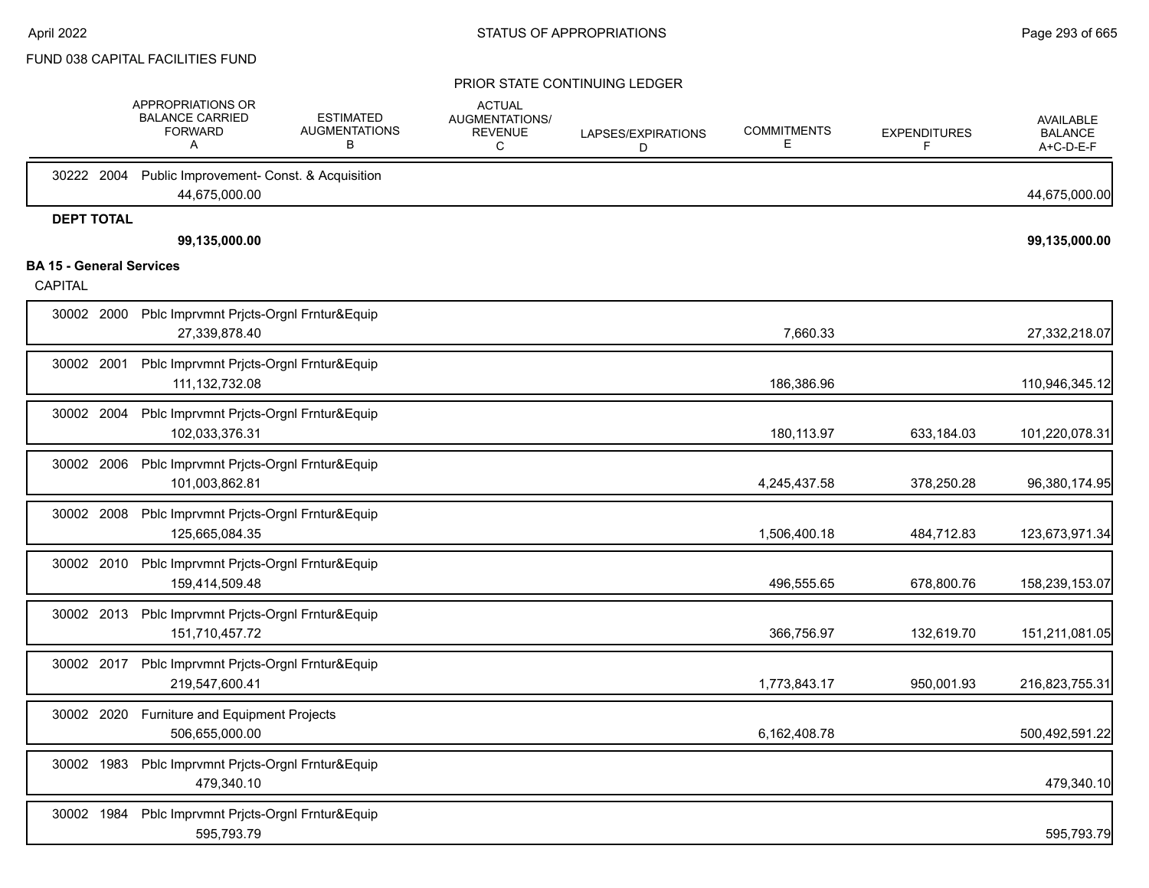|                                 |                   | APPROPRIATIONS OR<br><b>BALANCE CARRIED</b><br><b>FORWARD</b><br>A   | <b>ESTIMATED</b><br><b>AUGMENTATIONS</b><br>в | <b>ACTUAL</b><br>AUGMENTATIONS/<br><b>REVENUE</b><br>C | LAPSES/EXPIRATIONS<br>D | <b>COMMITMENTS</b><br>E. | <b>EXPENDITURES</b><br>F | <b>AVAILABLE</b><br><b>BALANCE</b><br>A+C-D-E-F |
|---------------------------------|-------------------|----------------------------------------------------------------------|-----------------------------------------------|--------------------------------------------------------|-------------------------|--------------------------|--------------------------|-------------------------------------------------|
|                                 |                   | 30222 2004 Public Improvement- Const. & Acquisition<br>44,675,000.00 |                                               |                                                        |                         |                          |                          | 44,675,000.00                                   |
|                                 | <b>DEPT TOTAL</b> |                                                                      |                                               |                                                        |                         |                          |                          |                                                 |
| <b>BA 15 - General Services</b> |                   | 99,135,000.00                                                        |                                               |                                                        |                         |                          |                          | 99,135,000.00                                   |
| CAPITAL                         |                   |                                                                      |                                               |                                                        |                         |                          |                          |                                                 |
|                                 |                   | 30002 2000 Pblc Imprvmnt Prjcts-Orgnl Frntur&Equip<br>27,339,878.40  |                                               |                                                        |                         | 7,660.33                 |                          | 27,332,218.07                                   |
|                                 | 30002 2001        | Pblc Imprvmnt Prjcts-Orgnl Frntur&Equip<br>111, 132, 732.08          |                                               |                                                        |                         | 186,386.96               |                          | 110,946,345.12                                  |
| 30002 2004                      |                   | Pblc Imprvmnt Prjcts-Orgnl Frntur&Equip<br>102,033,376.31            |                                               |                                                        |                         | 180,113.97               | 633,184.03               | 101,220,078.31                                  |
|                                 | 30002 2006        | Pblc Imprvmnt Prjcts-Orgnl Frntur&Equip<br>101,003,862.81            |                                               |                                                        |                         | 4,245,437.58             | 378,250.28               | 96,380,174.95                                   |
|                                 | 30002 2008        | Pblc Imprvmnt Prjcts-Orgnl Frntur&Equip<br>125,665,084.35            |                                               |                                                        |                         | 1,506,400.18             | 484,712.83               | 123,673,971.34                                  |
|                                 | 30002 2010        | Pblc Imprvmnt Prjcts-Orgnl Frntur&Equip<br>159,414,509.48            |                                               |                                                        |                         | 496,555.65               | 678,800.76               | 158,239,153.07                                  |
|                                 |                   | 30002 2013 Pblc Imprvmnt Prjcts-Orgnl Frntur&Equip<br>151,710,457.72 |                                               |                                                        |                         | 366,756.97               | 132,619.70               | 151,211,081.05                                  |
|                                 |                   | 30002 2017 Pblc Imprvmnt Pricts-Orgnl Frntur&Equip<br>219,547,600.41 |                                               |                                                        |                         | 1,773,843.17             | 950,001.93               | 216,823,755.31                                  |
|                                 | 30002 2020        | Furniture and Equipment Projects<br>506,655,000.00                   |                                               |                                                        |                         | 6,162,408.78             |                          | 500,492,591.22                                  |
|                                 | 30002 1983        | Pblc Imprvmnt Prjcts-Orgnl Frntur&Equip<br>479,340.10                |                                               |                                                        |                         |                          |                          | 479,340.10                                      |
|                                 | 30002 1984        | Pblc Imprvmnt Prjcts-Orgnl Frntur&Equip<br>595,793.79                |                                               |                                                        |                         |                          |                          | 595,793.79                                      |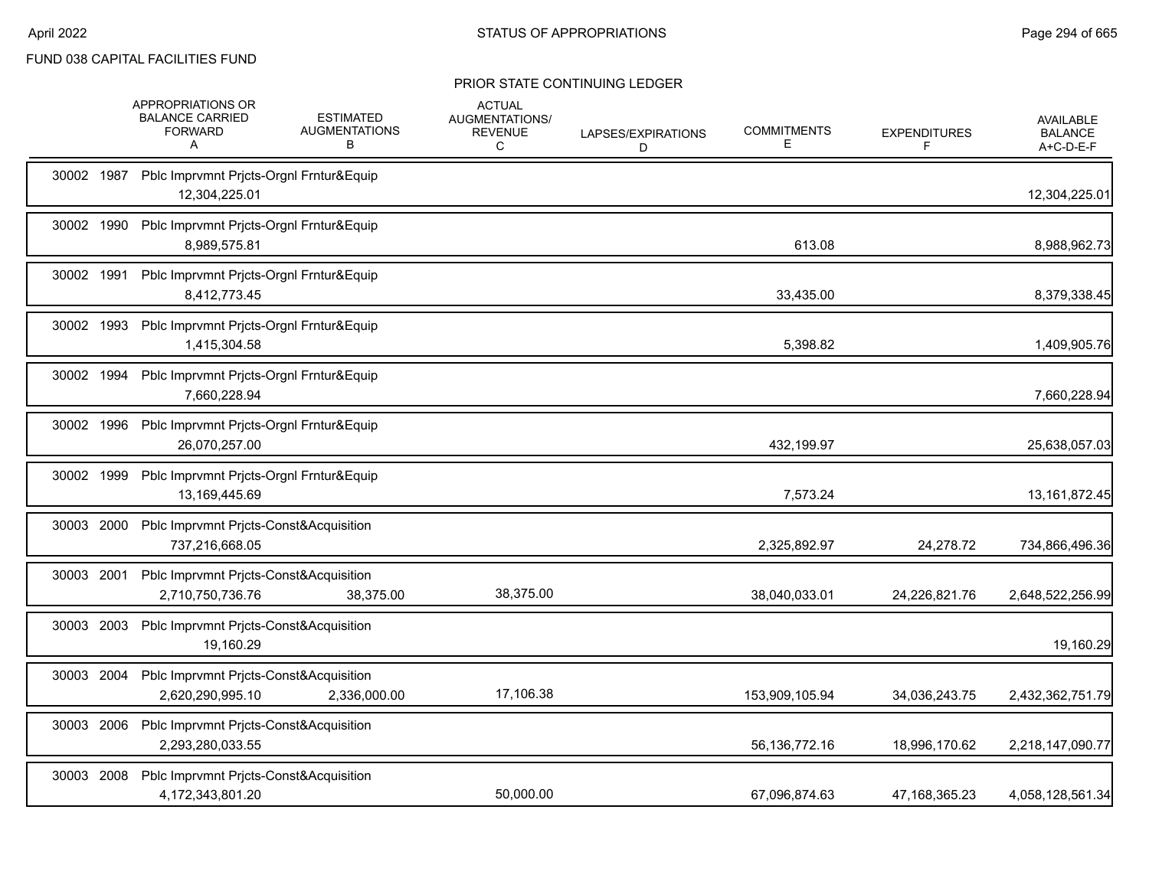|            | APPROPRIATIONS OR<br><b>BALANCE CARRIED</b><br><b>FORWARD</b><br>A    | <b>ESTIMATED</b><br><b>AUGMENTATIONS</b><br>B | <b>ACTUAL</b><br>AUGMENTATIONS/<br><b>REVENUE</b><br>C | LAPSES/EXPIRATIONS<br>D | <b>COMMITMENTS</b><br>Е | <b>EXPENDITURES</b><br>F | <b>AVAILABLE</b><br><b>BALANCE</b><br>A+C-D-E-F |
|------------|-----------------------------------------------------------------------|-----------------------------------------------|--------------------------------------------------------|-------------------------|-------------------------|--------------------------|-------------------------------------------------|
|            | 30002 1987 Pblc Imprvmnt Prjcts-Orgnl Frntur&Equip<br>12,304,225.01   |                                               |                                                        |                         |                         |                          | 12,304,225.01                                   |
| 30002 1990 | Pblc Imprvmnt Prjcts-Orgnl Frntur&Equip<br>8,989,575.81               |                                               |                                                        |                         | 613.08                  |                          | 8,988,962.73                                    |
| 30002 1991 | Pblc Imprvmnt Prjcts-Orgnl Frntur&Equip<br>8,412,773.45               |                                               |                                                        |                         | 33,435.00               |                          | 8,379,338.45                                    |
| 30002 1993 | Pblc Imprvmnt Prjcts-Orgnl Frntur&Equip<br>1,415,304.58               |                                               |                                                        |                         | 5,398.82                |                          | 1,409,905.76                                    |
| 30002 1994 | Pblc Imprvmnt Prjcts-Orgnl Frntur&Equip<br>7,660,228.94               |                                               |                                                        |                         |                         |                          | 7,660,228.94                                    |
| 30002 1996 | Pblc Imprvmnt Prjcts-Orgnl Frntur&Equip<br>26,070,257.00              |                                               |                                                        |                         | 432,199.97              |                          | 25,638,057.03                                   |
| 30002 1999 | Pblc Imprvmnt Prjcts-Orgnl Frntur&Equip<br>13,169,445.69              |                                               |                                                        |                         | 7,573.24                |                          | 13, 161, 872. 45                                |
| 30003 2000 | Pblc Imprvmnt Prjcts-Const&Acquisition<br>737,216,668.05              |                                               |                                                        |                         | 2,325,892.97            | 24,278.72                | 734,866,496.36                                  |
| 30003 2001 | Pblc Imprvmnt Prjcts-Const&Acquisition<br>2,710,750,736.76            | 38,375.00                                     | 38,375.00                                              |                         | 38,040,033.01           | 24,226,821.76            | 2,648,522,256.99                                |
| 30003 2003 | Pblc Imprvmnt Prjcts-Const&Acquisition<br>19,160.29                   |                                               |                                                        |                         |                         |                          | 19,160.29                                       |
|            | 30003 2004 Pblc Imprvmnt Prjcts-Const&Acquisition<br>2,620,290,995.10 | 2,336,000.00                                  | 17,106.38                                              |                         | 153,909,105.94          | 34,036,243.75            | 2,432,362,751.79                                |
|            | 30003 2006 Pblc Imprvmnt Pricts-Const&Acquisition<br>2,293,280,033.55 |                                               |                                                        |                         | 56,136,772.16           | 18,996,170.62            | 2,218,147,090.77                                |
| 30003 2008 | Pblc Imprvmnt Prjcts-Const&Acquisition<br>4,172,343,801.20            |                                               | 50,000.00                                              |                         | 67.096.874.63           | 47.168.365.23            | 4,058,128,561.34                                |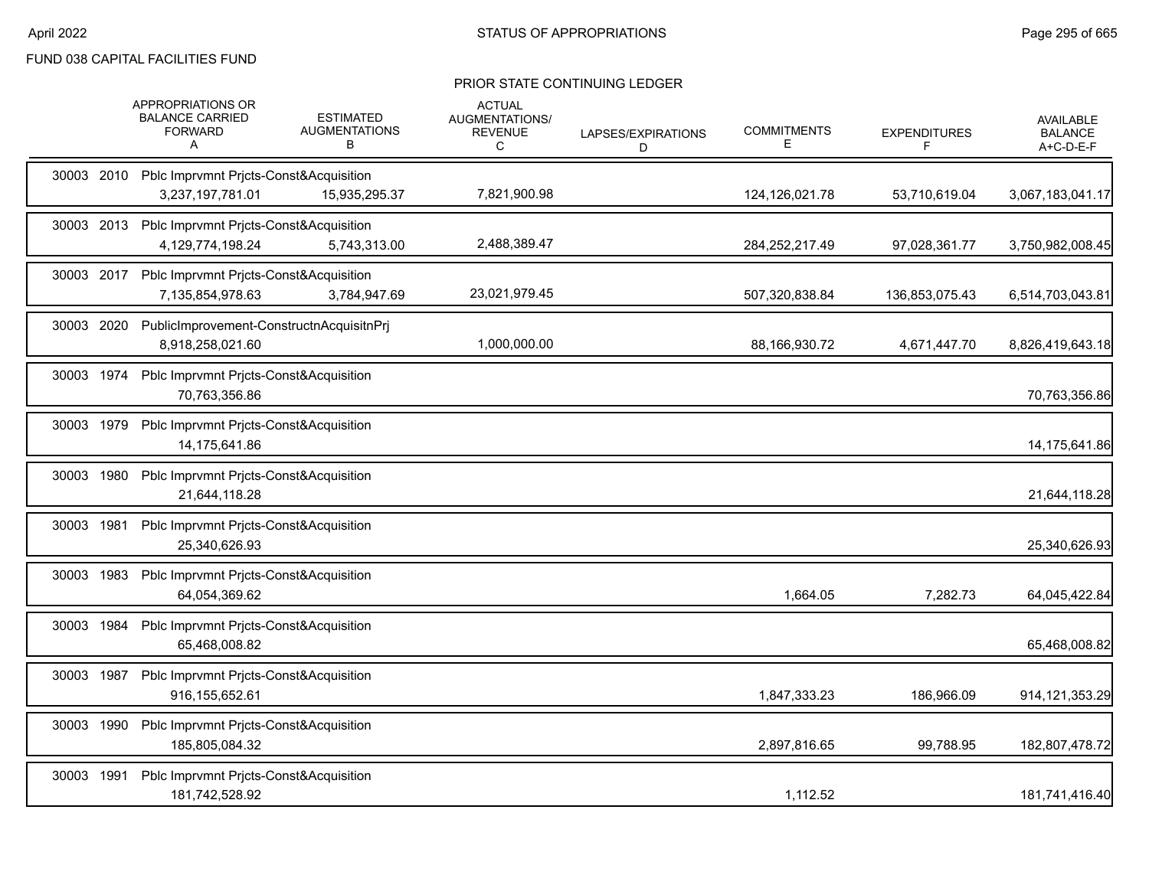|            | APPROPRIATIONS OR<br><b>BALANCE CARRIED</b><br><b>FORWARD</b><br>A    | <b>ESTIMATED</b><br><b>AUGMENTATIONS</b><br>в | <b>ACTUAL</b><br>AUGMENTATIONS/<br><b>REVENUE</b><br>C | LAPSES/EXPIRATIONS<br>D | <b>COMMITMENTS</b><br>Е | <b>EXPENDITURES</b><br>F | <b>AVAILABLE</b><br><b>BALANCE</b><br>A+C-D-E-F |
|------------|-----------------------------------------------------------------------|-----------------------------------------------|--------------------------------------------------------|-------------------------|-------------------------|--------------------------|-------------------------------------------------|
|            | 30003 2010 Pblc Imprvmnt Pricts-Const&Acquisition<br>3,237,197,781.01 | 15,935,295.37                                 | 7,821,900.98                                           |                         | 124,126,021.78          | 53,710,619.04            | 3,067,183,041.17                                |
|            | 30003 2013 Pblc Imprvmnt Pricts-Const&Acquisition<br>4,129,774,198.24 | 5,743,313.00                                  | 2,488,389.47                                           |                         | 284,252,217.49          | 97,028,361.77            | 3,750,982,008.45                                |
|            | 30003 2017 Pblc Imprvmnt Prjcts-Const&Acquisition<br>7,135,854,978.63 | 3,784,947.69                                  | 23,021,979.45                                          |                         | 507,320,838.84          | 136,853,075.43           | 6,514,703,043.81                                |
| 30003 2020 | PublicImprovement-ConstructnAcquisitnPrj<br>8,918,258,021.60          |                                               | 1,000,000.00                                           |                         | 88,166,930.72           | 4,671,447.70             | 8,826,419,643.18                                |
| 30003 1974 | Pblc Imprvmnt Prjcts-Const&Acquisition<br>70,763,356.86               |                                               |                                                        |                         |                         |                          | 70,763,356.86                                   |
| 30003 1979 | Pblc Imprvmnt Pricts-Const&Acquisition<br>14,175,641.86               |                                               |                                                        |                         |                         |                          | 14,175,641.86                                   |
| 30003 1980 | Pblc Imprvmnt Pricts-Const&Acquisition<br>21,644,118.28               |                                               |                                                        |                         |                         |                          | 21,644,118.28                                   |
| 30003 1981 | Pblc Imprvmnt Pricts-Const&Acquisition<br>25,340,626.93               |                                               |                                                        |                         |                         |                          | 25,340,626.93                                   |
| 30003 1983 | Pblc Imprvmnt Pricts-Const&Acquisition<br>64,054,369.62               |                                               |                                                        |                         | 1,664.05                | 7,282.73                 | 64,045,422.84                                   |
| 30003 1984 | Pblc Imprvmnt Prjcts-Const&Acquisition<br>65,468,008.82               |                                               |                                                        |                         |                         |                          | 65,468,008.82                                   |
| 30003 1987 | Pblc Imprvmnt Prjcts-Const&Acquisition<br>916, 155, 652. 61           |                                               |                                                        |                         | 1,847,333.23            | 186,966.09               | 914, 121, 353. 29                               |
| 30003 1990 | Pblc Imprvmnt Pricts-Const&Acquisition<br>185,805,084.32              |                                               |                                                        |                         | 2,897,816.65            | 99,788.95                | 182,807,478.72                                  |
| 30003 1991 | Pblc Imprvmnt Pricts-Const&Acquisition<br>181,742,528.92              |                                               |                                                        |                         | 1,112.52                |                          | 181,741,416.40                                  |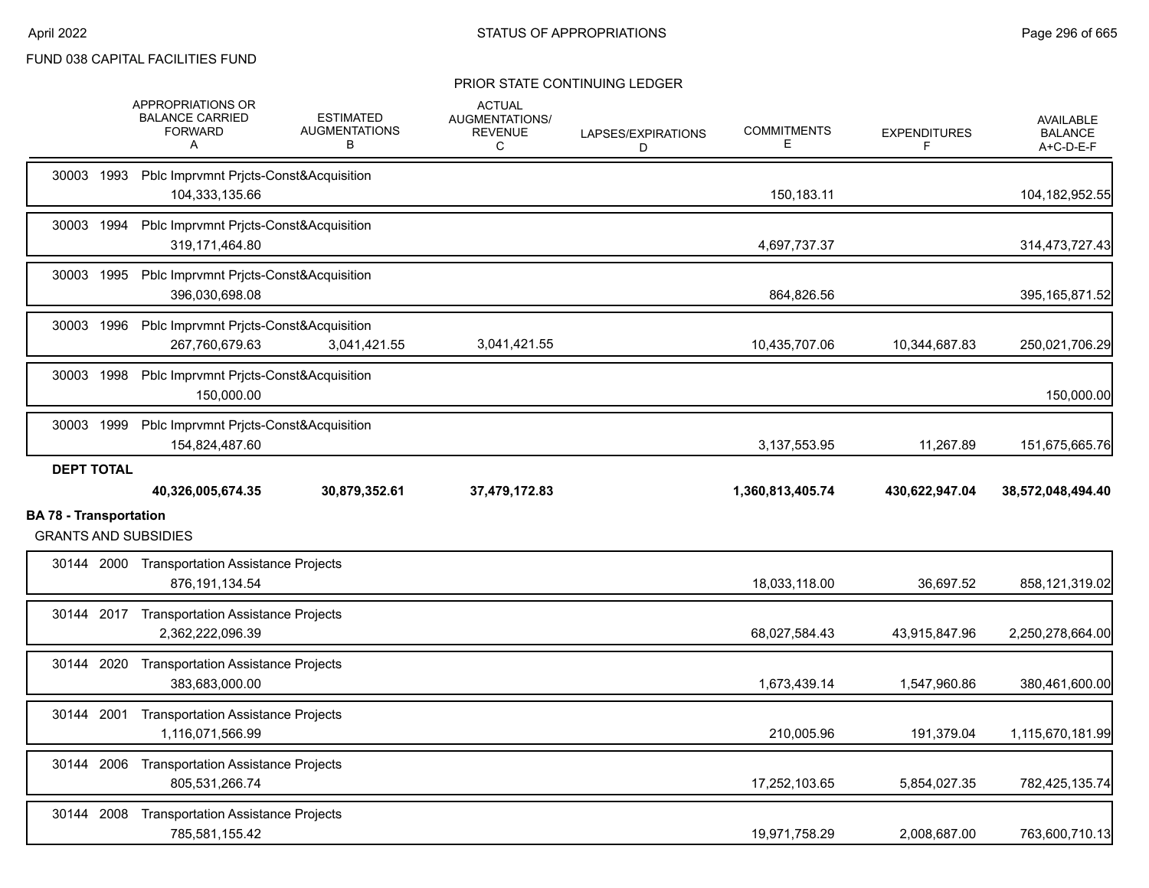|                               | APPROPRIATIONS OR<br><b>BALANCE CARRIED</b><br><b>FORWARD</b><br>A | <b>ESTIMATED</b><br><b>AUGMENTATIONS</b><br>В | <b>ACTUAL</b><br>AUGMENTATIONS/<br><b>REVENUE</b><br>C | LAPSES/EXPIRATIONS<br>D | <b>COMMITMENTS</b><br>Е | <b>EXPENDITURES</b><br>F | <b>AVAILABLE</b><br><b>BALANCE</b><br>A+C-D-E-F |
|-------------------------------|--------------------------------------------------------------------|-----------------------------------------------|--------------------------------------------------------|-------------------------|-------------------------|--------------------------|-------------------------------------------------|
| 30003 1993                    | Pblc Imprvmnt Prjcts-Const&Acquisition<br>104,333,135.66           |                                               |                                                        |                         | 150,183.11              |                          | 104,182,952.55                                  |
| 30003 1994                    | Pblc Imprvmnt Prjcts-Const&Acquisition<br>319,171,464.80           |                                               |                                                        |                         | 4,697,737.37            |                          | 314,473,727.43                                  |
| 30003 1995                    | Pblc Imprvmnt Prjcts-Const&Acquisition<br>396,030,698.08           |                                               |                                                        |                         | 864,826.56              |                          | 395, 165, 871.52                                |
| 30003 1996                    | Pblc Imprvmnt Prjcts-Const&Acquisition<br>267,760,679.63           | 3,041,421.55                                  | 3,041,421.55                                           |                         | 10,435,707.06           | 10,344,687.83            | 250,021,706.29                                  |
| 30003 1998                    | Pblc Imprvmnt Prjcts-Const&Acquisition<br>150,000.00               |                                               |                                                        |                         |                         |                          | 150,000.00                                      |
| 30003 1999                    | Pblc Imprvmnt Prjcts-Const&Acquisition<br>154,824,487.60           |                                               |                                                        |                         | 3, 137, 553. 95         | 11,267.89                | 151,675,665.76                                  |
| <b>DEPT TOTAL</b>             | 40,326,005,674.35                                                  | 30,879,352.61                                 | 37,479,172.83                                          |                         | 1,360,813,405.74        | 430,622,947.04           | 38,572,048,494.40                               |
|                               |                                                                    |                                               |                                                        |                         |                         |                          |                                                 |
| <b>BA 78 - Transportation</b> | <b>GRANTS AND SUBSIDIES</b>                                        |                                               |                                                        |                         |                         |                          |                                                 |
|                               | 30144 2000 Transportation Assistance Projects<br>876, 191, 134.54  |                                               |                                                        |                         | 18,033,118.00           | 36,697.52                | 858,121,319.02                                  |
|                               | 30144 2017 Transportation Assistance Projects<br>2,362,222,096.39  |                                               |                                                        |                         | 68,027,584.43           | 43,915,847.96            | 2,250,278,664.00                                |
| 30144 2020                    | <b>Transportation Assistance Projects</b><br>383.683.000.00        |                                               |                                                        |                         | 1,673,439.14            | 1,547,960.86             | 380,461,600.00                                  |
| 30144 2001                    | <b>Transportation Assistance Projects</b><br>1,116,071,566.99      |                                               |                                                        |                         | 210,005.96              | 191,379.04               | 1,115,670,181.99                                |
|                               | 30144 2006 Transportation Assistance Projects<br>805,531,266.74    |                                               |                                                        |                         | 17,252,103.65           | 5,854,027.35             | 782,425,135.74                                  |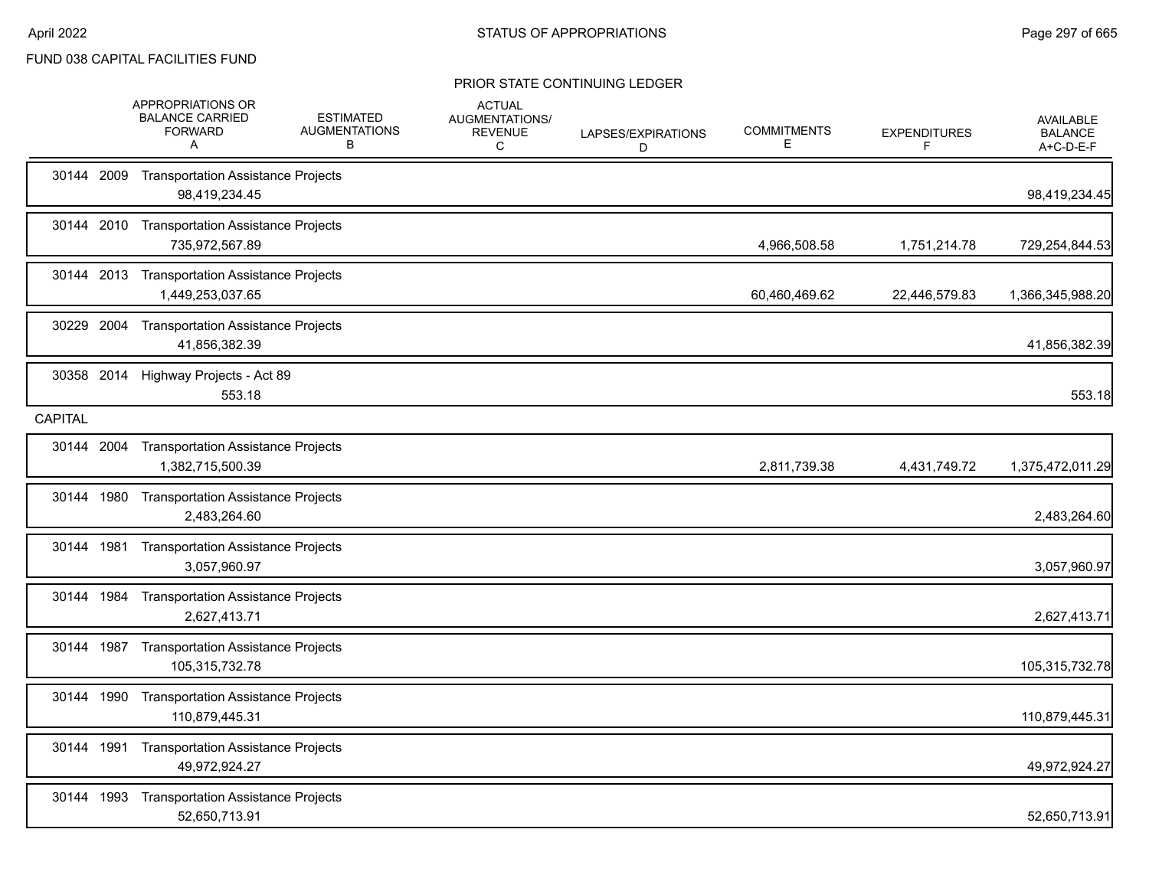|            | <b>APPROPRIATIONS OR</b><br><b>BALANCE CARRIED</b><br><b>FORWARD</b><br>A | <b>ESTIMATED</b><br><b>AUGMENTATIONS</b><br>В | <b>ACTUAL</b><br>AUGMENTATIONS/<br><b>REVENUE</b><br>C | LAPSES/EXPIRATIONS<br>D | <b>COMMITMENTS</b><br>E. | <b>EXPENDITURES</b><br>F | <b>AVAILABLE</b><br><b>BALANCE</b><br>A+C-D-E-F |
|------------|---------------------------------------------------------------------------|-----------------------------------------------|--------------------------------------------------------|-------------------------|--------------------------|--------------------------|-------------------------------------------------|
| 30144 2009 | <b>Transportation Assistance Projects</b><br>98,419,234.45                |                                               |                                                        |                         |                          |                          | 98,419,234.45                                   |
| 30144 2010 | <b>Transportation Assistance Projects</b><br>735,972,567.89               |                                               |                                                        |                         | 4,966,508.58             | 1,751,214.78             | 729,254,844.53                                  |
|            | 30144 2013 Transportation Assistance Projects<br>1,449,253,037.65         |                                               |                                                        |                         | 60,460,469.62            | 22,446,579.83            | 1,366,345,988.20                                |
| 30229 2004 | <b>Transportation Assistance Projects</b><br>41,856,382.39                |                                               |                                                        |                         |                          |                          | 41,856,382.39                                   |
| 30358 2014 | Highway Projects - Act 89<br>553.18                                       |                                               |                                                        |                         |                          |                          | 553.18                                          |
| CAPITAL    |                                                                           |                                               |                                                        |                         |                          |                          |                                                 |
| 30144 2004 | <b>Transportation Assistance Projects</b><br>1,382,715,500.39             |                                               |                                                        |                         | 2,811,739.38             | 4,431,749.72             | 1,375,472,011.29                                |
|            | 30144 1980 Transportation Assistance Projects<br>2,483,264.60             |                                               |                                                        |                         |                          |                          | 2,483,264.60                                    |
| 30144 1981 | <b>Transportation Assistance Projects</b><br>3,057,960.97                 |                                               |                                                        |                         |                          |                          | 3,057,960.97                                    |
| 30144 1984 | <b>Transportation Assistance Projects</b><br>2,627,413.71                 |                                               |                                                        |                         |                          |                          | 2,627,413.71                                    |
| 30144 1987 | <b>Transportation Assistance Projects</b><br>105,315,732.78               |                                               |                                                        |                         |                          |                          | 105,315,732.78                                  |
| 30144 1990 | <b>Transportation Assistance Projects</b><br>110,879,445.31               |                                               |                                                        |                         |                          |                          | 110,879,445.31                                  |
| 30144 1991 | <b>Transportation Assistance Projects</b><br>49,972,924.27                |                                               |                                                        |                         |                          |                          | 49,972,924.27                                   |
| 30144 1993 | <b>Transportation Assistance Projects</b><br>52,650,713.91                |                                               |                                                        |                         |                          |                          | 52,650,713.91                                   |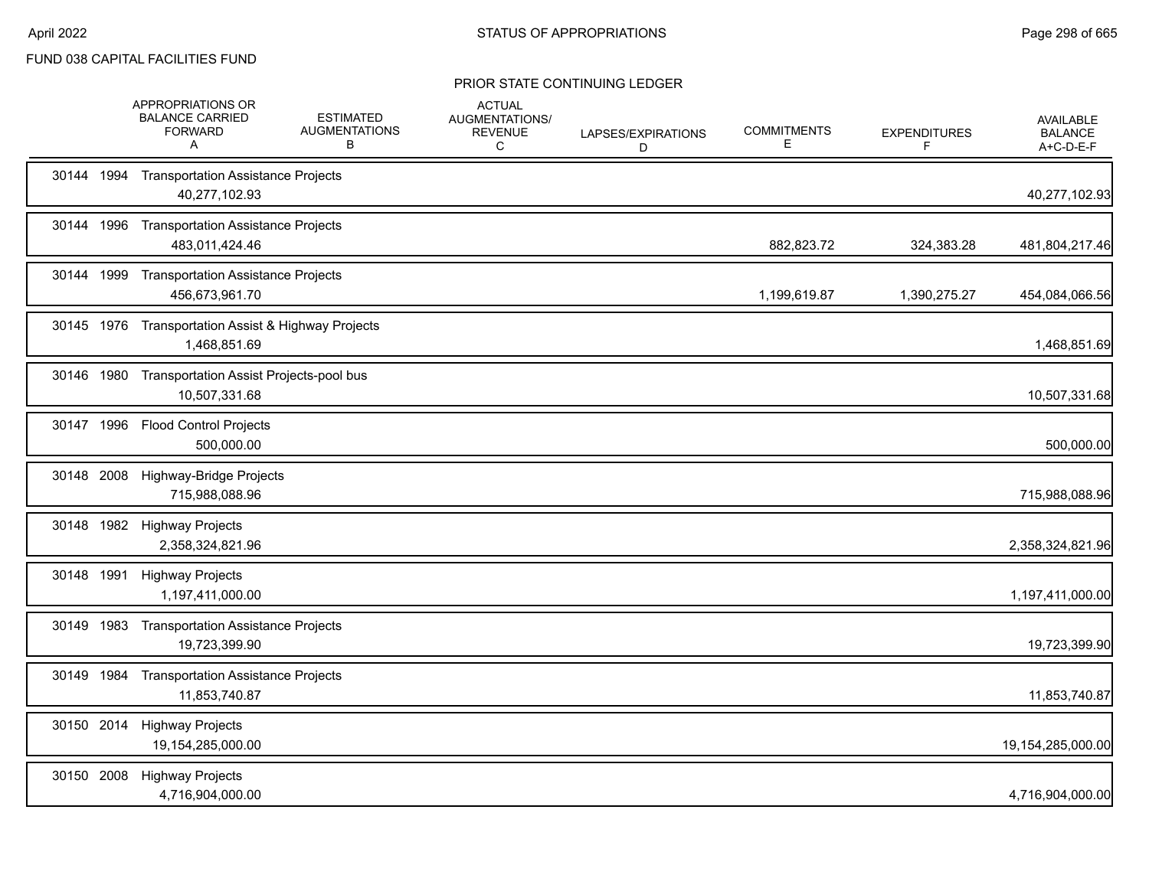|            | APPROPRIATIONS OR<br><b>BALANCE CARRIED</b><br><b>FORWARD</b><br>A  | <b>ESTIMATED</b><br><b>AUGMENTATIONS</b><br>B | <b>ACTUAL</b><br>AUGMENTATIONS/<br><b>REVENUE</b><br>C | LAPSES/EXPIRATIONS<br>D | <b>COMMITMENTS</b><br>Е | <b>EXPENDITURES</b><br>F | <b>AVAILABLE</b><br><b>BALANCE</b><br>A+C-D-E-F |
|------------|---------------------------------------------------------------------|-----------------------------------------------|--------------------------------------------------------|-------------------------|-------------------------|--------------------------|-------------------------------------------------|
|            | 30144 1994 Transportation Assistance Projects<br>40,277,102.93      |                                               |                                                        |                         |                         |                          | 40,277,102.93                                   |
| 30144 1996 | <b>Transportation Assistance Projects</b><br>483,011,424.46         |                                               |                                                        |                         | 882,823.72              | 324,383.28               | 481,804,217.46                                  |
|            | 30144 1999 Transportation Assistance Projects<br>456,673,961.70     |                                               |                                                        |                         | 1,199,619.87            | 1,390,275.27             | 454,084,066.56                                  |
|            | 30145 1976 Transportation Assist & Highway Projects<br>1,468,851.69 |                                               |                                                        |                         |                         |                          | 1,468,851.69                                    |
|            | 30146 1980 Transportation Assist Projects-pool bus<br>10,507,331.68 |                                               |                                                        |                         |                         |                          | 10,507,331.68                                   |
|            | 30147 1996 Flood Control Projects<br>500,000.00                     |                                               |                                                        |                         |                         |                          | 500,000.00                                      |
| 30148 2008 | Highway-Bridge Projects<br>715,988,088.96                           |                                               |                                                        |                         |                         |                          | 715,988,088.96                                  |
|            | 30148 1982 Highway Projects<br>2,358,324,821.96                     |                                               |                                                        |                         |                         |                          | 2,358,324,821.96                                |
|            | 30148 1991 Highway Projects<br>1,197,411,000.00                     |                                               |                                                        |                         |                         |                          | 1,197,411,000.00                                |
| 30149 1983 | <b>Transportation Assistance Projects</b><br>19,723,399.90          |                                               |                                                        |                         |                         |                          | 19,723,399.90                                   |
|            | 30149 1984 Transportation Assistance Projects<br>11,853,740.87      |                                               |                                                        |                         |                         |                          | 11,853,740.87                                   |
| 30150 2014 | <b>Highway Projects</b><br>19,154,285,000.00                        |                                               |                                                        |                         |                         |                          | 19,154,285,000.00                               |
| 30150 2008 | <b>Highway Projects</b><br>4,716,904,000.00                         |                                               |                                                        |                         |                         |                          | 4,716,904,000.00                                |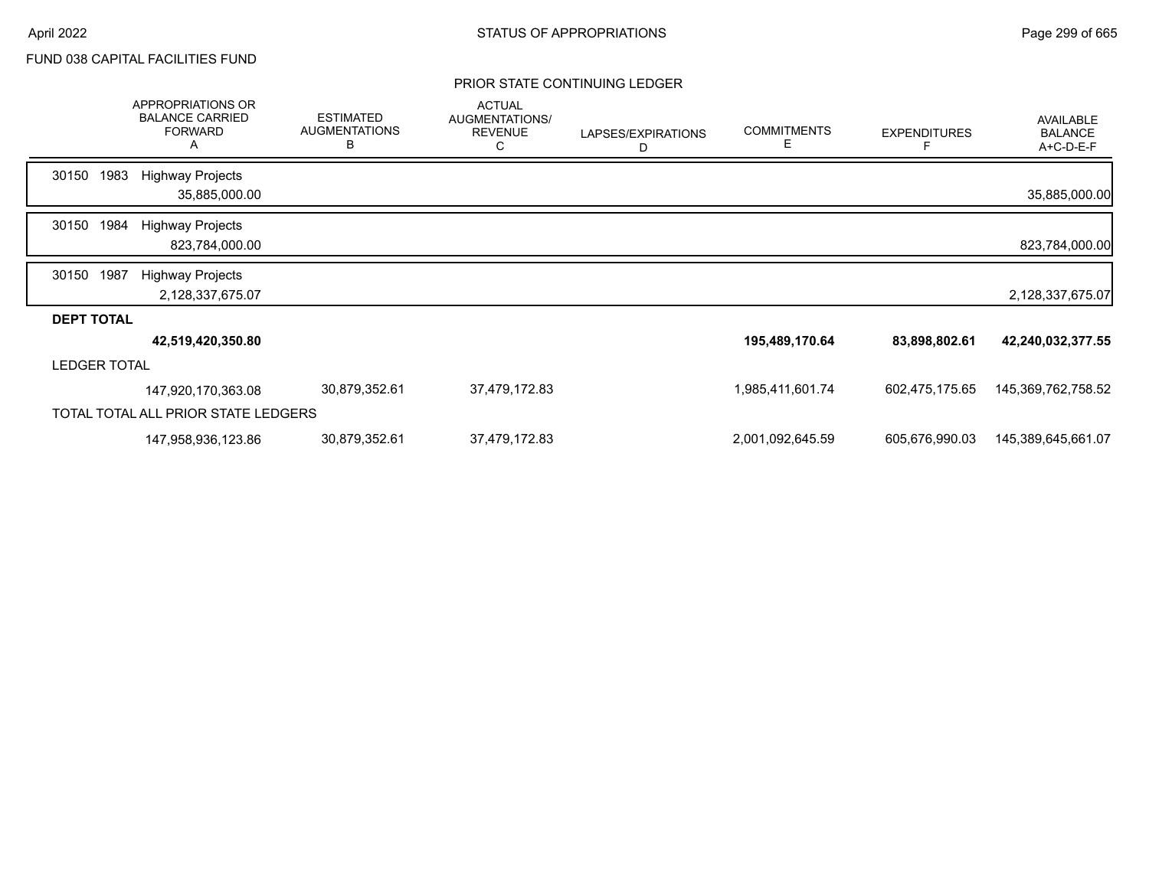|                     |      | APPROPRIATIONS OR<br><b>BALANCE CARRIED</b><br><b>FORWARD</b><br>Α | <b>ESTIMATED</b><br><b>AUGMENTATIONS</b><br>B | <b>ACTUAL</b><br>AUGMENTATIONS/<br><b>REVENUE</b><br>С | LAPSES/EXPIRATIONS<br>D | <b>COMMITMENTS</b><br>Е | <b>EXPENDITURES</b><br>F | <b>AVAILABLE</b><br><b>BALANCE</b><br>A+C-D-E-F |
|---------------------|------|--------------------------------------------------------------------|-----------------------------------------------|--------------------------------------------------------|-------------------------|-------------------------|--------------------------|-------------------------------------------------|
| 30150               | 1983 | <b>Highway Projects</b>                                            |                                               |                                                        |                         |                         |                          |                                                 |
|                     |      | 35,885,000.00                                                      |                                               |                                                        |                         |                         |                          | 35,885,000.00                                   |
| 30150               | 1984 | <b>Highway Projects</b>                                            |                                               |                                                        |                         |                         |                          |                                                 |
|                     |      | 823,784,000.00                                                     |                                               |                                                        |                         |                         |                          | 823,784,000.00                                  |
| 30150               | 1987 | <b>Highway Projects</b>                                            |                                               |                                                        |                         |                         |                          |                                                 |
|                     |      | 2,128,337,675.07                                                   |                                               |                                                        |                         |                         |                          | 2,128,337,675.07                                |
| <b>DEPT TOTAL</b>   |      |                                                                    |                                               |                                                        |                         |                         |                          |                                                 |
|                     |      | 42,519,420,350.80                                                  |                                               |                                                        |                         | 195,489,170.64          | 83,898,802.61            | 42,240,032,377.55                               |
| <b>LEDGER TOTAL</b> |      |                                                                    |                                               |                                                        |                         |                         |                          |                                                 |
|                     |      | 147,920,170,363.08                                                 | 30,879,352.61                                 | 37,479,172.83                                          |                         | 1,985,411,601.74        | 602,475,175.65           | 145,369,762,758.52                              |
|                     |      | TOTAL TOTAL ALL PRIOR STATE LEDGERS                                |                                               |                                                        |                         |                         |                          |                                                 |
|                     |      | 147,958,936,123.86                                                 | 30,879,352.61                                 | 37,479,172.83                                          |                         | 2,001,092,645.59        | 605,676,990.03           | 145,389,645,661.07                              |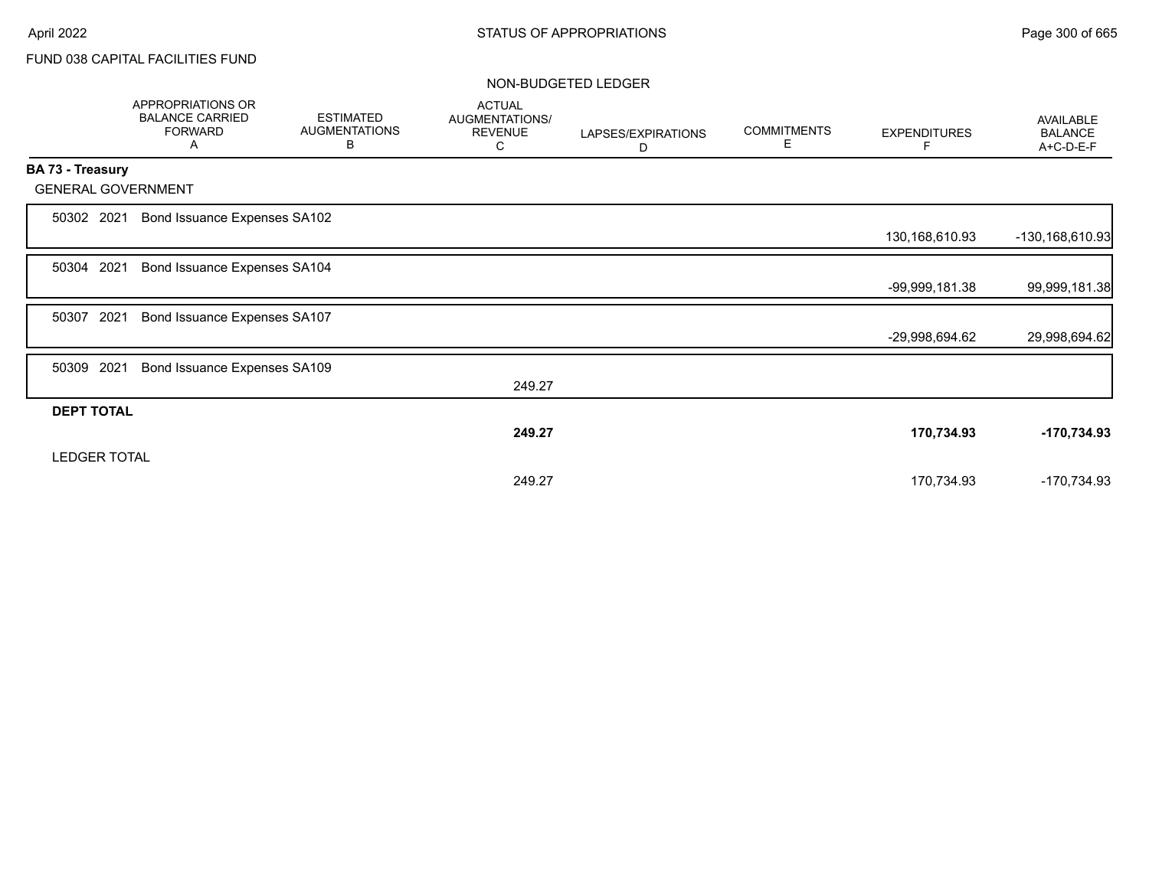|                           |      | APPROPRIATIONS OR<br><b>BALANCE CARRIED</b><br><b>FORWARD</b><br>A | <b>ESTIMATED</b><br><b>AUGMENTATIONS</b><br>В | <b>ACTUAL</b><br>AUGMENTATIONS/<br><b>REVENUE</b><br>С | LAPSES/EXPIRATIONS<br>D | <b>COMMITMENTS</b><br>Е | <b>EXPENDITURES</b><br>F | <b>AVAILABLE</b><br><b>BALANCE</b><br>A+C-D-E-F |
|---------------------------|------|--------------------------------------------------------------------|-----------------------------------------------|--------------------------------------------------------|-------------------------|-------------------------|--------------------------|-------------------------------------------------|
| <b>BA 73 - Treasury</b>   |      |                                                                    |                                               |                                                        |                         |                         |                          |                                                 |
| <b>GENERAL GOVERNMENT</b> |      |                                                                    |                                               |                                                        |                         |                         |                          |                                                 |
| 50302 2021                |      | Bond Issuance Expenses SA102                                       |                                               |                                                        |                         |                         |                          |                                                 |
|                           |      |                                                                    |                                               |                                                        |                         |                         | 130,168,610.93           | -130,168,610.93                                 |
| 50304                     | 2021 | Bond Issuance Expenses SA104                                       |                                               |                                                        |                         |                         |                          |                                                 |
|                           |      |                                                                    |                                               |                                                        |                         |                         | -99,999,181.38           | 99,999,181.38                                   |
| 50307                     | 2021 | Bond Issuance Expenses SA107                                       |                                               |                                                        |                         |                         |                          |                                                 |
|                           |      |                                                                    |                                               |                                                        |                         |                         | -29,998,694.62           | 29,998,694.62                                   |
| 50309                     | 2021 | Bond Issuance Expenses SA109                                       |                                               |                                                        |                         |                         |                          |                                                 |
|                           |      |                                                                    |                                               | 249.27                                                 |                         |                         |                          |                                                 |
| <b>DEPT TOTAL</b>         |      |                                                                    |                                               |                                                        |                         |                         |                          |                                                 |
|                           |      |                                                                    |                                               | 249.27                                                 |                         |                         | 170,734.93               | -170,734.93                                     |
| <b>LEDGER TOTAL</b>       |      |                                                                    |                                               |                                                        |                         |                         |                          |                                                 |
|                           |      |                                                                    |                                               | 249.27                                                 |                         |                         | 170,734.93               | -170,734.93                                     |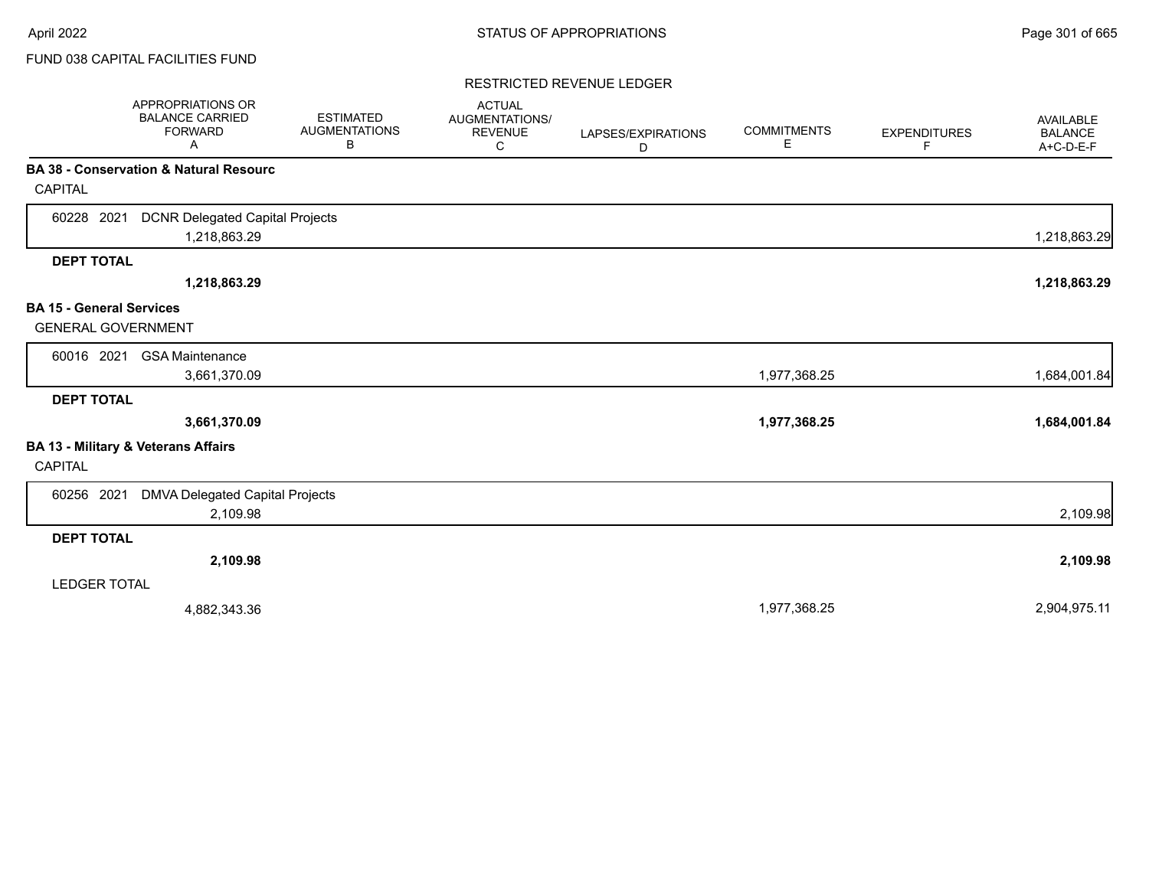### RESTRICTED REVENUE LEDGER

|                                 | APPROPRIATIONS OR<br><b>BALANCE CARRIED</b><br><b>FORWARD</b><br>A | <b>ESTIMATED</b><br><b>AUGMENTATIONS</b><br>В | <b>ACTUAL</b><br>AUGMENTATIONS/<br><b>REVENUE</b><br>С | LAPSES/EXPIRATIONS<br>D | <b>COMMITMENTS</b><br>Е | <b>EXPENDITURES</b><br>F | AVAILABLE<br><b>BALANCE</b><br>A+C-D-E-F |
|---------------------------------|--------------------------------------------------------------------|-----------------------------------------------|--------------------------------------------------------|-------------------------|-------------------------|--------------------------|------------------------------------------|
|                                 | BA 38 - Conservation & Natural Resourc                             |                                               |                                                        |                         |                         |                          |                                          |
| <b>CAPITAL</b>                  |                                                                    |                                               |                                                        |                         |                         |                          |                                          |
| 60228 2021                      | <b>DCNR Delegated Capital Projects</b>                             |                                               |                                                        |                         |                         |                          |                                          |
|                                 | 1,218,863.29                                                       |                                               |                                                        |                         |                         |                          | 1,218,863.29                             |
| <b>DEPT TOTAL</b>               |                                                                    |                                               |                                                        |                         |                         |                          |                                          |
|                                 | 1,218,863.29                                                       |                                               |                                                        |                         |                         |                          | 1,218,863.29                             |
| <b>BA 15 - General Services</b> |                                                                    |                                               |                                                        |                         |                         |                          |                                          |
| <b>GENERAL GOVERNMENT</b>       |                                                                    |                                               |                                                        |                         |                         |                          |                                          |
| 60016 2021                      | <b>GSA Maintenance</b>                                             |                                               |                                                        |                         |                         |                          |                                          |
|                                 | 3,661,370.09                                                       |                                               |                                                        |                         | 1,977,368.25            |                          | 1,684,001.84                             |
| <b>DEPT TOTAL</b>               |                                                                    |                                               |                                                        |                         |                         |                          |                                          |
|                                 | 3,661,370.09                                                       |                                               |                                                        |                         | 1,977,368.25            |                          | 1,684,001.84                             |
|                                 | BA 13 - Military & Veterans Affairs                                |                                               |                                                        |                         |                         |                          |                                          |
| <b>CAPITAL</b>                  |                                                                    |                                               |                                                        |                         |                         |                          |                                          |
| 60256 2021                      | DMVA Delegated Capital Projects                                    |                                               |                                                        |                         |                         |                          |                                          |
|                                 | 2,109.98                                                           |                                               |                                                        |                         |                         |                          | 2,109.98                                 |
| <b>DEPT TOTAL</b>               |                                                                    |                                               |                                                        |                         |                         |                          |                                          |
|                                 | 2,109.98                                                           |                                               |                                                        |                         |                         |                          | 2,109.98                                 |
| <b>LEDGER TOTAL</b>             |                                                                    |                                               |                                                        |                         |                         |                          |                                          |
|                                 | 4,882,343.36                                                       |                                               |                                                        |                         | 1,977,368.25            |                          | 2,904,975.11                             |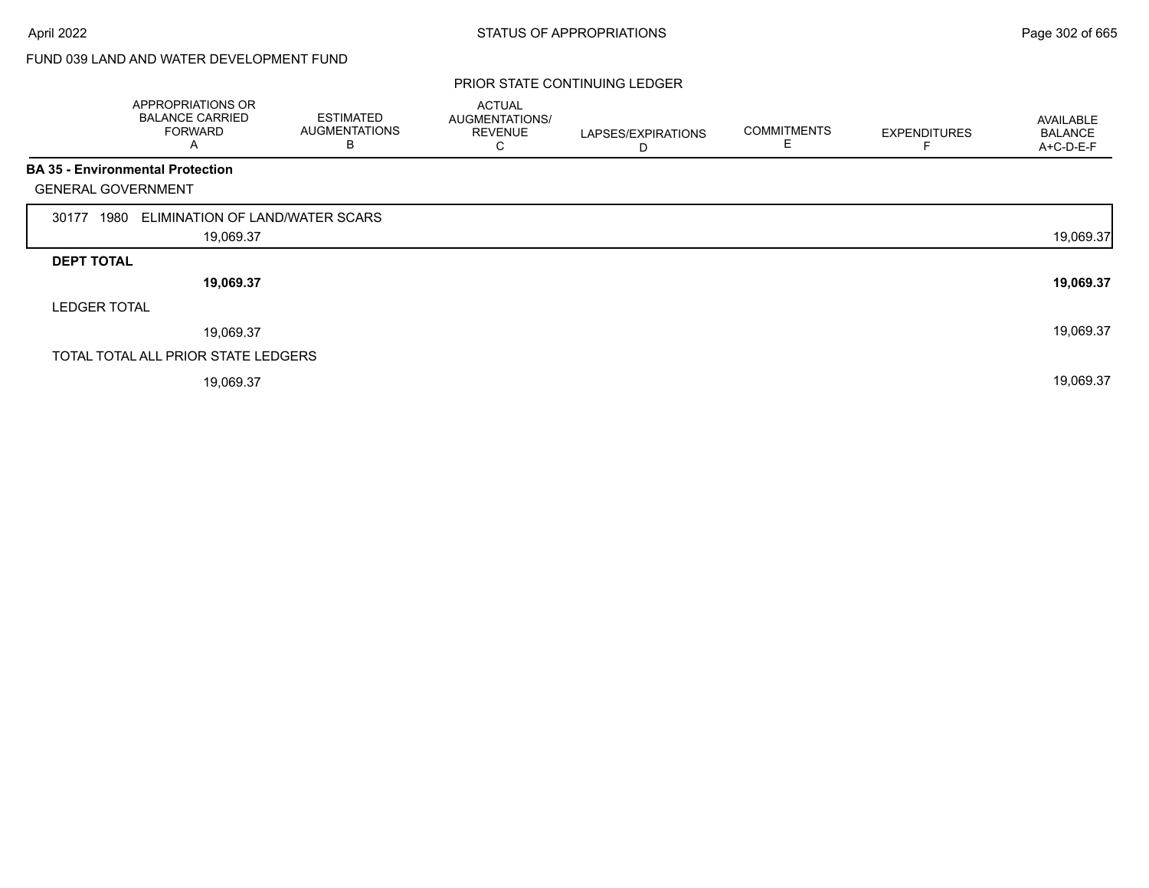# FUND 039 LAND AND WATER DEVELOPMENT FUND

#### PRIOR STATE CONTINUING LEDGER

|                           | APPROPRIATIONS OR<br><b>BALANCE CARRIED</b><br>FORWARD<br>A | <b>ESTIMATED</b><br><b>AUGMENTATIONS</b><br>B | <b>ACTUAL</b><br>AUGMENTATIONS/<br><b>REVENUE</b><br>U | LAPSES/EXPIRATIONS<br>D | <b>COMMITMENTS</b><br>E. | <b>EXPENDITURES</b> | AVAILABLE<br><b>BALANCE</b><br>A+C-D-E-F |
|---------------------------|-------------------------------------------------------------|-----------------------------------------------|--------------------------------------------------------|-------------------------|--------------------------|---------------------|------------------------------------------|
|                           | <b>BA 35 - Environmental Protection</b>                     |                                               |                                                        |                         |                          |                     |                                          |
| <b>GENERAL GOVERNMENT</b> |                                                             |                                               |                                                        |                         |                          |                     |                                          |
| 1980<br>30177             | ELIMINATION OF LAND/WATER SCARS                             |                                               |                                                        |                         |                          |                     |                                          |
|                           | 19,069.37                                                   |                                               |                                                        |                         |                          |                     | 19,069.37                                |
| <b>DEPT TOTAL</b>         |                                                             |                                               |                                                        |                         |                          |                     |                                          |
|                           | 19,069.37                                                   |                                               |                                                        |                         |                          |                     | 19,069.37                                |
| <b>LEDGER TOTAL</b>       |                                                             |                                               |                                                        |                         |                          |                     |                                          |
|                           | 19,069.37                                                   |                                               |                                                        |                         |                          |                     | 19,069.37                                |
|                           | TOTAL TOTAL ALL PRIOR STATE LEDGERS                         |                                               |                                                        |                         |                          |                     |                                          |
|                           |                                                             |                                               |                                                        |                         |                          |                     |                                          |

19,069.37 19,069.37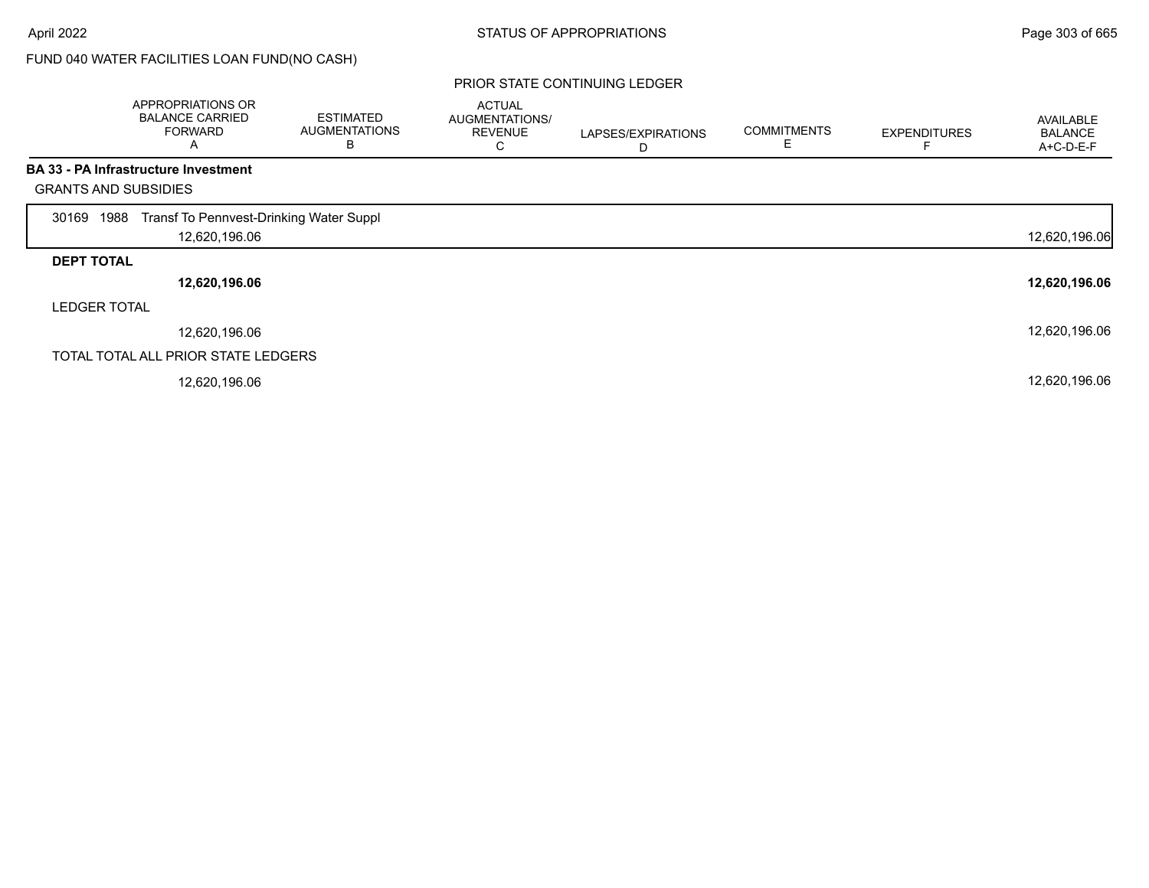# FUND 040 WATER FACILITIES LOAN FUND(NO CASH)

|                             | APPROPRIATIONS OR<br><b>BALANCE CARRIED</b><br><b>FORWARD</b><br>Α | <b>ESTIMATED</b><br><b>AUGMENTATIONS</b><br>B | <b>ACTUAL</b><br>AUGMENTATIONS/<br><b>REVENUE</b><br>◡ | LAPSES/EXPIRATIONS<br>D | <b>COMMITMENTS</b><br>E | <b>EXPENDITURES</b> | AVAILABLE<br><b>BALANCE</b><br>A+C-D-E-F |
|-----------------------------|--------------------------------------------------------------------|-----------------------------------------------|--------------------------------------------------------|-------------------------|-------------------------|---------------------|------------------------------------------|
|                             | <b>BA 33 - PA Infrastructure Investment</b>                        |                                               |                                                        |                         |                         |                     |                                          |
| <b>GRANTS AND SUBSIDIES</b> |                                                                    |                                               |                                                        |                         |                         |                     |                                          |
| 1988<br>30169               | Transf To Pennvest-Drinking Water Suppl                            |                                               |                                                        |                         |                         |                     |                                          |
|                             | 12,620,196.06                                                      |                                               |                                                        |                         |                         |                     | 12,620,196.06                            |
| <b>DEPT TOTAL</b>           |                                                                    |                                               |                                                        |                         |                         |                     |                                          |
|                             | 12,620,196.06                                                      |                                               |                                                        |                         |                         |                     | 12,620,196.06                            |
| <b>LEDGER TOTAL</b>         |                                                                    |                                               |                                                        |                         |                         |                     |                                          |
|                             | 12,620,196.06                                                      |                                               |                                                        |                         |                         |                     | 12,620,196.06                            |
|                             | TOTAL TOTAL ALL PRIOR STATE LEDGERS                                |                                               |                                                        |                         |                         |                     |                                          |
|                             | 12,620,196.06                                                      |                                               |                                                        |                         |                         |                     | 12,620,196.06                            |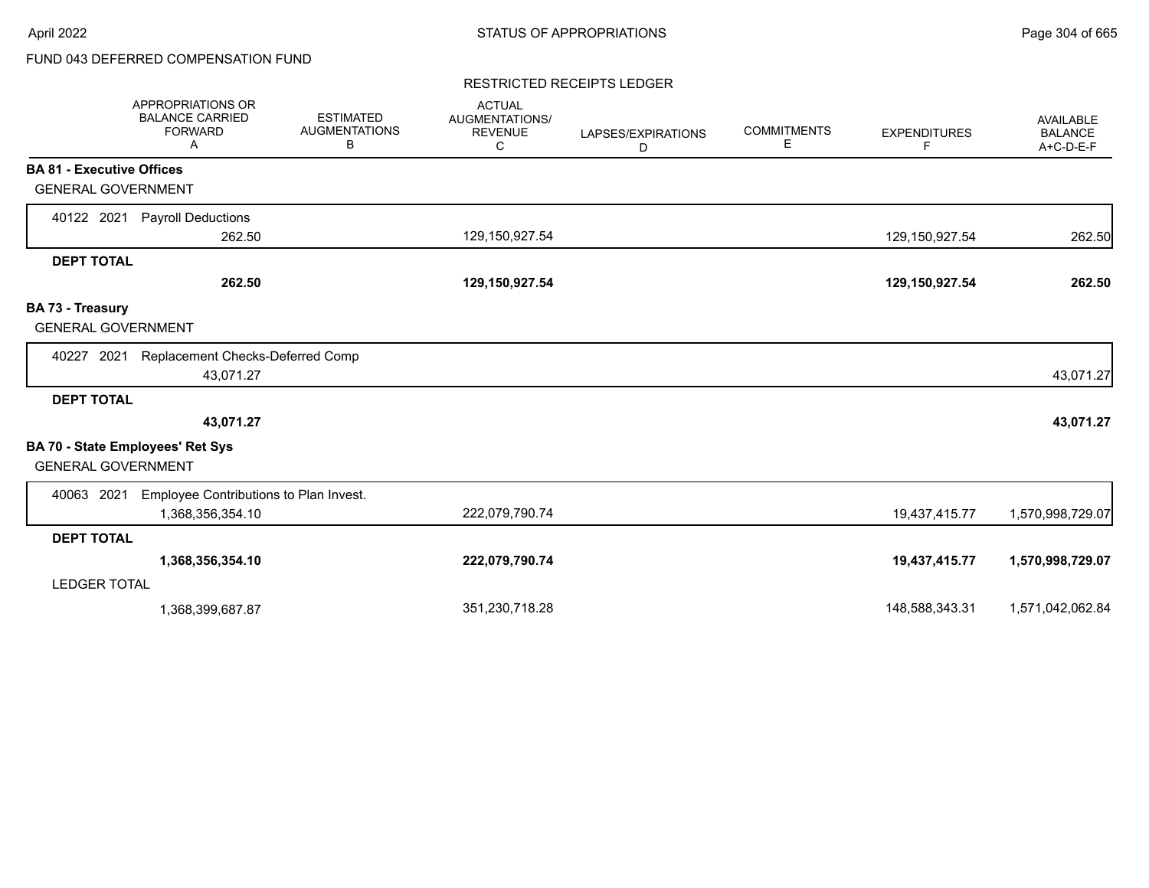# FUND 043 DEFERRED COMPENSATION FUND

### RESTRICTED RECEIPTS LEDGER

|                                  | <b>APPROPRIATIONS OR</b><br><b>BALANCE CARRIED</b><br><b>FORWARD</b><br>Α | <b>ESTIMATED</b><br><b>AUGMENTATIONS</b><br>В | <b>ACTUAL</b><br>AUGMENTATIONS/<br><b>REVENUE</b><br>C | LAPSES/EXPIRATIONS<br>D | <b>COMMITMENTS</b><br>Е | <b>EXPENDITURES</b><br>F | <b>AVAILABLE</b><br><b>BALANCE</b><br>A+C-D-E-F |
|----------------------------------|---------------------------------------------------------------------------|-----------------------------------------------|--------------------------------------------------------|-------------------------|-------------------------|--------------------------|-------------------------------------------------|
| <b>BA 81 - Executive Offices</b> |                                                                           |                                               |                                                        |                         |                         |                          |                                                 |
| <b>GENERAL GOVERNMENT</b>        |                                                                           |                                               |                                                        |                         |                         |                          |                                                 |
| 40122 2021                       | <b>Payroll Deductions</b>                                                 |                                               |                                                        |                         |                         |                          |                                                 |
|                                  | 262.50                                                                    |                                               | 129,150,927.54                                         |                         |                         | 129,150,927.54           | 262.50                                          |
| <b>DEPT TOTAL</b>                |                                                                           |                                               |                                                        |                         |                         |                          |                                                 |
|                                  | 262.50                                                                    |                                               | 129,150,927.54                                         |                         |                         | 129,150,927.54           | 262.50                                          |
| BA 73 - Treasury                 |                                                                           |                                               |                                                        |                         |                         |                          |                                                 |
| <b>GENERAL GOVERNMENT</b>        |                                                                           |                                               |                                                        |                         |                         |                          |                                                 |
| 40227 2021                       | Replacement Checks-Deferred Comp                                          |                                               |                                                        |                         |                         |                          |                                                 |
|                                  | 43,071.27                                                                 |                                               |                                                        |                         |                         |                          | 43,071.27                                       |
| <b>DEPT TOTAL</b>                |                                                                           |                                               |                                                        |                         |                         |                          |                                                 |
|                                  | 43,071.27                                                                 |                                               |                                                        |                         |                         |                          | 43,071.27                                       |
| <b>GENERAL GOVERNMENT</b>        | <b>BA 70 - State Employees' Ret Sys</b>                                   |                                               |                                                        |                         |                         |                          |                                                 |
| 40063 2021                       | Employee Contributions to Plan Invest.                                    |                                               |                                                        |                         |                         |                          |                                                 |
|                                  | 1,368,356,354.10                                                          |                                               | 222,079,790.74                                         |                         |                         | 19,437,415.77            | 1,570,998,729.07                                |
| <b>DEPT TOTAL</b>                |                                                                           |                                               |                                                        |                         |                         |                          |                                                 |
|                                  | 1,368,356,354.10                                                          |                                               | 222,079,790.74                                         |                         |                         | 19,437,415.77            | 1,570,998,729.07                                |
| <b>LEDGER TOTAL</b>              |                                                                           |                                               |                                                        |                         |                         |                          |                                                 |
|                                  | 1,368,399,687.87                                                          |                                               | 351,230,718.28                                         |                         |                         | 148,588,343.31           | 1,571,042,062.84                                |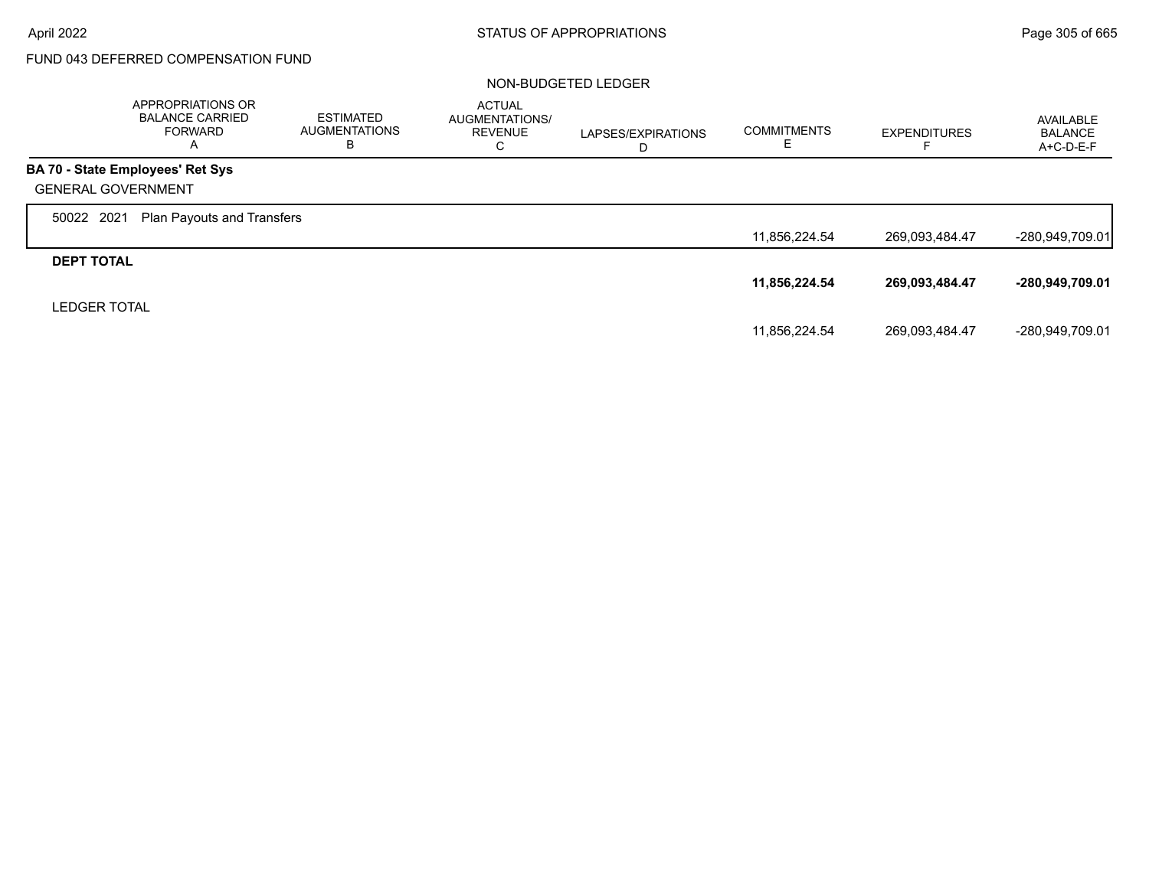$\Gamma$ 

# FUND 043 DEFERRED COMPENSATION FUND

|                           | APPROPRIATIONS OR<br><b>BALANCE CARRIED</b><br>FORWARD<br>A | <b>ESTIMATED</b><br><b>AUGMENTATIONS</b><br>в | <b>ACTUAL</b><br>AUGMENTATIONS/<br><b>REVENUE</b><br>С | LAPSES/EXPIRATIONS<br>D | <b>COMMITMENTS</b><br>E | <b>EXPENDITURES</b> | AVAILABLE<br><b>BALANCE</b><br>$A+C-D-E-F$ |
|---------------------------|-------------------------------------------------------------|-----------------------------------------------|--------------------------------------------------------|-------------------------|-------------------------|---------------------|--------------------------------------------|
|                           | BA 70 - State Employees' Ret Sys                            |                                               |                                                        |                         |                         |                     |                                            |
| <b>GENERAL GOVERNMENT</b> |                                                             |                                               |                                                        |                         |                         |                     |                                            |
| 50022 2021                | <b>Plan Payouts and Transfers</b>                           |                                               |                                                        |                         |                         |                     |                                            |
|                           |                                                             |                                               |                                                        |                         | 11,856,224.54           | 269,093,484.47      | $-280,949,709.01$                          |
| <b>DEPT TOTAL</b>         |                                                             |                                               |                                                        |                         |                         |                     |                                            |
|                           |                                                             |                                               |                                                        |                         | 11,856,224.54           | 269,093,484.47      | -280,949,709.01                            |
| <b>LEDGER TOTAL</b>       |                                                             |                                               |                                                        |                         |                         |                     |                                            |
|                           |                                                             |                                               |                                                        |                         | 11,856,224.54           | 269,093,484.47      | -280,949,709.01                            |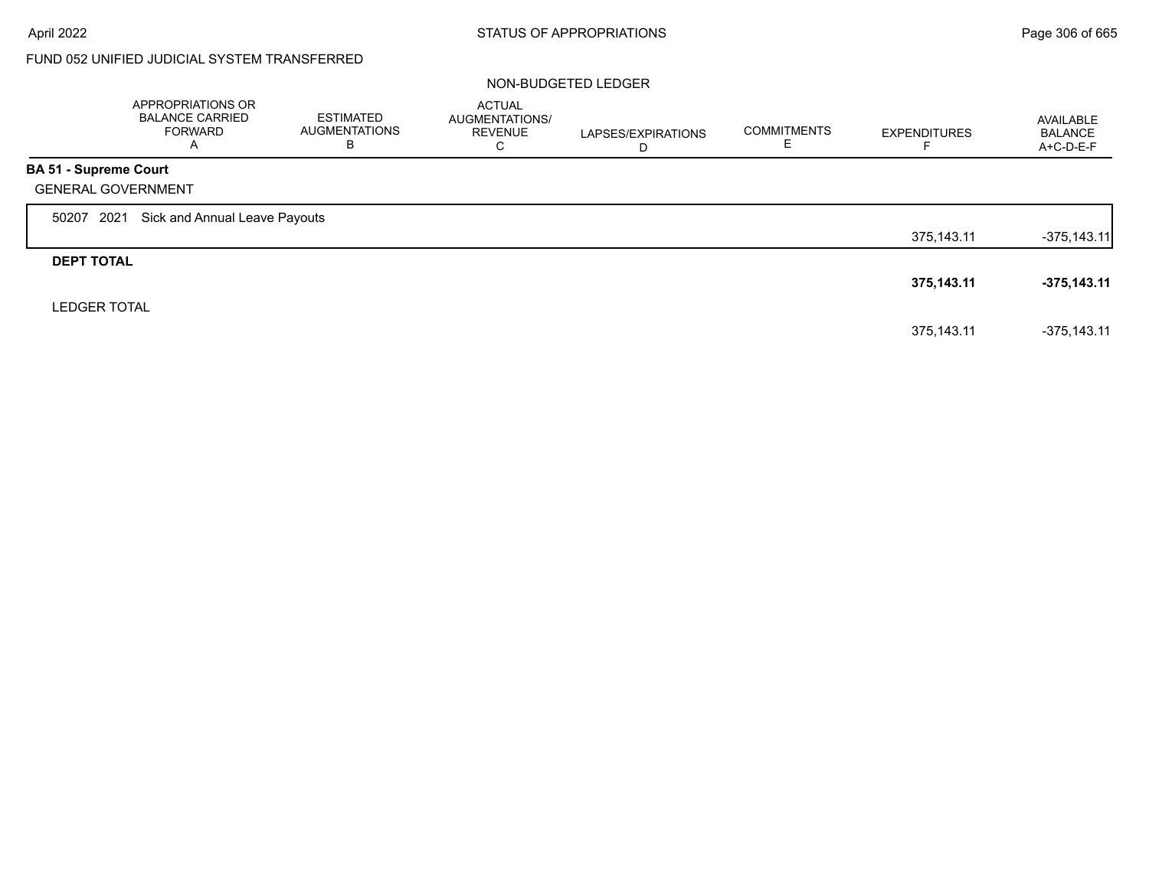# FUND 052 UNIFIED JUDICIAL SYSTEM TRANSFERRED

|                              | APPROPRIATIONS OR<br><b>BALANCE CARRIED</b><br><b>FORWARD</b><br>A | <b>ESTIMATED</b><br><b>AUGMENTATIONS</b><br>В | <b>ACTUAL</b><br>AUGMENTATIONS/<br><b>REVENUE</b><br>С | LAPSES/EXPIRATIONS<br>D | <b>COMMITMENTS</b> | <b>EXPENDITURES</b> | AVAILABLE<br><b>BALANCE</b><br>A+C-D-E-F |
|------------------------------|--------------------------------------------------------------------|-----------------------------------------------|--------------------------------------------------------|-------------------------|--------------------|---------------------|------------------------------------------|
| <b>BA 51 - Supreme Court</b> |                                                                    |                                               |                                                        |                         |                    |                     |                                          |
|                              | <b>GENERAL GOVERNMENT</b>                                          |                                               |                                                        |                         |                    |                     |                                          |
| 50207                        | Sick and Annual Leave Payouts<br>2021                              |                                               |                                                        |                         |                    |                     |                                          |
|                              |                                                                    |                                               |                                                        |                         |                    | 375,143.11          | $-375,143.11$                            |
| <b>DEPT TOTAL</b>            |                                                                    |                                               |                                                        |                         |                    |                     |                                          |
|                              |                                                                    |                                               |                                                        |                         |                    | 375,143.11          | $-375,143.11$                            |
| <b>LEDGER TOTAL</b>          |                                                                    |                                               |                                                        |                         |                    |                     |                                          |
|                              |                                                                    |                                               |                                                        |                         |                    | 375.143.11          | $-375.143.11$                            |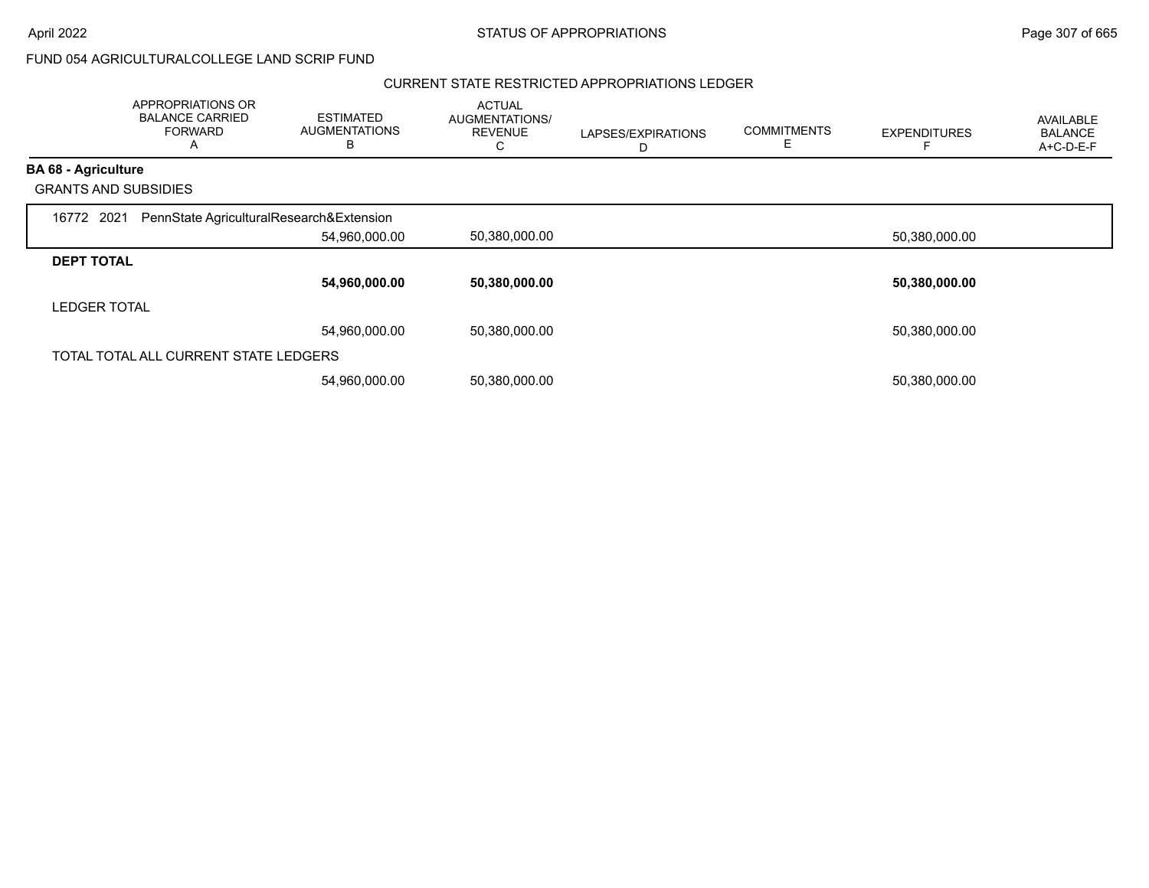## FUND 054 AGRICULTURALCOLLEGE LAND SCRIP FUND

#### CURRENT STATE RESTRICTED APPROPRIATIONS LEDGER

|                             | APPROPRIATIONS OR<br><b>BALANCE CARRIED</b><br><b>FORWARD</b><br>A | <b>ESTIMATED</b><br><b>AUGMENTATIONS</b><br>В | <b>ACTUAL</b><br>AUGMENTATIONS/<br><b>REVENUE</b><br>C | LAPSES/EXPIRATIONS<br>D | <b>COMMITMENTS</b><br>Е | <b>EXPENDITURES</b> | <b>AVAILABLE</b><br><b>BALANCE</b><br>A+C-D-E-F |
|-----------------------------|--------------------------------------------------------------------|-----------------------------------------------|--------------------------------------------------------|-------------------------|-------------------------|---------------------|-------------------------------------------------|
| <b>BA 68 - Agriculture</b>  |                                                                    |                                               |                                                        |                         |                         |                     |                                                 |
| <b>GRANTS AND SUBSIDIES</b> |                                                                    |                                               |                                                        |                         |                         |                     |                                                 |
| 16772 2021                  | PennState AgriculturalResearch&Extension                           |                                               |                                                        |                         |                         |                     |                                                 |
|                             |                                                                    | 54,960,000.00                                 | 50,380,000.00                                          |                         |                         | 50,380,000.00       |                                                 |
| <b>DEPT TOTAL</b>           |                                                                    |                                               |                                                        |                         |                         |                     |                                                 |
|                             |                                                                    | 54,960,000.00                                 | 50,380,000.00                                          |                         |                         | 50,380,000.00       |                                                 |
| <b>LEDGER TOTAL</b>         |                                                                    |                                               |                                                        |                         |                         |                     |                                                 |
|                             |                                                                    | 54.960.000.00                                 | 50.380.000.00                                          |                         |                         | 50,380,000.00       |                                                 |
|                             | TOTAL TOTAL ALL CURRENT STATE LEDGERS                              |                                               |                                                        |                         |                         |                     |                                                 |
|                             |                                                                    | 54,960,000.00                                 | 50,380,000.00                                          |                         |                         | 50,380,000.00       |                                                 |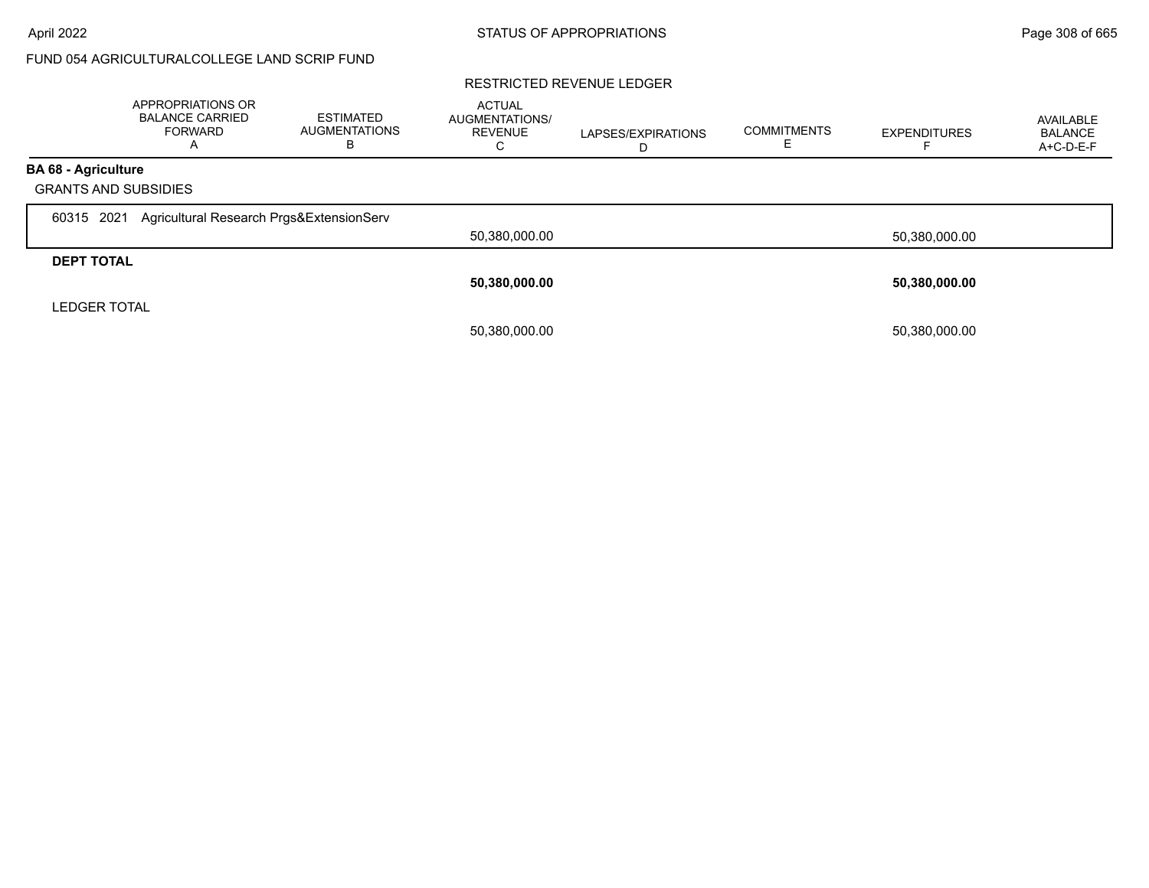# FUND 054 AGRICULTURALCOLLEGE LAND SCRIP FUND

#### RESTRICTED REVENUE LEDGER

|                                          | APPROPRIATIONS OR<br><b>BALANCE CARRIED</b><br><b>FORWARD</b><br>А | <b>ESTIMATED</b><br><b>AUGMENTATIONS</b><br>в | <b>ACTUAL</b><br><b>AUGMENTATIONS/</b><br><b>REVENUE</b><br>С | LAPSES/EXPIRATIONS | <b>COMMITMENTS</b> | <b>EXPENDITURES</b> | AVAILABLE<br><b>BALANCE</b><br>A+C-D-E-F |
|------------------------------------------|--------------------------------------------------------------------|-----------------------------------------------|---------------------------------------------------------------|--------------------|--------------------|---------------------|------------------------------------------|
| <b>BA 68 - Agriculture</b>               | <b>GRANTS AND SUBSIDIES</b>                                        |                                               |                                                               |                    |                    |                     |                                          |
| 60315 2021                               | Agricultural Research Prgs&ExtensionServ                           |                                               | 50,380,000.00                                                 |                    |                    | 50,380,000.00       |                                          |
| <b>DEPT TOTAL</b><br><b>LEDGER TOTAL</b> |                                                                    |                                               | 50,380,000.00                                                 |                    |                    | 50,380,000.00       |                                          |
|                                          |                                                                    |                                               | 50,380,000.00                                                 |                    |                    | 50,380,000.00       |                                          |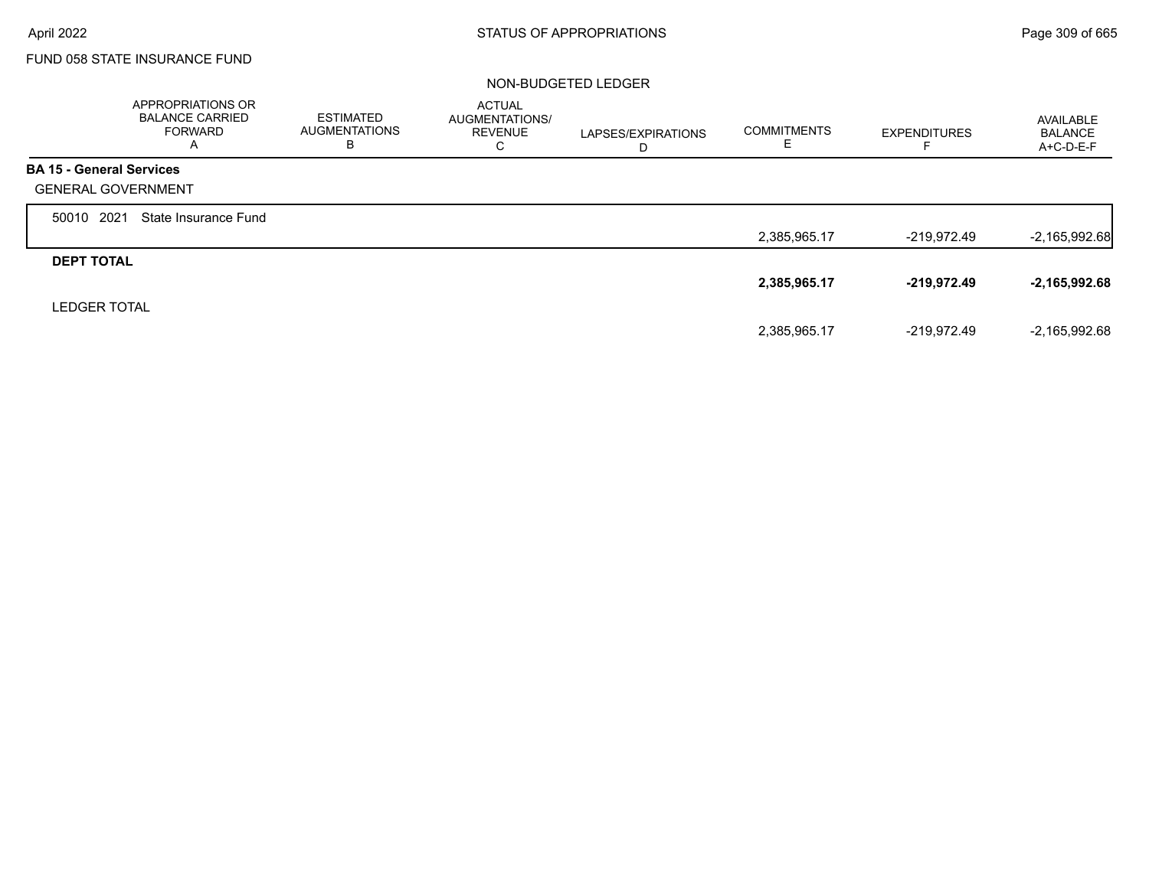$\Gamma$ 

# FUND 058 STATE INSURANCE FUND

|                                 | APPROPRIATIONS OR<br><b>BALANCE CARRIED</b><br><b>FORWARD</b><br>A | <b>ESTIMATED</b><br><b>AUGMENTATIONS</b><br>в | <b>ACTUAL</b><br>AUGMENTATIONS/<br><b>REVENUE</b><br>С | LAPSES/EXPIRATIONS<br>D | <b>COMMITMENTS</b> | <b>EXPENDITURES</b> | AVAILABLE<br><b>BALANCE</b><br>A+C-D-E-F |
|---------------------------------|--------------------------------------------------------------------|-----------------------------------------------|--------------------------------------------------------|-------------------------|--------------------|---------------------|------------------------------------------|
| <b>BA 15 - General Services</b> |                                                                    |                                               |                                                        |                         |                    |                     |                                          |
| <b>GENERAL GOVERNMENT</b>       |                                                                    |                                               |                                                        |                         |                    |                     |                                          |
| 2021<br>50010                   | State Insurance Fund                                               |                                               |                                                        |                         |                    |                     |                                          |
|                                 |                                                                    |                                               |                                                        |                         | 2,385,965.17       | -219,972.49         | $-2,165,992.68$                          |
| <b>DEPT TOTAL</b>               |                                                                    |                                               |                                                        |                         |                    |                     |                                          |
|                                 |                                                                    |                                               |                                                        |                         | 2,385,965.17       | $-219,972.49$       | $-2,165,992.68$                          |
| <b>LEDGER TOTAL</b>             |                                                                    |                                               |                                                        |                         |                    |                     |                                          |
|                                 |                                                                    |                                               |                                                        |                         | 2,385,965.17       | -219.972.49         | $-2,165,992.68$                          |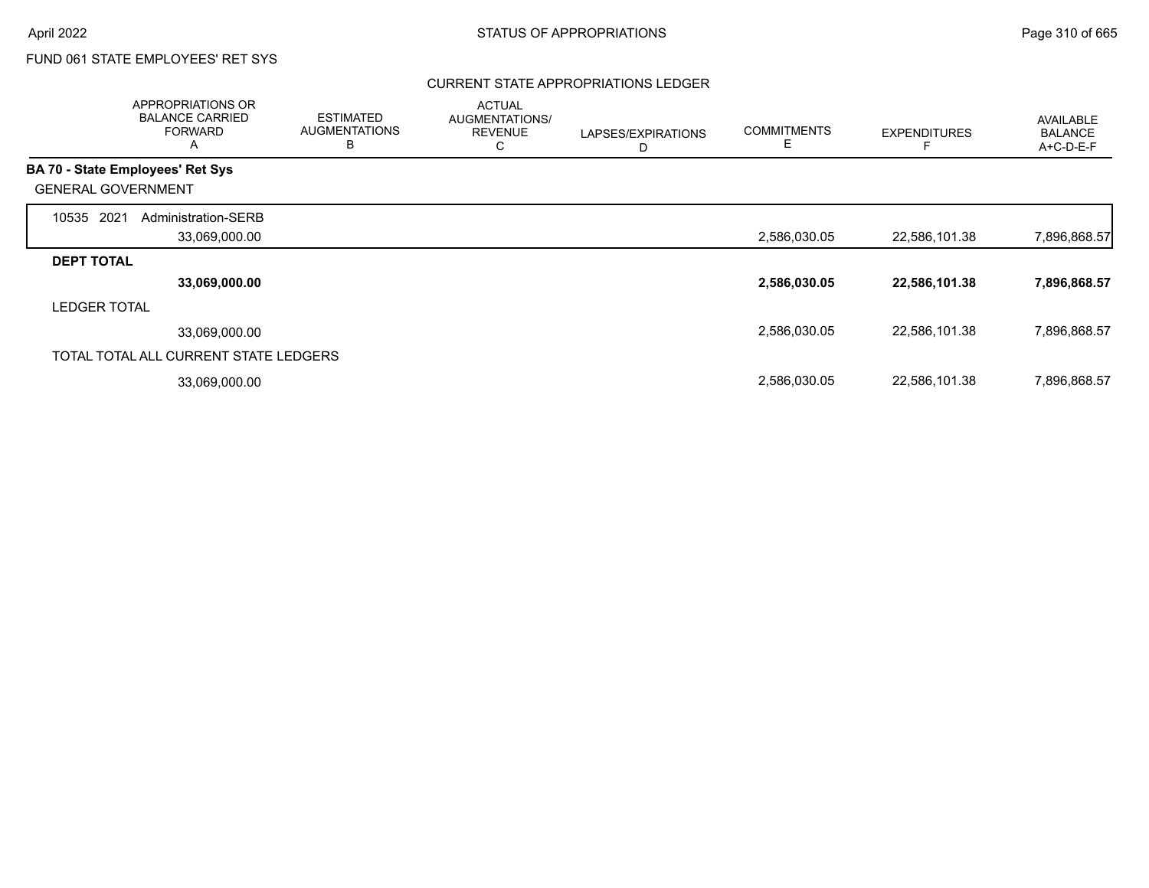## CURRENT STATE APPROPRIATIONS LEDGER

|                                         | APPROPRIATIONS OR<br><b>BALANCE CARRIED</b><br><b>FORWARD</b><br>A | <b>ESTIMATED</b><br><b>AUGMENTATIONS</b><br>B | <b>ACTUAL</b><br>AUGMENTATIONS/<br><b>REVENUE</b><br>С | LAPSES/EXPIRATIONS<br>D | <b>COMMITMENTS</b><br>Е | <b>EXPENDITURES</b> | <b>AVAILABLE</b><br><b>BALANCE</b><br>A+C-D-E-F |
|-----------------------------------------|--------------------------------------------------------------------|-----------------------------------------------|--------------------------------------------------------|-------------------------|-------------------------|---------------------|-------------------------------------------------|
| <b>BA 70 - State Employees' Ret Sys</b> |                                                                    |                                               |                                                        |                         |                         |                     |                                                 |
| <b>GENERAL GOVERNMENT</b>               |                                                                    |                                               |                                                        |                         |                         |                     |                                                 |
| 2021<br>10535                           | Administration-SERB                                                |                                               |                                                        |                         |                         |                     |                                                 |
|                                         | 33,069,000.00                                                      |                                               |                                                        |                         | 2,586,030.05            | 22,586,101.38       | 7,896,868.57                                    |
| <b>DEPT TOTAL</b>                       |                                                                    |                                               |                                                        |                         |                         |                     |                                                 |
|                                         | 33,069,000.00                                                      |                                               |                                                        |                         | 2,586,030.05            | 22,586,101.38       | 7,896,868.57                                    |
| <b>LEDGER TOTAL</b>                     |                                                                    |                                               |                                                        |                         |                         |                     |                                                 |
|                                         | 33,069,000.00                                                      |                                               |                                                        |                         | 2,586,030.05            | 22,586,101.38       | 7,896,868.57                                    |
|                                         | TOTAL TOTAL ALL CURRENT STATE LEDGERS                              |                                               |                                                        |                         |                         |                     |                                                 |
|                                         | 33,069,000.00                                                      |                                               |                                                        |                         | 2,586,030.05            | 22,586,101.38       | 7,896,868.57                                    |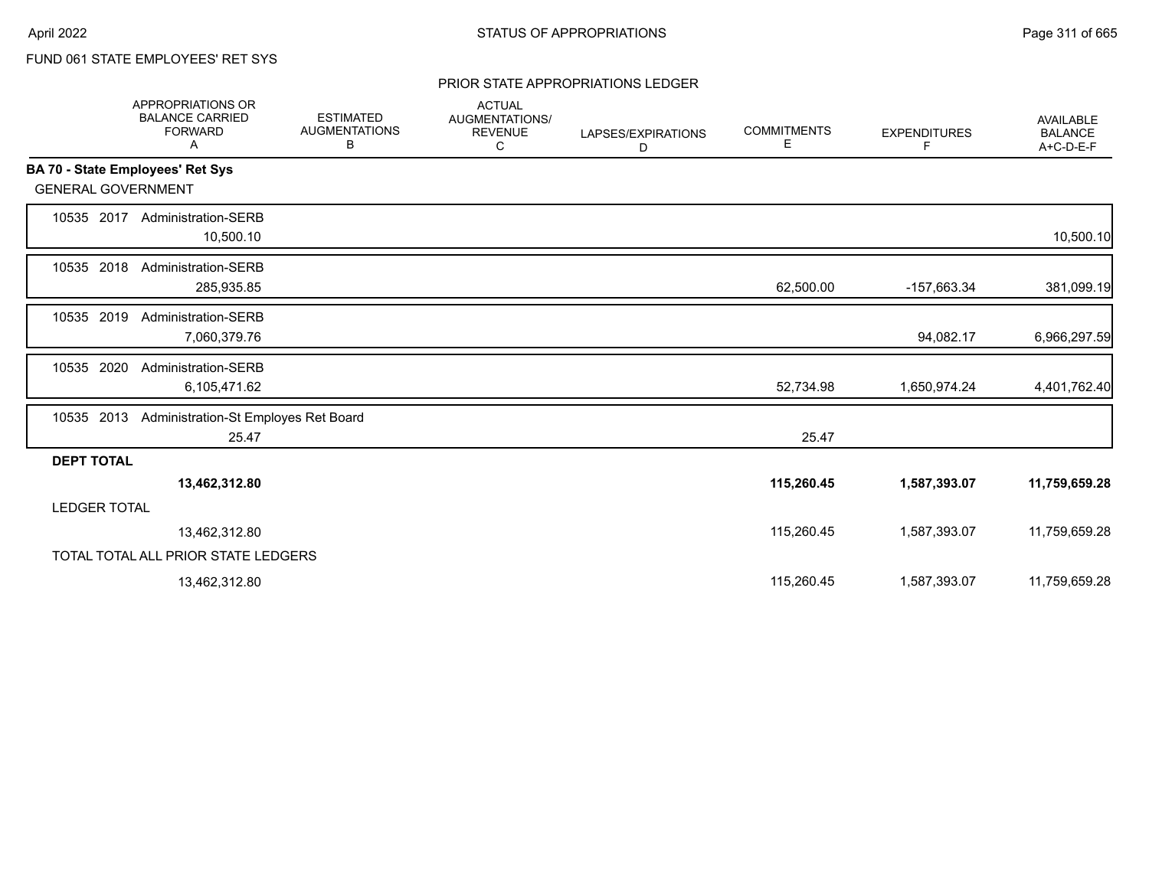## PRIOR STATE APPROPRIATIONS LEDGER

|                           | APPROPRIATIONS OR<br><b>BALANCE CARRIED</b><br><b>FORWARD</b><br>Α | <b>ESTIMATED</b><br><b>AUGMENTATIONS</b><br>В | <b>ACTUAL</b><br>AUGMENTATIONS/<br><b>REVENUE</b><br>С | LAPSES/EXPIRATIONS<br>D | <b>COMMITMENTS</b><br>Е | <b>EXPENDITURES</b><br>F. | <b>AVAILABLE</b><br><b>BALANCE</b><br>A+C-D-E-F |
|---------------------------|--------------------------------------------------------------------|-----------------------------------------------|--------------------------------------------------------|-------------------------|-------------------------|---------------------------|-------------------------------------------------|
|                           | BA 70 - State Employees' Ret Sys                                   |                                               |                                                        |                         |                         |                           |                                                 |
| <b>GENERAL GOVERNMENT</b> |                                                                    |                                               |                                                        |                         |                         |                           |                                                 |
| 10535 2017                | <b>Administration-SERB</b><br>10,500.10                            |                                               |                                                        |                         |                         |                           | 10,500.10                                       |
| 10535 2018                | Administration-SERB<br>285,935.85                                  |                                               |                                                        |                         | 62,500.00               | -157,663.34               | 381,099.19                                      |
| 2019<br>10535             | Administration-SERB<br>7,060,379.76                                |                                               |                                                        |                         |                         | 94,082.17                 | 6,966,297.59                                    |
| 10535 2020                | <b>Administration-SERB</b><br>6,105,471.62                         |                                               |                                                        |                         | 52,734.98               | 1,650,974.24              | 4,401,762.40                                    |
| 10535 2013                | Administration-St Employes Ret Board<br>25.47                      |                                               |                                                        |                         | 25.47                   |                           |                                                 |
| <b>DEPT TOTAL</b>         |                                                                    |                                               |                                                        |                         |                         |                           |                                                 |
|                           | 13,462,312.80                                                      |                                               |                                                        |                         | 115,260.45              | 1,587,393.07              | 11,759,659.28                                   |
| <b>LEDGER TOTAL</b>       |                                                                    |                                               |                                                        |                         |                         |                           |                                                 |
|                           | 13,462,312.80                                                      |                                               |                                                        |                         | 115,260.45              | 1,587,393.07              | 11,759,659.28                                   |
|                           | TOTAL TOTAL ALL PRIOR STATE LEDGERS                                |                                               |                                                        |                         |                         |                           |                                                 |
|                           | 13,462,312.80                                                      |                                               |                                                        |                         | 115,260.45              | 1,587,393.07              | 11,759,659.28                                   |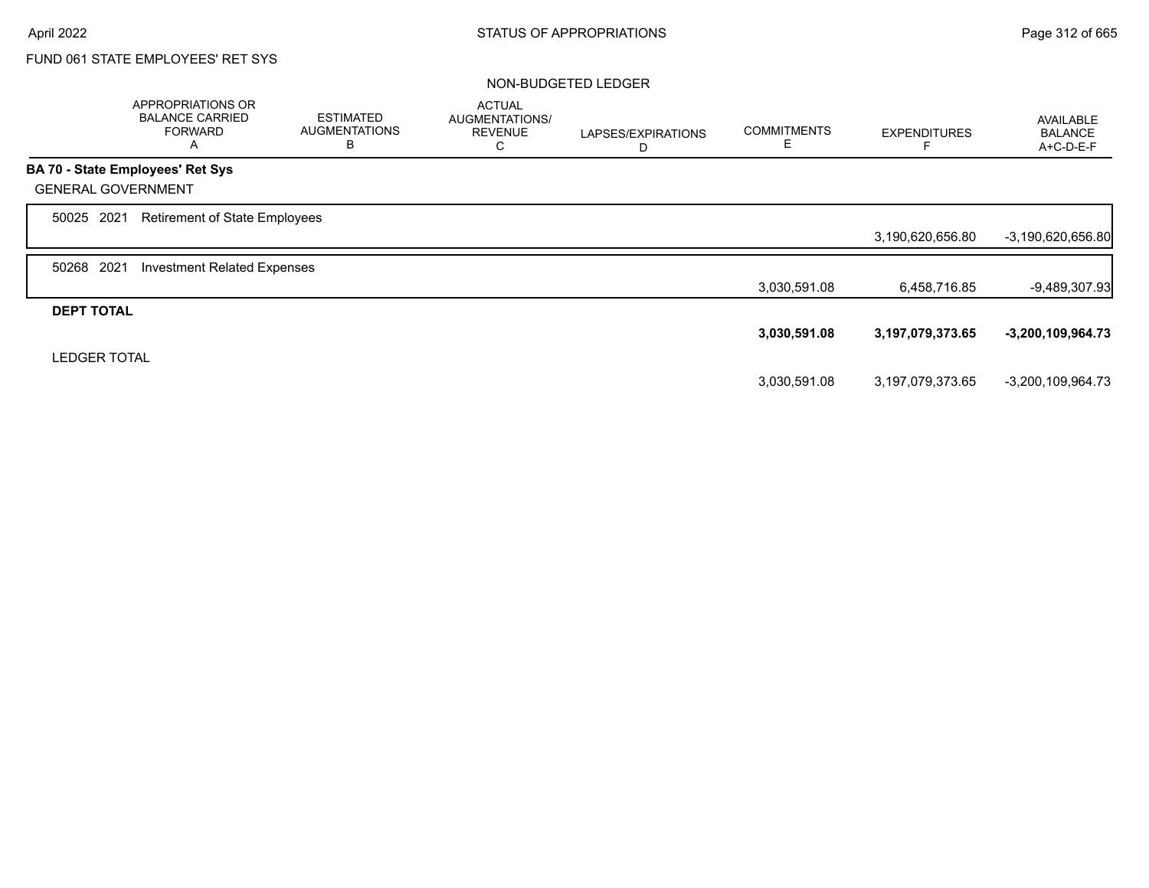|                           | APPROPRIATIONS OR<br><b>BALANCE CARRIED</b><br><b>FORWARD</b><br>A | <b>ESTIMATED</b><br><b>AUGMENTATIONS</b><br>B | <b>ACTUAL</b><br>AUGMENTATIONS/<br><b>REVENUE</b><br>С | LAPSES/EXPIRATIONS<br>D | <b>COMMITMENTS</b><br>Е | <b>EXPENDITURES</b> | <b>AVAILABLE</b><br><b>BALANCE</b><br>A+C-D-E-F |
|---------------------------|--------------------------------------------------------------------|-----------------------------------------------|--------------------------------------------------------|-------------------------|-------------------------|---------------------|-------------------------------------------------|
|                           | <b>BA 70 - State Employees' Ret Sys</b>                            |                                               |                                                        |                         |                         |                     |                                                 |
| <b>GENERAL GOVERNMENT</b> |                                                                    |                                               |                                                        |                         |                         |                     |                                                 |
| 50025 2021                | <b>Retirement of State Employees</b>                               |                                               |                                                        |                         |                         |                     |                                                 |
|                           |                                                                    |                                               |                                                        |                         |                         | 3,190,620,656.80    | -3,190,620,656.80                               |
| 2021<br>50268             | <b>Investment Related Expenses</b>                                 |                                               |                                                        |                         |                         |                     |                                                 |
|                           |                                                                    |                                               |                                                        |                         | 3,030,591.08            | 6,458,716.85        | -9,489,307.93                                   |
| <b>DEPT TOTAL</b>         |                                                                    |                                               |                                                        |                         |                         |                     |                                                 |
|                           |                                                                    |                                               |                                                        |                         | 3,030,591.08            | 3,197,079,373.65    | $-3,200,109,964.73$                             |
| <b>LEDGER TOTAL</b>       |                                                                    |                                               |                                                        |                         |                         |                     |                                                 |
|                           |                                                                    |                                               |                                                        |                         | 3,030,591.08            | 3,197,079,373.65    | -3,200,109,964.73                               |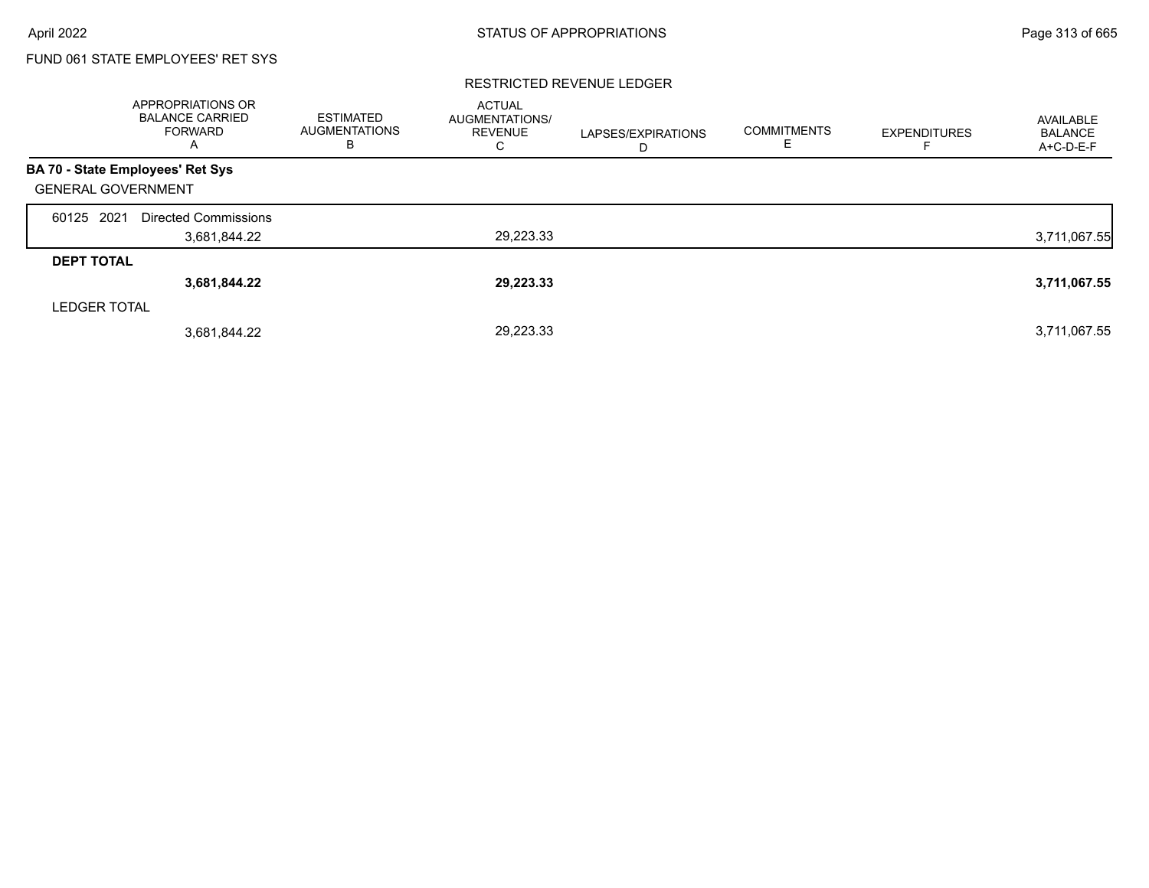### RESTRICTED REVENUE LEDGER

|                           | APPROPRIATIONS OR<br><b>BALANCE CARRIED</b><br><b>FORWARD</b><br>A | <b>ESTIMATED</b><br><b>AUGMENTATIONS</b><br>в | <b>ACTUAL</b><br><b>AUGMENTATIONS/</b><br><b>REVENUE</b><br>C | LAPSES/EXPIRATIONS<br>D | <b>COMMITMENTS</b><br>ᄇ | <b>EXPENDITURES</b> | AVAILABLE<br><b>BALANCE</b><br>A+C-D-E-F |
|---------------------------|--------------------------------------------------------------------|-----------------------------------------------|---------------------------------------------------------------|-------------------------|-------------------------|---------------------|------------------------------------------|
|                           | BA 70 - State Employees' Ret Sys                                   |                                               |                                                               |                         |                         |                     |                                          |
| <b>GENERAL GOVERNMENT</b> |                                                                    |                                               |                                                               |                         |                         |                     |                                          |
| 60125 2021                | Directed Commissions                                               |                                               |                                                               |                         |                         |                     |                                          |
|                           | 3,681,844.22                                                       |                                               | 29,223.33                                                     |                         |                         |                     | 3,711,067.55                             |
| <b>DEPT TOTAL</b>         |                                                                    |                                               |                                                               |                         |                         |                     |                                          |
|                           | 3,681,844.22                                                       |                                               | 29,223.33                                                     |                         |                         |                     | 3,711,067.55                             |
| <b>LEDGER TOTAL</b>       |                                                                    |                                               |                                                               |                         |                         |                     |                                          |
|                           | 3,681,844.22                                                       |                                               | 29,223.33                                                     |                         |                         |                     | 3,711,067.55                             |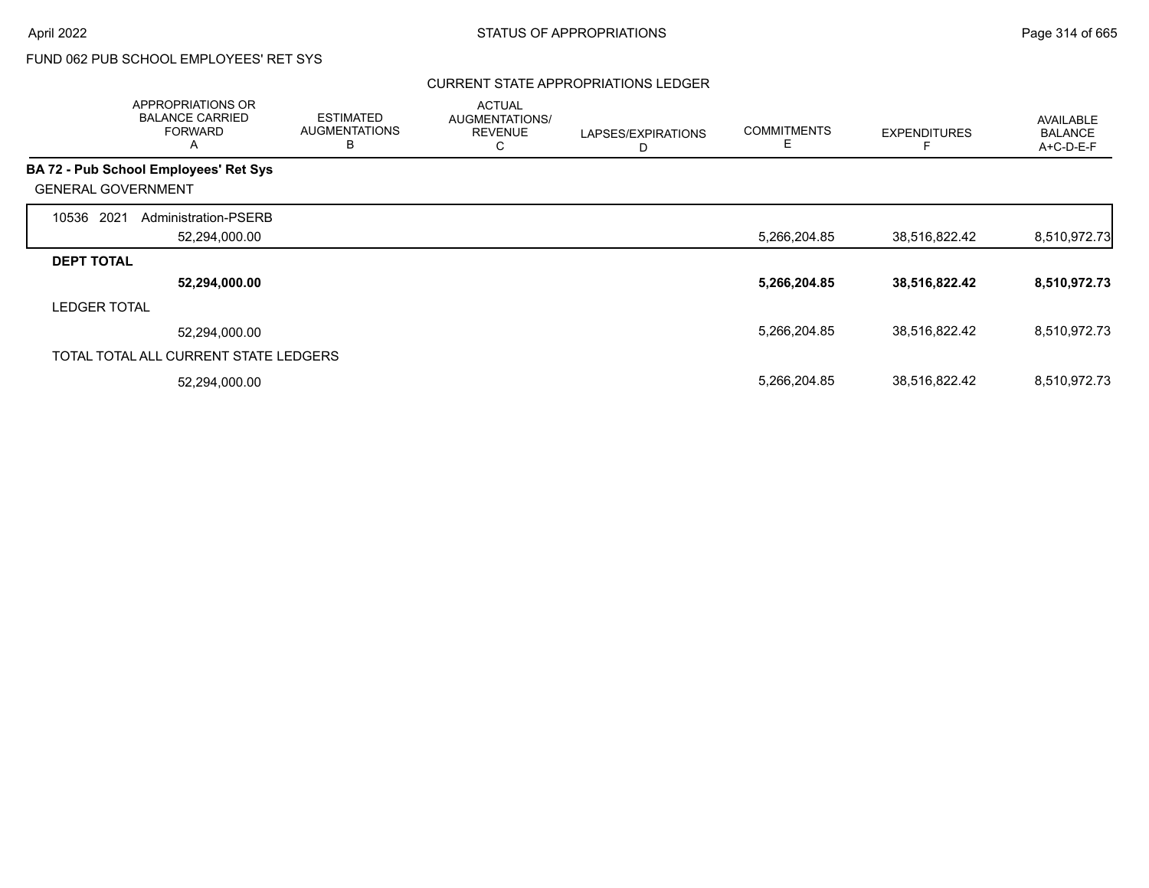## CURRENT STATE APPROPRIATIONS LEDGER

|                           | APPROPRIATIONS OR<br><b>BALANCE CARRIED</b><br><b>FORWARD</b><br>A | <b>ESTIMATED</b><br><b>AUGMENTATIONS</b><br>B | <b>ACTUAL</b><br>AUGMENTATIONS/<br><b>REVENUE</b><br>С | LAPSES/EXPIRATIONS<br>D | <b>COMMITMENTS</b><br>E. | <b>EXPENDITURES</b> | <b>AVAILABLE</b><br><b>BALANCE</b><br>$A+C-D-E-F$ |
|---------------------------|--------------------------------------------------------------------|-----------------------------------------------|--------------------------------------------------------|-------------------------|--------------------------|---------------------|---------------------------------------------------|
|                           | <b>BA 72 - Pub School Employees' Ret Sys</b>                       |                                               |                                                        |                         |                          |                     |                                                   |
| <b>GENERAL GOVERNMENT</b> |                                                                    |                                               |                                                        |                         |                          |                     |                                                   |
| 10536<br>2021             | Administration-PSERB                                               |                                               |                                                        |                         |                          |                     |                                                   |
|                           | 52,294,000.00                                                      |                                               |                                                        |                         | 5,266,204.85             | 38,516,822.42       | 8,510,972.73                                      |
| <b>DEPT TOTAL</b>         |                                                                    |                                               |                                                        |                         |                          |                     |                                                   |
|                           | 52,294,000.00                                                      |                                               |                                                        |                         | 5,266,204.85             | 38,516,822.42       | 8,510,972.73                                      |
| <b>LEDGER TOTAL</b>       |                                                                    |                                               |                                                        |                         |                          |                     |                                                   |
|                           | 52,294,000.00                                                      |                                               |                                                        |                         | 5,266,204.85             | 38,516,822.42       | 8,510,972.73                                      |
|                           | TOTAL TOTAL ALL CURRENT STATE LEDGERS                              |                                               |                                                        |                         |                          |                     |                                                   |
|                           | 52,294,000.00                                                      |                                               |                                                        |                         | 5,266,204.85             | 38,516,822.42       | 8,510,972.73                                      |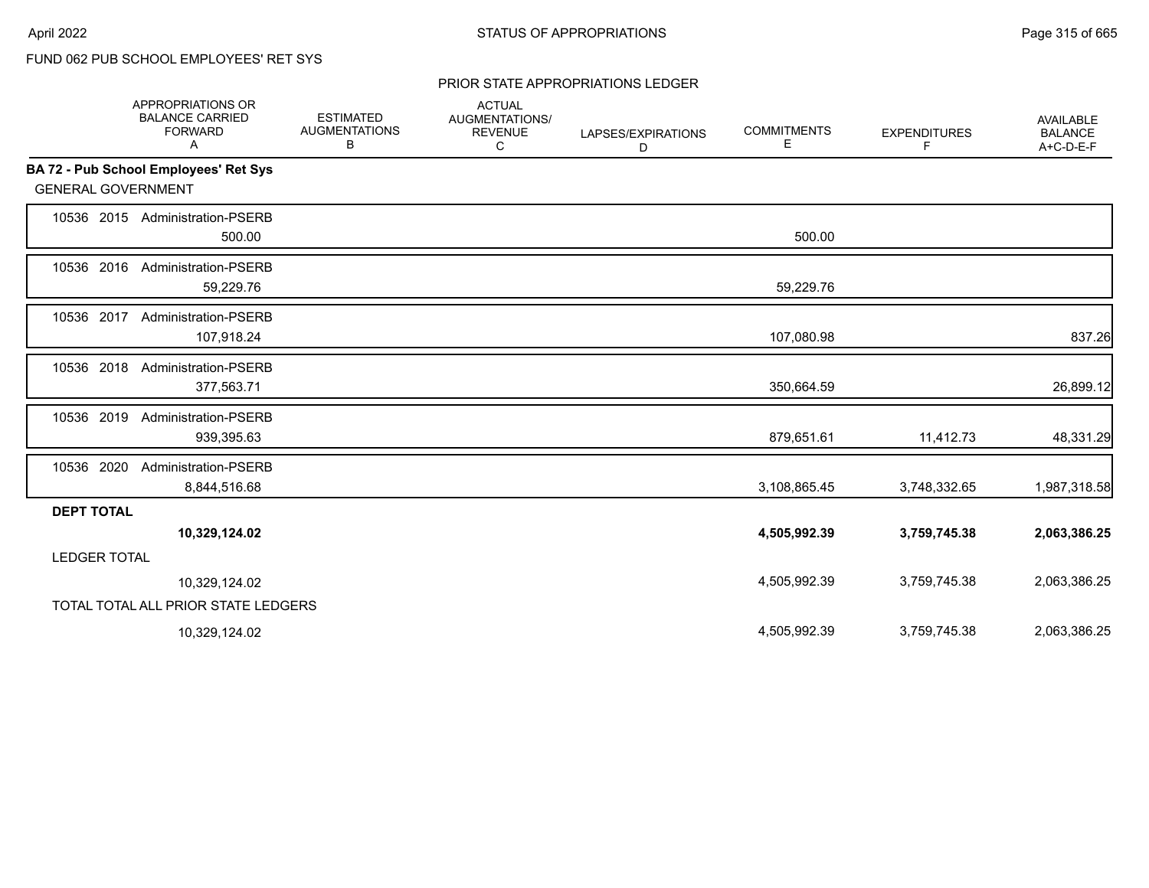#### PRIOR STATE APPROPRIATIONS LEDGER

|                           | <b>APPROPRIATIONS OR</b><br><b>BALANCE CARRIED</b><br><b>FORWARD</b><br>A | <b>ESTIMATED</b><br><b>AUGMENTATIONS</b><br>В | <b>ACTUAL</b><br>AUGMENTATIONS/<br><b>REVENUE</b><br>C | LAPSES/EXPIRATIONS<br>D | <b>COMMITMENTS</b><br>Е | <b>EXPENDITURES</b><br>F | <b>AVAILABLE</b><br><b>BALANCE</b><br>A+C-D-E-F |
|---------------------------|---------------------------------------------------------------------------|-----------------------------------------------|--------------------------------------------------------|-------------------------|-------------------------|--------------------------|-------------------------------------------------|
|                           | <b>BA 72 - Pub School Employees' Ret Sys</b>                              |                                               |                                                        |                         |                         |                          |                                                 |
| <b>GENERAL GOVERNMENT</b> |                                                                           |                                               |                                                        |                         |                         |                          |                                                 |
|                           | 10536 2015 Administration-PSERB<br>500.00                                 |                                               |                                                        |                         | 500.00                  |                          |                                                 |
| 10536 2016                | <b>Administration-PSERB</b><br>59,229.76                                  |                                               |                                                        |                         | 59,229.76               |                          |                                                 |
| 10536 2017                | <b>Administration-PSERB</b><br>107,918.24                                 |                                               |                                                        |                         | 107,080.98              |                          | 837.26                                          |
| 10536 2018                | Administration-PSERB<br>377,563.71                                        |                                               |                                                        |                         | 350,664.59              |                          | 26,899.12                                       |
| 10536 2019                | <b>Administration-PSERB</b><br>939,395.63                                 |                                               |                                                        |                         | 879,651.61              | 11,412.73                | 48,331.29                                       |
| 10536 2020                | Administration-PSERB<br>8,844,516.68                                      |                                               |                                                        |                         | 3,108,865.45            | 3,748,332.65             | 1,987,318.58                                    |
| <b>DEPT TOTAL</b>         |                                                                           |                                               |                                                        |                         |                         |                          |                                                 |
|                           | 10,329,124.02                                                             |                                               |                                                        |                         | 4,505,992.39            | 3,759,745.38             | 2,063,386.25                                    |
| <b>LEDGER TOTAL</b>       |                                                                           |                                               |                                                        |                         |                         |                          |                                                 |
|                           | 10,329,124.02                                                             |                                               |                                                        |                         | 4,505,992.39            | 3,759,745.38             | 2,063,386.25                                    |
|                           | TOTAL TOTAL ALL PRIOR STATE LEDGERS                                       |                                               |                                                        |                         |                         |                          |                                                 |
|                           | 10,329,124.02                                                             |                                               |                                                        |                         | 4,505,992.39            | 3,759,745.38             | 2,063,386.25                                    |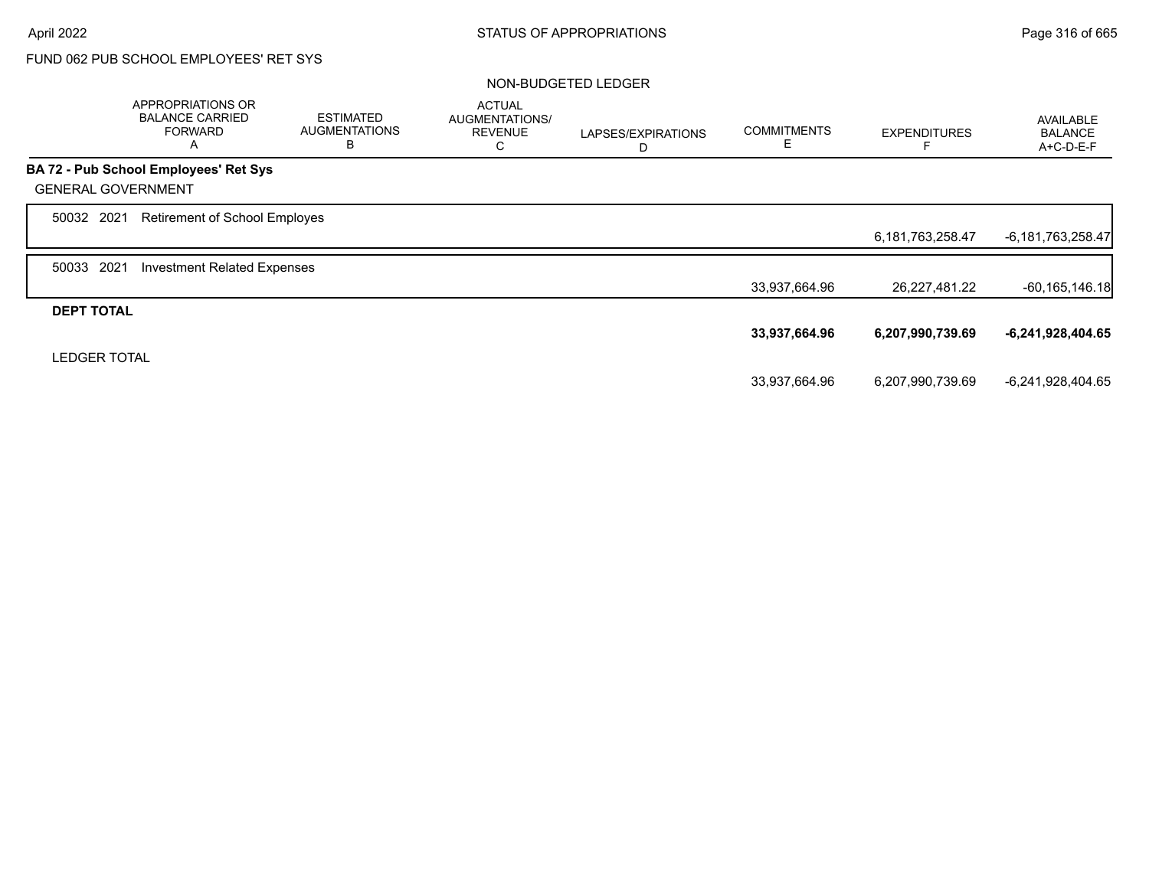|                           | APPROPRIATIONS OR<br><b>BALANCE CARRIED</b><br><b>FORWARD</b><br>Α | <b>ESTIMATED</b><br><b>AUGMENTATIONS</b><br>B | <b>ACTUAL</b><br>AUGMENTATIONS/<br><b>REVENUE</b><br>C | LAPSES/EXPIRATIONS<br>D | <b>COMMITMENTS</b><br>Ε | <b>EXPENDITURES</b> | <b>AVAILABLE</b><br><b>BALANCE</b><br>A+C-D-E-F |
|---------------------------|--------------------------------------------------------------------|-----------------------------------------------|--------------------------------------------------------|-------------------------|-------------------------|---------------------|-------------------------------------------------|
|                           | <b>BA 72 - Pub School Employees' Ret Sys</b>                       |                                               |                                                        |                         |                         |                     |                                                 |
| <b>GENERAL GOVERNMENT</b> |                                                                    |                                               |                                                        |                         |                         |                     |                                                 |
| 50032 2021                | Retirement of School Employes                                      |                                               |                                                        |                         |                         |                     |                                                 |
|                           |                                                                    |                                               |                                                        |                         |                         | 6,181,763,258.47    | $-6,181,763,258.47$                             |
| 2021<br>50033             | <b>Investment Related Expenses</b>                                 |                                               |                                                        |                         |                         |                     |                                                 |
|                           |                                                                    |                                               |                                                        |                         | 33,937,664.96           | 26,227,481.22       | $-60, 165, 146.18$                              |
| <b>DEPT TOTAL</b>         |                                                                    |                                               |                                                        |                         |                         |                     |                                                 |
|                           |                                                                    |                                               |                                                        |                         | 33,937,664.96           | 6,207,990,739.69    | $-6,241,928,404.65$                             |
| <b>LEDGER TOTAL</b>       |                                                                    |                                               |                                                        |                         |                         |                     |                                                 |
|                           |                                                                    |                                               |                                                        |                         | 33,937,664.96           | 6,207,990,739.69    | -6,241,928,404.65                               |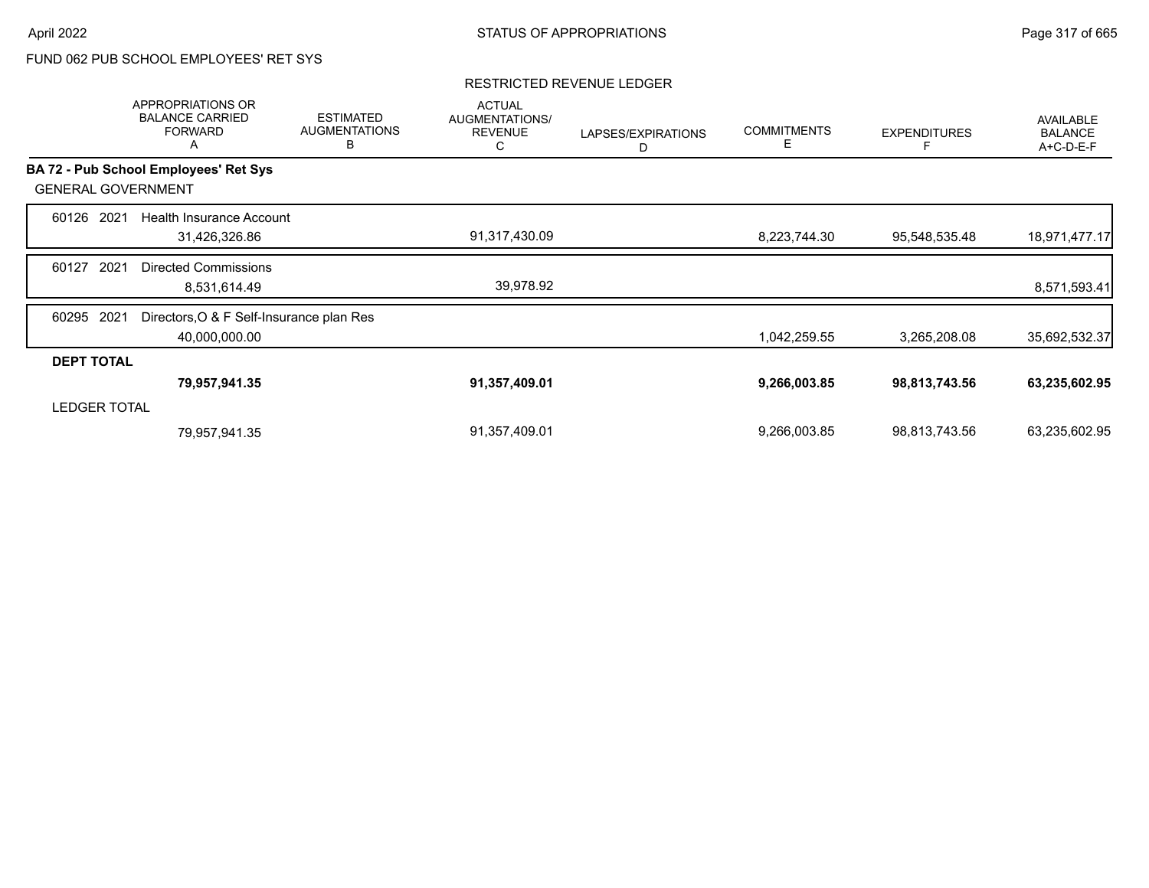### RESTRICTED REVENUE LEDGER

|                     | APPROPRIATIONS OR<br><b>BALANCE CARRIED</b><br><b>FORWARD</b><br>A | <b>ESTIMATED</b><br><b>AUGMENTATIONS</b><br>В | <b>ACTUAL</b><br>AUGMENTATIONS/<br><b>REVENUE</b><br>С | LAPSES/EXPIRATIONS<br>D | <b>COMMITMENTS</b><br>Е | <b>EXPENDITURES</b> | AVAILABLE<br><b>BALANCE</b><br>A+C-D-E-F |
|---------------------|--------------------------------------------------------------------|-----------------------------------------------|--------------------------------------------------------|-------------------------|-------------------------|---------------------|------------------------------------------|
|                     | <b>BA 72 - Pub School Employees' Ret Sys</b>                       |                                               |                                                        |                         |                         |                     |                                          |
|                     | <b>GENERAL GOVERNMENT</b>                                          |                                               |                                                        |                         |                         |                     |                                          |
| 60126               | 2021<br>Health Insurance Account                                   |                                               |                                                        |                         |                         |                     |                                          |
|                     | 31,426,326.86                                                      |                                               | 91,317,430.09                                          |                         | 8,223,744.30            | 95,548,535.48       | 18,971,477.17                            |
| 60127               | 2021<br><b>Directed Commissions</b>                                |                                               |                                                        |                         |                         |                     |                                          |
|                     | 8,531,614.49                                                       |                                               | 39,978.92                                              |                         |                         |                     | 8,571,593.41                             |
| 60295               | 2021<br>Directors, O & F Self-Insurance plan Res                   |                                               |                                                        |                         |                         |                     |                                          |
|                     | 40,000,000.00                                                      |                                               |                                                        |                         | 1,042,259.55            | 3,265,208.08        | 35,692,532.37                            |
| <b>DEPT TOTAL</b>   |                                                                    |                                               |                                                        |                         |                         |                     |                                          |
|                     | 79,957,941.35                                                      |                                               | 91,357,409.01                                          |                         | 9,266,003.85            | 98,813,743.56       | 63,235,602.95                            |
| <b>LEDGER TOTAL</b> |                                                                    |                                               |                                                        |                         |                         |                     |                                          |
|                     | 79,957,941.35                                                      |                                               | 91,357,409.01                                          |                         | 9,266,003.85            | 98,813,743.56       | 63,235,602.95                            |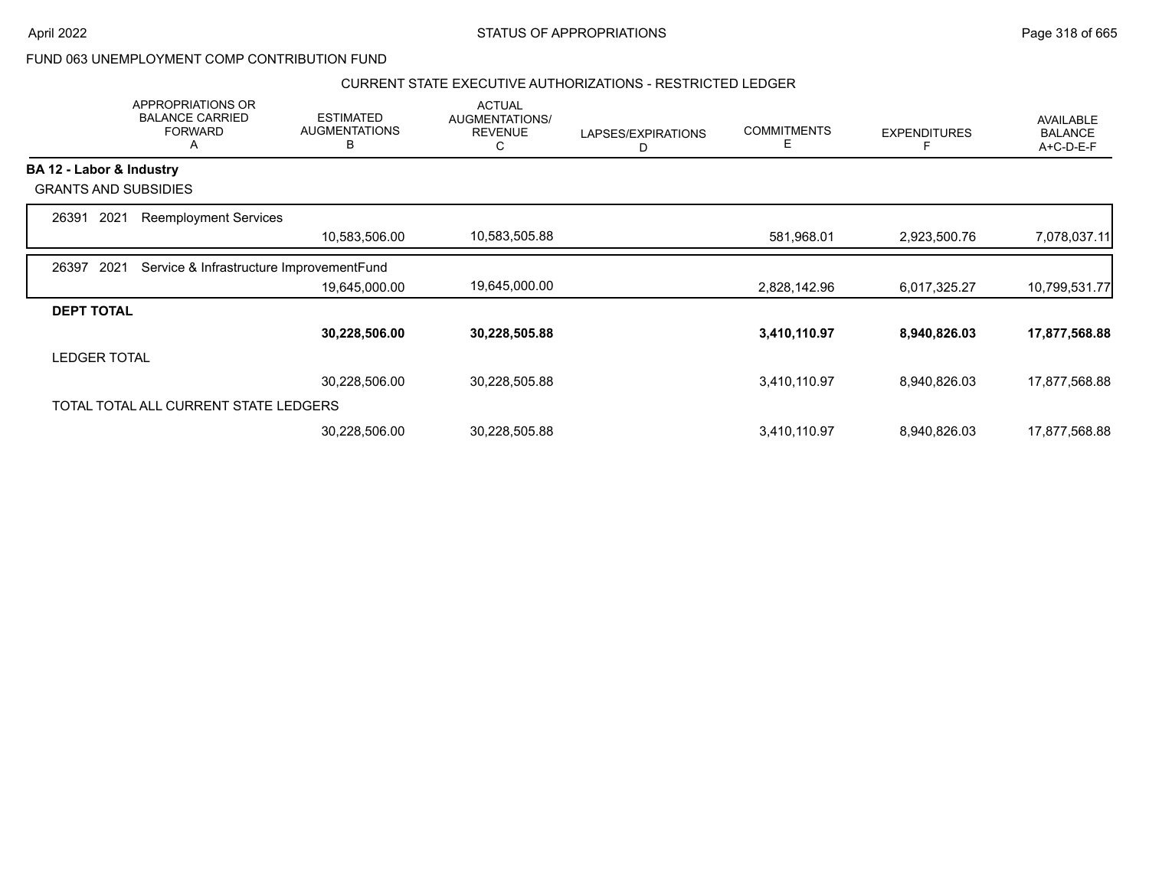## CURRENT STATE EXECUTIVE AUTHORIZATIONS - RESTRICTED LEDGER

|                          | APPROPRIATIONS OR<br><b>BALANCE CARRIED</b><br><b>FORWARD</b><br>A | <b>ESTIMATED</b><br><b>AUGMENTATIONS</b><br>B | <b>ACTUAL</b><br>AUGMENTATIONS/<br><b>REVENUE</b><br>С | LAPSES/EXPIRATIONS<br>D | <b>COMMITMENTS</b><br>Е | <b>EXPENDITURES</b> | <b>AVAILABLE</b><br><b>BALANCE</b><br>A+C-D-E-F |
|--------------------------|--------------------------------------------------------------------|-----------------------------------------------|--------------------------------------------------------|-------------------------|-------------------------|---------------------|-------------------------------------------------|
| BA 12 - Labor & Industry |                                                                    |                                               |                                                        |                         |                         |                     |                                                 |
|                          | <b>GRANTS AND SUBSIDIES</b>                                        |                                               |                                                        |                         |                         |                     |                                                 |
| 26391<br>2021            | <b>Reemployment Services</b>                                       |                                               |                                                        |                         |                         |                     |                                                 |
|                          |                                                                    | 10,583,506.00                                 | 10,583,505.88                                          |                         | 581,968.01              | 2,923,500.76        | 7,078,037.11                                    |
| 2021<br>26397            | Service & Infrastructure ImprovementFund                           |                                               |                                                        |                         |                         |                     |                                                 |
|                          |                                                                    | 19,645,000.00                                 | 19,645,000.00                                          |                         | 2,828,142.96            | 6,017,325.27        | 10,799,531.77                                   |
| <b>DEPT TOTAL</b>        |                                                                    |                                               |                                                        |                         |                         |                     |                                                 |
|                          |                                                                    | 30,228,506.00                                 | 30,228,505.88                                          |                         | 3,410,110.97            | 8,940,826.03        | 17,877,568.88                                   |
| <b>LEDGER TOTAL</b>      |                                                                    |                                               |                                                        |                         |                         |                     |                                                 |
|                          |                                                                    | 30,228,506.00                                 | 30,228,505.88                                          |                         | 3,410,110.97            | 8,940,826.03        | 17,877,568.88                                   |
|                          | TOTAL TOTAL ALL CURRENT STATE LEDGERS                              |                                               |                                                        |                         |                         |                     |                                                 |
|                          |                                                                    | 30,228,506.00                                 | 30,228,505.88                                          |                         | 3,410,110.97            | 8,940,826.03        | 17,877,568.88                                   |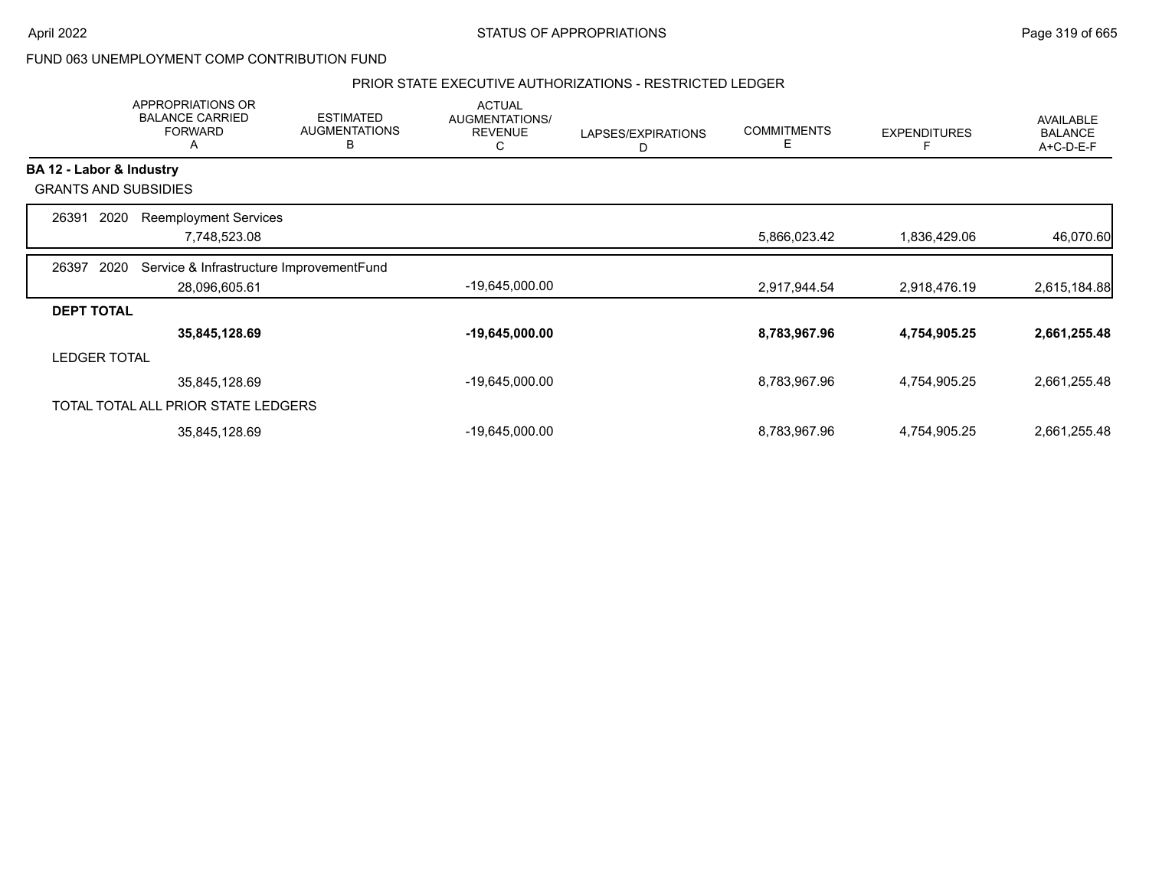## PRIOR STATE EXECUTIVE AUTHORIZATIONS - RESTRICTED LEDGER

|                          | APPROPRIATIONS OR<br><b>BALANCE CARRIED</b><br><b>FORWARD</b><br>A | <b>ESTIMATED</b><br><b>AUGMENTATIONS</b><br>в | <b>ACTUAL</b><br>AUGMENTATIONS/<br><b>REVENUE</b><br>С | LAPSES/EXPIRATIONS<br>D | <b>COMMITMENTS</b><br>E | <b>EXPENDITURES</b> | AVAILABLE<br><b>BALANCE</b><br>A+C-D-E-F |
|--------------------------|--------------------------------------------------------------------|-----------------------------------------------|--------------------------------------------------------|-------------------------|-------------------------|---------------------|------------------------------------------|
| BA 12 - Labor & Industry |                                                                    |                                               |                                                        |                         |                         |                     |                                          |
|                          | <b>GRANTS AND SUBSIDIES</b>                                        |                                               |                                                        |                         |                         |                     |                                          |
| 26391                    | 2020<br><b>Reemployment Services</b>                               |                                               |                                                        |                         |                         |                     |                                          |
|                          | 7,748,523.08                                                       |                                               |                                                        |                         | 5,866,023.42            | 1,836,429.06        | 46,070.60                                |
| 26397                    | Service & Infrastructure ImprovementFund<br>2020                   |                                               |                                                        |                         |                         |                     |                                          |
|                          | 28,096,605.61                                                      |                                               | $-19,645,000.00$                                       |                         | 2,917,944.54            | 2,918,476.19        | 2,615,184.88                             |
| <b>DEPT TOTAL</b>        |                                                                    |                                               |                                                        |                         |                         |                     |                                          |
|                          | 35,845,128.69                                                      |                                               | $-19,645,000.00$                                       |                         | 8,783,967.96            | 4,754,905.25        | 2,661,255.48                             |
| <b>LEDGER TOTAL</b>      |                                                                    |                                               |                                                        |                         |                         |                     |                                          |
|                          | 35,845,128.69                                                      |                                               | -19,645,000.00                                         |                         | 8,783,967.96            | 4,754,905.25        | 2,661,255.48                             |
|                          | TOTAL TOTAL ALL PRIOR STATE LEDGERS                                |                                               |                                                        |                         |                         |                     |                                          |
|                          | 35,845,128.69                                                      |                                               | -19,645,000.00                                         |                         | 8,783,967.96            | 4,754,905.25        | 2,661,255.48                             |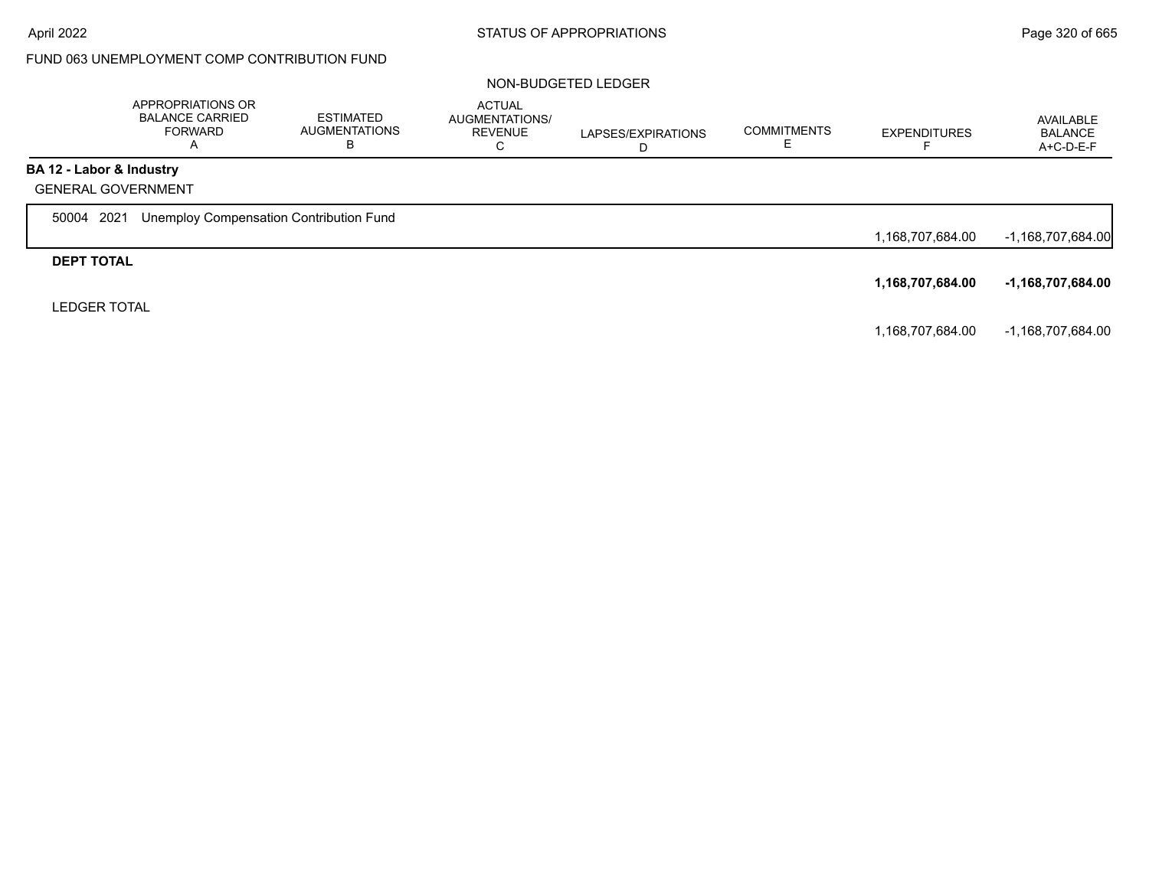|                           | APPROPRIATIONS OR<br><b>BALANCE CARRIED</b><br><b>FORWARD</b><br>$\overline{\mathsf{A}}$ | ESTIMATED<br><b>AUGMENTATIONS</b><br>ь | <b>ACTUAL</b><br>AUGMENTATIONS/<br><b>REVENUE</b><br>С | LAPSES/EXPIRATIONS<br>D | <b>COMMITMENTS</b> | <b>EXPENDITURES</b> | AVAILABLE<br><b>BALANCE</b><br>A+C-D-E-F |
|---------------------------|------------------------------------------------------------------------------------------|----------------------------------------|--------------------------------------------------------|-------------------------|--------------------|---------------------|------------------------------------------|
| BA 12 - Labor & Industry  |                                                                                          |                                        |                                                        |                         |                    |                     |                                          |
| <b>GENERAL GOVERNMENT</b> |                                                                                          |                                        |                                                        |                         |                    |                     |                                          |
| 2021<br>50004             | Unemploy Compensation Contribution Fund                                                  |                                        |                                                        |                         |                    |                     |                                          |
|                           |                                                                                          |                                        |                                                        |                         |                    | 1,168,707,684.00    | -1,168,707,684.00                        |
| <b>DEPT TOTAL</b>         |                                                                                          |                                        |                                                        |                         |                    |                     |                                          |
|                           |                                                                                          |                                        |                                                        |                         |                    | 1,168,707,684.00    | -1,168,707,684.00                        |
| <b>LEDGER TOTAL</b>       |                                                                                          |                                        |                                                        |                         |                    |                     |                                          |
|                           |                                                                                          |                                        |                                                        |                         |                    | 1,168,707,684.00    | -1,168,707,684.00                        |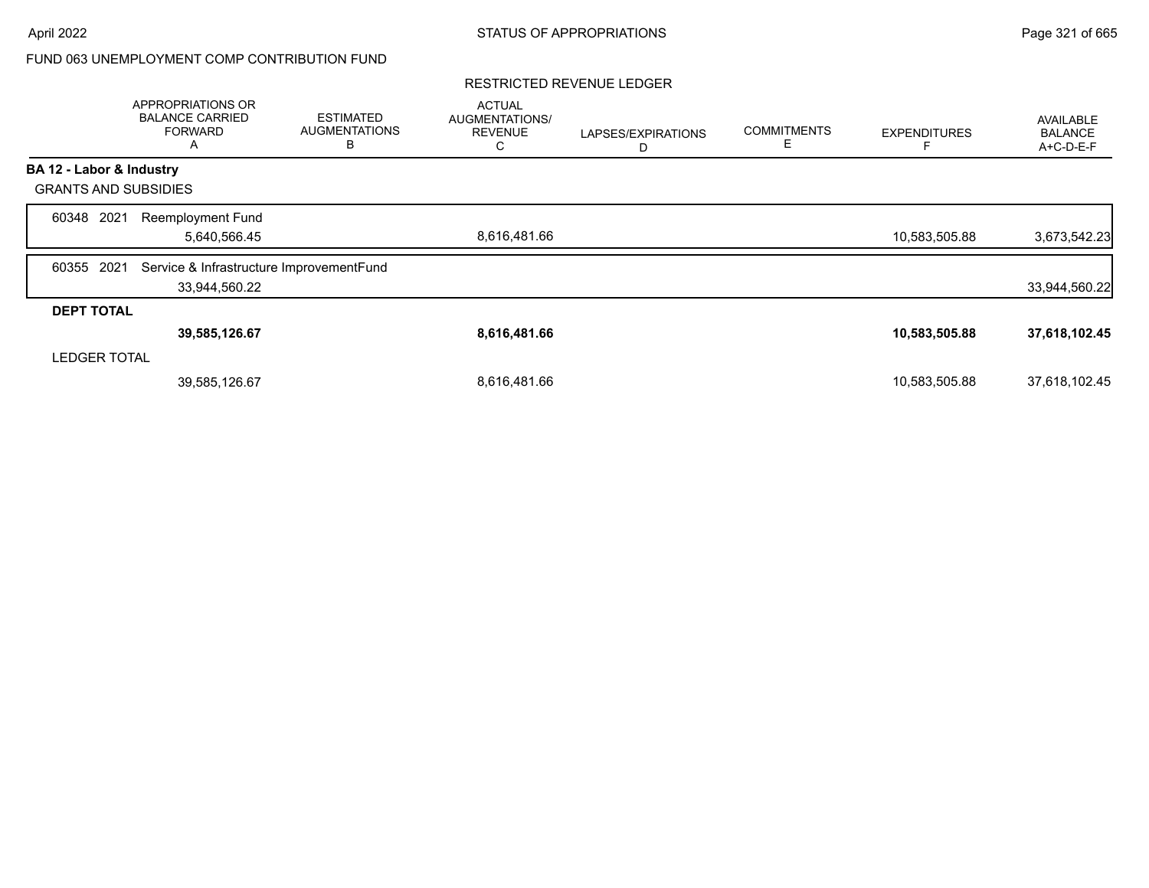## RESTRICTED REVENUE LEDGER

|                             | APPROPRIATIONS OR<br><b>BALANCE CARRIED</b><br><b>FORWARD</b><br>A | <b>ESTIMATED</b><br><b>AUGMENTATIONS</b><br>B | <b>ACTUAL</b><br>AUGMENTATIONS/<br><b>REVENUE</b><br>С | LAPSES/EXPIRATIONS<br>D | <b>COMMITMENTS</b><br>Е | <b>EXPENDITURES</b> | AVAILABLE<br><b>BALANCE</b><br>A+C-D-E-F |
|-----------------------------|--------------------------------------------------------------------|-----------------------------------------------|--------------------------------------------------------|-------------------------|-------------------------|---------------------|------------------------------------------|
| BA 12 - Labor & Industry    |                                                                    |                                               |                                                        |                         |                         |                     |                                          |
| <b>GRANTS AND SUBSIDIES</b> |                                                                    |                                               |                                                        |                         |                         |                     |                                          |
| 2021<br>60348               | <b>Reemployment Fund</b>                                           |                                               |                                                        |                         |                         |                     |                                          |
|                             | 5,640,566.45                                                       |                                               | 8,616,481.66                                           |                         |                         | 10,583,505.88       | 3,673,542.23                             |
| 2021<br>60355               | Service & Infrastructure ImprovementFund                           |                                               |                                                        |                         |                         |                     |                                          |
|                             | 33,944,560.22                                                      |                                               |                                                        |                         |                         |                     | 33,944,560.22                            |
| <b>DEPT TOTAL</b>           |                                                                    |                                               |                                                        |                         |                         |                     |                                          |
|                             | 39,585,126.67                                                      |                                               | 8,616,481.66                                           |                         |                         | 10,583,505.88       | 37,618,102.45                            |
| <b>LEDGER TOTAL</b>         |                                                                    |                                               |                                                        |                         |                         |                     |                                          |
|                             | 39,585,126.67                                                      |                                               | 8,616,481.66                                           |                         |                         | 10,583,505.88       | 37,618,102.45                            |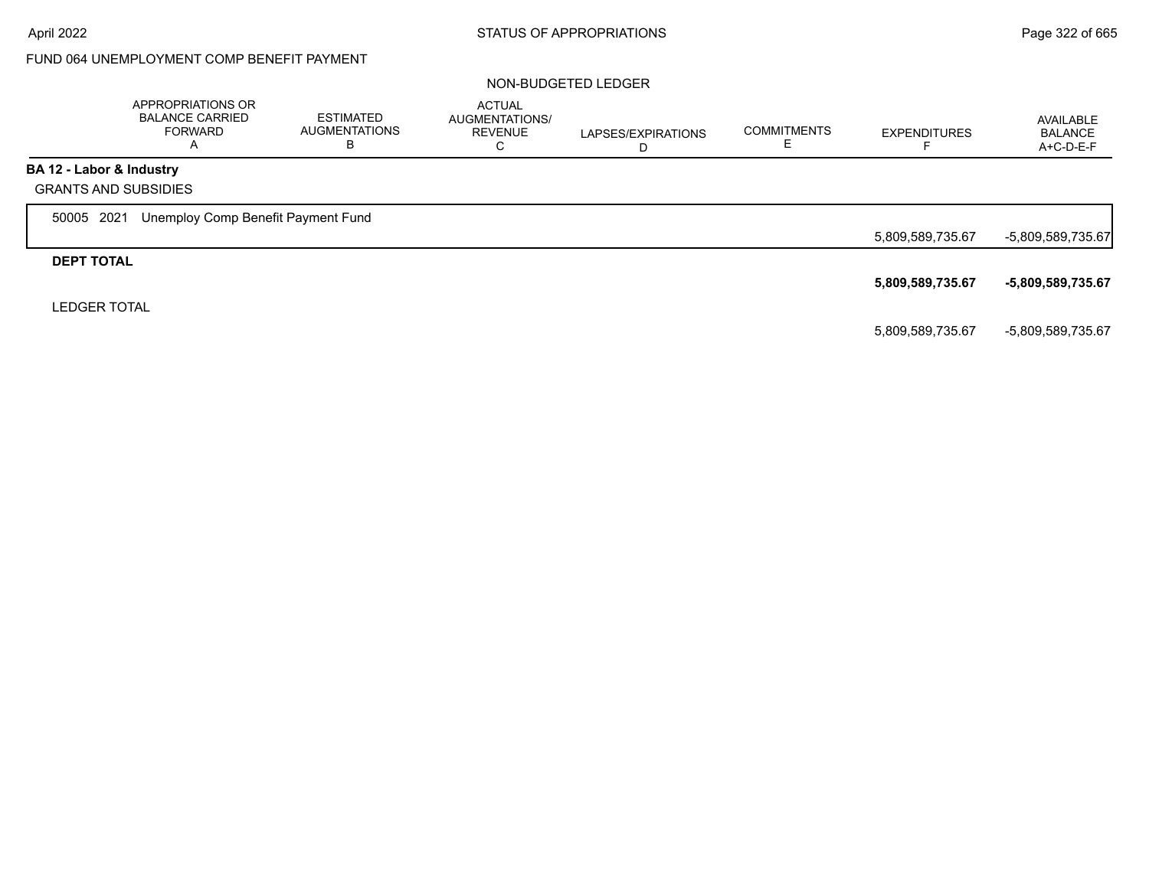# FUND 064 UNEMPLOYMENT COMP BENEFIT PAYMENT

|                          | APPROPRIATIONS OR<br><b>BALANCE CARRIED</b><br><b>FORWARD</b><br>A | <b>ESTIMATED</b><br><b>AUGMENTATIONS</b><br>в | <b>ACTUAL</b><br>AUGMENTATIONS/<br><b>REVENUE</b><br>С | LAPSES/EXPIRATIONS<br>D | <b>COMMITMENTS</b> | <b>EXPENDITURES</b> | AVAILABLE<br><b>BALANCE</b><br>A+C-D-E-F |
|--------------------------|--------------------------------------------------------------------|-----------------------------------------------|--------------------------------------------------------|-------------------------|--------------------|---------------------|------------------------------------------|
| BA 12 - Labor & Industry |                                                                    |                                               |                                                        |                         |                    |                     |                                          |
|                          | <b>GRANTS AND SUBSIDIES</b>                                        |                                               |                                                        |                         |                    |                     |                                          |
| 50005 2021               | Unemploy Comp Benefit Payment Fund                                 |                                               |                                                        |                         |                    |                     |                                          |
|                          |                                                                    |                                               |                                                        |                         |                    | 5,809,589,735.67    | -5,809,589,735.67                        |
| <b>DEPT TOTAL</b>        |                                                                    |                                               |                                                        |                         |                    |                     |                                          |
|                          |                                                                    |                                               |                                                        |                         |                    | 5,809,589,735.67    | -5,809,589,735.67                        |
| <b>LEDGER TOTAL</b>      |                                                                    |                                               |                                                        |                         |                    |                     |                                          |
|                          |                                                                    |                                               |                                                        |                         |                    | 5,809,589,735.67    | -5,809,589,735.67                        |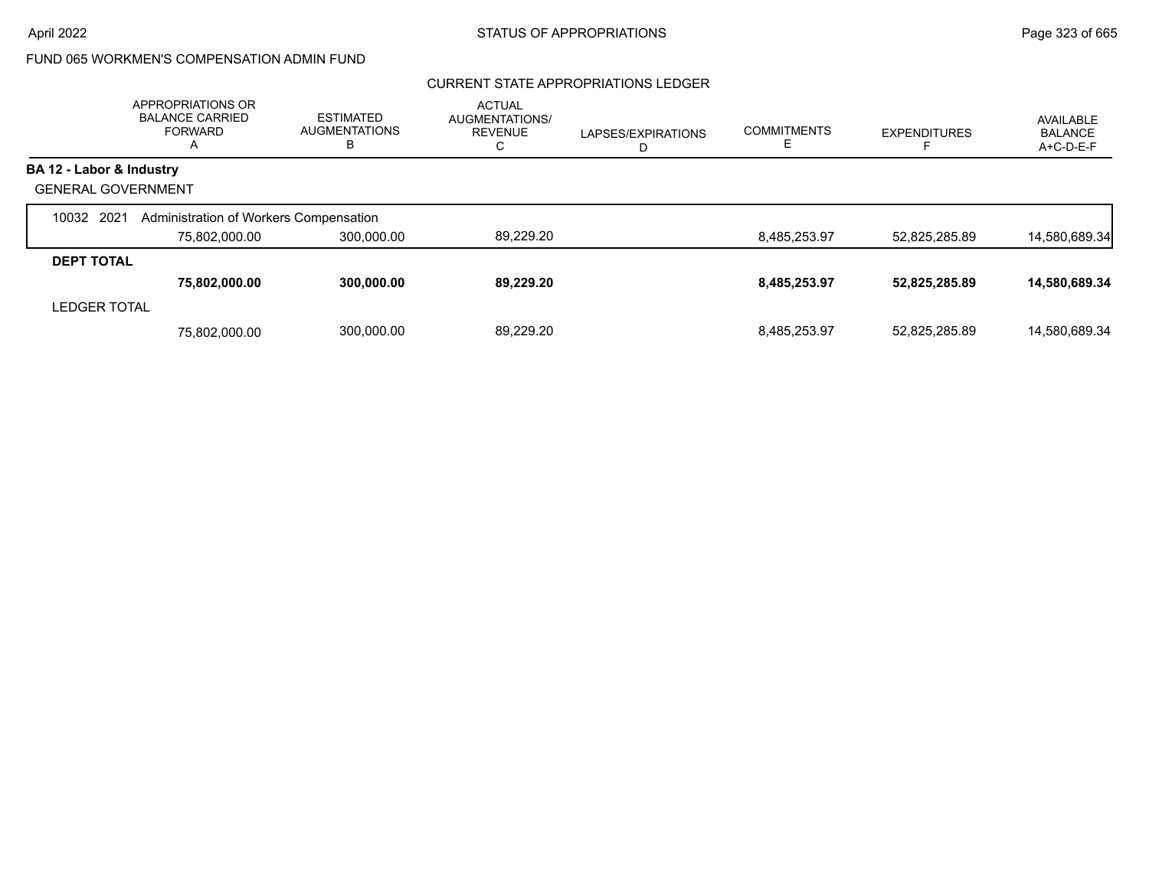# FUND 065 WORKMEN'S COMPENSATION ADMIN FUND

## CURRENT STATE APPROPRIATIONS LEDGER

|                           | APPROPRIATIONS OR<br><b>BALANCE CARRIED</b><br><b>FORWARD</b><br>А | <b>ESTIMATED</b><br><b>AUGMENTATIONS</b><br>В | <b>ACTUAL</b><br>AUGMENTATIONS/<br><b>REVENUE</b><br>С | LAPSES/EXPIRATIONS<br>D | <b>COMMITMENTS</b> | <b>EXPENDITURES</b> | AVAILABLE<br><b>BALANCE</b><br>A+C-D-E-F |
|---------------------------|--------------------------------------------------------------------|-----------------------------------------------|--------------------------------------------------------|-------------------------|--------------------|---------------------|------------------------------------------|
| BA 12 - Labor & Industry  |                                                                    |                                               |                                                        |                         |                    |                     |                                          |
| <b>GENERAL GOVERNMENT</b> |                                                                    |                                               |                                                        |                         |                    |                     |                                          |
| 10032 2021                | Administration of Workers Compensation                             |                                               |                                                        |                         |                    |                     |                                          |
|                           | 75,802,000.00                                                      | 300,000.00                                    | 89,229.20                                              |                         | 8,485,253.97       | 52,825,285.89       | 14,580,689.34                            |
| <b>DEPT TOTAL</b>         |                                                                    |                                               |                                                        |                         |                    |                     |                                          |
|                           | 75,802,000.00                                                      | 300,000.00                                    | 89,229.20                                              |                         | 8,485,253.97       | 52,825,285.89       | 14,580,689.34                            |
| <b>LEDGER TOTAL</b>       |                                                                    |                                               |                                                        |                         |                    |                     |                                          |
|                           | 75.802.000.00                                                      | 300,000.00                                    | 89.229.20                                              |                         | 8.485.253.97       | 52.825.285.89       | 14.580.689.34                            |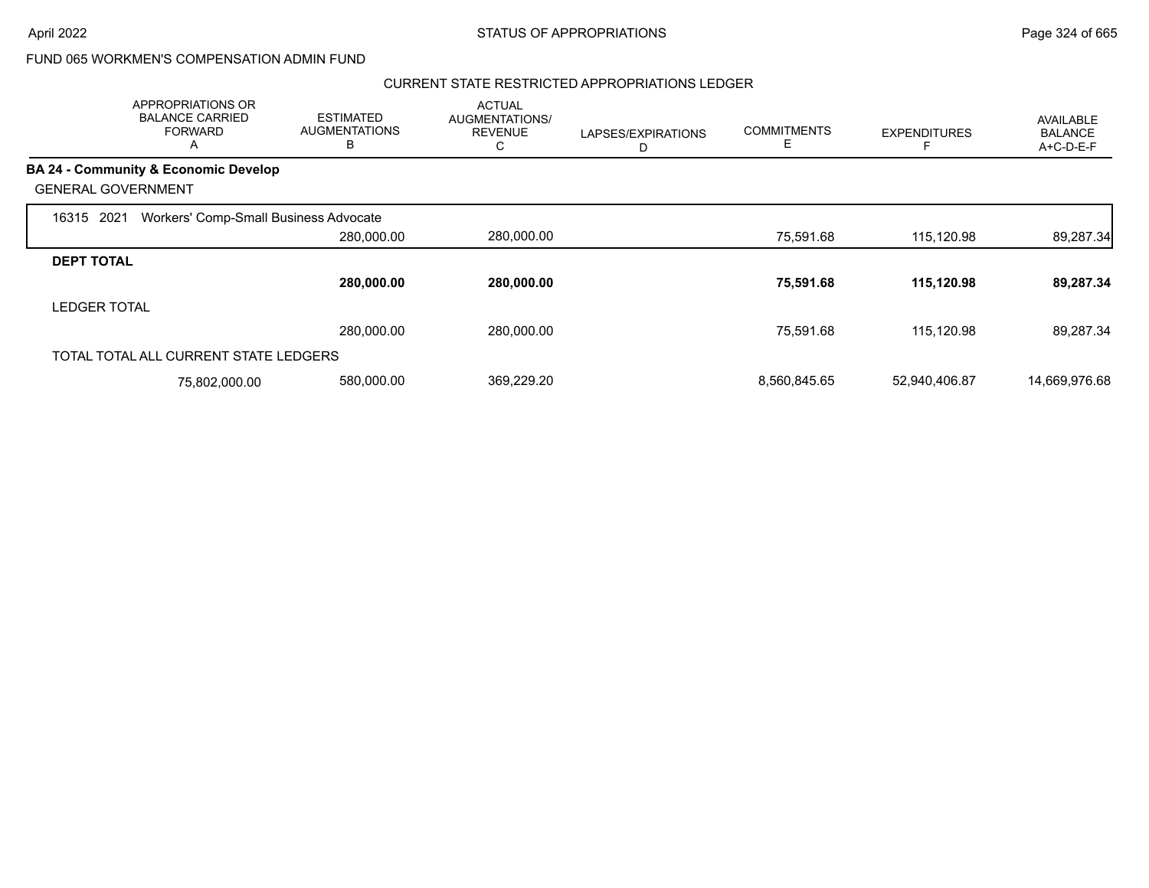## FUND 065 WORKMEN'S COMPENSATION ADMIN FUND

#### CURRENT STATE RESTRICTED APPROPRIATIONS LEDGER

|                           | <b>APPROPRIATIONS OR</b><br><b>BALANCE CARRIED</b><br><b>FORWARD</b><br>$\mathsf{\Lambda}{}$ | <b>ESTIMATED</b><br><b>AUGMENTATIONS</b><br>В | <b>ACTUAL</b><br>AUGMENTATIONS/<br><b>REVENUE</b><br>С | LAPSES/EXPIRATIONS<br>D | <b>COMMITMENTS</b><br>E. | <b>EXPENDITURES</b> | AVAILABLE<br><b>BALANCE</b><br>A+C-D-E-F |
|---------------------------|----------------------------------------------------------------------------------------------|-----------------------------------------------|--------------------------------------------------------|-------------------------|--------------------------|---------------------|------------------------------------------|
|                           | <b>BA 24 - Community &amp; Economic Develop</b>                                              |                                               |                                                        |                         |                          |                     |                                          |
| <b>GENERAL GOVERNMENT</b> |                                                                                              |                                               |                                                        |                         |                          |                     |                                          |
| 2021<br>16315             | Workers' Comp-Small Business Advocate                                                        |                                               |                                                        |                         |                          |                     |                                          |
|                           |                                                                                              | 280,000.00                                    | 280,000.00                                             |                         | 75,591.68                | 115,120.98          | 89,287.34                                |
| <b>DEPT TOTAL</b>         |                                                                                              |                                               |                                                        |                         |                          |                     |                                          |
|                           |                                                                                              | 280,000.00                                    | 280,000.00                                             |                         | 75,591.68                | 115.120.98          | 89,287.34                                |
| <b>LEDGER TOTAL</b>       |                                                                                              |                                               |                                                        |                         |                          |                     |                                          |
|                           |                                                                                              | 280,000.00                                    | 280.000.00                                             |                         | 75.591.68                | 115,120.98          | 89,287.34                                |
|                           | TOTAL TOTAL ALL CURRENT STATE LEDGERS                                                        |                                               |                                                        |                         |                          |                     |                                          |
|                           | 75,802,000.00                                                                                | 580,000.00                                    | 369,229.20                                             |                         | 8,560,845.65             | 52,940,406.87       | 14,669,976.68                            |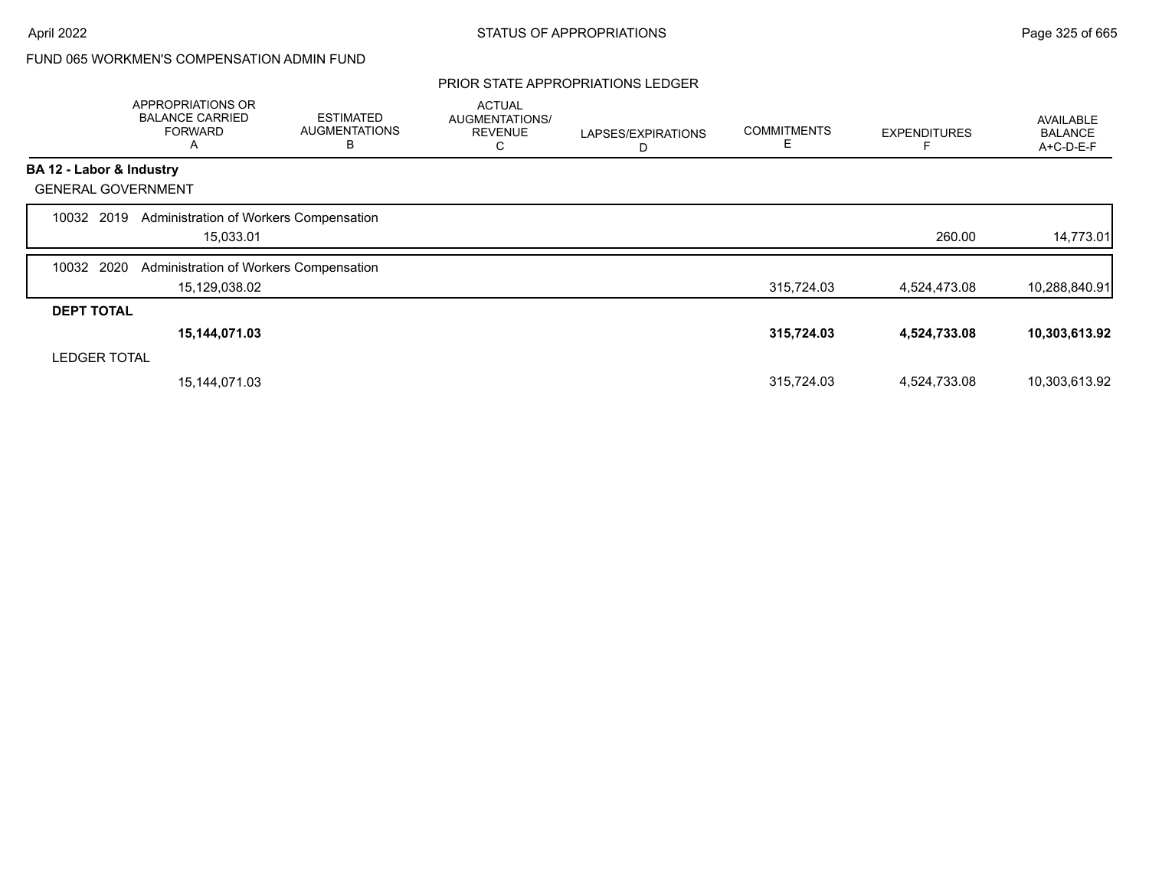# FUND 065 WORKMEN'S COMPENSATION ADMIN FUND

#### PRIOR STATE APPROPRIATIONS LEDGER

|                           | APPROPRIATIONS OR<br><b>BALANCE CARRIED</b><br><b>FORWARD</b><br>A | <b>ESTIMATED</b><br><b>AUGMENTATIONS</b><br>В | <b>ACTUAL</b><br>AUGMENTATIONS/<br><b>REVENUE</b><br>U | LAPSES/EXPIRATIONS<br>D | <b>COMMITMENTS</b><br>E | <b>EXPENDITURES</b> | <b>AVAILABLE</b><br><b>BALANCE</b><br>A+C-D-E-F |
|---------------------------|--------------------------------------------------------------------|-----------------------------------------------|--------------------------------------------------------|-------------------------|-------------------------|---------------------|-------------------------------------------------|
| BA 12 - Labor & Industry  |                                                                    |                                               |                                                        |                         |                         |                     |                                                 |
| <b>GENERAL GOVERNMENT</b> |                                                                    |                                               |                                                        |                         |                         |                     |                                                 |
| 10032 2019                | Administration of Workers Compensation                             |                                               |                                                        |                         |                         |                     |                                                 |
|                           | 15,033.01                                                          |                                               |                                                        |                         |                         | 260.00              | 14,773.01                                       |
| 2020<br>10032             | Administration of Workers Compensation                             |                                               |                                                        |                         |                         |                     |                                                 |
|                           | 15,129,038.02                                                      |                                               |                                                        |                         | 315,724.03              | 4,524,473.08        | 10,288,840.91                                   |
| <b>DEPT TOTAL</b>         |                                                                    |                                               |                                                        |                         |                         |                     |                                                 |
|                           | 15,144,071.03                                                      |                                               |                                                        |                         | 315,724.03              | 4,524,733.08        | 10,303,613.92                                   |
| <b>LEDGER TOTAL</b>       |                                                                    |                                               |                                                        |                         |                         |                     |                                                 |
|                           | 15, 144, 071.03                                                    |                                               |                                                        |                         | 315,724.03              | 4,524,733.08        | 10,303,613.92                                   |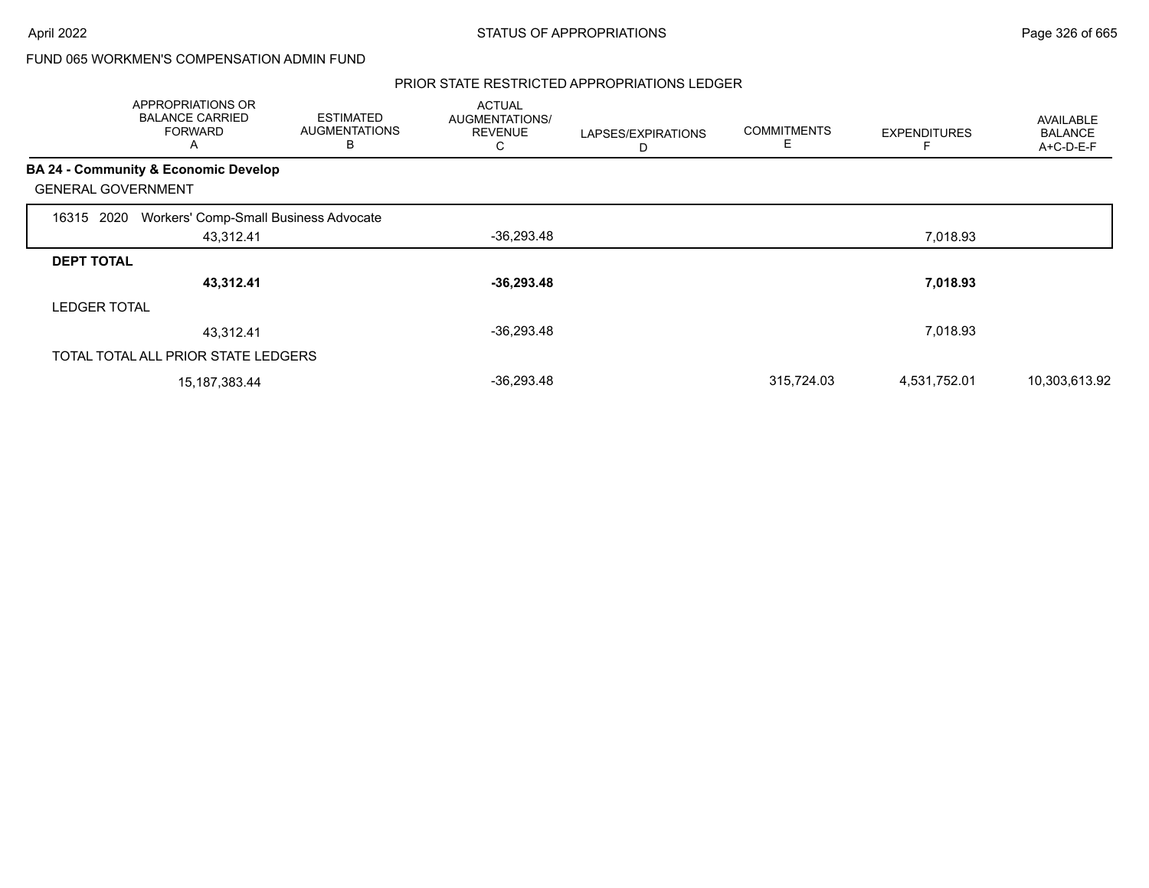## FUND 065 WORKMEN'S COMPENSATION ADMIN FUND

#### PRIOR STATE RESTRICTED APPROPRIATIONS LEDGER

|                           | APPROPRIATIONS OR<br><b>BALANCE CARRIED</b><br><b>FORWARD</b><br>A | <b>ESTIMATED</b><br><b>AUGMENTATIONS</b><br>в | <b>ACTUAL</b><br>AUGMENTATIONS/<br><b>REVENUE</b><br>С | LAPSES/EXPIRATIONS | <b>COMMITMENTS</b><br>E | <b>EXPENDITURES</b> | AVAILABLE<br><b>BALANCE</b><br>A+C-D-E-F |
|---------------------------|--------------------------------------------------------------------|-----------------------------------------------|--------------------------------------------------------|--------------------|-------------------------|---------------------|------------------------------------------|
|                           | BA 24 - Community & Economic Develop                               |                                               |                                                        |                    |                         |                     |                                          |
| <b>GENERAL GOVERNMENT</b> |                                                                    |                                               |                                                        |                    |                         |                     |                                          |
| 2020<br>16315             | Workers' Comp-Small Business Advocate                              |                                               |                                                        |                    |                         |                     |                                          |
|                           | 43,312.41                                                          |                                               | $-36,293.48$                                           |                    |                         | 7,018.93            |                                          |
| <b>DEPT TOTAL</b>         |                                                                    |                                               |                                                        |                    |                         |                     |                                          |
|                           | 43,312.41                                                          |                                               | $-36,293.48$                                           |                    |                         | 7,018.93            |                                          |
| <b>LEDGER TOTAL</b>       |                                                                    |                                               |                                                        |                    |                         |                     |                                          |
|                           | 43,312.41                                                          |                                               | $-36,293.48$                                           |                    |                         | 7,018.93            |                                          |
|                           | TOTAL TOTAL ALL PRIOR STATE LEDGERS                                |                                               |                                                        |                    |                         |                     |                                          |
|                           | 15, 187, 383. 44                                                   |                                               | $-36,293.48$                                           |                    | 315,724.03              | 4,531,752.01        | 10,303,613.92                            |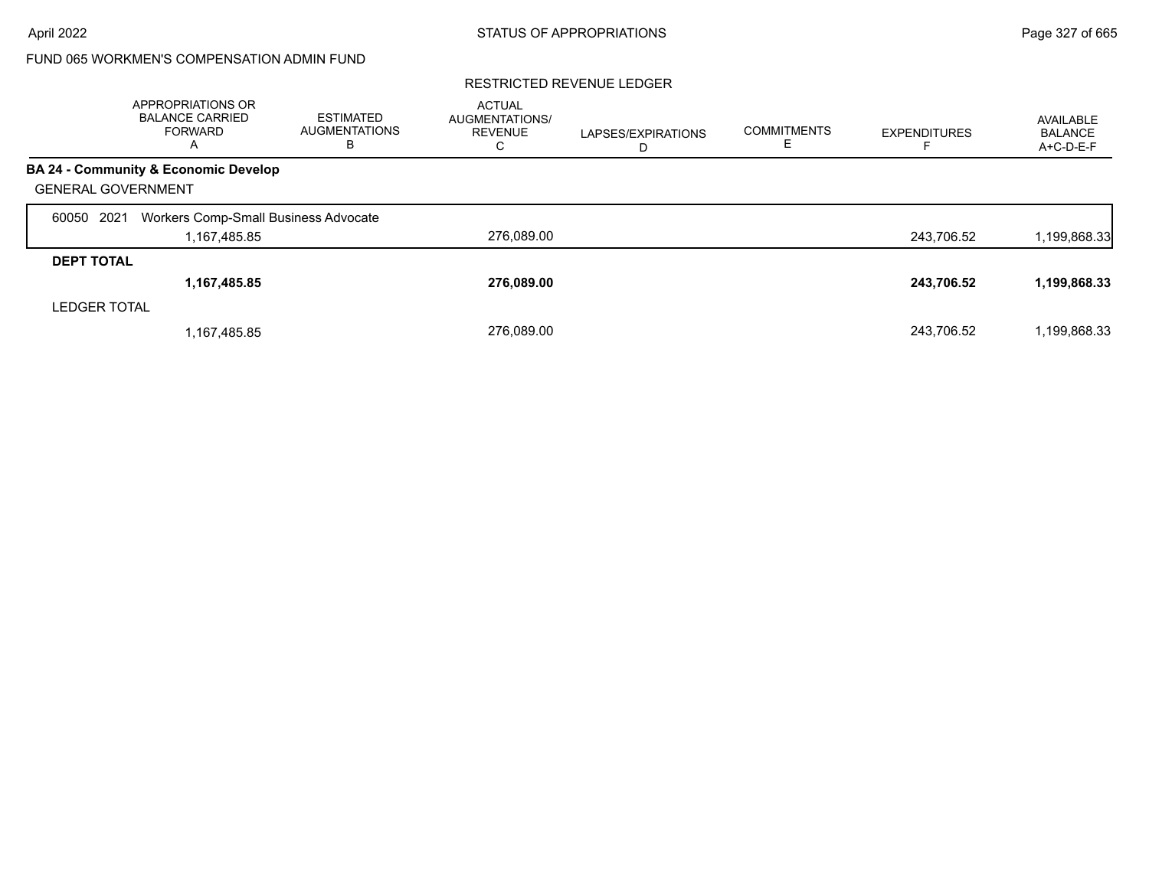# FUND 065 WORKMEN'S COMPENSATION ADMIN FUND

|                           | APPROPRIATIONS OR<br><b>BALANCE CARRIED</b><br><b>FORWARD</b><br>A | <b>ESTIMATED</b><br><b>AUGMENTATIONS</b><br>в | <b>ACTUAL</b><br>AUGMENTATIONS/<br><b>REVENUE</b><br>С | LAPSES/EXPIRATIONS<br>D | <b>COMMITMENTS</b> | <b>EXPENDITURES</b> | AVAILABLE<br><b>BALANCE</b><br>A+C-D-E-F |
|---------------------------|--------------------------------------------------------------------|-----------------------------------------------|--------------------------------------------------------|-------------------------|--------------------|---------------------|------------------------------------------|
|                           | BA 24 - Community & Economic Develop                               |                                               |                                                        |                         |                    |                     |                                          |
| <b>GENERAL GOVERNMENT</b> |                                                                    |                                               |                                                        |                         |                    |                     |                                          |
| 2021<br>60050             | Workers Comp-Small Business Advocate                               |                                               |                                                        |                         |                    |                     |                                          |
|                           | 1,167,485.85                                                       |                                               | 276,089.00                                             |                         |                    | 243,706.52          | 1,199,868.33                             |
| <b>DEPT TOTAL</b>         |                                                                    |                                               |                                                        |                         |                    |                     |                                          |
|                           | 1,167,485.85                                                       |                                               | 276,089.00                                             |                         |                    | 243,706.52          | 1,199,868.33                             |
| <b>LEDGER TOTAL</b>       |                                                                    |                                               |                                                        |                         |                    |                     |                                          |
|                           | 1,167,485.85                                                       |                                               | 276.089.00                                             |                         |                    | 243.706.52          | 1,199,868.33                             |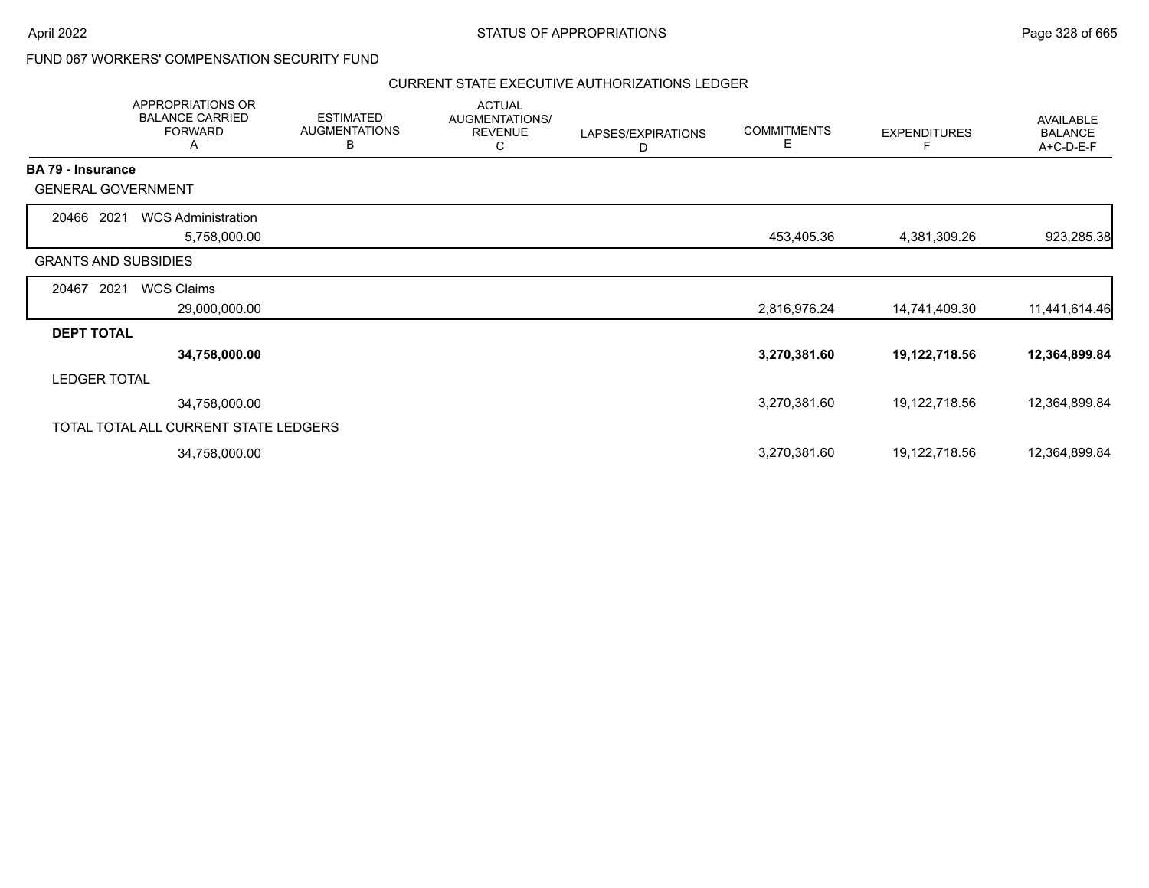## FUND 067 WORKERS' COMPENSATION SECURITY FUND

### CURRENT STATE EXECUTIVE AUTHORIZATIONS LEDGER

|                          | APPROPRIATIONS OR<br><b>BALANCE CARRIED</b><br><b>FORWARD</b><br>A | <b>ESTIMATED</b><br><b>AUGMENTATIONS</b><br>В | <b>ACTUAL</b><br>AUGMENTATIONS/<br><b>REVENUE</b><br>C | LAPSES/EXPIRATIONS<br>D | <b>COMMITMENTS</b><br>E. | <b>EXPENDITURES</b><br>F | AVAILABLE<br><b>BALANCE</b><br>A+C-D-E-F |
|--------------------------|--------------------------------------------------------------------|-----------------------------------------------|--------------------------------------------------------|-------------------------|--------------------------|--------------------------|------------------------------------------|
| <b>BA 79 - Insurance</b> |                                                                    |                                               |                                                        |                         |                          |                          |                                          |
|                          | <b>GENERAL GOVERNMENT</b>                                          |                                               |                                                        |                         |                          |                          |                                          |
| 20466 2021               | <b>WCS Administration</b>                                          |                                               |                                                        |                         |                          |                          |                                          |
|                          | 5,758,000.00                                                       |                                               |                                                        |                         | 453,405.36               | 4,381,309.26             | 923,285.38                               |
|                          | <b>GRANTS AND SUBSIDIES</b>                                        |                                               |                                                        |                         |                          |                          |                                          |
| 20467                    | <b>WCS Claims</b><br>2021                                          |                                               |                                                        |                         |                          |                          |                                          |
|                          | 29,000,000.00                                                      |                                               |                                                        |                         | 2,816,976.24             | 14,741,409.30            | 11,441,614.46                            |
| <b>DEPT TOTAL</b>        |                                                                    |                                               |                                                        |                         |                          |                          |                                          |
|                          | 34,758,000.00                                                      |                                               |                                                        |                         | 3,270,381.60             | 19,122,718.56            | 12,364,899.84                            |
| <b>LEDGER TOTAL</b>      |                                                                    |                                               |                                                        |                         |                          |                          |                                          |
|                          | 34,758,000.00                                                      |                                               |                                                        |                         | 3,270,381.60             | 19,122,718.56            | 12,364,899.84                            |
|                          | TOTAL TOTAL ALL CURRENT STATE LEDGERS                              |                                               |                                                        |                         |                          |                          |                                          |
|                          | 34,758,000.00                                                      |                                               |                                                        |                         | 3,270,381.60             | 19,122,718.56            | 12,364,899.84                            |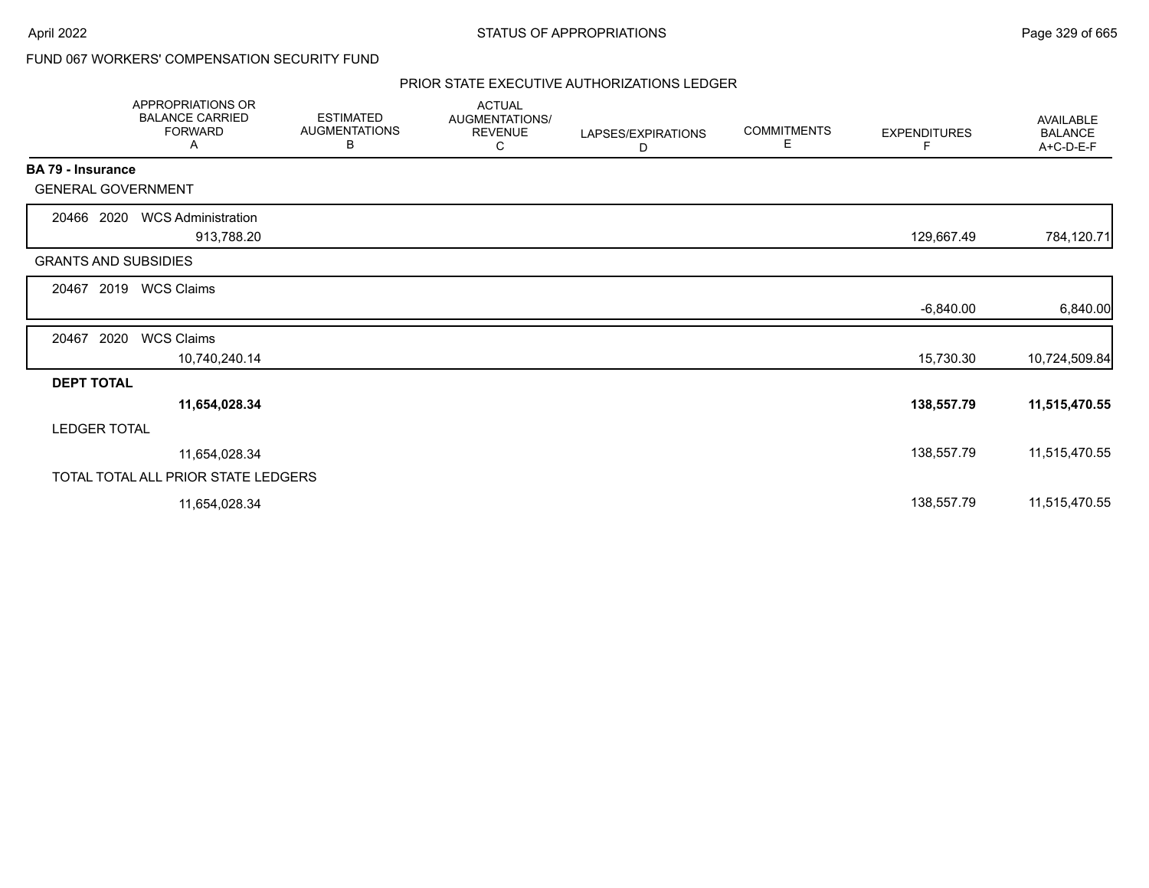## FUND 067 WORKERS' COMPENSATION SECURITY FUND

## PRIOR STATE EXECUTIVE AUTHORIZATIONS LEDGER

|                             | APPROPRIATIONS OR<br><b>BALANCE CARRIED</b><br><b>FORWARD</b><br>Α | <b>ESTIMATED</b><br><b>AUGMENTATIONS</b><br>В | <b>ACTUAL</b><br>AUGMENTATIONS/<br><b>REVENUE</b><br>С | LAPSES/EXPIRATIONS<br>D | <b>COMMITMENTS</b><br>Е | <b>EXPENDITURES</b><br>F | <b>AVAILABLE</b><br><b>BALANCE</b><br>A+C-D-E-F |
|-----------------------------|--------------------------------------------------------------------|-----------------------------------------------|--------------------------------------------------------|-------------------------|-------------------------|--------------------------|-------------------------------------------------|
| BA 79 - Insurance           |                                                                    |                                               |                                                        |                         |                         |                          |                                                 |
| <b>GENERAL GOVERNMENT</b>   |                                                                    |                                               |                                                        |                         |                         |                          |                                                 |
| 20466 2020                  | <b>WCS Administration</b><br>913,788.20                            |                                               |                                                        |                         |                         | 129,667.49               | 784,120.71                                      |
| <b>GRANTS AND SUBSIDIES</b> |                                                                    |                                               |                                                        |                         |                         |                          |                                                 |
| 2019<br>20467               | <b>WCS Claims</b>                                                  |                                               |                                                        |                         |                         |                          |                                                 |
|                             |                                                                    |                                               |                                                        |                         |                         | $-6,840.00$              | 6,840.00                                        |
| 2020<br>20467               | <b>WCS Claims</b>                                                  |                                               |                                                        |                         |                         |                          |                                                 |
|                             | 10,740,240.14                                                      |                                               |                                                        |                         |                         | 15,730.30                | 10,724,509.84                                   |
| <b>DEPT TOTAL</b>           |                                                                    |                                               |                                                        |                         |                         |                          |                                                 |
|                             | 11,654,028.34                                                      |                                               |                                                        |                         |                         | 138,557.79               | 11,515,470.55                                   |
| <b>LEDGER TOTAL</b>         |                                                                    |                                               |                                                        |                         |                         |                          |                                                 |
|                             | 11,654,028.34                                                      |                                               |                                                        |                         |                         | 138,557.79               | 11,515,470.55                                   |
|                             | TOTAL TOTAL ALL PRIOR STATE LEDGERS                                |                                               |                                                        |                         |                         |                          |                                                 |
|                             | 11,654,028.34                                                      |                                               |                                                        |                         |                         | 138,557.79               | 11,515,470.55                                   |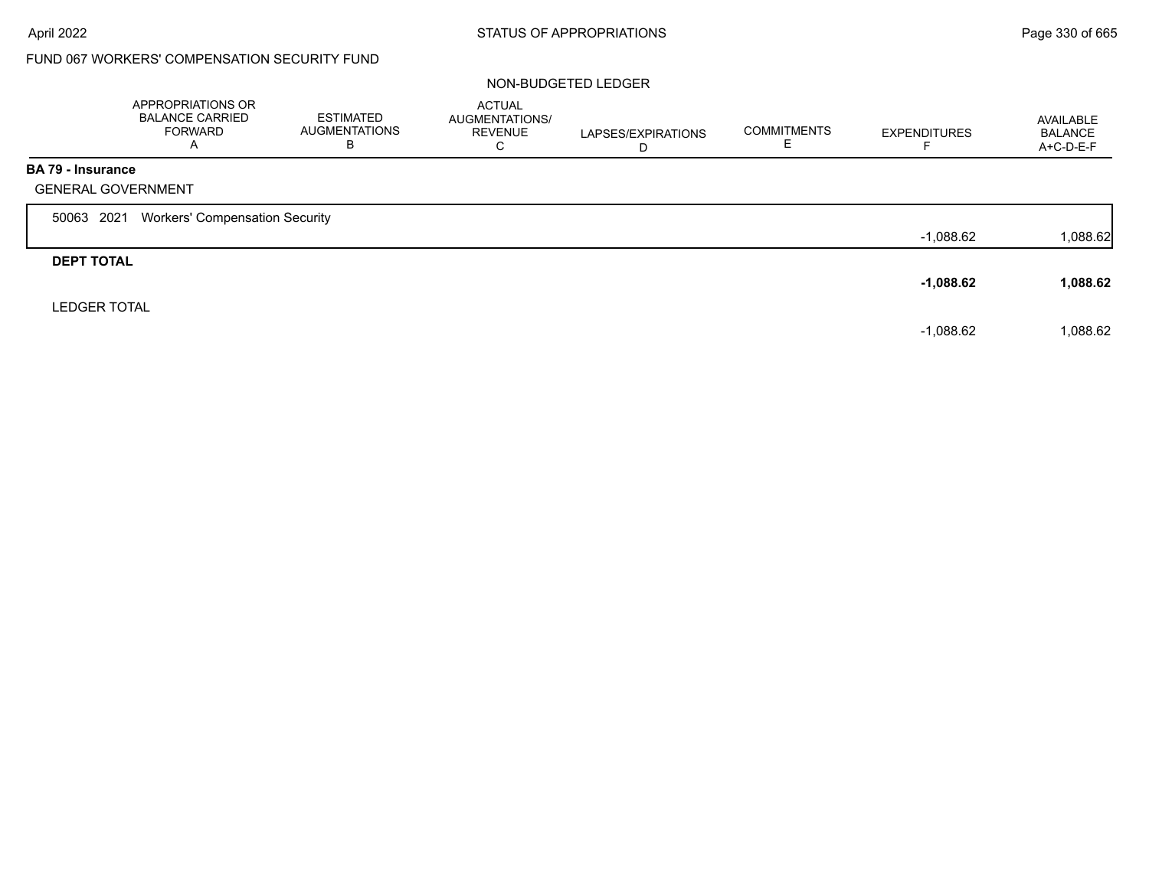# FUND 067 WORKERS' COMPENSATION SECURITY FUND

### NON-BUDGETED LEDGER

|                          | APPROPRIATIONS OR<br><b>BALANCE CARRIED</b><br><b>FORWARD</b><br>$\mathsf{A}$ | ESTIMATED<br><b>AUGMENTATIONS</b><br>В | <b>ACTUAL</b><br>AUGMENTATIONS/<br><b>REVENUE</b><br>С | LAPSES/EXPIRATIONS<br>D | <b>COMMITMENTS</b> | <b>EXPENDITURES</b> | AVAILABLE<br><b>BALANCE</b><br>$A+C-D-E-F$ |
|--------------------------|-------------------------------------------------------------------------------|----------------------------------------|--------------------------------------------------------|-------------------------|--------------------|---------------------|--------------------------------------------|
| <b>BA 79 - Insurance</b> |                                                                               |                                        |                                                        |                         |                    |                     |                                            |
|                          | <b>GENERAL GOVERNMENT</b>                                                     |                                        |                                                        |                         |                    |                     |                                            |
| 50063 2021               | <b>Workers' Compensation Security</b>                                         |                                        |                                                        |                         |                    |                     |                                            |
|                          |                                                                               |                                        |                                                        |                         |                    | $-1.088.62$         | 1,088.62                                   |
| <b>DEPT TOTAL</b>        |                                                                               |                                        |                                                        |                         |                    |                     |                                            |
|                          |                                                                               |                                        |                                                        |                         |                    | $-1,088.62$         | 1,088.62                                   |
|                          | <b>LEDGER TOTAL</b>                                                           |                                        |                                                        |                         |                    |                     |                                            |
|                          |                                                                               |                                        |                                                        |                         |                    | $-1,088.62$         | 1,088.62                                   |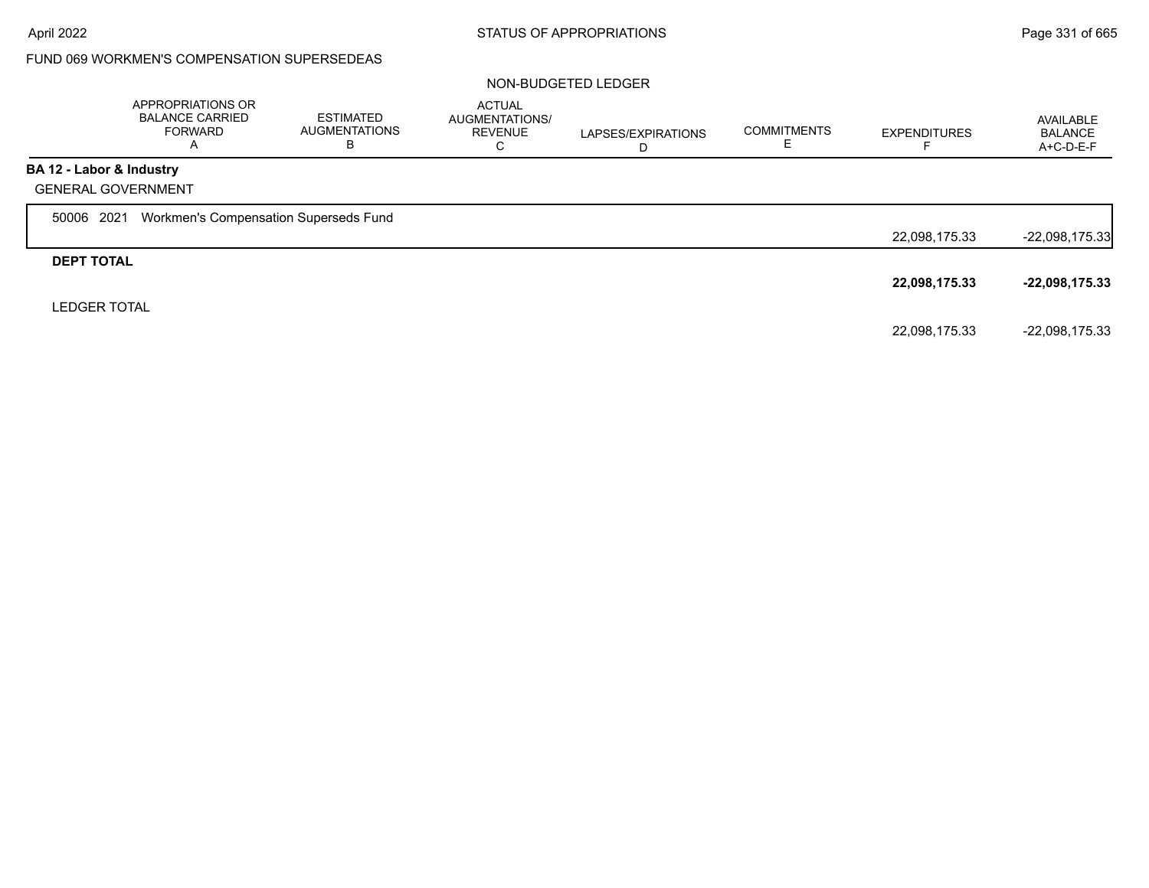## FUND 069 WORKMEN'S COMPENSATION SUPERSEDEAS

### NON-BUDGETED LEDGER

|                          | APPROPRIATIONS OR<br><b>BALANCE CARRIED</b><br><b>FORWARD</b><br>A | <b>ESTIMATED</b><br><b>AUGMENTATIONS</b><br>В | <b>ACTUAL</b><br><b>AUGMENTATIONS/</b><br><b>REVENUE</b><br>◡ | LAPSES/EXPIRATIONS | <b>COMMITMENTS</b> | <b>EXPENDITURES</b> | AVAILABLE<br><b>BALANCE</b><br>A+C-D-E-F |
|--------------------------|--------------------------------------------------------------------|-----------------------------------------------|---------------------------------------------------------------|--------------------|--------------------|---------------------|------------------------------------------|
| BA 12 - Labor & Industry | <b>GENERAL GOVERNMENT</b>                                          |                                               |                                                               |                    |                    |                     |                                          |
| 50006 2021               | Workmen's Compensation Superseds Fund                              |                                               |                                                               |                    |                    | 22,098,175.33       | $-22,098,175.33$                         |
| <b>DEPT TOTAL</b>        |                                                                    |                                               |                                                               |                    |                    | 22,098,175.33       | $-22,098,175.33$                         |
| <b>LEDGER TOTAL</b>      |                                                                    |                                               |                                                               |                    |                    | 22,098,175.33       | $-22,098,175.33$                         |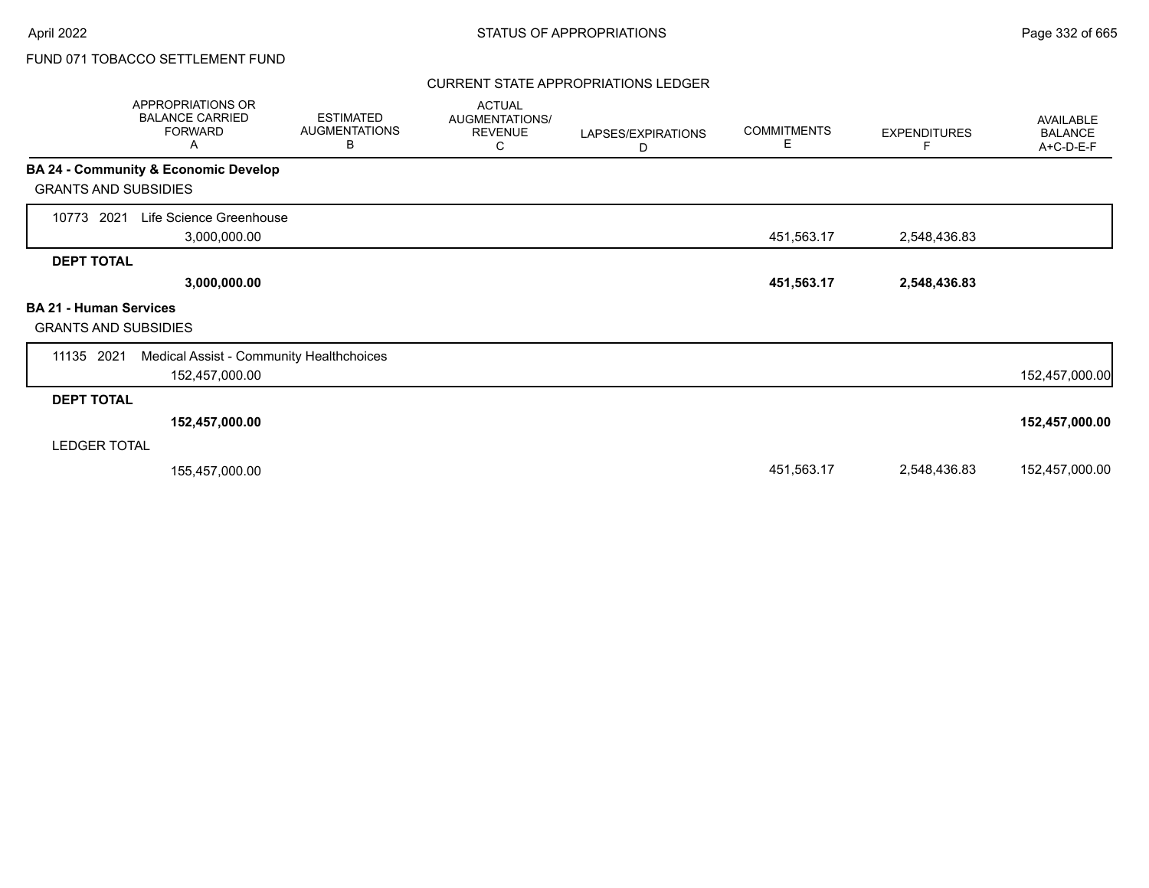## CURRENT STATE APPROPRIATIONS LEDGER

| <b>APPROPRIATIONS OR</b><br><b>BALANCE CARRIED</b><br><b>FORWARD</b><br>Α | <b>ESTIMATED</b><br><b>AUGMENTATIONS</b><br>В | <b>ACTUAL</b><br>AUGMENTATIONS/<br><b>REVENUE</b><br>С | LAPSES/EXPIRATIONS<br>D | <b>COMMITMENTS</b><br>Е | <b>EXPENDITURES</b><br>F | <b>AVAILABLE</b><br><b>BALANCE</b><br>A+C-D-E-F |
|---------------------------------------------------------------------------|-----------------------------------------------|--------------------------------------------------------|-------------------------|-------------------------|--------------------------|-------------------------------------------------|
| BA 24 - Community & Economic Develop<br><b>GRANTS AND SUBSIDIES</b>       |                                               |                                                        |                         |                         |                          |                                                 |
| Life Science Greenhouse<br>10773<br>2021<br>3,000,000.00                  |                                               |                                                        |                         | 451,563.17              | 2,548,436.83             |                                                 |
| <b>DEPT TOTAL</b><br>3,000,000.00                                         |                                               |                                                        |                         | 451,563.17              | 2,548,436.83             |                                                 |
| <b>BA 21 - Human Services</b><br><b>GRANTS AND SUBSIDIES</b>              |                                               |                                                        |                         |                         |                          |                                                 |
| 11135 2021<br>Medical Assist - Community Healthchoices<br>152,457,000.00  |                                               |                                                        |                         |                         |                          | 152,457,000.00                                  |
| <b>DEPT TOTAL</b>                                                         |                                               |                                                        |                         |                         |                          |                                                 |
| 152,457,000.00                                                            |                                               |                                                        |                         |                         |                          | 152,457,000.00                                  |
| <b>LEDGER TOTAL</b>                                                       |                                               |                                                        |                         |                         |                          |                                                 |
| 155,457,000.00                                                            |                                               |                                                        |                         | 451,563.17              | 2,548,436.83             | 152,457,000.00                                  |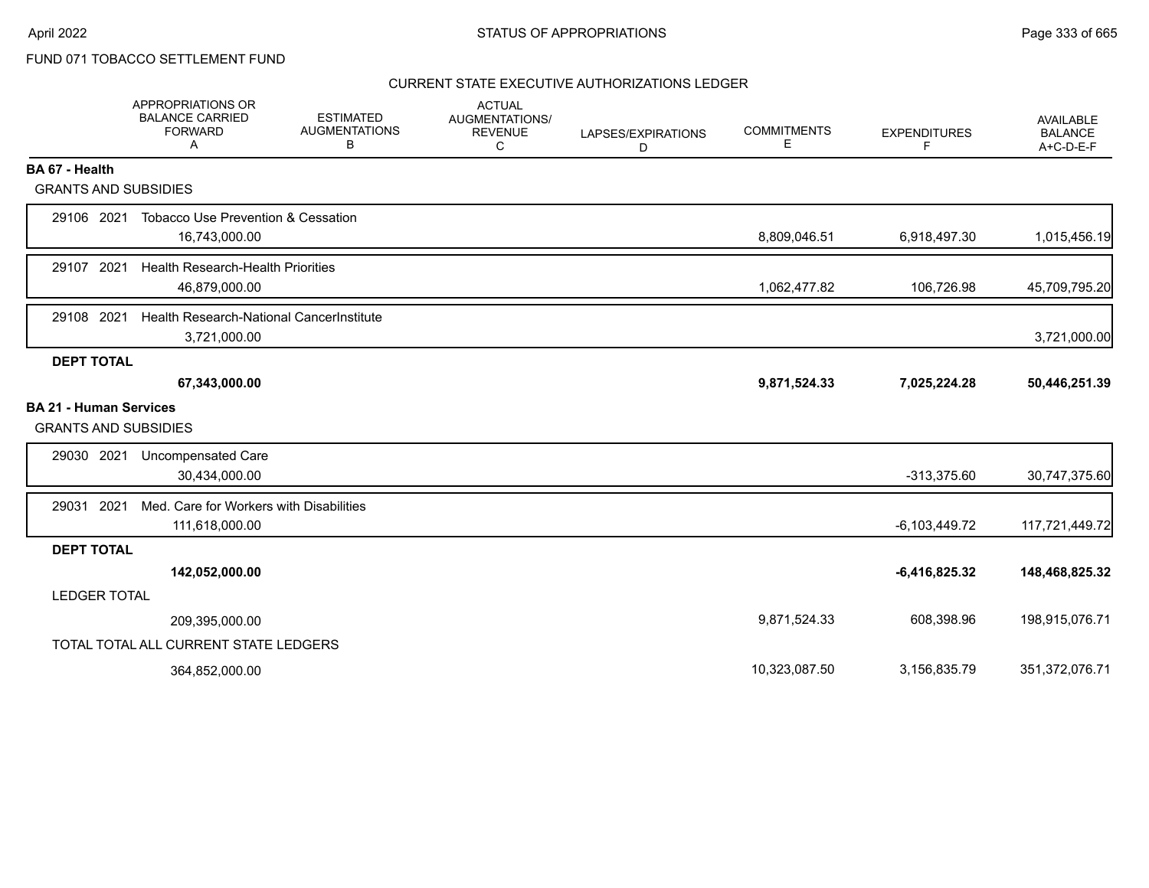## CURRENT STATE EXECUTIVE AUTHORIZATIONS LEDGER

|                                                              | APPROPRIATIONS OR<br><b>BALANCE CARRIED</b><br><b>FORWARD</b><br>A | <b>ESTIMATED</b><br><b>AUGMENTATIONS</b><br>в | <b>ACTUAL</b><br><b>AUGMENTATIONS/</b><br><b>REVENUE</b><br>C | LAPSES/EXPIRATIONS<br>D | <b>COMMITMENTS</b><br>Ε | <b>EXPENDITURES</b><br>F | <b>AVAILABLE</b><br><b>BALANCE</b><br>$A+C-D-E-F$ |
|--------------------------------------------------------------|--------------------------------------------------------------------|-----------------------------------------------|---------------------------------------------------------------|-------------------------|-------------------------|--------------------------|---------------------------------------------------|
| BA 67 - Health                                               |                                                                    |                                               |                                                               |                         |                         |                          |                                                   |
| <b>GRANTS AND SUBSIDIES</b>                                  |                                                                    |                                               |                                                               |                         |                         |                          |                                                   |
| 29106 2021                                                   | <b>Tobacco Use Prevention &amp; Cessation</b><br>16,743,000.00     |                                               |                                                               |                         | 8,809,046.51            | 6,918,497.30             | 1,015,456.19                                      |
| 29107 2021                                                   | <b>Health Research-Health Priorities</b><br>46,879,000.00          |                                               |                                                               |                         | 1,062,477.82            | 106,726.98               | 45,709,795.20                                     |
|                                                              |                                                                    |                                               |                                                               |                         |                         |                          |                                                   |
| 29108 2021                                                   | Health Research-National CancerInstitute<br>3,721,000.00           |                                               |                                                               |                         |                         |                          | 3,721,000.00                                      |
| <b>DEPT TOTAL</b>                                            |                                                                    |                                               |                                                               |                         |                         |                          |                                                   |
|                                                              | 67,343,000.00                                                      |                                               |                                                               |                         | 9,871,524.33            | 7,025,224.28             | 50,446,251.39                                     |
| <b>BA 21 - Human Services</b><br><b>GRANTS AND SUBSIDIES</b> |                                                                    |                                               |                                                               |                         |                         |                          |                                                   |
| 29030 2021                                                   | Uncompensated Care<br>30,434,000.00                                |                                               |                                                               |                         |                         | $-313,375.60$            | 30,747,375.60                                     |
| 2021<br>29031                                                | Med. Care for Workers with Disabilities<br>111,618,000.00          |                                               |                                                               |                         |                         | $-6,103,449.72$          | 117,721,449.72                                    |
| <b>DEPT TOTAL</b>                                            |                                                                    |                                               |                                                               |                         |                         |                          |                                                   |
|                                                              | 142,052,000.00                                                     |                                               |                                                               |                         |                         | $-6,416,825.32$          | 148,468,825.32                                    |
| <b>LEDGER TOTAL</b>                                          |                                                                    |                                               |                                                               |                         |                         |                          |                                                   |
|                                                              | 209,395,000.00                                                     |                                               |                                                               |                         | 9,871,524.33            | 608,398.96               | 198,915,076.71                                    |
|                                                              | TOTAL TOTAL ALL CURRENT STATE LEDGERS                              |                                               |                                                               |                         |                         |                          |                                                   |
|                                                              | 364,852,000.00                                                     |                                               |                                                               |                         | 10.323.087.50           | 3,156,835.79             | 351,372,076.71                                    |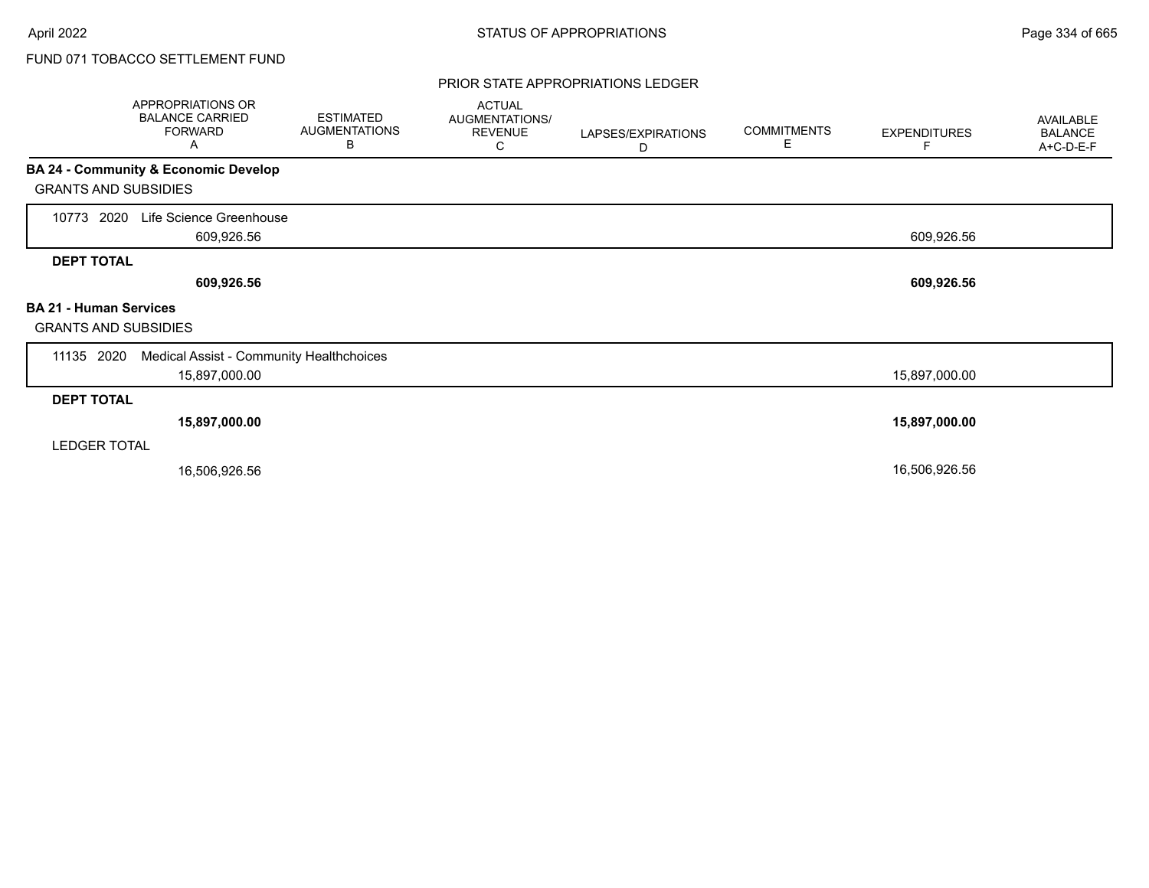### PRIOR STATE APPROPRIATIONS LEDGER

|                                                              | APPROPRIATIONS OR<br><b>BALANCE CARRIED</b><br><b>FORWARD</b><br>A | <b>ESTIMATED</b><br><b>AUGMENTATIONS</b><br>В | <b>ACTUAL</b><br>AUGMENTATIONS/<br><b>REVENUE</b><br>С | LAPSES/EXPIRATIONS<br>D | <b>COMMITMENTS</b><br>E | <b>EXPENDITURES</b><br>F | AVAILABLE<br><b>BALANCE</b><br>A+C-D-E-F |
|--------------------------------------------------------------|--------------------------------------------------------------------|-----------------------------------------------|--------------------------------------------------------|-------------------------|-------------------------|--------------------------|------------------------------------------|
|                                                              | BA 24 - Community & Economic Develop                               |                                               |                                                        |                         |                         |                          |                                          |
| <b>GRANTS AND SUBSIDIES</b>                                  |                                                                    |                                               |                                                        |                         |                         |                          |                                          |
| 2020<br>10773                                                | Life Science Greenhouse<br>609,926.56                              |                                               |                                                        |                         |                         | 609,926.56               |                                          |
| <b>DEPT TOTAL</b>                                            |                                                                    |                                               |                                                        |                         |                         |                          |                                          |
|                                                              | 609,926.56                                                         |                                               |                                                        |                         |                         | 609,926.56               |                                          |
| <b>BA 21 - Human Services</b><br><b>GRANTS AND SUBSIDIES</b> |                                                                    |                                               |                                                        |                         |                         |                          |                                          |
| 11135 2020                                                   | Medical Assist - Community Healthchoices                           |                                               |                                                        |                         |                         |                          |                                          |
|                                                              | 15,897,000.00                                                      |                                               |                                                        |                         |                         | 15,897,000.00            |                                          |
| <b>DEPT TOTAL</b>                                            |                                                                    |                                               |                                                        |                         |                         |                          |                                          |
|                                                              | 15,897,000.00                                                      |                                               |                                                        |                         |                         | 15,897,000.00            |                                          |
| <b>LEDGER TOTAL</b>                                          |                                                                    |                                               |                                                        |                         |                         |                          |                                          |
|                                                              | 16,506,926.56                                                      |                                               |                                                        |                         |                         | 16,506,926.56            |                                          |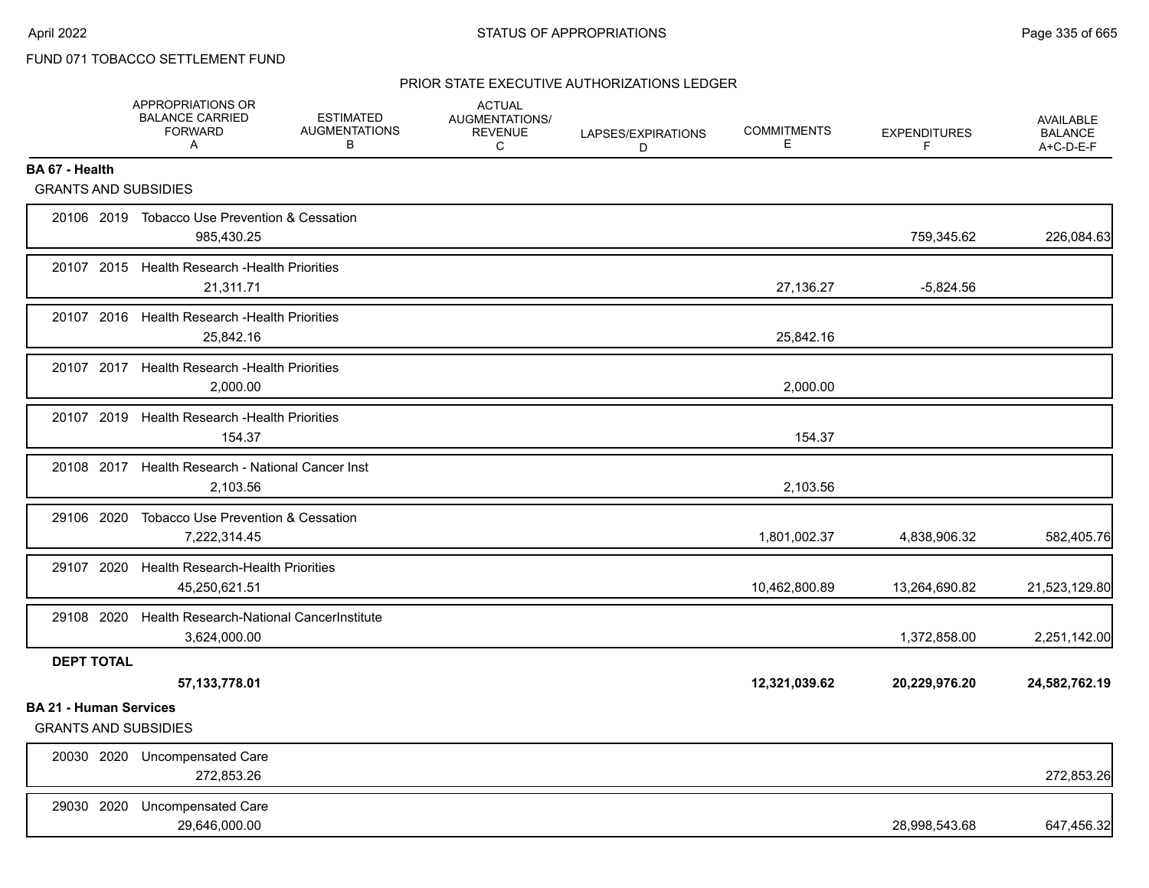## PRIOR STATE EXECUTIVE AUTHORIZATIONS LEDGER

|                                                              | APPROPRIATIONS OR<br><b>BALANCE CARRIED</b><br><b>FORWARD</b><br>Α  | <b>ESTIMATED</b><br><b>AUGMENTATIONS</b><br>В | <b>ACTUAL</b><br>AUGMENTATIONS/<br><b>REVENUE</b><br>C | LAPSES/EXPIRATIONS<br>D | <b>COMMITMENTS</b><br>Е | <b>EXPENDITURES</b><br>F | AVAILABLE<br><b>BALANCE</b><br>A+C-D-E-F |
|--------------------------------------------------------------|---------------------------------------------------------------------|-----------------------------------------------|--------------------------------------------------------|-------------------------|-------------------------|--------------------------|------------------------------------------|
| BA 67 - Health                                               |                                                                     |                                               |                                                        |                         |                         |                          |                                          |
| <b>GRANTS AND SUBSIDIES</b>                                  |                                                                     |                                               |                                                        |                         |                         |                          |                                          |
|                                                              | 20106 2019 Tobacco Use Prevention & Cessation<br>985,430.25         |                                               |                                                        |                         |                         | 759,345.62               | 226,084.63                               |
|                                                              | 20107 2015 Health Research - Health Priorities<br>21,311.71         |                                               |                                                        |                         | 27,136.27               | $-5,824.56$              |                                          |
|                                                              | 20107 2016 Health Research - Health Priorities<br>25,842.16         |                                               |                                                        |                         | 25,842.16               |                          |                                          |
| 20107 2017                                                   | Health Research - Health Priorities<br>2,000.00                     |                                               |                                                        |                         | 2,000.00                |                          |                                          |
| 20107 2019                                                   | <b>Health Research - Health Priorities</b><br>154.37                |                                               |                                                        |                         | 154.37                  |                          |                                          |
|                                                              | 20108 2017 Health Research - National Cancer Inst<br>2,103.56       |                                               |                                                        |                         | 2,103.56                |                          |                                          |
| 29106 2020                                                   | <b>Tobacco Use Prevention &amp; Cessation</b><br>7,222,314.45       |                                               |                                                        |                         | 1,801,002.37            | 4,838,906.32             | 582,405.76                               |
| 29107 2020                                                   | <b>Health Research-Health Priorities</b><br>45,250,621.51           |                                               |                                                        |                         | 10,462,800.89           | 13,264,690.82            | 21,523,129.80                            |
|                                                              | 29108 2020 Health Research-National CancerInstitute<br>3,624,000.00 |                                               |                                                        |                         |                         | 1,372,858.00             | 2,251,142.00                             |
| <b>DEPT TOTAL</b>                                            | 57, 133, 778.01                                                     |                                               |                                                        |                         | 12,321,039.62           | 20,229,976.20            | 24,582,762.19                            |
| <b>BA 21 - Human Services</b><br><b>GRANTS AND SUBSIDIES</b> |                                                                     |                                               |                                                        |                         |                         |                          |                                          |
|                                                              | 20030 2020 Uncompensated Care<br>272,853.26                         |                                               |                                                        |                         |                         |                          | 272,853.26                               |
| 29030 2020                                                   | <b>Uncompensated Care</b><br>29.646.000.00                          |                                               |                                                        |                         |                         | 28,998,543.68            | 647,456.32                               |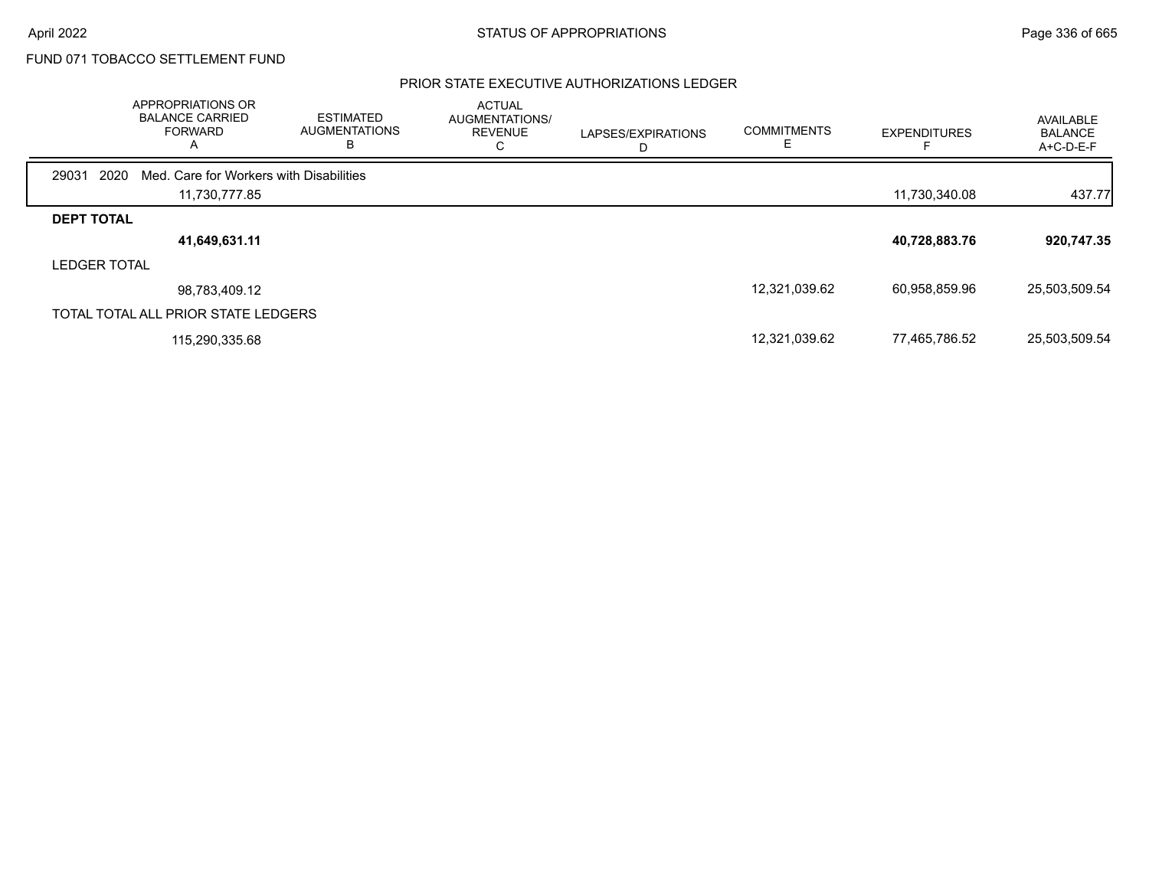## PRIOR STATE EXECUTIVE AUTHORIZATIONS LEDGER

|                     | <b>APPROPRIATIONS OR</b><br><b>BALANCE CARRIED</b><br><b>FORWARD</b><br>$\overline{A}$ | <b>ESTIMATED</b><br><b>AUGMENTATIONS</b><br>В | <b>ACTUAL</b><br>AUGMENTATIONS/<br><b>REVENUE</b><br>◡ | LAPSES/EXPIRATIONS | <b>COMMITMENTS</b> | <b>EXPENDITURES</b> | AVAILABLE<br><b>BALANCE</b><br>A+C-D-E-F |
|---------------------|----------------------------------------------------------------------------------------|-----------------------------------------------|--------------------------------------------------------|--------------------|--------------------|---------------------|------------------------------------------|
| 29031               | 2020<br>Med. Care for Workers with Disabilities                                        |                                               |                                                        |                    |                    |                     |                                          |
|                     | 11,730,777.85                                                                          |                                               |                                                        |                    |                    | 11,730,340.08       | 437.77                                   |
| <b>DEPT TOTAL</b>   |                                                                                        |                                               |                                                        |                    |                    |                     |                                          |
|                     | 41,649,631.11                                                                          |                                               |                                                        |                    |                    | 40,728,883.76       | 920,747.35                               |
| <b>LEDGER TOTAL</b> |                                                                                        |                                               |                                                        |                    |                    |                     |                                          |
|                     | 98,783,409.12                                                                          |                                               |                                                        |                    | 12,321,039.62      | 60,958,859.96       | 25,503,509.54                            |
|                     | TOTAL TOTAL ALL PRIOR STATE LEDGERS                                                    |                                               |                                                        |                    |                    |                     |                                          |
|                     | 115.290.335.68                                                                         |                                               |                                                        |                    | 12,321,039.62      | 77,465,786.52       | 25,503,509.54                            |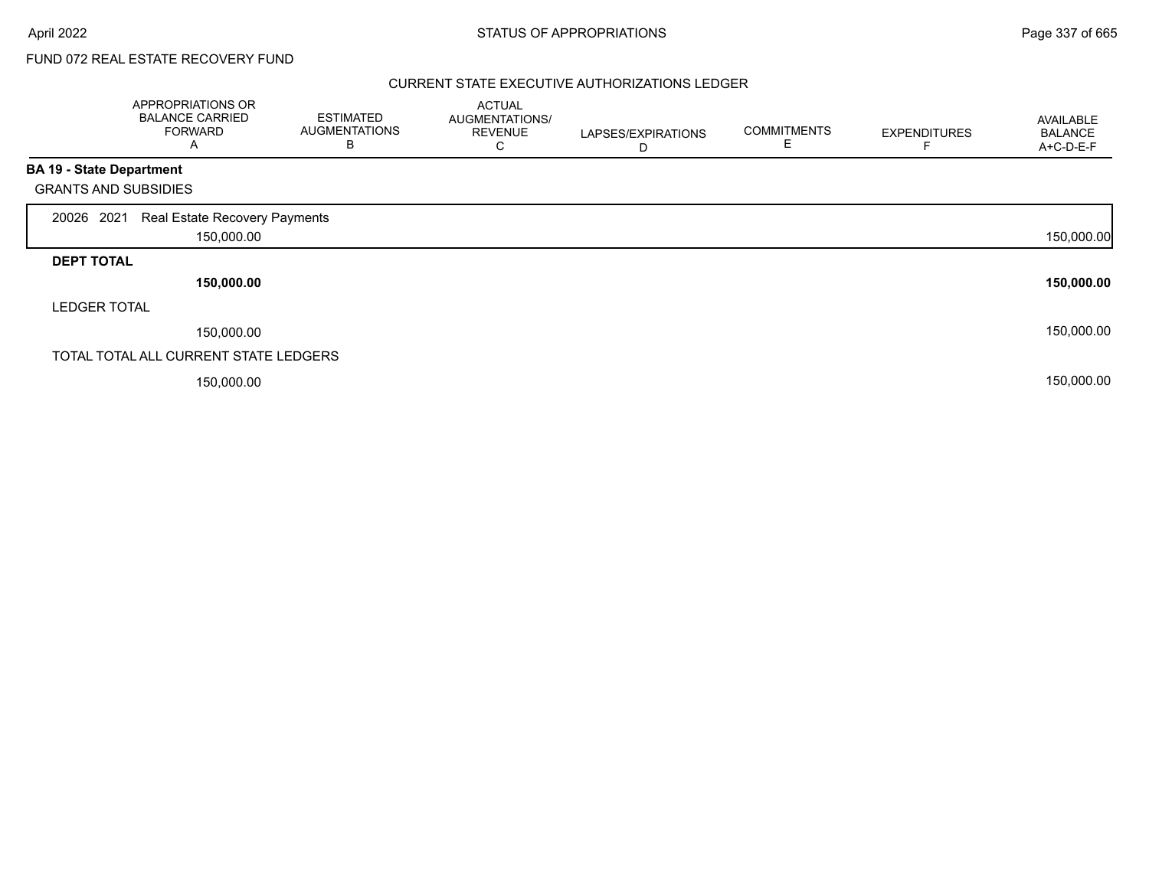# FUND 072 REAL ESTATE RECOVERY FUND

### CURRENT STATE EXECUTIVE AUTHORIZATIONS LEDGER

|                                 | APPROPRIATIONS OR<br><b>BALANCE CARRIED</b><br><b>FORWARD</b><br>A | <b>ESTIMATED</b><br><b>AUGMENTATIONS</b><br>B | <b>ACTUAL</b><br>AUGMENTATIONS/<br><b>REVENUE</b><br>С | LAPSES/EXPIRATIONS<br>D | <b>COMMITMENTS</b><br>E. | <b>EXPENDITURES</b> | <b>AVAILABLE</b><br><b>BALANCE</b><br>A+C-D-E-F |
|---------------------------------|--------------------------------------------------------------------|-----------------------------------------------|--------------------------------------------------------|-------------------------|--------------------------|---------------------|-------------------------------------------------|
| <b>BA 19 - State Department</b> |                                                                    |                                               |                                                        |                         |                          |                     |                                                 |
| <b>GRANTS AND SUBSIDIES</b>     |                                                                    |                                               |                                                        |                         |                          |                     |                                                 |
| 20026 2021                      | Real Estate Recovery Payments                                      |                                               |                                                        |                         |                          |                     |                                                 |
|                                 | 150,000.00                                                         |                                               |                                                        |                         |                          |                     | 150,000.00                                      |
| <b>DEPT TOTAL</b>               |                                                                    |                                               |                                                        |                         |                          |                     |                                                 |
|                                 | 150,000.00                                                         |                                               |                                                        |                         |                          |                     | 150,000.00                                      |
| <b>LEDGER TOTAL</b>             |                                                                    |                                               |                                                        |                         |                          |                     |                                                 |
|                                 | 150,000.00                                                         |                                               |                                                        |                         |                          |                     | 150,000.00                                      |
|                                 | TOTAL TOTAL ALL CURRENT STATE LEDGERS                              |                                               |                                                        |                         |                          |                     |                                                 |
|                                 | 150,000.00                                                         |                                               |                                                        |                         |                          |                     | 150,000.00                                      |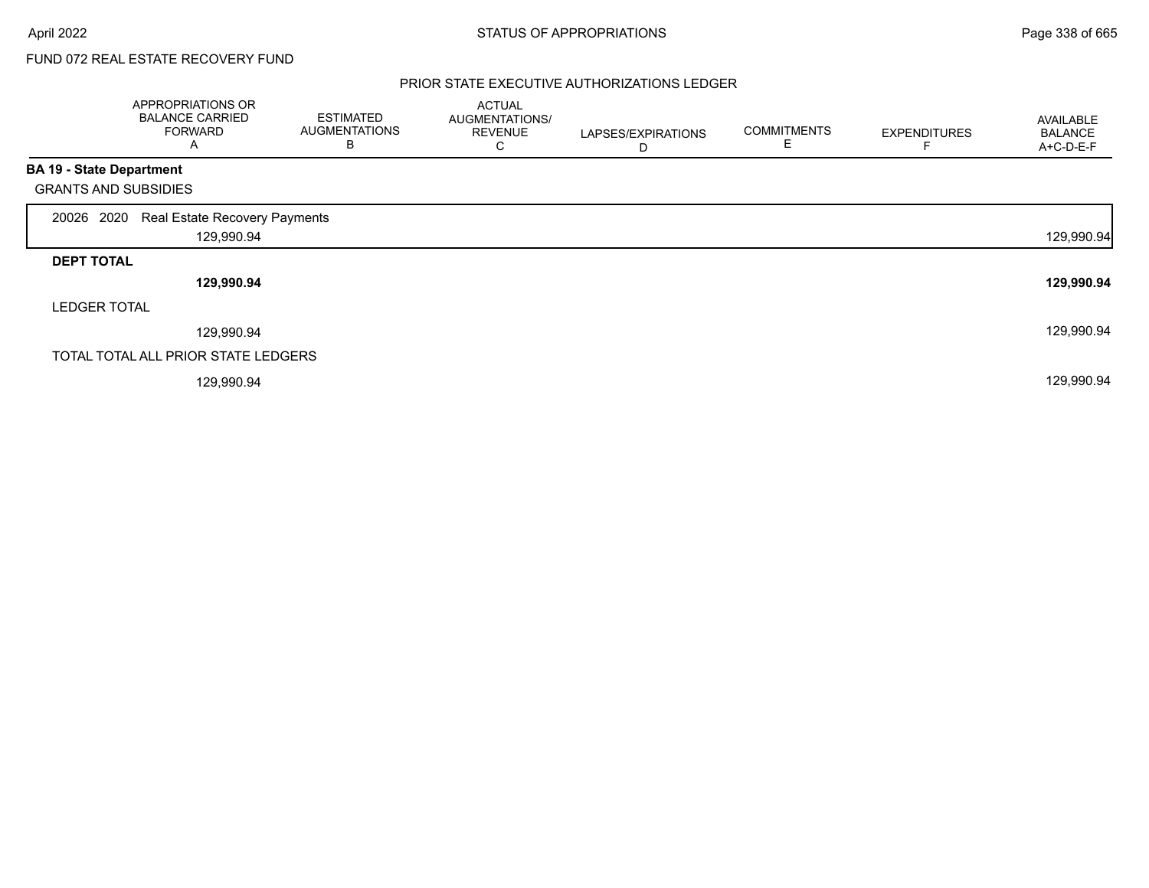# FUND 072 REAL ESTATE RECOVERY FUND

### PRIOR STATE EXECUTIVE AUTHORIZATIONS LEDGER

|                                 | APPROPRIATIONS OR<br><b>BALANCE CARRIED</b><br><b>FORWARD</b><br>Α | <b>ESTIMATED</b><br><b>AUGMENTATIONS</b><br>B | <b>ACTUAL</b><br>AUGMENTATIONS/<br><b>REVENUE</b><br>С | LAPSES/EXPIRATIONS<br>D | <b>COMMITMENTS</b> | <b>EXPENDITURES</b> | AVAILABLE<br><b>BALANCE</b><br>A+C-D-E-F |
|---------------------------------|--------------------------------------------------------------------|-----------------------------------------------|--------------------------------------------------------|-------------------------|--------------------|---------------------|------------------------------------------|
| <b>BA 19 - State Department</b> |                                                                    |                                               |                                                        |                         |                    |                     |                                          |
| <b>GRANTS AND SUBSIDIES</b>     |                                                                    |                                               |                                                        |                         |                    |                     |                                          |
| 20026 2020                      | Real Estate Recovery Payments                                      |                                               |                                                        |                         |                    |                     |                                          |
|                                 | 129,990.94                                                         |                                               |                                                        |                         |                    |                     | 129,990.94                               |
| <b>DEPT TOTAL</b>               |                                                                    |                                               |                                                        |                         |                    |                     |                                          |
|                                 | 129,990.94                                                         |                                               |                                                        |                         |                    |                     | 129,990.94                               |
| <b>LEDGER TOTAL</b>             |                                                                    |                                               |                                                        |                         |                    |                     |                                          |
|                                 | 129,990.94                                                         |                                               |                                                        |                         |                    |                     | 129,990.94                               |
|                                 | TOTAL TOTAL ALL PRIOR STATE LEDGERS                                |                                               |                                                        |                         |                    |                     |                                          |
|                                 | 129,990.94                                                         |                                               |                                                        |                         |                    |                     | 129,990.94                               |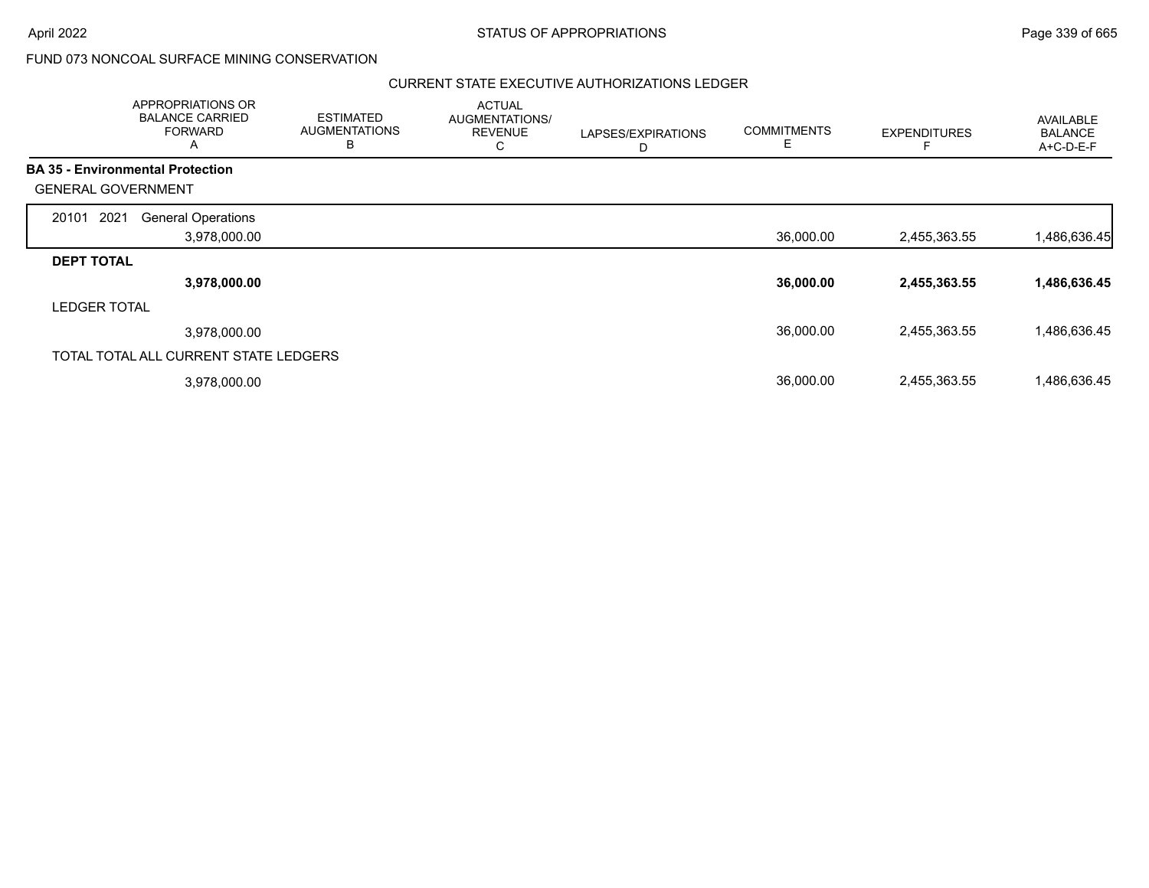### CURRENT STATE EXECUTIVE AUTHORIZATIONS LEDGER

|                                         | APPROPRIATIONS OR<br><b>BALANCE CARRIED</b><br><b>FORWARD</b><br>A | <b>ESTIMATED</b><br><b>AUGMENTATIONS</b><br>B | <b>ACTUAL</b><br>AUGMENTATIONS/<br><b>REVENUE</b><br>С | LAPSES/EXPIRATIONS<br>D | <b>COMMITMENTS</b><br>Е | <b>EXPENDITURES</b> | <b>AVAILABLE</b><br><b>BALANCE</b><br>A+C-D-E-F |
|-----------------------------------------|--------------------------------------------------------------------|-----------------------------------------------|--------------------------------------------------------|-------------------------|-------------------------|---------------------|-------------------------------------------------|
| <b>BA 35 - Environmental Protection</b> |                                                                    |                                               |                                                        |                         |                         |                     |                                                 |
| <b>GENERAL GOVERNMENT</b>               |                                                                    |                                               |                                                        |                         |                         |                     |                                                 |
| 2021<br>20101                           | <b>General Operations</b>                                          |                                               |                                                        |                         |                         |                     |                                                 |
|                                         | 3,978,000.00                                                       |                                               |                                                        |                         | 36,000.00               | 2,455,363.55        | 1,486,636.45                                    |
| <b>DEPT TOTAL</b>                       |                                                                    |                                               |                                                        |                         |                         |                     |                                                 |
|                                         | 3,978,000.00                                                       |                                               |                                                        |                         | 36,000.00               | 2,455,363.55        | 1,486,636.45                                    |
| <b>LEDGER TOTAL</b>                     |                                                                    |                                               |                                                        |                         |                         |                     |                                                 |
|                                         | 3,978,000.00                                                       |                                               |                                                        |                         | 36,000.00               | 2,455,363.55        | 1,486,636.45                                    |
| TOTAL TOTAL ALL CURRENT STATE LEDGERS   |                                                                    |                                               |                                                        |                         |                         |                     |                                                 |
|                                         | 3,978,000.00                                                       |                                               |                                                        |                         | 36,000.00               | 2,455,363.55        | 1,486,636.45                                    |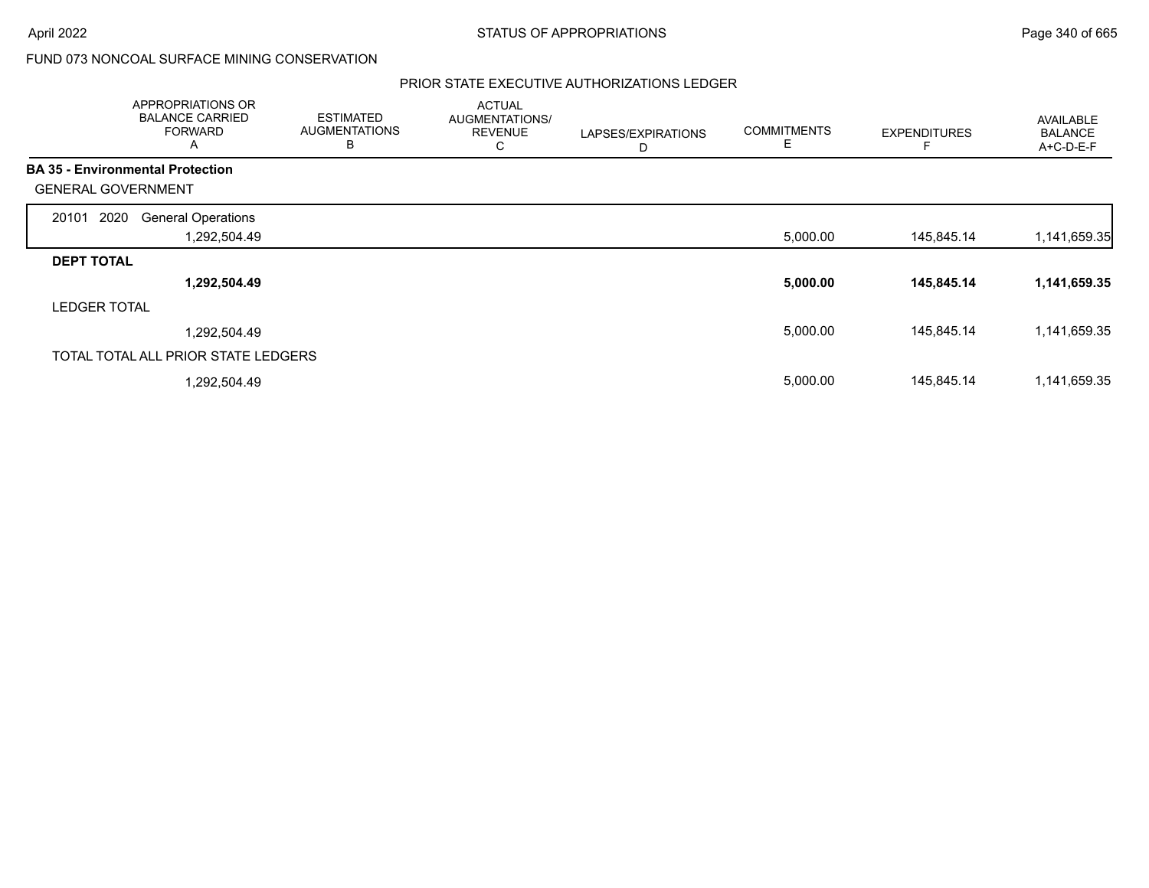## PRIOR STATE EXECUTIVE AUTHORIZATIONS LEDGER

|                           | <b>APPROPRIATIONS OR</b><br><b>BALANCE CARRIED</b><br><b>FORWARD</b><br>A | <b>ESTIMATED</b><br><b>AUGMENTATIONS</b><br>B | <b>ACTUAL</b><br>AUGMENTATIONS/<br><b>REVENUE</b><br>С | LAPSES/EXPIRATIONS<br>D | <b>COMMITMENTS</b><br>Е | <b>EXPENDITURES</b> | AVAILABLE<br><b>BALANCE</b><br>A+C-D-E-F |
|---------------------------|---------------------------------------------------------------------------|-----------------------------------------------|--------------------------------------------------------|-------------------------|-------------------------|---------------------|------------------------------------------|
|                           | <b>BA 35 - Environmental Protection</b>                                   |                                               |                                                        |                         |                         |                     |                                          |
| <b>GENERAL GOVERNMENT</b> |                                                                           |                                               |                                                        |                         |                         |                     |                                          |
| 2020<br>20101             | <b>General Operations</b>                                                 |                                               |                                                        |                         |                         |                     |                                          |
|                           | 1,292,504.49                                                              |                                               |                                                        |                         | 5,000.00                | 145,845.14          | 1,141,659.35                             |
| <b>DEPT TOTAL</b>         |                                                                           |                                               |                                                        |                         |                         |                     |                                          |
|                           | 1,292,504.49                                                              |                                               |                                                        |                         | 5,000.00                | 145,845.14          | 1,141,659.35                             |
| <b>LEDGER TOTAL</b>       |                                                                           |                                               |                                                        |                         |                         |                     |                                          |
|                           | 1,292,504.49                                                              |                                               |                                                        |                         | 5,000.00                | 145,845.14          | 1,141,659.35                             |
|                           | TOTAL TOTAL ALL PRIOR STATE LEDGERS                                       |                                               |                                                        |                         |                         |                     |                                          |
|                           | 1,292,504.49                                                              |                                               |                                                        |                         | 5,000.00                | 145,845.14          | 1,141,659.35                             |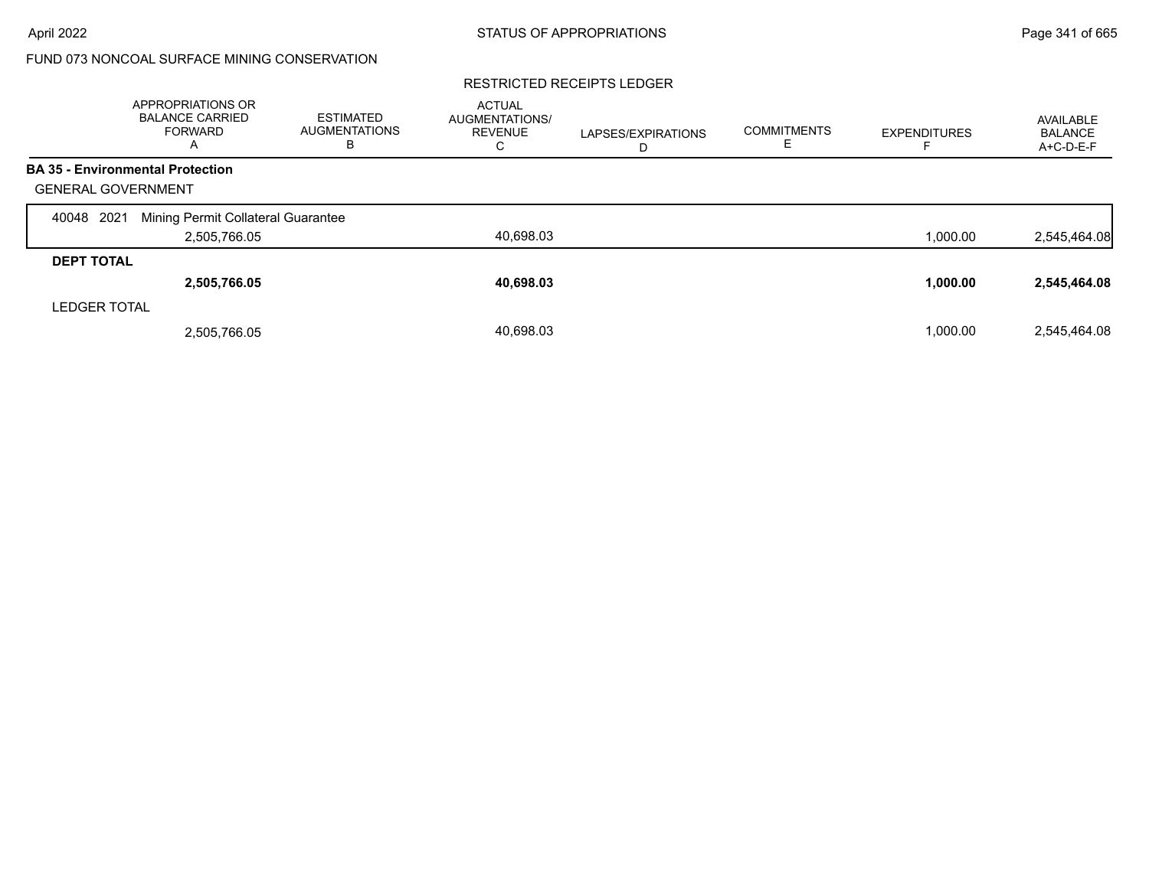### RESTRICTED RECEIPTS LEDGER

|                           | APPROPRIATIONS OR<br><b>BALANCE CARRIED</b><br><b>FORWARD</b><br>A | <b>ESTIMATED</b><br><b>AUGMENTATIONS</b><br>в | <b>ACTUAL</b><br><b>AUGMENTATIONS/</b><br><b>REVENUE</b><br>C | LAPSES/EXPIRATIONS<br>D | <b>COMMITMENTS</b><br>ᄂ | <b>EXPENDITURES</b> | AVAILABLE<br><b>BALANCE</b><br>A+C-D-E-F |
|---------------------------|--------------------------------------------------------------------|-----------------------------------------------|---------------------------------------------------------------|-------------------------|-------------------------|---------------------|------------------------------------------|
|                           | <b>BA 35 - Environmental Protection</b>                            |                                               |                                                               |                         |                         |                     |                                          |
| <b>GENERAL GOVERNMENT</b> |                                                                    |                                               |                                                               |                         |                         |                     |                                          |
| 2021<br>40048             | Mining Permit Collateral Guarantee                                 |                                               |                                                               |                         |                         |                     |                                          |
|                           | 2,505,766.05                                                       |                                               | 40,698.03                                                     |                         |                         | 1,000.00            | 2,545,464.08                             |
| <b>DEPT TOTAL</b>         |                                                                    |                                               |                                                               |                         |                         |                     |                                          |
|                           | 2,505,766.05                                                       |                                               | 40,698.03                                                     |                         |                         | 1,000.00            | 2,545,464.08                             |
| <b>LEDGER TOTAL</b>       |                                                                    |                                               |                                                               |                         |                         |                     |                                          |
|                           | 2,505,766.05                                                       |                                               | 40,698.03                                                     |                         |                         | 1,000.00            | 2.545.464.08                             |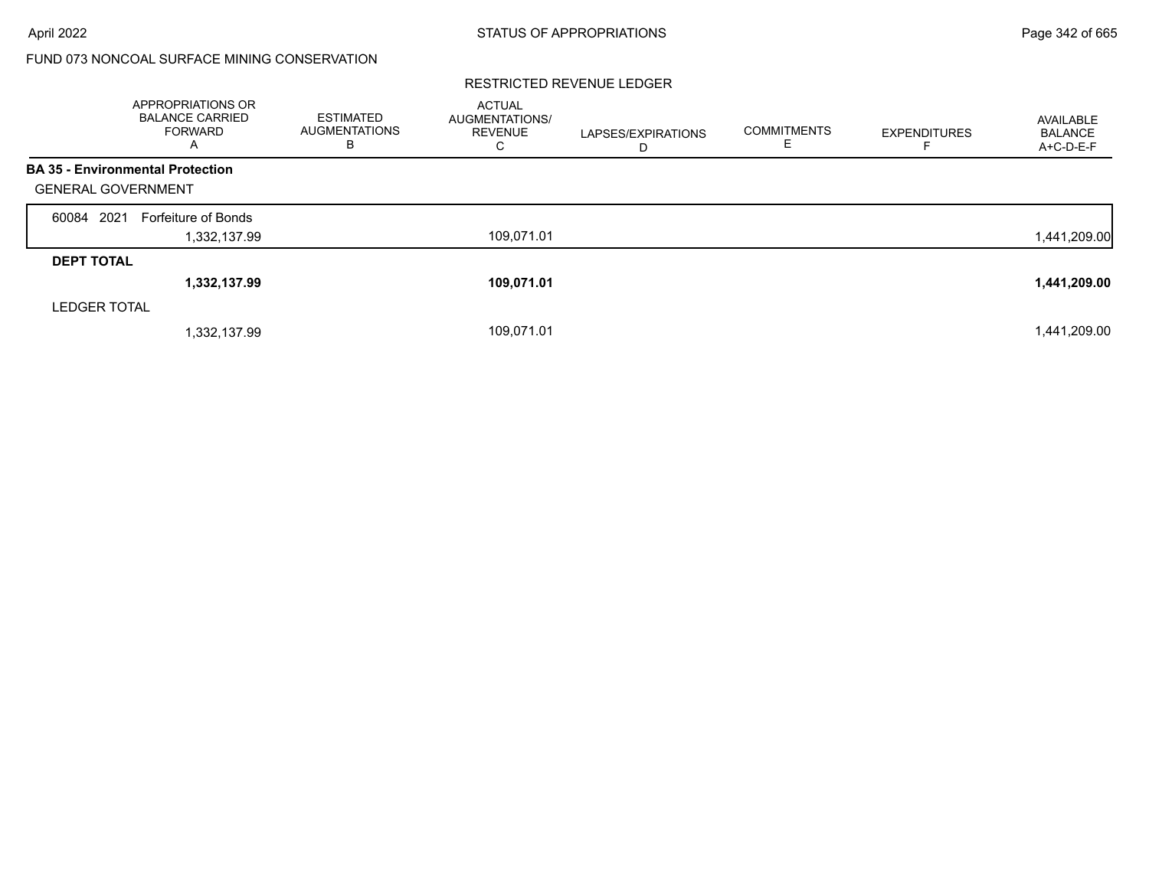|                           | <b>APPROPRIATIONS OR</b><br><b>BALANCE CARRIED</b><br><b>FORWARD</b><br>A | <b>ESTIMATED</b><br>AUGMENTATIONS<br>в | <b>ACTUAL</b><br>AUGMENTATIONS/<br><b>REVENUE</b><br>С | LAPSES/EXPIRATIONS<br>D | <b>COMMITMENTS</b><br>ᄂ | <b>EXPENDITURES</b> | AVAILABLE<br><b>BALANCE</b><br>A+C-D-E-F |
|---------------------------|---------------------------------------------------------------------------|----------------------------------------|--------------------------------------------------------|-------------------------|-------------------------|---------------------|------------------------------------------|
|                           | <b>BA 35 - Environmental Protection</b>                                   |                                        |                                                        |                         |                         |                     |                                          |
| <b>GENERAL GOVERNMENT</b> |                                                                           |                                        |                                                        |                         |                         |                     |                                          |
| 60084 2021                | Forfeiture of Bonds                                                       |                                        |                                                        |                         |                         |                     |                                          |
|                           | 1,332,137.99                                                              |                                        | 109,071.01                                             |                         |                         |                     | 1,441,209.00                             |
| <b>DEPT TOTAL</b>         |                                                                           |                                        |                                                        |                         |                         |                     |                                          |
|                           | 1,332,137.99                                                              |                                        | 109,071.01                                             |                         |                         |                     | 1,441,209.00                             |
| <b>LEDGER TOTAL</b>       |                                                                           |                                        |                                                        |                         |                         |                     |                                          |
|                           | 1,332,137.99                                                              |                                        | 109,071.01                                             |                         |                         |                     | 1,441,209.00                             |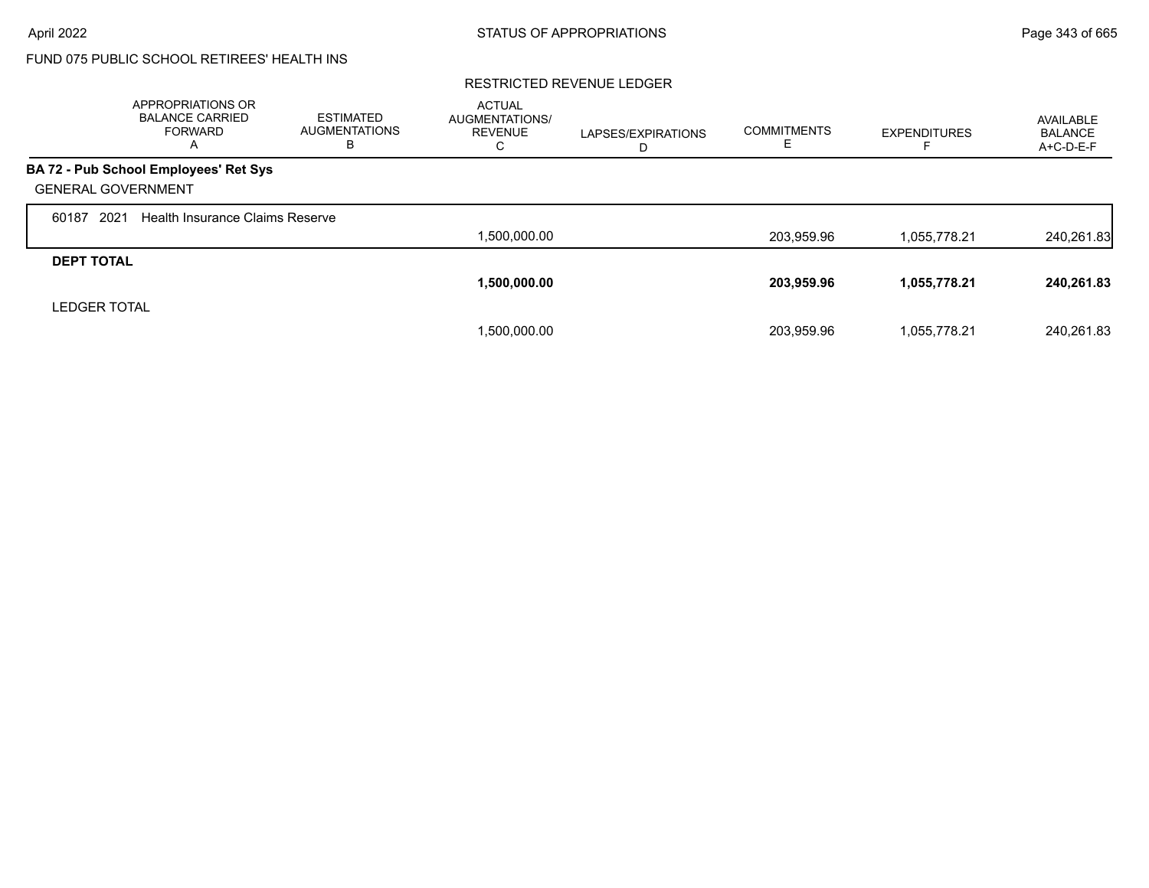# FUND 075 PUBLIC SCHOOL RETIREES' HEALTH INS

|                           | APPROPRIATIONS OR<br><b>BALANCE CARRIED</b><br>FORWARD<br>A | <b>ESTIMATED</b><br><b>AUGMENTATIONS</b><br>в | <b>ACTUAL</b><br><b>AUGMENTATIONS/</b><br><b>REVENUE</b><br>С | LAPSES/EXPIRATIONS<br>D | <b>COMMITMENTS</b><br>ᄇ | <b>EXPENDITURES</b> | AVAILABLE<br><b>BALANCE</b><br>A+C-D-E-F |
|---------------------------|-------------------------------------------------------------|-----------------------------------------------|---------------------------------------------------------------|-------------------------|-------------------------|---------------------|------------------------------------------|
|                           | BA 72 - Pub School Employees' Ret Sys                       |                                               |                                                               |                         |                         |                     |                                          |
| <b>GENERAL GOVERNMENT</b> |                                                             |                                               |                                                               |                         |                         |                     |                                          |
| 2021<br>60187             | Health Insurance Claims Reserve                             |                                               |                                                               |                         |                         |                     |                                          |
|                           |                                                             |                                               | 1,500,000.00                                                  |                         | 203,959.96              | 1.055.778.21        | 240,261.83                               |
| <b>DEPT TOTAL</b>         |                                                             |                                               |                                                               |                         |                         |                     |                                          |
|                           |                                                             |                                               | 1,500,000.00                                                  |                         | 203,959.96              | 1,055,778.21        | 240.261.83                               |
| <b>LEDGER TOTAL</b>       |                                                             |                                               |                                                               |                         |                         |                     |                                          |
|                           |                                                             |                                               | 1,500,000.00                                                  |                         | 203.959.96              | 1,055,778.21        | 240.261.83                               |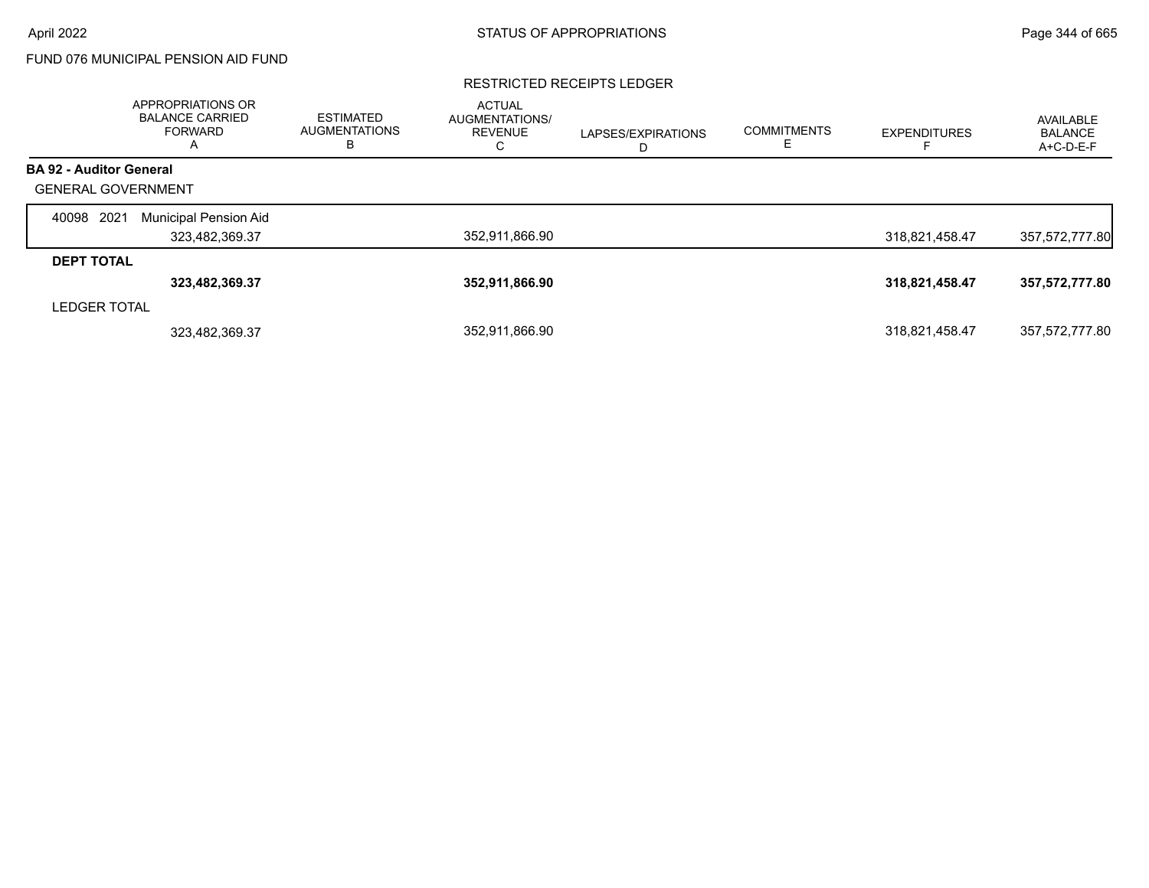# FUND 076 MUNICIPAL PENSION AID FUND

### RESTRICTED RECEIPTS LEDGER

|                                | APPROPRIATIONS OR<br><b>BALANCE CARRIED</b><br>FORWARD<br>A | <b>ESTIMATED</b><br><b>AUGMENTATIONS</b><br>в | <b>ACTUAL</b><br>AUGMENTATIONS/<br><b>REVENUE</b><br>C | LAPSES/EXPIRATIONS<br>D | <b>COMMITMENTS</b> | <b>EXPENDITURES</b> | AVAILABLE<br><b>BALANCE</b><br>A+C-D-E-F |
|--------------------------------|-------------------------------------------------------------|-----------------------------------------------|--------------------------------------------------------|-------------------------|--------------------|---------------------|------------------------------------------|
| <b>BA 92 - Auditor General</b> |                                                             |                                               |                                                        |                         |                    |                     |                                          |
| <b>GENERAL GOVERNMENT</b>      |                                                             |                                               |                                                        |                         |                    |                     |                                          |
| 2021<br>40098                  | Municipal Pension Aid                                       |                                               |                                                        |                         |                    |                     |                                          |
|                                | 323,482,369.37                                              |                                               | 352,911,866.90                                         |                         |                    | 318,821,458.47      | 357,572,777.80                           |
| <b>DEPT TOTAL</b>              |                                                             |                                               |                                                        |                         |                    |                     |                                          |
|                                | 323,482,369.37                                              |                                               | 352,911,866.90                                         |                         |                    | 318,821,458.47      | 357,572,777.80                           |
| <b>LEDGER TOTAL</b>            |                                                             |                                               |                                                        |                         |                    |                     |                                          |
|                                | 323,482,369.37                                              |                                               | 352,911,866.90                                         |                         |                    | 318,821,458.47      | 357,572,777.80                           |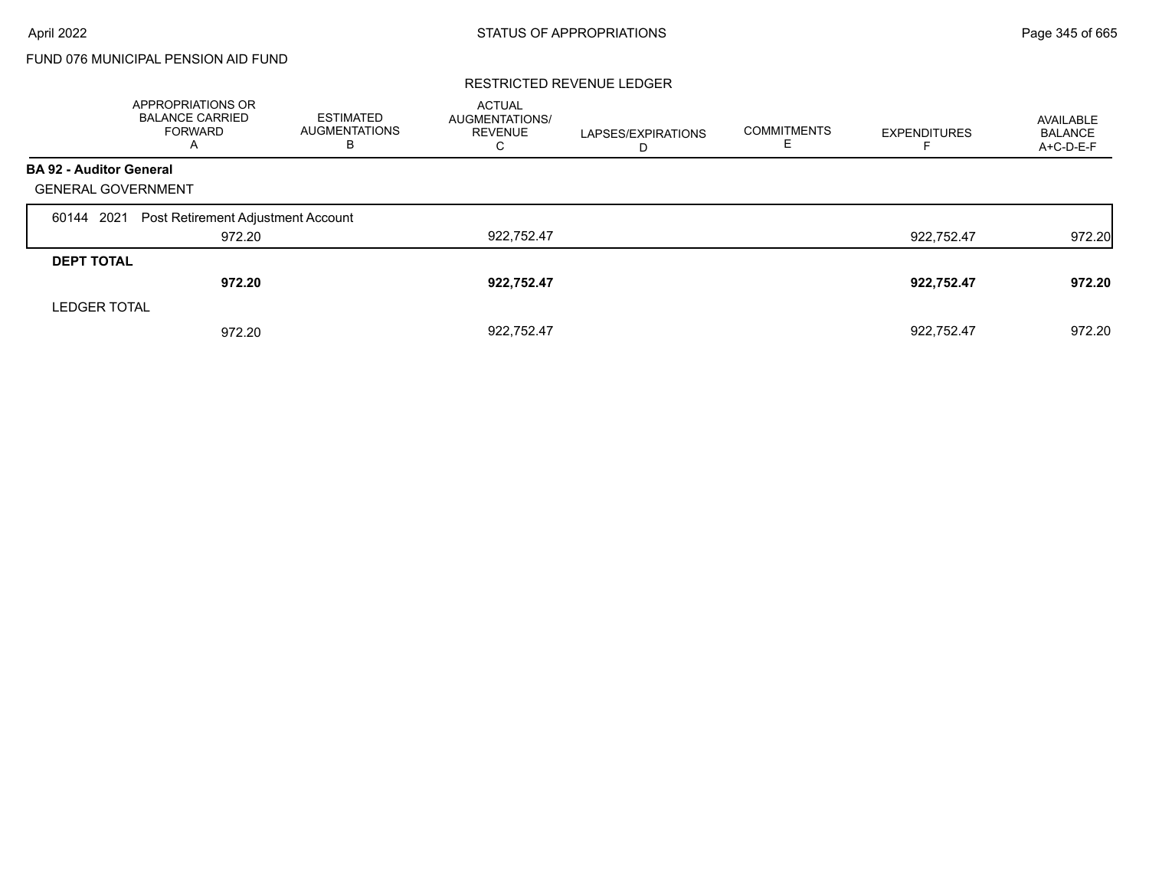# FUND 076 MUNICIPAL PENSION AID FUND

|                                | APPROPRIATIONS OR<br><b>BALANCE CARRIED</b><br><b>FORWARD</b><br>A | <b>ESTIMATED</b><br><b>AUGMENTATIONS</b><br>В | <b>ACTUAL</b><br>AUGMENTATIONS/<br><b>REVENUE</b><br>С | LAPSES/EXPIRATIONS<br>D | <b>COMMITMENTS</b> | <b>EXPENDITURES</b> | AVAILABLE<br><b>BALANCE</b><br>A+C-D-E-F |
|--------------------------------|--------------------------------------------------------------------|-----------------------------------------------|--------------------------------------------------------|-------------------------|--------------------|---------------------|------------------------------------------|
| <b>BA 92 - Auditor General</b> |                                                                    |                                               |                                                        |                         |                    |                     |                                          |
| <b>GENERAL GOVERNMENT</b>      |                                                                    |                                               |                                                        |                         |                    |                     |                                          |
| 60144 2021                     | Post Retirement Adjustment Account                                 |                                               |                                                        |                         |                    |                     |                                          |
|                                | 972.20                                                             |                                               | 922,752.47                                             |                         |                    | 922.752.47          | 972.20                                   |
| <b>DEPT TOTAL</b>              |                                                                    |                                               |                                                        |                         |                    |                     |                                          |
|                                | 972.20                                                             |                                               | 922,752.47                                             |                         |                    | 922,752.47          | 972.20                                   |
| <b>LEDGER TOTAL</b>            |                                                                    |                                               |                                                        |                         |                    |                     |                                          |
|                                | 972.20                                                             |                                               | 922.752.47                                             |                         |                    | 922.752.47          | 972.20                                   |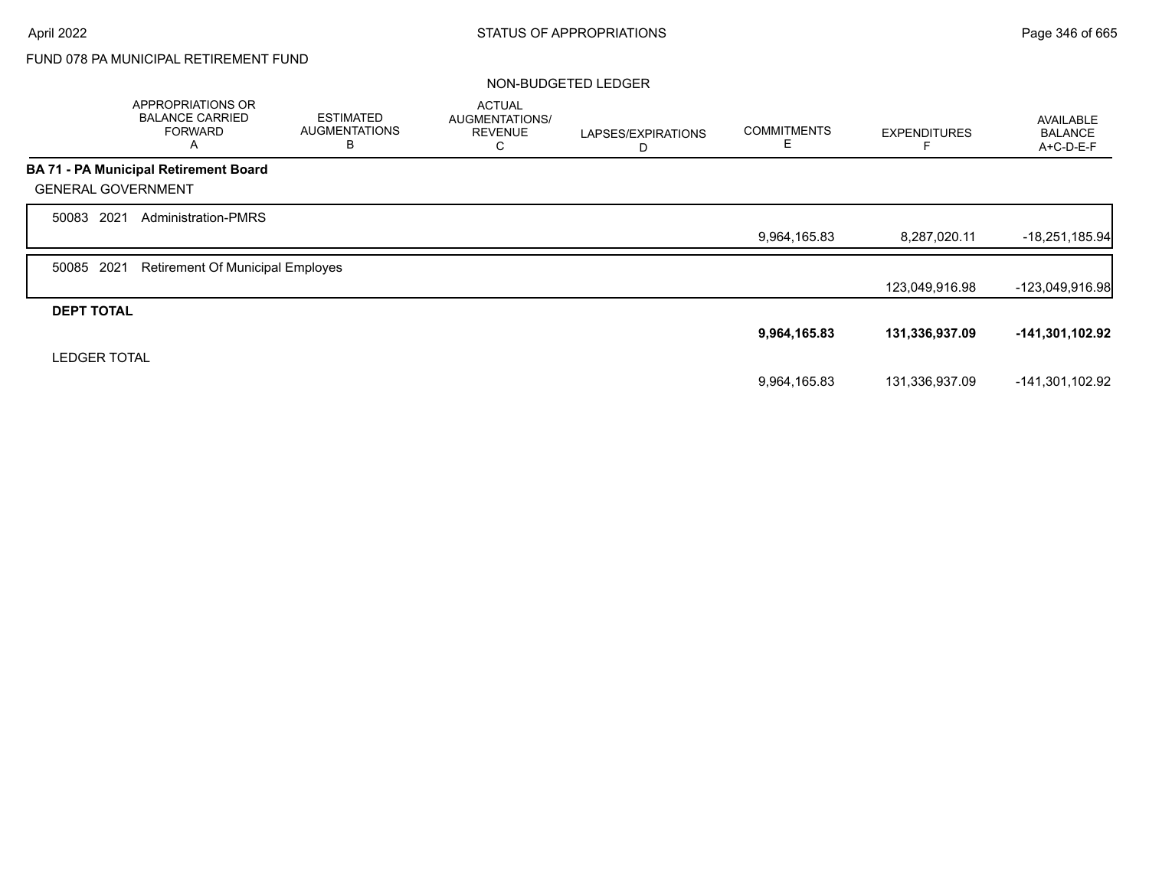# FUND 078 PA MUNICIPAL RETIREMENT FUND

### NON-BUDGETED LEDGER

|                           | APPROPRIATIONS OR<br><b>BALANCE CARRIED</b><br><b>FORWARD</b><br>A | <b>ESTIMATED</b><br><b>AUGMENTATIONS</b><br>В | <b>ACTUAL</b><br>AUGMENTATIONS/<br><b>REVENUE</b><br>С | LAPSES/EXPIRATIONS<br>D | <b>COMMITMENTS</b><br>Ε | <b>EXPENDITURES</b> | <b>AVAILABLE</b><br><b>BALANCE</b><br>A+C-D-E-F |
|---------------------------|--------------------------------------------------------------------|-----------------------------------------------|--------------------------------------------------------|-------------------------|-------------------------|---------------------|-------------------------------------------------|
|                           | <b>BA 71 - PA Municipal Retirement Board</b>                       |                                               |                                                        |                         |                         |                     |                                                 |
| <b>GENERAL GOVERNMENT</b> |                                                                    |                                               |                                                        |                         |                         |                     |                                                 |
| 2021<br>50083             | <b>Administration-PMRS</b>                                         |                                               |                                                        |                         |                         |                     |                                                 |
|                           |                                                                    |                                               |                                                        |                         | 9,964,165.83            | 8,287,020.11        | $-18,251,185.94$                                |
| 2021<br>50085             | <b>Retirement Of Municipal Employes</b>                            |                                               |                                                        |                         |                         |                     |                                                 |
|                           |                                                                    |                                               |                                                        |                         |                         | 123,049,916.98      | -123,049,916.98                                 |
| <b>DEPT TOTAL</b>         |                                                                    |                                               |                                                        |                         |                         |                     |                                                 |
|                           |                                                                    |                                               |                                                        |                         | 9,964,165.83            | 131,336,937.09      | -141,301,102.92                                 |
| <b>LEDGER TOTAL</b>       |                                                                    |                                               |                                                        |                         |                         |                     |                                                 |
|                           |                                                                    |                                               |                                                        |                         | 9,964,165.83            | 131,336,937.09      | -141,301,102.92                                 |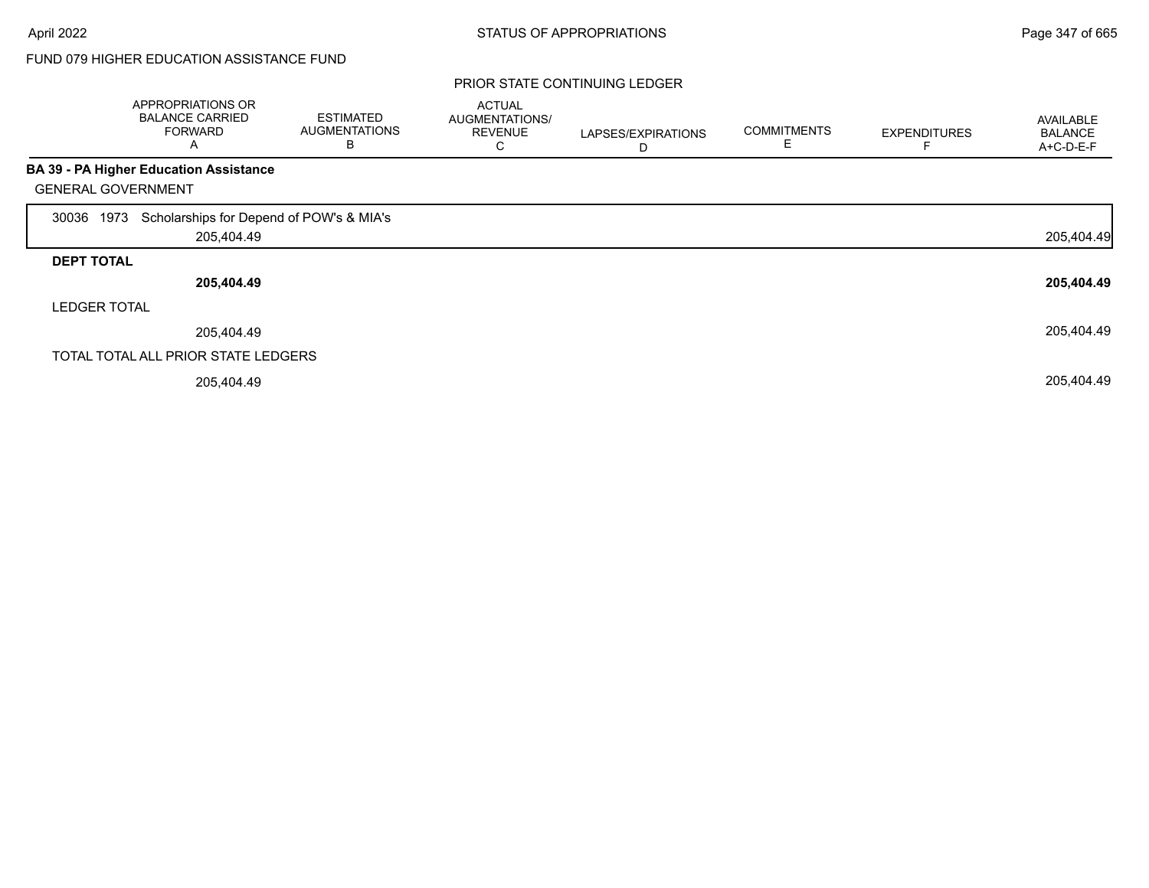### PRIOR STATE CONTINUING LEDGER

|                           | APPROPRIATIONS OR<br><b>BALANCE CARRIED</b><br><b>FORWARD</b><br>Α | <b>ESTIMATED</b><br><b>AUGMENTATIONS</b><br>В | <b>ACTUAL</b><br>AUGMENTATIONS/<br><b>REVENUE</b><br>Ü | LAPSES/EXPIRATIONS<br>D | <b>COMMITMENTS</b><br>E | <b>EXPENDITURES</b> | <b>AVAILABLE</b><br><b>BALANCE</b><br>A+C-D-E-F |
|---------------------------|--------------------------------------------------------------------|-----------------------------------------------|--------------------------------------------------------|-------------------------|-------------------------|---------------------|-------------------------------------------------|
|                           | <b>BA 39 - PA Higher Education Assistance</b>                      |                                               |                                                        |                         |                         |                     |                                                 |
| <b>GENERAL GOVERNMENT</b> |                                                                    |                                               |                                                        |                         |                         |                     |                                                 |
| 1973<br>30036             | Scholarships for Depend of POW's & MIA's                           |                                               |                                                        |                         |                         |                     |                                                 |
|                           | 205,404.49                                                         |                                               |                                                        |                         |                         |                     | 205,404.49                                      |
| <b>DEPT TOTAL</b>         |                                                                    |                                               |                                                        |                         |                         |                     |                                                 |
|                           | 205,404.49                                                         |                                               |                                                        |                         |                         |                     | 205,404.49                                      |
| <b>LEDGER TOTAL</b>       |                                                                    |                                               |                                                        |                         |                         |                     |                                                 |
|                           | 205,404.49                                                         |                                               |                                                        |                         |                         |                     | 205,404.49                                      |
|                           | TOTAL TOTAL ALL PRIOR STATE LEDGERS                                |                                               |                                                        |                         |                         |                     |                                                 |
|                           | 205,404.49                                                         |                                               |                                                        |                         |                         |                     | 205,404.49                                      |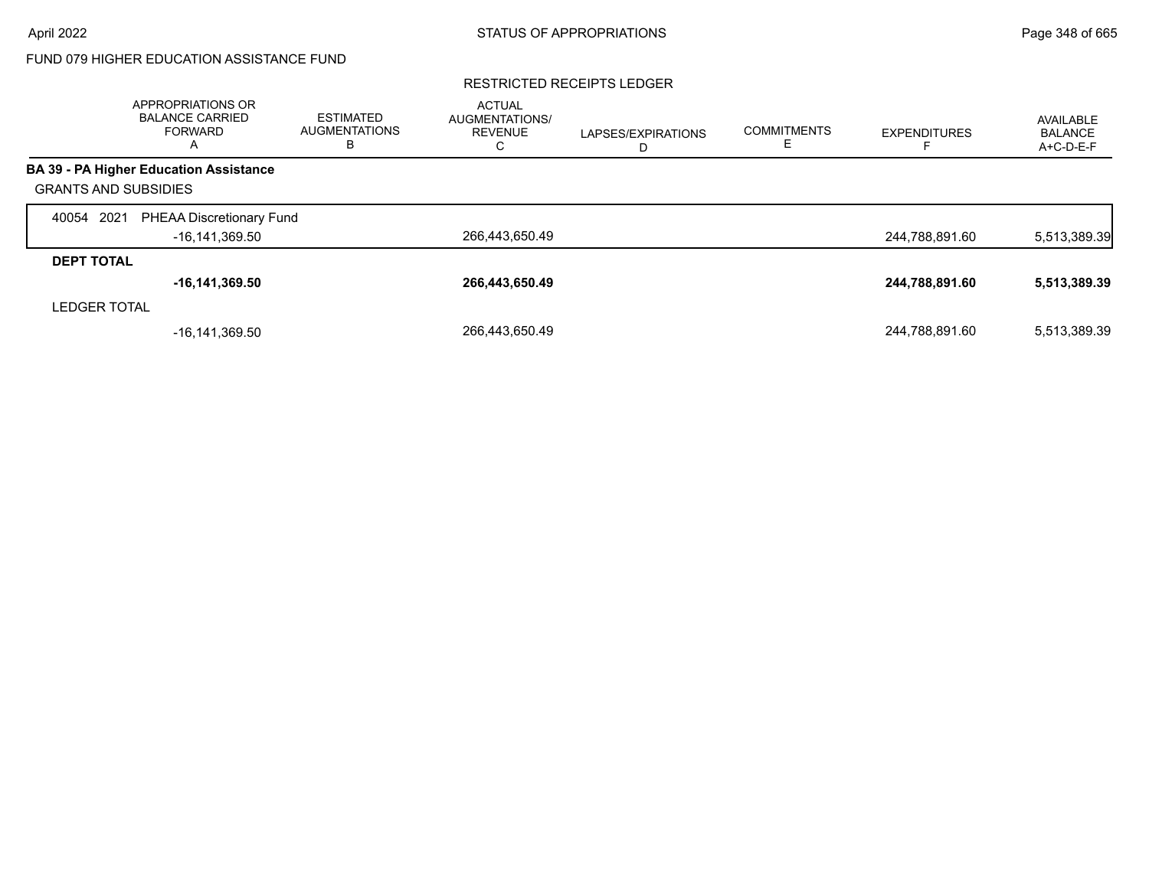### RESTRICTED RECEIPTS LEDGER

|                             | APPROPRIATIONS OR<br><b>BALANCE CARRIED</b><br><b>FORWARD</b><br>$\overline{A}$ | <b>ESTIMATED</b><br><b>AUGMENTATIONS</b><br>в | <b>ACTUAL</b><br><b>AUGMENTATIONS/</b><br><b>REVENUE</b><br>U | LAPSES/EXPIRATIONS<br>D | <b>COMMITMENTS</b> | <b>EXPENDITURES</b> | AVAILABLE<br><b>BALANCE</b><br>A+C-D-E-F |
|-----------------------------|---------------------------------------------------------------------------------|-----------------------------------------------|---------------------------------------------------------------|-------------------------|--------------------|---------------------|------------------------------------------|
|                             | <b>BA 39 - PA Higher Education Assistance</b>                                   |                                               |                                                               |                         |                    |                     |                                          |
| <b>GRANTS AND SUBSIDIES</b> |                                                                                 |                                               |                                                               |                         |                    |                     |                                          |
| 2021<br>40054               | PHEAA Discretionary Fund                                                        |                                               |                                                               |                         |                    |                     |                                          |
|                             | -16,141,369.50                                                                  |                                               | 266,443,650.49                                                |                         |                    | 244,788,891.60      | 5,513,389.39                             |
| <b>DEPT TOTAL</b>           |                                                                                 |                                               |                                                               |                         |                    |                     |                                          |
|                             | $-16, 141, 369.50$                                                              |                                               | 266,443,650.49                                                |                         |                    | 244,788,891.60      | 5,513,389.39                             |
| <b>LEDGER TOTAL</b>         |                                                                                 |                                               |                                                               |                         |                    |                     |                                          |
|                             | -16,141,369.50                                                                  |                                               | 266.443.650.49                                                |                         |                    | 244,788,891.60      | 5,513,389.39                             |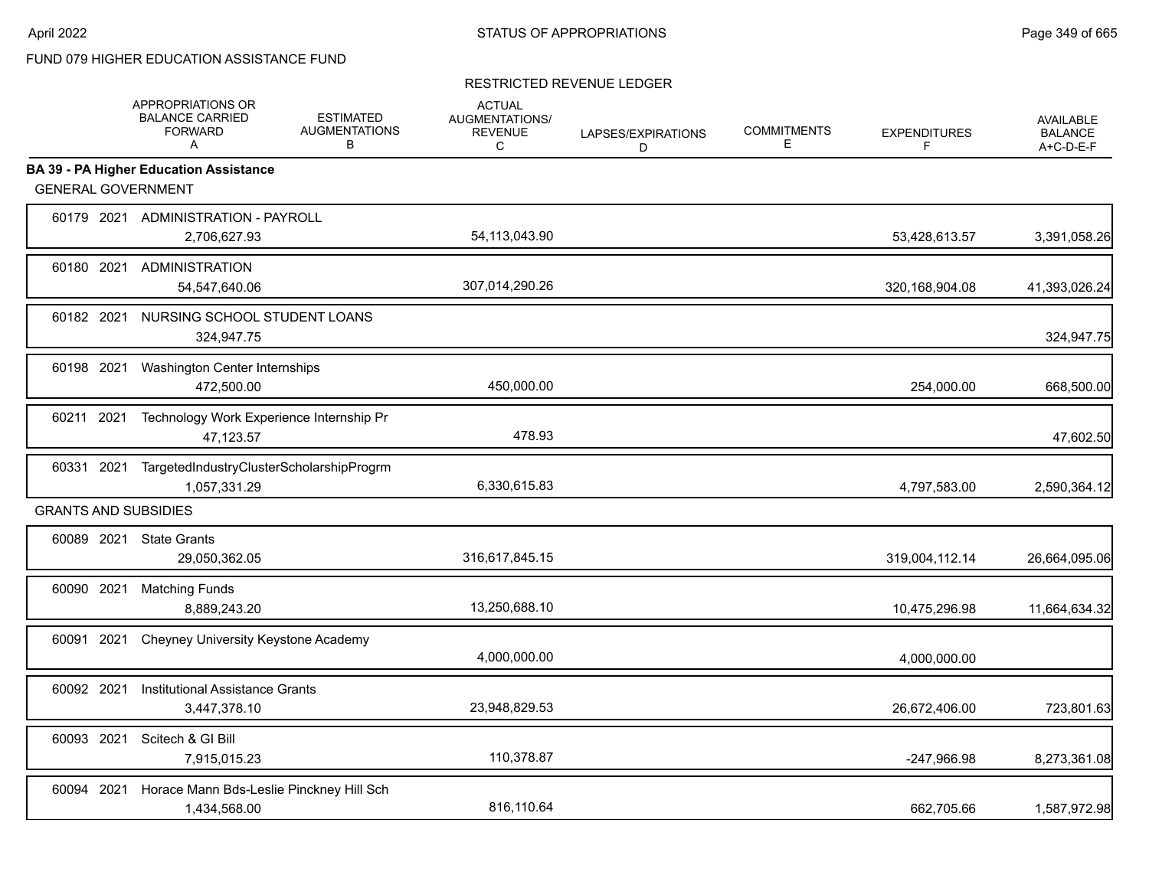|            | APPROPRIATIONS OR<br><b>BALANCE CARRIED</b><br><b>FORWARD</b><br>A | <b>ESTIMATED</b><br><b>AUGMENTATIONS</b><br>В | <b>ACTUAL</b><br><b>AUGMENTATIONS/</b><br><b>REVENUE</b><br>C | LAPSES/EXPIRATIONS<br>D | <b>COMMITMENTS</b><br>Е | <b>EXPENDITURES</b><br>F | <b>AVAILABLE</b><br><b>BALANCE</b><br>A+C-D-E-F |
|------------|--------------------------------------------------------------------|-----------------------------------------------|---------------------------------------------------------------|-------------------------|-------------------------|--------------------------|-------------------------------------------------|
|            | <b>BA 39 - PA Higher Education Assistance</b>                      |                                               |                                                               |                         |                         |                          |                                                 |
|            | <b>GENERAL GOVERNMENT</b>                                          |                                               |                                                               |                         |                         |                          |                                                 |
|            | 60179 2021 ADMINISTRATION - PAYROLL<br>2,706,627.93                |                                               | 54,113,043.90                                                 |                         |                         | 53,428,613.57            | 3,391,058.26                                    |
|            | 60180 2021 ADMINISTRATION<br>54,547,640.06                         |                                               | 307,014,290.26                                                |                         |                         | 320,168,904.08           | 41,393,026.24                                   |
| 60182 2021 | 324,947.75                                                         | NURSING SCHOOL STUDENT LOANS                  |                                                               |                         |                         |                          | 324,947.75                                      |
| 60198 2021 | Washington Center Internships<br>472,500.00                        |                                               | 450,000.00                                                    |                         |                         | 254,000.00               | 668,500.00                                      |
| 60211 2021 | 47,123.57                                                          | Technology Work Experience Internship Pr      | 478.93                                                        |                         |                         |                          | 47,602.50                                       |
| 60331 2021 | 1,057,331.29                                                       | TargetedIndustryClusterScholarshipProgrm      | 6,330,615.83                                                  |                         |                         | 4,797,583.00             | 2,590,364.12                                    |
|            | <b>GRANTS AND SUBSIDIES</b>                                        |                                               |                                                               |                         |                         |                          |                                                 |
|            | 60089 2021 State Grants<br>29,050,362.05                           |                                               | 316,617,845.15                                                |                         |                         | 319,004,112.14           | 26,664,095.06                                   |
| 60090 2021 | <b>Matching Funds</b><br>8,889,243.20                              |                                               | 13,250,688.10                                                 |                         |                         | 10,475,296.98            | 11,664,634.32                                   |
| 60091 2021 |                                                                    | Cheyney University Keystone Academy           | 4,000,000.00                                                  |                         |                         | 4.000.000.00             |                                                 |
| 60092 2021 | <b>Institutional Assistance Grants</b><br>3,447,378.10             |                                               | 23,948,829.53                                                 |                         |                         | 26,672,406.00            | 723,801.63                                      |
| 60093 2021 | Scitech & GI Bill<br>7,915,015.23                                  |                                               | 110,378.87                                                    |                         |                         | -247,966.98              | 8,273,361.08                                    |
| 60094 2021 | 1,434,568.00                                                       | Horace Mann Bds-Leslie Pinckney Hill Sch      | 816,110.64                                                    |                         |                         | 662.705.66               | 1,587,972.98                                    |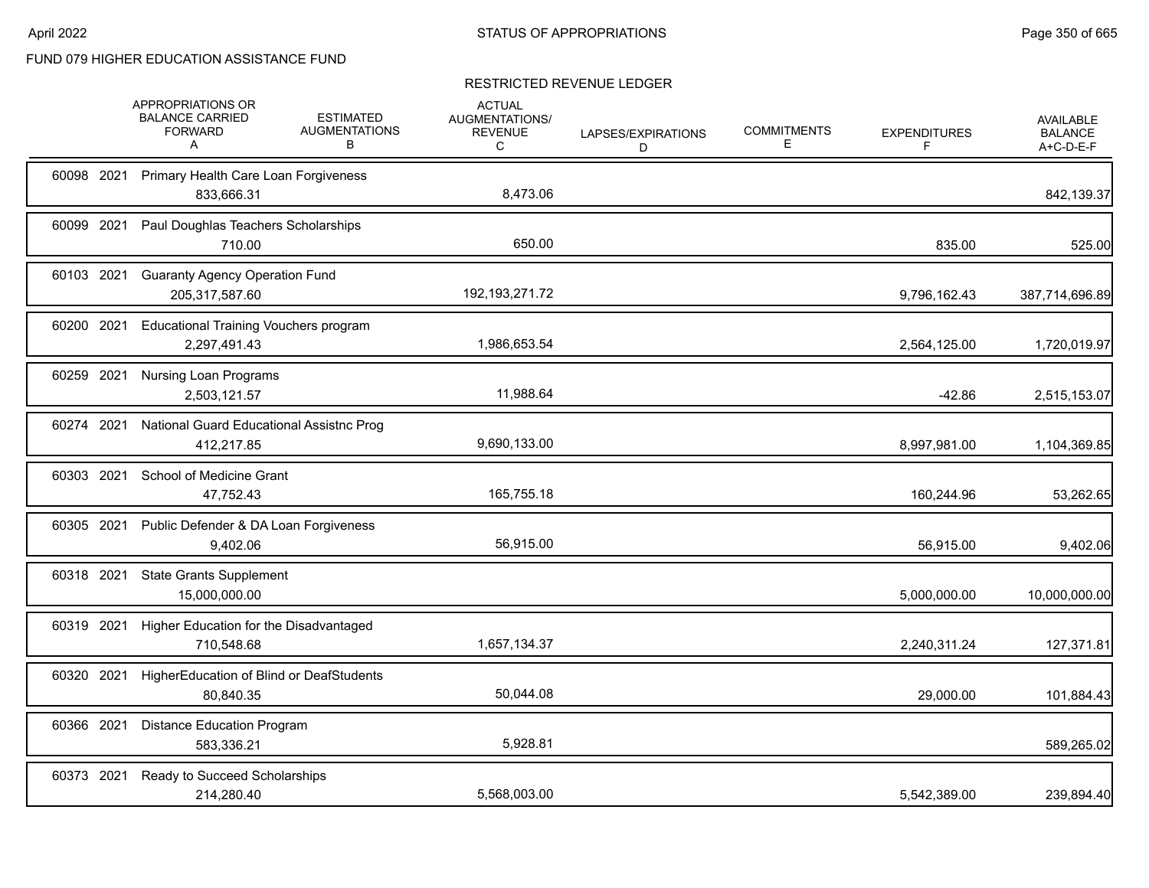|            | APPROPRIATIONS OR<br><b>BALANCE CARRIED</b><br><b>FORWARD</b><br>A | <b>ESTIMATED</b><br><b>AUGMENTATIONS</b><br>В | <b>ACTUAL</b><br>AUGMENTATIONS/<br><b>REVENUE</b><br>С | LAPSES/EXPIRATIONS<br>D | <b>COMMITMENTS</b><br>Е | <b>EXPENDITURES</b><br>F | <b>AVAILABLE</b><br><b>BALANCE</b><br>A+C-D-E-F |
|------------|--------------------------------------------------------------------|-----------------------------------------------|--------------------------------------------------------|-------------------------|-------------------------|--------------------------|-------------------------------------------------|
|            | 60098 2021 Primary Health Care Loan Forgiveness<br>833,666.31      |                                               | 8,473.06                                               |                         |                         |                          | 842,139.37                                      |
| 60099 2021 | Paul Doughlas Teachers Scholarships<br>710.00                      |                                               | 650.00                                                 |                         |                         | 835.00                   | 525.00                                          |
| 60103 2021 | <b>Guaranty Agency Operation Fund</b><br>205,317,587.60            |                                               | 192, 193, 271. 72                                      |                         |                         | 9,796,162.43             | 387,714,696.89                                  |
| 60200 2021 | <b>Educational Training Vouchers program</b><br>2,297,491.43       |                                               | 1,986,653.54                                           |                         |                         | 2,564,125.00             | 1,720,019.97                                    |
| 60259 2021 | <b>Nursing Loan Programs</b><br>2,503,121.57                       |                                               | 11,988.64                                              |                         |                         | $-42.86$                 | 2,515,153.07                                    |
| 60274 2021 | National Guard Educational Assistnc Prog<br>412,217.85             |                                               | 9,690,133.00                                           |                         |                         | 8,997,981.00             | 1,104,369.85                                    |
| 60303 2021 | School of Medicine Grant<br>47,752.43                              |                                               | 165,755.18                                             |                         |                         | 160,244.96               | 53,262.65                                       |
| 60305 2021 | Public Defender & DA Loan Forgiveness<br>9,402.06                  |                                               | 56,915.00                                              |                         |                         | 56,915.00                | 9,402.06                                        |
| 60318 2021 | <b>State Grants Supplement</b><br>15,000,000.00                    |                                               |                                                        |                         |                         | 5.000.000.00             | 10,000,000.00                                   |
| 60319 2021 | Higher Education for the Disadvantaged<br>710,548.68               |                                               | 1,657,134.37                                           |                         |                         | 2,240,311.24             | 127,371.81                                      |
| 60320 2021 | HigherEducation of Blind or DeafStudents<br>80,840.35              |                                               | 50,044.08                                              |                         |                         | 29,000.00                | 101,884.43                                      |
| 60366 2021 | <b>Distance Education Program</b><br>583,336.21                    |                                               | 5,928.81                                               |                         |                         |                          | 589,265.02                                      |
| 60373 2021 | Ready to Succeed Scholarships<br>214,280.40                        |                                               | 5,568,003.00                                           |                         |                         | 5,542,389.00             | 239,894.40                                      |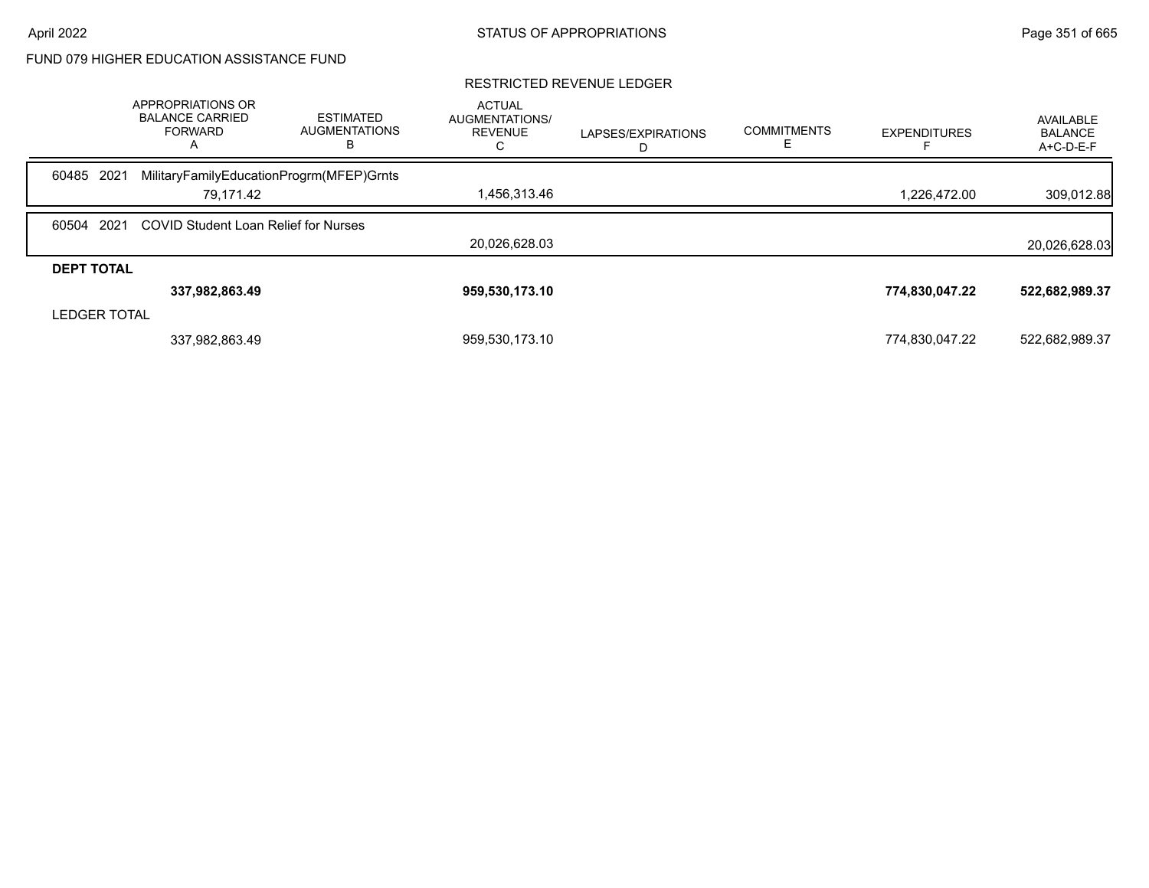|                     | APPROPRIATIONS OR<br><b>BALANCE CARRIED</b><br><b>FORWARD</b><br>$\mathsf{A}$ | <b>ESTIMATED</b><br><b>AUGMENTATIONS</b><br>в | <b>ACTUAL</b><br>AUGMENTATIONS/<br><b>REVENUE</b> | LAPSES/EXPIRATIONS | <b>COMMITMENTS</b> | <b>EXPENDITURES</b> | AVAILABLE<br><b>BALANCE</b><br>A+C-D-E-F |
|---------------------|-------------------------------------------------------------------------------|-----------------------------------------------|---------------------------------------------------|--------------------|--------------------|---------------------|------------------------------------------|
| 60485 2021          | MilitaryFamilyEducationProgrm(MFEP)Grnts                                      |                                               |                                                   |                    |                    |                     |                                          |
|                     | 79.171.42                                                                     |                                               | 1,456,313.46                                      |                    |                    | 1,226,472.00        | 309,012.88                               |
| 60504 2021          | COVID Student Loan Relief for Nurses                                          |                                               |                                                   |                    |                    |                     |                                          |
|                     |                                                                               |                                               | 20.026.628.03                                     |                    |                    |                     | 20,026,628.03                            |
| <b>DEPT TOTAL</b>   |                                                                               |                                               |                                                   |                    |                    |                     |                                          |
|                     | 337,982,863.49                                                                |                                               | 959,530,173.10                                    |                    |                    | 774,830,047.22      | 522,682,989.37                           |
| <b>LEDGER TOTAL</b> |                                                                               |                                               |                                                   |                    |                    |                     |                                          |
|                     | 337,982,863.49                                                                |                                               | 959,530,173.10                                    |                    |                    | 774,830,047.22      | 522,682,989.37                           |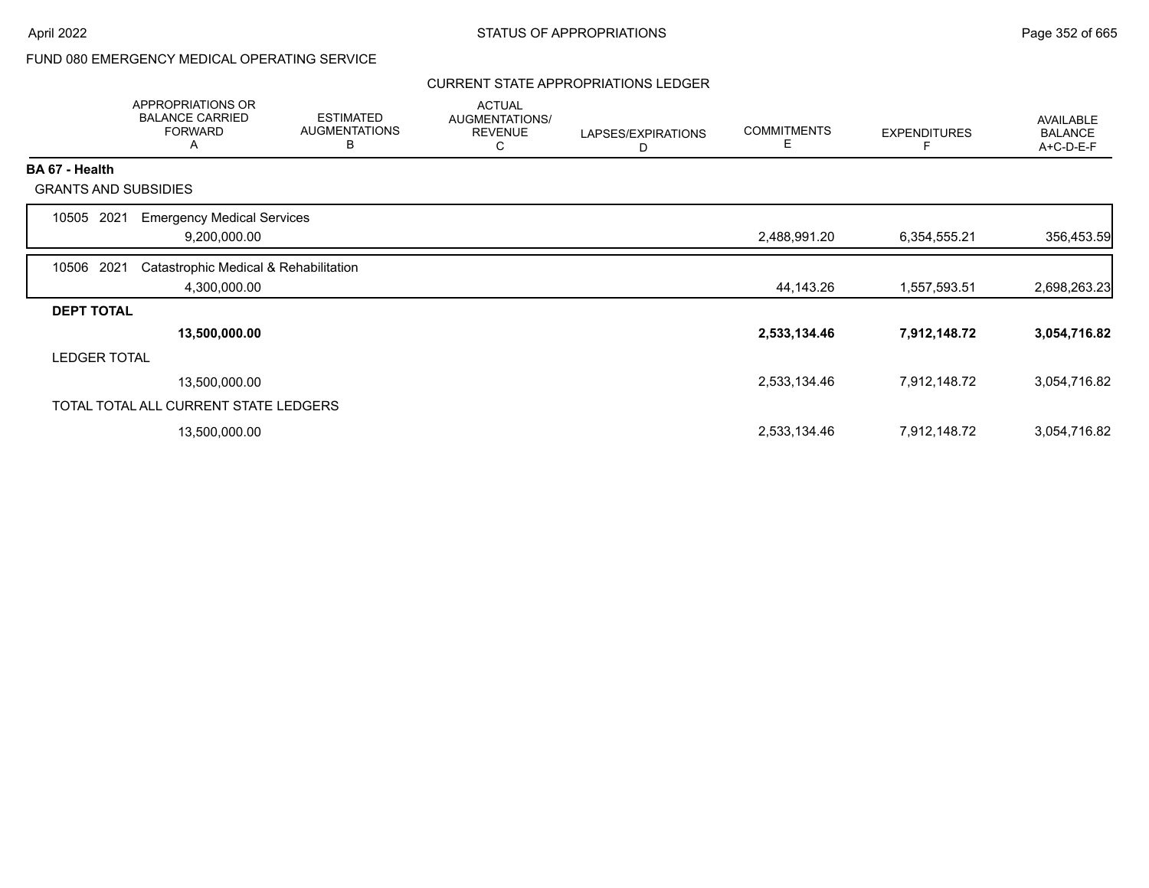## FUND 080 EMERGENCY MEDICAL OPERATING SERVICE

## CURRENT STATE APPROPRIATIONS LEDGER

|                             | <b>APPROPRIATIONS OR</b><br><b>BALANCE CARRIED</b><br><b>FORWARD</b><br>A | <b>ESTIMATED</b><br><b>AUGMENTATIONS</b><br>В | <b>ACTUAL</b><br>AUGMENTATIONS/<br><b>REVENUE</b><br>C | LAPSES/EXPIRATIONS<br>D | <b>COMMITMENTS</b><br>Ε | <b>EXPENDITURES</b> | <b>AVAILABLE</b><br><b>BALANCE</b><br>A+C-D-E-F |
|-----------------------------|---------------------------------------------------------------------------|-----------------------------------------------|--------------------------------------------------------|-------------------------|-------------------------|---------------------|-------------------------------------------------|
| <b>BA 67 - Health</b>       |                                                                           |                                               |                                                        |                         |                         |                     |                                                 |
| <b>GRANTS AND SUBSIDIES</b> |                                                                           |                                               |                                                        |                         |                         |                     |                                                 |
| 2021<br>10505               | <b>Emergency Medical Services</b>                                         |                                               |                                                        |                         |                         |                     |                                                 |
|                             | 9,200,000.00                                                              |                                               |                                                        |                         | 2,488,991.20            | 6,354,555.21        | 356,453.59                                      |
| 10506 2021                  | Catastrophic Medical & Rehabilitation                                     |                                               |                                                        |                         |                         |                     |                                                 |
|                             | 4,300,000.00                                                              |                                               |                                                        |                         | 44,143.26               | 1,557,593.51        | 2,698,263.23                                    |
| <b>DEPT TOTAL</b>           |                                                                           |                                               |                                                        |                         |                         |                     |                                                 |
|                             | 13,500,000.00                                                             |                                               |                                                        |                         | 2,533,134.46            | 7,912,148.72        | 3,054,716.82                                    |
| <b>LEDGER TOTAL</b>         |                                                                           |                                               |                                                        |                         |                         |                     |                                                 |
|                             | 13,500,000.00                                                             |                                               |                                                        |                         | 2,533,134.46            | 7,912,148.72        | 3,054,716.82                                    |
|                             | TOTAL TOTAL ALL CURRENT STATE LEDGERS                                     |                                               |                                                        |                         |                         |                     |                                                 |
|                             | 13,500,000.00                                                             |                                               |                                                        |                         | 2,533,134.46            | 7,912,148.72        | 3,054,716.82                                    |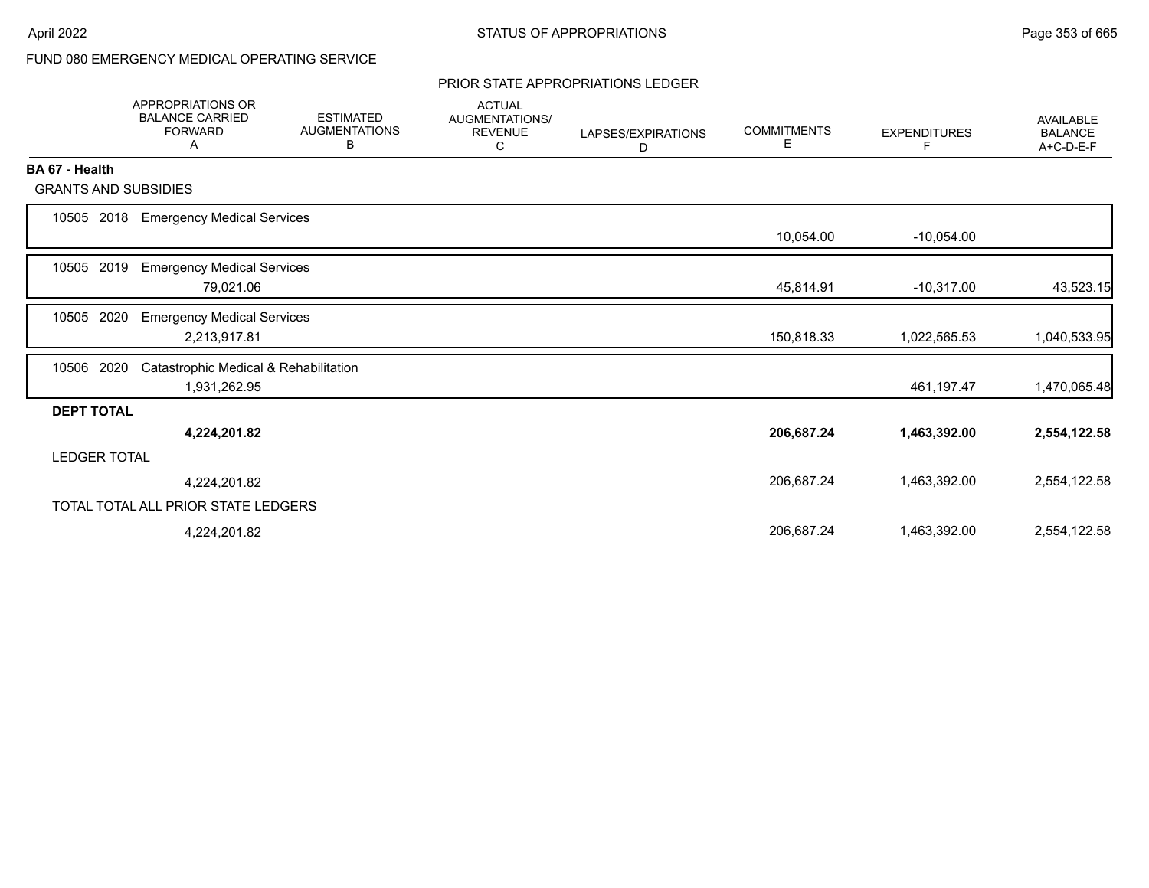# FUND 080 EMERGENCY MEDICAL OPERATING SERVICE

#### PRIOR STATE APPROPRIATIONS LEDGER

|                             | <b>APPROPRIATIONS OR</b><br><b>BALANCE CARRIED</b><br><b>FORWARD</b><br>A | <b>ESTIMATED</b><br><b>AUGMENTATIONS</b><br>В | <b>ACTUAL</b><br><b>AUGMENTATIONS/</b><br><b>REVENUE</b><br>С | LAPSES/EXPIRATIONS<br>D | <b>COMMITMENTS</b><br>E. | <b>EXPENDITURES</b><br>F. | <b>AVAILABLE</b><br><b>BALANCE</b><br>A+C-D-E-F |
|-----------------------------|---------------------------------------------------------------------------|-----------------------------------------------|---------------------------------------------------------------|-------------------------|--------------------------|---------------------------|-------------------------------------------------|
| BA 67 - Health              |                                                                           |                                               |                                                               |                         |                          |                           |                                                 |
| <b>GRANTS AND SUBSIDIES</b> |                                                                           |                                               |                                                               |                         |                          |                           |                                                 |
| 2018<br>10505               | <b>Emergency Medical Services</b>                                         |                                               |                                                               |                         | 10,054.00                | $-10,054.00$              |                                                 |
| 2019<br>10505               | <b>Emergency Medical Services</b><br>79,021.06                            |                                               |                                                               |                         | 45,814.91                | $-10,317.00$              | 43,523.15                                       |
| 2020<br>10505               | <b>Emergency Medical Services</b><br>2,213,917.81                         |                                               |                                                               |                         | 150,818.33               | 1,022,565.53              | 1,040,533.95                                    |
| 2020<br>10506               | Catastrophic Medical & Rehabilitation<br>1,931,262.95                     |                                               |                                                               |                         |                          | 461,197.47                | 1,470,065.48                                    |
| <b>DEPT TOTAL</b>           |                                                                           |                                               |                                                               |                         |                          |                           |                                                 |
|                             | 4,224,201.82                                                              |                                               |                                                               |                         | 206,687.24               | 1,463,392.00              | 2,554,122.58                                    |
| <b>LEDGER TOTAL</b>         |                                                                           |                                               |                                                               |                         |                          |                           |                                                 |
|                             | 4,224,201.82                                                              |                                               |                                                               |                         | 206,687.24               | 1,463,392.00              | 2,554,122.58                                    |
|                             | TOTAL TOTAL ALL PRIOR STATE LEDGERS                                       |                                               |                                                               |                         |                          |                           |                                                 |
|                             | 4,224,201.82                                                              |                                               |                                                               |                         | 206,687.24               | 1,463,392.00              | 2,554,122.58                                    |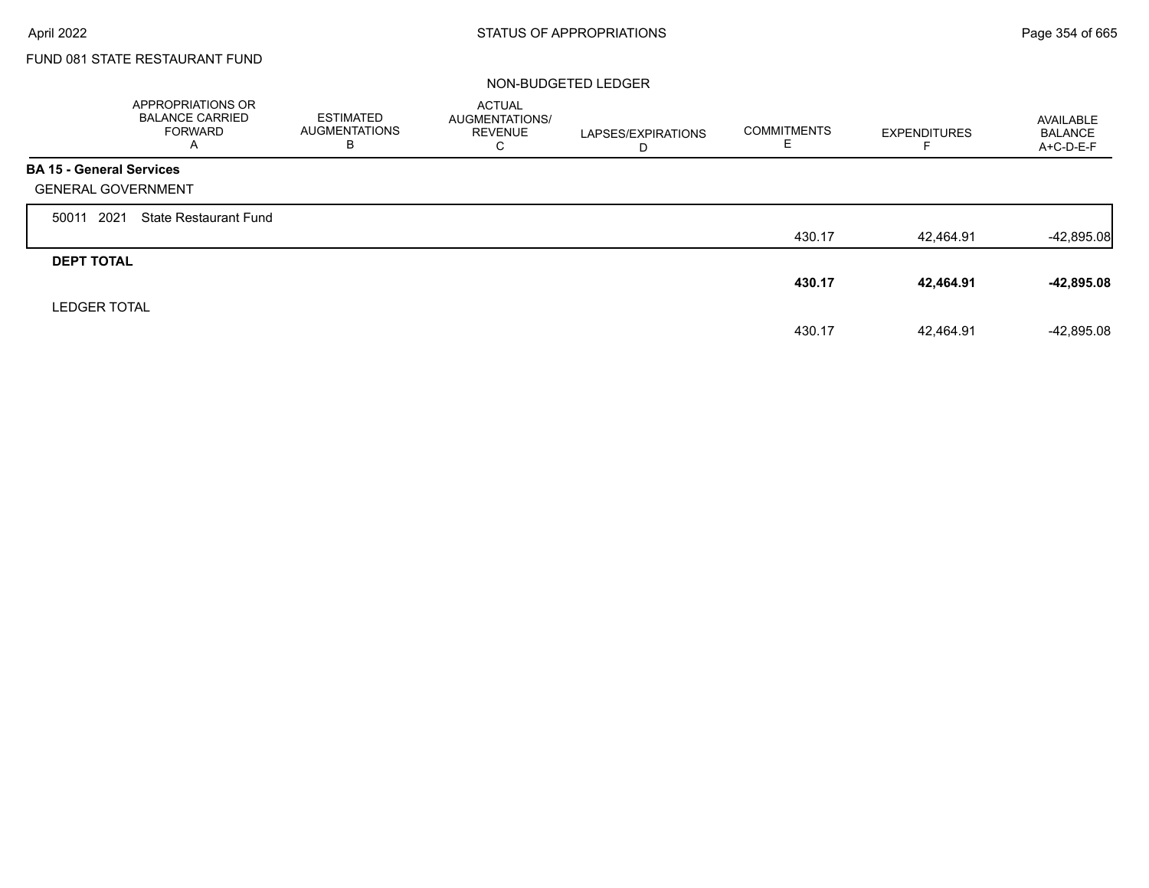$\Gamma$ 

# FUND 081 STATE RESTAURANT FUND

### NON-BUDGETED LEDGER

|                                 | <b>APPROPRIATIONS OR</b><br><b>BALANCE CARRIED</b><br><b>FORWARD</b><br>A | <b>ESTIMATED</b><br><b>AUGMENTATIONS</b><br>в | <b>ACTUAL</b><br>AUGMENTATIONS/<br><b>REVENUE</b><br>C | LAPSES/EXPIRATIONS<br>D | <b>COMMITMENTS</b><br>E | <b>EXPENDITURES</b> | AVAILABLE<br><b>BALANCE</b><br>A+C-D-E-F |
|---------------------------------|---------------------------------------------------------------------------|-----------------------------------------------|--------------------------------------------------------|-------------------------|-------------------------|---------------------|------------------------------------------|
| <b>BA 15 - General Services</b> |                                                                           |                                               |                                                        |                         |                         |                     |                                          |
| <b>GENERAL GOVERNMENT</b>       |                                                                           |                                               |                                                        |                         |                         |                     |                                          |
| 2021<br>50011                   | <b>State Restaurant Fund</b>                                              |                                               |                                                        |                         |                         |                     |                                          |
|                                 |                                                                           |                                               |                                                        |                         | 430.17                  | 42,464.91           | $-42,895.08$                             |
| <b>DEPT TOTAL</b>               |                                                                           |                                               |                                                        |                         |                         |                     |                                          |
|                                 |                                                                           |                                               |                                                        |                         | 430.17                  | 42,464.91           | -42,895.08                               |
| <b>LEDGER TOTAL</b>             |                                                                           |                                               |                                                        |                         |                         |                     |                                          |
|                                 |                                                                           |                                               |                                                        |                         | 430.17                  | 42.464.91           | $-42.895.08$                             |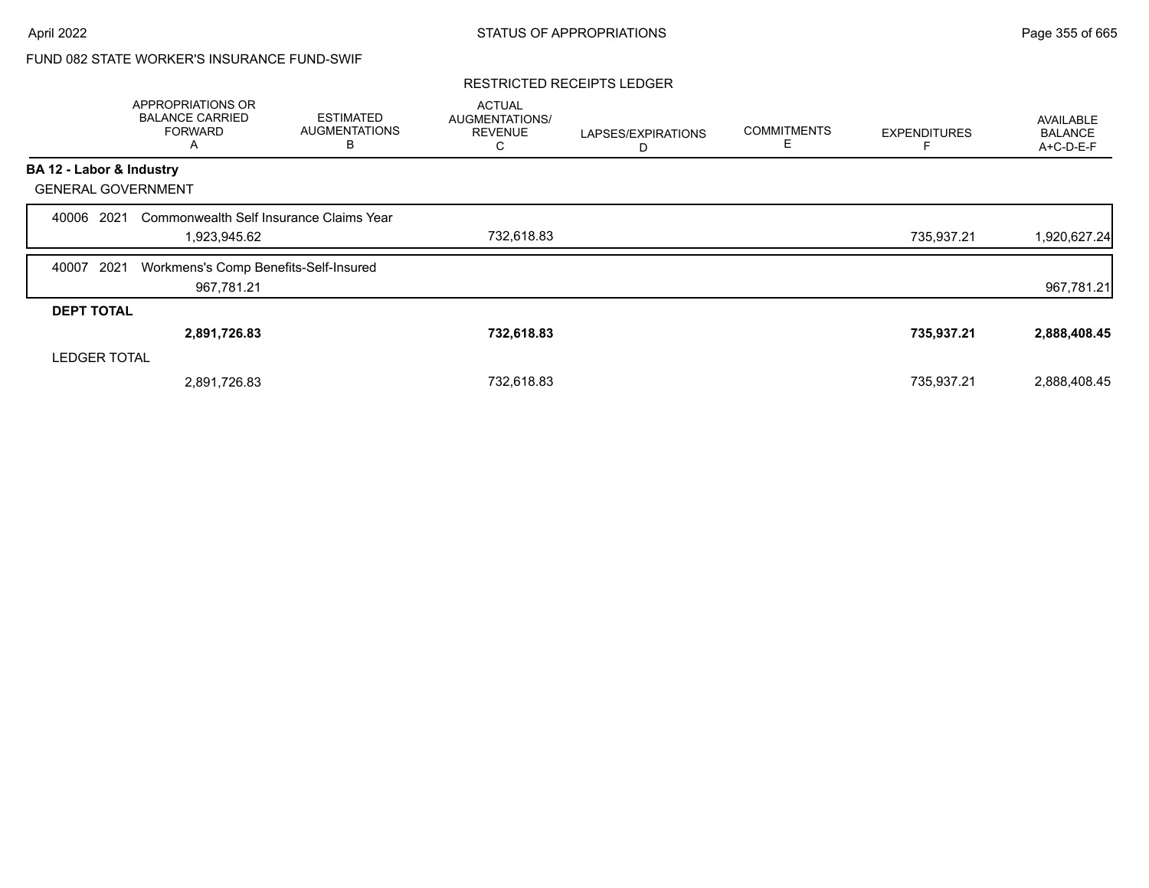# FUND 082 STATE WORKER'S INSURANCE FUND-SWIF

### RESTRICTED RECEIPTS LEDGER

|                           | APPROPRIATIONS OR<br><b>BALANCE CARRIED</b><br><b>FORWARD</b><br>A | <b>ESTIMATED</b><br><b>AUGMENTATIONS</b><br>В | <b>ACTUAL</b><br><b>AUGMENTATIONS/</b><br><b>REVENUE</b><br>С | LAPSES/EXPIRATIONS<br>D | <b>COMMITMENTS</b><br>Ε | <b>EXPENDITURES</b> | <b>AVAILABLE</b><br><b>BALANCE</b><br>A+C-D-E-F |
|---------------------------|--------------------------------------------------------------------|-----------------------------------------------|---------------------------------------------------------------|-------------------------|-------------------------|---------------------|-------------------------------------------------|
| BA 12 - Labor & Industry  |                                                                    |                                               |                                                               |                         |                         |                     |                                                 |
| <b>GENERAL GOVERNMENT</b> |                                                                    |                                               |                                                               |                         |                         |                     |                                                 |
| 2021<br>40006             | Commonwealth Self Insurance Claims Year                            |                                               |                                                               |                         |                         |                     |                                                 |
|                           | 1,923,945.62                                                       |                                               | 732,618.83                                                    |                         |                         | 735,937.21          | 1,920,627.24                                    |
| 2021<br>40007             | Workmens's Comp Benefits-Self-Insured                              |                                               |                                                               |                         |                         |                     |                                                 |
|                           | 967,781.21                                                         |                                               |                                                               |                         |                         |                     | 967,781.21                                      |
| <b>DEPT TOTAL</b>         |                                                                    |                                               |                                                               |                         |                         |                     |                                                 |
|                           | 2,891,726.83                                                       |                                               | 732,618.83                                                    |                         |                         | 735,937.21          | 2,888,408.45                                    |
| <b>LEDGER TOTAL</b>       |                                                                    |                                               |                                                               |                         |                         |                     |                                                 |
|                           | 2,891,726.83                                                       |                                               | 732,618.83                                                    |                         |                         | 735,937.21          | 2,888,408.45                                    |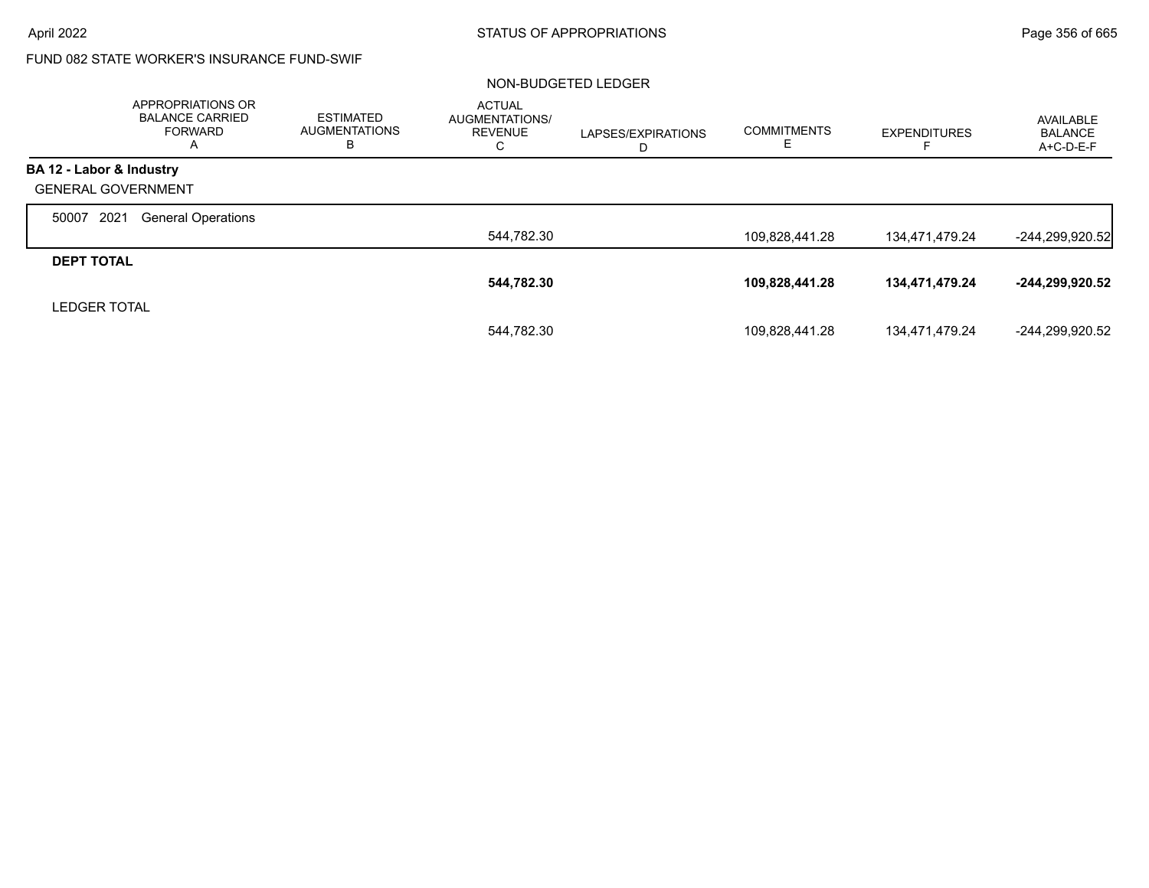# FUND 082 STATE WORKER'S INSURANCE FUND-SWIF

### NON-BUDGETED LEDGER

|                           | <b>APPROPRIATIONS OR</b><br><b>BALANCE CARRIED</b><br><b>FORWARD</b> | <b>ESTIMATED</b><br><b>AUGMENTATIONS</b><br>ь | <b>ACTUAL</b><br>AUGMENTATIONS/<br><b>REVENUE</b><br>C | LAPSES/EXPIRATIONS<br>D | <b>COMMITMENTS</b><br>E. | <b>EXPENDITURES</b> | AVAILABLE<br><b>BALANCE</b><br>A+C-D-E-F |
|---------------------------|----------------------------------------------------------------------|-----------------------------------------------|--------------------------------------------------------|-------------------------|--------------------------|---------------------|------------------------------------------|
| BA 12 - Labor & Industry  |                                                                      |                                               |                                                        |                         |                          |                     |                                          |
| <b>GENERAL GOVERNMENT</b> |                                                                      |                                               |                                                        |                         |                          |                     |                                          |
| 2021<br>50007             | <b>General Operations</b>                                            |                                               |                                                        |                         |                          |                     |                                          |
|                           |                                                                      |                                               | 544,782.30                                             |                         | 109,828,441.28           | 134,471,479.24      | $-244,299,920.52$                        |
| <b>DEPT TOTAL</b>         |                                                                      |                                               |                                                        |                         |                          |                     |                                          |
|                           |                                                                      |                                               | 544,782.30                                             |                         | 109,828,441.28           | 134,471,479.24      | -244,299,920.52                          |
| <b>LEDGER TOTAL</b>       |                                                                      |                                               |                                                        |                         |                          |                     |                                          |
|                           |                                                                      |                                               | 544.782.30                                             |                         | 109,828,441.28           | 134,471,479.24      | -244.299.920.52                          |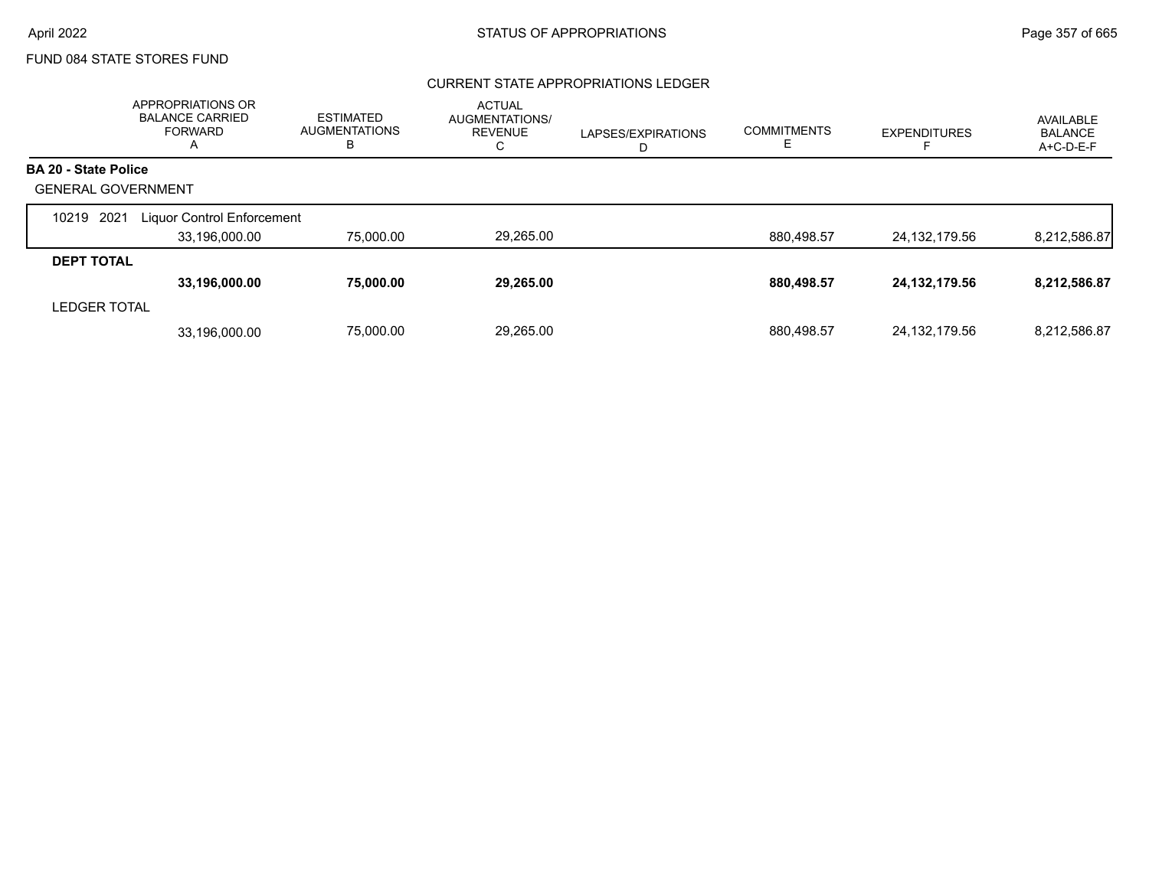## CURRENT STATE APPROPRIATIONS LEDGER

|                           | APPROPRIATIONS OR<br><b>BALANCE CARRIED</b><br><b>FORWARD</b><br>A | <b>ESTIMATED</b><br><b>AUGMENTATIONS</b><br>в | <b>ACTUAL</b><br>AUGMENTATIONS/<br><b>REVENUE</b><br>C | LAPSES/EXPIRATIONS<br>D | <b>COMMITMENTS</b><br>ᄂ | <b>EXPENDITURES</b> | AVAILABLE<br><b>BALANCE</b><br>A+C-D-E-F |
|---------------------------|--------------------------------------------------------------------|-----------------------------------------------|--------------------------------------------------------|-------------------------|-------------------------|---------------------|------------------------------------------|
| BA 20 - State Police      |                                                                    |                                               |                                                        |                         |                         |                     |                                          |
| <b>GENERAL GOVERNMENT</b> |                                                                    |                                               |                                                        |                         |                         |                     |                                          |
| 2021<br>10219             | Liquor Control Enforcement                                         |                                               |                                                        |                         |                         |                     |                                          |
|                           | 33,196,000.00                                                      | 75,000.00                                     | 29,265.00                                              |                         | 880,498.57              | 24,132,179.56       | 8,212,586.87                             |
| <b>DEPT TOTAL</b>         |                                                                    |                                               |                                                        |                         |                         |                     |                                          |
|                           | 33,196,000.00                                                      | 75,000.00                                     | 29,265.00                                              |                         | 880,498.57              | 24, 132, 179.56     | 8,212,586.87                             |
| <b>LEDGER TOTAL</b>       |                                                                    |                                               |                                                        |                         |                         |                     |                                          |
|                           | 33.196.000.00                                                      | 75.000.00                                     | 29.265.00                                              |                         | 880.498.57              | 24, 132, 179.56     | 8.212.586.87                             |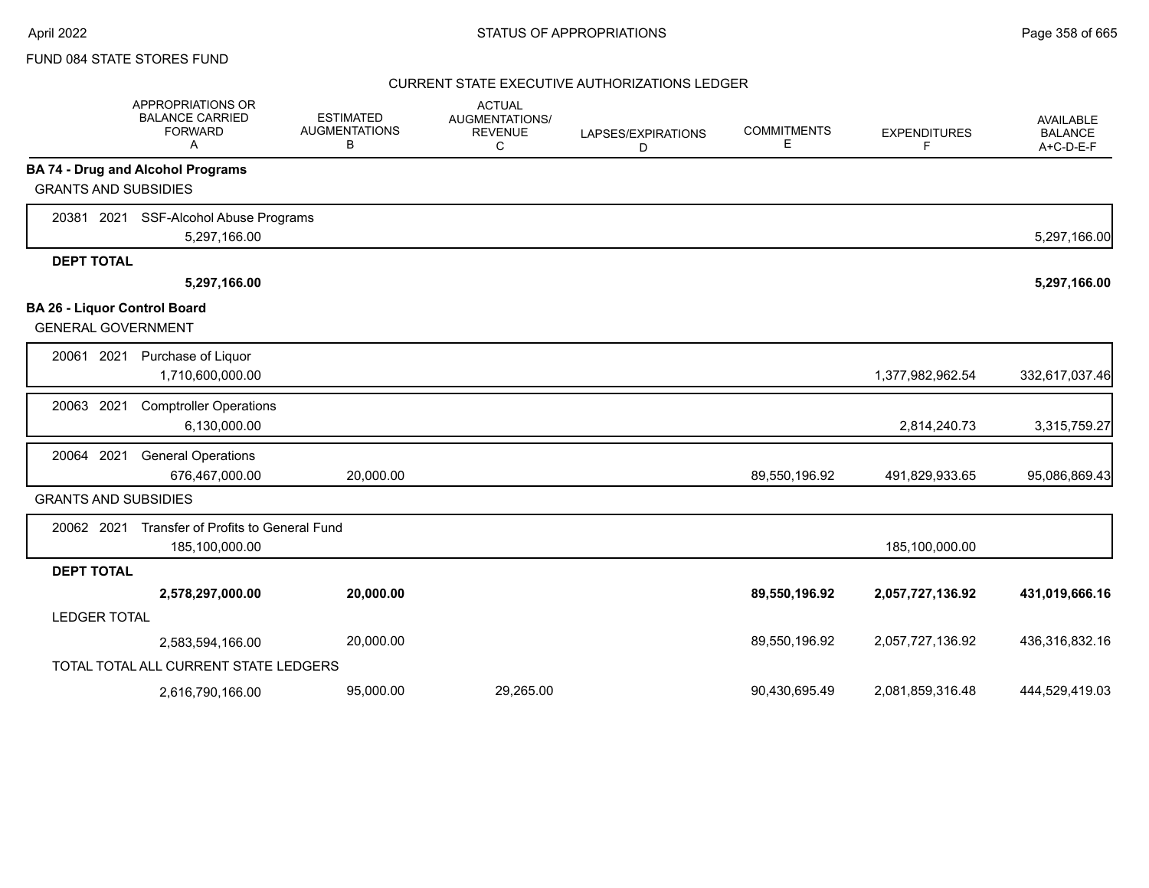### CURRENT STATE EXECUTIVE AUTHORIZATIONS LEDGER

|                             | APPROPRIATIONS OR<br><b>BALANCE CARRIED</b><br><b>FORWARD</b><br>Α | <b>ESTIMATED</b><br><b>AUGMENTATIONS</b><br>в | <b>ACTUAL</b><br>AUGMENTATIONS/<br><b>REVENUE</b><br>C | LAPSES/EXPIRATIONS<br>D | <b>COMMITMENTS</b><br>Е | <b>EXPENDITURES</b><br>F | AVAILABLE<br><b>BALANCE</b><br>$A+C-D-E-F$ |
|-----------------------------|--------------------------------------------------------------------|-----------------------------------------------|--------------------------------------------------------|-------------------------|-------------------------|--------------------------|--------------------------------------------|
|                             | <b>BA 74 - Drug and Alcohol Programs</b>                           |                                               |                                                        |                         |                         |                          |                                            |
| <b>GRANTS AND SUBSIDIES</b> |                                                                    |                                               |                                                        |                         |                         |                          |                                            |
| 2021<br>20381               | SSF-Alcohol Abuse Programs                                         |                                               |                                                        |                         |                         |                          |                                            |
|                             | 5,297,166.00                                                       |                                               |                                                        |                         |                         |                          | 5,297,166.00                               |
| <b>DEPT TOTAL</b>           |                                                                    |                                               |                                                        |                         |                         |                          |                                            |
|                             | 5,297,166.00                                                       |                                               |                                                        |                         |                         |                          | 5,297,166.00                               |
|                             | BA 26 - Liquor Control Board<br><b>GENERAL GOVERNMENT</b>          |                                               |                                                        |                         |                         |                          |                                            |
| 2021<br>20061               | Purchase of Liquor<br>1,710,600,000.00                             |                                               |                                                        |                         |                         | 1,377,982,962.54         | 332,617,037.46                             |
| 20063 2021                  | <b>Comptroller Operations</b><br>6,130,000.00                      |                                               |                                                        |                         |                         | 2,814,240.73             | 3,315,759.27                               |
| 20064 2021                  | <b>General Operations</b><br>676,467,000.00                        | 20,000.00                                     |                                                        |                         | 89,550,196.92           | 491,829,933.65           | 95,086,869.43                              |
| <b>GRANTS AND SUBSIDIES</b> |                                                                    |                                               |                                                        |                         |                         |                          |                                            |
| 20062 2021                  | Transfer of Profits to General Fund<br>185,100,000.00              |                                               |                                                        |                         |                         | 185,100,000.00           |                                            |
| <b>DEPT TOTAL</b>           |                                                                    |                                               |                                                        |                         |                         |                          |                                            |
|                             | 2,578,297,000.00                                                   | 20,000.00                                     |                                                        |                         | 89,550,196.92           | 2,057,727,136.92         | 431,019,666.16                             |
| <b>LEDGER TOTAL</b>         |                                                                    |                                               |                                                        |                         |                         |                          |                                            |
|                             | 2,583,594,166.00                                                   | 20,000.00                                     |                                                        |                         | 89,550,196.92           | 2,057,727,136.92         | 436,316,832.16                             |
|                             | TOTAL TOTAL ALL CURRENT STATE LEDGERS                              |                                               |                                                        |                         |                         |                          |                                            |
|                             | 2,616,790,166.00                                                   | 95,000.00                                     | 29,265.00                                              |                         | 90,430,695.49           | 2,081,859,316.48         | 444.529.419.03                             |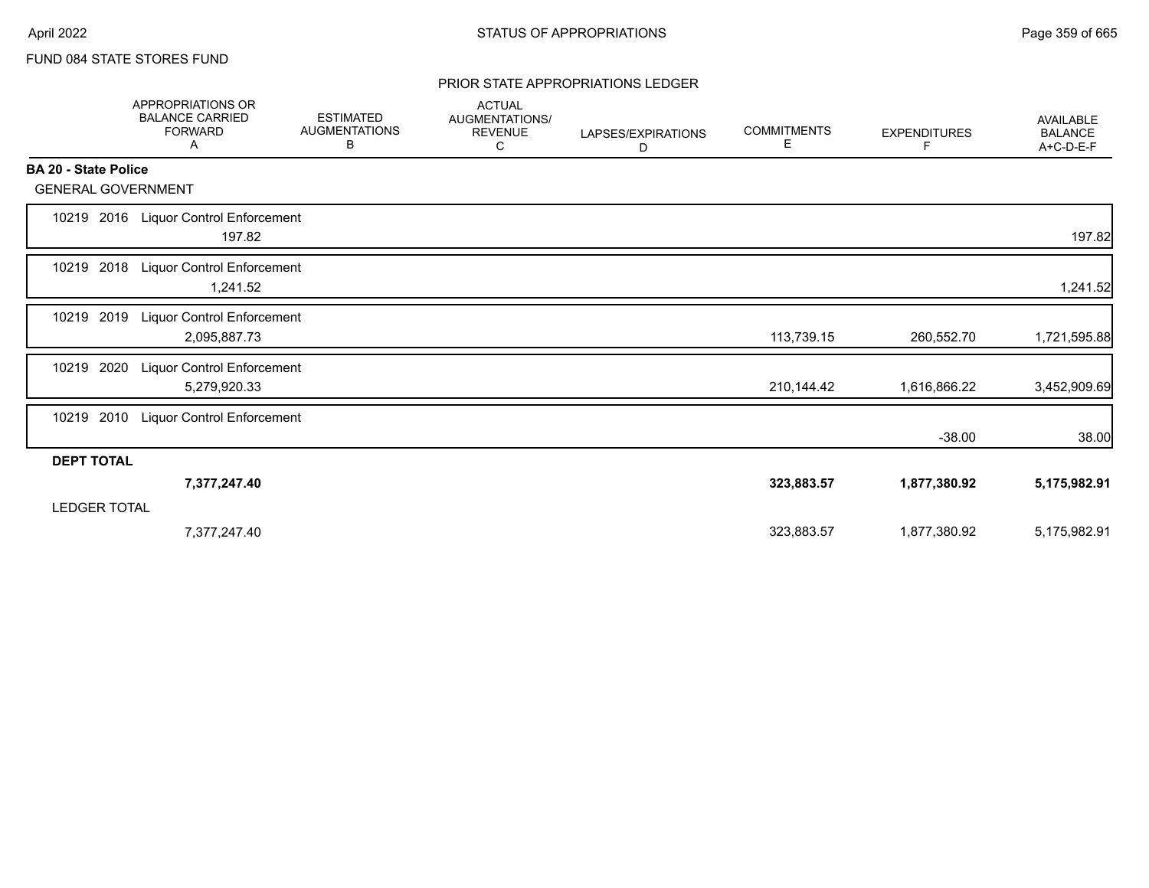### PRIOR STATE APPROPRIATIONS LEDGER

|                             | <b>APPROPRIATIONS OR</b><br><b>BALANCE CARRIED</b><br><b>FORWARD</b><br>Α | <b>ESTIMATED</b><br><b>AUGMENTATIONS</b><br>В | <b>ACTUAL</b><br>AUGMENTATIONS/<br><b>REVENUE</b><br>C | LAPSES/EXPIRATIONS<br>D | <b>COMMITMENTS</b><br>Е. | <b>EXPENDITURES</b><br>F. | <b>AVAILABLE</b><br><b>BALANCE</b><br>A+C-D-E-F |
|-----------------------------|---------------------------------------------------------------------------|-----------------------------------------------|--------------------------------------------------------|-------------------------|--------------------------|---------------------------|-------------------------------------------------|
| <b>BA 20 - State Police</b> |                                                                           |                                               |                                                        |                         |                          |                           |                                                 |
| <b>GENERAL GOVERNMENT</b>   |                                                                           |                                               |                                                        |                         |                          |                           |                                                 |
| 2016<br>10219               | <b>Liquor Control Enforcement</b><br>197.82                               |                                               |                                                        |                         |                          |                           | 197.82                                          |
| 10219 2018                  | Liquor Control Enforcement<br>1,241.52                                    |                                               |                                                        |                         |                          |                           | 1,241.52                                        |
| 2019<br>10219               | <b>Liquor Control Enforcement</b><br>2,095,887.73                         |                                               |                                                        |                         | 113,739.15               | 260,552.70                | 1,721,595.88                                    |
| 2020<br>10219               | <b>Liquor Control Enforcement</b><br>5,279,920.33                         |                                               |                                                        |                         | 210,144.42               | 1,616,866.22              | 3,452,909.69                                    |
| 2010<br>10219               | Liquor Control Enforcement                                                |                                               |                                                        |                         |                          | $-38.00$                  | 38.00                                           |
| <b>DEPT TOTAL</b>           |                                                                           |                                               |                                                        |                         |                          |                           |                                                 |
| <b>LEDGER TOTAL</b>         | 7,377,247.40                                                              |                                               |                                                        |                         | 323,883.57               | 1,877,380.92              | 5,175,982.91                                    |
|                             | 7,377,247.40                                                              |                                               |                                                        |                         | 323,883.57               | 1,877,380.92              | 5,175,982.91                                    |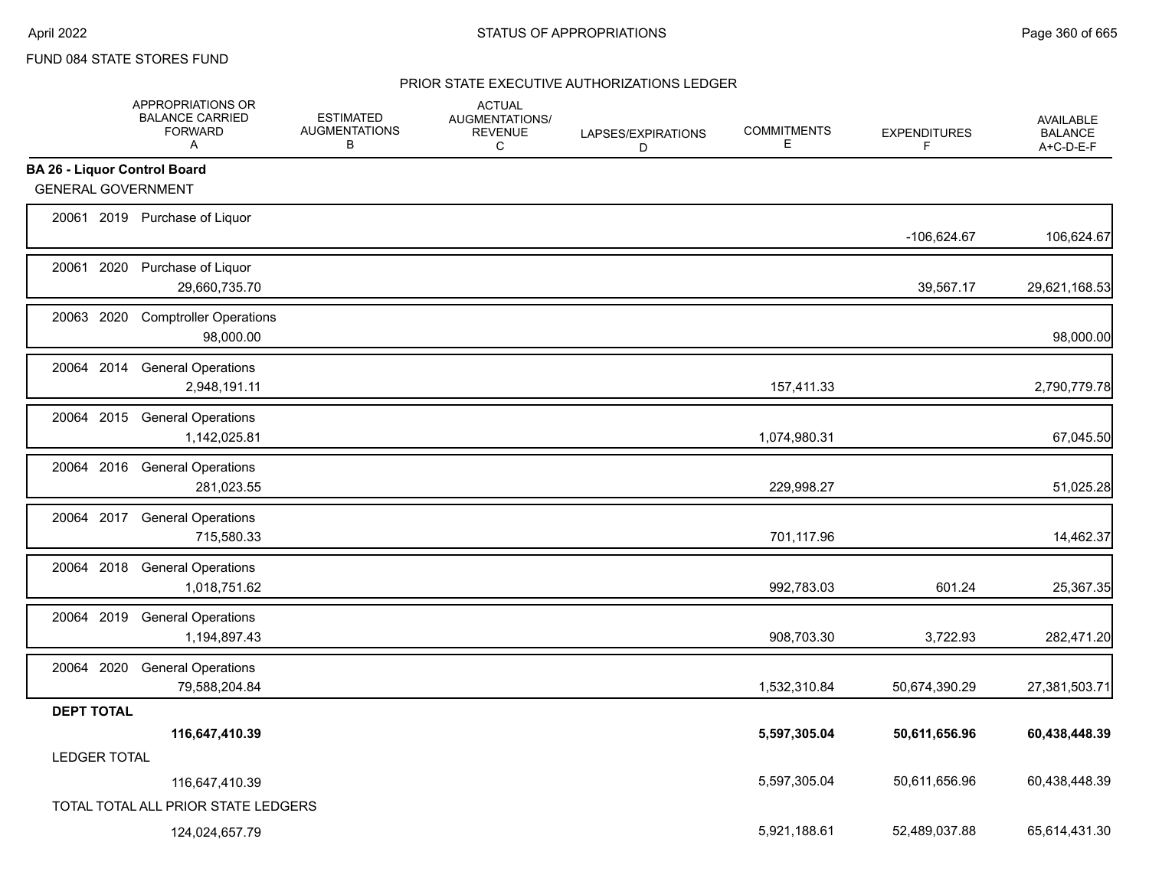## PRIOR STATE EXECUTIVE AUTHORIZATIONS LEDGER

|                                     | APPROPRIATIONS OR<br><b>BALANCE CARRIED</b><br><b>FORWARD</b><br>A | <b>ESTIMATED</b><br><b>AUGMENTATIONS</b><br>В | <b>ACTUAL</b><br><b>AUGMENTATIONS/</b><br><b>REVENUE</b><br>C | LAPSES/EXPIRATIONS<br>D | <b>COMMITMENTS</b><br>Е | <b>EXPENDITURES</b><br>F | <b>AVAILABLE</b><br><b>BALANCE</b><br>A+C-D-E-F |
|-------------------------------------|--------------------------------------------------------------------|-----------------------------------------------|---------------------------------------------------------------|-------------------------|-------------------------|--------------------------|-------------------------------------------------|
| <b>BA 26 - Liquor Control Board</b> |                                                                    |                                               |                                                               |                         |                         |                          |                                                 |
| <b>GENERAL GOVERNMENT</b>           |                                                                    |                                               |                                                               |                         |                         |                          |                                                 |
|                                     | 20061 2019 Purchase of Liquor                                      |                                               |                                                               |                         |                         | -106,624.67              | 106,624.67                                      |
|                                     | 20061 2020 Purchase of Liquor<br>29,660,735.70                     |                                               |                                                               |                         |                         | 39,567.17                | 29,621,168.53                                   |
|                                     | 20063 2020 Comptroller Operations<br>98,000.00                     |                                               |                                                               |                         |                         |                          | 98,000.00                                       |
|                                     | 20064 2014 General Operations<br>2,948,191.11                      |                                               |                                                               |                         | 157,411.33              |                          | 2,790,779.78                                    |
|                                     | 20064 2015 General Operations<br>1,142,025.81                      |                                               |                                                               |                         | 1,074,980.31            |                          | 67,045.50                                       |
|                                     | 20064 2016 General Operations<br>281,023.55                        |                                               |                                                               |                         | 229,998.27              |                          | 51,025.28                                       |
|                                     | 20064 2017 General Operations<br>715,580.33                        |                                               |                                                               |                         | 701,117.96              |                          | 14,462.37                                       |
|                                     | 20064 2018 General Operations<br>1,018,751.62                      |                                               |                                                               |                         | 992,783.03              | 601.24                   | 25,367.35                                       |
|                                     | 20064 2019 General Operations<br>1,194,897.43                      |                                               |                                                               |                         | 908,703.30              | 3,722.93                 | 282,471.20                                      |
|                                     | 20064 2020 General Operations<br>79,588,204.84                     |                                               |                                                               |                         | 1,532,310.84            | 50,674,390.29            | 27,381,503.71                                   |
| <b>DEPT TOTAL</b>                   |                                                                    |                                               |                                                               |                         |                         |                          |                                                 |
|                                     | 116,647,410.39                                                     |                                               |                                                               |                         | 5,597,305.04            | 50,611,656.96            | 60,438,448.39                                   |
| <b>LEDGER TOTAL</b>                 |                                                                    |                                               |                                                               |                         |                         |                          |                                                 |
|                                     | 116,647,410.39                                                     |                                               |                                                               |                         | 5,597,305.04            | 50,611,656.96            | 60,438,448.39                                   |
|                                     | TOTAL TOTAL ALL PRIOR STATE LEDGERS                                |                                               |                                                               |                         |                         |                          |                                                 |
|                                     | 124,024,657.79                                                     |                                               |                                                               |                         | 5,921,188.61            | 52,489,037.88            | 65,614,431.30                                   |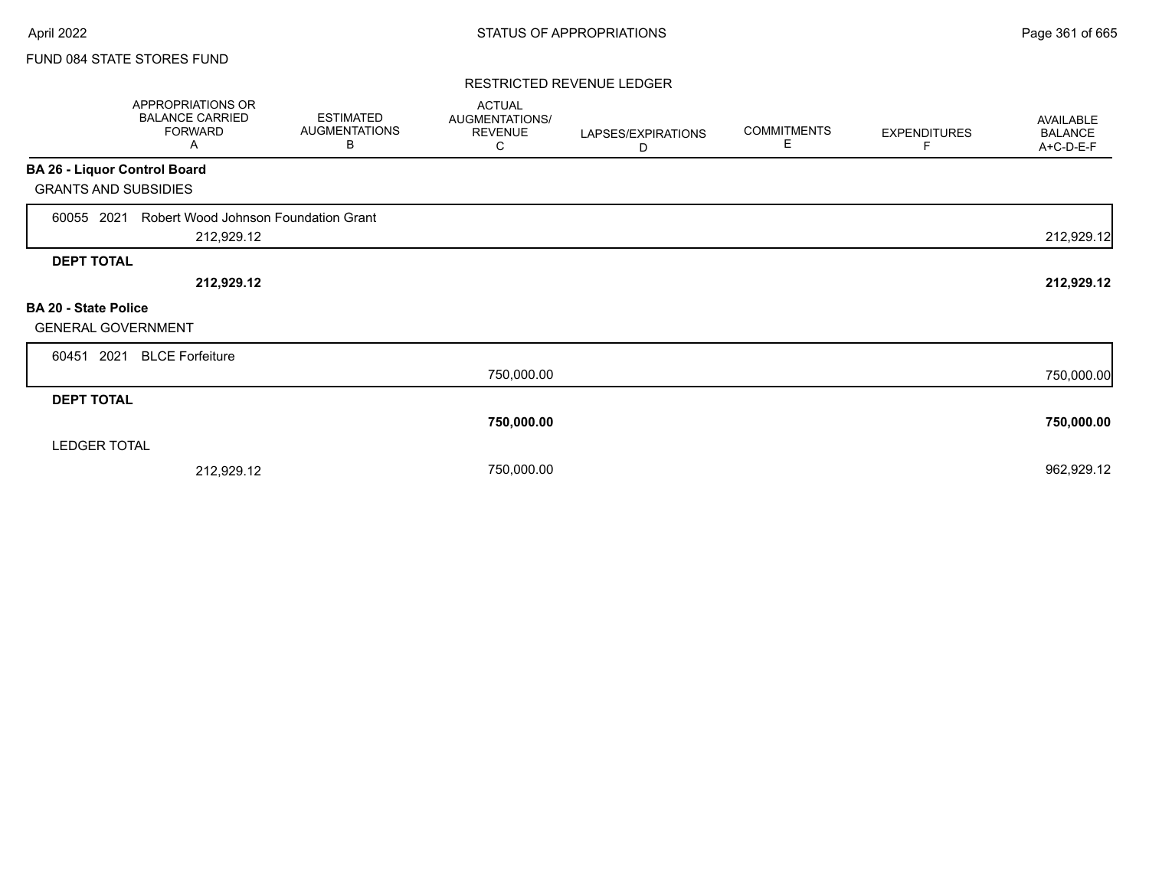### FUND 084 STATE STORES FUND

#### RESTRICTED REVENUE LEDGER

|                              | APPROPRIATIONS OR<br><b>BALANCE CARRIED</b><br><b>FORWARD</b><br>Α | <b>ESTIMATED</b><br><b>AUGMENTATIONS</b><br>В | <b>ACTUAL</b><br>AUGMENTATIONS/<br><b>REVENUE</b><br>С | LAPSES/EXPIRATIONS<br>D | <b>COMMITMENTS</b><br>Е | <b>EXPENDITURES</b> | AVAILABLE<br><b>BALANCE</b><br>A+C-D-E-F |
|------------------------------|--------------------------------------------------------------------|-----------------------------------------------|--------------------------------------------------------|-------------------------|-------------------------|---------------------|------------------------------------------|
| BA 26 - Liquor Control Board |                                                                    |                                               |                                                        |                         |                         |                     |                                          |
| <b>GRANTS AND SUBSIDIES</b>  |                                                                    |                                               |                                                        |                         |                         |                     |                                          |
| 60055 2021                   | Robert Wood Johnson Foundation Grant                               |                                               |                                                        |                         |                         |                     |                                          |
|                              | 212,929.12                                                         |                                               |                                                        |                         |                         |                     | 212,929.12                               |
| <b>DEPT TOTAL</b>            |                                                                    |                                               |                                                        |                         |                         |                     |                                          |
|                              | 212,929.12                                                         |                                               |                                                        |                         |                         |                     | 212,929.12                               |
| BA 20 - State Police         |                                                                    |                                               |                                                        |                         |                         |                     |                                          |
| <b>GENERAL GOVERNMENT</b>    |                                                                    |                                               |                                                        |                         |                         |                     |                                          |
| 2021<br>60451                | <b>BLCE Forfeiture</b>                                             |                                               |                                                        |                         |                         |                     |                                          |
|                              |                                                                    |                                               | 750,000.00                                             |                         |                         |                     | 750,000.00                               |
| <b>DEPT TOTAL</b>            |                                                                    |                                               |                                                        |                         |                         |                     |                                          |
|                              |                                                                    |                                               | 750,000.00                                             |                         |                         |                     | 750,000.00                               |
| <b>LEDGER TOTAL</b>          |                                                                    |                                               |                                                        |                         |                         |                     |                                          |
|                              | 212,929.12                                                         |                                               | 750,000.00                                             |                         |                         |                     | 962,929.12                               |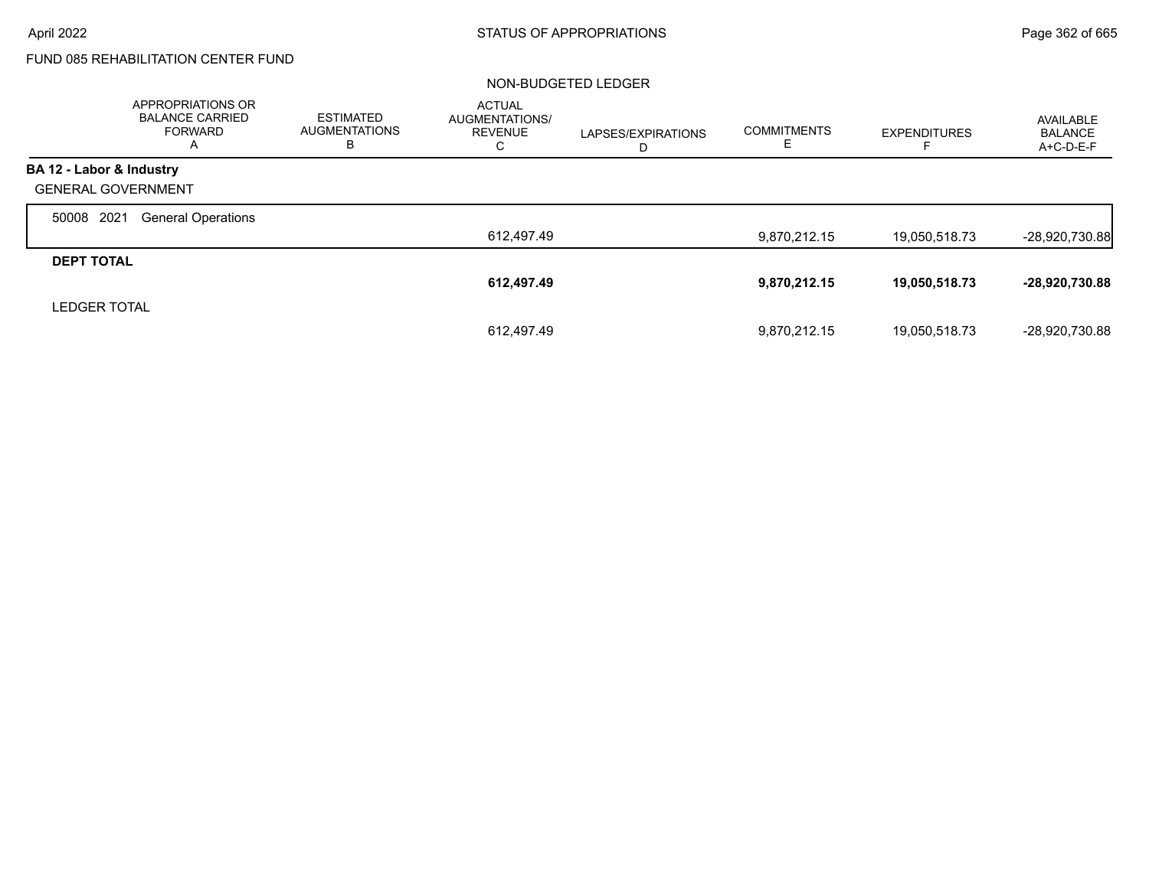# FUND 085 REHABILITATION CENTER FUND

#### NON-BUDGETED LEDGER

|                           | APPROPRIATIONS OR<br><b>BALANCE CARRIED</b><br><b>FORWARD</b><br>A | <b>ESTIMATED</b><br><b>AUGMENTATIONS</b><br>в | <b>ACTUAL</b><br><b>AUGMENTATIONS/</b><br><b>REVENUE</b><br>С | LAPSES/EXPIRATIONS<br>D | <b>COMMITMENTS</b><br>ᄂ | <b>EXPENDITURES</b> | AVAILABLE<br><b>BALANCE</b><br>A+C-D-E-F |
|---------------------------|--------------------------------------------------------------------|-----------------------------------------------|---------------------------------------------------------------|-------------------------|-------------------------|---------------------|------------------------------------------|
| BA 12 - Labor & Industry  |                                                                    |                                               |                                                               |                         |                         |                     |                                          |
| <b>GENERAL GOVERNMENT</b> |                                                                    |                                               |                                                               |                         |                         |                     |                                          |
| 2021<br>50008             | <b>General Operations</b>                                          |                                               |                                                               |                         |                         |                     |                                          |
|                           |                                                                    |                                               | 612,497.49                                                    |                         | 9,870,212.15            | 19,050,518.73       | $-28,920,730.88$                         |
| <b>DEPT TOTAL</b>         |                                                                    |                                               |                                                               |                         |                         |                     |                                          |
|                           |                                                                    |                                               | 612,497.49                                                    |                         | 9,870,212.15            | 19,050,518.73       | -28,920,730.88                           |
| <b>LEDGER TOTAL</b>       |                                                                    |                                               |                                                               |                         |                         |                     |                                          |
|                           |                                                                    |                                               | 612.497.49                                                    |                         | 9.870.212.15            | 19,050,518.73       | -28,920,730.88                           |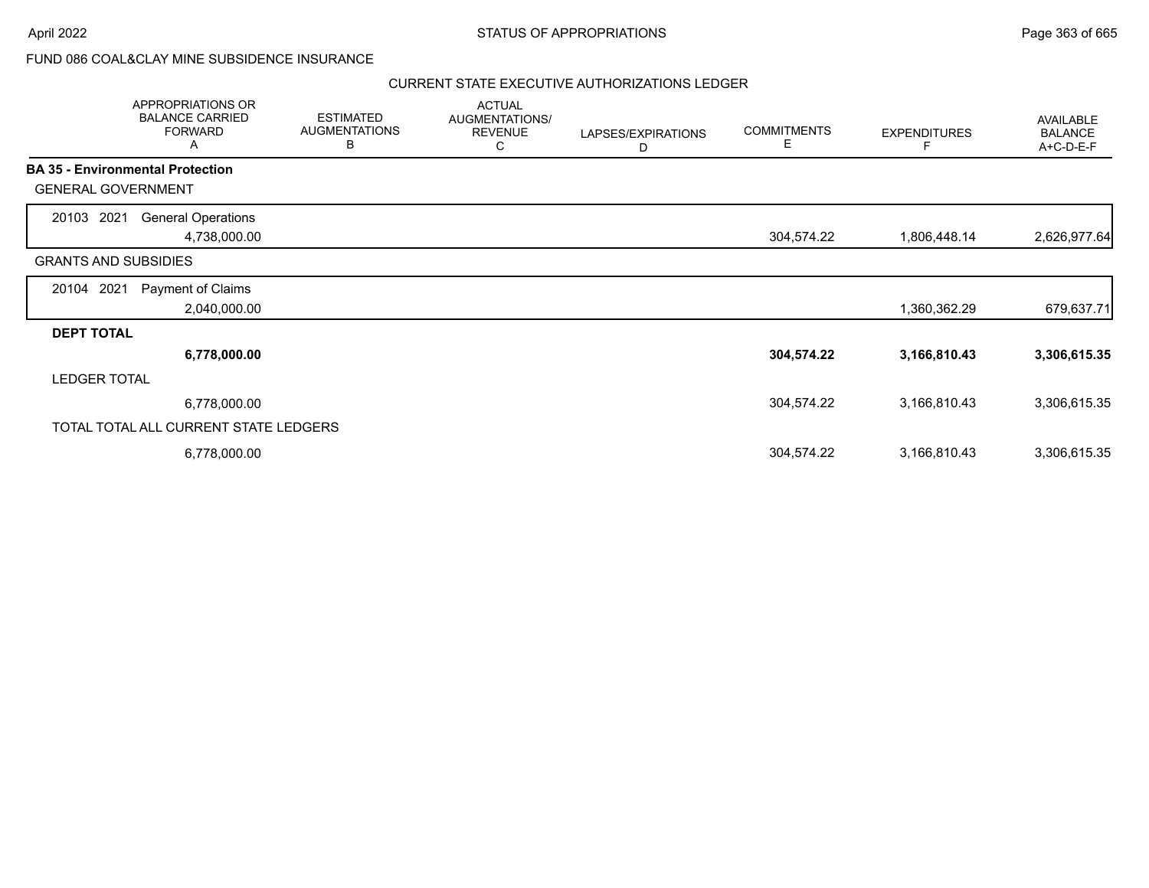## FUND 086 COAL&CLAY MINE SUBSIDENCE INSURANCE

|                                         | APPROPRIATIONS OR<br><b>BALANCE CARRIED</b><br><b>FORWARD</b><br>A | <b>ESTIMATED</b><br><b>AUGMENTATIONS</b><br>B | <b>ACTUAL</b><br>AUGMENTATIONS/<br><b>REVENUE</b><br>С | LAPSES/EXPIRATIONS<br>D | <b>COMMITMENTS</b><br>Е | <b>EXPENDITURES</b> | AVAILABLE<br><b>BALANCE</b><br>A+C-D-E-F |
|-----------------------------------------|--------------------------------------------------------------------|-----------------------------------------------|--------------------------------------------------------|-------------------------|-------------------------|---------------------|------------------------------------------|
| <b>BA 35 - Environmental Protection</b> |                                                                    |                                               |                                                        |                         |                         |                     |                                          |
| <b>GENERAL GOVERNMENT</b>               |                                                                    |                                               |                                                        |                         |                         |                     |                                          |
| 20103 2021                              | <b>General Operations</b>                                          |                                               |                                                        |                         |                         |                     |                                          |
|                                         | 4,738,000.00                                                       |                                               |                                                        |                         | 304,574.22              | 1,806,448.14        | 2,626,977.64                             |
| <b>GRANTS AND SUBSIDIES</b>             |                                                                    |                                               |                                                        |                         |                         |                     |                                          |
| 20104 2021                              | Payment of Claims                                                  |                                               |                                                        |                         |                         |                     |                                          |
|                                         | 2,040,000.00                                                       |                                               |                                                        |                         |                         | 1,360,362.29        | 679,637.71                               |
| <b>DEPT TOTAL</b>                       |                                                                    |                                               |                                                        |                         |                         |                     |                                          |
|                                         | 6,778,000.00                                                       |                                               |                                                        |                         | 304,574.22              | 3,166,810.43        | 3,306,615.35                             |
| <b>LEDGER TOTAL</b>                     |                                                                    |                                               |                                                        |                         |                         |                     |                                          |
|                                         | 6,778,000.00                                                       |                                               |                                                        |                         | 304,574.22              | 3,166,810.43        | 3,306,615.35                             |
|                                         | TOTAL TOTAL ALL CURRENT STATE LEDGERS                              |                                               |                                                        |                         |                         |                     |                                          |
|                                         | 6,778,000.00                                                       |                                               |                                                        |                         | 304,574.22              | 3,166,810.43        | 3,306,615.35                             |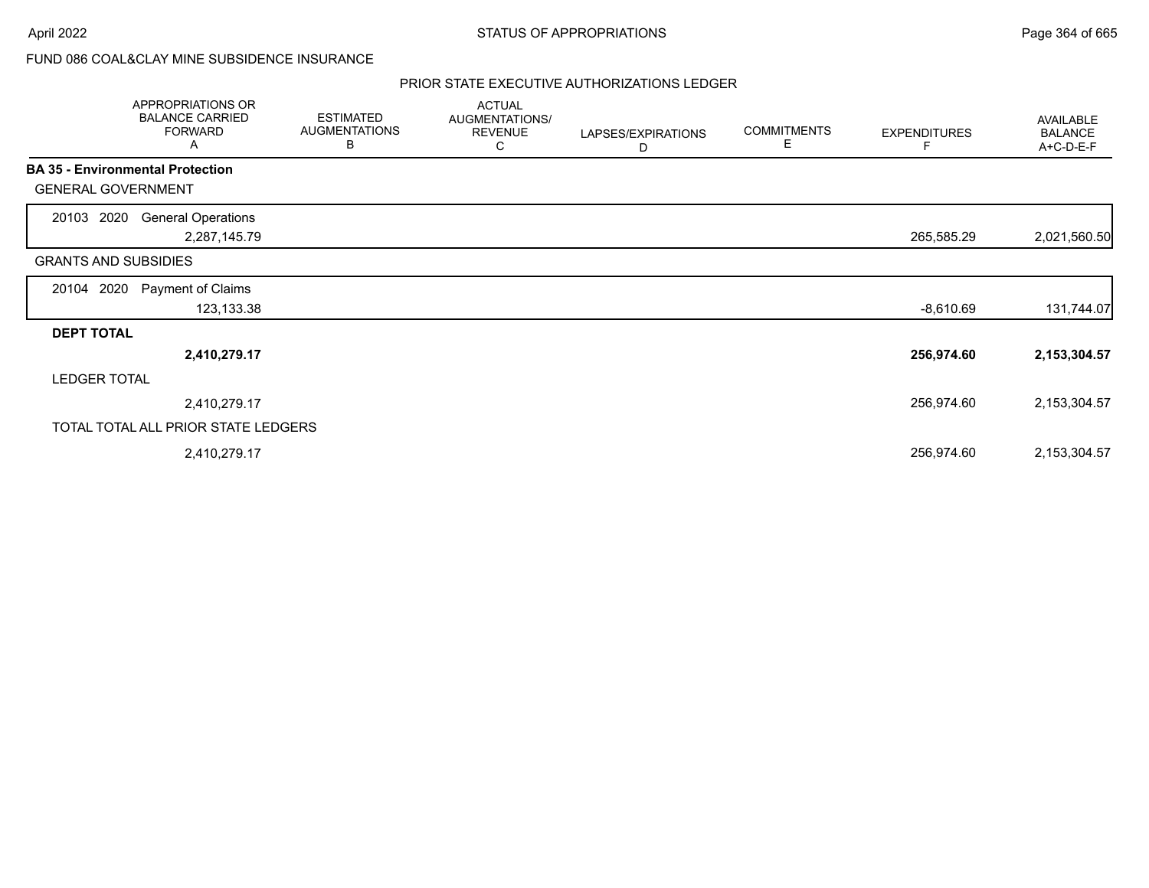## FUND 086 COAL&CLAY MINE SUBSIDENCE INSURANCE

|                                         | <b>APPROPRIATIONS OR</b><br><b>BALANCE CARRIED</b><br><b>FORWARD</b><br>Α | <b>ESTIMATED</b><br><b>AUGMENTATIONS</b><br>B | <b>ACTUAL</b><br>AUGMENTATIONS/<br><b>REVENUE</b><br>С | LAPSES/EXPIRATIONS<br>D | <b>COMMITMENTS</b><br>Е | <b>EXPENDITURES</b><br>F | AVAILABLE<br><b>BALANCE</b><br>A+C-D-E-F |
|-----------------------------------------|---------------------------------------------------------------------------|-----------------------------------------------|--------------------------------------------------------|-------------------------|-------------------------|--------------------------|------------------------------------------|
| <b>BA 35 - Environmental Protection</b> |                                                                           |                                               |                                                        |                         |                         |                          |                                          |
| <b>GENERAL GOVERNMENT</b>               |                                                                           |                                               |                                                        |                         |                         |                          |                                          |
| 2020<br>20103                           | <b>General Operations</b><br>2,287,145.79                                 |                                               |                                                        |                         |                         | 265,585.29               | 2,021,560.50                             |
| <b>GRANTS AND SUBSIDIES</b>             |                                                                           |                                               |                                                        |                         |                         |                          |                                          |
| 2020<br>20104                           | Payment of Claims<br>123,133.38                                           |                                               |                                                        |                         |                         | $-8,610.69$              | 131,744.07                               |
| <b>DEPT TOTAL</b>                       |                                                                           |                                               |                                                        |                         |                         |                          |                                          |
|                                         | 2,410,279.17                                                              |                                               |                                                        |                         |                         | 256,974.60               | 2,153,304.57                             |
| <b>LEDGER TOTAL</b>                     |                                                                           |                                               |                                                        |                         |                         |                          |                                          |
|                                         | 2,410,279.17                                                              |                                               |                                                        |                         |                         | 256,974.60               | 2,153,304.57                             |
|                                         | TOTAL TOTAL ALL PRIOR STATE LEDGERS                                       |                                               |                                                        |                         |                         |                          |                                          |
|                                         | 2,410,279.17                                                              |                                               |                                                        |                         |                         | 256,974.60               | 2,153,304.57                             |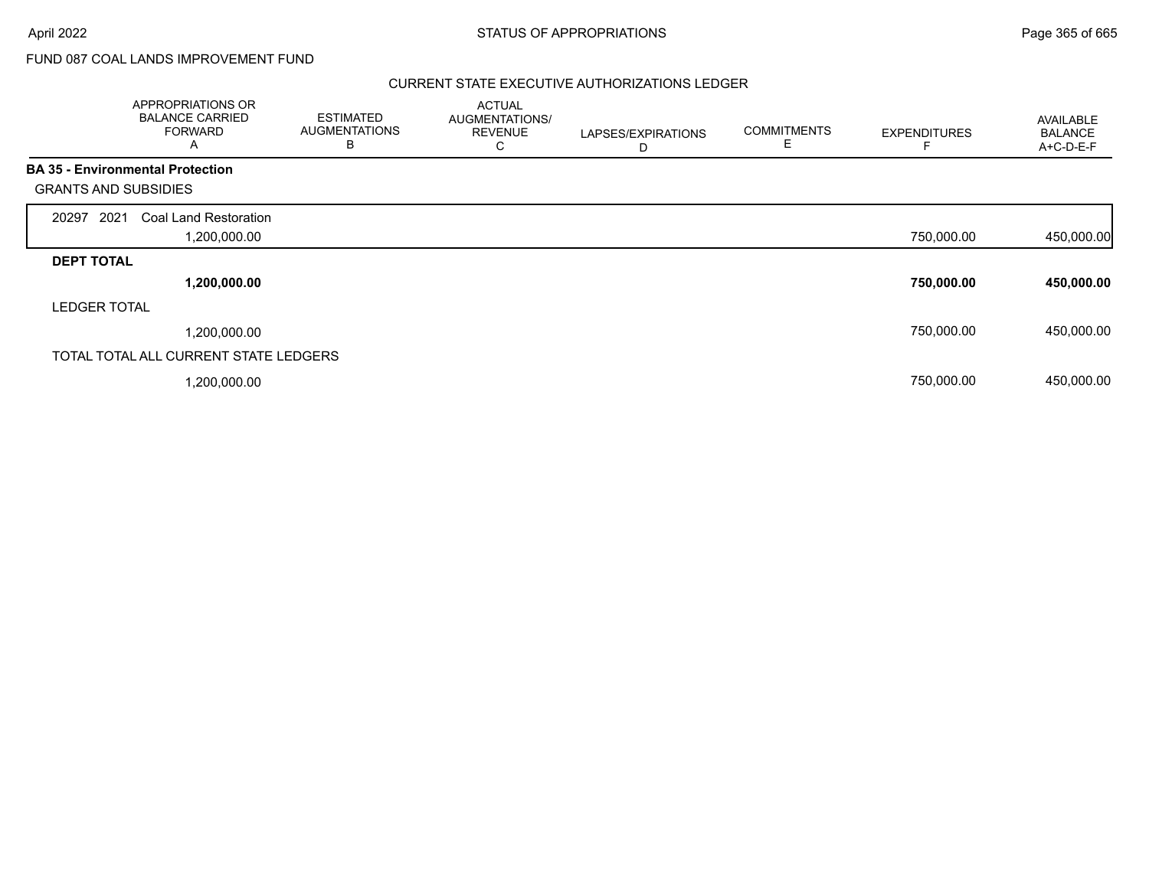# FUND 087 COAL LANDS IMPROVEMENT FUND

|                             | APPROPRIATIONS OR<br><b>BALANCE CARRIED</b><br><b>FORWARD</b><br>A | <b>ESTIMATED</b><br><b>AUGMENTATIONS</b><br>В | <b>ACTUAL</b><br>AUGMENTATIONS/<br><b>REVENUE</b><br>С | LAPSES/EXPIRATIONS<br>D | <b>COMMITMENTS</b><br>Е | <b>EXPENDITURES</b> | AVAILABLE<br><b>BALANCE</b><br>A+C-D-E-F |
|-----------------------------|--------------------------------------------------------------------|-----------------------------------------------|--------------------------------------------------------|-------------------------|-------------------------|---------------------|------------------------------------------|
|                             | <b>BA 35 - Environmental Protection</b>                            |                                               |                                                        |                         |                         |                     |                                          |
| <b>GRANTS AND SUBSIDIES</b> |                                                                    |                                               |                                                        |                         |                         |                     |                                          |
| 2021<br>20297               | Coal Land Restoration                                              |                                               |                                                        |                         |                         |                     |                                          |
|                             | 1,200,000.00                                                       |                                               |                                                        |                         |                         | 750,000.00          | 450,000.00                               |
| <b>DEPT TOTAL</b>           |                                                                    |                                               |                                                        |                         |                         |                     |                                          |
|                             | 1,200,000.00                                                       |                                               |                                                        |                         |                         | 750,000.00          | 450,000.00                               |
| <b>LEDGER TOTAL</b>         |                                                                    |                                               |                                                        |                         |                         |                     |                                          |
|                             | 1,200,000.00                                                       |                                               |                                                        |                         |                         | 750,000.00          | 450,000.00                               |
|                             | TOTAL TOTAL ALL CURRENT STATE LEDGERS                              |                                               |                                                        |                         |                         |                     |                                          |
|                             | ,200,000.00                                                        |                                               |                                                        |                         |                         | 750,000.00          | 450,000.00                               |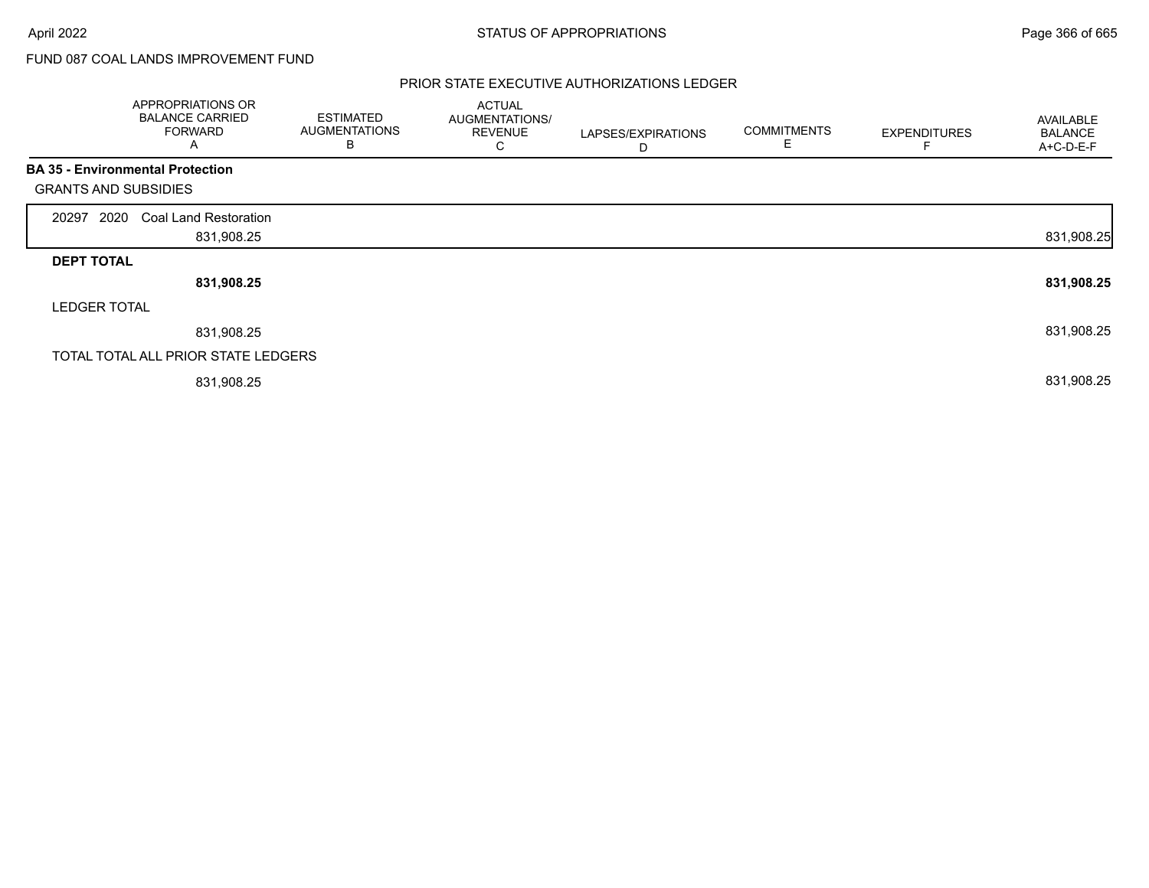# FUND 087 COAL LANDS IMPROVEMENT FUND

|                             | APPROPRIATIONS OR<br><b>BALANCE CARRIED</b><br><b>FORWARD</b><br>A | <b>ESTIMATED</b><br><b>AUGMENTATIONS</b><br>В | <b>ACTUAL</b><br>AUGMENTATIONS/<br><b>REVENUE</b><br>С | LAPSES/EXPIRATIONS<br>D | <b>COMMITMENTS</b><br>E | <b>EXPENDITURES</b> | AVAILABLE<br><b>BALANCE</b><br>A+C-D-E-F |
|-----------------------------|--------------------------------------------------------------------|-----------------------------------------------|--------------------------------------------------------|-------------------------|-------------------------|---------------------|------------------------------------------|
|                             | <b>BA 35 - Environmental Protection</b>                            |                                               |                                                        |                         |                         |                     |                                          |
| <b>GRANTS AND SUBSIDIES</b> |                                                                    |                                               |                                                        |                         |                         |                     |                                          |
| 2020<br>20297               | <b>Coal Land Restoration</b>                                       |                                               |                                                        |                         |                         |                     |                                          |
|                             | 831,908.25                                                         |                                               |                                                        |                         |                         |                     | 831,908.25                               |
| <b>DEPT TOTAL</b>           |                                                                    |                                               |                                                        |                         |                         |                     |                                          |
|                             | 831,908.25                                                         |                                               |                                                        |                         |                         |                     | 831,908.25                               |
| <b>LEDGER TOTAL</b>         |                                                                    |                                               |                                                        |                         |                         |                     |                                          |
|                             | 831,908.25                                                         |                                               |                                                        |                         |                         |                     | 831,908.25                               |
|                             | TOTAL TOTAL ALL PRIOR STATE LEDGERS                                |                                               |                                                        |                         |                         |                     |                                          |
|                             | 831,908.25                                                         |                                               |                                                        |                         |                         |                     | 831,908.25                               |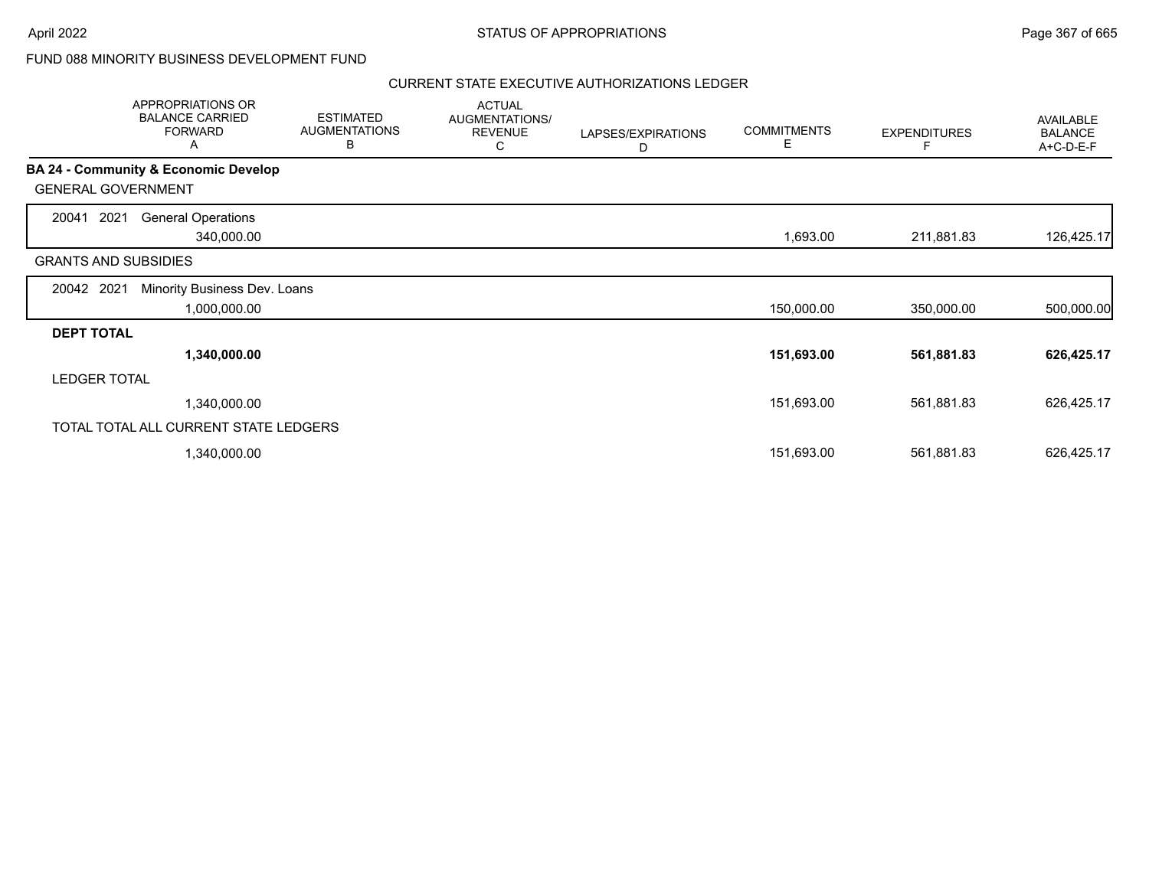## FUND 088 MINORITY BUSINESS DEVELOPMENT FUND

|                             | APPROPRIATIONS OR<br><b>BALANCE CARRIED</b><br><b>FORWARD</b><br>A | <b>ESTIMATED</b><br><b>AUGMENTATIONS</b><br>В | <b>ACTUAL</b><br>AUGMENTATIONS/<br><b>REVENUE</b><br>С | LAPSES/EXPIRATIONS<br>D | <b>COMMITMENTS</b><br>Е | <b>EXPENDITURES</b> | AVAILABLE<br><b>BALANCE</b><br>A+C-D-E-F |
|-----------------------------|--------------------------------------------------------------------|-----------------------------------------------|--------------------------------------------------------|-------------------------|-------------------------|---------------------|------------------------------------------|
|                             | <b>BA 24 - Community &amp; Economic Develop</b>                    |                                               |                                                        |                         |                         |                     |                                          |
| <b>GENERAL GOVERNMENT</b>   |                                                                    |                                               |                                                        |                         |                         |                     |                                          |
| 2021<br>20041               | <b>General Operations</b>                                          |                                               |                                                        |                         |                         |                     |                                          |
|                             | 340,000.00                                                         |                                               |                                                        |                         | 1,693.00                | 211,881.83          | 126,425.17                               |
| <b>GRANTS AND SUBSIDIES</b> |                                                                    |                                               |                                                        |                         |                         |                     |                                          |
| 20042 2021                  | Minority Business Dev. Loans                                       |                                               |                                                        |                         |                         |                     |                                          |
|                             | 1,000,000.00                                                       |                                               |                                                        |                         | 150,000.00              | 350,000.00          | 500,000.00                               |
| <b>DEPT TOTAL</b>           |                                                                    |                                               |                                                        |                         |                         |                     |                                          |
|                             | 1,340,000.00                                                       |                                               |                                                        |                         | 151,693.00              | 561,881.83          | 626,425.17                               |
| <b>LEDGER TOTAL</b>         |                                                                    |                                               |                                                        |                         |                         |                     |                                          |
|                             | 1,340,000.00                                                       |                                               |                                                        |                         | 151,693.00              | 561,881.83          | 626,425.17                               |
|                             | TOTAL TOTAL ALL CURRENT STATE LEDGERS                              |                                               |                                                        |                         |                         |                     |                                          |
|                             | 1,340,000.00                                                       |                                               |                                                        |                         | 151,693.00              | 561,881.83          | 626,425.17                               |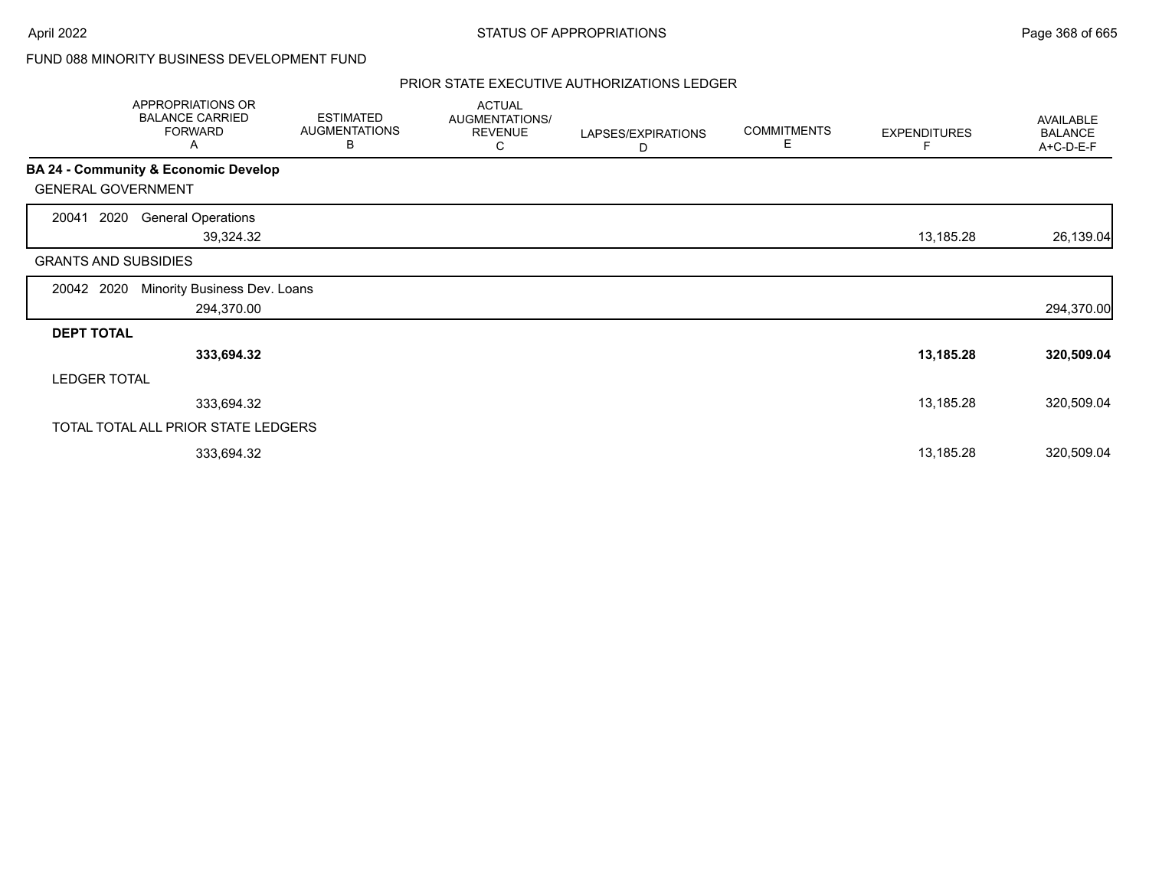# FUND 088 MINORITY BUSINESS DEVELOPMENT FUND

|                     | APPROPRIATIONS OR<br><b>BALANCE CARRIED</b><br><b>FORWARD</b><br>A | <b>ESTIMATED</b><br><b>AUGMENTATIONS</b><br>В | <b>ACTUAL</b><br>AUGMENTATIONS/<br><b>REVENUE</b><br>С | LAPSES/EXPIRATIONS<br>D | <b>COMMITMENTS</b><br>Е | <b>EXPENDITURES</b><br>F | AVAILABLE<br><b>BALANCE</b><br>A+C-D-E-F |
|---------------------|--------------------------------------------------------------------|-----------------------------------------------|--------------------------------------------------------|-------------------------|-------------------------|--------------------------|------------------------------------------|
|                     | BA 24 - Community & Economic Develop                               |                                               |                                                        |                         |                         |                          |                                          |
|                     | <b>GENERAL GOVERNMENT</b>                                          |                                               |                                                        |                         |                         |                          |                                          |
| 20041               | 2020<br><b>General Operations</b><br>39,324.32                     |                                               |                                                        |                         |                         | 13,185.28                | 26,139.04                                |
|                     | <b>GRANTS AND SUBSIDIES</b>                                        |                                               |                                                        |                         |                         |                          |                                          |
| 20042               | Minority Business Dev. Loans<br>2020<br>294,370.00                 |                                               |                                                        |                         |                         |                          | 294,370.00                               |
| <b>DEPT TOTAL</b>   |                                                                    |                                               |                                                        |                         |                         |                          |                                          |
|                     | 333,694.32                                                         |                                               |                                                        |                         |                         | 13,185.28                | 320,509.04                               |
| <b>LEDGER TOTAL</b> |                                                                    |                                               |                                                        |                         |                         |                          |                                          |
|                     | 333,694.32                                                         |                                               |                                                        |                         |                         | 13,185.28                | 320,509.04                               |
|                     | TOTAL TOTAL ALL PRIOR STATE LEDGERS                                |                                               |                                                        |                         |                         |                          |                                          |
|                     | 333,694.32                                                         |                                               |                                                        |                         |                         | 13,185.28                | 320,509.04                               |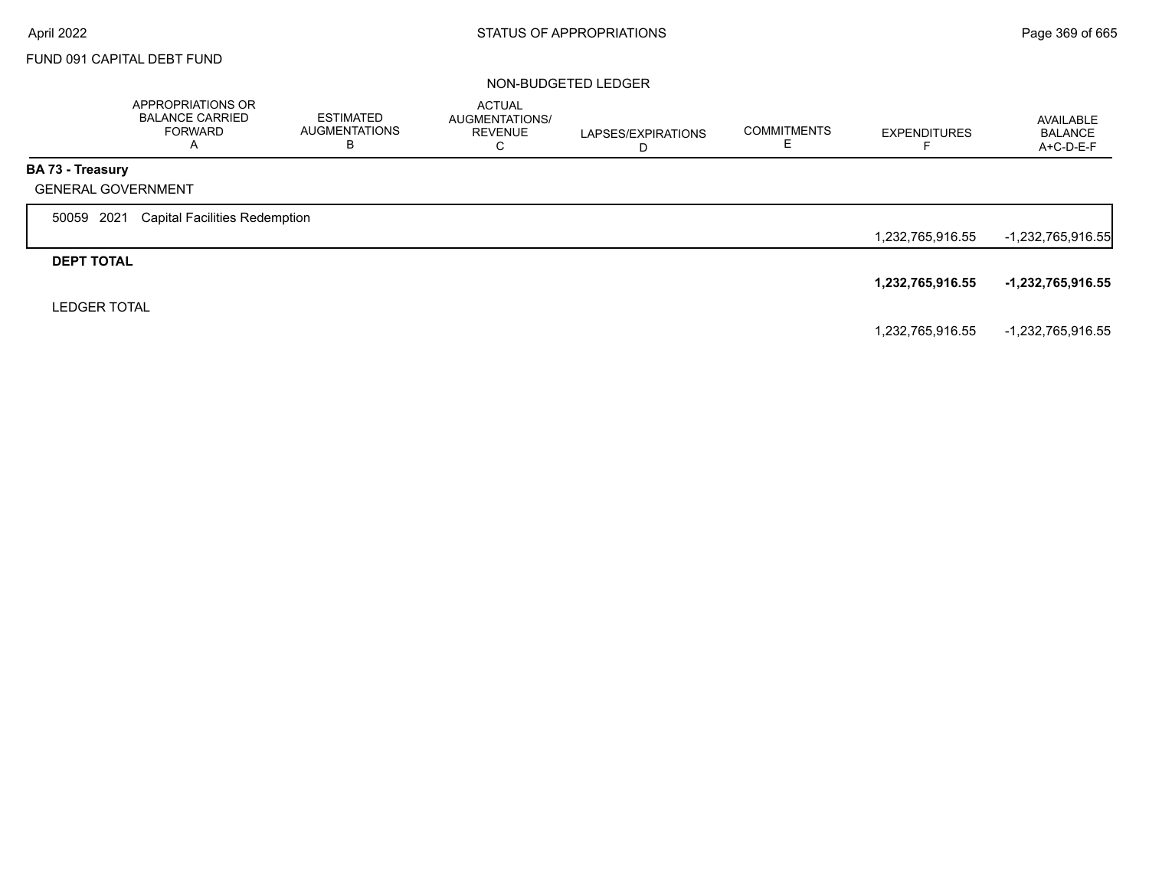## FUND 091 CAPITAL DEBT FUND

#### NON-BUDGETED LEDGER

|                         | APPROPRIATIONS OR<br><b>BALANCE CARRIED</b><br><b>FORWARD</b><br>A | <b>ESTIMATED</b><br><b>AUGMENTATIONS</b><br>В | <b>ACTUAL</b><br>AUGMENTATIONS/<br><b>REVENUE</b><br>C | LAPSES/EXPIRATIONS<br>D | <b>COMMITMENTS</b> | <b>EXPENDITURES</b><br>− | AVAILABLE<br><b>BALANCE</b><br>$A+C-D-E-F$ |
|-------------------------|--------------------------------------------------------------------|-----------------------------------------------|--------------------------------------------------------|-------------------------|--------------------|--------------------------|--------------------------------------------|
| <b>BA 73 - Treasury</b> |                                                                    |                                               |                                                        |                         |                    |                          |                                            |
|                         | <b>GENERAL GOVERNMENT</b>                                          |                                               |                                                        |                         |                    |                          |                                            |
| 50059 2021              | <b>Capital Facilities Redemption</b>                               |                                               |                                                        |                         |                    |                          |                                            |
|                         |                                                                    |                                               |                                                        |                         |                    | 1,232,765,916.55         | -1,232,765,916.55                          |
| <b>DEPT TOTAL</b>       |                                                                    |                                               |                                                        |                         |                    |                          |                                            |
|                         |                                                                    |                                               |                                                        |                         |                    | 1,232,765,916.55         | -1,232,765,916.55                          |
| <b>LEDGER TOTAL</b>     |                                                                    |                                               |                                                        |                         |                    |                          |                                            |
|                         |                                                                    |                                               |                                                        |                         |                    | 1,232,765,916.55         | -1,232,765,916.55                          |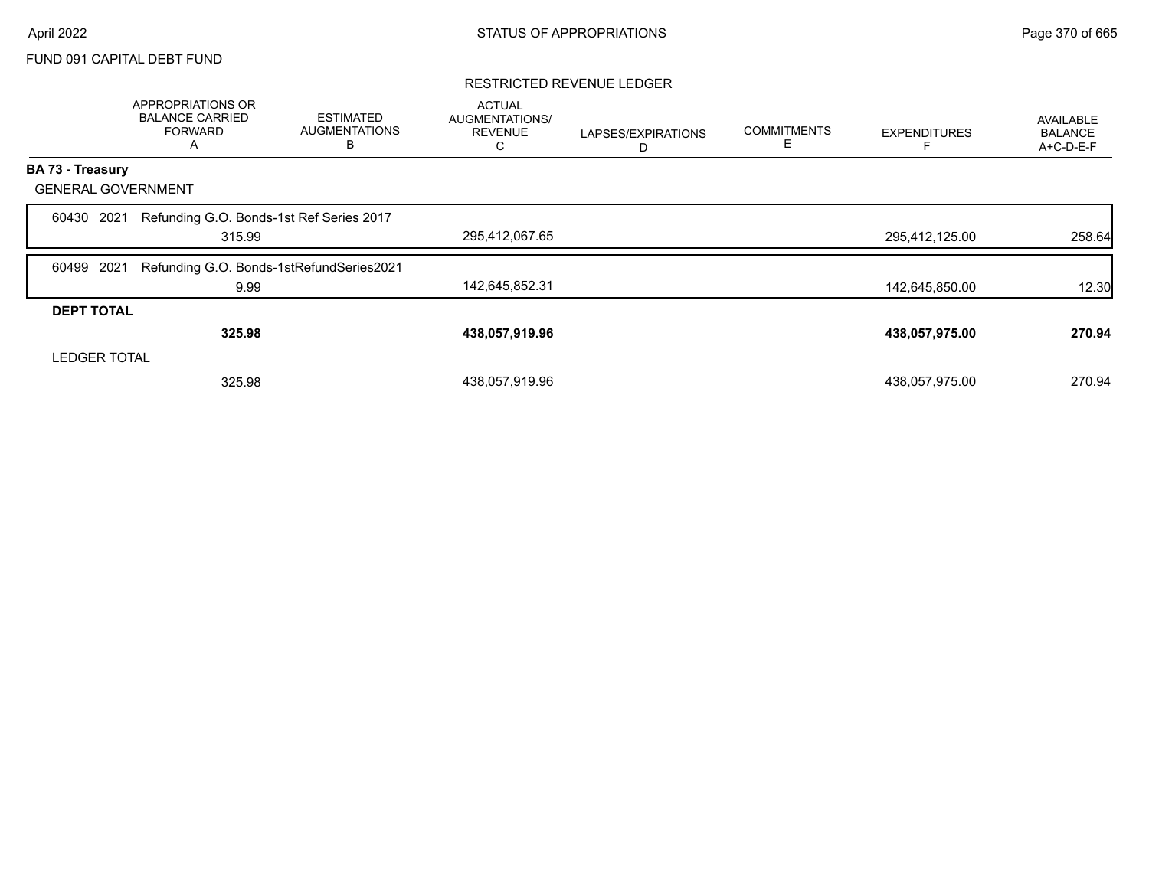### FUND 091 CAPITAL DEBT FUND

#### RESTRICTED REVENUE LEDGER

|                           | APPROPRIATIONS OR<br><b>BALANCE CARRIED</b><br><b>FORWARD</b><br>A | <b>ESTIMATED</b><br><b>AUGMENTATIONS</b><br>В | <b>ACTUAL</b><br>AUGMENTATIONS/<br><b>REVENUE</b><br>С | LAPSES/EXPIRATIONS<br>D | <b>COMMITMENTS</b><br>Ε | <b>EXPENDITURES</b> | <b>AVAILABLE</b><br><b>BALANCE</b><br>A+C-D-E-F |
|---------------------------|--------------------------------------------------------------------|-----------------------------------------------|--------------------------------------------------------|-------------------------|-------------------------|---------------------|-------------------------------------------------|
| BA 73 - Treasury          |                                                                    |                                               |                                                        |                         |                         |                     |                                                 |
| <b>GENERAL GOVERNMENT</b> |                                                                    |                                               |                                                        |                         |                         |                     |                                                 |
| 2021<br>60430             | Refunding G.O. Bonds-1st Ref Series 2017<br>315.99                 |                                               | 295,412,067.65                                         |                         |                         | 295,412,125.00      | 258.64                                          |
| 2021<br>60499             | Refunding G.O. Bonds-1stRefundSeries2021                           |                                               |                                                        |                         |                         |                     |                                                 |
|                           | 9.99                                                               |                                               | 142,645,852.31                                         |                         |                         | 142,645,850.00      | 12.30                                           |
| <b>DEPT TOTAL</b>         |                                                                    |                                               |                                                        |                         |                         |                     |                                                 |
|                           | 325.98                                                             |                                               | 438,057,919.96                                         |                         |                         | 438,057,975.00      | 270.94                                          |
| <b>LEDGER TOTAL</b>       |                                                                    |                                               |                                                        |                         |                         |                     |                                                 |
|                           | 325.98                                                             |                                               | 438,057,919.96                                         |                         |                         | 438,057,975.00      | 270.94                                          |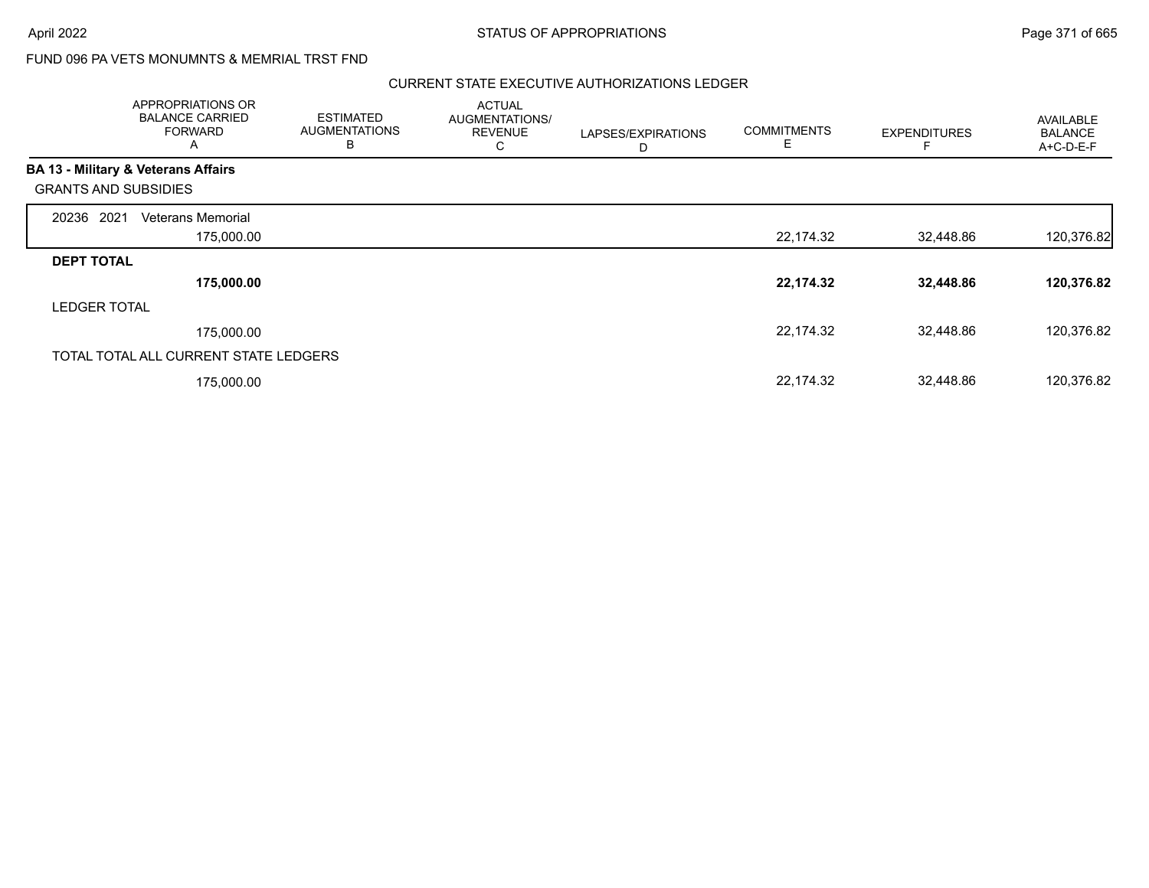# FUND 096 PA VETS MONUMNTS & MEMRIAL TRST FND

|                             | APPROPRIATIONS OR<br><b>BALANCE CARRIED</b><br><b>FORWARD</b><br>A | <b>ESTIMATED</b><br><b>AUGMENTATIONS</b><br>B | <b>ACTUAL</b><br>AUGMENTATIONS/<br><b>REVENUE</b><br>C | LAPSES/EXPIRATIONS<br>D | <b>COMMITMENTS</b><br>E | <b>EXPENDITURES</b> | AVAILABLE<br><b>BALANCE</b><br>A+C-D-E-F |
|-----------------------------|--------------------------------------------------------------------|-----------------------------------------------|--------------------------------------------------------|-------------------------|-------------------------|---------------------|------------------------------------------|
|                             | <b>BA 13 - Military &amp; Veterans Affairs</b>                     |                                               |                                                        |                         |                         |                     |                                          |
| <b>GRANTS AND SUBSIDIES</b> |                                                                    |                                               |                                                        |                         |                         |                     |                                          |
| 2021<br>20236               | Veterans Memorial                                                  |                                               |                                                        |                         |                         |                     |                                          |
|                             | 175,000.00                                                         |                                               |                                                        |                         | 22,174.32               | 32,448.86           | 120,376.82                               |
| <b>DEPT TOTAL</b>           |                                                                    |                                               |                                                        |                         |                         |                     |                                          |
|                             | 175,000.00                                                         |                                               |                                                        |                         | 22,174.32               | 32,448.86           | 120,376.82                               |
| <b>LEDGER TOTAL</b>         |                                                                    |                                               |                                                        |                         |                         |                     |                                          |
|                             | 175,000.00                                                         |                                               |                                                        |                         | 22,174.32               | 32,448.86           | 120,376.82                               |
|                             | TOTAL TOTAL ALL CURRENT STATE LEDGERS                              |                                               |                                                        |                         |                         |                     |                                          |
|                             | 175,000.00                                                         |                                               |                                                        |                         | 22,174.32               | 32,448.86           | 120,376.82                               |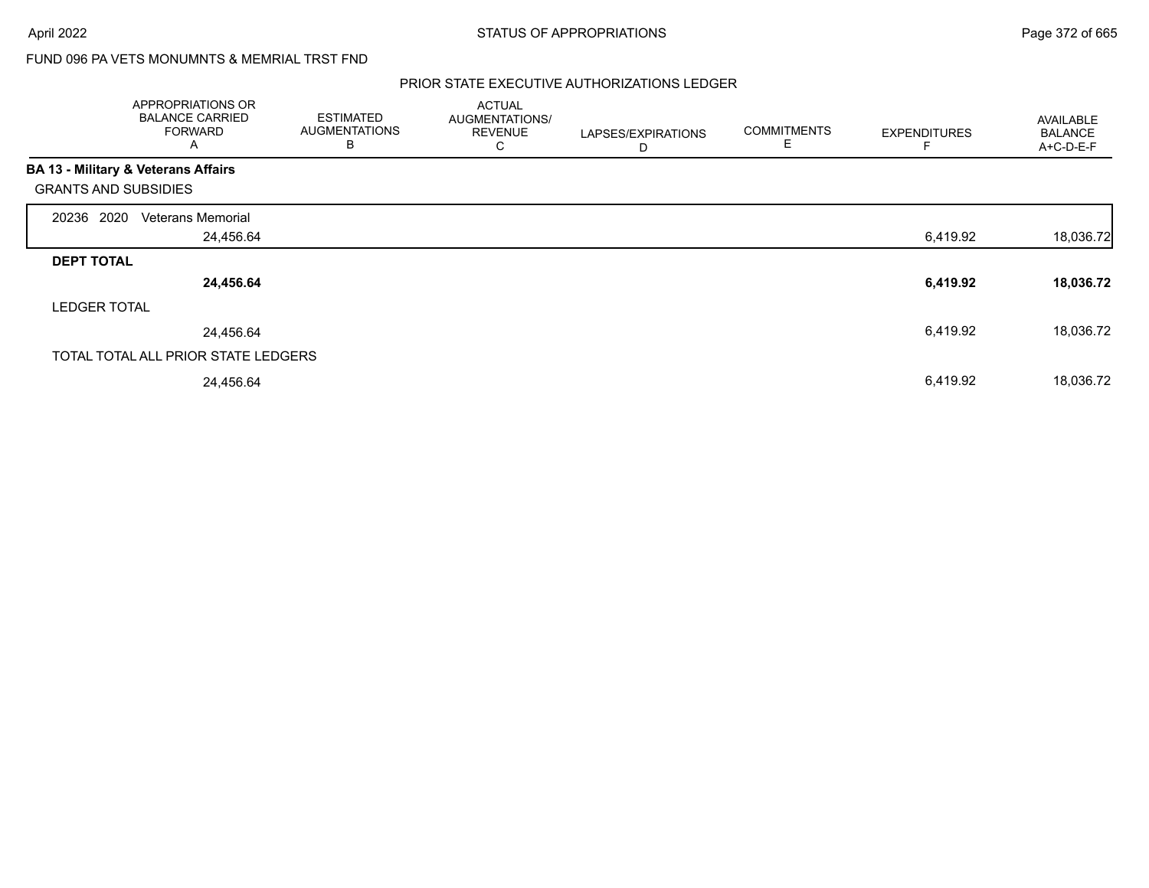# FUND 096 PA VETS MONUMNTS & MEMRIAL TRST FND

|                                                | APPROPRIATIONS OR<br><b>BALANCE CARRIED</b><br><b>FORWARD</b><br>Α | <b>ESTIMATED</b><br><b>AUGMENTATIONS</b><br>B | <b>ACTUAL</b><br>AUGMENTATIONS/<br><b>REVENUE</b><br>С | LAPSES/EXPIRATIONS<br>D | <b>COMMITMENTS</b><br>E | <b>EXPENDITURES</b> | <b>AVAILABLE</b><br><b>BALANCE</b><br>A+C-D-E-F |
|------------------------------------------------|--------------------------------------------------------------------|-----------------------------------------------|--------------------------------------------------------|-------------------------|-------------------------|---------------------|-------------------------------------------------|
| <b>BA 13 - Military &amp; Veterans Affairs</b> |                                                                    |                                               |                                                        |                         |                         |                     |                                                 |
| <b>GRANTS AND SUBSIDIES</b>                    |                                                                    |                                               |                                                        |                         |                         |                     |                                                 |
| 20236 2020                                     | <b>Veterans Memorial</b>                                           |                                               |                                                        |                         |                         |                     |                                                 |
|                                                | 24,456.64                                                          |                                               |                                                        |                         |                         | 6,419.92            | 18,036.72                                       |
| <b>DEPT TOTAL</b>                              |                                                                    |                                               |                                                        |                         |                         |                     |                                                 |
|                                                | 24,456.64                                                          |                                               |                                                        |                         |                         | 6,419.92            | 18,036.72                                       |
| <b>LEDGER TOTAL</b>                            |                                                                    |                                               |                                                        |                         |                         |                     |                                                 |
|                                                | 24,456.64                                                          |                                               |                                                        |                         |                         | 6,419.92            | 18,036.72                                       |
|                                                | TOTAL TOTAL ALL PRIOR STATE LEDGERS                                |                                               |                                                        |                         |                         |                     |                                                 |
|                                                | 24,456.64                                                          |                                               |                                                        |                         |                         | 6,419.92            | 18,036.72                                       |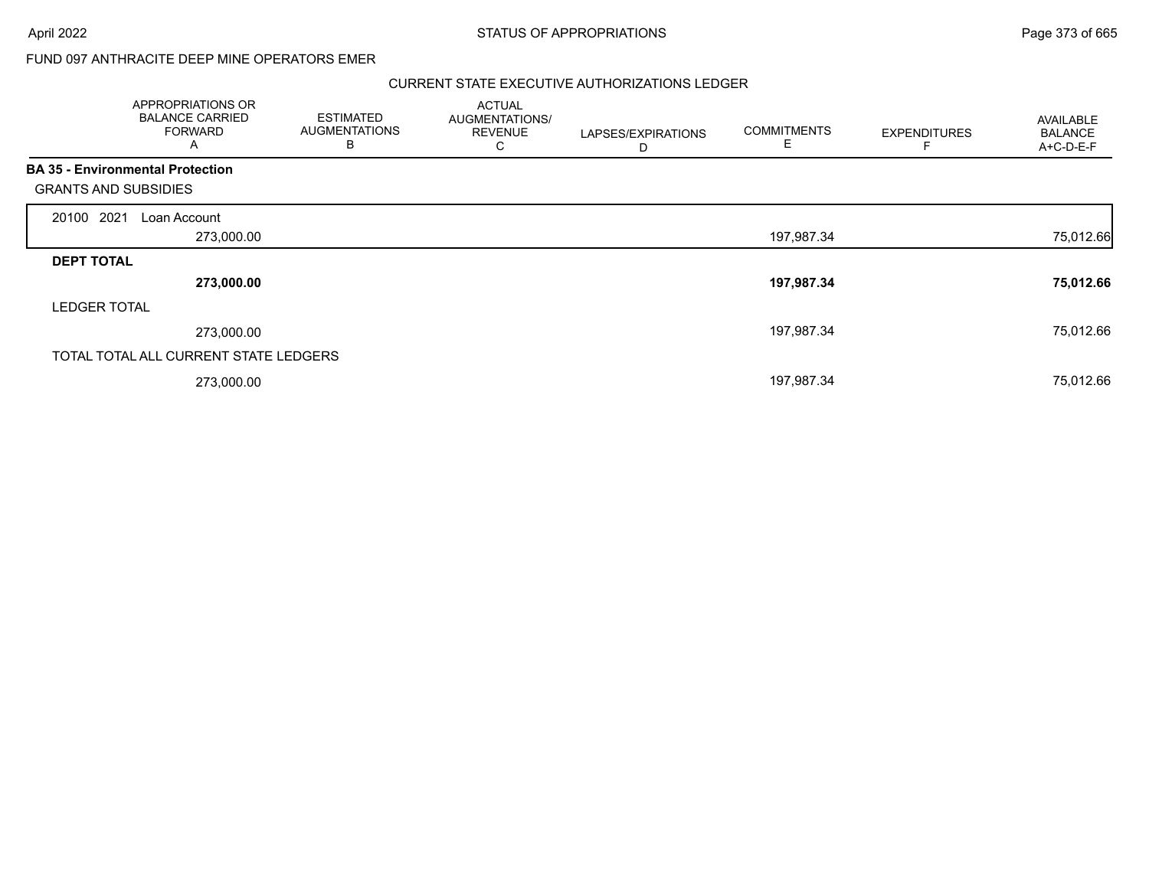## FUND 097 ANTHRACITE DEEP MINE OPERATORS EMER

| APPROPRIATIONS OR<br><b>BALANCE CARRIED</b><br><b>FORWARD</b><br>A |            | <b>ESTIMATED</b><br><b>AUGMENTATIONS</b><br>B | <b>ACTUAL</b><br>AUGMENTATIONS/<br><b>REVENUE</b><br>С | LAPSES/EXPIRATIONS<br>D | <b>COMMITMENTS</b><br>Е | <b>EXPENDITURES</b> | AVAILABLE<br><b>BALANCE</b><br>A+C-D-E-F |
|--------------------------------------------------------------------|------------|-----------------------------------------------|--------------------------------------------------------|-------------------------|-------------------------|---------------------|------------------------------------------|
| <b>BA 35 - Environmental Protection</b>                            |            |                                               |                                                        |                         |                         |                     |                                          |
| <b>GRANTS AND SUBSIDIES</b>                                        |            |                                               |                                                        |                         |                         |                     |                                          |
| 20100 2021<br>Loan Account                                         |            |                                               |                                                        |                         |                         |                     |                                          |
|                                                                    | 273,000.00 |                                               |                                                        |                         | 197,987.34              |                     | 75,012.66                                |
| <b>DEPT TOTAL</b>                                                  |            |                                               |                                                        |                         |                         |                     |                                          |
|                                                                    | 273,000.00 |                                               |                                                        |                         | 197,987.34              |                     | 75,012.66                                |
| <b>LEDGER TOTAL</b>                                                |            |                                               |                                                        |                         |                         |                     |                                          |
|                                                                    | 273,000.00 |                                               |                                                        |                         | 197,987.34              |                     | 75,012.66                                |
| TOTAL TOTAL ALL CURRENT STATE LEDGERS                              |            |                                               |                                                        |                         |                         |                     |                                          |
|                                                                    | 273,000.00 |                                               |                                                        |                         | 197,987.34              |                     | 75,012.66                                |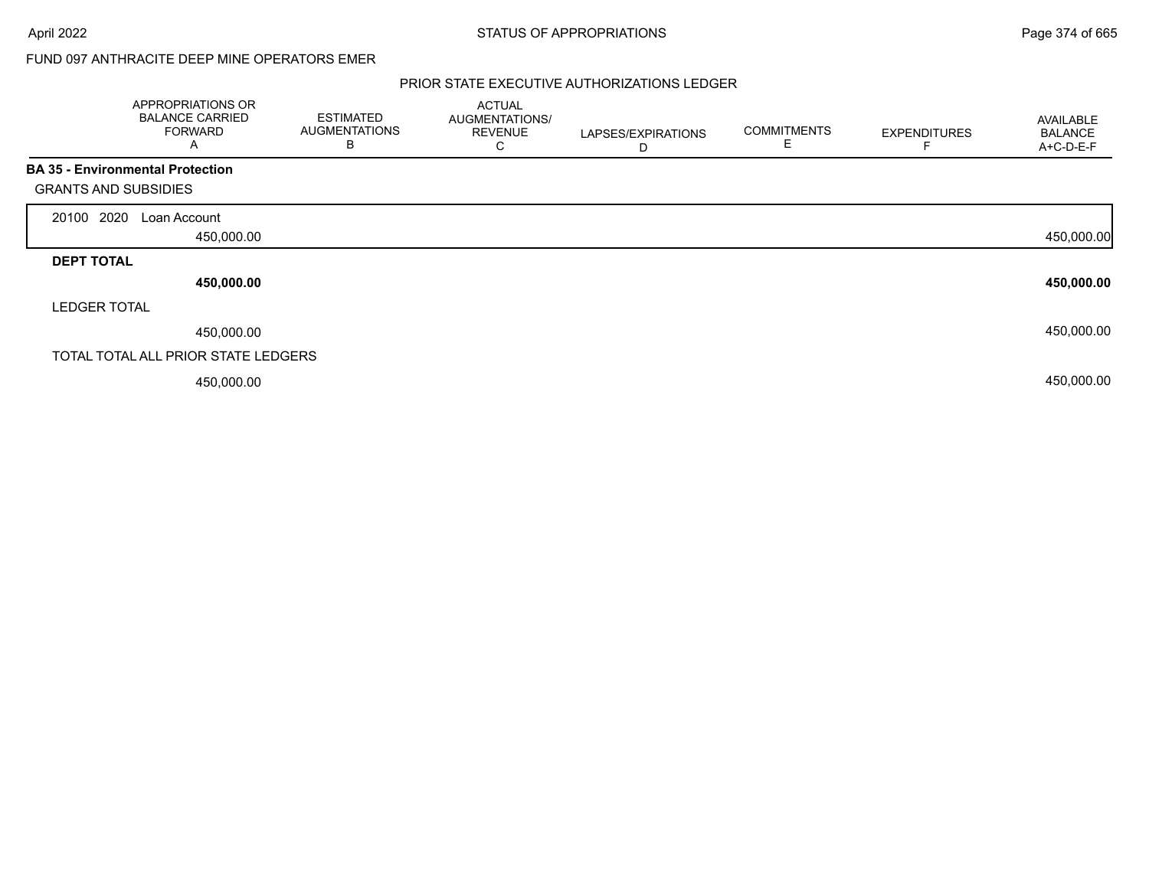## FUND 097 ANTHRACITE DEEP MINE OPERATORS EMER

|                                                                        | APPROPRIATIONS OR<br><b>BALANCE CARRIED</b><br><b>FORWARD</b><br>A | <b>ESTIMATED</b><br><b>AUGMENTATIONS</b><br>В | <b>ACTUAL</b><br>AUGMENTATIONS/<br><b>REVENUE</b><br>С | LAPSES/EXPIRATIONS<br>D | <b>COMMITMENTS</b><br>E | <b>EXPENDITURES</b> | AVAILABLE<br><b>BALANCE</b><br>A+C-D-E-F |
|------------------------------------------------------------------------|--------------------------------------------------------------------|-----------------------------------------------|--------------------------------------------------------|-------------------------|-------------------------|---------------------|------------------------------------------|
| <b>BA 35 - Environmental Protection</b><br><b>GRANTS AND SUBSIDIES</b> |                                                                    |                                               |                                                        |                         |                         |                     |                                          |
| 20100 2020                                                             | Loan Account                                                       |                                               |                                                        |                         |                         |                     |                                          |
|                                                                        | 450,000.00                                                         |                                               |                                                        |                         |                         |                     | 450,000.00                               |
| <b>DEPT TOTAL</b>                                                      |                                                                    |                                               |                                                        |                         |                         |                     |                                          |
|                                                                        | 450,000.00                                                         |                                               |                                                        |                         |                         |                     | 450,000.00                               |
| <b>LEDGER TOTAL</b>                                                    |                                                                    |                                               |                                                        |                         |                         |                     |                                          |
|                                                                        | 450,000.00                                                         |                                               |                                                        |                         |                         |                     | 450,000.00                               |
|                                                                        | TOTAL TOTAL ALL PRIOR STATE LEDGERS                                |                                               |                                                        |                         |                         |                     |                                          |
|                                                                        | 450,000.00                                                         |                                               |                                                        |                         |                         |                     | 450,000.00                               |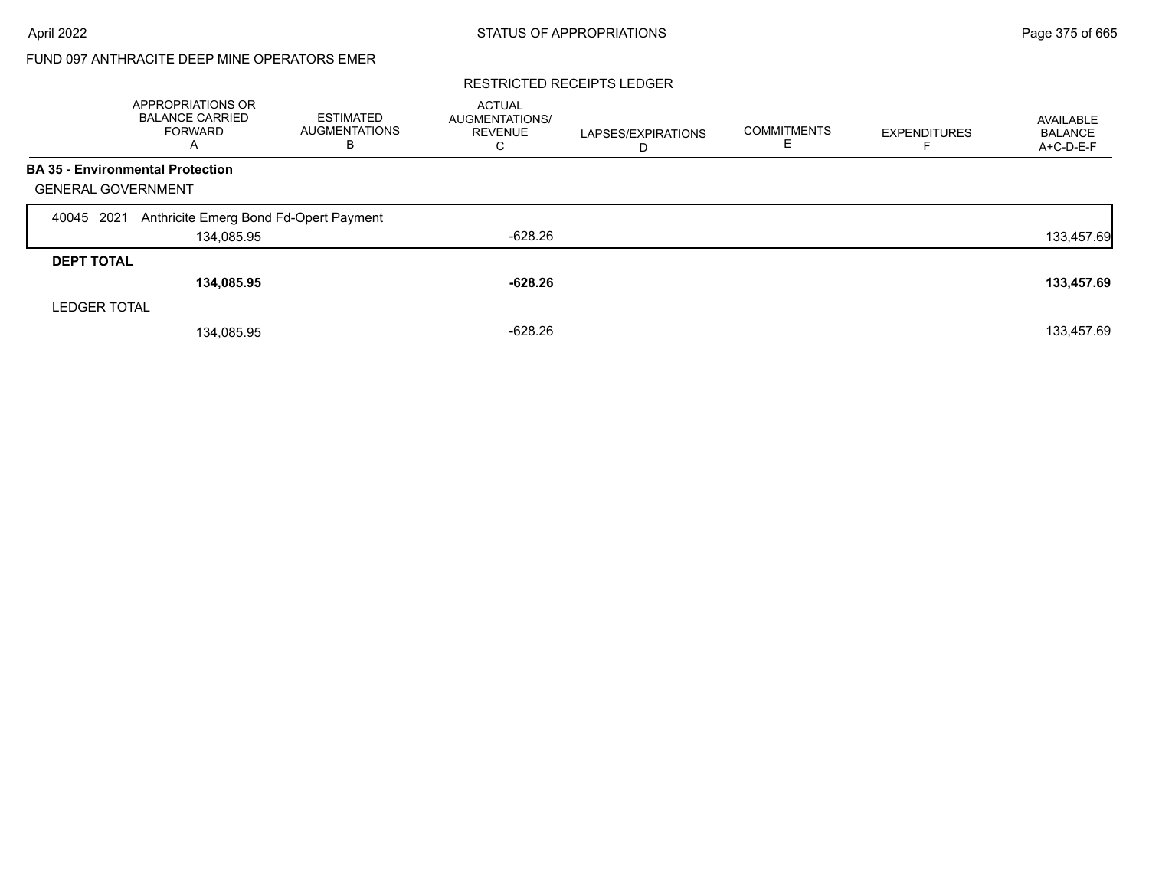# FUND 097 ANTHRACITE DEEP MINE OPERATORS EMER

#### RESTRICTED RECEIPTS LEDGER

|                                         | APPROPRIATIONS OR<br><b>BALANCE CARRIED</b><br><b>FORWARD</b><br>A | <b>ESTIMATED</b><br><b>AUGMENTATIONS</b><br>в | <b>ACTUAL</b><br><b>AUGMENTATIONS/</b><br><b>REVENUE</b><br>С | LAPSES/EXPIRATIONS<br>D | <b>COMMITMENTS</b> | <b>EXPENDITURES</b> | AVAILABLE<br><b>BALANCE</b><br>A+C-D-E-F |
|-----------------------------------------|--------------------------------------------------------------------|-----------------------------------------------|---------------------------------------------------------------|-------------------------|--------------------|---------------------|------------------------------------------|
| <b>BA 35 - Environmental Protection</b> |                                                                    |                                               |                                                               |                         |                    |                     |                                          |
| <b>GENERAL GOVERNMENT</b>               |                                                                    |                                               |                                                               |                         |                    |                     |                                          |
| 2021<br>40045                           | Anthricite Emerg Bond Fd-Opert Payment                             |                                               |                                                               |                         |                    |                     |                                          |
|                                         | 134,085.95                                                         |                                               | $-628.26$                                                     |                         |                    |                     | 133,457.69                               |
| <b>DEPT TOTAL</b>                       |                                                                    |                                               |                                                               |                         |                    |                     |                                          |
|                                         | 134,085.95                                                         |                                               | $-628.26$                                                     |                         |                    |                     | 133,457.69                               |
| <b>LEDGER TOTAL</b>                     |                                                                    |                                               |                                                               |                         |                    |                     |                                          |
|                                         | 134,085.95                                                         |                                               | $-628.26$                                                     |                         |                    |                     | 133,457.69                               |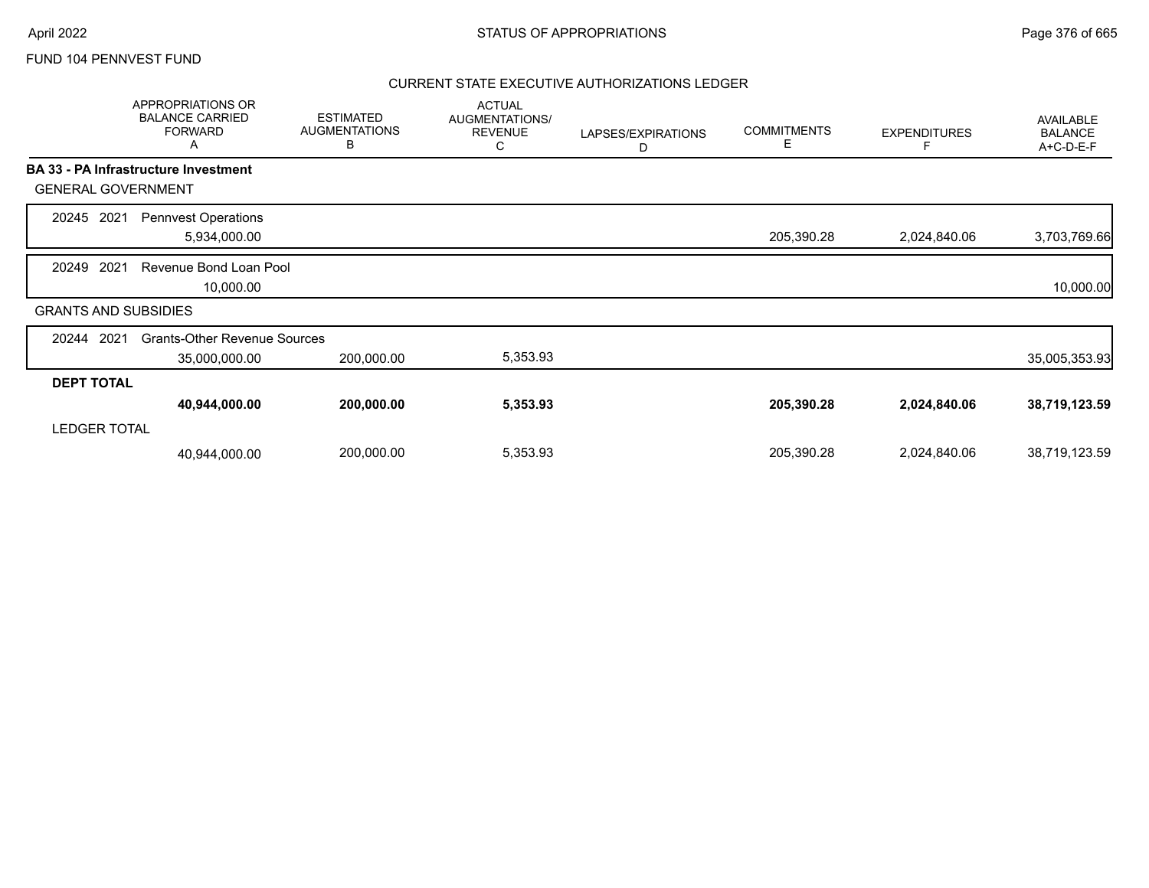|                             | APPROPRIATIONS OR<br><b>BALANCE CARRIED</b><br><b>FORWARD</b><br>A | <b>ESTIMATED</b><br><b>AUGMENTATIONS</b><br>В | <b>ACTUAL</b><br>AUGMENTATIONS/<br><b>REVENUE</b><br>С | LAPSES/EXPIRATIONS<br>D | <b>COMMITMENTS</b><br>E | <b>EXPENDITURES</b><br>F | <b>AVAILABLE</b><br><b>BALANCE</b><br>A+C-D-E-F |
|-----------------------------|--------------------------------------------------------------------|-----------------------------------------------|--------------------------------------------------------|-------------------------|-------------------------|--------------------------|-------------------------------------------------|
|                             | <b>BA 33 - PA Infrastructure Investment</b>                        |                                               |                                                        |                         |                         |                          |                                                 |
| <b>GENERAL GOVERNMENT</b>   |                                                                    |                                               |                                                        |                         |                         |                          |                                                 |
| 2021<br>20245               | <b>Pennvest Operations</b><br>5,934,000.00                         |                                               |                                                        |                         | 205,390.28              | 2,024,840.06             | 3,703,769.66                                    |
| 2021<br>20249               | Revenue Bond Loan Pool<br>10,000.00                                |                                               |                                                        |                         |                         |                          | 10,000.00                                       |
| <b>GRANTS AND SUBSIDIES</b> |                                                                    |                                               |                                                        |                         |                         |                          |                                                 |
| 2021<br>20244               | <b>Grants-Other Revenue Sources</b><br>35,000,000.00               | 200,000.00                                    | 5,353.93                                               |                         |                         |                          | 35,005,353.93                                   |
| <b>DEPT TOTAL</b>           |                                                                    |                                               |                                                        |                         |                         |                          |                                                 |
| <b>LEDGER TOTAL</b>         | 40,944,000.00                                                      | 200,000.00                                    | 5,353.93                                               |                         | 205,390.28              | 2,024,840.06             | 38,719,123.59                                   |
|                             | 40,944,000.00                                                      | 200,000.00                                    | 5,353.93                                               |                         | 205,390.28              | 2,024,840.06             | 38,719,123.59                                   |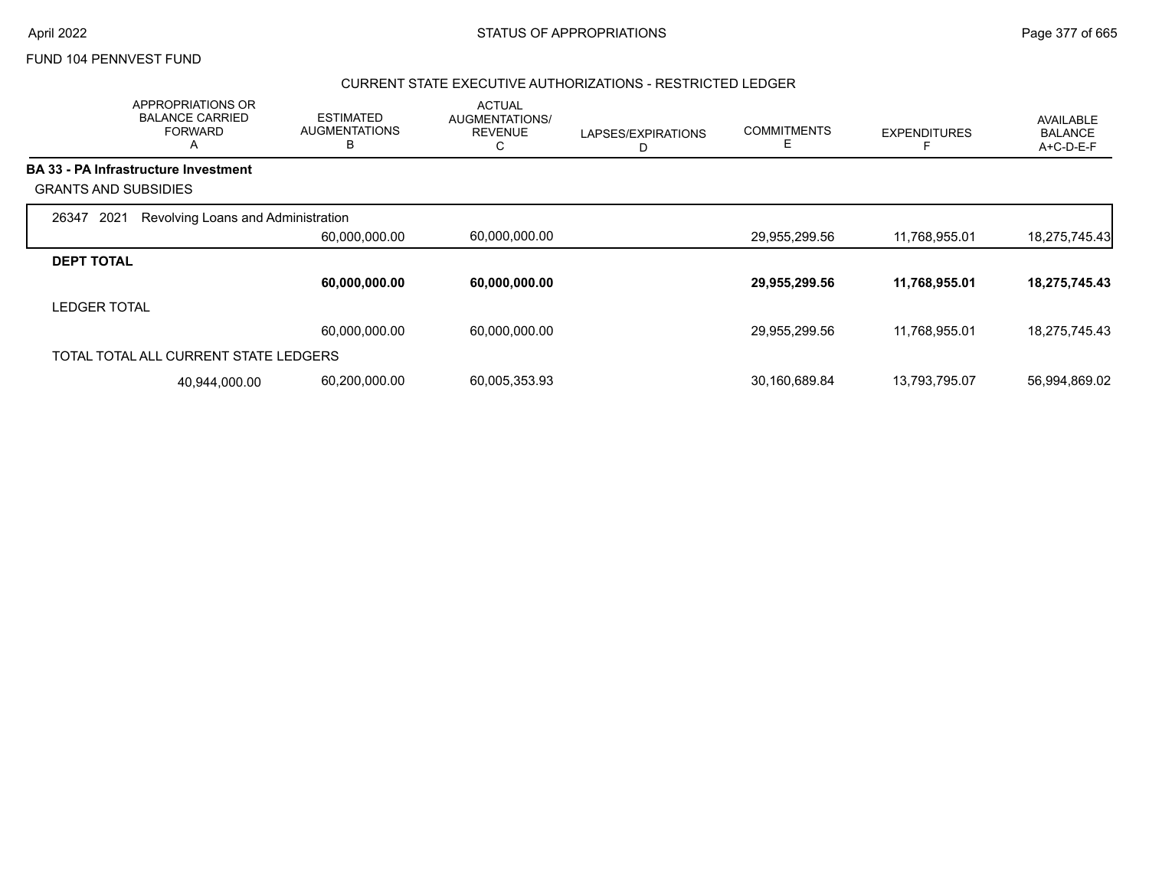### CURRENT STATE EXECUTIVE AUTHORIZATIONS - RESTRICTED LEDGER

|                             | APPROPRIATIONS OR<br><b>BALANCE CARRIED</b><br><b>FORWARD</b><br>A | <b>ESTIMATED</b><br><b>AUGMENTATIONS</b><br>B | <b>ACTUAL</b><br>AUGMENTATIONS/<br><b>REVENUE</b><br>С | LAPSES/EXPIRATIONS<br>D | <b>COMMITMENTS</b><br>E | <b>EXPENDITURES</b> | AVAILABLE<br><b>BALANCE</b><br>A+C-D-E-F |
|-----------------------------|--------------------------------------------------------------------|-----------------------------------------------|--------------------------------------------------------|-------------------------|-------------------------|---------------------|------------------------------------------|
|                             | <b>BA 33 - PA Infrastructure Investment</b>                        |                                               |                                                        |                         |                         |                     |                                          |
| <b>GRANTS AND SUBSIDIES</b> |                                                                    |                                               |                                                        |                         |                         |                     |                                          |
| 2021<br>26347               | Revolving Loans and Administration                                 |                                               |                                                        |                         |                         |                     |                                          |
|                             |                                                                    | 60,000,000.00                                 | 60,000,000.00                                          |                         | 29,955,299.56           | 11,768,955.01       | 18,275,745.43                            |
| <b>DEPT TOTAL</b>           |                                                                    |                                               |                                                        |                         |                         |                     |                                          |
|                             |                                                                    | 60,000,000.00                                 | 60,000,000.00                                          |                         | 29,955,299.56           | 11,768,955.01       | 18,275,745.43                            |
| <b>LEDGER TOTAL</b>         |                                                                    |                                               |                                                        |                         |                         |                     |                                          |
|                             |                                                                    | 60,000,000.00                                 | 60,000,000.00                                          |                         | 29,955,299.56           | 11,768,955.01       | 18,275,745.43                            |
|                             | TOTAL TOTAL ALL CURRENT STATE LEDGERS                              |                                               |                                                        |                         |                         |                     |                                          |
|                             | 40,944,000.00                                                      | 60,200,000.00                                 | 60,005,353.93                                          |                         | 30,160,689.84           | 13,793,795.07       | 56,994,869.02                            |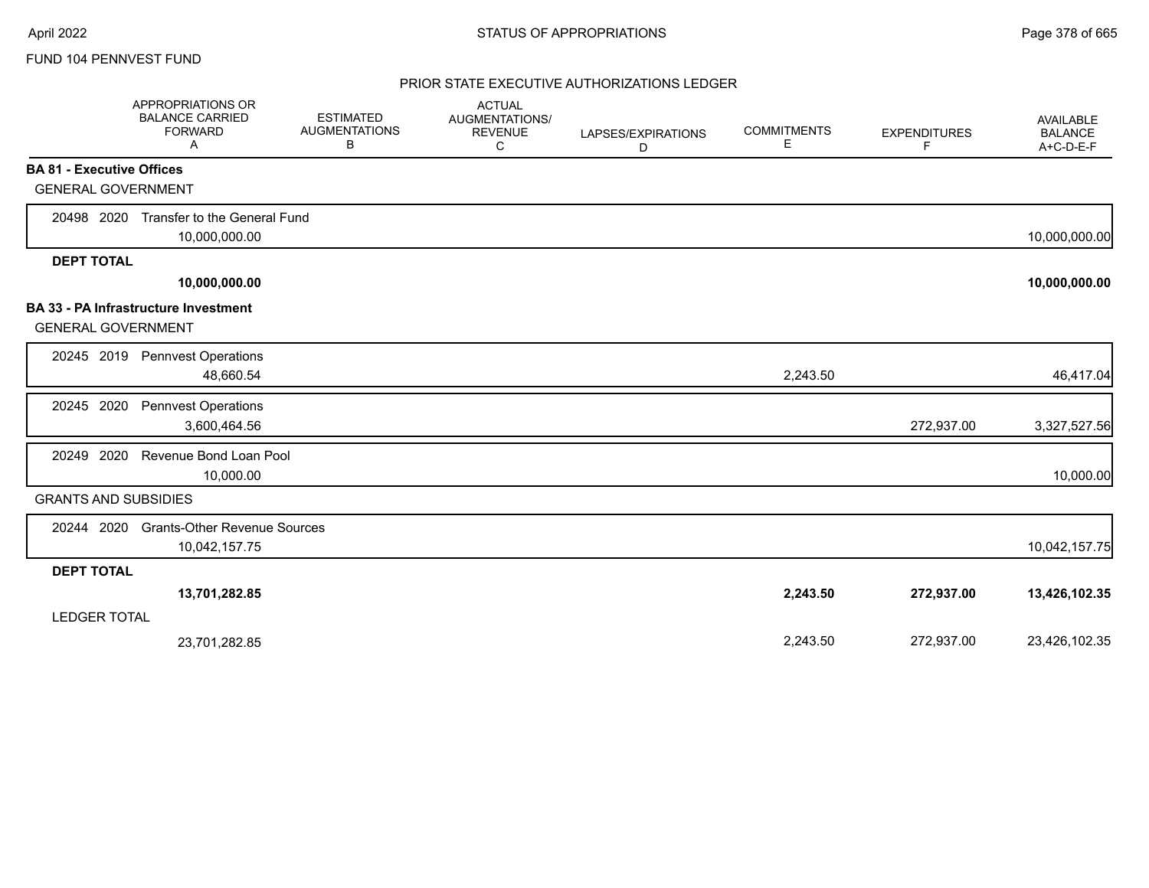|                                  | APPROPRIATIONS OR<br><b>BALANCE CARRIED</b><br><b>FORWARD</b><br>A | <b>ESTIMATED</b><br><b>AUGMENTATIONS</b><br>В | <b>ACTUAL</b><br>AUGMENTATIONS/<br><b>REVENUE</b><br>C | LAPSES/EXPIRATIONS<br>D | <b>COMMITMENTS</b><br>Е | <b>EXPENDITURES</b><br>F | AVAILABLE<br><b>BALANCE</b><br>A+C-D-E-F |
|----------------------------------|--------------------------------------------------------------------|-----------------------------------------------|--------------------------------------------------------|-------------------------|-------------------------|--------------------------|------------------------------------------|
| <b>BA 81 - Executive Offices</b> |                                                                    |                                               |                                                        |                         |                         |                          |                                          |
| <b>GENERAL GOVERNMENT</b>        |                                                                    |                                               |                                                        |                         |                         |                          |                                          |
| 20498 2020                       | Transfer to the General Fund                                       |                                               |                                                        |                         |                         |                          |                                          |
|                                  | 10,000,000.00                                                      |                                               |                                                        |                         |                         |                          | 10,000,000.00                            |
| <b>DEPT TOTAL</b>                |                                                                    |                                               |                                                        |                         |                         |                          |                                          |
|                                  | 10,000,000.00                                                      |                                               |                                                        |                         |                         |                          | 10,000,000.00                            |
| <b>GENERAL GOVERNMENT</b>        | <b>BA 33 - PA Infrastructure Investment</b>                        |                                               |                                                        |                         |                         |                          |                                          |
| 20245 2019                       | <b>Pennvest Operations</b><br>48,660.54                            |                                               |                                                        |                         | 2,243.50                |                          | 46,417.04                                |
| 20245 2020                       | <b>Pennvest Operations</b><br>3,600,464.56                         |                                               |                                                        |                         |                         | 272,937.00               | 3,327,527.56                             |
| 2020<br>20249                    | Revenue Bond Loan Pool<br>10,000.00                                |                                               |                                                        |                         |                         |                          | 10,000.00                                |
| <b>GRANTS AND SUBSIDIES</b>      |                                                                    |                                               |                                                        |                         |                         |                          |                                          |
| 20244 2020                       | <b>Grants-Other Revenue Sources</b><br>10,042,157.75               |                                               |                                                        |                         |                         |                          | 10,042,157.75                            |
| <b>DEPT TOTAL</b>                |                                                                    |                                               |                                                        |                         |                         |                          |                                          |
| <b>LEDGER TOTAL</b>              | 13,701,282.85                                                      |                                               |                                                        |                         | 2,243.50                | 272,937.00               | 13,426,102.35                            |
|                                  | 23,701,282.85                                                      |                                               |                                                        |                         | 2,243.50                | 272,937.00               | 23,426,102.35                            |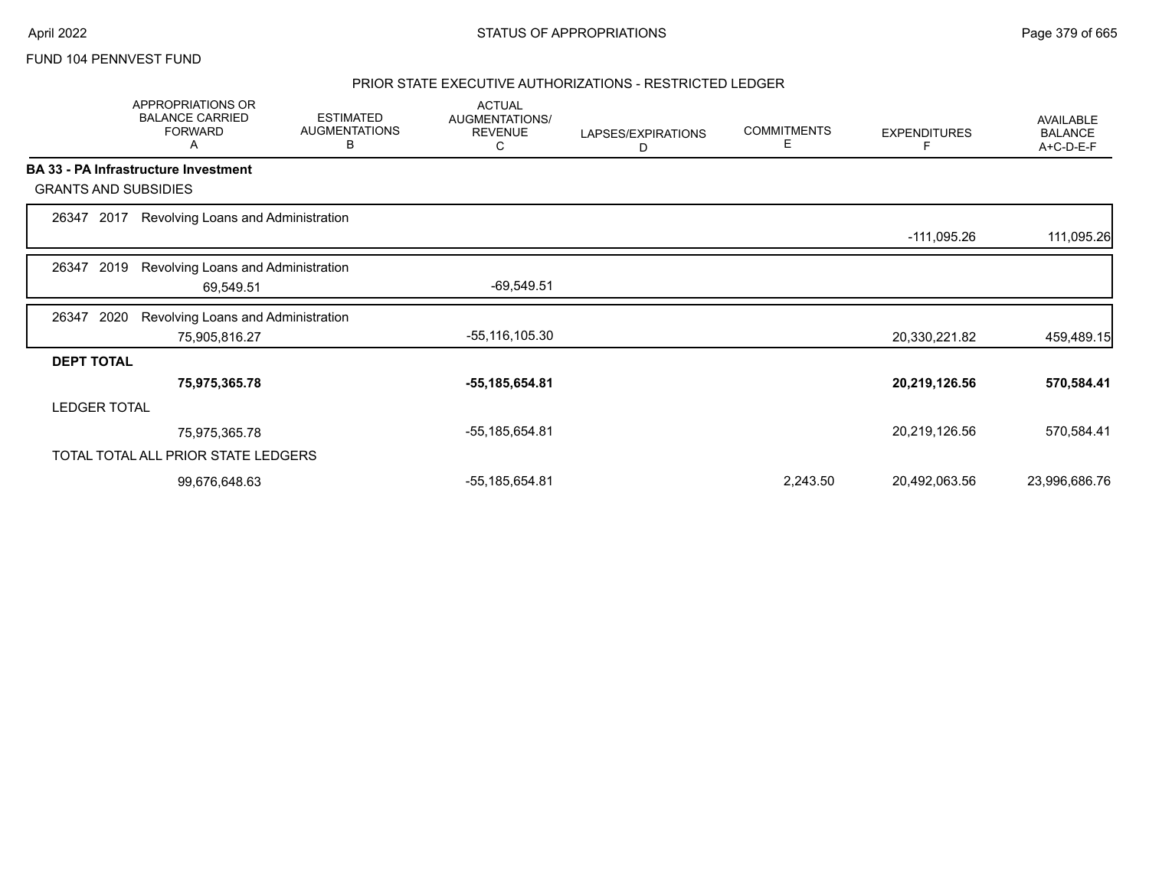### PRIOR STATE EXECUTIVE AUTHORIZATIONS - RESTRICTED LEDGER

|                   | APPROPRIATIONS OR<br><b>BALANCE CARRIED</b><br><b>FORWARD</b><br>A | <b>ESTIMATED</b><br><b>AUGMENTATIONS</b><br>B | <b>ACTUAL</b><br>AUGMENTATIONS/<br><b>REVENUE</b><br>С | LAPSES/EXPIRATIONS<br>D | <b>COMMITMENTS</b><br>E | <b>EXPENDITURES</b> | AVAILABLE<br><b>BALANCE</b><br>A+C-D-E-F |
|-------------------|--------------------------------------------------------------------|-----------------------------------------------|--------------------------------------------------------|-------------------------|-------------------------|---------------------|------------------------------------------|
|                   | BA 33 - PA Infrastructure Investment                               |                                               |                                                        |                         |                         |                     |                                          |
|                   | <b>GRANTS AND SUBSIDIES</b>                                        |                                               |                                                        |                         |                         |                     |                                          |
| 26347             | 2017<br>Revolving Loans and Administration                         |                                               |                                                        |                         |                         |                     |                                          |
|                   |                                                                    |                                               |                                                        |                         |                         | -111,095.26         | 111,095.26                               |
| 26347             | 2019<br>Revolving Loans and Administration                         |                                               |                                                        |                         |                         |                     |                                          |
|                   | 69,549.51                                                          |                                               | $-69,549.51$                                           |                         |                         |                     |                                          |
| 26347             | 2020<br>Revolving Loans and Administration                         |                                               |                                                        |                         |                         |                     |                                          |
|                   | 75,905,816.27                                                      |                                               | -55,116,105.30                                         |                         |                         | 20,330,221.82       | 459,489.15                               |
| <b>DEPT TOTAL</b> |                                                                    |                                               |                                                        |                         |                         |                     |                                          |
|                   | 75,975,365.78                                                      |                                               | -55,185,654.81                                         |                         |                         | 20,219,126.56       | 570,584.41                               |
|                   | <b>LEDGER TOTAL</b>                                                |                                               |                                                        |                         |                         |                     |                                          |
|                   | 75,975,365.78                                                      |                                               | -55,185,654.81                                         |                         |                         | 20,219,126.56       | 570,584.41                               |
|                   | TOTAL TOTAL ALL PRIOR STATE LEDGERS                                |                                               |                                                        |                         |                         |                     |                                          |
|                   | 99,676,648.63                                                      |                                               | -55,185,654.81                                         |                         | 2,243.50                | 20,492,063.56       | 23,996,686.76                            |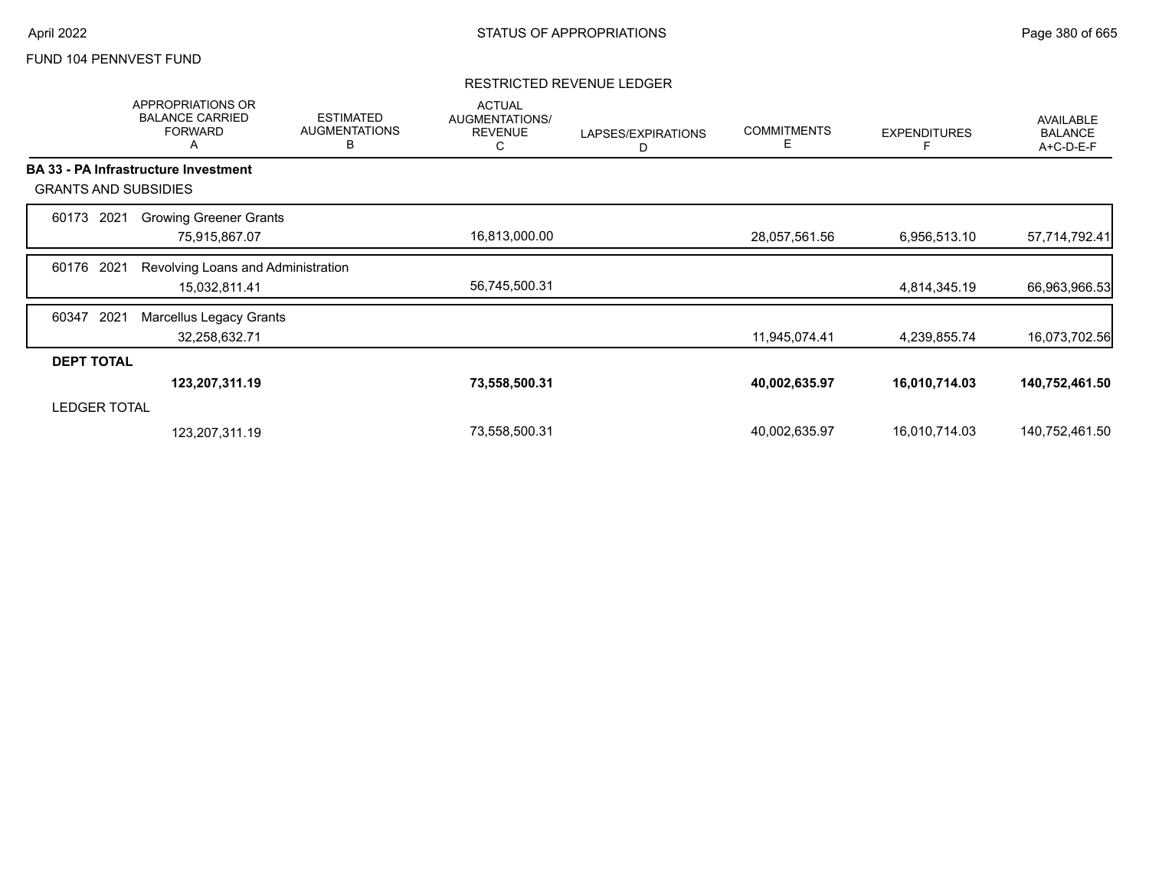#### RESTRICTED REVENUE LEDGER

|                             |      | <b>APPROPRIATIONS OR</b><br><b>BALANCE CARRIED</b><br><b>FORWARD</b><br>Α | <b>ESTIMATED</b><br><b>AUGMENTATIONS</b><br>B | <b>ACTUAL</b><br>AUGMENTATIONS/<br><b>REVENUE</b><br>С | LAPSES/EXPIRATIONS<br>D | <b>COMMITMENTS</b><br>Е | <b>EXPENDITURES</b> | <b>AVAILABLE</b><br><b>BALANCE</b><br>A+C-D-E-F |
|-----------------------------|------|---------------------------------------------------------------------------|-----------------------------------------------|--------------------------------------------------------|-------------------------|-------------------------|---------------------|-------------------------------------------------|
|                             |      | <b>BA 33 - PA Infrastructure Investment</b>                               |                                               |                                                        |                         |                         |                     |                                                 |
| <b>GRANTS AND SUBSIDIES</b> |      |                                                                           |                                               |                                                        |                         |                         |                     |                                                 |
| 60173                       | 2021 | <b>Growing Greener Grants</b>                                             |                                               |                                                        |                         |                         |                     |                                                 |
|                             |      | 75,915,867.07                                                             |                                               | 16,813,000.00                                          |                         | 28,057,561.56           | 6,956,513.10        | 57,714,792.41                                   |
| 60176                       | 2021 | Revolving Loans and Administration                                        |                                               |                                                        |                         |                         |                     |                                                 |
|                             |      | 15,032,811.41                                                             |                                               | 56,745,500.31                                          |                         |                         | 4,814,345.19        | 66,963,966.53                                   |
| 60347                       | 2021 | Marcellus Legacy Grants                                                   |                                               |                                                        |                         |                         |                     |                                                 |
|                             |      | 32,258,632.71                                                             |                                               |                                                        |                         | 11,945,074.41           | 4,239,855.74        | 16,073,702.56                                   |
| <b>DEPT TOTAL</b>           |      |                                                                           |                                               |                                                        |                         |                         |                     |                                                 |
|                             |      | 123,207,311.19                                                            |                                               | 73,558,500.31                                          |                         | 40,002,635.97           | 16,010,714.03       | 140,752,461.50                                  |
| <b>LEDGER TOTAL</b>         |      |                                                                           |                                               |                                                        |                         |                         |                     |                                                 |
|                             |      | 123,207,311.19                                                            |                                               | 73,558,500.31                                          |                         | 40,002,635.97           | 16,010,714.03       | 140,752,461.50                                  |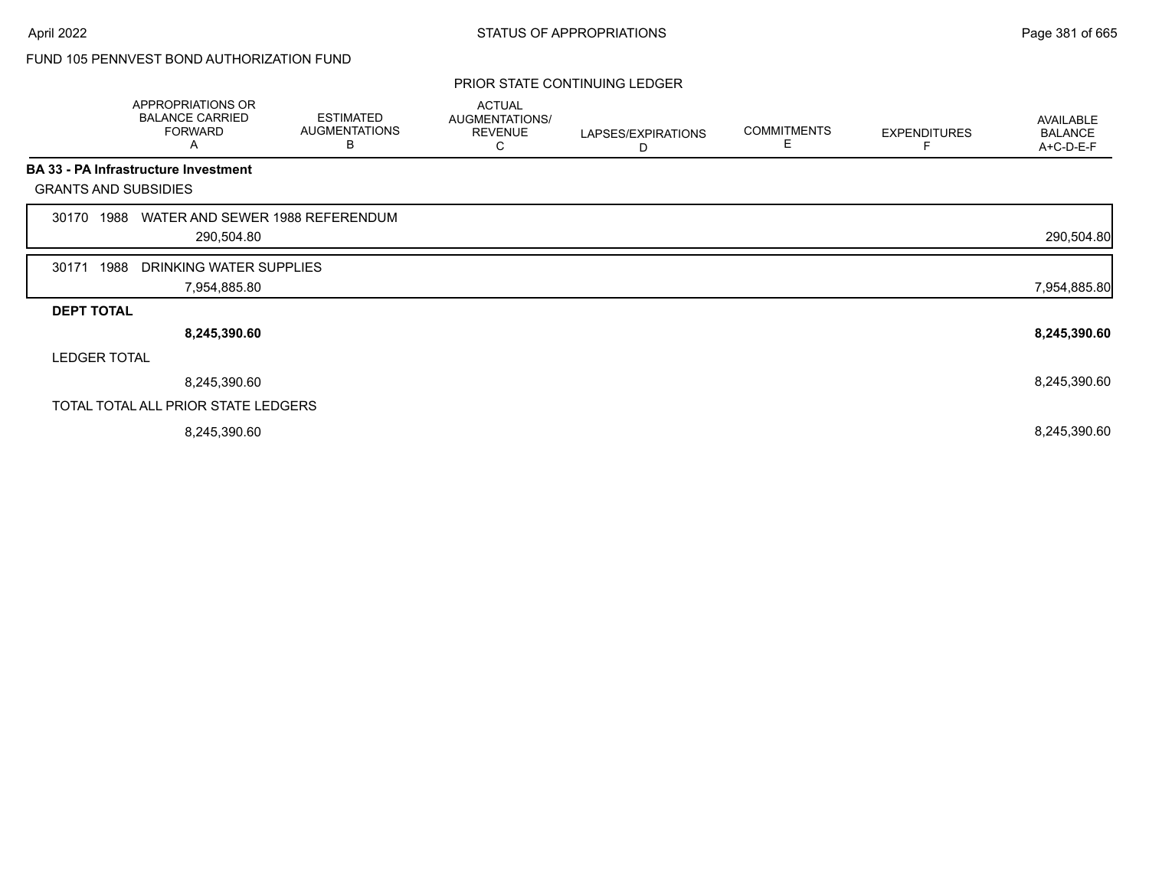# FUND 105 PENNVEST BOND AUTHORIZATION FUND

#### PRIOR STATE CONTINUING LEDGER

|                     | <b>APPROPRIATIONS OR</b><br><b>BALANCE CARRIED</b><br><b>FORWARD</b><br>A | <b>ESTIMATED</b><br><b>AUGMENTATIONS</b><br>в | <b>ACTUAL</b><br><b>AUGMENTATIONS/</b><br><b>REVENUE</b><br>С | LAPSES/EXPIRATIONS<br>D | <b>COMMITMENTS</b><br>Е | <b>EXPENDITURES</b> | AVAILABLE<br><b>BALANCE</b><br>A+C-D-E-F |
|---------------------|---------------------------------------------------------------------------|-----------------------------------------------|---------------------------------------------------------------|-------------------------|-------------------------|---------------------|------------------------------------------|
|                     | <b>BA 33 - PA Infrastructure Investment</b>                               |                                               |                                                               |                         |                         |                     |                                          |
|                     | <b>GRANTS AND SUBSIDIES</b>                                               |                                               |                                                               |                         |                         |                     |                                          |
| 30170               | WATER AND SEWER 1988 REFERENDUM<br>1988                                   |                                               |                                                               |                         |                         |                     |                                          |
|                     | 290,504.80                                                                |                                               |                                                               |                         |                         |                     | 290,504.80                               |
| 30171               | 1988<br>DRINKING WATER SUPPLIES                                           |                                               |                                                               |                         |                         |                     |                                          |
|                     | 7,954,885.80                                                              |                                               |                                                               |                         |                         |                     | 7,954,885.80                             |
| <b>DEPT TOTAL</b>   |                                                                           |                                               |                                                               |                         |                         |                     |                                          |
|                     | 8,245,390.60                                                              |                                               |                                                               |                         |                         |                     | 8,245,390.60                             |
| <b>LEDGER TOTAL</b> |                                                                           |                                               |                                                               |                         |                         |                     |                                          |
|                     | 8,245,390.60                                                              |                                               |                                                               |                         |                         |                     | 8,245,390.60                             |
|                     | TOTAL TOTAL ALL PRIOR STATE LEDGERS                                       |                                               |                                                               |                         |                         |                     |                                          |
|                     | 8,245,390.60                                                              |                                               |                                                               |                         |                         |                     | 8,245,390.60                             |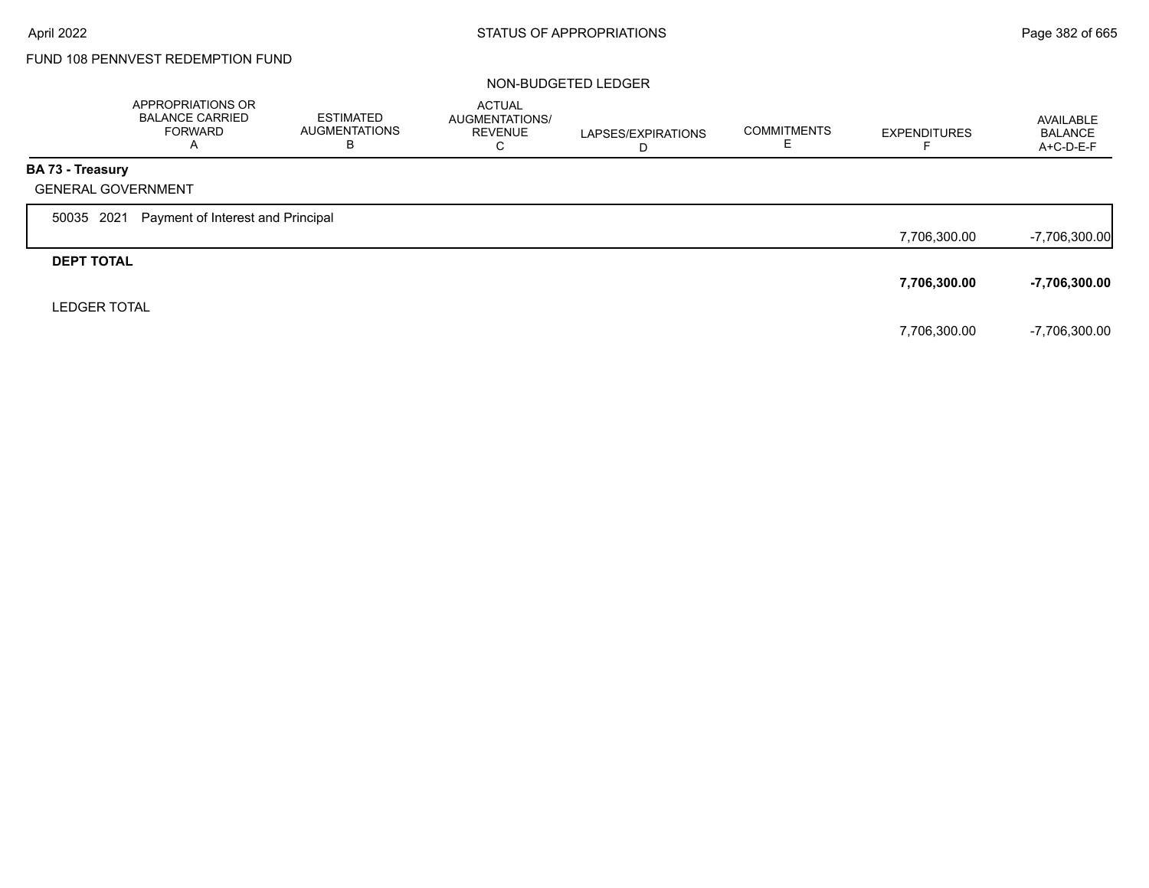# FUND 108 PENNVEST REDEMPTION FUND

#### NON-BUDGETED LEDGER

|                         | APPROPRIATIONS OR<br><b>BALANCE CARRIED</b><br>FORWARD<br>A | ESTIMATED<br><b>AUGMENTATIONS</b><br>В | <b>ACTUAL</b><br>AUGMENTATIONS/<br><b>REVENUE</b><br>С | LAPSES/EXPIRATIONS<br>D | <b>COMMITMENTS</b> | <b>EXPENDITURES</b> | AVAILABLE<br><b>BALANCE</b><br>$A+C-D-E-F$ |
|-------------------------|-------------------------------------------------------------|----------------------------------------|--------------------------------------------------------|-------------------------|--------------------|---------------------|--------------------------------------------|
| <b>BA 73 - Treasury</b> |                                                             |                                        |                                                        |                         |                    |                     |                                            |
|                         | <b>GENERAL GOVERNMENT</b>                                   |                                        |                                                        |                         |                    |                     |                                            |
| 50035 2021              | Payment of Interest and Principal                           |                                        |                                                        |                         |                    |                     |                                            |
|                         |                                                             |                                        |                                                        |                         |                    | 7,706,300.00        | $-7,706,300.00$                            |
| <b>DEPT TOTAL</b>       |                                                             |                                        |                                                        |                         |                    |                     |                                            |
|                         |                                                             |                                        |                                                        |                         |                    | 7,706,300.00        | -7,706,300.00                              |
| <b>LEDGER TOTAL</b>     |                                                             |                                        |                                                        |                         |                    |                     |                                            |
|                         |                                                             |                                        |                                                        |                         |                    | 7,706,300.00        | -7,706,300.00                              |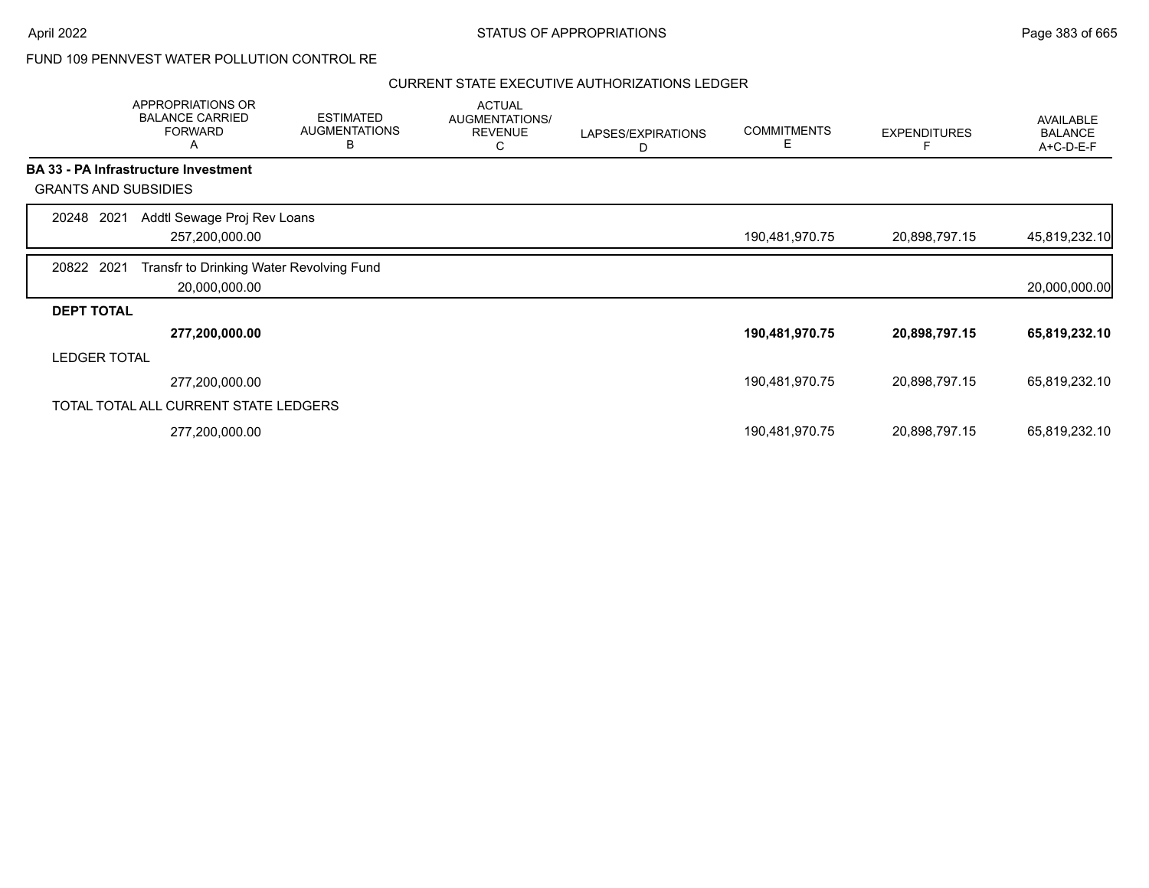## FUND 109 PENNVEST WATER POLLUTION CONTROL RE

|                     | APPROPRIATIONS OR<br><b>BALANCE CARRIED</b><br><b>FORWARD</b><br>Α | <b>ESTIMATED</b><br><b>AUGMENTATIONS</b><br>B | <b>ACTUAL</b><br>AUGMENTATIONS/<br><b>REVENUE</b><br>C | LAPSES/EXPIRATIONS<br>D | <b>COMMITMENTS</b><br>Е | <b>EXPENDITURES</b> | <b>AVAILABLE</b><br><b>BALANCE</b><br>A+C-D-E-F |
|---------------------|--------------------------------------------------------------------|-----------------------------------------------|--------------------------------------------------------|-------------------------|-------------------------|---------------------|-------------------------------------------------|
|                     | <b>BA 33 - PA Infrastructure Investment</b>                        |                                               |                                                        |                         |                         |                     |                                                 |
|                     | <b>GRANTS AND SUBSIDIES</b>                                        |                                               |                                                        |                         |                         |                     |                                                 |
| 20248               | Addtl Sewage Proj Rev Loans<br>2021                                |                                               |                                                        |                         |                         |                     |                                                 |
|                     | 257,200,000.00                                                     |                                               |                                                        |                         | 190,481,970.75          | 20,898,797.15       | 45,819,232.10                                   |
| 20822 2021          | Transfr to Drinking Water Revolving Fund                           |                                               |                                                        |                         |                         |                     |                                                 |
|                     | 20,000,000.00                                                      |                                               |                                                        |                         |                         |                     | 20,000,000.00                                   |
| <b>DEPT TOTAL</b>   |                                                                    |                                               |                                                        |                         |                         |                     |                                                 |
|                     | 277,200,000.00                                                     |                                               |                                                        |                         | 190,481,970.75          | 20,898,797.15       | 65,819,232.10                                   |
| <b>LEDGER TOTAL</b> |                                                                    |                                               |                                                        |                         |                         |                     |                                                 |
|                     | 277,200,000.00                                                     |                                               |                                                        |                         | 190,481,970.75          | 20,898,797.15       | 65,819,232.10                                   |
|                     | TOTAL TOTAL ALL CURRENT STATE LEDGERS                              |                                               |                                                        |                         |                         |                     |                                                 |
|                     | 277,200,000.00                                                     |                                               |                                                        |                         | 190,481,970.75          | 20,898,797.15       | 65,819,232.10                                   |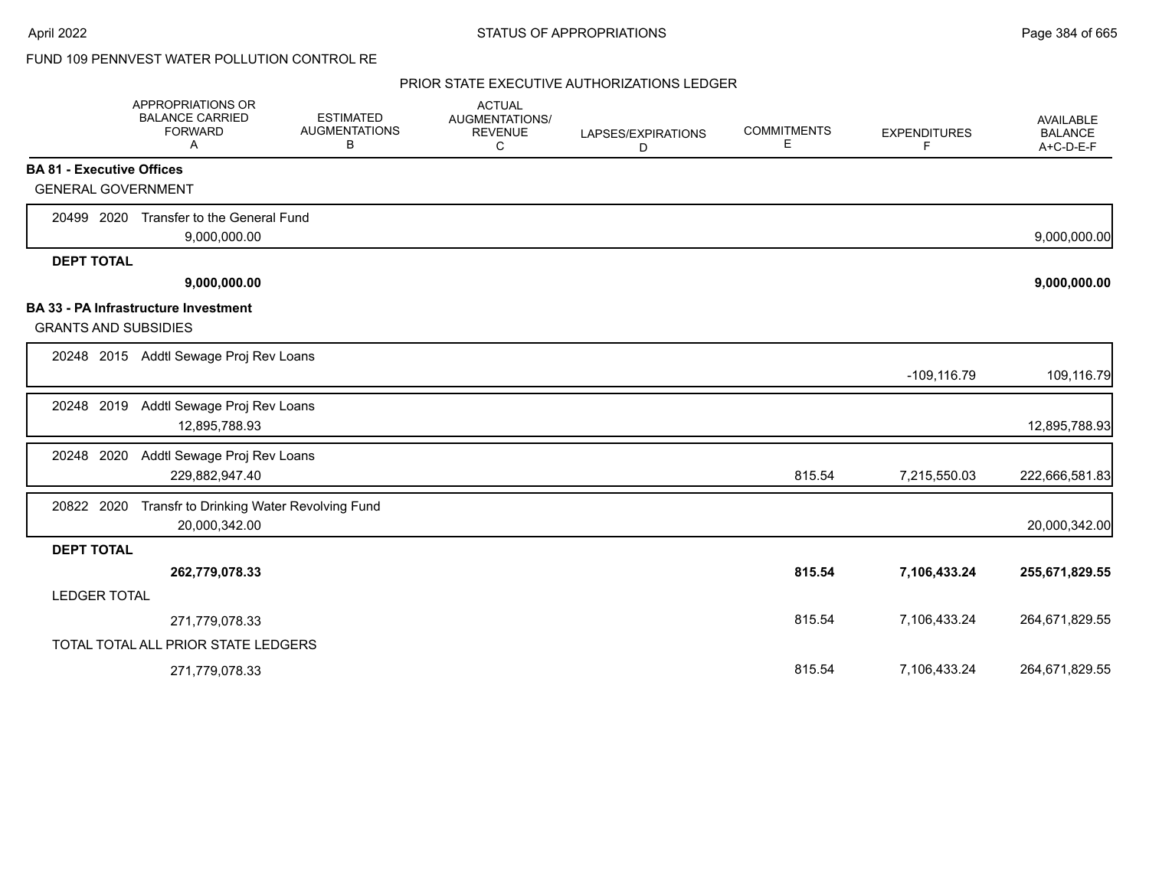## FUND 109 PENNVEST WATER POLLUTION CONTROL RE

|                     | APPROPRIATIONS OR<br><b>BALANCE CARRIED</b><br><b>FORWARD</b><br>Α  | <b>ESTIMATED</b><br><b>AUGMENTATIONS</b><br>В | <b>ACTUAL</b><br>AUGMENTATIONS/<br><b>REVENUE</b><br>C | LAPSES/EXPIRATIONS<br>D | <b>COMMITMENTS</b><br>Е | <b>EXPENDITURES</b><br>F | AVAILABLE<br><b>BALANCE</b><br>A+C-D-E-F |
|---------------------|---------------------------------------------------------------------|-----------------------------------------------|--------------------------------------------------------|-------------------------|-------------------------|--------------------------|------------------------------------------|
|                     | <b>BA 81 - Executive Offices</b>                                    |                                               |                                                        |                         |                         |                          |                                          |
|                     | <b>GENERAL GOVERNMENT</b>                                           |                                               |                                                        |                         |                         |                          |                                          |
| 20499 2020          | Transfer to the General Fund<br>9,000,000.00                        |                                               |                                                        |                         |                         |                          | 9,000,000.00                             |
| <b>DEPT TOTAL</b>   |                                                                     |                                               |                                                        |                         |                         |                          |                                          |
|                     | 9,000,000.00                                                        |                                               |                                                        |                         |                         |                          | 9,000,000.00                             |
|                     | BA 33 - PA Infrastructure Investment<br><b>GRANTS AND SUBSIDIES</b> |                                               |                                                        |                         |                         |                          |                                          |
|                     | 20248 2015 Addtl Sewage Proj Rev Loans                              |                                               |                                                        |                         |                         | $-109, 116.79$           | 109,116.79                               |
| 20248 2019          | Addtl Sewage Proj Rev Loans<br>12,895,788.93                        |                                               |                                                        |                         |                         |                          | 12,895,788.93                            |
| 20248 2020          | Addtl Sewage Proj Rev Loans<br>229,882,947.40                       |                                               |                                                        |                         | 815.54                  | 7,215,550.03             | 222,666,581.83                           |
| 20822 2020          | 20,000,342.00                                                       | Transfr to Drinking Water Revolving Fund      |                                                        |                         |                         |                          | 20,000,342.00                            |
| <b>DEPT TOTAL</b>   |                                                                     |                                               |                                                        |                         |                         |                          |                                          |
|                     | 262,779,078.33                                                      |                                               |                                                        |                         | 815.54                  | 7,106,433.24             | 255,671,829.55                           |
| <b>LEDGER TOTAL</b> |                                                                     |                                               |                                                        |                         |                         |                          |                                          |
|                     | 271,779,078.33                                                      |                                               |                                                        |                         | 815.54                  | 7,106,433.24             | 264,671,829.55                           |
|                     | TOTAL TOTAL ALL PRIOR STATE LEDGERS                                 |                                               |                                                        |                         |                         |                          |                                          |
|                     | 271,779,078.33                                                      |                                               |                                                        |                         | 815.54                  | 7,106,433.24             | 264,671,829.55                           |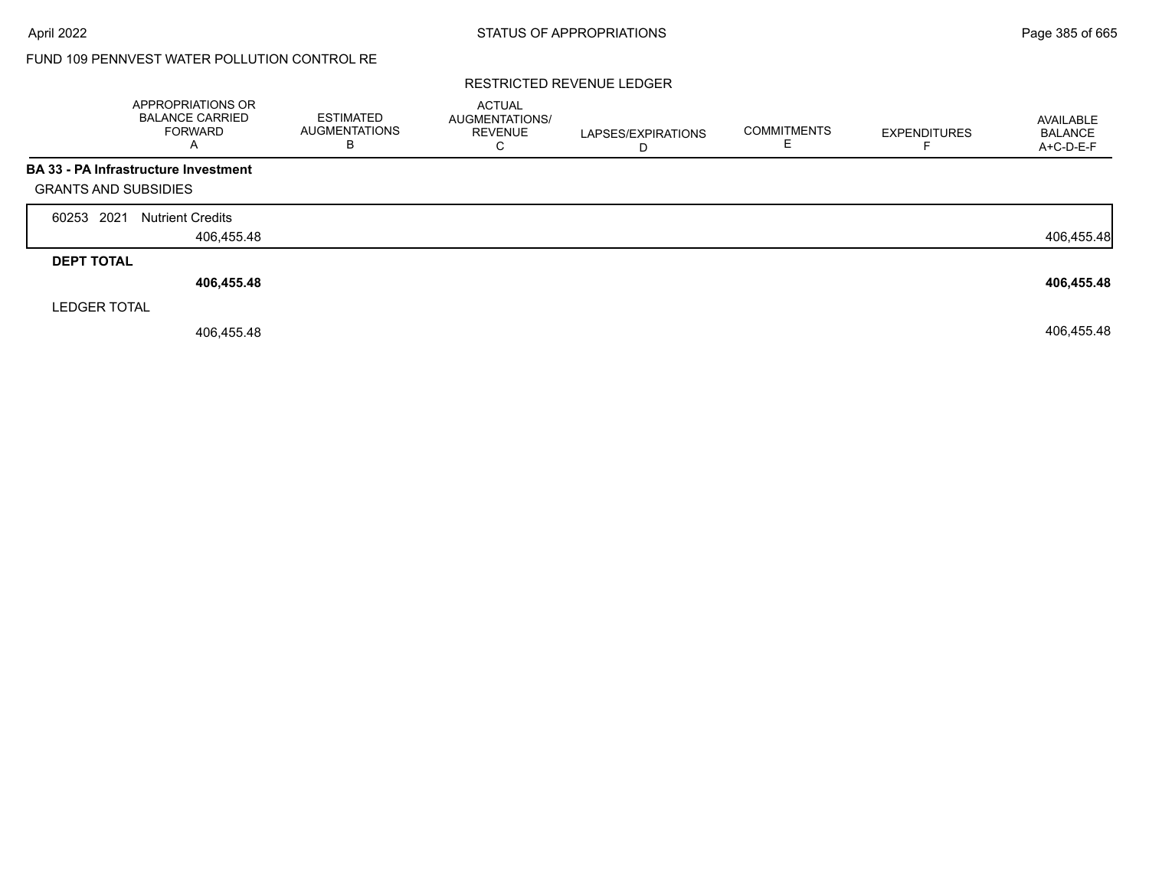# FUND 109 PENNVEST WATER POLLUTION CONTROL RE

#### RESTRICTED REVENUE LEDGER

|                             | <b>APPROPRIATIONS OR</b><br><b>BALANCE CARRIED</b><br><b>FORWARD</b><br>A | <b>ESTIMATED</b><br><b>AUGMENTATIONS</b><br>B | <b>ACTUAL</b><br>AUGMENTATIONS/<br><b>REVENUE</b><br>С | LAPSES/EXPIRATIONS | <b>COMMITMENTS</b> | <b>EXPENDITURES</b> | AVAILABLE<br><b>BALANCE</b><br>A+C-D-E-F |
|-----------------------------|---------------------------------------------------------------------------|-----------------------------------------------|--------------------------------------------------------|--------------------|--------------------|---------------------|------------------------------------------|
|                             | BA 33 - PA Infrastructure Investment                                      |                                               |                                                        |                    |                    |                     |                                          |
| <b>GRANTS AND SUBSIDIES</b> |                                                                           |                                               |                                                        |                    |                    |                     |                                          |
| 2021<br>60253               | <b>Nutrient Credits</b>                                                   |                                               |                                                        |                    |                    |                     |                                          |
|                             | 406,455.48                                                                |                                               |                                                        |                    |                    |                     | 406,455.48                               |
| <b>DEPT TOTAL</b>           |                                                                           |                                               |                                                        |                    |                    |                     |                                          |
|                             | 406,455.48                                                                |                                               |                                                        |                    |                    |                     | 406,455.48                               |
| <b>LEDGER TOTAL</b>         |                                                                           |                                               |                                                        |                    |                    |                     |                                          |
|                             | 406,455.48                                                                |                                               |                                                        |                    |                    |                     | 406,455.48                               |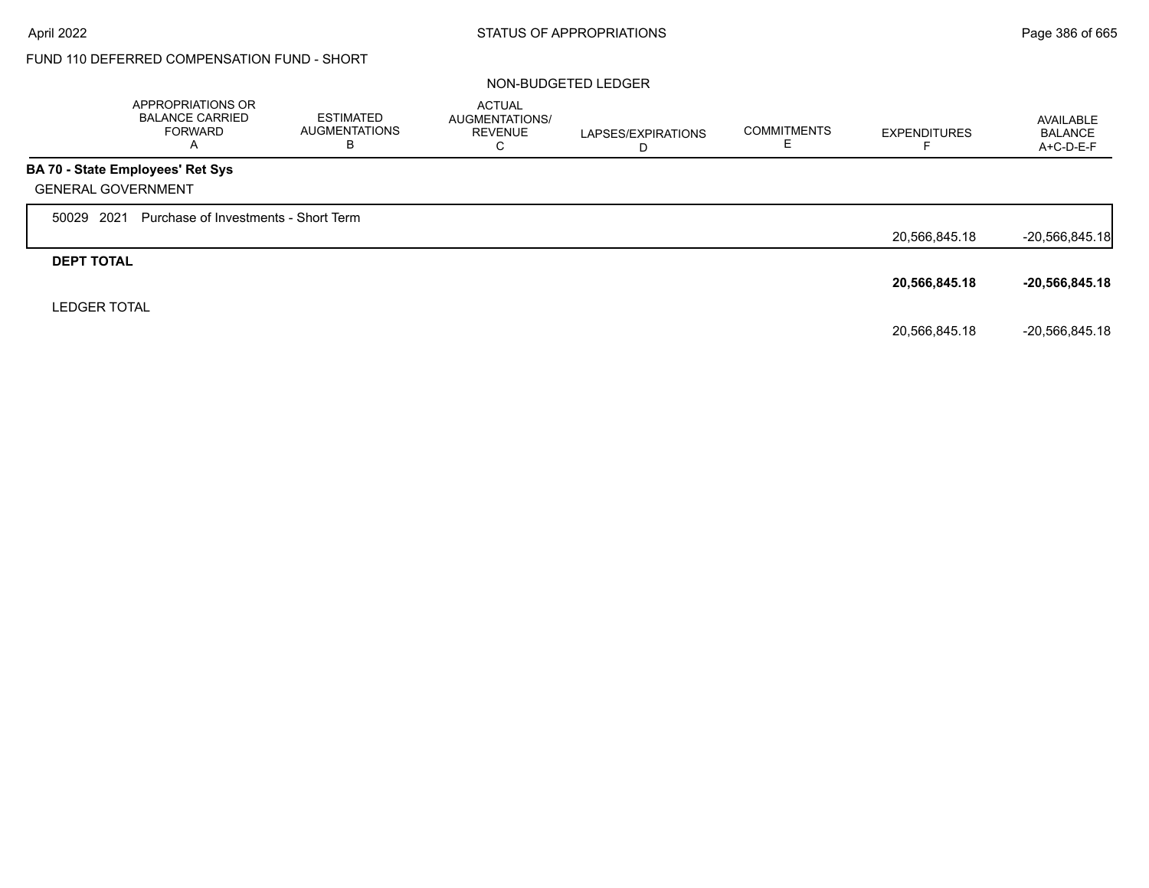# FUND 110 DEFERRED COMPENSATION FUND - SHORT

#### NON-BUDGETED LEDGER

|                           | APPROPRIATIONS OR<br><b>BALANCE CARRIED</b><br><b>FORWARD</b><br>A | <b>ESTIMATED</b><br><b>AUGMENTATIONS</b><br>В | <b>ACTUAL</b><br>AUGMENTATIONS/<br><b>REVENUE</b><br>⌒<br>◡ | LAPSES/EXPIRATIONS | <b>COMMITMENTS</b> | <b>EXPENDITURES</b> | AVAILABLE<br><b>BALANCE</b><br>A+C-D-E-F |
|---------------------------|--------------------------------------------------------------------|-----------------------------------------------|-------------------------------------------------------------|--------------------|--------------------|---------------------|------------------------------------------|
| <b>GENERAL GOVERNMENT</b> | BA 70 - State Employees' Ret Sys                                   |                                               |                                                             |                    |                    |                     |                                          |
| 2021<br>50029             | Purchase of Investments - Short Term                               |                                               |                                                             |                    |                    | 20,566,845.18       | $-20,566,845.18$                         |
| <b>DEPT TOTAL</b>         |                                                                    |                                               |                                                             |                    |                    | 20,566,845.18       | $-20,566,845.18$                         |
| <b>LEDGER TOTAL</b>       |                                                                    |                                               |                                                             |                    |                    | 20,566,845.18       | -20.566.845.18                           |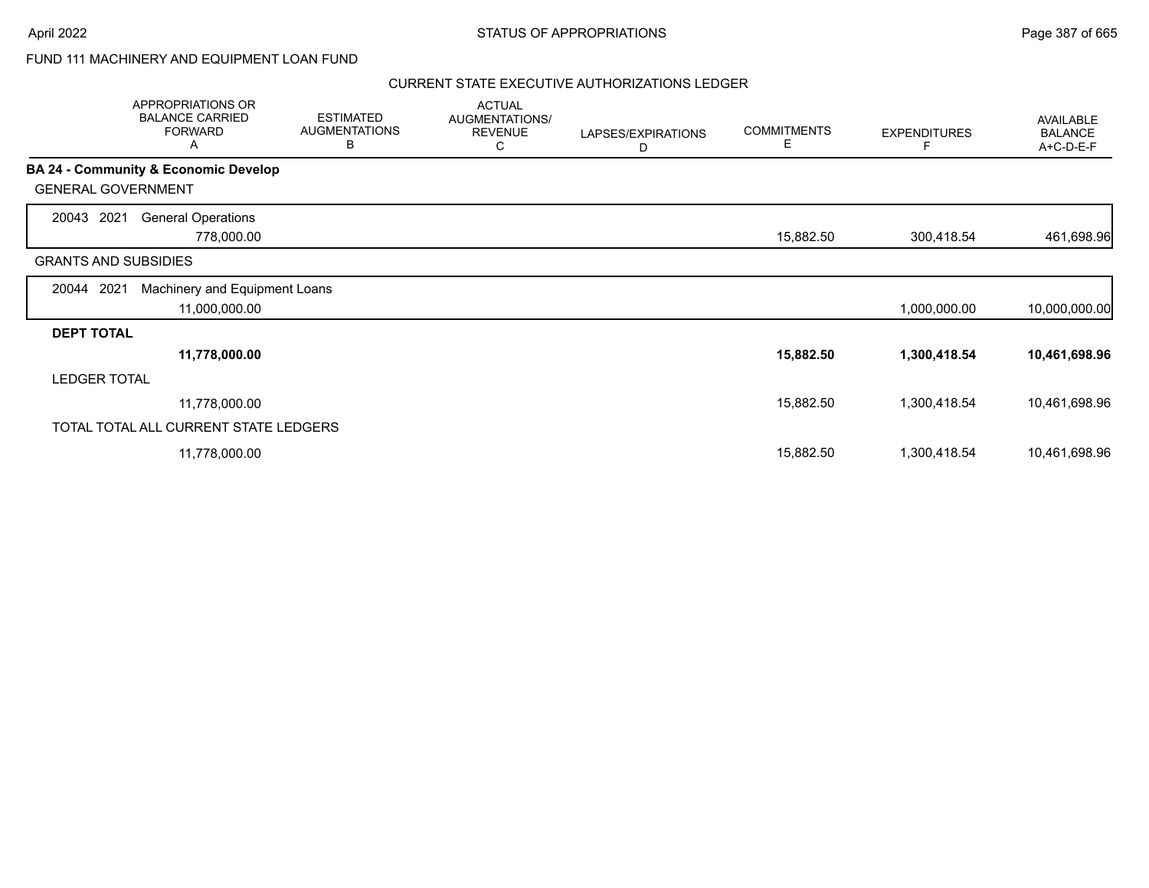## FUND 111 MACHINERY AND EQUIPMENT LOAN FUND

|                             | APPROPRIATIONS OR<br><b>BALANCE CARRIED</b><br><b>FORWARD</b><br>A | <b>ESTIMATED</b><br><b>AUGMENTATIONS</b><br>В | <b>ACTUAL</b><br>AUGMENTATIONS/<br><b>REVENUE</b><br>С | LAPSES/EXPIRATIONS<br>D | <b>COMMITMENTS</b><br>Е | <b>EXPENDITURES</b> | AVAILABLE<br><b>BALANCE</b><br>A+C-D-E-F |
|-----------------------------|--------------------------------------------------------------------|-----------------------------------------------|--------------------------------------------------------|-------------------------|-------------------------|---------------------|------------------------------------------|
|                             | <b>BA 24 - Community &amp; Economic Develop</b>                    |                                               |                                                        |                         |                         |                     |                                          |
| <b>GENERAL GOVERNMENT</b>   |                                                                    |                                               |                                                        |                         |                         |                     |                                          |
| 20043<br>2021               | <b>General Operations</b>                                          |                                               |                                                        |                         |                         |                     |                                          |
|                             | 778,000.00                                                         |                                               |                                                        |                         | 15,882.50               | 300,418.54          | 461,698.96                               |
| <b>GRANTS AND SUBSIDIES</b> |                                                                    |                                               |                                                        |                         |                         |                     |                                          |
| 20044 2021                  | Machinery and Equipment Loans                                      |                                               |                                                        |                         |                         |                     |                                          |
|                             | 11,000,000.00                                                      |                                               |                                                        |                         |                         | 1,000,000.00        | 10,000,000.00                            |
| <b>DEPT TOTAL</b>           |                                                                    |                                               |                                                        |                         |                         |                     |                                          |
|                             | 11,778,000.00                                                      |                                               |                                                        |                         | 15,882.50               | 1,300,418.54        | 10,461,698.96                            |
| <b>LEDGER TOTAL</b>         |                                                                    |                                               |                                                        |                         |                         |                     |                                          |
|                             | 11,778,000.00                                                      |                                               |                                                        |                         | 15,882.50               | 1,300,418.54        | 10,461,698.96                            |
|                             | TOTAL TOTAL ALL CURRENT STATE LEDGERS                              |                                               |                                                        |                         |                         |                     |                                          |
|                             | 11,778,000.00                                                      |                                               |                                                        |                         | 15,882.50               | 1,300,418.54        | 10,461,698.96                            |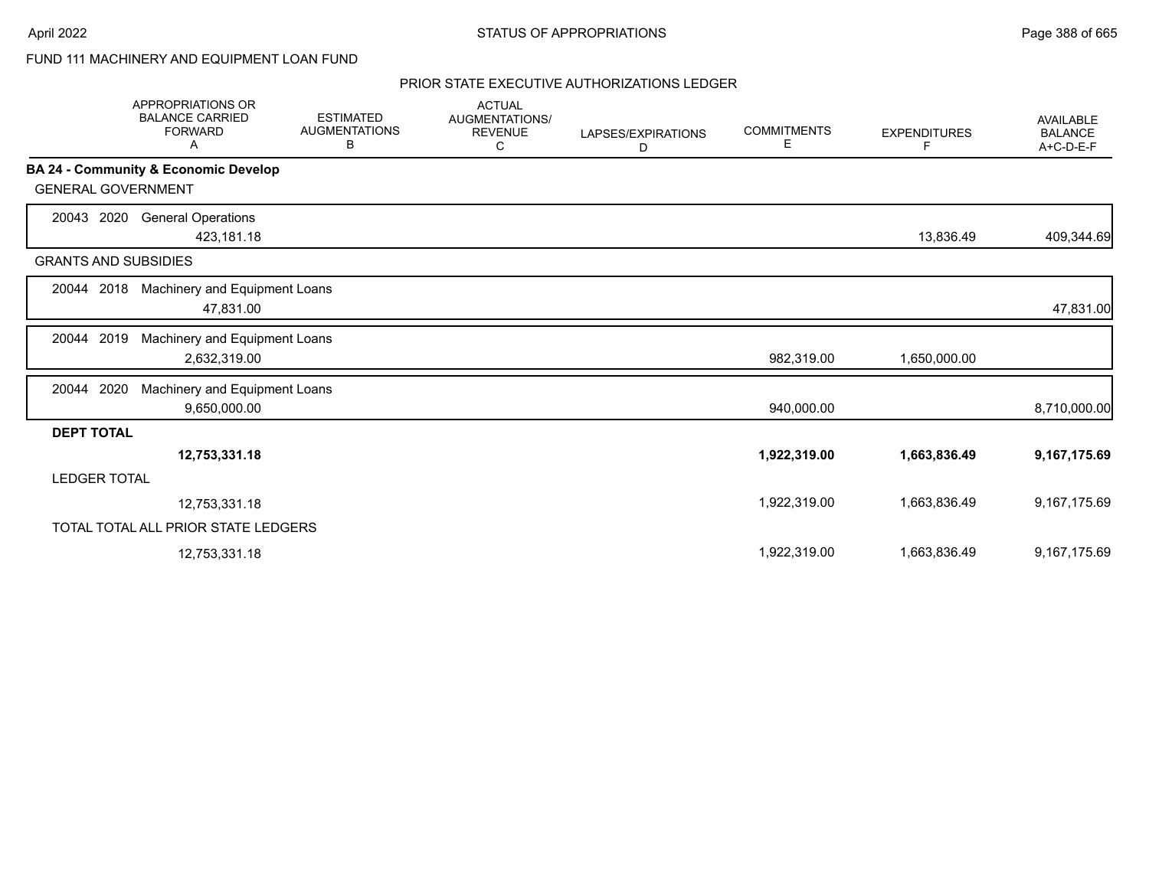## FUND 111 MACHINERY AND EQUIPMENT LOAN FUND

|                             | <b>APPROPRIATIONS OR</b><br><b>BALANCE CARRIED</b><br><b>FORWARD</b><br>A | <b>ESTIMATED</b><br><b>AUGMENTATIONS</b><br>В | <b>ACTUAL</b><br>AUGMENTATIONS/<br><b>REVENUE</b><br>C | LAPSES/EXPIRATIONS<br>D | <b>COMMITMENTS</b><br>Е | <b>EXPENDITURES</b><br>F | <b>AVAILABLE</b><br><b>BALANCE</b><br>A+C-D-E-F |
|-----------------------------|---------------------------------------------------------------------------|-----------------------------------------------|--------------------------------------------------------|-------------------------|-------------------------|--------------------------|-------------------------------------------------|
|                             | BA 24 - Community & Economic Develop                                      |                                               |                                                        |                         |                         |                          |                                                 |
| <b>GENERAL GOVERNMENT</b>   |                                                                           |                                               |                                                        |                         |                         |                          |                                                 |
| 2020<br>20043               | <b>General Operations</b>                                                 |                                               |                                                        |                         |                         |                          |                                                 |
|                             | 423,181.18                                                                |                                               |                                                        |                         |                         | 13,836.49                | 409,344.69                                      |
| <b>GRANTS AND SUBSIDIES</b> |                                                                           |                                               |                                                        |                         |                         |                          |                                                 |
| 20044 2018                  | Machinery and Equipment Loans                                             |                                               |                                                        |                         |                         |                          |                                                 |
|                             | 47,831.00                                                                 |                                               |                                                        |                         |                         |                          | 47,831.00                                       |
| 2019<br>20044               | Machinery and Equipment Loans                                             |                                               |                                                        |                         |                         |                          |                                                 |
|                             | 2,632,319.00                                                              |                                               |                                                        |                         | 982,319.00              | 1,650,000.00             |                                                 |
| 2020<br>20044               | Machinery and Equipment Loans                                             |                                               |                                                        |                         |                         |                          |                                                 |
|                             | 9,650,000.00                                                              |                                               |                                                        |                         | 940,000.00              |                          | 8,710,000.00                                    |
| <b>DEPT TOTAL</b>           |                                                                           |                                               |                                                        |                         |                         |                          |                                                 |
|                             | 12,753,331.18                                                             |                                               |                                                        |                         | 1,922,319.00            | 1,663,836.49             | 9,167,175.69                                    |
| <b>LEDGER TOTAL</b>         |                                                                           |                                               |                                                        |                         |                         |                          |                                                 |
|                             | 12,753,331.18                                                             |                                               |                                                        |                         | 1,922,319.00            | 1,663,836.49             | 9,167,175.69                                    |
|                             | TOTAL TOTAL ALL PRIOR STATE LEDGERS                                       |                                               |                                                        |                         |                         |                          |                                                 |
|                             | 12,753,331.18                                                             |                                               |                                                        |                         | 1,922,319.00            | 1,663,836.49             | 9,167,175.69                                    |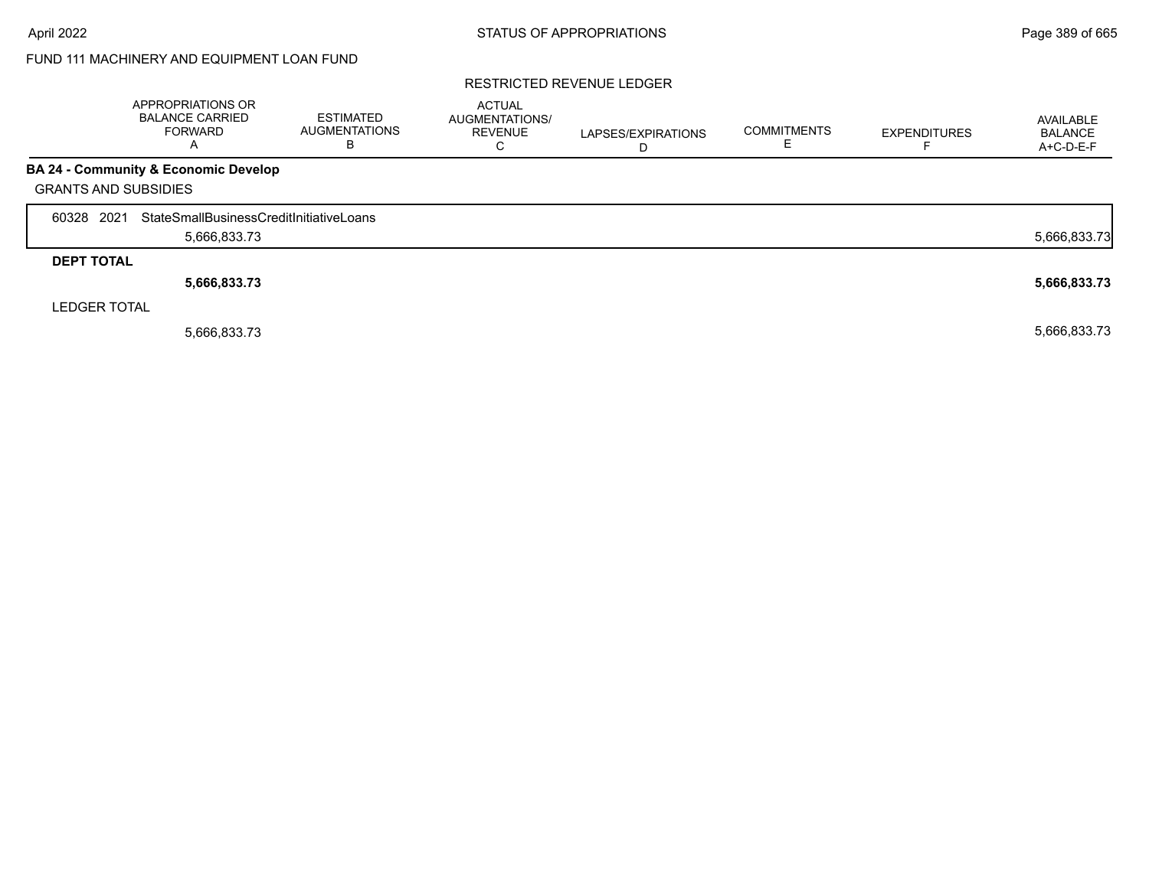# FUND 111 MACHINERY AND EQUIPMENT LOAN FUND

#### RESTRICTED REVENUE LEDGER

|                             |                     | <b>APPROPRIATIONS OR</b><br><b>BALANCE CARRIED</b><br><b>FORWARD</b> | <b>ESTIMATED</b><br><b>AUGMENTATIONS</b><br>B | <b>ACTUAL</b><br>AUGMENTATIONS/<br><b>REVENUE</b><br>С | LAPSES/EXPIRATIONS | <b>COMMITMENTS</b> | <b>EXPENDITURES</b> | AVAILABLE<br><b>BALANCE</b><br>A+C-D-E-F |
|-----------------------------|---------------------|----------------------------------------------------------------------|-----------------------------------------------|--------------------------------------------------------|--------------------|--------------------|---------------------|------------------------------------------|
|                             |                     | BA 24 - Community & Economic Develop                                 |                                               |                                                        |                    |                    |                     |                                          |
| <b>GRANTS AND SUBSIDIES</b> |                     |                                                                      |                                               |                                                        |                    |                    |                     |                                          |
| 60328                       | 2021                | StateSmallBusinessCreditInitiativeLoans                              |                                               |                                                        |                    |                    |                     |                                          |
|                             |                     | 5,666,833.73                                                         |                                               |                                                        |                    |                    |                     | 5,666,833.73                             |
|                             | <b>DEPT TOTAL</b>   |                                                                      |                                               |                                                        |                    |                    |                     |                                          |
|                             |                     | 5,666,833.73                                                         |                                               |                                                        |                    |                    |                     | 5,666,833.73                             |
|                             | <b>LEDGER TOTAL</b> |                                                                      |                                               |                                                        |                    |                    |                     |                                          |
|                             |                     | 5,666,833.73                                                         |                                               |                                                        |                    |                    |                     | 5,666,833.73                             |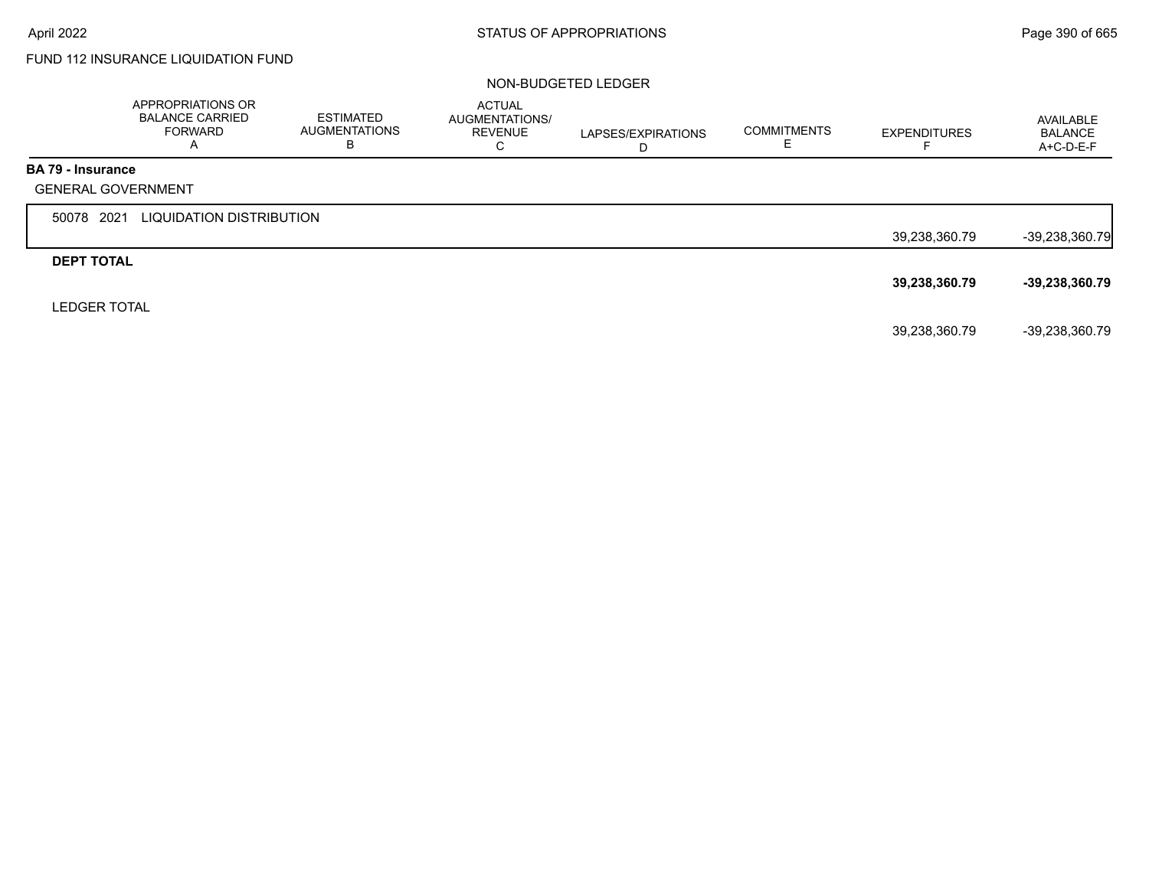# FUND 112 INSURANCE LIQUIDATION FUND

#### NON-BUDGETED LEDGER

|                          | APPROPRIATIONS OR<br><b>BALANCE CARRIED</b><br><b>FORWARD</b><br>A | <b>ESTIMATED</b><br><b>AUGMENTATIONS</b><br>В | <b>ACTUAL</b><br>AUGMENTATIONS/<br><b>REVENUE</b><br>C | LAPSES/EXPIRATIONS<br>D | <b>COMMITMENTS</b> | <b>EXPENDITURES</b><br>⊢ | AVAILABLE<br><b>BALANCE</b><br>A+C-D-E-F |
|--------------------------|--------------------------------------------------------------------|-----------------------------------------------|--------------------------------------------------------|-------------------------|--------------------|--------------------------|------------------------------------------|
| <b>BA 79 - Insurance</b> |                                                                    |                                               |                                                        |                         |                    |                          |                                          |
|                          | <b>GENERAL GOVERNMENT</b>                                          |                                               |                                                        |                         |                    |                          |                                          |
| 50078 2021               | LIQUIDATION DISTRIBUTION                                           |                                               |                                                        |                         |                    |                          |                                          |
|                          |                                                                    |                                               |                                                        |                         |                    | 39,238,360.79            | $-39,238,360.79$                         |
| <b>DEPT TOTAL</b>        |                                                                    |                                               |                                                        |                         |                    |                          |                                          |
|                          |                                                                    |                                               |                                                        |                         |                    | 39,238,360.79            | $-39,238,360.79$                         |
| <b>LEDGER TOTAL</b>      |                                                                    |                                               |                                                        |                         |                    |                          |                                          |
|                          |                                                                    |                                               |                                                        |                         |                    | 39,238,360.79            | -39,238,360.79                           |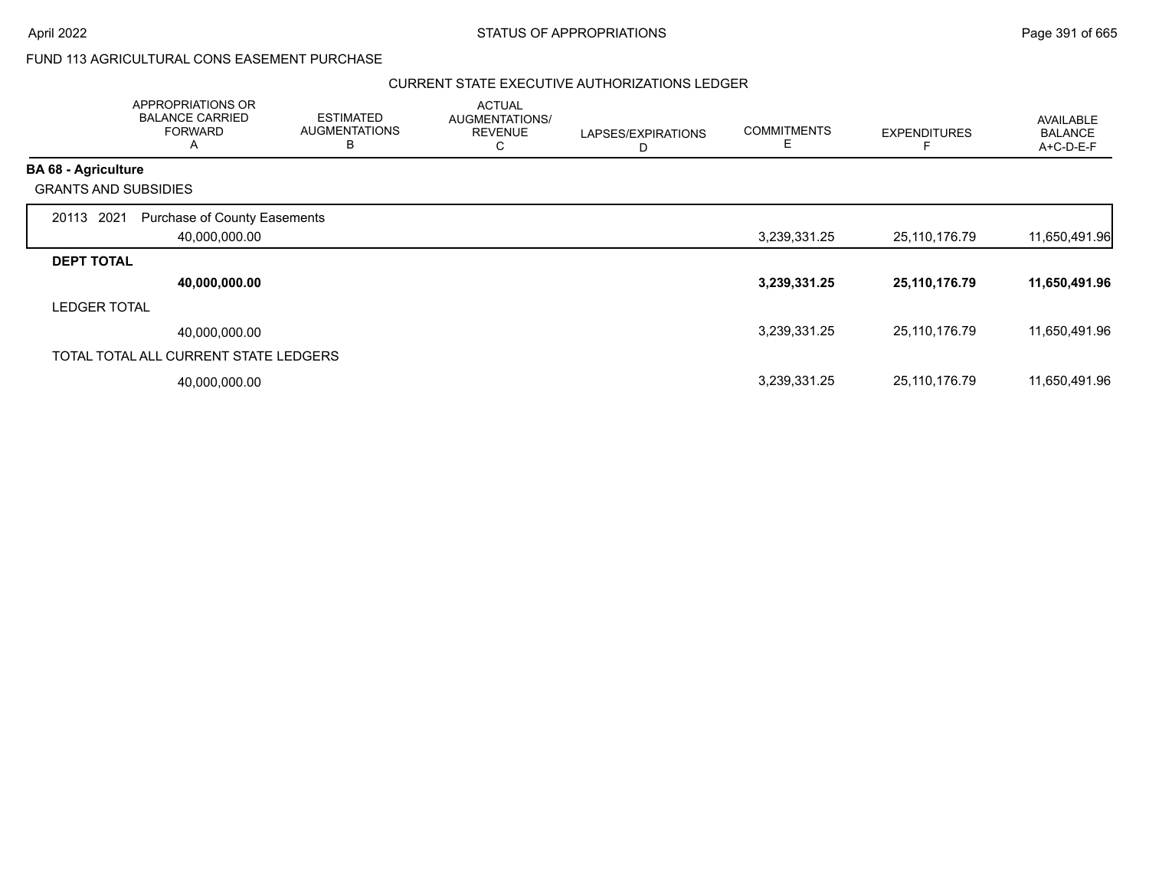## FUND 113 AGRICULTURAL CONS EASEMENT PURCHASE

|                             | <b>APPROPRIATIONS OR</b><br><b>BALANCE CARRIED</b><br><b>FORWARD</b><br>A | <b>ESTIMATED</b><br><b>AUGMENTATIONS</b><br>В | <b>ACTUAL</b><br>AUGMENTATIONS/<br><b>REVENUE</b><br>С | LAPSES/EXPIRATIONS<br>D | <b>COMMITMENTS</b><br>Е | <b>EXPENDITURES</b> | AVAILABLE<br><b>BALANCE</b><br>$A+C-D-E-F$ |
|-----------------------------|---------------------------------------------------------------------------|-----------------------------------------------|--------------------------------------------------------|-------------------------|-------------------------|---------------------|--------------------------------------------|
| <b>BA 68 - Agriculture</b>  |                                                                           |                                               |                                                        |                         |                         |                     |                                            |
| <b>GRANTS AND SUBSIDIES</b> |                                                                           |                                               |                                                        |                         |                         |                     |                                            |
| 2021<br>20113               | Purchase of County Easements<br>40,000,000.00                             |                                               |                                                        |                         | 3,239,331.25            | 25,110,176.79       | 11,650,491.96                              |
| <b>DEPT TOTAL</b>           |                                                                           |                                               |                                                        |                         |                         |                     |                                            |
|                             | 40,000,000.00                                                             |                                               |                                                        |                         | 3,239,331.25            | 25,110,176.79       | 11,650,491.96                              |
| <b>LEDGER TOTAL</b>         |                                                                           |                                               |                                                        |                         |                         |                     |                                            |
|                             | 40.000.000.00                                                             |                                               |                                                        |                         | 3,239,331.25            | 25,110,176.79       | 11,650,491.96                              |
|                             | TOTAL TOTAL ALL CURRENT STATE LEDGERS                                     |                                               |                                                        |                         |                         |                     |                                            |
|                             | 40,000,000.00                                                             |                                               |                                                        |                         | 3,239,331.25            | 25,110,176.79       | 11,650,491.96                              |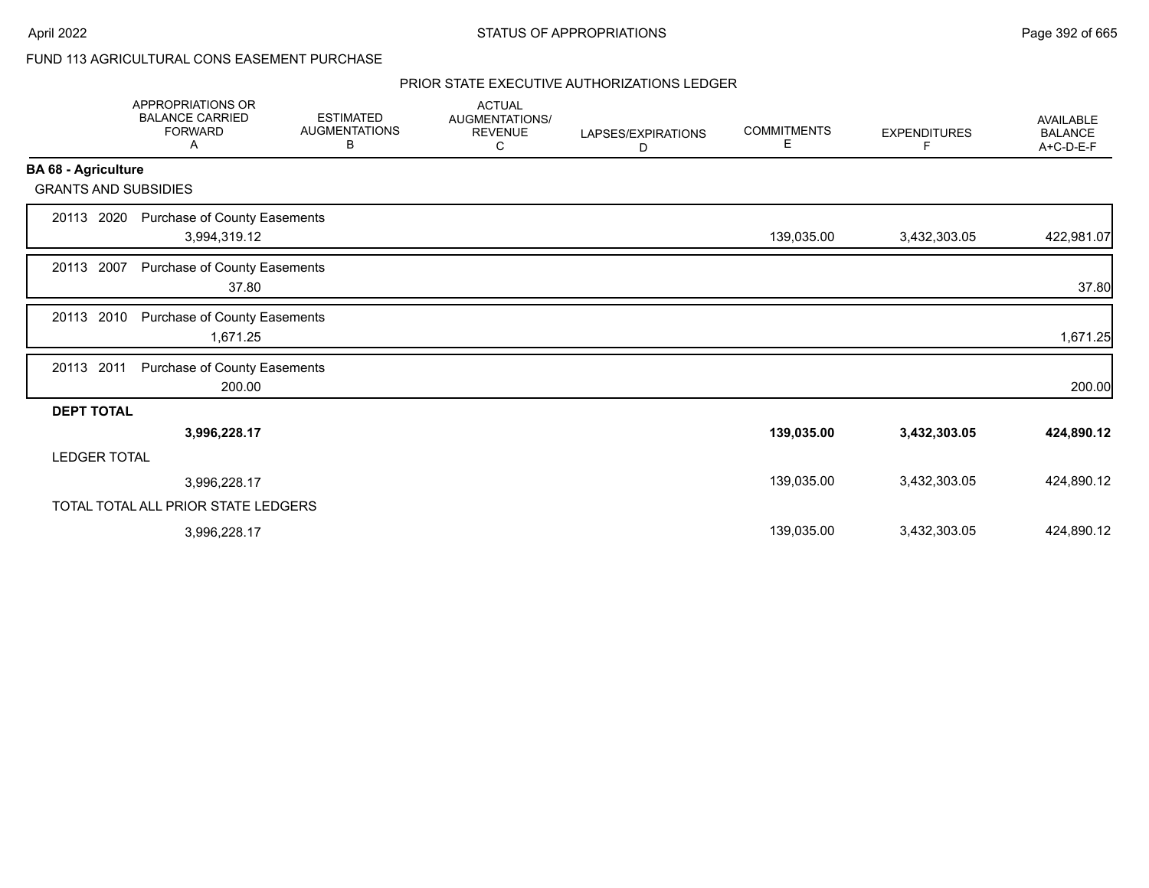# FUND 113 AGRICULTURAL CONS EASEMENT PURCHASE

|                             | <b>APPROPRIATIONS OR</b><br><b>BALANCE CARRIED</b><br><b>FORWARD</b><br>Α | <b>ESTIMATED</b><br><b>AUGMENTATIONS</b><br>В | <b>ACTUAL</b><br><b>AUGMENTATIONS/</b><br><b>REVENUE</b><br>С | LAPSES/EXPIRATIONS<br>D | <b>COMMITMENTS</b><br>Е | <b>EXPENDITURES</b><br>F. | <b>AVAILABLE</b><br><b>BALANCE</b><br>A+C-D-E-F |
|-----------------------------|---------------------------------------------------------------------------|-----------------------------------------------|---------------------------------------------------------------|-------------------------|-------------------------|---------------------------|-------------------------------------------------|
| <b>BA 68 - Agriculture</b>  |                                                                           |                                               |                                                               |                         |                         |                           |                                                 |
| <b>GRANTS AND SUBSIDIES</b> |                                                                           |                                               |                                                               |                         |                         |                           |                                                 |
| 2020<br>20113               | Purchase of County Easements<br>3,994,319.12                              |                                               |                                                               |                         | 139,035.00              | 3,432,303.05              | 422,981.07                                      |
| 20113 2007                  | Purchase of County Easements<br>37.80                                     |                                               |                                                               |                         |                         |                           | 37.80                                           |
| 20113 2010                  | <b>Purchase of County Easements</b><br>1,671.25                           |                                               |                                                               |                         |                         |                           | 1,671.25                                        |
| 20113 2011                  | Purchase of County Easements<br>200.00                                    |                                               |                                                               |                         |                         |                           | 200.00                                          |
| <b>DEPT TOTAL</b>           |                                                                           |                                               |                                                               |                         |                         |                           |                                                 |
|                             | 3,996,228.17                                                              |                                               |                                                               |                         | 139,035.00              | 3,432,303.05              | 424,890.12                                      |
| <b>LEDGER TOTAL</b>         |                                                                           |                                               |                                                               |                         |                         |                           |                                                 |
|                             | 3,996,228.17                                                              |                                               |                                                               |                         | 139,035.00              | 3,432,303.05              | 424,890.12                                      |
|                             | TOTAL TOTAL ALL PRIOR STATE LEDGERS                                       |                                               |                                                               |                         |                         |                           |                                                 |
|                             | 3,996,228.17                                                              |                                               |                                                               |                         | 139,035.00              | 3,432,303.05              | 424,890.12                                      |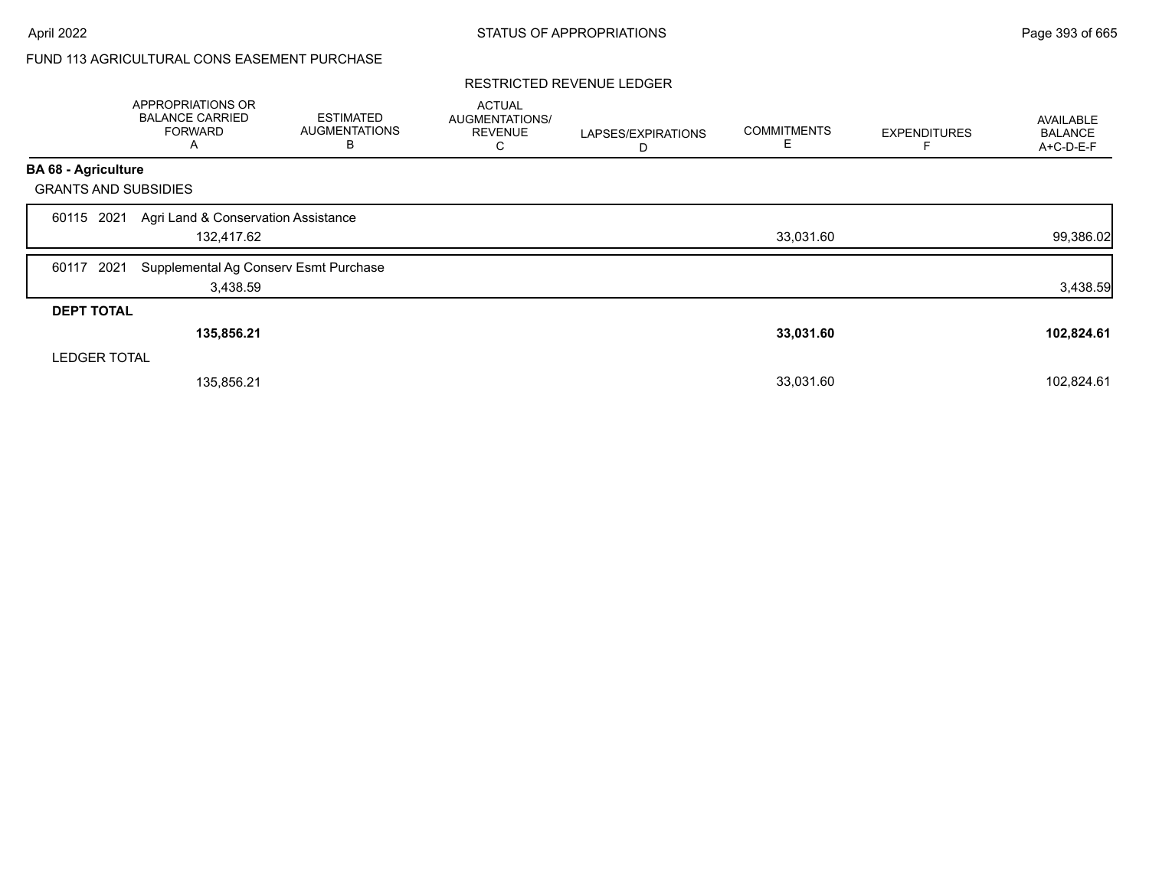# FUND 113 AGRICULTURAL CONS EASEMENT PURCHASE

#### RESTRICTED REVENUE LEDGER

|                             | APPROPRIATIONS OR<br><b>BALANCE CARRIED</b><br><b>FORWARD</b><br>A | <b>ESTIMATED</b><br><b>AUGMENTATIONS</b><br>В | <b>ACTUAL</b><br>AUGMENTATIONS/<br><b>REVENUE</b><br>С | LAPSES/EXPIRATIONS<br>D | <b>COMMITMENTS</b><br>Е | <b>EXPENDITURES</b> | <b>AVAILABLE</b><br><b>BALANCE</b><br>A+C-D-E-F |
|-----------------------------|--------------------------------------------------------------------|-----------------------------------------------|--------------------------------------------------------|-------------------------|-------------------------|---------------------|-------------------------------------------------|
| <b>BA 68 - Agriculture</b>  |                                                                    |                                               |                                                        |                         |                         |                     |                                                 |
| <b>GRANTS AND SUBSIDIES</b> |                                                                    |                                               |                                                        |                         |                         |                     |                                                 |
| 2021<br>60115               | Agri Land & Conservation Assistance<br>132,417.62                  |                                               |                                                        |                         | 33,031.60               |                     | 99,386.02                                       |
| 2021<br>60117               | Supplemental Ag Conserv Esmt Purchase<br>3,438.59                  |                                               |                                                        |                         |                         |                     | 3,438.59                                        |
| <b>DEPT TOTAL</b>           |                                                                    |                                               |                                                        |                         |                         |                     |                                                 |
|                             | 135,856.21                                                         |                                               |                                                        |                         | 33,031.60               |                     | 102,824.61                                      |
| <b>LEDGER TOTAL</b>         |                                                                    |                                               |                                                        |                         |                         |                     |                                                 |
|                             | 135,856.21                                                         |                                               |                                                        |                         | 33,031.60               |                     | 102,824.61                                      |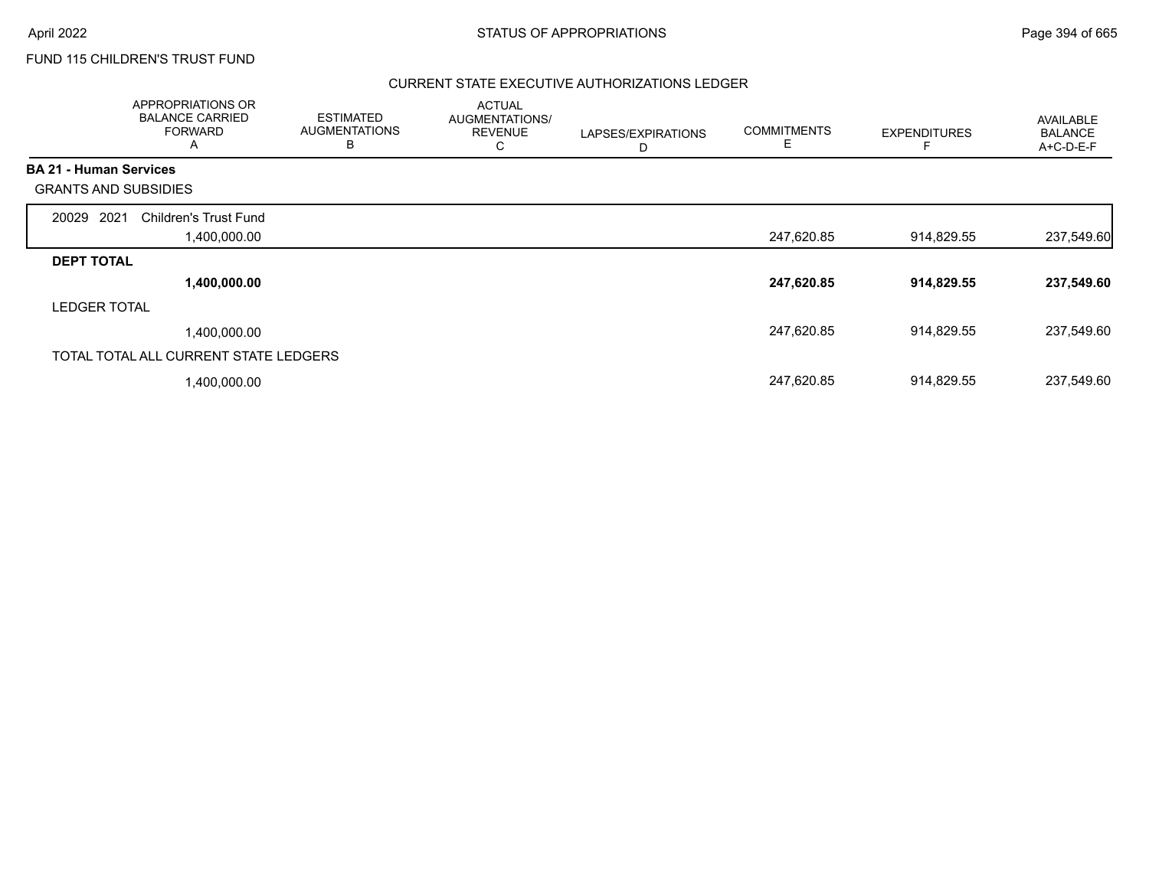# FUND 115 CHILDREN'S TRUST FUND

|                               | APPROPRIATIONS OR<br><b>BALANCE CARRIED</b><br><b>FORWARD</b><br>A | <b>ESTIMATED</b><br><b>AUGMENTATIONS</b><br>B | <b>ACTUAL</b><br>AUGMENTATIONS/<br><b>REVENUE</b><br>С | LAPSES/EXPIRATIONS<br>D | <b>COMMITMENTS</b><br>E | <b>EXPENDITURES</b> | AVAILABLE<br><b>BALANCE</b><br>A+C-D-E-F |
|-------------------------------|--------------------------------------------------------------------|-----------------------------------------------|--------------------------------------------------------|-------------------------|-------------------------|---------------------|------------------------------------------|
| <b>BA 21 - Human Services</b> |                                                                    |                                               |                                                        |                         |                         |                     |                                          |
| <b>GRANTS AND SUBSIDIES</b>   |                                                                    |                                               |                                                        |                         |                         |                     |                                          |
| 2021<br>20029                 | <b>Children's Trust Fund</b>                                       |                                               |                                                        |                         |                         |                     |                                          |
|                               | 00.000.00, ا                                                       |                                               |                                                        |                         | 247,620.85              | 914,829.55          | 237,549.60                               |
| <b>DEPT TOTAL</b>             |                                                                    |                                               |                                                        |                         |                         |                     |                                          |
|                               | 1,400,000.00                                                       |                                               |                                                        |                         | 247,620.85              | 914,829.55          | 237,549.60                               |
| <b>LEDGER TOTAL</b>           |                                                                    |                                               |                                                        |                         |                         |                     |                                          |
|                               | 1,400,000.00                                                       |                                               |                                                        |                         | 247,620.85              | 914,829.55          | 237,549.60                               |
|                               | TOTAL TOTAL ALL CURRENT STATE LEDGERS                              |                                               |                                                        |                         |                         |                     |                                          |
|                               | 1,400,000.00                                                       |                                               |                                                        |                         | 247,620.85              | 914,829.55          | 237,549.60                               |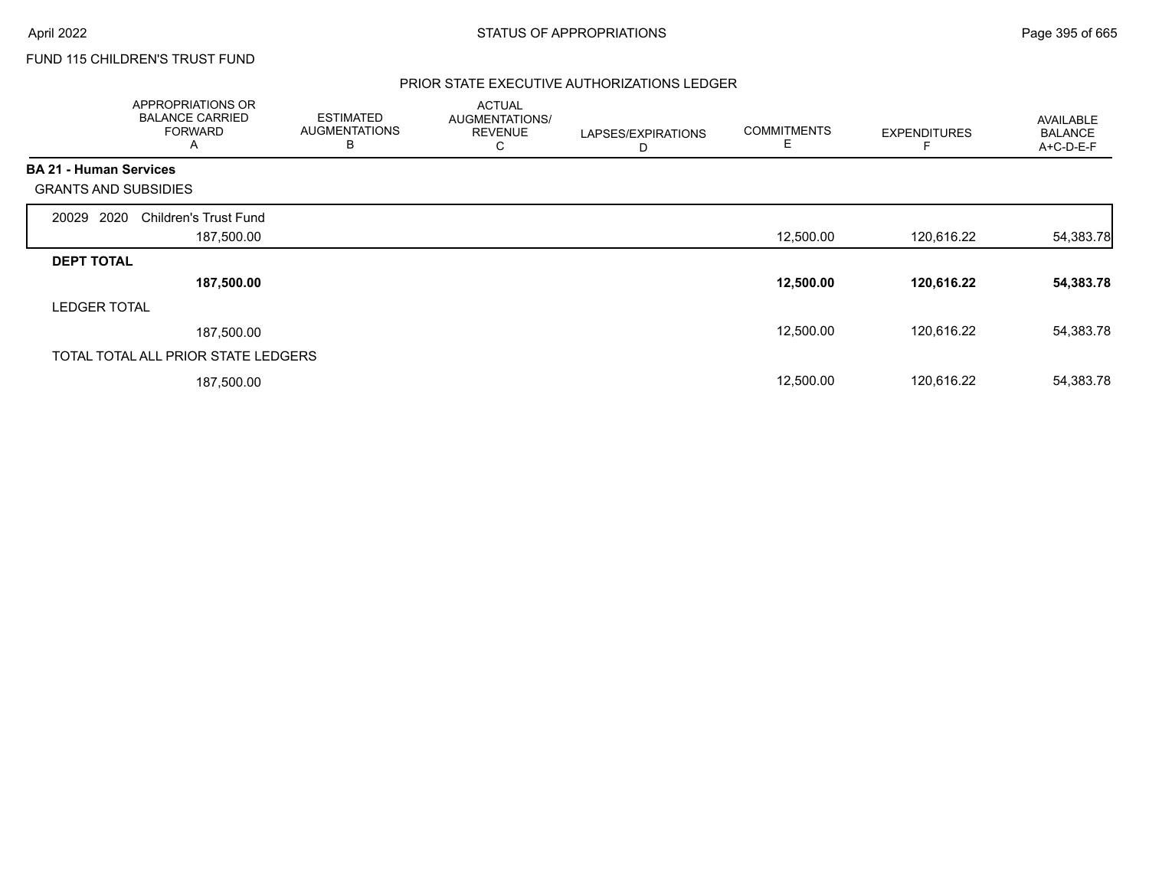# FUND 115 CHILDREN'S TRUST FUND

|                               | <b>APPROPRIATIONS OR</b><br><b>BALANCE CARRIED</b><br><b>FORWARD</b><br>A | <b>ESTIMATED</b><br><b>AUGMENTATIONS</b><br>в | <b>ACTUAL</b><br>AUGMENTATIONS/<br><b>REVENUE</b><br>С | LAPSES/EXPIRATIONS<br>D | <b>COMMITMENTS</b><br>Е | <b>EXPENDITURES</b> | AVAILABLE<br><b>BALANCE</b><br>A+C-D-E-F |
|-------------------------------|---------------------------------------------------------------------------|-----------------------------------------------|--------------------------------------------------------|-------------------------|-------------------------|---------------------|------------------------------------------|
| <b>BA 21 - Human Services</b> |                                                                           |                                               |                                                        |                         |                         |                     |                                          |
| <b>GRANTS AND SUBSIDIES</b>   |                                                                           |                                               |                                                        |                         |                         |                     |                                          |
| 2020<br>20029                 | <b>Children's Trust Fund</b>                                              |                                               |                                                        |                         |                         |                     |                                          |
|                               | 187,500.00                                                                |                                               |                                                        |                         | 12,500.00               | 120,616.22          | 54,383.78                                |
| <b>DEPT TOTAL</b>             |                                                                           |                                               |                                                        |                         |                         |                     |                                          |
|                               | 187,500.00                                                                |                                               |                                                        |                         | 12,500.00               | 120,616.22          | 54,383.78                                |
| <b>LEDGER TOTAL</b>           |                                                                           |                                               |                                                        |                         |                         |                     |                                          |
|                               | 187,500.00                                                                |                                               |                                                        |                         | 12,500.00               | 120.616.22          | 54,383.78                                |
|                               | TOTAL TOTAL ALL PRIOR STATE LEDGERS                                       |                                               |                                                        |                         |                         |                     |                                          |
|                               | 187,500.00                                                                |                                               |                                                        |                         | 12,500.00               | 120,616.22          | 54,383.78                                |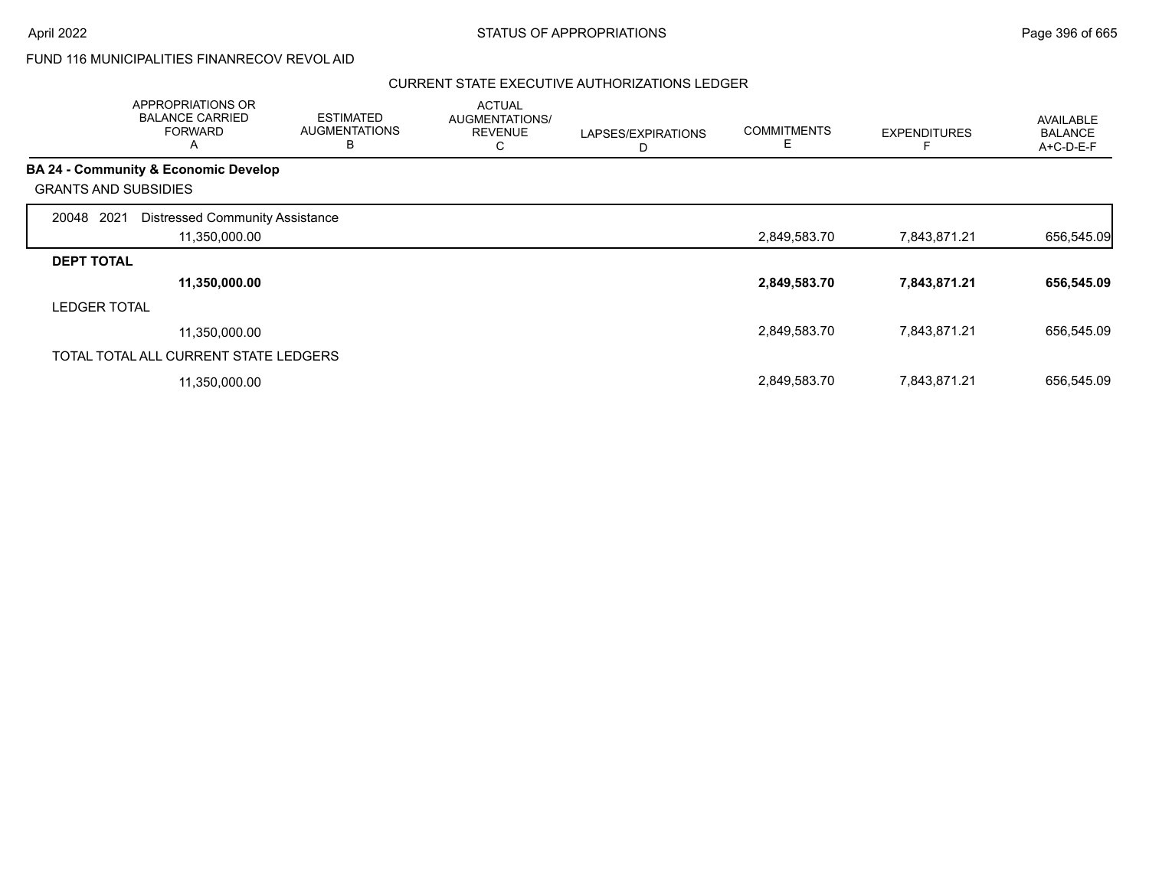## FUND 116 MUNICIPALITIES FINANRECOV REVOL AID

|                             | <b>APPROPRIATIONS OR</b><br><b>BALANCE CARRIED</b><br><b>FORWARD</b><br>А | <b>ESTIMATED</b><br><b>AUGMENTATIONS</b><br>в | <b>ACTUAL</b><br>AUGMENTATIONS/<br><b>REVENUE</b><br>С | LAPSES/EXPIRATIONS<br>D | <b>COMMITMENTS</b> | <b>EXPENDITURES</b> | <b>AVAILABLE</b><br><b>BALANCE</b><br>A+C-D-E-F |
|-----------------------------|---------------------------------------------------------------------------|-----------------------------------------------|--------------------------------------------------------|-------------------------|--------------------|---------------------|-------------------------------------------------|
|                             | <b>BA 24 - Community &amp; Economic Develop</b>                           |                                               |                                                        |                         |                    |                     |                                                 |
| <b>GRANTS AND SUBSIDIES</b> |                                                                           |                                               |                                                        |                         |                    |                     |                                                 |
| 2021<br>20048               | <b>Distressed Community Assistance</b>                                    |                                               |                                                        |                         |                    |                     |                                                 |
|                             | 11,350,000.00                                                             |                                               |                                                        |                         | 2,849,583.70       | 7,843,871.21        | 656,545.09                                      |
| <b>DEPT TOTAL</b>           |                                                                           |                                               |                                                        |                         |                    |                     |                                                 |
|                             | 11,350,000.00                                                             |                                               |                                                        |                         | 2,849,583.70       | 7,843,871.21        | 656,545.09                                      |
| <b>LEDGER TOTAL</b>         |                                                                           |                                               |                                                        |                         |                    |                     |                                                 |
|                             | 11,350,000.00                                                             |                                               |                                                        |                         | 2,849,583.70       | 7,843,871.21        | 656,545.09                                      |
|                             | TOTAL TOTAL ALL CURRENT STATE LEDGERS                                     |                                               |                                                        |                         |                    |                     |                                                 |
|                             | 11,350,000.00                                                             |                                               |                                                        |                         | 2,849,583.70       | 7,843,871.21        | 656,545.09                                      |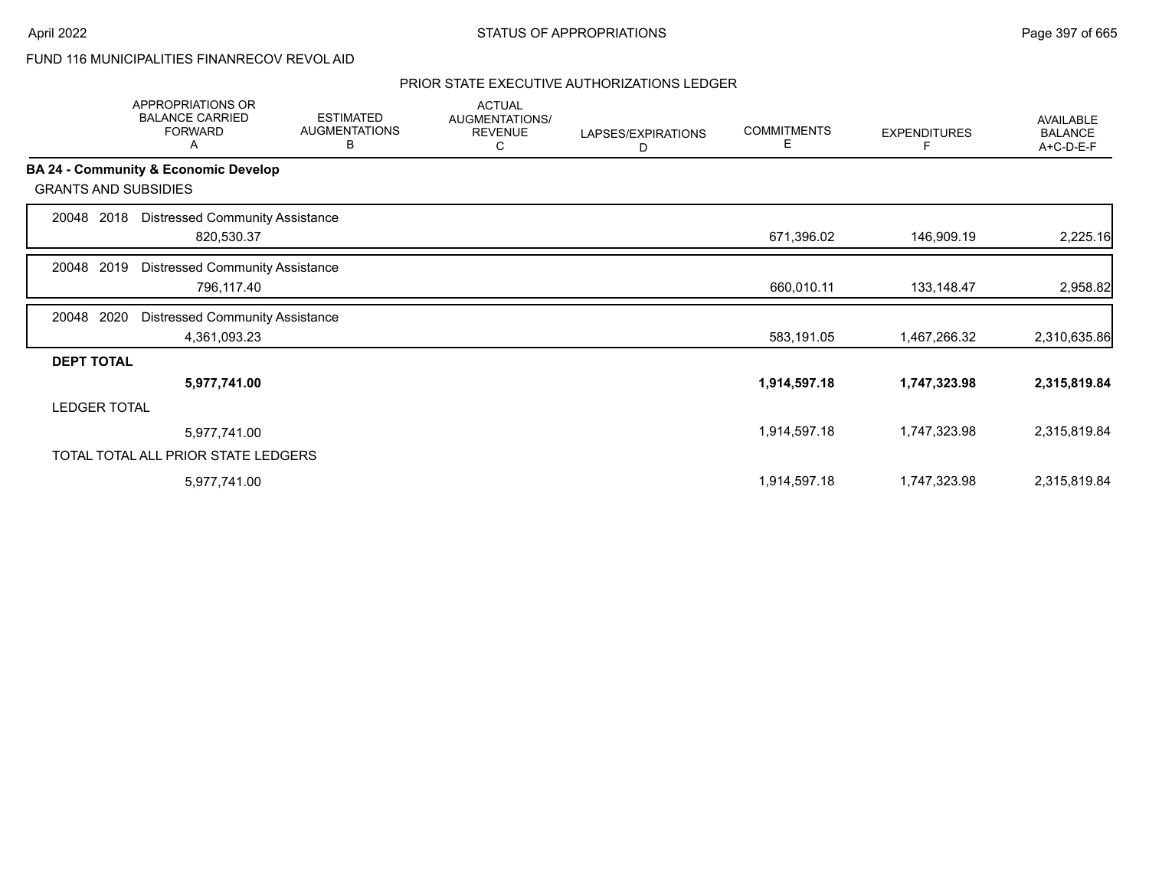FUND 116 MUNICIPALITIES FINANRECOV REVOL AID

|                             | APPROPRIATIONS OR<br><b>BALANCE CARRIED</b><br><b>FORWARD</b><br>Α | <b>ESTIMATED</b><br><b>AUGMENTATIONS</b><br>B | <b>ACTUAL</b><br>AUGMENTATIONS/<br><b>REVENUE</b><br>С | LAPSES/EXPIRATIONS<br>D | <b>COMMITMENTS</b><br>Е | <b>EXPENDITURES</b> | AVAILABLE<br><b>BALANCE</b><br>A+C-D-E-F |
|-----------------------------|--------------------------------------------------------------------|-----------------------------------------------|--------------------------------------------------------|-------------------------|-------------------------|---------------------|------------------------------------------|
|                             | BA 24 - Community & Economic Develop                               |                                               |                                                        |                         |                         |                     |                                          |
| <b>GRANTS AND SUBSIDIES</b> |                                                                    |                                               |                                                        |                         |                         |                     |                                          |
| 2018<br>20048               | <b>Distressed Community Assistance</b><br>820,530.37               |                                               |                                                        |                         | 671,396.02              | 146,909.19          | 2,225.16                                 |
| 2019<br>20048               | <b>Distressed Community Assistance</b><br>796,117.40               |                                               |                                                        |                         | 660,010.11              | 133,148.47          | 2,958.82                                 |
| 2020<br>20048               | <b>Distressed Community Assistance</b><br>4,361,093.23             |                                               |                                                        |                         | 583,191.05              | 1,467,266.32        | 2,310,635.86                             |
| <b>DEPT TOTAL</b>           |                                                                    |                                               |                                                        |                         |                         |                     |                                          |
|                             | 5,977,741.00                                                       |                                               |                                                        |                         | 1,914,597.18            | 1,747,323.98        | 2,315,819.84                             |
| <b>LEDGER TOTAL</b>         |                                                                    |                                               |                                                        |                         |                         |                     |                                          |
|                             | 5,977,741.00                                                       |                                               |                                                        |                         | 1,914,597.18            | 1,747,323.98        | 2,315,819.84                             |
|                             | TOTAL TOTAL ALL PRIOR STATE LEDGERS                                |                                               |                                                        |                         |                         |                     |                                          |
|                             | 5,977,741.00                                                       |                                               |                                                        |                         | 1,914,597.18            | 1,747,323.98        | 2,315,819.84                             |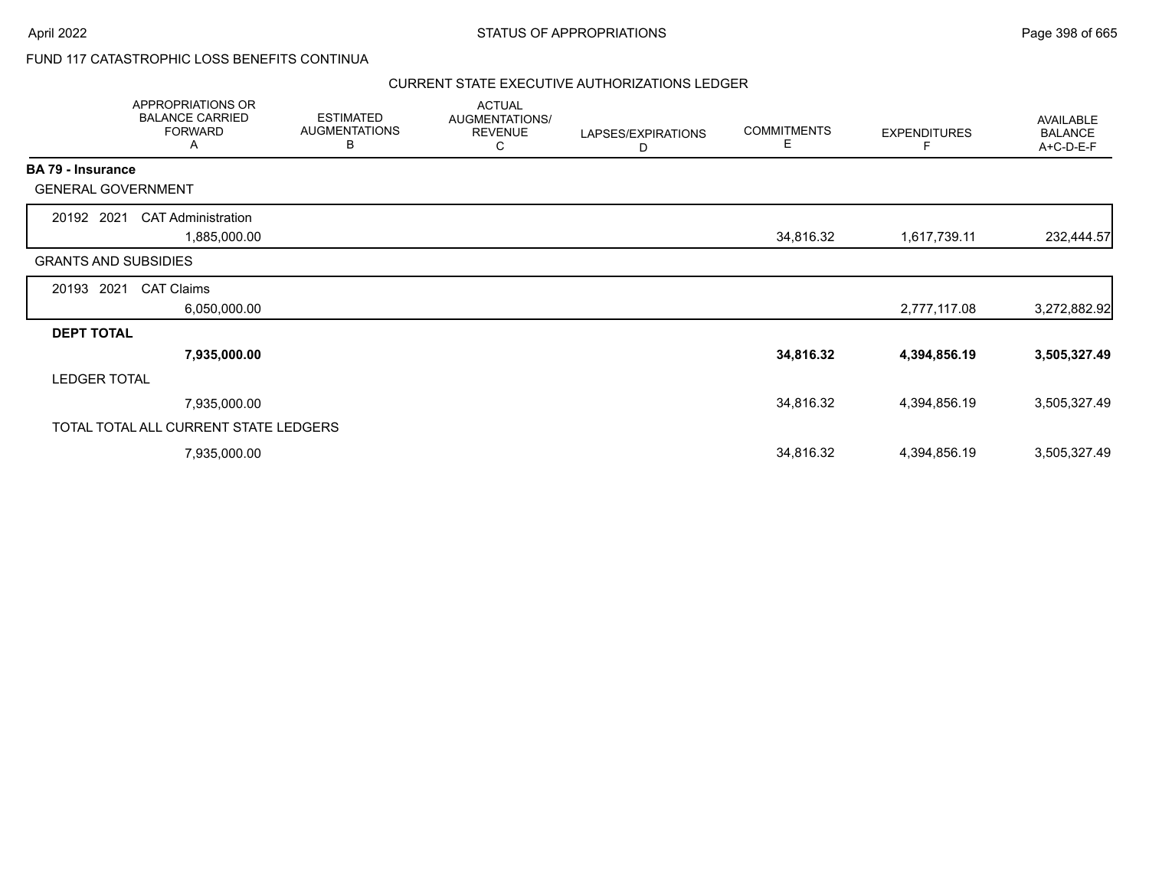## FUND 117 CATASTROPHIC LOSS BENEFITS CONTINUA

|                          | APPROPRIATIONS OR<br><b>BALANCE CARRIED</b><br><b>FORWARD</b><br>A | <b>ESTIMATED</b><br><b>AUGMENTATIONS</b><br>B | <b>ACTUAL</b><br>AUGMENTATIONS/<br><b>REVENUE</b><br>C | LAPSES/EXPIRATIONS<br>D | <b>COMMITMENTS</b><br>Е | <b>EXPENDITURES</b><br>F | <b>AVAILABLE</b><br><b>BALANCE</b><br>A+C-D-E-F |
|--------------------------|--------------------------------------------------------------------|-----------------------------------------------|--------------------------------------------------------|-------------------------|-------------------------|--------------------------|-------------------------------------------------|
| <b>BA 79 - Insurance</b> |                                                                    |                                               |                                                        |                         |                         |                          |                                                 |
|                          | <b>GENERAL GOVERNMENT</b>                                          |                                               |                                                        |                         |                         |                          |                                                 |
| 20192 2021               | <b>CAT Administration</b>                                          |                                               |                                                        |                         |                         |                          |                                                 |
|                          | 1,885,000.00                                                       |                                               |                                                        |                         | 34,816.32               | 1,617,739.11             | 232,444.57                                      |
|                          | <b>GRANTS AND SUBSIDIES</b>                                        |                                               |                                                        |                         |                         |                          |                                                 |
| 20193                    | 2021<br><b>CAT Claims</b>                                          |                                               |                                                        |                         |                         |                          |                                                 |
|                          | 6,050,000.00                                                       |                                               |                                                        |                         |                         | 2,777,117.08             | 3,272,882.92                                    |
| <b>DEPT TOTAL</b>        |                                                                    |                                               |                                                        |                         |                         |                          |                                                 |
|                          | 7,935,000.00                                                       |                                               |                                                        |                         | 34,816.32               | 4,394,856.19             | 3,505,327.49                                    |
| <b>LEDGER TOTAL</b>      |                                                                    |                                               |                                                        |                         |                         |                          |                                                 |
|                          | 7,935,000.00                                                       |                                               |                                                        |                         | 34,816.32               | 4,394,856.19             | 3,505,327.49                                    |
|                          | TOTAL TOTAL ALL CURRENT STATE LEDGERS                              |                                               |                                                        |                         |                         |                          |                                                 |
|                          | 7,935,000.00                                                       |                                               |                                                        |                         | 34,816.32               | 4,394,856.19             | 3,505,327.49                                    |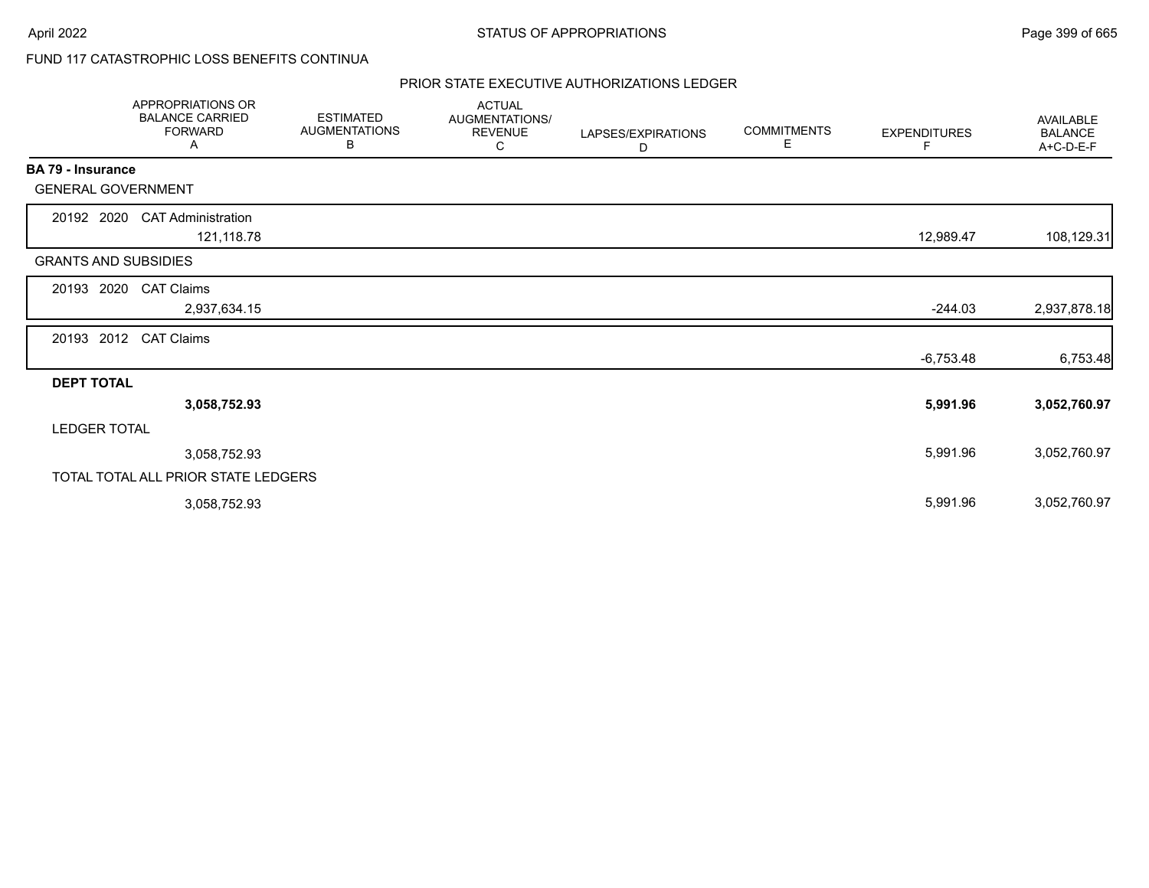# FUND 117 CATASTROPHIC LOSS BENEFITS CONTINUA

|                             | APPROPRIATIONS OR<br><b>BALANCE CARRIED</b><br><b>FORWARD</b><br>Α | <b>ESTIMATED</b><br><b>AUGMENTATIONS</b><br>В | <b>ACTUAL</b><br>AUGMENTATIONS/<br><b>REVENUE</b><br>С | LAPSES/EXPIRATIONS<br>D | <b>COMMITMENTS</b><br>Е | <b>EXPENDITURES</b><br>F | <b>AVAILABLE</b><br><b>BALANCE</b><br>A+C-D-E-F |
|-----------------------------|--------------------------------------------------------------------|-----------------------------------------------|--------------------------------------------------------|-------------------------|-------------------------|--------------------------|-------------------------------------------------|
| BA 79 - Insurance           |                                                                    |                                               |                                                        |                         |                         |                          |                                                 |
| <b>GENERAL GOVERNMENT</b>   |                                                                    |                                               |                                                        |                         |                         |                          |                                                 |
| 20192 2020                  | <b>CAT Administration</b><br>121,118.78                            |                                               |                                                        |                         |                         | 12,989.47                | 108,129.31                                      |
| <b>GRANTS AND SUBSIDIES</b> |                                                                    |                                               |                                                        |                         |                         |                          |                                                 |
| 20193<br>2020               | <b>CAT Claims</b>                                                  |                                               |                                                        |                         |                         |                          |                                                 |
|                             | 2,937,634.15                                                       |                                               |                                                        |                         |                         | $-244.03$                | 2,937,878.18                                    |
| 20193 2012                  | <b>CAT Claims</b>                                                  |                                               |                                                        |                         |                         |                          |                                                 |
|                             |                                                                    |                                               |                                                        |                         |                         | $-6,753.48$              | 6,753.48                                        |
| <b>DEPT TOTAL</b>           |                                                                    |                                               |                                                        |                         |                         |                          |                                                 |
|                             | 3,058,752.93                                                       |                                               |                                                        |                         |                         | 5,991.96                 | 3,052,760.97                                    |
| <b>LEDGER TOTAL</b>         |                                                                    |                                               |                                                        |                         |                         |                          |                                                 |
|                             | 3,058,752.93                                                       |                                               |                                                        |                         |                         | 5,991.96                 | 3,052,760.97                                    |
|                             | TOTAL TOTAL ALL PRIOR STATE LEDGERS                                |                                               |                                                        |                         |                         |                          |                                                 |
|                             | 3,058,752.93                                                       |                                               |                                                        |                         |                         | 5,991.96                 | 3,052,760.97                                    |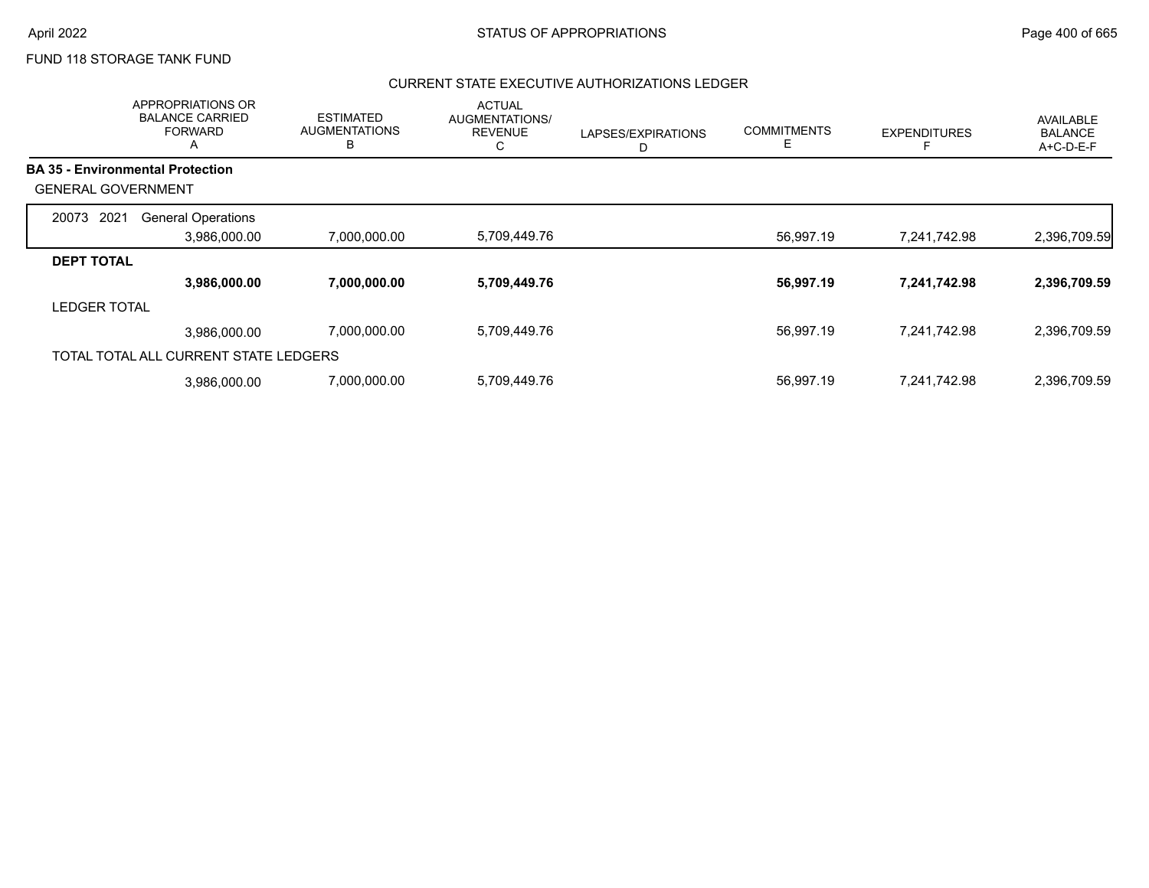# FUND 118 STORAGE TANK FUND

|                           | APPROPRIATIONS OR<br><b>BALANCE CARRIED</b><br><b>FORWARD</b><br>Α | <b>ESTIMATED</b><br><b>AUGMENTATIONS</b><br>B | <b>ACTUAL</b><br><b>AUGMENTATIONS/</b><br><b>REVENUE</b><br>С | LAPSES/EXPIRATIONS<br>D | <b>COMMITMENTS</b><br>Е | <b>EXPENDITURES</b> | AVAILABLE<br><b>BALANCE</b><br>A+C-D-E-F |
|---------------------------|--------------------------------------------------------------------|-----------------------------------------------|---------------------------------------------------------------|-------------------------|-------------------------|---------------------|------------------------------------------|
|                           | <b>BA 35 - Environmental Protection</b>                            |                                               |                                                               |                         |                         |                     |                                          |
| <b>GENERAL GOVERNMENT</b> |                                                                    |                                               |                                                               |                         |                         |                     |                                          |
| 2021<br>20073             | <b>General Operations</b>                                          |                                               |                                                               |                         |                         |                     |                                          |
|                           | 3,986,000.00                                                       | 7,000,000.00                                  | 5,709,449.76                                                  |                         | 56,997.19               | 7,241,742.98        | 2,396,709.59                             |
| <b>DEPT TOTAL</b>         |                                                                    |                                               |                                                               |                         |                         |                     |                                          |
|                           | 3,986,000.00                                                       | 7,000,000.00                                  | 5,709,449.76                                                  |                         | 56,997.19               | 7,241,742.98        | 2,396,709.59                             |
| <b>LEDGER TOTAL</b>       |                                                                    |                                               |                                                               |                         |                         |                     |                                          |
|                           | 3,986,000.00                                                       | 7,000,000.00                                  | 5,709,449.76                                                  |                         | 56,997.19               | 7,241,742.98        | 2,396,709.59                             |
|                           | TOTAL TOTAL ALL CURRENT STATE LEDGERS                              |                                               |                                                               |                         |                         |                     |                                          |
|                           | 3.986.000.00                                                       | 7,000,000.00                                  | 5,709,449.76                                                  |                         | 56,997.19               | 7,241,742.98        | 2,396,709.59                             |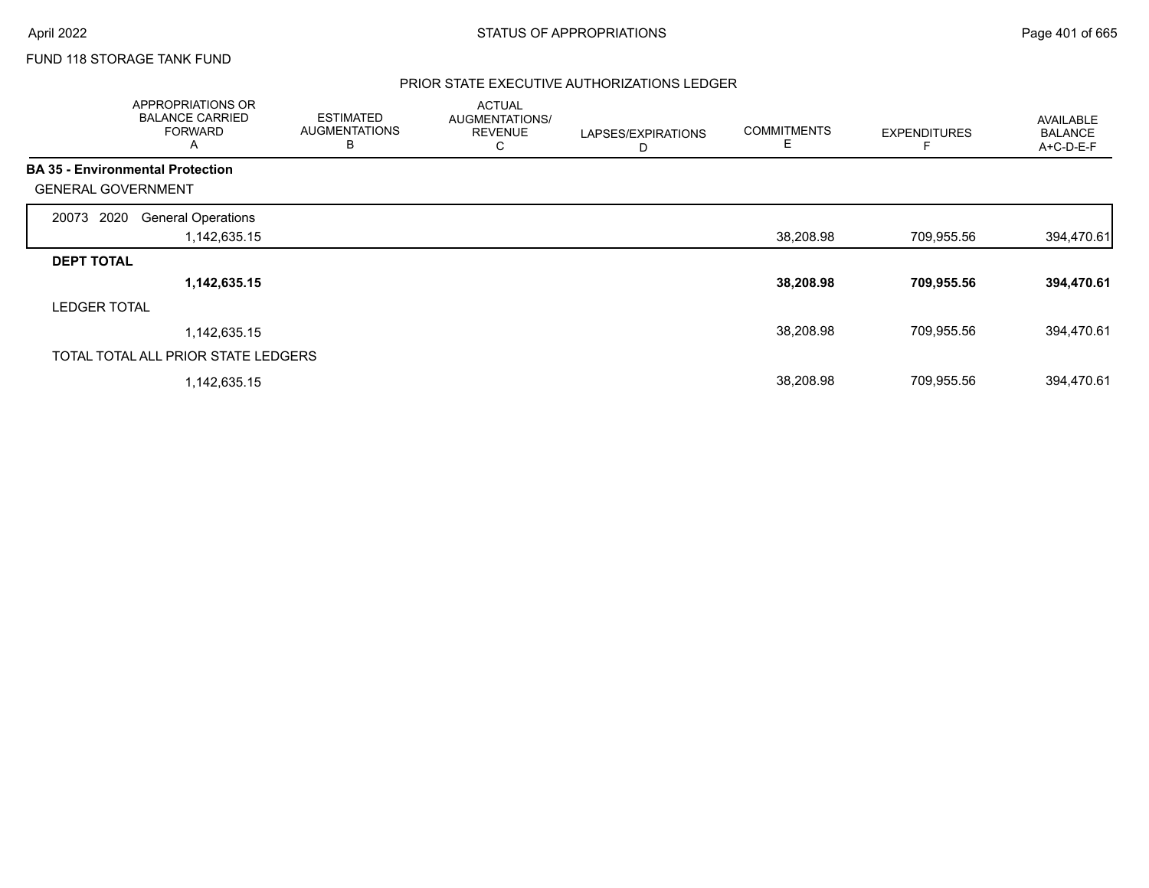# FUND 118 STORAGE TANK FUND

|                           | APPROPRIATIONS OR<br><b>BALANCE CARRIED</b><br><b>FORWARD</b><br>A | <b>ESTIMATED</b><br><b>AUGMENTATIONS</b><br>в | <b>ACTUAL</b><br>AUGMENTATIONS/<br><b>REVENUE</b><br>С | LAPSES/EXPIRATIONS<br>D | <b>COMMITMENTS</b><br>E. | <b>EXPENDITURES</b> | <b>AVAILABLE</b><br><b>BALANCE</b><br>A+C-D-E-F |
|---------------------------|--------------------------------------------------------------------|-----------------------------------------------|--------------------------------------------------------|-------------------------|--------------------------|---------------------|-------------------------------------------------|
|                           | <b>BA 35 - Environmental Protection</b>                            |                                               |                                                        |                         |                          |                     |                                                 |
| <b>GENERAL GOVERNMENT</b> |                                                                    |                                               |                                                        |                         |                          |                     |                                                 |
| 2020<br>20073             | <b>General Operations</b>                                          |                                               |                                                        |                         |                          |                     |                                                 |
|                           | 1,142,635.15                                                       |                                               |                                                        |                         | 38,208.98                | 709,955.56          | 394,470.61                                      |
| <b>DEPT TOTAL</b>         |                                                                    |                                               |                                                        |                         |                          |                     |                                                 |
|                           | 1,142,635.15                                                       |                                               |                                                        |                         | 38,208.98                | 709,955.56          | 394,470.61                                      |
| <b>LEDGER TOTAL</b>       |                                                                    |                                               |                                                        |                         |                          |                     |                                                 |
|                           | 1,142,635.15                                                       |                                               |                                                        |                         | 38,208.98                | 709,955.56          | 394,470.61                                      |
|                           | TOTAL TOTAL ALL PRIOR STATE LEDGERS                                |                                               |                                                        |                         |                          |                     |                                                 |
|                           | 1,142,635.15                                                       |                                               |                                                        |                         | 38,208.98                | 709,955.56          | 394,470.61                                      |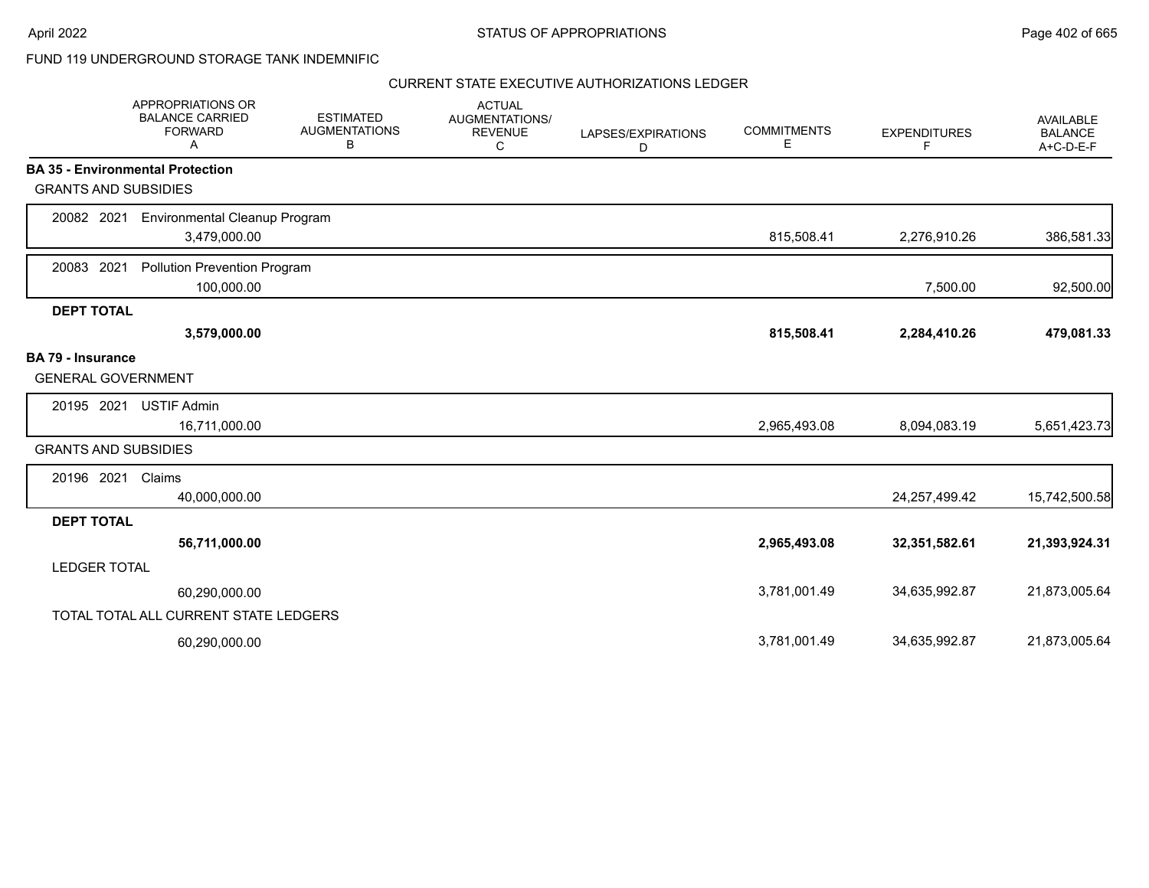## FUND 119 UNDERGROUND STORAGE TANK INDEMNIFIC

|                             | APPROPRIATIONS OR<br><b>BALANCE CARRIED</b><br><b>FORWARD</b><br>А | <b>ESTIMATED</b><br><b>AUGMENTATIONS</b><br>В | <b>ACTUAL</b><br>AUGMENTATIONS/<br><b>REVENUE</b><br>С | LAPSES/EXPIRATIONS<br>D | <b>COMMITMENTS</b><br>Е | <b>EXPENDITURES</b><br>F | <b>AVAILABLE</b><br><b>BALANCE</b><br>A+C-D-E-F |
|-----------------------------|--------------------------------------------------------------------|-----------------------------------------------|--------------------------------------------------------|-------------------------|-------------------------|--------------------------|-------------------------------------------------|
|                             | <b>BA 35 - Environmental Protection</b>                            |                                               |                                                        |                         |                         |                          |                                                 |
| <b>GRANTS AND SUBSIDIES</b> |                                                                    |                                               |                                                        |                         |                         |                          |                                                 |
| 20082 2021                  | <b>Environmental Cleanup Program</b>                               |                                               |                                                        |                         |                         |                          |                                                 |
|                             | 3,479,000.00                                                       |                                               |                                                        |                         | 815,508.41              | 2,276,910.26             | 386,581.33                                      |
| 20083 2021                  | <b>Pollution Prevention Program</b>                                |                                               |                                                        |                         |                         |                          |                                                 |
|                             | 100,000.00                                                         |                                               |                                                        |                         |                         | 7,500.00                 | 92,500.00                                       |
| <b>DEPT TOTAL</b>           |                                                                    |                                               |                                                        |                         |                         |                          |                                                 |
|                             | 3,579,000.00                                                       |                                               |                                                        |                         | 815,508.41              | 2,284,410.26             | 479,081.33                                      |
| <b>BA 79 - Insurance</b>    |                                                                    |                                               |                                                        |                         |                         |                          |                                                 |
| <b>GENERAL GOVERNMENT</b>   |                                                                    |                                               |                                                        |                         |                         |                          |                                                 |
| 20195 2021                  | <b>USTIF Admin</b>                                                 |                                               |                                                        |                         |                         |                          |                                                 |
|                             | 16,711,000.00                                                      |                                               |                                                        |                         | 2,965,493.08            | 8,094,083.19             | 5,651,423.73                                    |
| <b>GRANTS AND SUBSIDIES</b> |                                                                    |                                               |                                                        |                         |                         |                          |                                                 |
| 20196 2021                  | Claims                                                             |                                               |                                                        |                         |                         |                          |                                                 |
|                             | 40,000,000.00                                                      |                                               |                                                        |                         |                         | 24,257,499.42            | 15,742,500.58                                   |
| <b>DEPT TOTAL</b>           |                                                                    |                                               |                                                        |                         |                         |                          |                                                 |
|                             | 56,711,000.00                                                      |                                               |                                                        |                         | 2,965,493.08            | 32,351,582.61            | 21,393,924.31                                   |
| <b>LEDGER TOTAL</b>         |                                                                    |                                               |                                                        |                         |                         |                          |                                                 |
|                             | 60,290,000.00                                                      |                                               |                                                        |                         | 3,781,001.49            | 34,635,992.87            | 21,873,005.64                                   |
|                             | TOTAL TOTAL ALL CURRENT STATE LEDGERS                              |                                               |                                                        |                         |                         |                          |                                                 |
|                             | 60,290,000.00                                                      |                                               |                                                        |                         | 3,781,001.49            | 34,635,992.87            | 21,873,005.64                                   |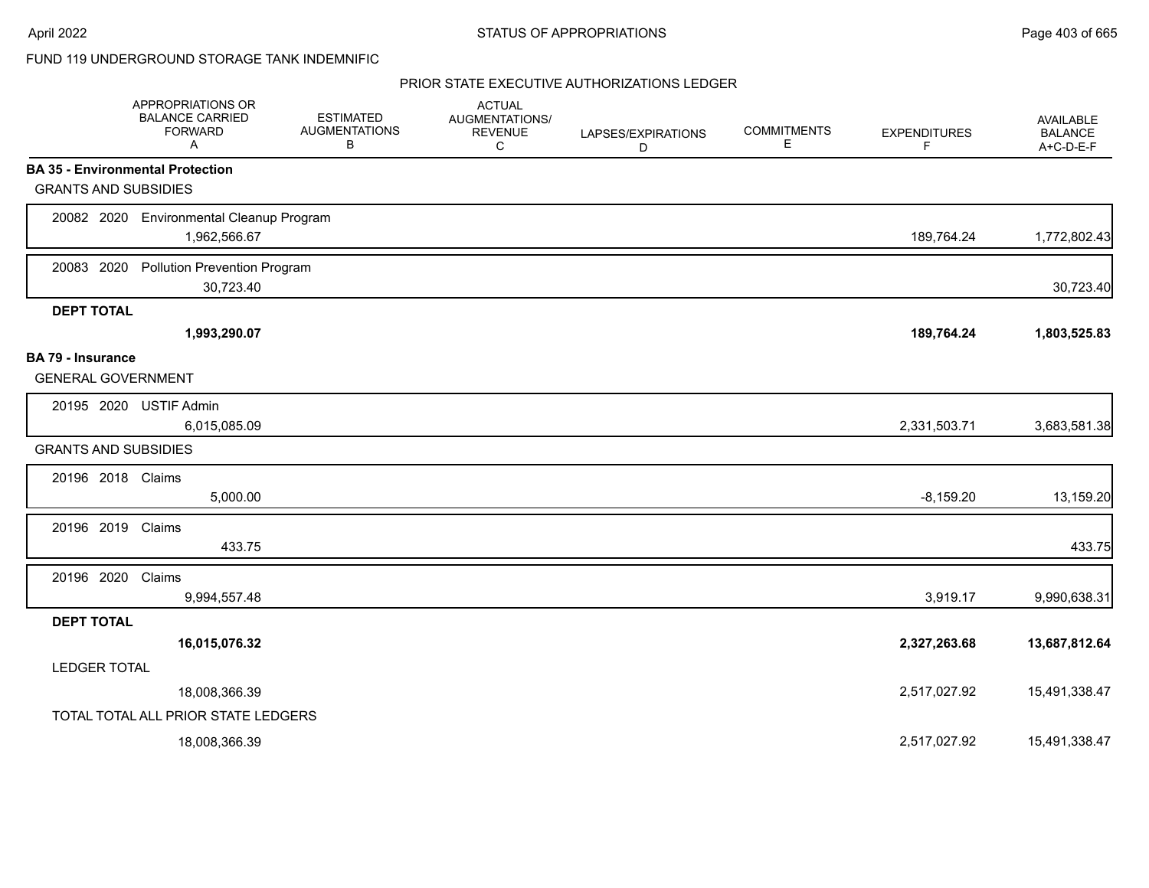## FUND 119 UNDERGROUND STORAGE TANK INDEMNIFIC

|                                                       | APPROPRIATIONS OR<br><b>BALANCE CARRIED</b><br><b>FORWARD</b><br>A | <b>ESTIMATED</b><br><b>AUGMENTATIONS</b><br>В | <b>ACTUAL</b><br>AUGMENTATIONS/<br><b>REVENUE</b><br>C | LAPSES/EXPIRATIONS<br>D | <b>COMMITMENTS</b><br>E | <b>EXPENDITURES</b><br>F | AVAILABLE<br><b>BALANCE</b><br>A+C-D-E-F |
|-------------------------------------------------------|--------------------------------------------------------------------|-----------------------------------------------|--------------------------------------------------------|-------------------------|-------------------------|--------------------------|------------------------------------------|
|                                                       | <b>BA 35 - Environmental Protection</b>                            |                                               |                                                        |                         |                         |                          |                                          |
| <b>GRANTS AND SUBSIDIES</b>                           |                                                                    |                                               |                                                        |                         |                         |                          |                                          |
|                                                       | 20082 2020 Environmental Cleanup Program<br>1,962,566.67           |                                               |                                                        |                         |                         | 189,764.24               | 1,772,802.43                             |
| 20083 2020                                            | <b>Pollution Prevention Program</b><br>30,723.40                   |                                               |                                                        |                         |                         |                          | 30,723.40                                |
| <b>DEPT TOTAL</b>                                     |                                                                    |                                               |                                                        |                         |                         |                          |                                          |
|                                                       | 1,993,290.07                                                       |                                               |                                                        |                         |                         | 189,764.24               | 1,803,525.83                             |
| <b>BA 79 - Insurance</b><br><b>GENERAL GOVERNMENT</b> |                                                                    |                                               |                                                        |                         |                         |                          |                                          |
| 20195 2020                                            | <b>USTIF Admin</b><br>6,015,085.09                                 |                                               |                                                        |                         |                         | 2,331,503.71             | 3,683,581.38                             |
| <b>GRANTS AND SUBSIDIES</b>                           |                                                                    |                                               |                                                        |                         |                         |                          |                                          |
| 20196 2018 Claims                                     | 5,000.00                                                           |                                               |                                                        |                         |                         | $-8,159.20$              | 13,159.20                                |
| 20196 2019                                            | Claims<br>433.75                                                   |                                               |                                                        |                         |                         |                          | 433.75                                   |
| 20196 2020                                            | Claims<br>9,994,557.48                                             |                                               |                                                        |                         |                         | 3,919.17                 | 9,990,638.31                             |
| <b>DEPT TOTAL</b>                                     |                                                                    |                                               |                                                        |                         |                         |                          |                                          |
|                                                       | 16,015,076.32                                                      |                                               |                                                        |                         |                         | 2,327,263.68             | 13,687,812.64                            |
| <b>LEDGER TOTAL</b>                                   |                                                                    |                                               |                                                        |                         |                         |                          |                                          |
|                                                       | 18,008,366.39                                                      |                                               |                                                        |                         |                         | 2,517,027.92             | 15,491,338.47                            |
|                                                       | TOTAL TOTAL ALL PRIOR STATE LEDGERS                                |                                               |                                                        |                         |                         |                          |                                          |
|                                                       | 18,008,366.39                                                      |                                               |                                                        |                         |                         | 2,517,027.92             | 15,491,338.47                            |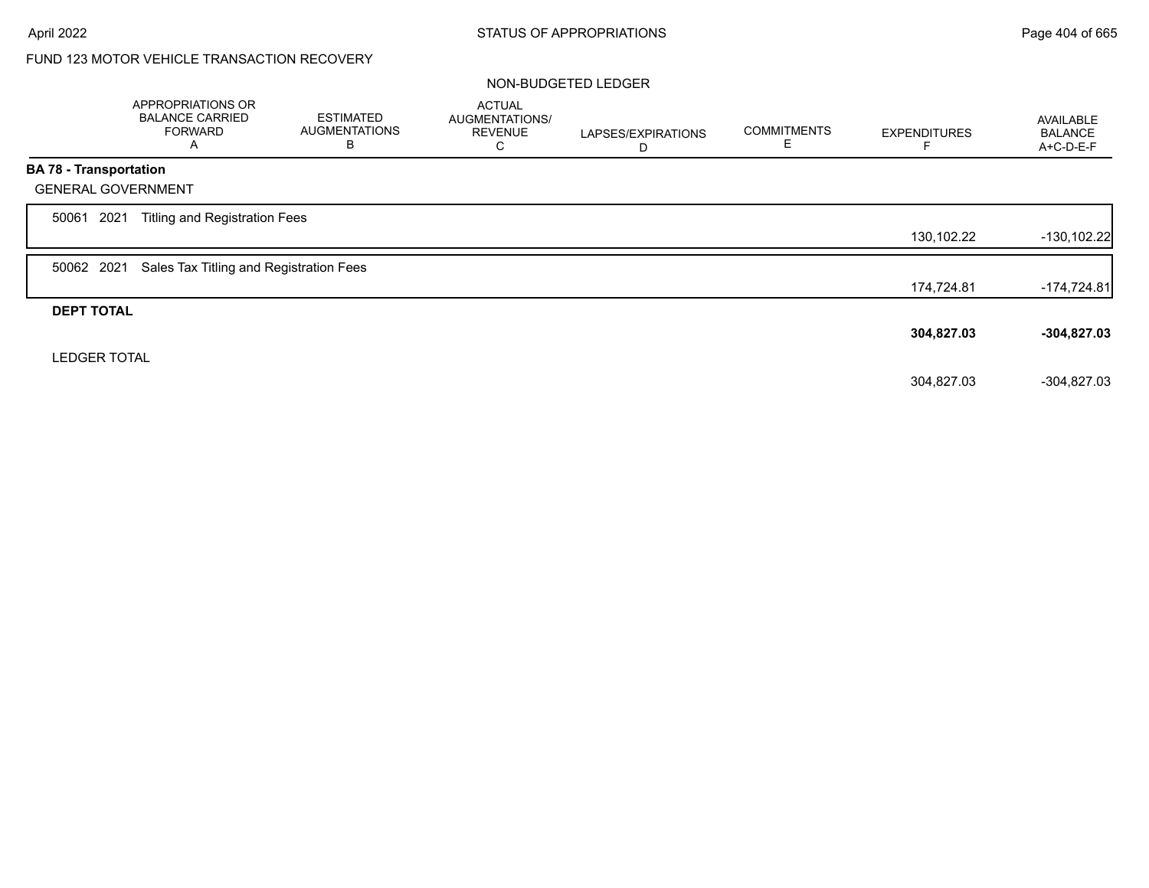# FUND 123 MOTOR VEHICLE TRANSACTION RECOVERY

### NON-BUDGETED LEDGER

|                               | APPROPRIATIONS OR<br><b>BALANCE CARRIED</b><br><b>FORWARD</b><br>A | <b>ESTIMATED</b><br><b>AUGMENTATIONS</b><br>B | <b>ACTUAL</b><br>AUGMENTATIONS/<br><b>REVENUE</b><br>С | LAPSES/EXPIRATIONS<br>D | <b>COMMITMENTS</b><br>Е | <b>EXPENDITURES</b> | AVAILABLE<br><b>BALANCE</b><br>A+C-D-E-F |
|-------------------------------|--------------------------------------------------------------------|-----------------------------------------------|--------------------------------------------------------|-------------------------|-------------------------|---------------------|------------------------------------------|
| <b>BA 78 - Transportation</b> |                                                                    |                                               |                                                        |                         |                         |                     |                                          |
| <b>GENERAL GOVERNMENT</b>     |                                                                    |                                               |                                                        |                         |                         |                     |                                          |
| 2021<br>50061                 | <b>Titling and Registration Fees</b>                               |                                               |                                                        |                         |                         |                     |                                          |
|                               |                                                                    |                                               |                                                        |                         |                         | 130,102.22          | $-130, 102.22$                           |
| 50062 2021                    | Sales Tax Titling and Registration Fees                            |                                               |                                                        |                         |                         |                     |                                          |
|                               |                                                                    |                                               |                                                        |                         |                         | 174,724.81          | $-174,724.81$                            |
| <b>DEPT TOTAL</b>             |                                                                    |                                               |                                                        |                         |                         |                     |                                          |
|                               |                                                                    |                                               |                                                        |                         |                         | 304,827.03          | $-304,827.03$                            |
| <b>LEDGER TOTAL</b>           |                                                                    |                                               |                                                        |                         |                         |                     |                                          |
|                               |                                                                    |                                               |                                                        |                         |                         | 304,827.03          | $-304,827.03$                            |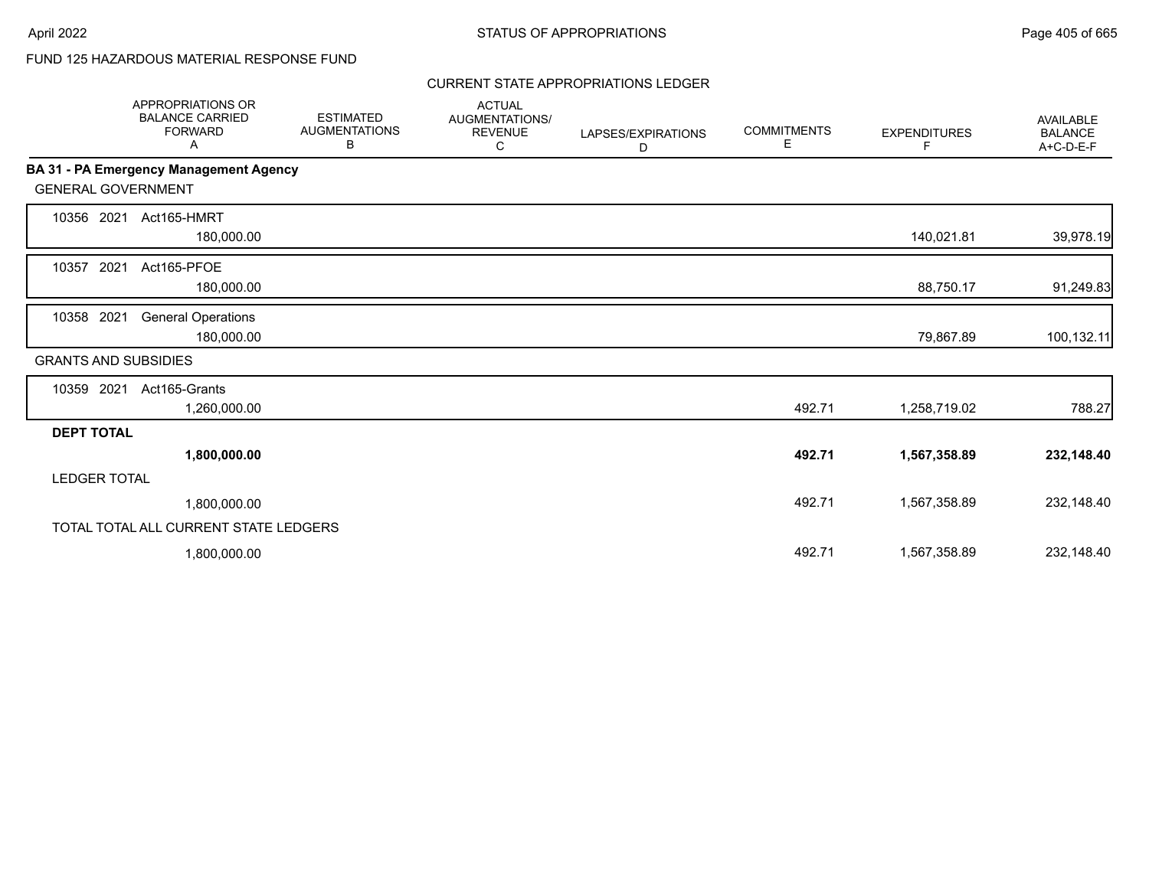# FUND 125 HAZARDOUS MATERIAL RESPONSE FUND

## CURRENT STATE APPROPRIATIONS LEDGER

|                             | <b>APPROPRIATIONS OR</b><br><b>BALANCE CARRIED</b><br><b>FORWARD</b><br>A | <b>ESTIMATED</b><br><b>AUGMENTATIONS</b><br>В | <b>ACTUAL</b><br>AUGMENTATIONS/<br><b>REVENUE</b><br>С | LAPSES/EXPIRATIONS<br>D | <b>COMMITMENTS</b><br>E. | <b>EXPENDITURES</b><br>F | AVAILABLE<br><b>BALANCE</b><br>A+C-D-E-F |
|-----------------------------|---------------------------------------------------------------------------|-----------------------------------------------|--------------------------------------------------------|-------------------------|--------------------------|--------------------------|------------------------------------------|
|                             | <b>BA 31 - PA Emergency Management Agency</b>                             |                                               |                                                        |                         |                          |                          |                                          |
| <b>GENERAL GOVERNMENT</b>   |                                                                           |                                               |                                                        |                         |                          |                          |                                          |
| 10356 2021                  | Act165-HMRT<br>180,000.00                                                 |                                               |                                                        |                         |                          | 140,021.81               | 39,978.19                                |
| 2021<br>10357               | Act165-PFOE<br>180,000.00                                                 |                                               |                                                        |                         |                          | 88,750.17                | 91,249.83                                |
| 10358 2021                  | <b>General Operations</b><br>180,000.00                                   |                                               |                                                        |                         |                          | 79,867.89                | 100,132.11                               |
| <b>GRANTS AND SUBSIDIES</b> |                                                                           |                                               |                                                        |                         |                          |                          |                                          |
| 10359 2021                  | Act165-Grants<br>1,260,000.00                                             |                                               |                                                        |                         | 492.71                   | 1,258,719.02             | 788.27                                   |
| <b>DEPT TOTAL</b>           |                                                                           |                                               |                                                        |                         |                          |                          |                                          |
|                             | 1,800,000.00                                                              |                                               |                                                        |                         | 492.71                   | 1,567,358.89             | 232,148.40                               |
| <b>LEDGER TOTAL</b>         |                                                                           |                                               |                                                        |                         |                          |                          |                                          |
|                             | 1,800,000.00                                                              |                                               |                                                        |                         | 492.71                   | 1,567,358.89             | 232,148.40                               |
|                             | TOTAL TOTAL ALL CURRENT STATE LEDGERS                                     |                                               |                                                        |                         |                          |                          |                                          |
|                             | 1,800,000.00                                                              |                                               |                                                        |                         | 492.71                   | 1,567,358.89             | 232,148.40                               |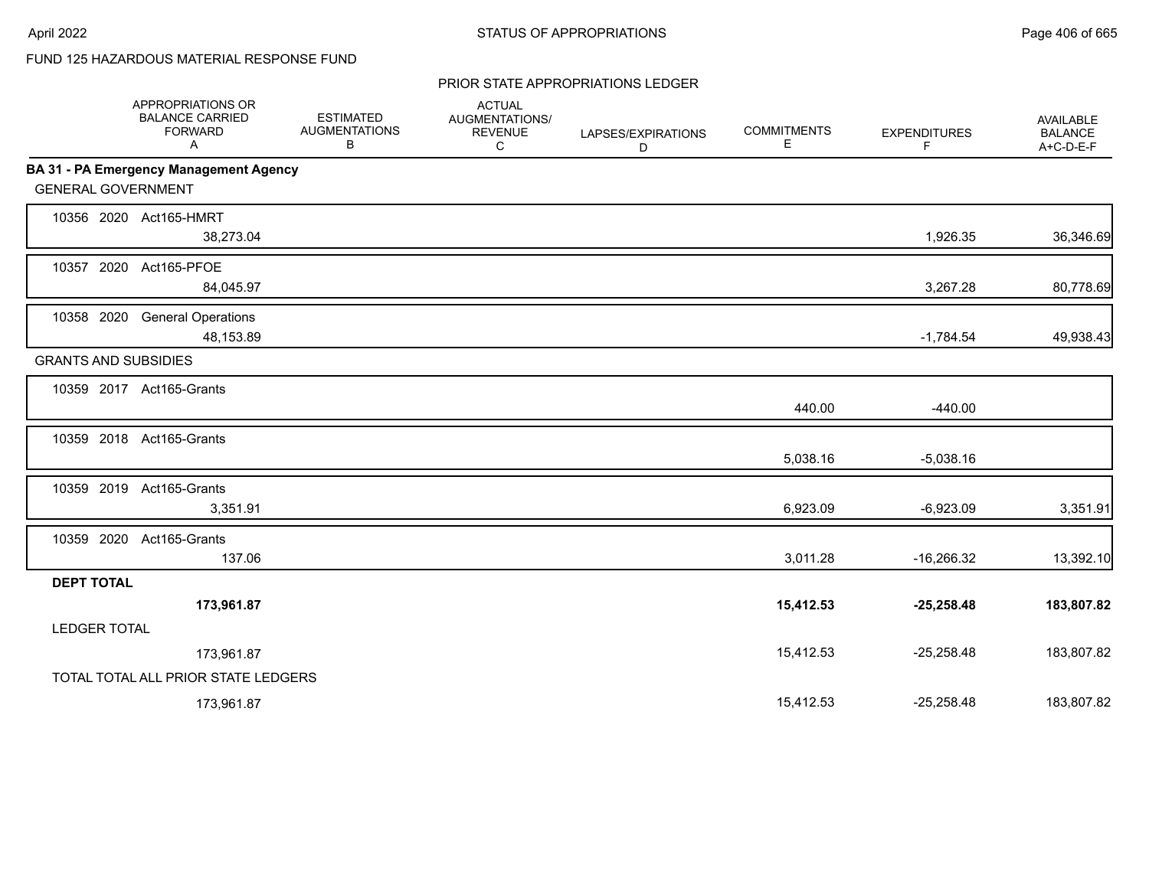# FUND 125 HAZARDOUS MATERIAL RESPONSE FUND

#### PRIOR STATE APPROPRIATIONS LEDGER

|                     | APPROPRIATIONS OR<br><b>BALANCE CARRIED</b><br><b>FORWARD</b><br>Α | <b>ESTIMATED</b><br><b>AUGMENTATIONS</b><br>В | <b>ACTUAL</b><br>AUGMENTATIONS/<br><b>REVENUE</b><br>C | LAPSES/EXPIRATIONS<br>D | <b>COMMITMENTS</b><br>E. | <b>EXPENDITURES</b><br>F | <b>AVAILABLE</b><br><b>BALANCE</b><br>$A+C-D-E-F$ |
|---------------------|--------------------------------------------------------------------|-----------------------------------------------|--------------------------------------------------------|-------------------------|--------------------------|--------------------------|---------------------------------------------------|
|                     | BA 31 - PA Emergency Management Agency                             |                                               |                                                        |                         |                          |                          |                                                   |
|                     | <b>GENERAL GOVERNMENT</b>                                          |                                               |                                                        |                         |                          |                          |                                                   |
|                     | 10356 2020 Act165-HMRT<br>38,273.04                                |                                               |                                                        |                         |                          | 1,926.35                 | 36,346.69                                         |
|                     | 10357 2020 Act165-PFOE<br>84,045.97                                |                                               |                                                        |                         |                          | 3,267.28                 | 80,778.69                                         |
| 10358 2020          | <b>General Operations</b><br>48,153.89                             |                                               |                                                        |                         |                          | $-1,784.54$              | 49,938.43                                         |
|                     | <b>GRANTS AND SUBSIDIES</b>                                        |                                               |                                                        |                         |                          |                          |                                                   |
|                     | 10359 2017 Act165-Grants                                           |                                               |                                                        |                         | 440.00                   | $-440.00$                |                                                   |
|                     | 10359 2018 Act165-Grants                                           |                                               |                                                        |                         | 5,038.16                 | $-5,038.16$              |                                                   |
|                     | 10359 2019 Act165-Grants<br>3,351.91                               |                                               |                                                        |                         | 6,923.09                 | $-6,923.09$              | 3,351.91                                          |
| 10359 2020          | Act165-Grants<br>137.06                                            |                                               |                                                        |                         | 3,011.28                 | $-16,266.32$             | 13,392.10                                         |
| <b>DEPT TOTAL</b>   |                                                                    |                                               |                                                        |                         |                          |                          |                                                   |
|                     | 173,961.87                                                         |                                               |                                                        |                         | 15,412.53                | $-25,258.48$             | 183,807.82                                        |
| <b>LEDGER TOTAL</b> |                                                                    |                                               |                                                        |                         |                          |                          |                                                   |
|                     | 173,961.87                                                         |                                               |                                                        |                         | 15,412.53                | $-25,258.48$             | 183,807.82                                        |
|                     | TOTAL TOTAL ALL PRIOR STATE LEDGERS                                |                                               |                                                        |                         |                          |                          |                                                   |
|                     | 173,961.87                                                         |                                               |                                                        |                         | 15,412.53                | $-25,258.48$             | 183,807.82                                        |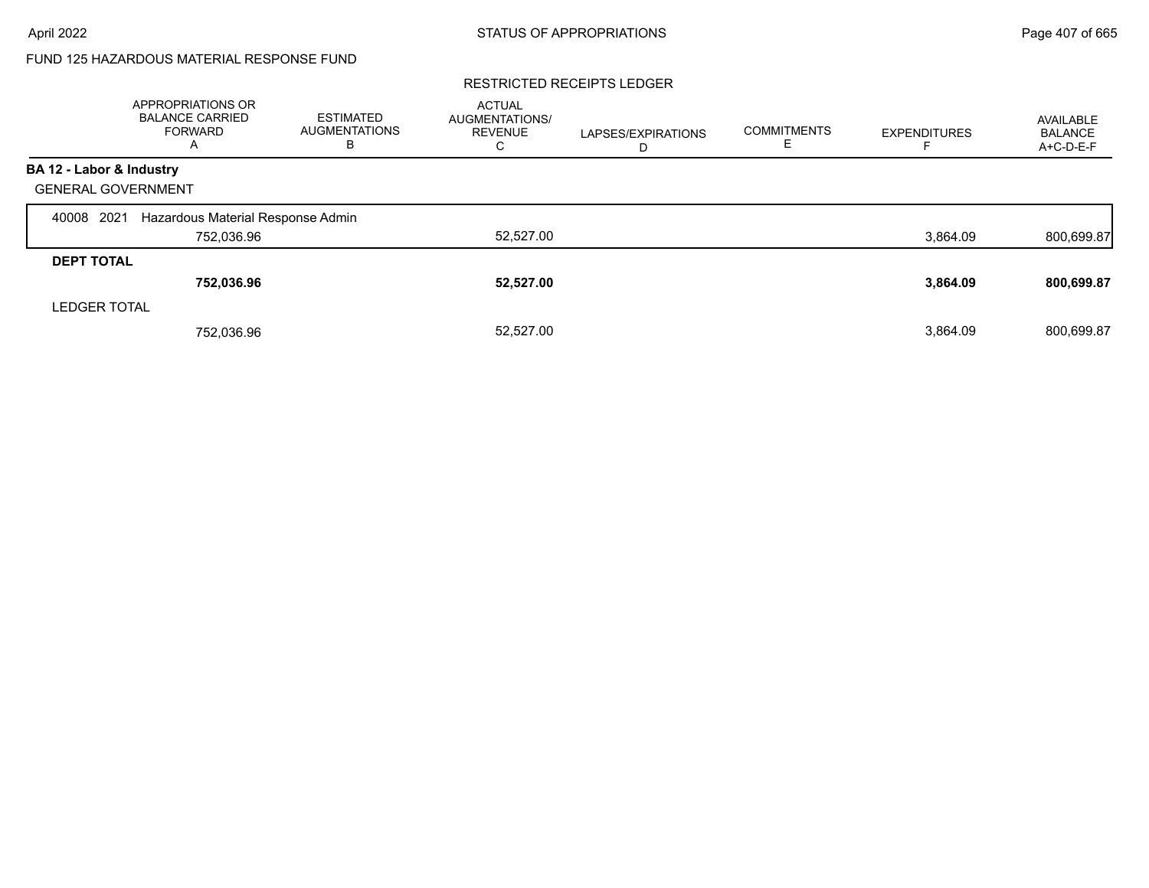# FUND 125 HAZARDOUS MATERIAL RESPONSE FUND

### RESTRICTED RECEIPTS LEDGER

|                           | <b>APPROPRIATIONS OR</b><br><b>BALANCE CARRIED</b><br><b>FORWARD</b><br>A | <b>ESTIMATED</b><br>AUGMENTATIONS<br>в | <b>ACTUAL</b><br><b>AUGMENTATIONS/</b><br><b>REVENUE</b><br>C | LAPSES/EXPIRATIONS<br>D | <b>COMMITMENTS</b><br>ᄂ | <b>EXPENDITURES</b> | AVAILABLE<br><b>BALANCE</b><br>A+C-D-E-F |
|---------------------------|---------------------------------------------------------------------------|----------------------------------------|---------------------------------------------------------------|-------------------------|-------------------------|---------------------|------------------------------------------|
| BA 12 - Labor & Industry  |                                                                           |                                        |                                                               |                         |                         |                     |                                          |
| <b>GENERAL GOVERNMENT</b> |                                                                           |                                        |                                                               |                         |                         |                     |                                          |
| 2021<br>40008             | Hazardous Material Response Admin                                         |                                        |                                                               |                         |                         |                     |                                          |
|                           | 752,036.96                                                                |                                        | 52,527.00                                                     |                         |                         | 3,864.09            | 800,699.87                               |
| <b>DEPT TOTAL</b>         |                                                                           |                                        |                                                               |                         |                         |                     |                                          |
|                           | 752,036.96                                                                |                                        | 52,527.00                                                     |                         |                         | 3,864.09            | 800,699.87                               |
| <b>LEDGER TOTAL</b>       |                                                                           |                                        |                                                               |                         |                         |                     |                                          |
|                           | 752.036.96                                                                |                                        | 52,527.00                                                     |                         |                         | 3,864.09            | 800,699.87                               |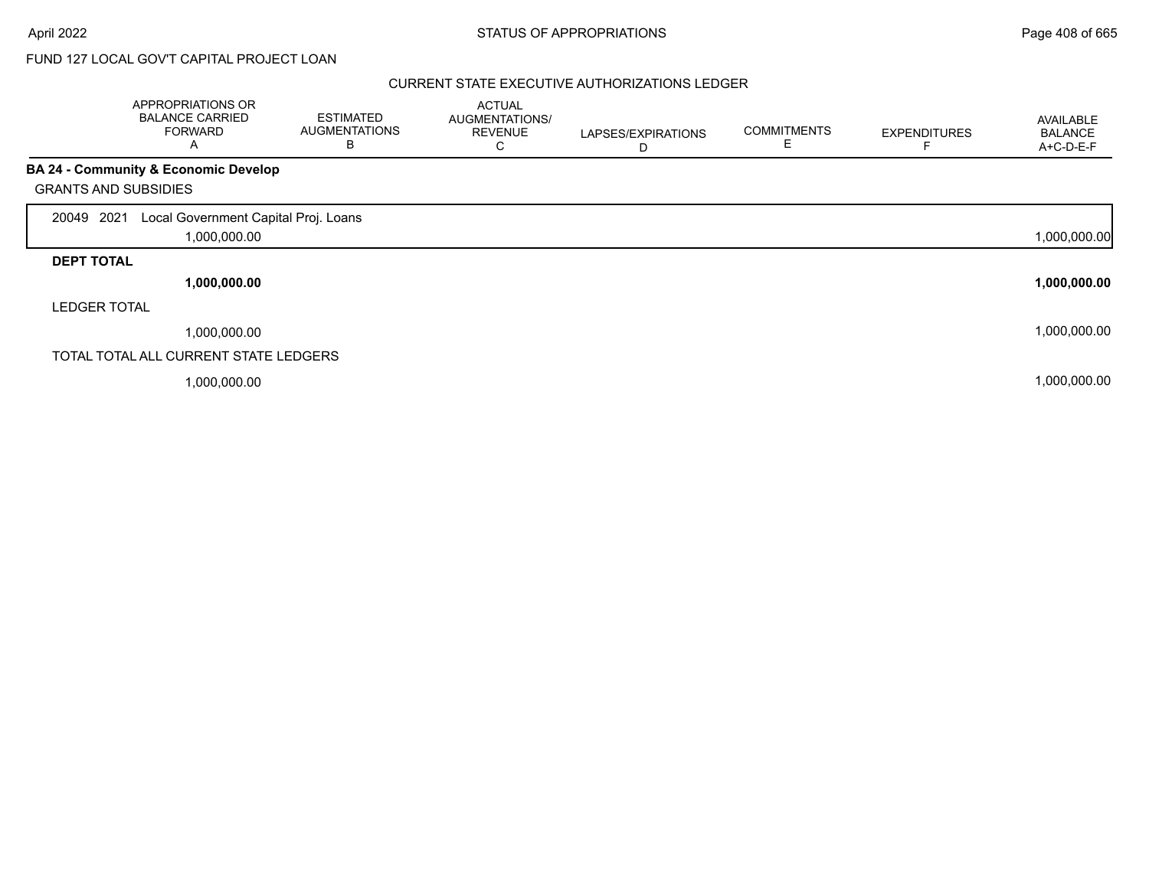# FUND 127 LOCAL GOV'T CAPITAL PROJECT LOAN

|                             | APPROPRIATIONS OR<br><b>BALANCE CARRIED</b><br><b>FORWARD</b><br>A | <b>ESTIMATED</b><br><b>AUGMENTATIONS</b><br>В | <b>ACTUAL</b><br>AUGMENTATIONS/<br><b>REVENUE</b><br>С | LAPSES/EXPIRATIONS<br>D | <b>COMMITMENTS</b><br>Е | <b>EXPENDITURES</b> | <b>AVAILABLE</b><br><b>BALANCE</b><br>A+C-D-E-F |
|-----------------------------|--------------------------------------------------------------------|-----------------------------------------------|--------------------------------------------------------|-------------------------|-------------------------|---------------------|-------------------------------------------------|
|                             | BA 24 - Community & Economic Develop                               |                                               |                                                        |                         |                         |                     |                                                 |
| <b>GRANTS AND SUBSIDIES</b> |                                                                    |                                               |                                                        |                         |                         |                     |                                                 |
| 2021<br>20049               | Local Government Capital Proj. Loans                               |                                               |                                                        |                         |                         |                     |                                                 |
|                             | 1,000,000.00                                                       |                                               |                                                        |                         |                         |                     | 1,000,000.00                                    |
| <b>DEPT TOTAL</b>           |                                                                    |                                               |                                                        |                         |                         |                     |                                                 |
|                             | 1,000,000.00                                                       |                                               |                                                        |                         |                         |                     | 1,000,000.00                                    |
| <b>LEDGER TOTAL</b>         |                                                                    |                                               |                                                        |                         |                         |                     |                                                 |
|                             | 1,000,000.00                                                       |                                               |                                                        |                         |                         |                     | 1,000,000.00                                    |
|                             | TOTAL TOTAL ALL CURRENT STATE LEDGERS                              |                                               |                                                        |                         |                         |                     |                                                 |
|                             | 1,000,000.00                                                       |                                               |                                                        |                         |                         |                     | 1,000,000.00                                    |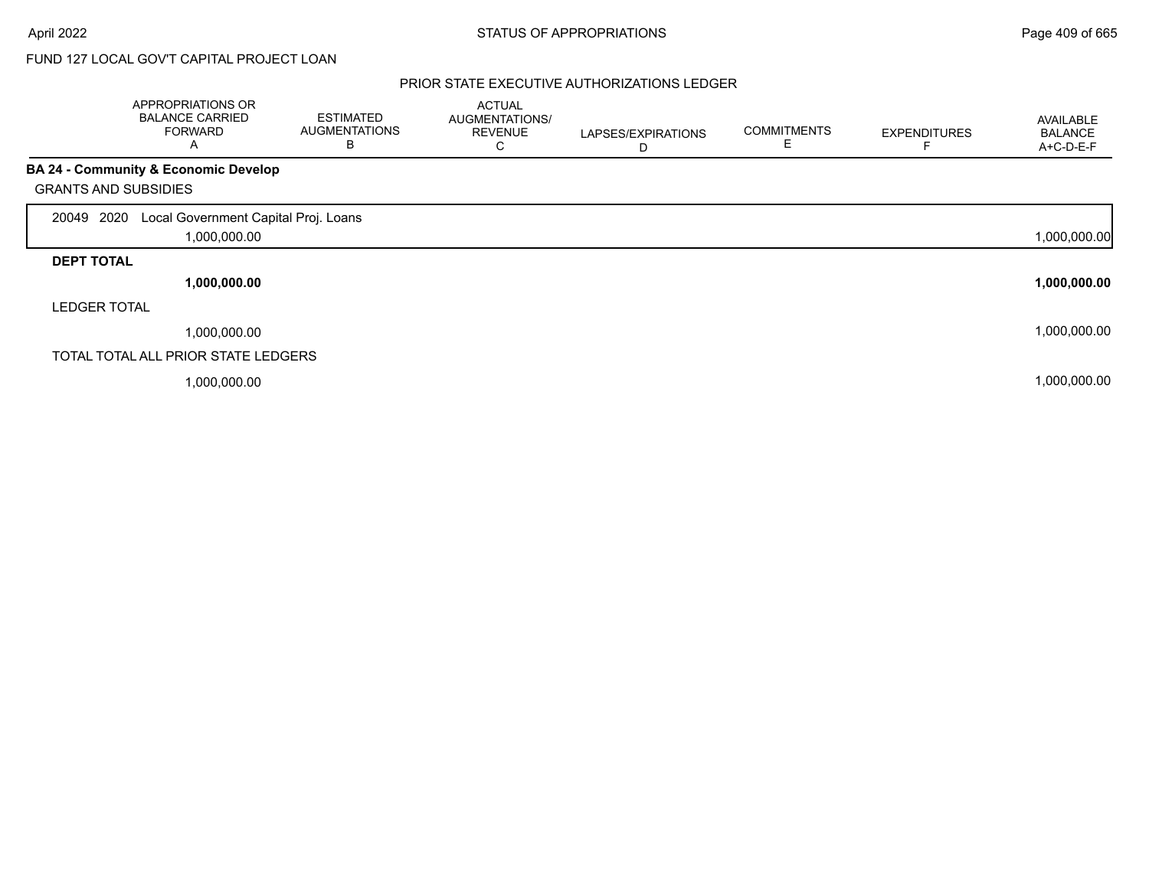# FUND 127 LOCAL GOV'T CAPITAL PROJECT LOAN

|                             | APPROPRIATIONS OR<br><b>BALANCE CARRIED</b><br><b>FORWARD</b><br>A | <b>ESTIMATED</b><br><b>AUGMENTATIONS</b><br>В | <b>ACTUAL</b><br>AUGMENTATIONS/<br><b>REVENUE</b><br>U | LAPSES/EXPIRATIONS<br>D | <b>COMMITMENTS</b><br>E | <b>EXPENDITURES</b> | AVAILABLE<br><b>BALANCE</b><br>A+C-D-E-F |
|-----------------------------|--------------------------------------------------------------------|-----------------------------------------------|--------------------------------------------------------|-------------------------|-------------------------|---------------------|------------------------------------------|
|                             | BA 24 - Community & Economic Develop                               |                                               |                                                        |                         |                         |                     |                                          |
| <b>GRANTS AND SUBSIDIES</b> |                                                                    |                                               |                                                        |                         |                         |                     |                                          |
| 2020<br>20049               | Local Government Capital Proj. Loans                               |                                               |                                                        |                         |                         |                     |                                          |
|                             | 1,000,000.00                                                       |                                               |                                                        |                         |                         |                     | 1,000,000.00                             |
| <b>DEPT TOTAL</b>           |                                                                    |                                               |                                                        |                         |                         |                     |                                          |
|                             | 1,000,000.00                                                       |                                               |                                                        |                         |                         |                     | 1,000,000.00                             |
| <b>LEDGER TOTAL</b>         |                                                                    |                                               |                                                        |                         |                         |                     |                                          |
|                             | 1,000,000.00                                                       |                                               |                                                        |                         |                         |                     | 1,000,000.00                             |
|                             | TOTAL TOTAL ALL PRIOR STATE LEDGERS                                |                                               |                                                        |                         |                         |                     |                                          |
|                             | 1,000,000.00                                                       |                                               |                                                        |                         |                         |                     | 1,000,000.00                             |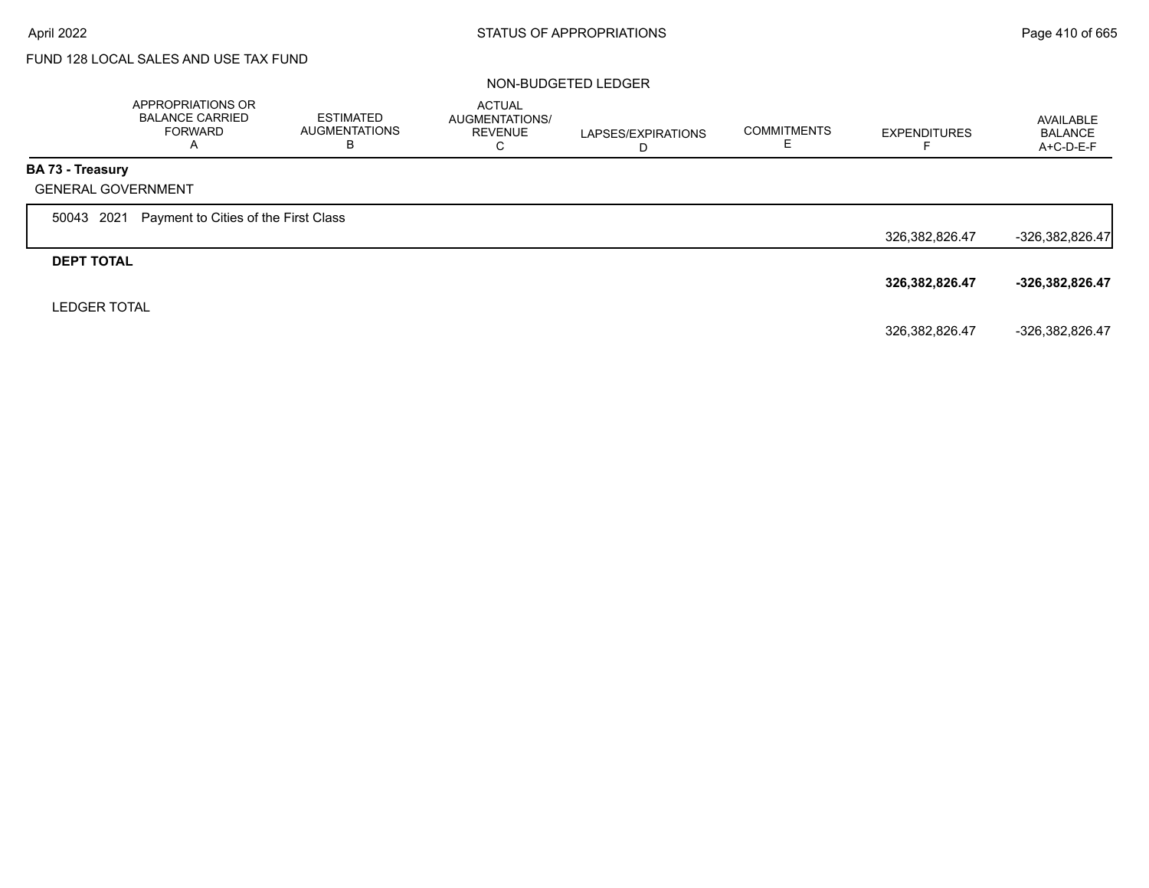# FUND 128 LOCAL SALES AND USE TAX FUND

#### NON-BUDGETED LEDGER

|                     | APPROPRIATIONS OR<br><b>BALANCE CARRIED</b><br><b>FORWARD</b><br>A | <b>ESTIMATED</b><br><b>AUGMENTATIONS</b><br>в | <b>ACTUAL</b><br>AUGMENTATIONS/<br><b>REVENUE</b><br>С | LAPSES/EXPIRATIONS | <b>COMMITMENTS</b> | <b>EXPENDITURES</b> | AVAILABLE<br><b>BALANCE</b><br>$A+C-D-E-F$ |
|---------------------|--------------------------------------------------------------------|-----------------------------------------------|--------------------------------------------------------|--------------------|--------------------|---------------------|--------------------------------------------|
| BA 73 - Treasury    |                                                                    |                                               |                                                        |                    |                    |                     |                                            |
|                     | <b>GENERAL GOVERNMENT</b>                                          |                                               |                                                        |                    |                    |                     |                                            |
| 2021<br>50043       | Payment to Cities of the First Class                               |                                               |                                                        |                    |                    |                     |                                            |
|                     |                                                                    |                                               |                                                        |                    |                    | 326, 382, 826. 47   | $-326,382,826.47$                          |
| <b>DEPT TOTAL</b>   |                                                                    |                                               |                                                        |                    |                    |                     |                                            |
|                     |                                                                    |                                               |                                                        |                    |                    | 326,382,826.47      | -326,382,826.47                            |
| <b>LEDGER TOTAL</b> |                                                                    |                                               |                                                        |                    |                    |                     |                                            |
|                     |                                                                    |                                               |                                                        |                    |                    | 326, 382, 826. 47   | -326,382,826.47                            |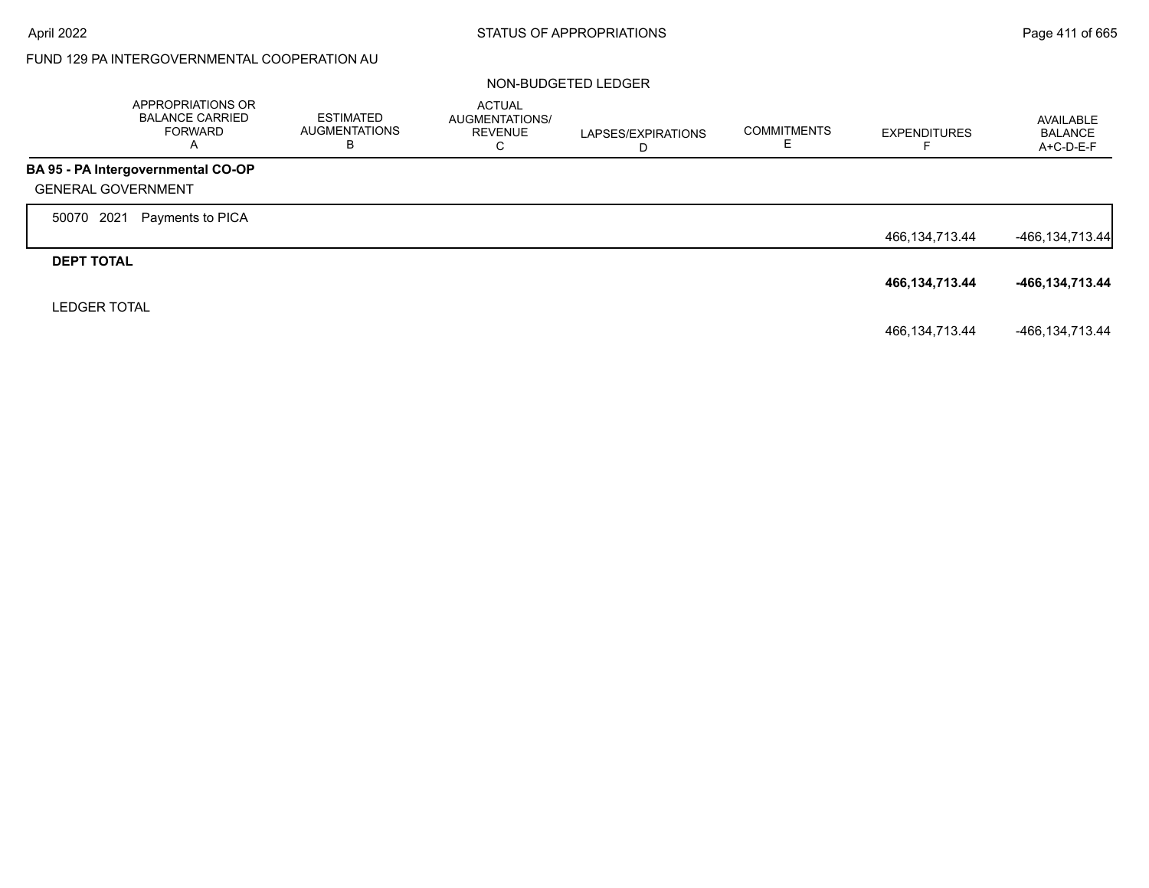# FUND 129 PA INTERGOVERNMENTAL COOPERATION AU

#### NON-BUDGETED LEDGER

|                           | APPROPRIATIONS OR<br><b>BALANCE CARRIED</b><br><b>FORWARD</b><br>A | <b>ESTIMATED</b><br>AUGMENTATIONS<br>В | <b>ACTUAL</b><br>AUGMENTATIONS/<br><b>REVENUE</b><br>С | LAPSES/EXPIRATIONS<br>D | <b>COMMITMENTS</b><br>c. | <b>EXPENDITURES</b><br>⊢ | AVAILABLE<br><b>BALANCE</b><br>A+C-D-E-F |
|---------------------------|--------------------------------------------------------------------|----------------------------------------|--------------------------------------------------------|-------------------------|--------------------------|--------------------------|------------------------------------------|
|                           | BA 95 - PA Intergovernmental CO-OP                                 |                                        |                                                        |                         |                          |                          |                                          |
| <b>GENERAL GOVERNMENT</b> |                                                                    |                                        |                                                        |                         |                          |                          |                                          |
| 2021<br>50070             | Payments to PICA                                                   |                                        |                                                        |                         |                          |                          |                                          |
|                           |                                                                    |                                        |                                                        |                         |                          | 466,134,713.44           | $-466, 134, 713.44$                      |
| <b>DEPT TOTAL</b>         |                                                                    |                                        |                                                        |                         |                          |                          |                                          |
|                           |                                                                    |                                        |                                                        |                         |                          | 466, 134, 713. 44        | -466,134,713.44                          |
| <b>LEDGER TOTAL</b>       |                                                                    |                                        |                                                        |                         |                          |                          |                                          |
|                           |                                                                    |                                        |                                                        |                         |                          | 466,134,713.44           | -466,134,713.44                          |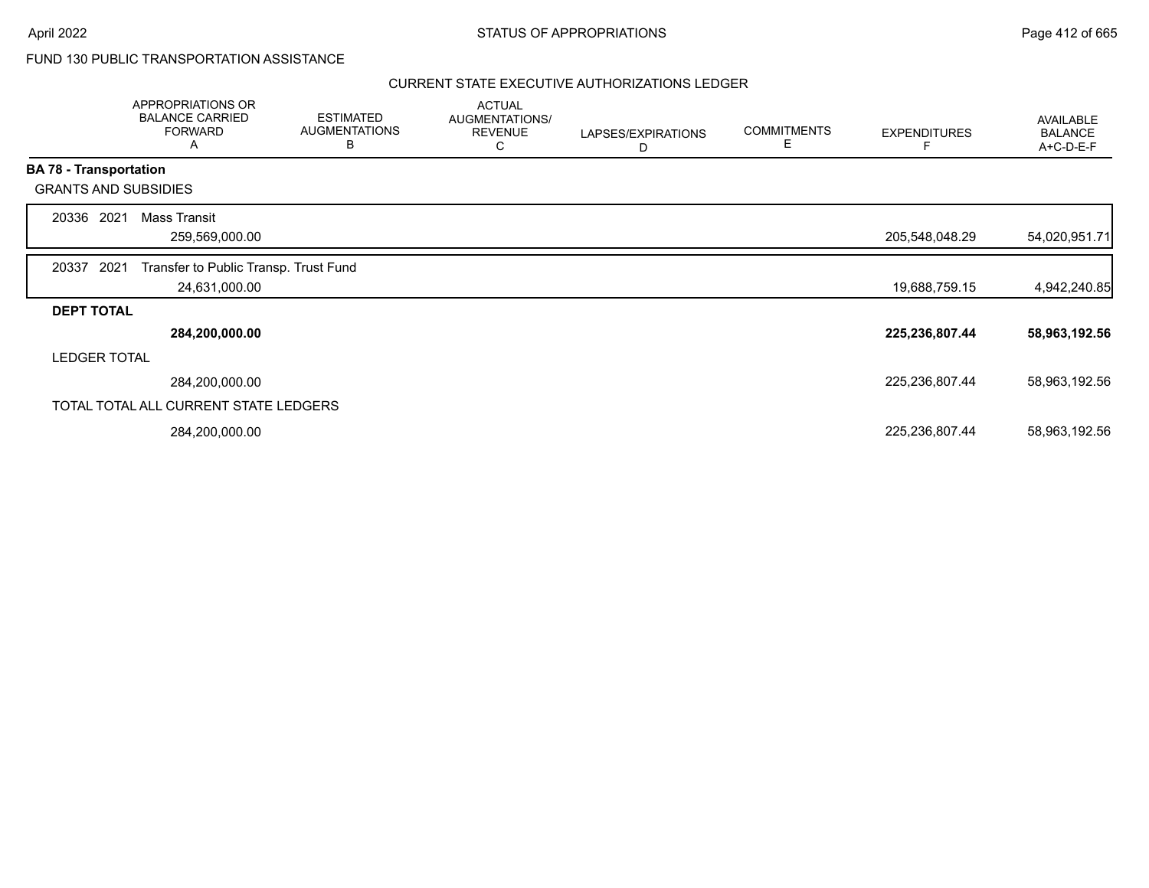## FUND 130 PUBLIC TRANSPORTATION ASSISTANCE

|                               | APPROPRIATIONS OR<br><b>BALANCE CARRIED</b><br><b>FORWARD</b><br>A | <b>ESTIMATED</b><br><b>AUGMENTATIONS</b><br>B | <b>ACTUAL</b><br>AUGMENTATIONS/<br><b>REVENUE</b><br>С | LAPSES/EXPIRATIONS<br>D | <b>COMMITMENTS</b><br>Е | <b>EXPENDITURES</b> | AVAILABLE<br><b>BALANCE</b><br>A+C-D-E-F |
|-------------------------------|--------------------------------------------------------------------|-----------------------------------------------|--------------------------------------------------------|-------------------------|-------------------------|---------------------|------------------------------------------|
| <b>BA 78 - Transportation</b> |                                                                    |                                               |                                                        |                         |                         |                     |                                          |
|                               | <b>GRANTS AND SUBSIDIES</b>                                        |                                               |                                                        |                         |                         |                     |                                          |
| 20336                         | <b>Mass Transit</b><br>2021                                        |                                               |                                                        |                         |                         |                     |                                          |
|                               | 259,569,000.00                                                     |                                               |                                                        |                         |                         | 205,548,048.29      | 54,020,951.71                            |
| 20337                         | 2021<br>Transfer to Public Transp. Trust Fund                      |                                               |                                                        |                         |                         |                     |                                          |
|                               | 24,631,000.00                                                      |                                               |                                                        |                         |                         | 19,688,759.15       | 4,942,240.85                             |
| <b>DEPT TOTAL</b>             |                                                                    |                                               |                                                        |                         |                         |                     |                                          |
|                               | 284,200,000.00                                                     |                                               |                                                        |                         |                         | 225,236,807.44      | 58,963,192.56                            |
| <b>LEDGER TOTAL</b>           |                                                                    |                                               |                                                        |                         |                         |                     |                                          |
|                               | 284,200,000.00                                                     |                                               |                                                        |                         |                         | 225,236,807.44      | 58,963,192.56                            |
|                               | TOTAL TOTAL ALL CURRENT STATE LEDGERS                              |                                               |                                                        |                         |                         |                     |                                          |
|                               | 284,200,000.00                                                     |                                               |                                                        |                         |                         | 225,236,807.44      | 58,963,192.56                            |
|                               |                                                                    |                                               |                                                        |                         |                         |                     |                                          |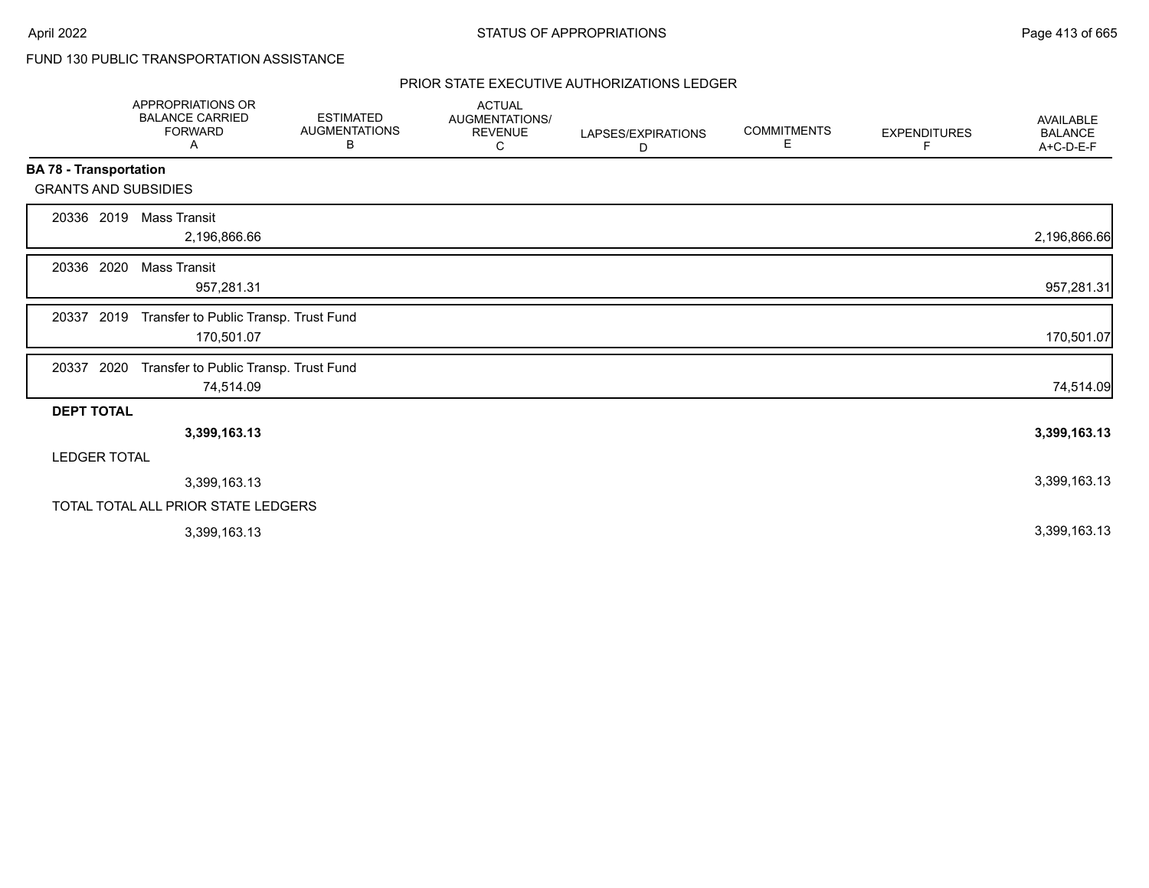# FUND 130 PUBLIC TRANSPORTATION ASSISTANCE

|                               | <b>APPROPRIATIONS OR</b><br><b>BALANCE CARRIED</b><br><b>FORWARD</b><br>Α | <b>ESTIMATED</b><br><b>AUGMENTATIONS</b><br>В | <b>ACTUAL</b><br><b>AUGMENTATIONS/</b><br><b>REVENUE</b><br>С | LAPSES/EXPIRATIONS<br>D | <b>COMMITMENTS</b><br>Е | <b>EXPENDITURES</b><br>F | <b>AVAILABLE</b><br><b>BALANCE</b><br>A+C-D-E-F |
|-------------------------------|---------------------------------------------------------------------------|-----------------------------------------------|---------------------------------------------------------------|-------------------------|-------------------------|--------------------------|-------------------------------------------------|
| <b>BA 78 - Transportation</b> |                                                                           |                                               |                                                               |                         |                         |                          |                                                 |
| <b>GRANTS AND SUBSIDIES</b>   |                                                                           |                                               |                                                               |                         |                         |                          |                                                 |
| 20336 2019                    | Mass Transit<br>2,196,866.66                                              |                                               |                                                               |                         |                         |                          | 2,196,866.66                                    |
| 2020<br>20336                 | Mass Transit<br>957,281.31                                                |                                               |                                                               |                         |                         |                          | 957,281.31                                      |
| 20337<br>2019                 | Transfer to Public Transp. Trust Fund<br>170,501.07                       |                                               |                                                               |                         |                         |                          | 170,501.07                                      |
| 20337 2020                    | Transfer to Public Transp. Trust Fund<br>74,514.09                        |                                               |                                                               |                         |                         |                          | 74,514.09                                       |
| <b>DEPT TOTAL</b>             |                                                                           |                                               |                                                               |                         |                         |                          |                                                 |
|                               | 3,399,163.13                                                              |                                               |                                                               |                         |                         |                          | 3,399,163.13                                    |
| <b>LEDGER TOTAL</b>           |                                                                           |                                               |                                                               |                         |                         |                          |                                                 |
|                               | 3,399,163.13                                                              |                                               |                                                               |                         |                         |                          | 3,399,163.13                                    |
|                               | TOTAL TOTAL ALL PRIOR STATE LEDGERS                                       |                                               |                                                               |                         |                         |                          |                                                 |
|                               | 3,399,163.13                                                              |                                               |                                                               |                         |                         |                          | 3,399,163.13                                    |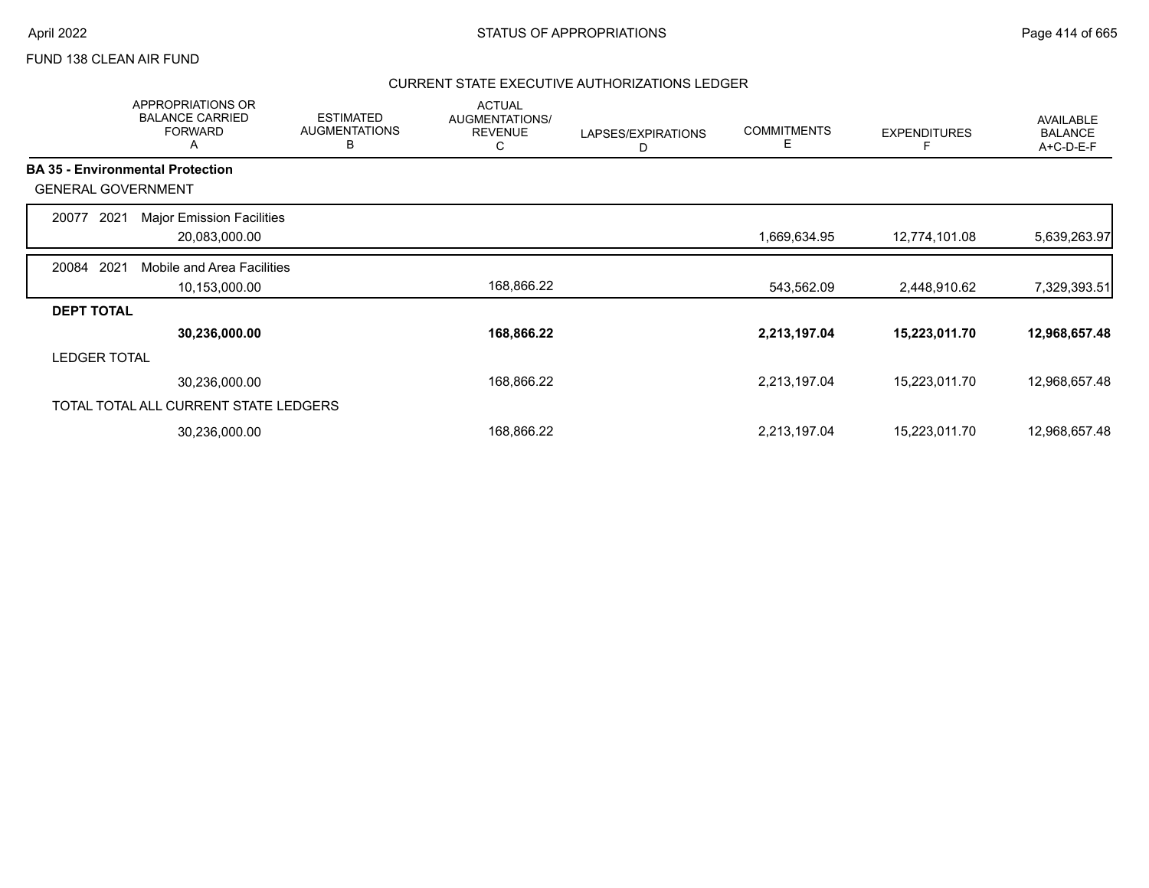## FUND 138 CLEAN AIR FUND

|                           | <b>APPROPRIATIONS OR</b><br><b>BALANCE CARRIED</b><br><b>FORWARD</b><br>A | <b>ESTIMATED</b><br><b>AUGMENTATIONS</b><br>В | <b>ACTUAL</b><br>AUGMENTATIONS/<br><b>REVENUE</b><br>С | LAPSES/EXPIRATIONS<br>D | <b>COMMITMENTS</b><br>Е | <b>EXPENDITURES</b> | <b>AVAILABLE</b><br><b>BALANCE</b><br>A+C-D-E-F |
|---------------------------|---------------------------------------------------------------------------|-----------------------------------------------|--------------------------------------------------------|-------------------------|-------------------------|---------------------|-------------------------------------------------|
|                           | <b>BA 35 - Environmental Protection</b>                                   |                                               |                                                        |                         |                         |                     |                                                 |
| <b>GENERAL GOVERNMENT</b> |                                                                           |                                               |                                                        |                         |                         |                     |                                                 |
| 2021<br>20077             | <b>Major Emission Facilities</b>                                          |                                               |                                                        |                         |                         |                     |                                                 |
|                           | 20,083,000.00                                                             |                                               |                                                        |                         | 1,669,634.95            | 12,774,101.08       | 5,639,263.97                                    |
| 2021<br>20084             | Mobile and Area Facilities                                                |                                               |                                                        |                         |                         |                     |                                                 |
|                           | 10,153,000.00                                                             |                                               | 168,866.22                                             |                         | 543,562.09              | 2,448,910.62        | 7,329,393.51                                    |
| <b>DEPT TOTAL</b>         |                                                                           |                                               |                                                        |                         |                         |                     |                                                 |
|                           | 30,236,000.00                                                             |                                               | 168,866.22                                             |                         | 2,213,197.04            | 15,223,011.70       | 12,968,657.48                                   |
| <b>LEDGER TOTAL</b>       |                                                                           |                                               |                                                        |                         |                         |                     |                                                 |
|                           | 30,236,000.00                                                             |                                               | 168,866.22                                             |                         | 2,213,197.04            | 15,223,011.70       | 12,968,657.48                                   |
|                           | TOTAL TOTAL ALL CURRENT STATE LEDGERS                                     |                                               |                                                        |                         |                         |                     |                                                 |
|                           | 30,236,000.00                                                             |                                               | 168,866.22                                             |                         | 2,213,197.04            | 15,223,011.70       | 12,968,657.48                                   |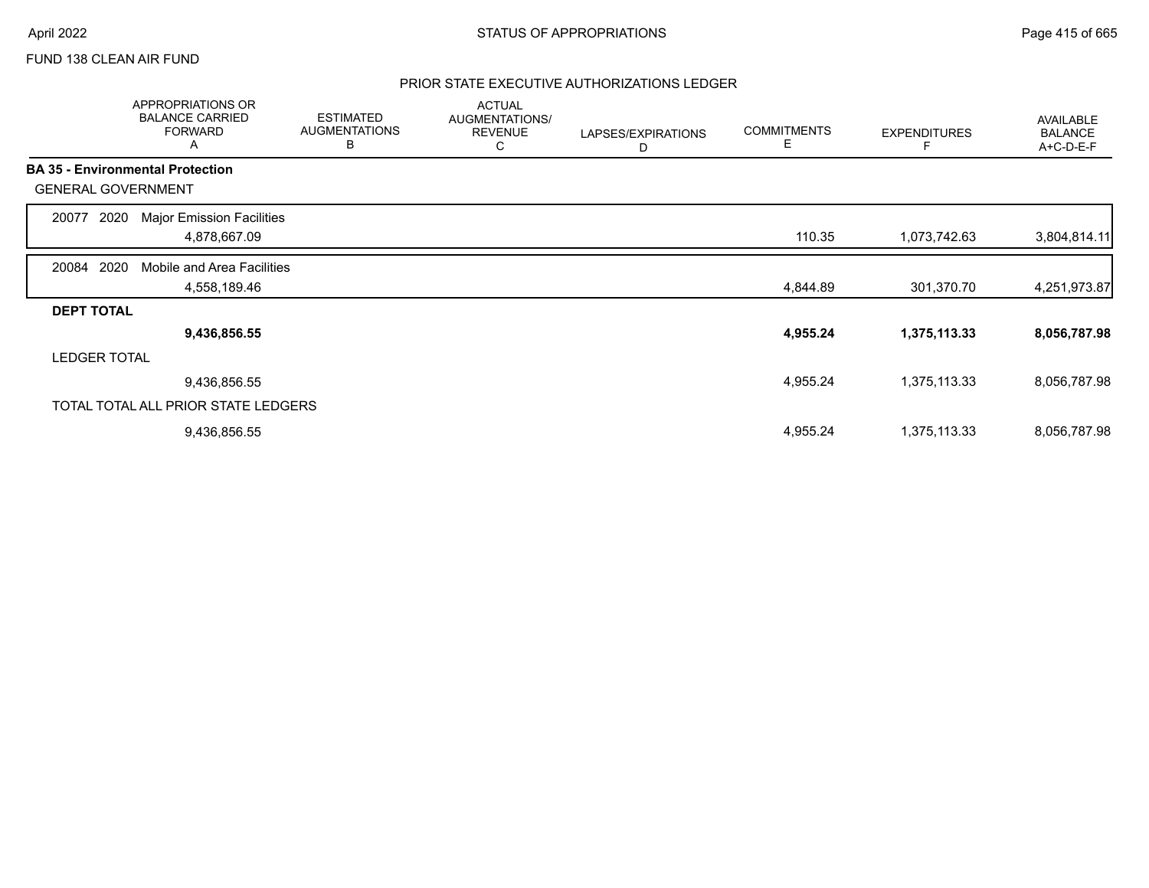## FUND 138 CLEAN AIR FUND

|                     | APPROPRIATIONS OR<br><b>BALANCE CARRIED</b><br><b>FORWARD</b><br>A | <b>ESTIMATED</b><br><b>AUGMENTATIONS</b><br>B | <b>ACTUAL</b><br>AUGMENTATIONS/<br><b>REVENUE</b><br>С | LAPSES/EXPIRATIONS<br>D | <b>COMMITMENTS</b><br>E | <b>EXPENDITURES</b> | <b>AVAILABLE</b><br><b>BALANCE</b><br>A+C-D-E-F |
|---------------------|--------------------------------------------------------------------|-----------------------------------------------|--------------------------------------------------------|-------------------------|-------------------------|---------------------|-------------------------------------------------|
|                     | <b>BA 35 - Environmental Protection</b>                            |                                               |                                                        |                         |                         |                     |                                                 |
|                     | <b>GENERAL GOVERNMENT</b>                                          |                                               |                                                        |                         |                         |                     |                                                 |
| 20077               | 2020<br><b>Major Emission Facilities</b>                           |                                               |                                                        |                         |                         |                     |                                                 |
|                     | 4,878,667.09                                                       |                                               |                                                        |                         | 110.35                  | 1,073,742.63        | 3,804,814.11                                    |
| 20084               | 2020<br>Mobile and Area Facilities                                 |                                               |                                                        |                         |                         |                     |                                                 |
|                     | 4,558,189.46                                                       |                                               |                                                        |                         | 4,844.89                | 301,370.70          | 4,251,973.87                                    |
| <b>DEPT TOTAL</b>   |                                                                    |                                               |                                                        |                         |                         |                     |                                                 |
|                     | 9,436,856.55                                                       |                                               |                                                        |                         | 4,955.24                | 1,375,113.33        | 8,056,787.98                                    |
| <b>LEDGER TOTAL</b> |                                                                    |                                               |                                                        |                         |                         |                     |                                                 |
|                     | 9,436,856.55                                                       |                                               |                                                        |                         | 4,955.24                | 1,375,113.33        | 8,056,787.98                                    |
|                     | TOTAL TOTAL ALL PRIOR STATE LEDGERS                                |                                               |                                                        |                         |                         |                     |                                                 |
|                     | 9,436,856.55                                                       |                                               |                                                        |                         | 4,955.24                | 1,375,113.33        | 8,056,787.98                                    |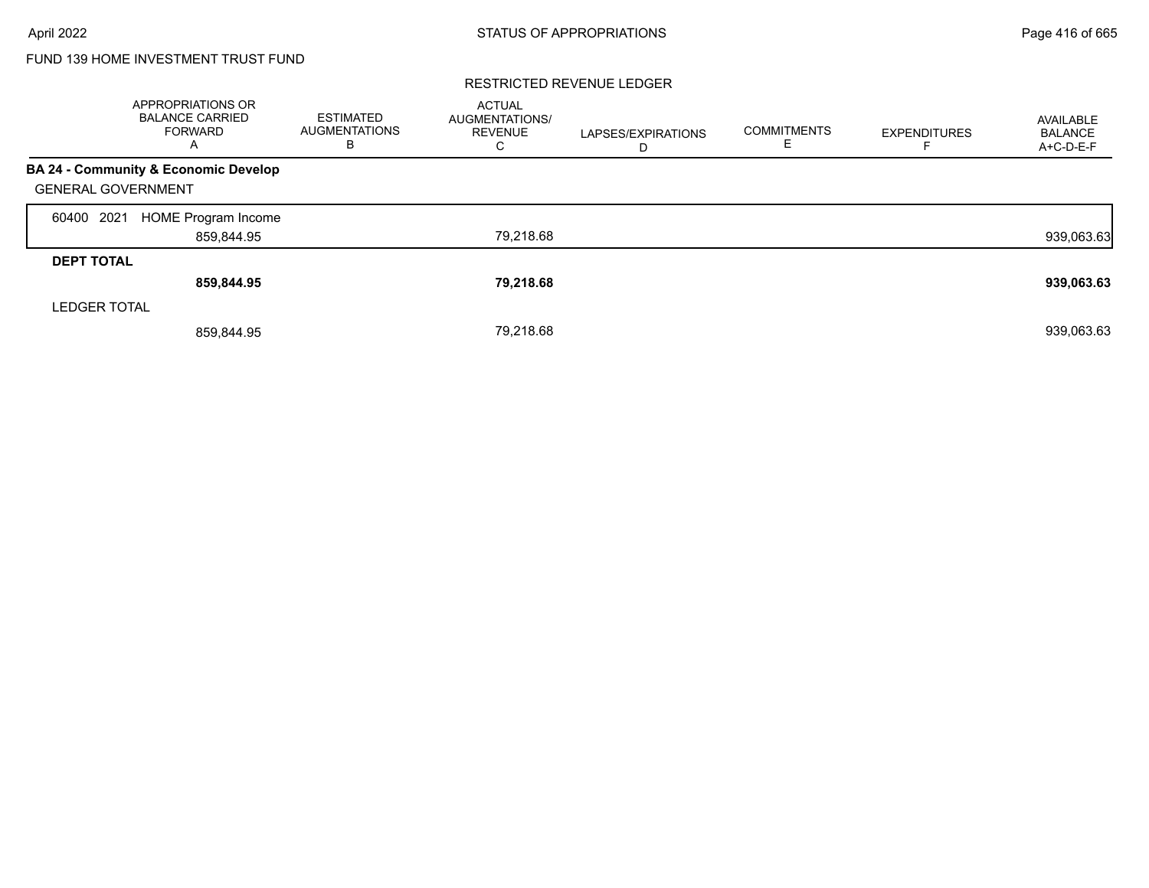# FUND 139 HOME INVESTMENT TRUST FUND

|                           | APPROPRIATIONS OR<br><b>BALANCE CARRIED</b><br><b>FORWARD</b><br>A | <b>ESTIMATED</b><br><b>AUGMENTATIONS</b><br>В | <b>ACTUAL</b><br>AUGMENTATIONS/<br><b>REVENUE</b><br>C | LAPSES/EXPIRATIONS<br>D | <b>COMMITMENTS</b><br>ᄂ | <b>EXPENDITURES</b> | AVAILABLE<br><b>BALANCE</b><br>A+C-D-E-F |
|---------------------------|--------------------------------------------------------------------|-----------------------------------------------|--------------------------------------------------------|-------------------------|-------------------------|---------------------|------------------------------------------|
|                           | BA 24 - Community & Economic Develop                               |                                               |                                                        |                         |                         |                     |                                          |
| <b>GENERAL GOVERNMENT</b> |                                                                    |                                               |                                                        |                         |                         |                     |                                          |
| 2021<br>60400             | <b>HOME Program Income</b>                                         |                                               |                                                        |                         |                         |                     |                                          |
|                           | 859,844.95                                                         |                                               | 79,218.68                                              |                         |                         |                     | 939,063.63                               |
| <b>DEPT TOTAL</b>         |                                                                    |                                               |                                                        |                         |                         |                     |                                          |
|                           | 859,844.95                                                         |                                               | 79,218.68                                              |                         |                         |                     | 939,063.63                               |
| <b>LEDGER TOTAL</b>       |                                                                    |                                               |                                                        |                         |                         |                     |                                          |
|                           | 859,844.95                                                         |                                               | 79.218.68                                              |                         |                         |                     | 939,063.63                               |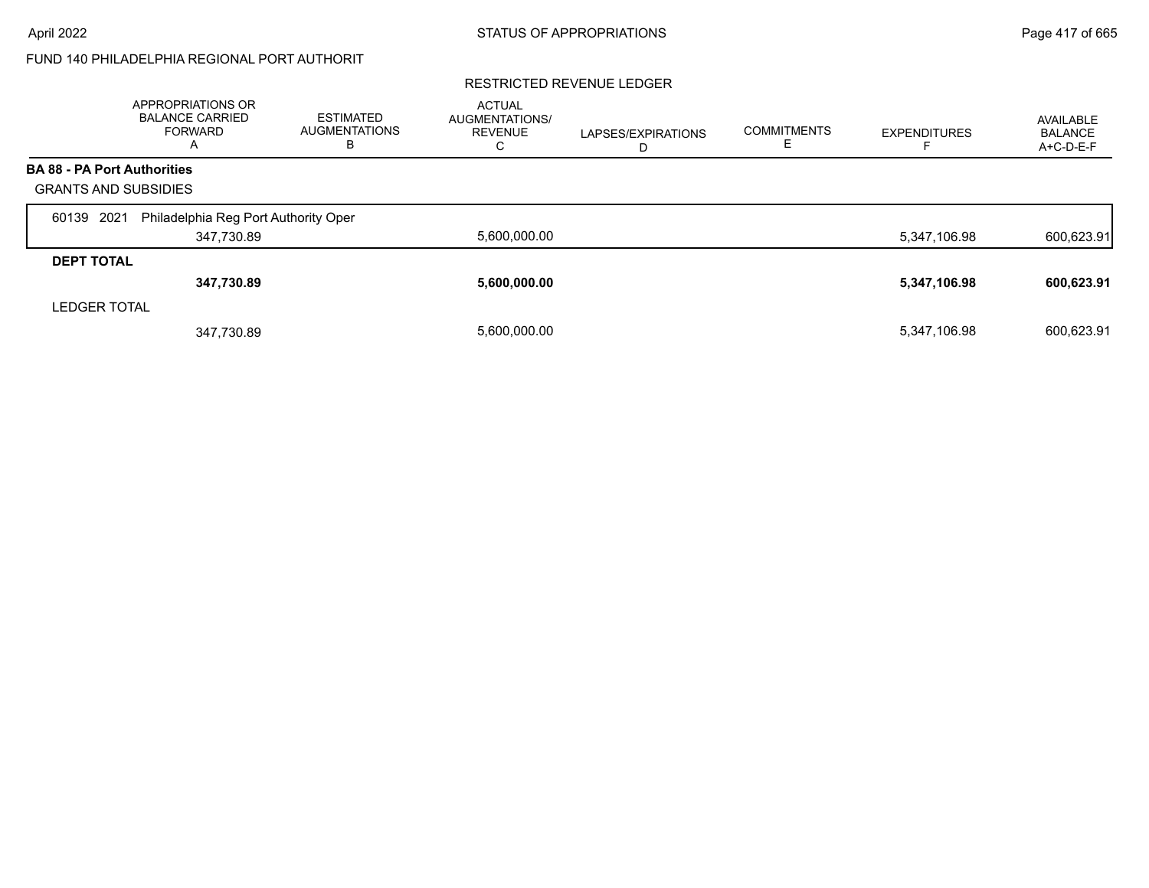# FUND 140 PHILADELPHIA REGIONAL PORT AUTHORIT

|                                    | APPROPRIATIONS OR<br><b>BALANCE CARRIED</b><br>FORWARD<br>A | <b>ESTIMATED</b><br>AUGMENTATIONS<br>в | <b>ACTUAL</b><br>AUGMENTATIONS/<br><b>REVENUE</b><br>C | LAPSES/EXPIRATIONS<br>D | <b>COMMITMENTS</b> | <b>EXPENDITURES</b> | AVAILABLE<br><b>BALANCE</b><br>A+C-D-E-F |
|------------------------------------|-------------------------------------------------------------|----------------------------------------|--------------------------------------------------------|-------------------------|--------------------|---------------------|------------------------------------------|
| <b>BA 88 - PA Port Authorities</b> |                                                             |                                        |                                                        |                         |                    |                     |                                          |
| <b>GRANTS AND SUBSIDIES</b>        |                                                             |                                        |                                                        |                         |                    |                     |                                          |
| 2021<br>60139                      | Philadelphia Reg Port Authority Oper                        |                                        |                                                        |                         |                    |                     |                                          |
|                                    | 347,730.89                                                  |                                        | 5,600,000.00                                           |                         |                    | 5,347,106.98        | 600,623.91                               |
| <b>DEPT TOTAL</b>                  |                                                             |                                        |                                                        |                         |                    |                     |                                          |
|                                    | 347,730.89                                                  |                                        | 5,600,000.00                                           |                         |                    | 5,347,106.98        | 600,623.91                               |
| <b>LEDGER TOTAL</b>                |                                                             |                                        |                                                        |                         |                    |                     |                                          |
|                                    | 347,730.89                                                  |                                        | 5.600.000.00                                           |                         |                    | 5,347,106.98        | 600,623.91                               |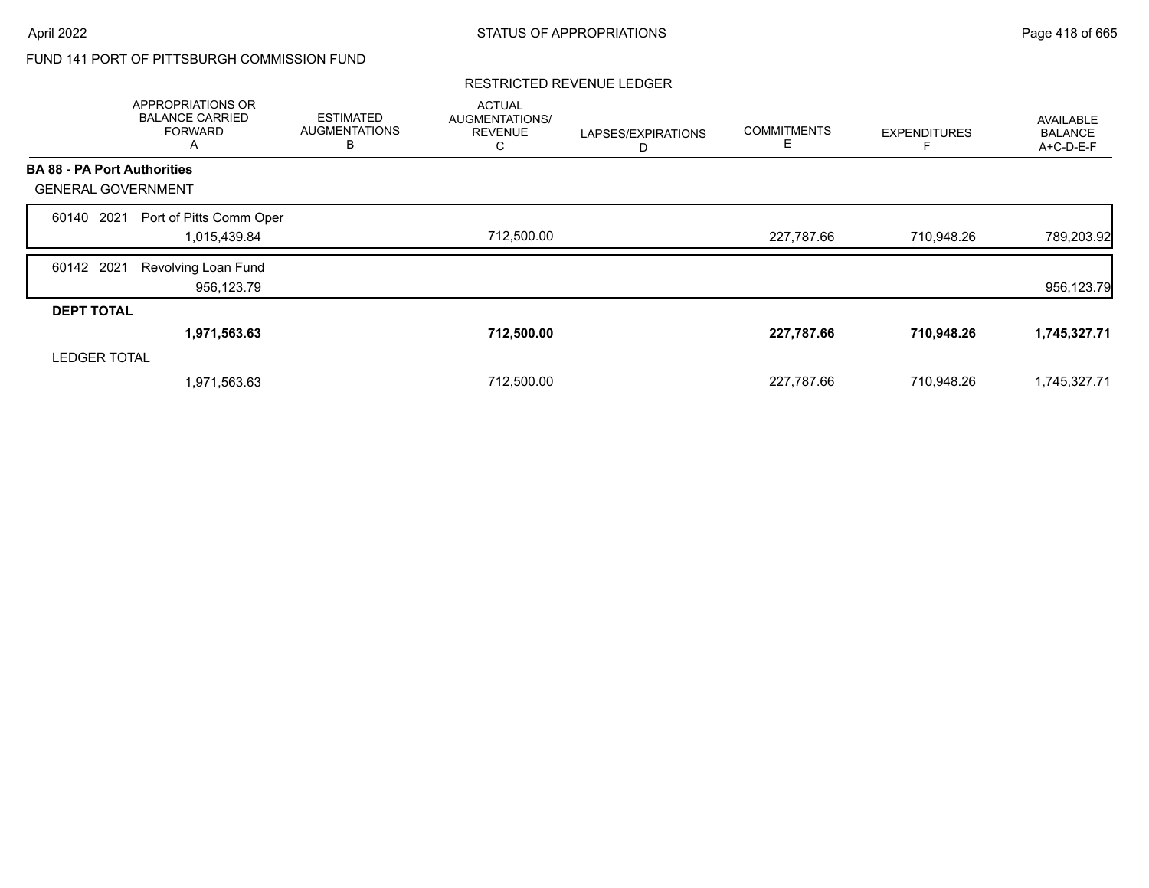# FUND 141 PORT OF PITTSBURGH COMMISSION FUND

|                                    | APPROPRIATIONS OR<br><b>BALANCE CARRIED</b><br><b>FORWARD</b><br>A | <b>ESTIMATED</b><br><b>AUGMENTATIONS</b><br>В | <b>ACTUAL</b><br>AUGMENTATIONS/<br><b>REVENUE</b><br>C | LAPSES/EXPIRATIONS<br>D | <b>COMMITMENTS</b><br>Е | <b>EXPENDITURES</b> | <b>AVAILABLE</b><br><b>BALANCE</b><br>A+C-D-E-F |
|------------------------------------|--------------------------------------------------------------------|-----------------------------------------------|--------------------------------------------------------|-------------------------|-------------------------|---------------------|-------------------------------------------------|
| <b>BA 88 - PA Port Authorities</b> |                                                                    |                                               |                                                        |                         |                         |                     |                                                 |
| <b>GENERAL GOVERNMENT</b>          |                                                                    |                                               |                                                        |                         |                         |                     |                                                 |
| 2021<br>60140                      | Port of Pitts Comm Oper                                            |                                               |                                                        |                         |                         |                     |                                                 |
|                                    | 1,015,439.84                                                       |                                               | 712,500.00                                             |                         | 227,787.66              | 710,948.26          | 789,203.92                                      |
| 60142 2021                         | Revolving Loan Fund                                                |                                               |                                                        |                         |                         |                     |                                                 |
|                                    | 956,123.79                                                         |                                               |                                                        |                         |                         |                     | 956,123.79                                      |
| <b>DEPT TOTAL</b>                  |                                                                    |                                               |                                                        |                         |                         |                     |                                                 |
|                                    | 1,971,563.63                                                       |                                               | 712,500.00                                             |                         | 227,787.66              | 710,948.26          | 1,745,327.71                                    |
| <b>LEDGER TOTAL</b>                |                                                                    |                                               |                                                        |                         |                         |                     |                                                 |
|                                    | 1,971,563.63                                                       |                                               | 712,500.00                                             |                         | 227,787.66              | 710,948.26          | 1,745,327.71                                    |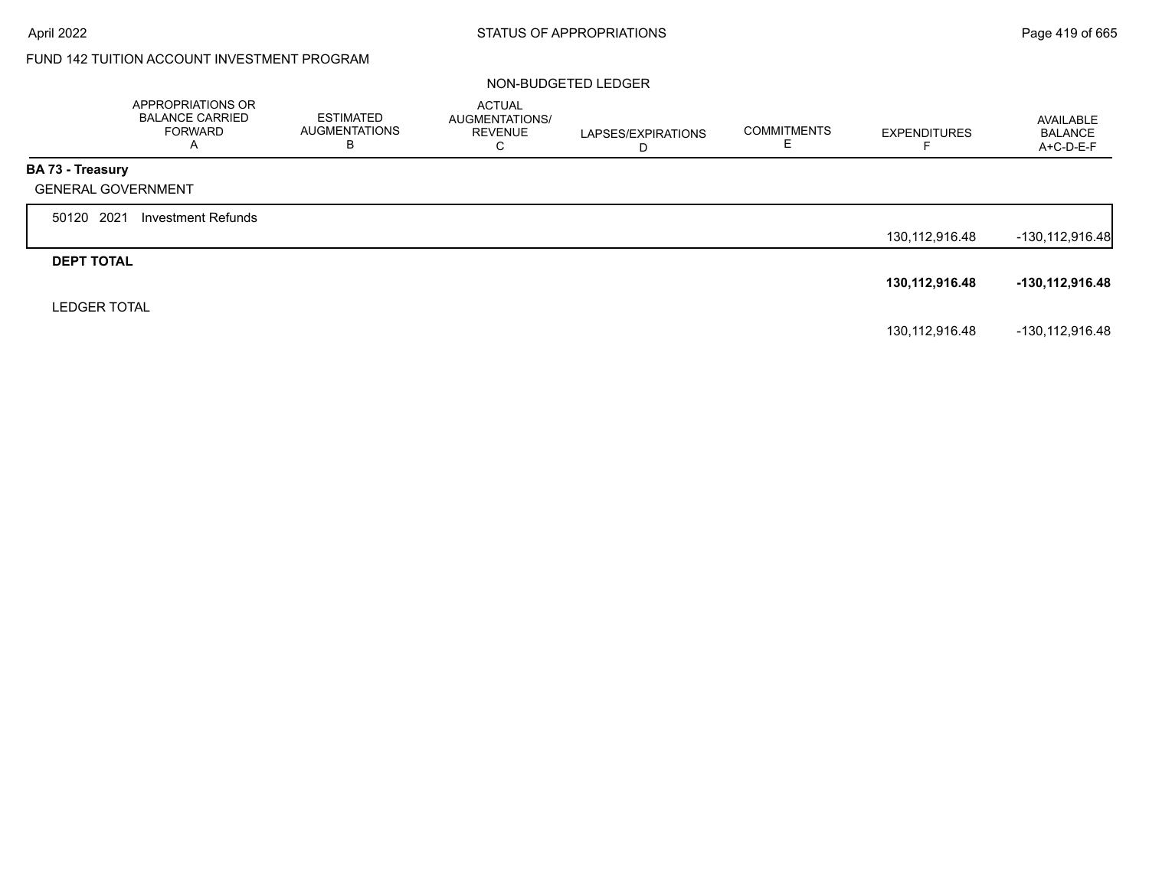# FUND 142 TUITION ACCOUNT INVESTMENT PROGRAM

#### NON-BUDGETED LEDGER

|                           | APPROPRIATIONS OR<br><b>BALANCE CARRIED</b><br><b>FORWARD</b><br>A | <b>ESTIMATED</b><br><b>AUGMENTATIONS</b><br>в | ACTUAL<br>AUGMENTATIONS/<br><b>REVENUE</b><br>C | LAPSES/EXPIRATIONS<br>D | <b>COMMITMENTS</b><br>Е | <b>EXPENDITURES</b> | AVAILABLE<br><b>BALANCE</b><br>A+C-D-E-F |
|---------------------------|--------------------------------------------------------------------|-----------------------------------------------|-------------------------------------------------|-------------------------|-------------------------|---------------------|------------------------------------------|
| <b>BA 73 - Treasury</b>   |                                                                    |                                               |                                                 |                         |                         |                     |                                          |
| <b>GENERAL GOVERNMENT</b> |                                                                    |                                               |                                                 |                         |                         |                     |                                          |
| 50120 2021                | Investment Refunds                                                 |                                               |                                                 |                         |                         |                     |                                          |
|                           |                                                                    |                                               |                                                 |                         |                         | 130, 112, 916. 48   | -130,112,916.48                          |
| <b>DEPT TOTAL</b>         |                                                                    |                                               |                                                 |                         |                         |                     |                                          |
|                           |                                                                    |                                               |                                                 |                         |                         | 130,112,916.48      | -130,112,916.48                          |
| <b>LEDGER TOTAL</b>       |                                                                    |                                               |                                                 |                         |                         |                     |                                          |
|                           |                                                                    |                                               |                                                 |                         |                         | 130, 112, 916. 48   | -130,112,916.48                          |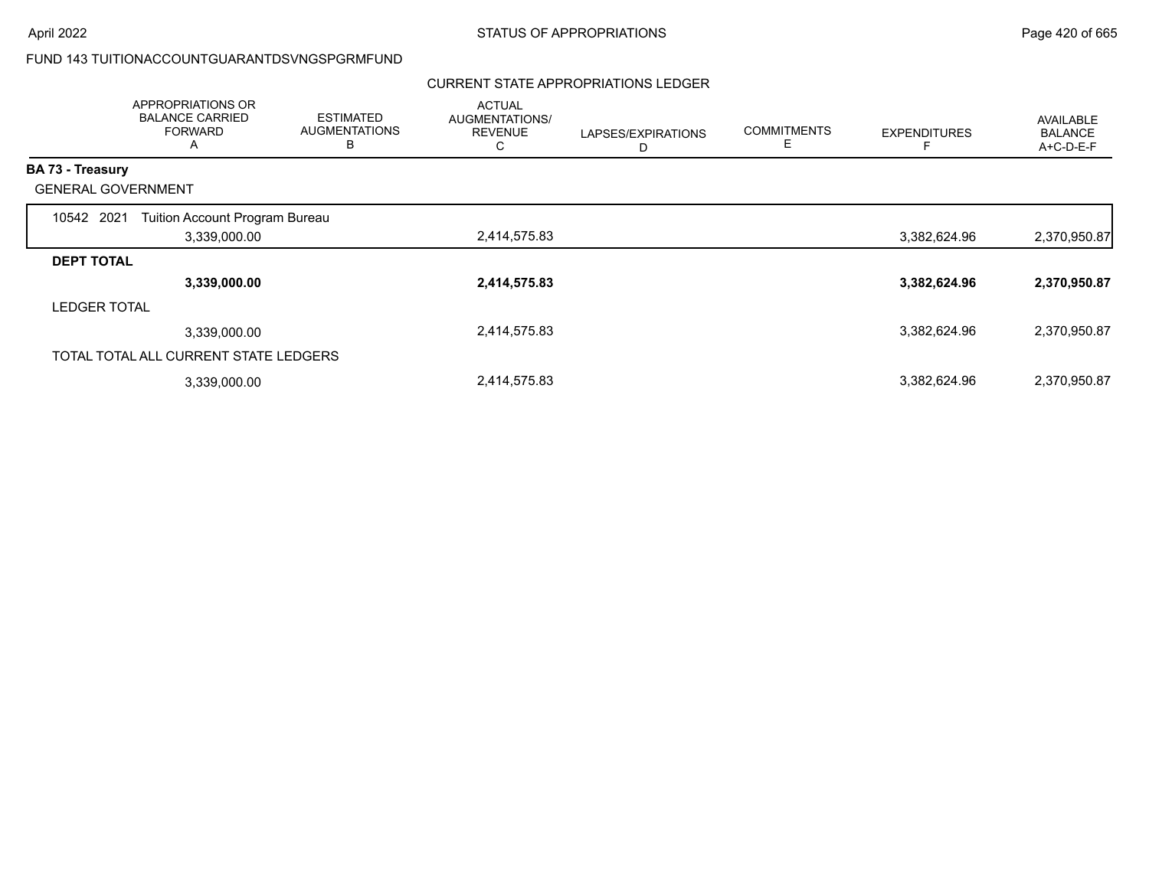## FUND 143 TUITIONACCOUNTGUARANTDSVNGSPGRMFUND

# CURRENT STATE APPROPRIATIONS LEDGER

|                           | APPROPRIATIONS OR<br><b>BALANCE CARRIED</b><br><b>FORWARD</b><br>A | <b>ESTIMATED</b><br><b>AUGMENTATIONS</b><br>в | <b>ACTUAL</b><br>AUGMENTATIONS/<br><b>REVENUE</b><br>C | LAPSES/EXPIRATIONS<br>D | <b>COMMITMENTS</b><br>Е | <b>EXPENDITURES</b> | AVAILABLE<br><b>BALANCE</b><br>A+C-D-E-F |
|---------------------------|--------------------------------------------------------------------|-----------------------------------------------|--------------------------------------------------------|-------------------------|-------------------------|---------------------|------------------------------------------|
| <b>BA 73 - Treasury</b>   |                                                                    |                                               |                                                        |                         |                         |                     |                                          |
| <b>GENERAL GOVERNMENT</b> |                                                                    |                                               |                                                        |                         |                         |                     |                                          |
| 10542 2021                | Tuition Account Program Bureau                                     |                                               |                                                        |                         |                         |                     |                                          |
|                           | 3,339,000.00                                                       |                                               | 2,414,575.83                                           |                         |                         | 3,382,624.96        | 2,370,950.87                             |
| <b>DEPT TOTAL</b>         |                                                                    |                                               |                                                        |                         |                         |                     |                                          |
|                           | 3,339,000.00                                                       |                                               | 2,414,575.83                                           |                         |                         | 3,382,624.96        | 2,370,950.87                             |
| <b>LEDGER TOTAL</b>       |                                                                    |                                               |                                                        |                         |                         |                     |                                          |
|                           | 3,339,000.00                                                       |                                               | 2,414,575.83                                           |                         |                         | 3,382,624.96        | 2,370,950.87                             |
|                           | TOTAL TOTAL ALL CURRENT STATE LEDGERS                              |                                               |                                                        |                         |                         |                     |                                          |
|                           | 3,339,000.00                                                       |                                               | 2,414,575.83                                           |                         |                         | 3,382,624.96        | 2,370,950.87                             |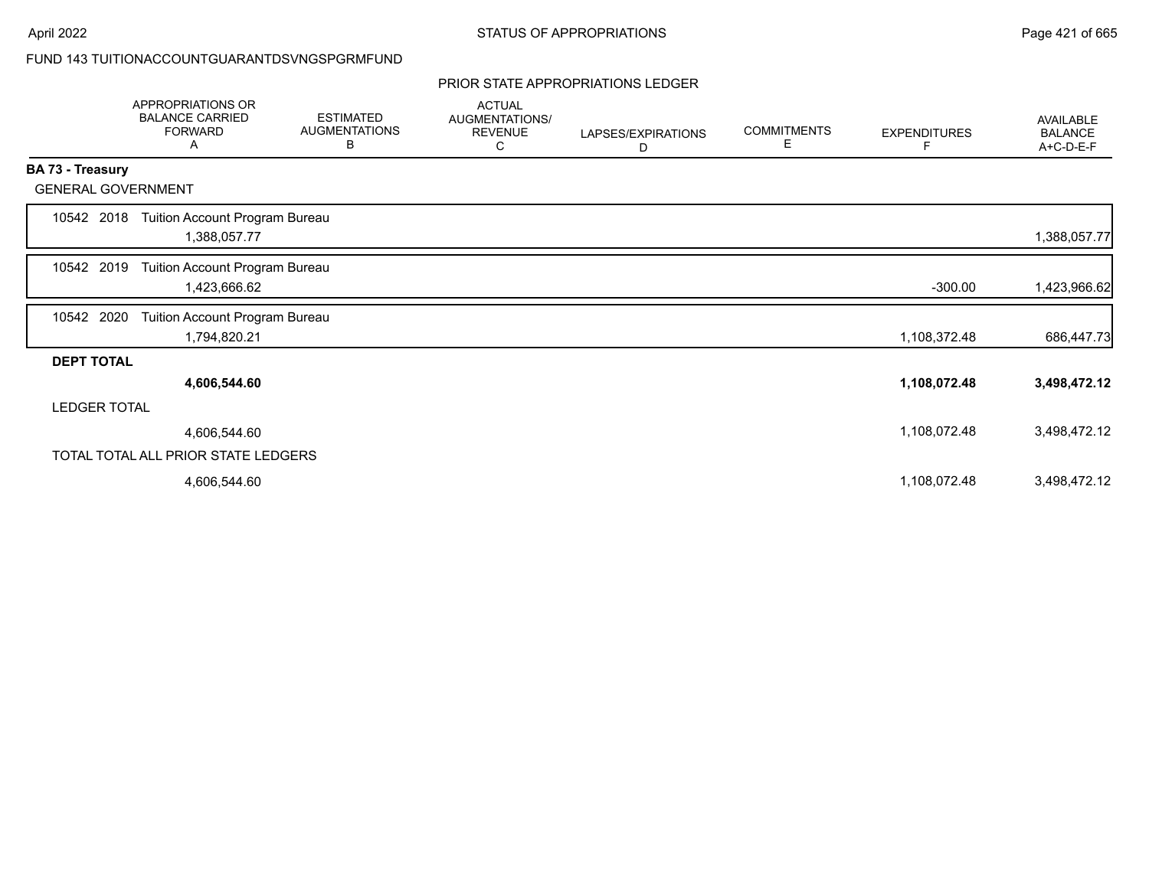## FUND 143 TUITIONACCOUNTGUARANTDSVNGSPGRMFUND

#### PRIOR STATE APPROPRIATIONS LEDGER

|                           | APPROPRIATIONS OR<br><b>BALANCE CARRIED</b><br><b>FORWARD</b><br>A | <b>ESTIMATED</b><br><b>AUGMENTATIONS</b><br>B | <b>ACTUAL</b><br>AUGMENTATIONS/<br><b>REVENUE</b><br>С | LAPSES/EXPIRATIONS<br>D | <b>COMMITMENTS</b><br>Е | <b>EXPENDITURES</b><br>F | <b>AVAILABLE</b><br><b>BALANCE</b><br>A+C-D-E-F |
|---------------------------|--------------------------------------------------------------------|-----------------------------------------------|--------------------------------------------------------|-------------------------|-------------------------|--------------------------|-------------------------------------------------|
| BA 73 - Treasury          |                                                                    |                                               |                                                        |                         |                         |                          |                                                 |
| <b>GENERAL GOVERNMENT</b> |                                                                    |                                               |                                                        |                         |                         |                          |                                                 |
| 10542 2018                | Tuition Account Program Bureau<br>1,388,057.77                     |                                               |                                                        |                         |                         |                          | 1,388,057.77                                    |
| 10542 2019                | Tuition Account Program Bureau<br>1,423,666.62                     |                                               |                                                        |                         |                         | $-300.00$                | 1,423,966.62                                    |
| 10542 2020                | Tuition Account Program Bureau<br>1,794,820.21                     |                                               |                                                        |                         |                         | 1,108,372.48             | 686,447.73                                      |
| <b>DEPT TOTAL</b>         |                                                                    |                                               |                                                        |                         |                         |                          |                                                 |
|                           | 4,606,544.60                                                       |                                               |                                                        |                         |                         | 1,108,072.48             | 3,498,472.12                                    |
| <b>LEDGER TOTAL</b>       |                                                                    |                                               |                                                        |                         |                         |                          |                                                 |
|                           | 4,606,544.60                                                       |                                               |                                                        |                         |                         | 1,108,072.48             | 3,498,472.12                                    |
|                           | TOTAL TOTAL ALL PRIOR STATE LEDGERS                                |                                               |                                                        |                         |                         |                          |                                                 |
|                           | 4,606,544.60                                                       |                                               |                                                        |                         |                         | 1,108,072.48             | 3,498,472.12                                    |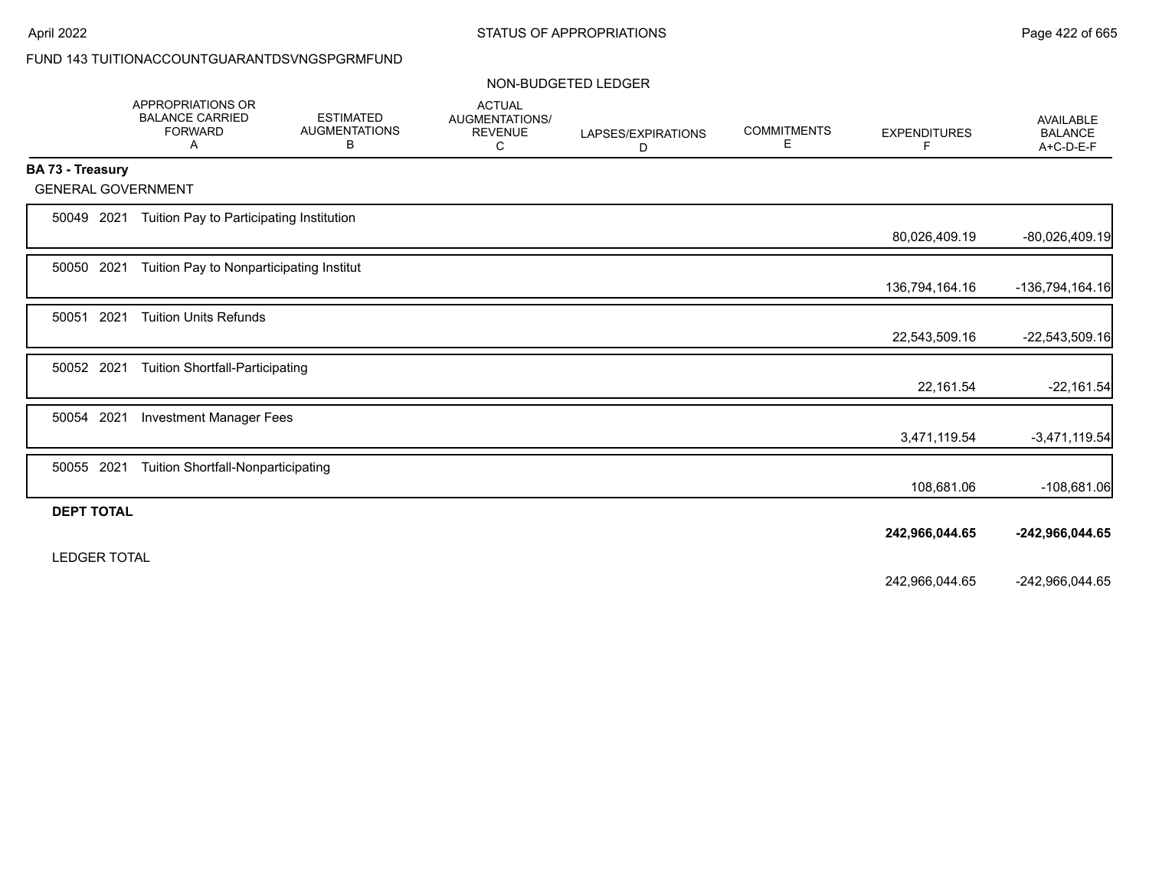# FUND 143 TUITIONACCOUNTGUARANTDSVNGSPGRMFUND

### NON-BUDGETED LEDGER

|                         | APPROPRIATIONS OR<br><b>BALANCE CARRIED</b><br><b>FORWARD</b><br>Α | <b>ESTIMATED</b><br><b>AUGMENTATIONS</b><br>В | <b>ACTUAL</b><br>AUGMENTATIONS/<br><b>REVENUE</b><br>С | LAPSES/EXPIRATIONS<br>D | <b>COMMITMENTS</b><br>Е | <b>EXPENDITURES</b><br>F | <b>AVAILABLE</b><br><b>BALANCE</b><br>A+C-D-E-F |
|-------------------------|--------------------------------------------------------------------|-----------------------------------------------|--------------------------------------------------------|-------------------------|-------------------------|--------------------------|-------------------------------------------------|
| <b>BA 73 - Treasury</b> |                                                                    |                                               |                                                        |                         |                         |                          |                                                 |
|                         | <b>GENERAL GOVERNMENT</b>                                          |                                               |                                                        |                         |                         |                          |                                                 |
| 50049 2021              | Tuition Pay to Participating Institution                           |                                               |                                                        |                         |                         |                          |                                                 |
|                         |                                                                    |                                               |                                                        |                         |                         | 80,026,409.19            | -80,026,409.19                                  |
| 50050 2021              | Tuition Pay to Nonparticipating Institut                           |                                               |                                                        |                         |                         |                          |                                                 |
|                         |                                                                    |                                               |                                                        |                         |                         | 136,794,164.16           | -136,794,164.16                                 |
| 50051                   | 2021<br><b>Tuition Units Refunds</b>                               |                                               |                                                        |                         |                         |                          |                                                 |
|                         |                                                                    |                                               |                                                        |                         |                         | 22,543,509.16            | -22,543,509.16                                  |
| 50052 2021              | <b>Tuition Shortfall-Participating</b>                             |                                               |                                                        |                         |                         |                          |                                                 |
|                         |                                                                    |                                               |                                                        |                         |                         | 22,161.54                | $-22,161.54$                                    |
| 50054 2021              | <b>Investment Manager Fees</b>                                     |                                               |                                                        |                         |                         |                          |                                                 |
|                         |                                                                    |                                               |                                                        |                         |                         | 3,471,119.54             | $-3,471,119.54$                                 |
| 50055 2021              | <b>Tuition Shortfall-Nonparticipating</b>                          |                                               |                                                        |                         |                         |                          |                                                 |
|                         |                                                                    |                                               |                                                        |                         |                         | 108,681.06               | $-108,681.06$                                   |
| <b>DEPT TOTAL</b>       |                                                                    |                                               |                                                        |                         |                         |                          |                                                 |
|                         |                                                                    |                                               |                                                        |                         |                         | 242,966,044.65           | -242,966,044.65                                 |
| <b>LEDGER TOTAL</b>     |                                                                    |                                               |                                                        |                         |                         |                          |                                                 |
|                         |                                                                    |                                               |                                                        |                         |                         | 242,966,044.65           | -242,966,044.65                                 |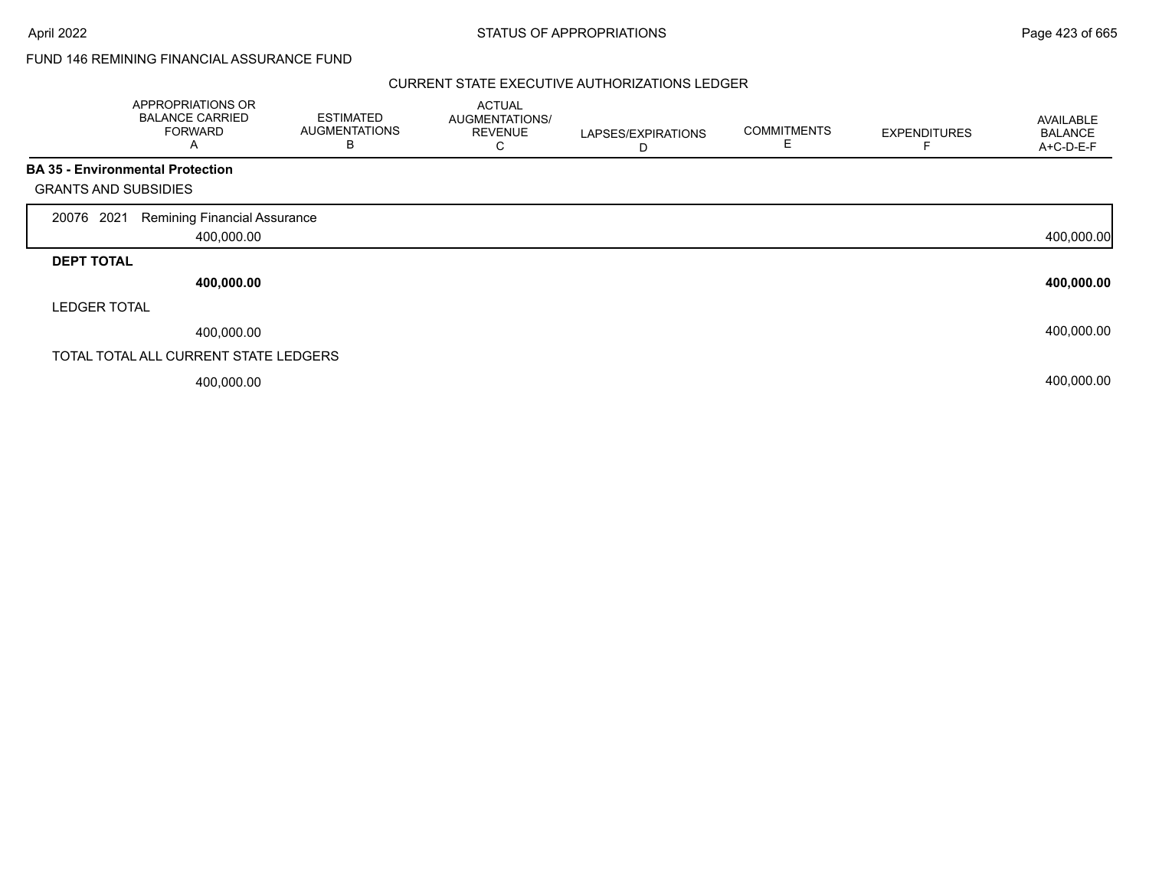## FUND 146 REMINING FINANCIAL ASSURANCE FUND

|                             | APPROPRIATIONS OR<br><b>BALANCE CARRIED</b><br><b>FORWARD</b><br>A | <b>ESTIMATED</b><br><b>AUGMENTATIONS</b><br>B | <b>ACTUAL</b><br>AUGMENTATIONS/<br><b>REVENUE</b><br>С | LAPSES/EXPIRATIONS<br>D | <b>COMMITMENTS</b><br>E. | <b>EXPENDITURES</b> | AVAILABLE<br><b>BALANCE</b><br>A+C-D-E-F |
|-----------------------------|--------------------------------------------------------------------|-----------------------------------------------|--------------------------------------------------------|-------------------------|--------------------------|---------------------|------------------------------------------|
|                             | <b>BA 35 - Environmental Protection</b>                            |                                               |                                                        |                         |                          |                     |                                          |
| <b>GRANTS AND SUBSIDIES</b> |                                                                    |                                               |                                                        |                         |                          |                     |                                          |
| 2021<br>20076               | Remining Financial Assurance                                       |                                               |                                                        |                         |                          |                     |                                          |
|                             | 400,000.00                                                         |                                               |                                                        |                         |                          |                     | 400,000.00                               |
| <b>DEPT TOTAL</b>           |                                                                    |                                               |                                                        |                         |                          |                     |                                          |
|                             | 400,000.00                                                         |                                               |                                                        |                         |                          |                     | 400,000.00                               |
| <b>LEDGER TOTAL</b>         |                                                                    |                                               |                                                        |                         |                          |                     |                                          |
|                             | 400,000.00                                                         |                                               |                                                        |                         |                          |                     | 400,000.00                               |
|                             | TOTAL TOTAL ALL CURRENT STATE LEDGERS                              |                                               |                                                        |                         |                          |                     |                                          |
|                             | 400,000.00                                                         |                                               |                                                        |                         |                          |                     | 400,000.00                               |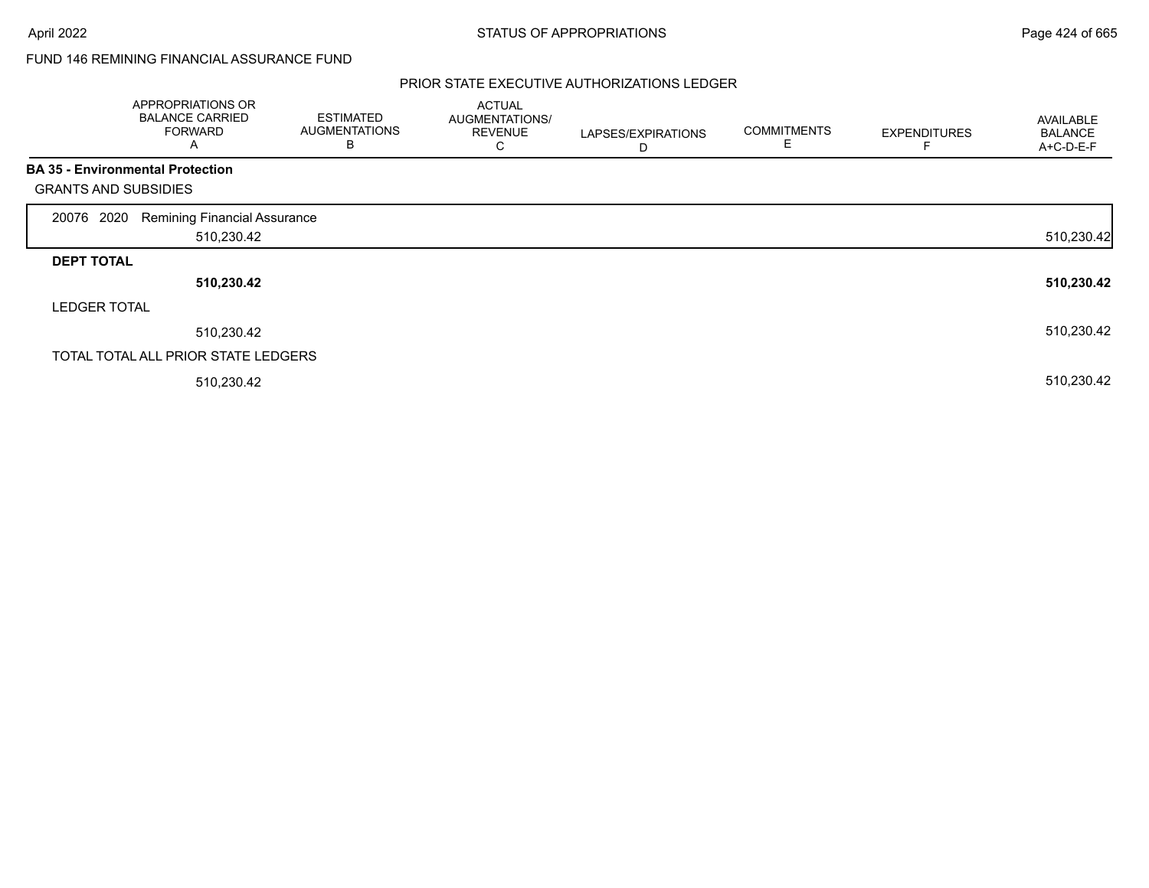# FUND 146 REMINING FINANCIAL ASSURANCE FUND

|                             | APPROPRIATIONS OR<br><b>BALANCE CARRIED</b><br><b>FORWARD</b><br>A | <b>ESTIMATED</b><br><b>AUGMENTATIONS</b><br>В | <b>ACTUAL</b><br>AUGMENTATIONS/<br><b>REVENUE</b><br>U | LAPSES/EXPIRATIONS<br>D | <b>COMMITMENTS</b><br>E | <b>EXPENDITURES</b> | AVAILABLE<br><b>BALANCE</b><br>A+C-D-E-F |
|-----------------------------|--------------------------------------------------------------------|-----------------------------------------------|--------------------------------------------------------|-------------------------|-------------------------|---------------------|------------------------------------------|
|                             | <b>BA 35 - Environmental Protection</b>                            |                                               |                                                        |                         |                         |                     |                                          |
| <b>GRANTS AND SUBSIDIES</b> |                                                                    |                                               |                                                        |                         |                         |                     |                                          |
| 2020<br>20076               | <b>Remining Financial Assurance</b>                                |                                               |                                                        |                         |                         |                     |                                          |
|                             | 510,230.42                                                         |                                               |                                                        |                         |                         |                     | 510,230.42                               |
| <b>DEPT TOTAL</b>           |                                                                    |                                               |                                                        |                         |                         |                     |                                          |
|                             | 510,230.42                                                         |                                               |                                                        |                         |                         |                     | 510,230.42                               |
| <b>LEDGER TOTAL</b>         |                                                                    |                                               |                                                        |                         |                         |                     |                                          |
|                             | 510,230.42                                                         |                                               |                                                        |                         |                         |                     | 510,230.42                               |
|                             | TOTAL TOTAL ALL PRIOR STATE LEDGERS                                |                                               |                                                        |                         |                         |                     |                                          |
|                             | 510,230.42                                                         |                                               |                                                        |                         |                         |                     | 510,230.42                               |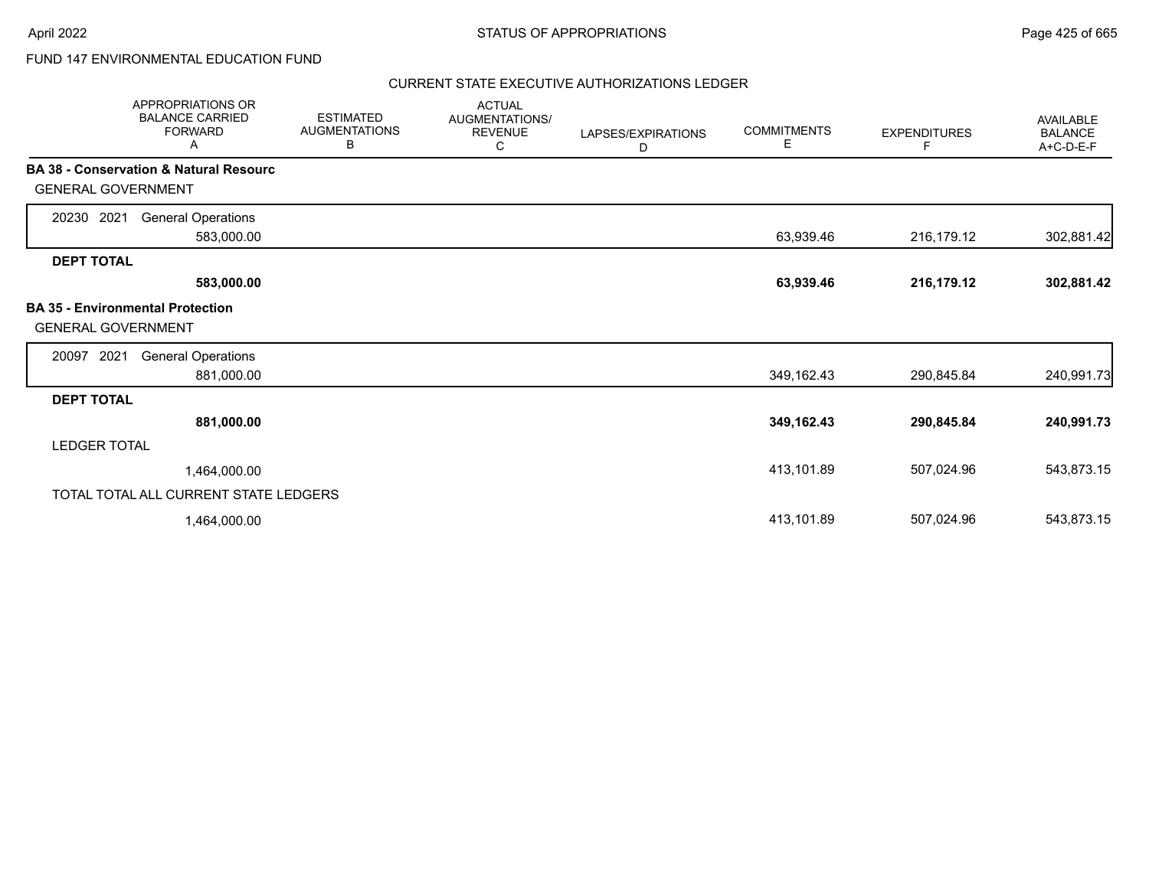# FUND 147 ENVIRONMENTAL EDUCATION FUND

| <b>APPROPRIATIONS OR</b><br><b>BALANCE CARRIED</b><br><b>FORWARD</b><br>Α | <b>ESTIMATED</b><br><b>AUGMENTATIONS</b><br>В | <b>ACTUAL</b><br>AUGMENTATIONS/<br><b>REVENUE</b><br>С | LAPSES/EXPIRATIONS<br>D | <b>COMMITMENTS</b><br>Е | <b>EXPENDITURES</b><br>F | <b>AVAILABLE</b><br><b>BALANCE</b><br>A+C-D-E-F |
|---------------------------------------------------------------------------|-----------------------------------------------|--------------------------------------------------------|-------------------------|-------------------------|--------------------------|-------------------------------------------------|
| <b>BA 38 - Conservation &amp; Natural Resourc</b>                         |                                               |                                                        |                         |                         |                          |                                                 |
| <b>GENERAL GOVERNMENT</b>                                                 |                                               |                                                        |                         |                         |                          |                                                 |
| 2021<br><b>General Operations</b><br>20230                                |                                               |                                                        |                         |                         |                          |                                                 |
| 583,000.00                                                                |                                               |                                                        |                         | 63,939.46               | 216,179.12               | 302,881.42                                      |
| <b>DEPT TOTAL</b>                                                         |                                               |                                                        |                         |                         |                          |                                                 |
| 583,000.00                                                                |                                               |                                                        |                         | 63,939.46               | 216,179.12               | 302,881.42                                      |
| <b>BA 35 - Environmental Protection</b><br><b>GENERAL GOVERNMENT</b>      |                                               |                                                        |                         |                         |                          |                                                 |
| 2021<br><b>General Operations</b><br>20097                                |                                               |                                                        |                         |                         |                          |                                                 |
| 881,000.00                                                                |                                               |                                                        |                         | 349,162.43              | 290,845.84               | 240,991.73                                      |
| <b>DEPT TOTAL</b>                                                         |                                               |                                                        |                         |                         |                          |                                                 |
| 881,000.00                                                                |                                               |                                                        |                         | 349,162.43              | 290,845.84               | 240,991.73                                      |
| <b>LEDGER TOTAL</b>                                                       |                                               |                                                        |                         |                         |                          |                                                 |
| 1,464,000.00                                                              |                                               |                                                        |                         | 413,101.89              | 507,024.96               | 543,873.15                                      |
| TOTAL TOTAL ALL CURRENT STATE LEDGERS                                     |                                               |                                                        |                         |                         |                          |                                                 |
| 1,464,000.00                                                              |                                               |                                                        |                         | 413,101.89              | 507,024.96               | 543,873.15                                      |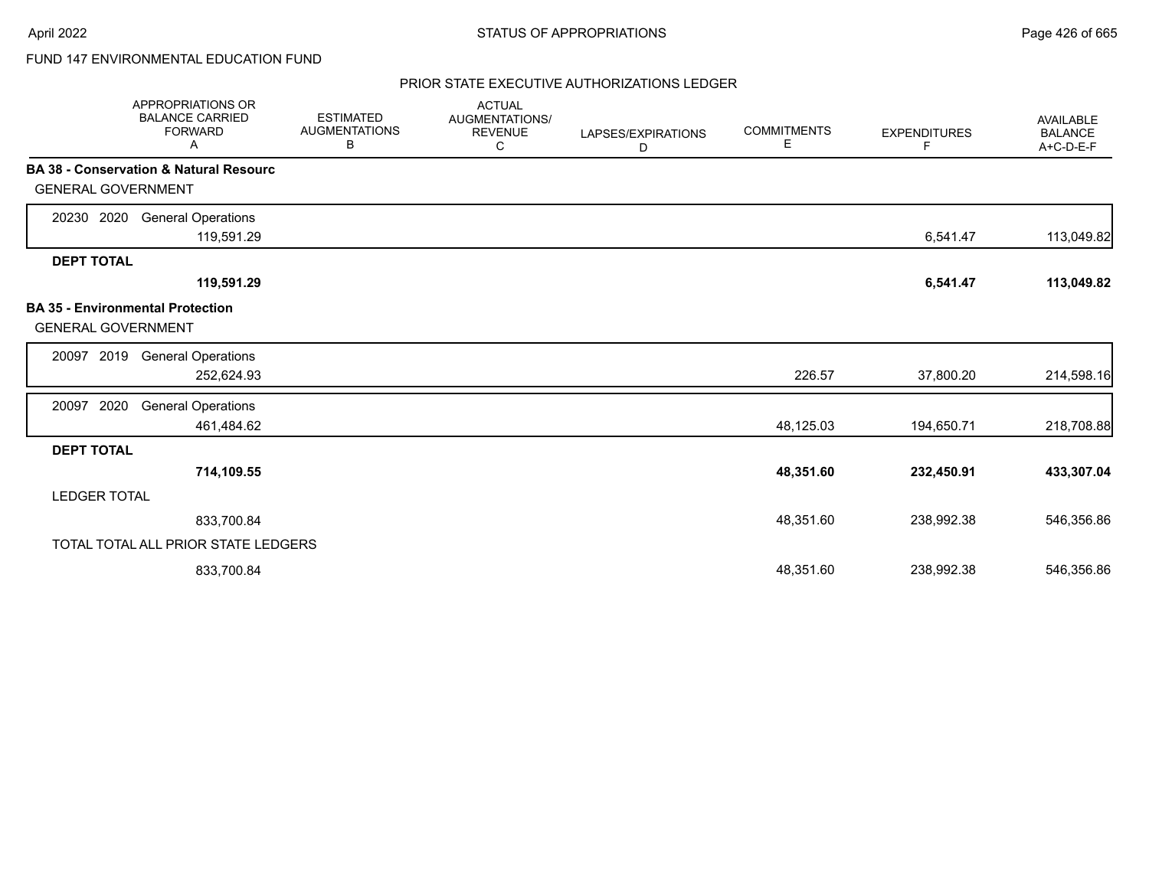# FUND 147 ENVIRONMENTAL EDUCATION FUND

|                           | APPROPRIATIONS OR<br><b>BALANCE CARRIED</b><br><b>FORWARD</b><br>Α | <b>ESTIMATED</b><br><b>AUGMENTATIONS</b><br>В | <b>ACTUAL</b><br>AUGMENTATIONS/<br><b>REVENUE</b><br>С | LAPSES/EXPIRATIONS<br>D | <b>COMMITMENTS</b><br>Е | <b>EXPENDITURES</b><br>F | <b>AVAILABLE</b><br><b>BALANCE</b><br>A+C-D-E-F |
|---------------------------|--------------------------------------------------------------------|-----------------------------------------------|--------------------------------------------------------|-------------------------|-------------------------|--------------------------|-------------------------------------------------|
| <b>GENERAL GOVERNMENT</b> | <b>BA 38 - Conservation &amp; Natural Resourc</b>                  |                                               |                                                        |                         |                         |                          |                                                 |
| 2020<br>20230             | <b>General Operations</b>                                          |                                               |                                                        |                         |                         |                          |                                                 |
| <b>DEPT TOTAL</b>         | 119,591.29                                                         |                                               |                                                        |                         |                         | 6,541.47                 | 113,049.82                                      |
|                           | 119,591.29                                                         |                                               |                                                        |                         |                         | 6,541.47                 | 113,049.82                                      |
| <b>GENERAL GOVERNMENT</b> | <b>BA 35 - Environmental Protection</b>                            |                                               |                                                        |                         |                         |                          |                                                 |
| 2019<br>20097             | <b>General Operations</b><br>252,624.93                            |                                               |                                                        |                         | 226.57                  | 37,800.20                | 214,598.16                                      |
| 2020<br>20097             | <b>General Operations</b><br>461,484.62                            |                                               |                                                        |                         | 48,125.03               | 194,650.71               | 218,708.88                                      |
| <b>DEPT TOTAL</b>         |                                                                    |                                               |                                                        |                         |                         |                          |                                                 |
|                           | 714,109.55                                                         |                                               |                                                        |                         | 48,351.60               | 232,450.91               | 433,307.04                                      |
| <b>LEDGER TOTAL</b>       |                                                                    |                                               |                                                        |                         |                         |                          |                                                 |
|                           | 833,700.84                                                         |                                               |                                                        |                         | 48,351.60               | 238,992.38               | 546,356.86                                      |
|                           | TOTAL TOTAL ALL PRIOR STATE LEDGERS                                |                                               |                                                        |                         |                         |                          |                                                 |
|                           | 833,700.84                                                         |                                               |                                                        |                         | 48,351.60               | 238,992.38               | 546,356.86                                      |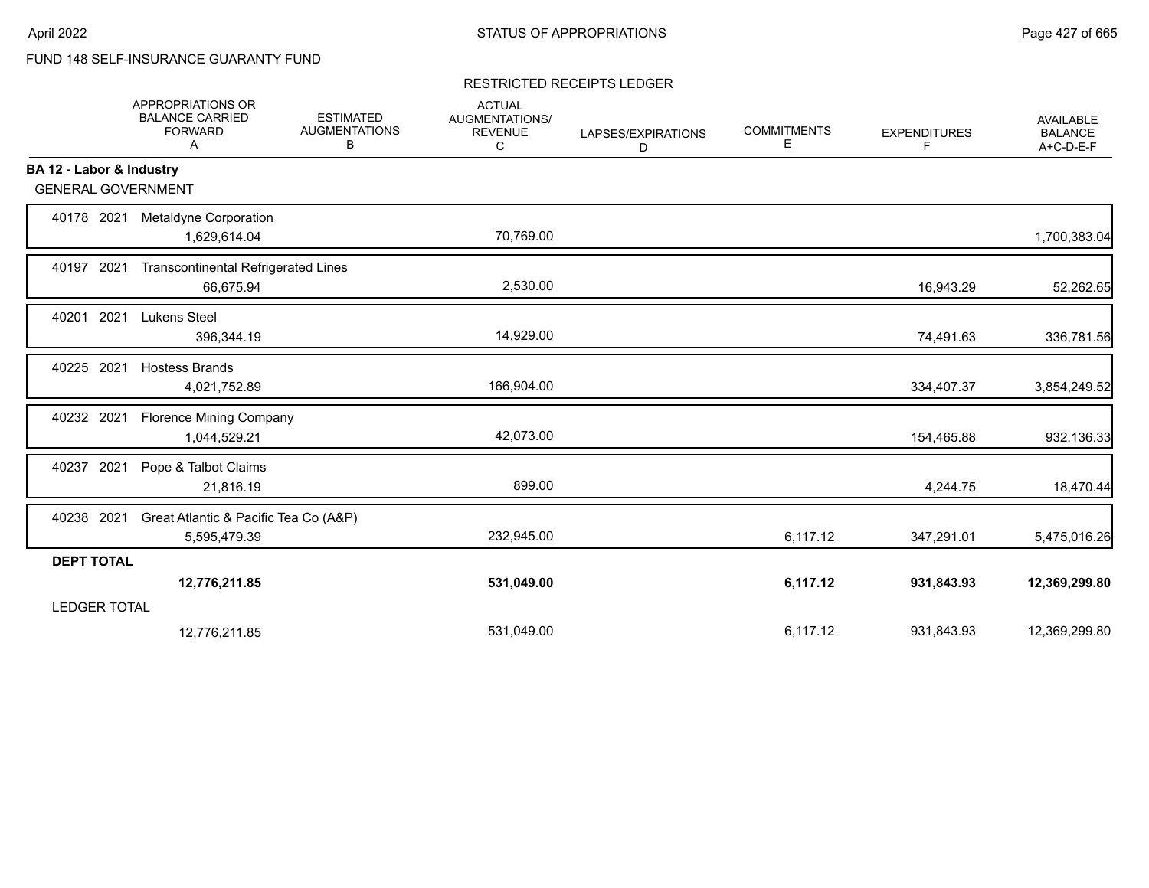# FUND 148 SELF-INSURANCE GUARANTY FUND

### RESTRICTED RECEIPTS LEDGER

|                           | <b>APPROPRIATIONS OR</b><br><b>BALANCE CARRIED</b><br><b>FORWARD</b><br>Α | <b>ESTIMATED</b><br><b>AUGMENTATIONS</b><br>В | <b>ACTUAL</b><br>AUGMENTATIONS/<br><b>REVENUE</b><br>C | LAPSES/EXPIRATIONS<br>D | <b>COMMITMENTS</b><br>E. | <b>EXPENDITURES</b><br>F. | <b>AVAILABLE</b><br><b>BALANCE</b><br>A+C-D-E-F |
|---------------------------|---------------------------------------------------------------------------|-----------------------------------------------|--------------------------------------------------------|-------------------------|--------------------------|---------------------------|-------------------------------------------------|
| BA 12 - Labor & Industry  |                                                                           |                                               |                                                        |                         |                          |                           |                                                 |
| <b>GENERAL GOVERNMENT</b> |                                                                           |                                               |                                                        |                         |                          |                           |                                                 |
| 40178 2021                | Metaldyne Corporation<br>1,629,614.04                                     |                                               | 70,769.00                                              |                         |                          |                           | 1,700,383.04                                    |
| 40197 2021                | <b>Transcontinental Refrigerated Lines</b><br>66,675.94                   |                                               | 2,530.00                                               |                         |                          | 16,943.29                 | 52,262.65                                       |
| 2021<br>40201             | <b>Lukens Steel</b><br>396,344.19                                         |                                               | 14,929.00                                              |                         |                          | 74,491.63                 | 336,781.56                                      |
| 40225 2021                | <b>Hostess Brands</b><br>4,021,752.89                                     |                                               | 166,904.00                                             |                         |                          | 334,407.37                | 3,854,249.52                                    |
| 40232 2021                | <b>Florence Mining Company</b><br>1,044,529.21                            |                                               | 42,073.00                                              |                         |                          | 154,465.88                | 932,136.33                                      |
| 40237 2021                | Pope & Talbot Claims<br>21,816.19                                         |                                               | 899.00                                                 |                         |                          | 4,244.75                  | 18,470.44                                       |
| 40238 2021                | Great Atlantic & Pacific Tea Co (A&P)<br>5,595,479.39                     |                                               | 232,945.00                                             |                         | 6,117.12                 | 347,291.01                | 5,475,016.26                                    |
| <b>DEPT TOTAL</b>         |                                                                           |                                               |                                                        |                         |                          |                           |                                                 |
|                           | 12,776,211.85                                                             |                                               | 531,049.00                                             |                         | 6,117.12                 | 931,843.93                | 12,369,299.80                                   |
| <b>LEDGER TOTAL</b>       |                                                                           |                                               |                                                        |                         |                          |                           |                                                 |
|                           | 12.776.211.85                                                             |                                               | 531,049.00                                             |                         | 6,117.12                 | 931,843.93                | 12,369,299.80                                   |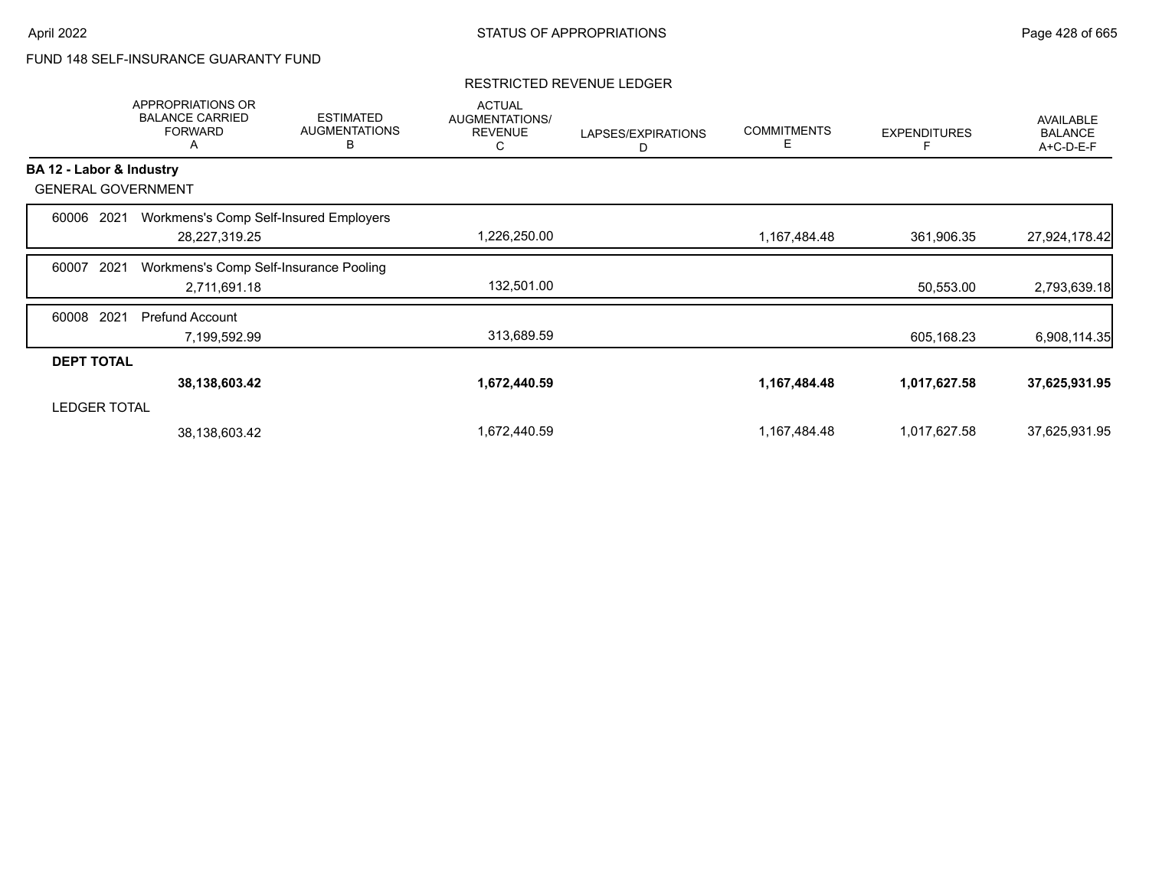# FUND 148 SELF-INSURANCE GUARANTY FUND

|                   | <b>APPROPRIATIONS OR</b><br><b>BALANCE CARRIED</b><br><b>FORWARD</b><br>A | <b>ESTIMATED</b><br><b>AUGMENTATIONS</b><br>В | <b>ACTUAL</b><br>AUGMENTATIONS/<br><b>REVENUE</b><br>С | LAPSES/EXPIRATIONS<br>D | <b>COMMITMENTS</b><br>Е | <b>EXPENDITURES</b> | <b>AVAILABLE</b><br><b>BALANCE</b><br>A+C-D-E-F |
|-------------------|---------------------------------------------------------------------------|-----------------------------------------------|--------------------------------------------------------|-------------------------|-------------------------|---------------------|-------------------------------------------------|
|                   | BA 12 - Labor & Industry                                                  |                                               |                                                        |                         |                         |                     |                                                 |
|                   | <b>GENERAL GOVERNMENT</b>                                                 |                                               |                                                        |                         |                         |                     |                                                 |
| 60006             | 2021                                                                      | Workmens's Comp Self-Insured Employers        |                                                        |                         |                         |                     |                                                 |
|                   | 28,227,319.25                                                             |                                               | 1,226,250.00                                           |                         | 1,167,484.48            | 361,906.35          | 27,924,178.42                                   |
| 60007             | 2021                                                                      | Workmens's Comp Self-Insurance Pooling        |                                                        |                         |                         |                     |                                                 |
|                   | 2,711,691.18                                                              |                                               | 132,501.00                                             |                         |                         | 50,553.00           | 2,793,639.18                                    |
| 60008             | 2021<br><b>Prefund Account</b>                                            |                                               |                                                        |                         |                         |                     |                                                 |
|                   | 7,199,592.99                                                              |                                               | 313,689.59                                             |                         |                         | 605,168.23          | 6,908,114.35                                    |
| <b>DEPT TOTAL</b> |                                                                           |                                               |                                                        |                         |                         |                     |                                                 |
|                   | 38,138,603.42                                                             |                                               | 1,672,440.59                                           |                         | 1,167,484.48            | 1,017,627.58        | 37,625,931.95                                   |
|                   | <b>LEDGER TOTAL</b>                                                       |                                               |                                                        |                         |                         |                     |                                                 |
|                   | 38,138,603.42                                                             |                                               | 1,672,440.59                                           |                         | 1,167,484.48            | 1,017,627.58        | 37,625,931.95                                   |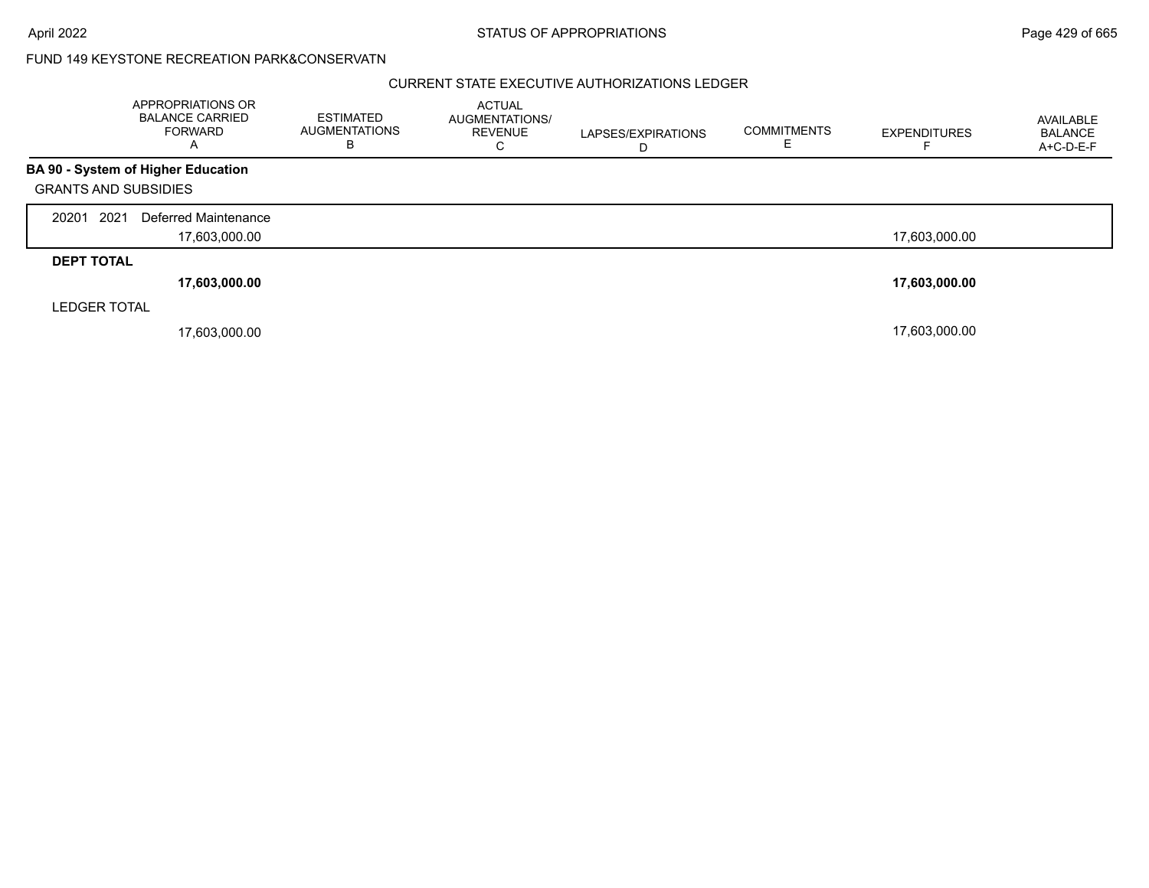|                             | APPROPRIATIONS OR<br><b>BALANCE CARRIED</b><br><b>FORWARD</b><br>A | <b>ESTIMATED</b><br><b>AUGMENTATIONS</b><br>в | <b>ACTUAL</b><br><b>AUGMENTATIONS/</b><br><b>REVENUE</b><br>C | LAPSES/EXPIRATIONS | <b>COMMITMENTS</b> | <b>EXPENDITURES</b> | AVAILABLE<br><b>BALANCE</b><br>A+C-D-E-F |
|-----------------------------|--------------------------------------------------------------------|-----------------------------------------------|---------------------------------------------------------------|--------------------|--------------------|---------------------|------------------------------------------|
|                             | BA 90 - System of Higher Education                                 |                                               |                                                               |                    |                    |                     |                                          |
| <b>GRANTS AND SUBSIDIES</b> |                                                                    |                                               |                                                               |                    |                    |                     |                                          |
| 2021<br>20201               | Deferred Maintenance                                               |                                               |                                                               |                    |                    |                     |                                          |
|                             | 17,603,000.00                                                      |                                               |                                                               |                    |                    | 17,603,000.00       |                                          |
| <b>DEPT TOTAL</b>           |                                                                    |                                               |                                                               |                    |                    |                     |                                          |
|                             | 17,603,000.00                                                      |                                               |                                                               |                    |                    | 17,603,000.00       |                                          |
| <b>LEDGER TOTAL</b>         |                                                                    |                                               |                                                               |                    |                    |                     |                                          |
|                             | 17,603,000.00                                                      |                                               |                                                               |                    |                    | 17,603,000.00       |                                          |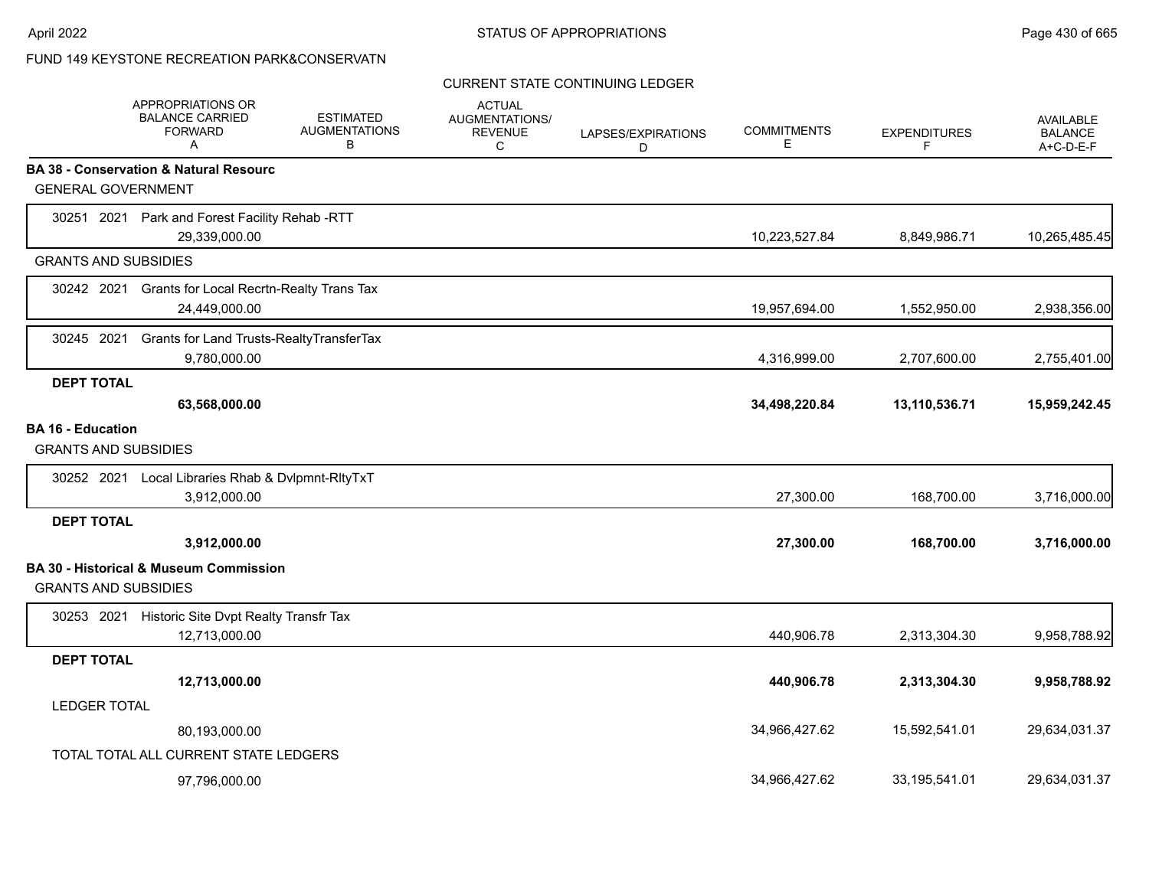## CURRENT STATE CONTINUING LEDGER

|                                                         | APPROPRIATIONS OR<br><b>BALANCE CARRIED</b><br><b>FORWARD</b><br>A | <b>ESTIMATED</b><br><b>AUGMENTATIONS</b><br>B | <b>ACTUAL</b><br>AUGMENTATIONS/<br><b>REVENUE</b><br>C | LAPSES/EXPIRATIONS<br>D | <b>COMMITMENTS</b><br>Е | <b>EXPENDITURES</b><br>F | <b>AVAILABLE</b><br><b>BALANCE</b><br>A+C-D-E-F |
|---------------------------------------------------------|--------------------------------------------------------------------|-----------------------------------------------|--------------------------------------------------------|-------------------------|-------------------------|--------------------------|-------------------------------------------------|
|                                                         | BA 38 - Conservation & Natural Resourc                             |                                               |                                                        |                         |                         |                          |                                                 |
| <b>GENERAL GOVERNMENT</b>                               |                                                                    |                                               |                                                        |                         |                         |                          |                                                 |
|                                                         | 30251 2021 Park and Forest Facility Rehab -RTT<br>29,339,000.00    |                                               |                                                        |                         | 10,223,527.84           | 8,849,986.71             | 10,265,485.45                                   |
| <b>GRANTS AND SUBSIDIES</b>                             |                                                                    |                                               |                                                        |                         |                         |                          |                                                 |
| 30242 2021                                              | Grants for Local Recrtn-Realty Trans Tax<br>24,449,000.00          |                                               |                                                        |                         | 19,957,694.00           | 1,552,950.00             | 2,938,356.00                                    |
| 30245 2021                                              | Grants for Land Trusts-RealtyTransferTax<br>9,780,000.00           |                                               |                                                        |                         | 4,316,999.00            | 2,707,600.00             | 2,755,401.00                                    |
| <b>DEPT TOTAL</b>                                       |                                                                    |                                               |                                                        |                         |                         |                          |                                                 |
|                                                         | 63,568,000.00                                                      |                                               |                                                        |                         | 34,498,220.84           | 13,110,536.71            | 15,959,242.45                                   |
| <b>BA 16 - Education</b><br><b>GRANTS AND SUBSIDIES</b> |                                                                    |                                               |                                                        |                         |                         |                          |                                                 |
| 30252 2021                                              | Local Libraries Rhab & Dvlpmnt-RltyTxT<br>3,912,000.00             |                                               |                                                        |                         | 27,300.00               | 168,700.00               | 3,716,000.00                                    |
| <b>DEPT TOTAL</b>                                       |                                                                    |                                               |                                                        |                         |                         |                          |                                                 |
|                                                         | 3,912,000.00                                                       |                                               |                                                        |                         | 27,300.00               | 168,700.00               | 3,716,000.00                                    |
| <b>GRANTS AND SUBSIDIES</b>                             | <b>BA 30 - Historical &amp; Museum Commission</b>                  |                                               |                                                        |                         |                         |                          |                                                 |
|                                                         | 30253 2021 Historic Site Dvpt Realty Transfr Tax<br>12,713,000.00  |                                               |                                                        |                         | 440,906.78              | 2,313,304.30             | 9,958,788.92                                    |
| <b>DEPT TOTAL</b>                                       |                                                                    |                                               |                                                        |                         |                         |                          |                                                 |
|                                                         | 12,713,000.00                                                      |                                               |                                                        |                         | 440,906.78              | 2,313,304.30             | 9,958,788.92                                    |
| <b>LEDGER TOTAL</b>                                     |                                                                    |                                               |                                                        |                         |                         |                          |                                                 |
|                                                         | 80,193,000.00                                                      |                                               |                                                        |                         | 34,966,427.62           | 15,592,541.01            | 29,634,031.37                                   |
|                                                         | TOTAL TOTAL ALL CURRENT STATE LEDGERS                              |                                               |                                                        |                         |                         |                          |                                                 |
|                                                         | 97,796,000.00                                                      |                                               |                                                        |                         | 34,966,427.62           | 33,195,541.01            | 29,634,031.37                                   |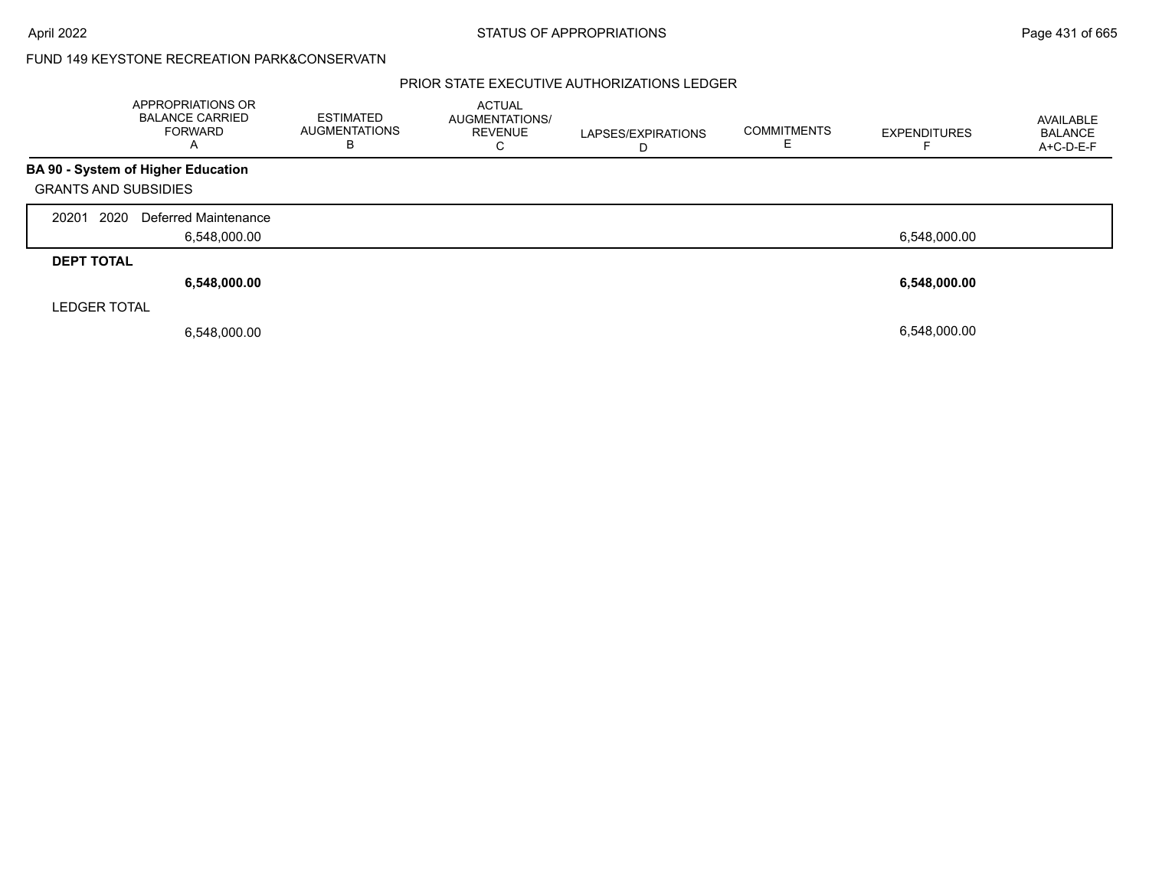|                             | APPROPRIATIONS OR<br><b>BALANCE CARRIED</b><br><b>FORWARD</b><br>$\mathsf{A}$ | <b>ESTIMATED</b><br><b>AUGMENTATIONS</b><br>в | <b>ACTUAL</b><br><b>AUGMENTATIONS/</b><br><b>REVENUE</b><br>◡ | LAPSES/EXPIRATIONS<br>D | <b>COMMITMENTS</b> | <b>EXPENDITURES</b> | AVAILABLE<br>BALANCE<br>A+C-D-E-F |
|-----------------------------|-------------------------------------------------------------------------------|-----------------------------------------------|---------------------------------------------------------------|-------------------------|--------------------|---------------------|-----------------------------------|
|                             | BA 90 - System of Higher Education                                            |                                               |                                                               |                         |                    |                     |                                   |
| <b>GRANTS AND SUBSIDIES</b> |                                                                               |                                               |                                                               |                         |                    |                     |                                   |
| 2020<br>20201               | Deferred Maintenance                                                          |                                               |                                                               |                         |                    |                     |                                   |
|                             | 6,548,000.00                                                                  |                                               |                                                               |                         |                    | 6,548,000.00        |                                   |
| <b>DEPT TOTAL</b>           |                                                                               |                                               |                                                               |                         |                    |                     |                                   |
|                             | 6,548,000.00                                                                  |                                               |                                                               |                         |                    | 6,548,000.00        |                                   |
| <b>LEDGER TOTAL</b>         |                                                                               |                                               |                                                               |                         |                    |                     |                                   |
|                             | 6,548,000.00                                                                  |                                               |                                                               |                         |                    | 6,548,000.00        |                                   |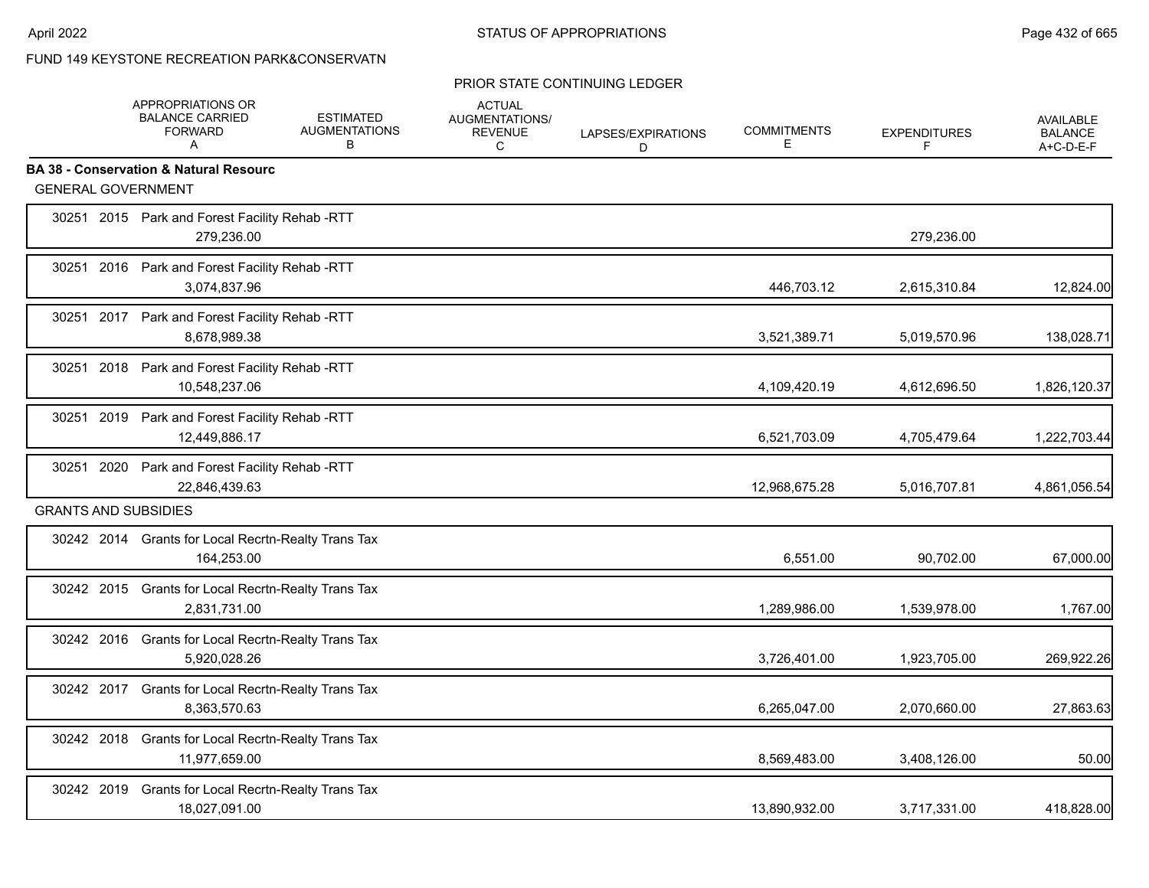#### PRIOR STATE CONTINUING LEDGER

|            | <b>APPROPRIATIONS OR</b><br><b>BALANCE CARRIED</b><br><b>FORWARD</b><br>A | <b>ESTIMATED</b><br><b>AUGMENTATIONS</b><br>B | <b>ACTUAL</b><br>AUGMENTATIONS/<br><b>REVENUE</b><br>C | LAPSES/EXPIRATIONS<br>D | <b>COMMITMENTS</b><br>Е | <b>EXPENDITURES</b><br>F | AVAILABLE<br><b>BALANCE</b><br>A+C-D-E-F |
|------------|---------------------------------------------------------------------------|-----------------------------------------------|--------------------------------------------------------|-------------------------|-------------------------|--------------------------|------------------------------------------|
|            | <b>BA 38 - Conservation &amp; Natural Resourc</b>                         |                                               |                                                        |                         |                         |                          |                                          |
|            | <b>GENERAL GOVERNMENT</b>                                                 |                                               |                                                        |                         |                         |                          |                                          |
|            | 30251 2015 Park and Forest Facility Rehab -RTT<br>279,236.00              |                                               |                                                        |                         |                         | 279,236.00               |                                          |
|            | 30251 2016 Park and Forest Facility Rehab -RTT<br>3,074,837.96            |                                               |                                                        |                         | 446,703.12              | 2,615,310.84             | 12,824.00                                |
|            | 30251 2017 Park and Forest Facility Rehab -RTT<br>8,678,989.38            |                                               |                                                        |                         | 3,521,389.71            | 5,019,570.96             | 138,028.71                               |
|            | 30251 2018 Park and Forest Facility Rehab -RTT<br>10,548,237.06           |                                               |                                                        |                         | 4,109,420.19            | 4,612,696.50             | 1,826,120.37                             |
|            | 30251 2019 Park and Forest Facility Rehab -RTT<br>12,449,886.17           |                                               |                                                        |                         | 6,521,703.09            | 4,705,479.64             | 1,222,703.44                             |
|            | 30251 2020 Park and Forest Facility Rehab -RTT<br>22,846,439.63           |                                               |                                                        |                         | 12,968,675.28           | 5,016,707.81             | 4,861,056.54                             |
|            | <b>GRANTS AND SUBSIDIES</b>                                               |                                               |                                                        |                         |                         |                          |                                          |
|            | 30242 2014 Grants for Local Recrtn-Realty Trans Tax<br>164,253.00         |                                               |                                                        |                         | 6,551.00                | 90,702.00                | 67,000.00                                |
|            | 30242 2015 Grants for Local Recrtn-Realty Trans Tax<br>2.831.731.00       |                                               |                                                        |                         | 1,289,986.00            | 1,539,978.00             | 1,767.00                                 |
|            | 30242 2016 Grants for Local Recrtn-Realty Trans Tax<br>5,920,028.26       |                                               |                                                        |                         | 3,726,401.00            | 1,923,705.00             | 269,922.26                               |
|            | 30242 2017 Grants for Local Recrtn-Realty Trans Tax<br>8,363,570.63       |                                               |                                                        |                         | 6,265,047.00            | 2,070,660.00             | 27,863.63                                |
|            | 30242 2018 Grants for Local Recrtn-Realty Trans Tax<br>11,977,659.00      |                                               |                                                        |                         | 8,569,483.00            | 3,408,126.00             | 50.00                                    |
| 30242 2019 | <b>Grants for Local Recrtn-Realty Trans Tax</b><br>18,027,091.00          |                                               |                                                        |                         | 13,890,932.00           | 3,717,331.00             | 418,828.00                               |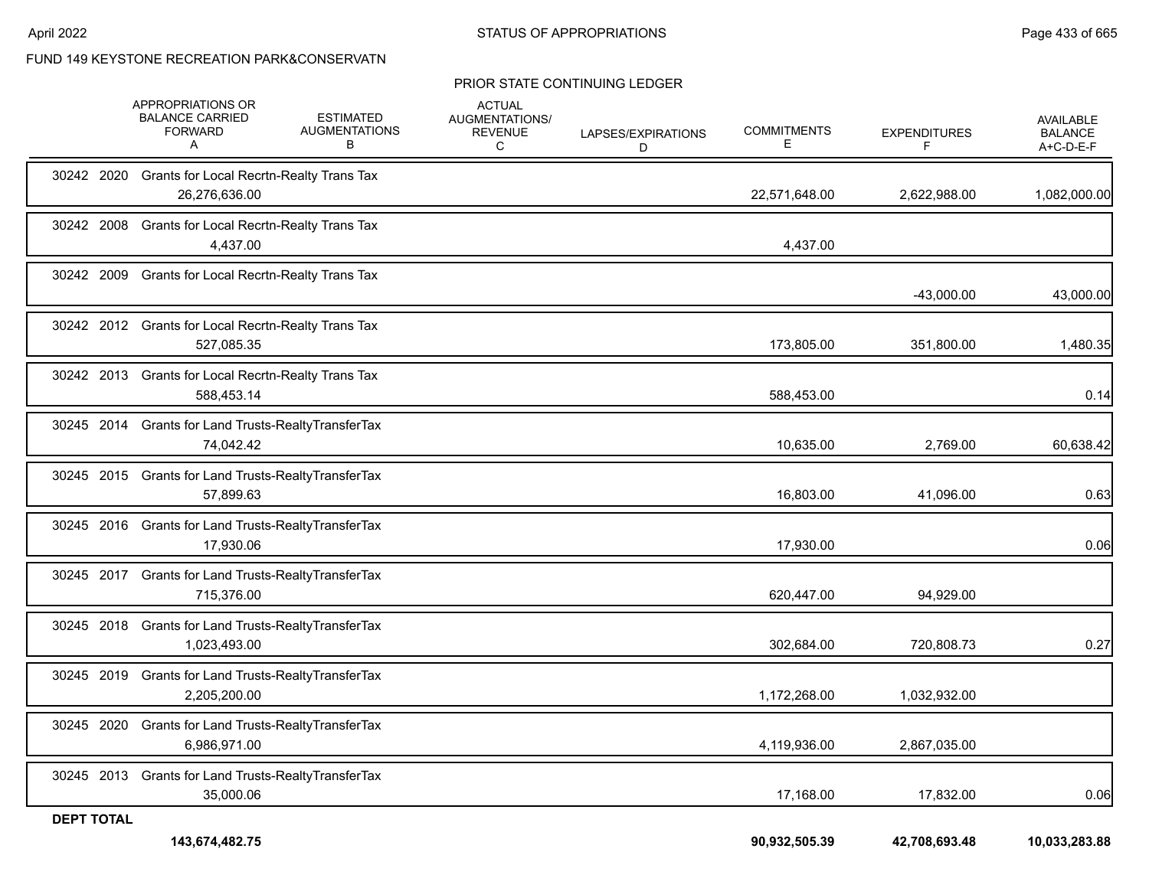FUND 149 KEYSTONE RECREATION PARK&CONSERVATN

#### PRIOR STATE CONTINUING LEDGER

|                   | 143,674,482.75                                                      |                                               |                                                        |                         | 90,932,505.39           | 42,708,693.48            | 10,033,283.88                            |
|-------------------|---------------------------------------------------------------------|-----------------------------------------------|--------------------------------------------------------|-------------------------|-------------------------|--------------------------|------------------------------------------|
| <b>DEPT TOTAL</b> |                                                                     |                                               |                                                        |                         |                         |                          |                                          |
|                   | 30245 2013 Grants for Land Trusts-RealtyTransferTax<br>35,000.06    |                                               |                                                        |                         | 17,168.00               | 17,832.00                | 0.06                                     |
| 30245 2020        | Grants for Land Trusts-RealtyTransferTax<br>6,986,971.00            |                                               |                                                        |                         | 4,119,936.00            | 2,867,035.00             |                                          |
| 30245 2019        | Grants for Land Trusts-RealtyTransferTax<br>2,205,200.00            |                                               |                                                        |                         | 1,172,268.00            | 1,032,932.00             |                                          |
|                   | 30245 2018 Grants for Land Trusts-RealtyTransferTax<br>1,023,493.00 |                                               |                                                        |                         | 302,684.00              | 720,808.73               | 0.27                                     |
|                   | 30245 2017 Grants for Land Trusts-RealtyTransferTax<br>715,376.00   |                                               |                                                        |                         | 620,447.00              | 94,929.00                |                                          |
|                   | 30245 2016 Grants for Land Trusts-RealtyTransferTax<br>17,930.06    |                                               |                                                        |                         | 17,930.00               |                          | 0.06                                     |
|                   | 30245 2015 Grants for Land Trusts-RealtyTransferTax<br>57,899.63    |                                               |                                                        |                         | 16,803.00               | 41,096.00                | 0.63                                     |
|                   | 30245 2014 Grants for Land Trusts-RealtyTransferTax<br>74,042.42    |                                               |                                                        |                         | 10,635.00               | 2,769.00                 | 60,638.42                                |
|                   | 30242 2013 Grants for Local Recrtn-Realty Trans Tax<br>588,453.14   |                                               |                                                        |                         | 588,453.00              |                          | 0.14                                     |
|                   | 30242 2012 Grants for Local Recrtn-Realty Trans Tax<br>527,085.35   |                                               |                                                        |                         | 173,805.00              | 351,800.00               | 1,480.35                                 |
| 30242 2009        | <b>Grants for Local Recrtn-Realty Trans Tax</b>                     |                                               |                                                        |                         |                         | $-43,000.00$             | 43,000.00                                |
| 30242 2008        | <b>Grants for Local Recrtn-Realty Trans Tax</b><br>4,437.00         |                                               |                                                        |                         | 4,437.00                |                          |                                          |
| 30242 2020        | <b>Grants for Local Recrtn-Realty Trans Tax</b><br>26,276,636.00    |                                               |                                                        |                         | 22,571,648.00           | 2,622,988.00             | 1,082,000.00                             |
|                   | APPROPRIATIONS OR<br><b>BALANCE CARRIED</b><br><b>FORWARD</b><br>A  | <b>ESTIMATED</b><br><b>AUGMENTATIONS</b><br>В | <b>ACTUAL</b><br>AUGMENTATIONS/<br><b>REVENUE</b><br>C | LAPSES/EXPIRATIONS<br>D | <b>COMMITMENTS</b><br>Ε | <b>EXPENDITURES</b><br>F | AVAILABLE<br><b>BALANCE</b><br>A+C-D-E-F |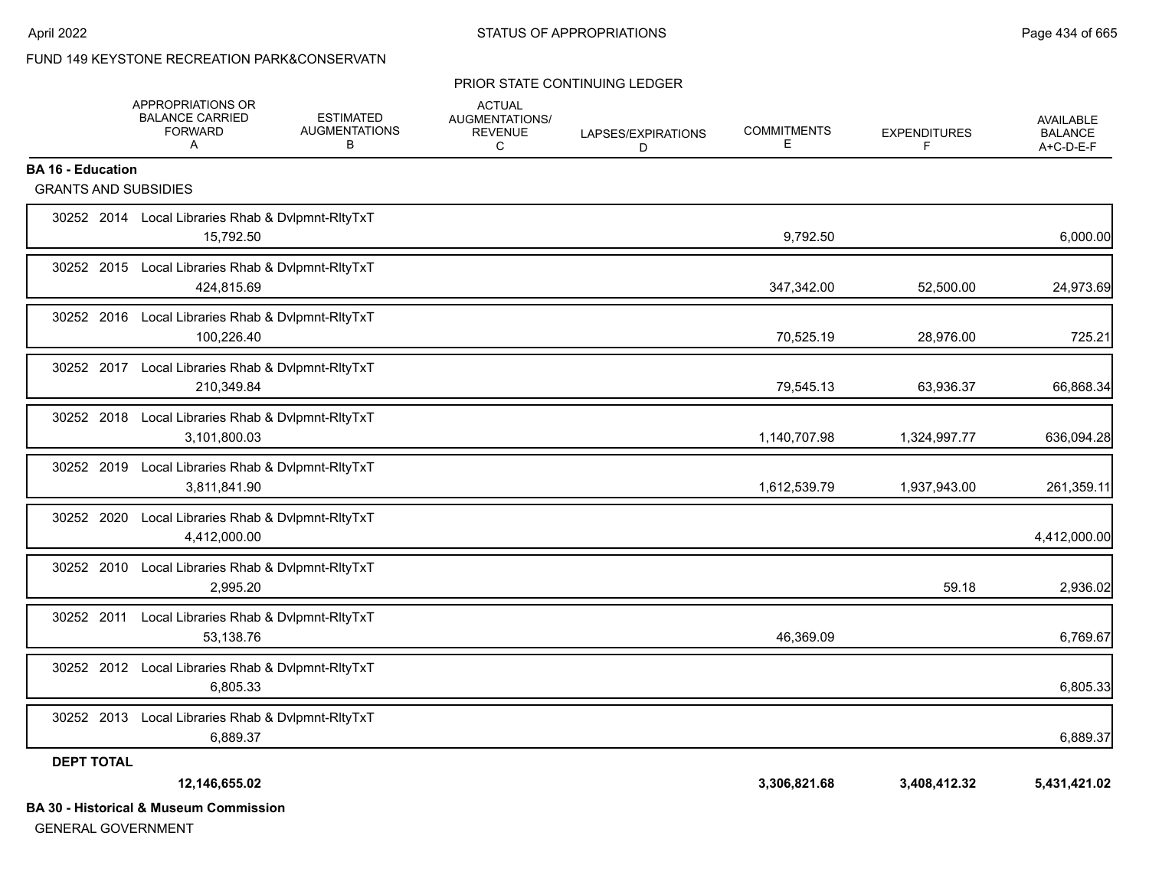## FUND 149 KEYSTONE RECREATION PARK&CONSERVATN

#### PRIOR STATE CONTINUING LEDGER

|                             | APPROPRIATIONS OR<br><b>BALANCE CARRIED</b><br><b>FORWARD</b><br>A | <b>ESTIMATED</b><br><b>AUGMENTATIONS</b><br>В | <b>ACTUAL</b><br>AUGMENTATIONS/<br><b>REVENUE</b><br>C | LAPSES/EXPIRATIONS<br>D | <b>COMMITMENTS</b><br>Е | <b>EXPENDITURES</b><br>F | AVAILABLE<br><b>BALANCE</b><br>$A+C-D-E-F$ |
|-----------------------------|--------------------------------------------------------------------|-----------------------------------------------|--------------------------------------------------------|-------------------------|-------------------------|--------------------------|--------------------------------------------|
| <b>BA 16 - Education</b>    |                                                                    |                                               |                                                        |                         |                         |                          |                                            |
| <b>GRANTS AND SUBSIDIES</b> |                                                                    |                                               |                                                        |                         |                         |                          |                                            |
|                             | 30252 2014 Local Libraries Rhab & Dvlpmnt-RltyTxT<br>15,792.50     |                                               |                                                        |                         | 9,792.50                |                          | 6,000.00                                   |
|                             | 30252 2015 Local Libraries Rhab & Dvlpmnt-RltyTxT<br>424,815.69    |                                               |                                                        |                         | 347,342.00              | 52,500.00                | 24,973.69                                  |
|                             | 30252 2016 Local Libraries Rhab & Dvlpmnt-RItyTxT<br>100,226.40    |                                               |                                                        |                         | 70,525.19               | 28,976.00                | 725.21                                     |
| 30252 2017                  | Local Libraries Rhab & Dvlpmnt-RltyTxT<br>210,349.84               |                                               |                                                        |                         | 79,545.13               | 63,936.37                | 66,868.34                                  |
| 30252 2018                  | Local Libraries Rhab & Dvlpmnt-RltyTxT<br>3,101,800.03             |                                               |                                                        |                         | 1,140,707.98            | 1,324,997.77             | 636,094.28                                 |
| 30252 2019                  | Local Libraries Rhab & Dvlpmnt-RltyTxT<br>3,811,841.90             |                                               |                                                        |                         | 1,612,539.79            | 1,937,943.00             | 261,359.11                                 |
| 30252 2020                  | Local Libraries Rhab & Dvlpmnt-RltyTxT<br>4,412,000.00             |                                               |                                                        |                         |                         |                          | 4,412,000.00                               |
|                             | 30252 2010 Local Libraries Rhab & Dvlpmnt-RItyTxT<br>2,995.20      |                                               |                                                        |                         |                         | 59.18                    | 2,936.02                                   |
| 30252 2011                  | Local Libraries Rhab & Dvlpmnt-RltyTxT<br>53,138.76                |                                               |                                                        |                         | 46,369.09               |                          | 6,769.67                                   |
|                             | 30252 2012 Local Libraries Rhab & Dvlpmnt-RltyTxT<br>6,805.33      |                                               |                                                        |                         |                         |                          | 6,805.33                                   |
|                             | 30252 2013 Local Libraries Rhab & Dvlpmnt-RltyTxT<br>6,889.37      |                                               |                                                        |                         |                         |                          | 6,889.37                                   |
| <b>DEPT TOTAL</b>           |                                                                    |                                               |                                                        |                         |                         |                          |                                            |
|                             | 12,146,655.02                                                      |                                               |                                                        |                         | 3,306,821.68            | 3,408,412.32             | 5,431,421.02                               |
|                             | <b>BA 30 - Historical &amp; Museum Commission</b>                  |                                               |                                                        |                         |                         |                          |                                            |

GENERAL GOVERNMENT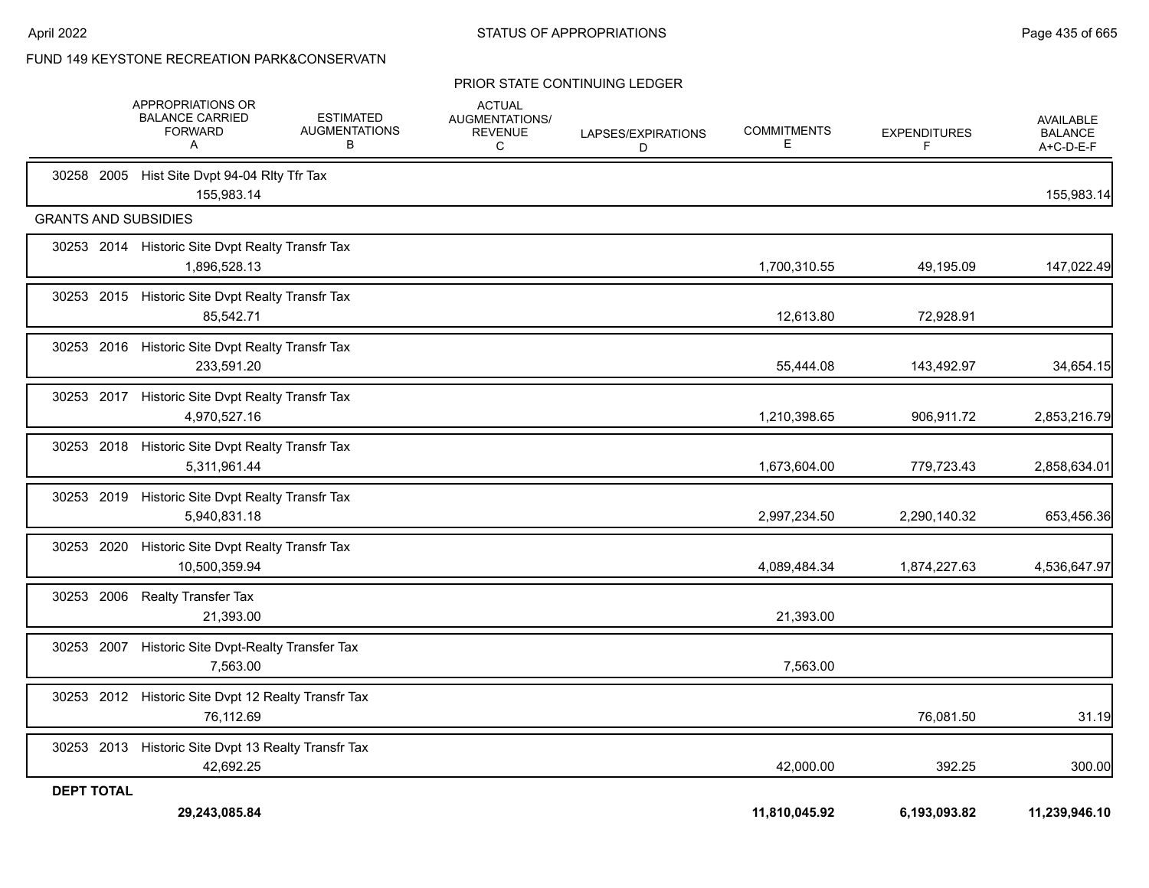FUND 149 KEYSTONE RECREATION PARK&CONSERVATN

#### PRIOR STATE CONTINUING LEDGER

|                             | <b>APPROPRIATIONS OR</b><br><b>BALANCE CARRIED</b><br><b>FORWARD</b><br>Α | <b>ESTIMATED</b><br><b>AUGMENTATIONS</b><br>в | <b>ACTUAL</b><br>AUGMENTATIONS/<br><b>REVENUE</b><br>C | LAPSES/EXPIRATIONS<br>D | <b>COMMITMENTS</b><br>Е | <b>EXPENDITURES</b><br>F | <b>AVAILABLE</b><br><b>BALANCE</b><br>A+C-D-E-F |
|-----------------------------|---------------------------------------------------------------------------|-----------------------------------------------|--------------------------------------------------------|-------------------------|-------------------------|--------------------------|-------------------------------------------------|
|                             | 30258 2005 Hist Site Dvpt 94-04 Rlty Tfr Tax<br>155.983.14                |                                               |                                                        |                         |                         |                          | 155,983.14                                      |
| <b>GRANTS AND SUBSIDIES</b> |                                                                           |                                               |                                                        |                         |                         |                          |                                                 |
|                             | 30253 2014 Historic Site Dvpt Realty Transfr Tax<br>1,896,528.13          |                                               |                                                        |                         | 1,700,310.55            | 49,195.09                | 147,022.49                                      |
|                             | 30253 2015 Historic Site Dvpt Realty Transfr Tax<br>85,542.71             |                                               |                                                        |                         | 12,613.80               | 72,928.91                |                                                 |
|                             | 30253 2016 Historic Site Dvpt Realty Transfr Tax<br>233,591.20            |                                               |                                                        |                         | 55,444.08               | 143,492.97               | 34,654.15                                       |
|                             | 30253 2017 Historic Site Dvpt Realty Transfr Tax<br>4,970,527.16          |                                               |                                                        |                         | 1,210,398.65            | 906,911.72               | 2,853,216.79                                    |
|                             | 30253 2018 Historic Site Dvpt Realty Transfr Tax<br>5,311,961.44          |                                               |                                                        |                         | 1,673,604.00            | 779,723.43               | 2,858,634.01                                    |
|                             | 30253 2019 Historic Site Dvpt Realty Transfr Tax<br>5,940,831.18          |                                               |                                                        |                         | 2,997,234.50            | 2,290,140.32             | 653,456.36                                      |
| 30253 2020                  | Historic Site Dvpt Realty Transfr Tax<br>10,500,359.94                    |                                               |                                                        |                         | 4,089,484.34            | 1,874,227.63             | 4,536,647.97                                    |
|                             | 30253 2006 Realty Transfer Tax<br>21,393.00                               |                                               |                                                        |                         | 21,393.00               |                          |                                                 |
|                             | 30253 2007 Historic Site Dvpt-Realty Transfer Tax<br>7,563.00             |                                               |                                                        |                         | 7,563.00                |                          |                                                 |
|                             | 30253 2012 Historic Site Dvpt 12 Realty Transfr Tax<br>76,112.69          |                                               |                                                        |                         |                         | 76,081.50                | 31.19                                           |
|                             | 30253 2013 Historic Site Dvpt 13 Realty Transfr Tax<br>42,692.25          |                                               |                                                        |                         | 42,000.00               | 392.25                   | 300.00                                          |
| <b>DEPT TOTAL</b>           | 29.243.085.84                                                             |                                               |                                                        |                         | 11,810,045.92           | 6,193,093.82             | 11,239,946.10                                   |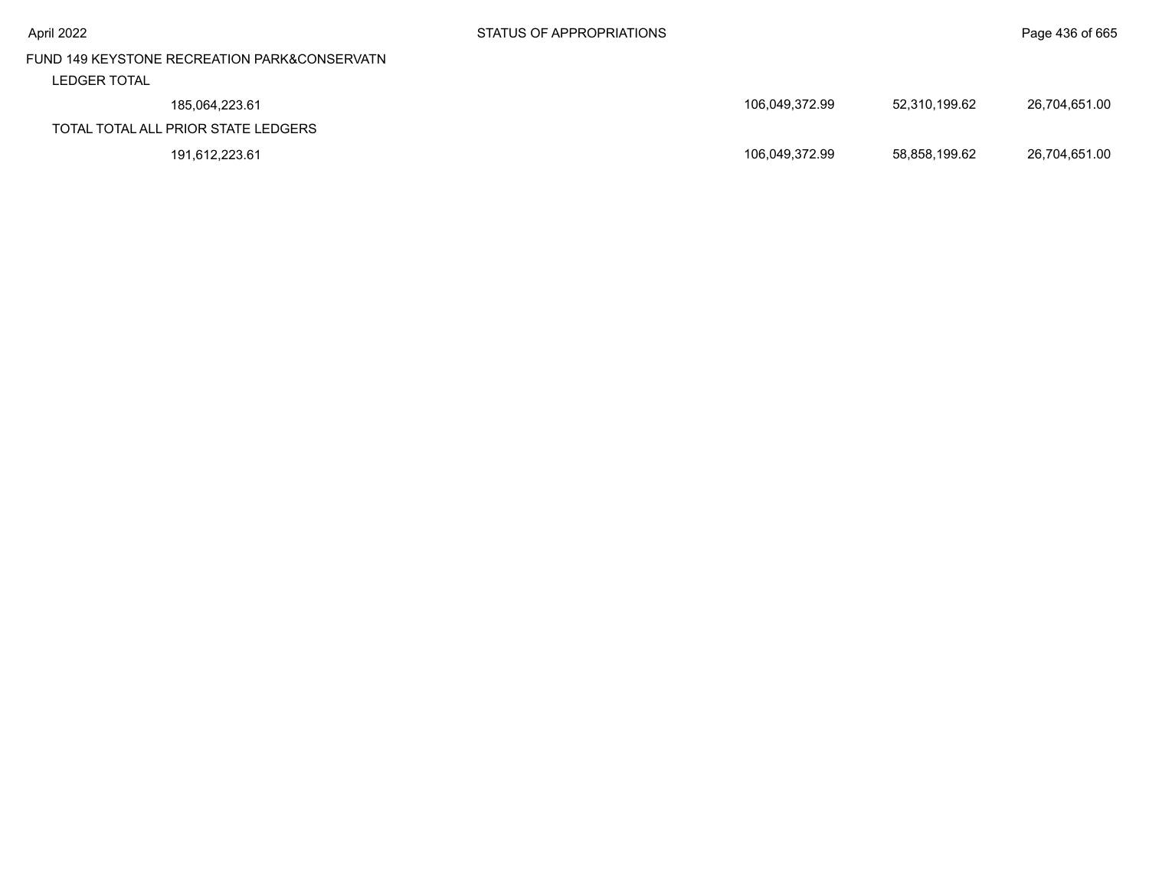| April 2022                                   | STATUS OF APPROPRIATIONS |                |               | Page 436 of 665 |
|----------------------------------------------|--------------------------|----------------|---------------|-----------------|
| FUND 149 KEYSTONE RECREATION PARK&CONSERVATN |                          |                |               |                 |
| <b>LEDGER TOTAL</b>                          |                          |                |               |                 |
| 185.064.223.61                               |                          | 106.049.372.99 | 52,310,199.62 | 26,704,651.00   |
| TOTAL TOTAL ALL PRIOR STATE LEDGERS          |                          |                |               |                 |
| 191.612.223.61                               |                          | 106.049.372.99 | 58.858.199.62 | 26,704,651.00   |
|                                              |                          |                |               |                 |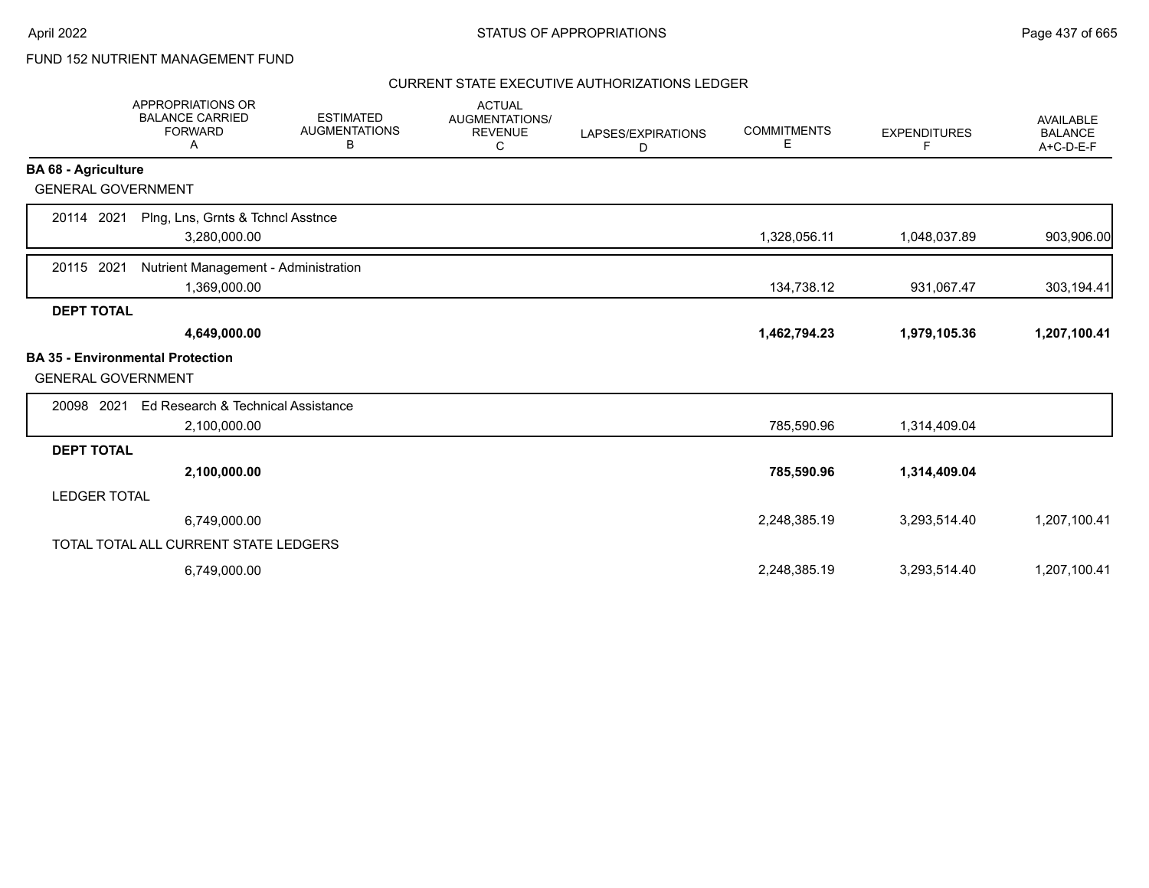# FUND 152 NUTRIENT MANAGEMENT FUND

|                            | <b>APPROPRIATIONS OR</b><br><b>BALANCE CARRIED</b><br><b>FORWARD</b><br>Α | <b>ESTIMATED</b><br><b>AUGMENTATIONS</b><br>В | <b>ACTUAL</b><br><b>AUGMENTATIONS/</b><br><b>REVENUE</b><br>С | LAPSES/EXPIRATIONS<br>D | <b>COMMITMENTS</b><br>Е | <b>EXPENDITURES</b><br>F | <b>AVAILABLE</b><br><b>BALANCE</b><br>A+C-D-E-F |
|----------------------------|---------------------------------------------------------------------------|-----------------------------------------------|---------------------------------------------------------------|-------------------------|-------------------------|--------------------------|-------------------------------------------------|
| <b>BA 68 - Agriculture</b> |                                                                           |                                               |                                                               |                         |                         |                          |                                                 |
| <b>GENERAL GOVERNMENT</b>  |                                                                           |                                               |                                                               |                         |                         |                          |                                                 |
| 20114 2021                 | Plng, Lns, Grnts & Tchncl Asstnce<br>3,280,000.00                         |                                               |                                                               |                         | 1,328,056.11            | 1,048,037.89             | 903,906.00                                      |
| 2021<br>20115              | Nutrient Management - Administration<br>1,369,000.00                      |                                               |                                                               |                         | 134,738.12              | 931,067.47               | 303,194.41                                      |
| <b>DEPT TOTAL</b>          |                                                                           |                                               |                                                               |                         |                         |                          |                                                 |
|                            | 4,649,000.00                                                              |                                               |                                                               |                         | 1,462,794.23            | 1,979,105.36             | 1,207,100.41                                    |
| <b>GENERAL GOVERNMENT</b>  | <b>BA 35 - Environmental Protection</b>                                   |                                               |                                                               |                         |                         |                          |                                                 |
| 20098 2021                 | Ed Research & Technical Assistance                                        |                                               |                                                               |                         |                         |                          |                                                 |
|                            | 2,100,000.00                                                              |                                               |                                                               |                         | 785,590.96              | 1,314,409.04             |                                                 |
| <b>DEPT TOTAL</b>          |                                                                           |                                               |                                                               |                         |                         |                          |                                                 |
|                            | 2,100,000.00                                                              |                                               |                                                               |                         | 785,590.96              | 1,314,409.04             |                                                 |
| <b>LEDGER TOTAL</b>        |                                                                           |                                               |                                                               |                         |                         |                          |                                                 |
|                            | 6,749,000.00                                                              |                                               |                                                               |                         | 2,248,385.19            | 3,293,514.40             | 1,207,100.41                                    |
|                            | TOTAL TOTAL ALL CURRENT STATE LEDGERS                                     |                                               |                                                               |                         |                         |                          |                                                 |
|                            | 6,749,000.00                                                              |                                               |                                                               |                         | 2,248,385.19            | 3,293,514.40             | 1,207,100.41                                    |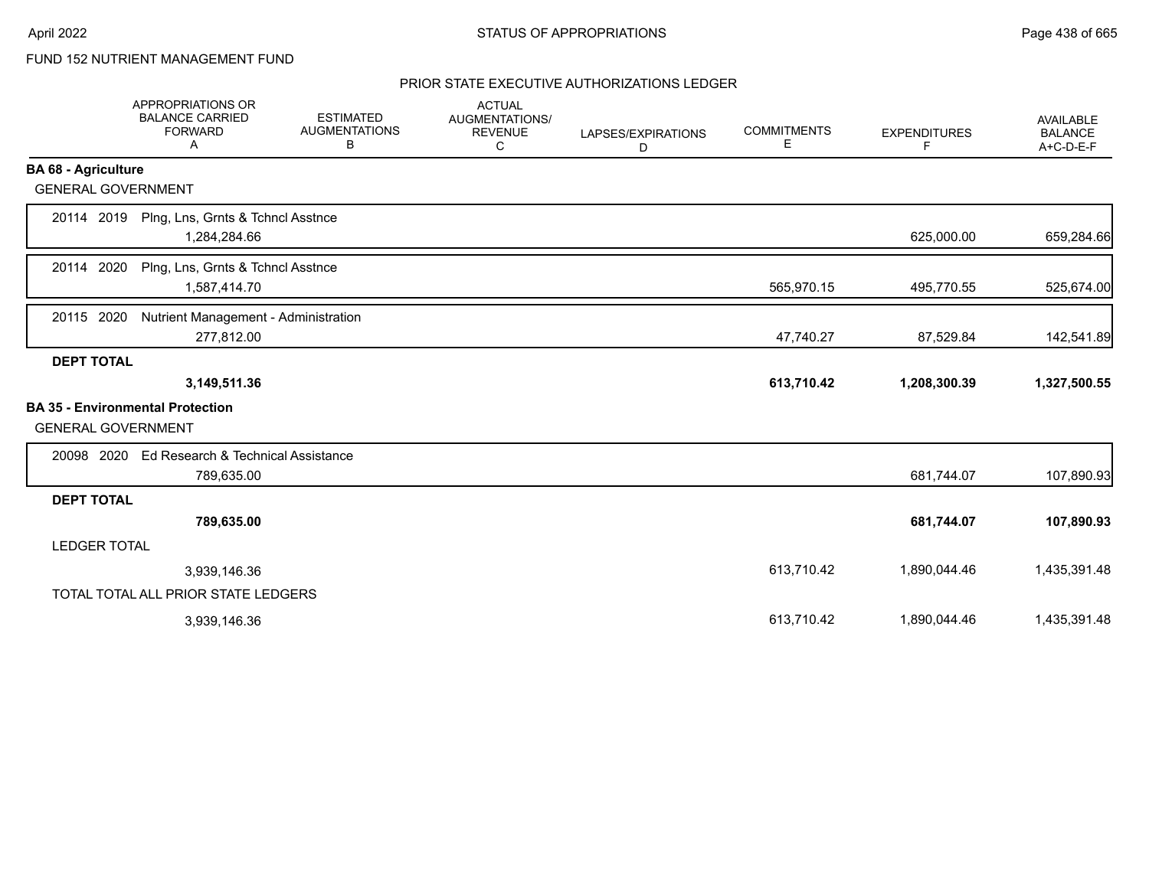# FUND 152 NUTRIENT MANAGEMENT FUND

|                            | <b>APPROPRIATIONS OR</b><br><b>BALANCE CARRIED</b><br><b>FORWARD</b><br>A | <b>ESTIMATED</b><br><b>AUGMENTATIONS</b><br>в | <b>ACTUAL</b><br><b>AUGMENTATIONS/</b><br><b>REVENUE</b><br>C | LAPSES/EXPIRATIONS<br>D | <b>COMMITMENTS</b><br>Е | <b>EXPENDITURES</b><br>F | <b>AVAILABLE</b><br><b>BALANCE</b><br>A+C-D-E-F |
|----------------------------|---------------------------------------------------------------------------|-----------------------------------------------|---------------------------------------------------------------|-------------------------|-------------------------|--------------------------|-------------------------------------------------|
| <b>BA 68 - Agriculture</b> |                                                                           |                                               |                                                               |                         |                         |                          |                                                 |
| <b>GENERAL GOVERNMENT</b>  |                                                                           |                                               |                                                               |                         |                         |                          |                                                 |
| 20114 2019                 | Plng, Lns, Grnts & Tchncl Asstnce<br>1,284,284.66                         |                                               |                                                               |                         |                         | 625,000.00               | 659,284.66                                      |
| 20114 2020                 | Plng, Lns, Grnts & Tchncl Asstnce<br>1,587,414.70                         |                                               |                                                               |                         | 565,970.15              | 495,770.55               | 525,674.00                                      |
| 20115 2020                 | Nutrient Management - Administration<br>277,812.00                        |                                               |                                                               |                         | 47,740.27               | 87,529.84                | 142,541.89                                      |
| <b>DEPT TOTAL</b>          |                                                                           |                                               |                                                               |                         |                         |                          |                                                 |
|                            | 3,149,511.36                                                              |                                               |                                                               |                         | 613,710.42              | 1,208,300.39             | 1,327,500.55                                    |
| <b>GENERAL GOVERNMENT</b>  | <b>BA 35 - Environmental Protection</b>                                   |                                               |                                                               |                         |                         |                          |                                                 |
| 20098 2020                 | Ed Research & Technical Assistance<br>789,635.00                          |                                               |                                                               |                         |                         | 681,744.07               | 107,890.93                                      |
| <b>DEPT TOTAL</b>          |                                                                           |                                               |                                                               |                         |                         |                          |                                                 |
|                            | 789,635.00                                                                |                                               |                                                               |                         |                         | 681,744.07               | 107,890.93                                      |
| <b>LEDGER TOTAL</b>        |                                                                           |                                               |                                                               |                         |                         |                          |                                                 |
|                            | 3,939,146.36                                                              |                                               |                                                               |                         | 613,710.42              | 1,890,044.46             | 1,435,391.48                                    |
|                            | TOTAL TOTAL ALL PRIOR STATE LEDGERS                                       |                                               |                                                               |                         |                         |                          |                                                 |
|                            | 3,939,146.36                                                              |                                               |                                                               |                         | 613,710.42              | 1,890,044.46             | 1,435,391.48                                    |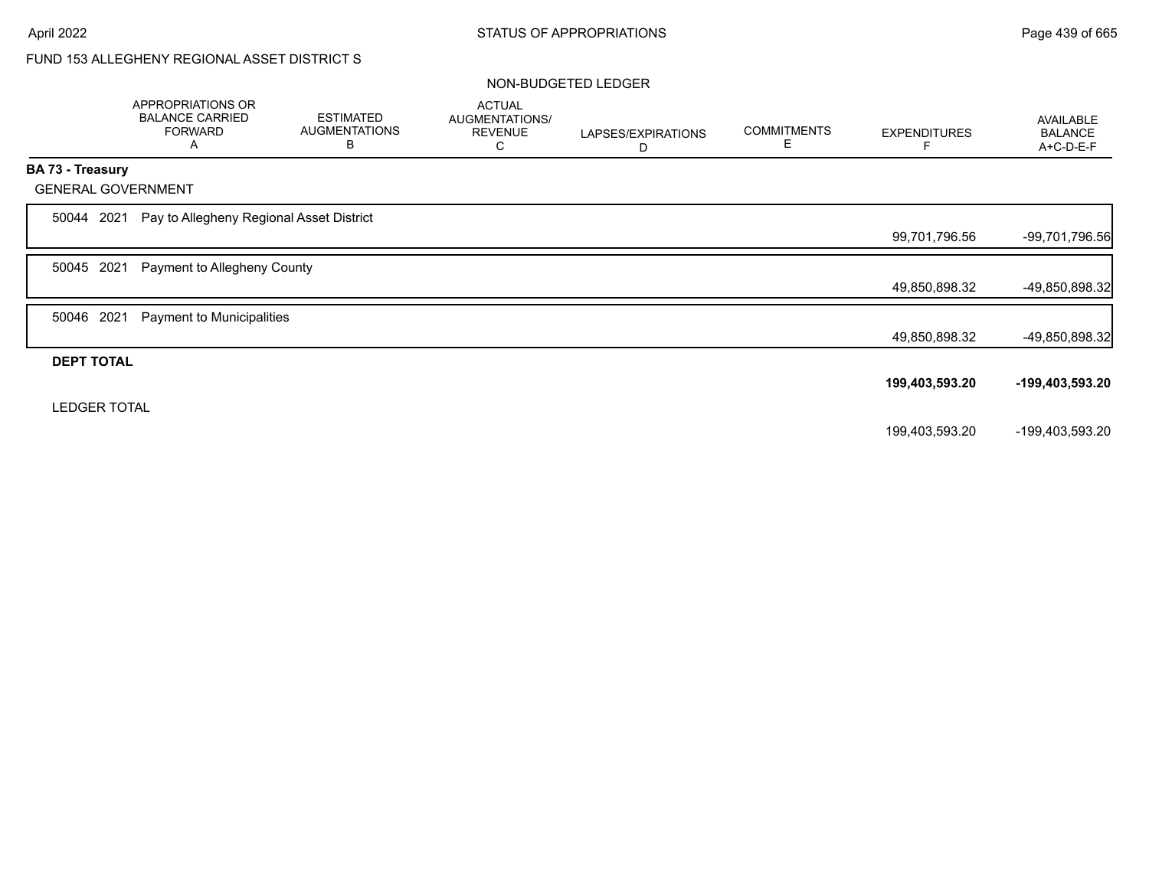# FUND 153 ALLEGHENY REGIONAL ASSET DISTRICT S

#### NON-BUDGETED LEDGER

| AVAILABLE<br><b>BALANCE</b><br>A+C-D-E-F                                            |
|-------------------------------------------------------------------------------------|
|                                                                                     |
|                                                                                     |
|                                                                                     |
| -99,701,796.56                                                                      |
|                                                                                     |
| -49,850,898.32                                                                      |
|                                                                                     |
| -49,850,898.32                                                                      |
|                                                                                     |
| -199,403,593.20                                                                     |
|                                                                                     |
| -199,403,593.20                                                                     |
| 99,701,796.56<br>49,850,898.32<br>49,850,898.32<br>199,403,593.20<br>199,403,593.20 |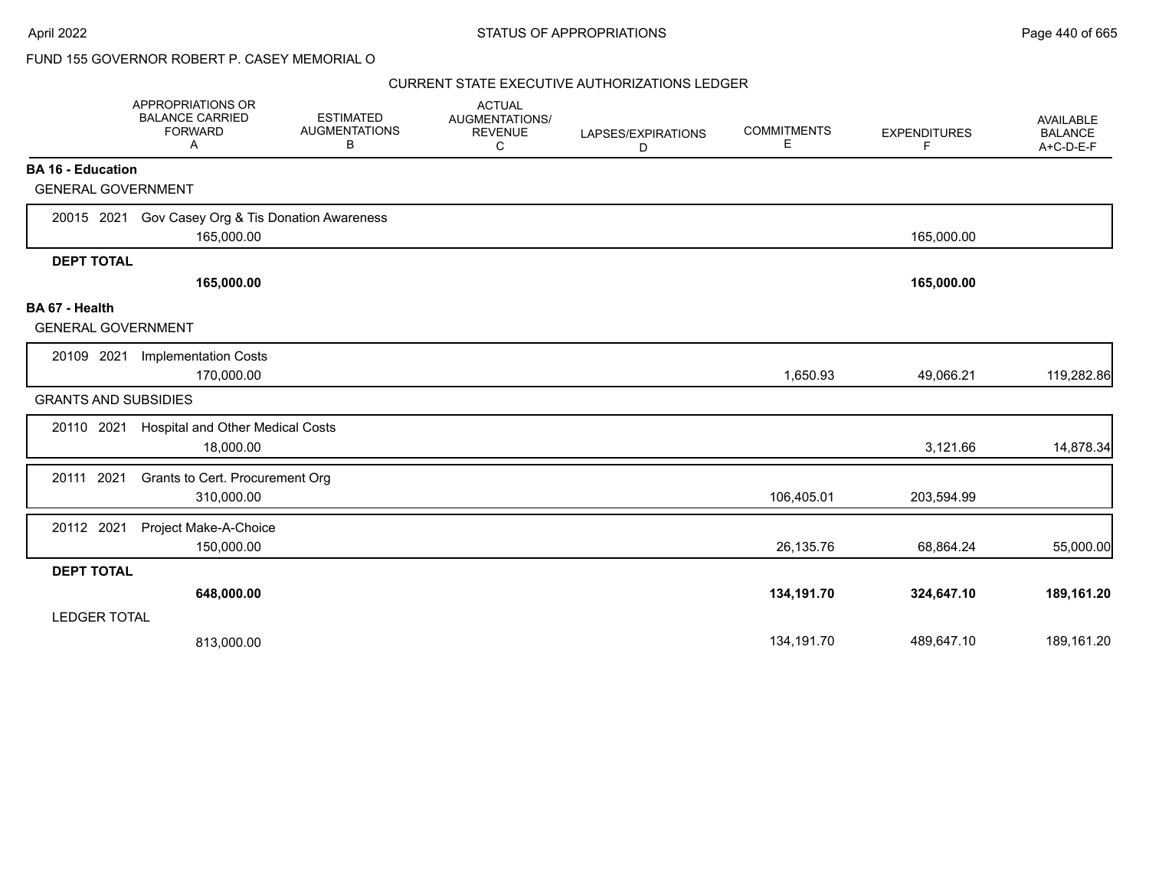|                                             | <b>APPROPRIATIONS OR</b><br><b>BALANCE CARRIED</b><br><b>FORWARD</b><br>Α | <b>ESTIMATED</b><br><b>AUGMENTATIONS</b><br>B | <b>ACTUAL</b><br>AUGMENTATIONS/<br><b>REVENUE</b><br>С | LAPSES/EXPIRATIONS<br>D | <b>COMMITMENTS</b><br>Е | <b>EXPENDITURES</b><br>F | AVAILABLE<br><b>BALANCE</b><br>A+C-D-E-F |
|---------------------------------------------|---------------------------------------------------------------------------|-----------------------------------------------|--------------------------------------------------------|-------------------------|-------------------------|--------------------------|------------------------------------------|
| <b>BA 16 - Education</b>                    |                                                                           |                                               |                                                        |                         |                         |                          |                                          |
| <b>GENERAL GOVERNMENT</b>                   |                                                                           |                                               |                                                        |                         |                         |                          |                                          |
| 20015 2021                                  | Gov Casey Org & Tis Donation Awareness<br>165,000.00                      |                                               |                                                        |                         |                         | 165,000.00               |                                          |
| <b>DEPT TOTAL</b>                           |                                                                           |                                               |                                                        |                         |                         |                          |                                          |
|                                             | 165,000.00                                                                |                                               |                                                        |                         |                         | 165,000.00               |                                          |
| BA 67 - Health<br><b>GENERAL GOVERNMENT</b> |                                                                           |                                               |                                                        |                         |                         |                          |                                          |
| 20109 2021                                  | <b>Implementation Costs</b><br>170,000.00                                 |                                               |                                                        |                         | 1,650.93                | 49,066.21                | 119,282.86                               |
| <b>GRANTS AND SUBSIDIES</b>                 |                                                                           |                                               |                                                        |                         |                         |                          |                                          |
| 20110 2021                                  | <b>Hospital and Other Medical Costs</b><br>18,000.00                      |                                               |                                                        |                         |                         | 3,121.66                 | 14,878.34                                |
| 20111 2021                                  | Grants to Cert. Procurement Org<br>310,000.00                             |                                               |                                                        |                         | 106,405.01              | 203,594.99               |                                          |
| 20112 2021                                  | Project Make-A-Choice<br>150,000.00                                       |                                               |                                                        |                         | 26,135.76               | 68,864.24                | 55,000.00                                |
| <b>DEPT TOTAL</b>                           |                                                                           |                                               |                                                        |                         |                         |                          |                                          |
|                                             | 648,000.00                                                                |                                               |                                                        |                         | 134,191.70              | 324,647.10               | 189,161.20                               |
| <b>LEDGER TOTAL</b>                         |                                                                           |                                               |                                                        |                         |                         |                          |                                          |
|                                             | 813,000.00                                                                |                                               |                                                        |                         | 134,191.70              | 489,647.10               | 189,161.20                               |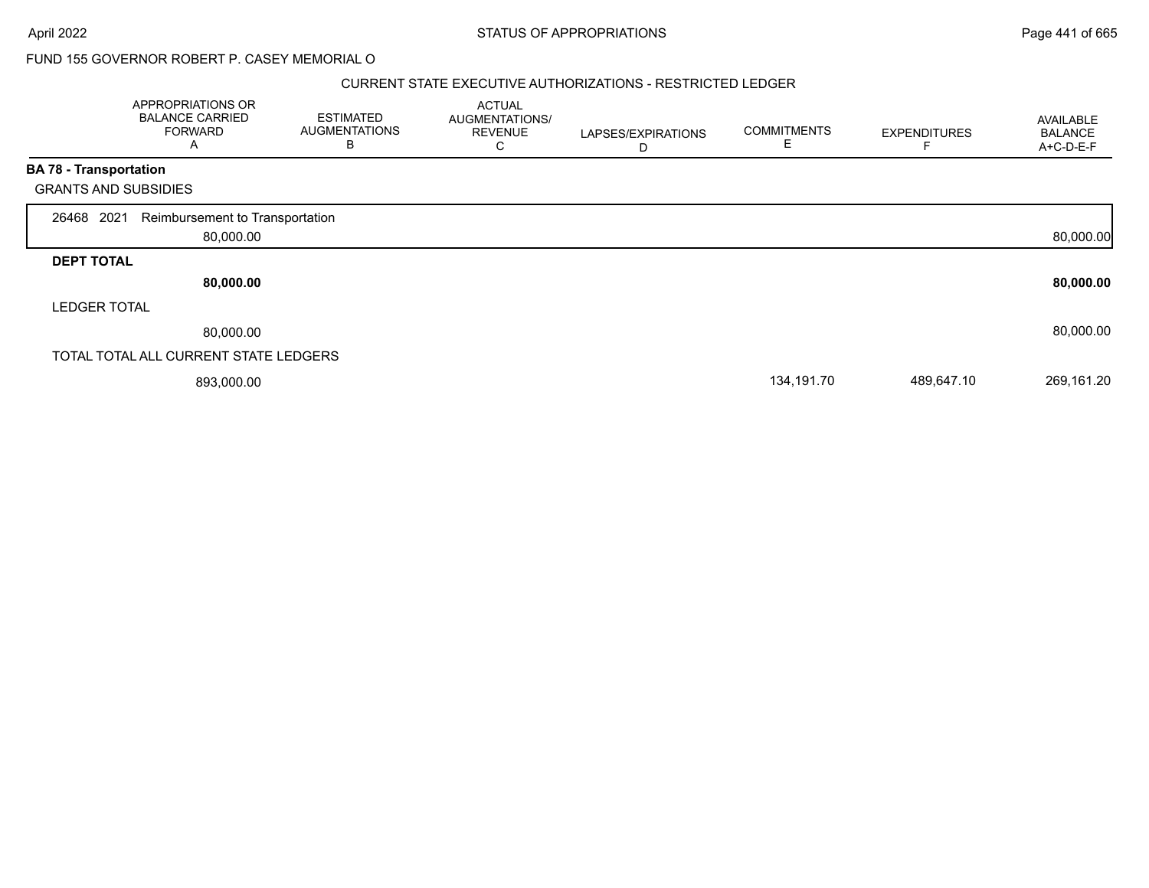#### CURRENT STATE EXECUTIVE AUTHORIZATIONS - RESTRICTED LEDGER

|                               | APPROPRIATIONS OR<br><b>BALANCE CARRIED</b><br><b>FORWARD</b><br>A | <b>ESTIMATED</b><br><b>AUGMENTATIONS</b><br>в | <b>ACTUAL</b><br>AUGMENTATIONS/<br><b>REVENUE</b><br>C | LAPSES/EXPIRATIONS<br>D | <b>COMMITMENTS</b> | <b>EXPENDITURES</b> | AVAILABLE<br><b>BALANCE</b><br>A+C-D-E-F |
|-------------------------------|--------------------------------------------------------------------|-----------------------------------------------|--------------------------------------------------------|-------------------------|--------------------|---------------------|------------------------------------------|
| <b>BA 78 - Transportation</b> |                                                                    |                                               |                                                        |                         |                    |                     |                                          |
| <b>GRANTS AND SUBSIDIES</b>   |                                                                    |                                               |                                                        |                         |                    |                     |                                          |
| 26468 2021                    | Reimbursement to Transportation                                    |                                               |                                                        |                         |                    |                     |                                          |
|                               | 80,000.00                                                          |                                               |                                                        |                         |                    |                     | 80,000.00                                |
| <b>DEPT TOTAL</b>             |                                                                    |                                               |                                                        |                         |                    |                     |                                          |
|                               | 80,000.00                                                          |                                               |                                                        |                         |                    |                     | 80,000.00                                |
| <b>LEDGER TOTAL</b>           |                                                                    |                                               |                                                        |                         |                    |                     |                                          |
|                               | 80,000.00                                                          |                                               |                                                        |                         |                    |                     | 80,000.00                                |
|                               | TOTAL TOTAL ALL CURRENT STATE LEDGERS                              |                                               |                                                        |                         |                    |                     |                                          |
|                               | 893,000.00                                                         |                                               |                                                        |                         | 134,191.70         | 489,647.10          | 269,161.20                               |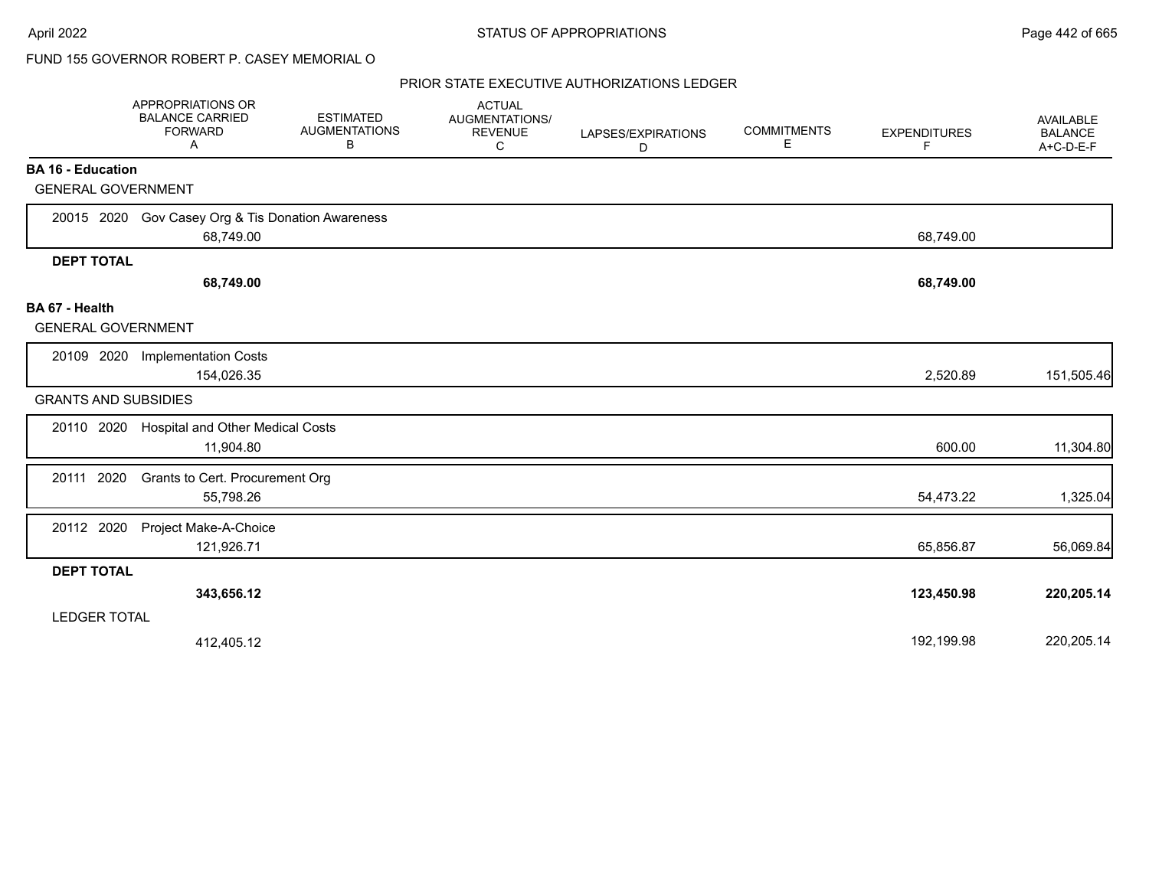|                                             | APPROPRIATIONS OR<br><b>BALANCE CARRIED</b><br><b>FORWARD</b><br>A | <b>ESTIMATED</b><br><b>AUGMENTATIONS</b><br>B | <b>ACTUAL</b><br>AUGMENTATIONS/<br><b>REVENUE</b><br>C | LAPSES/EXPIRATIONS<br>D | <b>COMMITMENTS</b><br>Е | <b>EXPENDITURES</b><br>F | <b>AVAILABLE</b><br><b>BALANCE</b><br>A+C-D-E-F |
|---------------------------------------------|--------------------------------------------------------------------|-----------------------------------------------|--------------------------------------------------------|-------------------------|-------------------------|--------------------------|-------------------------------------------------|
| <b>BA 16 - Education</b>                    |                                                                    |                                               |                                                        |                         |                         |                          |                                                 |
| <b>GENERAL GOVERNMENT</b>                   |                                                                    |                                               |                                                        |                         |                         |                          |                                                 |
|                                             | 20015 2020 Gov Casey Org & Tis Donation Awareness<br>68,749.00     |                                               |                                                        |                         |                         | 68,749.00                |                                                 |
| <b>DEPT TOTAL</b>                           |                                                                    |                                               |                                                        |                         |                         |                          |                                                 |
|                                             | 68,749.00                                                          |                                               |                                                        |                         |                         | 68,749.00                |                                                 |
| BA 67 - Health<br><b>GENERAL GOVERNMENT</b> |                                                                    |                                               |                                                        |                         |                         |                          |                                                 |
| 20109 2020                                  | <b>Implementation Costs</b><br>154,026.35                          |                                               |                                                        |                         |                         | 2,520.89                 | 151,505.46                                      |
| <b>GRANTS AND SUBSIDIES</b>                 |                                                                    |                                               |                                                        |                         |                         |                          |                                                 |
| 20110 2020                                  | Hospital and Other Medical Costs<br>11,904.80                      |                                               |                                                        |                         |                         | 600.00                   | 11,304.80                                       |
| 20111 2020                                  | Grants to Cert. Procurement Org<br>55,798.26                       |                                               |                                                        |                         |                         | 54,473.22                | 1,325.04                                        |
| 20112 2020                                  | Project Make-A-Choice<br>121,926.71                                |                                               |                                                        |                         |                         | 65,856.87                | 56,069.84                                       |
| <b>DEPT TOTAL</b>                           |                                                                    |                                               |                                                        |                         |                         |                          |                                                 |
|                                             | 343,656.12                                                         |                                               |                                                        |                         |                         | 123,450.98               | 220,205.14                                      |
| <b>LEDGER TOTAL</b>                         |                                                                    |                                               |                                                        |                         |                         |                          |                                                 |
|                                             | 412,405.12                                                         |                                               |                                                        |                         |                         | 192,199.98               | 220,205.14                                      |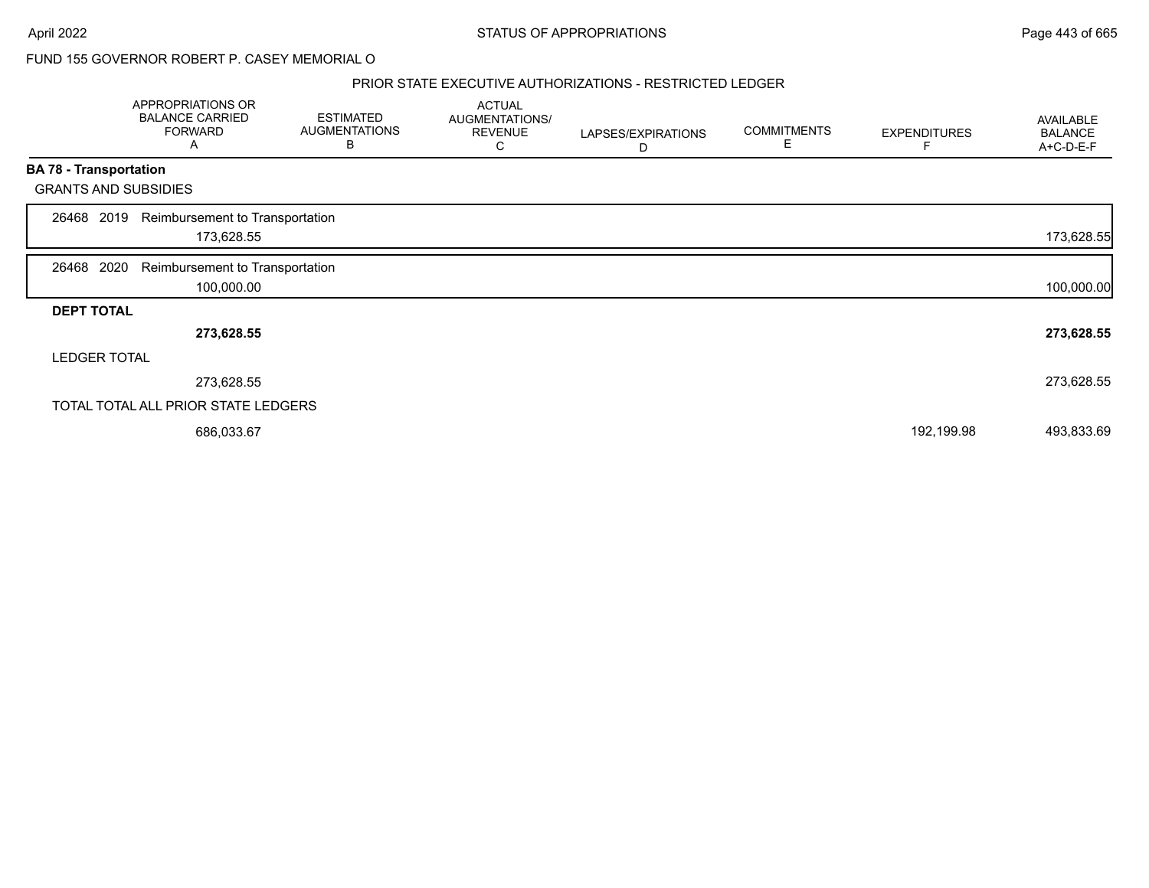#### PRIOR STATE EXECUTIVE AUTHORIZATIONS - RESTRICTED LEDGER

|                   | APPROPRIATIONS OR<br><b>BALANCE CARRIED</b><br><b>FORWARD</b><br>A | <b>ESTIMATED</b><br><b>AUGMENTATIONS</b><br>в | <b>ACTUAL</b><br>AUGMENTATIONS/<br><b>REVENUE</b><br>С | LAPSES/EXPIRATIONS<br>D | <b>COMMITMENTS</b><br>E | <b>EXPENDITURES</b> | <b>AVAILABLE</b><br><b>BALANCE</b><br>A+C-D-E-F |
|-------------------|--------------------------------------------------------------------|-----------------------------------------------|--------------------------------------------------------|-------------------------|-------------------------|---------------------|-------------------------------------------------|
|                   | <b>BA 78 - Transportation</b>                                      |                                               |                                                        |                         |                         |                     |                                                 |
|                   | <b>GRANTS AND SUBSIDIES</b>                                        |                                               |                                                        |                         |                         |                     |                                                 |
| 26468             | Reimbursement to Transportation<br>2019<br>173,628.55              |                                               |                                                        |                         |                         |                     | 173,628.55                                      |
| 26468 2020        | Reimbursement to Transportation<br>100,000.00                      |                                               |                                                        |                         |                         |                     | 100,000.00                                      |
| <b>DEPT TOTAL</b> |                                                                    |                                               |                                                        |                         |                         |                     |                                                 |
|                   | 273,628.55                                                         |                                               |                                                        |                         |                         |                     | 273,628.55                                      |
|                   | <b>LEDGER TOTAL</b>                                                |                                               |                                                        |                         |                         |                     |                                                 |
|                   | 273,628.55                                                         |                                               |                                                        |                         |                         |                     | 273,628.55                                      |
|                   | TOTAL TOTAL ALL PRIOR STATE LEDGERS                                |                                               |                                                        |                         |                         |                     |                                                 |
|                   | 686,033.67                                                         |                                               |                                                        |                         |                         | 192,199.98          | 493,833.69                                      |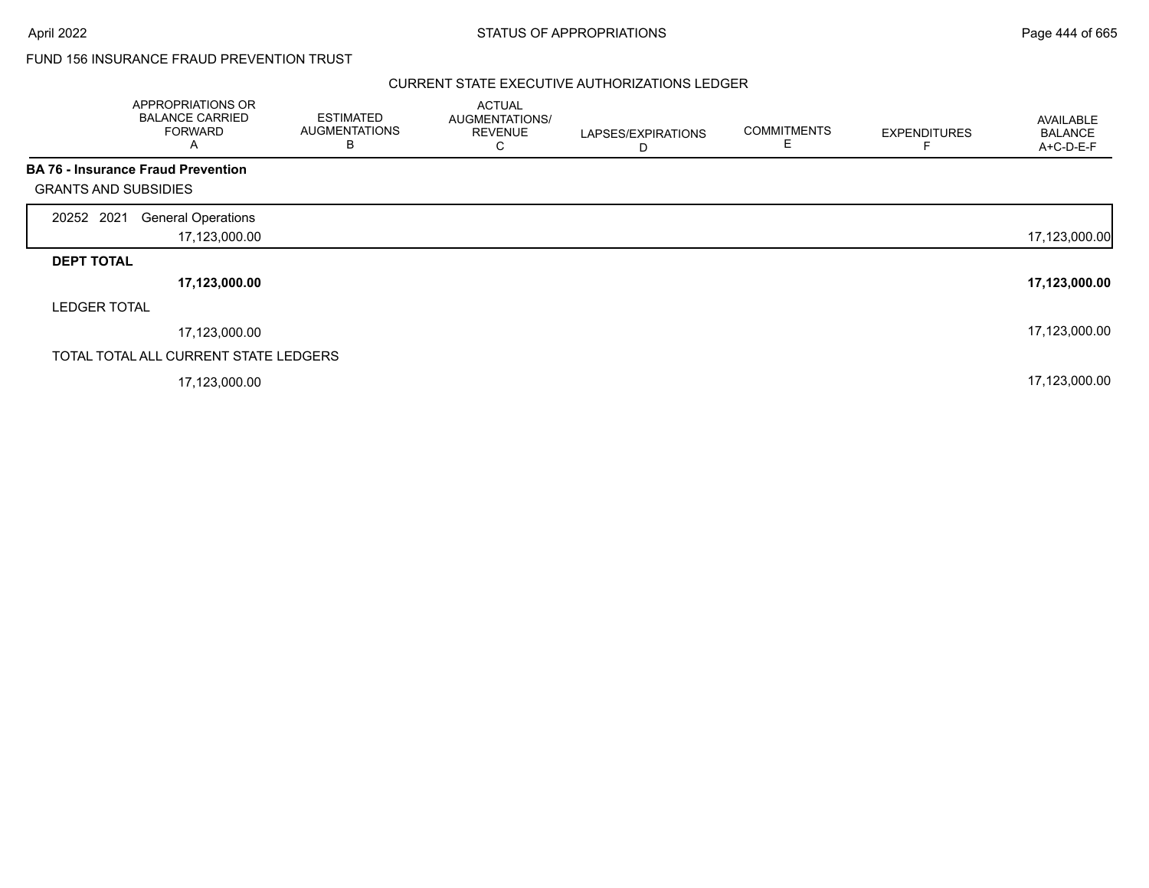## FUND 156 INSURANCE FRAUD PREVENTION TRUST

|                             | APPROPRIATIONS OR<br><b>BALANCE CARRIED</b><br><b>FORWARD</b><br>A | <b>ESTIMATED</b><br><b>AUGMENTATIONS</b><br>B | <b>ACTUAL</b><br>AUGMENTATIONS/<br><b>REVENUE</b><br>С | LAPSES/EXPIRATIONS<br>D | <b>COMMITMENTS</b><br>Е | <b>EXPENDITURES</b> | AVAILABLE<br><b>BALANCE</b><br>A+C-D-E-F |
|-----------------------------|--------------------------------------------------------------------|-----------------------------------------------|--------------------------------------------------------|-------------------------|-------------------------|---------------------|------------------------------------------|
|                             | <b>BA 76 - Insurance Fraud Prevention</b>                          |                                               |                                                        |                         |                         |                     |                                          |
| <b>GRANTS AND SUBSIDIES</b> |                                                                    |                                               |                                                        |                         |                         |                     |                                          |
| 20252 2021                  | <b>General Operations</b>                                          |                                               |                                                        |                         |                         |                     |                                          |
|                             | 17,123,000.00                                                      |                                               |                                                        |                         |                         |                     | 17,123,000.00                            |
| <b>DEPT TOTAL</b>           |                                                                    |                                               |                                                        |                         |                         |                     |                                          |
|                             | 17,123,000.00                                                      |                                               |                                                        |                         |                         |                     | 17,123,000.00                            |
| <b>LEDGER TOTAL</b>         |                                                                    |                                               |                                                        |                         |                         |                     |                                          |
|                             | 17,123,000.00                                                      |                                               |                                                        |                         |                         |                     | 17,123,000.00                            |
|                             | TOTAL TOTAL ALL CURRENT STATE LEDGERS                              |                                               |                                                        |                         |                         |                     |                                          |
|                             | 17,123,000.00                                                      |                                               |                                                        |                         |                         |                     | 17,123,000.00                            |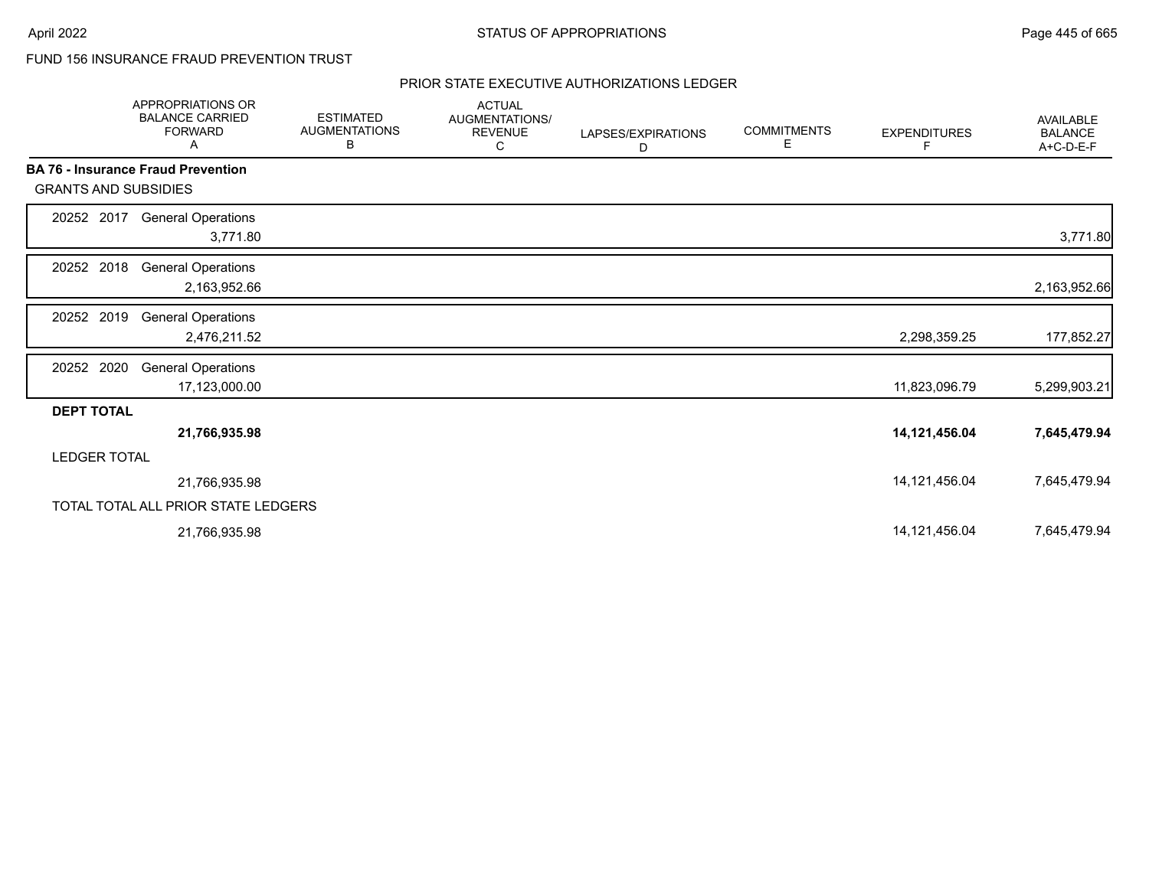## FUND 156 INSURANCE FRAUD PREVENTION TRUST

|                             | <b>APPROPRIATIONS OR</b><br><b>BALANCE CARRIED</b><br><b>FORWARD</b><br>Α | <b>ESTIMATED</b><br><b>AUGMENTATIONS</b><br>В | <b>ACTUAL</b><br>AUGMENTATIONS/<br><b>REVENUE</b><br>С | LAPSES/EXPIRATIONS<br>D | <b>COMMITMENTS</b><br>Е | <b>EXPENDITURES</b><br>F | <b>AVAILABLE</b><br><b>BALANCE</b><br>A+C-D-E-F |
|-----------------------------|---------------------------------------------------------------------------|-----------------------------------------------|--------------------------------------------------------|-------------------------|-------------------------|--------------------------|-------------------------------------------------|
|                             | <b>BA 76 - Insurance Fraud Prevention</b>                                 |                                               |                                                        |                         |                         |                          |                                                 |
| <b>GRANTS AND SUBSIDIES</b> |                                                                           |                                               |                                                        |                         |                         |                          |                                                 |
| 20252 2017                  | <b>General Operations</b><br>3,771.80                                     |                                               |                                                        |                         |                         |                          | 3,771.80                                        |
| 20252 2018                  | <b>General Operations</b><br>2,163,952.66                                 |                                               |                                                        |                         |                         |                          | 2,163,952.66                                    |
| 20252 2019                  | <b>General Operations</b><br>2,476,211.52                                 |                                               |                                                        |                         |                         | 2,298,359.25             | 177,852.27                                      |
| 20252 2020                  | <b>General Operations</b><br>17,123,000.00                                |                                               |                                                        |                         |                         | 11,823,096.79            | 5,299,903.21                                    |
| <b>DEPT TOTAL</b>           |                                                                           |                                               |                                                        |                         |                         |                          |                                                 |
|                             | 21,766,935.98                                                             |                                               |                                                        |                         |                         | 14,121,456.04            | 7,645,479.94                                    |
| <b>LEDGER TOTAL</b>         |                                                                           |                                               |                                                        |                         |                         |                          |                                                 |
|                             | 21,766,935.98                                                             |                                               |                                                        |                         |                         | 14,121,456.04            | 7,645,479.94                                    |
|                             | TOTAL TOTAL ALL PRIOR STATE LEDGERS                                       |                                               |                                                        |                         |                         |                          |                                                 |
|                             | 21,766,935.98                                                             |                                               |                                                        |                         |                         | 14,121,456.04            | 7,645,479.94                                    |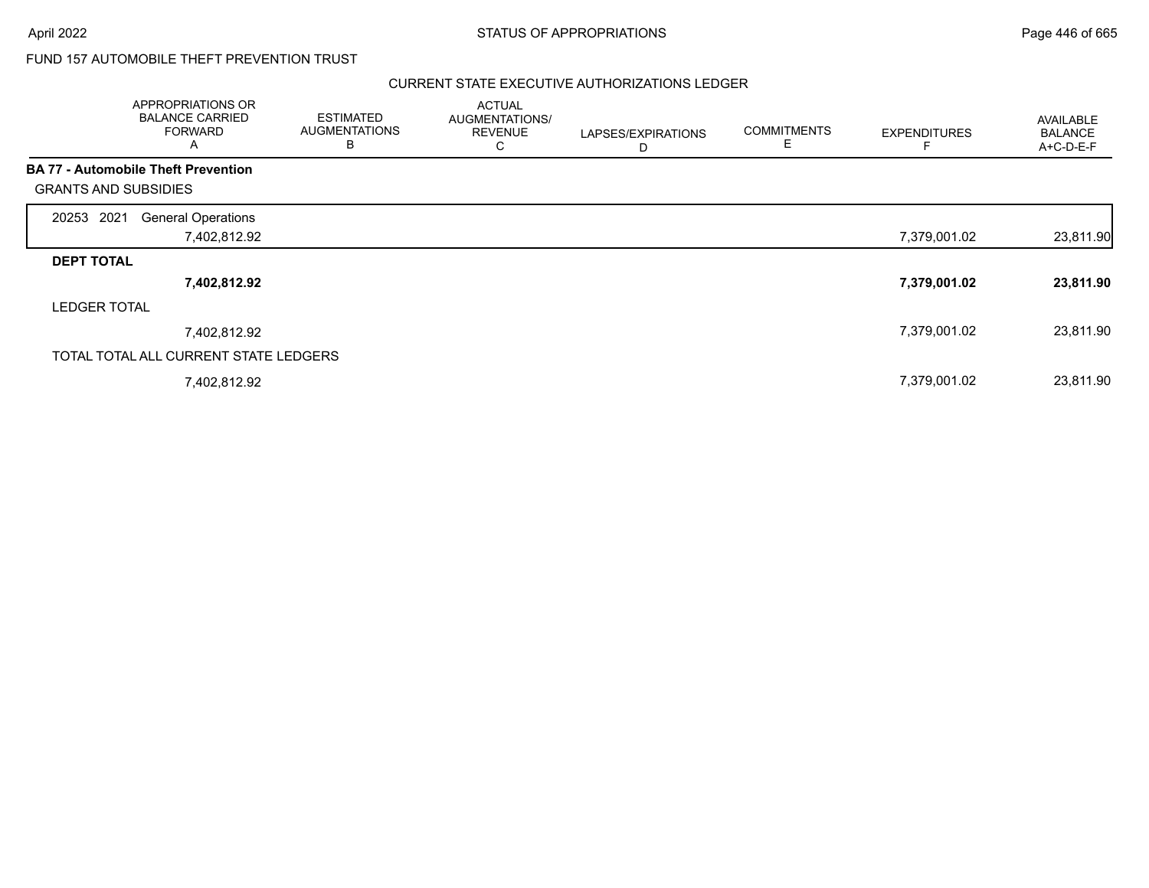## FUND 157 AUTOMOBILE THEFT PREVENTION TRUST

|                                            | APPROPRIATIONS OR<br><b>BALANCE CARRIED</b><br><b>FORWARD</b><br>Α | <b>ESTIMATED</b><br><b>AUGMENTATIONS</b><br>В | <b>ACTUAL</b><br>AUGMENTATIONS/<br><b>REVENUE</b><br>С | LAPSES/EXPIRATIONS<br>D | <b>COMMITMENTS</b><br>E | <b>EXPENDITURES</b> | <b>AVAILABLE</b><br><b>BALANCE</b><br>A+C-D-E-F |
|--------------------------------------------|--------------------------------------------------------------------|-----------------------------------------------|--------------------------------------------------------|-------------------------|-------------------------|---------------------|-------------------------------------------------|
| <b>BA 77 - Automobile Theft Prevention</b> |                                                                    |                                               |                                                        |                         |                         |                     |                                                 |
| <b>GRANTS AND SUBSIDIES</b>                |                                                                    |                                               |                                                        |                         |                         |                     |                                                 |
| 2021<br>20253                              | <b>General Operations</b>                                          |                                               |                                                        |                         |                         |                     |                                                 |
|                                            | 7,402,812.92                                                       |                                               |                                                        |                         |                         | 7,379,001.02        | 23,811.90                                       |
| <b>DEPT TOTAL</b>                          |                                                                    |                                               |                                                        |                         |                         |                     |                                                 |
|                                            | 7,402,812.92                                                       |                                               |                                                        |                         |                         | 7,379,001.02        | 23,811.90                                       |
| <b>LEDGER TOTAL</b>                        |                                                                    |                                               |                                                        |                         |                         |                     |                                                 |
|                                            | 7,402,812.92                                                       |                                               |                                                        |                         |                         | 7,379,001.02        | 23,811.90                                       |
|                                            | TOTAL TOTAL ALL CURRENT STATE LEDGERS                              |                                               |                                                        |                         |                         |                     |                                                 |
|                                            | 7,402,812.92                                                       |                                               |                                                        |                         |                         | 7,379,001.02        | 23,811.90                                       |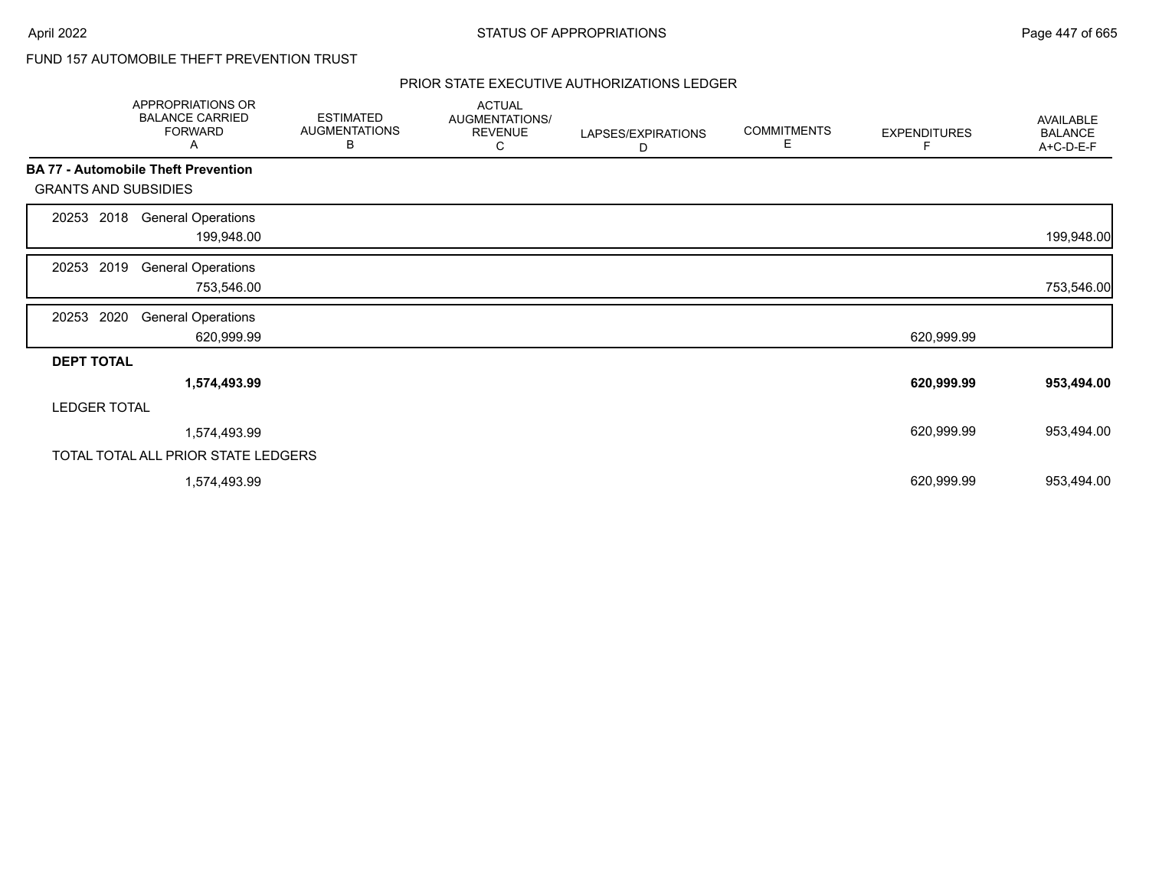# FUND 157 AUTOMOBILE THEFT PREVENTION TRUST

|                             | APPROPRIATIONS OR<br><b>BALANCE CARRIED</b><br><b>FORWARD</b><br>Α | <b>ESTIMATED</b><br><b>AUGMENTATIONS</b><br>В | <b>ACTUAL</b><br>AUGMENTATIONS/<br><b>REVENUE</b><br>С | LAPSES/EXPIRATIONS<br>D | <b>COMMITMENTS</b><br>Е | <b>EXPENDITURES</b><br>F | AVAILABLE<br><b>BALANCE</b><br>A+C-D-E-F |
|-----------------------------|--------------------------------------------------------------------|-----------------------------------------------|--------------------------------------------------------|-------------------------|-------------------------|--------------------------|------------------------------------------|
|                             | <b>BA 77 - Automobile Theft Prevention</b>                         |                                               |                                                        |                         |                         |                          |                                          |
| <b>GRANTS AND SUBSIDIES</b> |                                                                    |                                               |                                                        |                         |                         |                          |                                          |
| 2018<br>20253               | <b>General Operations</b><br>199,948.00                            |                                               |                                                        |                         |                         |                          | 199,948.00                               |
| 2019<br>20253               | <b>General Operations</b><br>753,546.00                            |                                               |                                                        |                         |                         |                          | 753,546.00                               |
| 2020<br>20253               | <b>General Operations</b><br>620,999.99                            |                                               |                                                        |                         |                         | 620,999.99               |                                          |
| <b>DEPT TOTAL</b>           |                                                                    |                                               |                                                        |                         |                         |                          |                                          |
|                             | 1,574,493.99                                                       |                                               |                                                        |                         |                         | 620,999.99               | 953,494.00                               |
| <b>LEDGER TOTAL</b>         |                                                                    |                                               |                                                        |                         |                         |                          |                                          |
|                             | 1,574,493.99                                                       |                                               |                                                        |                         |                         | 620,999.99               | 953,494.00                               |
|                             | TOTAL TOTAL ALL PRIOR STATE LEDGERS                                |                                               |                                                        |                         |                         |                          |                                          |
|                             | 1,574,493.99                                                       |                                               |                                                        |                         |                         | 620,999.99               | 953,494.00                               |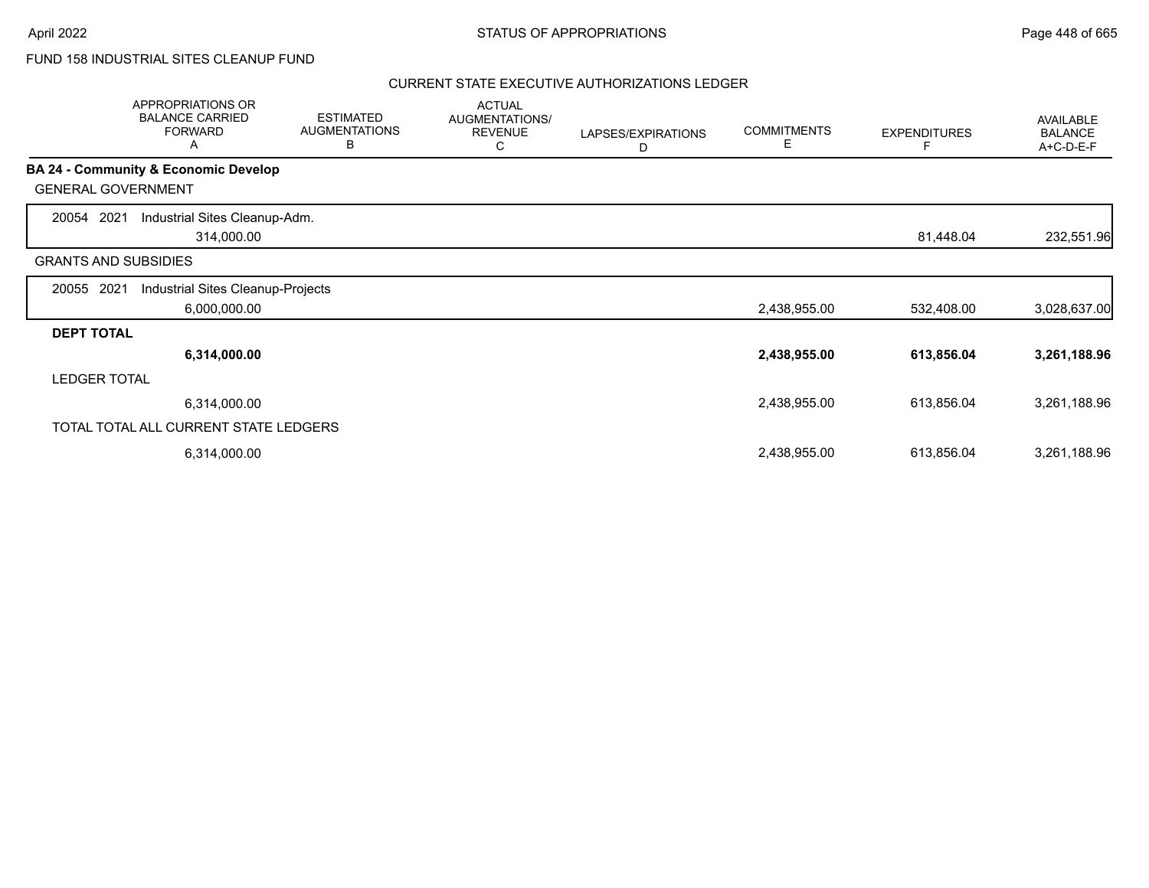## FUND 158 INDUSTRIAL SITES CLEANUP FUND

|                             | APPROPRIATIONS OR<br><b>BALANCE CARRIED</b><br><b>FORWARD</b><br>Α | <b>ESTIMATED</b><br><b>AUGMENTATIONS</b><br>В | <b>ACTUAL</b><br><b>AUGMENTATIONS/</b><br><b>REVENUE</b><br>С | LAPSES/EXPIRATIONS<br>D | <b>COMMITMENTS</b><br>Е | <b>EXPENDITURES</b> | AVAILABLE<br><b>BALANCE</b><br>A+C-D-E-F |
|-----------------------------|--------------------------------------------------------------------|-----------------------------------------------|---------------------------------------------------------------|-------------------------|-------------------------|---------------------|------------------------------------------|
|                             | <b>BA 24 - Community &amp; Economic Develop</b>                    |                                               |                                                               |                         |                         |                     |                                          |
| <b>GENERAL GOVERNMENT</b>   |                                                                    |                                               |                                                               |                         |                         |                     |                                          |
| 2021<br>20054               | Industrial Sites Cleanup-Adm.                                      |                                               |                                                               |                         |                         |                     |                                          |
|                             | 314,000.00                                                         |                                               |                                                               |                         |                         | 81,448.04           | 232,551.96                               |
| <b>GRANTS AND SUBSIDIES</b> |                                                                    |                                               |                                                               |                         |                         |                     |                                          |
| 2021<br>20055               | Industrial Sites Cleanup-Projects                                  |                                               |                                                               |                         |                         |                     |                                          |
|                             | 6,000,000.00                                                       |                                               |                                                               |                         | 2,438,955.00            | 532,408.00          | 3,028,637.00                             |
| <b>DEPT TOTAL</b>           |                                                                    |                                               |                                                               |                         |                         |                     |                                          |
|                             | 6,314,000.00                                                       |                                               |                                                               |                         | 2,438,955.00            | 613,856.04          | 3,261,188.96                             |
| <b>LEDGER TOTAL</b>         |                                                                    |                                               |                                                               |                         |                         |                     |                                          |
|                             | 6,314,000.00                                                       |                                               |                                                               |                         | 2,438,955.00            | 613,856.04          | 3,261,188.96                             |
|                             | TOTAL TOTAL ALL CURRENT STATE LEDGERS                              |                                               |                                                               |                         |                         |                     |                                          |
|                             | 6,314,000.00                                                       |                                               |                                                               |                         | 2,438,955.00            | 613,856.04          | 3,261,188.96                             |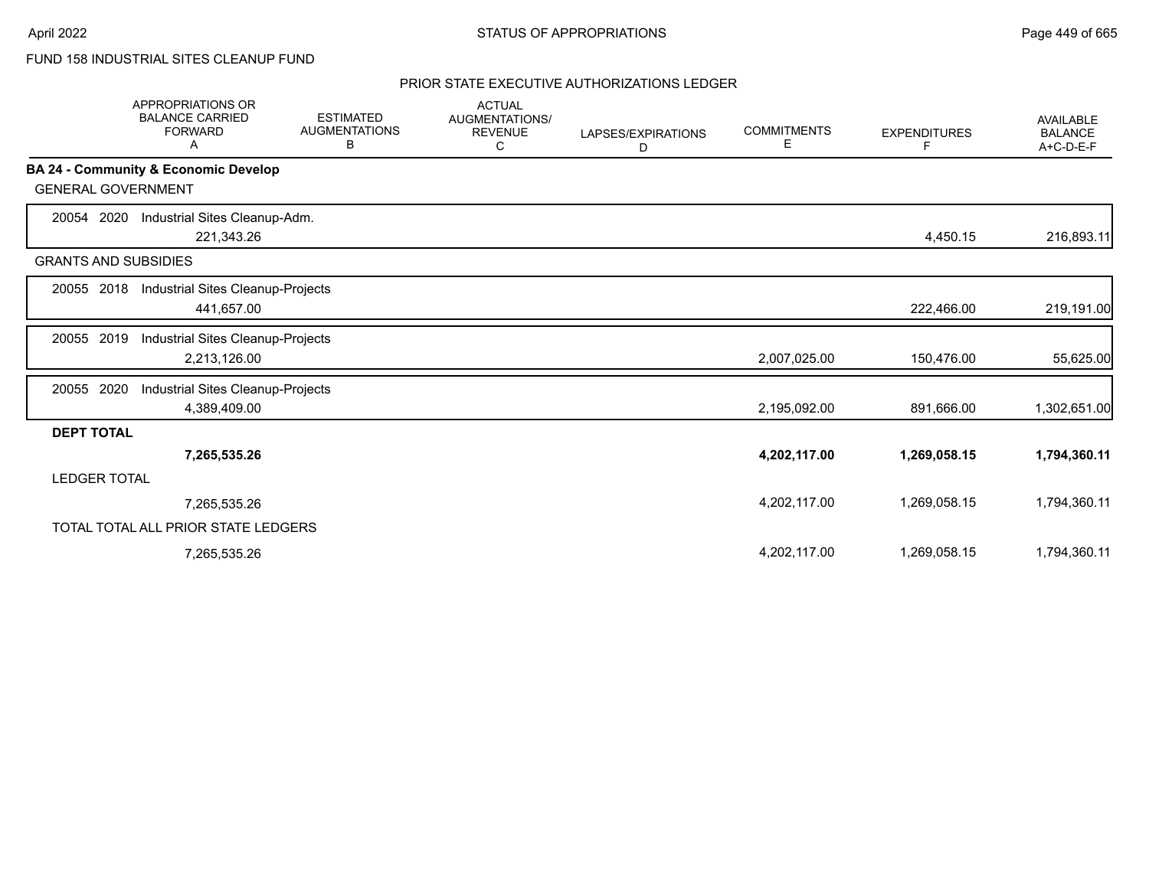# FUND 158 INDUSTRIAL SITES CLEANUP FUND

|                             | <b>APPROPRIATIONS OR</b><br><b>BALANCE CARRIED</b><br><b>FORWARD</b><br>Α | <b>ESTIMATED</b><br><b>AUGMENTATIONS</b><br>в | <b>ACTUAL</b><br><b>AUGMENTATIONS/</b><br><b>REVENUE</b><br>C | LAPSES/EXPIRATIONS<br>D | <b>COMMITMENTS</b><br>Е | <b>EXPENDITURES</b><br>F | <b>AVAILABLE</b><br><b>BALANCE</b><br>A+C-D-E-F |
|-----------------------------|---------------------------------------------------------------------------|-----------------------------------------------|---------------------------------------------------------------|-------------------------|-------------------------|--------------------------|-------------------------------------------------|
|                             | BA 24 - Community & Economic Develop                                      |                                               |                                                               |                         |                         |                          |                                                 |
| <b>GENERAL GOVERNMENT</b>   |                                                                           |                                               |                                                               |                         |                         |                          |                                                 |
| 20054 2020                  | Industrial Sites Cleanup-Adm.                                             |                                               |                                                               |                         |                         |                          |                                                 |
|                             | 221,343.26                                                                |                                               |                                                               |                         |                         | 4,450.15                 | 216,893.11                                      |
| <b>GRANTS AND SUBSIDIES</b> |                                                                           |                                               |                                                               |                         |                         |                          |                                                 |
| 20055 2018                  | Industrial Sites Cleanup-Projects                                         |                                               |                                                               |                         |                         |                          |                                                 |
|                             | 441,657.00                                                                |                                               |                                                               |                         |                         | 222,466.00               | 219,191.00                                      |
| 2019<br>20055               | Industrial Sites Cleanup-Projects                                         |                                               |                                                               |                         |                         |                          |                                                 |
|                             | 2,213,126.00                                                              |                                               |                                                               |                         | 2,007,025.00            | 150,476.00               | 55,625.00                                       |
| 2020<br>20055               | Industrial Sites Cleanup-Projects                                         |                                               |                                                               |                         |                         |                          |                                                 |
|                             | 4,389,409.00                                                              |                                               |                                                               |                         | 2,195,092.00            | 891,666.00               | 1,302,651.00                                    |
| <b>DEPT TOTAL</b>           |                                                                           |                                               |                                                               |                         |                         |                          |                                                 |
|                             | 7,265,535.26                                                              |                                               |                                                               |                         | 4,202,117.00            | 1,269,058.15             | 1,794,360.11                                    |
| <b>LEDGER TOTAL</b>         |                                                                           |                                               |                                                               |                         |                         |                          |                                                 |
|                             | 7,265,535.26                                                              |                                               |                                                               |                         | 4,202,117.00            | 1,269,058.15             | 1,794,360.11                                    |
|                             | TOTAL TOTAL ALL PRIOR STATE LEDGERS                                       |                                               |                                                               |                         |                         |                          |                                                 |
|                             | 7,265,535.26                                                              |                                               |                                                               |                         | 4,202,117.00            | 1,269,058.15             | 1,794,360.11                                    |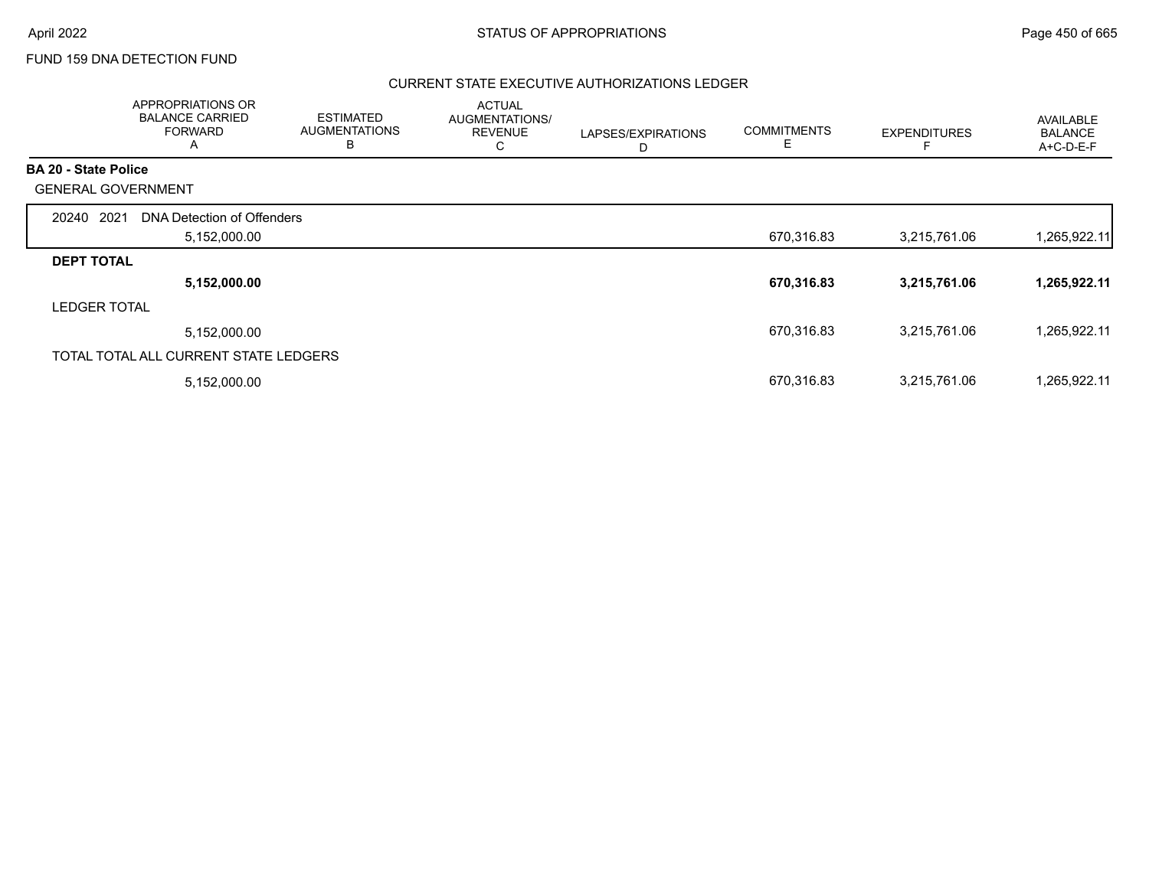### FUND 159 DNA DETECTION FUND

|                             | APPROPRIATIONS OR<br><b>BALANCE CARRIED</b><br><b>FORWARD</b><br>A | <b>ESTIMATED</b><br><b>AUGMENTATIONS</b><br>В | <b>ACTUAL</b><br>AUGMENTATIONS/<br><b>REVENUE</b><br>С | LAPSES/EXPIRATIONS<br>D | <b>COMMITMENTS</b><br>Е | <b>EXPENDITURES</b> | <b>AVAILABLE</b><br><b>BALANCE</b><br>A+C-D-E-F |
|-----------------------------|--------------------------------------------------------------------|-----------------------------------------------|--------------------------------------------------------|-------------------------|-------------------------|---------------------|-------------------------------------------------|
| <b>BA 20 - State Police</b> |                                                                    |                                               |                                                        |                         |                         |                     |                                                 |
|                             | <b>GENERAL GOVERNMENT</b>                                          |                                               |                                                        |                         |                         |                     |                                                 |
| 2021<br>20240               | DNA Detection of Offenders                                         |                                               |                                                        |                         |                         |                     |                                                 |
|                             | 5,152,000.00                                                       |                                               |                                                        |                         | 670,316.83              | 3,215,761.06        | 1,265,922.11                                    |
| <b>DEPT TOTAL</b>           |                                                                    |                                               |                                                        |                         |                         |                     |                                                 |
|                             | 5,152,000.00                                                       |                                               |                                                        |                         | 670,316.83              | 3,215,761.06        | 1,265,922.11                                    |
| <b>LEDGER TOTAL</b>         |                                                                    |                                               |                                                        |                         |                         |                     |                                                 |
|                             | 5,152,000.00                                                       |                                               |                                                        |                         | 670,316.83              | 3,215,761.06        | 1,265,922.11                                    |
|                             | TOTAL TOTAL ALL CURRENT STATE LEDGERS                              |                                               |                                                        |                         |                         |                     |                                                 |
|                             | 5,152,000.00                                                       |                                               |                                                        |                         | 670,316.83              | 3,215,761.06        | ,265,922.11                                     |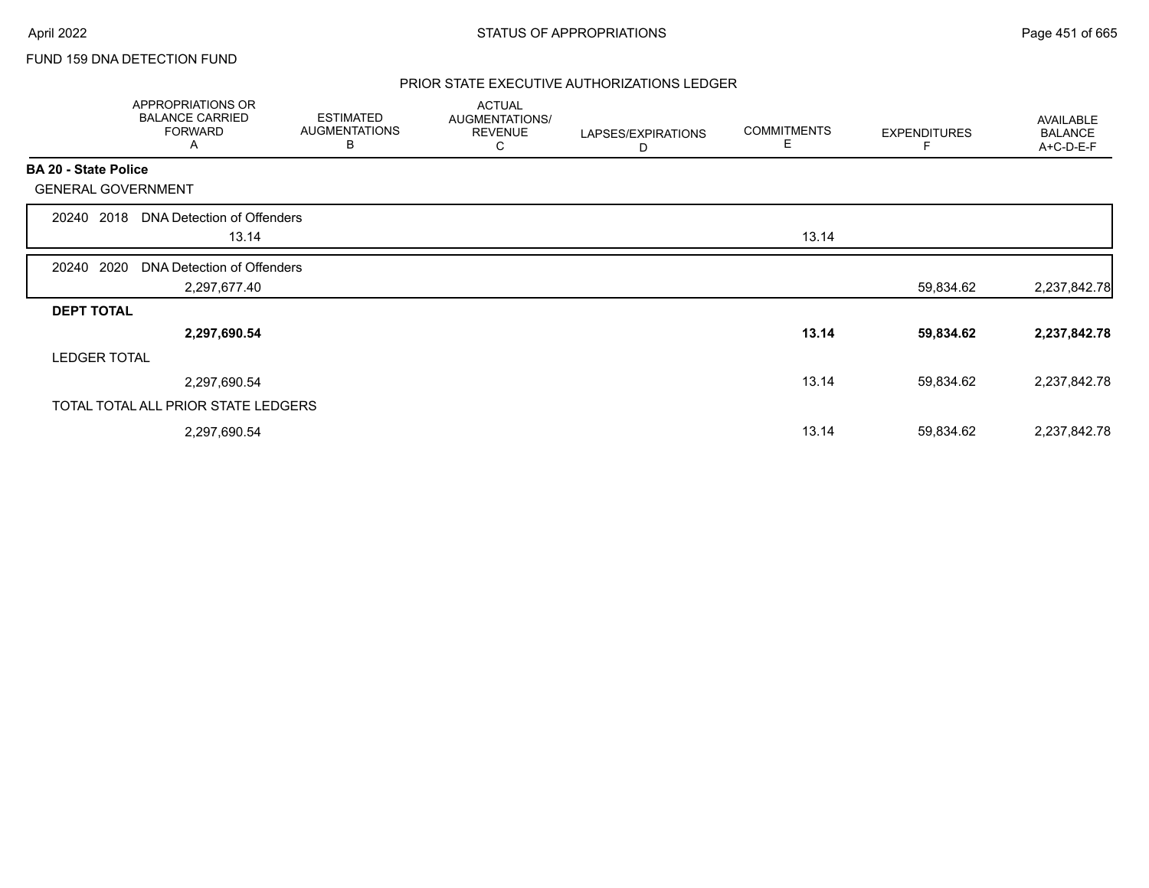## FUND 159 DNA DETECTION FUND

|                             | <b>APPROPRIATIONS OR</b><br><b>BALANCE CARRIED</b><br><b>FORWARD</b><br>A | <b>ESTIMATED</b><br><b>AUGMENTATIONS</b><br>В | <b>ACTUAL</b><br>AUGMENTATIONS/<br><b>REVENUE</b><br>С | LAPSES/EXPIRATIONS<br>D | <b>COMMITMENTS</b><br>Е | <b>EXPENDITURES</b> | AVAILABLE<br><b>BALANCE</b><br>A+C-D-E-F |
|-----------------------------|---------------------------------------------------------------------------|-----------------------------------------------|--------------------------------------------------------|-------------------------|-------------------------|---------------------|------------------------------------------|
| <b>BA 20 - State Police</b> |                                                                           |                                               |                                                        |                         |                         |                     |                                          |
| <b>GENERAL GOVERNMENT</b>   |                                                                           |                                               |                                                        |                         |                         |                     |                                          |
| 2018<br>20240               | DNA Detection of Offenders                                                |                                               |                                                        |                         |                         |                     |                                          |
|                             | 13.14                                                                     |                                               |                                                        |                         | 13.14                   |                     |                                          |
| 2020<br>20240               | DNA Detection of Offenders                                                |                                               |                                                        |                         |                         |                     |                                          |
|                             | 2,297,677.40                                                              |                                               |                                                        |                         |                         | 59,834.62           | 2,237,842.78                             |
| <b>DEPT TOTAL</b>           |                                                                           |                                               |                                                        |                         |                         |                     |                                          |
|                             | 2,297,690.54                                                              |                                               |                                                        |                         | 13.14                   | 59,834.62           | 2,237,842.78                             |
| <b>LEDGER TOTAL</b>         |                                                                           |                                               |                                                        |                         |                         |                     |                                          |
|                             | 2,297,690.54                                                              |                                               |                                                        |                         | 13.14                   | 59,834.62           | 2,237,842.78                             |
|                             | TOTAL TOTAL ALL PRIOR STATE LEDGERS                                       |                                               |                                                        |                         |                         |                     |                                          |
|                             | 2,297,690.54                                                              |                                               |                                                        |                         | 13.14                   | 59,834.62           | 2,237,842.78                             |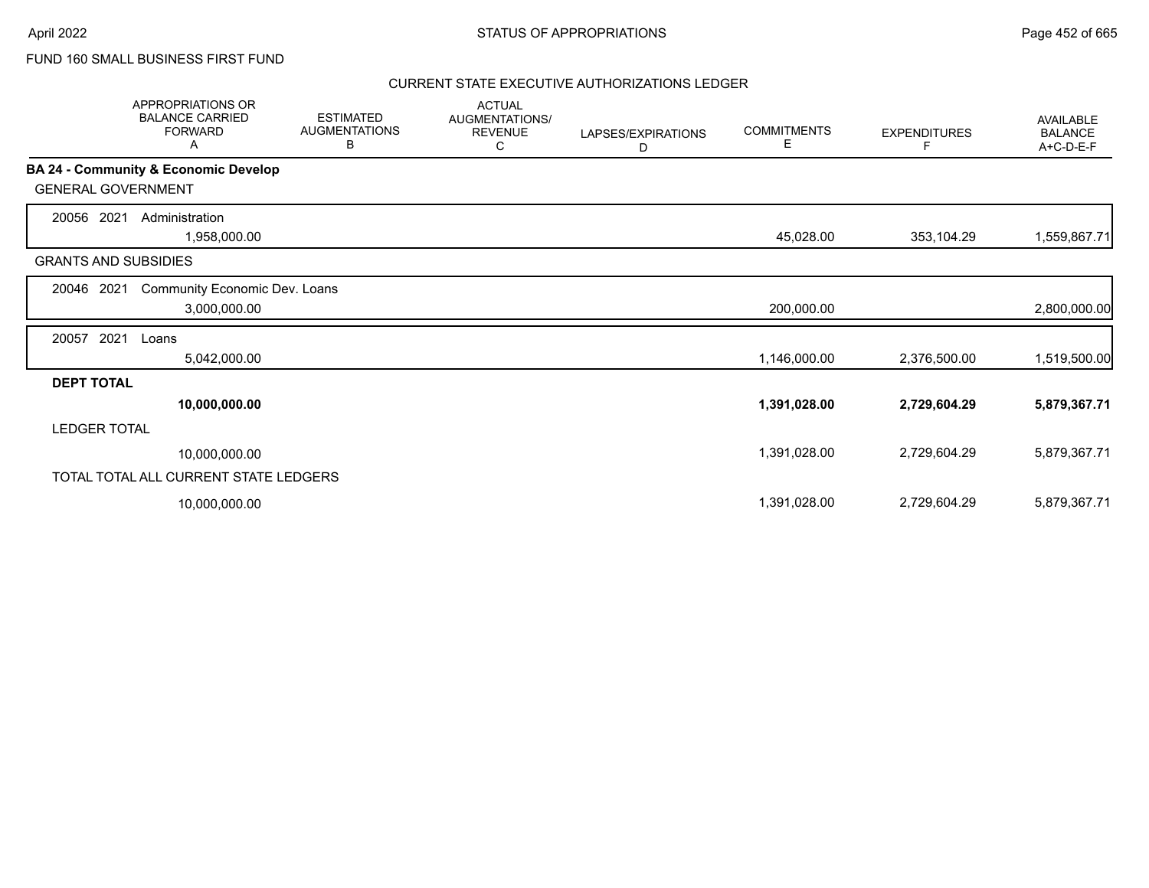FUND 160 SMALL BUSINESS FIRST FUND

|                             | <b>APPROPRIATIONS OR</b><br><b>BALANCE CARRIED</b><br><b>FORWARD</b><br>Α | <b>ESTIMATED</b><br><b>AUGMENTATIONS</b><br>В | <b>ACTUAL</b><br>AUGMENTATIONS/<br><b>REVENUE</b><br>С | LAPSES/EXPIRATIONS<br>D | <b>COMMITMENTS</b><br>Е | <b>EXPENDITURES</b> | <b>AVAILABLE</b><br><b>BALANCE</b><br>A+C-D-E-F |
|-----------------------------|---------------------------------------------------------------------------|-----------------------------------------------|--------------------------------------------------------|-------------------------|-------------------------|---------------------|-------------------------------------------------|
|                             | <b>BA 24 - Community &amp; Economic Develop</b>                           |                                               |                                                        |                         |                         |                     |                                                 |
| <b>GENERAL GOVERNMENT</b>   |                                                                           |                                               |                                                        |                         |                         |                     |                                                 |
| 2021<br>20056               | Administration                                                            |                                               |                                                        |                         |                         |                     |                                                 |
|                             | 1,958,000.00                                                              |                                               |                                                        |                         | 45,028.00               | 353,104.29          | 1,559,867.71                                    |
| <b>GRANTS AND SUBSIDIES</b> |                                                                           |                                               |                                                        |                         |                         |                     |                                                 |
| 20046<br>2021               | Community Economic Dev. Loans                                             |                                               |                                                        |                         |                         |                     |                                                 |
|                             | 3,000,000.00                                                              |                                               |                                                        |                         | 200,000.00              |                     | 2,800,000.00                                    |
| 2021<br>20057               | Loans                                                                     |                                               |                                                        |                         |                         |                     |                                                 |
|                             | 5,042,000.00                                                              |                                               |                                                        |                         | 1,146,000.00            | 2,376,500.00        | 1,519,500.00                                    |
| <b>DEPT TOTAL</b>           |                                                                           |                                               |                                                        |                         |                         |                     |                                                 |
|                             | 10,000,000.00                                                             |                                               |                                                        |                         | 1,391,028.00            | 2,729,604.29        | 5,879,367.71                                    |
| <b>LEDGER TOTAL</b>         |                                                                           |                                               |                                                        |                         |                         |                     |                                                 |
|                             | 10,000,000.00                                                             |                                               |                                                        |                         | 1,391,028.00            | 2,729,604.29        | 5,879,367.71                                    |
|                             | TOTAL TOTAL ALL CURRENT STATE LEDGERS                                     |                                               |                                                        |                         |                         |                     |                                                 |
|                             | 10,000,000.00                                                             |                                               |                                                        |                         | 1,391,028.00            | 2,729,604.29        | 5,879,367.71                                    |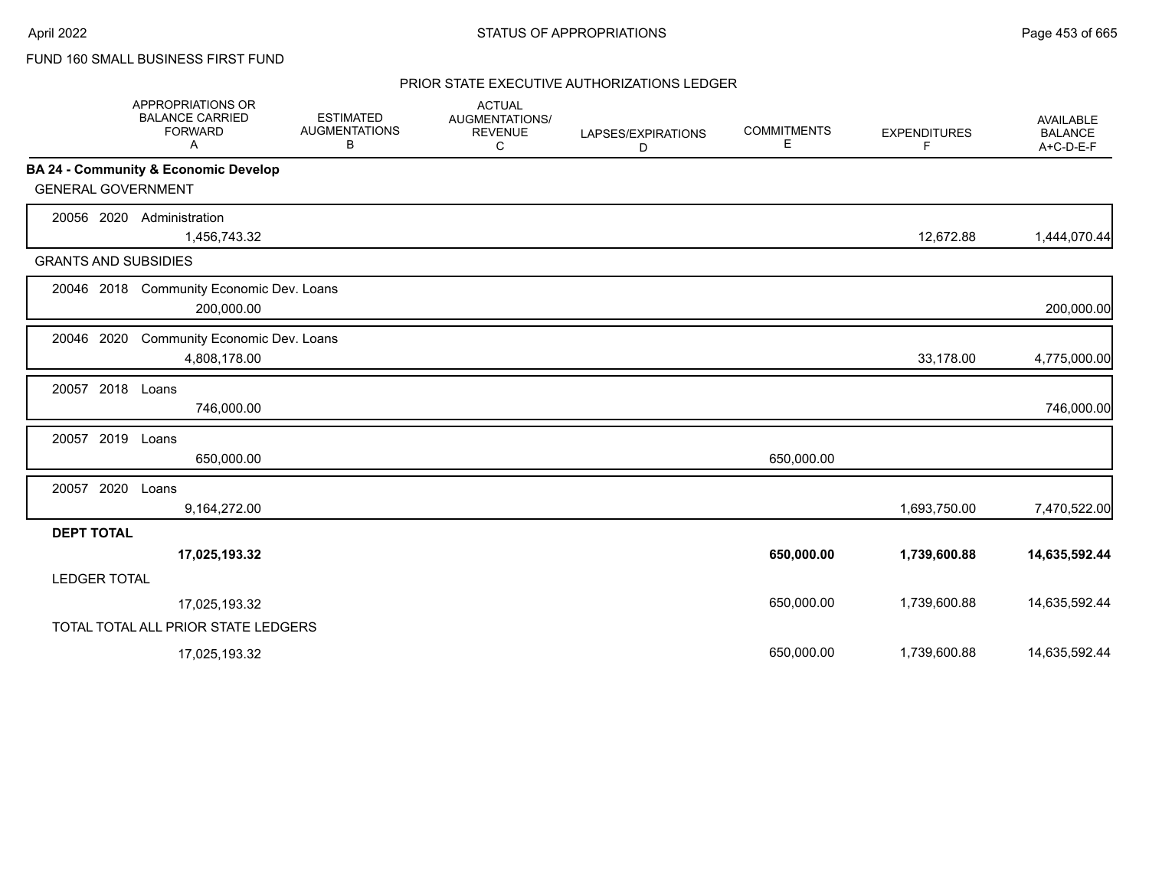## FUND 160 SMALL BUSINESS FIRST FUND

|                             | <b>APPROPRIATIONS OR</b><br><b>BALANCE CARRIED</b><br><b>FORWARD</b><br>A | <b>ESTIMATED</b><br><b>AUGMENTATIONS</b><br>В | <b>ACTUAL</b><br>AUGMENTATIONS/<br><b>REVENUE</b><br>С | LAPSES/EXPIRATIONS<br>D | <b>COMMITMENTS</b><br>Е | <b>EXPENDITURES</b><br>F | <b>AVAILABLE</b><br><b>BALANCE</b><br>A+C-D-E-F |
|-----------------------------|---------------------------------------------------------------------------|-----------------------------------------------|--------------------------------------------------------|-------------------------|-------------------------|--------------------------|-------------------------------------------------|
|                             | BA 24 - Community & Economic Develop                                      |                                               |                                                        |                         |                         |                          |                                                 |
| <b>GENERAL GOVERNMENT</b>   |                                                                           |                                               |                                                        |                         |                         |                          |                                                 |
| 20056 2020                  | Administration<br>1,456,743.32                                            |                                               |                                                        |                         |                         | 12,672.88                | 1,444,070.44                                    |
| <b>GRANTS AND SUBSIDIES</b> |                                                                           |                                               |                                                        |                         |                         |                          |                                                 |
|                             | 20046 2018 Community Economic Dev. Loans<br>200,000.00                    |                                               |                                                        |                         |                         |                          | 200,000.00                                      |
| 20046 2020                  | Community Economic Dev. Loans<br>4,808,178.00                             |                                               |                                                        |                         |                         | 33,178.00                | 4,775,000.00                                    |
| 20057 2018 Loans            | 746,000.00                                                                |                                               |                                                        |                         |                         |                          | 746,000.00                                      |
| 20057 2019                  | Loans<br>650,000.00                                                       |                                               |                                                        |                         | 650,000.00              |                          |                                                 |
| 20057 2020                  | Loans<br>9,164,272.00                                                     |                                               |                                                        |                         |                         | 1,693,750.00             | 7,470,522.00                                    |
| <b>DEPT TOTAL</b>           |                                                                           |                                               |                                                        |                         |                         |                          |                                                 |
|                             | 17,025,193.32                                                             |                                               |                                                        |                         | 650,000.00              | 1,739,600.88             | 14,635,592.44                                   |
| <b>LEDGER TOTAL</b>         |                                                                           |                                               |                                                        |                         |                         |                          |                                                 |
|                             | 17,025,193.32                                                             |                                               |                                                        |                         | 650,000.00              | 1,739,600.88             | 14,635,592.44                                   |
|                             | TOTAL TOTAL ALL PRIOR STATE LEDGERS                                       |                                               |                                                        |                         |                         |                          |                                                 |
|                             | 17,025,193.32                                                             |                                               |                                                        |                         | 650,000.00              | 1,739,600.88             | 14,635,592.44                                   |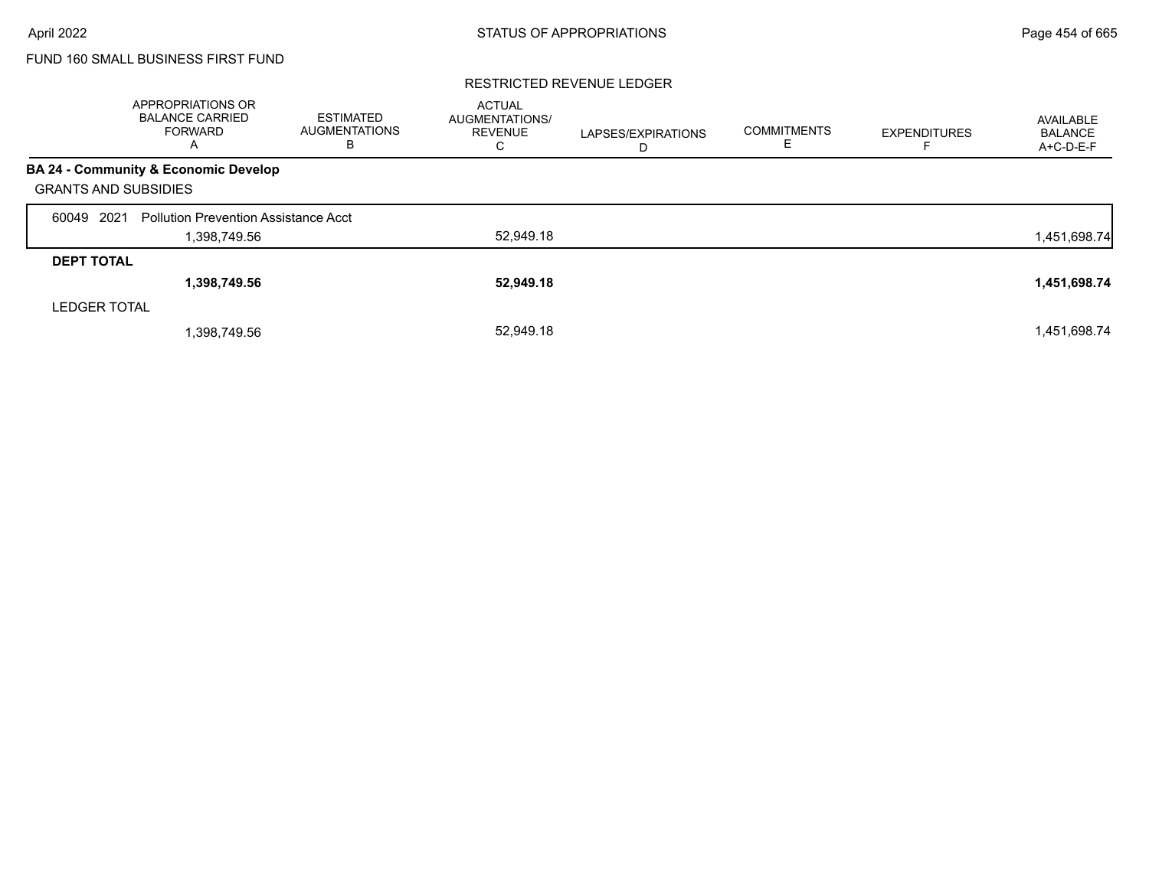# FUND 160 SMALL BUSINESS FIRST FUND

#### RESTRICTED REVENUE LEDGER

|                             | APPROPRIATIONS OR<br><b>BALANCE CARRIED</b><br><b>FORWARD</b><br>A | <b>ESTIMATED</b><br><b>AUGMENTATIONS</b><br>в | <b>ACTUAL</b><br><b>AUGMENTATIONS/</b><br><b>REVENUE</b><br>С | LAPSES/EXPIRATIONS<br>D | <b>COMMITMENTS</b><br>E | <b>EXPENDITURES</b> | AVAILABLE<br><b>BALANCE</b><br>A+C-D-E-F |
|-----------------------------|--------------------------------------------------------------------|-----------------------------------------------|---------------------------------------------------------------|-------------------------|-------------------------|---------------------|------------------------------------------|
|                             | <b>BA 24 - Community &amp; Economic Develop</b>                    |                                               |                                                               |                         |                         |                     |                                          |
| <b>GRANTS AND SUBSIDIES</b> |                                                                    |                                               |                                                               |                         |                         |                     |                                          |
| 2021<br>60049               | <b>Pollution Prevention Assistance Acct</b>                        |                                               |                                                               |                         |                         |                     |                                          |
|                             | 1,398,749.56                                                       |                                               | 52,949.18                                                     |                         |                         |                     | 1,451,698.74                             |
| <b>DEPT TOTAL</b>           |                                                                    |                                               |                                                               |                         |                         |                     |                                          |
|                             | 1,398,749.56                                                       |                                               | 52,949.18                                                     |                         |                         |                     | 1,451,698.74                             |
| <b>LEDGER TOTAL</b>         |                                                                    |                                               |                                                               |                         |                         |                     |                                          |
|                             | 1,398,749.56                                                       |                                               | 52.949.18                                                     |                         |                         |                     | 1,451,698.74                             |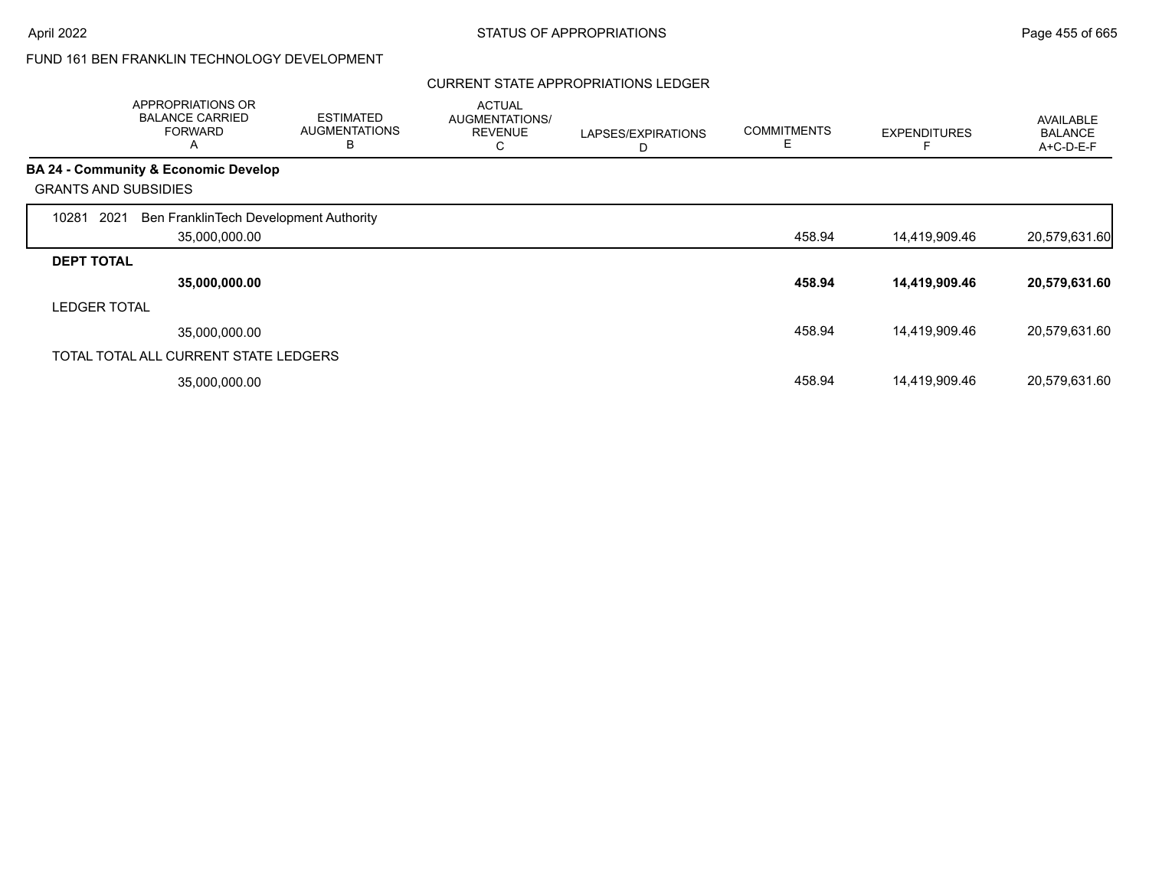### CURRENT STATE APPROPRIATIONS LEDGER

|                     | APPROPRIATIONS OR<br><b>BALANCE CARRIED</b><br><b>FORWARD</b><br>$\mathsf{A}$ | <b>ESTIMATED</b><br><b>AUGMENTATIONS</b><br>в | <b>ACTUAL</b><br>AUGMENTATIONS/<br><b>REVENUE</b><br>С | LAPSES/EXPIRATIONS<br>D | <b>COMMITMENTS</b><br>E. | <b>EXPENDITURES</b> | AVAILABLE<br><b>BALANCE</b><br>A+C-D-E-F |
|---------------------|-------------------------------------------------------------------------------|-----------------------------------------------|--------------------------------------------------------|-------------------------|--------------------------|---------------------|------------------------------------------|
|                     | <b>BA 24 - Community &amp; Economic Develop</b>                               |                                               |                                                        |                         |                          |                     |                                          |
|                     | <b>GRANTS AND SUBSIDIES</b>                                                   |                                               |                                                        |                         |                          |                     |                                          |
| 10281               | Ben FranklinTech Development Authority<br>2021                                |                                               |                                                        |                         |                          |                     |                                          |
|                     | 35,000,000.00                                                                 |                                               |                                                        |                         | 458.94                   | 14,419,909.46       | 20,579,631.60                            |
| <b>DEPT TOTAL</b>   |                                                                               |                                               |                                                        |                         |                          |                     |                                          |
|                     | 35,000,000.00                                                                 |                                               |                                                        |                         | 458.94                   | 14,419,909.46       | 20,579,631.60                            |
| <b>LEDGER TOTAL</b> |                                                                               |                                               |                                                        |                         |                          |                     |                                          |
|                     | 35.000.000.00                                                                 |                                               |                                                        |                         | 458.94                   | 14,419,909.46       | 20,579,631.60                            |
|                     | TOTAL TOTAL ALL CURRENT STATE LEDGERS                                         |                                               |                                                        |                         |                          |                     |                                          |
|                     | 35,000,000.00                                                                 |                                               |                                                        |                         | 458.94                   | 14,419,909.46       | 20,579,631.60                            |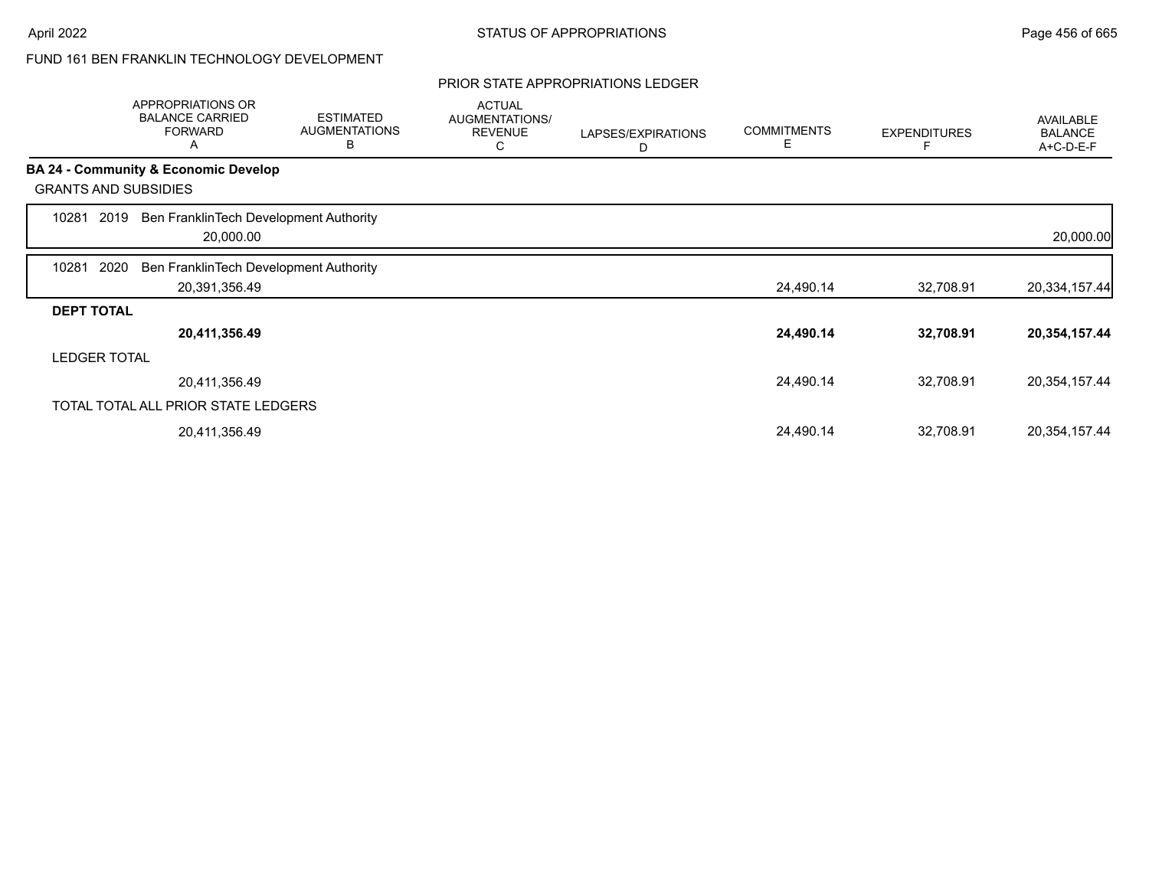#### PRIOR STATE APPROPRIATIONS LEDGER

|                   | APPROPRIATIONS OR<br><b>BALANCE CARRIED</b><br><b>FORWARD</b><br>A | <b>ESTIMATED</b><br><b>AUGMENTATIONS</b><br>B | <b>ACTUAL</b><br>AUGMENTATIONS/<br><b>REVENUE</b><br>С | LAPSES/EXPIRATIONS<br>D | <b>COMMITMENTS</b><br>Е | <b>EXPENDITURES</b> | <b>AVAILABLE</b><br><b>BALANCE</b><br>A+C-D-E-F |
|-------------------|--------------------------------------------------------------------|-----------------------------------------------|--------------------------------------------------------|-------------------------|-------------------------|---------------------|-------------------------------------------------|
|                   | <b>BA 24 - Community &amp; Economic Develop</b>                    |                                               |                                                        |                         |                         |                     |                                                 |
|                   | <b>GRANTS AND SUBSIDIES</b>                                        |                                               |                                                        |                         |                         |                     |                                                 |
| 10281             | Ben FranklinTech Development Authority<br>2019                     |                                               |                                                        |                         |                         |                     |                                                 |
|                   | 20,000.00                                                          |                                               |                                                        |                         |                         |                     | 20,000.00                                       |
| 10281             | 2020<br>Ben FranklinTech Development Authority                     |                                               |                                                        |                         |                         |                     |                                                 |
|                   | 20,391,356.49                                                      |                                               |                                                        |                         | 24,490.14               | 32,708.91           | 20,334,157.44                                   |
| <b>DEPT TOTAL</b> |                                                                    |                                               |                                                        |                         |                         |                     |                                                 |
|                   | 20,411,356.49                                                      |                                               |                                                        |                         | 24,490.14               | 32,708.91           | 20,354,157.44                                   |
|                   | <b>LEDGER TOTAL</b>                                                |                                               |                                                        |                         |                         |                     |                                                 |
|                   | 20,411,356.49                                                      |                                               |                                                        |                         | 24,490.14               | 32,708.91           | 20,354,157.44                                   |
|                   | TOTAL TOTAL ALL PRIOR STATE LEDGERS                                |                                               |                                                        |                         |                         |                     |                                                 |
|                   | 20,411,356.49                                                      |                                               |                                                        |                         | 24,490.14               | 32,708.91           | 20,354,157.44                                   |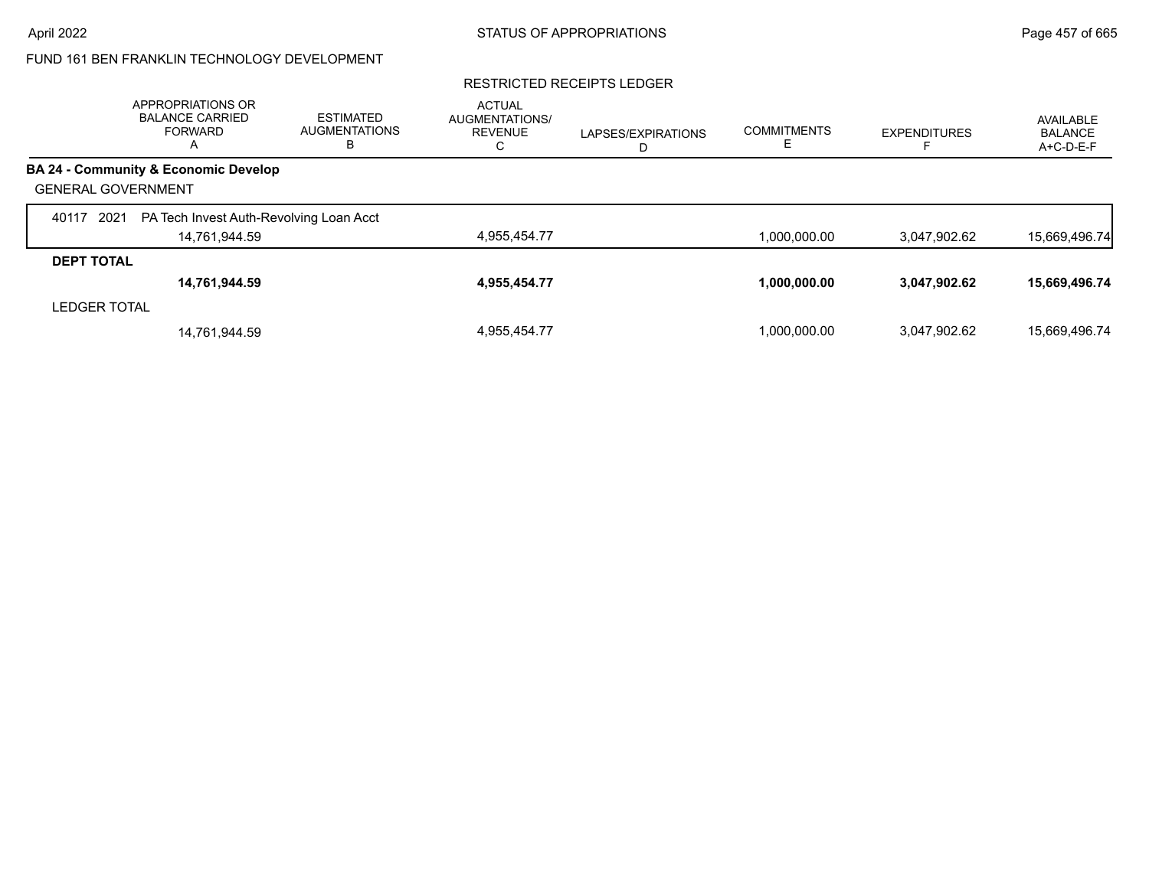#### RESTRICTED RECEIPTS LEDGER

|                           | APPROPRIATIONS OR<br><b>BALANCE CARRIED</b><br><b>FORWARD</b><br>$\overline{A}$ | <b>ESTIMATED</b><br><b>AUGMENTATIONS</b><br>В | <b>ACTUAL</b><br><b>AUGMENTATIONS/</b><br><b>REVENUE</b><br>U | LAPSES/EXPIRATIONS<br>D | <b>COMMITMENTS</b> | <b>EXPENDITURES</b> | AVAILABLE<br><b>BALANCE</b><br>A+C-D-E-F |
|---------------------------|---------------------------------------------------------------------------------|-----------------------------------------------|---------------------------------------------------------------|-------------------------|--------------------|---------------------|------------------------------------------|
|                           | <b>BA 24 - Community &amp; Economic Develop</b>                                 |                                               |                                                               |                         |                    |                     |                                          |
| <b>GENERAL GOVERNMENT</b> |                                                                                 |                                               |                                                               |                         |                    |                     |                                          |
| 2021<br>40117             | PA Tech Invest Auth-Revolving Loan Acct                                         |                                               |                                                               |                         |                    |                     |                                          |
|                           | 14,761,944.59                                                                   |                                               | 4,955,454.77                                                  |                         | 1,000,000.00       | 3,047,902.62        | 15,669,496.74                            |
| <b>DEPT TOTAL</b>         |                                                                                 |                                               |                                                               |                         |                    |                     |                                          |
|                           | 14,761,944.59                                                                   |                                               | 4,955,454.77                                                  |                         | 1,000,000.00       | 3,047,902.62        | 15,669,496.74                            |
| <b>LEDGER TOTAL</b>       |                                                                                 |                                               |                                                               |                         |                    |                     |                                          |
|                           | 14,761,944.59                                                                   |                                               | 4.955.454.77                                                  |                         | 1.000.000.00       | 3.047.902.62        | 15.669.496.74                            |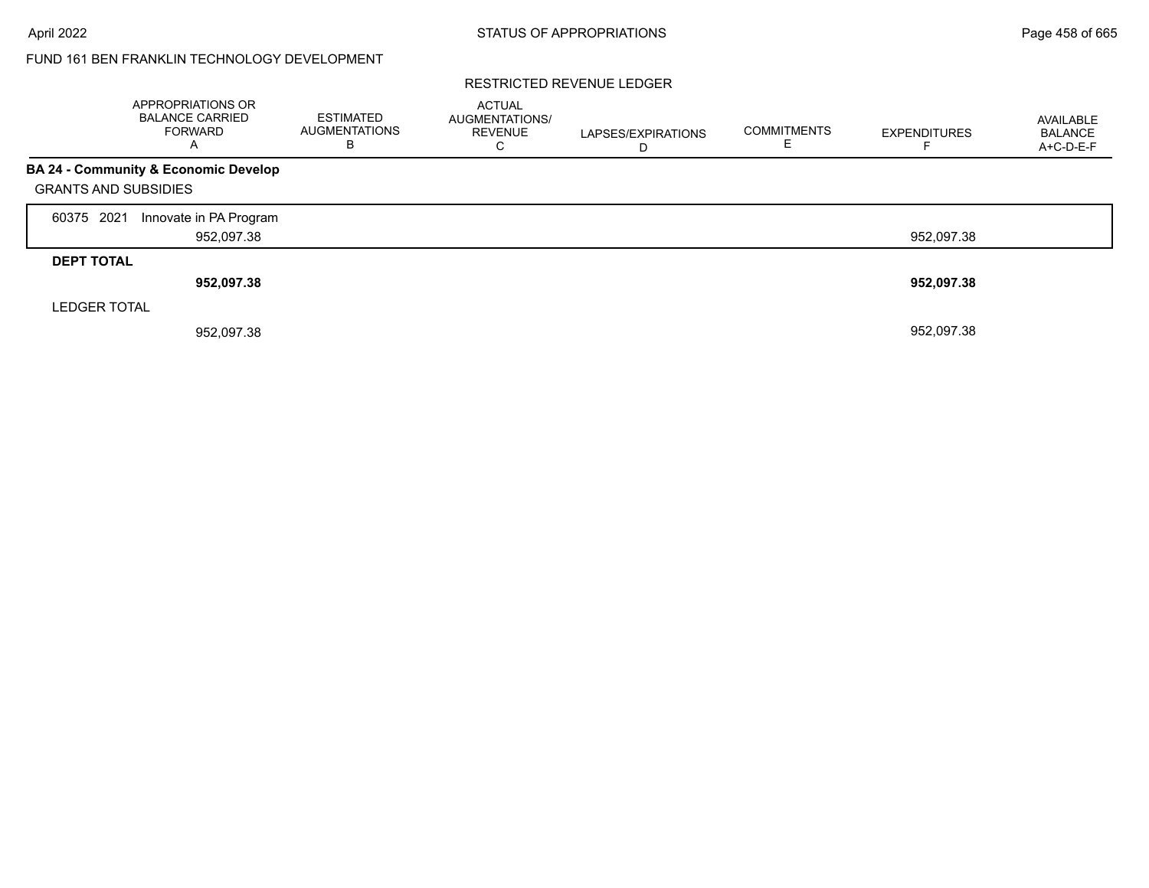#### RESTRICTED REVENUE LEDGER

|                             | <b>APPROPRIATIONS OR</b><br><b>BALANCE CARRIED</b><br><b>FORWARD</b><br>$\overline{A}$ | <b>ESTIMATED</b><br><b>AUGMENTATIONS</b><br>В | <b>ACTUAL</b><br>AUGMENTATIONS/<br><b>REVENUE</b><br>С | LAPSES/EXPIRATIONS<br>D | <b>COMMITMENTS</b><br>F. | <b>EXPENDITURES</b> | AVAILABLE<br><b>BALANCE</b><br>A+C-D-E-F |
|-----------------------------|----------------------------------------------------------------------------------------|-----------------------------------------------|--------------------------------------------------------|-------------------------|--------------------------|---------------------|------------------------------------------|
| <b>GRANTS AND SUBSIDIES</b> | BA 24 - Community & Economic Develop                                                   |                                               |                                                        |                         |                          |                     |                                          |
| 60375 2021                  | Innovate in PA Program<br>952,097.38                                                   |                                               |                                                        |                         |                          | 952.097.38          |                                          |
| <b>DEPT TOTAL</b>           | 952,097.38                                                                             |                                               |                                                        |                         |                          | 952,097.38          |                                          |
| <b>LEDGER TOTAL</b>         | 952,097.38                                                                             |                                               |                                                        |                         |                          | 952,097.38          |                                          |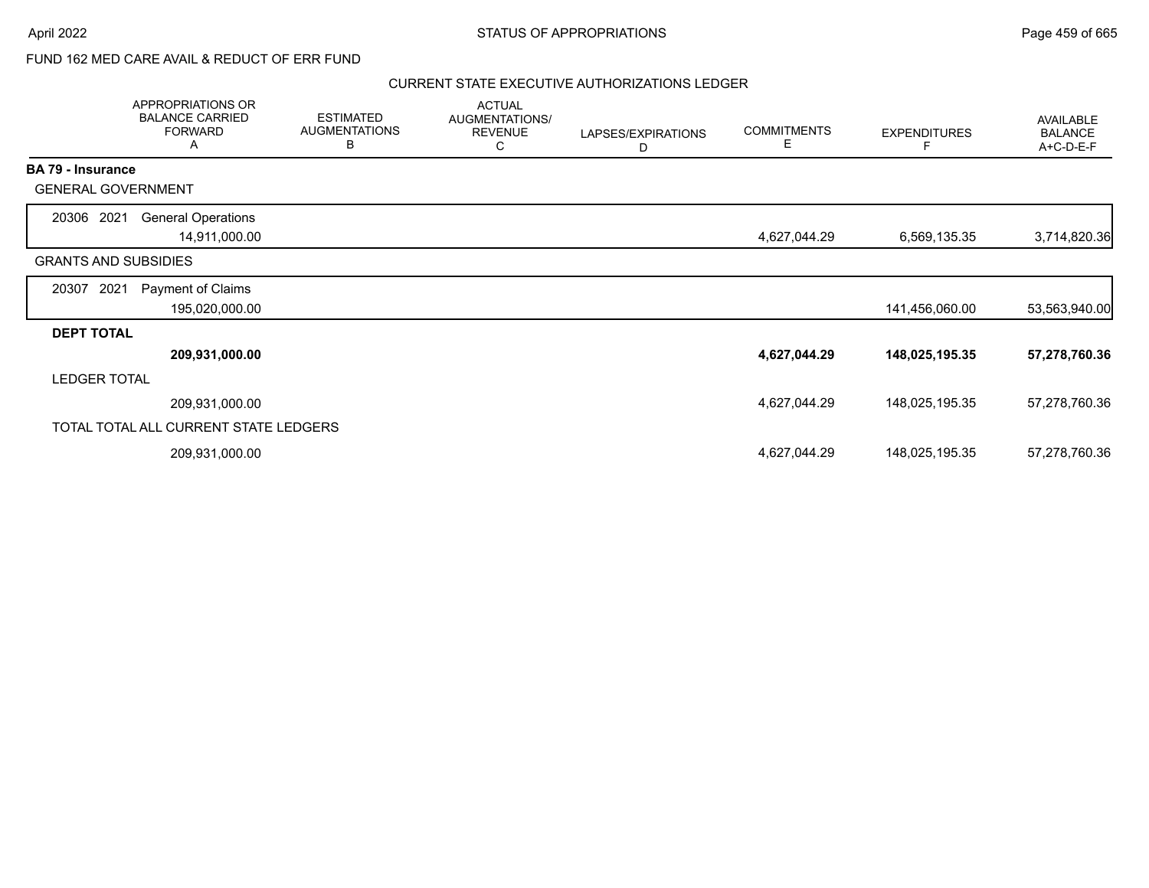## FUND 162 MED CARE AVAIL & REDUCT OF ERR FUND

|                             | APPROPRIATIONS OR<br><b>BALANCE CARRIED</b><br><b>FORWARD</b><br>A | <b>ESTIMATED</b><br><b>AUGMENTATIONS</b><br>B | <b>ACTUAL</b><br>AUGMENTATIONS/<br><b>REVENUE</b><br>C | LAPSES/EXPIRATIONS<br>D | <b>COMMITMENTS</b><br>E. | <b>EXPENDITURES</b><br>F | <b>AVAILABLE</b><br><b>BALANCE</b><br>A+C-D-E-F |
|-----------------------------|--------------------------------------------------------------------|-----------------------------------------------|--------------------------------------------------------|-------------------------|--------------------------|--------------------------|-------------------------------------------------|
| <b>BA 79 - Insurance</b>    |                                                                    |                                               |                                                        |                         |                          |                          |                                                 |
|                             | <b>GENERAL GOVERNMENT</b>                                          |                                               |                                                        |                         |                          |                          |                                                 |
| 20306 2021                  | <b>General Operations</b>                                          |                                               |                                                        |                         |                          |                          |                                                 |
|                             | 14,911,000.00                                                      |                                               |                                                        |                         | 4,627,044.29             | 6,569,135.35             | 3,714,820.36                                    |
| <b>GRANTS AND SUBSIDIES</b> |                                                                    |                                               |                                                        |                         |                          |                          |                                                 |
| 2021<br>20307               | Payment of Claims                                                  |                                               |                                                        |                         |                          |                          |                                                 |
|                             | 195,020,000.00                                                     |                                               |                                                        |                         |                          | 141,456,060.00           | 53,563,940.00                                   |
| <b>DEPT TOTAL</b>           |                                                                    |                                               |                                                        |                         |                          |                          |                                                 |
|                             | 209,931,000.00                                                     |                                               |                                                        |                         | 4,627,044.29             | 148,025,195.35           | 57,278,760.36                                   |
| <b>LEDGER TOTAL</b>         |                                                                    |                                               |                                                        |                         |                          |                          |                                                 |
|                             | 209,931,000.00                                                     |                                               |                                                        |                         | 4,627,044.29             | 148,025,195.35           | 57,278,760.36                                   |
|                             | TOTAL TOTAL ALL CURRENT STATE LEDGERS                              |                                               |                                                        |                         |                          |                          |                                                 |
|                             | 209,931,000.00                                                     |                                               |                                                        |                         | 4,627,044.29             | 148,025,195.35           | 57,278,760.36                                   |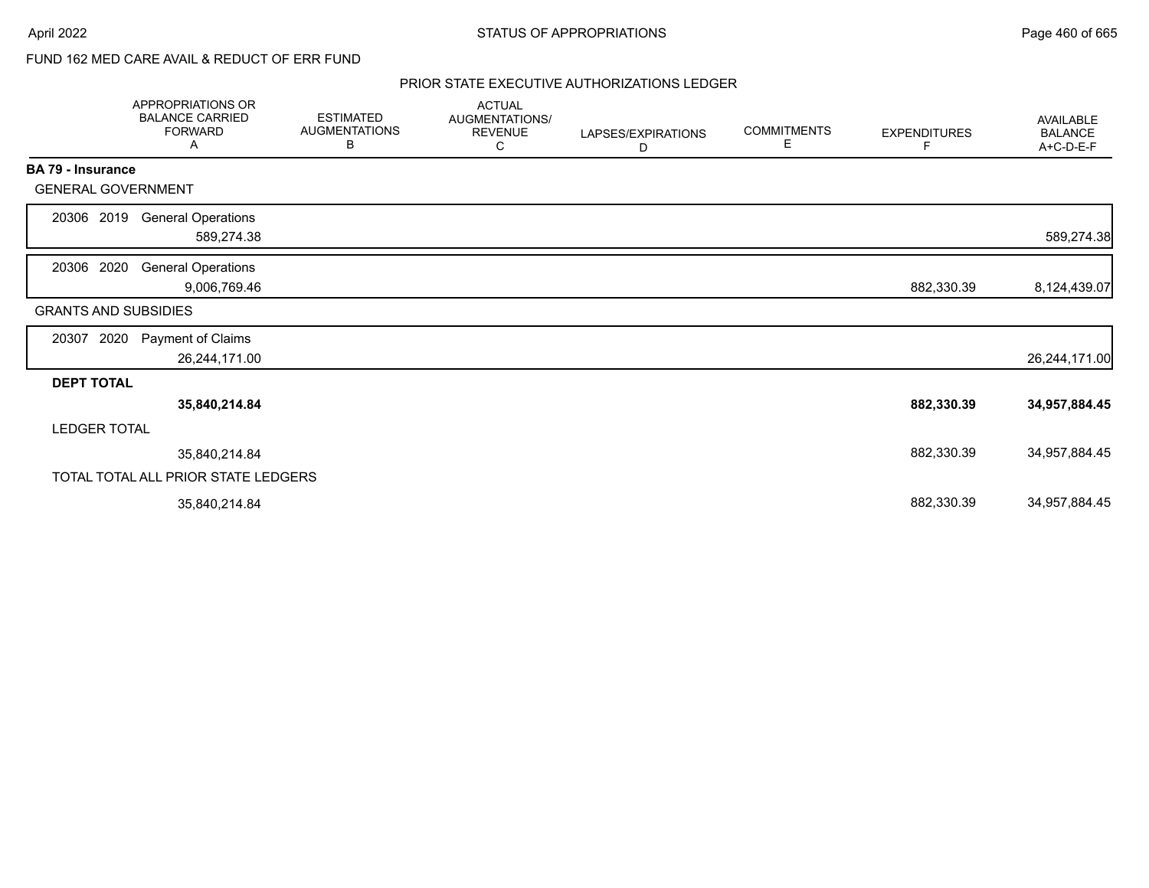# FUND 162 MED CARE AVAIL & REDUCT OF ERR FUND

|                             | APPROPRIATIONS OR<br><b>BALANCE CARRIED</b><br><b>FORWARD</b><br>A | <b>ESTIMATED</b><br><b>AUGMENTATIONS</b><br>В | <b>ACTUAL</b><br>AUGMENTATIONS/<br><b>REVENUE</b><br>С | LAPSES/EXPIRATIONS<br>D | <b>COMMITMENTS</b><br>Е | <b>EXPENDITURES</b><br>F | AVAILABLE<br><b>BALANCE</b><br>A+C-D-E-F |
|-----------------------------|--------------------------------------------------------------------|-----------------------------------------------|--------------------------------------------------------|-------------------------|-------------------------|--------------------------|------------------------------------------|
| BA 79 - Insurance           |                                                                    |                                               |                                                        |                         |                         |                          |                                          |
| <b>GENERAL GOVERNMENT</b>   |                                                                    |                                               |                                                        |                         |                         |                          |                                          |
| 20306 2019                  | <b>General Operations</b>                                          |                                               |                                                        |                         |                         |                          |                                          |
|                             | 589,274.38                                                         |                                               |                                                        |                         |                         |                          | 589,274.38                               |
| 20306 2020                  | <b>General Operations</b>                                          |                                               |                                                        |                         |                         |                          |                                          |
|                             | 9,006,769.46                                                       |                                               |                                                        |                         |                         | 882,330.39               | 8,124,439.07                             |
| <b>GRANTS AND SUBSIDIES</b> |                                                                    |                                               |                                                        |                         |                         |                          |                                          |
| 20307<br>2020               | Payment of Claims                                                  |                                               |                                                        |                         |                         |                          |                                          |
|                             | 26,244,171.00                                                      |                                               |                                                        |                         |                         |                          | 26,244,171.00                            |
| <b>DEPT TOTAL</b>           |                                                                    |                                               |                                                        |                         |                         |                          |                                          |
|                             | 35,840,214.84                                                      |                                               |                                                        |                         |                         | 882,330.39               | 34,957,884.45                            |
| <b>LEDGER TOTAL</b>         |                                                                    |                                               |                                                        |                         |                         |                          |                                          |
|                             | 35,840,214.84                                                      |                                               |                                                        |                         |                         | 882,330.39               | 34,957,884.45                            |
|                             | TOTAL TOTAL ALL PRIOR STATE LEDGERS                                |                                               |                                                        |                         |                         |                          |                                          |
|                             | 35,840,214.84                                                      |                                               |                                                        |                         |                         | 882,330.39               | 34,957,884.45                            |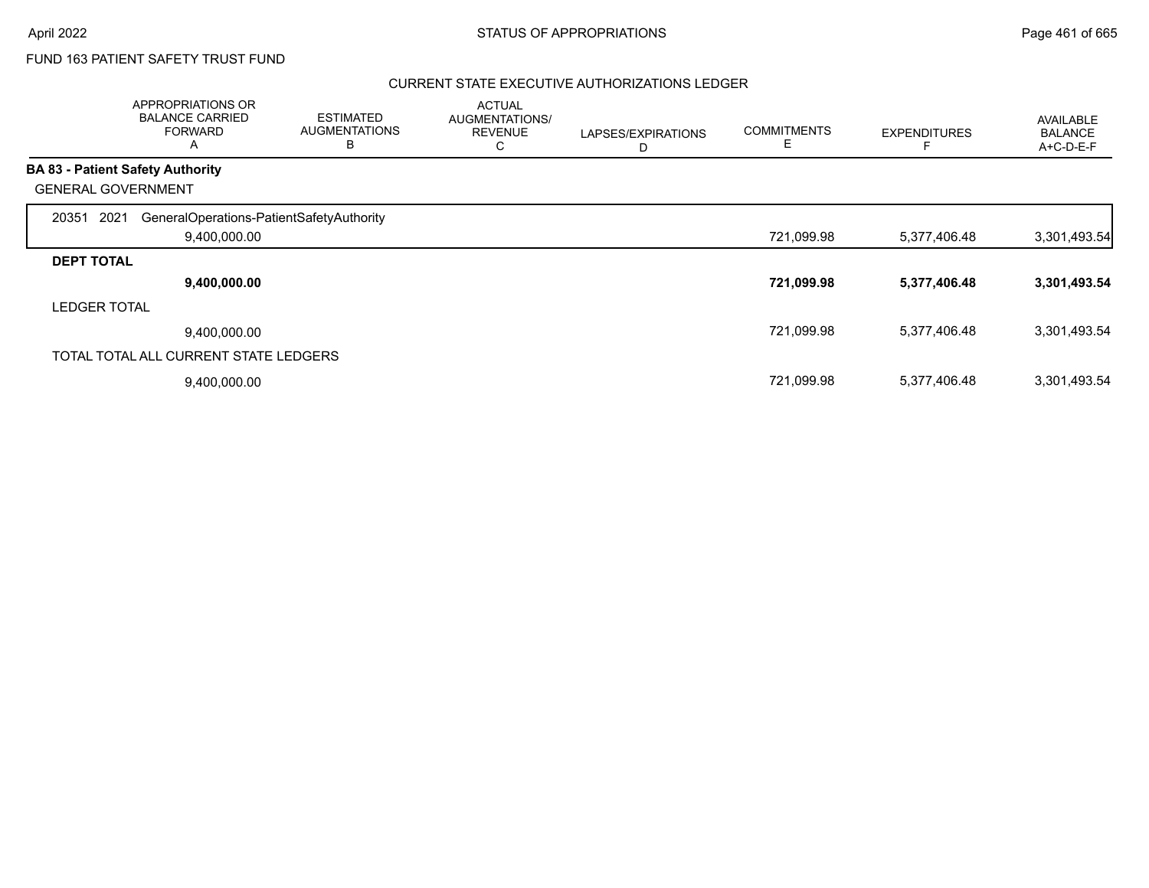## FUND 163 PATIENT SAFETY TRUST FUND

|                     | <b>APPROPRIATIONS OR</b><br><b>BALANCE CARRIED</b><br><b>FORWARD</b><br>$\overline{ }$ | <b>ESTIMATED</b><br><b>AUGMENTATIONS</b><br>В | <b>ACTUAL</b><br>AUGMENTATIONS/<br><b>REVENUE</b><br>С | LAPSES/EXPIRATIONS<br>D | <b>COMMITMENTS</b><br>Е | <b>EXPENDITURES</b> | <b>AVAILABLE</b><br><b>BALANCE</b><br>A+C-D-E-F |
|---------------------|----------------------------------------------------------------------------------------|-----------------------------------------------|--------------------------------------------------------|-------------------------|-------------------------|---------------------|-------------------------------------------------|
|                     | <b>BA 83 - Patient Safety Authority</b>                                                |                                               |                                                        |                         |                         |                     |                                                 |
|                     | <b>GENERAL GOVERNMENT</b>                                                              |                                               |                                                        |                         |                         |                     |                                                 |
| 20351               | 2021<br>GeneralOperations-PatientSafetyAuthority                                       |                                               |                                                        |                         |                         |                     |                                                 |
|                     | 9,400,000.00                                                                           |                                               |                                                        |                         | 721,099.98              | 5,377,406.48        | 3,301,493.54                                    |
| <b>DEPT TOTAL</b>   |                                                                                        |                                               |                                                        |                         |                         |                     |                                                 |
|                     | 9,400,000.00                                                                           |                                               |                                                        |                         | 721,099.98              | 5,377,406.48        | 3,301,493.54                                    |
| <b>LEDGER TOTAL</b> |                                                                                        |                                               |                                                        |                         |                         |                     |                                                 |
|                     | 9,400,000.00                                                                           |                                               |                                                        |                         | 721,099.98              | 5,377,406.48        | 3,301,493.54                                    |
|                     | TOTAL TOTAL ALL CURRENT STATE LEDGERS                                                  |                                               |                                                        |                         |                         |                     |                                                 |
|                     | 9,400,000.00                                                                           |                                               |                                                        |                         | 721,099.98              | 5,377,406.48        | 3,301,493.54                                    |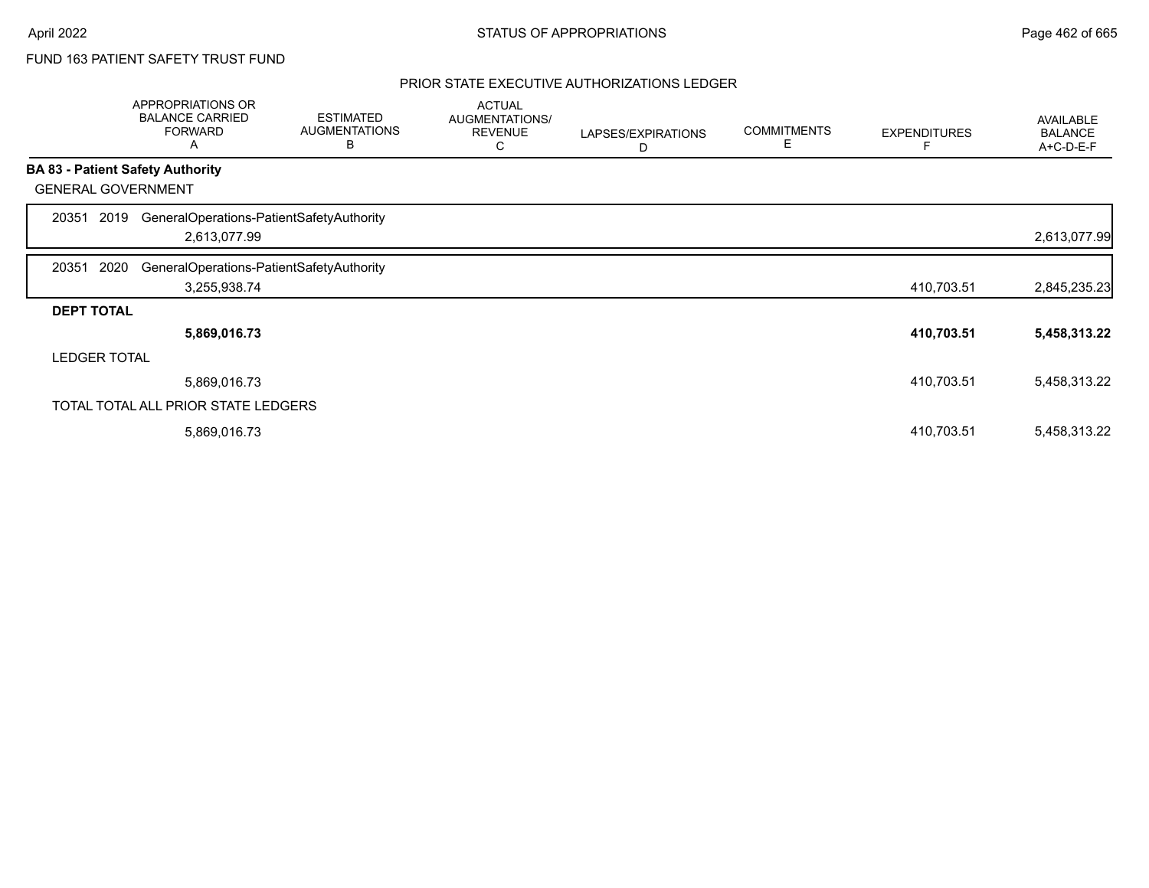# FUND 163 PATIENT SAFETY TRUST FUND

|                   | APPROPRIATIONS OR<br><b>BALANCE CARRIED</b><br><b>FORWARD</b><br>A | <b>ESTIMATED</b><br><b>AUGMENTATIONS</b><br>B | <b>ACTUAL</b><br>AUGMENTATIONS/<br><b>REVENUE</b><br>С | LAPSES/EXPIRATIONS<br>D | <b>COMMITMENTS</b><br>Е | <b>EXPENDITURES</b> | AVAILABLE<br><b>BALANCE</b><br>A+C-D-E-F |
|-------------------|--------------------------------------------------------------------|-----------------------------------------------|--------------------------------------------------------|-------------------------|-------------------------|---------------------|------------------------------------------|
|                   | <b>BA 83 - Patient Safety Authority</b>                            |                                               |                                                        |                         |                         |                     |                                          |
|                   | <b>GENERAL GOVERNMENT</b>                                          |                                               |                                                        |                         |                         |                     |                                          |
| 20351             | GeneralOperations-PatientSafetyAuthority<br>2019                   |                                               |                                                        |                         |                         |                     |                                          |
|                   | 2,613,077.99                                                       |                                               |                                                        |                         |                         |                     | 2,613,077.99                             |
| 20351             | 2020<br>GeneralOperations-PatientSafetyAuthority                   |                                               |                                                        |                         |                         |                     |                                          |
|                   | 3,255,938.74                                                       |                                               |                                                        |                         |                         | 410,703.51          | 2,845,235.23                             |
| <b>DEPT TOTAL</b> |                                                                    |                                               |                                                        |                         |                         |                     |                                          |
|                   | 5,869,016.73                                                       |                                               |                                                        |                         |                         | 410,703.51          | 5,458,313.22                             |
|                   | <b>LEDGER TOTAL</b>                                                |                                               |                                                        |                         |                         |                     |                                          |
|                   | 5,869,016.73                                                       |                                               |                                                        |                         |                         | 410,703.51          | 5,458,313.22                             |
|                   | TOTAL TOTAL ALL PRIOR STATE LEDGERS                                |                                               |                                                        |                         |                         |                     |                                          |
|                   | 5,869,016.73                                                       |                                               |                                                        |                         |                         | 410,703.51          | 5,458,313.22                             |
|                   |                                                                    |                                               |                                                        |                         |                         |                     |                                          |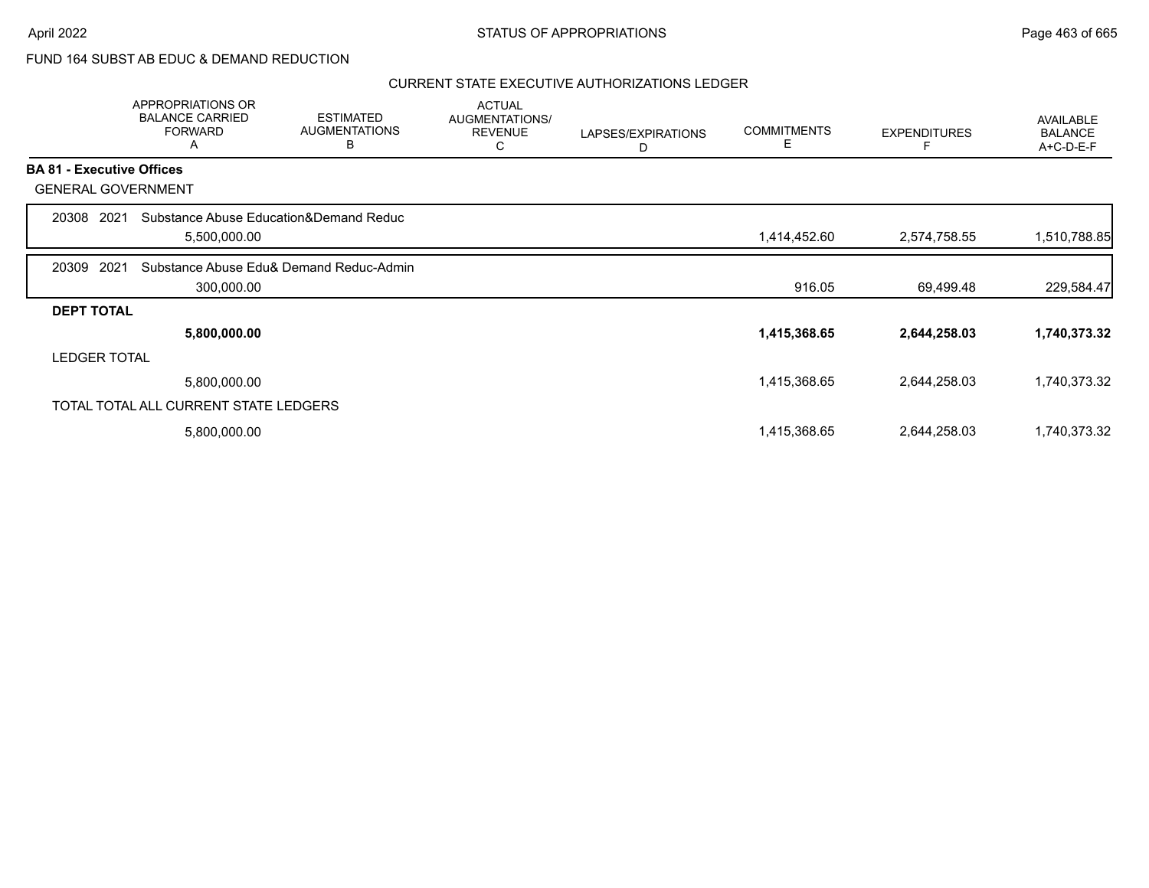## FUND 164 SUBST AB EDUC & DEMAND REDUCTION

|                                  | APPROPRIATIONS OR<br><b>BALANCE CARRIED</b><br><b>FORWARD</b><br>Α | <b>ESTIMATED</b><br><b>AUGMENTATIONS</b><br>B | <b>ACTUAL</b><br><b>AUGMENTATIONS/</b><br><b>REVENUE</b><br>С | LAPSES/EXPIRATIONS<br>D | <b>COMMITMENTS</b><br>E | <b>EXPENDITURES</b> | AVAILABLE<br><b>BALANCE</b><br>A+C-D-E-F |
|----------------------------------|--------------------------------------------------------------------|-----------------------------------------------|---------------------------------------------------------------|-------------------------|-------------------------|---------------------|------------------------------------------|
| <b>BA 81 - Executive Offices</b> |                                                                    |                                               |                                                               |                         |                         |                     |                                          |
| <b>GENERAL GOVERNMENT</b>        |                                                                    |                                               |                                                               |                         |                         |                     |                                          |
| 2021<br>20308                    | Substance Abuse Education&Demand Reduc                             |                                               |                                                               |                         |                         |                     |                                          |
|                                  | 5,500,000.00                                                       |                                               |                                                               |                         | 1,414,452.60            | 2,574,758.55        | 1,510,788.85                             |
| 2021<br>20309                    |                                                                    | Substance Abuse Edu& Demand Reduc-Admin       |                                                               |                         |                         |                     |                                          |
|                                  | 300,000.00                                                         |                                               |                                                               |                         | 916.05                  | 69,499.48           | 229,584.47                               |
| <b>DEPT TOTAL</b>                |                                                                    |                                               |                                                               |                         |                         |                     |                                          |
|                                  | 5,800,000.00                                                       |                                               |                                                               |                         | 1,415,368.65            | 2,644,258.03        | 1,740,373.32                             |
| <b>LEDGER TOTAL</b>              |                                                                    |                                               |                                                               |                         |                         |                     |                                          |
|                                  | 5,800,000.00                                                       |                                               |                                                               |                         | 1,415,368.65            | 2,644,258.03        | 1,740,373.32                             |
|                                  | TOTAL TOTAL ALL CURRENT STATE LEDGERS                              |                                               |                                                               |                         |                         |                     |                                          |
|                                  | 5,800,000.00                                                       |                                               |                                                               |                         | 1,415,368.65            | 2,644,258.03        | 1,740,373.32                             |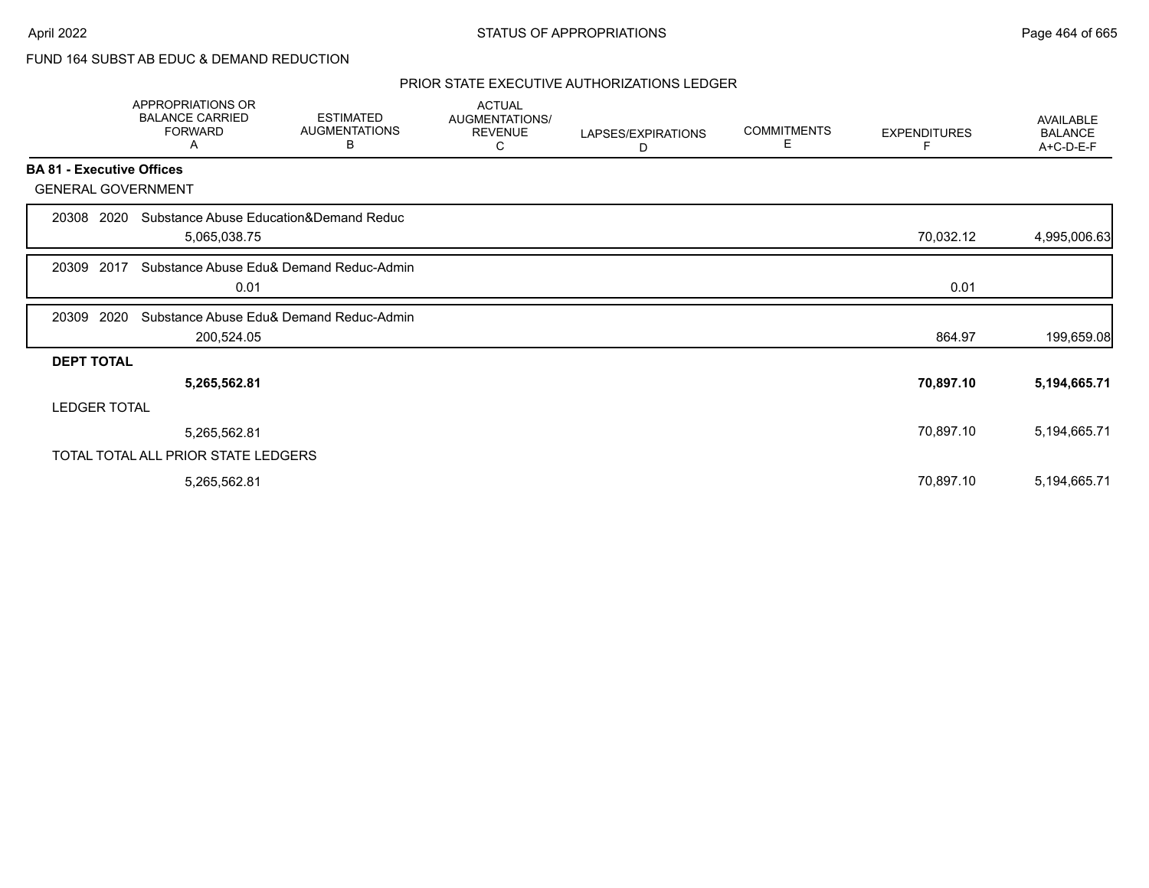# FUND 164 SUBST AB EDUC & DEMAND REDUCTION

|                                  | <b>APPROPRIATIONS OR</b><br><b>BALANCE CARRIED</b><br><b>FORWARD</b><br>Α | <b>ESTIMATED</b><br><b>AUGMENTATIONS</b><br>В | <b>ACTUAL</b><br>AUGMENTATIONS/<br><b>REVENUE</b><br>C | LAPSES/EXPIRATIONS<br>D | <b>COMMITMENTS</b><br>E. | <b>EXPENDITURES</b> | <b>AVAILABLE</b><br><b>BALANCE</b><br>A+C-D-E-F |
|----------------------------------|---------------------------------------------------------------------------|-----------------------------------------------|--------------------------------------------------------|-------------------------|--------------------------|---------------------|-------------------------------------------------|
| <b>BA 81 - Executive Offices</b> |                                                                           |                                               |                                                        |                         |                          |                     |                                                 |
| <b>GENERAL GOVERNMENT</b>        |                                                                           |                                               |                                                        |                         |                          |                     |                                                 |
| 20308 2020                       | Substance Abuse Education&Demand Reduc<br>5,065,038.75                    |                                               |                                                        |                         |                          | 70,032.12           | 4,995,006.63                                    |
| 2017<br>20309                    | 0.01                                                                      | Substance Abuse Edu& Demand Reduc-Admin       |                                                        |                         |                          | 0.01                |                                                 |
| 2020<br>20309                    | 200,524.05                                                                | Substance Abuse Edu& Demand Reduc-Admin       |                                                        |                         |                          | 864.97              | 199,659.08                                      |
| <b>DEPT TOTAL</b>                |                                                                           |                                               |                                                        |                         |                          |                     |                                                 |
|                                  | 5,265,562.81                                                              |                                               |                                                        |                         |                          | 70,897.10           | 5,194,665.71                                    |
| <b>LEDGER TOTAL</b>              |                                                                           |                                               |                                                        |                         |                          |                     |                                                 |
|                                  | 5,265,562.81                                                              |                                               |                                                        |                         |                          | 70,897.10           | 5,194,665.71                                    |
|                                  | TOTAL TOTAL ALL PRIOR STATE LEDGERS                                       |                                               |                                                        |                         |                          |                     |                                                 |
|                                  | 5,265,562.81                                                              |                                               |                                                        |                         |                          | 70,897.10           | 5,194,665.71                                    |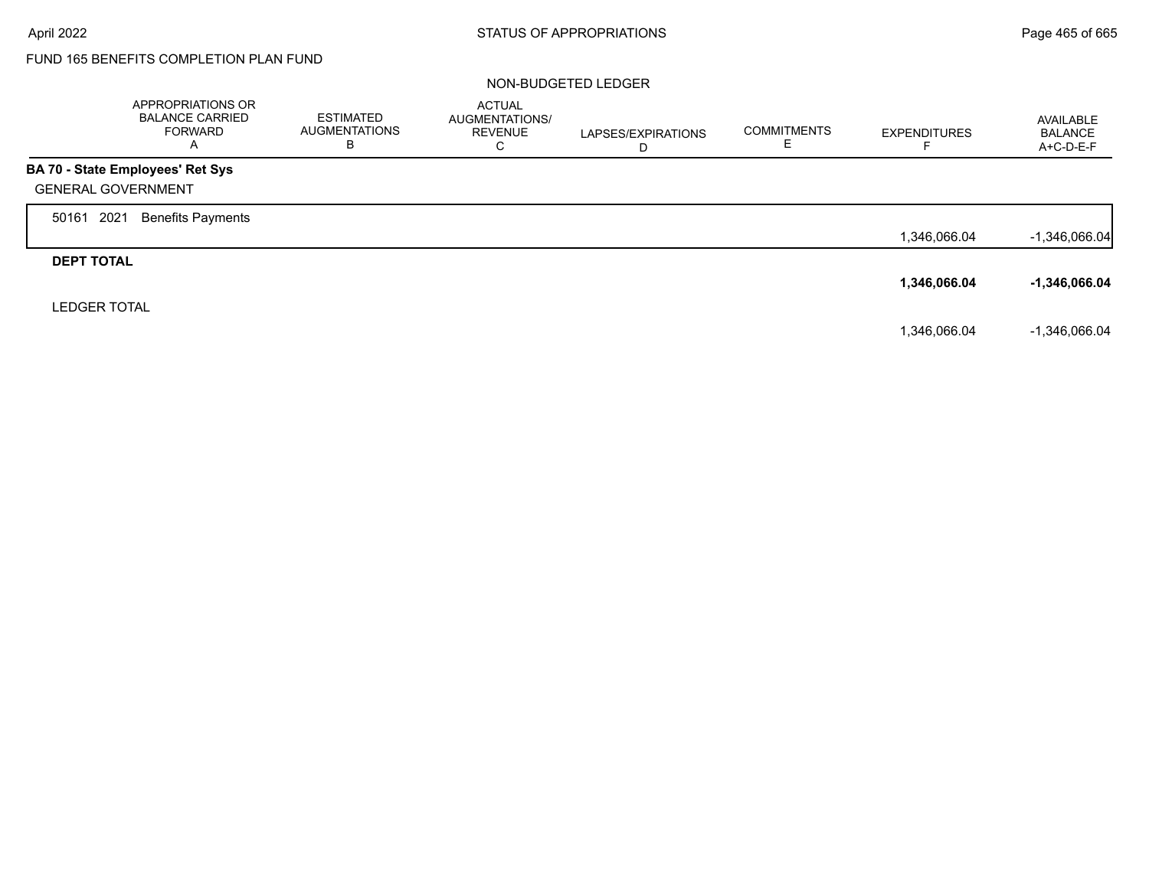# FUND 165 BENEFITS COMPLETION PLAN FUND

#### NON-BUDGETED LEDGER

|                           | APPROPRIATIONS OR<br><b>BALANCE CARRIED</b><br><b>FORWARD</b><br>A | <b>ESTIMATED</b><br><b>AUGMENTATIONS</b><br>в | <b>ACTUAL</b><br>AUGMENTATIONS/<br><b>REVENUE</b><br>С | LAPSES/EXPIRATIONS<br>D | <b>COMMITMENTS</b> | <b>EXPENDITURES</b> | AVAILABLE<br><b>BALANCE</b><br>A+C-D-E-F |
|---------------------------|--------------------------------------------------------------------|-----------------------------------------------|--------------------------------------------------------|-------------------------|--------------------|---------------------|------------------------------------------|
|                           | BA 70 - State Employees' Ret Sys                                   |                                               |                                                        |                         |                    |                     |                                          |
| <b>GENERAL GOVERNMENT</b> |                                                                    |                                               |                                                        |                         |                    |                     |                                          |
| 2021<br>50161             | <b>Benefits Payments</b>                                           |                                               |                                                        |                         |                    |                     |                                          |
|                           |                                                                    |                                               |                                                        |                         |                    | 1,346,066.04        | $-1,346,066.04$                          |
| <b>DEPT TOTAL</b>         |                                                                    |                                               |                                                        |                         |                    |                     |                                          |
|                           |                                                                    |                                               |                                                        |                         |                    | 1,346,066.04        | $-1,346,066.04$                          |
| <b>LEDGER TOTAL</b>       |                                                                    |                                               |                                                        |                         |                    |                     |                                          |
|                           |                                                                    |                                               |                                                        |                         |                    | 1.346.066.04        | $-1.346.066.04$                          |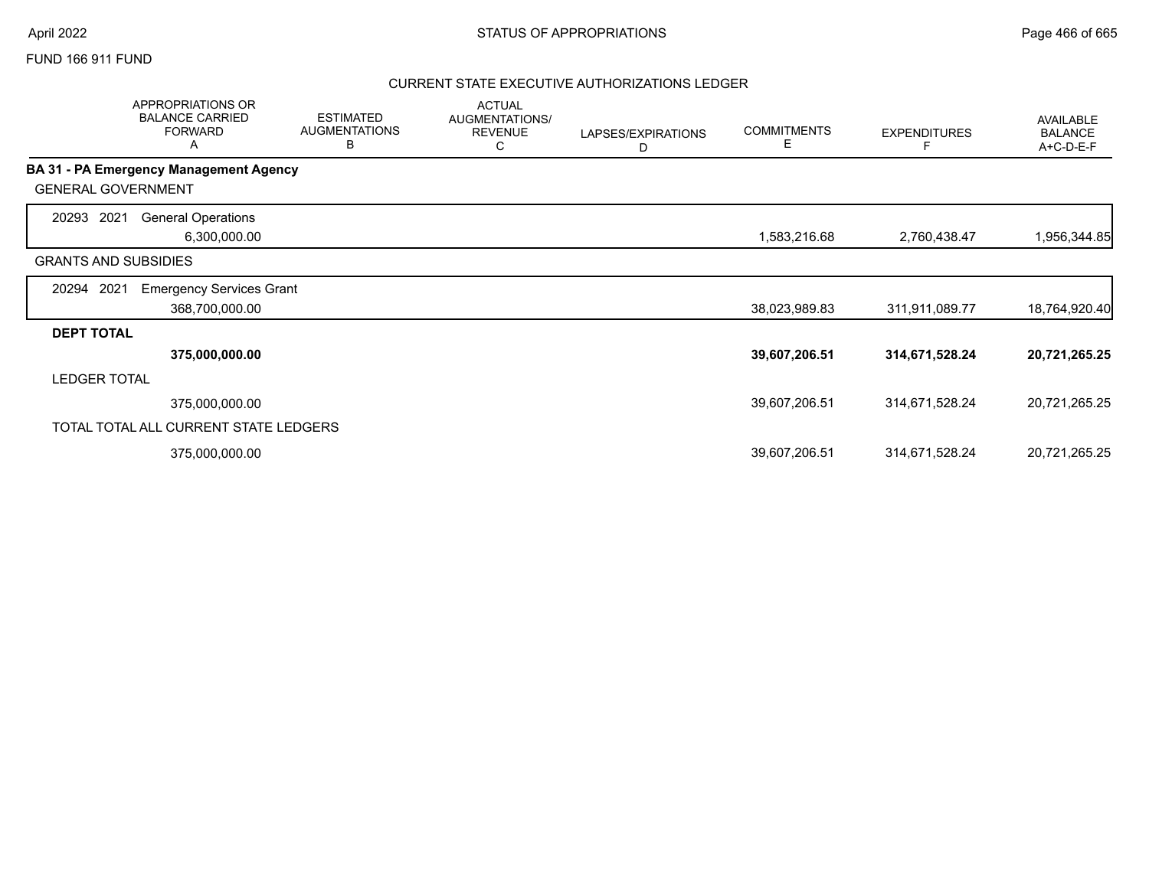#### FUND 166 911 FUND

|                             | <b>APPROPRIATIONS OR</b><br><b>BALANCE CARRIED</b><br><b>FORWARD</b><br>A | <b>ESTIMATED</b><br><b>AUGMENTATIONS</b><br>В | <b>ACTUAL</b><br>AUGMENTATIONS/<br><b>REVENUE</b><br>С | LAPSES/EXPIRATIONS<br>D | <b>COMMITMENTS</b><br>E | <b>EXPENDITURES</b> | AVAILABLE<br><b>BALANCE</b><br>A+C-D-E-F |
|-----------------------------|---------------------------------------------------------------------------|-----------------------------------------------|--------------------------------------------------------|-------------------------|-------------------------|---------------------|------------------------------------------|
|                             | BA 31 - PA Emergency Management Agency                                    |                                               |                                                        |                         |                         |                     |                                          |
| <b>GENERAL GOVERNMENT</b>   |                                                                           |                                               |                                                        |                         |                         |                     |                                          |
| 2021<br>20293               | <b>General Operations</b><br>6,300,000.00                                 |                                               |                                                        |                         | 1,583,216.68            | 2,760,438.47        | 1,956,344.85                             |
| <b>GRANTS AND SUBSIDIES</b> |                                                                           |                                               |                                                        |                         |                         |                     |                                          |
| 2021<br>20294               | <b>Emergency Services Grant</b><br>368,700,000.00                         |                                               |                                                        |                         | 38,023,989.83           | 311,911,089.77      | 18,764,920.40                            |
| <b>DEPT TOTAL</b>           |                                                                           |                                               |                                                        |                         |                         |                     |                                          |
|                             | 375,000,000.00                                                            |                                               |                                                        |                         | 39,607,206.51           | 314,671,528.24      | 20,721,265.25                            |
| <b>LEDGER TOTAL</b>         |                                                                           |                                               |                                                        |                         |                         |                     |                                          |
|                             | 375,000,000.00                                                            |                                               |                                                        |                         | 39,607,206.51           | 314,671,528.24      | 20,721,265.25                            |
|                             | TOTAL TOTAL ALL CURRENT STATE LEDGERS                                     |                                               |                                                        |                         |                         |                     |                                          |
|                             | 375,000,000.00                                                            |                                               |                                                        |                         | 39,607,206.51           | 314,671,528.24      | 20,721,265.25                            |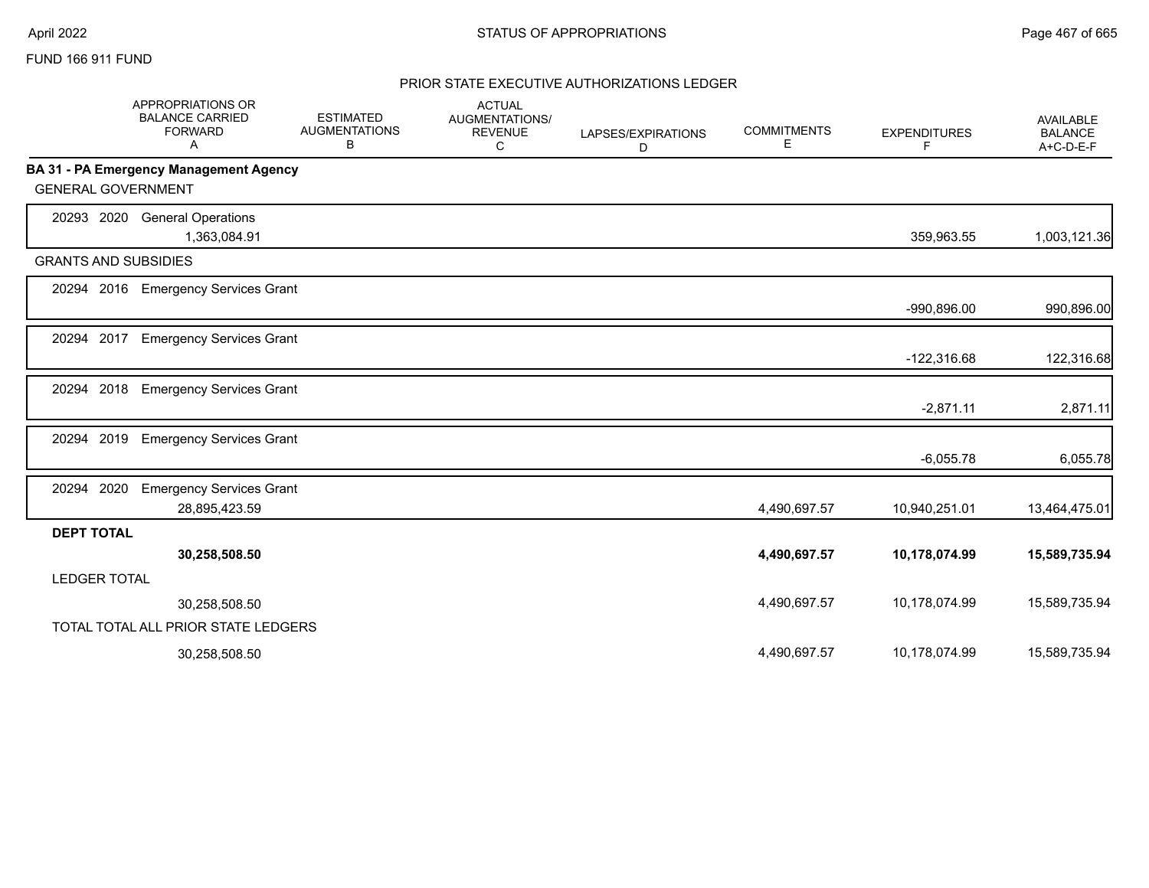### FUND 166 911 FUND

|                             | <b>APPROPRIATIONS OR</b><br><b>BALANCE CARRIED</b><br><b>FORWARD</b><br>A | <b>ESTIMATED</b><br><b>AUGMENTATIONS</b><br>В | <b>ACTUAL</b><br><b>AUGMENTATIONS/</b><br><b>REVENUE</b><br>C | LAPSES/EXPIRATIONS<br>D | <b>COMMITMENTS</b><br>E. | <b>EXPENDITURES</b><br>F. | <b>AVAILABLE</b><br><b>BALANCE</b><br>A+C-D-E-F |
|-----------------------------|---------------------------------------------------------------------------|-----------------------------------------------|---------------------------------------------------------------|-------------------------|--------------------------|---------------------------|-------------------------------------------------|
|                             | BA 31 - PA Emergency Management Agency                                    |                                               |                                                               |                         |                          |                           |                                                 |
| <b>GENERAL GOVERNMENT</b>   |                                                                           |                                               |                                                               |                         |                          |                           |                                                 |
| 20293 2020                  | <b>General Operations</b><br>1,363,084.91                                 |                                               |                                                               |                         |                          | 359,963.55                | 1,003,121.36                                    |
| <b>GRANTS AND SUBSIDIES</b> |                                                                           |                                               |                                                               |                         |                          |                           |                                                 |
| 20294 2016                  | <b>Emergency Services Grant</b>                                           |                                               |                                                               |                         |                          | $-990,896.00$             | 990,896.00                                      |
| 2017<br>20294               | <b>Emergency Services Grant</b>                                           |                                               |                                                               |                         |                          | $-122,316.68$             | 122,316.68                                      |
| 2018<br>20294               | <b>Emergency Services Grant</b>                                           |                                               |                                                               |                         |                          | $-2,871.11$               | 2,871.11                                        |
| 2019<br>20294               | <b>Emergency Services Grant</b>                                           |                                               |                                                               |                         |                          | $-6,055.78$               | 6,055.78                                        |
| 2020<br>20294               | <b>Emergency Services Grant</b><br>28,895,423.59                          |                                               |                                                               |                         | 4,490,697.57             | 10,940,251.01             | 13,464,475.01                                   |
| <b>DEPT TOTAL</b>           |                                                                           |                                               |                                                               |                         |                          |                           |                                                 |
|                             | 30,258,508.50                                                             |                                               |                                                               |                         | 4,490,697.57             | 10,178,074.99             | 15,589,735.94                                   |
| <b>LEDGER TOTAL</b>         |                                                                           |                                               |                                                               |                         |                          |                           |                                                 |
|                             | 30,258,508.50                                                             |                                               |                                                               |                         | 4,490,697.57             | 10,178,074.99             | 15,589,735.94                                   |
|                             | TOTAL TOTAL ALL PRIOR STATE LEDGERS                                       |                                               |                                                               |                         |                          |                           |                                                 |
|                             | 30,258,508.50                                                             |                                               |                                                               |                         | 4.490.697.57             | 10,178,074.99             | 15,589,735.94                                   |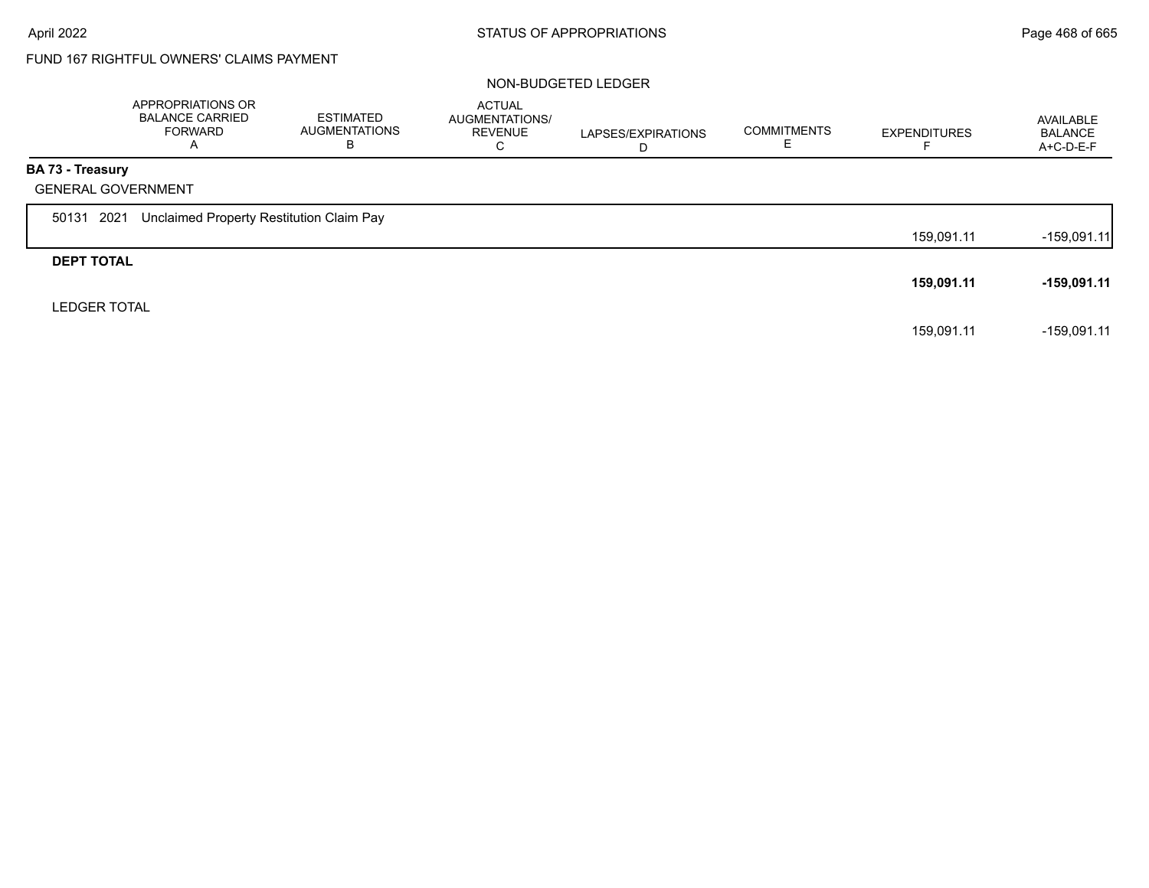# FUND 167 RIGHTFUL OWNERS' CLAIMS PAYMENT

#### NON-BUDGETED LEDGER

|                         | APPROPRIATIONS OR<br><b>BALANCE CARRIED</b><br><b>FORWARD</b><br>A | ESTIMATED<br><b>AUGMENTATIONS</b><br>В | <b>ACTUAL</b><br>AUGMENTATIONS/<br><b>REVENUE</b><br>С | LAPSES/EXPIRATIONS<br>D | <b>COMMITMENTS</b> | <b>EXPENDITURES</b> | AVAILABLE<br><b>BALANCE</b><br>$A+C-D-E-F$ |
|-------------------------|--------------------------------------------------------------------|----------------------------------------|--------------------------------------------------------|-------------------------|--------------------|---------------------|--------------------------------------------|
| <b>BA 73 - Treasury</b> |                                                                    |                                        |                                                        |                         |                    |                     |                                            |
|                         | <b>GENERAL GOVERNMENT</b>                                          |                                        |                                                        |                         |                    |                     |                                            |
| 50131                   | Unclaimed Property Restitution Claim Pay<br>2021                   |                                        |                                                        |                         |                    |                     |                                            |
|                         |                                                                    |                                        |                                                        |                         |                    | 159,091.11          | $-159,091.11$                              |
| <b>DEPT TOTAL</b>       |                                                                    |                                        |                                                        |                         |                    |                     |                                            |
|                         |                                                                    |                                        |                                                        |                         |                    | 159,091.11          | -159,091.11                                |
| <b>LEDGER TOTAL</b>     |                                                                    |                                        |                                                        |                         |                    |                     |                                            |
|                         |                                                                    |                                        |                                                        |                         |                    | 159,091.11          | -159,091.11                                |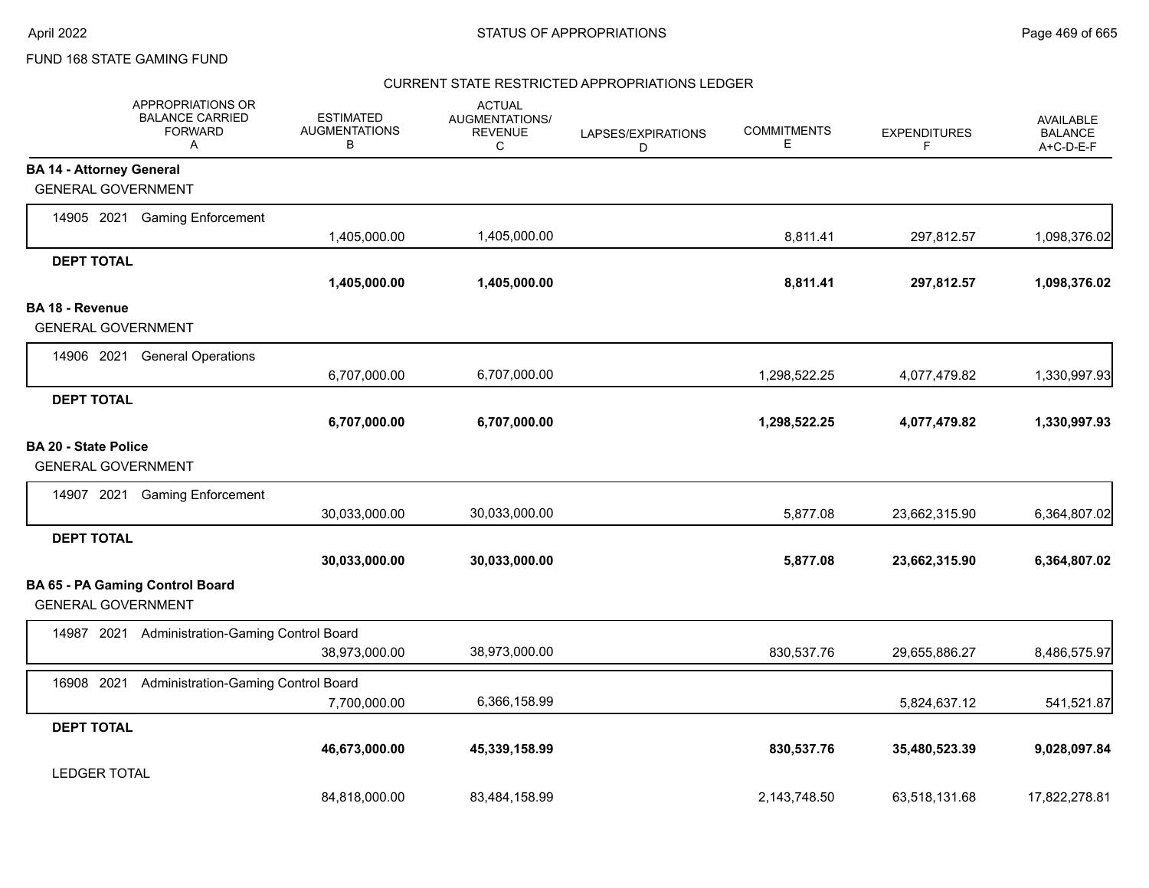#### CURRENT STATE RESTRICTED APPROPRIATIONS LEDGER

|                                 | APPROPRIATIONS OR<br><b>BALANCE CARRIED</b><br><b>FORWARD</b><br>Α  | <b>ESTIMATED</b><br><b>AUGMENTATIONS</b><br>B | <b>ACTUAL</b><br>AUGMENTATIONS/<br><b>REVENUE</b><br>C | LAPSES/EXPIRATIONS<br>D | <b>COMMITMENTS</b><br>E | <b>EXPENDITURES</b><br>F | <b>AVAILABLE</b><br><b>BALANCE</b><br>A+C-D-E-F |
|---------------------------------|---------------------------------------------------------------------|-----------------------------------------------|--------------------------------------------------------|-------------------------|-------------------------|--------------------------|-------------------------------------------------|
| <b>BA 14 - Attorney General</b> |                                                                     |                                               |                                                        |                         |                         |                          |                                                 |
| <b>GENERAL GOVERNMENT</b>       |                                                                     |                                               |                                                        |                         |                         |                          |                                                 |
|                                 | 14905 2021 Gaming Enforcement                                       | 1,405,000.00                                  | 1,405,000.00                                           |                         | 8,811.41                | 297,812.57               | 1,098,376.02                                    |
| <b>DEPT TOTAL</b>               |                                                                     |                                               |                                                        |                         |                         |                          |                                                 |
|                                 |                                                                     | 1,405,000.00                                  | 1,405,000.00                                           |                         | 8,811.41                | 297,812.57               | 1,098,376.02                                    |
| BA 18 - Revenue                 |                                                                     |                                               |                                                        |                         |                         |                          |                                                 |
| <b>GENERAL GOVERNMENT</b>       |                                                                     |                                               |                                                        |                         |                         |                          |                                                 |
| 14906 2021                      | <b>General Operations</b>                                           |                                               |                                                        |                         |                         |                          |                                                 |
|                                 |                                                                     | 6,707,000.00                                  | 6,707,000.00                                           |                         | 1,298,522.25            | 4,077,479.82             | 1,330,997.93                                    |
| <b>DEPT TOTAL</b>               |                                                                     |                                               |                                                        |                         |                         |                          |                                                 |
|                                 |                                                                     | 6,707,000.00                                  | 6,707,000.00                                           |                         | 1,298,522.25            | 4,077,479.82             | 1,330,997.93                                    |
| <b>BA 20 - State Police</b>     |                                                                     |                                               |                                                        |                         |                         |                          |                                                 |
|                                 | <b>GENERAL GOVERNMENT</b>                                           |                                               |                                                        |                         |                         |                          |                                                 |
| 14907 2021                      | <b>Gaming Enforcement</b>                                           |                                               |                                                        |                         |                         |                          |                                                 |
|                                 |                                                                     | 30,033,000.00                                 | 30,033,000.00                                          |                         | 5,877.08                | 23,662,315.90            | 6,364,807.02                                    |
| <b>DEPT TOTAL</b>               |                                                                     |                                               |                                                        |                         |                         |                          |                                                 |
|                                 |                                                                     | 30,033,000.00                                 | 30,033,000.00                                          |                         | 5,877.08                | 23,662,315.90            | 6,364,807.02                                    |
|                                 | <b>BA 65 - PA Gaming Control Board</b><br><b>GENERAL GOVERNMENT</b> |                                               |                                                        |                         |                         |                          |                                                 |
|                                 | 14987 2021 Administration-Gaming Control Board                      |                                               |                                                        |                         |                         |                          |                                                 |
|                                 |                                                                     | 38,973,000.00                                 | 38,973,000.00                                          |                         | 830,537.76              | 29,655,886.27            | 8,486,575.97                                    |
| 16908 2021                      | Administration-Gaming Control Board                                 |                                               |                                                        |                         |                         |                          |                                                 |
|                                 |                                                                     | 7,700,000.00                                  | 6,366,158.99                                           |                         |                         | 5,824,637.12             | 541,521.87                                      |
| <b>DEPT TOTAL</b>               |                                                                     |                                               |                                                        |                         |                         |                          |                                                 |
|                                 |                                                                     | 46,673,000.00                                 | 45,339,158.99                                          |                         | 830,537.76              | 35,480,523.39            | 9,028,097.84                                    |
| <b>LEDGER TOTAL</b>             |                                                                     |                                               |                                                        |                         |                         |                          |                                                 |
|                                 |                                                                     | 84,818,000.00                                 | 83,484,158.99                                          |                         | 2,143,748.50            | 63,518,131.68            | 17,822,278.81                                   |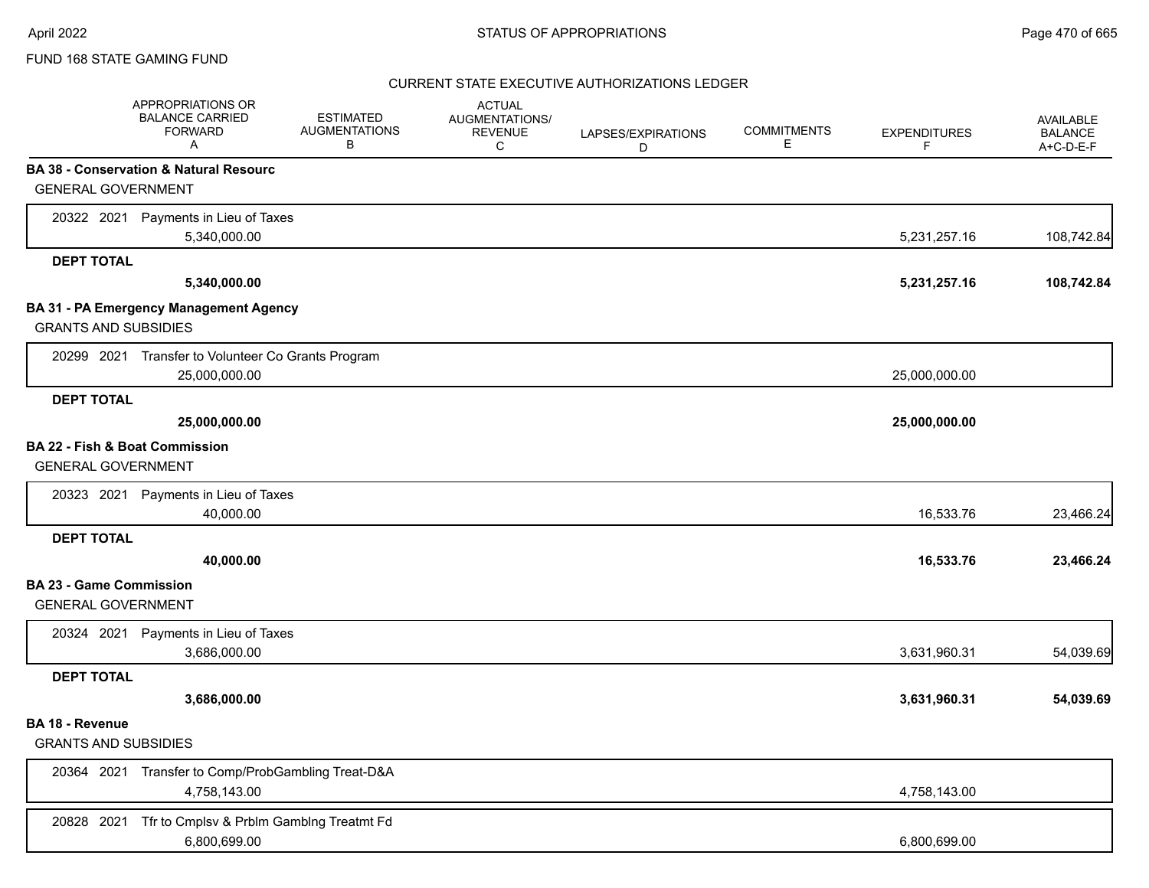### CURRENT STATE EXECUTIVE AUTHORIZATIONS LEDGER

|                                | APPROPRIATIONS OR<br><b>BALANCE CARRIED</b><br><b>FORWARD</b><br>A | <b>ESTIMATED</b><br><b>AUGMENTATIONS</b><br>В | <b>ACTUAL</b><br>AUGMENTATIONS/<br><b>REVENUE</b><br>C | LAPSES/EXPIRATIONS<br>D | <b>COMMITMENTS</b><br>Е | <b>EXPENDITURES</b><br>F | AVAILABLE<br><b>BALANCE</b><br>A+C-D-E-F |
|--------------------------------|--------------------------------------------------------------------|-----------------------------------------------|--------------------------------------------------------|-------------------------|-------------------------|--------------------------|------------------------------------------|
|                                | BA 38 - Conservation & Natural Resourc                             |                                               |                                                        |                         |                         |                          |                                          |
| <b>GENERAL GOVERNMENT</b>      |                                                                    |                                               |                                                        |                         |                         |                          |                                          |
|                                | 20322 2021 Payments in Lieu of Taxes                               |                                               |                                                        |                         |                         |                          |                                          |
|                                | 5,340,000.00                                                       |                                               |                                                        |                         |                         | 5,231,257.16             | 108,742.84                               |
| <b>DEPT TOTAL</b>              |                                                                    |                                               |                                                        |                         |                         |                          |                                          |
|                                | 5,340,000.00                                                       |                                               |                                                        |                         |                         | 5,231,257.16             | 108,742.84                               |
|                                | BA 31 - PA Emergency Management Agency                             |                                               |                                                        |                         |                         |                          |                                          |
| <b>GRANTS AND SUBSIDIES</b>    |                                                                    |                                               |                                                        |                         |                         |                          |                                          |
|                                | 20299 2021 Transfer to Volunteer Co Grants Program                 |                                               |                                                        |                         |                         |                          |                                          |
|                                | 25,000,000.00                                                      |                                               |                                                        |                         |                         | 25,000,000.00            |                                          |
| <b>DEPT TOTAL</b>              |                                                                    |                                               |                                                        |                         |                         |                          |                                          |
|                                | 25,000,000.00                                                      |                                               |                                                        |                         |                         | 25,000,000.00            |                                          |
| BA 22 - Fish & Boat Commission |                                                                    |                                               |                                                        |                         |                         |                          |                                          |
| <b>GENERAL GOVERNMENT</b>      |                                                                    |                                               |                                                        |                         |                         |                          |                                          |
|                                | 20323 2021 Payments in Lieu of Taxes                               |                                               |                                                        |                         |                         |                          |                                          |
|                                | 40,000.00                                                          |                                               |                                                        |                         |                         | 16,533.76                | 23,466.24                                |
| <b>DEPT TOTAL</b>              |                                                                    |                                               |                                                        |                         |                         |                          |                                          |
|                                | 40,000.00                                                          |                                               |                                                        |                         |                         | 16,533.76                | 23,466.24                                |
| <b>BA 23 - Game Commission</b> |                                                                    |                                               |                                                        |                         |                         |                          |                                          |
| <b>GENERAL GOVERNMENT</b>      |                                                                    |                                               |                                                        |                         |                         |                          |                                          |
|                                | 20324 2021 Payments in Lieu of Taxes                               |                                               |                                                        |                         |                         |                          |                                          |
|                                | 3,686,000.00                                                       |                                               |                                                        |                         |                         | 3,631,960.31             | 54,039.69                                |
| <b>DEPT TOTAL</b>              |                                                                    |                                               |                                                        |                         |                         |                          |                                          |
|                                | 3,686,000.00                                                       |                                               |                                                        |                         |                         | 3,631,960.31             | 54,039.69                                |
| <b>BA 18 - Revenue</b>         |                                                                    |                                               |                                                        |                         |                         |                          |                                          |
| <b>GRANTS AND SUBSIDIES</b>    |                                                                    |                                               |                                                        |                         |                         |                          |                                          |
|                                | 20364 2021 Transfer to Comp/ProbGambling Treat-D&A                 |                                               |                                                        |                         |                         |                          |                                          |
|                                | 4,758,143.00                                                       |                                               |                                                        |                         |                         | 4,758,143.00             |                                          |
| 20828 2021                     | Tfr to Cmplsv & Prblm Gamblng Treatmt Fd                           |                                               |                                                        |                         |                         |                          |                                          |
|                                | 6,800,699.00                                                       |                                               |                                                        |                         |                         | 6,800,699.00             |                                          |
|                                |                                                                    |                                               |                                                        |                         |                         |                          |                                          |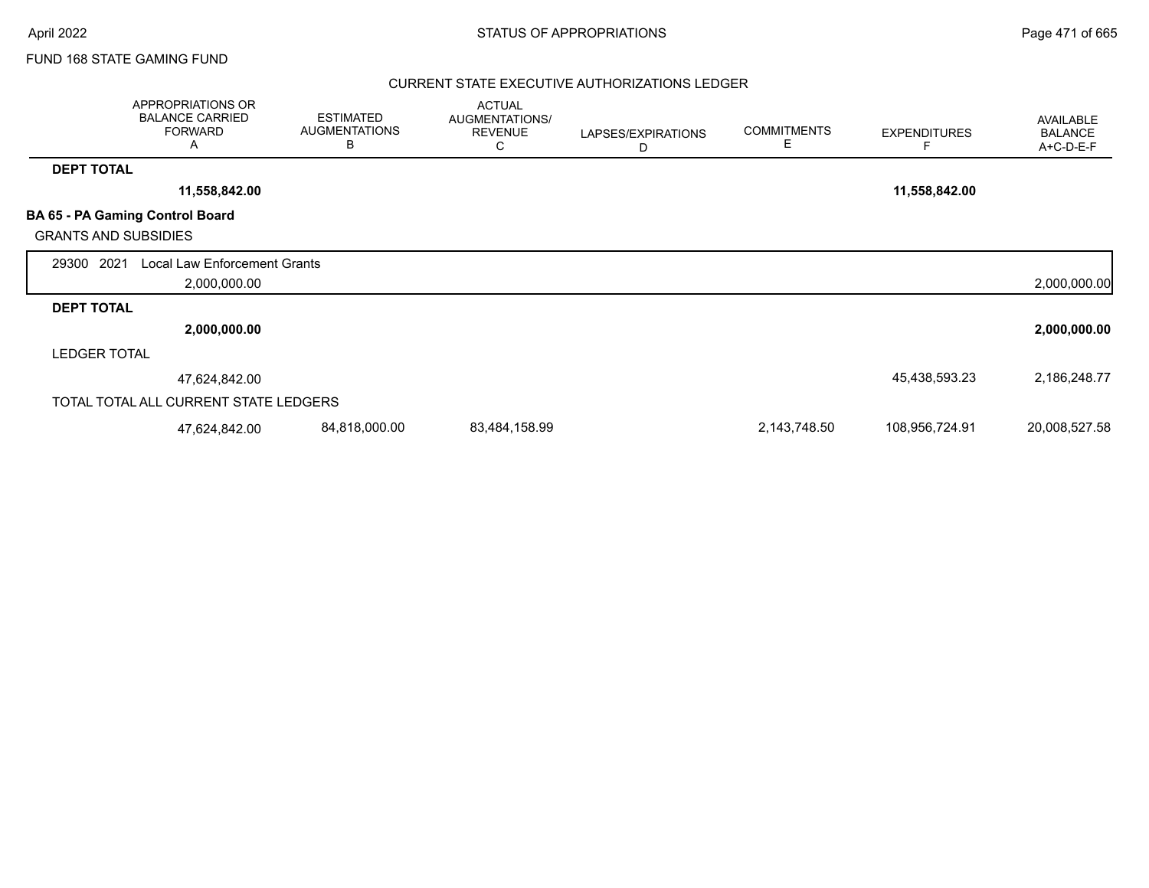### CURRENT STATE EXECUTIVE AUTHORIZATIONS LEDGER

|                             | APPROPRIATIONS OR<br><b>BALANCE CARRIED</b><br><b>FORWARD</b><br>A | <b>ESTIMATED</b><br><b>AUGMENTATIONS</b><br>B | <b>ACTUAL</b><br>AUGMENTATIONS/<br><b>REVENUE</b><br>С | LAPSES/EXPIRATIONS<br>D | <b>COMMITMENTS</b><br>E | <b>EXPENDITURES</b> | AVAILABLE<br><b>BALANCE</b><br>A+C-D-E-F |
|-----------------------------|--------------------------------------------------------------------|-----------------------------------------------|--------------------------------------------------------|-------------------------|-------------------------|---------------------|------------------------------------------|
| <b>DEPT TOTAL</b>           |                                                                    |                                               |                                                        |                         |                         |                     |                                          |
|                             | 11,558,842.00                                                      |                                               |                                                        |                         |                         | 11,558,842.00       |                                          |
| <b>GRANTS AND SUBSIDIES</b> | BA 65 - PA Gaming Control Board                                    |                                               |                                                        |                         |                         |                     |                                          |
| 2021<br>29300               | Local Law Enforcement Grants<br>2,000,000.00                       |                                               |                                                        |                         |                         |                     | 2,000,000.00                             |
| <b>DEPT TOTAL</b>           |                                                                    |                                               |                                                        |                         |                         |                     |                                          |
|                             | 2,000,000.00                                                       |                                               |                                                        |                         |                         |                     | 2,000,000.00                             |
| <b>LEDGER TOTAL</b>         |                                                                    |                                               |                                                        |                         |                         |                     |                                          |
|                             | 47,624,842.00                                                      |                                               |                                                        |                         |                         | 45,438,593.23       | 2,186,248.77                             |
|                             | TOTAL TOTAL ALL CURRENT STATE LEDGERS                              |                                               |                                                        |                         |                         |                     |                                          |
|                             | 47,624,842.00                                                      | 84,818,000.00                                 | 83,484,158.99                                          |                         | 2,143,748.50            | 108,956,724.91      | 20,008,527.58                            |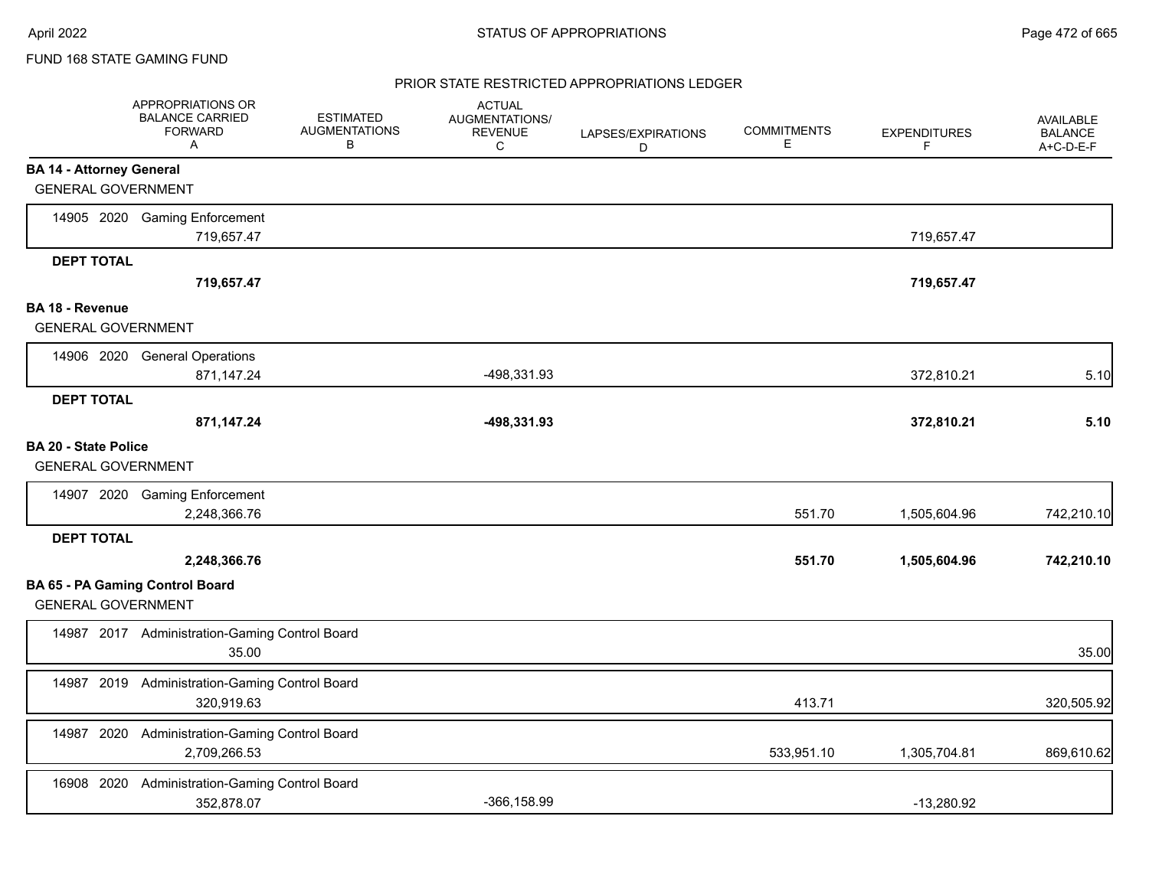#### PRIOR STATE RESTRICTED APPROPRIATIONS LEDGER

|                                                              | APPROPRIATIONS OR<br><b>BALANCE CARRIED</b><br><b>FORWARD</b><br>A | <b>ESTIMATED</b><br><b>AUGMENTATIONS</b><br>в | <b>ACTUAL</b><br>AUGMENTATIONS/<br><b>REVENUE</b><br>С | LAPSES/EXPIRATIONS<br>D | <b>COMMITMENTS</b><br>Е | <b>EXPENDITURES</b><br>F | <b>AVAILABLE</b><br><b>BALANCE</b><br>A+C-D-E-F |
|--------------------------------------------------------------|--------------------------------------------------------------------|-----------------------------------------------|--------------------------------------------------------|-------------------------|-------------------------|--------------------------|-------------------------------------------------|
| <b>BA 14 - Attorney General</b><br><b>GENERAL GOVERNMENT</b> |                                                                    |                                               |                                                        |                         |                         |                          |                                                 |
|                                                              | 14905 2020 Gaming Enforcement<br>719,657.47                        |                                               |                                                        |                         |                         | 719,657.47               |                                                 |
| <b>DEPT TOTAL</b>                                            | 719,657.47                                                         |                                               |                                                        |                         |                         | 719,657.47               |                                                 |
| <b>BA 18 - Revenue</b><br><b>GENERAL GOVERNMENT</b>          |                                                                    |                                               |                                                        |                         |                         |                          |                                                 |
|                                                              | 14906 2020 General Operations<br>871,147.24                        |                                               | -498,331.93                                            |                         |                         | 372,810.21               | 5.10                                            |
| <b>DEPT TOTAL</b>                                            | 871,147.24                                                         |                                               | -498,331.93                                            |                         |                         | 372,810.21               | 5.10                                            |
| <b>BA 20 - State Police</b><br><b>GENERAL GOVERNMENT</b>     |                                                                    |                                               |                                                        |                         |                         |                          |                                                 |
|                                                              | 14907 2020 Gaming Enforcement<br>2,248,366.76                      |                                               |                                                        |                         | 551.70                  | 1,505,604.96             | 742,210.10                                      |
| <b>DEPT TOTAL</b>                                            | 2,248,366.76                                                       |                                               |                                                        |                         | 551.70                  | 1,505,604.96             | 742,210.10                                      |
| <b>GENERAL GOVERNMENT</b>                                    | <b>BA 65 - PA Gaming Control Board</b>                             |                                               |                                                        |                         |                         |                          |                                                 |
|                                                              | 14987 2017 Administration-Gaming Control Board<br>35.00            |                                               |                                                        |                         |                         |                          | 35.00                                           |
|                                                              | 14987 2019 Administration-Gaming Control Board<br>320,919.63       |                                               |                                                        |                         | 413.71                  |                          | 320,505.92                                      |
|                                                              | 14987 2020 Administration-Gaming Control Board<br>2,709,266.53     |                                               |                                                        |                         | 533,951.10              | 1,305,704.81             | 869,610.62                                      |
| 16908 2020                                                   | Administration-Gaming Control Board<br>352,878.07                  |                                               | $-366, 158.99$                                         |                         |                         | $-13,280.92$             |                                                 |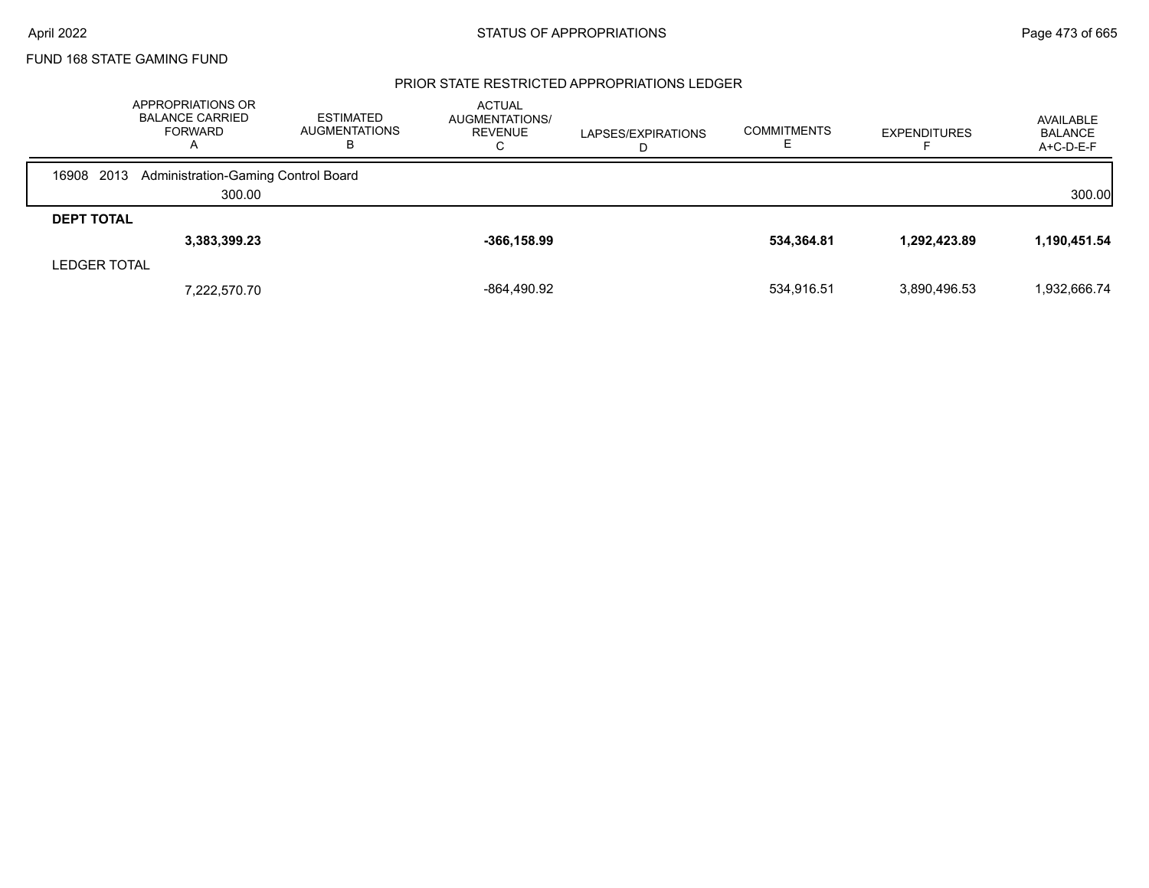#### PRIOR STATE RESTRICTED APPROPRIATIONS LEDGER

|                     | APPROPRIATIONS OR<br><b>BALANCE CARRIED</b><br><b>FORWARD</b><br>$\mathsf{A}$ | ESTIMATED<br>AUGMENTATIONS<br>ь | <b>ACTUAL</b><br>AUGMENTATIONS/<br><b>REVENUE</b><br>U | LAPSES/EXPIRATIONS | <b>COMMITMENTS</b> | <b>EXPENDITURES</b> | AVAILABLE<br><b>BALANCE</b><br>$A+C-D-E-F$ |
|---------------------|-------------------------------------------------------------------------------|---------------------------------|--------------------------------------------------------|--------------------|--------------------|---------------------|--------------------------------------------|
| 2013<br>16908       | Administration-Gaming Control Board                                           |                                 |                                                        |                    |                    |                     |                                            |
|                     | 300.00                                                                        |                                 |                                                        |                    |                    |                     | 300.00                                     |
| <b>DEPT TOTAL</b>   |                                                                               |                                 |                                                        |                    |                    |                     |                                            |
|                     | 3,383,399.23                                                                  |                                 | $-366, 158.99$                                         |                    | 534,364.81         | 1,292,423.89        | 1,190,451.54                               |
| <b>LEDGER TOTAL</b> |                                                                               |                                 |                                                        |                    |                    |                     |                                            |
|                     | 7,222,570.70                                                                  |                                 | -864,490.92                                            |                    | 534.916.51         | 3,890,496.53        | 1,932,666.74                               |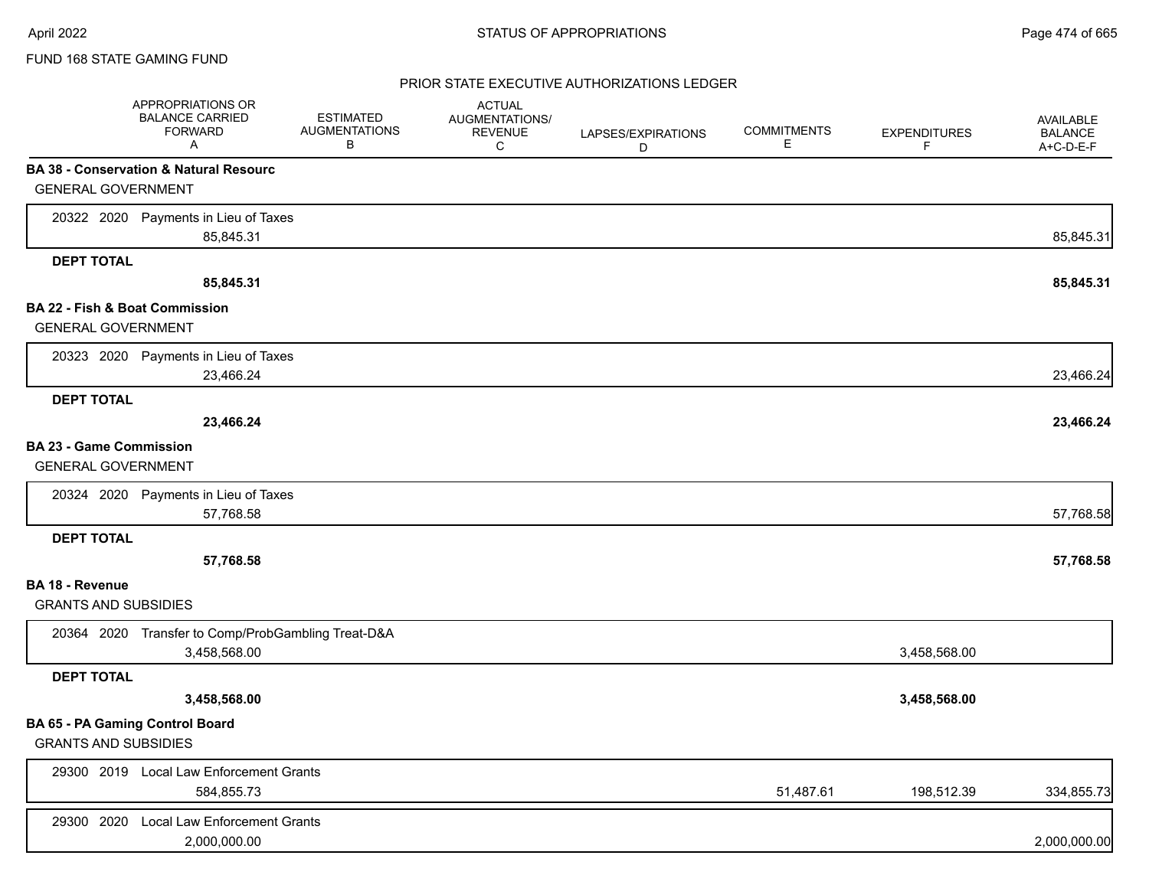### PRIOR STATE EXECUTIVE AUTHORIZATIONS LEDGER

|                                           | APPROPRIATIONS OR<br><b>BALANCE CARRIED</b><br><b>FORWARD</b><br>Α | <b>ESTIMATED</b><br><b>AUGMENTATIONS</b><br>В | <b>ACTUAL</b><br>AUGMENTATIONS/<br><b>REVENUE</b><br>C | LAPSES/EXPIRATIONS<br>D | <b>COMMITMENTS</b><br>Ε | <b>EXPENDITURES</b><br>F. | AVAILABLE<br><b>BALANCE</b><br>A+C-D-E-F |
|-------------------------------------------|--------------------------------------------------------------------|-----------------------------------------------|--------------------------------------------------------|-------------------------|-------------------------|---------------------------|------------------------------------------|
|                                           | <b>BA 38 - Conservation &amp; Natural Resourc</b>                  |                                               |                                                        |                         |                         |                           |                                          |
| <b>GENERAL GOVERNMENT</b>                 |                                                                    |                                               |                                                        |                         |                         |                           |                                          |
|                                           | 20322 2020 Payments in Lieu of Taxes                               |                                               |                                                        |                         |                         |                           |                                          |
|                                           | 85,845.31                                                          |                                               |                                                        |                         |                         |                           | 85,845.31                                |
| <b>DEPT TOTAL</b>                         |                                                                    |                                               |                                                        |                         |                         |                           |                                          |
|                                           | 85,845.31                                                          |                                               |                                                        |                         |                         |                           | 85,845.31                                |
| <b>BA 22 - Fish &amp; Boat Commission</b> |                                                                    |                                               |                                                        |                         |                         |                           |                                          |
| <b>GENERAL GOVERNMENT</b>                 |                                                                    |                                               |                                                        |                         |                         |                           |                                          |
|                                           | 20323 2020 Payments in Lieu of Taxes                               |                                               |                                                        |                         |                         |                           |                                          |
|                                           | 23,466.24                                                          |                                               |                                                        |                         |                         |                           | 23,466.24                                |
| <b>DEPT TOTAL</b>                         |                                                                    |                                               |                                                        |                         |                         |                           |                                          |
|                                           | 23,466.24                                                          |                                               |                                                        |                         |                         |                           | 23,466.24                                |
| <b>BA 23 - Game Commission</b>            |                                                                    |                                               |                                                        |                         |                         |                           |                                          |
| <b>GENERAL GOVERNMENT</b>                 |                                                                    |                                               |                                                        |                         |                         |                           |                                          |
|                                           | 20324 2020 Payments in Lieu of Taxes                               |                                               |                                                        |                         |                         |                           |                                          |
|                                           | 57,768.58                                                          |                                               |                                                        |                         |                         |                           | 57,768.58                                |
| <b>DEPT TOTAL</b>                         |                                                                    |                                               |                                                        |                         |                         |                           |                                          |
|                                           | 57,768.58                                                          |                                               |                                                        |                         |                         |                           | 57,768.58                                |
| BA 18 - Revenue                           |                                                                    |                                               |                                                        |                         |                         |                           |                                          |
| <b>GRANTS AND SUBSIDIES</b>               |                                                                    |                                               |                                                        |                         |                         |                           |                                          |
|                                           | 20364 2020 Transfer to Comp/ProbGambling Treat-D&A                 |                                               |                                                        |                         |                         |                           |                                          |
|                                           | 3,458,568.00                                                       |                                               |                                                        |                         |                         | 3,458,568.00              |                                          |
| <b>DEPT TOTAL</b>                         |                                                                    |                                               |                                                        |                         |                         |                           |                                          |
|                                           | 3,458,568.00                                                       |                                               |                                                        |                         |                         | 3,458,568.00              |                                          |
| BA 65 - PA Gaming Control Board           |                                                                    |                                               |                                                        |                         |                         |                           |                                          |
| <b>GRANTS AND SUBSIDIES</b>               |                                                                    |                                               |                                                        |                         |                         |                           |                                          |
|                                           | 29300 2019 Local Law Enforcement Grants                            |                                               |                                                        |                         |                         |                           |                                          |
|                                           | 584,855.73                                                         |                                               |                                                        |                         | 51,487.61               | 198,512.39                | 334,855.73                               |
| 29300 2020                                | Local Law Enforcement Grants                                       |                                               |                                                        |                         |                         |                           |                                          |
|                                           | 2,000,000.00                                                       |                                               |                                                        |                         |                         |                           | 2,000,000.00                             |
|                                           |                                                                    |                                               |                                                        |                         |                         |                           |                                          |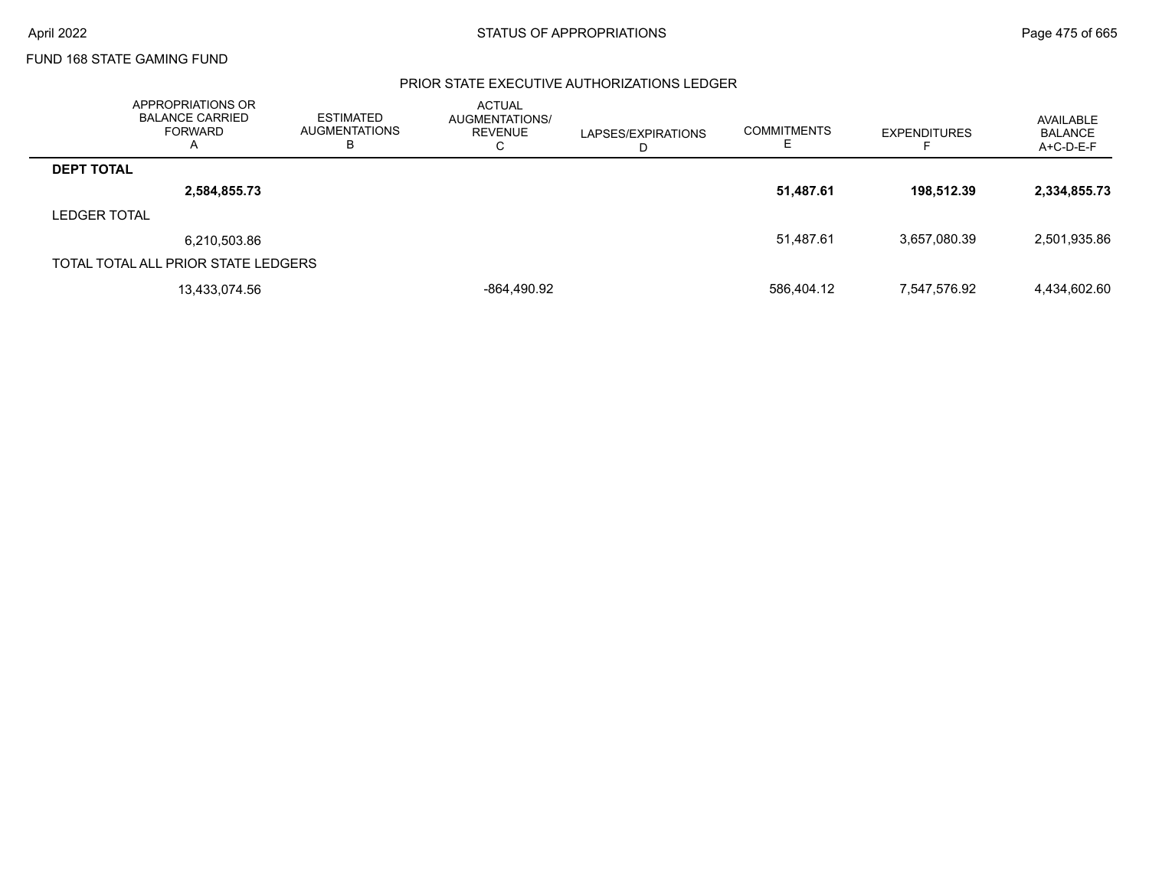### PRIOR STATE EXECUTIVE AUTHORIZATIONS LEDGER

|                     | APPROPRIATIONS OR<br><b>BALANCE CARRIED</b><br>FORWARD<br>Α | <b>ESTIMATED</b><br><b>AUGMENTATIONS</b><br>В | <b>ACTUAL</b><br>AUGMENTATIONS/<br>REVENUE<br>⌒<br>◡ | LAPSES/EXPIRATIONS<br>D | <b>COMMITMENTS</b> | <b>EXPENDITURES</b> | AVAILABLE<br><b>BALANCE</b><br>A+C-D-E-F |
|---------------------|-------------------------------------------------------------|-----------------------------------------------|------------------------------------------------------|-------------------------|--------------------|---------------------|------------------------------------------|
| <b>DEPT TOTAL</b>   |                                                             |                                               |                                                      |                         |                    |                     |                                          |
|                     | 2,584,855.73                                                |                                               |                                                      |                         | 51,487.61          | 198.512.39          | 2,334,855.73                             |
| <b>LEDGER TOTAL</b> |                                                             |                                               |                                                      |                         |                    |                     |                                          |
|                     | 6,210,503.86                                                |                                               |                                                      |                         | 51,487.61          | 3.657.080.39        | 2,501,935.86                             |
|                     | TOTAL TOTAL ALL PRIOR STATE LEDGERS                         |                                               |                                                      |                         |                    |                     |                                          |
|                     | 13,433,074.56                                               |                                               | -864,490.92                                          |                         | 586,404.12         | 7,547,576.92        | 4,434,602.60                             |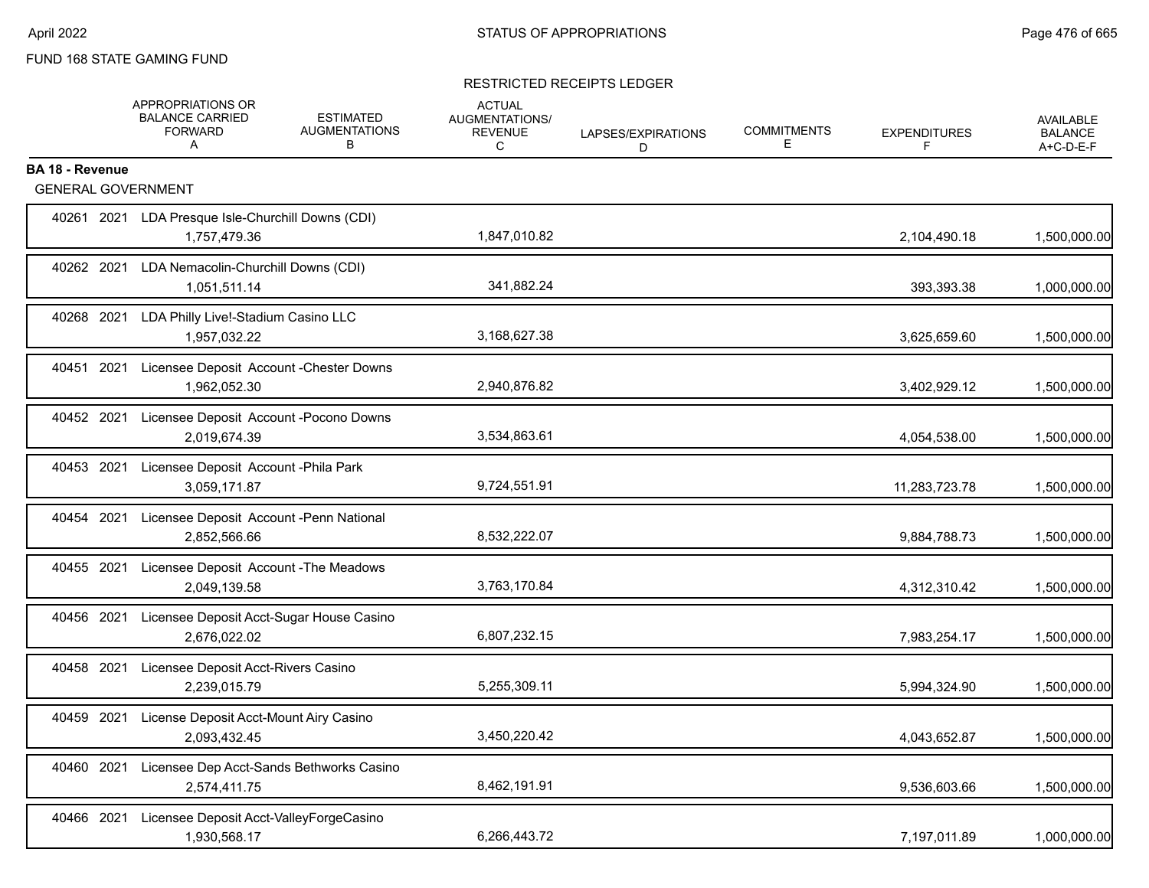#### RESTRICTED RECEIPTS LEDGER

|                        | APPROPRIATIONS OR<br><b>BALANCE CARRIED</b><br><b>FORWARD</b><br>A  | <b>ESTIMATED</b><br><b>AUGMENTATIONS</b><br>В | <b>ACTUAL</b><br>AUGMENTATIONS/<br><b>REVENUE</b><br>C | LAPSES/EXPIRATIONS<br>D. | <b>COMMITMENTS</b><br>Е | <b>EXPENDITURES</b><br>F | <b>AVAILABLE</b><br><b>BALANCE</b><br>A+C-D-E-F |
|------------------------|---------------------------------------------------------------------|-----------------------------------------------|--------------------------------------------------------|--------------------------|-------------------------|--------------------------|-------------------------------------------------|
| <b>BA 18 - Revenue</b> | <b>GENERAL GOVERNMENT</b>                                           |                                               |                                                        |                          |                         |                          |                                                 |
|                        | 40261 2021 LDA Presque Isle-Churchill Downs (CDI)<br>1,757,479.36   |                                               | 1,847,010.82                                           |                          |                         | 2,104,490.18             | 1,500,000.00                                    |
| 40262 2021             | LDA Nemacolin-Churchill Downs (CDI)<br>1,051,511.14                 |                                               | 341,882.24                                             |                          |                         | 393,393.38               | 1,000,000.00                                    |
|                        | 40268 2021 LDA Philly Live!-Stadium Casino LLC<br>1,957,032.22      |                                               | 3,168,627.38                                           |                          |                         | 3,625,659.60             | 1,500,000.00                                    |
|                        | 40451 2021 Licensee Deposit Account - Chester Downs<br>1,962,052.30 |                                               | 2,940,876.82                                           |                          |                         | 3,402,929.12             | 1,500,000.00                                    |
| 40452 2021             | Licensee Deposit Account - Pocono Downs<br>2,019,674.39             |                                               | 3,534,863.61                                           |                          |                         | 4,054,538.00             | 1,500,000.00                                    |
|                        | 40453 2021 Licensee Deposit Account - Phila Park<br>3,059,171.87    |                                               | 9,724,551.91                                           |                          |                         | 11,283,723.78            | 1,500,000.00                                    |
| 40454 2021             | Licensee Deposit Account -Penn National<br>2,852,566.66             |                                               | 8,532,222.07                                           |                          |                         | 9,884,788.73             | 1,500,000.00                                    |
| 40455 2021             | Licensee Deposit Account - The Meadows<br>2,049,139.58              |                                               | 3,763,170.84                                           |                          |                         | 4,312,310.42             | 1,500,000.00                                    |
| 40456 2021             | Licensee Deposit Acct-Sugar House Casino<br>2,676,022.02            |                                               | 6,807,232.15                                           |                          |                         | 7,983,254.17             | 1,500,000.00                                    |
| 40458 2021             | Licensee Deposit Acct-Rivers Casino<br>2,239,015.79                 |                                               | 5,255,309.11                                           |                          |                         | 5,994,324.90             | 1,500,000.00                                    |
| 40459 2021             | License Deposit Acct-Mount Airy Casino<br>2,093,432.45              |                                               | 3,450,220.42                                           |                          |                         | 4,043,652.87             | 1,500,000.00                                    |
| 40460 2021             | Licensee Dep Acct-Sands Bethworks Casino<br>2,574,411.75            |                                               | 8,462,191.91                                           |                          |                         | 9,536,603.66             | 1,500,000.00                                    |
| 40466 2021             | Licensee Deposit Acct-ValleyForgeCasino<br>1,930,568.17             |                                               | 6,266,443.72                                           |                          |                         | 7,197,011.89             | 1,000,000.00                                    |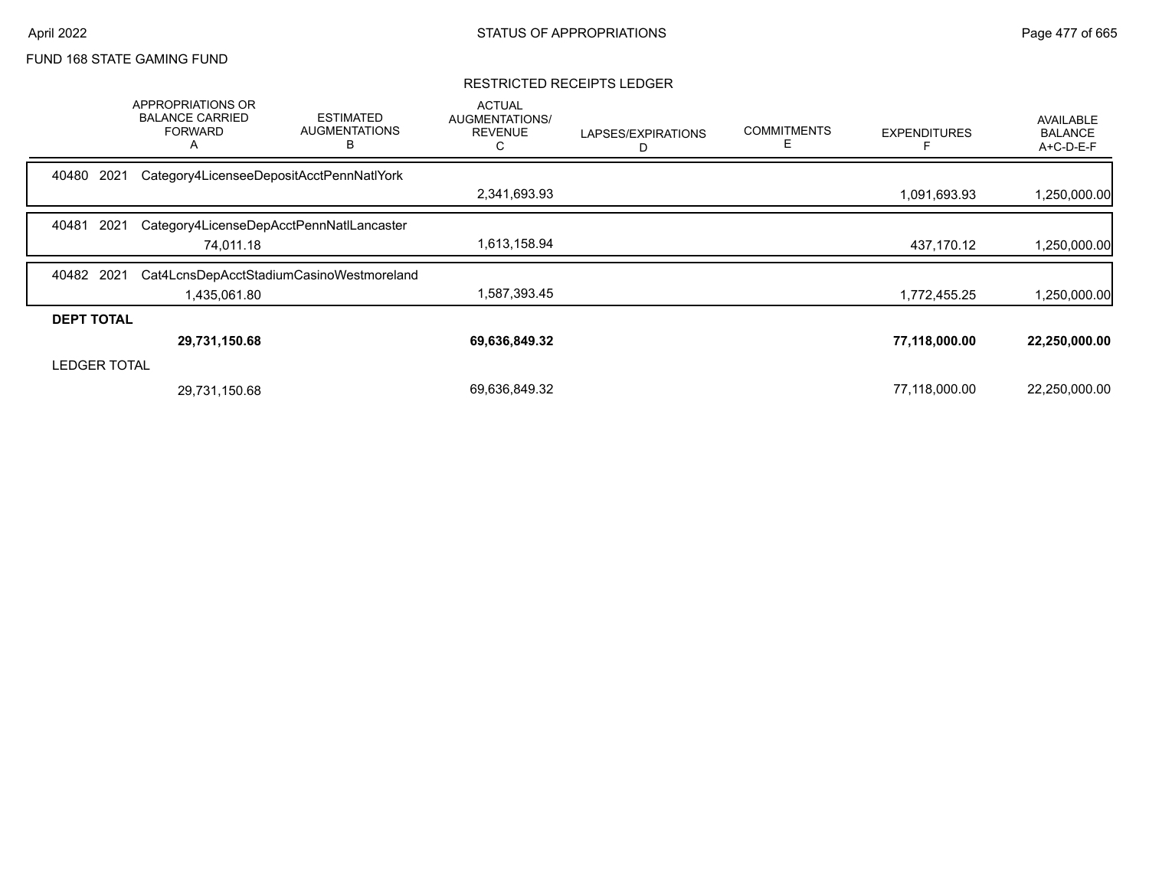#### RESTRICTED RECEIPTS LEDGER

|                     | <b>APPROPRIATIONS OR</b><br><b>BALANCE CARRIED</b><br><b>FORWARD</b><br>A | <b>ESTIMATED</b><br><b>AUGMENTATIONS</b><br>в | <b>ACTUAL</b><br>AUGMENTATIONS/<br><b>REVENUE</b><br>С | LAPSES/EXPIRATIONS<br>D | <b>COMMITMENTS</b><br>Е | <b>EXPENDITURES</b> | AVAILABLE<br><b>BALANCE</b><br>A+C-D-E-F |
|---------------------|---------------------------------------------------------------------------|-----------------------------------------------|--------------------------------------------------------|-------------------------|-------------------------|---------------------|------------------------------------------|
| 2021<br>40480       | Category4LicenseeDepositAcctPennNatlYork                                  |                                               |                                                        |                         |                         |                     |                                          |
|                     |                                                                           |                                               | 2,341,693.93                                           |                         |                         | 1,091,693.93        | ,250,000.00                              |
| 40481<br>2021       |                                                                           | Category4LicenseDepAcctPennNatILancaster      |                                                        |                         |                         |                     |                                          |
|                     | 74.011.18                                                                 |                                               | 1,613,158.94                                           |                         |                         | 437.170.12          | 1,250,000.00                             |
| 40482 2021          |                                                                           | Cat4LcnsDepAcctStadiumCasinoWestmoreland      |                                                        |                         |                         |                     |                                          |
|                     | 1,435,061.80                                                              |                                               | 1,587,393.45                                           |                         |                         | 1,772,455.25        | 1,250,000.00                             |
| <b>DEPT TOTAL</b>   |                                                                           |                                               |                                                        |                         |                         |                     |                                          |
|                     | 29,731,150.68                                                             |                                               | 69,636,849.32                                          |                         |                         | 77,118,000.00       | 22,250,000.00                            |
| <b>LEDGER TOTAL</b> |                                                                           |                                               |                                                        |                         |                         |                     |                                          |
|                     | 29,731,150.68                                                             |                                               | 69,636,849.32                                          |                         |                         | 77,118,000.00       | 22,250,000.00                            |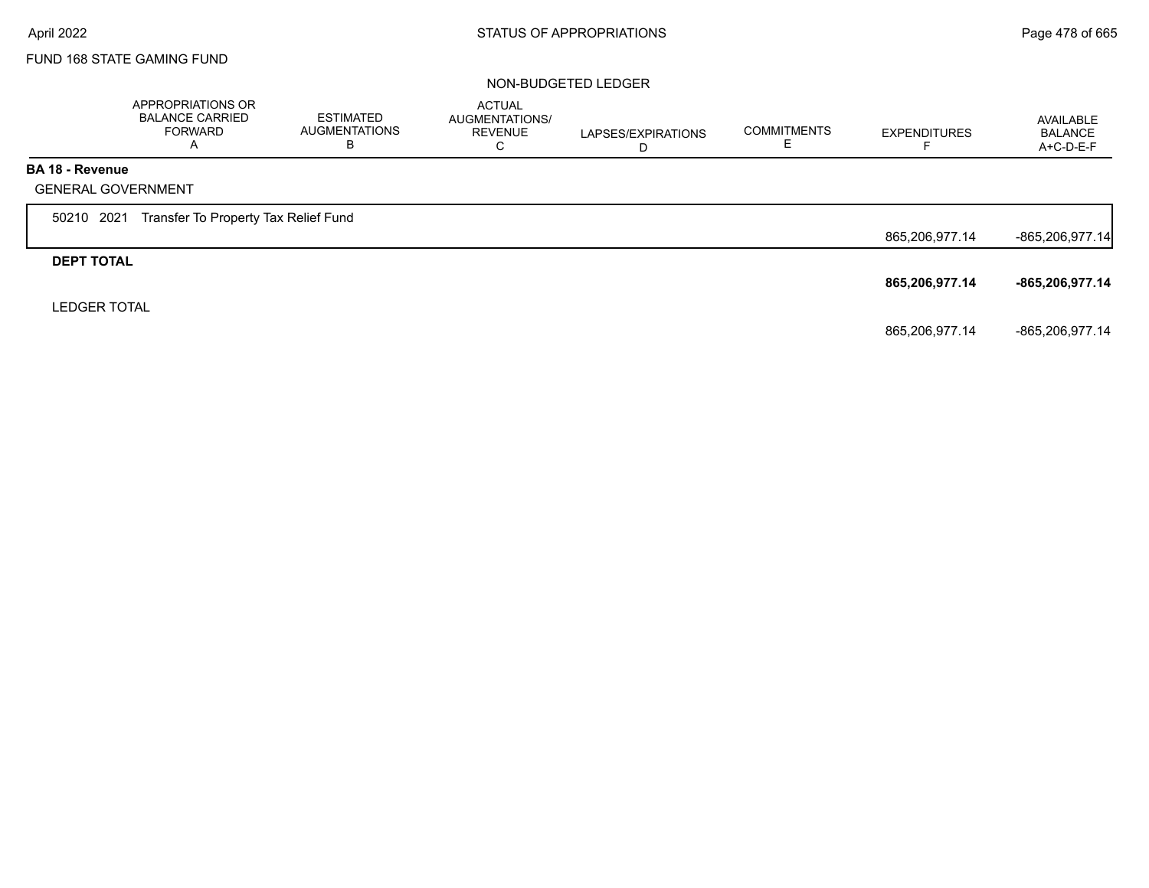# NON-BUDGETED LEDGER

|                        | APPROPRIATIONS OR<br><b>BALANCE CARRIED</b><br><b>FORWARD</b><br>A | <b>ESTIMATED</b><br><b>AUGMENTATIONS</b><br>в | <b>ACTUAL</b><br>AUGMENTATIONS/<br><b>REVENUE</b><br>C | LAPSES/EXPIRATIONS<br>D | <b>COMMITMENTS</b><br>E. | <b>EXPENDITURES</b> | AVAILABLE<br><b>BALANCE</b><br>A+C-D-E-F |
|------------------------|--------------------------------------------------------------------|-----------------------------------------------|--------------------------------------------------------|-------------------------|--------------------------|---------------------|------------------------------------------|
| <b>BA 18 - Revenue</b> |                                                                    |                                               |                                                        |                         |                          |                     |                                          |
|                        | <b>GENERAL GOVERNMENT</b>                                          |                                               |                                                        |                         |                          |                     |                                          |
| 50210 2021             | Transfer To Property Tax Relief Fund                               |                                               |                                                        |                         |                          |                     |                                          |
|                        |                                                                    |                                               |                                                        |                         |                          | 865,206,977.14      | -865,206,977.14                          |
| <b>DEPT TOTAL</b>      |                                                                    |                                               |                                                        |                         |                          |                     |                                          |
|                        |                                                                    |                                               |                                                        |                         |                          | 865,206,977.14      | -865,206,977.14                          |
| <b>LEDGER TOTAL</b>    |                                                                    |                                               |                                                        |                         |                          |                     |                                          |
|                        |                                                                    |                                               |                                                        |                         |                          | 865,206,977.14      | -865,206,977.14                          |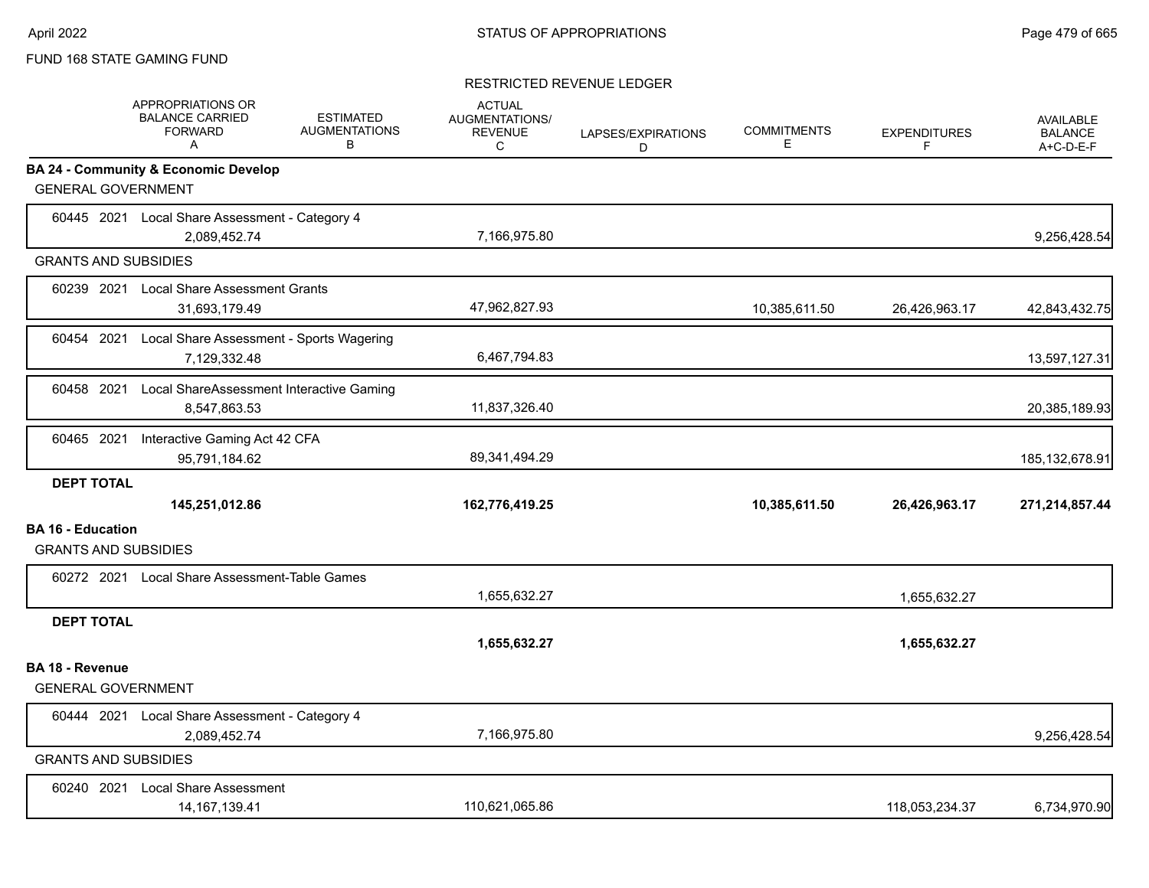#### RESTRICTED REVENUE LEDGER

|                          | APPROPRIATIONS OR<br><b>BALANCE CARRIED</b><br><b>FORWARD</b><br>A           | <b>ESTIMATED</b><br><b>AUGMENTATIONS</b><br>В | <b>ACTUAL</b><br>AUGMENTATIONS/<br><b>REVENUE</b><br>C | LAPSES/EXPIRATIONS<br>D | <b>COMMITMENTS</b><br>E | <b>EXPENDITURES</b><br>F. | <b>AVAILABLE</b><br><b>BALANCE</b><br>A+C-D-E-F |
|--------------------------|------------------------------------------------------------------------------|-----------------------------------------------|--------------------------------------------------------|-------------------------|-------------------------|---------------------------|-------------------------------------------------|
|                          | <b>BA 24 - Community &amp; Economic Develop</b><br><b>GENERAL GOVERNMENT</b> |                                               |                                                        |                         |                         |                           |                                                 |
|                          | 60445 2021 Local Share Assessment - Category 4<br>2,089,452.74               |                                               | 7,166,975.80                                           |                         |                         |                           | 9,256,428.54                                    |
|                          | <b>GRANTS AND SUBSIDIES</b>                                                  |                                               |                                                        |                         |                         |                           |                                                 |
|                          | 60239 2021 Local Share Assessment Grants<br>31,693,179.49                    |                                               | 47,962,827.93                                          |                         | 10,385,611.50           | 26,426,963.17             | 42,843,432.75                                   |
| 60454 2021               | Local Share Assessment - Sports Wagering<br>7,129,332.48                     |                                               | 6,467,794.83                                           |                         |                         |                           | 13,597,127.31                                   |
| 60458 2021               | Local ShareAssessment Interactive Gaming<br>8,547,863.53                     |                                               | 11,837,326.40                                          |                         |                         |                           | 20,385,189.93                                   |
| 60465 2021               | Interactive Gaming Act 42 CFA<br>95,791,184.62                               |                                               | 89,341,494.29                                          |                         |                         |                           | 185, 132, 678. 91                               |
| <b>DEPT TOTAL</b>        | 145,251,012.86                                                               |                                               | 162,776,419.25                                         |                         | 10,385,611.50           | 26,426,963.17             | 271,214,857.44                                  |
| <b>BA 16 - Education</b> | <b>GRANTS AND SUBSIDIES</b>                                                  |                                               |                                                        |                         |                         |                           |                                                 |
|                          | 60272 2021 Local Share Assessment-Table Games                                |                                               | 1,655,632.27                                           |                         |                         | 1,655,632.27              |                                                 |
| <b>DEPT TOTAL</b>        |                                                                              |                                               | 1,655,632.27                                           |                         |                         | 1,655,632.27              |                                                 |
| <b>BA 18 - Revenue</b>   | <b>GENERAL GOVERNMENT</b>                                                    |                                               |                                                        |                         |                         |                           |                                                 |
|                          | 60444 2021 Local Share Assessment - Category 4<br>2,089,452.74               |                                               | 7,166,975.80                                           |                         |                         |                           | 9,256,428.54                                    |
|                          | <b>GRANTS AND SUBSIDIES</b>                                                  |                                               |                                                        |                         |                         |                           |                                                 |
|                          | 60240 2021 Local Share Assessment<br>14, 167, 139. 41                        |                                               | 110,621,065.86                                         |                         |                         | 118,053,234.37            | 6,734,970.90                                    |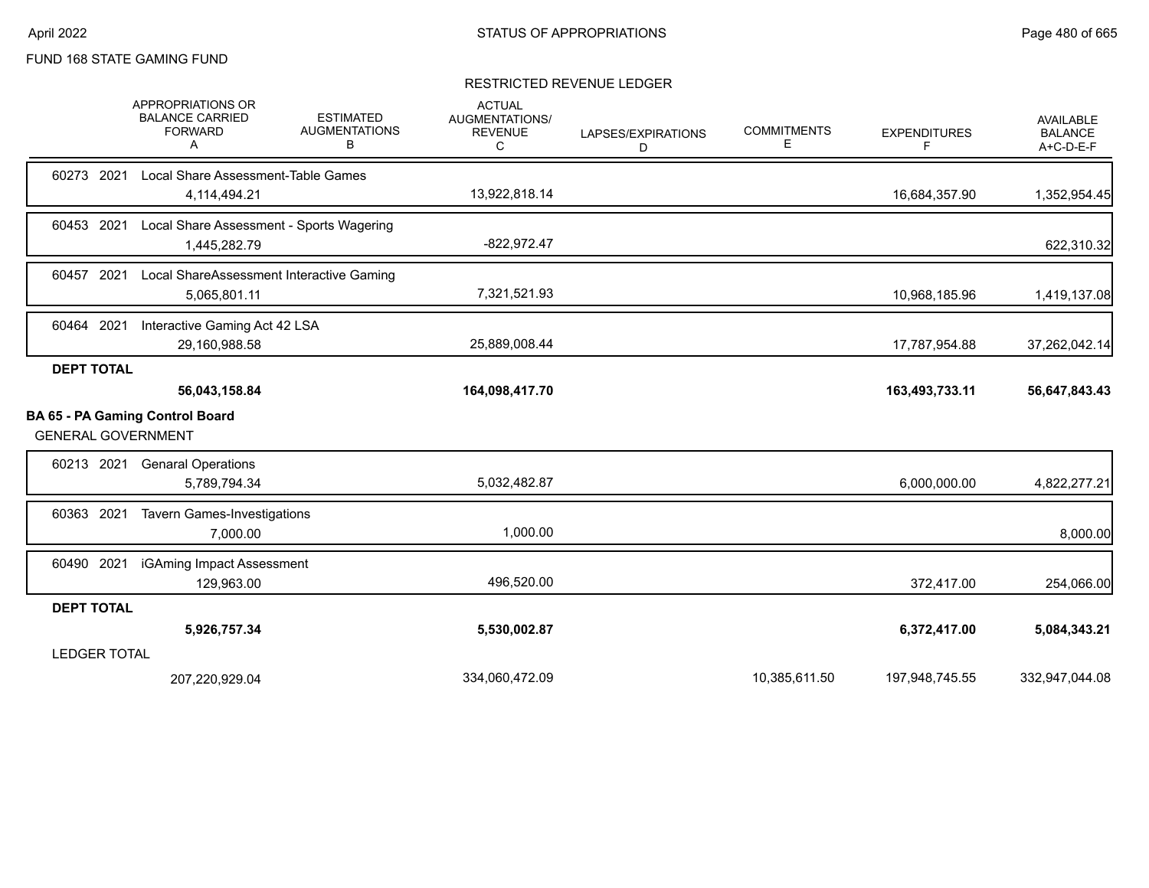#### RESTRICTED REVENUE LEDGER

|            |                     | APPROPRIATIONS OR<br><b>BALANCE CARRIED</b><br><b>FORWARD</b><br>A  | <b>ESTIMATED</b><br><b>AUGMENTATIONS</b><br>в | <b>ACTUAL</b><br><b>AUGMENTATIONS/</b><br><b>REVENUE</b><br>С | LAPSES/EXPIRATIONS<br>D | <b>COMMITMENTS</b><br>Ε | <b>EXPENDITURES</b><br>F | <b>AVAILABLE</b><br><b>BALANCE</b><br>A+C-D-E-F |
|------------|---------------------|---------------------------------------------------------------------|-----------------------------------------------|---------------------------------------------------------------|-------------------------|-------------------------|--------------------------|-------------------------------------------------|
| 60273 2021 |                     | Local Share Assessment-Table Games<br>4,114,494.21                  |                                               | 13,922,818.14                                                 |                         |                         | 16,684,357.90            | 1,352,954.45                                    |
| 60453 2021 |                     | Local Share Assessment - Sports Wagering<br>1,445,282.79            |                                               | $-822,972.47$                                                 |                         |                         |                          | 622,310.32                                      |
| 60457      | 2021                | Local ShareAssessment Interactive Gaming<br>5,065,801.11            |                                               | 7,321,521.93                                                  |                         |                         | 10,968,185.96            | 1,419,137.08                                    |
| 60464 2021 |                     | Interactive Gaming Act 42 LSA<br>29,160,988.58                      |                                               | 25,889,008.44                                                 |                         |                         | 17,787,954.88            | 37,262,042.14                                   |
|            | <b>DEPT TOTAL</b>   |                                                                     |                                               |                                                               |                         |                         |                          |                                                 |
|            |                     | 56,043,158.84                                                       |                                               | 164,098,417.70                                                |                         |                         | 163,493,733.11           | 56,647,843.43                                   |
|            |                     | <b>BA 65 - PA Gaming Control Board</b><br><b>GENERAL GOVERNMENT</b> |                                               |                                                               |                         |                         |                          |                                                 |
| 60213 2021 |                     | <b>Genaral Operations</b><br>5,789,794.34                           |                                               | 5,032,482.87                                                  |                         |                         | 6,000,000.00             | 4,822,277.21                                    |
| 60363 2021 |                     | <b>Tavern Games-Investigations</b><br>7,000.00                      |                                               | 1,000.00                                                      |                         |                         |                          | 8,000.00                                        |
| 60490 2021 |                     | iGAming Impact Assessment<br>129,963.00                             |                                               | 496,520.00                                                    |                         |                         | 372,417.00               | 254,066.00                                      |
|            | <b>DEPT TOTAL</b>   |                                                                     |                                               |                                                               |                         |                         |                          |                                                 |
|            |                     | 5,926,757.34                                                        |                                               | 5,530,002.87                                                  |                         |                         | 6,372,417.00             | 5,084,343.21                                    |
|            | <b>LEDGER TOTAL</b> |                                                                     |                                               |                                                               |                         |                         |                          |                                                 |
|            |                     | 207,220,929.04                                                      |                                               | 334,060,472.09                                                |                         | 10,385,611.50           | 197,948,745.55           | 332,947,044.08                                  |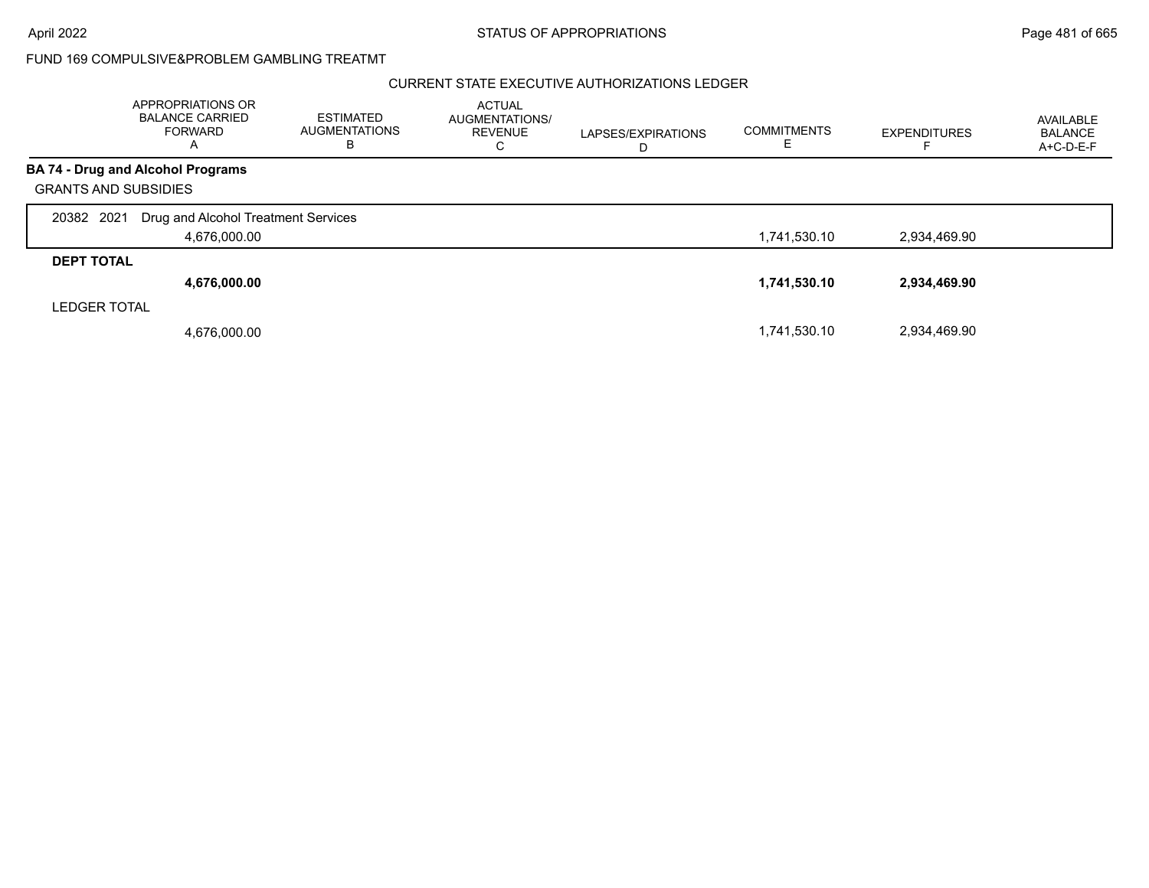#### CURRENT STATE EXECUTIVE AUTHORIZATIONS LEDGER

|                             | <b>APPROPRIATIONS OR</b><br><b>BALANCE CARRIED</b><br><b>FORWARD</b><br>A | <b>ESTIMATED</b><br><b>AUGMENTATIONS</b><br>в | <b>ACTUAL</b><br>AUGMENTATIONS/<br><b>REVENUE</b><br>С | LAPSES/EXPIRATIONS<br>D | <b>COMMITMENTS</b> | <b>EXPENDITURES</b> | AVAILABLE<br><b>BALANCE</b><br>A+C-D-E-F |
|-----------------------------|---------------------------------------------------------------------------|-----------------------------------------------|--------------------------------------------------------|-------------------------|--------------------|---------------------|------------------------------------------|
|                             | <b>BA 74 - Drug and Alcohol Programs</b>                                  |                                               |                                                        |                         |                    |                     |                                          |
| <b>GRANTS AND SUBSIDIES</b> |                                                                           |                                               |                                                        |                         |                    |                     |                                          |
| 20382 2021                  | Drug and Alcohol Treatment Services                                       |                                               |                                                        |                         |                    |                     |                                          |
|                             | 4,676,000.00                                                              |                                               |                                                        |                         | 1,741,530.10       | 2,934,469.90        |                                          |
| <b>DEPT TOTAL</b>           |                                                                           |                                               |                                                        |                         |                    |                     |                                          |
|                             | 4,676,000.00                                                              |                                               |                                                        |                         | 1,741,530.10       | 2,934,469.90        |                                          |
| <b>LEDGER TOTAL</b>         |                                                                           |                                               |                                                        |                         |                    |                     |                                          |
|                             | 4,676,000.00                                                              |                                               |                                                        |                         | 1,741,530.10       | 2.934.469.90        |                                          |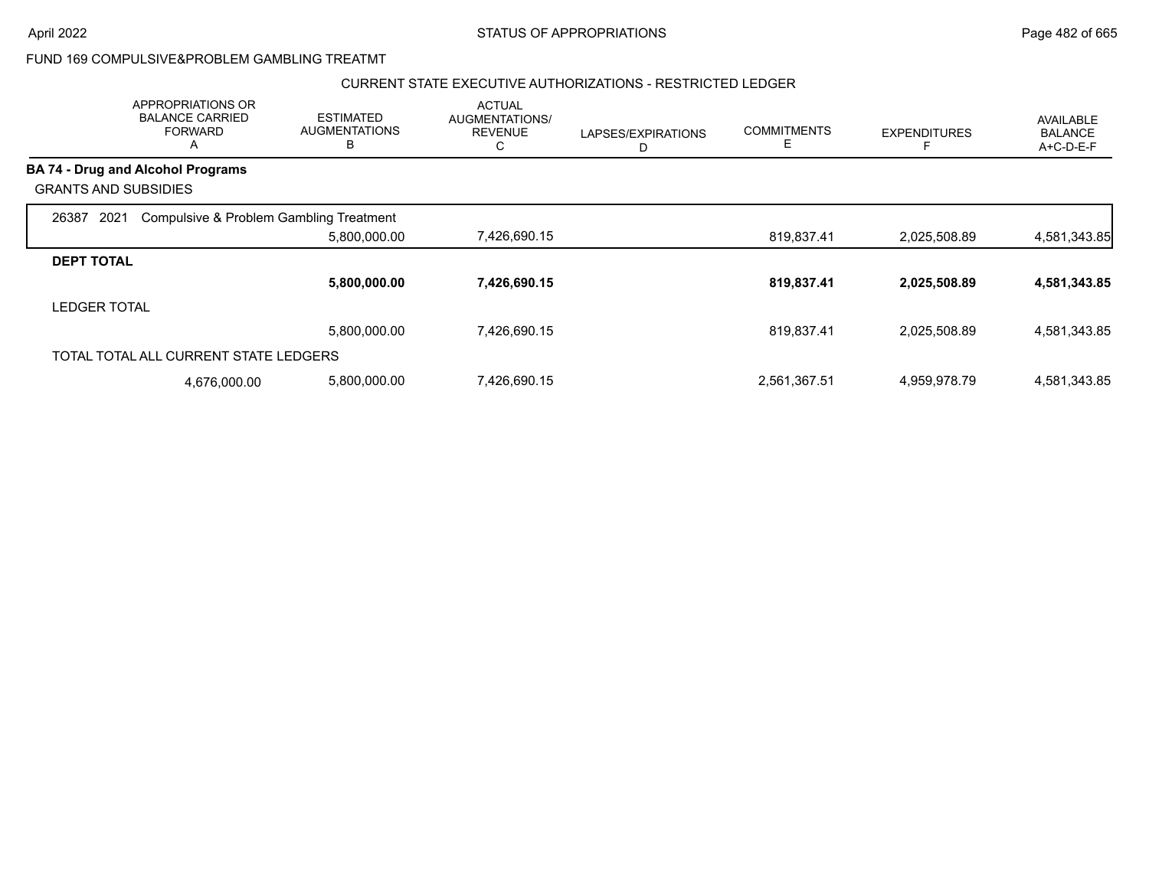#### CURRENT STATE EXECUTIVE AUTHORIZATIONS - RESTRICTED LEDGER

|                             | APPROPRIATIONS OR<br><b>BALANCE CARRIED</b><br><b>FORWARD</b><br>A | <b>ESTIMATED</b><br><b>AUGMENTATIONS</b><br>в | <b>ACTUAL</b><br>AUGMENTATIONS/<br><b>REVENUE</b><br>◡ | LAPSES/EXPIRATIONS<br>D | <b>COMMITMENTS</b><br>E | <b>EXPENDITURES</b> | AVAILABLE<br><b>BALANCE</b><br>A+C-D-E-F |
|-----------------------------|--------------------------------------------------------------------|-----------------------------------------------|--------------------------------------------------------|-------------------------|-------------------------|---------------------|------------------------------------------|
|                             | <b>BA 74 - Drug and Alcohol Programs</b>                           |                                               |                                                        |                         |                         |                     |                                          |
| <b>GRANTS AND SUBSIDIES</b> |                                                                    |                                               |                                                        |                         |                         |                     |                                          |
| 2021<br>26387               | Compulsive & Problem Gambling Treatment                            |                                               |                                                        |                         |                         |                     |                                          |
|                             |                                                                    | 5,800,000.00                                  | 7,426,690.15                                           |                         | 819,837.41              | 2,025,508.89        | 4,581,343.85                             |
| <b>DEPT TOTAL</b>           |                                                                    |                                               |                                                        |                         |                         |                     |                                          |
|                             |                                                                    | 5,800,000.00                                  | 7,426,690.15                                           |                         | 819,837.41              | 2,025,508.89        | 4,581,343.85                             |
| <b>LEDGER TOTAL</b>         |                                                                    |                                               |                                                        |                         |                         |                     |                                          |
|                             |                                                                    | 5,800,000.00                                  | 7,426,690.15                                           |                         | 819,837.41              | 2,025,508.89        | 4,581,343.85                             |
|                             | TOTAL TOTAL ALL CURRENT STATE LEDGERS                              |                                               |                                                        |                         |                         |                     |                                          |
|                             | 4,676,000.00                                                       | 5,800,000.00                                  | 7,426,690.15                                           |                         | 2,561,367.51            | 4,959,978.79        | 4,581,343.85                             |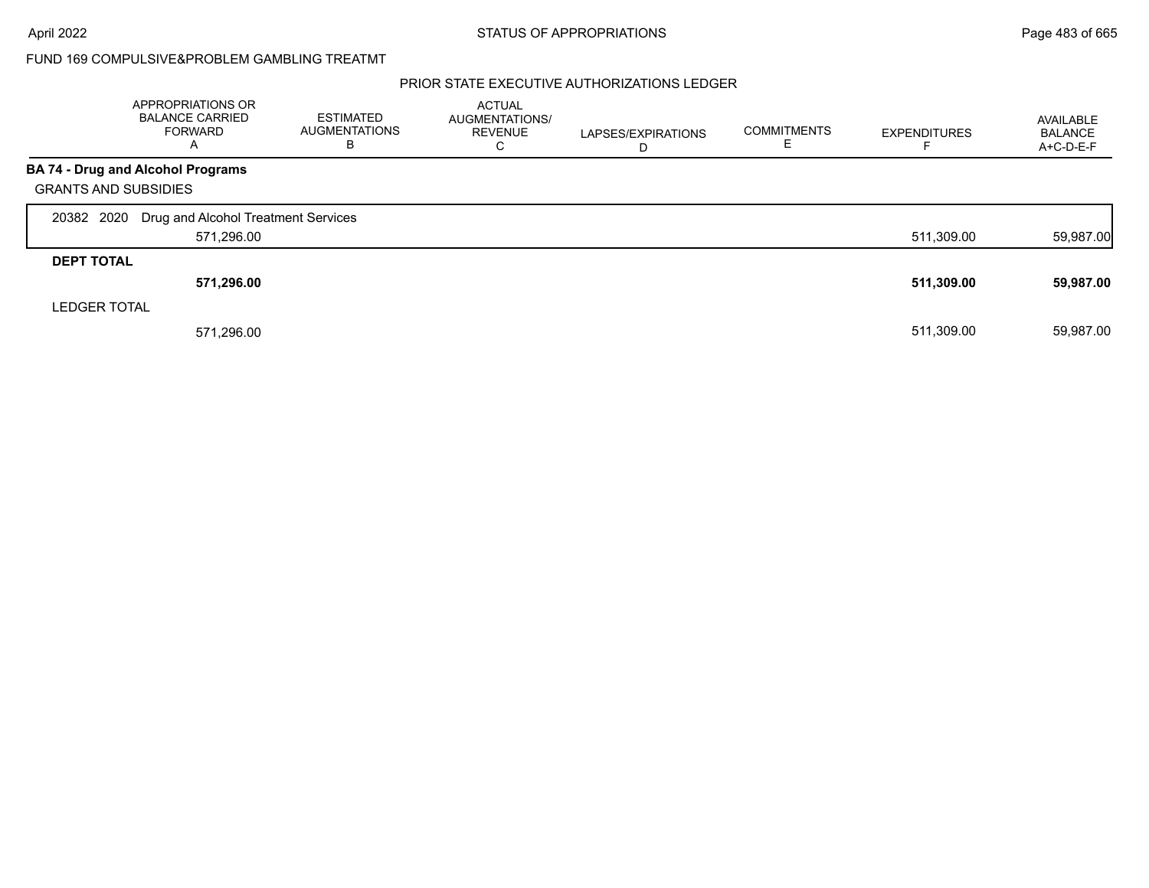### PRIOR STATE EXECUTIVE AUTHORIZATIONS LEDGER

|                             | APPROPRIATIONS OR<br><b>BALANCE CARRIED</b><br>FORWARD<br>A | <b>ESTIMATED</b><br><b>AUGMENTATIONS</b><br>В | <b>ACTUAL</b><br>AUGMENTATIONS/<br><b>REVENUE</b><br>C | LAPSES/EXPIRATIONS<br>D | <b>COMMITMENTS</b> | <b>EXPENDITURES</b> | AVAILABLE<br><b>BALANCE</b><br>A+C-D-E-F |
|-----------------------------|-------------------------------------------------------------|-----------------------------------------------|--------------------------------------------------------|-------------------------|--------------------|---------------------|------------------------------------------|
|                             | <b>BA 74 - Drug and Alcohol Programs</b>                    |                                               |                                                        |                         |                    |                     |                                          |
| <b>GRANTS AND SUBSIDIES</b> |                                                             |                                               |                                                        |                         |                    |                     |                                          |
| 20382 2020                  | Drug and Alcohol Treatment Services                         |                                               |                                                        |                         |                    |                     |                                          |
|                             | 571,296.00                                                  |                                               |                                                        |                         |                    | 511,309.00          | 59,987.00                                |
| <b>DEPT TOTAL</b>           |                                                             |                                               |                                                        |                         |                    |                     |                                          |
|                             | 571,296.00                                                  |                                               |                                                        |                         |                    | 511,309.00          | 59,987.00                                |
| <b>LEDGER TOTAL</b>         |                                                             |                                               |                                                        |                         |                    |                     |                                          |
|                             | 571,296.00                                                  |                                               |                                                        |                         |                    | 511.309.00          | 59,987.00                                |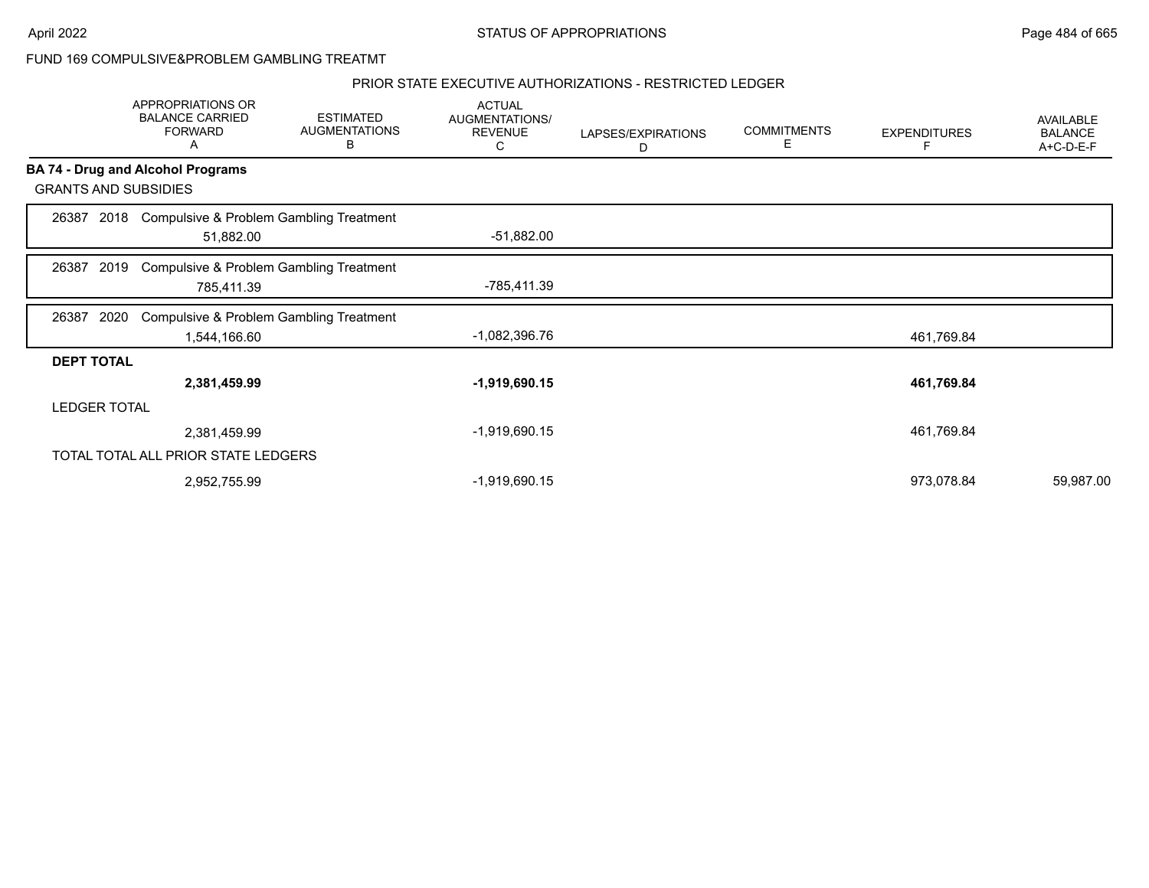#### PRIOR STATE EXECUTIVE AUTHORIZATIONS - RESTRICTED LEDGER

|                   | APPROPRIATIONS OR<br><b>BALANCE CARRIED</b><br><b>FORWARD</b><br>Α | <b>ESTIMATED</b><br><b>AUGMENTATIONS</b><br>В | <b>ACTUAL</b><br>AUGMENTATIONS/<br><b>REVENUE</b><br>С | LAPSES/EXPIRATIONS<br>D | <b>COMMITMENTS</b><br>Е | <b>EXPENDITURES</b><br>F | AVAILABLE<br><b>BALANCE</b><br>A+C-D-E-F |
|-------------------|--------------------------------------------------------------------|-----------------------------------------------|--------------------------------------------------------|-------------------------|-------------------------|--------------------------|------------------------------------------|
|                   | <b>BA 74 - Drug and Alcohol Programs</b>                           |                                               |                                                        |                         |                         |                          |                                          |
|                   | <b>GRANTS AND SUBSIDIES</b>                                        |                                               |                                                        |                         |                         |                          |                                          |
| 26387             | 51,882.00                                                          | 2018 Compulsive & Problem Gambling Treatment  | $-51,882.00$                                           |                         |                         |                          |                                          |
| 26387             | 2019<br>785,411.39                                                 | Compulsive & Problem Gambling Treatment       | -785,411.39                                            |                         |                         |                          |                                          |
| 26387             | 2020                                                               | Compulsive & Problem Gambling Treatment       | -1,082,396.76                                          |                         |                         |                          |                                          |
|                   | 1,544,166.60                                                       |                                               |                                                        |                         |                         | 461,769.84               |                                          |
| <b>DEPT TOTAL</b> | 2,381,459.99                                                       |                                               | $-1,919,690.15$                                        |                         |                         | 461,769.84               |                                          |
|                   | <b>LEDGER TOTAL</b>                                                |                                               |                                                        |                         |                         |                          |                                          |
|                   | 2,381,459.99                                                       |                                               | -1,919,690.15                                          |                         |                         | 461,769.84               |                                          |
|                   | TOTAL TOTAL ALL PRIOR STATE LEDGERS                                |                                               |                                                        |                         |                         |                          |                                          |
|                   | 2,952,755.99                                                       |                                               | -1,919,690.15                                          |                         |                         | 973,078.84               | 59,987.00                                |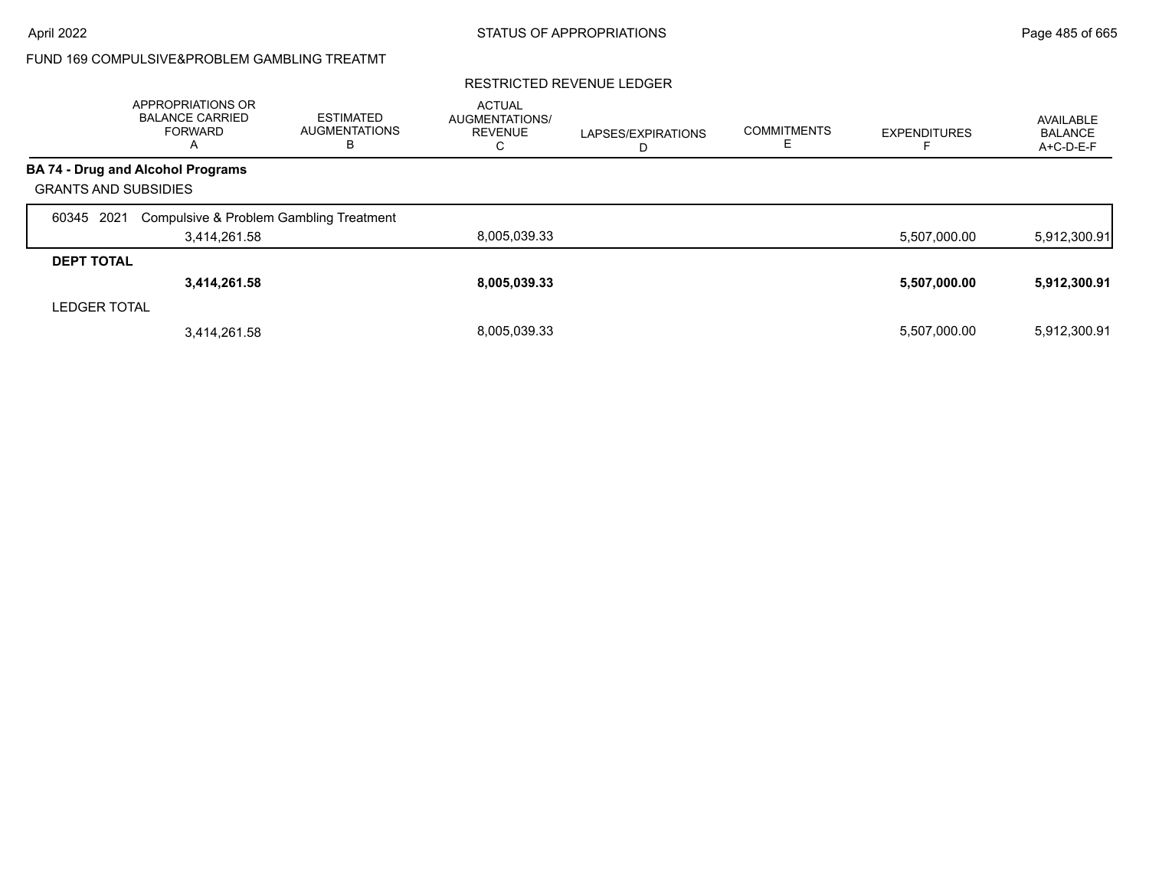#### RESTRICTED REVENUE LEDGER

|                             | APPROPRIATIONS OR<br><b>BALANCE CARRIED</b><br>FORWARD<br>A | <b>ESTIMATED</b><br><b>AUGMENTATIONS</b><br>В | <b>ACTUAL</b><br>AUGMENTATIONS/<br><b>REVENUE</b><br>⌒<br>U | LAPSES/EXPIRATIONS | <b>COMMITMENTS</b><br>E | <b>EXPENDITURES</b> | AVAILABLE<br><b>BALANCE</b><br>A+C-D-E-F |
|-----------------------------|-------------------------------------------------------------|-----------------------------------------------|-------------------------------------------------------------|--------------------|-------------------------|---------------------|------------------------------------------|
|                             | BA 74 - Drug and Alcohol Programs                           |                                               |                                                             |                    |                         |                     |                                          |
| <b>GRANTS AND SUBSIDIES</b> |                                                             |                                               |                                                             |                    |                         |                     |                                          |
| 2021<br>60345               | Compulsive & Problem Gambling Treatment                     |                                               |                                                             |                    |                         |                     |                                          |
|                             | 3,414,261.58                                                |                                               | 8,005,039.33                                                |                    |                         | 5,507,000.00        | 5,912,300.91                             |
| <b>DEPT TOTAL</b>           |                                                             |                                               |                                                             |                    |                         |                     |                                          |
|                             | 3,414,261.58                                                |                                               | 8,005,039.33                                                |                    |                         | 5,507,000.00        | 5,912,300.91                             |
| <b>LEDGER TOTAL</b>         |                                                             |                                               |                                                             |                    |                         |                     |                                          |
|                             | 3,414,261.58                                                |                                               | 8.005.039.33                                                |                    |                         | 5,507,000.00        | 5,912,300.91                             |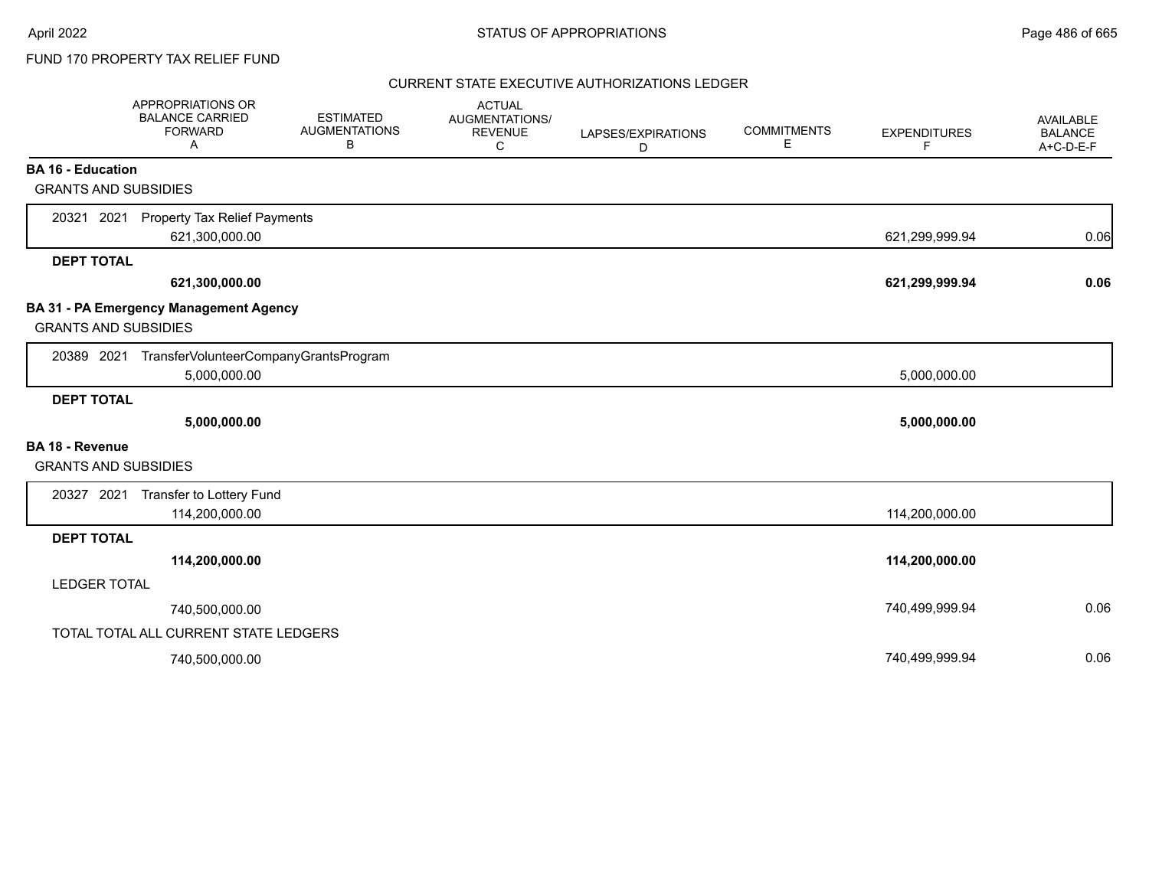### CURRENT STATE EXECUTIVE AUTHORIZATIONS LEDGER

|                                                         | APPROPRIATIONS OR<br><b>BALANCE CARRIED</b><br><b>FORWARD</b><br>A | <b>ESTIMATED</b><br><b>AUGMENTATIONS</b><br>B | <b>ACTUAL</b><br><b>AUGMENTATIONS/</b><br><b>REVENUE</b><br>C | LAPSES/EXPIRATIONS<br>D | <b>COMMITMENTS</b><br>Е | <b>EXPENDITURES</b><br>F | <b>AVAILABLE</b><br><b>BALANCE</b><br>A+C-D-E-F |
|---------------------------------------------------------|--------------------------------------------------------------------|-----------------------------------------------|---------------------------------------------------------------|-------------------------|-------------------------|--------------------------|-------------------------------------------------|
| <b>BA 16 - Education</b><br><b>GRANTS AND SUBSIDIES</b> |                                                                    |                                               |                                                               |                         |                         |                          |                                                 |
|                                                         |                                                                    |                                               |                                                               |                         |                         |                          |                                                 |
| 20321 2021                                              | <b>Property Tax Relief Payments</b><br>621,300,000.00              |                                               |                                                               |                         |                         | 621,299,999.94           | 0.06                                            |
| <b>DEPT TOTAL</b>                                       |                                                                    |                                               |                                                               |                         |                         |                          |                                                 |
|                                                         | 621,300,000.00                                                     |                                               |                                                               |                         |                         | 621,299,999.94           | 0.06                                            |
| <b>GRANTS AND SUBSIDIES</b>                             | BA 31 - PA Emergency Management Agency                             |                                               |                                                               |                         |                         |                          |                                                 |
|                                                         | 20389 2021 TransferVolunteerCompanyGrantsProgram<br>5,000,000.00   |                                               |                                                               |                         |                         | 5,000,000.00             |                                                 |
| <b>DEPT TOTAL</b>                                       |                                                                    |                                               |                                                               |                         |                         |                          |                                                 |
|                                                         | 5,000,000.00                                                       |                                               |                                                               |                         |                         | 5,000,000.00             |                                                 |
| <b>BA 18 - Revenue</b>                                  |                                                                    |                                               |                                                               |                         |                         |                          |                                                 |
| <b>GRANTS AND SUBSIDIES</b>                             |                                                                    |                                               |                                                               |                         |                         |                          |                                                 |
|                                                         | 20327 2021 Transfer to Lottery Fund                                |                                               |                                                               |                         |                         |                          |                                                 |
|                                                         | 114,200,000.00                                                     |                                               |                                                               |                         |                         | 114,200,000.00           |                                                 |
| <b>DEPT TOTAL</b>                                       |                                                                    |                                               |                                                               |                         |                         |                          |                                                 |
|                                                         | 114,200,000.00                                                     |                                               |                                                               |                         |                         | 114,200,000.00           |                                                 |
| <b>LEDGER TOTAL</b>                                     |                                                                    |                                               |                                                               |                         |                         |                          |                                                 |
|                                                         | 740,500,000.00                                                     |                                               |                                                               |                         |                         | 740,499,999.94           | 0.06                                            |
|                                                         | TOTAL TOTAL ALL CURRENT STATE LEDGERS                              |                                               |                                                               |                         |                         |                          |                                                 |
|                                                         | 740,500,000.00                                                     |                                               |                                                               |                         |                         | 740,499,999.94           | 0.06                                            |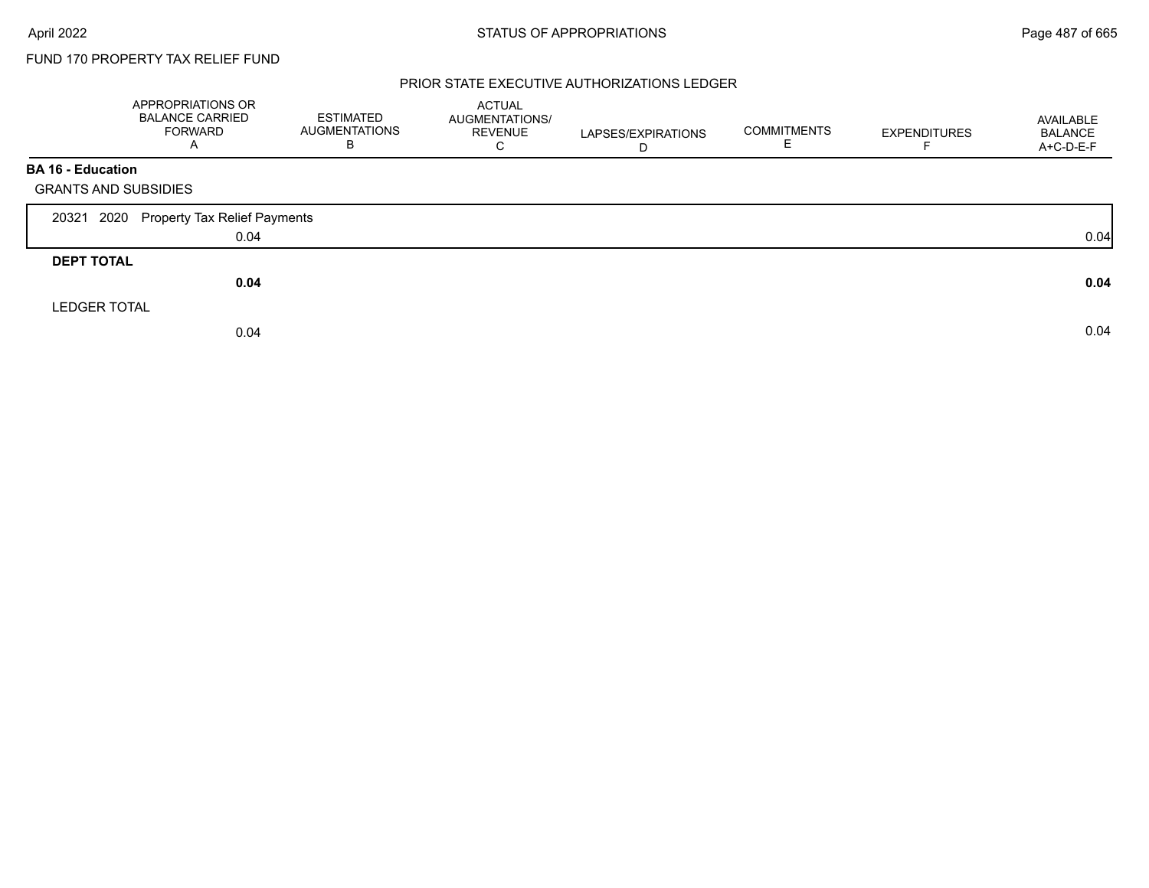#### PRIOR STATE EXECUTIVE AUTHORIZATIONS LEDGER

|                             | APPROPRIATIONS OR<br><b>BALANCE CARRIED</b><br><b>FORWARD</b><br>A | <b>ESTIMATED</b><br><b>AUGMENTATIONS</b><br>В | ACTUAL<br>AUGMENTATIONS/<br><b>REVENUE</b><br>C | LAPSES/EXPIRATIONS<br>D | <b>COMMITMENTS</b><br>ᄇ | <b>EXPENDITURES</b> | AVAILABLE<br><b>BALANCE</b><br>A+C-D-E-F |
|-----------------------------|--------------------------------------------------------------------|-----------------------------------------------|-------------------------------------------------|-------------------------|-------------------------|---------------------|------------------------------------------|
| <b>BA 16 - Education</b>    |                                                                    |                                               |                                                 |                         |                         |                     |                                          |
| <b>GRANTS AND SUBSIDIES</b> |                                                                    |                                               |                                                 |                         |                         |                     |                                          |
| 2020<br>20321               | Property Tax Relief Payments                                       |                                               |                                                 |                         |                         |                     |                                          |
|                             | 0.04                                                               |                                               |                                                 |                         |                         |                     | 0.04                                     |
| <b>DEPT TOTAL</b>           |                                                                    |                                               |                                                 |                         |                         |                     |                                          |
|                             | 0.04                                                               |                                               |                                                 |                         |                         |                     | 0.04                                     |
| <b>LEDGER TOTAL</b>         |                                                                    |                                               |                                                 |                         |                         |                     |                                          |
|                             | 0.04                                                               |                                               |                                                 |                         |                         |                     | 0.04                                     |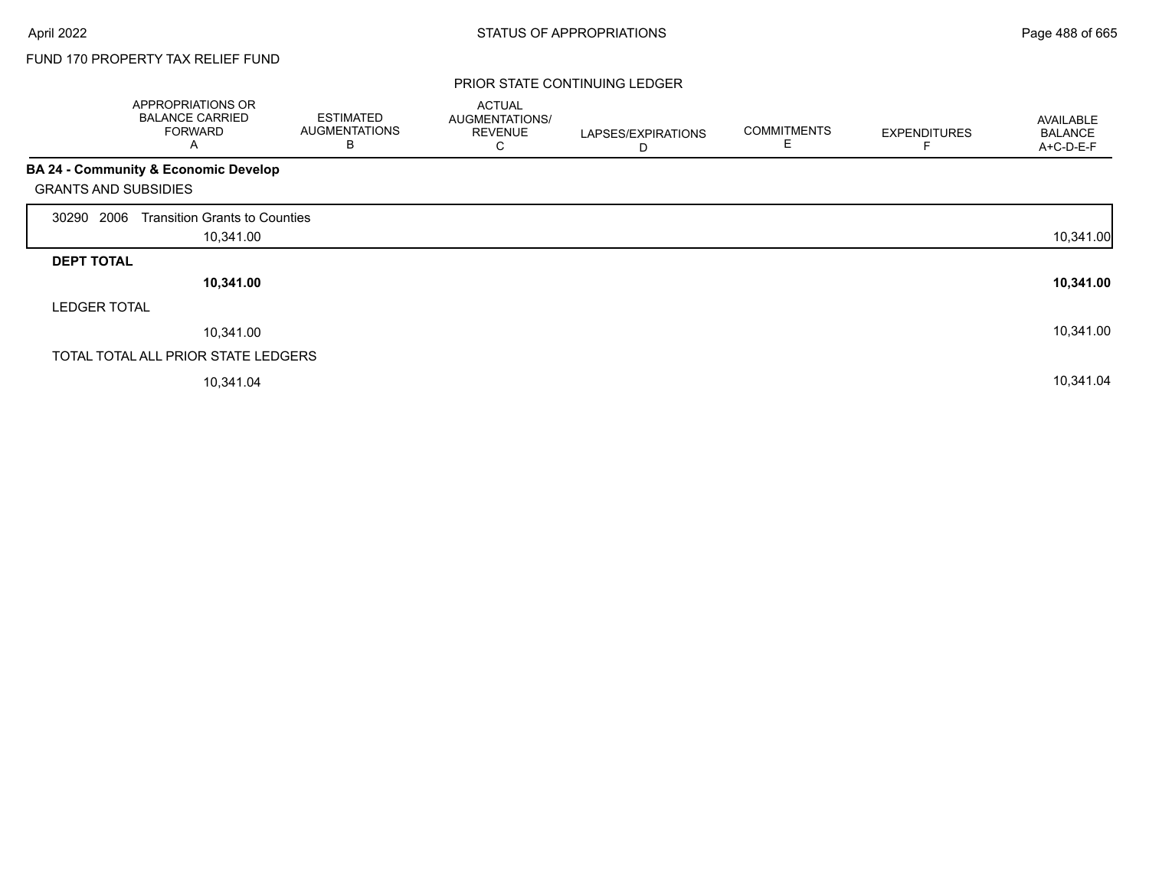#### PRIOR STATE CONTINUING LEDGER

|                     | APPROPRIATIONS OR<br><b>BALANCE CARRIED</b><br><b>FORWARD</b><br>A | <b>ESTIMATED</b><br><b>AUGMENTATIONS</b><br>B | <b>ACTUAL</b><br><b>AUGMENTATIONS/</b><br><b>REVENUE</b><br>С | LAPSES/EXPIRATIONS<br>D | <b>COMMITMENTS</b><br>E | <b>EXPENDITURES</b> | AVAILABLE<br><b>BALANCE</b><br>A+C-D-E-F |
|---------------------|--------------------------------------------------------------------|-----------------------------------------------|---------------------------------------------------------------|-------------------------|-------------------------|---------------------|------------------------------------------|
|                     | <b>BA 24 - Community &amp; Economic Develop</b>                    |                                               |                                                               |                         |                         |                     |                                          |
|                     | <b>GRANTS AND SUBSIDIES</b>                                        |                                               |                                                               |                         |                         |                     |                                          |
| 2006<br>30290       | <b>Transition Grants to Counties</b>                               |                                               |                                                               |                         |                         |                     |                                          |
|                     | 10,341.00                                                          |                                               |                                                               |                         |                         |                     | 10,341.00                                |
| <b>DEPT TOTAL</b>   |                                                                    |                                               |                                                               |                         |                         |                     |                                          |
|                     | 10,341.00                                                          |                                               |                                                               |                         |                         |                     | 10,341.00                                |
| <b>LEDGER TOTAL</b> |                                                                    |                                               |                                                               |                         |                         |                     |                                          |
|                     | 10,341.00                                                          |                                               |                                                               |                         |                         |                     | 10,341.00                                |
|                     | TOTAL TOTAL ALL PRIOR STATE LEDGERS                                |                                               |                                                               |                         |                         |                     |                                          |
|                     | 10,341.04                                                          |                                               |                                                               |                         |                         |                     | 10,341.04                                |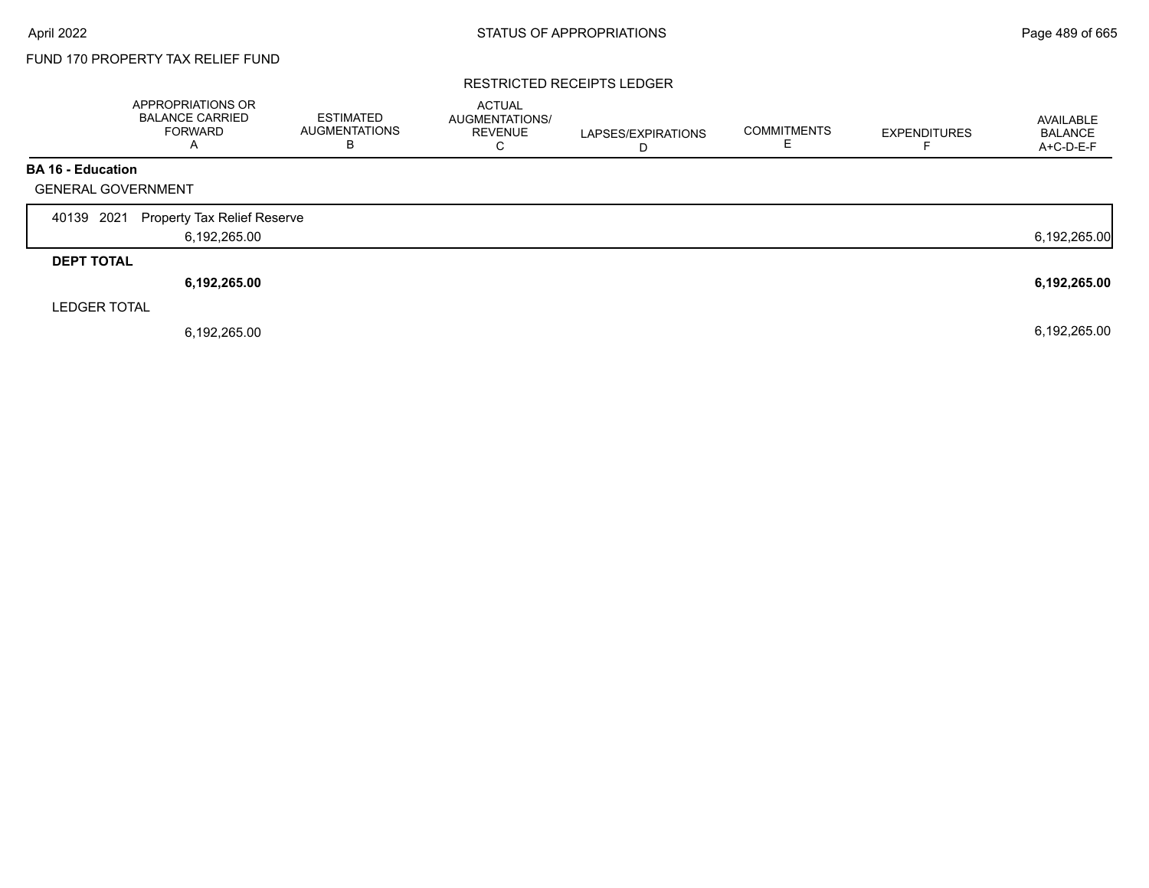#### RESTRICTED RECEIPTS LEDGER

|                           | APPROPRIATIONS OR<br><b>BALANCE CARRIED</b><br><b>FORWARD</b><br>А | <b>ESTIMATED</b><br><b>AUGMENTATIONS</b><br>B | <b>ACTUAL</b><br>AUGMENTATIONS/<br><b>REVENUE</b><br>C | LAPSES/EXPIRATIONS<br>D | <b>COMMITMENTS</b> | <b>EXPENDITURES</b> | AVAILABLE<br><b>BALANCE</b><br>A+C-D-E-F |
|---------------------------|--------------------------------------------------------------------|-----------------------------------------------|--------------------------------------------------------|-------------------------|--------------------|---------------------|------------------------------------------|
| <b>BA 16 - Education</b>  |                                                                    |                                               |                                                        |                         |                    |                     |                                          |
| <b>GENERAL GOVERNMENT</b> |                                                                    |                                               |                                                        |                         |                    |                     |                                          |
| 2021<br>40139             | <b>Property Tax Relief Reserve</b>                                 |                                               |                                                        |                         |                    |                     |                                          |
|                           | 6,192,265.00                                                       |                                               |                                                        |                         |                    |                     | 6,192,265.00                             |
| <b>DEPT TOTAL</b>         |                                                                    |                                               |                                                        |                         |                    |                     |                                          |
|                           | 6,192,265.00                                                       |                                               |                                                        |                         |                    |                     | 6,192,265.00                             |
| <b>LEDGER TOTAL</b>       |                                                                    |                                               |                                                        |                         |                    |                     |                                          |
|                           | 6,192,265.00                                                       |                                               |                                                        |                         |                    |                     | 6,192,265.00                             |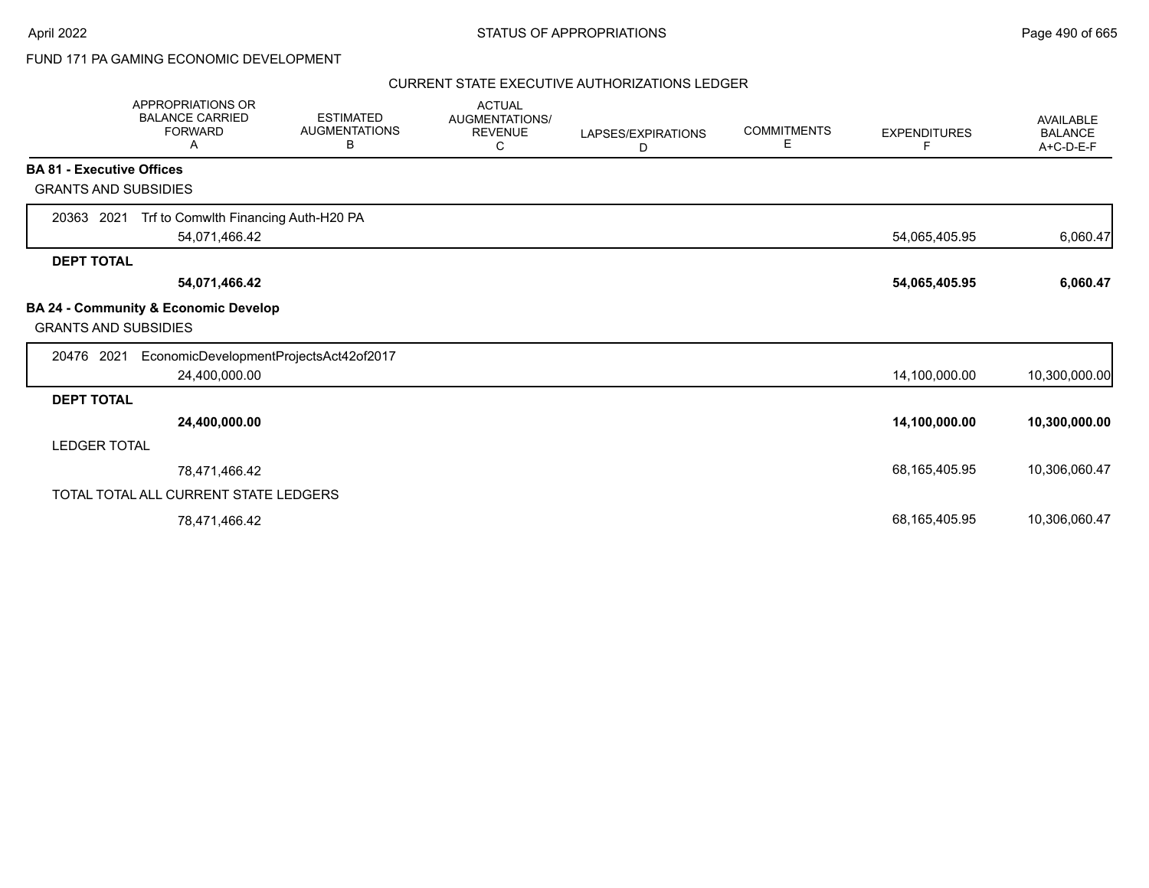# FUND 171 PA GAMING ECONOMIC DEVELOPMENT

#### CURRENT STATE EXECUTIVE AUTHORIZATIONS LEDGER

|                                  | APPROPRIATIONS OR<br><b>BALANCE CARRIED</b><br><b>FORWARD</b><br>A | <b>ESTIMATED</b><br><b>AUGMENTATIONS</b><br>В | <b>ACTUAL</b><br><b>AUGMENTATIONS/</b><br><b>REVENUE</b><br>С | LAPSES/EXPIRATIONS<br>D | <b>COMMITMENTS</b><br>E. | <b>EXPENDITURES</b><br>F | <b>AVAILABLE</b><br><b>BALANCE</b><br>A+C-D-E-F |
|----------------------------------|--------------------------------------------------------------------|-----------------------------------------------|---------------------------------------------------------------|-------------------------|--------------------------|--------------------------|-------------------------------------------------|
| <b>BA 81 - Executive Offices</b> |                                                                    |                                               |                                                               |                         |                          |                          |                                                 |
| <b>GRANTS AND SUBSIDIES</b>      |                                                                    |                                               |                                                               |                         |                          |                          |                                                 |
| 20363 2021                       | Trf to Comwlth Financing Auth-H20 PA<br>54,071,466.42              |                                               |                                                               |                         |                          | 54,065,405.95            | 6,060.47                                        |
| <b>DEPT TOTAL</b>                |                                                                    |                                               |                                                               |                         |                          |                          |                                                 |
|                                  | 54,071,466.42                                                      |                                               |                                                               |                         |                          | 54,065,405.95            | 6,060.47                                        |
| <b>GRANTS AND SUBSIDIES</b>      | <b>BA 24 - Community &amp; Economic Develop</b>                    |                                               |                                                               |                         |                          |                          |                                                 |
| 20476 2021                       | EconomicDevelopmentProjectsAct42of2017<br>24,400,000.00            |                                               |                                                               |                         |                          | 14,100,000.00            | 10,300,000.00                                   |
| <b>DEPT TOTAL</b>                |                                                                    |                                               |                                                               |                         |                          |                          |                                                 |
|                                  | 24,400,000.00                                                      |                                               |                                                               |                         |                          | 14,100,000.00            | 10,300,000.00                                   |
| <b>LEDGER TOTAL</b>              |                                                                    |                                               |                                                               |                         |                          |                          |                                                 |
|                                  | 78,471,466.42                                                      |                                               |                                                               |                         |                          | 68,165,405.95            | 10,306,060.47                                   |
|                                  | TOTAL TOTAL ALL CURRENT STATE LEDGERS                              |                                               |                                                               |                         |                          |                          |                                                 |
|                                  | 78,471,466.42                                                      |                                               |                                                               |                         |                          | 68,165,405.95            | 10,306,060.47                                   |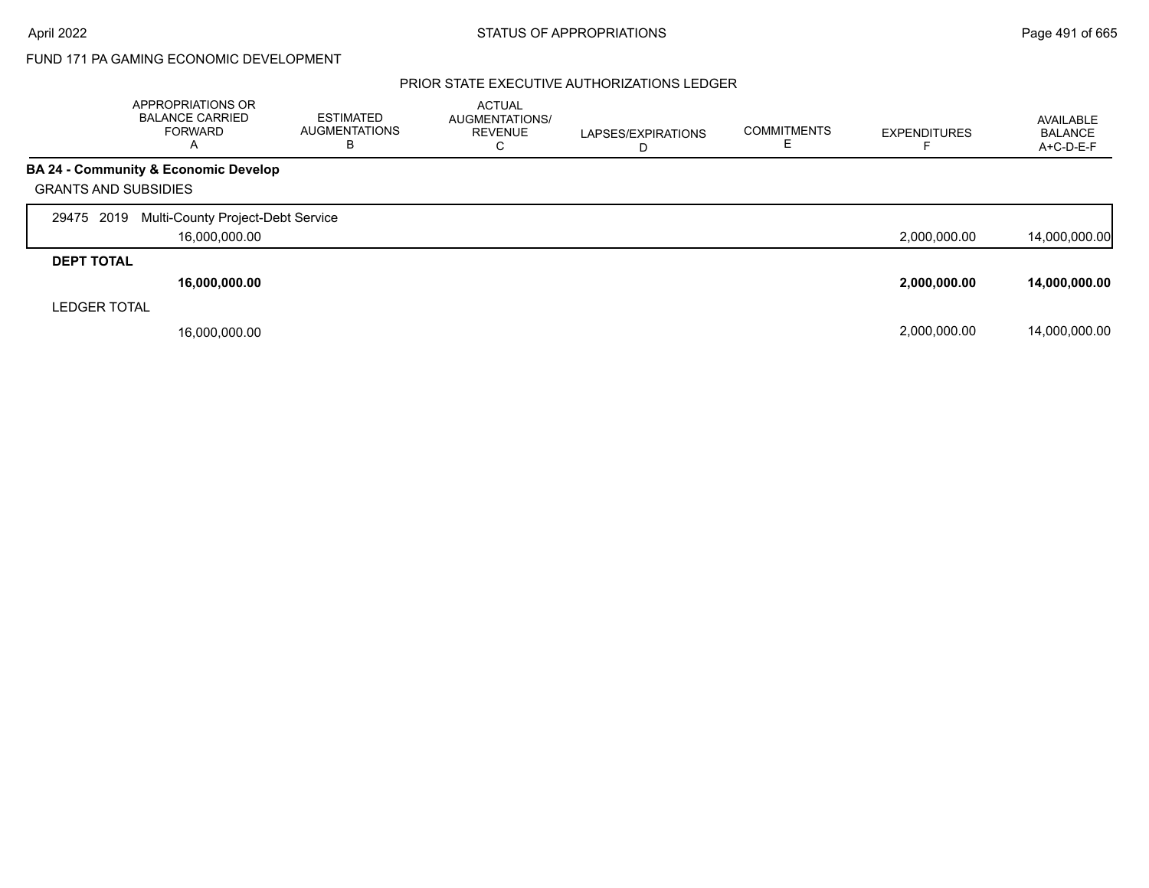# FUND 171 PA GAMING ECONOMIC DEVELOPMENT

### PRIOR STATE EXECUTIVE AUTHORIZATIONS LEDGER

|                             | APPROPRIATIONS OR<br><b>BALANCE CARRIED</b><br>FORWARD<br>A | <b>ESTIMATED</b><br>AUGMENTATIONS<br>в | <b>ACTUAL</b><br>AUGMENTATIONS/<br><b>REVENUE</b><br>С | LAPSES/EXPIRATIONS<br>D | <b>COMMITMENTS</b> | <b>EXPENDITURES</b> | AVAILABLE<br><b>BALANCE</b><br>A+C-D-E-F |
|-----------------------------|-------------------------------------------------------------|----------------------------------------|--------------------------------------------------------|-------------------------|--------------------|---------------------|------------------------------------------|
|                             | BA 24 - Community & Economic Develop                        |                                        |                                                        |                         |                    |                     |                                          |
| <b>GRANTS AND SUBSIDIES</b> |                                                             |                                        |                                                        |                         |                    |                     |                                          |
| 29475 2019                  | Multi-County Project-Debt Service                           |                                        |                                                        |                         |                    |                     |                                          |
|                             | 16,000,000.00                                               |                                        |                                                        |                         |                    | 2,000,000.00        | 14,000,000.00                            |
| <b>DEPT TOTAL</b>           |                                                             |                                        |                                                        |                         |                    |                     |                                          |
|                             | 16,000,000.00                                               |                                        |                                                        |                         |                    | 2,000,000.00        | 14,000,000.00                            |
| <b>LEDGER TOTAL</b>         |                                                             |                                        |                                                        |                         |                    |                     |                                          |
|                             | 16,000,000.00                                               |                                        |                                                        |                         |                    | 2,000,000.00        | 14,000,000.00                            |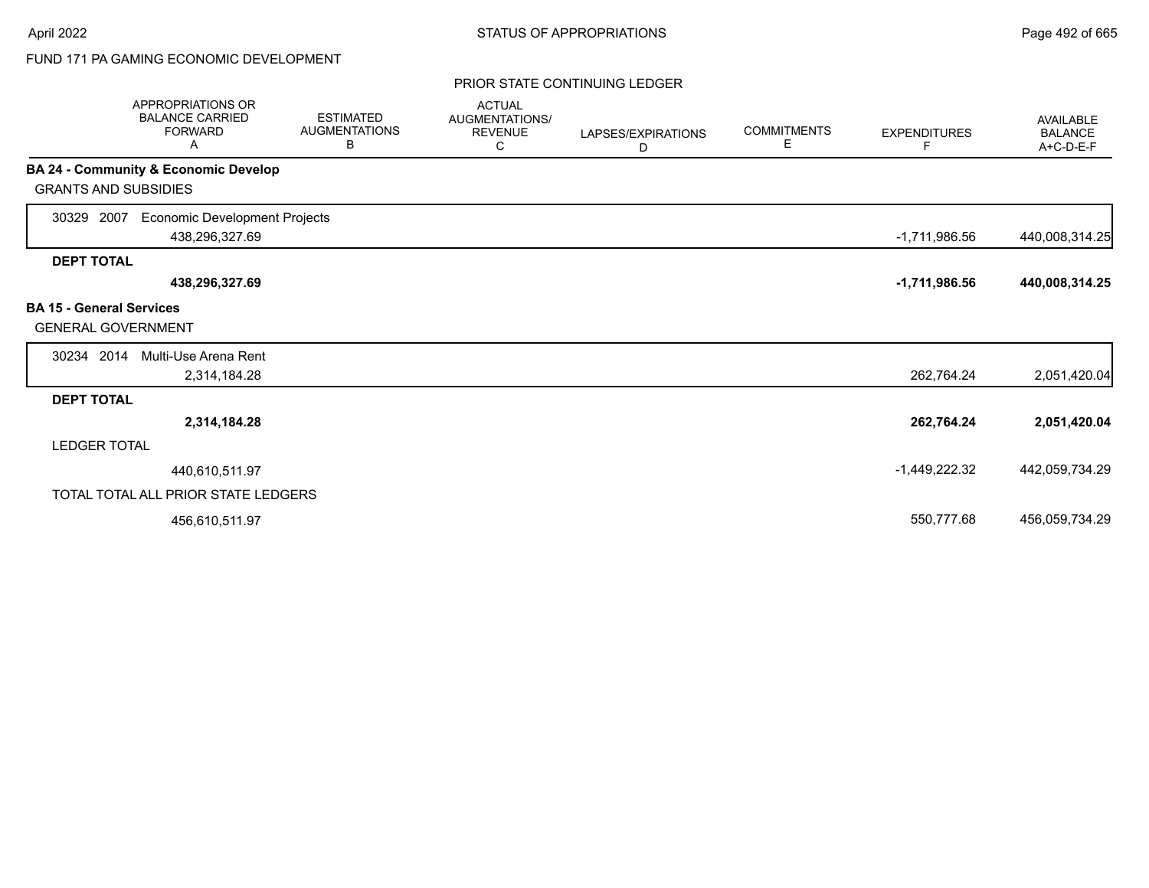# FUND 171 PA GAMING ECONOMIC DEVELOPMENT

#### PRIOR STATE CONTINUING LEDGER

| APPROPRIATIONS OR<br><b>BALANCE CARRIED</b><br><b>FORWARD</b><br>Α   | <b>ESTIMATED</b><br><b>AUGMENTATIONS</b><br>В | <b>ACTUAL</b><br>AUGMENTATIONS/<br><b>REVENUE</b><br>C | LAPSES/EXPIRATIONS<br>D | <b>COMMITMENTS</b><br>Е | <b>EXPENDITURES</b><br>F. | <b>AVAILABLE</b><br><b>BALANCE</b><br>A+C-D-E-F |
|----------------------------------------------------------------------|-----------------------------------------------|--------------------------------------------------------|-------------------------|-------------------------|---------------------------|-------------------------------------------------|
| <b>BA 24 - Community &amp; Economic Develop</b>                      |                                               |                                                        |                         |                         |                           |                                                 |
| <b>GRANTS AND SUBSIDIES</b>                                          |                                               |                                                        |                         |                         |                           |                                                 |
| 30329 2007<br><b>Economic Development Projects</b><br>438,296,327.69 |                                               |                                                        |                         |                         | $-1,711,986.56$           | 440,008,314.25                                  |
| <b>DEPT TOTAL</b>                                                    |                                               |                                                        |                         |                         |                           |                                                 |
| 438,296,327.69                                                       |                                               |                                                        |                         |                         | $-1,711,986.56$           | 440,008,314.25                                  |
| <b>BA 15 - General Services</b><br><b>GENERAL GOVERNMENT</b>         |                                               |                                                        |                         |                         |                           |                                                 |
| 30234 2014<br>Multi-Use Arena Rent                                   |                                               |                                                        |                         |                         |                           |                                                 |
| 2,314,184.28                                                         |                                               |                                                        |                         |                         | 262,764.24                | 2,051,420.04                                    |
| <b>DEPT TOTAL</b>                                                    |                                               |                                                        |                         |                         |                           |                                                 |
| 2,314,184.28                                                         |                                               |                                                        |                         |                         | 262,764.24                | 2,051,420.04                                    |
| <b>LEDGER TOTAL</b>                                                  |                                               |                                                        |                         |                         |                           |                                                 |
| 440,610,511.97                                                       |                                               |                                                        |                         |                         | $-1,449,222.32$           | 442,059,734.29                                  |
| TOTAL TOTAL ALL PRIOR STATE LEDGERS                                  |                                               |                                                        |                         |                         |                           |                                                 |
| 456,610,511.97                                                       |                                               |                                                        |                         |                         | 550,777.68                | 456,059,734.29                                  |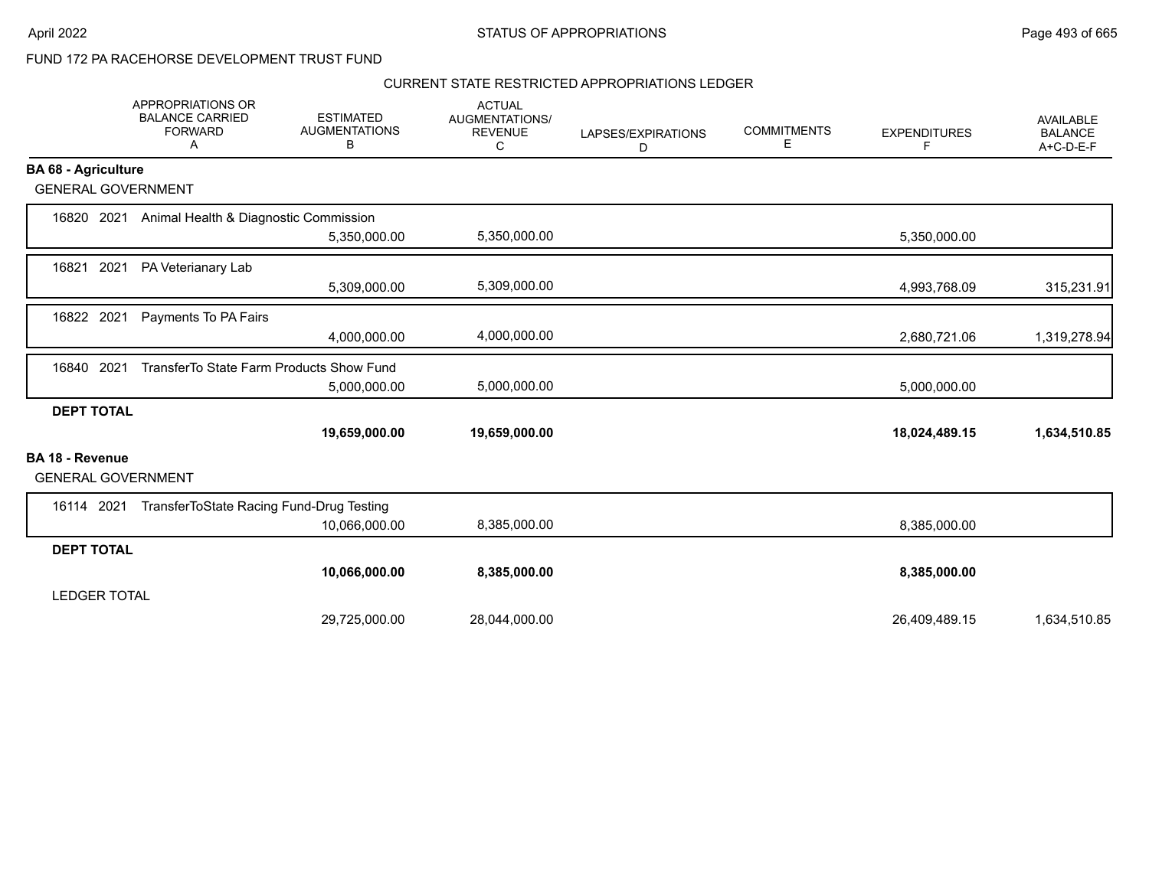### CURRENT STATE RESTRICTED APPROPRIATIONS LEDGER

|                                                     | APPROPRIATIONS OR<br><b>BALANCE CARRIED</b><br><b>FORWARD</b><br>A | <b>ESTIMATED</b><br><b>AUGMENTATIONS</b><br>В | <b>ACTUAL</b><br>AUGMENTATIONS/<br><b>REVENUE</b><br>C | LAPSES/EXPIRATIONS<br>D | <b>COMMITMENTS</b><br>Е | <b>EXPENDITURES</b><br>F | <b>AVAILABLE</b><br><b>BALANCE</b><br>A+C-D-E-F |
|-----------------------------------------------------|--------------------------------------------------------------------|-----------------------------------------------|--------------------------------------------------------|-------------------------|-------------------------|--------------------------|-------------------------------------------------|
| <b>BA 68 - Agriculture</b>                          |                                                                    |                                               |                                                        |                         |                         |                          |                                                 |
| <b>GENERAL GOVERNMENT</b>                           |                                                                    |                                               |                                                        |                         |                         |                          |                                                 |
| 16820 2021                                          | Animal Health & Diagnostic Commission                              |                                               |                                                        |                         |                         |                          |                                                 |
|                                                     |                                                                    | 5,350,000.00                                  | 5,350,000.00                                           |                         |                         | 5,350,000.00             |                                                 |
| 2021<br>16821                                       | PA Veterianary Lab                                                 |                                               |                                                        |                         |                         |                          |                                                 |
|                                                     |                                                                    | 5,309,000.00                                  | 5,309,000.00                                           |                         |                         | 4,993,768.09             | 315,231.91                                      |
| 16822 2021                                          | Payments To PA Fairs                                               |                                               |                                                        |                         |                         |                          |                                                 |
|                                                     |                                                                    | 4,000,000.00                                  | 4,000,000.00                                           |                         |                         | 2,680,721.06             | 1,319,278.94                                    |
| 2021<br>16840                                       | TransferTo State Farm Products Show Fund                           |                                               |                                                        |                         |                         |                          |                                                 |
|                                                     |                                                                    | 5,000,000.00                                  | 5,000,000.00                                           |                         |                         | 5,000,000.00             |                                                 |
| <b>DEPT TOTAL</b>                                   |                                                                    |                                               |                                                        |                         |                         |                          |                                                 |
|                                                     |                                                                    | 19,659,000.00                                 | 19,659,000.00                                          |                         |                         | 18,024,489.15            | 1,634,510.85                                    |
| <b>BA 18 - Revenue</b><br><b>GENERAL GOVERNMENT</b> |                                                                    |                                               |                                                        |                         |                         |                          |                                                 |
| 16114 2021                                          | TransferToState Racing Fund-Drug Testing                           |                                               |                                                        |                         |                         |                          |                                                 |
|                                                     |                                                                    | 10,066,000.00                                 | 8,385,000.00                                           |                         |                         | 8,385,000.00             |                                                 |
| <b>DEPT TOTAL</b>                                   |                                                                    |                                               |                                                        |                         |                         |                          |                                                 |
|                                                     |                                                                    | 10,066,000.00                                 | 8,385,000.00                                           |                         |                         | 8,385,000.00             |                                                 |
| <b>LEDGER TOTAL</b>                                 |                                                                    |                                               |                                                        |                         |                         |                          |                                                 |
|                                                     |                                                                    | 29,725,000.00                                 | 28,044,000.00                                          |                         |                         | 26,409,489.15            | 1,634,510.85                                    |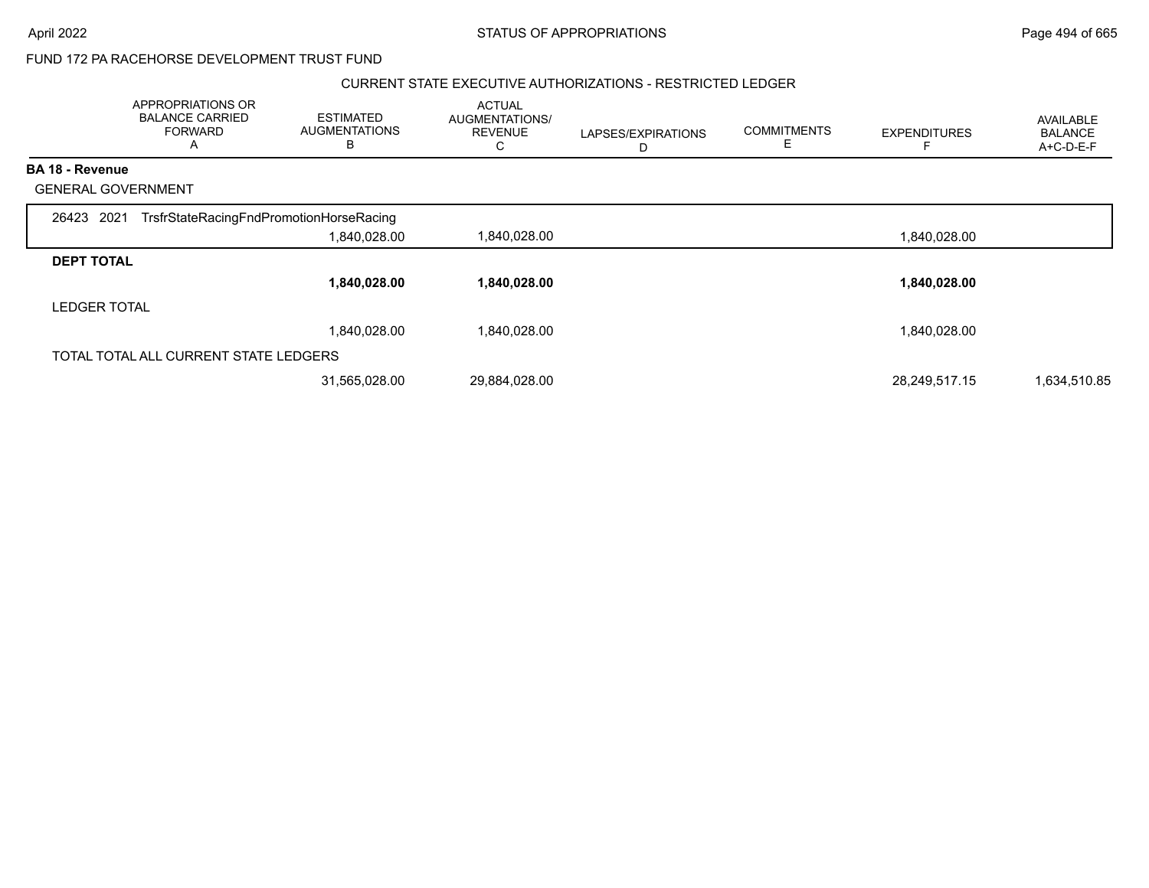#### CURRENT STATE EXECUTIVE AUTHORIZATIONS - RESTRICTED LEDGER

|                           | APPROPRIATIONS OR<br><b>BALANCE CARRIED</b><br><b>FORWARD</b><br>A | <b>ESTIMATED</b><br><b>AUGMENTATIONS</b><br>B | <b>ACTUAL</b><br>AUGMENTATIONS/<br><b>REVENUE</b><br>C | LAPSES/EXPIRATIONS<br>D | <b>COMMITMENTS</b><br>E | <b>EXPENDITURES</b> | <b>AVAILABLE</b><br><b>BALANCE</b><br>A+C-D-E-F |
|---------------------------|--------------------------------------------------------------------|-----------------------------------------------|--------------------------------------------------------|-------------------------|-------------------------|---------------------|-------------------------------------------------|
| <b>BA 18 - Revenue</b>    |                                                                    |                                               |                                                        |                         |                         |                     |                                                 |
| <b>GENERAL GOVERNMENT</b> |                                                                    |                                               |                                                        |                         |                         |                     |                                                 |
| 26423 2021                | TrsfrStateRacingFndPromotionHorseRacing                            |                                               |                                                        |                         |                         |                     |                                                 |
|                           |                                                                    | 1,840,028.00                                  | 1,840,028.00                                           |                         |                         | 1,840,028.00        |                                                 |
| <b>DEPT TOTAL</b>         |                                                                    |                                               |                                                        |                         |                         |                     |                                                 |
|                           |                                                                    | 1,840,028.00                                  | 1,840,028.00                                           |                         |                         | 1,840,028.00        |                                                 |
| <b>LEDGER TOTAL</b>       |                                                                    |                                               |                                                        |                         |                         |                     |                                                 |
|                           |                                                                    | 1,840,028.00                                  | 1,840,028.00                                           |                         |                         | 1,840,028.00        |                                                 |
|                           | TOTAL TOTAL ALL CURRENT STATE LEDGERS                              |                                               |                                                        |                         |                         |                     |                                                 |
|                           |                                                                    | 31,565,028.00                                 | 29,884,028.00                                          |                         |                         | 28,249,517.15       | 1,634,510.85                                    |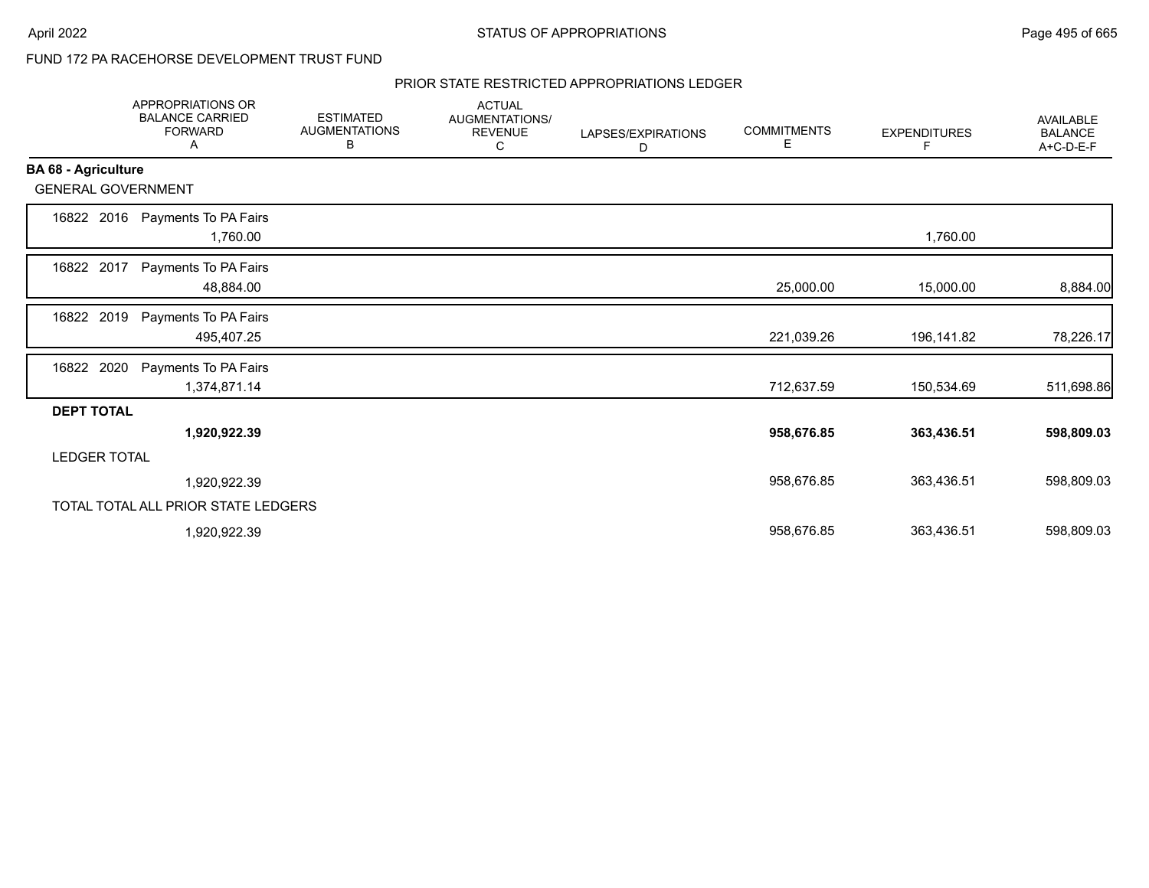#### PRIOR STATE RESTRICTED APPROPRIATIONS LEDGER

|                            | <b>APPROPRIATIONS OR</b><br><b>BALANCE CARRIED</b><br><b>FORWARD</b><br>A | <b>ESTIMATED</b><br><b>AUGMENTATIONS</b><br>В | <b>ACTUAL</b><br>AUGMENTATIONS/<br><b>REVENUE</b><br>С | LAPSES/EXPIRATIONS<br>D | <b>COMMITMENTS</b><br>Е | <b>EXPENDITURES</b><br>F. | <b>AVAILABLE</b><br><b>BALANCE</b><br>A+C-D-E-F |
|----------------------------|---------------------------------------------------------------------------|-----------------------------------------------|--------------------------------------------------------|-------------------------|-------------------------|---------------------------|-------------------------------------------------|
| <b>BA 68 - Agriculture</b> |                                                                           |                                               |                                                        |                         |                         |                           |                                                 |
| <b>GENERAL GOVERNMENT</b>  |                                                                           |                                               |                                                        |                         |                         |                           |                                                 |
| 16822 2016                 | Payments To PA Fairs<br>1,760.00                                          |                                               |                                                        |                         |                         | 1,760.00                  |                                                 |
| 16822 2017                 | Payments To PA Fairs<br>48,884.00                                         |                                               |                                                        |                         | 25,000.00               | 15,000.00                 | 8,884.00                                        |
| 16822<br>2019              | Payments To PA Fairs<br>495,407.25                                        |                                               |                                                        |                         | 221,039.26              | 196,141.82                | 78,226.17                                       |
| 16822 2020                 | Payments To PA Fairs<br>1,374,871.14                                      |                                               |                                                        |                         | 712,637.59              | 150,534.69                | 511,698.86                                      |
| <b>DEPT TOTAL</b>          |                                                                           |                                               |                                                        |                         |                         |                           |                                                 |
|                            | 1,920,922.39                                                              |                                               |                                                        |                         | 958,676.85              | 363,436.51                | 598,809.03                                      |
| <b>LEDGER TOTAL</b>        |                                                                           |                                               |                                                        |                         |                         |                           |                                                 |
|                            | 1,920,922.39                                                              |                                               |                                                        |                         | 958,676.85              | 363,436.51                | 598,809.03                                      |
|                            | TOTAL TOTAL ALL PRIOR STATE LEDGERS                                       |                                               |                                                        |                         |                         |                           |                                                 |
|                            | 1,920,922.39                                                              |                                               |                                                        |                         | 958,676.85              | 363,436.51                | 598,809.03                                      |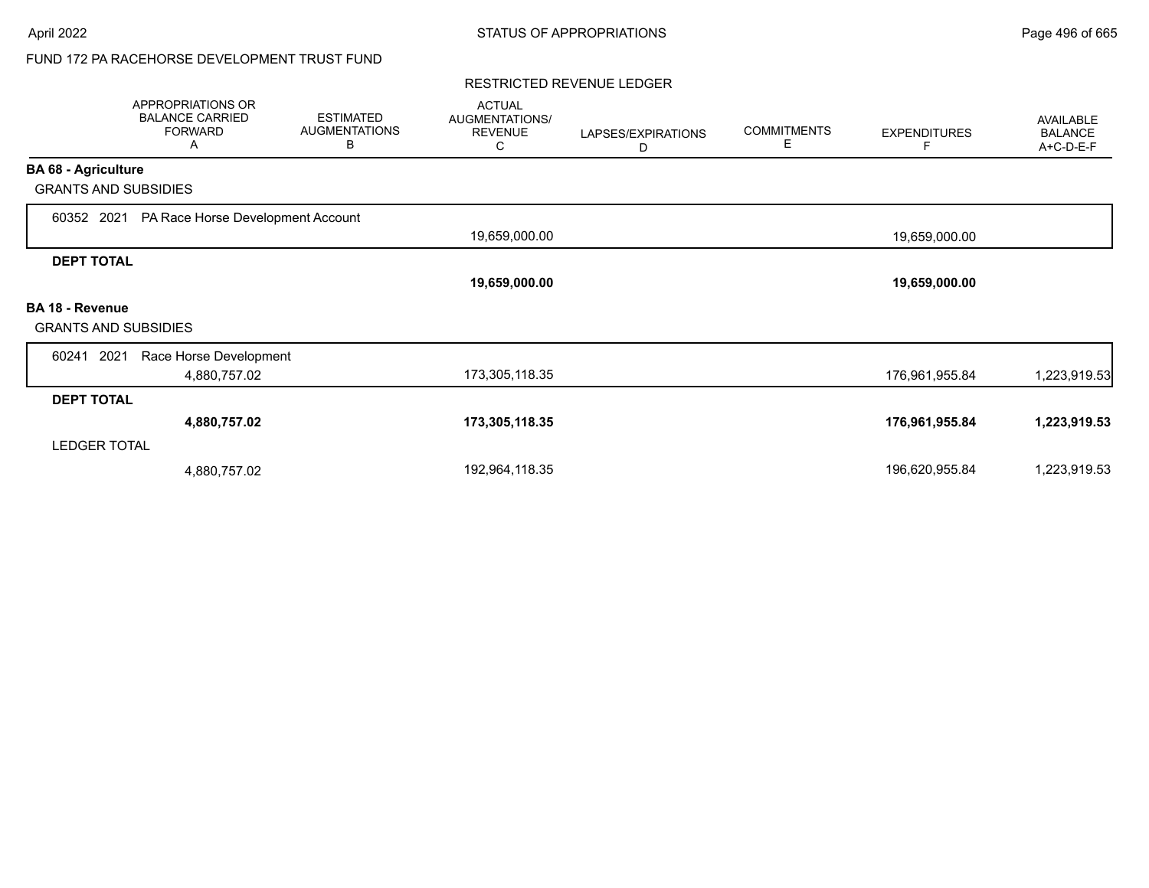#### RESTRICTED REVENUE LEDGER

|                             | APPROPRIATIONS OR<br><b>BALANCE CARRIED</b><br><b>FORWARD</b><br>Α | <b>ESTIMATED</b><br><b>AUGMENTATIONS</b><br>B | <b>ACTUAL</b><br>AUGMENTATIONS/<br><b>REVENUE</b><br>С | LAPSES/EXPIRATIONS<br>D | <b>COMMITMENTS</b><br>Е | <b>EXPENDITURES</b><br>F | <b>AVAILABLE</b><br><b>BALANCE</b><br>A+C-D-E-F |
|-----------------------------|--------------------------------------------------------------------|-----------------------------------------------|--------------------------------------------------------|-------------------------|-------------------------|--------------------------|-------------------------------------------------|
| <b>BA 68 - Agriculture</b>  |                                                                    |                                               |                                                        |                         |                         |                          |                                                 |
| <b>GRANTS AND SUBSIDIES</b> |                                                                    |                                               |                                                        |                         |                         |                          |                                                 |
| 60352 2021                  | PA Race Horse Development Account                                  |                                               |                                                        |                         |                         |                          |                                                 |
|                             |                                                                    |                                               | 19,659,000.00                                          |                         |                         | 19,659,000.00            |                                                 |
| <b>DEPT TOTAL</b>           |                                                                    |                                               |                                                        |                         |                         |                          |                                                 |
|                             |                                                                    |                                               | 19,659,000.00                                          |                         |                         | 19,659,000.00            |                                                 |
| <b>BA 18 - Revenue</b>      |                                                                    |                                               |                                                        |                         |                         |                          |                                                 |
| <b>GRANTS AND SUBSIDIES</b> |                                                                    |                                               |                                                        |                         |                         |                          |                                                 |
| 2021<br>60241               | Race Horse Development                                             |                                               |                                                        |                         |                         |                          |                                                 |
|                             | 4,880,757.02                                                       |                                               | 173,305,118.35                                         |                         |                         | 176,961,955.84           | 1,223,919.53                                    |
| <b>DEPT TOTAL</b>           |                                                                    |                                               |                                                        |                         |                         |                          |                                                 |
|                             | 4,880,757.02                                                       |                                               | 173,305,118.35                                         |                         |                         | 176,961,955.84           | 1,223,919.53                                    |
| <b>LEDGER TOTAL</b>         |                                                                    |                                               |                                                        |                         |                         |                          |                                                 |
|                             | 4,880,757.02                                                       |                                               | 192,964,118.35                                         |                         |                         | 196,620,955.84           | 1,223,919.53                                    |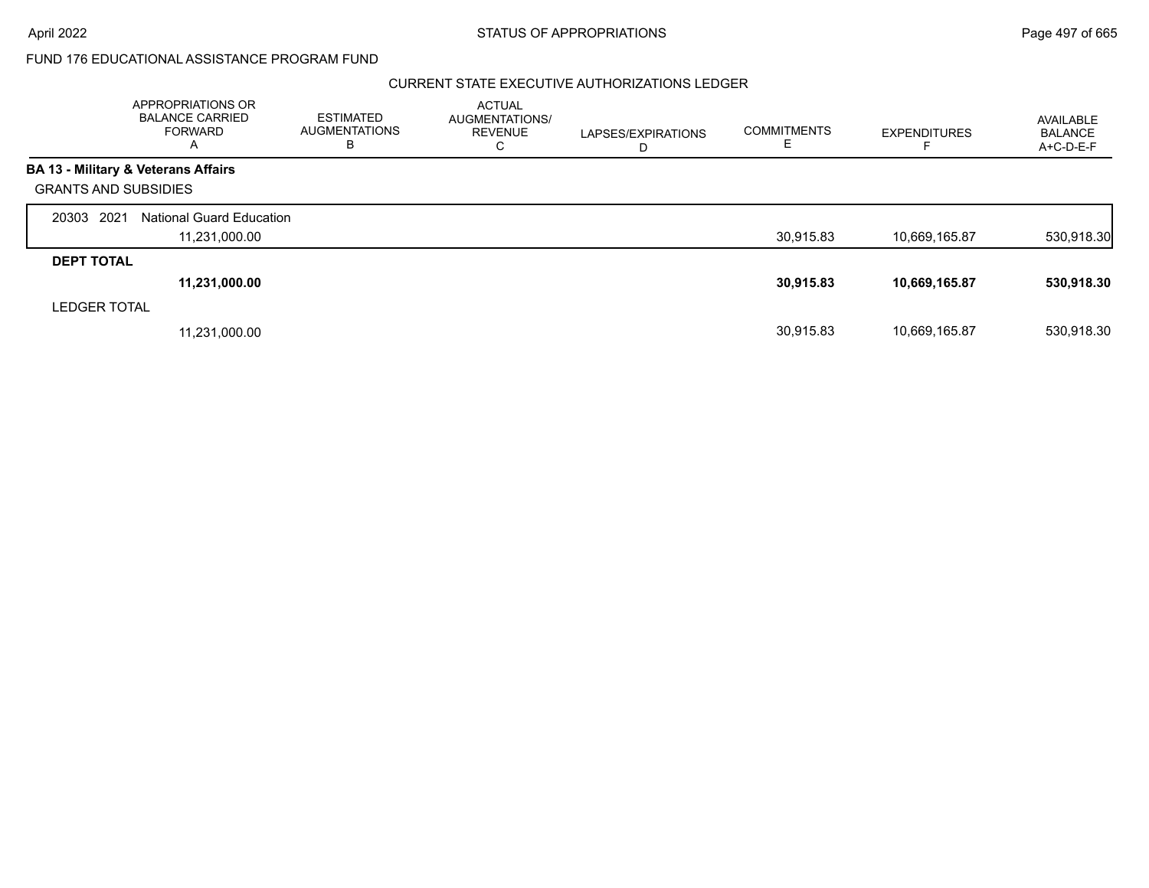#### CURRENT STATE EXECUTIVE AUTHORIZATIONS LEDGER

|                             | APPROPRIATIONS OR<br><b>BALANCE CARRIED</b><br><b>FORWARD</b><br>A | ESTIMATED<br><b>AUGMENTATIONS</b><br>В | <b>ACTUAL</b><br>AUGMENTATIONS/<br><b>REVENUE</b><br>С | LAPSES/EXPIRATIONS<br>D | <b>COMMITMENTS</b><br>E. | <b>EXPENDITURES</b> | AVAILABLE<br><b>BALANCE</b><br>$A+C-D-E-F$ |
|-----------------------------|--------------------------------------------------------------------|----------------------------------------|--------------------------------------------------------|-------------------------|--------------------------|---------------------|--------------------------------------------|
|                             | <b>BA 13 - Military &amp; Veterans Affairs</b>                     |                                        |                                                        |                         |                          |                     |                                            |
| <b>GRANTS AND SUBSIDIES</b> |                                                                    |                                        |                                                        |                         |                          |                     |                                            |
| 20303 2021                  | <b>National Guard Education</b>                                    |                                        |                                                        |                         |                          |                     |                                            |
|                             | 11,231,000.00                                                      |                                        |                                                        |                         | 30,915.83                | 10,669,165.87       | 530,918.30                                 |
| <b>DEPT TOTAL</b>           |                                                                    |                                        |                                                        |                         |                          |                     |                                            |
|                             | 11,231,000.00                                                      |                                        |                                                        |                         | 30,915.83                | 10,669,165.87       | 530,918.30                                 |
| <b>LEDGER TOTAL</b>         |                                                                    |                                        |                                                        |                         |                          |                     |                                            |
|                             | 11,231,000.00                                                      |                                        |                                                        |                         | 30.915.83                | 10,669,165.87       | 530.918.30                                 |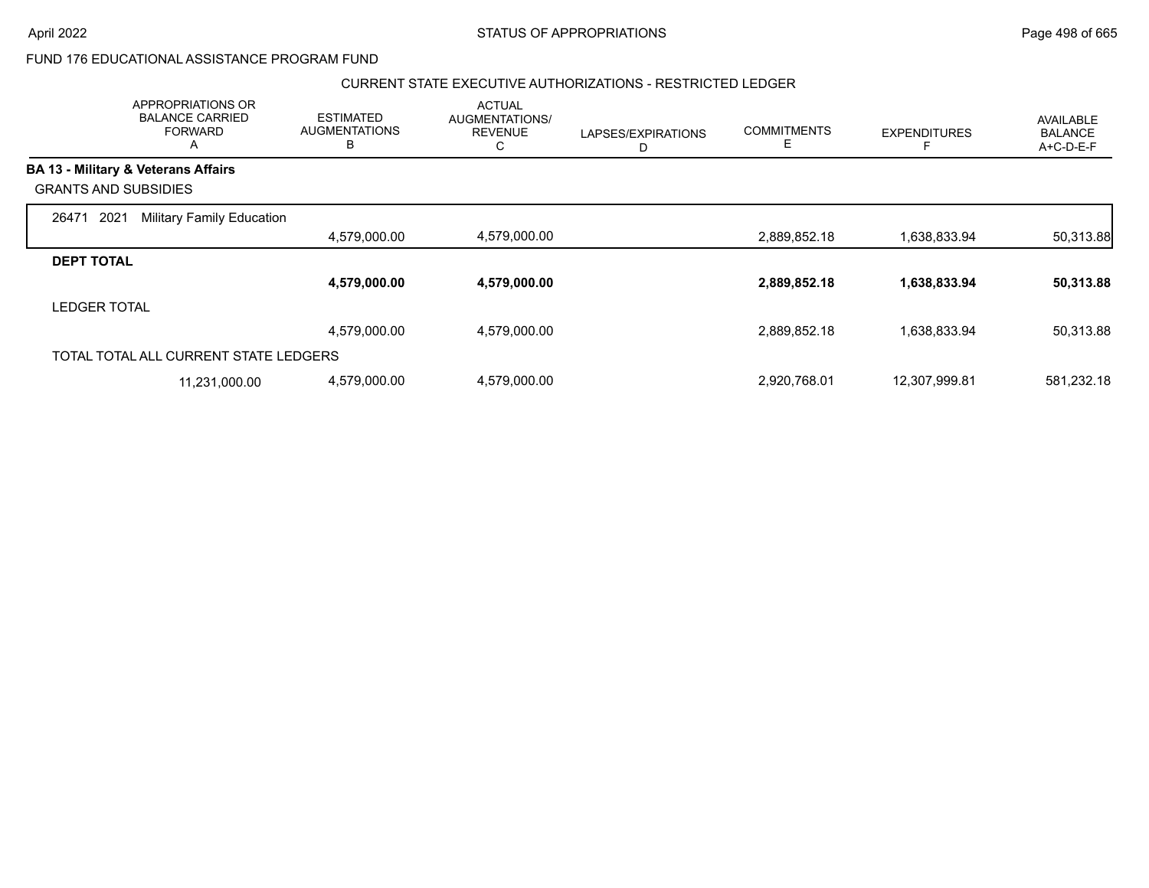### CURRENT STATE EXECUTIVE AUTHORIZATIONS - RESTRICTED LEDGER

|                                                | APPROPRIATIONS OR<br><b>BALANCE CARRIED</b><br><b>FORWARD</b><br>$\mathsf{A}$ | <b>ESTIMATED</b><br><b>AUGMENTATIONS</b><br>B | <b>ACTUAL</b><br>AUGMENTATIONS/<br><b>REVENUE</b><br>С | LAPSES/EXPIRATIONS<br>D | <b>COMMITMENTS</b><br>Е | <b>EXPENDITURES</b> | AVAILABLE<br><b>BALANCE</b><br>A+C-D-E-F |
|------------------------------------------------|-------------------------------------------------------------------------------|-----------------------------------------------|--------------------------------------------------------|-------------------------|-------------------------|---------------------|------------------------------------------|
| <b>BA 13 - Military &amp; Veterans Affairs</b> |                                                                               |                                               |                                                        |                         |                         |                     |                                          |
| <b>GRANTS AND SUBSIDIES</b>                    |                                                                               |                                               |                                                        |                         |                         |                     |                                          |
| 2021<br>26471                                  | <b>Military Family Education</b>                                              |                                               |                                                        |                         |                         |                     |                                          |
|                                                |                                                                               | 4,579,000.00                                  | 4,579,000.00                                           |                         | 2,889,852.18            | 1,638,833.94        | 50,313.88                                |
| <b>DEPT TOTAL</b>                              |                                                                               |                                               |                                                        |                         |                         |                     |                                          |
|                                                |                                                                               | 4,579,000.00                                  | 4,579,000.00                                           |                         | 2,889,852.18            | 1,638,833.94        | 50,313.88                                |
| <b>LEDGER TOTAL</b>                            |                                                                               |                                               |                                                        |                         |                         |                     |                                          |
|                                                |                                                                               | 4,579,000.00                                  | 4,579,000.00                                           |                         | 2,889,852.18            | 1,638,833.94        | 50,313.88                                |
|                                                | TOTAL TOTAL ALL CURRENT STATE LEDGERS                                         |                                               |                                                        |                         |                         |                     |                                          |
|                                                | 11,231,000.00                                                                 | 4,579,000.00                                  | 4,579,000.00                                           |                         | 2,920,768.01            | 12,307,999.81       | 581,232.18                               |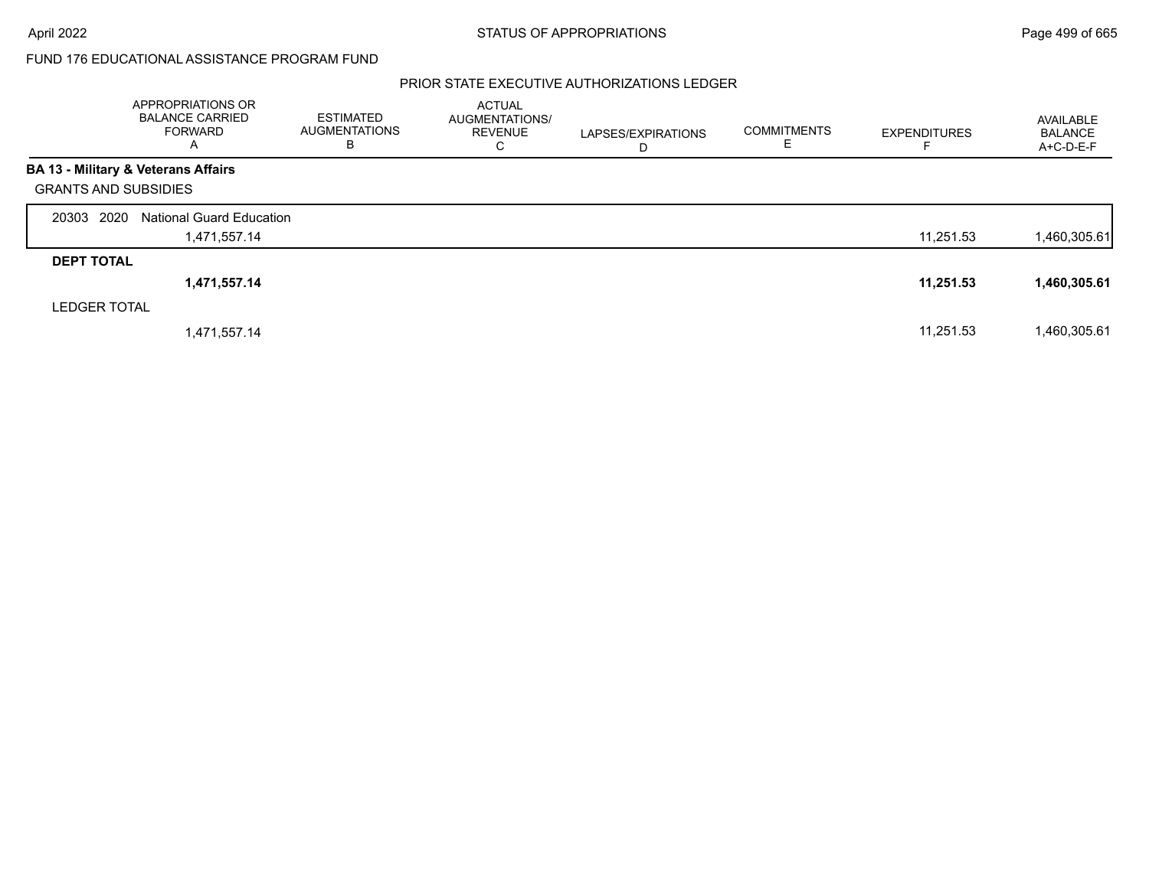### PRIOR STATE EXECUTIVE AUTHORIZATIONS LEDGER

|                             | APPROPRIATIONS OR<br><b>BALANCE CARRIED</b><br>FORWARD<br>A | <b>ESTIMATED</b><br><b>AUGMENTATIONS</b><br>В | <b>ACTUAL</b><br>AUGMENTATIONS/<br><b>REVENUE</b><br>C | LAPSES/EXPIRATIONS<br>D | <b>COMMITMENTS</b><br>E. | <b>EXPENDITURES</b> | AVAILABLE<br><b>BALANCE</b><br>$A+C-D-E-F$ |
|-----------------------------|-------------------------------------------------------------|-----------------------------------------------|--------------------------------------------------------|-------------------------|--------------------------|---------------------|--------------------------------------------|
|                             | <b>BA 13 - Military &amp; Veterans Affairs</b>              |                                               |                                                        |                         |                          |                     |                                            |
| <b>GRANTS AND SUBSIDIES</b> |                                                             |                                               |                                                        |                         |                          |                     |                                            |
| 20303 2020                  | <b>National Guard Education</b>                             |                                               |                                                        |                         |                          |                     |                                            |
|                             | 1,471,557.14                                                |                                               |                                                        |                         |                          | 11,251.53           | 1,460,305.61                               |
| <b>DEPT TOTAL</b>           |                                                             |                                               |                                                        |                         |                          |                     |                                            |
|                             | 1,471,557.14                                                |                                               |                                                        |                         |                          | 11,251.53           | 1,460,305.61                               |
| <b>LEDGER TOTAL</b>         |                                                             |                                               |                                                        |                         |                          |                     |                                            |
|                             | 1,471,557.14                                                |                                               |                                                        |                         |                          | 11,251.53           | 1,460,305.61                               |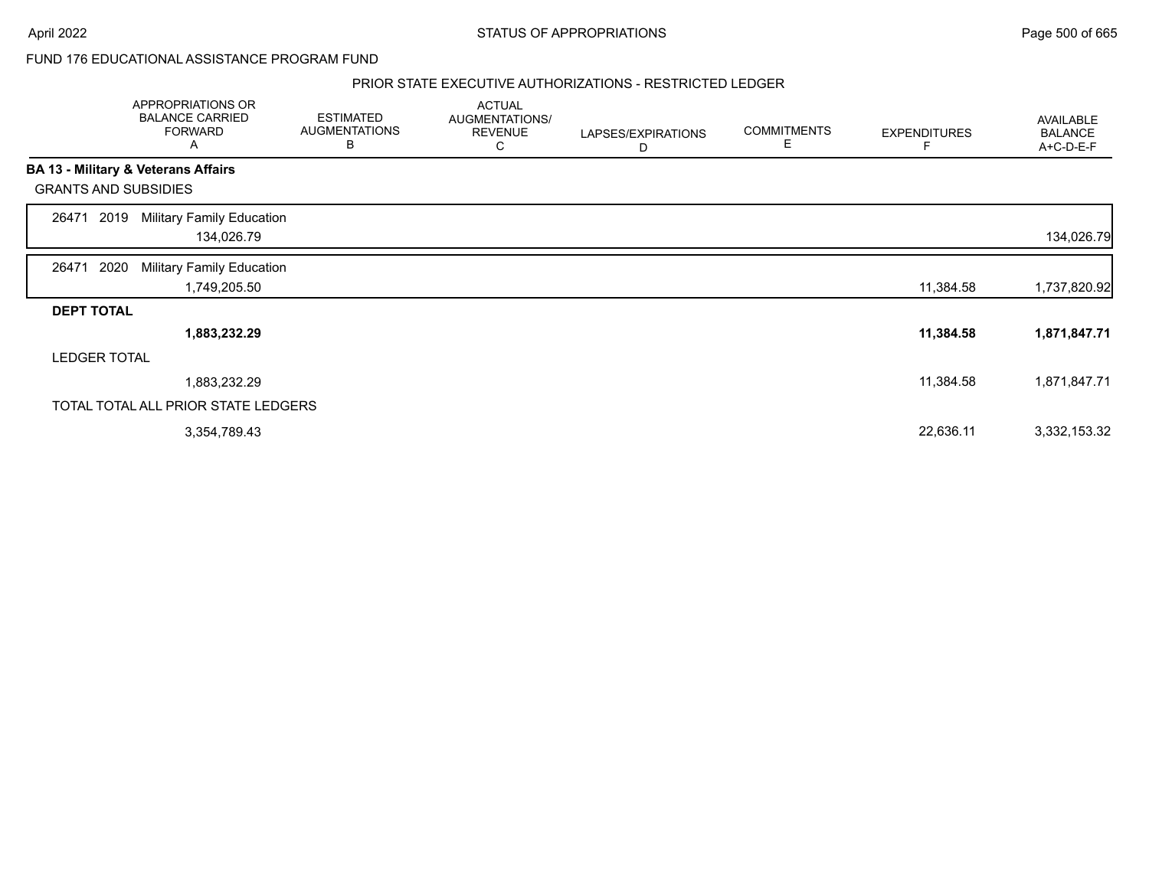#### PRIOR STATE EXECUTIVE AUTHORIZATIONS - RESTRICTED LEDGER

|                             | APPROPRIATIONS OR<br><b>BALANCE CARRIED</b><br><b>FORWARD</b><br>A | <b>ESTIMATED</b><br><b>AUGMENTATIONS</b><br>В | <b>ACTUAL</b><br>AUGMENTATIONS/<br><b>REVENUE</b><br>С | LAPSES/EXPIRATIONS<br>D | <b>COMMITMENTS</b><br>Ε | <b>EXPENDITURES</b> | <b>AVAILABLE</b><br><b>BALANCE</b><br>A+C-D-E-F |
|-----------------------------|--------------------------------------------------------------------|-----------------------------------------------|--------------------------------------------------------|-------------------------|-------------------------|---------------------|-------------------------------------------------|
|                             | BA 13 - Military & Veterans Affairs                                |                                               |                                                        |                         |                         |                     |                                                 |
| <b>GRANTS AND SUBSIDIES</b> |                                                                    |                                               |                                                        |                         |                         |                     |                                                 |
| 2019<br>26471               | <b>Military Family Education</b><br>134,026.79                     |                                               |                                                        |                         |                         |                     | 134,026.79                                      |
| 2020<br>26471               | Military Family Education<br>1,749,205.50                          |                                               |                                                        |                         |                         | 11,384.58           | 1,737,820.92                                    |
| <b>DEPT TOTAL</b>           |                                                                    |                                               |                                                        |                         |                         |                     |                                                 |
|                             | 1,883,232.29                                                       |                                               |                                                        |                         |                         | 11,384.58           | 1,871,847.71                                    |
| <b>LEDGER TOTAL</b>         |                                                                    |                                               |                                                        |                         |                         |                     |                                                 |
|                             | 1,883,232.29                                                       |                                               |                                                        |                         |                         | 11,384.58           | 1,871,847.71                                    |
|                             | TOTAL TOTAL ALL PRIOR STATE LEDGERS                                |                                               |                                                        |                         |                         |                     |                                                 |
|                             | 3,354,789.43                                                       |                                               |                                                        |                         |                         | 22,636.11           | 3,332,153.32                                    |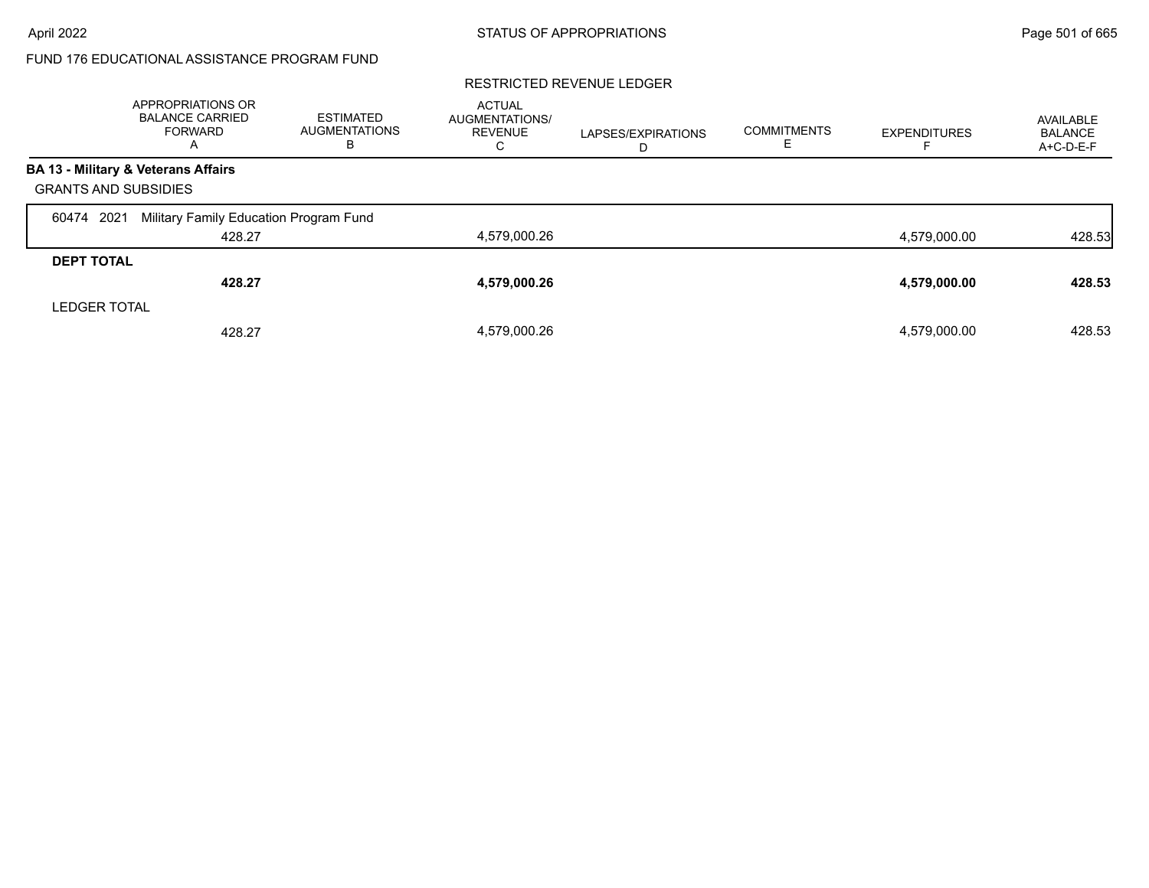#### RESTRICTED REVENUE LEDGER

|                             | APPROPRIATIONS OR<br><b>BALANCE CARRIED</b><br><b>FORWARD</b><br>А | ESTIMATED<br><b>AUGMENTATIONS</b><br>в | <b>ACTUAL</b><br>AUGMENTATIONS/<br><b>REVENUE</b><br>С | LAPSES/EXPIRATIONS<br>Ð | <b>COMMITMENTS</b> | <b>EXPENDITURES</b> | AVAILABLE<br><b>BALANCE</b><br>A+C-D-E-F |
|-----------------------------|--------------------------------------------------------------------|----------------------------------------|--------------------------------------------------------|-------------------------|--------------------|---------------------|------------------------------------------|
|                             | BA 13 - Military & Veterans Affairs                                |                                        |                                                        |                         |                    |                     |                                          |
| <b>GRANTS AND SUBSIDIES</b> |                                                                    |                                        |                                                        |                         |                    |                     |                                          |
| 2021<br>60474               | Military Family Education Program Fund                             |                                        |                                                        |                         |                    |                     |                                          |
|                             | 428.27                                                             |                                        | 4,579,000.26                                           |                         |                    | 4.579.000.00        | 428.53                                   |
| <b>DEPT TOTAL</b>           |                                                                    |                                        |                                                        |                         |                    |                     |                                          |
|                             | 428.27                                                             |                                        | 4,579,000.26                                           |                         |                    | 4,579,000.00        | 428.53                                   |
| <b>LEDGER TOTAL</b>         |                                                                    |                                        |                                                        |                         |                    |                     |                                          |
|                             | 428.27                                                             |                                        | 4,579,000.26                                           |                         |                    | 4,579,000.00        | 428.53                                   |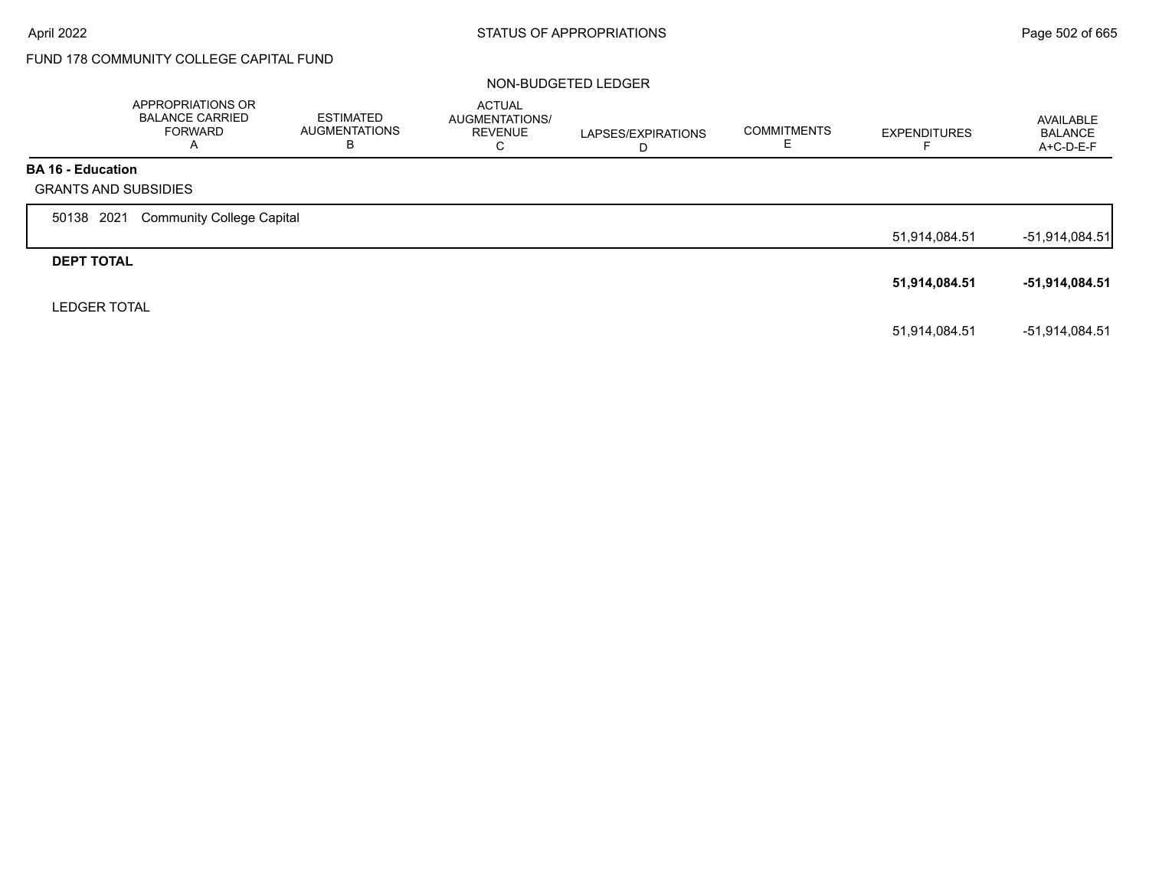# FUND 178 COMMUNITY COLLEGE CAPITAL FUND

#### NON-BUDGETED LEDGER

|                                                         | APPROPRIATIONS OR<br><b>BALANCE CARRIED</b><br><b>FORWARD</b><br>A | <b>ESTIMATED</b><br><b>AUGMENTATIONS</b><br>В | <b>ACTUAL</b><br>AUGMENTATIONS/<br><b>REVENUE</b><br>C | LAPSES/EXPIRATIONS<br>D | <b>COMMITMENTS</b> | <b>EXPENDITURES</b> | AVAILABLE<br><b>BALANCE</b><br>A+C-D-E-F |
|---------------------------------------------------------|--------------------------------------------------------------------|-----------------------------------------------|--------------------------------------------------------|-------------------------|--------------------|---------------------|------------------------------------------|
| <b>BA 16 - Education</b><br><b>GRANTS AND SUBSIDIES</b> |                                                                    |                                               |                                                        |                         |                    |                     |                                          |
| 50138 2021                                              | <b>Community College Capital</b>                                   |                                               |                                                        |                         |                    |                     |                                          |
|                                                         |                                                                    |                                               |                                                        |                         |                    | 51,914,084.51       | -51,914,084.51                           |
| <b>DEPT TOTAL</b>                                       |                                                                    |                                               |                                                        |                         |                    |                     |                                          |
|                                                         |                                                                    |                                               |                                                        |                         |                    | 51,914,084.51       | -51,914,084.51                           |
| <b>LEDGER TOTAL</b>                                     |                                                                    |                                               |                                                        |                         |                    |                     |                                          |
|                                                         |                                                                    |                                               |                                                        |                         |                    | 51.914.084.51       | -51.914.084.51                           |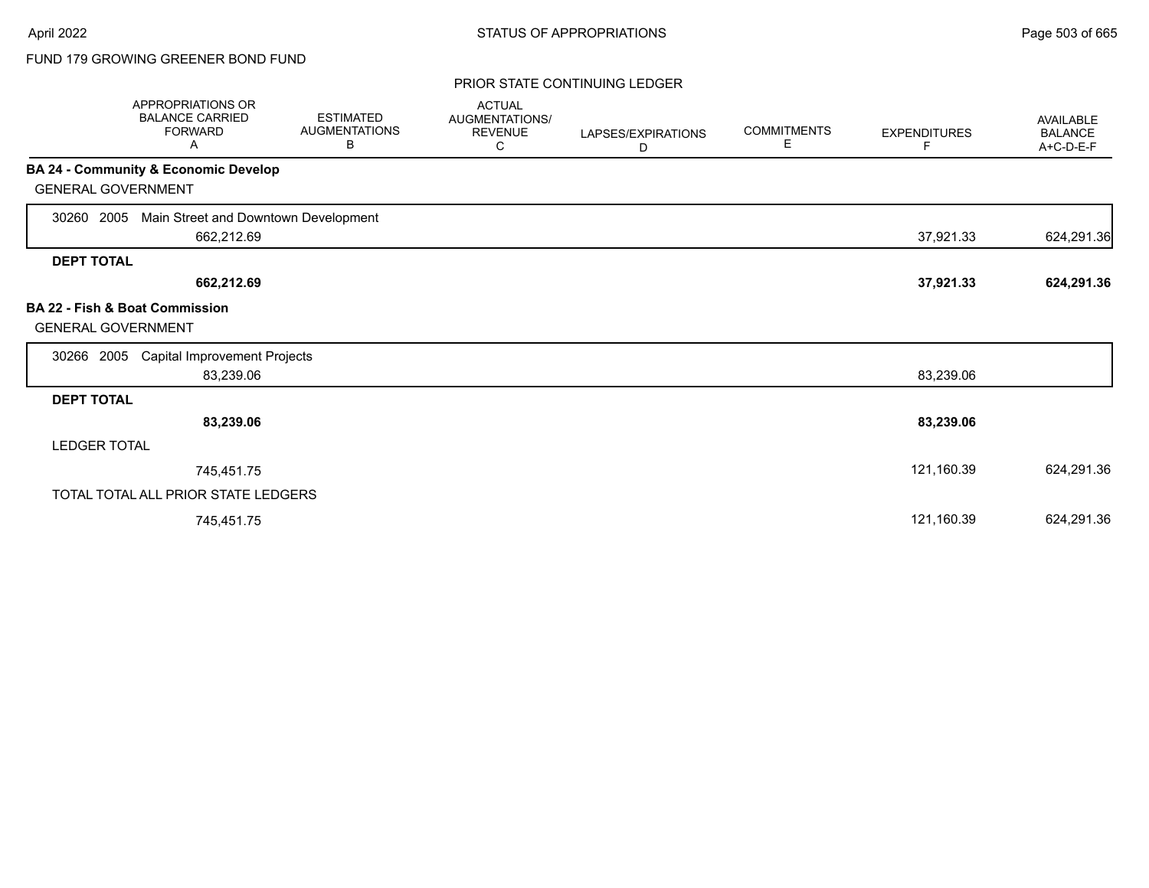# FUND 179 GROWING GREENER BOND FUND

#### PRIOR STATE CONTINUING LEDGER

| <b>APPROPRIATIONS OR</b><br><b>BALANCE CARRIED</b><br><b>FORWARD</b><br>Α | <b>ESTIMATED</b><br><b>AUGMENTATIONS</b><br>В | <b>ACTUAL</b><br>AUGMENTATIONS/<br><b>REVENUE</b><br>С | LAPSES/EXPIRATIONS<br>D | <b>COMMITMENTS</b><br>Е | <b>EXPENDITURES</b><br>F | <b>AVAILABLE</b><br><b>BALANCE</b><br>A+C-D-E-F |
|---------------------------------------------------------------------------|-----------------------------------------------|--------------------------------------------------------|-------------------------|-------------------------|--------------------------|-------------------------------------------------|
| <b>BA 24 - Community &amp; Economic Develop</b>                           |                                               |                                                        |                         |                         |                          |                                                 |
| <b>GENERAL GOVERNMENT</b>                                                 |                                               |                                                        |                         |                         |                          |                                                 |
| Main Street and Downtown Development<br>2005<br>30260                     |                                               |                                                        |                         |                         |                          |                                                 |
| 662,212.69                                                                |                                               |                                                        |                         |                         | 37,921.33                | 624,291.36                                      |
| <b>DEPT TOTAL</b>                                                         |                                               |                                                        |                         |                         |                          |                                                 |
| 662,212.69                                                                |                                               |                                                        |                         |                         | 37,921.33                | 624,291.36                                      |
| <b>BA 22 - Fish &amp; Boat Commission</b><br><b>GENERAL GOVERNMENT</b>    |                                               |                                                        |                         |                         |                          |                                                 |
| <b>Capital Improvement Projects</b><br>30266<br>2005                      |                                               |                                                        |                         |                         |                          |                                                 |
| 83,239.06                                                                 |                                               |                                                        |                         |                         | 83,239.06                |                                                 |
| <b>DEPT TOTAL</b>                                                         |                                               |                                                        |                         |                         |                          |                                                 |
| 83,239.06                                                                 |                                               |                                                        |                         |                         | 83,239.06                |                                                 |
| <b>LEDGER TOTAL</b>                                                       |                                               |                                                        |                         |                         |                          |                                                 |
| 745,451.75                                                                |                                               |                                                        |                         |                         | 121,160.39               | 624,291.36                                      |
| TOTAL TOTAL ALL PRIOR STATE LEDGERS                                       |                                               |                                                        |                         |                         |                          |                                                 |
| 745,451.75                                                                |                                               |                                                        |                         |                         | 121,160.39               | 624,291.36                                      |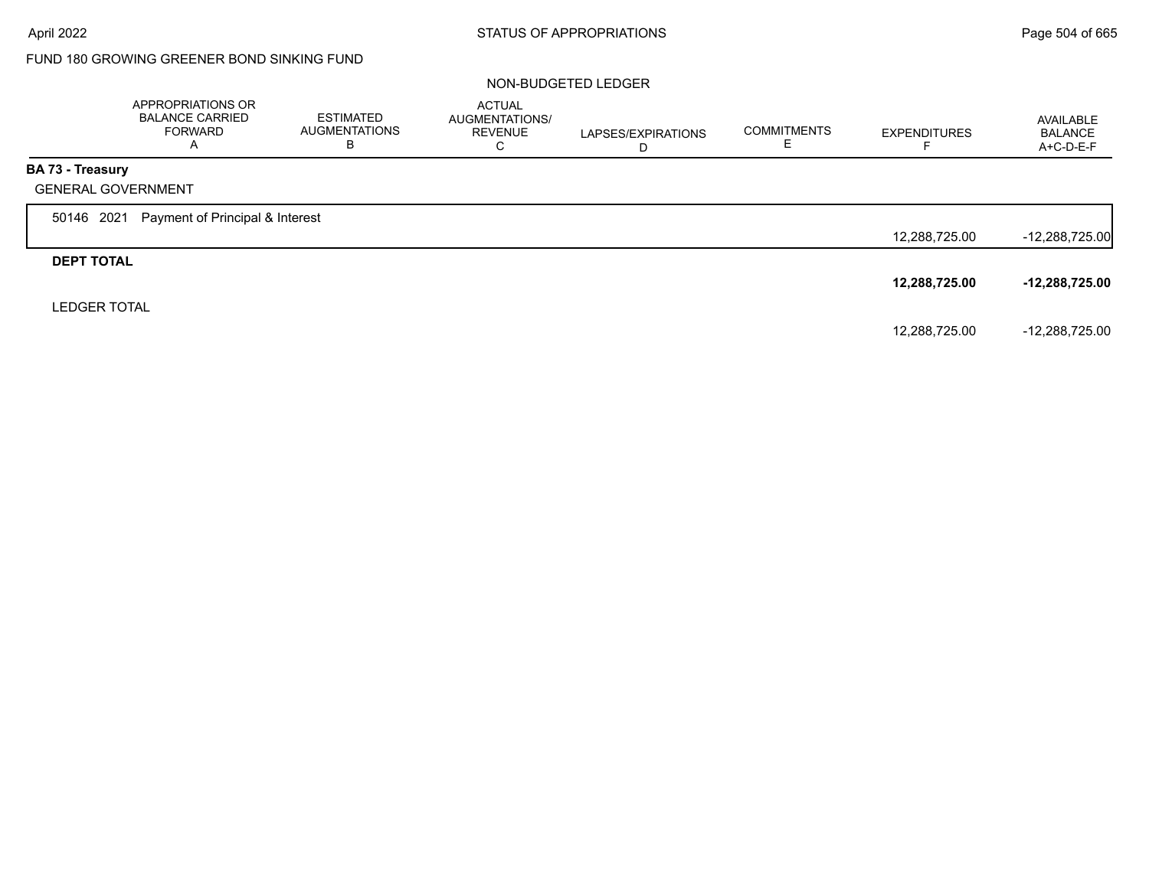# FUND 180 GROWING GREENER BOND SINKING FUND

#### NON-BUDGETED LEDGER

|                         | APPROPRIATIONS OR<br><b>BALANCE CARRIED</b><br><b>FORWARD</b><br>A | <b>ESTIMATED</b><br><b>AUGMENTATIONS</b><br>В | <b>ACTUAL</b><br><b>AUGMENTATIONS/</b><br><b>REVENUE</b><br>С | LAPSES/EXPIRATIONS<br>D | <b>COMMITMENTS</b><br>ᄂ | <b>EXPENDITURES</b> | AVAILABLE<br><b>BALANCE</b><br>$A+C-D-E-F$ |
|-------------------------|--------------------------------------------------------------------|-----------------------------------------------|---------------------------------------------------------------|-------------------------|-------------------------|---------------------|--------------------------------------------|
| <b>BA 73 - Treasury</b> |                                                                    |                                               |                                                               |                         |                         |                     |                                            |
|                         | <b>GENERAL GOVERNMENT</b>                                          |                                               |                                                               |                         |                         |                     |                                            |
| 50146 2021              | Payment of Principal & Interest                                    |                                               |                                                               |                         |                         |                     |                                            |
|                         |                                                                    |                                               |                                                               |                         |                         | 12,288,725.00       | $-12,288,725.00$                           |
| <b>DEPT TOTAL</b>       |                                                                    |                                               |                                                               |                         |                         |                     |                                            |
|                         |                                                                    |                                               |                                                               |                         |                         | 12,288,725.00       | $-12,288,725.00$                           |
| <b>LEDGER TOTAL</b>     |                                                                    |                                               |                                                               |                         |                         |                     |                                            |
|                         |                                                                    |                                               |                                                               |                         |                         | 12,288,725.00       | -12,288,725.00                             |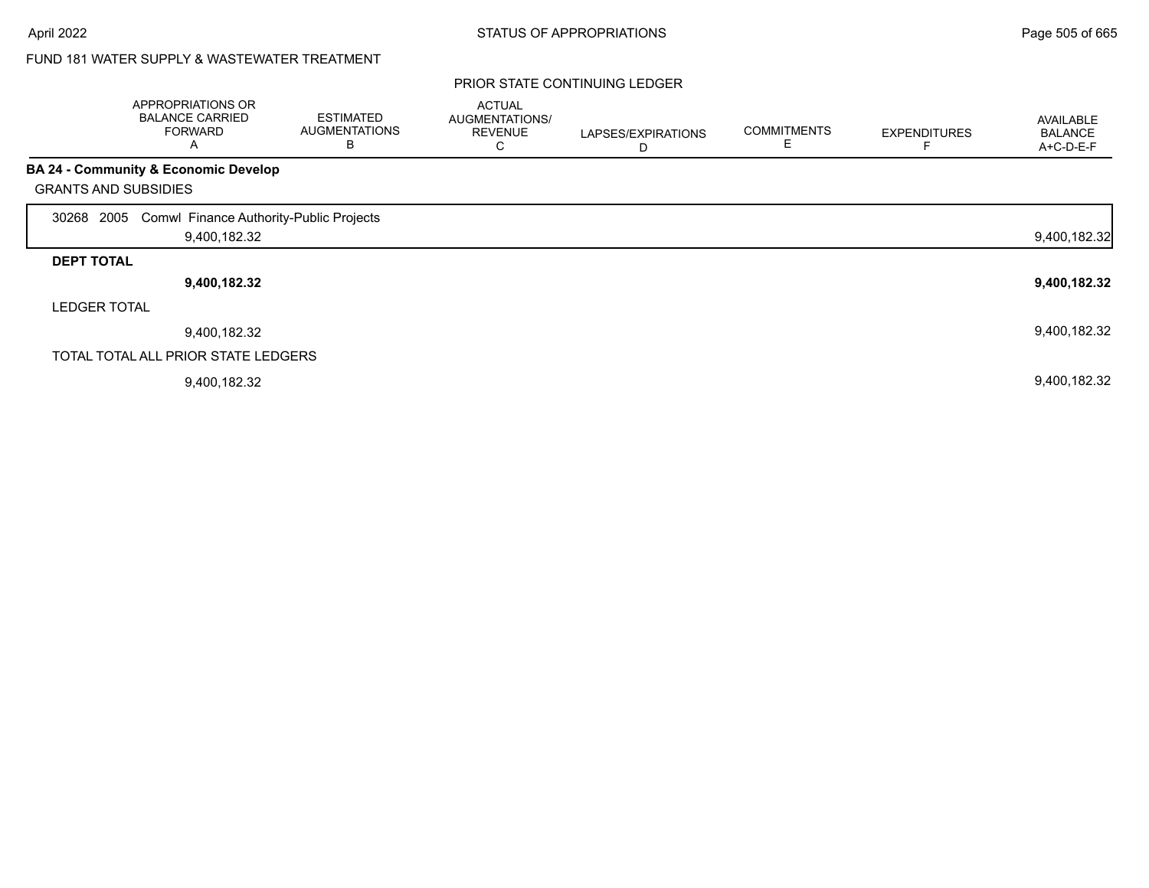# FUND 181 WATER SUPPLY & WASTEWATER TREATMENT

|                     | APPROPRIATIONS OR<br><b>BALANCE CARRIED</b><br><b>FORWARD</b><br>Α | <b>ESTIMATED</b><br><b>AUGMENTATIONS</b><br>В | <b>ACTUAL</b><br>AUGMENTATIONS/<br><b>REVENUE</b><br>С | LAPSES/EXPIRATIONS<br>D | <b>COMMITMENTS</b> | <b>EXPENDITURES</b> | AVAILABLE<br><b>BALANCE</b><br>A+C-D-E-F |
|---------------------|--------------------------------------------------------------------|-----------------------------------------------|--------------------------------------------------------|-------------------------|--------------------|---------------------|------------------------------------------|
|                     | <b>BA 24 - Community &amp; Economic Develop</b>                    |                                               |                                                        |                         |                    |                     |                                          |
|                     | <b>GRANTS AND SUBSIDIES</b>                                        |                                               |                                                        |                         |                    |                     |                                          |
| 30268               | 2005 Comwl Finance Authority-Public Projects                       |                                               |                                                        |                         |                    |                     |                                          |
|                     | 9,400,182.32                                                       |                                               |                                                        |                         |                    |                     | 9,400,182.32                             |
| <b>DEPT TOTAL</b>   |                                                                    |                                               |                                                        |                         |                    |                     |                                          |
|                     | 9,400,182.32                                                       |                                               |                                                        |                         |                    |                     | 9,400,182.32                             |
| <b>LEDGER TOTAL</b> |                                                                    |                                               |                                                        |                         |                    |                     |                                          |
|                     | 9,400,182.32                                                       |                                               |                                                        |                         |                    |                     | 9,400,182.32                             |
|                     | TOTAL TOTAL ALL PRIOR STATE LEDGERS                                |                                               |                                                        |                         |                    |                     |                                          |
|                     | 9,400,182.32                                                       |                                               |                                                        |                         |                    |                     | 9,400,182.32                             |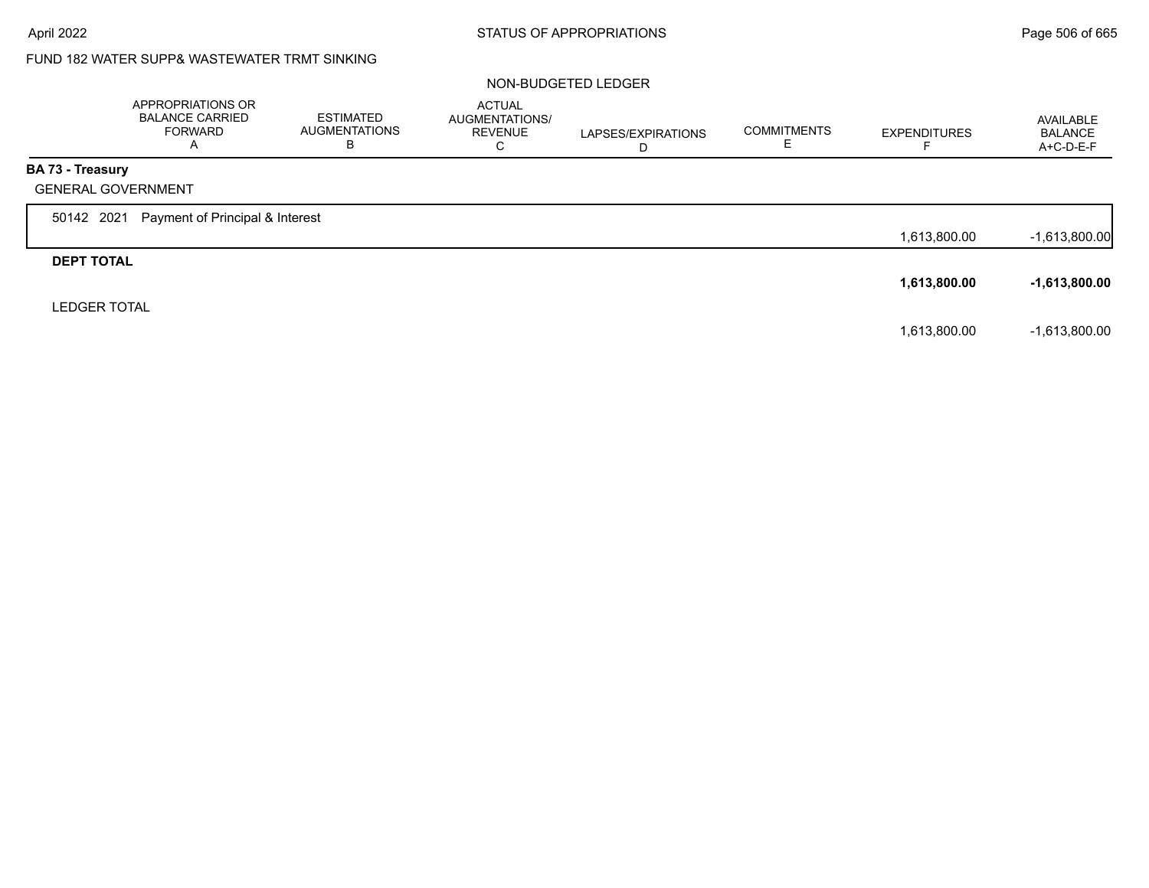# FUND 182 WATER SUPP& WASTEWATER TRMT SINKING

#### NON-BUDGETED LEDGER

|                     | APPROPRIATIONS OR<br><b>BALANCE CARRIED</b><br><b>FORWARD</b><br>A | <b>ESTIMATED</b><br><b>AUGMENTATIONS</b><br>В | <b>ACTUAL</b><br>AUGMENTATIONS/<br><b>REVENUE</b><br>C | LAPSES/EXPIRATIONS<br>D | <b>COMMITMENTS</b> | <b>EXPENDITURES</b> | AVAILABLE<br><b>BALANCE</b><br>A+C-D-E-F |
|---------------------|--------------------------------------------------------------------|-----------------------------------------------|--------------------------------------------------------|-------------------------|--------------------|---------------------|------------------------------------------|
| BA 73 - Treasury    |                                                                    |                                               |                                                        |                         |                    |                     |                                          |
|                     | <b>GENERAL GOVERNMENT</b>                                          |                                               |                                                        |                         |                    |                     |                                          |
| 50142 2021          | Payment of Principal & Interest                                    |                                               |                                                        |                         |                    |                     |                                          |
|                     |                                                                    |                                               |                                                        |                         |                    | 1,613,800.00        | $-1,613,800.00$                          |
| <b>DEPT TOTAL</b>   |                                                                    |                                               |                                                        |                         |                    |                     |                                          |
|                     |                                                                    |                                               |                                                        |                         |                    | 1,613,800.00        | $-1,613,800.00$                          |
| <b>LEDGER TOTAL</b> |                                                                    |                                               |                                                        |                         |                    |                     |                                          |
|                     |                                                                    |                                               |                                                        |                         |                    | 1,613,800.00        | $-1,613,800.00$                          |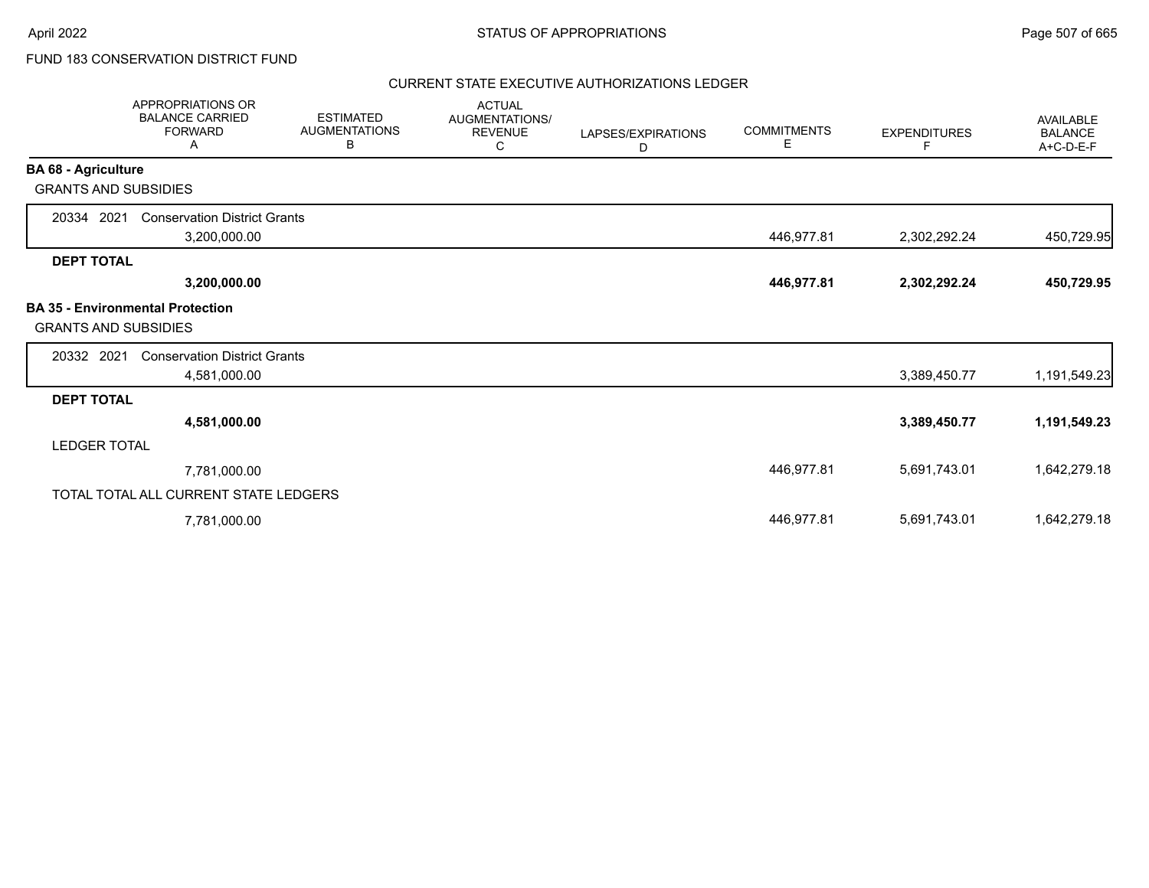### FUND 183 CONSERVATION DISTRICT FUND

#### CURRENT STATE EXECUTIVE AUTHORIZATIONS LEDGER

|                             | <b>APPROPRIATIONS OR</b><br><b>BALANCE CARRIED</b><br><b>FORWARD</b><br>Α | <b>ESTIMATED</b><br><b>AUGMENTATIONS</b><br>В | <b>ACTUAL</b><br>AUGMENTATIONS/<br><b>REVENUE</b><br>С | LAPSES/EXPIRATIONS<br>D | <b>COMMITMENTS</b><br>Е | <b>EXPENDITURES</b><br>F | AVAILABLE<br><b>BALANCE</b><br>A+C-D-E-F |
|-----------------------------|---------------------------------------------------------------------------|-----------------------------------------------|--------------------------------------------------------|-------------------------|-------------------------|--------------------------|------------------------------------------|
| <b>BA 68 - Agriculture</b>  |                                                                           |                                               |                                                        |                         |                         |                          |                                          |
| <b>GRANTS AND SUBSIDIES</b> |                                                                           |                                               |                                                        |                         |                         |                          |                                          |
| 20334 2021                  | <b>Conservation District Grants</b>                                       |                                               |                                                        |                         |                         |                          |                                          |
|                             | 3,200,000.00                                                              |                                               |                                                        |                         | 446,977.81              | 2,302,292.24             | 450,729.95                               |
| <b>DEPT TOTAL</b>           |                                                                           |                                               |                                                        |                         |                         |                          |                                          |
|                             | 3,200,000.00                                                              |                                               |                                                        |                         | 446,977.81              | 2,302,292.24             | 450,729.95                               |
| <b>GRANTS AND SUBSIDIES</b> | <b>BA 35 - Environmental Protection</b>                                   |                                               |                                                        |                         |                         |                          |                                          |
| 20332 2021                  | <b>Conservation District Grants</b>                                       |                                               |                                                        |                         |                         |                          |                                          |
|                             | 4,581,000.00                                                              |                                               |                                                        |                         |                         | 3,389,450.77             | 1,191,549.23                             |
| <b>DEPT TOTAL</b>           |                                                                           |                                               |                                                        |                         |                         |                          |                                          |
|                             | 4,581,000.00                                                              |                                               |                                                        |                         |                         | 3,389,450.77             | 1,191,549.23                             |
| <b>LEDGER TOTAL</b>         |                                                                           |                                               |                                                        |                         |                         |                          |                                          |
|                             | 7,781,000.00                                                              |                                               |                                                        |                         | 446,977.81              | 5,691,743.01             | 1,642,279.18                             |
|                             | TOTAL TOTAL ALL CURRENT STATE LEDGERS                                     |                                               |                                                        |                         |                         |                          |                                          |
|                             | 7,781,000.00                                                              |                                               |                                                        |                         | 446,977.81              | 5,691,743.01             | 1,642,279.18                             |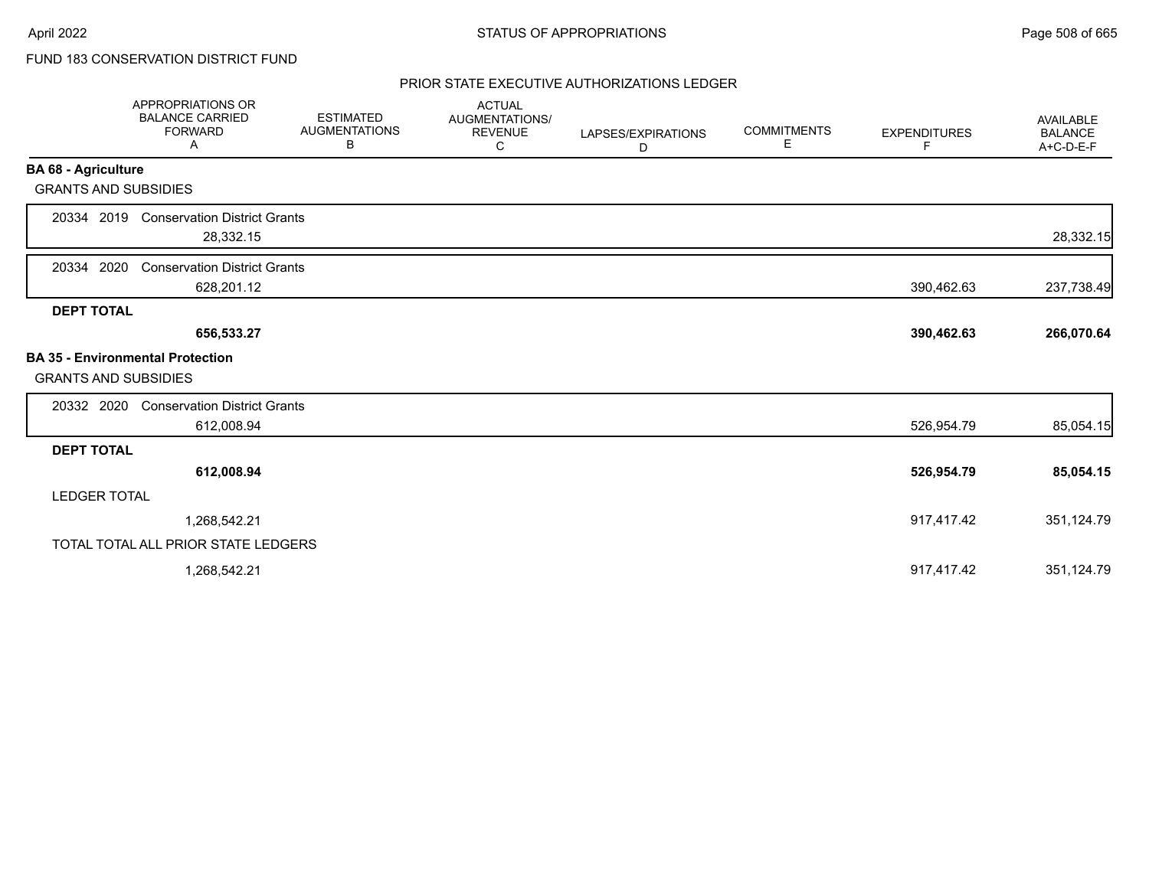## FUND 183 CONSERVATION DISTRICT FUND

### PRIOR STATE EXECUTIVE AUTHORIZATIONS LEDGER

|                                                                        | <b>APPROPRIATIONS OR</b><br><b>BALANCE CARRIED</b><br><b>FORWARD</b><br>Α | <b>ESTIMATED</b><br><b>AUGMENTATIONS</b><br>В | <b>ACTUAL</b><br>AUGMENTATIONS/<br><b>REVENUE</b><br>С | LAPSES/EXPIRATIONS<br>D | <b>COMMITMENTS</b><br>Е | <b>EXPENDITURES</b><br>F. | <b>AVAILABLE</b><br><b>BALANCE</b><br>A+C-D-E-F |
|------------------------------------------------------------------------|---------------------------------------------------------------------------|-----------------------------------------------|--------------------------------------------------------|-------------------------|-------------------------|---------------------------|-------------------------------------------------|
| <b>BA 68 - Agriculture</b>                                             |                                                                           |                                               |                                                        |                         |                         |                           |                                                 |
| <b>GRANTS AND SUBSIDIES</b>                                            |                                                                           |                                               |                                                        |                         |                         |                           |                                                 |
| 20334 2019                                                             | <b>Conservation District Grants</b><br>28,332.15                          |                                               |                                                        |                         |                         |                           | 28,332.15                                       |
| 2020<br>20334                                                          | <b>Conservation District Grants</b><br>628,201.12                         |                                               |                                                        |                         |                         | 390,462.63                | 237,738.49                                      |
| <b>DEPT TOTAL</b>                                                      |                                                                           |                                               |                                                        |                         |                         |                           |                                                 |
|                                                                        | 656,533.27                                                                |                                               |                                                        |                         |                         | 390,462.63                | 266,070.64                                      |
| <b>BA 35 - Environmental Protection</b><br><b>GRANTS AND SUBSIDIES</b> |                                                                           |                                               |                                                        |                         |                         |                           |                                                 |
| 20332 2020                                                             | <b>Conservation District Grants</b>                                       |                                               |                                                        |                         |                         |                           |                                                 |
|                                                                        | 612,008.94                                                                |                                               |                                                        |                         |                         | 526,954.79                | 85,054.15                                       |
| <b>DEPT TOTAL</b>                                                      |                                                                           |                                               |                                                        |                         |                         |                           |                                                 |
|                                                                        | 612,008.94                                                                |                                               |                                                        |                         |                         | 526,954.79                | 85,054.15                                       |
| <b>LEDGER TOTAL</b>                                                    |                                                                           |                                               |                                                        |                         |                         |                           |                                                 |
|                                                                        | 1,268,542.21                                                              |                                               |                                                        |                         |                         | 917,417.42                | 351,124.79                                      |
|                                                                        | TOTAL TOTAL ALL PRIOR STATE LEDGERS                                       |                                               |                                                        |                         |                         |                           |                                                 |
|                                                                        | 1,268,542.21                                                              |                                               |                                                        |                         |                         | 917,417.42                | 351,124.79                                      |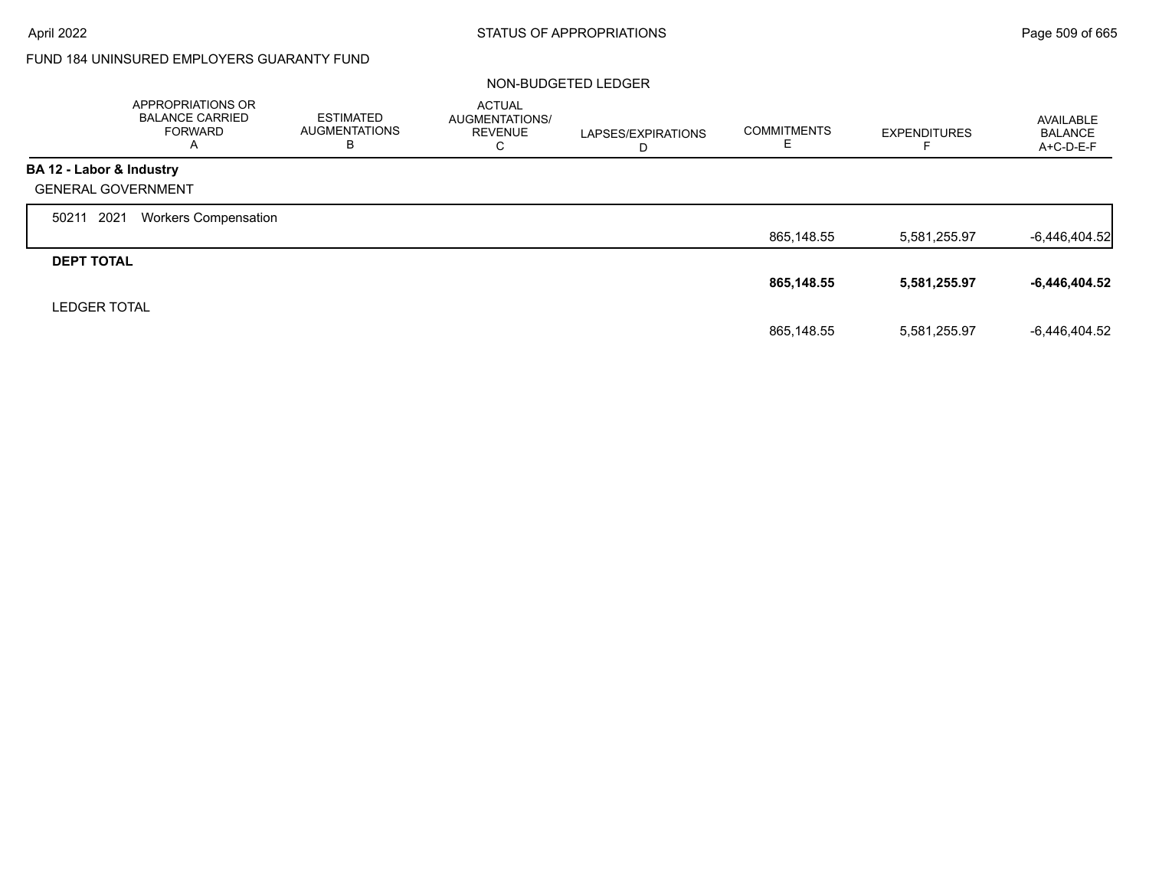г

### FUND 184 UNINSURED EMPLOYERS GUARANTY FUND

#### NON-BUDGETED LEDGER

|                           | APPROPRIATIONS OR<br><b>BALANCE CARRIED</b><br><b>FORWARD</b><br>A | <b>ESTIMATED</b><br><b>AUGMENTATIONS</b><br>в | <b>ACTUAL</b><br>AUGMENTATIONS/<br><b>REVENUE</b><br>С | LAPSES/EXPIRATIONS<br>D | <b>COMMITMENTS</b><br>Е | <b>EXPENDITURES</b> | AVAILABLE<br><b>BALANCE</b><br>$A+C-D-E-F$ |
|---------------------------|--------------------------------------------------------------------|-----------------------------------------------|--------------------------------------------------------|-------------------------|-------------------------|---------------------|--------------------------------------------|
| BA 12 - Labor & Industry  |                                                                    |                                               |                                                        |                         |                         |                     |                                            |
| <b>GENERAL GOVERNMENT</b> |                                                                    |                                               |                                                        |                         |                         |                     |                                            |
| 2021<br>50211             | <b>Workers Compensation</b>                                        |                                               |                                                        |                         |                         |                     |                                            |
|                           |                                                                    |                                               |                                                        |                         | 865,148.55              | 5,581,255.97        | $-6,446,404.52$                            |
| <b>DEPT TOTAL</b>         |                                                                    |                                               |                                                        |                         |                         |                     |                                            |
|                           |                                                                    |                                               |                                                        |                         | 865,148.55              | 5,581,255.97        | -6,446,404.52                              |
| <b>LEDGER TOTAL</b>       |                                                                    |                                               |                                                        |                         |                         |                     |                                            |
|                           |                                                                    |                                               |                                                        |                         | 865,148.55              | 5,581,255.97        | $-6,446,404.52$                            |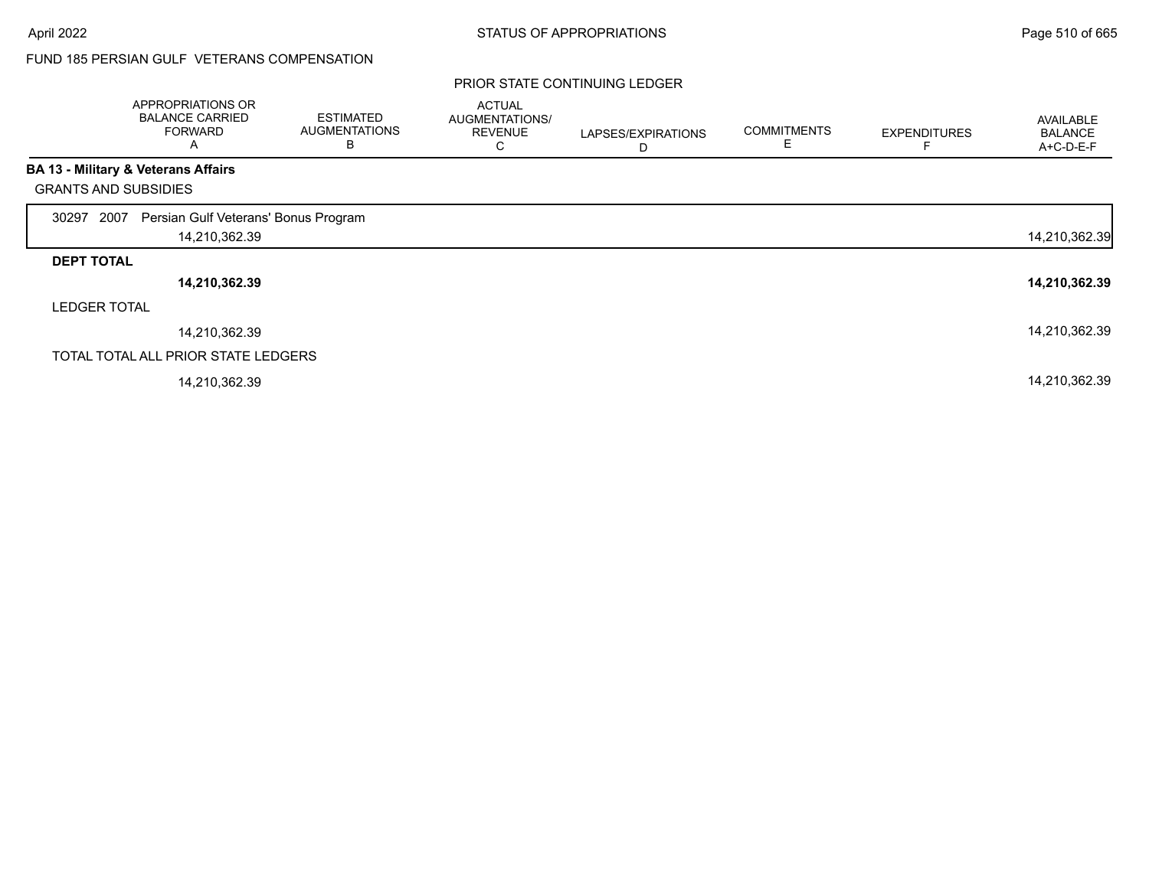### FUND 185 PERSIAN GULF VETERANS COMPENSATION

|                             | APPROPRIATIONS OR<br><b>BALANCE CARRIED</b><br><b>FORWARD</b><br>A | <b>ESTIMATED</b><br><b>AUGMENTATIONS</b><br>В | <b>ACTUAL</b><br><b>AUGMENTATIONS/</b><br><b>REVENUE</b><br>С | LAPSES/EXPIRATIONS<br>D | <b>COMMITMENTS</b> | <b>EXPENDITURES</b> | AVAILABLE<br><b>BALANCE</b><br>A+C-D-E-F |
|-----------------------------|--------------------------------------------------------------------|-----------------------------------------------|---------------------------------------------------------------|-------------------------|--------------------|---------------------|------------------------------------------|
|                             | <b>BA 13 - Military &amp; Veterans Affairs</b>                     |                                               |                                                               |                         |                    |                     |                                          |
| <b>GRANTS AND SUBSIDIES</b> |                                                                    |                                               |                                                               |                         |                    |                     |                                          |
| 2007<br>30297               | Persian Gulf Veterans' Bonus Program                               |                                               |                                                               |                         |                    |                     |                                          |
|                             | 14,210,362.39                                                      |                                               |                                                               |                         |                    |                     | 14,210,362.39                            |
| <b>DEPT TOTAL</b>           |                                                                    |                                               |                                                               |                         |                    |                     |                                          |
|                             | 14,210,362.39                                                      |                                               |                                                               |                         |                    |                     | 14,210,362.39                            |
| <b>LEDGER TOTAL</b>         |                                                                    |                                               |                                                               |                         |                    |                     |                                          |
|                             | 14,210,362.39                                                      |                                               |                                                               |                         |                    |                     | 14,210,362.39                            |
|                             | TOTAL TOTAL ALL PRIOR STATE LEDGERS                                |                                               |                                                               |                         |                    |                     |                                          |
|                             | 14,210,362.39                                                      |                                               |                                                               |                         |                    |                     | 14,210,362.39                            |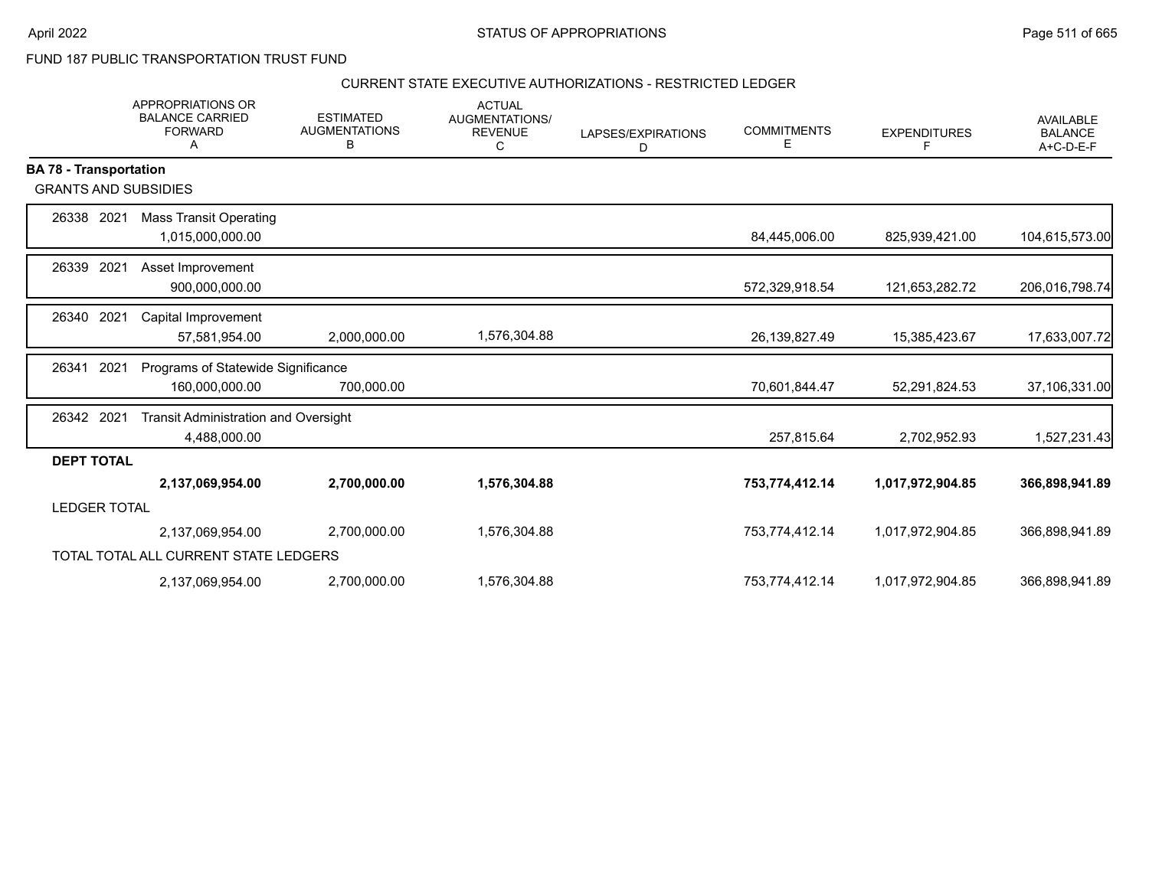FUND 187 PUBLIC TRANSPORTATION TRUST FUND

#### CURRENT STATE EXECUTIVE AUTHORIZATIONS - RESTRICTED LEDGER

|                               | <b>APPROPRIATIONS OR</b><br><b>BALANCE CARRIED</b><br><b>FORWARD</b><br>A | <b>ESTIMATED</b><br><b>AUGMENTATIONS</b><br>В | <b>ACTUAL</b><br>AUGMENTATIONS/<br><b>REVENUE</b><br>С | LAPSES/EXPIRATIONS<br>D | <b>COMMITMENTS</b><br>Е | <b>EXPENDITURES</b><br>F | <b>AVAILABLE</b><br><b>BALANCE</b><br>$A+C-D-E-F$ |
|-------------------------------|---------------------------------------------------------------------------|-----------------------------------------------|--------------------------------------------------------|-------------------------|-------------------------|--------------------------|---------------------------------------------------|
| <b>BA 78 - Transportation</b> |                                                                           |                                               |                                                        |                         |                         |                          |                                                   |
| <b>GRANTS AND SUBSIDIES</b>   |                                                                           |                                               |                                                        |                         |                         |                          |                                                   |
| 26338 2021                    | <b>Mass Transit Operating</b>                                             |                                               |                                                        |                         |                         |                          |                                                   |
|                               | 1,015,000,000.00                                                          |                                               |                                                        |                         | 84,445,006.00           | 825,939,421.00           | 104,615,573.00                                    |
| 26339<br>2021                 | Asset Improvement                                                         |                                               |                                                        |                         |                         |                          |                                                   |
|                               | 900,000,000.00                                                            |                                               |                                                        |                         | 572,329,918.54          | 121,653,282.72           | 206,016,798.74                                    |
| 2021<br>26340                 | Capital Improvement                                                       |                                               |                                                        |                         |                         |                          |                                                   |
|                               | 57,581,954.00                                                             | 2,000,000.00                                  | 1,576,304.88                                           |                         | 26, 139, 827. 49        | 15,385,423.67            | 17,633,007.72                                     |
| 2021<br>26341                 | Programs of Statewide Significance                                        |                                               |                                                        |                         |                         |                          |                                                   |
|                               | 160,000,000.00                                                            | 700,000.00                                    |                                                        |                         | 70,601,844.47           | 52,291,824.53            | 37,106,331.00                                     |
| 26342 2021                    | <b>Transit Administration and Oversight</b>                               |                                               |                                                        |                         |                         |                          |                                                   |
|                               | 4,488,000.00                                                              |                                               |                                                        |                         | 257,815.64              | 2,702,952.93             | 1,527,231.43                                      |
| <b>DEPT TOTAL</b>             |                                                                           |                                               |                                                        |                         |                         |                          |                                                   |
|                               | 2,137,069,954.00                                                          | 2,700,000.00                                  | 1,576,304.88                                           |                         | 753,774,412.14          | 1,017,972,904.85         | 366,898,941.89                                    |
| <b>LEDGER TOTAL</b>           |                                                                           |                                               |                                                        |                         |                         |                          |                                                   |
|                               | 2,137,069,954.00                                                          | 2,700,000.00                                  | 1,576,304.88                                           |                         | 753,774,412.14          | 1,017,972,904.85         | 366,898,941.89                                    |
|                               | TOTAL TOTAL ALL CURRENT STATE LEDGERS                                     |                                               |                                                        |                         |                         |                          |                                                   |
|                               | 2,137,069,954.00                                                          | 2,700,000.00                                  | 1,576,304.88                                           |                         | 753,774,412.14          | 1,017,972,904.85         | 366,898,941.89                                    |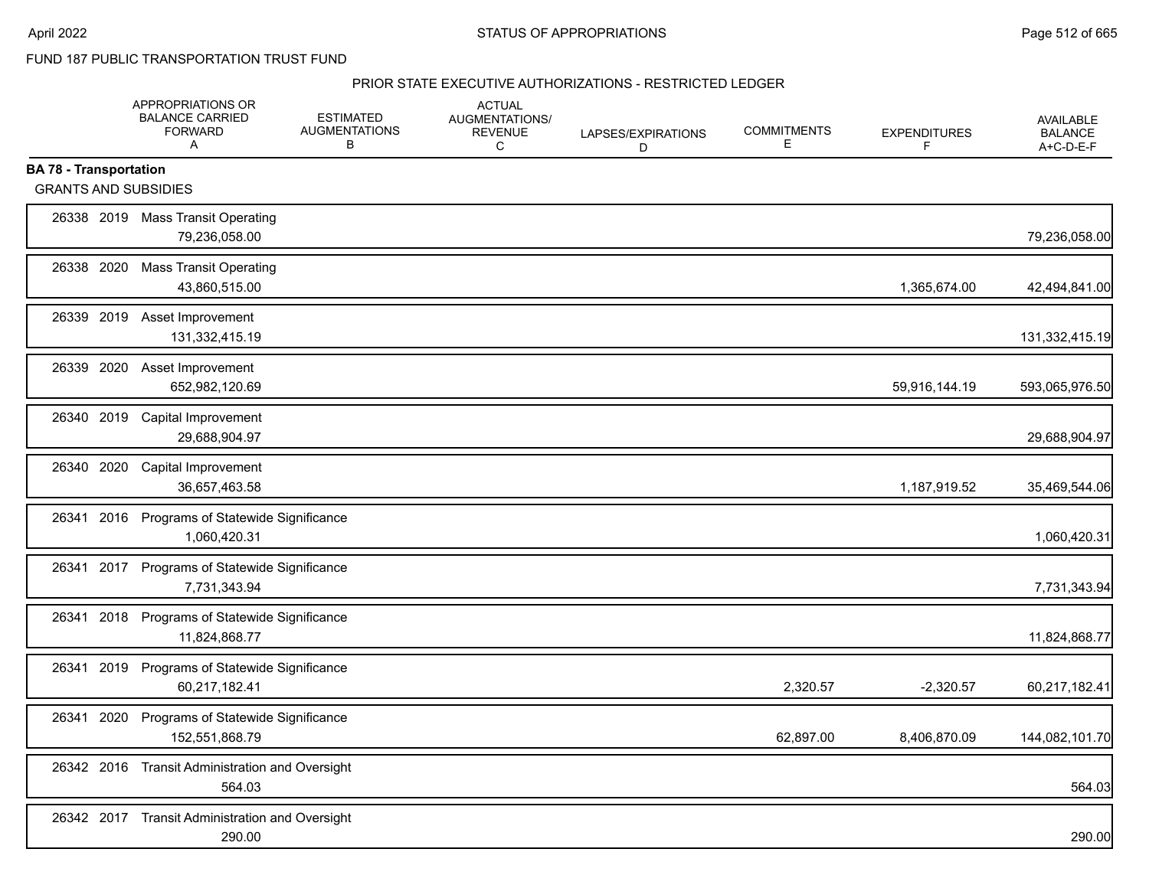FUND 187 PUBLIC TRANSPORTATION TRUST FUND

#### PRIOR STATE EXECUTIVE AUTHORIZATIONS - RESTRICTED LEDGER

|                                                              | APPROPRIATIONS OR<br><b>BALANCE CARRIED</b><br><b>FORWARD</b><br>Α | <b>ESTIMATED</b><br><b>AUGMENTATIONS</b><br>в | <b>ACTUAL</b><br>AUGMENTATIONS/<br><b>REVENUE</b><br>C | LAPSES/EXPIRATIONS<br>D | <b>COMMITMENTS</b><br>Е | <b>EXPENDITURES</b><br>F | <b>AVAILABLE</b><br><b>BALANCE</b><br>A+C-D-E-F |
|--------------------------------------------------------------|--------------------------------------------------------------------|-----------------------------------------------|--------------------------------------------------------|-------------------------|-------------------------|--------------------------|-------------------------------------------------|
| <b>BA 78 - Transportation</b><br><b>GRANTS AND SUBSIDIES</b> |                                                                    |                                               |                                                        |                         |                         |                          |                                                 |
|                                                              | 26338 2019 Mass Transit Operating<br>79,236,058.00                 |                                               |                                                        |                         |                         |                          | 79,236,058.00                                   |
| 26338 2020                                                   | <b>Mass Transit Operating</b><br>43,860,515.00                     |                                               |                                                        |                         |                         | 1,365,674.00             | 42,494,841.00                                   |
| 26339 2019                                                   | Asset Improvement<br>131,332,415.19                                |                                               |                                                        |                         |                         |                          | 131,332,415.19                                  |
| 26339 2020                                                   | Asset Improvement<br>652,982,120.69                                |                                               |                                                        |                         |                         | 59,916,144.19            | 593,065,976.50                                  |
| 26340 2019                                                   | Capital Improvement<br>29,688,904.97                               |                                               |                                                        |                         |                         |                          | 29,688,904.97                                   |
| 26340 2020                                                   | <b>Capital Improvement</b><br>36,657,463.58                        |                                               |                                                        |                         |                         | 1,187,919.52             | 35,469,544.06                                   |
| 26341                                                        | 2016 Programs of Statewide Significance<br>1,060,420.31            |                                               |                                                        |                         |                         |                          | 1,060,420.31                                    |
|                                                              | 26341 2017 Programs of Statewide Significance<br>7,731,343.94      |                                               |                                                        |                         |                         |                          | 7,731,343.94                                    |
| 2018<br>26341                                                | Programs of Statewide Significance<br>11,824,868.77                |                                               |                                                        |                         |                         |                          | 11,824,868.77                                   |
| 26341 2019                                                   | Programs of Statewide Significance<br>60,217,182.41                |                                               |                                                        |                         | 2,320.57                | $-2,320.57$              | 60,217,182.41                                   |
| 2020<br>26341                                                | Programs of Statewide Significance<br>152,551,868.79               |                                               |                                                        |                         | 62,897.00               | 8,406,870.09             | 144,082,101.70                                  |
|                                                              | 26342 2016 Transit Administration and Oversight<br>564.03          |                                               |                                                        |                         |                         |                          | 564.03                                          |
| 26342 2017                                                   | <b>Transit Administration and Oversight</b><br>290.00              |                                               |                                                        |                         |                         |                          | 290.00                                          |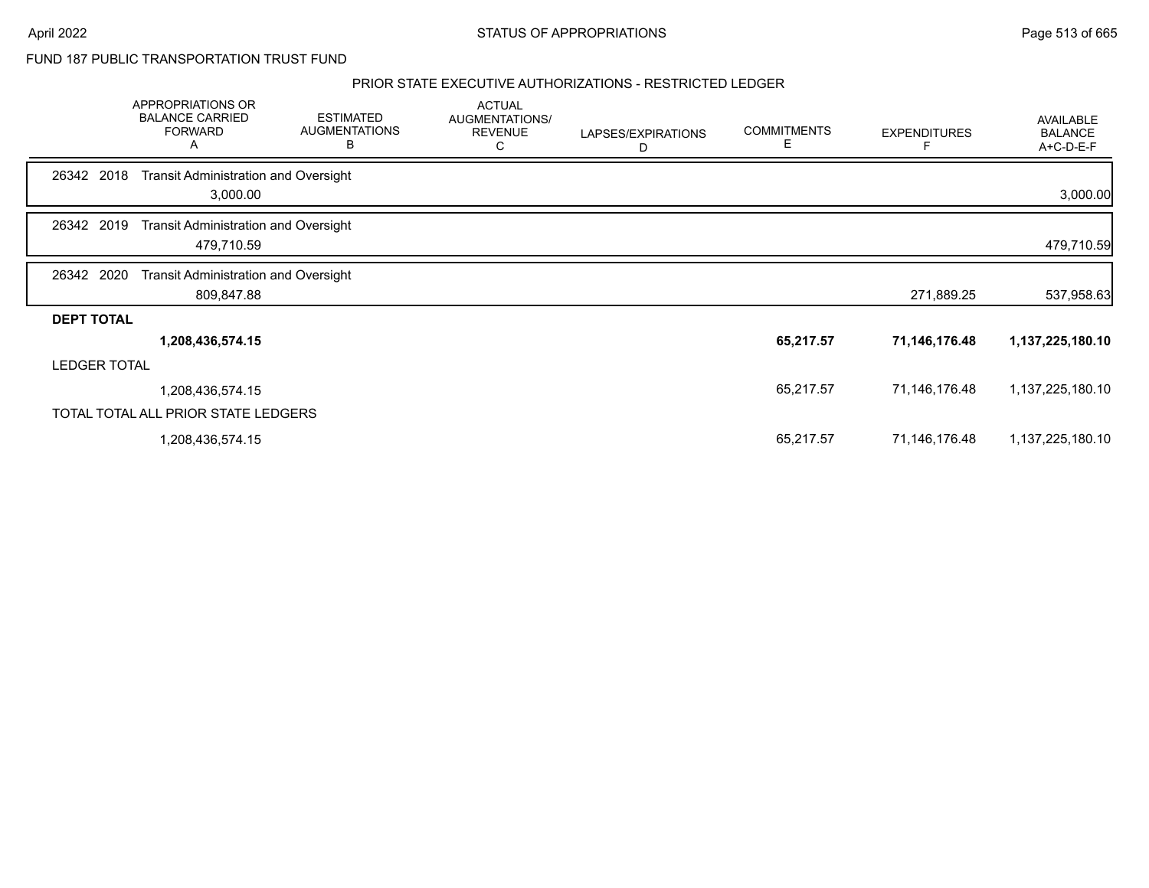FUND 187 PUBLIC TRANSPORTATION TRUST FUND

#### PRIOR STATE EXECUTIVE AUTHORIZATIONS - RESTRICTED LEDGER

|                     | APPROPRIATIONS OR<br><b>BALANCE CARRIED</b><br><b>FORWARD</b><br>А | <b>ESTIMATED</b><br><b>AUGMENTATIONS</b><br>в | <b>ACTUAL</b><br>AUGMENTATIONS/<br><b>REVENUE</b><br>С | LAPSES/EXPIRATIONS<br>D | <b>COMMITMENTS</b><br>E | <b>EXPENDITURES</b> | <b>AVAILABLE</b><br><b>BALANCE</b><br>A+C-D-E-F |
|---------------------|--------------------------------------------------------------------|-----------------------------------------------|--------------------------------------------------------|-------------------------|-------------------------|---------------------|-------------------------------------------------|
| 2018<br>26342       | <b>Transit Administration and Oversight</b><br>3,000.00            |                                               |                                                        |                         |                         |                     | 3,000.00                                        |
| 26342 2019          | <b>Transit Administration and Oversight</b><br>479,710.59          |                                               |                                                        |                         |                         |                     | 479,710.59                                      |
| 26342 2020          | <b>Transit Administration and Oversight</b><br>809,847.88          |                                               |                                                        |                         |                         | 271,889.25          | 537,958.63                                      |
| <b>DEPT TOTAL</b>   |                                                                    |                                               |                                                        |                         |                         |                     |                                                 |
|                     | 1,208,436,574.15                                                   |                                               |                                                        |                         | 65,217.57               | 71,146,176.48       | 1,137,225,180.10                                |
| <b>LEDGER TOTAL</b> |                                                                    |                                               |                                                        |                         |                         |                     |                                                 |
|                     | 1,208,436,574.15                                                   |                                               |                                                        |                         | 65,217.57               | 71,146,176.48       | 1,137,225,180.10                                |
|                     | TOTAL TOTAL ALL PRIOR STATE LEDGERS                                |                                               |                                                        |                         |                         |                     |                                                 |
|                     | 1,208,436,574.15                                                   |                                               |                                                        |                         | 65,217.57               | 71,146,176.48       | 1,137,225,180.10                                |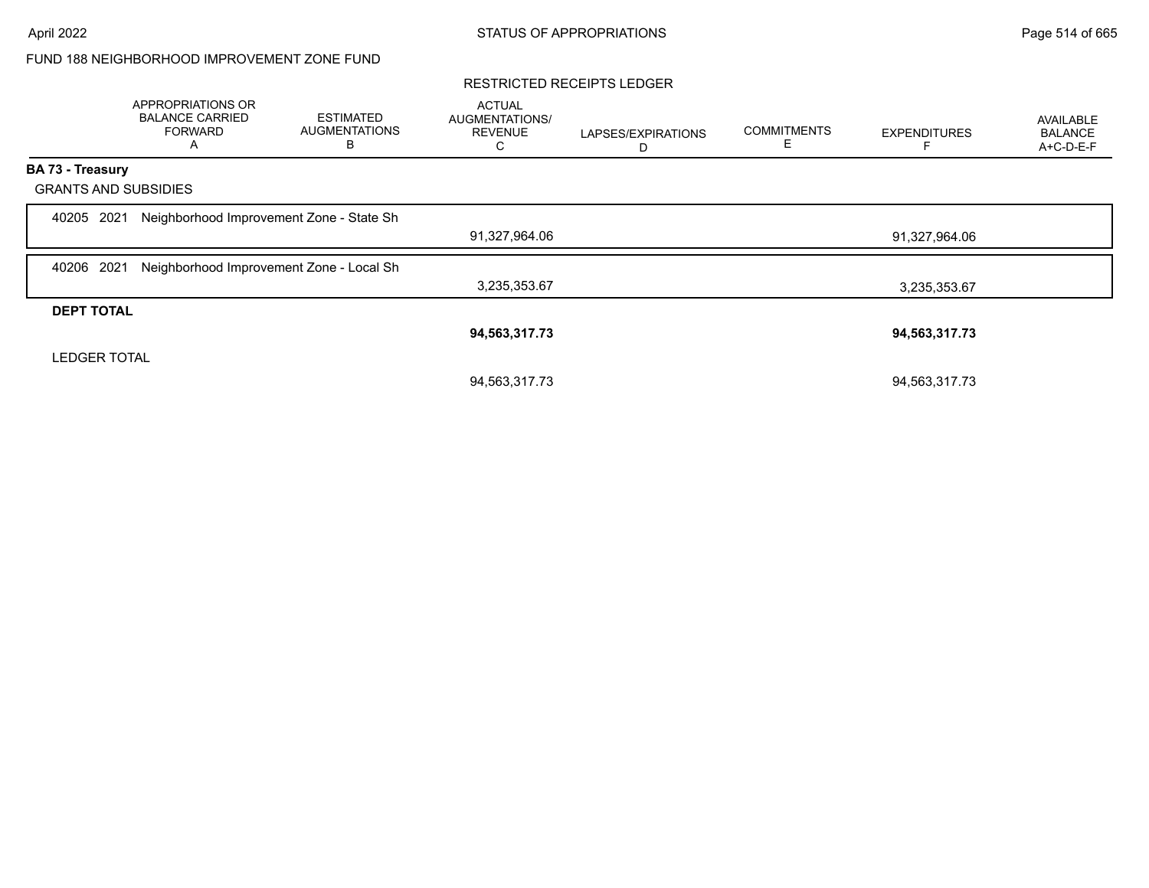### FUND 188 NEIGHBORHOOD IMPROVEMENT ZONE FUND

#### RESTRICTED RECEIPTS LEDGER

|                             | APPROPRIATIONS OR<br><b>BALANCE CARRIED</b><br><b>FORWARD</b><br>A | <b>ESTIMATED</b><br><b>AUGMENTATIONS</b><br>В | <b>ACTUAL</b><br>AUGMENTATIONS/<br><b>REVENUE</b><br>С | LAPSES/EXPIRATIONS<br>D | <b>COMMITMENTS</b><br>Е | <b>EXPENDITURES</b> | <b>AVAILABLE</b><br><b>BALANCE</b><br>A+C-D-E-F |
|-----------------------------|--------------------------------------------------------------------|-----------------------------------------------|--------------------------------------------------------|-------------------------|-------------------------|---------------------|-------------------------------------------------|
| <b>BA 73 - Treasury</b>     |                                                                    |                                               |                                                        |                         |                         |                     |                                                 |
| <b>GRANTS AND SUBSIDIES</b> |                                                                    |                                               |                                                        |                         |                         |                     |                                                 |
| 2021<br>40205               | Neighborhood Improvement Zone - State Sh                           |                                               |                                                        |                         |                         |                     |                                                 |
|                             |                                                                    |                                               | 91,327,964.06                                          |                         |                         | 91,327,964.06       |                                                 |
| 2021<br>40206               | Neighborhood Improvement Zone - Local Sh                           |                                               |                                                        |                         |                         |                     |                                                 |
|                             |                                                                    |                                               | 3,235,353.67                                           |                         |                         | 3,235,353.67        |                                                 |
| <b>DEPT TOTAL</b>           |                                                                    |                                               |                                                        |                         |                         |                     |                                                 |
|                             |                                                                    |                                               | 94,563,317.73                                          |                         |                         | 94,563,317.73       |                                                 |
| <b>LEDGER TOTAL</b>         |                                                                    |                                               |                                                        |                         |                         |                     |                                                 |
|                             |                                                                    |                                               | 94,563,317.73                                          |                         |                         | 94,563,317.73       |                                                 |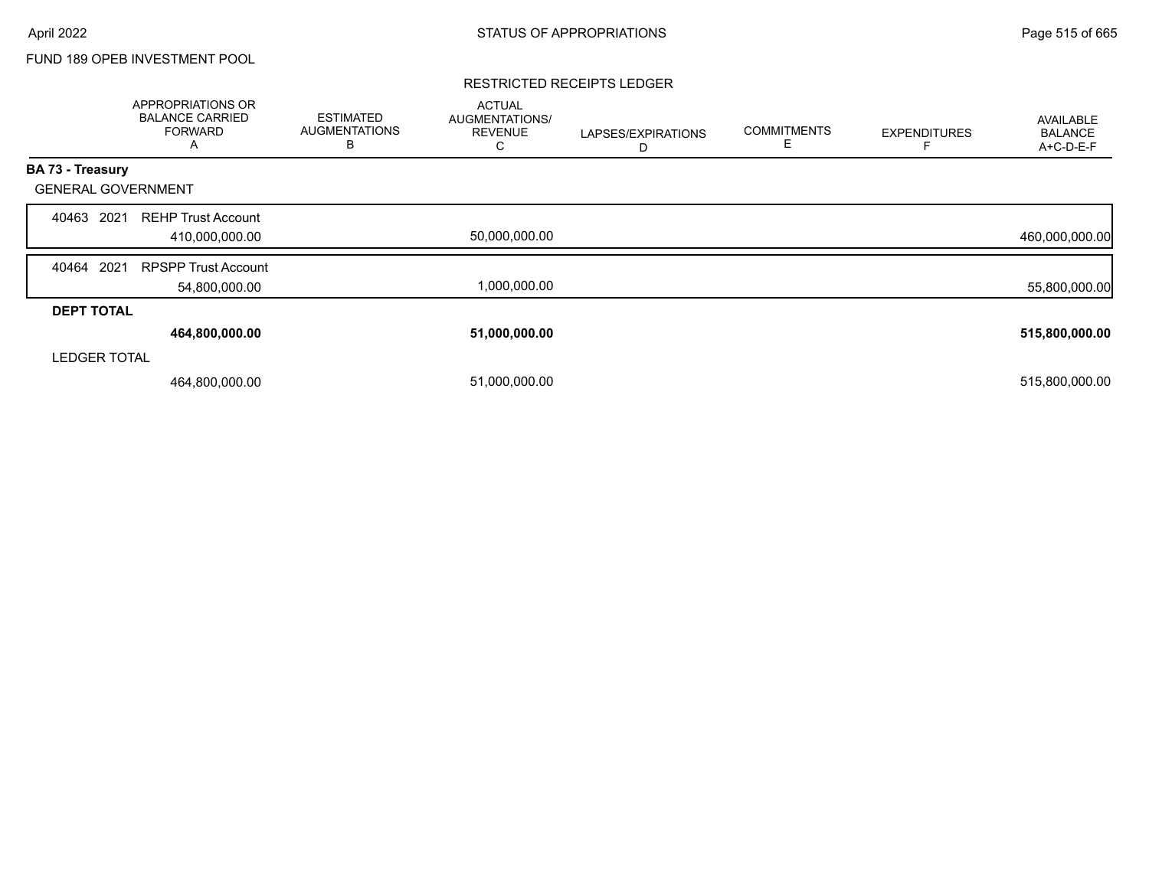### FUND 189 OPEB INVESTMENT POOL

#### RESTRICTED RECEIPTS LEDGER

|                           | <b>APPROPRIATIONS OR</b><br><b>BALANCE CARRIED</b><br><b>FORWARD</b><br>A | <b>ESTIMATED</b><br><b>AUGMENTATIONS</b><br>B | <b>ACTUAL</b><br>AUGMENTATIONS/<br><b>REVENUE</b><br>С | LAPSES/EXPIRATIONS<br>D | <b>COMMITMENTS</b><br>Е | <b>EXPENDITURES</b> | AVAILABLE<br><b>BALANCE</b><br>A+C-D-E-F |
|---------------------------|---------------------------------------------------------------------------|-----------------------------------------------|--------------------------------------------------------|-------------------------|-------------------------|---------------------|------------------------------------------|
| BA 73 - Treasury          |                                                                           |                                               |                                                        |                         |                         |                     |                                          |
| <b>GENERAL GOVERNMENT</b> |                                                                           |                                               |                                                        |                         |                         |                     |                                          |
| 2021<br>40463             | <b>REHP Trust Account</b>                                                 |                                               |                                                        |                         |                         |                     |                                          |
|                           | 410,000,000.00                                                            |                                               | 50,000,000.00                                          |                         |                         |                     | 460,000,000.00                           |
| 2021<br>40464             | <b>RPSPP Trust Account</b>                                                |                                               |                                                        |                         |                         |                     |                                          |
|                           | 54,800,000.00                                                             |                                               | 1,000,000.00                                           |                         |                         |                     | 55,800,000.00                            |
| <b>DEPT TOTAL</b>         |                                                                           |                                               |                                                        |                         |                         |                     |                                          |
|                           | 464,800,000.00                                                            |                                               | 51,000,000.00                                          |                         |                         |                     | 515,800,000.00                           |
| <b>LEDGER TOTAL</b>       |                                                                           |                                               |                                                        |                         |                         |                     |                                          |
|                           | 464,800,000.00                                                            |                                               | 51,000,000.00                                          |                         |                         |                     | 515,800,000.00                           |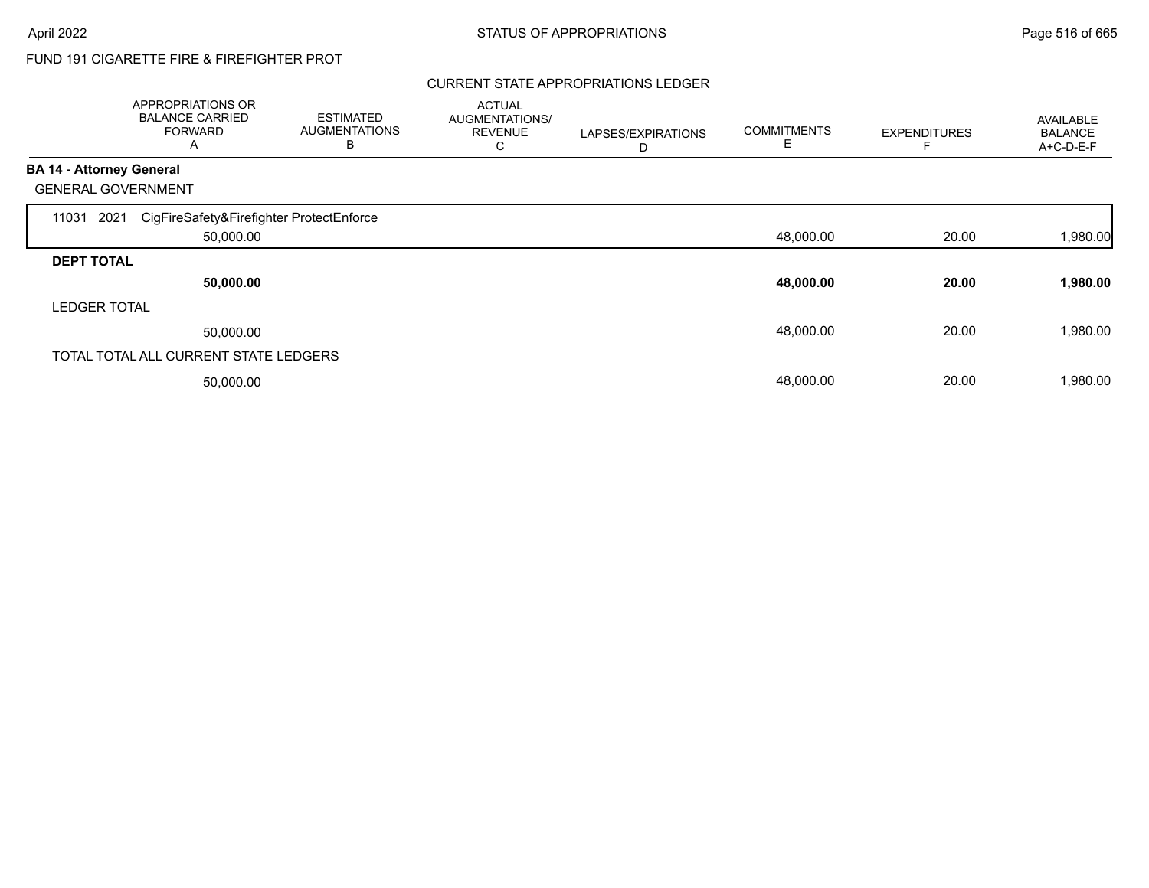# FUND 191 CIGARETTE FIRE & FIREFIGHTER PROT

### CURRENT STATE APPROPRIATIONS LEDGER

|                                 | APPROPRIATIONS OR<br><b>BALANCE CARRIED</b><br><b>FORWARD</b><br>Α | <b>ESTIMATED</b><br><b>AUGMENTATIONS</b><br>B | <b>ACTUAL</b><br>AUGMENTATIONS/<br><b>REVENUE</b><br>С | LAPSES/EXPIRATIONS<br>D | <b>COMMITMENTS</b> | <b>EXPENDITURES</b> | AVAILABLE<br><b>BALANCE</b><br>A+C-D-E-F |
|---------------------------------|--------------------------------------------------------------------|-----------------------------------------------|--------------------------------------------------------|-------------------------|--------------------|---------------------|------------------------------------------|
| <b>BA 14 - Attorney General</b> |                                                                    |                                               |                                                        |                         |                    |                     |                                          |
|                                 | <b>GENERAL GOVERNMENT</b>                                          |                                               |                                                        |                         |                    |                     |                                          |
| 11031                           | CigFireSafety&Firefighter ProtectEnforce<br>2021                   |                                               |                                                        |                         |                    |                     |                                          |
|                                 | 50,000.00                                                          |                                               |                                                        |                         | 48,000.00          | 20.00               | 1,980.00                                 |
| <b>DEPT TOTAL</b>               |                                                                    |                                               |                                                        |                         |                    |                     |                                          |
|                                 | 50,000.00                                                          |                                               |                                                        |                         | 48,000.00          | 20.00               | 1,980.00                                 |
| <b>LEDGER TOTAL</b>             |                                                                    |                                               |                                                        |                         |                    |                     |                                          |
|                                 | 50,000.00                                                          |                                               |                                                        |                         | 48,000.00          | 20.00               | 1,980.00                                 |
|                                 | TOTAL TOTAL ALL CURRENT STATE LEDGERS                              |                                               |                                                        |                         |                    |                     |                                          |
|                                 | 50,000.00                                                          |                                               |                                                        |                         | 48,000.00          | 20.00               | 1,980.00                                 |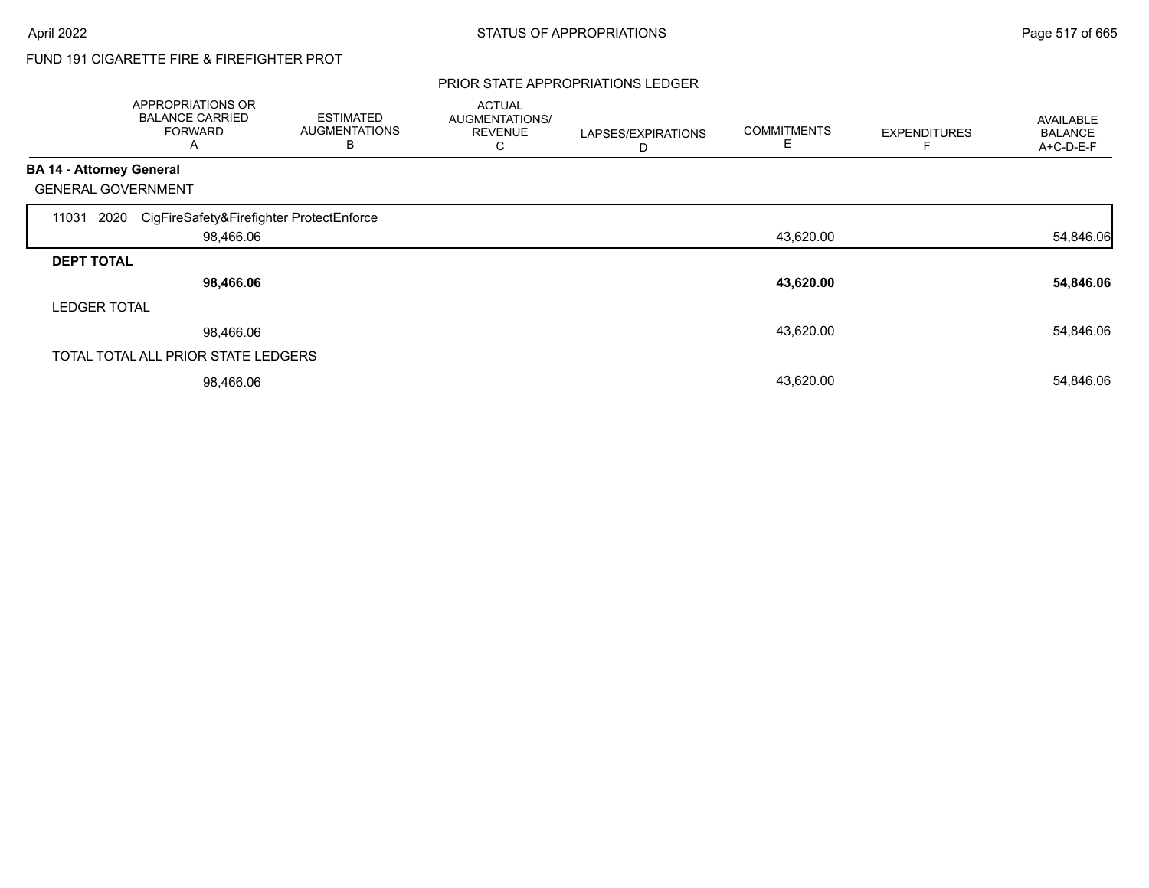# FUND 191 CIGARETTE FIRE & FIREFIGHTER PROT

#### PRIOR STATE APPROPRIATIONS LEDGER

|                                 | APPROPRIATIONS OR<br><b>BALANCE CARRIED</b><br><b>FORWARD</b><br>A | <b>ESTIMATED</b><br><b>AUGMENTATIONS</b><br>B | <b>ACTUAL</b><br>AUGMENTATIONS/<br><b>REVENUE</b><br>С | LAPSES/EXPIRATIONS<br>D | <b>COMMITMENTS</b><br>E | <b>EXPENDITURES</b> | AVAILABLE<br><b>BALANCE</b><br>A+C-D-E-F |
|---------------------------------|--------------------------------------------------------------------|-----------------------------------------------|--------------------------------------------------------|-------------------------|-------------------------|---------------------|------------------------------------------|
| <b>BA 14 - Attorney General</b> |                                                                    |                                               |                                                        |                         |                         |                     |                                          |
|                                 | <b>GENERAL GOVERNMENT</b>                                          |                                               |                                                        |                         |                         |                     |                                          |
| 11031                           | CigFireSafety&Firefighter ProtectEnforce<br>2020                   |                                               |                                                        |                         |                         |                     |                                          |
|                                 | 98,466.06                                                          |                                               |                                                        |                         | 43,620.00               |                     | 54,846.06                                |
| <b>DEPT TOTAL</b>               |                                                                    |                                               |                                                        |                         |                         |                     |                                          |
|                                 | 98,466.06                                                          |                                               |                                                        |                         | 43,620.00               |                     | 54,846.06                                |
| <b>LEDGER TOTAL</b>             |                                                                    |                                               |                                                        |                         |                         |                     |                                          |
|                                 | 98,466.06                                                          |                                               |                                                        |                         | 43,620.00               |                     | 54,846.06                                |
|                                 | TOTAL TOTAL ALL PRIOR STATE LEDGERS                                |                                               |                                                        |                         |                         |                     |                                          |
|                                 | 98,466.06                                                          |                                               |                                                        |                         | 43,620.00               |                     | 54,846.06                                |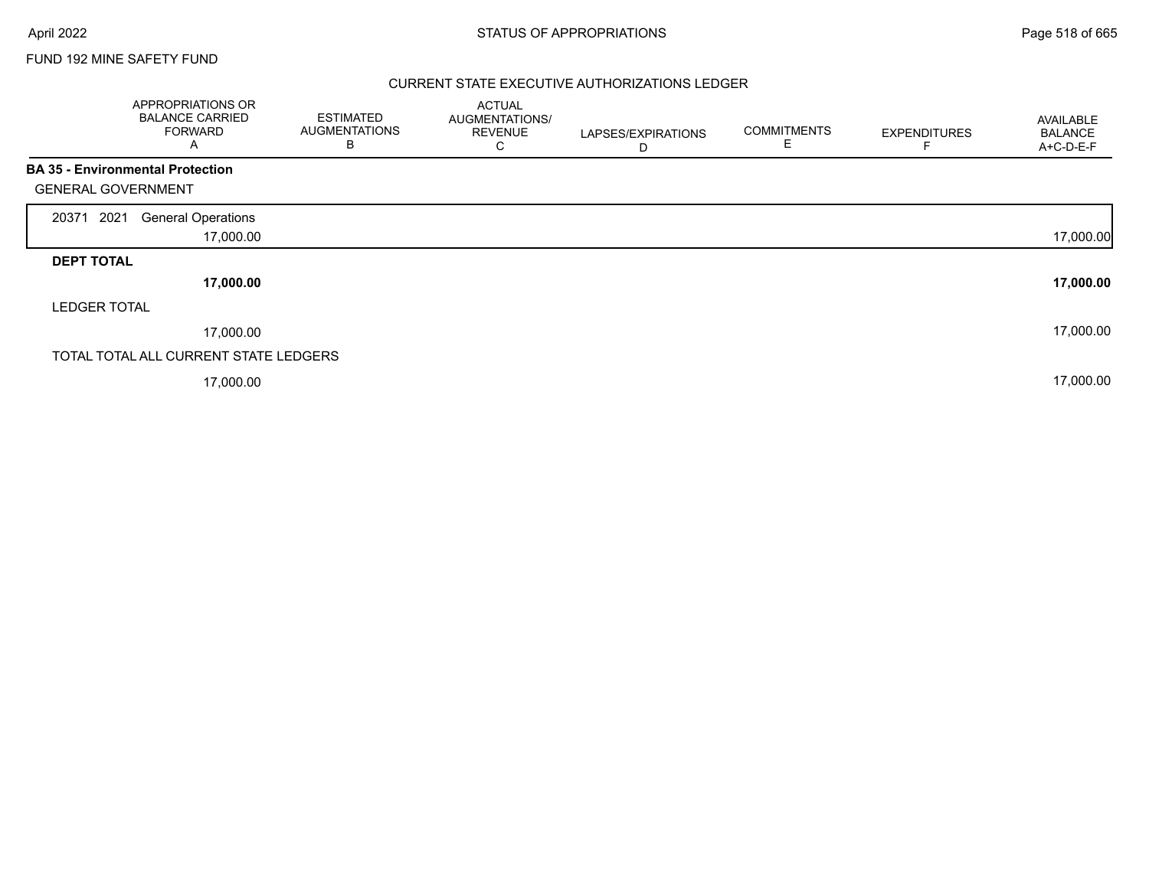### FUND 192 MINE SAFETY FUND

### CURRENT STATE EXECUTIVE AUTHORIZATIONS LEDGER

| APPROPRIATIONS OR<br><b>BALANCE CARRIED</b><br><b>FORWARD</b><br>A   | <b>ESTIMATED</b><br><b>AUGMENTATIONS</b><br>В | <b>ACTUAL</b><br>AUGMENTATIONS/<br><b>REVENUE</b><br>С | LAPSES/EXPIRATIONS<br>D | <b>COMMITMENTS</b><br>Е | <b>EXPENDITURES</b> | AVAILABLE<br><b>BALANCE</b><br>A+C-D-E-F |
|----------------------------------------------------------------------|-----------------------------------------------|--------------------------------------------------------|-------------------------|-------------------------|---------------------|------------------------------------------|
| <b>BA 35 - Environmental Protection</b><br><b>GENERAL GOVERNMENT</b> |                                               |                                                        |                         |                         |                     |                                          |
| 2021<br><b>General Operations</b><br>20371                           |                                               |                                                        |                         |                         |                     |                                          |
|                                                                      | 17,000.00                                     |                                                        |                         |                         |                     | 17,000.00                                |
| <b>DEPT TOTAL</b>                                                    |                                               |                                                        |                         |                         |                     |                                          |
|                                                                      | 17,000.00                                     |                                                        |                         |                         |                     | 17,000.00                                |
| <b>LEDGER TOTAL</b>                                                  |                                               |                                                        |                         |                         |                     |                                          |
|                                                                      | 17,000.00                                     |                                                        |                         |                         |                     | 17,000.00                                |
| TOTAL TOTAL ALL CURRENT STATE LEDGERS                                |                                               |                                                        |                         |                         |                     |                                          |
|                                                                      | 17,000.00                                     |                                                        |                         |                         |                     | 17,000.00                                |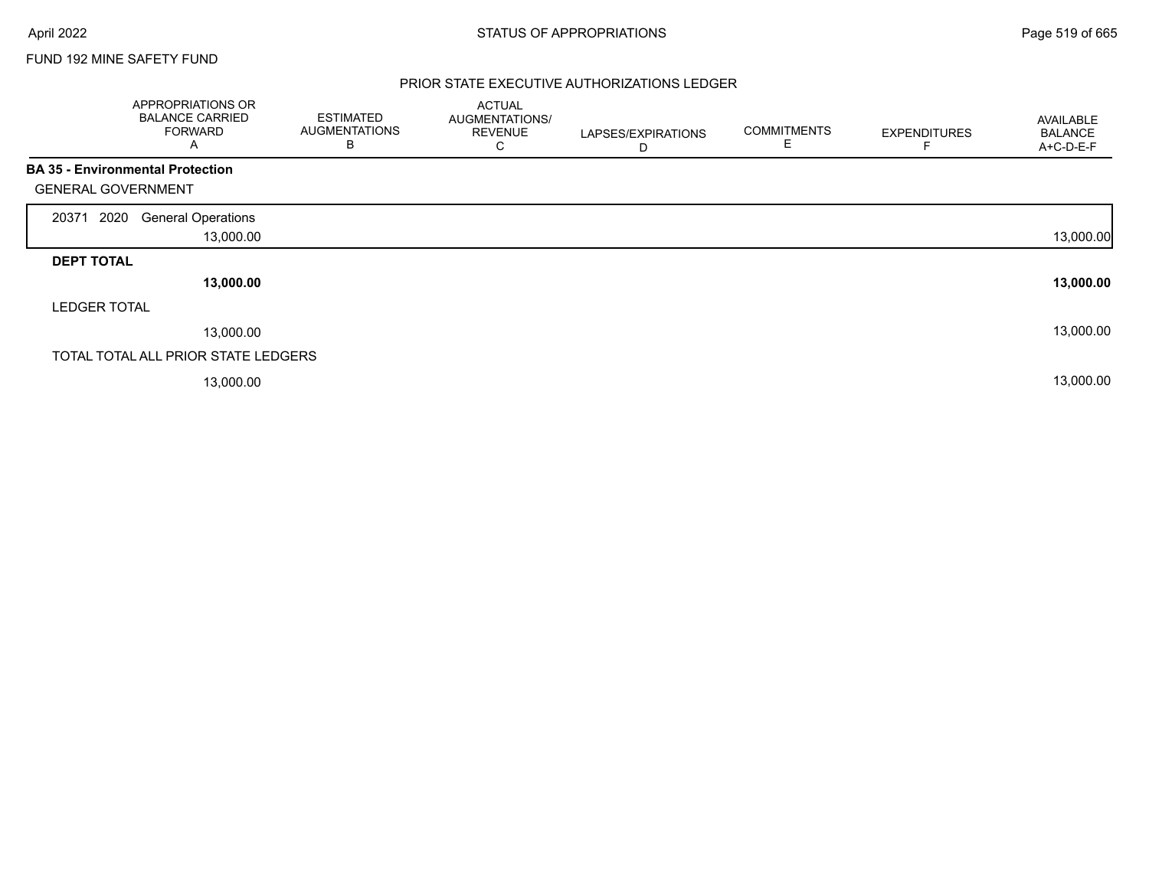### FUND 192 MINE SAFETY FUND

### PRIOR STATE EXECUTIVE AUTHORIZATIONS LEDGER

|                           | APPROPRIATIONS OR<br><b>BALANCE CARRIED</b><br><b>FORWARD</b><br>Α | <b>ESTIMATED</b><br><b>AUGMENTATIONS</b><br>B | <b>ACTUAL</b><br>AUGMENTATIONS/<br><b>REVENUE</b><br>С | LAPSES/EXPIRATIONS<br>D | <b>COMMITMENTS</b> | <b>EXPENDITURES</b> | AVAILABLE<br><b>BALANCE</b><br>A+C-D-E-F |
|---------------------------|--------------------------------------------------------------------|-----------------------------------------------|--------------------------------------------------------|-------------------------|--------------------|---------------------|------------------------------------------|
|                           | <b>BA 35 - Environmental Protection</b>                            |                                               |                                                        |                         |                    |                     |                                          |
| <b>GENERAL GOVERNMENT</b> |                                                                    |                                               |                                                        |                         |                    |                     |                                          |
| 2020<br>20371             | <b>General Operations</b>                                          |                                               |                                                        |                         |                    |                     |                                          |
|                           | 13,000.00                                                          |                                               |                                                        |                         |                    |                     | 13,000.00                                |
| <b>DEPT TOTAL</b>         |                                                                    |                                               |                                                        |                         |                    |                     |                                          |
|                           | 13,000.00                                                          |                                               |                                                        |                         |                    |                     | 13,000.00                                |
| <b>LEDGER TOTAL</b>       |                                                                    |                                               |                                                        |                         |                    |                     |                                          |
|                           | 13,000.00                                                          |                                               |                                                        |                         |                    |                     | 13,000.00                                |
|                           | TOTAL TOTAL ALL PRIOR STATE LEDGERS                                |                                               |                                                        |                         |                    |                     |                                          |
|                           | 13,000.00                                                          |                                               |                                                        |                         |                    |                     | 13,000.00                                |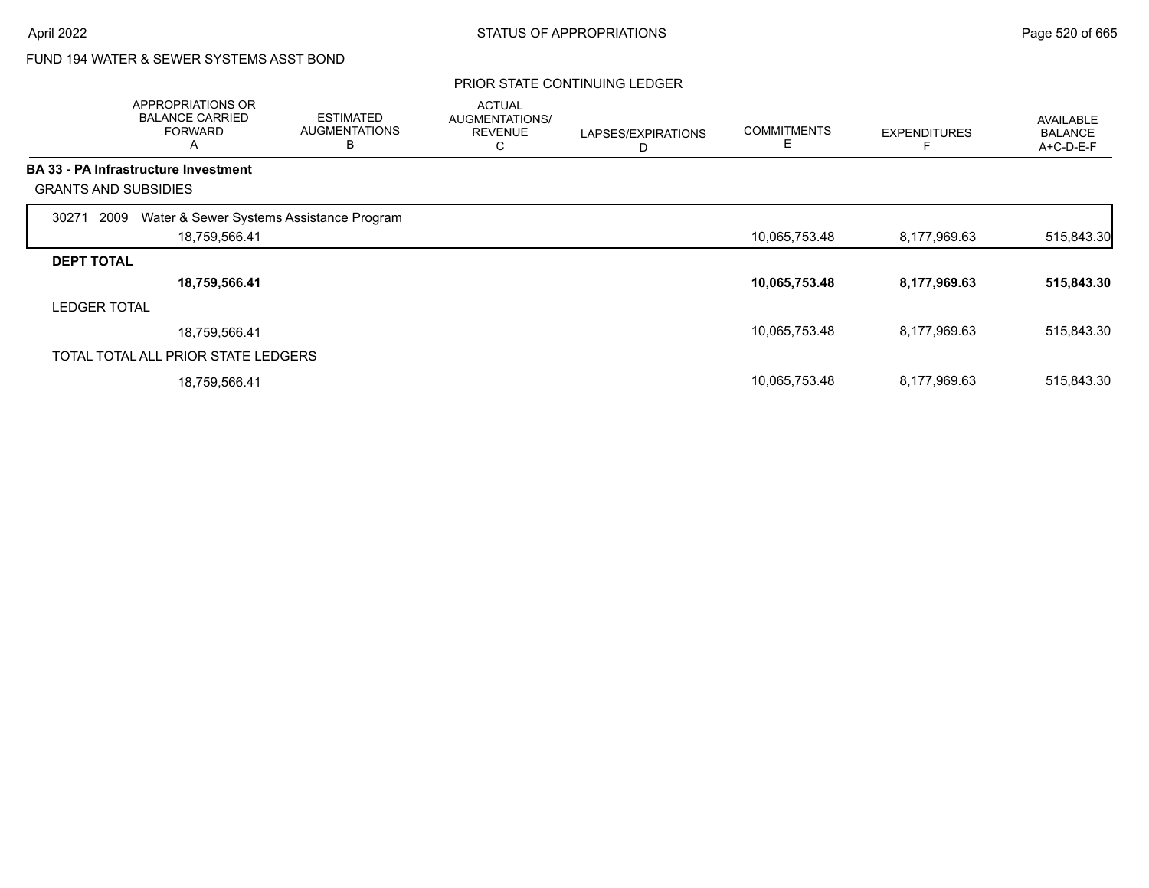### FUND 194 WATER & SEWER SYSTEMS ASST BOND

|                     | APPROPRIATIONS OR<br><b>BALANCE CARRIED</b><br><b>FORWARD</b><br>A | <b>ESTIMATED</b><br><b>AUGMENTATIONS</b><br>B | <b>ACTUAL</b><br>AUGMENTATIONS/<br><b>REVENUE</b><br>С | LAPSES/EXPIRATIONS<br>D | <b>COMMITMENTS</b><br>E | <b>EXPENDITURES</b> | AVAILABLE<br><b>BALANCE</b><br>A+C-D-E-F |
|---------------------|--------------------------------------------------------------------|-----------------------------------------------|--------------------------------------------------------|-------------------------|-------------------------|---------------------|------------------------------------------|
|                     | <b>BA 33 - PA Infrastructure Investment</b>                        |                                               |                                                        |                         |                         |                     |                                          |
|                     | <b>GRANTS AND SUBSIDIES</b>                                        |                                               |                                                        |                         |                         |                     |                                          |
| 2009<br>30271       | Water & Sewer Systems Assistance Program                           |                                               |                                                        |                         |                         |                     |                                          |
|                     | 18,759,566.41                                                      |                                               |                                                        |                         | 10,065,753.48           | 8,177,969.63        | 515,843.30                               |
| <b>DEPT TOTAL</b>   |                                                                    |                                               |                                                        |                         |                         |                     |                                          |
|                     | 18,759,566.41                                                      |                                               |                                                        |                         | 10,065,753.48           | 8,177,969.63        | 515,843.30                               |
| <b>LEDGER TOTAL</b> |                                                                    |                                               |                                                        |                         |                         |                     |                                          |
|                     | 18,759,566.41                                                      |                                               |                                                        |                         | 10,065,753.48           | 8,177,969.63        | 515,843.30                               |
|                     | TOTAL TOTAL ALL PRIOR STATE LEDGERS                                |                                               |                                                        |                         |                         |                     |                                          |
|                     | 18,759,566.41                                                      |                                               |                                                        |                         | 10,065,753.48           | 8,177,969.63        | 515,843.30                               |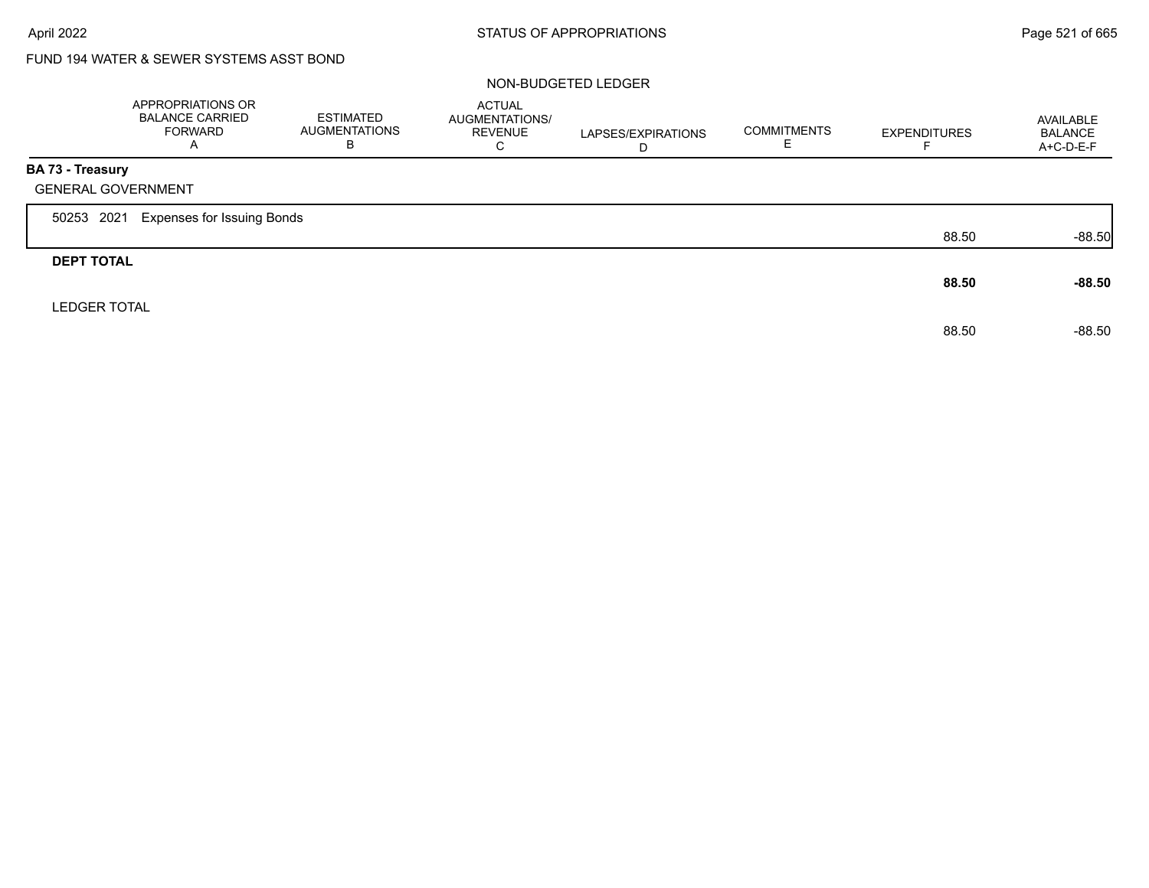# FUND 194 WATER & SEWER SYSTEMS ASST BOND

#### NON-BUDGETED LEDGER

|                     | APPROPRIATIONS OR<br><b>BALANCE CARRIED</b><br><b>FORWARD</b><br>A | ESTIMATED<br><b>AUGMENTATIONS</b><br>B | <b>ACTUAL</b><br>AUGMENTATIONS/<br><b>REVENUE</b><br>C | LAPSES/EXPIRATIONS<br>D | <b>COMMITMENTS</b><br>ᄇ | <b>EXPENDITURES</b> | AVAILABLE<br><b>BALANCE</b><br>A+C-D-E-F |
|---------------------|--------------------------------------------------------------------|----------------------------------------|--------------------------------------------------------|-------------------------|-------------------------|---------------------|------------------------------------------|
| BA 73 - Treasury    |                                                                    |                                        |                                                        |                         |                         |                     |                                          |
|                     | <b>GENERAL GOVERNMENT</b>                                          |                                        |                                                        |                         |                         |                     |                                          |
| 50253 2021          | <b>Expenses for Issuing Bonds</b>                                  |                                        |                                                        |                         |                         |                     |                                          |
|                     |                                                                    |                                        |                                                        |                         |                         | 88.50               | $-88.50$                                 |
| <b>DEPT TOTAL</b>   |                                                                    |                                        |                                                        |                         |                         |                     |                                          |
|                     |                                                                    |                                        |                                                        |                         |                         | 88.50               | $-88.50$                                 |
| <b>LEDGER TOTAL</b> |                                                                    |                                        |                                                        |                         |                         |                     |                                          |
|                     |                                                                    |                                        |                                                        |                         |                         | 88.50               | $-88.50$                                 |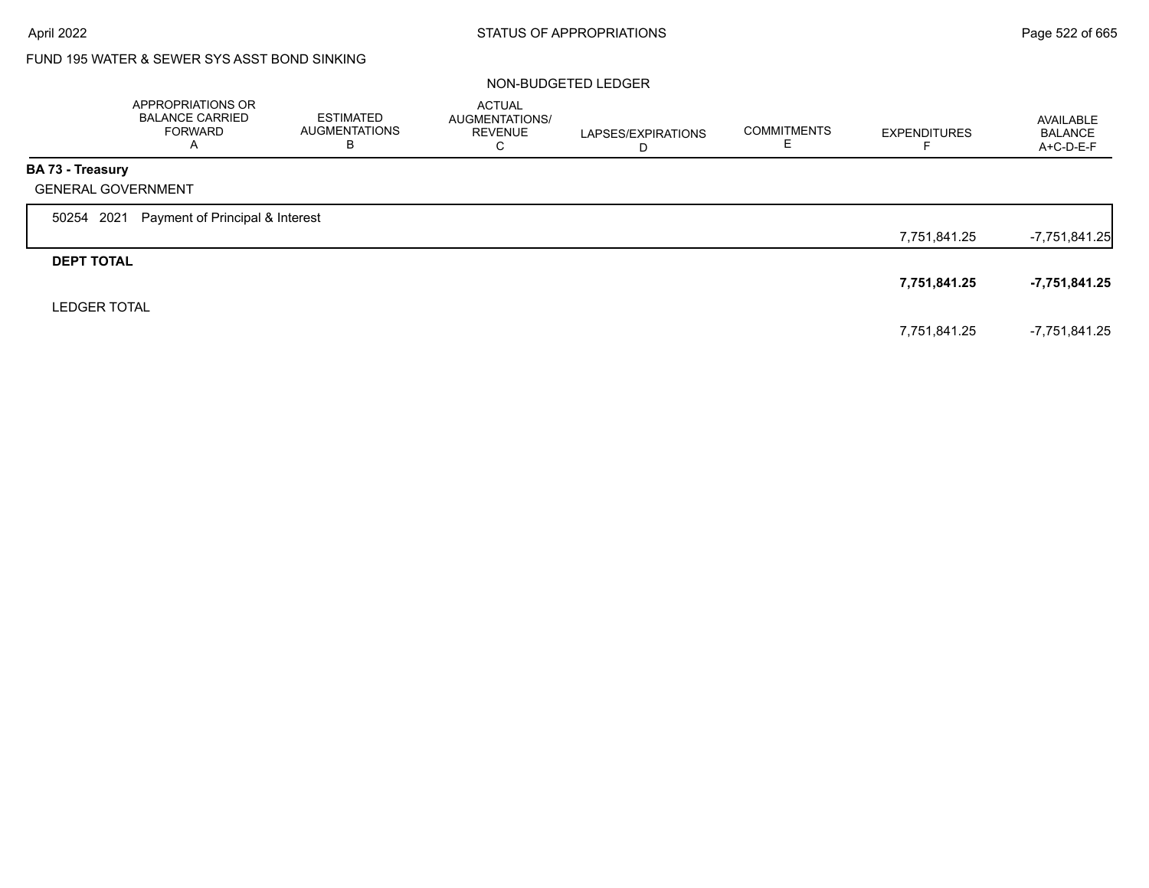# FUND 195 WATER & SEWER SYS ASST BOND SINKING

#### NON-BUDGETED LEDGER

|                     | APPROPRIATIONS OR<br><b>BALANCE CARRIED</b><br><b>FORWARD</b><br>$\overline{A}$ | ESTIMATED<br><b>AUGMENTATIONS</b><br>В | <b>ACTUAL</b><br>AUGMENTATIONS/<br><b>REVENUE</b><br>С | LAPSES/EXPIRATIONS<br>D | <b>COMMITMENTS</b> | <b>EXPENDITURES</b> | AVAILABLE<br><b>BALANCE</b><br>A+C-D-E-F |
|---------------------|---------------------------------------------------------------------------------|----------------------------------------|--------------------------------------------------------|-------------------------|--------------------|---------------------|------------------------------------------|
| BA 73 - Treasury    |                                                                                 |                                        |                                                        |                         |                    |                     |                                          |
|                     | <b>GENERAL GOVERNMENT</b>                                                       |                                        |                                                        |                         |                    |                     |                                          |
| 50254 2021          | Payment of Principal & Interest                                                 |                                        |                                                        |                         |                    |                     |                                          |
|                     |                                                                                 |                                        |                                                        |                         |                    | 7,751,841.25        | $-7,751,841.25$                          |
| <b>DEPT TOTAL</b>   |                                                                                 |                                        |                                                        |                         |                    |                     |                                          |
|                     |                                                                                 |                                        |                                                        |                         |                    | 7,751,841.25        | $-7,751,841.25$                          |
| <b>LEDGER TOTAL</b> |                                                                                 |                                        |                                                        |                         |                    |                     |                                          |
|                     |                                                                                 |                                        |                                                        |                         |                    | 7,751,841.25        | -7.751.841.25                            |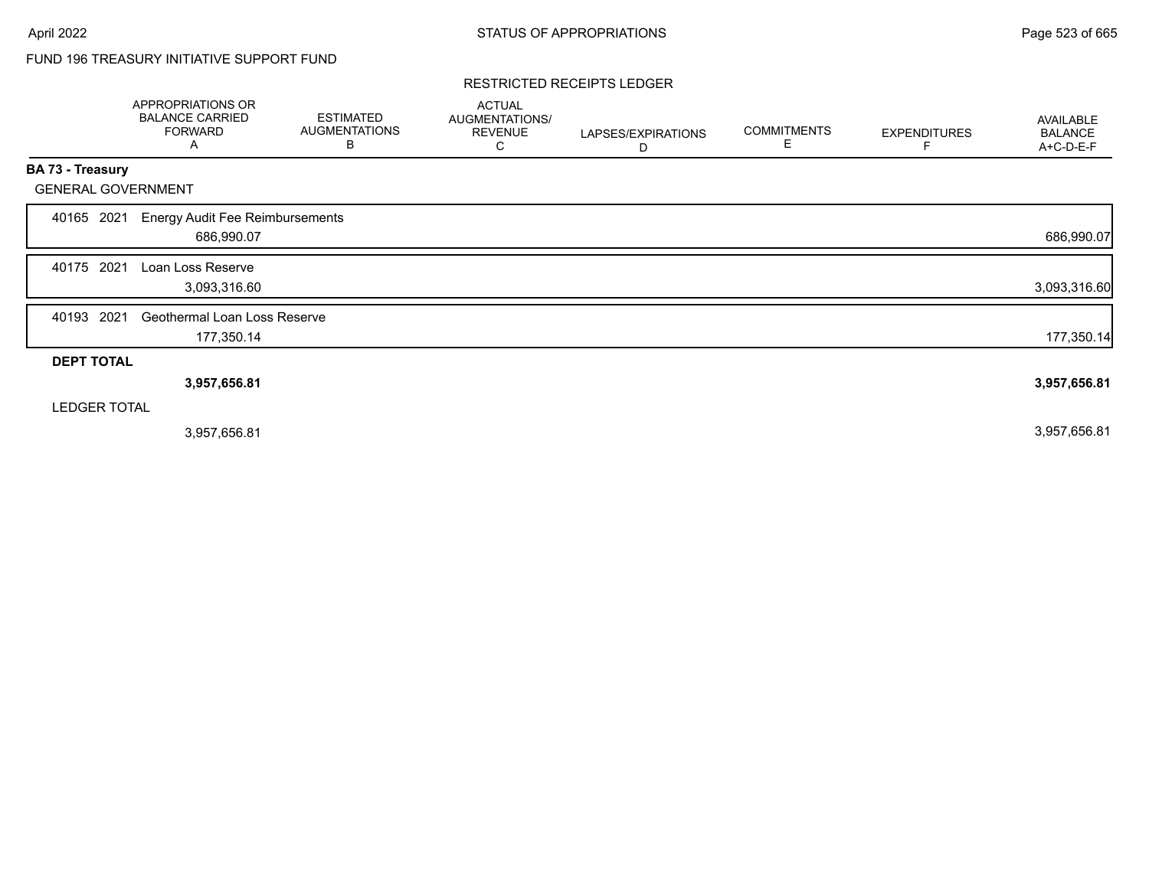# FUND 196 TREASURY INITIATIVE SUPPORT FUND

#### RESTRICTED RECEIPTS LEDGER

|                           | APPROPRIATIONS OR<br><b>BALANCE CARRIED</b><br><b>FORWARD</b><br>A | <b>ESTIMATED</b><br><b>AUGMENTATIONS</b><br>B | <b>ACTUAL</b><br>AUGMENTATIONS/<br><b>REVENUE</b><br>С | LAPSES/EXPIRATIONS<br>D | <b>COMMITMENTS</b><br>Е | <b>EXPENDITURES</b> | AVAILABLE<br><b>BALANCE</b><br>A+C-D-E-F |
|---------------------------|--------------------------------------------------------------------|-----------------------------------------------|--------------------------------------------------------|-------------------------|-------------------------|---------------------|------------------------------------------|
| <b>BA 73 - Treasury</b>   |                                                                    |                                               |                                                        |                         |                         |                     |                                          |
| <b>GENERAL GOVERNMENT</b> |                                                                    |                                               |                                                        |                         |                         |                     |                                          |
| 2021<br>40165             | <b>Energy Audit Fee Reimbursements</b><br>686,990.07               |                                               |                                                        |                         |                         |                     | 686,990.07                               |
| 2021<br>40175             | Loan Loss Reserve<br>3,093,316.60                                  |                                               |                                                        |                         |                         |                     | 3,093,316.60                             |
| 2021<br>40193             | Geothermal Loan Loss Reserve<br>177,350.14                         |                                               |                                                        |                         |                         |                     | 177,350.14                               |
| <b>DEPT TOTAL</b>         |                                                                    |                                               |                                                        |                         |                         |                     |                                          |
|                           | 3,957,656.81                                                       |                                               |                                                        |                         |                         |                     | 3,957,656.81                             |
| <b>LEDGER TOTAL</b>       |                                                                    |                                               |                                                        |                         |                         |                     |                                          |
|                           | 3,957,656.81                                                       |                                               |                                                        |                         |                         |                     | 3,957,656.81                             |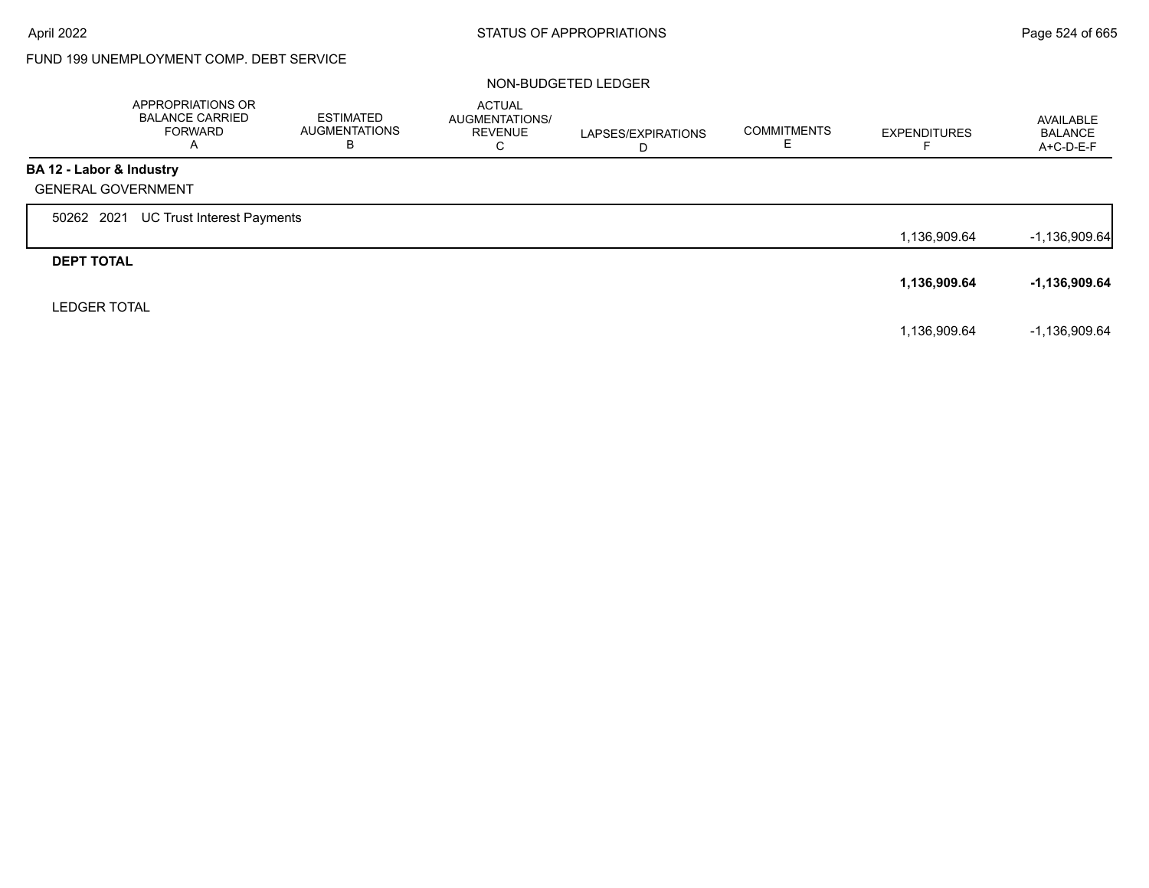## FUND 199 UNEMPLOYMENT COMP. DEBT SERVICE

#### NON-BUDGETED LEDGER

|                           | APPROPRIATIONS OR<br><b>BALANCE CARRIED</b><br><b>FORWARD</b><br>Α | <b>ESTIMATED</b><br><b>AUGMENTATIONS</b><br>B | <b>ACTUAL</b><br>AUGMENTATIONS/<br><b>REVENUE</b><br>C | LAPSES/EXPIRATIONS<br>D | <b>COMMITMENTS</b> | <b>EXPENDITURES</b> | AVAILABLE<br><b>BALANCE</b><br>A+C-D-E-F |
|---------------------------|--------------------------------------------------------------------|-----------------------------------------------|--------------------------------------------------------|-------------------------|--------------------|---------------------|------------------------------------------|
| BA 12 - Labor & Industry  |                                                                    |                                               |                                                        |                         |                    |                     |                                          |
| <b>GENERAL GOVERNMENT</b> |                                                                    |                                               |                                                        |                         |                    |                     |                                          |
| 50262 2021                | UC Trust Interest Payments                                         |                                               |                                                        |                         |                    |                     |                                          |
|                           |                                                                    |                                               |                                                        |                         |                    | 1,136,909.64        | $-1,136,909.64$                          |
| <b>DEPT TOTAL</b>         |                                                                    |                                               |                                                        |                         |                    |                     |                                          |
|                           |                                                                    |                                               |                                                        |                         |                    | 1,136,909.64        | -1,136,909.64                            |
| <b>LEDGER TOTAL</b>       |                                                                    |                                               |                                                        |                         |                    |                     |                                          |
|                           |                                                                    |                                               |                                                        |                         |                    | 1,136,909.64        | $-1,136,909.64$                          |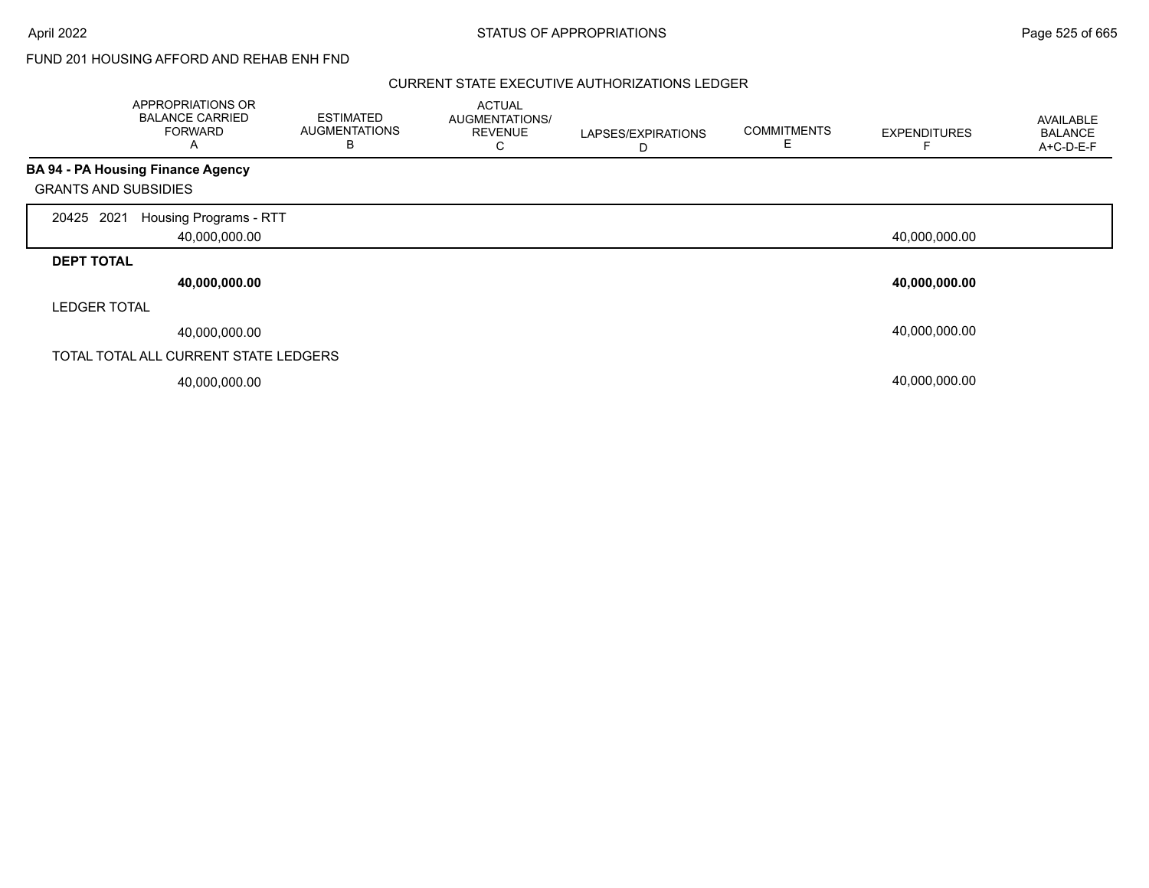### FUND 201 HOUSING AFFORD AND REHAB ENH FND

#### CURRENT STATE EXECUTIVE AUTHORIZATIONS LEDGER

|                             | APPROPRIATIONS OR<br><b>BALANCE CARRIED</b><br><b>FORWARD</b><br>A | <b>ESTIMATED</b><br><b>AUGMENTATIONS</b><br>B | <b>ACTUAL</b><br>AUGMENTATIONS/<br><b>REVENUE</b><br>С | LAPSES/EXPIRATIONS<br>D | <b>COMMITMENTS</b><br>E. | <b>EXPENDITURES</b> | AVAILABLE<br><b>BALANCE</b><br>A+C-D-E-F |
|-----------------------------|--------------------------------------------------------------------|-----------------------------------------------|--------------------------------------------------------|-------------------------|--------------------------|---------------------|------------------------------------------|
|                             | <b>BA 94 - PA Housing Finance Agency</b>                           |                                               |                                                        |                         |                          |                     |                                          |
| <b>GRANTS AND SUBSIDIES</b> |                                                                    |                                               |                                                        |                         |                          |                     |                                          |
| 2021<br>20425               | Housing Programs - RTT<br>40,000,000.00                            |                                               |                                                        |                         |                          | 40,000,000.00       |                                          |
| <b>DEPT TOTAL</b>           |                                                                    |                                               |                                                        |                         |                          |                     |                                          |
|                             | 40,000,000.00                                                      |                                               |                                                        |                         |                          | 40,000,000.00       |                                          |
| <b>LEDGER TOTAL</b>         |                                                                    |                                               |                                                        |                         |                          |                     |                                          |
|                             | 40,000,000.00                                                      |                                               |                                                        |                         |                          | 40,000,000.00       |                                          |
|                             | TOTAL TOTAL ALL CURRENT STATE LEDGERS                              |                                               |                                                        |                         |                          |                     |                                          |
|                             | 40,000,000.00                                                      |                                               |                                                        |                         |                          | 40,000,000.00       |                                          |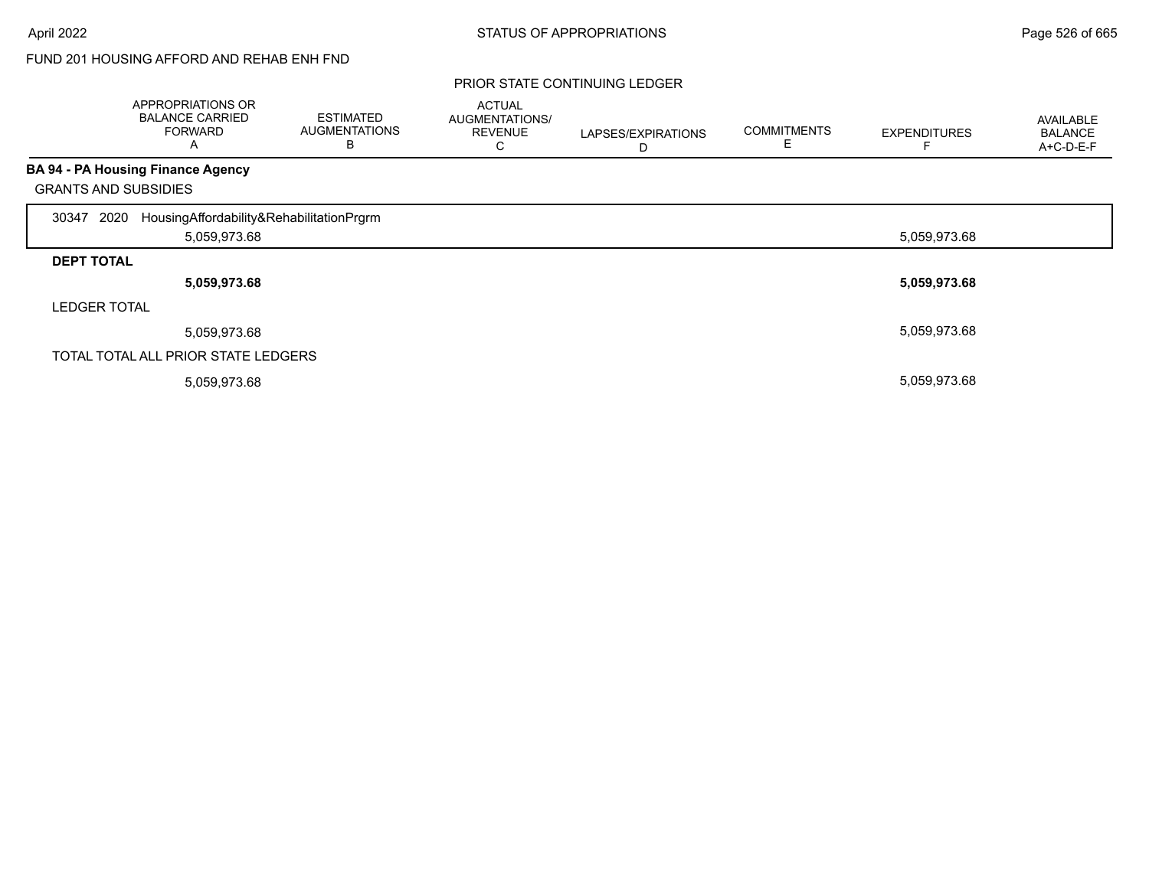## FUND 201 HOUSING AFFORD AND REHAB ENH FND

|                             | APPROPRIATIONS OR<br><b>BALANCE CARRIED</b><br><b>FORWARD</b><br>Α | <b>ESTIMATED</b><br><b>AUGMENTATIONS</b><br>B | <b>ACTUAL</b><br>AUGMENTATIONS/<br><b>REVENUE</b><br>◡ | LAPSES/EXPIRATIONS<br>D | <b>COMMITMENTS</b><br>⊢ | <b>EXPENDITURES</b> | AVAILABLE<br><b>BALANCE</b><br>A+C-D-E-F |
|-----------------------------|--------------------------------------------------------------------|-----------------------------------------------|--------------------------------------------------------|-------------------------|-------------------------|---------------------|------------------------------------------|
|                             | <b>BA 94 - PA Housing Finance Agency</b>                           |                                               |                                                        |                         |                         |                     |                                          |
| <b>GRANTS AND SUBSIDIES</b> |                                                                    |                                               |                                                        |                         |                         |                     |                                          |
| 2020<br>30347               | HousingAffordability&RehabilitationPrgrm                           |                                               |                                                        |                         |                         |                     |                                          |
|                             | 5,059,973.68                                                       |                                               |                                                        |                         |                         | 5,059,973.68        |                                          |
| <b>DEPT TOTAL</b>           |                                                                    |                                               |                                                        |                         |                         |                     |                                          |
|                             | 5,059,973.68                                                       |                                               |                                                        |                         |                         | 5,059,973.68        |                                          |
| <b>LEDGER TOTAL</b>         |                                                                    |                                               |                                                        |                         |                         |                     |                                          |
|                             | 5,059,973.68                                                       |                                               |                                                        |                         |                         | 5,059,973.68        |                                          |
|                             | TOTAL TOTAL ALL PRIOR STATE LEDGERS                                |                                               |                                                        |                         |                         |                     |                                          |
|                             | 5,059,973.68                                                       |                                               |                                                        |                         |                         | 5,059,973.68        |                                          |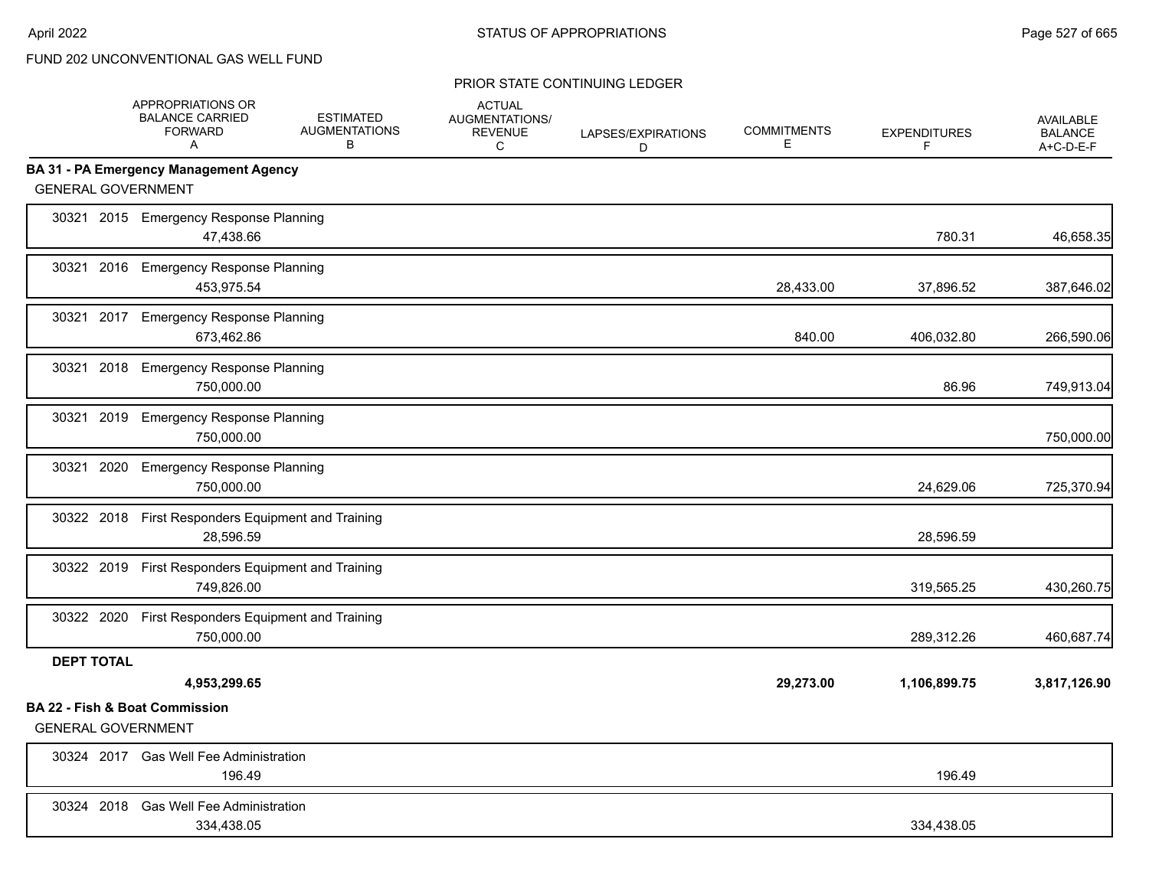|                           | APPROPRIATIONS OR<br><b>BALANCE CARRIED</b><br><b>FORWARD</b><br>A | <b>ESTIMATED</b><br><b>AUGMENTATIONS</b><br>B | <b>ACTUAL</b><br>AUGMENTATIONS/<br><b>REVENUE</b><br>C | LAPSES/EXPIRATIONS<br>D | <b>COMMITMENTS</b><br>E. | <b>EXPENDITURES</b><br>F | <b>AVAILABLE</b><br><b>BALANCE</b><br>A+C-D-E-F |
|---------------------------|--------------------------------------------------------------------|-----------------------------------------------|--------------------------------------------------------|-------------------------|--------------------------|--------------------------|-------------------------------------------------|
|                           | <b>BA 31 - PA Emergency Management Agency</b>                      |                                               |                                                        |                         |                          |                          |                                                 |
| <b>GENERAL GOVERNMENT</b> |                                                                    |                                               |                                                        |                         |                          |                          |                                                 |
|                           | 30321 2015 Emergency Response Planning<br>47,438.66                |                                               |                                                        |                         |                          | 780.31                   | 46,658.35                                       |
| 30321                     | 2016 Emergency Response Planning<br>453,975.54                     |                                               |                                                        |                         | 28,433.00                | 37,896.52                | 387,646.02                                      |
| 30321                     | 2017 Emergency Response Planning<br>673,462.86                     |                                               |                                                        |                         | 840.00                   | 406,032.80               | 266,590.06                                      |
| 30321                     | 2018 Emergency Response Planning<br>750,000.00                     |                                               |                                                        |                         |                          | 86.96                    | 749,913.04                                      |
| 30321<br>2019             | <b>Emergency Response Planning</b><br>750,000.00                   |                                               |                                                        |                         |                          |                          | 750,000.00                                      |
| 30321<br>2020             | <b>Emergency Response Planning</b><br>750,000.00                   |                                               |                                                        |                         |                          | 24,629.06                | 725,370.94                                      |
|                           | 30322 2018 First Responders Equipment and Training<br>28.596.59    |                                               |                                                        |                         |                          | 28,596.59                |                                                 |
|                           | 30322 2019 First Responders Equipment and Training<br>749,826.00   |                                               |                                                        |                         |                          | 319,565.25               | 430,260.75                                      |
|                           | 30322 2020 First Responders Equipment and Training<br>750,000.00   |                                               |                                                        |                         |                          | 289,312.26               | 460,687.74                                      |
| <b>DEPT TOTAL</b>         | 4,953,299.65                                                       |                                               |                                                        |                         | 29,273.00                | 1,106,899.75             | 3,817,126.90                                    |
| <b>GENERAL GOVERNMENT</b> | <b>BA 22 - Fish &amp; Boat Commission</b>                          |                                               |                                                        |                         |                          |                          |                                                 |
|                           | 30324 2017 Gas Well Fee Administration<br>196.49                   |                                               |                                                        |                         |                          | 196.49                   |                                                 |
|                           | 30324 2018 Gas Well Fee Administration<br>334,438.05               |                                               |                                                        |                         |                          | 334,438.05               |                                                 |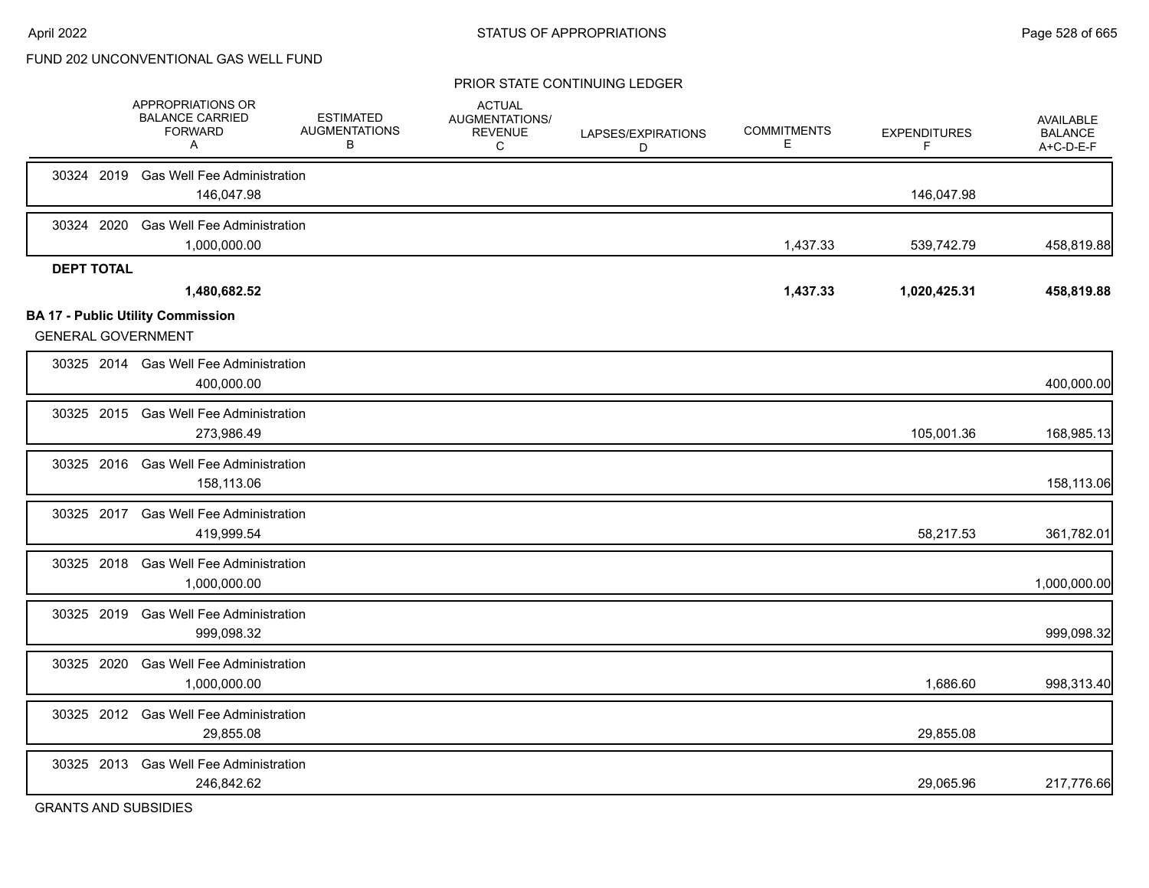|                   | APPROPRIATIONS OR<br><b>BALANCE CARRIED</b><br><b>FORWARD</b><br>A | <b>ESTIMATED</b><br><b>AUGMENTATIONS</b><br>B | <b>ACTUAL</b><br>AUGMENTATIONS/<br><b>REVENUE</b><br>С | LAPSES/EXPIRATIONS<br>D | <b>COMMITMENTS</b><br>Е. | <b>EXPENDITURES</b><br>F. | AVAILABLE<br><b>BALANCE</b><br>A+C-D-E-F |
|-------------------|--------------------------------------------------------------------|-----------------------------------------------|--------------------------------------------------------|-------------------------|--------------------------|---------------------------|------------------------------------------|
|                   | 30324 2019 Gas Well Fee Administration<br>146,047.98               |                                               |                                                        |                         |                          | 146,047.98                |                                          |
| 30324 2020        | <b>Gas Well Fee Administration</b><br>1,000,000.00                 |                                               |                                                        |                         | 1,437.33                 | 539,742.79                | 458,819.88                               |
| <b>DEPT TOTAL</b> | 1,480,682.52<br><b>BA 17 - Public Utility Commission</b>           |                                               |                                                        |                         | 1,437.33                 | 1,020,425.31              | 458,819.88                               |
|                   | <b>GENERAL GOVERNMENT</b>                                          |                                               |                                                        |                         |                          |                           |                                          |
|                   | 30325 2014 Gas Well Fee Administration<br>400,000.00               |                                               |                                                        |                         |                          |                           | 400,000.00                               |
|                   | 30325 2015 Gas Well Fee Administration<br>273,986.49               |                                               |                                                        |                         |                          | 105,001.36                | 168,985.13                               |
|                   | 30325 2016 Gas Well Fee Administration<br>158,113.06               |                                               |                                                        |                         |                          |                           | 158,113.06                               |
|                   | 30325 2017 Gas Well Fee Administration<br>419,999.54               |                                               |                                                        |                         |                          | 58,217.53                 | 361,782.01                               |
|                   | 30325 2018 Gas Well Fee Administration<br>1.000.000.00             |                                               |                                                        |                         |                          |                           | 1,000,000.00                             |
|                   | 30325 2019 Gas Well Fee Administration<br>999,098.32               |                                               |                                                        |                         |                          |                           | 999,098.32                               |
|                   | 30325 2020 Gas Well Fee Administration<br>1,000,000.00             |                                               |                                                        |                         |                          | 1,686.60                  | 998,313.40                               |
|                   | 30325 2012 Gas Well Fee Administration<br>29,855.08                |                                               |                                                        |                         |                          | 29,855.08                 |                                          |
|                   | 30325 2013 Gas Well Fee Administration<br>246,842.62               |                                               |                                                        |                         |                          | 29,065.96                 | 217,776.66                               |
|                   | <b>GRANTS AND SUBSIDIES</b>                                        |                                               |                                                        |                         |                          |                           |                                          |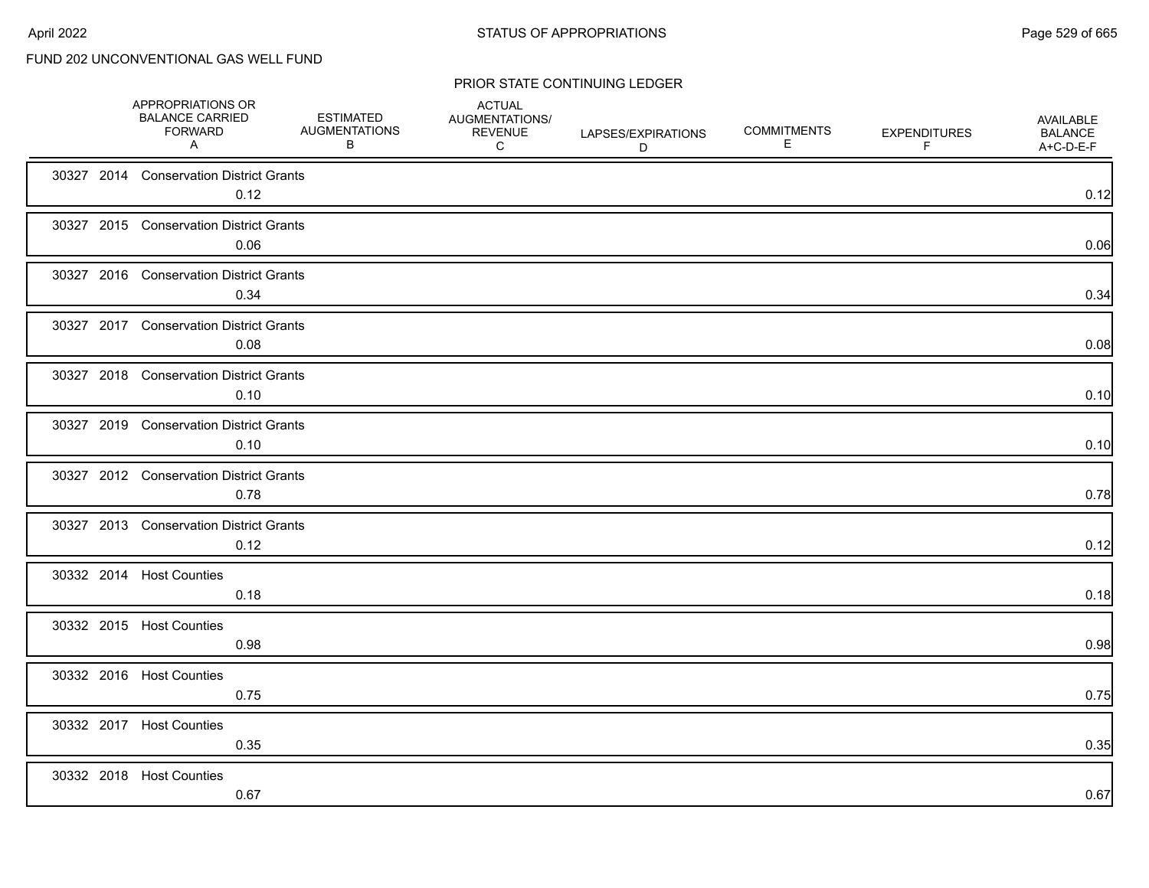|  | APPROPRIATIONS OR<br><b>BALANCE CARRIED</b><br><b>FORWARD</b><br>A | <b>ESTIMATED</b><br><b>AUGMENTATIONS</b><br>B | <b>ACTUAL</b><br>AUGMENTATIONS/<br><b>REVENUE</b><br>C | LAPSES/EXPIRATIONS<br>D | <b>COMMITMENTS</b><br>Е | <b>EXPENDITURES</b><br>F | AVAILABLE<br><b>BALANCE</b><br>A+C-D-E-F |
|--|--------------------------------------------------------------------|-----------------------------------------------|--------------------------------------------------------|-------------------------|-------------------------|--------------------------|------------------------------------------|
|  | 30327 2014 Conservation District Grants<br>0.12                    |                                               |                                                        |                         |                         |                          | 0.12                                     |
|  | 30327 2015 Conservation District Grants<br>0.06                    |                                               |                                                        |                         |                         |                          | 0.06                                     |
|  | 30327 2016 Conservation District Grants<br>0.34                    |                                               |                                                        |                         |                         |                          | 0.34                                     |
|  | 30327 2017 Conservation District Grants<br>0.08                    |                                               |                                                        |                         |                         |                          | 0.08                                     |
|  | 30327 2018 Conservation District Grants<br>0.10                    |                                               |                                                        |                         |                         |                          | 0.10                                     |
|  | 30327 2019 Conservation District Grants<br>0.10                    |                                               |                                                        |                         |                         |                          | 0.10                                     |
|  | 30327 2012 Conservation District Grants<br>0.78                    |                                               |                                                        |                         |                         |                          | 0.78                                     |
|  | 30327 2013 Conservation District Grants<br>0.12                    |                                               |                                                        |                         |                         |                          | 0.12                                     |
|  | 30332 2014 Host Counties<br>0.18                                   |                                               |                                                        |                         |                         |                          | 0.18                                     |
|  | 30332 2015 Host Counties<br>0.98                                   |                                               |                                                        |                         |                         |                          | 0.98                                     |
|  | 30332 2016 Host Counties<br>0.75                                   |                                               |                                                        |                         |                         |                          | 0.75                                     |
|  | 30332 2017 Host Counties<br>0.35                                   |                                               |                                                        |                         |                         |                          | 0.35                                     |
|  | 30332 2018 Host Counties<br>0.67                                   |                                               |                                                        |                         |                         |                          | 0.67                                     |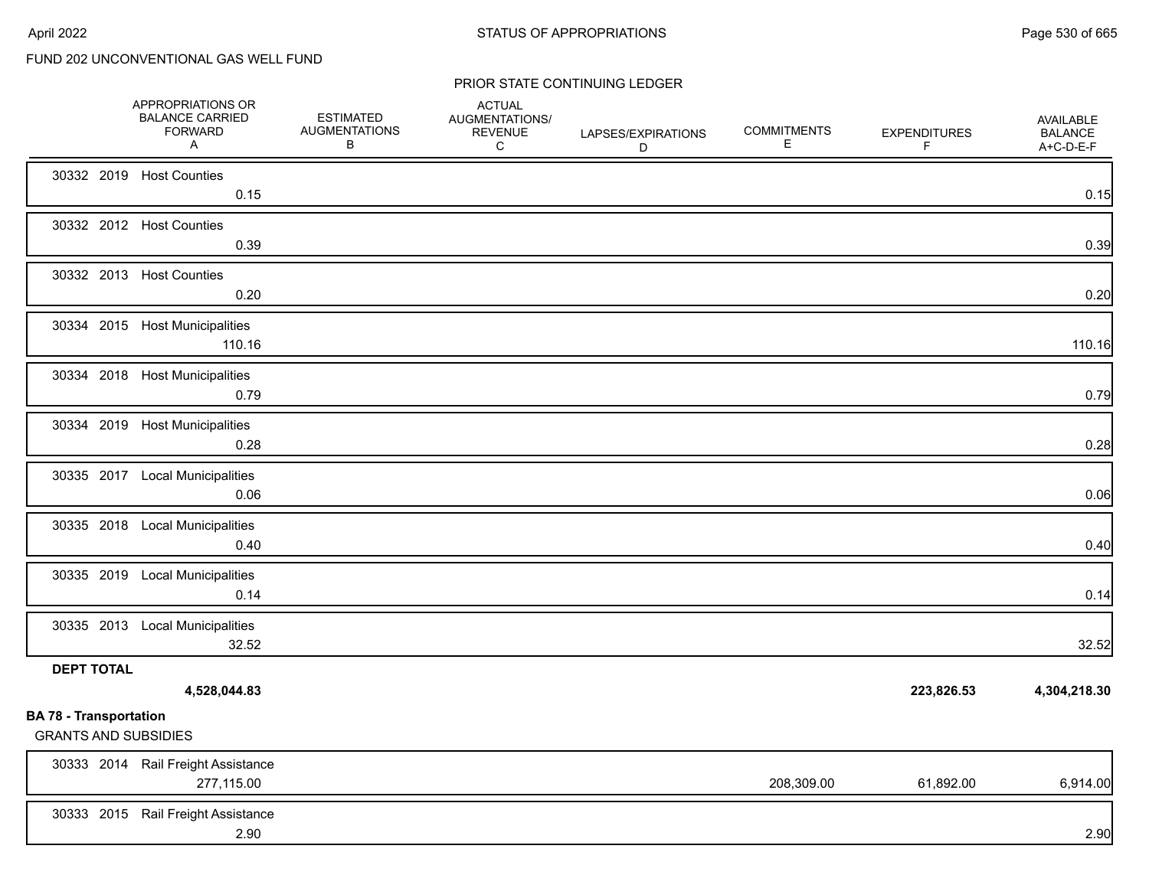|                                                              | APPROPRIATIONS OR<br><b>BALANCE CARRIED</b><br><b>FORWARD</b><br>A | <b>ESTIMATED</b><br><b>AUGMENTATIONS</b><br>В | <b>ACTUAL</b><br>AUGMENTATIONS/<br><b>REVENUE</b><br>C | LAPSES/EXPIRATIONS<br>D | <b>COMMITMENTS</b><br>Е | <b>EXPENDITURES</b><br>F. | AVAILABLE<br><b>BALANCE</b><br>A+C-D-E-F |
|--------------------------------------------------------------|--------------------------------------------------------------------|-----------------------------------------------|--------------------------------------------------------|-------------------------|-------------------------|---------------------------|------------------------------------------|
|                                                              | 30332 2019 Host Counties<br>0.15                                   |                                               |                                                        |                         |                         |                           | 0.15                                     |
|                                                              | 30332 2012 Host Counties<br>0.39                                   |                                               |                                                        |                         |                         |                           | 0.39                                     |
|                                                              | 30332 2013 Host Counties<br>0.20                                   |                                               |                                                        |                         |                         |                           | 0.20                                     |
|                                                              | 30334 2015 Host Municipalities<br>110.16                           |                                               |                                                        |                         |                         |                           | 110.16                                   |
|                                                              | 30334 2018 Host Municipalities<br>0.79                             |                                               |                                                        |                         |                         |                           | 0.79                                     |
|                                                              | 30334 2019 Host Municipalities<br>0.28                             |                                               |                                                        |                         |                         |                           | 0.28                                     |
|                                                              | 30335 2017 Local Municipalities<br>0.06                            |                                               |                                                        |                         |                         |                           | 0.06                                     |
|                                                              | 30335 2018 Local Municipalities<br>0.40                            |                                               |                                                        |                         |                         |                           | 0.40                                     |
|                                                              | 30335 2019 Local Municipalities<br>0.14                            |                                               |                                                        |                         |                         |                           | 0.14                                     |
|                                                              | 30335 2013 Local Municipalities<br>32.52                           |                                               |                                                        |                         |                         |                           | 32.52                                    |
| <b>DEPT TOTAL</b>                                            | 4,528,044.83                                                       |                                               |                                                        |                         |                         | 223,826.53                | 4,304,218.30                             |
| <b>BA 78 - Transportation</b><br><b>GRANTS AND SUBSIDIES</b> |                                                                    |                                               |                                                        |                         |                         |                           |                                          |
|                                                              | 30333 2014 Rail Freight Assistance<br>277,115.00                   |                                               |                                                        |                         | 208,309.00              | 61,892.00                 | 6,914.00                                 |
|                                                              | 30333 2015 Rail Freight Assistance<br>2.90                         |                                               |                                                        |                         |                         |                           | 2.90                                     |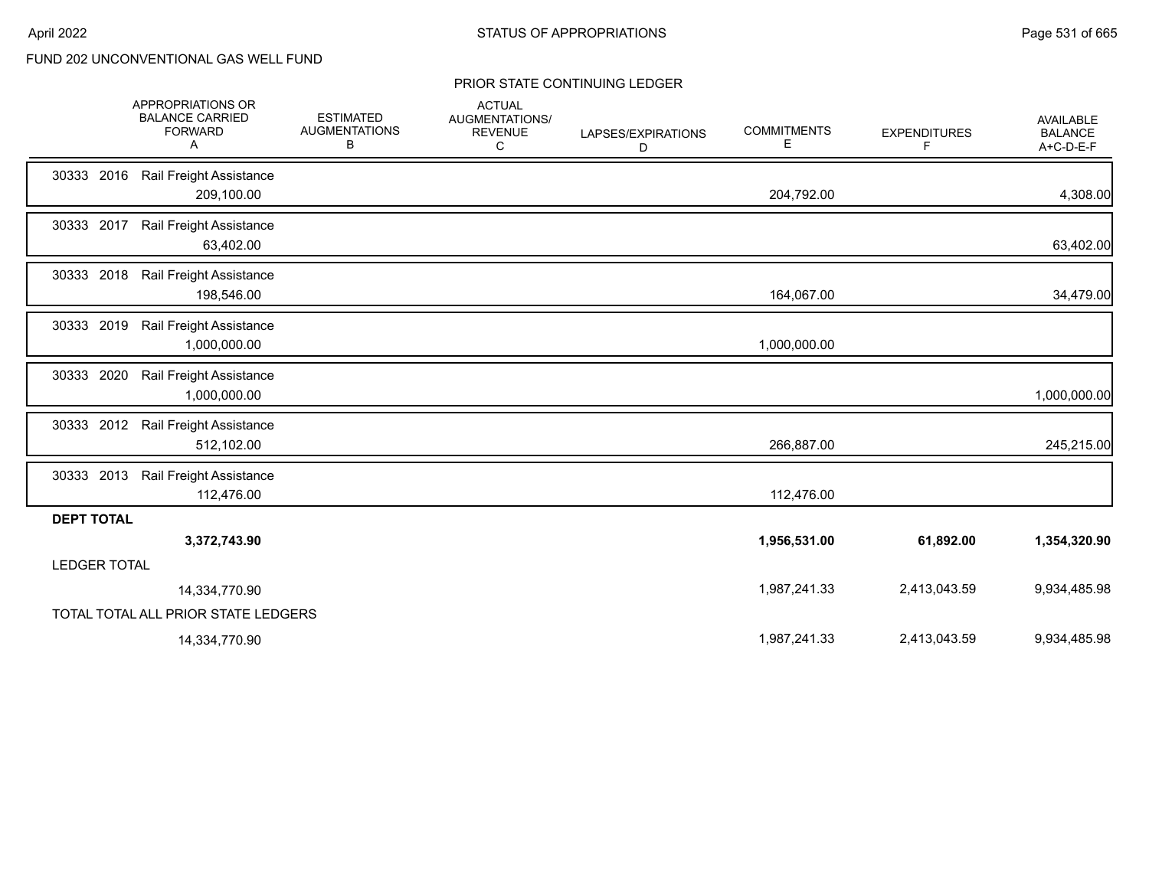|                     | APPROPRIATIONS OR<br><b>BALANCE CARRIED</b><br><b>FORWARD</b><br>Α | <b>ESTIMATED</b><br><b>AUGMENTATIONS</b><br>В | <b>ACTUAL</b><br>AUGMENTATIONS/<br><b>REVENUE</b><br>C | LAPSES/EXPIRATIONS<br>D | <b>COMMITMENTS</b><br>Е | <b>EXPENDITURES</b><br>F | <b>AVAILABLE</b><br><b>BALANCE</b><br>A+C-D-E-F |
|---------------------|--------------------------------------------------------------------|-----------------------------------------------|--------------------------------------------------------|-------------------------|-------------------------|--------------------------|-------------------------------------------------|
| 30333 2016          | Rail Freight Assistance<br>209,100.00                              |                                               |                                                        |                         | 204,792.00              |                          | 4,308.00                                        |
| 30333 2017          | Rail Freight Assistance<br>63,402.00                               |                                               |                                                        |                         |                         |                          | 63,402.00                                       |
| 30333 2018          | Rail Freight Assistance<br>198,546.00                              |                                               |                                                        |                         | 164,067.00              |                          | 34,479.00                                       |
| 30333 2019          | Rail Freight Assistance<br>1,000,000.00                            |                                               |                                                        |                         | 1,000,000.00            |                          |                                                 |
| 30333 2020          | Rail Freight Assistance<br>1,000,000.00                            |                                               |                                                        |                         |                         |                          | 1,000,000.00                                    |
| 30333 2012          | Rail Freight Assistance<br>512,102.00                              |                                               |                                                        |                         | 266,887.00              |                          | 245,215.00                                      |
| 30333 2013          | Rail Freight Assistance<br>112,476.00                              |                                               |                                                        |                         | 112,476.00              |                          |                                                 |
| <b>DEPT TOTAL</b>   |                                                                    |                                               |                                                        |                         |                         |                          |                                                 |
|                     | 3,372,743.90                                                       |                                               |                                                        |                         | 1,956,531.00            | 61,892.00                | 1,354,320.90                                    |
| <b>LEDGER TOTAL</b> |                                                                    |                                               |                                                        |                         |                         |                          |                                                 |
|                     | 14,334,770.90                                                      |                                               |                                                        |                         | 1,987,241.33            | 2,413,043.59             | 9,934,485.98                                    |
|                     | TOTAL TOTAL ALL PRIOR STATE LEDGERS                                |                                               |                                                        |                         |                         |                          |                                                 |
|                     | 14,334,770.90                                                      |                                               |                                                        |                         | 1,987,241.33            | 2,413,043.59             | 9,934,485.98                                    |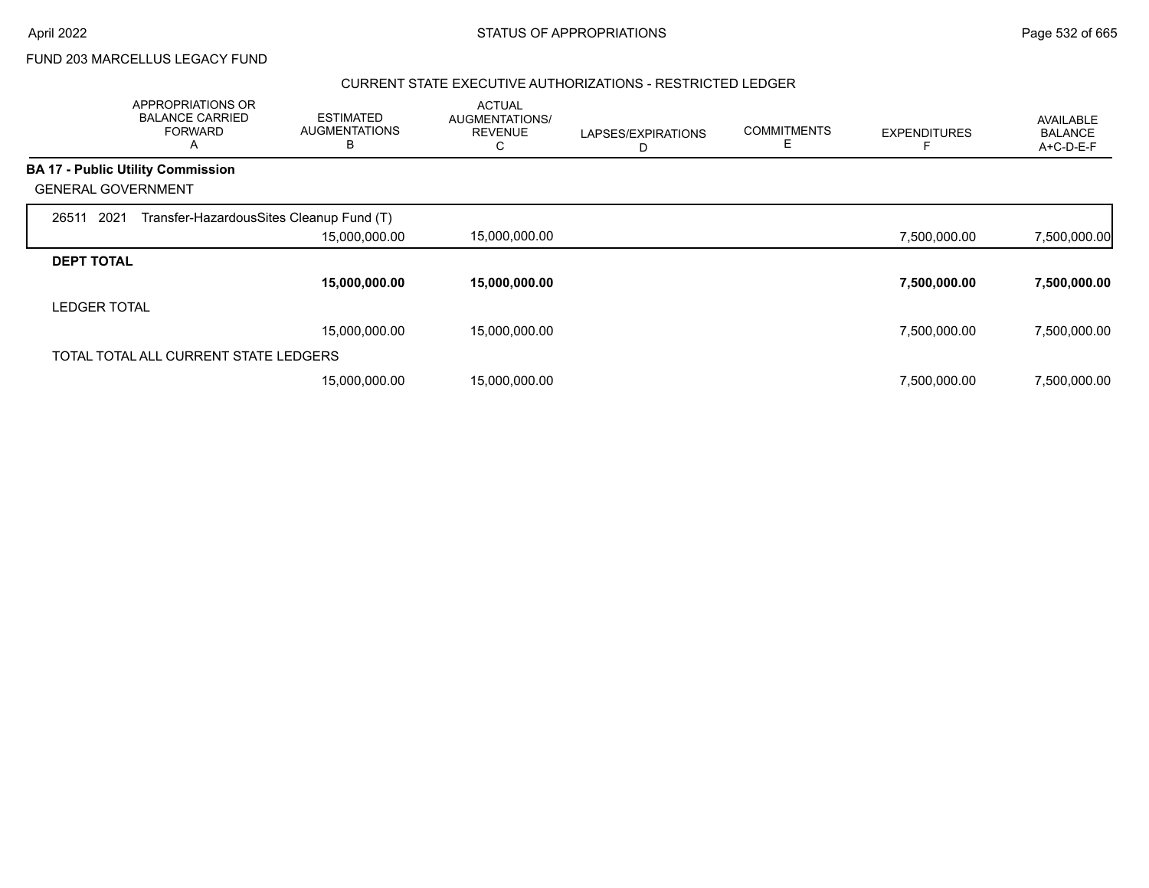FUND 203 MARCELLUS LEGACY FUND

#### CURRENT STATE EXECUTIVE AUTHORIZATIONS - RESTRICTED LEDGER

|                           | APPROPRIATIONS OR<br><b>BALANCE CARRIED</b><br><b>FORWARD</b><br>A | <b>ESTIMATED</b><br><b>AUGMENTATIONS</b><br>В | <b>ACTUAL</b><br>AUGMENTATIONS/<br><b>REVENUE</b> | LAPSES/EXPIRATIONS<br>D | <b>COMMITMENTS</b><br>Е | <b>EXPENDITURES</b> | AVAILABLE<br><b>BALANCE</b><br>A+C-D-E-F |
|---------------------------|--------------------------------------------------------------------|-----------------------------------------------|---------------------------------------------------|-------------------------|-------------------------|---------------------|------------------------------------------|
|                           | <b>BA 17 - Public Utility Commission</b>                           |                                               |                                                   |                         |                         |                     |                                          |
| <b>GENERAL GOVERNMENT</b> |                                                                    |                                               |                                                   |                         |                         |                     |                                          |
| 2021<br>26511             | Transfer-HazardousSites Cleanup Fund (T)                           |                                               |                                                   |                         |                         |                     |                                          |
|                           |                                                                    | 15,000,000.00                                 | 15,000,000.00                                     |                         |                         | 7,500,000.00        | 7,500,000.00                             |
| <b>DEPT TOTAL</b>         |                                                                    |                                               |                                                   |                         |                         |                     |                                          |
|                           |                                                                    | 15,000,000.00                                 | 15,000,000.00                                     |                         |                         | 7,500,000.00        | 7,500,000.00                             |
| <b>LEDGER TOTAL</b>       |                                                                    |                                               |                                                   |                         |                         |                     |                                          |
|                           |                                                                    | 15,000,000.00                                 | 15.000.000.00                                     |                         |                         | 7,500,000.00        | 7,500,000.00                             |
|                           | TOTAL TOTAL ALL CURRENT STATE LEDGERS                              |                                               |                                                   |                         |                         |                     |                                          |
|                           |                                                                    | 15,000,000.00                                 | 15,000,000.00                                     |                         |                         | 7,500,000.00        | 7,500,000.00                             |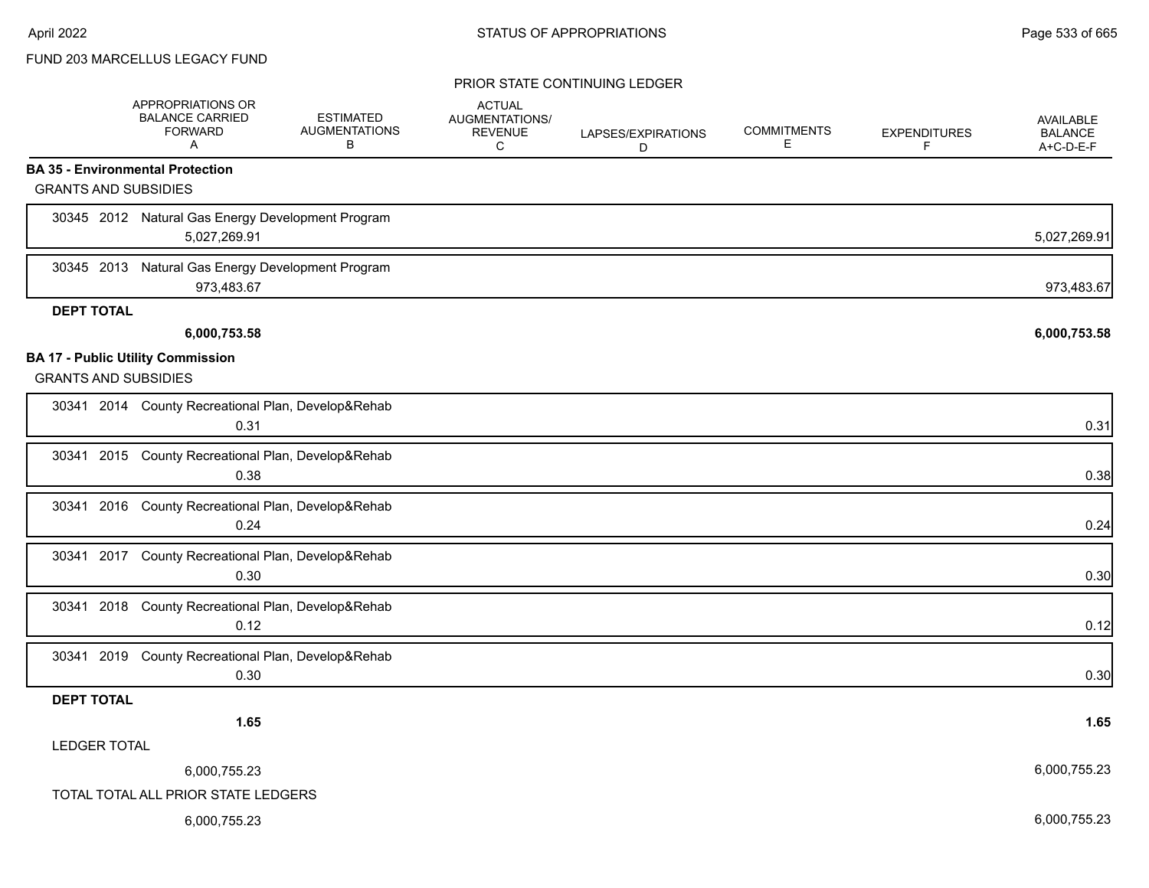### FUND 203 MARCELLUS LEGACY FUND

|                                                                         | APPROPRIATIONS OR<br><b>BALANCE CARRIED</b><br><b>FORWARD</b><br>Α | <b>ESTIMATED</b><br><b>AUGMENTATIONS</b><br>В | <b>ACTUAL</b><br>AUGMENTATIONS/<br><b>REVENUE</b><br>C | LAPSES/EXPIRATIONS<br>D | <b>COMMITMENTS</b><br>Е | <b>EXPENDITURES</b><br>F | AVAILABLE<br><b>BALANCE</b><br>A+C-D-E-F |
|-------------------------------------------------------------------------|--------------------------------------------------------------------|-----------------------------------------------|--------------------------------------------------------|-------------------------|-------------------------|--------------------------|------------------------------------------|
| <b>BA 35 - Environmental Protection</b>                                 |                                                                    |                                               |                                                        |                         |                         |                          |                                          |
| <b>GRANTS AND SUBSIDIES</b>                                             |                                                                    |                                               |                                                        |                         |                         |                          |                                          |
|                                                                         | 30345 2012 Natural Gas Energy Development Program<br>5,027,269.91  |                                               |                                                        |                         |                         |                          | 5,027,269.91                             |
| 30345 2013                                                              | Natural Gas Energy Development Program<br>973,483.67               |                                               |                                                        |                         |                         |                          | 973,483.67                               |
| <b>DEPT TOTAL</b>                                                       |                                                                    |                                               |                                                        |                         |                         |                          |                                          |
|                                                                         | 6,000,753.58                                                       |                                               |                                                        |                         |                         |                          | 6,000,753.58                             |
| <b>BA 17 - Public Utility Commission</b><br><b>GRANTS AND SUBSIDIES</b> |                                                                    |                                               |                                                        |                         |                         |                          |                                          |
|                                                                         | 30341 2014 County Recreational Plan, Develop&Rehab<br>0.31         |                                               |                                                        |                         |                         |                          | 0.31                                     |
|                                                                         | 30341 2015 County Recreational Plan, Develop&Rehab<br>0.38         |                                               |                                                        |                         |                         |                          | 0.38                                     |
|                                                                         | 30341 2016 County Recreational Plan, Develop&Rehab<br>0.24         |                                               |                                                        |                         |                         |                          | 0.24                                     |
|                                                                         | 30341 2017 County Recreational Plan, Develop&Rehab<br>0.30         |                                               |                                                        |                         |                         |                          | 0.30                                     |
| 30341 2018                                                              | County Recreational Plan, Develop&Rehab<br>0.12                    |                                               |                                                        |                         |                         |                          | 0.12                                     |
|                                                                         | 30341 2019 County Recreational Plan, Develop&Rehab<br>0.30         |                                               |                                                        |                         |                         |                          | 0.30                                     |
| <b>DEPT TOTAL</b>                                                       |                                                                    |                                               |                                                        |                         |                         |                          |                                          |
|                                                                         | 1.65                                                               |                                               |                                                        |                         |                         |                          | 1.65                                     |
| <b>LEDGER TOTAL</b>                                                     |                                                                    |                                               |                                                        |                         |                         |                          |                                          |
|                                                                         | 6,000,755.23                                                       |                                               |                                                        |                         |                         |                          | 6,000,755.23                             |
|                                                                         | TOTAL TOTAL ALL PRIOR STATE LEDGERS                                |                                               |                                                        |                         |                         |                          |                                          |
|                                                                         | 6,000,755.23                                                       |                                               |                                                        |                         |                         |                          | 6,000,755.23                             |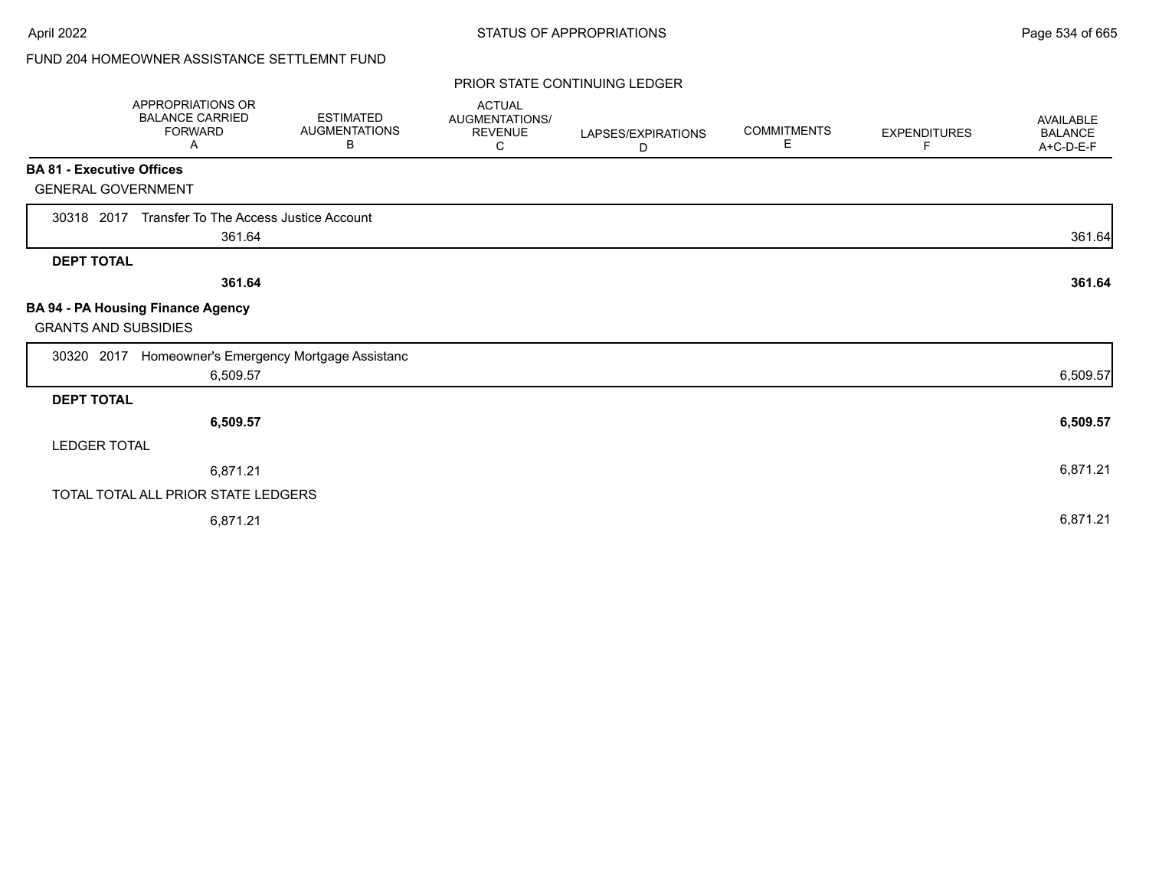# FUND 204 HOMEOWNER ASSISTANCE SETTLEMNT FUND

|                                  | APPROPRIATIONS OR<br><b>BALANCE CARRIED</b><br><b>FORWARD</b><br>A | <b>ESTIMATED</b><br><b>AUGMENTATIONS</b><br>В | <b>ACTUAL</b><br>AUGMENTATIONS/<br><b>REVENUE</b><br>С | LAPSES/EXPIRATIONS<br>D | <b>COMMITMENTS</b><br>E. | <b>EXPENDITURES</b><br>F | <b>AVAILABLE</b><br><b>BALANCE</b><br>A+C-D-E-F |
|----------------------------------|--------------------------------------------------------------------|-----------------------------------------------|--------------------------------------------------------|-------------------------|--------------------------|--------------------------|-------------------------------------------------|
| <b>BA 81 - Executive Offices</b> |                                                                    |                                               |                                                        |                         |                          |                          |                                                 |
| <b>GENERAL GOVERNMENT</b>        |                                                                    |                                               |                                                        |                         |                          |                          |                                                 |
|                                  | 30318 2017 Transfer To The Access Justice Account                  |                                               |                                                        |                         |                          |                          |                                                 |
|                                  | 361.64                                                             |                                               |                                                        |                         |                          |                          | 361.64                                          |
| <b>DEPT TOTAL</b>                |                                                                    |                                               |                                                        |                         |                          |                          |                                                 |
|                                  | 361.64                                                             |                                               |                                                        |                         |                          |                          | 361.64                                          |
| <b>GRANTS AND SUBSIDIES</b>      | <b>BA 94 - PA Housing Finance Agency</b>                           |                                               |                                                        |                         |                          |                          |                                                 |
| 30320 2017                       | Homeowner's Emergency Mortgage Assistanc                           |                                               |                                                        |                         |                          |                          |                                                 |
|                                  | 6,509.57                                                           |                                               |                                                        |                         |                          |                          | 6,509.57                                        |
| <b>DEPT TOTAL</b>                |                                                                    |                                               |                                                        |                         |                          |                          |                                                 |
|                                  | 6,509.57                                                           |                                               |                                                        |                         |                          |                          | 6,509.57                                        |
| <b>LEDGER TOTAL</b>              |                                                                    |                                               |                                                        |                         |                          |                          |                                                 |
|                                  | 6,871.21                                                           |                                               |                                                        |                         |                          |                          | 6,871.21                                        |
|                                  | TOTAL TOTAL ALL PRIOR STATE LEDGERS                                |                                               |                                                        |                         |                          |                          |                                                 |
|                                  | 6,871.21                                                           |                                               |                                                        |                         |                          |                          | 6,871.21                                        |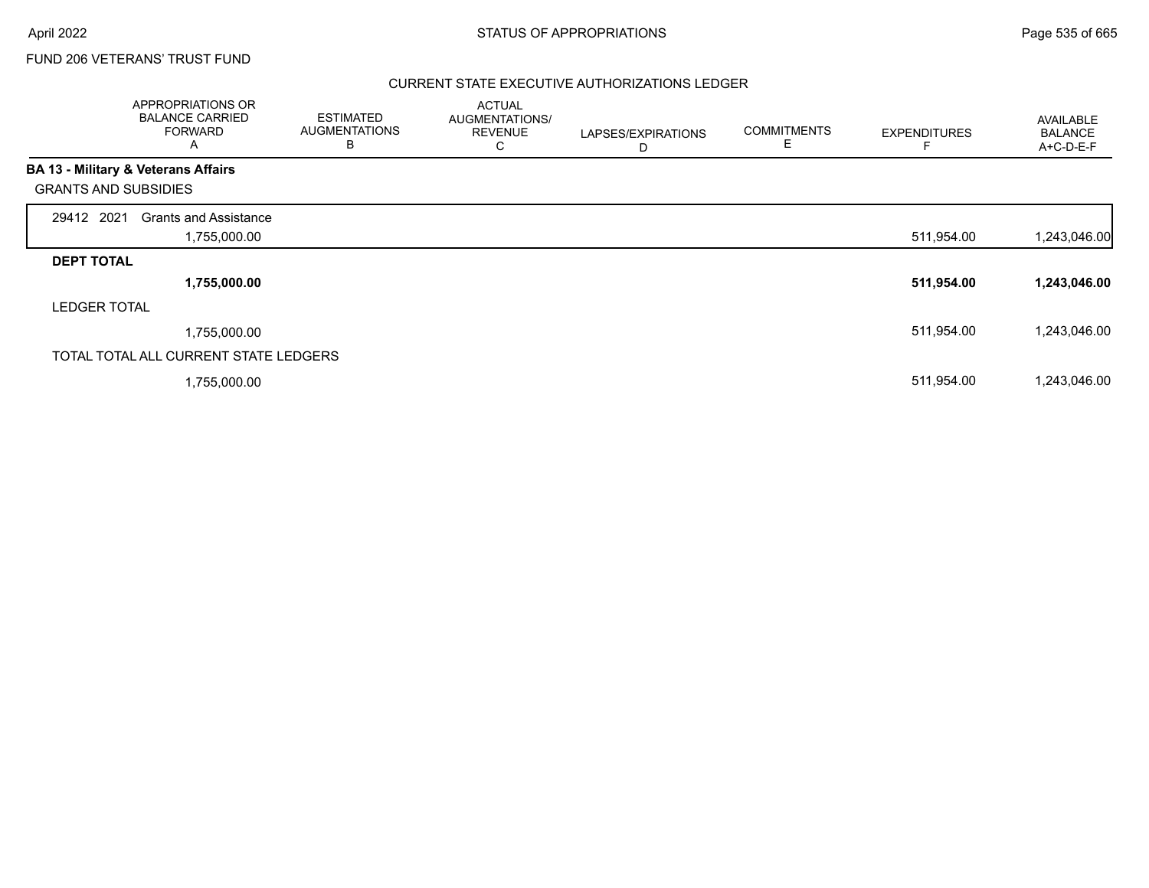### FUND 206 VETERANS' TRUST FUND

### CURRENT STATE EXECUTIVE AUTHORIZATIONS LEDGER

|                             | APPROPRIATIONS OR<br><b>BALANCE CARRIED</b><br><b>FORWARD</b><br>A | <b>ESTIMATED</b><br><b>AUGMENTATIONS</b><br>В | <b>ACTUAL</b><br>AUGMENTATIONS/<br><b>REVENUE</b><br>U | LAPSES/EXPIRATIONS<br>D | <b>COMMITMENTS</b><br>Е | <b>EXPENDITURES</b> | <b>AVAILABLE</b><br><b>BALANCE</b><br>A+C-D-E-F |
|-----------------------------|--------------------------------------------------------------------|-----------------------------------------------|--------------------------------------------------------|-------------------------|-------------------------|---------------------|-------------------------------------------------|
|                             | BA 13 - Military & Veterans Affairs                                |                                               |                                                        |                         |                         |                     |                                                 |
| <b>GRANTS AND SUBSIDIES</b> |                                                                    |                                               |                                                        |                         |                         |                     |                                                 |
| 29412 2021                  | <b>Grants and Assistance</b>                                       |                                               |                                                        |                         |                         |                     |                                                 |
|                             | 1,755,000.00                                                       |                                               |                                                        |                         |                         | 511,954.00          | 1,243,046.00                                    |
| <b>DEPT TOTAL</b>           |                                                                    |                                               |                                                        |                         |                         |                     |                                                 |
|                             | 1,755,000.00                                                       |                                               |                                                        |                         |                         | 511,954.00          | 1,243,046.00                                    |
| <b>LEDGER TOTAL</b>         |                                                                    |                                               |                                                        |                         |                         |                     |                                                 |
|                             | 1,755,000.00                                                       |                                               |                                                        |                         |                         | 511,954.00          | 1,243,046.00                                    |
|                             | TOTAL TOTAL ALL CURRENT STATE LEDGERS                              |                                               |                                                        |                         |                         |                     |                                                 |
|                             | 1,755,000.00                                                       |                                               |                                                        |                         |                         | 511,954.00          | 1,243,046.00                                    |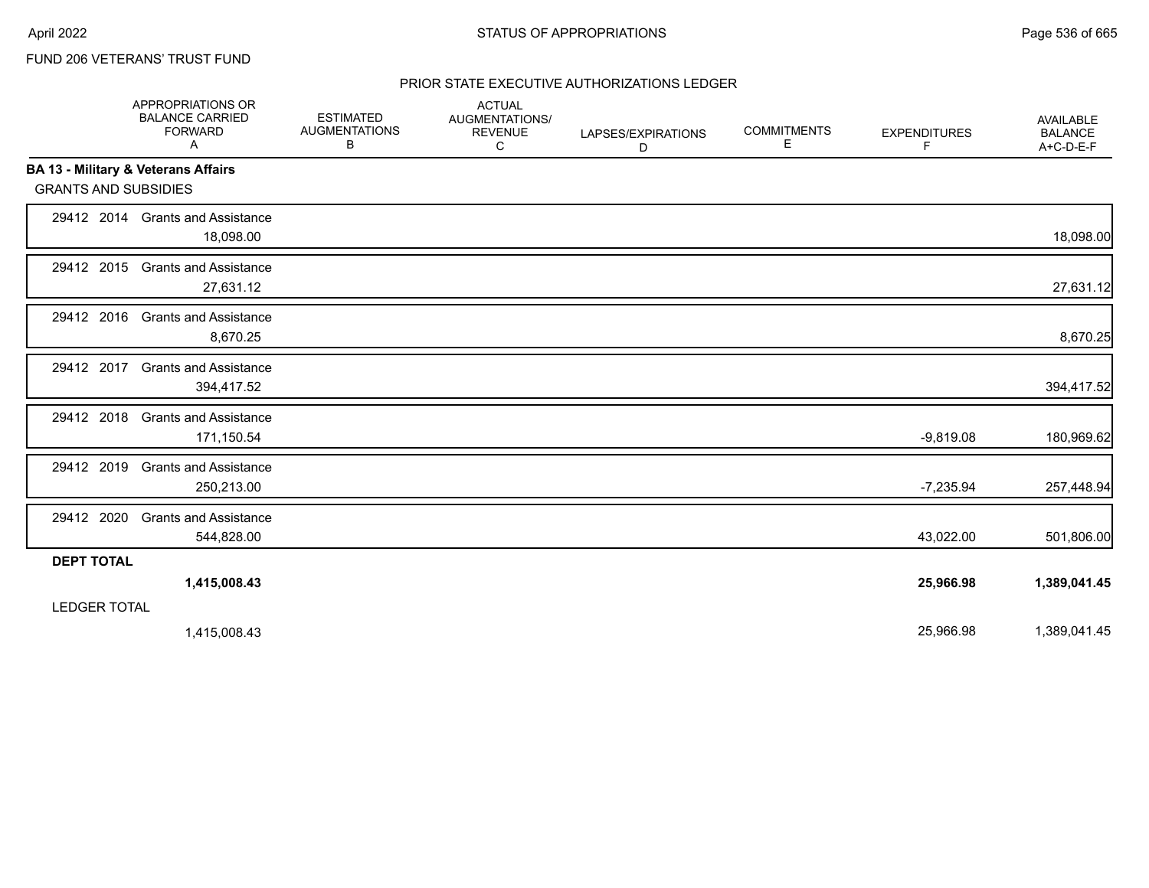### FUND 206 VETERANS' TRUST FUND

### PRIOR STATE EXECUTIVE AUTHORIZATIONS LEDGER

|                             | APPROPRIATIONS OR<br><b>BALANCE CARRIED</b><br><b>FORWARD</b><br>A | <b>ESTIMATED</b><br><b>AUGMENTATIONS</b><br>В | <b>ACTUAL</b><br>AUGMENTATIONS/<br><b>REVENUE</b><br>C | LAPSES/EXPIRATIONS<br>D | <b>COMMITMENTS</b><br>Е | <b>EXPENDITURES</b><br>F | <b>AVAILABLE</b><br><b>BALANCE</b><br>A+C-D-E-F |
|-----------------------------|--------------------------------------------------------------------|-----------------------------------------------|--------------------------------------------------------|-------------------------|-------------------------|--------------------------|-------------------------------------------------|
|                             | BA 13 - Military & Veterans Affairs                                |                                               |                                                        |                         |                         |                          |                                                 |
| <b>GRANTS AND SUBSIDIES</b> |                                                                    |                                               |                                                        |                         |                         |                          |                                                 |
|                             | 29412 2014 Grants and Assistance<br>18,098.00                      |                                               |                                                        |                         |                         |                          | 18,098.00                                       |
| 29412 2015                  | <b>Grants and Assistance</b><br>27,631.12                          |                                               |                                                        |                         |                         |                          | 27,631.12                                       |
| 29412 2016                  | <b>Grants and Assistance</b><br>8,670.25                           |                                               |                                                        |                         |                         |                          | 8,670.25                                        |
| 29412 2017                  | <b>Grants and Assistance</b><br>394,417.52                         |                                               |                                                        |                         |                         |                          | 394,417.52                                      |
| 29412 2018                  | <b>Grants and Assistance</b><br>171,150.54                         |                                               |                                                        |                         |                         | $-9,819.08$              | 180,969.62                                      |
| 29412 2019                  | <b>Grants and Assistance</b><br>250,213.00                         |                                               |                                                        |                         |                         | $-7,235.94$              | 257,448.94                                      |
| 29412 2020                  | <b>Grants and Assistance</b><br>544,828.00                         |                                               |                                                        |                         |                         | 43,022.00                | 501,806.00                                      |
| <b>DEPT TOTAL</b>           |                                                                    |                                               |                                                        |                         |                         |                          |                                                 |
|                             | 1,415,008.43                                                       |                                               |                                                        |                         |                         | 25,966.98                | 1,389,041.45                                    |
| <b>LEDGER TOTAL</b>         |                                                                    |                                               |                                                        |                         |                         |                          |                                                 |
|                             | 1,415,008.43                                                       |                                               |                                                        |                         |                         | 25,966.98                | 1,389,041.45                                    |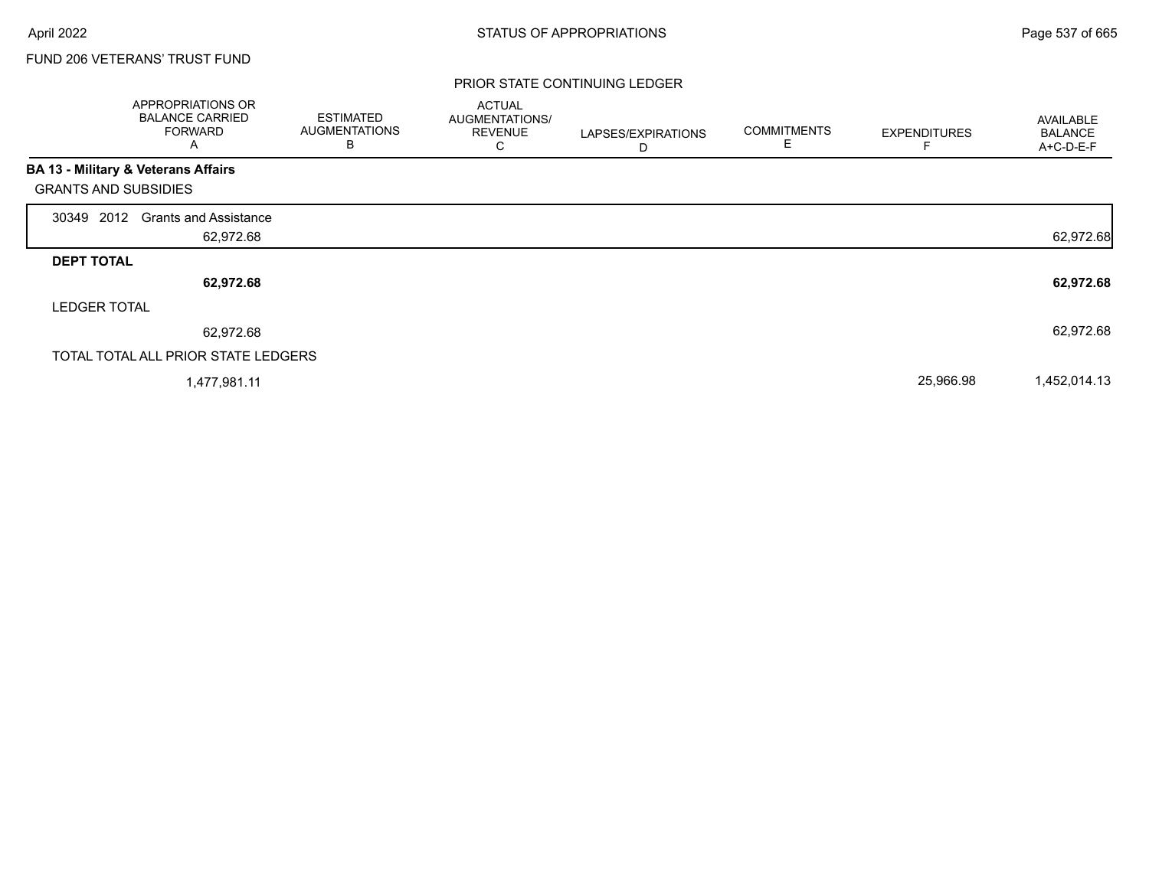г

### FUND 206 VETERANS' TRUST FUND

|                             | APPROPRIATIONS OR<br><b>BALANCE CARRIED</b><br><b>FORWARD</b><br>A | <b>ESTIMATED</b><br><b>AUGMENTATIONS</b><br>B | <b>ACTUAL</b><br><b>AUGMENTATIONS/</b><br><b>REVENUE</b><br>С | LAPSES/EXPIRATIONS<br>D | <b>COMMITMENTS</b><br>E | <b>EXPENDITURES</b> | AVAILABLE<br><b>BALANCE</b><br>A+C-D-E-F |
|-----------------------------|--------------------------------------------------------------------|-----------------------------------------------|---------------------------------------------------------------|-------------------------|-------------------------|---------------------|------------------------------------------|
|                             | <b>BA 13 - Military &amp; Veterans Affairs</b>                     |                                               |                                                               |                         |                         |                     |                                          |
| <b>GRANTS AND SUBSIDIES</b> |                                                                    |                                               |                                                               |                         |                         |                     |                                          |
| 30349 2012                  | <b>Grants and Assistance</b>                                       |                                               |                                                               |                         |                         |                     |                                          |
|                             | 62,972.68                                                          |                                               |                                                               |                         |                         |                     | 62,972.68                                |
| <b>DEPT TOTAL</b>           |                                                                    |                                               |                                                               |                         |                         |                     |                                          |
|                             | 62,972.68                                                          |                                               |                                                               |                         |                         |                     | 62,972.68                                |
| <b>LEDGER TOTAL</b>         |                                                                    |                                               |                                                               |                         |                         |                     |                                          |
|                             | 62,972.68                                                          |                                               |                                                               |                         |                         |                     | 62,972.68                                |
|                             | TOTAL TOTAL ALL PRIOR STATE LEDGERS                                |                                               |                                                               |                         |                         |                     |                                          |
|                             | 1,477,981.11                                                       |                                               |                                                               |                         |                         | 25,966.98           | 1,452,014.13                             |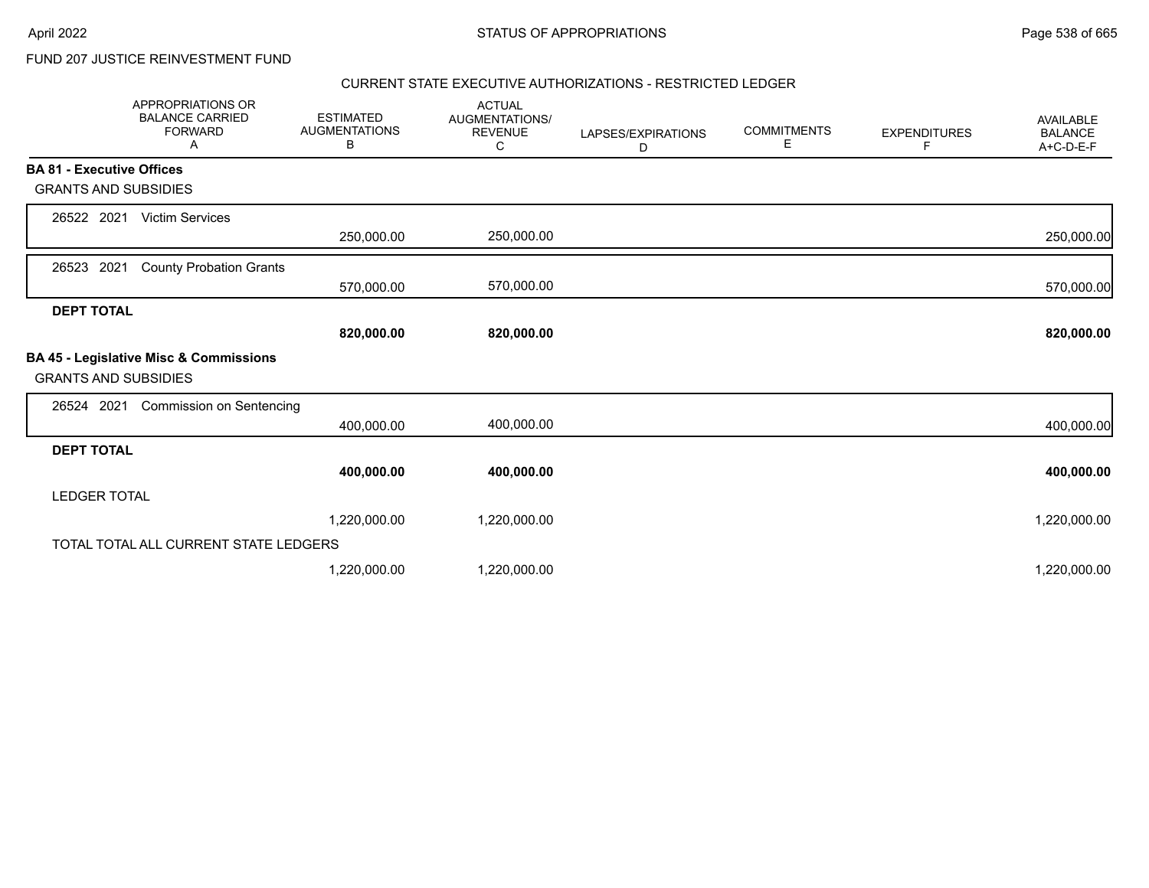FUND 207 JUSTICE REINVESTMENT FUND

#### CURRENT STATE EXECUTIVE AUTHORIZATIONS - RESTRICTED LEDGER

|                                  | <b>APPROPRIATIONS OR</b><br><b>BALANCE CARRIED</b><br><b>FORWARD</b><br>Α | <b>ESTIMATED</b><br><b>AUGMENTATIONS</b><br>В | <b>ACTUAL</b><br>AUGMENTATIONS/<br><b>REVENUE</b><br>С | LAPSES/EXPIRATIONS<br>D | <b>COMMITMENTS</b><br>E | <b>EXPENDITURES</b><br>F | <b>AVAILABLE</b><br><b>BALANCE</b><br>A+C-D-E-F |
|----------------------------------|---------------------------------------------------------------------------|-----------------------------------------------|--------------------------------------------------------|-------------------------|-------------------------|--------------------------|-------------------------------------------------|
| <b>BA 81 - Executive Offices</b> |                                                                           |                                               |                                                        |                         |                         |                          |                                                 |
| <b>GRANTS AND SUBSIDIES</b>      |                                                                           |                                               |                                                        |                         |                         |                          |                                                 |
| 26522 2021                       | <b>Victim Services</b>                                                    |                                               |                                                        |                         |                         |                          |                                                 |
|                                  |                                                                           | 250,000.00                                    | 250,000.00                                             |                         |                         |                          | 250,000.00                                      |
| 2021<br>26523                    | <b>County Probation Grants</b>                                            |                                               |                                                        |                         |                         |                          |                                                 |
|                                  |                                                                           | 570,000.00                                    | 570,000.00                                             |                         |                         |                          | 570,000.00                                      |
| <b>DEPT TOTAL</b>                |                                                                           |                                               |                                                        |                         |                         |                          |                                                 |
|                                  |                                                                           | 820,000.00                                    | 820,000.00                                             |                         |                         |                          | 820,000.00                                      |
| <b>GRANTS AND SUBSIDIES</b>      | BA 45 - Legislative Misc & Commissions                                    |                                               |                                                        |                         |                         |                          |                                                 |
| 26524 2021                       | <b>Commission on Sentencing</b>                                           |                                               |                                                        |                         |                         |                          |                                                 |
|                                  |                                                                           | 400,000.00                                    | 400,000.00                                             |                         |                         |                          | 400,000.00                                      |
| <b>DEPT TOTAL</b>                |                                                                           |                                               |                                                        |                         |                         |                          |                                                 |
|                                  |                                                                           | 400,000.00                                    | 400,000.00                                             |                         |                         |                          | 400,000.00                                      |
| <b>LEDGER TOTAL</b>              |                                                                           |                                               |                                                        |                         |                         |                          |                                                 |
|                                  |                                                                           | 1,220,000.00                                  | 1,220,000.00                                           |                         |                         |                          | 1,220,000.00                                    |
|                                  | TOTAL TOTAL ALL CURRENT STATE LEDGERS                                     |                                               |                                                        |                         |                         |                          |                                                 |
|                                  |                                                                           | 1,220,000.00                                  | 1,220,000.00                                           |                         |                         |                          | 1,220,000.00                                    |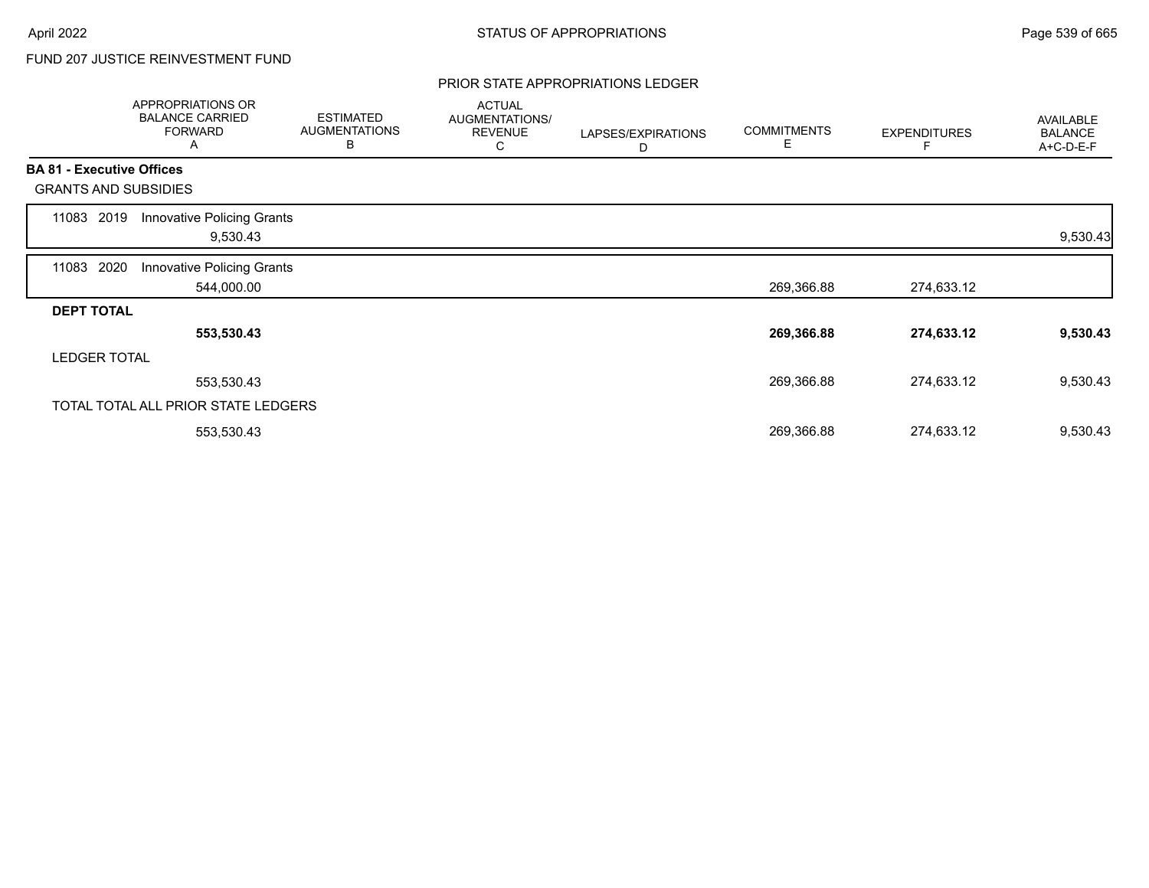# FUND 207 JUSTICE REINVESTMENT FUND

#### PRIOR STATE APPROPRIATIONS LEDGER

|       | APPROPRIATIONS OR<br><b>BALANCE CARRIED</b><br><b>FORWARD</b><br>A | <b>ESTIMATED</b><br><b>AUGMENTATIONS</b><br>B | <b>ACTUAL</b><br>AUGMENTATIONS/<br><b>REVENUE</b><br>С | LAPSES/EXPIRATIONS<br>D | <b>COMMITMENTS</b><br>Е | <b>EXPENDITURES</b> | AVAILABLE<br><b>BALANCE</b><br>A+C-D-E-F |
|-------|--------------------------------------------------------------------|-----------------------------------------------|--------------------------------------------------------|-------------------------|-------------------------|---------------------|------------------------------------------|
|       | <b>BA 81 - Executive Offices</b>                                   |                                               |                                                        |                         |                         |                     |                                          |
|       | <b>GRANTS AND SUBSIDIES</b>                                        |                                               |                                                        |                         |                         |                     |                                          |
| 11083 | <b>Innovative Policing Grants</b><br>2019<br>9,530.43              |                                               |                                                        |                         |                         |                     | 9,530.43                                 |
| 11083 | 2020<br>Innovative Policing Grants<br>544,000.00                   |                                               |                                                        |                         | 269,366.88              | 274,633.12          |                                          |
|       | <b>DEPT TOTAL</b>                                                  |                                               |                                                        |                         |                         |                     |                                          |
|       | 553,530.43                                                         |                                               |                                                        |                         | 269,366.88              | 274,633.12          | 9,530.43                                 |
|       | <b>LEDGER TOTAL</b>                                                |                                               |                                                        |                         |                         |                     |                                          |
|       | 553,530.43                                                         |                                               |                                                        |                         | 269,366.88              | 274,633.12          | 9,530.43                                 |
|       | TOTAL TOTAL ALL PRIOR STATE LEDGERS                                |                                               |                                                        |                         |                         |                     |                                          |
|       | 553,530.43                                                         |                                               |                                                        |                         | 269,366.88              | 274,633.12          | 9,530.43                                 |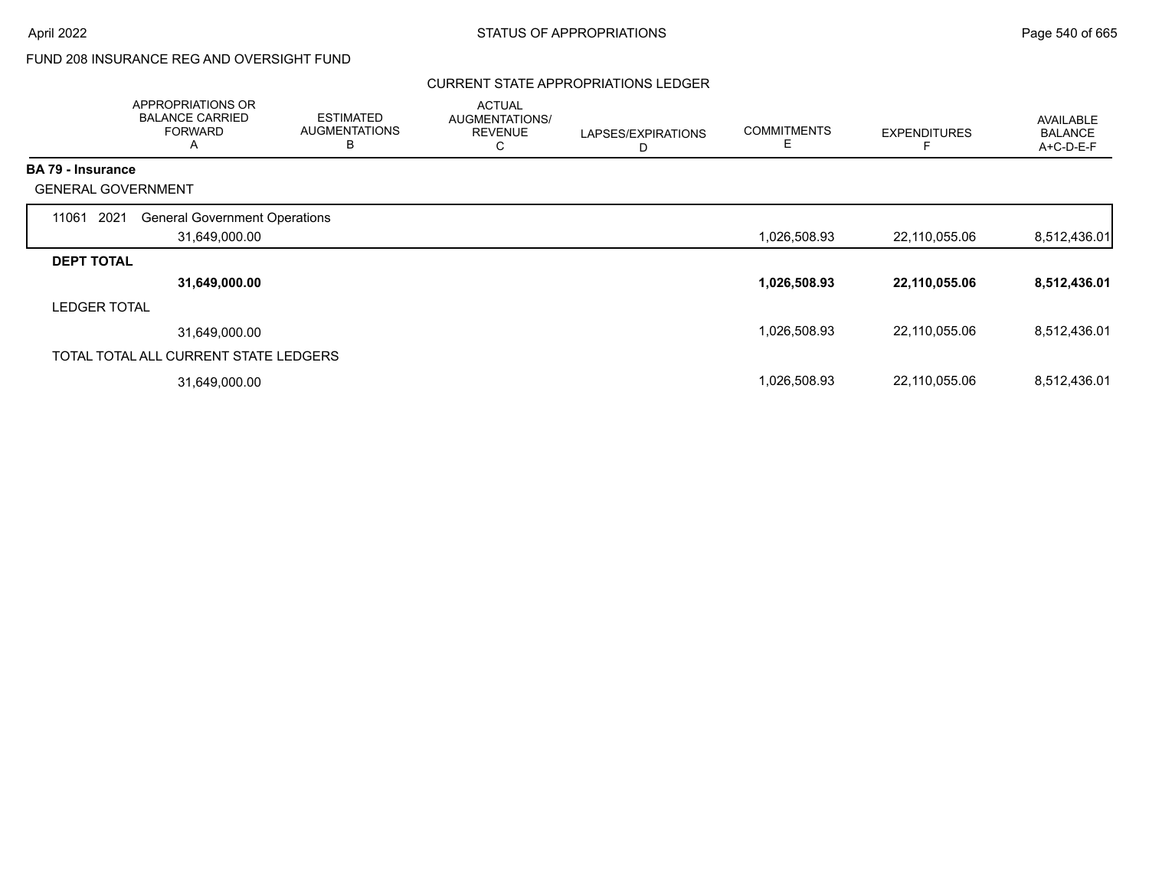# FUND 208 INSURANCE REG AND OVERSIGHT FUND

### CURRENT STATE APPROPRIATIONS LEDGER

|                          | APPROPRIATIONS OR<br><b>BALANCE CARRIED</b><br><b>FORWARD</b><br>A | <b>ESTIMATED</b><br><b>AUGMENTATIONS</b><br>В | <b>ACTUAL</b><br>AUGMENTATIONS/<br><b>REVENUE</b><br>С | LAPSES/EXPIRATIONS<br>D | <b>COMMITMENTS</b><br>Е | <b>EXPENDITURES</b> | AVAILABLE<br><b>BALANCE</b><br>A+C-D-E-F |
|--------------------------|--------------------------------------------------------------------|-----------------------------------------------|--------------------------------------------------------|-------------------------|-------------------------|---------------------|------------------------------------------|
| <b>BA 79 - Insurance</b> |                                                                    |                                               |                                                        |                         |                         |                     |                                          |
|                          | <b>GENERAL GOVERNMENT</b>                                          |                                               |                                                        |                         |                         |                     |                                          |
| 11061                    | 2021<br><b>General Government Operations</b>                       |                                               |                                                        |                         |                         |                     |                                          |
|                          | 31,649,000.00                                                      |                                               |                                                        |                         | 1,026,508.93            | 22,110,055.06       | 8,512,436.01                             |
| <b>DEPT TOTAL</b>        |                                                                    |                                               |                                                        |                         |                         |                     |                                          |
|                          | 31,649,000.00                                                      |                                               |                                                        |                         | 1,026,508.93            | 22,110,055.06       | 8,512,436.01                             |
| <b>LEDGER TOTAL</b>      |                                                                    |                                               |                                                        |                         |                         |                     |                                          |
|                          | 31,649,000.00                                                      |                                               |                                                        |                         | 1,026,508.93            | 22,110,055.06       | 8,512,436.01                             |
|                          | TOTAL TOTAL ALL CURRENT STATE LEDGERS                              |                                               |                                                        |                         |                         |                     |                                          |
|                          | 31,649,000.00                                                      |                                               |                                                        |                         | 1,026,508.93            | 22,110,055.06       | 8,512,436.01                             |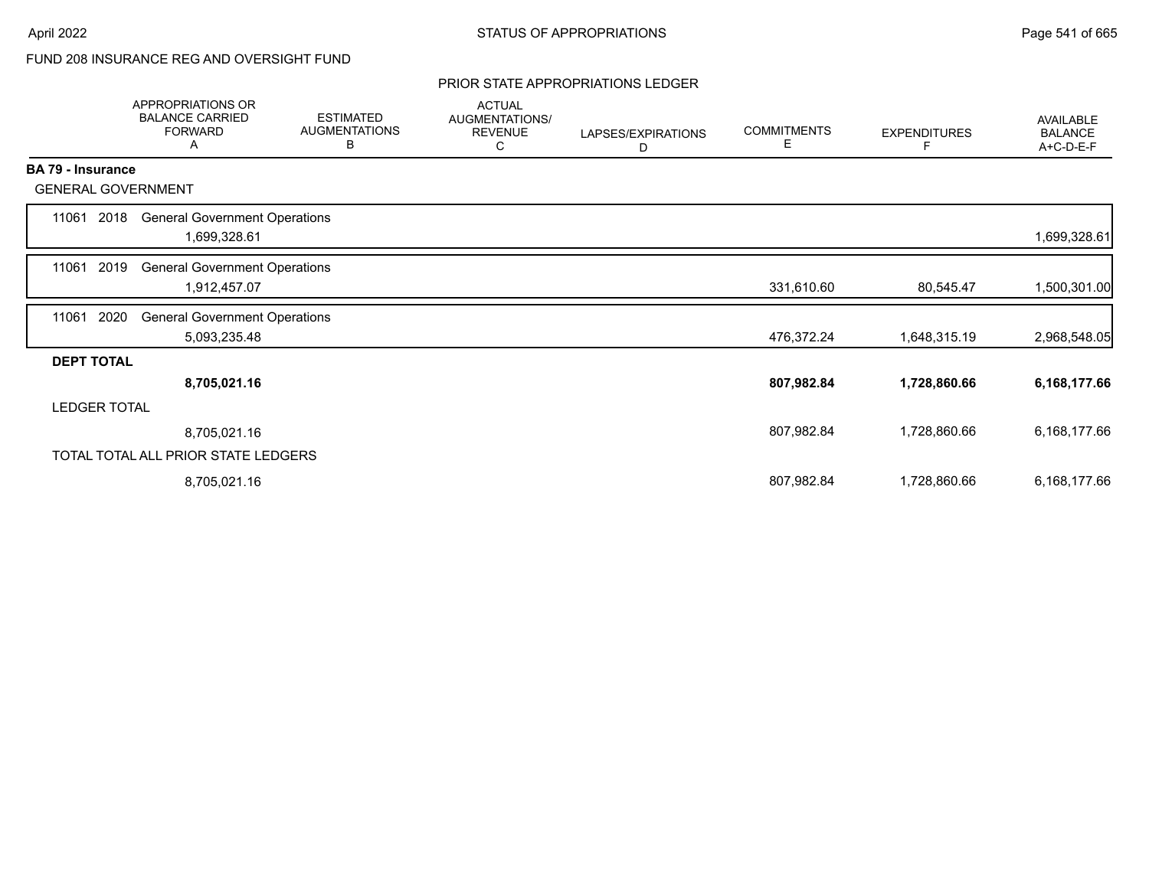# FUND 208 INSURANCE REG AND OVERSIGHT FUND

#### PRIOR STATE APPROPRIATIONS LEDGER

|                     | APPROPRIATIONS OR<br><b>BALANCE CARRIED</b><br><b>FORWARD</b><br>A | <b>ESTIMATED</b><br><b>AUGMENTATIONS</b><br>В | <b>ACTUAL</b><br>AUGMENTATIONS/<br><b>REVENUE</b><br>С | LAPSES/EXPIRATIONS<br>D | <b>COMMITMENTS</b><br>Е | <b>EXPENDITURES</b><br>F | <b>AVAILABLE</b><br><b>BALANCE</b><br>A+C-D-E-F |
|---------------------|--------------------------------------------------------------------|-----------------------------------------------|--------------------------------------------------------|-------------------------|-------------------------|--------------------------|-------------------------------------------------|
| BA 79 - Insurance   |                                                                    |                                               |                                                        |                         |                         |                          |                                                 |
|                     | <b>GENERAL GOVERNMENT</b>                                          |                                               |                                                        |                         |                         |                          |                                                 |
| 11061               | <b>General Government Operations</b><br>2018<br>1,699,328.61       |                                               |                                                        |                         |                         |                          | 1,699,328.61                                    |
| 11061               | 2019<br><b>General Government Operations</b><br>1,912,457.07       |                                               |                                                        |                         | 331,610.60              | 80,545.47                | 1,500,301.00                                    |
| 2020<br>11061       | <b>General Government Operations</b><br>5,093,235.48               |                                               |                                                        |                         | 476,372.24              | 1,648,315.19             | 2,968,548.05                                    |
| <b>DEPT TOTAL</b>   |                                                                    |                                               |                                                        |                         |                         |                          |                                                 |
|                     | 8,705,021.16                                                       |                                               |                                                        |                         | 807,982.84              | 1,728,860.66             | 6,168,177.66                                    |
| <b>LEDGER TOTAL</b> |                                                                    |                                               |                                                        |                         |                         |                          |                                                 |
|                     | 8,705,021.16                                                       |                                               |                                                        |                         | 807,982.84              | 1,728,860.66             | 6,168,177.66                                    |
|                     | TOTAL TOTAL ALL PRIOR STATE LEDGERS                                |                                               |                                                        |                         |                         |                          |                                                 |
|                     | 8,705,021.16                                                       |                                               |                                                        |                         | 807,982.84              | 1,728,860.66             | 6,168,177.66                                    |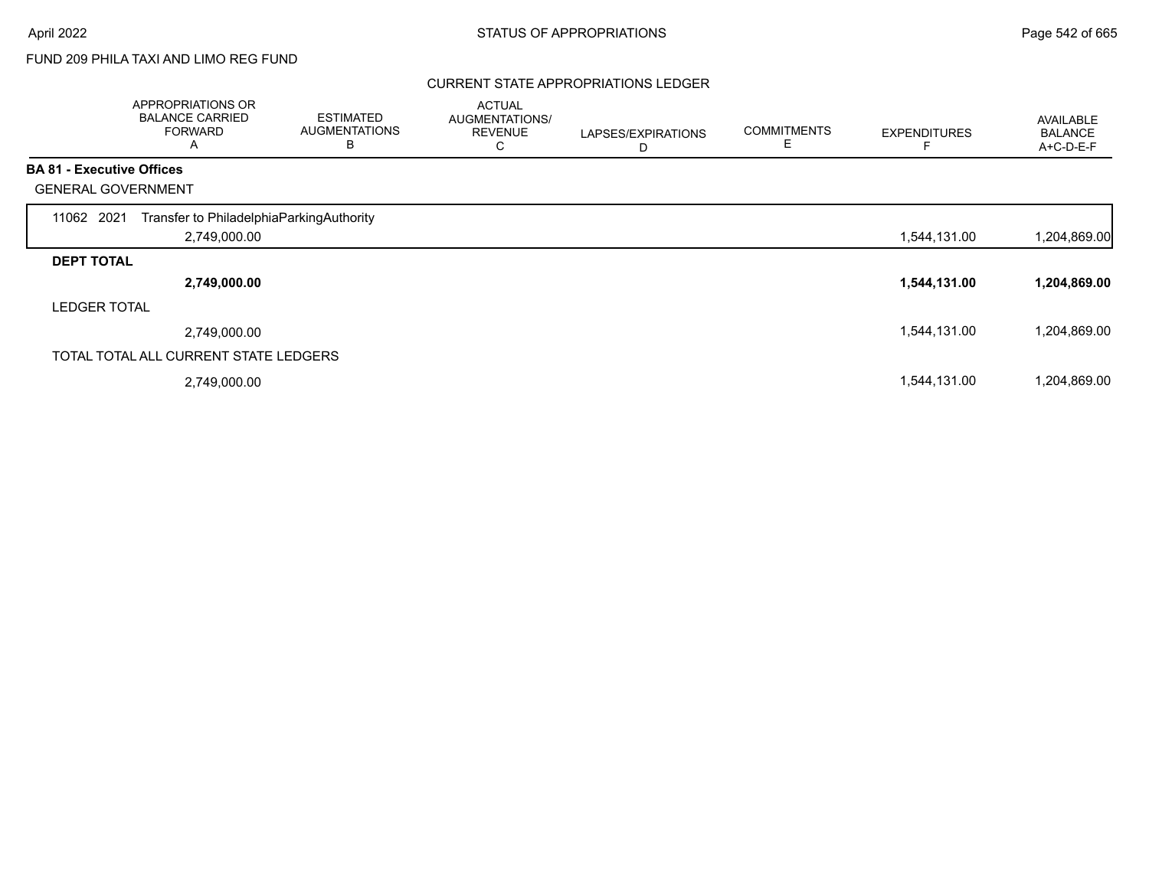# FUND 209 PHILA TAXI AND LIMO REG FUND

### CURRENT STATE APPROPRIATIONS LEDGER

|                                  | APPROPRIATIONS OR<br><b>BALANCE CARRIED</b><br><b>FORWARD</b><br>A | <b>ESTIMATED</b><br><b>AUGMENTATIONS</b><br>B | <b>ACTUAL</b><br>AUGMENTATIONS/<br><b>REVENUE</b><br>С | LAPSES/EXPIRATIONS<br>D | <b>COMMITMENTS</b> | <b>EXPENDITURES</b> | AVAILABLE<br><b>BALANCE</b><br>A+C-D-E-F |
|----------------------------------|--------------------------------------------------------------------|-----------------------------------------------|--------------------------------------------------------|-------------------------|--------------------|---------------------|------------------------------------------|
| <b>BA 81 - Executive Offices</b> |                                                                    |                                               |                                                        |                         |                    |                     |                                          |
|                                  | <b>GENERAL GOVERNMENT</b>                                          |                                               |                                                        |                         |                    |                     |                                          |
| 11062 2021                       | Transfer to PhiladelphiaParkingAuthority                           |                                               |                                                        |                         |                    |                     |                                          |
|                                  | 2,749,000.00                                                       |                                               |                                                        |                         |                    | 1,544,131.00        | 1,204,869.00                             |
| <b>DEPT TOTAL</b>                |                                                                    |                                               |                                                        |                         |                    |                     |                                          |
|                                  | 2,749,000.00                                                       |                                               |                                                        |                         |                    | 1,544,131.00        | 1,204,869.00                             |
| <b>LEDGER TOTAL</b>              |                                                                    |                                               |                                                        |                         |                    |                     |                                          |
|                                  | 2,749,000.00                                                       |                                               |                                                        |                         |                    | 1,544,131.00        | 1,204,869.00                             |
|                                  | TOTAL TOTAL ALL CURRENT STATE LEDGERS                              |                                               |                                                        |                         |                    |                     |                                          |
|                                  | 2,749,000.00                                                       |                                               |                                                        |                         |                    | 1,544,131.00        | 1,204,869.00                             |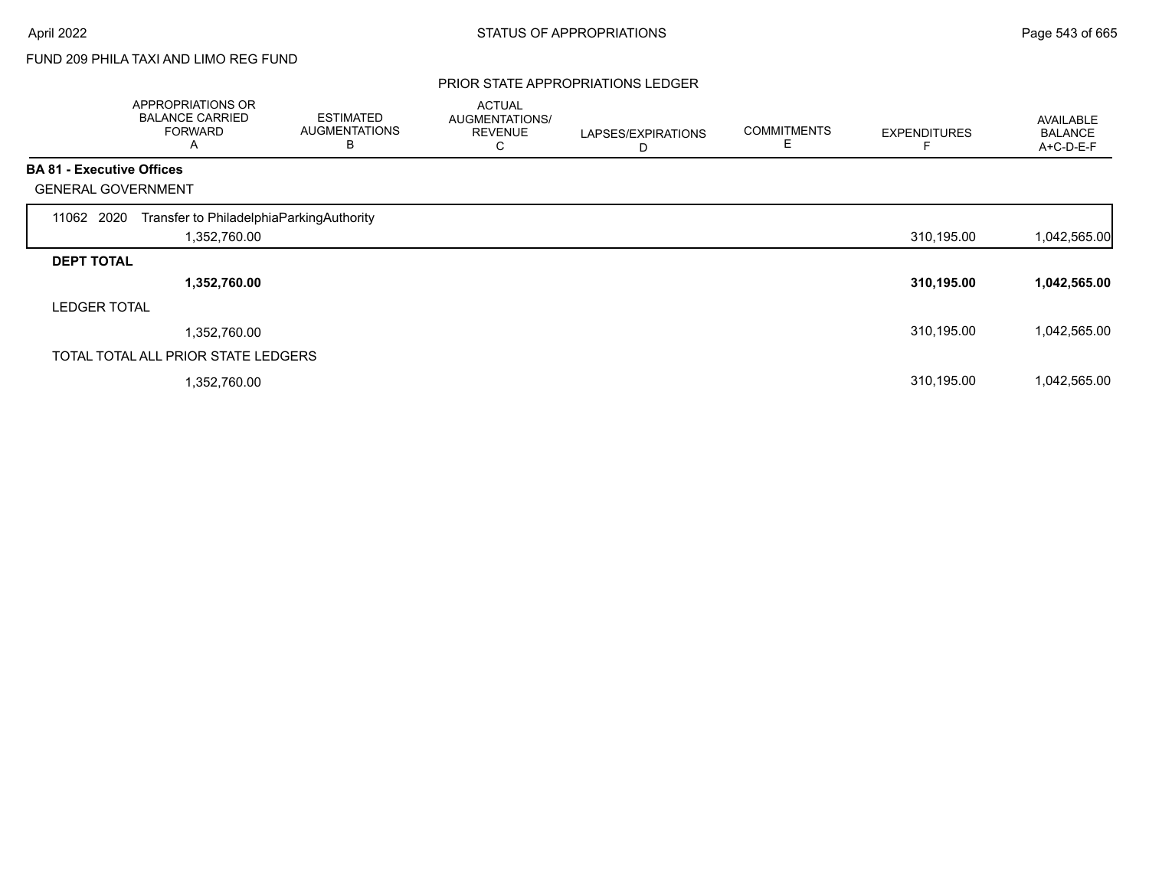# FUND 209 PHILA TAXI AND LIMO REG FUND

#### PRIOR STATE APPROPRIATIONS LEDGER

|                                  | APPROPRIATIONS OR<br><b>BALANCE CARRIED</b><br><b>FORWARD</b><br>Α | <b>ESTIMATED</b><br><b>AUGMENTATIONS</b><br>B | <b>ACTUAL</b><br><b>AUGMENTATIONS/</b><br><b>REVENUE</b><br>С | LAPSES/EXPIRATIONS<br>D | <b>COMMITMENTS</b><br>E | <b>EXPENDITURES</b> | AVAILABLE<br><b>BALANCE</b><br>A+C-D-E-F |
|----------------------------------|--------------------------------------------------------------------|-----------------------------------------------|---------------------------------------------------------------|-------------------------|-------------------------|---------------------|------------------------------------------|
| <b>BA 81 - Executive Offices</b> |                                                                    |                                               |                                                               |                         |                         |                     |                                          |
|                                  | <b>GENERAL GOVERNMENT</b>                                          |                                               |                                                               |                         |                         |                     |                                          |
| 11062 2020                       | Transfer to PhiladelphiaParkingAuthority                           |                                               |                                                               |                         |                         |                     |                                          |
|                                  | 1,352,760.00                                                       |                                               |                                                               |                         |                         | 310,195.00          | 1,042,565.00                             |
| <b>DEPT TOTAL</b>                |                                                                    |                                               |                                                               |                         |                         |                     |                                          |
|                                  | 1,352,760.00                                                       |                                               |                                                               |                         |                         | 310,195.00          | 1,042,565.00                             |
| <b>LEDGER TOTAL</b>              |                                                                    |                                               |                                                               |                         |                         |                     |                                          |
|                                  | 1,352,760.00                                                       |                                               |                                                               |                         |                         | 310,195.00          | 1,042,565.00                             |
|                                  | TOTAL TOTAL ALL PRIOR STATE LEDGERS                                |                                               |                                                               |                         |                         |                     |                                          |
|                                  | 1,352,760.00                                                       |                                               |                                                               |                         |                         | 310,195.00          | 1,042,565.00                             |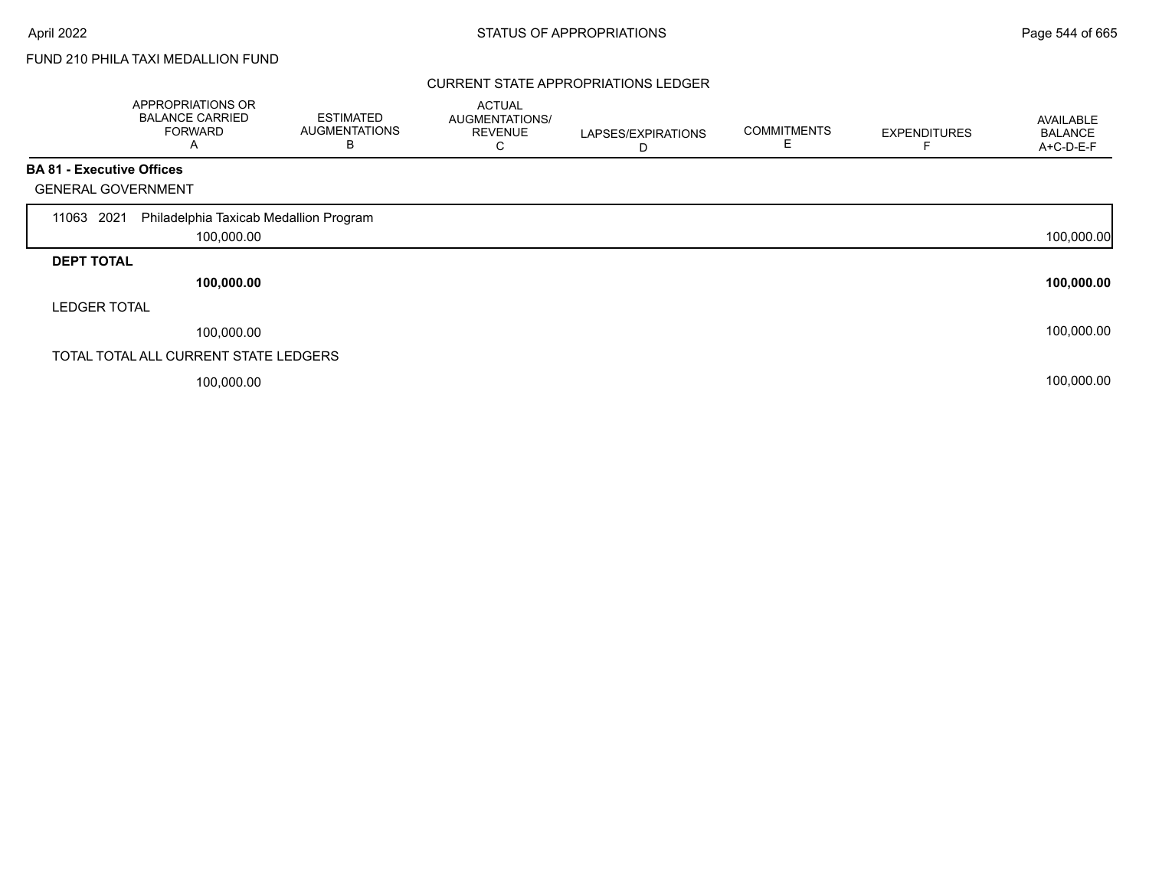г

# FUND 210 PHILA TAXI MEDALLION FUND

### CURRENT STATE APPROPRIATIONS LEDGER

|                                  | APPROPRIATIONS OR<br><b>BALANCE CARRIED</b><br><b>FORWARD</b><br>Α | <b>ESTIMATED</b><br><b>AUGMENTATIONS</b><br>в | <b>ACTUAL</b><br>AUGMENTATIONS/<br><b>REVENUE</b><br>С | LAPSES/EXPIRATIONS<br>D | <b>COMMITMENTS</b> | <b>EXPENDITURES</b> | AVAILABLE<br><b>BALANCE</b><br>A+C-D-E-F |
|----------------------------------|--------------------------------------------------------------------|-----------------------------------------------|--------------------------------------------------------|-------------------------|--------------------|---------------------|------------------------------------------|
| <b>BA 81 - Executive Offices</b> |                                                                    |                                               |                                                        |                         |                    |                     |                                          |
| <b>GENERAL GOVERNMENT</b>        |                                                                    |                                               |                                                        |                         |                    |                     |                                          |
| 2021<br>11063                    | Philadelphia Taxicab Medallion Program                             |                                               |                                                        |                         |                    |                     |                                          |
|                                  | 100,000.00                                                         |                                               |                                                        |                         |                    |                     | 100,000.00                               |
| <b>DEPT TOTAL</b>                |                                                                    |                                               |                                                        |                         |                    |                     |                                          |
|                                  | 100,000.00                                                         |                                               |                                                        |                         |                    |                     | 100,000.00                               |
| <b>LEDGER TOTAL</b>              |                                                                    |                                               |                                                        |                         |                    |                     |                                          |
|                                  | 100,000.00                                                         |                                               |                                                        |                         |                    |                     | 100,000.00                               |
|                                  | TOTAL TOTAL ALL CURRENT STATE LEDGERS                              |                                               |                                                        |                         |                    |                     |                                          |
|                                  | 100,000.00                                                         |                                               |                                                        |                         |                    |                     | 100,000.00                               |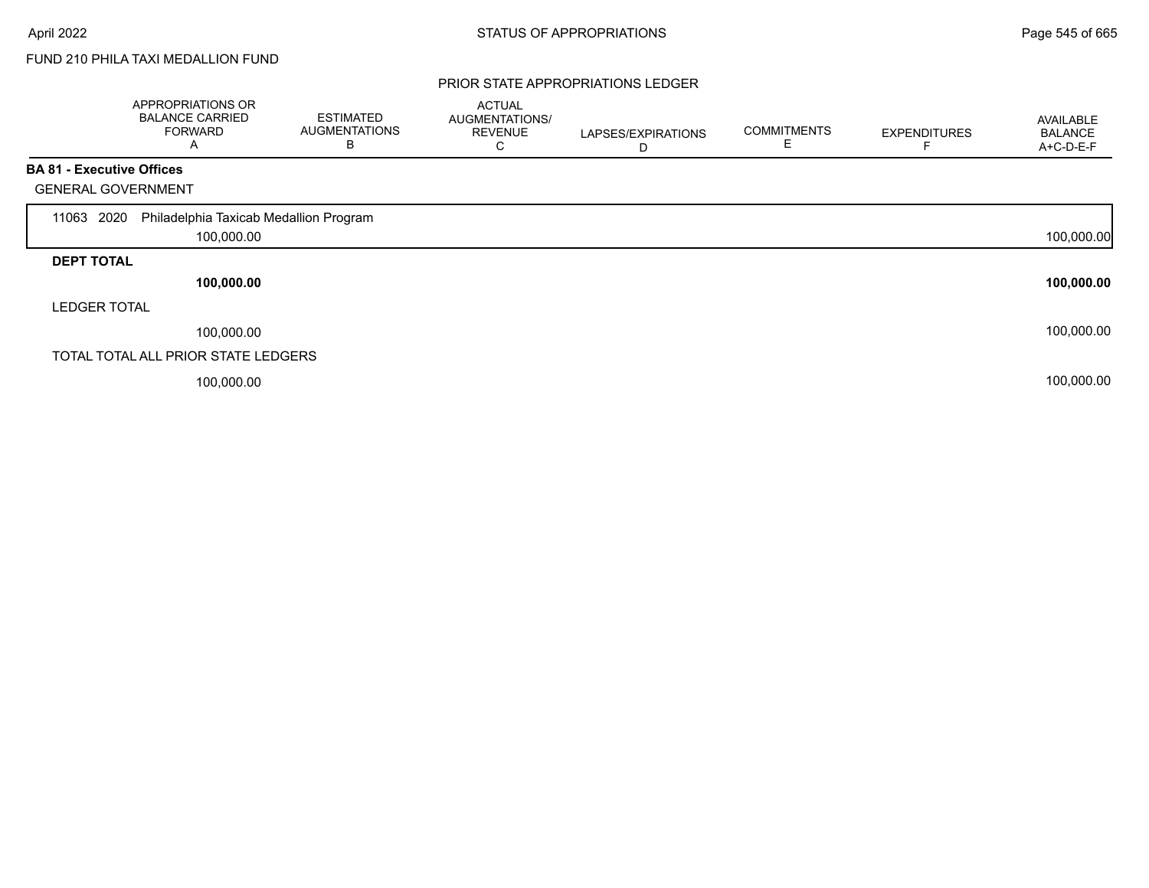# FUND 210 PHILA TAXI MEDALLION FUND

#### PRIOR STATE APPROPRIATIONS LEDGER

|                                  | APPROPRIATIONS OR<br><b>BALANCE CARRIED</b><br><b>FORWARD</b><br>Α | <b>ESTIMATED</b><br><b>AUGMENTATIONS</b><br>В | <b>ACTUAL</b><br>AUGMENTATIONS/<br><b>REVENUE</b><br>С | LAPSES/EXPIRATIONS<br>D | <b>COMMITMENTS</b> | <b>EXPENDITURES</b> | <b>AVAILABLE</b><br><b>BALANCE</b><br>A+C-D-E-F |
|----------------------------------|--------------------------------------------------------------------|-----------------------------------------------|--------------------------------------------------------|-------------------------|--------------------|---------------------|-------------------------------------------------|
| <b>BA 81 - Executive Offices</b> |                                                                    |                                               |                                                        |                         |                    |                     |                                                 |
| <b>GENERAL GOVERNMENT</b>        |                                                                    |                                               |                                                        |                         |                    |                     |                                                 |
| 2020<br>11063                    | Philadelphia Taxicab Medallion Program                             |                                               |                                                        |                         |                    |                     |                                                 |
|                                  | 100,000.00                                                         |                                               |                                                        |                         |                    |                     | 100,000.00                                      |
| <b>DEPT TOTAL</b>                |                                                                    |                                               |                                                        |                         |                    |                     |                                                 |
|                                  | 100,000.00                                                         |                                               |                                                        |                         |                    |                     | 100,000.00                                      |
| <b>LEDGER TOTAL</b>              |                                                                    |                                               |                                                        |                         |                    |                     |                                                 |
|                                  | 100,000.00                                                         |                                               |                                                        |                         |                    |                     | 100,000.00                                      |
|                                  | TOTAL TOTAL ALL PRIOR STATE LEDGERS                                |                                               |                                                        |                         |                    |                     |                                                 |
|                                  | 100,000.00                                                         |                                               |                                                        |                         |                    |                     | 100,000.00                                      |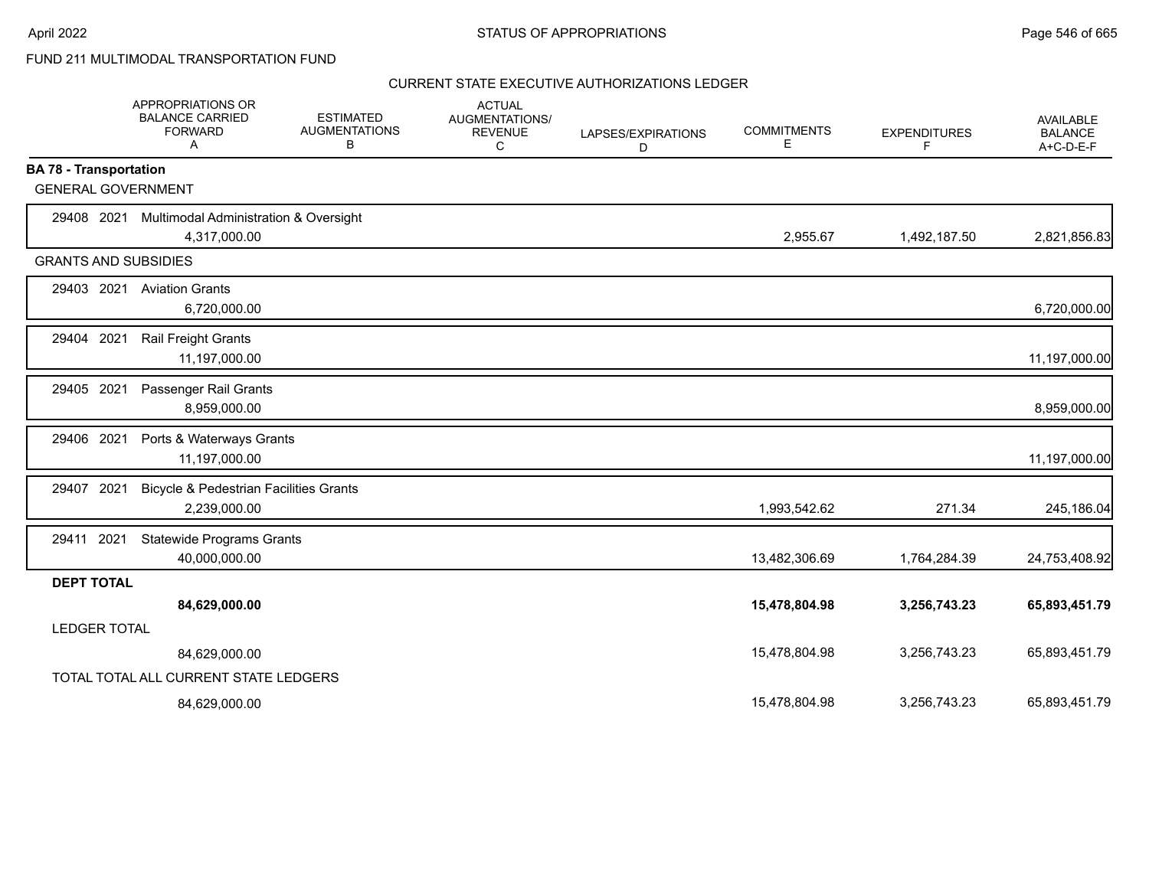|                               | APPROPRIATIONS OR<br><b>BALANCE CARRIED</b><br><b>FORWARD</b><br>Α | <b>ESTIMATED</b><br><b>AUGMENTATIONS</b><br>В | <b>ACTUAL</b><br><b>AUGMENTATIONS/</b><br><b>REVENUE</b><br>С | LAPSES/EXPIRATIONS<br>D | <b>COMMITMENTS</b><br>Ε | <b>EXPENDITURES</b><br>F | <b>AVAILABLE</b><br><b>BALANCE</b><br>$A+C-D-E-F$ |
|-------------------------------|--------------------------------------------------------------------|-----------------------------------------------|---------------------------------------------------------------|-------------------------|-------------------------|--------------------------|---------------------------------------------------|
| <b>BA 78 - Transportation</b> |                                                                    |                                               |                                                               |                         |                         |                          |                                                   |
| <b>GENERAL GOVERNMENT</b>     |                                                                    |                                               |                                                               |                         |                         |                          |                                                   |
| 29408 2021                    | <b>Multimodal Administration &amp; Oversight</b>                   |                                               |                                                               |                         |                         |                          |                                                   |
|                               | 4,317,000.00                                                       |                                               |                                                               |                         | 2,955.67                | 1,492,187.50             | 2,821,856.83                                      |
| <b>GRANTS AND SUBSIDIES</b>   |                                                                    |                                               |                                                               |                         |                         |                          |                                                   |
| 29403 2021                    | <b>Aviation Grants</b>                                             |                                               |                                                               |                         |                         |                          |                                                   |
|                               | 6,720,000.00                                                       |                                               |                                                               |                         |                         |                          | 6,720,000.00                                      |
| 29404 2021                    | <b>Rail Freight Grants</b>                                         |                                               |                                                               |                         |                         |                          |                                                   |
|                               | 11,197,000.00                                                      |                                               |                                                               |                         |                         |                          | 11,197,000.00                                     |
| 29405 2021                    | Passenger Rail Grants                                              |                                               |                                                               |                         |                         |                          |                                                   |
|                               | 8,959,000.00                                                       |                                               |                                                               |                         |                         |                          | 8,959,000.00                                      |
| 29406 2021                    | Ports & Waterways Grants                                           |                                               |                                                               |                         |                         |                          |                                                   |
|                               | 11,197,000.00                                                      |                                               |                                                               |                         |                         |                          | 11,197,000.00                                     |
| 2021<br>29407                 | <b>Bicycle &amp; Pedestrian Facilities Grants</b>                  |                                               |                                                               |                         |                         |                          |                                                   |
|                               | 2,239,000.00                                                       |                                               |                                                               |                         | 1,993,542.62            | 271.34                   | 245,186.04                                        |
| 29411 2021                    | <b>Statewide Programs Grants</b>                                   |                                               |                                                               |                         |                         |                          |                                                   |
|                               | 40,000,000.00                                                      |                                               |                                                               |                         | 13,482,306.69           | 1,764,284.39             | 24,753,408.92                                     |
| <b>DEPT TOTAL</b>             |                                                                    |                                               |                                                               |                         |                         |                          |                                                   |
|                               | 84,629,000.00                                                      |                                               |                                                               |                         | 15,478,804.98           | 3,256,743.23             | 65,893,451.79                                     |
| <b>LEDGER TOTAL</b>           |                                                                    |                                               |                                                               |                         |                         |                          |                                                   |
|                               | 84,629,000.00                                                      |                                               |                                                               |                         | 15,478,804.98           | 3,256,743.23             | 65,893,451.79                                     |
|                               | TOTAL TOTAL ALL CURRENT STATE LEDGERS                              |                                               |                                                               |                         |                         |                          |                                                   |
|                               | 84,629,000.00                                                      |                                               |                                                               |                         | 15,478,804.98           | 3,256,743.23             | 65,893,451.79                                     |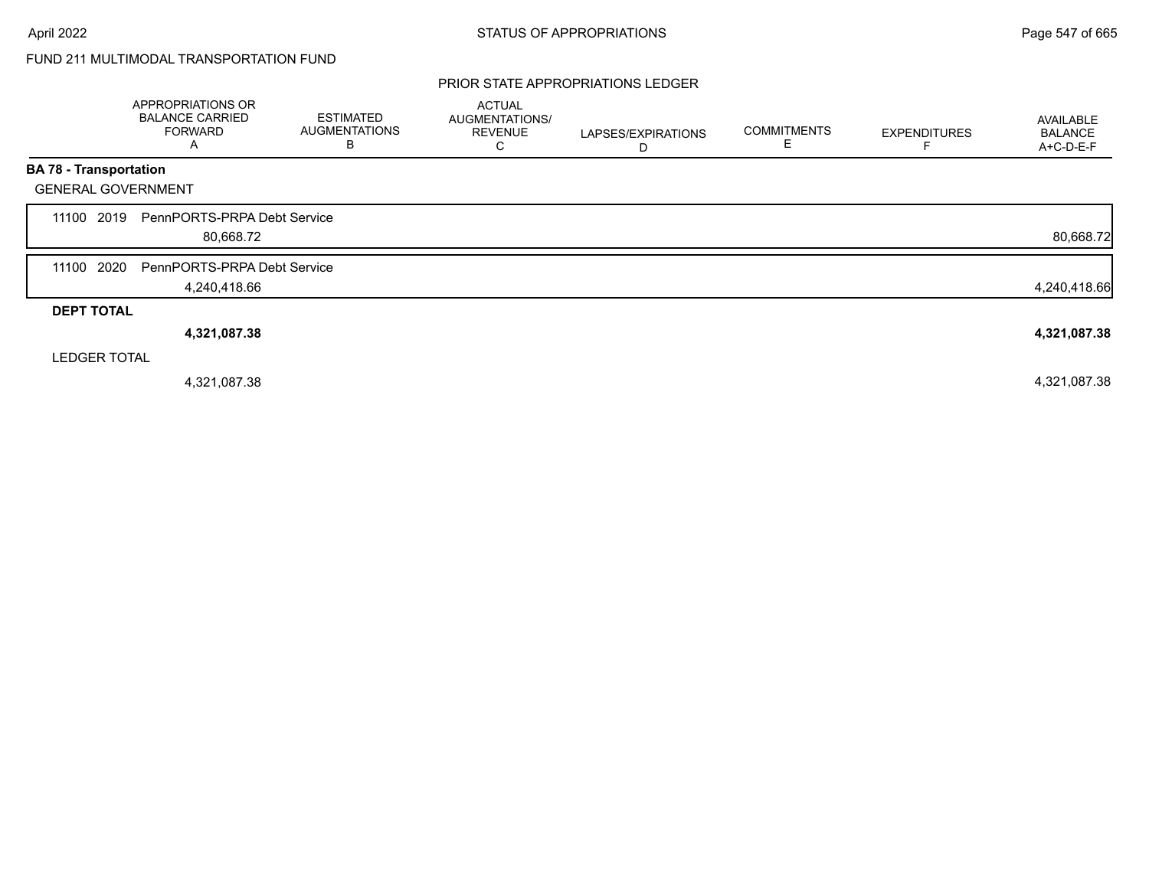### PRIOR STATE APPROPRIATIONS LEDGER

|                               | APPROPRIATIONS OR<br><b>BALANCE CARRIED</b><br><b>FORWARD</b><br>Α | <b>ESTIMATED</b><br><b>AUGMENTATIONS</b><br>B | <b>ACTUAL</b><br>AUGMENTATIONS/<br><b>REVENUE</b><br>С | LAPSES/EXPIRATIONS<br>D | <b>COMMITMENTS</b><br>Е | <b>EXPENDITURES</b> | AVAILABLE<br><b>BALANCE</b><br>A+C-D-E-F |
|-------------------------------|--------------------------------------------------------------------|-----------------------------------------------|--------------------------------------------------------|-------------------------|-------------------------|---------------------|------------------------------------------|
| <b>BA 78 - Transportation</b> |                                                                    |                                               |                                                        |                         |                         |                     |                                          |
| <b>GENERAL GOVERNMENT</b>     |                                                                    |                                               |                                                        |                         |                         |                     |                                          |
| 2019<br>11100                 | PennPORTS-PRPA Debt Service<br>80,668.72                           |                                               |                                                        |                         |                         |                     | 80,668.72                                |
| 2020<br>11100                 | PennPORTS-PRPA Debt Service<br>4,240,418.66                        |                                               |                                                        |                         |                         |                     | 4,240,418.66                             |
| <b>DEPT TOTAL</b>             |                                                                    |                                               |                                                        |                         |                         |                     |                                          |
|                               | 4,321,087.38                                                       |                                               |                                                        |                         |                         |                     | 4,321,087.38                             |
| <b>LEDGER TOTAL</b>           |                                                                    |                                               |                                                        |                         |                         |                     |                                          |
|                               | 4,321,087.38                                                       |                                               |                                                        |                         |                         |                     | 4,321,087.38                             |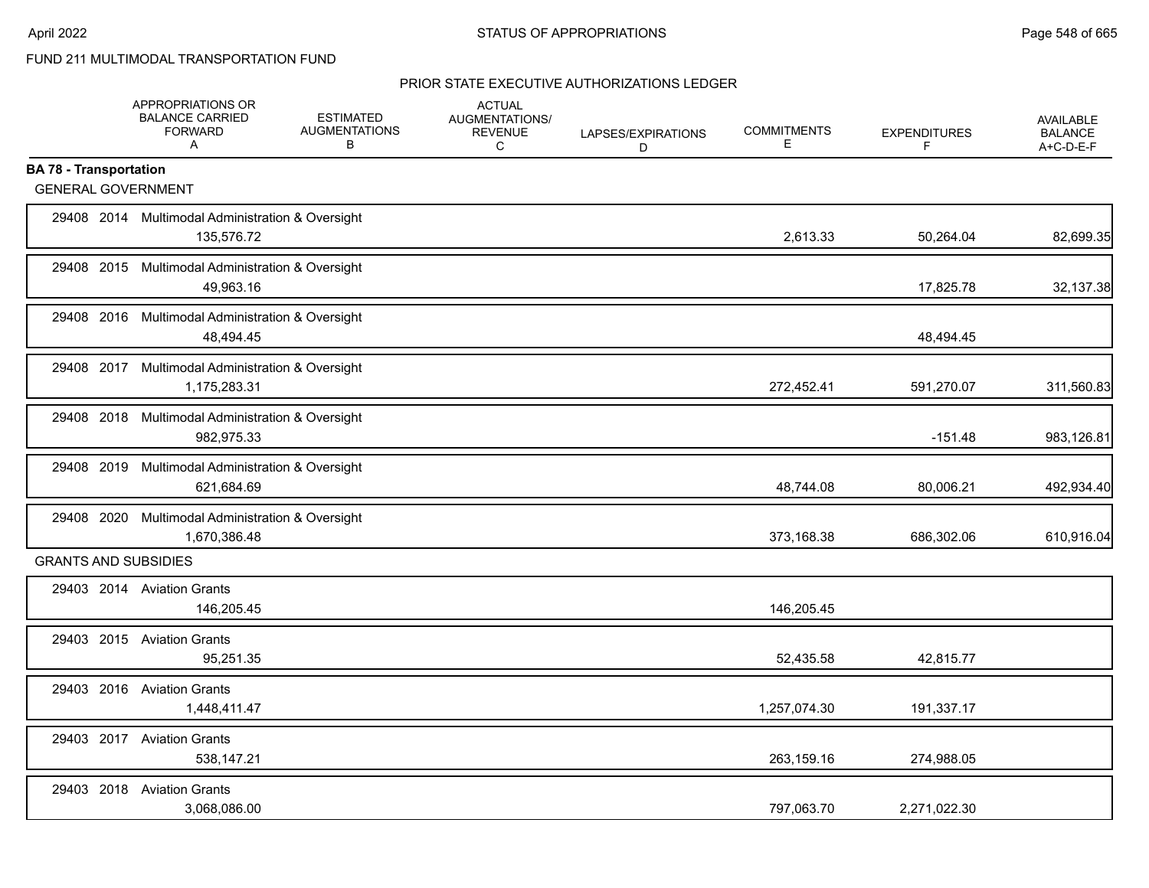|                               | APPROPRIATIONS OR<br><b>BALANCE CARRIED</b><br><b>FORWARD</b><br>A | <b>ESTIMATED</b><br><b>AUGMENTATIONS</b><br>В | <b>ACTUAL</b><br>AUGMENTATIONS/<br><b>REVENUE</b><br>C | LAPSES/EXPIRATIONS<br>D | <b>COMMITMENTS</b><br>Е | <b>EXPENDITURES</b><br>F | <b>AVAILABLE</b><br><b>BALANCE</b><br>A+C-D-E-F |
|-------------------------------|--------------------------------------------------------------------|-----------------------------------------------|--------------------------------------------------------|-------------------------|-------------------------|--------------------------|-------------------------------------------------|
| <b>BA 78 - Transportation</b> |                                                                    |                                               |                                                        |                         |                         |                          |                                                 |
| <b>GENERAL GOVERNMENT</b>     |                                                                    |                                               |                                                        |                         |                         |                          |                                                 |
|                               | 29408 2014 Multimodal Administration & Oversight<br>135,576.72     |                                               |                                                        |                         | 2,613.33                | 50,264.04                | 82,699.35                                       |
|                               | 29408 2015 Multimodal Administration & Oversight<br>49,963.16      |                                               |                                                        |                         |                         | 17,825.78                | 32,137.38                                       |
|                               | 29408 2016 Multimodal Administration & Oversight<br>48,494.45      |                                               |                                                        |                         |                         | 48,494.45                |                                                 |
|                               | 29408 2017 Multimodal Administration & Oversight<br>1,175,283.31   |                                               |                                                        |                         | 272,452.41              | 591,270.07               | 311,560.83                                      |
| 29408 2018                    | Multimodal Administration & Oversight<br>982,975.33                |                                               |                                                        |                         |                         | $-151.48$                | 983,126.81                                      |
|                               | 29408 2019 Multimodal Administration & Oversight<br>621,684.69     |                                               |                                                        |                         | 48,744.08               | 80,006.21                | 492,934.40                                      |
|                               | 29408 2020 Multimodal Administration & Oversight<br>1,670,386.48   |                                               |                                                        |                         | 373,168.38              | 686,302.06               | 610,916.04                                      |
| <b>GRANTS AND SUBSIDIES</b>   |                                                                    |                                               |                                                        |                         |                         |                          |                                                 |
|                               | 29403 2014 Aviation Grants<br>146,205.45                           |                                               |                                                        |                         | 146,205.45              |                          |                                                 |
|                               | 29403 2015 Aviation Grants<br>95,251.35                            |                                               |                                                        |                         | 52,435.58               | 42,815.77                |                                                 |
|                               | 29403 2016 Aviation Grants<br>1,448,411.47                         |                                               |                                                        |                         | 1,257,074.30            | 191,337.17               |                                                 |
|                               | 29403 2017 Aviation Grants<br>538,147.21                           |                                               |                                                        |                         | 263,159.16              | 274,988.05               |                                                 |
| 29403 2018                    | <b>Aviation Grants</b><br>3,068,086.00                             |                                               |                                                        |                         | 797,063.70              | 2,271,022.30             |                                                 |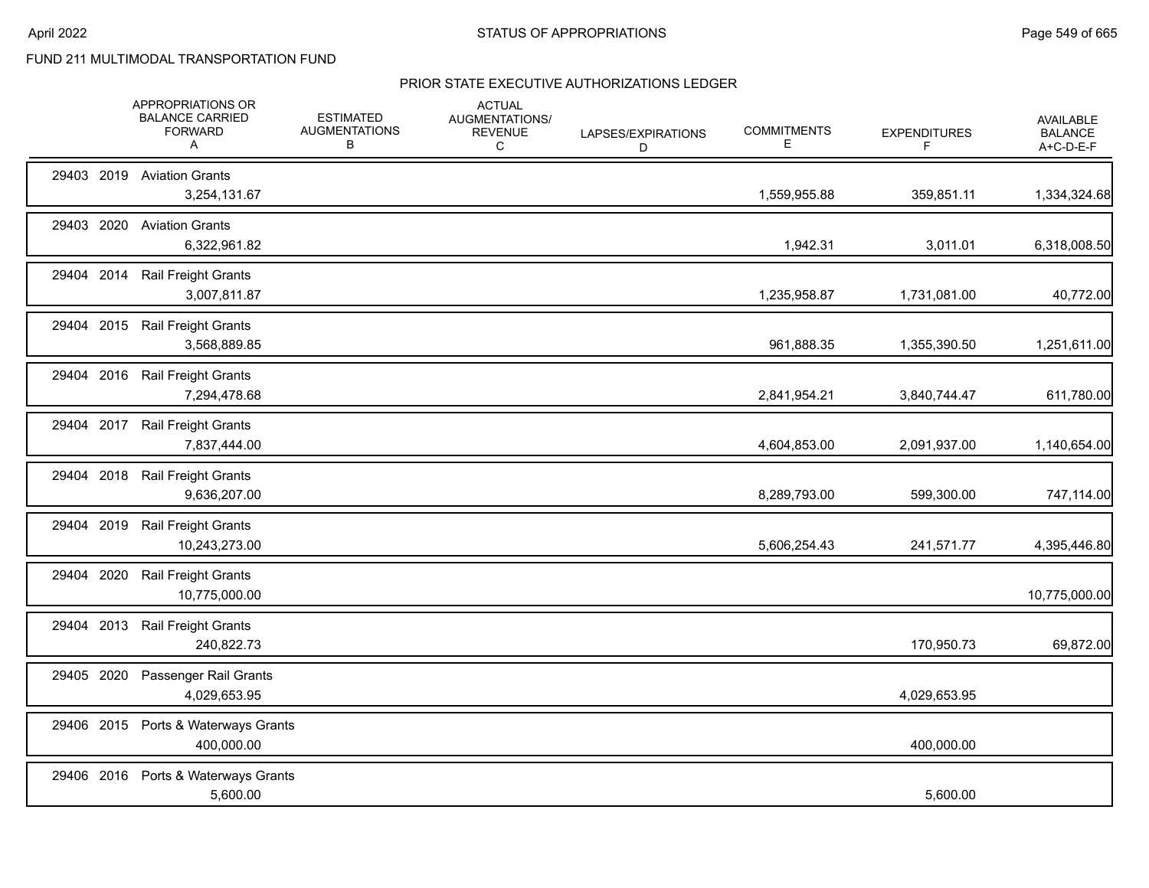|            |      | APPROPRIATIONS OR<br><b>BALANCE CARRIED</b><br><b>FORWARD</b><br>A | <b>ESTIMATED</b><br><b>AUGMENTATIONS</b><br>B | <b>ACTUAL</b><br><b>AUGMENTATIONS/</b><br><b>REVENUE</b><br>C | LAPSES/EXPIRATIONS<br>D | <b>COMMITMENTS</b><br>Е | <b>EXPENDITURES</b><br>F | <b>AVAILABLE</b><br><b>BALANCE</b><br>A+C-D-E-F |
|------------|------|--------------------------------------------------------------------|-----------------------------------------------|---------------------------------------------------------------|-------------------------|-------------------------|--------------------------|-------------------------------------------------|
|            |      | 29403 2019 Aviation Grants<br>3,254,131.67                         |                                               |                                                               |                         | 1,559,955.88            | 359,851.11               | 1,334,324.68                                    |
| 29403 2020 |      | <b>Aviation Grants</b><br>6,322,961.82                             |                                               |                                                               |                         | 1,942.31                | 3,011.01                 | 6,318,008.50                                    |
| 29404      | 2014 | <b>Rail Freight Grants</b><br>3,007,811.87                         |                                               |                                                               |                         | 1,235,958.87            | 1,731,081.00             | 40,772.00                                       |
| 29404 2015 |      | Rail Freight Grants<br>3,568,889.85                                |                                               |                                                               |                         | 961,888.35              | 1,355,390.50             | 1,251,611.00                                    |
|            |      | 29404 2016 Rail Freight Grants<br>7,294,478.68                     |                                               |                                                               |                         | 2,841,954.21            | 3,840,744.47             | 611,780.00                                      |
|            |      | 29404 2017 Rail Freight Grants<br>7,837,444.00                     |                                               |                                                               |                         | 4,604,853.00            | 2,091,937.00             | 1,140,654.00                                    |
| 29404      | 2018 | Rail Freight Grants<br>9,636,207.00                                |                                               |                                                               |                         | 8,289,793.00            | 599,300.00               | 747,114.00                                      |
| 29404 2019 |      | <b>Rail Freight Grants</b><br>10,243,273.00                        |                                               |                                                               |                         | 5,606,254.43            | 241,571.77               | 4,395,446.80                                    |
| 29404      | 2020 | Rail Freight Grants<br>10,775,000.00                               |                                               |                                                               |                         |                         |                          | 10,775,000.00                                   |
| 29404 2013 |      | <b>Rail Freight Grants</b><br>240,822.73                           |                                               |                                                               |                         |                         | 170,950.73               | 69,872.00                                       |
| 29405 2020 |      | Passenger Rail Grants<br>4,029,653.95                              |                                               |                                                               |                         |                         | 4,029,653.95             |                                                 |
| 29406 2015 |      | Ports & Waterways Grants<br>400,000.00                             |                                               |                                                               |                         |                         | 400,000.00               |                                                 |
|            |      | 29406 2016 Ports & Waterways Grants<br>5,600.00                    |                                               |                                                               |                         |                         | 5,600.00                 |                                                 |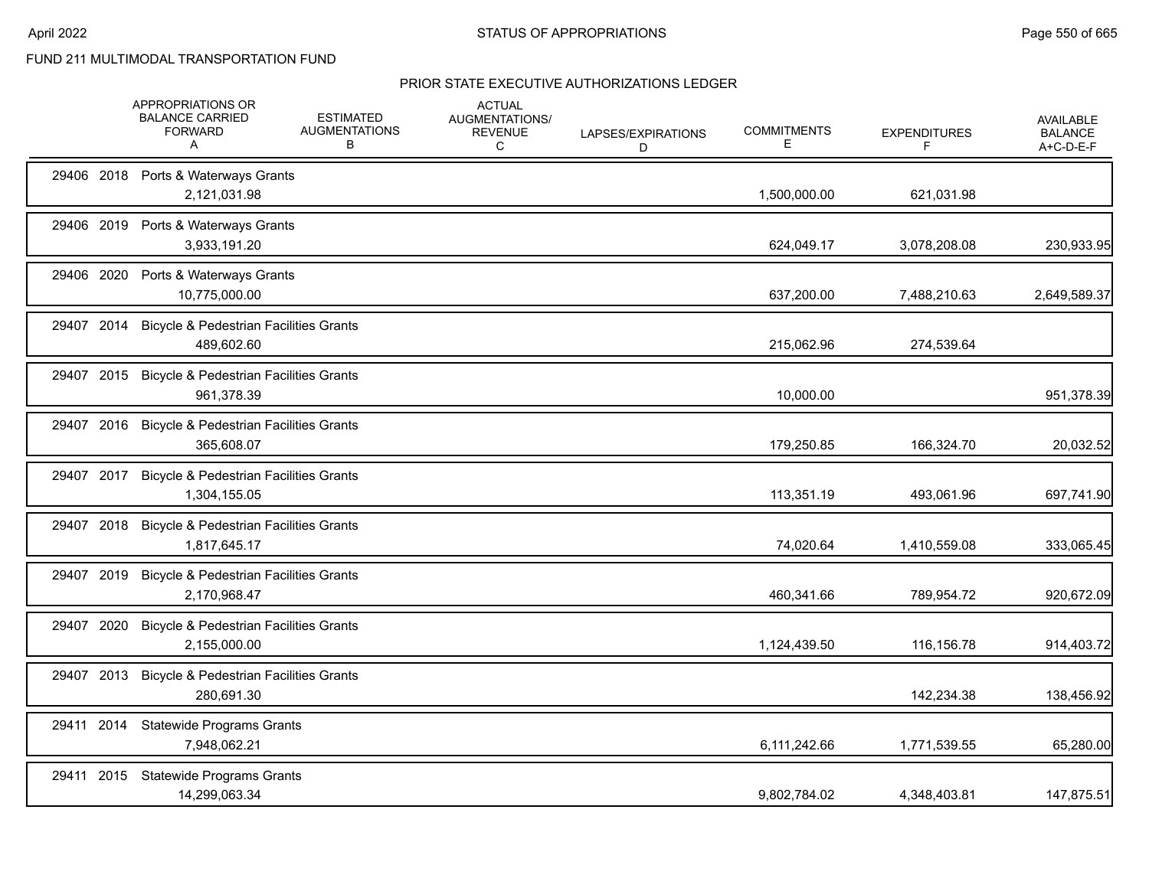|            |            | APPROPRIATIONS OR<br><b>BALANCE CARRIED</b><br><b>FORWARD</b><br>Α | <b>ESTIMATED</b><br><b>AUGMENTATIONS</b><br>В | <b>ACTUAL</b><br>AUGMENTATIONS/<br><b>REVENUE</b><br>С | LAPSES/EXPIRATIONS<br>D | <b>COMMITMENTS</b><br>Е | <b>EXPENDITURES</b><br>F | <b>AVAILABLE</b><br><b>BALANCE</b><br>A+C-D-E-F |
|------------|------------|--------------------------------------------------------------------|-----------------------------------------------|--------------------------------------------------------|-------------------------|-------------------------|--------------------------|-------------------------------------------------|
|            |            | 29406 2018 Ports & Waterways Grants<br>2,121,031.98                |                                               |                                                        |                         | 1,500,000.00            | 621,031.98               |                                                 |
|            |            | 29406 2019 Ports & Waterways Grants<br>3,933,191.20                |                                               |                                                        |                         | 624,049.17              | 3,078,208.08             | 230,933.95                                      |
|            | 29406 2020 | Ports & Waterways Grants<br>10,775,000.00                          |                                               |                                                        |                         | 637,200.00              | 7,488,210.63             | 2,649,589.37                                    |
| 29407 2014 |            | <b>Bicycle &amp; Pedestrian Facilities Grants</b><br>489,602.60    |                                               |                                                        |                         | 215,062.96              | 274,539.64               |                                                 |
|            |            | 29407 2015 Bicycle & Pedestrian Facilities Grants<br>961,378.39    |                                               |                                                        |                         | 10,000.00               |                          | 951,378.39                                      |
|            | 29407 2016 | <b>Bicycle &amp; Pedestrian Facilities Grants</b><br>365,608.07    |                                               |                                                        |                         | 179,250.85              | 166,324.70               | 20,032.52                                       |
|            | 29407 2017 | <b>Bicycle &amp; Pedestrian Facilities Grants</b><br>1,304,155.05  |                                               |                                                        |                         | 113,351.19              | 493,061.96               | 697,741.90                                      |
| 29407 2018 |            | <b>Bicycle &amp; Pedestrian Facilities Grants</b><br>1,817,645.17  |                                               |                                                        |                         | 74,020.64               | 1,410,559.08             | 333,065.45                                      |
| 29407 2019 |            | <b>Bicycle &amp; Pedestrian Facilities Grants</b><br>2,170,968.47  |                                               |                                                        |                         | 460,341.66              | 789,954.72               | 920,672.09                                      |
|            | 29407 2020 | <b>Bicycle &amp; Pedestrian Facilities Grants</b><br>2,155,000.00  |                                               |                                                        |                         | 1,124,439.50            | 116,156.78               | 914,403.72                                      |
|            | 29407 2013 | <b>Bicycle &amp; Pedestrian Facilities Grants</b><br>280,691.30    |                                               |                                                        |                         |                         | 142,234.38               | 138,456.92                                      |
| 29411 2014 |            | <b>Statewide Programs Grants</b><br>7,948,062.21                   |                                               |                                                        |                         | 6,111,242.66            | 1,771,539.55             | 65,280.00                                       |
|            | 29411 2015 | <b>Statewide Programs Grants</b><br>14,299,063.34                  |                                               |                                                        |                         | 9,802,784.02            | 4,348,403.81             | 147,875.51                                      |
|            |            |                                                                    |                                               |                                                        |                         |                         |                          |                                                 |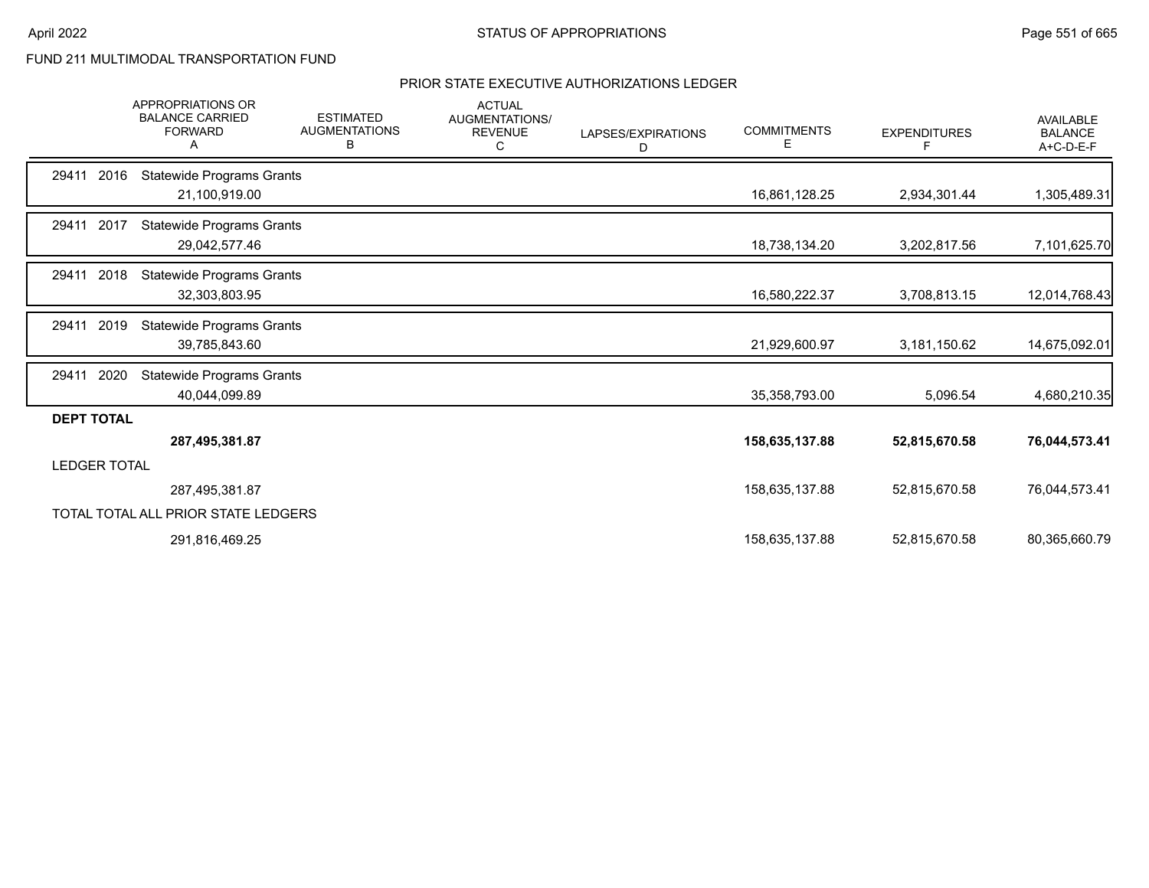|                     | <b>APPROPRIATIONS OR</b><br><b>BALANCE CARRIED</b><br><b>FORWARD</b> | <b>ESTIMATED</b><br><b>AUGMENTATIONS</b><br>В | <b>ACTUAL</b><br>AUGMENTATIONS/<br><b>REVENUE</b><br>C | LAPSES/EXPIRATIONS<br>D | <b>COMMITMENTS</b><br>E. | <b>EXPENDITURES</b><br>F | <b>AVAILABLE</b><br><b>BALANCE</b><br>A+C-D-E-F |
|---------------------|----------------------------------------------------------------------|-----------------------------------------------|--------------------------------------------------------|-------------------------|--------------------------|--------------------------|-------------------------------------------------|
| 29411<br>2016       | <b>Statewide Programs Grants</b><br>21,100,919.00                    |                                               |                                                        |                         | 16,861,128.25            | 2,934,301.44             | 1,305,489.31                                    |
| 29411 2017          | <b>Statewide Programs Grants</b>                                     |                                               |                                                        |                         |                          |                          |                                                 |
|                     | 29,042,577.46                                                        |                                               |                                                        |                         | 18,738,134.20            | 3,202,817.56             | 7,101,625.70                                    |
| 2018<br>29411       | <b>Statewide Programs Grants</b><br>32,303,803.95                    |                                               |                                                        |                         | 16,580,222.37            | 3,708,813.15             | 12,014,768.43                                   |
| 2019<br>29411       | <b>Statewide Programs Grants</b><br>39,785,843.60                    |                                               |                                                        |                         | 21,929,600.97            | 3,181,150.62             | 14,675,092.01                                   |
| 2020<br>29411       | <b>Statewide Programs Grants</b><br>40,044,099.89                    |                                               |                                                        |                         | 35,358,793.00            | 5,096.54                 | 4,680,210.35                                    |
| <b>DEPT TOTAL</b>   |                                                                      |                                               |                                                        |                         |                          |                          |                                                 |
|                     | 287,495,381.87                                                       |                                               |                                                        |                         | 158,635,137.88           | 52,815,670.58            | 76,044,573.41                                   |
| <b>LEDGER TOTAL</b> |                                                                      |                                               |                                                        |                         |                          |                          |                                                 |
|                     | 287,495,381.87                                                       |                                               |                                                        |                         | 158,635,137.88           | 52,815,670.58            | 76,044,573.41                                   |
|                     | TOTAL TOTAL ALL PRIOR STATE LEDGERS                                  |                                               |                                                        |                         |                          |                          |                                                 |
|                     | 291,816,469.25                                                       |                                               |                                                        |                         | 158,635,137.88           | 52,815,670.58            | 80,365,660.79                                   |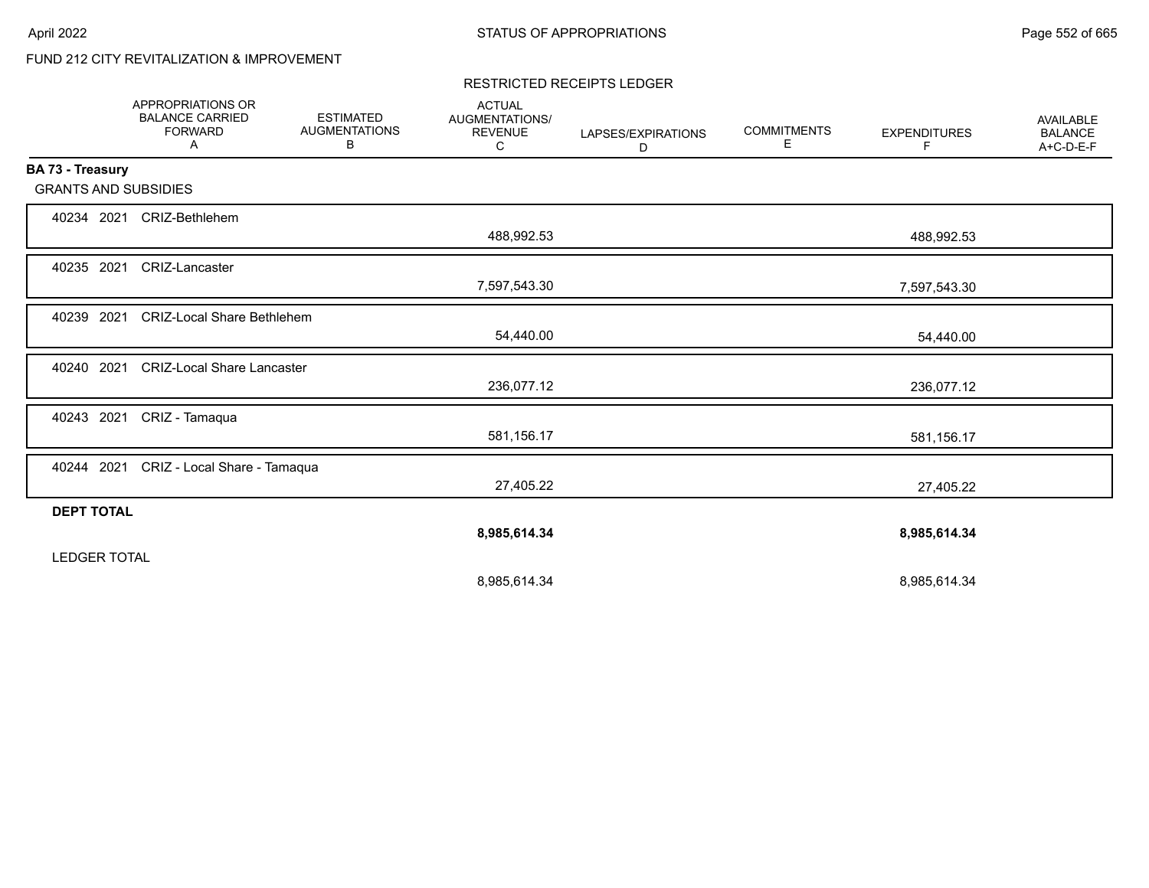# FUND 212 CITY REVITALIZATION & IMPROVEMENT

#### RESTRICTED RECEIPTS LEDGER

|                             | <b>APPROPRIATIONS OR</b><br><b>BALANCE CARRIED</b><br><b>FORWARD</b><br>Α | <b>ESTIMATED</b><br><b>AUGMENTATIONS</b><br>в | <b>ACTUAL</b><br>AUGMENTATIONS/<br><b>REVENUE</b><br>C | LAPSES/EXPIRATIONS<br>D | <b>COMMITMENTS</b><br>Е | <b>EXPENDITURES</b><br>F | <b>AVAILABLE</b><br><b>BALANCE</b><br>A+C-D-E-F |
|-----------------------------|---------------------------------------------------------------------------|-----------------------------------------------|--------------------------------------------------------|-------------------------|-------------------------|--------------------------|-------------------------------------------------|
| BA 73 - Treasury            |                                                                           |                                               |                                                        |                         |                         |                          |                                                 |
| <b>GRANTS AND SUBSIDIES</b> |                                                                           |                                               |                                                        |                         |                         |                          |                                                 |
| 40234 2021                  | CRIZ-Bethlehem                                                            |                                               |                                                        |                         |                         |                          |                                                 |
|                             |                                                                           |                                               | 488,992.53                                             |                         |                         | 488,992.53               |                                                 |
| 40235 2021                  | CRIZ-Lancaster                                                            |                                               |                                                        |                         |                         |                          |                                                 |
|                             |                                                                           |                                               | 7,597,543.30                                           |                         |                         | 7,597,543.30             |                                                 |
| 40239 2021                  | <b>CRIZ-Local Share Bethlehem</b>                                         |                                               |                                                        |                         |                         |                          |                                                 |
|                             |                                                                           |                                               | 54,440.00                                              |                         |                         | 54,440.00                |                                                 |
| 40240 2021                  | <b>CRIZ-Local Share Lancaster</b>                                         |                                               |                                                        |                         |                         |                          |                                                 |
|                             |                                                                           |                                               | 236,077.12                                             |                         |                         | 236,077.12               |                                                 |
| 40243 2021                  | CRIZ - Tamaqua                                                            |                                               |                                                        |                         |                         |                          |                                                 |
|                             |                                                                           |                                               | 581,156.17                                             |                         |                         | 581,156.17               |                                                 |
|                             | 40244 2021 CRIZ - Local Share - Tamaqua                                   |                                               |                                                        |                         |                         |                          |                                                 |
|                             |                                                                           |                                               | 27,405.22                                              |                         |                         | 27,405.22                |                                                 |
| <b>DEPT TOTAL</b>           |                                                                           |                                               |                                                        |                         |                         |                          |                                                 |
|                             |                                                                           |                                               | 8,985,614.34                                           |                         |                         | 8,985,614.34             |                                                 |
| <b>LEDGER TOTAL</b>         |                                                                           |                                               |                                                        |                         |                         |                          |                                                 |
|                             |                                                                           |                                               | 8,985,614.34                                           |                         |                         | 8,985,614.34             |                                                 |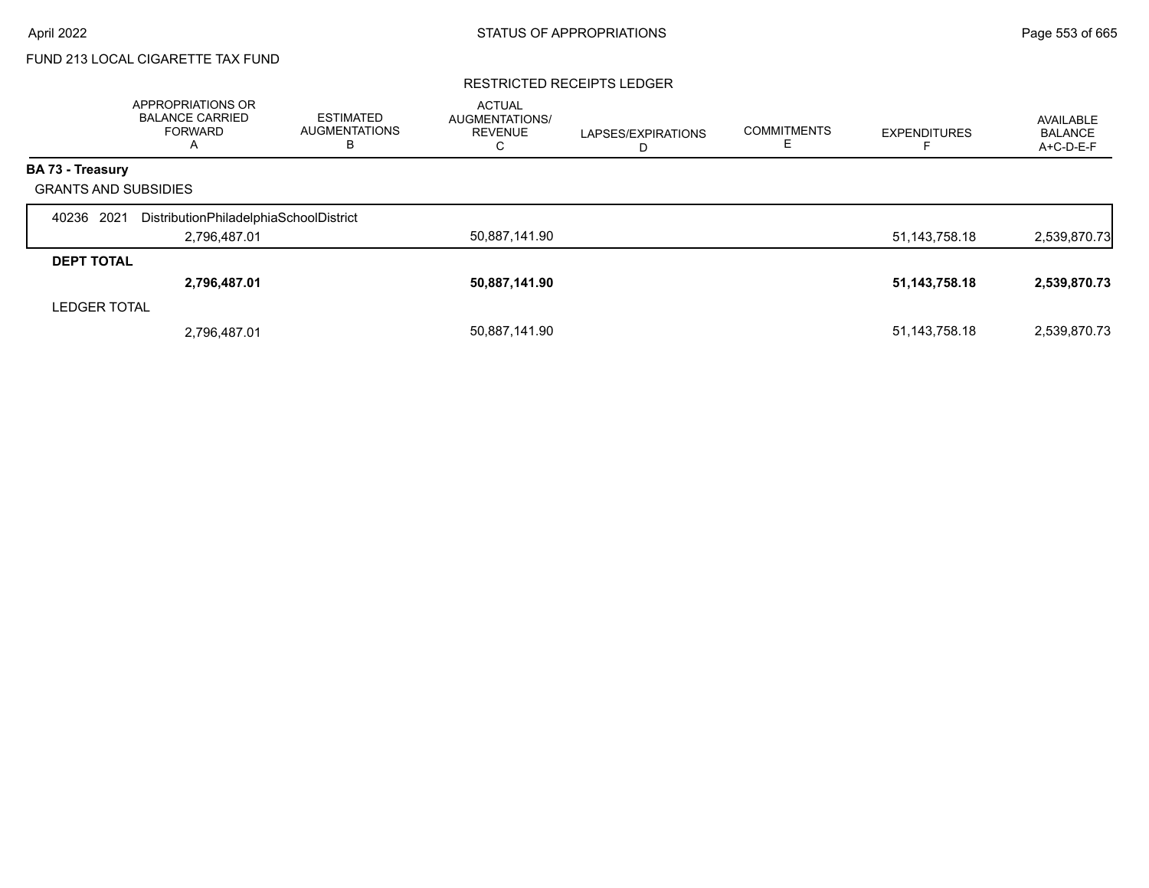# FUND 213 LOCAL CIGARETTE TAX FUND

#### RESTRICTED RECEIPTS LEDGER

|                             | APPROPRIATIONS OR<br><b>BALANCE CARRIED</b><br>FORWARD<br>A | <b>ESTIMATED</b><br><b>AUGMENTATIONS</b><br>в | <b>ACTUAL</b><br><b>AUGMENTATIONS/</b><br><b>REVENUE</b><br>С | LAPSES/EXPIRATIONS<br>D | <b>COMMITMENTS</b> | <b>EXPENDITURES</b> | AVAILABLE<br><b>BALANCE</b><br>A+C-D-E-F |
|-----------------------------|-------------------------------------------------------------|-----------------------------------------------|---------------------------------------------------------------|-------------------------|--------------------|---------------------|------------------------------------------|
| <b>BA 73 - Treasury</b>     |                                                             |                                               |                                                               |                         |                    |                     |                                          |
| <b>GRANTS AND SUBSIDIES</b> |                                                             |                                               |                                                               |                         |                    |                     |                                          |
| 2021<br>40236               | DistributionPhiladelphiaSchoolDistrict                      |                                               |                                                               |                         |                    |                     |                                          |
|                             | 2,796,487.01                                                |                                               | 50,887,141.90                                                 |                         |                    | 51,143,758.18       | 2,539,870.73                             |
| <b>DEPT TOTAL</b>           |                                                             |                                               |                                                               |                         |                    |                     |                                          |
|                             | 2,796,487.01                                                |                                               | 50,887,141.90                                                 |                         |                    | 51,143,758.18       | 2,539,870.73                             |
| <b>LEDGER TOTAL</b>         |                                                             |                                               |                                                               |                         |                    |                     |                                          |
|                             | 2,796,487.01                                                |                                               | 50,887,141.90                                                 |                         |                    | 51, 143, 758. 18    | 2,539,870.73                             |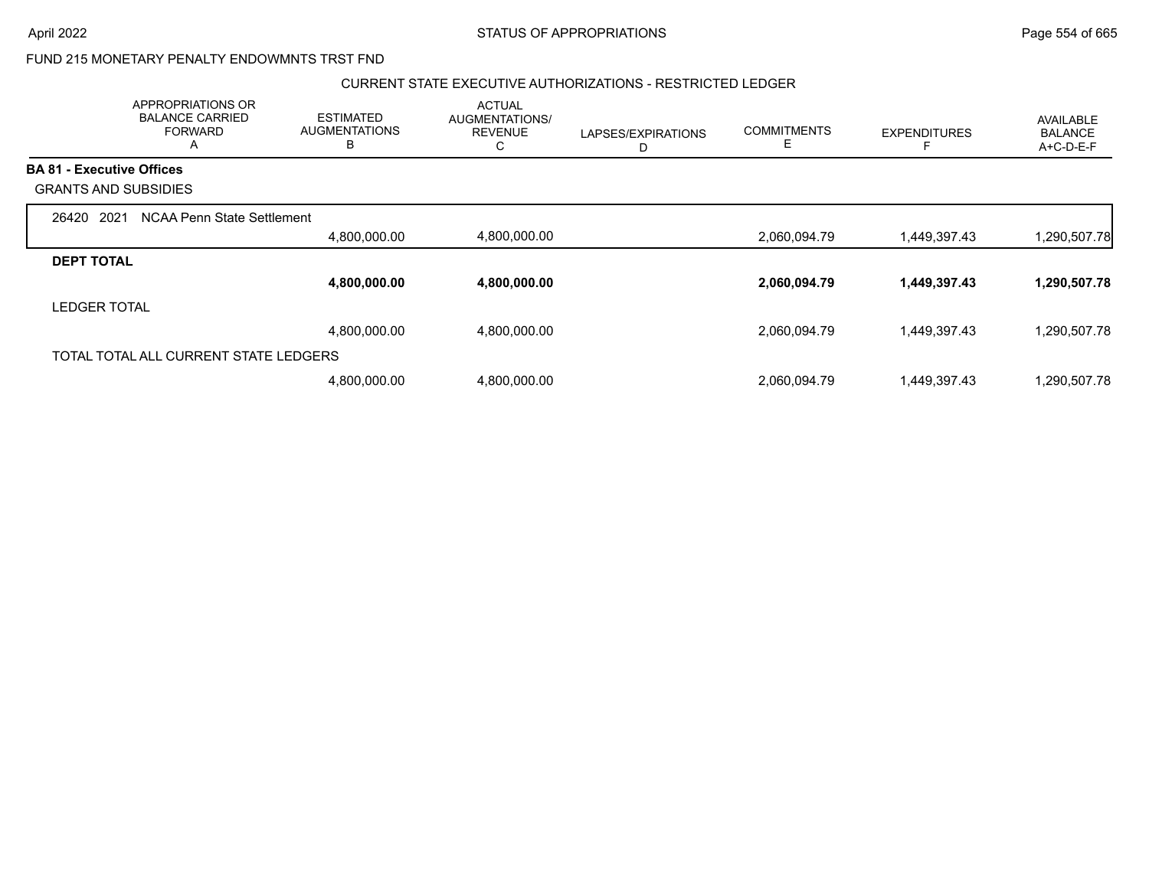### FUND 215 MONETARY PENALTY ENDOWMNTS TRST FND

#### CURRENT STATE EXECUTIVE AUTHORIZATIONS - RESTRICTED LEDGER

|                     | APPROPRIATIONS OR<br><b>BALANCE CARRIED</b><br><b>FORWARD</b><br>A | <b>ESTIMATED</b><br><b>AUGMENTATIONS</b><br>B | <b>ACTUAL</b><br>AUGMENTATIONS/<br><b>REVENUE</b><br>С | LAPSES/EXPIRATIONS<br>D | <b>COMMITMENTS</b><br>E. | <b>EXPENDITURES</b> | <b>AVAILABLE</b><br><b>BALANCE</b><br>A+C-D-E-F |
|---------------------|--------------------------------------------------------------------|-----------------------------------------------|--------------------------------------------------------|-------------------------|--------------------------|---------------------|-------------------------------------------------|
|                     | <b>BA 81 - Executive Offices</b>                                   |                                               |                                                        |                         |                          |                     |                                                 |
|                     | <b>GRANTS AND SUBSIDIES</b>                                        |                                               |                                                        |                         |                          |                     |                                                 |
| 26420               | 2021<br>NCAA Penn State Settlement                                 |                                               |                                                        |                         |                          |                     |                                                 |
|                     |                                                                    | 4,800,000.00                                  | 4,800,000.00                                           |                         | 2,060,094.79             | 1,449,397.43        | 1,290,507.78                                    |
| <b>DEPT TOTAL</b>   |                                                                    |                                               |                                                        |                         |                          |                     |                                                 |
|                     |                                                                    | 4,800,000.00                                  | 4,800,000.00                                           |                         | 2,060,094.79             | 1,449,397.43        | 1,290,507.78                                    |
| <b>LEDGER TOTAL</b> |                                                                    |                                               |                                                        |                         |                          |                     |                                                 |
|                     |                                                                    | 4,800,000.00                                  | 4,800,000.00                                           |                         | 2,060,094.79             | 1,449,397.43        | 1,290,507.78                                    |
|                     | TOTAL TOTAL ALL CURRENT STATE LEDGERS                              |                                               |                                                        |                         |                          |                     |                                                 |
|                     |                                                                    | 4,800,000.00                                  | 4,800,000.00                                           |                         | 2,060,094.79             | 1,449,397.43        | 1,290,507.78                                    |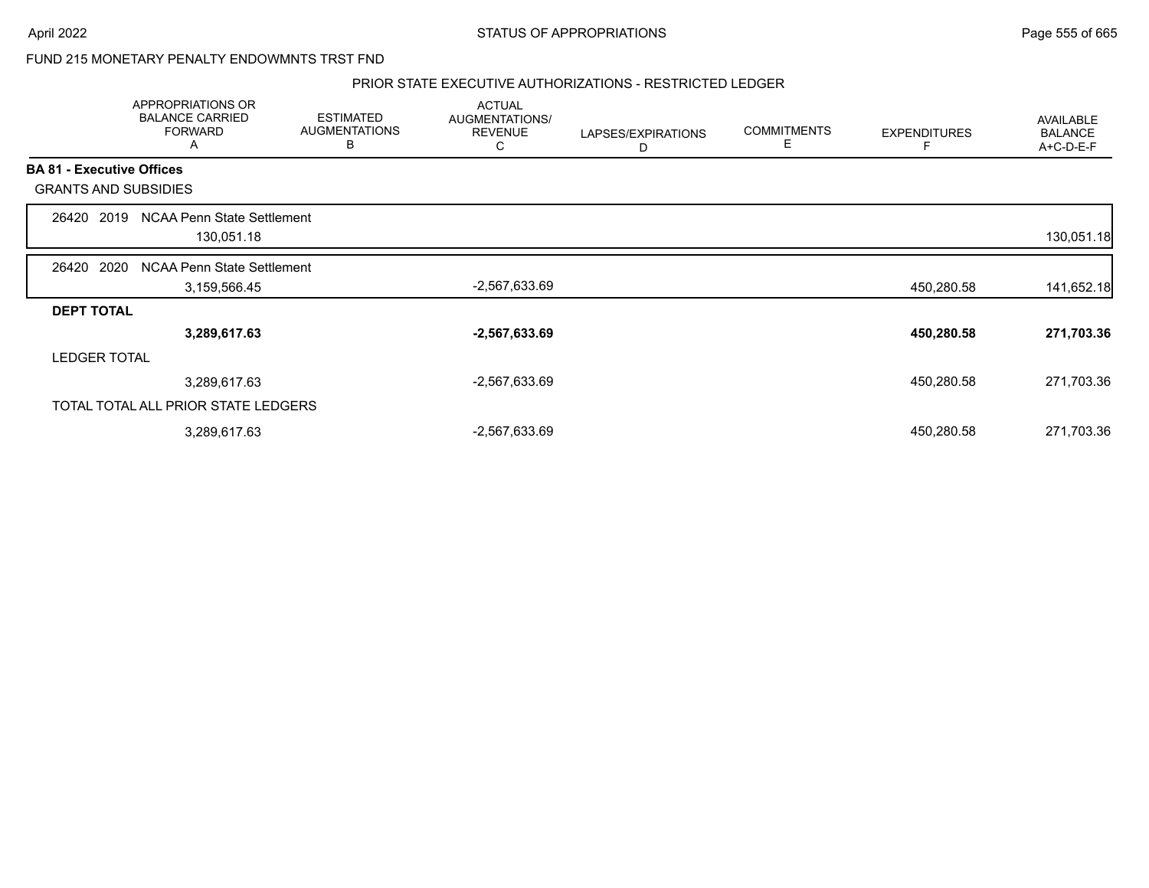### FUND 215 MONETARY PENALTY ENDOWMNTS TRST FND

#### PRIOR STATE EXECUTIVE AUTHORIZATIONS - RESTRICTED LEDGER

|                                  | APPROPRIATIONS OR<br><b>BALANCE CARRIED</b><br><b>FORWARD</b><br>A | <b>ESTIMATED</b><br><b>AUGMENTATIONS</b><br>В | <b>ACTUAL</b><br>AUGMENTATIONS/<br><b>REVENUE</b><br>С | LAPSES/EXPIRATIONS<br>D | <b>COMMITMENTS</b><br>E | <b>EXPENDITURES</b> | AVAILABLE<br><b>BALANCE</b><br>A+C-D-E-F |
|----------------------------------|--------------------------------------------------------------------|-----------------------------------------------|--------------------------------------------------------|-------------------------|-------------------------|---------------------|------------------------------------------|
| <b>BA 81 - Executive Offices</b> |                                                                    |                                               |                                                        |                         |                         |                     |                                          |
|                                  | <b>GRANTS AND SUBSIDIES</b>                                        |                                               |                                                        |                         |                         |                     |                                          |
| 26420                            | NCAA Penn State Settlement<br>2019<br>130,051.18                   |                                               |                                                        |                         |                         |                     | 130,051.18                               |
| 26420                            | 2020<br><b>NCAA Penn State Settlement</b><br>3,159,566.45          |                                               | $-2,567,633.69$                                        |                         |                         | 450,280.58          | 141,652.18                               |
| <b>DEPT TOTAL</b>                |                                                                    |                                               |                                                        |                         |                         |                     |                                          |
|                                  | 3,289,617.63                                                       |                                               | $-2,567,633.69$                                        |                         |                         | 450,280.58          | 271,703.36                               |
| <b>LEDGER TOTAL</b>              |                                                                    |                                               |                                                        |                         |                         |                     |                                          |
|                                  | 3,289,617.63                                                       |                                               | $-2,567,633.69$                                        |                         |                         | 450,280.58          | 271,703.36                               |
|                                  | TOTAL TOTAL ALL PRIOR STATE LEDGERS                                |                                               |                                                        |                         |                         |                     |                                          |
|                                  | 3,289,617.63                                                       |                                               | $-2,567,633.69$                                        |                         |                         | 450,280.58          | 271,703.36                               |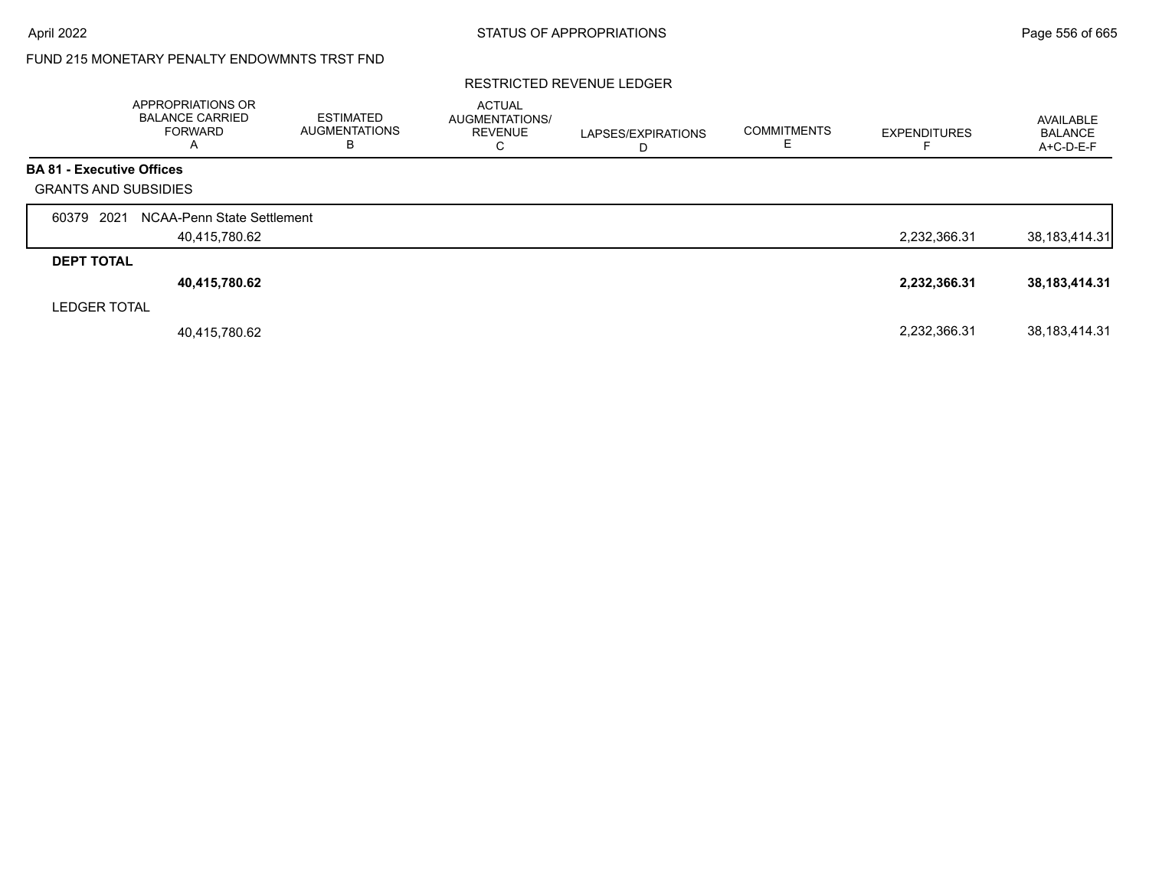## FUND 215 MONETARY PENALTY ENDOWMNTS TRST FND

#### RESTRICTED REVENUE LEDGER

|                                  | APPROPRIATIONS OR<br><b>BALANCE CARRIED</b><br>FORWARD<br>$\overline{\mathsf{A}}$ | <b>ESTIMATED</b><br><b>AUGMENTATIONS</b><br>в | <b>ACTUAL</b><br>AUGMENTATIONS/<br><b>REVENUE</b><br>С | LAPSES/EXPIRATIONS<br>D | <b>COMMITMENTS</b> | <b>EXPENDITURES</b> | AVAILABLE<br>BALANCE<br>A+C-D-E-F |
|----------------------------------|-----------------------------------------------------------------------------------|-----------------------------------------------|--------------------------------------------------------|-------------------------|--------------------|---------------------|-----------------------------------|
| <b>BA 81 - Executive Offices</b> |                                                                                   |                                               |                                                        |                         |                    |                     |                                   |
| <b>GRANTS AND SUBSIDIES</b>      |                                                                                   |                                               |                                                        |                         |                    |                     |                                   |
| 2021<br>60379                    | NCAA-Penn State Settlement                                                        |                                               |                                                        |                         |                    |                     |                                   |
|                                  | 40,415,780.62                                                                     |                                               |                                                        |                         |                    | 2,232,366.31        | 38, 183, 414. 31                  |
| <b>DEPT TOTAL</b>                |                                                                                   |                                               |                                                        |                         |                    |                     |                                   |
|                                  | 40,415,780.62                                                                     |                                               |                                                        |                         |                    | 2,232,366.31        | 38, 183, 414. 31                  |
| <b>LEDGER TOTAL</b>              |                                                                                   |                                               |                                                        |                         |                    |                     |                                   |
|                                  | 40,415,780.62                                                                     |                                               |                                                        |                         |                    | 2,232,366.31        | 38, 183, 414. 31                  |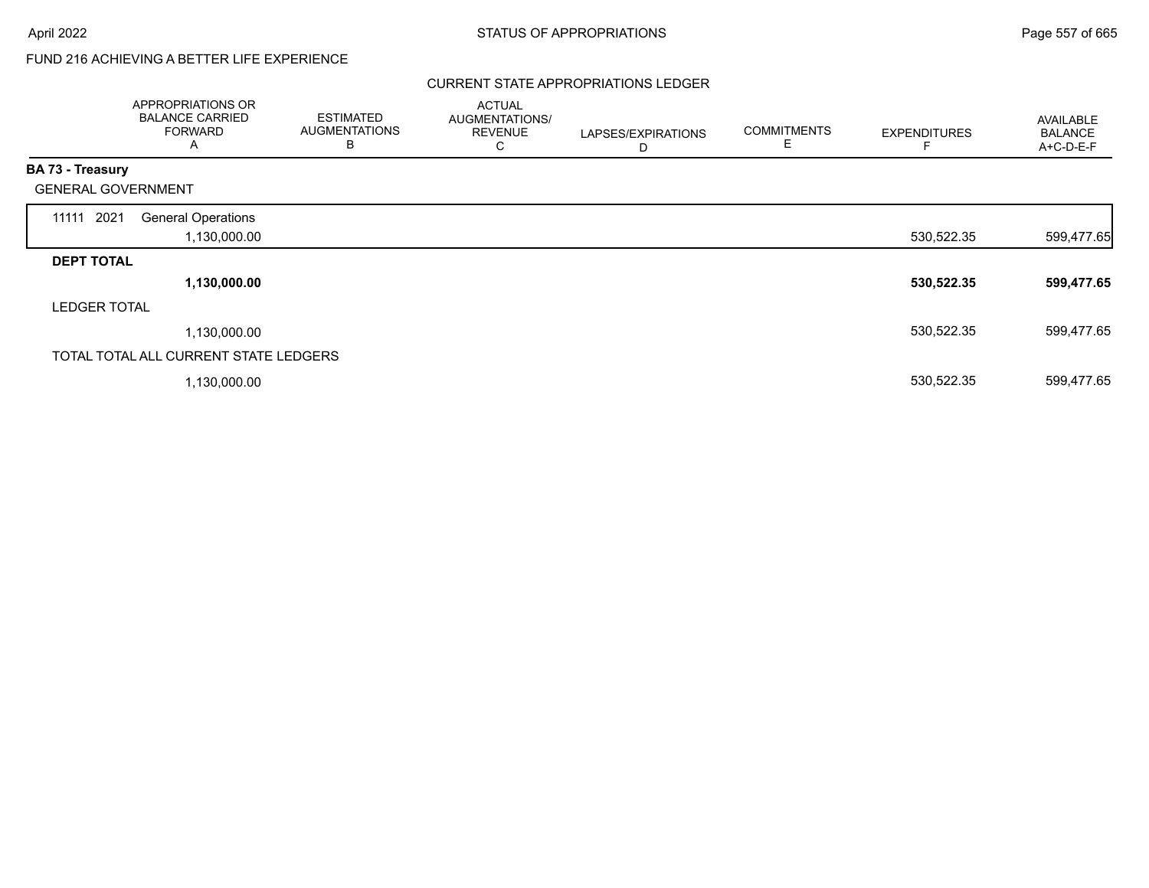# FUND 216 ACHIEVING A BETTER LIFE EXPERIENCE

### CURRENT STATE APPROPRIATIONS LEDGER

|                           | APPROPRIATIONS OR<br><b>BALANCE CARRIED</b><br><b>FORWARD</b><br>A | <b>ESTIMATED</b><br><b>AUGMENTATIONS</b><br>В | <b>ACTUAL</b><br>AUGMENTATIONS/<br><b>REVENUE</b><br>C | LAPSES/EXPIRATIONS<br>D | <b>COMMITMENTS</b><br>Е | <b>EXPENDITURES</b> | AVAILABLE<br><b>BALANCE</b><br>A+C-D-E-F |
|---------------------------|--------------------------------------------------------------------|-----------------------------------------------|--------------------------------------------------------|-------------------------|-------------------------|---------------------|------------------------------------------|
| <b>BA 73 - Treasury</b>   |                                                                    |                                               |                                                        |                         |                         |                     |                                          |
| <b>GENERAL GOVERNMENT</b> |                                                                    |                                               |                                                        |                         |                         |                     |                                          |
| 11111 2021                | <b>General Operations</b><br>1,130,000.00                          |                                               |                                                        |                         |                         | 530,522.35          | 599,477.65                               |
| <b>DEPT TOTAL</b>         |                                                                    |                                               |                                                        |                         |                         |                     |                                          |
|                           | 1,130,000.00                                                       |                                               |                                                        |                         |                         | 530,522.35          | 599,477.65                               |
| <b>LEDGER TOTAL</b>       |                                                                    |                                               |                                                        |                         |                         |                     |                                          |
|                           | 1,130,000.00                                                       |                                               |                                                        |                         |                         | 530,522.35          | 599,477.65                               |
|                           | TOTAL TOTAL ALL CURRENT STATE LEDGERS                              |                                               |                                                        |                         |                         |                     |                                          |
|                           | 1,130,000.00                                                       |                                               |                                                        |                         |                         | 530,522.35          | 599,477.65                               |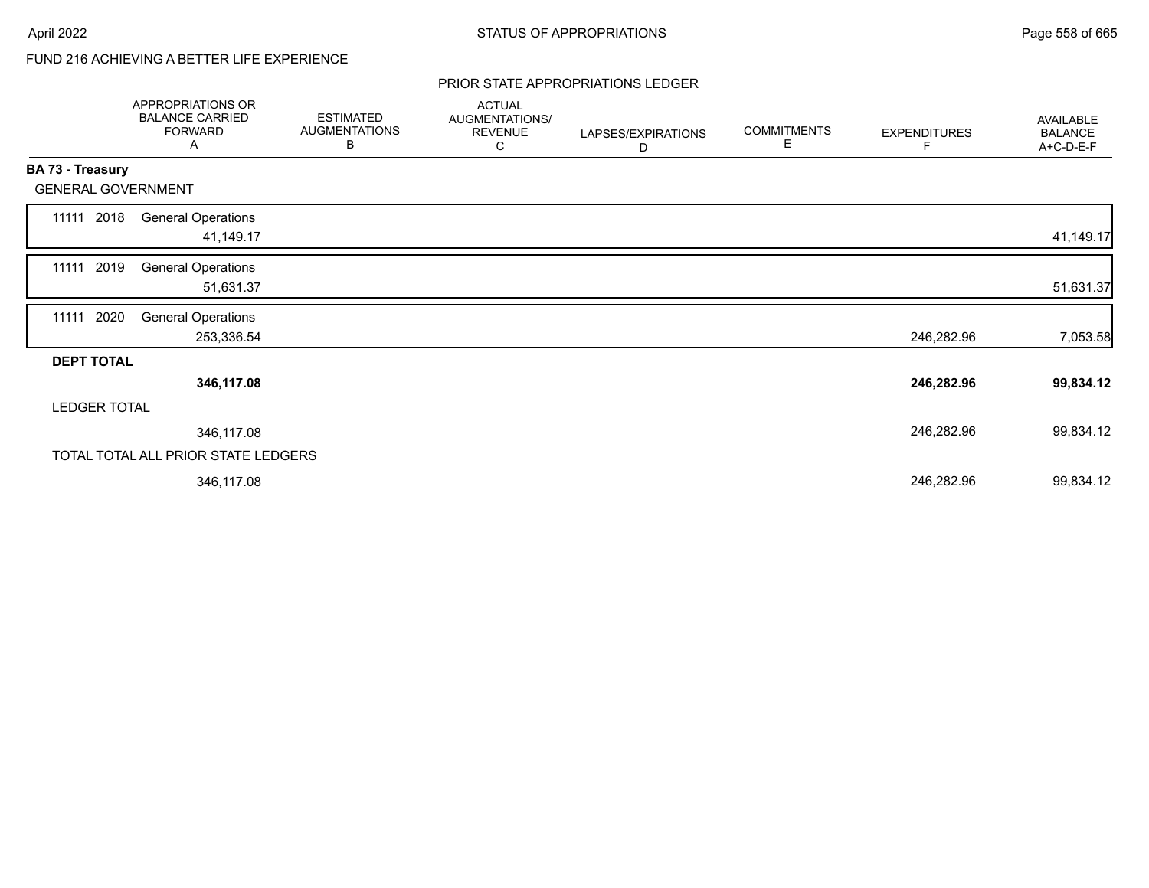# FUND 216 ACHIEVING A BETTER LIFE EXPERIENCE

#### PRIOR STATE APPROPRIATIONS LEDGER

|                   | APPROPRIATIONS OR<br><b>BALANCE CARRIED</b><br><b>FORWARD</b><br>A | <b>ESTIMATED</b><br><b>AUGMENTATIONS</b><br>В | <b>ACTUAL</b><br>AUGMENTATIONS/<br><b>REVENUE</b><br>С | LAPSES/EXPIRATIONS<br>D | <b>COMMITMENTS</b><br>Е | <b>EXPENDITURES</b><br>F | <b>AVAILABLE</b><br><b>BALANCE</b><br>A+C-D-E-F |
|-------------------|--------------------------------------------------------------------|-----------------------------------------------|--------------------------------------------------------|-------------------------|-------------------------|--------------------------|-------------------------------------------------|
| BA 73 - Treasury  |                                                                    |                                               |                                                        |                         |                         |                          |                                                 |
|                   | <b>GENERAL GOVERNMENT</b>                                          |                                               |                                                        |                         |                         |                          |                                                 |
| 11111 2018        | <b>General Operations</b><br>41,149.17                             |                                               |                                                        |                         |                         |                          | 41,149.17                                       |
| 11111 2019        | <b>General Operations</b><br>51,631.37                             |                                               |                                                        |                         |                         |                          | 51,631.37                                       |
| 11111             | 2020<br><b>General Operations</b><br>253,336.54                    |                                               |                                                        |                         |                         | 246,282.96               |                                                 |
| <b>DEPT TOTAL</b> |                                                                    |                                               |                                                        |                         |                         |                          | 7,053.58                                        |
|                   | 346,117.08                                                         |                                               |                                                        |                         |                         | 246,282.96               | 99,834.12                                       |
|                   | <b>LEDGER TOTAL</b>                                                |                                               |                                                        |                         |                         |                          |                                                 |
|                   | 346,117.08                                                         |                                               |                                                        |                         |                         | 246,282.96               | 99,834.12                                       |
|                   | TOTAL TOTAL ALL PRIOR STATE LEDGERS                                |                                               |                                                        |                         |                         |                          |                                                 |
|                   | 346,117.08                                                         |                                               |                                                        |                         |                         | 246,282.96               | 99,834.12                                       |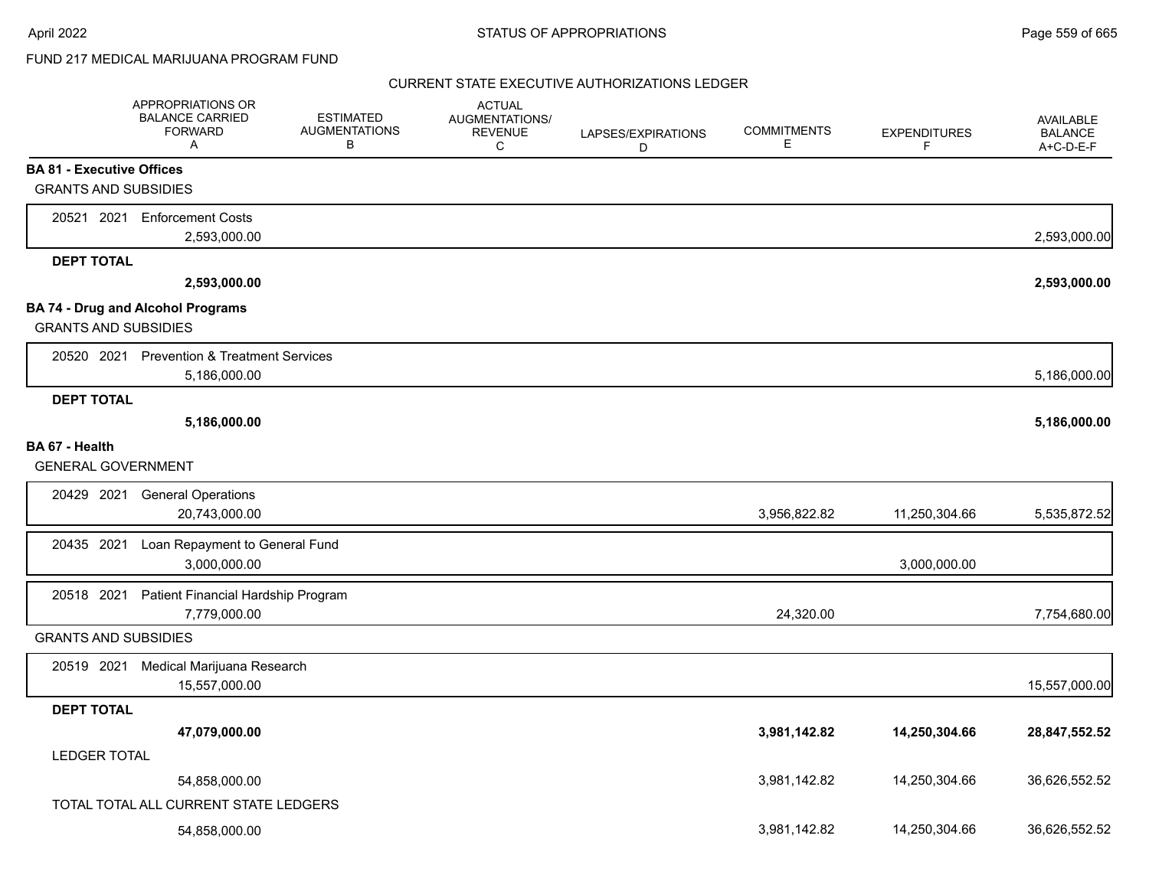## FUND 217 MEDICAL MARIJUANA PROGRAM FUND

|                                  | APPROPRIATIONS OR<br><b>BALANCE CARRIED</b><br><b>FORWARD</b><br>A | <b>ESTIMATED</b><br><b>AUGMENTATIONS</b><br>В | <b>ACTUAL</b><br>AUGMENTATIONS/<br><b>REVENUE</b><br>C | LAPSES/EXPIRATIONS<br>D | <b>COMMITMENTS</b><br>Е | <b>EXPENDITURES</b><br>F | <b>AVAILABLE</b><br><b>BALANCE</b><br>A+C-D-E-F |
|----------------------------------|--------------------------------------------------------------------|-----------------------------------------------|--------------------------------------------------------|-------------------------|-------------------------|--------------------------|-------------------------------------------------|
| <b>BA 81 - Executive Offices</b> |                                                                    |                                               |                                                        |                         |                         |                          |                                                 |
| <b>GRANTS AND SUBSIDIES</b>      |                                                                    |                                               |                                                        |                         |                         |                          |                                                 |
|                                  | 20521 2021 Enforcement Costs                                       |                                               |                                                        |                         |                         |                          |                                                 |
|                                  | 2,593,000.00                                                       |                                               |                                                        |                         |                         |                          | 2,593,000.00                                    |
| <b>DEPT TOTAL</b>                |                                                                    |                                               |                                                        |                         |                         |                          |                                                 |
|                                  | 2,593,000.00                                                       |                                               |                                                        |                         |                         |                          | 2,593,000.00                                    |
|                                  | <b>BA 74 - Drug and Alcohol Programs</b>                           |                                               |                                                        |                         |                         |                          |                                                 |
| <b>GRANTS AND SUBSIDIES</b>      |                                                                    |                                               |                                                        |                         |                         |                          |                                                 |
|                                  | 20520 2021 Prevention & Treatment Services                         |                                               |                                                        |                         |                         |                          |                                                 |
|                                  | 5,186,000.00                                                       |                                               |                                                        |                         |                         |                          | 5,186,000.00                                    |
| <b>DEPT TOTAL</b>                |                                                                    |                                               |                                                        |                         |                         |                          |                                                 |
|                                  | 5,186,000.00                                                       |                                               |                                                        |                         |                         |                          | 5,186,000.00                                    |
| BA 67 - Health                   |                                                                    |                                               |                                                        |                         |                         |                          |                                                 |
| <b>GENERAL GOVERNMENT</b>        |                                                                    |                                               |                                                        |                         |                         |                          |                                                 |
| 20429 2021                       | <b>General Operations</b>                                          |                                               |                                                        |                         |                         |                          |                                                 |
|                                  | 20,743,000.00                                                      |                                               |                                                        |                         | 3,956,822.82            | 11,250,304.66            | 5,535,872.52                                    |
| 20435 2021                       | Loan Repayment to General Fund                                     |                                               |                                                        |                         |                         |                          |                                                 |
|                                  | 3,000,000.00                                                       |                                               |                                                        |                         |                         | 3,000,000.00             |                                                 |
| 20518 2021                       | Patient Financial Hardship Program                                 |                                               |                                                        |                         |                         |                          |                                                 |
|                                  | 7,779,000.00                                                       |                                               |                                                        |                         | 24,320.00               |                          | 7,754,680.00                                    |
| <b>GRANTS AND SUBSIDIES</b>      |                                                                    |                                               |                                                        |                         |                         |                          |                                                 |
| 20519 2021                       | Medical Marijuana Research                                         |                                               |                                                        |                         |                         |                          |                                                 |
|                                  | 15,557,000.00                                                      |                                               |                                                        |                         |                         |                          | 15,557,000.00                                   |
| <b>DEPT TOTAL</b>                |                                                                    |                                               |                                                        |                         |                         |                          |                                                 |
|                                  | 47,079,000.00                                                      |                                               |                                                        |                         | 3,981,142.82            | 14,250,304.66            | 28,847,552.52                                   |
| <b>LEDGER TOTAL</b>              |                                                                    |                                               |                                                        |                         |                         |                          |                                                 |
|                                  | 54,858,000.00                                                      |                                               |                                                        |                         | 3,981,142.82            | 14,250,304.66            | 36,626,552.52                                   |
|                                  | TOTAL TOTAL ALL CURRENT STATE LEDGERS                              |                                               |                                                        |                         |                         |                          |                                                 |
|                                  | 54,858,000.00                                                      |                                               |                                                        |                         | 3,981,142.82            | 14,250,304.66            | 36,626,552.52                                   |
|                                  |                                                                    |                                               |                                                        |                         |                         |                          |                                                 |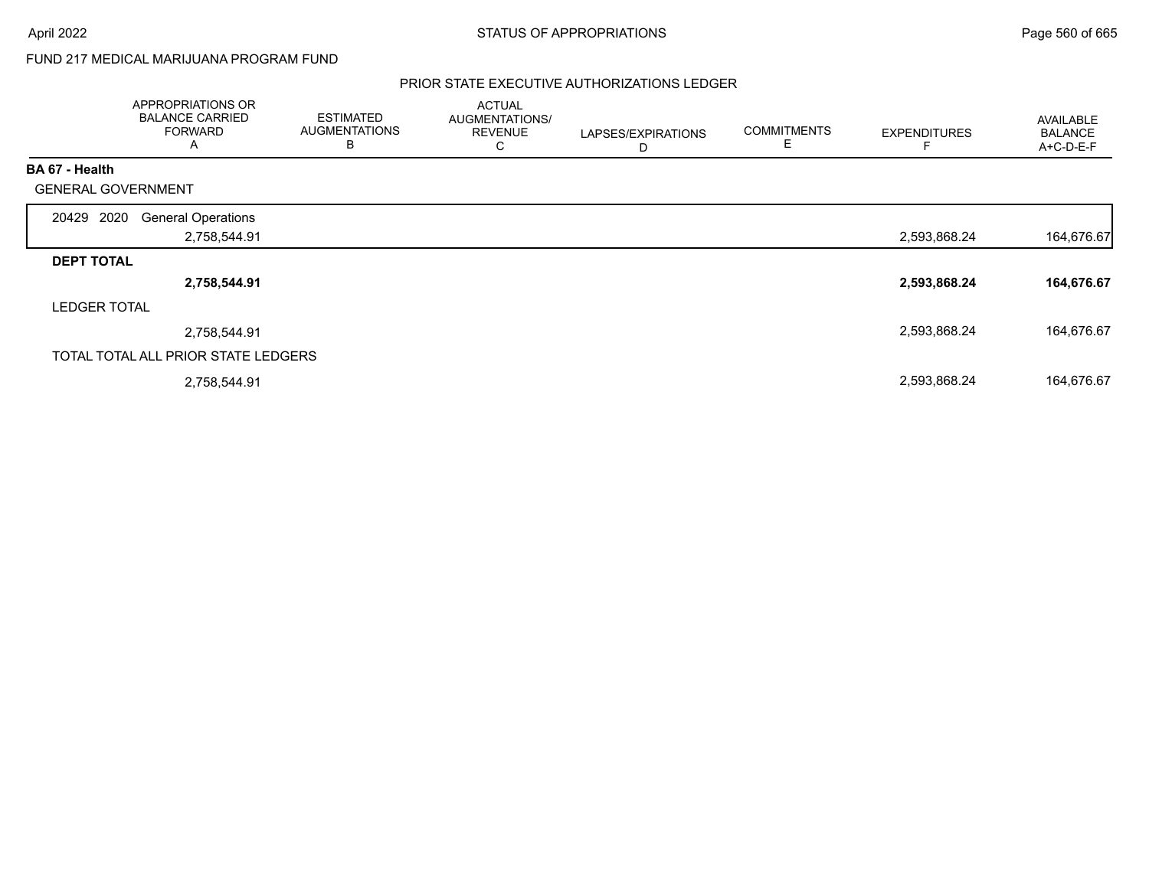## FUND 217 MEDICAL MARIJUANA PROGRAM FUND

|                           | APPROPRIATIONS OR<br><b>BALANCE CARRIED</b><br><b>FORWARD</b><br>A | <b>ESTIMATED</b><br><b>AUGMENTATIONS</b><br>B | <b>ACTUAL</b><br>AUGMENTATIONS/<br><b>REVENUE</b><br>С | LAPSES/EXPIRATIONS<br>D | <b>COMMITMENTS</b> | <b>EXPENDITURES</b> | <b>AVAILABLE</b><br><b>BALANCE</b><br>A+C-D-E-F |
|---------------------------|--------------------------------------------------------------------|-----------------------------------------------|--------------------------------------------------------|-------------------------|--------------------|---------------------|-------------------------------------------------|
| <b>BA 67 - Health</b>     |                                                                    |                                               |                                                        |                         |                    |                     |                                                 |
| <b>GENERAL GOVERNMENT</b> |                                                                    |                                               |                                                        |                         |                    |                     |                                                 |
| 20429<br>2020             | <b>General Operations</b>                                          |                                               |                                                        |                         |                    |                     |                                                 |
|                           | 2,758,544.91                                                       |                                               |                                                        |                         |                    | 2,593,868.24        | 164,676.67                                      |
| <b>DEPT TOTAL</b>         |                                                                    |                                               |                                                        |                         |                    |                     |                                                 |
|                           | 2,758,544.91                                                       |                                               |                                                        |                         |                    | 2,593,868.24        | 164,676.67                                      |
| <b>LEDGER TOTAL</b>       |                                                                    |                                               |                                                        |                         |                    |                     |                                                 |
|                           | 2,758,544.91                                                       |                                               |                                                        |                         |                    | 2,593,868.24        | 164,676.67                                      |
|                           | TOTAL TOTAL ALL PRIOR STATE LEDGERS                                |                                               |                                                        |                         |                    |                     |                                                 |
|                           | 2,758,544.91                                                       |                                               |                                                        |                         |                    | 2,593,868.24        | 164,676.67                                      |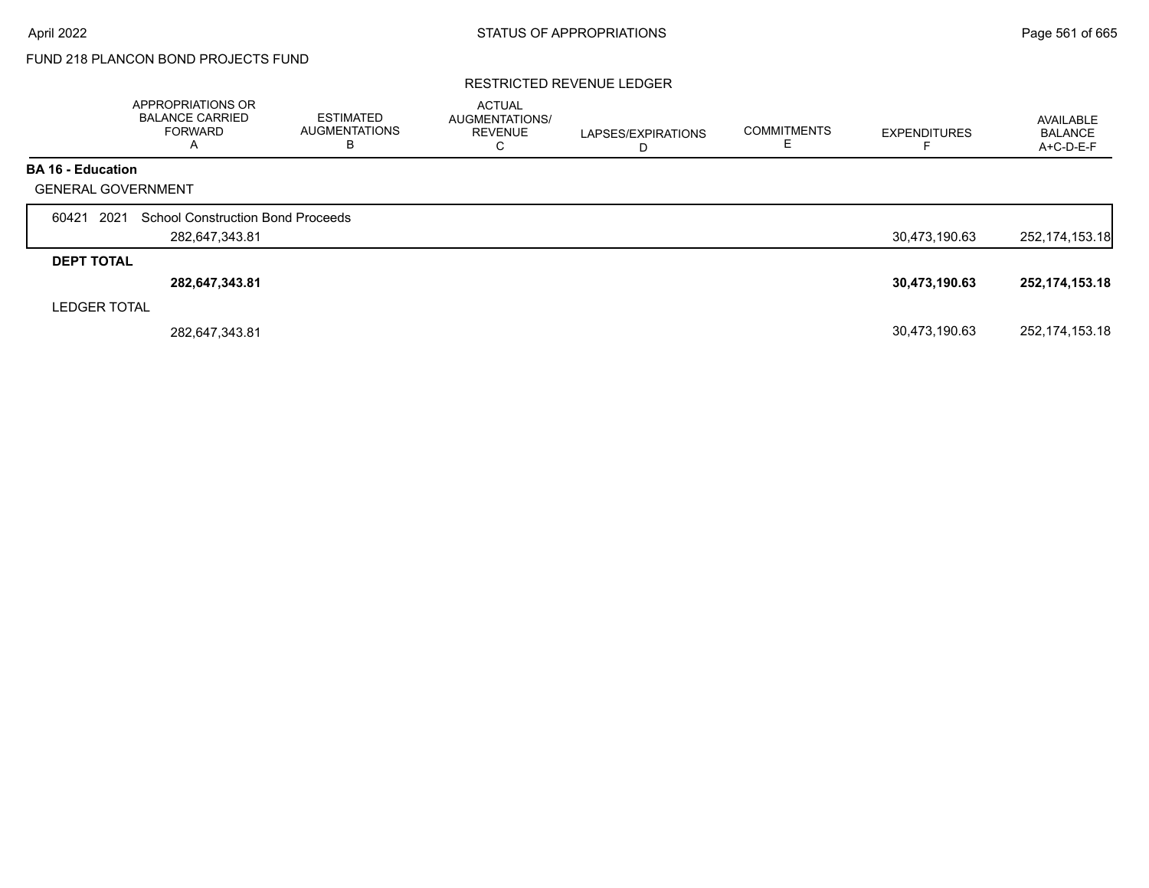# FUND 218 PLANCON BOND PROJECTS FUND

#### RESTRICTED REVENUE LEDGER

|                           | <b>APPROPRIATIONS OR</b><br><b>BALANCE CARRIED</b><br><b>FORWARD</b><br>А | ESTIMATED<br><b>AUGMENTATIONS</b><br>В | <b>ACTUAL</b><br>AUGMENTATIONS/<br><b>REVENUE</b><br>С | LAPSES/EXPIRATIONS<br>D | <b>COMMITMENTS</b> | <b>EXPENDITURES</b> | AVAILABLE<br><b>BALANCE</b><br>A+C-D-E-F |
|---------------------------|---------------------------------------------------------------------------|----------------------------------------|--------------------------------------------------------|-------------------------|--------------------|---------------------|------------------------------------------|
| <b>BA 16 - Education</b>  |                                                                           |                                        |                                                        |                         |                    |                     |                                          |
| <b>GENERAL GOVERNMENT</b> |                                                                           |                                        |                                                        |                         |                    |                     |                                          |
| 2021<br>60421             | <b>School Construction Bond Proceeds</b>                                  |                                        |                                                        |                         |                    |                     |                                          |
|                           | 282,647,343.81                                                            |                                        |                                                        |                         |                    | 30,473,190.63       | 252, 174, 153. 18                        |
| <b>DEPT TOTAL</b>         |                                                                           |                                        |                                                        |                         |                    |                     |                                          |
|                           | 282,647,343.81                                                            |                                        |                                                        |                         |                    | 30,473,190.63       | 252, 174, 153. 18                        |
| <b>LEDGER TOTAL</b>       |                                                                           |                                        |                                                        |                         |                    |                     |                                          |
|                           | 282,647,343.81                                                            |                                        |                                                        |                         |                    | 30,473,190.63       | 252, 174, 153. 18                        |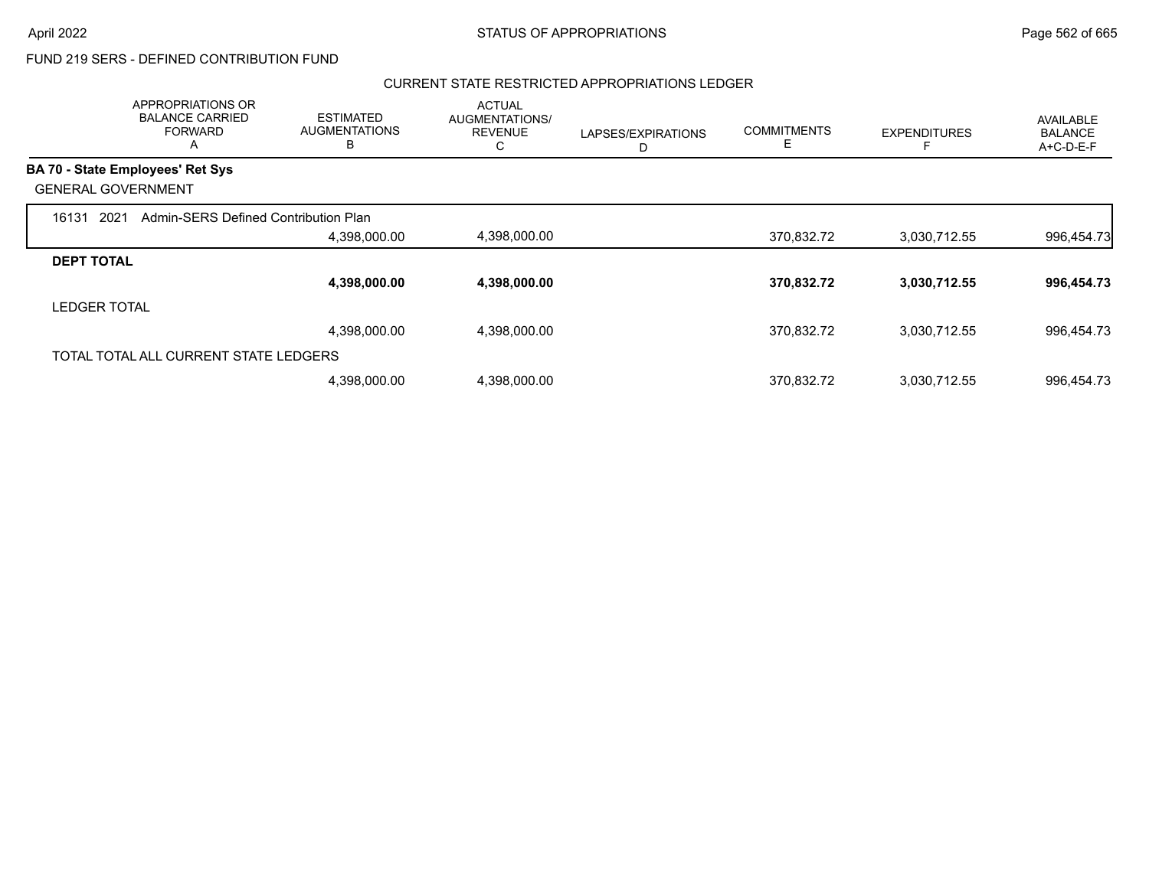#### CURRENT STATE RESTRICTED APPROPRIATIONS LEDGER

|                     | APPROPRIATIONS OR<br><b>BALANCE CARRIED</b><br><b>FORWARD</b><br>A | <b>ESTIMATED</b><br><b>AUGMENTATIONS</b><br>B | <b>ACTUAL</b><br>AUGMENTATIONS/<br><b>REVENUE</b><br>С | LAPSES/EXPIRATIONS<br>D | <b>COMMITMENTS</b><br>Ε | <b>EXPENDITURES</b> | AVAILABLE<br><b>BALANCE</b><br>A+C-D-E-F |
|---------------------|--------------------------------------------------------------------|-----------------------------------------------|--------------------------------------------------------|-------------------------|-------------------------|---------------------|------------------------------------------|
|                     | <b>BA 70 - State Employees' Ret Sys</b>                            |                                               |                                                        |                         |                         |                     |                                          |
|                     | <b>GENERAL GOVERNMENT</b>                                          |                                               |                                                        |                         |                         |                     |                                          |
| 2021<br>16131       | Admin-SERS Defined Contribution Plan                               |                                               |                                                        |                         |                         |                     |                                          |
|                     |                                                                    | 4,398,000.00                                  | 4,398,000.00                                           |                         | 370,832.72              | 3,030,712.55        | 996,454.73                               |
| <b>DEPT TOTAL</b>   |                                                                    |                                               |                                                        |                         |                         |                     |                                          |
|                     |                                                                    | 4,398,000.00                                  | 4,398,000.00                                           |                         | 370,832.72              | 3,030,712.55        | 996,454.73                               |
| <b>LEDGER TOTAL</b> |                                                                    |                                               |                                                        |                         |                         |                     |                                          |
|                     |                                                                    | 4,398,000.00                                  | 4,398,000.00                                           |                         | 370,832.72              | 3,030,712.55        | 996,454.73                               |
|                     | TOTAL TOTAL ALL CURRENT STATE LEDGERS                              |                                               |                                                        |                         |                         |                     |                                          |
|                     |                                                                    | 4,398,000.00                                  | 4,398,000.00                                           |                         | 370,832.72              | 3,030,712.55        | 996,454.73                               |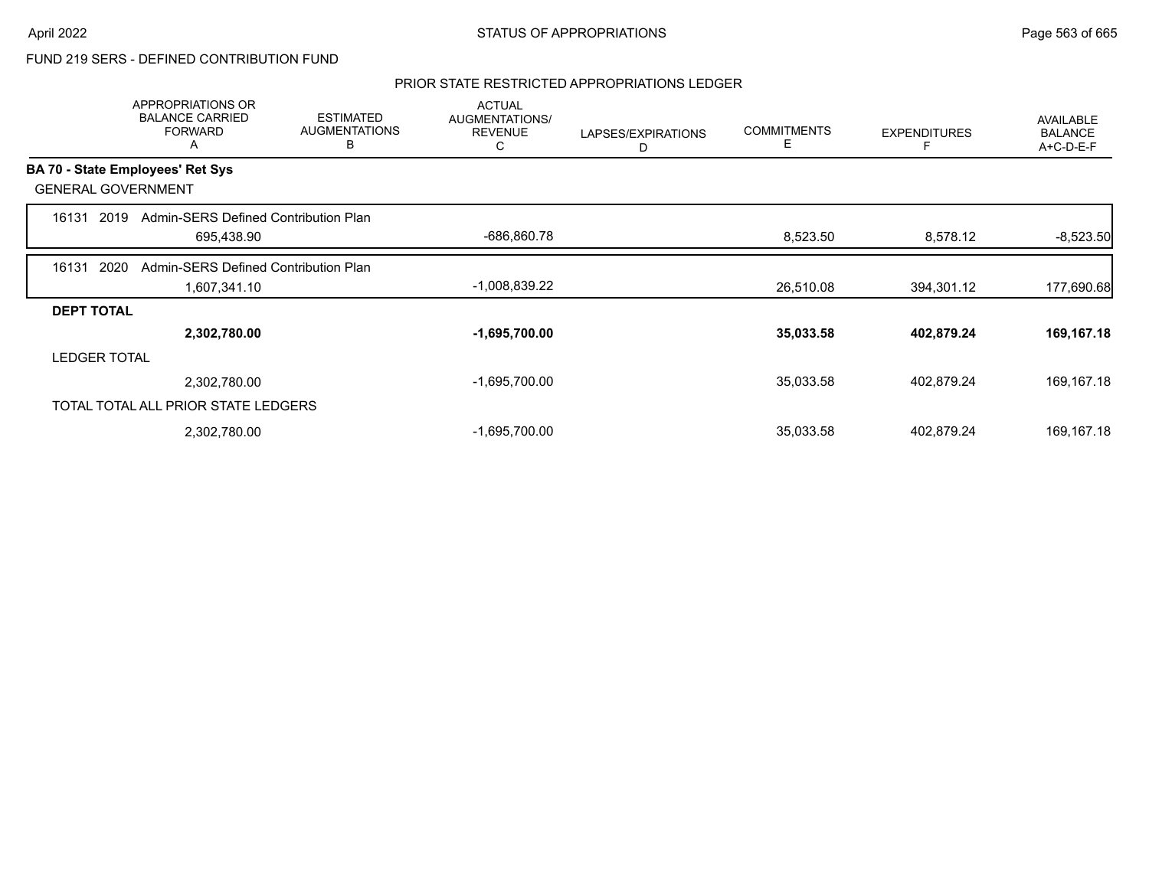### PRIOR STATE RESTRICTED APPROPRIATIONS LEDGER

|                     | <b>APPROPRIATIONS OR</b><br><b>BALANCE CARRIED</b><br><b>FORWARD</b><br>A | <b>ESTIMATED</b><br><b>AUGMENTATIONS</b><br>В | <b>ACTUAL</b><br>AUGMENTATIONS/<br><b>REVENUE</b><br>C | LAPSES/EXPIRATIONS<br>D | <b>COMMITMENTS</b><br>Е | <b>EXPENDITURES</b> | AVAILABLE<br><b>BALANCE</b><br>A+C-D-E-F |
|---------------------|---------------------------------------------------------------------------|-----------------------------------------------|--------------------------------------------------------|-------------------------|-------------------------|---------------------|------------------------------------------|
|                     | BA 70 - State Employees' Ret Sys                                          |                                               |                                                        |                         |                         |                     |                                          |
|                     | <b>GENERAL GOVERNMENT</b>                                                 |                                               |                                                        |                         |                         |                     |                                          |
| 16131               | Admin-SERS Defined Contribution Plan<br>2019                              |                                               |                                                        |                         |                         |                     |                                          |
|                     | 695,438.90                                                                |                                               | -686,860.78                                            |                         | 8,523.50                | 8,578.12            | $-8,523.50$                              |
| 16131               | 2020<br>Admin-SERS Defined Contribution Plan                              |                                               |                                                        |                         |                         |                     |                                          |
|                     | 1,607,341.10                                                              |                                               | $-1,008,839.22$                                        |                         | 26,510.08               | 394,301.12          | 177,690.68                               |
| <b>DEPT TOTAL</b>   |                                                                           |                                               |                                                        |                         |                         |                     |                                          |
|                     | 2,302,780.00                                                              |                                               | $-1,695,700.00$                                        |                         | 35,033.58               | 402,879.24          | 169,167.18                               |
| <b>LEDGER TOTAL</b> |                                                                           |                                               |                                                        |                         |                         |                     |                                          |
|                     | 2,302,780.00                                                              |                                               | $-1,695,700.00$                                        |                         | 35,033.58               | 402,879.24          | 169,167.18                               |
|                     | TOTAL TOTAL ALL PRIOR STATE LEDGERS                                       |                                               |                                                        |                         |                         |                     |                                          |
|                     | 2,302,780.00                                                              |                                               | $-1,695,700.00$                                        |                         | 35,033.58               | 402,879.24          | 169, 167. 18                             |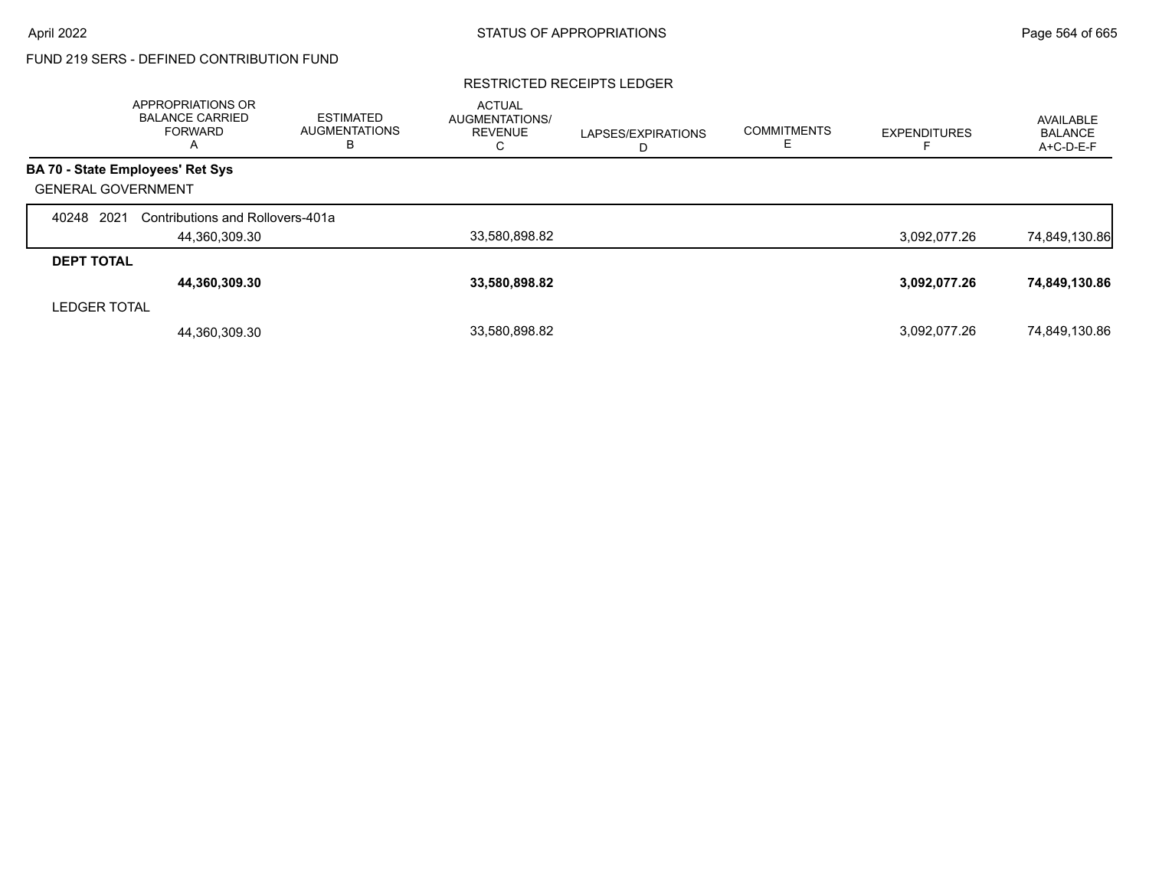#### RESTRICTED RECEIPTS LEDGER

|                           | APPROPRIATIONS OR<br><b>BALANCE CARRIED</b><br><b>FORWARD</b><br>$\overline{A}$ | <b>ESTIMATED</b><br><b>AUGMENTATIONS</b><br>В | <b>ACTUAL</b><br><b>AUGMENTATIONS/</b><br><b>REVENUE</b><br>◡ | LAPSES/EXPIRATIONS<br>D | <b>COMMITMENTS</b> | <b>EXPENDITURES</b> | <b>AVAILABLE</b><br>BALANCE<br>A+C-D-E-F |
|---------------------------|---------------------------------------------------------------------------------|-----------------------------------------------|---------------------------------------------------------------|-------------------------|--------------------|---------------------|------------------------------------------|
|                           | BA 70 - State Employees' Ret Sys                                                |                                               |                                                               |                         |                    |                     |                                          |
| <b>GENERAL GOVERNMENT</b> |                                                                                 |                                               |                                                               |                         |                    |                     |                                          |
| 2021<br>40248             | Contributions and Rollovers-401a                                                |                                               |                                                               |                         |                    |                     |                                          |
|                           | 44,360,309.30                                                                   |                                               | 33,580,898.82                                                 |                         |                    | 3,092,077.26        | 74,849,130.86                            |
| <b>DEPT TOTAL</b>         |                                                                                 |                                               |                                                               |                         |                    |                     |                                          |
|                           | 44,360,309.30                                                                   |                                               | 33,580,898.82                                                 |                         |                    | 3,092,077.26        | 74,849,130.86                            |
| <b>LEDGER TOTAL</b>       |                                                                                 |                                               |                                                               |                         |                    |                     |                                          |
|                           | 44,360,309.30                                                                   |                                               | 33,580,898.82                                                 |                         |                    | 3,092,077.26        | 74,849,130.86                            |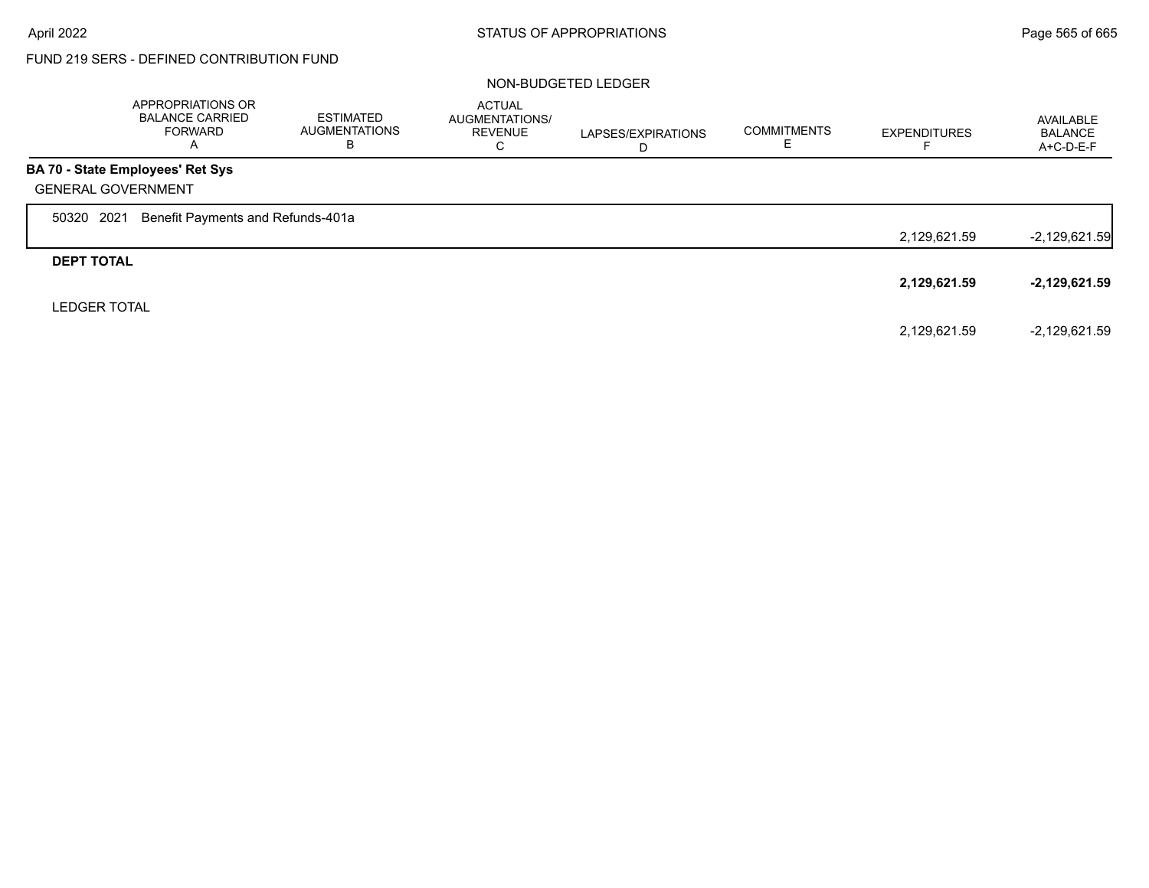#### NON-BUDGETED LEDGER

|                           | <b>APPROPRIATIONS OR</b><br><b>BALANCE CARRIED</b><br>FORWARD<br>A | <b>ESTIMATED</b><br><b>AUGMENTATIONS</b><br>в | <b>ACTUAL</b><br>AUGMENTATIONS/<br><b>REVENUE</b><br>С | LAPSES/EXPIRATIONS<br>D | <b>COMMITMENTS</b><br>Е | <b>EXPENDITURES</b> | AVAILABLE<br><b>BALANCE</b><br>$A+C-D-E-F$ |
|---------------------------|--------------------------------------------------------------------|-----------------------------------------------|--------------------------------------------------------|-------------------------|-------------------------|---------------------|--------------------------------------------|
|                           | BA 70 - State Employees' Ret Sys                                   |                                               |                                                        |                         |                         |                     |                                            |
| <b>GENERAL GOVERNMENT</b> |                                                                    |                                               |                                                        |                         |                         |                     |                                            |
| 2021<br>50320             | Benefit Payments and Refunds-401a                                  |                                               |                                                        |                         |                         |                     |                                            |
|                           |                                                                    |                                               |                                                        |                         |                         | 2,129,621.59        | $-2,129,621.59$                            |
| <b>DEPT TOTAL</b>         |                                                                    |                                               |                                                        |                         |                         |                     |                                            |
|                           |                                                                    |                                               |                                                        |                         |                         | 2,129,621.59        | -2,129,621.59                              |
| <b>LEDGER TOTAL</b>       |                                                                    |                                               |                                                        |                         |                         |                     |                                            |
|                           |                                                                    |                                               |                                                        |                         |                         | 2,129,621.59        | $-2,129,621.59$                            |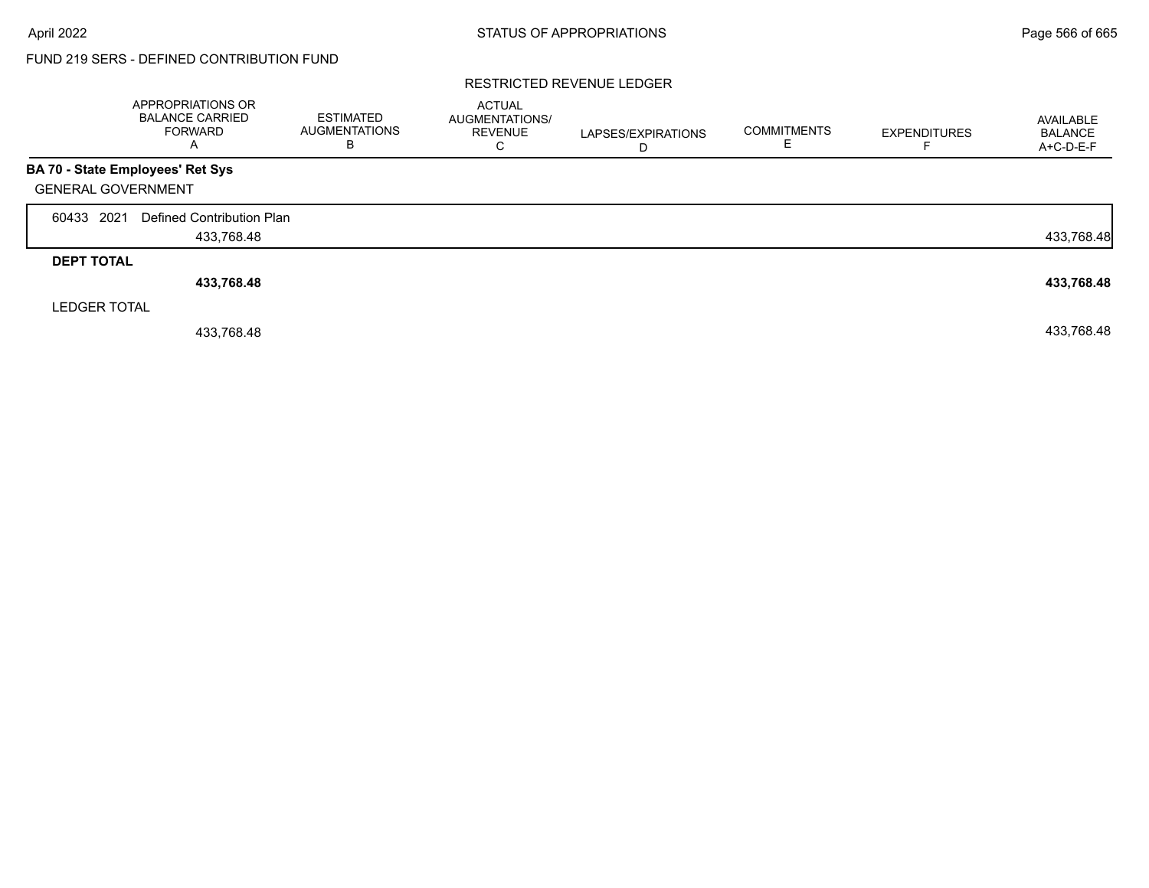#### RESTRICTED REVENUE LEDGER

|                   | APPROPRIATIONS OR<br><b>BALANCE CARRIED</b><br><b>FORWARD</b><br>A | <b>ESTIMATED</b><br><b>AUGMENTATIONS</b><br>В | <b>ACTUAL</b><br><b>AUGMENTATIONS/</b><br><b>REVENUE</b><br>С | LAPSES/EXPIRATIONS<br>D | <b>COMMITMENTS</b> | <b>EXPENDITURES</b> | AVAILABLE<br><b>BALANCE</b><br>A+C-D-E-F |
|-------------------|--------------------------------------------------------------------|-----------------------------------------------|---------------------------------------------------------------|-------------------------|--------------------|---------------------|------------------------------------------|
|                   | BA 70 - State Employees' Ret Sys                                   |                                               |                                                               |                         |                    |                     |                                          |
|                   | <b>GENERAL GOVERNMENT</b>                                          |                                               |                                                               |                         |                    |                     |                                          |
| 60433 2021        | Defined Contribution Plan                                          |                                               |                                                               |                         |                    |                     |                                          |
|                   | 433,768.48                                                         |                                               |                                                               |                         |                    |                     | 433,768.48                               |
| <b>DEPT TOTAL</b> |                                                                    |                                               |                                                               |                         |                    |                     |                                          |
|                   | 433,768.48                                                         |                                               |                                                               |                         |                    |                     | 433,768.48                               |
|                   | <b>LEDGER TOTAL</b>                                                |                                               |                                                               |                         |                    |                     |                                          |
|                   | 433.768.48                                                         |                                               |                                                               |                         |                    |                     | 433,768.48                               |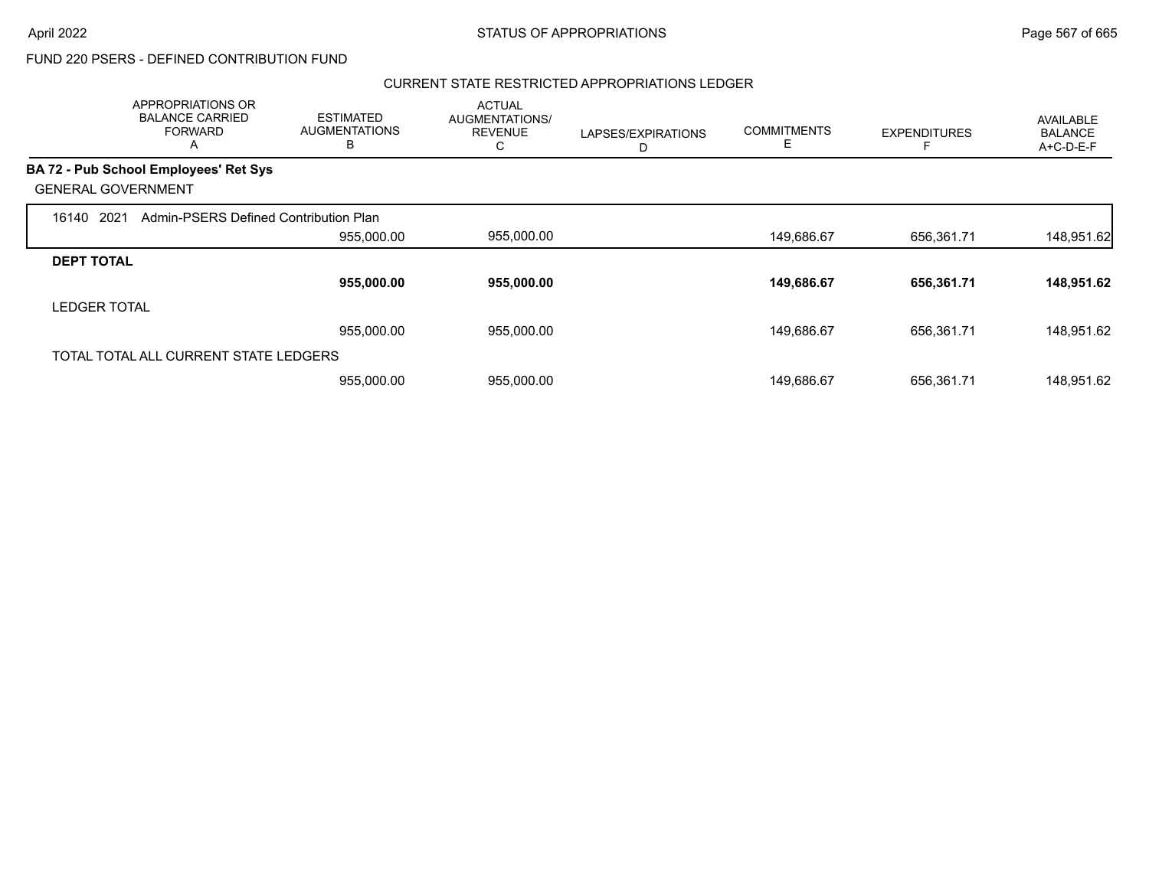#### CURRENT STATE RESTRICTED APPROPRIATIONS LEDGER

|                     | APPROPRIATIONS OR<br><b>BALANCE CARRIED</b><br><b>FORWARD</b><br>A | <b>ESTIMATED</b><br><b>AUGMENTATIONS</b><br>B | <b>ACTUAL</b><br>AUGMENTATIONS/<br><b>REVENUE</b><br>С | LAPSES/EXPIRATIONS<br>D | <b>COMMITMENTS</b><br>Е | <b>EXPENDITURES</b> | AVAILABLE<br><b>BALANCE</b><br>A+C-D-E-F |
|---------------------|--------------------------------------------------------------------|-----------------------------------------------|--------------------------------------------------------|-------------------------|-------------------------|---------------------|------------------------------------------|
|                     | <b>BA 72 - Pub School Employees' Ret Sys</b>                       |                                               |                                                        |                         |                         |                     |                                          |
|                     | <b>GENERAL GOVERNMENT</b>                                          |                                               |                                                        |                         |                         |                     |                                          |
| 16140               | 2021<br>Admin-PSERS Defined Contribution Plan                      |                                               |                                                        |                         |                         |                     |                                          |
|                     |                                                                    | 955,000.00                                    | 955,000.00                                             |                         | 149,686.67              | 656,361.71          | 148,951.62                               |
| <b>DEPT TOTAL</b>   |                                                                    |                                               |                                                        |                         |                         |                     |                                          |
|                     |                                                                    | 955,000.00                                    | 955,000.00                                             |                         | 149,686.67              | 656,361.71          | 148,951.62                               |
| <b>LEDGER TOTAL</b> |                                                                    |                                               |                                                        |                         |                         |                     |                                          |
|                     |                                                                    | 955,000.00                                    | 955,000.00                                             |                         | 149,686.67              | 656,361.71          | 148,951.62                               |
|                     | TOTAL TOTAL ALL CURRENT STATE LEDGERS                              |                                               |                                                        |                         |                         |                     |                                          |
|                     |                                                                    | 955,000.00                                    | 955,000.00                                             |                         | 149.686.67              | 656,361.71          | 148,951.62                               |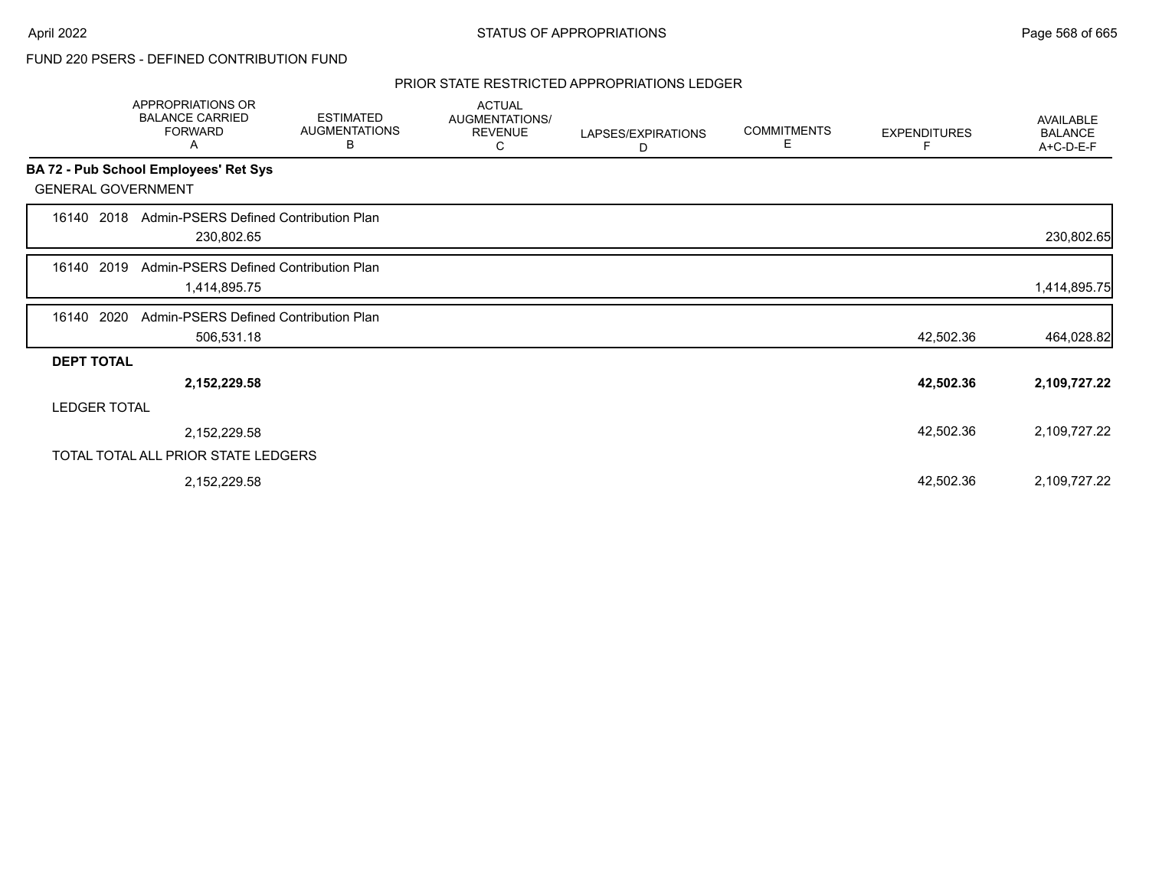### PRIOR STATE RESTRICTED APPROPRIATIONS LEDGER

|                           | APPROPRIATIONS OR<br><b>BALANCE CARRIED</b><br><b>FORWARD</b><br>A | <b>ESTIMATED</b><br><b>AUGMENTATIONS</b><br>В | <b>ACTUAL</b><br>AUGMENTATIONS/<br><b>REVENUE</b><br>С | LAPSES/EXPIRATIONS<br>D | <b>COMMITMENTS</b><br>Е | <b>EXPENDITURES</b> | AVAILABLE<br><b>BALANCE</b><br>A+C-D-E-F |
|---------------------------|--------------------------------------------------------------------|-----------------------------------------------|--------------------------------------------------------|-------------------------|-------------------------|---------------------|------------------------------------------|
|                           | BA 72 - Pub School Employees' Ret Sys                              |                                               |                                                        |                         |                         |                     |                                          |
| <b>GENERAL GOVERNMENT</b> |                                                                    |                                               |                                                        |                         |                         |                     |                                          |
| 2018<br>16140             | Admin-PSERS Defined Contribution Plan<br>230,802.65                |                                               |                                                        |                         |                         |                     | 230,802.65                               |
| 2019<br>16140             | Admin-PSERS Defined Contribution Plan<br>1,414,895.75              |                                               |                                                        |                         |                         |                     | 1,414,895.75                             |
| 2020<br>16140             | Admin-PSERS Defined Contribution Plan<br>506,531.18                |                                               |                                                        |                         |                         | 42,502.36           | 464,028.82                               |
| <b>DEPT TOTAL</b>         |                                                                    |                                               |                                                        |                         |                         |                     |                                          |
|                           | 2,152,229.58                                                       |                                               |                                                        |                         |                         | 42,502.36           | 2,109,727.22                             |
| <b>LEDGER TOTAL</b>       |                                                                    |                                               |                                                        |                         |                         |                     |                                          |
|                           | 2,152,229.58                                                       |                                               |                                                        |                         |                         | 42,502.36           | 2,109,727.22                             |
|                           | TOTAL TOTAL ALL PRIOR STATE LEDGERS                                |                                               |                                                        |                         |                         |                     |                                          |
|                           | 2,152,229.58                                                       |                                               |                                                        |                         |                         | 42,502.36           | 2,109,727.22                             |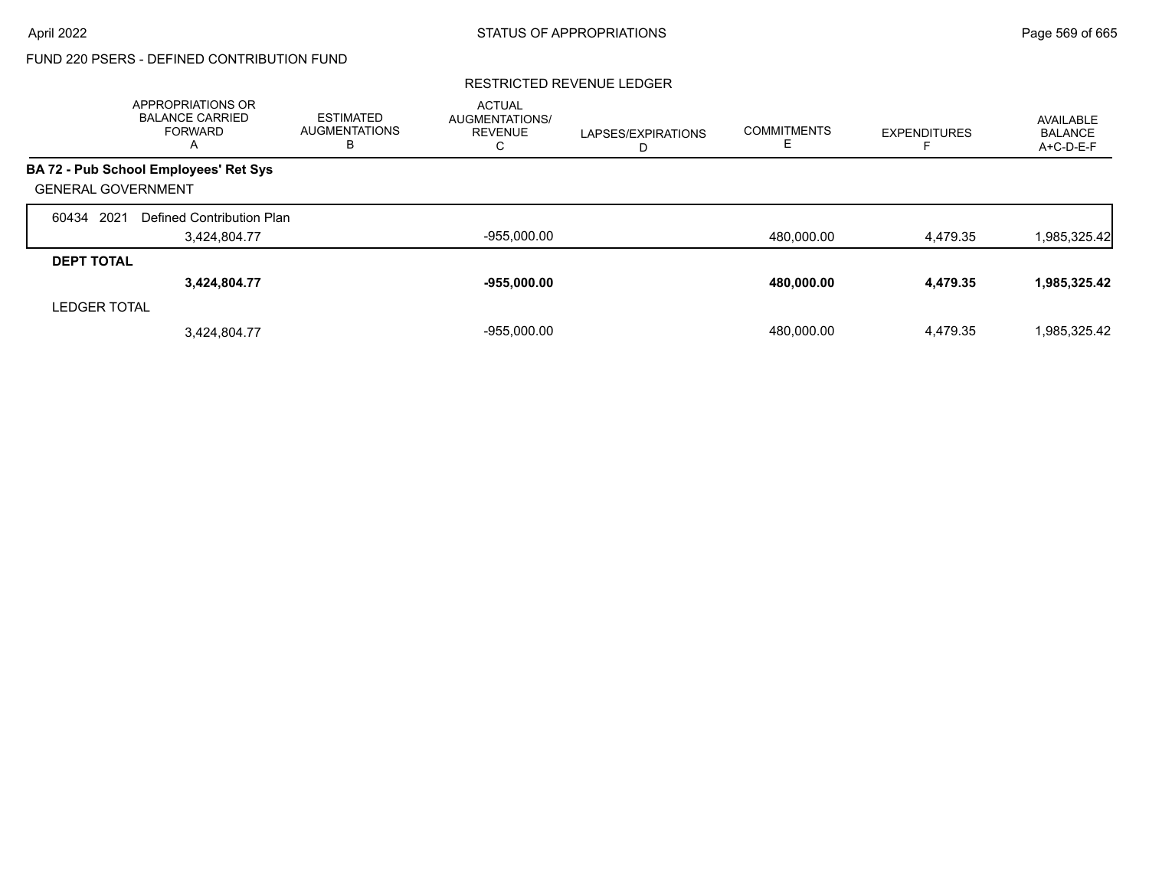### RESTRICTED REVENUE LEDGER

|                           | APPROPRIATIONS OR<br><b>BALANCE CARRIED</b><br><b>FORWARD</b><br>A | <b>ESTIMATED</b><br>AUGMENTATIONS<br>в | <b>ACTUAL</b><br><b>AUGMENTATIONS/</b><br><b>REVENUE</b><br>C. | LAPSES/EXPIRATIONS<br>D | <b>COMMITMENTS</b> | <b>EXPENDITURES</b> | AVAILABLE<br><b>BALANCE</b><br>A+C-D-E-F |
|---------------------------|--------------------------------------------------------------------|----------------------------------------|----------------------------------------------------------------|-------------------------|--------------------|---------------------|------------------------------------------|
|                           | BA 72 - Pub School Employees' Ret Sys                              |                                        |                                                                |                         |                    |                     |                                          |
| <b>GENERAL GOVERNMENT</b> |                                                                    |                                        |                                                                |                         |                    |                     |                                          |
| 60434 2021                | Defined Contribution Plan                                          |                                        |                                                                |                         |                    |                     |                                          |
|                           | 3,424,804.77                                                       |                                        | $-955,000.00$                                                  |                         | 480,000.00         | 4,479.35            | 985,325.42                               |
| <b>DEPT TOTAL</b>         |                                                                    |                                        |                                                                |                         |                    |                     |                                          |
|                           | 3,424,804.77                                                       |                                        | $-955,000.00$                                                  |                         | 480,000.00         | 4,479.35            | 1,985,325.42                             |
| <b>LEDGER TOTAL</b>       |                                                                    |                                        |                                                                |                         |                    |                     |                                          |
|                           | 3,424,804.77                                                       |                                        | $-955.000.00$                                                  |                         | 480.000.00         | 4.479.35            | 1.985.325.42                             |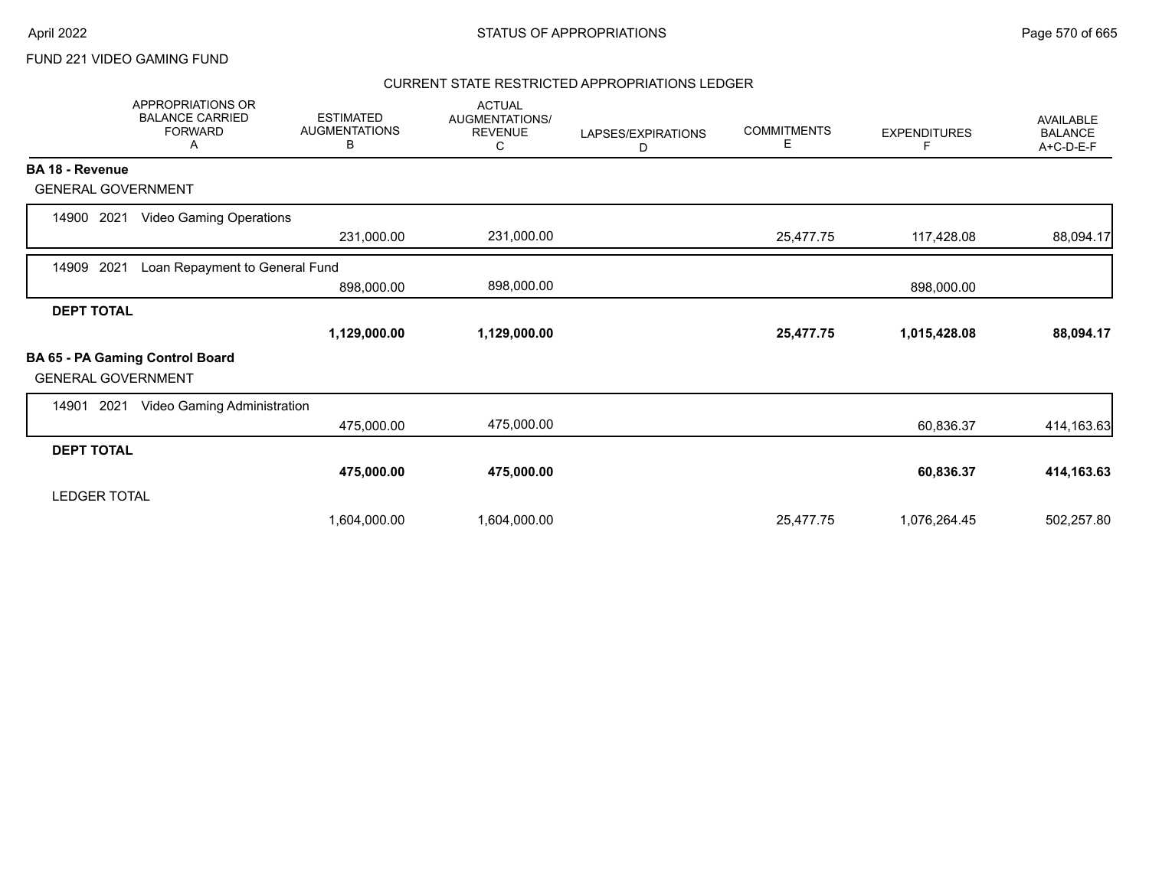### CURRENT STATE RESTRICTED APPROPRIATIONS LEDGER

|                           | <b>APPROPRIATIONS OR</b><br><b>BALANCE CARRIED</b><br><b>FORWARD</b><br>A | <b>ESTIMATED</b><br><b>AUGMENTATIONS</b><br>B | <b>ACTUAL</b><br>AUGMENTATIONS/<br><b>REVENUE</b><br>С | LAPSES/EXPIRATIONS<br>D | <b>COMMITMENTS</b><br>Е | <b>EXPENDITURES</b><br>F | <b>AVAILABLE</b><br><b>BALANCE</b><br>A+C-D-E-F |
|---------------------------|---------------------------------------------------------------------------|-----------------------------------------------|--------------------------------------------------------|-------------------------|-------------------------|--------------------------|-------------------------------------------------|
| <b>BA 18 - Revenue</b>    |                                                                           |                                               |                                                        |                         |                         |                          |                                                 |
| <b>GENERAL GOVERNMENT</b> |                                                                           |                                               |                                                        |                         |                         |                          |                                                 |
| 2021<br>14900             | <b>Video Gaming Operations</b>                                            |                                               |                                                        |                         |                         |                          |                                                 |
|                           |                                                                           | 231,000.00                                    | 231,000.00                                             |                         | 25,477.75               | 117,428.08               | 88,094.17                                       |
| 2021<br>14909             | Loan Repayment to General Fund                                            |                                               |                                                        |                         |                         |                          |                                                 |
|                           |                                                                           | 898,000.00                                    | 898,000.00                                             |                         |                         | 898,000.00               |                                                 |
| <b>DEPT TOTAL</b>         |                                                                           |                                               |                                                        |                         |                         |                          |                                                 |
|                           |                                                                           | 1,129,000.00                                  | 1,129,000.00                                           |                         | 25,477.75               | 1,015,428.08             | 88,094.17                                       |
| <b>GENERAL GOVERNMENT</b> | BA 65 - PA Gaming Control Board                                           |                                               |                                                        |                         |                         |                          |                                                 |
| 2021<br>14901             | Video Gaming Administration                                               |                                               |                                                        |                         |                         |                          |                                                 |
|                           |                                                                           | 475,000.00                                    | 475,000.00                                             |                         |                         | 60,836.37                | 414,163.63                                      |
| <b>DEPT TOTAL</b>         |                                                                           |                                               |                                                        |                         |                         |                          |                                                 |
|                           |                                                                           | 475,000.00                                    | 475,000.00                                             |                         |                         | 60,836.37                | 414,163.63                                      |
| <b>LEDGER TOTAL</b>       |                                                                           |                                               |                                                        |                         |                         |                          |                                                 |
|                           |                                                                           | 1,604,000.00                                  | 1,604,000.00                                           |                         | 25,477.75               | 1,076,264.45             | 502,257.80                                      |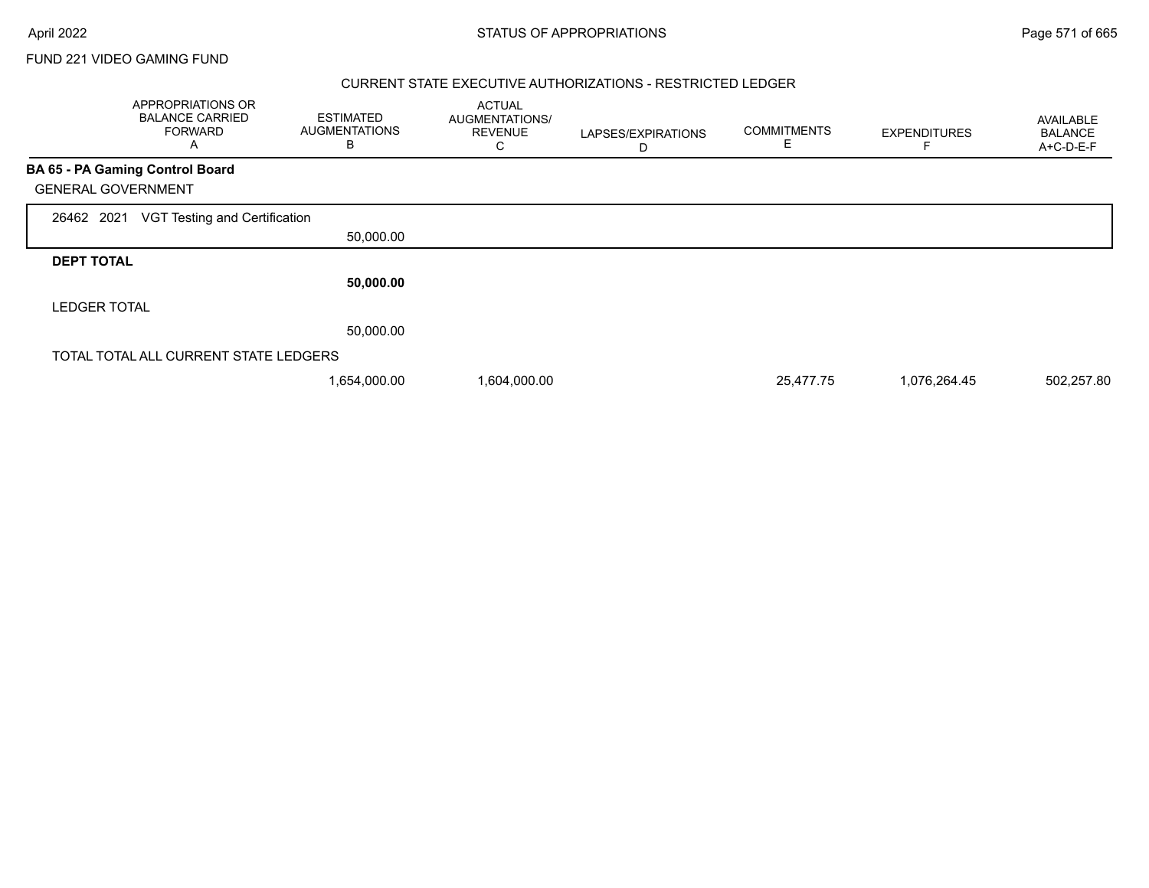г

FUND 221 VIDEO GAMING FUND

#### CURRENT STATE EXECUTIVE AUTHORIZATIONS - RESTRICTED LEDGER

|                     | APPROPRIATIONS OR<br><b>BALANCE CARRIED</b><br><b>FORWARD</b><br>A | <b>ESTIMATED</b><br><b>AUGMENTATIONS</b><br>B | <b>ACTUAL</b><br>AUGMENTATIONS/<br><b>REVENUE</b><br>С | LAPSES/EXPIRATIONS<br>D | <b>COMMITMENTS</b><br>Ε | <b>EXPENDITURES</b> | AVAILABLE<br><b>BALANCE</b><br>A+C-D-E-F |
|---------------------|--------------------------------------------------------------------|-----------------------------------------------|--------------------------------------------------------|-------------------------|-------------------------|---------------------|------------------------------------------|
|                     | <b>BA 65 - PA Gaming Control Board</b>                             |                                               |                                                        |                         |                         |                     |                                          |
|                     | <b>GENERAL GOVERNMENT</b>                                          |                                               |                                                        |                         |                         |                     |                                          |
| 26462 2021          | VGT Testing and Certification                                      |                                               |                                                        |                         |                         |                     |                                          |
|                     |                                                                    | 50,000.00                                     |                                                        |                         |                         |                     |                                          |
| <b>DEPT TOTAL</b>   |                                                                    |                                               |                                                        |                         |                         |                     |                                          |
|                     |                                                                    | 50,000.00                                     |                                                        |                         |                         |                     |                                          |
| <b>LEDGER TOTAL</b> |                                                                    |                                               |                                                        |                         |                         |                     |                                          |
|                     |                                                                    | 50,000.00                                     |                                                        |                         |                         |                     |                                          |
|                     | TOTAL TOTAL ALL CURRENT STATE LEDGERS                              |                                               |                                                        |                         |                         |                     |                                          |
|                     |                                                                    | 1,654,000.00                                  | 1,604,000.00                                           |                         | 25,477.75               | 1,076,264.45        | 502,257.80                               |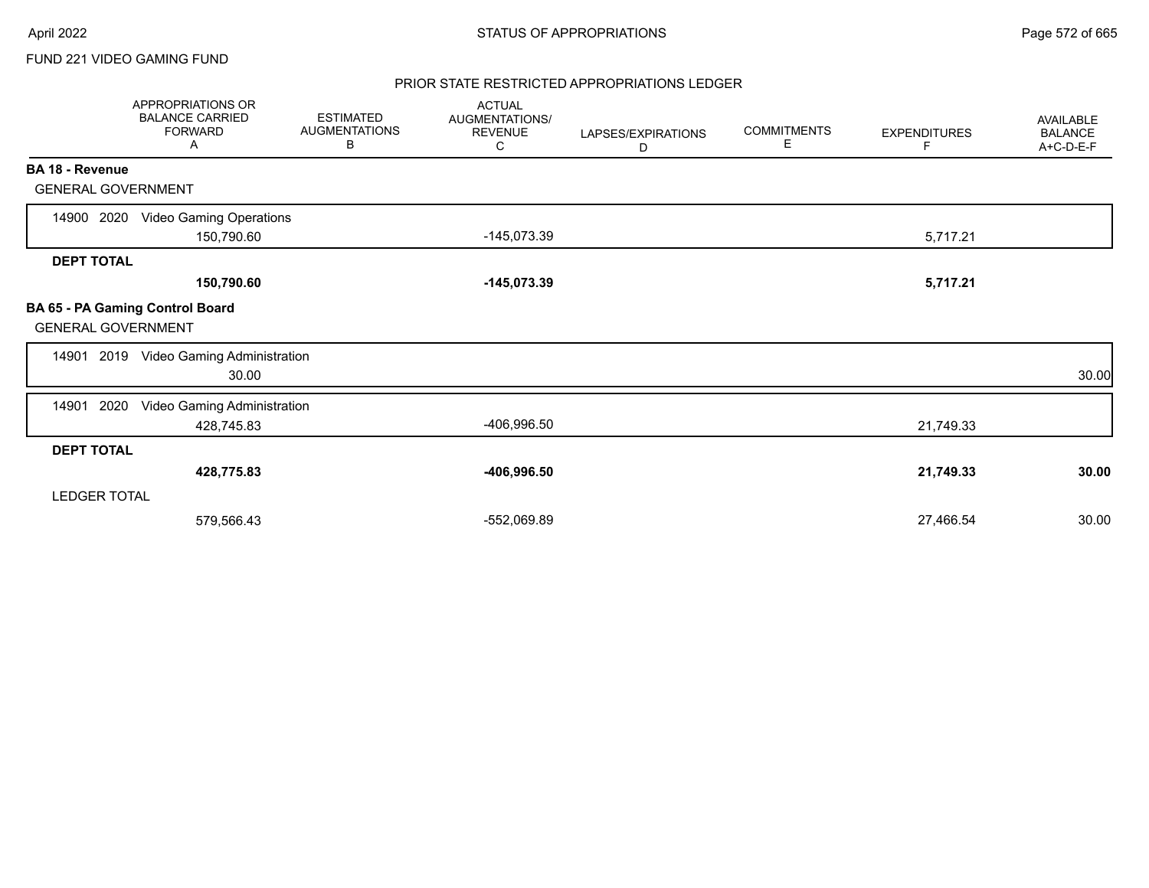#### PRIOR STATE RESTRICTED APPROPRIATIONS LEDGER

|                           | APPROPRIATIONS OR<br><b>BALANCE CARRIED</b><br><b>FORWARD</b><br>Α | <b>ESTIMATED</b><br><b>AUGMENTATIONS</b><br>В | <b>ACTUAL</b><br>AUGMENTATIONS/<br><b>REVENUE</b><br>С | LAPSES/EXPIRATIONS<br>D | <b>COMMITMENTS</b><br>Е | <b>EXPENDITURES</b><br>F | AVAILABLE<br><b>BALANCE</b><br>A+C-D-E-F |
|---------------------------|--------------------------------------------------------------------|-----------------------------------------------|--------------------------------------------------------|-------------------------|-------------------------|--------------------------|------------------------------------------|
| BA 18 - Revenue           |                                                                    |                                               |                                                        |                         |                         |                          |                                          |
| <b>GENERAL GOVERNMENT</b> |                                                                    |                                               |                                                        |                         |                         |                          |                                          |
| 14900 2020                | <b>Video Gaming Operations</b><br>150,790.60                       |                                               | $-145,073.39$                                          |                         |                         | 5,717.21                 |                                          |
| <b>DEPT TOTAL</b>         |                                                                    |                                               |                                                        |                         |                         |                          |                                          |
|                           | 150,790.60                                                         |                                               | $-145,073.39$                                          |                         |                         | 5,717.21                 |                                          |
| <b>GENERAL GOVERNMENT</b> | BA 65 - PA Gaming Control Board                                    |                                               |                                                        |                         |                         |                          |                                          |
|                           | 14901 2019 Video Gaming Administration<br>30.00                    |                                               |                                                        |                         |                         |                          | 30.00                                    |
| 14901<br>2020             | Video Gaming Administration<br>428,745.83                          |                                               | -406,996.50                                            |                         |                         | 21,749.33                |                                          |
| <b>DEPT TOTAL</b>         |                                                                    |                                               |                                                        |                         |                         |                          |                                          |
|                           | 428,775.83                                                         |                                               | $-406,996.50$                                          |                         |                         | 21,749.33                | 30.00                                    |
| <b>LEDGER TOTAL</b>       |                                                                    |                                               |                                                        |                         |                         |                          |                                          |
|                           | 579,566.43                                                         |                                               | -552,069.89                                            |                         |                         | 27,466.54                | 30.00                                    |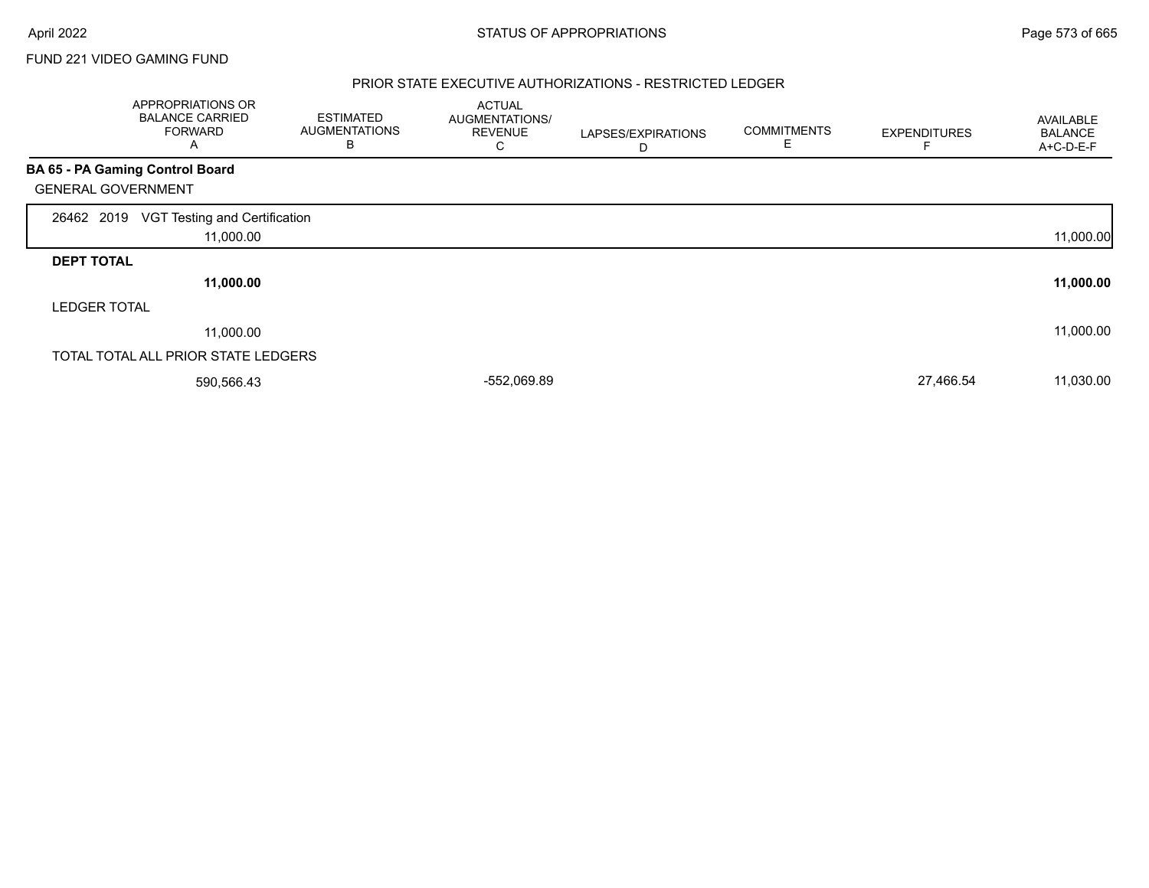#### PRIOR STATE EXECUTIVE AUTHORIZATIONS - RESTRICTED LEDGER

|                           | APPROPRIATIONS OR<br><b>BALANCE CARRIED</b><br><b>FORWARD</b><br>A | <b>ESTIMATED</b><br><b>AUGMENTATIONS</b><br>в | <b>ACTUAL</b><br>AUGMENTATIONS/<br><b>REVENUE</b><br>С | LAPSES/EXPIRATIONS<br>D | <b>COMMITMENTS</b><br>Е | <b>EXPENDITURES</b> | AVAILABLE<br><b>BALANCE</b><br>A+C-D-E-F |
|---------------------------|--------------------------------------------------------------------|-----------------------------------------------|--------------------------------------------------------|-------------------------|-------------------------|---------------------|------------------------------------------|
|                           | BA 65 - PA Gaming Control Board                                    |                                               |                                                        |                         |                         |                     |                                          |
| <b>GENERAL GOVERNMENT</b> |                                                                    |                                               |                                                        |                         |                         |                     |                                          |
| 26462 2019                | VGT Testing and Certification<br>11,000.00                         |                                               |                                                        |                         |                         |                     | 11,000.00                                |
| <b>DEPT TOTAL</b>         |                                                                    |                                               |                                                        |                         |                         |                     |                                          |
|                           | 11,000.00                                                          |                                               |                                                        |                         |                         |                     | 11,000.00                                |
| <b>LEDGER TOTAL</b>       |                                                                    |                                               |                                                        |                         |                         |                     |                                          |
|                           | 11,000.00                                                          |                                               |                                                        |                         |                         |                     | 11,000.00                                |
|                           | TOTAL TOTAL ALL PRIOR STATE LEDGERS                                |                                               |                                                        |                         |                         |                     |                                          |
|                           | 590,566.43                                                         |                                               | -552,069.89                                            |                         |                         | 27,466.54           | 11,030.00                                |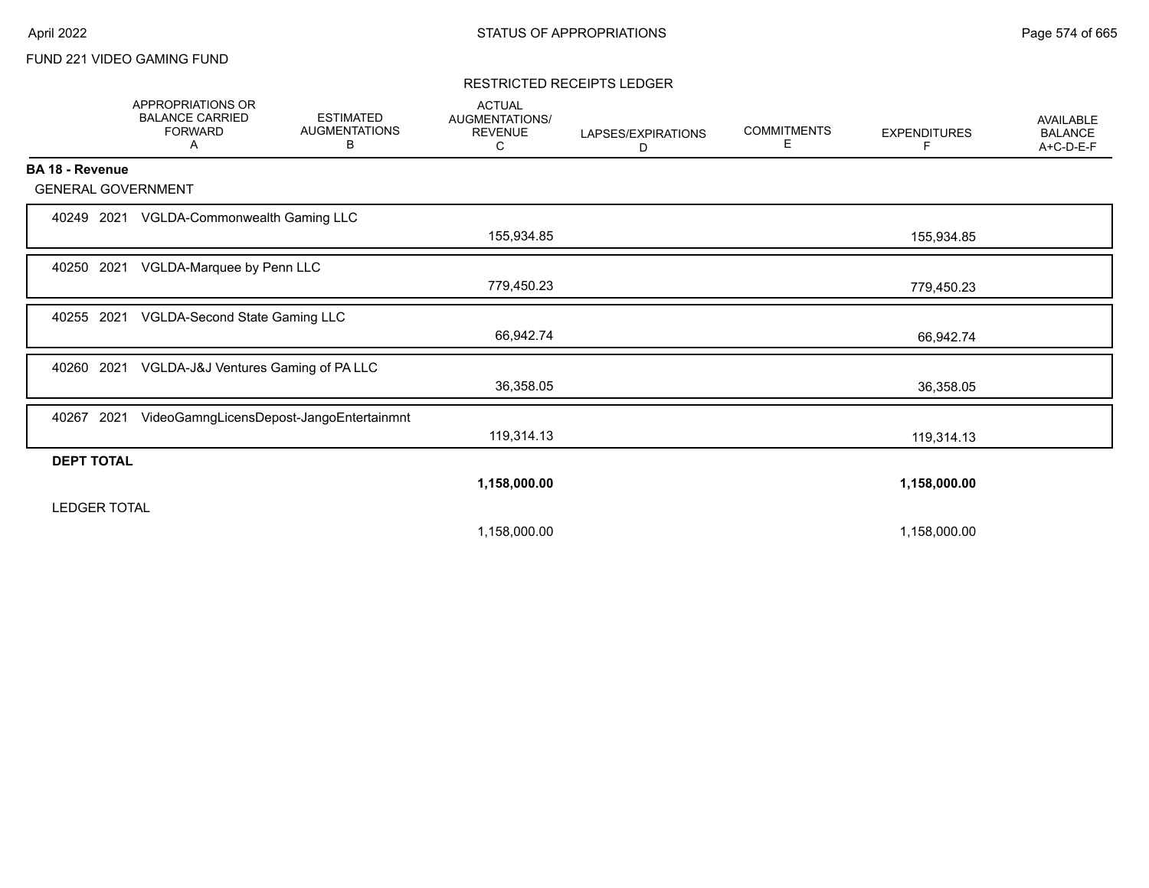#### RESTRICTED RECEIPTS LEDGER

|                           | <b>APPROPRIATIONS OR</b><br><b>BALANCE CARRIED</b><br><b>FORWARD</b><br>Α | <b>ESTIMATED</b><br><b>AUGMENTATIONS</b><br>В | <b>ACTUAL</b><br>AUGMENTATIONS/<br><b>REVENUE</b><br>С | LAPSES/EXPIRATIONS<br>D | <b>COMMITMENTS</b><br>Е | <b>EXPENDITURES</b><br>F | <b>AVAILABLE</b><br><b>BALANCE</b><br>A+C-D-E-F |
|---------------------------|---------------------------------------------------------------------------|-----------------------------------------------|--------------------------------------------------------|-------------------------|-------------------------|--------------------------|-------------------------------------------------|
| BA 18 - Revenue           |                                                                           |                                               |                                                        |                         |                         |                          |                                                 |
| <b>GENERAL GOVERNMENT</b> |                                                                           |                                               |                                                        |                         |                         |                          |                                                 |
|                           | 40249 2021 VGLDA-Commonwealth Gaming LLC                                  |                                               | 155,934.85                                             |                         |                         | 155,934.85               |                                                 |
| 40250 2021                | VGLDA-Marquee by Penn LLC                                                 |                                               | 779,450.23                                             |                         |                         | 779,450.23               |                                                 |
| 40255 2021                | VGLDA-Second State Gaming LLC                                             |                                               | 66,942.74                                              |                         |                         | 66,942.74                |                                                 |
| 2021<br>40260             | VGLDA-J&J Ventures Gaming of PA LLC                                       |                                               | 36,358.05                                              |                         |                         | 36,358.05                |                                                 |
| 2021<br>40267             |                                                                           | VideoGamngLicensDepost-JangoEntertainmnt      | 119,314.13                                             |                         |                         | 119,314.13               |                                                 |
| <b>DEPT TOTAL</b>         |                                                                           |                                               |                                                        |                         |                         |                          |                                                 |
| <b>LEDGER TOTAL</b>       |                                                                           |                                               | 1,158,000.00                                           |                         |                         | 1,158,000.00             |                                                 |
|                           |                                                                           |                                               | 1,158,000.00                                           |                         |                         | 1,158,000.00             |                                                 |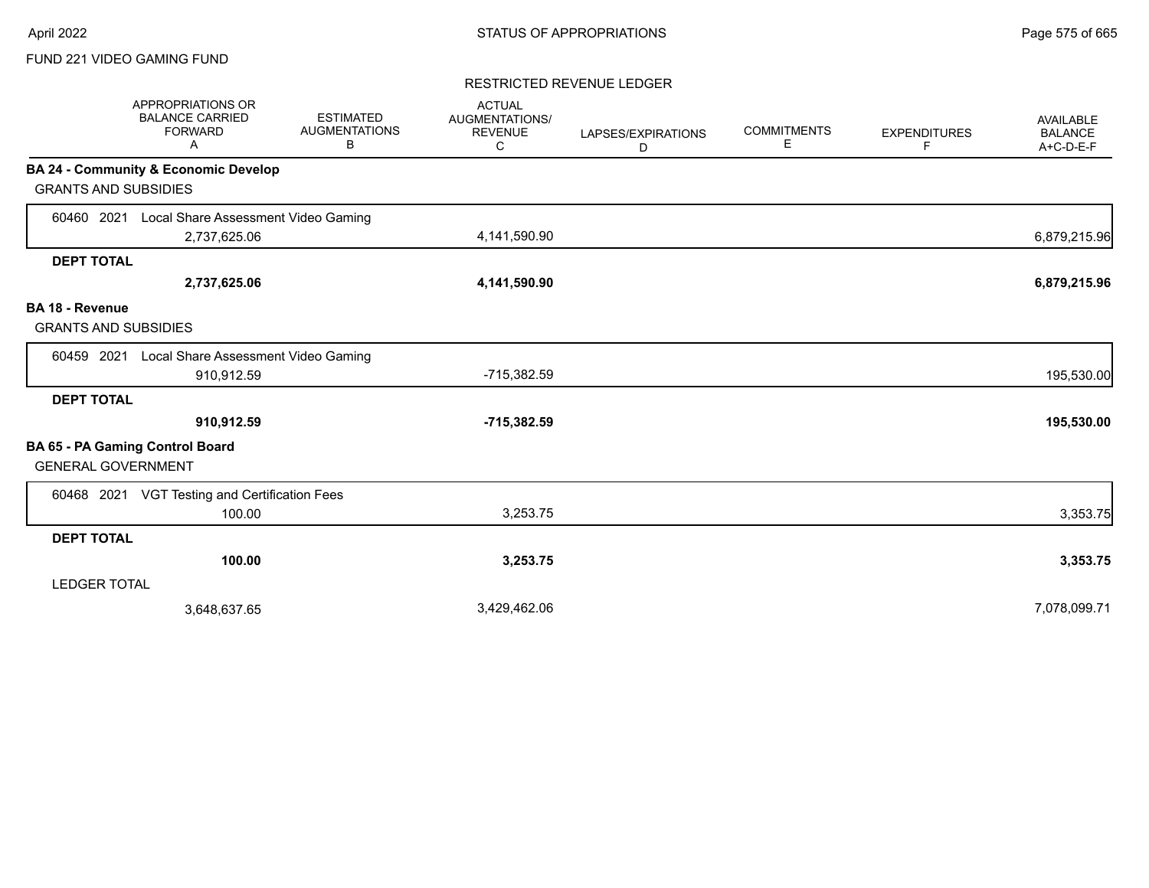#### RESTRICTED REVENUE LEDGER

|                                                       | <b>APPROPRIATIONS OR</b><br><b>BALANCE CARRIED</b><br><b>FORWARD</b><br>Α | <b>ESTIMATED</b><br><b>AUGMENTATIONS</b><br>В | <b>ACTUAL</b><br><b>AUGMENTATIONS/</b><br><b>REVENUE</b><br>C | LAPSES/EXPIRATIONS<br>D | <b>COMMITMENTS</b><br>Е | <b>EXPENDITURES</b><br>F | <b>AVAILABLE</b><br><b>BALANCE</b><br>$A+C-D-E-F$ |
|-------------------------------------------------------|---------------------------------------------------------------------------|-----------------------------------------------|---------------------------------------------------------------|-------------------------|-------------------------|--------------------------|---------------------------------------------------|
|                                                       | <b>BA 24 - Community &amp; Economic Develop</b>                           |                                               |                                                               |                         |                         |                          |                                                   |
| <b>GRANTS AND SUBSIDIES</b>                           |                                                                           |                                               |                                                               |                         |                         |                          |                                                   |
| 60460 2021                                            | Local Share Assessment Video Gaming                                       |                                               |                                                               |                         |                         |                          |                                                   |
|                                                       | 2,737,625.06                                                              |                                               | 4,141,590.90                                                  |                         |                         |                          | 6,879,215.96                                      |
| <b>DEPT TOTAL</b>                                     |                                                                           |                                               |                                                               |                         |                         |                          |                                                   |
|                                                       | 2,737,625.06                                                              |                                               | 4,141,590.90                                                  |                         |                         |                          | 6,879,215.96                                      |
| <b>BA 18 - Revenue</b><br><b>GRANTS AND SUBSIDIES</b> |                                                                           |                                               |                                                               |                         |                         |                          |                                                   |
| 60459 2021                                            | Local Share Assessment Video Gaming                                       |                                               |                                                               |                         |                         |                          |                                                   |
|                                                       | 910,912.59                                                                |                                               | -715,382.59                                                   |                         |                         |                          | 195,530.00                                        |
| <b>DEPT TOTAL</b>                                     |                                                                           |                                               |                                                               |                         |                         |                          |                                                   |
|                                                       | 910,912.59                                                                |                                               | $-715,382.59$                                                 |                         |                         |                          | 195,530.00                                        |
| <b>GENERAL GOVERNMENT</b>                             | BA 65 - PA Gaming Control Board                                           |                                               |                                                               |                         |                         |                          |                                                   |
| 60468 2021                                            | VGT Testing and Certification Fees                                        |                                               |                                                               |                         |                         |                          |                                                   |
|                                                       | 100.00                                                                    |                                               | 3,253.75                                                      |                         |                         |                          | 3,353.75                                          |
| <b>DEPT TOTAL</b>                                     |                                                                           |                                               |                                                               |                         |                         |                          |                                                   |
|                                                       | 100.00                                                                    |                                               | 3,253.75                                                      |                         |                         |                          | 3,353.75                                          |
| <b>LEDGER TOTAL</b>                                   |                                                                           |                                               |                                                               |                         |                         |                          |                                                   |
|                                                       | 3,648,637.65                                                              |                                               | 3,429,462.06                                                  |                         |                         |                          | 7,078,099.71                                      |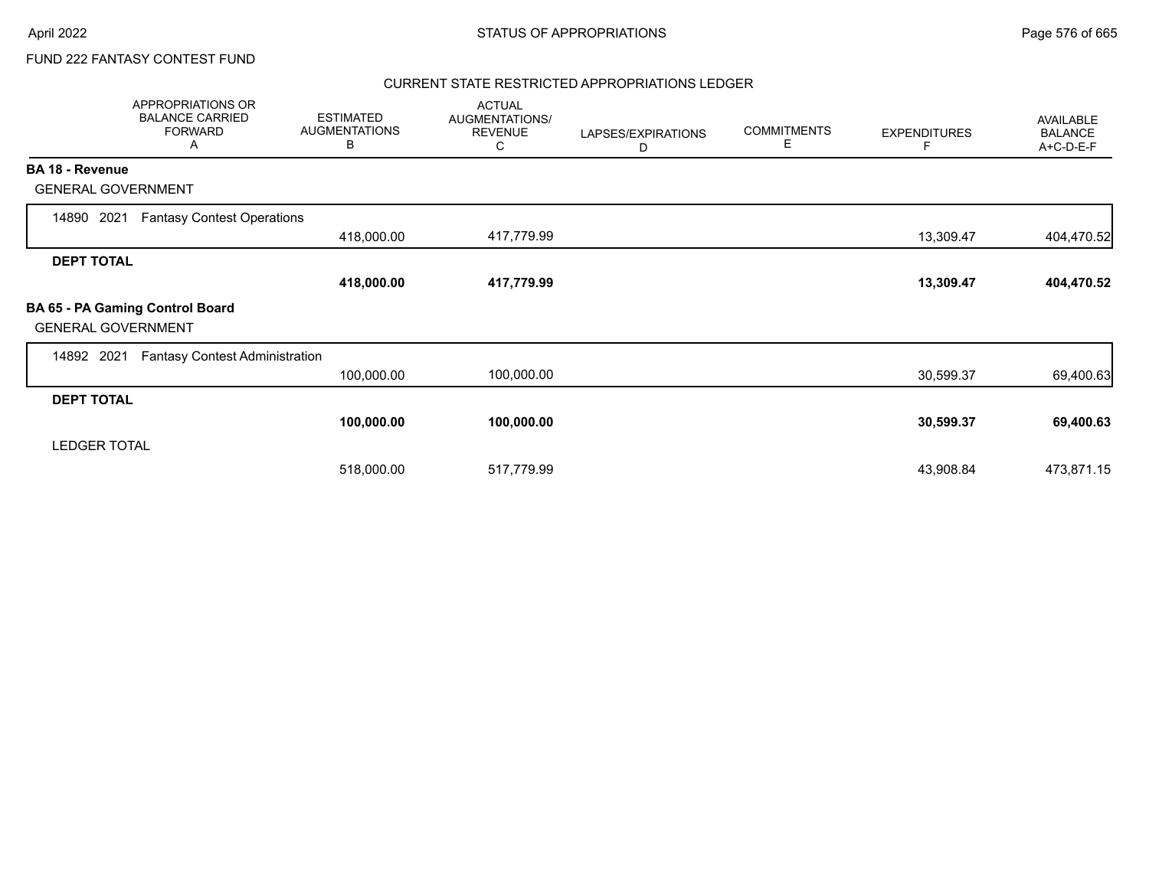## FUND 222 FANTASY CONTEST FUND

#### CURRENT STATE RESTRICTED APPROPRIATIONS LEDGER

|                           | APPROPRIATIONS OR<br><b>BALANCE CARRIED</b><br><b>FORWARD</b><br>A | <b>ESTIMATED</b><br><b>AUGMENTATIONS</b><br>В | <b>ACTUAL</b><br>AUGMENTATIONS/<br><b>REVENUE</b><br>С | LAPSES/EXPIRATIONS<br>D | <b>COMMITMENTS</b><br>Е | <b>EXPENDITURES</b><br>F | AVAILABLE<br><b>BALANCE</b><br>A+C-D-E-F |
|---------------------------|--------------------------------------------------------------------|-----------------------------------------------|--------------------------------------------------------|-------------------------|-------------------------|--------------------------|------------------------------------------|
| <b>BA 18 - Revenue</b>    |                                                                    |                                               |                                                        |                         |                         |                          |                                          |
| <b>GENERAL GOVERNMENT</b> |                                                                    |                                               |                                                        |                         |                         |                          |                                          |
| 2021<br>14890             | <b>Fantasy Contest Operations</b>                                  |                                               |                                                        |                         |                         |                          |                                          |
|                           |                                                                    | 418,000.00                                    | 417,779.99                                             |                         |                         | 13,309.47                | 404,470.52                               |
| <b>DEPT TOTAL</b>         |                                                                    |                                               |                                                        |                         |                         |                          |                                          |
|                           |                                                                    | 418,000.00                                    | 417,779.99                                             |                         |                         | 13,309.47                | 404,470.52                               |
| <b>GENERAL GOVERNMENT</b> | BA 65 - PA Gaming Control Board                                    |                                               |                                                        |                         |                         |                          |                                          |
| 2021<br>14892             | <b>Fantasy Contest Administration</b>                              |                                               |                                                        |                         |                         |                          |                                          |
|                           |                                                                    | 100,000.00                                    | 100,000.00                                             |                         |                         | 30,599.37                | 69,400.63                                |
| <b>DEPT TOTAL</b>         |                                                                    |                                               |                                                        |                         |                         |                          |                                          |
|                           |                                                                    | 100,000.00                                    | 100,000.00                                             |                         |                         | 30,599.37                | 69,400.63                                |
| <b>LEDGER TOTAL</b>       |                                                                    |                                               |                                                        |                         |                         |                          |                                          |
|                           |                                                                    | 518,000.00                                    | 517,779.99                                             |                         |                         | 43,908.84                | 473,871.15                               |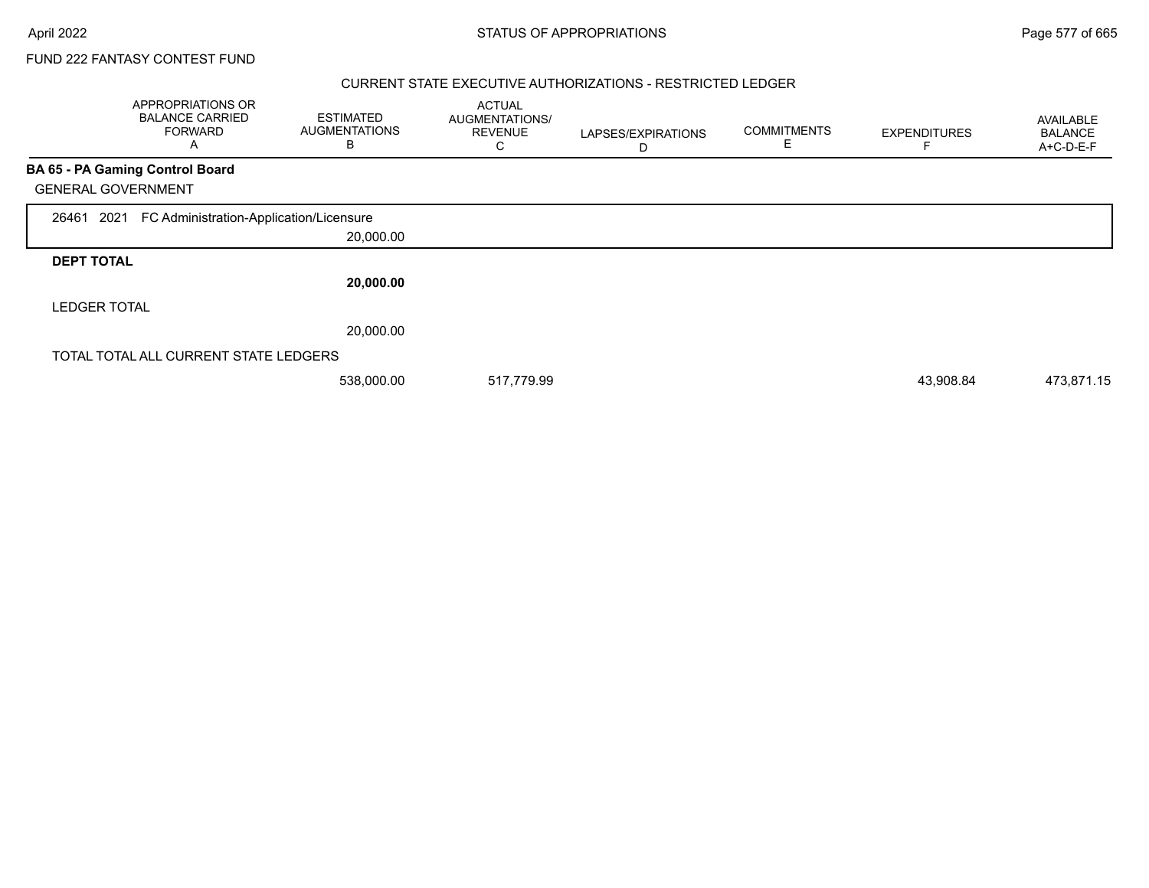### CURRENT STATE EXECUTIVE AUTHORIZATIONS - RESTRICTED LEDGER

|                           | <b>APPROPRIATIONS OR</b><br><b>BALANCE CARRIED</b><br><b>FORWARD</b><br>A | <b>ESTIMATED</b><br><b>AUGMENTATIONS</b><br>В | <b>ACTUAL</b><br>AUGMENTATIONS/<br><b>REVENUE</b><br>С | LAPSES/EXPIRATIONS<br>D | <b>COMMITMENTS</b><br>E. | <b>EXPENDITURES</b> | <b>AVAILABLE</b><br><b>BALANCE</b><br>A+C-D-E-F |
|---------------------------|---------------------------------------------------------------------------|-----------------------------------------------|--------------------------------------------------------|-------------------------|--------------------------|---------------------|-------------------------------------------------|
|                           | BA 65 - PA Gaming Control Board                                           |                                               |                                                        |                         |                          |                     |                                                 |
| <b>GENERAL GOVERNMENT</b> |                                                                           |                                               |                                                        |                         |                          |                     |                                                 |
| 26461<br>2021             | FC Administration-Application/Licensure                                   |                                               |                                                        |                         |                          |                     |                                                 |
|                           |                                                                           | 20,000.00                                     |                                                        |                         |                          |                     |                                                 |
| <b>DEPT TOTAL</b>         |                                                                           |                                               |                                                        |                         |                          |                     |                                                 |
|                           |                                                                           | 20,000.00                                     |                                                        |                         |                          |                     |                                                 |
| <b>LEDGER TOTAL</b>       |                                                                           |                                               |                                                        |                         |                          |                     |                                                 |
|                           |                                                                           | 20,000.00                                     |                                                        |                         |                          |                     |                                                 |
|                           | TOTAL TOTAL ALL CURRENT STATE LEDGERS                                     |                                               |                                                        |                         |                          |                     |                                                 |
|                           |                                                                           | 538,000.00                                    | 517,779.99                                             |                         |                          | 43,908.84           | 473,871.15                                      |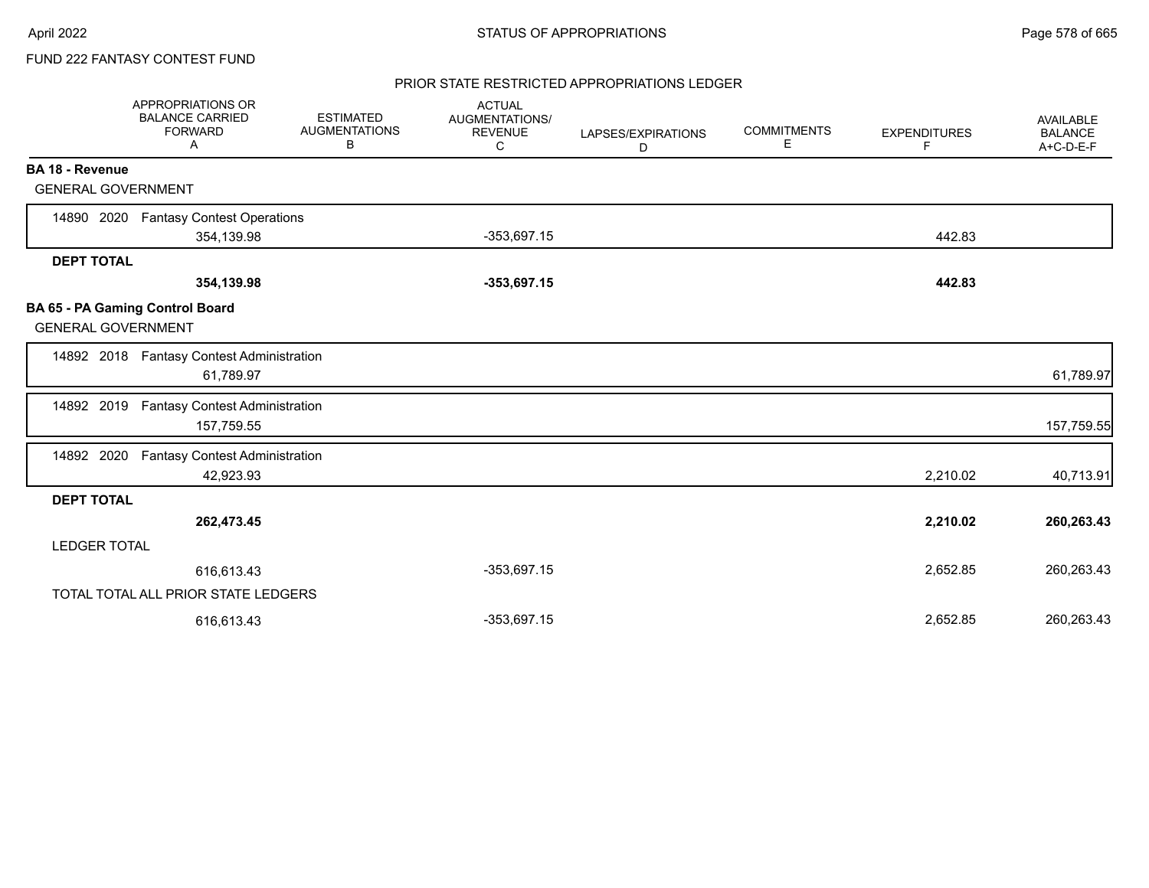## PRIOR STATE RESTRICTED APPROPRIATIONS LEDGER

|                           | APPROPRIATIONS OR<br><b>BALANCE CARRIED</b><br><b>FORWARD</b><br>A | <b>ESTIMATED</b><br><b>AUGMENTATIONS</b><br>В | <b>ACTUAL</b><br>AUGMENTATIONS/<br><b>REVENUE</b><br>C | LAPSES/EXPIRATIONS<br>D | <b>COMMITMENTS</b><br>Е | <b>EXPENDITURES</b><br>F | <b>AVAILABLE</b><br><b>BALANCE</b><br>A+C-D-E-F |
|---------------------------|--------------------------------------------------------------------|-----------------------------------------------|--------------------------------------------------------|-------------------------|-------------------------|--------------------------|-------------------------------------------------|
| <b>BA 18 - Revenue</b>    |                                                                    |                                               |                                                        |                         |                         |                          |                                                 |
| <b>GENERAL GOVERNMENT</b> |                                                                    |                                               |                                                        |                         |                         |                          |                                                 |
| 14890 2020                | <b>Fantasy Contest Operations</b>                                  |                                               |                                                        |                         |                         |                          |                                                 |
|                           | 354,139.98                                                         |                                               | $-353,697.15$                                          |                         |                         | 442.83                   |                                                 |
| <b>DEPT TOTAL</b>         |                                                                    |                                               |                                                        |                         |                         |                          |                                                 |
|                           | 354,139.98                                                         |                                               | $-353,697.15$                                          |                         |                         | 442.83                   |                                                 |
| <b>GENERAL GOVERNMENT</b> | BA 65 - PA Gaming Control Board                                    |                                               |                                                        |                         |                         |                          |                                                 |
|                           | 14892 2018 Fantasy Contest Administration<br>61,789.97             |                                               |                                                        |                         |                         |                          | 61,789.97                                       |
| 14892 2019                | <b>Fantasy Contest Administration</b><br>157,759.55                |                                               |                                                        |                         |                         |                          | 157,759.55                                      |
| 14892 2020                | Fantasy Contest Administration<br>42,923.93                        |                                               |                                                        |                         |                         | 2,210.02                 | 40,713.91                                       |
| <b>DEPT TOTAL</b>         |                                                                    |                                               |                                                        |                         |                         |                          |                                                 |
|                           | 262,473.45                                                         |                                               |                                                        |                         |                         | 2,210.02                 | 260,263.43                                      |
| <b>LEDGER TOTAL</b>       |                                                                    |                                               |                                                        |                         |                         |                          |                                                 |
|                           | 616,613.43                                                         |                                               | $-353,697.15$                                          |                         |                         | 2,652.85                 | 260,263.43                                      |
|                           | TOTAL TOTAL ALL PRIOR STATE LEDGERS                                |                                               |                                                        |                         |                         |                          |                                                 |
|                           | 616.613.43                                                         |                                               | $-353,697.15$                                          |                         |                         | 2,652.85                 | 260,263.43                                      |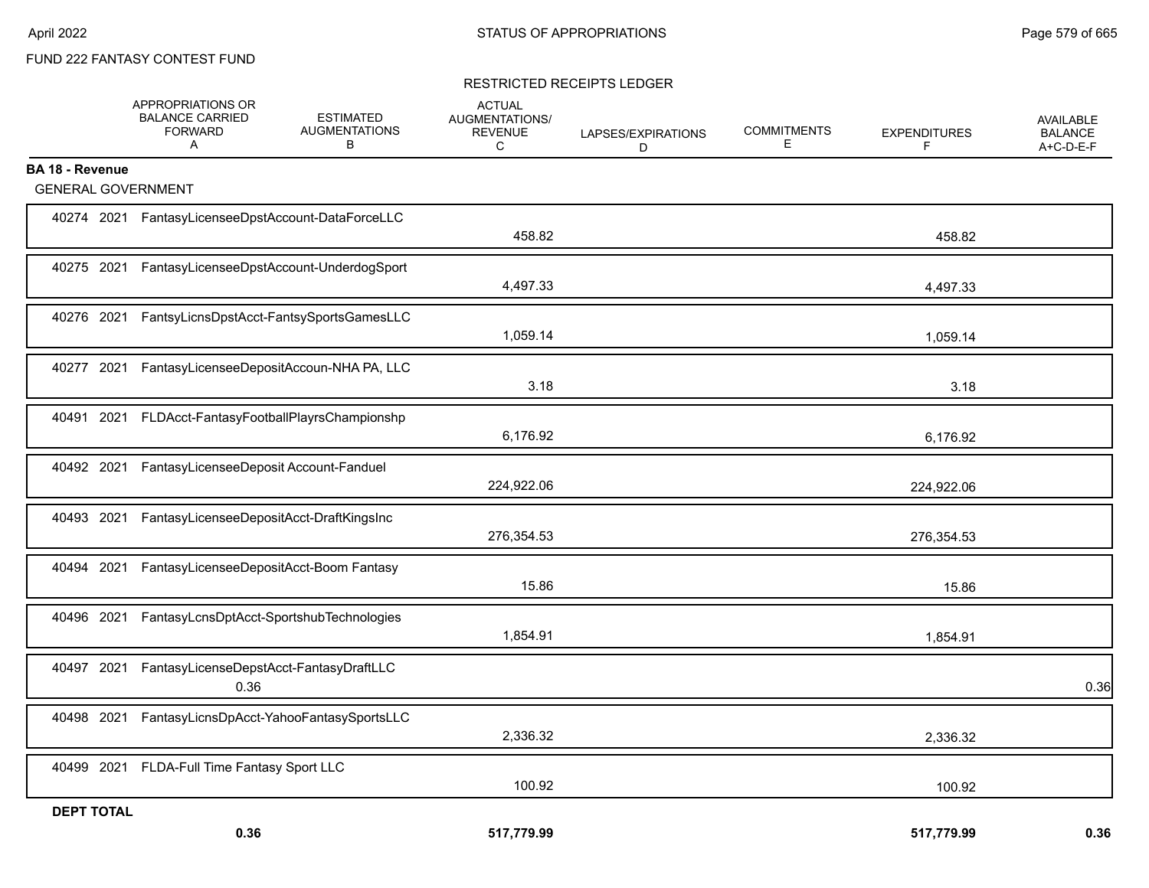### RESTRICTED RECEIPTS LEDGER

|                           | APPROPRIATIONS OR<br><b>BALANCE CARRIED</b><br>FORWARD<br>A | <b>ESTIMATED</b><br><b>AUGMENTATIONS</b><br>B | <b>ACTUAL</b><br>AUGMENTATIONS/<br>REVENUE<br>C | LAPSES/EXPIRATIONS<br>D | <b>COMMITMENTS</b><br>E | <b>EXPENDITURES</b><br>F | <b>AVAILABLE</b><br><b>BALANCE</b><br>A+C-D-E-F |
|---------------------------|-------------------------------------------------------------|-----------------------------------------------|-------------------------------------------------|-------------------------|-------------------------|--------------------------|-------------------------------------------------|
| <b>BA 18 - Revenue</b>    |                                                             |                                               |                                                 |                         |                         |                          |                                                 |
| <b>GENERAL GOVERNMENT</b> |                                                             |                                               |                                                 |                         |                         |                          |                                                 |
|                           | 40274 2021 FantasyLicenseeDpstAccount-DataForceLLC          |                                               | 458.82                                          |                         |                         | 458.82                   |                                                 |
|                           | 40275 2021 FantasyLicenseeDpstAccount-UnderdogSport         |                                               | 4,497.33                                        |                         |                         | 4,497.33                 |                                                 |
| 40276 2021                |                                                             | FantsyLicnsDpstAcct-FantsySportsGamesLLC      | 1,059.14                                        |                         |                         | 1,059.14                 |                                                 |
| 40277 2021                |                                                             | FantasyLicenseeDepositAccoun-NHA PA, LLC      | 3.18                                            |                         |                         | 3.18                     |                                                 |
| 40491 2021                |                                                             | FLDAcct-FantasyFootballPlayrsChampionshp      | 6,176.92                                        |                         |                         | 6,176.92                 |                                                 |
| 40492 2021                | FantasyLicenseeDeposit Account-Fanduel                      |                                               | 224,922.06                                      |                         |                         | 224,922.06               |                                                 |
| 40493 2021                |                                                             | FantasyLicenseeDepositAcct-DraftKingsInc      | 276,354.53                                      |                         |                         | 276,354.53               |                                                 |
| 40494<br>2021             |                                                             | FantasyLicenseeDepositAcct-Boom Fantasy       | 15.86                                           |                         |                         | 15.86                    |                                                 |
| 40496 2021                |                                                             | FantasyLcnsDptAcct-SportshubTechnologies      | 1,854.91                                        |                         |                         | 1,854.91                 |                                                 |
| 40497 2021                | 0.36                                                        | FantasyLicenseDepstAcct-FantasyDraftLLC       |                                                 |                         |                         |                          | 0.36                                            |
| 40498 2021                |                                                             | FantasyLicnsDpAcct-YahooFantasySportsLLC      | 2,336.32                                        |                         |                         | 2,336.32                 |                                                 |
| 40499 2021                | FLDA-Full Time Fantasy Sport LLC                            |                                               | 100.92                                          |                         |                         | 100.92                   |                                                 |
| <b>DEPT TOTAL</b>         |                                                             |                                               | 517,779.99                                      |                         |                         | 517,779.99               | 0.36                                            |
|                           | 0.36                                                        |                                               |                                                 |                         |                         |                          |                                                 |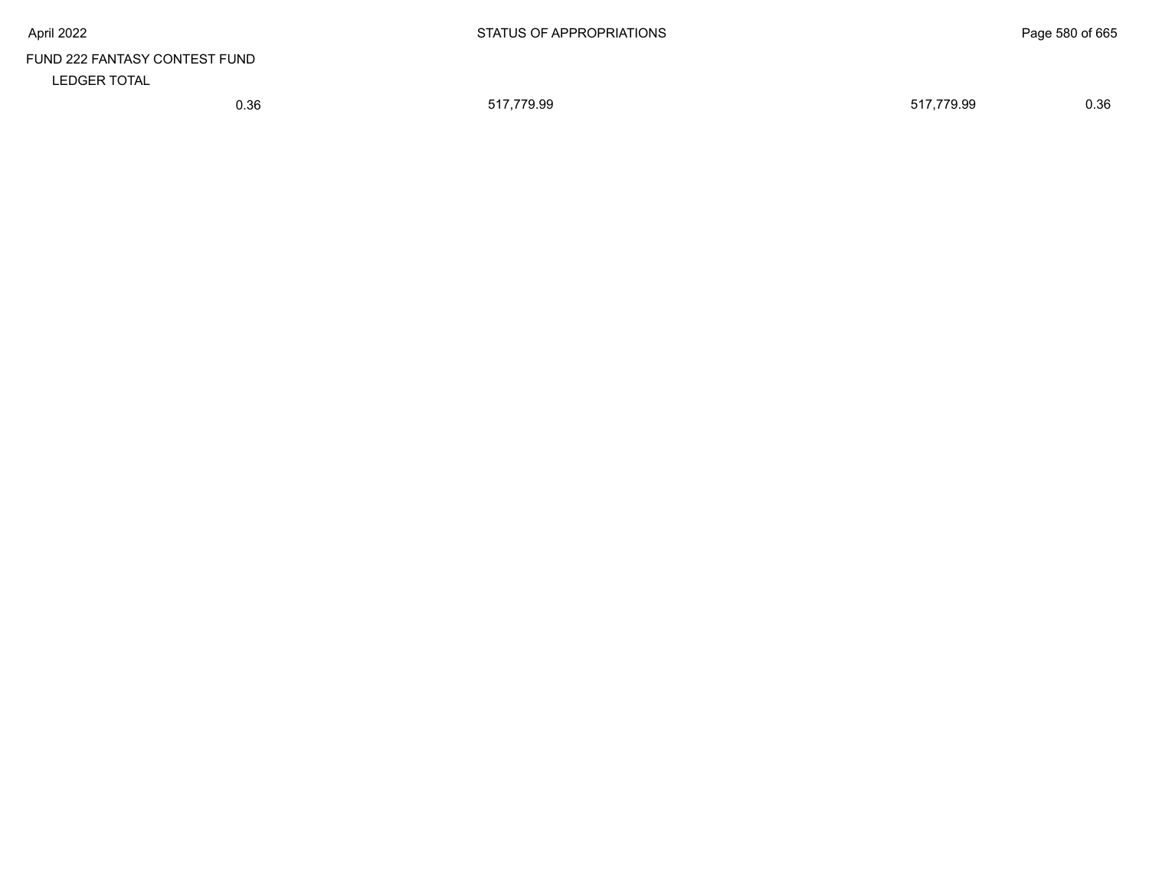# FUND 222 FANTASY CONTEST FUND LEDGER TOTAL

0.36 517,779.99 517,779.99 0.36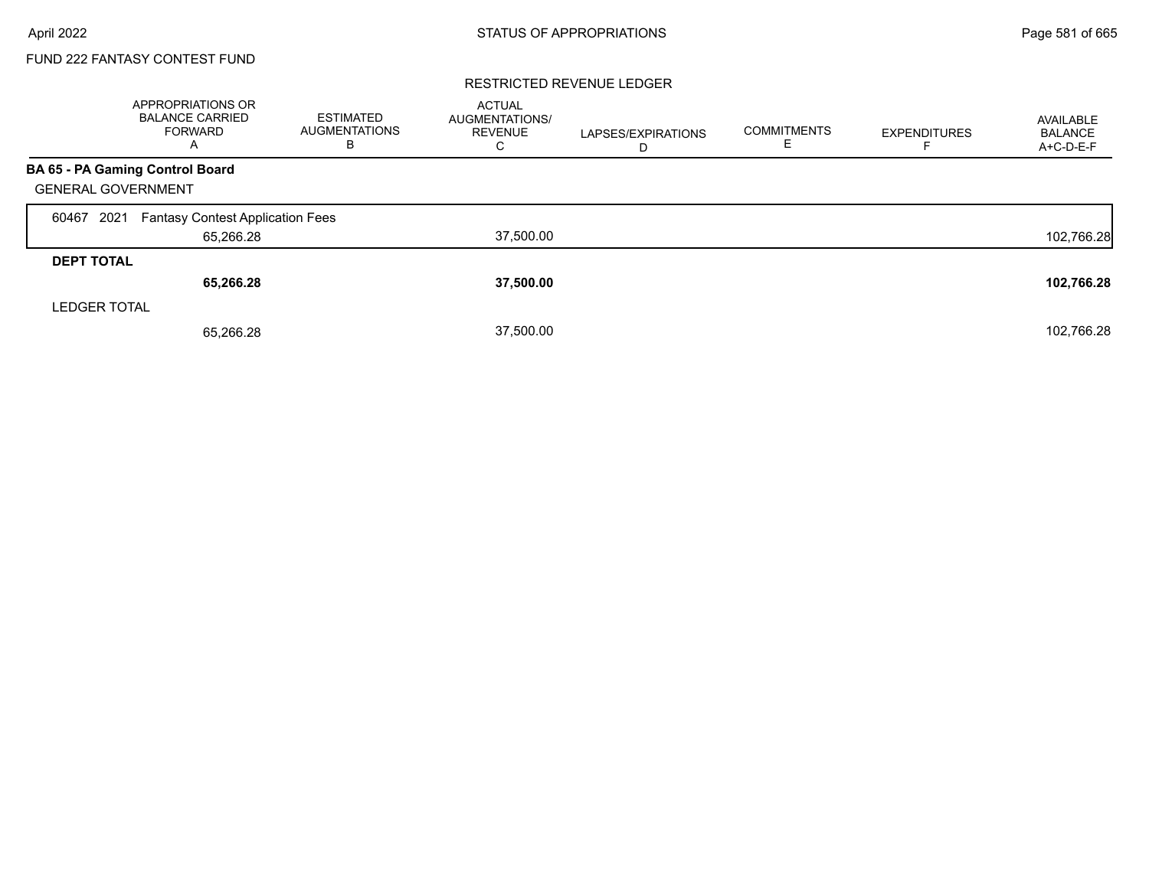#### RESTRICTED REVENUE LEDGER

|                           | <b>APPROPRIATIONS OR</b><br><b>BALANCE CARRIED</b><br>FORWARD<br>A | <b>ESTIMATED</b><br><b>AUGMENTATIONS</b><br>в | <b>ACTUAL</b><br>AUGMENTATIONS/<br><b>REVENUE</b><br>С | LAPSES/EXPIRATIONS<br>D | <b>COMMITMENTS</b><br>F. | <b>EXPENDITURES</b> | AVAILABLE<br><b>BALANCE</b><br>$A+C-D-E-F$ |
|---------------------------|--------------------------------------------------------------------|-----------------------------------------------|--------------------------------------------------------|-------------------------|--------------------------|---------------------|--------------------------------------------|
|                           | BA 65 - PA Gaming Control Board                                    |                                               |                                                        |                         |                          |                     |                                            |
| <b>GENERAL GOVERNMENT</b> |                                                                    |                                               |                                                        |                         |                          |                     |                                            |
| 2021<br>60467             | <b>Fantasy Contest Application Fees</b>                            |                                               |                                                        |                         |                          |                     |                                            |
|                           | 65,266.28                                                          |                                               | 37,500.00                                              |                         |                          |                     | 102,766.28                                 |
| <b>DEPT TOTAL</b>         |                                                                    |                                               |                                                        |                         |                          |                     |                                            |
|                           | 65,266.28                                                          |                                               | 37,500.00                                              |                         |                          |                     | 102,766.28                                 |
| <b>LEDGER TOTAL</b>       |                                                                    |                                               |                                                        |                         |                          |                     |                                            |
|                           | 65.266.28                                                          |                                               | 37,500.00                                              |                         |                          |                     | 102,766.28                                 |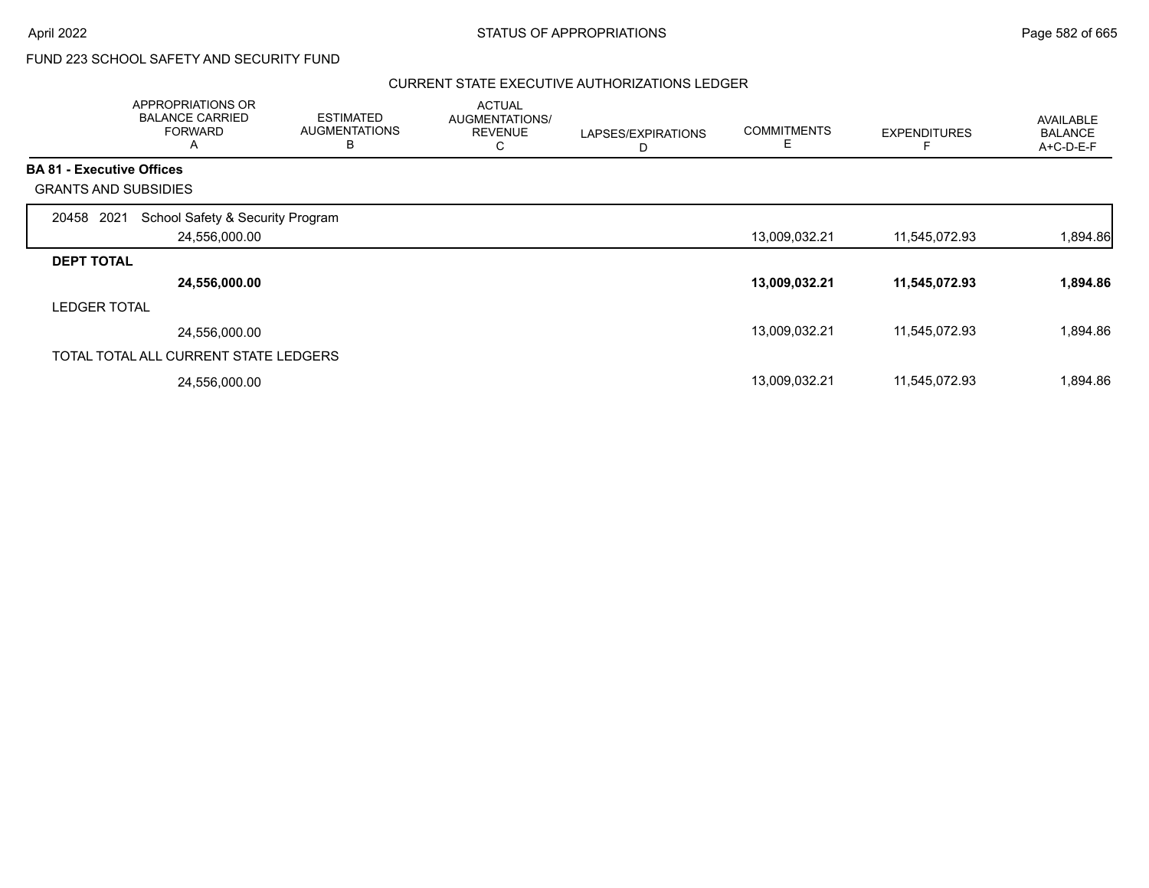# FUND 223 SCHOOL SAFETY AND SECURITY FUND

## CURRENT STATE EXECUTIVE AUTHORIZATIONS LEDGER

|                     | APPROPRIATIONS OR<br><b>BALANCE CARRIED</b><br><b>FORWARD</b><br>A | <b>ESTIMATED</b><br><b>AUGMENTATIONS</b><br>B | <b>ACTUAL</b><br>AUGMENTATIONS/<br><b>REVENUE</b><br>С | LAPSES/EXPIRATIONS<br>D | <b>COMMITMENTS</b><br>E | <b>EXPENDITURES</b> | <b>AVAILABLE</b><br><b>BALANCE</b><br>$A+C-D-E-F$ |
|---------------------|--------------------------------------------------------------------|-----------------------------------------------|--------------------------------------------------------|-------------------------|-------------------------|---------------------|---------------------------------------------------|
|                     | <b>BA 81 - Executive Offices</b>                                   |                                               |                                                        |                         |                         |                     |                                                   |
|                     | <b>GRANTS AND SUBSIDIES</b>                                        |                                               |                                                        |                         |                         |                     |                                                   |
| 20458               | School Safety & Security Program<br>2021                           |                                               |                                                        |                         |                         |                     |                                                   |
|                     | 24,556,000.00                                                      |                                               |                                                        |                         | 13,009,032.21           | 11,545,072.93       | 1,894.86                                          |
| <b>DEPT TOTAL</b>   |                                                                    |                                               |                                                        |                         |                         |                     |                                                   |
|                     | 24,556,000.00                                                      |                                               |                                                        |                         | 13,009,032.21           | 11,545,072.93       | 1,894.86                                          |
| <b>LEDGER TOTAL</b> |                                                                    |                                               |                                                        |                         |                         |                     |                                                   |
|                     | 24,556,000.00                                                      |                                               |                                                        |                         | 13,009,032.21           | 11,545,072.93       | 1,894.86                                          |
|                     | TOTAL TOTAL ALL CURRENT STATE LEDGERS                              |                                               |                                                        |                         |                         |                     |                                                   |
|                     | 24,556,000.00                                                      |                                               |                                                        |                         | 13,009,032.21           | 11,545,072.93       | 1,894.86                                          |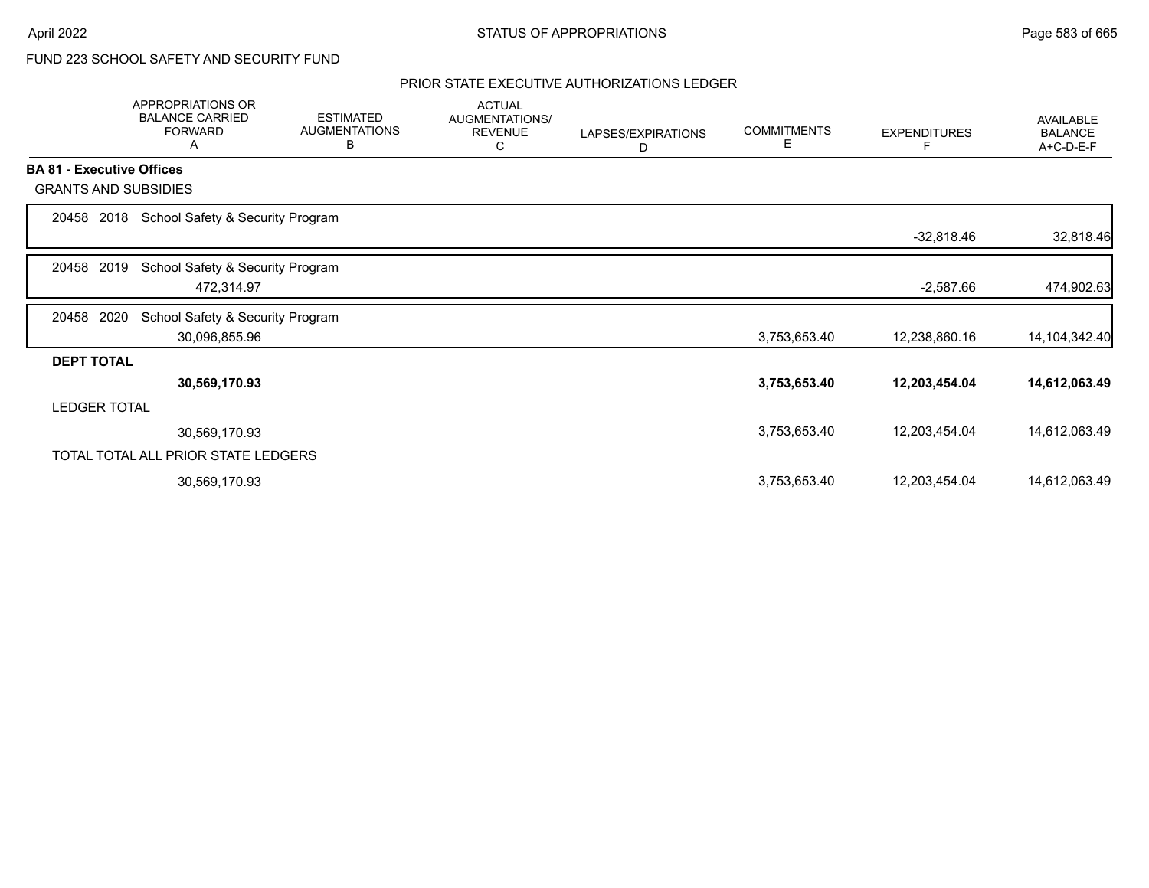# FUND 223 SCHOOL SAFETY AND SECURITY FUND

## PRIOR STATE EXECUTIVE AUTHORIZATIONS LEDGER

|                                  | <b>APPROPRIATIONS OR</b><br><b>BALANCE CARRIED</b><br><b>FORWARD</b><br>Α | <b>ESTIMATED</b><br><b>AUGMENTATIONS</b><br>В | <b>ACTUAL</b><br>AUGMENTATIONS/<br><b>REVENUE</b><br>С | LAPSES/EXPIRATIONS<br>D | <b>COMMITMENTS</b><br>Е | <b>EXPENDITURES</b> | AVAILABLE<br><b>BALANCE</b><br>A+C-D-E-F |
|----------------------------------|---------------------------------------------------------------------------|-----------------------------------------------|--------------------------------------------------------|-------------------------|-------------------------|---------------------|------------------------------------------|
| <b>BA 81 - Executive Offices</b> |                                                                           |                                               |                                                        |                         |                         |                     |                                          |
| <b>GRANTS AND SUBSIDIES</b>      |                                                                           |                                               |                                                        |                         |                         |                     |                                          |
| 2018<br>20458                    | School Safety & Security Program                                          |                                               |                                                        |                         |                         |                     |                                          |
|                                  |                                                                           |                                               |                                                        |                         |                         | $-32,818.46$        | 32,818.46                                |
| 2019<br>20458                    | School Safety & Security Program                                          |                                               |                                                        |                         |                         |                     |                                          |
|                                  | 472,314.97                                                                |                                               |                                                        |                         |                         | $-2,587.66$         | 474,902.63                               |
| 20458<br>2020                    | School Safety & Security Program                                          |                                               |                                                        |                         |                         |                     |                                          |
|                                  | 30,096,855.96                                                             |                                               |                                                        |                         | 3,753,653.40            | 12,238,860.16       | 14, 104, 342. 40                         |
| <b>DEPT TOTAL</b>                |                                                                           |                                               |                                                        |                         |                         |                     |                                          |
|                                  | 30,569,170.93                                                             |                                               |                                                        |                         | 3,753,653.40            | 12,203,454.04       | 14,612,063.49                            |
| <b>LEDGER TOTAL</b>              |                                                                           |                                               |                                                        |                         |                         |                     |                                          |
|                                  | 30,569,170.93                                                             |                                               |                                                        |                         | 3,753,653.40            | 12,203,454.04       | 14,612,063.49                            |
|                                  | TOTAL TOTAL ALL PRIOR STATE LEDGERS                                       |                                               |                                                        |                         |                         |                     |                                          |
|                                  | 30,569,170.93                                                             |                                               |                                                        |                         | 3,753,653.40            | 12,203,454.04       | 14,612,063.49                            |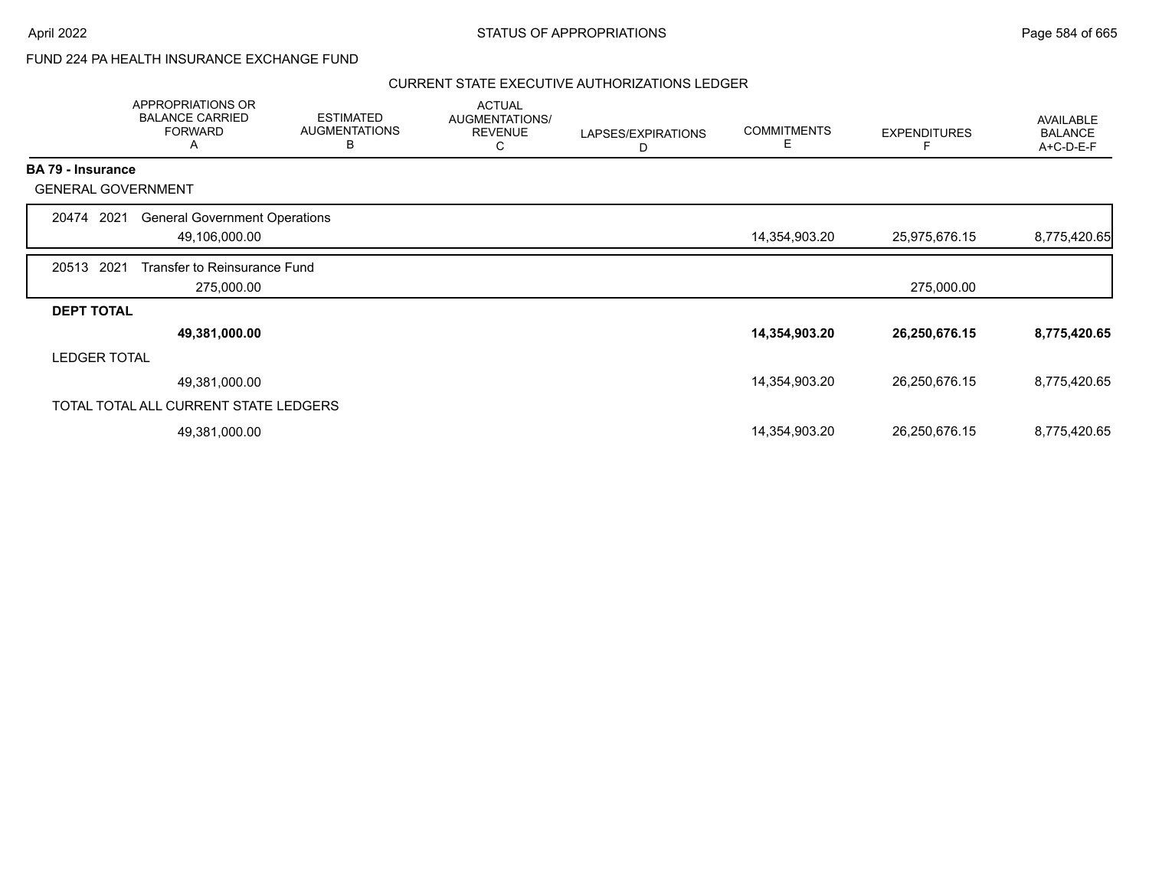## FUND 224 PA HEALTH INSURANCE EXCHANGE FUND

#### CURRENT STATE EXECUTIVE AUTHORIZATIONS LEDGER

|                          | APPROPRIATIONS OR<br><b>BALANCE CARRIED</b><br><b>FORWARD</b><br>A | <b>ESTIMATED</b><br><b>AUGMENTATIONS</b><br>B | <b>ACTUAL</b><br>AUGMENTATIONS/<br><b>REVENUE</b><br>C | LAPSES/EXPIRATIONS<br>D | <b>COMMITMENTS</b><br>Е | <b>EXPENDITURES</b> | <b>AVAILABLE</b><br><b>BALANCE</b><br>A+C-D-E-F |
|--------------------------|--------------------------------------------------------------------|-----------------------------------------------|--------------------------------------------------------|-------------------------|-------------------------|---------------------|-------------------------------------------------|
| <b>BA 79 - Insurance</b> |                                                                    |                                               |                                                        |                         |                         |                     |                                                 |
|                          | <b>GENERAL GOVERNMENT</b>                                          |                                               |                                                        |                         |                         |                     |                                                 |
| 20474                    | <b>General Government Operations</b><br>2021                       |                                               |                                                        |                         |                         |                     |                                                 |
|                          | 49,106,000.00                                                      |                                               |                                                        |                         | 14,354,903.20           | 25,975,676.15       | 8,775,420.65                                    |
| 20513                    | 2021<br>Transfer to Reinsurance Fund                               |                                               |                                                        |                         |                         |                     |                                                 |
|                          | 275,000.00                                                         |                                               |                                                        |                         |                         | 275,000.00          |                                                 |
| <b>DEPT TOTAL</b>        |                                                                    |                                               |                                                        |                         |                         |                     |                                                 |
|                          | 49,381,000.00                                                      |                                               |                                                        |                         | 14,354,903.20           | 26,250,676.15       | 8,775,420.65                                    |
|                          | <b>LEDGER TOTAL</b>                                                |                                               |                                                        |                         |                         |                     |                                                 |
|                          | 49,381,000.00                                                      |                                               |                                                        |                         | 14,354,903.20           | 26,250,676.15       | 8,775,420.65                                    |
|                          | TOTAL TOTAL ALL CURRENT STATE LEDGERS                              |                                               |                                                        |                         |                         |                     |                                                 |
|                          | 49,381,000.00                                                      |                                               |                                                        |                         | 14,354,903.20           | 26,250,676.15       | 8,775,420.65                                    |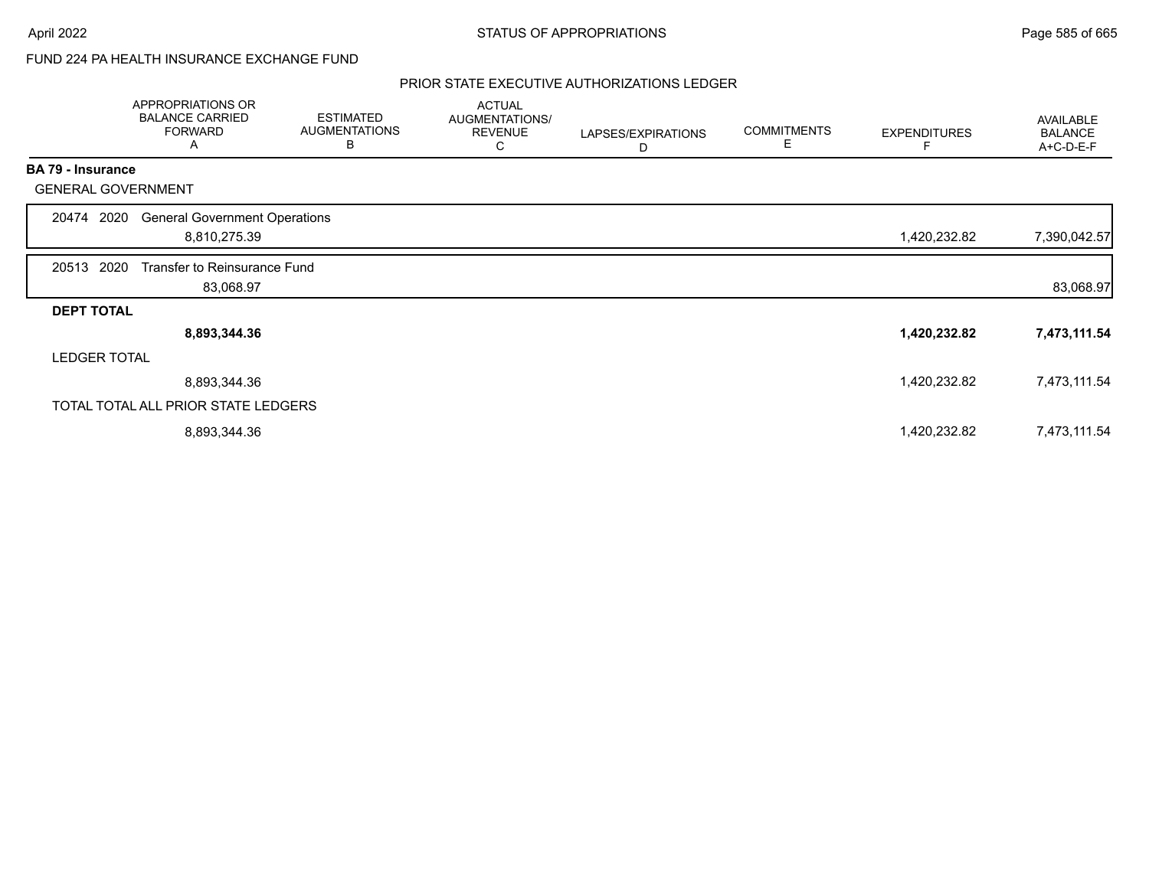# FUND 224 PA HEALTH INSURANCE EXCHANGE FUND

## PRIOR STATE EXECUTIVE AUTHORIZATIONS LEDGER

| APPROPRIATIONS OR<br><b>BALANCE CARRIED</b><br><b>FORWARD</b><br>A | <b>ESTIMATED</b><br><b>AUGMENTATIONS</b><br>B | <b>ACTUAL</b><br>AUGMENTATIONS/<br><b>REVENUE</b><br>С                                                                                                                                   | LAPSES/EXPIRATIONS<br>D | <b>COMMITMENTS</b><br>Ε | <b>EXPENDITURES</b> | AVAILABLE<br><b>BALANCE</b><br>A+C-D-E-F |
|--------------------------------------------------------------------|-----------------------------------------------|------------------------------------------------------------------------------------------------------------------------------------------------------------------------------------------|-------------------------|-------------------------|---------------------|------------------------------------------|
| <b>BA 79 - Insurance</b>                                           |                                               |                                                                                                                                                                                          |                         |                         |                     |                                          |
| <b>GENERAL GOVERNMENT</b>                                          |                                               |                                                                                                                                                                                          |                         |                         |                     |                                          |
| 2020<br>20474                                                      |                                               |                                                                                                                                                                                          |                         |                         |                     |                                          |
|                                                                    |                                               |                                                                                                                                                                                          |                         |                         | 1,420,232.82        | 7,390,042.57                             |
| 20513 2020                                                         |                                               |                                                                                                                                                                                          |                         |                         |                     |                                          |
|                                                                    |                                               |                                                                                                                                                                                          |                         |                         |                     | 83,068.97                                |
| <b>DEPT TOTAL</b>                                                  |                                               |                                                                                                                                                                                          |                         |                         |                     |                                          |
|                                                                    |                                               |                                                                                                                                                                                          |                         |                         | 1,420,232.82        | 7,473,111.54                             |
| <b>LEDGER TOTAL</b>                                                |                                               |                                                                                                                                                                                          |                         |                         |                     |                                          |
|                                                                    |                                               |                                                                                                                                                                                          |                         |                         | 1,420,232.82        | 7,473,111.54                             |
|                                                                    |                                               |                                                                                                                                                                                          |                         |                         |                     |                                          |
|                                                                    |                                               |                                                                                                                                                                                          |                         |                         | 1,420,232.82        | 7,473,111.54                             |
|                                                                    |                                               | <b>General Government Operations</b><br>8,810,275.39<br>Transfer to Reinsurance Fund<br>83,068.97<br>8,893,344.36<br>8,893,344.36<br>TOTAL TOTAL ALL PRIOR STATE LEDGERS<br>8,893,344.36 |                         |                         |                     |                                          |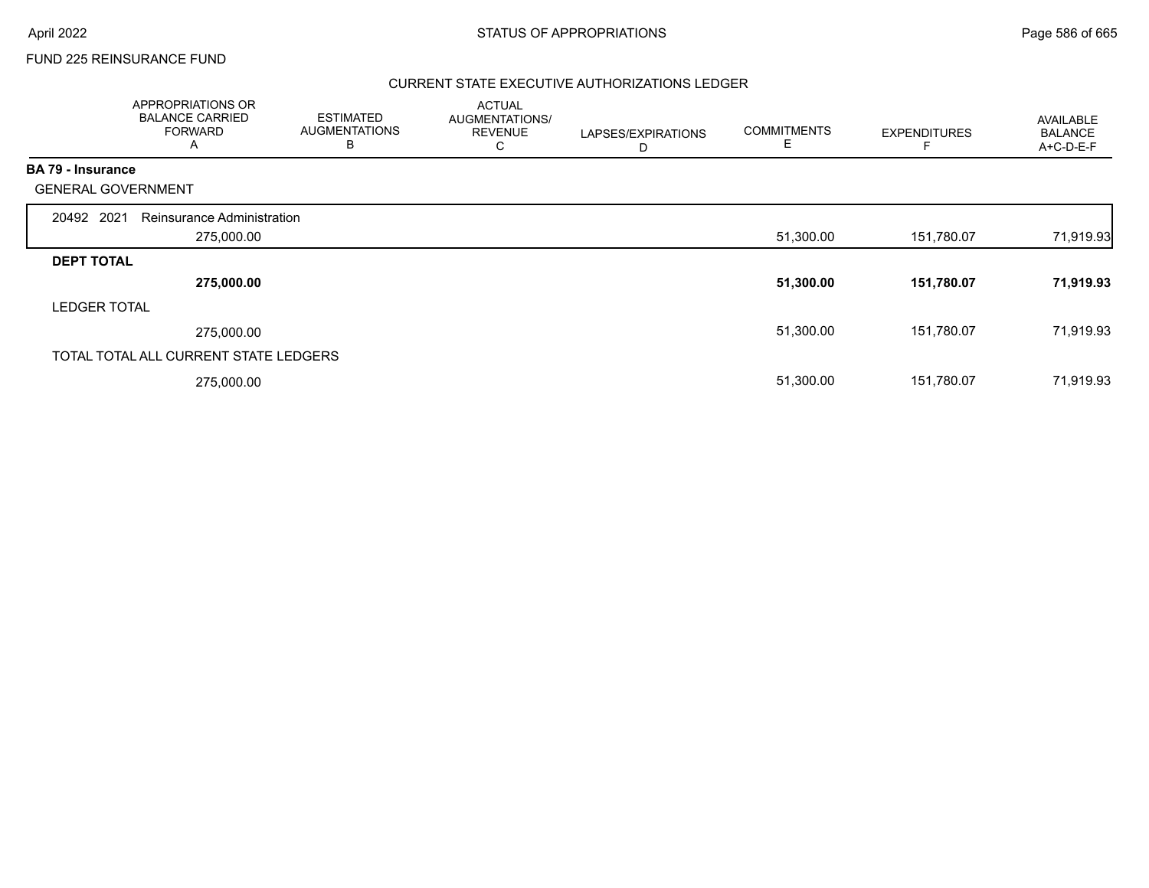## FUND 225 REINSURANCE FUND

## CURRENT STATE EXECUTIVE AUTHORIZATIONS LEDGER

|                          | APPROPRIATIONS OR<br><b>BALANCE CARRIED</b><br><b>FORWARD</b><br>A | <b>ESTIMATED</b><br><b>AUGMENTATIONS</b><br>B | <b>ACTUAL</b><br>AUGMENTATIONS/<br><b>REVENUE</b><br>С | LAPSES/EXPIRATIONS<br>D | <b>COMMITMENTS</b><br>E | <b>EXPENDITURES</b> | AVAILABLE<br><b>BALANCE</b><br>A+C-D-E-F |
|--------------------------|--------------------------------------------------------------------|-----------------------------------------------|--------------------------------------------------------|-------------------------|-------------------------|---------------------|------------------------------------------|
| <b>BA 79 - Insurance</b> |                                                                    |                                               |                                                        |                         |                         |                     |                                          |
|                          | <b>GENERAL GOVERNMENT</b>                                          |                                               |                                                        |                         |                         |                     |                                          |
| 20492 2021               | Reinsurance Administration                                         |                                               |                                                        |                         |                         |                     |                                          |
|                          | 275,000.00                                                         |                                               |                                                        |                         | 51,300.00               | 151,780.07          | 71,919.93                                |
| <b>DEPT TOTAL</b>        |                                                                    |                                               |                                                        |                         |                         |                     |                                          |
|                          | 275,000.00                                                         |                                               |                                                        |                         | 51,300.00               | 151,780.07          | 71,919.93                                |
| <b>LEDGER TOTAL</b>      |                                                                    |                                               |                                                        |                         |                         |                     |                                          |
|                          | 275,000.00                                                         |                                               |                                                        |                         | 51,300.00               | 151,780.07          | 71,919.93                                |
|                          | TOTAL TOTAL ALL CURRENT STATE LEDGERS                              |                                               |                                                        |                         |                         |                     |                                          |
|                          | 275,000.00                                                         |                                               |                                                        |                         | 51,300.00               | 151,780.07          | 71,919.93                                |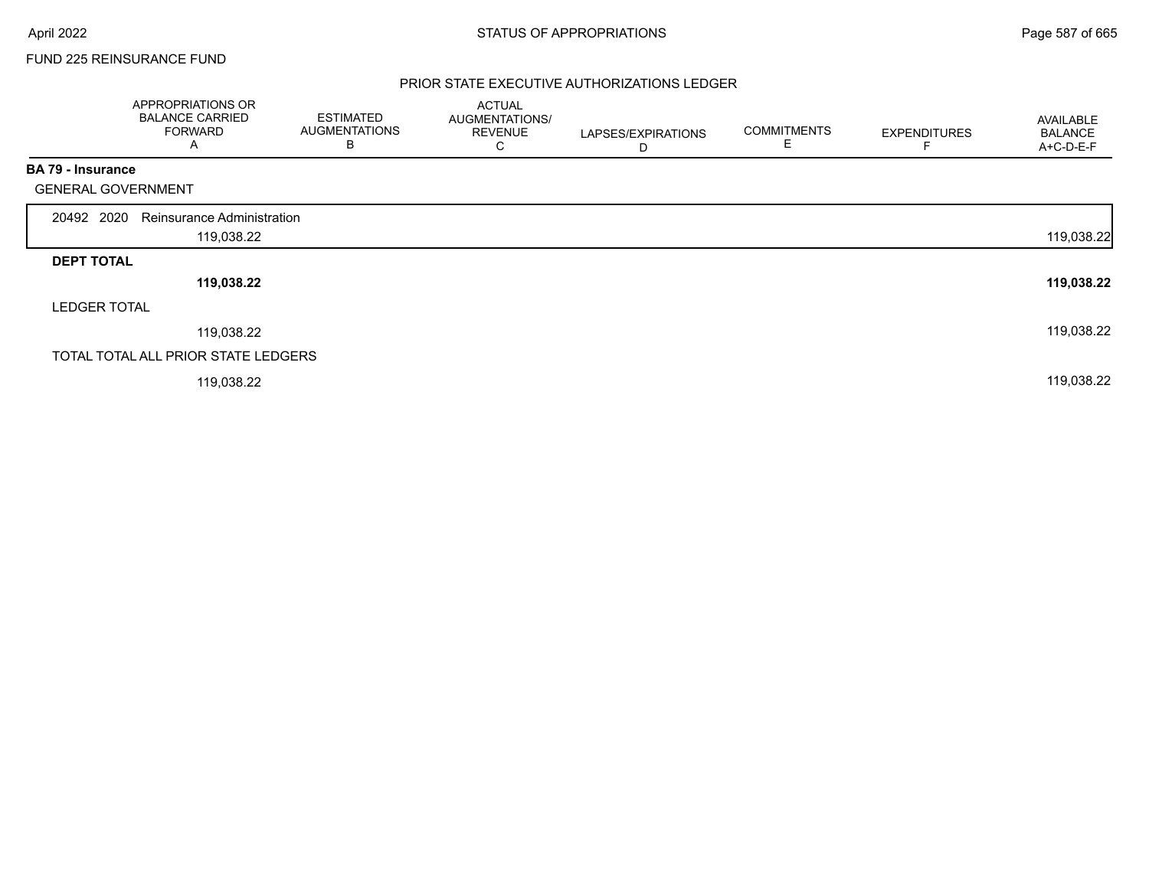## FUND 225 REINSURANCE FUND

## PRIOR STATE EXECUTIVE AUTHORIZATIONS LEDGER

|                           | APPROPRIATIONS OR<br><b>BALANCE CARRIED</b><br><b>FORWARD</b><br>A | <b>ESTIMATED</b><br><b>AUGMENTATIONS</b><br>B | <b>ACTUAL</b><br>AUGMENTATIONS/<br><b>REVENUE</b><br>C | LAPSES/EXPIRATIONS<br>D | <b>COMMITMENTS</b><br>Е | <b>EXPENDITURES</b> | AVAILABLE<br><b>BALANCE</b><br>A+C-D-E-F |
|---------------------------|--------------------------------------------------------------------|-----------------------------------------------|--------------------------------------------------------|-------------------------|-------------------------|---------------------|------------------------------------------|
| <b>BA 79 - Insurance</b>  |                                                                    |                                               |                                                        |                         |                         |                     |                                          |
| <b>GENERAL GOVERNMENT</b> |                                                                    |                                               |                                                        |                         |                         |                     |                                          |
| 20492 2020                | Reinsurance Administration                                         |                                               |                                                        |                         |                         |                     |                                          |
|                           | 119,038.22                                                         |                                               |                                                        |                         |                         |                     | 119,038.22                               |
| <b>DEPT TOTAL</b>         |                                                                    |                                               |                                                        |                         |                         |                     |                                          |
|                           | 119,038.22                                                         |                                               |                                                        |                         |                         |                     | 119,038.22                               |
| <b>LEDGER TOTAL</b>       |                                                                    |                                               |                                                        |                         |                         |                     |                                          |
|                           | 119,038.22                                                         |                                               |                                                        |                         |                         |                     | 119,038.22                               |
|                           | TOTAL TOTAL ALL PRIOR STATE LEDGERS                                |                                               |                                                        |                         |                         |                     |                                          |
|                           | 119,038.22                                                         |                                               |                                                        |                         |                         |                     | 119,038.22                               |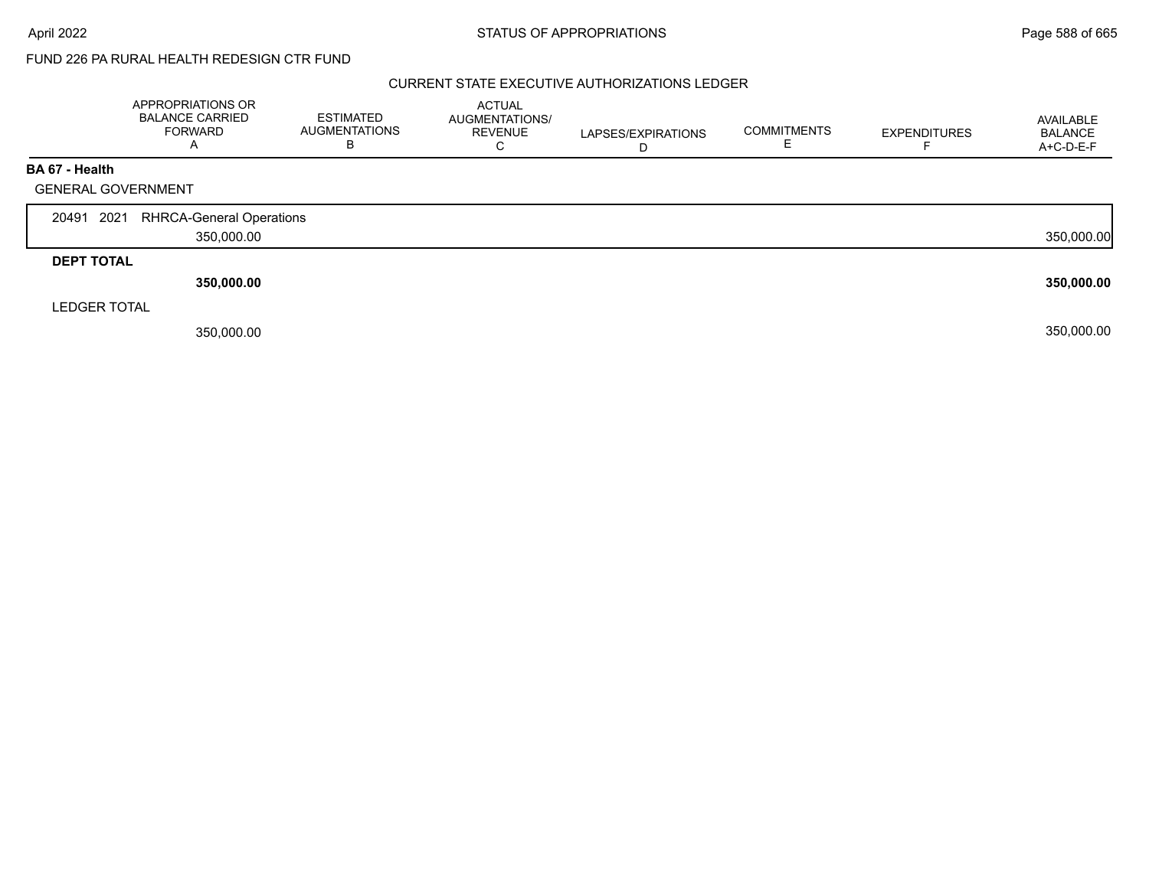#### CURRENT STATE EXECUTIVE AUTHORIZATIONS LEDGER

|                     | APPROPRIATIONS OR<br><b>BALANCE CARRIED</b><br><b>FORWARD</b><br>A | <b>ESTIMATED</b><br><b>AUGMENTATIONS</b><br>в | <b>ACTUAL</b><br>AUGMENTATIONS/<br><b>REVENUE</b><br>U | LAPSES/EXPIRATIONS | <b>COMMITMENTS</b> | <b>EXPENDITURES</b> | AVAILABLE<br><b>BALANCE</b><br>A+C-D-E-F |
|---------------------|--------------------------------------------------------------------|-----------------------------------------------|--------------------------------------------------------|--------------------|--------------------|---------------------|------------------------------------------|
| BA 67 - Health      |                                                                    |                                               |                                                        |                    |                    |                     |                                          |
|                     | <b>GENERAL GOVERNMENT</b>                                          |                                               |                                                        |                    |                    |                     |                                          |
| 20491 2021          | <b>RHRCA-General Operations</b>                                    |                                               |                                                        |                    |                    |                     |                                          |
|                     | 350,000.00                                                         |                                               |                                                        |                    |                    |                     | 350,000.00                               |
| <b>DEPT TOTAL</b>   |                                                                    |                                               |                                                        |                    |                    |                     |                                          |
|                     | 350,000.00                                                         |                                               |                                                        |                    |                    |                     | 350,000.00                               |
| <b>LEDGER TOTAL</b> |                                                                    |                                               |                                                        |                    |                    |                     |                                          |
|                     | 350,000.00                                                         |                                               |                                                        |                    |                    |                     | 350,000.00                               |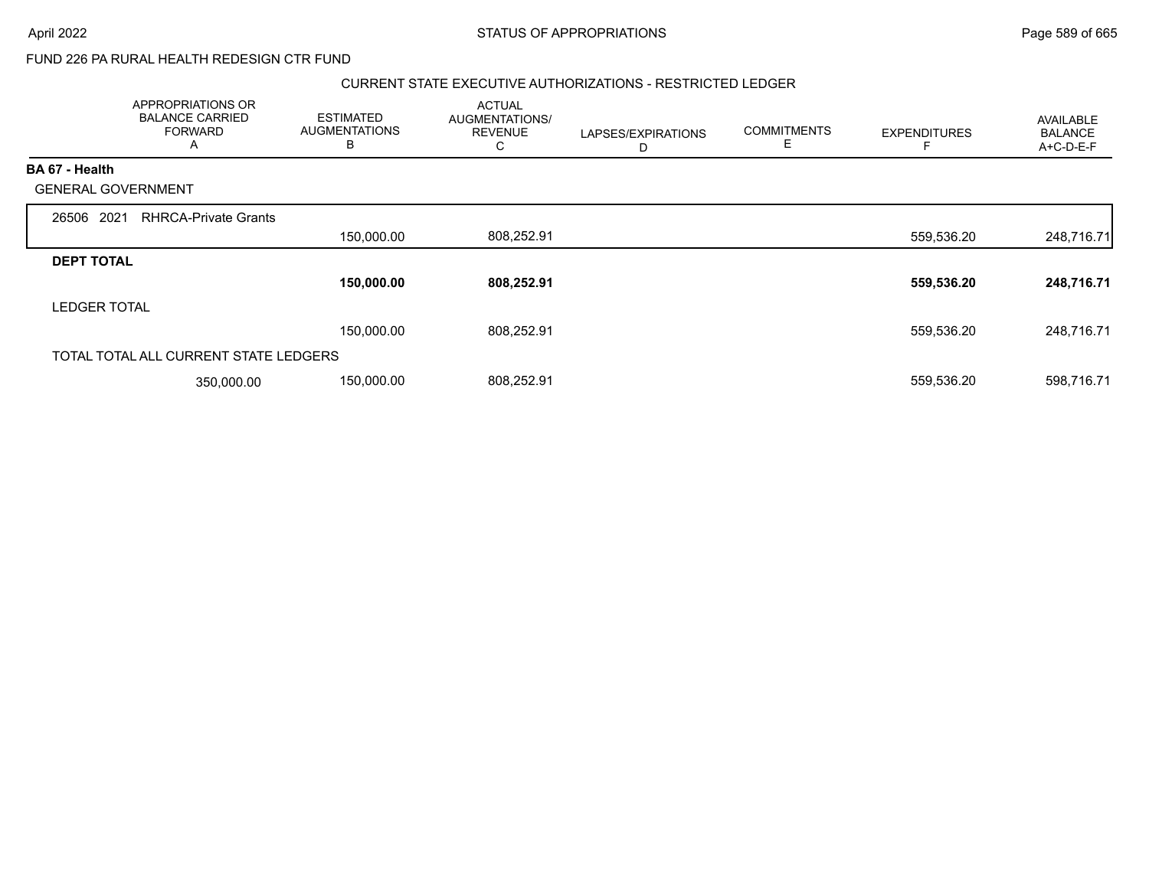### CURRENT STATE EXECUTIVE AUTHORIZATIONS - RESTRICTED LEDGER

|                           | APPROPRIATIONS OR<br><b>BALANCE CARRIED</b><br><b>FORWARD</b><br>A | <b>ESTIMATED</b><br><b>AUGMENTATIONS</b><br>B | <b>ACTUAL</b><br>AUGMENTATIONS/<br><b>REVENUE</b><br>С | LAPSES/EXPIRATIONS<br>D | <b>COMMITMENTS</b><br>ᄇ | <b>EXPENDITURES</b> | <b>AVAILABLE</b><br><b>BALANCE</b><br>A+C-D-E-F |
|---------------------------|--------------------------------------------------------------------|-----------------------------------------------|--------------------------------------------------------|-------------------------|-------------------------|---------------------|-------------------------------------------------|
| <b>BA 67 - Health</b>     |                                                                    |                                               |                                                        |                         |                         |                     |                                                 |
| <b>GENERAL GOVERNMENT</b> |                                                                    |                                               |                                                        |                         |                         |                     |                                                 |
| 26506 2021                | <b>RHRCA-Private Grants</b>                                        |                                               |                                                        |                         |                         |                     |                                                 |
|                           |                                                                    | 150,000.00                                    | 808,252.91                                             |                         |                         | 559,536.20          | 248,716.71                                      |
| <b>DEPT TOTAL</b>         |                                                                    |                                               |                                                        |                         |                         |                     |                                                 |
|                           |                                                                    | 150,000.00                                    | 808,252.91                                             |                         |                         | 559,536.20          | 248,716.71                                      |
| <b>LEDGER TOTAL</b>       |                                                                    |                                               |                                                        |                         |                         |                     |                                                 |
|                           |                                                                    | 150,000.00                                    | 808,252.91                                             |                         |                         | 559,536.20          | 248,716.71                                      |
|                           | TOTAL TOTAL ALL CURRENT STATE LEDGERS                              |                                               |                                                        |                         |                         |                     |                                                 |
|                           | 350.000.00                                                         | 150,000.00                                    | 808,252.91                                             |                         |                         | 559,536.20          | 598,716.71                                      |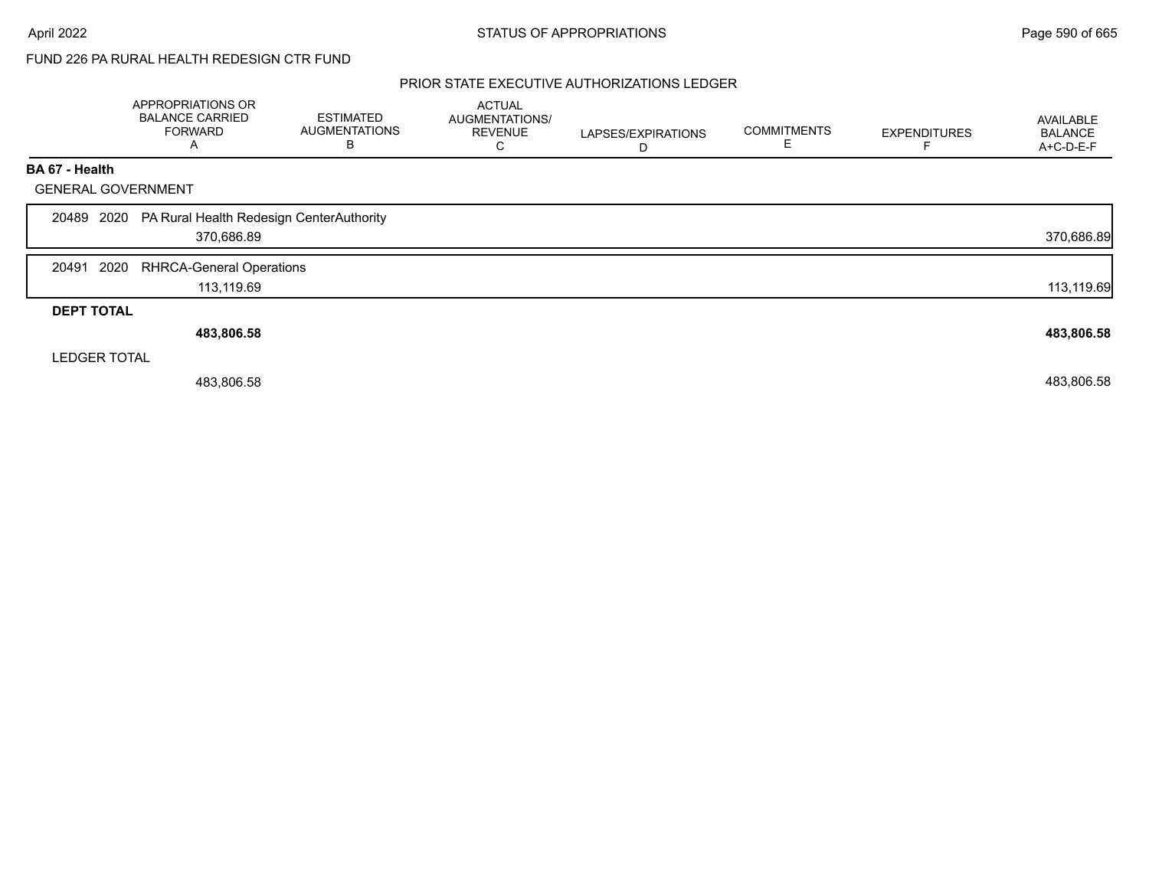## PRIOR STATE EXECUTIVE AUTHORIZATIONS LEDGER

|                           | APPROPRIATIONS OR<br><b>BALANCE CARRIED</b><br><b>FORWARD</b><br>A | <b>ESTIMATED</b><br><b>AUGMENTATIONS</b><br>В | <b>ACTUAL</b><br>AUGMENTATIONS/<br><b>REVENUE</b><br>C | LAPSES/EXPIRATIONS<br>D | <b>COMMITMENTS</b> | <b>EXPENDITURES</b> | AVAILABLE<br><b>BALANCE</b><br>A+C-D-E-F |
|---------------------------|--------------------------------------------------------------------|-----------------------------------------------|--------------------------------------------------------|-------------------------|--------------------|---------------------|------------------------------------------|
| BA 67 - Health            |                                                                    |                                               |                                                        |                         |                    |                     |                                          |
| <b>GENERAL GOVERNMENT</b> |                                                                    |                                               |                                                        |                         |                    |                     |                                          |
|                           | 20489 2020 PA Rural Health Redesign CenterAuthority<br>370,686.89  |                                               |                                                        |                         |                    |                     | 370,686.89                               |
| 2020<br>20491             | <b>RHRCA-General Operations</b><br>113,119.69                      |                                               |                                                        |                         |                    |                     | 113,119.69                               |
| <b>DEPT TOTAL</b>         |                                                                    |                                               |                                                        |                         |                    |                     |                                          |
|                           | 483,806.58                                                         |                                               |                                                        |                         |                    |                     | 483,806.58                               |
| <b>LEDGER TOTAL</b>       |                                                                    |                                               |                                                        |                         |                    |                     |                                          |
|                           | 483,806.58                                                         |                                               |                                                        |                         |                    |                     | 483,806.58                               |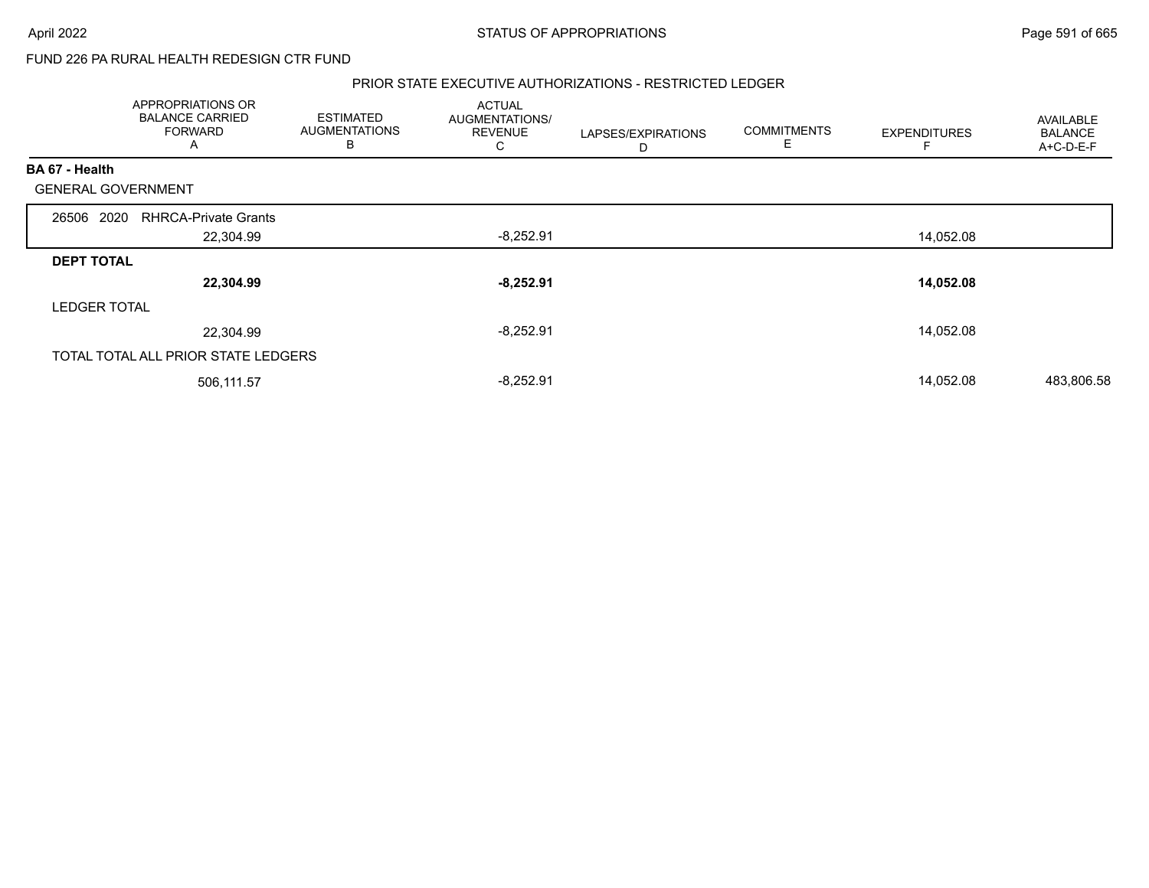#### PRIOR STATE EXECUTIVE AUTHORIZATIONS - RESTRICTED LEDGER

|                           | APPROPRIATIONS OR<br><b>BALANCE CARRIED</b><br><b>FORWARD</b><br>A | <b>ESTIMATED</b><br><b>AUGMENTATIONS</b><br>B | <b>ACTUAL</b><br>AUGMENTATIONS/<br><b>REVENUE</b><br>C | LAPSES/EXPIRATIONS<br>D | <b>COMMITMENTS</b><br>Ε | <b>EXPENDITURES</b> | <b>AVAILABLE</b><br><b>BALANCE</b><br>A+C-D-E-F |
|---------------------------|--------------------------------------------------------------------|-----------------------------------------------|--------------------------------------------------------|-------------------------|-------------------------|---------------------|-------------------------------------------------|
| BA 67 - Health            |                                                                    |                                               |                                                        |                         |                         |                     |                                                 |
| <b>GENERAL GOVERNMENT</b> |                                                                    |                                               |                                                        |                         |                         |                     |                                                 |
| 26506 2020                | <b>RHRCA-Private Grants</b>                                        |                                               |                                                        |                         |                         |                     |                                                 |
|                           | 22,304.99                                                          |                                               | $-8,252.91$                                            |                         |                         | 14,052.08           |                                                 |
| <b>DEPT TOTAL</b>         |                                                                    |                                               |                                                        |                         |                         |                     |                                                 |
|                           | 22,304.99                                                          |                                               | $-8,252.91$                                            |                         |                         | 14,052.08           |                                                 |
| <b>LEDGER TOTAL</b>       |                                                                    |                                               |                                                        |                         |                         |                     |                                                 |
|                           | 22,304.99                                                          |                                               | $-8,252.91$                                            |                         |                         | 14,052.08           |                                                 |
|                           | TOTAL TOTAL ALL PRIOR STATE LEDGERS                                |                                               |                                                        |                         |                         |                     |                                                 |
|                           | 506,111.57                                                         |                                               | $-8,252.91$                                            |                         |                         | 14,052.08           | 483,806.58                                      |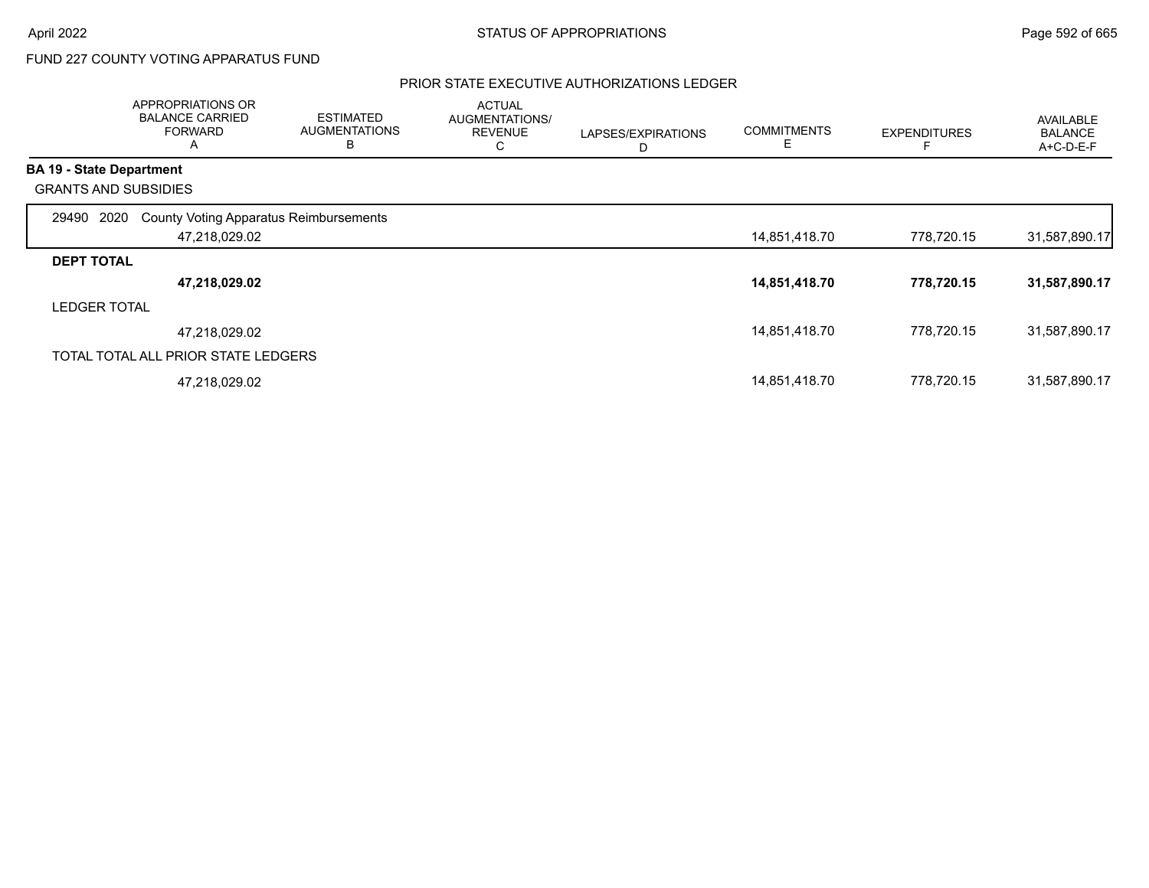# FUND 227 COUNTY VOTING APPARATUS FUND

## PRIOR STATE EXECUTIVE AUTHORIZATIONS LEDGER

|                     | APPROPRIATIONS OR<br><b>BALANCE CARRIED</b><br><b>FORWARD</b><br>A | <b>ESTIMATED</b><br><b>AUGMENTATIONS</b><br>B | <b>ACTUAL</b><br>AUGMENTATIONS/<br><b>REVENUE</b><br>С | LAPSES/EXPIRATIONS<br>D | <b>COMMITMENTS</b><br>E | <b>EXPENDITURES</b> | AVAILABLE<br><b>BALANCE</b><br>A+C-D-E-F |
|---------------------|--------------------------------------------------------------------|-----------------------------------------------|--------------------------------------------------------|-------------------------|-------------------------|---------------------|------------------------------------------|
|                     | <b>BA 19 - State Department</b>                                    |                                               |                                                        |                         |                         |                     |                                          |
|                     | <b>GRANTS AND SUBSIDIES</b>                                        |                                               |                                                        |                         |                         |                     |                                          |
| 29490 2020          | <b>County Voting Apparatus Reimbursements</b>                      |                                               |                                                        |                         |                         |                     |                                          |
|                     | 47,218,029.02                                                      |                                               |                                                        |                         | 14,851,418.70           | 778,720.15          | 31,587,890.17                            |
| <b>DEPT TOTAL</b>   |                                                                    |                                               |                                                        |                         |                         |                     |                                          |
|                     | 47,218,029.02                                                      |                                               |                                                        |                         | 14,851,418.70           | 778,720.15          | 31,587,890.17                            |
| <b>LEDGER TOTAL</b> |                                                                    |                                               |                                                        |                         |                         |                     |                                          |
|                     | 47,218,029.02                                                      |                                               |                                                        |                         | 14,851,418.70           | 778,720.15          | 31,587,890.17                            |
|                     | TOTAL TOTAL ALL PRIOR STATE LEDGERS                                |                                               |                                                        |                         |                         |                     |                                          |
|                     | 47,218,029.02                                                      |                                               |                                                        |                         | 14,851,418.70           | 778,720.15          | 31,587,890.17                            |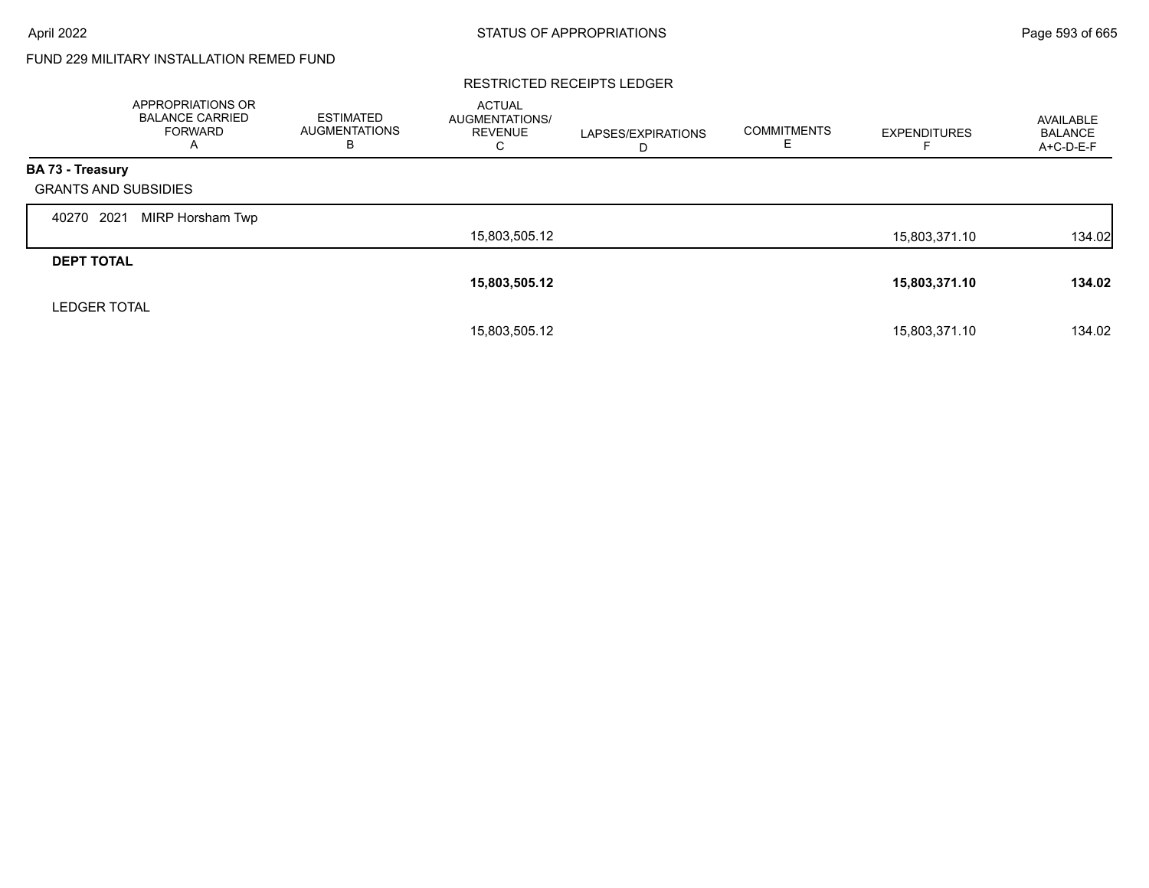# FUND 229 MILITARY INSTALLATION REMED FUND

#### RESTRICTED RECEIPTS LEDGER

|                             | <b>APPROPRIATIONS OR</b><br><b>BALANCE CARRIED</b><br>FORWARD<br>A | <b>ESTIMATED</b><br><b>AUGMENTATIONS</b><br>в | <b>ACTUAL</b><br>AUGMENTATIONS/<br><b>REVENUE</b><br>С | LAPSES/EXPIRATIONS<br>D | <b>COMMITMENTS</b> | <b>EXPENDITURES</b> | AVAILABLE<br><b>BALANCE</b><br>A+C-D-E-F |
|-----------------------------|--------------------------------------------------------------------|-----------------------------------------------|--------------------------------------------------------|-------------------------|--------------------|---------------------|------------------------------------------|
| <b>BA 73 - Treasury</b>     |                                                                    |                                               |                                                        |                         |                    |                     |                                          |
| <b>GRANTS AND SUBSIDIES</b> |                                                                    |                                               |                                                        |                         |                    |                     |                                          |
| 2021<br>40270               | MIRP Horsham Twp                                                   |                                               |                                                        |                         |                    |                     |                                          |
|                             |                                                                    |                                               | 15,803,505.12                                          |                         |                    | 15,803,371.10       | 134.02                                   |
| <b>DEPT TOTAL</b>           |                                                                    |                                               |                                                        |                         |                    |                     |                                          |
|                             |                                                                    |                                               | 15,803,505.12                                          |                         |                    | 15,803,371.10       | 134.02                                   |
| <b>LEDGER TOTAL</b>         |                                                                    |                                               |                                                        |                         |                    |                     |                                          |
|                             |                                                                    |                                               | 15,803,505.12                                          |                         |                    | 15.803.371.10       | 134.02                                   |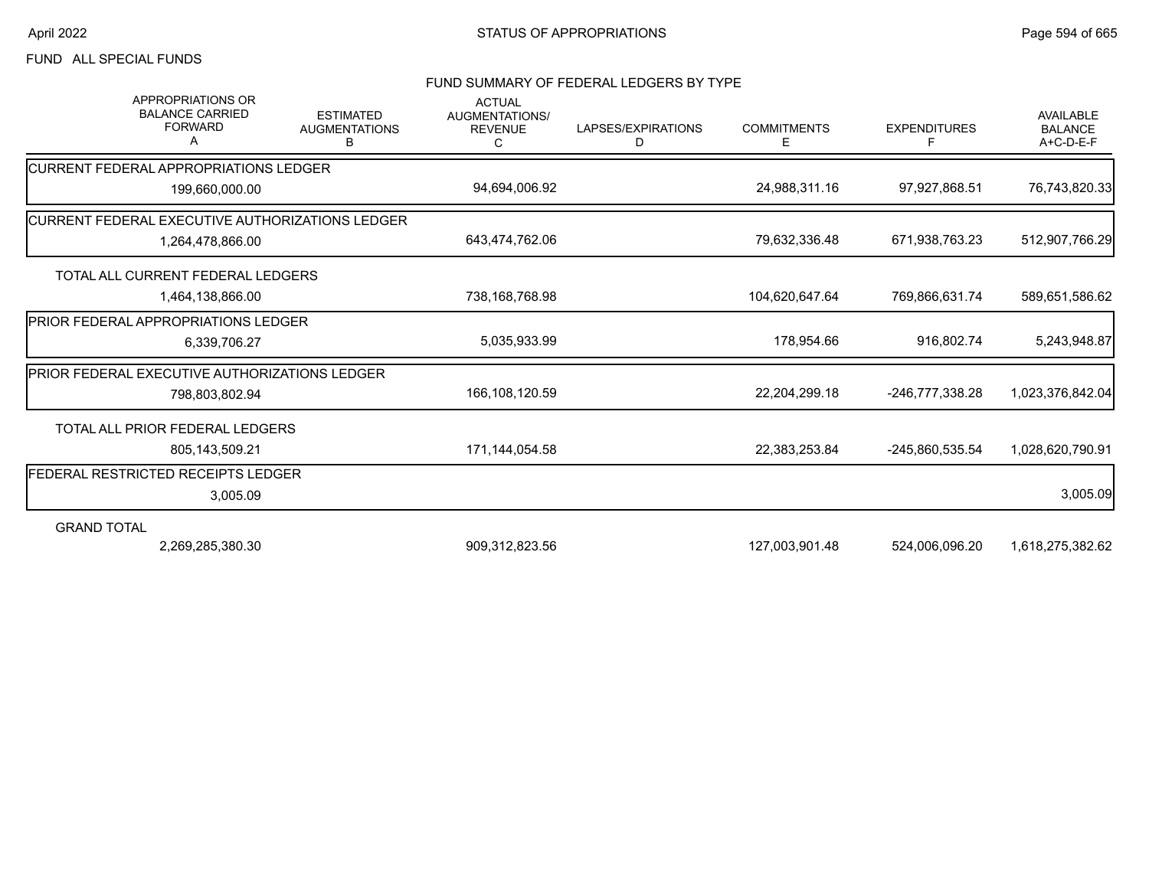## FUND ALL SPECIAL FUNDS

#### FUND SUMMARY OF FEDERAL LEDGERS BY TYPE

| <b>APPROPRIATIONS OR</b><br><b>BALANCE CARRIED</b><br><b>FORWARD</b><br>A | <b>ESTIMATED</b><br><b>AUGMENTATIONS</b><br>в | <b>ACTUAL</b><br>AUGMENTATIONS/<br><b>REVENUE</b><br>C | LAPSES/EXPIRATIONS<br>D | <b>COMMITMENTS</b><br>Е | <b>EXPENDITURES</b><br>Е | <b>AVAILABLE</b><br><b>BALANCE</b><br>A+C-D-E-F |
|---------------------------------------------------------------------------|-----------------------------------------------|--------------------------------------------------------|-------------------------|-------------------------|--------------------------|-------------------------------------------------|
| <b>CURRENT FEDERAL APPROPRIATIONS LEDGER</b>                              |                                               |                                                        |                         |                         |                          |                                                 |
| 199,660,000.00                                                            |                                               | 94,694,006.92                                          |                         | 24,988,311.16           | 97,927,868.51            | 76,743,820.33                                   |
| CURRENT FEDERAL EXECUTIVE AUTHORIZATIONS LEDGER                           |                                               |                                                        |                         |                         |                          |                                                 |
| 1,264,478,866.00                                                          |                                               | 643,474,762.06                                         |                         | 79,632,336.48           | 671,938,763.23           | 512,907,766.29                                  |
| TOTAL ALL CURRENT FEDERAL LEDGERS                                         |                                               |                                                        |                         |                         |                          |                                                 |
| 1,464,138,866.00                                                          |                                               | 738,168,768.98                                         |                         | 104,620,647.64          | 769,866,631.74           | 589,651,586.62                                  |
| <b>IPRIOR FEDERAL APPROPRIATIONS LEDGER</b>                               |                                               |                                                        |                         |                         |                          |                                                 |
| 6,339,706.27                                                              |                                               | 5,035,933.99                                           |                         | 178,954.66              | 916,802.74               | 5,243,948.87                                    |
| PRIOR FEDERAL EXECUTIVE AUTHORIZATIONS LEDGER                             |                                               |                                                        |                         |                         |                          |                                                 |
| 798,803,802.94                                                            |                                               | 166,108,120.59                                         |                         | 22,204,299.18           | -246,777,338.28          | 1,023,376,842.04                                |
| TOTAL ALL PRIOR FEDERAL LEDGERS                                           |                                               |                                                        |                         |                         |                          |                                                 |
| 805,143,509.21                                                            |                                               | 171,144,054.58                                         |                         | 22,383,253.84           | -245,860,535.54          | 1,028,620,790.91                                |
| FEDERAL RESTRICTED RECEIPTS LEDGER                                        |                                               |                                                        |                         |                         |                          |                                                 |
| 3,005.09                                                                  |                                               |                                                        |                         |                         |                          | 3,005.09                                        |
| <b>GRAND TOTAL</b>                                                        |                                               |                                                        |                         |                         |                          |                                                 |
| 2,269,285,380.30                                                          |                                               | 909,312,823.56                                         |                         | 127,003,901.48          | 524,006,096.20           | 1,618,275,382.62                                |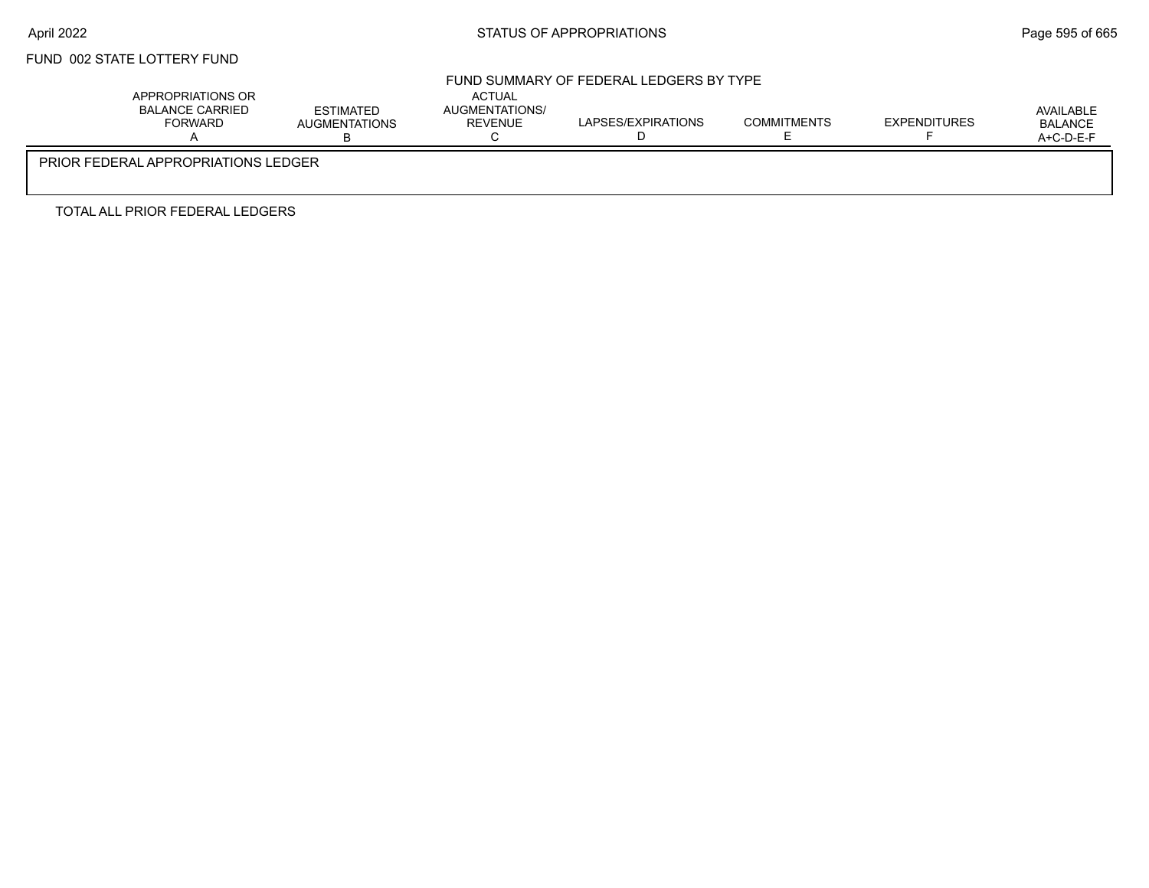# FUND 002 STATE LOTTERY FUND

#### FUND SUMMARY OF FEDERAL LEDGERS BY TYPE

| APPROPRIATIONS OR<br>BALANCE CARRIED<br><b>FORWARD</b> | <b>ESTIMATED</b><br><b>AUGMENTATIONS</b> | <b>ACTUAL</b><br>AUGMENTATIONS/<br><b>REVENUE</b> | LAPSES/EXPIRATIONS | <b>COMMITMENTS</b> | <b>EXPENDITURES</b> | AVAILABLE<br><b>BALANCE</b><br>$A+C-D-E-F$ |
|--------------------------------------------------------|------------------------------------------|---------------------------------------------------|--------------------|--------------------|---------------------|--------------------------------------------|
| PRIOR FEDERAL APPROPRIATIONS LEDGER                    |                                          |                                                   |                    |                    |                     |                                            |

TOTAL ALL PRIOR FEDERAL LEDGERS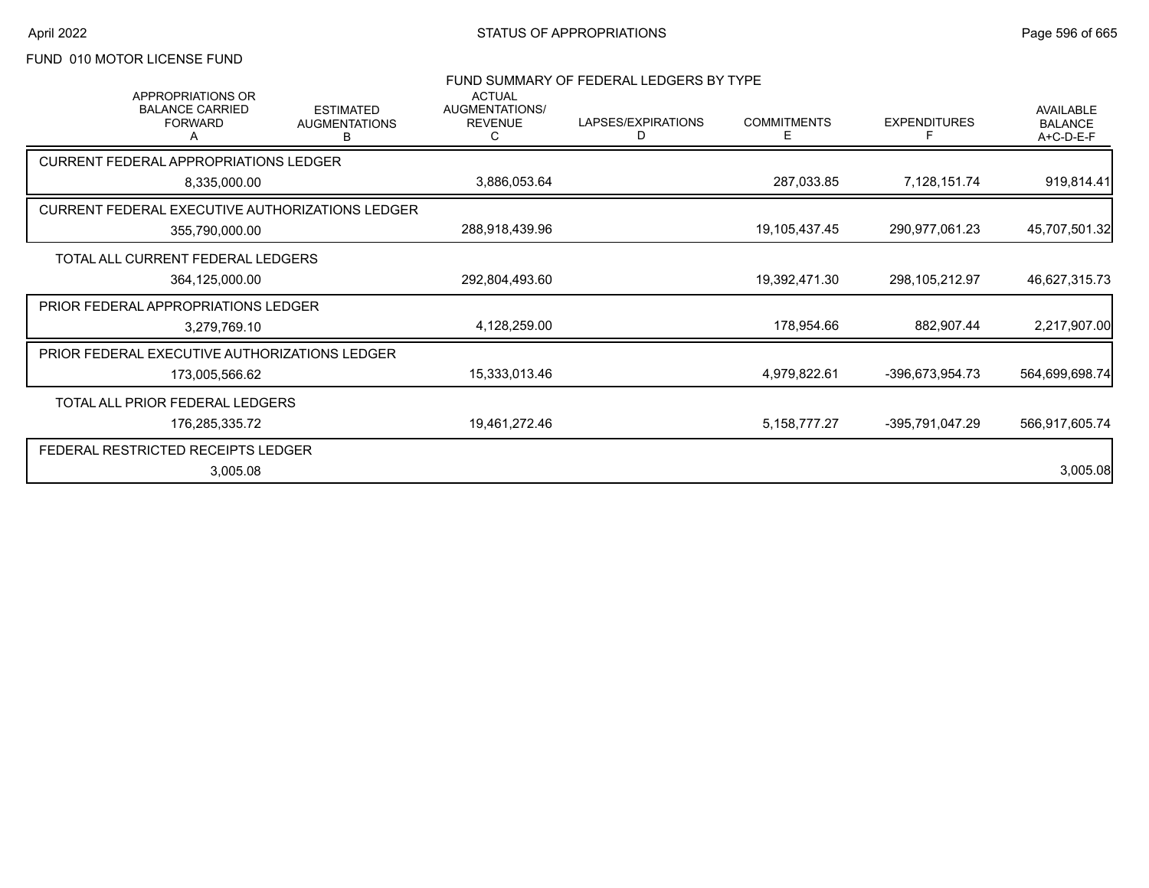# FUND 010 MOTOR LICENSE FUND

| <b>APPROPRIATIONS OR</b>                        |                                               | <b>ACTUAL</b>                    | FUND SUMMARY OF FEDERAL LEDGERS BY TYPE |                         |                     |                                                 |
|-------------------------------------------------|-----------------------------------------------|----------------------------------|-----------------------------------------|-------------------------|---------------------|-------------------------------------------------|
| <b>BALANCE CARRIED</b><br><b>FORWARD</b>        | <b>ESTIMATED</b><br><b>AUGMENTATIONS</b><br>В | AUGMENTATIONS/<br><b>REVENUE</b> | LAPSES/EXPIRATIONS<br>D                 | <b>COMMITMENTS</b><br>Е | <b>EXPENDITURES</b> | <b>AVAILABLE</b><br><b>BALANCE</b><br>A+C-D-E-F |
| <b>CURRENT FEDERAL APPROPRIATIONS LEDGER</b>    |                                               |                                  |                                         |                         |                     |                                                 |
| 8,335,000.00                                    |                                               | 3,886,053.64                     |                                         | 287,033.85              | 7,128,151.74        | 919,814.41                                      |
| CURRENT FEDERAL EXECUTIVE AUTHORIZATIONS LEDGER |                                               |                                  |                                         |                         |                     |                                                 |
| 355,790,000.00                                  |                                               | 288,918,439.96                   |                                         | 19,105,437.45           | 290,977,061.23      | 45,707,501.32                                   |
| TOTAL ALL CURRENT FEDERAL LEDGERS               |                                               |                                  |                                         |                         |                     |                                                 |
| 364,125,000.00                                  |                                               | 292,804,493.60                   |                                         | 19,392,471.30           | 298,105,212.97      | 46,627,315.73                                   |
| PRIOR FEDERAL APPROPRIATIONS LEDGER             |                                               |                                  |                                         |                         |                     |                                                 |
| 3,279,769.10                                    |                                               | 4,128,259.00                     |                                         | 178,954.66              | 882,907.44          | 2,217,907.00                                    |
| PRIOR FEDERAL EXECUTIVE AUTHORIZATIONS LEDGER   |                                               |                                  |                                         |                         |                     |                                                 |
| 173,005,566.62                                  |                                               | 15,333,013.46                    |                                         | 4,979,822.61            | -396,673,954.73     | 564,699,698.74                                  |
| TOTAL ALL PRIOR FEDERAL LEDGERS                 |                                               |                                  |                                         |                         |                     |                                                 |
| 176,285,335.72                                  |                                               | 19,461,272.46                    |                                         | 5, 158, 777. 27         | -395,791,047.29     | 566,917,605.74                                  |
| FEDERAL RESTRICTED RECEIPTS LEDGER              |                                               |                                  |                                         |                         |                     |                                                 |
| 3,005.08                                        |                                               |                                  |                                         |                         |                     | 3,005.08                                        |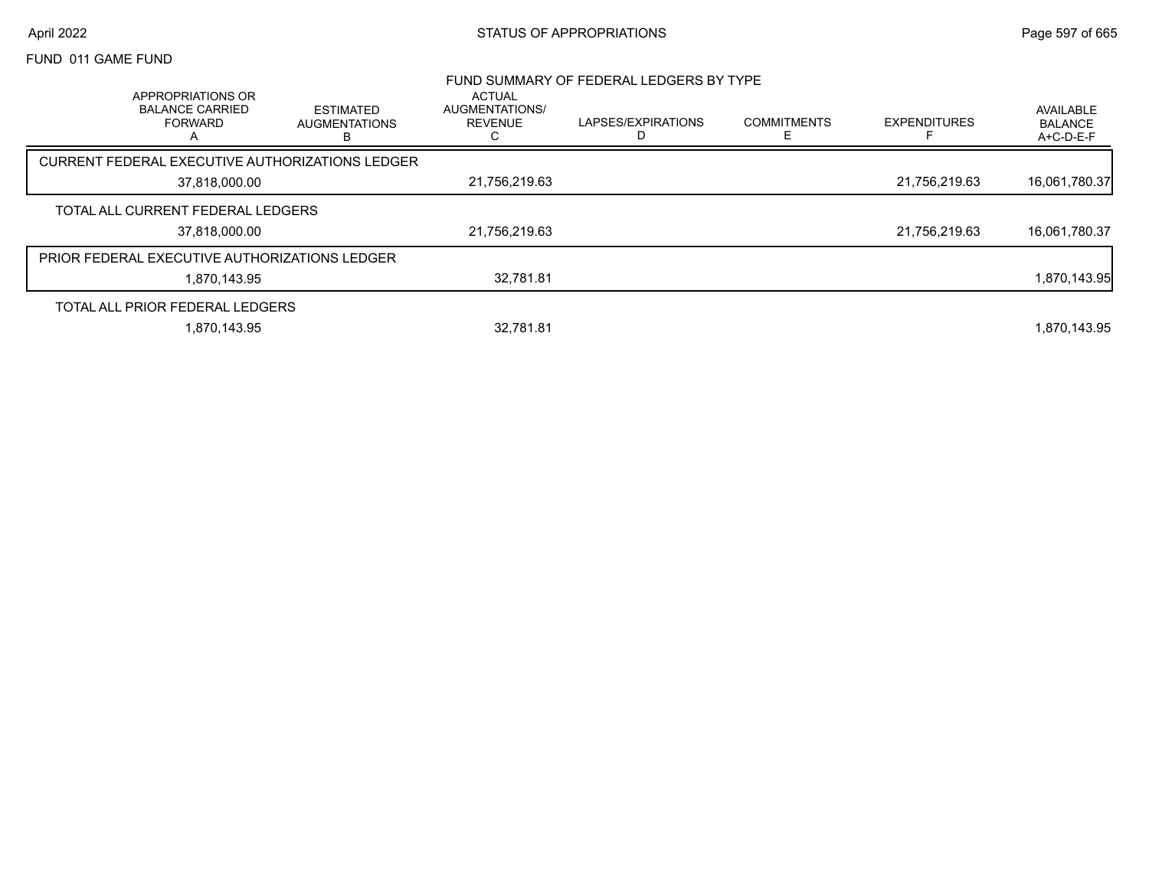## April 2022 **STATUS OF APPROPRIATIONS** STATUS OF APPROPRIATIONS

## FUND 011 GAME FUND

|                                                                    |                                        |                                                        | FUND SUMMARY OF FEDERAL LEDGERS BY TYPE |                    |                     |                                   |
|--------------------------------------------------------------------|----------------------------------------|--------------------------------------------------------|-----------------------------------------|--------------------|---------------------|-----------------------------------|
| APPROPRIATIONS OR<br><b>BALANCE CARRIED</b><br><b>FORWARD</b><br>A | ESTIMATED<br><b>AUGMENTATIONS</b><br>в | <b>ACTUAL</b><br>AUGMENTATIONS/<br><b>REVENUE</b><br>U | LAPSES/EXPIRATIONS                      | <b>COMMITMENTS</b> | <b>EXPENDITURES</b> | AVAILABLE<br>BALANCE<br>A+C-D-E-F |
| CURRENT FEDERAL EXECUTIVE AUTHORIZATIONS LEDGER                    |                                        |                                                        |                                         |                    |                     |                                   |
| 37,818,000.00                                                      |                                        | 21.756.219.63                                          |                                         |                    | 21,756,219.63       | 16,061,780.37                     |
| TOTAL ALL CURRENT FEDERAL LEDGERS                                  |                                        |                                                        |                                         |                    |                     |                                   |
| 37.818.000.00                                                      |                                        | 21,756,219.63                                          |                                         |                    | 21.756.219.63       | 16,061,780.37                     |
| <b>PRIOR FEDERAL EXECUTIVE AUTHORIZATIONS LEDGER</b>               |                                        |                                                        |                                         |                    |                     |                                   |
| 1.870.143.95                                                       |                                        | 32.781.81                                              |                                         |                    |                     | 1,870,143.95                      |
| TOTAL ALL PRIOR FEDERAL LEDGERS                                    |                                        |                                                        |                                         |                    |                     |                                   |
| 1.870.143.95                                                       |                                        | 32.781.81                                              |                                         |                    |                     | 1.870.143.95                      |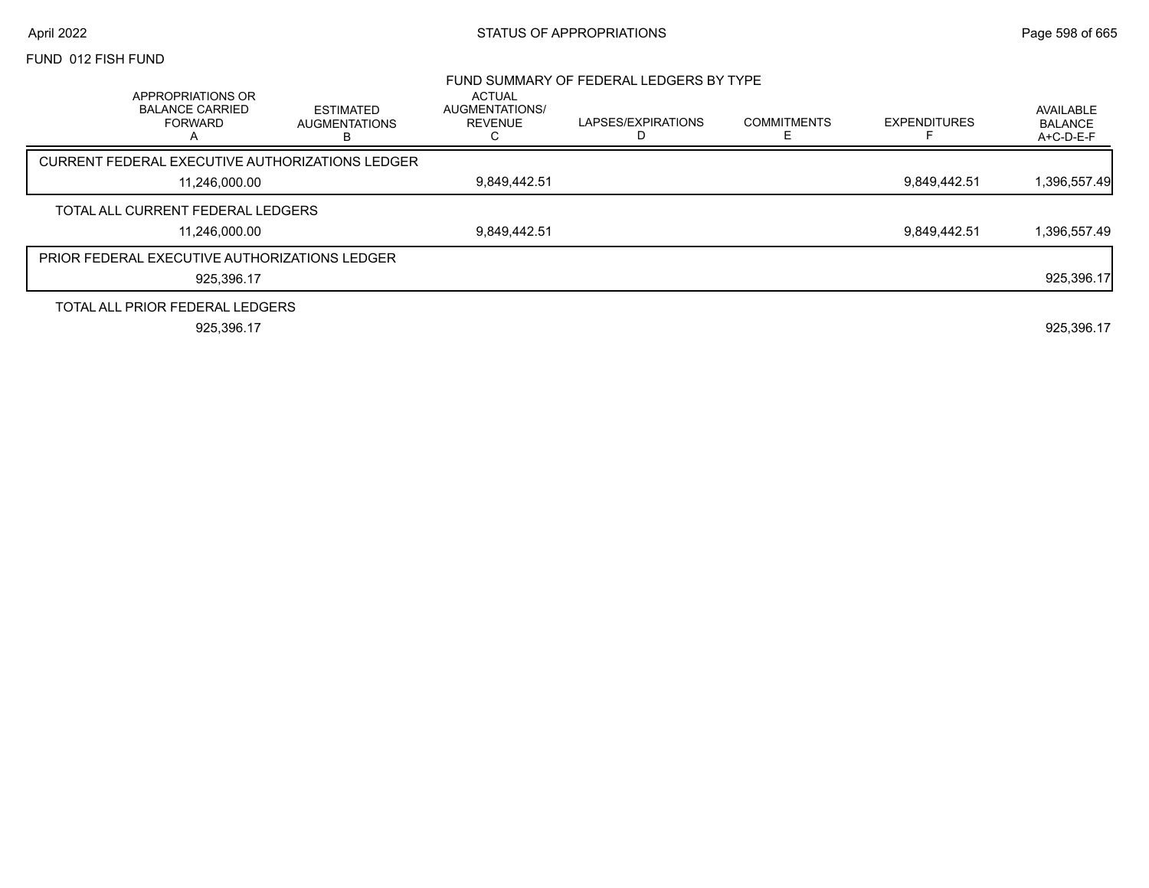# April 2022 **STATUS OF APPROPRIATIONS** STATUS OF APPROPRIATIONS

### FUND 012 FISH FUND

|                                                                               |                                               |                                                        | FUND SUMMARY OF FEDERAL LEDGERS BY TYPE |                    |                     |                                          |
|-------------------------------------------------------------------------------|-----------------------------------------------|--------------------------------------------------------|-----------------------------------------|--------------------|---------------------|------------------------------------------|
| APPROPRIATIONS OR<br><b>BALANCE CARRIED</b><br><b>FORWARD</b><br>$\mathsf{A}$ | <b>ESTIMATED</b><br><b>AUGMENTATIONS</b><br>в | <b>ACTUAL</b><br>AUGMENTATIONS/<br><b>REVENUE</b><br>U | LAPSES/EXPIRATIONS                      | <b>COMMITMENTS</b> | <b>EXPENDITURES</b> | AVAILABLE<br><b>BALANCE</b><br>A+C-D-E-F |
| CURRENT FEDERAL EXECUTIVE AUTHORIZATIONS LEDGER                               |                                               |                                                        |                                         |                    |                     |                                          |
| 11,246,000.00                                                                 |                                               | 9,849,442.51                                           |                                         |                    | 9,849,442.51        | 1,396,557.49                             |
| TOTAL ALL CURRENT FEDERAL LEDGERS                                             |                                               |                                                        |                                         |                    |                     |                                          |
| 11.246.000.00                                                                 |                                               | 9,849,442.51                                           |                                         |                    | 9.849.442.51        | 1,396,557.49                             |
| PRIOR FEDERAL EXECUTIVE AUTHORIZATIONS LEDGER                                 |                                               |                                                        |                                         |                    |                     |                                          |
| 925.396.17                                                                    |                                               |                                                        |                                         |                    |                     | 925,396.17                               |
| TOTAL ALL PRIOR FEDERAL LEDGERS                                               |                                               |                                                        |                                         |                    |                     |                                          |
| 925.396.17                                                                    |                                               |                                                        |                                         |                    |                     | 925.396.17                               |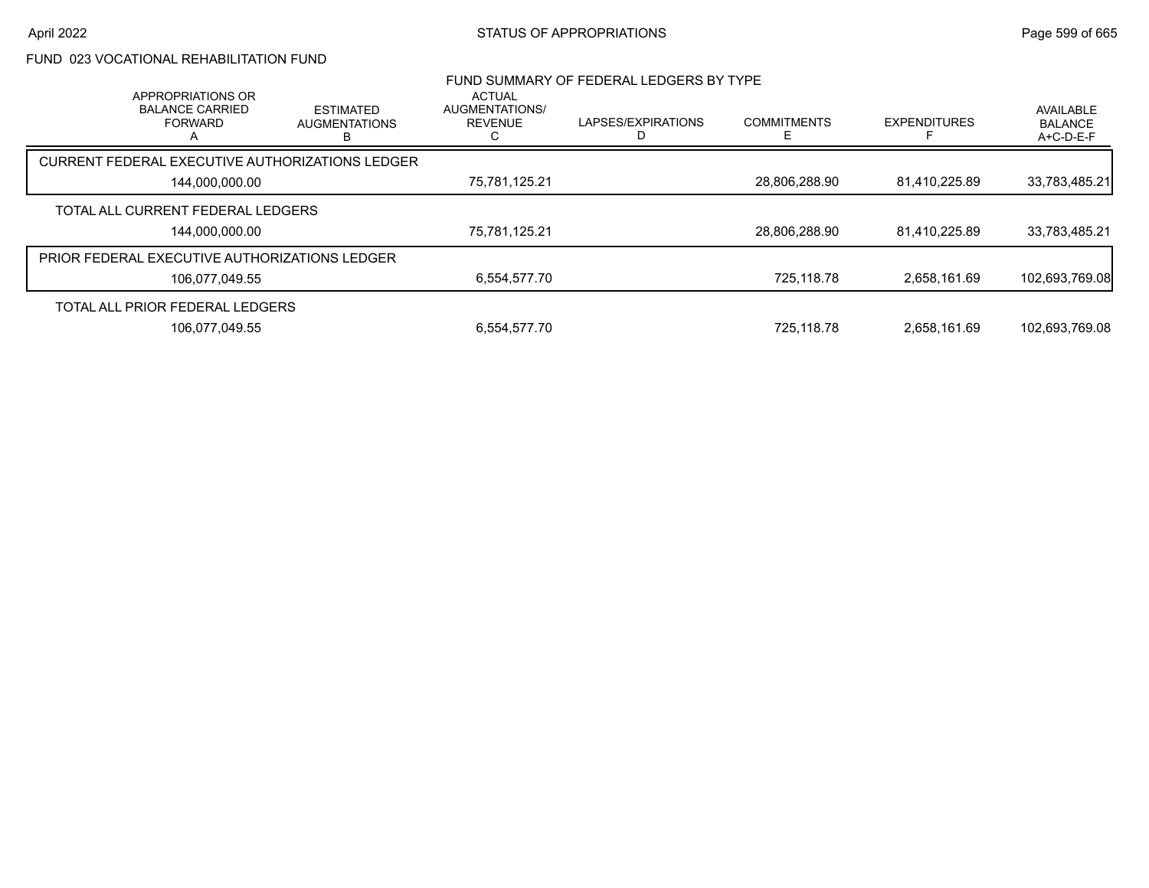# FUND 023 VOCATIONAL REHABILITATION FUND

| APPROPRIATIONS OR<br><b>BALANCE CARRIED</b><br><b>FORWARD</b> | <b>ESTIMATED</b><br><b>AUGMENTATIONS</b> | <b>ACTUAL</b><br>AUGMENTATIONS/<br><b>REVENUE</b> | FUND SUMMARY OF FEDERAL LEDGERS BY TYPE<br>LAPSES/EXPIRATIONS | <b>COMMITMENTS</b> | <b>EXPENDITURES</b> | AVAILABLE<br><b>BALANCE</b> |
|---------------------------------------------------------------|------------------------------------------|---------------------------------------------------|---------------------------------------------------------------|--------------------|---------------------|-----------------------------|
|                                                               | в                                        |                                                   |                                                               | F                  |                     | A+C-D-E-F                   |
| CURRENT FEDERAL EXECUTIVE AUTHORIZATIONS LEDGER               |                                          |                                                   |                                                               |                    |                     |                             |
| 144,000,000.00                                                |                                          | 75,781,125.21                                     |                                                               | 28,806,288.90      | 81,410,225.89       | 33,783,485.21               |
| TOTAL ALL CURRENT FEDERAL LEDGERS                             |                                          |                                                   |                                                               |                    |                     |                             |
| 144,000,000.00                                                |                                          | 75,781,125.21                                     |                                                               | 28,806,288.90      | 81,410,225.89       | 33,783,485.21               |
| <b>PRIOR FEDERAL EXECUTIVE AUTHORIZATIONS LEDGER</b>          |                                          |                                                   |                                                               |                    |                     |                             |
| 106,077,049.55                                                |                                          | 6.554.577.70                                      |                                                               | 725.118.78         | 2.658.161.69        | 102,693,769.08              |
| TOTAL ALL PRIOR FEDERAL LEDGERS                               |                                          |                                                   |                                                               |                    |                     |                             |
| 106.077.049.55                                                |                                          | 6.554.577.70                                      |                                                               | 725.118.78         | 2.658.161.69        | 102.693.769.08              |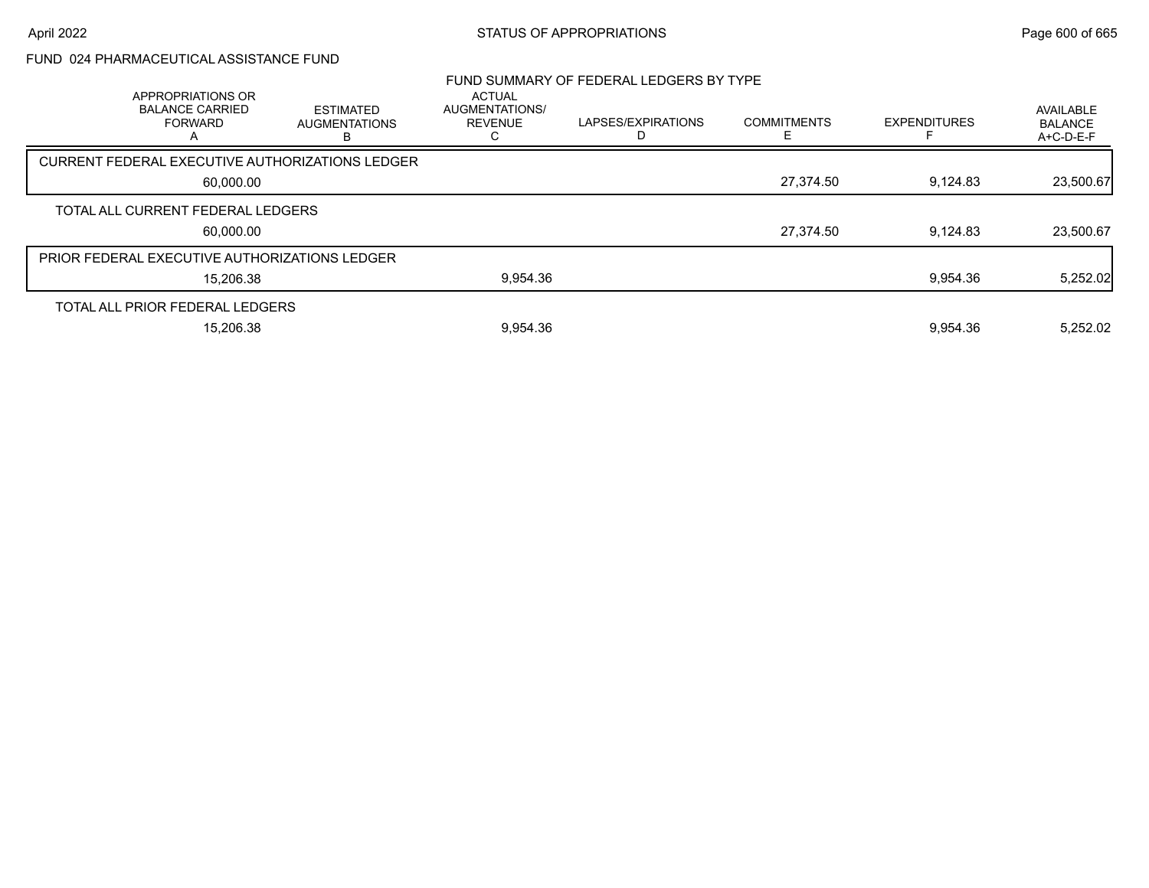# FUND 024 PHARMACEUTICAL ASSISTANCE FUND

| APPROPRIATIONS OR                             |                                                 | <b>ACTUAL</b>                    | FUND SUMMARY OF FEDERAL LEDGERS BY TYPE |                         |                     |                                          |  |
|-----------------------------------------------|-------------------------------------------------|----------------------------------|-----------------------------------------|-------------------------|---------------------|------------------------------------------|--|
| <b>BALANCE CARRIED</b><br><b>FORWARD</b>      | <b>ESTIMATED</b><br><b>AUGMENTATIONS</b><br>в   | AUGMENTATIONS/<br><b>REVENUE</b> | LAPSES/EXPIRATIONS                      | <b>COMMITMENTS</b><br>F | <b>EXPENDITURES</b> | AVAILABLE<br><b>BALANCE</b><br>A+C-D-E-F |  |
|                                               | CURRENT FEDERAL EXECUTIVE AUTHORIZATIONS LEDGER |                                  |                                         |                         |                     |                                          |  |
| 60,000.00                                     |                                                 |                                  |                                         | 27,374.50               | 9,124.83            | 23,500.67                                |  |
| TOTAL ALL CURRENT FEDERAL LEDGERS             |                                                 |                                  |                                         |                         |                     |                                          |  |
| 60,000.00                                     |                                                 |                                  |                                         | 27,374.50               | 9.124.83            | 23,500.67                                |  |
| PRIOR FEDERAL EXECUTIVE AUTHORIZATIONS LEDGER |                                                 |                                  |                                         |                         |                     |                                          |  |
| 15,206.38                                     |                                                 | 9,954.36                         |                                         |                         | 9,954.36            | 5,252.02                                 |  |
| TOTAL ALL PRIOR FEDERAL LEDGERS               |                                                 |                                  |                                         |                         |                     |                                          |  |
| 15.206.38                                     |                                                 | 9,954.36                         |                                         |                         | 9.954.36            | 5.252.02                                 |  |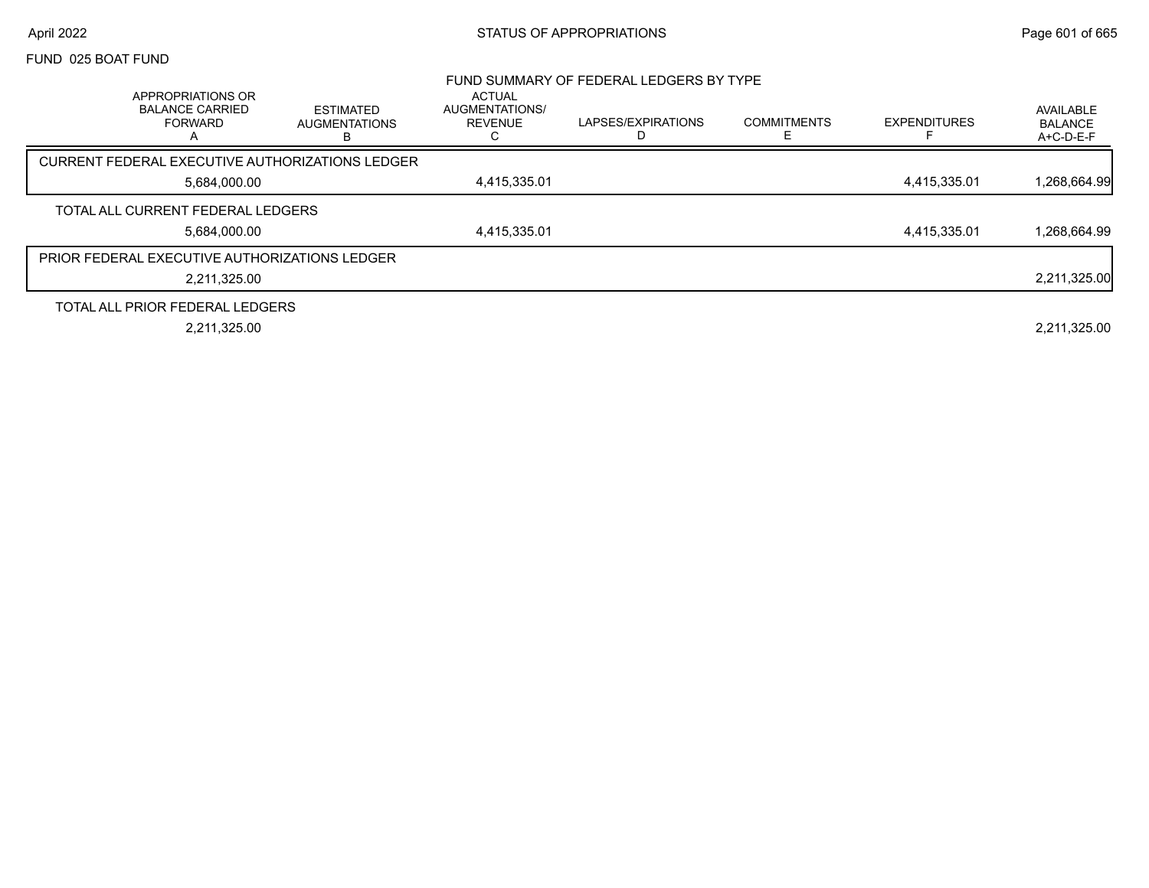# April 2022 **STATUS OF APPROPRIATIONS** STATUS OF APPROPRIATIONS

### FUND 025 BOAT FUND

|                                                                               |                                               |                                                        | FUND SUMMARY OF FEDERAL LEDGERS BY TYPE |                    |                     |                                            |
|-------------------------------------------------------------------------------|-----------------------------------------------|--------------------------------------------------------|-----------------------------------------|--------------------|---------------------|--------------------------------------------|
| APPROPRIATIONS OR<br><b>BALANCE CARRIED</b><br><b>FORWARD</b><br>$\mathsf{A}$ | <b>ESTIMATED</b><br><b>AUGMENTATIONS</b><br>в | <b>ACTUAL</b><br>AUGMENTATIONS/<br><b>REVENUE</b><br>С | LAPSES/EXPIRATIONS                      | <b>COMMITMENTS</b> | <b>EXPENDITURES</b> | AVAILABLE<br><b>BALANCE</b><br>$A+C-D-E-F$ |
| CURRENT FEDERAL EXECUTIVE AUTHORIZATIONS LEDGER                               |                                               |                                                        |                                         |                    |                     |                                            |
| 5.684.000.00                                                                  |                                               | 4,415,335.01                                           |                                         |                    | 4,415,335.01        | 1,268,664.99                               |
| TOTAL ALL CURRENT FEDERAL LEDGERS                                             |                                               |                                                        |                                         |                    |                     |                                            |
| 5,684,000.00                                                                  |                                               | 4,415,335.01                                           |                                         |                    | 4,415,335.01        | 1,268,664.99                               |
| <b>PRIOR FEDERAL EXECUTIVE AUTHORIZATIONS LEDGER</b>                          |                                               |                                                        |                                         |                    |                     |                                            |
| 2,211,325.00                                                                  |                                               |                                                        |                                         |                    |                     | 2,211,325.00                               |
| TOTAL ALL PRIOR FEDERAL LEDGERS                                               |                                               |                                                        |                                         |                    |                     |                                            |
| 2,211,325.00                                                                  |                                               |                                                        |                                         |                    |                     | 2,211,325.00                               |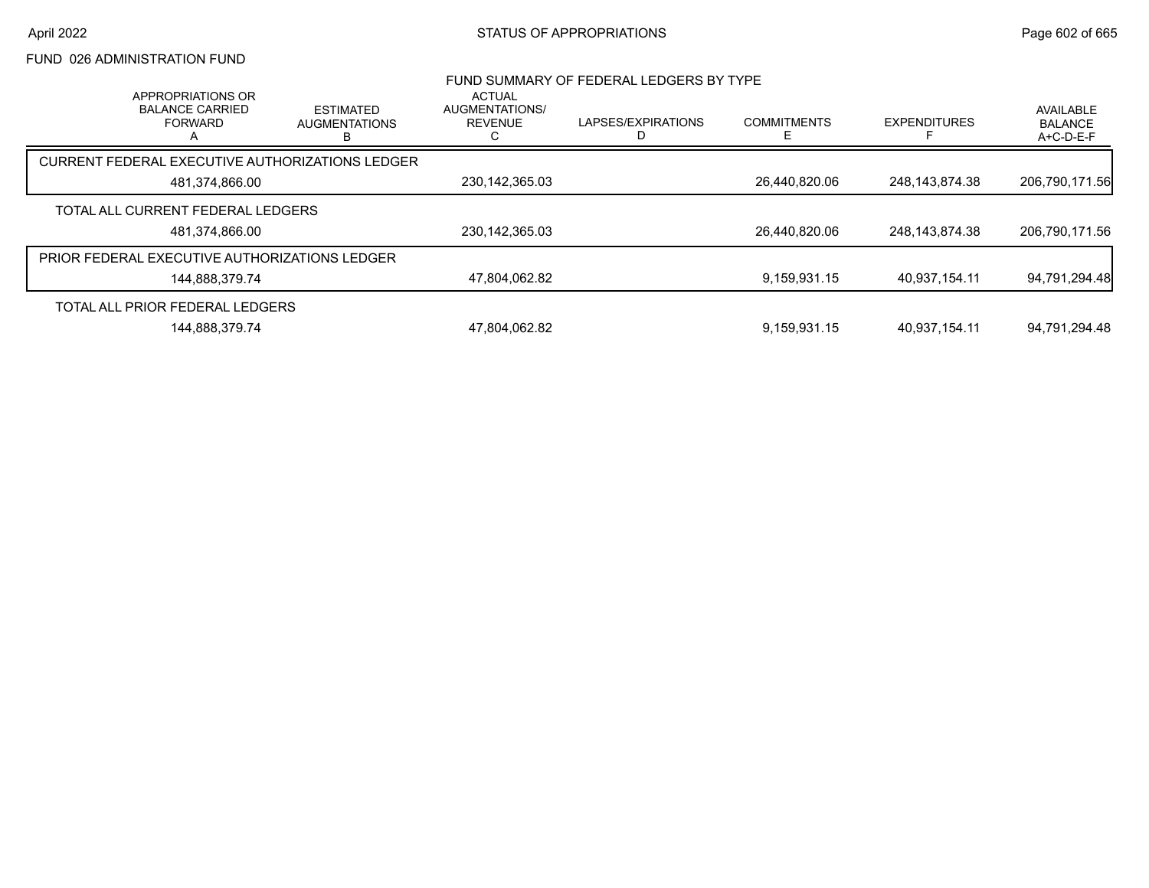# FUND 026 ADMINISTRATION FUND

| APPROPRIATIONS OR                                    |                                               | <b>ACTUAL</b>                           | FUND SUMMARY OF FEDERAL LEDGERS BY TYPE |                    |                     |                                          |
|------------------------------------------------------|-----------------------------------------------|-----------------------------------------|-----------------------------------------|--------------------|---------------------|------------------------------------------|
| <b>BALANCE CARRIED</b><br><b>FORWARD</b>             | <b>ESTIMATED</b><br><b>AUGMENTATIONS</b><br>в | <b>AUGMENTATIONS/</b><br><b>REVENUE</b> | LAPSES/EXPIRATIONS                      | <b>COMMITMENTS</b> | <b>EXPENDITURES</b> | AVAILABLE<br><b>BALANCE</b><br>A+C-D-E-F |
| CURRENT FEDERAL EXECUTIVE AUTHORIZATIONS LEDGER      |                                               |                                         |                                         |                    |                     |                                          |
| 481,374,866.00                                       |                                               | 230, 142, 365.03                        |                                         | 26,440,820.06      | 248.143.874.38      | 206,790,171.56                           |
| TOTAL ALL CURRENT FEDERAL LEDGERS                    |                                               |                                         |                                         |                    |                     |                                          |
| 481,374,866.00                                       |                                               | 230, 142, 365.03                        |                                         | 26,440,820.06      | 248,143,874.38      | 206,790,171.56                           |
| <b>PRIOR FEDERAL EXECUTIVE AUTHORIZATIONS LEDGER</b> |                                               |                                         |                                         |                    |                     |                                          |
| 144,888,379.74                                       |                                               | 47.804.062.82                           |                                         | 9,159,931.15       | 40.937.154.11       | 94,791,294.48                            |
| TOTAL ALL PRIOR FEDERAL LEDGERS                      |                                               |                                         |                                         |                    |                     |                                          |
| 144.888.379.74                                       |                                               | 47.804.062.82                           |                                         | 9.159.931.15       | 40.937.154.11       | 94,791,294.48                            |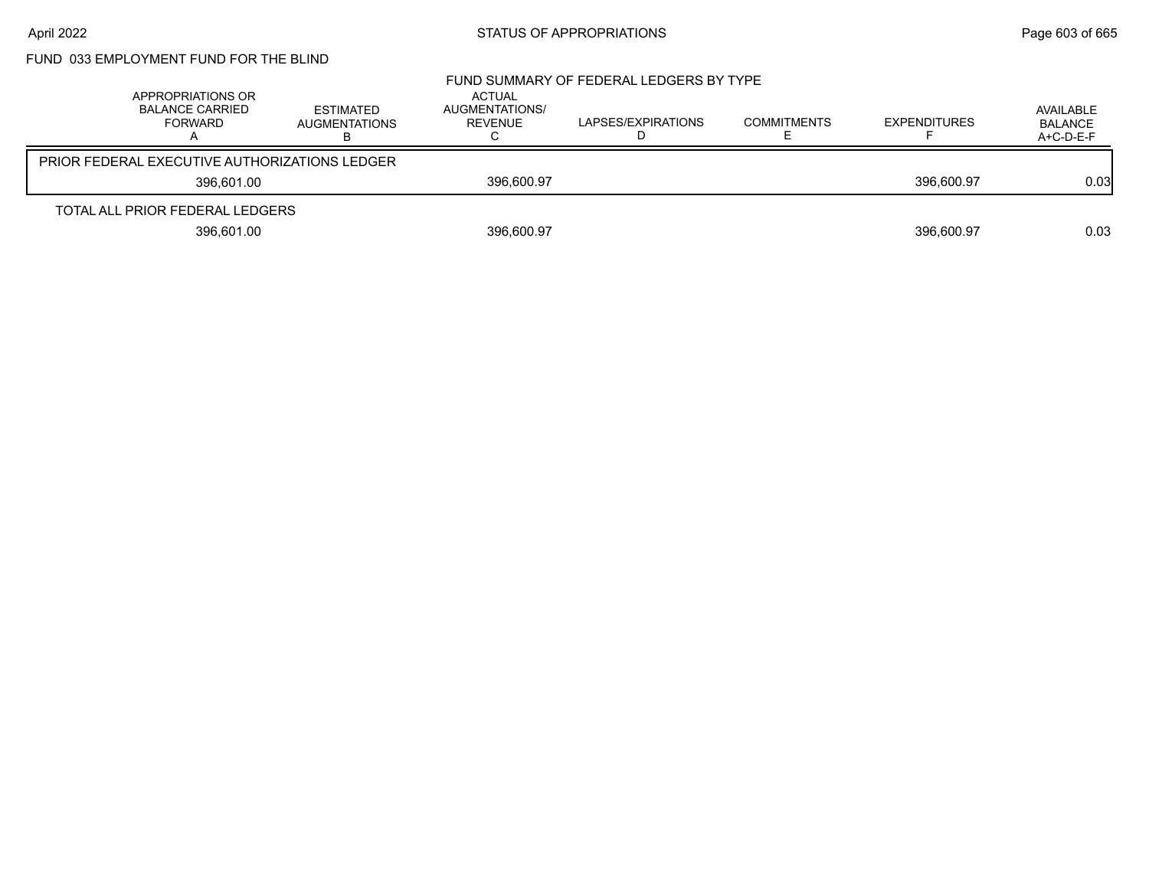# FUND 033 EMPLOYMENT FUND FOR THE BLIND

| APPROPRIATIONS OR<br><b>BALANCE CARRIED</b><br>FORWARD | <b>ESTIMATED</b><br><b>AUGMENTATIONS</b> | ACTUAL<br>AUGMENTATIONS/<br>REVENUE | FUND SUMMARY OF FEDERAL LEDGERS BY TYPE<br>LAPSES/EXPIRATIONS | <b>COMMITMENTS</b> | <b>EXPENDITURES</b> | AVAILABLE<br><b>BALANCE</b><br>$A+C-D-E-F$ |
|--------------------------------------------------------|------------------------------------------|-------------------------------------|---------------------------------------------------------------|--------------------|---------------------|--------------------------------------------|
| <b>PRIOR FEDERAL EXECUTIVE AUTHORIZATIONS LEDGER</b>   |                                          |                                     |                                                               |                    |                     |                                            |
| 396.601.00                                             |                                          | 396,600.97                          |                                                               |                    | 396.600.97          | 0.03                                       |
| TOTAL ALL PRIOR FEDERAL LEDGERS                        |                                          |                                     |                                                               |                    |                     |                                            |
| 396,601.00                                             |                                          | 396,600.97                          |                                                               |                    | 396.600.97          | 0.03                                       |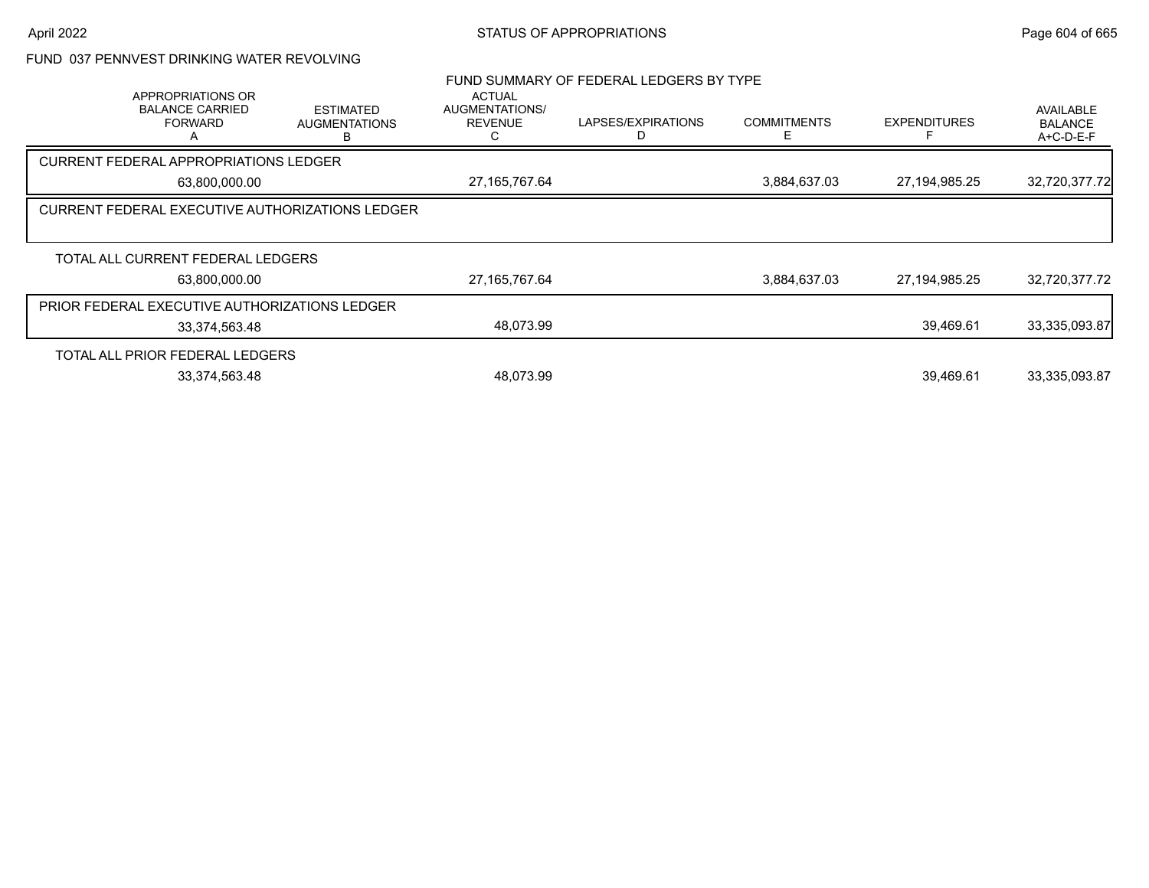## FUND 037 PENNVEST DRINKING WATER REVOLVING

| APPROPRIATIONS OR<br><b>BALANCE CARRIED</b><br><b>FORWARD</b> | <b>ESTIMATED</b><br><b>AUGMENTATIONS</b>               | <b>ACTUAL</b><br>AUGMENTATIONS/<br><b>REVENUE</b> | FUND SUMMARY OF FEDERAL LEDGERS BY TYPE<br>LAPSES/EXPIRATIONS | <b>COMMITMENTS</b><br>F | <b>EXPENDITURES</b> | <b>AVAILABLE</b><br><b>BALANCE</b><br>A+C-D-E-F |
|---------------------------------------------------------------|--------------------------------------------------------|---------------------------------------------------|---------------------------------------------------------------|-------------------------|---------------------|-------------------------------------------------|
| <b>CURRENT FEDERAL APPROPRIATIONS LEDGER</b>                  |                                                        |                                                   |                                                               |                         |                     |                                                 |
| 63,800,000.00                                                 |                                                        | 27, 165, 767. 64                                  |                                                               | 3,884,637.03            | 27, 194, 985. 25    | 32,720,377.72                                   |
|                                                               | <b>CURRENT FEDERAL EXECUTIVE AUTHORIZATIONS LEDGER</b> |                                                   |                                                               |                         |                     |                                                 |
| TOTAL ALL CURRENT FEDERAL LEDGERS                             |                                                        |                                                   |                                                               |                         |                     |                                                 |
| 63,800,000.00                                                 |                                                        | 27, 165, 767. 64                                  |                                                               | 3,884,637.03            | 27, 194, 985. 25    | 32,720,377.72                                   |
| PRIOR FEDERAL EXECUTIVE AUTHORIZATIONS LEDGER                 |                                                        |                                                   |                                                               |                         |                     |                                                 |
| 33,374,563.48                                                 |                                                        | 48,073.99                                         |                                                               |                         | 39,469.61           | 33,335,093.87                                   |
| TOTAL ALL PRIOR FEDERAL LEDGERS                               |                                                        |                                                   |                                                               |                         |                     |                                                 |
| 33,374,563.48                                                 |                                                        | 48,073.99                                         |                                                               |                         | 39.469.61           | 33,335,093.87                                   |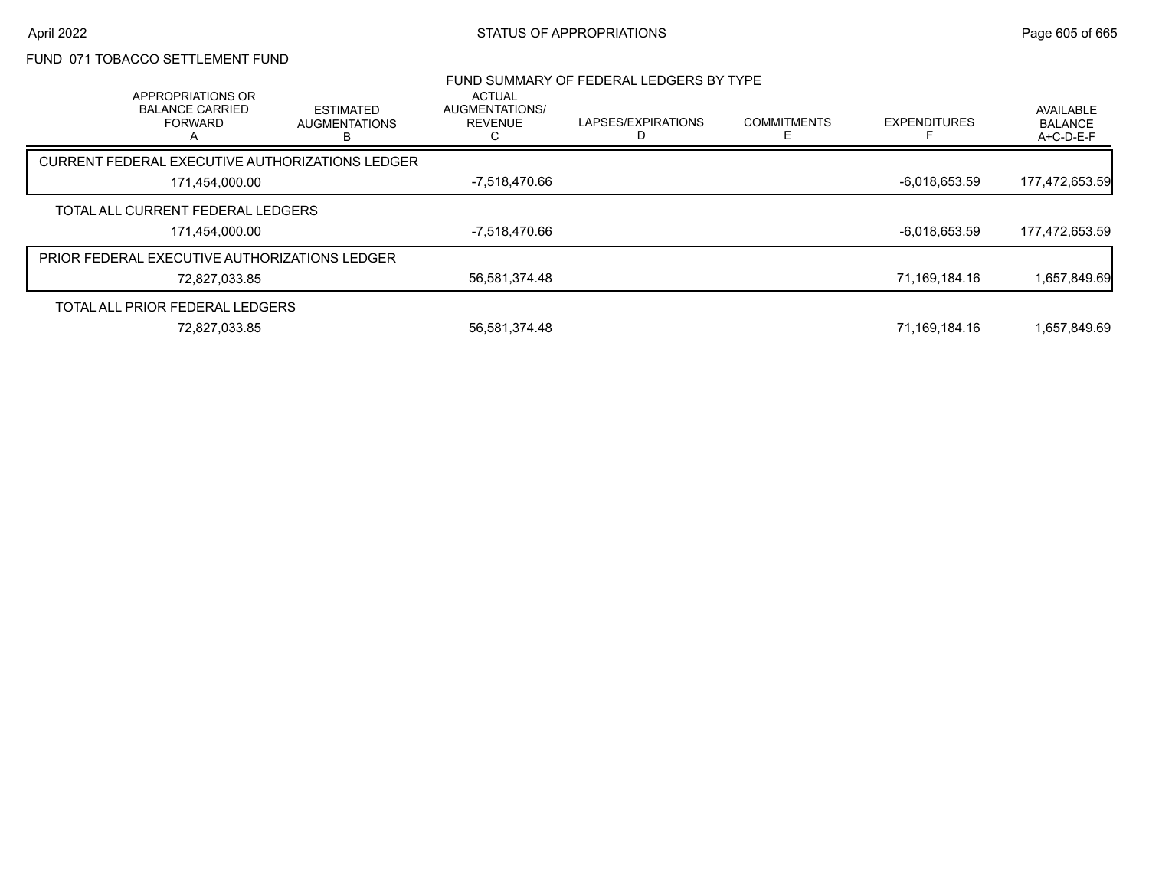## FUND 071 TOBACCO SETTLEMENT FUND

| APPROPRIATIONS OR                                    |                                               | <b>ACTUAL</b>                    | FUND SUMMARY OF FEDERAL LEDGERS BY TYPE |                         |                     |                                          |
|------------------------------------------------------|-----------------------------------------------|----------------------------------|-----------------------------------------|-------------------------|---------------------|------------------------------------------|
| <b>BALANCE CARRIED</b><br><b>FORWARD</b>             | <b>ESTIMATED</b><br><b>AUGMENTATIONS</b><br>B | AUGMENTATIONS/<br><b>REVENUE</b> | LAPSES/EXPIRATIONS                      | <b>COMMITMENTS</b><br>F | <b>EXPENDITURES</b> | AVAILABLE<br><b>BALANCE</b><br>A+C-D-E-F |
| CURRENT FEDERAL EXECUTIVE AUTHORIZATIONS LEDGER      |                                               |                                  |                                         |                         |                     |                                          |
| 171,454,000.00                                       |                                               | -7,518,470.66                    |                                         |                         | $-6,018,653.59$     | 177,472,653.59                           |
| TOTAL ALL CURRENT FEDERAL LEDGERS                    |                                               |                                  |                                         |                         |                     |                                          |
| 171,454,000.00                                       |                                               | -7,518,470.66                    |                                         |                         | $-6,018,653.59$     | 177,472,653.59                           |
| <b>PRIOR FEDERAL EXECUTIVE AUTHORIZATIONS LEDGER</b> |                                               |                                  |                                         |                         |                     |                                          |
| 72,827,033.85                                        |                                               | 56,581,374.48                    |                                         |                         | 71,169,184.16       | 1,657,849.69                             |
| TOTAL ALL PRIOR FEDERAL LEDGERS                      |                                               |                                  |                                         |                         |                     |                                          |
| 72,827,033.85                                        |                                               | 56,581,374.48                    |                                         |                         | 71,169,184.16       | 1,657,849.69                             |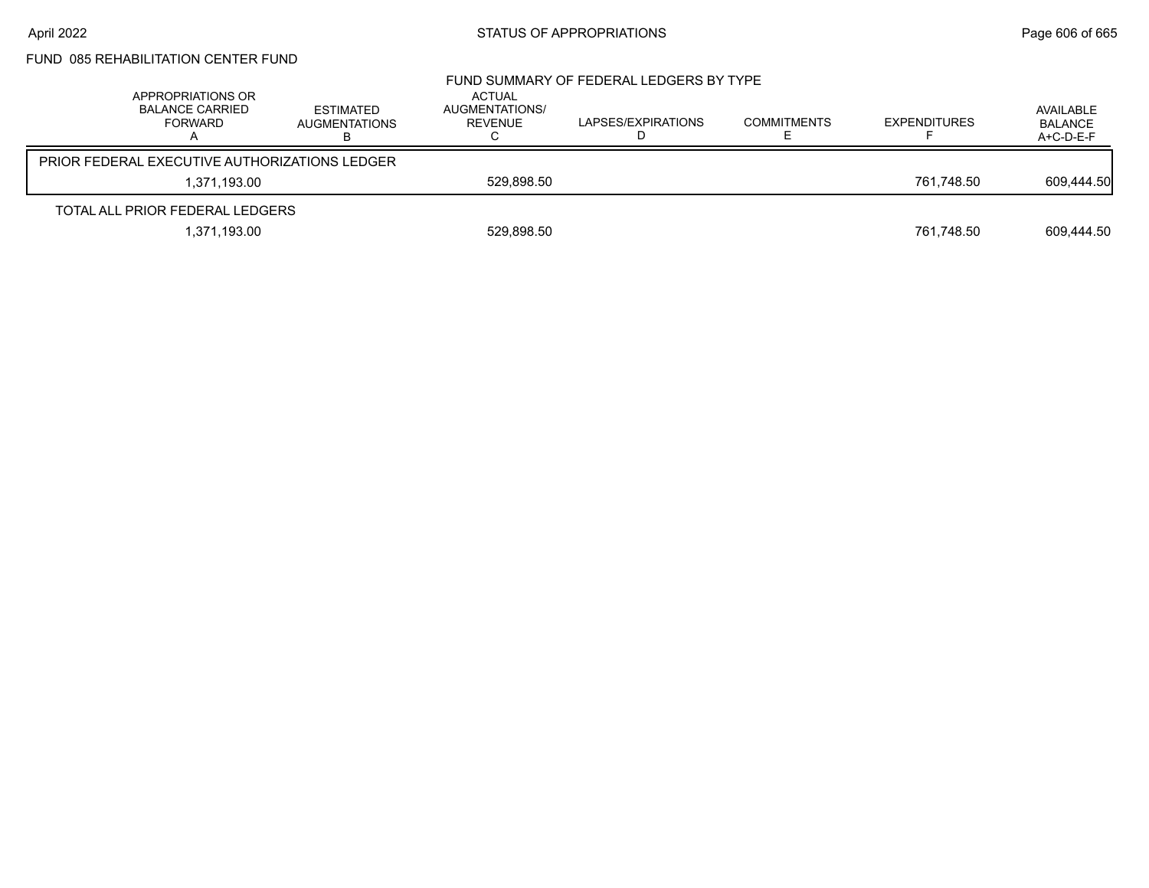# FUND 085 REHABILITATION CENTER FUND

| APPROPRIATIONS OR<br><b>BALANCE CARRIED</b><br>FORWARD | <b>ESTIMATED</b><br><b>AUGMENTATIONS</b> | <b>ACTUAL</b><br>AUGMENTATIONS/<br>REVENUE | FUND SUMMARY OF FEDERAL LEDGERS BY TYPE<br>LAPSES/EXPIRATIONS | <b>COMMITMENTS</b> | <b>EXPENDITURES</b> | AVAILABLE<br><b>BALANCE</b><br>A+C-D-E-F |
|--------------------------------------------------------|------------------------------------------|--------------------------------------------|---------------------------------------------------------------|--------------------|---------------------|------------------------------------------|
| <b>PRIOR FEDERAL EXECUTIVE AUTHORIZATIONS LEDGER</b>   |                                          |                                            |                                                               |                    |                     |                                          |
| 1.371.193.00                                           |                                          | 529.898.50                                 |                                                               |                    | 761.748.50          | 609,444.50                               |
| TOTAL ALL PRIOR FEDERAL LEDGERS                        |                                          |                                            |                                                               |                    |                     |                                          |
| 1,371,193.00                                           |                                          | 529,898.50                                 |                                                               |                    | 761,748.50          | 609,444.50                               |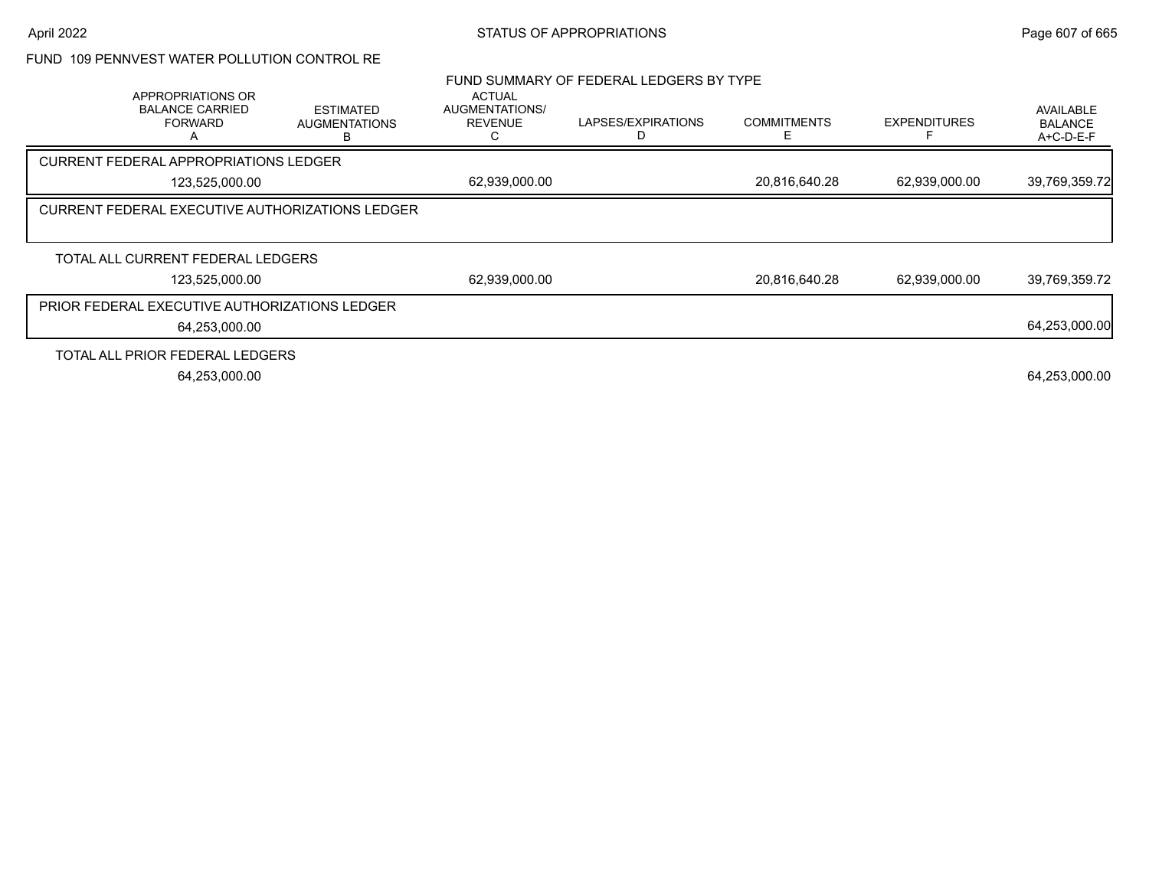## FUND 109 PENNVEST WATER POLLUTION CONTROL RE

|                                                               |                                                 |                                                   | FUND SUMMARY OF FEDERAL LEDGERS BY TYPE |                    |                     |                                                 |
|---------------------------------------------------------------|-------------------------------------------------|---------------------------------------------------|-----------------------------------------|--------------------|---------------------|-------------------------------------------------|
| APPROPRIATIONS OR<br><b>BALANCE CARRIED</b><br><b>FORWARD</b> | <b>ESTIMATED</b><br><b>AUGMENTATIONS</b>        | <b>ACTUAL</b><br>AUGMENTATIONS/<br><b>REVENUE</b> | LAPSES/EXPIRATIONS                      | <b>COMMITMENTS</b> | <b>EXPENDITURES</b> | <b>AVAILABLE</b><br><b>BALANCE</b><br>A+C-D-E-F |
| <b>CURRENT FEDERAL APPROPRIATIONS LEDGER</b>                  |                                                 |                                                   |                                         |                    |                     |                                                 |
| 123,525,000.00                                                |                                                 | 62,939,000.00                                     |                                         | 20,816,640.28      | 62,939,000.00       | 39,769,359.72                                   |
|                                                               | CURRENT FEDERAL EXECUTIVE AUTHORIZATIONS LEDGER |                                                   |                                         |                    |                     |                                                 |
|                                                               |                                                 |                                                   |                                         |                    |                     |                                                 |
| TOTAL ALL CURRENT FEDERAL LEDGERS                             |                                                 |                                                   |                                         |                    |                     |                                                 |
| 123,525,000.00                                                |                                                 | 62,939,000.00                                     |                                         | 20,816,640.28      | 62,939,000.00       | 39,769,359.72                                   |
| <b>PRIOR FEDERAL EXECUTIVE AUTHORIZATIONS LEDGER</b>          |                                                 |                                                   |                                         |                    |                     |                                                 |
| 64,253,000.00                                                 |                                                 |                                                   |                                         |                    |                     | 64,253,000.00                                   |
| TOTAL ALL PRIOR FEDERAL LEDGERS                               |                                                 |                                                   |                                         |                    |                     |                                                 |
| 64,253,000.00                                                 |                                                 |                                                   |                                         |                    |                     | 64,253,000.00                                   |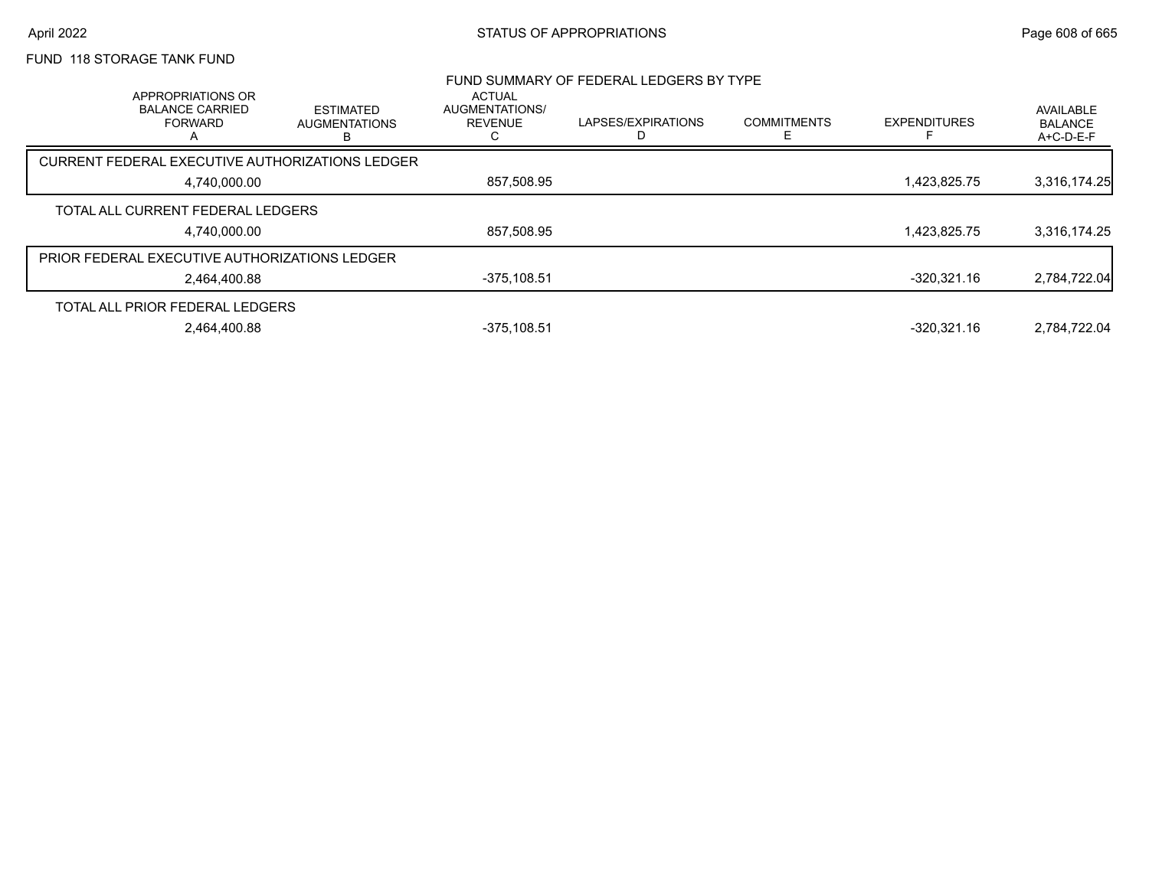# FUND 118 STORAGE TANK FUND

| APPROPRIATIONS OR                               |                                               | <b>ACTUAL</b>                    | FUND SUMMARY OF FEDERAL LEDGERS BY TYPE |                         |                     |                                          |
|-------------------------------------------------|-----------------------------------------------|----------------------------------|-----------------------------------------|-------------------------|---------------------|------------------------------------------|
| <b>BALANCE CARRIED</b><br><b>FORWARD</b>        | <b>ESTIMATED</b><br><b>AUGMENTATIONS</b><br>в | AUGMENTATIONS/<br><b>REVENUE</b> | LAPSES/EXPIRATIONS                      | <b>COMMITMENTS</b><br>F | <b>EXPENDITURES</b> | AVAILABLE<br><b>BALANCE</b><br>A+C-D-E-F |
| CURRENT FEDERAL EXECUTIVE AUTHORIZATIONS LEDGER |                                               |                                  |                                         |                         |                     |                                          |
| 4,740,000.00                                    |                                               | 857,508.95                       |                                         |                         | 1,423,825.75        | 3,316,174.25                             |
| TOTAL ALL CURRENT FEDERAL LEDGERS               |                                               |                                  |                                         |                         |                     |                                          |
| 4,740,000.00                                    |                                               | 857,508.95                       |                                         |                         | 1,423,825.75        | 3,316,174.25                             |
| PRIOR FEDERAL EXECUTIVE AUTHORIZATIONS LEDGER   |                                               |                                  |                                         |                         |                     |                                          |
| 2,464,400.88                                    |                                               | $-375, 108.51$                   |                                         |                         | -320.321.16         | 2,784,722.04                             |
| TOTAL ALL PRIOR FEDERAL LEDGERS                 |                                               |                                  |                                         |                         |                     |                                          |
| 2.464.400.88                                    |                                               | $-375.108.51$                    |                                         |                         | $-320,321.16$       | 2.784.722.04                             |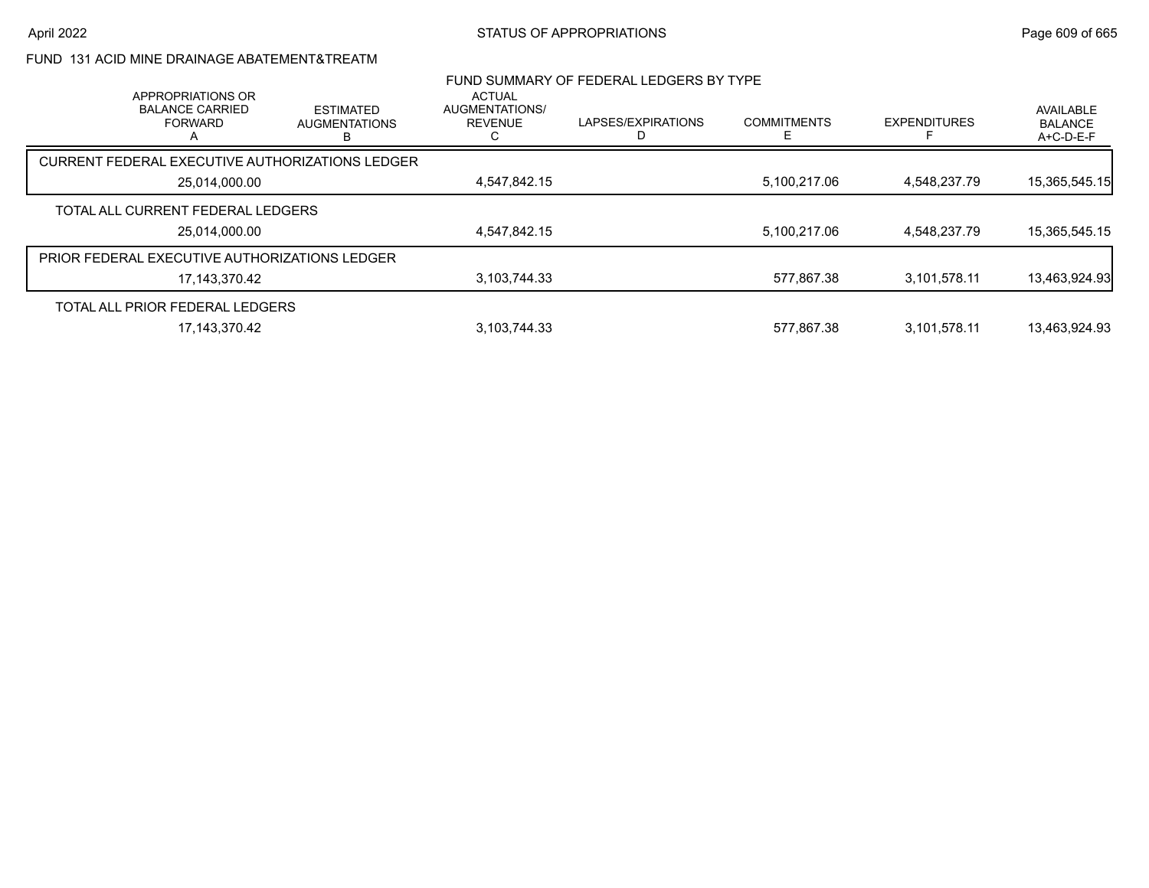## FUND 131 ACID MINE DRAINAGE ABATEMENT&TREATM

| APPROPRIATIONS OR                             |                                                        | ACTUAL                           | FUND SUMMARY OF FEDERAL LEDGERS BY TYPE |                    |                     |                                          |
|-----------------------------------------------|--------------------------------------------------------|----------------------------------|-----------------------------------------|--------------------|---------------------|------------------------------------------|
| <b>BALANCE CARRIED</b><br><b>FORWARD</b>      | <b>ESTIMATED</b><br><b>AUGMENTATIONS</b>               | AUGMENTATIONS/<br><b>REVENUE</b> | LAPSES/EXPIRATIONS<br>D                 | <b>COMMITMENTS</b> | <b>EXPENDITURES</b> | AVAILABLE<br><b>BALANCE</b><br>A+C-D-E-F |
|                                               | <b>CURRENT FEDERAL EXECUTIVE AUTHORIZATIONS LEDGER</b> |                                  |                                         |                    |                     |                                          |
| 25,014,000.00                                 |                                                        | 4,547,842.15                     |                                         | 5,100,217.06       | 4,548,237.79        | 15,365,545.15                            |
| TOTAL ALL CURRENT FEDERAL LEDGERS             |                                                        |                                  |                                         |                    |                     |                                          |
|                                               | 25,014,000.00                                          | 4,547,842.15                     |                                         | 5,100,217.06       | 4,548,237.79        | 15,365,545.15                            |
| PRIOR FEDERAL EXECUTIVE AUTHORIZATIONS LEDGER |                                                        |                                  |                                         |                    |                     |                                          |
|                                               | 17,143,370.42                                          | 3,103,744.33                     |                                         | 577.867.38         | 3,101,578.11        | 13,463,924.93                            |
| TOTAL ALL PRIOR FEDERAL LEDGERS               |                                                        |                                  |                                         |                    |                     |                                          |
|                                               | 17,143,370.42                                          | 3,103,744.33                     |                                         | 577.867.38         | 3.101.578.11        | 13,463,924.93                            |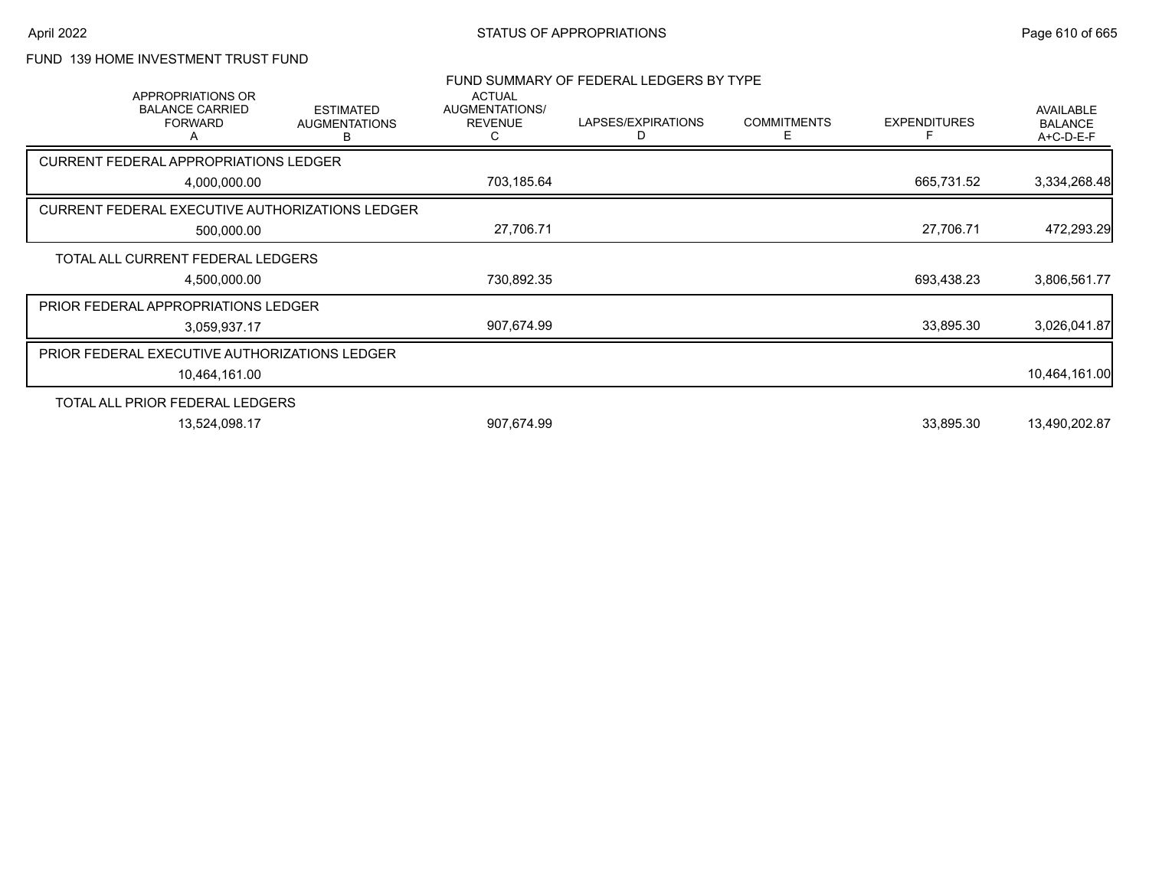# FUND 139 HOME INVESTMENT TRUST FUND

| <b>APPROPRIATIONS OR</b><br><b>BALANCE CARRIED</b><br><b>FORWARD</b><br>Α | <b>ESTIMATED</b><br><b>AUGMENTATIONS</b><br>В | <b>ACTUAL</b><br>AUGMENTATIONS/<br><b>REVENUE</b><br>C                                                                                                                                                                                                          | LAPSES/EXPIRATIONS<br>D | <b>COMMITMENTS</b><br>Е | <b>EXPENDITURES</b><br>F                | <b>AVAILABLE</b><br><b>BALANCE</b><br>A+C-D-E-F |
|---------------------------------------------------------------------------|-----------------------------------------------|-----------------------------------------------------------------------------------------------------------------------------------------------------------------------------------------------------------------------------------------------------------------|-------------------------|-------------------------|-----------------------------------------|-------------------------------------------------|
|                                                                           |                                               |                                                                                                                                                                                                                                                                 |                         |                         |                                         |                                                 |
| 4,000,000.00                                                              |                                               | 703,185.64                                                                                                                                                                                                                                                      |                         |                         | 665,731.52                              | 3,334,268.48                                    |
|                                                                           |                                               |                                                                                                                                                                                                                                                                 |                         |                         |                                         |                                                 |
| 500,000.00                                                                |                                               | 27,706.71                                                                                                                                                                                                                                                       |                         |                         | 27,706.71                               | 472,293.29                                      |
|                                                                           |                                               |                                                                                                                                                                                                                                                                 |                         |                         |                                         |                                                 |
| 4,500,000.00                                                              |                                               | 730,892.35                                                                                                                                                                                                                                                      |                         |                         | 693,438.23                              | 3,806,561.77                                    |
|                                                                           |                                               |                                                                                                                                                                                                                                                                 |                         |                         |                                         |                                                 |
| 3,059,937.17                                                              |                                               | 907,674.99                                                                                                                                                                                                                                                      |                         |                         | 33,895.30                               | 3,026,041.87                                    |
|                                                                           |                                               |                                                                                                                                                                                                                                                                 |                         |                         |                                         |                                                 |
| 10,464,161.00                                                             |                                               |                                                                                                                                                                                                                                                                 |                         |                         |                                         | 10,464,161.00                                   |
|                                                                           |                                               |                                                                                                                                                                                                                                                                 |                         |                         |                                         |                                                 |
| 13,524,098.17                                                             |                                               | 907,674.99                                                                                                                                                                                                                                                      |                         |                         | 33,895.30                               | 13,490,202.87                                   |
|                                                                           |                                               | <b>CURRENT FEDERAL APPROPRIATIONS LEDGER</b><br>CURRENT FEDERAL EXECUTIVE AUTHORIZATIONS LEDGER<br>TOTAL ALL CURRENT FEDERAL LEDGERS<br>PRIOR FEDERAL APPROPRIATIONS LEDGER<br>PRIOR FEDERAL EXECUTIVE AUTHORIZATIONS LEDGER<br>TOTAL ALL PRIOR FEDERAL LEDGERS |                         |                         | FUND SUMMARY OF FEDERAL LEDGERS BY TYPE |                                                 |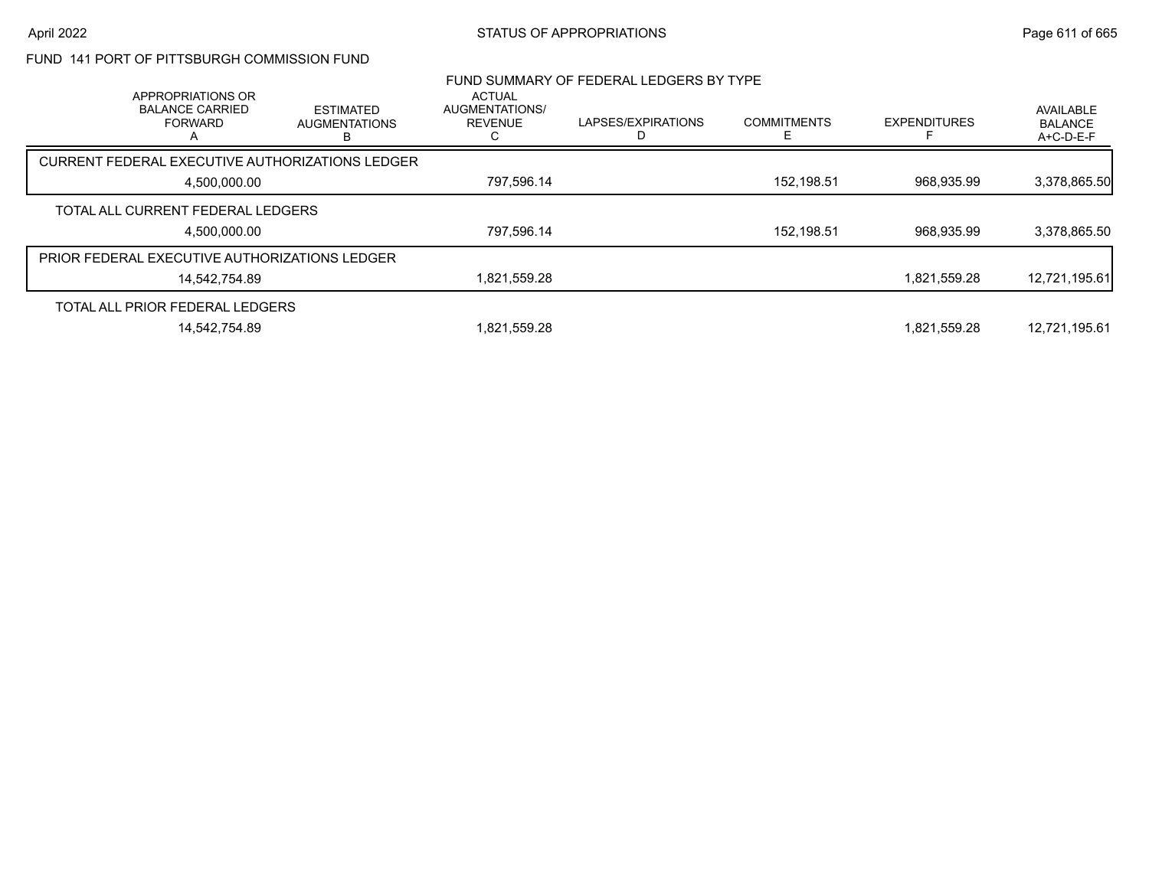## FUND 141 PORT OF PITTSBURGH COMMISSION FUND

| APPROPRIATIONS OR                               |                                               | <b>ACTUAL</b>                    | FUND SUMMARY OF FEDERAL LEDGERS BY TYPE |                    |                     |                                          |
|-------------------------------------------------|-----------------------------------------------|----------------------------------|-----------------------------------------|--------------------|---------------------|------------------------------------------|
| <b>BALANCE CARRIED</b><br><b>FORWARD</b>        | <b>ESTIMATED</b><br><b>AUGMENTATIONS</b><br>B | AUGMENTATIONS/<br><b>REVENUE</b> | LAPSES/EXPIRATIONS                      | <b>COMMITMENTS</b> | <b>EXPENDITURES</b> | AVAILABLE<br><b>BALANCE</b><br>A+C-D-E-F |
| CURRENT FEDERAL EXECUTIVE AUTHORIZATIONS LEDGER |                                               |                                  |                                         |                    |                     |                                          |
| 4.500.000.00                                    |                                               | 797,596.14                       |                                         | 152,198.51         | 968.935.99          | 3,378,865.50                             |
| TOTAL ALL CURRENT FEDERAL LEDGERS               |                                               |                                  |                                         |                    |                     |                                          |
| 4,500,000.00                                    |                                               | 797,596.14                       |                                         | 152,198.51         | 968.935.99          | 3,378,865.50                             |
| PRIOR FEDERAL EXECUTIVE AUTHORIZATIONS LEDGER   |                                               |                                  |                                         |                    |                     |                                          |
| 14.542.754.89                                   |                                               | 1,821,559.28                     |                                         |                    | 1,821,559.28        | 12,721,195.61                            |
| TOTAL ALL PRIOR FEDERAL LEDGERS                 |                                               |                                  |                                         |                    |                     |                                          |
| 14,542,754.89                                   |                                               | 1,821,559.28                     |                                         |                    | 1,821,559.28        | 12,721,195.61                            |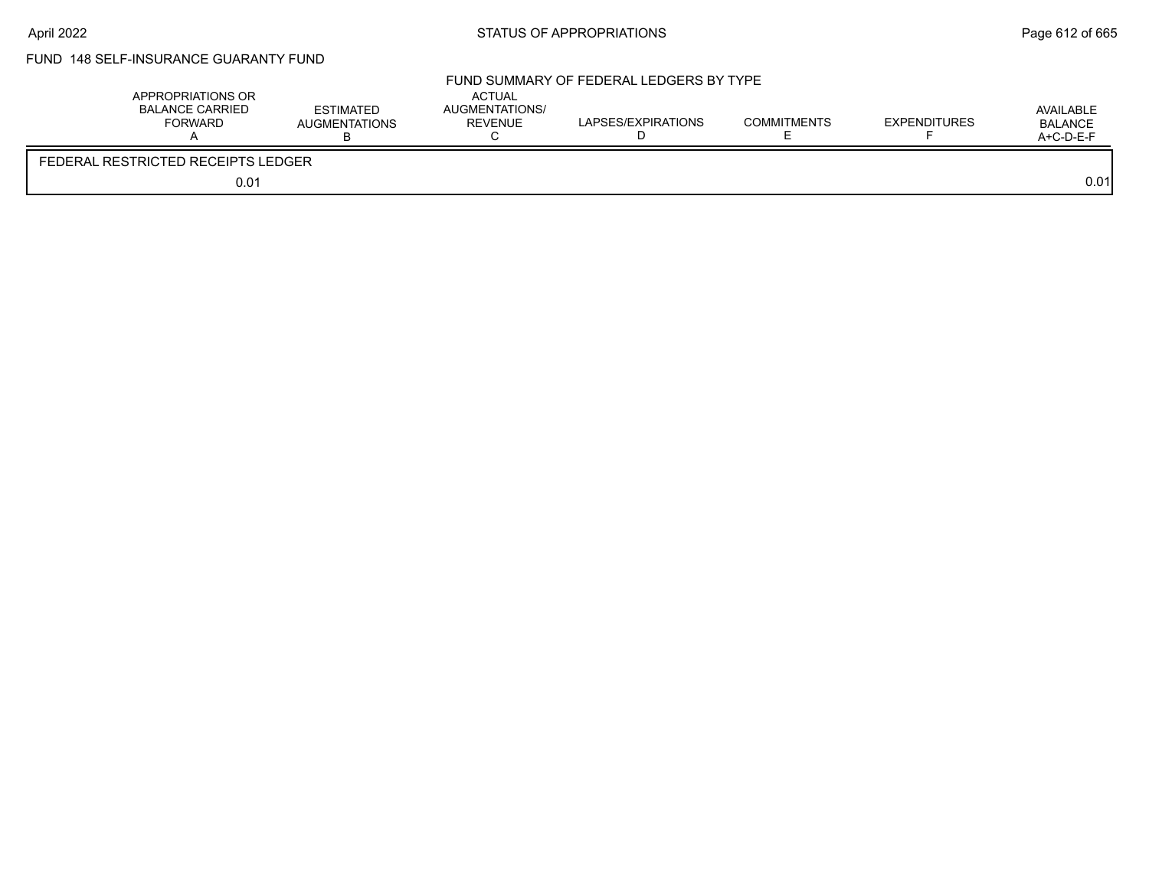# FUND 148 SELF-INSURANCE GUARANTY FUND

| APPROPRIATIONS OR<br>BALANCE CARRIED<br><b>FORWARD</b> | <b>ESTIMATED</b><br><b>AUGMENTATIONS</b> | <b>ACTUAL</b><br>AUGMENTATIONS/<br>REVENUE | FUND SUMMARY OF FEDERAL LEDGERS BY TYPE<br>LAPSES/EXPIRATIONS | <b>COMMITMENTS</b> | <b>EXPENDITURES</b> | AVAILABLE<br>BALANCE<br>A+C-D-E-F |
|--------------------------------------------------------|------------------------------------------|--------------------------------------------|---------------------------------------------------------------|--------------------|---------------------|-----------------------------------|
| FEDERAL RESTRICTED RECEIPTS LEDGER                     |                                          |                                            |                                                               |                    |                     |                                   |
| 0.01                                                   |                                          |                                            |                                                               |                    |                     | 0.01                              |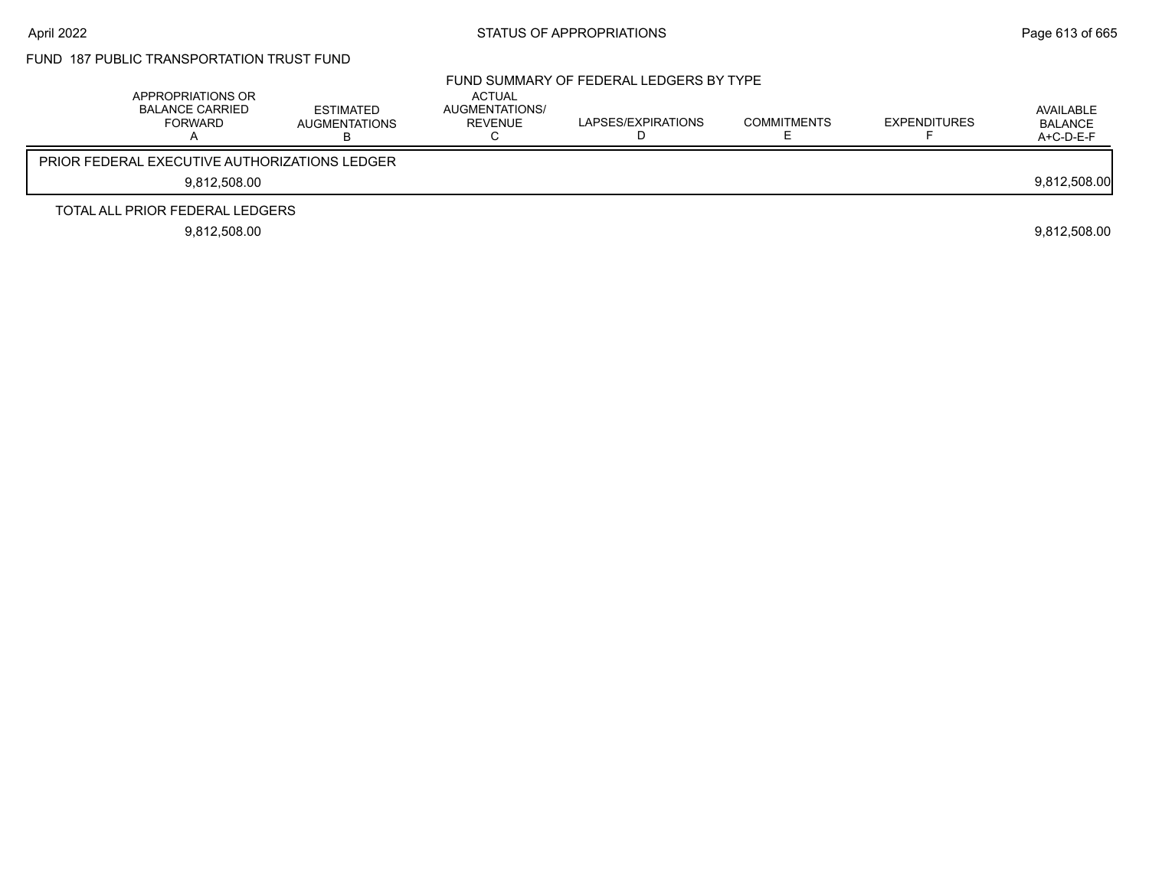# FUND 187 PUBLIC TRANSPORTATION TRUST FUND

| APPROPRIATIONS OR<br><b>BALANCE CARRIED</b><br>FORWARD | <b>ESTIMATED</b><br><b>AUGMENTATIONS</b> | <b>ACTUAL</b><br>AUGMENTATIONS/<br>REVENUE | FUND SUMMARY OF FEDERAL LEDGERS BY TYPE<br>LAPSES/EXPIRATIONS | <b>COMMITMENTS</b> | <b>EXPENDITURES</b> | AVAILABLE<br><b>BALANCE</b><br>A+C-D-E-F |
|--------------------------------------------------------|------------------------------------------|--------------------------------------------|---------------------------------------------------------------|--------------------|---------------------|------------------------------------------|
| <b>PRIOR FEDERAL EXECUTIVE AUTHORIZATIONS LEDGER</b>   |                                          |                                            |                                                               |                    |                     |                                          |
| 9,812,508.00                                           |                                          |                                            |                                                               |                    |                     | 9,812,508.00                             |
| TOTAL ALL PRIOR FEDERAL LEDGERS                        |                                          |                                            |                                                               |                    |                     |                                          |
| 9,812,508.00                                           |                                          |                                            |                                                               |                    |                     | 9,812,508.00                             |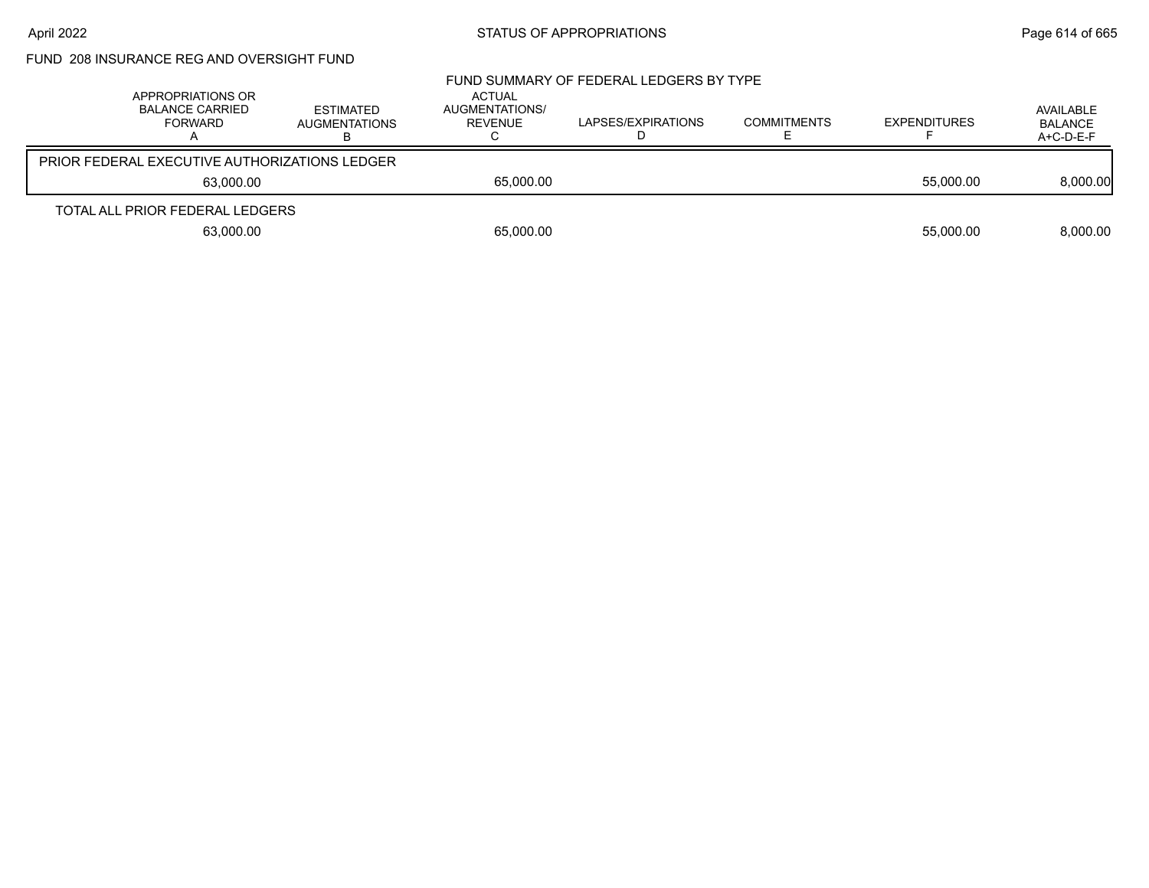# FUND 208 INSURANCE REG AND OVERSIGHT FUND

| APPROPRIATIONS OR<br><b>BALANCE CARRIED</b><br>FORWARD | ESTIMATED<br><b>AUGMENTATIONS</b>                    | <b>ACTUAL</b><br>AUGMENTATIONS/<br>REVENUE | FUND SUMMARY OF FEDERAL LEDGERS BY TYPE<br>LAPSES/EXPIRATIONS | <b>COMMITMENTS</b> | <b>EXPENDITURES</b> | AVAILABLE<br><b>BALANCE</b><br>A+C-D-E-F |
|--------------------------------------------------------|------------------------------------------------------|--------------------------------------------|---------------------------------------------------------------|--------------------|---------------------|------------------------------------------|
|                                                        | <b>PRIOR FEDERAL EXECUTIVE AUTHORIZATIONS LEDGER</b> |                                            |                                                               |                    |                     |                                          |
|                                                        | 63.000.00                                            | 65,000.00                                  |                                                               |                    | 55,000.00           | 8,000.00                                 |
| TOTAL ALL PRIOR FEDERAL LEDGERS                        |                                                      |                                            |                                                               |                    |                     |                                          |
|                                                        | 63,000.00                                            | 65,000.00                                  |                                                               |                    | 55,000.00           | 8.000.00                                 |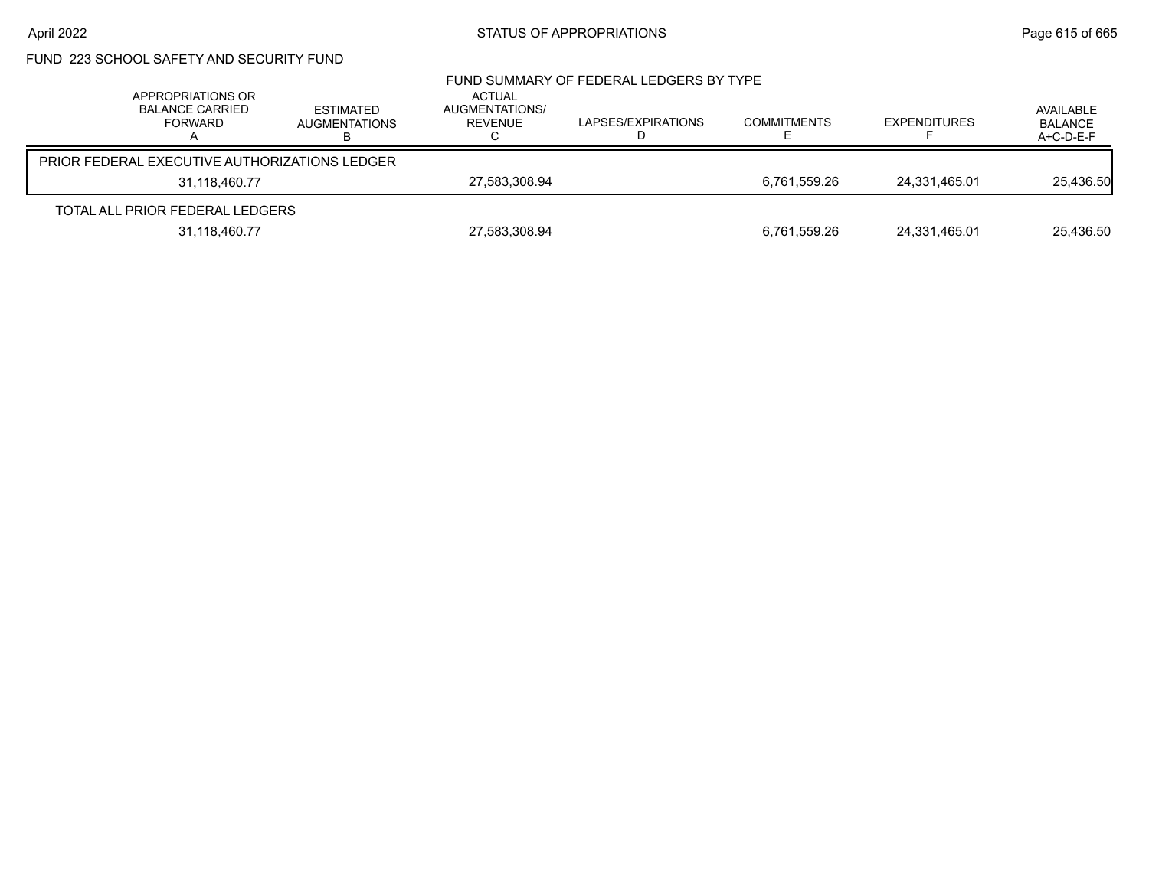# FUND 223 SCHOOL SAFETY AND SECURITY FUND

| APPROPRIATIONS OR<br><b>BALANCE CARRIED</b><br>FORWARD | <b>ESTIMATED</b><br>AUGMENTATIONS | ACTUAL<br>AUGMENTATIONS/<br><b>REVENUE</b> | FUND SUMMARY OF FEDERAL LEDGERS BY TYPE<br>LAPSES/EXPIRATIONS | <b>COMMITMENTS</b> | <b>EXPENDITURES</b> | AVAILABLE<br><b>BALANCE</b><br>A+C-D-E-F |
|--------------------------------------------------------|-----------------------------------|--------------------------------------------|---------------------------------------------------------------|--------------------|---------------------|------------------------------------------|
| PRIOR FEDERAL EXECUTIVE AUTHORIZATIONS LEDGER          |                                   |                                            |                                                               |                    |                     |                                          |
| 31.118.460.77                                          |                                   | 27,583,308.94                              |                                                               | 6,761,559.26       | 24,331,465.01       | 25,436.50                                |
| TOTAL ALL PRIOR FEDERAL LEDGERS                        |                                   |                                            |                                                               |                    |                     |                                          |
| 31,118,460.77                                          |                                   | 27,583,308.94                              |                                                               | 6,761,559.26       | 24,331,465.01       | 25.436.50                                |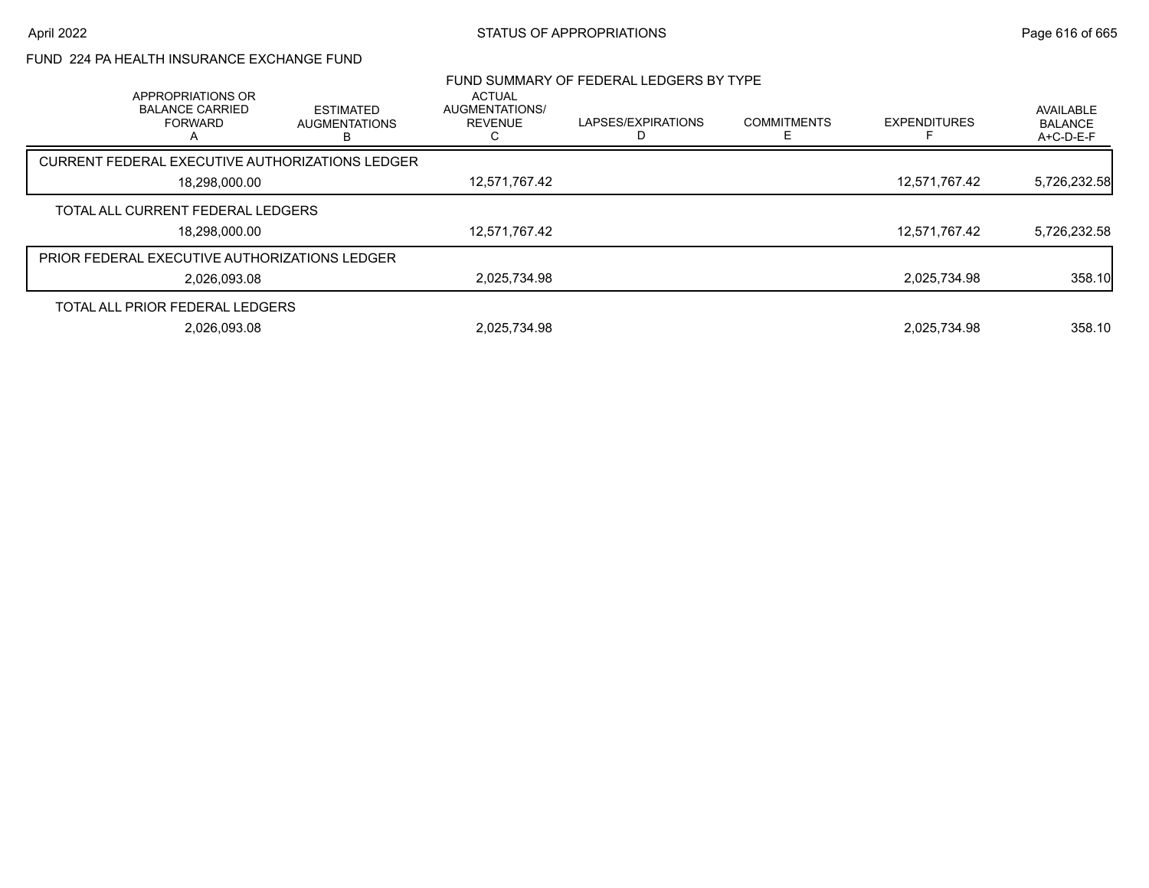### FUND 224 PA HEALTH INSURANCE EXCHANGE FUND

|                                                        |                                                 |                                                   | FUND SUMMARY OF FEDERAL LEDGERS BY TYPE |                    |                     |                                            |
|--------------------------------------------------------|-------------------------------------------------|---------------------------------------------------|-----------------------------------------|--------------------|---------------------|--------------------------------------------|
| APPROPRIATIONS OR<br><b>BALANCE CARRIED</b><br>FORWARD | <b>ESTIMATED</b><br><b>AUGMENTATIONS</b><br>в   | <b>ACTUAL</b><br>AUGMENTATIONS/<br><b>REVENUE</b> | LAPSES/EXPIRATIONS                      | <b>COMMITMENTS</b> | <b>EXPENDITURES</b> | AVAILABLE<br><b>BALANCE</b><br>$A+C-D-E-F$ |
|                                                        | CURRENT FEDERAL EXECUTIVE AUTHORIZATIONS LEDGER |                                                   |                                         |                    |                     |                                            |
| 18.298.000.00                                          |                                                 | 12,571,767.42                                     |                                         |                    | 12.571.767.42       | 5,726,232.58                               |
| TOTAL ALL CURRENT FEDERAL LEDGERS                      |                                                 |                                                   |                                         |                    |                     |                                            |
| 18,298,000.00                                          |                                                 | 12,571,767.42                                     |                                         |                    | 12.571.767.42       | 5,726,232.58                               |
| <b>PRIOR FEDERAL EXECUTIVE AUTHORIZATIONS LEDGER</b>   |                                                 |                                                   |                                         |                    |                     |                                            |
| 2.026.093.08                                           |                                                 | 2.025.734.98                                      |                                         |                    | 2.025.734.98        | 358.10                                     |
| TOTAL ALL PRIOR FEDERAL LEDGERS                        |                                                 |                                                   |                                         |                    |                     |                                            |
| 2.026.093.08                                           |                                                 | 2.025.734.98                                      |                                         |                    | 2.025.734.98        | 358.10                                     |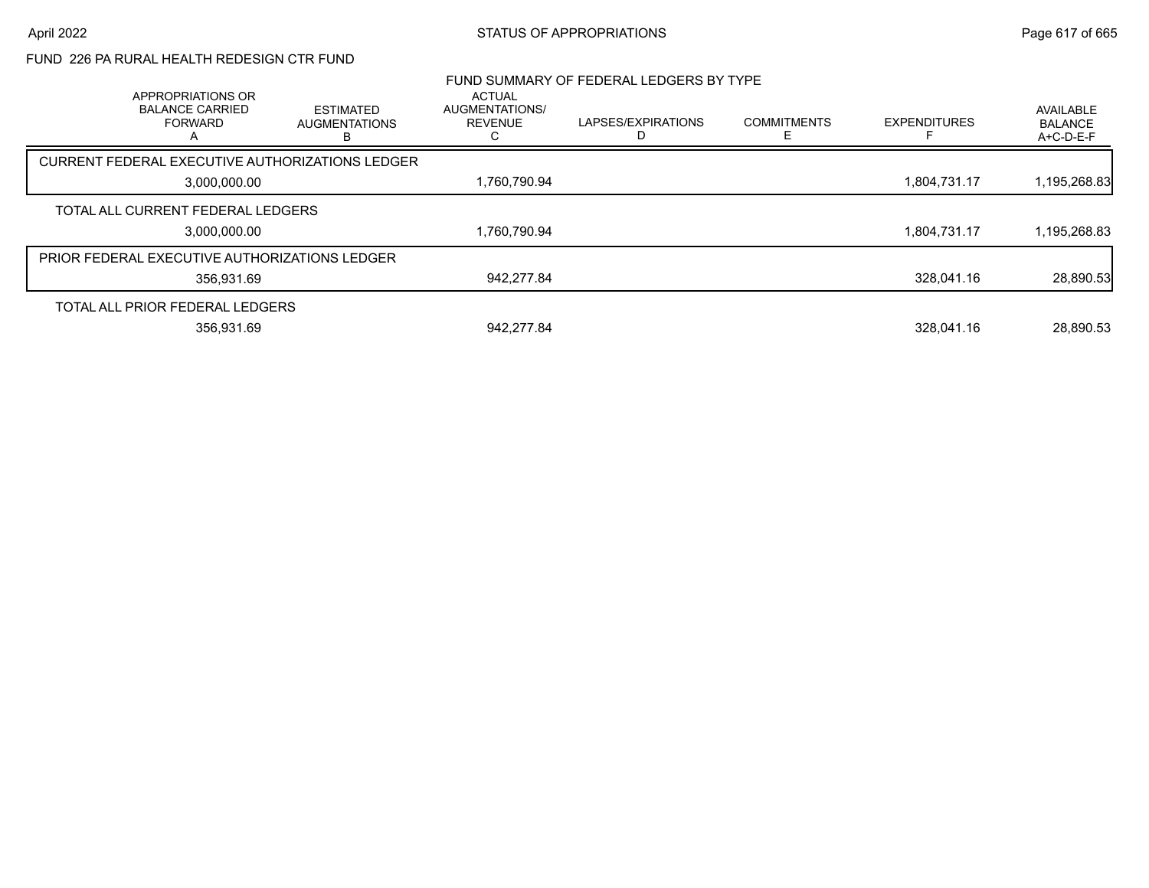## FUND 226 PA RURAL HEALTH REDESIGN CTR FUND

| APPROPRIATIONS OR                             |                                                 | <b>ACTUAL</b>                    | FUND SUMMARY OF FEDERAL LEDGERS BY TYPE |                    |                     |                                          |
|-----------------------------------------------|-------------------------------------------------|----------------------------------|-----------------------------------------|--------------------|---------------------|------------------------------------------|
| <b>BALANCE CARRIED</b><br><b>FORWARD</b>      | <b>ESTIMATED</b><br><b>AUGMENTATIONS</b>        | AUGMENTATIONS/<br><b>REVENUE</b> | LAPSES/EXPIRATIONS                      | <b>COMMITMENTS</b> | <b>EXPENDITURES</b> | AVAILABLE<br><b>BALANCE</b><br>A+C-D-E-F |
|                                               | CURRENT FEDERAL EXECUTIVE AUTHORIZATIONS LEDGER |                                  |                                         |                    |                     |                                          |
| 3,000,000.00                                  |                                                 | 1,760,790.94                     |                                         |                    | 1,804,731.17        | 1,195,268.83                             |
| TOTAL ALL CURRENT FEDERAL LEDGERS             |                                                 |                                  |                                         |                    |                     |                                          |
| 3,000,000.00                                  |                                                 | 1,760,790.94                     |                                         |                    | 1,804,731.17        | 1,195,268.83                             |
| PRIOR FEDERAL EXECUTIVE AUTHORIZATIONS LEDGER |                                                 |                                  |                                         |                    |                     |                                          |
| 356.931.69                                    |                                                 | 942,277.84                       |                                         |                    | 328.041.16          | 28,890.53                                |
| TOTAL ALL PRIOR FEDERAL LEDGERS               |                                                 |                                  |                                         |                    |                     |                                          |
| 356.931.69                                    |                                                 | 942.277.84                       |                                         |                    | 328.041.16          | 28,890.53                                |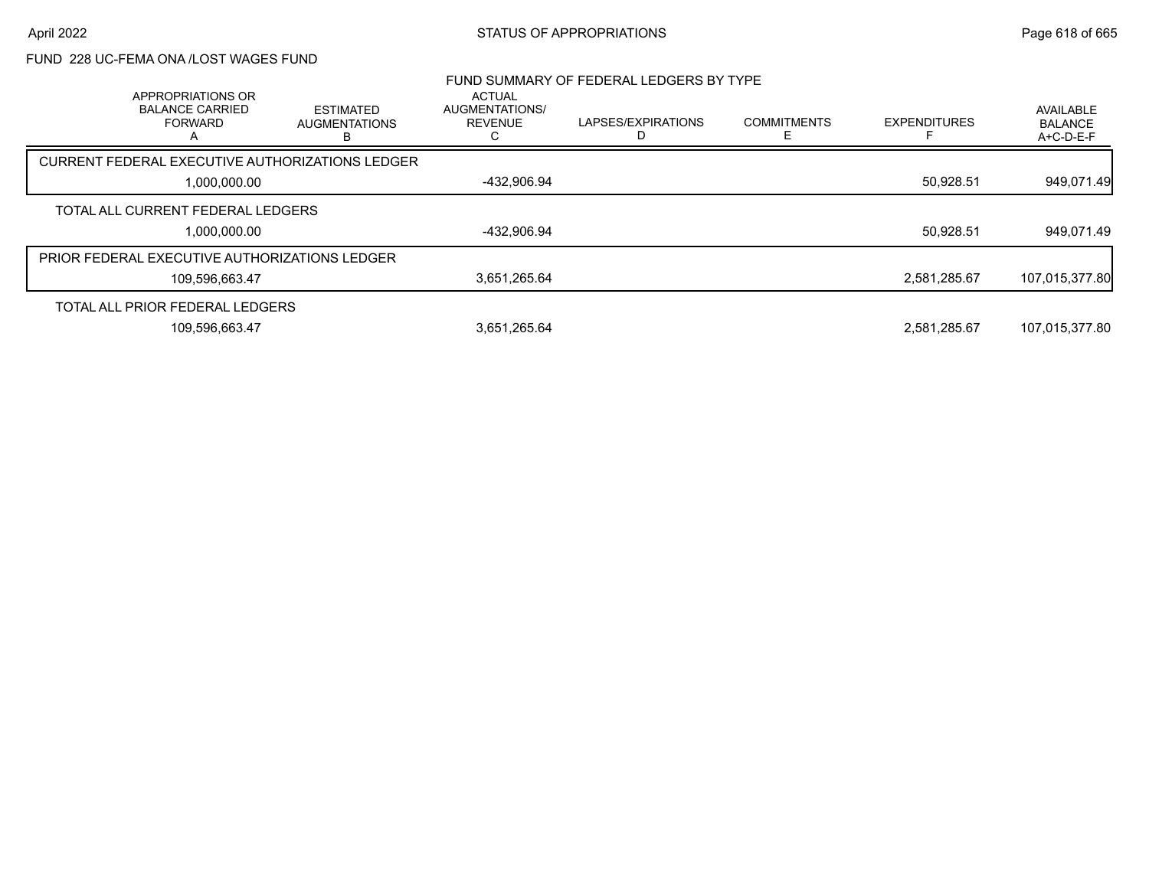### FUND 228 UC-FEMA ONA /LOST WAGES FUND

| APPROPRIATIONS OR                               |                                               | <b>ACTUAL</b>                    | FUND SUMMARY OF FEDERAL LEDGERS BY TYPE |                    |                     |                                          |
|-------------------------------------------------|-----------------------------------------------|----------------------------------|-----------------------------------------|--------------------|---------------------|------------------------------------------|
| <b>BALANCE CARRIED</b><br><b>FORWARD</b>        | <b>ESTIMATED</b><br><b>AUGMENTATIONS</b><br>В | AUGMENTATIONS/<br><b>REVENUE</b> | LAPSES/EXPIRATIONS                      | <b>COMMITMENTS</b> | <b>EXPENDITURES</b> | AVAILABLE<br><b>BALANCE</b><br>A+C-D-E-F |
| CURRENT FEDERAL EXECUTIVE AUTHORIZATIONS LEDGER |                                               |                                  |                                         |                    |                     |                                          |
| 1,000,000.00                                    |                                               | -432,906.94                      |                                         |                    | 50,928.51           | 949,071.49                               |
| TOTAL ALL CURRENT FEDERAL LEDGERS               |                                               |                                  |                                         |                    |                     |                                          |
| 1,000,000.00                                    |                                               | -432,906.94                      |                                         |                    | 50,928.51           | 949,071.49                               |
| PRIOR FEDERAL EXECUTIVE AUTHORIZATIONS LEDGER   |                                               |                                  |                                         |                    |                     |                                          |
| 109.596.663.47                                  |                                               | 3,651,265.64                     |                                         |                    | 2.581.285.67        | 107,015,377.80                           |
| TOTAL ALL PRIOR FEDERAL LEDGERS                 |                                               |                                  |                                         |                    |                     |                                          |
| 109,596,663.47                                  |                                               | 3,651,265.64                     |                                         |                    | 2.581.285.67        | 107,015,377.80                           |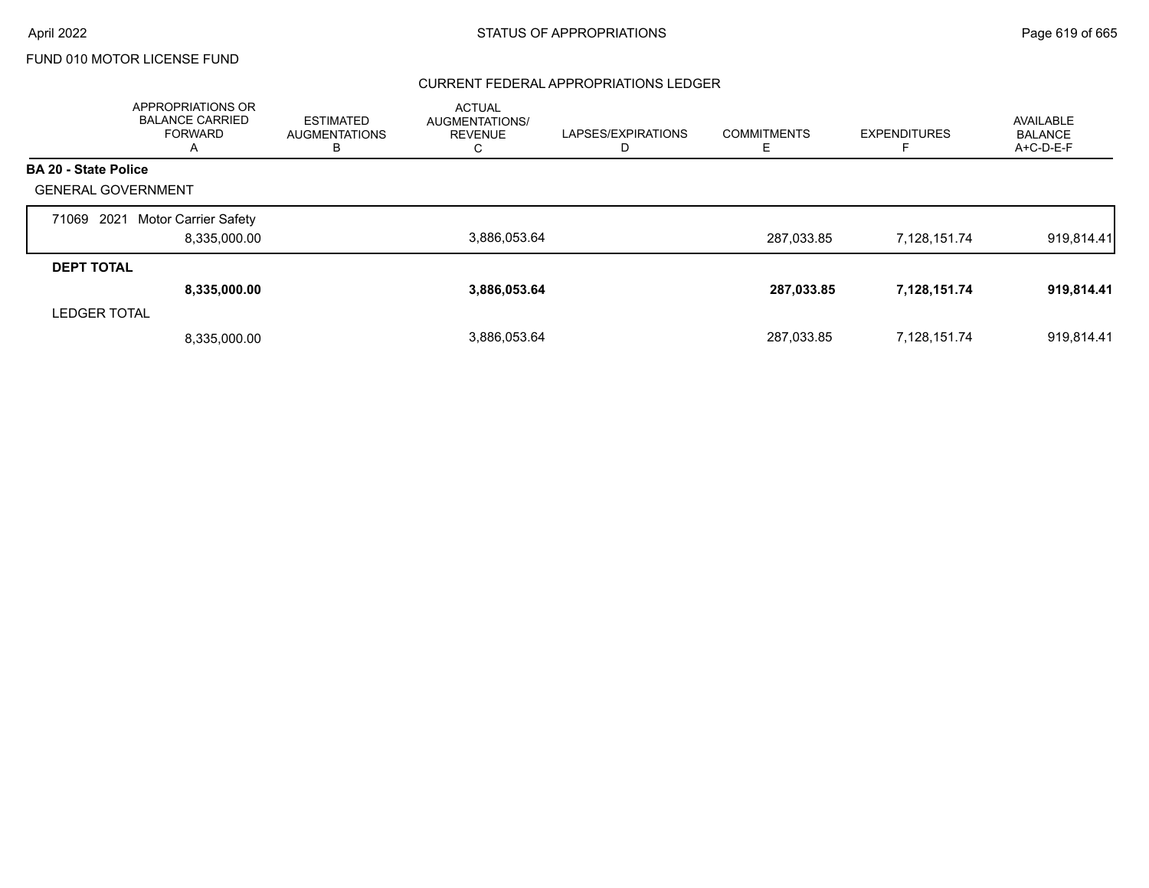#### CURRENT FEDERAL APPROPRIATIONS LEDGER

|                             | APPROPRIATIONS OR<br><b>BALANCE CARRIED</b><br><b>FORWARD</b><br>A | <b>ESTIMATED</b><br><b>AUGMENTATIONS</b><br>в | <b>ACTUAL</b><br>AUGMENTATIONS/<br><b>REVENUE</b><br>◡ | LAPSES/EXPIRATIONS<br>D | <b>COMMITMENTS</b><br>E | <b>EXPENDITURES</b> | AVAILABLE<br><b>BALANCE</b><br>A+C-D-E-F |
|-----------------------------|--------------------------------------------------------------------|-----------------------------------------------|--------------------------------------------------------|-------------------------|-------------------------|---------------------|------------------------------------------|
| <b>BA 20 - State Police</b> |                                                                    |                                               |                                                        |                         |                         |                     |                                          |
| <b>GENERAL GOVERNMENT</b>   |                                                                    |                                               |                                                        |                         |                         |                     |                                          |
| 2021<br>71069               | Motor Carrier Safety<br>8,335,000.00                               |                                               | 3,886,053.64                                           |                         | 287.033.85              | 7,128,151.74        | 919,814.41                               |
| <b>DEPT TOTAL</b>           |                                                                    |                                               |                                                        |                         |                         |                     |                                          |
|                             | 8,335,000.00                                                       |                                               | 3,886,053.64                                           |                         | 287,033.85              | 7,128,151.74        | 919,814.41                               |
| <b>LEDGER TOTAL</b>         |                                                                    |                                               |                                                        |                         |                         |                     |                                          |
|                             | 8,335,000.00                                                       |                                               | 3.886.053.64                                           |                         | 287,033.85              | 7,128,151.74        | 919.814.41                               |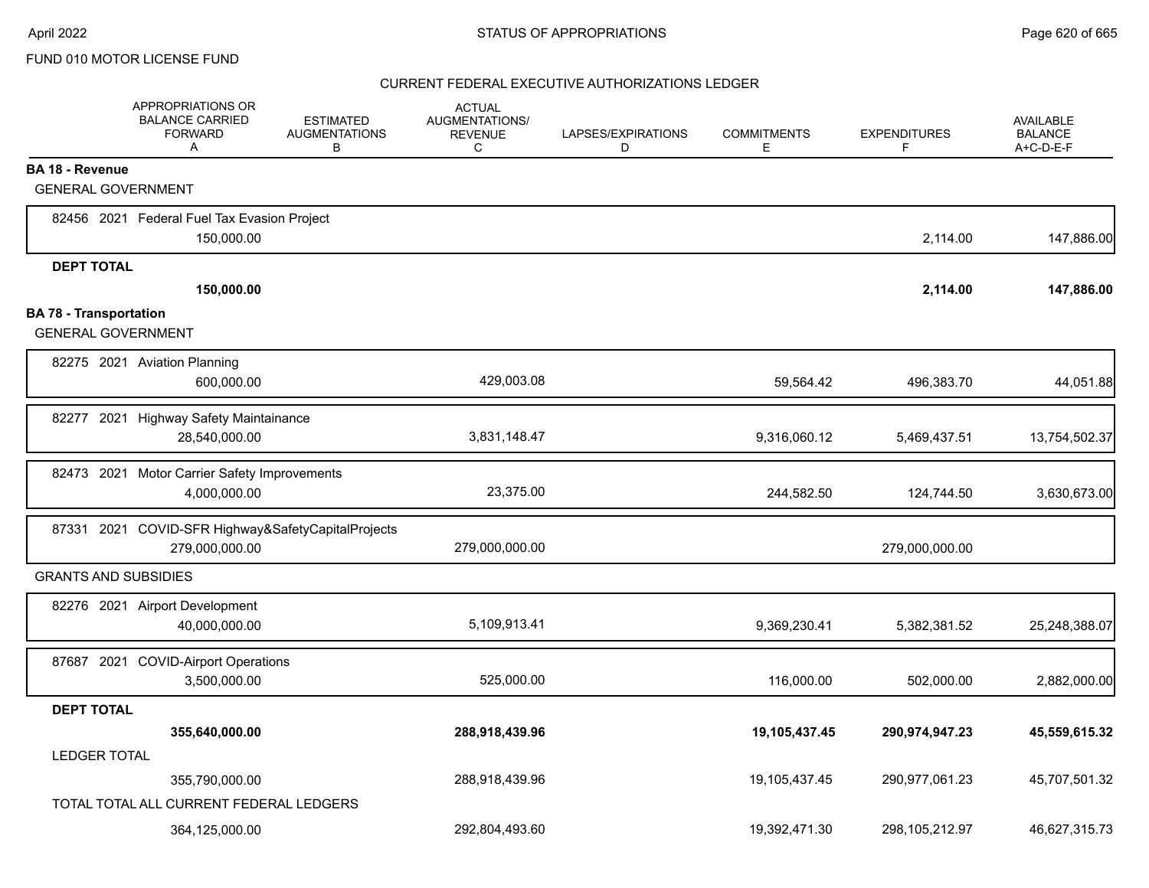|                               | APPROPRIATIONS OR<br><b>BALANCE CARRIED</b><br><b>FORWARD</b><br>A | <b>ESTIMATED</b><br><b>AUGMENTATIONS</b><br>B | <b>ACTUAL</b><br>AUGMENTATIONS/<br><b>REVENUE</b><br>C | LAPSES/EXPIRATIONS<br>D | <b>COMMITMENTS</b><br>E | <b>EXPENDITURES</b><br>F | AVAILABLE<br><b>BALANCE</b><br>A+C-D-E-F |
|-------------------------------|--------------------------------------------------------------------|-----------------------------------------------|--------------------------------------------------------|-------------------------|-------------------------|--------------------------|------------------------------------------|
| <b>BA 18 - Revenue</b>        |                                                                    |                                               |                                                        |                         |                         |                          |                                          |
| <b>GENERAL GOVERNMENT</b>     |                                                                    |                                               |                                                        |                         |                         |                          |                                          |
|                               | 82456 2021 Federal Fuel Tax Evasion Project                        |                                               |                                                        |                         |                         |                          |                                          |
|                               | 150,000.00                                                         |                                               |                                                        |                         |                         | 2,114.00                 | 147,886.00                               |
| <b>DEPT TOTAL</b>             |                                                                    |                                               |                                                        |                         |                         |                          |                                          |
|                               | 150,000.00                                                         |                                               |                                                        |                         |                         | 2,114.00                 | 147,886.00                               |
| <b>BA 78 - Transportation</b> |                                                                    |                                               |                                                        |                         |                         |                          |                                          |
| <b>GENERAL GOVERNMENT</b>     |                                                                    |                                               |                                                        |                         |                         |                          |                                          |
|                               | 82275 2021 Aviation Planning                                       |                                               |                                                        |                         |                         |                          |                                          |
|                               | 600,000.00                                                         |                                               | 429,003.08                                             |                         | 59,564.42               | 496,383.70               | 44,051.88                                |
|                               | 82277 2021 Highway Safety Maintainance                             |                                               |                                                        |                         |                         |                          |                                          |
|                               | 28,540,000.00                                                      |                                               | 3,831,148.47                                           |                         | 9,316,060.12            | 5,469,437.51             | 13,754,502.37                            |
|                               | 82473 2021 Motor Carrier Safety Improvements                       |                                               |                                                        |                         |                         |                          |                                          |
|                               | 4,000,000.00                                                       |                                               | 23,375.00                                              |                         | 244,582.50              | 124,744.50               | 3,630,673.00                             |
|                               | 87331 2021 COVID-SFR Highway&SafetyCapitalProjects                 |                                               |                                                        |                         |                         |                          |                                          |
|                               | 279,000,000.00                                                     |                                               | 279,000,000.00                                         |                         |                         | 279,000,000.00           |                                          |
| <b>GRANTS AND SUBSIDIES</b>   |                                                                    |                                               |                                                        |                         |                         |                          |                                          |
|                               | 82276 2021 Airport Development                                     |                                               |                                                        |                         |                         |                          |                                          |
|                               | 40,000,000.00                                                      |                                               | 5,109,913.41                                           |                         | 9,369,230.41            | 5,382,381.52             | 25,248,388.07                            |
|                               | 87687 2021 COVID-Airport Operations                                |                                               |                                                        |                         |                         |                          |                                          |
|                               | 3,500,000.00                                                       |                                               | 525,000.00                                             |                         | 116,000.00              | 502,000.00               | 2,882,000.00                             |
| <b>DEPT TOTAL</b>             |                                                                    |                                               |                                                        |                         |                         |                          |                                          |
|                               | 355,640,000.00                                                     |                                               | 288,918,439.96                                         |                         | 19,105,437.45           | 290,974,947.23           | 45,559,615.32                            |
| <b>LEDGER TOTAL</b>           |                                                                    |                                               |                                                        |                         |                         |                          |                                          |
|                               | 355,790,000.00                                                     |                                               | 288,918,439.96                                         |                         | 19,105,437.45           | 290,977,061.23           | 45,707,501.32                            |
|                               | TOTAL TOTAL ALL CURRENT FEDERAL LEDGERS                            |                                               |                                                        |                         |                         |                          |                                          |
|                               | 364,125,000.00                                                     |                                               | 292,804,493.60                                         |                         | 19,392,471.30           | 298,105,212.97           | 46,627,315.73                            |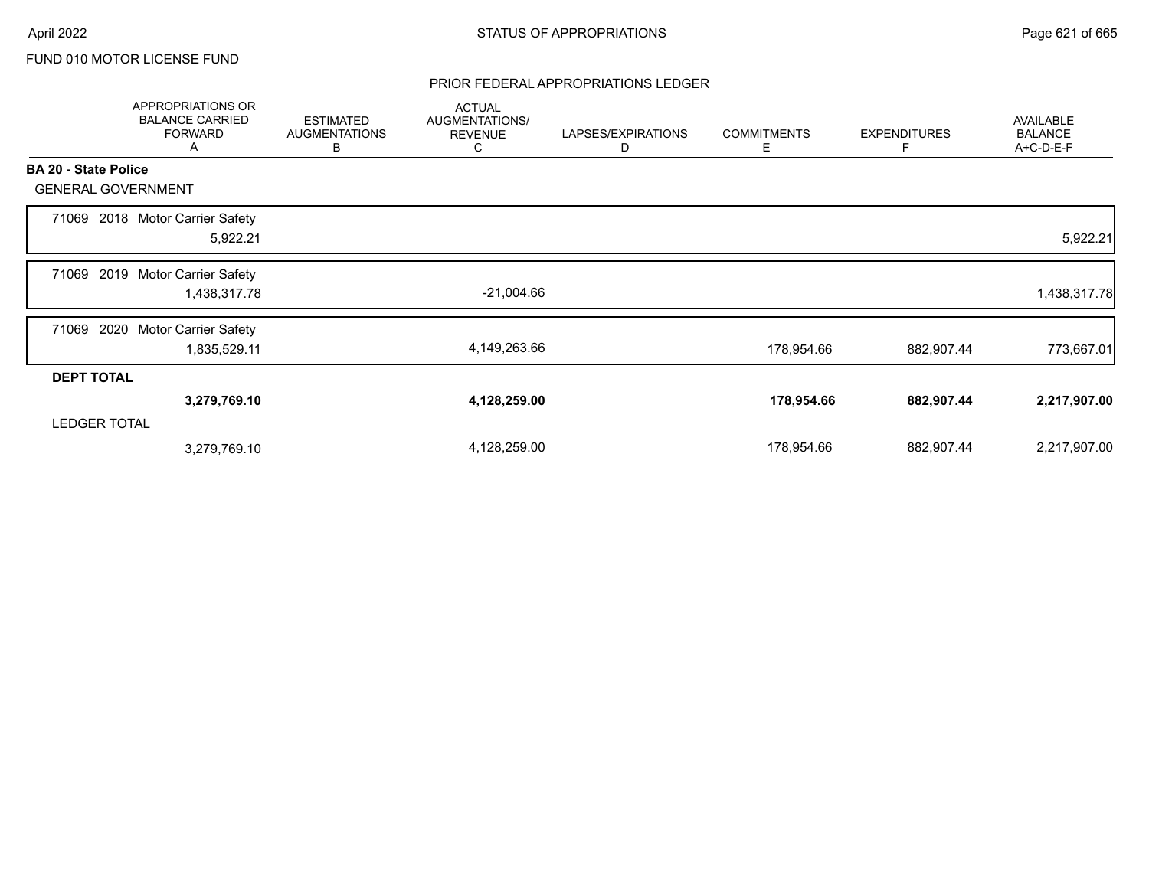### PRIOR FEDERAL APPROPRIATIONS LEDGER

|                             | APPROPRIATIONS OR<br><b>BALANCE CARRIED</b><br><b>FORWARD</b><br>A | <b>ESTIMATED</b><br><b>AUGMENTATIONS</b><br>В | <b>ACTUAL</b><br>AUGMENTATIONS/<br><b>REVENUE</b><br>С | LAPSES/EXPIRATIONS<br>D | <b>COMMITMENTS</b><br>E. | <b>EXPENDITURES</b><br>F | AVAILABLE<br><b>BALANCE</b><br>A+C-D-E-F |
|-----------------------------|--------------------------------------------------------------------|-----------------------------------------------|--------------------------------------------------------|-------------------------|--------------------------|--------------------------|------------------------------------------|
| <b>BA 20 - State Police</b> |                                                                    |                                               |                                                        |                         |                          |                          |                                          |
|                             | <b>GENERAL GOVERNMENT</b>                                          |                                               |                                                        |                         |                          |                          |                                          |
| 71069                       | 2018 Motor Carrier Safety<br>5,922.21                              |                                               |                                                        |                         |                          |                          | 5,922.21                                 |
| 71069                       | 2019 Motor Carrier Safety<br>1,438,317.78                          |                                               | $-21,004.66$                                           |                         |                          |                          | 1,438,317.78                             |
| 71069                       | 2020<br>Motor Carrier Safety<br>1,835,529.11                       |                                               | 4,149,263.66                                           |                         | 178,954.66               | 882,907.44               | 773,667.01                               |
| <b>DEPT TOTAL</b>           |                                                                    |                                               |                                                        |                         |                          |                          |                                          |
|                             | 3,279,769.10                                                       |                                               | 4,128,259.00                                           |                         | 178,954.66               | 882,907.44               | 2,217,907.00                             |
| <b>LEDGER TOTAL</b>         |                                                                    |                                               |                                                        |                         |                          |                          |                                          |
|                             | 3,279,769.10                                                       |                                               | 4,128,259.00                                           |                         | 178,954.66               | 882,907.44               | 2,217,907.00                             |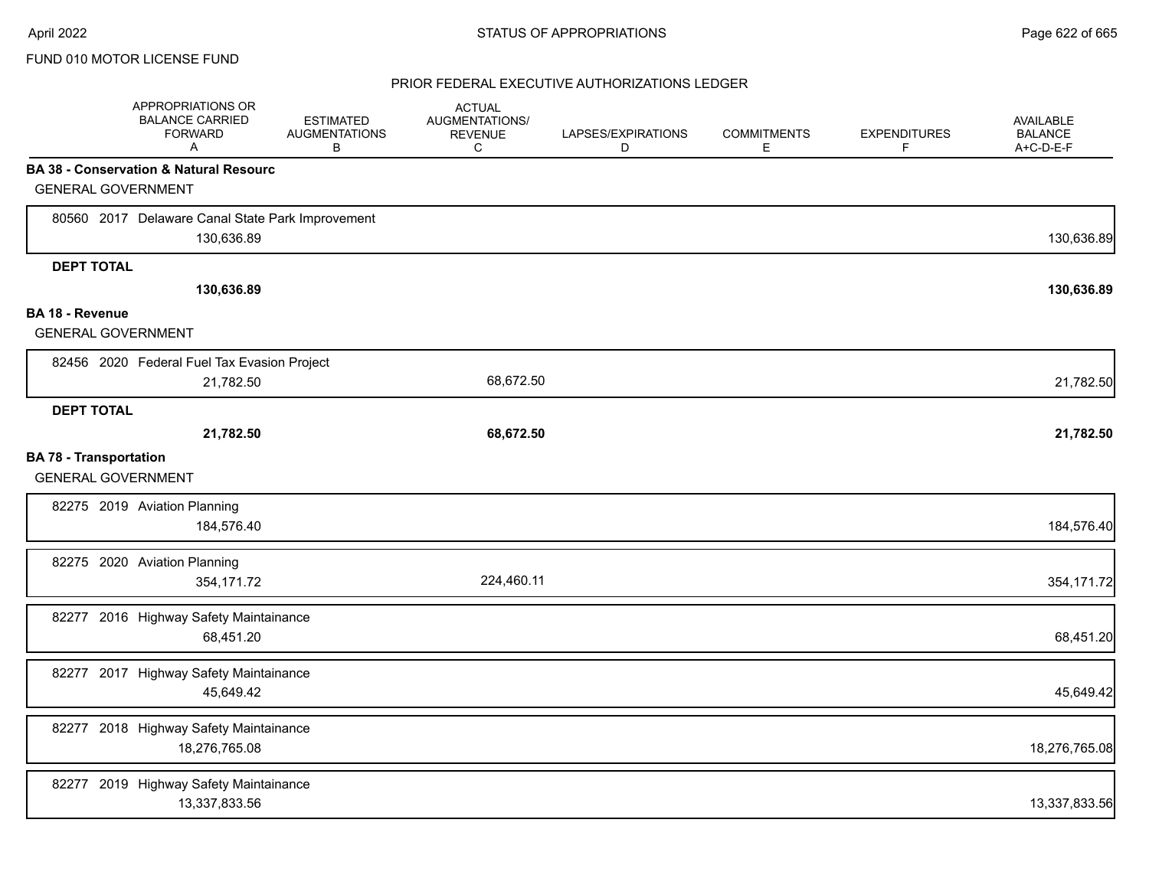|                                                            | APPROPRIATIONS OR<br><b>BALANCE CARRIED</b><br><b>FORWARD</b><br>Α | <b>ESTIMATED</b><br><b>AUGMENTATIONS</b><br>В | <b>ACTUAL</b><br>AUGMENTATIONS/<br><b>REVENUE</b><br>C | LAPSES/EXPIRATIONS<br>D | <b>COMMITMENTS</b><br>Е | <b>EXPENDITURES</b><br>F | <b>AVAILABLE</b><br><b>BALANCE</b><br>A+C-D-E-F |
|------------------------------------------------------------|--------------------------------------------------------------------|-----------------------------------------------|--------------------------------------------------------|-------------------------|-------------------------|--------------------------|-------------------------------------------------|
|                                                            | <b>BA 38 - Conservation &amp; Natural Resourc</b>                  |                                               |                                                        |                         |                         |                          |                                                 |
| <b>GENERAL GOVERNMENT</b>                                  |                                                                    |                                               |                                                        |                         |                         |                          |                                                 |
|                                                            | 80560 2017 Delaware Canal State Park Improvement<br>130,636.89     |                                               |                                                        |                         |                         |                          | 130,636.89                                      |
| <b>DEPT TOTAL</b>                                          |                                                                    |                                               |                                                        |                         |                         |                          |                                                 |
|                                                            | 130,636.89                                                         |                                               |                                                        |                         |                         |                          | 130,636.89                                      |
| BA 18 - Revenue                                            |                                                                    |                                               |                                                        |                         |                         |                          |                                                 |
| <b>GENERAL GOVERNMENT</b>                                  |                                                                    |                                               |                                                        |                         |                         |                          |                                                 |
|                                                            | 82456 2020 Federal Fuel Tax Evasion Project                        |                                               |                                                        |                         |                         |                          |                                                 |
|                                                            | 21,782.50                                                          |                                               | 68,672.50                                              |                         |                         |                          | 21,782.50                                       |
| <b>DEPT TOTAL</b>                                          |                                                                    |                                               |                                                        |                         |                         |                          |                                                 |
|                                                            | 21,782.50                                                          |                                               | 68,672.50                                              |                         |                         |                          | 21,782.50                                       |
| <b>BA 78 - Transportation</b><br><b>GENERAL GOVERNMENT</b> |                                                                    |                                               |                                                        |                         |                         |                          |                                                 |
|                                                            | 82275 2019 Aviation Planning<br>184,576.40                         |                                               |                                                        |                         |                         |                          | 184,576.40                                      |
|                                                            | 82275 2020 Aviation Planning<br>354,171.72                         |                                               | 224,460.11                                             |                         |                         |                          | 354,171.72                                      |
|                                                            | 82277 2016 Highway Safety Maintainance<br>68,451.20                |                                               |                                                        |                         |                         |                          | 68,451.20                                       |
|                                                            | 82277 2017 Highway Safety Maintainance<br>45,649.42                |                                               |                                                        |                         |                         |                          | 45,649.42                                       |
|                                                            | 82277 2018 Highway Safety Maintainance<br>18,276,765.08            |                                               |                                                        |                         |                         |                          | 18,276,765.08                                   |
|                                                            | 82277 2019 Highway Safety Maintainance<br>13,337,833.56            |                                               |                                                        |                         |                         |                          | 13,337,833.56                                   |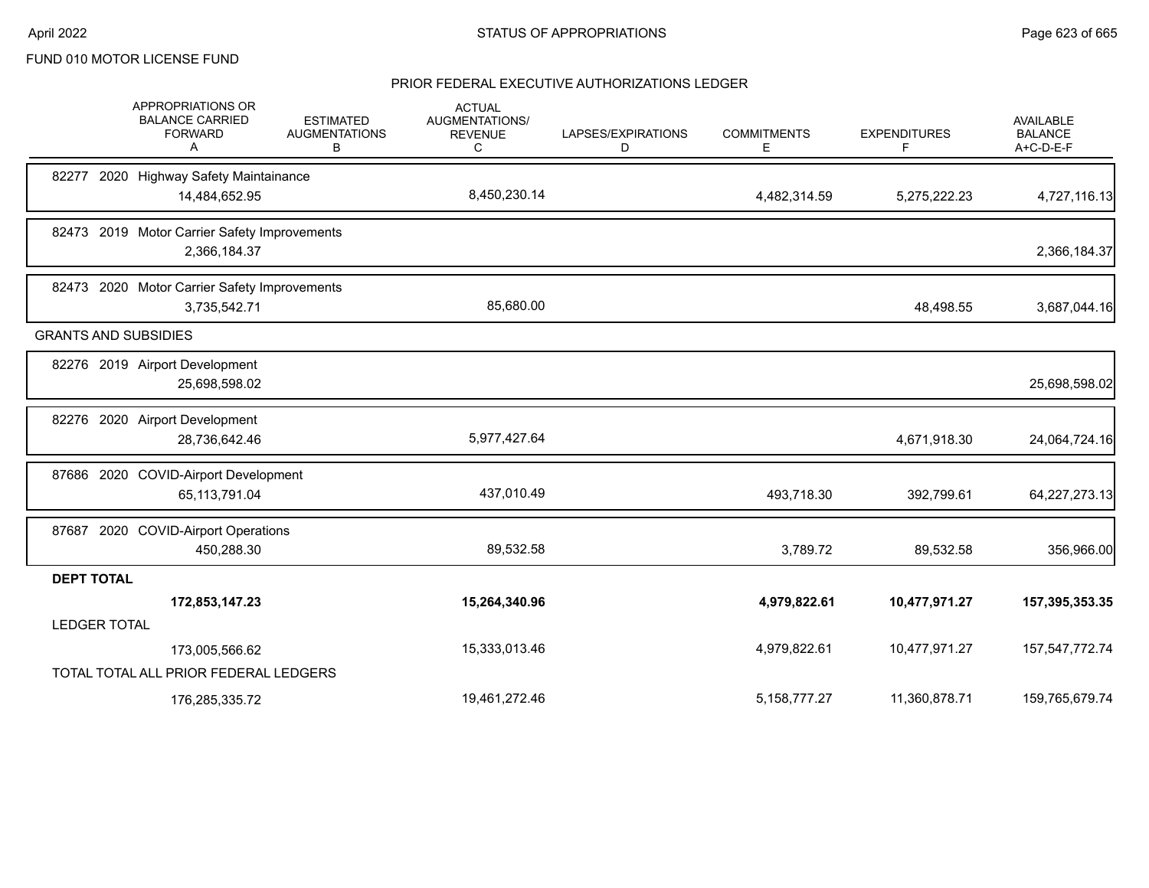|                     | APPROPRIATIONS OR<br><b>BALANCE CARRIED</b><br><b>FORWARD</b><br>A | <b>ESTIMATED</b><br><b>AUGMENTATIONS</b><br>В | <b>ACTUAL</b><br><b>AUGMENTATIONS/</b><br><b>REVENUE</b><br>С | LAPSES/EXPIRATIONS<br>D | <b>COMMITMENTS</b><br>E. | <b>EXPENDITURES</b><br>F | AVAILABLE<br><b>BALANCE</b><br>A+C-D-E-F |
|---------------------|--------------------------------------------------------------------|-----------------------------------------------|---------------------------------------------------------------|-------------------------|--------------------------|--------------------------|------------------------------------------|
|                     | 82277 2020 Highway Safety Maintainance                             |                                               |                                                               |                         |                          |                          |                                          |
|                     | 14,484,652.95                                                      |                                               | 8,450,230.14                                                  |                         | 4,482,314.59             | 5,275,222.23             | 4,727,116.13                             |
|                     | 82473 2019 Motor Carrier Safety Improvements                       |                                               |                                                               |                         |                          |                          |                                          |
|                     | 2,366,184.37                                                       |                                               |                                                               |                         |                          |                          | 2,366,184.37                             |
|                     | 82473 2020 Motor Carrier Safety Improvements                       |                                               |                                                               |                         |                          |                          |                                          |
|                     | 3,735,542.71                                                       |                                               | 85,680.00                                                     |                         |                          | 48,498.55                | 3,687,044.16                             |
|                     | <b>GRANTS AND SUBSIDIES</b>                                        |                                               |                                                               |                         |                          |                          |                                          |
|                     | 82276 2019 Airport Development                                     |                                               |                                                               |                         |                          |                          |                                          |
|                     | 25,698,598.02                                                      |                                               |                                                               |                         |                          |                          | 25,698,598.02                            |
|                     | 82276 2020 Airport Development                                     |                                               |                                                               |                         |                          |                          |                                          |
|                     | 28,736,642.46                                                      |                                               | 5,977,427.64                                                  |                         |                          | 4,671,918.30             | 24,064,724.16                            |
|                     | 87686 2020 COVID-Airport Development                               |                                               |                                                               |                         |                          |                          |                                          |
|                     | 65, 113, 791.04                                                    |                                               | 437,010.49                                                    |                         | 493,718.30               | 392,799.61               | 64,227,273.13                            |
|                     | 87687 2020 COVID-Airport Operations                                |                                               |                                                               |                         |                          |                          |                                          |
|                     | 450,288.30                                                         |                                               | 89,532.58                                                     |                         | 3,789.72                 | 89,532.58                | 356,966.00                               |
| <b>DEPT TOTAL</b>   |                                                                    |                                               |                                                               |                         |                          |                          |                                          |
|                     | 172,853,147.23                                                     |                                               | 15,264,340.96                                                 |                         | 4,979,822.61             | 10,477,971.27            | 157,395,353.35                           |
| <b>LEDGER TOTAL</b> |                                                                    |                                               |                                                               |                         |                          |                          |                                          |
|                     | 173,005,566.62                                                     |                                               | 15,333,013.46                                                 |                         | 4,979,822.61             | 10,477,971.27            | 157,547,772.74                           |
|                     | TOTAL TOTAL ALL PRIOR FEDERAL LEDGERS                              |                                               |                                                               |                         |                          |                          |                                          |
|                     | 176,285,335.72                                                     |                                               | 19,461,272.46                                                 |                         | 5,158,777.27             | 11,360,878.71            | 159,765,679.74                           |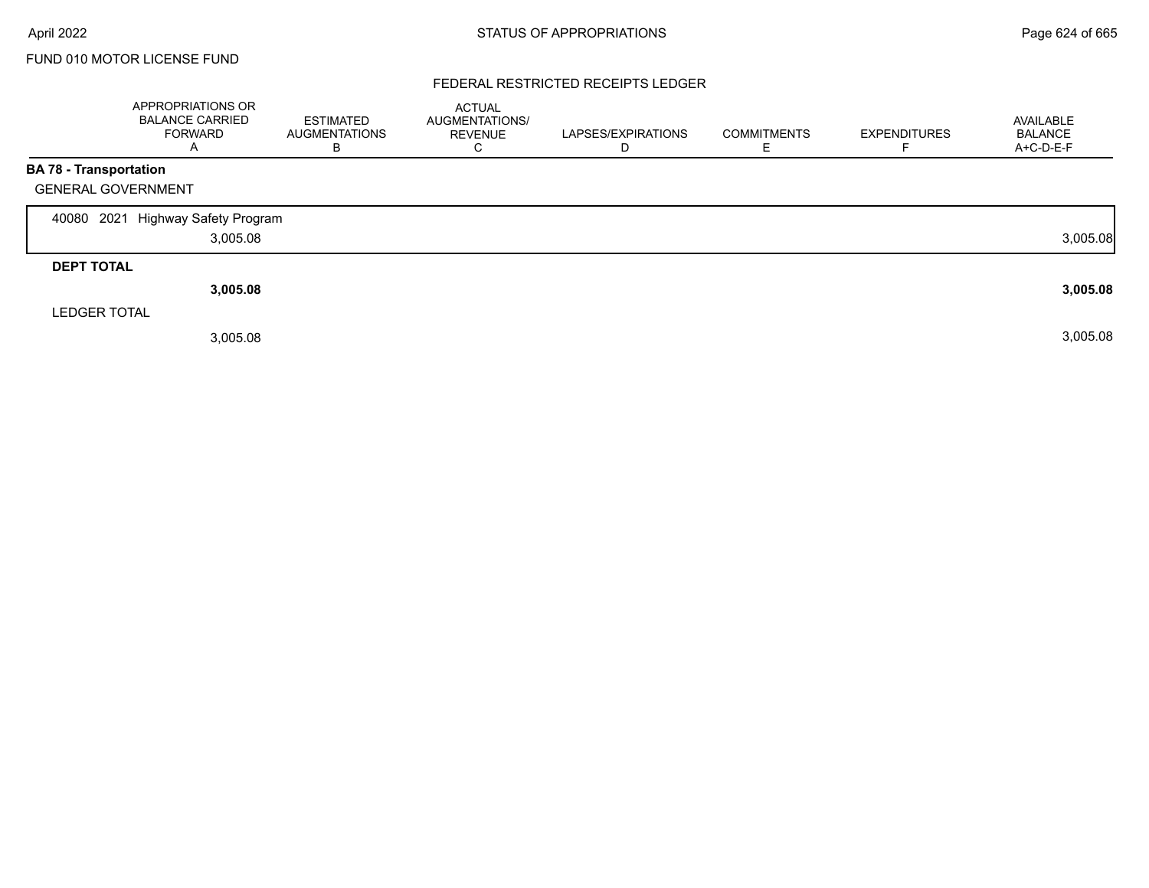### FEDERAL RESTRICTED RECEIPTS LEDGER

|                           | <b>APPROPRIATIONS OR</b><br><b>BALANCE CARRIED</b><br><b>FORWARD</b><br>$\mathsf{A}$ | <b>ESTIMATED</b><br><b>AUGMENTATIONS</b><br>В | <b>ACTUAL</b><br>AUGMENTATIONS/<br><b>REVENUE</b><br>U | LAPSES/EXPIRATIONS<br>D | <b>COMMITMENTS</b><br>ᄇ | <b>EXPENDITURES</b> | AVAILABLE<br><b>BALANCE</b><br>A+C-D-E-F |
|---------------------------|--------------------------------------------------------------------------------------|-----------------------------------------------|--------------------------------------------------------|-------------------------|-------------------------|---------------------|------------------------------------------|
| BA 78 - Transportation    |                                                                                      |                                               |                                                        |                         |                         |                     |                                          |
| <b>GENERAL GOVERNMENT</b> |                                                                                      |                                               |                                                        |                         |                         |                     |                                          |
| 2021<br>40080             | Highway Safety Program                                                               |                                               |                                                        |                         |                         |                     |                                          |
|                           | 3,005.08                                                                             |                                               |                                                        |                         |                         |                     | 3,005.08                                 |
| <b>DEPT TOTAL</b>         |                                                                                      |                                               |                                                        |                         |                         |                     |                                          |
|                           | 3,005.08                                                                             |                                               |                                                        |                         |                         |                     | 3,005.08                                 |
| <b>LEDGER TOTAL</b>       |                                                                                      |                                               |                                                        |                         |                         |                     |                                          |
|                           | 3,005.08                                                                             |                                               |                                                        |                         |                         |                     | 3,005.08                                 |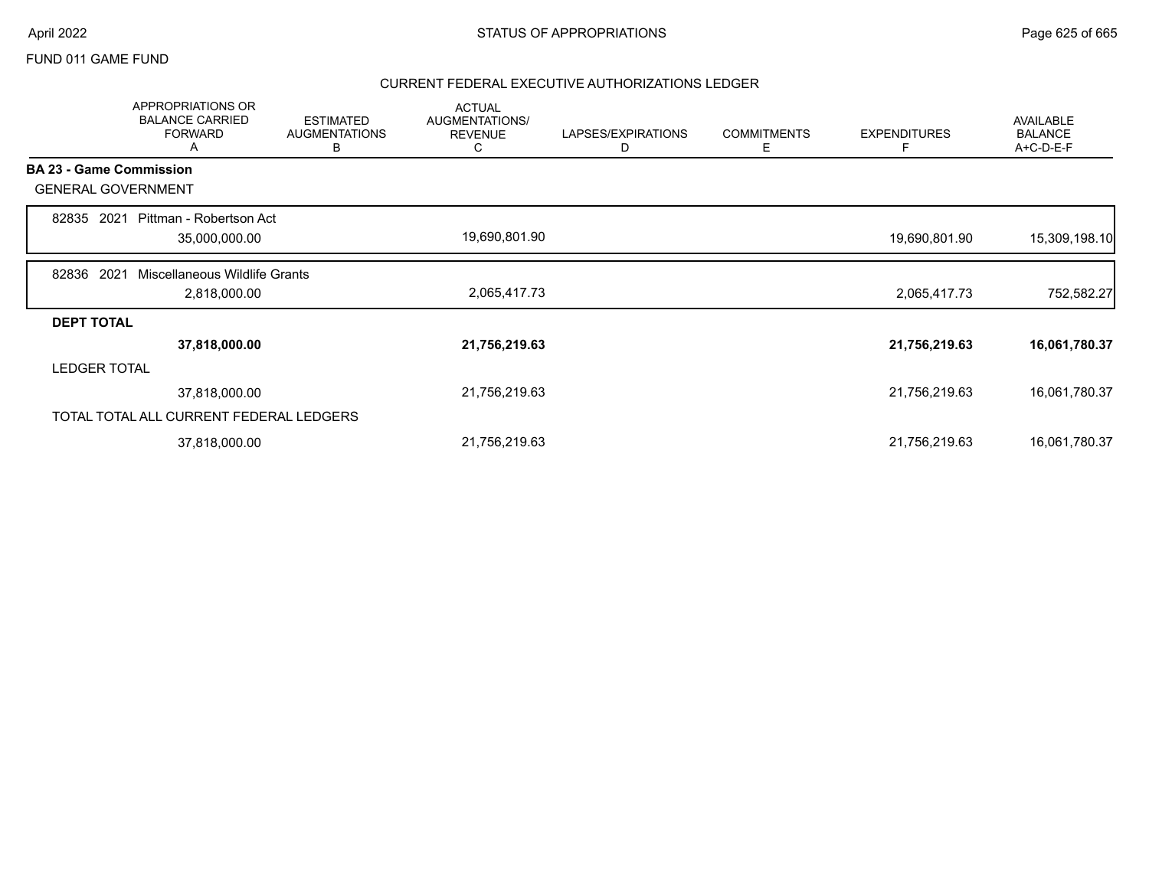### FUND 011 GAME FUND

|                   | APPROPRIATIONS OR<br><b>BALANCE CARRIED</b><br><b>FORWARD</b><br>A | <b>ESTIMATED</b><br><b>AUGMENTATIONS</b><br>В | <b>ACTUAL</b><br>AUGMENTATIONS/<br><b>REVENUE</b><br>C | LAPSES/EXPIRATIONS<br>D | <b>COMMITMENTS</b><br>Е | <b>EXPENDITURES</b><br>F | <b>AVAILABLE</b><br><b>BALANCE</b><br>A+C-D-E-F |
|-------------------|--------------------------------------------------------------------|-----------------------------------------------|--------------------------------------------------------|-------------------------|-------------------------|--------------------------|-------------------------------------------------|
|                   | <b>BA 23 - Game Commission</b>                                     |                                               |                                                        |                         |                         |                          |                                                 |
|                   | <b>GENERAL GOVERNMENT</b>                                          |                                               |                                                        |                         |                         |                          |                                                 |
| 82835 2021        | Pittman - Robertson Act                                            |                                               | 19,690,801.90                                          |                         |                         |                          |                                                 |
|                   | 35,000,000.00                                                      |                                               |                                                        |                         |                         | 19,690,801.90            | 15,309,198.10                                   |
| 82836             | 2021<br>Miscellaneous Wildlife Grants                              |                                               |                                                        |                         |                         |                          |                                                 |
|                   | 2,818,000.00                                                       |                                               | 2,065,417.73                                           |                         |                         | 2,065,417.73             | 752,582.27                                      |
| <b>DEPT TOTAL</b> |                                                                    |                                               |                                                        |                         |                         |                          |                                                 |
|                   | 37,818,000.00                                                      |                                               | 21,756,219.63                                          |                         |                         | 21,756,219.63            | 16,061,780.37                                   |
|                   | <b>LEDGER TOTAL</b>                                                |                                               |                                                        |                         |                         |                          |                                                 |
|                   | 37,818,000.00                                                      |                                               | 21,756,219.63                                          |                         |                         | 21,756,219.63            | 16,061,780.37                                   |
|                   | TOTAL TOTAL ALL CURRENT FEDERAL LEDGERS                            |                                               |                                                        |                         |                         |                          |                                                 |
|                   | 37,818,000.00                                                      |                                               | 21,756,219.63                                          |                         |                         | 21,756,219.63            | 16,061,780.37                                   |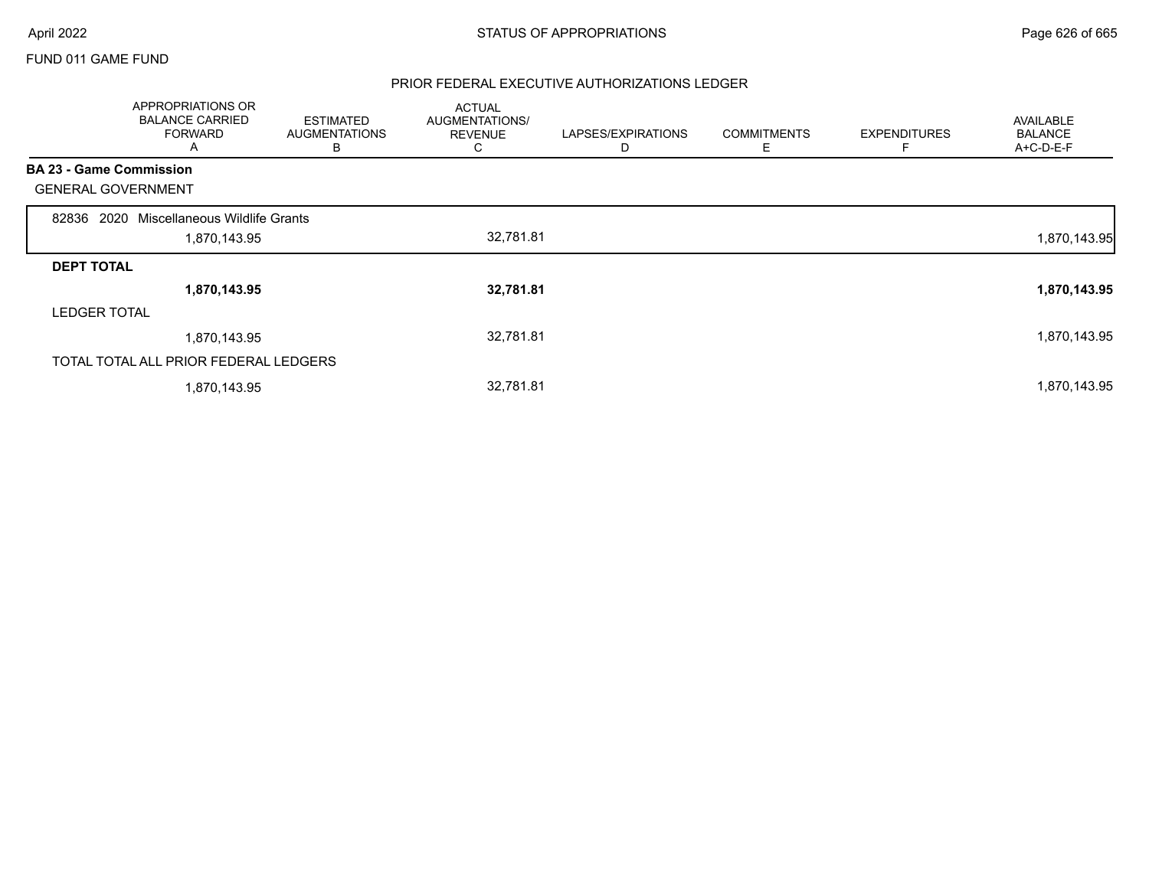### FUND 011 GAME FUND

|                                | APPROPRIATIONS OR<br><b>BALANCE CARRIED</b><br><b>FORWARD</b><br>A | <b>ESTIMATED</b><br><b>AUGMENTATIONS</b><br>В | <b>ACTUAL</b><br>AUGMENTATIONS/<br><b>REVENUE</b><br>C | LAPSES/EXPIRATIONS<br>D | <b>COMMITMENTS</b><br>Е | <b>EXPENDITURES</b><br>F | <b>AVAILABLE</b><br><b>BALANCE</b><br>A+C-D-E-F |
|--------------------------------|--------------------------------------------------------------------|-----------------------------------------------|--------------------------------------------------------|-------------------------|-------------------------|--------------------------|-------------------------------------------------|
| <b>BA 23 - Game Commission</b> |                                                                    |                                               |                                                        |                         |                         |                          |                                                 |
| <b>GENERAL GOVERNMENT</b>      |                                                                    |                                               |                                                        |                         |                         |                          |                                                 |
| 2020<br>82836                  | Miscellaneous Wildlife Grants                                      |                                               |                                                        |                         |                         |                          |                                                 |
|                                | 1,870,143.95                                                       |                                               | 32,781.81                                              |                         |                         |                          | 1,870,143.95                                    |
| <b>DEPT TOTAL</b>              |                                                                    |                                               |                                                        |                         |                         |                          |                                                 |
|                                | 1,870,143.95                                                       |                                               | 32,781.81                                              |                         |                         |                          | 1,870,143.95                                    |
| <b>LEDGER TOTAL</b>            |                                                                    |                                               |                                                        |                         |                         |                          |                                                 |
|                                | 1,870,143.95                                                       |                                               | 32,781.81                                              |                         |                         |                          | 1,870,143.95                                    |
|                                | TOTAL TOTAL ALL PRIOR FEDERAL LEDGERS                              |                                               |                                                        |                         |                         |                          |                                                 |
|                                | 1,870,143.95                                                       |                                               | 32,781.81                                              |                         |                         |                          | 1,870,143.95                                    |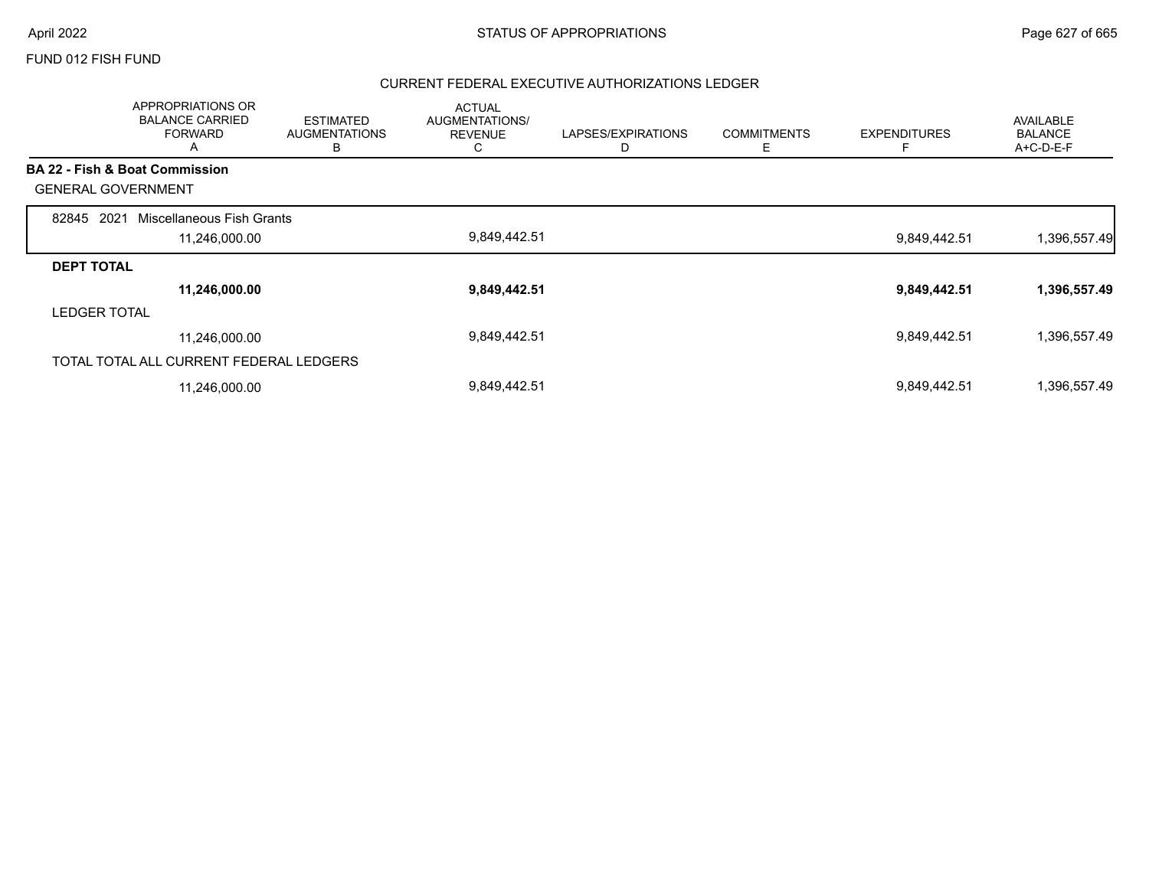### FUND 012 FISH FUND

|                           | APPROPRIATIONS OR<br><b>BALANCE CARRIED</b><br><b>FORWARD</b><br>A | <b>ESTIMATED</b><br><b>AUGMENTATIONS</b><br>В | <b>ACTUAL</b><br>AUGMENTATIONS/<br><b>REVENUE</b><br>C | LAPSES/EXPIRATIONS<br>D | <b>COMMITMENTS</b><br>Ε | <b>EXPENDITURES</b> | <b>AVAILABLE</b><br><b>BALANCE</b><br>A+C-D-E-F |
|---------------------------|--------------------------------------------------------------------|-----------------------------------------------|--------------------------------------------------------|-------------------------|-------------------------|---------------------|-------------------------------------------------|
|                           | <b>BA 22 - Fish &amp; Boat Commission</b>                          |                                               |                                                        |                         |                         |                     |                                                 |
| <b>GENERAL GOVERNMENT</b> |                                                                    |                                               |                                                        |                         |                         |                     |                                                 |
| 2021<br>82845             | Miscellaneous Fish Grants                                          |                                               |                                                        |                         |                         |                     |                                                 |
|                           | 11,246,000.00                                                      |                                               | 9,849,442.51                                           |                         |                         | 9,849,442.51        | 1,396,557.49                                    |
| <b>DEPT TOTAL</b>         |                                                                    |                                               |                                                        |                         |                         |                     |                                                 |
|                           | 11,246,000.00                                                      |                                               | 9,849,442.51                                           |                         |                         | 9,849,442.51        | 1,396,557.49                                    |
| <b>LEDGER TOTAL</b>       |                                                                    |                                               |                                                        |                         |                         |                     |                                                 |
|                           | 11,246,000.00                                                      |                                               | 9,849,442.51                                           |                         |                         | 9,849,442.51        | 1,396,557.49                                    |
|                           | TOTAL TOTAL ALL CURRENT FEDERAL LEDGERS                            |                                               |                                                        |                         |                         |                     |                                                 |
|                           | 11,246,000.00                                                      |                                               | 9,849,442.51                                           |                         |                         | 9,849,442.51        | 1,396,557.49                                    |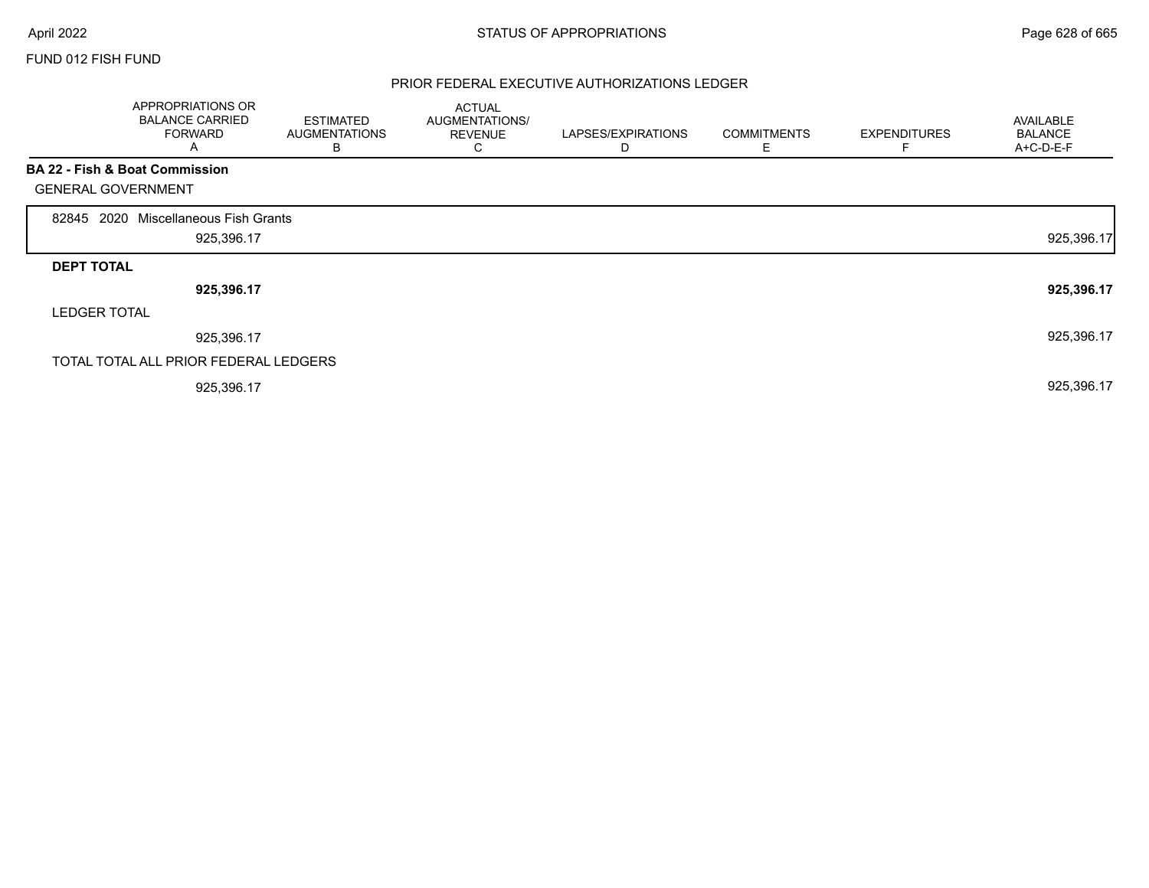Г

### FUND 012 FISH FUND

|                           | APPROPRIATIONS OR<br><b>BALANCE CARRIED</b><br><b>FORWARD</b><br>A | <b>ESTIMATED</b><br><b>AUGMENTATIONS</b><br>В | <b>ACTUAL</b><br>AUGMENTATIONS/<br><b>REVENUE</b><br>◡ | LAPSES/EXPIRATIONS<br>D | <b>COMMITMENTS</b><br>Ε | <b>EXPENDITURES</b><br>F | AVAILABLE<br><b>BALANCE</b><br>A+C-D-E-F |
|---------------------------|--------------------------------------------------------------------|-----------------------------------------------|--------------------------------------------------------|-------------------------|-------------------------|--------------------------|------------------------------------------|
|                           | BA 22 - Fish & Boat Commission                                     |                                               |                                                        |                         |                         |                          |                                          |
| <b>GENERAL GOVERNMENT</b> |                                                                    |                                               |                                                        |                         |                         |                          |                                          |
| 2020<br>82845             | Miscellaneous Fish Grants                                          |                                               |                                                        |                         |                         |                          |                                          |
|                           | 925,396.17                                                         |                                               |                                                        |                         |                         |                          | 925,396.17                               |
| <b>DEPT TOTAL</b>         |                                                                    |                                               |                                                        |                         |                         |                          |                                          |
|                           | 925,396.17                                                         |                                               |                                                        |                         |                         |                          | 925,396.17                               |
| <b>LEDGER TOTAL</b>       |                                                                    |                                               |                                                        |                         |                         |                          |                                          |
|                           | 925,396.17                                                         |                                               |                                                        |                         |                         |                          | 925,396.17                               |
|                           | TOTAL TOTAL ALL PRIOR FEDERAL LEDGERS                              |                                               |                                                        |                         |                         |                          |                                          |
|                           | 925,396.17                                                         |                                               |                                                        |                         |                         |                          | 925,396.17                               |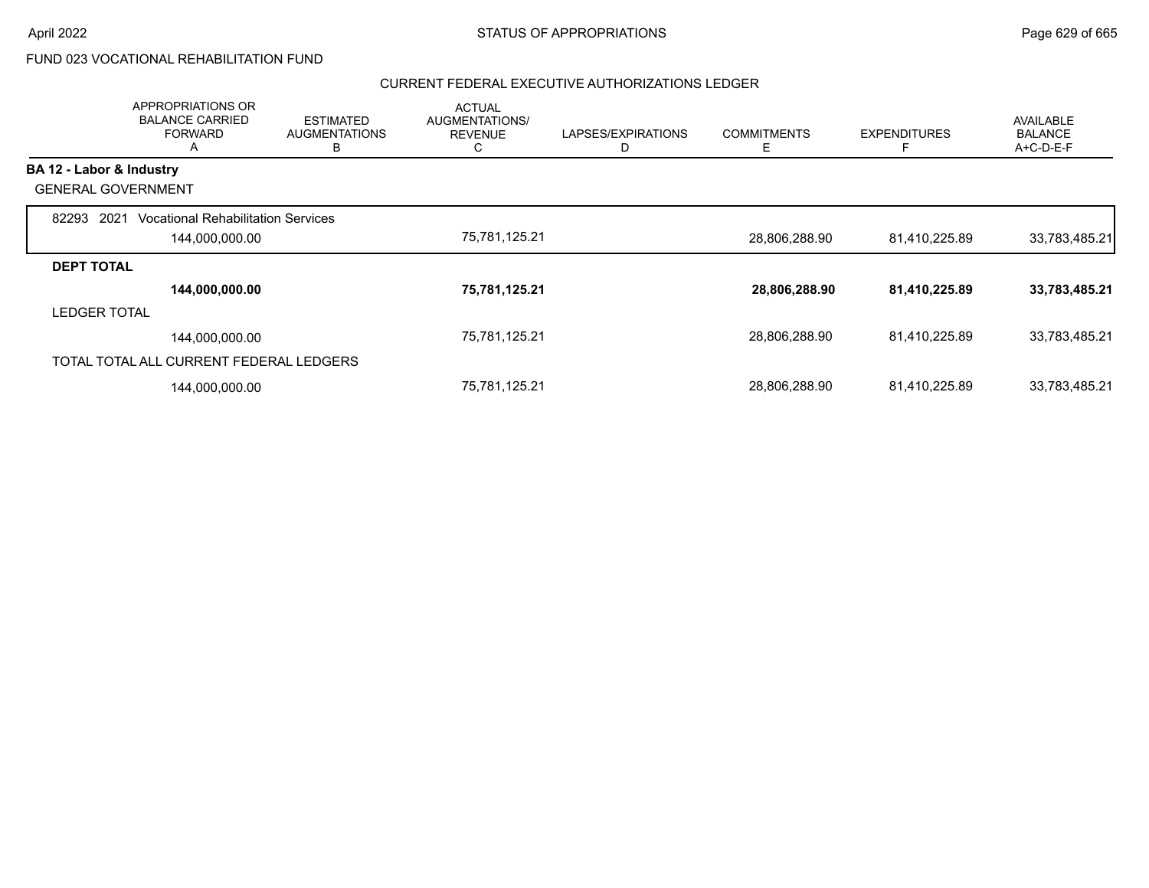# FUND 023 VOCATIONAL REHABILITATION FUND

|                           | APPROPRIATIONS OR<br><b>BALANCE CARRIED</b><br><b>FORWARD</b><br>A | <b>ESTIMATED</b><br><b>AUGMENTATIONS</b><br>в | <b>ACTUAL</b><br>AUGMENTATIONS/<br><b>REVENUE</b><br>$\sim$<br>◡ | LAPSES/EXPIRATIONS<br>D | <b>COMMITMENTS</b><br>Е | <b>EXPENDITURES</b> | AVAILABLE<br><b>BALANCE</b><br>A+C-D-E-F |
|---------------------------|--------------------------------------------------------------------|-----------------------------------------------|------------------------------------------------------------------|-------------------------|-------------------------|---------------------|------------------------------------------|
| BA 12 - Labor & Industry  |                                                                    |                                               |                                                                  |                         |                         |                     |                                          |
| <b>GENERAL GOVERNMENT</b> |                                                                    |                                               |                                                                  |                         |                         |                     |                                          |
| 2021<br>82293             | <b>Vocational Rehabilitation Services</b>                          |                                               |                                                                  |                         |                         |                     |                                          |
|                           | 144,000,000.00                                                     |                                               | 75,781,125.21                                                    |                         | 28,806,288.90           | 81,410,225.89       | 33,783,485.21                            |
| <b>DEPT TOTAL</b>         |                                                                    |                                               |                                                                  |                         |                         |                     |                                          |
|                           | 144,000,000.00                                                     |                                               | 75,781,125.21                                                    |                         | 28,806,288.90           | 81,410,225.89       | 33,783,485.21                            |
| <b>LEDGER TOTAL</b>       |                                                                    |                                               |                                                                  |                         |                         |                     |                                          |
|                           | 144,000,000.00                                                     |                                               | 75,781,125.21                                                    |                         | 28,806,288.90           | 81,410,225.89       | 33,783,485.21                            |
|                           | TOTAL TOTAL ALL CURRENT FEDERAL LEDGERS                            |                                               |                                                                  |                         |                         |                     |                                          |
|                           | 144,000,000.00                                                     |                                               | 75,781,125.21                                                    |                         | 28,806,288.90           | 81,410,225.89       | 33,783,485.21                            |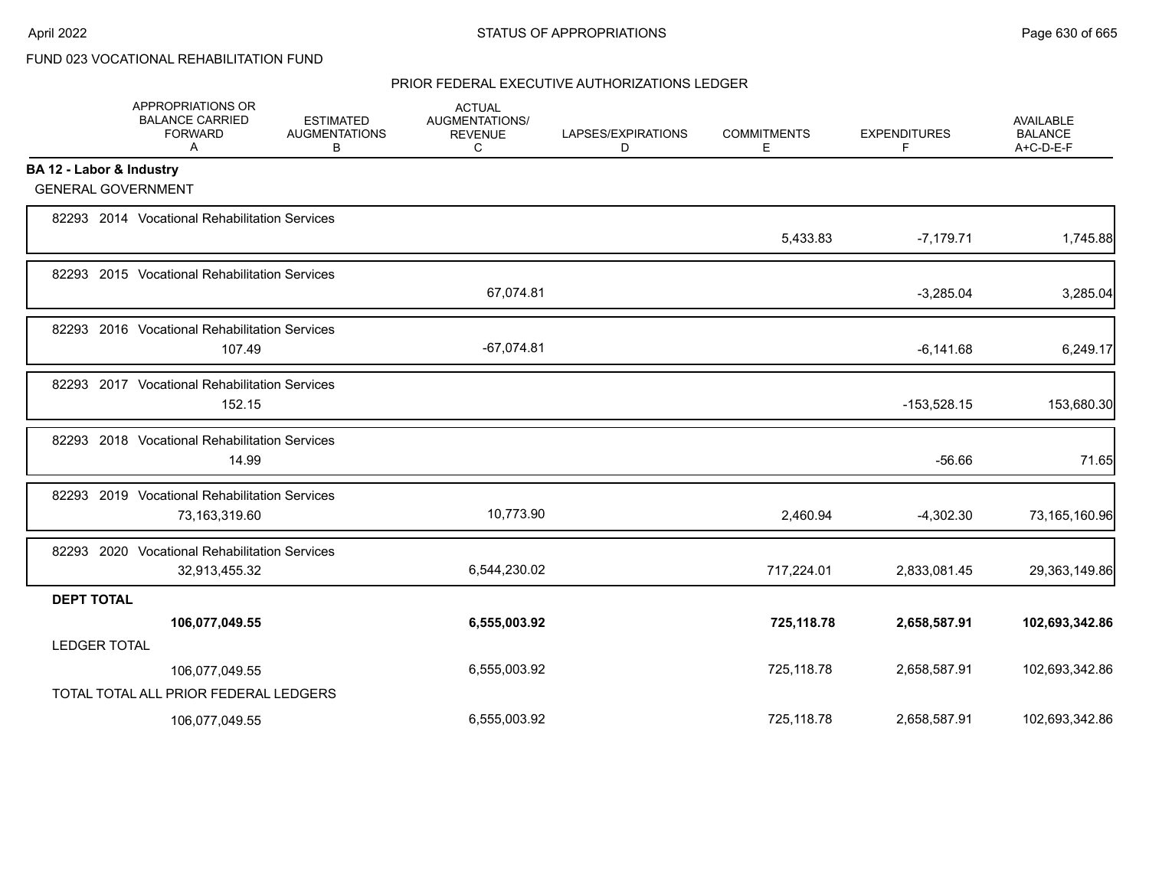# FUND 023 VOCATIONAL REHABILITATION FUND

|                          | APPROPRIATIONS OR<br><b>BALANCE CARRIED</b><br><b>FORWARD</b><br>A | <b>ESTIMATED</b><br><b>AUGMENTATIONS</b><br>В | <b>ACTUAL</b><br>AUGMENTATIONS/<br><b>REVENUE</b><br>C | LAPSES/EXPIRATIONS<br>D | <b>COMMITMENTS</b><br>Е | <b>EXPENDITURES</b><br>F | AVAILABLE<br><b>BALANCE</b><br>A+C-D-E-F |
|--------------------------|--------------------------------------------------------------------|-----------------------------------------------|--------------------------------------------------------|-------------------------|-------------------------|--------------------------|------------------------------------------|
| BA 12 - Labor & Industry |                                                                    |                                               |                                                        |                         |                         |                          |                                          |
|                          | <b>GENERAL GOVERNMENT</b>                                          |                                               |                                                        |                         |                         |                          |                                          |
|                          | 82293 2014 Vocational Rehabilitation Services                      |                                               |                                                        |                         | 5,433.83                | $-7,179.71$              | 1,745.88                                 |
|                          | 82293 2015 Vocational Rehabilitation Services                      |                                               | 67,074.81                                              |                         |                         | $-3,285.04$              | 3,285.04                                 |
|                          | 82293 2016 Vocational Rehabilitation Services<br>107.49            |                                               | $-67,074.81$                                           |                         |                         | $-6,141.68$              | 6,249.17                                 |
|                          | 82293 2017 Vocational Rehabilitation Services<br>152.15            |                                               |                                                        |                         |                         | $-153,528.15$            | 153,680.30                               |
|                          | 82293 2018 Vocational Rehabilitation Services<br>14.99             |                                               |                                                        |                         |                         | $-56.66$                 | 71.65                                    |
|                          | 82293 2019 Vocational Rehabilitation Services<br>73,163,319.60     |                                               | 10,773.90                                              |                         | 2,460.94                | $-4,302.30$              | 73,165,160.96                            |
|                          | 82293 2020 Vocational Rehabilitation Services<br>32,913,455.32     |                                               | 6,544,230.02                                           |                         | 717,224.01              | 2,833,081.45             | 29,363,149.86                            |
| <b>DEPT TOTAL</b>        |                                                                    |                                               |                                                        |                         |                         |                          |                                          |
|                          | 106,077,049.55                                                     |                                               | 6,555,003.92                                           |                         | 725,118.78              | 2,658,587.91             | 102,693,342.86                           |
| <b>LEDGER TOTAL</b>      |                                                                    |                                               |                                                        |                         |                         |                          |                                          |
|                          | 106,077,049.55                                                     |                                               | 6,555,003.92                                           |                         | 725,118.78              | 2,658,587.91             | 102,693,342.86                           |
|                          | TOTAL TOTAL ALL PRIOR FEDERAL LEDGERS                              |                                               |                                                        |                         |                         |                          |                                          |
|                          | 106,077,049.55                                                     |                                               | 6,555,003.92                                           |                         | 725,118.78              | 2,658,587.91             | 102,693,342.86                           |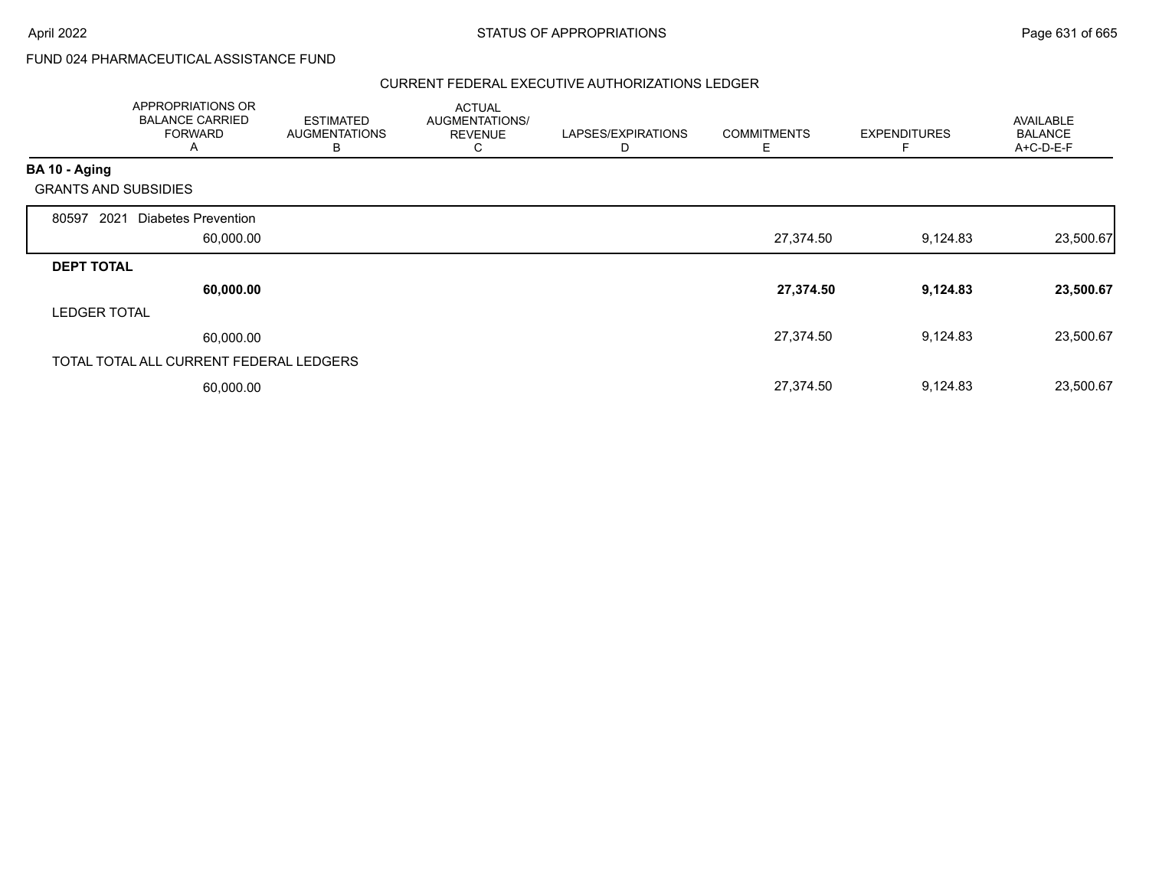# FUND 024 PHARMACEUTICAL ASSISTANCE FUND

|                                              | APPROPRIATIONS OR<br><b>BALANCE CARRIED</b><br><b>FORWARD</b><br>A | <b>ESTIMATED</b><br><b>AUGMENTATIONS</b><br>В | <b>ACTUAL</b><br>AUGMENTATIONS/<br><b>REVENUE</b><br>◡ | LAPSES/EXPIRATIONS<br>D | <b>COMMITMENTS</b><br>E | <b>EXPENDITURES</b> | AVAILABLE<br><b>BALANCE</b><br>A+C-D-E-F |
|----------------------------------------------|--------------------------------------------------------------------|-----------------------------------------------|--------------------------------------------------------|-------------------------|-------------------------|---------------------|------------------------------------------|
| BA 10 - Aging<br><b>GRANTS AND SUBSIDIES</b> |                                                                    |                                               |                                                        |                         |                         |                     |                                          |
| 2021<br>80597                                | Diabetes Prevention<br>60,000.00                                   |                                               |                                                        |                         | 27,374.50               | 9,124.83            | 23,500.67                                |
| <b>DEPT TOTAL</b>                            |                                                                    |                                               |                                                        |                         |                         |                     |                                          |
|                                              | 60,000.00                                                          |                                               |                                                        |                         | 27,374.50               | 9,124.83            | 23,500.67                                |
| <b>LEDGER TOTAL</b>                          |                                                                    |                                               |                                                        |                         |                         |                     |                                          |
|                                              | 60,000.00                                                          |                                               |                                                        |                         | 27,374.50               | 9,124.83            | 23,500.67                                |
|                                              | TOTAL TOTAL ALL CURRENT FEDERAL LEDGERS                            |                                               |                                                        |                         |                         |                     |                                          |
|                                              | 60,000.00                                                          |                                               |                                                        |                         | 27,374.50               | 9,124.83            | 23,500.67                                |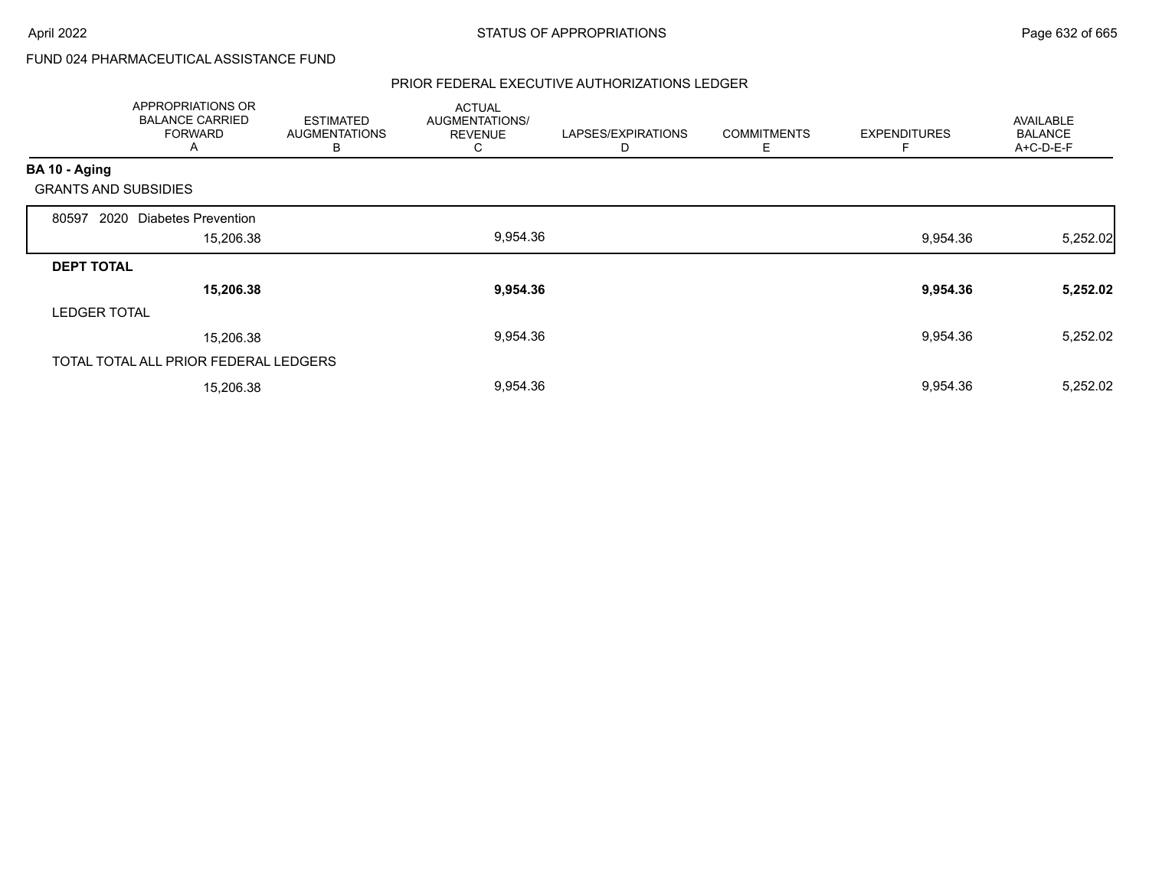# FUND 024 PHARMACEUTICAL ASSISTANCE FUND

|                             | APPROPRIATIONS OR<br><b>BALANCE CARRIED</b><br><b>FORWARD</b><br>A | <b>ESTIMATED</b><br><b>AUGMENTATIONS</b><br>В | <b>ACTUAL</b><br>AUGMENTATIONS/<br><b>REVENUE</b><br>⌒<br>◡ | LAPSES/EXPIRATIONS<br>D | <b>COMMITMENTS</b><br>Е | <b>EXPENDITURES</b><br>F | <b>AVAILABLE</b><br><b>BALANCE</b><br>A+C-D-E-F |
|-----------------------------|--------------------------------------------------------------------|-----------------------------------------------|-------------------------------------------------------------|-------------------------|-------------------------|--------------------------|-------------------------------------------------|
| BA 10 - Aging               |                                                                    |                                               |                                                             |                         |                         |                          |                                                 |
| <b>GRANTS AND SUBSIDIES</b> |                                                                    |                                               |                                                             |                         |                         |                          |                                                 |
| 2020<br>80597               | <b>Diabetes Prevention</b>                                         |                                               |                                                             |                         |                         |                          |                                                 |
|                             | 15,206.38                                                          |                                               | 9,954.36                                                    |                         |                         | 9,954.36                 | 5,252.02                                        |
| <b>DEPT TOTAL</b>           |                                                                    |                                               |                                                             |                         |                         |                          |                                                 |
|                             | 15,206.38                                                          |                                               | 9,954.36                                                    |                         |                         | 9,954.36                 | 5,252.02                                        |
| <b>LEDGER TOTAL</b>         |                                                                    |                                               |                                                             |                         |                         |                          |                                                 |
|                             | 15,206.38                                                          |                                               | 9,954.36                                                    |                         |                         | 9,954.36                 | 5,252.02                                        |
|                             | TOTAL TOTAL ALL PRIOR FEDERAL LEDGERS                              |                                               |                                                             |                         |                         |                          |                                                 |
|                             | 15,206.38                                                          |                                               | 9,954.36                                                    |                         |                         | 9,954.36                 | 5,252.02                                        |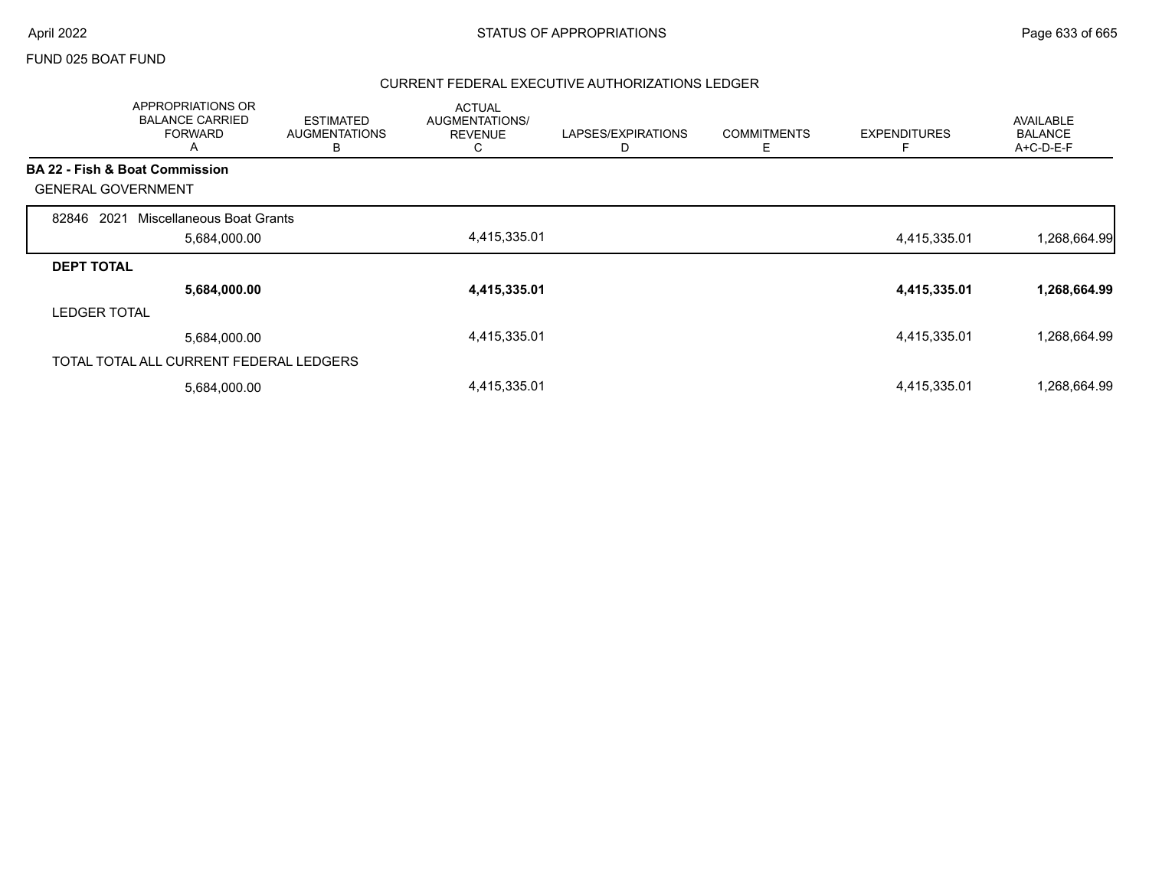#### FUND 025 BOAT FUND

|                           | APPROPRIATIONS OR<br><b>BALANCE CARRIED</b><br><b>FORWARD</b><br>A | <b>ESTIMATED</b><br><b>AUGMENTATIONS</b><br>B | <b>ACTUAL</b><br>AUGMENTATIONS/<br><b>REVENUE</b><br>C | LAPSES/EXPIRATIONS<br>D | <b>COMMITMENTS</b><br>Ε | <b>EXPENDITURES</b> | <b>AVAILABLE</b><br><b>BALANCE</b><br>A+C-D-E-F |
|---------------------------|--------------------------------------------------------------------|-----------------------------------------------|--------------------------------------------------------|-------------------------|-------------------------|---------------------|-------------------------------------------------|
|                           | <b>BA 22 - Fish &amp; Boat Commission</b>                          |                                               |                                                        |                         |                         |                     |                                                 |
| <b>GENERAL GOVERNMENT</b> |                                                                    |                                               |                                                        |                         |                         |                     |                                                 |
| 2021<br>82846             | Miscellaneous Boat Grants                                          |                                               |                                                        |                         |                         |                     |                                                 |
|                           | 5,684,000.00                                                       |                                               | 4,415,335.01                                           |                         |                         | 4,415,335.01        | 1,268,664.99                                    |
| <b>DEPT TOTAL</b>         |                                                                    |                                               |                                                        |                         |                         |                     |                                                 |
|                           | 5,684,000.00                                                       |                                               | 4,415,335.01                                           |                         |                         | 4,415,335.01        | 1,268,664.99                                    |
| <b>LEDGER TOTAL</b>       |                                                                    |                                               |                                                        |                         |                         |                     |                                                 |
|                           | 5,684,000.00                                                       |                                               | 4,415,335.01                                           |                         |                         | 4,415,335.01        | 1,268,664.99                                    |
|                           | TOTAL TOTAL ALL CURRENT FEDERAL LEDGERS                            |                                               |                                                        |                         |                         |                     |                                                 |
|                           | 5,684,000.00                                                       |                                               | 4,415,335.01                                           |                         |                         | 4,415,335.01        | 1,268,664.99                                    |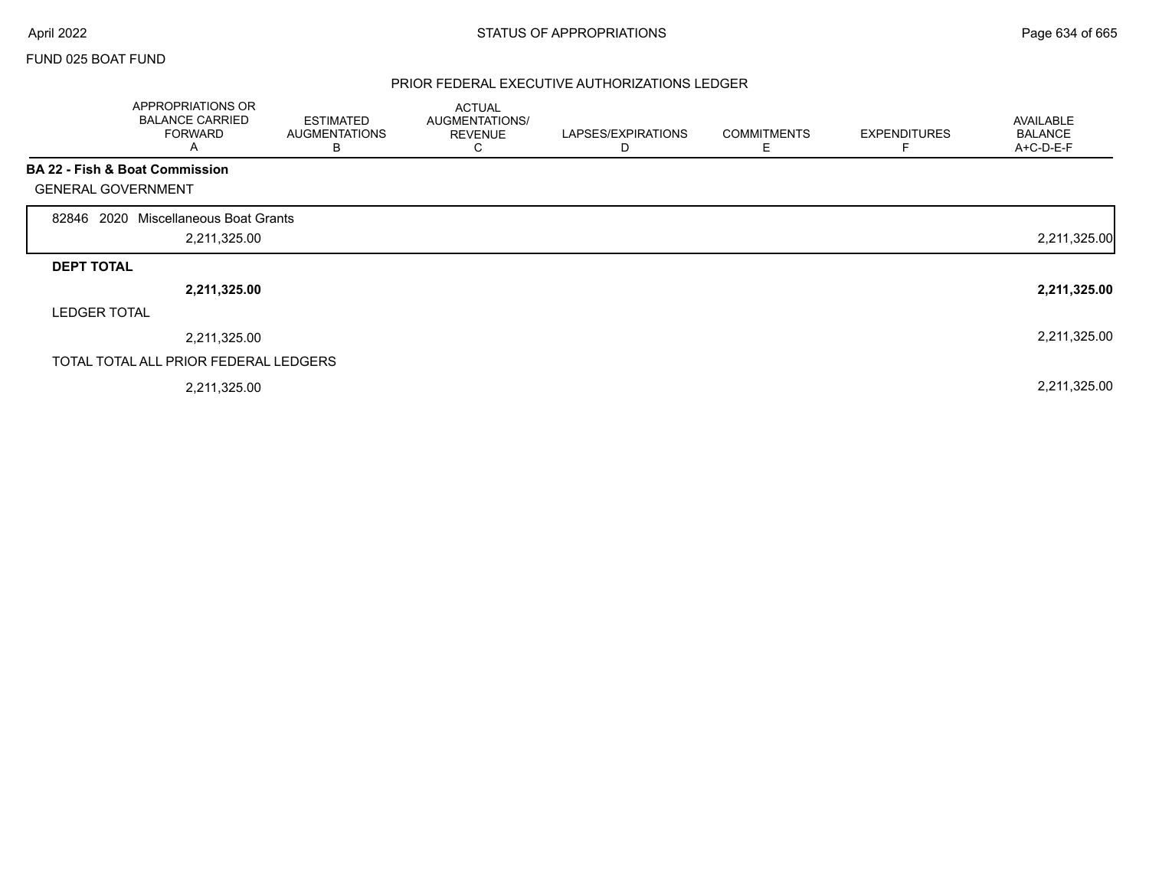$\Gamma$ 

### FUND 025 BOAT FUND

|                           | APPROPRIATIONS OR<br><b>BALANCE CARRIED</b><br><b>FORWARD</b><br>A | <b>ESTIMATED</b><br><b>AUGMENTATIONS</b><br>В | <b>ACTUAL</b><br>AUGMENTATIONS/<br><b>REVENUE</b><br>C | LAPSES/EXPIRATIONS<br>D | <b>COMMITMENTS</b><br>Е | <b>EXPENDITURES</b><br>F | AVAILABLE<br><b>BALANCE</b><br>A+C-D-E-F |
|---------------------------|--------------------------------------------------------------------|-----------------------------------------------|--------------------------------------------------------|-------------------------|-------------------------|--------------------------|------------------------------------------|
|                           | BA 22 - Fish & Boat Commission                                     |                                               |                                                        |                         |                         |                          |                                          |
| <b>GENERAL GOVERNMENT</b> |                                                                    |                                               |                                                        |                         |                         |                          |                                          |
| 2020<br>82846             | Miscellaneous Boat Grants                                          |                                               |                                                        |                         |                         |                          |                                          |
|                           | 2,211,325.00                                                       |                                               |                                                        |                         |                         |                          | 2,211,325.00                             |
| <b>DEPT TOTAL</b>         |                                                                    |                                               |                                                        |                         |                         |                          |                                          |
|                           | 2,211,325.00                                                       |                                               |                                                        |                         |                         |                          | 2,211,325.00                             |
| <b>LEDGER TOTAL</b>       |                                                                    |                                               |                                                        |                         |                         |                          |                                          |
|                           | 2,211,325.00                                                       |                                               |                                                        |                         |                         |                          | 2,211,325.00                             |
|                           | TOTAL TOTAL ALL PRIOR FEDERAL LEDGERS                              |                                               |                                                        |                         |                         |                          |                                          |
|                           | 2,211,325.00                                                       |                                               |                                                        |                         |                         |                          | 2,211,325.00                             |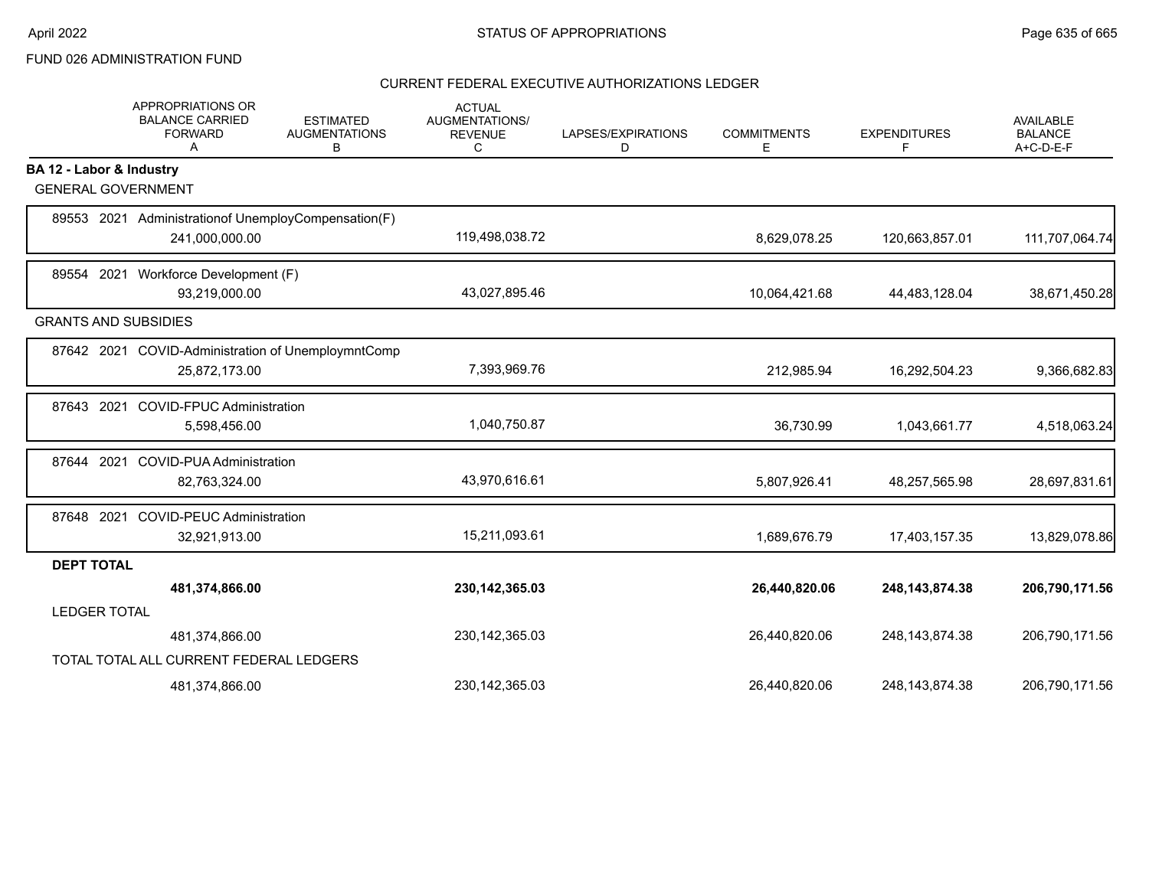# FUND 026 ADMINISTRATION FUND

|                             | APPROPRIATIONS OR<br><b>BALANCE CARRIED</b><br><b>FORWARD</b><br>Α | <b>ESTIMATED</b><br><b>AUGMENTATIONS</b><br>В | <b>ACTUAL</b><br>AUGMENTATIONS/<br><b>REVENUE</b><br>С | LAPSES/EXPIRATIONS<br>D | <b>COMMITMENTS</b><br>Е | <b>EXPENDITURES</b><br>F | AVAILABLE<br><b>BALANCE</b><br>A+C-D-E-F |
|-----------------------------|--------------------------------------------------------------------|-----------------------------------------------|--------------------------------------------------------|-------------------------|-------------------------|--------------------------|------------------------------------------|
| BA 12 - Labor & Industry    |                                                                    |                                               |                                                        |                         |                         |                          |                                          |
| <b>GENERAL GOVERNMENT</b>   |                                                                    |                                               |                                                        |                         |                         |                          |                                          |
|                             | 89553 2021 Administration of Unemploy Compensation (F)             |                                               |                                                        |                         |                         |                          |                                          |
|                             | 241,000,000.00                                                     |                                               | 119,498,038.72                                         |                         | 8,629,078.25            | 120,663,857.01           | 111,707,064.74                           |
|                             | 89554 2021 Workforce Development (F)                               |                                               |                                                        |                         |                         |                          |                                          |
|                             | 93,219,000.00                                                      |                                               | 43,027,895.46                                          |                         | 10,064,421.68           | 44,483,128.04            | 38,671,450.28                            |
| <b>GRANTS AND SUBSIDIES</b> |                                                                    |                                               |                                                        |                         |                         |                          |                                          |
|                             | 87642 2021 COVID-Administration of UnemploymntComp                 |                                               |                                                        |                         |                         |                          |                                          |
|                             | 25,872,173.00                                                      |                                               | 7,393,969.76                                           |                         | 212,985.94              | 16,292,504.23            | 9,366,682.83                             |
| 87643 2021                  | <b>COVID-FPUC Administration</b>                                   |                                               |                                                        |                         |                         |                          |                                          |
|                             | 5,598,456.00                                                       |                                               | 1,040,750.87                                           |                         | 36,730.99               | 1,043,661.77             | 4,518,063.24                             |
| 2021<br>87644               | COVID-PUA Administration                                           |                                               |                                                        |                         |                         |                          |                                          |
|                             | 82,763,324.00                                                      |                                               | 43,970,616.61                                          |                         | 5,807,926.41            | 48,257,565.98            | 28,697,831.61                            |
| 87648 2021                  | <b>COVID-PEUC Administration</b>                                   |                                               |                                                        |                         |                         |                          |                                          |
|                             | 32,921,913.00                                                      |                                               | 15,211,093.61                                          |                         | 1,689,676.79            | 17,403,157.35            | 13,829,078.86                            |
| <b>DEPT TOTAL</b>           |                                                                    |                                               |                                                        |                         |                         |                          |                                          |
|                             | 481,374,866.00                                                     |                                               | 230, 142, 365.03                                       |                         | 26,440,820.06           | 248, 143, 874. 38        | 206,790,171.56                           |
| <b>LEDGER TOTAL</b>         |                                                                    |                                               |                                                        |                         |                         |                          |                                          |
|                             | 481,374,866.00                                                     |                                               | 230, 142, 365.03                                       |                         | 26,440,820.06           | 248, 143, 874. 38        | 206,790,171.56                           |
|                             | TOTAL TOTAL ALL CURRENT FEDERAL LEDGERS                            |                                               |                                                        |                         |                         |                          |                                          |
|                             | 481,374,866.00                                                     |                                               | 230, 142, 365.03                                       |                         | 26,440,820.06           | 248, 143, 874. 38        | 206,790,171.56                           |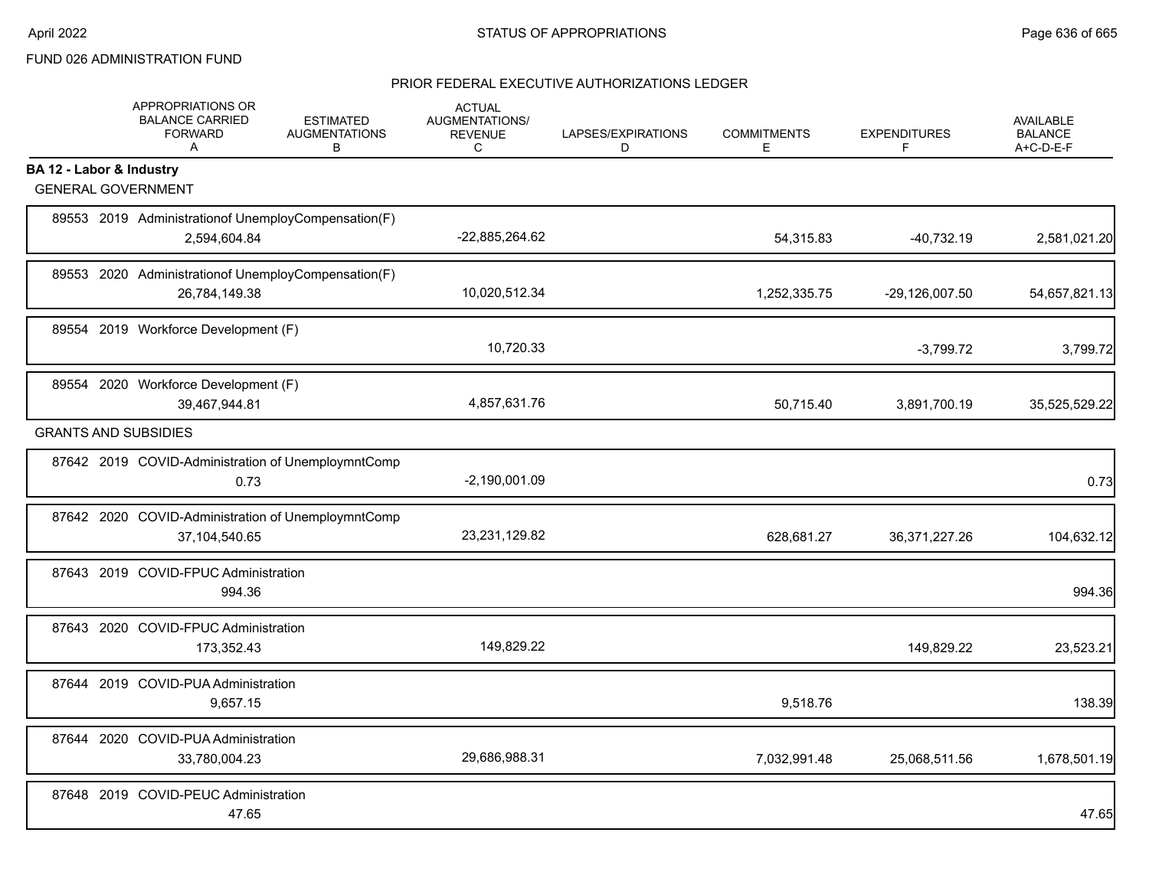# FUND 026 ADMINISTRATION FUND

|                          | APPROPRIATIONS OR<br><b>BALANCE CARRIED</b><br><b>FORWARD</b><br>A     | <b>ESTIMATED</b><br><b>AUGMENTATIONS</b><br>B | <b>ACTUAL</b><br>AUGMENTATIONS/<br><b>REVENUE</b><br>C | LAPSES/EXPIRATIONS<br>D | <b>COMMITMENTS</b><br>E. | <b>EXPENDITURES</b><br>F | <b>AVAILABLE</b><br><b>BALANCE</b><br>A+C-D-E-F |
|--------------------------|------------------------------------------------------------------------|-----------------------------------------------|--------------------------------------------------------|-------------------------|--------------------------|--------------------------|-------------------------------------------------|
| BA 12 - Labor & Industry |                                                                        |                                               |                                                        |                         |                          |                          |                                                 |
|                          | <b>GENERAL GOVERNMENT</b>                                              |                                               |                                                        |                         |                          |                          |                                                 |
|                          | 89553 2019 Administration of Unemploy Compensation (F)<br>2,594,604.84 |                                               | -22,885,264.62                                         |                         | 54,315.83                | $-40,732.19$             | 2,581,021.20                                    |
|                          | 89553 2020 Administrationof UnemployCompensation(F)<br>26,784,149.38   |                                               | 10,020,512.34                                          |                         | 1,252,335.75             | -29,126,007.50           | 54,657,821.13                                   |
|                          | 89554 2019 Workforce Development (F)                                   |                                               | 10,720.33                                              |                         |                          | $-3,799.72$              | 3,799.72                                        |
|                          | 89554 2020 Workforce Development (F)<br>39,467,944.81                  |                                               | 4,857,631.76                                           |                         | 50,715.40                | 3,891,700.19             | 35,525,529.22                                   |
|                          | <b>GRANTS AND SUBSIDIES</b>                                            |                                               |                                                        |                         |                          |                          |                                                 |
|                          | 87642 2019 COVID-Administration of UnemploymntComp<br>0.73             |                                               | $-2,190,001.09$                                        |                         |                          |                          | 0.73                                            |
|                          | 87642 2020 COVID-Administration of UnemploymntComp<br>37,104,540.65    |                                               | 23,231,129.82                                          |                         | 628,681.27               | 36, 371, 227. 26         | 104,632.12                                      |
|                          | 87643 2019 COVID-FPUC Administration<br>994.36                         |                                               |                                                        |                         |                          |                          | 994.36                                          |
|                          | 87643 2020 COVID-FPUC Administration<br>173,352.43                     |                                               | 149,829.22                                             |                         |                          | 149,829.22               | 23,523.21                                       |
|                          | 87644 2019 COVID-PUA Administration<br>9,657.15                        |                                               |                                                        |                         | 9,518.76                 |                          | 138.39                                          |
|                          | 87644 2020 COVID-PUA Administration<br>33,780,004.23                   |                                               | 29,686,988.31                                          |                         | 7,032,991.48             | 25,068,511.56            | 1,678,501.19                                    |
|                          | 87648 2019 COVID-PEUC Administration<br>47.65                          |                                               |                                                        |                         |                          |                          | 47.65                                           |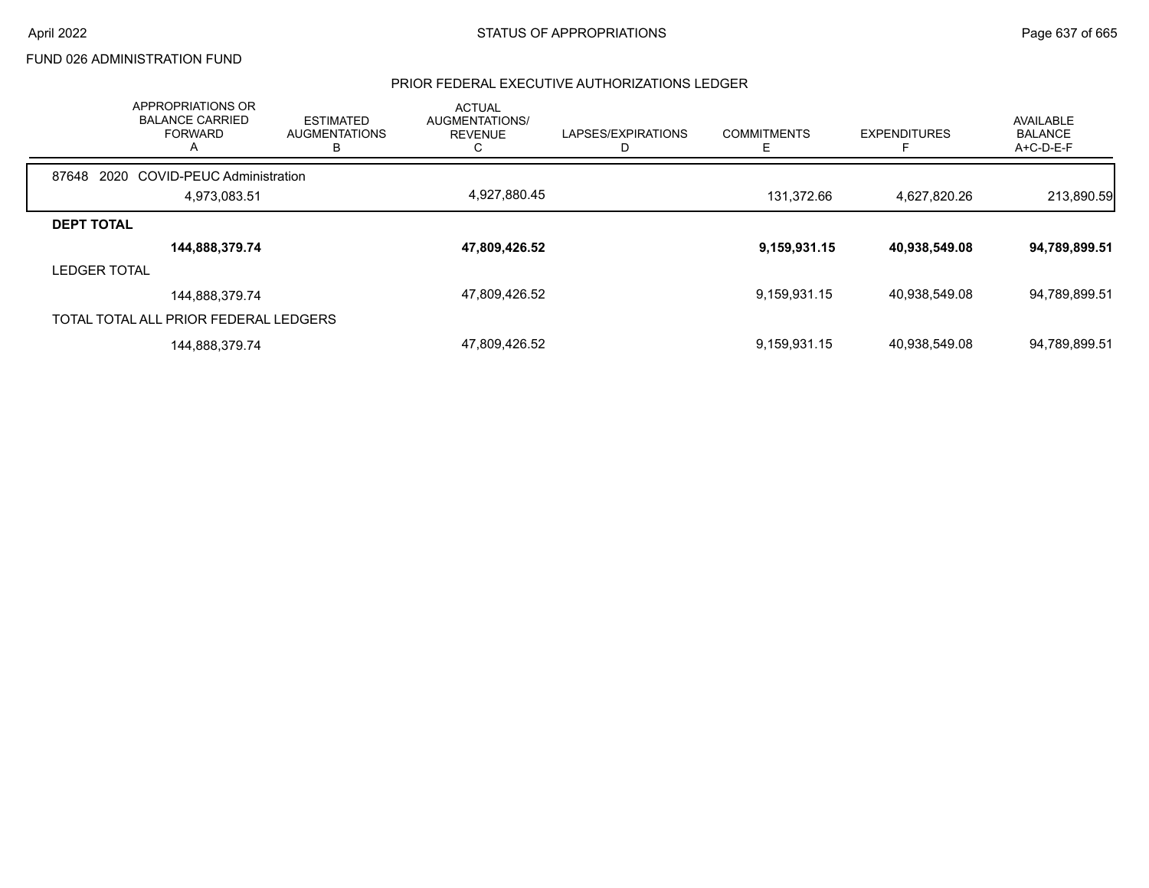## FUND 026 ADMINISTRATION FUND

|                   | APPROPRIATIONS OR<br><b>BALANCE CARRIED</b><br><b>FORWARD</b><br>A | <b>ESTIMATED</b><br><b>AUGMENTATIONS</b><br>в | <b>ACTUAL</b><br>AUGMENTATIONS/<br><b>REVENUE</b> | LAPSES/EXPIRATIONS | <b>COMMITMENTS</b> | <b>EXPENDITURES</b><br>E | AVAILABLE<br><b>BALANCE</b><br>A+C-D-E-F |
|-------------------|--------------------------------------------------------------------|-----------------------------------------------|---------------------------------------------------|--------------------|--------------------|--------------------------|------------------------------------------|
| 87648             | 2020 COVID-PEUC Administration                                     |                                               |                                                   |                    |                    |                          |                                          |
|                   | 4,973,083.51                                                       |                                               | 4,927,880.45                                      |                    | 131,372.66         | 4,627,820.26             | 213,890.59                               |
| <b>DEPT TOTAL</b> |                                                                    |                                               |                                                   |                    |                    |                          |                                          |
|                   | 144,888,379.74                                                     |                                               | 47,809,426.52                                     |                    | 9,159,931.15       | 40,938,549.08            | 94,789,899.51                            |
| LEDGER TOTAL      |                                                                    |                                               |                                                   |                    |                    |                          |                                          |
|                   | 144,888,379.74                                                     |                                               | 47,809,426.52                                     |                    | 9,159,931.15       | 40,938,549.08            | 94,789,899.51                            |
|                   | TOTAL TOTAL ALL PRIOR FEDERAL LEDGERS                              |                                               |                                                   |                    |                    |                          |                                          |
|                   | 144,888,379.74                                                     |                                               | 47,809,426.52                                     |                    | 9,159,931.15       | 40.938.549.08            | 94,789,899.51                            |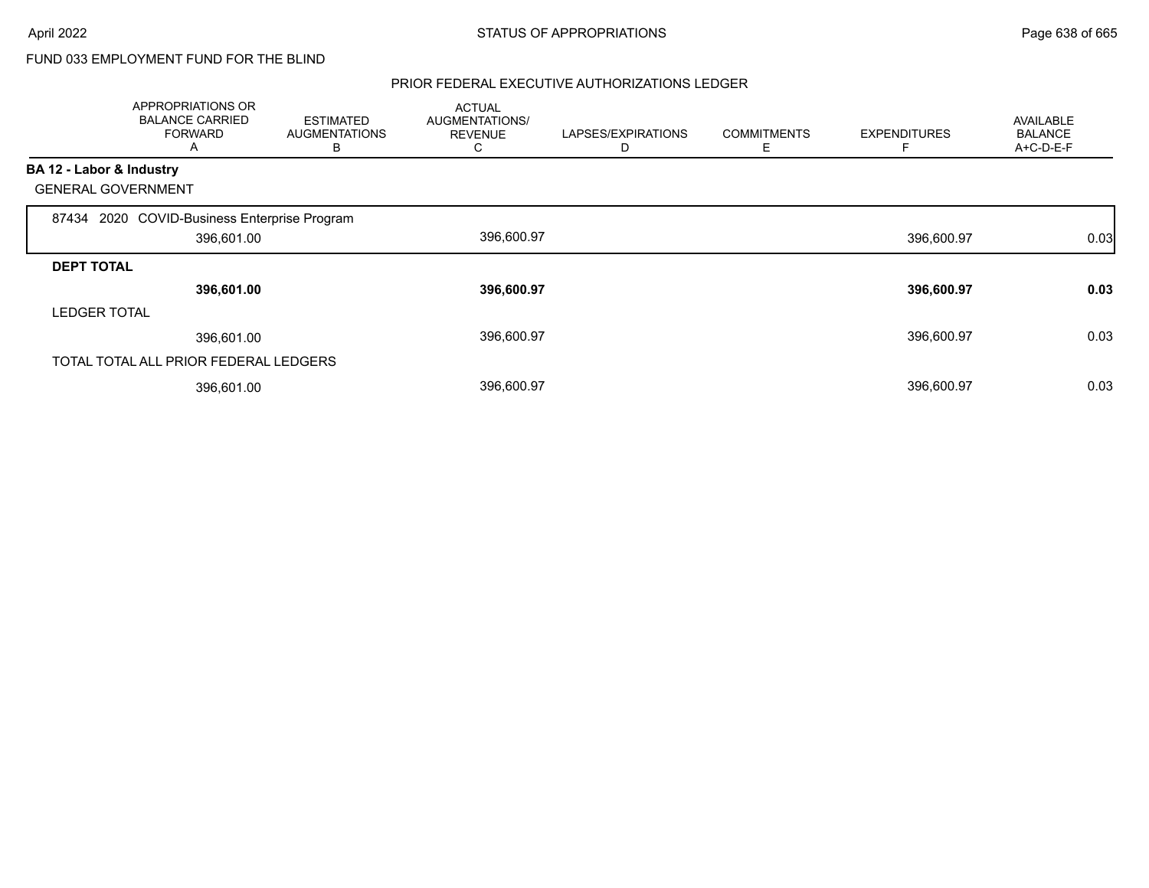# FUND 033 EMPLOYMENT FUND FOR THE BLIND

|                          | <b>APPROPRIATIONS OR</b><br><b>BALANCE CARRIED</b><br><b>FORWARD</b><br>A | <b>ESTIMATED</b><br><b>AUGMENTATIONS</b><br>B | <b>ACTUAL</b><br>AUGMENTATIONS/<br><b>REVENUE</b><br>C. | LAPSES/EXPIRATIONS<br>D | <b>COMMITMENTS</b><br>Е | <b>EXPENDITURES</b> | <b>AVAILABLE</b><br><b>BALANCE</b><br>A+C-D-E-F |
|--------------------------|---------------------------------------------------------------------------|-----------------------------------------------|---------------------------------------------------------|-------------------------|-------------------------|---------------------|-------------------------------------------------|
| BA 12 - Labor & Industry |                                                                           |                                               |                                                         |                         |                         |                     |                                                 |
|                          | <b>GENERAL GOVERNMENT</b>                                                 |                                               |                                                         |                         |                         |                     |                                                 |
|                          | 87434 2020 COVID-Business Enterprise Program                              |                                               |                                                         |                         |                         |                     |                                                 |
|                          | 396,601.00                                                                |                                               | 396,600.97                                              |                         |                         | 396,600.97          | 0.03                                            |
| <b>DEPT TOTAL</b>        |                                                                           |                                               |                                                         |                         |                         |                     |                                                 |
|                          | 396,601.00                                                                |                                               | 396,600.97                                              |                         |                         | 396,600.97          | 0.03                                            |
| <b>LEDGER TOTAL</b>      |                                                                           |                                               |                                                         |                         |                         |                     |                                                 |
|                          | 396,601.00                                                                |                                               | 396,600.97                                              |                         |                         | 396,600.97          | 0.03                                            |
|                          | TOTAL TOTAL ALL PRIOR FEDERAL LEDGERS                                     |                                               |                                                         |                         |                         |                     |                                                 |
|                          | 396,601.00                                                                |                                               | 396,600.97                                              |                         |                         | 396,600.97          | 0.03                                            |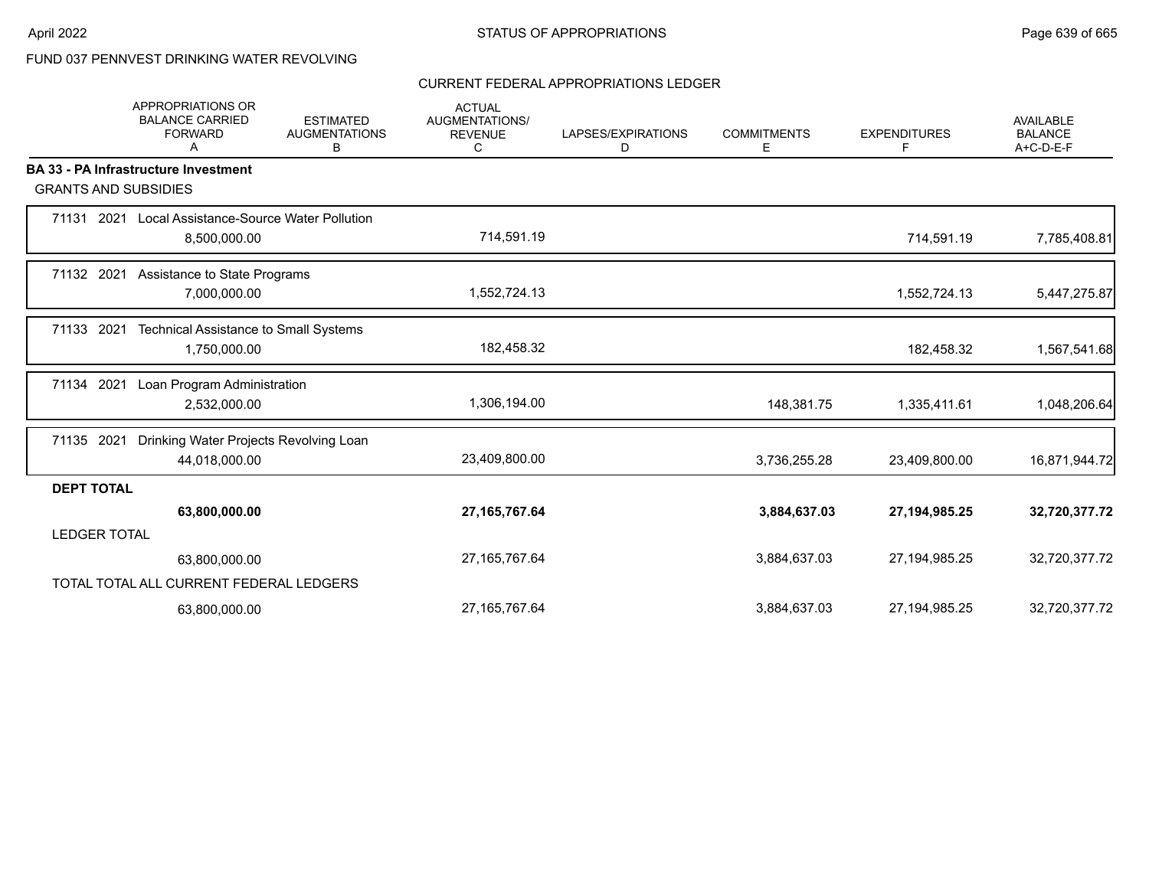# FUND 037 PENNVEST DRINKING WATER REVOLVING

#### CURRENT FEDERAL APPROPRIATIONS LEDGER

|                             | <b>APPROPRIATIONS OR</b><br><b>BALANCE CARRIED</b><br><b>FORWARD</b><br>A | <b>ESTIMATED</b><br><b>AUGMENTATIONS</b><br>В | <b>ACTUAL</b><br><b>AUGMENTATIONS/</b><br><b>REVENUE</b><br>C | LAPSES/EXPIRATIONS<br>D | <b>COMMITMENTS</b><br>E | <b>EXPENDITURES</b><br>F | <b>AVAILABLE</b><br><b>BALANCE</b><br>A+C-D-E-F |
|-----------------------------|---------------------------------------------------------------------------|-----------------------------------------------|---------------------------------------------------------------|-------------------------|-------------------------|--------------------------|-------------------------------------------------|
|                             | <b>BA 33 - PA Infrastructure Investment</b>                               |                                               |                                                               |                         |                         |                          |                                                 |
| <b>GRANTS AND SUBSIDIES</b> |                                                                           |                                               |                                                               |                         |                         |                          |                                                 |
| 71131 2021                  | Local Assistance-Source Water Pollution<br>8,500,000.00                   |                                               | 714,591.19                                                    |                         |                         | 714,591.19               | 7,785,408.81                                    |
| 71132 2021                  | Assistance to State Programs<br>7,000,000.00                              |                                               | 1,552,724.13                                                  |                         |                         | 1,552,724.13             | 5,447,275.87                                    |
| 71133 2021                  | Technical Assistance to Small Systems<br>1,750,000.00                     |                                               | 182,458.32                                                    |                         |                         | 182,458.32               | 1,567,541.68                                    |
| 71134 2021                  | Loan Program Administration<br>2,532,000.00                               |                                               | 1,306,194.00                                                  |                         | 148,381.75              | 1,335,411.61             | 1,048,206.64                                    |
| 71135 2021                  | Drinking Water Projects Revolving Loan<br>44,018,000.00                   |                                               | 23,409,800.00                                                 |                         | 3,736,255.28            | 23,409,800.00            | 16,871,944.72                                   |
| <b>DEPT TOTAL</b>           |                                                                           |                                               |                                                               |                         |                         |                          |                                                 |
|                             | 63,800,000.00                                                             |                                               | 27, 165, 767. 64                                              |                         | 3,884,637.03            | 27, 194, 985. 25         | 32,720,377.72                                   |
| <b>LEDGER TOTAL</b>         |                                                                           |                                               |                                                               |                         |                         |                          |                                                 |
|                             | 63,800,000.00                                                             |                                               | 27, 165, 767. 64                                              |                         | 3,884,637.03            | 27, 194, 985. 25         | 32,720,377.72                                   |
|                             | TOTAL TOTAL ALL CURRENT FEDERAL LEDGERS                                   |                                               |                                                               |                         |                         |                          |                                                 |
|                             | 63,800,000.00                                                             |                                               | 27, 165, 767. 64                                              |                         | 3,884,637.03            | 27,194,985.25            | 32,720,377.72                                   |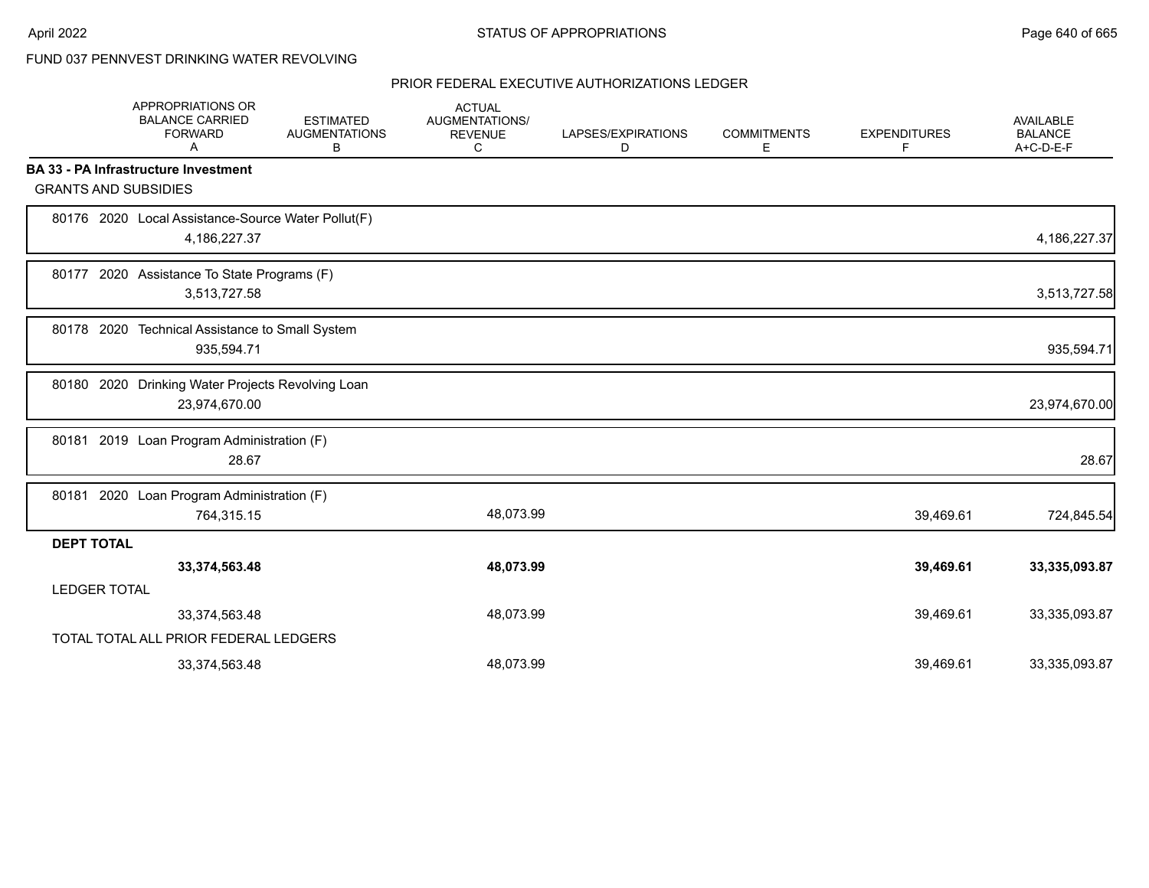# FUND 037 PENNVEST DRINKING WATER REVOLVING

|                     | APPROPRIATIONS OR<br><b>BALANCE CARRIED</b><br><b>FORWARD</b><br>A | <b>ESTIMATED</b><br><b>AUGMENTATIONS</b><br>В | <b>ACTUAL</b><br>AUGMENTATIONS/<br><b>REVENUE</b><br>C | LAPSES/EXPIRATIONS<br>D | <b>COMMITMENTS</b><br>Е | <b>EXPENDITURES</b><br>F | <b>AVAILABLE</b><br><b>BALANCE</b><br>A+C-D-E-F |
|---------------------|--------------------------------------------------------------------|-----------------------------------------------|--------------------------------------------------------|-------------------------|-------------------------|--------------------------|-------------------------------------------------|
|                     | <b>BA 33 - PA Infrastructure Investment</b>                        |                                               |                                                        |                         |                         |                          |                                                 |
|                     | <b>GRANTS AND SUBSIDIES</b>                                        |                                               |                                                        |                         |                         |                          |                                                 |
|                     | 80176 2020 Local Assistance-Source Water Pollut(F)<br>4,186,227.37 |                                               |                                                        |                         |                         |                          | 4,186,227.37                                    |
|                     | 80177 2020 Assistance To State Programs (F)<br>3,513,727.58        |                                               |                                                        |                         |                         |                          | 3,513,727.58                                    |
| 80178 2020          | Technical Assistance to Small System<br>935,594.71                 |                                               |                                                        |                         |                         |                          | 935,594.71                                      |
|                     | 80180 2020 Drinking Water Projects Revolving Loan<br>23,974,670.00 |                                               |                                                        |                         |                         |                          | 23,974,670.00                                   |
|                     | 80181 2019 Loan Program Administration (F)<br>28.67                |                                               |                                                        |                         |                         |                          | 28.67                                           |
| 80181               | 2020 Loan Program Administration (F)<br>764,315.15                 |                                               | 48,073.99                                              |                         |                         | 39,469.61                | 724,845.54                                      |
| <b>DEPT TOTAL</b>   |                                                                    |                                               |                                                        |                         |                         |                          |                                                 |
|                     | 33,374,563.48                                                      |                                               | 48,073.99                                              |                         |                         | 39,469.61                | 33,335,093.87                                   |
| <b>LEDGER TOTAL</b> |                                                                    |                                               |                                                        |                         |                         |                          |                                                 |
|                     | 33,374,563.48                                                      |                                               | 48,073.99                                              |                         |                         | 39,469.61                | 33,335,093.87                                   |
|                     | TOTAL TOTAL ALL PRIOR FEDERAL LEDGERS                              |                                               |                                                        |                         |                         |                          |                                                 |
|                     | 33,374,563.48                                                      |                                               | 48,073.99                                              |                         |                         | 39,469.61                | 33,335,093.87                                   |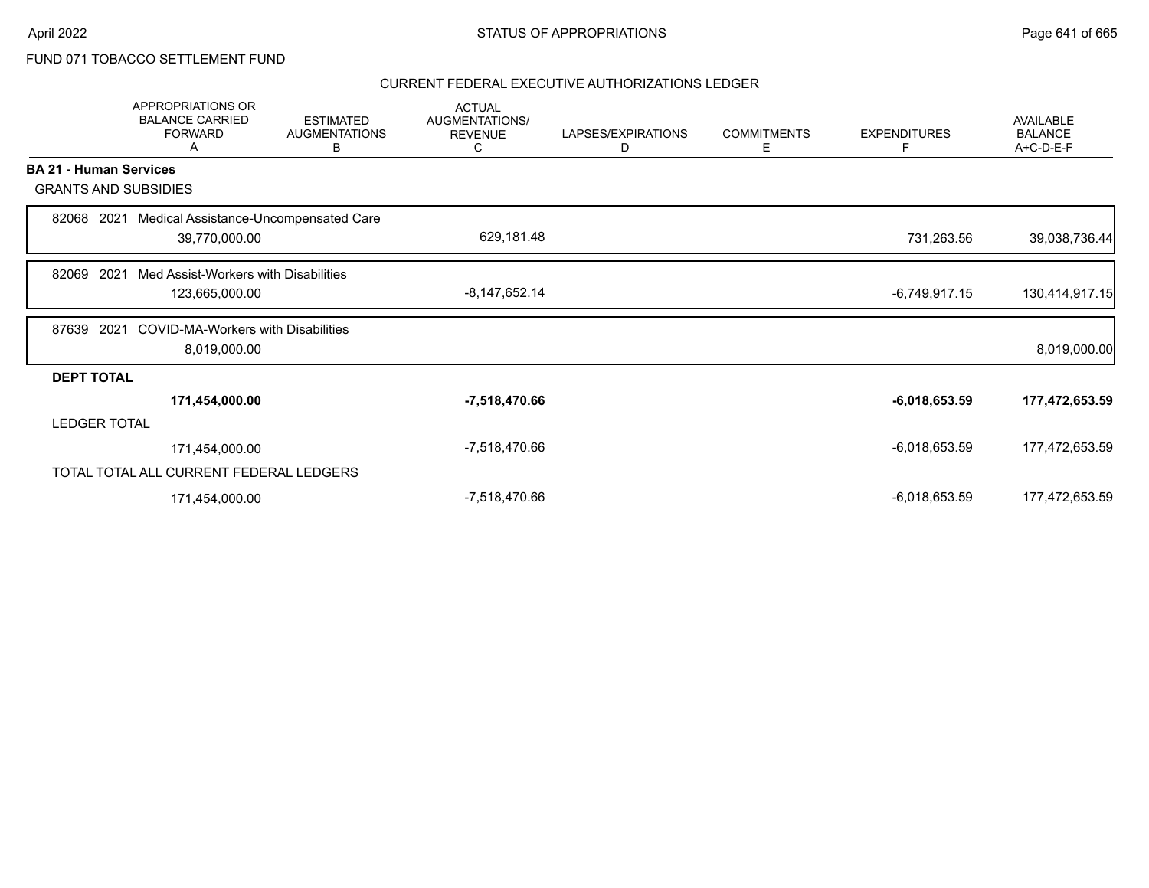# FUND 071 TOBACCO SETTLEMENT FUND

|                               | <b>APPROPRIATIONS OR</b><br><b>BALANCE CARRIED</b><br><b>FORWARD</b><br>A | <b>ESTIMATED</b><br><b>AUGMENTATIONS</b><br>B | <b>ACTUAL</b><br>AUGMENTATIONS/<br><b>REVENUE</b><br>C | LAPSES/EXPIRATIONS<br>D | <b>COMMITMENTS</b><br>E | <b>EXPENDITURES</b><br>F | <b>AVAILABLE</b><br><b>BALANCE</b><br>A+C-D-E-F |
|-------------------------------|---------------------------------------------------------------------------|-----------------------------------------------|--------------------------------------------------------|-------------------------|-------------------------|--------------------------|-------------------------------------------------|
| <b>BA 21 - Human Services</b> |                                                                           |                                               |                                                        |                         |                         |                          |                                                 |
| <b>GRANTS AND SUBSIDIES</b>   |                                                                           |                                               |                                                        |                         |                         |                          |                                                 |
| 82068<br>2021                 | Medical Assistance-Uncompensated Care                                     |                                               |                                                        |                         |                         |                          |                                                 |
|                               | 39,770,000.00                                                             |                                               | 629,181.48                                             |                         |                         | 731,263.56               | 39,038,736.44                                   |
| 2021<br>82069                 | Med Assist-Workers with Disabilities                                      |                                               |                                                        |                         |                         |                          |                                                 |
|                               | 123,665,000.00                                                            |                                               | $-8,147,652.14$                                        |                         |                         | $-6,749,917.15$          | 130,414,917.15                                  |
| 87639<br>2021                 | <b>COVID-MA-Workers with Disabilities</b>                                 |                                               |                                                        |                         |                         |                          |                                                 |
|                               | 8,019,000.00                                                              |                                               |                                                        |                         |                         |                          | 8,019,000.00                                    |
| <b>DEPT TOTAL</b>             |                                                                           |                                               |                                                        |                         |                         |                          |                                                 |
|                               | 171,454,000.00                                                            |                                               | -7,518,470.66                                          |                         |                         | $-6,018,653.59$          | 177,472,653.59                                  |
| <b>LEDGER TOTAL</b>           |                                                                           |                                               |                                                        |                         |                         |                          |                                                 |
|                               | 171,454,000.00                                                            |                                               | -7,518,470.66                                          |                         |                         | $-6,018,653.59$          | 177,472,653.59                                  |
|                               | TOTAL TOTAL ALL CURRENT FEDERAL LEDGERS                                   |                                               |                                                        |                         |                         |                          |                                                 |
|                               | 171,454,000.00                                                            |                                               | -7,518,470.66                                          |                         |                         | $-6,018,653.59$          | 177,472,653.59                                  |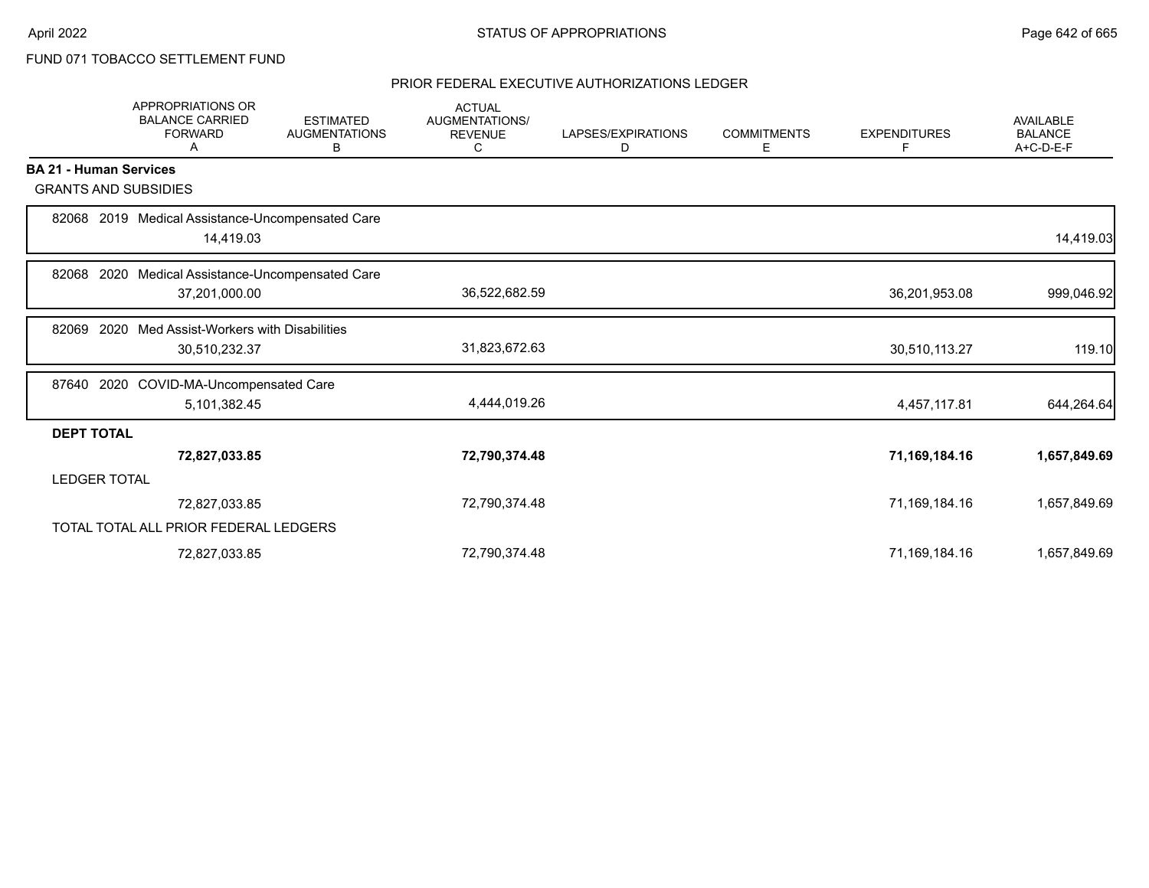# FUND 071 TOBACCO SETTLEMENT FUND

|                               | <b>APPROPRIATIONS OR</b><br><b>BALANCE CARRIED</b><br><b>FORWARD</b><br>A | <b>ESTIMATED</b><br><b>AUGMENTATIONS</b><br>В | <b>ACTUAL</b><br><b>AUGMENTATIONS/</b><br><b>REVENUE</b><br>C | LAPSES/EXPIRATIONS<br>D | <b>COMMITMENTS</b><br>E. | <b>EXPENDITURES</b><br>F | <b>AVAILABLE</b><br><b>BALANCE</b><br>A+C-D-E-F |
|-------------------------------|---------------------------------------------------------------------------|-----------------------------------------------|---------------------------------------------------------------|-------------------------|--------------------------|--------------------------|-------------------------------------------------|
| <b>BA 21 - Human Services</b> |                                                                           |                                               |                                                               |                         |                          |                          |                                                 |
| <b>GRANTS AND SUBSIDIES</b>   |                                                                           |                                               |                                                               |                         |                          |                          |                                                 |
| 82068                         | 2019 Medical Assistance-Uncompensated Care<br>14,419.03                   |                                               |                                                               |                         |                          |                          | 14,419.03                                       |
| 2020<br>82068                 | Medical Assistance-Uncompensated Care                                     |                                               |                                                               |                         |                          |                          |                                                 |
|                               | 37,201,000.00                                                             |                                               | 36,522,682.59                                                 |                         |                          | 36,201,953.08            | 999,046.92                                      |
| 2020<br>82069                 | Med Assist-Workers with Disabilities                                      |                                               |                                                               |                         |                          |                          |                                                 |
|                               | 30,510,232.37                                                             |                                               | 31,823,672.63                                                 |                         |                          | 30,510,113.27            | 119.10                                          |
| 87640                         | 2020 COVID-MA-Uncompensated Care                                          |                                               |                                                               |                         |                          |                          |                                                 |
|                               | 5,101,382.45                                                              |                                               | 4,444,019.26                                                  |                         |                          | 4,457,117.81             | 644,264.64                                      |
| <b>DEPT TOTAL</b>             |                                                                           |                                               |                                                               |                         |                          |                          |                                                 |
|                               | 72,827,033.85                                                             |                                               | 72,790,374.48                                                 |                         |                          | 71,169,184.16            | 1,657,849.69                                    |
| <b>LEDGER TOTAL</b>           |                                                                           |                                               |                                                               |                         |                          |                          |                                                 |
|                               | 72,827,033.85                                                             |                                               | 72,790,374.48                                                 |                         |                          | 71,169,184.16            | 1,657,849.69                                    |
|                               | TOTAL TOTAL ALL PRIOR FEDERAL LEDGERS                                     |                                               |                                                               |                         |                          |                          |                                                 |
|                               | 72,827,033.85                                                             |                                               | 72,790,374.48                                                 |                         |                          | 71,169,184.16            | 1,657,849.69                                    |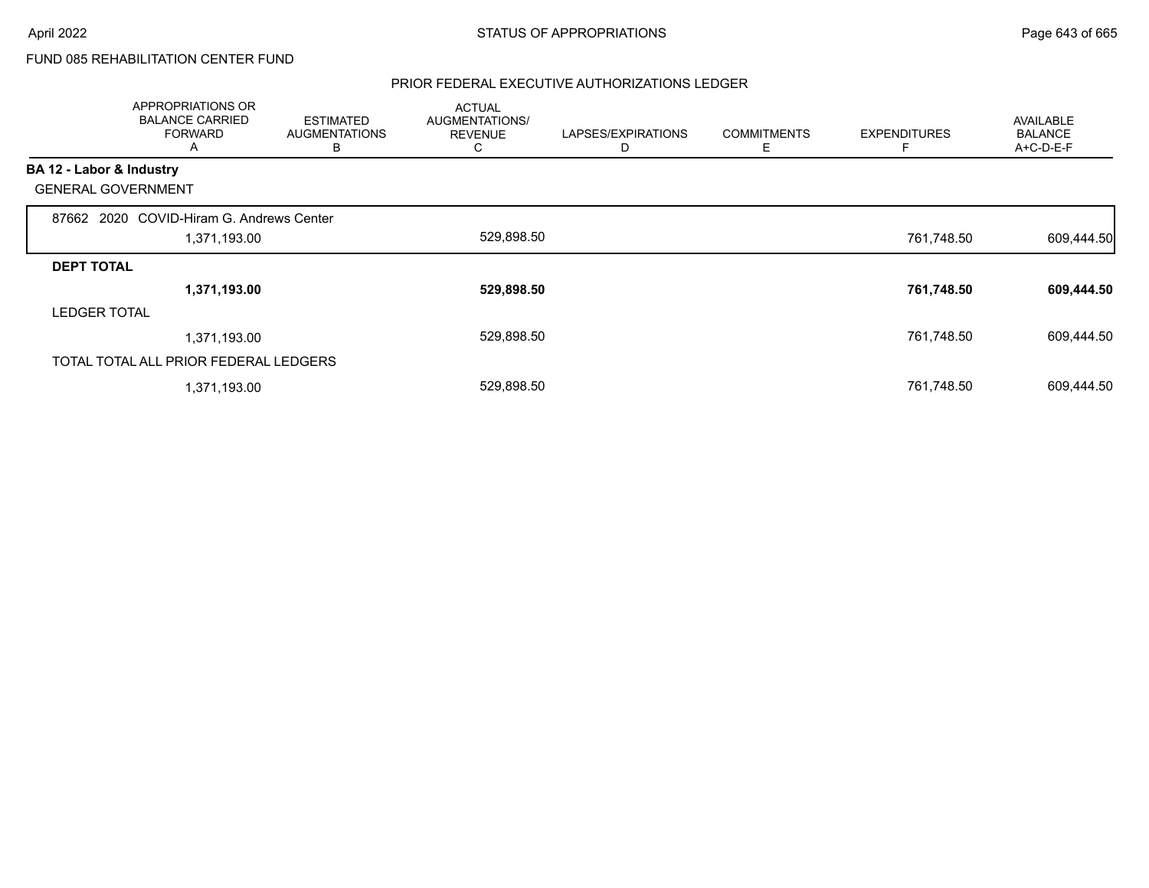# FUND 085 REHABILITATION CENTER FUND

|                          | APPROPRIATIONS OR<br><b>BALANCE CARRIED</b><br><b>FORWARD</b><br>A | <b>ESTIMATED</b><br><b>AUGMENTATIONS</b><br>В | <b>ACTUAL</b><br>AUGMENTATIONS/<br><b>REVENUE</b><br>C | LAPSES/EXPIRATIONS<br>D | <b>COMMITMENTS</b><br>Ε | <b>EXPENDITURES</b> | <b>AVAILABLE</b><br><b>BALANCE</b><br>A+C-D-E-F |
|--------------------------|--------------------------------------------------------------------|-----------------------------------------------|--------------------------------------------------------|-------------------------|-------------------------|---------------------|-------------------------------------------------|
| BA 12 - Labor & Industry |                                                                    |                                               |                                                        |                         |                         |                     |                                                 |
|                          | <b>GENERAL GOVERNMENT</b>                                          |                                               |                                                        |                         |                         |                     |                                                 |
|                          | 87662 2020 COVID-Hiram G. Andrews Center                           |                                               |                                                        |                         |                         |                     |                                                 |
|                          | 1,371,193.00                                                       |                                               | 529,898.50                                             |                         |                         | 761,748.50          | 609,444.50                                      |
| <b>DEPT TOTAL</b>        |                                                                    |                                               |                                                        |                         |                         |                     |                                                 |
|                          | 1,371,193.00                                                       |                                               | 529,898.50                                             |                         |                         | 761,748.50          | 609,444.50                                      |
| <b>LEDGER TOTAL</b>      |                                                                    |                                               |                                                        |                         |                         |                     |                                                 |
|                          | 1,371,193.00                                                       |                                               | 529,898.50                                             |                         |                         | 761,748.50          | 609,444.50                                      |
|                          | TOTAL TOTAL ALL PRIOR FEDERAL LEDGERS                              |                                               |                                                        |                         |                         |                     |                                                 |
|                          | 1,371,193.00                                                       |                                               | 529,898.50                                             |                         |                         | 761,748.50          | 609,444.50                                      |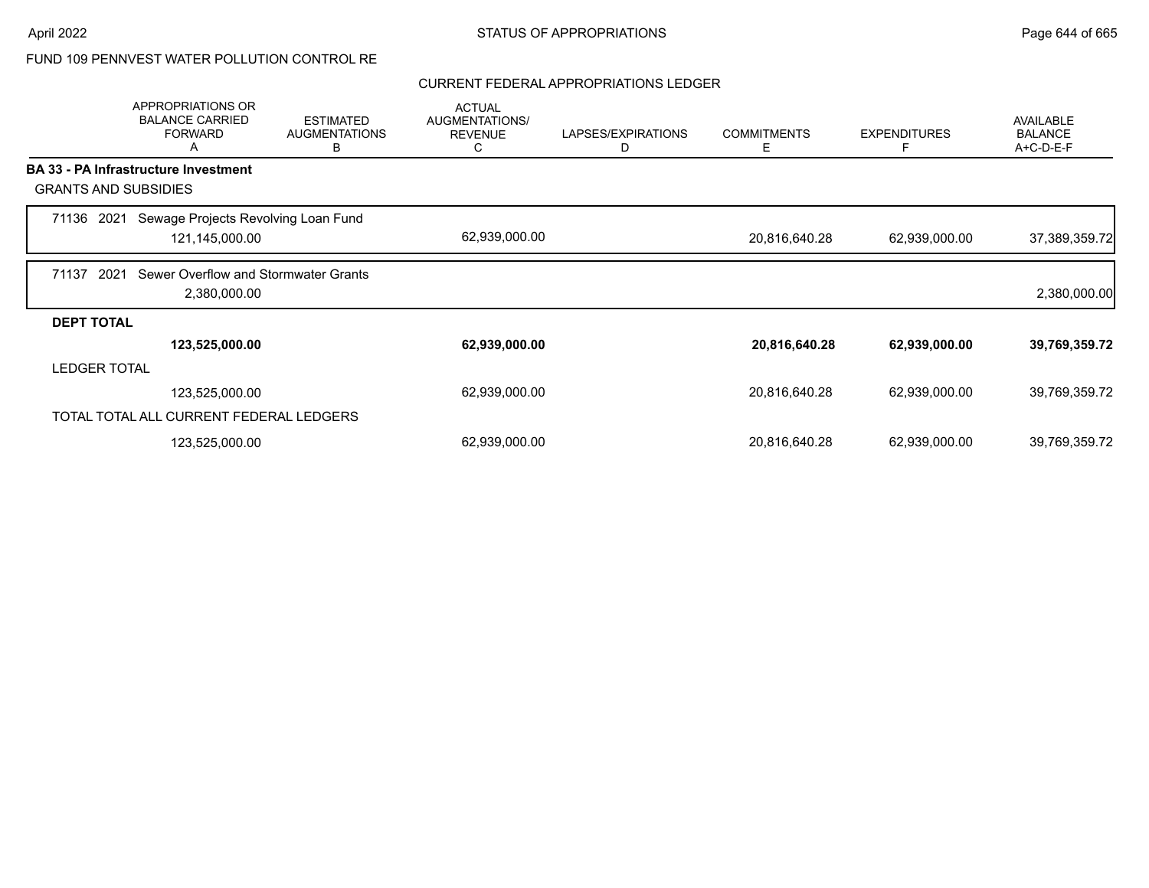# FUND 109 PENNVEST WATER POLLUTION CONTROL RE

#### CURRENT FEDERAL APPROPRIATIONS LEDGER

|                     | APPROPRIATIONS OR<br><b>BALANCE CARRIED</b><br><b>FORWARD</b><br>A | <b>ESTIMATED</b><br><b>AUGMENTATIONS</b><br>в | <b>ACTUAL</b><br><b>AUGMENTATIONS/</b><br><b>REVENUE</b><br>C | LAPSES/EXPIRATIONS<br>D | <b>COMMITMENTS</b><br>Е | <b>EXPENDITURES</b><br>F | <b>AVAILABLE</b><br><b>BALANCE</b><br>A+C-D-E-F |
|---------------------|--------------------------------------------------------------------|-----------------------------------------------|---------------------------------------------------------------|-------------------------|-------------------------|--------------------------|-------------------------------------------------|
|                     | BA 33 - PA Infrastructure Investment                               |                                               |                                                               |                         |                         |                          |                                                 |
|                     | <b>GRANTS AND SUBSIDIES</b>                                        |                                               |                                                               |                         |                         |                          |                                                 |
| 71136 2021          | Sewage Projects Revolving Loan Fund<br>121,145,000.00              |                                               | 62,939,000.00                                                 |                         | 20,816,640.28           | 62,939,000.00            | 37,389,359.72                                   |
| 71137               | Sewer Overflow and Stormwater Grants<br>2021<br>2,380,000.00       |                                               |                                                               |                         |                         |                          | 2,380,000.00                                    |
| <b>DEPT TOTAL</b>   |                                                                    |                                               |                                                               |                         |                         |                          |                                                 |
|                     | 123,525,000.00                                                     |                                               | 62,939,000.00                                                 |                         | 20,816,640.28           | 62,939,000.00            | 39,769,359.72                                   |
| <b>LEDGER TOTAL</b> |                                                                    |                                               |                                                               |                         |                         |                          |                                                 |
|                     | 123,525,000.00                                                     |                                               | 62,939,000.00                                                 |                         | 20,816,640.28           | 62,939,000.00            | 39,769,359.72                                   |
|                     | TOTAL TOTAL ALL CURRENT FEDERAL LEDGERS                            |                                               |                                                               |                         |                         |                          |                                                 |
|                     | 123,525,000.00                                                     |                                               | 62,939,000.00                                                 |                         | 20,816,640.28           | 62,939,000.00            | 39,769,359.72                                   |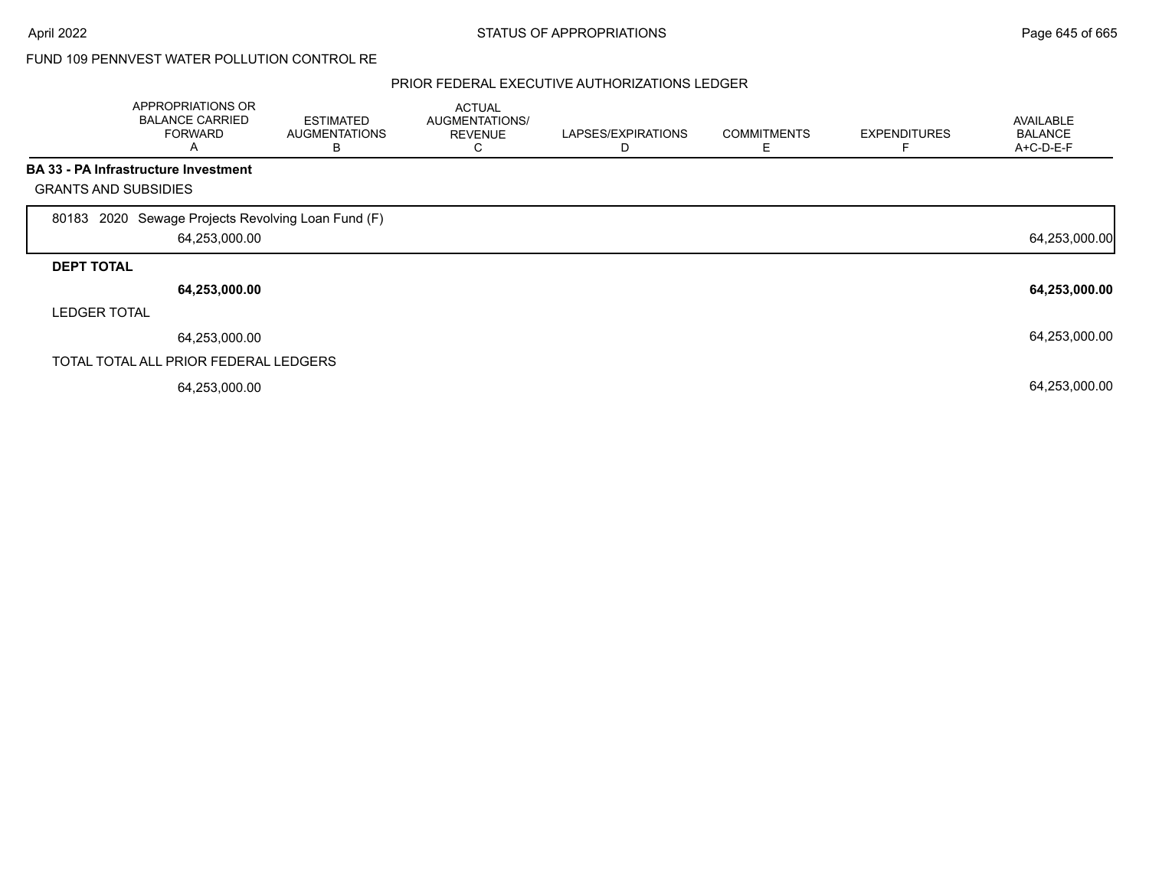### FUND 109 PENNVEST WATER POLLUTION CONTROL RE

|                             | APPROPRIATIONS OR<br><b>BALANCE CARRIED</b><br><b>FORWARD</b><br>A | <b>ESTIMATED</b><br><b>AUGMENTATIONS</b><br>в | <b>ACTUAL</b><br>AUGMENTATIONS/<br><b>REVENUE</b><br>◡ | LAPSES/EXPIRATIONS | <b>COMMITMENTS</b> | <b>EXPENDITURES</b> | AVAILABLE<br><b>BALANCE</b><br>A+C-D-E-F |
|-----------------------------|--------------------------------------------------------------------|-----------------------------------------------|--------------------------------------------------------|--------------------|--------------------|---------------------|------------------------------------------|
|                             | <b>BA 33 - PA Infrastructure Investment</b>                        |                                               |                                                        |                    |                    |                     |                                          |
| <b>GRANTS AND SUBSIDIES</b> |                                                                    |                                               |                                                        |                    |                    |                     |                                          |
| 80183                       | 2020 Sewage Projects Revolving Loan Fund (F)<br>64,253,000.00      |                                               |                                                        |                    |                    |                     | 64,253,000.00                            |
| <b>DEPT TOTAL</b>           |                                                                    |                                               |                                                        |                    |                    |                     |                                          |
|                             | 64,253,000.00                                                      |                                               |                                                        |                    |                    |                     | 64,253,000.00                            |
| <b>LEDGER TOTAL</b>         |                                                                    |                                               |                                                        |                    |                    |                     |                                          |
|                             | 64,253,000.00                                                      |                                               |                                                        |                    |                    |                     | 64,253,000.00                            |
|                             | TOTAL TOTAL ALL PRIOR FEDERAL LEDGERS                              |                                               |                                                        |                    |                    |                     |                                          |
|                             | 64,253,000.00                                                      |                                               |                                                        |                    |                    |                     | 64,253,000.00                            |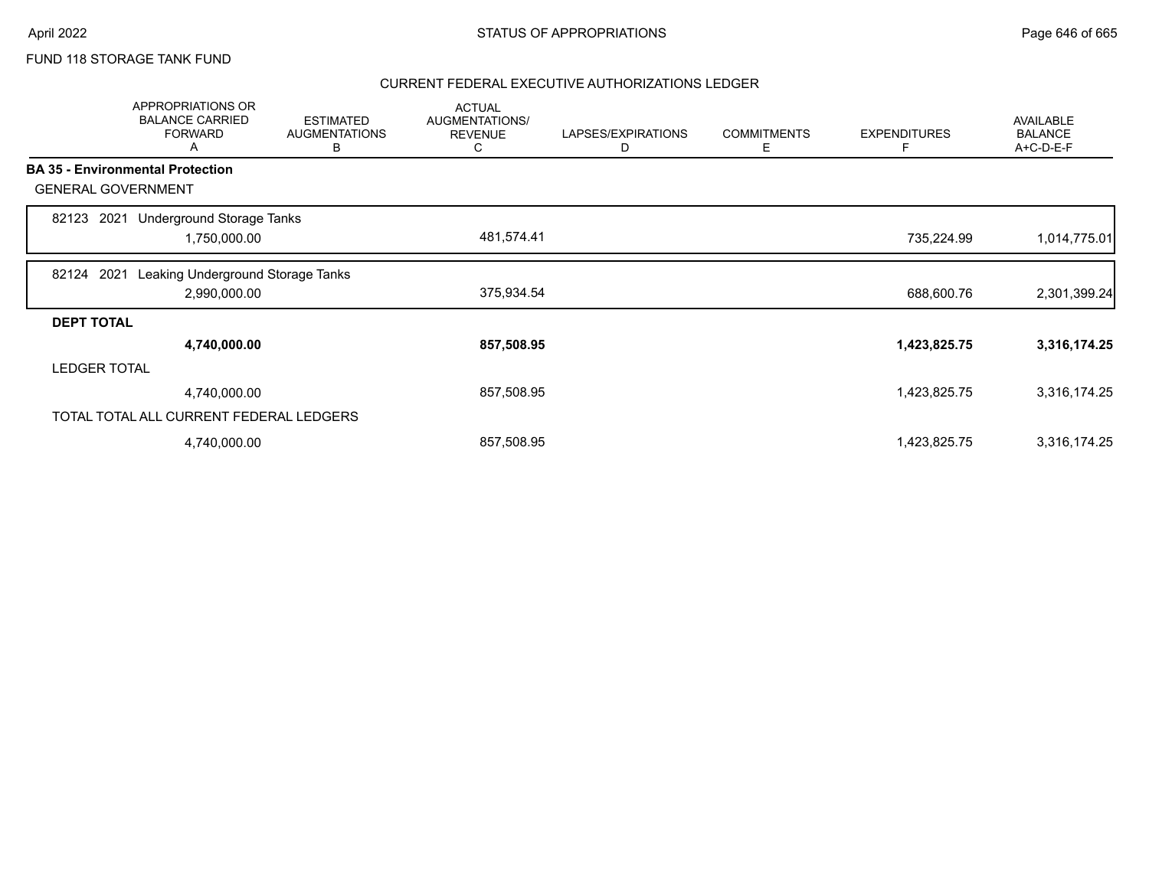# FUND 118 STORAGE TANK FUND

|                     | APPROPRIATIONS OR<br><b>BALANCE CARRIED</b><br><b>FORWARD</b><br>A | <b>ESTIMATED</b><br><b>AUGMENTATIONS</b><br>в | <b>ACTUAL</b><br>AUGMENTATIONS/<br><b>REVENUE</b><br>C | LAPSES/EXPIRATIONS<br>D | <b>COMMITMENTS</b><br>Е | <b>EXPENDITURES</b><br>F | <b>AVAILABLE</b><br><b>BALANCE</b><br>A+C-D-E-F |
|---------------------|--------------------------------------------------------------------|-----------------------------------------------|--------------------------------------------------------|-------------------------|-------------------------|--------------------------|-------------------------------------------------|
|                     | <b>BA 35 - Environmental Protection</b>                            |                                               |                                                        |                         |                         |                          |                                                 |
|                     | <b>GENERAL GOVERNMENT</b>                                          |                                               |                                                        |                         |                         |                          |                                                 |
| 82123               | Underground Storage Tanks<br>2021                                  |                                               |                                                        |                         |                         |                          |                                                 |
|                     | 1,750,000.00                                                       |                                               | 481,574.41                                             |                         |                         | 735,224.99               | 1,014,775.01                                    |
| 82124               | 2021<br>Leaking Underground Storage Tanks                          |                                               |                                                        |                         |                         |                          |                                                 |
|                     | 2,990,000.00                                                       |                                               | 375,934.54                                             |                         |                         | 688,600.76               | 2,301,399.24                                    |
| <b>DEPT TOTAL</b>   |                                                                    |                                               |                                                        |                         |                         |                          |                                                 |
|                     | 4,740,000.00                                                       |                                               | 857,508.95                                             |                         |                         | 1,423,825.75             | 3,316,174.25                                    |
| <b>LEDGER TOTAL</b> |                                                                    |                                               |                                                        |                         |                         |                          |                                                 |
|                     | 4,740,000.00                                                       |                                               | 857,508.95                                             |                         |                         | 1,423,825.75             | 3,316,174.25                                    |
|                     | TOTAL TOTAL ALL CURRENT FEDERAL LEDGERS                            |                                               |                                                        |                         |                         |                          |                                                 |
|                     | 4,740,000.00                                                       |                                               | 857,508.95                                             |                         |                         | 1,423,825.75             | 3,316,174.25                                    |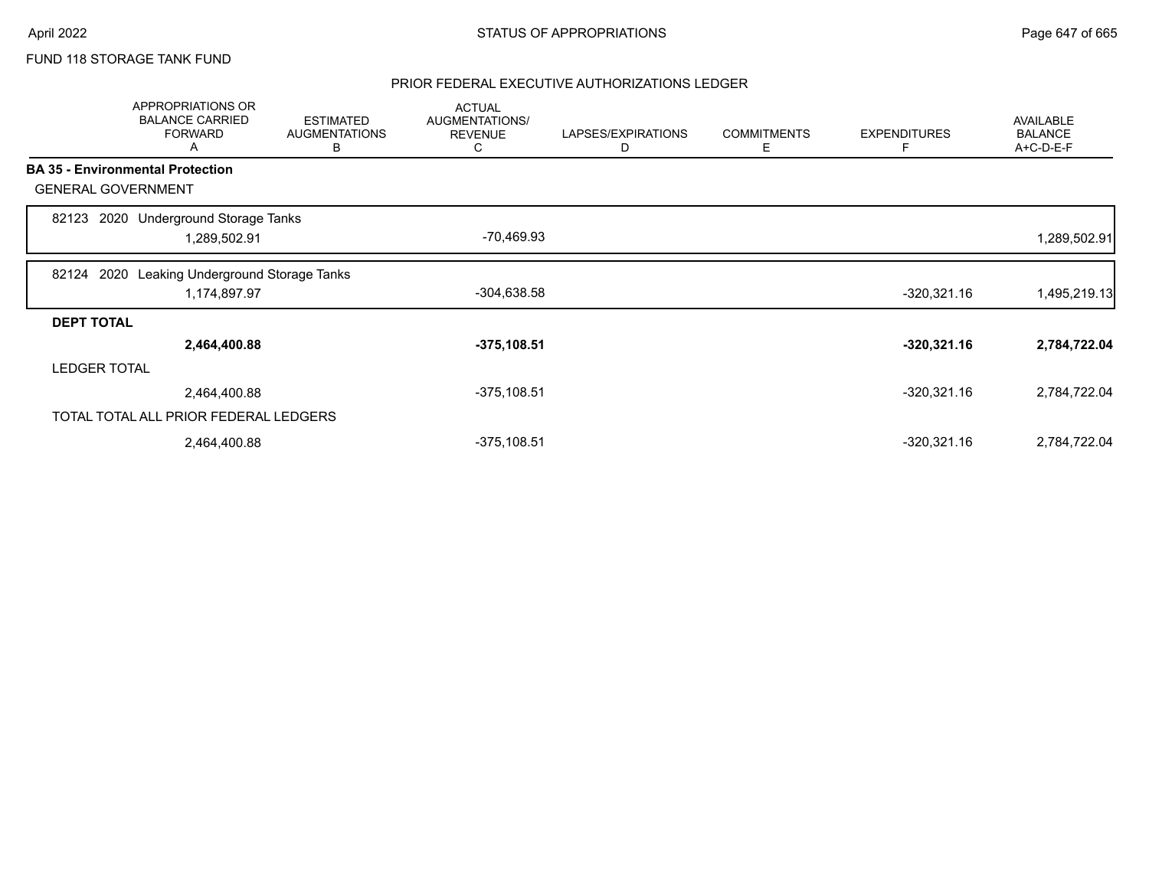# FUND 118 STORAGE TANK FUND

|                   | APPROPRIATIONS OR<br><b>BALANCE CARRIED</b><br><b>FORWARD</b><br>A | <b>ESTIMATED</b><br><b>AUGMENTATIONS</b><br>В | <b>ACTUAL</b><br>AUGMENTATIONS/<br><b>REVENUE</b><br>C | LAPSES/EXPIRATIONS<br>D | <b>COMMITMENTS</b><br>Ε | <b>EXPENDITURES</b><br>Е | <b>AVAILABLE</b><br><b>BALANCE</b><br>A+C-D-E-F |
|-------------------|--------------------------------------------------------------------|-----------------------------------------------|--------------------------------------------------------|-------------------------|-------------------------|--------------------------|-------------------------------------------------|
|                   | <b>BA 35 - Environmental Protection</b>                            |                                               |                                                        |                         |                         |                          |                                                 |
|                   | <b>GENERAL GOVERNMENT</b>                                          |                                               |                                                        |                         |                         |                          |                                                 |
| 82123             | 2020 Underground Storage Tanks<br>1,289,502.91                     |                                               | -70,469.93                                             |                         |                         |                          | 1,289,502.91                                    |
| 82124             | Leaking Underground Storage Tanks<br>2020<br>1,174,897.97          |                                               | $-304,638.58$                                          |                         |                         | $-320,321.16$            | 1,495,219.13                                    |
| <b>DEPT TOTAL</b> |                                                                    |                                               |                                                        |                         |                         |                          |                                                 |
|                   | 2,464,400.88                                                       |                                               | $-375, 108.51$                                         |                         |                         | $-320,321.16$            | 2,784,722.04                                    |
|                   | <b>LEDGER TOTAL</b>                                                |                                               |                                                        |                         |                         |                          |                                                 |
|                   | 2,464,400.88                                                       |                                               | $-375, 108.51$                                         |                         |                         | $-320,321.16$            | 2,784,722.04                                    |
|                   | TOTAL TOTAL ALL PRIOR FEDERAL LEDGERS                              |                                               |                                                        |                         |                         |                          |                                                 |
|                   | 2,464,400.88                                                       |                                               | $-375,108.51$                                          |                         |                         | $-320,321.16$            | 2,784,722.04                                    |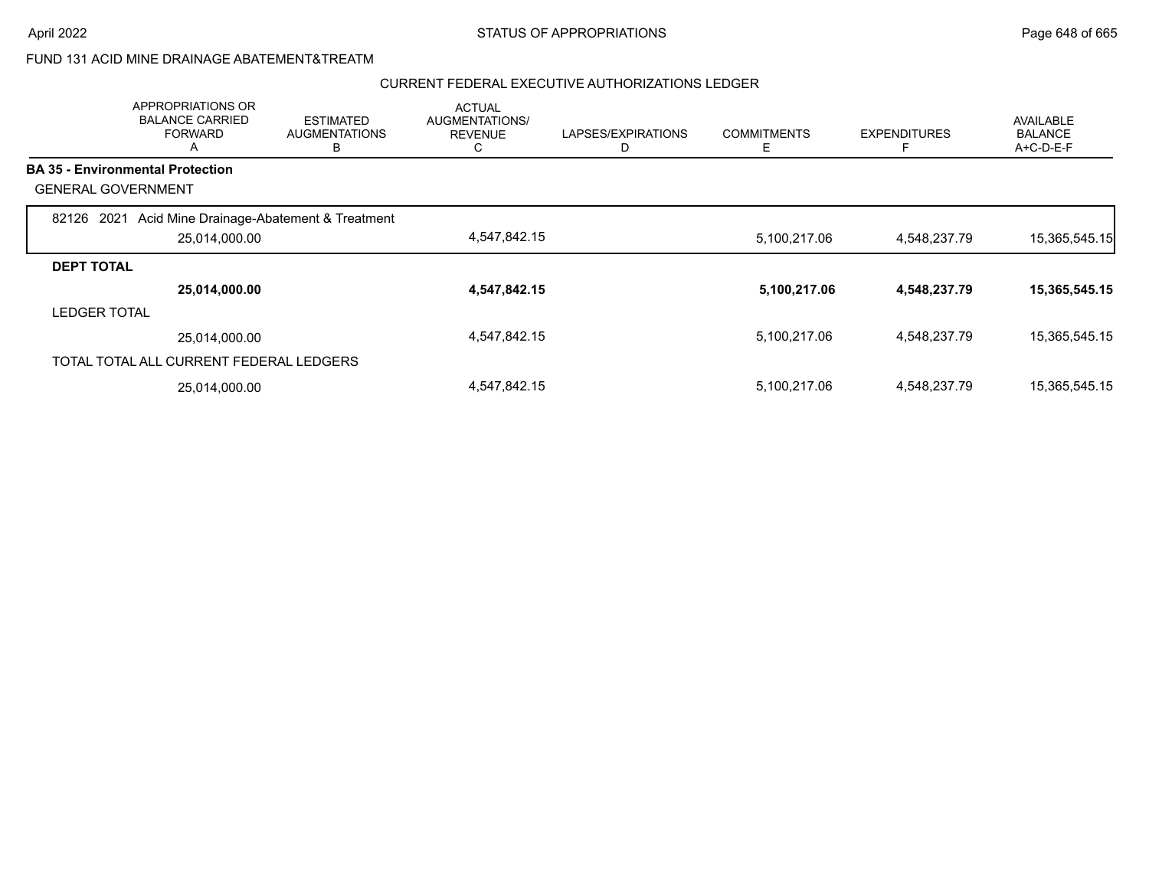# FUND 131 ACID MINE DRAINAGE ABATEMENT&TREATM

|                           | APPROPRIATIONS OR<br><b>BALANCE CARRIED</b><br><b>FORWARD</b><br>A | <b>ESTIMATED</b><br><b>AUGMENTATIONS</b><br>в | <b>ACTUAL</b><br><b>AUGMENTATIONS/</b><br><b>REVENUE</b><br>◡ | LAPSES/EXPIRATIONS | <b>COMMITMENTS</b><br>Е | <b>EXPENDITURES</b><br>E | <b>AVAILABLE</b><br><b>BALANCE</b><br>$A+C-D-E-F$ |
|---------------------------|--------------------------------------------------------------------|-----------------------------------------------|---------------------------------------------------------------|--------------------|-------------------------|--------------------------|---------------------------------------------------|
|                           | <b>BA 35 - Environmental Protection</b>                            |                                               |                                                               |                    |                         |                          |                                                   |
| <b>GENERAL GOVERNMENT</b> |                                                                    |                                               |                                                               |                    |                         |                          |                                                   |
| 2021<br>82126             | Acid Mine Drainage-Abatement & Treatment                           |                                               |                                                               |                    |                         |                          |                                                   |
|                           | 25,014,000.00                                                      |                                               | 4,547,842.15                                                  |                    | 5,100,217.06            | 4,548,237.79             | 15,365,545.15                                     |
| <b>DEPT TOTAL</b>         |                                                                    |                                               |                                                               |                    |                         |                          |                                                   |
|                           | 25,014,000.00                                                      |                                               | 4,547,842.15                                                  |                    | 5,100,217.06            | 4,548,237.79             | 15,365,545.15                                     |
| <b>LEDGER TOTAL</b>       |                                                                    |                                               |                                                               |                    |                         |                          |                                                   |
|                           | 25.014.000.00                                                      |                                               | 4,547,842.15                                                  |                    | 5,100,217.06            | 4,548,237.79             | 15,365,545.15                                     |
|                           | TOTAL TOTAL ALL CURRENT FEDERAL LEDGERS                            |                                               |                                                               |                    |                         |                          |                                                   |
|                           | 25,014,000.00                                                      |                                               | 4,547,842.15                                                  |                    | 5,100,217.06            | 4,548,237.79             | 15,365,545.15                                     |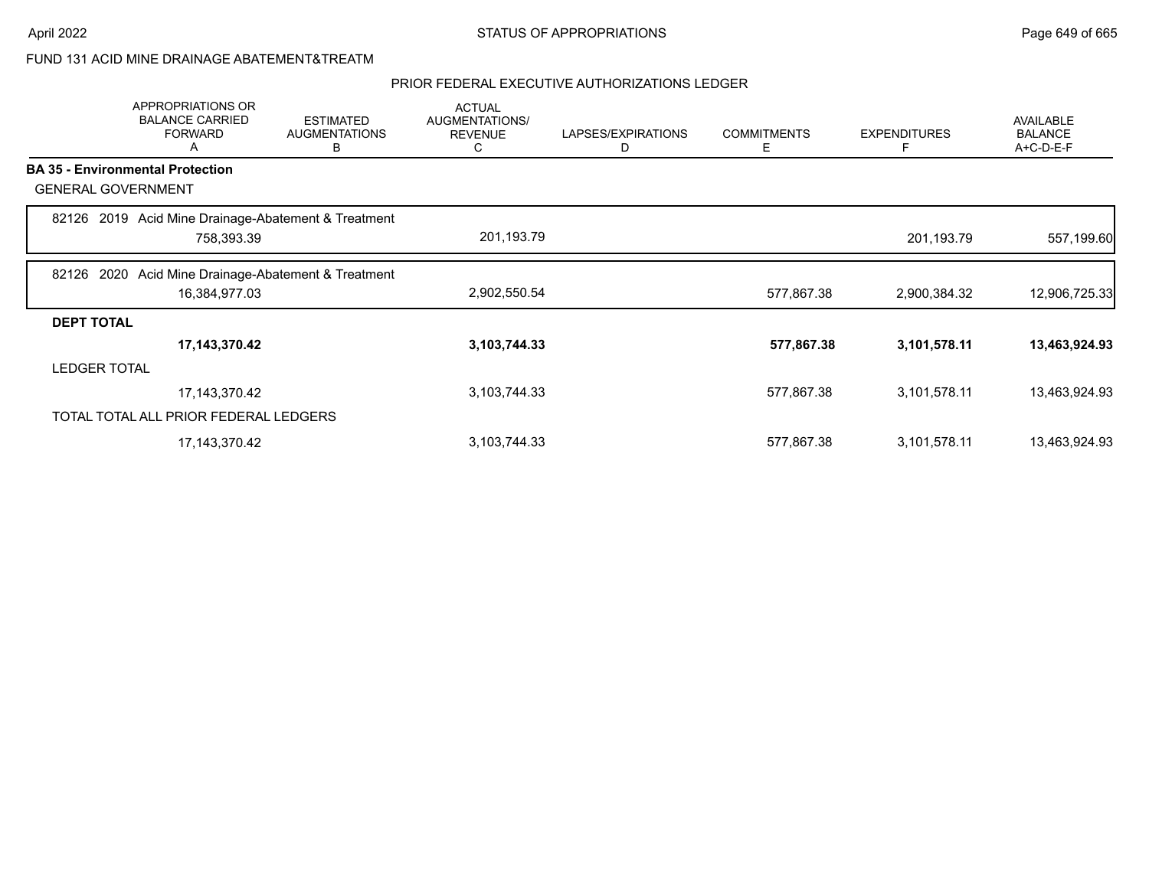### FUND 131 ACID MINE DRAINAGE ABATEMENT&TREATM

|                     | APPROPRIATIONS OR<br><b>BALANCE CARRIED</b><br><b>FORWARD</b><br>A | <b>ESTIMATED</b><br><b>AUGMENTATIONS</b><br>в | <b>ACTUAL</b><br>AUGMENTATIONS/<br><b>REVENUE</b><br>C | LAPSES/EXPIRATIONS<br>D | <b>COMMITMENTS</b><br>Ε | <b>EXPENDITURES</b><br>F | <b>AVAILABLE</b><br><b>BALANCE</b><br>A+C-D-E-F |
|---------------------|--------------------------------------------------------------------|-----------------------------------------------|--------------------------------------------------------|-------------------------|-------------------------|--------------------------|-------------------------------------------------|
|                     | <b>BA 35 - Environmental Protection</b>                            |                                               |                                                        |                         |                         |                          |                                                 |
|                     | <b>GENERAL GOVERNMENT</b>                                          |                                               |                                                        |                         |                         |                          |                                                 |
|                     | 82126 2019 Acid Mine Drainage-Abatement & Treatment<br>758,393.39  |                                               | 201,193.79                                             |                         |                         | 201,193.79               | 557,199.60                                      |
|                     |                                                                    |                                               |                                                        |                         |                         |                          |                                                 |
| 82126               | 2020 Acid Mine Drainage-Abatement & Treatment<br>16,384,977.03     |                                               | 2,902,550.54                                           |                         | 577,867.38              | 2,900,384.32             | 12,906,725.33                                   |
| <b>DEPT TOTAL</b>   |                                                                    |                                               |                                                        |                         |                         |                          |                                                 |
|                     | 17, 143, 370. 42                                                   |                                               | 3,103,744.33                                           |                         | 577,867.38              | 3,101,578.11             | 13,463,924.93                                   |
| <b>LEDGER TOTAL</b> |                                                                    |                                               |                                                        |                         |                         |                          |                                                 |
|                     | 17, 143, 370. 42                                                   |                                               | 3,103,744.33                                           |                         | 577,867.38              | 3,101,578.11             | 13,463,924.93                                   |
|                     | TOTAL TOTAL ALL PRIOR FEDERAL LEDGERS                              |                                               |                                                        |                         |                         |                          |                                                 |
|                     | 17, 143, 370. 42                                                   |                                               | 3,103,744.33                                           |                         | 577,867.38              | 3,101,578.11             | 13,463,924.93                                   |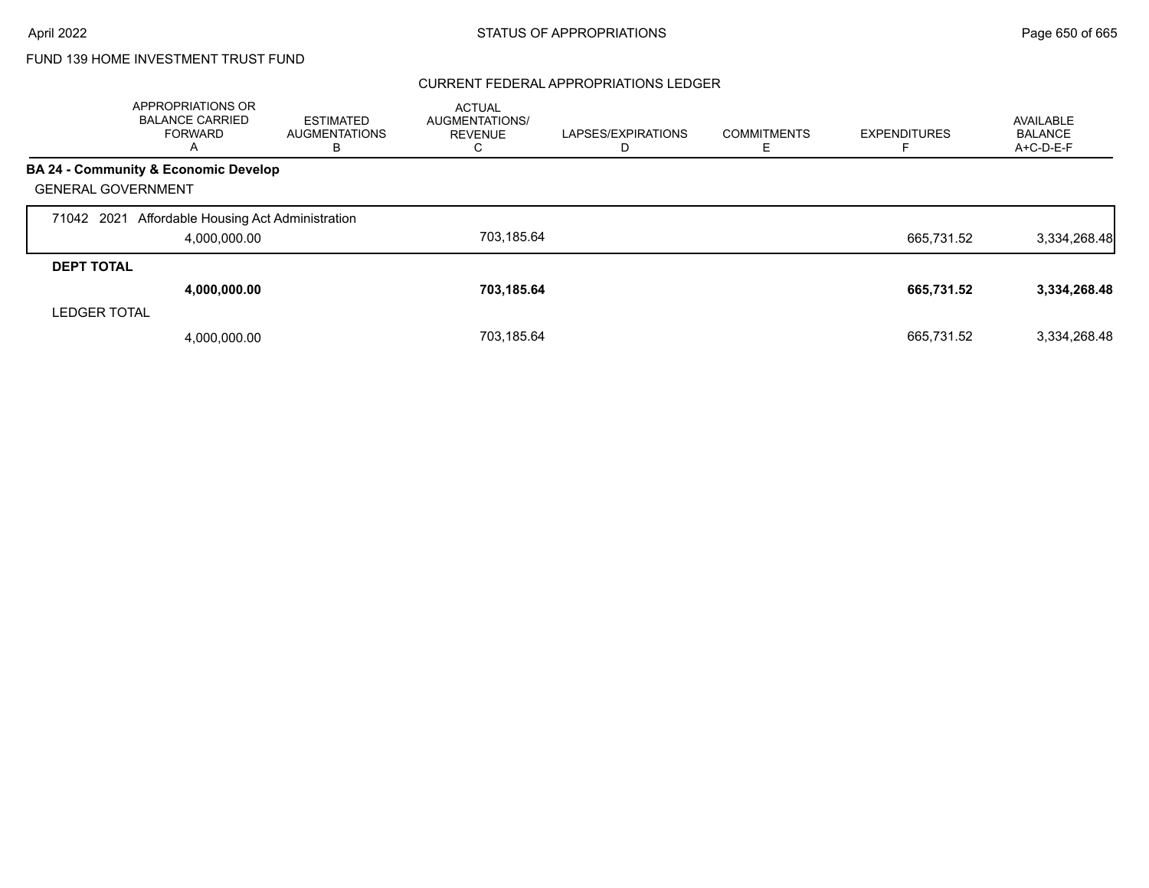### CURRENT FEDERAL APPROPRIATIONS LEDGER

|                           | APPROPRIATIONS OR<br><b>BALANCE CARRIED</b><br><b>FORWARD</b><br>A | <b>ESTIMATED</b><br><b>AUGMENTATIONS</b><br>в | <b>ACTUAL</b><br>AUGMENTATIONS/<br><b>REVENUE</b><br>◡ | LAPSES/EXPIRATIONS | <b>COMMITMENTS</b> | <b>EXPENDITURES</b> | AVAILABLE<br><b>BALANCE</b><br>A+C-D-E-F |
|---------------------------|--------------------------------------------------------------------|-----------------------------------------------|--------------------------------------------------------|--------------------|--------------------|---------------------|------------------------------------------|
|                           | BA 24 - Community & Economic Develop                               |                                               |                                                        |                    |                    |                     |                                          |
| <b>GENERAL GOVERNMENT</b> |                                                                    |                                               |                                                        |                    |                    |                     |                                          |
| 71042 2021                | Affordable Housing Act Administration                              |                                               |                                                        |                    |                    |                     |                                          |
|                           | 4,000,000.00                                                       |                                               | 703.185.64                                             |                    |                    | 665.731.52          | 3,334,268.48                             |
| <b>DEPT TOTAL</b>         |                                                                    |                                               |                                                        |                    |                    |                     |                                          |
|                           | 4,000,000.00                                                       |                                               | 703,185.64                                             |                    |                    | 665,731.52          | 3,334,268.48                             |
| <b>LEDGER TOTAL</b>       |                                                                    |                                               |                                                        |                    |                    |                     |                                          |
|                           | 4,000,000.00                                                       |                                               | 703.185.64                                             |                    |                    | 665.731.52          | 3,334,268.48                             |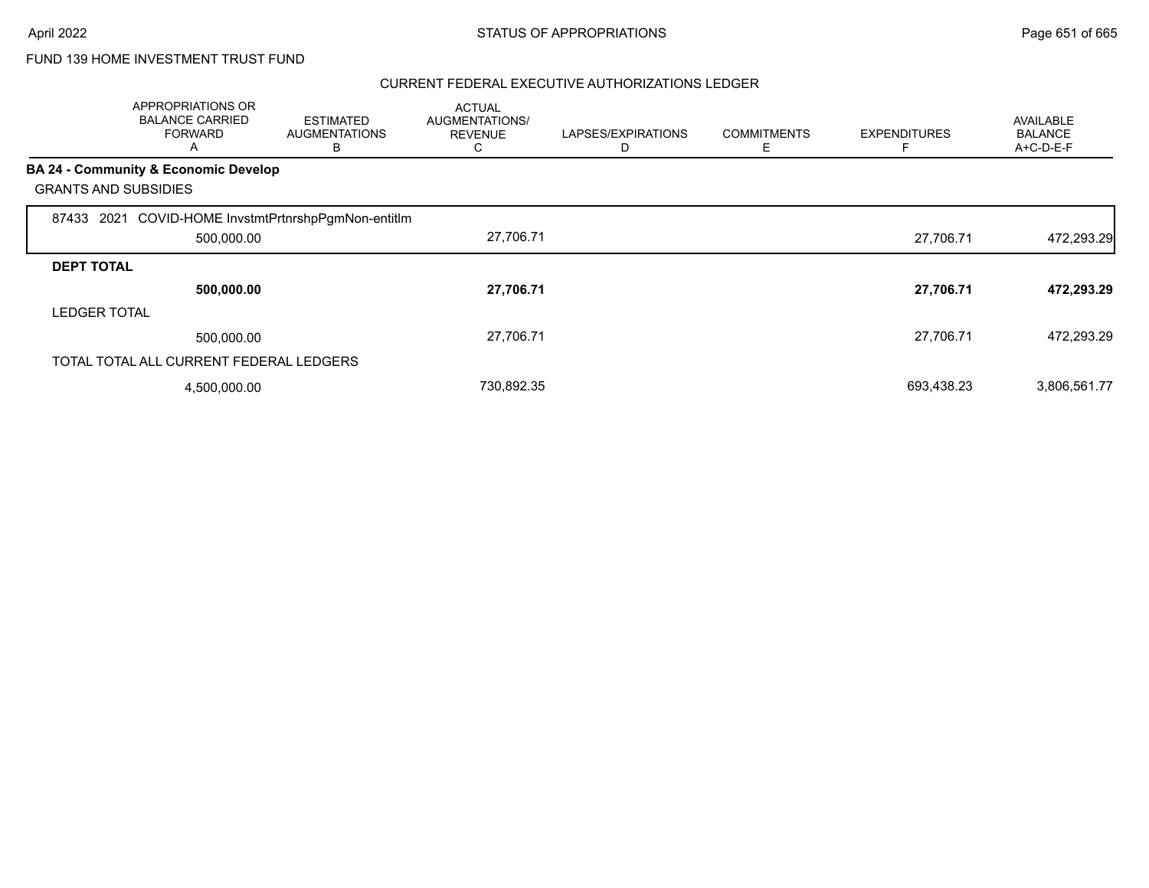|                             | APPROPRIATIONS OR<br><b>BALANCE CARRIED</b><br><b>FORWARD</b><br>A | <b>ESTIMATED</b><br><b>AUGMENTATIONS</b><br>В | <b>ACTUAL</b><br>AUGMENTATIONS/<br><b>REVENUE</b><br>C | LAPSES/EXPIRATIONS<br>D | <b>COMMITMENTS</b><br>Ε | <b>EXPENDITURES</b> | <b>AVAILABLE</b><br><b>BALANCE</b><br>A+C-D-E-F |
|-----------------------------|--------------------------------------------------------------------|-----------------------------------------------|--------------------------------------------------------|-------------------------|-------------------------|---------------------|-------------------------------------------------|
|                             | BA 24 - Community & Economic Develop                               |                                               |                                                        |                         |                         |                     |                                                 |
| <b>GRANTS AND SUBSIDIES</b> |                                                                    |                                               |                                                        |                         |                         |                     |                                                 |
| 87433                       | 2021 COVID-HOME InvstmtPrtnrshpPgmNon-entitIm                      |                                               |                                                        |                         |                         |                     |                                                 |
|                             | 500,000.00                                                         |                                               | 27,706.71                                              |                         |                         | 27,706.71           | 472,293.29                                      |
| <b>DEPT TOTAL</b>           |                                                                    |                                               |                                                        |                         |                         |                     |                                                 |
|                             | 500,000.00                                                         |                                               | 27,706.71                                              |                         |                         | 27,706.71           | 472,293.29                                      |
| <b>LEDGER TOTAL</b>         |                                                                    |                                               |                                                        |                         |                         |                     |                                                 |
|                             | 500,000.00                                                         |                                               | 27,706.71                                              |                         |                         | 27,706.71           | 472,293.29                                      |
|                             | TOTAL TOTAL ALL CURRENT FEDERAL LEDGERS                            |                                               |                                                        |                         |                         |                     |                                                 |
|                             | 4,500,000.00                                                       |                                               | 730,892.35                                             |                         |                         | 693,438.23          | 3,806,561.77                                    |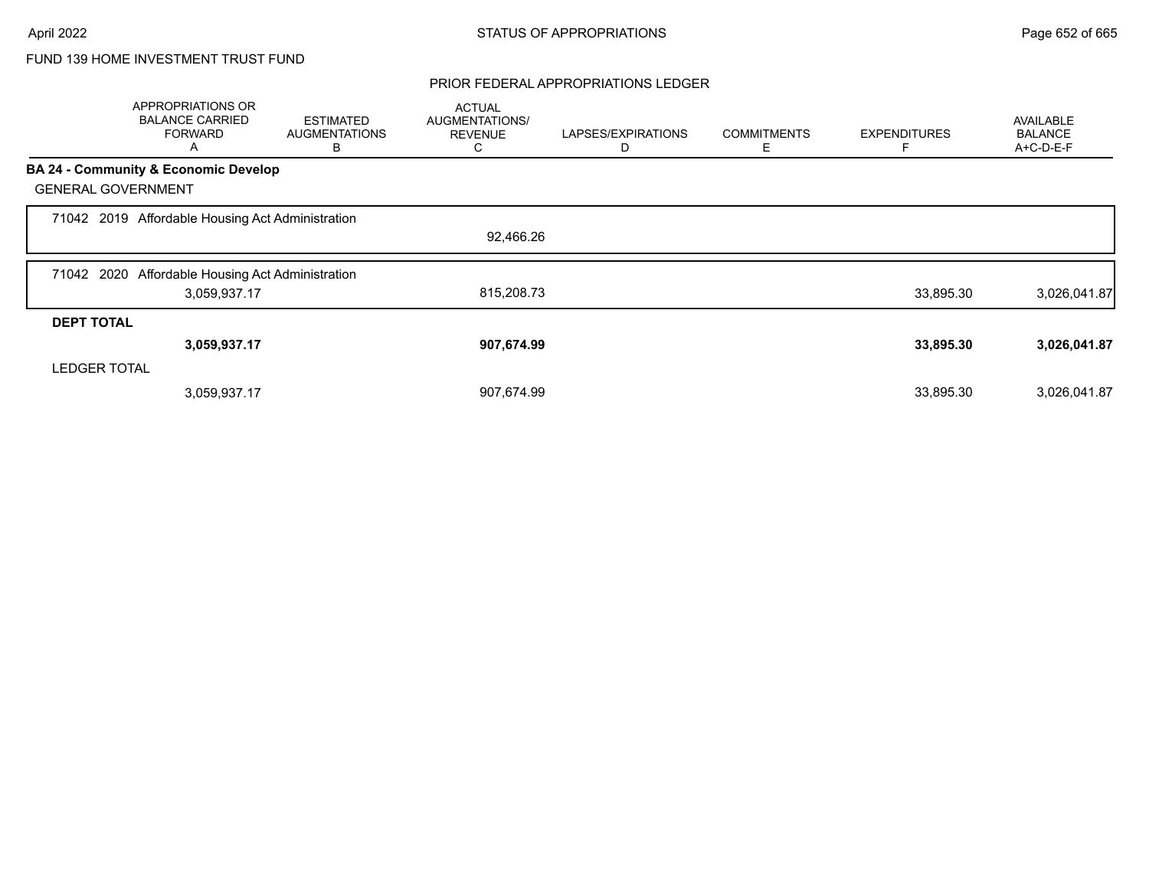### PRIOR FEDERAL APPROPRIATIONS LEDGER

|                     | APPROPRIATIONS OR<br><b>BALANCE CARRIED</b><br><b>FORWARD</b><br>A | <b>ESTIMATED</b><br><b>AUGMENTATIONS</b><br>В | <b>ACTUAL</b><br>AUGMENTATIONS/<br><b>REVENUE</b><br>С | LAPSES/EXPIRATIONS<br>D | <b>COMMITMENTS</b><br>Е | <b>EXPENDITURES</b> | <b>AVAILABLE</b><br><b>BALANCE</b><br>A+C-D-E-F |
|---------------------|--------------------------------------------------------------------|-----------------------------------------------|--------------------------------------------------------|-------------------------|-------------------------|---------------------|-------------------------------------------------|
|                     | <b>BA 24 - Community &amp; Economic Develop</b>                    |                                               |                                                        |                         |                         |                     |                                                 |
|                     | <b>GENERAL GOVERNMENT</b>                                          |                                               |                                                        |                         |                         |                     |                                                 |
|                     | 71042 2019 Affordable Housing Act Administration                   |                                               |                                                        |                         |                         |                     |                                                 |
|                     |                                                                    |                                               | 92,466.26                                              |                         |                         |                     |                                                 |
|                     | 71042 2020 Affordable Housing Act Administration                   |                                               |                                                        |                         |                         |                     |                                                 |
|                     | 3,059,937.17                                                       |                                               | 815,208.73                                             |                         |                         | 33,895.30           | 3,026,041.87                                    |
| <b>DEPT TOTAL</b>   |                                                                    |                                               |                                                        |                         |                         |                     |                                                 |
|                     | 3,059,937.17                                                       |                                               | 907,674.99                                             |                         |                         | 33,895.30           | 3,026,041.87                                    |
| <b>LEDGER TOTAL</b> |                                                                    |                                               |                                                        |                         |                         |                     |                                                 |
|                     | 3,059,937.17                                                       |                                               | 907,674.99                                             |                         |                         | 33,895.30           | 3,026,041.87                                    |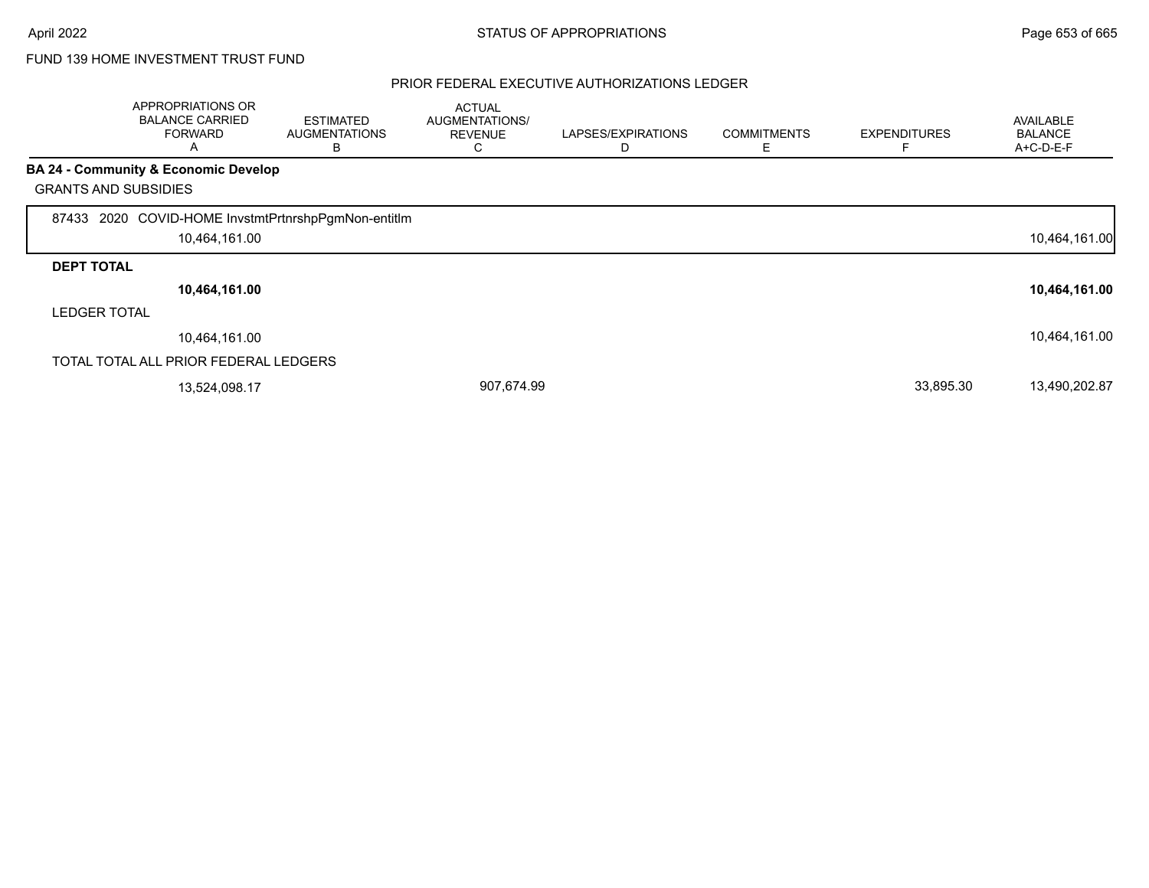|                             | <b>APPROPRIATIONS OR</b><br><b>BALANCE CARRIED</b><br><b>FORWARD</b><br>A | <b>ESTIMATED</b><br><b>AUGMENTATIONS</b><br>B | <b>ACTUAL</b><br>AUGMENTATIONS/<br><b>REVENUE</b><br>С | LAPSES/EXPIRATIONS<br>D | <b>COMMITMENTS</b><br>Ε | <b>EXPENDITURES</b> | <b>AVAILABLE</b><br><b>BALANCE</b><br>A+C-D-E-F |
|-----------------------------|---------------------------------------------------------------------------|-----------------------------------------------|--------------------------------------------------------|-------------------------|-------------------------|---------------------|-------------------------------------------------|
|                             | <b>BA 24 - Community &amp; Economic Develop</b>                           |                                               |                                                        |                         |                         |                     |                                                 |
| <b>GRANTS AND SUBSIDIES</b> |                                                                           |                                               |                                                        |                         |                         |                     |                                                 |
| 87433                       | 2020 COVID-HOME InvstmtPrtnrshpPgmNon-entitIm                             |                                               |                                                        |                         |                         |                     |                                                 |
|                             | 10,464,161.00                                                             |                                               |                                                        |                         |                         |                     | 10,464,161.00                                   |
| <b>DEPT TOTAL</b>           |                                                                           |                                               |                                                        |                         |                         |                     |                                                 |
|                             | 10,464,161.00                                                             |                                               |                                                        |                         |                         |                     | 10,464,161.00                                   |
| <b>LEDGER TOTAL</b>         |                                                                           |                                               |                                                        |                         |                         |                     |                                                 |
|                             | 10.464.161.00                                                             |                                               |                                                        |                         |                         |                     | 10,464,161.00                                   |
|                             | TOTAL TOTAL ALL PRIOR FEDERAL LEDGERS                                     |                                               |                                                        |                         |                         |                     |                                                 |
|                             | 13,524,098.17                                                             |                                               | 907,674.99                                             |                         |                         | 33,895.30           | 13,490,202.87                                   |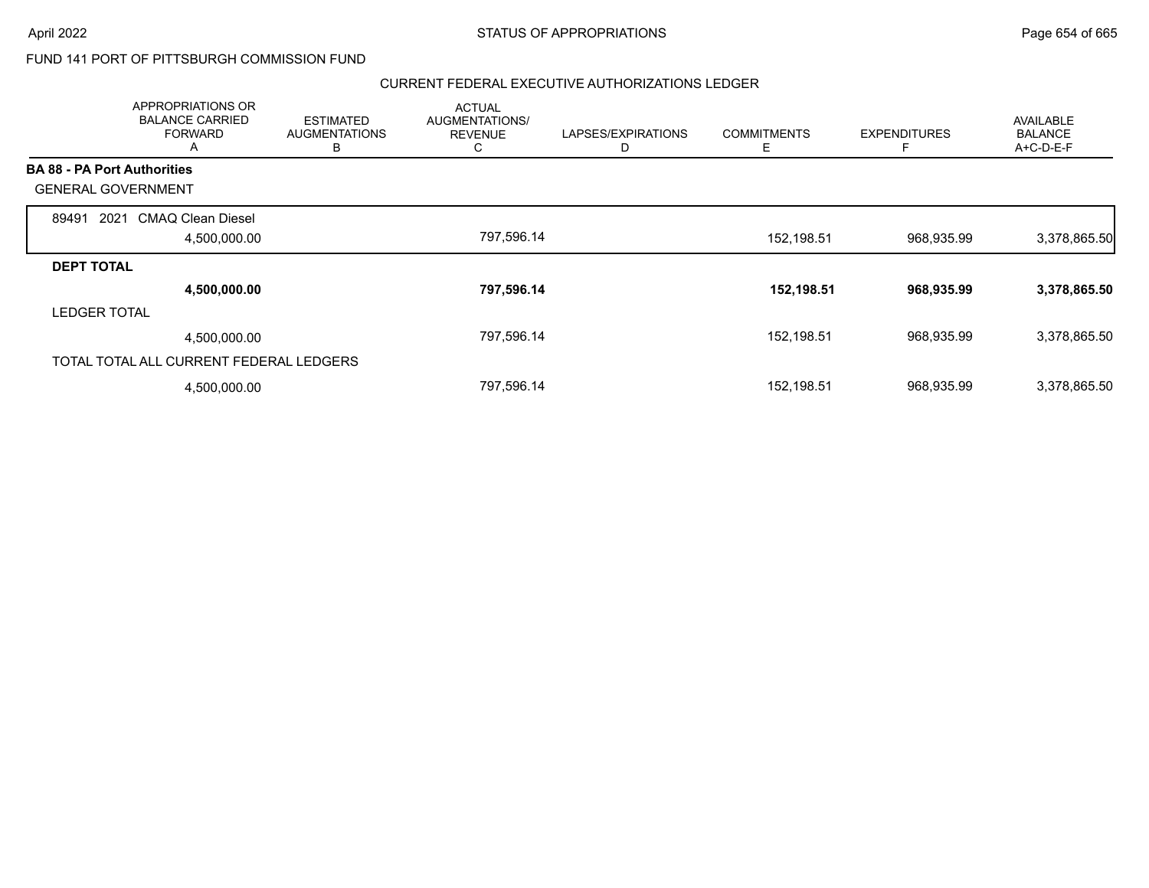### FUND 141 PORT OF PITTSBURGH COMMISSION FUND

|                                         | APPROPRIATIONS OR<br><b>BALANCE CARRIED</b><br><b>FORWARD</b><br>A | <b>ESTIMATED</b><br><b>AUGMENTATIONS</b><br>в | <b>ACTUAL</b><br><b>AUGMENTATIONS/</b><br><b>REVENUE</b><br>◡ | LAPSES/EXPIRATIONS<br>D | <b>COMMITMENTS</b><br>Е | <b>EXPENDITURES</b><br>F | <b>AVAILABLE</b><br><b>BALANCE</b><br>A+C-D-E-F |
|-----------------------------------------|--------------------------------------------------------------------|-----------------------------------------------|---------------------------------------------------------------|-------------------------|-------------------------|--------------------------|-------------------------------------------------|
| <b>BA 88 - PA Port Authorities</b>      |                                                                    |                                               |                                                               |                         |                         |                          |                                                 |
| <b>GENERAL GOVERNMENT</b>               |                                                                    |                                               |                                                               |                         |                         |                          |                                                 |
| 89491<br>2021                           | CMAQ Clean Diesel                                                  |                                               |                                                               |                         |                         |                          |                                                 |
|                                         | 4,500,000.00                                                       |                                               | 797,596.14                                                    |                         | 152,198.51              | 968,935.99               | 3,378,865.50                                    |
| <b>DEPT TOTAL</b>                       |                                                                    |                                               |                                                               |                         |                         |                          |                                                 |
|                                         | 4,500,000.00                                                       |                                               | 797,596.14                                                    |                         | 152,198.51              | 968,935.99               | 3,378,865.50                                    |
| <b>LEDGER TOTAL</b>                     |                                                                    |                                               |                                                               |                         |                         |                          |                                                 |
|                                         | 4,500,000.00                                                       |                                               | 797,596.14                                                    |                         | 152,198.51              | 968,935.99               | 3,378,865.50                                    |
| TOTAL TOTAL ALL CURRENT FEDERAL LEDGERS |                                                                    |                                               |                                                               |                         |                         |                          |                                                 |
|                                         | 4,500,000.00                                                       |                                               | 797,596.14                                                    |                         | 152,198.51              | 968,935.99               | 3,378,865.50                                    |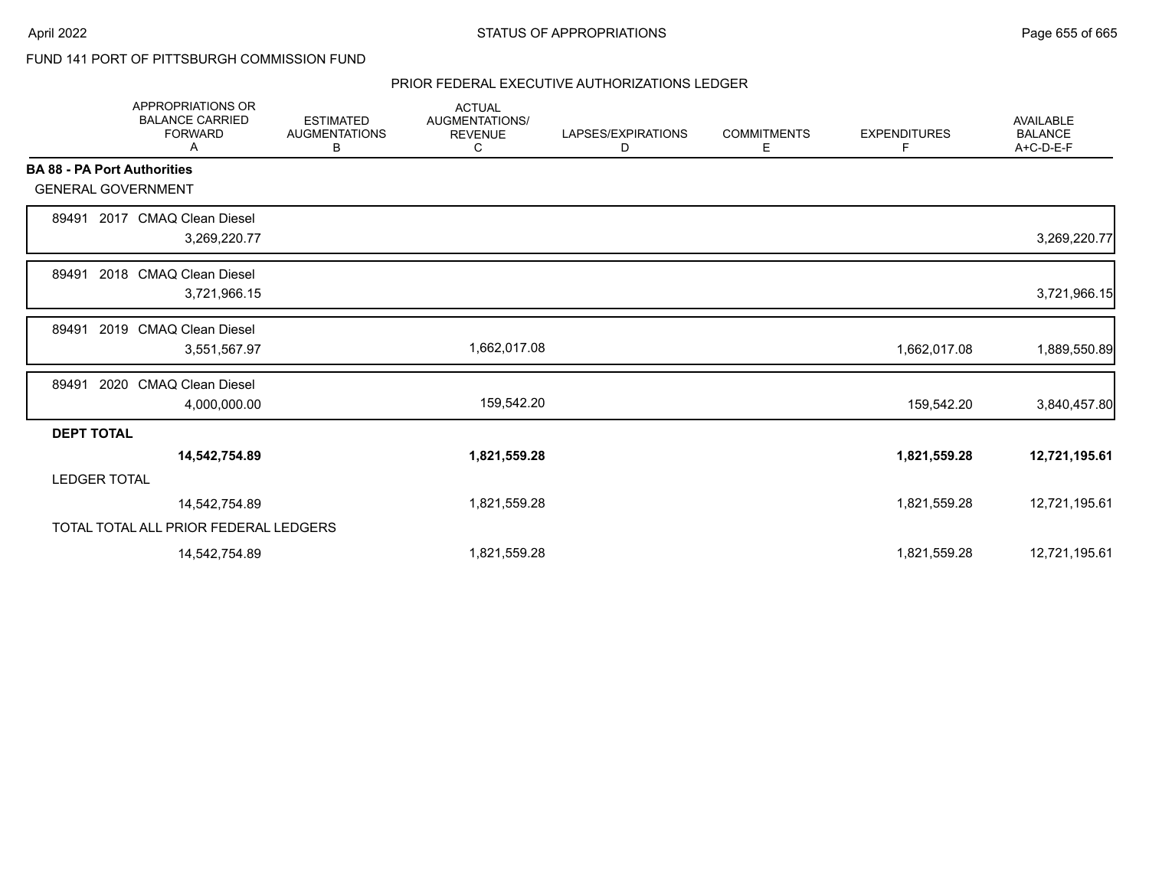### FUND 141 PORT OF PITTSBURGH COMMISSION FUND

|                                    | <b>APPROPRIATIONS OR</b><br><b>BALANCE CARRIED</b><br><b>FORWARD</b><br>Α | <b>ESTIMATED</b><br><b>AUGMENTATIONS</b><br>В | <b>ACTUAL</b><br><b>AUGMENTATIONS/</b><br><b>REVENUE</b><br>С | LAPSES/EXPIRATIONS<br>D | <b>COMMITMENTS</b><br>Е | <b>EXPENDITURES</b><br>F | <b>AVAILABLE</b><br><b>BALANCE</b><br>A+C-D-E-F |
|------------------------------------|---------------------------------------------------------------------------|-----------------------------------------------|---------------------------------------------------------------|-------------------------|-------------------------|--------------------------|-------------------------------------------------|
| <b>BA 88 - PA Port Authorities</b> |                                                                           |                                               |                                                               |                         |                         |                          |                                                 |
| <b>GENERAL GOVERNMENT</b>          |                                                                           |                                               |                                                               |                         |                         |                          |                                                 |
| 89491                              | 2017 CMAQ Clean Diesel<br>3,269,220.77                                    |                                               |                                                               |                         |                         |                          | 3,269,220.77                                    |
| 89491                              | 2018 CMAQ Clean Diesel<br>3,721,966.15                                    |                                               |                                                               |                         |                         |                          | 3,721,966.15                                    |
| 89491                              | 2019 CMAQ Clean Diesel<br>3,551,567.97                                    |                                               | 1,662,017.08                                                  |                         |                         | 1,662,017.08             | 1,889,550.89                                    |
| 89491                              | 2020 CMAQ Clean Diesel<br>4,000,000.00                                    |                                               | 159,542.20                                                    |                         |                         | 159,542.20               | 3,840,457.80                                    |
| <b>DEPT TOTAL</b>                  |                                                                           |                                               |                                                               |                         |                         |                          |                                                 |
|                                    | 14,542,754.89                                                             |                                               | 1,821,559.28                                                  |                         |                         | 1,821,559.28             | 12,721,195.61                                   |
| <b>LEDGER TOTAL</b>                |                                                                           |                                               |                                                               |                         |                         |                          |                                                 |
|                                    | 14,542,754.89                                                             |                                               | 1,821,559.28                                                  |                         |                         | 1,821,559.28             | 12,721,195.61                                   |
|                                    | TOTAL TOTAL ALL PRIOR FEDERAL LEDGERS                                     |                                               |                                                               |                         |                         |                          |                                                 |
|                                    | 14,542,754.89                                                             |                                               | 1,821,559.28                                                  |                         |                         | 1,821,559.28             | 12,721,195.61                                   |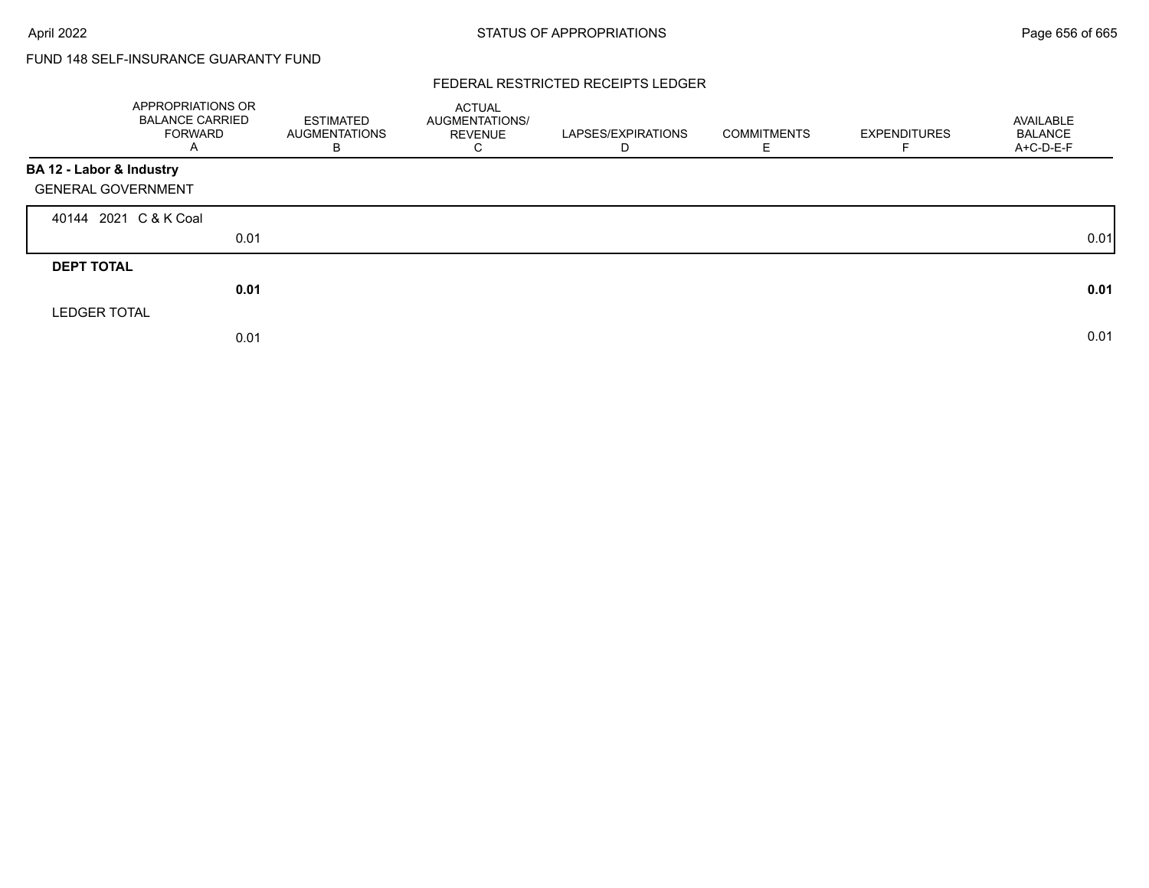# FUND 148 SELF-INSURANCE GUARANTY FUND

### FEDERAL RESTRICTED RECEIPTS LEDGER

|                           | APPROPRIATIONS OR<br><b>BALANCE CARRIED</b><br><b>FORWARD</b><br>Α | <b>ESTIMATED</b><br><b>AUGMENTATIONS</b><br>B | ACTUAL<br>AUGMENTATIONS/<br>REVENUE<br>$\sim$<br>Ü | LAPSES/EXPIRATIONS<br>D | <b>COMMITMENTS</b> | <b>EXPENDITURES</b> | AVAILABLE<br><b>BALANCE</b><br>A+C-D-E-F |
|---------------------------|--------------------------------------------------------------------|-----------------------------------------------|----------------------------------------------------|-------------------------|--------------------|---------------------|------------------------------------------|
| BA 12 - Labor & Industry  |                                                                    |                                               |                                                    |                         |                    |                     |                                          |
| <b>GENERAL GOVERNMENT</b> |                                                                    |                                               |                                                    |                         |                    |                     |                                          |
| 40144 2021 C & K Coal     |                                                                    |                                               |                                                    |                         |                    |                     |                                          |
|                           | 0.01                                                               |                                               |                                                    |                         |                    |                     | 0.01                                     |
| <b>DEPT TOTAL</b>         |                                                                    |                                               |                                                    |                         |                    |                     |                                          |
|                           | 0.01                                                               |                                               |                                                    |                         |                    |                     | 0.01                                     |
| <b>LEDGER TOTAL</b>       |                                                                    |                                               |                                                    |                         |                    |                     |                                          |
|                           | 0.01                                                               |                                               |                                                    |                         |                    |                     | 0.01                                     |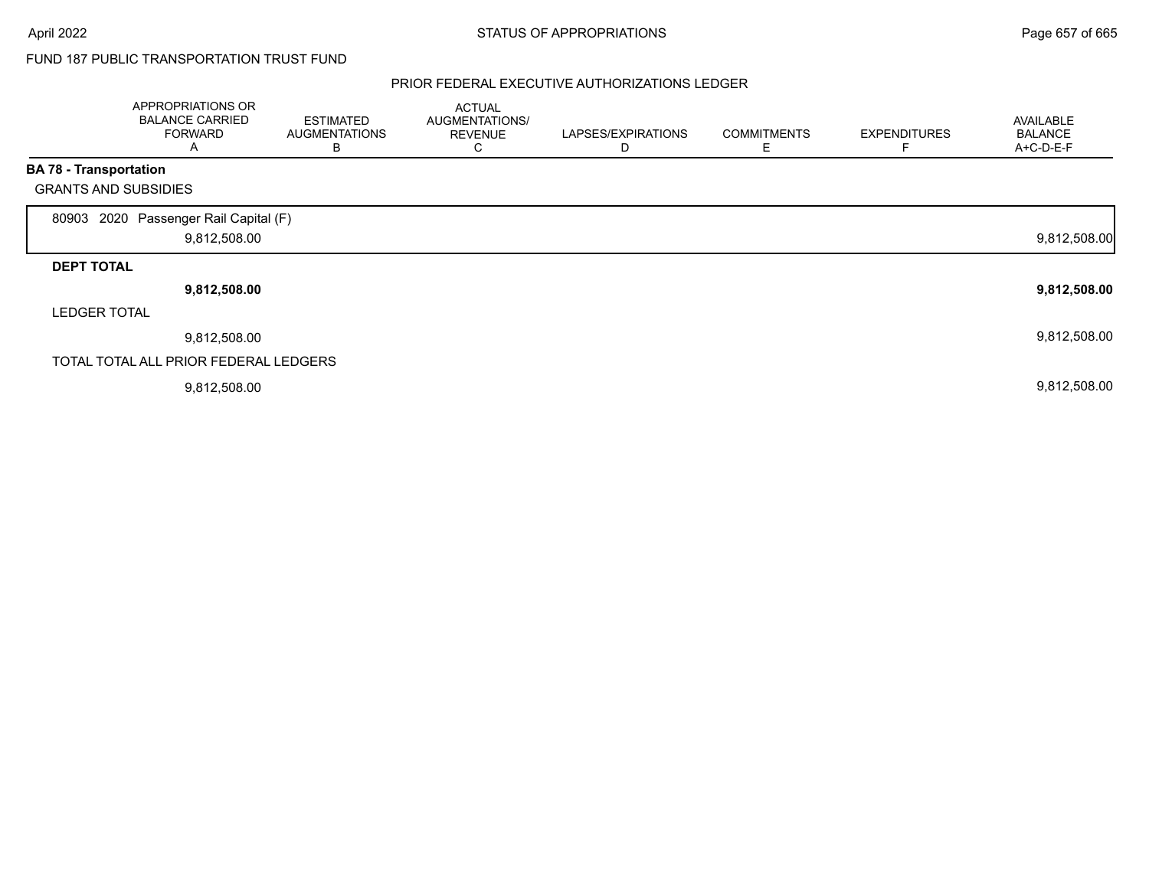## FUND 187 PUBLIC TRANSPORTATION TRUST FUND

|                               | APPROPRIATIONS OR<br><b>BALANCE CARRIED</b><br><b>FORWARD</b><br>Α | <b>ESTIMATED</b><br><b>AUGMENTATIONS</b><br>в | <b>ACTUAL</b><br>AUGMENTATIONS/<br><b>REVENUE</b><br>С | LAPSES/EXPIRATIONS<br>D | <b>COMMITMENTS</b><br>Е | <b>EXPENDITURES</b> | AVAILABLE<br><b>BALANCE</b><br>A+C-D-E-F |
|-------------------------------|--------------------------------------------------------------------|-----------------------------------------------|--------------------------------------------------------|-------------------------|-------------------------|---------------------|------------------------------------------|
| <b>BA 78 - Transportation</b> |                                                                    |                                               |                                                        |                         |                         |                     |                                          |
| <b>GRANTS AND SUBSIDIES</b>   |                                                                    |                                               |                                                        |                         |                         |                     |                                          |
| 80903                         | 2020 Passenger Rail Capital (F)<br>9,812,508.00                    |                                               |                                                        |                         |                         |                     | 9,812,508.00                             |
| <b>DEPT TOTAL</b>             |                                                                    |                                               |                                                        |                         |                         |                     |                                          |
|                               | 9,812,508.00                                                       |                                               |                                                        |                         |                         |                     | 9,812,508.00                             |
| <b>LEDGER TOTAL</b>           |                                                                    |                                               |                                                        |                         |                         |                     |                                          |
|                               | 9,812,508.00                                                       |                                               |                                                        |                         |                         |                     | 9,812,508.00                             |
|                               | TOTAL TOTAL ALL PRIOR FEDERAL LEDGERS                              |                                               |                                                        |                         |                         |                     |                                          |
|                               | 9,812,508.00                                                       |                                               |                                                        |                         |                         |                     | 9,812,508.00                             |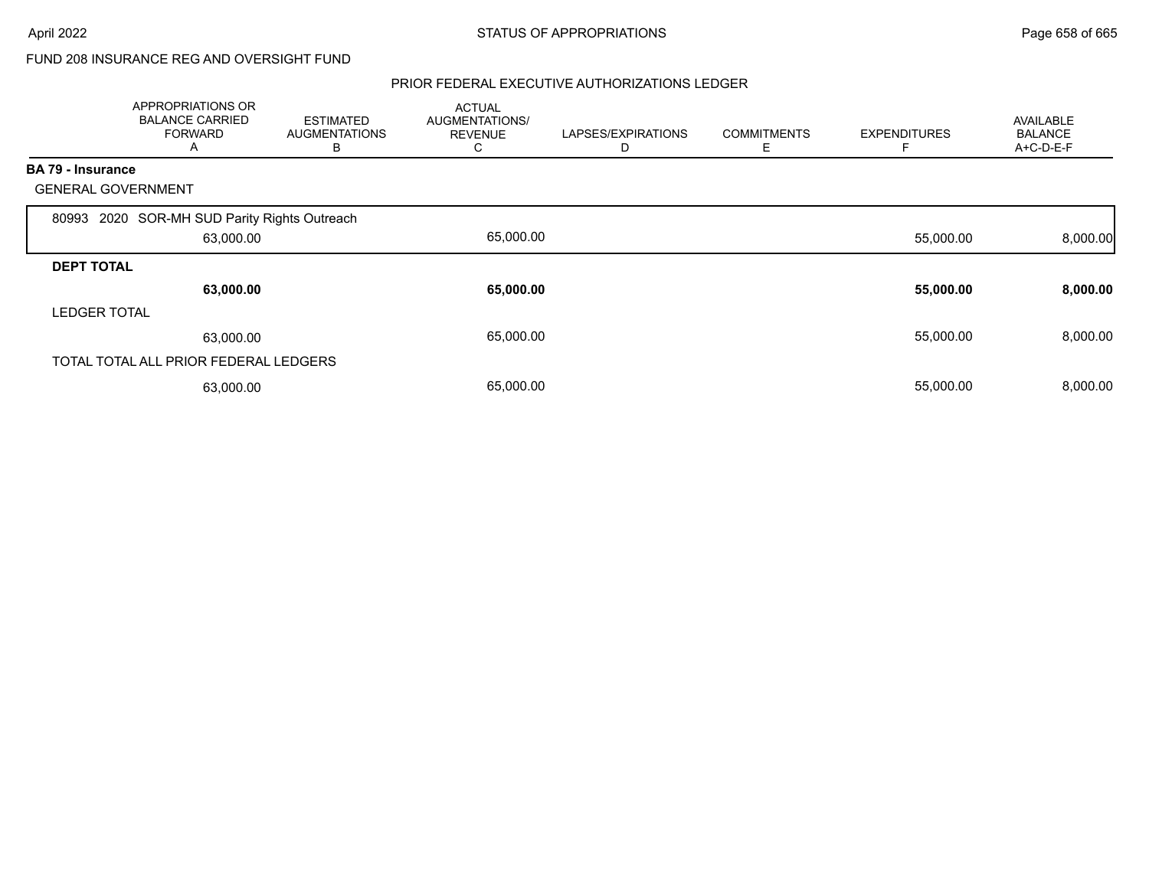## FUND 208 INSURANCE REG AND OVERSIGHT FUND

|                     | APPROPRIATIONS OR<br><b>BALANCE CARRIED</b><br><b>FORWARD</b><br>A | <b>ESTIMATED</b><br><b>AUGMENTATIONS</b><br>В | <b>ACTUAL</b><br>AUGMENTATIONS/<br><b>REVENUE</b><br>С | LAPSES/EXPIRATIONS<br>D | <b>COMMITMENTS</b><br>Е | <b>EXPENDITURES</b> | <b>AVAILABLE</b><br><b>BALANCE</b><br>A+C-D-E-F |
|---------------------|--------------------------------------------------------------------|-----------------------------------------------|--------------------------------------------------------|-------------------------|-------------------------|---------------------|-------------------------------------------------|
| BA 79 - Insurance   |                                                                    |                                               |                                                        |                         |                         |                     |                                                 |
|                     | <b>GENERAL GOVERNMENT</b>                                          |                                               |                                                        |                         |                         |                     |                                                 |
| 80993               | 2020 SOR-MH SUD Parity Rights Outreach                             |                                               |                                                        |                         |                         |                     |                                                 |
|                     | 63,000.00                                                          |                                               | 65,000.00                                              |                         |                         | 55,000.00           | 8,000.00                                        |
| <b>DEPT TOTAL</b>   |                                                                    |                                               |                                                        |                         |                         |                     |                                                 |
|                     | 63,000.00                                                          |                                               | 65,000.00                                              |                         |                         | 55,000.00           | 8,000.00                                        |
| <b>LEDGER TOTAL</b> |                                                                    |                                               |                                                        |                         |                         |                     |                                                 |
|                     | 63,000.00                                                          |                                               | 65,000.00                                              |                         |                         | 55,000.00           | 8,000.00                                        |
|                     | TOTAL TOTAL ALL PRIOR FEDERAL LEDGERS                              |                                               |                                                        |                         |                         |                     |                                                 |
|                     | 63,000.00                                                          |                                               | 65,000.00                                              |                         |                         | 55,000.00           | 8,000.00                                        |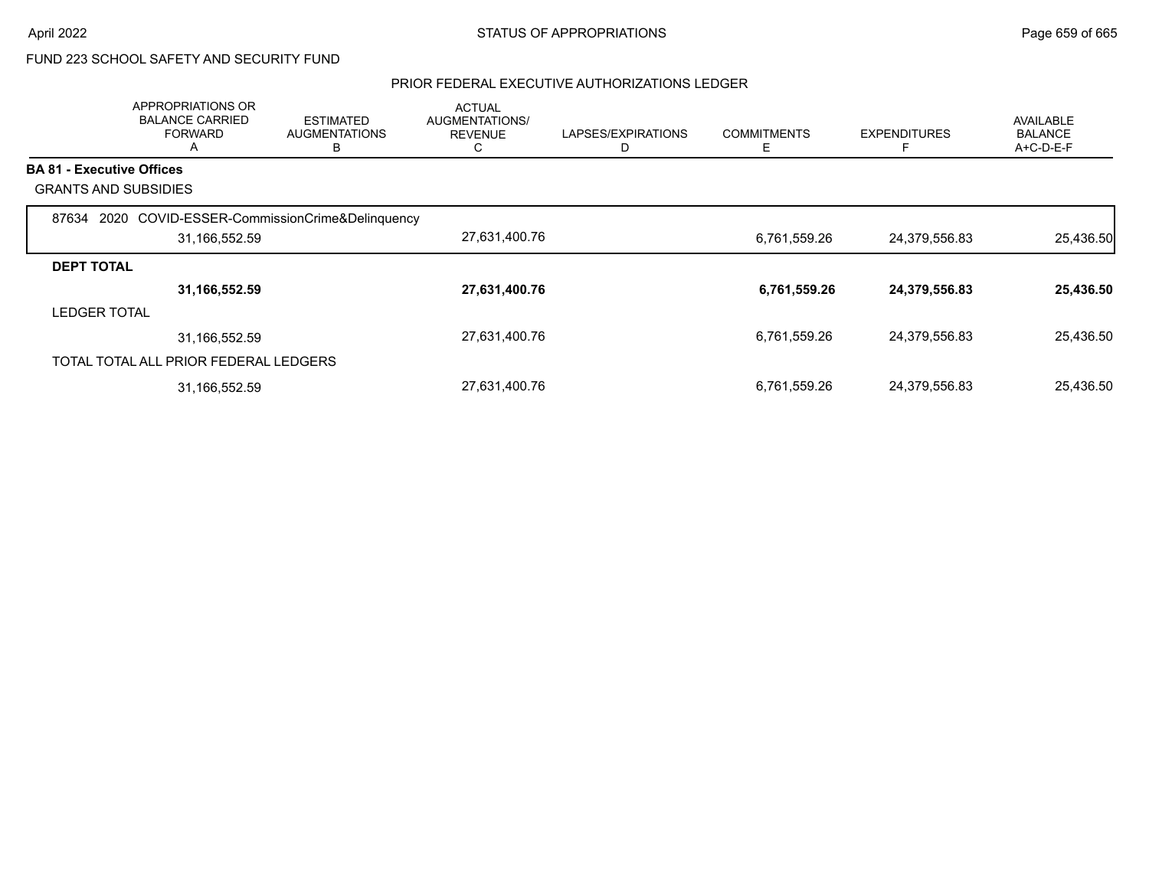# FUND 223 SCHOOL SAFETY AND SECURITY FUND

|                                  | APPROPRIATIONS OR<br><b>BALANCE CARRIED</b><br><b>FORWARD</b><br>A | <b>ESTIMATED</b><br><b>AUGMENTATIONS</b><br>В | <b>ACTUAL</b><br><b>AUGMENTATIONS/</b><br><b>REVENUE</b><br>C | LAPSES/EXPIRATIONS | <b>COMMITMENTS</b><br>Е | <b>EXPENDITURES</b> | <b>AVAILABLE</b><br><b>BALANCE</b><br>A+C-D-E-F |
|----------------------------------|--------------------------------------------------------------------|-----------------------------------------------|---------------------------------------------------------------|--------------------|-------------------------|---------------------|-------------------------------------------------|
| <b>BA 81 - Executive Offices</b> |                                                                    |                                               |                                                               |                    |                         |                     |                                                 |
|                                  | <b>GRANTS AND SUBSIDIES</b>                                        |                                               |                                                               |                    |                         |                     |                                                 |
| 87634                            | 2020                                                               | COVID-ESSER-CommissionCrime&Delinquency       |                                                               |                    |                         |                     |                                                 |
|                                  | 31,166,552.59                                                      |                                               | 27,631,400.76                                                 |                    | 6,761,559.26            | 24,379,556.83       | 25,436.50                                       |
| <b>DEPT TOTAL</b>                |                                                                    |                                               |                                                               |                    |                         |                     |                                                 |
|                                  | 31,166,552.59                                                      |                                               | 27,631,400.76                                                 |                    | 6,761,559.26            | 24,379,556.83       | 25,436.50                                       |
| <b>LEDGER TOTAL</b>              |                                                                    |                                               |                                                               |                    |                         |                     |                                                 |
|                                  | 31,166,552.59                                                      |                                               | 27,631,400.76                                                 |                    | 6,761,559.26            | 24,379,556.83       | 25,436.50                                       |
|                                  | TOTAL TOTAL ALL PRIOR FEDERAL LEDGERS                              |                                               |                                                               |                    |                         |                     |                                                 |
|                                  | 31,166,552.59                                                      |                                               | 27,631,400.76                                                 |                    | 6,761,559.26            | 24,379,556.83       | 25,436.50                                       |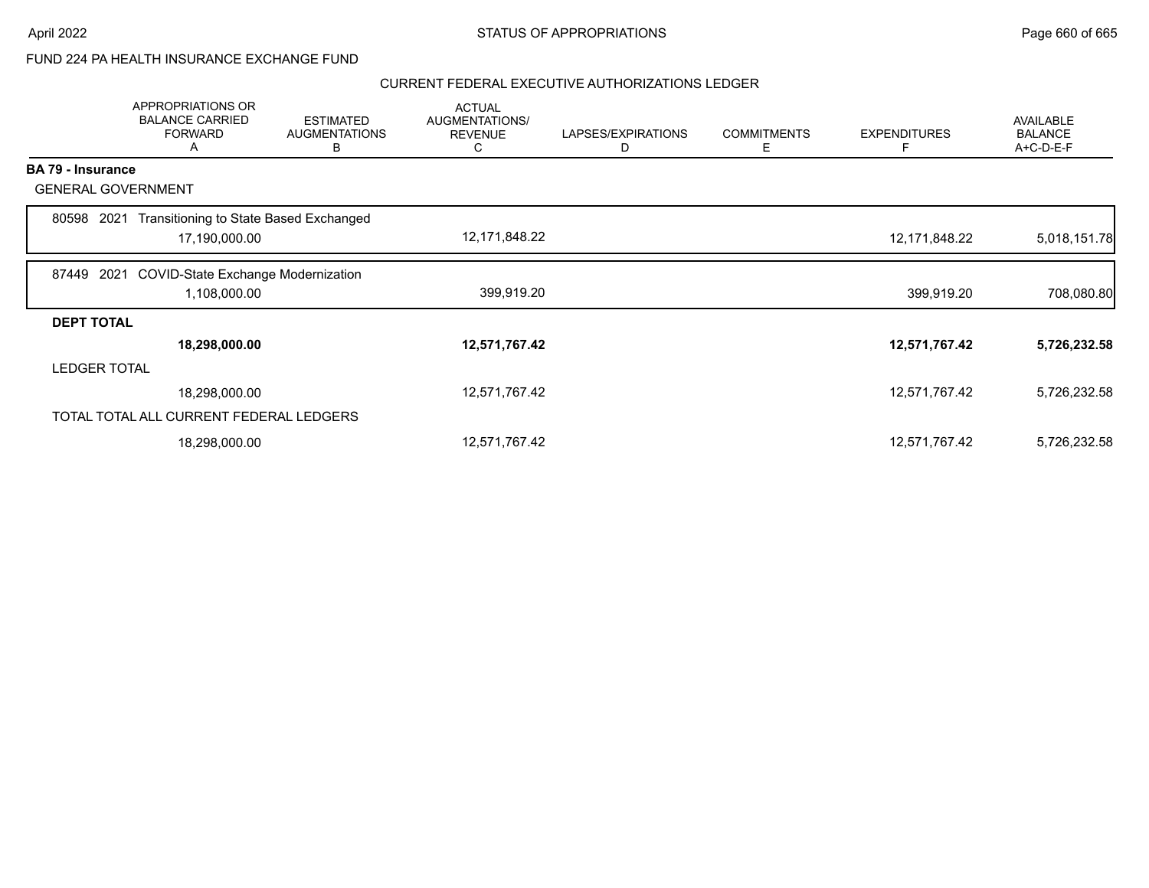### FUND 224 PA HEALTH INSURANCE EXCHANGE FUND

|                          | APPROPRIATIONS OR<br><b>BALANCE CARRIED</b><br><b>FORWARD</b><br>A | <b>ESTIMATED</b><br><b>AUGMENTATIONS</b><br>в | <b>ACTUAL</b><br>AUGMENTATIONS/<br><b>REVENUE</b><br>C | LAPSES/EXPIRATIONS<br>D | <b>COMMITMENTS</b><br>Е | <b>EXPENDITURES</b><br>F | <b>AVAILABLE</b><br><b>BALANCE</b><br>A+C-D-E-F |
|--------------------------|--------------------------------------------------------------------|-----------------------------------------------|--------------------------------------------------------|-------------------------|-------------------------|--------------------------|-------------------------------------------------|
| <b>BA 79 - Insurance</b> |                                                                    |                                               |                                                        |                         |                         |                          |                                                 |
|                          | <b>GENERAL GOVERNMENT</b>                                          |                                               |                                                        |                         |                         |                          |                                                 |
| 80598                    | 2021                                                               | Transitioning to State Based Exchanged        |                                                        |                         |                         |                          |                                                 |
|                          | 17,190,000.00                                                      |                                               | 12,171,848.22                                          |                         |                         | 12,171,848.22            | 5,018,151.78                                    |
| 87449                    | 2021                                                               | <b>COVID-State Exchange Modernization</b>     |                                                        |                         |                         |                          |                                                 |
|                          | 1,108,000.00                                                       |                                               | 399,919.20                                             |                         |                         | 399,919.20               | 708,080.80                                      |
| <b>DEPT TOTAL</b>        |                                                                    |                                               |                                                        |                         |                         |                          |                                                 |
|                          | 18,298,000.00                                                      |                                               | 12,571,767.42                                          |                         |                         | 12,571,767.42            | 5,726,232.58                                    |
|                          | <b>LEDGER TOTAL</b>                                                |                                               |                                                        |                         |                         |                          |                                                 |
|                          | 18,298,000.00                                                      |                                               | 12,571,767.42                                          |                         |                         | 12,571,767.42            | 5,726,232.58                                    |
|                          | TOTAL TOTAL ALL CURRENT FEDERAL LEDGERS                            |                                               |                                                        |                         |                         |                          |                                                 |
|                          | 18,298,000.00                                                      |                                               | 12,571,767.42                                          |                         |                         | 12,571,767.42            | 5,726,232.58                                    |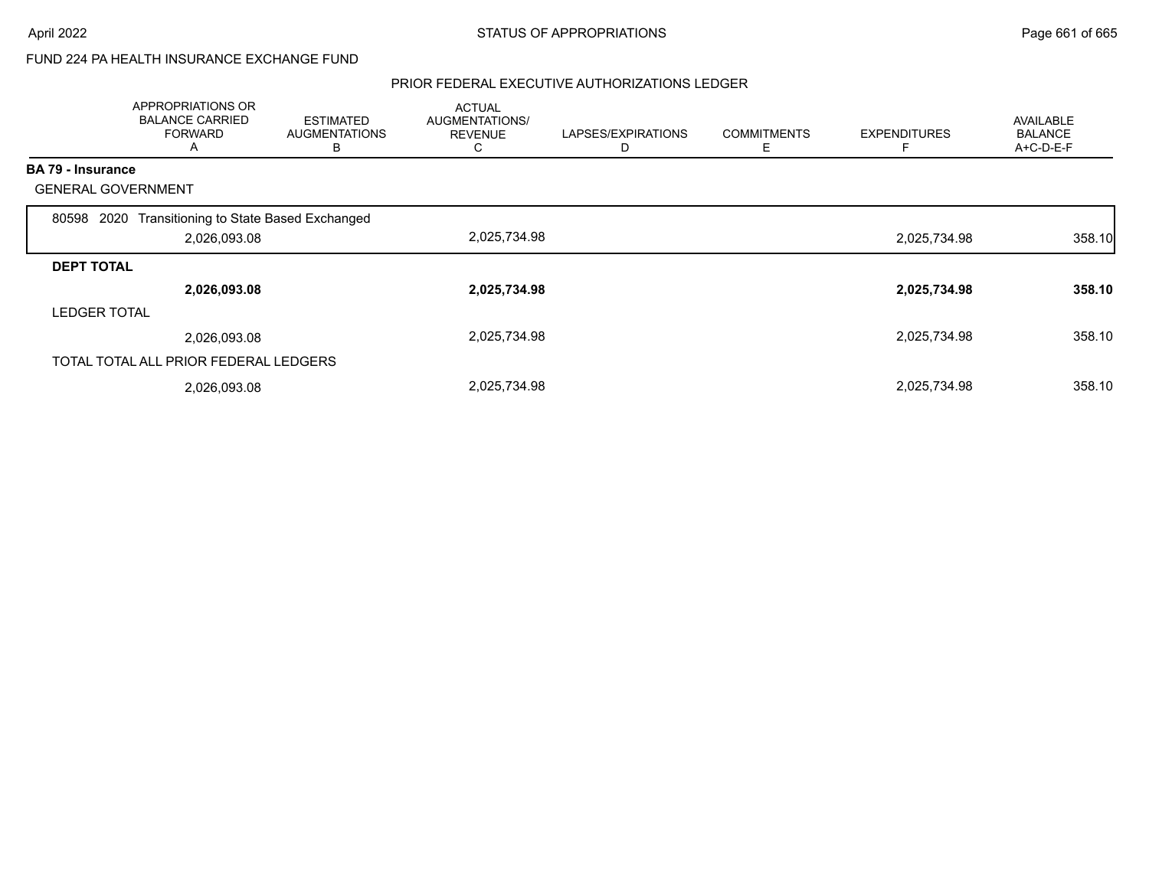### FUND 224 PA HEALTH INSURANCE EXCHANGE FUND

|                     | APPROPRIATIONS OR<br><b>BALANCE CARRIED</b><br><b>FORWARD</b><br>A | <b>ESTIMATED</b><br><b>AUGMENTATIONS</b><br>в | <b>ACTUAL</b><br>AUGMENTATIONS/<br><b>REVENUE</b><br>Ü | LAPSES/EXPIRATIONS<br>D | <b>COMMITMENTS</b><br>Ε | <b>EXPENDITURES</b> | <b>AVAILABLE</b><br><b>BALANCE</b><br>A+C-D-E-F |
|---------------------|--------------------------------------------------------------------|-----------------------------------------------|--------------------------------------------------------|-------------------------|-------------------------|---------------------|-------------------------------------------------|
| BA 79 - Insurance   |                                                                    |                                               |                                                        |                         |                         |                     |                                                 |
|                     | <b>GENERAL GOVERNMENT</b>                                          |                                               |                                                        |                         |                         |                     |                                                 |
| 80598               | Transitioning to State Based Exchanged<br>2020                     |                                               |                                                        |                         |                         |                     |                                                 |
|                     | 2,026,093.08                                                       |                                               | 2,025,734.98                                           |                         |                         | 2,025,734.98        | 358.10                                          |
| <b>DEPT TOTAL</b>   |                                                                    |                                               |                                                        |                         |                         |                     |                                                 |
|                     | 2,026,093.08                                                       |                                               | 2,025,734.98                                           |                         |                         | 2,025,734.98        | 358.10                                          |
| <b>LEDGER TOTAL</b> |                                                                    |                                               |                                                        |                         |                         |                     |                                                 |
|                     | 2,026,093.08                                                       |                                               | 2,025,734.98                                           |                         |                         | 2,025,734.98        | 358.10                                          |
|                     | TOTAL TOTAL ALL PRIOR FEDERAL LEDGERS                              |                                               |                                                        |                         |                         |                     |                                                 |
|                     | 2,026,093.08                                                       |                                               | 2,025,734.98                                           |                         |                         | 2,025,734.98        | 358.10                                          |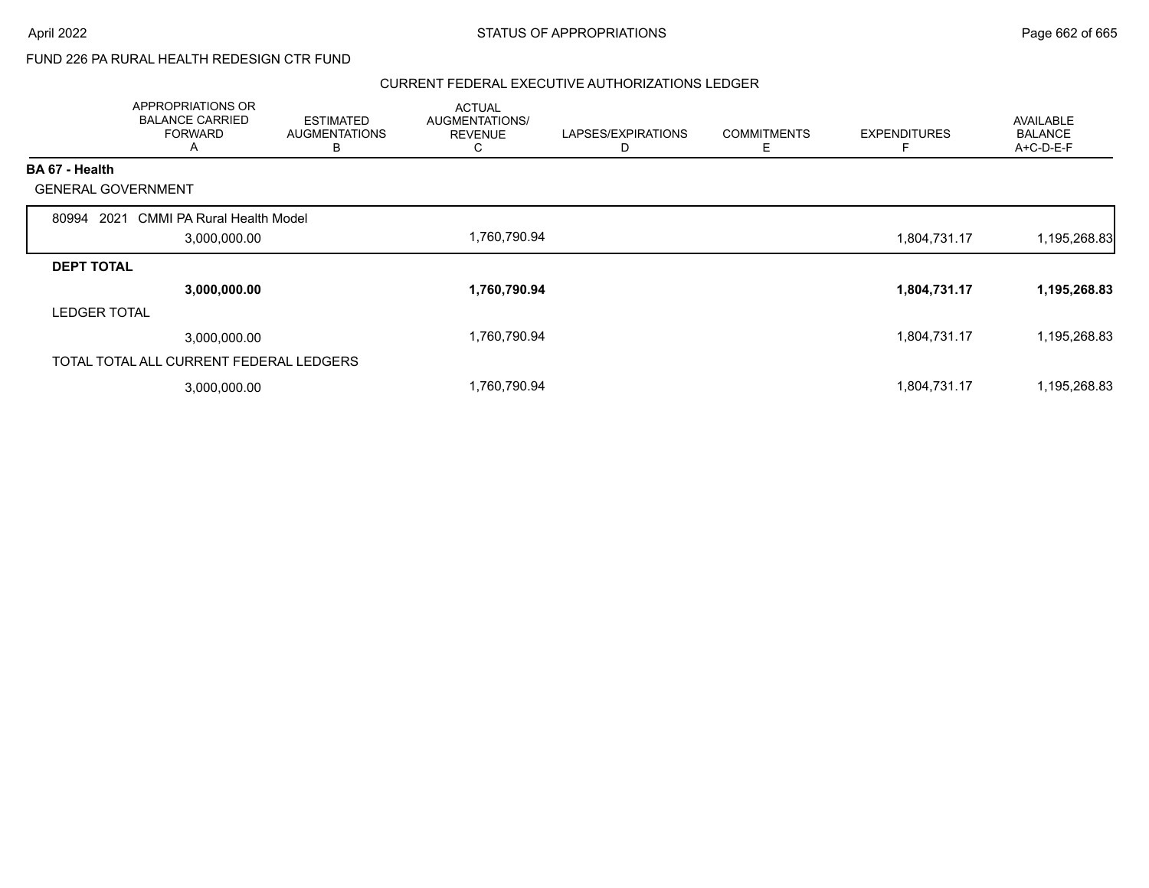## FUND 226 PA RURAL HEALTH REDESIGN CTR FUND

|                           | APPROPRIATIONS OR<br><b>BALANCE CARRIED</b><br><b>FORWARD</b><br>A | <b>ESTIMATED</b><br><b>AUGMENTATIONS</b><br>в | <b>ACTUAL</b><br>AUGMENTATIONS/<br><b>REVENUE</b><br>C | LAPSES/EXPIRATIONS | <b>COMMITMENTS</b><br>Ε | <b>EXPENDITURES</b> | AVAILABLE<br><b>BALANCE</b><br>A+C-D-E-F |
|---------------------------|--------------------------------------------------------------------|-----------------------------------------------|--------------------------------------------------------|--------------------|-------------------------|---------------------|------------------------------------------|
| BA 67 - Health            |                                                                    |                                               |                                                        |                    |                         |                     |                                          |
| <b>GENERAL GOVERNMENT</b> |                                                                    |                                               |                                                        |                    |                         |                     |                                          |
| 80994<br>2021             | <b>CMMI PA Rural Health Model</b>                                  |                                               |                                                        |                    |                         |                     |                                          |
|                           | 3,000,000.00                                                       |                                               | 1,760,790.94                                           |                    |                         | 1,804,731.17        | 1,195,268.83                             |
| <b>DEPT TOTAL</b>         |                                                                    |                                               |                                                        |                    |                         |                     |                                          |
|                           | 3,000,000.00                                                       |                                               | 1,760,790.94                                           |                    |                         | 1,804,731.17        | 1,195,268.83                             |
| <b>LEDGER TOTAL</b>       |                                                                    |                                               |                                                        |                    |                         |                     |                                          |
|                           | 3,000,000.00                                                       |                                               | 1,760,790.94                                           |                    |                         | 1,804,731.17        | 1,195,268.83                             |
|                           | TOTAL TOTAL ALL CURRENT FEDERAL LEDGERS                            |                                               |                                                        |                    |                         |                     |                                          |
|                           | 3,000,000.00                                                       |                                               | 1,760,790.94                                           |                    |                         | 1,804,731.17        | 1,195,268.83                             |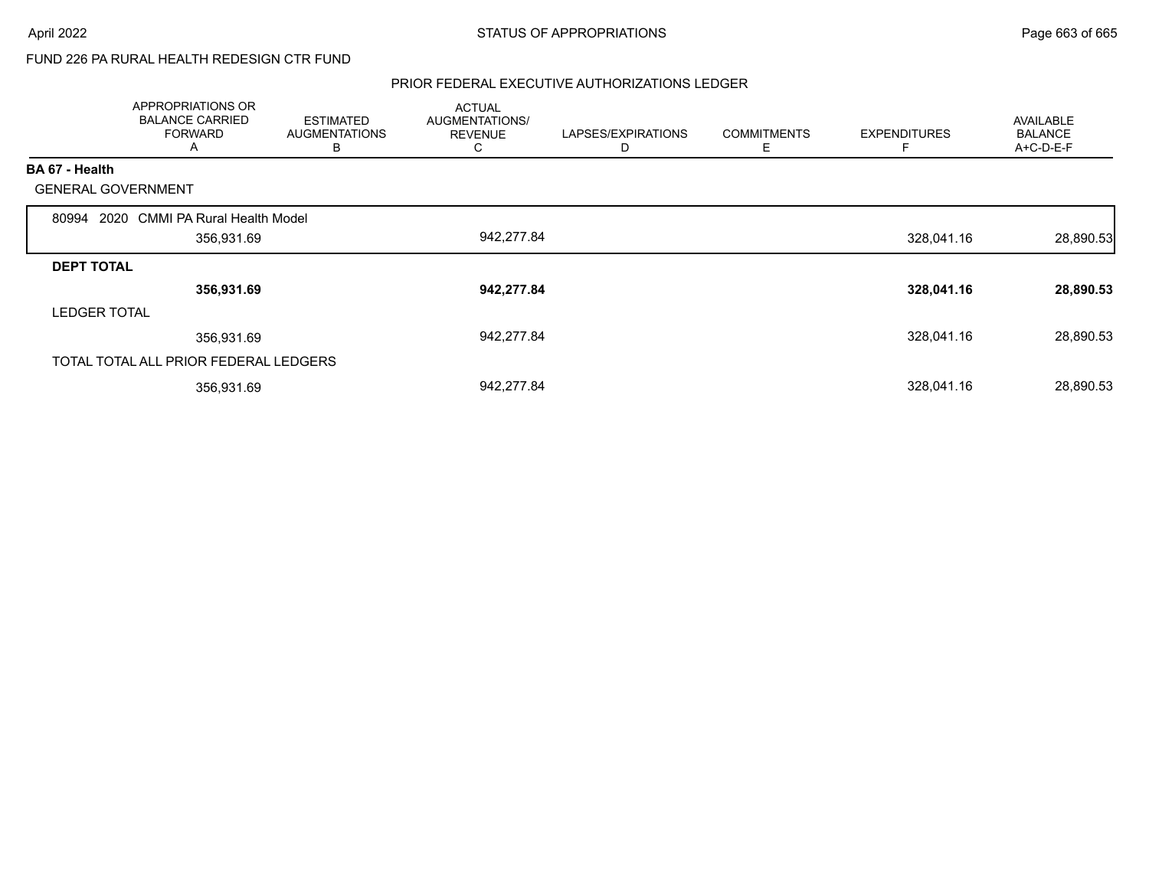## FUND 226 PA RURAL HEALTH REDESIGN CTR FUND

|                           | APPROPRIATIONS OR<br><b>BALANCE CARRIED</b><br><b>FORWARD</b><br>A | <b>ESTIMATED</b><br><b>AUGMENTATIONS</b><br>В | <b>ACTUAL</b><br>AUGMENTATIONS/<br><b>REVENUE</b><br>C | LAPSES/EXPIRATIONS<br>D | <b>COMMITMENTS</b><br>Е | <b>EXPENDITURES</b> | AVAILABLE<br><b>BALANCE</b><br>A+C-D-E-F |
|---------------------------|--------------------------------------------------------------------|-----------------------------------------------|--------------------------------------------------------|-------------------------|-------------------------|---------------------|------------------------------------------|
| BA 67 - Health            |                                                                    |                                               |                                                        |                         |                         |                     |                                          |
| <b>GENERAL GOVERNMENT</b> |                                                                    |                                               |                                                        |                         |                         |                     |                                          |
| 80994 2020                | <b>CMMI PA Rural Health Model</b>                                  |                                               |                                                        |                         |                         |                     |                                          |
|                           | 356,931.69                                                         |                                               | 942,277.84                                             |                         |                         | 328,041.16          | 28,890.53                                |
| <b>DEPT TOTAL</b>         |                                                                    |                                               |                                                        |                         |                         |                     |                                          |
|                           | 356,931.69                                                         |                                               | 942,277.84                                             |                         |                         | 328,041.16          | 28,890.53                                |
| <b>LEDGER TOTAL</b>       |                                                                    |                                               |                                                        |                         |                         |                     |                                          |
|                           | 356,931.69                                                         |                                               | 942,277.84                                             |                         |                         | 328,041.16          | 28,890.53                                |
|                           | TOTAL TOTAL ALL PRIOR FEDERAL LEDGERS                              |                                               |                                                        |                         |                         |                     |                                          |
|                           | 356,931.69                                                         |                                               | 942,277.84                                             |                         |                         | 328,041.16          | 28,890.53                                |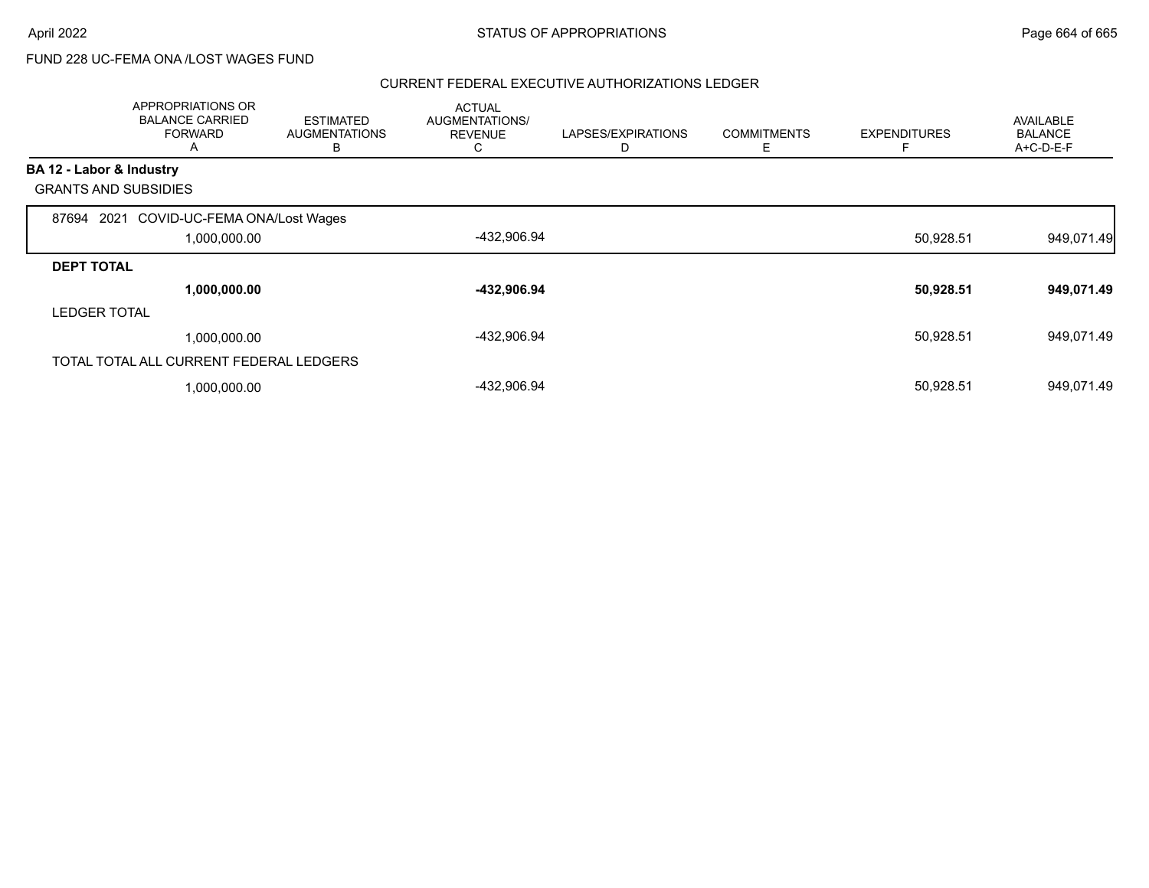## FUND 228 UC-FEMA ONA /LOST WAGES FUND

|                          | APPROPRIATIONS OR<br><b>BALANCE CARRIED</b><br><b>FORWARD</b><br>A | <b>ESTIMATED</b><br><b>AUGMENTATIONS</b><br>в | <b>ACTUAL</b><br>AUGMENTATIONS/<br><b>REVENUE</b><br>◡ | LAPSES/EXPIRATIONS<br>D | <b>COMMITMENTS</b><br>Ε | <b>EXPENDITURES</b> | <b>AVAILABLE</b><br><b>BALANCE</b><br>A+C-D-E-F |
|--------------------------|--------------------------------------------------------------------|-----------------------------------------------|--------------------------------------------------------|-------------------------|-------------------------|---------------------|-------------------------------------------------|
| BA 12 - Labor & Industry |                                                                    |                                               |                                                        |                         |                         |                     |                                                 |
|                          | <b>GRANTS AND SUBSIDIES</b>                                        |                                               |                                                        |                         |                         |                     |                                                 |
| 87694                    | COVID-UC-FEMA ONA/Lost Wages<br>2021                               |                                               |                                                        |                         |                         |                     |                                                 |
|                          | 1,000,000.00                                                       |                                               | -432,906.94                                            |                         |                         | 50,928.51           | 949,071.49                                      |
| <b>DEPT TOTAL</b>        |                                                                    |                                               |                                                        |                         |                         |                     |                                                 |
|                          | 1,000,000.00                                                       |                                               | -432,906.94                                            |                         |                         | 50,928.51           | 949,071.49                                      |
| <b>LEDGER TOTAL</b>      |                                                                    |                                               |                                                        |                         |                         |                     |                                                 |
|                          | 1,000,000.00                                                       |                                               | -432,906.94                                            |                         |                         | 50,928.51           | 949,071.49                                      |
|                          | TOTAL TOTAL ALL CURRENT FEDERAL LEDGERS                            |                                               |                                                        |                         |                         |                     |                                                 |
|                          | 1,000,000.00                                                       |                                               | -432,906.94                                            |                         |                         | 50,928.51           | 949,071.49                                      |